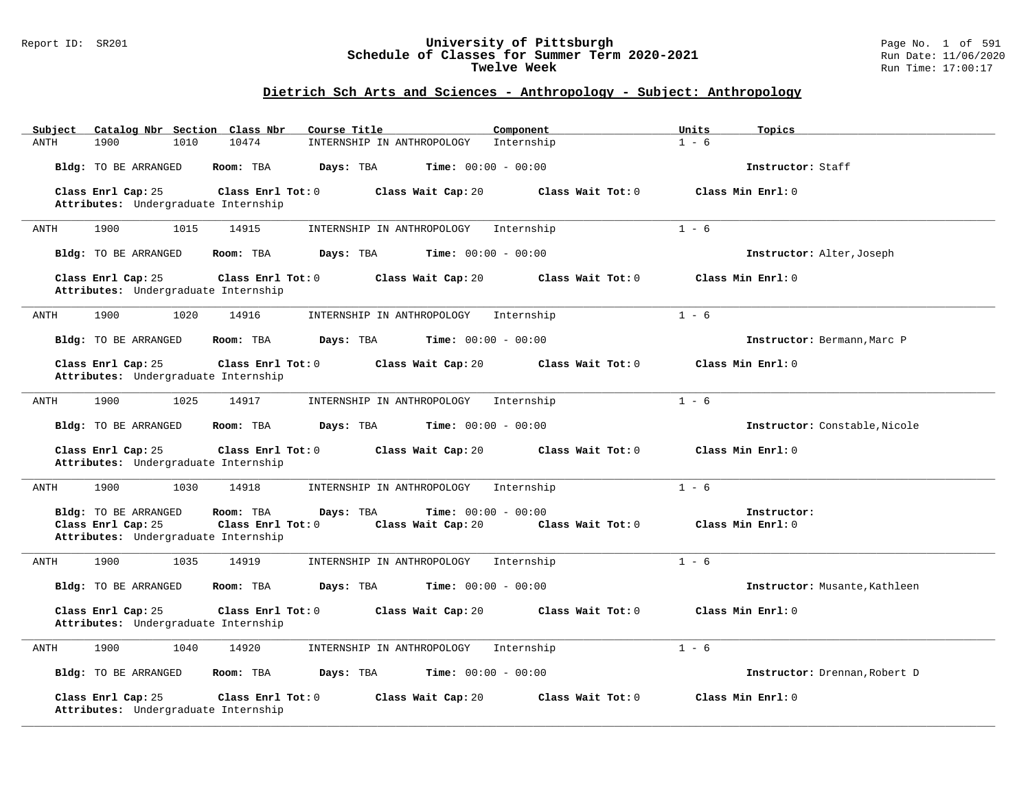#### Report ID: SR201 **University of Pittsburgh** Page No. 1 of 591 **Schedule of Classes for Summer Term 2020-2021** Run Date: 11/06/2020 **Twelve Week Run Time:** 17:00:17

| Catalog Nbr Section Class Nbr<br>Subject                                                                                    | Course Title                                                    | Component           | Units<br>Topics                  |
|-----------------------------------------------------------------------------------------------------------------------------|-----------------------------------------------------------------|---------------------|----------------------------------|
| 10474<br><b>ANTH</b><br>1900<br>1010                                                                                        | INTERNSHIP IN ANTHROPOLOGY                                      | Internship          | $1 - 6$                          |
| Bldg: TO BE ARRANGED<br>Room: TBA                                                                                           | Days: TBA<br><b>Time:</b> $00:00 - 00:00$                       |                     | Instructor: Staff                |
| Class Enrl Cap: 25<br>Class Enrl Tot: $0$                                                                                   | Class Wait Cap: 20                                              | Class Wait Tot: 0   | Class Min Enrl: 0                |
| Attributes: Undergraduate Internship                                                                                        |                                                                 |                     |                                  |
| 1900<br>1015<br>14915<br>ANTH                                                                                               | INTERNSHIP IN ANTHROPOLOGY                                      | Internship          | $1 - 6$                          |
| Bldg: TO BE ARRANGED<br>Room: TBA                                                                                           | Days: TBA<br><b>Time:</b> $00:00 - 00:00$                       |                     | Instructor: Alter, Joseph        |
| Class Enrl Cap: 25<br>Class Enrl Tot: 0<br>Attributes: Undergraduate Internship                                             | Class Wait Cap: 20                                              | Class Wait $Tot: 0$ | Class Min Enrl: 0                |
| 1900<br>14916<br>1020<br>ANTH                                                                                               | INTERNSHIP IN ANTHROPOLOGY                                      | Internship          | $1 - 6$                          |
| Bldg: TO BE ARRANGED<br>Room: TBA                                                                                           | Days: TBA<br><b>Time:</b> $00:00 - 00:00$                       |                     | Instructor: Bermann, Marc P      |
| Class Enrl Cap: 25<br>Class Enrl Tot: 0<br>Attributes: Undergraduate Internship                                             | Class Wait Cap: 20                                              | Class Wait Tot: 0   | Class Min Enrl: 0                |
| 1900<br>1025<br>14917<br>ANTH                                                                                               | INTERNSHIP IN ANTHROPOLOGY                                      | Internship          | $1 - 6$                          |
| <b>Bldg:</b> TO BE ARRANGED<br>Room: TBA                                                                                    | Days: TBA<br><b>Time:</b> $00:00 - 00:00$                       |                     | Instructor: Constable, Nicole    |
| Class Enrl Cap: 25<br>Class Enrl Tot: 0<br>Attributes: Undergraduate Internship                                             | Class Wait Cap: 20                                              | Class Wait Tot: 0   | Class Min Enrl: 0                |
| 1900<br>1030<br>14918<br>ANTH                                                                                               | INTERNSHIP IN ANTHROPOLOGY                                      | Internship          | $1 - 6$                          |
| <b>Bldg:</b> TO BE ARRANGED<br>Room: TBA<br>Class Enrl Cap: 25<br>Class Enrl Tot: 0<br>Attributes: Undergraduate Internship | <b>Time:</b> $00:00 - 00:00$<br>Days: TBA<br>Class Wait Cap: 20 | Class Wait Tot: 0   | Instructor:<br>Class Min Enrl: 0 |
| 1900<br>1035<br>14919<br>ANTH                                                                                               | INTERNSHIP IN ANTHROPOLOGY                                      | Internship          | $1 - 6$                          |
| Bldg: TO BE ARRANGED<br>Room: TBA                                                                                           | <b>Time:</b> $00:00 - 00:00$<br>Days: TBA                       |                     | Instructor: Musante, Kathleen    |
| Class Enrl Cap: 25<br>Class Enrl Tot: 0<br>Attributes: Undergraduate Internship                                             | Class Wait Cap: 20                                              | Class Wait Tot: 0   | Class Min Enrl: 0                |
| 14920<br>1900<br>1040<br>ANTH                                                                                               | INTERNSHIP IN ANTHROPOLOGY                                      | Internship          | $1 - 6$                          |
| Bldg: TO BE ARRANGED<br>Room: TBA                                                                                           | <b>Time:</b> $00:00 - 00:00$<br>Days: TBA                       |                     | Instructor: Drennan, Robert D    |
| Class Enrl Cap: 25<br>Class Enrl Tot: 0<br>Attributes: Undergraduate Internship                                             | Class Wait Cap: 20                                              | Class Wait Tot: 0   | Class Min Enrl: 0                |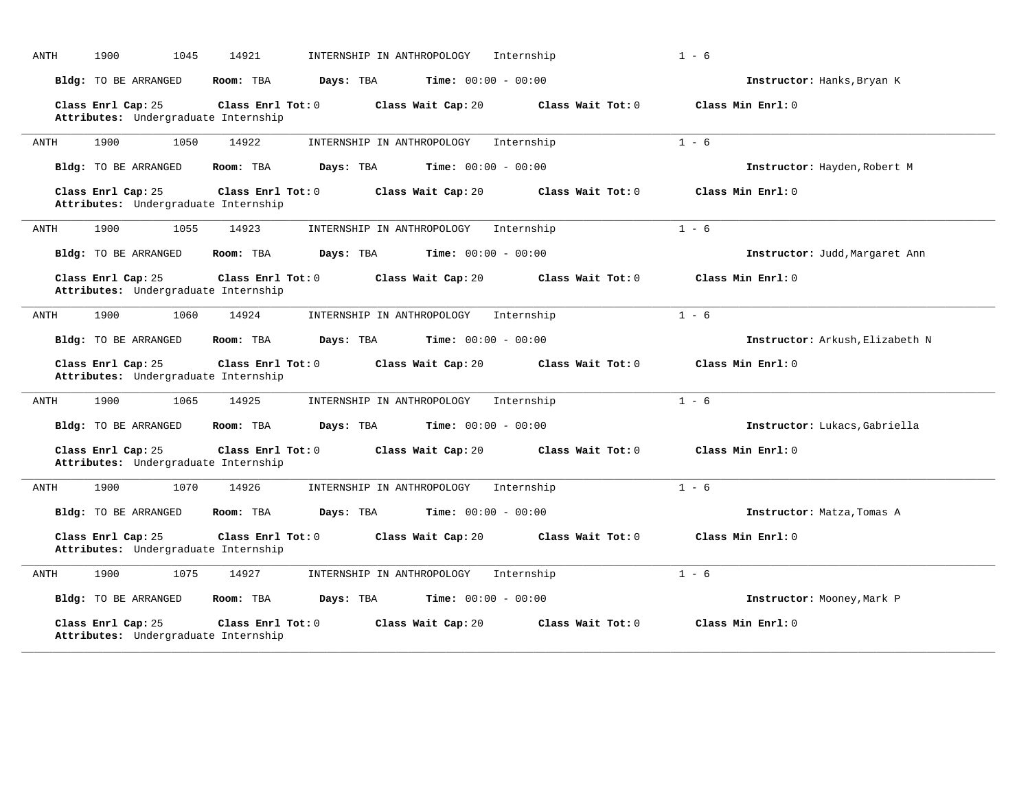| <b>ANTH</b> | 1900<br>1045                                               | 14921                  | INTERNSHIP IN ANTHROPOLOGY   | Internship          | $1 - 6$                         |
|-------------|------------------------------------------------------------|------------------------|------------------------------|---------------------|---------------------------------|
|             | <b>Bldg:</b> TO BE ARRANGED                                | Room: TBA<br>Days: TBA | <b>Time:</b> $00:00 - 00:00$ |                     | Instructor: Hanks, Bryan K      |
|             | Class Enrl Cap: 25<br>Attributes: Undergraduate Internship | Class Enrl Tot: 0      | Class Wait Cap: 20           | Class Wait Tot: 0   | Class Min Enrl: 0               |
| ANTH        | 1900<br>1050                                               | 14922                  | INTERNSHIP IN ANTHROPOLOGY   | Internship          | $1 - 6$                         |
|             | Bldg: TO BE ARRANGED                                       | Room: TBA<br>Days: TBA | <b>Time:</b> $00:00 - 00:00$ |                     | Instructor: Hayden, Robert M    |
|             | Class Enrl Cap: 25<br>Attributes: Undergraduate Internship | Class Enrl Tot: 0      | Class Wait Cap: 20           | Class Wait Tot: 0   | Class Min Enrl: 0               |
| ANTH        | 1900<br>1055                                               | 14923                  | INTERNSHIP IN ANTHROPOLOGY   | Internship          | $1 - 6$                         |
|             | Bldg: TO BE ARRANGED                                       | Room: TBA<br>Days: TBA | <b>Time:</b> $00:00 - 00:00$ |                     | Instructor: Judd, Margaret Ann  |
|             | Class Enrl Cap: 25<br>Attributes: Undergraduate Internship | Class Enrl Tot: 0      | Class Wait Cap: 20           | Class Wait Tot: 0   | Class Min Enrl: 0               |
| ANTH        | 1900<br>1060                                               | 14924                  | INTERNSHIP IN ANTHROPOLOGY   | Internship          | $1 - 6$                         |
|             | Bldg: TO BE ARRANGED                                       | Days: TBA<br>Room: TBA | <b>Time:</b> $00:00 - 00:00$ |                     | Instructor: Arkush, Elizabeth N |
|             | Class Enrl Cap: 25<br>Attributes: Undergraduate Internship | Class Enrl Tot: 0      | Class Wait Cap: 20           | Class Wait Tot: 0   | Class Min Enrl: 0               |
| ANTH        | 1900<br>1065                                               | 14925                  | INTERNSHIP IN ANTHROPOLOGY   | Internship          | $1 - 6$                         |
|             | Bldg: TO BE ARRANGED                                       | Room: TBA<br>Days: TBA | <b>Time:</b> $00:00 - 00:00$ |                     | Instructor: Lukacs, Gabriella   |
|             | Class Enrl Cap: 25<br>Attributes: Undergraduate Internship | Class Enrl Tot: 0      | Class Wait Cap: 20           | Class Wait $Tot: 0$ | Class Min Enrl: 0               |
| ANTH        | 1070<br>1900                                               | 14926                  | INTERNSHIP IN ANTHROPOLOGY   | Internship          | $1 - 6$                         |
|             | Bldg: TO BE ARRANGED                                       | Room: TBA<br>Days: TBA | <b>Time:</b> $00:00 - 00:00$ |                     | Instructor: Matza, Tomas A      |
|             | Class Enrl Cap: 25<br>Attributes: Undergraduate Internship | Class Enrl Tot: 0      | Class Wait Cap: 20           | Class Wait Tot: 0   | Class Min Enrl: 0               |
| <b>ANTH</b> | 1900<br>1075                                               | 14927                  | INTERNSHIP IN ANTHROPOLOGY   | Internship          | $1 - 6$                         |
|             | Bldg: TO BE ARRANGED                                       | Room: TBA<br>Days: TBA | <b>Time:</b> $00:00 - 00:00$ |                     | Instructor: Mooney, Mark P      |
|             | Class Enrl Cap: 25<br>Attributes: Undergraduate Internship | Class Enrl Tot: 0      | Class Wait Cap: 20           | Class Wait Tot: 0   | Class Min Enrl: 0               |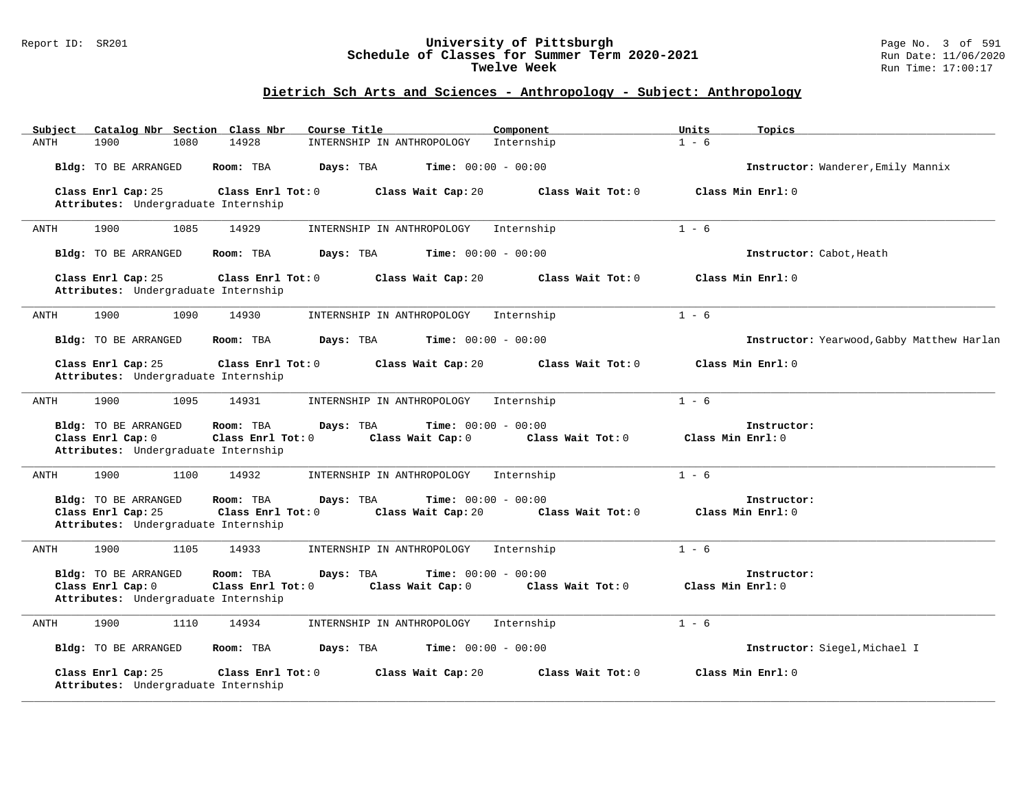#### Report ID: SR201 **University of Pittsburgh** Page No. 3 of 591 **Schedule of Classes for Summer Term 2020-2021** Run Date: 11/06/2020 **Twelve Week Run Time:** 17:00:17

| Subject | Catalog Nbr Section Class Nbr                                                            |      |                                | Course Title |                                                   | Component  |                   | Units   | Topics                                     |
|---------|------------------------------------------------------------------------------------------|------|--------------------------------|--------------|---------------------------------------------------|------------|-------------------|---------|--------------------------------------------|
| ANTH    | 1900                                                                                     | 1080 | 14928                          |              | INTERNSHIP IN ANTHROPOLOGY                        | Internship |                   | $1 - 6$ |                                            |
|         | Bldg: TO BE ARRANGED                                                                     |      | Room: TBA                      | Days: TBA    | Time: $00:00 - 00:00$                             |            |                   |         | Instructor: Wanderer, Emily Mannix         |
|         | Class Enrl Cap: 25<br>Attributes: Undergraduate Internship                               |      | Class Enrl Tot: 0              |              | Class Wait Cap: 20                                |            | Class Wait Tot: 0 |         | Class Min Enrl: 0                          |
| ANTH    | 1900                                                                                     | 1085 | 14929                          |              | INTERNSHIP IN ANTHROPOLOGY                        | Internship |                   | $1 - 6$ |                                            |
|         | <b>Bldg:</b> TO BE ARRANGED                                                              |      | Room: TBA                      | Days: TBA    | Time: $00:00 - 00:00$                             |            |                   |         | Instructor: Cabot, Heath                   |
|         | Class Enrl Cap: 25<br>Attributes: Undergraduate Internship                               |      | Class Enrl Tot: 0              |              | Class Wait Cap: 20                                |            | Class Wait Tot: 0 |         | Class Min Enrl: 0                          |
| ANTH    | 1900                                                                                     | 1090 | 14930                          |              | INTERNSHIP IN ANTHROPOLOGY                        | Internship |                   | $1 - 6$ |                                            |
|         | Bldg: TO BE ARRANGED                                                                     |      | Room: TBA                      | Days: TBA    | <b>Time:</b> $00:00 - 00:00$                      |            |                   |         | Instructor: Yearwood, Gabby Matthew Harlan |
|         | Class Enrl Cap: 25<br>Attributes: Undergraduate Internship                               |      | Class Enrl Tot: 0              |              | Class Wait Cap: 20                                |            | Class Wait Tot: 0 |         | Class Min Enrl: 0                          |
| ANTH    | 1900                                                                                     | 1095 | 14931                          |              | INTERNSHIP IN ANTHROPOLOGY                        | Internship |                   | $1 - 6$ |                                            |
|         | <b>Bldg:</b> TO BE ARRANGED<br>Class Enrl Cap: 0<br>Attributes: Undergraduate Internship |      | Room: TBA<br>Class Enrl Tot: 0 | Days: TBA    | <b>Time:</b> $00:00 - 00:00$<br>Class Wait Cap: 0 |            | Class Wait Tot: 0 |         | Instructor:<br>Class Min Enrl: 0           |
| ANTH    | 1900                                                                                     | 1100 | 14932                          |              | INTERNSHIP IN ANTHROPOLOGY                        | Internship |                   | $1 - 6$ |                                            |
|         | Bldg: TO BE ARRANGED<br>Class Enrl Cap: 25<br>Attributes: Undergraduate Internship       |      | Room: TBA<br>Class Enrl Tot: 0 | Days: TBA    | Time: $00:00 - 00:00$<br>Class Wait Cap: 20       |            | Class Wait Tot: 0 |         | Instructor:<br>Class Min Enrl: 0           |
| ANTH    | 1900                                                                                     | 1105 | 14933                          |              | INTERNSHIP IN ANTHROPOLOGY                        | Internship |                   | $1 - 6$ |                                            |
|         | Bldg: TO BE ARRANGED<br>Class Enrl Cap: 0<br>Attributes: Undergraduate Internship        |      | Room: TBA<br>Class Enrl Tot: 0 | Days: TBA    | <b>Time:</b> $00:00 - 00:00$<br>Class Wait Cap: 0 |            | Class Wait Tot: 0 |         | Instructor:<br>Class Min Enrl: 0           |
| ANTH    | 1900                                                                                     | 1110 | 14934                          |              | INTERNSHIP IN ANTHROPOLOGY                        | Internship |                   | $1 - 6$ |                                            |
|         | Bldg: TO BE ARRANGED                                                                     |      | Room: TBA                      | Days: TBA    | <b>Time:</b> $00:00 - 00:00$                      |            |                   |         | Instructor: Siegel, Michael I              |
|         | Class Enrl Cap: 25<br>Attributes: Undergraduate Internship                               |      | Class Enrl Tot: 0              |              | Class Wait Cap: 20                                |            | Class Wait Tot: 0 |         | Class Min Enrl: 0                          |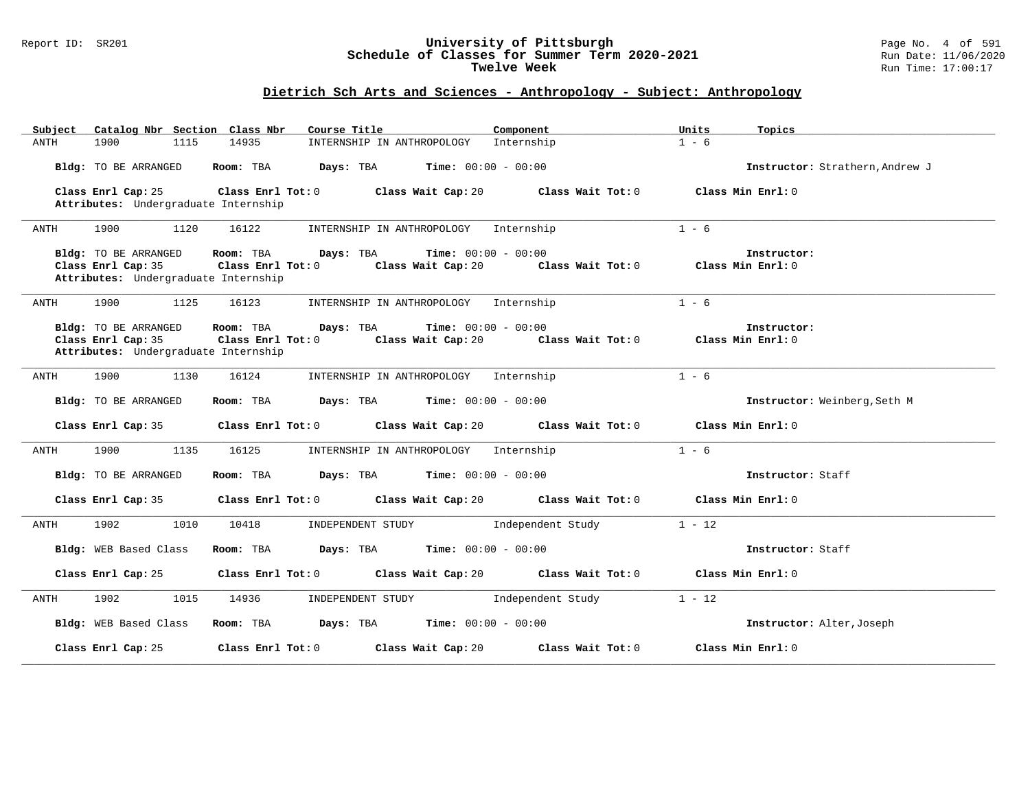#### Report ID: SR201 **University of Pittsburgh** Page No. 4 of 591 **Schedule of Classes for Summer Term 2020-2021** Run Date: 11/06/2020 **Twelve Week Run Time:** 17:00:17

| Catalog Nbr Section Class Nbr<br>Subject                                           | Course Title <b>Source Search</b>                                                                                                                             | Component         | Units<br>Topics                 |
|------------------------------------------------------------------------------------|---------------------------------------------------------------------------------------------------------------------------------------------------------------|-------------------|---------------------------------|
| 1900<br>1115<br>ANTH                                                               | INTERNSHIP IN ANTHROPOLOGY Internship<br>14935                                                                                                                |                   | $1 - 6$                         |
| Bldg: TO BE ARRANGED                                                               | Room: TBA<br><b>Days:</b> TBA <b>Time:</b> $00:00 - 00:00$                                                                                                    |                   | Instructor: Strathern, Andrew J |
| Class Enrl Cap: 25<br>Attributes: Undergraduate Internship                         | Class Enrl Tot: 0<br>Class Wait Cap: 20                                                                                                                       | Class Wait Tot: 0 | Class Min Enrl: 0               |
| 1900<br>1120<br>ANTH                                                               | 16122<br>INTERNSHIP IN ANTHROPOLOGY Internship                                                                                                                |                   | $1 - 6$                         |
| Bldg: TO BE ARRANGED<br>Class Enrl Cap: 35<br>Attributes: Undergraduate Internship | <b>Time:</b> $00:00 - 00:00$<br>Room: TBA<br>Days: TBA<br>Class Enrl Tot: 0 $\qquad$ Class Wait Cap: 20 $\qquad$ Class Wait Tot: 0 $\qquad$ Class Min Enrl: 0 |                   | Instructor:                     |
| 1900<br>1125<br>ANTH                                                               | 16123<br>INTERNSHIP IN ANTHROPOLOGY Internship                                                                                                                |                   | $1 - 6$                         |
| Bldg: TO BE ARRANGED<br>Class Enrl Cap: 35<br>Attributes: Undergraduate Internship | <b>Time:</b> $00:00 - 00:00$<br>Room: TBA<br>Days: TBA<br>Class Enrl Tot: 0 $\qquad$ Class Wait Cap: 20 $\qquad$ Class Wait Tot: 0 $\qquad$ Class Min Enrl: 0 |                   | Instructor:                     |
| 1900<br>1130<br>ANTH                                                               | 16124<br>INTERNSHIP IN ANTHROPOLOGY Internship                                                                                                                |                   | $1 - 6$                         |
| Bldg: TO BE ARRANGED                                                               | Days: TBA<br><b>Time:</b> $00:00 - 00:00$<br>Room: TBA                                                                                                        |                   | Instructor: Weinberg, Seth M    |
| Class Enrl Cap: 35                                                                 | $Class$ $Enrl$ $Tot: 0$<br>Class Wait Cap: 20                                                                                                                 | Class Wait Tot: 0 | Class Min Enrl: 0               |
| 1900<br>1135<br>ANTH                                                               | 16125<br>INTERNSHIP IN ANTHROPOLOGY                                                                                                                           | Internship        | $1 - 6$                         |
| Bldg: TO BE ARRANGED                                                               | <b>Days:</b> TBA <b>Time:</b> $00:00 - 00:00$<br>Room: TBA                                                                                                    |                   | Instructor: Staff               |
| Class Enrl Cap: 35                                                                 | Class Enrl Tot: 0 Class Wait Cap: 20                                                                                                                          | Class Wait Tot: 0 | Class Min Enrl: 0               |
| 1902<br>1010<br>ANTH                                                               | 10418<br>INDEPENDENT STUDY                                                                                                                                    | Independent Study | $1 - 12$                        |
| Bldg: WEB Based Class                                                              | <b>Days:</b> TBA <b>Time:</b> $00:00 - 00:00$<br>Room: TBA                                                                                                    |                   | Instructor: Staff               |
| Class Enrl Cap: 25                                                                 | Class Enrl Tot: 0 Class Wait Cap: 20 Class Wait Tot: 0                                                                                                        |                   | Class Min Enrl: 0               |
| 1902<br>1015<br>ANTH                                                               | 14936<br>INDEPENDENT STUDY 1ndependent Study                                                                                                                  |                   | $1 - 12$                        |
| Bldg: WEB Based Class                                                              | Room: TBA $Days:$ TBA $Time: 00:00 - 00:00$                                                                                                                   |                   | Instructor: Alter, Joseph       |
| Class Enrl Cap: 25                                                                 | Class Enrl Tot: 0 Class Wait Cap: 20                                                                                                                          | Class Wait Tot: 0 | Class Min Enrl: 0               |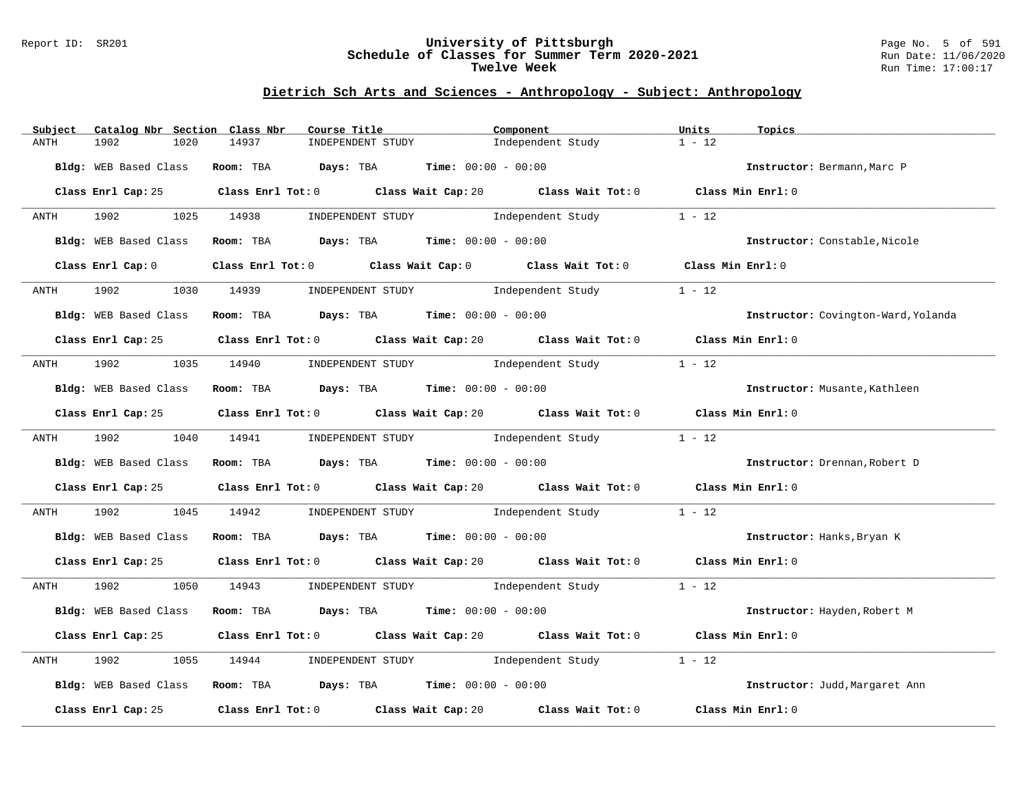#### Report ID: SR201 **University of Pittsburgh** Page No. 5 of 591 **Schedule of Classes for Summer Term 2020-2021** Run Date: 11/06/2020 **Twelve Week Run Time:** 17:00:17

| Subject | Catalog Nbr Section Class Nbr | Course Title                                                  | Component                                                                                   | Units<br>Topics                     |
|---------|-------------------------------|---------------------------------------------------------------|---------------------------------------------------------------------------------------------|-------------------------------------|
| ANTH    | 1902<br>1020                  | 14937<br>INDEPENDENT STUDY                                    | Independent Study                                                                           | $1 - 12$                            |
|         | Bldg: WEB Based Class         | Room: TBA $Days:$ TBA $Time: 00:00 - 00:00$                   |                                                                                             | Instructor: Bermann, Marc P         |
|         |                               |                                                               | Class Enrl Cap: 25 Class Enrl Tot: 0 Class Wait Cap: 20 Class Wait Tot: 0 Class Min Enrl: 0 |                                     |
| ANTH    |                               |                                                               | 1902 1025 14938 INDEPENDENT STUDY Independent Study 1 - 12                                  |                                     |
|         | Bldg: WEB Based Class         | Room: TBA $Days:$ TBA Time: $00:00 - 00:00$                   |                                                                                             | Instructor: Constable, Nicole       |
|         | Class Enrl Cap: 0             |                                                               | Class Enrl Tot: 0 Class Wait Cap: 0 Class Wait Tot: 0 Class Min Enrl: 0                     |                                     |
| ANTH    | 1902<br>1030                  |                                                               | 14939        INDEPENDENT STUDY                Independent Study                             | $1 - 12$                            |
|         | Bldg: WEB Based Class         | Room: TBA $Days:$ TBA $Time: 00:00 - 00:00$                   |                                                                                             | Instructor: Covington-Ward, Yolanda |
|         |                               |                                                               | Class Enrl Cap: 25 Class Enrl Tot: 0 Class Wait Cap: 20 Class Wait Tot: 0 Class Min Enrl: 0 |                                     |
|         |                               |                                                               | ANTH 1902 1035 14940 INDEPENDENT STUDY Independent Study                                    | $1 - 12$                            |
|         | Bldg: WEB Based Class         | Room: TBA $Days:$ TBA Time: $00:00 - 00:00$                   |                                                                                             | Instructor: Musante, Kathleen       |
|         |                               |                                                               | Class Enrl Cap: 25 Class Enrl Tot: 0 Class Wait Cap: 20 Class Wait Tot: 0 Class Min Enrl: 0 |                                     |
|         |                               |                                                               | ANTH 1902 1040 14941 INDEPENDENT STUDY Independent Study                                    | $1 - 12$                            |
|         |                               | Bldg: WEB Based Class Room: TBA Days: TBA Time: 00:00 - 00:00 |                                                                                             | Instructor: Drennan, Robert D       |
|         |                               |                                                               | Class Enrl Cap: 25 Class Enrl Tot: 0 Class Wait Cap: 20 Class Wait Tot: 0 Class Min Enrl: 0 |                                     |
| ANTH    |                               |                                                               | 1902 1045 14942 INDEPENDENT STUDY Independent Study 1 - 12                                  |                                     |
|         |                               | Bldg: WEB Based Class Room: TBA Days: TBA Time: 00:00 - 00:00 |                                                                                             | Instructor: Hanks, Bryan K          |
|         |                               |                                                               | Class Enrl Cap: 25 Class Enrl Tot: 0 Class Wait Cap: 20 Class Wait Tot: 0 Class Min Enrl: 0 |                                     |
|         |                               |                                                               | ANTH 1902 1050 14943 INDEPENDENT STUDY Independent Study 1 - 12                             |                                     |
|         |                               | Bldg: WEB Based Class Room: TBA Days: TBA Time: 00:00 - 00:00 |                                                                                             | Instructor: Hayden, Robert M        |
|         |                               |                                                               | Class Enrl Cap: 25 Class Enrl Tot: 0 Class Wait Cap: 20 Class Wait Tot: 0 Class Min Enrl: 0 |                                     |
| ANTH    | 1902                          |                                                               | 1055 14944 INDEPENDENT STUDY Independent Study                                              | $1 - 12$                            |
|         |                               | Bldg: WEB Based Class Room: TBA Days: TBA Time: 00:00 - 00:00 |                                                                                             | Instructor: Judd, Margaret Ann      |
|         |                               |                                                               | Class Enrl Cap: 25 Class Enrl Tot: 0 Class Wait Cap: 20 Class Wait Tot: 0                   | Class Min Enrl: 0                   |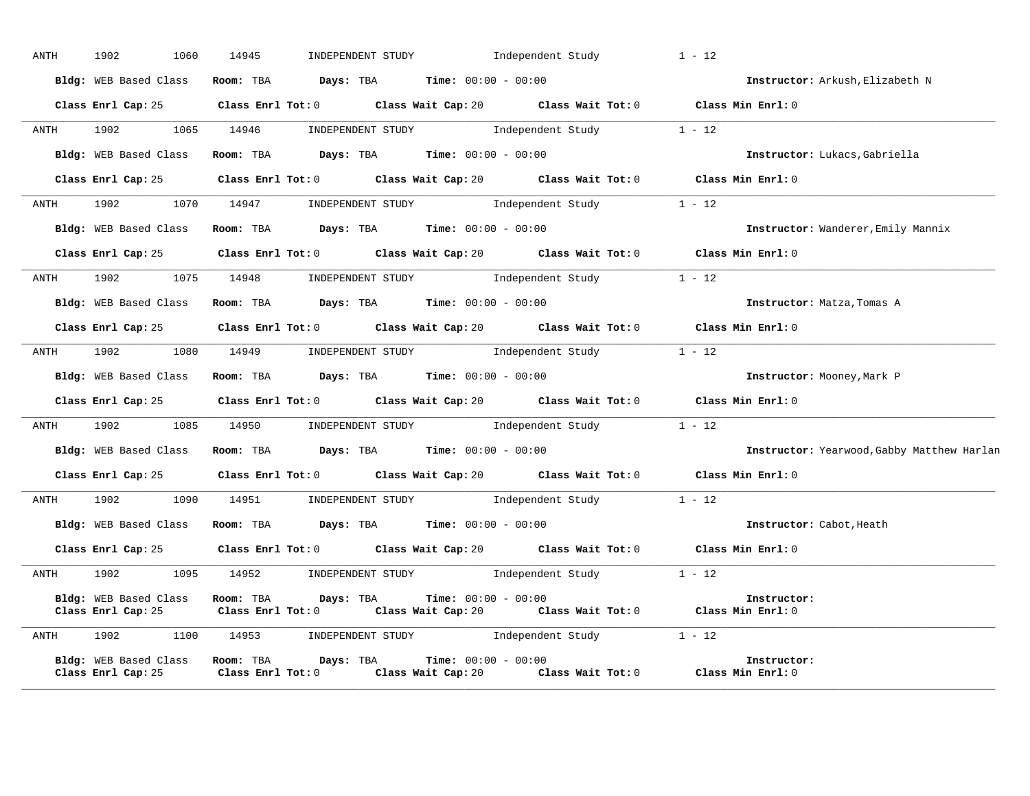| ANTH      | 1902<br>1060                                                  | 14945                                | INDEPENDENT STUDY                                         |                              | Independent Study                                                                                                          | $1 - 12$                                   |
|-----------|---------------------------------------------------------------|--------------------------------------|-----------------------------------------------------------|------------------------------|----------------------------------------------------------------------------------------------------------------------------|--------------------------------------------|
|           | Bldg: WEB Based Class                                         |                                      | <b>Room:</b> TBA $Days: TBA$ <b>Time:</b> $00:00 - 00:00$ |                              |                                                                                                                            | Instructor: Arkush, Elizabeth N            |
|           |                                                               |                                      |                                                           |                              | Class Enrl Cap: 25 Class Enrl Tot: 0 Class Wait Cap: 20 Class Wait Tot: 0 Class Min Enrl: 0                                |                                            |
|           | ANTH 1902                                                     | 1065 14946                           |                                                           |                              | INDEPENDENT STUDY 1 - 12                                                                                                   |                                            |
|           | Bldg: WEB Based Class                                         |                                      |                                                           |                              | <b>ROOM:</b> TBA <b>Days:</b> TBA <b>Time:</b> 00:00 - 00:00                                                               | Instructor: Lukacs, Gabriella              |
|           |                                                               |                                      |                                                           |                              | Class Enrl Cap: 25 Class Enrl Tot: 0 Class Wait Cap: 20 Class Wait Tot: 0 Class Min Enrl: 0                                |                                            |
| ANTH 1902 |                                                               |                                      |                                                           |                              | 1070 14947 INDEPENDENT STUDY Independent Study 1 - 12                                                                      |                                            |
|           | Bldg: WEB Based Class                                         |                                      | Room: TBA $Days: TBA$ Time: $00:00 - 00:00$               |                              |                                                                                                                            | Instructor: Wanderer, Emily Mannix         |
|           |                                                               |                                      |                                                           |                              | Class Enrl Cap: 25 Class Enrl Tot: 0 Class Wait Cap: 20 Class Wait Tot: 0 Class Min Enrl: 0                                |                                            |
|           | ANTH 1902                                                     | 1075 14948                           |                                                           |                              | INDEPENDENT STUDY 1ndependent Study                                                                                        | $1 - 12$                                   |
|           | Bldg: WEB Based Class Room: TBA Days: TBA Time: 00:00 - 00:00 |                                      |                                                           |                              |                                                                                                                            | Instructor: Matza, Tomas A                 |
|           |                                                               |                                      |                                                           |                              | Class Enrl Cap: 25 Class Enrl Tot: 0 Class Wait Cap: 20 Class Wait Tot: 0 Class Min Enrl: 0                                |                                            |
|           |                                                               |                                      |                                                           |                              | ANTH 1902 1080 14949 INDEPENDENT STUDY Independent Study 1 - 12                                                            |                                            |
|           |                                                               |                                      |                                                           |                              | Bldg: WEB Based Class Room: TBA Days: TBA Time: 00:00 - 00:00                                                              | Instructor: Mooney, Mark P                 |
|           |                                                               |                                      |                                                           |                              | Class Enrl Cap: 25 Class Enrl Tot: 0 Class Wait Cap: 20 Class Wait Tot: 0 Class Min Enrl: 0                                |                                            |
|           |                                                               |                                      |                                                           |                              | ANTH 1902 1085 14950 INDEPENDENT STUDY Independent Study 1 - 12                                                            |                                            |
|           | Bldg: WEB Based Class                                         |                                      | Room: TBA $Days:$ TBA $Time:$ $00:00 - 00:00$             |                              |                                                                                                                            | Instructor: Yearwood, Gabby Matthew Harlan |
|           |                                                               |                                      |                                                           |                              | Class Enrl Cap: 25 Class Enrl Tot: 0 Class Wait Cap: 20 Class Wait Tot: 0 Class Min Enrl: 0                                |                                            |
| ANTH      | 1902 1903                                                     | 1090 14951                           |                                                           |                              | INDEPENDENT STUDY 1 - 12                                                                                                   |                                            |
|           | Bldg: WEB Based Class Room: TBA Days: TBA Time: 00:00 - 00:00 |                                      |                                                           |                              |                                                                                                                            | Instructor: Cabot, Heath                   |
|           |                                                               |                                      |                                                           |                              | Class Enrl Cap: 25 Class Enrl Tot: 0 Class Wait Cap: 20 Class Wait Tot: 0 Class Min Enrl: 0                                |                                            |
| ANTH 1902 |                                                               |                                      |                                                           |                              | 1095 14952 INDEPENDENT STUDY Independent Study 1 - 12                                                                      |                                            |
|           | Bldg: WEB Based Class                                         | Room: TBA Days: TBA                  |                                                           | <b>Time:</b> $00:00 - 00:00$ | Class Enrl Cap: 25 Class Enrl Tot: 0 Class Wait Cap: 20 Class Wait Tot: 0 Class Min Enrl: 0                                | Instructor:                                |
| ANTH 1902 | 1100                                                          | 14953                                |                                                           |                              | $\begin{minipage}{0.9\linewidth} \textbf{INDEX} & \textbf{STUDY} \\ \textbf{Independent Study} & 1 - 12 \\ \end{minipage}$ |                                            |
|           | <b>Bldg:</b> WEB Based Class<br>Class Enrl Cap: 25            | Room: TBA<br>$Class$ $Enr1$ $Tot: 0$ | Days: TBA                                                 | <b>Time:</b> $00:00 - 00:00$ | Class Wait Cap: 20 Class Wait Tot: 0                                                                                       | Instructor:<br>Class Min $Enr1:0$          |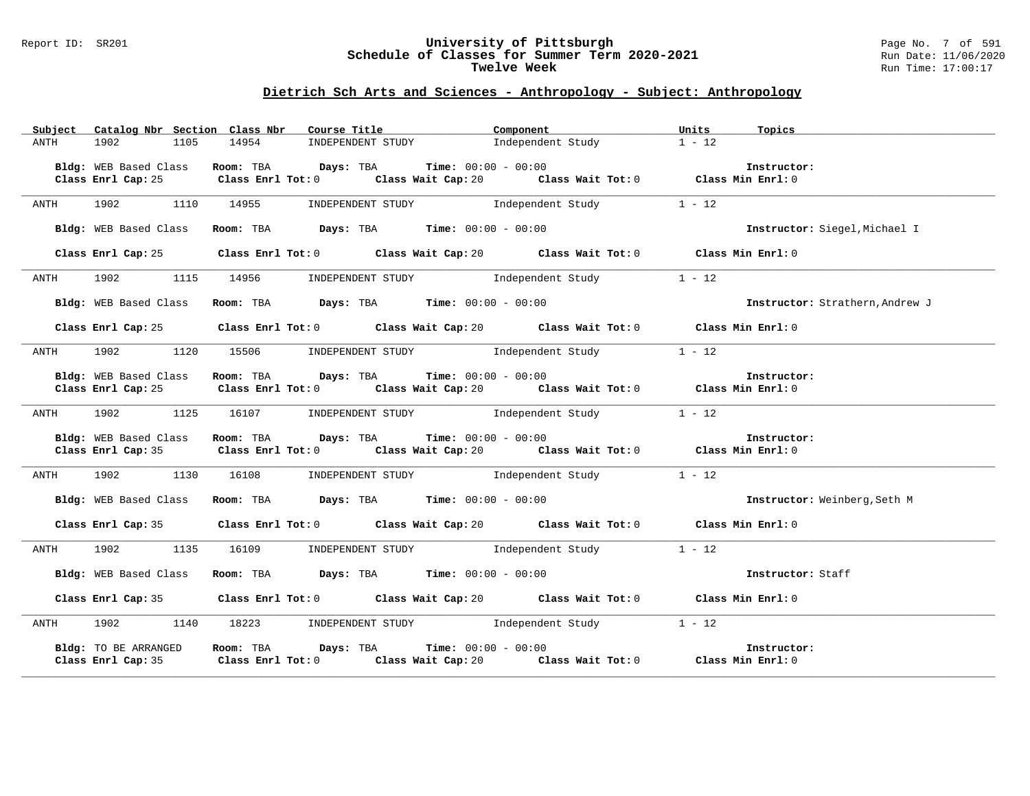#### Report ID: SR201 **University of Pittsburgh** Page No. 7 of 591 **Schedule of Classes for Summer Term 2020-2021** Run Date: 11/06/2020 **Twelve Week Run Time:** 17:00:17

|                                             | Subject Catalog Nbr Section Class Nbr Course Title                                                                                                                   | Component                           | Units<br>Topics                 |
|---------------------------------------------|----------------------------------------------------------------------------------------------------------------------------------------------------------------------|-------------------------------------|---------------------------------|
| 1902<br>1105<br>ANTH                        | 14954                                                                                                                                                                | INDEPENDENT STUDY 1ndependent Study | $1 - 12$                        |
|                                             | Bldg: WEB Based Class Room: TBA Days: TBA Time: 00:00 - 00:00<br>Class Enrl Cap: 25 Class Enrl Tot: 0 Class Wait Cap: 20 Class Wait Tot: 0 Class Min Enrl: 0         |                                     | Instructor:                     |
| 1902 1110 14955<br>ANTH                     |                                                                                                                                                                      | INDEPENDENT STUDY 1ndependent Study | $1 - 12$                        |
| Bldg: WEB Based Class                       | Room: TBA $\rule{1em}{0.15mm}$ Days: TBA Time: $00:00 - 00:00$                                                                                                       |                                     | Instructor: Siegel, Michael I   |
| Class Enrl Cap: 25                          | Class Enrl Tot: 0 Class Wait Cap: 20 Class Wait Tot: 0 Class Min Enrl: 0                                                                                             |                                     |                                 |
| ANTH                                        | 1902 1115 14956 INDEPENDENT STUDY Independent Study                                                                                                                  |                                     | $1 - 12$                        |
| Bldg: WEB Based Class                       | Room: TBA $\rule{1em}{0.15mm}$ Days: TBA Time: $00:00 - 00:00$                                                                                                       |                                     | Instructor: Strathern, Andrew J |
| Class Enrl Cap: 25                          | Class Enrl Tot: $0$ Class Wait Cap: $20$ Class Wait Tot: $0$ Class Min Enrl: $0$                                                                                     |                                     |                                 |
| ANTH                                        | 1902 1120 15506 INDEPENDENT STUDY Independent Study                                                                                                                  |                                     | $1 - 12$                        |
| Bldg: WEB Based Class<br>Class Enrl Cap: 25 | Room: TBA $Days:$ TBA $Time: 00:00 - 00:00$<br>Room: TBA Days: TBA Time: $00:00 - 00:00$<br>Class Enrl Tot: 0 Class Wait Cap: 20 Class Wait Tot: 0 Class Enrl Tot: 0 |                                     | Instructor:                     |
|                                             | ANTH 1902 1125 16107 INDEPENDENT STUDY Independent Study 1 - 12                                                                                                      |                                     |                                 |
| Bldg: WEB Based Class                       | Room: TBA $Days: TBA$ Time: $00:00 - 00:00$<br>Class Enrl Cap: 35 Class Enrl Tot: 0 Class Wait Cap: 20 Class Wait Tot: 0 Class Min Enrl: 0                           |                                     | Instructor:                     |
|                                             | ANTH 1902 1130 16108 INDEPENDENT STUDY Independent Study 1 - 12                                                                                                      |                                     |                                 |
| Bldg: WEB Based Class                       | Room: TBA $Days:$ TBA $Time: 00:00 - 00:00$                                                                                                                          |                                     | Instructor: Weinberg, Seth M    |
|                                             | Class Enrl Cap: 35 Class Enrl Tot: 0 Class Wait Cap: 20 Class Wait Tot: 0 Class Min Enrl: 0                                                                          |                                     |                                 |
|                                             | ANTH 1902 1135 16109 INDEPENDENT STUDY Independent Study 1 - 12                                                                                                      |                                     |                                 |
| Bldg: WEB Based Class                       | Room: TBA $Days:$ TBA Time: $00:00 - 00:00$                                                                                                                          |                                     | Instructor: Staff               |
|                                             | Class Enrl Cap: 35 Class Enrl Tot: 0 Class Wait Cap: 20 Class Wait Tot: 0 Class Min Enrl: 0                                                                          |                                     |                                 |
|                                             | ANTH 1902 1140 18223 INDEPENDENT STUDY Independent Study 1 - 12                                                                                                      |                                     |                                 |
| Bldg: TO BE ARRANGED                        | Room: TBA $Days:$ TBA $Time: 00:00 - 00:00$<br>Class Enrl Cap: 35 Class Enrl Tot: 0 Class Wait Cap: 20 Class Wait Tot: 0 Class Min Enrl: 0                           |                                     | Instructor:                     |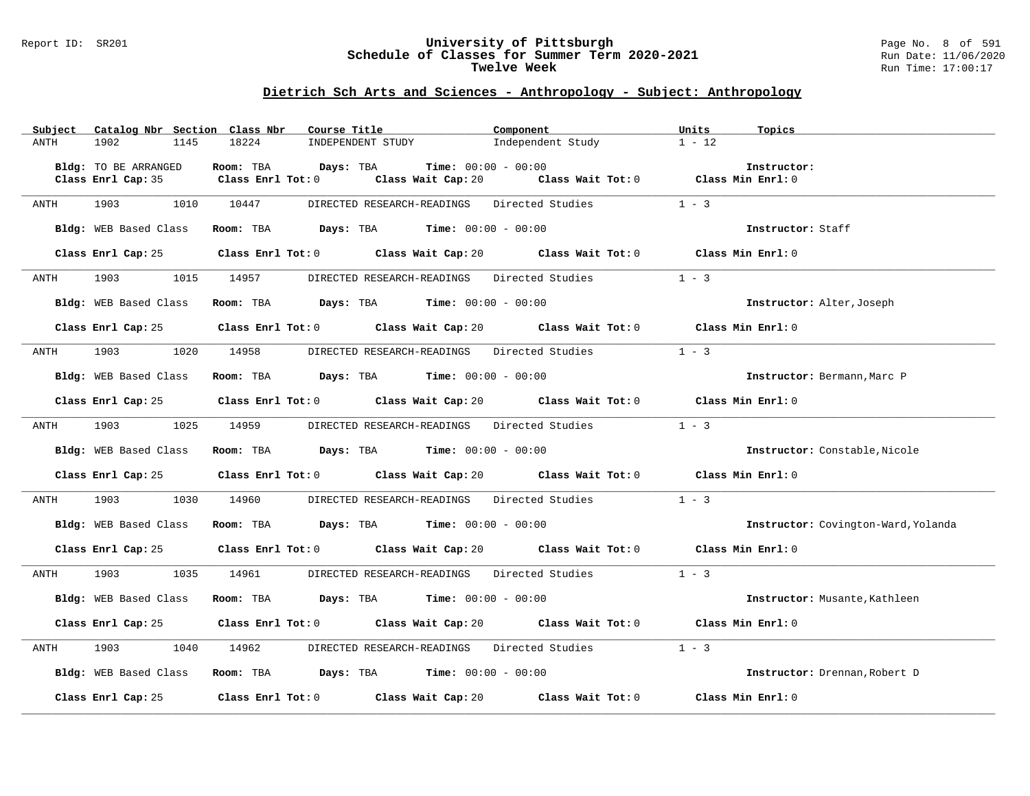#### Report ID: SR201 **University of Pittsburgh** Page No. 8 of 591 **Schedule of Classes for Summer Term 2020-2021** Run Date: 11/06/2020 **Twelve Week Run Time:** 17:00:17

| Subject | Catalog Nbr Section Class Nbr                                                                                                                                                                                                   | Course Title                                                                                        | Component                                                                | Units<br>Topics                     |
|---------|---------------------------------------------------------------------------------------------------------------------------------------------------------------------------------------------------------------------------------|-----------------------------------------------------------------------------------------------------|--------------------------------------------------------------------------|-------------------------------------|
| ANTH    | 1902<br>1145                                                                                                                                                                                                                    | 18224<br>INDEPENDENT STUDY                                                                          | Independent Study                                                        | $1 - 12$                            |
|         |                                                                                                                                                                                                                                 |                                                                                                     |                                                                          |                                     |
|         | Bldg: TO BE ARRANGED                                                                                                                                                                                                            | Room: TBA<br>$\texttt{Days:}$ TBA $\texttt{Time:}$ 00:00 - 00:00                                    |                                                                          | Instructor:                         |
|         |                                                                                                                                                                                                                                 | Class Enrl Cap: 35 Class Enrl Tot: 0                                                                | Class Wait Cap: 20 $\qquad$ Class Wait Tot: 0 $\qquad$ Class Min Enrl: 0 |                                     |
|         |                                                                                                                                                                                                                                 |                                                                                                     |                                                                          |                                     |
| ANTH    | 1903                                                                                                                                                                                                                            | DIRECTED RESEARCH-READINGS Directed Studies<br>1010 10447                                           |                                                                          | $1 - 3$                             |
|         |                                                                                                                                                                                                                                 |                                                                                                     |                                                                          |                                     |
|         | Bldg: WEB Based Class                                                                                                                                                                                                           | Room: TBA $Days:$ TBA $Time: 00:00 - 00:00$                                                         |                                                                          | Instructor: Staff                   |
|         |                                                                                                                                                                                                                                 |                                                                                                     |                                                                          |                                     |
|         |                                                                                                                                                                                                                                 | Class Enrl Cap: 25 Class Enrl Tot: 0 Class Wait Cap: 20 Class Wait Tot: 0 Class Min Enrl: 0         |                                                                          |                                     |
|         |                                                                                                                                                                                                                                 |                                                                                                     |                                                                          |                                     |
| ANTH    | 1903 — 1903 — 1904 — 1905 — 1906 — 1907 — 1908 — 1908 — 1908 — 1908 — 1908 — 1908 — 1908 — 1908 — 1908 — 1908 — 1908 — 1908 — 1908 — 1908 — 1908 — 1908 — 1908 — 1908 — 1908 — 1908 — 1908 — 1908 — 1908 — 1908 — 1908 — 1908 — | 1015 14957<br>DIRECTED RESEARCH-READINGS Directed Studies 1 - 3                                     |                                                                          |                                     |
|         |                                                                                                                                                                                                                                 |                                                                                                     |                                                                          |                                     |
|         | Bldg: WEB Based Class                                                                                                                                                                                                           | Room: TBA $Days:$ TBA $Time: 00:00 - 00:00$                                                         |                                                                          | Instructor: Alter, Joseph           |
|         |                                                                                                                                                                                                                                 | Class Enrl Tot: 0 Class Wait Cap: 20 Class Wait Tot: 0 Class Min Enrl: 0                            |                                                                          |                                     |
|         | Class Enrl Cap: 25                                                                                                                                                                                                              |                                                                                                     |                                                                          |                                     |
| ANTH    | 1903<br>1020                                                                                                                                                                                                                    | 14958 DIRECTED RESEARCH-READINGS Directed Studies                                                   |                                                                          | $1 - 3$                             |
|         |                                                                                                                                                                                                                                 |                                                                                                     |                                                                          |                                     |
|         | Bldg: WEB Based Class                                                                                                                                                                                                           | Room: TBA $Days:$ TBA $Time:$ 00:00 - 00:00                                                         |                                                                          | Instructor: Bermann, Marc P         |
|         |                                                                                                                                                                                                                                 |                                                                                                     |                                                                          |                                     |
|         |                                                                                                                                                                                                                                 | Class Enrl Cap: 25 Class Enrl Tot: 0 Class Wait Cap: 20 Class Wait Tot: 0 Class Min Enrl: 0         |                                                                          |                                     |
|         |                                                                                                                                                                                                                                 |                                                                                                     |                                                                          |                                     |
| ANTH    | 1903 1905<br>1025                                                                                                                                                                                                               | 14959<br>DIRECTED RESEARCH-READINGS Directed Studies                                                |                                                                          | $1 - 3$                             |
|         |                                                                                                                                                                                                                                 |                                                                                                     |                                                                          |                                     |
|         | Bldg: WEB Based Class                                                                                                                                                                                                           | Room: TBA $\rule{1em}{0.15mm}$ Days: TBA Time: $00:00 - 00:00$                                      |                                                                          | Instructor: Constable, Nicole       |
|         |                                                                                                                                                                                                                                 |                                                                                                     |                                                                          |                                     |
|         |                                                                                                                                                                                                                                 | Class Enrl Cap: 25 Class Enrl Tot: 0 Class Wait Cap: 20 Class Wait Tot: 0 Class Min Enrl: 0         |                                                                          |                                     |
|         |                                                                                                                                                                                                                                 |                                                                                                     |                                                                          |                                     |
| ANTH    |                                                                                                                                                                                                                                 | 1903 1903 14960 DIRECTED RESEARCH-READINGS Directed Studies                                         |                                                                          | $1 - 3$                             |
|         |                                                                                                                                                                                                                                 |                                                                                                     |                                                                          |                                     |
|         | Bldg: WEB Based Class                                                                                                                                                                                                           | Room: TBA $Days:$ TBA $Time: 00:00 - 00:00$                                                         |                                                                          | Instructor: Covington-Ward, Yolanda |
|         |                                                                                                                                                                                                                                 | Class Enrl Cap: 25 Class Enrl Tot: 0 Class Wait Cap: 20 Class Wait Tot: 0 Class Min Enrl: 0         |                                                                          |                                     |
|         |                                                                                                                                                                                                                                 |                                                                                                     |                                                                          |                                     |
| ANTH    | 1903<br>1035                                                                                                                                                                                                                    | DIRECTED RESEARCH-READINGS Directed Studies<br>14961                                                |                                                                          | $1 - 3$                             |
|         |                                                                                                                                                                                                                                 |                                                                                                     |                                                                          |                                     |
|         | Bldg: WEB Based Class                                                                                                                                                                                                           | Room: TBA $\rule{1em}{0.15mm}$ Days: TBA $\rule{1.5mm}{0.15mm}$ Time: $00:00 - 00:00$               |                                                                          | Instructor: Musante, Kathleen       |
|         |                                                                                                                                                                                                                                 |                                                                                                     |                                                                          |                                     |
|         |                                                                                                                                                                                                                                 | Class Enrl Cap: 25 Class Enrl Tot: 0 Class Wait Cap: 20 Class Wait Tot: 0 Class Min Enrl: 0         |                                                                          |                                     |
|         |                                                                                                                                                                                                                                 |                                                                                                     |                                                                          |                                     |
| ANTH    | 1903<br>1040                                                                                                                                                                                                                    | 14962 DIRECTED RESEARCH-READINGS Directed Studies                                                   |                                                                          | $1 - 3$                             |
|         |                                                                                                                                                                                                                                 |                                                                                                     |                                                                          |                                     |
|         | Bldg: WEB Based Class                                                                                                                                                                                                           | Room: TBA $Days:$ TBA $Time: 00:00 - 00:00$                                                         |                                                                          | Instructor: Drennan, Robert D       |
|         |                                                                                                                                                                                                                                 |                                                                                                     |                                                                          |                                     |
|         | Class Enrl Cap: 25                                                                                                                                                                                                              | Class Enrl Tot: 0 $\qquad$ Class Wait Cap: 20 $\qquad$ Class Wait Tot: 0 $\qquad$ Class Min Enrl: 0 |                                                                          |                                     |
|         |                                                                                                                                                                                                                                 |                                                                                                     |                                                                          |                                     |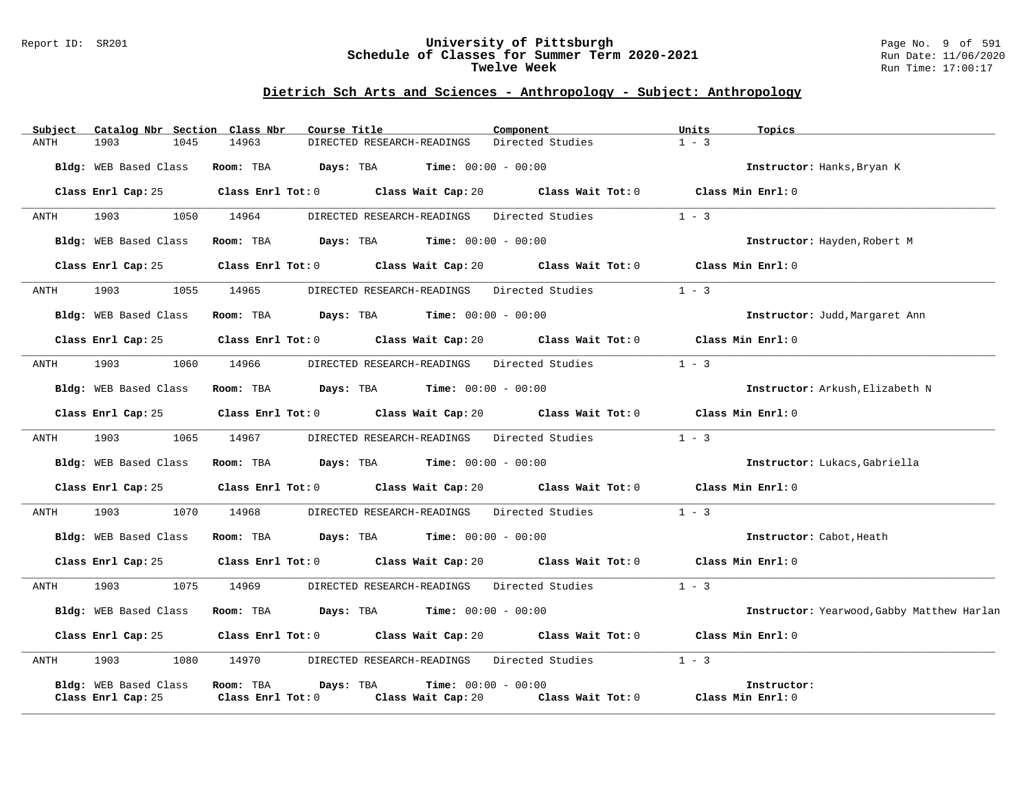#### Report ID: SR201 **University of Pittsburgh** Page No. 9 of 591 **Schedule of Classes for Summer Term 2020-2021** Run Date: 11/06/2020 **Twelve Week Run Time:** 17:00:17

| Subject     | Catalog Nbr Section Class Nbr               |                                | Course Title                                                                                         | Component             | Units<br>Topics                            |
|-------------|---------------------------------------------|--------------------------------|------------------------------------------------------------------------------------------------------|-----------------------|--------------------------------------------|
| <b>ANTH</b> | 1903<br>1045                                | 14963                          | DIRECTED RESEARCH-READINGS                                                                           | Directed Studies      | $1 - 3$                                    |
|             | Bldg: WEB Based Class                       | Room: TBA                      | <b>Days:</b> TBA <b>Time:</b> $00:00 - 00:00$                                                        |                       | Instructor: Hanks, Bryan K                 |
|             | Class Enrl Cap: 25                          |                                | Class Enrl Tot: $0$ Class Wait Cap: $20$ Class Wait Tot: $0$                                         |                       | Class Min Enrl: 0                          |
| ANTH        | 1903 1909<br>1050                           | 14964                          | DIRECTED RESEARCH-READINGS Directed Studies                                                          |                       | $1 - 3$                                    |
|             | Bldg: WEB Based Class                       |                                | Room: TBA $Days:$ TBA $Time: 00:00 - 00:00$                                                          |                       | Instructor: Hayden, Robert M               |
|             | Class Enrl Cap: 25                          |                                | Class Enrl Tot: $0$ Class Wait Cap: $20$ Class Wait Tot: $0$ Class Min Enrl: $0$                     |                       |                                            |
| ANTH        | 1903 — 1903<br>1055                         | 14965                          | DIRECTED RESEARCH-READINGS Directed Studies                                                          |                       | $1 - 3$                                    |
|             | Bldg: WEB Based Class                       |                                | Room: TBA $\rule{1em}{0.15mm}$ Days: TBA Time: $00:00 - 00:00$                                       |                       | Instructor: Judd, Margaret Ann             |
|             |                                             |                                | Class Enrl Cap: 25 $\qquad$ Class Enrl Tot: 0 $\qquad$ Class Wait Cap: 20 $\qquad$ Class Wait Tot: 0 |                       | Class Min Enrl: 0                          |
| ANTH        | 1903<br>1060                                | 14966                          | DIRECTED RESEARCH-READINGS                                                                           | Directed Studies      | $1 - 3$                                    |
|             | Bldg: WEB Based Class                       |                                | Room: TBA $Days: TBA$ Time: $00:00 - 00:00$                                                          |                       | Instructor: Arkush, Elizabeth N            |
|             |                                             |                                | Class Enrl Cap: 25 Class Enrl Tot: 0 Class Wait Cap: 20 Class Wait Tot: 0                            |                       | Class Min Enrl: 0                          |
| ANTH        | 1903 1909<br>1065                           |                                | 14967 DIRECTED RESEARCH-READINGS Directed Studies                                                    |                       | $1 - 3$                                    |
|             | Bldg: WEB Based Class                       |                                | Room: TBA $Days:$ TBA $Time: 00:00 - 00:00$                                                          |                       | Instructor: Lukacs, Gabriella              |
|             | Class Enrl Cap: 25                          |                                | Class Enrl Tot: $0$ Class Wait Cap: $20$ Class Wait Tot: $0$                                         |                       | Class Min Enrl: 0                          |
| ANTH        | 1903   1903<br>1070                         | 14968                          | DIRECTED RESEARCH-READINGS Directed Studies                                                          |                       | $1 - 3$                                    |
|             | Bldg: WEB Based Class                       |                                | Room: TBA $Days:$ TBA $Time: 00:00 - 00:00$                                                          |                       | Instructor: Cabot, Heath                   |
|             | Class Enrl Cap: 25                          |                                | Class Enrl Tot: 0 Class Wait Cap: 20 Class Wait Tot: 0                                               |                       | Class Min Enrl: 0                          |
| ANTH        | 1903<br>1075                                | 14969                          | DIRECTED RESEARCH-READINGS Directed Studies                                                          |                       | $1 - 3$                                    |
|             | Bldg: WEB Based Class                       |                                | Room: TBA $Days: TBA$ Time: $00:00 - 00:00$                                                          |                       | Instructor: Yearwood, Gabby Matthew Harlan |
|             | Class Enrl Cap: 25                          |                                | Class Enrl Tot: $0$ Class Wait Cap: $20$ Class Wait Tot: $0$                                         |                       | Class Min Enrl: 0                          |
| ANTH        | 1903 1909<br>1080                           |                                | 14970 DIRECTED RESEARCH-READINGS Directed Studies                                                    |                       | $1 - 3$                                    |
|             | Bldg: WEB Based Class<br>Class Enrl Cap: 25 | Room: TBA<br>Class Enrl Tot: 0 | Days: TBA<br><b>Time:</b> $00:00 - 00:00$<br>Class Wait Cap: 20                                      | $Class$ Wait Tot: $0$ | Instructor:<br>Class Min Enrl: 0           |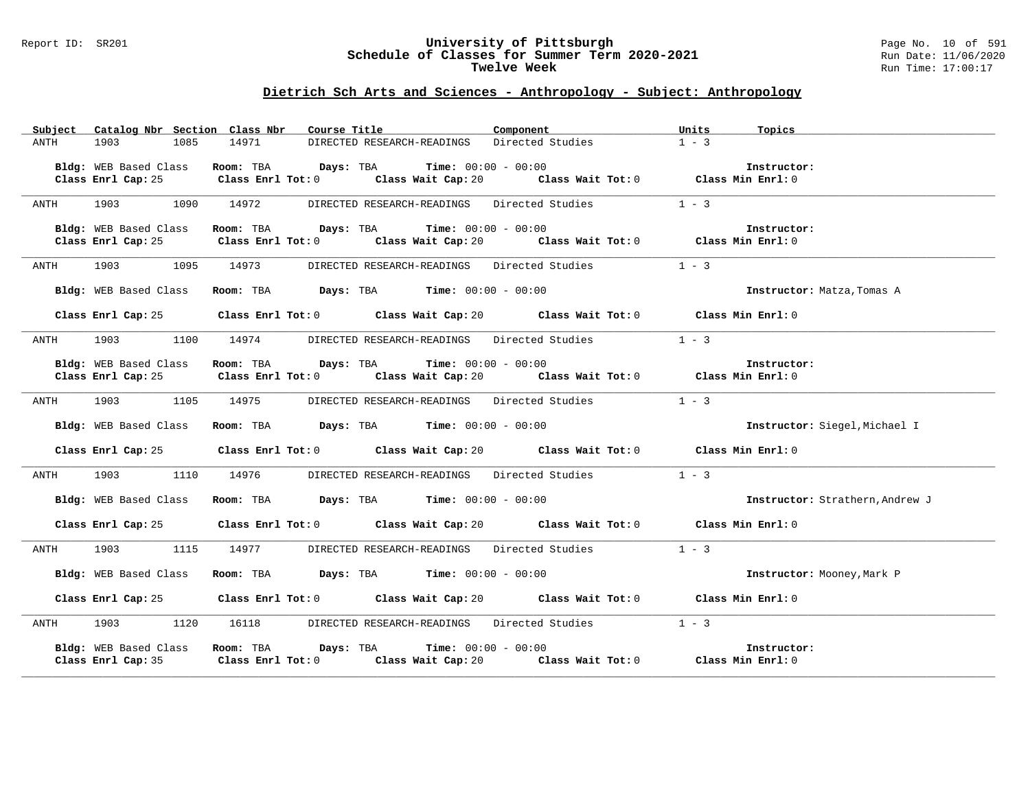#### Report ID: SR201 **University of Pittsburgh** Page No. 10 of 591 **Schedule of Classes for Summer Term 2020-2021** Run Date: 11/06/2020 **Twelve Week Run Time:** 17:00:17

|             | Subject Catalog Nbr Section Class Nbr | Course Title 2008                                                                           | Component        | Units<br>Topics                 |
|-------------|---------------------------------------|---------------------------------------------------------------------------------------------|------------------|---------------------------------|
| ANTH        | 1085<br>1903                          | 14971<br>DIRECTED RESEARCH-READINGS                                                         | Directed Studies | $1 - 3$                         |
|             |                                       |                                                                                             |                  |                                 |
|             | Bldg: WEB Based Class                 | Room: TBA $Days:$ TBA Time: $00:00 - 00:00$                                                 |                  | Instructor:                     |
|             |                                       | Class Enrl Cap: 25 Class Enrl Tot: 0 Class Wait Cap: 20 Class Wait Tot: 0 Class Min Enrl: 0 |                  |                                 |
|             |                                       |                                                                                             |                  |                                 |
| ANTH        | 1903 1090                             | 14972<br>DIRECTED RESEARCH-READINGS Directed Studies                                        |                  | $1 - 3$                         |
|             |                                       |                                                                                             |                  |                                 |
|             | Bldg: WEB Based Class                 | Room: TBA $Days:$ TBA $Time: 00:00 - 00:00$                                                 |                  | Instructor:                     |
|             | Class Enrl Cap: 25                    | Class Enrl Tot: 0 Class Wait Cap: 20 Class Wait Tot: 0 Class Min Enrl: 0                    |                  |                                 |
|             |                                       |                                                                                             |                  |                                 |
| ANTH        | 1903 1095 14973                       | DIRECTED RESEARCH-READINGS Directed Studies 1 - 3                                           |                  |                                 |
|             |                                       |                                                                                             |                  |                                 |
|             | Bldg: WEB Based Class                 | Room: TBA $Days:$ TBA $Time: 00:00 - 00:00$                                                 |                  | Instructor: Matza, Tomas A      |
|             |                                       |                                                                                             |                  |                                 |
|             |                                       | Class Enrl Cap: 25 Class Enrl Tot: 0 Class Wait Cap: 20 Class Wait Tot: 0 Class Min Enrl: 0 |                  |                                 |
|             |                                       |                                                                                             |                  | $1 - 3$                         |
| ANTH        | 1903 1100 14974                       | DIRECTED RESEARCH-READINGS Directed Studies                                                 |                  |                                 |
|             |                                       |                                                                                             |                  |                                 |
|             | Bldg: WEB Based Class                 | Room: TBA Days: TBA Time: $00:00 - 00:00$                                                   |                  | Instructor:                     |
|             |                                       | Class Enrl Cap: 25 Class Enrl Tot: 0 Class Wait Cap: 20 Class Wait Tot: 0 Class Min Enrl: 0 |                  |                                 |
| <b>ANTH</b> | 1903 1105 14975                       | DIRECTED RESEARCH-READINGS Directed Studies 1 - 3                                           |                  |                                 |
|             |                                       |                                                                                             |                  |                                 |
|             | Bldg: WEB Based Class                 | Room: TBA $\rule{1em}{0.15mm}$ Days: TBA Time: $00:00 - 00:00$                              |                  | Instructor: Siegel, Michael I   |
|             |                                       |                                                                                             |                  |                                 |
|             |                                       | Class Enrl Cap: 25 Class Enrl Tot: 0 Class Wait Cap: 20 Class Wait Tot: 0 Class Min Enrl: 0 |                  |                                 |
|             |                                       |                                                                                             |                  |                                 |
| ANTH        | 1903<br>1110                          | 14976<br>DIRECTED RESEARCH-READINGS Directed Studies                                        |                  | $1 - 3$                         |
|             |                                       |                                                                                             |                  |                                 |
|             | Bldg: WEB Based Class                 | Room: TBA $Days:$ TBA $Time: 00:00 - 00:00$                                                 |                  | Instructor: Strathern, Andrew J |
|             |                                       |                                                                                             |                  |                                 |
|             |                                       | Class Enrl Cap: 25 Class Enrl Tot: 0 Class Wait Cap: 20 Class Wait Tot: 0 Class Min Enrl: 0 |                  |                                 |
|             |                                       |                                                                                             |                  |                                 |
| ANTH        | 1903<br>1115                          | 14977<br>DIRECTED RESEARCH-READINGS Directed Studies                                        |                  | $1 - 3$                         |
|             |                                       |                                                                                             |                  |                                 |
|             | Bldg: WEB Based Class                 | Room: TBA $Days:$ TBA $Time: 00:00 - 00:00$                                                 |                  | Instructor: Mooney, Mark P      |
|             |                                       |                                                                                             |                  |                                 |
|             |                                       | Class Enrl Cap: 25 Class Enrl Tot: 0 Class Wait Cap: 20 Class Wait Tot: 0 Class Min Enrl: 0 |                  |                                 |
|             |                                       |                                                                                             |                  |                                 |
| ANTH        | 1903                                  | 1120 16118<br>DIRECTED RESEARCH-READINGS Directed Studies 1 - 3                             |                  |                                 |
|             |                                       |                                                                                             |                  |                                 |
|             | Bldg: WEB Based Class                 | Room: TBA $Days:$ TBA $Time: 00:00 - 00:00$                                                 |                  | Instructor:                     |
|             | Class Enrl Cap: 35                    | Class Enrl Tot: $0$ Class Wait Cap: $20$ Class Wait Tot: $0$ Class Min Enrl: $0$            |                  |                                 |
|             |                                       |                                                                                             |                  |                                 |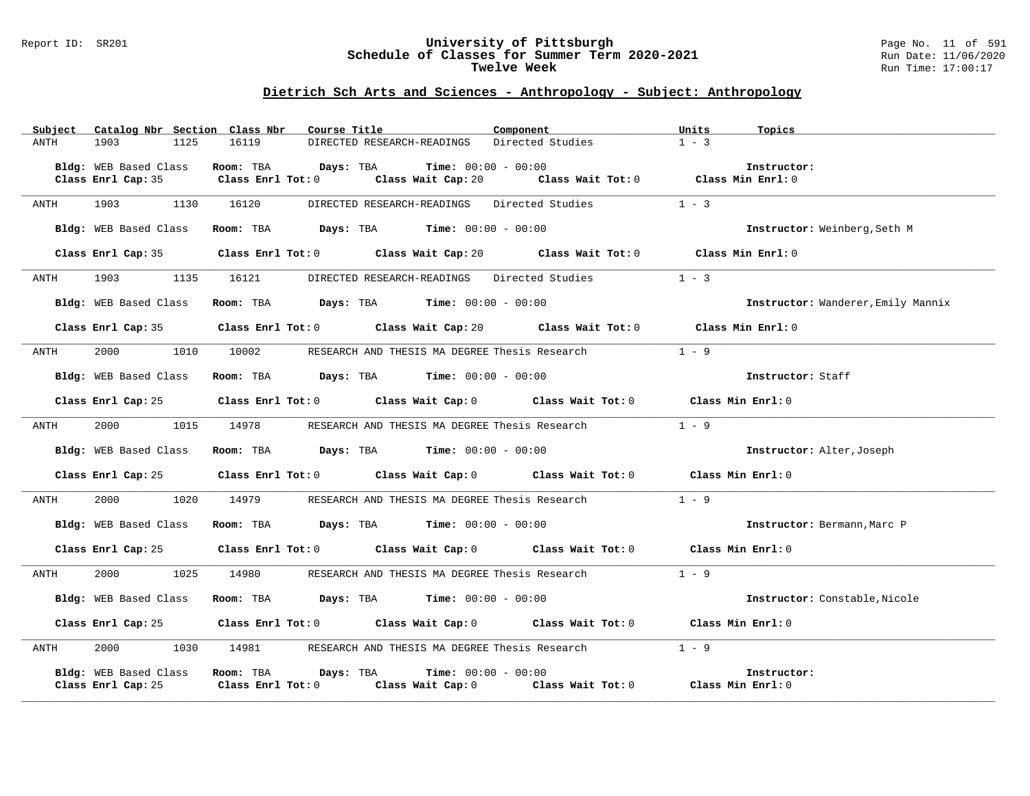#### Report ID: SR201 **University of Pittsburgh** Page No. 11 of 591 **Schedule of Classes for Summer Term 2020-2021** Run Date: 11/06/2020 **Twelve Week Run Time:** 17:00:17

| Subject<br>Catalog Nbr Section Class Nbr                                                                                                                                                                                                | Course Title                                                                                       | Component                                                                | Units<br>Topics                     |
|-----------------------------------------------------------------------------------------------------------------------------------------------------------------------------------------------------------------------------------------|----------------------------------------------------------------------------------------------------|--------------------------------------------------------------------------|-------------------------------------|
| 1903<br>1125<br><b>ANTH</b>                                                                                                                                                                                                             | 16119<br>DIRECTED RESEARCH-READINGS                                                                | Directed Studies                                                         | $1 - 3$                             |
|                                                                                                                                                                                                                                         |                                                                                                    |                                                                          |                                     |
| Bldg: WEB Based Class                                                                                                                                                                                                                   | Room: TBA<br>Days: TBA                                                                             | <b>Time:</b> $00:00 - 00:00$                                             | Instructor:                         |
| Class Enrl Cap: 35                                                                                                                                                                                                                      | Class Enrl Tot: 0                                                                                  | Class Wait Cap: 20 $\qquad$ Class Wait Tot: 0 $\qquad$ Class Min Enrl: 0 |                                     |
|                                                                                                                                                                                                                                         |                                                                                                    |                                                                          |                                     |
| 1903<br>1130<br>ANTH                                                                                                                                                                                                                    | DIRECTED RESEARCH-READINGS Directed Studies<br>16120                                               |                                                                          | $1 - 3$                             |
|                                                                                                                                                                                                                                         |                                                                                                    |                                                                          |                                     |
| Bldg: WEB Based Class                                                                                                                                                                                                                   | <b>Room:</b> TBA <b>Days:</b> TBA <b>Time:</b> 00:00 - 00:00                                       |                                                                          | <b>Instructor:</b> Weinberg, Seth M |
|                                                                                                                                                                                                                                         |                                                                                                    |                                                                          |                                     |
|                                                                                                                                                                                                                                         | Class Enrl Cap: 35 Class Enrl Tot: 0 Class Wait Cap: 20 Class Wait Tot: 0 Class Min Enrl: 0        |                                                                          |                                     |
|                                                                                                                                                                                                                                         |                                                                                                    |                                                                          | $1 - 3$                             |
| 1903 — 1903 — 1904 — 1905 — 1906 — 1907 — 1908 — 1908 — 1908 — 1908 — 1908 — 1908 — 1908 — 1908 — 1908 — 1908 — 1908 — 1908 — 1908 — 1908 — 1908 — 1908 — 1908 — 1908 — 1908 — 1908 — 1908 — 1908 — 1908 — 1908 — 1908 — 1908 —<br>ANTH | 1135<br>16121<br>DIRECTED RESEARCH-READINGS Directed Studies                                       |                                                                          |                                     |
|                                                                                                                                                                                                                                         |                                                                                                    |                                                                          |                                     |
| Bldg: WEB Based Class                                                                                                                                                                                                                   | Room: TBA $\rule{1em}{0.15mm}$ Days: TBA $\rule{1.5mm}{0.15mm}$ Time: $00:00 - 00:00$              |                                                                          | Instructor: Wanderer, Emily Mannix  |
| Class Enrl Cap: 35                                                                                                                                                                                                                      | Class Enrl Tot: 0 Class Wait Cap: 20 Class Wait Tot: 0 Class Min Enrl: 0                           |                                                                          |                                     |
|                                                                                                                                                                                                                                         |                                                                                                    |                                                                          |                                     |
| 2000 - 100<br>1010<br>ANTH                                                                                                                                                                                                              | RESEARCH AND THESIS MA DEGREE Thesis Research 1 - 9<br>10002                                       |                                                                          |                                     |
|                                                                                                                                                                                                                                         |                                                                                                    |                                                                          |                                     |
| Bldg: WEB Based Class                                                                                                                                                                                                                   | Room: TBA $Days:$ TBA $Time: 00:00 - 00:00$                                                        |                                                                          | Instructor: Staff                   |
|                                                                                                                                                                                                                                         |                                                                                                    |                                                                          |                                     |
| Class Enrl Cap: 25                                                                                                                                                                                                                      | Class Enrl Tot: $0$ Class Wait Cap: $0$ Class Wait Tot: $0$ Class Min Enrl: $0$                    |                                                                          |                                     |
|                                                                                                                                                                                                                                         |                                                                                                    |                                                                          |                                     |
| 2000<br>1015<br>ANTH                                                                                                                                                                                                                    | 14978<br>RESEARCH AND THESIS MA DEGREE Thesis Research                                             |                                                                          | $1 - 9$                             |
|                                                                                                                                                                                                                                         |                                                                                                    |                                                                          |                                     |
| Bldg: WEB Based Class                                                                                                                                                                                                                   | <b>Room:</b> TBA <b>Days:</b> TBA <b>Time:</b> 00:00 - 00:00                                       |                                                                          | Instructor: Alter, Joseph           |
|                                                                                                                                                                                                                                         |                                                                                                    |                                                                          |                                     |
| Class Enrl Cap: 25                                                                                                                                                                                                                      | Class Enrl Tot: 0 $\qquad$ Class Wait Cap: 0 $\qquad$ Class Wait Tot: 0 $\qquad$ Class Min Enrl: 0 |                                                                          |                                     |
|                                                                                                                                                                                                                                         |                                                                                                    |                                                                          |                                     |
| 2000<br>1020<br>ANTH                                                                                                                                                                                                                    | 14979<br>RESEARCH AND THESIS MA DEGREE Thesis Research                                             |                                                                          | $1 - 9$                             |
|                                                                                                                                                                                                                                         |                                                                                                    |                                                                          |                                     |
| Bldg: WEB Based Class                                                                                                                                                                                                                   | Room: TBA $Days:$ TBA $Time: 00:00 - 00:00$                                                        |                                                                          | Instructor: Bermann, Marc P         |
|                                                                                                                                                                                                                                         | Class Enrl Tot: $0$ Class Wait Cap: $0$ Class Wait Tot: $0$ Class Min Enrl: $0$                    |                                                                          |                                     |
| Class Enrl Cap: 25                                                                                                                                                                                                                      |                                                                                                    |                                                                          |                                     |
| 2000<br>1025<br>ANTH                                                                                                                                                                                                                    | 14980<br>RESEARCH AND THESIS MA DEGREE Thesis Research                                             |                                                                          | $1 - 9$                             |
|                                                                                                                                                                                                                                         |                                                                                                    |                                                                          |                                     |
| Bldg: WEB Based Class                                                                                                                                                                                                                   | Room: TBA $\rule{1em}{0.15mm}$ Days: TBA $\rule{1.15mm}]{0.15mm}$ Time: $0.000 - 0.0000$           |                                                                          | Instructor: Constable, Nicole       |
|                                                                                                                                                                                                                                         |                                                                                                    |                                                                          |                                     |
| Class Enrl Cap: 25                                                                                                                                                                                                                      | Class Enrl Tot: $0$ Class Wait Cap: $0$ Class Wait Tot: $0$ Class Min Enrl: $0$                    |                                                                          |                                     |
|                                                                                                                                                                                                                                         |                                                                                                    |                                                                          |                                     |
| 2000<br>1030<br>ANTH                                                                                                                                                                                                                    | 14981 RESEARCH AND THESIS MA DEGREE Thesis Research                                                |                                                                          | $1 - 9$                             |
|                                                                                                                                                                                                                                         |                                                                                                    |                                                                          |                                     |
| Bldg: WEB Based Class                                                                                                                                                                                                                   | Room: TBA Days: TBA                                                                                | <b>Time:</b> $00:00 - 00:00$                                             | Instructor:                         |
| Class Enrl Cap: 25                                                                                                                                                                                                                      | $Class$ $Enr1$ $Tot: 0$                                                                            | Class Wait Cap: 0 Class Wait Tot: 0 Class Min Enrl: 0                    |                                     |
|                                                                                                                                                                                                                                         |                                                                                                    |                                                                          |                                     |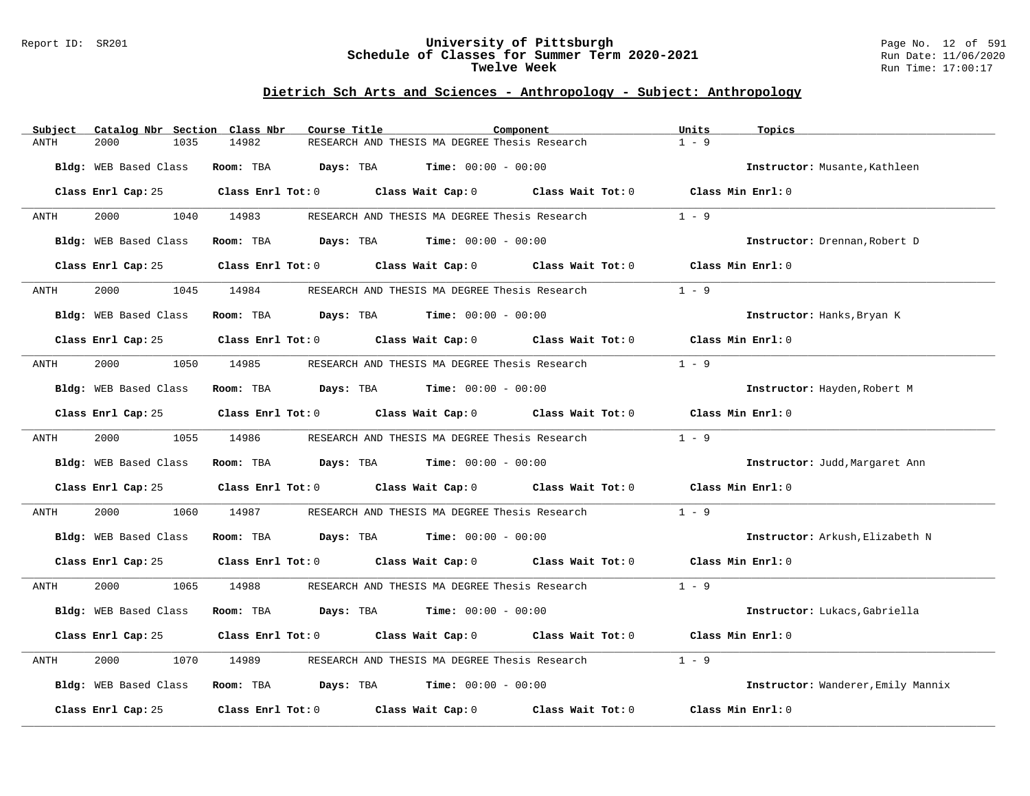#### Report ID: SR201 **University of Pittsburgh** Page No. 12 of 591 **Schedule of Classes for Summer Term 2020-2021** Run Date: 11/06/2020 **Twelve Week Run Time:** 17:00:17

| Subject      | Catalog Nbr Section Class Nbr | Course Title | Component                                                                                          | Units<br>Topics                    |
|--------------|-------------------------------|--------------|----------------------------------------------------------------------------------------------------|------------------------------------|
| ANTH<br>2000 | 1035                          | 14982        | RESEARCH AND THESIS MA DEGREE Thesis Research                                                      | $1 - 9$                            |
|              | Bldg: WEB Based Class         |              | Room: TBA $Days: TBA$ Time: $00:00 - 00:00$                                                        | Instructor: Musante, Kathleen      |
|              |                               |              | Class Enrl Cap: 25 Class Enrl Tot: 0 Class Wait Cap: 0 Class Wait Tot: 0 Class Min Enrl: 0         |                                    |
| ANTH         | 2000 000                      | 1040 14983   | RESEARCH AND THESIS MA DEGREE Thesis Research                                                      | $1 - 9$                            |
|              | Bldg: WEB Based Class         |              | Room: TBA $Days:$ TBA $Time: 00:00 - 00:00$                                                        | Instructor: Drennan, Robert D      |
|              | Class Enrl Cap: 25            |              | Class Enrl Tot: 0 $\qquad$ Class Wait Cap: 0 $\qquad$ Class Wait Tot: 0 $\qquad$ Class Min Enrl: 0 |                                    |
| ANTH         | 2000<br>1045                  | 14984        | RESEARCH AND THESIS MA DEGREE Thesis Research                                                      | $1 - 9$                            |
|              | Bldg: WEB Based Class         |              | Room: TBA $Days:$ TBA $Time: 00:00 - 00:00$                                                        | Instructor: Hanks, Bryan K         |
|              |                               |              | Class Enrl Cap: 25 (Class Enrl Tot: 0) (Class Wait Cap: 0) (Class Wait Tot: 0)                     | Class Min Enrl: 0                  |
| ANTH         | 2000 1050 14985               |              | RESEARCH AND THESIS MA DEGREE Thesis Research                                                      | $1 - 9$                            |
|              | Bldg: WEB Based Class         |              | Room: TBA $\rule{1em}{0.15mm}$ Days: TBA $\rule{1.5mm}{0.15mm}$ Time: $00:00 - 00:00$              | Instructor: Hayden, Robert M       |
|              |                               |              | Class Enrl Cap: 25 Class Enrl Tot: 0 Class Wait Cap: 0 Class Wait Tot: 0 Class Min Enrl: 0         |                                    |
| ANTH         |                               |              | 2000 1055 14986 RESEARCH AND THESIS MA DEGREE Thesis Research                                      | $1 - 9$                            |
|              | Bldg: WEB Based Class         |              | Room: TBA $Days:$ TBA $Time: 00:00 - 00:00$                                                        | Instructor: Judd, Margaret Ann     |
|              |                               |              | Class Enrl Cap: 25 Class Enrl Tot: 0 Class Wait Cap: 0 Class Wait Tot: 0                           | Class Min Enrl: 0                  |
| ANTH         | 2000<br>1060                  |              |                                                                                                    | $1 - 9$                            |
|              | Bldg: WEB Based Class         |              | Room: TBA $Days:$ TBA $Time: 00:00 - 00:00$                                                        | Instructor: Arkush, Elizabeth N    |
|              | Class Enrl Cap: 25            |              | Class Enrl Tot: 0 Class Wait Cap: 0 Class Wait Tot: 0 Class Min Enrl: 0                            |                                    |
| ANTH         | 2000 000                      | 1065 14988   | RESEARCH AND THESIS MA DEGREE Thesis Research                                                      | $1 - 9$                            |
|              | Bldg: WEB Based Class         |              | Room: TBA $Days:$ TBA $Time: 00:00 - 00:00$                                                        | Instructor: Lukacs, Gabriella      |
|              | Class Enrl Cap: 25            |              | Class Enrl Tot: 0 Class Wait Cap: 0 Class Wait Tot: 0                                              | Class Min Enrl: 0                  |
| 2000<br>ANTH | 1070                          | 14989        | RESEARCH AND THESIS MA DEGREE Thesis Research                                                      | $1 - 9$                            |
|              | Bldg: WEB Based Class         |              | Room: TBA $Days:$ TBA $Time: 00:00 - 00:00$                                                        | Instructor: Wanderer, Emily Mannix |
|              | Class Enrl Cap: 25            |              | Class Enrl Tot: 0 Class Wait Cap: 0 Class Wait Tot: 0                                              | Class Min Enrl: 0                  |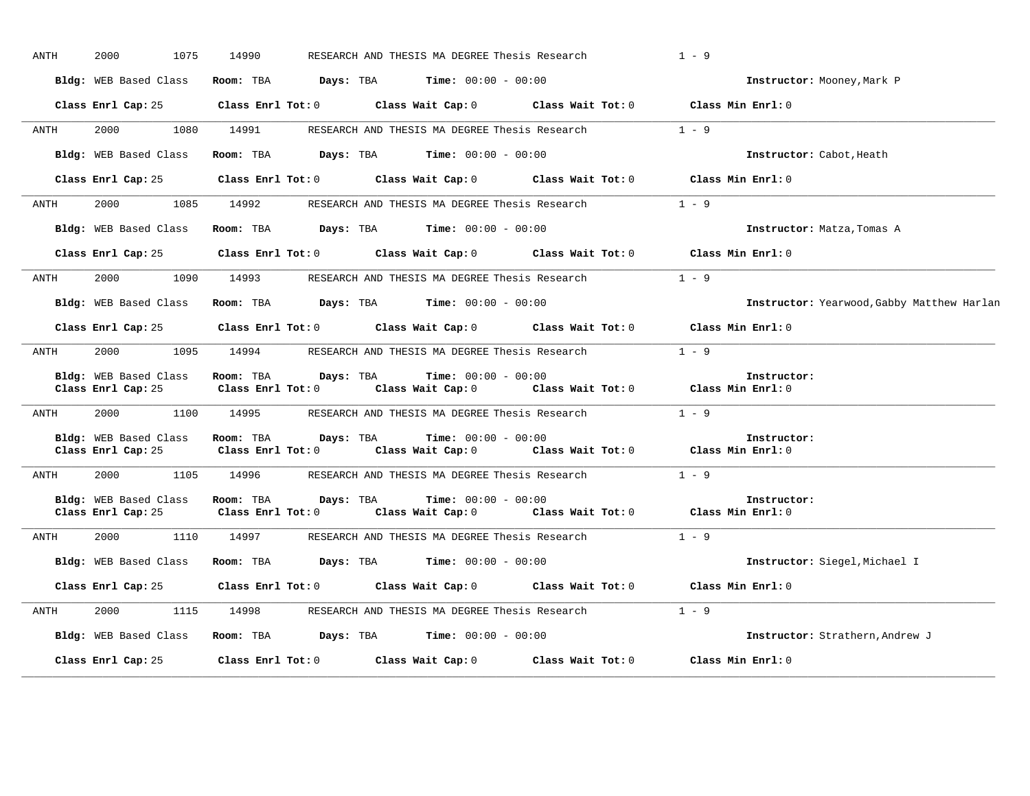| <b>ANTH</b> | 2000<br>1075                                | 14990                          |                                | RESEARCH AND THESIS MA DEGREE Thesis Research                            |                                                                                            | $1 - 9$                                            |
|-------------|---------------------------------------------|--------------------------------|--------------------------------|--------------------------------------------------------------------------|--------------------------------------------------------------------------------------------|----------------------------------------------------|
|             | Bldg: WEB Based Class                       | Room: TBA                      |                                | <b>Days:</b> TBA <b>Time:</b> $00:00 - 00:00$                            |                                                                                            | Instructor: Mooney, Mark P                         |
|             | Class Enrl Cap: 25                          |                                |                                |                                                                          | Class Enrl Tot: $0$ Class Wait Cap: $0$ Class Wait Tot: $0$ Class Min Enrl: $0$            |                                                    |
| ANTH        | 2000 000<br>1080                            | 14991                          |                                | RESEARCH AND THESIS MA DEGREE Thesis Research                            |                                                                                            | $1 - 9$                                            |
|             | Bldg: WEB Based Class                       | Room: TBA                      |                                | <b>Days:</b> TBA <b>Time:</b> $00:00 - 00:00$                            |                                                                                            | Instructor: Cabot, Heath                           |
|             | Class Enrl Cap: 25                          |                                |                                | Class Enrl Tot: 0 Class Wait Cap: 0                                      | Class Wait Tot: 0                                                                          | Class Min Enrl: 0                                  |
| ANTH        | 2000<br>1085                                | 14992                          |                                | RESEARCH AND THESIS MA DEGREE Thesis Research                            |                                                                                            | $1 - 9$                                            |
|             | Bldg: WEB Based Class                       |                                |                                | Room: TBA $Days:$ TBA $Time: 00:00 - 00:00$                              |                                                                                            | Instructor: Matza, Tomas A                         |
|             |                                             |                                |                                |                                                                          | Class Enrl Cap: 25 Class Enrl Tot: 0 Class Wait Cap: 0 Class Wait Tot: 0 Class Min Enrl: 0 |                                                    |
| ANTH        | 2000<br>1090                                | 14993                          |                                |                                                                          | RESEARCH AND THESIS MA DEGREE Thesis Research 1 - 9                                        |                                                    |
|             | Bldg: WEB Based Class                       | Room: TBA                      |                                | <b>Days:</b> TBA <b>Time:</b> $00:00 - 00:00$                            |                                                                                            | Instructor: Yearwood, Gabby Matthew Harlan         |
|             | Class Enrl Cap: 25                          |                                | $Class$ $Enrl$ $Tot: 0$        | Class Wait Cap: 0 Class Wait Tot: 0                                      |                                                                                            | Class Min Enrl: 0                                  |
| ANTH        |                                             |                                |                                | 2000 1095 14994 RESEARCH AND THESIS MA DEGREE Thesis Research            |                                                                                            | $1 - 9$                                            |
|             | Bldg: WEB Based Class<br>Class Enrl Cap: 25 | Room: TBA<br>Class Enrl Tot: 0 | Days: TBA                      | <b>Time:</b> $00:00 - 00:00$                                             | Class Wait Cap: 0 Class Wait Tot: 0 Class Min Enrl: 0                                      | Instructor:                                        |
| ANTH        | 2000<br>1100 14995                          |                                |                                |                                                                          | RESEARCH AND THESIS MA DEGREE Thesis Research 1 - 9                                        |                                                    |
|             | Bldg: WEB Based Class<br>Class Enrl Cap: 25 | Room: TBA                      |                                | <b>Days:</b> TBA <b>Time:</b> $00:00 - 00:00$                            | Class Enrl Tot: $0$ Class Wait Cap: $0$ Class Wait Tot: $0$ Class Min Enrl: $0$            | Instructor:                                        |
| ANTH        | 2000<br>1105                                | 14996                          |                                | RESEARCH AND THESIS MA DEGREE Thesis Research                            |                                                                                            | $1 - 9$                                            |
|             | Bldg: WEB Based Class<br>Class Enrl Cap: 25 | Room: TBA                      | Days: TBA<br>Class Enrl Tot: 0 | <b>Time:</b> $00:00 - 00:00$<br>Class Wait Cap: 0                        |                                                                                            | Instructor:<br>Class Wait Tot: 0 Class Min Enrl: 0 |
| ANTH        |                                             |                                |                                | 2000 1110 14997 RESEARCH AND THESIS MA DEGREE Thesis Research            |                                                                                            | $1 - 9$                                            |
|             | Bldg: WEB Based Class                       | Room: TBA                      |                                | <b>Days:</b> TBA <b>Time:</b> $00:00 - 00:00$                            |                                                                                            | Instructor: Siegel, Michael I                      |
|             |                                             |                                |                                | Class Enrl Cap: 25 Class Enrl Tot: 0 Class Wait Cap: 0 Class Wait Tot: 0 |                                                                                            | Class Min Enrl: 0                                  |
| ANTH        | 2000                                        | 1115 14998                     |                                | RESEARCH AND THESIS MA DEGREE Thesis Research                            |                                                                                            | $1 - 9$                                            |
|             | Bldg: WEB Based Class                       |                                |                                | Room: TBA $Days:$ TBA $Time: 00:00 - 00:00$                              |                                                                                            | Instructor: Strathern, Andrew J                    |
|             | Class Enrl Cap: 25                          | Class Enrl Tot: 0              |                                | Class Wait Cap: 0                                                        | Class Wait Tot: 0                                                                          | Class Min Enrl: 0                                  |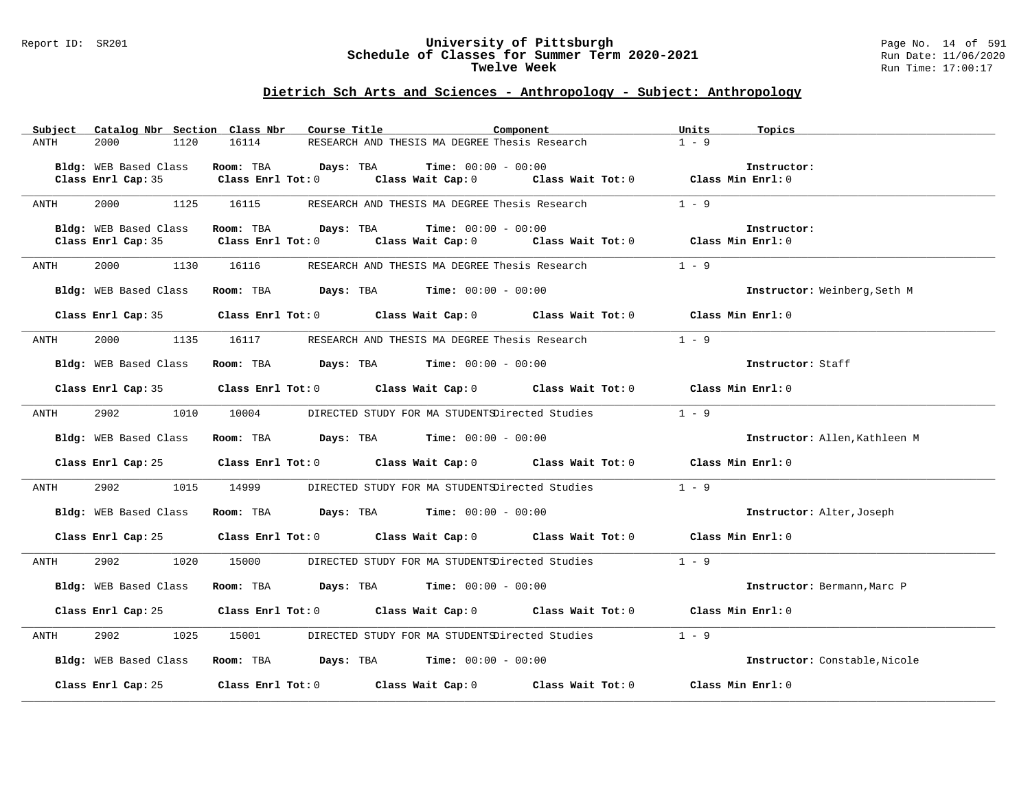#### Report ID: SR201 **University of Pittsburgh** Page No. 14 of 591 **Schedule of Classes for Summer Term 2020-2021** Run Date: 11/06/2020 **Twelve Week Run Time:** 17:00:17

| RESEARCH AND THESIS MA DEGREE Thesis Research<br>$1 - 9$<br>2000<br>1120<br>16114<br>ANTH<br>Bldg: WEB Based Class<br>Room: TBA Days: TBA<br><b>Time:</b> $00:00 - 00:00$<br>Instructor:<br>Class Wait Cap: 0 Class Wait Tot: 0 Class Min Enrl: 0<br>Class Enrl Cap: 35<br>$Class$ $Enrl$ $Tot: 0$<br>$1 - 9$<br>1125<br>16115<br>2000<br>RESEARCH AND THESIS MA DEGREE Thesis Research<br>ANTH<br>Bldg: WEB Based Class<br>Room: TBA<br><b>Days:</b> TBA <b>Time:</b> $00:00 - 00:00$<br>Instructor:<br>Class Enrl Tot: 0<br>Class Enrl Cap: 35<br>Class Wait Cap: 0 Class Wait Tot: 0 Class Min Enrl: 0<br>$1 - 9$<br>2000<br>1130<br>16116<br>RESEARCH AND THESIS MA DEGREE Thesis Research<br>ANTH<br>Room: TBA $\rule{1em}{0.15mm}$ Days: TBA Time: $00:00 - 00:00$<br>Bldg: WEB Based Class<br>Instructor: Weinberg, Seth M<br>Class Enrl Cap: 35 Class Enrl Tot: 0 Class Wait Cap: 0 Class Wait Tot: 0 Class Min Enrl: 0<br>$1 - 9$<br>2000 1135 16117 RESEARCH AND THESIS MA DEGREE Thesis Research<br>ANTH<br>Room: TBA $\rule{1em}{0.15mm}$ Days: TBA Time: $00:00 - 00:00$<br>Bldg: WEB Based Class<br>Instructor: Staff<br>Class Enrl Cap: 35 Class Enrl Tot: 0 Class Wait Cap: 0 Class Wait Tot: 0 Class Min Enrl: 0<br>DIRECTED STUDY FOR MA STUDENTSDirected Studies 1 - 9<br>2902<br>1010 10004<br>ANTH<br>Room: TBA $Days:$ TBA $Time: 00:00 - 00:00$<br>Bldg: WEB Based Class<br>Instructor: Allen, Kathleen M<br>Class Enrl Cap: 25 Class Enrl Tot: 0 Class Wait Cap: 0 Class Wait Tot: 0 Class Min Enrl: 0<br>$1 - 9$<br>2902 200<br>1015<br>14999<br>DIRECTED STUDY FOR MA STUDENTSDirected Studies<br>ANTH<br>Bldg: WEB Based Class<br><b>Room:</b> TBA $Days: TBA$ <b>Time:</b> $00:00 - 00:00$<br>Instructor: Alter, Joseph<br>Class Enrl Cap: 25 Class Enrl Tot: 0 Class Wait Cap: 0 Class Wait Tot: 0 Class Min Enrl: 0<br>$1 - 9$<br>2902<br>1020<br>15000<br>DIRECTED STUDY FOR MA STUDENTSDirected Studies<br>ANTH<br><b>Room:</b> TBA <b>Days:</b> TBA <b>Time:</b> 00:00 - 00:00<br>Bldg: WEB Based Class<br>Instructor: Bermann, Marc P<br>Class Enrl Cap: 25 Class Enrl Tot: 0 Class Wait Cap: 0 Class Wait Tot: 0 Class Min Enrl: 0<br>2902<br>$1 - 9$<br>1025<br>15001 DIRECTED STUDY FOR MA STUDENTSDirected Studies<br>ANTH<br>Room: TBA $Days:$ TBA Time: $00:00 - 00:00$<br>Bldg: WEB Based Class<br>Instructor: Constable, Nicole<br>Class Enrl Cap: 25 Class Enrl Tot: 0 Class Wait Cap: 0 Class Wait Tot: 0 Class Min Enrl: 0 | Subject | Catalog Nbr Section Class Nbr | Course Title | Component | Units<br>Topics |
|-------------------------------------------------------------------------------------------------------------------------------------------------------------------------------------------------------------------------------------------------------------------------------------------------------------------------------------------------------------------------------------------------------------------------------------------------------------------------------------------------------------------------------------------------------------------------------------------------------------------------------------------------------------------------------------------------------------------------------------------------------------------------------------------------------------------------------------------------------------------------------------------------------------------------------------------------------------------------------------------------------------------------------------------------------------------------------------------------------------------------------------------------------------------------------------------------------------------------------------------------------------------------------------------------------------------------------------------------------------------------------------------------------------------------------------------------------------------------------------------------------------------------------------------------------------------------------------------------------------------------------------------------------------------------------------------------------------------------------------------------------------------------------------------------------------------------------------------------------------------------------------------------------------------------------------------------------------------------------------------------------------------------------------------------------------------------------------------------------------------------------------------------------------------------------------------------------------------------------------------------------------------------------------------------------------------------------------------------------------------------------------------------------------------------------------------------------------------------|---------|-------------------------------|--------------|-----------|-----------------|
|                                                                                                                                                                                                                                                                                                                                                                                                                                                                                                                                                                                                                                                                                                                                                                                                                                                                                                                                                                                                                                                                                                                                                                                                                                                                                                                                                                                                                                                                                                                                                                                                                                                                                                                                                                                                                                                                                                                                                                                                                                                                                                                                                                                                                                                                                                                                                                                                                                                                         |         |                               |              |           |                 |
|                                                                                                                                                                                                                                                                                                                                                                                                                                                                                                                                                                                                                                                                                                                                                                                                                                                                                                                                                                                                                                                                                                                                                                                                                                                                                                                                                                                                                                                                                                                                                                                                                                                                                                                                                                                                                                                                                                                                                                                                                                                                                                                                                                                                                                                                                                                                                                                                                                                                         |         |                               |              |           |                 |
|                                                                                                                                                                                                                                                                                                                                                                                                                                                                                                                                                                                                                                                                                                                                                                                                                                                                                                                                                                                                                                                                                                                                                                                                                                                                                                                                                                                                                                                                                                                                                                                                                                                                                                                                                                                                                                                                                                                                                                                                                                                                                                                                                                                                                                                                                                                                                                                                                                                                         |         |                               |              |           |                 |
|                                                                                                                                                                                                                                                                                                                                                                                                                                                                                                                                                                                                                                                                                                                                                                                                                                                                                                                                                                                                                                                                                                                                                                                                                                                                                                                                                                                                                                                                                                                                                                                                                                                                                                                                                                                                                                                                                                                                                                                                                                                                                                                                                                                                                                                                                                                                                                                                                                                                         |         |                               |              |           |                 |
|                                                                                                                                                                                                                                                                                                                                                                                                                                                                                                                                                                                                                                                                                                                                                                                                                                                                                                                                                                                                                                                                                                                                                                                                                                                                                                                                                                                                                                                                                                                                                                                                                                                                                                                                                                                                                                                                                                                                                                                                                                                                                                                                                                                                                                                                                                                                                                                                                                                                         |         |                               |              |           |                 |
|                                                                                                                                                                                                                                                                                                                                                                                                                                                                                                                                                                                                                                                                                                                                                                                                                                                                                                                                                                                                                                                                                                                                                                                                                                                                                                                                                                                                                                                                                                                                                                                                                                                                                                                                                                                                                                                                                                                                                                                                                                                                                                                                                                                                                                                                                                                                                                                                                                                                         |         |                               |              |           |                 |
|                                                                                                                                                                                                                                                                                                                                                                                                                                                                                                                                                                                                                                                                                                                                                                                                                                                                                                                                                                                                                                                                                                                                                                                                                                                                                                                                                                                                                                                                                                                                                                                                                                                                                                                                                                                                                                                                                                                                                                                                                                                                                                                                                                                                                                                                                                                                                                                                                                                                         |         |                               |              |           |                 |
|                                                                                                                                                                                                                                                                                                                                                                                                                                                                                                                                                                                                                                                                                                                                                                                                                                                                                                                                                                                                                                                                                                                                                                                                                                                                                                                                                                                                                                                                                                                                                                                                                                                                                                                                                                                                                                                                                                                                                                                                                                                                                                                                                                                                                                                                                                                                                                                                                                                                         |         |                               |              |           |                 |
|                                                                                                                                                                                                                                                                                                                                                                                                                                                                                                                                                                                                                                                                                                                                                                                                                                                                                                                                                                                                                                                                                                                                                                                                                                                                                                                                                                                                                                                                                                                                                                                                                                                                                                                                                                                                                                                                                                                                                                                                                                                                                                                                                                                                                                                                                                                                                                                                                                                                         |         |                               |              |           |                 |
|                                                                                                                                                                                                                                                                                                                                                                                                                                                                                                                                                                                                                                                                                                                                                                                                                                                                                                                                                                                                                                                                                                                                                                                                                                                                                                                                                                                                                                                                                                                                                                                                                                                                                                                                                                                                                                                                                                                                                                                                                                                                                                                                                                                                                                                                                                                                                                                                                                                                         |         |                               |              |           |                 |
|                                                                                                                                                                                                                                                                                                                                                                                                                                                                                                                                                                                                                                                                                                                                                                                                                                                                                                                                                                                                                                                                                                                                                                                                                                                                                                                                                                                                                                                                                                                                                                                                                                                                                                                                                                                                                                                                                                                                                                                                                                                                                                                                                                                                                                                                                                                                                                                                                                                                         |         |                               |              |           |                 |
|                                                                                                                                                                                                                                                                                                                                                                                                                                                                                                                                                                                                                                                                                                                                                                                                                                                                                                                                                                                                                                                                                                                                                                                                                                                                                                                                                                                                                                                                                                                                                                                                                                                                                                                                                                                                                                                                                                                                                                                                                                                                                                                                                                                                                                                                                                                                                                                                                                                                         |         |                               |              |           |                 |
|                                                                                                                                                                                                                                                                                                                                                                                                                                                                                                                                                                                                                                                                                                                                                                                                                                                                                                                                                                                                                                                                                                                                                                                                                                                                                                                                                                                                                                                                                                                                                                                                                                                                                                                                                                                                                                                                                                                                                                                                                                                                                                                                                                                                                                                                                                                                                                                                                                                                         |         |                               |              |           |                 |
|                                                                                                                                                                                                                                                                                                                                                                                                                                                                                                                                                                                                                                                                                                                                                                                                                                                                                                                                                                                                                                                                                                                                                                                                                                                                                                                                                                                                                                                                                                                                                                                                                                                                                                                                                                                                                                                                                                                                                                                                                                                                                                                                                                                                                                                                                                                                                                                                                                                                         |         |                               |              |           |                 |
|                                                                                                                                                                                                                                                                                                                                                                                                                                                                                                                                                                                                                                                                                                                                                                                                                                                                                                                                                                                                                                                                                                                                                                                                                                                                                                                                                                                                                                                                                                                                                                                                                                                                                                                                                                                                                                                                                                                                                                                                                                                                                                                                                                                                                                                                                                                                                                                                                                                                         |         |                               |              |           |                 |
|                                                                                                                                                                                                                                                                                                                                                                                                                                                                                                                                                                                                                                                                                                                                                                                                                                                                                                                                                                                                                                                                                                                                                                                                                                                                                                                                                                                                                                                                                                                                                                                                                                                                                                                                                                                                                                                                                                                                                                                                                                                                                                                                                                                                                                                                                                                                                                                                                                                                         |         |                               |              |           |                 |
|                                                                                                                                                                                                                                                                                                                                                                                                                                                                                                                                                                                                                                                                                                                                                                                                                                                                                                                                                                                                                                                                                                                                                                                                                                                                                                                                                                                                                                                                                                                                                                                                                                                                                                                                                                                                                                                                                                                                                                                                                                                                                                                                                                                                                                                                                                                                                                                                                                                                         |         |                               |              |           |                 |
|                                                                                                                                                                                                                                                                                                                                                                                                                                                                                                                                                                                                                                                                                                                                                                                                                                                                                                                                                                                                                                                                                                                                                                                                                                                                                                                                                                                                                                                                                                                                                                                                                                                                                                                                                                                                                                                                                                                                                                                                                                                                                                                                                                                                                                                                                                                                                                                                                                                                         |         |                               |              |           |                 |
|                                                                                                                                                                                                                                                                                                                                                                                                                                                                                                                                                                                                                                                                                                                                                                                                                                                                                                                                                                                                                                                                                                                                                                                                                                                                                                                                                                                                                                                                                                                                                                                                                                                                                                                                                                                                                                                                                                                                                                                                                                                                                                                                                                                                                                                                                                                                                                                                                                                                         |         |                               |              |           |                 |
|                                                                                                                                                                                                                                                                                                                                                                                                                                                                                                                                                                                                                                                                                                                                                                                                                                                                                                                                                                                                                                                                                                                                                                                                                                                                                                                                                                                                                                                                                                                                                                                                                                                                                                                                                                                                                                                                                                                                                                                                                                                                                                                                                                                                                                                                                                                                                                                                                                                                         |         |                               |              |           |                 |
|                                                                                                                                                                                                                                                                                                                                                                                                                                                                                                                                                                                                                                                                                                                                                                                                                                                                                                                                                                                                                                                                                                                                                                                                                                                                                                                                                                                                                                                                                                                                                                                                                                                                                                                                                                                                                                                                                                                                                                                                                                                                                                                                                                                                                                                                                                                                                                                                                                                                         |         |                               |              |           |                 |
|                                                                                                                                                                                                                                                                                                                                                                                                                                                                                                                                                                                                                                                                                                                                                                                                                                                                                                                                                                                                                                                                                                                                                                                                                                                                                                                                                                                                                                                                                                                                                                                                                                                                                                                                                                                                                                                                                                                                                                                                                                                                                                                                                                                                                                                                                                                                                                                                                                                                         |         |                               |              |           |                 |
|                                                                                                                                                                                                                                                                                                                                                                                                                                                                                                                                                                                                                                                                                                                                                                                                                                                                                                                                                                                                                                                                                                                                                                                                                                                                                                                                                                                                                                                                                                                                                                                                                                                                                                                                                                                                                                                                                                                                                                                                                                                                                                                                                                                                                                                                                                                                                                                                                                                                         |         |                               |              |           |                 |
|                                                                                                                                                                                                                                                                                                                                                                                                                                                                                                                                                                                                                                                                                                                                                                                                                                                                                                                                                                                                                                                                                                                                                                                                                                                                                                                                                                                                                                                                                                                                                                                                                                                                                                                                                                                                                                                                                                                                                                                                                                                                                                                                                                                                                                                                                                                                                                                                                                                                         |         |                               |              |           |                 |
|                                                                                                                                                                                                                                                                                                                                                                                                                                                                                                                                                                                                                                                                                                                                                                                                                                                                                                                                                                                                                                                                                                                                                                                                                                                                                                                                                                                                                                                                                                                                                                                                                                                                                                                                                                                                                                                                                                                                                                                                                                                                                                                                                                                                                                                                                                                                                                                                                                                                         |         |                               |              |           |                 |
|                                                                                                                                                                                                                                                                                                                                                                                                                                                                                                                                                                                                                                                                                                                                                                                                                                                                                                                                                                                                                                                                                                                                                                                                                                                                                                                                                                                                                                                                                                                                                                                                                                                                                                                                                                                                                                                                                                                                                                                                                                                                                                                                                                                                                                                                                                                                                                                                                                                                         |         |                               |              |           |                 |
|                                                                                                                                                                                                                                                                                                                                                                                                                                                                                                                                                                                                                                                                                                                                                                                                                                                                                                                                                                                                                                                                                                                                                                                                                                                                                                                                                                                                                                                                                                                                                                                                                                                                                                                                                                                                                                                                                                                                                                                                                                                                                                                                                                                                                                                                                                                                                                                                                                                                         |         |                               |              |           |                 |
|                                                                                                                                                                                                                                                                                                                                                                                                                                                                                                                                                                                                                                                                                                                                                                                                                                                                                                                                                                                                                                                                                                                                                                                                                                                                                                                                                                                                                                                                                                                                                                                                                                                                                                                                                                                                                                                                                                                                                                                                                                                                                                                                                                                                                                                                                                                                                                                                                                                                         |         |                               |              |           |                 |
|                                                                                                                                                                                                                                                                                                                                                                                                                                                                                                                                                                                                                                                                                                                                                                                                                                                                                                                                                                                                                                                                                                                                                                                                                                                                                                                                                                                                                                                                                                                                                                                                                                                                                                                                                                                                                                                                                                                                                                                                                                                                                                                                                                                                                                                                                                                                                                                                                                                                         |         |                               |              |           |                 |
|                                                                                                                                                                                                                                                                                                                                                                                                                                                                                                                                                                                                                                                                                                                                                                                                                                                                                                                                                                                                                                                                                                                                                                                                                                                                                                                                                                                                                                                                                                                                                                                                                                                                                                                                                                                                                                                                                                                                                                                                                                                                                                                                                                                                                                                                                                                                                                                                                                                                         |         |                               |              |           |                 |
|                                                                                                                                                                                                                                                                                                                                                                                                                                                                                                                                                                                                                                                                                                                                                                                                                                                                                                                                                                                                                                                                                                                                                                                                                                                                                                                                                                                                                                                                                                                                                                                                                                                                                                                                                                                                                                                                                                                                                                                                                                                                                                                                                                                                                                                                                                                                                                                                                                                                         |         |                               |              |           |                 |
|                                                                                                                                                                                                                                                                                                                                                                                                                                                                                                                                                                                                                                                                                                                                                                                                                                                                                                                                                                                                                                                                                                                                                                                                                                                                                                                                                                                                                                                                                                                                                                                                                                                                                                                                                                                                                                                                                                                                                                                                                                                                                                                                                                                                                                                                                                                                                                                                                                                                         |         |                               |              |           |                 |
|                                                                                                                                                                                                                                                                                                                                                                                                                                                                                                                                                                                                                                                                                                                                                                                                                                                                                                                                                                                                                                                                                                                                                                                                                                                                                                                                                                                                                                                                                                                                                                                                                                                                                                                                                                                                                                                                                                                                                                                                                                                                                                                                                                                                                                                                                                                                                                                                                                                                         |         |                               |              |           |                 |
|                                                                                                                                                                                                                                                                                                                                                                                                                                                                                                                                                                                                                                                                                                                                                                                                                                                                                                                                                                                                                                                                                                                                                                                                                                                                                                                                                                                                                                                                                                                                                                                                                                                                                                                                                                                                                                                                                                                                                                                                                                                                                                                                                                                                                                                                                                                                                                                                                                                                         |         |                               |              |           |                 |
|                                                                                                                                                                                                                                                                                                                                                                                                                                                                                                                                                                                                                                                                                                                                                                                                                                                                                                                                                                                                                                                                                                                                                                                                                                                                                                                                                                                                                                                                                                                                                                                                                                                                                                                                                                                                                                                                                                                                                                                                                                                                                                                                                                                                                                                                                                                                                                                                                                                                         |         |                               |              |           |                 |
|                                                                                                                                                                                                                                                                                                                                                                                                                                                                                                                                                                                                                                                                                                                                                                                                                                                                                                                                                                                                                                                                                                                                                                                                                                                                                                                                                                                                                                                                                                                                                                                                                                                                                                                                                                                                                                                                                                                                                                                                                                                                                                                                                                                                                                                                                                                                                                                                                                                                         |         |                               |              |           |                 |
|                                                                                                                                                                                                                                                                                                                                                                                                                                                                                                                                                                                                                                                                                                                                                                                                                                                                                                                                                                                                                                                                                                                                                                                                                                                                                                                                                                                                                                                                                                                                                                                                                                                                                                                                                                                                                                                                                                                                                                                                                                                                                                                                                                                                                                                                                                                                                                                                                                                                         |         |                               |              |           |                 |
|                                                                                                                                                                                                                                                                                                                                                                                                                                                                                                                                                                                                                                                                                                                                                                                                                                                                                                                                                                                                                                                                                                                                                                                                                                                                                                                                                                                                                                                                                                                                                                                                                                                                                                                                                                                                                                                                                                                                                                                                                                                                                                                                                                                                                                                                                                                                                                                                                                                                         |         |                               |              |           |                 |
|                                                                                                                                                                                                                                                                                                                                                                                                                                                                                                                                                                                                                                                                                                                                                                                                                                                                                                                                                                                                                                                                                                                                                                                                                                                                                                                                                                                                                                                                                                                                                                                                                                                                                                                                                                                                                                                                                                                                                                                                                                                                                                                                                                                                                                                                                                                                                                                                                                                                         |         |                               |              |           |                 |
|                                                                                                                                                                                                                                                                                                                                                                                                                                                                                                                                                                                                                                                                                                                                                                                                                                                                                                                                                                                                                                                                                                                                                                                                                                                                                                                                                                                                                                                                                                                                                                                                                                                                                                                                                                                                                                                                                                                                                                                                                                                                                                                                                                                                                                                                                                                                                                                                                                                                         |         |                               |              |           |                 |
|                                                                                                                                                                                                                                                                                                                                                                                                                                                                                                                                                                                                                                                                                                                                                                                                                                                                                                                                                                                                                                                                                                                                                                                                                                                                                                                                                                                                                                                                                                                                                                                                                                                                                                                                                                                                                                                                                                                                                                                                                                                                                                                                                                                                                                                                                                                                                                                                                                                                         |         |                               |              |           |                 |
|                                                                                                                                                                                                                                                                                                                                                                                                                                                                                                                                                                                                                                                                                                                                                                                                                                                                                                                                                                                                                                                                                                                                                                                                                                                                                                                                                                                                                                                                                                                                                                                                                                                                                                                                                                                                                                                                                                                                                                                                                                                                                                                                                                                                                                                                                                                                                                                                                                                                         |         |                               |              |           |                 |
|                                                                                                                                                                                                                                                                                                                                                                                                                                                                                                                                                                                                                                                                                                                                                                                                                                                                                                                                                                                                                                                                                                                                                                                                                                                                                                                                                                                                                                                                                                                                                                                                                                                                                                                                                                                                                                                                                                                                                                                                                                                                                                                                                                                                                                                                                                                                                                                                                                                                         |         |                               |              |           |                 |
|                                                                                                                                                                                                                                                                                                                                                                                                                                                                                                                                                                                                                                                                                                                                                                                                                                                                                                                                                                                                                                                                                                                                                                                                                                                                                                                                                                                                                                                                                                                                                                                                                                                                                                                                                                                                                                                                                                                                                                                                                                                                                                                                                                                                                                                                                                                                                                                                                                                                         |         |                               |              |           |                 |
|                                                                                                                                                                                                                                                                                                                                                                                                                                                                                                                                                                                                                                                                                                                                                                                                                                                                                                                                                                                                                                                                                                                                                                                                                                                                                                                                                                                                                                                                                                                                                                                                                                                                                                                                                                                                                                                                                                                                                                                                                                                                                                                                                                                                                                                                                                                                                                                                                                                                         |         |                               |              |           |                 |
|                                                                                                                                                                                                                                                                                                                                                                                                                                                                                                                                                                                                                                                                                                                                                                                                                                                                                                                                                                                                                                                                                                                                                                                                                                                                                                                                                                                                                                                                                                                                                                                                                                                                                                                                                                                                                                                                                                                                                                                                                                                                                                                                                                                                                                                                                                                                                                                                                                                                         |         |                               |              |           |                 |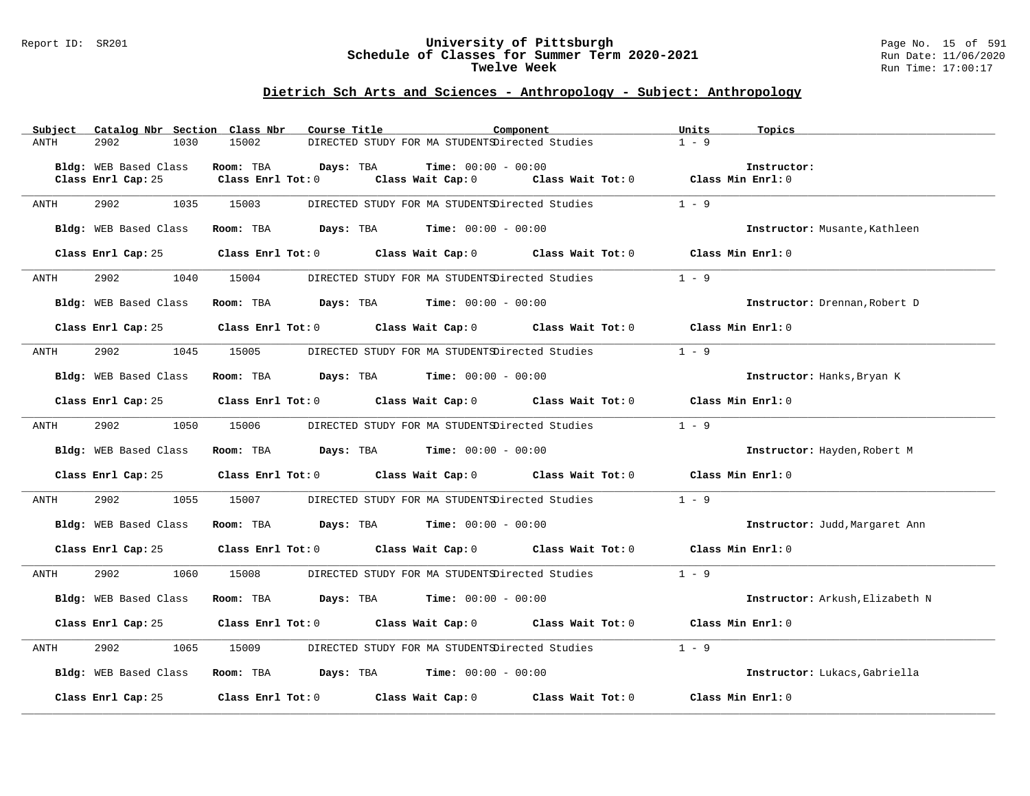#### Report ID: SR201 **University of Pittsburgh** Page No. 15 of 591 **Schedule of Classes for Summer Term 2020-2021** Run Date: 11/06/2020 **Twelve Week Run Time:** 17:00:17

|      | Subject |                       |      | Catalog Nbr Section Class Nbr | Course Title |                                                                                       | Component                                                                                           | Units             | Topics                          |
|------|---------|-----------------------|------|-------------------------------|--------------|---------------------------------------------------------------------------------------|-----------------------------------------------------------------------------------------------------|-------------------|---------------------------------|
| ANTH |         | 2902                  | 1030 | 15002                         |              | DIRECTED STUDY FOR MA STUDENTSDirected Studies                                        |                                                                                                     | $1 - 9$           |                                 |
|      |         |                       |      |                               |              |                                                                                       |                                                                                                     |                   |                                 |
|      |         | Bldg: WEB Based Class |      | Room: TBA                     | Days: TBA    | <b>Time:</b> $00:00 - 00:00$                                                          |                                                                                                     |                   | Instructor:                     |
|      |         | Class Enrl Cap: 25    |      | Class Enrl Tot: 0             |              |                                                                                       | Class Wait Cap: 0 Class Wait Tot: 0 Class Min Enrl: 0                                               |                   |                                 |
|      |         |                       |      |                               |              |                                                                                       |                                                                                                     |                   |                                 |
| ANTH |         | 2902                  | 1035 | 15003                         |              |                                                                                       | DIRECTED STUDY FOR MA STUDENTSDirected Studies                                                      | $1 - 9$           |                                 |
|      |         |                       |      |                               |              |                                                                                       |                                                                                                     |                   |                                 |
|      |         | Bldg: WEB Based Class |      |                               |              | Room: TBA $Days: TBA$ Time: $00:00 - 00:00$                                           |                                                                                                     |                   | Instructor: Musante, Kathleen   |
|      |         |                       |      |                               |              |                                                                                       | Class Enrl Cap: 25 Class Enrl Tot: 0 Class Wait Cap: 0 Class Wait Tot: 0 Class Min Enrl: 0          |                   |                                 |
|      |         |                       |      |                               |              |                                                                                       |                                                                                                     |                   |                                 |
| ANTH |         | 2902 200              | 1040 | 15004                         |              |                                                                                       | DIRECTED STUDY FOR MA STUDENTSDirected Studies                                                      | $1 - 9$           |                                 |
|      |         |                       |      |                               |              |                                                                                       |                                                                                                     |                   |                                 |
|      |         | Bldg: WEB Based Class |      |                               |              | Room: TBA $Days: TBA$ Time: $00:00 - 00:00$                                           |                                                                                                     |                   | Instructor: Drennan, Robert D   |
|      |         |                       |      |                               |              |                                                                                       |                                                                                                     |                   |                                 |
|      |         | Class Enrl Cap: 25    |      |                               |              |                                                                                       | Class Enrl Tot: $0$ Class Wait Cap: $0$ Class Wait Tot: $0$ Class Min Enrl: $0$                     |                   |                                 |
|      |         |                       |      |                               |              |                                                                                       |                                                                                                     |                   |                                 |
|      | ANTH    | 2902                  | 1045 | 15005                         |              | DIRECTED STUDY FOR MA STUDENTSDirected Studies                                        |                                                                                                     | $1 - 9$           |                                 |
|      |         |                       |      |                               |              |                                                                                       |                                                                                                     |                   |                                 |
|      |         | Bldg: WEB Based Class |      |                               |              | Room: TBA $Days:$ TBA $Time: 00:00 - 00:00$                                           |                                                                                                     |                   | Instructor: Hanks, Bryan K      |
|      |         |                       |      |                               |              |                                                                                       |                                                                                                     |                   |                                 |
|      |         |                       |      |                               |              |                                                                                       | Class Enrl Cap: 25 $\qquad$ Class Enrl Tot: 0 $\qquad$ Class Wait Cap: 0 $\qquad$ Class Wait Tot: 0 | Class Min Enrl: 0 |                                 |
|      |         |                       |      |                               |              |                                                                                       |                                                                                                     |                   |                                 |
| ANTH |         | 2902                  | 1050 | 15006                         |              |                                                                                       | DIRECTED STUDY FOR MA STUDENTSDirected Studies                                                      | $1 - 9$           |                                 |
|      |         |                       |      |                               |              |                                                                                       |                                                                                                     |                   |                                 |
|      |         | Bldg: WEB Based Class |      |                               |              | Room: TBA $Days:$ TBA $Time: 00:00 - 00:00$                                           |                                                                                                     |                   | Instructor: Hayden, Robert M    |
|      |         |                       |      |                               |              |                                                                                       | Class Enrl Cap: 25 Class Enrl Tot: 0 Class Wait Cap: 0 Class Wait Tot: 0 Class Min Enrl: 0          |                   |                                 |
|      |         |                       |      |                               |              |                                                                                       |                                                                                                     |                   |                                 |
| ANTH |         | 2902 200              | 1055 |                               |              |                                                                                       | 15007 DIRECTED STUDY FOR MA STUDENTSDirected Studies                                                | $1 - 9$           |                                 |
|      |         |                       |      |                               |              |                                                                                       |                                                                                                     |                   |                                 |
|      |         | Bldg: WEB Based Class |      |                               |              | Room: TBA $Days: TBA$ Time: $00:00 - 00:00$                                           |                                                                                                     |                   | Instructor: Judd, Margaret Ann  |
|      |         |                       |      |                               |              |                                                                                       |                                                                                                     |                   |                                 |
|      |         |                       |      |                               |              |                                                                                       | Class Enrl Cap: 25 Class Enrl Tot: 0 Class Wait Cap: 0 Class Wait Tot: 0 Class Min Enrl: 0          |                   |                                 |
|      |         |                       |      |                               |              |                                                                                       |                                                                                                     |                   |                                 |
| ANTH |         | 2902                  | 1060 | 15008                         |              | DIRECTED STUDY FOR MA STUDENTSDirected Studies                                        |                                                                                                     | $1 - 9$           |                                 |
|      |         |                       |      |                               |              |                                                                                       |                                                                                                     |                   |                                 |
|      |         | Bldg: WEB Based Class |      |                               |              | Room: TBA $\rule{1em}{0.15mm}$ Days: TBA $\rule{1.5mm}{0.15mm}$ Time: $00:00 - 00:00$ |                                                                                                     |                   | Instructor: Arkush, Elizabeth N |
|      |         |                       |      |                               |              |                                                                                       |                                                                                                     |                   |                                 |
|      |         |                       |      |                               |              |                                                                                       | Class Enrl Cap: 25 Class Enrl Tot: 0 Class Wait Cap: 0 Class Wait Tot: 0 Class Min Enrl: 0          |                   |                                 |
|      |         |                       |      |                               |              |                                                                                       |                                                                                                     |                   |                                 |
| ANTH |         | 2902                  | 1065 | 15009                         |              |                                                                                       | DIRECTED STUDY FOR MA STUDENTSDirected Studies                                                      | $1 - 9$           |                                 |
|      |         | Bldg: WEB Based Class |      |                               |              | Room: TBA $Days:$ TBA $Time: 00:00 - 00:00$                                           |                                                                                                     |                   | Instructor: Lukacs, Gabriella   |
|      |         |                       |      |                               |              |                                                                                       |                                                                                                     |                   |                                 |
|      |         | Class Enrl Cap: 25    |      |                               |              |                                                                                       | Class Enrl Tot: 0 Class Wait Cap: 0 Class Wait Tot: 0                                               | Class Min Enrl: 0 |                                 |
|      |         |                       |      |                               |              |                                                                                       |                                                                                                     |                   |                                 |
|      |         |                       |      |                               |              |                                                                                       |                                                                                                     |                   |                                 |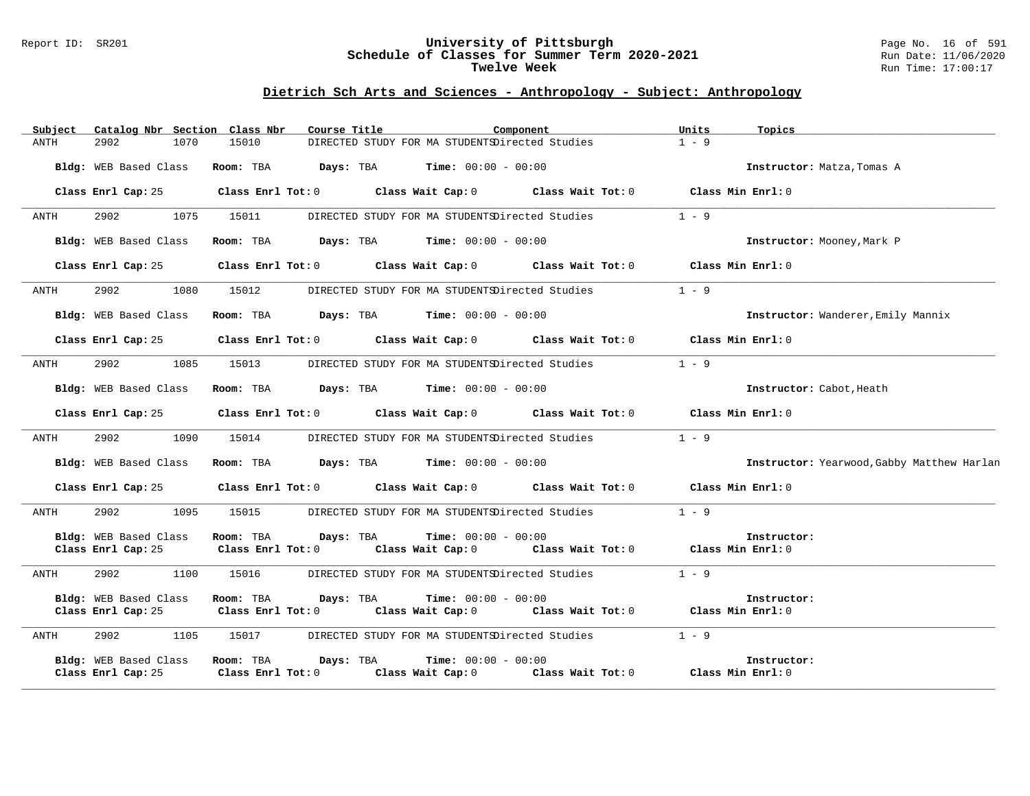#### Report ID: SR201 **University of Pittsburgh** Page No. 16 of 591 **Schedule of Classes for Summer Term 2020-2021** Run Date: 11/06/2020 **Twelve Week Run Time:** 17:00:17

| Subject |                                             |      | Catalog Nbr Section Class Nbr        | Course Title |                                                | Component                                                                                          | Units             | Topics                                     |
|---------|---------------------------------------------|------|--------------------------------------|--------------|------------------------------------------------|----------------------------------------------------------------------------------------------------|-------------------|--------------------------------------------|
| ANTH    | 2902                                        | 1070 | 15010                                |              | DIRECTED STUDY FOR MA STUDENTSDirected Studies |                                                                                                    | $1 - 9$           |                                            |
|         | Bldg: WEB Based Class                       |      | Room: TBA                            |              | <b>Days:</b> TBA <b>Time:</b> $00:00 - 00:00$  |                                                                                                    |                   | Instructor: Matza, Tomas A                 |
|         | Class Enrl Cap: 25                          |      |                                      |              |                                                | Class Enrl Tot: $0$ Class Wait Cap: $0$ Class Wait Tot: $0$ Class Min Enrl: $0$                    |                   |                                            |
| ANTH    | 2902                                        | 1075 | 15011                                |              | DIRECTED STUDY FOR MA STUDENTSDirected Studies |                                                                                                    | $1 - 9$           |                                            |
|         | Bldg: WEB Based Class                       |      | Room: TBA                            |              | <b>Days:</b> TBA <b>Time:</b> $00:00 - 00:00$  |                                                                                                    |                   | Instructor: Mooney, Mark P                 |
|         | Class Enrl Cap: 25                          |      |                                      |              |                                                | Class Enrl Tot: $0$ Class Wait Cap: $0$ Class Wait Tot: $0$ Class Min Enrl: $0$                    |                   |                                            |
| ANTH    | 2902                                        | 1080 | 15012                                |              | DIRECTED STUDY FOR MA STUDENTSDirected Studies |                                                                                                    | $1 - 9$           |                                            |
|         | Bldg: WEB Based Class                       |      |                                      |              | Room: TBA $Days:$ TBA $Time: 00:00 - 00:00$    |                                                                                                    |                   | Instructor: Wanderer, Emily Mannix         |
|         | Class Enrl Cap: 25                          |      |                                      |              |                                                | Class Enrl Tot: $0$ Class Wait Cap: $0$ Class Wait Tot: $0$ Class Min Enrl: $0$                    |                   |                                            |
| ANTH    | 2902                                        | 1085 | 15013                                |              |                                                | DIRECTED STUDY FOR MA STUDENTSDirected Studies                                                     | $1 - 9$           |                                            |
|         | Bldg: WEB Based Class                       |      | Room: TBA                            |              | <b>Days:</b> TBA <b>Time:</b> $00:00 - 00:00$  |                                                                                                    |                   | Instructor: Cabot, Heath                   |
|         | Class Enrl Cap: 25                          |      |                                      |              | Class Enrl Tot: 0 Class Wait Cap: 0            | Class Wait Tot: 0                                                                                  | Class Min Enrl: 0 |                                            |
| ANTH    | 2902                                        | 1090 | 15014                                |              |                                                | DIRECTED STUDY FOR MA STUDENTSDirected Studies                                                     | $1 - 9$           |                                            |
|         | Bldg: WEB Based Class                       |      |                                      |              | Room: TBA $Days:$ TBA $Time: 00:00 - 00:00$    |                                                                                                    |                   | Instructor: Yearwood, Gabby Matthew Harlan |
|         | Class Enrl Cap: 25                          |      |                                      |              |                                                | Class Enrl Tot: $0$ Class Wait Cap: $0$ Class Wait Tot: $0$ Class Min Enrl: $0$                    |                   |                                            |
| ANTH    | 2902                                        | 1095 | 15015                                |              | DIRECTED STUDY FOR MA STUDENTSDirected Studies |                                                                                                    | $1 - 9$           |                                            |
|         | Bldg: WEB Based Class<br>Class Enrl Cap: 25 |      | Room: TBA Days: TBA                  |              | <b>Time:</b> $00:00 - 00:00$                   | Class Enrl Tot: 0 $\qquad$ Class Wait Cap: 0 $\qquad$ Class Wait Tot: 0 $\qquad$ Class Min Enrl: 0 |                   | Instructor:                                |
| ANTH    | 2902                                        | 1100 | 15016                                |              |                                                | DIRECTED STUDY FOR MA STUDENTSDirected Studies                                                     | $1 - 9$           |                                            |
|         | Bldg: WEB Based Class<br>Class Enrl Cap: 25 |      | Room: TBA                            | Days: TBA    | <b>Time:</b> $00:00 - 00:00$                   | Class Enrl Tot: 0 Class Wait Cap: 0 Class Wait Tot: 0 Class Min Enrl: 0                            |                   | Instructor:                                |
| ANTH    | 2902                                        | 1105 | 15017                                |              |                                                | DIRECTED STUDY FOR MA STUDENTSDirected Studies                                                     | $1 - 9$           |                                            |
|         | Bldg: WEB Based Class<br>Class Enrl Cap: 25 |      | Room: TBA<br>$Class$ $Enr1$ $Tot: 0$ | Days: TBA    | <b>Time:</b> $00:00 - 00:00$                   | Class Wait Cap: 0 Class Wait Tot: 0                                                                | Class Min Enrl: 0 | Instructor:                                |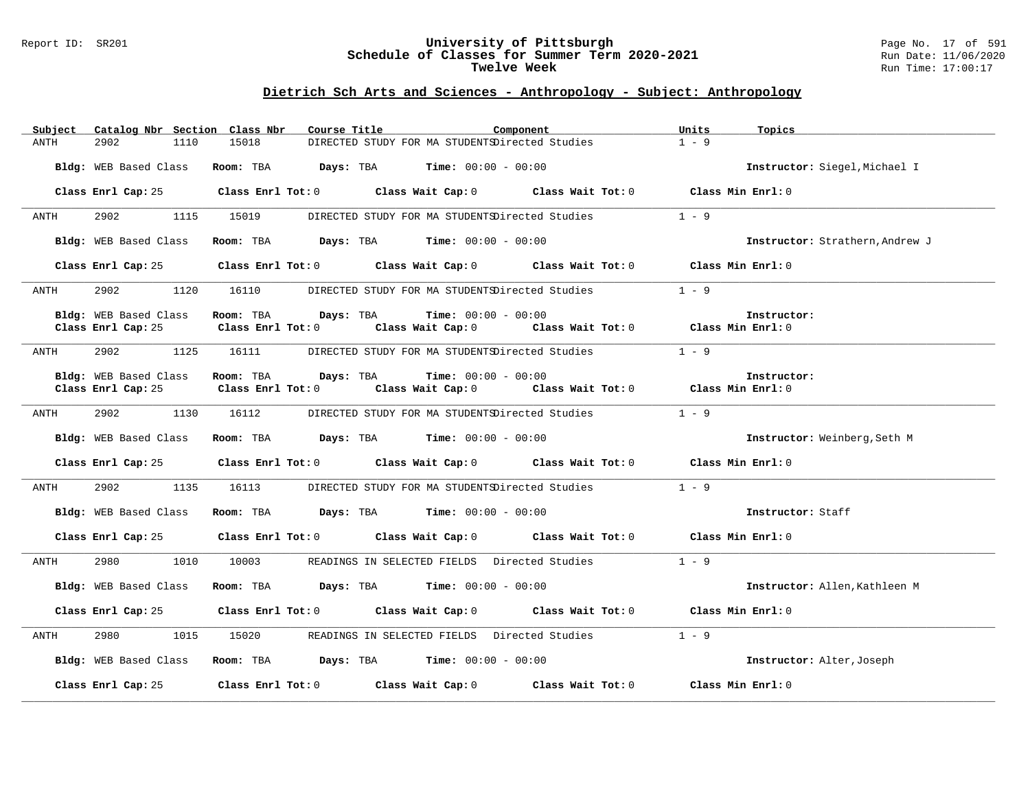#### Report ID: SR201 **University of Pittsburgh** Page No. 17 of 591 **Schedule of Classes for Summer Term 2020-2021** Run Date: 11/06/2020 **Twelve Week Run Time:** 17:00:17

| Subject<br>Catalog Nbr Section Class Nbr | Course Title<br>Component                                                        | Units<br>Topics                 |
|------------------------------------------|----------------------------------------------------------------------------------|---------------------------------|
| 1110<br>ANTH<br>2902                     | 15018<br>DIRECTED STUDY FOR MA STUDENTSDirected Studies                          | $1 - 9$                         |
| Bldg: WEB Based Class                    | <b>Room:</b> TBA $Days:$ TBA $Time: 00:00 - 00:00$                               | Instructor: Siegel, Michael I   |
|                                          | Class Enrl Cap: 25 Class Enrl Tot: 0 Class Wait Cap: 0 Class Wait Tot: 0         | Class Min Enrl: 0               |
| 2902<br>1115<br>ANTH                     | 15019<br>DIRECTED STUDY FOR MA STUDENTSDirected Studies                          | $1 - 9$                         |
| Bldg: WEB Based Class                    | Room: TBA $Days:$ TBA $Time: 00:00 - 00:00$                                      | Instructor: Strathern, Andrew J |
| Class Enrl Cap: 25                       | Class Enrl Tot: $0$ Class Wait Cap: $0$ Class Wait Tot: $0$ Class Min Enrl: $0$  |                                 |
| 2902 200<br>1120<br>ANTH                 | 16110 DIRECTED STUDY FOR MA STUDENTSDirected Studies                             | $1 - 9$                         |
| Bldg: WEB Based Class                    | Room: TBA $Days:$ TBA $Time: 00:00 - 00:00$                                      | Instructor:                     |
| Class Enrl Cap: 25                       | Class Wait Cap: 0 Class Wait Tot: 0 Class Min Enrl: 0<br>Class Enrl Tot: 0       |                                 |
| 2902<br>1125<br>ANTH                     | DIRECTED STUDY FOR MA STUDENTSDirected Studies 1 - 9<br>16111                    |                                 |
| Bldg: WEB Based Class                    | Room: TBA $Days:$ TBA $Time: 00:00 - 00:00$                                      | Instructor:                     |
| Class Enrl Cap: 25                       | Class Wait Cap: 0 Class Wait Tot: 0 Class Min Enrl: 0<br>$Class$ $Enr1$ $Tot: 0$ |                                 |
| 2902 200<br>1130<br>ANTH                 | 16112<br>DIRECTED STUDY FOR MA STUDENTSDirected Studies                          | $1 - 9$                         |
| Bldg: WEB Based Class                    | Room: TBA $Days:$ TBA $Time: 00:00 - 00:00$                                      | Instructor: Weinberg, Seth M    |
| Class Enrl Cap: 25                       | Class Enrl Tot: 0 Class Wait Cap: 0 Class Wait Tot: 0                            | Class Min Enrl: 0               |
| 2902<br>1135<br>ANTH                     | 16113<br>DIRECTED STUDY FOR MA STUDENTSDirected Studies                          | $1 - 9$                         |
| Bldg: WEB Based Class                    | Room: TBA $Days:$ TBA $Time: 00:00 - 00:00$                                      | Instructor: Staff               |
| Class Enrl Cap: 25                       | Class Enrl Tot: 0 Class Wait Cap: 0 Class Wait Tot: 0                            | Class Min Enrl: 0               |
| 2980<br>1010<br>ANTH                     | 10003<br>READINGS IN SELECTED FIELDS Directed Studies                            | $1 - 9$                         |
| Bldg: WEB Based Class                    | Room: TBA $Days:$ TBA $Time: 00:00 - 00:00$                                      | Instructor: Allen, Kathleen M   |
| Class Enrl Cap: 25                       | Class Enrl Tot: 0 Class Wait Cap: 0 Class Wait Tot: 0                            | Class Min Enrl: 0               |
| 2980<br>1015<br>ANTH                     | 15020 READINGS IN SELECTED FIELDS Directed Studies                               | $1 - 9$                         |
| Bldg: WEB Based Class                    | Room: TBA $Days: TBA$ Time: $00:00 - 00:00$                                      | Instructor: Alter, Joseph       |
| Class Enrl Cap: 25                       | Class Enrl Tot: 0 Class Wait Cap: 0 Class Wait Tot: 0                            | Class Min Enrl: 0               |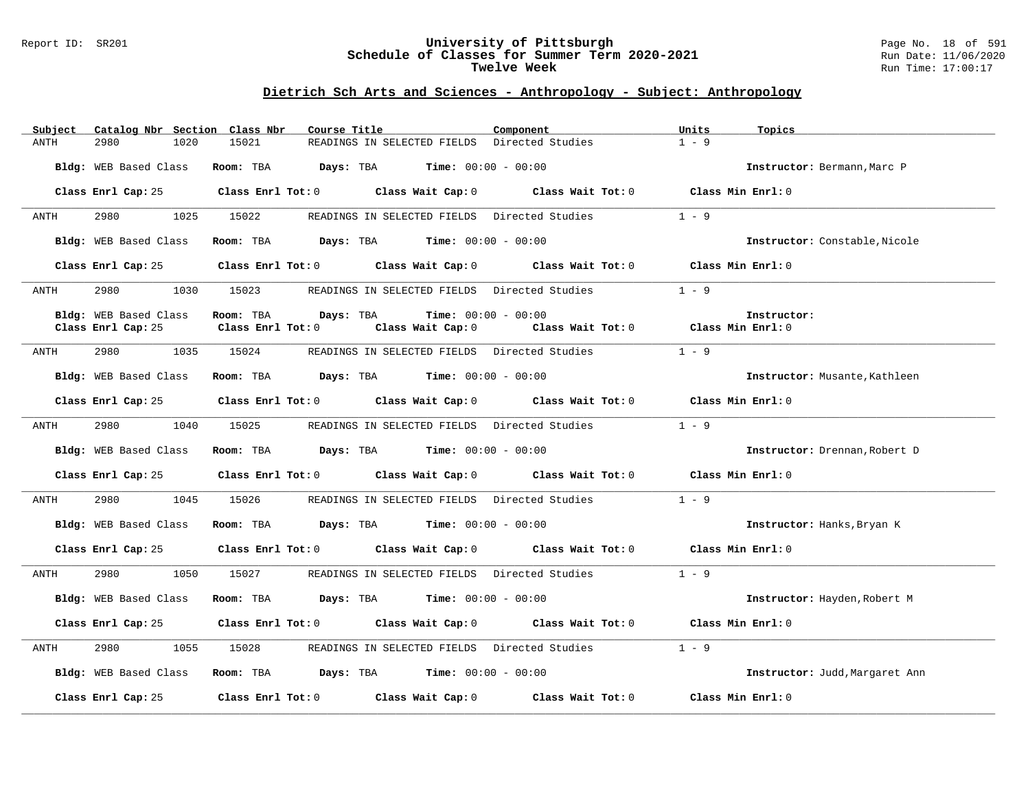#### Report ID: SR201 **University of Pittsburgh** Page No. 18 of 591 **Schedule of Classes for Summer Term 2020-2021** Run Date: 11/06/2020 **Twelve Week Run Time:** 17:00:17

| Catalog Nbr Section Class Nbr<br>Subject | Course Title<br>Component                                                                           | Units<br>Topics                         |
|------------------------------------------|-----------------------------------------------------------------------------------------------------|-----------------------------------------|
| 2980<br>1020<br>ANTH                     | 15021<br>READINGS IN SELECTED FIELDS Directed Studies                                               | $1 - 9$                                 |
| Bldg: WEB Based Class                    | <b>Room:</b> TBA $Days:$ TBA $Time: 00:00 - 00:00$                                                  | Instructor: Bermann, Marc P             |
|                                          | Class Enrl Cap: 25 Class Enrl Tot: 0 Class Wait Cap: 0 Class Wait Tot: 0 Class Min Enrl: 0          |                                         |
| 2980 1025 15022<br>ANTH                  | READINGS IN SELECTED FIELDS Directed Studies                                                        | $1 - 9$                                 |
| Bldg: WEB Based Class                    | Room: TBA $\rule{1em}{0.15mm}$ Days: TBA $\rule{1.5mm}{0.15mm}$ Time: $00:00 - 00:00$               | Instructor: Constable, Nicole           |
|                                          | Class Enrl Cap: 25 Class Enrl Tot: 0 Class Wait Cap: 0 Class Wait Tot: 0 Class Min Enrl: 0          |                                         |
| 2980 700<br>ANTH                         | 1030 15023<br>READINGS IN SELECTED FIELDS Directed Studies                                          | $1 - 9$                                 |
| Bldg: WEB Based Class                    | <b>Time:</b> $00:00 - 00:00$<br>Room: TBA<br>Days: TBA                                              | Instructor:                             |
| Class Enrl Cap: 25                       | Class Enrl Tot: 0 Class Wait Cap: 0                                                                 | Class Wait Tot: $0$ Class Min Enrl: $0$ |
| 2980<br>ANTH                             | 1035 15024<br>READINGS IN SELECTED FIELDS Directed Studies                                          | $1 - 9$                                 |
|                                          | Bldg: WEB Based Class Room: TBA Days: TBA Time: 00:00 - 00:00                                       | Instructor: Musante, Kathleen           |
|                                          | Class Enrl Cap: 25 Class Enrl Tot: 0 Class Wait Cap: 0 Class Wait Tot: 0 Class Min Enrl: 0          |                                         |
| 2980<br>1040<br>ANTH                     | 15025<br>READINGS IN SELECTED FIELDS Directed Studies                                               | $1 - 9$                                 |
| Bldg: WEB Based Class                    | Room: TBA $Days:$ TBA $Time: 00:00 - 00:00$                                                         | Instructor: Drennan, Robert D           |
|                                          | Class Enrl Cap: 25 Class Enrl Tot: 0 Class Wait Cap: 0 Class Wait Tot: 0 Class Min Enrl: 0          |                                         |
| 2980 1045 15026<br>ANTH                  | READINGS IN SELECTED FIELDS Directed Studies 1 - 9                                                  |                                         |
| Bldg: WEB Based Class                    | Room: TBA $Days:$ TBA $Time: 00:00 - 00:00$                                                         | Instructor: Hanks, Bryan K              |
|                                          | Class Enrl Cap: 25 Class Enrl Tot: 0 Class Wait Cap: 0 Class Wait Tot: 0 Class Min Enrl: 0          |                                         |
| 2980<br>ANTH                             | 1050 15027<br>READINGS IN SELECTED FIELDS Directed Studies                                          | $1 - 9$                                 |
|                                          | Bldg: WEB Based Class Room: TBA Days: TBA Time: 00:00 - 00:00                                       | Instructor: Hayden, Robert M            |
|                                          | Class Enrl Cap: 25 Class Enrl Tot: 0 Class Wait Cap: 0 Class Wait Tot: 0 Class Min Enrl: 0          |                                         |
| 2980<br>1055<br>ANTH                     | 15028<br>READINGS IN SELECTED FIELDS Directed Studies                                               | $1 - 9$                                 |
|                                          | Bldg: WEB Based Class Room: TBA Days: TBA Time: 00:00 - 00:00                                       | Instructor: Judd, Margaret Ann          |
|                                          | Class Enrl Cap: 25 $\qquad$ Class Enrl Tot: 0 $\qquad$ Class Wait Cap: 0 $\qquad$ Class Wait Tot: 0 | Class Min Enrl: 0                       |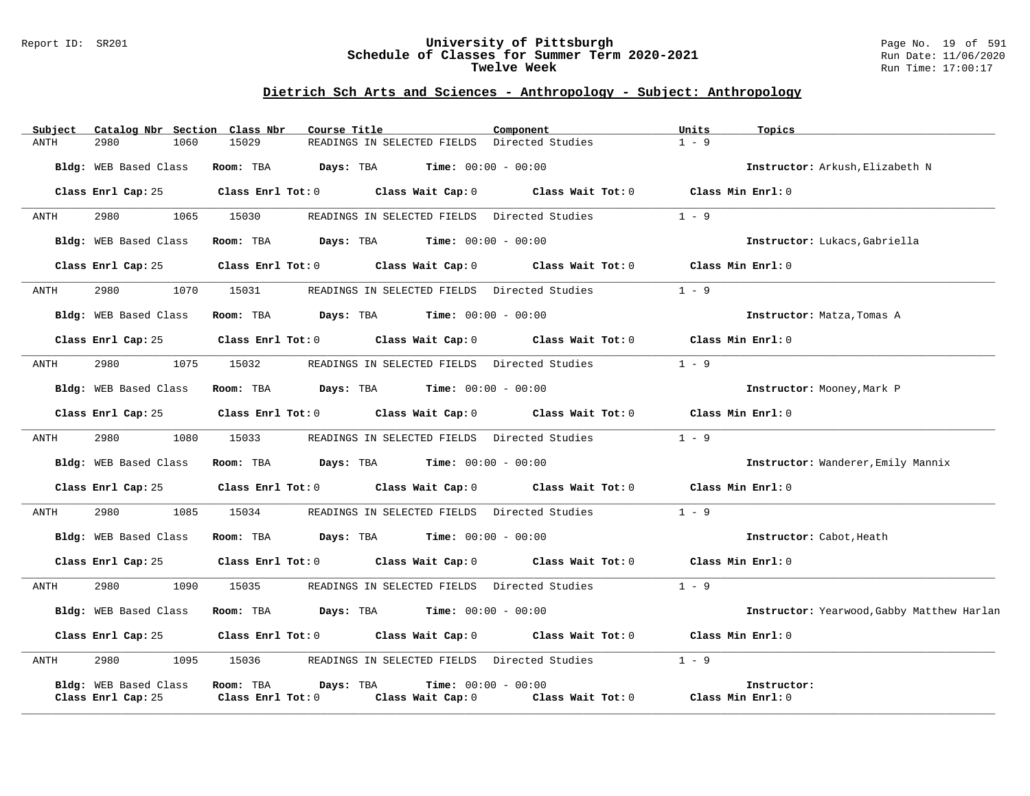#### Report ID: SR201 **University of Pittsburgh** Page No. 19 of 591 **Schedule of Classes for Summer Term 2020-2021** Run Date: 11/06/2020 **Twelve Week Run Time:** 17:00:17

| Subject               | Catalog Nbr Section Class Nbr | Course Title           |                                                                                       | Component                                                                       | Units             | Topics                                     |
|-----------------------|-------------------------------|------------------------|---------------------------------------------------------------------------------------|---------------------------------------------------------------------------------|-------------------|--------------------------------------------|
| ANTH<br>2980          | 1060                          | 15029                  | READINGS IN SELECTED FIELDS Directed Studies                                          |                                                                                 | $1 - 9$           |                                            |
| Bldg: WEB Based Class |                               | Room: TBA              | <b>Days:</b> TBA <b>Time:</b> $00:00 - 00:00$                                         |                                                                                 |                   | Instructor: Arkush, Elizabeth N            |
|                       | Class Enrl Cap: 25            |                        |                                                                                       | Class Enrl Tot: $0$ Class Wait Cap: $0$ Class Wait Tot: $0$ Class Min Enrl: $0$ |                   |                                            |
| 2980<br>ANTH          | 1065                          | 15030                  | READINGS IN SELECTED FIELDS Directed Studies                                          |                                                                                 | $1 - 9$           |                                            |
| Bldg: WEB Based Class |                               |                        | Room: TBA $Days: TBA$ Time: $00:00 - 00:00$                                           |                                                                                 |                   | Instructor: Lukacs, Gabriella              |
| Class Enrl Cap: 25    |                               |                        | Class Enrl Tot: 0 Class Wait Cap: 0                                                   | Class Wait Tot: 0                                                               | Class Min Enrl: 0 |                                            |
| 2980<br>ANTH          | 1070                          | 15031                  |                                                                                       | READINGS IN SELECTED FIELDS Directed Studies                                    | $1 - 9$           |                                            |
| Bldg: WEB Based Class |                               |                        | Room: TBA $Days:$ TBA $Time: 00:00 - 00:00$                                           |                                                                                 |                   | Instructor: Matza, Tomas A                 |
| Class Enrl Cap: 25    |                               |                        |                                                                                       | Class Enrl Tot: 0 Class Wait Cap: 0 Class Wait Tot: 0                           | Class Min Enrl: 0 |                                            |
| 2980<br>ANTH          | 1075                          | 15032                  |                                                                                       | READINGS IN SELECTED FIELDS Directed Studies                                    | $1 - 9$           |                                            |
| Bldg: WEB Based Class |                               |                        | Room: TBA $Days:$ TBA $Time: 00:00 - 00:00$                                           |                                                                                 |                   | Instructor: Mooney, Mark P                 |
| Class Enrl Cap: 25    |                               |                        |                                                                                       | Class Enrl Tot: 0 Class Wait Cap: 0 Class Wait Tot: 0 Class Min Enrl: 0         |                   |                                            |
| 2980<br>ANTH          | 1080                          | 15033                  | READINGS IN SELECTED FIELDS Directed Studies                                          |                                                                                 | $1 - 9$           |                                            |
| Bldg: WEB Based Class |                               |                        | Room: TBA $\rule{1em}{0.15mm}$ Days: TBA $\rule{1.5mm}{0.15mm}$ Time: $00:00 - 00:00$ |                                                                                 |                   | Instructor: Wanderer, Emily Mannix         |
| Class Enrl Cap: 25    |                               |                        | Class Enrl Tot: 0 Class Wait Cap: 0                                                   | Class Wait Tot: 0                                                               | Class Min Enrl: 0 |                                            |
| 2980<br>ANTH          | 1085                          | 15034                  |                                                                                       | READINGS IN SELECTED FIELDS Directed Studies                                    | $1 - 9$           |                                            |
| Bldg: WEB Based Class |                               | Room: TBA              | <b>Days:</b> TBA <b>Time:</b> $00:00 - 00:00$                                         |                                                                                 |                   | Instructor: Cabot, Heath                   |
| Class Enrl Cap: 25    |                               |                        |                                                                                       | Class Enrl Tot: 0 Class Wait Cap: 0 Class Wait Tot: 0                           | Class Min Enrl: 0 |                                            |
| 2980<br>ANTH          | 1090                          | 15035                  | READINGS IN SELECTED FIELDS Directed Studies                                          |                                                                                 | $1 - 9$           |                                            |
| Bldg: WEB Based Class |                               |                        | Room: TBA $Days:$ TBA $Time: 00:00 - 00:00$                                           |                                                                                 |                   | Instructor: Yearwood, Gabby Matthew Harlan |
| Class Enrl Cap: 25    |                               |                        |                                                                                       | Class Enrl Tot: 0 Class Wait Cap: 0 Class Wait Tot: 0 Class Min Enrl: 0         |                   |                                            |
| 2980<br>ANTH          | 1095                          | 15036                  | READINGS IN SELECTED FIELDS Directed Studies                                          |                                                                                 | $1 - 9$           |                                            |
| Bldg: WEB Based Class |                               | Days: TBA<br>Room: TBA | <b>Time:</b> $00:00 - 00:00$                                                          |                                                                                 |                   | Instructor:                                |
| Class Enrl Cap: 25    |                               | Class Enrl Tot: 0      | Class Wait Cap: 0                                                                     | Class Wait Tot: 0                                                               | Class Min Enrl: 0 |                                            |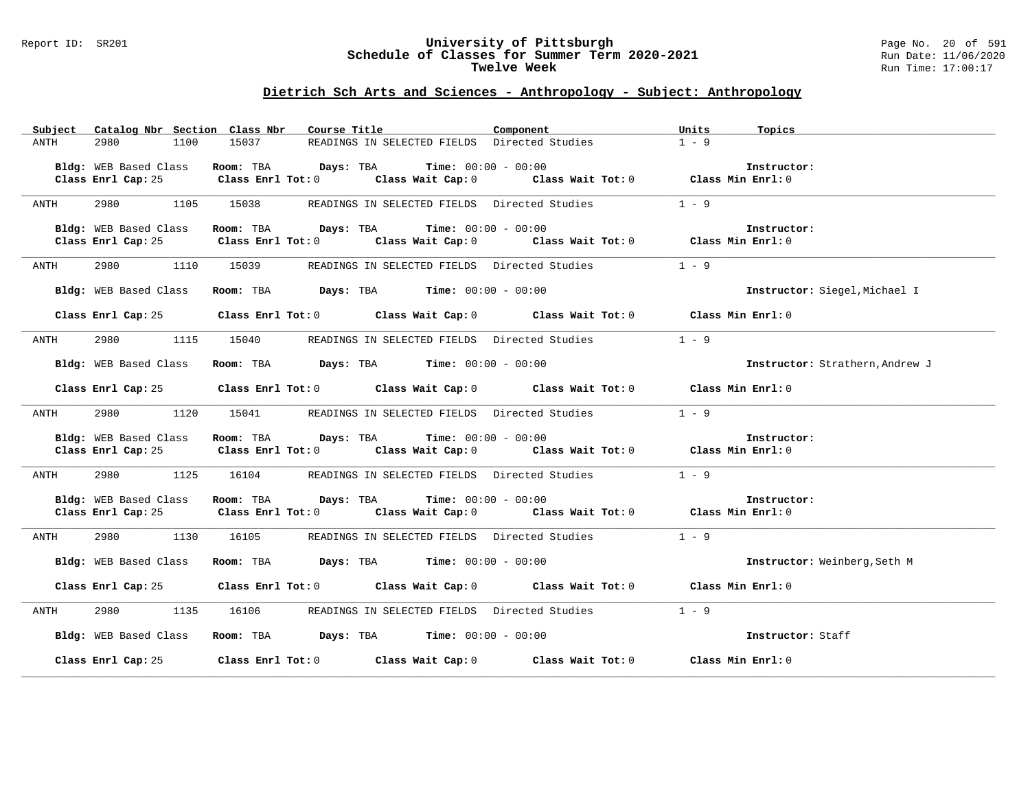#### Report ID: SR201 **University of Pittsburgh** Page No. 20 of 591 **Schedule of Classes for Summer Term 2020-2021** Run Date: 11/06/2020 **Twelve Week Run Time:** 17:00:17

|      |                       | Subject Catalog Nbr Section Class Nbr Course Title                                                            | Component | Units<br>Topics                 |
|------|-----------------------|---------------------------------------------------------------------------------------------------------------|-----------|---------------------------------|
| ANTH | 1100<br>2980          | 15037<br>READINGS IN SELECTED FIELDS Directed Studies                                                         |           | $1 - 9$                         |
|      |                       |                                                                                                               |           |                                 |
|      |                       | Bldg: WEB Based Class Room: TBA Days: TBA Time: 00:00 - 00:00                                                 |           | Instructor:                     |
|      |                       | Class Enrl Cap: 25 Class Enrl Tot: 0 Class Wait Cap: 0 Class Wait Tot: 0 Class Min Enrl: 0                    |           |                                 |
|      |                       |                                                                                                               |           |                                 |
| ANTH |                       | 2980 1105 15038 READINGS IN SELECTED FIELDS Directed Studies                                                  |           | $1 - 9$                         |
|      |                       |                                                                                                               |           |                                 |
|      | Bldg: WEB Based Class | Room: TBA $Days:$ TBA $Time: 00:00 - 00:00$                                                                   |           | Instructor:                     |
|      |                       | Class Enrl Cap: 25 Class Enrl Tot: 0 Class Wait Cap: 0 Class Wait Tot: 0 Class Enrl Cap: 25 Class Enrl Tot: 0 |           |                                 |
|      |                       |                                                                                                               |           |                                 |
| ANTH | 2980 1110 15039       | READINGS IN SELECTED FIELDS Directed Studies                                                                  |           | $1 - 9$                         |
|      |                       |                                                                                                               |           |                                 |
|      | Bldg: WEB Based Class | Room: TBA $Days: TBA$ Time: $00:00 - 00:00$                                                                   |           | Instructor: Siegel, Michael I   |
|      |                       |                                                                                                               |           |                                 |
|      |                       | Class Enrl Cap: 25 Class Enrl Tot: 0 Class Wait Cap: 0 Class Wait Tot: 0 Class Min Enrl: 0                    |           |                                 |
|      |                       |                                                                                                               |           |                                 |
| ANTH | 2980 1115 15040       | READINGS IN SELECTED FIELDS Directed Studies                                                                  |           | $1 - 9$                         |
|      |                       |                                                                                                               |           |                                 |
|      | Bldg: WEB Based Class | $\texttt{Room}: \texttt{TBA}$ $\texttt{Days}: \texttt{TBA}$ $\texttt{Time}: \texttt{00:00 - 00:00}$           |           | Instructor: Strathern, Andrew J |
|      |                       |                                                                                                               |           |                                 |
|      |                       | Class Enrl Cap: 25 Class Enrl Tot: 0 Class Wait Cap: 0 Class Wait Tot: 0 Class Min Enrl: 0                    |           |                                 |
|      |                       |                                                                                                               |           |                                 |
| ANTH |                       | 2980 1120 15041 READINGS IN SELECTED FIELDS Directed Studies 1 - 9                                            |           |                                 |
|      |                       |                                                                                                               |           |                                 |
|      | Bldg: WEB Based Class | Room: TBA $Days:$ TBA $Time: 00:00 - 00:00$                                                                   |           | Instructor:                     |
|      |                       | Class Enrl Cap: 25 Class Enrl Tot: 0 Class Wait Cap: 0 Class Wait Tot: 0 Class Min Enrl: 0                    |           |                                 |
|      |                       |                                                                                                               |           |                                 |
| ANTH |                       | 2980 1125 16104 READINGS IN SELECTED FIELDS Directed Studies 1 - 9                                            |           |                                 |
|      |                       |                                                                                                               |           |                                 |
|      | Bldg: WEB Based Class | Room: TBA $Days:$ TBA $Time: 00:00 - 00:00$                                                                   |           | Instructor:                     |
|      |                       | Class Enrl Cap: 25 Class Enrl Tot: 0 Class Wait Cap: 0 Class Wait Tot: 0 Class Min Enrl: 0                    |           |                                 |
|      |                       |                                                                                                               |           |                                 |
| ANTH |                       | 2980 1130 16105 READINGS IN SELECTED FIELDS Directed Studies                                                  |           | $1 - 9$                         |
|      |                       |                                                                                                               |           |                                 |
|      |                       | Bldg: WEB Based Class Room: TBA Days: TBA Time: 00:00 - 00:00                                                 |           | Instructor: Weinberg, Seth M    |
|      |                       |                                                                                                               |           |                                 |
|      |                       | Class Enrl Cap: 25 Class Enrl Tot: 0 Class Wait Cap: 0 Class Wait Tot: 0 Class Min Enrl: 0                    |           |                                 |
|      |                       |                                                                                                               |           |                                 |
| ANTH |                       | 2980 1135 16106 READINGS IN SELECTED FIELDS Directed Studies 1 - 9                                            |           |                                 |
|      |                       |                                                                                                               |           |                                 |
|      |                       | Bldg: WEB Based Class Room: TBA Days: TBA Time: 00:00 - 00:00                                                 |           | Instructor: Staff               |
|      |                       |                                                                                                               |           |                                 |
|      |                       | Class Enrl Cap: 25 Class Enrl Tot: 0 Class Wait Cap: 0 Class Wait Tot: 0 Class Min Enrl: 0                    |           |                                 |
|      |                       |                                                                                                               |           |                                 |
|      |                       |                                                                                                               |           |                                 |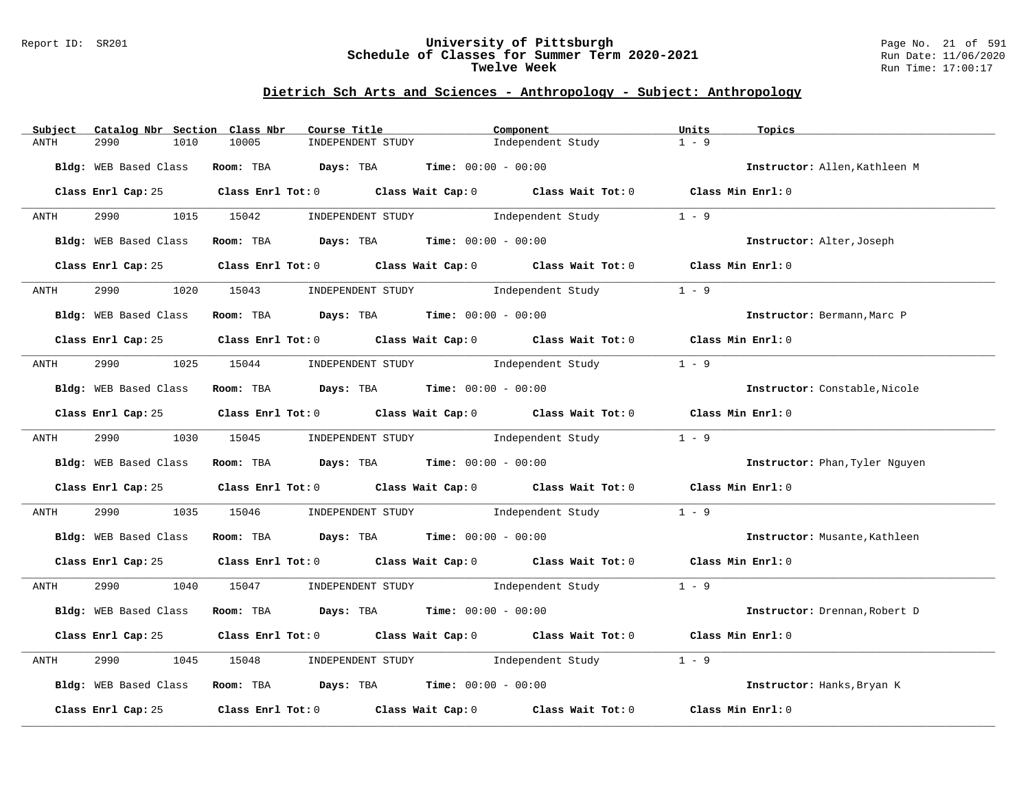#### Report ID: SR201 **University of Pittsburgh** Page No. 21 of 591 **Schedule of Classes for Summer Term 2020-2021** Run Date: 11/06/2020 **Twelve Week Run Time:** 17:00:17

| Catalog Nbr Section Class Nbr<br>Subject | Course Title                                                                                        | Component         | Units<br>Topics                |
|------------------------------------------|-----------------------------------------------------------------------------------------------------|-------------------|--------------------------------|
| 1010<br>ANTH<br>2990                     | 10005<br>INDEPENDENT STUDY                                                                          | Independent Study | $1 - 9$                        |
| Bldg: WEB Based Class                    | Room: TBA $Days:$ TBA $Time: 00:00 - 00:00$                                                         |                   | Instructor: Allen, Kathleen M  |
|                                          | Class Enrl Cap: 25 Class Enrl Tot: 0 Class Wait Cap: 0 Class Wait Tot: 0 Class Min Enrl: 0          |                   |                                |
| <b>ANTH</b>                              | 2990 1015 15042 INDEPENDENT STUDY Independent Study                                                 |                   | $1 - 9$                        |
| Bldg: WEB Based Class                    | Room: TBA $Days: TBA$ Time: $00:00 - 00:00$                                                         |                   | Instructor: Alter, Joseph      |
|                                          | Class Enrl Cap: 25 Class Enrl Tot: 0 Class Wait Cap: 0 Class Wait Tot: 0 Class Min Enrl: 0          |                   |                                |
| 2990<br>ANTH                             | 1020 15043 INDEPENDENT STUDY Independent Study                                                      |                   | $1 - 9$                        |
| Bldg: WEB Based Class                    | Room: TBA $Days:$ TBA $Time: 00:00 - 00:00$                                                         |                   | Instructor: Bermann, Marc P    |
|                                          | Class Enrl Cap: 25 Class Enrl Tot: 0 Class Wait Cap: 0 Class Wait Tot: 0 Class Min Enrl: 0          |                   |                                |
| ANTH                                     | 2990 1025 15044 INDEPENDENT STUDY Independent Study                                                 |                   | $1 - 9$                        |
|                                          | Bldg: WEB Based Class Room: TBA Days: TBA Time: 00:00 - 00:00                                       |                   | Instructor: Constable.Nicole   |
|                                          | Class Enrl Cap: 25 Class Enrl Tot: 0 Class Wait Cap: 0 Class Wait Tot: 0 Class Min Enrl: 0          |                   |                                |
| ANTH                                     | 2990 1030 15045 INDEPENDENT STUDY Independent Study                                                 |                   | $1 - 9$                        |
|                                          | Bldg: WEB Based Class Room: TBA Days: TBA Time: 00:00 - 00:00                                       |                   | Instructor: Phan, Tyler Nguyen |
|                                          | Class Enrl Cap: 25 Class Enrl Tot: 0 Class Wait Cap: 0 Class Wait Tot: 0 Class Min Enrl: 0          |                   |                                |
| 2990<br>ANTH                             | 1035 15046 INDEPENDENT STUDY Independent Study                                                      |                   | $1 - 9$                        |
|                                          | Bldg: WEB Based Class Room: TBA Days: TBA Time: 00:00 - 00:00                                       |                   | Instructor: Musante, Kathleen  |
|                                          | Class Enrl Cap: 25 Class Enrl Tot: 0 Class Wait Cap: 0 Class Wait Tot: 0 Class Min Enrl: 0          |                   |                                |
| ANTH                                     | 2990 1040 15047 INDEPENDENT STUDY Independent Study 1 - 9                                           |                   |                                |
| Bldg: WEB Based Class                    | Room: TBA $Days:$ TBA $Time: 00:00 - 00:00$                                                         |                   | Instructor: Drennan, Robert D  |
|                                          | Class Enrl Cap: 25 Class Enrl Tot: 0 Class Wait Cap: 0 Class Wait Tot: 0 Class Min Enrl: 0          |                   |                                |
| 2990<br>1045<br>ANTH                     | INDEPENDENT STUDY 1ndependent Study<br>15048                                                        |                   | $1 - 9$                        |
| Bldg: WEB Based Class                    | Room: TBA $Days:$ TBA Time: $00:00 - 00:00$                                                         |                   | Instructor: Hanks, Bryan K     |
|                                          | Class Enrl Cap: 25 $\qquad$ Class Enrl Tot: 0 $\qquad$ Class Wait Cap: 0 $\qquad$ Class Wait Tot: 0 |                   | Class Min Enrl: 0              |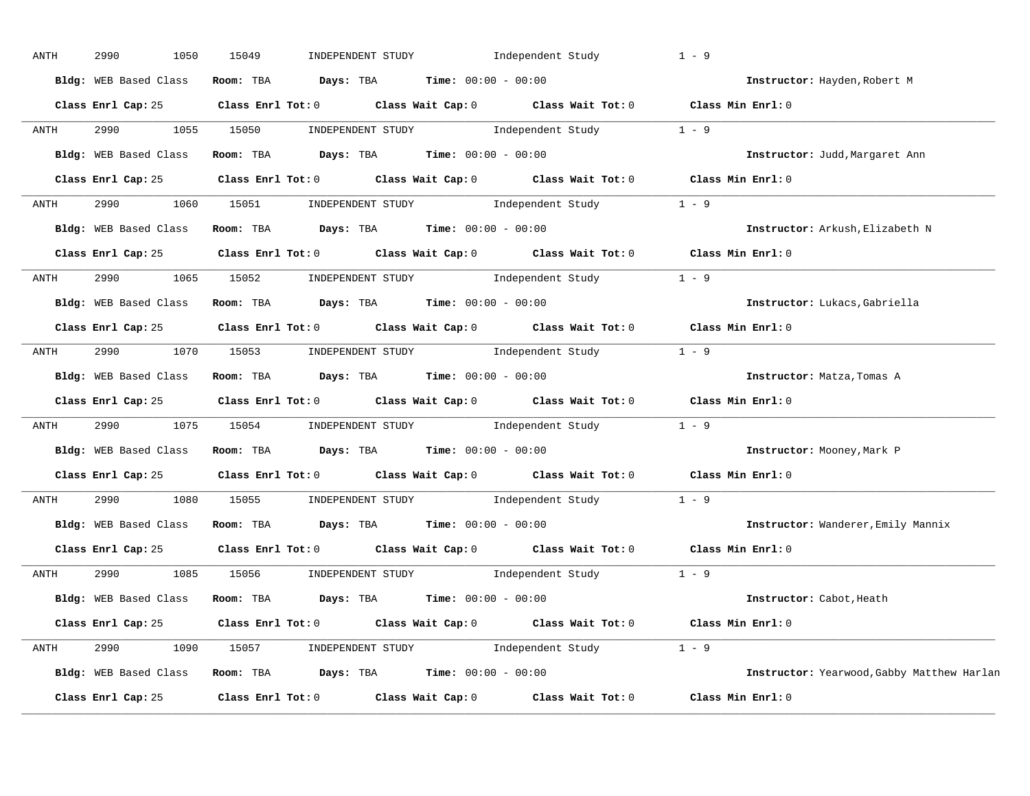| ANTH      | 2990<br>1050          | 15049                                                         | INDEPENDENT STUDY                                                                     | Independent Study                                                                          | $1 - 9$                                    |
|-----------|-----------------------|---------------------------------------------------------------|---------------------------------------------------------------------------------------|--------------------------------------------------------------------------------------------|--------------------------------------------|
|           | Bldg: WEB Based Class | Room: TBA                                                     | Days: TBA                                                                             | <b>Time:</b> $00:00 - 00:00$                                                               | Instructor: Hayden, Robert M               |
|           |                       |                                                               |                                                                                       | Class Enrl Cap: 25 Class Enrl Tot: 0 Class Wait Cap: 0 Class Wait Tot: 0 Class Min Enrl: 0 |                                            |
| ANTH      | 2990                  | 1055 15050                                                    |                                                                                       | INDEPENDENT STUDY 1 - 9 $\blacksquare$                                                     |                                            |
|           |                       | Bldg: WEB Based Class Room: TBA Days: TBA Time: 00:00 - 00:00 |                                                                                       |                                                                                            | Instructor: Judd, Margaret Ann             |
|           |                       |                                                               |                                                                                       | Class Enrl Cap: 25 Class Enrl Tot: 0 Class Wait Cap: 0 Class Wait Tot: 0 Class Min Enrl: 0 |                                            |
| ANTH      | 2990                  | 1060 15051                                                    |                                                                                       | INDEPENDENT STUDY 1 - 9                                                                    |                                            |
|           |                       | Bldg: WEB Based Class Room: TBA Days: TBA Time: 00:00 - 00:00 |                                                                                       |                                                                                            | Instructor: Arkush, Elizabeth N            |
|           |                       |                                                               |                                                                                       | Class Enrl Cap: 25 Class Enrl Tot: 0 Class Wait Cap: 0 Class Wait Tot: 0 Class Min Enrl: 0 |                                            |
| ANTH      | 2990 1065 15052       |                                                               | INDEPENDENT STUDY                                                                     | Independent Study                                                                          | $1 - 9$                                    |
|           | Bldg: WEB Based Class |                                                               |                                                                                       | <b>Room:</b> TBA <b>Days:</b> TBA <b>Time:</b> 00:00 - 00:00                               | Instructor: Lukacs, Gabriella              |
|           |                       |                                                               |                                                                                       | Class Enrl Cap: 25 Class Enrl Tot: 0 Class Wait Cap: 0 Class Wait Tot: 0 Class Min Enrl: 0 |                                            |
| ANTH      | 2990 1070 15053       |                                                               |                                                                                       | INDEPENDENT STUDY 1 - 9                                                                    |                                            |
|           | Bldg: WEB Based Class |                                                               | Room: TBA $Days:$ TBA $Time: 00:00 - 00:00$                                           |                                                                                            | Instructor: Matza, Tomas A                 |
|           |                       |                                                               |                                                                                       | Class Enrl Cap: 25 Class Enrl Tot: 0 Class Wait Cap: 0 Class Wait Tot: 0 Class Min Enrl: 0 |                                            |
| ANTH      | 2990<br>1075          | 15054                                                         |                                                                                       | INDEPENDENT STUDY 1 - 9                                                                    |                                            |
|           | Bldg: WEB Based Class |                                                               | Room: TBA $\rule{1em}{0.15mm}$ Days: TBA Time: $00:00 - 00:00$                        |                                                                                            | Instructor: Mooney, Mark P                 |
|           |                       |                                                               |                                                                                       | Class Enrl Cap: 25 Class Enrl Tot: 0 Class Wait Cap: 0 Class Wait Tot: 0 Class Min Enrl: 0 |                                            |
| ANTH      | 2990<br>1080          | 15055                                                         |                                                                                       | INDEPENDENT STUDY 1 - 9                                                                    |                                            |
|           | Bldg: WEB Based Class |                                                               | Room: TBA $\rule{1em}{0.15mm}$ Days: TBA $\rule{1.5mm}{0.15mm}$ Time: $00:00 - 00:00$ |                                                                                            | Instructor: Wanderer, Emily Mannix         |
|           |                       |                                                               |                                                                                       | Class Enrl Cap: 25 Class Enrl Tot: 0 Class Wait Cap: 0 Class Wait Tot: 0                   | Class Min Enrl: 0                          |
| ANTH      | 2990                  | 1085 15056                                                    | INDEPENDENT STUDY                                                                     | Independent Study                                                                          | $1 - 9$                                    |
|           | Bldg: WEB Based Class |                                                               | Room: TBA $\rule{1em}{0.15mm}$ Days: TBA $\rule{1em}{0.15mm}$ Time: $00:00 - 00:00$   |                                                                                            | Instructor: Cabot, Heath                   |
|           |                       |                                                               |                                                                                       | Class Enrl Cap: 25 Class Enrl Tot: 0 Class Wait Cap: 0 Class Wait Tot: 0 Class Min Enrl: 0 |                                            |
| ANTH 2990 |                       |                                                               |                                                                                       | 1090 15057 INDEPENDENT STUDY Independent Study 1 - 9                                       |                                            |
|           | Bldg: WEB Based Class |                                                               | Room: TBA $Days: TBA$ Time: $00:00 - 00:00$                                           |                                                                                            | Instructor: Yearwood, Gabby Matthew Harlan |
|           | Class Enrl Cap: 25    | $Class$ $Enr1$ $Tot: 0$                                       |                                                                                       | Class Wait Cap: 0 Class Wait Tot: 0                                                        | Class Min Enrl: 0                          |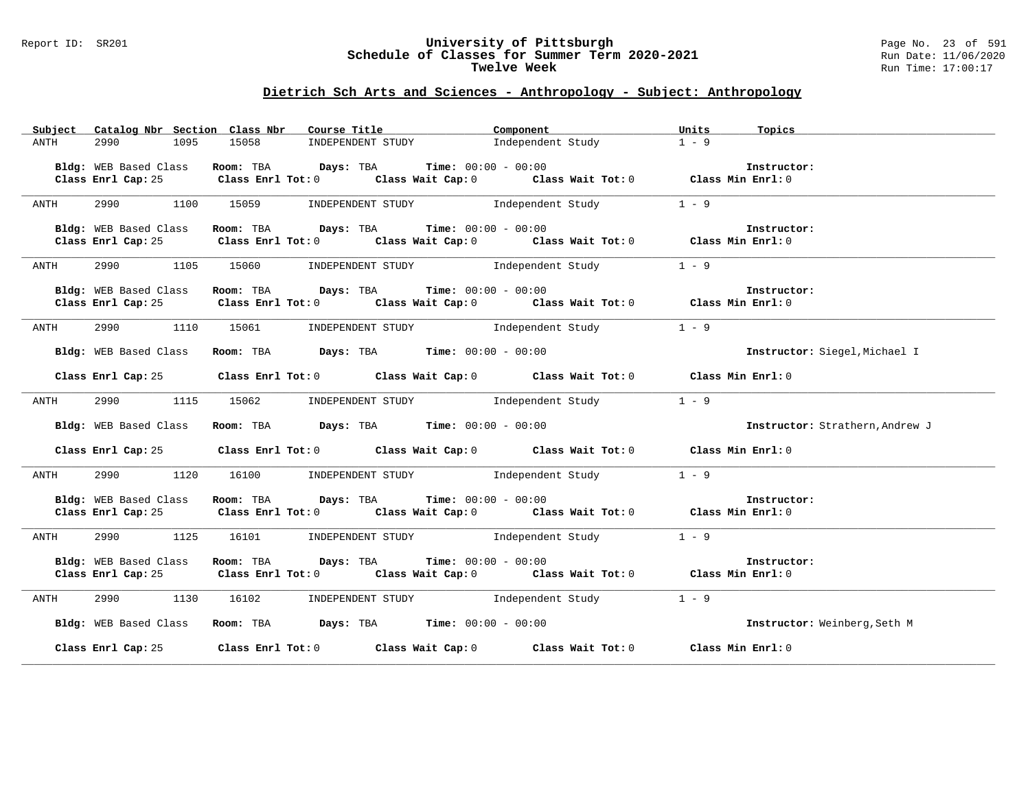#### Report ID: SR201 **University of Pittsburgh** Page No. 23 of 591 **Schedule of Classes for Summer Term 2020-2021** Run Date: 11/06/2020 **Twelve Week Run Time:** 17:00:17

| Subject | Catalog Nbr Section Class Nbr | Course Title <b>Course In the Course I</b>                                                                                                                   | Component                                 | Units<br>Topics                 |
|---------|-------------------------------|--------------------------------------------------------------------------------------------------------------------------------------------------------------|-------------------------------------------|---------------------------------|
| ANTH    | 2990<br>1095                  | 15058                                                                                                                                                        | INDEPENDENT STUDY Independent Study       | $1 - 9$                         |
|         |                               | Room: TBA $Days:$ TBA Time: $00:00 - 00:00$                                                                                                                  |                                           | Instructor:                     |
|         | Bldg: WEB Based Class         | Class Enrl Cap: 25 Class Enrl Tot: 0 Class Wait Cap: 0 Class Wait Tot: 0 Class Enrl Cap: 25 Class Enrl Tot: 0                                                |                                           |                                 |
|         |                               |                                                                                                                                                              |                                           |                                 |
| ANTH    | 2990 1100 15059               |                                                                                                                                                              | INDEPENDENT STUDY 1 - 9                   |                                 |
|         |                               |                                                                                                                                                              |                                           |                                 |
|         | Bldg: WEB Based Class         | Room: TBA $Days:$ TBA $Time: 00:00 - 00:00$                                                                                                                  |                                           | Instructor:                     |
|         |                               | Class Enrl Cap: 25 Class Enrl Tot: 0 Class Wait Cap: 0 Class Wait Tot: 0 Class Min Enrl: 0                                                                   |                                           |                                 |
| ANTH    |                               | 2990 1105 15060 INDEPENDENT STUDY Independent Study                                                                                                          |                                           | $1 - 9$                         |
|         |                               |                                                                                                                                                              |                                           |                                 |
|         | Bldg: WEB Based Class         | <b>Room:</b> TBA $Days: TBA$ <b>Time:</b> $00:00 - 00:00$<br>Class Enrl Cap: 25 Class Enrl Tot: 0 Class Wait Cap: 0 Class Wait Tot: 0 Class Min Enrl: 0      |                                           | Instructor:                     |
|         |                               |                                                                                                                                                              |                                           |                                 |
| ANTH    |                               | 2990 1110 15061 INDEPENDENT STUDY Independent Study 1 - 9                                                                                                    |                                           |                                 |
|         |                               | Bldg: WEB Based Class Room: TBA Days: TBA Time: 00:00 - 00:00                                                                                                |                                           | Instructor: Siegel, Michael I   |
|         |                               | Class Enrl Cap: 25 Class Enrl Tot: 0 Class Wait Cap: 0 Class Wait Tot: 0 Class Min Enrl: 0                                                                   |                                           |                                 |
| ANTH    | 1115<br>2990                  | 15062 INDEPENDENT STUDY 1ndependent Study                                                                                                                    |                                           | $1 - 9$                         |
|         |                               | Bldg: WEB Based Class Room: TBA Days: TBA Time: 00:00 - 00:00                                                                                                |                                           | Instructor: Strathern, Andrew J |
|         |                               | Class Enrl Cap: 25 Class Enrl Tot: 0 Class Wait Cap: 0 Class Wait Tot: 0 Class Min Enrl: 0                                                                   |                                           |                                 |
| ANTH    | 1120<br>2990                  |                                                                                                                                                              | 16100 INDEPENDENT STUDY Independent Study | $1 - 9$                         |
|         | Bldg: WEB Based Class         |                                                                                                                                                              |                                           |                                 |
|         |                               | Room: TBA $\rule{1em}{0.15mm}$ Days: TBA Time: $00:00 - 00:00$<br>Class Enrl Cap: 25 Class Enrl Tot: 0 Class Wait Cap: 0 Class Wait Tot: 0 Class Min Enrl: 0 |                                           | Instructor:                     |
|         |                               |                                                                                                                                                              |                                           |                                 |
| ANTH    |                               | 2990 1125 16101 INDEPENDENT STUDY Independent Study                                                                                                          |                                           | $1 - 9$                         |
|         |                               |                                                                                                                                                              |                                           |                                 |
|         | Bldg: WEB Based Class         | Room: TBA $Days:$ TBA $Time: 00:00 - 00:00$                                                                                                                  |                                           | Instructor:                     |
|         |                               | Class Enrl Cap: 25 Class Enrl Tot: 0 Class Wait Cap: 0 Class Wait Tot: 0 Class Min Enrl: 0                                                                   |                                           |                                 |
| ANTH    |                               | 2990 1130 16102 INDEPENDENT STUDY 1ndependent Study                                                                                                          |                                           | $1 - 9$                         |
|         |                               | Bldg: WEB Based Class Room: TBA Days: TBA Time: 00:00 - 00:00                                                                                                |                                           | Instructor: Weinberg, Seth M    |
|         |                               | Class Enrl Cap: 25 Class Enrl Tot: 0 Class Wait Cap: 0 Class Wait Tot: 0 Class Min Enrl: 0                                                                   |                                           |                                 |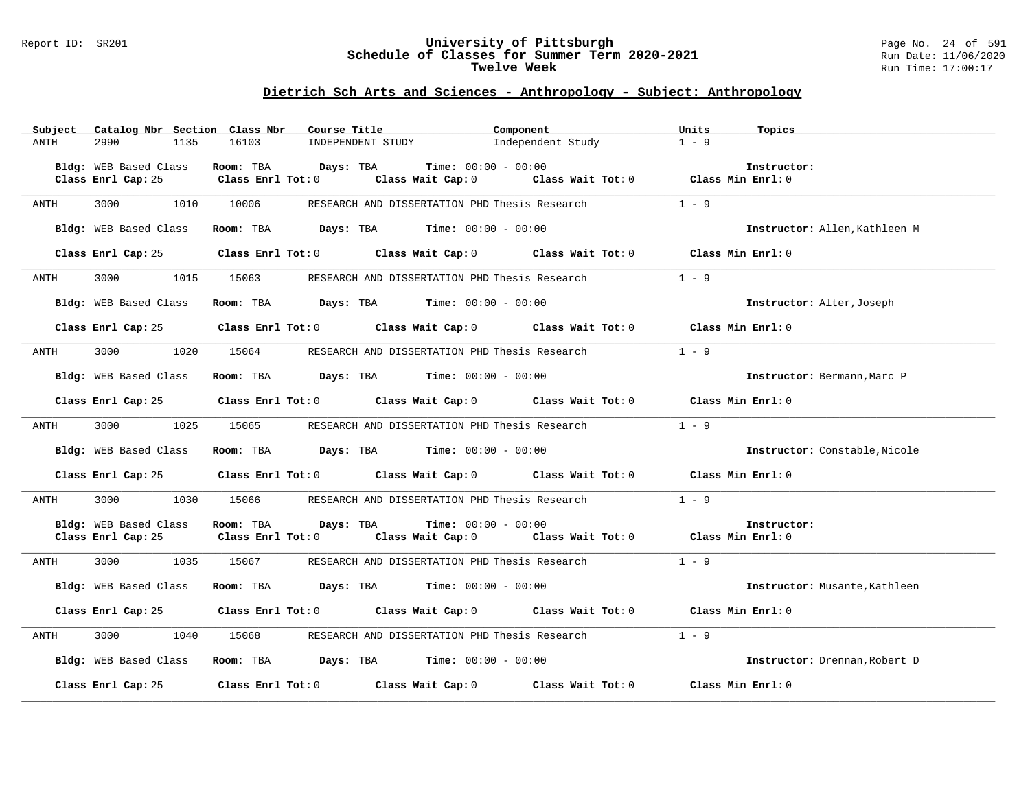#### Report ID: SR201 **University of Pittsburgh** Page No. 24 of 591 **Schedule of Classes for Summer Term 2020-2021** Run Date: 11/06/2020 **Twelve Week Run Time:** 17:00:17

| Subject | Catalog Nbr Section Class Nbr | Course Title                        | Component                                                                       |                                         | Units<br>Topics               |
|---------|-------------------------------|-------------------------------------|---------------------------------------------------------------------------------|-----------------------------------------|-------------------------------|
| ANTH    | 2990<br>1135                  | 16103                               | INDEPENDENT STUDY                                                               | Independent Study                       | $1 - 9$                       |
|         |                               |                                     |                                                                                 |                                         |                               |
|         | Bldg: WEB Based Class         | Room: TBA<br>Days: TBA              | <b>Time:</b> $00:00 - 00:00$                                                    |                                         | Instructor:                   |
|         | Class Enrl Cap: 25            | Class Enrl Tot: 0                   | Class Wait Cap: 0                                                               | Class Wait Tot: 0 Class Min Enrl: 0     |                               |
|         |                               |                                     |                                                                                 |                                         |                               |
| ANTH    | 3000<br>1010                  | 10006                               | RESEARCH AND DISSERTATION PHD Thesis Research                                   |                                         | $1 - 9$                       |
|         |                               |                                     |                                                                                 |                                         |                               |
|         | Bldg: WEB Based Class         |                                     | <b>Room:</b> TBA <b>Days:</b> TBA <b>Time:</b> 00:00 - 00:00                    |                                         | Instructor: Allen, Kathleen M |
|         |                               |                                     |                                                                                 |                                         |                               |
|         | Class Enrl Cap: 25            |                                     | Class Enrl Tot: 0 Class Wait Cap: 0 Class Wait Tot: 0 Class Min Enrl: 0         |                                         |                               |
| ANTH    | 1015<br>3000                  | 15063                               | RESEARCH AND DISSERTATION PHD Thesis Research                                   |                                         | $1 - 9$                       |
|         |                               |                                     |                                                                                 |                                         |                               |
|         | Bldg: WEB Based Class         |                                     | Room: TBA $\rule{1em}{0.15mm}$ Days: TBA Time: $00:00 - 00:00$                  |                                         | Instructor: Alter, Joseph     |
|         |                               |                                     |                                                                                 |                                         |                               |
|         | Class Enrl Cap: 25            |                                     | Class Enrl Tot: 0 Class Wait Cap: 0 Class Wait Tot: 0 Class Min Enrl: 0         |                                         |                               |
|         |                               |                                     |                                                                                 |                                         |                               |
| ANTH    | 3000<br>1020                  | 15064                               | RESEARCH AND DISSERTATION PHD Thesis Research                                   |                                         | $1 - 9$                       |
|         |                               |                                     |                                                                                 |                                         |                               |
|         | Bldg: WEB Based Class         | Room: TBA                           | <b>Days:</b> TBA <b>Time:</b> $00:00 - 00:00$                                   |                                         | Instructor: Bermann, Marc P   |
|         |                               |                                     |                                                                                 |                                         |                               |
|         | Class Enrl Cap: 25            |                                     | Class Enrl Tot: 0 Class Wait Cap: 0 Class Wait Tot: 0 Class Min Enrl: 0         |                                         |                               |
|         |                               |                                     |                                                                                 |                                         |                               |
| ANTH    | 1025<br>3000                  | 15065                               | RESEARCH AND DISSERTATION PHD Thesis Research                                   |                                         | $1 - 9$                       |
|         |                               |                                     |                                                                                 |                                         |                               |
|         | Bldg: WEB Based Class         |                                     | <b>Room:</b> TBA <b>Days:</b> TBA <b>Time:</b> 00:00 - 00:00                    |                                         | Instructor: Constable, Nicole |
|         |                               |                                     |                                                                                 |                                         |                               |
|         | Class Enrl Cap: 25            |                                     | Class Enrl Tot: $0$ Class Wait Cap: $0$ Class Wait Tot: $0$                     |                                         | Class Min Enrl: 0             |
|         |                               |                                     |                                                                                 |                                         |                               |
| ANTH    | 3000<br>1030                  | 15066                               | RESEARCH AND DISSERTATION PHD Thesis Research                                   |                                         | $1 - 9$                       |
|         |                               |                                     |                                                                                 |                                         |                               |
|         | Bldg: WEB Based Class         | Room: TBA                           | <b>Days:</b> TBA <b>Time:</b> $00:00 - 00:00$                                   |                                         | Instructor:                   |
|         | Class Enrl Cap: 25            | Class Enrl Tot: 0 Class Wait Cap: 0 |                                                                                 | Class Wait $Tot: 0$ Class Min Enrl: $0$ |                               |
|         |                               |                                     |                                                                                 |                                         |                               |
| ANTH    | 3000<br>1035                  | 15067                               | RESEARCH AND DISSERTATION PHD Thesis Research                                   |                                         | $1 - 9$                       |
|         |                               |                                     |                                                                                 |                                         |                               |
|         | Bldg: WEB Based Class         |                                     | Room: TBA $Days:$ TBA $Time: 00:00 - 00:00$                                     |                                         | Instructor: Musante, Kathleen |
|         |                               |                                     |                                                                                 |                                         |                               |
|         | Class Enrl Cap: 25            |                                     | Class Enrl Tot: $0$ Class Wait Cap: $0$ Class Wait Tot: $0$ Class Min Enrl: $0$ |                                         |                               |
|         |                               |                                     |                                                                                 |                                         |                               |
| ANTH    | 3000<br>1040                  | 15068                               | RESEARCH AND DISSERTATION PHD Thesis Research                                   |                                         | $1 - 9$                       |
|         |                               |                                     |                                                                                 |                                         |                               |
|         | Bldg: WEB Based Class         |                                     | Room: TBA $Days:$ TBA $Time: 00:00 - 00:00$                                     |                                         | Instructor: Drennan, Robert D |
|         |                               |                                     |                                                                                 |                                         | Class Min Enrl: 0             |
|         | Class Enrl Cap: 25            |                                     | Class Enrl Tot: $0$ Class Wait Cap: $0$ Class Wait Tot: $0$                     |                                         |                               |
|         |                               |                                     |                                                                                 |                                         |                               |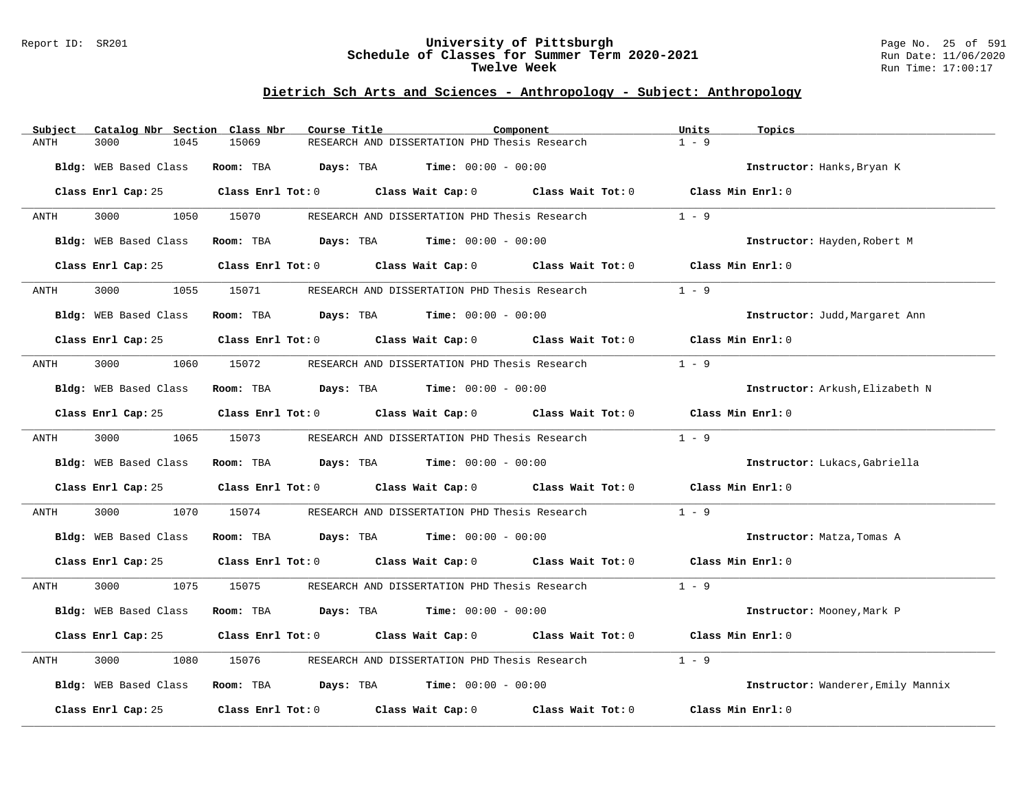#### Report ID: SR201 **University of Pittsburgh** Page No. 25 of 591 **Schedule of Classes for Summer Term 2020-2021** Run Date: 11/06/2020 **Twelve Week Run Time:** 17:00:17

| Subject               | Catalog Nbr Section Class Nbr       | Course Title                                                                                        | Component         | Units<br>Topics                    |
|-----------------------|-------------------------------------|-----------------------------------------------------------------------------------------------------|-------------------|------------------------------------|
| 3000<br>ANTH          | 1045<br>15069                       | RESEARCH AND DISSERTATION PHD Thesis Research                                                       |                   | $1 - 9$                            |
| Bldg: WEB Based Class | Room: TBA                           | <b>Days:</b> TBA <b>Time:</b> $00:00 - 00:00$                                                       |                   | Instructor: Hanks, Bryan K         |
|                       |                                     | Class Enrl Cap: 25 Class Enrl Tot: 0 Class Wait Cap: 0 Class Wait Tot: 0 Class Min Enrl: 0          |                   |                                    |
| 3000<br>ANTH          | 1050 15070                          | RESEARCH AND DISSERTATION PHD Thesis Research                                                       |                   | $1 - 9$                            |
| Bldg: WEB Based Class |                                     | Room: TBA $Days:$ TBA $Time: 00:00 - 00:00$                                                         |                   | Instructor: Hayden, Robert M       |
| Class Enrl Cap: 25    |                                     | Class Enrl Tot: 0 Class Wait Cap: 0 Class Wait Tot: 0                                               |                   | Class Min Enrl: 0                  |
| 3000<br>ANTH          | 1055<br>15071                       | RESEARCH AND DISSERTATION PHD Thesis Research                                                       |                   | $1 - 9$                            |
| Bldg: WEB Based Class |                                     | <b>Room:</b> TBA <b>Days:</b> TBA <b>Time:</b> 00:00 - 00:00                                        |                   | Instructor: Judd, Margaret Ann     |
|                       |                                     | Class Enrl Cap: 25 Class Enrl Tot: 0 Class Wait Cap: 0 Class Wait Tot: 0 Class Min Enrl: 0          |                   |                                    |
| 3000<br>ANTH          | 1060<br>15072                       | RESEARCH AND DISSERTATION PHD Thesis Research                                                       |                   | $1 - 9$                            |
| Bldg: WEB Based Class |                                     | Room: TBA $\rule{1em}{0.15mm}$ Days: TBA Time: $00:00 - 00:00$                                      |                   | Instructor: Arkush, Elizabeth N    |
| Class Enrl Cap: 25    |                                     | Class Enrl Tot: $0$ Class Wait Cap: $0$ Class Wait Tot: $0$                                         |                   | Class Min Enrl: 0                  |
| 3000 000<br>ANTH      | 1065 15073                          | RESEARCH AND DISSERTATION PHD Thesis Research                                                       |                   | $1 - 9$                            |
| Bldg: WEB Based Class |                                     | Room: TBA $Days:$ TBA $Time: 00:00 - 00:00$                                                         |                   | Instructor: Lukacs, Gabriella      |
|                       |                                     | Class Enrl Cap: 25 $\qquad$ Class Enrl Tot: 0 $\qquad$ Class Wait Cap: 0 $\qquad$ Class Wait Tot: 0 |                   | Class Min Enrl: 0                  |
| 3000<br>ANTH          | 15074<br>1070                       | RESEARCH AND DISSERTATION PHD Thesis Research                                                       |                   | $1 - 9$                            |
| Bldg: WEB Based Class |                                     | <b>Room:</b> TBA $Days: TBA$ <b>Time:</b> $00:00 - 00:00$                                           |                   | Instructor: Matza, Tomas A         |
| Class Enrl Cap: 25    |                                     | Class Enrl Tot: $0$ Class Wait Cap: $0$ Class Wait Tot: $0$ Class Min Enrl: $0$                     |                   |                                    |
| 3000<br>ANTH          | 1075<br>15075                       | RESEARCH AND DISSERTATION PHD Thesis Research                                                       |                   | $1 - 9$                            |
| Bldg: WEB Based Class |                                     | <b>Room:</b> TBA <b>Days:</b> TBA <b>Time:</b> 00:00 - 00:00                                        |                   | Instructor: Mooney, Mark P         |
| Class Enrl Cap: 25    |                                     | Class Enrl Tot: 0 Class Wait Cap: 0 Class Wait Tot: 0                                               |                   | Class Min Enrl: 0                  |
| 3000<br>ANTH          | 1080<br>15076                       | RESEARCH AND DISSERTATION PHD Thesis Research                                                       |                   | $1 - 9$                            |
| Bldg: WEB Based Class |                                     | Room: TBA $\rule{1em}{0.15mm}$ Days: TBA $\rule{1.15mm}]{0.15mm}$ Time: $0.000 - 0.0000$            |                   | Instructor: Wanderer, Emily Mannix |
| Class Enrl Cap: 25    | Class Enrl Tot: 0 Class Wait Cap: 0 |                                                                                                     | Class Wait Tot: 0 | Class Min Enrl: 0                  |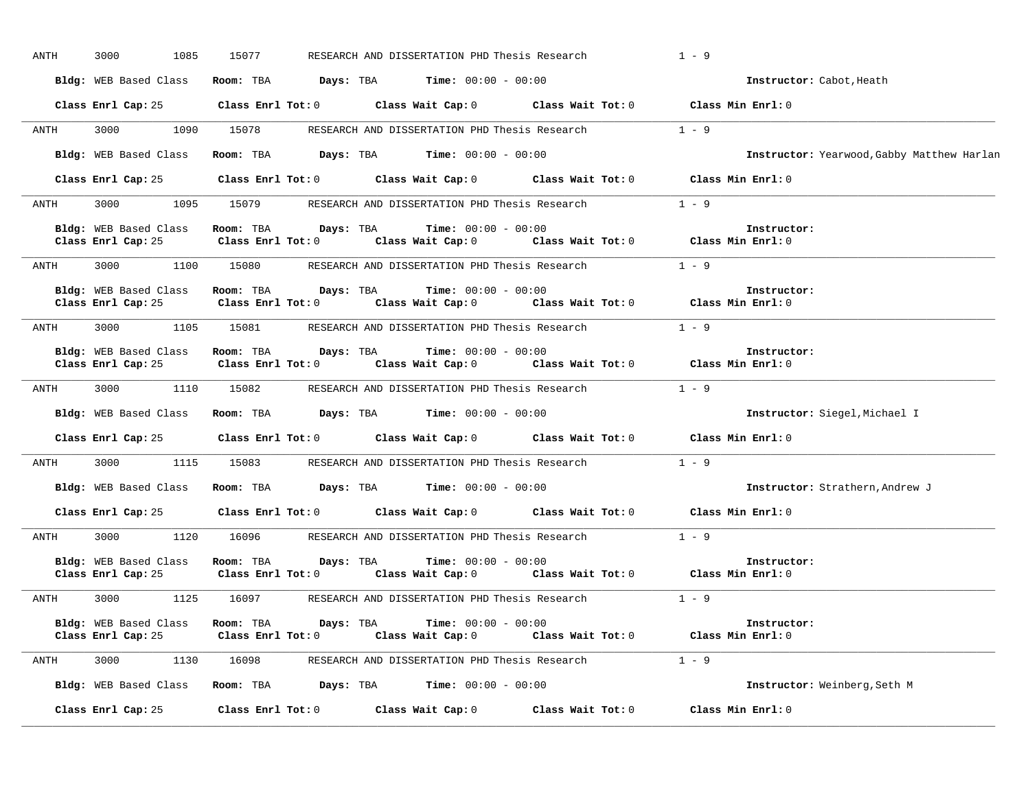| ANTH | 3000<br>1085                                       | 15077                                |           | RESEARCH AND DISSERTATION PHD Thesis Research            |                                                       | $1 - 9$                                    |
|------|----------------------------------------------------|--------------------------------------|-----------|----------------------------------------------------------|-------------------------------------------------------|--------------------------------------------|
|      | Bldg: WEB Based Class                              | Room: TBA                            | Days: TBA | <b>Time:</b> $00:00 - 00:00$                             |                                                       | Instructor: Cabot, Heath                   |
|      | Class Enrl Cap: 25                                 | $Class$ $Enr1$ $Tot: 0$              |           | Class Wait Cap: 0                                        |                                                       | Class Wait Tot: 0 Class Min Enrl: 0        |
| ANTH | 3000<br>1090                                       | 15078                                |           | RESEARCH AND DISSERTATION PHD Thesis Research            |                                                       | $1 - 9$                                    |
|      | Bldg: WEB Based Class                              | Room: TBA                            | Days: TBA | <b>Time:</b> $00:00 - 00:00$                             |                                                       | Instructor: Yearwood, Gabby Matthew Harlan |
|      | Class Enrl Cap: 25                                 | Class Enrl Tot: 0                    |           |                                                          | Class Wait Cap: 0 Class Wait Tot: 0                   | Class Min Enrl: 0                          |
| ANTH | 3000<br>1095                                       | 15079                                |           | RESEARCH AND DISSERTATION PHD Thesis Research            |                                                       | $1 - 9$                                    |
|      | Bldg: WEB Based Class<br>Class Enrl Cap: 25        | Room: TBA<br>Class Enrl Tot: 0       | Days: TBA | <b>Time:</b> $00:00 - 00:00$<br>Class Wait Cap: 0        | Class Wait Tot: 0                                     | Instructor:<br>Class Min Enrl: 0           |
| ANTH | 3000                                               |                                      |           | 1100 15080 RESEARCH AND DISSERTATION PHD Thesis Research |                                                       | $1 - 9$                                    |
|      | Bldg: WEB Based Class<br>Class Enrl Cap: 25        | Room: TBA<br>Class Enrl Tot: 0       | Days: TBA | <b>Time:</b> $00:00 - 00:00$<br>Class Wait Cap: 0        | Class Wait Tot: 0                                     | Instructor:<br>Class Min Enrl: 0           |
| ANTH | 3000                                               | 1105 15081                           |           | RESEARCH AND DISSERTATION PHD Thesis Research            |                                                       | $1 - 9$                                    |
|      | <b>Bldg:</b> WEB Based Class<br>Class Enrl Cap: 25 | Room: TBA<br>Class Enrl Tot: 0       | Days: TBA | <b>Time:</b> $00:00 - 00:00$                             | Class Wait Cap: 0 Class Wait Tot: 0 Class Min Enrl: 0 | Instructor:                                |
| ANTH | 3000                                               | 1110 15082                           |           | RESEARCH AND DISSERTATION PHD Thesis Research            |                                                       | $1 - 9$                                    |
|      | Bldg: WEB Based Class                              | Room: TBA                            |           | <b>Days:</b> TBA <b>Time:</b> $00:00 - 00:00$            |                                                       | Instructor: Siegel, Michael I              |
|      | Class Enrl Cap: 25                                 | Class Enrl Tot: 0                    |           |                                                          | Class Wait Cap: 0 Class Wait Tot: 0                   | Class Min Enrl: 0                          |
| ANTH | 3000                                               | 1115 15083                           |           | RESEARCH AND DISSERTATION PHD Thesis Research            |                                                       | $1 - 9$                                    |
|      | <b>Bldg:</b> WEB Based Class                       | Room: TBA                            |           | <b>Days:</b> TBA <b>Time:</b> $00:00 - 00:00$            |                                                       | Instructor: Strathern, Andrew J            |
|      | Class Enrl Cap: 25                                 | Class Enrl Tot: 0                    |           |                                                          | Class Wait Cap: 0 Class Wait Tot: 0                   | Class Min Enrl: 0                          |
| ANTH | 3000                                               | 1120 16096                           |           | RESEARCH AND DISSERTATION PHD Thesis Research            |                                                       | $1 - 9$                                    |
|      | Bldg: WEB Based Class<br>Class Enrl Cap: 25        | Room: TBA<br>$Class$ $Enrl$ $Tot: 0$ | Days: TBA | Time: $00:00 - 00:00$<br>Class Wait Cap: 0               | Class Wait Tot: 0                                     | Instructor:<br>Class Min Enrl: 0           |
| ANTH | 3000<br>1125                                       | 16097                                |           | RESEARCH AND DISSERTATION PHD Thesis Research            |                                                       | $1 - 9$                                    |
|      | Bldg: WEB Based Class<br>Class Enrl Cap: 25        | Room: TBA<br>Class Enrl Tot: 0       | Days: TBA | <b>Time:</b> $00:00 - 00:00$                             | Class Wait Cap: 0 Class Wait Tot: 0 Class Min Enrl: 0 | Instructor:                                |
| ANTH | 3000<br>1130 16098                                 |                                      |           |                                                          | RESEARCH AND DISSERTATION PHD Thesis Research 1 - 9   |                                            |
|      | Bldg: WEB Based Class                              | Room: TBA                            |           | <b>Days:</b> TBA <b>Time:</b> $00:00 - 00:00$            |                                                       | Instructor: Weinberg, Seth M               |
|      | Class Enrl Cap: 25                                 | Class Enrl Tot: 0                    |           | Class Wait Cap: 0                                        | Class Wait Tot: 0                                     | Class Min Enrl: 0                          |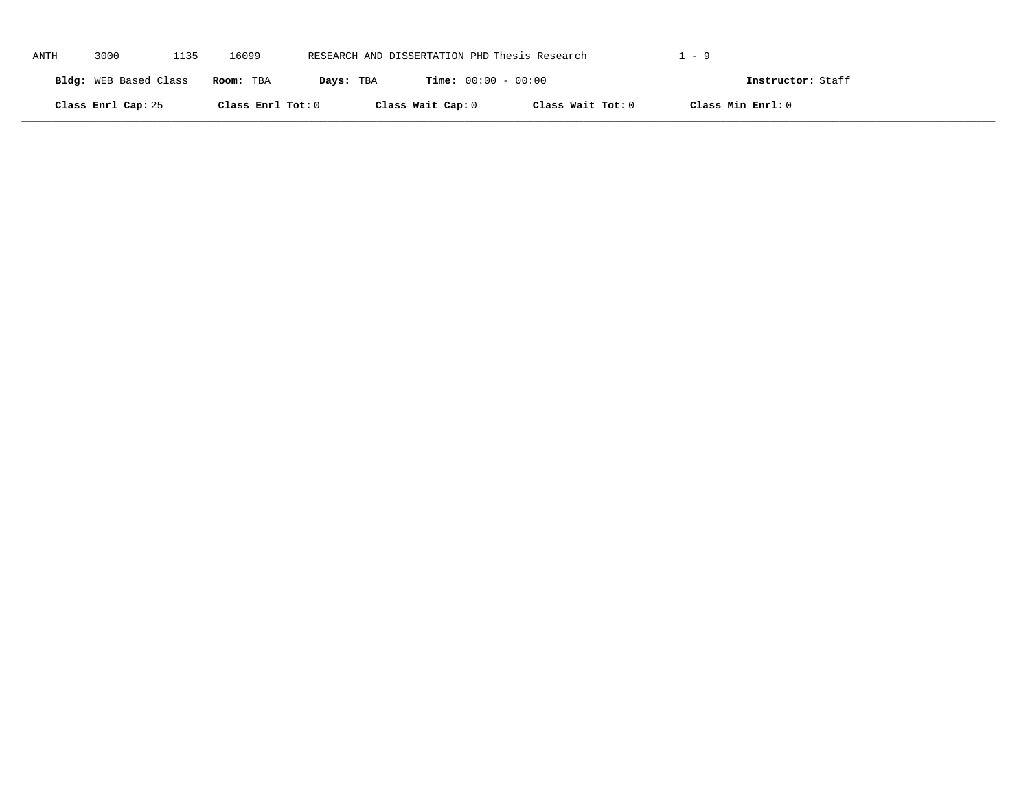| ANTH | 3000                  | 1135 | 16099             | RESEARCH AND DISSERTATION PHD Thesis Research |                              |                   | 1–9               |  |
|------|-----------------------|------|-------------------|-----------------------------------------------|------------------------------|-------------------|-------------------|--|
|      | Bldg: WEB Based Class |      | Room: TBA         | Days: TBA                                     | <b>Time:</b> $00:00 - 00:00$ |                   | Instructor: Staff |  |
|      | Class Enrl Cap: 25    |      | Class Enrl Tot: 0 |                                               | Class Wait Cap: 0            | Class Wait Tot: 0 | Class Min Enrl: 0 |  |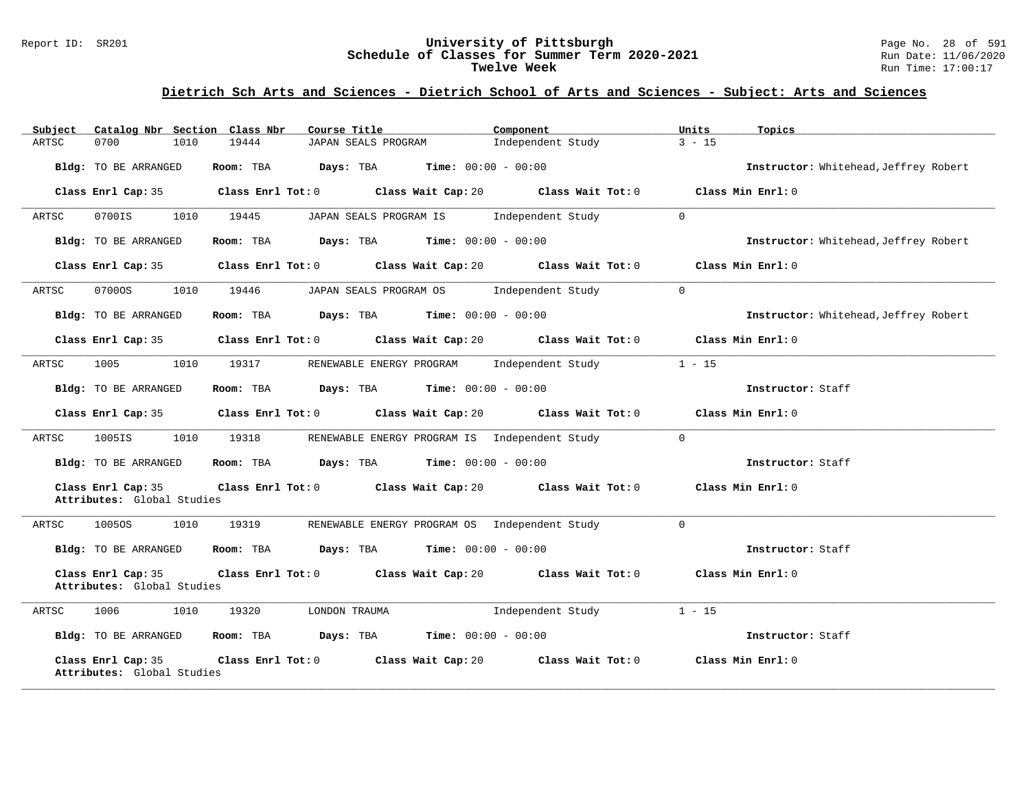#### Report ID: SR201 **University of Pittsburgh** Page No. 28 of 591 **Schedule of Classes for Summer Term 2020-2021** Run Date: 11/06/2020 **Twelve Week** Run Time: 17:00:17

| Catalog Nbr Section Class Nbr<br>Subject         | Course Title                                                             | Component                     | Units<br>Topics                       |
|--------------------------------------------------|--------------------------------------------------------------------------|-------------------------------|---------------------------------------|
| 0700<br>1010<br>ARTSC                            | 19444<br>JAPAN SEALS PROGRAM                                             | Independent Study             | $3 - 15$                              |
| Bldg: TO BE ARRANGED                             | Room: TBA Days: TBA<br><b>Time:</b> $00:00 - 00:00$                      |                               | Instructor: Whitehead, Jeffrey Robert |
| Class Enrl Cap: 35                               | Class Enrl Tot: 0 Class Wait Cap: 20 Class Wait Tot: 0                   |                               | Class Min Enrl: 0                     |
| 0700IS<br>1010<br>ARTSC                          | 19445<br>JAPAN SEALS PROGRAM IS                                          | $\Omega$<br>Independent Study |                                       |
| Bldg: TO BE ARRANGED                             | Room: TBA<br>Days: TBA<br><b>Time:</b> $00:00 - 00:00$                   |                               | Instructor: Whitehead, Jeffrey Robert |
| Class Enrl Cap: 35                               | Class Enrl Tot: 0 Class Wait Cap: 20 Class Wait Tot: 0                   |                               | Class Min Enrl: 0                     |
| 1010<br>ARTSC<br>07000S                          | 19446<br>JAPAN SEALS PROGRAM OS Independent Study                        | $\Omega$                      |                                       |
| Bldg: TO BE ARRANGED                             | Room: TBA $Days:$ TBA $Time: 00:00 - 00:00$                              |                               | Instructor: Whitehead, Jeffrey Robert |
| Class Enrl Cap: 35                               | Class Enrl Tot: $0$ Class Wait Cap: $20$ Class Wait Tot: $0$             |                               | Class Min Enrl: 0                     |
| ARTSC<br>1005<br>1010                            | RENEWABLE ENERGY PROGRAM Independent Study<br>19317                      | $1 - 15$                      |                                       |
| Bldg: TO BE ARRANGED                             | Room: TBA $\rule{1em}{0.15mm}$ Days: TBA Time: $00:00 - 00:00$           |                               | Instructor: Staff                     |
| Class Enrl Cap: 35                               | Class Enrl Tot: $0$ Class Wait Cap: $20$ Class Wait Tot: $0$             |                               | Class Min Enrl: 0                     |
| ARTSC<br>1005IS<br>1010                          | 19318<br>RENEWABLE ENERGY PROGRAM IS Independent Study                   | $\overline{0}$                |                                       |
| Bldg: TO BE ARRANGED                             | Room: TBA $Days:$ TBA $Time: 00:00 - 00:00$                              |                               | Instructor: Staff                     |
| Class Enrl Cap: 35<br>Attributes: Global Studies | Class Enrl Tot: 0 $\qquad$ Class Wait Cap: 20 $\qquad$ Class Wait Tot: 0 |                               | Class Min Enrl: 0                     |
| 1010<br>ARTSC<br>1005OS                          | 19319<br>RENEWABLE ENERGY PROGRAM OS Independent Study                   | $\Omega$                      |                                       |
| Bldg: TO BE ARRANGED                             | Room: TBA $Days:$ TBA $Time: 00:00 - 00:00$                              |                               | Instructor: Staff                     |
| Class Enrl Cap: 35<br>Attributes: Global Studies | Class Enrl Tot: 0 Class Wait Cap: 20 Class Wait Tot: 0                   |                               | Class Min Enrl: 0                     |
| ARTSC<br>1006<br>1010                            | 19320<br>LONDON TRAUMA                                                   | Independent Study             | $1 - 15$                              |
| Bldg: TO BE ARRANGED                             | Room: TBA $Days:$ TBA $Time: 00:00 - 00:00$                              |                               | Instructor: Staff                     |
| Class Enrl Cap: 35<br>Attributes: Global Studies | Class Enrl Tot: 0 Class Wait Cap: 20                                     | Class Wait Tot: $0$           | Class Min Enrl: 0                     |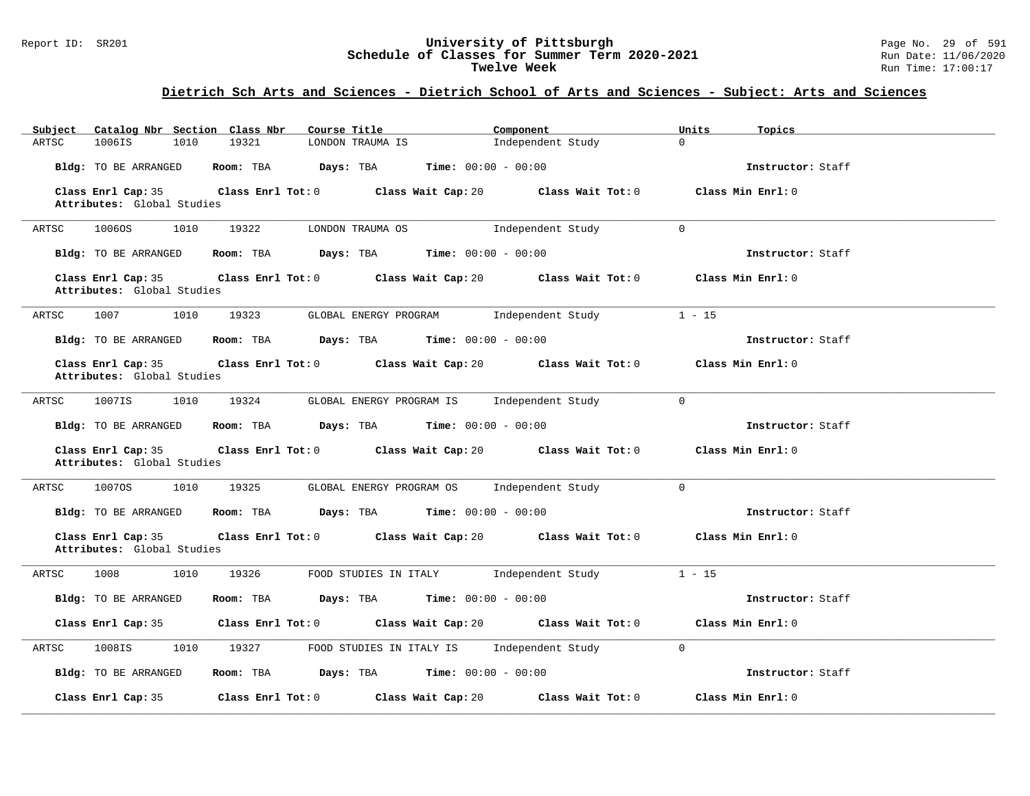#### Report ID: SR201 **University of Pittsburgh** Page No. 29 of 591 **Schedule of Classes for Summer Term 2020-2021** Run Date: 11/06/2020 **Twelve Week** Run Time: 17:00:17

| Catalog Nbr Section Class Nbr<br>Subject         | Course Title                                                                          | Component         | Units<br>Topics   |
|--------------------------------------------------|---------------------------------------------------------------------------------------|-------------------|-------------------|
| ARTSC<br>1006IS<br>1010                          | 19321<br>LONDON TRAUMA IS                                                             | Independent Study | $\Omega$          |
| Bldg: TO BE ARRANGED                             | Room: TBA<br>Days: TBA<br><b>Time:</b> $00:00 - 00:00$                                |                   | Instructor: Staff |
| Class Enrl Cap: 35<br>Attributes: Global Studies | Class Enrl Tot: $0$ Class Wait Cap: $20$ Class Wait Tot: $0$                          |                   | Class Min Enrl: 0 |
| 1010<br>ARTSC<br>1006OS                          | 19322<br>LONDON TRAUMA OS                                                             | Independent Study | $\Omega$          |
| Bldg: TO BE ARRANGED                             | <b>Room:</b> TBA <b>Days:</b> TBA <b>Time:</b> 00:00 - 00:00                          |                   | Instructor: Staff |
| Class Enrl Cap: 35<br>Attributes: Global Studies | Class Enrl Tot: 0 Class Wait Cap: 20                                                  | Class Wait Tot: 0 | Class Min Enrl: 0 |
| ARTSC<br>1007<br>1010                            | 19323<br>GLOBAL ENERGY PROGRAM 1ndependent Study                                      |                   | $1 - 15$          |
| Bldg: TO BE ARRANGED                             | Room: TBA $Days:$ TBA $Time: 00:00 - 00:00$                                           |                   | Instructor: Staff |
| Class Enrl Cap: 35<br>Attributes: Global Studies | Class Enrl Tot: 0 Class Wait Cap: 20 Class Wait Tot: 0                                |                   | Class Min Enrl: 0 |
| ARTSC<br>1007IS<br>1010                          | 19324<br>GLOBAL ENERGY PROGRAM IS Independent Study                                   |                   | $\Omega$          |
| Bldg: TO BE ARRANGED                             | Room: TBA $Days:$ TBA $Time: 00:00 - 00:00$                                           |                   | Instructor: Staff |
| Class Enrl Cap: 35<br>Attributes: Global Studies | Class Enrl Tot: 0 Class Wait Cap: 20 Class Wait Tot: 0                                |                   | Class Min Enrl: 0 |
| 10070S<br>1010<br>ARTSC                          | 19325<br>GLOBAL ENERGY PROGRAM OS Independent Study                                   |                   | $\overline{0}$    |
| Bldg: TO BE ARRANGED                             | Room: TBA $Days:$ TBA $Time: 00:00 - 00:00$                                           |                   | Instructor: Staff |
| Class Enrl Cap: 35<br>Attributes: Global Studies | Class Enrl Tot: $0$ Class Wait Cap: $20$ Class Wait Tot: $0$                          |                   | Class Min Enrl: 0 |
| 1010<br>ARTSC<br>1008                            | 19326<br>FOOD STUDIES IN ITALY                                                        | Independent Study | $1 - 15$          |
| <b>Bldg:</b> TO BE ARRANGED                      | Room: TBA $\rule{1em}{0.15mm}$ Days: TBA $\rule{1.5mm}{0.15mm}$ Time: $00:00 - 00:00$ |                   | Instructor: Staff |
| Class Enrl Cap: 35                               | Class Enrl Tot: 0 Class Wait Cap: 20 Class Wait Tot: 0                                |                   | Class Min Enrl: 0 |
| 1010<br>ARTSC<br>1008IS                          | 19327<br>FOOD STUDIES IN ITALY IS Independent Study                                   |                   | $\mathbf{0}$      |
| Bldg: TO BE ARRANGED                             | Room: TBA $\rule{1em}{0.15mm}$ Days: TBA $\rule{1.5mm}{0.15mm}$ Time: $00:00 - 00:00$ |                   | Instructor: Staff |
| Class Enrl Cap: 35                               | Class Enrl Tot: 0 Class Wait Cap: 20                                                  | Class Wait Tot: 0 | Class Min Enrl: 0 |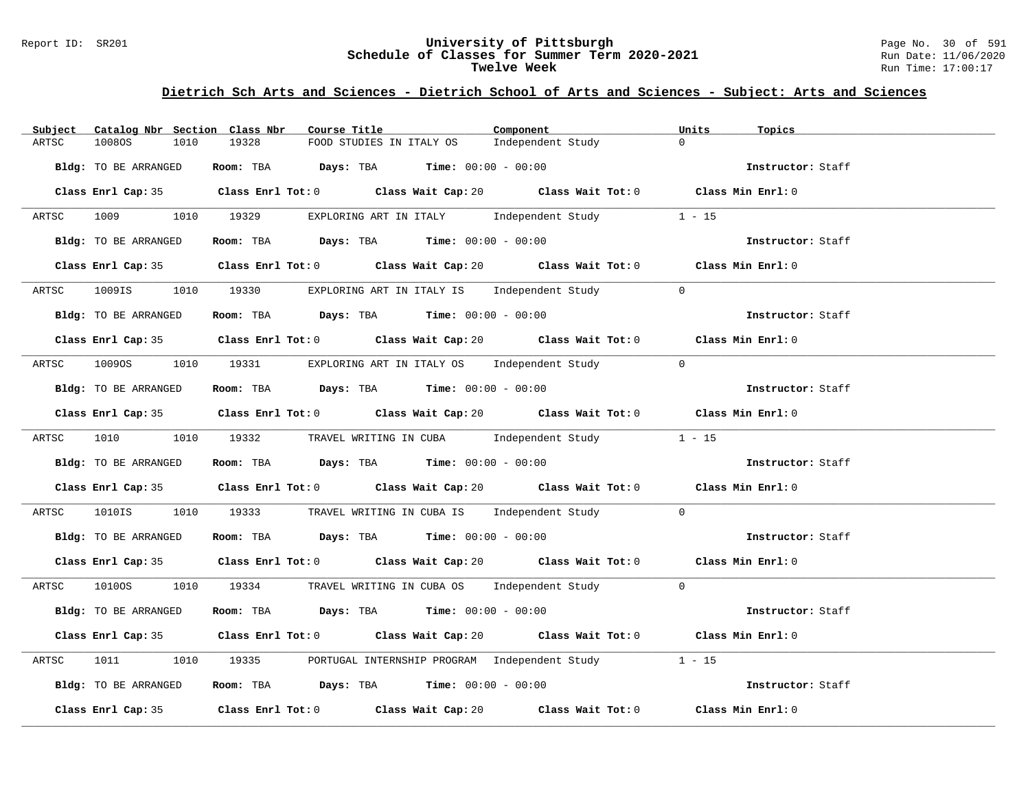#### Report ID: SR201 **University of Pittsburgh** Page No. 30 of 591 **Schedule of Classes for Summer Term 2020-2021** Run Date: 11/06/2020 **Twelve Week** Run Time: 17:00:17

| Catalog Nbr Section Class Nbr<br>Subject | Course Title <b>Source Search</b>                                                           | Component         | Units<br>Topics   |
|------------------------------------------|---------------------------------------------------------------------------------------------|-------------------|-------------------|
| 10080S<br>1010<br>ARTSC                  | 19328<br>FOOD STUDIES IN ITALY OS                                                           | Independent Study | $\Omega$          |
| Bldg: TO BE ARRANGED                     | Room: TBA $Days:$ TBA $Time: 00:00 - 00:00$                                                 |                   | Instructor: Staff |
|                                          | Class Enrl Cap: 35 Class Enrl Tot: 0 Class Wait Cap: 20 Class Wait Tot: 0 Class Min Enrl: 0 |                   |                   |
| ARTSC                                    | 1009 1010 19329 EXPLORING ART IN ITALY Independent Study 1 - 15                             |                   |                   |
| Bldg: TO BE ARRANGED                     | Room: TBA Days: TBA Time: $00:00 - 00:00$                                                   |                   | Instructor: Staff |
|                                          | Class Enrl Cap: 35 Class Enrl Tot: 0 Class Wait Cap: 20 Class Wait Tot: 0 Class Min Enrl: 0 |                   |                   |
|                                          | ARTSC 1009IS 1010 19330 EXPLORING ART IN ITALY IS Independent Study 0                       |                   |                   |
| Bldg: TO BE ARRANGED                     | Room: TBA $Days:$ TBA $Time: 00:00 - 00:00$                                                 |                   | Instructor: Staff |
|                                          | Class Enrl Cap: 35 Class Enrl Tot: 0 Class Wait Cap: 20 Class Wait Tot: 0 Class Min Enrl: 0 |                   |                   |
| ARTSC                                    | 10090S 1010 19331 EXPLORING ART IN ITALY OS Independent Study 0                             |                   |                   |
| Bldg: TO BE ARRANGED                     | Room: TBA $\rule{1em}{0.15mm}$ Days: TBA $\rule{1.5mm}{0.15mm}$ Time: $0.000 - 0.000$       |                   | Instructor: Staff |
|                                          | Class Enrl Cap: 35 Class Enrl Tot: 0 Class Wait Cap: 20 Class Wait Tot: 0 Class Min Enrl: 0 |                   |                   |
|                                          | ARTSC 1010 1010 19332 TRAVEL WRITING IN CUBA Independent Study 1 - 15                       |                   |                   |
| Bldg: TO BE ARRANGED                     | Room: TBA $\rule{1em}{0.15mm}$ Days: TBA Time: $00:00 - 00:00$                              |                   | Instructor: Staff |
|                                          | Class Enrl Cap: 35 Class Enrl Tot: 0 Class Wait Cap: 20 Class Wait Tot: 0 Class Min Enrl: 0 |                   |                   |
| 1010IS<br>ARTSC                          | 1010 19333 TRAVEL WRITING IN CUBA IS Independent Study 0                                    |                   |                   |
| Bldg: TO BE ARRANGED                     | Room: TBA $Days: TBA$ Time: $00:00 - 00:00$                                                 |                   | Instructor: Staff |
|                                          | Class Enrl Cap: 35 Class Enrl Tot: 0 Class Wait Cap: 20 Class Wait Tot: 0 Class Min Enrl: 0 |                   |                   |
|                                          | ARTSC 10100S 1010 19334 TRAVEL WRITING IN CUBA OS Independent Study 0                       |                   |                   |
| Bldg: TO BE ARRANGED                     | Room: TBA $Days:$ TBA $Time: 00:00 - 00:00$                                                 |                   | Instructor: Staff |
|                                          | Class Enrl Cap: 35 Class Enrl Tot: 0 Class Wait Cap: 20 Class Wait Tot: 0 Class Min Enrl: 0 |                   |                   |
| 1011<br>ARTSC                            | 1010 19335 PORTUGAL INTERNSHIP PROGRAM Independent Study 1 - 15                             |                   |                   |
| Bldg: TO BE ARRANGED                     | Room: TBA $\rule{1em}{0.15mm}$ Days: TBA $\rule{1.5mm}{0.15mm}$ Time: $00:00 - 00:00$       |                   | Instructor: Staff |
|                                          | Class Enrl Cap: 35 Class Enrl Tot: 0 Class Wait Cap: 20 Class Wait Tot: 0                   |                   | Class Min Enrl: 0 |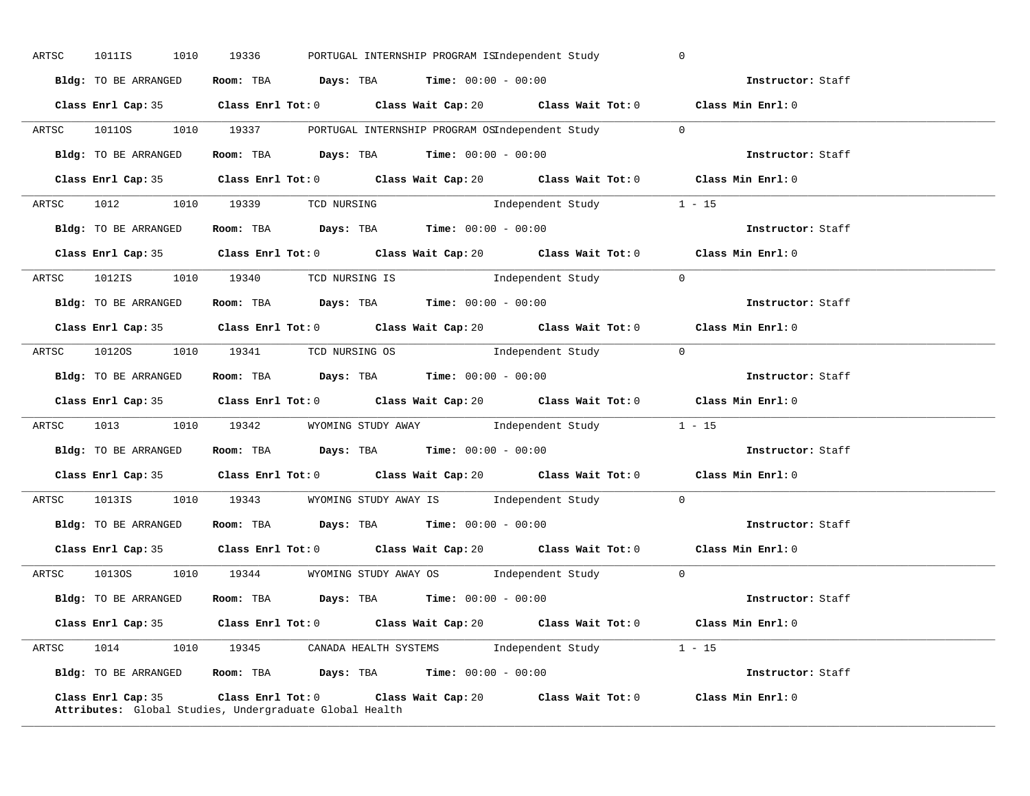| ARTSC 1011IS 1010 19336                |  |  |                                                              | PORTUGAL INTERNSHIP PROGRAM ISIndependent Study                                             | $\overline{0}$    |                   |
|----------------------------------------|--|--|--------------------------------------------------------------|---------------------------------------------------------------------------------------------|-------------------|-------------------|
| Bldg: TO BE ARRANGED                   |  |  | Room: TBA $Days:$ TBA $Time: 00:00 - 00:00$                  |                                                                                             | Instructor: Staff |                   |
|                                        |  |  |                                                              | Class Enrl Cap: 35 Class Enrl Tot: 0 Class Wait Cap: 20 Class Wait Tot: 0 Class Min Enrl: 0 |                   |                   |
|                                        |  |  |                                                              | ARTSC 10110S 1010 19337 PORTUGAL INTERNSHIP PROGRAM OSIndependent Study 0                   |                   |                   |
| Bldg: TO BE ARRANGED                   |  |  | Room: TBA $Days:$ TBA Time: $00:00 - 00:00$                  |                                                                                             |                   | Instructor: Staff |
|                                        |  |  |                                                              | Class Enrl Cap: 35 Class Enrl Tot: 0 Class Wait Cap: 20 Class Wait Tot: 0 Class Min Enrl: 0 |                   |                   |
| ARTSC 1012 1010 19339 TCD NURSING      |  |  |                                                              | Independent Study 1 - 15                                                                    |                   |                   |
|                                        |  |  | Bldg: TO BE ARRANGED Room: TBA Days: TBA Time: 00:00 - 00:00 |                                                                                             |                   | Instructor: Staff |
|                                        |  |  |                                                              | Class Enrl Cap: 35 Class Enrl Tot: 0 Class Wait Cap: 20 Class Wait Tot: 0 Class Min Enrl: 0 |                   |                   |
| ARTSC 1012IS 1010 19340 TCD NURSING IS |  |  |                                                              | Independent Study 0                                                                         |                   |                   |
|                                        |  |  |                                                              | Bldg: TO BE ARRANGED Room: TBA Days: TBA Time: 00:00 - 00:00                                |                   | Instructor: Staff |
|                                        |  |  |                                                              | Class Enrl Cap: 35 Class Enrl Tot: 0 Class Wait Cap: 20 Class Wait Tot: 0 Class Min Enrl: 0 |                   |                   |
| ARTSC 10120S 1010 19341 TCD NURSING OS |  |  |                                                              | Independent Study 0                                                                         |                   |                   |
|                                        |  |  | Bldg: TO BE ARRANGED Room: TBA Days: TBA Time: 00:00 - 00:00 |                                                                                             | Instructor: Staff |                   |
|                                        |  |  |                                                              |                                                                                             |                   |                   |
|                                        |  |  |                                                              | Class Enrl Cap: 35 Class Enrl Tot: 0 Class Wait Cap: 20 Class Wait Tot: 0 Class Min Enrl: 0 |                   |                   |
|                                        |  |  |                                                              | ARTSC 1013 1010 19342 WYOMING STUDY AWAY Independent Study 1 - 15                           |                   |                   |
|                                        |  |  | Bldg: TO BE ARRANGED ROOM: TBA Days: TBA Time: 00:00 - 00:00 |                                                                                             |                   | Instructor: Staff |
|                                        |  |  |                                                              | Class Enrl Cap: 35 Class Enrl Tot: 0 Class Wait Cap: 20 Class Wait Tot: 0 Class Min Enrl: 0 |                   |                   |
|                                        |  |  |                                                              | ARTSC 1013IS 1010 19343 WYOMING STUDY AWAY IS Independent Study 0                           |                   |                   |
|                                        |  |  | Bldg: TO BE ARRANGED Room: TBA Days: TBA Time: 00:00 - 00:00 |                                                                                             | Instructor: Staff |                   |
|                                        |  |  |                                                              | Class Enrl Cap: 35 Class Enrl Tot: 0 Class Wait Cap: 20 Class Wait Tot: 0 Class Min Enrl: 0 |                   |                   |
|                                        |  |  |                                                              | ARTSC 10130S 1010 19344 WYOMING STUDY AWAY OS Independent Study 0                           |                   |                   |
|                                        |  |  |                                                              | Bldg: TO BE ARRANGED Room: TBA Days: TBA Time: $00:00 - 00:00$                              |                   |                   |
|                                        |  |  |                                                              | Class Enrl Cap: 35 Class Enrl Tot: 0 Class Wait Cap: 20 Class Wait Tot: 0 Class Min Enrl: 0 |                   |                   |
|                                        |  |  |                                                              | ARTSC 1014 1010 19345 CANADA HEALTH SYSTEMS Independent Study 1 - 15                        |                   |                   |
|                                        |  |  |                                                              | Bldg: TO BE ARRANGED ROOM: TBA Days: TBA Time: 00:00 - 00:00                                |                   | Instructor: Staff |

**\_\_\_\_\_\_\_\_\_\_\_\_\_\_\_\_\_\_\_\_\_\_\_\_\_\_\_\_\_\_\_\_\_\_\_\_\_\_\_\_\_\_\_\_\_\_\_\_\_\_\_\_\_\_\_\_\_\_\_\_\_\_\_\_\_\_\_\_\_\_\_\_\_\_\_\_\_\_\_\_\_\_\_\_\_\_\_\_\_\_\_\_\_\_\_\_\_\_\_\_\_\_\_\_\_\_\_\_\_\_\_\_\_\_\_\_\_\_\_\_\_\_\_\_\_\_\_\_\_\_\_\_\_\_\_\_\_\_\_\_\_\_\_\_\_\_\_\_\_\_\_\_\_\_\_\_**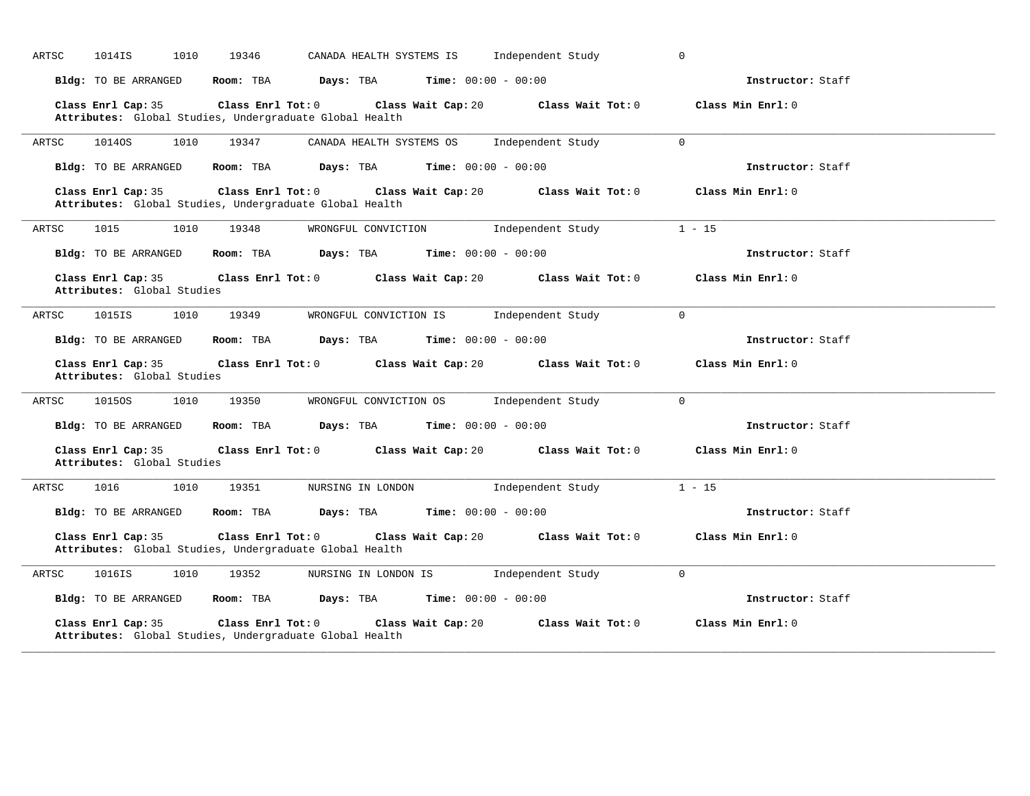|       |                                                  |                   |                                                                                    | CANADA HEALTH SYSTEMS IS     | Independent Study                    | $\mathbf 0$       |
|-------|--------------------------------------------------|-------------------|------------------------------------------------------------------------------------|------------------------------|--------------------------------------|-------------------|
|       | Bldg: TO BE ARRANGED                             | Room: TBA         | Days: TBA                                                                          | <b>Time:</b> $00:00 - 00:00$ |                                      | Instructor: Staff |
|       | Class Enrl Cap: 35                               | Class Enrl Tot: 0 | Attributes: Global Studies, Undergraduate Global Health                            | Class Wait Cap: 20           | Class Wait Tot: 0                    | Class Min Enrl: 0 |
| ARTSC | 1014OS<br>1010                                   | 19347             | CANADA HEALTH SYSTEMS OS                                                           |                              | Independent Study                    | $\overline{0}$    |
|       | Bldg: TO BE ARRANGED                             | Room: TBA         | Days: TBA                                                                          | <b>Time:</b> $00:00 - 00:00$ |                                      | Instructor: Staff |
|       | Class Enrl Cap: 35                               | Class Enrl Tot: 0 | Attributes: Global Studies, Undergraduate Global Health                            | Class Wait Cap: 20           | Class Wait Tot: 0                    | Class Min Enrl: 0 |
| ARTSC | 1015<br>1010                                     | 19348             | WRONGFUL CONVICTION                                                                |                              | Independent Study                    | $1 - 15$          |
|       | Bldg: TO BE ARRANGED                             | Room: TBA         | Days: TBA                                                                          | <b>Time:</b> $00:00 - 00:00$ |                                      | Instructor: Staff |
|       | Class Enrl Cap: 35<br>Attributes: Global Studies |                   | $Class$ $Enr1$ $Tot: 0$                                                            | Class Wait Cap: 20           | Class Wait Tot: 0                    | Class Min Enrl: 0 |
| ARTSC | 1015IS<br>1010                                   | 19349             | WRONGFUL CONVICTION IS                                                             |                              | Independent Study                    | $\overline{0}$    |
|       | Bldg: TO BE ARRANGED                             | Room: TBA         | Days: TBA                                                                          | <b>Time:</b> $00:00 - 00:00$ |                                      | Instructor: Staff |
|       | Class Enrl Cap: 35<br>Attributes: Global Studies |                   | $Class$ $Enr1$ $Tot: 0$                                                            |                              | Class Wait Cap: 20 Class Wait Tot: 0 | Class Min Enrl: 0 |
|       |                                                  |                   |                                                                                    |                              |                                      |                   |
|       | 1015OS<br>1010                                   | 19350             | WRONGFUL CONVICTION OS                                                             |                              | Independent Study                    | $\Omega$          |
| ARTSC | Bldg: TO BE ARRANGED                             | Room: TBA         | Days: TBA                                                                          | <b>Time:</b> $00:00 - 00:00$ |                                      | Instructor: Staff |
|       | Class Enrl Cap: 35<br>Attributes: Global Studies |                   | Class Enrl Tot: 0 Class Wait Cap: 20                                               |                              | Class Wait Tot: 0                    | Class Min Enrl: 0 |
|       | 1016<br>1010                                     | 19351             | NURSING IN LONDON                                                                  |                              | Independent Study                    | $1 - 15$          |
|       | Bldg: TO BE ARRANGED                             | Room: TBA         | Days: TBA                                                                          | <b>Time:</b> $00:00 - 00:00$ |                                      | Instructor: Staff |
| ARTSC | Class Enrl Cap: 35                               |                   | $Class$ $Enr1$ $Tot: 0$<br>Attributes: Global Studies, Undergraduate Global Health | Class Wait Cap: 20           | Class Wait Tot: 0                    | Class Min Enrl: 0 |
| ARTSC | 1016IS<br>1010                                   | 19352             | NURSING IN LONDON IS                                                               |                              | Independent Study                    | $\Omega$          |
|       | Bldg: TO BE ARRANGED                             | Room: TBA         | <b>Days:</b> TBA <b>Time:</b> $00:00 - 00:00$                                      |                              |                                      | Instructor: Staff |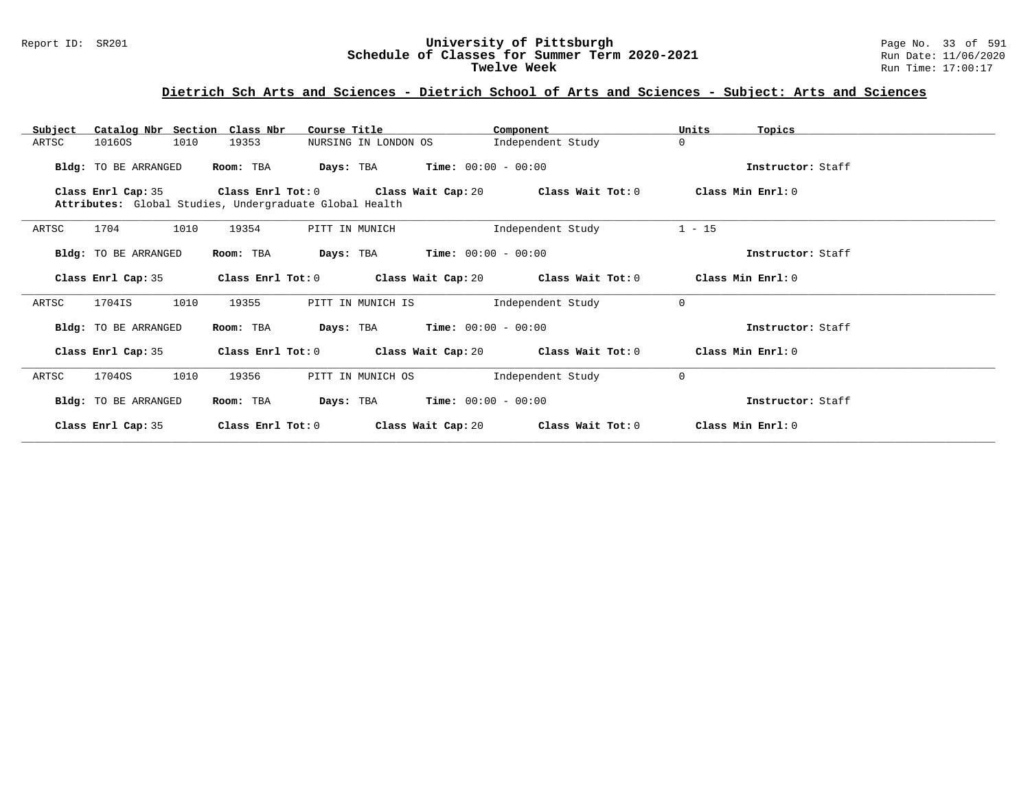#### Report ID: SR201 **University of Pittsburgh** Page No. 33 of 591 **Schedule of Classes for Summer Term 2020-2021** Run Date: 11/06/2020 **Twelve Week** Run Time: 17:00:17

| Catalog Nbr Section Class Nbr<br>Subject | Course Title                                            | Component                                                    | Units<br>Topics   |
|------------------------------------------|---------------------------------------------------------|--------------------------------------------------------------|-------------------|
| 1010<br>10160S<br>ARTSC                  | 19353<br>NURSING IN LONDON OS                           | Independent Study                                            | $\Omega$          |
| <b>Bldg:</b> TO BE ARRANGED              | Room: TBA                                               | <b>Days:</b> TBA <b>Time:</b> $00:00 - 00:00$                | Instructor: Staff |
| Class Enrl Cap: 35                       | Attributes: Global Studies, Undergraduate Global Health | Class Enrl Tot: $0$ Class Wait Cap: $20$ Class Wait Tot: $0$ | Class Min Enrl: 0 |
| 1704<br>1010<br>ARTSC                    | 19354<br>PITT IN MUNICH                                 | Independent Study                                            | $1 - 15$          |
| Bldg: TO BE ARRANGED                     | Room: TBA                                               | <b>Days:</b> TBA <b>Time:</b> $00:00 - 00:00$                | Instructor: Staff |
| Class Enrl Cap: 35                       |                                                         | Class Enrl Tot: $0$ Class Wait Cap: $20$ Class Wait Tot: $0$ | Class Min Enrl: 0 |
| 1010<br>ARTSC<br>1704IS                  | 19355<br>PITT IN MUNICH IS                              | Independent Study                                            | $\mathbf{0}$      |
| Bldg: TO BE ARRANGED                     | Room: TBA                                               | <b>Days:</b> TBA <b>Time:</b> $00:00 - 00:00$                | Instructor: Staff |
| Class Enrl Cap: 35                       | Class Enrl Tot: 0                                       | Class Wait Cap: 20 Class Wait Tot: 0                         | Class Min Enrl: 0 |
| 1010<br>17040S<br>ARTSC                  | 19356<br>PITT IN MUNICH OS                              | Independent Study                                            | $\mathbf{0}$      |
| Bldg: TO BE ARRANGED                     | Room: TBA                                               | <b>Days:</b> TBA <b>Time:</b> $00:00 - 00:00$                | Instructor: Staff |
| Class Enrl Cap: 35                       | Class Enrl Tot: 0                                       | Class Wait Cap: 20<br>Class Wait Tot: 0                      | Class Min Enrl: 0 |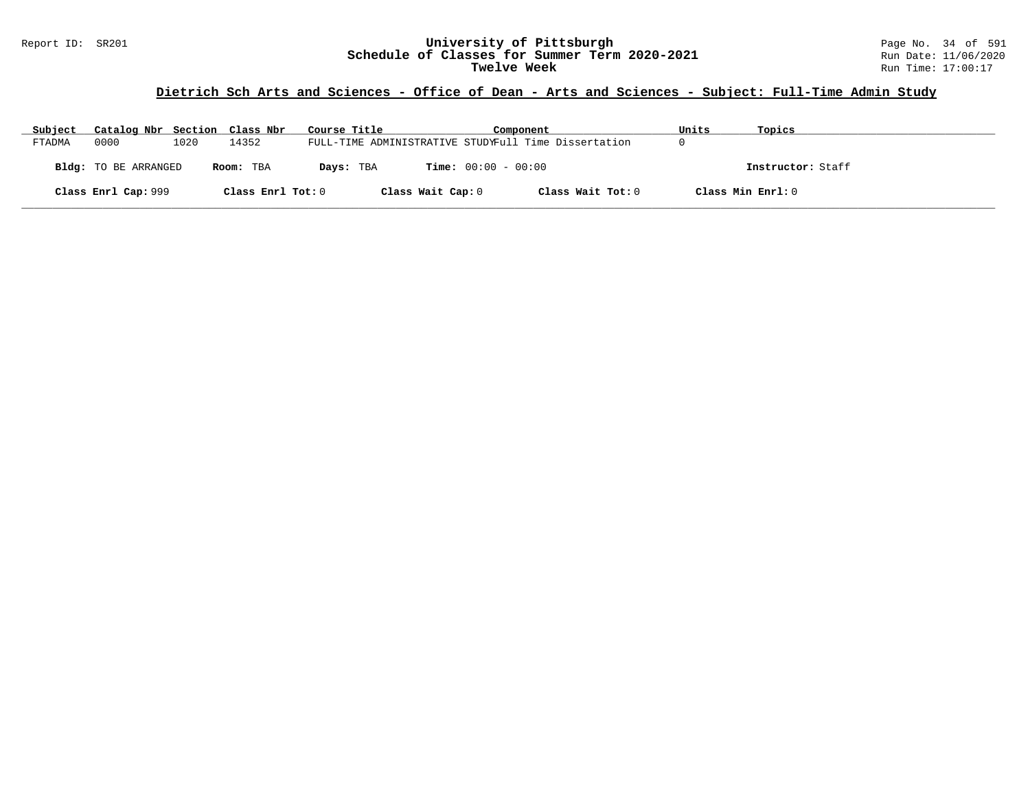# **Dietrich Sch Arts and Sciences - Office of Dean - Arts and Sciences - Subject: Full-Time Admin Study**

| Subject | Catalog Nbr Section Class Nbr |      |                   | Course Title |                              | Component                                            | Units | Topics            |
|---------|-------------------------------|------|-------------------|--------------|------------------------------|------------------------------------------------------|-------|-------------------|
| FTADMA  | 0000                          | 1020 | 14352             |              |                              | FULL-TIME ADMINISTRATIVE STUDYFull Time Dissertation |       |                   |
|         | <b>Bldg:</b> TO BE ARRANGED   |      | Room: TBA         | Days: TBA    | <b>Time:</b> $00:00 - 00:00$ |                                                      |       | Instructor: Staff |
|         | Class Enrl Cap: 999           |      | Class Enrl Tot: 0 |              | Class Wait Cap: 0            | Class Wait Tot: 0                                    |       | Class Min Enrl: 0 |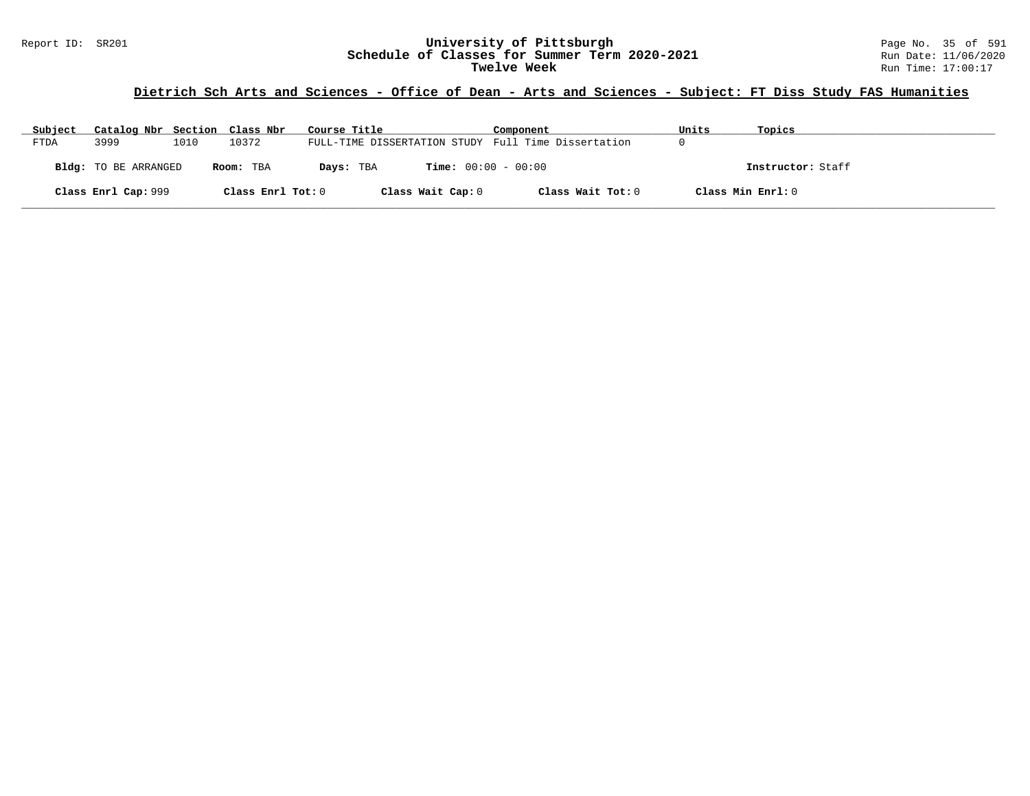# **Dietrich Sch Arts and Sciences - Office of Dean - Arts and Sciences - Subject: FT Diss Study FAS Humanities**

| Subject | Catalog Nbr Section Class Nbr |      |                   | Course Title                                        | Component                    | Units             | Topics            |
|---------|-------------------------------|------|-------------------|-----------------------------------------------------|------------------------------|-------------------|-------------------|
| FTDA    | 3999                          | 1010 | 10372             | FULL-TIME DISSERTATION STUDY Full Time Dissertation |                              |                   |                   |
|         | Bldg: TO BE ARRANGED          |      | Room: TBA         | Days: TBA                                           | <b>Time:</b> $00:00 - 00:00$ |                   | Instructor: Staff |
|         | Class Enrl Cap: 999           |      | Class Enrl Tot: 0 | Class Wait Cap: 0                                   | Class Wait Tot: 0            | Class Min Enrl: 0 |                   |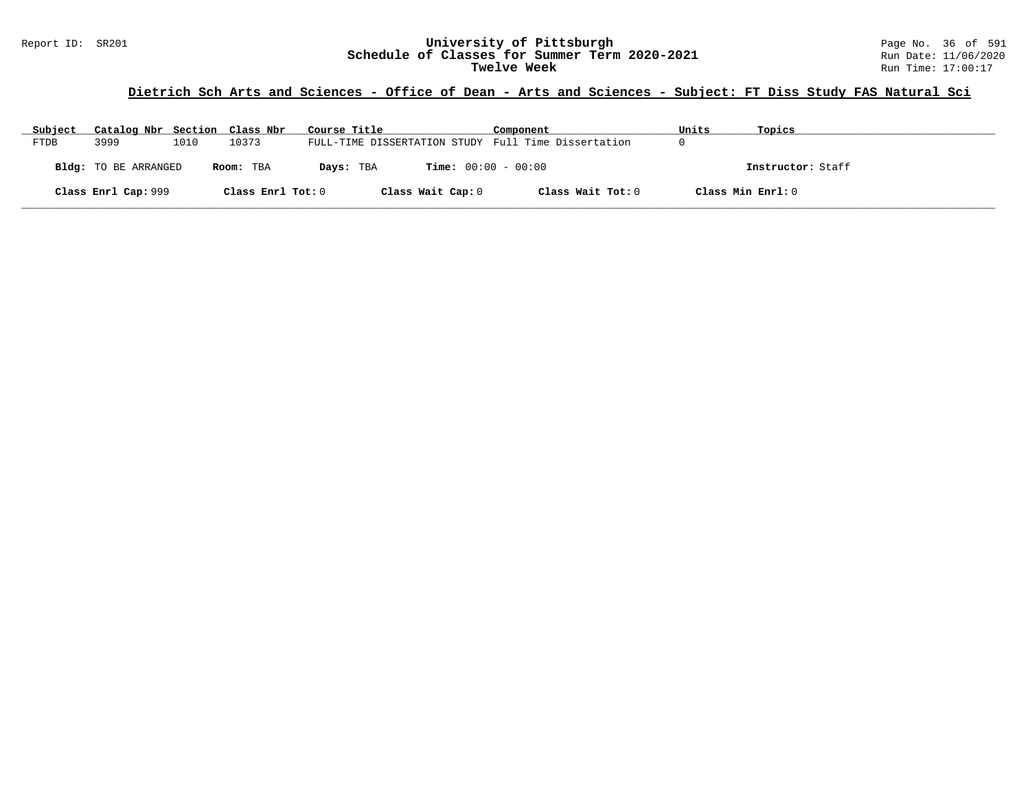#### Report ID: SR201 **University of Pittsburgh** Page No. 36 of 591 **Schedule of Classes for Summer Term 2020-2021** Run Date: 11/06/2020 **Twelve Week** Run Time: 17:00:17

# **Dietrich Sch Arts and Sciences - Office of Dean - Arts and Sciences - Subject: FT Diss Study FAS Natural Sci**

| Subject     | Catalog Nbr Section Class Nbr |      |                   | Course Title                                        | Component                    | Units             | Topics            |
|-------------|-------------------------------|------|-------------------|-----------------------------------------------------|------------------------------|-------------------|-------------------|
| <b>FTDB</b> | 3999                          | 1010 | 10373             | FULL-TIME DISSERTATION STUDY Full Time Dissertation |                              |                   |                   |
|             | Bldg: TO BE ARRANGED          |      | Room: TBA         | Days: TBA                                           | <b>Time:</b> $00:00 - 00:00$ |                   | Instructor: Staff |
|             | Class Enrl Cap: 999           |      | Class Enrl Tot: 0 | Class Wait Cap: 0                                   | Class Wait Tot: 0            | Class Min Enrl: 0 |                   |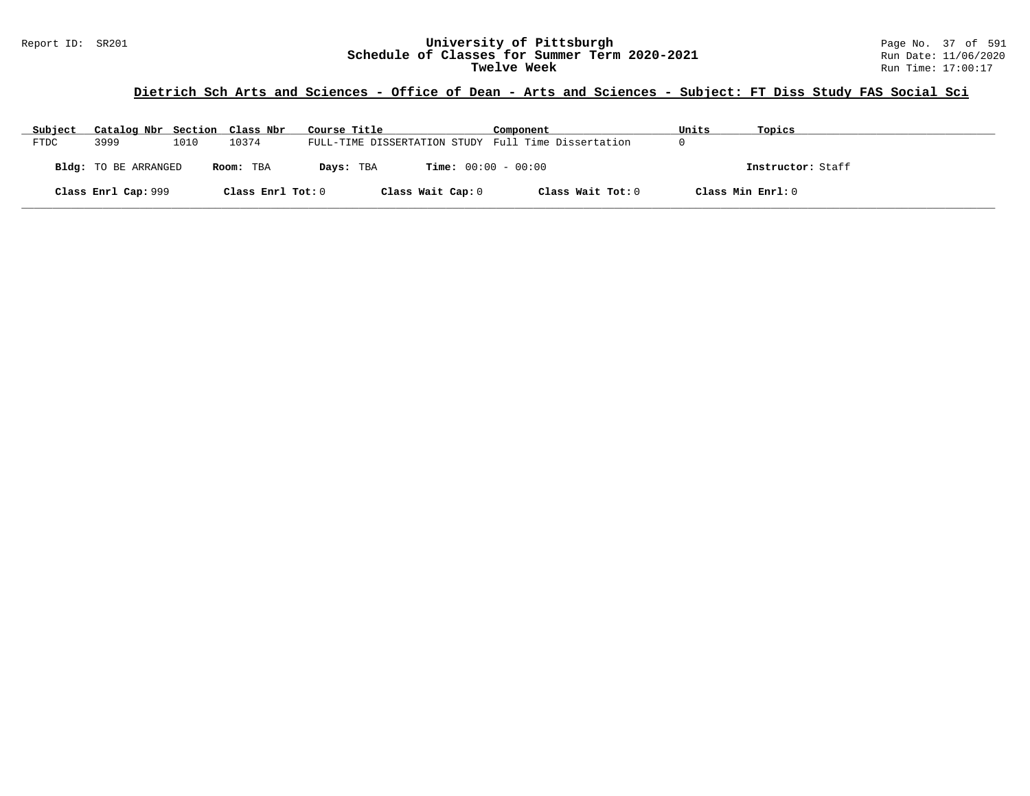# **Dietrich Sch Arts and Sciences - Office of Dean - Arts and Sciences - Subject: FT Diss Study FAS Social Sci**

| Subject | Catalog Nbr Section Class Nbr |      |                   | Course Title                                        | Component                    | Units | Topics            |
|---------|-------------------------------|------|-------------------|-----------------------------------------------------|------------------------------|-------|-------------------|
| FTDC    | 3999                          | 1010 | 10374             | FULL-TIME DISSERTATION STUDY Full Time Dissertation |                              |       |                   |
|         | Bldg: TO BE ARRANGED          |      | Room: TBA         | Days: TBA                                           | <b>Time:</b> $00:00 - 00:00$ |       | Instructor: Staff |
|         | Class Enrl Cap: 999           |      | Class Enrl Tot: 0 | Class Wait Cap: 0                                   | Class Wait Tot: 0            |       | Class Min Enrl: 0 |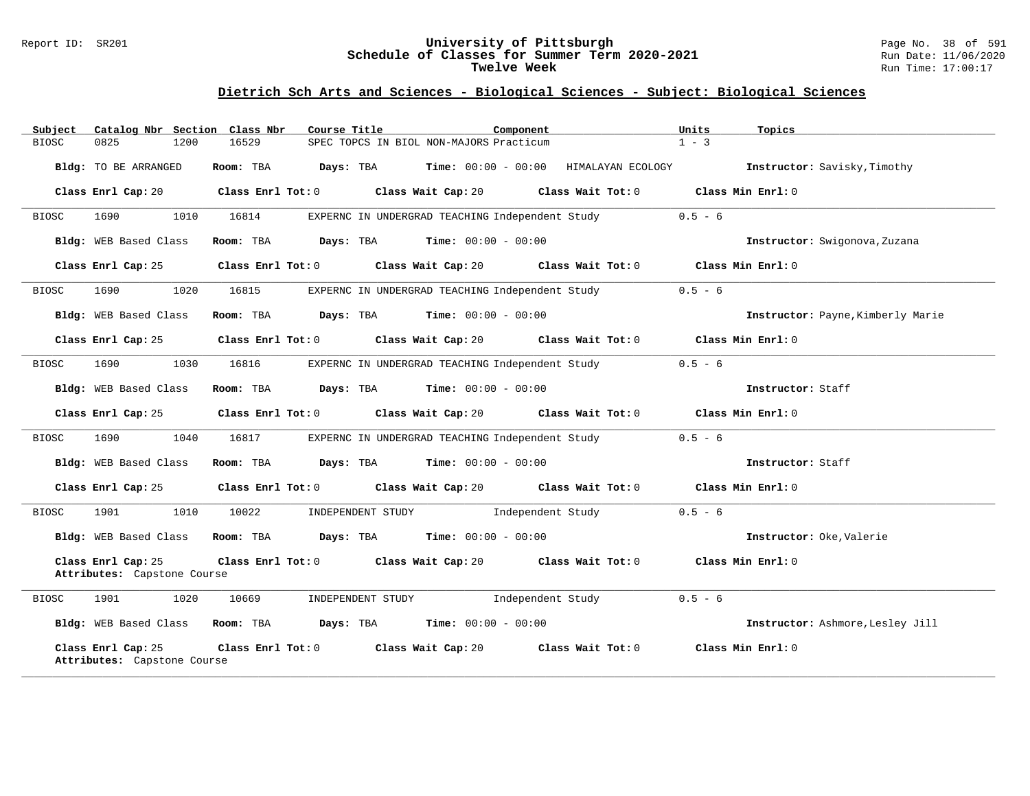#### Report ID: SR201 **University of Pittsburgh** Page No. 38 of 591 **Schedule of Classes for Summer Term 2020-2021** Run Date: 11/06/2020 **Twelve Week** Run Time: 17:00:17

| Subject      |                                                   |      | Catalog Nbr Section Class Nbr | Course Title      |                                                        | Component                    |                                         | Units     | Topics                            |
|--------------|---------------------------------------------------|------|-------------------------------|-------------------|--------------------------------------------------------|------------------------------|-----------------------------------------|-----------|-----------------------------------|
| <b>BIOSC</b> | 0825                                              | 1200 | 16529                         |                   | SPEC TOPCS IN BIOL NON-MAJORS Practicum                |                              |                                         | $1 - 3$   |                                   |
|              | Bldg: TO BE ARRANGED                              |      | Room: TBA                     | Days: TBA         |                                                        |                              | $Time: 00:00 - 00:00$ HIMALAYAN ECOLOGY |           | Instructor: Savisky, Timothy      |
|              | Class Enrl Cap: 20                                |      | Class Enrl Tot: 0             |                   | Class Wait Cap: 20                                     |                              | Class Wait Tot: 0                       |           | Class Min Enrl: 0                 |
| BIOSC        | 1690                                              | 1010 | 16814                         |                   | EXPERNC IN UNDERGRAD TEACHING Independent Study        |                              |                                         | $0.5 - 6$ |                                   |
|              | Bldg: WEB Based Class                             |      | Room: TBA                     | Days: TBA         |                                                        | <b>Time:</b> $00:00 - 00:00$ |                                         |           | Instructor: Swigonova, Zuzana     |
|              | Class Enrl Cap: 25                                |      |                               | Class Enrl Tot: 0 | Class Wait Cap: 20                                     |                              | Class Wait Tot: 0                       |           | Class Min Enrl: 0                 |
| <b>BIOSC</b> | 1690                                              | 1020 | 16815                         |                   | EXPERNC IN UNDERGRAD TEACHING Independent Study        |                              |                                         | $0.5 - 6$ |                                   |
|              | Bldg: WEB Based Class                             |      | Room: TBA                     | Days: TBA         |                                                        | $Time: 00:00 - 00:00$        |                                         |           | Instructor: Payne, Kimberly Marie |
|              | Class Enrl Cap: 25                                |      | Class Enrl Tot: 0             |                   | Class Wait Cap: 20                                     |                              | Class Wait Tot: 0                       |           | Class Min Enrl: 0                 |
| <b>BIOSC</b> | 1690                                              | 1030 | 16816                         |                   | EXPERNC IN UNDERGRAD TEACHING Independent Study        |                              |                                         | $0.5 - 6$ |                                   |
|              | Bldg: WEB Based Class                             |      | Room: TBA                     |                   | <b>Days:</b> TBA <b>Time:</b> $00:00 - 00:00$          |                              |                                         |           | Instructor: Staff                 |
|              | Class Enrl Cap: 25                                |      | Class Enrl Tot: 0             |                   | Class Wait Cap: 20                                     |                              | Class Wait Tot: 0                       |           | Class Min Enrl: 0                 |
| <b>BIOSC</b> | 1690                                              | 1040 | 16817                         |                   | EXPERNC IN UNDERGRAD TEACHING Independent Study        |                              |                                         | $0.5 - 6$ |                                   |
|              | Bldg: WEB Based Class                             |      | Room: TBA                     |                   | $\texttt{Davis:}$ TBA $\texttt{Time:}$ 00:00 - 00:00   |                              |                                         |           | Instructor: Staff                 |
|              | Class Enrl Cap: 25                                |      |                               |                   | Class Enrl Tot: 0 Class Wait Cap: 20 Class Wait Tot: 0 |                              |                                         |           | Class Min Enrl: 0                 |
| <b>BIOSC</b> | 1901                                              | 1010 | 10022                         |                   | INDEPENDENT STUDY                                      | Independent Study            |                                         | $0.5 - 6$ |                                   |
|              | Bldg: WEB Based Class                             |      | Room: TBA                     |                   | $\texttt{Davis:}$ TBA $\texttt{Time:}$ 00:00 - 00:00   |                              |                                         |           | Instructor: Oke, Valerie          |
|              | Class Enrl Cap: 25<br>Attributes: Capstone Course |      |                               |                   | Class Enrl Tot: 0 Class Wait Cap: 20 Class Wait Tot: 0 |                              |                                         |           | Class Min Enrl: 0                 |
| BIOSC        | 1901                                              | 1020 | 10669                         |                   | INDEPENDENT STUDY                                      | Independent Study            |                                         | $0.5 - 6$ |                                   |
|              | Bldg: WEB Based Class                             |      |                               |                   | Room: TBA $Days:$ TBA $Time: 00:00 - 00:00$            |                              |                                         |           | Instructor: Ashmore, Lesley Jill  |
|              | Class Enrl Cap: 25<br>Attributes: Capstone Course |      | Class Enrl Tot: 0             |                   | Class Wait Cap: 20                                     |                              | Class Wait Tot: 0                       |           | Class Min Enrl: 0                 |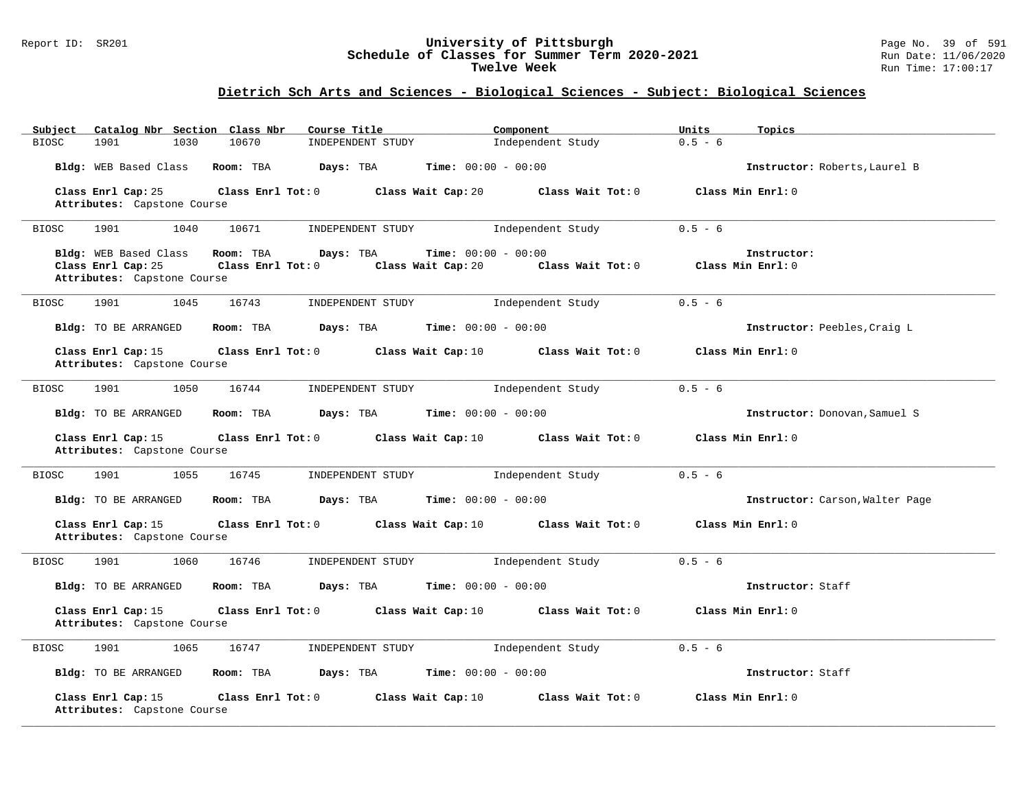### Report ID: SR201 **University of Pittsburgh** Page No. 39 of 591 **Schedule of Classes for Summer Term 2020-2021** Run Date: 11/06/2020 **Twelve Week Run Time:** 17:00:17

| Subject<br>Catalog Nbr Section Class Nbr          | Course Title               | Component                               | Units<br>Topics                 |
|---------------------------------------------------|----------------------------|-----------------------------------------|---------------------------------|
| 1030<br><b>BIOSC</b><br>1901                      | 10670<br>INDEPENDENT STUDY | Independent Study                       | $0.5 - 6$                       |
| Bldg: WEB Based Class                             | Room: TBA<br>Days: TBA     | <b>Time:</b> $00:00 - 00:00$            | Instructor: Roberts, Laurel B   |
| Class Enrl Cap: 25                                | Class Enrl Tot: 0          | Class Wait Cap: 20<br>Class Wait Tot: 0 | Class Min Enrl: 0               |
| Attributes: Capstone Course                       |                            |                                         |                                 |
| <b>BIOSC</b><br>1901<br>1040                      | 10671<br>INDEPENDENT STUDY | Independent Study                       | $0.5 - 6$                       |
| Bldg: WEB Based Class                             | Room: TBA<br>Days: TBA     | Time: $00:00 - 00:00$                   | Instructor:                     |
| Class Enrl Cap: 25                                | Class Enrl Tot: 0          | Class Wait Cap: 20<br>Class Wait Tot: 0 | Class Min Enrl: 0               |
| Attributes: Capstone Course                       |                            |                                         |                                 |
| 1045<br>1901<br><b>BIOSC</b>                      | 16743<br>INDEPENDENT STUDY | Independent Study                       | $0.5 - 6$                       |
| Bldg: TO BE ARRANGED                              | Days: TBA<br>Room: TBA     | <b>Time:</b> $00:00 - 00:00$            | Instructor: Peebles, Craig L    |
| Class Enrl Cap: 15                                | Class Enrl Tot: 0          | Class Wait Cap: 10<br>Class Wait Tot: 0 | Class Min Enrl: 0               |
| Attributes: Capstone Course                       |                            |                                         |                                 |
| 1050<br><b>BIOSC</b><br>1901                      | 16744<br>INDEPENDENT STUDY | Independent Study                       | $0.5 - 6$                       |
| Bldg: TO BE ARRANGED                              | Room: TBA<br>Days: TBA     | <b>Time:</b> $00:00 - 00:00$            | Instructor: Donovan, Samuel S   |
| Class Enrl Cap: 15<br>Attributes: Capstone Course | Class Enrl Tot: 0          | Class Wait Cap: 10<br>Class Wait Tot: 0 | Class Min Enrl: 0               |
| <b>BIOSC</b><br>1901<br>1055                      | 16745<br>INDEPENDENT STUDY | Independent Study                       | $0.5 - 6$                       |
| Bldg: TO BE ARRANGED                              | Days: TBA<br>Room: TBA     | <b>Time:</b> $00:00 - 00:00$            | Instructor: Carson, Walter Page |
| Class Enrl Cap: 15<br>Attributes: Capstone Course | Class Enrl Tot: 0          | Class Wait Cap: 10<br>Class Wait Tot: 0 | Class Min Enrl: 0               |
| <b>BIOSC</b><br>1901<br>1060                      | 16746<br>INDEPENDENT STUDY | Independent Study                       | $0.5 - 6$                       |
| Bldg: TO BE ARRANGED                              | Room: TBA<br>Days: TBA     | Time: $00:00 - 00:00$                   | Instructor: Staff               |
| Class Enrl Cap: 15<br>Attributes: Capstone Course | Class Enrl Tot: 0          | Class Wait Tot: 0<br>Class Wait Cap: 10 | Class Min Enrl: 0               |
| 1901<br>1065<br><b>BIOSC</b>                      | 16747<br>INDEPENDENT STUDY | Independent Study                       | $0.5 - 6$                       |
| Bldg: TO BE ARRANGED                              | Room: TBA<br>Days: TBA     | <b>Time:</b> $00:00 - 00:00$            | Instructor: Staff               |
| Class Enrl Cap: 15<br>Attributes: Capstone Course | Class Enrl Tot: 0          | Class Wait Tot: 0<br>Class Wait Cap: 10 | Class Min Enrl: 0               |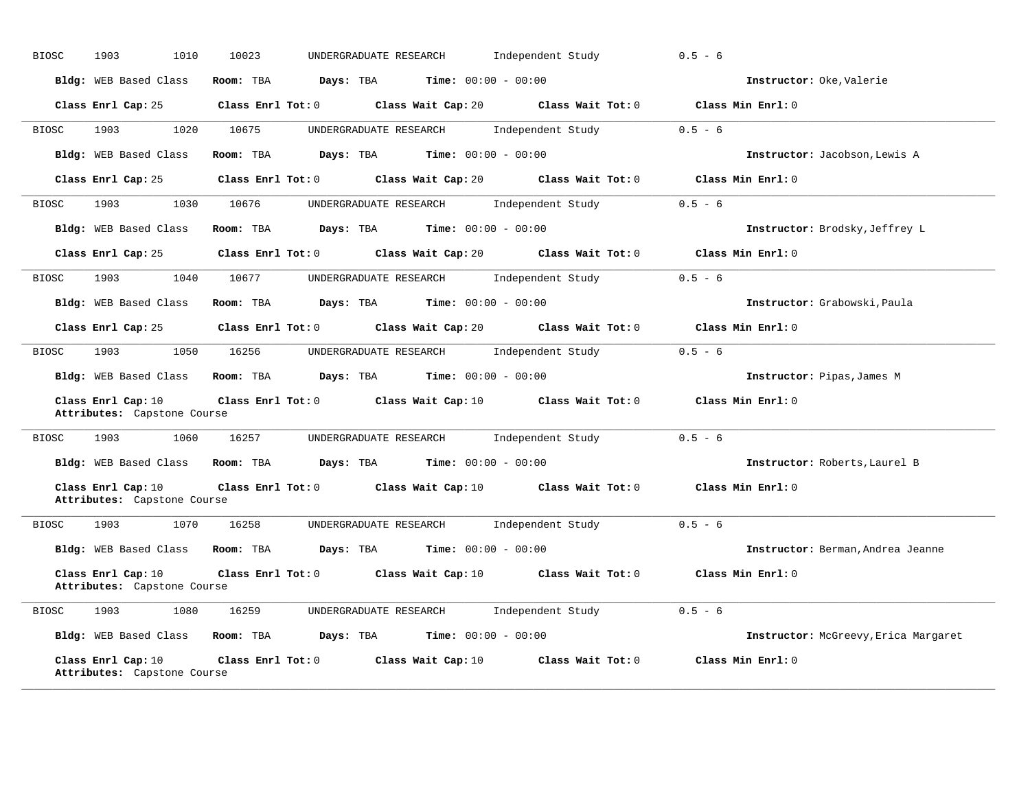| <b>BIOSC</b> | 1903<br>1010                                                                                                                                                                                                                            | 10023<br>UNDERGRADUATE RESEARCH                                          | Independent Study                    | $0.5 - 6$                            |
|--------------|-----------------------------------------------------------------------------------------------------------------------------------------------------------------------------------------------------------------------------------------|--------------------------------------------------------------------------|--------------------------------------|--------------------------------------|
|              | Bldg: WEB Based Class                                                                                                                                                                                                                   | <b>Time:</b> $00:00 - 00:00$<br>Room: TBA<br>Days: TBA                   |                                      | Instructor: Oke, Valerie             |
|              | Class Enrl Cap: 25                                                                                                                                                                                                                      | Class Enrl Tot: $0$ Class Wait Cap: $20$ Class Wait Tot: $0$             |                                      | Class Min Enrl: 0                    |
| <b>BIOSC</b> | 1020<br>1903                                                                                                                                                                                                                            | 10675<br>UNDERGRADUATE RESEARCH                                          | Independent Study                    | $0.5 - 6$                            |
|              | Bldg: WEB Based Class                                                                                                                                                                                                                   | Room: TBA Days: TBA<br><b>Time:</b> $00:00 - 00:00$                      |                                      | Instructor: Jacobson, Lewis A        |
|              | Class Enrl Cap: 25                                                                                                                                                                                                                      | $Class$ $Enr1$ $Tot: 0$                                                  | Class Wait Cap: 20 Class Wait Tot: 0 | Class Min Enrl: 0                    |
| BIOSC        | 1903<br>1030                                                                                                                                                                                                                            | 10676<br>UNDERGRADUATE RESEARCH                                          | Independent Study                    | $0.5 - 6$                            |
|              | <b>Bldg:</b> WEB Based Class                                                                                                                                                                                                            | <b>Days:</b> TBA <b>Time:</b> $00:00 - 00:00$<br>Room: TBA               |                                      | Instructor: Brodsky, Jeffrey L       |
|              | Class Enrl Cap: 25                                                                                                                                                                                                                      | Class Enrl Tot: 0 Class Wait Cap: 20 Class Wait Tot: 0                   |                                      | Class Min Enrl: 0                    |
| <b>BIOSC</b> | 1903<br>1040                                                                                                                                                                                                                            | 10677<br>UNDERGRADUATE RESEARCH                                          | Independent Study                    | $0.5 - 6$                            |
|              | Bldg: WEB Based Class                                                                                                                                                                                                                   | Room: TBA $Days:$ TBA $Time: 00:00 - 00:00$                              |                                      | Instructor: Grabowski, Paula         |
|              | Class Enrl Cap: 25                                                                                                                                                                                                                      | Class Enrl Tot: 0 $\qquad$ Class Wait Cap: 20 $\qquad$ Class Wait Tot: 0 |                                      | Class Min Enrl: 0                    |
| BIOSC        | 1903 — 1903 — 1904 — 1905 — 1905 — 1905 — 1905 — 1905 — 1905 — 1906 — 1906 — 1906 — 1906 — 1906 — 1906 — 1906 — 1906 — 1906 — 1906 — 1906 — 1906 — 1906 — 1906 — 1906 — 1906 — 1906 — 1906 — 1906 — 1906 — 1906 — 1906 — 1906 —<br>1050 | 16256<br>UNDERGRADUATE RESEARCH                                          | Independent Study                    | $0.5 - 6$                            |
|              |                                                                                                                                                                                                                                         | Bldg: WEB Based Class Room: TBA Days: TBA Time: 00:00 - 00:00            |                                      | Instructor: Pipas, James M           |
|              | Class Enrl Cap: 10<br>Attributes: Capstone Course                                                                                                                                                                                       | Class Enrl Tot: 0 Class Wait Cap: 10 Class Wait Tot: 0                   |                                      | Class Min Enrl: 0                    |
| <b>BIOSC</b> | 1903<br>1060                                                                                                                                                                                                                            | 16257<br>UNDERGRADUATE RESEARCH                                          | Independent Study                    | $0.5 - 6$                            |
|              |                                                                                                                                                                                                                                         | Bldg: WEB Based Class Room: TBA Days: TBA Time: 00:00 - 00:00            |                                      | Instructor: Roberts, Laurel B        |
|              | Class Enrl Cap: 10<br>Attributes: Capstone Course                                                                                                                                                                                       | Class Enrl Tot: 0 Class Wait Cap: 10 Class Wait Tot: 0                   |                                      | Class Min Enrl: 0                    |
| <b>BIOSC</b> | 1903<br>1070                                                                                                                                                                                                                            | 16258<br>UNDERGRADUATE RESEARCH                                          | Independent Study                    | $0.5 - 6$                            |
|              | Bldg: WEB Based Class                                                                                                                                                                                                                   | Room: TBA<br>Days: TBA<br><b>Time:</b> $00:00 - 00:00$                   |                                      | Instructor: Berman, Andrea Jeanne    |
|              | Class Enrl Cap: 10<br>Attributes: Capstone Course                                                                                                                                                                                       | Class Enrl Tot: 0 Class Wait Cap: 10                                     | Class Wait Tot: 0                    | Class Min Enrl: 0                    |
| BIOSC        | 1903<br>1080                                                                                                                                                                                                                            | 16259<br>UNDERGRADUATE RESEARCH                                          | Independent Study                    | $0.5 - 6$                            |
|              | Bldg: WEB Based Class                                                                                                                                                                                                                   | <b>Time:</b> $00:00 - 00:00$<br>Room: TBA<br>Days: TBA                   |                                      | Instructor: McGreevy, Erica Margaret |
|              | Class Enrl Cap: 10<br>Attributes: Capstone Course                                                                                                                                                                                       | Class Enrl Tot: 0 Class Wait Cap: 10                                     | Class Wait Tot: 0                    | Class Min Enrl: 0                    |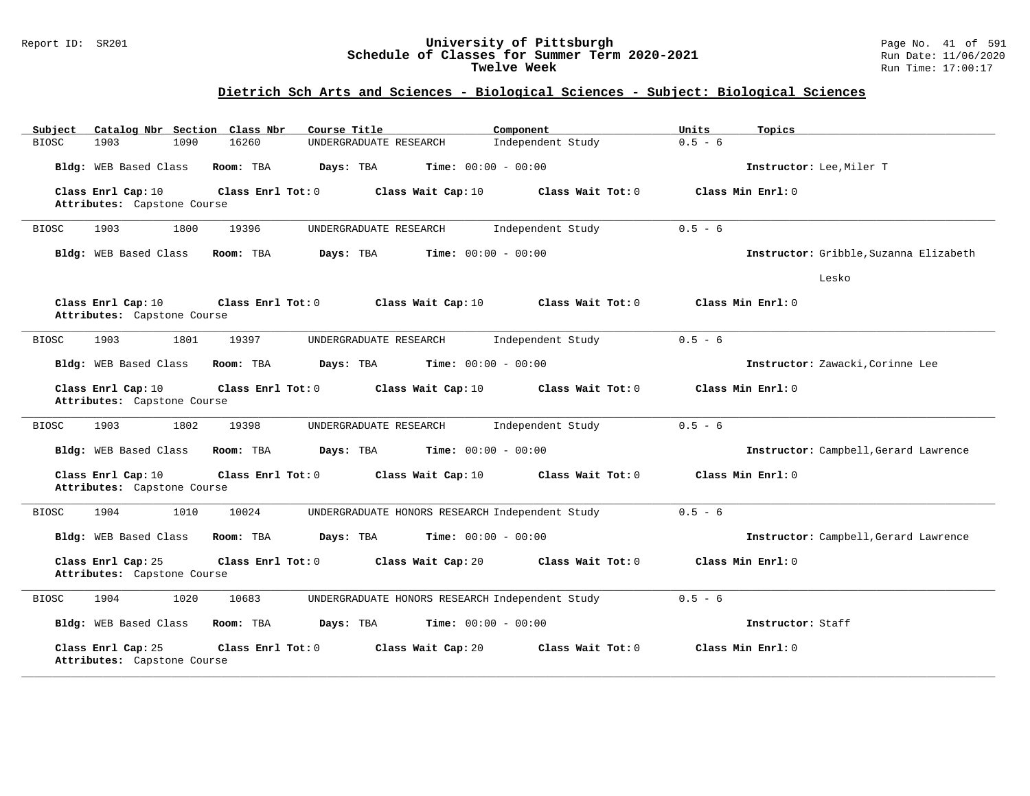#### Report ID: SR201 **University of Pittsburgh** Page No. 41 of 591 **Schedule of Classes for Summer Term 2020-2021** Run Date: 11/06/2020 **Twelve Week** Run Time: 17:00:17

| Subject<br>Catalog Nbr Section Class Nbr                               | Course Title                                    | Component         | Units<br>Topics                        |
|------------------------------------------------------------------------|-------------------------------------------------|-------------------|----------------------------------------|
| <b>BIOSC</b><br>1903<br>1090<br>16260                                  | UNDERGRADUATE RESEARCH                          | Independent Study | $0.5 - 6$                              |
| Bldg: WEB Based Class<br>Room: TBA                                     | Days: TBA<br><b>Time:</b> $00:00 - 00:00$       |                   | Instructor: Lee, Miler T               |
| Class Enrl Cap: 10<br>Class Enrl Tot: 0<br>Attributes: Capstone Course | Class Wait Cap: 10                              | Class Wait Tot: 0 | Class Min Enrl: 0                      |
| 1800<br>1903<br>19396<br><b>BIOSC</b>                                  | UNDERGRADUATE RESEARCH                          | Independent Study | $0.5 - 6$                              |
| Bldg: WEB Based Class<br>Room: TBA                                     | Days: TBA<br><b>Time:</b> $00:00 - 00:00$       |                   | Instructor: Gribble, Suzanna Elizabeth |
|                                                                        |                                                 |                   | Lesko                                  |
| Class Enrl Cap: 10<br>Class Enrl Tot: 0<br>Attributes: Capstone Course | Class Wait Cap: 10                              | Class Wait Tot: 0 | Class Min Enrl: 0                      |
| <b>BIOSC</b><br>1903<br>1801<br>19397                                  | UNDERGRADUATE RESEARCH                          | Independent Study | $0.5 - 6$                              |
| Bldg: WEB Based Class<br>Room: TBA                                     | <b>Time:</b> $00:00 - 00:00$<br>Days: TBA       |                   | Instructor: Zawacki, Corinne Lee       |
| Class Enrl Cap: 10<br>Class Enrl Tot: 0<br>Attributes: Capstone Course | Class Wait Cap: 10                              | Class Wait Tot: 0 | Class Min Enrl: 0                      |
| 1903<br>1802<br><b>BIOSC</b><br>19398                                  | UNDERGRADUATE RESEARCH                          | Independent Study | $0.5 - 6$                              |
| Bldg: WEB Based Class<br>Room: TBA                                     | Days: TBA<br><b>Time:</b> $00:00 - 00:00$       |                   | Instructor: Campbell, Gerard Lawrence  |
| Class Enrl Cap: 10<br>Class Enrl Tot: 0<br>Attributes: Capstone Course | Class Wait Cap: 10                              | Class Wait Tot: 0 | Class Min Enrl: 0                      |
| 1904<br>1010<br>10024<br><b>BIOSC</b>                                  | UNDERGRADUATE HONORS RESEARCH Independent Study |                   | $0.5 - 6$                              |
| Bldg: WEB Based Class<br>Room: TBA                                     | <b>Time:</b> $00:00 - 00:00$<br>Days: TBA       |                   | Instructor: Campbell, Gerard Lawrence  |
| Class Enrl Cap: 25<br>Class Enrl Tot: 0<br>Attributes: Capstone Course | Class Wait Cap: 20                              | Class Wait Tot: 0 | Class Min Enrl: 0                      |
| 1020<br>1904<br>10683<br><b>BIOSC</b>                                  | UNDERGRADUATE HONORS RESEARCH Independent Study |                   | $0.5 - 6$                              |
| Bldg: WEB Based Class<br>Room: TBA                                     | Days: TBA<br><b>Time:</b> $00:00 - 00:00$       |                   | Instructor: Staff                      |
| Class Enrl Cap: 25<br>Class Enrl Tot: 0<br>Attributes: Capstone Course | Class Wait Cap: 20                              | Class Wait Tot: 0 | Class Min Enrl: 0                      |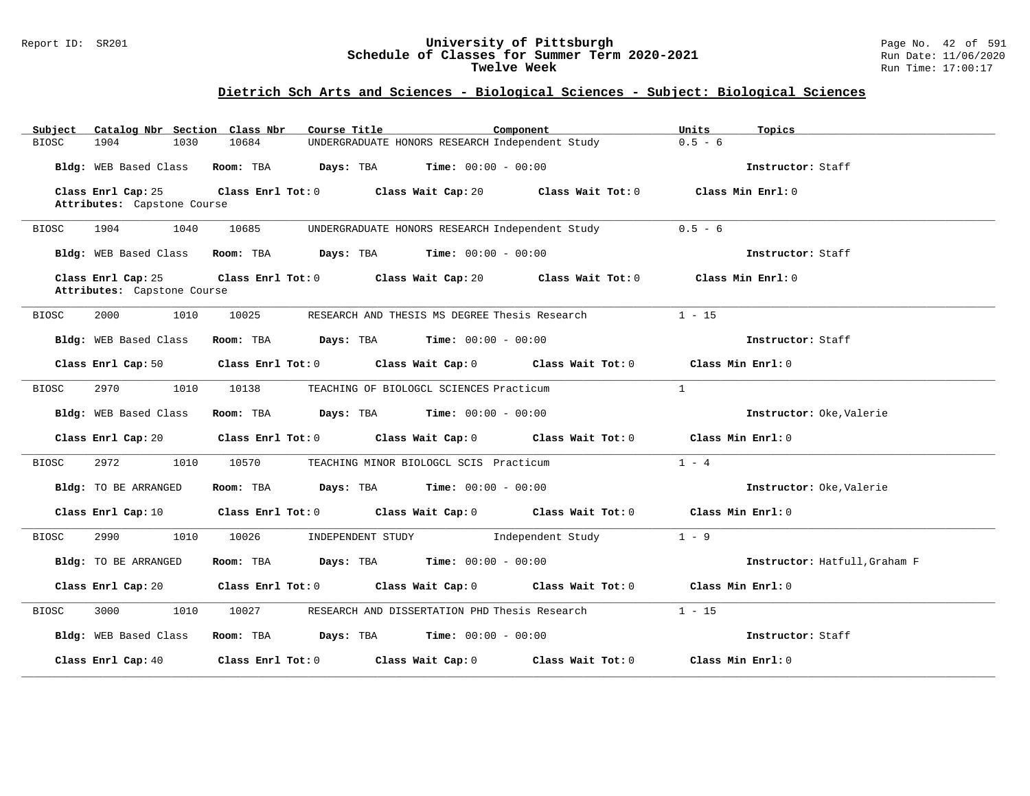#### Report ID: SR201 **University of Pittsburgh** Page No. 42 of 591 **Schedule of Classes for Summer Term 2020-2021** Run Date: 11/06/2020 **Twelve Week** Run Time: 17:00:17

| Catalog Nbr Section Class Nbr<br>Subject          | Course Title                                                                                       | Component<br>Units<br>Topics           |                               |
|---------------------------------------------------|----------------------------------------------------------------------------------------------------|----------------------------------------|-------------------------------|
| 1904<br>1030<br><b>BIOSC</b>                      | 10684<br>UNDERGRADUATE HONORS RESEARCH Independent Study                                           | $0.5 - 6$                              |                               |
| Bldg: WEB Based Class                             | Room: TBA $Days:$ TBA $Time: 00:00 - 00:00$                                                        |                                        | Instructor: Staff             |
| Class Enrl Cap: 25<br>Attributes: Capstone Course | Class Enrl Tot: 0 Class Wait Cap: 20 Class Wait Tot: 0 Class Min Enrl: 0                           |                                        |                               |
| 1904<br>1040<br>BIOSC                             | 10685<br>UNDERGRADUATE HONORS RESEARCH Independent Study                                           | $0.5 - 6$                              |                               |
| Bldg: WEB Based Class                             | Room: TBA $Days:$ TBA $Time: 00:00 - 00:00$                                                        |                                        | Instructor: Staff             |
| Class Enrl Cap: 25<br>Attributes: Capstone Course | Class Enrl Tot: 0 Class Wait Cap: 20 Class Wait Tot: 0 Class Min Enrl: 0                           |                                        |                               |
| 2000<br>1010<br>BIOSC                             | 10025<br>RESEARCH AND THESIS MS DEGREE Thesis Research                                             | $1 - 15$                               |                               |
| Bldg: WEB Based Class                             | Room: TBA $Days:$ TBA $Time: 00:00 - 00:00$                                                        |                                        | Instructor: Staff             |
| Class Enrl Cap: 50                                | Class Enrl Tot: 0 Class Wait Cap: 0 Class Wait Tot: 0 Class Min Enrl: 0                            |                                        |                               |
| <b>BIOSC</b><br>2970<br>1010                      | 10138<br>TEACHING OF BIOLOGCL SCIENCES Practicum                                                   | $\mathbf{1}$                           |                               |
| Bldg: WEB Based Class                             | <b>Room:</b> TBA <b>Days:</b> TBA <b>Time:</b> 00:00 - 00:00                                       |                                        | Instructor: Oke, Valerie      |
| Class Enrl Cap: 20                                | Class Enrl Tot: 0 Class Wait Cap: 0 Class Wait Tot: 0 Class Min Enrl: 0                            |                                        |                               |
| BIOSC<br>2972<br>1010                             | 10570<br>TEACHING MINOR BIOLOGCL SCIS Practicum                                                    | $1 - 4$                                |                               |
| Bldg: TO BE ARRANGED                              | Room: TBA $\rule{1em}{0.15mm}$ Days: TBA $\rule{1.5mm}{0.15mm}$ Time: $00:00 - 00:00$              |                                        | Instructor: Oke, Valerie      |
| Class Enrl Cap: 10                                | Class Enrl Tot: 0 $\qquad$ Class Wait Cap: 0 $\qquad$ Class Wait Tot: 0 $\qquad$ Class Min Enrl: 0 |                                        |                               |
| 2990<br>1010<br>BIOSC                             | INDEPENDENT STUDY 1ndependent Study<br>10026                                                       | $1 - 9$                                |                               |
| Bldg: TO BE ARRANGED                              | Room: TBA $Days:$ TBA $Time: 00:00 - 00:00$                                                        |                                        | Instructor: Hatfull, Graham F |
| Class Enrl Cap: 20                                | Class Enrl Tot: 0 Class Wait Cap: 0 Class Wait Tot: 0 Class Min Enrl: 0                            |                                        |                               |
| 3000<br>1010<br>BIOSC                             | 10027<br>RESEARCH AND DISSERTATION PHD Thesis Research                                             | $1 - 15$                               |                               |
| Bldg: WEB Based Class                             | Room: TBA $Days:$ TBA $Time: 00:00 - 00:00$                                                        |                                        | Instructor: Staff             |
| Class Enrl Cap: 40                                | Class Enrl Tot: 0 Class Wait Cap: 0                                                                | Class Min Enrl: 0<br>Class Wait Tot: 0 |                               |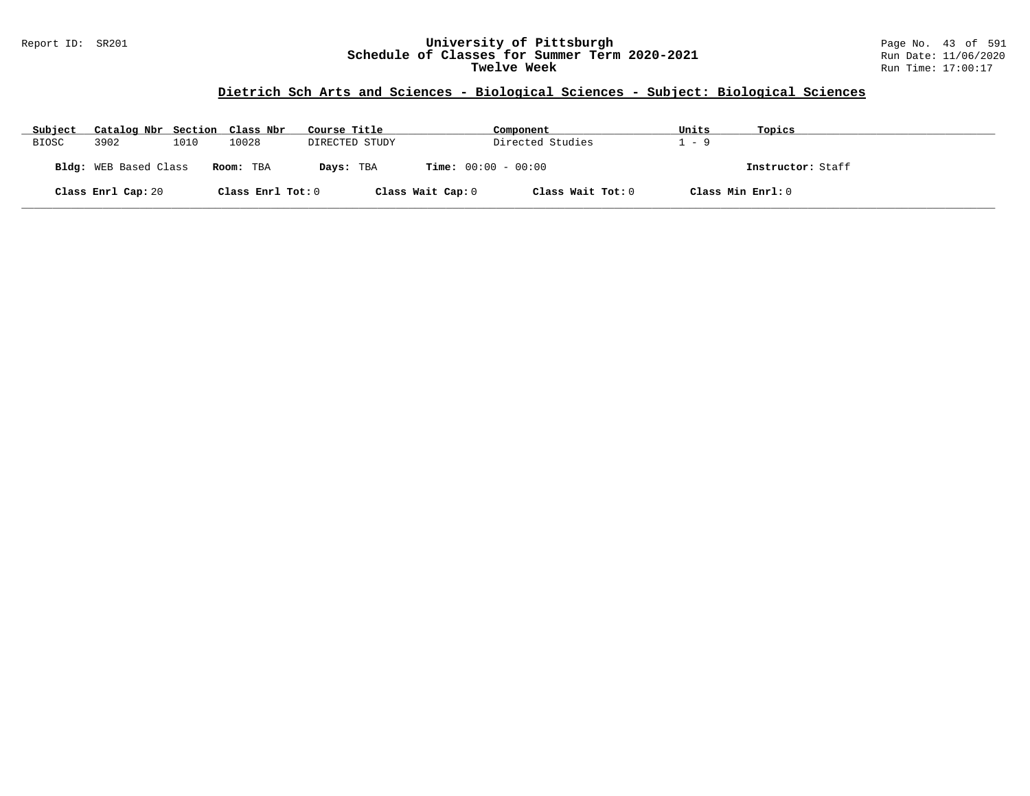#### Report ID: SR201 **University of Pittsburgh** Page No. 43 of 591 **Schedule of Classes for Summer Term 2020-2021** Run Date: 11/06/2020 **Twelve Week** Run Time: 17:00:17

| Subject      | Catalog Nbr Section Class Nbr |      |                   | Course Title   |                              | Component         | Units             | Topics            |
|--------------|-------------------------------|------|-------------------|----------------|------------------------------|-------------------|-------------------|-------------------|
| <b>BIOSC</b> | 3902                          | 1010 | 10028             | DIRECTED STUDY |                              | Directed Studies  | - 9               |                   |
|              | <b>Bldg:</b> WEB Based Class  |      | Room: TBA         | Days: TBA      | <b>Time:</b> $00:00 - 00:00$ |                   |                   | Instructor: Staff |
|              | Class Enrl Cap: 20            |      | Class Enrl Tot: 0 |                | Class Wait Cap: 0            | Class Wait Tot: 0 | Class Min Enrl: 0 |                   |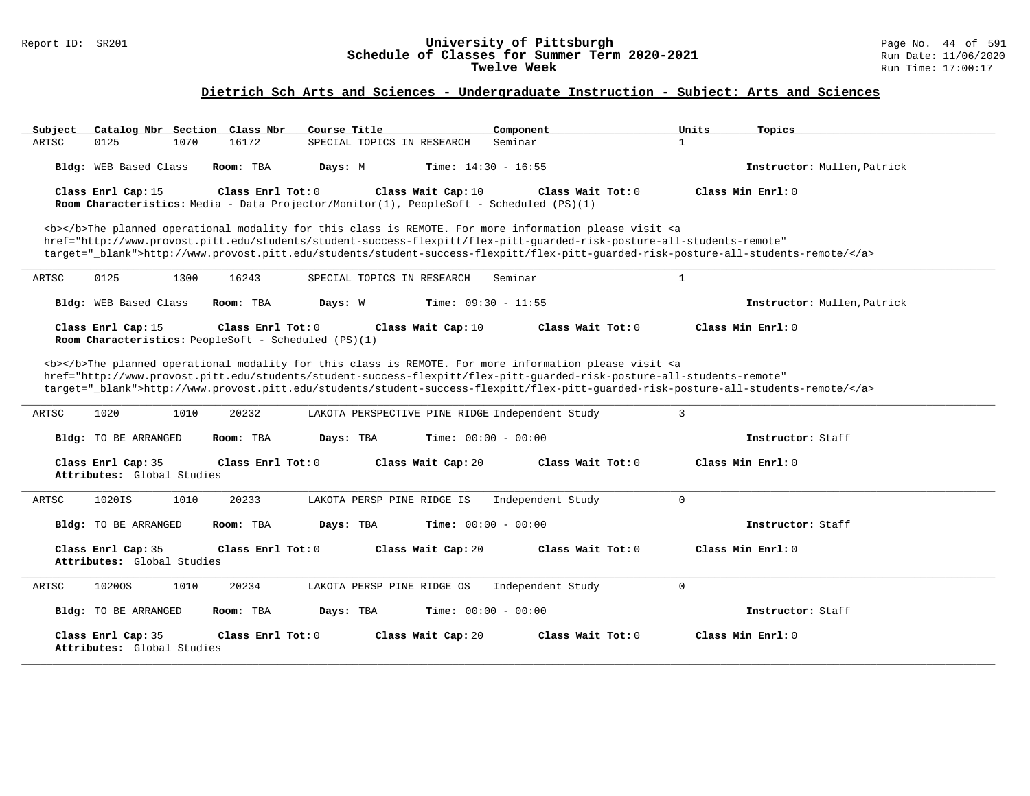#### Report ID: SR201 **University of Pittsburgh** Page No. 44 of 591 **Schedule of Classes for Summer Term 2020-2021** Run Date: 11/06/2020 **Twelve Week** Run Time: 17:00:17

# **Dietrich Sch Arts and Sciences - Undergraduate Instruction - Subject: Arts and Sciences**

| Catalog Nbr Section Class Nbr<br>Subject                                                                                                                                                                                                                                                                                                                                                                                                                                           | Course Title                                                                                                                                                                                                                                                                                                                                                                       | Component<br>Units               | Topics                      |  |  |  |
|------------------------------------------------------------------------------------------------------------------------------------------------------------------------------------------------------------------------------------------------------------------------------------------------------------------------------------------------------------------------------------------------------------------------------------------------------------------------------------|------------------------------------------------------------------------------------------------------------------------------------------------------------------------------------------------------------------------------------------------------------------------------------------------------------------------------------------------------------------------------------|----------------------------------|-----------------------------|--|--|--|
| ARTSC<br>0125<br>1070                                                                                                                                                                                                                                                                                                                                                                                                                                                              | 16172<br>SPECIAL TOPICS IN RESEARCH                                                                                                                                                                                                                                                                                                                                                | Seminar<br>$\mathbf{1}$          |                             |  |  |  |
| Bldg: WEB Based Class                                                                                                                                                                                                                                                                                                                                                                                                                                                              | Room: TBA<br><b>Time:</b> $14:30 - 16:55$<br>Days: M                                                                                                                                                                                                                                                                                                                               |                                  | Instructor: Mullen, Patrick |  |  |  |
| Class Enrl Cap: 15                                                                                                                                                                                                                                                                                                                                                                                                                                                                 | Class Enrl Tot: $0$<br>Class Wait Cap: 10<br>Room Characteristics: Media - Data Projector/Monitor(1), PeopleSoft - Scheduled (PS)(1)                                                                                                                                                                                                                                               | Class Wait Tot: 0                | Class Min Enrl: 0           |  |  |  |
|                                                                                                                                                                                                                                                                                                                                                                                                                                                                                    | <b></b> The planned operational modality for this class is REMOTE. For more information please visit <a<br>href="http://www.provost.pitt.edu/students/student-success-flexpitt/flex-pitt-quarded-risk-posture-all-students-remote"<br/>target="_blank"&gt;http://www.provost.pitt.edu/students/student-success-flexpitt/flex-pitt-quarded-risk-posture-all-students-remote/</a<br> |                                  |                             |  |  |  |
| 0125<br>1300<br>ARTSC                                                                                                                                                                                                                                                                                                                                                                                                                                                              | SPECIAL TOPICS IN RESEARCH<br>16243                                                                                                                                                                                                                                                                                                                                                | Seminar<br>$\mathbf{1}$          |                             |  |  |  |
| <b>Bldg:</b> WEB Based Class                                                                                                                                                                                                                                                                                                                                                                                                                                                       | Room: TBA<br>Days: W<br><b>Time:</b> $09:30 - 11:55$                                                                                                                                                                                                                                                                                                                               |                                  | Instructor: Mullen, Patrick |  |  |  |
| Class Enrl Cap: 15<br>Room Characteristics: PeopleSoft - Scheduled (PS)(1)                                                                                                                                                                                                                                                                                                                                                                                                         | Class Enrl Tot: $0$<br>Class Wait Cap: 10                                                                                                                                                                                                                                                                                                                                          | Class Wait Tot: 0                | Class Min Enrl: 0           |  |  |  |
| <b></b> The planned operational modality for this class is REMOTE. For more information please visit <a<br>href="http://www.provost.pitt.edu/students/student-success-flexpitt/flex-pitt-quarded-risk-posture-all-students-remote"<br/>target="_blank"&gt;http://www.provost.pitt.edu/students/student-success-flexpitt/flex-pitt-quarded-risk-posture-all-students-remote/<br/>20232<br/>3<br/>1020<br/>1010<br/>LAKOTA PERSPECTIVE PINE RIDGE Independent Study<br/>ARTSC</a<br> |                                                                                                                                                                                                                                                                                                                                                                                    |                                  |                             |  |  |  |
| <b>Bldg:</b> TO BE ARRANGED                                                                                                                                                                                                                                                                                                                                                                                                                                                        | <b>Time:</b> $00:00 - 00:00$<br>Room: TBA<br>Days: TBA                                                                                                                                                                                                                                                                                                                             |                                  | Instructor: Staff           |  |  |  |
| Class Enrl Cap: 35<br>Attributes: Global Studies                                                                                                                                                                                                                                                                                                                                                                                                                                   | Class Enrl Tot: 0<br>Class Wait Cap: 20                                                                                                                                                                                                                                                                                                                                            | Class Wait Tot: 0                | Class Min Enrl: 0           |  |  |  |
| ARTSC<br>1020IS<br>1010                                                                                                                                                                                                                                                                                                                                                                                                                                                            | 20233<br>LAKOTA PERSP PINE RIDGE IS                                                                                                                                                                                                                                                                                                                                                | Independent Study<br>$\mathbf 0$ |                             |  |  |  |
| Bldg: TO BE ARRANGED                                                                                                                                                                                                                                                                                                                                                                                                                                                               | Room: TBA<br>Days: TBA<br><b>Time:</b> $00:00 - 00:00$                                                                                                                                                                                                                                                                                                                             |                                  | Instructor: Staff           |  |  |  |
| Class Enrl Cap: 35<br>Attributes: Global Studies                                                                                                                                                                                                                                                                                                                                                                                                                                   | Class Enrl Tot: 0<br>Class Wait Cap: 20                                                                                                                                                                                                                                                                                                                                            | Class Wait Tot: 0                | Class Min Enrl: 0           |  |  |  |
| 1010<br>ARTSC<br>10200S                                                                                                                                                                                                                                                                                                                                                                                                                                                            | 20234<br>LAKOTA PERSP PINE RIDGE OS                                                                                                                                                                                                                                                                                                                                                | $\mathbf 0$<br>Independent Study |                             |  |  |  |
| Bldg: TO BE ARRANGED                                                                                                                                                                                                                                                                                                                                                                                                                                                               | <b>Time:</b> $00:00 - 00:00$<br>Room: TBA<br>Days: TBA                                                                                                                                                                                                                                                                                                                             |                                  | Instructor: Staff           |  |  |  |
| Class Enrl Cap: 35<br>Attributes: Global Studies                                                                                                                                                                                                                                                                                                                                                                                                                                   | Class Enrl Tot: 0<br>Class Wait Cap: 20                                                                                                                                                                                                                                                                                                                                            | Class Wait Tot: 0                | Class Min Enrl: 0           |  |  |  |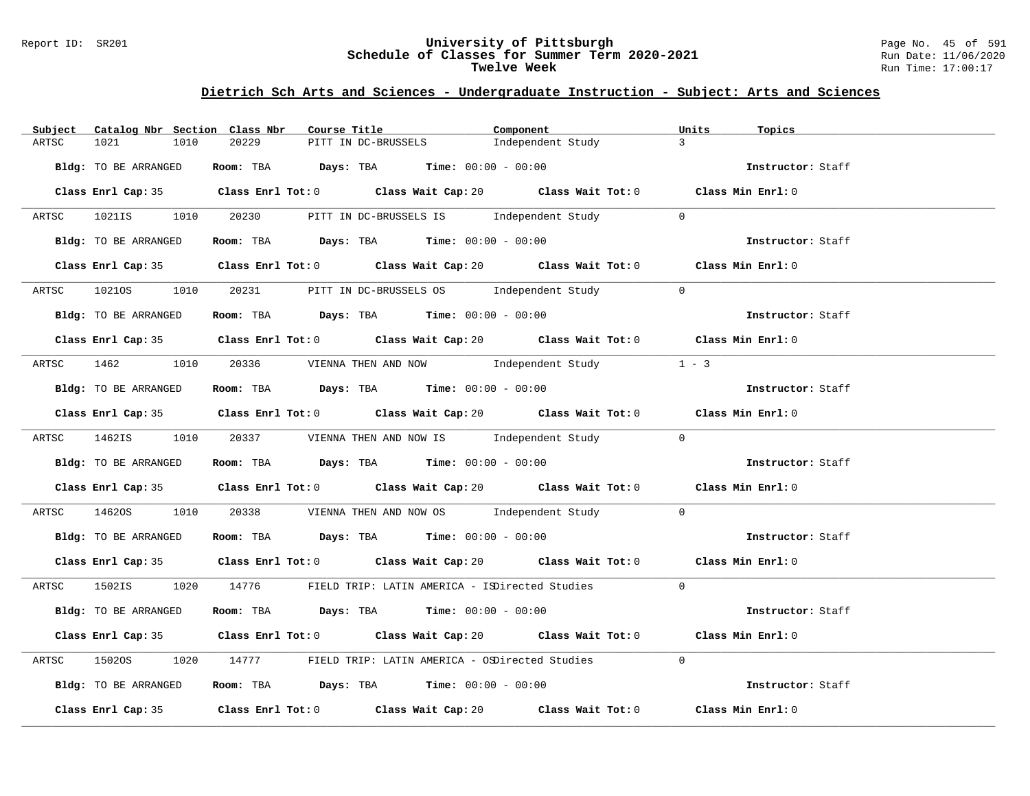#### Report ID: SR201 **University of Pittsburgh** Page No. 45 of 591 **Schedule of Classes for Summer Term 2020-2021** Run Date: 11/06/2020 **Twelve Week** Run Time: 17:00:17

# **Dietrich Sch Arts and Sciences - Undergraduate Instruction - Subject: Arts and Sciences**

| Catalog Nbr Section Class Nbr<br>Subject | Course Title                                                                                | Component         | Units<br>Topics   |
|------------------------------------------|---------------------------------------------------------------------------------------------|-------------------|-------------------|
| 1021<br>1010<br>ARTSC                    | PITT IN DC-BRUSSELS<br>20229                                                                | Independent Study | $\mathbf{3}$      |
| Bldg: TO BE ARRANGED                     | Room: TBA $Days: TBA$ Time: $00:00 - 00:00$                                                 |                   | Instructor: Staff |
|                                          | Class Enrl Cap: 35 Class Enrl Tot: 0 Class Wait Cap: 20 Class Wait Tot: 0 Class Min Enrl: 0 |                   |                   |
|                                          | ARTSC 1021IS 1010 20230 PITT IN DC-BRUSSELS IS Independent Study                            | $\overline{0}$    |                   |
| Bldg: TO BE ARRANGED                     | Room: TBA $\rule{1em}{0.15mm}$ Days: TBA $\rule{1.15mm}]{0.15mm}$ Time: $00:00 - 00:00$     |                   | Instructor: Staff |
|                                          | Class Enrl Cap: 35 Class Enrl Tot: 0 Class Wait Cap: 20 Class Wait Tot: 0 Class Min Enrl: 0 |                   |                   |
|                                          | ARTSC 10210S 1010 20231 PITT IN DC-BRUSSELS OS Independent Study                            | $\overline{0}$    |                   |
| Bldg: TO BE ARRANGED                     | Room: TBA Days: TBA Time: $00:00 - 00:00$                                                   |                   | Instructor: Staff |
|                                          | Class Enrl Cap: 35 Class Enrl Tot: 0 Class Wait Cap: 20 Class Wait Tot: 0 Class Min Enrl: 0 |                   |                   |
|                                          | ARTSC 1462 1010 20336 VIENNA THEN AND NOW Independent Study 1 - 3                           |                   |                   |
| Bldg: TO BE ARRANGED                     | Room: TBA $Days:$ TBA $Time: 00:00 - 00:00$                                                 |                   | Instructor: Staff |
|                                          | Class Enrl Cap: 35 Class Enrl Tot: 0 Class Wait Cap: 20 Class Wait Tot: 0 Class Min Enrl: 0 |                   |                   |
|                                          | ARTSC 1462IS 1010 20337 VIENNA THEN AND NOW IS Independent Study 0                          |                   |                   |
| Bldg: TO BE ARRANGED                     | Room: TBA $\rule{1em}{0.15mm}$ Days: TBA Time: $00:00 - 00:00$                              |                   | Instructor: Staff |
|                                          | Class Enrl Cap: 35 Class Enrl Tot: 0 Class Wait Cap: 20 Class Wait Tot: 0 Class Min Enrl: 0 |                   |                   |
| ARTSC<br>14620S                          | 1010 20338 VIENNA THEN AND NOW OS Independent Study 0                                       |                   |                   |
| Bldg: TO BE ARRANGED                     | Room: TBA $Days:$ TBA $Time:$ $00:00 - 00:00$                                               |                   | Instructor: Staff |
|                                          | Class Enrl Cap: 35 Class Enrl Tot: 0 Class Wait Cap: 20 Class Wait Tot: 0 Class Min Enrl: 0 |                   |                   |
|                                          | ARTSC 1502IS 1020 14776 FIELD TRIP: LATIN AMERICA - ISDirected Studies 0                    |                   |                   |
| Bldg: TO BE ARRANGED                     | Room: TBA $Days:$ TBA $Time: 00:00 - 00:00$                                                 |                   | Instructor: Staff |
|                                          | Class Enrl Cap: 35 Class Enrl Tot: 0 Class Wait Cap: 20 Class Wait Tot: 0 Class Min Enrl: 0 |                   |                   |
| ARTSC<br>15020S                          | 1020 14777 FIELD TRIP: LATIN AMERICA - OSDirected Studies 0                                 |                   |                   |
| Bldg: TO BE ARRANGED                     | Room: TBA $Days:$ TBA Time: $00:00 - 00:00$                                                 |                   | Instructor: Staff |
|                                          | Class Enrl Cap: 35 Class Enrl Tot: 0 Class Wait Cap: 20 Class Wait Tot: 0                   |                   | Class Min Enrl: 0 |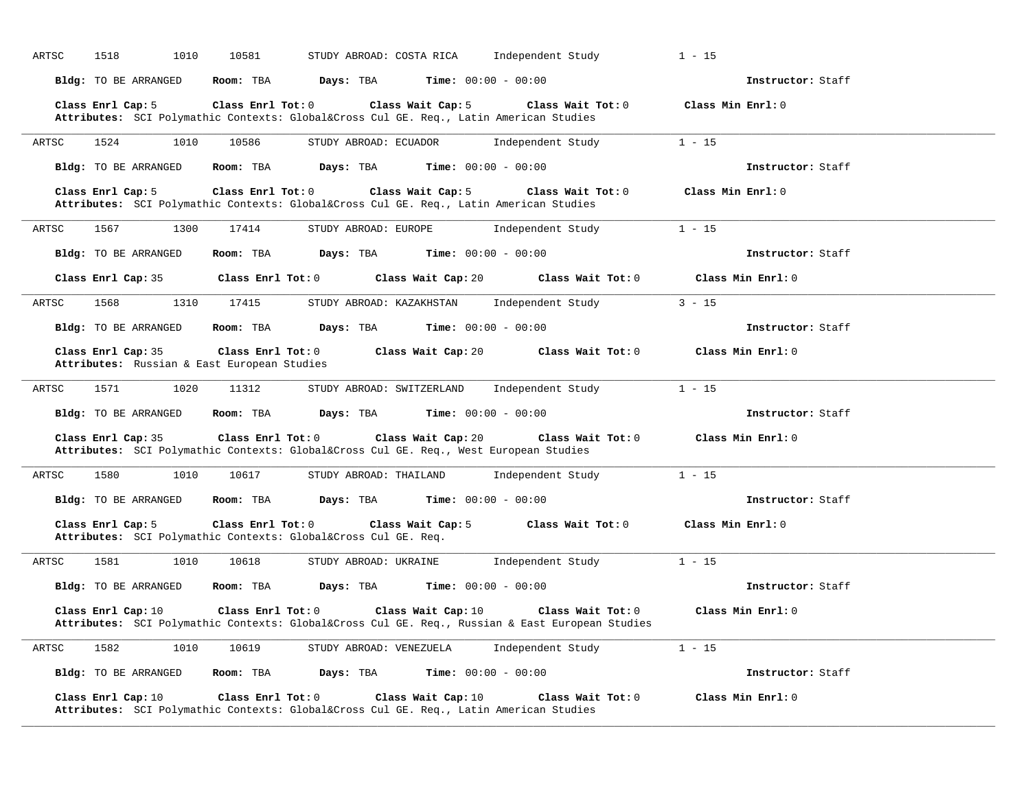| ARTSC | 1518<br>1010                | 10581                                                                                                           | STUDY ABROAD: COSTA RICA     | Independent Study | $1 - 15$          |
|-------|-----------------------------|-----------------------------------------------------------------------------------------------------------------|------------------------------|-------------------|-------------------|
|       | Bldg: TO BE ARRANGED        | Room: TBA<br>Days: TBA                                                                                          | <b>Time:</b> $00:00 - 00:00$ |                   | Instructor: Staff |
|       | Class Enrl Cap: 5           | Class Enrl Tot: 0<br>Attributes: SCI Polymathic Contexts: Global⨯ Cul GE. Req., Latin American Studies          | Class Wait Cap: 5            | Class Wait Tot: 0 | Class Min Enrl: 0 |
| ARTSC | 1010<br>1524                | 10586                                                                                                           | STUDY ABROAD: ECUADOR        | Independent Study | $1 - 15$          |
|       | Bldg: TO BE ARRANGED        | Days: TBA<br>Room: TBA                                                                                          | <b>Time:</b> $00:00 - 00:00$ |                   | Instructor: Staff |
|       | Class Enrl Cap: 5           | Class Enrl Tot: 0<br>Attributes: SCI Polymathic Contexts: Global⨯ Cul GE. Req., Latin American Studies          | Class Wait Cap: 5            | Class Wait Tot: 0 | Class Min Enrl: 0 |
| ARTSC | 1567<br>1300                | 17414                                                                                                           | STUDY ABROAD: EUROPE         | Independent Study | $1 - 15$          |
|       | Bldg: TO BE ARRANGED        | Room: TBA<br>Days: TBA                                                                                          | <b>Time:</b> $00:00 - 00:00$ |                   | Instructor: Staff |
|       | Class Enrl Cap: 35          | Class Enrl Tot: 0                                                                                               | Class Wait Cap: 20           | Class Wait Tot: 0 | Class Min Enrl: 0 |
| ARTSC | 1568<br>1310                | 17415                                                                                                           | STUDY ABROAD: KAZAKHSTAN     | Independent Study | $3 - 15$          |
|       | Bldg: TO BE ARRANGED        | Room: TBA<br>Days: TBA                                                                                          | <b>Time:</b> $00:00 - 00:00$ |                   | Instructor: Staff |
|       | Class Enrl Cap: 35          | Class Enrl Tot: 0<br>Attributes: Russian & East European Studies                                                | Class Wait Cap: 20           | Class Wait Tot: 0 | Class Min Enrl: 0 |
| ARTSC | 1571<br>1020                | 11312                                                                                                           | STUDY ABROAD: SWITZERLAND    | Independent Study | $1 - 15$          |
|       | <b>Bldg:</b> TO BE ARRANGED | Room: TBA<br>Days: TBA                                                                                          | <b>Time:</b> $00:00 - 00:00$ |                   | Instructor: Staff |
|       | Class Enrl Cap: 35          | Class Enrl Tot: 0<br>Attributes: SCI Polymathic Contexts: Global⨯ Cul GE. Req., West European Studies           | Class Wait Cap: 20           | Class Wait Tot: 0 | Class Min Enrl: 0 |
| ARTSC | 1580<br>1010                | 10617                                                                                                           | STUDY ABROAD: THAILAND       | Independent Study | $1 - 15$          |
|       | Bldg: TO BE ARRANGED        | Room: TBA<br>Days: TBA                                                                                          | <b>Time:</b> $00:00 - 00:00$ |                   | Instructor: Staff |
|       | Class Enrl Cap: 5           | Class Enrl Tot: 0<br>Attributes: SCI Polymathic Contexts: Global⨯ Cul GE. Req.                                  | Class Wait Cap: 5            | Class Wait Tot: 0 | Class Min Enrl: 0 |
| ARTSC | 1581<br>1010                | 10618                                                                                                           | STUDY ABROAD: UKRAINE        | Independent Study | $1 - 15$          |
|       | Bldg: TO BE ARRANGED        | Room: TBA<br>Days: TBA                                                                                          | <b>Time:</b> $00:00 - 00:00$ |                   | Instructor: Staff |
|       | Class Enrl Cap: 10          | Class Enrl Tot: 0<br>Attributes: SCI Polymathic Contexts: Global⨯ Cul GE. Req., Russian & East European Studies | Class Wait Cap: 10           | Class Wait Tot: 0 | Class Min Enrl: 0 |
| ARTSC | 1582<br>1010                | 10619                                                                                                           | STUDY ABROAD: VENEZUELA      | Independent Study | $1 - 15$          |
|       | Bldg: TO BE ARRANGED        | Room: TBA<br>Days: TBA                                                                                          | <b>Time:</b> $00:00 - 00:00$ |                   | Instructor: Staff |
|       | Class Enrl Cap: 10          | Class Enrl Tot: 0<br>Attributes: SCI Polymathic Contexts: Global⨯ Cul GE. Req., Latin American Studies          | Class Wait Cap: 10           | Class Wait Tot: 0 | Class Min Enrl: 0 |

**\_\_\_\_\_\_\_\_\_\_\_\_\_\_\_\_\_\_\_\_\_\_\_\_\_\_\_\_\_\_\_\_\_\_\_\_\_\_\_\_\_\_\_\_\_\_\_\_\_\_\_\_\_\_\_\_\_\_\_\_\_\_\_\_\_\_\_\_\_\_\_\_\_\_\_\_\_\_\_\_\_\_\_\_\_\_\_\_\_\_\_\_\_\_\_\_\_\_\_\_\_\_\_\_\_\_\_\_\_\_\_\_\_\_\_\_\_\_\_\_\_\_\_\_\_\_\_\_\_\_\_\_\_\_\_\_\_\_\_\_\_\_\_\_\_\_\_\_\_\_\_\_\_\_\_\_**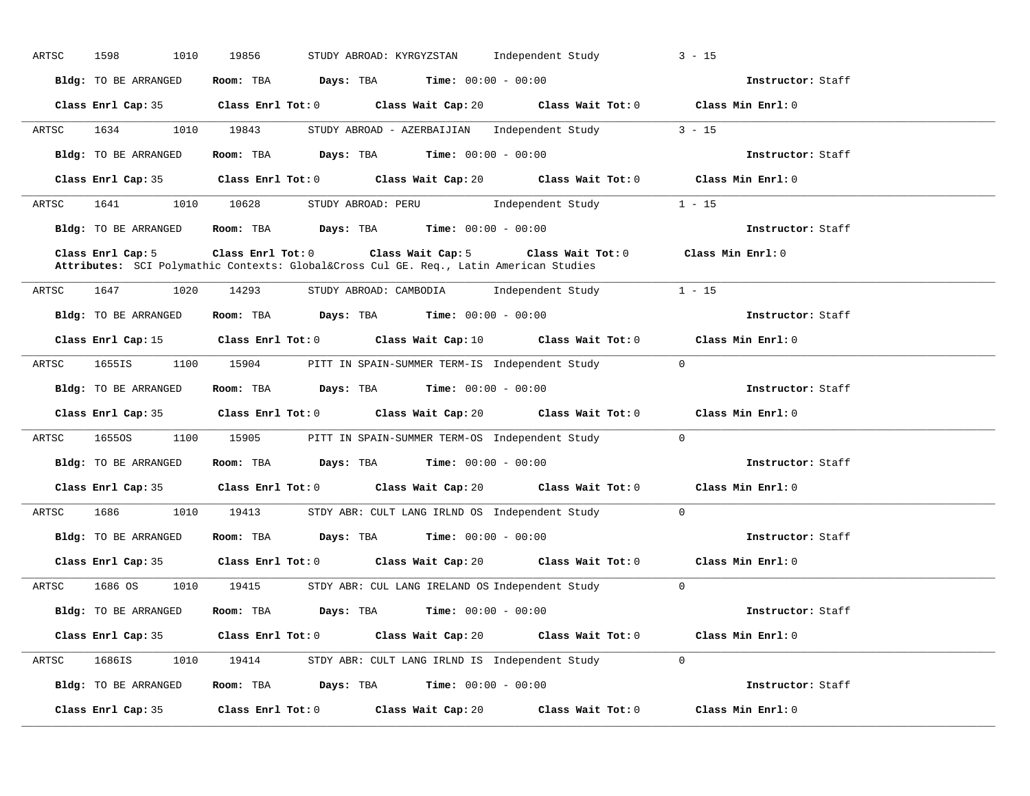| ARTSC | 1598<br>1010         | 19856<br>STUDY ABROAD: KYRGYZSTAN Independent Study                                                                                                          | $3 - 15$          |
|-------|----------------------|--------------------------------------------------------------------------------------------------------------------------------------------------------------|-------------------|
|       | Bldg: TO BE ARRANGED | Room: TBA $Days:$ TBA $Time: 00:00 - 00:00$                                                                                                                  | Instructor: Staff |
|       |                      | Class Enrl Cap: 35 Class Enrl Tot: 0 Class Wait Cap: 20 Class Wait Tot: 0 Class Min Enrl: 0                                                                  |                   |
|       |                      | ARTSC 1634 1010 19843 STUDY ABROAD - AZERBAIJIAN Independent Study 3 - 15                                                                                    |                   |
|       | Bldg: TO BE ARRANGED | Room: TBA $Days:$ TBA $Time: 00:00 - 00:00$                                                                                                                  | Instructor: Staff |
|       |                      | Class Enrl Cap: 35 Class Enrl Tot: 0 Class Wait Cap: 20 Class Wait Tot: 0 Class Min Enrl: 0                                                                  |                   |
|       |                      | ARTSC 1641 1010 10628 STUDY ABROAD: PERU 1ndependent Study 1 - 15                                                                                            |                   |
|       |                      | <b>Bldg:</b> TO BE ARRANGED <b>Room:</b> TBA <b>Days:</b> TBA <b>Time:</b> $00:00 - 00:00$                                                                   | Instructor: Staff |
|       | Class Enrl Cap: 5    | Class Enrl Tot: 0 Class Wait Cap: 5 Class Wait Tot: 0 Class Min Enrl: 0<br>Attributes: SCI Polymathic Contexts: Global⨯ Cul GE. Req., Latin American Studies |                   |
| ARTSC | 1647 1020 14293      | STUDY ABROAD: CAMBODIA Independent Study                                                                                                                     | $1 - 15$          |
|       | Bldg: TO BE ARRANGED | Room: TBA $Days: TBA$ Time: $00:00 - 00:00$                                                                                                                  | Instructor: Staff |
|       |                      | Class Enrl Cap: 15 Class Enrl Tot: 0 Class Wait Cap: 10 Class Wait Tot: 0 Class Min Enrl: 0                                                                  |                   |
|       |                      | ARTSC 1655IS 1100 15904 PITT IN SPAIN-SUMMER TERM-IS Independent Study                                                                                       | $\overline{0}$    |
|       |                      | Bldg: TO BE ARRANGED Room: TBA Days: TBA Time: 00:00 - 00:00                                                                                                 | Instructor: Staff |
|       |                      | Class Enrl Cap: 35 Class Enrl Tot: 0 Class Wait Cap: 20 Class Wait Tot: 0 Class Min Enrl: 0                                                                  |                   |
|       |                      | ARTSC 16550S 1100 15905 PITT IN SPAIN-SUMMER TERM-OS Independent Study 0                                                                                     |                   |
|       |                      | Bldg: TO BE ARRANGED Room: TBA Days: TBA Time: 00:00 - 00:00                                                                                                 | Instructor: Staff |
|       |                      | Class Enrl Cap: 35 Class Enrl Tot: 0 Class Wait Cap: 20 Class Wait Tot: 0 Class Min Enrl: 0                                                                  |                   |
|       |                      | ARTSC 1686 1010 19413 STDY ABR: CULT LANG IRLND OS Independent Study 0                                                                                       |                   |
|       |                      | Bldg: TO BE ARRANGED Room: TBA Days: TBA Time: 00:00 - 00:00                                                                                                 | Instructor: Staff |
|       |                      | Class Enrl Cap: 35 Class Enrl Tot: 0 Class Wait Cap: 20 Class Wait Tot: 0                                                                                    | Class Min Enrl: 0 |
|       |                      | ARTSC 1686 OS 1010 19415 STDY ABR: CUL LANG IRELAND OS Independent Study 0                                                                                   |                   |
|       |                      | <b>Bldg:</b> TO BE ARRANGED <b>Room:</b> TBA <b>Days:</b> TBA <b>Time:</b> $00:00 - 00:00$                                                                   | Instructor: Staff |
|       |                      | Class Enrl Cap: 35 Class Enrl Tot: 0 Class Wait Cap: 20 Class Wait Tot: 0 Class Min Enrl: 0                                                                  |                   |
|       |                      | ARTSC 1686IS 1010 19414 STDYABR: CULT LANG IRLND IS Independent Study 0                                                                                      |                   |
|       |                      | Bldg: TO BE ARRANGED Room: TBA Days: TBA Time: 00:00 - 00:00                                                                                                 | Instructor: Staff |
|       |                      | Class Enrl Cap: 35 $\,$ Class Enrl Tot: 0 $\,$ Class Wait Cap: 20 $\,$ Class Wait Tot: 0 $\,$                                                                | Class Min Enrl: 0 |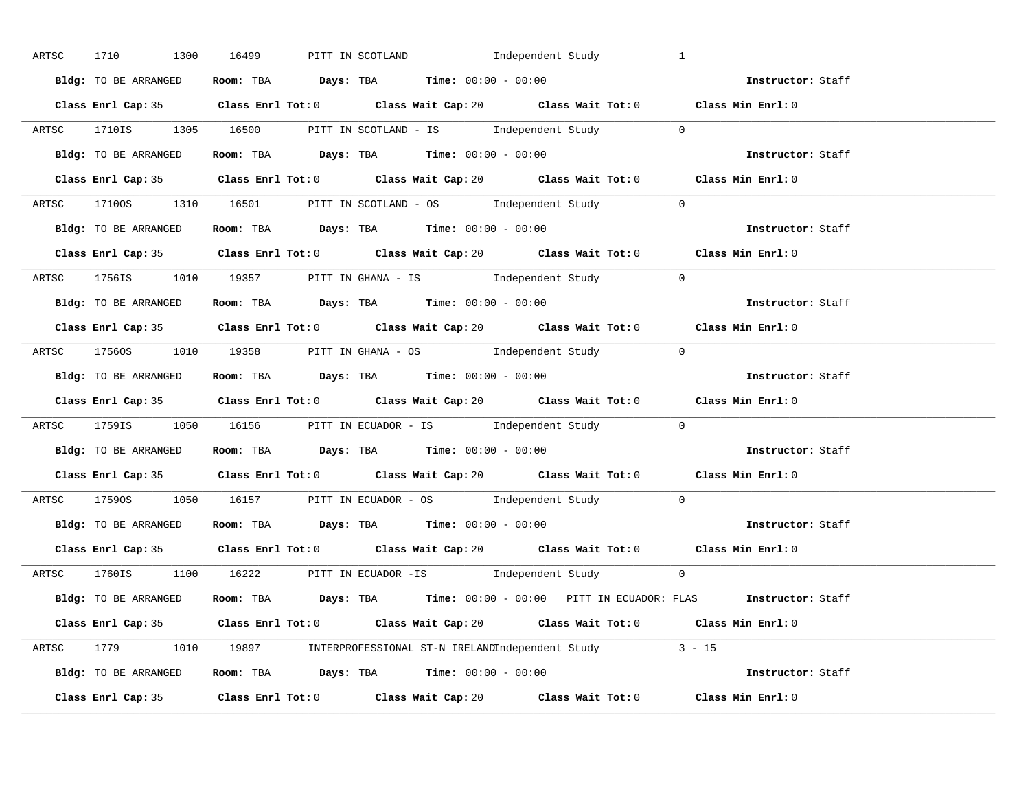| ARTSC 1710 1300 16499 | PITT IN SCOTLAND <b>Example 1</b> Independent Study                                                  | $\overline{1}$    |
|-----------------------|------------------------------------------------------------------------------------------------------|-------------------|
| Bldg: TO BE ARRANGED  | Room: TBA $Days:$ TBA $Time: 00:00 - 00:00$                                                          | Instructor: Staff |
|                       | Class Enrl Cap: 35 Class Enrl Tot: 0 Class Wait Cap: 20 Class Wait Tot: 0 Class Min Enrl: 0          |                   |
|                       | ARTSC 1710IS 1305 16500 PITT IN SCOTLAND - IS Independent Study 0                                    |                   |
| Bldg: TO BE ARRANGED  | Room: TBA $\rule{1em}{0.15mm}$ Days: TBA Time: $00:00 - 00:00$                                       | Instructor: Staff |
|                       | Class Enrl Cap: 35 Class Enrl Tot: 0 Class Wait Cap: 20 Class Wait Tot: 0                            | Class Min Enrl: 0 |
|                       | ARTSC 17100S 1310 16501 PITT IN SCOTLAND - OS Independent Study 0                                    |                   |
|                       | Bldg: TO BE ARRANGED Room: TBA Days: TBA Time: 00:00 - 00:00                                         | Instructor: Staff |
|                       | Class Enrl Cap: 35 Class Enrl Tot: 0 Class Wait Cap: 20 Class Wait Tot: 0 Class Min Enrl: 0          |                   |
|                       | ARTSC 1756IS 1010 19357 PITT IN GHANA - IS Independent Study 0                                       |                   |
| Bldg: TO BE ARRANGED  | Room: TBA $\rule{1em}{0.15mm}$ Days: TBA $\rule{1.15mm}]{0.15mm}$ Time: $00:00 - 00:00$              | Instructor: Staff |
|                       | Class Enrl Cap: 35 Class Enrl Tot: 0 Class Wait Cap: 20 Class Wait Tot: 0 Class Min Enrl: 0          |                   |
|                       | ARTSC 17560S 1010 19358 PITT IN GHANA - OS Independent Study 0                                       |                   |
|                       | Bldg: TO BE ARRANGED Room: TBA Days: TBA Time: 00:00 - 00:00                                         | Instructor: Staff |
|                       | Class Enrl Cap: 35 Class Enrl Tot: 0 Class Wait Cap: 20 Class Wait Tot: 0 Class Min Enrl: 0          |                   |
|                       | ARTSC 1759IS 1050 16156 PITT IN ECUADOR - IS Independent Study 0                                     |                   |
|                       | <b>Bldg:</b> TO BE ARRANGED <b>ROOM:</b> TBA <b>Days:</b> TBA <b>Time:</b> $00:00 - 00:00$           | Instructor: Staff |
|                       | Class Enrl Cap: 35 Class Enrl Tot: 0 Class Wait Cap: 20 Class Wait Tot: 0 Class Min Enrl: 0          |                   |
|                       | ARTSC 17590S 1050 16157 PITT IN ECUADOR - OS Independent Study 0                                     |                   |
|                       | <b>Bldg:</b> TO BE ARRANGED <b>ROOM:</b> TBA <b>Days:</b> TBA <b>Time:</b> $00:00 - 00:00$           | Instructor: Staff |
|                       | Class Enrl Cap: 35 Class Enrl Tot: 0 Class Wait Cap: 20 Class Wait Tot: 0 Class Min Enrl: 0          |                   |
|                       | ARTSC 1760IS 1100 16222 PITT IN ECUADOR -IS Independent Study 0                                      |                   |
|                       | Bldg: TO BE ARRANGED Room: TBA Days: TBA Time: 00:00 - 00:00 PITT IN ECUADOR: FLAS Instructor: Staff |                   |
|                       | Class Enrl Cap: 35 Class Enrl Tot: 0 Class Wait Cap: 20 Class Wait Tot: 0 Class Min Enrl: 0          |                   |
|                       | ARTSC 1779 1010 19897 INTERPROFESSIONAL ST-N IRELANDIndependent Study 3 - 15                         |                   |
|                       | Bldg: TO BE ARRANGED Room: TBA Days: TBA Time: $00:00 - 00:00$                                       |                   |
|                       | Class Enrl Cap: 35 Class Enrl Tot: 0 Class Wait Cap: 20 Class Wait Tot: 0                            | Class Min Enrl: 0 |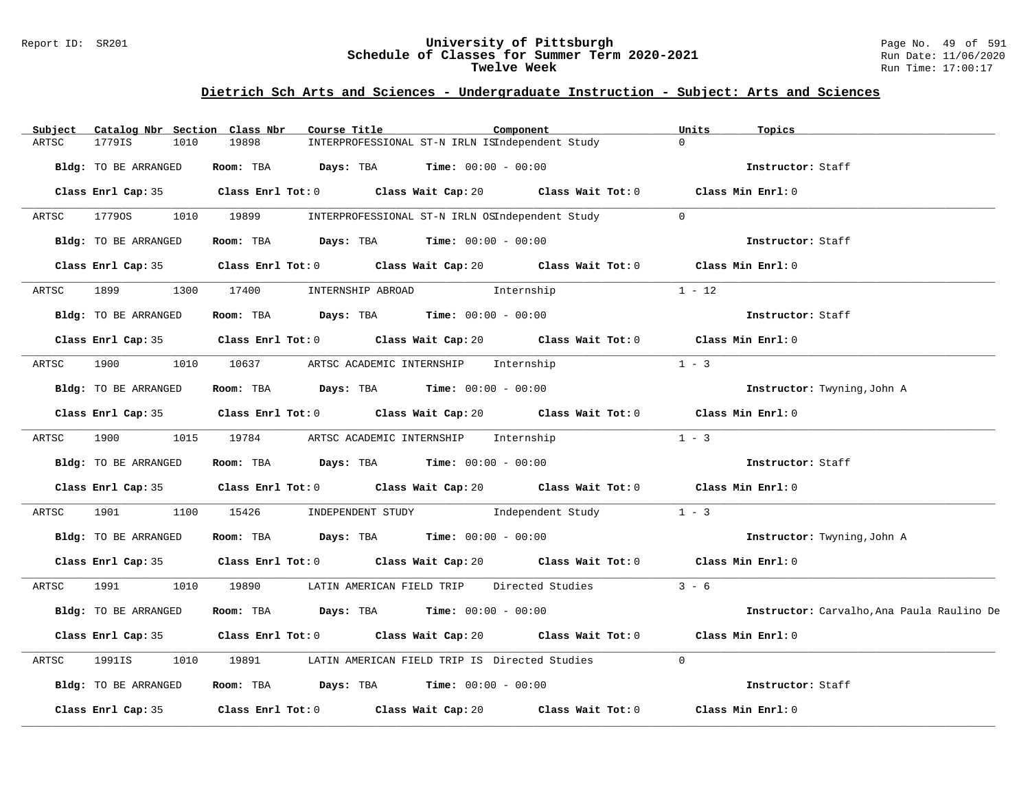#### Report ID: SR201 **University of Pittsburgh** Page No. 49 of 591 **Schedule of Classes for Summer Term 2020-2021** Run Date: 11/06/2020 **Twelve Week** Run Time: 17:00:17

# **Dietrich Sch Arts and Sciences - Undergraduate Instruction - Subject: Arts and Sciences**

| Subject              | Catalog Nbr Section Class Nbr | Course Title                                                                                         |                                                 | Component                                       | Units<br>Topics                            |  |
|----------------------|-------------------------------|------------------------------------------------------------------------------------------------------|-------------------------------------------------|-------------------------------------------------|--------------------------------------------|--|
| 1779IS<br>ARTSC      | 1010                          | 19898                                                                                                | INTERPROFESSIONAL ST-N IRLN ISIndependent Study |                                                 | $\Omega$                                   |  |
| Bldg: TO BE ARRANGED |                               | Room: TBA $Days: TBA$ Time: $00:00 - 00:00$                                                          |                                                 |                                                 | Instructor: Staff                          |  |
|                      |                               | Class Enrl Cap: 35 $\qquad$ Class Enrl Tot: 0 $\qquad$ Class Wait Cap: 20 $\qquad$ Class Wait Tot: 0 |                                                 |                                                 | Class Min Enrl: 0                          |  |
| 17790S<br>ARTSC      | 1010 19899                    |                                                                                                      |                                                 | INTERPROFESSIONAL ST-N IRLN OSIndependent Study | $\Omega$                                   |  |
| Bldg: TO BE ARRANGED |                               | Room: TBA $\rule{1em}{0.15mm}$ Days: TBA Time: $00:00 - 00:00$                                       |                                                 |                                                 | Instructor: Staff                          |  |
|                      |                               | Class Enrl Cap: 35 Class Enrl Tot: 0 Class Wait Cap: 20 Class Wait Tot: 0 Class Min Enrl: 0          |                                                 |                                                 |                                            |  |
| ARTSC                |                               | 1899 1300 17400 INTERNSHIP ABROAD 1nternship                                                         |                                                 |                                                 | $1 - 12$                                   |  |
| Bldg: TO BE ARRANGED |                               | Room: TBA $\rule{1em}{0.15mm}$ Days: TBA $\rule{1.5mm}{0.15mm}$ Time: $00:00 - 00:00$                |                                                 |                                                 | Instructor: Staff                          |  |
|                      |                               | Class Enrl Cap: 35 Class Enrl Tot: 0 Class Wait Cap: 20 Class Wait Tot: 0 Class Min Enrl: 0          |                                                 |                                                 |                                            |  |
| 1900<br>ARTSC        |                               | 1010 10637 ARTSC ACADEMIC INTERNSHIP Internship                                                      |                                                 |                                                 | $1 - 3$                                    |  |
| Bldg: TO BE ARRANGED |                               | Room: TBA $Days:$ TBA $Time: 00:00 - 00:00$                                                          |                                                 |                                                 | Instructor: Twyning, John A                |  |
|                      |                               | Class Enrl Cap: 35 Class Enrl Tot: 0 Class Wait Cap: 20 Class Wait Tot: 0 Class Min Enrl: 0          |                                                 |                                                 |                                            |  |
| ARTSC                |                               | 1900 1015 19784 ARTSC ACADEMIC INTERNSHIP Internship                                                 |                                                 |                                                 | $1 - 3$                                    |  |
| Bldg: TO BE ARRANGED |                               | Room: TBA $Days:$ TBA $Time: 00:00 - 00:00$                                                          |                                                 |                                                 | Instructor: Staff                          |  |
|                      |                               | Class Enrl Cap: 35 Class Enrl Tot: 0 Class Wait Cap: 20 Class Wait Tot: 0 Class Min Enrl: 0          |                                                 |                                                 |                                            |  |
| 1901<br>ARTSC        | 1100                          | 15426        INDEPENDENT STUDY                Independent Study                                      |                                                 |                                                 | $1 - 3$                                    |  |
| Bldg: TO BE ARRANGED |                               | Room: TBA $Days:$ TBA $Time:$ $00:00 - 00:00$                                                        |                                                 |                                                 | Instructor: Twyning, John A                |  |
|                      |                               | Class Enrl Cap: 35 Class Enrl Tot: 0 Class Wait Cap: 20 Class Wait Tot: 0 Class Min Enrl: 0          |                                                 |                                                 |                                            |  |
| ARTSC                |                               | 1991 1010 19890 LATIN AMERICAN FIELD TRIP Directed Studies                                           |                                                 |                                                 | $3 - 6$                                    |  |
| Bldg: TO BE ARRANGED |                               | Room: TBA $Days:$ TBA $Time: 00:00 - 00:00$                                                          |                                                 |                                                 | Instructor: Carvalho, Ana Paula Raulino De |  |
|                      |                               | Class Enrl Cap: 35 Class Enrl Tot: 0 Class Wait Cap: 20 Class Wait Tot: 0                            |                                                 |                                                 | Class Min Enrl: 0                          |  |
| ARTSC<br>1991IS      | 1010                          | 19891 1989                                                                                           | LATIN AMERICAN FIELD TRIP IS Directed Studies   |                                                 | $\Omega$                                   |  |
| Bldg: TO BE ARRANGED |                               | Room: TBA $Days:$ TBA $Time: 00:00 - 00:00$                                                          |                                                 |                                                 | Instructor: Staff                          |  |
| Class Enrl Cap: 35   |                               | Class Enrl Tot: 0 Class Wait Cap: 20                                                                 |                                                 | Class Wait Tot: 0                               | Class Min Enrl: 0                          |  |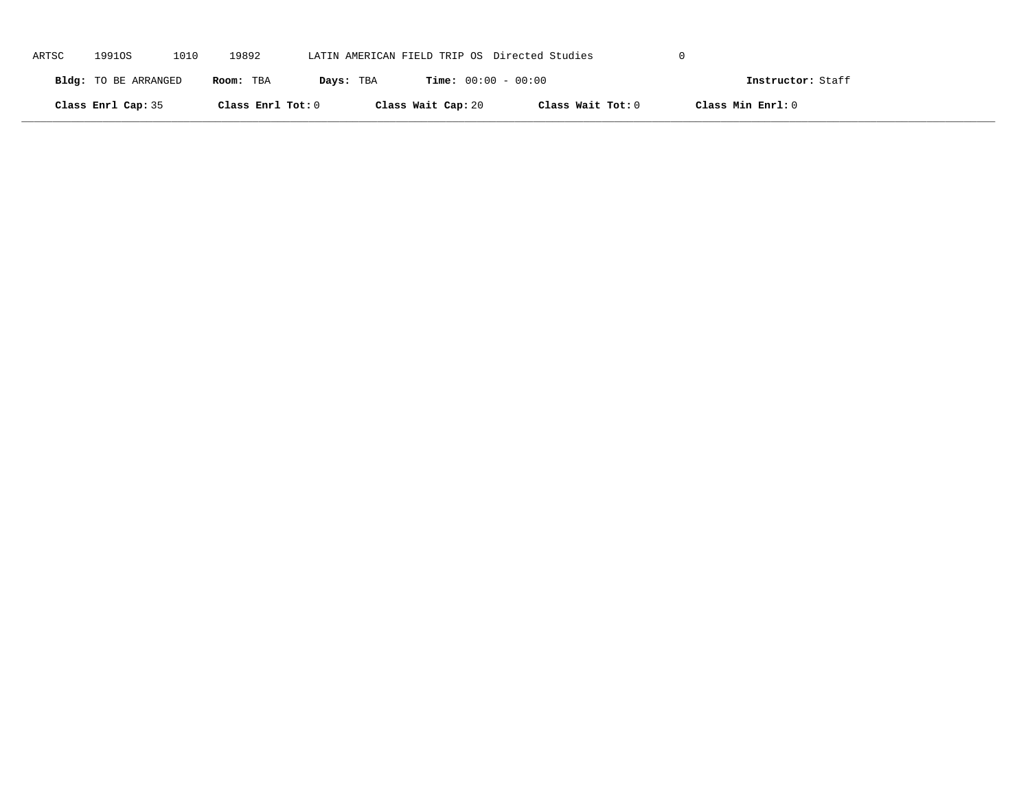| ARTSC | 19910S               | 1010 | 19892             |           | LATIN AMERICAN FIELD TRIP OS Directed Studies |                   |                   |  |
|-------|----------------------|------|-------------------|-----------|-----------------------------------------------|-------------------|-------------------|--|
|       | Bldg: TO BE ARRANGED |      | Room: TBA         | Days: TBA | <b>Time:</b> $00:00 - 00:00$                  |                   | Instructor: Staff |  |
|       | Class Enrl Cap: 35   |      | Class Enrl Tot: 0 |           | Class Wait Cap: 20                            | Class Wait Tot: 0 | Class Min Enrl: 0 |  |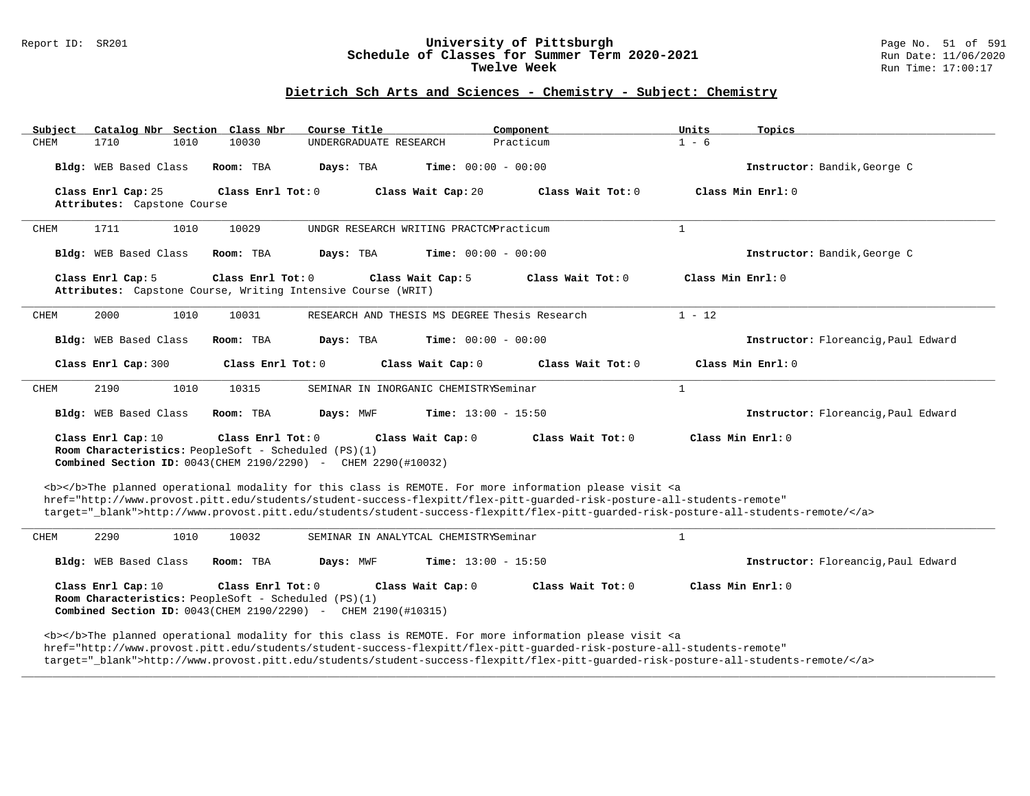#### Report ID: SR201 **University of Pittsburgh** Page No. 51 of 591 **Schedule of Classes for Summer Term 2020-2021** Run Date: 11/06/2020 **Twelve Week** Run Time: 17:00:17

### **Dietrich Sch Arts and Sciences - Chemistry - Subject: Chemistry**

| Subject               | Catalog Nbr Section Class Nbr                                             | Course Title                                                                                                                                                                                                                                                                                                                                                                       | Component                                     | Units             | Topics                              |
|-----------------------|---------------------------------------------------------------------------|------------------------------------------------------------------------------------------------------------------------------------------------------------------------------------------------------------------------------------------------------------------------------------------------------------------------------------------------------------------------------------|-----------------------------------------------|-------------------|-------------------------------------|
| 1710<br><b>CHEM</b>   | 1010<br>10030                                                             | UNDERGRADUATE RESEARCH                                                                                                                                                                                                                                                                                                                                                             | Practicum                                     | $1 - 6$           |                                     |
| Bldg: WEB Based Class | Room: TBA                                                                 | Days: TBA                                                                                                                                                                                                                                                                                                                                                                          | Time: $00:00 - 00:00$                         |                   | Instructor: Bandik, George C        |
| Class Enrl Cap: 25    | Class Enrl Tot: 0<br>Attributes: Capstone Course                          | Class Wait Cap: 20                                                                                                                                                                                                                                                                                                                                                                 | Class Wait Tot: 0                             |                   | Class Min Enrl: 0                   |
| 1711<br>CHEM          | 1010<br>10029                                                             | UNDGR RESEARCH WRITING PRACTCMPracticum                                                                                                                                                                                                                                                                                                                                            |                                               | $\mathbf{1}$      |                                     |
| Bldg: WEB Based Class | Room: TBA                                                                 | Days: TBA                                                                                                                                                                                                                                                                                                                                                                          | <b>Time:</b> $00:00 - 00:00$                  |                   | Instructor: Bandik, George C        |
| Class Enrl Cap: 5     | Class Enrl Tot: 0                                                         | Class Wait Cap: 5<br>Attributes: Capstone Course, Writing Intensive Course (WRIT)                                                                                                                                                                                                                                                                                                  | Class Wait Tot: 0                             | Class Min Enrl: 0 |                                     |
| 2000<br>CHEM          | 1010<br>10031                                                             |                                                                                                                                                                                                                                                                                                                                                                                    | RESEARCH AND THESIS MS DEGREE Thesis Research | $1 - 12$          |                                     |
| Bldg: WEB Based Class | Room: TBA                                                                 | Days: TBA                                                                                                                                                                                                                                                                                                                                                                          | <b>Time:</b> $00:00 - 00:00$                  |                   | Instructor: Floreancig, Paul Edward |
| Class Enrl Cap: 300   |                                                                           | Class Wait Cap: 0<br>Class Enrl Tot: 0                                                                                                                                                                                                                                                                                                                                             | Class Wait Tot: 0                             |                   | Class Min Enrl: 0                   |
| 2190<br><b>CHEM</b>   | 1010<br>10315                                                             | SEMINAR IN INORGANIC CHEMISTRYSeminar                                                                                                                                                                                                                                                                                                                                              |                                               | $\mathbf{1}$      |                                     |
| Bldg: WEB Based Class | Room: TBA                                                                 | Days: MWF                                                                                                                                                                                                                                                                                                                                                                          | <b>Time:</b> $13:00 - 15:50$                  |                   | Instructor: Floreanciq, Paul Edward |
| Class Enrl Cap: 10    | Class Enrl Tot: 0<br>Room Characteristics: PeopleSoft - Scheduled (PS)(1) | Class Wait Cap: 0<br>Combined Section ID: 0043(CHEM 2190/2290) - CHEM 2290(#10032)                                                                                                                                                                                                                                                                                                 | Class Wait Tot: 0                             | Class Min Enrl: 0 |                                     |
|                       |                                                                           | <b></b> The planned operational modality for this class is REMOTE. For more information please visit <a<br>href="http://www.provost.pitt.edu/students/student-success-flexpitt/flex-pitt-quarded-risk-posture-all-students-remote"<br/>target="_blank"&gt;http://www.provost.pitt.edu/students/student-success-flexpitt/flex-pitt-quarded-risk-posture-all-students-remote/</a<br> |                                               |                   |                                     |
| 2290<br>CHEM          | 1010<br>10032                                                             | SEMINAR IN ANALYTCAL CHEMISTRYSeminar                                                                                                                                                                                                                                                                                                                                              |                                               | $\mathbf{1}$      |                                     |
| Bldg: WEB Based Class | Room: TBA                                                                 | Days: MWF                                                                                                                                                                                                                                                                                                                                                                          | <b>Time:</b> $13:00 - 15:50$                  |                   | Instructor: Floreancig, Paul Edward |
| Class Enrl Cap: 10    | Class Enrl Tot: 0<br>Room Characteristics: PeopleSoft - Scheduled (PS)(1) | Class Wait Cap: 0<br>Combined Section ID: 0043(CHEM 2190/2290) - CHEM 2190(#10315)                                                                                                                                                                                                                                                                                                 | Class Wait Tot: 0                             | Class Min Enrl: 0 |                                     |
|                       |                                                                           | <b></b> The planned operational modality for this class is REMOTE. For more information please visit <a<br>href="http://www.provost.pitt.edu/students/student-success-flexpitt/flex-pitt-quarded-risk-posture-all-students-remote"<br/>target="_blank"&gt;http://www.provost.pitt.edu/students/student-success-flexpitt/flex-pitt-guarded-risk-posture-all-students-remote/</a<br> |                                               |                   |                                     |

**\_\_\_\_\_\_\_\_\_\_\_\_\_\_\_\_\_\_\_\_\_\_\_\_\_\_\_\_\_\_\_\_\_\_\_\_\_\_\_\_\_\_\_\_\_\_\_\_\_\_\_\_\_\_\_\_\_\_\_\_\_\_\_\_\_\_\_\_\_\_\_\_\_\_\_\_\_\_\_\_\_\_\_\_\_\_\_\_\_\_\_\_\_\_\_\_\_\_\_\_\_\_\_\_\_\_\_\_\_\_\_\_\_\_\_\_\_\_\_\_\_\_\_\_\_\_\_\_\_\_\_\_\_\_\_\_\_\_\_\_\_\_\_\_\_\_\_\_\_\_\_\_\_\_\_\_**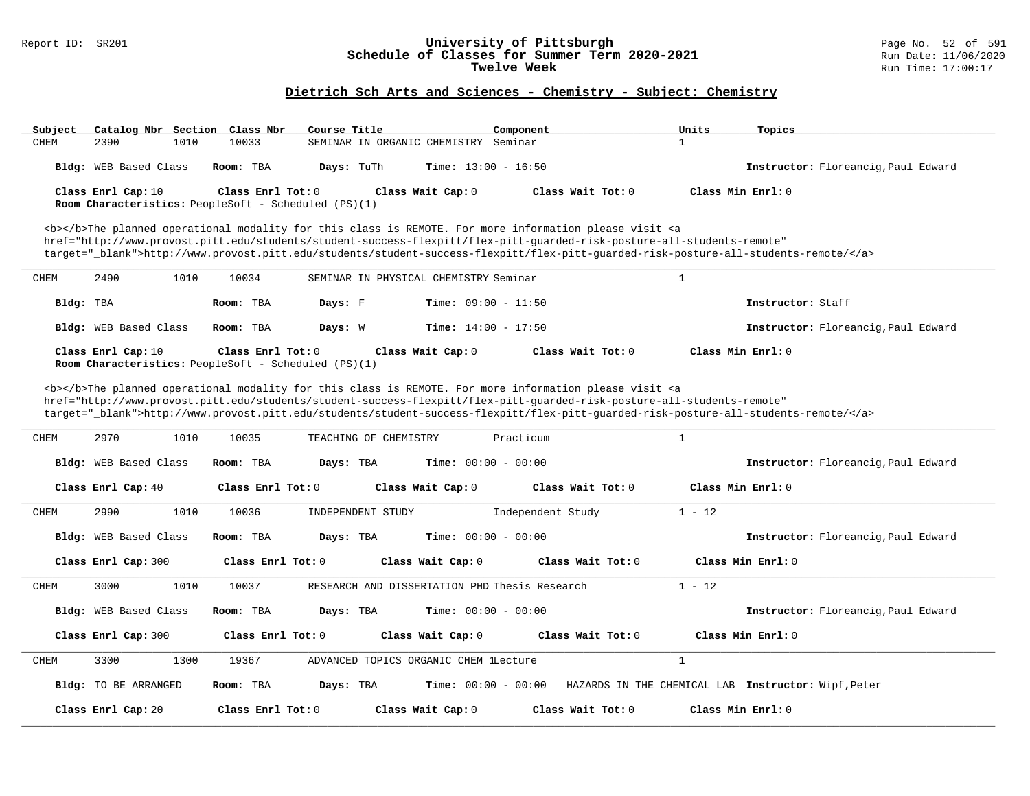### Report ID: SR201 **University of Pittsburgh** Page No. 52 of 591 **Schedule of Classes for Summer Term 2020-2021** Run Date: 11/06/2020 **Twelve Week Run Time:** 17:00:17

# **Dietrich Sch Arts and Sciences - Chemistry - Subject: Chemistry**

| Subject     | Catalog Nbr Section Class Nbr                                              |                   | Course Title                                                                                                                                                                                                                              | Component         | Units<br>Topics                                                                                                                   |  |
|-------------|----------------------------------------------------------------------------|-------------------|-------------------------------------------------------------------------------------------------------------------------------------------------------------------------------------------------------------------------------------------|-------------------|-----------------------------------------------------------------------------------------------------------------------------------|--|
| CHEM        | 2390<br>1010                                                               | 10033             | SEMINAR IN ORGANIC CHEMISTRY Seminar                                                                                                                                                                                                      |                   | $\mathbf{1}$                                                                                                                      |  |
|             | Bldg: WEB Based Class                                                      | Room: TBA         | Days: TuTh<br><b>Time:</b> $13:00 - 16:50$                                                                                                                                                                                                |                   | Instructor: Floreancig, Paul Edward                                                                                               |  |
|             | Class Enrl Cap: 10                                                         | Class Enrl Tot: 0 | Class Wait Cap: 0                                                                                                                                                                                                                         | Class Wait Tot: 0 | Class Min Enrl: 0                                                                                                                 |  |
|             | Room Characteristics: PeopleSoft - Scheduled (PS)(1)                       |                   |                                                                                                                                                                                                                                           |                   |                                                                                                                                   |  |
|             |                                                                            |                   | <b></b> The planned operational modality for this class is REMOTE. For more information please visit <a< td=""><td></td><td></td><td></td></a<>                                                                                           |                   |                                                                                                                                   |  |
|             |                                                                            |                   | href="http://www.provost.pitt.edu/students/student-success-flexpitt/flex-pitt-quarded-risk-posture-all-students-remote"                                                                                                                   |                   |                                                                                                                                   |  |
|             |                                                                            |                   |                                                                                                                                                                                                                                           |                   | target="_blank">http://www.provost.pitt.edu/students/student-success-flexpitt/flex-pitt-quarded-risk-posture-all-students-remote/ |  |
| CHEM        | 2490<br>1010                                                               | 10034             | SEMINAR IN PHYSICAL CHEMISTRY Seminar                                                                                                                                                                                                     |                   | $\mathbf{1}$                                                                                                                      |  |
| Bldg: TBA   |                                                                            | Room: TBA         | Days: F<br><b>Time:</b> $09:00 - 11:50$                                                                                                                                                                                                   |                   | Instructor: Staff                                                                                                                 |  |
|             | Bldg: WEB Based Class                                                      | Room: TBA         | Days: W<br><b>Time:</b> $14:00 - 17:50$                                                                                                                                                                                                   |                   | Instructor: Floreancig, Paul Edward                                                                                               |  |
|             | Class Enrl Cap: 10<br>Room Characteristics: PeopleSoft - Scheduled (PS)(1) | Class Enrl Tot: 0 | Class Wait Cap: 0                                                                                                                                                                                                                         | Class Wait Tot: 0 | Class Min Enrl: 0                                                                                                                 |  |
|             |                                                                            |                   |                                                                                                                                                                                                                                           |                   |                                                                                                                                   |  |
|             |                                                                            |                   | <b></b> The planned operational modality for this class is REMOTE. For more information please visit <a<br>href="http://www.provost.pitt.edu/students/student-success-flexpitt/flex-pitt-quarded-risk-posture-all-students-remote"</a<br> |                   |                                                                                                                                   |  |
|             |                                                                            |                   |                                                                                                                                                                                                                                           |                   | target="_blank">http://www.provost.pitt.edu/students/student-success-flexpitt/flex-pitt-guarded-risk-posture-all-students-remote/ |  |
| <b>CHEM</b> | 2970<br>1010                                                               | 10035             | TEACHING OF CHEMISTRY                                                                                                                                                                                                                     | Practicum         | $\mathbf{1}$                                                                                                                      |  |
|             |                                                                            |                   |                                                                                                                                                                                                                                           |                   |                                                                                                                                   |  |
|             | <b>Bldg:</b> WEB Based Class                                               | Room: TBA         | Days: TBA<br><b>Time:</b> $00:00 - 00:00$                                                                                                                                                                                                 |                   | Instructor: Floreanciq, Paul Edward                                                                                               |  |
|             | Class Enrl Cap: 40                                                         | Class Enrl Tot: 0 | Class Wait Cap: 0                                                                                                                                                                                                                         | Class Wait Tot: 0 | Class Min Enrl: 0                                                                                                                 |  |
| CHEM        | 2990<br>1010                                                               | 10036             | INDEPENDENT STUDY                                                                                                                                                                                                                         | Independent Study | $1 - 12$                                                                                                                          |  |
|             | <b>Bldg:</b> WEB Based Class                                               | Room: TBA         | <b>Time:</b> $00:00 - 00:00$<br>Days: TBA                                                                                                                                                                                                 |                   | Instructor: Floreanciq, Paul Edward                                                                                               |  |
|             | Class Enrl Cap: 300                                                        | Class Enrl Tot: 0 | Class Wait Cap: 0                                                                                                                                                                                                                         | Class Wait Tot: 0 | Class Min Enrl: 0                                                                                                                 |  |
| CHEM        | 3000<br>1010                                                               | 10037             | RESEARCH AND DISSERTATION PHD Thesis Research                                                                                                                                                                                             |                   | $1 - 12$                                                                                                                          |  |
|             | Bldg: WEB Based Class                                                      | Room: TBA         | Time: $00:00 - 00:00$<br>Days: TBA                                                                                                                                                                                                        |                   | Instructor: Floreancig, Paul Edward                                                                                               |  |
|             | Class Enrl Cap: 300                                                        | Class Enrl Tot: 0 | Class Wait Cap: 0                                                                                                                                                                                                                         | Class Wait Tot: 0 | Class Min Enrl: 0                                                                                                                 |  |
| <b>CHEM</b> | 3300<br>1300                                                               | 19367             | ADVANCED TOPICS ORGANIC CHEM lLecture                                                                                                                                                                                                     |                   | $\mathbf{1}$                                                                                                                      |  |
|             | Bldg: TO BE ARRANGED                                                       | Room: TBA         | Days: TBA<br><b>Time:</b> $00:00 - 00:00$                                                                                                                                                                                                 |                   | HAZARDS IN THE CHEMICAL LAB Instructor: Wipf, Peter                                                                               |  |
|             | Class Enrl Cap: 20                                                         | Class Enrl Tot: 0 | Class Wait Cap: 0                                                                                                                                                                                                                         | Class Wait Tot: 0 | Class Min Enrl: 0                                                                                                                 |  |
|             |                                                                            |                   |                                                                                                                                                                                                                                           |                   |                                                                                                                                   |  |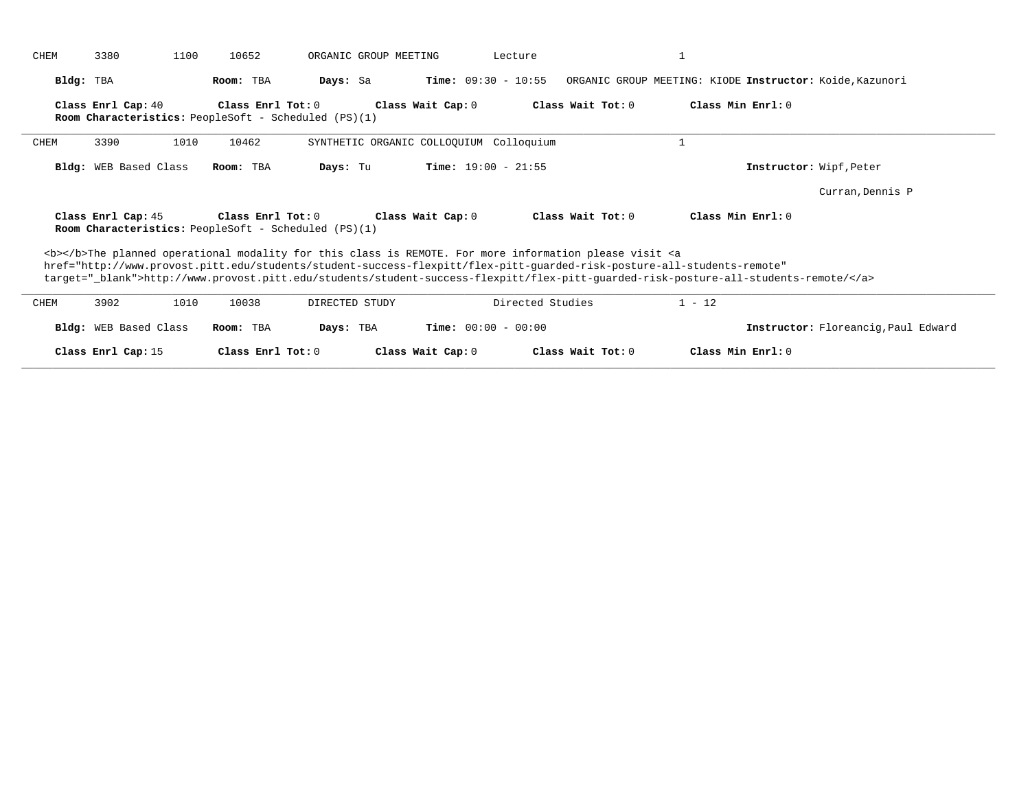|      | 3380                  | 1100 | 10652               | ORGANIC GROUP MEETING                                                                                                                                                                                                                                                                                                                                                                                                    |                              | Lecture             |                                                                                                                                                                                                                                                              |                                     |
|------|-----------------------|------|---------------------|--------------------------------------------------------------------------------------------------------------------------------------------------------------------------------------------------------------------------------------------------------------------------------------------------------------------------------------------------------------------------------------------------------------------------|------------------------------|---------------------|--------------------------------------------------------------------------------------------------------------------------------------------------------------------------------------------------------------------------------------------------------------|-------------------------------------|
|      | Bldg: TBA             |      | Room: TBA           | Days: Sa                                                                                                                                                                                                                                                                                                                                                                                                                 | <b>Time:</b> $09:30 - 10:55$ |                     | ORGANIC GROUP MEETING: KIODE Instructor: Koide, Kazunori                                                                                                                                                                                                     |                                     |
|      | Class Enrl Cap: 40    |      | Class Enrl Tot: 0   | Room Characteristics: PeopleSoft - Scheduled (PS)(1)                                                                                                                                                                                                                                                                                                                                                                     | Class Wait Cap: 0            | Class Wait Tot: 0   | Class Min Enrl: 0                                                                                                                                                                                                                                            |                                     |
| CHEM | 3390                  | 1010 | 10462               | SYNTHETIC ORGANIC COLLOQUIUM Colloquium                                                                                                                                                                                                                                                                                                                                                                                  |                              |                     |                                                                                                                                                                                                                                                              |                                     |
|      | Bldg: WEB Based Class |      | Room: TBA           | Days: Tu                                                                                                                                                                                                                                                                                                                                                                                                                 | <b>Time:</b> $19:00 - 21:55$ |                     |                                                                                                                                                                                                                                                              | Instructor: Wipf, Peter             |
|      |                       |      |                     |                                                                                                                                                                                                                                                                                                                                                                                                                          |                              |                     |                                                                                                                                                                                                                                                              |                                     |
|      |                       |      |                     |                                                                                                                                                                                                                                                                                                                                                                                                                          |                              |                     |                                                                                                                                                                                                                                                              | Curran, Dennis P                    |
|      | Class Enrl Cap: 45    |      | Class Enrl Tot: $0$ | Room Characteristics: PeopleSoft - Scheduled (PS)(1)                                                                                                                                                                                                                                                                                                                                                                     | Class Wait Cap: 0            | Class Wait $Tot: 0$ | Class Min Enrl: 0                                                                                                                                                                                                                                            |                                     |
|      |                       |      |                     | <b></b> The planned operational modality for this class is REMOTE. For more information please visit <a< td=""><td></td><td></td><td>href="http://www.provost.pitt.edu/students/student-success-flexpitt/flex-pitt-quarded-risk-posture-all-students-remote"<br/>target="_blank"&gt;http://www.provost.pitt.edu/students/student-success-flexpitt/flex-pitt-guarded-risk-posture-all-students-remote/</td><td></td></a<> |                              |                     | href="http://www.provost.pitt.edu/students/student-success-flexpitt/flex-pitt-quarded-risk-posture-all-students-remote"<br>target="_blank">http://www.provost.pitt.edu/students/student-success-flexpitt/flex-pitt-guarded-risk-posture-all-students-remote/ |                                     |
|      | 3902                  | 1010 | 10038               | DIRECTED STUDY                                                                                                                                                                                                                                                                                                                                                                                                           |                              | Directed Studies    | $1 - 12$                                                                                                                                                                                                                                                     |                                     |
| CHEM | Bldg: WEB Based Class |      | Room: TBA           | Days: TBA                                                                                                                                                                                                                                                                                                                                                                                                                | <b>Time:</b> $00:00 - 00:00$ |                     |                                                                                                                                                                                                                                                              | Instructor: Floreancig, Paul Edward |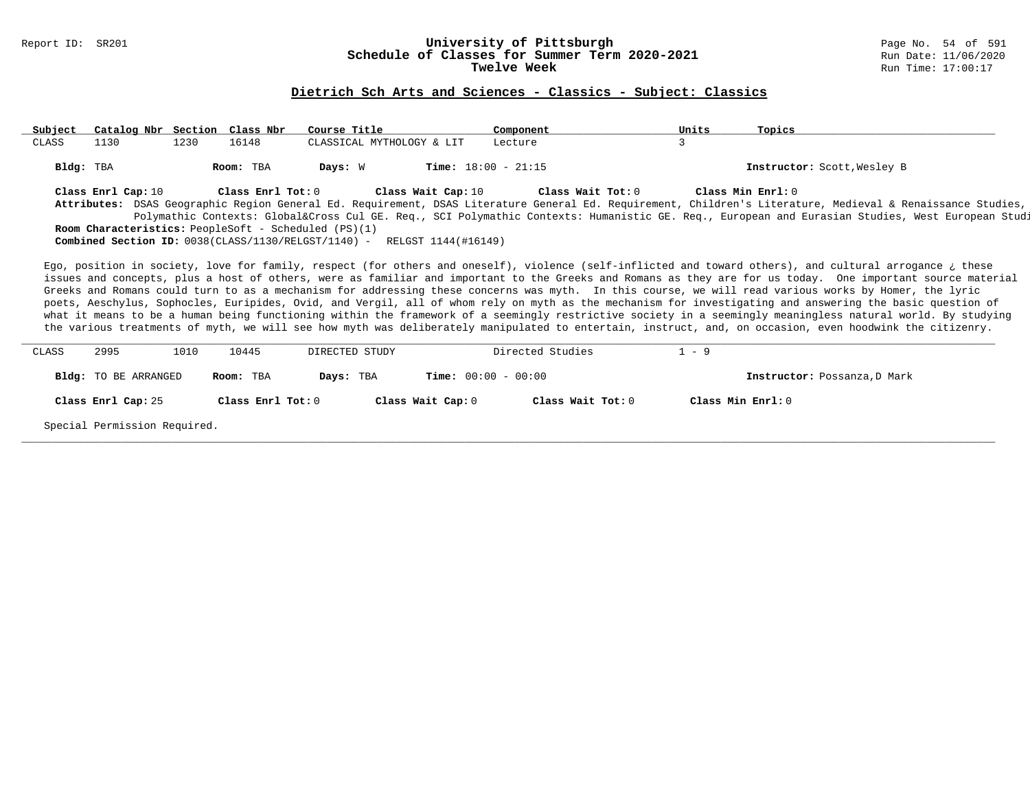# Report ID: SR201 **1988 Mage 10: SR201 University of Pittsburgh University of Pittsburgh** Page No. 54 of 591 Schedule of Classes for Summer Term 2020-2021

#### **Dietrich Sch Arts and Sciences - Classics - Subject: Classics**

**\_\_\_\_\_\_\_\_\_\_\_\_\_\_\_\_\_\_\_\_\_\_\_\_\_\_\_\_\_\_\_\_\_\_\_\_\_\_\_\_\_\_\_\_\_\_\_\_\_\_\_\_\_\_\_\_\_\_\_\_\_\_\_\_\_\_\_\_\_\_\_\_\_\_\_\_\_\_\_\_\_\_\_\_\_\_\_\_\_\_\_\_\_\_\_\_\_\_\_\_\_\_\_\_\_\_\_\_\_\_\_\_\_\_\_\_\_\_\_\_\_\_\_\_\_\_\_\_\_\_\_\_\_\_\_\_\_\_\_\_\_\_\_\_\_\_\_\_\_\_\_\_\_\_\_\_ Subject Catalog Nbr Section Class Nbr Course Title Component Units Topics** CLASSICAL MYTHOLOGY & LIT Lecture **Bldg:** TBA **Room:** TBA **Days:** W **Time:** 18:00 - 21:15 **Instructor:** Scott,Wesley B **Class Enrl Cap:** 10 **Class Enrl Tot:** 0 **Class Wait Cap:** 10 **Class Wait Tot:** 0 **Class Min Enrl:** 0 **Attributes:** DSAS Geographic Region General Ed. Requirement, DSAS Literature General Ed. Requirement, Children's Literature, Medieval & Renaissance Studies, SCI Polymathic Contexts: Global&Cross Cul GE. Req., SCI Polymathic Contexts: Humanistic GE. Req., European and Eurasian Studies, West European Studies **Room Characteristics:** PeopleSoft - Scheduled (PS)(1) **Combined Section ID:** 0038(CLASS/1130/RELGST/1140) - RELGST 1144(#16149) Ego, position in society, love for family, respect (for others and oneself), violence (self-inflicted and toward others), and cultural arrogance ¿ these issues and concepts, plus a host of others, were as familiar and important to the Greeks and Romans as they are for us today. One important source material Greeks and Romans could turn to as a mechanism for addressing these concerns was myth. In this course, we will read various works by Homer, the lyric poets, Aeschylus, Sophocles, Euripides, Ovid, and Vergil, all of whom rely on myth as the mechanism for investigating and answering the basic question of what it means to be a human being functioning within the framework of a seemingly restrictive society in a seemingly meaningless natural world. By studying the various treatments of myth, we will see how myth was deliberately manipulated to entertain, instruct, and, on occasion, even hoodwink the citizenry. **\_\_\_\_\_\_\_\_\_\_\_\_\_\_\_\_\_\_\_\_\_\_\_\_\_\_\_\_\_\_\_\_\_\_\_\_\_\_\_\_\_\_\_\_\_\_\_\_\_\_\_\_\_\_\_\_\_\_\_\_\_\_\_\_\_\_\_\_\_\_\_\_\_\_\_\_\_\_\_\_\_\_\_\_\_\_\_\_\_\_\_\_\_\_\_\_\_\_\_\_\_\_\_\_\_\_\_\_\_\_\_\_\_\_\_\_\_\_\_\_\_\_\_\_\_\_\_\_\_\_\_\_\_\_\_\_\_\_\_\_\_\_\_\_\_\_\_\_\_\_\_\_\_\_\_\_**

| CLASS | 2995                         | 1010 | 10445             | DIRECTED STUDY |                              | Directed Studies  | $-9$ |                              |
|-------|------------------------------|------|-------------------|----------------|------------------------------|-------------------|------|------------------------------|
|       | Bldg: TO BE ARRANGED         |      | Room: TBA         | Days: TBA      | <b>Time:</b> $00:00 - 00:00$ |                   |      | Instructor: Possanza, D Mark |
|       | Class Enrl Cap: 25           |      | Class Enrl Tot: 0 |                | Class Wait Cap: 0            | Class Wait Tot: 0 |      | Class Min Enrl: 0            |
|       | Special Permission Required. |      |                   |                |                              |                   |      |                              |

**\_\_\_\_\_\_\_\_\_\_\_\_\_\_\_\_\_\_\_\_\_\_\_\_\_\_\_\_\_\_\_\_\_\_\_\_\_\_\_\_\_\_\_\_\_\_\_\_\_\_\_\_\_\_\_\_\_\_\_\_\_\_\_\_\_\_\_\_\_\_\_\_\_\_\_\_\_\_\_\_\_\_\_\_\_\_\_\_\_\_\_\_\_\_\_\_\_\_\_\_\_\_\_\_\_\_\_\_\_\_\_\_\_\_\_\_\_\_\_\_\_\_\_\_\_\_\_\_\_\_\_\_\_\_\_\_\_\_\_\_\_\_\_\_\_\_\_\_\_\_\_\_\_\_\_\_**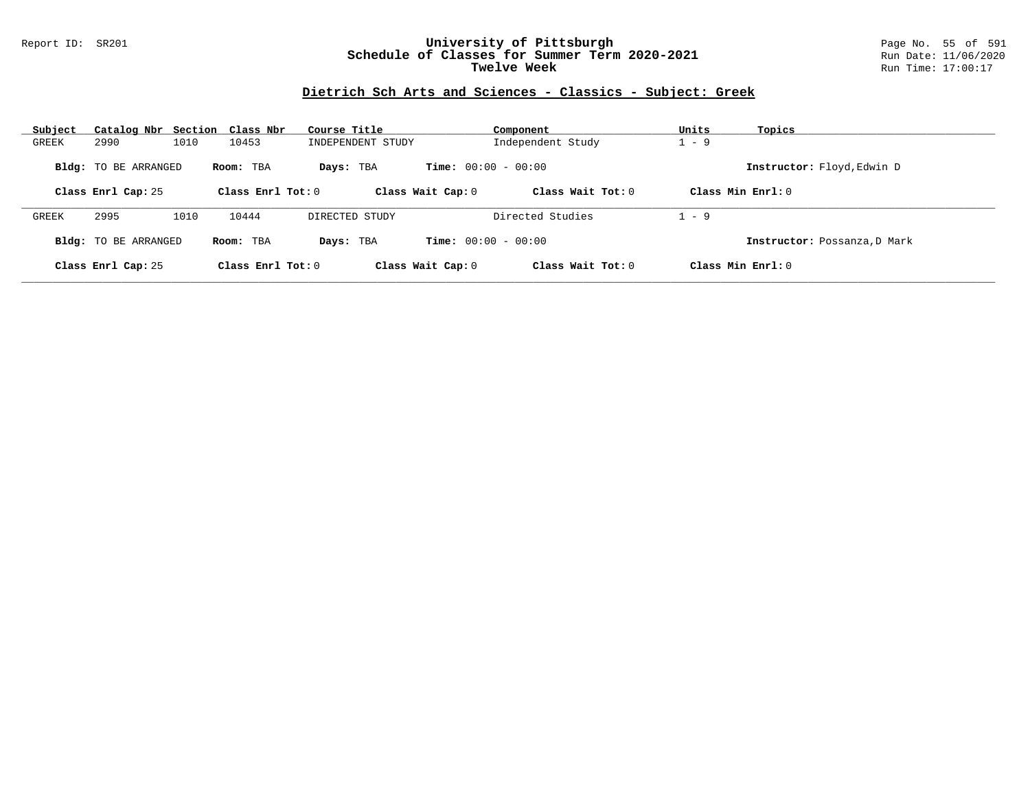### Report ID: SR201 **University of Pittsburgh** Page No. 55 of 591 **Schedule of Classes for Summer Term 2020-2021** Run Date: 11/06/2020 **Twelve Week Run Time:** 17:00:17

### **Dietrich Sch Arts and Sciences - Classics - Subject: Greek**

| Subject | Catalog Nbr Section Class Nbr |      |                     | Course Title      |                              | Component           | Units   | Topics                       |
|---------|-------------------------------|------|---------------------|-------------------|------------------------------|---------------------|---------|------------------------------|
| GREEK   | 2990                          | 1010 | 10453               | INDEPENDENT STUDY |                              | Independent Study   | $1 - 9$ |                              |
|         | <b>Bldg:</b> TO BE ARRANGED   |      | Room: TBA           | Days: TBA         | <b>Time:</b> $00:00 - 00:00$ |                     |         | Instructor: Floyd, Edwin D   |
|         | Class Enrl Cap: 25            |      | Class Enrl Tot: $0$ |                   | Class Wait Cap: 0            | Class Wait $Tot: 0$ |         | Class Min $Enrl: 0$          |
| GREEK   | 2995                          | 1010 | 10444               | DIRECTED STUDY    |                              | Directed Studies    | . – 9   |                              |
|         | <b>Bldg:</b> TO BE ARRANGED   |      | Room: TBA           | Days: TBA         | <b>Time:</b> $00:00 - 00:00$ |                     |         | Instructor: Possanza, D Mark |
|         | Class Enrl Cap: 25            |      | Class Enrl Tot: $0$ |                   | Class Wait Cap: 0            | Class Wait Tot: $0$ |         | Class Min $Enrl: 0$          |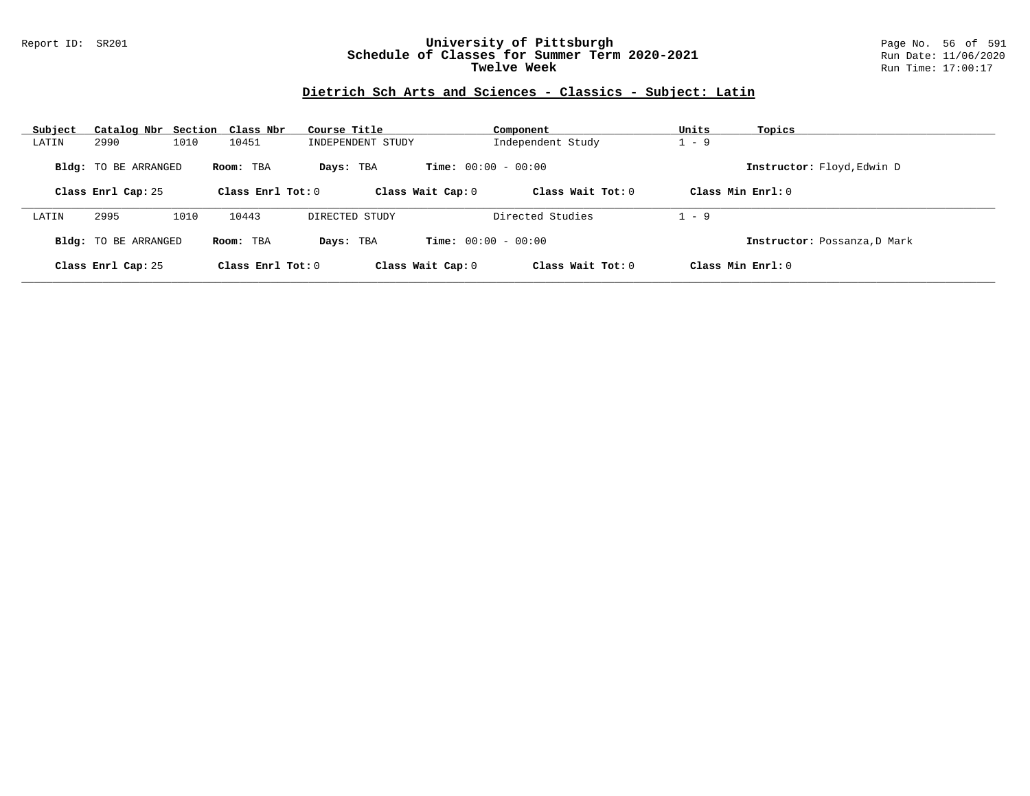### Report ID: SR201 **University of Pittsburgh** Page No. 56 of 591 **Schedule of Classes for Summer Term 2020-2021** Run Date: 11/06/2020 **Twelve Week Run Time:** 17:00:17

# **Dietrich Sch Arts and Sciences - Classics - Subject: Latin**

| Subject | Catalog Nbr Section Class Nbr |      |                     | Course Title      |                              | Component           | Units   | Topics                       |
|---------|-------------------------------|------|---------------------|-------------------|------------------------------|---------------------|---------|------------------------------|
| LATIN   | 2990                          | 1010 | 10451               | INDEPENDENT STUDY |                              | Independent Study   | $1 - 9$ |                              |
|         | <b>Bldg:</b> TO BE ARRANGED   |      | Room: TBA           | Days: TBA         | <b>Time:</b> $00:00 - 00:00$ |                     |         | Instructor: Floyd, Edwin D   |
|         | Class Enrl Cap: 25            |      | Class Enrl Tot: $0$ |                   | Class Wait Cap: 0            | Class Wait $Tot: 0$ |         | Class Min $Enrl: 0$          |
| LATIN   | 2995                          | 1010 | 10443               | DIRECTED STUDY    |                              | Directed Studies    | . – 9   |                              |
|         | <b>Bldg:</b> TO BE ARRANGED   |      | Room: TBA           | Days: TBA         | <b>Time:</b> $00:00 - 00:00$ |                     |         | Instructor: Possanza, D Mark |
|         | Class Enrl Cap: 25            |      | Class Enrl Tot: $0$ |                   | Class Wait Cap: 0            | Class Wait Tot: $0$ |         | Class Min $Enrl: 0$          |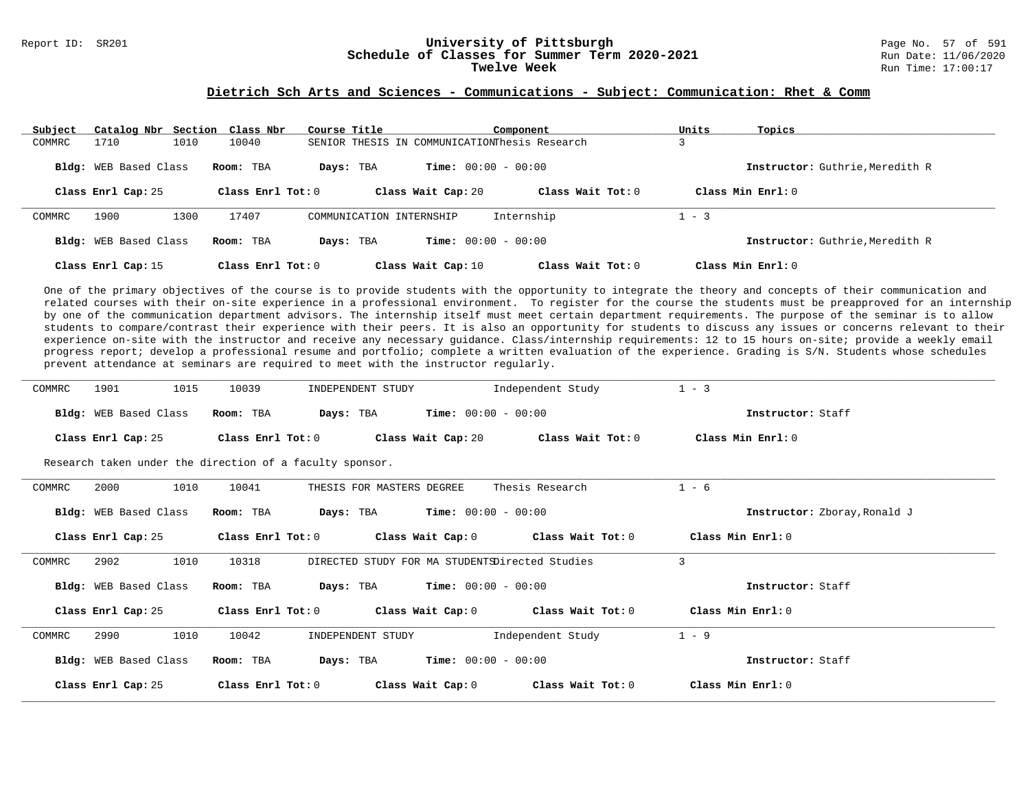# Report ID: SR201 **1988 Mage 10: SR201 University of Pittsburgh University of Pittsburgh** Page No. 57 of 591 Schedule of Classes for Summer Term 2020-2021

#### **Dietrich Sch Arts and Sciences - Communications - Subject: Communication: Rhet & Comm**

| Subject | Catalog Nbr Section Class Nbr |      |                     | Course Title |                                               | Component                    |                     | Units | Topics                          |
|---------|-------------------------------|------|---------------------|--------------|-----------------------------------------------|------------------------------|---------------------|-------|---------------------------------|
| COMMRC  | 1710                          | 1010 | 10040               |              | SENIOR THESIS IN COMMUNICATIONThesis Research |                              |                     |       |                                 |
|         | <b>Bldg:</b> WEB Based Class  |      | Room: TBA           | Days: TBA    |                                               | <b>Time:</b> $00:00 - 00:00$ |                     |       | Instructor: Guthrie, Meredith R |
|         | Class Enrl Cap: 25            |      | Class Enrl Tot: $0$ |              | Class Wait Cap: 20                            |                              | Class Wait Tot: $0$ |       | Class Min $Enrl: 0$             |
| COMMRC  | 1900                          | 1300 | 17407               |              | COMMUNICATION INTERNSHIP                      | Internship                   |                     | - 3   |                                 |
|         | Bldg: WEB Based Class         |      | Room: TBA           | Days: TBA    |                                               | <b>Time:</b> $00:00 - 00:00$ |                     |       | Instructor: Guthrie, Meredith R |
|         | Class Enrl Cap: 15            |      | Class Enrl Tot: $0$ |              | Class Wait Cap: 10                            |                              | Class Wait Tot: $0$ |       | Class Min Enrl: 0               |

One of the primary objectives of the course is to provide students with the opportunity to integrate the theory and concepts of their communication and related courses with their on-site experience in a professional environment. To register for the course the students must be preapproved for an internship by one of the communication department advisors. The internship itself must meet certain department requirements. The purpose of the seminar is to allow students to compare/contrast their experience with their peers. It is also an opportunity for students to discuss any issues or concerns relevant to their experience on-site with the instructor and receive any necessary guidance. Class/internship requirements: 12 to 15 hours on-site; provide a weekly email progress report; develop a professional resume and portfolio; complete a written evaluation of the experience. Grading is S/N. Students whose schedules prevent attendance at seminars are required to meet with the instructor regularly.

| COMMRC | 1901<br>1015                 | 10039                                                    | INDEPENDENT STUDY                              | Independent Study | $1 - 3$                      |
|--------|------------------------------|----------------------------------------------------------|------------------------------------------------|-------------------|------------------------------|
|        |                              |                                                          |                                                |                   |                              |
|        | Bldg: WEB Based Class        | Room: TBA                                                | <b>Time:</b> $00:00 - 00:00$<br>Days: TBA      |                   | Instructor: Staff            |
|        | Class Enrl Cap: 25           | Class Enrl Tot: 0                                        | Class Wait Cap: 20                             | Class Wait Tot: 0 | Class Min Enrl: $0$          |
|        |                              | Research taken under the direction of a faculty sponsor. |                                                |                   |                              |
| COMMRC | 1010<br>2000                 | 10041                                                    | THESIS FOR MASTERS DEGREE                      | Thesis Research   | $1 - 6$                      |
|        | Bldg: WEB Based Class        | Room: TBA                                                | $Time: 00:00 - 00:00$<br>Days: TBA             |                   | Instructor: Zboray, Ronald J |
|        | Class Enrl Cap: 25           | $\texttt{Class}$ $\texttt{Enrl}$ $\texttt{Tot:}$ $0$     | Class Wait Cap: 0                              | Class Wait Tot: 0 | Class Min Enrl: 0            |
| COMMRC | 1010<br>2902                 | 10318                                                    | DIRECTED STUDY FOR MA STUDENTSDirected Studies |                   | $\overline{3}$               |
|        | <b>Bldg:</b> WEB Based Class | Room: TBA                                                | $Time: 00:00 - 00:00$<br>Days: TBA             |                   | Instructor: Staff            |
|        | Class Enrl Cap: 25           | Class Enrl Tot: 0                                        | Class Wait Cap: $0$                            | Class Wait Tot: 0 | Class Min $Err1:0$           |
| COMMRC | 1010<br>2990                 | 10042                                                    | INDEPENDENT STUDY                              | Independent Study | $1 - 9$                      |
|        | Bldg: WEB Based Class        | Room: TBA                                                | $Time: 00:00 - 00:00$<br>Days: TBA             |                   | Instructor: Staff            |
|        | Class Enrl Cap: 25           | Class Enrl Tot: 0                                        | Class Wait Cap: 0                              | Class Wait Tot: 0 | Class Min Enrl: 0            |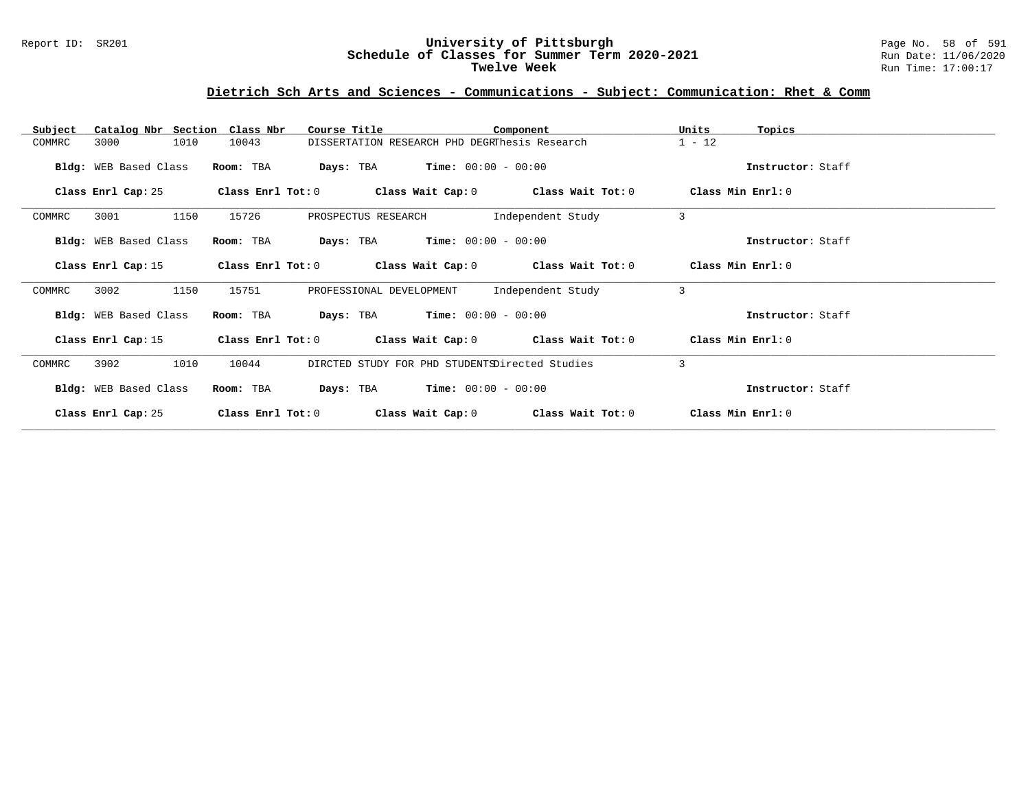#### Report ID: SR201 **University of Pittsburgh** Page No. 58 of 591 **Schedule of Classes for Summer Term 2020-2021** Run Date: 11/06/2020 **Twelve Week** Run Time: 17:00:17

# **Dietrich Sch Arts and Sciences - Communications - Subject: Communication: Rhet & Comm**

| Catalog Nbr Section Class Nbr<br>Subject | Course Title                        | Component                                                   | Units<br>Topics   |
|------------------------------------------|-------------------------------------|-------------------------------------------------------------|-------------------|
| 1010<br>3000<br>COMMRC                   | 10043                               | DISSERTATION RESEARCH PHD DEGRThesis Research               | $1 - 12$          |
| Bldg: WEB Based Class                    | Room: TBA                           | <b>Days:</b> TBA <b>Time:</b> $00:00 - 00:00$               | Instructor: Staff |
| Class Enrl Cap: 25                       | Class Enrl Tot: 0                   | Class Wait Cap: $0$ Class Wait Tot: $0$                     | Class Min Enrl: 0 |
| 1150<br>3001<br>COMMRC                   | 15726<br>PROSPECTUS RESEARCH        | Independent Study                                           | 3                 |
| Bldg: WEB Based Class                    | Room: TBA                           | <b>Days:</b> TBA <b>Time:</b> $00:00 - 00:00$               | Instructor: Staff |
| Class Enrl Cap: 15                       |                                     | Class Enrl Tot: $0$ Class Wait Cap: $0$ Class Wait Tot: $0$ | Class Min Enrl: 0 |
| 1150<br>3002<br>COMMRC                   | 15751<br>PROFESSIONAL DEVELOPMENT   | Independent Study                                           | 3                 |
| Bldg: WEB Based Class                    | Room: TBA                           | <b>Days:</b> TBA <b>Time:</b> $00:00 - 00:00$               | Instructor: Staff |
| Class Enrl Cap: 15                       |                                     | Class Enrl Tot: $0$ Class Wait Cap: $0$ Class Wait Tot: $0$ | Class Min Enrl: 0 |
| 3902<br>1010<br>COMMRC                   | 10044                               | DIRCTED STUDY FOR PHD STUDENTSDirected Studies              | 3                 |
| Bldg: WEB Based Class                    | Room: TBA                           | <b>Days:</b> TBA <b>Time:</b> $00:00 - 00:00$               | Instructor: Staff |
| Class Enrl Cap: 25                       | Class Enrl Tot: 0 Class Wait Cap: 0 | Class Wait Tot: 0                                           | Class Min Enrl: 0 |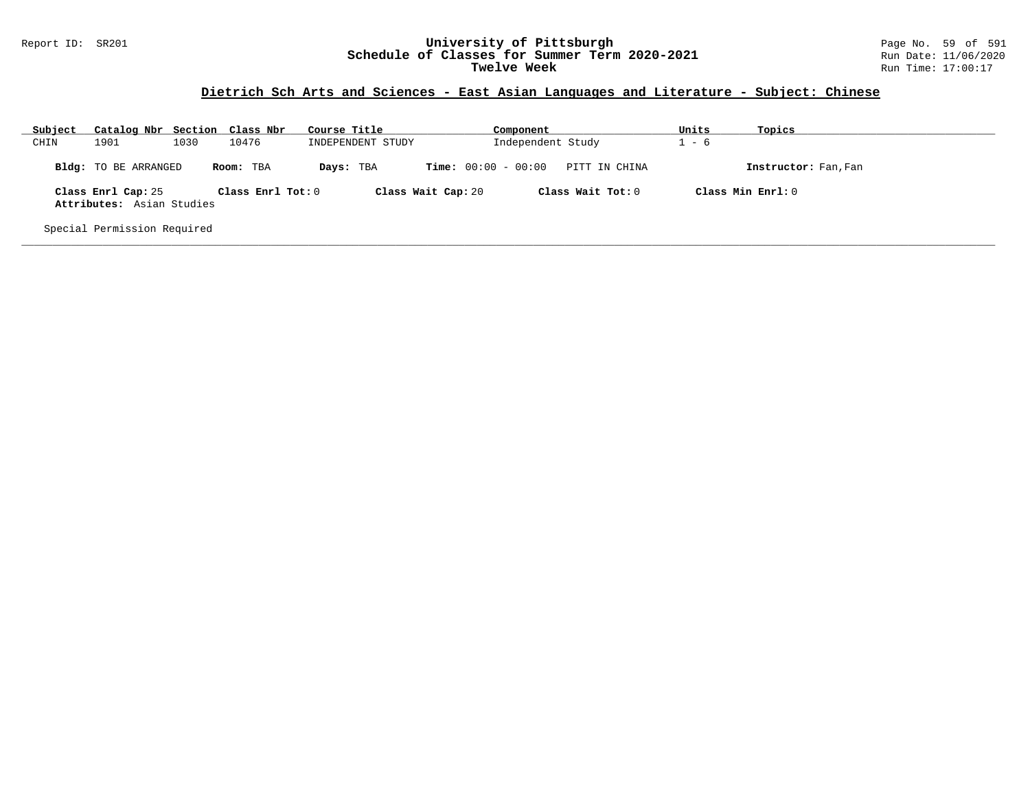#### Report ID: SR201 **University of Pittsburgh** Page No. 59 of 591 **Schedule of Classes for Summer Term 2020-2021** Run Date: 11/06/2020 **Twelve Week** Run Time: 17:00:17

# **Dietrich Sch Arts and Sciences - East Asian Languages and Literature - Subject: Chinese**

| Subject | Catalog Nbr Section Class Nbr                   |      |                   | Course Title      | Component                    |                   | Units   | Topics               |
|---------|-------------------------------------------------|------|-------------------|-------------------|------------------------------|-------------------|---------|----------------------|
| CHIN    | 1901                                            | 1030 | 10476             | INDEPENDENT STUDY |                              | Independent Study | $1 - 6$ |                      |
|         | Bldg: TO BE ARRANGED                            |      | Room: TBA         | Days: TBA         | <b>Time:</b> $00:00 - 00:00$ | PITT IN CHINA     |         | Instructor: Fan, Fan |
|         | Class Enrl Cap: 25<br>Attributes: Asian Studies |      | Class Enrl Tot: 0 |                   | Class Wait Cap: 20           | Class Wait Tot: 0 |         | Class Min Enrl: 0    |
|         | Special Permission Required                     |      |                   |                   |                              |                   |         |                      |

**\_\_\_\_\_\_\_\_\_\_\_\_\_\_\_\_\_\_\_\_\_\_\_\_\_\_\_\_\_\_\_\_\_\_\_\_\_\_\_\_\_\_\_\_\_\_\_\_\_\_\_\_\_\_\_\_\_\_\_\_\_\_\_\_\_\_\_\_\_\_\_\_\_\_\_\_\_\_\_\_\_\_\_\_\_\_\_\_\_\_\_\_\_\_\_\_\_\_\_\_\_\_\_\_\_\_\_\_\_\_\_\_\_\_\_\_\_\_\_\_\_\_\_\_\_\_\_\_\_\_\_\_\_\_\_\_\_\_\_\_\_\_\_\_\_\_\_\_\_\_\_\_\_\_\_\_**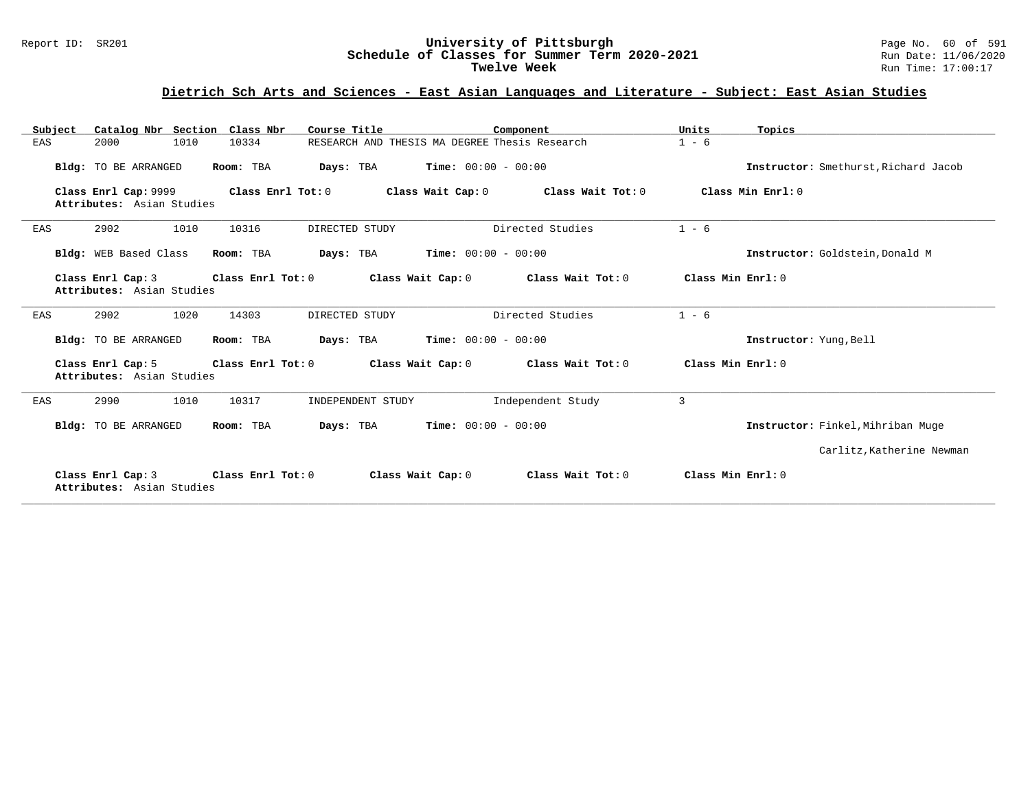#### Report ID: SR201 **University of Pittsburgh** Page No. 60 of 591 **Schedule of Classes for Summer Term 2020-2021** Run Date: 11/06/2020 **Twelve Week** Run Time: 17:00:17

# **Dietrich Sch Arts and Sciences - East Asian Languages and Literature - Subject: East Asian Studies**

| Subject | Catalog Nbr Section Class Nbr                     |                   | Course Title                                  |                              | Component         | Units             | Topics                               |
|---------|---------------------------------------------------|-------------------|-----------------------------------------------|------------------------------|-------------------|-------------------|--------------------------------------|
| EAS     | 2000<br>1010                                      | 10334             | RESEARCH AND THESIS MA DEGREE Thesis Research |                              |                   | $1 - 6$           |                                      |
|         | Bldg: TO BE ARRANGED                              | Room: TBA         | Days: TBA                                     | <b>Time:</b> $00:00 - 00:00$ |                   |                   | Instructor: Smethurst, Richard Jacob |
|         | Class Enrl Cap: 9999<br>Attributes: Asian Studies | Class Enrl Tot: 0 |                                               | Class Wait Cap: 0            | Class Wait Tot: 0 |                   | Class Min Enrl: 0                    |
| EAS     | 1010<br>2902                                      | 10316             | DIRECTED STUDY                                |                              | Directed Studies  | $1 - 6$           |                                      |
|         | Bldg: WEB Based Class                             | Room: TBA         | Days: TBA                                     | <b>Time:</b> $00:00 - 00:00$ |                   |                   | Instructor: Goldstein, Donald M      |
|         | Class Enrl Cap: 3<br>Attributes: Asian Studies    | Class Enrl Tot: 0 |                                               | Class Wait Cap: 0            | Class Wait Tot: 0 | Class Min Enrl: 0 |                                      |
| EAS     | 2902<br>1020                                      | 14303             | DIRECTED STUDY                                |                              | Directed Studies  | $1 - 6$           |                                      |
|         | Bldg: TO BE ARRANGED                              | Room: TBA         | Days: TBA                                     | <b>Time:</b> $00:00 - 00:00$ |                   |                   | Instructor: Yung, Bell               |
|         | Class Enrl Cap: 5<br>Attributes: Asian Studies    | Class Enrl Tot: 0 |                                               | Class Wait Cap: 0            | Class Wait Tot: 0 | Class Min Enrl: 0 |                                      |
| EAS     | 1010<br>2990                                      | 10317             | INDEPENDENT STUDY                             |                              | Independent Study | 3                 |                                      |
|         | Bldg: TO BE ARRANGED                              | Room: TBA         | Days: TBA                                     | <b>Time:</b> $00:00 - 00:00$ |                   |                   | Instructor: Finkel, Mihriban Muge    |
|         |                                                   |                   |                                               |                              |                   |                   | Carlitz, Katherine Newman            |
|         | Class Enrl Cap: 3<br>Attributes: Asian Studies    | Class Enrl Tot: 0 |                                               | Class Wait Cap: 0            | Class Wait Tot: 0 | Class Min Enrl: 0 |                                      |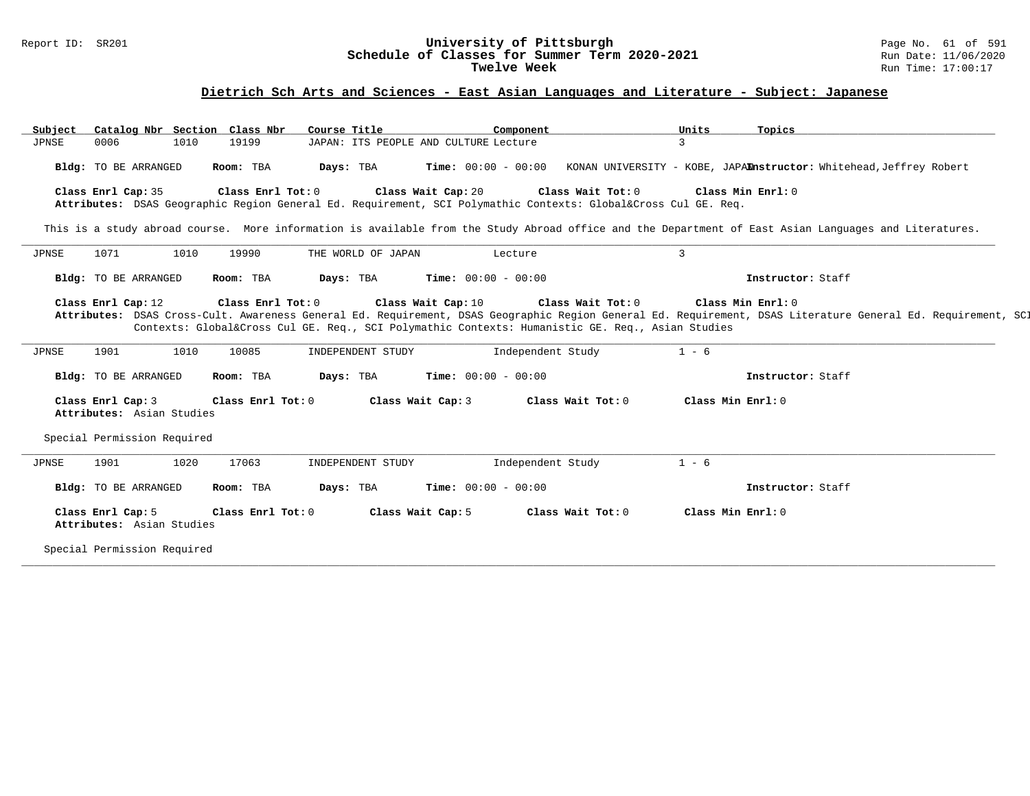### Report ID: SR201 **University of Pittsburgh** Page No. 61 of 591 **Schedule of Classes for Summer Term 2020-2021** Run Date: 11/06/2020 **Twelve Week Run Time:** 17:00:17

# **Dietrich Sch Arts and Sciences - East Asian Languages and Literature - Subject: Japanese**

| Subject<br>JPNSE | Catalog Nbr Section Class Nbr<br>0006          | 1010 | 19199             | Course Title<br>JAPAN: ITS PEOPLE AND CULTURE Lecture | Component                                                                                                                      | Units<br>3        | Topics                                                                                                                                                       |
|------------------|------------------------------------------------|------|-------------------|-------------------------------------------------------|--------------------------------------------------------------------------------------------------------------------------------|-------------------|--------------------------------------------------------------------------------------------------------------------------------------------------------------|
|                  | Bldg: TO BE ARRANGED                           |      | Room: TBA         | Days: TBA                                             | <b>Time:</b> $00:00 - 00:00$                                                                                                   |                   | KONAN UNIVERSITY - KOBE, JAPAInstructor: Whitehead, Jeffrey Robert                                                                                           |
|                  | Class Enrl Cap: 35                             |      | Class Enrl Tot: 0 | Class Wait Cap: 20                                    | Class Wait Tot: 0<br>Attributes: DSAS Geographic Region General Ed. Requirement, SCI Polymathic Contexts: Global⨯ Cul GE. Reg. | Class Min Enrl: 0 |                                                                                                                                                              |
|                  |                                                |      |                   |                                                       |                                                                                                                                |                   | This is a study abroad course. More information is available from the Study Abroad office and the Department of East Asian Languages and Literatures.        |
| JPNSE            | 1071                                           | 1010 | 19990             | THE WORLD OF JAPAN                                    | Lecture                                                                                                                        | 3                 |                                                                                                                                                              |
|                  | Bldg: TO BE ARRANGED                           |      | Room: TBA         | Days: TBA                                             | <b>Time:</b> $00:00 - 00:00$                                                                                                   |                   | Instructor: Staff                                                                                                                                            |
|                  | Class Enrl Cap: 12                             |      | Class Enrl Tot: 0 | Class Wait Cap: 10                                    | Class Wait Tot: 0<br>Contexts: Global⨯ Cul GE. Req., SCI Polymathic Contexts: Humanistic GE. Req., Asian Studies               | Class Min Enrl: 0 | Attributes: DSAS Cross-Cult. Awareness General Ed. Requirement, DSAS Geographic Region General Ed. Requirement, DSAS Literature General Ed. Requirement, SCI |
| JPNSE            | 1901                                           | 1010 | 10085             | INDEPENDENT STUDY                                     | Independent Study                                                                                                              | $1 - 6$           |                                                                                                                                                              |
|                  | Bldg: TO BE ARRANGED                           |      | Room: TBA         | Days: TBA                                             | <b>Time:</b> $00:00 - 00:00$                                                                                                   |                   | Instructor: Staff                                                                                                                                            |
|                  | Class Enrl Cap: 3<br>Attributes: Asian Studies |      | Class Enrl Tot: 0 | Class Wait Cap: 3                                     | Class Wait Tot: 0                                                                                                              | Class Min Enrl: 0 |                                                                                                                                                              |
|                  |                                                |      |                   |                                                       |                                                                                                                                |                   |                                                                                                                                                              |
|                  | Special Permission Required                    |      |                   |                                                       |                                                                                                                                |                   |                                                                                                                                                              |
| JPNSE            | 1901                                           | 1020 | 17063             | INDEPENDENT STUDY                                     | Independent Study                                                                                                              | $1 - 6$           |                                                                                                                                                              |
|                  | Bldg: TO BE ARRANGED                           |      | Room: TBA         | Days: TBA                                             | <b>Time:</b> $00:00 - 00:00$                                                                                                   |                   | Instructor: Staff                                                                                                                                            |
|                  | Class Enrl Cap: 5<br>Attributes: Asian Studies |      | Class Enrl Tot: 0 | Class Wait Cap: 5                                     | Class Wait Tot: 0                                                                                                              | Class Min Enrl: 0 |                                                                                                                                                              |

**\_\_\_\_\_\_\_\_\_\_\_\_\_\_\_\_\_\_\_\_\_\_\_\_\_\_\_\_\_\_\_\_\_\_\_\_\_\_\_\_\_\_\_\_\_\_\_\_\_\_\_\_\_\_\_\_\_\_\_\_\_\_\_\_\_\_\_\_\_\_\_\_\_\_\_\_\_\_\_\_\_\_\_\_\_\_\_\_\_\_\_\_\_\_\_\_\_\_\_\_\_\_\_\_\_\_\_\_\_\_\_\_\_\_\_\_\_\_\_\_\_\_\_\_\_\_\_\_\_\_\_\_\_\_\_\_\_\_\_\_\_\_\_\_\_\_\_\_\_\_\_\_\_\_\_\_**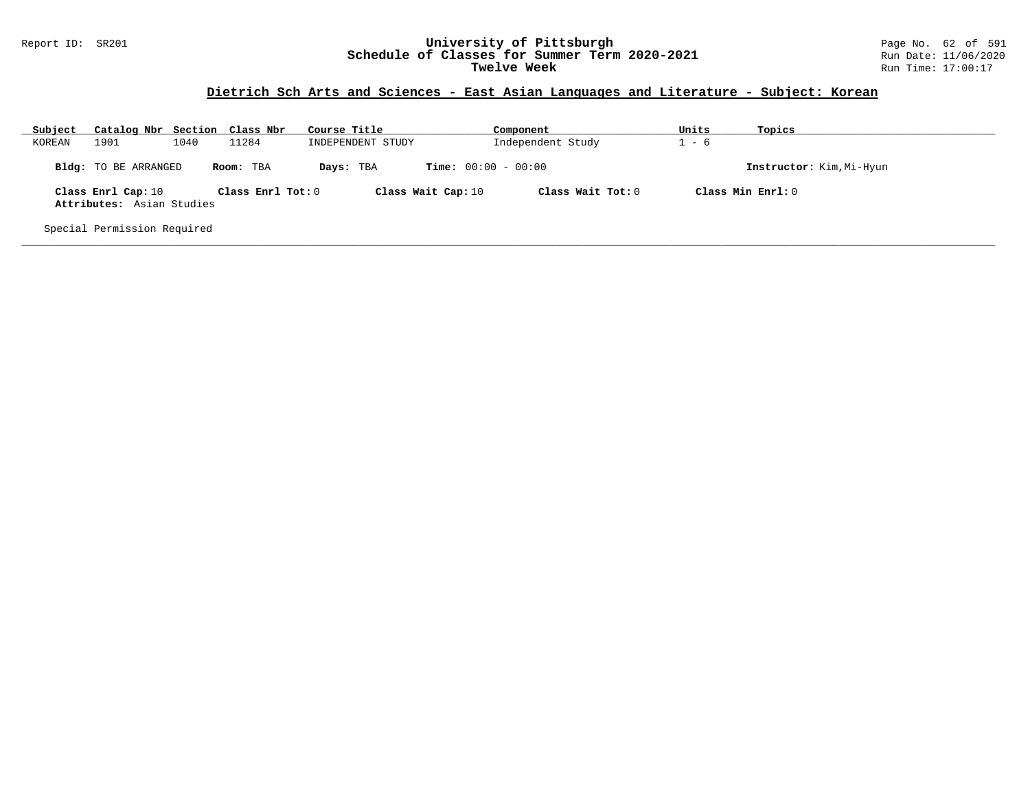#### Report ID: SR201 **University of Pittsburgh** Page No. 62 of 591 **Schedule of Classes for Summer Term 2020-2021** Run Date: 11/06/2020 **Twelve Week** Run Time: 17:00:17

# **Dietrich Sch Arts and Sciences - East Asian Languages and Literature - Subject: Korean**

| Subject | Catalog Nbr Section Class Nbr                   |      |                   | Course Title       | Component                    | Units | Topics                   |
|---------|-------------------------------------------------|------|-------------------|--------------------|------------------------------|-------|--------------------------|
| KOREAN  | 1901                                            | 1040 | 11284             | INDEPENDENT STUDY  | Independent Study            | $-6$  |                          |
|         | Bldg: TO BE ARRANGED                            |      | Room: TBA         | Days: TBA          | <b>Time:</b> $00:00 - 00:00$ |       | Instructor: Kim, Mi-Hyun |
|         | Class Enrl Cap: 10<br>Attributes: Asian Studies |      | Class Enrl Tot: 0 | Class Wait Cap: 10 | Class Wait Tot: $0$          |       | Class Min $Enr1:0$       |
|         | Special Permission Required                     |      |                   |                    |                              |       |                          |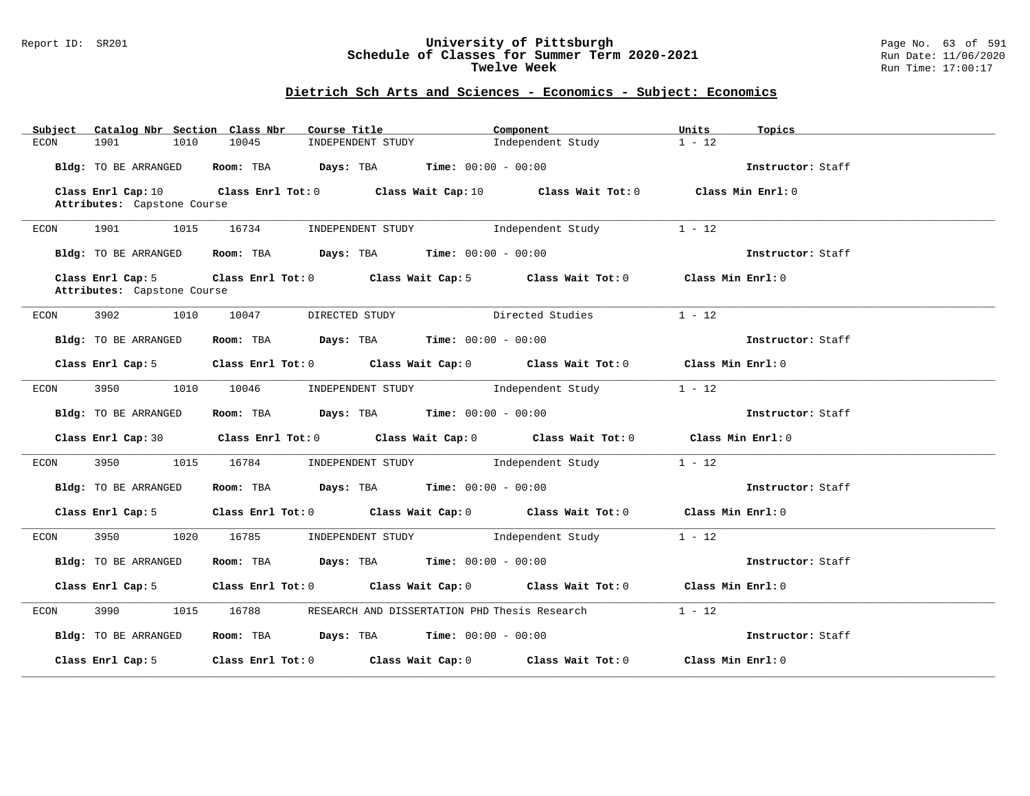### Report ID: SR201 **University of Pittsburgh** Page No. 63 of 591 **Schedule of Classes for Summer Term 2020-2021** Run Date: 11/06/2020 **Twelve Week Run Time:** 17:00:17

# **Dietrich Sch Arts and Sciences - Economics - Subject: Economics**

| Catalog Nbr Section Class Nbr<br>Subject | Course Title                                | Component                                                                                          | Units<br>Topics   |
|------------------------------------------|---------------------------------------------|----------------------------------------------------------------------------------------------------|-------------------|
| 1901<br>1010<br>ECON                     | 10045<br>INDEPENDENT STUDY                  | Independent Study                                                                                  | $1 - 12$          |
| Bldg: TO BE ARRANGED                     | Room: TBA $Days:$ TBA Time: $00:00 - 00:00$ |                                                                                                    | Instructor: Staff |
|                                          |                                             | Class Enrl Cap: 10 Class Enrl Tot: 0 Class Wait Cap: 10 Class Wait Tot: 0 Class Min Enrl: 0        |                   |
| Attributes: Capstone Course              |                                             |                                                                                                    |                   |
|                                          |                                             |                                                                                                    |                   |
| 1901<br>1015<br>ECON                     |                                             | 16734 INDEPENDENT STUDY 1ndependent Study                                                          | $1 - 12$          |
| Bldg: TO BE ARRANGED                     | Room: TBA $Days:$ TBA $Time: 00:00 - 00:00$ |                                                                                                    | Instructor: Staff |
| Class Enrl Cap: 5                        |                                             | Class Enrl Tot: 0 Class Wait Cap: 5 Class Wait Tot: 0 Class Min Enrl: 0                            |                   |
| Attributes: Capstone Course              |                                             |                                                                                                    |                   |
|                                          |                                             |                                                                                                    |                   |
| 3902 200<br>1010<br>ECON                 | 10047 DIRECTED STUDY                        | Directed Studies                                                                                   | $1 - 12$          |
|                                          |                                             |                                                                                                    |                   |
| Bldg: TO BE ARRANGED                     | Room: TBA $Days:$ TBA $Time: 00:00 - 00:00$ |                                                                                                    | Instructor: Staff |
|                                          |                                             |                                                                                                    |                   |
| Class Enrl Cap: 5                        |                                             | Class Enrl Tot: 0 $\qquad$ Class Wait Cap: 0 $\qquad$ Class Wait Tot: 0 $\qquad$ Class Min Enrl: 0 |                   |
| 3950 000<br>ECON                         |                                             | 1010 10046 INDEPENDENT STUDY Independent Study                                                     | $1 - 12$          |
|                                          |                                             |                                                                                                    |                   |
| Bldg: TO BE ARRANGED                     | Room: TBA $Days: TBA$ Time: $00:00 - 00:00$ |                                                                                                    | Instructor: Staff |
|                                          |                                             |                                                                                                    |                   |
|                                          |                                             | Class Enrl Cap: 30 Class Enrl Tot: 0 Class Wait Cap: 0 Class Wait Tot: 0 Class Min Enrl: 0         |                   |
|                                          |                                             |                                                                                                    |                   |
| ECON                                     |                                             | 3950 1015 16784 INDEPENDENT STUDY Independent Study                                                | $1 - 12$          |
|                                          |                                             |                                                                                                    |                   |
| Bldg: TO BE ARRANGED                     | Room: TBA $Days:$ TBA $Time: 00:00 - 00:00$ |                                                                                                    | Instructor: Staff |
| Class Enrl Cap: 5                        |                                             | Class Enrl Tot: $0$ Class Wait Cap: $0$ Class Wait Tot: $0$ Class Min Enrl: $0$                    |                   |
|                                          |                                             |                                                                                                    |                   |
| 3950 000<br>ECON                         |                                             | 1020 16785 INDEPENDENT STUDY Independent Study                                                     | $1 - 12$          |
|                                          |                                             |                                                                                                    |                   |
| Bldg: TO BE ARRANGED                     | Room: TBA $Days:$ TBA Time: $00:00 - 00:00$ |                                                                                                    | Instructor: Staff |
|                                          |                                             |                                                                                                    |                   |
| Class Enrl Cap: 5                        |                                             | Class Enrl Tot: 0 Class Wait Cap: 0 Class Wait Tot: 0 Class Min Enrl: 0                            |                   |
|                                          |                                             |                                                                                                    |                   |
| 3990 88<br>ECON                          |                                             | 1015 16788 RESEARCH AND DISSERTATION PHD Thesis Research                                           | $1 - 12$          |
|                                          | Room: TBA $Days: TBA$ Time: $00:00 - 00:00$ |                                                                                                    |                   |
| Bldg: TO BE ARRANGED                     |                                             |                                                                                                    | Instructor: Staff |
|                                          |                                             | Class Enrl Cap: 5 Class Enrl Tot: 0 Class Wait Cap: 0 Class Wait Tot: 0 Class Min Enrl: 0          |                   |
|                                          |                                             |                                                                                                    |                   |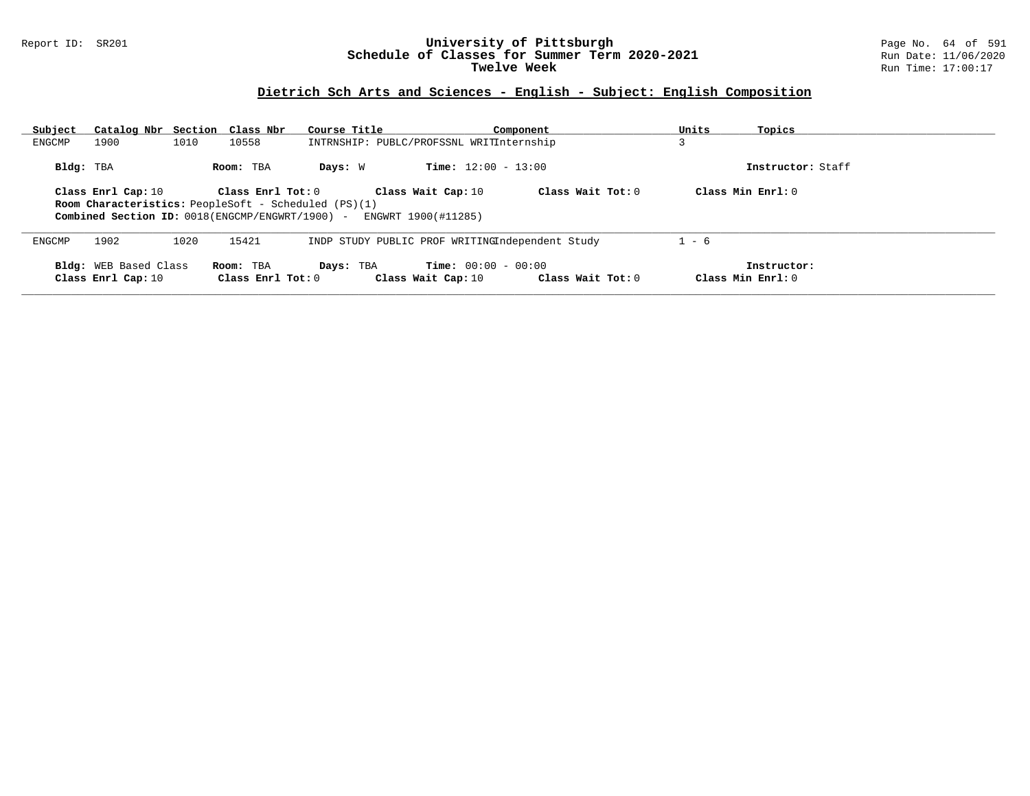### Report ID: SR201 **University of Pittsburgh** Page No. 64 of 591 **Schedule of Classes for Summer Term 2020-2021** Run Date: 11/06/2020 **Twelve Week Run Time:** 17:00:17

# **Dietrich Sch Arts and Sciences - English - Subject: English Composition**

| Subject<br>ENGCMP | Catalog Nbr Section Class Nbr<br>1900                                                                                                                                     | 1010 | 10558             | Course Title<br>INTRNSHIP: PUBLC/PROFSSNL WRITInternship |                              | Component         | Units   | Topics              |
|-------------------|---------------------------------------------------------------------------------------------------------------------------------------------------------------------------|------|-------------------|----------------------------------------------------------|------------------------------|-------------------|---------|---------------------|
|                   |                                                                                                                                                                           |      |                   |                                                          |                              |                   | د.      |                     |
| Bldg: TBA         |                                                                                                                                                                           |      | Room: TBA         | Days: W                                                  | <b>Time:</b> $12:00 - 13:00$ |                   |         | Instructor: Staff   |
|                   | Class Wait Tot: $0$<br>Class Min $Enr1: 0$<br>Class Enrl Cap: 10<br>$Class$ $Enr1$ $Tot: 0$<br>Class Wait Cap: 10<br>Room Characteristics: PeopleSoft - Scheduled (PS)(1) |      |                   |                                                          |                              |                   |         |                     |
|                   | Combined Section ID: 0018(ENGCMP/ENGWRT/1900) -                                                                                                                           |      |                   |                                                          | ENGWRT 1900(#11285)          |                   |         |                     |
| ENGCMP            | 1902                                                                                                                                                                      | 1020 | 15421             | INDP STUDY PUBLIC PROF WRITINGIndependent Study          |                              |                   | $1 - 6$ |                     |
|                   | Bldg: WEB Based Class                                                                                                                                                     |      | Room: TBA         | Days: TBA                                                | <b>Time:</b> $00:00 - 00:00$ |                   |         | Instructor:         |
|                   | Class Enrl Cap: 10                                                                                                                                                        |      | Class Enrl Tot: 0 |                                                          | Class Wait Cap: 10           | Class Wait Tot: 0 |         | Class Min $Enrl: 0$ |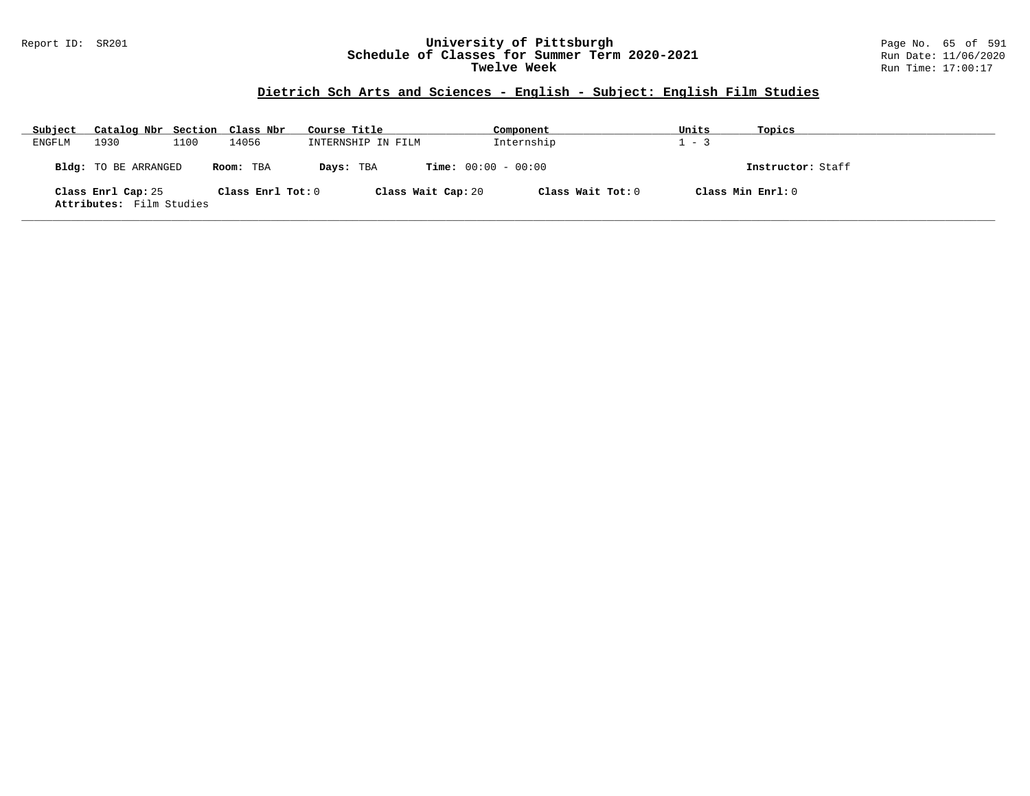### Report ID: SR201 **University of Pittsburgh** Page No. 65 of 591 **Schedule of Classes for Summer Term 2020-2021** Run Date: 11/06/2020 **Twelve Week Run Time:** 17:00:17

# **Dietrich Sch Arts and Sciences - English - Subject: English Film Studies**

| Subject | Catalog Nbr Section Class Nbr                  |      |                   | Course Title       | Component                    | Units | Topics            |
|---------|------------------------------------------------|------|-------------------|--------------------|------------------------------|-------|-------------------|
| ENGFLM  | 1930                                           | 1100 | 14056             | INTERNSHIP IN FILM | Internship                   | $-3$  |                   |
|         | Bldg: TO BE ARRANGED                           |      | Room: TBA         | Days: TBA          | <b>Time:</b> $00:00 - 00:00$ |       | Instructor: Staff |
|         | Class Enrl Cap: 25<br>Attributes: Film Studies |      | Class Enrl Tot: 0 | Class Wait Cap: 20 | Class Wait Tot: 0            |       | Class Min Enrl: 0 |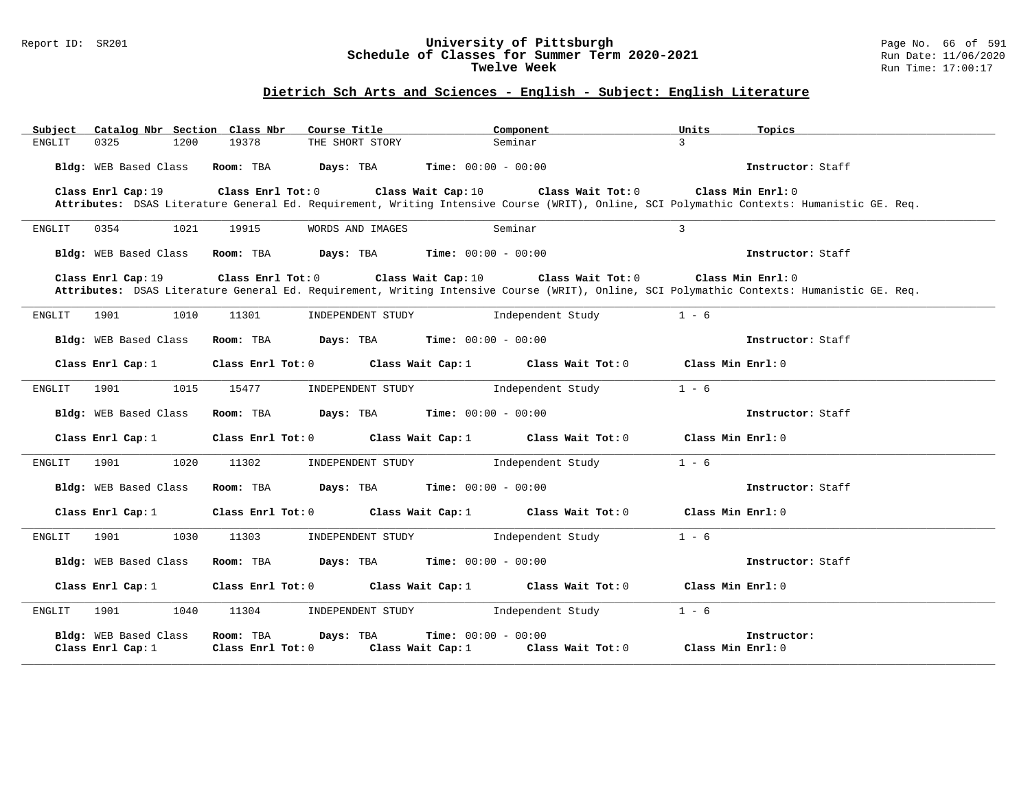### Report ID: SR201 **University of Pittsburgh** Page No. 66 of 591 **Schedule of Classes for Summer Term 2020-2021** Run Date: 11/06/2020 **Twelve Week Run Time:** 17:00:17

# **Dietrich Sch Arts and Sciences - English - Subject: English Literature**

| Catalog Nbr Section Class Nbr<br>Subject   | Course Title                                      | Component                                                              | Units<br>Topics                                                                                                                            |
|--------------------------------------------|---------------------------------------------------|------------------------------------------------------------------------|--------------------------------------------------------------------------------------------------------------------------------------------|
| 0325<br>1200<br>ENGLIT                     | 19378<br>THE SHORT STORY                          | Seminar                                                                | $\mathbf{3}$                                                                                                                               |
| Bldg: WEB Based Class                      | Room: TBA $Days:$ TBA $Time: 00:00 - 00:00$       |                                                                        | Instructor: Staff                                                                                                                          |
| Class Enrl Cap: 19                         | $Class$ $Enr1$ $Tot: 0$                           | Class Wait Cap: 10<br>Class Wait Tot: 0                                | Class Min Enrl: 0                                                                                                                          |
|                                            |                                                   |                                                                        | Attributes: DSAS Literature General Ed. Requirement, Writing Intensive Course (WRIT), Online, SCI Polymathic Contexts: Humanistic GE. Req. |
| 1021<br>ENGLIT<br>0354                     | 19915<br>WORDS AND IMAGES                         | Seminar                                                                | $\overline{3}$                                                                                                                             |
| Bldg: WEB Based Class                      | Room: TBA $Days: TBA$ Time: $00:00 - 00:00$       |                                                                        | Instructor: Staff                                                                                                                          |
| Class Enrl Cap: 19                         | $Class$ $Enr1$ $Tot: 0$                           | Class Wait Cap: 10 Class Wait Tot: 0                                   | Class Min Enrl: 0                                                                                                                          |
|                                            |                                                   |                                                                        | Attributes: DSAS Literature General Ed. Requirement, Writing Intensive Course (WRIT), Online, SCI Polymathic Contexts: Humanistic GE. Req. |
| 1901<br>1010<br>ENGLIT                     | 11301<br>INDEPENDENT STUDY                        | Independent Study                                                      | $1 - 6$                                                                                                                                    |
| Bldg: WEB Based Class                      | Room: TBA $Days:$ TBA $Time: 00:00 - 00:00$       |                                                                        | Instructor: Staff                                                                                                                          |
| Class Enrl Cap: 1                          |                                                   | Class Enrl Tot: $0$ Class Wait Cap: 1 Class Wait Tot: 0                | Class Min Enrl: 0                                                                                                                          |
| 1015<br>1901<br>ENGLIT                     | INDEPENDENT STUDY<br>15477                        | Independent Study                                                      | $1 - 6$                                                                                                                                    |
| Bldg: WEB Based Class                      | Room: TBA $Days:$ TBA $Time: 00:00 - 00:00$       |                                                                        | Instructor: Staff                                                                                                                          |
| Class Enrl Cap: 1                          |                                                   | Class Enrl Tot: $0$ Class Wait Cap: 1 Class Wait Tot: 0                | Class Min Enrl: 0                                                                                                                          |
| 1901<br>1020<br>ENGLIT                     | 11302<br>INDEPENDENT STUDY                        | Independent Study                                                      | $1 - 6$                                                                                                                                    |
| Bldg: WEB Based Class                      | Room: TBA $Days: TBA$ Time: $00:00 - 00:00$       |                                                                        | Instructor: Staff                                                                                                                          |
| Class Enrl Cap: 1                          |                                                   | Class Enrl Tot: $0$ Class Wait Cap: 1 Class Wait Tot: 0                | Class Min Enrl: 0                                                                                                                          |
| 1901<br>1030<br>ENGLIT                     | 11303<br>INDEPENDENT STUDY                        | Independent Study                                                      | $1 - 6$                                                                                                                                    |
| Bldg: WEB Based Class                      | Room: TBA $Days: TBA$ Time: $00:00 - 00:00$       |                                                                        | Instructor: Staff                                                                                                                          |
| Class Enrl Cap: 1                          |                                                   | Class Enrl Tot: 0 Class Wait Cap: 1 Class Wait Tot: 0                  | Class Min $Enr1:0$                                                                                                                         |
| 1901 1901<br>1040<br>ENGLIT                | 11304<br>INDEPENDENT STUDY                        | Independent Study                                                      | $1 - 6$                                                                                                                                    |
| Bldg: WEB Based Class<br>Class Enrl Cap: 1 | Room: TBA<br>Days: TBA<br>$Class$ $Enr1$ $Tot: 0$ | <b>Time:</b> $00:00 - 00:00$<br>Class Wait Cap: 1<br>Class Wait Tot: 0 | Instructor:<br>Class Min Enrl: 0                                                                                                           |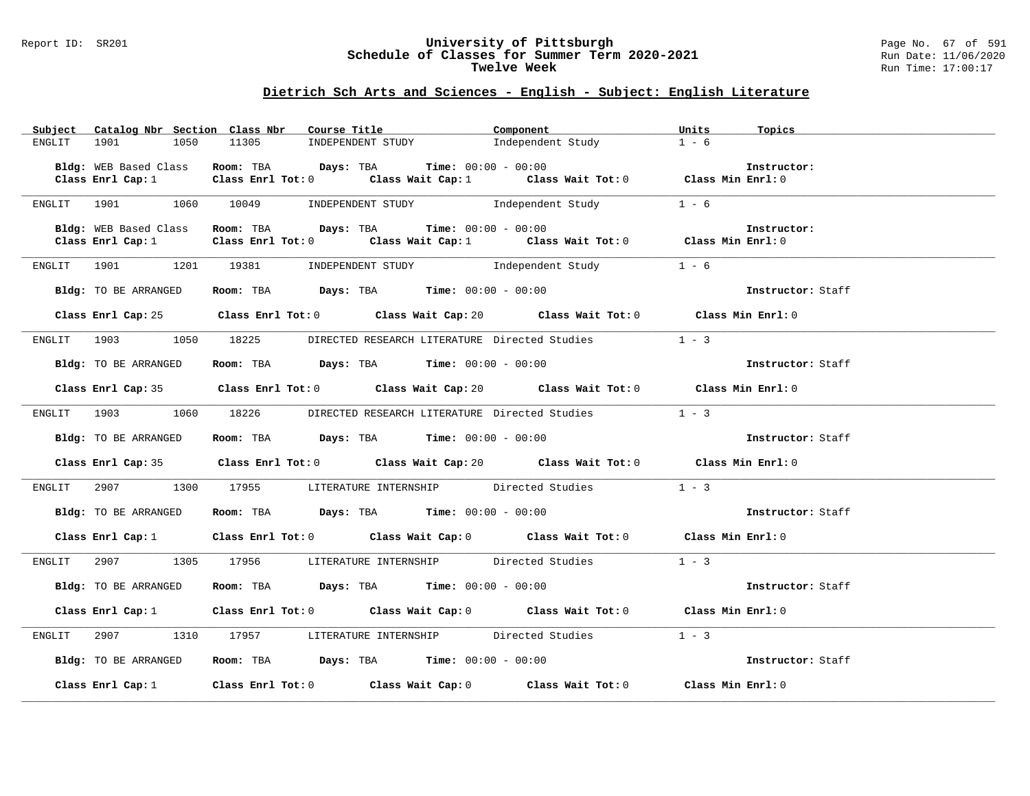### Report ID: SR201 **University of Pittsburgh** Page No. 67 of 591 **Schedule of Classes for Summer Term 2020-2021** Run Date: 11/06/2020 **Twelve Week Run Time:** 17:00:17

### **Dietrich Sch Arts and Sciences - English - Subject: English Literature**

| Subject       | Catalog Nbr Section Class Nbr | Course Title <b>Source Search</b>                                    | Component                                                                                          | Units<br>Topics   |
|---------------|-------------------------------|----------------------------------------------------------------------|----------------------------------------------------------------------------------------------------|-------------------|
| <b>ENGLIT</b> | 1901<br>1050                  | 11305<br>INDEPENDENT STUDY                                           | Independent Study                                                                                  | $1 - 6$           |
|               |                               |                                                                      |                                                                                                    |                   |
|               | Bldg: WEB Based Class         | Room: TBA $Days: TBA$ Time: $00:00 - 00:00$                          |                                                                                                    | Instructor:       |
|               | Class Enrl Cap: 1             |                                                                      | Class Enrl Tot: 0 $\qquad$ Class Wait Cap: 1 $\qquad$ Class Wait Tot: 0 $\qquad$ Class Min Enrl: 0 |                   |
|               |                               |                                                                      |                                                                                                    |                   |
| ENGLIT        | 1060                          | 10049                                                                | INDEPENDENT STUDY The Independent Study                                                            | $1 - 6$           |
|               |                               |                                                                      |                                                                                                    |                   |
|               | Bldg: WEB Based Class         | Room: TBA $Days: TBA$ Time: $00:00 - 00:00$                          |                                                                                                    | Instructor:       |
|               | Class Enrl Cap: 1             |                                                                      | Class Enrl Tot: 0 $\qquad$ Class Wait Cap: 1 $\qquad$ Class Wait Tot: 0 $\qquad$ Class Min Enrl: 0 |                   |
|               | 1901 1901                     | 1201 19381                                                           | INDEPENDENT STUDY 1 - 6                                                                            |                   |
| ENGLIT        |                               |                                                                      |                                                                                                    |                   |
|               | Bldg: TO BE ARRANGED          | Room: TBA $Days:$ TBA $Time:$ $00:00 - 00:00$                        |                                                                                                    | Instructor: Staff |
|               |                               |                                                                      |                                                                                                    |                   |
|               |                               |                                                                      | Class Enrl Cap: 25 Class Enrl Tot: 0 Class Wait Cap: 20 Class Wait Tot: 0 Class Min Enrl: 0        |                   |
|               |                               |                                                                      |                                                                                                    |                   |
|               |                               | ENGLIT 1903 1050 18225 DIRECTED RESEARCH LITERATURE Directed Studies | $1 - 3$                                                                                            |                   |
|               |                               |                                                                      |                                                                                                    |                   |
|               | Bldg: TO BE ARRANGED          | Room: TBA $\rule{1em}{0.15mm}$ Days: TBA Time: $00:00 - 00:00$       |                                                                                                    | Instructor: Staff |
|               |                               |                                                                      |                                                                                                    |                   |
|               |                               |                                                                      | Class Enrl Cap: 35 Class Enrl Tot: 0 Class Wait Cap: 20 Class Wait Tot: 0 Class Min Enrl: 0        |                   |
|               |                               |                                                                      |                                                                                                    |                   |
|               |                               |                                                                      | ENGLIT 1903 1060 18226 DIRECTED RESEARCH LITERATURE Directed Studies 1 - 3                         |                   |
|               |                               |                                                                      |                                                                                                    |                   |
|               | Bldg: TO BE ARRANGED          | Room: TBA $Days:$ TBA $Time: 00:00 - 00:00$                          |                                                                                                    | Instructor: Staff |
|               |                               |                                                                      |                                                                                                    |                   |
|               |                               |                                                                      | Class Enrl Cap: 35 Class Enrl Tot: 0 Class Wait Cap: 20 Class Wait Tot: 0 Class Min Enrl: 0        |                   |
|               |                               |                                                                      |                                                                                                    |                   |
| ENGLIT        |                               | 2907 1300 17955 LITERATURE INTERNSHIP Directed Studies               |                                                                                                    | $1 - 3$           |
|               |                               |                                                                      |                                                                                                    |                   |
|               | Bldg: TO BE ARRANGED          |                                                                      | <b>Room:</b> TBA <b>Days:</b> TBA <b>Time:</b> 00:00 - 00:00                                       | Instructor: Staff |
|               |                               |                                                                      | Class Enrl Cap: 1 Class Enrl Tot: 0 Class Wait Cap: 0 Class Wait Tot: 0 Class Min Enrl: 0          |                   |
|               |                               |                                                                      |                                                                                                    |                   |
| ENGLIT        | 2907 — 2007<br>1305           |                                                                      | 17956 LITERATURE INTERNSHIP Directed Studies                                                       | $1 - 3$           |
|               |                               |                                                                      |                                                                                                    |                   |
|               | Bldg: TO BE ARRANGED          | Room: TBA $\rule{1em}{0.15mm}$ Days: TBA Time: $00:00 - 00:00$       |                                                                                                    | Instructor: Staff |
|               |                               |                                                                      |                                                                                                    |                   |
|               | Class Enrl Cap: $1$           |                                                                      | Class Enrl Tot: $0$ Class Wait Cap: $0$ Class Wait Tot: $0$ Class Min Enrl: $0$                    |                   |
|               |                               |                                                                      |                                                                                                    |                   |
| ENGLIT        |                               |                                                                      | 2907 1310 17957 LITERATURE INTERNSHIP Directed Studies                                             | $1 - 3$           |
|               |                               |                                                                      |                                                                                                    |                   |
|               | Bldg: TO BE ARRANGED          | Room: TBA $\rule{1em}{0.15mm}$ Days: TBA Time: $00:00 - 00:00$       |                                                                                                    | Instructor: Staff |
|               |                               |                                                                      |                                                                                                    |                   |
|               |                               |                                                                      | Class Enrl Cap: 1 Class Enrl Tot: 0 Class Wait Cap: 0 Class Wait Tot: 0 Class Min Enrl: 0          |                   |
|               |                               |                                                                      |                                                                                                    |                   |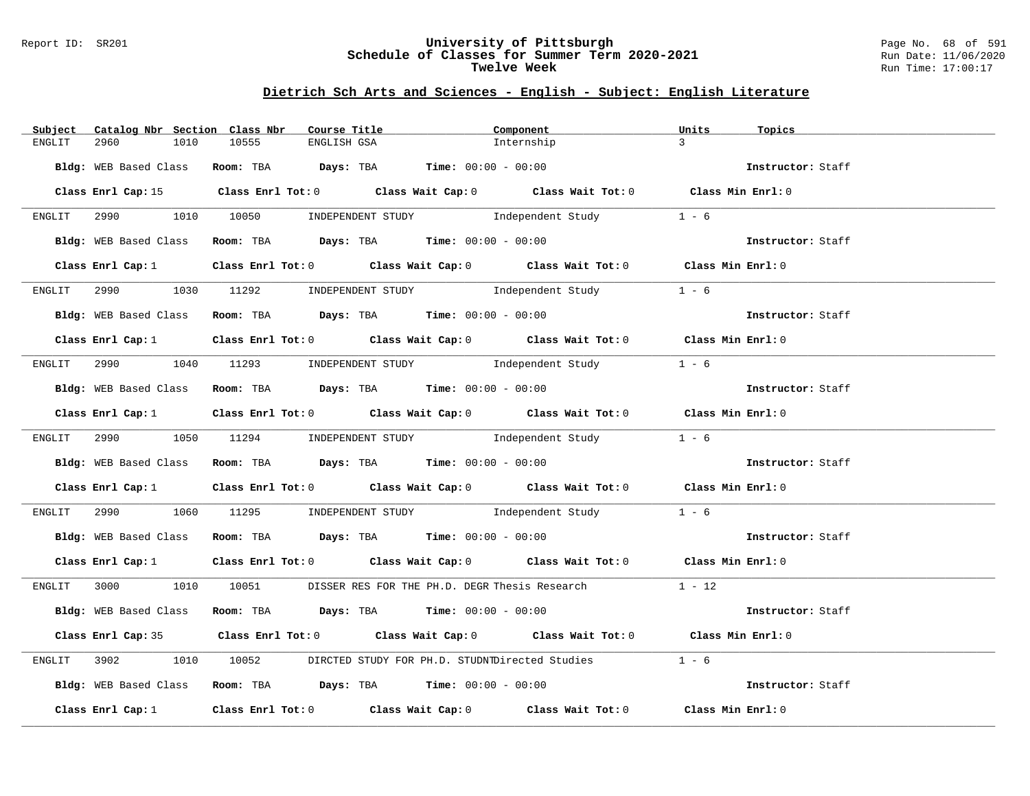### Report ID: SR201 **University of Pittsburgh** Page No. 68 of 591 **Schedule of Classes for Summer Term 2020-2021** Run Date: 11/06/2020 **Twelve Week Run Time:** 17:00:17

# **Dietrich Sch Arts and Sciences - English - Subject: English Literature**

| Subject<br>Catalog Nbr Section Class Nbr | Course Title                                                                                                                  | Component  | Units<br>Topics   |
|------------------------------------------|-------------------------------------------------------------------------------------------------------------------------------|------------|-------------------|
| 2960<br>ENGLIT<br>1010                   | 10555<br>ENGLISH GSA                                                                                                          | Internship | $\mathcal{R}$     |
|                                          | Bldg: WEB Based Class Room: TBA Days: TBA Time: 00:00 - 00:00                                                                 |            | Instructor: Staff |
|                                          |                                                                                                                               |            |                   |
|                                          | Class Enrl Cap: 15 Class Enrl Tot: 0 Class Wait Cap: 0 Class Wait Tot: 0 Class Min Enrl: 0                                    |            |                   |
|                                          | ENGLIT 2990 1010 10050 INDEPENDENT STUDY Independent Study 1 - 6                                                              |            |                   |
|                                          | Bldg: WEB Based Class Room: TBA Days: TBA Time: $00:00 - 00:00$                                                               |            |                   |
|                                          | Class Enrl Cap: 1 Class Enrl Tot: 0 Class Wait Cap: 0 Class Wait Tot: 0 Class Min Enrl: 0                                     |            |                   |
|                                          | ENGLIT 2990 1030 11292 INDEPENDENT STUDY Independent Study                                                                    |            | $1 - 6$           |
|                                          | Bldg: WEB Based Class Room: TBA Days: TBA Time: 00:00 - 00:00                                                                 |            | Instructor: Staff |
|                                          | Class Enrl Cap: 1 Class Enrl Tot: 0 Class Wait Cap: 0 Class Wait Tot: 0 Class Min Enrl: 0                                     |            |                   |
|                                          | ENGLIT 2990 1040 11293 INDEPENDENT STUDY Independent Study 1 - 6                                                              |            |                   |
|                                          | Bldg: WEB Based Class Room: TBA Days: TBA Time: 00:00 - 00:00                                                                 |            | Instructor: Staff |
|                                          | Class Enrl Cap: 1 Class Enrl Tot: 0 Class Wait Cap: 0 Class Wait Tot: 0 Class Min Enrl: 0                                     |            |                   |
|                                          | ENGLIT 2990 1050 11294 INDEPENDENT STUDY Independent Study 1 - 6                                                              |            |                   |
|                                          | Bldg: WEB Based Class Room: TBA Days: TBA Time: 00:00 - 00:00                                                                 |            | Instructor: Staff |
|                                          | Class Enrl Cap: 1 Class Enrl Tot: 0 Class Wait Cap: 0 Class Wait Tot: 0 Class Min Enrl: 0                                     |            |                   |
|                                          | ENGLIT 2990 $1060$ 11295 INDEPENDENT STUDY Independent Study $1 - 6$                                                          |            |                   |
|                                          | Bldg: WEB Based Class Room: TBA Days: TBA Time: 00:00 - 00:00                                                                 |            | Instructor: Staff |
|                                          | Class Enrl Cap: 1 Class Enrl Tot: 0 Class Wait Cap: 0 Class Wait Tot: 0 Class Min Enrl: 0                                     |            |                   |
|                                          | ENGLIT 3000 1010 10051 DISSER RES FOR THE PH.D. DEGR Thesis Research 1 - 12                                                   |            |                   |
|                                          | Bldg: WEB Based Class Room: TBA Days: TBA Time: 00:00 - 00:00                                                                 |            | Instructor: Staff |
|                                          | Class Enrl Cap: 35 Class Enrl Tot: 0 Class Wait Cap: 0 Class Wait Tot: 0 Class Min Enrl: 0                                    |            |                   |
| ENGLIT 3902                              | 1010 10052 DIRCTED STUDY FOR PH.D. STUDNTDirected Studies 1 - 6                                                               |            |                   |
|                                          | Bldg: WEB Based Class Room: TBA Days: TBA Time: 00:00 - 00:00                                                                 |            | Instructor: Staff |
|                                          | Class Enrl Cap: 1 $\qquad$ Class Enrl Tot: 0 $\qquad$ Class Wait Cap: 0 $\qquad$ Class Wait Tot: 0 $\qquad$ Class Min Enrl: 0 |            |                   |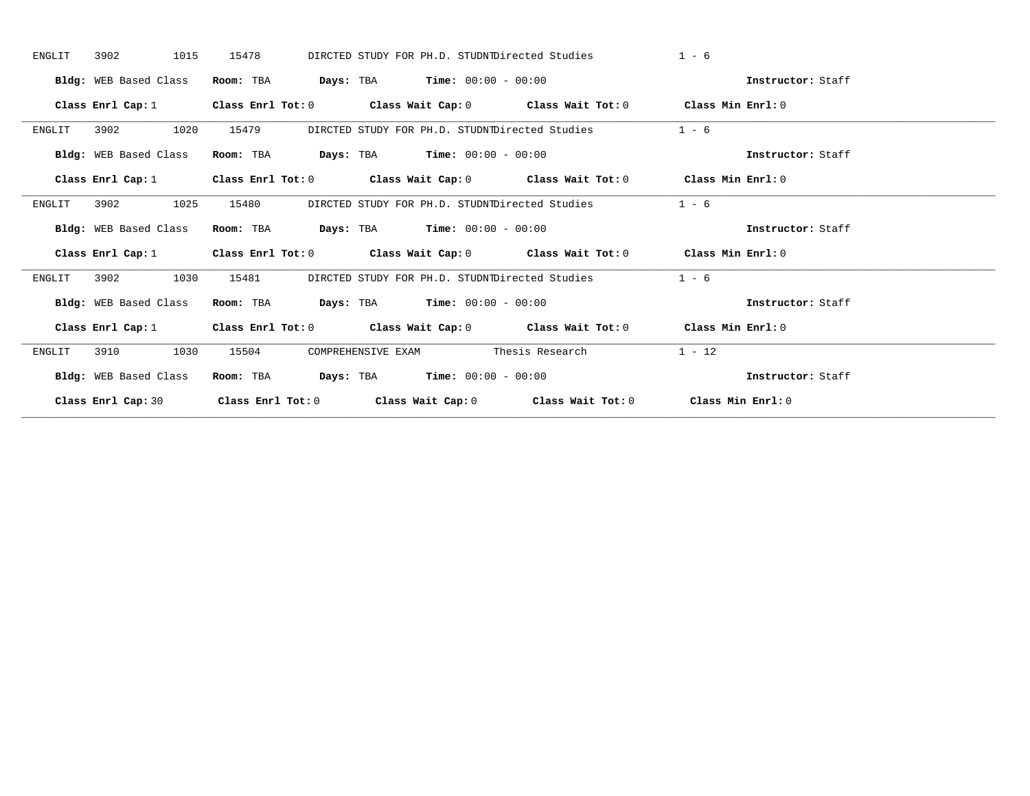| 3902<br>1015<br>ENGLIT | 15478<br>DIRCTED STUDY FOR PH.D. STUDNTDirected Studies                                    | $1 - 6$           |
|------------------------|--------------------------------------------------------------------------------------------|-------------------|
| Bldg: WEB Based Class  | <b>Days:</b> TBA <b>Time:</b> $00:00 - 00:00$<br>Room: TBA                                 | Instructor: Staff |
| Class Enrl Cap: 1      | Class Enrl Tot: $0$ Class Wait Cap: $0$ Class Wait Tot: $0$ Class Min Enrl: $0$            |                   |
| 1020<br>3902<br>ENGLIT | 15479<br>DIRCTED STUDY FOR PH.D. STUDNTDirected Studies                                    | $1 - 6$           |
| Bldg: WEB Based Class  | $\texttt{DayS:}$ TBA $\texttt{Time:}$ 00:00 - 00:00<br>Room: TBA                           | Instructor: Staff |
|                        | Class Enrl Cap: 1 Class Enrl Tot: 0 Class Wait Cap: 0 Class Wait Tot: 0 Class Min Enrl: 0  |                   |
| 1025<br>3902<br>ENGLIT | DIRCTED STUDY FOR PH.D. STUDNIDirected Studies<br>15480                                    | $1 - 6$           |
| Bldg: WEB Based Class  | Room: TBA $\rule{1em}{0.15mm}$ Days: TBA Time: $00:00 - 00:00$                             | Instructor: Staff |
|                        | Class Enrl Cap: 1 Class Enrl Tot: 0 Class Wait Cap: 0 Class Wait Tot: 0 Class Min Enrl: 0  |                   |
| 3902<br>1030<br>ENGLIT | DIRCTED STUDY FOR PH.D. STUDNIDirected Studies<br>15481                                    | $1 - 6$           |
| Bldg: WEB Based Class  | $\texttt{Days:}$ TBA $\texttt{Time:}$ 00:00 - 00:00<br>Room: TBA                           | Instructor: Staff |
|                        | Class Enrl Cap: 1 Class Enrl Tot: 0 Class Wait Cap: 0 Class Wait Tot: 0 Class Min Enrl: 0  |                   |
| 1030<br>ENGLIT<br>3910 | COMPREHENSIVE EXAM Thesis Research<br>15504                                                | $1 - 12$          |
| Bldg: WEB Based Class  | $\texttt{Days:}$ TBA $\texttt{Time:}$ 00:00 - 00:00<br>Room: TBA                           | Instructor: Staff |
|                        | Class Enrl Cap: 30 Class Enrl Tot: 0 Class Wait Cap: 0 Class Wait Tot: 0 Class Min Enrl: 0 |                   |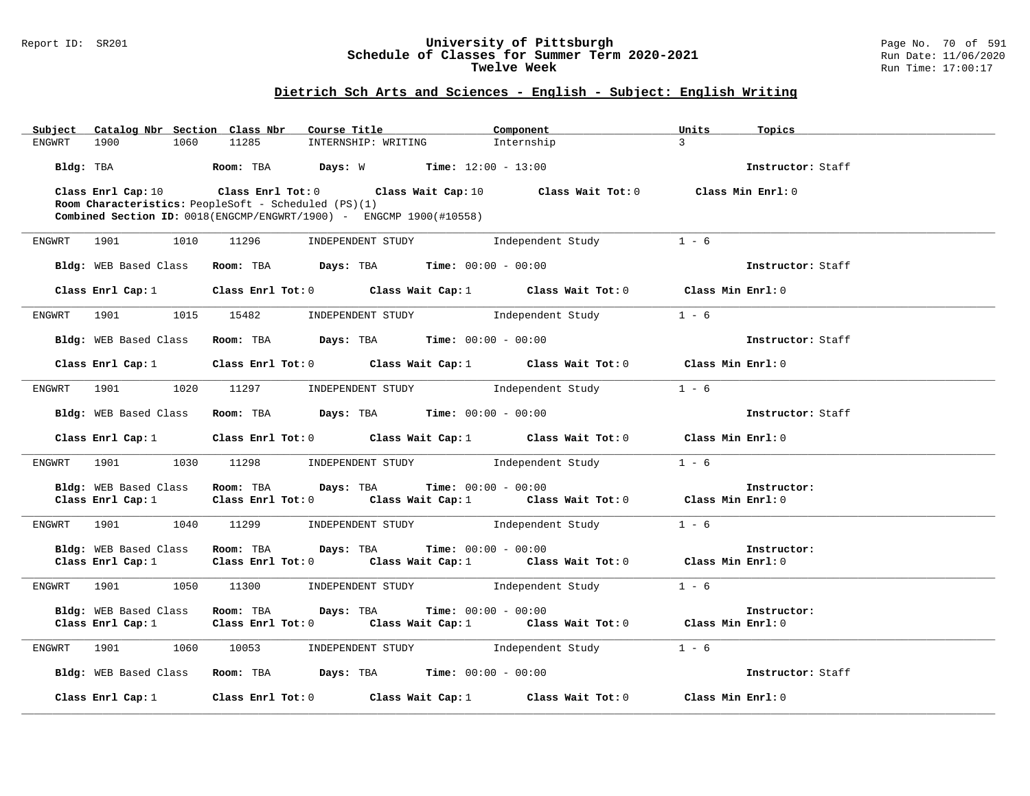### Report ID: SR201 **University of Pittsburgh** Page No. 70 of 591 **Schedule of Classes for Summer Term 2020-2021** Run Date: 11/06/2020 **Twelve Week Run Time:** 17:00:17

# **Dietrich Sch Arts and Sciences - English - Subject: English Writing**

|        | Subject Catalog Nbr Section Class Nbr                       |       | Course Title <b>Source Search</b>                                                 | Component                                                                                          | Units         | Topics            |
|--------|-------------------------------------------------------------|-------|-----------------------------------------------------------------------------------|----------------------------------------------------------------------------------------------------|---------------|-------------------|
| ENGWRT | 1900<br>1060                                                | 11285 | INTERNSHIP: WRITING                                                               | Internship                                                                                         | $\mathcal{L}$ |                   |
|        |                                                             |       | Bldg: TBA                  Room: TBA         Days: W          Time: 12:00 - 13:00 |                                                                                                    |               | Instructor: Staff |
|        |                                                             |       |                                                                                   | Class Enrl Cap: 10 Class Enrl Tot: 0 Class Wait Cap: 10 Class Wait Tot: 0 Class Min Enrl: 0        |               |                   |
|        | <b>Room Characteristics:</b> PeopleSoft - Scheduled (PS)(1) |       |                                                                                   |                                                                                                    |               |                   |
|        |                                                             |       | <b>Combined Section ID:</b> $0018$ (ENGCMP/ENGWRT/1900) - ENGCMP $1900$ (#10558)  |                                                                                                    |               |                   |
|        |                                                             |       |                                                                                   |                                                                                                    |               |                   |
|        | ENGWRT 1901                                                 |       | 1010 11296 INDEPENDENT STUDY 1ndependent Study                                    |                                                                                                    | $1 - 6$       |                   |
|        |                                                             |       | Bldg: WEB Based Class Room: TBA Days: TBA Time: 00:00 - 00:00                     |                                                                                                    |               | Instructor: Staff |
|        |                                                             |       |                                                                                   | Class Enrl Cap: 1 Class Enrl Tot: 0 Class Wait Cap: 1 Class Wait Tot: 0 Class Min Enrl: 0          |               |                   |
|        |                                                             |       |                                                                                   |                                                                                                    |               |                   |
|        |                                                             |       |                                                                                   | ENGWRT 1901 1015 15482 INDEPENDENT STUDY Independent Study 1 - 6                                   |               |                   |
|        |                                                             |       | Bldg: WEB Based Class Room: TBA Days: TBA Time: 00:00 - 00:00                     |                                                                                                    |               | Instructor: Staff |
|        |                                                             |       |                                                                                   |                                                                                                    |               |                   |
|        |                                                             |       |                                                                                   | Class Enrl Cap: 1 Class Enrl Tot: 0 Class Wait Cap: 1 Class Wait Tot: 0 Class Min Enrl: 0          |               |                   |
|        |                                                             |       |                                                                                   |                                                                                                    |               |                   |
|        |                                                             |       |                                                                                   | ENGWRT 1901 1020 11297 INDEPENDENT STUDY Independent Study 1 - 6                                   |               |                   |
|        |                                                             |       |                                                                                   | Bldg: WEB Based Class Room: TBA Days: TBA Time: 00:00 - 00:00                                      |               | Instructor: Staff |
|        |                                                             |       |                                                                                   |                                                                                                    |               |                   |
|        |                                                             |       |                                                                                   | Class Enrl Cap: 1 Class Enrl Tot: 0 Class Wait Cap: 1 Class Wait Tot: 0 Class Min Enrl: 0          |               |                   |
|        |                                                             |       | ENGWRT 1901 1030 11298 INDEPENDENT STUDY Independent Study                        |                                                                                                    | $1 - 6$       |                   |
|        |                                                             |       |                                                                                   | Bldg: WEB Based Class Room: TBA Days: TBA Time: 00:00 - 00:00                                      |               | Instructor:       |
|        | Class Enrl Cap: 1                                           |       |                                                                                   | Class Enrl Tot: 0 $\qquad$ Class Wait Cap: 1 $\qquad$ Class Wait Tot: 0 $\qquad$ Class Min Enrl: 0 |               |                   |
|        |                                                             |       |                                                                                   |                                                                                                    |               |                   |
|        |                                                             |       |                                                                                   | ENGWRT 1901 1040 11299 INDEPENDENT STUDY Independent Study                                         | $1 - 6$       |                   |
|        |                                                             |       |                                                                                   |                                                                                                    |               |                   |
|        |                                                             |       | Bldg: WEB Based Class Room: TBA Days: TBA Time: 00:00 - 00:00                     | Class Enrl Cap: 1 Class Enrl Tot: 0 Class Wait Cap: 1 Class Wait Tot: 0 Class Min Enrl: 0          |               | Instructor:       |
|        |                                                             |       |                                                                                   |                                                                                                    |               |                   |
|        | ENGWRT 1901                                                 |       |                                                                                   | 1050 11300 INDEPENDENT STUDY Independent Study                                                     | $1 - 6$       |                   |
|        |                                                             |       | Bldg: WEB Based Class Room: TBA Days: TBA Time: 00:00 - 00:00                     |                                                                                                    |               | Instructor:       |
|        |                                                             |       |                                                                                   | Class Enrl Cap: 1 Class Enrl Tot: 0 Class Wait Cap: 1 Class Wait Tot: 0 Class Min Enrl: 0          |               |                   |
|        |                                                             |       |                                                                                   |                                                                                                    |               |                   |
|        |                                                             |       |                                                                                   | ENGWRT 1901 1060 10053 INDEPENDENT STUDY Independent Study 1 - 6                                   |               |                   |
|        |                                                             |       | Bldg: WEB Based Class Room: TBA Days: TBA Time: 00:00 - 00:00                     |                                                                                                    |               | Instructor: Staff |
|        |                                                             |       |                                                                                   |                                                                                                    |               |                   |
|        |                                                             |       |                                                                                   | Class Enrl Cap: 1 Class Enrl Tot: 0 Class Wait Cap: 1 Class Wait Tot: 0 Class Min Enrl: 0          |               |                   |
|        |                                                             |       |                                                                                   |                                                                                                    |               |                   |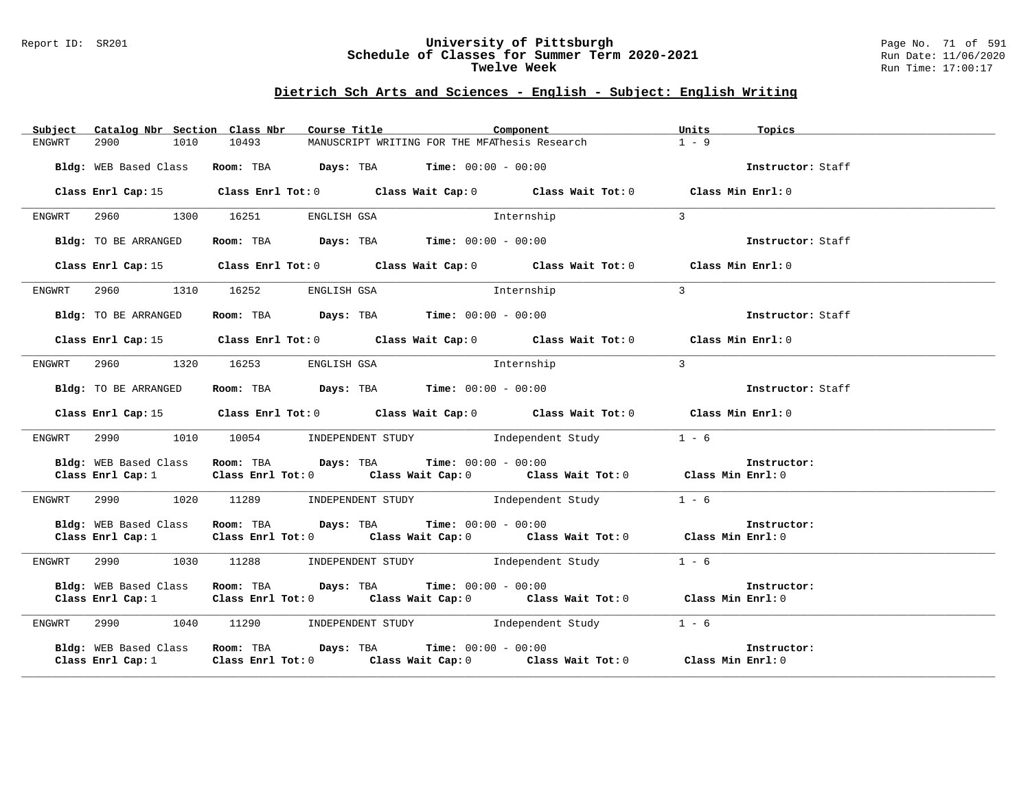### Report ID: SR201 **University of Pittsburgh** Page No. 71 of 591 **Schedule of Classes for Summer Term 2020-2021** Run Date: 11/06/2020 **Twelve Week Run Time:** 17:00:17

# **Dietrich Sch Arts and Sciences - English - Subject: English Writing**

|        |                                            | Subject Catalog Nbr Section Class Nbr Course Title                                                                                                         | Units<br>Component | Topics            |
|--------|--------------------------------------------|------------------------------------------------------------------------------------------------------------------------------------------------------------|--------------------|-------------------|
| ENGWRT | 2900<br>1010                               | 10493<br>MANUSCRIPT WRITING FOR THE MFAThesis Research                                                                                                     | $1 - 9$            |                   |
|        |                                            | Bldg: WEB Based Class Room: TBA Days: TBA Time: 00:00 - 00:00                                                                                              |                    | Instructor: Staff |
|        |                                            | Class Enrl Cap: 15 Class Enrl Tot: 0 Class Wait Cap: 0 Class Wait Tot: 0 Class Min Enrl: 0                                                                 |                    |                   |
| ENGWRT |                                            | 2960 1300 16251 ENGLISH GSA 5 Internship                                                                                                                   | $\overline{3}$     |                   |
|        | Bldg: TO BE ARRANGED                       | Room: TBA $\rule{1em}{0.15mm}$ Days: TBA $\rule{1.15mm}]{0.15mm}$ Time: $00:00 - 00:00$                                                                    |                    | Instructor: Staff |
|        |                                            | Class Enrl Cap: 15 (Class Enrl Tot: 0 (Class Wait Cap: 0 (Class Wait Tot: 0 (Class Min Enrl: 0)                                                            |                    |                   |
| ENGWRT |                                            | 2960 1310 16252 ENGLISH GSA 11 Internship                                                                                                                  | $\mathbf{3}$       |                   |
|        | Bldg: TO BE ARRANGED                       | Room: TBA $\rule{1em}{0.15mm}$ Days: TBA $\rule{1.15mm}]{0.15mm}$ Time: $00:00 - 00:00$                                                                    |                    | Instructor: Staff |
|        |                                            | Class Enrl Cap: 15 (Class Enrl Tot: 0 (Class Wait Cap: 0 (Class Wait Tot: 0 (Class Min Enrl: 0)                                                            |                    |                   |
| ENGWRT |                                            | 2960 1320 16253 ENGLISH GSA 10 Internship                                                                                                                  | $\overline{3}$     |                   |
|        | Bldg: TO BE ARRANGED                       | Room: TBA $Days:$ TBA Time: $00:00 - 00:00$                                                                                                                |                    | Instructor: Staff |
|        |                                            | Class Enrl Cap: 15 (Class Enrl Tot: 0 (Class Wait Cap: 0 (Class Wait Tot: 0 (Class Min Enrl: 0)                                                            |                    |                   |
| ENGWRT |                                            | 2990 1010 10054 INDEPENDENT STUDY Independent Study 1 - 6                                                                                                  |                    |                   |
|        |                                            | Bldg: WEB Based Class Room: TBA Days: TBA Time: 00:00 - 00:00                                                                                              |                    | Instructor:       |
|        |                                            | Class Enrl Cap: 1 Class Enrl Tot: 0 Class Wait Cap: 0 Class Wait Tot: 0 Class Min Enrl: 0                                                                  |                    |                   |
|        |                                            | ENGWRT 2990 1020 11289 INDEPENDENT STUDY Independent Study                                                                                                 | $1 - 6$            |                   |
|        | Class Enrl Cap: 1                          | Bldg: WEB Based Class Room: TBA Days: TBA Time: 00:00 - 00:00<br>Class Enrl Tot: 0 Class Wait Cap: 0 Class Wait Tot: 0 Class Min Enrl: 0                   |                    | Instructor:       |
|        |                                            | ENGWRT 2990 1030 11288 INDEPENDENT STUDY Independent Study                                                                                                 | $1 - 6$            |                   |
|        | Bldg: WEB Based Class<br>Class Enrl Cap: 1 | Room: TBA $Days:$ TBA $Time: 00:00 - 00:00$<br>Class Enrl Tot: 0 $\qquad$ Class Wait Cap: 0 $\qquad$ Class Wait Tot: 0 $\qquad$ Class Min Enrl: 0          |                    | Instructor:       |
|        |                                            | ENGWRT 2990 1040 11290 INDEPENDENT STUDY Independent Study 1 - 6                                                                                           |                    |                   |
|        |                                            | Bldg: WEB Based Class Room: TBA Days: TBA Time: 00:00 - 00:00<br>Class Enrl Cap: 1 Class Enrl Tot: 0 Class Wait Cap: 0 Class Wait Tot: 0 Class Min Enrl: 0 |                    | Instructor:       |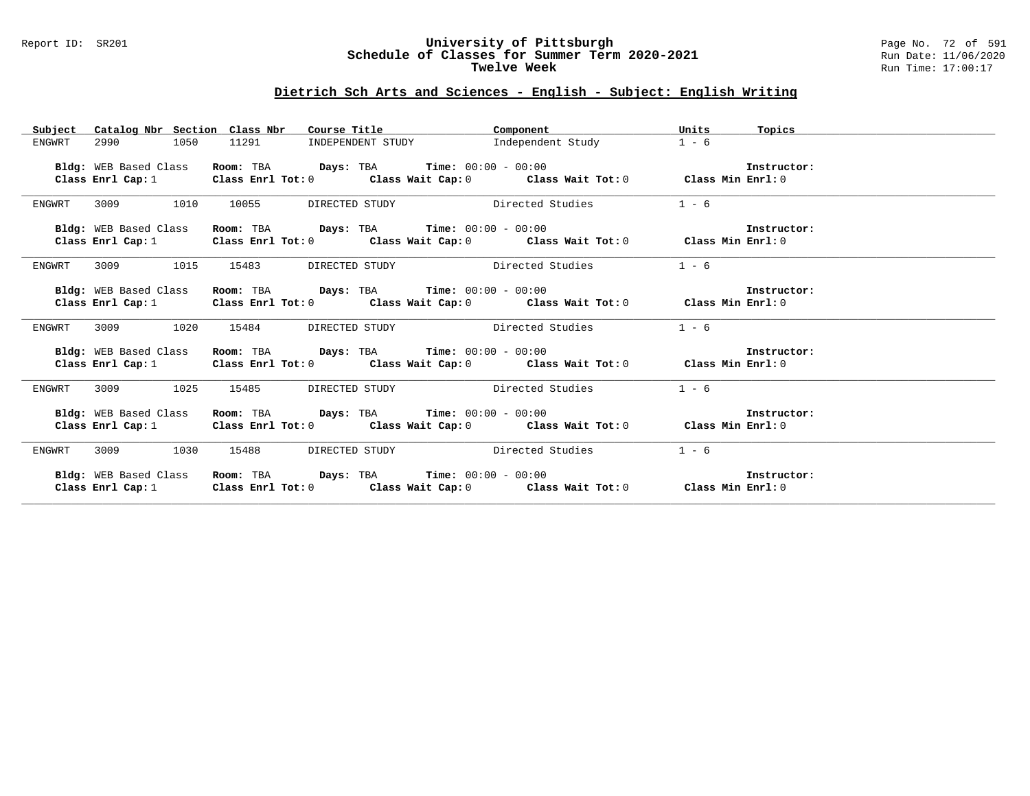### Report ID: SR201 **University of Pittsburgh** Page No. 72 of 591 **Schedule of Classes for Summer Term 2020-2021** Run Date: 11/06/2020 **Twelve Week Run Time:** 17:00:17

# **Dietrich Sch Arts and Sciences - English - Subject: English Writing**

|                        | Subject Catalog Nbr Section Class Nbr Course Title | <b>Component</b> component                                                                                                                                 | Units<br>Topics |  |
|------------------------|----------------------------------------------------|------------------------------------------------------------------------------------------------------------------------------------------------------------|-----------------|--|
| 2990<br>1050<br>ENGWRT | 11291                                              | INDEPENDENT STUDY 1ndependent Study                                                                                                                        | $1 - 6$         |  |
| Bldg: WEB Based Class  |                                                    | Room: TBA $Days:$ TBA Time: $00:00 - 00:00$                                                                                                                | Instructor:     |  |
|                        |                                                    | Class Enrl Cap: 1 $\qquad$ Class Enrl Tot: 0 $\qquad$ Class Wait Cap: 0 $\qquad$ Class Wait Tot: 0 $\qquad$ Class Min Enrl: 0                              |                 |  |
|                        |                                                    |                                                                                                                                                            |                 |  |
| 3009 1010<br>ENGWRT    | 10055                                              | DIRECTED STUDY Directed Studies                                                                                                                            | $1 - 6$         |  |
|                        |                                                    |                                                                                                                                                            | Instructor:     |  |
|                        |                                                    | Bldg: WEB Based Class Room: TBA Days: TBA Time: 00:00 - 00:00<br>Class Enrl Cap: 1 Class Enrl Tot: 0 Class Wait Cap: 0 Class Wait Tot: 0 Class Enrl Cap: 0 |                 |  |
|                        |                                                    |                                                                                                                                                            |                 |  |
| ENGWRT                 | 3009 1015 15483 DIRECTED STUDY Directed Studies    |                                                                                                                                                            | $1 - 6$         |  |
|                        |                                                    |                                                                                                                                                            |                 |  |
| Bldg: WEB Based Class  |                                                    | <b>Room:</b> TBA <b>Days:</b> TBA <b>Time:</b> $00:00 - 00:00$                                                                                             | Instructor:     |  |
|                        |                                                    | Class Enrl Cap: 1 Class Enrl Tot: 0 Class Wait Cap: 0 Class Wait Tot: 0 Class Min Enrl: 0                                                                  |                 |  |
| 3009 1020<br>ENGWRT    |                                                    | 15484 DIRECTED STUDY Directed Studies                                                                                                                      | $1 - 6$         |  |
| Bldg: WEB Based Class  |                                                    | <b>Room:</b> TBA <b>Days:</b> TBA <b>Time:</b> $00:00 - 00:00$                                                                                             | Instructor:     |  |
|                        |                                                    | Class Enrl Cap: 1 Class Enrl Tot: 0 Class Wait Cap: 0 Class Wait Tot: 0 Class Min Enrl: 0                                                                  |                 |  |
|                        |                                                    |                                                                                                                                                            |                 |  |
| ENGWRT<br>3009 1025    | 15485                                              | DIRECTED STUDY Directed Studies                                                                                                                            | $1 - 6$         |  |
| Bldg: WEB Based Class  |                                                    | Room: TBA $\rule{1em}{0.15mm}$ Days: TBA Time: $00:00 - 00:00$                                                                                             | Instructor:     |  |
|                        |                                                    | Class Enrl Cap: 1 Class Enrl Tot: 0 Class Wait Cap: 0 Class Wait Tot: 0 Class Min Enrl: 0                                                                  |                 |  |
|                        |                                                    |                                                                                                                                                            |                 |  |
| ENGWRT<br>3009 1030    | 15488                                              | DIRECTED STUDY Directed Studies                                                                                                                            | $1 - 6$         |  |
| Bldg: WEB Based Class  | Room: TBA $Days:$ TBA $Time: 00:00 - 00:00$        |                                                                                                                                                            | Instructor:     |  |
|                        |                                                    |                                                                                                                                                            |                 |  |
|                        |                                                    | Class Enrl Cap: 1 Class Enrl Tot: 0 Class Wait Cap: 0 Class Wait Tot: 0 Class Min Enrl: 0                                                                  |                 |  |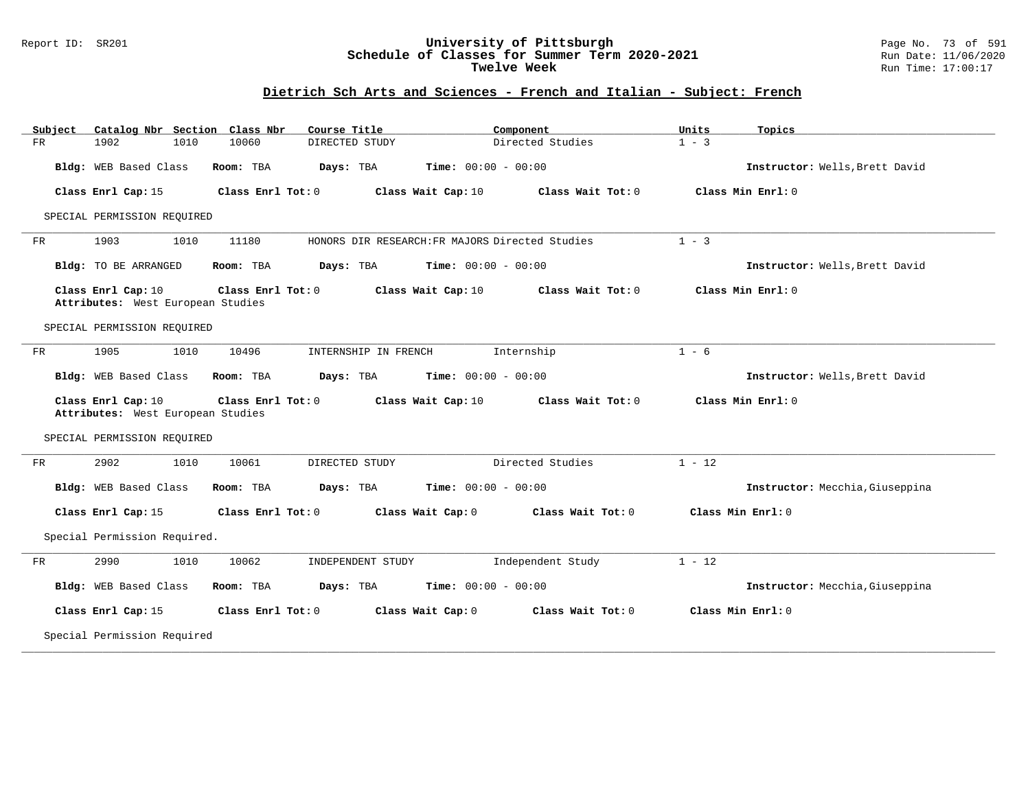### Report ID: SR201 **University of Pittsburgh** Page No. 73 of 591 **Schedule of Classes for Summer Term 2020-2021** Run Date: 11/06/2020 **Twelve Week Run Time:** 17:00:17

# **Dietrich Sch Arts and Sciences - French and Italian - Subject: French**

| Subject | Catalog Nbr Section Class Nbr                           |                   | Course Title         |                                                 | Component         | Units    | Topics                          |
|---------|---------------------------------------------------------|-------------------|----------------------|-------------------------------------------------|-------------------|----------|---------------------------------|
| FR      | 1902<br>1010                                            | 10060             | DIRECTED STUDY       |                                                 | Directed Studies  | $1 - 3$  |                                 |
|         | Bldg: WEB Based Class                                   | Room: TBA         | Days: TBA            | <b>Time:</b> $00:00 - 00:00$                    |                   |          | Instructor: Wells, Brett David  |
|         | Class Enrl Cap: 15                                      | Class Enrl Tot: 0 |                      | Class Wait Cap: 10                              | Class Wait Tot: 0 |          | Class Min Enrl: 0               |
|         | SPECIAL PERMISSION REQUIRED                             |                   |                      |                                                 |                   |          |                                 |
| FR      | 1903<br>1010                                            | 11180             |                      | HONORS DIR RESEARCH: FR MAJORS Directed Studies |                   | $1 - 3$  |                                 |
|         | Bldg: TO BE ARRANGED                                    | Room: TBA         | Days: TBA            | <b>Time:</b> $00:00 - 00:00$                    |                   |          | Instructor: Wells, Brett David  |
|         | Class Enrl Cap: 10<br>Attributes: West European Studies | Class Enrl Tot: 0 |                      | Class Wait Cap: 10                              | Class Wait Tot: 0 |          | Class Min Enrl: 0               |
|         | SPECIAL PERMISSION REQUIRED                             |                   |                      |                                                 |                   |          |                                 |
| FR      | 1905<br>1010                                            | 10496             | INTERNSHIP IN FRENCH |                                                 | Internship        | $1 - 6$  |                                 |
|         | Bldg: WEB Based Class                                   | Room: TBA         | Days: TBA            | <b>Time:</b> $00:00 - 00:00$                    |                   |          | Instructor: Wells, Brett David  |
|         | Class Enrl Cap: 10<br>Attributes: West European Studies | Class Enrl Tot: 0 |                      | Class Wait Cap: 10                              | Class Wait Tot: 0 |          | Class Min Enrl: 0               |
|         | SPECIAL PERMISSION REQUIRED                             |                   |                      |                                                 |                   |          |                                 |
| FR      | 2902<br>1010                                            | 10061             | DIRECTED STUDY       |                                                 | Directed Studies  | $1 - 12$ |                                 |
|         | Bldg: WEB Based Class                                   | Room: TBA         | Days: TBA            | <b>Time:</b> $00:00 - 00:00$                    |                   |          | Instructor: Mecchia, Giuseppina |
|         | Class Enrl Cap: 15                                      | Class Enrl Tot: 0 |                      | Class Wait Cap: 0                               | Class Wait Tot: 0 |          | Class Min Enrl: 0               |
|         | Special Permission Required.                            |                   |                      |                                                 |                   |          |                                 |
| FR      | 2990<br>1010                                            | 10062             | INDEPENDENT STUDY    |                                                 | Independent Study | $1 - 12$ |                                 |
|         | Bldg: WEB Based Class                                   | Room: TBA         | Days: TBA            | <b>Time:</b> $00:00 - 00:00$                    |                   |          | Instructor: Mecchia, Giuseppina |
|         | Class Enrl Cap: 15                                      | Class Enrl Tot: 0 |                      | Class Wait Cap: 0                               | Class Wait Tot: 0 |          | Class Min Enrl: 0               |
|         | Special Permission Required                             |                   |                      |                                                 |                   |          |                                 |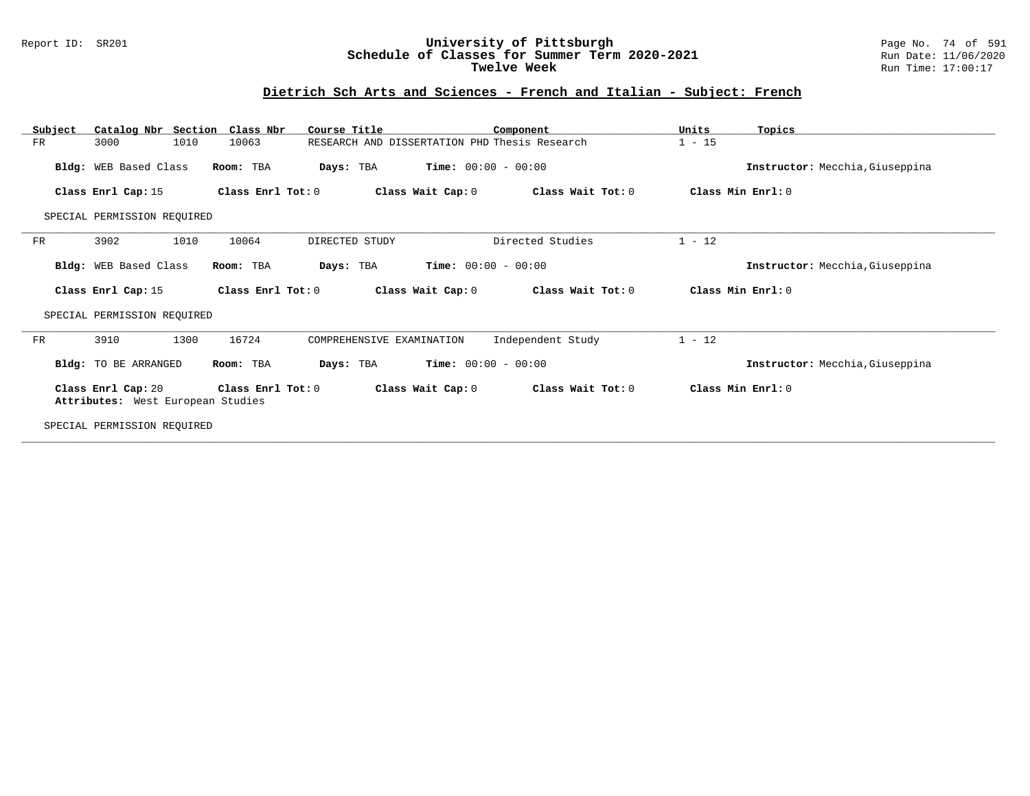### Report ID: SR201 **University of Pittsburgh** Page No. 74 of 591 **Schedule of Classes for Summer Term 2020-2021** Run Date: 11/06/2020 **Twelve Week Run Time:** 17:00:17

# **Dietrich Sch Arts and Sciences - French and Italian - Subject: French**

| Subject                     | Catalog Nbr Section Class Nbr                           |                   | Course Title                                  |                              | Component         | Units             | Topics                          |  |
|-----------------------------|---------------------------------------------------------|-------------------|-----------------------------------------------|------------------------------|-------------------|-------------------|---------------------------------|--|
| FR                          | 1010<br>3000                                            | 10063             | RESEARCH AND DISSERTATION PHD Thesis Research |                              |                   | $1 - 15$          |                                 |  |
|                             | Bldg: WEB Based Class                                   | Room: TBA         | Days: TBA                                     | <b>Time:</b> $00:00 - 00:00$ |                   |                   | Instructor: Mecchia, Giuseppina |  |
|                             | Class Enrl Cap: 15                                      | Class Enrl Tot: 0 |                                               | Class Wait Cap: 0            | Class Wait Tot: 0 | Class Min Enrl: 0 |                                 |  |
| SPECIAL PERMISSION REOUIRED |                                                         |                   |                                               |                              |                   |                   |                                 |  |
| FR                          | 1010<br>3902                                            | 10064             | DIRECTED STUDY                                |                              | Directed Studies  | $1 - 12$          |                                 |  |
|                             | Bldg: WEB Based Class                                   | Room: TBA         | Days: TBA                                     | <b>Time:</b> $00:00 - 00:00$ |                   |                   | Instructor: Mecchia, Giuseppina |  |
|                             | Class Enrl Cap: 15                                      | Class Enrl Tot: 0 |                                               | Class Wait Cap: 0            | Class Wait Tot: 0 | Class Min Enrl: 0 |                                 |  |
|                             | SPECIAL PERMISSION REQUIRED                             |                   |                                               |                              |                   |                   |                                 |  |
| FR                          | 1300<br>3910                                            | 16724             | COMPREHENSIVE EXAMINATION                     |                              | Independent Study | $1 - 12$          |                                 |  |
|                             | Bldg: TO BE ARRANGED                                    | Room: TBA         | Days: TBA                                     | <b>Time:</b> $00:00 - 00:00$ |                   |                   | Instructor: Mecchia, Giuseppina |  |
|                             | Class Enrl Cap: 20<br>Attributes: West European Studies | Class Enrl Tot: 0 |                                               | Class Wait Cap: 0            | Class Wait Tot: 0 | Class Min Enrl: 0 |                                 |  |
|                             | SPECIAL PERMISSION REQUIRED                             |                   |                                               |                              |                   |                   |                                 |  |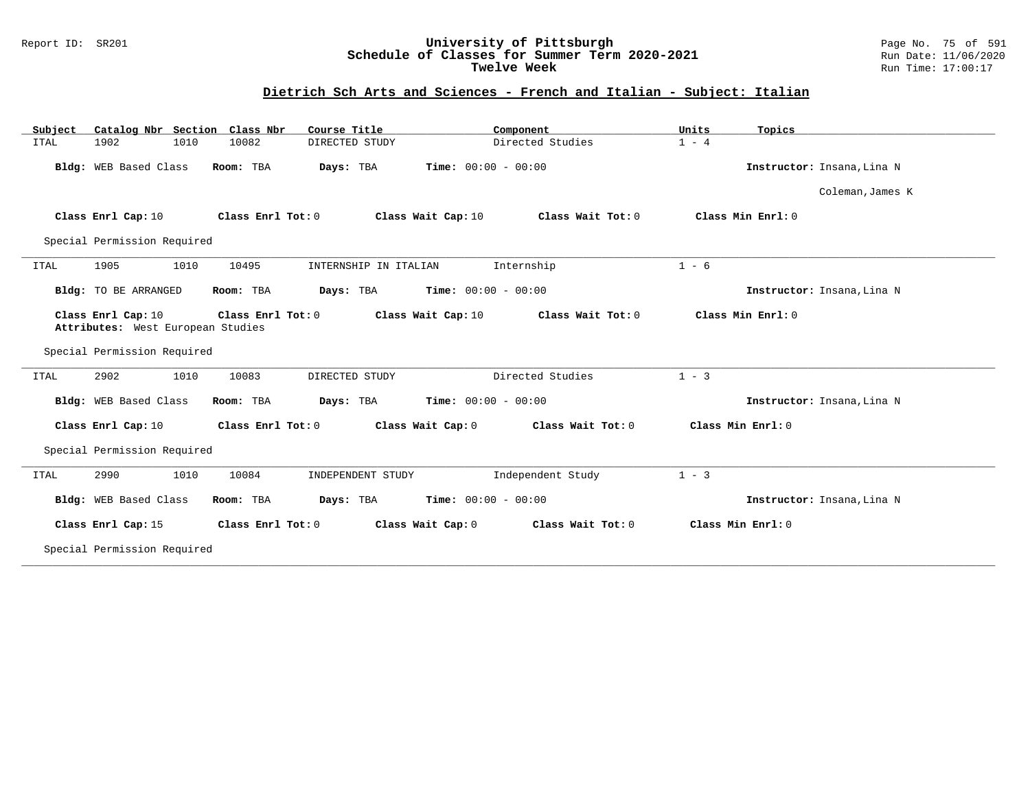### Report ID: SR201 **University of Pittsburgh** Page No. 75 of 591 **Schedule of Classes for Summer Term 2020-2021** Run Date: 11/06/2020 **Twelve Week Run Time:** 17:00:17

# **Dietrich Sch Arts and Sciences - French and Italian - Subject: Italian**

| Catalog Nbr Section Class Nbr<br>Subject                | Course Title                   | Component                               | Units<br>Topics            |
|---------------------------------------------------------|--------------------------------|-----------------------------------------|----------------------------|
| 1010<br><b>ITAL</b><br>1902                             | 10082<br>DIRECTED STUDY        | Directed Studies                        | $1 - 4$                    |
| Bldg: WEB Based Class                                   | Room: TBA<br>Days: TBA         | <b>Time:</b> $00:00 - 00:00$            | Instructor: Insana, Lina N |
|                                                         |                                |                                         | Coleman, James K           |
| Class Enrl Cap: 10                                      | Class Enrl Tot: 0              | Class Wait Cap: 10<br>Class Wait Tot: 0 | Class Min Enrl: 0          |
| Special Permission Required                             |                                |                                         |                            |
| 1905<br>1010<br><b>ITAL</b>                             | 10495<br>INTERNSHIP IN ITALIAN | Internship                              | $1 - 6$                    |
| <b>Bldg:</b> TO BE ARRANGED                             | Room: TBA<br>Days: TBA         | <b>Time:</b> $00:00 - 00:00$            | Instructor: Insana, Lina N |
| Class Enrl Cap: 10<br>Attributes: West European Studies | Class Enrl Tot: 0              | Class Wait Tot: 0<br>Class Wait Cap: 10 | Class Min Enrl: 0          |
| Special Permission Required                             |                                |                                         |                            |
| 2902<br>1010<br><b>ITAL</b>                             | 10083<br>DIRECTED STUDY        | Directed Studies                        | $1 - 3$                    |
| Bldg: WEB Based Class                                   | Room: TBA<br>Days: TBA         | Time: $00:00 - 00:00$                   | Instructor: Insana, Lina N |
| Class Enrl Cap: 10                                      | Class Enrl Tot: 0              | Class Wait Cap: 0<br>Class Wait Tot: 0  | Class Min Enrl: 0          |
| Special Permission Required                             |                                |                                         |                            |
| 2990<br>1010<br>ITAL                                    | 10084<br>INDEPENDENT STUDY     | Independent Study                       | $1 - 3$                    |
| Bldg: WEB Based Class                                   | Room: TBA<br>Days: TBA         | <b>Time:</b> $00:00 - 00:00$            | Instructor: Insana, Lina N |
| Class Enrl Cap: 15                                      | Class Enrl Tot: 0              | Class Wait Cap: 0<br>Class Wait Tot: 0  | Class Min Enrl: 0          |
| Special Permission Required                             |                                |                                         |                            |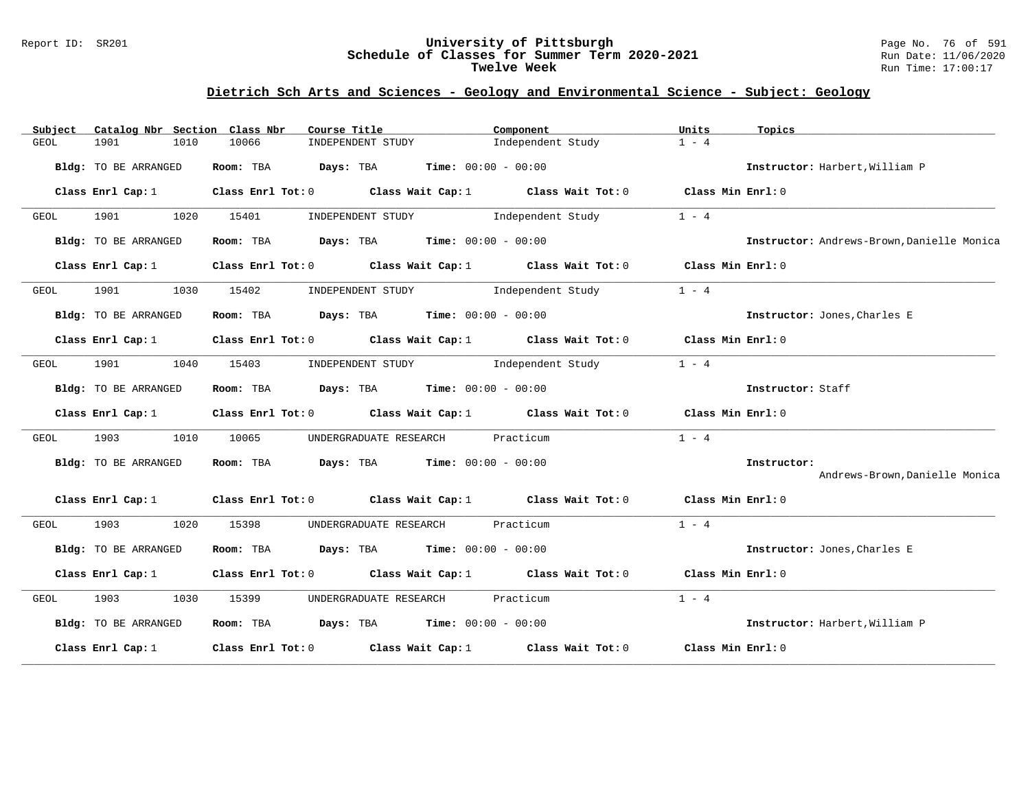#### Report ID: SR201 **University of Pittsburgh** Page No. 76 of 591 **Schedule of Classes for Summer Term 2020-2021** Run Date: 11/06/2020 **Twelve Week** Run Time: 17:00:17

### **Dietrich Sch Arts and Sciences - Geology and Environmental Science - Subject: Geology**

| Catalog Nbr Section Class Nbr<br>Subject | Course Title                                                                                       | Component         | Units<br>Topics                            |
|------------------------------------------|----------------------------------------------------------------------------------------------------|-------------------|--------------------------------------------|
| GEOL<br>1901<br>1010                     | 10066<br>INDEPENDENT STUDY                                                                         | Independent Study | $1 - 4$                                    |
| Bldg: TO BE ARRANGED                     | Room: TBA $Days:$ TBA $Time: 00:00 - 00:00$                                                        |                   | Instructor: Harbert, William P             |
| Class Enrl Cap: 1                        | Class Enrl Tot: $0$ Class Wait Cap: 1 Class Wait Tot: 0                                            |                   | Class Min Enrl: 0                          |
| 1901<br>1020<br>GEOL                     | INDEPENDENT STUDY 1ndependent Study<br>15401                                                       |                   | $1 - 4$                                    |
| Bldg: TO BE ARRANGED                     | Room: TBA $\rule{1em}{0.15mm}$ Days: TBA Time: $00:00 - 00:00$                                     |                   | Instructor: Andrews-Brown, Danielle Monica |
| Class Enrl Cap: 1                        | Class Enrl Tot: $0$ Class Wait Cap: 1 Class Wait Tot: 0                                            |                   | Class Min Enrl: 0                          |
| 1901 1901<br>1030<br>GEOL                | 15402<br>INDEPENDENT STUDY 1ndependent Study                                                       |                   | $1 - 4$                                    |
| Bldg: TO BE ARRANGED                     | Room: TBA $Days:$ TBA $Time:$ $00:00 - 00:00$                                                      |                   | Instructor: Jones, Charles E               |
| Class Enrl Cap: 1                        | Class Enrl Tot: 0 Class Wait Cap: 1 Class Wait Tot: 0 Class Min Enrl: 0                            |                   |                                            |
| 1901 1040<br>GEOL                        | 15403<br>INDEPENDENT STUDY 1ndependent Study                                                       |                   | $1 - 4$                                    |
| Bldg: TO BE ARRANGED                     | Room: TBA $Days:$ TBA $Time: 00:00 - 00:00$                                                        |                   | Instructor: Staff                          |
| Class Enrl Cap: 1                        | Class Enrl Tot: 0 $\qquad$ Class Wait Cap: 1 $\qquad$ Class Wait Tot: 0 $\qquad$ Class Min Enrl: 0 |                   |                                            |
| 1903<br>1010<br>GEOL                     | UNDERGRADUATE RESEARCH Practicum<br>10065                                                          |                   | $1 - 4$                                    |
| Bldg: TO BE ARRANGED                     | Room: TBA $Days:$ TBA $Time: 00:00 - 00:00$                                                        |                   | Instructor:                                |
|                                          |                                                                                                    |                   | Andrews-Brown, Danielle Monica             |
|                                          | Class Enrl Cap: 1 Class Enrl Tot: 0 Class Wait Cap: 1 Class Wait Tot: 0 Class Min Enrl: 0          |                   |                                            |
| 1903 1909<br>1020<br>GEOL                | 15398<br>UNDERGRADUATE RESEARCH Practicum                                                          |                   | $1 - 4$                                    |
| Bldg: TO BE ARRANGED                     | Room: TBA $Days:$ TBA $Time: 00:00 - 00:00$                                                        |                   | Instructor: Jones, Charles E               |
| Class Enrl Cap: $1$                      | Class Enrl Tot: $0$ Class Wait Cap: $1$ Class Wait Tot: $0$ Class Min Enrl: $0$                    |                   |                                            |
| 1903 1909<br>1030<br>GEOL                | UNDERGRADUATE RESEARCH Practicum<br>15399                                                          |                   | $1 - 4$                                    |
| Bldg: TO BE ARRANGED                     | Room: TBA $Days:$ TBA $Time: 00:00 - 00:00$                                                        |                   | Instructor: Harbert, William P             |
| Class Enrl Cap: 1                        | Class Enrl Tot: 0 Class Wait Cap: 1 Class Wait Tot: 0                                              |                   | Class Min Enrl: 0                          |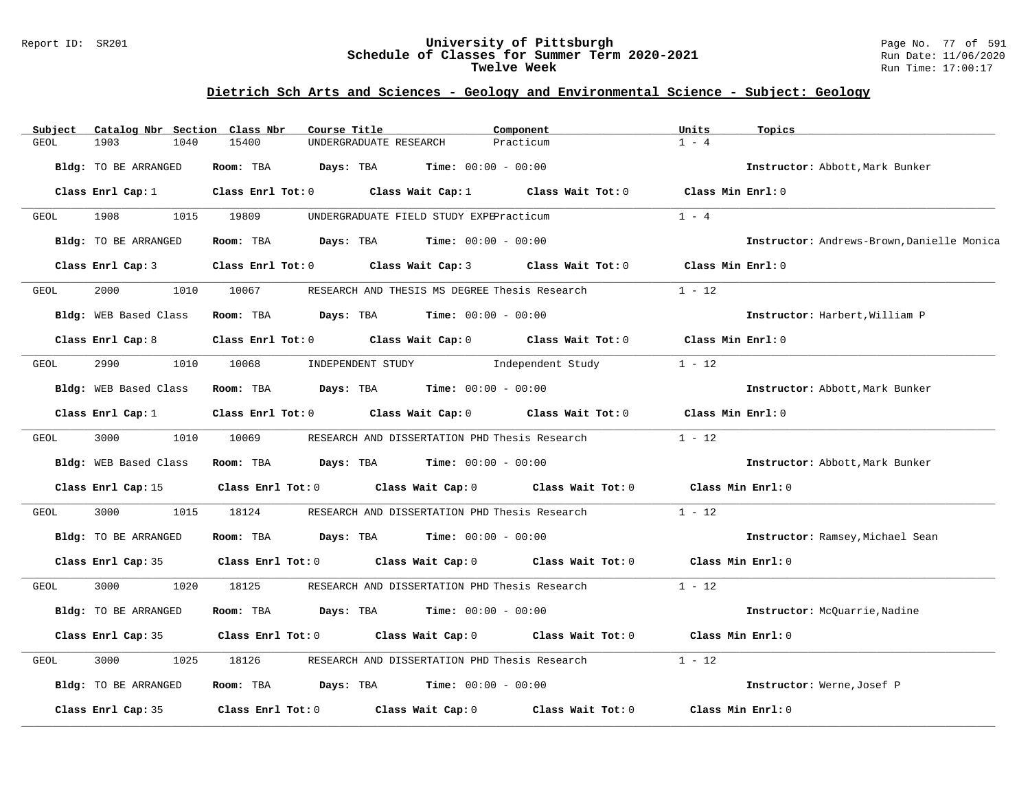#### Report ID: SR201 **University of Pittsburgh** Page No. 77 of 591 **Schedule of Classes for Summer Term 2020-2021** Run Date: 11/06/2020 **Twelve Week** Run Time: 17:00:17

# **Dietrich Sch Arts and Sciences - Geology and Environmental Science - Subject: Geology**

| Subject | Catalog Nbr Section Class Nbr | Course Title                        |                                                                                 | Component         | Units              | Topics                                     |
|---------|-------------------------------|-------------------------------------|---------------------------------------------------------------------------------|-------------------|--------------------|--------------------------------------------|
| GEOL    | 1903<br>1040                  | 15400                               | UNDERGRADUATE RESEARCH                                                          | Practicum         | $1 - 4$            |                                            |
|         | Bldg: TO BE ARRANGED          | Room: TBA                           | <b>Days:</b> TBA <b>Time:</b> $00:00 - 00:00$                                   |                   |                    | Instructor: Abbott, Mark Bunker            |
|         | Class Enrl Cap: 1             |                                     | Class Enrl Tot: $0$ Class Wait Cap: $1$ Class Wait Tot: $0$ Class Min Enrl: $0$ |                   |                    |                                            |
| GEOL    | 1908<br>1015                  | 19809                               | UNDERGRADUATE FIELD STUDY EXPEPracticum                                         |                   | $1 - 4$            |                                            |
|         | Bldg: TO BE ARRANGED          |                                     | Room: TBA $Days:$ TBA $Time: 00:00 - 00:00$                                     |                   |                    | Instructor: Andrews-Brown, Danielle Monica |
|         | Class Enrl Cap: 3             | Class Enrl Tot: 0 Class Wait Cap: 3 |                                                                                 | Class Wait Tot: 0 | Class Min Enrl: 0  |                                            |
| GEOL    | 2000<br>1010                  | 10067                               | RESEARCH AND THESIS MS DEGREE Thesis Research                                   |                   | $1 - 12$           |                                            |
|         | Bldg: WEB Based Class         |                                     | Room: TBA $Days:$ TBA $Time: 00:00 - 00:00$                                     |                   |                    | Instructor: Harbert, William P             |
|         | Class Enrl Cap: 8             |                                     | Class Enrl Tot: 0 Class Wait Cap: 0 Class Wait Tot: 0                           |                   | Class Min $Enr1:0$ |                                            |
| GEOL    | 2990<br>1010                  | 10068                               | INDEPENDENT STUDY 1ndependent Study                                             |                   | $1 - 12$           |                                            |
|         | Bldg: WEB Based Class         | Room: TBA                           | $\texttt{DayS:}$ TBA $\texttt{Time:}$ 00:00 - 00:00                             |                   |                    | Instructor: Abbott, Mark Bunker            |
|         | Class Enrl Cap: 1             | Class Enrl Tot: 0 Class Wait Cap: 0 |                                                                                 | Class Wait Tot: 0 | Class Min Enrl: 0  |                                            |
| GEOL    | 3000                          | 1010 10069                          | RESEARCH AND DISSERTATION PHD Thesis Research                                   |                   | $1 - 12$           |                                            |
|         | Bldg: WEB Based Class         |                                     | Room: TBA $Days: TBA$ Time: $00:00 - 00:00$                                     |                   |                    | Instructor: Abbott, Mark Bunker            |
|         | Class Enrl Cap: 15            |                                     | Class Enrl Tot: 0 Class Wait Cap: 0 Class Wait Tot: 0                           |                   | Class Min Enrl: 0  |                                            |
| GEOL    | 3000<br>1015                  | 18124                               | RESEARCH AND DISSERTATION PHD Thesis Research                                   |                   | $1 - 12$           |                                            |
|         | Bldg: TO BE ARRANGED          |                                     | Room: TBA $Days:$ TBA $Time: 00:00 - 00:00$                                     |                   |                    | Instructor: Ramsey, Michael Sean           |
|         | Class Enrl Cap: 35            |                                     | Class Enrl Tot: 0 Class Wait Cap: 0 Class Wait Tot: 0                           |                   | Class Min Enrl: 0  |                                            |
| GEOL    | 3000<br>1020                  | 18125                               | RESEARCH AND DISSERTATION PHD Thesis Research                                   |                   | $1 - 12$           |                                            |
|         | Bldg: TO BE ARRANGED          | Room: TBA                           | <b>Days:</b> TBA <b>Time:</b> $00:00 - 00:00$                                   |                   |                    | Instructor: McQuarrie, Nadine              |
|         | Class Enrl Cap: 35            |                                     | Class Enrl Tot: 0 Class Wait Cap: 0 Class Wait Tot: 0                           |                   | Class Min Enrl: 0  |                                            |
| GEOL    | 3000<br>1025                  | 18126                               | RESEARCH AND DISSERTATION PHD Thesis Research                                   |                   | $1 - 12$           |                                            |
|         | Bldg: TO BE ARRANGED          |                                     | Room: TBA $Days:$ TBA $Time: 00:00 - 00:00$                                     |                   |                    | Instructor: Werne, Josef P                 |
|         | Class Enrl Cap: 35            | Class Enrl Tot: 0 Class Wait Cap: 0 |                                                                                 | Class Wait Tot: 0 | Class Min Enrl: 0  |                                            |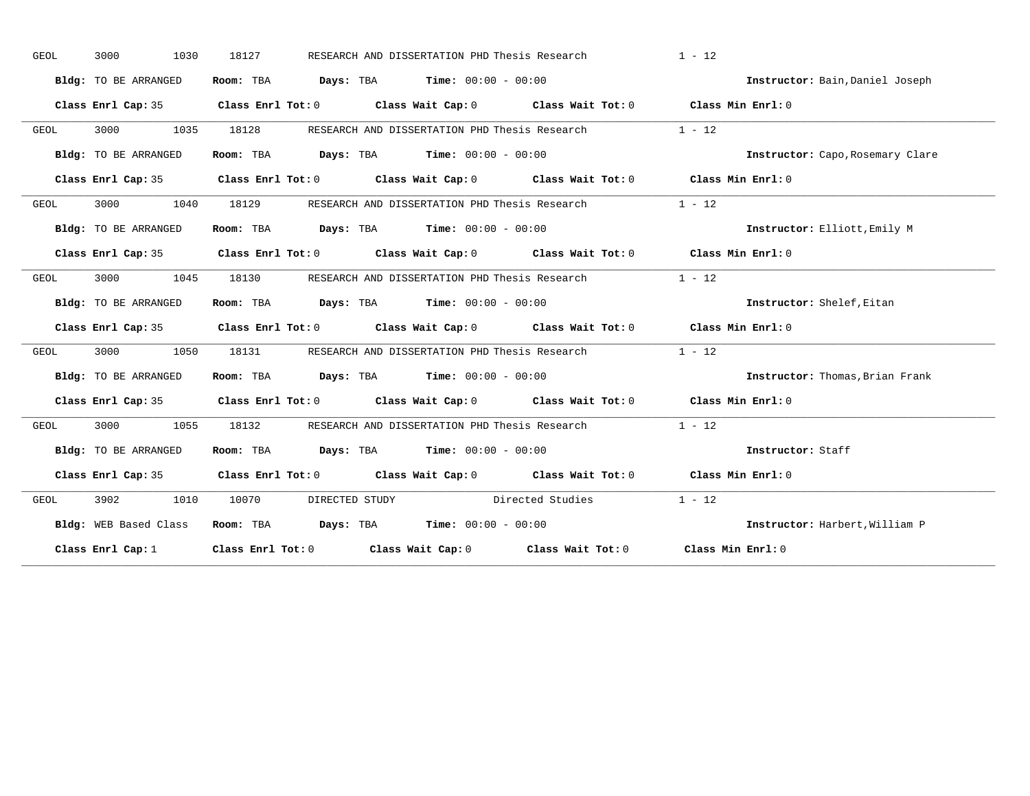| GEOL | 3000<br>1030          | 18127 | RESEARCH AND DISSERTATION PHD Thesis Research                                                                                 |                  | $1 - 12$                         |
|------|-----------------------|-------|-------------------------------------------------------------------------------------------------------------------------------|------------------|----------------------------------|
|      | Bldg: TO BE ARRANGED  |       | Room: TBA $Days:$ TBA $Time: 00:00 - 00:00$                                                                                   |                  | Instructor: Bain, Daniel Joseph  |
|      |                       |       | Class Enrl Cap: 35 Class Enrl Tot: 0 Class Wait Cap: 0 Class Wait Tot: 0 Class Min Enrl: 0                                    |                  |                                  |
| GEOL | 3000 1035             | 18128 | RESEARCH AND DISSERTATION PHD Thesis Research                                                                                 |                  | $1 - 12$                         |
|      | Bldg: TO BE ARRANGED  |       | Room: TBA $Days:$ TBA $Time: 00:00 - 00:00$                                                                                   |                  | Instructor: Capo, Rosemary Clare |
|      |                       |       | Class Enrl Cap: 35 Class Enrl Tot: 0 Class Wait Cap: 0 Class Wait Tot: 0 Class Min Enrl: 0                                    |                  |                                  |
| GEOL | 3000<br>1040          | 18129 | RESEARCH AND DISSERTATION PHD Thesis Research 1 - 12                                                                          |                  |                                  |
|      | Bldg: TO BE ARRANGED  |       | Room: TBA $Days:$ TBA $Time: 00:00 - 00:00$                                                                                   |                  | Instructor: Elliott, Emily M     |
|      |                       |       | Class Enrl Cap: 35 Class Enrl Tot: 0 Class Wait Cap: 0 Class Wait Tot: 0 Class Min Enrl: 0                                    |                  |                                  |
| GEOL | 3000<br>1045          | 18130 | RESEARCH AND DISSERTATION PHD Thesis Research                                                                                 |                  | $1 - 12$                         |
|      | Bldg: TO BE ARRANGED  |       | Room: TBA $\rule{1em}{0.15mm}$ Days: TBA $\rule{1.5mm}{0.15mm}$ Time: $00:00 - 00:00$                                         |                  | Instructor: Shelef, Eitan        |
|      |                       |       | Class Enrl Cap: 35 Class Enrl Tot: 0 Class Wait Cap: 0 Class Wait Tot: 0 Class Min Enrl: 0                                    |                  |                                  |
| GEOL | 3000 1050             |       | 18131 RESEARCH AND DISSERTATION PHD Thesis Research                                                                           |                  | $1 - 12$                         |
|      | Bldg: TO BE ARRANGED  |       | Room: TBA $Days:$ TBA $Time: 00:00 - 00:00$                                                                                   |                  | Instructor: Thomas, Brian Frank  |
|      |                       |       | Class Enrl Cap: 35 Class Enrl Tot: 0 Class Wait Cap: 0 Class Wait Tot: 0 Class Min Enrl: 0                                    |                  |                                  |
| GEOL | 3000<br>1055          | 18132 | RESEARCH AND DISSERTATION PHD Thesis Research 1 - 12                                                                          |                  |                                  |
|      | Bldg: TO BE ARRANGED  |       | Room: TBA $Days:$ TBA $Time: 00:00 - 00:00$                                                                                   |                  | Instructor: Staff                |
|      |                       |       | Class Enrl Cap: 35 Class Enrl Tot: 0 Class Wait Cap: 0 Class Wait Tot: 0 Class Min Enrl: 0                                    |                  |                                  |
| GEOL | 3902 1010             | 10070 | DIRECTED STUDY                                                                                                                | Directed Studies | $1 - 12$                         |
|      | Bldg: WEB Based Class |       | Room: TBA $\rule{1em}{0.15mm}$ Days: TBA $\rule{1.15mm}]{0.15mm}$ Time: $0.0100 - 0.0100$                                     |                  | Instructor: Harbert, William P   |
|      |                       |       | Class Enrl Cap: 1 $\qquad$ Class Enrl Tot: 0 $\qquad$ Class Wait Cap: 0 $\qquad$ Class Wait Tot: 0 $\qquad$ Class Min Enrl: 0 |                  |                                  |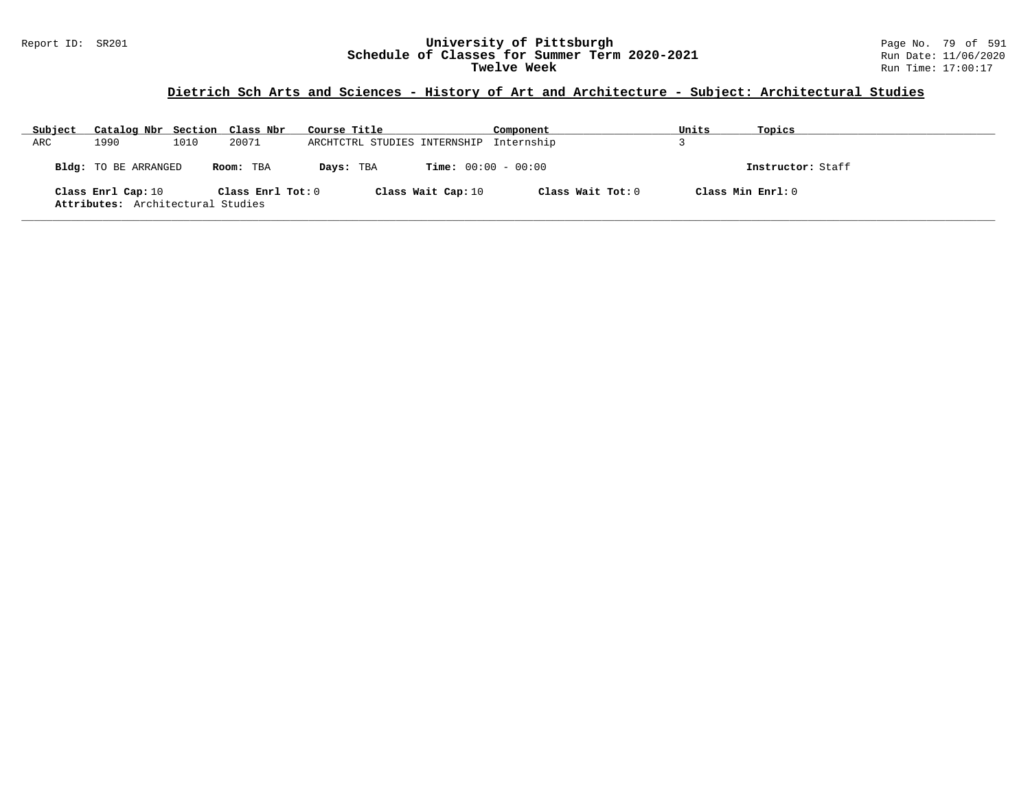#### Report ID: SR201 **University of Pittsburgh** Page No. 79 of 591 **Schedule of Classes for Summer Term 2020-2021** Run Date: 11/06/2020 **Twelve Week** Run Time: 17:00:17

# **Dietrich Sch Arts and Sciences - History of Art and Architecture - Subject: Architectural Studies**

| Subject | Catalog Nbr Section Class Nbr                           |      |                       | Course Title                            |                              | Component           | Units | Topics             |
|---------|---------------------------------------------------------|------|-----------------------|-----------------------------------------|------------------------------|---------------------|-------|--------------------|
| ARC     | 1990                                                    | 1010 | 20071                 | ARCHTCTRL STUDIES INTERNSHIP Internship |                              |                     |       |                    |
|         | Bldg: TO BE ARRANGED                                    |      | Room: TBA             | Days: TBA                               | <b>Time:</b> $00:00 - 00:00$ |                     |       | Instructor: Staff  |
|         | Class Enrl Cap: 10<br>Attributes: Architectural Studies |      | Class $Enrl$ Tot: $0$ |                                         | Class Wait Cap: 10           | Class Wait Tot: $0$ |       | Class Min $Enr1:0$ |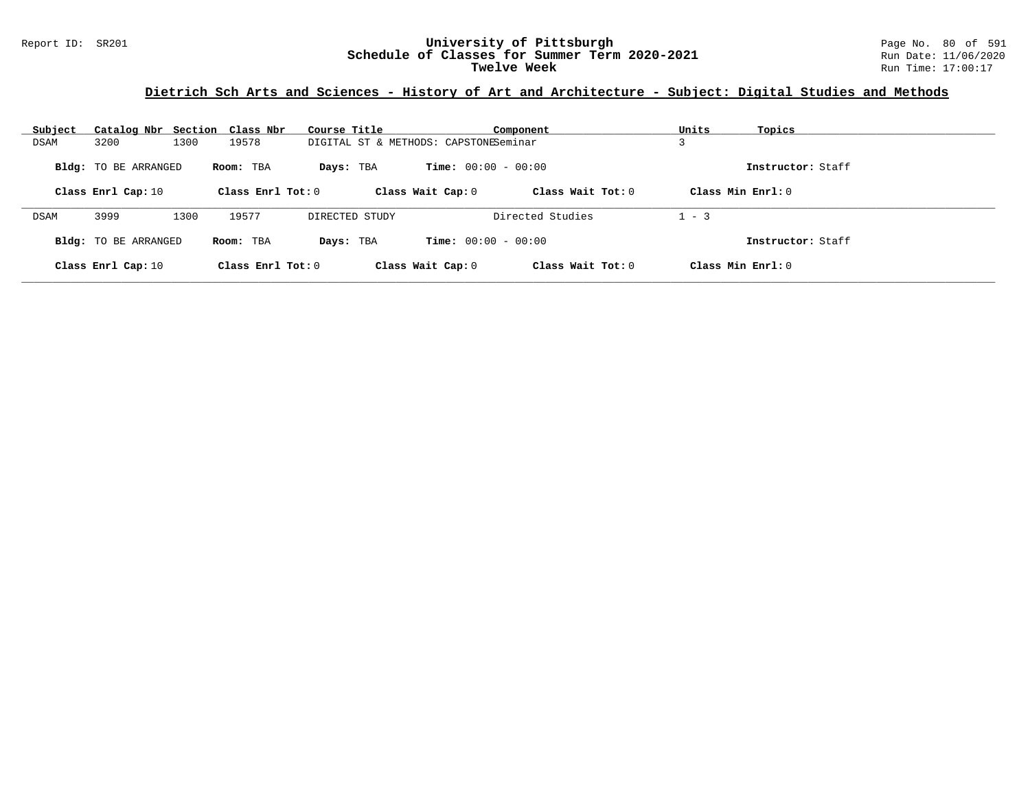# **Dietrich Sch Arts and Sciences - History of Art and Architecture - Subject: Digital Studies and Methods**

| Subject | Catalog Nbr Section Class Nbr |      |                     | Course Title                          |                              | Component           | Units   | Topics              |
|---------|-------------------------------|------|---------------------|---------------------------------------|------------------------------|---------------------|---------|---------------------|
| DSAM    | 3200                          | 1300 | 19578               | DIGITAL ST & METHODS: CAPSTONESeminar |                              |                     |         |                     |
|         | <b>Bldg:</b> TO BE ARRANGED   |      | Room: TBA           | Days: TBA                             | <b>Time:</b> $00:00 - 00:00$ |                     |         | Instructor: Staff   |
|         | Class Enrl Cap: 10            |      | Class Enrl Tot: $0$ |                                       | Class Wait Cap: 0            | Class Wait $Tot: 0$ |         | Class Min Enrl: $0$ |
| DSAM    | 3999                          | 1300 | 19577               | DIRECTED STUDY                        |                              | Directed Studies    | $1 - 3$ |                     |
|         | Bldg: TO BE ARRANGED          |      | Room: TBA           | Days: TBA                             | <b>Time:</b> $00:00 - 00:00$ |                     |         | Instructor: Staff   |
|         | Class Enrl Cap: 10            |      | Class Enrl Tot: $0$ |                                       | Class Wait Cap: 0            | Class Wait $Tot: 0$ |         | Class Min Enrl: $0$ |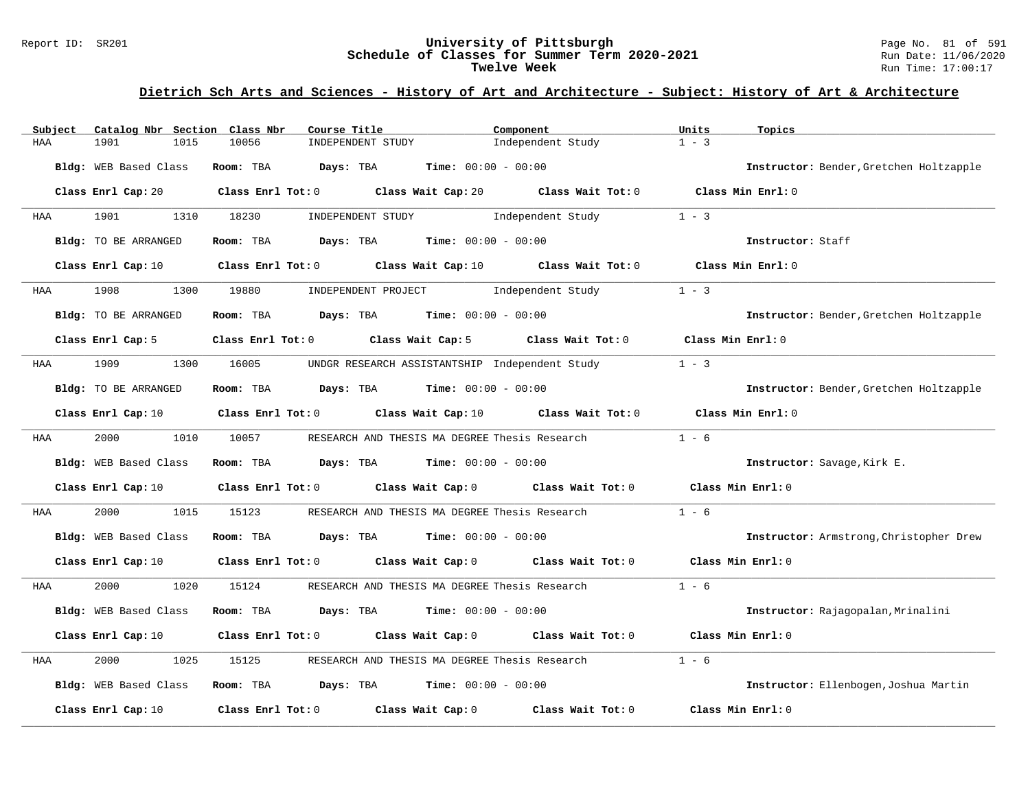#### Report ID: SR201 **University of Pittsburgh** Page No. 81 of 591 **Schedule of Classes for Summer Term 2020-2021** Run Date: 11/06/2020 **Twelve Week** Run Time: 17:00:17

| Subject            |                             | Catalog Nbr Section Class Nbr<br>Course Title               |                                                                | Component                                                                                   | Units<br>Topics                         |  |
|--------------------|-----------------------------|-------------------------------------------------------------|----------------------------------------------------------------|---------------------------------------------------------------------------------------------|-----------------------------------------|--|
| 1901<br>HAA        | 1015                        | 10056                                                       | INDEPENDENT STUDY                                              | Independent Study                                                                           | $1 - 3$                                 |  |
|                    | Bldg: WEB Based Class       | Room: TBA                                                   | Days: TBA<br><b>Time:</b> $00:00 - 00:00$                      |                                                                                             | Instructor: Bender, Gretchen Holtzapple |  |
|                    |                             |                                                             |                                                                | Class Enrl Cap: 20 Class Enrl Tot: 0 Class Wait Cap: 20 Class Wait Tot: 0 Class Min Enrl: 0 |                                         |  |
| 1901<br>HAA        | 1310                        | 18230                                                       | INDEPENDENT STUDY                                              | Independent Study                                                                           | $1 - 3$                                 |  |
|                    | Bldg: TO BE ARRANGED        | Room: TBA                                                   | $\texttt{Davis:}$ TBA $\texttt{Time:}$ 00:00 - 00:00           |                                                                                             | Instructor: Staff                       |  |
| Class Enrl Cap: 10 |                             |                                                             |                                                                | Class Enrl Tot: $0$ Class Wait Cap: $10$ Class Wait Tot: $0$                                | Class Min Enrl: 0                       |  |
| 1908<br>HAA        | 1300                        | 19880                                                       | INDEPENDENT PROJECT 1ndependent Study                          |                                                                                             | $1 - 3$                                 |  |
|                    | <b>Bldg:</b> TO BE ARRANGED | Room: TBA                                                   | $\texttt{DayS:}$ TBA $\texttt{Time:}$ 00:00 - 00:00            |                                                                                             | Instructor: Bender, Gretchen Holtzapple |  |
|                    | Class Enrl Cap: 5           |                                                             |                                                                | Class Enrl Tot: 0 Class Wait Cap: 5 Class Wait Tot: 0 Class Min Enrl: 0                     |                                         |  |
| 1909<br>HAA        | 1300                        | 16005                                                       |                                                                | UNDGR RESEARCH ASSISTANTSHIP Independent Study                                              | $1 - 3$                                 |  |
|                    | Bldg: TO BE ARRANGED        |                                                             | Room: TBA $Days:$ TBA $Time: 00:00 - 00:00$                    |                                                                                             | Instructor: Bender, Gretchen Holtzapple |  |
|                    | Class Enrl Cap: 10          |                                                             | Class Enrl Tot: 0 Class Wait Cap: 10                           |                                                                                             | Class Wait Tot: 0 Class Min Enrl: 0     |  |
| HAA                | 2000 000<br>1010            | 10057                                                       |                                                                | RESEARCH AND THESIS MA DEGREE Thesis Research                                               | $1 - 6$                                 |  |
|                    | Bldg: WEB Based Class       |                                                             | Room: TBA $Days:$ TBA $Time: 00:00 - 00:00$                    |                                                                                             | Instructor: Savage, Kirk E.             |  |
|                    | Class Enrl Cap: 10          |                                                             |                                                                | Class Enrl Tot: 0 Class Wait Cap: 0 Class Wait Tot: 0                                       | Class Min Enrl: 0                       |  |
| 2000<br>HAA        | 1015                        | 15123                                                       | RESEARCH AND THESIS MA DEGREE Thesis Research                  |                                                                                             | $1 - 6$                                 |  |
|                    | Bldg: WEB Based Class       |                                                             | Room: TBA $Days:$ TBA $Time: 00:00 - 00:00$                    |                                                                                             | Instructor: Armstrong, Christopher Drew |  |
|                    | Class Enrl Cap: 10          |                                                             |                                                                | Class Enrl Tot: 0 Class Wait Cap: 0 Class Wait Tot: 0 Class Min Enrl: 0                     |                                         |  |
| 2000<br>HAA        | 1020                        | 15124                                                       |                                                                | RESEARCH AND THESIS MA DEGREE Thesis Research                                               | $1 - 6$                                 |  |
|                    | Bldg: WEB Based Class       | Room: TBA Days: TBA                                         | <b>Time:</b> $00:00 - 00:00$                                   |                                                                                             | Instructor: Rajagopalan, Mrinalini      |  |
|                    | Class Enrl Cap: 10          |                                                             |                                                                | Class Enrl Tot: 0 Class Wait Cap: 0 Class Wait Tot: 0                                       | Class Min Enrl: 0                       |  |
| 2000<br>HAA        | 1025                        | 15125                                                       | RESEARCH AND THESIS MA DEGREE Thesis Research                  |                                                                                             | $1 - 6$                                 |  |
|                    | Bldg: WEB Based Class       |                                                             | Room: TBA $\rule{1em}{0.15mm}$ Days: TBA Time: $00:00 - 00:00$ |                                                                                             | Instructor: Ellenbogen, Joshua Martin   |  |
| Class Enrl Cap: 10 |                             | Class Enrl Tot: $0$ Class Wait Cap: $0$ Class Wait Tot: $0$ |                                                                |                                                                                             | Class Min Enrl: 0                       |  |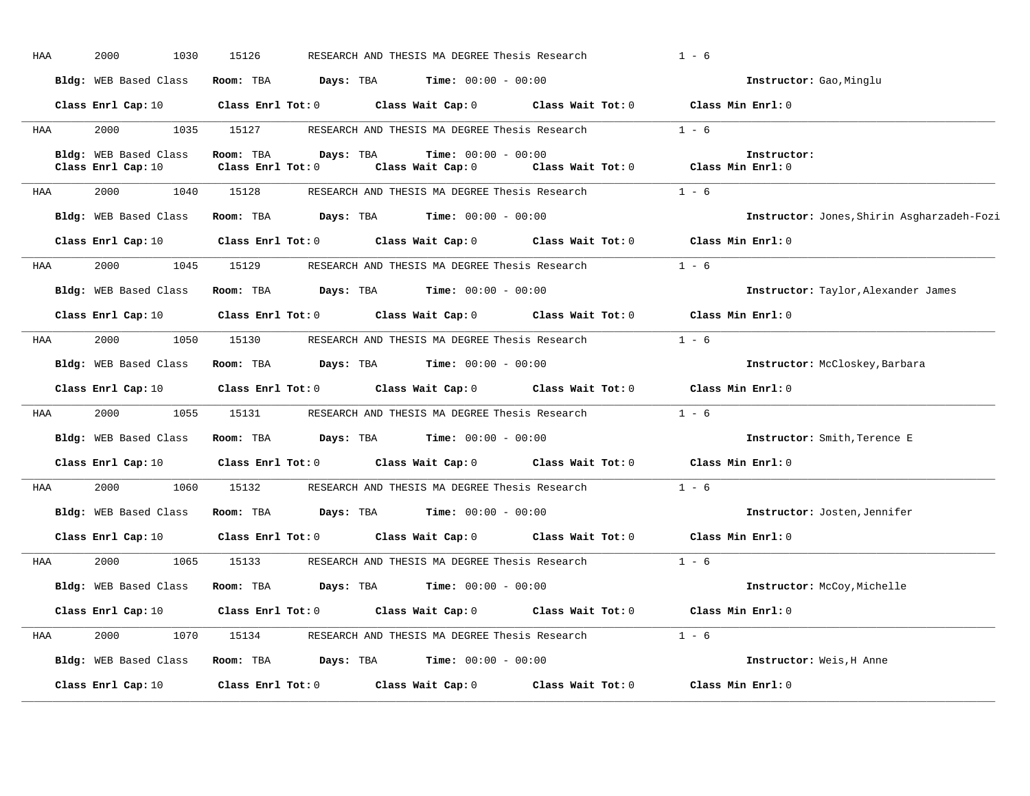| HAA | 2000<br>1030                                                                                                | 15126                                |                     | RESEARCH AND THESIS MA DEGREE Thesis Research                           |                                                                                                                                | $1 - 6$                                    |
|-----|-------------------------------------------------------------------------------------------------------------|--------------------------------------|---------------------|-------------------------------------------------------------------------|--------------------------------------------------------------------------------------------------------------------------------|--------------------------------------------|
|     | Bldg: WEB Based Class                                                                                       |                                      | Room: TBA Days: TBA | <b>Time:</b> $00:00 - 00:00$                                            |                                                                                                                                | Instructor: Gao, Minglu                    |
|     | Class Enrl Cap: 10                                                                                          |                                      |                     |                                                                         | Class Enrl Tot: 0 Class Wait Cap: 0 Class Wait Tot: 0 Class Min Enrl: 0                                                        |                                            |
| HAA | 2000<br>1035                                                                                                | 15127                                |                     |                                                                         | RESEARCH AND THESIS MA DEGREE Thesis Research $1 - 6$                                                                          |                                            |
|     | Bldg: WEB Based Class<br>Class Enrl Cap: 10                                                                 | Room: TBA<br>$Class$ $Enrl$ $Tot: 0$ | Days: TBA           | <b>Time:</b> $00:00 - 00:00$<br>Class Wait Cap: 0                       | Class Wait Tot: $0$ Class Min Enrl: $0$                                                                                        | Instructor:                                |
| HAA | 2000<br>1040                                                                                                | 15128                                |                     | RESEARCH AND THESIS MA DEGREE Thesis Research                           |                                                                                                                                | $1 - 6$                                    |
|     | Bldg: WEB Based Class                                                                                       |                                      |                     | Room: TBA $Days: TBA$ Time: $00:00 - 00:00$                             |                                                                                                                                | Instructor: Jones, Shirin Asgharzadeh-Fozi |
|     | Class Enrl Cap: 10                                                                                          |                                      |                     |                                                                         | Class Enrl Tot: 0 Class Wait Cap: 0 Class Wait Tot: 0                                                                          | Class Min Enrl: 0                          |
| HAA | 2000                                                                                                        | 1045 15129                           |                     | RESEARCH AND THESIS MA DEGREE Thesis Research                           |                                                                                                                                | $1 - 6$                                    |
|     | Bldg: WEB Based Class                                                                                       |                                      |                     | <b>Room:</b> TBA <b>Days:</b> TBA <b>Time:</b> 00:00 - 00:00            |                                                                                                                                | Instructor: Taylor, Alexander James        |
|     |                                                                                                             |                                      |                     |                                                                         | Class Enrl Cap: 10 $\qquad$ Class Enrl Tot: 0 $\qquad$ Class Wait Cap: 0 $\qquad$ Class Wait Tot: 0 $\qquad$ Class Min Enrl: 0 |                                            |
| HAA | 2000                                                                                                        | 1050 15130                           |                     |                                                                         | RESEARCH AND THESIS MA DEGREE Thesis Research $1 - 6$                                                                          |                                            |
|     | Bldg: WEB Based Class Room: TBA Days: TBA Time: 00:00 - 00:00                                               |                                      |                     |                                                                         |                                                                                                                                | Instructor: McCloskey, Barbara             |
|     |                                                                                                             |                                      |                     |                                                                         | Class Enrl Cap: 10 $\qquad$ Class Enrl Tot: 0 $\qquad$ Class Wait Cap: 0 $\qquad$ Class Wait Tot: 0 $\qquad$ Class Min Enrl: 0 |                                            |
| HAA | 2000 - 2001 - 2002 - 2003 - 2004 - 2006 - 2007 - 2008 - 2014 - 2014 - 2015 - 2016 - 2016 - 2016 - 2017 - 20 | 1055 15131                           |                     | RESEARCH AND THESIS MA DEGREE Thesis Research                           |                                                                                                                                | $1 - 6$                                    |
|     | Bldg: WEB Based Class                                                                                       |                                      |                     | Room: TBA $Days: TBA$ Time: $00:00 - 00:00$                             |                                                                                                                                | Instructor: Smith, Terence E               |
|     | Class Enrl Cap: 10                                                                                          |                                      |                     |                                                                         | Class Enrl Tot: 0 Class Wait Cap: 0 Class Wait Tot: 0                                                                          | Class Min Enrl: 0                          |
| HAA | 2000<br>1060                                                                                                | 15132                                |                     |                                                                         | RESEARCH AND THESIS MA DEGREE Thesis Research                                                                                  | $1 - 6$                                    |
|     | Bldg: WEB Based Class Room: TBA                                                                             |                                      |                     | $\texttt{DayS:}$ TBA $\texttt{Time:}$ 00:00 - 00:00                     |                                                                                                                                | Instructor: Josten, Jennifer               |
|     |                                                                                                             |                                      |                     |                                                                         | Class Enrl Cap: 10 Class Enrl Tot: 0 Class Wait Cap: 0 Class Wait Tot: 0                                                       | Class Min Enrl: 0                          |
| HAA | 2000<br>1065                                                                                                | 15133                                |                     | RESEARCH AND THESIS MA DEGREE Thesis Research                           |                                                                                                                                | $1 - 6$                                    |
|     | Bldg: WEB Based Class                                                                                       |                                      |                     | Room: TBA $\rule{1em}{0.15mm}$ Days: TBA $\qquad$ Time: $00:00 - 00:00$ |                                                                                                                                | Instructor: McCoy, Michelle                |
|     |                                                                                                             |                                      |                     |                                                                         | Class Enrl Cap: 10 $\qquad$ Class Enrl Tot: 0 $\qquad$ Class Wait Cap: 0 $\qquad$ Class Wait Tot: 0 $\qquad$ Class Min Enrl: 0 |                                            |
| HAA | 2000                                                                                                        | 1070 15134                           |                     | RESEARCH AND THESIS MA DEGREE Thesis Research                           |                                                                                                                                | $1 - 6$                                    |
|     | Bldg: WEB Based Class Room: TBA Days: TBA Time: 00:00 - 00:00                                               |                                      |                     |                                                                         |                                                                                                                                | Instructor: Weis.H Anne                    |
|     | Class Enrl Cap: 10                                                                                          | $Class$ $Enr1$ $Tot: 0$              |                     | Class Wait Cap: 0                                                       | Class Wait Tot: 0                                                                                                              | Class Min Enrl: 0                          |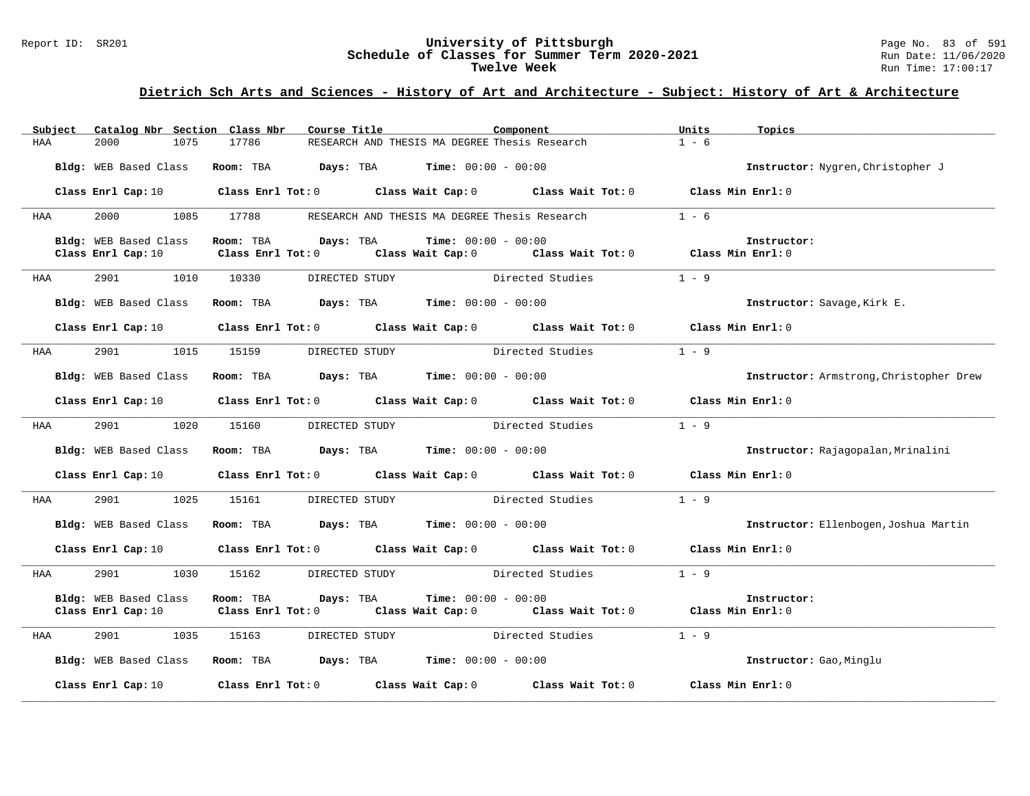#### Report ID: SR201 **University of Pittsburgh** Page No. 83 of 591 **Schedule of Classes for Summer Term 2020-2021** Run Date: 11/06/2020 **Twelve Week** Run Time: 17:00:17

| Subject               | Catalog Nbr Section Class Nbr | Course Title                   |                                                                                       | Component                                                                                                                                                      | Units<br>Topics         |                                         |
|-----------------------|-------------------------------|--------------------------------|---------------------------------------------------------------------------------------|----------------------------------------------------------------------------------------------------------------------------------------------------------------|-------------------------|-----------------------------------------|
| HAA<br>2000           | 1075                          | 17786                          | RESEARCH AND THESIS MA DEGREE Thesis Research                                         |                                                                                                                                                                | $1 - 6$                 |                                         |
|                       | Bldg: WEB Based Class         |                                | <b>Room:</b> TBA $Days: TBA$ <b>Time:</b> $00:00 - 00:00$                             |                                                                                                                                                                |                         | Instructor: Nygren, Christopher J       |
|                       |                               |                                |                                                                                       | Class Enrl Cap: 10 Class Enrl Tot: 0 Class Wait Cap: 0 Class Wait Tot: 0 Class Min Enrl: 0                                                                     |                         |                                         |
| 2000<br>HAA           | 1085 17788                    |                                | RESEARCH AND THESIS MA DEGREE Thesis Research                                         |                                                                                                                                                                | $1 - 6$                 |                                         |
| Bldg: WEB Based Class |                               |                                | Room: TBA $Days:$ TBA $Time: 00:00 - 00:00$                                           |                                                                                                                                                                | Instructor:             |                                         |
| Class Enrl Cap: 10    |                               |                                |                                                                                       | Class Enrl Tot: 0 $\qquad$ Class Wait Cap: 0 $\qquad$ Class Wait Tot: 0 $\qquad$ Class Min Enrl: 0                                                             |                         |                                         |
| 2901<br>HAA           | 1010 10330                    |                                |                                                                                       | DIRECTED STUDY Directed Studies                                                                                                                                | $1 - 9$                 |                                         |
|                       | Bldg: WEB Based Class         |                                | Room: TBA $\rule{1em}{0.15mm}$ Days: TBA $\rule{1.5mm}{0.15mm}$ Time: $00:00 - 00:00$ |                                                                                                                                                                |                         | Instructor: Savage, Kirk E.             |
|                       |                               |                                |                                                                                       | Class Enrl Cap: 10 $\qquad$ Class Enrl Tot: 0 $\qquad$ Class Wait Cap: 0 $\qquad$ Class Wait Tot: 0 $\qquad$ Class Min Enrl: 0                                 |                         |                                         |
| <b>HAA</b>            |                               | 2901 1015 15159 DIRECTED STUDY |                                                                                       | Directed Studies                                                                                                                                               | $1 - 9$                 |                                         |
| Bldg: WEB Based Class |                               |                                | Room: TBA $\rule{1em}{0.15mm}$ Days: TBA Time: $00:00 - 00:00$                        |                                                                                                                                                                |                         | Instructor: Armstrong, Christopher Drew |
|                       |                               |                                |                                                                                       | Class Enrl Cap: 10 $\qquad$ Class Enrl Tot: 0 $\qquad$ Class Wait Cap: 0 $\qquad$ Class Wait Tot: 0 $\qquad$ Class Min Enrl: 0                                 |                         |                                         |
| <b>HAA</b>            | 2901 1020 15160               |                                |                                                                                       | DIRECTED STUDY Directed Studies 1 - 9                                                                                                                          |                         |                                         |
| Bldg: WEB Based Class |                               |                                | Room: TBA $\rule{1em}{0.15mm}$ Days: TBA Time: $00:00 - 00:00$                        |                                                                                                                                                                |                         | Instructor: Rajagopalan, Mrinalini      |
|                       |                               |                                |                                                                                       | Class Enrl Cap: 10 $\qquad$ Class Enrl Tot: 0 $\qquad$ Class Wait Cap: 0 $\qquad$ Class Wait Tot: 0 $\qquad$ Class Min Enrl: 0                                 |                         |                                         |
| 2901<br><b>HAA</b>    | 1025                          | 15161                          | DIRECTED STUDY                                                                        | Directed Studies                                                                                                                                               | $1 - 9$                 |                                         |
|                       | Bldg: WEB Based Class         |                                | Room: TBA $\rule{1em}{0.15mm}$ Days: TBA $\rule{1.5mm}{0.15mm}$ Time: $00:00 - 00:00$ |                                                                                                                                                                |                         | Instructor: Ellenbogen, Joshua Martin   |
|                       |                               |                                |                                                                                       | Class Enrl Cap: 10 $\qquad$ Class Enrl Tot: 0 $\qquad$ Class Wait Cap: 0 $\qquad$ Class Wait Tot: 0 $\qquad$ Class Min Enrl: 0                                 |                         |                                         |
| 2901<br>HAA           | 1030                          | 15162                          |                                                                                       | DIRECTED STUDY Directed Studies 1 - 9                                                                                                                          |                         |                                         |
| Bldg: WEB Based Class |                               | Room: TBA<br>Days: TBA         |                                                                                       | <b>Time:</b> $00:00 - 00:00$<br>Class Enrl Cap: 10 $\qquad$ Class Enrl Tot: 0 $\qquad$ Class Wait Cap: 0 $\qquad$ Class Wait Tot: 0 $\qquad$ Class Min Enrl: 0 | Instructor:             |                                         |
| HAA                   | 2901 1035 15163               |                                |                                                                                       | DIRECTED STUDY Directed Studies                                                                                                                                | $1 - 9$                 |                                         |
|                       |                               |                                | Bldg: WEB Based Class Room: TBA Days: TBA Time: 00:00 - 00:00                         |                                                                                                                                                                | Instructor: Gao, Minglu |                                         |
|                       |                               |                                |                                                                                       | Class Enrl Cap: 10 $\qquad$ Class Enrl Tot: 0 $\qquad$ Class Wait Cap: 0 $\qquad$ Class Wait Tot: 0 $\qquad$ Class Min Enrl: 0                                 |                         |                                         |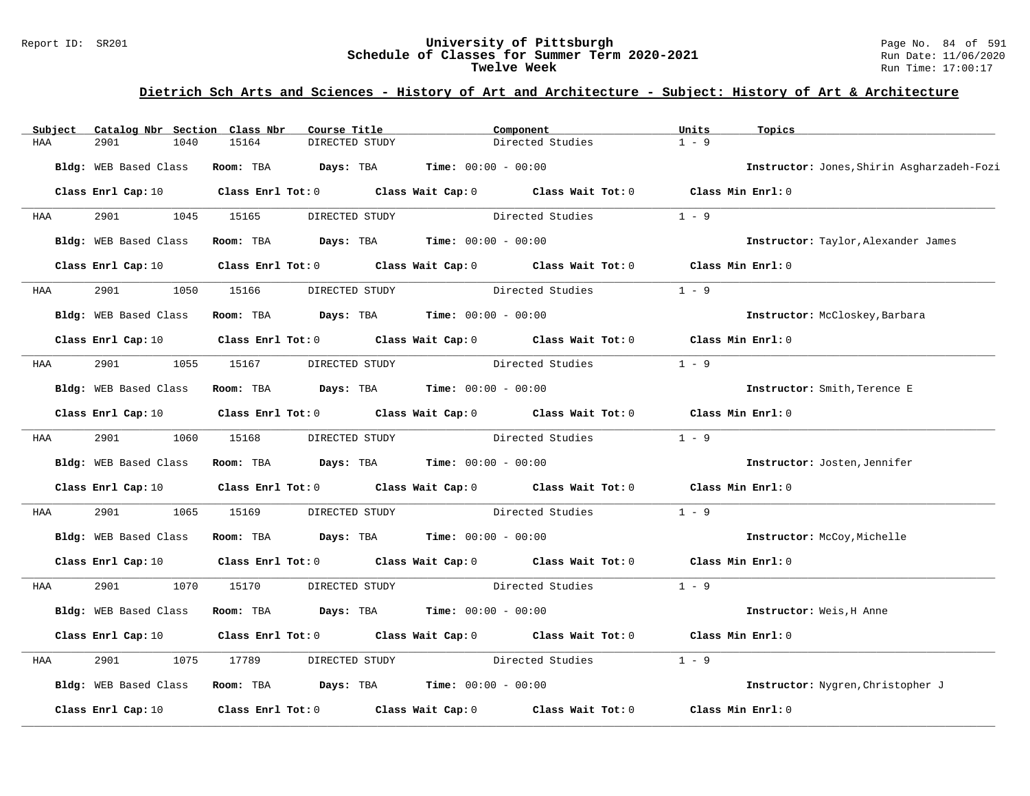#### Report ID: SR201 **University of Pittsburgh** Page No. 84 of 591 **Schedule of Classes for Summer Term 2020-2021** Run Date: 11/06/2020 **Twelve Week** Run Time: 17:00:17

| Subject | Catalog Nbr Section Class Nbr | Course Title                 | Component                                                                                          | Units             | Topics                                     |
|---------|-------------------------------|------------------------------|----------------------------------------------------------------------------------------------------|-------------------|--------------------------------------------|
| HAA     | 2901<br>1040                  | 15164<br>DIRECTED STUDY      | Directed Studies                                                                                   | $1 - 9$           |                                            |
|         | Bldg: WEB Based Class         | Room: TBA                    | <b>Days:</b> TBA <b>Time:</b> $00:00 - 00:00$                                                      |                   | Instructor: Jones, Shirin Asgharzadeh-Fozi |
|         | Class Enrl Cap: 10            |                              | Class Enrl Tot: 0 $\qquad$ Class Wait Cap: 0 $\qquad$ Class Wait Tot: 0 $\qquad$ Class Min Enrl: 0 |                   |                                            |
| HAA     | 2901                          | 1045 15165<br>DIRECTED STUDY | Directed Studies                                                                                   | $1 - 9$           |                                            |
|         | Bldg: WEB Based Class         |                              | Room: TBA $Days:$ TBA $Time:$ $00:00 - 00:00$                                                      |                   | Instructor: Taylor, Alexander James        |
|         | Class Enrl Cap: 10            |                              | Class Enrl Tot: 0 Class Wait Cap: 0 Class Wait Tot: 0                                              | Class Min Enrl: 0 |                                            |
| HAA     | 2901<br>1050                  | 15166<br>DIRECTED STUDY      | Directed Studies                                                                                   | $1 - 9$           |                                            |
|         | Bldg: WEB Based Class         |                              | Room: TBA $Days:$ TBA $Time: 00:00 - 00:00$                                                        |                   | Instructor: McCloskey, Barbara             |
|         | Class Enrl Cap: 10            |                              | Class Enrl Tot: $0$ Class Wait Cap: $0$ Class Wait Tot: $0$ Class Min Enrl: $0$                    |                   |                                            |
| HAA     | 2901<br>1055                  | 15167<br>DIRECTED STUDY      | Directed Studies                                                                                   | $1 - 9$           |                                            |
|         | Bldg: WEB Based Class         |                              | Room: TBA $\rule{1em}{0.15mm}$ Days: TBA Time: $00:00 - 00:00$                                     |                   | Instructor: Smith, Terence E               |
|         | Class Enrl Cap: 10            |                              | Class Enrl Tot: 0 Class Wait Cap: 0 Class Wait Tot: 0                                              | Class Min Enrl: 0 |                                            |
| HAA     | 2901 2002                     | 1060 15168                   | DIRECTED STUDY Directed Studies                                                                    | $1 - 9$           |                                            |
|         | Bldg: WEB Based Class         |                              | Room: TBA $Days:$ TBA $Time: 00:00 - 00:00$                                                        |                   | Instructor: Josten, Jennifer               |
|         | Class Enrl Cap: 10            |                              | Class Enrl Tot: 0 Class Wait Cap: 0 Class Wait Tot: 0                                              | Class Min Enrl: 0 |                                            |
| HAA     | 2901<br>1065                  | 15169<br>DIRECTED STUDY      | Directed Studies                                                                                   | $1 - 9$           |                                            |
|         | Bldg: WEB Based Class         |                              | <b>Room:</b> TBA <b>Days:</b> TBA <b>Time:</b> 00:00 - 00:00                                       |                   | Instructor: McCoy, Michelle                |
|         | Class Enrl Cap: 10            |                              | Class Enrl Tot: 0 Class Wait Cap: 0 Class Wait Tot: 0                                              | Class Min Enrl: 0 |                                            |
| HAA     | 2901<br>1070                  | 15170<br>DIRECTED STUDY      | Directed Studies                                                                                   | $1 - 9$           |                                            |
|         | Bldg: WEB Based Class         | Room: TBA                    | <b>Days:</b> TBA <b>Time:</b> $00:00 - 00:00$                                                      |                   | Instructor: Weis, H Anne                   |
|         | Class Enrl Cap: 10            |                              | Class Enrl Tot: 0 Class Wait Cap: 0 Class Wait Tot: 0                                              | Class Min Enrl: 0 |                                            |
| HAA     | 2901<br>1075                  | 17789<br>DIRECTED STUDY      | Directed Studies                                                                                   | $1 - 9$           |                                            |
|         | Bldg: WEB Based Class         |                              | Room: TBA $Days: TBA$ Time: $00:00 - 00:00$                                                        |                   | Instructor: Nygren, Christopher J          |
|         | Class Enrl Cap: 10            |                              | Class Enrl Tot: 0 Class Wait Cap: 0 Class Wait Tot: 0                                              | Class Min Enrl: 0 |                                            |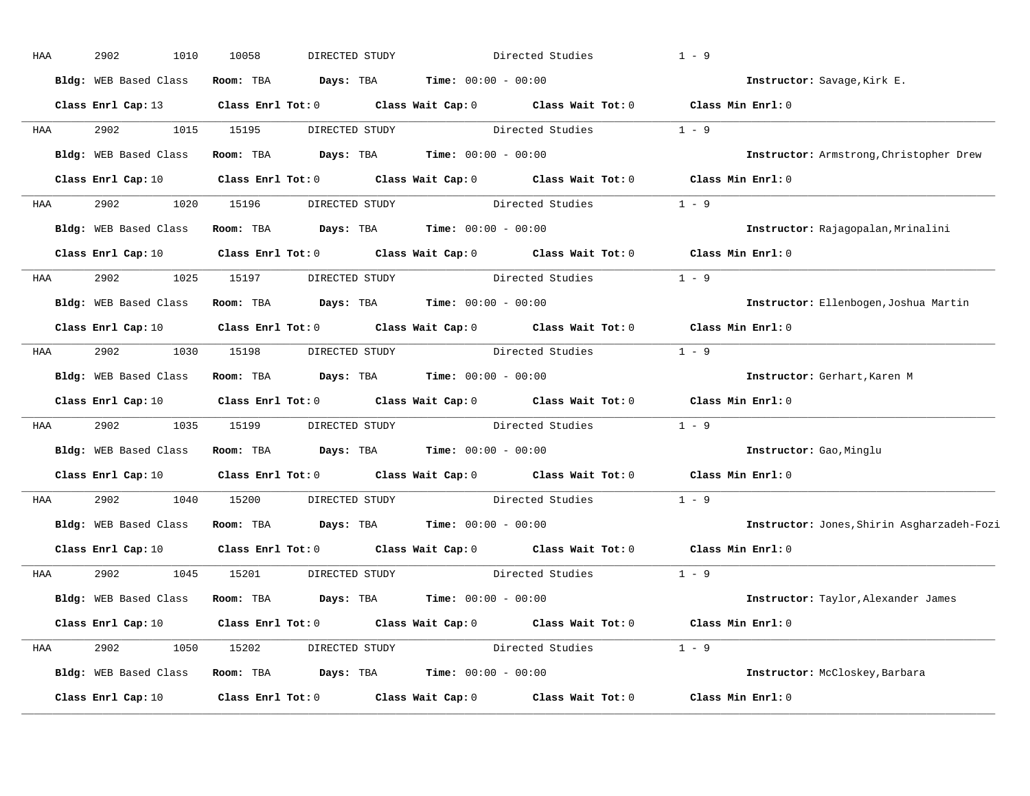| HAA | 2902<br>1010          | 10058                   | DIRECTED STUDY                                      |                                               | Directed Studies                                                                                   | $1 - 9$                                    |
|-----|-----------------------|-------------------------|-----------------------------------------------------|-----------------------------------------------|----------------------------------------------------------------------------------------------------|--------------------------------------------|
|     | Bldg: WEB Based Class | Room: TBA               | Days: TBA                                           | <b>Time:</b> $00:00 - 00:00$                  |                                                                                                    | Instructor: Savage, Kirk E.                |
|     | Class Enrl Cap: 13    |                         |                                                     |                                               | Class Enrl Tot: $0$ Class Wait Cap: $0$ Class Wait Tot: $0$ Class Min Enrl: $0$                    |                                            |
| HAA | 2902<br>1015          | 15195                   |                                                     |                                               | DIRECTED STUDY Directed Studies                                                                    | $1 - 9$                                    |
|     | Bldg: WEB Based Class | Room: TBA               | $\texttt{DayS:}$ TBA $\texttt{Time:}$ 00:00 - 00:00 |                                               |                                                                                                    | Instructor: Armstrong, Christopher Drew    |
|     | Class Enrl Cap: 10    |                         |                                                     |                                               | Class Enrl Tot: 0 $\qquad$ Class Wait Cap: 0 $\qquad$ Class Wait Tot: 0 $\qquad$ Class Min Enrl: 0 |                                            |
| HAA | 2902<br>1020          | 15196                   |                                                     |                                               | DIRECTED STUDY Directed Studies 1 - 9                                                              |                                            |
|     | Bldg: WEB Based Class | Room: TBA               |                                                     | <b>Days:</b> TBA <b>Time:</b> $00:00 - 00:00$ |                                                                                                    | Instructor: Rajagopalan, Mrinalini         |
|     | Class Enrl Cap: 10    | $Class$ $Enr1$ $Tot: 0$ |                                                     |                                               | Class Wait Cap: 0 Class Wait Tot: 0 Class Min Enrl: 0                                              |                                            |
| HAA | 2902<br>1025          | 15197                   | DIRECTED STUDY                                      |                                               | Directed Studies                                                                                   | $1 - 9$                                    |
|     | Bldg: WEB Based Class |                         | Room: TBA $Days:$ TBA $Time: 00:00 - 00:00$         |                                               |                                                                                                    | Instructor: Ellenbogen, Joshua Martin      |
|     | Class Enrl Cap: 10    |                         |                                                     |                                               | Class Enrl Tot: 0 Class Wait Cap: 0 Class Wait Tot: 0                                              | Class Min Enrl: 0                          |
| HAA | 2902<br>1030          | 15198                   |                                                     |                                               | DIRECTED STUDY Directed Studies                                                                    | $1 - 9$                                    |
|     | Bldg: WEB Based Class | Room: TBA               | <b>Days:</b> TBA <b>Time:</b> $00:00 - 00:00$       |                                               |                                                                                                    | Instructor: Gerhart, Karen M               |
|     | Class Enrl Cap: 10    |                         |                                                     |                                               | Class Enrl Tot: 0 Class Wait Cap: 0 Class Wait Tot: 0                                              | Class Min Enrl: 0                          |
| HAA | 2902<br>1035          | 15199                   |                                                     |                                               | DIRECTED STUDY Directed Studies                                                                    | $1 - 9$                                    |
|     | Bldg: WEB Based Class | Room: TBA               | <b>Days:</b> TBA <b>Time:</b> $00:00 - 00:00$       |                                               |                                                                                                    | Instructor: Gao, Minglu                    |
|     |                       |                         |                                                     |                                               | Class Enrl Cap: 10 Class Enrl Tot: 0 Class Wait Cap: 0 Class Wait Tot: 0                           | Class Min Enrl: 0                          |
| HAA | 2902<br>1040          | 15200                   | DIRECTED STUDY                                      |                                               | Directed Studies                                                                                   | $1 - 9$                                    |
|     | Bldg: WEB Based Class |                         | Room: TBA $Days:$ TBA $Time: 00:00 - 00:00$         |                                               |                                                                                                    | Instructor: Jones, Shirin Asgharzadeh-Fozi |
|     | Class Enrl Cap: 10    |                         |                                                     |                                               | Class Enrl Tot: 0 Class Wait Cap: 0 Class Wait Tot: 0                                              | Class Min Enrl: 0                          |
| HAA | 2902<br>1045          | 15201                   | DIRECTED STUDY                                      |                                               | Directed Studies                                                                                   | $1 - 9$                                    |
|     | Bldg: WEB Based Class |                         | Room: TBA $Days:$ TBA $Time: 00:00 - 00:00$         |                                               |                                                                                                    | Instructor: Taylor, Alexander James        |
|     | Class Enrl Cap: 10    |                         |                                                     |                                               | Class Enrl Tot: $0$ Class Wait Cap: $0$ Class Wait Tot: $0$                                        | Class Min Enrl: 0                          |
| HAA | 2902<br>1050          | 15202                   |                                                     |                                               | DIRECTED STUDY Directed Studies 1 - 9                                                              |                                            |
|     | Bldg: WEB Based Class |                         | Room: TBA $Days:$ TBA $Time: 00:00 - 00:00$         |                                               |                                                                                                    | Instructor: McCloskey, Barbara             |
|     | Class Enrl Cap: 10    | Class Enrl Tot: 0       |                                                     | Class Wait Cap: 0                             | Class Wait Tot: 0                                                                                  | Class Min Enrl: 0                          |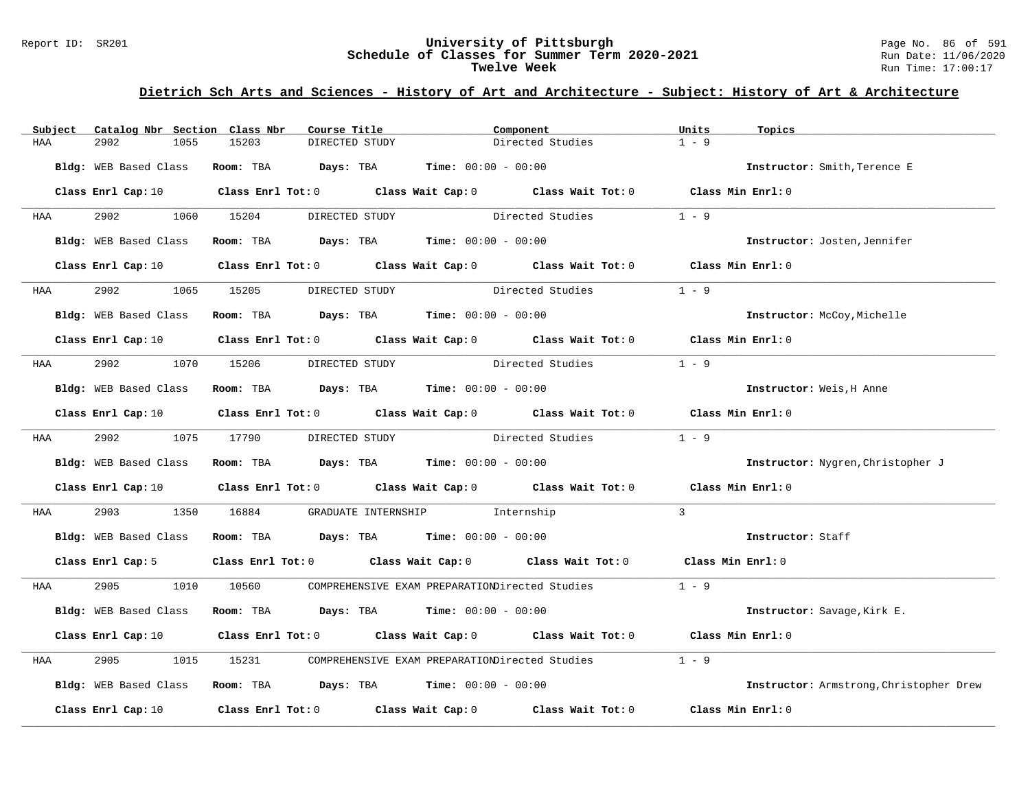#### Report ID: SR201 **University of Pittsburgh** Page No. 86 of 591 **Schedule of Classes for Summer Term 2020-2021** Run Date: 11/06/2020 **Twelve Week** Run Time: 17:00:17

| Subject    | Catalog Nbr Section Class Nbr | Course Title                                                   | Component                                                                                                                      | Units<br>Topics                         |
|------------|-------------------------------|----------------------------------------------------------------|--------------------------------------------------------------------------------------------------------------------------------|-----------------------------------------|
| HAA        | 2902<br>1055                  | 15203<br>DIRECTED STUDY                                        | Directed Studies                                                                                                               | $1 - 9$                                 |
|            | Bldg: WEB Based Class         | Room: TBA $Days$ : TBA $Time$ : $00:00 - 00:00$                |                                                                                                                                | Instructor: Smith, Terence E            |
|            |                               |                                                                | Class Enrl Cap: 10 $\qquad$ Class Enrl Tot: 0 $\qquad$ Class Wait Cap: 0 $\qquad$ Class Wait Tot: 0 $\qquad$ Class Min Enrl: 0 |                                         |
| <b>HAA</b> | 2902 1060 15204               | DIRECTED STUDY                                                 | Directed Studies                                                                                                               | $1 - 9$                                 |
|            | Bldg: WEB Based Class         | Room: TBA $Days:$ TBA $Time: 00:00 - 00:00$                    |                                                                                                                                | Instructor: Josten, Jennifer            |
|            |                               |                                                                | Class Enrl Cap: 10 Class Enrl Tot: 0 Class Wait Cap: 0 Class Wait Tot: 0 Class Min Enrl: 0                                     |                                         |
| <b>HAA</b> | 2902                          | 1065 15205<br>DIRECTED STUDY                                   | Directed Studies                                                                                                               | $1 - 9$                                 |
|            | Bldg: WEB Based Class         | Room: TBA $\rule{1em}{0.15mm}$ Days: TBA Time: $00:00 - 00:00$ |                                                                                                                                | Instructor: McCoy, Michelle             |
|            |                               |                                                                | Class Enrl Cap: 10 $\qquad$ Class Enrl Tot: 0 $\qquad$ Class Wait Cap: 0 $\qquad$ Class Wait Tot: 0 $\qquad$ Class Min Enrl: 0 |                                         |
| <b>HAA</b> |                               | 2902 1070 15206 DIRECTED STUDY                                 | Directed Studies                                                                                                               | $1 - 9$                                 |
|            | Bldg: WEB Based Class         | Room: TBA $Days:$ TBA $Time: 00:00 - 00:00$                    |                                                                                                                                | Instructor: Weis, H Anne                |
|            |                               |                                                                | Class Enrl Cap: 10 $\qquad$ Class Enrl Tot: 0 $\qquad$ Class Wait Cap: 0 $\qquad$ Class Wait Tot: 0 $\qquad$ Class Min Enrl: 0 |                                         |
|            | HAA 2902 1075 17790           | DIRECTED STUDY                                                 | Directed Studies 1 - 9                                                                                                         |                                         |
|            | Bldg: WEB Based Class         | Room: TBA $Days:$ TBA $Time: 00:00 - 00:00$                    |                                                                                                                                | Instructor: Nygren, Christopher J       |
|            |                               |                                                                | Class Enrl Cap: 10 $\qquad$ Class Enrl Tot: 0 $\qquad$ Class Wait Cap: 0 $\qquad$ Class Wait Tot: 0 $\qquad$ Class Min Enrl: 0 |                                         |
| HAA        | 2903                          | 1350 16884                                                     | GRADUATE INTERNSHIP 1nternship                                                                                                 | $\mathbf{3}$                            |
|            |                               | Bldg: WEB Based Class Room: TBA Days: TBA Time: 00:00 - 00:00  |                                                                                                                                | Instructor: Staff                       |
|            | Class Enrl Cap: 5             |                                                                | Class Enrl Tot: 0 Class Wait Cap: 0 Class Wait Tot: 0 Class Min Enrl: 0                                                        |                                         |
| <b>HAA</b> |                               |                                                                | 2905 1010 10560 COMPREHENSIVE EXAM PREPARATIONDirected Studies 1 - 9                                                           |                                         |
|            | Bldg: WEB Based Class         | Room: TBA $Days: TBA$ Time: $00:00 - 00:00$                    |                                                                                                                                | Instructor: Savage, Kirk E.             |
|            |                               |                                                                | Class Enrl Cap: 10 $\qquad$ Class Enrl Tot: 0 $\qquad$ Class Wait Cap: 0 $\qquad$ Class Wait Tot: 0 $\qquad$ Class Min Enrl: 0 |                                         |
| HAA        | 2905<br>1015                  |                                                                | 15231 COMPREHENSIVE EXAM PREPARATIONDirected Studies                                                                           | $1 - 9$                                 |
|            |                               | Bldg: WEB Based Class Room: TBA Days: TBA Time: 00:00 - 00:00  |                                                                                                                                | Instructor: Armstrong, Christopher Drew |
|            |                               |                                                                | Class Enrl Cap: 10 $\qquad$ Class Enrl Tot: 0 $\qquad$ Class Wait Cap: 0 $\qquad$ Class Wait Tot: 0 $\qquad$ Class Min Enrl: 0 |                                         |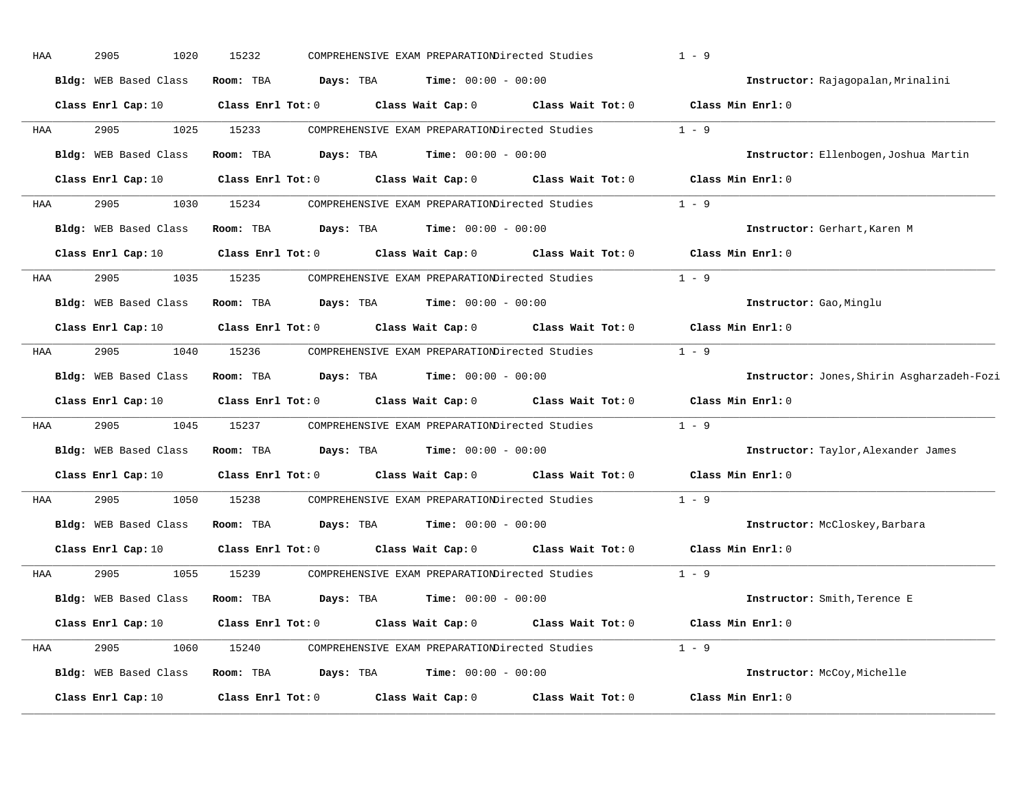| HAA | 2905<br>1020                 | 15232             |           | COMPREHENSIVE EXAM PREPARATIONDirected Studies |                   | $1 - 9$                                    |
|-----|------------------------------|-------------------|-----------|------------------------------------------------|-------------------|--------------------------------------------|
|     | Bldg: WEB Based Class        | Room: TBA         | Days: TBA | <b>Time:</b> $00:00 - 00:00$                   |                   | Instructor: Rajagopalan, Mrinalini         |
|     | Class Enrl Cap: 10           | Class Enrl Tot: 0 |           | Class Wait Cap: 0                              | Class Wait Tot: 0 | Class Min Enrl: 0                          |
| HAA | 2905<br>1025                 | 15233             |           | COMPREHENSIVE EXAM PREPARATIONDirected Studies |                   | $1 - 9$                                    |
|     | Bldg: WEB Based Class        | Room: TBA         | Days: TBA | <b>Time:</b> $00:00 - 00:00$                   |                   | Instructor: Ellenbogen, Joshua Martin      |
|     | Class Enrl Cap: 10           | Class Enrl Tot: 0 |           | Class Wait Cap: 0                              | Class Wait Tot: 0 | Class Min Enrl: 0                          |
| HAA | 2905<br>1030                 | 15234             |           | COMPREHENSIVE EXAM PREPARATIONDirected Studies |                   | $1 - 9$                                    |
|     | Bldg: WEB Based Class        | Room: TBA         | Days: TBA | <b>Time:</b> $00:00 - 00:00$                   |                   | Instructor: Gerhart, Karen M               |
|     | Class Enrl Cap: 10           | Class Enrl Tot: 0 |           | Class Wait Cap: 0                              | Class Wait Tot: 0 | Class Min Enrl: 0                          |
| HAA | 2905<br>1035                 | 15235             |           | COMPREHENSIVE EXAM PREPARATIONDirected Studies |                   | $1 - 9$                                    |
|     | <b>Bldg:</b> WEB Based Class | Room: TBA         | Days: TBA | <b>Time:</b> $00:00 - 00:00$                   |                   | Instructor: Gao, Minglu                    |
|     | Class Enrl Cap: 10           | Class Enrl Tot: 0 |           | Class Wait Cap: 0                              | Class Wait Tot: 0 | Class Min Enrl: 0                          |
| HAA | 2905<br>1040                 | 15236             |           | COMPREHENSIVE EXAM PREPARATIONDirected Studies |                   | $1 - 9$                                    |
|     | Bldg: WEB Based Class        | Room: TBA         | Days: TBA | <b>Time:</b> $00:00 - 00:00$                   |                   | Instructor: Jones, Shirin Asgharzadeh-Fozi |
|     | Class Enrl Cap: 10           | Class Enrl Tot: 0 |           | Class Wait Cap: 0                              | Class Wait Tot: 0 | Class Min Enrl: 0                          |
| HAA | 2905<br>1045                 | 15237             |           | COMPREHENSIVE EXAM PREPARATIONDirected Studies |                   | $1 - 9$                                    |
|     | Bldg: WEB Based Class        | Room: TBA         | Days: TBA | <b>Time:</b> $00:00 - 00:00$                   |                   | Instructor: Taylor, Alexander James        |
|     | Class Enrl Cap: 10           | Class Enrl Tot: 0 |           | Class Wait Cap: 0                              | Class Wait Tot: 0 | Class Min Enrl: 0                          |
| HAA | 2905<br>1050                 | 15238             |           | COMPREHENSIVE EXAM PREPARATIONDirected Studies |                   | $1 - 9$                                    |
|     | Bldg: WEB Based Class        | Room: TBA         | Days: TBA | <b>Time:</b> $00:00 - 00:00$                   |                   | Instructor: McCloskey, Barbara             |
|     | Class Enrl Cap: 10           | Class Enrl Tot: 0 |           | Class Wait Cap: 0                              | Class Wait Tot: 0 | Class Min Enrl: 0                          |
| HAA | 2905<br>1055                 | 15239             |           | COMPREHENSIVE EXAM PREPARATIONDirected Studies |                   | $1 - 9$                                    |
|     | Bldg: WEB Based Class        | Room: TBA         | Days: TBA | <b>Time:</b> $00:00 - 00:00$                   |                   | Instructor: Smith, Terence E               |
|     | Class Enrl Cap: 10           | Class Enrl Tot: 0 |           | Class Wait Cap: 0                              | Class Wait Tot: 0 | Class Min Enrl: 0                          |
| HAA | 2905<br>1060                 | 15240             |           | COMPREHENSIVE EXAM PREPARATIONDirected Studies |                   | $1 - 9$                                    |
|     | Bldg: WEB Based Class        | Room: TBA         | Days: TBA | $Time: 00:00 - 00:00$                          |                   | Instructor: McCoy, Michelle                |
|     | Class Enrl Cap: 10           | Class Enrl Tot: 0 |           | Class Wait Cap: 0                              | Class Wait Tot: 0 | Class Min Enrl: 0                          |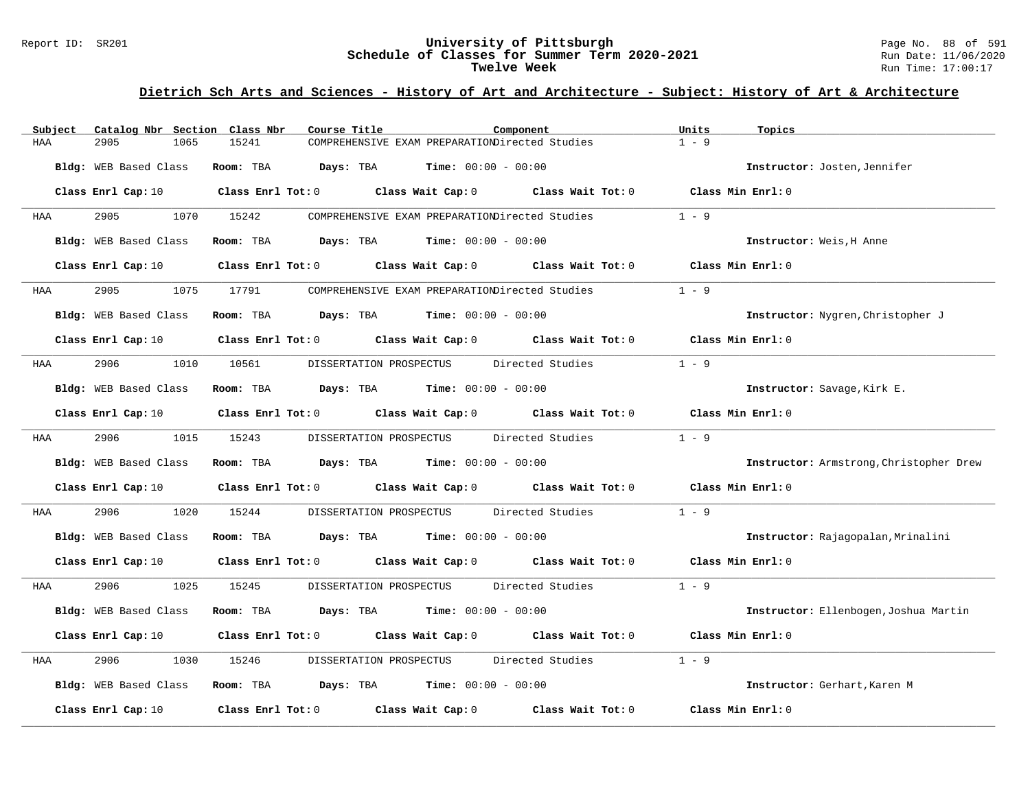#### Report ID: SR201 **University of Pittsburgh** Page No. 88 of 591 **Schedule of Classes for Summer Term 2020-2021** Run Date: 11/06/2020 **Twelve Week** Run Time: 17:00:17

| Subject | Catalog Nbr Section Class Nbr | Course Title |                                                                                                                                | Component | Units<br>Topics                         |
|---------|-------------------------------|--------------|--------------------------------------------------------------------------------------------------------------------------------|-----------|-----------------------------------------|
| HAA     | 2905<br>1065                  | 15241        | COMPREHENSIVE EXAM PREPARATIONDirected Studies                                                                                 |           | $1 - 9$                                 |
|         | Bldg: WEB Based Class         | Room: TBA    | <b>Days:</b> TBA <b>Time:</b> $00:00 - 00:00$                                                                                  |           | Instructor: Josten, Jennifer            |
|         |                               |              | Class Enrl Cap: 10 $\qquad$ Class Enrl Tot: 0 $\qquad$ Class Wait Cap: 0 $\qquad$ Class Wait Tot: 0 $\qquad$ Class Min Enrl: 0 |           |                                         |
| HAA     | 2905                          | 1070 15242   | COMPREHENSIVE EXAM PREPARATIONDirected Studies                                                                                 |           | $1 - 9$                                 |
|         | Bldg: WEB Based Class         |              | Room: TBA $Days:$ TBA $Time: 00:00 - 00:00$                                                                                    |           | Instructor: Weis, H Anne                |
|         | Class Enrl Cap: 10            |              | Class Enrl Tot: $0$ Class Wait Cap: $0$ Class Wait Tot: $0$ Class Min Enrl: $0$                                                |           |                                         |
| HAA     | 2905                          | 1075 17791   | COMPREHENSIVE EXAM PREPARATIONDirected Studies                                                                                 |           | $1 - 9$                                 |
|         | Bldg: WEB Based Class         |              | Room: TBA $Days:$ TBA $Time: 00:00 - 00:00$                                                                                    |           | Instructor: Nygren, Christopher J       |
|         |                               |              | Class Enrl Cap: 10 $\qquad$ Class Enrl Tot: 0 $\qquad$ Class Wait Cap: 0 $\qquad$ Class Wait Tot: 0 $\qquad$ Class Min Enrl: 0 |           |                                         |
| HAA     | 2906<br>1010                  | 10561        | DISSERTATION PROSPECTUS Directed Studies                                                                                       |           | $1 - 9$                                 |
|         | Bldg: WEB Based Class         |              | Room: TBA $Days:$ TBA $Time: 00:00 - 00:00$                                                                                    |           | Instructor: Savage, Kirk E.             |
|         |                               |              | Class Enrl Cap: 10 $\qquad$ Class Enrl Tot: 0 $\qquad$ Class Wait Cap: 0 $\qquad$ Class Wait Tot: 0 $\qquad$ Class Min Enrl: 0 |           |                                         |
| HAA     | 2906 700                      | 1015 15243   | DISSERTATION PROSPECTUS Directed Studies                                                                                       |           | $1 - 9$                                 |
|         | Bldg: WEB Based Class         |              | Room: TBA $Days: TBA$ Time: $00:00 - 00:00$                                                                                    |           | Instructor: Armstrong, Christopher Drew |
|         | Class Enrl Cap: 10            |              | Class Enrl Tot: 0 $\qquad$ Class Wait Cap: 0 $\qquad$ Class Wait Tot: 0 $\qquad$ Class Min Enrl: 0                             |           |                                         |
| HAA     | 2906<br>1020                  | 15244        | DISSERTATION PROSPECTUS Directed Studies                                                                                       |           | $1 - 9$                                 |
|         | Bldg: WEB Based Class         |              | Room: TBA $Days:$ TBA $Time: 00:00 - 00:00$                                                                                    |           | Instructor: Rajagopalan, Mrinalini      |
|         | Class Enrl Cap: 10            |              | Class Enrl Tot: 0 Class Wait Cap: 0 Class Wait Tot: 0 Class Min Enrl: 0                                                        |           |                                         |
| HAA     | 2906 700<br>1025              | 15245        | DISSERTATION PROSPECTUS Directed Studies                                                                                       |           | $1 - 9$                                 |
|         | Bldg: WEB Based Class         |              | Room: TBA $Days:$ TBA $Time: 00:00 - 00:00$                                                                                    |           | Instructor: Ellenbogen, Joshua Martin   |
|         | Class Enrl Cap: 10            |              | Class Enrl Tot: 0 Class Wait Cap: 0 Class Wait Tot: 0                                                                          |           | Class Min Enrl: 0                       |
| HAA     | 2906<br>1030                  | 15246        | DISSERTATION PROSPECTUS Directed Studies                                                                                       |           | $1 - 9$                                 |
|         | Bldg: WEB Based Class         |              | Room: TBA $\rule{1em}{0.15mm}$ Days: TBA Time: $00:00 - 00:00$                                                                 |           | Instructor: Gerhart, Karen M            |
|         | Class Enrl Cap: 10            |              | Class Enrl Tot: $0$ Class Wait Cap: $0$ Class Wait Tot: $0$                                                                    |           | Class Min Enrl: 0                       |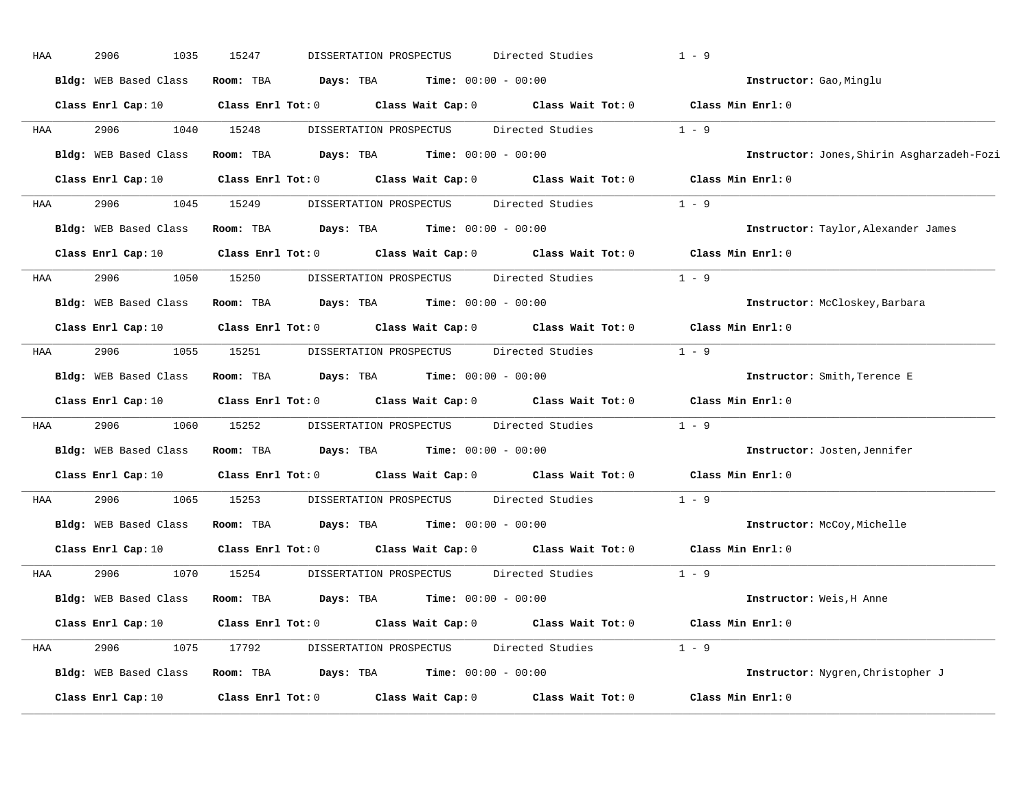| HAA | 2906<br>1035          | 15247<br>DISSERTATION PROSPECTUS                                                           |                                               | Directed Studies                               | $1 - 9$                                    |
|-----|-----------------------|--------------------------------------------------------------------------------------------|-----------------------------------------------|------------------------------------------------|--------------------------------------------|
|     | Bldg: WEB Based Class | Room: TBA<br>Days: TBA                                                                     | <b>Time:</b> $00:00 - 00:00$                  |                                                | Instructor: Gao, Minglu                    |
|     | Class Enrl Cap: 10    | Class Enrl Tot: $0$ Class Wait Cap: $0$ Class Wait Tot: $0$ Class Min Enrl: $0$            |                                               |                                                |                                            |
| HAA | 2906<br>1040          | 15248                                                                                      | DISSERTATION PROSPECTUS                       | Directed Studies                               | $1 - 9$                                    |
|     | Bldg: WEB Based Class | Room: TBA<br>Days: TBA                                                                     | <b>Time:</b> $00:00 - 00:00$                  |                                                | Instructor: Jones, Shirin Asgharzadeh-Fozi |
|     | Class Enrl Cap: 10    | Class Enrl Tot: $0$ Class Wait Cap: $0$ Class Wait Tot: $0$                                |                                               |                                                | Class Min Enrl: 0                          |
| HAA | 1045<br>2906          | 15249                                                                                      |                                               | DISSERTATION PROSPECTUS Directed Studies       | $1 - 9$                                    |
|     | Bldg: WEB Based Class | Room: TBA                                                                                  | <b>Days:</b> TBA <b>Time:</b> $00:00 - 00:00$ |                                                | Instructor: Taylor, Alexander James        |
|     |                       | Class Enrl Cap: 10 Class Enrl Tot: 0 Class Wait Cap: 0 Class Wait Tot: 0 Class Min Enrl: 0 |                                               |                                                |                                            |
| HAA | 2906<br>1050          | 15250                                                                                      |                                               | DISSERTATION PROSPECTUS Directed Studies       | $1 - 9$                                    |
|     | Bldg: WEB Based Class | Room: TBA                                                                                  | <b>Days:</b> TBA <b>Time:</b> $00:00 - 00:00$ |                                                | Instructor: McCloskey, Barbara             |
|     | Class Enrl Cap: 10    | Class Enrl Tot: 0 Class Wait Cap: 0 Class Wait Tot: 0                                      |                                               |                                                | Class Min Enrl: 0                          |
| HAA | 2906<br>1055          | 15251                                                                                      |                                               | DISSERTATION PROSPECTUS Directed Studies       | $1 - 9$                                    |
|     | Bldg: WEB Based Class | Room: TBA<br>$Days: TBA$ $Time: 00:00 - 00:00$                                             |                                               |                                                | Instructor: Smith, Terence E               |
|     | Class Enrl Cap: 10    | Class Enrl Tot: 0 Class Wait Cap: 0 Class Wait Tot: 0                                      |                                               |                                                | Class Min Enrl: 0                          |
| HAA | 2906<br>1060          | 15252                                                                                      |                                               | DISSERTATION PROSPECTUS Directed Studies       | $1 - 9$                                    |
|     | Bldg: WEB Based Class | Room: TBA<br>$\texttt{DayS:}$ TBA $\texttt{Time:}$ 00:00 - 00:00                           |                                               |                                                | Instructor: Josten, Jennifer               |
|     |                       | Class Enrl Cap: 10 Class Enrl Tot: 0 Class Wait Cap: 0 Class Wait Tot: 0                   |                                               |                                                | Class Min Enrl: 0                          |
| HAA | 2906<br>1065          | 15253                                                                                      | DISSERTATION PROSPECTUS                       | Directed Studies                               | $1 - 9$                                    |
|     | Bldg: WEB Based Class | <b>Room:</b> TBA <b>Days:</b> TBA <b>Time:</b> 00:00 - 00:00                               |                                               |                                                | Instructor: McCoy, Michelle                |
|     | Class Enrl Cap: 10    | Class Enrl Tot: 0 Class Wait Cap: 0 Class Wait Tot: 0                                      |                                               |                                                | Class Min Enrl: 0                          |
| HAA | 2906<br>1070          | 15254<br>DISSERTATION PROSPECTUS                                                           |                                               | Directed Studies                               | $1 - 9$                                    |
|     | Bldg: WEB Based Class | Room: TBA<br>$\texttt{Days:}$ TBA $\texttt{Time:}$ 00:00 - 00:00                           |                                               |                                                | Instructor: Weis, H Anne                   |
|     | Class Enrl Cap: 10    | Class Enrl Tot: 0                                                                          |                                               | Class Wait Cap: 0 Class Wait Tot: 0            | Class Min Enrl: 0                          |
| HAA | 2906<br>1075          | 17792                                                                                      |                                               | DISSERTATION PROSPECTUS Directed Studies 1 - 9 |                                            |
|     | Bldg: WEB Based Class | Room: TBA                                                                                  | <b>Days:</b> TBA <b>Time:</b> $00:00 - 00:00$ |                                                | Instructor: Nygren, Christopher J          |
|     | Class Enrl Cap: 10    | Class Enrl Tot: 0                                                                          | Class Wait Cap: 0                             | Class Wait Tot: 0                              | Class Min Enrl: 0                          |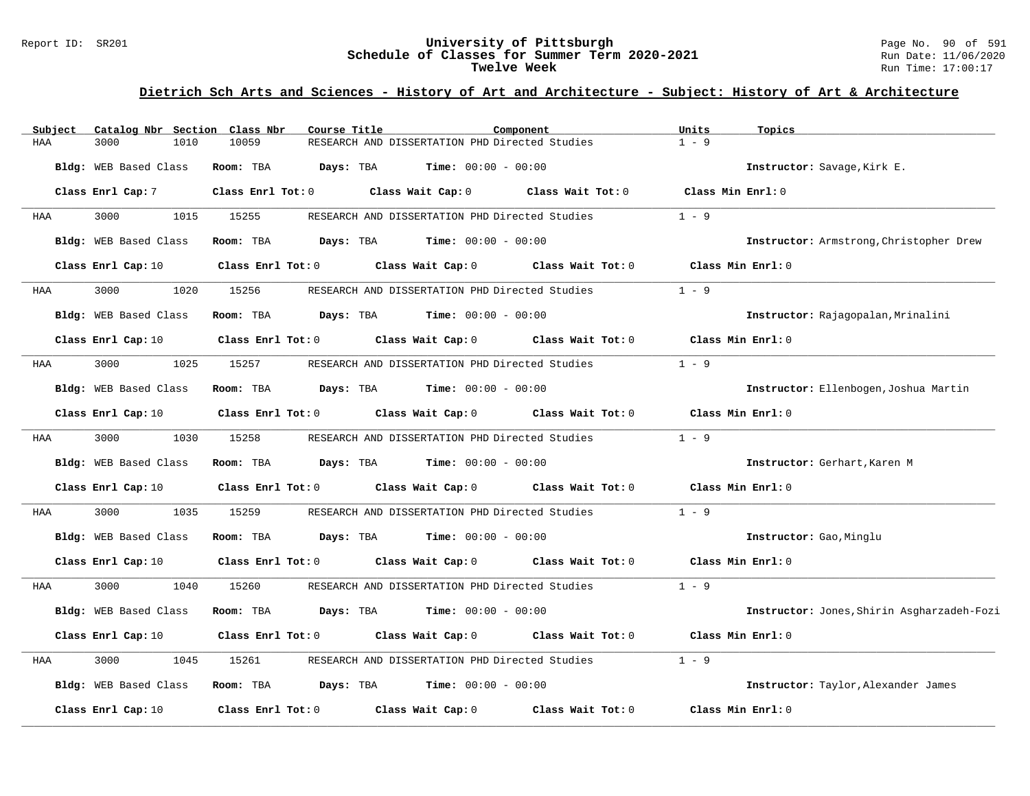#### Report ID: SR201 **University of Pittsburgh** Page No. 90 of 591 **Schedule of Classes for Summer Term 2020-2021** Run Date: 11/06/2020 **Twelve Week** Run Time: 17:00:17

| Subject | Catalog Nbr Section Class Nbr | Course Title            |                                                       | Component         | Units<br>Topics                            |
|---------|-------------------------------|-------------------------|-------------------------------------------------------|-------------------|--------------------------------------------|
| HAA     | 3000<br>1010                  | 10059                   | RESEARCH AND DISSERTATION PHD Directed Studies        |                   | $1 - 9$                                    |
|         | Bldg: WEB Based Class         | Room: TBA<br>Days: TBA  | $Time: 00:00 - 00:00$                                 |                   | Instructor: Savage, Kirk E.                |
|         | Class Enrl Cap: 7             | $Class$ $Enrl$ $Tot: 0$ | Class Wait Cap: 0 Class Wait Tot: 0                   |                   | Class Min Enrl: 0                          |
| HAA     | 3000<br>1015                  | 15255                   | RESEARCH AND DISSERTATION PHD Directed Studies        |                   | $1 - 9$                                    |
|         | Bldg: WEB Based Class         | Room: TBA               | <b>Days:</b> TBA <b>Time:</b> $00:00 - 00:00$         |                   | Instructor: Armstrong, Christopher Drew    |
|         | Class Enrl Cap: 10            | $Class$ $Enrl$ $Tot: 0$ | Class Wait Cap: 0                                     | Class Wait Tot: 0 | Class Min Enrl: 0                          |
| HAA     | 3000<br>1020                  | 15256                   | RESEARCH AND DISSERTATION PHD Directed Studies        |                   | $1 - 9$                                    |
|         | Bldg: WEB Based Class         | Room: TBA<br>Days: TBA  | $Time: 00:00 - 00:00$                                 |                   | Instructor: Rajagopalan, Mrinalini         |
|         | Class Enrl Cap: 10            |                         | Class Enrl Tot: 0 Class Wait Cap: 0 Class Wait Tot: 0 |                   | Class Min Enrl: 0                          |
| HAA     | 3000<br>1025                  | 15257                   | RESEARCH AND DISSERTATION PHD Directed Studies        |                   | $1 - 9$                                    |
|         | Bldg: WEB Based Class         | Room: TBA               | <b>Days:</b> TBA <b>Time:</b> $00:00 - 00:00$         |                   | Instructor: Ellenbogen, Joshua Martin      |
|         | Class Enrl Cap: 10            | Class Enrl Tot: 0       | Class Wait Cap: 0                                     | Class Wait Tot: 0 | Class Min Enrl: $0$                        |
| HAA     | 3000<br>1030                  | 15258                   | RESEARCH AND DISSERTATION PHD Directed Studies        |                   | $1 - 9$                                    |
|         | Bldg: WEB Based Class         | Room: TBA<br>Days: TBA  | $Time: 00:00 - 00:00$                                 |                   | Instructor: Gerhart, Karen M               |
|         | Class Enrl Cap: 10            |                         | Class Enrl Tot: 0 Class Wait Cap: 0 Class Wait Tot: 0 |                   | Class Min Enrl: 0                          |
| HAA     | 3000<br>1035                  | 15259                   | RESEARCH AND DISSERTATION PHD Directed Studies        |                   | $1 - 9$                                    |
|         | Bldg: WEB Based Class         | Room: TBA               | $\texttt{Davis:}$ TBA $\texttt{Time:}$ 00:00 - 00:00  |                   | Instructor: Gao, Minglu                    |
|         | Class Enrl Cap: 10            | Class Enrl Tot: 0       | Class Wait Cap: 0                                     | Class Wait Tot: 0 | Class Min Enrl: 0                          |
| HAA     | 3000<br>1040                  | 15260                   | RESEARCH AND DISSERTATION PHD Directed Studies        |                   | $1 - 9$                                    |
|         | Bldg: WEB Based Class         | Room: TBA<br>Days: TBA  | <b>Time:</b> $00:00 - 00:00$                          |                   | Instructor: Jones, Shirin Asgharzadeh-Fozi |
|         | Class Enrl Cap: 10            |                         | Class Enrl Tot: 0 Class Wait Cap: 0 Class Wait Tot: 0 |                   | Class Min Enrl: 0                          |
| HAA     | 3000<br>1045                  | 15261                   | RESEARCH AND DISSERTATION PHD Directed Studies        |                   | $1 - 9$                                    |
|         | Bldg: WEB Based Class         | Room: TBA               | <b>Days:</b> TBA <b>Time:</b> $00:00 - 00:00$         |                   | Instructor: Taylor, Alexander James        |
|         | Class Enrl Cap: 10            | Class Enrl Tot: 0       | Class Wait Cap: 0                                     | Class Wait Tot: 0 | Class Min Enrl: 0                          |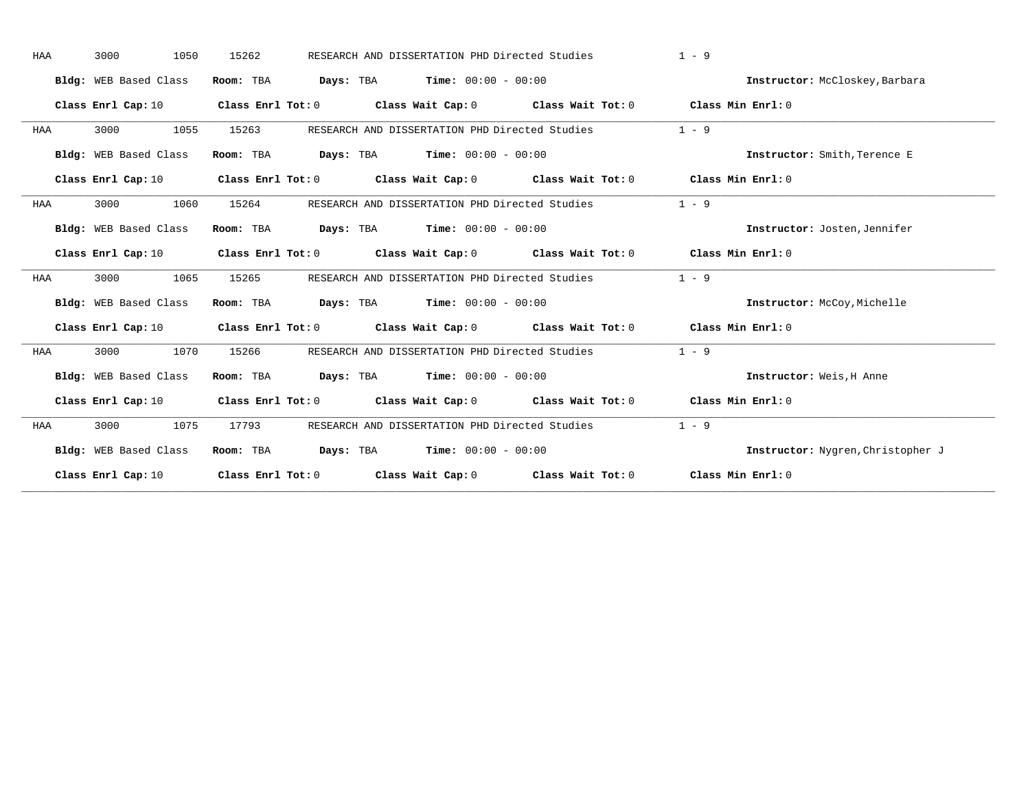| HAA | 3000<br>1050          | 15262 | RESEARCH AND DISSERTATION PHD Directed Studies                                                                                 | $1 - 9$                           |
|-----|-----------------------|-------|--------------------------------------------------------------------------------------------------------------------------------|-----------------------------------|
|     | Bldg: WEB Based Class |       | Room: TBA $Days:$ TBA $Time: 00:00 - 00:00$                                                                                    | Instructor: McCloskey, Barbara    |
|     | Class Enrl Cap: 10    |       | Class Enrl Tot: 0 $\qquad$ Class Wait Cap: 0 $\qquad$ Class Wait Tot: 0 $\qquad$ Class Min Enrl: 0                             |                                   |
| HAA | 3000<br>1055          | 15263 | RESEARCH AND DISSERTATION PHD Directed Studies                                                                                 | $1 - 9$                           |
|     | Bldg: WEB Based Class |       | Room: TBA $Days:$ TBA $Time: 00:00 - 00:00$                                                                                    | Instructor: Smith, Terence E      |
|     |                       |       | Class Enrl Cap: 10 Class Enrl Tot: 0 Class Wait Cap: 0 Class Wait Tot: 0 Class Min Enrl: 0                                     |                                   |
| HAA | 1060<br>3000          | 15264 | RESEARCH AND DISSERTATION PHD Directed Studies                                                                                 | $1 - 9$                           |
|     | Bldg: WEB Based Class |       | Room: TBA $\rule{1em}{0.15mm}$ Days: TBA Time: $00:00 - 00:00$                                                                 | Instructor: Josten, Jennifer      |
|     |                       |       | Class Enrl Cap: 10 $\qquad$ Class Enrl Tot: 0 $\qquad$ Class Wait Cap: 0 $\qquad$ Class Wait Tot: 0 $\qquad$ Class Min Enrl: 0 |                                   |
| HAA | 3000<br>1065          | 15265 | RESEARCH AND DISSERTATION PHD Directed Studies                                                                                 | $1 - 9$                           |
|     | Bldg: WEB Based Class |       | Room: TBA $Days:$ TBA $Time: 00:00 - 00:00$                                                                                    | Instructor: McCoy, Michelle       |
|     |                       |       | Class Enrl Cap: 10 Class Enrl Tot: 0 Class Wait Cap: 0 Class Wait Tot: 0 Class Min Enrl: 0                                     |                                   |
| HAA | 3000<br>1070          | 15266 | RESEARCH AND DISSERTATION PHD Directed Studies                                                                                 | $1 - 9$                           |
|     | Bldg: WEB Based Class |       | Room: TBA $Days: TBA$ Time: $00:00 - 00:00$                                                                                    | Instructor: Weis, H Anne          |
|     | Class Enrl Cap: 10    |       | Class Enrl Tot: $0$ Class Wait Cap: $0$ Class Wait Tot: $0$ Class Min Enrl: $0$                                                |                                   |
| HAA | 3000<br>1075          | 17793 | RESEARCH AND DISSERTATION PHD Directed Studies                                                                                 | $1 - 9$                           |
|     | Bldg: WEB Based Class |       | Room: TBA $Days: TBA$ Time: $00:00 - 00:00$                                                                                    | Instructor: Nygren, Christopher J |
|     |                       |       | Class Enrl Cap: 10 Class Enrl Tot: 0 Class Wait Cap: 0 Class Wait Tot: 0 Class Min Enrl: 0                                     |                                   |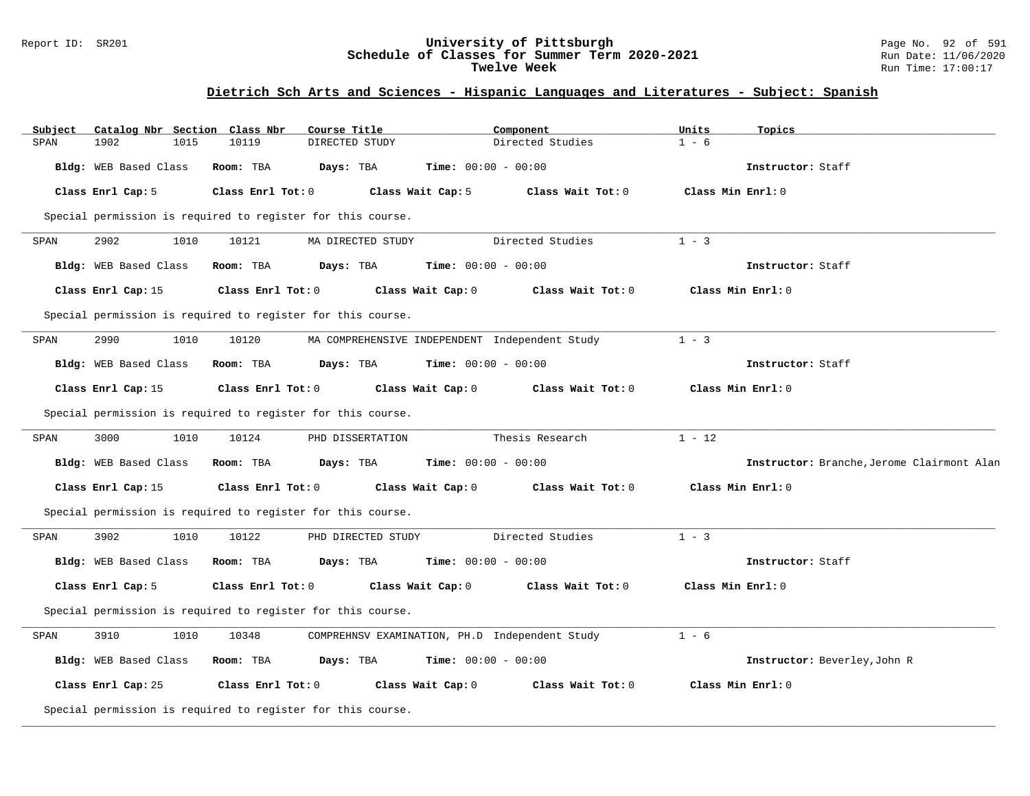### Report ID: SR201 **University of Pittsburgh** Page No. 92 of 591 **Schedule of Classes for Summer Term 2020-2021** Run Date: 11/06/2020 **Twelve Week Run Time:** 17:00:17

### **Dietrich Sch Arts and Sciences - Hispanic Languages and Literatures - Subject: Spanish**

| Subject | Catalog Nbr Section Class Nbr                               |                   | Course Title                                   |                              | Component         | Units             | Topics                                     |
|---------|-------------------------------------------------------------|-------------------|------------------------------------------------|------------------------------|-------------------|-------------------|--------------------------------------------|
| SPAN    | 1902<br>1015                                                | 10119             | DIRECTED STUDY                                 |                              | Directed Studies  | $1 - 6$           |                                            |
|         | Bldg: WEB Based Class                                       | Room: TBA         | Days: TBA                                      | Time: $00:00 - 00:00$        |                   |                   | Instructor: Staff                          |
|         | Class Enrl Cap: 5                                           | Class Enrl Tot: 0 |                                                | Class Wait Cap: 5            | Class Wait Tot: 0 | Class Min Enrl: 0 |                                            |
|         | Special permission is required to register for this course. |                   |                                                |                              |                   |                   |                                            |
| SPAN    | 2902<br>1010                                                | 10121             | MA DIRECTED STUDY                              |                              | Directed Studies  | $1 - 3$           |                                            |
|         | Bldg: WEB Based Class                                       | Room: TBA         | Days: TBA                                      | <b>Time:</b> $00:00 - 00:00$ |                   |                   | Instructor: Staff                          |
|         | Class Enrl Cap: 15                                          | Class Enrl Tot: 0 |                                                | Class Wait Cap: 0            | Class Wait Tot: 0 |                   | Class Min Enrl: 0                          |
|         | Special permission is required to register for this course. |                   |                                                |                              |                   |                   |                                            |
| SPAN    | 2990<br>1010                                                | 10120             | MA COMPREHENSIVE INDEPENDENT Independent Study |                              |                   | $1 - 3$           |                                            |
|         | Bldg: WEB Based Class                                       | Room: TBA         | Days: TBA                                      | <b>Time:</b> $00:00 - 00:00$ |                   |                   | Instructor: Staff                          |
|         | Class Enrl Cap: 15                                          | Class Enrl Tot: 0 |                                                | Class Wait Cap: 0            | Class Wait Tot: 0 |                   | Class Min Enrl: 0                          |
|         | Special permission is required to register for this course. |                   |                                                |                              |                   |                   |                                            |
| SPAN    | 3000<br>1010                                                | 10124             | PHD DISSERTATION                               |                              | Thesis Research   | $1 - 12$          |                                            |
|         | Bldg: WEB Based Class                                       | Room: TBA         | Days: TBA                                      | <b>Time:</b> $00:00 - 00:00$ |                   |                   | Instructor: Branche, Jerome Clairmont Alan |
|         | Class Enrl Cap: 15                                          | Class Enrl Tot: 0 |                                                | Class Wait Cap: 0            | Class Wait Tot: 0 |                   | Class Min Enrl: 0                          |
|         | Special permission is required to register for this course. |                   |                                                |                              |                   |                   |                                            |
| SPAN    | 3902<br>1010                                                | 10122             | PHD DIRECTED STUDY                             |                              | Directed Studies  | $1 - 3$           |                                            |
|         | Bldg: WEB Based Class                                       | Room: TBA         | Days: TBA                                      | <b>Time:</b> $00:00 - 00:00$ |                   |                   | Instructor: Staff                          |
|         | Class Enrl Cap: 5                                           | Class Enrl Tot: 0 |                                                | Class Wait Cap: 0            | Class Wait Tot: 0 | Class Min Enrl: 0 |                                            |
|         | Special permission is required to register for this course. |                   |                                                |                              |                   |                   |                                            |
| SPAN    | 3910<br>1010                                                | 10348             | COMPREHNSV EXAMINATION, PH.D Independent Study |                              |                   | $1 - 6$           |                                            |
|         | Bldg: WEB Based Class                                       | Room: TBA         | Days: TBA                                      | Time: $00:00 - 00:00$        |                   |                   | Instructor: Beverley, John R               |
|         | Class Enrl Cap: 25                                          | Class Enrl Tot: 0 |                                                | Class Wait Cap: 0            | Class Wait Tot: 0 |                   | Class Min Enrl: 0                          |
|         | Special permission is required to register for this course. |                   |                                                |                              |                   |                   |                                            |
|         |                                                             |                   |                                                |                              |                   |                   |                                            |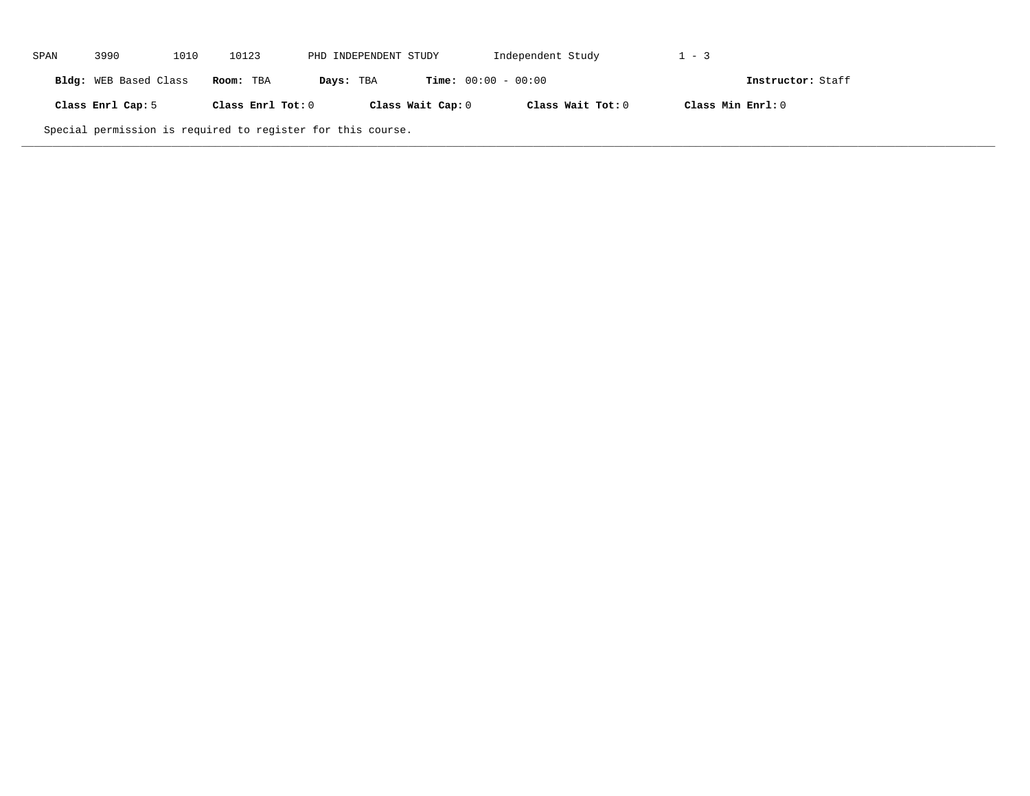| SPAN | 3990                                                        | 1010 | 10123             | PHD INDEPENDENT STUDY |                              | Independent Study | $1 - 3$           |                   |  |
|------|-------------------------------------------------------------|------|-------------------|-----------------------|------------------------------|-------------------|-------------------|-------------------|--|
|      | Bldg: WEB Based Class                                       |      | Room: TBA         | Days: TBA             | <b>Time:</b> $00:00 - 00:00$ |                   |                   | Instructor: Staff |  |
|      | Class Enrl Cap: 5                                           |      | Class Enrl Tot: 0 |                       | Class Wait Cap: 0            | Class Wait Tot: 0 | Class Min Enrl: 0 |                   |  |
|      | Special permission is required to register for this course. |      |                   |                       |                              |                   |                   |                   |  |

**\_\_\_\_\_\_\_\_\_\_\_\_\_\_\_\_\_\_\_\_\_\_\_\_\_\_\_\_\_\_\_\_\_\_\_\_\_\_\_\_\_\_\_\_\_\_\_\_\_\_\_\_\_\_\_\_\_\_\_\_\_\_\_\_\_\_\_\_\_\_\_\_\_\_\_\_\_\_\_\_\_\_\_\_\_\_\_\_\_\_\_\_\_\_\_\_\_\_\_\_\_\_\_\_\_\_\_\_\_\_\_\_\_\_\_\_\_\_\_\_\_\_\_\_\_\_\_\_\_\_\_\_\_\_\_\_\_\_\_\_\_\_\_\_\_\_\_\_\_\_\_\_\_\_\_\_**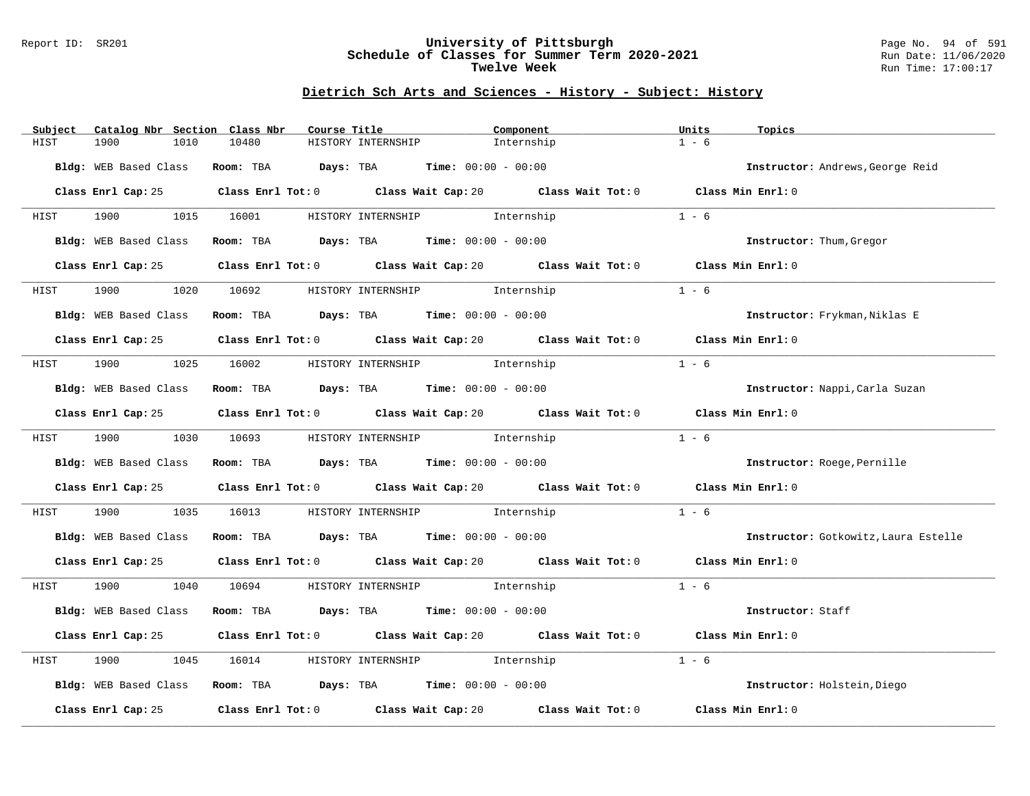### Report ID: SR201 **University of Pittsburgh** Page No. 94 of 591 **Schedule of Classes for Summer Term 2020-2021** Run Date: 11/06/2020 **Twelve Week Run Time:** 17:00:17

# **Dietrich Sch Arts and Sciences - History - Subject: History**

| Subject |      |                                                                                                                                                                                                                                 |      | Catalog Nbr Section Class Nbr | Course Title |                    |                                                                                             | Component  | Units   | Topics                               |
|---------|------|---------------------------------------------------------------------------------------------------------------------------------------------------------------------------------------------------------------------------------|------|-------------------------------|--------------|--------------------|---------------------------------------------------------------------------------------------|------------|---------|--------------------------------------|
| HIST    | 1900 |                                                                                                                                                                                                                                 | 1010 | 10480                         |              | HISTORY INTERNSHIP |                                                                                             | Internship | $1 - 6$ |                                      |
|         |      | Bldg: WEB Based Class                                                                                                                                                                                                           |      |                               |              |                    | Room: TBA $Days:$ TBA $Time: 00:00 - 00:00$                                                 |            |         | Instructor: Andrews, George Reid     |
|         |      |                                                                                                                                                                                                                                 |      |                               |              |                    |                                                                                             |            |         |                                      |
|         |      |                                                                                                                                                                                                                                 |      |                               |              |                    | Class Enrl Cap: 25 Class Enrl Tot: 0 Class Wait Cap: 20 Class Wait Tot: 0 Class Min Enrl: 0 |            |         |                                      |
| HIST    |      |                                                                                                                                                                                                                                 |      |                               |              |                    | 1900 1015 16001 HISTORY INTERNSHIP Internship                                               |            | $1 - 6$ |                                      |
|         |      | Bldg: WEB Based Class                                                                                                                                                                                                           |      |                               |              |                    | Room: TBA $Days:$ TBA $Time: 00:00 - 00:00$                                                 |            |         | Instructor: Thum, Gregor             |
|         |      |                                                                                                                                                                                                                                 |      |                               |              |                    | Class Enrl Cap: 25 Class Enrl Tot: 0 Class Wait Cap: 20 Class Wait Tot: 0 Class Min Enrl: 0 |            |         |                                      |
| HIST    | 1900 |                                                                                                                                                                                                                                 | 1020 |                               |              |                    | 10692 HISTORY INTERNSHIP 1nternship                                                         |            | $1 - 6$ |                                      |
|         |      | Bldg: WEB Based Class                                                                                                                                                                                                           |      |                               |              |                    | Room: TBA $Days:$ TBA $Time: 00:00 - 00:00$                                                 |            |         | Instructor: Frykman, Niklas E        |
|         |      |                                                                                                                                                                                                                                 |      |                               |              |                    | Class Enrl Cap: 25 Class Enrl Tot: 0 Class Wait Cap: 20 Class Wait Tot: 0 Class Min Enrl: 0 |            |         |                                      |
|         |      |                                                                                                                                                                                                                                 |      |                               |              |                    | HIST 1900 1025 16002 HISTORY INTERNSHIP Internship                                          |            | $1 - 6$ |                                      |
|         |      | Bldg: WEB Based Class                                                                                                                                                                                                           |      |                               |              |                    | Room: TBA $\rule{1em}{0.15mm}$ Days: TBA $\rule{1.15mm}]{0.15mm}$ Time: $00:00 - 00:00$     |            |         | Instructor: Nappi, Carla Suzan       |
|         |      |                                                                                                                                                                                                                                 |      |                               |              |                    | Class Enrl Cap: 25 Class Enrl Tot: 0 Class Wait Cap: 20 Class Wait Tot: 0 Class Min Enrl: 0 |            |         |                                      |
| HIST    |      |                                                                                                                                                                                                                                 |      |                               |              |                    | 1900 1030 10693 HISTORY INTERNSHIP Internship                                               |            | $1 - 6$ |                                      |
|         |      |                                                                                                                                                                                                                                 |      |                               |              |                    |                                                                                             |            |         |                                      |
|         |      |                                                                                                                                                                                                                                 |      |                               |              |                    | Bldg: WEB Based Class Room: TBA Days: TBA Time: 00:00 - 00:00                               |            |         | Instructor: Roege, Pernille          |
|         |      |                                                                                                                                                                                                                                 |      |                               |              |                    | Class Enrl Cap: 25 Class Enrl Tot: 0 Class Wait Cap: 20 Class Wait Tot: 0 Class Min Enrl: 0 |            |         |                                      |
| HIST    |      | 1900 - 1900 - 1900 - 1910 - 1920 - 1920 - 1930 - 1930 - 1930 - 1930 - 1930 - 1930 - 1930 - 1930 - 1930 - 1930 - 1930 - 1930 - 1930 - 1930 - 1930 - 1930 - 1930 - 1930 - 1930 - 1930 - 1930 - 1930 - 1930 - 1930 - 1930 - 1930 - |      |                               |              |                    | 1035 16013 HISTORY INTERNSHIP Internship                                                    |            | $1 - 6$ |                                      |
|         |      |                                                                                                                                                                                                                                 |      |                               |              |                    | Bldg: WEB Based Class Room: TBA Days: TBA Time: 00:00 - 00:00                               |            |         | Instructor: Gotkowitz, Laura Estelle |
|         |      |                                                                                                                                                                                                                                 |      |                               |              |                    | Class Enrl Cap: 25 Class Enrl Tot: 0 Class Wait Cap: 20 Class Wait Tot: 0 Class Min Enrl: 0 |            |         |                                      |
| HIST    |      |                                                                                                                                                                                                                                 |      |                               |              |                    | 1900 1040 10694 HISTORY INTERNSHIP Internship                                               |            | $1 - 6$ |                                      |
|         |      |                                                                                                                                                                                                                                 |      |                               |              |                    | Bldg: WEB Based Class Room: TBA Days: TBA Time: 00:00 - 00:00                               |            |         | Instructor: Staff                    |
|         |      |                                                                                                                                                                                                                                 |      |                               |              |                    | Class Enrl Cap: 25 Class Enrl Tot: 0 Class Wait Cap: 20 Class Wait Tot: 0 Class Min Enrl: 0 |            |         |                                      |
| HIST    | 1900 |                                                                                                                                                                                                                                 | 1045 | 16014                         |              |                    | HISTORY INTERNSHIP 1nternship                                                               |            | $1 - 6$ |                                      |
|         |      |                                                                                                                                                                                                                                 |      |                               |              |                    | Bldg: WEB Based Class Room: TBA Days: TBA Time: 00:00 - 00:00                               |            |         | Instructor: Holstein, Diego          |
|         |      |                                                                                                                                                                                                                                 |      |                               |              |                    | Class Enrl Cap: 25 Class Enrl Tot: 0 Class Wait Cap: 20 Class Wait Tot: 0                   |            |         | Class Min Enrl: 0                    |
|         |      |                                                                                                                                                                                                                                 |      |                               |              |                    |                                                                                             |            |         |                                      |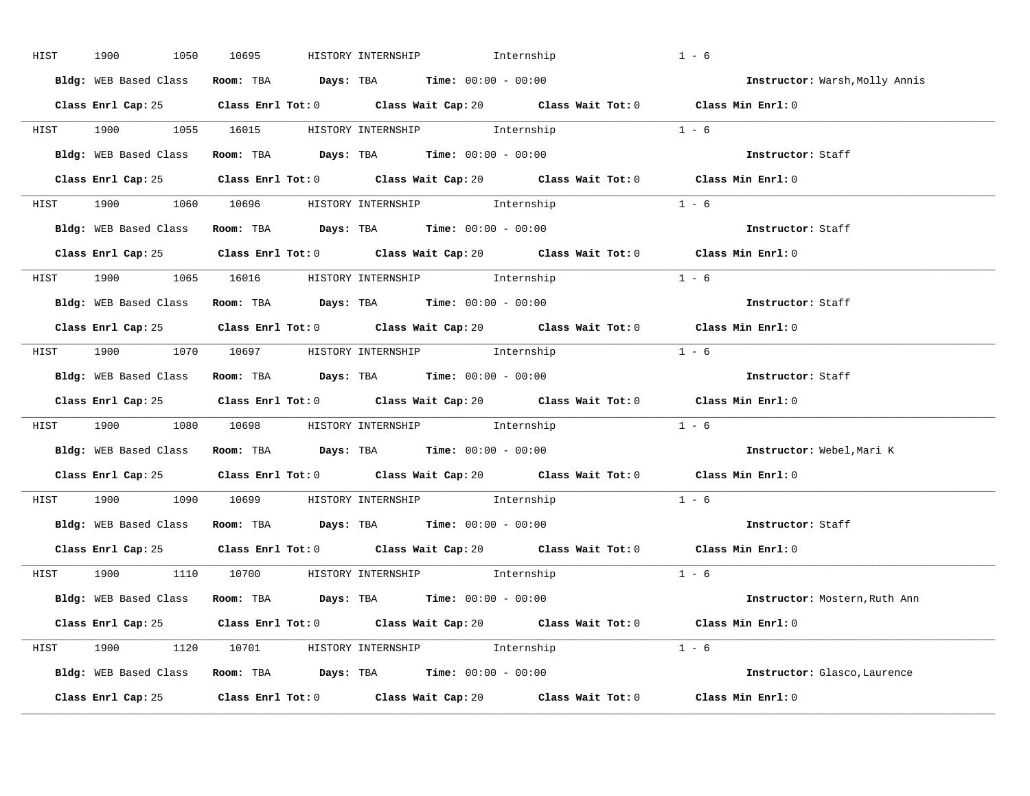| HIST | 1900<br>1050 | 10695 | HISTORY INTERNSHIP              Internship                                                  | $1 - 6$                        |
|------|--------------|-------|---------------------------------------------------------------------------------------------|--------------------------------|
|      |              |       | Bldg: WEB Based Class Room: TBA Days: TBA Time: 00:00 - 00:00                               | Instructor: Warsh, Molly Annis |
|      |              |       | Class Enrl Cap: 25 Class Enrl Tot: 0 Class Wait Cap: 20 Class Wait Tot: 0 Class Min Enrl: 0 |                                |
|      |              |       | HIST 1900 1055 16015 HISTORY_INTERNSHIP Internship                                          | $1 - 6$                        |
|      |              |       | Bldg: WEB Based Class Room: TBA Days: TBA Time: 00:00 - 00:00                               | Instructor: Staff              |
|      |              |       | Class Enrl Cap: 25 Class Enrl Tot: 0 Class Wait Cap: 20 Class Wait Tot: 0 Class Min Enrl: 0 |                                |
|      |              |       | HIST 1900 1060 10696 HISTORY INTERNSHIP Internship<br>$1 - 6$                               |                                |
|      |              |       | Bldg: WEB Based Class Room: TBA Days: TBA Time: 00:00 - 00:00                               | Instructor: Staff              |
|      |              |       | Class Enrl Cap: 25 Class Enrl Tot: 0 Class Wait Cap: 20 Class Wait Tot: 0 Class Min Enrl: 0 |                                |
|      |              |       | HIST 1900 1065 16016 HISTORY INTERNSHIP Internship                                          | $1 - 6$                        |
|      |              |       | Bldg: WEB Based Class Room: TBA Days: TBA Time: 00:00 - 00:00                               | Instructor: Staff              |
|      |              |       | Class Enrl Cap: 25 Class Enrl Tot: 0 Class Wait Cap: 20 Class Wait Tot: 0 Class Min Enrl: 0 |                                |
|      |              |       | HIST 1900 1070 10697 HISTORY INTERNSHIP Internship                                          | $1 - 6$                        |
|      |              |       | Bldg: WEB Based Class Room: TBA Days: TBA Time: 00:00 - 00:00                               | Instructor: Staff              |
|      |              |       | Class Enrl Cap: 25 Class Enrl Tot: 0 Class Wait Cap: 20 Class Wait Tot: 0 Class Min Enrl: 0 |                                |
|      |              |       | HIST 1900 1080 10698 HISTORY INTERNSHIP Internship                                          | $1 - 6$                        |
|      |              |       | Bldg: WEB Based Class Room: TBA Days: TBA Time: 00:00 - 00:00                               | Instructor: Webel, Mari K      |
|      |              |       | Class Enrl Cap: 25 Class Enrl Tot: 0 Class Wait Cap: 20 Class Wait Tot: 0 Class Min Enrl: 0 |                                |
| HIST |              |       | 1900 1090 10699 HISTORY INTERNSHIP Internship                                               | $1 - 6$                        |
|      |              |       | Bldg: WEB Based Class Room: TBA Days: TBA Time: 00:00 - 00:00                               | Instructor: Staff              |
|      |              |       | Class Enrl Cap: 25 Class Enrl Tot: 0 Class Wait Cap: 20 Class Wait Tot: 0 Class Min Enrl: 0 |                                |
|      |              |       | HIST 1900 1110 10700 HISTORY INTERNSHIP Internship                                          | $1 - 6$                        |
|      |              |       |                                                                                             |                                |
|      |              |       | Bldg: WEB Based Class Room: TBA Days: TBA Time: 00:00 - 00:00                               | Instructor: Mostern, Ruth Ann  |
|      |              |       | Class Enrl Cap: 25 Class Enrl Tot: 0 Class Wait Cap: 20 Class Wait Tot: 0 Class Min Enrl: 0 |                                |
|      |              |       | $1 - 6$<br>HIST 1900 1120 10701 HISTORY INTERNSHIP Internship                               |                                |
|      |              |       | Bldg: WEB Based Class Room: TBA Days: TBA Time: 00:00 - 00:00                               | Instructor: Glasco, Laurence   |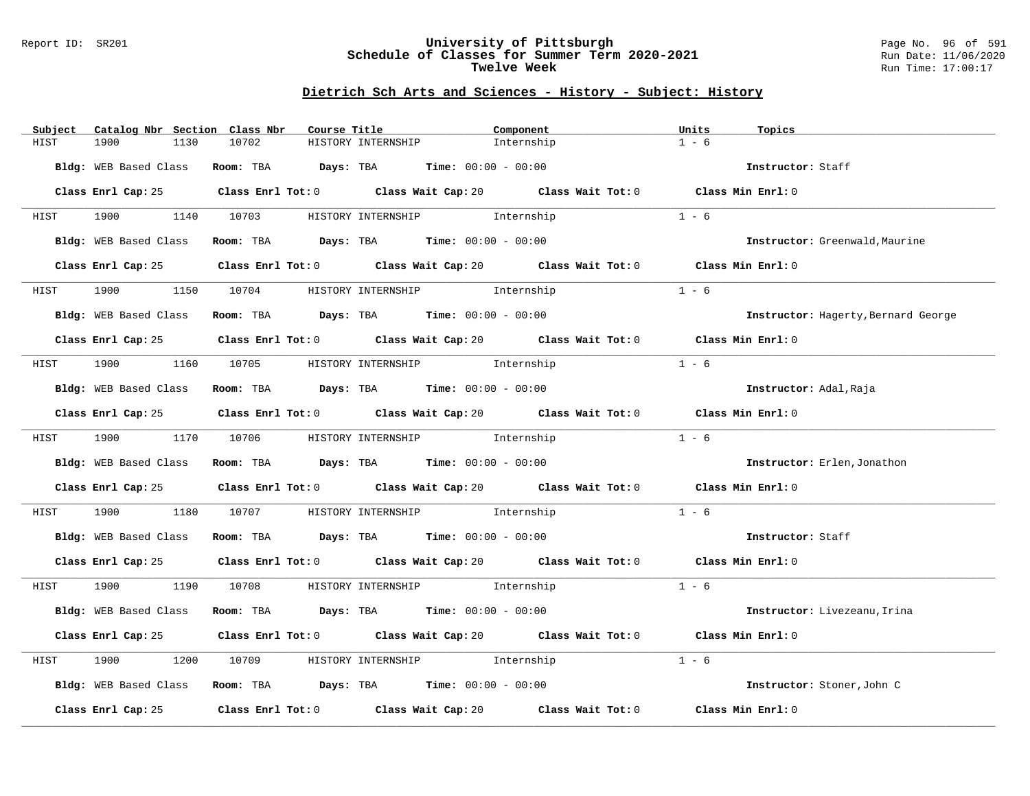### Report ID: SR201 **University of Pittsburgh** Page No. 96 of 591 **Schedule of Classes for Summer Term 2020-2021** Run Date: 11/06/2020 **Twelve Week Run Time:** 17:00:17

# **Dietrich Sch Arts and Sciences - History - Subject: History**

| Subject               | Catalog Nbr Section Class Nbr | Course Title       | Component                                                                 | Units<br>Topics                                                                             |  |
|-----------------------|-------------------------------|--------------------|---------------------------------------------------------------------------|---------------------------------------------------------------------------------------------|--|
| 1900<br>HIST          | 10702<br>1130                 | HISTORY INTERNSHIP | Internship                                                                | $1 - 6$                                                                                     |  |
|                       |                               |                    | Bldg: WEB Based Class Room: TBA Days: TBA Time: 00:00 - 00:00             | Instructor: Staff                                                                           |  |
|                       |                               |                    |                                                                           | Class Enrl Cap: 25 Class Enrl Tot: 0 Class Wait Cap: 20 Class Wait Tot: 0 Class Min Enrl: 0 |  |
|                       |                               |                    | HIST 1900 1140 10703 HISTORY INTERNSHIP Internship                        | $1 - 6$                                                                                     |  |
|                       |                               |                    | Bldg: WEB Based Class Room: TBA Days: TBA Time: 00:00 - 00:00             | Instructor: Greenwald, Maurine                                                              |  |
|                       |                               |                    |                                                                           | Class Enrl Cap: 25 Class Enrl Tot: 0 Class Wait Cap: 20 Class Wait Tot: 0 Class Min Enrl: 0 |  |
| 1900<br>HIST          |                               |                    | 1150 10704 HISTORY INTERNSHIP 1nternship                                  | $1 - 6$                                                                                     |  |
|                       |                               |                    | Bldg: WEB Based Class Room: TBA Days: TBA Time: 00:00 - 00:00             | Instructor: Hagerty, Bernard George                                                         |  |
|                       |                               |                    |                                                                           | Class Enrl Cap: 25 Class Enrl Tot: 0 Class Wait Cap: 20 Class Wait Tot: 0 Class Min Enrl: 0 |  |
|                       |                               |                    | HIST 1900 1160 10705 HISTORY INTERNSHIP Internship                        | $1 - 6$                                                                                     |  |
|                       |                               |                    | Bldg: WEB Based Class Room: TBA Days: TBA Time: 00:00 - 00:00             | Instructor: Adal, Raja                                                                      |  |
|                       |                               |                    |                                                                           | Class Enrl Cap: 25 Class Enrl Tot: 0 Class Wait Cap: 20 Class Wait Tot: 0 Class Min Enrl: 0 |  |
|                       |                               |                    | HIST 1900 1170 10706 HISTORY INTERNSHIP Internship                        | $1 - 6$                                                                                     |  |
|                       |                               |                    | Bldg: WEB Based Class Room: TBA Days: TBA Time: 00:00 - 00:00             | Instructor: Erlen, Jonathon                                                                 |  |
|                       |                               |                    |                                                                           | Class Enrl Cap: 25 Class Enrl Tot: 0 Class Wait Cap: 20 Class Wait Tot: 0 Class Min Enrl: 0 |  |
| 1900 1900<br>HIST     |                               |                    | 1180 10707 HISTORY INTERNSHIP 1nternship                                  | $1 - 6$                                                                                     |  |
|                       |                               |                    | Bldg: WEB Based Class Room: TBA Days: TBA Time: 00:00 - 00:00             | Instructor: Staff                                                                           |  |
|                       |                               |                    |                                                                           | Class Enrl Cap: 25 Class Enrl Tot: 0 Class Wait Cap: 20 Class Wait Tot: 0 Class Min Enrl: 0 |  |
|                       |                               |                    | HIST 1900 1190 10708 HISTORY INTERNSHIP Internship                        | $1 - 6$                                                                                     |  |
| Bldg: WEB Based Class |                               |                    | Room: TBA $Days:$ TBA $Time: 00:00 - 00:00$                               | Instructor: Livezeanu, Irina                                                                |  |
|                       |                               |                    |                                                                           | Class Enrl Cap: 25 Class Enrl Tot: 0 Class Wait Cap: 20 Class Wait Tot: 0 Class Min Enrl: 0 |  |
| 1900<br>HIST          | 1200<br>10709                 |                    | HISTORY INTERNSHIP 1nternship                                             | $1 - 6$                                                                                     |  |
|                       |                               |                    | Bldg: WEB Based Class Room: TBA Days: TBA Time: 00:00 - 00:00             | Instructor: Stoner, John C                                                                  |  |
|                       |                               |                    | Class Enrl Cap: 25 Class Enrl Tot: 0 Class Wait Cap: 20 Class Wait Tot: 0 | Class Min Enrl: 0                                                                           |  |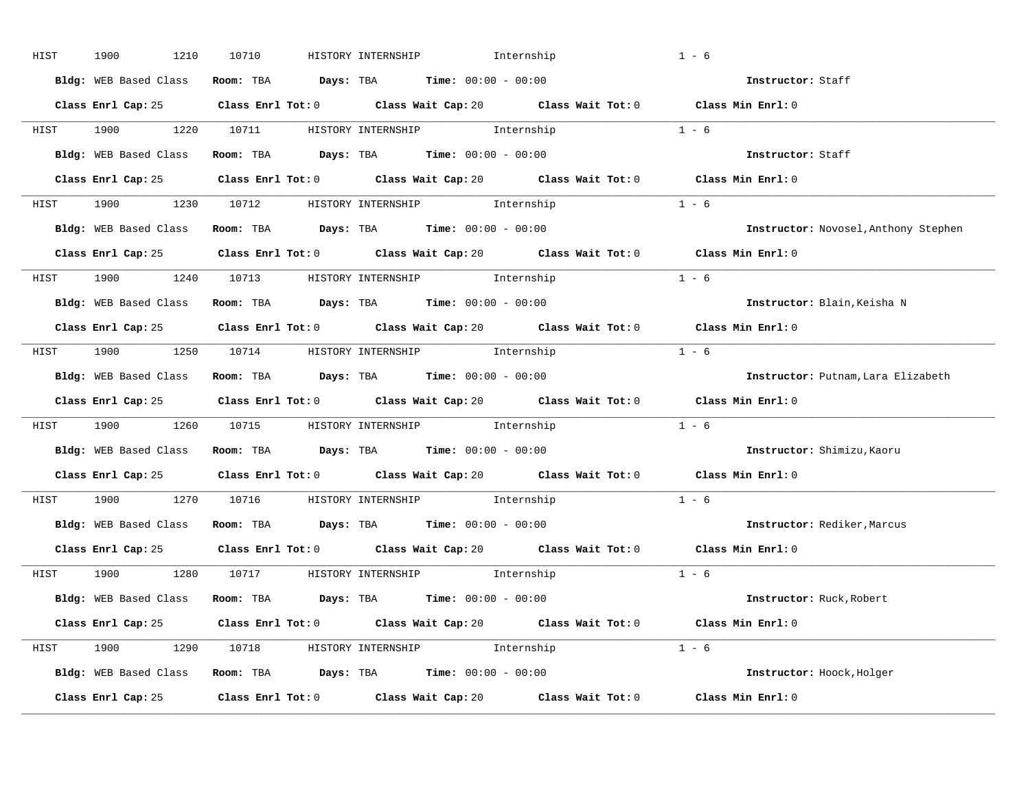| HIST | 1900<br>1210          | 10710 | HISTORY INTERNSHIP<br>Internship                                                            | $1 - 6$                              |
|------|-----------------------|-------|---------------------------------------------------------------------------------------------|--------------------------------------|
|      | Bldg: WEB Based Class |       | Room: TBA $Days:$ TBA $Time: 00:00 - 00:00$                                                 | Instructor: Staff                    |
|      |                       |       | Class Enrl Cap: 25 Class Enrl Tot: 0 Class Wait Cap: 20 Class Wait Tot: 0 Class Min Enrl: 0 |                                      |
|      |                       |       | HIST 1900 1220 10711 HISTORY_INTERNSHIP Internship                                          | $1 - 6$                              |
|      |                       |       | Bldg: WEB Based Class Room: TBA Days: TBA Time: 00:00 - 00:00                               | Instructor: Staff                    |
|      |                       |       | Class Enrl Cap: 25 Class Enrl Tot: 0 Class Wait Cap: 20 Class Wait Tot: 0 Class Min Enrl: 0 |                                      |
|      |                       |       | HIST 1900 1230 10712 HISTORY INTERNSHIP Internship                                          | $1 - 6$                              |
|      |                       |       | Bldg: WEB Based Class Room: TBA Days: TBA Time: 00:00 - 00:00                               | Instructor: Novosel, Anthony Stephen |
|      |                       |       | Class Enrl Cap: 25 Class Enrl Tot: 0 Class Wait Cap: 20 Class Wait Tot: 0 Class Min Enrl: 0 |                                      |
|      |                       |       | HIST 1900 1240 10713 HISTORY INTERNSHIP Internship                                          | $1 - 6$                              |
|      |                       |       | Bldg: WEB Based Class Room: TBA Days: TBA Time: 00:00 - 00:00                               | Instructor: Blain, Keisha N          |
|      |                       |       | Class Enrl Cap: 25 Class Enrl Tot: 0 Class Wait Cap: 20 Class Wait Tot: 0 Class Min Enrl: 0 |                                      |
|      |                       |       | HIST 1900 1250 10714 HISTORY INTERNSHIP Internship                                          | $1 - 6$                              |
|      |                       |       | Bldg: WEB Based Class Room: TBA Days: TBA Time: 00:00 - 00:00                               | Instructor: Putnam, Lara Elizabeth   |
|      |                       |       | Class Enrl Cap: 25 Class Enrl Tot: 0 Class Wait Cap: 20 Class Wait Tot: 0 Class Min Enrl: 0 |                                      |
|      |                       |       | HIST 1900 1260 10715 HISTORY INTERNSHIP Internship                                          | $1 - 6$                              |
|      |                       |       |                                                                                             |                                      |
|      |                       |       | Bldg: WEB Based Class Room: TBA Days: TBA Time: 00:00 - 00:00                               | Instructor: Shimizu, Kaoru           |
|      |                       |       | Class Enrl Cap: 25 Class Enrl Tot: 0 Class Wait Cap: 20 Class Wait Tot: 0 Class Min Enrl: 0 |                                      |
| HIST |                       |       | 1900 1270 10716 HISTORY INTERNSHIP Internship                                               | $1 - 6$                              |
|      |                       |       | Bldg: WEB Based Class Room: TBA Days: TBA Time: 00:00 - 00:00                               | Instructor: Rediker, Marcus          |
|      |                       |       | Class Enrl Cap: 25 Class Enrl Tot: 0 Class Wait Cap: 20 Class Wait Tot: 0 Class Min Enrl: 0 |                                      |
|      |                       |       | HIST 1900 1280 10717 HISTORY INTERNSHIP Internship                                          | $1 - 6$                              |
|      |                       |       | Bldg: WEB Based Class Room: TBA Days: TBA Time: 00:00 - 00:00                               | Instructor: Ruck, Robert             |
|      |                       |       | Class Enrl Cap: 25 Class Enrl Tot: 0 Class Wait Cap: 20 Class Wait Tot: 0 Class Min Enrl: 0 |                                      |
|      |                       |       | $1 - 6$<br>HIST 1900 1290 10718 HISTORY INTERNSHIP Internship                               |                                      |
|      |                       |       | Bldg: WEB Based Class Room: TBA Days: TBA Time: 00:00 - 00:00                               | Instructor: Hoock, Holger            |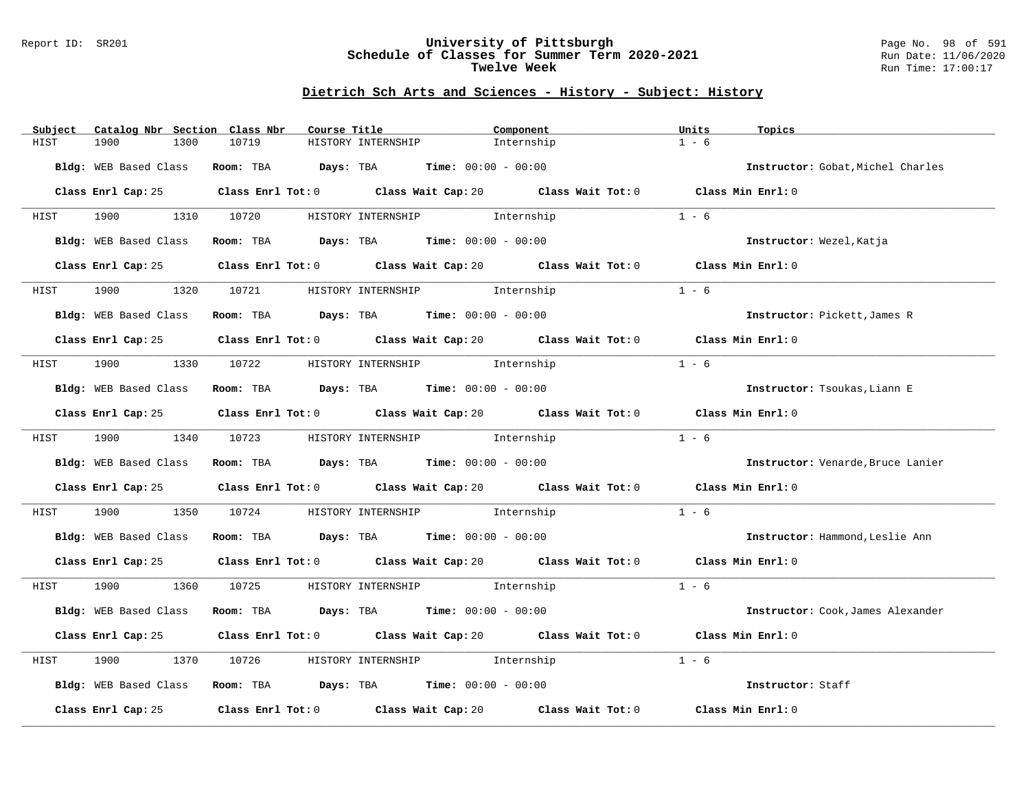### Report ID: SR201 **University of Pittsburgh** Page No. 98 of 591 **Schedule of Classes for Summer Term 2020-2021** Run Date: 11/06/2020 **Twelve Week Run Time:** 17:00:17

### **Dietrich Sch Arts and Sciences - History - Subject: History**

| Catalog Nbr Section Class Nbr<br>Subject | Course Title |                                                                                             | Component  | Units<br>Topics                   |
|------------------------------------------|--------------|---------------------------------------------------------------------------------------------|------------|-----------------------------------|
| 1900<br>HIST<br>1300                     | 10719        | HISTORY INTERNSHIP                                                                          | Internship | $1 - 6$                           |
| Bldg: WEB Based Class                    |              | <b>Room:</b> TBA $\qquad \qquad$ Days: TBA $\qquad \qquad$ Time: $00:00 - 00:00$            |            | Instructor: Gobat, Michel Charles |
|                                          |              | Class Enrl Cap: 25 Class Enrl Tot: 0 Class Wait Cap: 20 Class Wait Tot: 0 Class Min Enrl: 0 |            |                                   |
| <b>HIST</b>                              |              | 1900 1310 10720 HISTORY INTERNSHIP Internship                                               |            | $1 - 6$                           |
| Bldg: WEB Based Class                    |              | Room: TBA $Days:$ TBA $Time: 00:00 - 00:00$                                                 |            | Instructor: Wezel, Katja          |
|                                          |              | Class Enrl Cap: 25 Class Enrl Tot: 0 Class Wait Cap: 20 Class Wait Tot: 0 Class Min Enrl: 0 |            |                                   |
| 1900<br>1320<br>HIST                     |              | 10721 HISTORY INTERNSHIP 10721                                                              |            | $1 - 6$                           |
| Bldg: WEB Based Class                    |              | Room: TBA $Days:$ TBA $Time: 00:00 - 00:00$                                                 |            | Instructor: Pickett, James R      |
|                                          |              | Class Enrl Cap: 25 Class Enrl Tot: 0 Class Wait Cap: 20 Class Wait Tot: 0 Class Min Enrl: 0 |            |                                   |
| HIST                                     |              | 1900 1330 10722 HISTORY INTERNSHIP Internship                                               |            | $1 - 6$                           |
|                                          |              | Bldg: WEB Based Class Room: TBA Days: TBA Time: 00:00 - 00:00                               |            | Instructor: Tsoukas, Liann E      |
|                                          |              | Class Enrl Cap: 25 Class Enrl Tot: 0 Class Wait Cap: 20 Class Wait Tot: 0 Class Min Enrl: 0 |            |                                   |
| HIST                                     |              | 1900 1340 10723 HISTORY INTERNSHIP Internship                                               |            | $1 - 6$                           |
|                                          |              | Bldg: WEB Based Class Room: TBA Days: TBA Time: 00:00 - 00:00                               |            | Instructor: Venarde, Bruce Lanier |
|                                          |              | Class Enrl Cap: 25 Class Enrl Tot: 0 Class Wait Cap: 20 Class Wait Tot: 0 Class Min Enrl: 0 |            |                                   |
| 1900<br>1350<br>HIST                     |              | 10724 HISTORY INTERNSHIP 5 Internship                                                       |            | $1 - 6$                           |
|                                          |              | Bldg: WEB Based Class Room: TBA Days: TBA Time: 00:00 - 00:00                               |            | Instructor: Hammond, Leslie Ann   |
|                                          |              | Class Enrl Cap: 25 Class Enrl Tot: 0 Class Wait Cap: 20 Class Wait Tot: 0 Class Min Enrl: 0 |            |                                   |
| HIST                                     |              | 1900 1360 10725 HISTORY INTERNSHIP Internship                                               |            | $1 - 6$                           |
| Bldg: WEB Based Class                    |              | Room: TBA $\rule{1em}{0.15mm}$ Days: TBA Time: $00:00 - 00:00$                              |            | Instructor: Cook, James Alexander |
|                                          |              | Class Enrl Cap: 25 Class Enrl Tot: 0 Class Wait Cap: 20 Class Wait Tot: 0 Class Min Enrl: 0 |            |                                   |
| 1900<br>1370<br>HIST                     | 10726        | HISTORY INTERNSHIP <a> Internship</a>                                                       |            | $1 - 6$                           |
|                                          |              | Bldg: WEB Based Class Room: TBA Days: TBA Time: 00:00 - 00:00                               |            | Instructor: Staff                 |
|                                          |              | Class Enrl Cap: 25 Class Enrl Tot: 0 Class Wait Cap: 20 Class Wait Tot: 0 Class Min Enrl: 0 |            |                                   |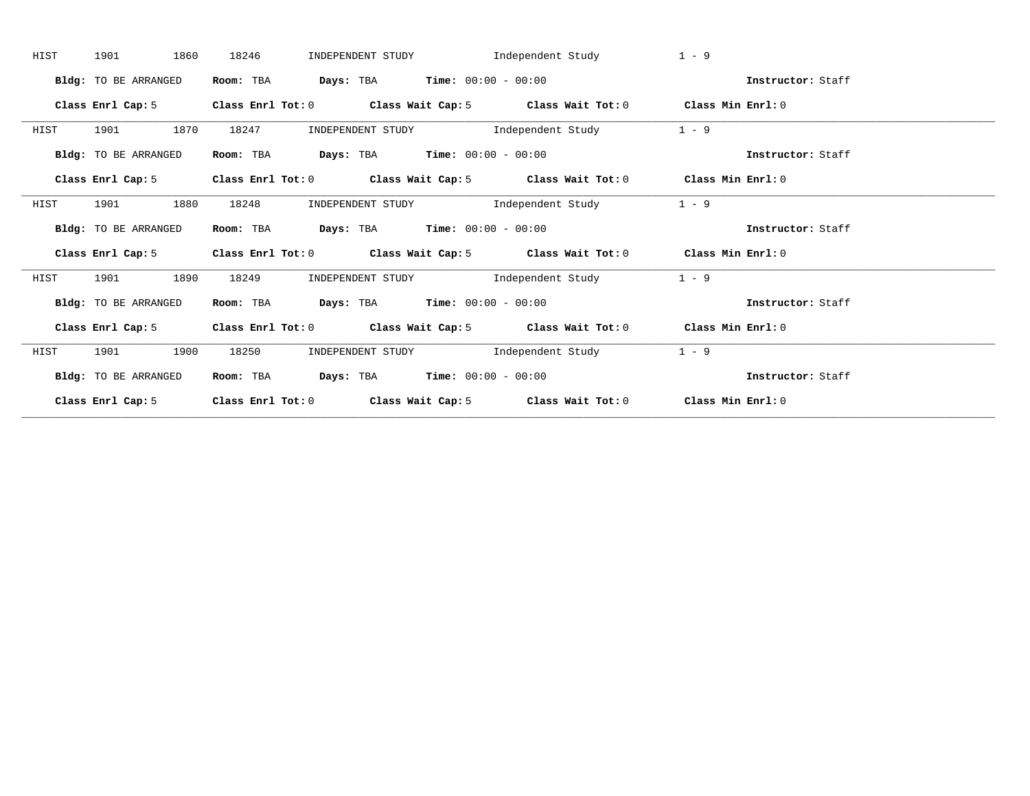| 1901<br>HIST                | 1860<br>18246     | INDEPENDENT STUDY                                           | Independent Study                   | $1 - 9$                                                                                   |                   |
|-----------------------------|-------------------|-------------------------------------------------------------|-------------------------------------|-------------------------------------------------------------------------------------------|-------------------|
| Bldg: TO BE ARRANGED        | Room: TBA         | <b>Days:</b> TBA <b>Time:</b> $00:00 - 00:00$               |                                     |                                                                                           | Instructor: Staff |
| Class Enrl Cap: 5           |                   |                                                             |                                     | Class Enrl Tot: $0$ Class Wait Cap: $5$ Class Wait Tot: $0$ Class Min Enrl: $0$           |                   |
| 1901<br>HIST                | 1870<br>18247     |                                                             | INDEPENDENT STUDY 1ndependent Study | $1 - 9$                                                                                   |                   |
| Bldg: TO BE ARRANGED        | Room: TBA         | $\texttt{Days:}$ TBA $\texttt{Time:}$ 00:00 - 00:00         |                                     |                                                                                           | Instructor: Staff |
|                             |                   |                                                             |                                     | Class Enrl Cap: 5 Class Enrl Tot: 0 Class Wait Cap: 5 Class Wait Tot: 0 Class Min Enrl: 0 |                   |
| 1901<br>HIST                | 1880<br>18248     | INDEPENDENT STUDY                                           | Independent Study                   | $1 - 9$                                                                                   |                   |
| <b>Bldg:</b> TO BE ARRANGED | Room: TBA         | <b>Days:</b> TBA <b>Time:</b> $00:00 - 00:00$               |                                     |                                                                                           | Instructor: Staff |
| Class Enrl Cap: 5           |                   | Class Enrl Tot: $0$ Class Wait Cap: $5$ Class Wait Tot: $0$ |                                     | Class Min Enrl: 0                                                                         |                   |
| 1901<br>HIST                | 1890<br>18249     |                                                             | INDEPENDENT STUDY 1ndependent Study | $1 - 9$                                                                                   |                   |
| Bldg: TO BE ARRANGED        | Room: TBA         | <b>Days:</b> TBA <b>Time:</b> $00:00 - 00:00$               |                                     |                                                                                           | Instructor: Staff |
|                             |                   |                                                             |                                     | Class Enrl Cap: 5 Class Enrl Tot: 0 Class Wait Cap: 5 Class Wait Tot: 0 Class Min Enrl: 0 |                   |
| 1901<br>HIST                | 1900<br>18250     | INDEPENDENT STUDY                                           | Independent Study                   | $1 - 9$                                                                                   |                   |
| <b>Bldg:</b> TO BE ARRANGED | Room: TBA         | $\texttt{DayS:}$ TBA $\texttt{Time:}$ 00:00 - 00:00         |                                     |                                                                                           | Instructor: Staff |
| Class Enrl Cap: 5           | Class Enrl Tot: 0 |                                                             |                                     | Class Wait Cap: 5 Class Wait Tot: 0 Class Min Enrl: 0                                     |                   |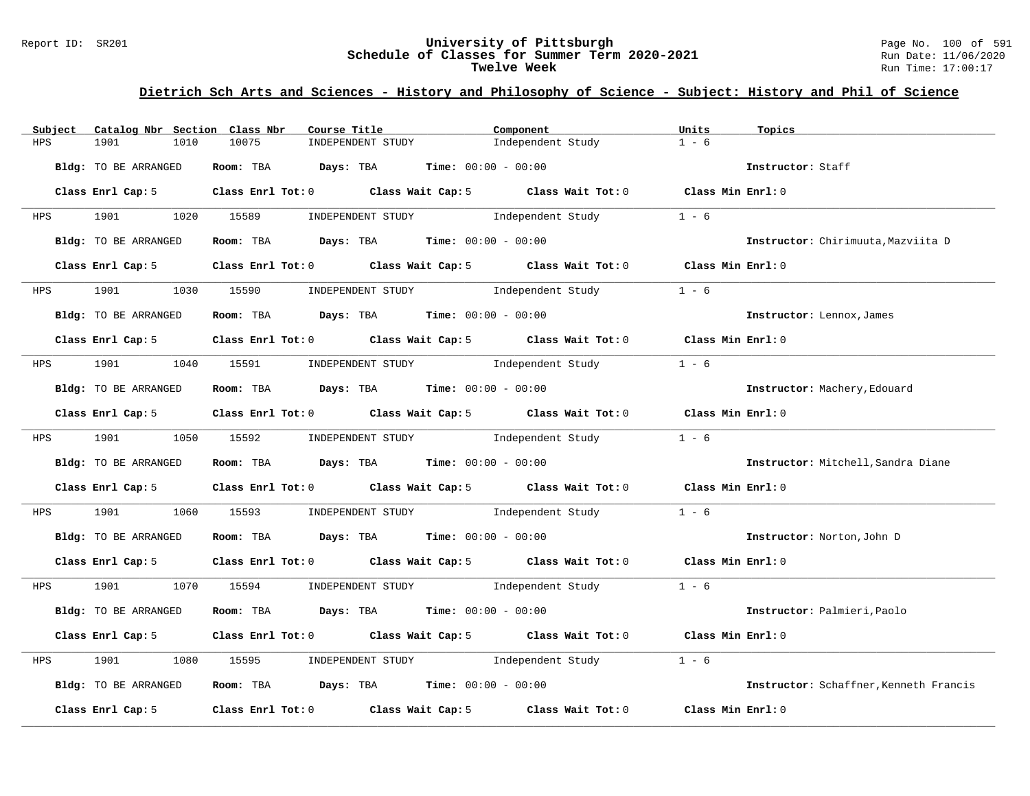#### Report ID: SR201 **University of Pittsburgh** Page No. 100 of 591 **Schedule of Classes for Summer Term 2020-2021** Run Date: 11/06/2020 **Twelve Week** Run Time: 17:00:17

# **Dietrich Sch Arts and Sciences - History and Philosophy of Science - Subject: History and Phil of Science**

| Subject    | Catalog Nbr Section Class Nbr | Course Title                                            | Component                                                                                          | Units             | Topics                                 |
|------------|-------------------------------|---------------------------------------------------------|----------------------------------------------------------------------------------------------------|-------------------|----------------------------------------|
| <b>HPS</b> | 1901<br>1010                  | 10075<br>INDEPENDENT STUDY                              | Independent Study                                                                                  | $1 - 6$           |                                        |
|            | Bldg: TO BE ARRANGED          | Room: TBA $Days:$ TBA $Time: 00:00 - 00:00$             |                                                                                                    |                   | Instructor: Staff                      |
|            | Class Enrl Cap: 5             |                                                         | Class Enrl Tot: 0 Class Wait Cap: 5 Class Wait Tot: 0 Class Min Enrl: 0                            |                   |                                        |
| <b>HPS</b> | 1901                          | 1020 15589<br>INDEPENDENT STUDY                         | Independent Study                                                                                  | $1 - 6$           |                                        |
|            | Bldg: TO BE ARRANGED          | Room: TBA $Days:$ TBA $Time: 00:00 - 00:00$             |                                                                                                    |                   | Instructor: Chirimuuta, Mazviita D     |
|            | Class Enrl Cap: 5             |                                                         | Class Enrl Tot: 0 Class Wait Cap: 5 Class Wait Tot: 0 Class Min Enrl: 0                            |                   |                                        |
| <b>HPS</b> | 1901 1901                     | 1030 15590                                              | INDEPENDENT STUDY 1ndependent Study                                                                | $1 - 6$           |                                        |
|            | Bldg: TO BE ARRANGED          | Room: TBA $Days:$ TBA $Time: 00:00 - 00:00$             |                                                                                                    |                   | Instructor: Lennox, James              |
|            | Class Enrl Cap: 5             |                                                         | Class Enrl Tot: $0$ Class Wait Cap: $5$ Class Wait Tot: $0$ Class Min Enrl: $0$                    |                   |                                        |
|            | HPS 1901 1040 15591           |                                                         | INDEPENDENT STUDY 1ndependent Study                                                                | $1 - 6$           |                                        |
|            | Bldg: TO BE ARRANGED          | Room: TBA $Days:$ TBA $Time: 00:00 - 00:00$             |                                                                                                    |                   | Instructor: Machery, Edouard           |
|            | Class Enrl Cap: 5             |                                                         | Class Enrl Tot: 0 Class Wait Cap: 5 Class Wait Tot: 0 Class Min Enrl: 0                            |                   |                                        |
|            | HPS 1901 1050 15592           |                                                         | INDEPENDENT STUDY 1ndependent Study                                                                | $1 - 6$           |                                        |
|            | Bldg: TO BE ARRANGED          | Room: TBA $Days:$ TBA $Time: 00:00 - 00:00$             |                                                                                                    |                   | Instructor: Mitchell, Sandra Diane     |
|            | Class Enrl Cap: 5             |                                                         | Class Enrl Tot: 0 $\qquad$ Class Wait Cap: 5 $\qquad$ Class Wait Tot: 0 $\qquad$ Class Min Enrl: 0 |                   |                                        |
| HPS        | 1901<br>1060                  | 15593                                                   | INDEPENDENT STUDY 1ndependent Study                                                                | $1 - 6$           |                                        |
|            | Bldg: TO BE ARRANGED          | Room: TBA $Days:$ TBA $Time: 00:00 - 00:00$             |                                                                                                    |                   | Instructor: Norton, John D             |
|            | Class Enrl Cap: 5             |                                                         | Class Enrl Tot: 0 Class Wait Cap: 5 Class Wait Tot: 0 Class Min Enrl: 0                            |                   |                                        |
|            |                               | HPS 1901 1070 15594 INDEPENDENT STUDY Independent Study | $1 - 6$                                                                                            |                   |                                        |
|            | Bldg: TO BE ARRANGED          | Room: TBA $Days:$ TBA $Time: 00:00 - 00:00$             |                                                                                                    |                   | Instructor: Palmieri, Paolo            |
|            | Class Enrl Cap: 5             |                                                         | Class Enrl Tot: 0 $\qquad$ Class Wait Cap: 5 $\qquad$ Class Wait Tot: 0 $\qquad$ Class Min Enrl: 0 |                   |                                        |
| HPS        | 1901<br>1080                  | 15595                                                   | INDEPENDENT STUDY 1ndependent Study                                                                | $1 - 6$           |                                        |
|            | Bldg: TO BE ARRANGED          | Room: TBA $Days:$ TBA Time: $00:00 - 00:00$             |                                                                                                    |                   | Instructor: Schaffner, Kenneth Francis |
|            | Class Enrl Cap: 5             |                                                         | Class Enrl Tot: $0$ Class Wait Cap: $5$ Class Wait Tot: $0$                                        | Class Min Enrl: 0 |                                        |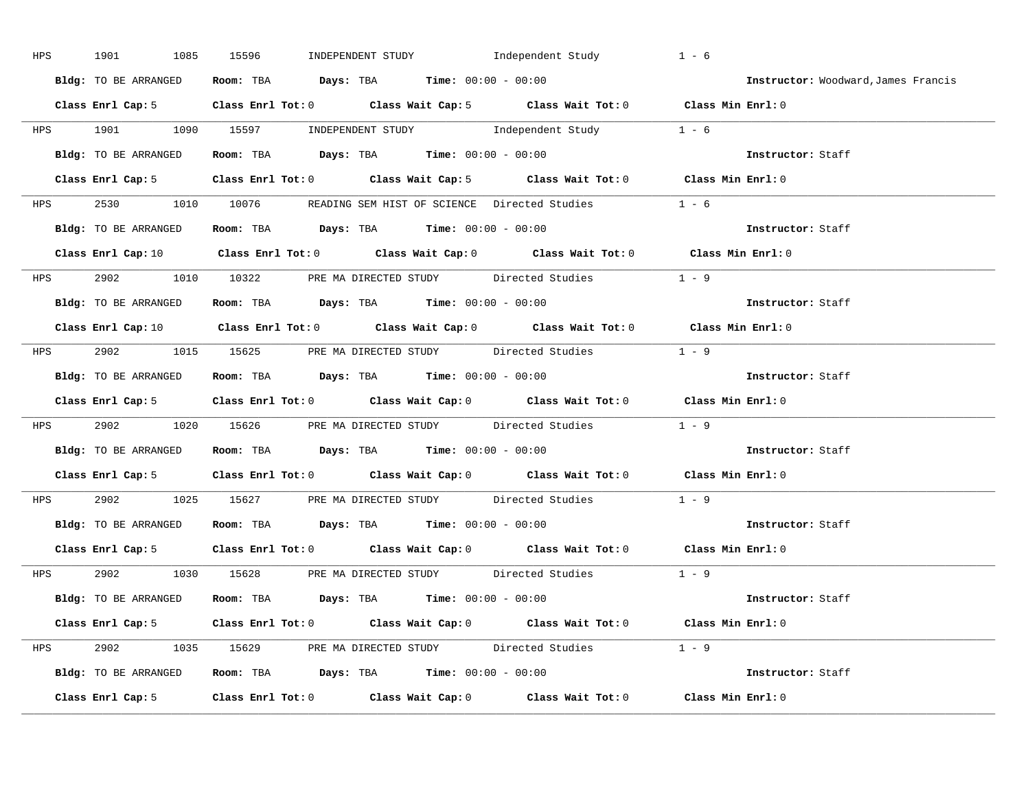|     | HPS 1901<br>1085     | INDEPENDENT STUDY 1ndependent Study<br>15596                                                                                   | $1 - 6$                             |
|-----|----------------------|--------------------------------------------------------------------------------------------------------------------------------|-------------------------------------|
|     | Bldg: TO BE ARRANGED | Room: TBA $Days:$ TBA $Time: 00:00 - 00:00$                                                                                    | Instructor: Woodward, James Francis |
|     |                      | Class Enrl Cap: 5 Class Enrl Tot: 0 Class Wait Cap: 5 Class Wait Tot: 0 Class Min Enrl: 0                                      |                                     |
|     |                      | HPS 1901 1090 15597 INDEPENDENT STUDY Independent Study 1 - 6                                                                  |                                     |
|     |                      | <b>Bldg:</b> TO BE ARRANGED <b>Room:</b> TBA <b>Days:</b> TBA <b>Time:</b> $00:00 - 00:00$                                     | Instructor: Staff                   |
|     |                      | Class Enrl Cap: 5 Class Enrl Tot: 0 Class Wait Cap: 5 Class Wait Tot: 0 Class Min Enrl: 0                                      |                                     |
|     |                      | HPS 2530 1010 10076 READING SEM HIST OF SCIENCE Directed Studies 1 - 6                                                         |                                     |
|     |                      | <b>Bldg:</b> TO BE ARRANGED <b>Room:</b> TBA <b>Days:</b> TBA <b>Time:</b> $00:00 - 00:00$                                     | Instructor: Staff                   |
|     |                      | Class Enrl Cap: 10 $\qquad$ Class Enrl Tot: 0 $\qquad$ Class Wait Cap: 0 $\qquad$ Class Wait Tot: 0 $\qquad$ Class Min Enrl: 0 |                                     |
|     |                      | HPS 2902 1010 10322 PRE MA DIRECTED STUDY Directed Studies 1 - 9                                                               |                                     |
|     |                      | Bldg: TO BE ARRANGED Room: TBA Days: TBA Time: 00:00 - 00:00                                                                   | Instructor: Staff                   |
|     |                      | Class Enrl Cap: 10 $\qquad$ Class Enrl Tot: 0 $\qquad$ Class Wait Cap: 0 $\qquad$ Class Wait Tot: 0 $\qquad$ Class Min Enrl: 0 |                                     |
|     |                      | HPS 2902 1015 15625 PRE MA DIRECTED STUDY Directed Studies 1 - 9                                                               |                                     |
|     |                      | Bldg: TO BE ARRANGED Room: TBA Days: TBA Time: 00:00 - 00:00                                                                   | Instructor: Staff                   |
|     |                      | Class Enrl Cap: 5 Class Enrl Tot: 0 Class Wait Cap: 0 Class Wait Tot: 0 Class Min Enrl: 0                                      |                                     |
|     |                      | HPS 2902 1020 15626 PRE MA DIRECTED STUDY Directed Studies 1 - 9                                                               |                                     |
|     |                      | Bldg: TO BE ARRANGED ROOM: TBA Days: TBA Time: 00:00 - 00:00                                                                   | Instructor: Staff                   |
|     |                      | Class Enrl Cap: 5 Class Enrl Tot: 0 Class Wait Cap: 0 Class Wait Tot: 0 Class Min Enrl: 0                                      |                                     |
| HPS |                      | 2902 1025 15627 PRE MA DIRECTED STUDY Directed Studies 1 - 9                                                                   |                                     |
|     |                      | Bldg: TO BE ARRANGED Room: TBA Days: TBA Time: 00:00 - 00:00                                                                   | Instructor: Staff                   |
|     |                      | Class Enrl Cap: 5 Class Enrl Tot: 0 Class Wait Cap: 0 Class Wait Tot: 0 Class Min Enrl: 0                                      |                                     |
|     |                      | HPS 2902 1030 15628 PRE MA DIRECTED STUDY Directed Studies 1 - 9                                                               |                                     |
|     |                      | Bldg: TO BE ARRANGED Room: TBA Days: TBA Time: 00:00 - 00:00                                                                   | Instructor: Staff                   |
|     |                      | Class Enrl Cap: 5 Class Enrl Tot: 0 Class Wait Cap: 0 Class Wait Tot: 0 Class Min Enrl: 0                                      |                                     |
|     |                      | HPS 2902 1035 15629 PRE MA DIRECTED STUDY Directed Studies 1 - 9                                                               |                                     |
|     |                      | Bldg: TO BE ARRANGED Room: TBA Days: TBA Time: 00:00 - 00:00                                                                   | Instructor: Staff                   |
|     |                      |                                                                                                                                |                                     |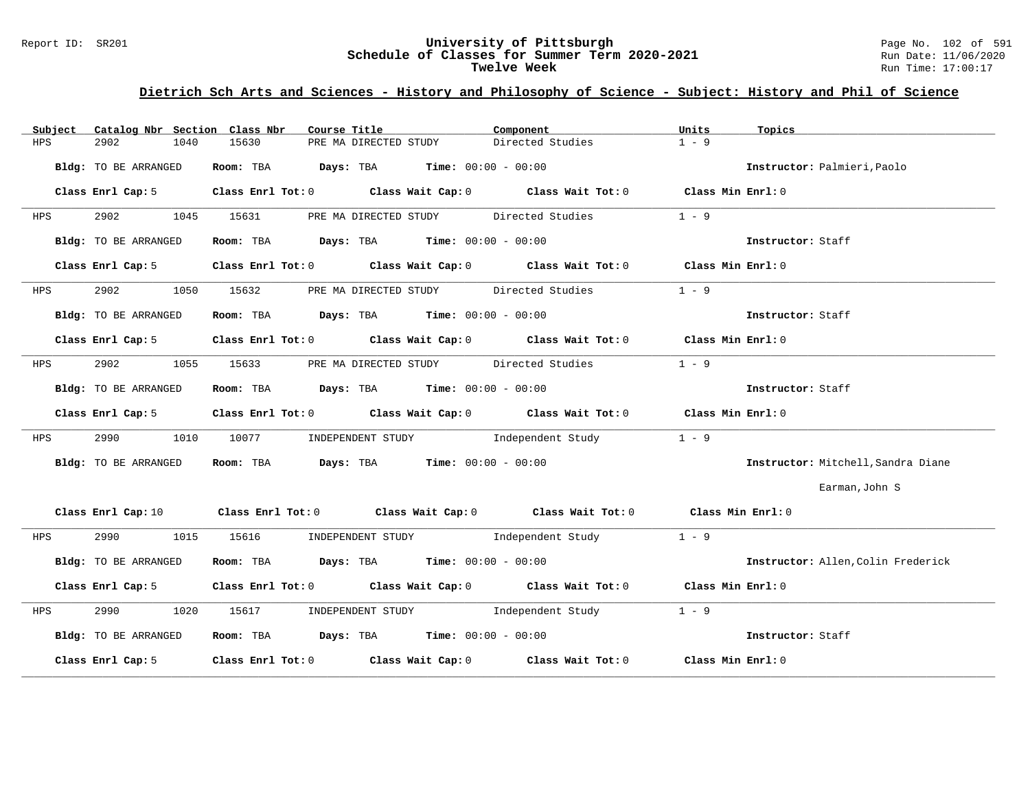# Report ID: SR201 **1988 Manusia Content Content Content Content Content Content Content Content Content Content**<br>
Schedule of Classes for Summer Term 2020-2021 1999 Run Date: 11/06/2020 Schedule of Classes for Summer Term 2020-2021<br>Twelve Week

# **Dietrich Sch Arts and Sciences - History and Philosophy of Science - Subject: History and Phil of Science**

| Subject | Catalog Nbr Section Class Nbr | Course Title                                                                                                                   | Component        | Units<br>Topics                    |
|---------|-------------------------------|--------------------------------------------------------------------------------------------------------------------------------|------------------|------------------------------------|
| HPS     | 2902<br>1040                  | 15630<br>PRE MA DIRECTED STUDY                                                                                                 | Directed Studies | $1 - 9$                            |
|         | Bldg: TO BE ARRANGED          | Room: TBA $\rule{1em}{0.15mm}$ Days: TBA Time: $00:00 - 00:00$                                                                 |                  | Instructor: Palmieri, Paolo        |
|         | Class Enrl Cap: 5             | Class Enrl Tot: 0 Class Wait Cap: 0 Class Wait Tot: 0 Class Min Enrl: 0                                                        |                  |                                    |
| HPS     | 2902<br>1045                  | PRE MA DIRECTED STUDY Directed Studies<br>15631                                                                                |                  | $1 - 9$                            |
|         | Bldg: TO BE ARRANGED          | Room: TBA $\rule{1em}{0.15mm}$ Days: TBA $\rule{1.15mm}]{0.15mm}$ Time: $0.000 - 0.0000$                                       |                  | Instructor: Staff                  |
|         | Class Enrl Cap: 5             | Class Enrl Tot: 0 Class Wait Cap: 0 Class Wait Tot: 0 Class Min Enrl: 0                                                        |                  |                                    |
| HPS     | 2902<br>1050                  | PRE MA DIRECTED STUDY Directed Studies<br>15632                                                                                |                  | $1 - 9$                            |
|         | Bldg: TO BE ARRANGED          | Room: TBA $Days:$ TBA $Time:$ 00:00 - 00:00                                                                                    |                  | Instructor: Staff                  |
|         | Class Enrl Cap: 5             | Class Enrl Tot: 0 Class Wait Cap: 0 Class Wait Tot: 0 Class Min Enrl: 0                                                        |                  |                                    |
| HPS     | 2902<br>1055                  | PRE MA DIRECTED STUDY Directed Studies<br>15633                                                                                |                  | $1 - 9$                            |
|         | Bldg: TO BE ARRANGED          | Room: TBA $Days:$ TBA $Time: 00:00 - 00:00$                                                                                    |                  | Instructor: Staff                  |
|         |                               | Class Enrl Cap: 5 Class Enrl Tot: 0 Class Wait Cap: 0 Class Wait Tot: 0 Class Min Enrl: 0                                      |                  |                                    |
| HPS     | 2990<br>1010                  | INDEPENDENT STUDY The Independent Study<br>10077 100                                                                           |                  | $1 - 9$                            |
|         | Bldg: TO BE ARRANGED          | Room: TBA $Days:$ TBA Time: $00:00 - 00:00$                                                                                    |                  | Instructor: Mitchell, Sandra Diane |
|         |                               |                                                                                                                                |                  | Earman, John S                     |
|         |                               | Class Enrl Cap: 10 $\qquad$ Class Enrl Tot: 0 $\qquad$ Class Wait Cap: 0 $\qquad$ Class Wait Tot: 0 $\qquad$ Class Min Enrl: 0 |                  |                                    |
| HPS     | 2990 700                      | 1015 15616 INDEPENDENT STUDY Independent Study                                                                                 |                  | $1 - 9$                            |
|         | Bldg: TO BE ARRANGED          | Room: TBA $Days$ : TBA Time: $00:00 - 00:00$                                                                                   |                  | Instructor: Allen, Colin Frederick |
|         | Class Enrl Cap: 5             | Class Enrl Tot: 0 $\qquad$ Class Wait Cap: 0 $\qquad$ Class Wait Tot: 0 $\qquad$ Class Min Enrl: 0                             |                  |                                    |
| HPS     | 2990                          | 1020 15617 INDEPENDENT STUDY Independent Study                                                                                 |                  | $1 - 9$                            |
|         | Bldg: TO BE ARRANGED          | Room: TBA $Days:$ TBA $Time:$ 00:00 - 00:00                                                                                    |                  | Instructor: Staff                  |
|         | Class Enrl Cap: 5             | Class Enrl Tot: $0$ Class Wait Cap: $0$ Class Wait Tot: $0$ Class Min Enrl: $0$                                                |                  |                                    |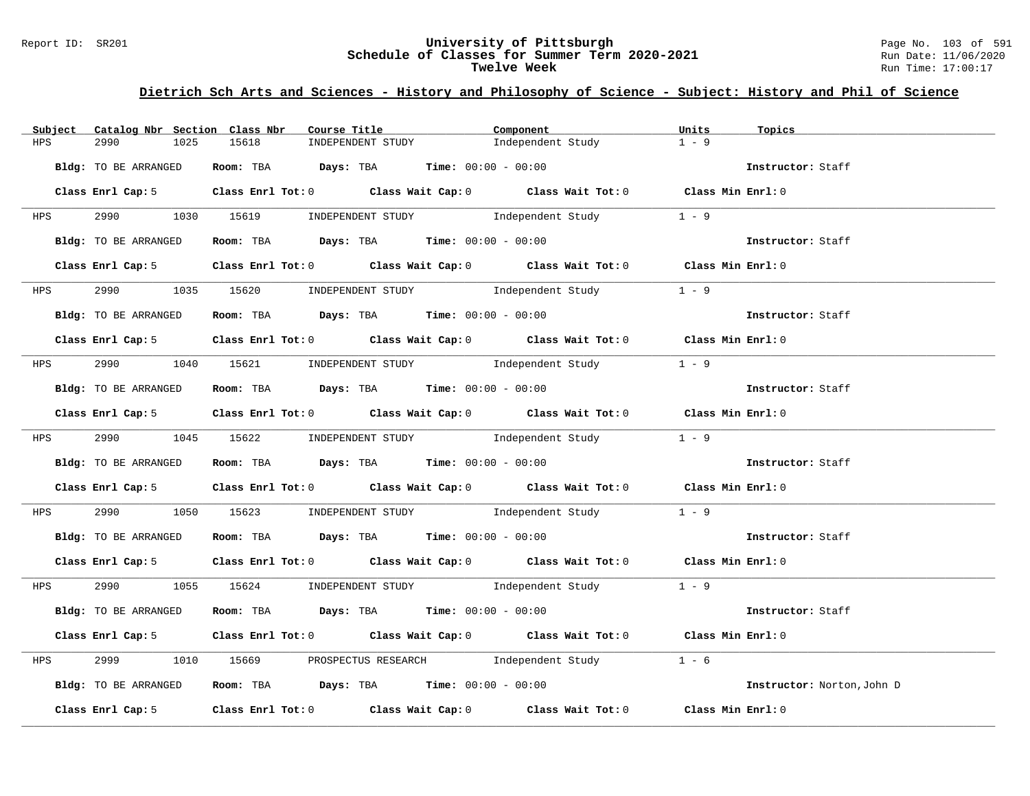#### Report ID: SR201 **University of Pittsburgh** Page No. 103 of 591 **Schedule of Classes for Summer Term 2020-2021** Run Date: 11/06/2020 **Twelve Week** Run Time: 17:00:17

# **Dietrich Sch Arts and Sciences - History and Philosophy of Science - Subject: History and Phil of Science**

| Subject    | Catalog Nbr Section Class Nbr | Course Title                                                                              | Component         | Units<br>Topics            |
|------------|-------------------------------|-------------------------------------------------------------------------------------------|-------------------|----------------------------|
| HPS        | 2990<br>1025                  | 15618<br>INDEPENDENT STUDY                                                                | Independent Study | $1 - 9$                    |
|            | Bldg: TO BE ARRANGED          | Room: TBA $Days:$ TBA $Time: 00:00 - 00:00$                                               |                   | Instructor: Staff          |
|            |                               | Class Enrl Cap: 5 Class Enrl Tot: 0 Class Wait Cap: 0 Class Wait Tot: 0 Class Min Enrl: 0 |                   |                            |
|            |                               | HPS 2990 1030 15619 INDEPENDENT STUDY                                                     | Independent Study | $1 - 9$                    |
|            | Bldg: TO BE ARRANGED          | Room: TBA $Days: TBA$ Time: $00:00 - 00:00$                                               |                   | Instructor: Staff          |
|            |                               | Class Enrl Cap: 5 Class Enrl Tot: 0 Class Wait Cap: 0 Class Wait Tot: 0 Class Min Enrl: 0 |                   |                            |
|            | HPS 2990                      | 1035 15620 INDEPENDENT STUDY Independent Study                                            |                   | $1 - 9$                    |
|            | Bldg: TO BE ARRANGED          | Room: TBA $\rule{1em}{0.15mm}$ Days: TBA $\rule{1.5mm}{0.15mm}$ Time: $00:00 - 00:00$     |                   | Instructor: Staff          |
|            |                               | Class Enrl Cap: 5 Class Enrl Tot: 0 Class Wait Cap: 0 Class Wait Tot: 0 Class Min Enrl: 0 |                   |                            |
|            |                               | HPS 2990 1040 15621 INDEPENDENT STUDY Independent Study 1 - 9                             |                   |                            |
|            | Bldg: TO BE ARRANGED          | Room: TBA Days: TBA Time: $00:00 - 00:00$                                                 |                   | Instructor: Staff          |
|            |                               | Class Enrl Cap: 5 Class Enrl Tot: 0 Class Wait Cap: 0 Class Wait Tot: 0 Class Min Enrl: 0 |                   |                            |
|            |                               | HPS 2990 1045 15622 INDEPENDENT STUDY Independent Study 1 - 9                             |                   |                            |
|            | Bldg: TO BE ARRANGED          | Room: TBA $\rule{1em}{0.15mm}$ Days: TBA Time: $00:00 - 00:00$                            |                   | Instructor: Staff          |
|            |                               | Class Enrl Cap: 5 Class Enrl Tot: 0 Class Wait Cap: 0 Class Wait Tot: 0 Class Min Enrl: 0 |                   |                            |
| <b>HPS</b> | 2990 700                      | 1050 15623 INDEPENDENT STUDY 1ndependent Study 1 - 9                                      |                   |                            |
|            | Bldg: TO BE ARRANGED          | Room: TBA  Days: TBA Time: $00:00 - 00:00$                                                |                   | Instructor: Staff          |
|            |                               | Class Enrl Cap: 5 Class Enrl Tot: 0 Class Wait Cap: 0 Class Wait Tot: 0 Class Min Enrl: 0 |                   |                            |
|            |                               | HPS 2990 1055 15624 INDEPENDENT STUDY Independent Study 1 - 9                             |                   |                            |
|            | Bldg: TO BE ARRANGED          | Room: TBA $Days:$ TBA Time: $00:00 - 00:00$                                               |                   | Instructor: Staff          |
|            |                               | Class Enrl Cap: 5 Class Enrl Tot: 0 Class Wait Cap: 0 Class Wait Tot: 0 Class Min Enrl: 0 |                   |                            |
| HPS        | 2999                          | 1010 15669 PROSPECTUS RESEARCH Independent Study 1 - 6                                    |                   |                            |
|            | Bldg: TO BE ARRANGED          | Room: TBA $\rule{1em}{0.15mm}$ Days: TBA Time: $00:00 - 00:00$                            |                   | Instructor: Norton, John D |
|            |                               | Class Enrl Cap: 5 Class Enrl Tot: 0 Class Wait Cap: 0 Class Wait Tot: 0 Class Min Enrl: 0 |                   |                            |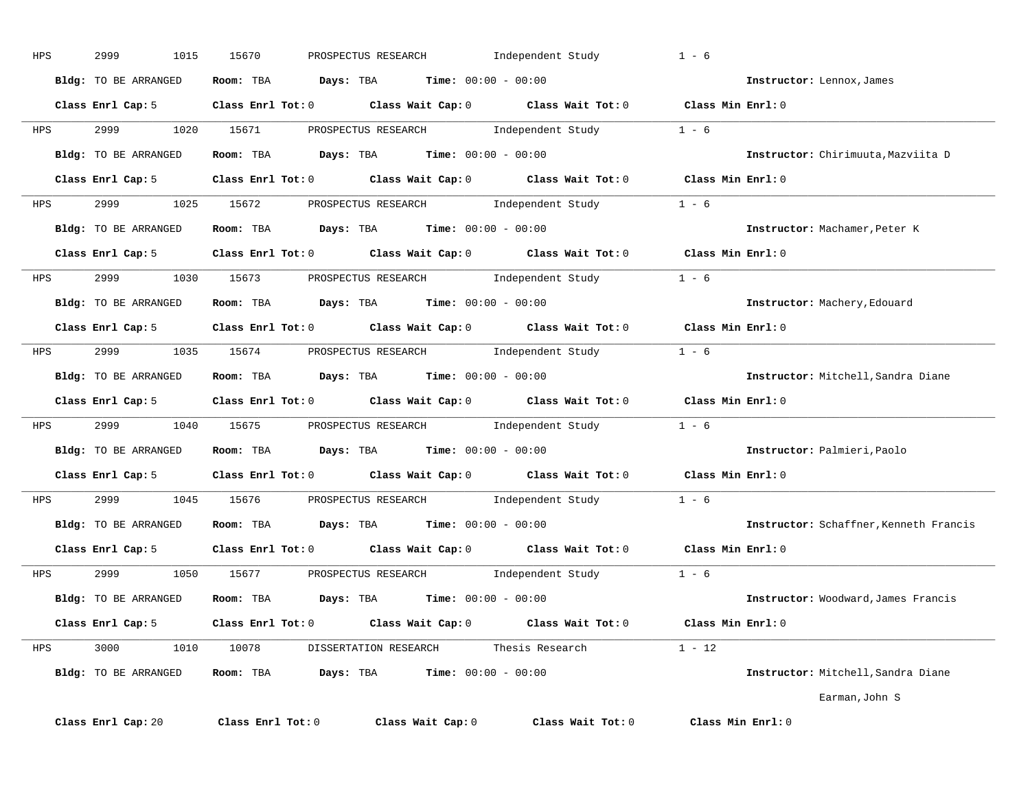| HPS | 2999<br>1015                   | 15670<br>PROSPECTUS RESEARCH                                                                       | Independent Study                                 | $1 - 6$                                |
|-----|--------------------------------|----------------------------------------------------------------------------------------------------|---------------------------------------------------|----------------------------------------|
|     | Bldg: TO BE ARRANGED           | Room: TBA $Days: TBA$ Time: $00:00 - 00:00$                                                        |                                                   | Instructor: Lennox, James              |
|     | Class Enrl Cap: 5              | Class Enrl Tot: 0 $\qquad$ Class Wait Cap: 0 $\qquad$ Class Wait Tot: 0 $\qquad$ Class Min Enrl: 0 |                                                   |                                        |
| HPS | 2999                           | 1020 15671<br>PROSPECTUS RESEARCH Modern Independent Study                                         |                                                   | $1 - 6$                                |
|     | Bldg: TO BE ARRANGED           | $\texttt{Davis:}$ TBA $\texttt{Time:}$ 00:00 - 00:00<br>Room: TBA                                  |                                                   | Instructor: Chirimuuta, Mazviita D     |
|     | Class Enrl Cap: 5              | Class Enrl Tot: $0$ Class Wait Cap: $0$ Class Wait Tot: $0$                                        |                                                   | Class Min Enrl: 0                      |
| HPS | 2999                           | 1025 15672                                                                                         | PROSPECTUS RESEARCH 1ndependent Study 1 - 6       |                                        |
|     | Bldg: TO BE ARRANGED           | Room: TBA $Days:$ TBA $Time: 00:00 - 00:00$                                                        |                                                   | Instructor: Machamer, Peter K          |
|     | Class Enrl Cap: 5              | Class Enrl Tot: 0 $\qquad$ Class Wait Cap: 0 $\qquad$ Class Wait Tot: 0 $\qquad$ Class Min Enrl: 0 |                                                   |                                        |
| HPS | 2999                           | 1030 15673                                                                                         | PROSPECTUS RESEARCH 1 - 1 Didependent Study 1 - 6 |                                        |
|     | Bldg: TO BE ARRANGED           | <b>Room:</b> TBA $Days:$ TBA $Time: 00:00 - 00:00$                                                 |                                                   | Instructor: Machery, Edouard           |
|     |                                | Class Enrl Cap: 5 $\qquad$ Class Enrl Tot: 0 $\qquad$ Class Wait Cap: 0 $\qquad$ Class Wait Tot: 0 |                                                   | Class Min Enrl: 0                      |
| HPS | 2999 200                       | 1035 15674 PROSPECTUS RESEARCH 1ndependent Study 1 - 6                                             |                                                   |                                        |
|     | Bldg: TO BE ARRANGED Room: TBA | $\texttt{Days:}$ TBA $\texttt{Time:}$ 00:00 - 00:00                                                |                                                   | Instructor: Mitchell, Sandra Diane     |
|     |                                | Class Enrl Cap: 5 $\qquad$ Class Enrl Tot: 0 $\qquad$ Class Wait Cap: 0 $\qquad$ Class Wait Tot: 0 |                                                   | Class Min Enrl: 0                      |
| HPS | 2999 700                       | 1040 15675                                                                                         | PROSPECTUS RESEARCH 1ndependent Study             | $1 - 6$                                |
|     | Bldg: TO BE ARRANGED           | $\texttt{Days:}$ TBA $\texttt{Time:}$ 00:00 - 00:00<br>Room: TBA                                   |                                                   | Instructor: Palmieri, Paolo            |
|     | Class Enrl Cap: 5              | Class Enrl Tot: 0 Class Wait Cap: 0 Class Wait Tot: 0                                              |                                                   | Class Min Enrl: 0                      |
|     | HPS 2999                       | PROSPECTUS RESEARCH Month Independent Study<br>1045 15676                                          |                                                   | $1 - 6$                                |
|     | Bldg: TO BE ARRANGED           | $Days: TBA$ Time: $00:00 - 00:00$<br>Room: TBA                                                     |                                                   | Instructor: Schaffner, Kenneth Francis |
|     | Class Enrl Cap: 5              | Class Enrl Tot: 0 Class Wait Cap: 0 Class Wait Tot: 0                                              |                                                   | Class Min Enrl: 0                      |
| HPS |                                |                                                                                                    |                                                   | $1 - 6$                                |
|     | <b>Bldg:</b> TO BE ARRANGED    | <b>Days:</b> TBA <b>Time:</b> $00:00 - 00:00$<br>Room: TBA                                         |                                                   | Instructor: Woodward, James Francis    |
|     | Class Enrl Cap: 5              | Class Enrl Tot: 0 Class Wait Cap: 0 Class Wait Tot: 0                                              |                                                   | Class Min Enrl: 0                      |
| HPS | 3000 1010 10078                | DISSERTATION RESEARCH Thesis Research                                                              |                                                   | $1 - 12$                               |
|     | Bldg: TO BE ARRANGED           | <b>Days:</b> TBA <b>Time:</b> $00:00 - 00:00$<br>Room: TBA                                         |                                                   | Instructor: Mitchell, Sandra Diane     |
|     |                                |                                                                                                    |                                                   | Earman, John S                         |
|     | Class Enrl Cap: 20             | Class Enrl Tot: 0<br>Class Wait Cap: 0                                                             | Class Wait Tot: 0                                 | Class Min Enrl: 0                      |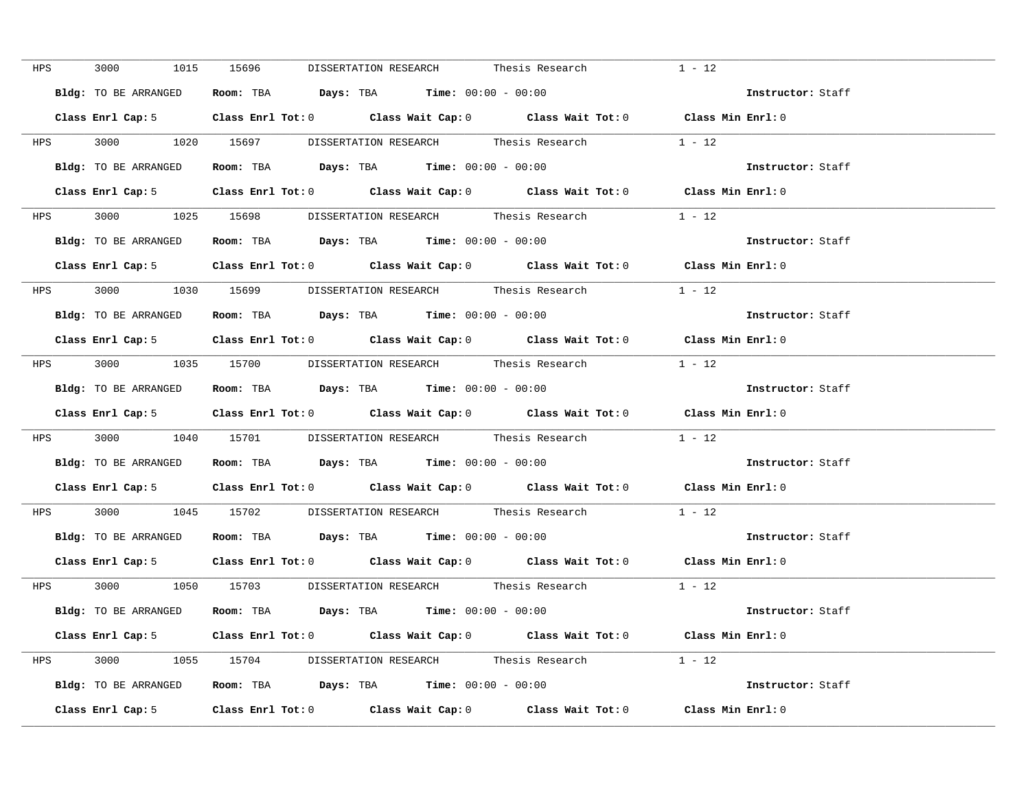| HPS | 3000 1015            | 15696<br>DISSERTATION RESEARCH Thesis Research                                            | $1 - 12$          |
|-----|----------------------|-------------------------------------------------------------------------------------------|-------------------|
|     | Bldg: TO BE ARRANGED | Room: TBA $Days: TBA$ Time: $00:00 - 00:00$                                               | Instructor: Staff |
|     |                      | Class Enrl Cap: 5 Class Enrl Tot: 0 Class Wait Cap: 0 Class Wait Tot: 0 Class Min Enrl: 0 |                   |
|     |                      | HPS 3000 1020 15697 DISSERTATION RESEARCH Thesis Research 1 - 12                          |                   |
|     | Bldg: TO BE ARRANGED | Room: TBA $Days:$ TBA $Time: 00:00 - 00:00$                                               | Instructor: Staff |
|     |                      | Class Enrl Cap: 5 Class Enrl Tot: 0 Class Wait Cap: 0 Class Wait Tot: 0 Class Min Enrl: 0 |                   |
|     |                      | HPS 3000 1025 15698 DISSERTATION RESEARCH Thesis Research 1 - 12                          |                   |
|     |                      | Bldg: TO BE ARRANGED Room: TBA Days: TBA Time: 00:00 - 00:00                              | Instructor: Staff |
|     |                      | Class Enrl Cap: 5 Class Enrl Tot: 0 Class Wait Cap: 0 Class Wait Tot: 0 Class Min Enrl: 0 |                   |
|     |                      | HPS 3000 1030 15699 DISSERTATION RESEARCH Thesis Research 1 - 12                          |                   |
|     |                      | Bldg: TO BE ARRANGED ROOM: TBA Days: TBA Time: 00:00 - 00:00                              | Instructor: Staff |
|     |                      | Class Enrl Cap: 5 Class Enrl Tot: 0 Class Wait Cap: 0 Class Wait Tot: 0                   | Class Min Enrl: 0 |
|     |                      | HPS 3000 1035 15700 DISSERTATION RESEARCH Thesis Research 1 - 12                          |                   |
|     |                      | Bldg: TO BE ARRANGED Room: TBA Days: TBA Time: 00:00 - 00:00                              | Instructor: Staff |
|     |                      | Class Enrl Cap: 5 Class Enrl Tot: 0 Class Wait Cap: 0 Class Wait Tot: 0 Class Min Enrl: 0 |                   |
|     |                      | HPS 3000 1040 15701 DISSERTATION RESEARCH Thesis Research                                 | $1 - 12$          |
|     |                      | Bldg: TO BE ARRANGED Room: TBA Days: TBA Time: 00:00 - 00:00                              | Instructor: Staff |
|     |                      | Class Enrl Cap: 5 Class Enrl Tot: 0 Class Wait Cap: 0 Class Wait Tot: 0 Class Min Enrl: 0 |                   |
|     |                      | HPS 3000 1045 15702 DISSERTATION RESEARCH Thesis Research 1 - 12                          |                   |
|     | Bldg: TO BE ARRANGED | Room: TBA $Days: TBA$ Time: $00:00 - 00:00$                                               | Instructor: Staff |
|     |                      | Class Enrl Cap: 5 Class Enrl Tot: 0 Class Wait Cap: 0 Class Wait Tot: 0 Class Min Enrl: 0 |                   |
|     |                      | HPS 3000 1050 15703 DISSERTATION RESEARCH Thesis Research 1 - 12                          |                   |
|     |                      | Bldg: TO BE ARRANGED Room: TBA Days: TBA Time: 00:00 - 00:00                              | Instructor: Staff |
|     |                      | Class Enrl Cap: 5 Class Enrl Tot: 0 Class Wait Cap: 0 Class Wait Tot: 0 Class Min Enrl: 0 |                   |
|     |                      | HPS 3000 1055 15704 DISSERTATION RESEARCH Thesis Research 1 - 12                          |                   |
|     |                      | Bldg: TO BE ARRANGED Room: TBA Days: TBA Time: 00:00 - 00:00                              | Instructor: Staff |
|     |                      | Class Enrl Cap: 5 Class Enrl Tot: 0 Class Wait Cap: 0 Class Wait Tot: 0 Class Min Enrl: 0 |                   |
|     |                      |                                                                                           |                   |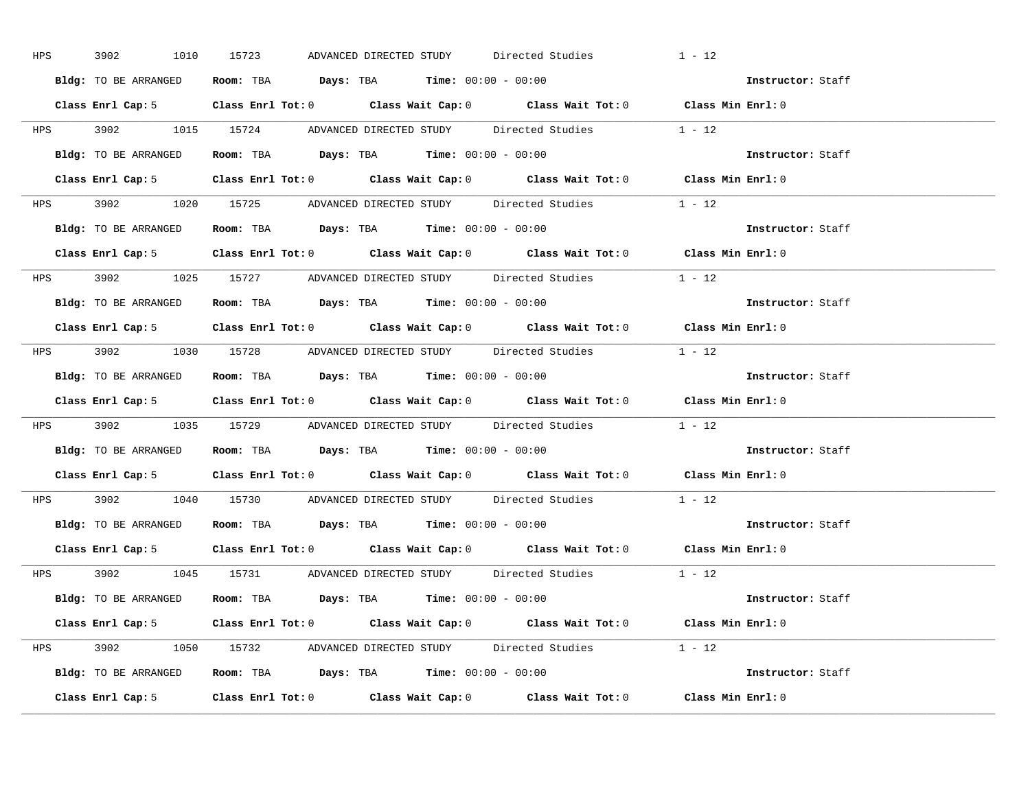| <b>HPS</b> | 3902<br>1010         | 15723<br>ADVANCED DIRECTED STUDY Directed Studies                                         | $1 - 12$          |
|------------|----------------------|-------------------------------------------------------------------------------------------|-------------------|
|            | Bldg: TO BE ARRANGED | Room: TBA $Days:$ TBA $Time: 00:00 - 00:00$                                               | Instructor: Staff |
|            |                      | Class Enrl Cap: 5 Class Enrl Tot: 0 Class Wait Cap: 0 Class Wait Tot: 0 Class Min Enrl: 0 |                   |
|            |                      | HPS 3902 1015 15724 ADVANCED DIRECTED STUDY Directed Studies 1 - 12                       |                   |
|            |                      | Bldg: TO BE ARRANGED Room: TBA Days: TBA Time: 00:00 - 00:00                              | Instructor: Staff |
|            |                      | Class Enrl Cap: 5 Class Enrl Tot: 0 Class Wait Cap: 0 Class Wait Tot: 0 Class Min Enrl: 0 |                   |
|            |                      | HPS 3902 1020 15725 ADVANCED DIRECTED STUDY Directed Studies 1 - 12                       |                   |
|            |                      | Bldg: TO BE ARRANGED Room: TBA Days: TBA Time: 00:00 - 00:00                              | Instructor: Staff |
|            |                      | Class Enrl Cap: 5 Class Enrl Tot: 0 Class Wait Cap: 0 Class Wait Tot: 0 Class Min Enrl: 0 |                   |
|            |                      | HPS 3902 1025 15727 ADVANCED DIRECTED STUDY Directed Studies 1 - 12                       |                   |
|            | Bldg: TO BE ARRANGED | Room: TBA $Days: TBA$ Time: $00:00 - 00:00$                                               | Instructor: Staff |
|            |                      | Class Enrl Cap: 5 Class Enrl Tot: 0 Class Wait Cap: 0 Class Wait Tot: 0 Class Min Enrl: 0 |                   |
|            |                      | HPS 3902 1030 15728 ADVANCED DIRECTED STUDY Directed Studies 1 - 12                       |                   |
|            |                      | Bldg: TO BE ARRANGED Room: TBA Days: TBA Time: 00:00 - 00:00                              | Instructor: Staff |
|            |                      |                                                                                           |                   |
|            |                      | Class Enrl Cap: 5 Class Enrl Tot: 0 Class Wait Cap: 0 Class Wait Tot: 0 Class Min Enrl: 0 |                   |
|            |                      | HPS 3902 1035 15729 ADVANCED DIRECTED STUDY Directed Studies 1 - 12                       |                   |
|            |                      | Bldg: TO BE ARRANGED ROOM: TBA Days: TBA Time: 00:00 - 00:00                              | Instructor: Staff |
|            |                      | Class Enrl Cap: 5 Class Enrl Tot: 0 Class Wait Cap: 0 Class Wait Tot: 0 Class Min Enrl: 0 |                   |
|            |                      | HPS 3902 1040 15730 ADVANCED DIRECTED STUDY Directed Studies 1 - 12                       |                   |
|            |                      | Bldg: TO BE ARRANGED Room: TBA Days: TBA Time: 00:00 - 00:00                              | Instructor: Staff |
|            |                      | Class Enrl Cap: 5 Class Enrl Tot: 0 Class Wait Cap: 0 Class Wait Tot: 0 Class Min Enrl: 0 |                   |
|            |                      | HPS 3902 1045 15731 ADVANCED DIRECTED STUDY Directed Studies 1 - 12                       |                   |
|            |                      | Bldg: TO BE ARRANGED Room: TBA Days: TBA Time: 00:00 - 00:00                              | Instructor: Staff |
|            |                      | Class Enrl Cap: 5 Class Enrl Tot: 0 Class Wait Cap: 0 Class Wait Tot: 0 Class Min Enrl: 0 |                   |
|            |                      | HPS 3902 1050 15732 ADVANCED DIRECTED STUDY Directed Studies 1 - 12                       |                   |
|            |                      | Bldg: TO BE ARRANGED Room: TBA Days: TBA Time: $00:00 - 00:00$                            | Instructor: Staff |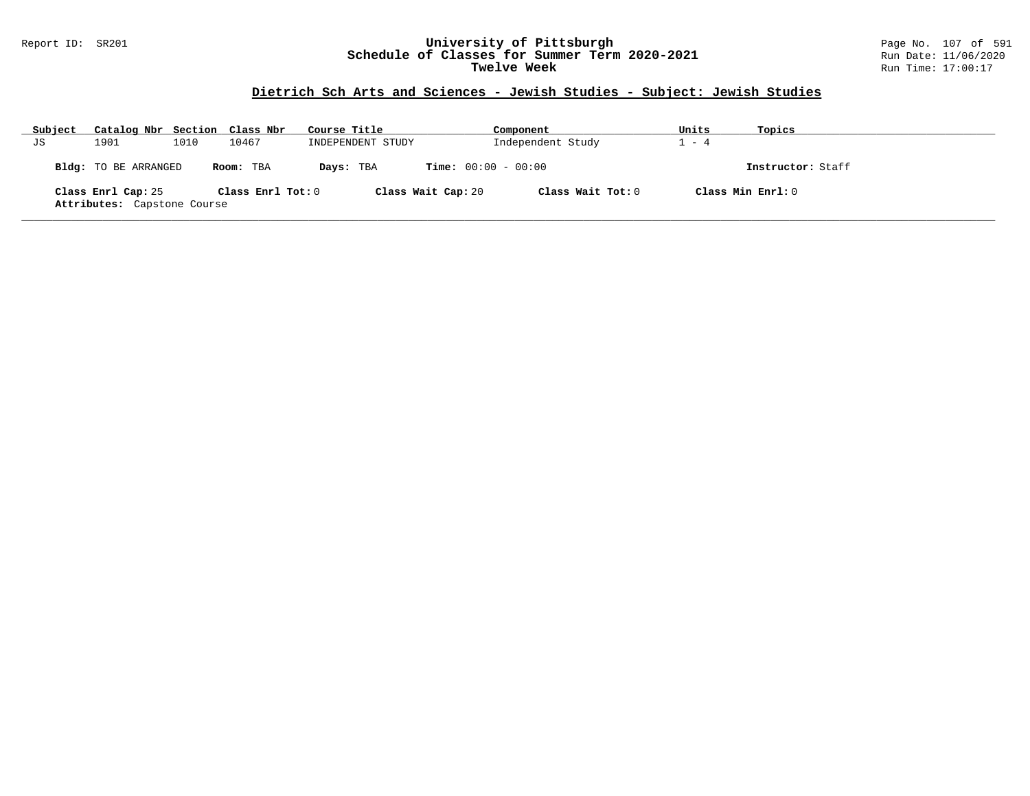#### Report ID: SR201 **University of Pittsburgh** Page No. 107 of 591 **Schedule of Classes for Summer Term 2020-2021** Run Date: 11/06/2020 **Twelve Week** Run Time: 17:00:17

# **Dietrich Sch Arts and Sciences - Jewish Studies - Subject: Jewish Studies**

| Subject | Catalog Nbr Section Class Nbr                     |      |                       | Course Title      |                              | Component         | Units   | Topics             |
|---------|---------------------------------------------------|------|-----------------------|-------------------|------------------------------|-------------------|---------|--------------------|
| JS      | 1901                                              | 1010 | 10467                 | INDEPENDENT STUDY |                              | Independent Study | $1 - 4$ |                    |
|         | Bldg: TO BE ARRANGED                              |      | Room: TBA             | Days: TBA         | <b>Time:</b> $00:00 - 00:00$ |                   |         | Instructor: Staff  |
|         | Class Enrl Cap: 25<br>Attributes: Capstone Course |      | Class $Enr1$ Tot: $0$ |                   | Class Wait Cap: 20           | Class Wait Tot: 0 |         | Class Min Ernst: 0 |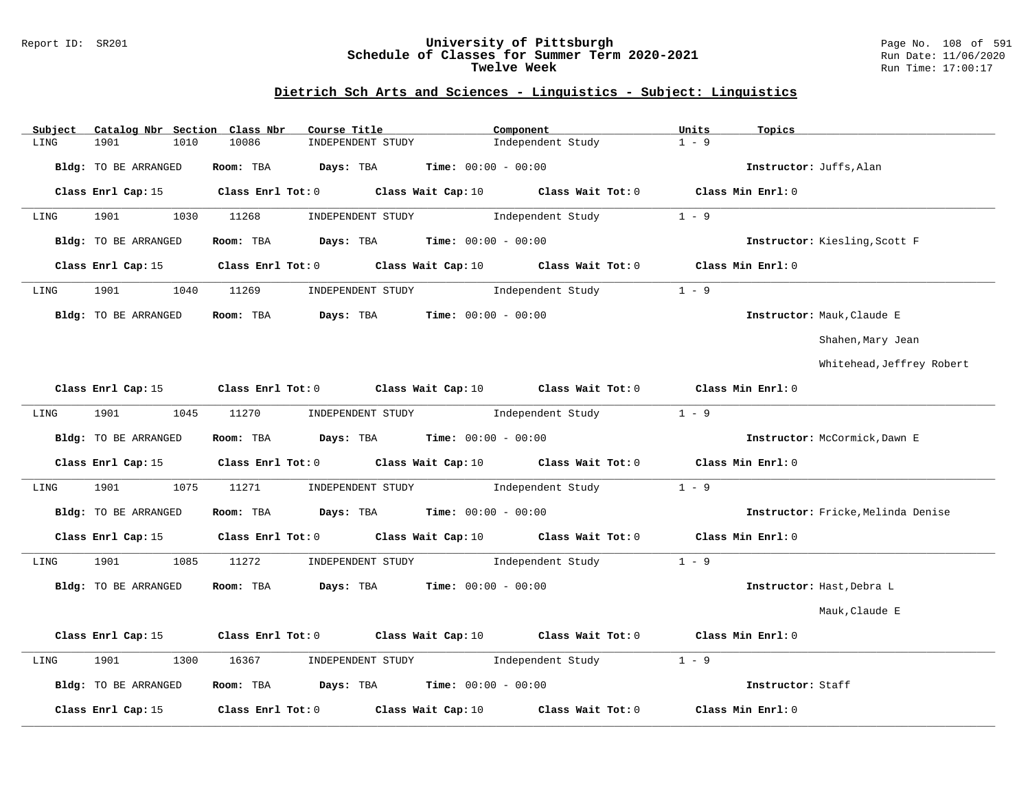### Report ID: SR201 **University of Pittsburgh** Page No. 108 of 591 **Schedule of Classes for Summer Term 2020-2021** Run Date: 11/06/2020 **Twelve Week Run Time:** 17:00:17

# **Dietrich Sch Arts and Sciences - Linguistics - Subject: Linguistics**

| Subject              | Catalog Nbr Section Class Nbr | Course Title                                  | Component                                                                      | Units<br>Topics                                                                             |                                    |
|----------------------|-------------------------------|-----------------------------------------------|--------------------------------------------------------------------------------|---------------------------------------------------------------------------------------------|------------------------------------|
| 1901<br>LING         | 10086<br>1010                 | INDEPENDENT STUDY                             | Independent Study                                                              | $1 - 9$                                                                                     |                                    |
| Bldg: TO BE ARRANGED | Room: TBA                     | Days: TBA                                     | <b>Time:</b> $00:00 - 00:00$                                                   | Instructor: Juffs, Alan                                                                     |                                    |
|                      |                               |                                               |                                                                                | Class Enrl Cap: 15 Class Enrl Tot: 0 Class Wait Cap: 10 Class Wait Tot: 0 Class Min Enrl: 0 |                                    |
| 1901<br>LING         | 1030<br>11268                 | INDEPENDENT STUDY                             | Independent Study                                                              | $1 - 9$                                                                                     |                                    |
| Bldg: TO BE ARRANGED | Room: TBA                     | <b>Days:</b> TBA <b>Time:</b> $00:00 - 00:00$ |                                                                                | Instructor: Kiesling, Scott F                                                               |                                    |
|                      |                               |                                               | Class Enrl Cap: 15 (class Enrl Tot: 0) (class Wait Cap: 10 (class Wait Tot: 0) | Class Min Enrl: 0                                                                           |                                    |
| 1901<br>LING         | 1040 11269                    |                                               | INDEPENDENT STUDY 1ndependent Study                                            | $1 - 9$                                                                                     |                                    |
| Bldg: TO BE ARRANGED |                               | Room: TBA $Days:$ TBA $Time: 00:00 - 00:00$   |                                                                                | Instructor: Mauk, Claude E                                                                  |                                    |
|                      |                               |                                               |                                                                                |                                                                                             | Shahen, Mary Jean                  |
|                      |                               |                                               |                                                                                |                                                                                             | Whitehead, Jeffrey Robert          |
|                      |                               |                                               |                                                                                | Class Enrl Cap: 15 Class Enrl Tot: 0 Class Wait Cap: 10 Class Wait Tot: 0 Class Min Enrl: 0 |                                    |
| 1901<br>LING         | 1045<br>11270                 |                                               | INDEPENDENT STUDY 1ndependent Study                                            | $1 - 9$                                                                                     |                                    |
| Bldg: TO BE ARRANGED |                               | Room: TBA $Days:$ TBA $Time: 00:00 - 00:00$   |                                                                                | Instructor: McCormick, Dawn E                                                               |                                    |
|                      |                               |                                               |                                                                                | Class Enrl Cap: 15 Class Enrl Tot: 0 Class Wait Cap: 10 Class Wait Tot: 0 Class Min Enrl: 0 |                                    |
| 1901<br>LING         | 1075<br>11271                 |                                               | INDEPENDENT STUDY Data and independent Study                                   | $1 - 9$                                                                                     |                                    |
| Bldg: TO BE ARRANGED |                               | Room: TBA $Days:$ TBA $Time: 00:00 - 00:00$   |                                                                                |                                                                                             | Instructor: Fricke, Melinda Denise |
| Class Enrl Cap: 15   |                               |                                               | Class Enrl Tot: $0$ Class Wait Cap: 10 Class Wait Tot: $0$                     | Class Min Enrl: 0                                                                           |                                    |
| 1901<br>LING         | 1085<br>11272                 |                                               | INDEPENDENT STUDY 1ndependent Study                                            | $1 - 9$                                                                                     |                                    |
| Bldg: TO BE ARRANGED |                               | Room: TBA $Days:$ TBA $Time: 00:00 - 00:00$   |                                                                                | Instructor: Hast, Debra L                                                                   |                                    |
|                      |                               |                                               |                                                                                |                                                                                             | Mauk, Claude E                     |
| Class Enrl Cap: 15   |                               |                                               | Class Enrl Tot: $0$ Class Wait Cap: $10$ Class Wait Tot: $0$                   | Class Min Enrl: 0                                                                           |                                    |
| 1901<br>LING         | 1300<br>16367                 |                                               | INDEPENDENT STUDY 1ndependent Study                                            | $1 - 9$                                                                                     |                                    |
| Bldg: TO BE ARRANGED |                               | Room: TBA $Days:$ TBA $Time: 00:00 - 00:00$   |                                                                                | Instructor: Staff                                                                           |                                    |
| Class Enrl Cap: 15   | $Class$ $Enrl$ $Tot: 0$       | Class Wait Cap: 10                            | Class Wait Tot: 0                                                              | Class Min Enrl: 0                                                                           |                                    |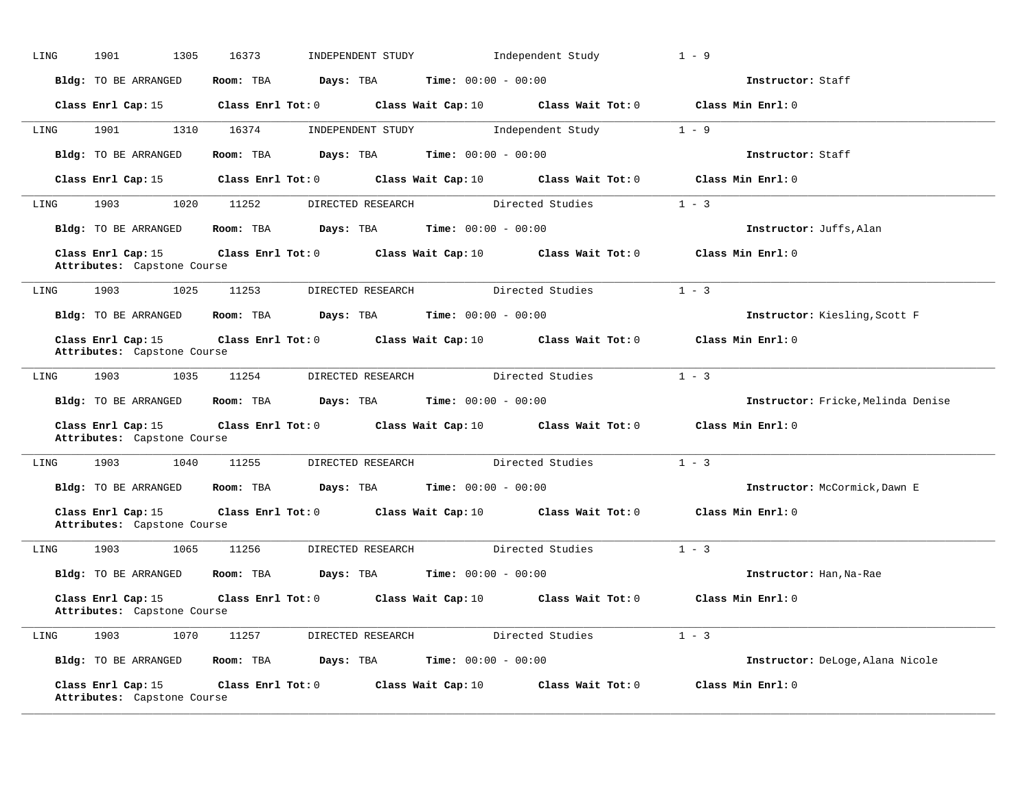| LING | 1901<br>1305                                      | 16373                                  | INDEPENDENT STUDY                                            | Independent Study                                            | $1 - 9$                            |
|------|---------------------------------------------------|----------------------------------------|--------------------------------------------------------------|--------------------------------------------------------------|------------------------------------|
|      | Bldg: TO BE ARRANGED                              | Room: TBA                              | <b>Days:</b> TBA <b>Time:</b> $00:00 - 00:00$                |                                                              | Instructor: Staff                  |
|      |                                                   | Class Enrl Cap: $15$ Class Enrl Tot: 0 |                                                              | Class Wait Cap: $10$ Class Wait Tot: $0$                     | Class Min Enrl: 0                  |
| LING | 1901<br>1310                                      | 16374                                  | INDEPENDENT STUDY                                            | Independent Study                                            | $1 - 9$                            |
|      | Bldg: TO BE ARRANGED                              | Room: TBA<br>Days: TBA                 | $Time: 00:00 - 00:00$                                        |                                                              | Instructor: Staff                  |
|      | Class Enrl Cap: 15                                |                                        |                                                              | Class Enrl Tot: $0$ Class Wait Cap: $10$ Class Wait Tot: $0$ | Class Min Enrl: 0                  |
| LING | 1903   1903                                       | 1020 11252                             | DIRECTED RESEARCH Directed Studies                           |                                                              | $1 - 3$                            |
|      | Bldg: TO BE ARRANGED                              | Room: TBA                              | <b>Days:</b> TBA <b>Time:</b> $00:00 - 00:00$                |                                                              | Instructor: Juffs, Alan            |
|      | Class Enrl Cap: 15<br>Attributes: Capstone Course | $Class$ $Enr1$ $Tot: 0$                |                                                              | Class Wait Cap: 10 Class Wait Tot: 0                         | Class Min Enrl: 0                  |
| LING | 1903<br>1025                                      | 11253                                  | DIRECTED RESEARCH Directed Studies                           |                                                              | $1 - 3$                            |
|      | Bldg: TO BE ARRANGED                              | Room: TBA                              | <b>Days:</b> TBA <b>Time:</b> $00:00 - 00:00$                |                                                              | Instructor: Kiesling, Scott F      |
|      | Class Enrl Cap: 15<br>Attributes: Capstone Course |                                        |                                                              | Class Enrl Tot: $0$ Class Wait Cap: $10$ Class Wait Tot: $0$ | Class Min Enrl: 0                  |
| LING | 1903<br>1035                                      | 11254                                  | DIRECTED RESEARCH                                            | Directed Studies                                             | $1 - 3$                            |
|      | Bldg: TO BE ARRANGED                              | Room: TBA                              | <b>Days:</b> TBA <b>Time:</b> $00:00 - 00:00$                |                                                              | Instructor: Fricke, Melinda Denise |
|      | Class Enrl Cap: 15<br>Attributes: Capstone Course |                                        |                                                              | Class Enrl Tot: $0$ Class Wait Cap: $10$ Class Wait Tot: $0$ | Class Min Enrl: 0                  |
| LING | 1903<br>1040                                      | 11255                                  | DIRECTED RESEARCH                                            | Directed Studies                                             | $1 - 3$                            |
|      | Bldg: TO BE ARRANGED                              | Room: TBA                              | <b>Days:</b> TBA <b>Time:</b> $00:00 - 00:00$                |                                                              | Instructor: McCormick, Dawn E      |
|      | Class Enrl Cap: 15<br>Attributes: Capstone Course |                                        | Class Enrl Tot: 0 Class Wait Cap: 10 Class Wait Tot: 0       |                                                              | Class Min Enrl: 0                  |
| LING | 1903<br>1065                                      | 11256                                  | DIRECTED RESEARCH                                            | Directed Studies                                             | $1 - 3$                            |
|      | Bldg: TO BE ARRANGED                              | Room: TBA                              | <b>Days:</b> TBA <b>Time:</b> $00:00 - 00:00$                |                                                              | Instructor: Han, Na-Rae            |
|      | Class Enrl Cap: 15<br>Attributes: Capstone Course |                                        | Class Enrl Tot: 0 Class Wait Cap: 10                         | Class Wait Tot: 0                                            | Class Min Enrl: 0                  |
| LING | 1903<br>1070                                      |                                        | 11257 DIRECTED RESEARCH Directed Studies                     |                                                              | $1 - 3$                            |
|      | Bldg: TO BE ARRANGED                              | Days: TBA<br>Room: TBA                 | <b>Time:</b> $00:00 - 00:00$                                 |                                                              | Instructor: DeLoge, Alana Nicole   |
|      | Class Enrl Cap: 15<br>Attributes: Capstone Course |                                        | Class Enrl Tot: $0$ Class Wait Cap: $10$ Class Wait Tot: $0$ |                                                              | Class Min Enrl: 0                  |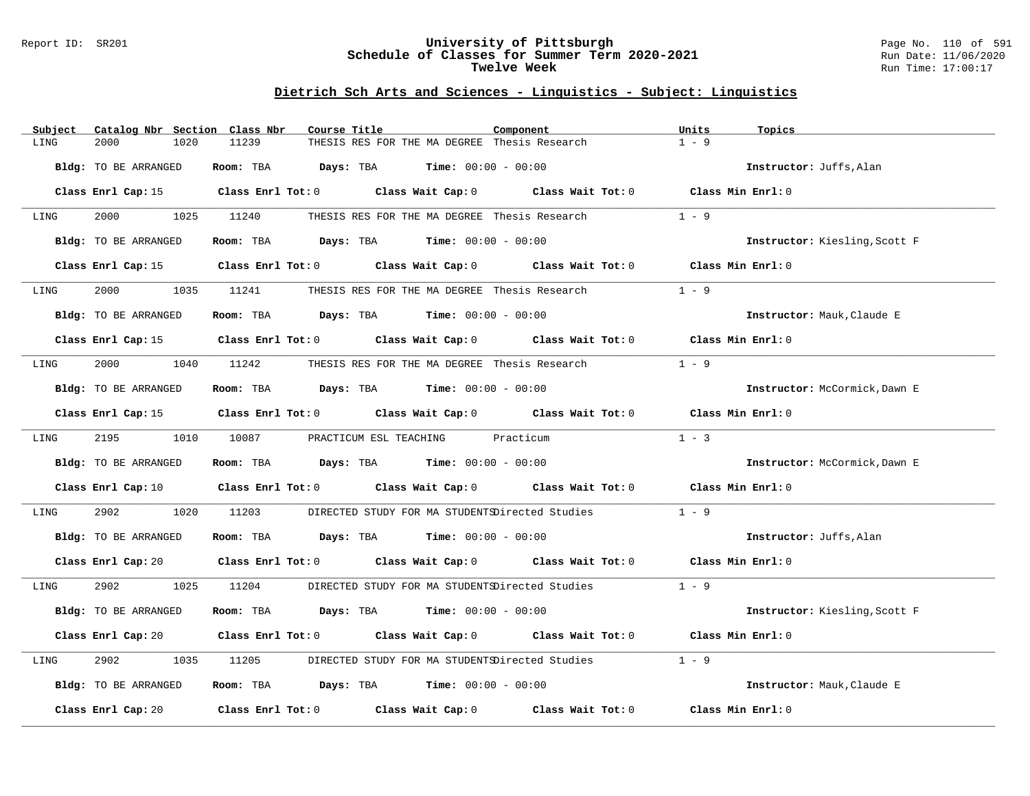#### Report ID: SR201 **University of Pittsburgh** Page No. 110 of 591 **Schedule of Classes for Summer Term 2020-2021** Run Date: 11/06/2020 **Twelve Week Run Time:** 17:00:17

# **Dietrich Sch Arts and Sciences - Linguistics - Subject: Linguistics**

| Catalog Nbr Section Class Nbr<br>Subject | Course Title                                                                                                                   | Component | Units<br>Topics               |
|------------------------------------------|--------------------------------------------------------------------------------------------------------------------------------|-----------|-------------------------------|
| LING<br>2000<br>1020                     | 11239<br>THESIS RES FOR THE MA DEGREE Thesis Research                                                                          |           | $1 - 9$                       |
| Bldg: TO BE ARRANGED                     | Room: TBA<br><b>Days:</b> TBA <b>Time:</b> $00:00 - 00:00$                                                                     |           | Instructor: Juffs, Alan       |
|                                          | Class Enrl Cap: 15 Class Enrl Tot: 0 Class Wait Cap: 0 Class Wait Tot: 0 Class Min Enrl: 0                                     |           |                               |
| 2000 000<br>LING                         | 1025<br>11240<br>THESIS RES FOR THE MA DEGREE Thesis Research                                                                  |           | $1 - 9$                       |
| Bldg: TO BE ARRANGED                     | Room: TBA $Days: TBA$ Time: $00:00 - 00:00$                                                                                    |           | Instructor: Kiesling, Scott F |
| Class Enrl Cap: 15                       | Class Enrl Tot: 0 Class Wait Cap: 0 Class Wait Tot: 0                                                                          |           | Class Min Enrl: 0             |
| 2000<br>1035<br>LING                     | 11241<br>THESIS RES FOR THE MA DEGREE Thesis Research                                                                          |           | $1 - 9$                       |
| Bldg: TO BE ARRANGED                     | Room: TBA $Days:$ TBA $Time: 00:00 - 00:00$                                                                                    |           | Instructor: Mauk, Claude E    |
|                                          | Class Enrl Cap: 15 Class Enrl Tot: 0 Class Wait Cap: 0 Class Wait Tot: 0 Class Min Enrl: 0                                     |           |                               |
| 2000<br>LING                             | 1040 11242<br>THESIS RES FOR THE MA DEGREE Thesis Research                                                                     |           | $1 - 9$                       |
| Bldg: TO BE ARRANGED                     | Room: TBA $Days: TBA$ Time: $00:00 - 00:00$                                                                                    |           | Instructor: McCormick, Dawn E |
| Class Enrl Cap: 15                       | Class Enrl Tot: $0$ Class Wait Cap: $0$ Class Wait Tot: $0$                                                                    |           | Class Min Enrl: 0             |
| 2195<br>LING                             | 1010 10087<br>PRACTICUM ESL TEACHING Practicum                                                                                 |           | $1 - 3$                       |
| Bldg: TO BE ARRANGED                     | Room: TBA $\rule{1em}{0.15mm}$ Days: TBA $\rule{1.5mm}{0.15mm}$ Time: $00:00 - 00:00$                                          |           | Instructor: McCormick, Dawn E |
| Class Enrl Cap: 10                       | Class Enrl Tot: $0$ Class Wait Cap: $0$ Class Wait Tot: $0$                                                                    |           | Class Min Enrl: 0             |
| 2902<br>1020<br>LING                     | 11203<br>DIRECTED STUDY FOR MA STUDENTSDirected Studies                                                                        |           | $1 - 9$                       |
| Bldg: TO BE ARRANGED                     | Room: TBA $Days:$ TBA $Time: 00:00 - 00:00$                                                                                    |           | Instructor: Juffs, Alan       |
|                                          | Class Enrl Cap: 20 $\qquad$ Class Enrl Tot: 0 $\qquad$ Class Wait Cap: 0 $\qquad$ Class Wait Tot: 0 $\qquad$ Class Min Enrl: 0 |           |                               |
| 2902<br>1025<br>LING                     | 11204<br>DIRECTED STUDY FOR MA STUDENTSDirected Studies                                                                        |           | $1 - 9$                       |
| Bldg: TO BE ARRANGED                     | Room: TBA $Days:$ TBA $Time: 00:00 - 00:00$                                                                                    |           | Instructor: Kiesling, Scott F |
|                                          | Class Enrl Cap: 20 Class Enrl Tot: 0 Class Wait Cap: 0 Class Wait Tot: 0                                                       |           | Class Min Enrl: 0             |
| 2902<br>1035<br>LING                     | 11205<br>DIRECTED STUDY FOR MA STUDENTSDirected Studies                                                                        |           | $1 - 9$                       |
| Bldg: TO BE ARRANGED                     | Room: TBA $Days: TBA$ Time: $00:00 - 00:00$                                                                                    |           | Instructor: Mauk, Claude E    |
| Class Enrl Cap: 20                       | Class Enrl Tot: $0$ $Class$ Wait Cap: $0$ $Class$ Wait Tot: $0$                                                                |           | Class Min Enrl: 0             |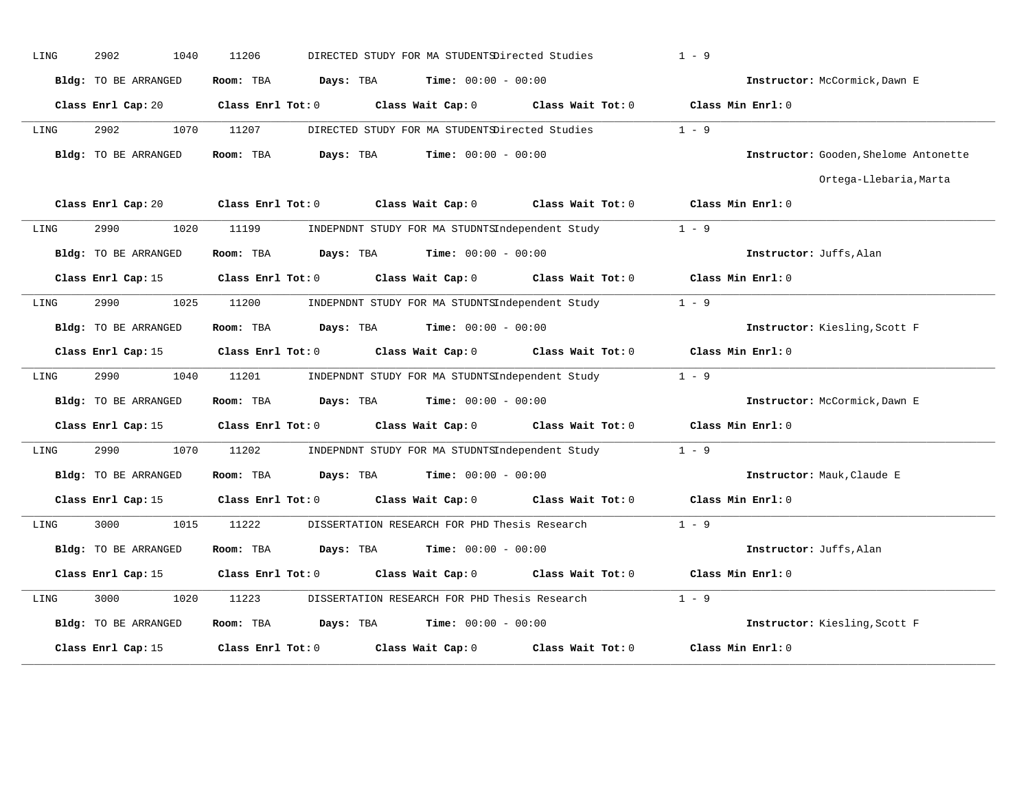| LING | 2902<br>1040         | 11206<br>DIRECTED STUDY FOR MA STUDENTSDirected Studies    |                   | $1 - 9$                               |
|------|----------------------|------------------------------------------------------------|-------------------|---------------------------------------|
|      | Bldg: TO BE ARRANGED | <b>Time:</b> $00:00 - 00:00$<br>Room: TBA<br>Days: TBA     |                   | Instructor: McCormick, Dawn E         |
|      | Class Enrl Cap: 20   | Class Enrl Tot: 0<br>Class Wait Cap: 0 Class Wait Tot: 0   |                   | Class Min Enrl: 0                     |
| LING | 2902<br>1070         | 11207<br>DIRECTED STUDY FOR MA STUDENTSDirected Studies    |                   | $1 - 9$                               |
|      | Bldg: TO BE ARRANGED | Days: TBA<br>$Time: 00:00 - 00:00$<br>Room: TBA            |                   | Instructor: Gooden, Shelome Antonette |
|      |                      |                                                            |                   | Ortega-Llebaria, Marta                |
|      | Class Enrl Cap: 20   | Class Enrl Tot: 0 Class Wait Cap: 0 Class Wait Tot: 0      |                   | Class Min Enrl: 0                     |
| LING | 2990<br>1020         | 11199<br>INDEPNDNT STUDY FOR MA STUDNTSIndependent Study   |                   | $1 - 9$                               |
|      | Bldg: TO BE ARRANGED | <b>Days:</b> TBA <b>Time:</b> $00:00 - 00:00$<br>Room: TBA |                   | Instructor: Juffs, Alan               |
|      | Class Enrl Cap: 15   | Class Enrl Tot: 0<br>Class Wait Cap: 0                     | Class Wait Tot: 0 | Class Min Enrl: 0                     |
| LING | 2990<br>1025         | 11200<br>INDEPNDNT STUDY FOR MA STUDNTSIndependent Study   |                   | $1 - 9$                               |
|      | Bldg: TO BE ARRANGED | Room: TBA<br><b>Days:</b> TBA <b>Time:</b> $00:00 - 00:00$ |                   | Instructor: Kiesling, Scott F         |
|      | Class Enrl Cap: 15   | Class Enrl Tot: 0<br>Class Wait Cap: 0 Class Wait Tot: 0   |                   | Class Min Enrl: 0                     |
| LING | 2990<br>1040         | 11201<br>INDEPNDNT STUDY FOR MA STUDNTSIndependent Study   |                   | $1 - 9$                               |
|      | Bldg: TO BE ARRANGED | <b>Days:</b> TBA <b>Time:</b> $00:00 - 00:00$<br>Room: TBA |                   | Instructor: McCormick, Dawn E         |
|      | Class Enrl Cap: 15   | Class Enrl Tot: 0<br>Class Wait Cap: 0                     | Class Wait Tot: 0 | Class Min Enrl: 0                     |
| LING | 1070<br>2990         | 11202<br>INDEPNDNT STUDY FOR MA STUDNTSIndependent Study   |                   | $1 - 9$                               |
|      | Bldg: TO BE ARRANGED | <b>Days:</b> TBA <b>Time:</b> $00:00 - 00:00$<br>Room: TBA |                   | Instructor: Mauk, Claude E            |
|      | Class Enrl Cap: 15   | Class Enrl Tot: 0<br>Class Wait Cap: 0                     | Class Wait Tot: 0 | Class Min Enrl: 0                     |
| LING | 3000<br>1015         | 11222<br>DISSERTATION RESEARCH FOR PHD Thesis Research     |                   | $1 - 9$                               |
|      | Bldg: TO BE ARRANGED | Room: TBA<br>Davs: TBA<br>$Time: 00:00 - 00:00$            |                   | Instructor: Juffs, Alan               |
|      | Class Enrl Cap: 15   | Class Enrl Tot: 0<br>Class Wait Cap: 0                     | Class Wait Tot: 0 | Class Min Enrl: 0                     |
| LING | 3000<br>1020         | 11223<br>DISSERTATION RESEARCH FOR PHD Thesis Research     |                   | $1 - 9$                               |
|      | Bldg: TO BE ARRANGED | <b>Time:</b> $00:00 - 00:00$<br>Room: TBA<br>Days: TBA     |                   | Instructor: Kiesling, Scott F         |
|      | Class Enrl Cap: 15   | Class Enrl Tot: 0<br>Class Wait Cap: 0                     | Class Wait Tot: 0 | Class Min Enrl: 0                     |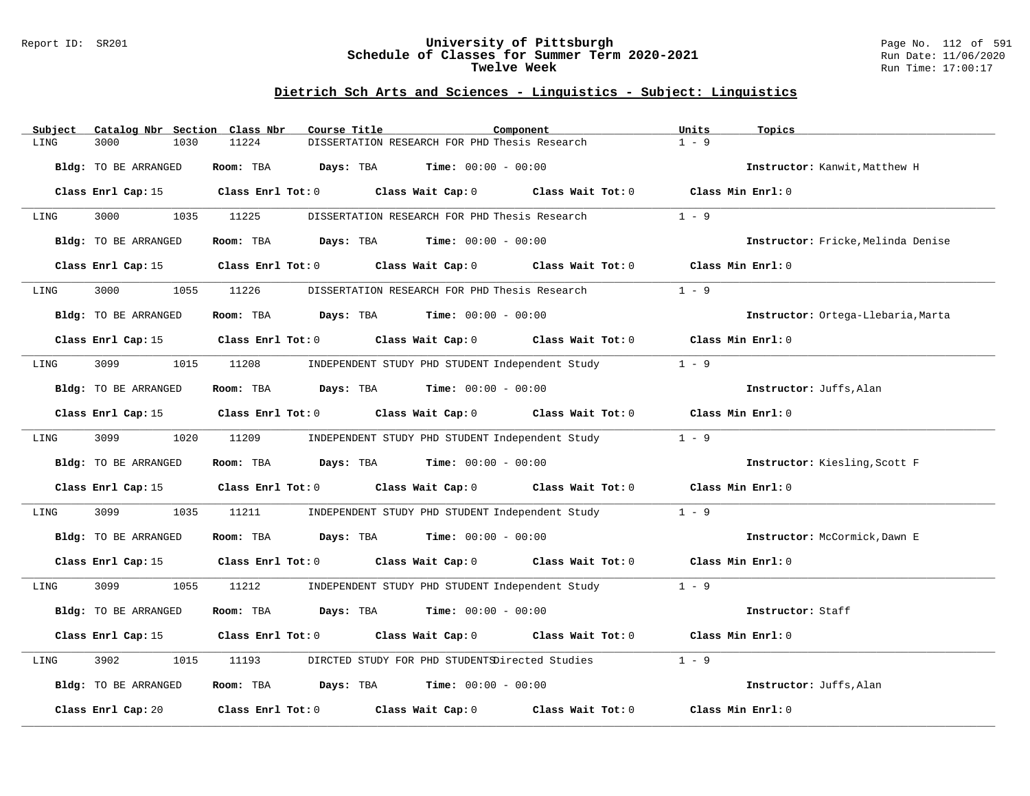#### Report ID: SR201 **University of Pittsburgh** Page No. 112 of 591 **Schedule of Classes for Summer Term 2020-2021** Run Date: 11/06/2020 **Twelve Week Run Time:** 17:00:17

# **Dietrich Sch Arts and Sciences - Linguistics - Subject: Linguistics**

| Catalog Nbr Section Class Nbr<br>Subject | Course Title                                                                               | Component                                       | Units<br>Topics                    |
|------------------------------------------|--------------------------------------------------------------------------------------------|-------------------------------------------------|------------------------------------|
| 3000<br>LING<br>1030                     | 11224<br>DISSERTATION RESEARCH FOR PHD Thesis Research                                     |                                                 | $1 - 9$                            |
| Bldg: TO BE ARRANGED                     | Room: TBA<br>Days: TBA                                                                     | <b>Time:</b> $00:00 - 00:00$                    | Instructor: Kanwit, Matthew H      |
| Class Enrl Cap: 15                       | Class Enrl Tot: $0$ Class Wait Cap: $0$ Class Wait Tot: $0$ Class Min Enrl: $0$            |                                                 |                                    |
| 3000<br>1035<br>LING                     | 11225<br>DISSERTATION RESEARCH FOR PHD Thesis Research                                     |                                                 | $1 - 9$                            |
| Bldg: TO BE ARRANGED                     | Room: TBA<br>$\texttt{Davis:}$ TBA $\texttt{Time:}$ 00:00 - 00:00                          |                                                 | Instructor: Fricke, Melinda Denise |
| Class Enrl Cap: 15                       | Class Enrl Tot: 0 Class Wait Cap: 0 Class Wait Tot: 0                                      |                                                 | Class Min Enrl: 0                  |
| 3000<br>1055<br>LING                     | 11226<br>DISSERTATION RESEARCH FOR PHD Thesis Research                                     |                                                 | $1 - 9$                            |
| Bldg: TO BE ARRANGED                     | Room: TBA $Days:$ TBA $Time: 00:00 - 00:00$                                                |                                                 | Instructor: Ortega-Llebaria, Marta |
|                                          | Class Enrl Cap: 15 Class Enrl Tot: 0 Class Wait Cap: 0 Class Wait Tot: 0 Class Min Enrl: 0 |                                                 |                                    |
| 3099<br>1015<br>LING                     | 11208<br>INDEPENDENT STUDY PHD STUDENT Independent Study                                   |                                                 | $1 - 9$                            |
| Bldg: TO BE ARRANGED                     | Room: TBA $Days: TBA$ Time: $00:00 - 00:00$                                                |                                                 | Instructor: Juffs.Alan             |
| Class Enrl Cap: 15                       | Class Enrl Tot: $0$ Class Wait Cap: $0$ Class Wait Tot: $0$                                |                                                 | Class Min Enrl: 0                  |
| 3099<br>1020<br>LING                     | 11209                                                                                      | INDEPENDENT STUDY PHD STUDENT Independent Study | $1 - 9$                            |
| Bldg: TO BE ARRANGED                     | Room: TBA $Days: TBA$ Time: $00:00 - 00:00$                                                |                                                 | Instructor: Kiesling, Scott F      |
| Class Enrl Cap: 15                       | Class Enrl Tot: 0 Class Wait Cap: 0 Class Wait Tot: 0                                      |                                                 | Class Min Enrl: 0                  |
| 3099<br>1035<br>LING                     | 11211                                                                                      | INDEPENDENT STUDY PHD STUDENT Independent Study | $1 - 9$                            |
| Bldg: TO BE ARRANGED                     | Room: TBA $Days:$ TBA $Time: 00:00 - 00:00$                                                |                                                 | Instructor: McCormick, Dawn E      |
| Class Enrl Cap: 15                       | Class Enrl Tot: 0 Class Wait Cap: 0 Class Wait Tot: 0 Class Min Enrl: 0                    |                                                 |                                    |
| 3099<br>1055<br>LING                     | 11212                                                                                      | INDEPENDENT STUDY PHD STUDENT Independent Study | $1 - 9$                            |
| Bldg: TO BE ARRANGED                     | $\texttt{Davis:}$ TBA $\texttt{Time:}$ 00:00 - 00:00<br>Room: TBA                          |                                                 | Instructor: Staff                  |
| Class Enrl Cap: 15                       | Class Enrl Tot: 0 Class Wait Cap: 0 Class Wait Tot: 0                                      |                                                 | Class Min Enrl: 0                  |
| 3902<br>1015<br>LING                     | 11193<br>DIRCTED STUDY FOR PHD STUDENTSDirected Studies                                    |                                                 | $1 - 9$                            |
| Bldg: TO BE ARRANGED                     | Room: TBA $Days:$ TBA $Time: 00:00 - 00:00$                                                |                                                 | Instructor: Juffs, Alan            |
| Class Enrl Cap: 20                       | Class Enrl Tot: 0 Class Wait Cap: 0                                                        | Class Wait Tot: 0                               | Class Min Enrl: 0                  |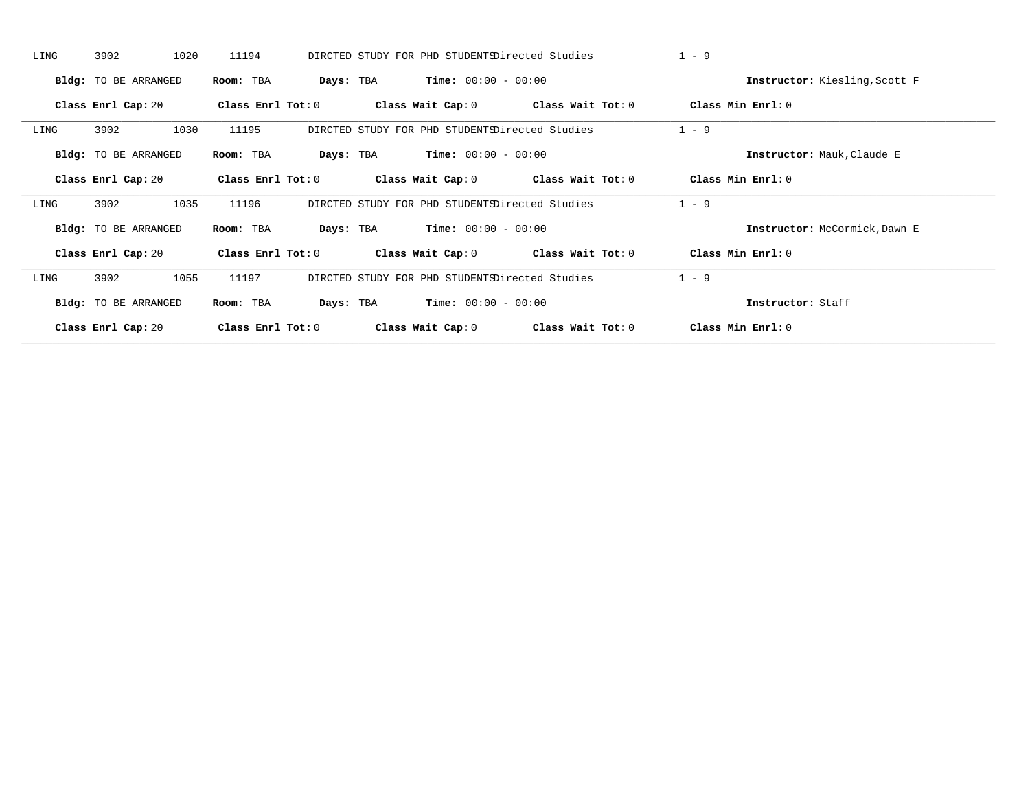| LING | 3902                        | 1020 | 11194               |           | DIRCTED STUDY FOR PHD STUDENTSDirected Studies |                                         | $1 - 9$ |                               |
|------|-----------------------------|------|---------------------|-----------|------------------------------------------------|-----------------------------------------|---------|-------------------------------|
|      | Bldg: TO BE ARRANGED        |      | Room: TBA           | Days: TBA | <b>Time:</b> $00:00 - 00:00$                   |                                         |         | Instructor: Kiesling, Scott F |
|      | Class Enrl Cap: 20          |      | Class Enrl Tot: 0   |           |                                                | Class Wait Cap: $0$ Class Wait Tot: $0$ |         | Class Min Enrl: 0             |
| LING | 3902                        | 1030 | 11195               |           | DIRCTED STUDY FOR PHD STUDENTSDirected Studies |                                         | $1 - 9$ |                               |
|      | Bldg: TO BE ARRANGED        |      | Room: TBA           | Days: TBA | $Time: 00:00 - 00:00$                          |                                         |         | Instructor: Mauk, Claude E    |
|      | Class Enrl Cap: 20          |      | Class Enrl Tot:0    |           |                                                | Class Wait Cap: $0$ Class Wait Tot: $0$ |         | Class Min Enrl: 0             |
| LING | 3902                        | 1035 | 11196               |           | DIRCTED STUDY FOR PHD STUDENTSDirected Studies |                                         | $1 - 9$ |                               |
|      | <b>Bldg:</b> TO BE ARRANGED |      | Room: TBA           | Days: TBA | $Time: 00:00 - 00:00$                          |                                         |         | Instructor: McCormick, Dawn E |
|      | Class Enrl Cap: 20          |      | Class Enrl Tot: $0$ |           |                                                | Class Wait Cap: $0$ Class Wait Tot: $0$ |         | Class Min Enrl: 0             |
| LING | 3902                        | 1055 | 11197               |           | DIRCTED STUDY FOR PHD STUDENTSDirected Studies |                                         | $1 - 9$ |                               |
|      | <b>Bldg:</b> TO BE ARRANGED |      | Room: TBA           | Days: TBA | <b>Time:</b> $00:00 - 00:00$                   |                                         |         | Instructor: Staff             |
|      | Class Enrl Cap: 20          |      | Class Enrl Tot: $0$ |           | Class Wait Cap: 0                              | Class Wait Tot: 0                       |         | Class Min Enrl: 0             |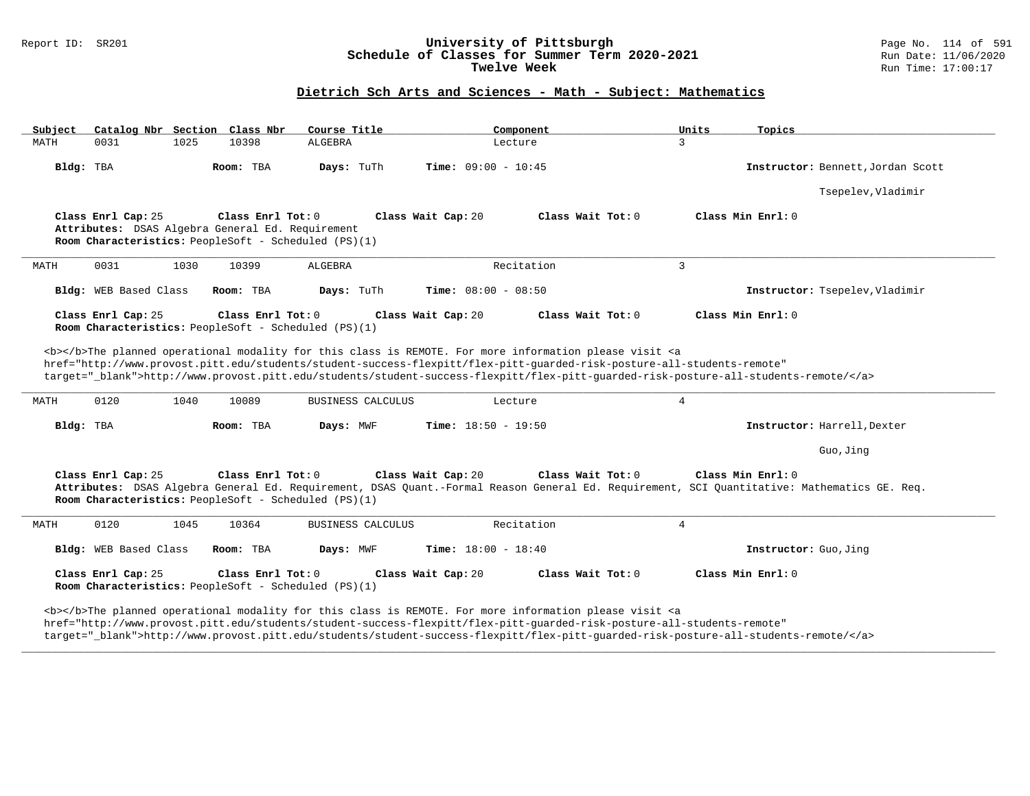# Report ID: SR201 **University of Pittsburgh University of Pittsburgh** Page No. 114 of 591 Page No. 114 of 591 **Schedule of Classes for Summer Term 2020-2021** Run Date: 11/06/2020 Schedule of Classes for Summer Term 2020-2021<br>Twelve Week

### **Dietrich Sch Arts and Sciences - Math - Subject: Mathematics**

| Subject   |                       |      | Catalog Nbr Section Class Nbr                                                                                                 | Course Title             | Component                                                                                                                                                                                                                                                                                                                                                                                          | Units<br>Topics                                                                                                                                                  |
|-----------|-----------------------|------|-------------------------------------------------------------------------------------------------------------------------------|--------------------------|----------------------------------------------------------------------------------------------------------------------------------------------------------------------------------------------------------------------------------------------------------------------------------------------------------------------------------------------------------------------------------------------------|------------------------------------------------------------------------------------------------------------------------------------------------------------------|
| MATH      | 0031                  | 1025 | 10398                                                                                                                         | ALGEBRA                  | Lecture                                                                                                                                                                                                                                                                                                                                                                                            | 3                                                                                                                                                                |
| Bldg: TBA |                       |      | Room: TBA                                                                                                                     | Days: TuTh               | <b>Time:</b> $09:00 - 10:45$                                                                                                                                                                                                                                                                                                                                                                       | Instructor: Bennett, Jordan Scott                                                                                                                                |
|           |                       |      |                                                                                                                               |                          |                                                                                                                                                                                                                                                                                                                                                                                                    | Tsepelev, Vladimir                                                                                                                                               |
|           | Class Enrl Cap: 25    |      | Class Enrl Tot: 0<br>Attributes: DSAS Algebra General Ed. Requirement<br>Room Characteristics: PeopleSoft - Scheduled (PS)(1) |                          | Class Wait Cap: 20<br>Class Wait Tot: 0                                                                                                                                                                                                                                                                                                                                                            | Class Min Enrl: 0                                                                                                                                                |
| MATH      | 0031                  | 1030 | 10399                                                                                                                         | ALGEBRA                  | Recitation                                                                                                                                                                                                                                                                                                                                                                                         | $\mathbf{3}$                                                                                                                                                     |
|           | Bldg: WEB Based Class |      | Room: TBA                                                                                                                     | Days: TuTh               | Time: $08:00 - 08:50$                                                                                                                                                                                                                                                                                                                                                                              | Instructor: Tsepelev, Vladimir                                                                                                                                   |
|           | Class Enrl Cap: 25    |      | Class Enrl Tot: 0<br>Room Characteristics: PeopleSoft - Scheduled (PS)(1)                                                     |                          | Class Wait Cap: 20<br>Class Wait Tot: 0                                                                                                                                                                                                                                                                                                                                                            | Class Min Enrl: 0                                                                                                                                                |
| MATH      | 0120                  | 1040 | 10089                                                                                                                         | <b>BUSINESS CALCULUS</b> | <b></b> >>>>The planned operational modality for this class is REMOTE. For more information please visit <a<br>href="http://www.provost.pitt.edu/students/student-success-flexpitt/flex-pitt-quarded-risk-posture-all-students-remote"<br/>target="_blank"&gt;http://www.provost.pitt.edu/students/student-success-flexpitt/flex-pitt-guarded-risk-posture-all-students-remote/<br/>Lecture</a<br> | $\overline{4}$                                                                                                                                                   |
| Bldg: TBA |                       |      | Room: TBA                                                                                                                     | Days: MWF                | <b>Time:</b> $18:50 - 19:50$                                                                                                                                                                                                                                                                                                                                                                       | Instructor: Harrell, Dexter                                                                                                                                      |
|           |                       |      |                                                                                                                               |                          |                                                                                                                                                                                                                                                                                                                                                                                                    | Guo, Jing                                                                                                                                                        |
|           | Class Enrl Cap: 25    |      | Class Enrl Tot: $0$<br>Room Characteristics: PeopleSoft - Scheduled (PS)(1)                                                   |                          | Class Wait Cap: 20<br>Class Wait Tot: 0                                                                                                                                                                                                                                                                                                                                                            | Class Min Enrl: 0<br>Attributes: DSAS Algebra General Ed. Requirement, DSAS Quant.-Formal Reason General Ed. Requirement, SCI Quantitative: Mathematics GE. Req. |
| MATH      | 0120                  | 1045 | 10364                                                                                                                         | BUSINESS CALCULUS        | Recitation                                                                                                                                                                                                                                                                                                                                                                                         | 4                                                                                                                                                                |
|           | Bldg: WEB Based Class |      | Room: TBA                                                                                                                     | Days: MWF                | <b>Time:</b> $18:00 - 18:40$                                                                                                                                                                                                                                                                                                                                                                       | Instructor: Guo, Jing                                                                                                                                            |
|           | Class Enrl Cap: 25    |      | Class Enrl Tot: 0<br>Room Characteristics: PeopleSoft - Scheduled (PS)(1)                                                     |                          | Class Wait Cap: 20<br>Class Wait Tot: 0                                                                                                                                                                                                                                                                                                                                                            | Class Min Enrl: 0                                                                                                                                                |
|           |                       |      |                                                                                                                               |                          | <b></b> The planned operational modality for this class is REMOTE. For more information please visit <a<br>href="http://www.provost.pitt.edu/students/student-success-flexpitt/flex-pitt-quarded-risk-posture-all-students-remote"</a<br>                                                                                                                                                          |                                                                                                                                                                  |

target="\_blank">http://www.provost.pitt.edu/students/student-success-flexpitt/flex-pitt-guarded-risk-posture-all-students-remote/</a>

**\_\_\_\_\_\_\_\_\_\_\_\_\_\_\_\_\_\_\_\_\_\_\_\_\_\_\_\_\_\_\_\_\_\_\_\_\_\_\_\_\_\_\_\_\_\_\_\_\_\_\_\_\_\_\_\_\_\_\_\_\_\_\_\_\_\_\_\_\_\_\_\_\_\_\_\_\_\_\_\_\_\_\_\_\_\_\_\_\_\_\_\_\_\_\_\_\_\_\_\_\_\_\_\_\_\_\_\_\_\_\_\_\_\_\_\_\_\_\_\_\_\_\_\_\_\_\_\_\_\_\_\_\_\_\_\_\_\_\_\_\_\_\_\_\_\_\_\_\_\_\_\_\_\_\_\_**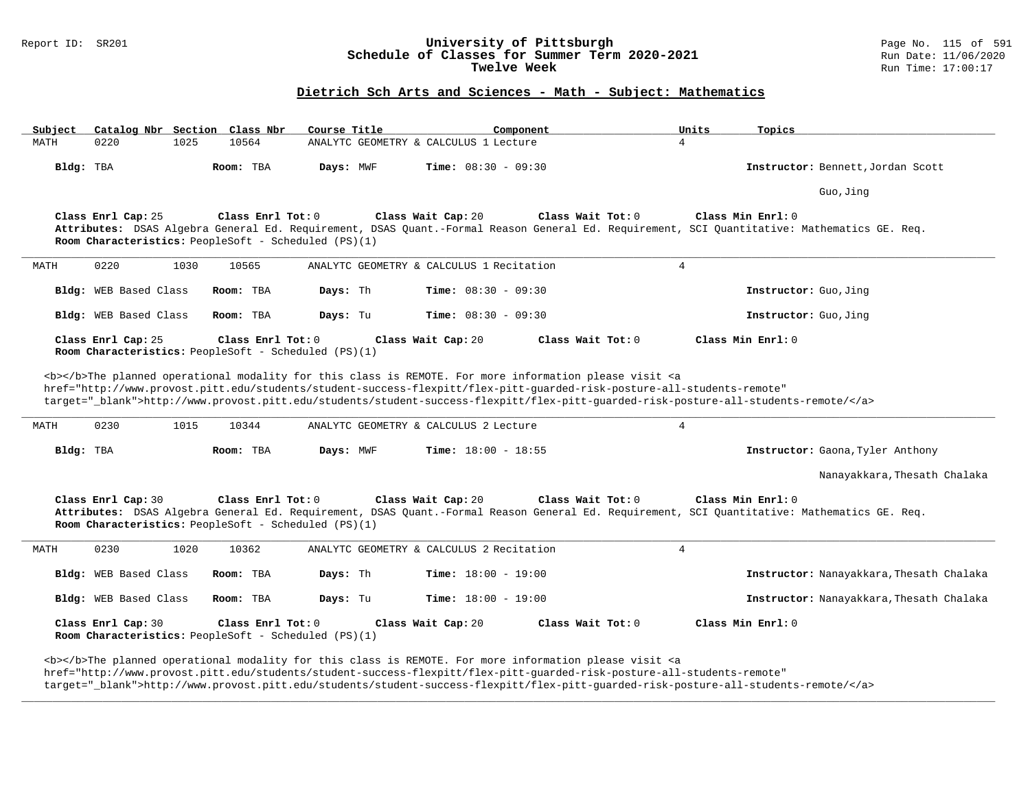# Report ID: SR201 **1988 Manusia Construment Bandwin Construment Construment Page No. 115 of 591** Page No. 115 of 591<br>**Schedule of Classes for Summer Term 2020-2021** Run Date: 11/06/2020 Schedule of Classes for Summer Term 2020-2021<br>Twelve Week

#### **Dietrich Sch Arts and Sciences - Math - Subject: Mathematics**

| Subject | Catalog Nbr Section Class Nbr                                              |      |                   | Course Title |                                          | Component                                                                                                                                                                                                                                                                                                                                                                          | Units             | Topics                                                                                                                                      |
|---------|----------------------------------------------------------------------------|------|-------------------|--------------|------------------------------------------|------------------------------------------------------------------------------------------------------------------------------------------------------------------------------------------------------------------------------------------------------------------------------------------------------------------------------------------------------------------------------------|-------------------|---------------------------------------------------------------------------------------------------------------------------------------------|
| MATH    | 0220                                                                       | 1025 | 10564             |              | ANALYTC GEOMETRY & CALCULUS 1 Lecture    |                                                                                                                                                                                                                                                                                                                                                                                    | $\overline{4}$    |                                                                                                                                             |
|         | Bldg: TBA                                                                  |      | Room: TBA         | Days: MWF    | Time: $08:30 - 09:30$                    |                                                                                                                                                                                                                                                                                                                                                                                    |                   | Instructor: Bennett, Jordan Scott                                                                                                           |
|         |                                                                            |      |                   |              |                                          |                                                                                                                                                                                                                                                                                                                                                                                    |                   | Guo, Jinq                                                                                                                                   |
|         | Class Enrl Cap: 25<br>Room Characteristics: PeopleSoft - Scheduled (PS)(1) |      | Class Enrl Tot: 0 |              | Class Wait Cap: 20                       | Class Wait Tot: 0                                                                                                                                                                                                                                                                                                                                                                  | Class Min Enrl: 0 | Attributes: DSAS Algebra General Ed. Requirement, DSAS Quant.-Formal Reason General Ed. Requirement, SCI Quantitative: Mathematics GE. Req. |
| MATH    | 0220                                                                       | 1030 | 10565             |              | ANALYTC GEOMETRY & CALCULUS 1 Recitation |                                                                                                                                                                                                                                                                                                                                                                                    | $\overline{4}$    |                                                                                                                                             |
|         | Bldg: WEB Based Class                                                      |      | Room: TBA         | Days: Th     | <b>Time:</b> $08:30 - 09:30$             |                                                                                                                                                                                                                                                                                                                                                                                    |                   | Instructor: Guo, Jing                                                                                                                       |
|         | Bldg: WEB Based Class                                                      |      | Room: TBA         | Days: Tu     | <b>Time:</b> $08:30 - 09:30$             |                                                                                                                                                                                                                                                                                                                                                                                    |                   | Instructor: Guo, Jing                                                                                                                       |
|         | Class Enrl Cap: 25<br>Room Characteristics: PeopleSoft - Scheduled (PS)(1) |      | Class Enrl Tot: 0 |              | Class Wait Cap: 20                       | Class Wait Tot: 0                                                                                                                                                                                                                                                                                                                                                                  | Class Min Enrl: 0 |                                                                                                                                             |
| MATH    | 0230                                                                       | 1015 | 10344             |              | ANALYTC GEOMETRY & CALCULUS 2 Lecture    | <b></b> The planned operational modality for this class is REMOTE. For more information please visit <a<br>href="http://www.provost.pitt.edu/students/student-success-flexpitt/flex-pitt-guarded-risk-posture-all-students-remote"<br/>target="_blank"&gt;http://www.provost.pitt.edu/students/student-success-flexpitt/flex-pitt-quarded-risk-posture-all-students-remote/</a<br> | $\overline{4}$    |                                                                                                                                             |
|         | Bldg: TBA                                                                  |      | Room: TBA         | Days: MWF    | <b>Time:</b> $18:00 - 18:55$             |                                                                                                                                                                                                                                                                                                                                                                                    |                   | Instructor: Gaona, Tyler Anthony                                                                                                            |
|         |                                                                            |      |                   |              |                                          |                                                                                                                                                                                                                                                                                                                                                                                    |                   | Nanayakkara, Thesath Chalaka                                                                                                                |
|         | Class Enrl Cap: 30<br>Room Characteristics: PeopleSoft - Scheduled (PS)(1) |      | Class Enrl Tot: 0 |              | Class Wait Cap: 20                       | Class Wait Tot: 0                                                                                                                                                                                                                                                                                                                                                                  | Class Min Enrl: 0 | Attributes: DSAS Algebra General Ed. Requirement, DSAS Quant.-Formal Reason General Ed. Requirement, SCI Quantitative: Mathematics GE. Req. |
| MATH    | 0230                                                                       | 1020 | 10362             |              | ANALYTC GEOMETRY & CALCULUS 2 Recitation |                                                                                                                                                                                                                                                                                                                                                                                    | $\overline{4}$    |                                                                                                                                             |
|         | Bldg: WEB Based Class                                                      |      | Room: TBA         | Days: Th     | <b>Time:</b> $18:00 - 19:00$             |                                                                                                                                                                                                                                                                                                                                                                                    |                   | Instructor: Nanayakkara, Thesath Chalaka                                                                                                    |
|         | Bldg: WEB Based Class                                                      |      | Room: TBA         | Days: Tu     | <b>Time:</b> $18:00 - 19:00$             |                                                                                                                                                                                                                                                                                                                                                                                    |                   | Instructor: Nanayakkara, Thesath Chalaka                                                                                                    |
|         |                                                                            |      |                   |              |                                          |                                                                                                                                                                                                                                                                                                                                                                                    |                   |                                                                                                                                             |
|         | Class Enrl Cap: 30<br>Room Characteristics: PeopleSoft - Scheduled (PS)(1) |      | Class Enrl Tot: 0 |              | Class Wait Cap: 20                       | Class Wait Tot: 0                                                                                                                                                                                                                                                                                                                                                                  | Class Min Enrl: 0 |                                                                                                                                             |

href="http://www.provost.pitt.edu/students/student-success-flexpitt/flex-pitt-guarded-risk-posture-all-students-remote"

target="\_blank">http://www.provost.pitt.edu/students/student-success-flexpitt/flex-pitt-guarded-risk-posture-all-students-remote/</a>

**\_\_\_\_\_\_\_\_\_\_\_\_\_\_\_\_\_\_\_\_\_\_\_\_\_\_\_\_\_\_\_\_\_\_\_\_\_\_\_\_\_\_\_\_\_\_\_\_\_\_\_\_\_\_\_\_\_\_\_\_\_\_\_\_\_\_\_\_\_\_\_\_\_\_\_\_\_\_\_\_\_\_\_\_\_\_\_\_\_\_\_\_\_\_\_\_\_\_\_\_\_\_\_\_\_\_\_\_\_\_\_\_\_\_\_\_\_\_\_\_\_\_\_\_\_\_\_\_\_\_\_\_\_\_\_\_\_\_\_\_\_\_\_\_\_\_\_\_\_\_\_\_\_\_\_\_**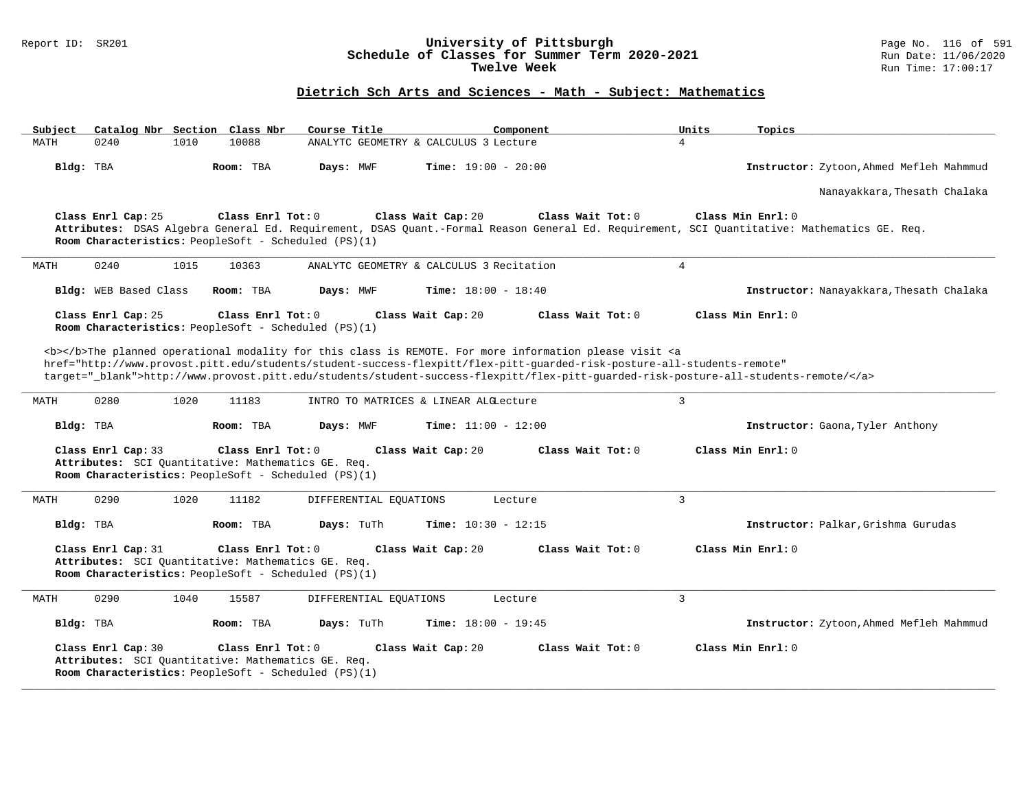#### Report ID: SR201 **University of Pittsburgh** Page No. 116 of 591 **Schedule of Classes for Summer Term 2020-2021** Run Date: 11/06/2020 **Twelve Week Run Time:** 17:00:17

# **Dietrich Sch Arts and Sciences - Math - Subject: Mathematics**

| Subject   |                       |      | Catalog Nbr Section Class Nbr                                                                                                     | Course Title                                         | Component                                                                                                                                                                                                                                                                                                                                                                          | Units          | Topics                                                                                                                                                           |
|-----------|-----------------------|------|-----------------------------------------------------------------------------------------------------------------------------------|------------------------------------------------------|------------------------------------------------------------------------------------------------------------------------------------------------------------------------------------------------------------------------------------------------------------------------------------------------------------------------------------------------------------------------------------|----------------|------------------------------------------------------------------------------------------------------------------------------------------------------------------|
| MATH      | 0240                  | 1010 | 10088                                                                                                                             |                                                      | ANALYTC GEOMETRY & CALCULUS 3 Lecture                                                                                                                                                                                                                                                                                                                                              | $\overline{4}$ |                                                                                                                                                                  |
| Bldg: TBA |                       |      | Room: TBA                                                                                                                         | Days: MWF                                            | <b>Time:</b> $19:00 - 20:00$                                                                                                                                                                                                                                                                                                                                                       |                | Instructor: Zytoon, Ahmed Mefleh Mahmmud                                                                                                                         |
|           |                       |      |                                                                                                                                   |                                                      |                                                                                                                                                                                                                                                                                                                                                                                    |                | Nanayakkara, Thesath Chalaka                                                                                                                                     |
|           | Class Enrl Cap: 25    |      | Class Enrl Tot: 0                                                                                                                 | Room Characteristics: PeopleSoft - Scheduled (PS)(1) | Class Wait Cap: 20<br>Class Wait Tot: 0                                                                                                                                                                                                                                                                                                                                            |                | Class Min Enrl: 0<br>Attributes: DSAS Algebra General Ed. Requirement, DSAS Quant.-Formal Reason General Ed. Requirement, SCI Quantitative: Mathematics GE. Req. |
| MATH      | 0240                  | 1015 | 10363                                                                                                                             |                                                      | ANALYTC GEOMETRY & CALCULUS 3 Recitation                                                                                                                                                                                                                                                                                                                                           | $\overline{4}$ |                                                                                                                                                                  |
|           | Bldg: WEB Based Class |      | Room: TBA                                                                                                                         | Days: MWF                                            | <b>Time:</b> $18:00 - 18:40$                                                                                                                                                                                                                                                                                                                                                       |                | Instructor: Nanayakkara, Thesath Chalaka                                                                                                                         |
|           | Class Enrl Cap: 25    |      | Class Enrl Tot: 0<br>Room Characteristics: PeopleSoft - Scheduled (PS)(1)                                                         |                                                      | Class Wait Cap: 20<br>Class Wait $Tot: 0$                                                                                                                                                                                                                                                                                                                                          |                | Class Min Enrl: 0                                                                                                                                                |
|           |                       |      |                                                                                                                                   |                                                      | <b></b> The planned operational modality for this class is REMOTE. For more information please visit <a<br>href="http://www.provost.pitt.edu/students/student-success-flexpitt/flex-pitt-quarded-risk-posture-all-students-remote"<br/>target="_blank"&gt;http://www.provost.pitt.edu/students/student-success-flexpitt/flex-pitt-guarded-risk-posture-all-students-remote/</a<br> |                |                                                                                                                                                                  |
| MATH      | 0280                  | 1020 | 11183                                                                                                                             |                                                      | INTRO TO MATRICES & LINEAR ALGLecture                                                                                                                                                                                                                                                                                                                                              | $\overline{3}$ |                                                                                                                                                                  |
| Bldg: TBA |                       |      | Room: TBA                                                                                                                         | Days: MWF                                            | Time: $11:00 - 12:00$                                                                                                                                                                                                                                                                                                                                                              |                | Instructor: Gaona, Tyler Anthony                                                                                                                                 |
|           | Class Enrl Cap: 33    |      | Class Enrl Tot: 0<br>Attributes: SCI Ouantitative: Mathematics GE. Req.<br>Room Characteristics: PeopleSoft - Scheduled (PS)(1)   |                                                      | Class Wait Cap: 20<br>Class Wait Tot: 0                                                                                                                                                                                                                                                                                                                                            |                | Class Min Enrl: 0                                                                                                                                                |
| MATH      | 0290                  | 1020 | 11182                                                                                                                             | DIFFERENTIAL EQUATIONS                               | Lecture                                                                                                                                                                                                                                                                                                                                                                            | 3              |                                                                                                                                                                  |
| Bldg: TBA |                       |      | Room: TBA                                                                                                                         | Days: TuTh                                           | Time: $10:30 - 12:15$                                                                                                                                                                                                                                                                                                                                                              |                | Instructor: Palkar, Grishma Gurudas                                                                                                                              |
|           | Class Enrl Cap: 31    |      | Class Enrl Tot: $0$<br>Attributes: SCI Quantitative: Mathematics GE. Req.<br>Room Characteristics: PeopleSoft - Scheduled (PS)(1) |                                                      | Class Wait Cap: 20<br>Class Wait Tot: 0                                                                                                                                                                                                                                                                                                                                            |                | Class Min Enrl: 0                                                                                                                                                |
| MATH      | 0290                  | 1040 | 15587                                                                                                                             | DIFFERENTIAL EQUATIONS                               | Lecture                                                                                                                                                                                                                                                                                                                                                                            | $\overline{3}$ |                                                                                                                                                                  |
| Bldg: TBA |                       |      | Room: TBA                                                                                                                         | Days: TuTh                                           | Time: $18:00 - 19:45$                                                                                                                                                                                                                                                                                                                                                              |                | Instructor: Zytoon, Ahmed Mefleh Mahmmud                                                                                                                         |
|           | Class Enrl Cap: 30    |      | Class Enrl Tot: $0$<br>Attributes: SCI Ouantitative: Mathematics GE. Req.<br>Room Characteristics: PeopleSoft - Scheduled (PS)(1) |                                                      | Class Wait Tot: 0<br>Class Wait Cap: 20                                                                                                                                                                                                                                                                                                                                            |                | Class Min Enrl: 0                                                                                                                                                |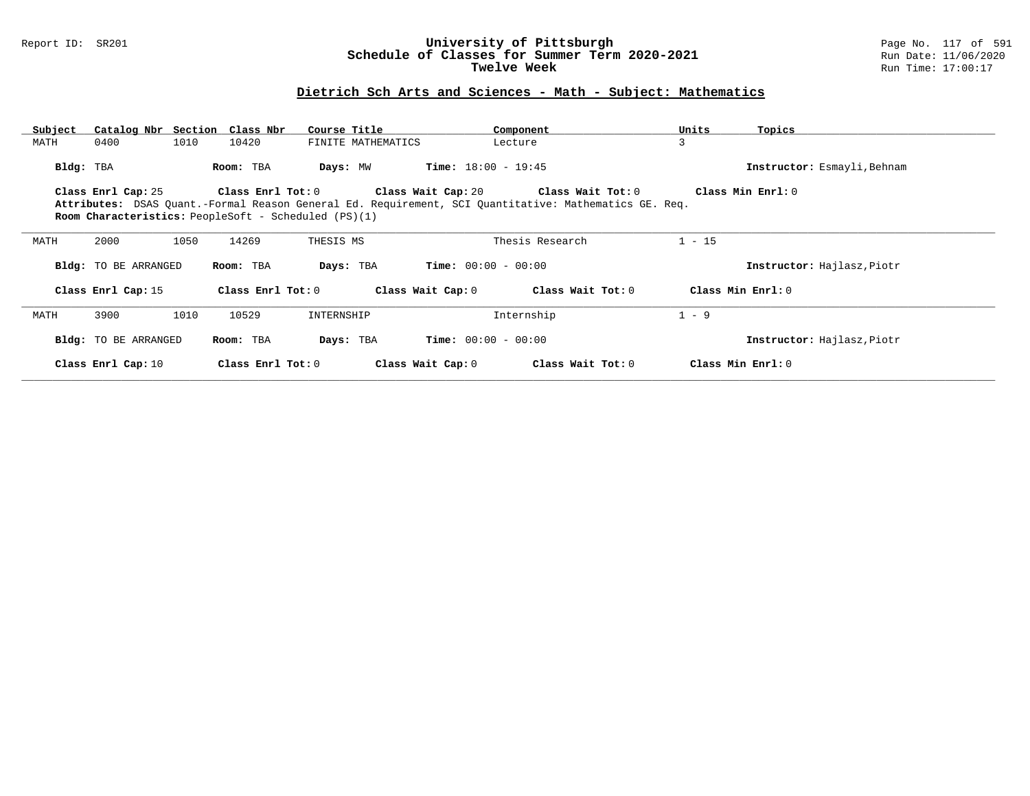#### Report ID: SR201 **University of Pittsburgh** Page No. 117 of 591 **Schedule of Classes for Summer Term 2020-2021** Run Date: 11/06/2020 **Twelve Week Run Time:** 17:00:17

### **Dietrich Sch Arts and Sciences - Math - Subject: Mathematics**

| Subject   | Catalog Nbr Section Class Nbr |      |                   | Course Title                                                |                              | Component                                                                                             | Units    | Topics                      |
|-----------|-------------------------------|------|-------------------|-------------------------------------------------------------|------------------------------|-------------------------------------------------------------------------------------------------------|----------|-----------------------------|
| MATH      | 0400                          | 1010 | 10420             | FINITE MATHEMATICS                                          |                              | Lecture                                                                                               | 3        |                             |
| Bldg: TBA |                               |      | Room: TBA         | Days: MW                                                    | <b>Time:</b> $18:00 - 19:45$ |                                                                                                       |          | Instructor: Esmayli, Behnam |
|           | Class Enrl Cap: 25            |      | Class Enrl Tot: 0 |                                                             | Class Wait Cap: 20           | Class Wait Tot: 0                                                                                     |          | Class Min Enrl: 0           |
|           |                               |      |                   |                                                             |                              | Attributes: DSAS Quant.-Formal Reason General Ed. Requirement, SCI Quantitative: Mathematics GE. Req. |          |                             |
|           |                               |      |                   | <b>Room Characteristics:</b> PeopleSoft - Scheduled (PS)(1) |                              |                                                                                                       |          |                             |
| MATH      | 2000                          | 1050 | 14269             | THESIS MS                                                   |                              | Thesis Research                                                                                       | $1 - 15$ |                             |
|           | Bldg: TO BE ARRANGED          |      | Room: TBA         | Days: TBA                                                   | <b>Time:</b> $00:00 - 00:00$ |                                                                                                       |          | Instructor: Hajlasz, Piotr  |
|           | Class Enrl Cap: 15            |      | Class Enrl Tot: 0 |                                                             | Class Wait Cap: 0            | Class Wait Tot: 0                                                                                     |          | Class Min Enrl: $0$         |
| MATH      | 3900                          | 1010 | 10529             | INTERNSHIP                                                  |                              | Internship                                                                                            | $1 - 9$  |                             |
|           | Bldg: TO BE ARRANGED          |      | Room: TBA         | Days: TBA                                                   | <b>Time:</b> $00:00 - 00:00$ |                                                                                                       |          | Instructor: Hajlasz, Piotr  |
|           | Class Enrl Cap: 10            |      | Class Enrl Tot: 0 |                                                             | Class Wait Cap: 0            | Class Wait Tot: 0                                                                                     |          | Class Min Enrl: 0           |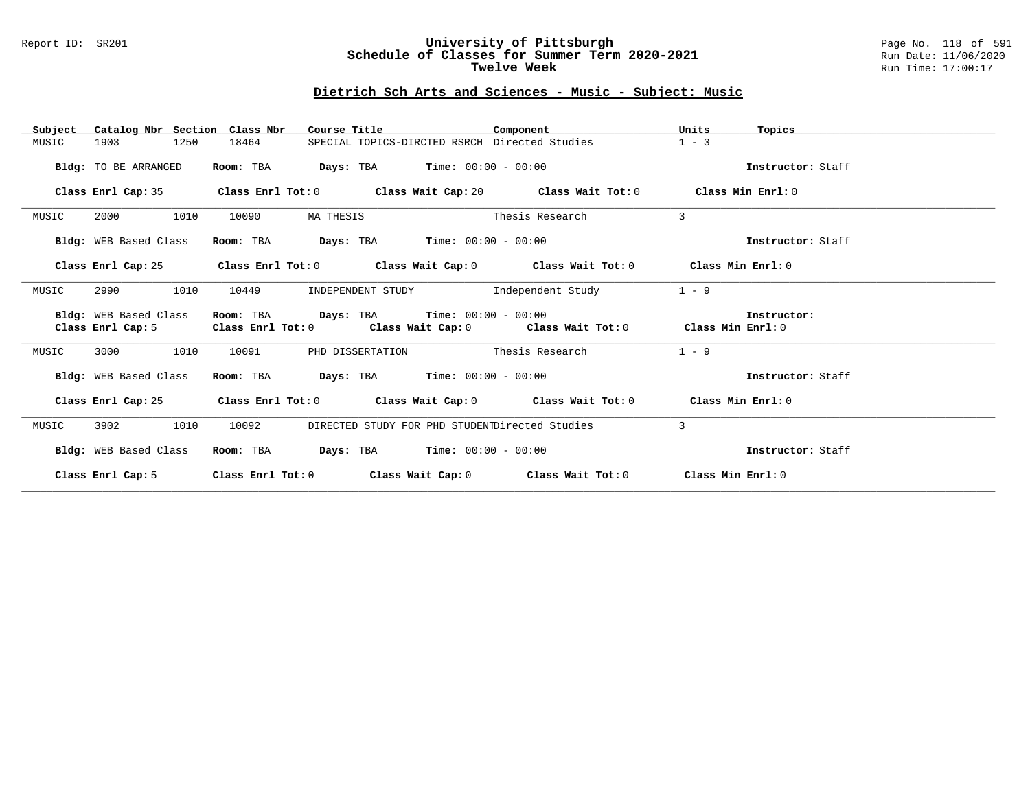#### Report ID: SR201 **University of Pittsburgh** Page No. 118 of 591 **Schedule of Classes for Summer Term 2020-2021** Run Date: 11/06/2020 **Twelve Week Run Time:** 17:00:17

# **Dietrich Sch Arts and Sciences - Music - Subject: Music**

| Catalog Nbr Section Class Nbr<br>Subject   | Course Title                                                                       | Component                                                                                          | Units<br>Topics   |
|--------------------------------------------|------------------------------------------------------------------------------------|----------------------------------------------------------------------------------------------------|-------------------|
| 1250<br>MUSIC<br>1903                      | 18464                                                                              | SPECIAL TOPICS-DIRCTED RSRCH Directed Studies                                                      | $1 - 3$           |
| Bldg: TO BE ARRANGED                       | Room: TBA                                                                          | <b>Days:</b> TBA <b>Time:</b> $00:00 - 00:00$                                                      | Instructor: Staff |
|                                            |                                                                                    | Class Enrl Cap: 35 Class Enrl Tot: 0 Class Wait Cap: 20 Class Wait Tot: 0 Class Min Enrl: 0        |                   |
| 1010<br>2000<br>MUSIC                      | 10090<br>MA THESIS                                                                 | Thesis Research                                                                                    | 3                 |
| Bldg: WEB Based Class                      | Room: TBA $Days:$ TBA $Time: 00:00 - 00:00$                                        |                                                                                                    | Instructor: Staff |
| Class Enrl Cap: 25                         |                                                                                    | Class Enrl Tot: 0 $\qquad$ Class Wait Cap: 0 $\qquad$ Class Wait Tot: 0 $\qquad$ Class Min Enrl: 0 |                   |
| 2990<br>1010<br>MUSIC                      | 10449<br>INDEPENDENT STUDY                                                         | Independent Study                                                                                  | $1 - 9$           |
| Bldg: WEB Based Class<br>Class Enrl Cap: 5 | Room: TBA $Days:$ TBA $Time: 00:00 - 00:00$<br>Class Enrl Tot: 0 Class Wait Cap: 0 | Class Wait Tot: $0$ Class Min Enrl: $0$                                                            | Instructor:       |
| 1010<br>MUSIC<br>3000                      | 10091                                                                              | PHD DISSERTATION Thesis Research                                                                   | $1 - 9$           |
| Bldg: WEB Based Class                      | Room: TBA                                                                          | <b>Days:</b> TBA <b>Time:</b> $00:00 - 00:00$                                                      | Instructor: Staff |
|                                            |                                                                                    | Class Enrl Cap: 25 Class Enrl Tot: 0 Class Wait Cap: 0 Class Wait Tot: 0 Class Min Enrl: 0         |                   |
| 1010<br>3902<br>MUSIC                      | 10092                                                                              | DIRECTED STUDY FOR PHD STUDENTDirected Studies                                                     | 3                 |
| Bldg: WEB Based Class                      | Room: TBA                                                                          | <b>Days:</b> TBA <b>Time:</b> $00:00 - 00:00$                                                      | Instructor: Staff |
|                                            |                                                                                    | Class Enrl Cap: 5 Class Enrl Tot: 0 Class Wait Cap: 0 Class Wait Tot: 0 Class Min Enrl: 0          |                   |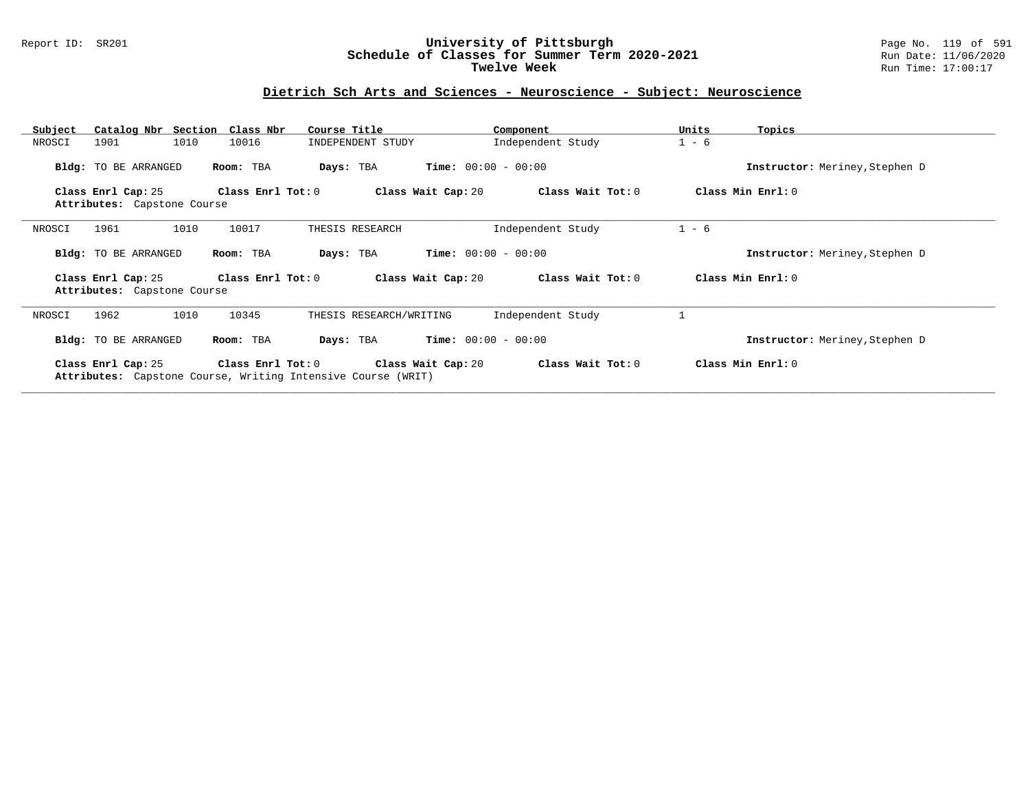#### Report ID: SR201 **University of Pittsburgh** Page No. 119 of 591 **Schedule of Classes for Summer Term 2020-2021** Run Date: 11/06/2020 **Twelve Week Run Time:** 17:00:17

### **Dietrich Sch Arts and Sciences - Neuroscience - Subject: Neuroscience**

| Catalog Nbr Section Class Nbr<br>Subject          | Course Title                                                                      | Component                                    | Units<br>Topics                |
|---------------------------------------------------|-----------------------------------------------------------------------------------|----------------------------------------------|--------------------------------|
| 1010<br>1901<br>NROSCI                            | 10016<br>INDEPENDENT STUDY                                                        | Independent Study                            | $1 - 6$                        |
| Bldg: TO BE ARRANGED                              | Room: TBA<br>Days: TBA                                                            | <b>Time:</b> $00:00 - 00:00$                 | Instructor: Meriney, Stephen D |
| Class Enrl Cap: 25<br>Attributes: Capstone Course | Class Enrl Tot: 0                                                                 | Class Wait Tot: 0<br>Class Wait Cap: 20      | Class Min Enrl: 0              |
| 1961<br>1010<br>NROSCI                            | 10017<br>THESIS RESEARCH                                                          | Independent Study                            | $1 - 6$                        |
| Bldg: TO BE ARRANGED                              | Room: TBA<br>Days: TBA                                                            | <b>Time:</b> $00:00 - 00:00$                 | Instructor: Meriney, Stephen D |
| Class Enrl Cap: 25<br>Attributes: Capstone Course | Class Enrl Tot: $0$                                                               | Class Wait Cap: 20<br>Class Wait Tot: 0      | Class Min Enrl: 0              |
| 1962<br>1010<br>NROSCI                            | 10345                                                                             | Independent Study<br>THESIS RESEARCH/WRITING |                                |
| Bldg: TO BE ARRANGED                              | Room: TBA<br>Days: TBA                                                            | <b>Time:</b> $00:00 - 00:00$                 | Instructor: Meriney, Stephen D |
| Class Enrl Cap: 25                                | Class Enrl Tot: 0<br>Attributes: Capstone Course, Writing Intensive Course (WRIT) | Class Wait Cap: 20<br>Class Wait Tot: 0      | Class Min Enrl: 0              |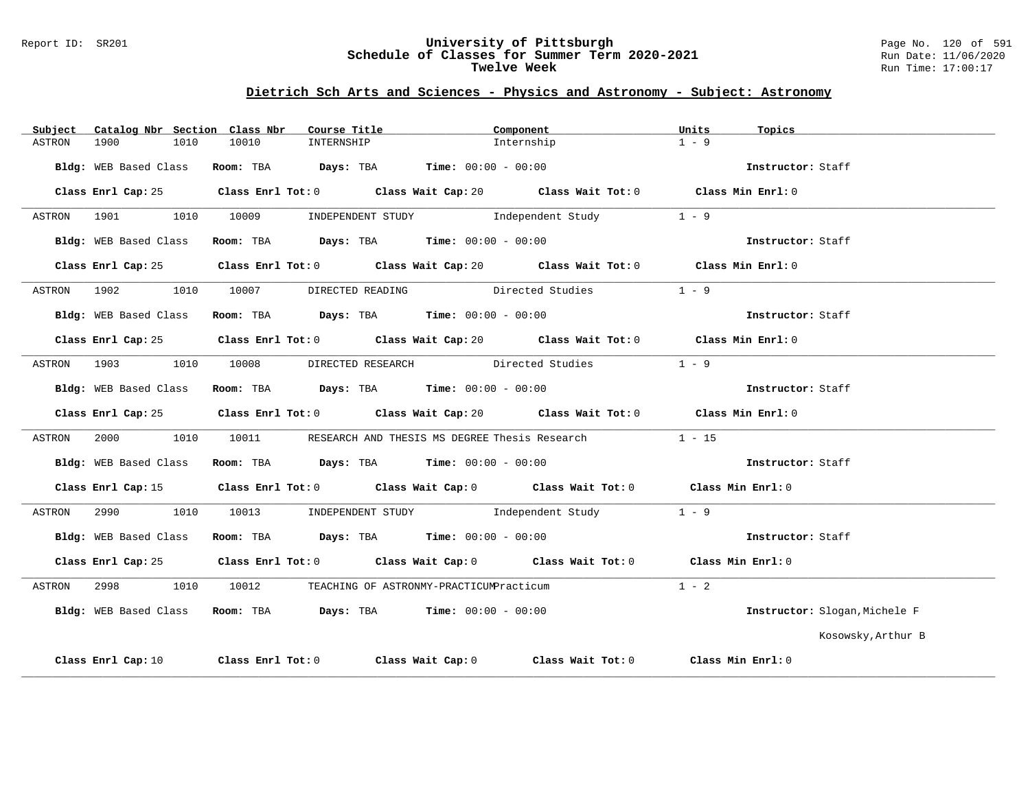#### Report ID: SR201 **University of Pittsburgh** Page No. 120 of 591 **Schedule of Classes for Summer Term 2020-2021** Run Date: 11/06/2020 **Twelve Week Run Time:** 17:00:17

| Catalog Nbr Section Class Nbr<br>Subject | Course Title                                                                          | Component                                                                                   | Units<br>Topics               |
|------------------------------------------|---------------------------------------------------------------------------------------|---------------------------------------------------------------------------------------------|-------------------------------|
| 1900<br>1010<br>ASTRON                   | 10010<br>INTERNSHIP                                                                   | Internship                                                                                  | $1 - 9$                       |
| Bldg: WEB Based Class                    | Room: TBA $Days:$ TBA $Time: 00:00 - 00:00$                                           |                                                                                             | Instructor: Staff             |
|                                          |                                                                                       | Class Enrl Cap: 25 Class Enrl Tot: 0 Class Wait Cap: 20 Class Wait Tot: 0 Class Min Enrl: 0 |                               |
| ASTRON 1901<br>1010                      | 10009                                                                                 | INDEPENDENT STUDY The Independent Study                                                     | $1 - 9$                       |
| Bldg: WEB Based Class                    | Room: TBA $\rule{1em}{0.15mm}$ Days: TBA $\rule{1.5mm}{0.15mm}$ Time: $00:00 - 00:00$ |                                                                                             | Instructor: Staff             |
|                                          |                                                                                       | Class Enrl Cap: 25 Class Enrl Tot: 0 Class Wait Cap: 20 Class Wait Tot: 0 Class Min Enrl: 0 |                               |
| ASTRON 1902<br>1010                      |                                                                                       | 10007 DIRECTED READING Directed Studies                                                     | $1 - 9$                       |
| Bldg: WEB Based Class                    | Room: TBA $Days:$ TBA $Time: 00:00 - 00:00$                                           |                                                                                             | Instructor: Staff             |
|                                          |                                                                                       | Class Enrl Cap: 25 Class Enrl Tot: 0 Class Wait Cap: 20 Class Wait Tot: 0 Class Min Enrl: 0 |                               |
| ASTRON 1903<br>1010                      |                                                                                       | 10008 DIRECTED RESEARCH Directed Studies                                                    | $1 - 9$                       |
| Bldg: WEB Based Class                    | Room: TBA $\rule{1em}{0.15mm}$ Days: TBA Time: $00:00 - 00:00$                        |                                                                                             | Instructor: Staff             |
|                                          |                                                                                       | Class Enrl Cap: 25 Class Enrl Tot: 0 Class Wait Cap: 20 Class Wait Tot: 0 Class Min Enrl: 0 |                               |
| 2000 000<br>1010<br>ASTRON               |                                                                                       | 10011               RESEARCH  AND  THESIS  MS  DEGREE Thesis  Research                      | $1 - 15$                      |
| Bldg: WEB Based Class                    | Room: TBA $Days:$ TBA $Time: 00:00 - 00:00$                                           |                                                                                             | Instructor: Staff             |
|                                          |                                                                                       | Class Enrl Cap: 15 Class Enrl Tot: 0 Class Wait Cap: 0 Class Wait Tot: 0 Class Min Enrl: 0  |                               |
| 2990<br>1010<br>ASTRON                   |                                                                                       | 10013 INDEPENDENT STUDY 1ndependent Study                                                   | $1 - 9$                       |
| Bldg: WEB Based Class                    | Room: TBA $Days:$ TBA $Time:$ 00:00 - 00:00                                           |                                                                                             | Instructor: Staff             |
|                                          |                                                                                       | Class Enrl Cap: 25 Class Enrl Tot: 0 Class Wait Cap: 0 Class Wait Tot: 0 Class Min Enrl: 0  |                               |
| 2998<br>1010<br>ASTRON                   | 10012 TEACHING OF ASTRONMY-PRACTICUMPracticum                                         |                                                                                             | $1 - 2$                       |
|                                          | Bldg: WEB Based Class Room: TBA Days: TBA Time: 00:00 - 00:00                         |                                                                                             | Instructor: Slogan, Michele F |
|                                          |                                                                                       |                                                                                             | Kosowsky, Arthur B            |
| Class Enrl Cap: 10                       |                                                                                       | Class Enrl Tot: $0$ Class Wait Cap: $0$ Class Wait Tot: $0$ Class Min Enrl: $0$             |                               |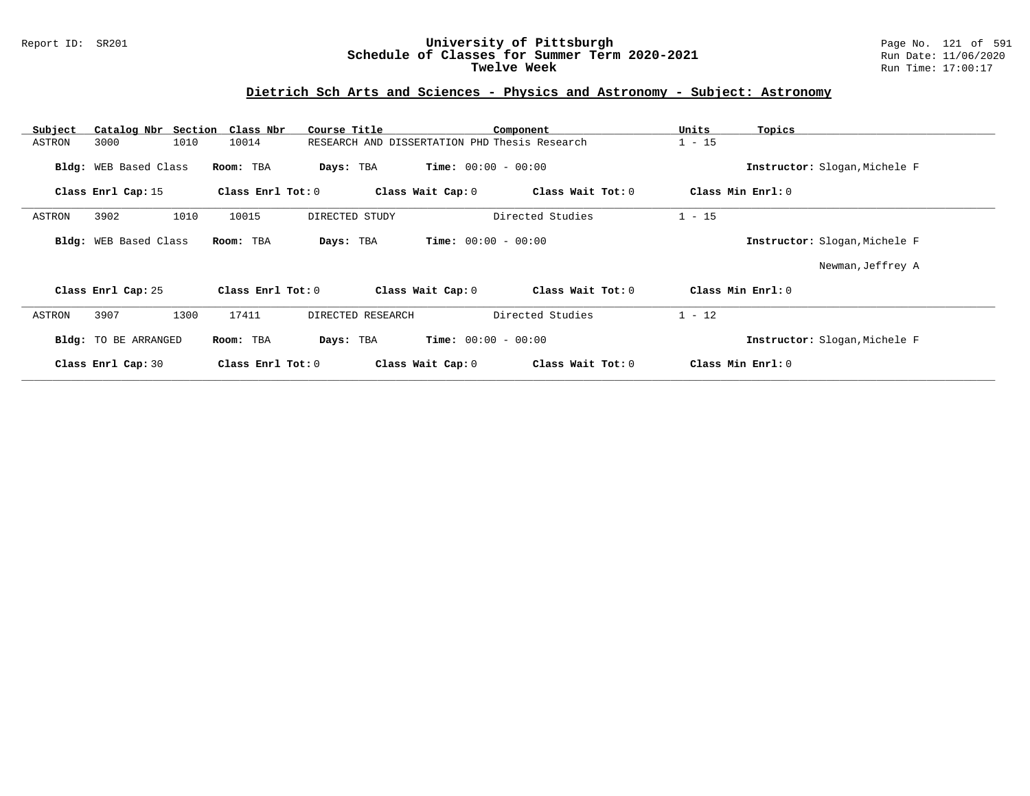#### Report ID: SR201 **University of Pittsburgh** Page No. 121 of 591 **Schedule of Classes for Summer Term 2020-2021** Run Date: 11/06/2020 **Twelve Week Run Time:** 17:00:17

| Subject               | Catalog Nbr Section Class Nbr | Course Title                                  | Component                    | Units<br>Topics               |  |
|-----------------------|-------------------------------|-----------------------------------------------|------------------------------|-------------------------------|--|
| 3000<br>ASTRON        | 1010<br>10014                 | RESEARCH AND DISSERTATION PHD Thesis Research |                              | $1 - 15$                      |  |
| Bldg: WEB Based Class | Room: TBA                     | Days: TBA                                     | <b>Time:</b> $00:00 - 00:00$ | Instructor: Slogan, Michele F |  |
| Class Enrl Cap: 15    | Class Enrl Tot: 0             | Class Wait Cap: 0                             | Class Wait Tot: 0            | Class Min Enrl: 0             |  |
| 3902<br>ASTRON        | 1010<br>10015                 | DIRECTED STUDY                                | Directed Studies             | $1 - 15$                      |  |
| Bldg: WEB Based Class | Room: TBA                     | Days: TBA                                     | <b>Time:</b> $00:00 - 00:00$ | Instructor: Slogan, Michele F |  |
|                       |                               |                                               |                              | Newman, Jeffrey A             |  |
| Class Enrl Cap: 25    | Class Enrl Tot: 0             | Class Wait Cap: 0                             | Class Wait Tot: 0            | Class Min Enrl: 0             |  |
| 3907<br>ASTRON        | 1300<br>17411                 | DIRECTED RESEARCH                             | Directed Studies             | $1 - 12$                      |  |
| Bldg: TO BE ARRANGED  | Room: TBA                     | Days: TBA                                     | <b>Time:</b> $00:00 - 00:00$ | Instructor: Slogan, Michele F |  |
| Class Enrl Cap: 30    | Class Enrl Tot: 0             | Class Wait Cap: 0                             | Class Wait Tot: 0            | Class Min Enrl: 0             |  |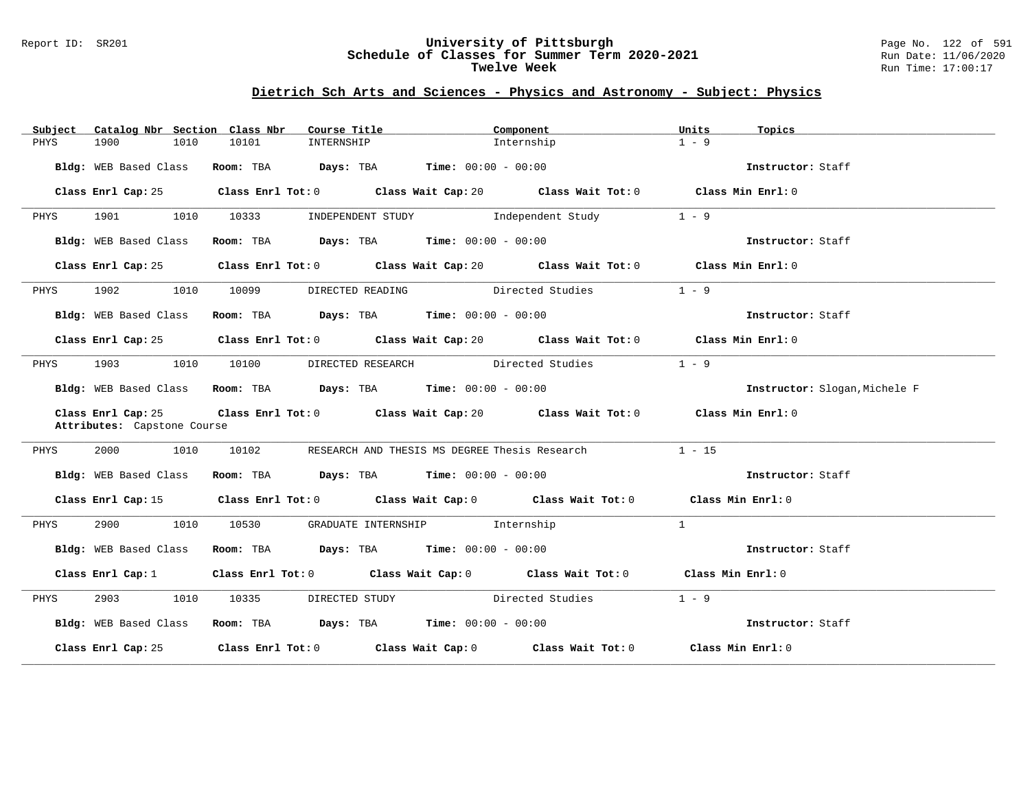#### Report ID: SR201 **University of Pittsburgh** Page No. 122 of 591 **Schedule of Classes for Summer Term 2020-2021** Run Date: 11/06/2020 **Twelve Week** Run Time: 17:00:17

| Subject | Catalog Nbr Section Class Nbr | Course Title                                                            | Component                                                                                   | Units<br>Topics               |
|---------|-------------------------------|-------------------------------------------------------------------------|---------------------------------------------------------------------------------------------|-------------------------------|
| PHYS    | 1900<br>1010                  | 10101<br>INTERNSHIP                                                     | Internship                                                                                  | $1 - 9$                       |
|         | Bldg: WEB Based Class         | Room: TBA $\rule{1em}{0.15mm}$ Days: TBA Time: $00:00 - 00:00$          |                                                                                             | Instructor: Staff             |
|         | Class Enrl Cap: 25            |                                                                         | Class Enrl Tot: $0$ Class Wait Cap: $20$ Class Wait Tot: $0$ Class Min Enrl: $0$            |                               |
| PHYS    | 1901 1010                     | 10333                                                                   | INDEPENDENT STUDY 1ndependent Study                                                         | $1 - 9$                       |
|         | Bldg: WEB Based Class         | Room: TBA $Days: TBA$ Time: $00:00 - 00:00$                             |                                                                                             | Instructor: Staff             |
|         | Class Enrl Cap: 25            |                                                                         | Class Enrl Tot: 0 Class Wait Cap: 20 Class Wait Tot: 0 Class Min Enrl: 0                    |                               |
| PHYS    | 1902 1010 10099               |                                                                         | DIRECTED READING Directed Studies                                                           | $1 - 9$                       |
|         | Bldg: WEB Based Class         | Room: TBA $Days: TBA$ Time: $00:00 - 00:00$                             |                                                                                             | Instructor: Staff             |
|         |                               |                                                                         | Class Enrl Cap: 25 Class Enrl Tot: 0 Class Wait Cap: 20 Class Wait Tot: 0 Class Min Enrl: 0 |                               |
| PHYS    | 1903 1010 10100               |                                                                         | DIRECTED RESEARCH Directed Studies                                                          | $1 - 9$                       |
|         |                               | Bldg: WEB Based Class Room: TBA Days: TBA Time: 00:00 - 00:00           |                                                                                             | Instructor: Slogan, Michele F |
|         | Attributes: Capstone Course   |                                                                         | Class Enrl Cap: 25 Class Enrl Tot: 0 Class Wait Cap: 20 Class Wait Tot: 0 Class Min Enrl: 0 |                               |
| PHYS    | 2000 1010                     | 10102                                                                   | RESEARCH AND THESIS MS DEGREE Thesis Research                                               | $1 - 15$                      |
|         | Bldg: WEB Based Class         | Room: TBA $Days:$ TBA $Time: 00:00 - 00:00$                             |                                                                                             | Instructor: Staff             |
|         |                               |                                                                         | Class Enrl Cap: 15 Class Enrl Tot: 0 Class Wait Cap: 0 Class Wait Tot: 0 Class Min Enrl: 0  |                               |
| PHYS    |                               | 2900 1010 10530 GRADUATE INTERNSHIP Internship                          |                                                                                             | $\mathbf{1}$                  |
|         | Bldg: WEB Based Class         | Room: TBA $\rule{1em}{0.15mm}$ Days: TBA $\qquad$ Time: $00:00 - 00:00$ |                                                                                             | Instructor: Staff             |
|         | Class Enrl Cap: 1             |                                                                         | Class Enrl Tot: 0 Class Wait Cap: 0 Class Wait Tot: 0 Class Min Enrl: 0                     |                               |
| PHYS    | 2903 1010                     |                                                                         | 10335 DIRECTED STUDY Directed Studies                                                       | $1 - 9$                       |
|         |                               | Bldg: WEB Based Class Room: TBA Days: TBA Time: 00:00 - 00:00           |                                                                                             | Instructor: Staff             |
|         |                               |                                                                         | Class Enrl Cap: 25 Class Enrl Tot: 0 Class Wait Cap: 0 Class Wait Tot: 0 Class Min Enrl: 0  |                               |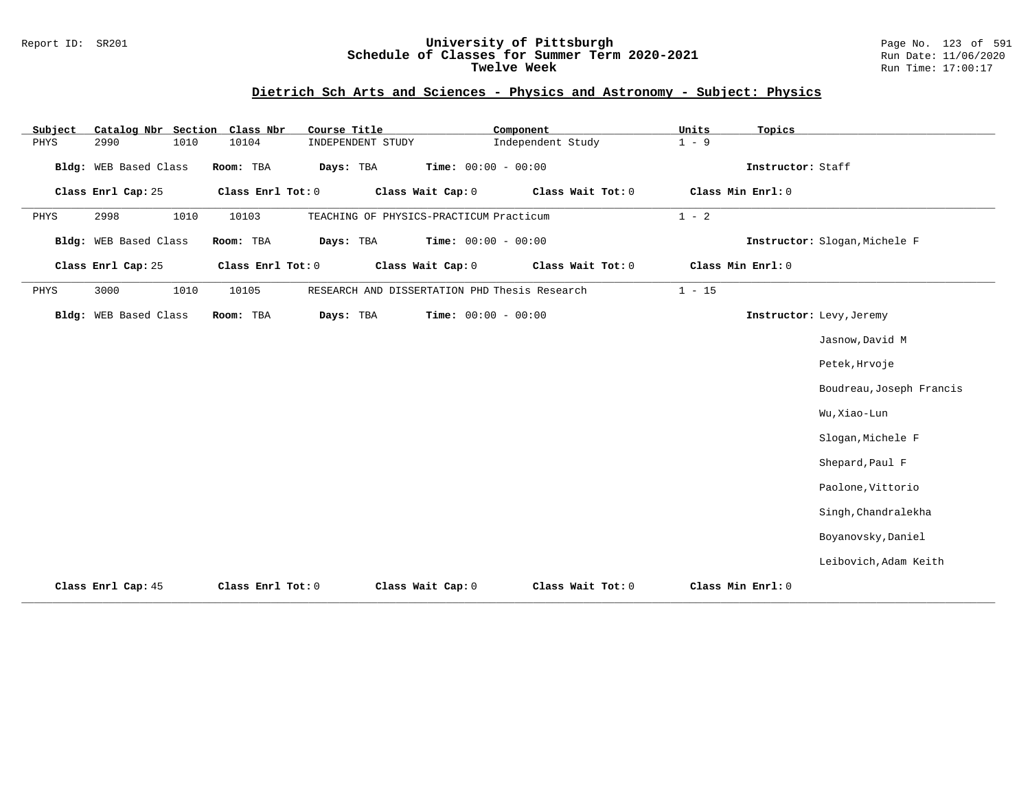#### Report ID: SR201 **University of Pittsburgh** Page No. 123 of 591 **Schedule of Classes for Summer Term 2020-2021** Run Date: 11/06/2020 **Twelve Week Run Time:** 17:00:17

| Subject |                       |      | Catalog Nbr Section Class Nbr | Course Title |                   |                                               | Component         | Units    | Topics            |                               |
|---------|-----------------------|------|-------------------------------|--------------|-------------------|-----------------------------------------------|-------------------|----------|-------------------|-------------------------------|
| PHYS    | 2990                  | 1010 | 10104                         |              | INDEPENDENT STUDY |                                               | Independent Study | $1 - 9$  |                   |                               |
|         | Bldg: WEB Based Class |      | Room: TBA                     | Days: TBA    |                   | Time: $00:00 - 00:00$                         |                   |          | Instructor: Staff |                               |
|         | Class Enrl Cap: 25    |      | Class Enrl Tot: 0             |              |                   | Class Wait Cap: 0                             | Class Wait Tot: 0 |          | Class Min Enrl: 0 |                               |
| PHYS    | 2998                  | 1010 | 10103                         |              |                   | TEACHING OF PHYSICS-PRACTICUM Practicum       |                   | $1 - 2$  |                   |                               |
|         | Bldg: WEB Based Class |      | Room: TBA                     | Days: TBA    |                   | Time: $00:00 - 00:00$                         |                   |          |                   | Instructor: Slogan, Michele F |
|         | Class Enrl Cap: 25    |      | Class Enrl Tot: 0             |              |                   | Class Wait Cap: 0                             | Class Wait Tot: 0 |          | Class Min Enrl: 0 |                               |
| PHYS    | 3000                  | 1010 | 10105                         |              |                   | RESEARCH AND DISSERTATION PHD Thesis Research |                   | $1 - 15$ |                   |                               |
|         | Bldg: WEB Based Class |      | Room: TBA                     | Days: TBA    |                   | Time: $00:00 - 00:00$                         |                   |          |                   | Instructor: Levy, Jeremy      |
|         |                       |      |                               |              |                   |                                               |                   |          |                   | Jasnow, David M               |
|         |                       |      |                               |              |                   |                                               |                   |          |                   | Petek, Hrvoje                 |
|         |                       |      |                               |              |                   |                                               |                   |          |                   | Boudreau, Joseph Francis      |
|         |                       |      |                               |              |                   |                                               |                   |          |                   | Wu, Xiao-Lun                  |
|         |                       |      |                               |              |                   |                                               |                   |          |                   | Slogan, Michele F             |
|         |                       |      |                               |              |                   |                                               |                   |          |                   | Shepard, Paul F               |
|         |                       |      |                               |              |                   |                                               |                   |          |                   | Paolone, Vittorio             |
|         |                       |      |                               |              |                   |                                               |                   |          |                   | Singh, Chandralekha           |
|         |                       |      |                               |              |                   |                                               |                   |          |                   | Boyanovsky, Daniel            |
|         |                       |      |                               |              |                   |                                               |                   |          |                   | Leibovich, Adam Keith         |
|         | Class Enrl Cap: 45    |      | Class Enrl Tot: 0             |              |                   | Class Wait Cap: 0                             | Class Wait Tot: 0 |          | Class Min Enrl: 0 |                               |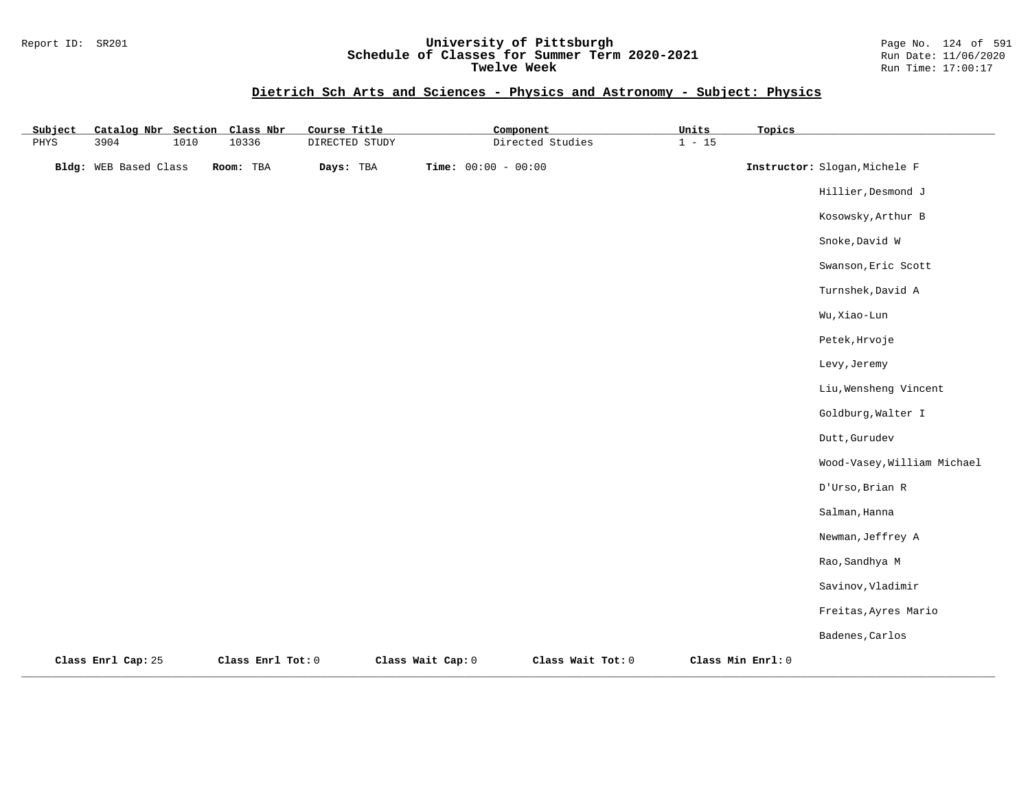#### Report ID: SR201 **University of Pittsburgh** Page No. 124 of 591 **Schedule of Classes for Summer Term 2020-2021** Run Date: 11/06/2020 **Twelve Week Run Time:** 17:00:17

| Subject | Catalog Nbr Section   | Class Nbr         | Course Title   | Component             |                   | Units             | Topics |                               |
|---------|-----------------------|-------------------|----------------|-----------------------|-------------------|-------------------|--------|-------------------------------|
| PHYS    | 3904<br>1010          | 10336             | DIRECTED STUDY |                       | Directed Studies  | $1 - 15$          |        |                               |
|         | Bldg: WEB Based Class | Room: TBA         | Days: TBA      | Time: $00:00 - 00:00$ |                   |                   |        | Instructor: Slogan, Michele F |
|         |                       |                   |                |                       |                   |                   |        | Hillier, Desmond J            |
|         |                       |                   |                |                       |                   |                   |        | Kosowsky, Arthur B            |
|         |                       |                   |                |                       |                   |                   |        | Snoke, David W                |
|         |                       |                   |                |                       |                   |                   |        | Swanson, Eric Scott           |
|         |                       |                   |                |                       |                   |                   |        | Turnshek, David A             |
|         |                       |                   |                |                       |                   |                   |        | Wu, Xiao-Lun                  |
|         |                       |                   |                |                       |                   |                   |        | Petek, Hrvoje                 |
|         |                       |                   |                |                       |                   |                   |        | Levy, Jeremy                  |
|         |                       |                   |                |                       |                   |                   |        | Liu, Wensheng Vincent         |
|         |                       |                   |                |                       |                   |                   |        | Goldburg, Walter I            |
|         |                       |                   |                |                       |                   |                   |        | Dutt, Gurudev                 |
|         |                       |                   |                |                       |                   |                   |        | Wood-Vasey, William Michael   |
|         |                       |                   |                |                       |                   |                   |        | D'Urso, Brian R               |
|         |                       |                   |                |                       |                   |                   |        | Salman, Hanna                 |
|         |                       |                   |                |                       |                   |                   |        | Newman, Jeffrey A             |
|         |                       |                   |                |                       |                   |                   |        | Rao, Sandhya M                |
|         |                       |                   |                |                       |                   |                   |        | Savinov, Vladimir             |
|         |                       |                   |                |                       |                   |                   |        | Freitas, Ayres Mario          |
|         |                       |                   |                |                       |                   |                   |        | Badenes, Carlos               |
|         | Class Enrl Cap: 25    | Class Enrl Tot: 0 |                | Class Wait Cap: 0     | Class Wait Tot: 0 | Class Min Enrl: 0 |        |                               |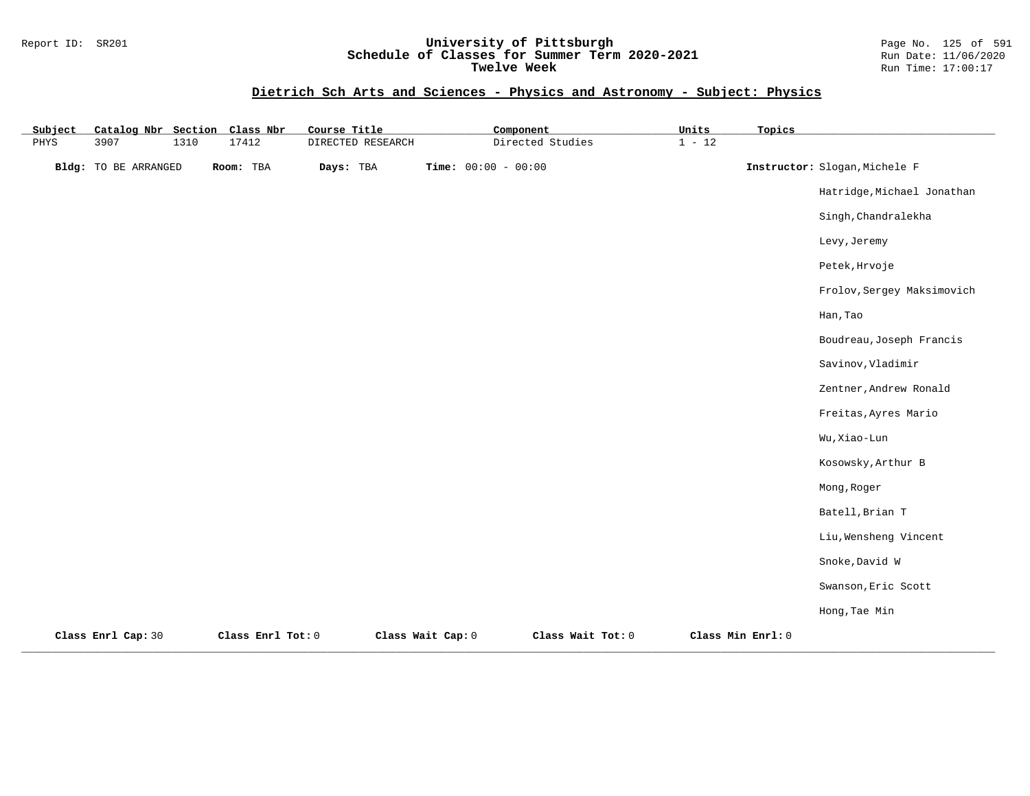#### Report ID: SR201 **University of Pittsburgh** Page No. 125 of 591 **Schedule of Classes for Summer Term 2020-2021** Run Date: 11/06/2020 **Twelve Week Run Time:** 17:00:17

| Subject | Catalog Nbr Section         |      | Class Nbr         | Course Title |                   | Component             |                   | Units    | Topics            |                               |
|---------|-----------------------------|------|-------------------|--------------|-------------------|-----------------------|-------------------|----------|-------------------|-------------------------------|
| PHYS    | 3907                        | 1310 | 17412             |              | DIRECTED RESEARCH |                       | Directed Studies  | $1 - 12$ |                   |                               |
|         | <b>Bldg:</b> TO BE ARRANGED |      | Room: TBA         | Days: TBA    |                   | Time: $00:00 - 00:00$ |                   |          |                   | Instructor: Slogan, Michele F |
|         |                             |      |                   |              |                   |                       |                   |          |                   | Hatridge, Michael Jonathan    |
|         |                             |      |                   |              |                   |                       |                   |          |                   | Singh, Chandralekha           |
|         |                             |      |                   |              |                   |                       |                   |          |                   | Levy, Jeremy                  |
|         |                             |      |                   |              |                   |                       |                   |          |                   | Petek, Hrvoje                 |
|         |                             |      |                   |              |                   |                       |                   |          |                   | Frolov, Sergey Maksimovich    |
|         |                             |      |                   |              |                   |                       |                   |          |                   | Han, Tao                      |
|         |                             |      |                   |              |                   |                       |                   |          |                   | Boudreau, Joseph Francis      |
|         |                             |      |                   |              |                   |                       |                   |          |                   | Savinov, Vladimir             |
|         |                             |      |                   |              |                   |                       |                   |          |                   | Zentner, Andrew Ronald        |
|         |                             |      |                   |              |                   |                       |                   |          |                   | Freitas, Ayres Mario          |
|         |                             |      |                   |              |                   |                       |                   |          |                   | Wu, Xiao-Lun                  |
|         |                             |      |                   |              |                   |                       |                   |          |                   | Kosowsky, Arthur B            |
|         |                             |      |                   |              |                   |                       |                   |          |                   | Mong, Roger                   |
|         |                             |      |                   |              |                   |                       |                   |          |                   | Batell, Brian T               |
|         |                             |      |                   |              |                   |                       |                   |          |                   | Liu, Wensheng Vincent         |
|         |                             |      |                   |              |                   |                       |                   |          |                   | Snoke, David W                |
|         |                             |      |                   |              |                   |                       |                   |          |                   | Swanson, Eric Scott           |
|         |                             |      |                   |              |                   |                       |                   |          |                   | Hong, Tae Min                 |
|         | Class Enrl Cap: 30          |      | Class Enrl Tot: 0 |              | Class Wait Cap: 0 |                       | Class Wait Tot: 0 |          | Class Min Enrl: 0 |                               |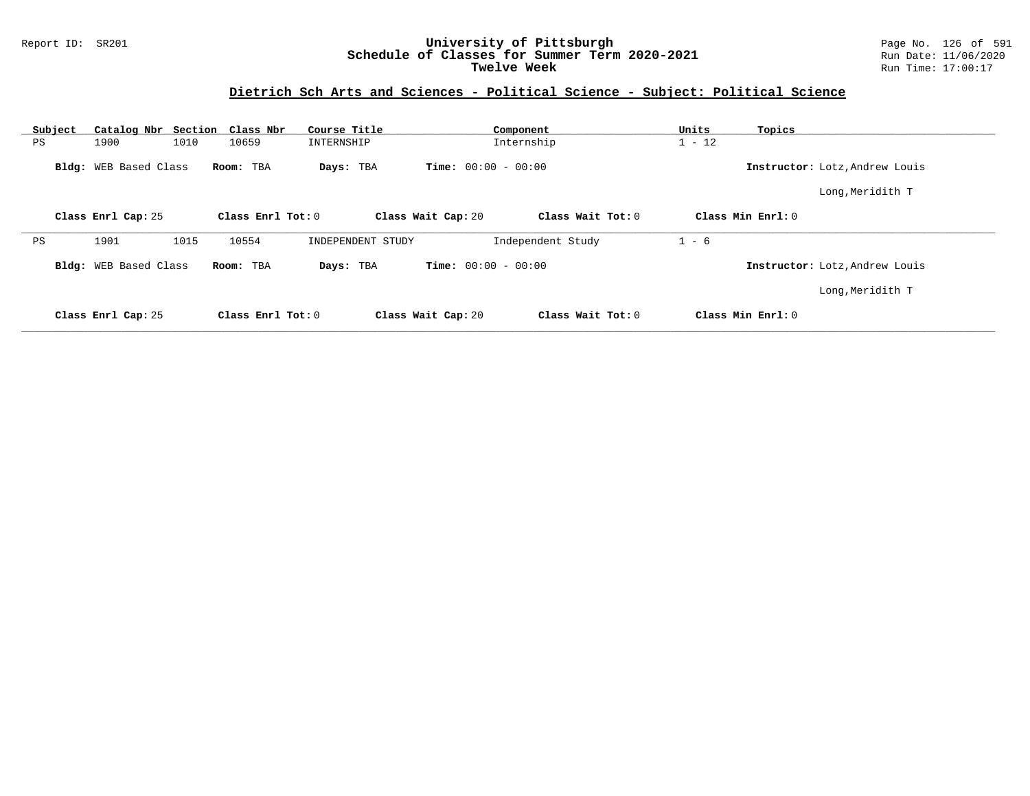#### Report ID: SR201 **University of Pittsburgh** Page No. 126 of 591 **Schedule of Classes for Summer Term 2020-2021** Run Date: 11/06/2020 **Twelve Week Run Time:** 17:00:17

### **Dietrich Sch Arts and Sciences - Political Science - Subject: Political Science**

| Subject | Catalog Nbr Section Class Nbr |                   | Course Title      |                              | Component         | Units<br>Topics   |                                |
|---------|-------------------------------|-------------------|-------------------|------------------------------|-------------------|-------------------|--------------------------------|
| PS      | 1900<br>1010                  | 10659             | INTERNSHIP        |                              | Internship        | $1 - 12$          |                                |
|         | Bldg: WEB Based Class         | Room: TBA         | Days: TBA         | <b>Time:</b> $00:00 - 00:00$ |                   |                   | Instructor: Lotz, Andrew Louis |
|         |                               |                   |                   |                              |                   |                   | Long, Meridith T               |
|         | Class Enrl Cap: 25            | Class Enrl Tot: 0 |                   | Class Wait Cap: 20           | Class Wait Tot: 0 | Class Min Enrl: 0 |                                |
| PS      | 1901<br>1015                  | 10554             | INDEPENDENT STUDY |                              | Independent Study | $1 - 6$           |                                |
|         | Bldg: WEB Based Class         | Room: TBA         | Days: TBA         | <b>Time:</b> $00:00 - 00:00$ |                   |                   | Instructor: Lotz, Andrew Louis |
|         |                               |                   |                   |                              |                   |                   | Long, Meridith T               |
|         | Class Enrl Cap: 25            | Class Enrl Tot: 0 |                   | Class Wait Cap: 20           | Class Wait Tot: 0 | Class Min Enrl: 0 |                                |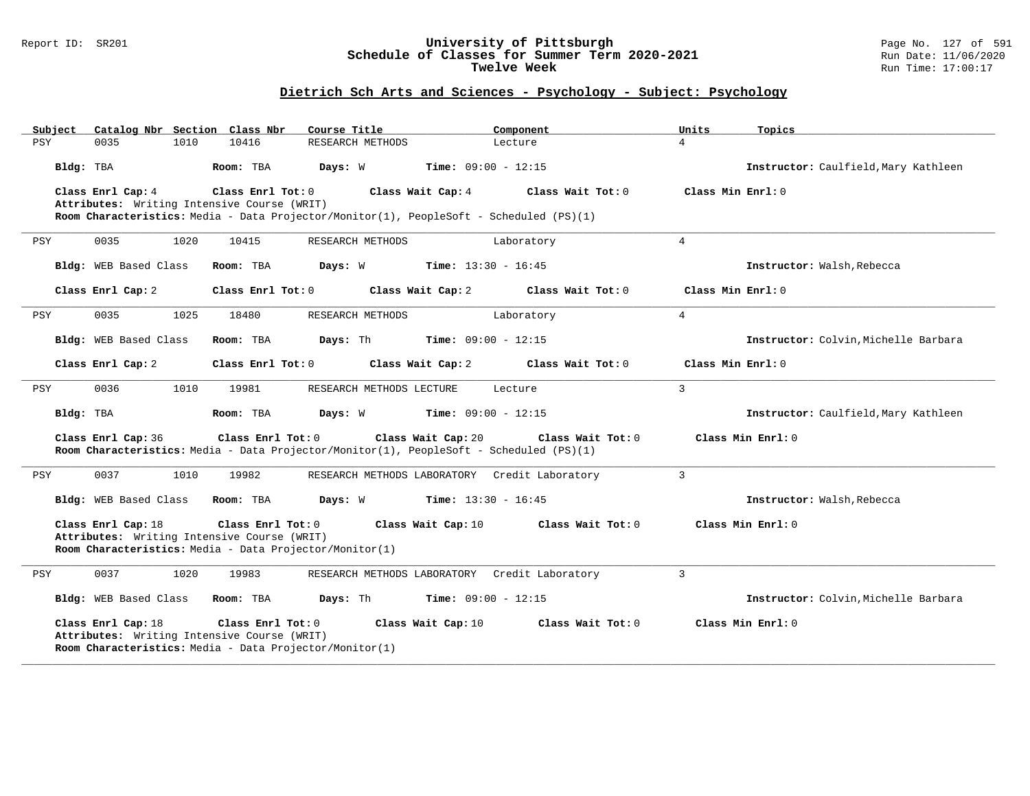#### Report ID: SR201 **University of Pittsburgh** Page No. 127 of 591 **Schedule of Classes for Summer Term 2020-2021** Run Date: 11/06/2020 **Twelve Week Run Time:** 17:00:17

### **Dietrich Sch Arts and Sciences - Psychology - Subject: Psychology**

| Subject   | Catalog Nbr Section Class Nbr                                                                                                |                   | Course Title                                                                                                  | Component                    | Units             | Topics                               |
|-----------|------------------------------------------------------------------------------------------------------------------------------|-------------------|---------------------------------------------------------------------------------------------------------------|------------------------------|-------------------|--------------------------------------|
| PSY       | 0035<br>1010                                                                                                                 | 10416             | RESEARCH METHODS                                                                                              | Lecture                      | $\overline{4}$    |                                      |
| Bldg: TBA |                                                                                                                              | Room: TBA         | Days: W                                                                                                       | <b>Time:</b> $09:00 - 12:15$ |                   | Instructor: Caulfield, Mary Kathleen |
|           | Class Enrl Cap: 4                                                                                                            | Class Enrl Tot: 0 | Class Wait Cap: 4                                                                                             | Class Wait Tot: 0            | Class Min Enrl: 0 |                                      |
|           | Attributes: Writing Intensive Course (WRIT)                                                                                  |                   |                                                                                                               |                              |                   |                                      |
|           |                                                                                                                              |                   | Room Characteristics: Media - Data Projector/Monitor(1), PeopleSoft - Scheduled (PS)(1)                       |                              |                   |                                      |
| PSY       | 0035<br>1020                                                                                                                 | 10415             | RESEARCH METHODS                                                                                              | Laboratory                   | $\overline{4}$    |                                      |
|           | Bldg: WEB Based Class                                                                                                        | Room: TBA         | Days: W                                                                                                       | <b>Time:</b> $13:30 - 16:45$ |                   | Instructor: Walsh, Rebecca           |
|           | Class Enrl Cap: 2                                                                                                            | Class Enrl Tot: 0 | Class Wait Cap: 2                                                                                             | Class Wait Tot: 0            | Class Min Enrl: 0 |                                      |
| PSY       | 0035<br>1025                                                                                                                 | 18480             | RESEARCH METHODS                                                                                              | Laboratory                   | $\overline{4}$    |                                      |
|           | Bldg: WEB Based Class                                                                                                        | Room: TBA         | Days: Th                                                                                                      | <b>Time:</b> $09:00 - 12:15$ |                   | Instructor: Colvin, Michelle Barbara |
|           | Class Enrl Cap: 2                                                                                                            | Class Enrl Tot: 0 | Class Wait Cap: 2                                                                                             | Class Wait Tot: 0            | Class Min Enrl: 0 |                                      |
| PSY       | 0036<br>1010                                                                                                                 | 19981             | RESEARCH METHODS LECTURE                                                                                      | Lecture                      | $\mathbf{3}$      |                                      |
| Bldg: TBA |                                                                                                                              | Room: TBA         | $Time: 09:00 - 12:15$<br>Days: W                                                                              |                              |                   | Instructor: Caulfield, Mary Kathleen |
|           | Class Enrl Cap: 36                                                                                                           | Class Enrl Tot: 0 | Class Wait Cap: 20<br>Room Characteristics: Media - Data Projector/Monitor(1), PeopleSoft - Scheduled (PS)(1) | Class Wait Tot: 0            |                   | Class Min Enrl: 0                    |
| PSY       | 0037<br>1010                                                                                                                 | 19982             | RESEARCH METHODS LABORATORY Credit Laboratory                                                                 |                              | $\overline{3}$    |                                      |
|           | Bldg: WEB Based Class                                                                                                        | Room: TBA         | <b>Days:</b> W <b>Time:</b> $13:30 - 16:45$                                                                   |                              |                   | Instructor: Walsh, Rebecca           |
|           | Class Enrl Cap: 18<br>Attributes: Writing Intensive Course (WRIT)<br>Room Characteristics: Media - Data Projector/Monitor(1) | Class Enrl Tot: 0 | Class Wait Cap: 10                                                                                            | Class Wait Tot: 0            |                   | Class Min Enrl: 0                    |
| PSY       | 0037<br>1020                                                                                                                 | 19983             | RESEARCH METHODS LABORATORY Credit Laboratory                                                                 |                              | $\overline{3}$    |                                      |
|           | Bldg: WEB Based Class                                                                                                        | Room: TBA         | Days: Th                                                                                                      | <b>Time:</b> $09:00 - 12:15$ |                   | Instructor: Colvin, Michelle Barbara |
|           | Class Enrl Cap: 18<br>Attributes: Writing Intensive Course (WRIT)<br>Room Characteristics: Media - Data Projector/Monitor(1) | Class Enrl Tot: 0 | Class Wait Cap: 10                                                                                            | Class Wait Tot: 0            |                   | Class Min Enrl: 0                    |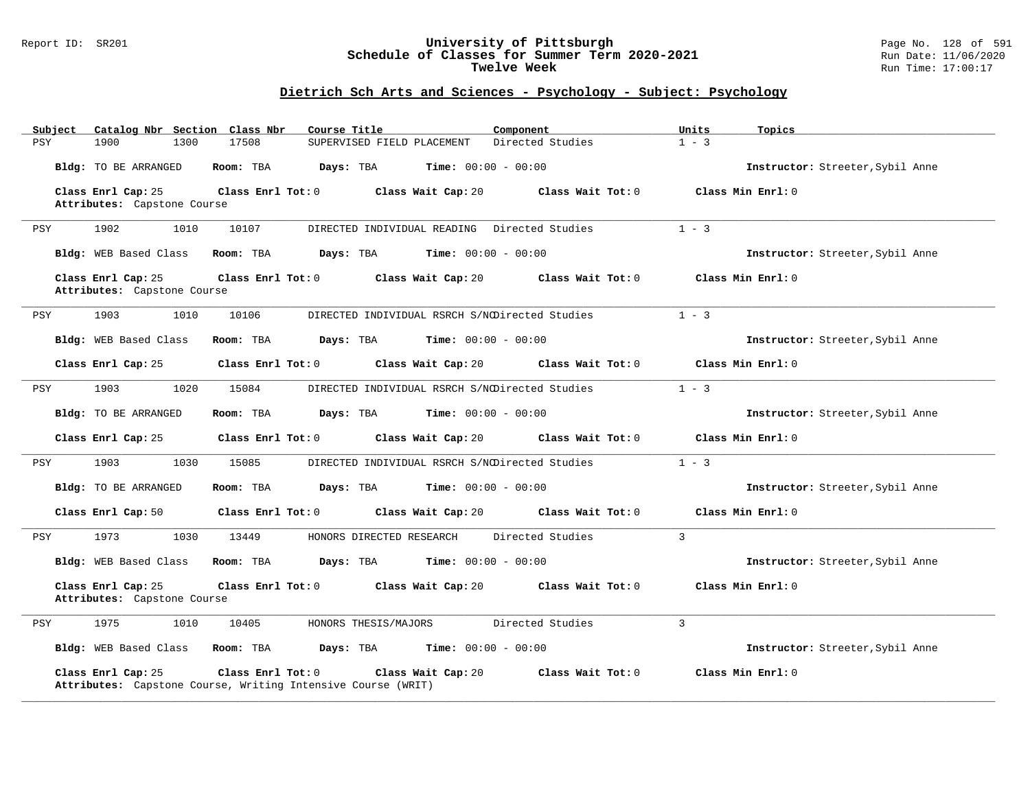#### Report ID: SR201 **University of Pittsburgh** Page No. 128 of 591 **Schedule of Classes for Summer Term 2020-2021** Run Date: 11/06/2020 **Twelve Week Run Time:** 17:00:17

### **Dietrich Sch Arts and Sciences - Psychology - Subject: Psychology**

| Subject    | Catalog Nbr Section Class Nbr                     |                     | Course Title                                                                       | Component                                      | Units<br>Topics                  |  |
|------------|---------------------------------------------------|---------------------|------------------------------------------------------------------------------------|------------------------------------------------|----------------------------------|--|
| <b>PSY</b> | 1900<br>1300                                      | 17508               | SUPERVISED FIELD PLACEMENT                                                         | Directed Studies                               | $1 - 3$                          |  |
|            | Bldg: TO BE ARRANGED                              | Room: TBA           | Days: TBA                                                                          | <b>Time:</b> $00:00 - 00:00$                   | Instructor: Streeter, Sybil Anne |  |
|            | Class Enrl Cap: 25                                | Class Enrl Tot: 0   | Class Wait Cap: 20                                                                 | Class Wait Tot: 0                              | Class Min Enrl: 0                |  |
|            | Attributes: Capstone Course                       |                     |                                                                                    |                                                |                                  |  |
| PSY        | 1902<br>1010                                      | 10107               | DIRECTED INDIVIDUAL READING                                                        | Directed Studies                               | $1 - 3$                          |  |
|            | Bldg: WEB Based Class                             | Room: TBA           | Days: TBA                                                                          | <b>Time:</b> $00:00 - 00:00$                   | Instructor: Streeter, Sybil Anne |  |
|            | Class Enrl Cap: 25<br>Attributes: Capstone Course | Class Enrl Tot: 0   | Class Wait Cap: 20                                                                 | Class Wait Tot: 0                              | Class Min Enrl: 0                |  |
| PSY        | 1903<br>1010                                      | 10106               |                                                                                    | DIRECTED INDIVIDUAL RSRCH S/NODirected Studies | $1 - 3$                          |  |
|            | Bldg: WEB Based Class                             | Room: TBA           | Days: TBA                                                                          | <b>Time:</b> $00:00 - 00:00$                   | Instructor: Streeter, Sybil Anne |  |
|            | Class Enrl Cap: 25                                | Class Enrl Tot: 0   | Class Wait Cap: 20                                                                 | Class Wait Tot: 0                              | Class Min Enrl: 0                |  |
| PSY        | 1903<br>1020                                      | 15084               |                                                                                    | DIRECTED INDIVIDUAL RSRCH S/NODirected Studies | $1 - 3$                          |  |
|            | Bldg: TO BE ARRANGED                              | Room: TBA           | Days: TBA                                                                          | <b>Time:</b> $00:00 - 00:00$                   | Instructor: Streeter, Sybil Anne |  |
|            | Class Enrl Cap: 25                                | Class Enrl Tot: 0   | Class Wait Cap: 20                                                                 | Class Wait Tot: 0                              | Class Min Enrl: 0                |  |
| PSY        | 1903<br>1030                                      | 15085               |                                                                                    | DIRECTED INDIVIDUAL RSRCH S/NODirected Studies | $1 - 3$                          |  |
|            | Bldg: TO BE ARRANGED                              | Room: TBA           | Days: TBA                                                                          | <b>Time:</b> $00:00 - 00:00$                   | Instructor: Streeter, Sybil Anne |  |
|            | Class Enrl Cap: 50                                | Class $Enr1 Tot: 0$ | Class Wait Cap: 20                                                                 | Class Wait Tot: 0                              | Class Min Enrl: 0                |  |
| PSY        | 1973<br>1030                                      | 13449               | HONORS DIRECTED RESEARCH                                                           | Directed Studies                               | $\overline{3}$                   |  |
|            | Bldg: WEB Based Class                             | Room: TBA           | Days: TBA                                                                          | <b>Time:</b> $00:00 - 00:00$                   | Instructor: Streeter, Sybil Anne |  |
|            | Class Enrl Cap: 25<br>Attributes: Capstone Course | Class Enrl Tot: 0   | Class Wait Cap: 20                                                                 | Class Wait Tot: 0                              | Class Min Enrl: 0                |  |
| PSY        | 1975<br>1010                                      | 10405               | HONORS THESIS/MAJORS                                                               | Directed Studies                               | $\overline{3}$                   |  |
|            | Bldg: WEB Based Class                             | Room: TBA           | Days: TBA                                                                          | <b>Time:</b> $00:00 - 00:00$                   | Instructor: Streeter, Sybil Anne |  |
|            | Class Enrl Cap: 25                                | Class Enrl Tot: 0   | Class Wait Cap: 20<br>Attributes: Capstone Course, Writing Intensive Course (WRIT) | Class Wait Tot: 0                              | Class Min Enrl: 0                |  |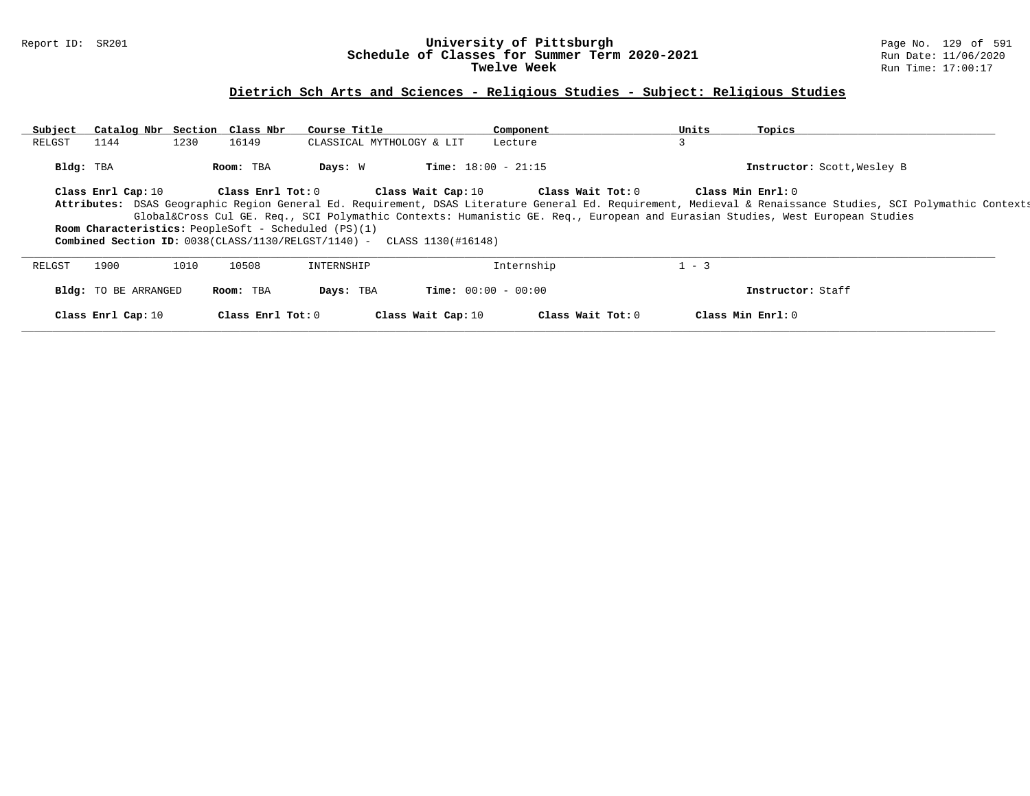#### Report ID: SR201 **University of Pittsburgh** Page No. 129 of 591 **Schedule of Classes for Summer Term 2020-2021** Run Date: 11/06/2020 **Twelve Week** Run Time: 17:00:17

# **Dietrich Sch Arts and Sciences - Religious Studies - Subject: Religious Studies**

| Subject   | Catalog Nbr Section Class Nbr |      |                   | Course Title                                                                     |                              | Component         | Units   | Topics                                                                                                                                                       |  |
|-----------|-------------------------------|------|-------------------|----------------------------------------------------------------------------------|------------------------------|-------------------|---------|--------------------------------------------------------------------------------------------------------------------------------------------------------------|--|
| RELGST    | 1144                          | 1230 | 16149             | CLASSICAL MYTHOLOGY & LIT                                                        |                              | Lecture           | 3       |                                                                                                                                                              |  |
| Bldg: TBA |                               |      | Room: TBA         | Days: W                                                                          | <b>Time:</b> $18:00 - 21:15$ |                   |         | Instructor: Scott, Wesley B                                                                                                                                  |  |
|           | Class Enrl Cap: 10            |      | Class Enrl Tot: 0 |                                                                                  | Class Wait Cap: 10           | Class Wait Tot: 0 |         | Class Min Enrl: 0                                                                                                                                            |  |
|           |                               |      |                   |                                                                                  |                              |                   |         | Attributes: DSAS Geographic Region General Ed. Requirement, DSAS Literature General Ed. Requirement, Medieval & Renaissance Studies, SCI Polymathic Contexts |  |
|           |                               |      |                   |                                                                                  |                              |                   |         | Global⨯ Cul GE. Req., SCI Polymathic Contexts: Humanistic GE. Req., European and Eurasian Studies, West European Studies                                     |  |
|           |                               |      |                   | <b>Room Characteristics:</b> PeopleSoft - Scheduled (PS)(1)                      |                              |                   |         |                                                                                                                                                              |  |
|           |                               |      |                   | <b>Combined Section ID:</b> $0038$ (CLASS/1130/RELGST/1140) - CLASS 1130(#16148) |                              |                   |         |                                                                                                                                                              |  |
| RELGST    | 1900                          | 1010 | 10508             | INTERNSHIP                                                                       |                              | Internship        | $1 - 3$ |                                                                                                                                                              |  |
|           | <b>Bldg:</b> TO BE ARRANGED   |      | Room: TBA         | Days: TBA                                                                        | <b>Time:</b> $00:00 - 00:00$ |                   |         | Instructor: Staff                                                                                                                                            |  |
|           | Class Enrl Cap: 10            |      | Class Enrl Tot: 0 |                                                                                  | Class Wait Cap: 10           | Class Wait Tot: 0 |         | Class Min Enrl: 0                                                                                                                                            |  |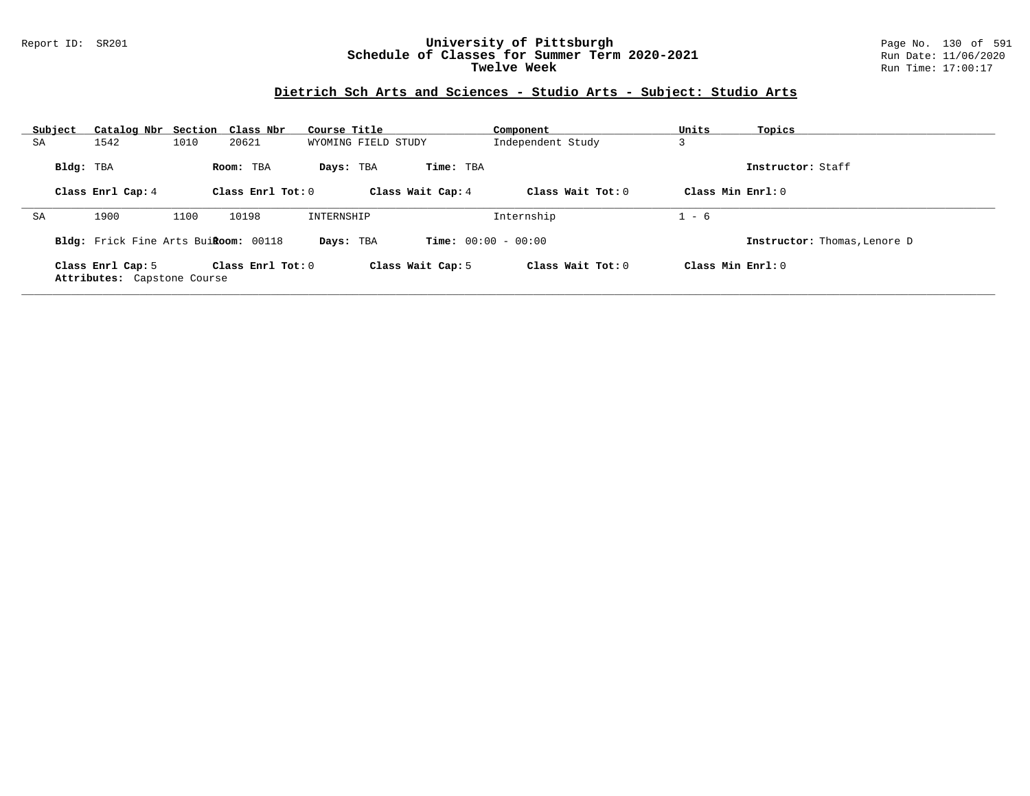#### Report ID: SR201 **University of Pittsburgh** Page No. 130 of 591 **Schedule of Classes for Summer Term 2020-2021** Run Date: 11/06/2020 **Twelve Week Run Time:** 17:00:17

# **Dietrich Sch Arts and Sciences - Studio Arts - Subject: Studio Arts**

| Subject | Catalog Nbr Section Class Nbr                    |      |                     | Course Title        |                              | Component           | Units               | Topics                       |
|---------|--------------------------------------------------|------|---------------------|---------------------|------------------------------|---------------------|---------------------|------------------------------|
| SA      | 1542                                             | 1010 | 20621               | WYOMING FIELD STUDY |                              | Independent Study   | د.                  |                              |
|         | Bldg: TBA                                        |      | Room: TBA           | Days: TBA           | Time: TBA                    |                     |                     | Instructor: Staff            |
|         | Class Enrl Cap: 4                                |      | Class Enrl Tot: $0$ |                     | Class Wait Cap: 4            | Class Wait Tot: $0$ | Class Min $Enrl: 0$ |                              |
| SA      | 1900                                             | 1100 | 10198               | INTERNSHIP          |                              | Internship          | $1 - 6$             |                              |
|         | Bldg: Frick Fine Arts BuiRoom: 00118             |      |                     | Days: TBA           | <b>Time:</b> $00:00 - 00:00$ |                     |                     | Instructor: Thomas, Lenore D |
|         | Class Enrl Cap: 5<br>Attributes: Capstone Course |      | Class Enrl Tot: $0$ |                     | Class Wait Cap: 5            | Class Wait Tot: 0   | Class Min Enrl: 0   |                              |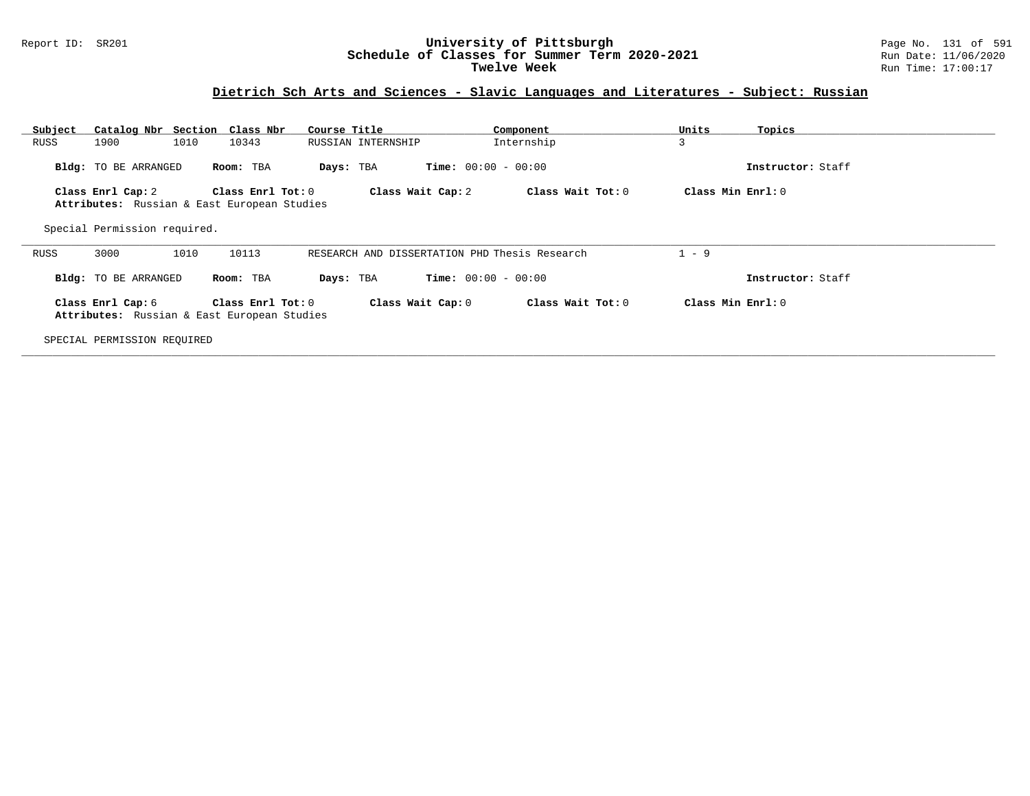#### Report ID: SR201 **University of Pittsburgh** Page No. 131 of 591 **Schedule of Classes for Summer Term 2020-2021** Run Date: 11/06/2020 **Twelve Week** Run Time: 17:00:17

### **Dietrich Sch Arts and Sciences - Slavic Languages and Literatures - Subject: Russian**

| Subject<br>RUSS | 1900                         | Catalog Nbr Section Class Nbr<br>1010<br>10343                   | Course Title<br>RUSSIAN INTERNSHIP            | Component<br>Internship      | Units<br>Topics<br>3 |  |
|-----------------|------------------------------|------------------------------------------------------------------|-----------------------------------------------|------------------------------|----------------------|--|
|                 | <b>Bldg:</b> TO BE ARRANGED  | Room: TBA                                                        | Days: TBA                                     | <b>Time:</b> $00:00 - 00:00$ | Instructor: Staff    |  |
|                 | Class Enrl Cap: 2            | Class Enrl Tot: 0<br>Attributes: Russian & East European Studies | Class Wait Cap: 2                             | Class Wait Tot: 0            | Class Min Enrl: 0    |  |
|                 | Special Permission required. |                                                                  |                                               |                              |                      |  |
| RUSS            | 3000                         | 10113<br>1010                                                    | RESEARCH AND DISSERTATION PHD Thesis Research |                              | $1 - 9$              |  |
|                 | Bldg: TO BE ARRANGED         | Room: TBA                                                        | Days: TBA                                     | <b>Time:</b> $00:00 - 00:00$ | Instructor: Staff    |  |
|                 | Class Enrl Cap: 6            | Class Enrl Tot: 0<br>Attributes: Russian & East European Studies | Class Wait Cap: 0                             | Class Wait Tot: 0            | Class Min Enrl: 0    |  |
|                 | SPECIAL PERMISSION REQUIRED  |                                                                  |                                               |                              |                      |  |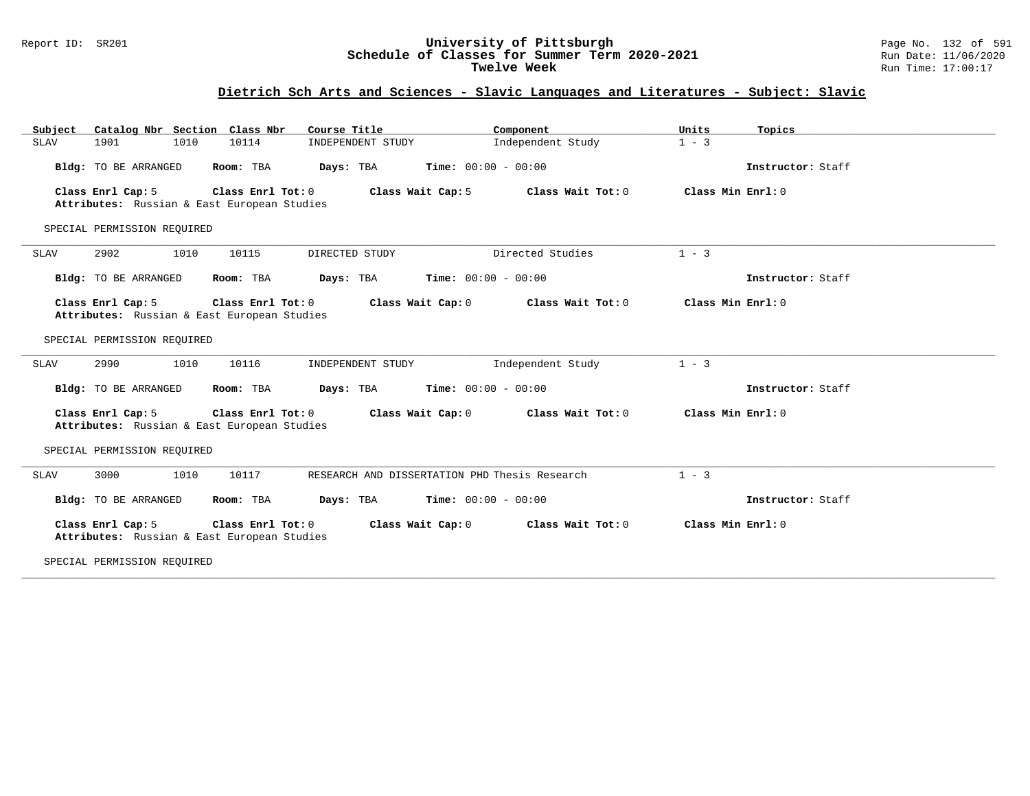#### Report ID: SR201 **University of Pittsburgh** Page No. 132 of 591 **Schedule of Classes for Summer Term 2020-2021** Run Date: 11/06/2020 **Twelve Week** Run Time: 17:00:17

# **Dietrich Sch Arts and Sciences - Slavic Languages and Literatures - Subject: Slavic**

|                                                                  | Catalog Nbr Section Class Nbr<br>Course Title | Component                                     | Units<br>Topics   |  |
|------------------------------------------------------------------|-----------------------------------------------|-----------------------------------------------|-------------------|--|
| <b>SLAV</b><br>1901<br>1010                                      | 10114<br>INDEPENDENT STUDY                    | Independent Study                             | $1 - 3$           |  |
| Bldg: TO BE ARRANGED                                             | Room: TBA                                     | <b>Days:</b> TBA <b>Time:</b> $00:00 - 00:00$ | Instructor: Staff |  |
| Class Enrl Cap: 5<br>Attributes: Russian & East European Studies | Class Enrl Tot: 0                             | Class Wait Cap: 5<br>Class Wait Tot: 0        | Class Min Enrl: 0 |  |
| SPECIAL PERMISSION REQUIRED                                      |                                               |                                               |                   |  |
| 2902<br>1010<br>SLAV                                             | 10115<br>DIRECTED STUDY                       | Directed Studies                              | $1 - 3$           |  |
| Bldg: TO BE ARRANGED                                             | Room: TBA<br>Days: TBA                        | <b>Time:</b> $00:00 - 00:00$                  | Instructor: Staff |  |
| Class Enrl Cap: 5<br>Attributes: Russian & East European Studies | Class Enrl Tot: 0                             | Class Wait Cap: 0<br>Class Wait Tot: 0        | Class Min Enrl: 0 |  |
| SPECIAL PERMISSION REQUIRED                                      |                                               |                                               |                   |  |
| 2990<br>1010<br><b>SLAV</b>                                      | 10116<br>INDEPENDENT STUDY                    | Independent Study                             | $1 - 3$           |  |
|                                                                  |                                               | <b>Days:</b> TBA <b>Time:</b> $00:00 - 00:00$ | Instructor: Staff |  |
| Bldg: TO BE ARRANGED                                             | Room: TBA                                     |                                               |                   |  |
| Class Enrl Cap: 5<br>Attributes: Russian & East European Studies | Class Enrl Tot: 0                             | Class Wait Cap: 0<br>Class Wait Tot: 0        | Class Min Enrl: 0 |  |
| SPECIAL PERMISSION REOUIRED                                      |                                               |                                               |                   |  |
| 3000<br>1010<br>SLAV                                             | 10117                                         | RESEARCH AND DISSERTATION PHD Thesis Research | $1 - 3$           |  |
| Bldg: TO BE ARRANGED                                             | Room: TBA<br>Days: TBA                        | $Time: 00:00 - 00:00$                         | Instructor: Staff |  |
| Class Enrl Cap: 5<br>Attributes: Russian & East European Studies | Class Enrl Tot: 0                             | Class Wait Cap: 0<br>Class Wait Tot: 0        | Class Min Enrl: 0 |  |

**\_\_\_\_\_\_\_\_\_\_\_\_\_\_\_\_\_\_\_\_\_\_\_\_\_\_\_\_\_\_\_\_\_\_\_\_\_\_\_\_\_\_\_\_\_\_\_\_\_\_\_\_\_\_\_\_\_\_\_\_\_\_\_\_\_\_\_\_\_\_\_\_\_\_\_\_\_\_\_\_\_\_\_\_\_\_\_\_\_\_\_\_\_\_\_\_\_\_\_\_\_\_\_\_\_\_\_\_\_\_\_\_\_\_\_\_\_\_\_\_\_\_\_\_\_\_\_\_\_\_\_\_\_\_\_\_\_\_\_\_\_\_\_\_\_\_\_\_\_\_\_\_\_\_\_\_**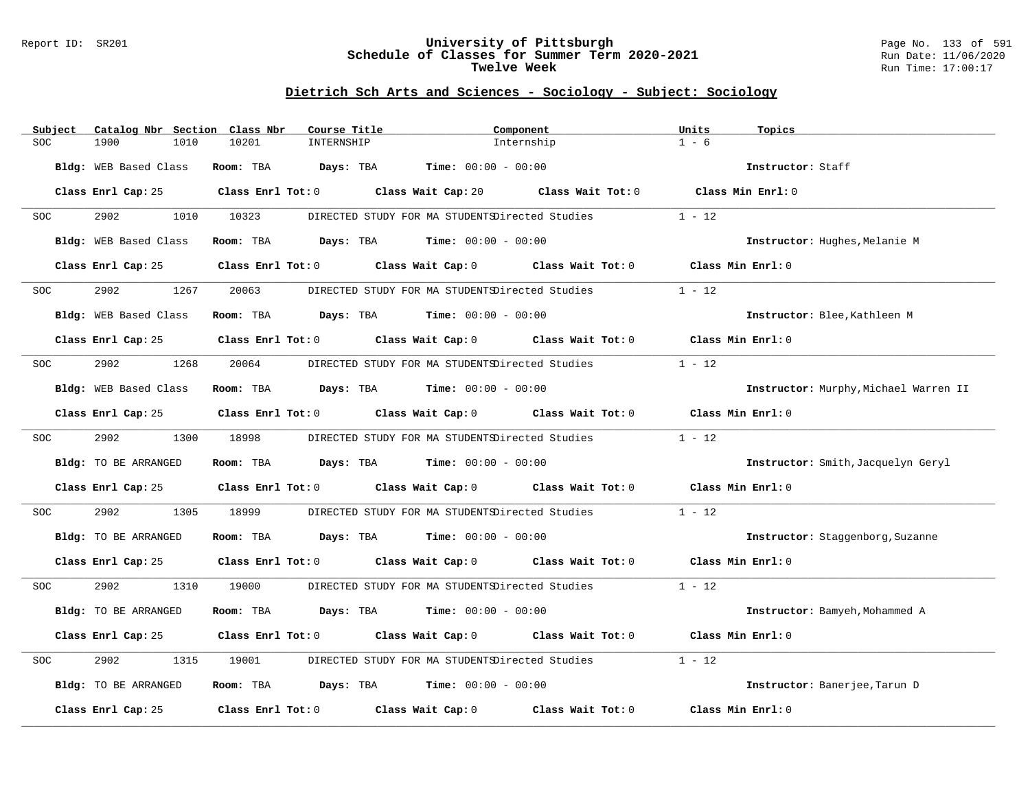#### Report ID: SR201 **University of Pittsburgh** Page No. 133 of 591 **Schedule of Classes for Summer Term 2020-2021** Run Date: 11/06/2020 **Twelve Week Run Time:** 17:00:17

# **Dietrich Sch Arts and Sciences - Sociology - Subject: Sociology**

| Subject | Catalog Nbr Section Class Nbr | Course Title        |                                                                                             | Component  | Units<br>Topics                       |
|---------|-------------------------------|---------------------|---------------------------------------------------------------------------------------------|------------|---------------------------------------|
| SOC     | 1900<br>1010                  | 10201<br>INTERNSHIP |                                                                                             | Internship | $1 - 6$                               |
|         | Bldg: WEB Based Class         |                     | Room: TBA $Days: TBA$ Time: $00:00 - 00:00$                                                 |            | Instructor: Staff                     |
|         |                               |                     | Class Enrl Cap: 25 Class Enrl Tot: 0 Class Wait Cap: 20 Class Wait Tot: 0 Class Min Enrl: 0 |            |                                       |
| SOC     | 2902                          | 1010 10323          | DIRECTED STUDY FOR MA STUDENTSDirected Studies                                              |            | $1 - 12$                              |
|         | Bldg: WEB Based Class         |                     | Room: TBA $Days:$ TBA $Time: 00:00 - 00:00$                                                 |            | Instructor: Hughes, Melanie M         |
|         | Class Enrl Cap: 25            |                     | Class Enrl Tot: 0 Class Wait Cap: 0 Class Wait Tot: 0                                       |            | Class Min Enrl: 0                     |
| SOC     | 2902<br>1267                  | 20063               | DIRECTED STUDY FOR MA STUDENTSDirected Studies                                              |            | $1 - 12$                              |
|         | Bldg: WEB Based Class         |                     | Room: TBA $Days:$ TBA $Time: 00:00 - 00:00$                                                 |            | Instructor: Blee, Kathleen M          |
|         |                               |                     | Class Enrl Cap: 25 Class Enrl Tot: 0 Class Wait Cap: 0 Class Wait Tot: 0 Class Min Enrl: 0  |            |                                       |
| SOC     | 2902<br>1268                  | 20064               | DIRECTED STUDY FOR MA STUDENTSDirected Studies                                              |            | $1 - 12$                              |
|         | Bldg: WEB Based Class         |                     | Room: TBA $Days:$ TBA $Time: 00:00 - 00:00$                                                 |            | Instructor: Murphy, Michael Warren II |
|         |                               |                     | Class Enrl Cap: 25 Class Enrl Tot: 0 Class Wait Cap: 0 Class Wait Tot: 0 Class Min Enrl: 0  |            |                                       |
| SOC     | 2902<br>1300                  | 18998               | DIRECTED STUDY FOR MA STUDENTSDirected Studies                                              |            | $1 - 12$                              |
|         | Bldg: TO BE ARRANGED          |                     | Room: TBA $Days:$ TBA $Time: 00:00 - 00:00$                                                 |            | Instructor: Smith, Jacquelyn Geryl    |
|         |                               |                     | Class Enrl Cap: 25 Class Enrl Tot: 0 Class Wait Cap: 0 Class Wait Tot: 0                    |            | Class Min Enrl: 0                     |
| SOC     | 2902<br>1305                  | 18999               | DIRECTED STUDY FOR MA STUDENTSDirected Studies                                              |            | $1 - 12$                              |
|         | Bldg: TO BE ARRANGED          |                     | Room: TBA $Days:$ TBA $Time: 00:00 - 00:00$                                                 |            | Instructor: Staggenborg, Suzanne      |
|         |                               |                     | Class Enrl Cap: 25 Class Enrl Tot: 0 Class Wait Cap: 0 Class Wait Tot: 0 Class Min Enrl: 0  |            |                                       |
| SOC.    | 2902<br>1310                  | 19000               | DIRECTED STUDY FOR MA STUDENTSDirected Studies                                              |            | $1 - 12$                              |
|         | Bldg: TO BE ARRANGED          |                     | Room: TBA $Days:$ TBA $Time: 00:00 - 00:00$                                                 |            | Instructor: Bamyeh, Mohammed A        |
|         |                               |                     | Class Enrl Cap: 25 Class Enrl Tot: 0 Class Wait Cap: 0 Class Wait Tot: 0 Class Min Enrl: 0  |            |                                       |
| SOC     | 2902<br>1315                  | 19001               | DIRECTED STUDY FOR MA STUDENTSDirected Studies                                              |            | $1 - 12$                              |
|         | Bldg: TO BE ARRANGED          |                     | Room: TBA $Days:$ TBA $Time: 00:00 - 00:00$                                                 |            | Instructor: Banerjee, Tarun D         |
|         | Class Enrl Cap: 25            |                     | Class Enrl Tot: $0$ Class Wait Cap: $0$ Class Wait Tot: $0$                                 |            | Class Min Enrl: 0                     |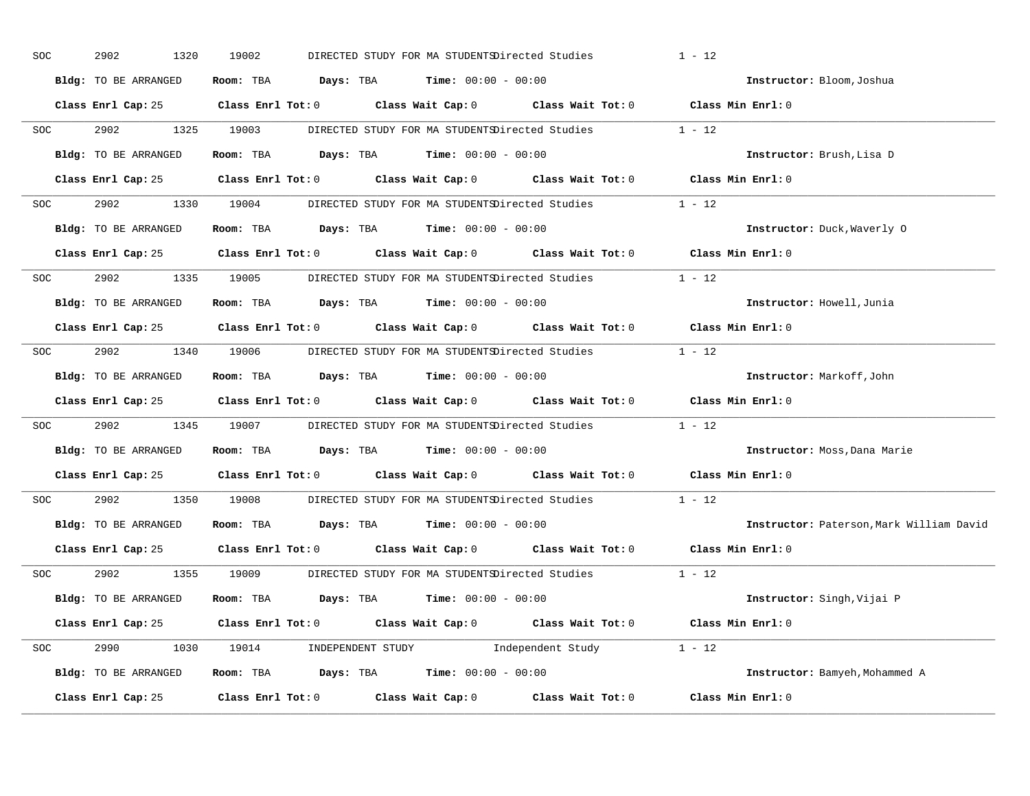| SOC        | 2902<br>1320         | 19002                                                          | DIRECTED STUDY FOR MA STUDENTSDirected Studies |                                                                                                     | $1 - 12$                                 |
|------------|----------------------|----------------------------------------------------------------|------------------------------------------------|-----------------------------------------------------------------------------------------------------|------------------------------------------|
|            | Bldg: TO BE ARRANGED | Room: TBA $Days:$ TBA $Time: 00:00 - 00:00$                    |                                                |                                                                                                     | Instructor: Bloom, Joshua                |
|            |                      |                                                                |                                                | Class Enrl Cap: 25 Class Enrl Tot: 0 Class Wait Cap: 0 Class Wait Tot: 0 Class Min Enrl: 0          |                                          |
| <b>SOC</b> | 2902 1325 19003      |                                                                |                                                | DIRECTED STUDY FOR MA STUDENTSDirected Studies 1 - 12                                               |                                          |
|            | Bldg: TO BE ARRANGED | Room: TBA $Days:$ TBA Time: $00:00 - 00:00$                    |                                                |                                                                                                     | Instructor: Brush, Lisa D                |
|            |                      |                                                                |                                                | Class Enrl Cap: 25 Class Enrl Tot: 0 Class Wait Cap: 0 Class Wait Tot: 0 Class Min Enrl: 0          |                                          |
|            |                      |                                                                |                                                | SOC 2902 1330 19004 DIRECTED STUDY FOR MA STUDENTSDirected Studies 1 - 12                           |                                          |
|            | Bldg: TO BE ARRANGED | Room: TBA $Days:$ TBA $Time: 00:00 - 00:00$                    |                                                |                                                                                                     | Instructor: Duck, Waverly 0              |
|            |                      |                                                                |                                                | Class Enrl Cap: 25 $\qquad$ Class Enrl Tot: 0 $\qquad$ Class Wait Cap: 0 $\qquad$ Class Wait Tot: 0 | Class Min Enrl: 0                        |
| <b>SOC</b> |                      | 2902 1335 19005 DIRECTED STUDY FOR MA STUDENTSDirected Studies |                                                |                                                                                                     | $1 - 12$                                 |
|            | Bldg: TO BE ARRANGED | Room: TBA $Days:$ TBA $Time: 00:00 - 00:00$                    |                                                |                                                                                                     | Instructor: Howell, Junia                |
|            |                      |                                                                |                                                | Class Enrl Cap: 25 Class Enrl Tot: 0 Class Wait Cap: 0 Class Wait Tot: 0 Class Min Enrl: 0          |                                          |
| SOC        |                      |                                                                |                                                | 2902 1340 19006 DIRECTED STUDY FOR MA STUDENTSDirected Studies 1 - 12                               |                                          |
|            | Bldg: TO BE ARRANGED | Room: TBA $Days: TBA$ Time: $00:00 - 00:00$                    |                                                |                                                                                                     | Instructor: Markoff, John                |
|            |                      |                                                                |                                                | Class Enrl Cap: 25 Class Enrl Tot: 0 Class Wait Cap: 0 Class Wait Tot: 0 Class Min Enrl: 0          |                                          |
| SOC        |                      |                                                                |                                                | 2902 1345 19007 DIRECTED STUDY FOR MA STUDENTSDirected Studies 1 - 12                               |                                          |
|            | Bldg: TO BE ARRANGED | Room: TBA $Days:$ TBA $Time: 00:00 - 00:00$                    |                                                |                                                                                                     | Instructor: Moss, Dana Marie             |
|            |                      |                                                                |                                                | Class Enrl Cap: 25 Class Enrl Tot: 0 Class Wait Cap: 0 Class Wait Tot: 0                            | Class Min Enrl: 0                        |
| SOC        | 2902                 | 1350 19008                                                     | DIRECTED STUDY FOR MA STUDENTSDirected Studies |                                                                                                     | $1 - 12$                                 |
|            | Bldg: TO BE ARRANGED | Room: TBA $Days:$ TBA $Time: 00:00 - 00:00$                    |                                                |                                                                                                     | Instructor: Paterson, Mark William David |
|            |                      |                                                                |                                                | Class Enrl Cap: 25 $\qquad$ Class Enrl Tot: 0 $\qquad$ Class Wait Cap: 0 $\qquad$ Class Wait Tot: 0 | Class Min Enrl: 0                        |
|            |                      |                                                                |                                                | SOC 2902 1355 19009 DIRECTED STUDY FOR MA STUDENTSDirected Studies 1 - 12                           |                                          |
|            | Bldg: TO BE ARRANGED | Room: TBA $Days:$ TBA $Time: 00:00 - 00:00$                    |                                                |                                                                                                     | Instructor: Singh, Vijai P               |
|            |                      |                                                                |                                                | Class Enrl Cap: 25 Class Enrl Tot: 0 Class Wait Cap: 0 Class Wait Tot: 0 Class Min Enrl: 0          |                                          |
|            |                      |                                                                |                                                | SOC 2990 1030 19014 INDEPENDENT STUDY Independent Study 1 - 12                                      |                                          |
|            | Bldg: TO BE ARRANGED |                                                                |                                                | Room: TBA $Days:$ TBA $Time:$ $00:00 - 00:00$                                                       | Instructor: Bamyeh, Mohammed A           |
|            | Class Enrl Cap: 25   |                                                                |                                                | Class Enrl Tot: $0$ Class Wait Cap: $0$ Class Wait Tot: $0$                                         | Class Min Enrl: 0                        |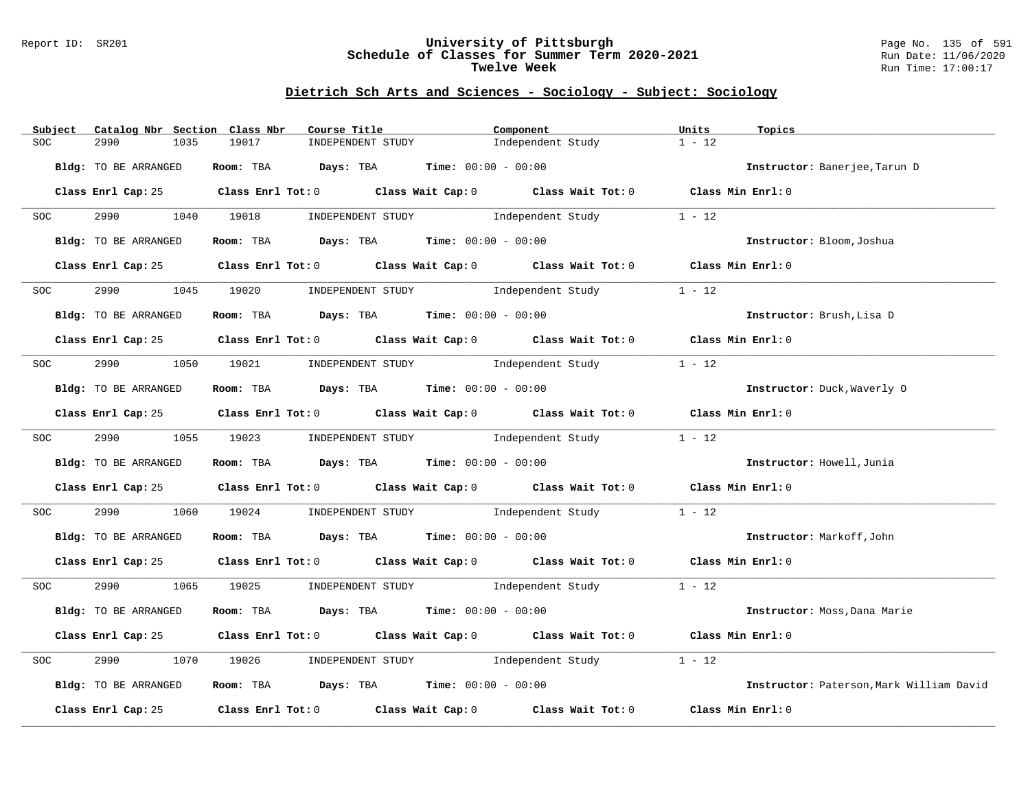#### Report ID: SR201 **University of Pittsburgh** Page No. 135 of 591 **Schedule of Classes for Summer Term 2020-2021** Run Date: 11/06/2020 **Twelve Week Run Time:** 17:00:17

# **Dietrich Sch Arts and Sciences - Sociology - Subject: Sociology**

| Subject          | Catalog Nbr Section Class Nbr | Course Title                                                                          |                   | Component                                                                                  | Units<br>Topics                          |  |
|------------------|-------------------------------|---------------------------------------------------------------------------------------|-------------------|--------------------------------------------------------------------------------------------|------------------------------------------|--|
| SOC              | 2990<br>1035                  | 19017                                                                                 | INDEPENDENT STUDY | Independent Study                                                                          | $1 - 12$                                 |  |
|                  | Bldg: TO BE ARRANGED          | Room: TBA $\rule{1em}{0.15mm}$ Days: TBA $\rule{1.5mm}{0.15mm}$ Time: $00:00 - 00:00$ |                   |                                                                                            | Instructor: Banerjee, Tarun D            |  |
|                  |                               |                                                                                       |                   | Class Enrl Cap: 25 Class Enrl Tot: 0 Class Wait Cap: 0 Class Wait Tot: 0 Class Min Enrl: 0 |                                          |  |
| SOC <b>SOC</b>   |                               |                                                                                       |                   | 2990 1040 19018 INDEPENDENT STUDY Independent Study 1 - 12                                 |                                          |  |
|                  | Bldg: TO BE ARRANGED          | Room: TBA $Days:$ TBA $Time: 00:00 - 00:00$                                           |                   |                                                                                            | Instructor: Bloom, Joshua                |  |
|                  |                               |                                                                                       |                   | Class Enrl Cap: 25 Class Enrl Tot: 0 Class Wait Cap: 0 Class Wait Tot: 0 Class Min Enrl: 0 |                                          |  |
| SOC <sup>o</sup> | 2990                          |                                                                                       |                   | 1045 19020 INDEPENDENT STUDY Independent Study                                             | $1 - 12$                                 |  |
|                  | Bldg: TO BE ARRANGED          | Room: TBA $Days:$ TBA $Time: 00:00 - 00:00$                                           |                   |                                                                                            | Instructor: Brush, Lisa D                |  |
|                  |                               |                                                                                       |                   | Class Enrl Cap: 25 Class Enrl Tot: 0 Class Wait Cap: 0 Class Wait Tot: 0 Class Min Enrl: 0 |                                          |  |
| <b>SOC</b>       |                               |                                                                                       |                   | 2990 1050 19021 INDEPENDENT STUDY Independent Study                                        | $1 - 12$                                 |  |
|                  | Bldg: TO BE ARRANGED          | Room: TBA $Days:$ TBA $Time: 00:00 - 00:00$                                           |                   |                                                                                            | Instructor: Duck, Waverly 0              |  |
|                  |                               |                                                                                       |                   | Class Enrl Cap: 25 Class Enrl Tot: 0 Class Wait Cap: 0 Class Wait Tot: 0 Class Min Enrl: 0 |                                          |  |
| <b>SOC</b>       |                               | 2990 1055 19023 INDEPENDENT STUDY                                                     |                   | Independent Study                                                                          | $1 - 12$                                 |  |
|                  | Bldg: TO BE ARRANGED          | Room: TBA $Days:$ TBA Time: $00:00 - 00:00$                                           |                   |                                                                                            | Instructor: Howell, Junia                |  |
|                  |                               |                                                                                       |                   | Class Enrl Cap: 25 Class Enrl Tot: 0 Class Wait Cap: 0 Class Wait Tot: 0 Class Min Enrl: 0 |                                          |  |
| SOC <b>SOC</b>   |                               |                                                                                       |                   | 2990 1060 19024 INDEPENDENT STUDY Independent Study                                        | $1 - 12$                                 |  |
|                  | Bldg: TO BE ARRANGED          | Room: TBA $\rule{1em}{0.15mm}$ Days: TBA Time: $00:00 - 00:00$                        |                   |                                                                                            | Instructor: Markoff, John                |  |
|                  |                               |                                                                                       |                   | Class Enrl Cap: 25 Class Enrl Tot: 0 Class Wait Cap: 0 Class Wait Tot: 0 Class Min Enrl: 0 |                                          |  |
|                  |                               |                                                                                       |                   | SOC 2990 1065 19025 INDEPENDENT STUDY Independent Study 1 - 12                             |                                          |  |
|                  | Bldg: TO BE ARRANGED          | Room: TBA $Days:$ TBA $Time: 00:00 - 00:00$                                           |                   |                                                                                            | Instructor: Moss, Dana Marie             |  |
|                  |                               |                                                                                       |                   | Class Enrl Cap: 25 Class Enrl Tot: 0 Class Wait Cap: 0 Class Wait Tot: 0 Class Min Enrl: 0 |                                          |  |
| SOC              | 2990                          |                                                                                       |                   | 1070 19026 INDEPENDENT STUDY Independent Study                                             | $1 - 12$                                 |  |
|                  | Bldg: TO BE ARRANGED          | Room: TBA $Days:$ TBA Time: $00:00 - 00:00$                                           |                   |                                                                                            | Instructor: Paterson, Mark William David |  |
|                  |                               |                                                                                       |                   | Class Enrl Cap: 25 Class Enrl Tot: 0 Class Wait Cap: 0 Class Wait Tot: 0                   | Class Min Enrl: 0                        |  |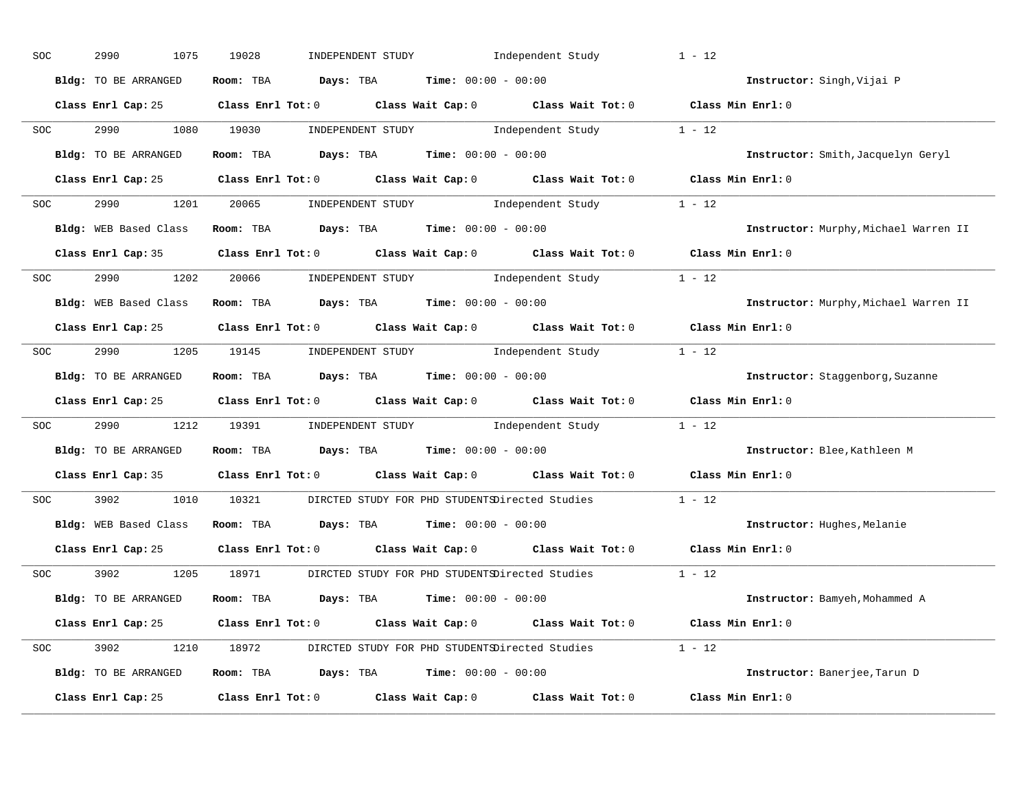| SOC            | 2990<br>1075          | 19028                                                                                               | INDEPENDENT STUDY Independent Study                                                                                           | $1 - 12$                              |
|----------------|-----------------------|-----------------------------------------------------------------------------------------------------|-------------------------------------------------------------------------------------------------------------------------------|---------------------------------------|
|                | Bldg: TO BE ARRANGED  | Room: TBA $Days:$ TBA $Time: 00:00 - 00:00$                                                         |                                                                                                                               | Instructor: Singh, Vijai P            |
|                |                       | Class Enrl Cap: 25 Class Enrl Tot: 0 Class Wait Cap: 0 Class Wait Tot: 0 Class Min Enrl: 0          |                                                                                                                               |                                       |
| SOC <b>SOC</b> | 2990 1080 19030       |                                                                                                     | $\begin{minipage}[c]{0.9\linewidth} \textbf{INDEX} & \textbf{STUDY} \\ \textbf{Independent Study} & 1 - 12 \\ \end{minipage}$ |                                       |
|                | Bldg: TO BE ARRANGED  | Room: TBA $\rule{1em}{0.15mm}$ Days: TBA Time: $00:00 - 00:00$                                      |                                                                                                                               | Instructor: Smith, Jacquelyn Geryl    |
|                |                       | Class Enrl Cap: 25 Class Enrl Tot: 0 Class Wait Cap: 0 Class Wait Tot: 0 Class Min Enrl: 0          |                                                                                                                               |                                       |
| SOC            |                       | 2990 1201 20065 INDEPENDENT STUDY Independent Study 1 - 12                                          |                                                                                                                               |                                       |
|                |                       | Bldg: WEB Based Class Room: TBA Days: TBA Time: 00:00 - 00:00                                       |                                                                                                                               | Instructor: Murphy, Michael Warren II |
|                |                       | Class Enrl Cap: 35 Class Enrl Tot: 0 Class Wait Cap: 0 Class Wait Tot: 0 Class Min Enrl: 0          |                                                                                                                               |                                       |
| SOC            |                       | 2990 1202 20066 INDEPENDENT STUDY Independent Study 1 - 12                                          |                                                                                                                               |                                       |
|                |                       | Bldg: WEB Based Class Room: TBA Days: TBA Time: 00:00 - 00:00                                       |                                                                                                                               | Instructor: Murphy, Michael Warren II |
|                |                       | Class Enrl Cap: 25 Class Enrl Tot: 0 Class Wait Cap: 0 Class Wait Tot: 0 Class Min Enrl: 0          |                                                                                                                               |                                       |
| <b>SOC</b>     |                       | 2990 1205 19145 INDEPENDENT STUDY Independent Study 1 - 12                                          |                                                                                                                               |                                       |
|                | Bldg: TO BE ARRANGED  | Room: TBA $\rule{1em}{0.15mm}$ Days: TBA $\rule{1.5mm}{0.15mm}$ Time: $00:00 - 00:00$               |                                                                                                                               | Instructor: Staggenborg, Suzanne      |
|                |                       | Class Enrl Cap: 25 Class Enrl Tot: 0 Class Wait Cap: 0 Class Wait Tot: 0 Class Min Enrl: 0          |                                                                                                                               |                                       |
| SOC            |                       | 2990 1212 19391 INDEPENDENT STUDY Independent Study 1 - 12                                          |                                                                                                                               |                                       |
|                | Bldg: TO BE ARRANGED  | Room: TBA $Days:$ TBA $Time: 00:00 - 00:00$                                                         |                                                                                                                               | Instructor: Blee, Kathleen M          |
|                |                       | Class Enrl Cap: 35 $\qquad$ Class Enrl Tot: 0 $\qquad$ Class Wait Cap: 0 $\qquad$ Class Wait Tot: 0 |                                                                                                                               | Class Min Enrl: 0                     |
| SOC            | 3902 200              | 1010 10321 DIRCTED STUDY FOR PHD STUDENTSDirected Studies                                           |                                                                                                                               | $1 - 12$                              |
|                | Bldg: WEB Based Class | Room: TBA $Days:$ TBA Time: $00:00 - 00:00$                                                         |                                                                                                                               | Instructor: Hughes, Melanie           |
|                | Class Enrl Cap: 25    | Class Enrl Tot: 0 Class Wait Cap: 0 Class Wait Tot: 0                                               |                                                                                                                               | Class Min Enrl: 0                     |
|                | SOC 3902              | 1205 18971 DIRCTED STUDY FOR PHD STUDENTSDirected Studies 1 - 12                                    |                                                                                                                               |                                       |
|                | Bldg: TO BE ARRANGED  | Room: TBA $Days:$ TBA $Time: 00:00 - 00:00$                                                         |                                                                                                                               | Instructor: Bamyeh, Mohammed A        |
|                |                       | Class Enrl Cap: 25 Class Enrl Tot: 0 Class Wait Cap: 0 Class Wait Tot: 0 Class Min Enrl: 0          |                                                                                                                               |                                       |
|                |                       | SOC 3902 1210 18972 DIRCTED STUDY FOR PHD STUDENTSDirected Studies 1 - 12                           |                                                                                                                               |                                       |
|                | Bldg: TO BE ARRANGED  | Room: TBA $Days: TBA$ Time: $00:00 - 00:00$                                                         |                                                                                                                               | Instructor: Banerjee, Tarun D         |
|                | Class Enrl Cap: 25    | Class Enrl Tot: $0$ Class Wait Cap: $0$ Class Wait Tot: $0$                                         |                                                                                                                               | Class Min Enrl: 0                     |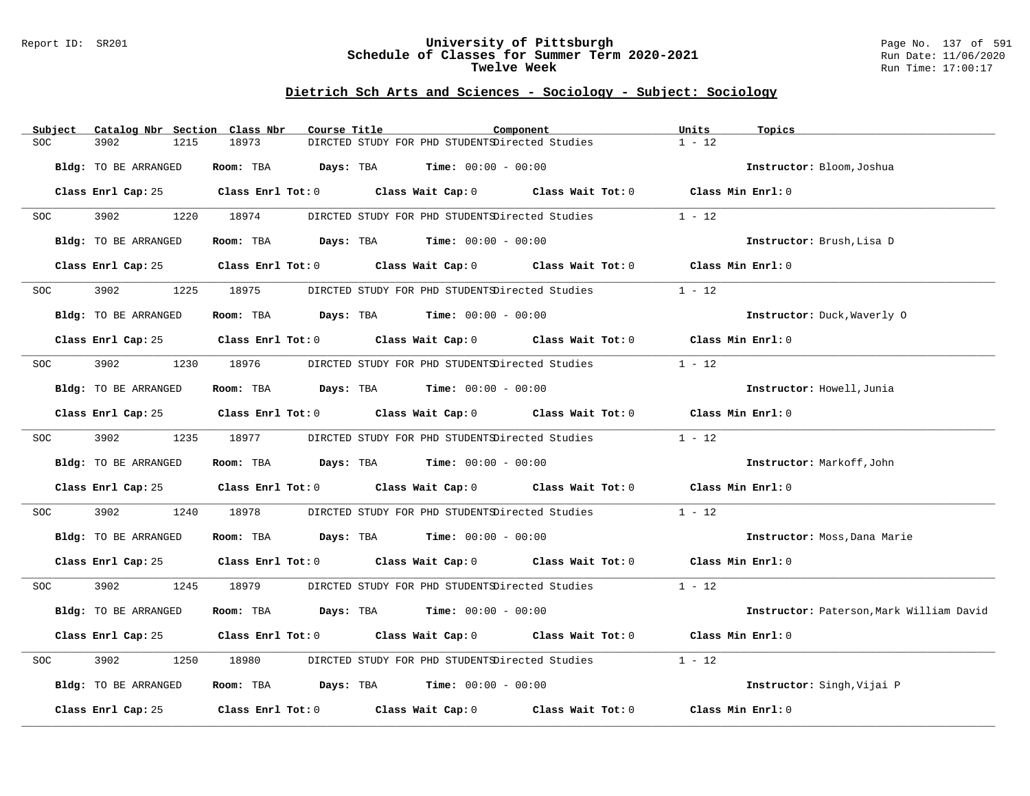#### Report ID: SR201 **University of Pittsburgh** Page No. 137 of 591 **Schedule of Classes for Summer Term 2020-2021** Run Date: 11/06/2020 **Twelve Week Run Time:** 17:00:17

# **Dietrich Sch Arts and Sciences - Sociology - Subject: Sociology**

| Subject              | Catalog Nbr Section Class Nbr | Course Title                                                                        |                                                | Component                                                                                  | Units<br>Topics              |                                          |
|----------------------|-------------------------------|-------------------------------------------------------------------------------------|------------------------------------------------|--------------------------------------------------------------------------------------------|------------------------------|------------------------------------------|
| 3902<br><b>SOC</b>   | 18973<br>1215                 |                                                                                     | DIRCTED STUDY FOR PHD STUDENTSDirected Studies |                                                                                            | $1 - 12$                     |                                          |
| Bldg: TO BE ARRANGED |                               | Room: TBA $Days:$ TBA $Time: 00:00 - 00:00$                                         |                                                |                                                                                            | Instructor: Bloom, Joshua    |                                          |
|                      |                               |                                                                                     |                                                | Class Enrl Cap: 25 Class Enrl Tot: 0 Class Wait Cap: 0 Class Wait Tot: 0 Class Min Enrl: 0 |                              |                                          |
| 3902<br><b>SOC</b>   | 1220 18974                    |                                                                                     |                                                | DIRCTED STUDY FOR PHD STUDENTSDirected Studies                                             | $1 - 12$                     |                                          |
| Bldg: TO BE ARRANGED |                               | Room: TBA $Days:$ TBA $Time: 00:00 - 00:00$                                         |                                                |                                                                                            | Instructor: Brush, Lisa D    |                                          |
| Class Enrl Cap: 25   |                               |                                                                                     |                                                | Class Enrl Tot: $0$ Class Wait Cap: $0$ Class Wait Tot: $0$ Class Min Enrl: $0$            |                              |                                          |
| 3902<br>SOC          | 1225<br>18975                 |                                                                                     | DIRCTED STUDY FOR PHD STUDENTSDirected Studies |                                                                                            | $1 - 12$                     |                                          |
| Bldg: TO BE ARRANGED |                               | Room: TBA $Days:$ TBA $Time: 00:00 - 00:00$                                         |                                                |                                                                                            | Instructor: Duck, Waverly 0  |                                          |
|                      |                               |                                                                                     |                                                | Class Enrl Cap: 25 Class Enrl Tot: 0 Class Wait Cap: 0 Class Wait Tot: 0 Class Min Enrl: 0 |                              |                                          |
| 3902 200<br>SOC SOC  | 1230 18976                    |                                                                                     | DIRCTED STUDY FOR PHD STUDENTSDirected Studies |                                                                                            | $1 - 12$                     |                                          |
| Bldg: TO BE ARRANGED |                               | Room: TBA $\rule{1em}{0.15mm}$ Days: TBA $\rule{1em}{0.15mm}$ Time: $00:00 - 00:00$ |                                                |                                                                                            | Instructor: Howell, Junia    |                                          |
|                      |                               |                                                                                     |                                                | Class Enrl Cap: 25 Class Enrl Tot: 0 Class Wait Cap: 0 Class Wait Tot: 0 Class Min Enrl: 0 |                              |                                          |
| 3902<br><b>SOC</b>   | 1235 18977                    |                                                                                     |                                                | DIRCTED STUDY FOR PHD STUDENTSDirected Studies                                             | $1 - 12$                     |                                          |
| Bldg: TO BE ARRANGED |                               | Room: TBA $Days:$ TBA $Time: 00:00 - 00:00$                                         |                                                |                                                                                            | Instructor: Markoff, John    |                                          |
|                      |                               |                                                                                     |                                                | Class Enrl Cap: 25 Class Enrl Tot: 0 Class Wait Cap: 0 Class Wait Tot: 0 Class Min Enrl: 0 |                              |                                          |
| 3902<br>SOC          | 1240<br>18978                 |                                                                                     |                                                | DIRCTED STUDY FOR PHD STUDENTSDirected Studies                                             | $1 - 12$                     |                                          |
| Bldg: TO BE ARRANGED |                               | Room: TBA $Days: TBA$ Time: $00:00 - 00:00$                                         |                                                |                                                                                            | Instructor: Moss, Dana Marie |                                          |
|                      |                               |                                                                                     |                                                | Class Enrl Cap: 25 Class Enrl Tot: 0 Class Wait Cap: 0 Class Wait Tot: 0 Class Min Enrl: 0 |                              |                                          |
| 3902<br>SOC          | 1245 18979                    |                                                                                     |                                                | DIRCTED STUDY FOR PHD STUDENTSDirected Studies                                             | $1 - 12$                     |                                          |
| Bldg: TO BE ARRANGED |                               | Room: TBA $Days:$ TBA $Time: 00:00 - 00:00$                                         |                                                |                                                                                            |                              | Instructor: Paterson, Mark William David |
|                      |                               |                                                                                     |                                                | Class Enrl Cap: 25 Class Enrl Tot: 0 Class Wait Cap: 0 Class Wait Tot: 0 Class Min Enrl: 0 |                              |                                          |
| 3902<br><b>SOC</b>   | 1250<br>18980                 |                                                                                     |                                                | DIRCTED STUDY FOR PHD STUDENTSDirected Studies                                             | $1 - 12$                     |                                          |
| Bldg: TO BE ARRANGED |                               | Room: TBA $Days:$ TBA $Time: 00:00 - 00:00$                                         |                                                |                                                                                            | Instructor: Singh, Vijai P   |                                          |
| Class Enrl Cap: 25   |                               |                                                                                     |                                                | Class Enrl Tot: $0$ Class Wait Cap: $0$ Class Wait Tot: $0$                                | Class Min Enrl: 0            |                                          |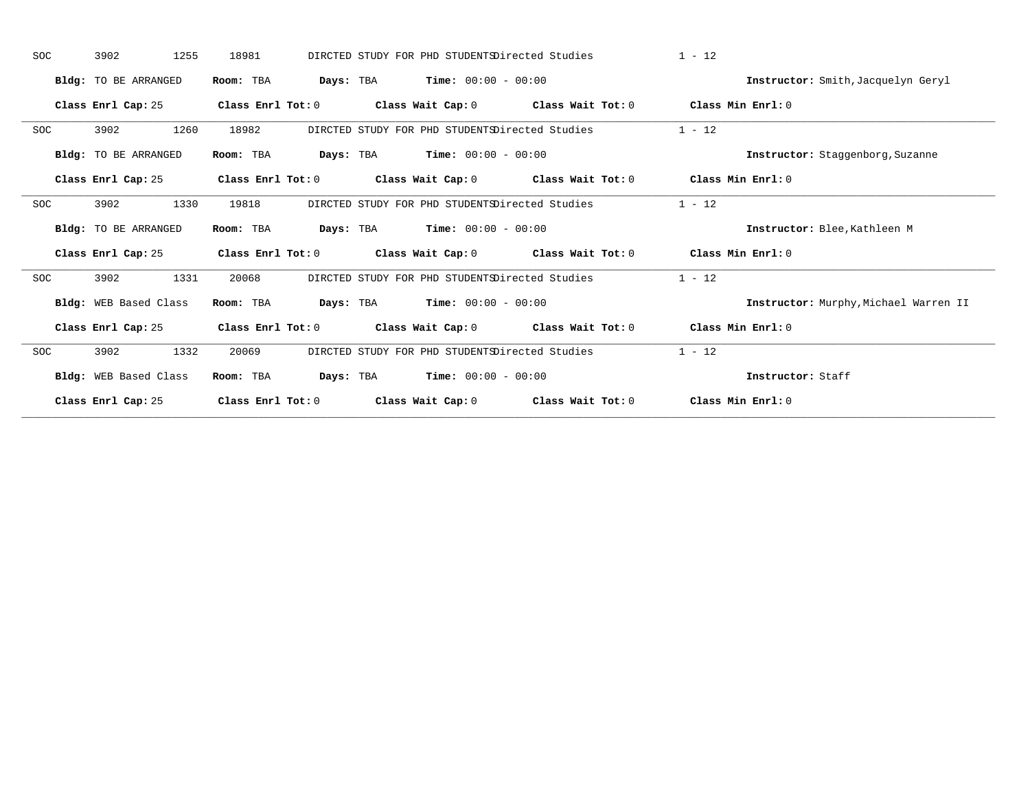| <b>SOC</b> | 3902<br>1255                | 18981                   | DIRCTED STUDY FOR PHD STUDENTSDirected Studies |                                     | $1 - 12$                              |
|------------|-----------------------------|-------------------------|------------------------------------------------|-------------------------------------|---------------------------------------|
|            | Bldg: TO BE ARRANGED        | Room: TBA               | <b>Time:</b> $00:00 - 00:00$<br>Days: TBA      |                                     | Instructor: Smith, Jacquelyn Geryl    |
|            | Class Enrl Cap: 25          | Class Enrl Tot: 0       | Class Wait Cap: 0                              | Class Wait Tot: 0                   | Class Min Enrl: 0                     |
| <b>SOC</b> | 3902<br>1260                | 18982                   | DIRCTED STUDY FOR PHD STUDENTSDirected Studies |                                     | $1 - 12$                              |
|            | Bldg: TO BE ARRANGED        | Room: TBA               | <b>Time:</b> $00:00 - 00:00$<br>Days: TBA      |                                     | Instructor: Staggenborg, Suzanne      |
|            | Class Enrl Cap: 25          | Class Enrl Tot: 0       |                                                | Class Wait Cap: 0 Class Wait Tot: 0 | Class Min Enrl: 0                     |
| <b>SOC</b> | 3902<br>1330                | 19818                   | DIRCTED STUDY FOR PHD STUDENTSDirected Studies |                                     | $1 - 12$                              |
|            | <b>Bldg:</b> TO BE ARRANGED | Room: TBA               | Days: TBA<br><b>Time:</b> $00:00 - 00:00$      |                                     | Instructor: Blee, Kathleen M          |
|            | Class Enrl Cap: 25          | Class Enrl Tot: 0       | Class Wait Cap: 0                              | Class Wait Tot: 0                   | Class Min Enrl: $0$                   |
| <b>SOC</b> | 3902<br>1331                | 20068                   | DIRCTED STUDY FOR PHD STUDENTSDirected Studies |                                     | $1 - 12$                              |
|            | Bldg: WEB Based Class       | Room: TBA               | <b>Time:</b> $00:00 - 00:00$<br>Days: TBA      |                                     | Instructor: Murphy, Michael Warren II |
|            | Class Enrl Cap: 25          | $Class$ $Enrl$ $Tot: 0$ | Class Wait Cap: 0 Class Wait Tot: 0            |                                     | Class Min Enrl: 0                     |
| <b>SOC</b> | 3902<br>1332                | 20069                   | DIRCTED STUDY FOR PHD STUDENTSDirected Studies |                                     | $1 - 12$                              |
|            | Bldg: WEB Based Class       | Room: TBA               | <b>Time:</b> $00:00 - 00:00$<br>Days: TBA      |                                     | Instructor: Staff                     |
|            | Class Enrl Cap: 25          | Class Enrl Tot: 0       | Class Wait Cap: 0                              | Class Wait Tot: 0                   | Class Min Enrl: $0$                   |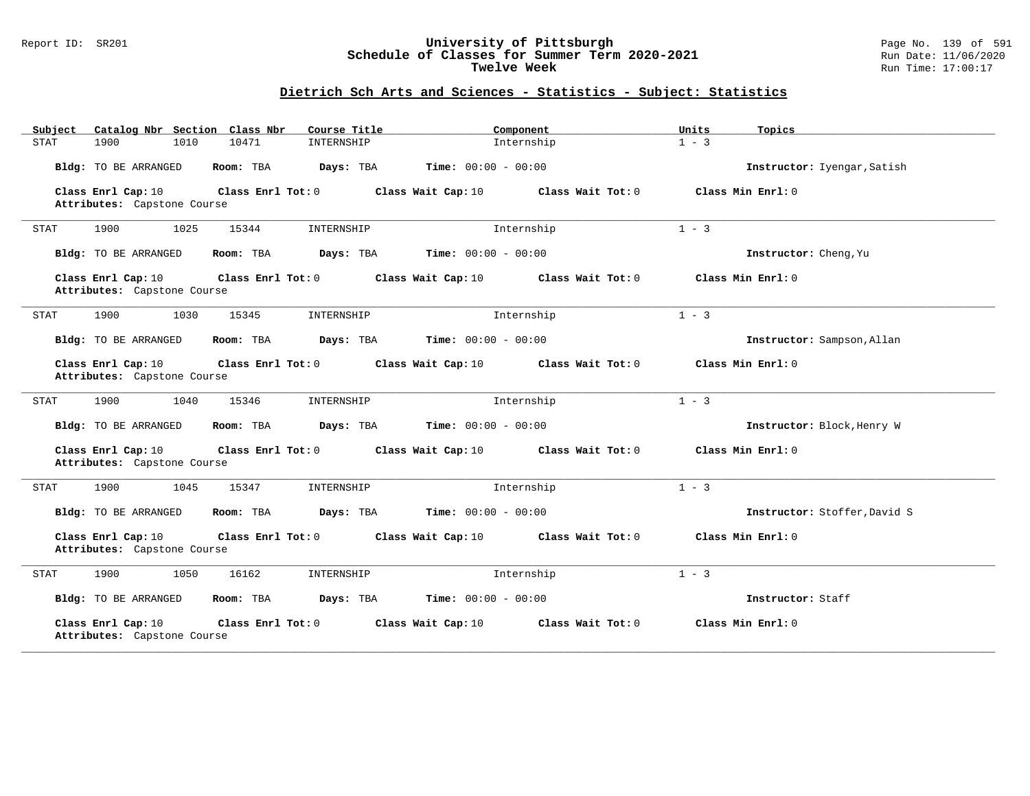#### Report ID: SR201 **University of Pittsburgh** Page No. 139 of 591 **Schedule of Classes for Summer Term 2020-2021** Run Date: 11/06/2020 **Twelve Week Run Time:** 17:00:17

| Subject<br>Catalog Nbr Section Class Nbr                                 | Course Title                              | Component           | Units<br>Topics   |                              |
|--------------------------------------------------------------------------|-------------------------------------------|---------------------|-------------------|------------------------------|
| 1900<br>10471<br><b>STAT</b><br>1010                                     | INTERNSHIP                                | Internship          | $1 - 3$           |                              |
| Bldg: TO BE ARRANGED<br>Room: TBA                                        | Time: $00:00 - 00:00$<br>Days: TBA        |                     |                   | Instructor: Iyengar, Satish  |
| Class Enrl Cap: 10<br>Class Enrl Tot: 0<br>Attributes: Capstone Course   | Class Wait Cap: 10                        | Class Wait Tot: 0   | Class Min Enrl: 0 |                              |
| 1900<br>1025<br>15344<br><b>STAT</b>                                     | INTERNSHIP                                | Internship          | $1 - 3$           |                              |
| Bldg: TO BE ARRANGED<br>Room: TBA                                        | <b>Time:</b> $00:00 - 00:00$<br>Days: TBA |                     |                   | Instructor: Cheng, Yu        |
| Class Enrl Cap: 10<br>Class Enrl Tot: 0<br>Attributes: Capstone Course   | Class Wait Cap: 10                        | Class Wait Tot: 0   | Class Min Enrl: 0 |                              |
| 1900<br>1030<br>15345<br><b>STAT</b>                                     | INTERNSHIP                                | Internship          | $1 - 3$           |                              |
| Bldg: TO BE ARRANGED<br>Room: TBA                                        | <b>Time:</b> $00:00 - 00:00$<br>Days: TBA |                     |                   | Instructor: Sampson, Allan   |
| Class Enrl Cap: 10<br>Class Enrl Tot: $0$<br>Attributes: Capstone Course | Class Wait Cap: 10                        | Class Wait $Tot: 0$ | Class Min Enrl: 0 |                              |
| 1900<br>1040<br>15346<br>STAT                                            | INTERNSHIP                                | Internship          | $1 - 3$           |                              |
| Bldg: TO BE ARRANGED<br>Room: TBA                                        | <b>Time:</b> $00:00 - 00:00$<br>Days: TBA |                     |                   | Instructor: Block, Henry W   |
| Class Enrl Cap: 10<br>Class Enrl Tot: 0<br>Attributes: Capstone Course   | Class Wait Cap: 10                        | Class Wait Tot: 0   | Class Min Enrl: 0 |                              |
| 1900<br>1045<br>15347<br><b>STAT</b>                                     | INTERNSHIP                                | Internship          | $1 - 3$           |                              |
| <b>Bldg:</b> TO BE ARRANGED<br>Room: TBA                                 | Days: TBA<br><b>Time:</b> $00:00 - 00:00$ |                     |                   | Instructor: Stoffer, David S |
| Class Enrl Cap: 10<br>Class Enrl Tot: 0<br>Attributes: Capstone Course   | Class Wait Cap: 10                        | Class Wait Tot: 0   | Class Min Enrl: 0 |                              |
| 1900<br>1050<br>16162<br><b>STAT</b>                                     | INTERNSHIP                                | Internship          | $1 - 3$           |                              |
| Bldg: TO BE ARRANGED<br>Room: TBA                                        | <b>Time:</b> $00:00 - 00:00$<br>Days: TBA |                     |                   | Instructor: Staff            |
| Class Enrl Cap: 10<br>Class Enrl Tot: 0<br>Attributes: Capstone Course   | Class Wait Cap: 10                        | Class Wait Tot: 0   | Class Min Enrl: 0 |                              |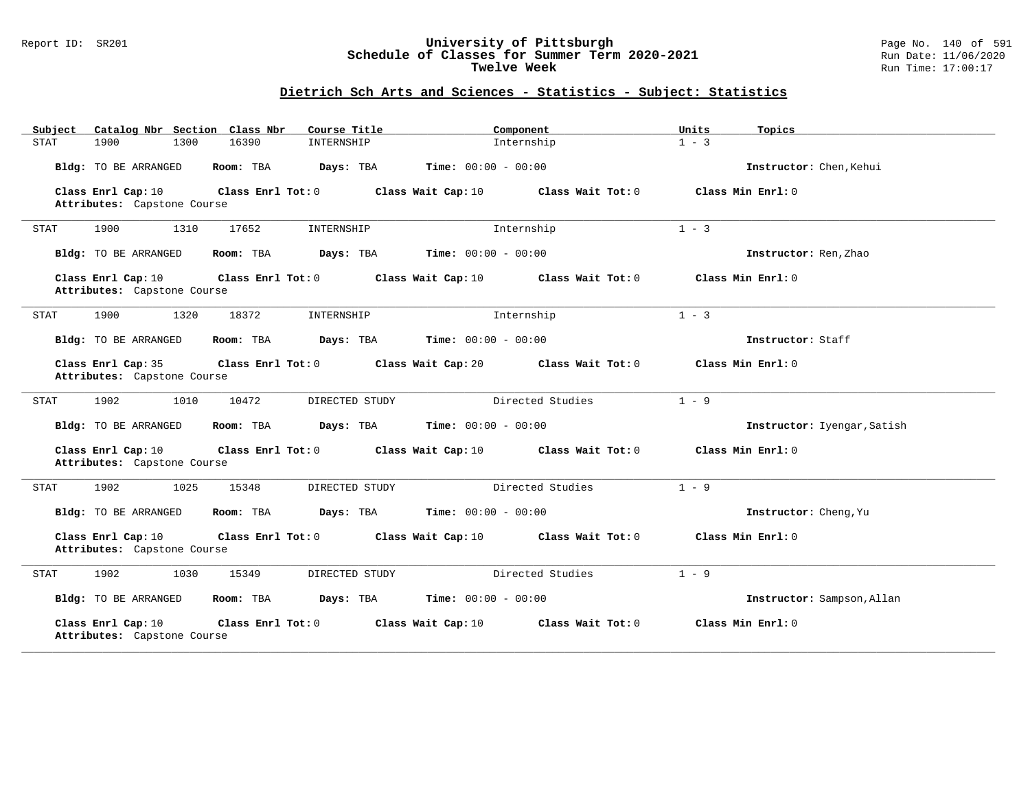#### Report ID: SR201 **University of Pittsburgh** Page No. 140 of 591 **Schedule of Classes for Summer Term 2020-2021** Run Date: 11/06/2020 **Twelve Week Run Time:** 17:00:17

| Subject<br>Catalog Nbr Section Class Nbr                               | Component<br>Course Title                 | Units<br>Topics             |
|------------------------------------------------------------------------|-------------------------------------------|-----------------------------|
| 1300<br>16390<br>STAT<br>1900                                          | Internship<br>INTERNSHIP                  | $1 - 3$                     |
| Bldg: TO BE ARRANGED<br>Room: TBA                                      | Days: TBA<br><b>Time:</b> $00:00 - 00:00$ | Instructor: Chen, Kehui     |
| Class Enrl Cap: 10<br>Class Enrl Tot: 0<br>Attributes: Capstone Course | Class Wait Cap: 10<br>Class Wait Tot: 0   | Class Min Enrl: 0           |
|                                                                        |                                           |                             |
| 1900<br>1310<br>17652<br><b>STAT</b>                                   | Internship<br>INTERNSHIP                  | $1 - 3$                     |
| Bldg: TO BE ARRANGED<br>Room: TBA                                      | <b>Time:</b> $00:00 - 00:00$<br>Days: TBA | Instructor: Ren, Zhao       |
| Class Enrl Cap: 10<br>Class Enrl Tot: 0                                | Class Wait Cap: 10<br>Class Wait Tot: 0   | Class Min Enrl: 0           |
| Attributes: Capstone Course                                            |                                           |                             |
| 1900<br>1320<br>18372<br>STAT                                          | Internship<br>INTERNSHIP                  | $1 - 3$                     |
| Bldg: TO BE ARRANGED<br>Room: TBA                                      | Time: $00:00 - 00:00$<br>Days: TBA        | Instructor: Staff           |
| Class Enrl Cap: 35<br>Class Enrl Tot: 0                                | Class Wait Cap: 20<br>Class Wait Tot: 0   | Class Min Enrl: 0           |
| Attributes: Capstone Course                                            |                                           |                             |
| 1902<br>10472<br>1010<br>STAT                                          | Directed Studies<br>DIRECTED STUDY        | $1 - 9$                     |
| Bldg: TO BE ARRANGED<br>Room: TBA                                      | Time: $00:00 - 00:00$<br>Days: TBA        | Instructor: Iyengar, Satish |
| Class Enrl Cap: 10<br>Class Enrl Tot: 0<br>Attributes: Capstone Course | Class Wait Cap: 10<br>Class Wait Tot: 0   | Class Min Enrl: 0           |
| 1902<br>1025<br>15348<br>STAT                                          | DIRECTED STUDY<br>Directed Studies        | $1 - 9$                     |
| Bldg: TO BE ARRANGED<br>Room: TBA                                      | Days: TBA<br><b>Time:</b> $00:00 - 00:00$ | Instructor: Cheng, Yu       |
| Class Enrl Cap: 10<br>Class Enrl Tot: 0<br>Attributes: Capstone Course | Class Wait Cap: 10<br>Class Wait Tot: 0   | Class Min Enrl: 0           |
| 1902<br>1030<br>15349<br>STAT                                          | Directed Studies<br>DIRECTED STUDY        | $1 - 9$                     |
| Bldg: TO BE ARRANGED<br>Room: TBA                                      | Days: TBA<br><b>Time:</b> $00:00 - 00:00$ | Instructor: Sampson, Allan  |
| Class Enrl Cap: 10<br>Class Enrl Tot: 0<br>Attributes: Capstone Course | Class Wait Cap: 10<br>Class Wait Tot: 0   | Class Min Enrl: 0           |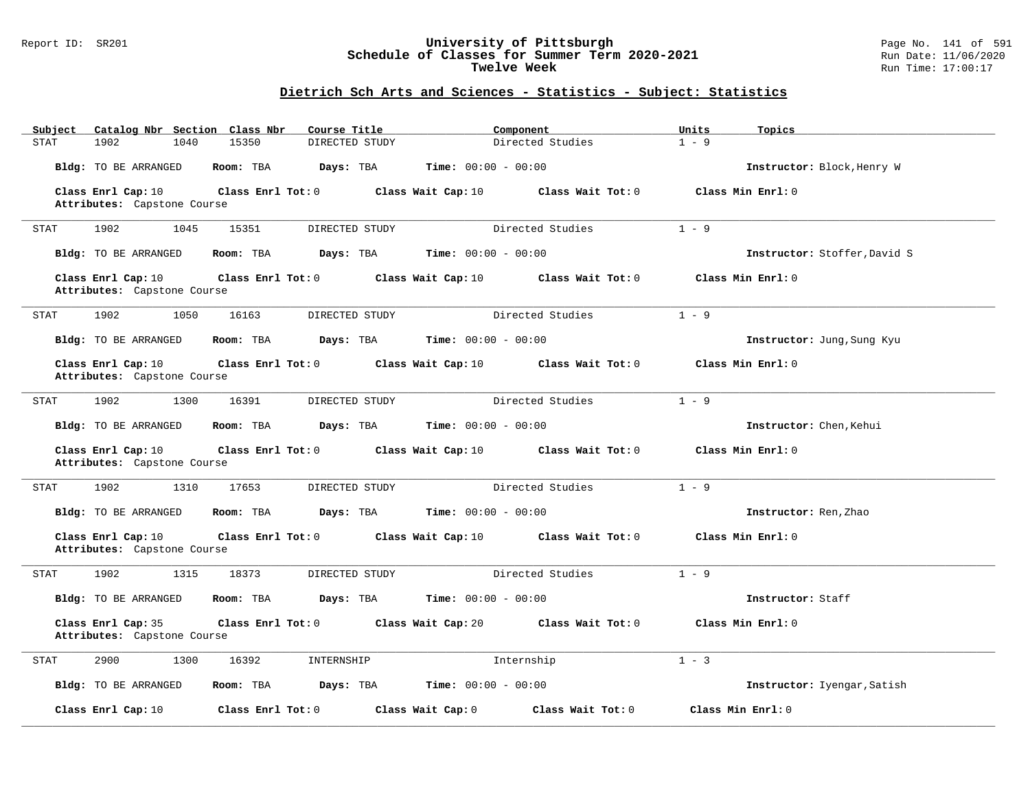#### Report ID: SR201 **University of Pittsburgh** Page No. 141 of 591 **Schedule of Classes for Summer Term 2020-2021** Run Date: 11/06/2020 **Twelve Week Run Time:** 17:00:17

| Subject<br>Catalog Nbr Section Class Nbr          | Course Title            | Component                               | Units<br>Topics              |
|---------------------------------------------------|-------------------------|-----------------------------------------|------------------------------|
| STAT<br>1902<br>1040                              | 15350<br>DIRECTED STUDY | Directed Studies                        | $1 - 9$                      |
| Bldg: TO BE ARRANGED                              | Room: TBA<br>Days: TBA  | <b>Time:</b> $00:00 - 00:00$            | Instructor: Block, Henry W   |
| Class Enrl Cap: 10                                | Class Enrl Tot: $0$     | Class Wait Cap: 10<br>Class Wait Tot: 0 | Class Min Enrl: 0            |
| Attributes: Capstone Course                       |                         |                                         |                              |
| 1902<br>1045<br>STAT                              | 15351<br>DIRECTED STUDY | Directed Studies                        | $1 - 9$                      |
| Bldg: TO BE ARRANGED                              | Room: TBA<br>Days: TBA  | <b>Time:</b> $00:00 - 00:00$            | Instructor: Stoffer, David S |
| Class Enrl Cap: 10<br>Attributes: Capstone Course | Class Enrl Tot: 0       | Class Wait Cap: 10<br>Class Wait Tot: 0 | Class Min Enrl: 0            |
| 1902<br>1050<br>STAT                              | 16163<br>DIRECTED STUDY | Directed Studies                        | $1 - 9$                      |
| Bldg: TO BE ARRANGED                              | Days: TBA<br>Room: TBA  | <b>Time:</b> $00:00 - 00:00$            | Instructor: Jung, Sung Kyu   |
| Class Enrl Cap: 10<br>Attributes: Capstone Course | Class Enrl Tot: 0       | Class Wait Cap: 10<br>Class Wait Tot: 0 | Class Min Enrl: 0            |
|                                                   |                         |                                         |                              |
| 1902<br>1300<br>STAT                              | 16391<br>DIRECTED STUDY | Directed Studies                        | $1 - 9$                      |
| Bldg: TO BE ARRANGED                              | Room: TBA<br>Days: TBA  | Time: $00:00 - 00:00$                   | Instructor: Chen, Kehui      |
| Class Enrl Cap: 10<br>Attributes: Capstone Course | Class Enrl Tot: 0       | Class Wait Cap: 10<br>Class Wait Tot: 0 | Class Min Enrl: 0            |
| 1902<br>1310<br>STAT                              | 17653<br>DIRECTED STUDY | Directed Studies                        | $1 - 9$                      |
| Bldg: TO BE ARRANGED                              | Room: TBA<br>Days: TBA  | <b>Time:</b> $00:00 - 00:00$            | Instructor: Ren, Zhao        |
| Class Enrl Cap: 10<br>Attributes: Capstone Course | Class Enrl Tot: 0       | Class Wait Cap: 10<br>Class Wait Tot: 0 | Class Min Enrl: 0            |
| 1902<br>1315<br>STAT                              | 18373<br>DIRECTED STUDY | Directed Studies                        | $1 - 9$                      |
| Bldg: TO BE ARRANGED                              | Room: TBA<br>Days: TBA  | <b>Time:</b> $00:00 - 00:00$            | Instructor: Staff            |
| Class Enrl Cap: 35<br>Attributes: Capstone Course | Class Enrl Tot: 0       | Class Wait Cap: 20<br>Class Wait Tot: 0 | Class Min Enrl: 0            |
| 2900<br><b>STAT</b><br>1300                       | 16392<br>INTERNSHIP     | Internship                              | $1 - 3$                      |
| Bldg: TO BE ARRANGED                              | Room: TBA<br>Days: TBA  | <b>Time:</b> $00:00 - 00:00$            | Instructor: Iyengar, Satish  |
| Class Enrl Cap: 10                                | Class Enrl Tot: 0       | Class Wait Cap: 0<br>Class Wait Tot: 0  | Class Min Enrl: 0            |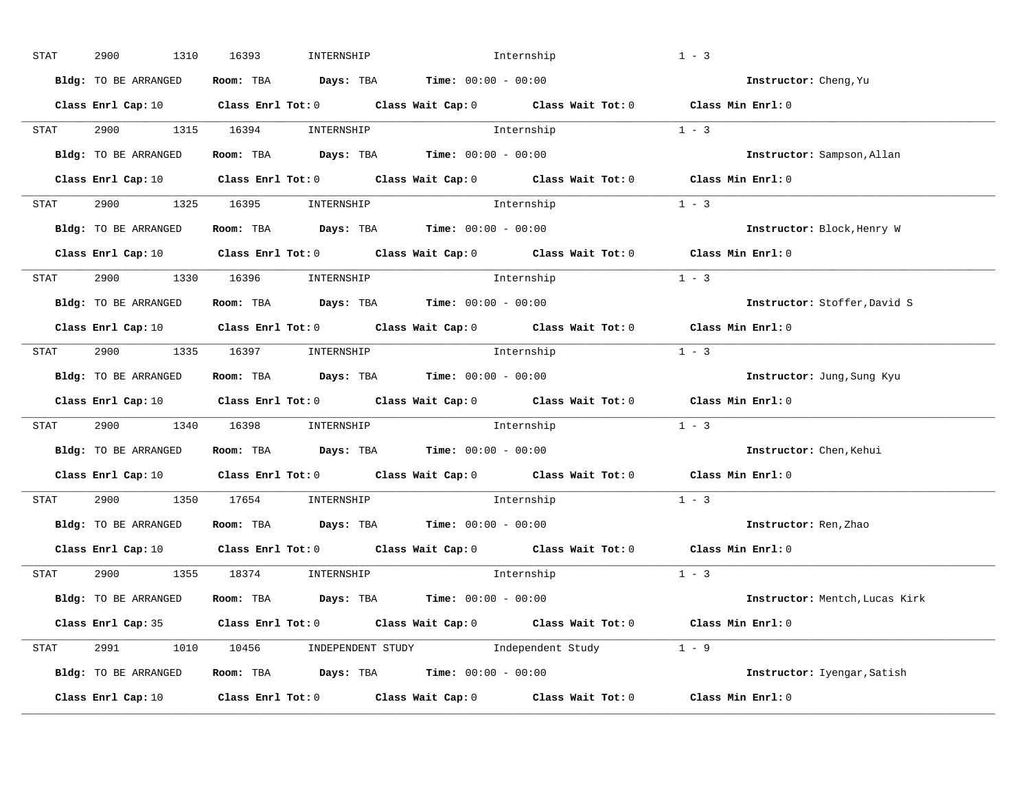| STAT        | 2900<br>1310         | 16393<br>INTERNSHIP             |                                                                                                                                | Internship | $1 - 3$                        |
|-------------|----------------------|---------------------------------|--------------------------------------------------------------------------------------------------------------------------------|------------|--------------------------------|
|             | Bldg: TO BE ARRANGED |                                 | Room: TBA $\rule{1em}{0.15mm}$ Days: TBA Time: $00:00 - 00:00$                                                                 |            | Instructor: Cheng, Yu          |
|             |                      |                                 | Class Enrl Cap: 10 $\qquad$ Class Enrl Tot: 0 $\qquad$ Class Wait Cap: 0 $\qquad$ Class Wait Tot: 0 $\qquad$ Class Min Enrl: 0 |            |                                |
|             |                      |                                 | STAT 2900 1315 16394 INTERNSHIP Internship                                                                                     |            | $1 - 3$                        |
|             | Bldg: TO BE ARRANGED |                                 | Room: TBA $\rule{1em}{0.15mm}$ Days: TBA Time: $00:00 - 00:00$                                                                 |            | Instructor: Sampson, Allan     |
|             |                      |                                 | Class Enrl Cap: 10 $\qquad$ Class Enrl Tot: 0 $\qquad$ Class Wait Cap: 0 $\qquad$ Class Wait Tot: 0 $\qquad$ Class Min Enrl: 0 |            |                                |
|             |                      | STAT 2900 1325 16395 INTERNSHIP | Internship                                                                                                                     |            | $1 - 3$                        |
|             |                      |                                 | Bldg: TO BE ARRANGED Room: TBA Days: TBA Time: 00:00 - 00:00                                                                   |            | Instructor: Block, Henry W     |
|             |                      |                                 | Class Enrl Cap: 10 $\qquad$ Class Enrl Tot: 0 $\qquad$ Class Wait Cap: 0 $\qquad$ Class Wait Tot: 0 $\qquad$ Class Min Enrl: 0 |            |                                |
|             |                      | STAT 2900 1330 16396 INTERNSHIP |                                                                                                                                | Internship | $1 - 3$                        |
|             | Bldg: TO BE ARRANGED |                                 | Room: TBA $\rule{1em}{0.15mm}$ Days: TBA Time: $00:00 - 00:00$                                                                 |            | Instructor: Stoffer, David S   |
|             |                      |                                 | Class Enrl Cap: 10 $\qquad$ Class Enrl Tot: 0 $\qquad$ Class Wait Cap: 0 $\qquad$ Class Wait Tot: 0 $\qquad$ Class Min Enrl: 0 |            |                                |
|             |                      | STAT 2900 1335 16397 INTERNSHIP | Internship                                                                                                                     |            | $1 - 3$                        |
|             | Bldg: TO BE ARRANGED |                                 | Room: TBA $\rule{1em}{0.15mm}$ Days: TBA $\rule{1.5mm}{0.15mm}$ Time: $00:00 - 00:00$                                          |            | Instructor: Jung, Sung Kyu     |
|             |                      |                                 | Class Enrl Cap: 10 Class Enrl Tot: 0 Class Wait Cap: 0 Class Wait Tot: 0 Class Min Enrl: 0                                     |            |                                |
| STAT        |                      | 2900 1340 16398 INTERNSHIP      | Internship                                                                                                                     |            | $1 - 3$                        |
|             | Bldg: TO BE ARRANGED |                                 | Room: TBA $\rule{1em}{0.15mm}$ Days: TBA Time: $00:00 - 00:00$                                                                 |            | Instructor: Chen, Kehui        |
|             |                      |                                 | Class Enrl Cap: 10 $\qquad$ Class Enrl Tot: 0 $\qquad$ Class Wait Cap: 0 $\qquad$ Class Wait Tot: 0                            |            | Class Min Enrl: 0              |
| <b>STAT</b> |                      | 2900 1350 17654 INTERNSHIP      |                                                                                                                                | Internship | $1 - 3$                        |
|             |                      |                                 | Bldg: TO BE ARRANGED Room: TBA Days: TBA Time: 00:00 - 00:00                                                                   |            | Instructor: Ren, Zhao          |
|             | Class Enrl Cap: 10   |                                 | Class Enrl Tot: $0$ Class Wait Cap: $0$ Class Wait Tot: $0$                                                                    |            | Class Min Enrl: 0              |
|             |                      | STAT 2900 1355 18374 INTERNSHIP |                                                                                                                                | Internship | $1 - 3$                        |
|             | Bldg: TO BE ARRANGED |                                 | Room: TBA $\rule{1em}{0.15mm}$ Days: TBA $\rule{1.15mm}]{0.15mm}$ Time: $0.0100 - 0.0100$                                      |            | Instructor: Mentch, Lucas Kirk |
|             |                      |                                 | Class Enrl Cap: 35 Class Enrl Tot: 0 Class Wait Cap: 0 Class Wait Tot: 0 Class Min Enrl: 0                                     |            |                                |
|             |                      |                                 | STAT 2991 1010 10456 INDEPENDENT STUDY Independent Study 1 - 9                                                                 |            |                                |
|             | Bldg: TO BE ARRANGED |                                 | Room: TBA $Days: TBA$ Time: $00:00 - 00:00$                                                                                    |            | Instructor: Iyengar, Satish    |
|             |                      |                                 | Class Enrl Cap: 10 Class Enrl Tot: 0 Class Wait Cap: 0 Class Wait Tot: 0 Class Min Enrl: 0                                     |            |                                |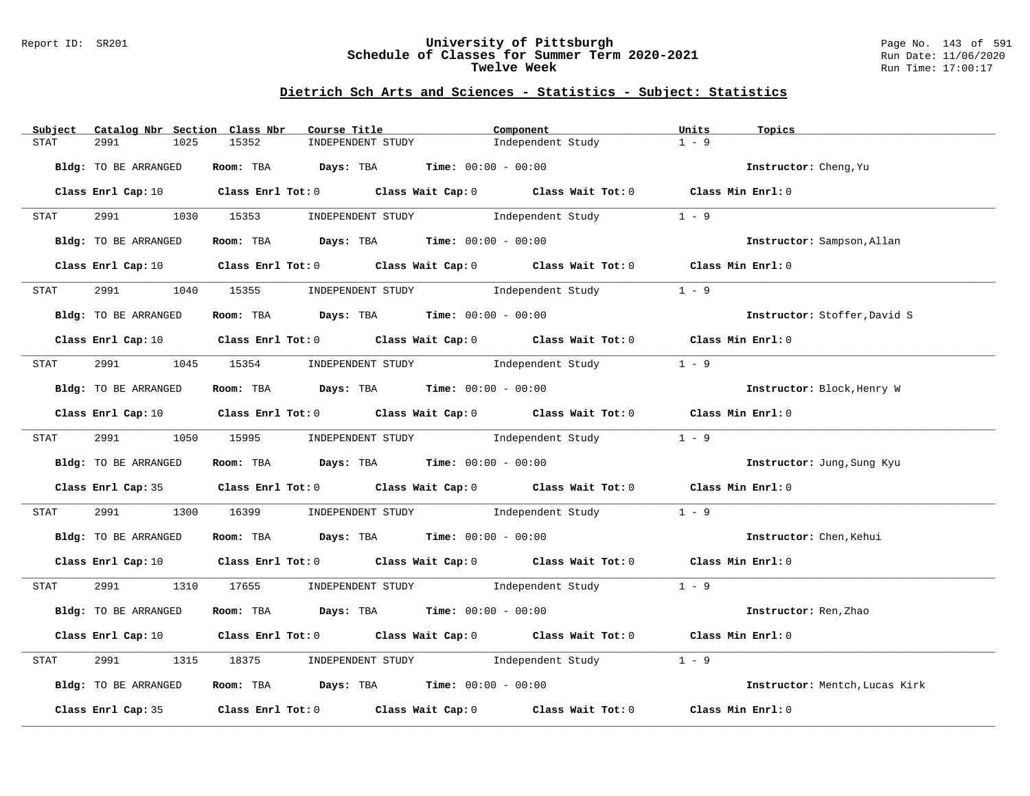#### Report ID: SR201 **University of Pittsburgh** Page No. 143 of 591 **Schedule of Classes for Summer Term 2020-2021** Run Date: 11/06/2020 **Twelve Week Run Time:** 17:00:17

| Subject<br>Catalog Nbr Section Class Nbr | Course Title                                | Component                                                                                                                                                                                                                     | Units<br>Topics                |
|------------------------------------------|---------------------------------------------|-------------------------------------------------------------------------------------------------------------------------------------------------------------------------------------------------------------------------------|--------------------------------|
| 2991<br>1025<br>STAT                     | 15352<br>INDEPENDENT STUDY                  | Independent Study                                                                                                                                                                                                             | $1 - 9$                        |
| Bldg: TO BE ARRANGED                     | Room: TBA $Days:$ TBA $Time: 00:00 - 00:00$ |                                                                                                                                                                                                                               | Instructor: Cheng, Yu          |
|                                          |                                             | Class Enrl Cap: 10 Class Enrl Tot: 0 Class Wait Cap: 0 Class Wait Tot: 0 Class Min Enrl: 0                                                                                                                                    |                                |
| <b>STAT</b>                              |                                             | 2991 1030 15353 INDEPENDENT STUDY Independent Study 1 - 9                                                                                                                                                                     |                                |
| Bldg: TO BE ARRANGED                     |                                             | Room: TBA $Days:$ TBA $Time: 00:00 - 00:00$                                                                                                                                                                                   | Instructor: Sampson, Allan     |
|                                          |                                             | Class Enrl Cap: 10 $\qquad$ Class Enrl Tot: 0 $\qquad$ Class Wait Cap: 0 $\qquad$ Class Wait Tot: 0 $\qquad$ Class Min Enrl: 0                                                                                                |                                |
| 2991 72<br>STAT                          |                                             | 1040 15355 INDEPENDENT STUDY Independent Study                                                                                                                                                                                | $1 - 9$                        |
| Bldg: TO BE ARRANGED                     | Room: TBA $Days:$ TBA $Time: 00:00 - 00:00$ |                                                                                                                                                                                                                               | Instructor: Stoffer, David S   |
|                                          |                                             | Class Enrl Cap: 10 Class Enrl Tot: 0 Class Wait Cap: 0 Class Wait Tot: 0 Class Min Enrl: 0                                                                                                                                    |                                |
| STAT                                     |                                             | 2991 1045 15354 INDEPENDENT STUDY Independent Study 1 - 9                                                                                                                                                                     |                                |
| Bldg: TO BE ARRANGED                     | Room: TBA Days: TBA Time: $00:00 - 00:00$   |                                                                                                                                                                                                                               | Instructor: Block, Henry W     |
|                                          |                                             | Class Enrl Cap: 10 $\qquad$ Class Enrl Tot: 0 $\qquad$ Class Wait Cap: 0 $\qquad$ Class Wait Tot: 0 $\qquad$ Class Min Enrl: 0                                                                                                |                                |
| STAT                                     |                                             | 2991 1050 15995 INDEPENDENT STUDY Independent Study 1 - 9                                                                                                                                                                     |                                |
| Bldg: TO BE ARRANGED                     | Room: TBA Days: TBA Time: $00:00 - 00:00$   |                                                                                                                                                                                                                               | Instructor: Jung, Sung Kyu     |
|                                          |                                             | Class Enrl Cap: 35 Class Enrl Tot: 0 Class Wait Cap: 0 Class Wait Tot: 0 Class Min Enrl: 0                                                                                                                                    |                                |
| 2991 200<br>STAT                         |                                             | 1300 16399 INDEPENDENT STUDY Independent Study                                                                                                                                                                                | $1 - 9$                        |
| Bldg: TO BE ARRANGED                     | Room: TBA $Days:$ TBA Time: $00:00 - 00:00$ |                                                                                                                                                                                                                               | Instructor: Chen, Kehui        |
|                                          |                                             | Class Enrl Cap: 10 Class Enrl Tot: 0 Class Wait Cap: 0 Class Wait Tot: 0 Class Min Enrl: 0                                                                                                                                    |                                |
| STAT                                     |                                             | 2991 1310 17655 INDEPENDENT STUDY Independent Study 1 - 9                                                                                                                                                                     |                                |
| Bldg: TO BE ARRANGED                     | Room: TBA $Days:$ TBA $Time:$ 00:00 - 00:00 |                                                                                                                                                                                                                               | Instructor: Ren, Zhao          |
|                                          |                                             | Class Enrl Cap: 10 $\qquad$ Class Enrl Tot: 0 $\qquad$ Class Wait Cap: 0 $\qquad$ Class Wait Tot: 0 $\qquad$ Class Min Enrl: 0                                                                                                |                                |
| 2991<br>STAT                             |                                             | 1315 18375 INDEPENDENT STUDY Independent Study                                                                                                                                                                                | $1 - 9$                        |
| Bldg: TO BE ARRANGED                     | Room: TBA $Days:$ TBA Time: $00:00 - 00:00$ |                                                                                                                                                                                                                               | Instructor: Mentch, Lucas Kirk |
|                                          |                                             | Class Enrl Cap: 35 $\,$ Class Enrl Tot: 0 $\,$ Class Wait Cap: 0 $\,$ Class Wait Tot: 0 $\,$ Class Enrl Tot: 0 $\,$ Class Enrl Tot: 0 $\,$ Class Enrl Tot: 0 $\,$ Class Enrl Tot: 0 $\,$ Class Enrl Tot: 0 $\,$ Class Enrl To | Class Min Enrl: 0              |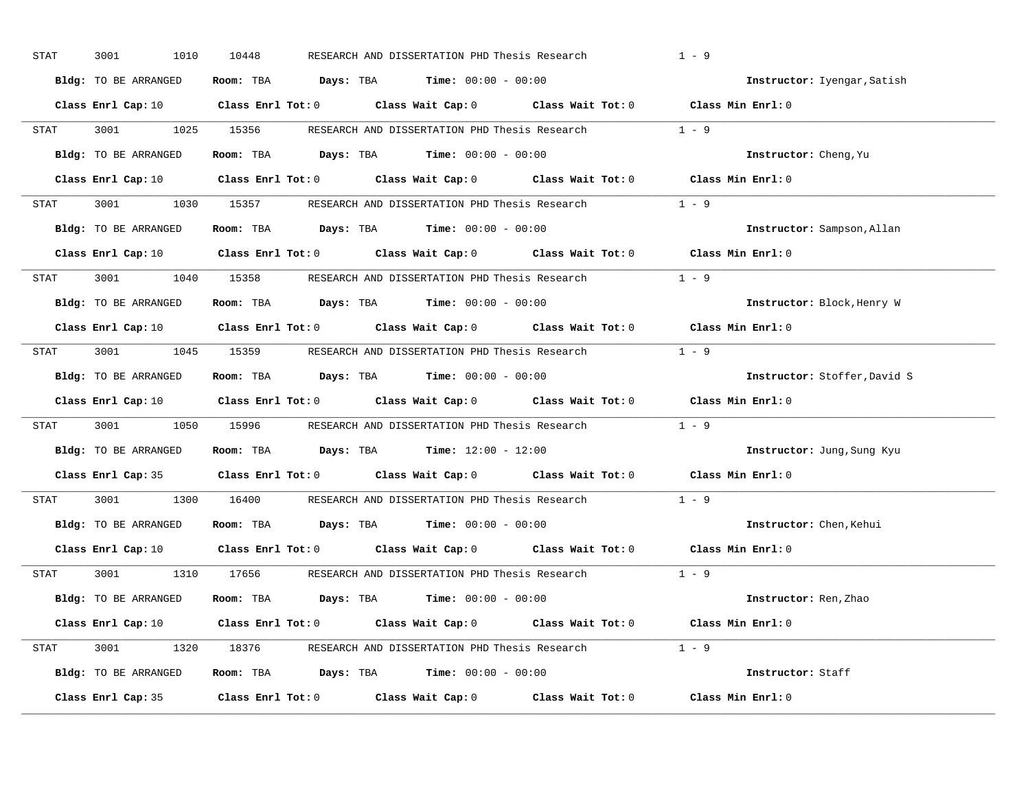| STAT | 3001<br>1010         | 10448<br>RESEARCH AND DISSERTATION PHD Thesis Research                                                                         | $1 - 9$                      |
|------|----------------------|--------------------------------------------------------------------------------------------------------------------------------|------------------------------|
|      | Bldg: TO BE ARRANGED | Room: TBA $Days:$ TBA $Time: 00:00 - 00:00$                                                                                    | Instructor: Iyengar, Satish  |
|      |                      | Class Enrl Cap: 10 $\qquad$ Class Enrl Tot: 0 $\qquad$ Class Wait Cap: 0 $\qquad$ Class Wait Tot: 0 $\qquad$ Class Min Enrl: 0 |                              |
|      |                      | STAT 3001 1025 15356 RESEARCH AND DISSERTATION PHD Thesis Research 1 - 9                                                       |                              |
|      | Bldg: TO BE ARRANGED | Room: TBA $Days:$ TBA Time: $00:00 - 00:00$                                                                                    | Instructor: Cheng, Yu        |
|      |                      | Class Enrl Cap: 10 $\qquad$ Class Enrl Tot: 0 $\qquad$ Class Wait Cap: 0 $\qquad$ Class Wait Tot: 0 $\qquad$ Class Min Enrl: 0 |                              |
|      |                      | STAT 3001 1030 15357 RESEARCH AND DISSERTATION PHD Thesis Research 1 - 9                                                       |                              |
|      |                      | <b>Bldg:</b> TO BE ARRANGED <b>Room:</b> TBA <b>Days:</b> TBA <b>Time:</b> $00:00 - 00:00$                                     | Instructor: Sampson, Allan   |
|      |                      | Class Enrl Cap: 10 $\qquad$ Class Enrl Tot: 0 $\qquad$ Class Wait Cap: 0 $\qquad$ Class Wait Tot: 0 $\qquad$ Class Min Enrl: 0 |                              |
|      |                      | STAT 3001 1040 15358 RESEARCH AND DISSERTATION PHD Thesis Research                                                             | $1 - 9$                      |
|      | Bldg: TO BE ARRANGED | Room: TBA $\rule{1em}{0.15mm}$ Days: TBA Time: $00:00 - 00:00$                                                                 | Instructor: Block, Henry W   |
|      |                      | Class Enrl Cap: 10 $\qquad$ Class Enrl Tot: 0 $\qquad$ Class Wait Cap: 0 $\qquad$ Class Wait Tot: 0 $\qquad$ Class Min Enrl: 0 |                              |
|      |                      | STAT 3001 1045 15359 RESEARCH AND DISSERTATION PHD Thesis Research 1 - 9                                                       |                              |
|      | Bldg: TO BE ARRANGED | Room: TBA $Days: TBA$ Time: $00:00 - 00:00$                                                                                    | Instructor: Stoffer, David S |
|      |                      | Class Enrl Cap: 10 $\qquad$ Class Enrl Tot: 0 $\qquad$ Class Wait Cap: 0 $\qquad$ Class Wait Tot: 0 $\qquad$ Class Min Enrl: 0 |                              |
| STAT |                      | 3001 1050 15996 RESEARCH AND DISSERTATION PHD Thesis Research 1 - 9                                                            |                              |
|      | Bldg: TO BE ARRANGED | Room: TBA $\rule{1em}{0.15mm}$ Days: TBA $\rule{1.15mm}{0.15mm}$ Time: $12:00 - 12:00$                                         | Instructor: Jung, Sung Kyu   |
|      |                      | Class Enrl Cap: 35 $\qquad$ Class Enrl Tot: 0 $\qquad$ Class Wait Cap: 0 $\qquad$ Class Wait Tot: 0                            | Class Min Enrl: 0            |
| STAT |                      | 3001 1300 16400 RESEARCH AND DISSERTATION PHD Thesis Research                                                                  | $1 - 9$                      |
|      |                      | Bldg: TO BE ARRANGED Room: TBA Days: TBA Time: 00:00 - 00:00                                                                   | Instructor: Chen, Kehui      |
|      |                      | Class Enrl Cap: 10 $\qquad$ Class Enrl Tot: 0 $\qquad$ Class Wait Cap: 0 $\qquad$ Class Wait Tot: 0                            | Class Min Enrl: 0            |
|      |                      | STAT 3001 1310 17656 RESEARCH AND DISSERTATION PHD Thesis Research 1 - 9                                                       |                              |
|      | Bldg: TO BE ARRANGED | Room: TBA $Days:$ TBA $Time: 00:00 - 00:00$                                                                                    | Instructor: Ren, Zhao        |
|      |                      | Class Enrl Cap: 10 $\qquad$ Class Enrl Tot: 0 $\qquad$ Class Wait Cap: 0 $\qquad$ Class Wait Tot: 0 $\qquad$ Class Min Enrl: 0 |                              |
|      |                      | STAT 3001 1320 18376 RESEARCH AND DISSERTATION PHD Thesis Research 1 - 9                                                       |                              |
|      |                      | Bldg: TO BE ARRANGED Room: TBA Days: TBA Time: 00:00 - 00:00                                                                   | Instructor: Staff            |
|      |                      | Class Enrl Cap: 35 $\qquad$ Class Enrl Tot: 0 $\qquad$ Class Wait Cap: 0 $\qquad$ Class Wait Tot: 0                            | Class Min Enrl: 0            |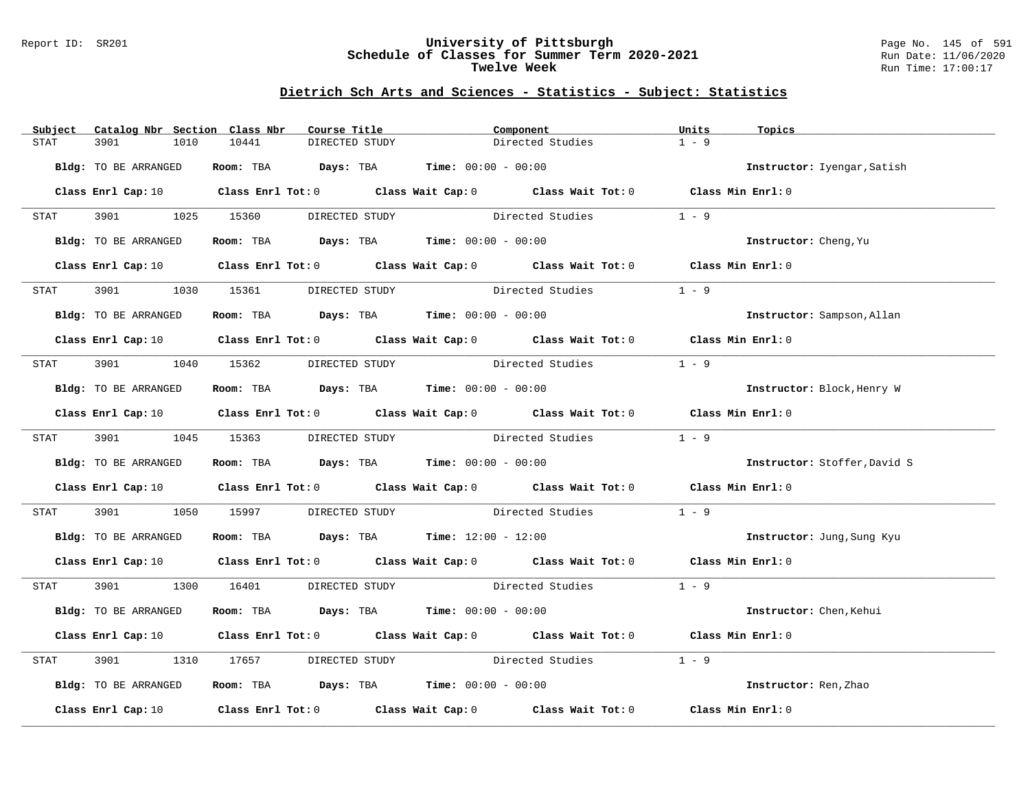#### Report ID: SR201 **University of Pittsburgh** Page No. 145 of 591 **Schedule of Classes for Summer Term 2020-2021** Run Date: 11/06/2020 **Twelve Week Run Time:** 17:00:17

# **Dietrich Sch Arts and Sciences - Statistics - Subject: Statistics**

| Subject              | Catalog Nbr Section Class Nbr<br>Course Title                                           | Component                                                                                                                      | Units<br>Topics              |
|----------------------|-----------------------------------------------------------------------------------------|--------------------------------------------------------------------------------------------------------------------------------|------------------------------|
| 3901<br>STAT<br>1010 | 10441<br>DIRECTED STUDY                                                                 | Directed Studies                                                                                                               | $1 - 9$                      |
| Bldg: TO BE ARRANGED | <b>Room:</b> TBA <b>Days:</b> TBA <b>Time:</b> 00:00 - 00:00                            |                                                                                                                                | Instructor: Iyengar, Satish  |
|                      |                                                                                         | Class Enrl Cap: 10 $\qquad$ Class Enrl Tot: 0 $\qquad$ Class Wait Cap: 0 $\qquad$ Class Wait Tot: 0 $\qquad$ Class Min Enrl: 0 |                              |
| <b>STAT</b>          |                                                                                         | 3901 1025 15360 DIRECTED STUDY Directed Studies                                                                                | $1 - 9$                      |
| Bldg: TO BE ARRANGED | Room: TBA $Days:$ TBA Time: $00:00 - 00:00$                                             |                                                                                                                                | Instructor: Cheng, Yu        |
|                      |                                                                                         | Class Enrl Cap: 10 $\qquad$ Class Enrl Tot: 0 $\qquad$ Class Wait Cap: 0 $\qquad$ Class Wait Tot: 0 $\qquad$ Class Min Enrl: 0 |                              |
| 3901 700<br>STAT     | 1030 15361<br>DIRECTED STUDY                                                            | Directed Studies                                                                                                               | $1 - 9$                      |
| Bldg: TO BE ARRANGED | Room: TBA $Days:$ TBA $Time: 00:00 - 00:00$                                             |                                                                                                                                | Instructor: Sampson, Allan   |
|                      |                                                                                         | Class Enrl Cap: 10 Class Enrl Tot: 0 Class Wait Cap: 0 Class Wait Tot: 0 Class Min Enrl: 0                                     |                              |
| STAT                 | 3901 1040 15362 DIRECTED STUDY                                                          | Directed Studies                                                                                                               | $1 - 9$                      |
| Bldg: TO BE ARRANGED | Room: TBA $Days:$ TBA $Time: 00:00 - 00:00$                                             |                                                                                                                                | Instructor: Block, Henry W   |
|                      |                                                                                         | Class Enrl Cap: 10 $\qquad$ Class Enrl Tot: 0 $\qquad$ Class Wait Cap: 0 $\qquad$ Class Wait Tot: 0 $\qquad$ Class Min Enrl: 0 |                              |
|                      | STAT 3901 1045 15363 DIRECTED STUDY                                                     | Directed Studies                                                                                                               | $1 - 9$                      |
| Bldg: TO BE ARRANGED | Room: TBA $Days:$ TBA Time: $00:00 - 00:00$                                             |                                                                                                                                | Instructor: Stoffer, David S |
|                      |                                                                                         | Class Enrl Cap: 10 $\qquad$ Class Enrl Tot: 0 $\qquad$ Class Wait Cap: 0 $\qquad$ Class Wait Tot: 0 $\qquad$ Class Min Enrl: 0 |                              |
| 3901 200<br>STAT     | 1050 15997                                                                              | DIRECTED STUDY Directed Studies                                                                                                | $1 - 9$                      |
| Bldg: TO BE ARRANGED | Room: TBA $\rule{1em}{0.15mm}$ Days: TBA $\rule{1.15mm}]{0.15mm}$ Time: $12:00 - 12:00$ |                                                                                                                                | Instructor: Jung, Sung Kyu   |
|                      |                                                                                         | Class Enrl Cap: 10 Class Enrl Tot: 0 Class Wait Cap: 0 Class Wait Tot: 0 Class Min Enrl: 0                                     |                              |
| STAT                 |                                                                                         | 3901 1300 16401 DIRECTED STUDY Directed Studies 1 - 9                                                                          |                              |
| Bldg: TO BE ARRANGED | Room: TBA $Days:$ TBA $Time: 00:00 - 00:00$                                             |                                                                                                                                | Instructor: Chen, Kehui      |
|                      |                                                                                         | Class Enrl Cap: 10 $\qquad$ Class Enrl Tot: 0 $\qquad$ Class Wait Cap: 0 $\qquad$ Class Wait Tot: 0 $\qquad$ Class Min Enrl: 0 |                              |
| 3901<br>STAT         | 1310 17657                                                                              | DIRECTED STUDY Directed Studies                                                                                                | $1 - 9$                      |
| Bldg: TO BE ARRANGED | Room: TBA $\rule{1em}{0.15mm}$ Days: TBA Time: $00:00 - 00:00$                          |                                                                                                                                | Instructor: Ren, Zhao        |
|                      |                                                                                         | Class Enrl Cap: 10 $\qquad$ Class Enrl Tot: 0 $\qquad$ Class Wait Cap: 0 $\qquad$ Class Wait Tot: 0                            | Class Min Enrl: 0            |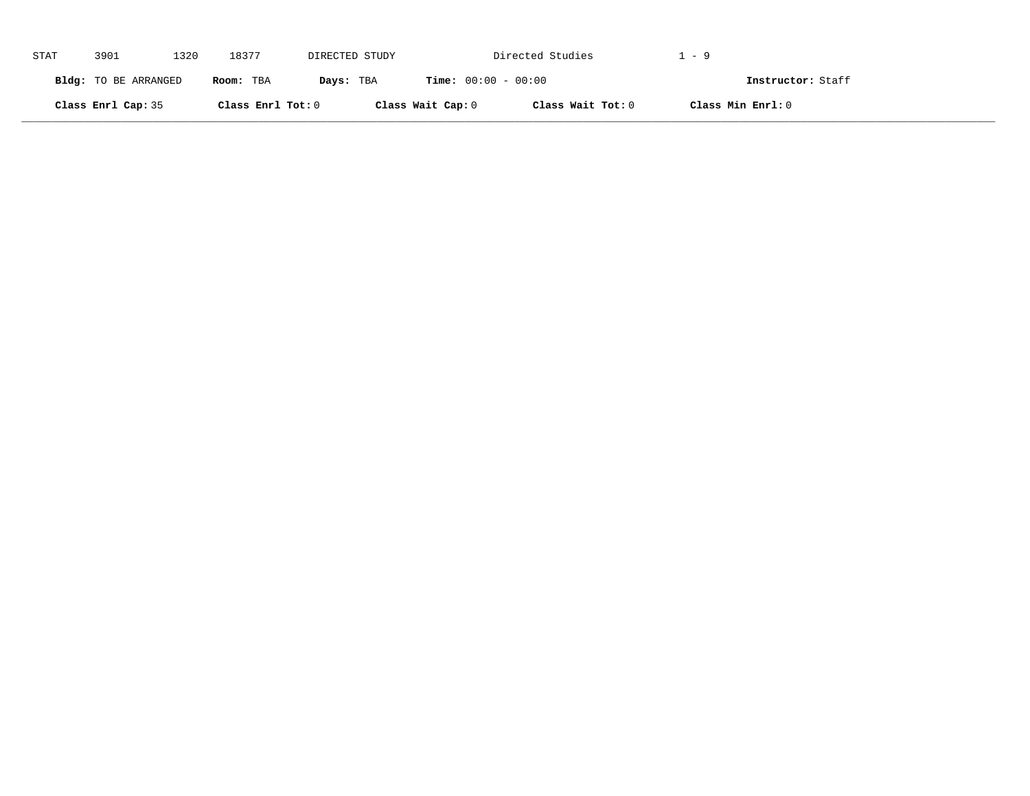| STAT | 3901                 | 1320 | 18377             | DIRECTED STUDY |                              | Directed Studies  | 1–9               |  |
|------|----------------------|------|-------------------|----------------|------------------------------|-------------------|-------------------|--|
|      | Bldg: TO BE ARRANGED |      | Room: TBA         | Days: TBA      | <b>Time:</b> $00:00 - 00:00$ |                   | Instructor: Staff |  |
|      | Class Enrl Cap: 35   |      | Class Enrl Tot: 0 |                | Class Wait Cap: 0            | Class Wait Tot: 0 | Class Min Enrl: 0 |  |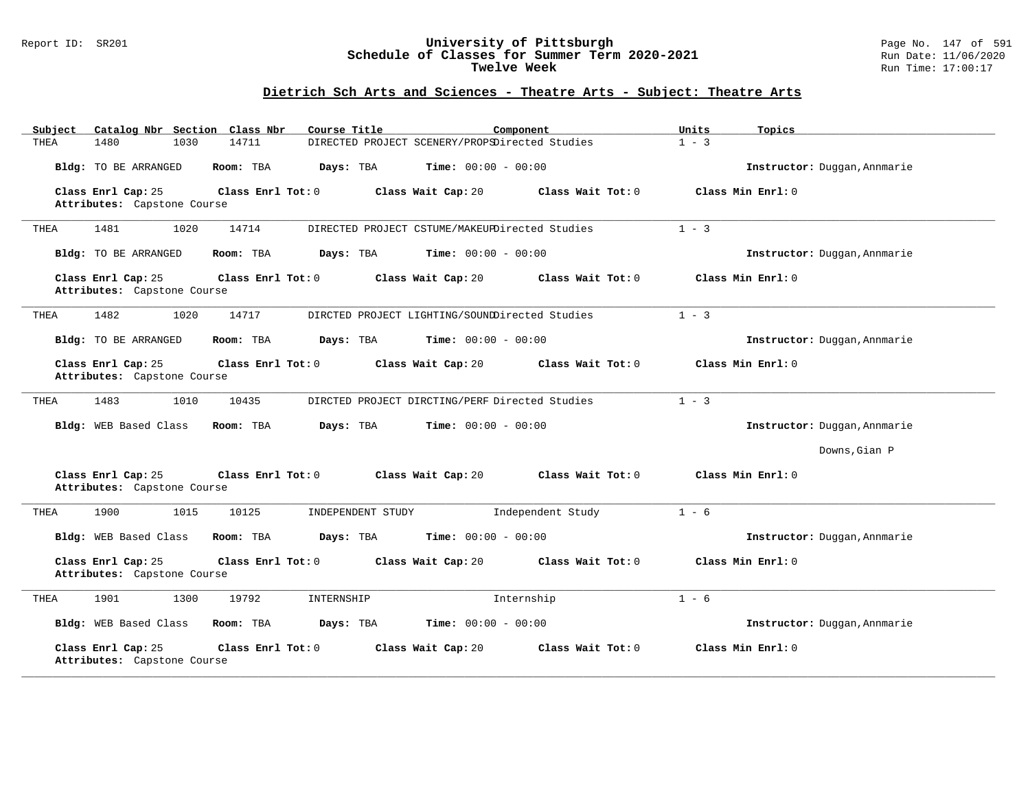#### Report ID: SR201 **University of Pittsburgh** Page No. 147 of 591 **Schedule of Classes for Summer Term 2020-2021** Run Date: 11/06/2020 **Twelve Week Run Time:** 17:00:17

| Catalog Nbr Section Class Nbr<br>Subject                                 | Course Title<br>Component                      | Units<br>Topics              |
|--------------------------------------------------------------------------|------------------------------------------------|------------------------------|
| 1030<br>14711<br>1480<br>THEA                                            | DIRECTED PROJECT SCENERY/PROPSDirected Studies | $1 - 3$                      |
| Bldg: TO BE ARRANGED<br>Room: TBA                                        | Days: TBA<br><b>Time:</b> $00:00 - 00:00$      | Instructor: Duggan, Annmarie |
| Class Enrl Cap: 25<br>Class Enrl Tot: $0$                                | Class Wait Tot: 0<br>Class Wait Cap: 20        | Class Min Enrl: 0            |
| Attributes: Capstone Course                                              |                                                |                              |
| 14714<br>THEA<br>1481<br>1020                                            | DIRECTED PROJECT CSTUME/MAKEUPDirected Studies | $1 - 3$                      |
| Bldg: TO BE ARRANGED<br>Room: TBA                                        | Days: TBA<br><b>Time:</b> $00:00 - 00:00$      | Instructor: Duggan, Annmarie |
| Class Enrl Cap: 25<br>Class Enrl Tot: 0                                  | Class Wait Cap: 20<br>Class Wait Tot: 0        | Class Min Enrl: 0            |
| Attributes: Capstone Course                                              |                                                |                              |
| THEA<br>1482<br>1020<br>14717                                            | DIRCTED PROJECT LIGHTING/SOUNDDirected Studies | $1 - 3$                      |
| Bldg: TO BE ARRANGED<br>Room: TBA                                        | Days: TBA<br><b>Time:</b> $00:00 - 00:00$      | Instructor: Duggan, Annmarie |
| Class Enrl Cap: 25<br>Class Enrl Tot: 0<br>Attributes: Capstone Course   | Class Wait Cap: 20<br>Class Wait Tot: 0        | Class Min Enrl: 0            |
|                                                                          |                                                |                              |
| 1483<br>1010<br>10435<br>THEA                                            | DIRCTED PROJECT DIRCTING/PERF Directed Studies | $1 - 3$                      |
| Bldg: WEB Based Class<br>Room: TBA                                       | Days: TBA<br><b>Time:</b> $00:00 - 00:00$      | Instructor: Duggan, Annmarie |
|                                                                          |                                                | Downs, Gian P                |
| Class Enrl Cap: 25<br>Class Enrl Tot: 0<br>Attributes: Capstone Course   | Class Wait Cap: 20<br>Class Wait Tot: 0        | Class Min Enrl: 0            |
| 1900<br>1015<br>10125<br>THEA                                            | Independent Study<br>INDEPENDENT STUDY         | $1 - 6$                      |
| Bldg: WEB Based Class<br>Room: TBA                                       | <b>Time:</b> $00:00 - 00:00$<br>Days: TBA      | Instructor: Duggan, Annmarie |
| Class Enrl Cap: 25<br>Class Enrl Tot: 0<br>Attributes: Capstone Course   | Class Wait Cap: 20<br>Class Wait Tot: 0        | Class Min Enrl: 0            |
| 1901<br>1300<br>19792<br>THEA                                            | Internship<br>INTERNSHIP                       | $1 - 6$                      |
| Bldg: WEB Based Class<br>Room: TBA                                       | Time: $00:00 - 00:00$<br>Days: TBA             | Instructor: Duggan, Annmarie |
| Class Enrl Cap: 25<br>Class Enrl Tot: $0$<br>Attributes: Capstone Course | Class Wait Cap: 20<br>Class Wait Tot: 0        | Class Min Enrl: 0            |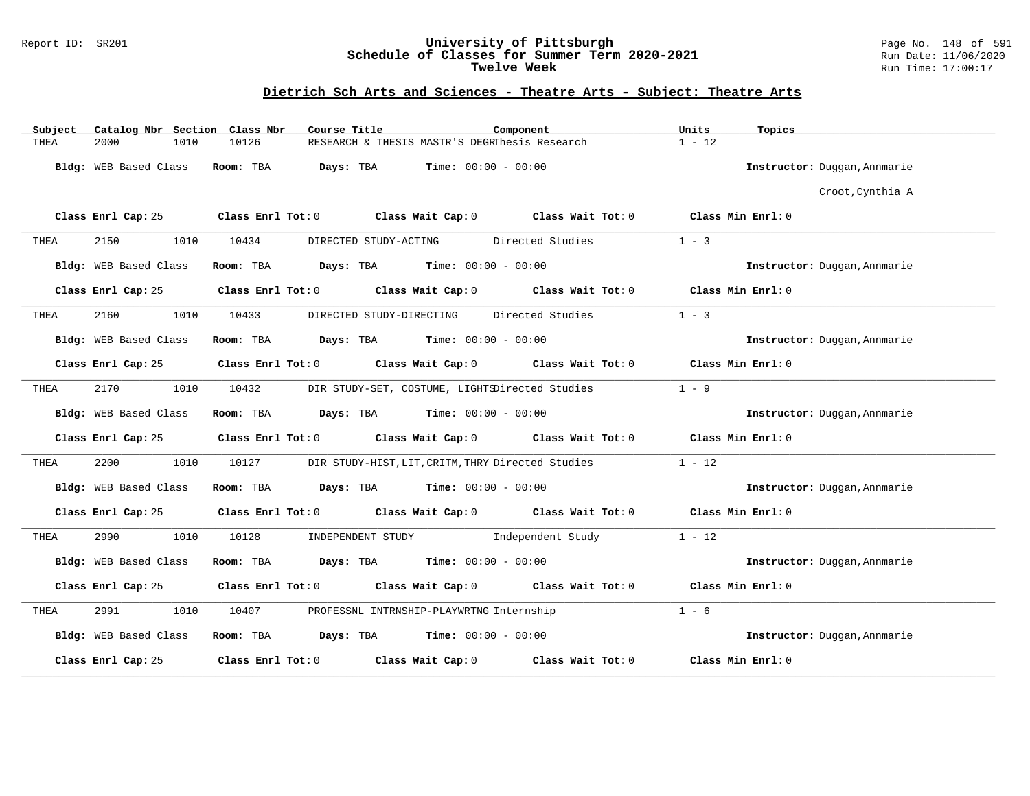#### Report ID: SR201 **University of Pittsburgh** Page No. 148 of 591 **Schedule of Classes for Summer Term 2020-2021** Run Date: 11/06/2020 **Twelve Week Run Time:** 17:00:17

| Catalog Nbr Section Class Nbr<br>Subject | Course Title                                                     | Component                                                                       | Units<br>Topics              |
|------------------------------------------|------------------------------------------------------------------|---------------------------------------------------------------------------------|------------------------------|
| 2000<br>THEA<br>1010                     | 10126                                                            | RESEARCH & THESIS MASTR'S DEGRThesis Research                                   | $1 - 12$                     |
| Bldg: WEB Based Class                    | Room: TBA<br>Days: TBA                                           | <b>Time:</b> $00:00 - 00:00$                                                    | Instructor: Duggan, Annmarie |
|                                          |                                                                  |                                                                                 | Croot, Cynthia A             |
| Class Enrl Cap: 25                       |                                                                  | Class Enrl Tot: $0$ Class Wait Cap: $0$ Class Wait Tot: $0$ Class Min Enrl: $0$ |                              |
| 2150<br>1010<br>THEA                     | 10434<br>DIRECTED STUDY-ACTING                                   | Directed Studies                                                                | $1 - 3$                      |
| Bldg: WEB Based Class                    | Room: TBA<br>$\texttt{DayS:}$ TBA $\texttt{Time:}$ 00:00 - 00:00 |                                                                                 | Instructor: Duggan, Annmarie |
| Class Enrl Cap: 25                       |                                                                  | Class Enrl Tot: 0 Class Wait Cap: 0 Class Wait Tot: 0 Class Min Enrl: 0         |                              |
| 2160<br>1010<br>THEA                     | 10433<br>DIRECTED STUDY-DIRECTING                                | Directed Studies                                                                | $1 - 3$                      |
| Bldg: WEB Based Class                    | Room: TBA<br><b>Days:</b> TBA <b>Time:</b> $00:00 - 00:00$       |                                                                                 | Instructor: Duggan, Annmarie |
| Class Enrl Cap: 25                       | Class Wait Cap: 0<br>$Class$ $Enr1$ $Tot: 0$                     | Class Wait Tot: 0 Class Min Enrl: 0                                             |                              |
| 2170<br>1010<br>THEA                     | 10432                                                            | DIR STUDY-SET, COSTUME, LIGHTSDirected Studies                                  | $1 - 9$                      |
| Bldg: WEB Based Class                    | <b>Days:</b> TBA <b>Time:</b> $00:00 - 00:00$<br>Room: TBA       |                                                                                 | Instructor: Duggan, Annmarie |
| Class Enrl Cap: 25                       | $Class$ $Enr1$ $Tot: 0$                                          | Class Wait Cap: $0$ Class Wait Tot: $0$                                         | Class Min Enrl: 0            |
| 2200<br>1010<br>THEA                     | 10127                                                            | DIR STUDY-HIST, LIT, CRITM, THRY Directed Studies                               | $1 - 12$                     |
| Bldg: WEB Based Class                    | Room: TBA<br><b>Days:</b> TBA <b>Time:</b> $00:00 - 00:00$       |                                                                                 | Instructor: Duggan, Annmarie |
| Class Enrl Cap: 25                       | Class Enrl Tot: 0 Class Wait Cap: 0 Class Wait Tot: 0            |                                                                                 | Class Min Enrl: 0            |
| 2990<br>1010<br>THEA                     | 10128<br>INDEPENDENT STUDY                                       | Independent Study                                                               | $1 - 12$                     |
| Bldg: WEB Based Class                    | Room: TBA $Days:$ TBA $Time: 00:00 - 00:00$                      |                                                                                 | Instructor: Duggan, Annmarie |
| Class Enrl Cap: 25                       | Class Wait Cap: 0<br>Class Enrl Tot: 0                           | Class Wait Tot: 0                                                               | Class Min Enrl: 0            |
| 2991<br>1010<br>THEA                     | 10407                                                            | PROFESSNL INTRNSHIP-PLAYWRTNG Internship                                        | $1 - 6$                      |
| Bldg: WEB Based Class                    | Room: TBA $Days: TBA$ Time: $00:00 - 00:00$                      |                                                                                 | Instructor: Duggan, Annmarie |
| Class Enrl Cap: 25                       | Class Enrl Tot: 0<br>Class Wait Cap: 0                           | Class Wait Tot: 0                                                               | Class Min Enrl: 0            |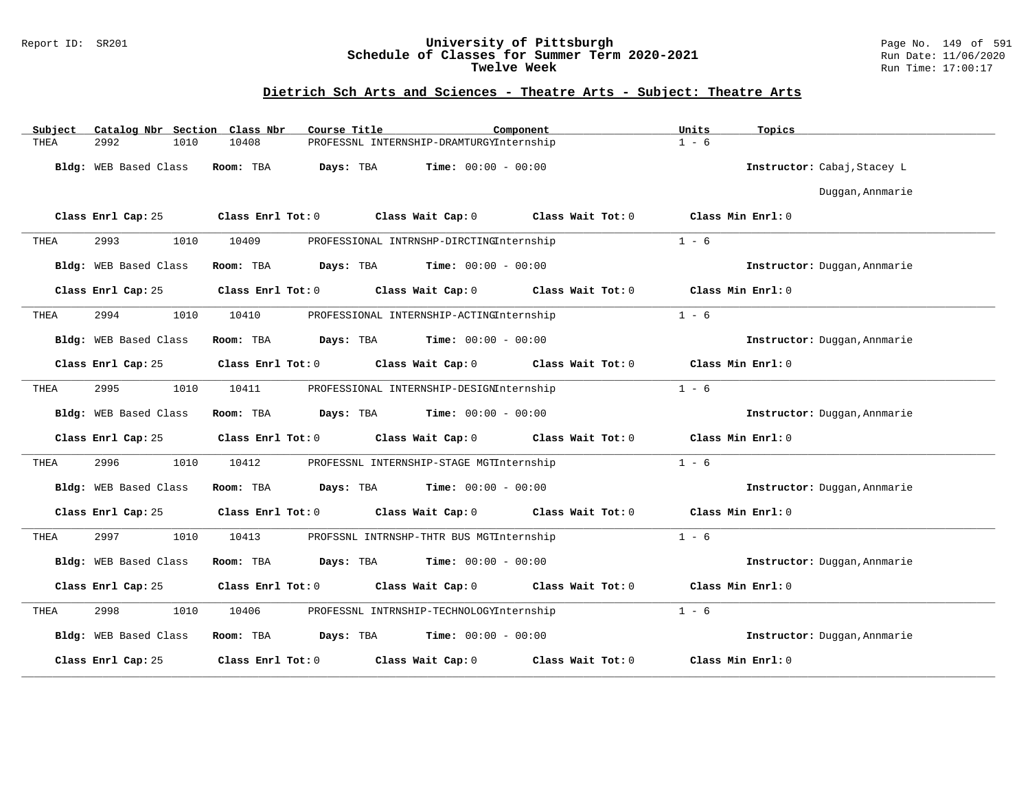#### Report ID: SR201 **University of Pittsburgh** Page No. 149 of 591 **Schedule of Classes for Summer Term 2020-2021** Run Date: 11/06/2020 **Twelve Week Run Time:** 17:00:17

| Catalog Nbr Section Class Nbr<br>Subject | Course Title                           | Component                                     | Units<br>Topics              |
|------------------------------------------|----------------------------------------|-----------------------------------------------|------------------------------|
| 2992<br>1010<br>THEA                     | 10408                                  | PROFESSNL INTERNSHIP-DRAMTURGYInternship      | $1 - 6$                      |
| Bldg: WEB Based Class                    | Room: TBA<br>Days: TBA                 | <b>Time:</b> $00:00 - 00:00$                  | Instructor: Cabaj, Stacey L  |
|                                          |                                        |                                               | Duggan, Annmarie             |
| Class Enrl Cap: 25                       | Class Enrl Tot: 0<br>Class Wait Cap: 0 | Class Wait Tot: 0                             | Class Min Enrl: 0            |
| 2993<br>1010<br>THEA                     | 10409                                  | PROFESSIONAL INTRNSHP-DIRCTINGInternship      | $1 - 6$                      |
| Bldg: WEB Based Class                    | Room: TBA<br>Days: TBA                 | $Time: 00:00 - 00:00$                         | Instructor: Duggan, Annmarie |
| Class Enrl Cap: 25                       | Class Enrl Tot: 0                      | Class Wait Cap: 0<br>Class Wait Tot: 0        | Class Min Enrl: 0            |
| 2994<br>1010<br>THEA                     | 10410                                  | PROFESSIONAL INTERNSHIP-ACTINGInternship      | $1 - 6$                      |
| Bldg: WEB Based Class                    | Room: TBA<br>Days: TBA                 | <b>Time:</b> $00:00 - 00:00$                  | Instructor: Duggan, Annmarie |
| Class Enrl Cap: 25                       | Class Enrl Tot: 0                      | Class Wait Cap: 0<br>Class Wait Tot: 0        | Class Min Enrl: 0            |
| 2995<br>1010<br>THEA                     | 10411                                  | PROFESSIONAL INTERNSHIP-DESIGNInternship      | $1 - 6$                      |
| Bldg: WEB Based Class                    | Room: TBA                              | <b>Days:</b> TBA <b>Time:</b> $00:00 - 00:00$ | Instructor: Duggan, Annmarie |
| Class Enrl Cap: 25                       | Class Enrl Tot: 0                      | Class Wait Cap: 0<br>Class Wait Tot: 0        | Class Min Enrl: 0            |
| 2996<br>1010<br>THEA                     | 10412                                  | PROFESSNL INTERNSHIP-STAGE MGTInternship      | $1 - 6$                      |
| Bldg: WEB Based Class                    | Room: TBA<br>Days: TBA                 | $Time: 00:00 - 00:00$                         | Instructor: Duggan, Annmarie |
| Class Enrl Cap: 25                       | Class Enrl Tot: 0                      | Class Wait Cap: 0<br>Class Wait Tot: 0        | Class Min Enrl: 0            |
| 2997<br>1010<br>THEA                     | 10413                                  | PROFSSNL INTRNSHP-THTR BUS MGTInternship      | $1 - 6$                      |
| Bldg: WEB Based Class                    | Room: TBA<br>Days: TBA                 | $Time: 00:00 - 00:00$                         | Instructor: Duggan, Annmarie |
| Class Enrl Cap: 25                       | Class Enrl Tot: 0                      | Class Wait Cap: 0<br>Class Wait Tot: 0        | Class Min Enrl: 0            |
| 2998<br>1010<br>THEA                     | 10406                                  | PROFESSNL INTRNSHIP-TECHNOLOGYInternship      | $1 - 6$                      |
| Bldg: WEB Based Class                    | Days: TBA<br>Room: TBA                 | $Time: 00:00 - 00:00$                         | Instructor: Duggan, Annmarie |
| Class Enrl Cap: 25                       | Class Enrl Tot: 0                      | Class Wait Cap: 0<br>Class Wait Tot: 0        | Class Min Enrl: 0            |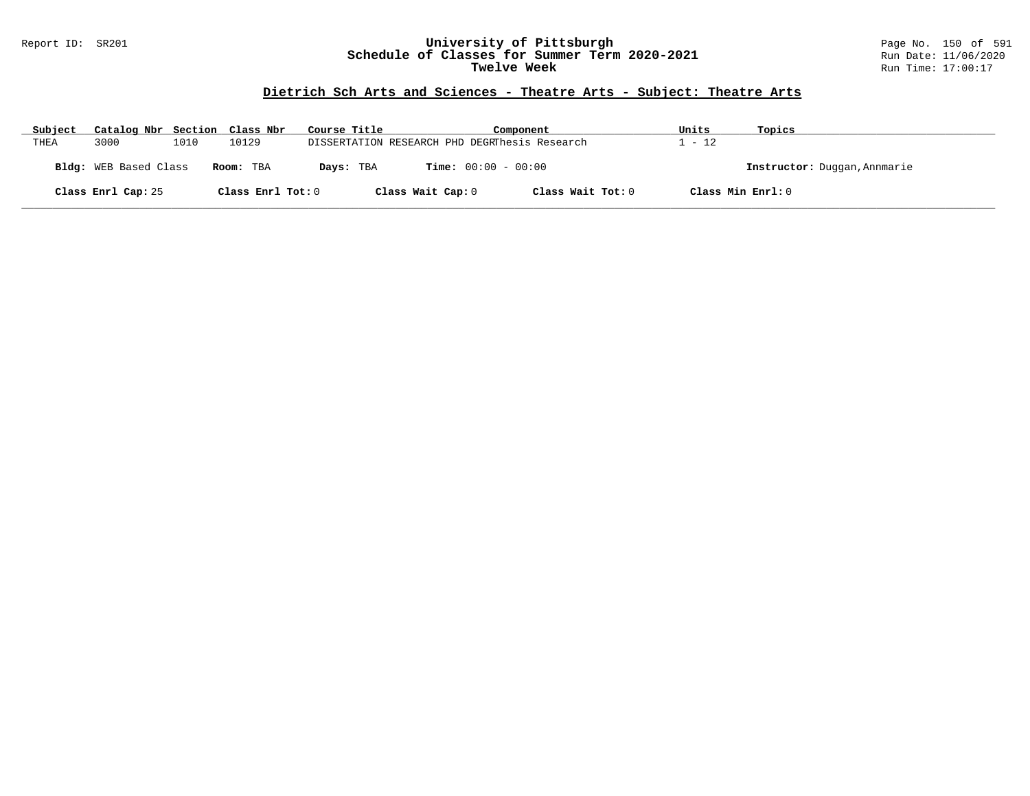#### Report ID: SR201 **University of Pittsburgh** Page No. 150 of 591 **Schedule of Classes for Summer Term 2020-2021** Run Date: 11/06/2020 **Twelve Week Run Time:** 17:00:17

| Subject | Catalog Nbr Section Class Nbr |      |                   | Course Title |                   | Component                                     | Units             | Topics                       |
|---------|-------------------------------|------|-------------------|--------------|-------------------|-----------------------------------------------|-------------------|------------------------------|
| THEA    | 3000                          | 1010 | 10129             |              |                   | DISSERTATION RESEARCH PHD DEGRThesis Research | $-12$             |                              |
|         | Bldg: WEB Based Class         |      | Room: TBA         | Days: TBA    |                   | <b>Time:</b> $00:00 - 00:00$                  |                   | Instructor: Duggan, Annmarie |
|         | Class Enrl Cap: 25            |      | Class Enrl Tot: 0 |              | Class Wait Cap: 0 | Class Wait Tot: 0                             | Class Min Enrl: 0 |                              |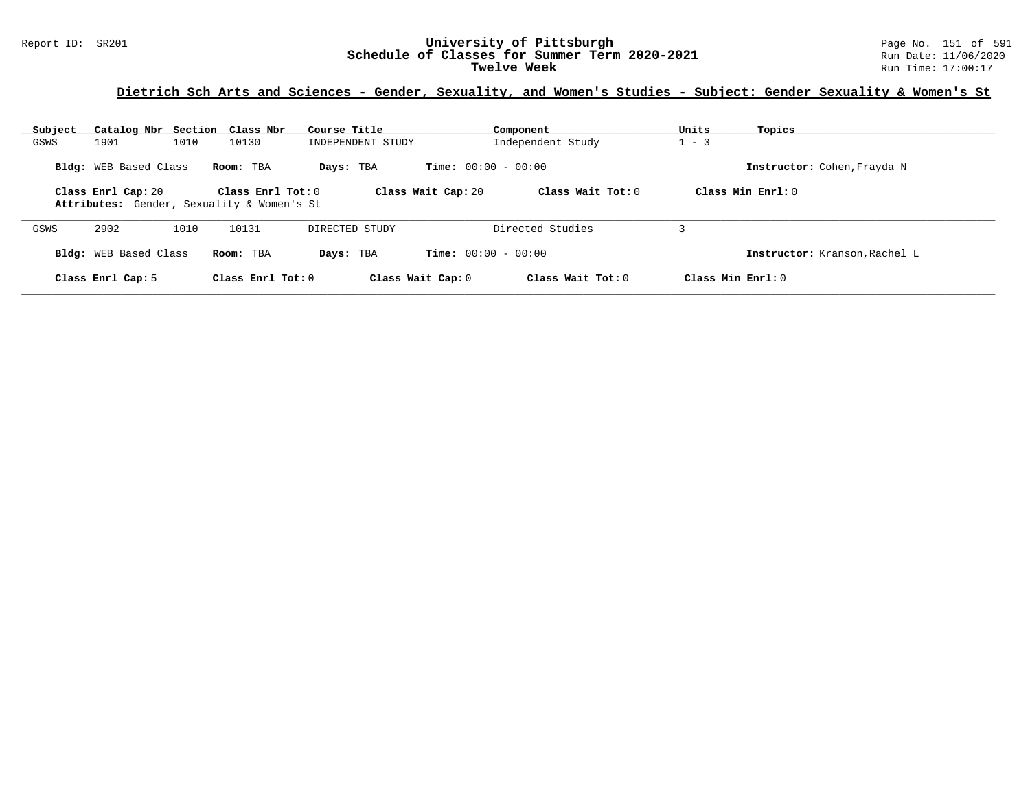#### Report ID: SR201 **University of Pittsburgh** Page No. 151 of 591 **Schedule of Classes for Summer Term 2020-2021** Run Date: 11/06/2020 **Twelve Week** Run Time: 17:00:17

# **Dietrich Sch Arts and Sciences - Gender, Sexuality, and Women's Studies - Subject: Gender Sexuality & Women's St**

| Subject |                              | Catalog Nbr Section Class Nbr                                     | Course Title      | Component                                 | Units<br>Topics               |
|---------|------------------------------|-------------------------------------------------------------------|-------------------|-------------------------------------------|-------------------------------|
| GSWS    | 1901                         | 1010<br>10130                                                     | INDEPENDENT STUDY | Independent Study                         | $1 - 3$                       |
|         | Bldg: WEB Based Class        | Room: TBA                                                         | Days: TBA         | <b>Time:</b> $00:00 - 00:00$              | Instructor: Cohen, Frayda N   |
|         | Class Enrl Cap: 20           | Class $Enr1 Tot: 0$<br>Attributes: Gender, Sexuality & Women's St |                   | Class Wait Cap: 20<br>Class Wait Tot: $0$ | Class Min $Enrl: 0$           |
| GSWS    | 2902                         | 1010<br>10131                                                     | DIRECTED STUDY    | Directed Studies                          |                               |
|         | <b>Bldg:</b> WEB Based Class | Room: TBA                                                         | Days: TBA         | <b>Time:</b> $00:00 - 00:00$              | Instructor: Kranson, Rachel L |
|         | Class Enrl Cap: 5            | Class Enrl Tot: $0$                                               | Class Wait Cap: 0 | Class Wait Tot: 0                         | Class Min Enrl: 0             |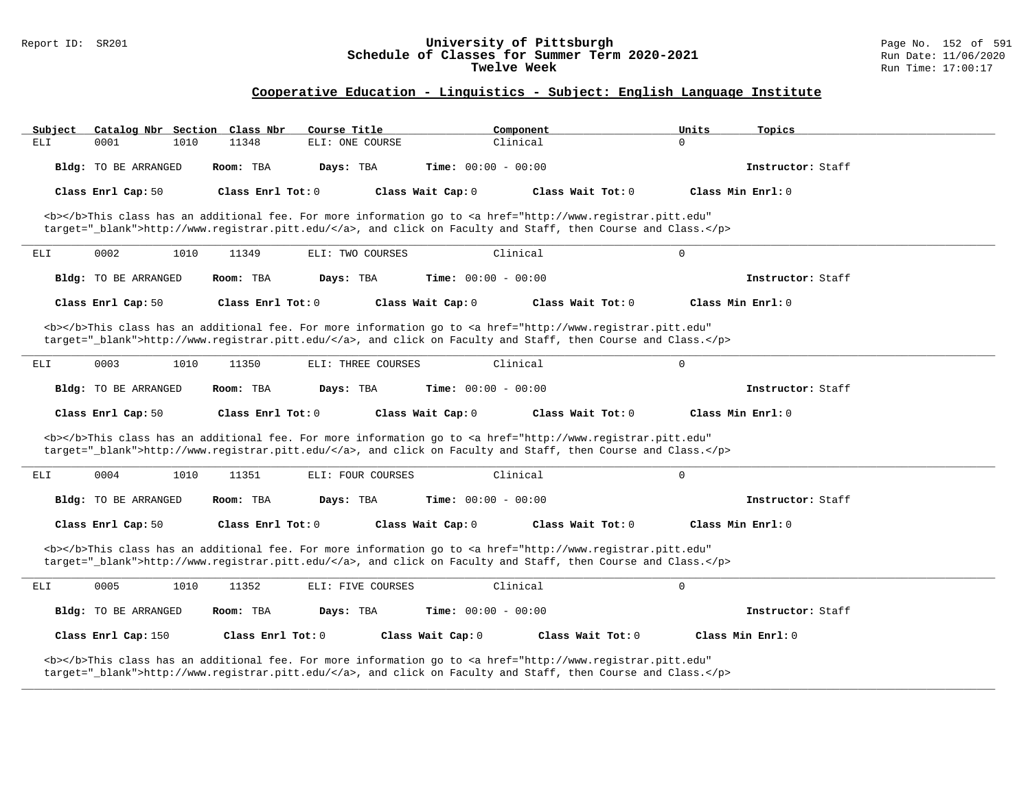#### Report ID: SR201 **University of Pittsburgh** Page No. 152 of 591 **Schedule of Classes for Summer Term 2020-2021** Run Date: 11/06/2020 **Twelve Week** Run Time: 17:00:17

### **Cooperative Education - Linguistics - Subject: English Language Institute**

| Subject |                      | Catalog Nbr Section Class Nbr | Course Title       |                              | Component                                                                                                                                                                                                                          | Units       | Topics              |  |
|---------|----------------------|-------------------------------|--------------------|------------------------------|------------------------------------------------------------------------------------------------------------------------------------------------------------------------------------------------------------------------------------|-------------|---------------------|--|
| ELI     | 0001                 | 1010<br>11348                 | ELI: ONE COURSE    | Clinical                     |                                                                                                                                                                                                                                    | $\Omega$    |                     |  |
|         | Bldg: TO BE ARRANGED | Room: TBA                     | Days: TBA          | Time: $00:00 - 00:00$        |                                                                                                                                                                                                                                    |             | Instructor: Staff   |  |
|         | Class Enrl Cap: 50   | Class Enrl Tot: 0             |                    | Class Wait Cap: 0            | Class Wait Tot: 0                                                                                                                                                                                                                  |             | Class Min Enrl: 0   |  |
|         |                      |                               |                    |                              | <b></b> This class has an additional fee. For more information go to <a <br="" href="http://www.registrar.pitt.edu">target="_blank"&gt;http://www.registrar.pitt.edu/</a> , and click on Faculty and Staff, then Course and Class. |             |                     |  |
| ELI     | 0002                 | 1010<br>11349                 | ELI: TWO COURSES   | Clinical                     |                                                                                                                                                                                                                                    | $\Omega$    |                     |  |
|         | Bldg: TO BE ARRANGED | Room: TBA                     | Days: TBA          | <b>Time:</b> $00:00 - 00:00$ |                                                                                                                                                                                                                                    |             | Instructor: Staff   |  |
|         | Class Enrl Cap: 50   | Class Enrl Tot: 0             |                    | Class Wait Cap: 0            | Class Wait Tot: 0                                                                                                                                                                                                                  |             | Class Min Enrl: 0   |  |
|         |                      |                               |                    |                              | <b></b> This class has an additional fee. For more information go to <a <br="" href="http://www.registrar.pitt.edu">target="_blank"&gt;http://www.registrar.pitt.edu/</a> , and click on Faculty and Staff, then Course and Class. |             |                     |  |
| ELI     | 0003                 | 1010<br>11350                 | ELI: THREE COURSES | Clinical                     |                                                                                                                                                                                                                                    | $\mathbf 0$ |                     |  |
|         | Bldg: TO BE ARRANGED | Room: TBA                     | Days: TBA          | <b>Time:</b> $00:00 - 00:00$ |                                                                                                                                                                                                                                    |             | Instructor: Staff   |  |
|         | Class Enrl Cap: 50   | Class Enrl Tot: 0             |                    | Class Wait Cap: 0            | Class Wait Tot: 0                                                                                                                                                                                                                  |             | Class Min Enrl: 0   |  |
|         |                      |                               |                    |                              | <b></b> This class has an additional fee. For more information go to <a <br="" href="http://www.registrar.pitt.edu">target="_blank"&gt;http://www.registrar.pitt.edu/</a> , and click on Faculty and Staff, then Course and Class. |             |                     |  |
| ELI     | 0004                 | 1010<br>11351                 | ELI: FOUR COURSES  | Clinical                     |                                                                                                                                                                                                                                    | $\mathsf 0$ |                     |  |
|         | Bldg: TO BE ARRANGED | Room: TBA                     | Days: TBA          | <b>Time:</b> $00:00 - 00:00$ |                                                                                                                                                                                                                                    |             | Instructor: Staff   |  |
|         | Class Enrl Cap: 50   | Class Enrl Tot: $0$           |                    | Class Wait Cap: 0            | Class Wait Tot: $0$                                                                                                                                                                                                                |             | Class Min $Enrl: 0$ |  |
|         |                      |                               |                    |                              | <b></b> This class has an additional fee. For more information go to <a <br="" href="http://www.registrar.pitt.edu">target="_blank"&gt;http://www.registrar.pitt.edu/</a> , and click on Faculty and Staff, then Course and Class. |             |                     |  |
| ELI     | 0005                 | 1010<br>11352                 | ELI: FIVE COURSES  | Clinical                     |                                                                                                                                                                                                                                    | $\mathbf 0$ |                     |  |
|         | Bldg: TO BE ARRANGED | Room: TBA                     | Days: TBA          | <b>Time:</b> $00:00 - 00:00$ |                                                                                                                                                                                                                                    |             | Instructor: Staff   |  |
|         | Class Enrl Cap: 150  | Class Enrl Tot: 0             |                    | Class Wait Cap: 0            | Class Wait Tot: 0                                                                                                                                                                                                                  |             | Class Min Enrl: 0   |  |
|         |                      |                               |                    |                              | <b></b> This class has an additional fee. For more information go to <a <br="" href="http://www.registrar.pitt.edu">target="_blank"&gt;http://www.registrar.pitt.edu/</a> , and click on Faculty and Staff, then Course and Class. |             |                     |  |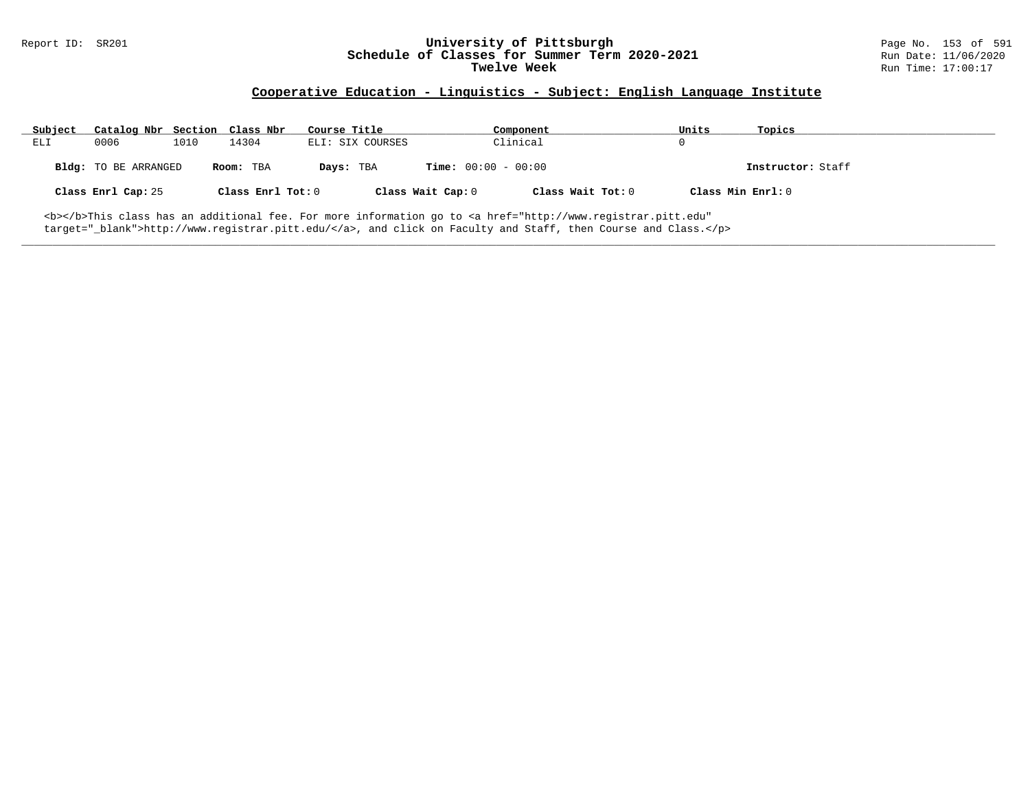# Report ID: SR201 **1988 1998 1998 1998 1998 1999 10: SChedule of Classes for Summer Term 2020-2021** Page No. 153 of 591<br>**Schedule of Classes for Summer Term 2020-2021** Run Date: 11/06/2020 Schedule of Classes for Summer Term 2020-2021<br>Twelve Week

### **Cooperative Education - Linguistics - Subject: English Language Institute**

| Subject | Catalog Nbr Section Class Nbr |      |                   | Course Title     |                              | Component         | Units             | Topics            |
|---------|-------------------------------|------|-------------------|------------------|------------------------------|-------------------|-------------------|-------------------|
| ELI     | 0006                          | 1010 | 14304             | ELI: SIX COURSES |                              | Clinical          | 0                 |                   |
|         | Bldg: TO BE ARRANGED          |      | Room: TBA         | Days: TBA        | <b>Time:</b> $00:00 - 00:00$ |                   |                   | Instructor: Staff |
|         | Class Enrl Cap: 25            |      | Class Enrl Tot: 0 |                  | Class Wait Cap: 0            | Class Wait Tot: 0 | Class Min Enrl: 0 |                   |
|         |                               |      |                   |                  |                              |                   |                   |                   |

**\_\_\_\_\_\_\_\_\_\_\_\_\_\_\_\_\_\_\_\_\_\_\_\_\_\_\_\_\_\_\_\_\_\_\_\_\_\_\_\_\_\_\_\_\_\_\_\_\_\_\_\_\_\_\_\_\_\_\_\_\_\_\_\_\_\_\_\_\_\_\_\_\_\_\_\_\_\_\_\_\_\_\_\_\_\_\_\_\_\_\_\_\_\_\_\_\_\_\_\_\_\_\_\_\_\_\_\_\_\_\_\_\_\_\_\_\_\_\_\_\_\_\_\_\_\_\_\_\_\_\_\_\_\_\_\_\_\_\_\_\_\_\_\_\_\_\_\_\_\_\_\_\_\_\_\_**

<b></b>This class has an additional fee. For more information go to <a href="http://www.registrar.pitt.edu" target="\_blank">http://www.registrar.pitt.edu/</a>, and click on Faculty and Staff, then Course and Class.</p>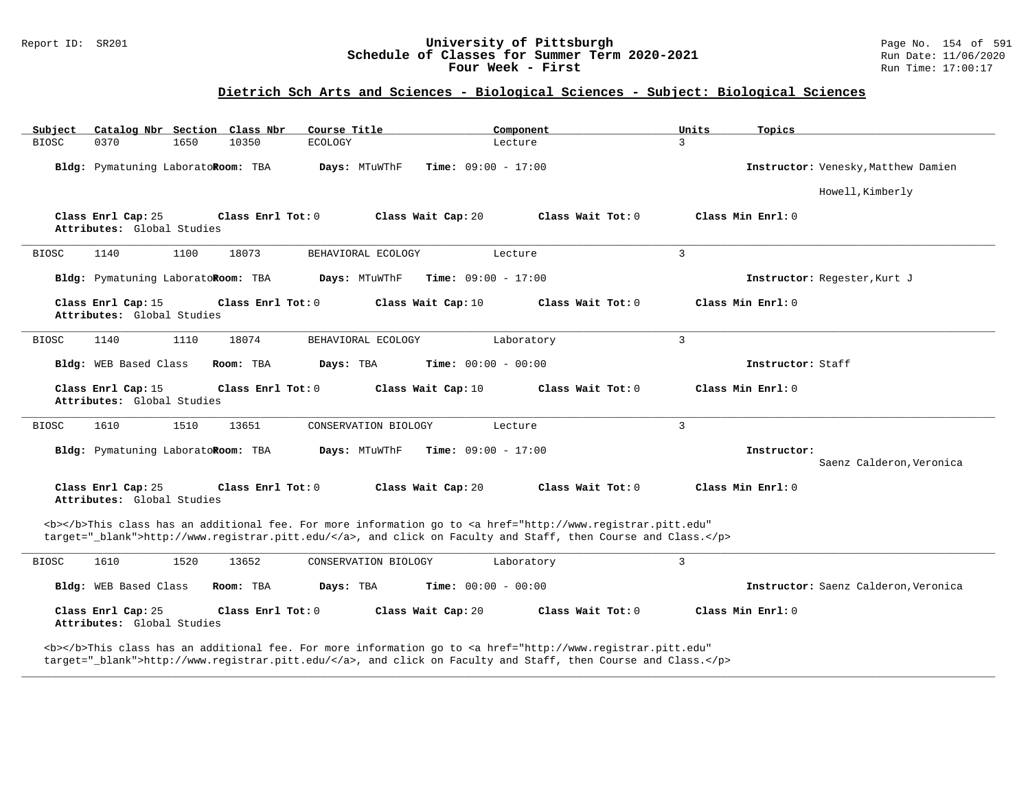#### Report ID: SR201 **1988 Chedule of Classes for Summer Term 2020-2021** Page No. 154 of 591 Page No. 154 of 591 **Schedule of Classes for Summer Term 2020-2021** Run Date: 11/06/2020 **Schedule of Classes for Summer Term 2020-2021** Run Date: 11/06/2021<br>**Four Week - First** Run Time: 17:00:17 Four Week - First

# **Dietrich Sch Arts and Sciences - Biological Sciences - Subject: Biological Sciences**

| Catalog Nbr Section Class Nbr<br>Subject                                                                                                                                                                                           | Course Title                                  | Component           | Units<br>Topics              |                                      |
|------------------------------------------------------------------------------------------------------------------------------------------------------------------------------------------------------------------------------------|-----------------------------------------------|---------------------|------------------------------|--------------------------------------|
| <b>BIOSC</b><br>0370<br>1650<br>10350                                                                                                                                                                                              | <b>ECOLOGY</b>                                | Lecture             | 3                            |                                      |
| Bldg: Pymatuning LaboratoRoom: TBA                                                                                                                                                                                                 | Days: MTuWThF<br><b>Time:</b> $09:00 - 17:00$ |                     |                              | Instructor: Venesky, Matthew Damien  |
|                                                                                                                                                                                                                                    |                                               |                     |                              | Howell, Kimberly                     |
| Class Enrl Cap: 25<br>Class Enrl Tot: 0<br>Attributes: Global Studies                                                                                                                                                              | Class Wait Cap: 20                            | Class Wait Tot: 0   | Class Min Enrl: 0            |                                      |
| <b>BIOSC</b><br>1140<br>1100<br>18073                                                                                                                                                                                              | BEHAVIORAL ECOLOGY                            | Lecture             | $\overline{3}$               |                                      |
| Bldg: Pymatuning LaboratoRoom: TBA                                                                                                                                                                                                 | <b>Time:</b> $09:00 - 17:00$<br>Days: MTuWThF |                     | Instructor: Regester, Kurt J |                                      |
| Class Enrl Cap: 15<br>Class Enrl Tot: 0<br>Attributes: Global Studies                                                                                                                                                              | Class Wait Cap: 10                            | Class Wait $Tot: 0$ | Class Min Enrl: 0            |                                      |
| 1140<br>1110<br>18074<br><b>BIOSC</b>                                                                                                                                                                                              | BEHAVIORAL ECOLOGY                            | Laboratory          | $\mathbf{3}$                 |                                      |
| Bldg: WEB Based Class<br>Room: TBA                                                                                                                                                                                                 | Days: TBA<br><b>Time:</b> $00:00 - 00:00$     |                     | Instructor: Staff            |                                      |
| Class Enrl Cap: 15<br>Class Enrl Tot: 0<br>Attributes: Global Studies                                                                                                                                                              | Class Wait Cap: 10                            | Class Wait Tot: 0   | Class Min Enrl: 0            |                                      |
| 1610<br>1510<br>13651<br><b>BIOSC</b>                                                                                                                                                                                              | CONSERVATION BIOLOGY                          | Lecture             | $\mathbf{3}$                 |                                      |
| Bldg: Pymatuning LaboratoRoom: TBA                                                                                                                                                                                                 | Days: MTuWThF<br><b>Time:</b> $09:00 - 17:00$ |                     | Instructor:                  | Saenz Calderon, Veronica             |
| Class Enrl Cap: 25<br>Class Enrl Tot: 0<br>Attributes: Global Studies                                                                                                                                                              | Class Wait Cap: 20                            | Class Wait $Tot: 0$ | Class Min Enrl: 0            |                                      |
| <b></b> This class has an additional fee. For more information go to <a <br="" href="http://www.registrar.pitt.edu">target="_blank"&gt;http://www.registrar.pitt.edu/</a> , and click on Faculty and Staff, then Course and Class. |                                               |                     |                              |                                      |
| 1610<br>1520<br>13652<br><b>BIOSC</b>                                                                                                                                                                                              | CONSERVATION BIOLOGY                          | Laboratory          | $\mathbf{3}$                 |                                      |
| Bldg: WEB Based Class<br>Room: TBA                                                                                                                                                                                                 | Days: TBA<br><b>Time:</b> $00:00 - 00:00$     |                     |                              | Instructor: Saenz Calderon, Veronica |
| Class Enrl Cap: 25<br>Class Enrl Tot: 0<br>Attributes: Global Studies                                                                                                                                                              | Class Wait Cap: 20                            | Class Wait Tot: 0   | Class Min Enrl: 0            |                                      |
| <b></b> This class has an additional fee. For more information go to <a <="" href="http://www.registrar.pitt.edu" td=""><td></td><td></td><td></td><td></td></a>                                                                   |                                               |                     |                              |                                      |

**\_\_\_\_\_\_\_\_\_\_\_\_\_\_\_\_\_\_\_\_\_\_\_\_\_\_\_\_\_\_\_\_\_\_\_\_\_\_\_\_\_\_\_\_\_\_\_\_\_\_\_\_\_\_\_\_\_\_\_\_\_\_\_\_\_\_\_\_\_\_\_\_\_\_\_\_\_\_\_\_\_\_\_\_\_\_\_\_\_\_\_\_\_\_\_\_\_\_\_\_\_\_\_\_\_\_\_\_\_\_\_\_\_\_\_\_\_\_\_\_\_\_\_\_\_\_\_\_\_\_\_\_\_\_\_\_\_\_\_\_\_\_\_\_\_\_\_\_\_\_\_\_\_\_\_\_**

target="\_blank">http://www.registrar.pitt.edu/</a>, and click on Faculty and Staff, then Course and Class.</p>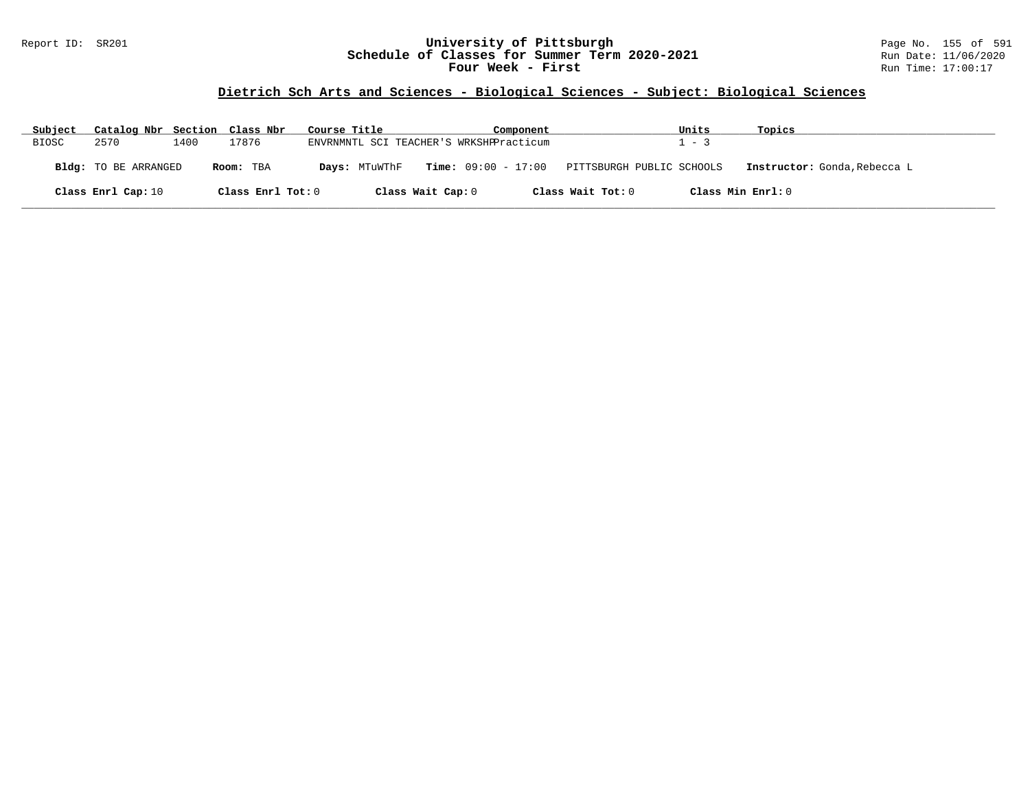#### Report ID: SR201 **University of Pittsburgh** Page No. 155 of 591 **Schedule of Classes for Summer Term 2020-2021** Run Date: 11/06/2020 **Four Week - First** Run Time: 17:00:17

| Subject      | Catalog Nbr Section Class Nbr |      |                   | Course Title |               |                                         | Component |                           | Units             | Topics                       |
|--------------|-------------------------------|------|-------------------|--------------|---------------|-----------------------------------------|-----------|---------------------------|-------------------|------------------------------|
| <b>BIOSC</b> | 2570                          | 1400 | 17876             |              |               | ENVRNMNTL SCI TEACHER'S WRKSHPPracticum |           |                           | $1 - 3$           |                              |
|              | Bldg: TO BE ARRANGED          |      | Room: TBA         |              | Days: MTuWThF | $Time: 09:00 - 17:00$                   |           | PITTSBURGH PUBLIC SCHOOLS |                   | Instructor: Gonda, Rebecca L |
|              | Class Enrl Cap: 10            |      | Class Enrl Tot: 0 |              |               | Class Wait Cap: 0                       |           | Class Wait Tot: 0         | Class Min Enrl: 0 |                              |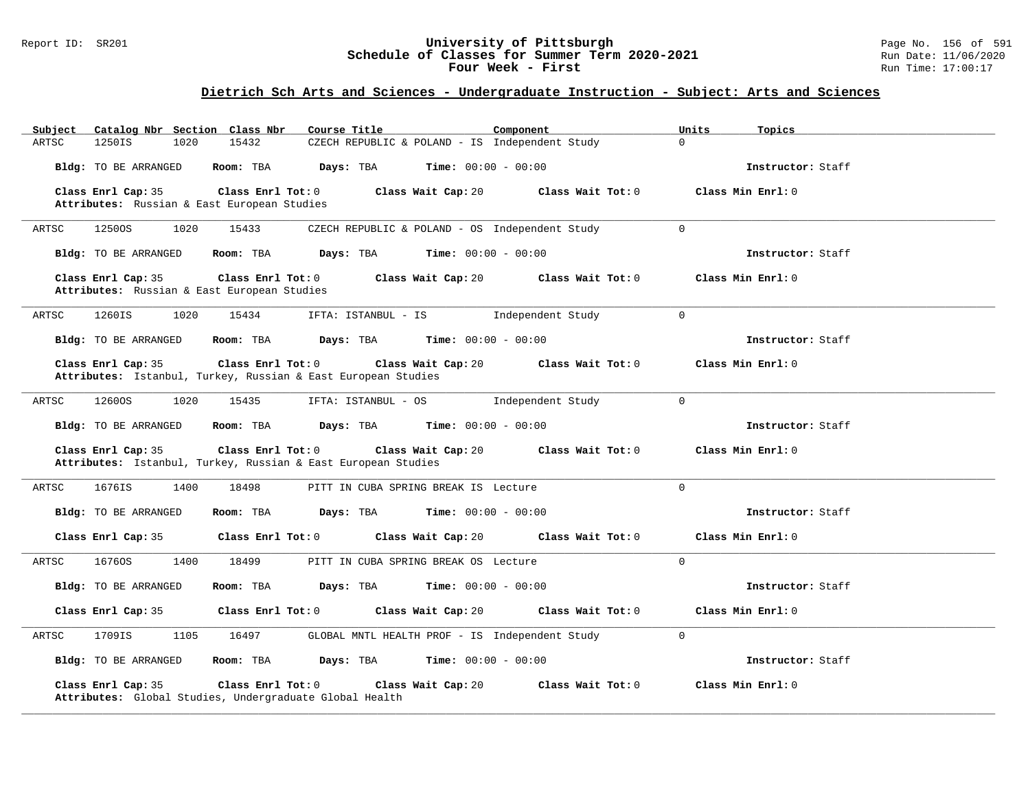#### Report ID: SR201 **University of Pittsburgh** Page No. 156 of 591 **Schedule of Classes for Summer Term 2020-2021** Run Date: 11/06/2020 **Four Week - First** Run Time: 17:00:17

# **Dietrich Sch Arts and Sciences - Undergraduate Instruction - Subject: Arts and Sciences**

| Catalog Nbr Section Class Nbr<br>Subject<br>15432<br>ARTSC<br>1250IS<br>1020                             | Course Title<br>Component<br>CZECH REPUBLIC & POLAND - IS Independent Study | Units<br>Topics<br>$\Omega$ |
|----------------------------------------------------------------------------------------------------------|-----------------------------------------------------------------------------|-----------------------------|
| Bldg: TO BE ARRANGED<br>Room: TBA                                                                        | Days: TBA<br><b>Time:</b> $00:00 - 00:00$                                   | Instructor: Staff           |
|                                                                                                          |                                                                             |                             |
| Class Enrl Cap: 35<br>Class Enrl Tot: 0<br>Attributes: Russian & East European Studies                   | Class Wait Cap: 20<br>Class Wait Tot: 0                                     | Class Min Enrl: 0           |
|                                                                                                          |                                                                             |                             |
| ARTSC<br>12500S<br>1020<br>15433                                                                         | CZECH REPUBLIC & POLAND - OS Independent Study                              | $\Omega$                    |
| Bldg: TO BE ARRANGED<br>Room: TBA                                                                        | <b>Days:</b> TBA <b>Time:</b> $00:00 - 00:00$                               | Instructor: Staff           |
| Class Enrl Cap: 35<br>Class Enrl Tot: 0<br>Attributes: Russian & East European Studies                   | Class Wait Cap: 20<br>Class Wait Tot: 0                                     | Class Min Enrl: 0           |
| 1260IS<br>1020<br>15434<br>ARTSC                                                                         | IFTA: ISTANBUL - IS<br>Independent Study                                    | $\Omega$                    |
| Bldg: TO BE ARRANGED<br>Room: TBA                                                                        | Days: TBA<br><b>Time:</b> $00:00 - 00:00$                                   | Instructor: Staff           |
| Class Enrl Cap: 35<br>Class Enrl Tot: 0<br>Attributes: Istanbul, Turkey, Russian & East European Studies | Class Wait Cap: 20<br>Class Wait Tot: 0                                     | Class Min Enrl: 0           |
| ARTSC<br>12600S<br>1020<br>15435                                                                         | IFTA: ISTANBUL - OS<br>Independent Study                                    | $\Omega$                    |
| Bldg: TO BE ARRANGED<br>Room: TBA                                                                        | Days: TBA<br>$Time: 00:00 - 00:00$                                          | Instructor: Staff           |
| Class Enrl Cap: 35<br>Class Enrl Tot: 0<br>Attributes: Istanbul, Turkey, Russian & East European Studies | Class Wait Cap: 20<br>Class Wait Tot: 0                                     | Class Min Enrl: 0           |
| 1676IS<br>1400<br>18498<br>ARTSC                                                                         | PITT IN CUBA SPRING BREAK IS Lecture                                        | $\Omega$                    |
| Bldg: TO BE ARRANGED<br>Room: TBA                                                                        | Days: TBA<br>$Time: 00:00 - 00:00$                                          | Instructor: Staff           |
| Class Enrl Cap: 35<br>Class Enrl Tot: 0                                                                  | Class Wait Cap: 20<br>Class Wait Tot: 0                                     | Class Min Enrl: 0           |
| ARTSC<br>16760S<br>1400<br>18499                                                                         | PITT IN CUBA SPRING BREAK OS Lecture                                        | $\Omega$                    |
| Bldg: TO BE ARRANGED<br>Room: TBA                                                                        | Days: TBA<br><b>Time:</b> $00:00 - 00:00$                                   | Instructor: Staff           |
| Class Enrl Cap: 35<br>Class Enrl Tot: 0                                                                  | Class Wait Cap: 20<br>Class Wait Tot: 0                                     | Class Min Enrl: 0           |
| 1709IS<br>1105<br>16497<br>ARTSC                                                                         | GLOBAL MNTL HEALTH PROF - IS Independent Study                              | $\Omega$                    |
| Bldg: TO BE ARRANGED<br>Room: TBA                                                                        | Days: TBA<br><b>Time:</b> $00:00 - 00:00$                                   | Instructor: Staff           |
| Class Enrl Cap: 35<br>Class Enrl Tot: 0<br>Attributes: Global Studies, Undergraduate Global Health       | Class Wait Tot: 0<br>Class Wait Cap: 20                                     | Class Min Enrl: 0           |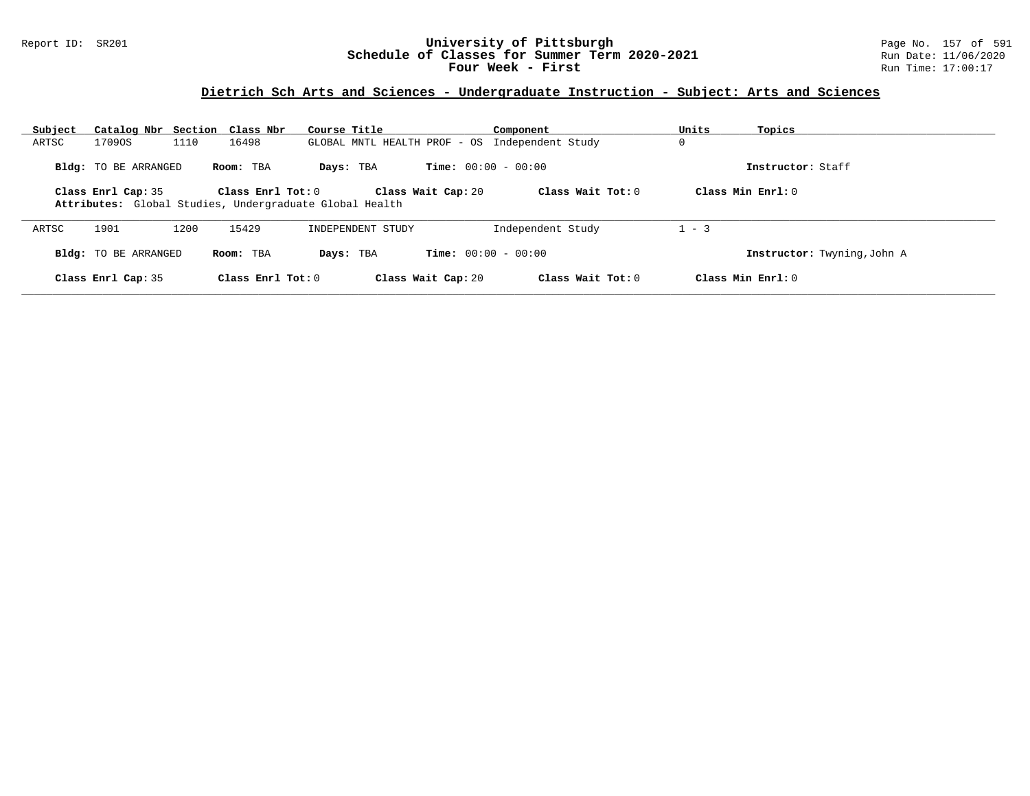#### Report ID: SR201 **University of Pittsburgh** Page No. 157 of 591 **Schedule of Classes for Summer Term 2020-2021** Run Date: 11/06/2020 **Four Week - First** Run Time: 17:00:17

# **Dietrich Sch Arts and Sciences - Undergraduate Instruction - Subject: Arts and Sciences**

| Subject | Catalog Nbr Section Class Nbr                                                 |      |                         | Course Title |                   |                              | Component                                      | Units          | Topics                      |
|---------|-------------------------------------------------------------------------------|------|-------------------------|--------------|-------------------|------------------------------|------------------------------------------------|----------------|-----------------------------|
| ARTSC   | 17090S                                                                        | 1110 | 16498                   |              |                   |                              | GLOBAL MNTL HEALTH PROF - OS Independent Study | $\overline{0}$ |                             |
|         | Bldg: TO BE ARRANGED                                                          |      | Room: TBA               | Days: TBA    |                   | <b>Time:</b> $00:00 - 00:00$ |                                                |                | Instructor: Staff           |
|         | Class Enrl Cap: 35<br>Attributes: Global Studies, Undergraduate Global Health |      | $Class$ $Enr1$ $Tot: 0$ |              |                   | Class Wait Cap: 20           | Class Wait Tot: $0$                            |                | Class Min $Enrl: 0$         |
| ARTSC   | 1901                                                                          | 1200 | 15429                   |              | INDEPENDENT STUDY |                              | Independent Study                              | $1 - 3$        |                             |
|         | Bldg: TO BE ARRANGED                                                          |      | Room: TBA               | Days: TBA    |                   | <b>Time:</b> $00:00 - 00:00$ |                                                |                | Instructor: Twyning, John A |
|         | Class Enrl Cap: 35                                                            |      | Class Enrl Tot: $0$     |              |                   | Class Wait Cap: 20           | Class Wait Tot: $0$                            |                | Class Min $Enr1: 0$         |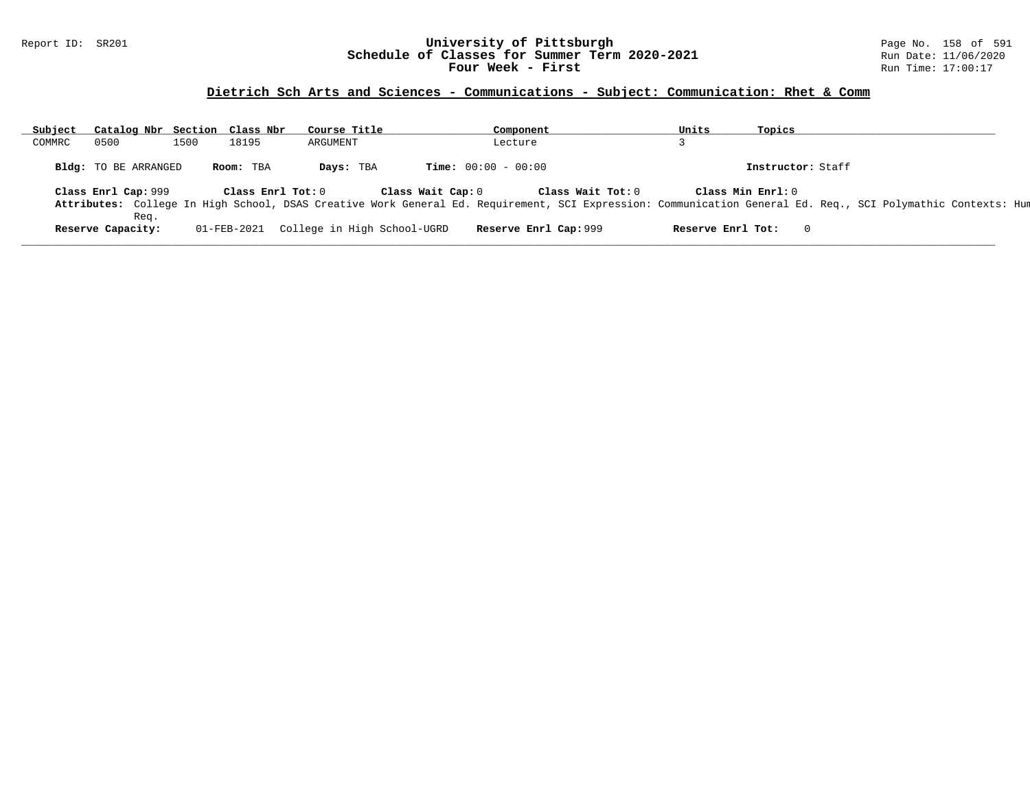#### Report ID: SR201 **University of Pittsburgh** Page No. 158 of 591 **Schedule of Classes for Summer Term 2020-2021** Run Date: 11/06/2020 **Four Week - First** Run Time: 17:00:17

# **Dietrich Sch Arts and Sciences - Communications - Subject: Communication: Rhet & Comm**

| Subject | Catalog Nbr Section Class Nbr |      |                   | Course Title                |                   | Component                    |                   | Units             | Topics                                                                                                                                                       |  |
|---------|-------------------------------|------|-------------------|-----------------------------|-------------------|------------------------------|-------------------|-------------------|--------------------------------------------------------------------------------------------------------------------------------------------------------------|--|
| COMMRC  | 0500                          | 1500 | 18195             | ARGUMENT                    |                   | Lecture                      |                   |                   |                                                                                                                                                              |  |
|         | Bldg: TO BE ARRANGED          |      | Room: TBA         | Days: TBA                   |                   | <b>Time:</b> $00:00 - 00:00$ |                   |                   | Instructor: Staff                                                                                                                                            |  |
|         | Class Enrl Cap: 999           |      | Class Enrl Tot: 0 |                             | Class Wait Cap: 0 |                              | Class Wait Tot: 0 | Class Min Enrl: 0 |                                                                                                                                                              |  |
|         | Req.                          |      |                   |                             |                   |                              |                   |                   | Attributes: College In High School, DSAS Creative Work General Ed. Requirement, SCI Expression: Communication General Ed. Req., SCI Polymathic Contexts: Hun |  |
|         | Reserve Capacity:             |      | 01-FEB-2021       | College in High School-UGRD |                   | Reserve Enrl Cap: 999        |                   | Reserve Enrl Tot: |                                                                                                                                                              |  |

**\_\_\_\_\_\_\_\_\_\_\_\_\_\_\_\_\_\_\_\_\_\_\_\_\_\_\_\_\_\_\_\_\_\_\_\_\_\_\_\_\_\_\_\_\_\_\_\_\_\_\_\_\_\_\_\_\_\_\_\_\_\_\_\_\_\_\_\_\_\_\_\_\_\_\_\_\_\_\_\_\_\_\_\_\_\_\_\_\_\_\_\_\_\_\_\_\_\_\_\_\_\_\_\_\_\_\_\_\_\_\_\_\_\_\_\_\_\_\_\_\_\_\_\_\_\_\_\_\_\_\_\_\_\_\_\_\_\_\_\_\_\_\_\_\_\_\_\_\_\_\_\_\_\_\_\_**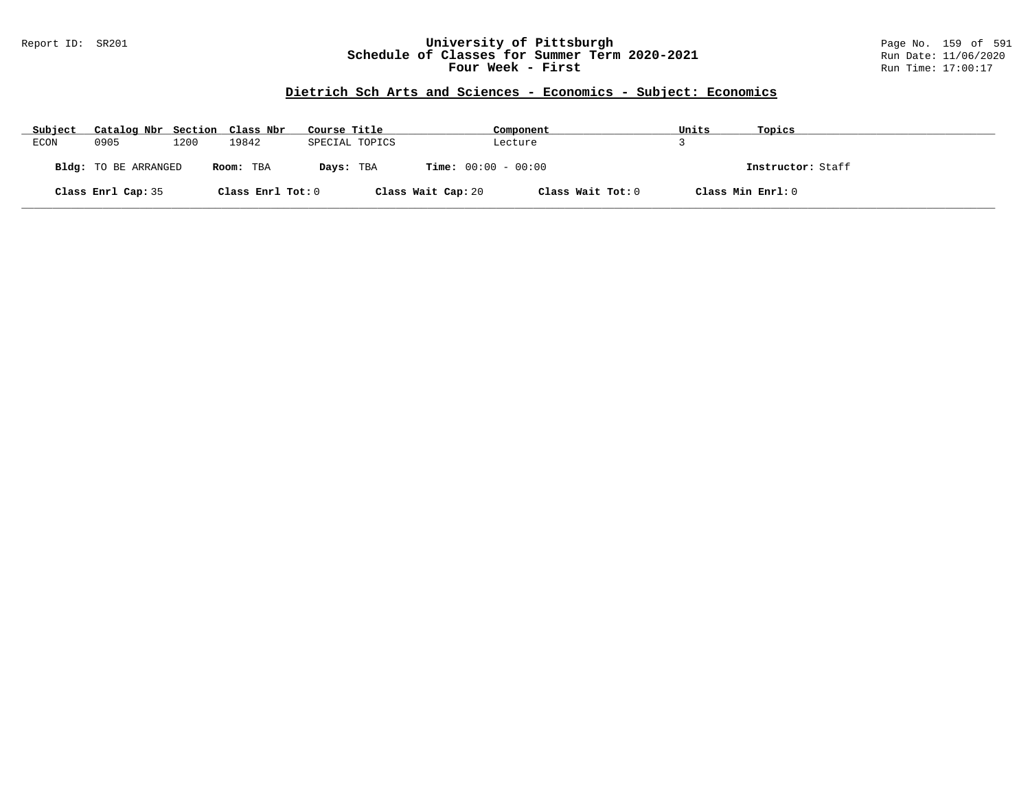#### Report ID: SR201 **University of Pittsburgh** Page No. 159 of 591 **Schedule of Classes for Summer Term 2020-2021** Run Date: 11/06/2020 **Four Week - First** Run Time: 17:00:17

# **Dietrich Sch Arts and Sciences - Economics - Subject: Economics**

| Subject | Catalog Nbr Section Class Nbr |      |                   | Course Title   |                              | Component         | Units | Topics            |
|---------|-------------------------------|------|-------------------|----------------|------------------------------|-------------------|-------|-------------------|
| ECON    | 0905                          | 1200 | 19842             | SPECIAL TOPICS |                              | Lecture           |       |                   |
|         | Bldg: TO BE ARRANGED          |      | Room: TBA         | Days: TBA      | <b>Time:</b> $00:00 - 00:00$ |                   |       | Instructor: Staff |
|         | Class Enrl Cap: 35            |      | Class Enrl Tot: 0 |                | Class Wait Cap: 20           | Class Wait Tot: 0 |       | Class Min Enrl: 0 |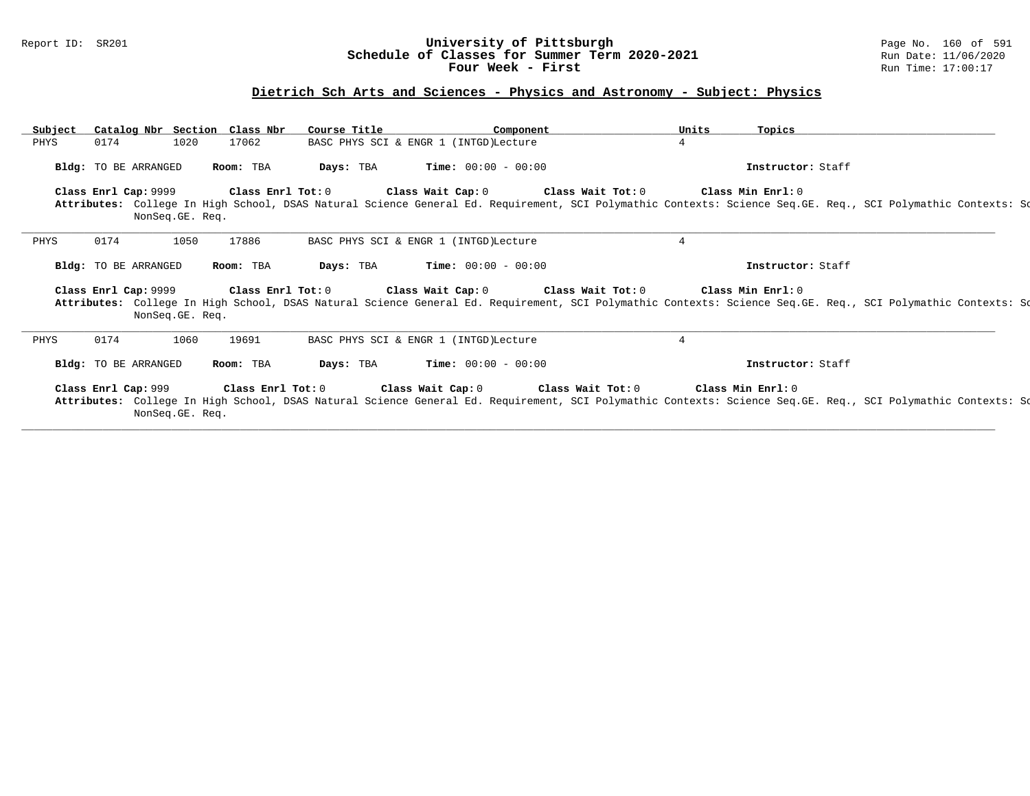#### Report ID: SR201 **University of Pittsburgh** Page No. 160 of 591 **Schedule of Classes for Summer Term 2020-2021** Run Date: 11/06/2020 **Four Week - First** Run Time: 17:00:17

### **Dietrich Sch Arts and Sciences - Physics and Astronomy - Subject: Physics**

| Subject | Catalog Nbr Section Class Nbr |                 |           | Course Title | Component                                                                                                                                                                                                                                                    | Units          | Topics            |  |  |
|---------|-------------------------------|-----------------|-----------|--------------|--------------------------------------------------------------------------------------------------------------------------------------------------------------------------------------------------------------------------------------------------------------|----------------|-------------------|--|--|
| PHYS    | 0174                          | 1020            | 17062     |              | BASC PHYS SCI & ENGR 1 (INTGD) Lecture                                                                                                                                                                                                                       | $4^{\circ}$    |                   |  |  |
|         | Bldg: TO BE ARRANGED          |                 | Room: TBA |              | <b>Days:</b> TBA <b>Time:</b> $00:00 - 00:00$                                                                                                                                                                                                                |                | Instructor: Staff |  |  |
|         |                               | NonSeq.GE. Req. |           |              | Class Enrl Cap: 9999 Class Enrl Tot: 0 Class Wait Cap: 0 Class Wait Tot: 0 Class Min Enrl: 0<br>Attributes: College In High School, DSAS Natural Science General Ed. Requirement, SCI Polymathic Contexts: Science Seq.GE. Req., SCI Polymathic Contexts: Sc |                |                   |  |  |
| PHYS    | 0174                          | 1050            | 17886     |              | BASC PHYS SCI & ENGR 1 (INTGD) Lecture                                                                                                                                                                                                                       | $\overline{4}$ |                   |  |  |
|         |                               |                 |           |              |                                                                                                                                                                                                                                                              |                |                   |  |  |
|         | Bldg: TO BE ARRANGED          |                 | Room: TBA |              | <b>Days:</b> TBA <b>Time:</b> $00:00 - 00:00$                                                                                                                                                                                                                |                | Instructor: Staff |  |  |
|         |                               | NonSeq.GE. Req. |           |              | Class Enrl Cap: 9999 Class Enrl Tot: 0 Class Wait Cap: 0 Class Wait Tot: 0 Class Min Enrl: 0<br>Attributes: College In High School, DSAS Natural Science General Ed. Requirement, SCI Polymathic Contexts: Science Seq.GE. Req., SCI Polymathic Contexts: Sc |                |                   |  |  |
| PHYS    | 0174                          | 1060            | 19691     |              | BASC PHYS SCI & ENGR 1 (INTGD) Lecture                                                                                                                                                                                                                       | $\overline{4}$ |                   |  |  |
|         | Bldg: TO BE ARRANGED          |                 | Room: TBA |              | <b>Days:</b> TBA <b>Time:</b> $00:00 - 00:00$                                                                                                                                                                                                                |                | Instructor: Staff |  |  |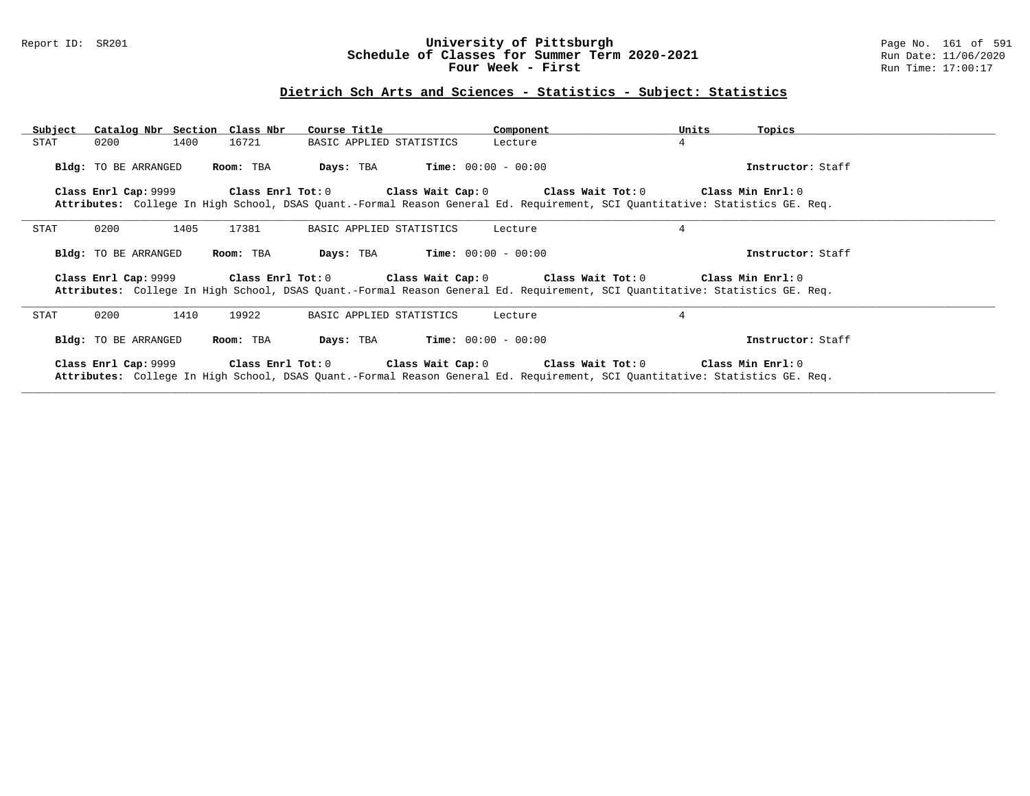#### Report ID: SR201 **University of Pittsburgh** Page No. 161 of 591 **Schedule of Classes for Summer Term 2020-2021** Run Date: 11/06/2020 **Four Week - First** Run Time: 17:00:17

# **Dietrich Sch Arts and Sciences - Statistics - Subject: Statistics**

| Subject | Catalog Nbr Section Class Nbr |           | Course Title                                  | Component | Units<br>Topics                                                                                                                                                                                                              |  |
|---------|-------------------------------|-----------|-----------------------------------------------|-----------|------------------------------------------------------------------------------------------------------------------------------------------------------------------------------------------------------------------------------|--|
| STAT    | 0200<br>1400                  | 16721     | BASIC APPLIED STATISTICS                      | Lecture   | 4                                                                                                                                                                                                                            |  |
|         | Bldg: TO BE ARRANGED          | Room: TBA | <b>Days:</b> TBA <b>Time:</b> $00:00 - 00:00$ |           | Instructor: Staff                                                                                                                                                                                                            |  |
|         |                               |           |                                               |           | Class Enrl Cap: 9999 Class Enrl Tot: 0 Class Wait Cap: 0 Class Wait Tot: 0 Class Min Enrl: 0                                                                                                                                 |  |
|         |                               |           |                                               |           | Attributes: College In High School, DSAS Quant.-Formal Reason General Ed. Requirement, SCI Quantitative: Statistics GE. Req.                                                                                                 |  |
| STAT    | 1405<br>0200                  | 17381     | BASIC APPLIED STATISTICS                      | Lecture   | $\overline{4}$                                                                                                                                                                                                               |  |
|         | Bldg: TO BE ARRANGED          | Room: TBA | <b>Days:</b> TBA <b>Time:</b> $00:00 - 00:00$ |           | Instructor: Staff                                                                                                                                                                                                            |  |
|         |                               |           |                                               |           | Class Enrl Cap: 9999 Class Enrl Tot: 0 Class Wait Cap: 0 Class Wait Tot: 0 Class Min Enrl: 0<br>Attributes: College In High School, DSAS Quant.-Formal Reason General Ed. Requirement, SCI Quantitative: Statistics GE. Reg. |  |
| STAT    | 1410<br>0200                  | 19922     | BASIC APPLIED STATISTICS                      | Lecture   | 4                                                                                                                                                                                                                            |  |
|         | <b>Bldg:</b> TO BE ARRANGED   | Room: TBA | <b>Days:</b> TBA <b>Time:</b> $00:00 - 00:00$ |           | Instructor: Staff                                                                                                                                                                                                            |  |
|         |                               |           |                                               |           | Class Enrl Cap: 9999 Class Enrl Tot: 0 Class Wait Cap: 0 Class Wait Tot: 0 Class Min Enrl: 0<br>Attributes: College In High School, DSAS Quant.-Formal Reason General Ed. Requirement, SCI Quantitative: Statistics GE. Req. |  |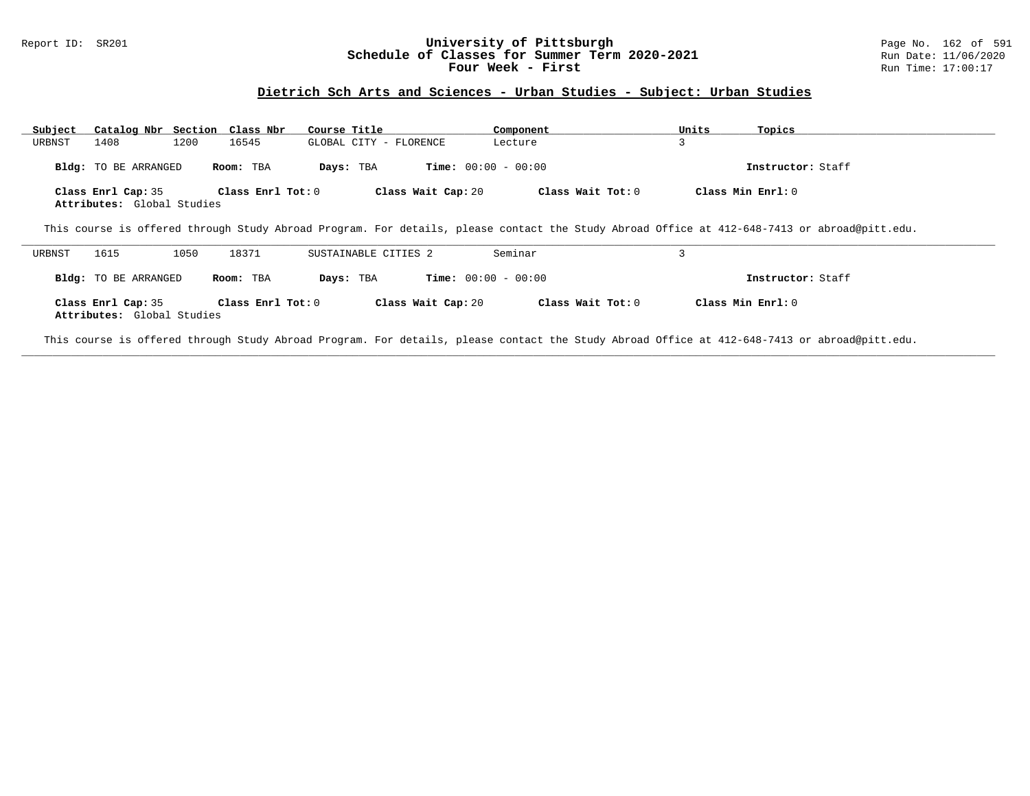#### Report ID: SR201 **University of Pittsburgh** Page No. 162 of 591 **Schedule of Classes for Summer Term 2020-2021** Run Date: 11/06/2020 **Four Week - First Run Time: 17:00:17 Run Time: 17:00:17**

# **Dietrich Sch Arts and Sciences - Urban Studies - Subject: Urban Studies**

| Subject<br>URBNST | Catalog Nbr Section Class Nbr<br>1200<br>1408    | 16545             | Course Title<br>GLOBAL CITY - FLORENCE | Component<br>Lecture         | Units<br>3 | Topics                                                                                                                                       |
|-------------------|--------------------------------------------------|-------------------|----------------------------------------|------------------------------|------------|----------------------------------------------------------------------------------------------------------------------------------------------|
|                   | <b>Bldg:</b> TO BE ARRANGED                      | Room: TBA         | Days: TBA                              | <b>Time:</b> $00:00 - 00:00$ |            | Instructor: Staff                                                                                                                            |
|                   | Class Enrl Cap: 35<br>Attributes: Global Studies | Class Enrl Tot: 0 | Class Wait Cap: 20                     | Class Wait Tot: 0            |            | Class Min Enrl: 0                                                                                                                            |
|                   |                                                  |                   |                                        |                              |            | This course is offered through Study Abroad Program. For details, please contact the Study Abroad Office at 412-648-7413 or abroad@pitt.edu. |
| URBNST            | 1615<br>1050                                     | 18371             | SUSTAINABLE CITIES 2                   | Seminar                      | 3          |                                                                                                                                              |
|                   | <b>Bldg:</b> TO BE ARRANGED                      | Room: TBA         | Days: TBA                              | <b>Time:</b> $00:00 - 00:00$ |            | Instructor: Staff                                                                                                                            |
|                   | Class Enrl Cap: 35<br>Attributes: Global Studies | Class Enrl Tot: 0 | Class Wait Cap: 20                     | Class Wait Tot: $0$          |            | Class Min $Enr1: 0$                                                                                                                          |

This course is offered through Study Abroad Program. For details, please contact the Study Abroad Office at 412-648-7413 or abroad@pitt.edu.

**\_\_\_\_\_\_\_\_\_\_\_\_\_\_\_\_\_\_\_\_\_\_\_\_\_\_\_\_\_\_\_\_\_\_\_\_\_\_\_\_\_\_\_\_\_\_\_\_\_\_\_\_\_\_\_\_\_\_\_\_\_\_\_\_\_\_\_\_\_\_\_\_\_\_\_\_\_\_\_\_\_\_\_\_\_\_\_\_\_\_\_\_\_\_\_\_\_\_\_\_\_\_\_\_\_\_\_\_\_\_\_\_\_\_\_\_\_\_\_\_\_\_\_\_\_\_\_\_\_\_\_\_\_\_\_\_\_\_\_\_\_\_\_\_\_\_\_\_\_\_\_\_\_\_\_\_**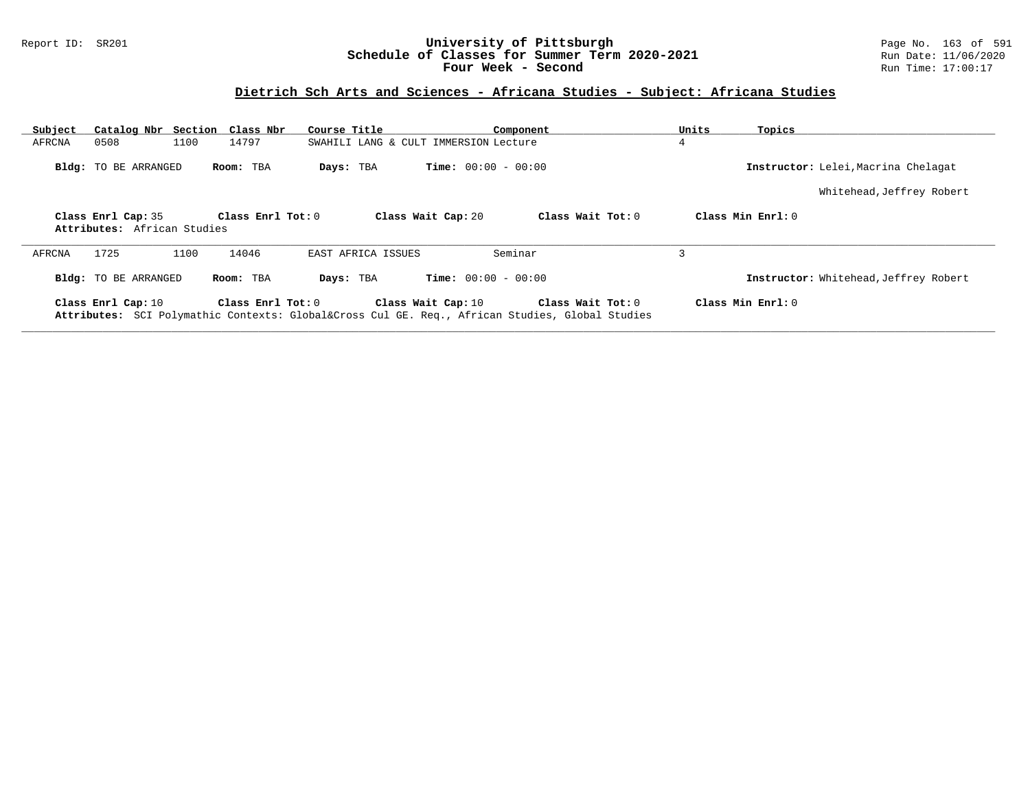#### Report ID: SR201 **University of Pittsburgh** Page No. 163 of 591 **Schedule of Classes for Summer Term 2020-2021** Run Date: 11/06/2020 **Four Week - Second Run Time: 17:00:17**

# **Dietrich Sch Arts and Sciences - Africana Studies - Subject: Africana Studies**

| Subject |                                                   | Catalog Nbr Section Class Nbr | Course Title                          | Component                                                                                                       | Units               | Topics                                |
|---------|---------------------------------------------------|-------------------------------|---------------------------------------|-----------------------------------------------------------------------------------------------------------------|---------------------|---------------------------------------|
| AFRCNA  | 0508                                              | 1100<br>14797                 | SWAHILI LANG & CULT IMMERSION Lecture |                                                                                                                 | 4                   |                                       |
|         | <b>Bldg:</b> TO BE ARRANGED                       | Room: TBA                     | Days: TBA                             | <b>Time:</b> $00:00 - 00:00$                                                                                    |                     | Instructor: Lelei, Macrina Chelagat   |
|         |                                                   |                               |                                       |                                                                                                                 |                     | Whitehead, Jeffrey Robert             |
|         | Class Enrl Cap: 35<br>Attributes: African Studies | Class Enrl Tot: $0$           | Class Wait Cap: 20                    | Class Wait Tot: 0                                                                                               | Class Min $Enr1: 0$ |                                       |
| AFRCNA  | 1725                                              | 1100<br>14046                 | EAST AFRICA ISSUES                    | Seminar                                                                                                         | 3                   |                                       |
|         | <b>Bldg:</b> TO BE ARRANGED                       | Room: TBA                     | Days: TBA                             | <b>Time:</b> $00:00 - 00:00$                                                                                    |                     | Instructor: Whitehead, Jeffrey Robert |
|         | Class Enrl Cap: 10                                | Class Enrl Tot: $0$           | Class Wait Cap: 10                    | Class Wait Tot: 0<br>Attributes: SCI Polymathic Contexts: Global⨯ Cul GE. Req., African Studies, Global Studies | Class Min $Enr1: 0$ |                                       |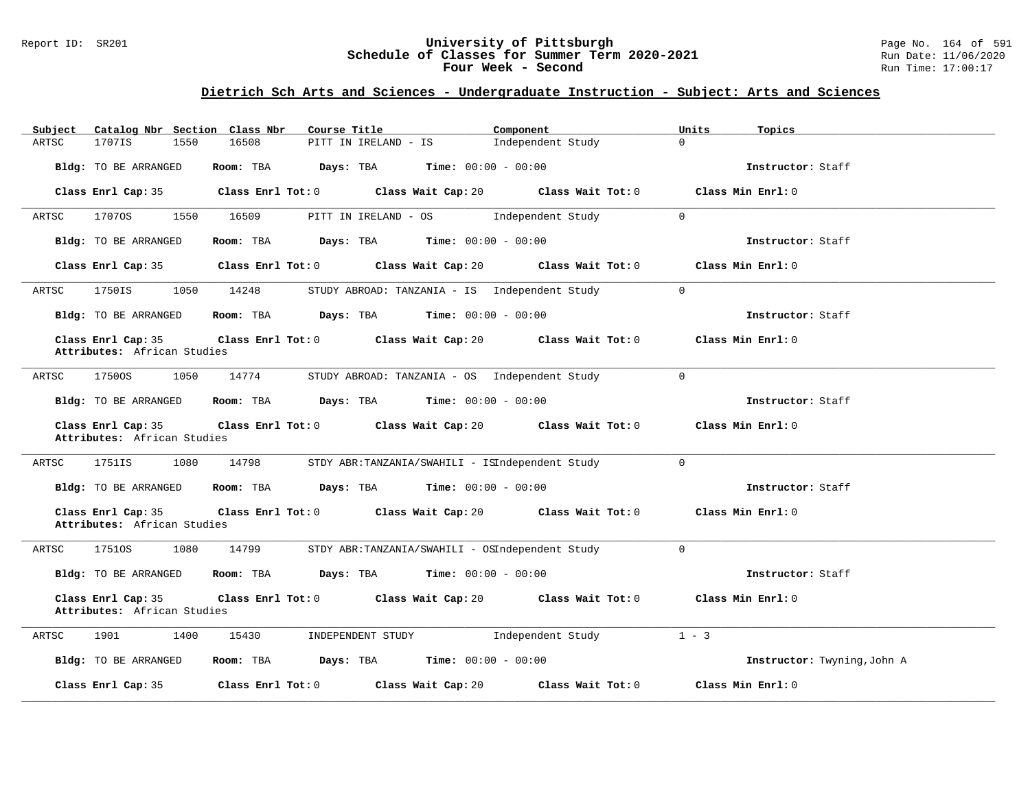#### Report ID: SR201 **University of Pittsburgh** Page No. 164 of 591 **Schedule of Classes for Summer Term 2020-2021** Run Date: 11/06/2020 **Four Week - Second Run Time: 17:00:17**

# **Dietrich Sch Arts and Sciences - Undergraduate Instruction - Subject: Arts and Sciences**

| Catalog Nbr Section Class Nbr<br>Subject          | Course Title                                                     | Component                            | Units<br>Topics             |
|---------------------------------------------------|------------------------------------------------------------------|--------------------------------------|-----------------------------|
| 1707IS<br>1550<br>ARTSC                           | 16508<br>PITT IN IRELAND - IS                                    | $\Omega$<br>Independent Study        |                             |
| Bldg: TO BE ARRANGED                              | Room: TBA<br>Days: TBA<br><b>Time:</b> $00:00 - 00:00$           |                                      | Instructor: Staff           |
| Class Enrl Cap: 35                                | Class Enrl Tot: 0                                                | Class Wait Cap: 20 Class Wait Tot: 0 | Class Min Enrl: 0           |
| ARTSC<br>17070S<br>1550                           | 16509<br>PITT IN IRELAND - OS                                    | Independent Study<br>$\mathbf 0$     |                             |
| Bldg: TO BE ARRANGED                              | <b>Time:</b> $00:00 - 00:00$<br>Room: TBA<br>Days: TBA           |                                      | Instructor: Staff           |
| Class Enrl Cap: 35                                | Class Wait Cap: 20<br>Class Enrl Tot: 0                          | Class Wait Tot: 0                    | Class Min Enrl: 0           |
| ARTSC<br>1750IS<br>1050                           | 14248<br>STUDY ABROAD: TANZANIA - IS Independent Study           | $\overline{0}$                       |                             |
| Bldg: TO BE ARRANGED                              | Room: TBA<br>$\texttt{Days:}$ TBA $\texttt{Time:}$ 00:00 - 00:00 |                                      | Instructor: Staff           |
| Class Enrl Cap: 35<br>Attributes: African Studies | Class Enrl Tot: 0 Class Wait Cap: 20                             | Class Wait Tot: 0                    | Class Min Enrl: 0           |
| 1050<br>ARTSC<br>1750OS                           | 14774<br>STUDY ABROAD: TANZANIA - OS Independent Study           | $\mathbf 0$                          |                             |
| Bldg: TO BE ARRANGED                              | $Time: 00:00 - 00:00$<br>Room: TBA<br>Days: TBA                  |                                      | Instructor: Staff           |
| Class Enrl Cap: 35<br>Attributes: African Studies | Class Enrl Tot: 0<br>Class Wait Cap: 20                          | Class Wait Tot: 0                    | Class Min Enrl: 0           |
| 1080<br>ARTSC<br>1751IS                           | 14798<br>STDY ABR:TANZANIA/SWAHILI - ISIndependent Study         | $\mathbf 0$                          |                             |
| Bldg: TO BE ARRANGED                              | Room: TBA<br>$\texttt{DayS:}$ TBA $\texttt{Time:}$ 00:00 - 00:00 |                                      | Instructor: Staff           |
| Class Enrl Cap: 35<br>Attributes: African Studies | Class Enrl Tot: 0 Class Wait Cap: 20                             | Class Wait Tot: 0                    | Class Min Enrl: 0           |
| 17510S<br>1080<br>ARTSC                           | 14799<br>STDY ABR:TANZANIA/SWAHILI - OSIndependent Study         | $\mathbf 0$                          |                             |
| Bldg: TO BE ARRANGED                              | $Time: 00:00 - 00:00$<br>Room: TBA<br>Days: TBA                  |                                      | Instructor: Staff           |
| Class Enrl Cap: 35<br>Attributes: African Studies | Class Enrl Tot: 0<br>Class Wait Cap: 20                          | Class Wait Tot: 0                    | Class Min Enrl: 0           |
| 1901<br>1400<br>ARTSC                             | 15430<br>INDEPENDENT STUDY                                       | Independent Study                    | $1 - 3$                     |
| Bldg: TO BE ARRANGED                              | Room: TBA<br>Days: TBA<br><b>Time:</b> $00:00 - 00:00$           |                                      | Instructor: Twyning, John A |
| Class Enrl Cap: 35                                | Class Enrl Tot: 0<br>Class Wait Cap: 20                          | Class Wait Tot: 0                    | Class Min Enrl: 0           |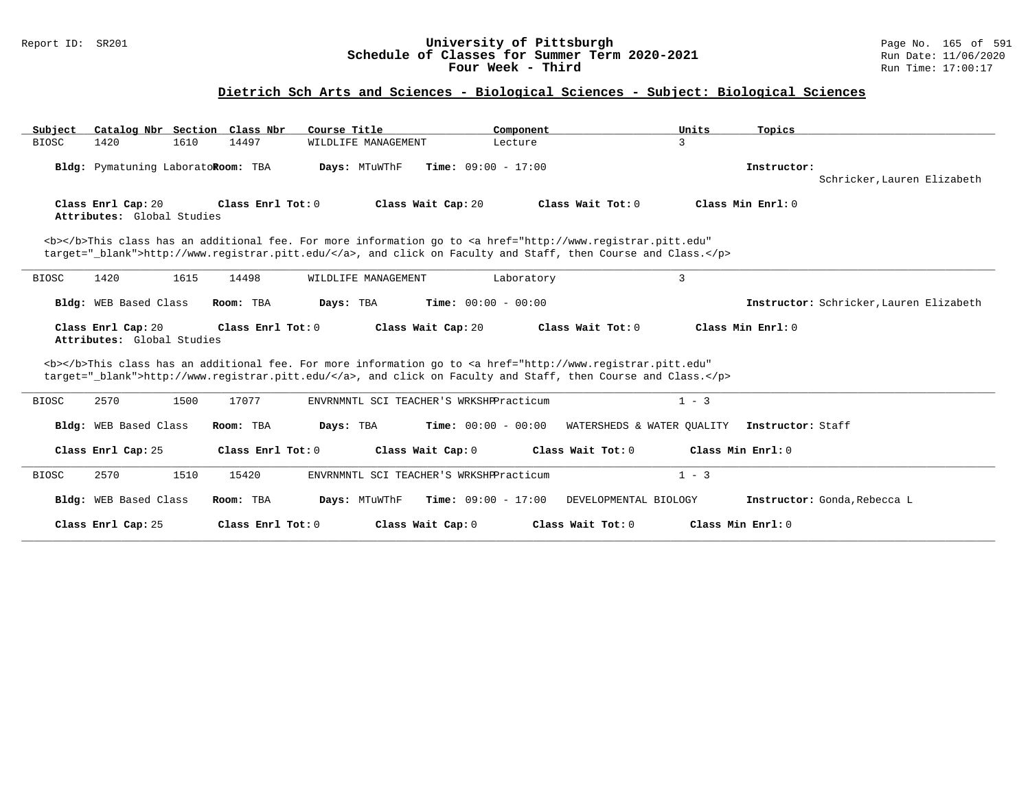#### Report ID: SR201 **University of Pittsburgh** Page No. 165 of 591 **Schedule of Classes for Summer Term 2020-2021** Run Date: 11/06/2020 **Four Week - Third Run Time: 17:00:17**

| Catalog Nbr Section Class Nbr<br>Subject         | Course Title                                                                                                                                                                                                                       | Component                                             | Units<br>Topics                              |                                         |
|--------------------------------------------------|------------------------------------------------------------------------------------------------------------------------------------------------------------------------------------------------------------------------------------|-------------------------------------------------------|----------------------------------------------|-----------------------------------------|
| 1610<br><b>BIOSC</b><br>1420                     | 14497<br>WILDLIFE MANAGEMENT                                                                                                                                                                                                       | Lecture                                               | 3                                            |                                         |
| Bldg: Pymatuning LaboratoRoom: TBA               | Days: MTuWThF                                                                                                                                                                                                                      | <b>Time:</b> $09:00 - 17:00$                          | Instructor:                                  | Schricker, Lauren Elizabeth             |
| Class Enrl Cap: 20<br>Attributes: Global Studies | Class Enrl Tot: 0                                                                                                                                                                                                                  | Class Wait Cap: 20<br>Class Wait Tot: 0               | Class Min Enrl: 0                            |                                         |
|                                                  | <b></b> This class has an additional fee. For more information go to <a <br="" href="http://www.registrar.pitt.edu">target="_blank"&gt;http://www.registrar.pitt.edu/</a> , and click on Faculty and Staff, then Course and Class. |                                                       |                                              |                                         |
| <b>BIOSC</b><br>1420<br>1615                     | 14498<br>WILDLIFE MANAGEMENT                                                                                                                                                                                                       | Laboratory                                            | $\overline{3}$                               |                                         |
| Bldg: WEB Based Class                            | Room: TBA<br>Days: TBA                                                                                                                                                                                                             | <b>Time:</b> $00:00 - 00:00$                          |                                              | Instructor: Schricker, Lauren Elizabeth |
| Class Enrl Cap: 20<br>Attributes: Global Studies | Class Enrl Tot: $0$                                                                                                                                                                                                                | Class Wait Cap: 20<br>Class Wait $Tot: 0$             | Class Min Enrl: 0                            |                                         |
|                                                  | <b></b> This class has an additional fee. For more information go to <a <br="" href="http://www.registrar.pitt.edu">target="_blank"&gt;http://www.registrar.pitt.edu/</a> , and click on Faculty and Staff, then Course and Class. |                                                       |                                              |                                         |
| 2570<br>1500<br><b>BIOSC</b>                     | 17077                                                                                                                                                                                                                              | ENVRNMNTL SCI TEACHER'S WRKSHPPracticum               | $1 - 3$                                      |                                         |
| Bldg: WEB Based Class                            | Room: TBA<br>Days: TBA                                                                                                                                                                                                             | <b>Time:</b> $00:00 - 00:00$                          | WATERSHEDS & WATER QUALITY Instructor: Staff |                                         |
| Class Enrl Cap: 25                               | Class Enrl Tot: 0                                                                                                                                                                                                                  | Class Wait Cap: 0<br>Class Wait Tot: 0                | Class Min Enrl: 0                            |                                         |
| 2570<br>1510<br><b>BIOSC</b>                     | 15420                                                                                                                                                                                                                              | ENVRNMNTL SCI TEACHER'S WRKSHPPracticum               | $1 - 3$                                      |                                         |
| Bldg: WEB Based Class                            | Room: TBA<br>Days: MTuWThF                                                                                                                                                                                                         | <b>Time:</b> $09:00 - 17:00$<br>DEVELOPMENTAL BIOLOGY | Instructor: Gonda, Rebecca L                 |                                         |
| Class Enrl Cap: 25                               | Class Enrl Tot: 0                                                                                                                                                                                                                  | Class Wait Cap: 0<br>Class Wait Tot: 0                | Class Min Enrl: 0                            |                                         |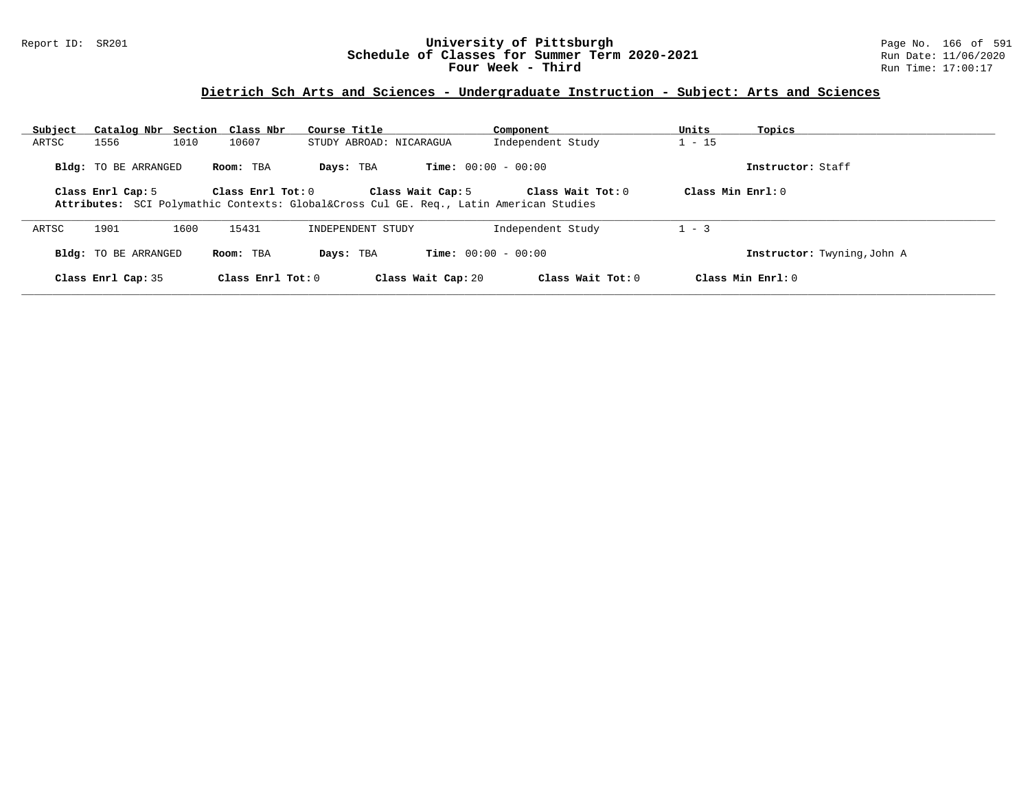#### Report ID: SR201 **University of Pittsburgh** Page No. 166 of 591 **Schedule of Classes for Summer Term 2020-2021** Run Date: 11/06/2020 **Four Week - Third Run Time: 17:00:17**

# **Dietrich Sch Arts and Sciences - Undergraduate Instruction - Subject: Arts and Sciences**

| Subject | Catalog Nbr Section Class Nbr |      |                     | Course Title                                                                      |                              | Component           | Units               | Topics                      |
|---------|-------------------------------|------|---------------------|-----------------------------------------------------------------------------------|------------------------------|---------------------|---------------------|-----------------------------|
| ARTSC   | 1556                          | 1010 | 10607               | STUDY ABROAD: NICARAGUA                                                           |                              | Independent Study   | $1 - 15$            |                             |
|         | <b>Bldg:</b> TO BE ARRANGED   |      | Room: TBA           | Days: TBA                                                                         | <b>Time:</b> $00:00 - 00:00$ |                     |                     | Instructor: Staff           |
|         | Class Enrl Cap: 5             |      | Class Enr1 Tot: 0   | Attributes: SCI Polymathic Contexts: Global⨯ Cul GE. Req., Latin American Studies | Class Wait Cap: 5            | Class Wait Tot: 0   | Class Min $Enrl: 0$ |                             |
| ARTSC   | 1901                          | 1600 | 15431               | INDEPENDENT STUDY                                                                 |                              | Independent Study   | $1 - 3$             |                             |
|         | Bldg: TO BE ARRANGED          |      | Room: TBA           | Days: TBA                                                                         | <b>Time:</b> $00:00 - 00:00$ |                     |                     | Instructor: Twyning, John A |
|         | Class Enrl Cap: 35            |      | Class Enrl Tot: $0$ |                                                                                   | Class Wait Cap: 20           | Class Wait Tot: $0$ |                     | Class Min Enrl: 0           |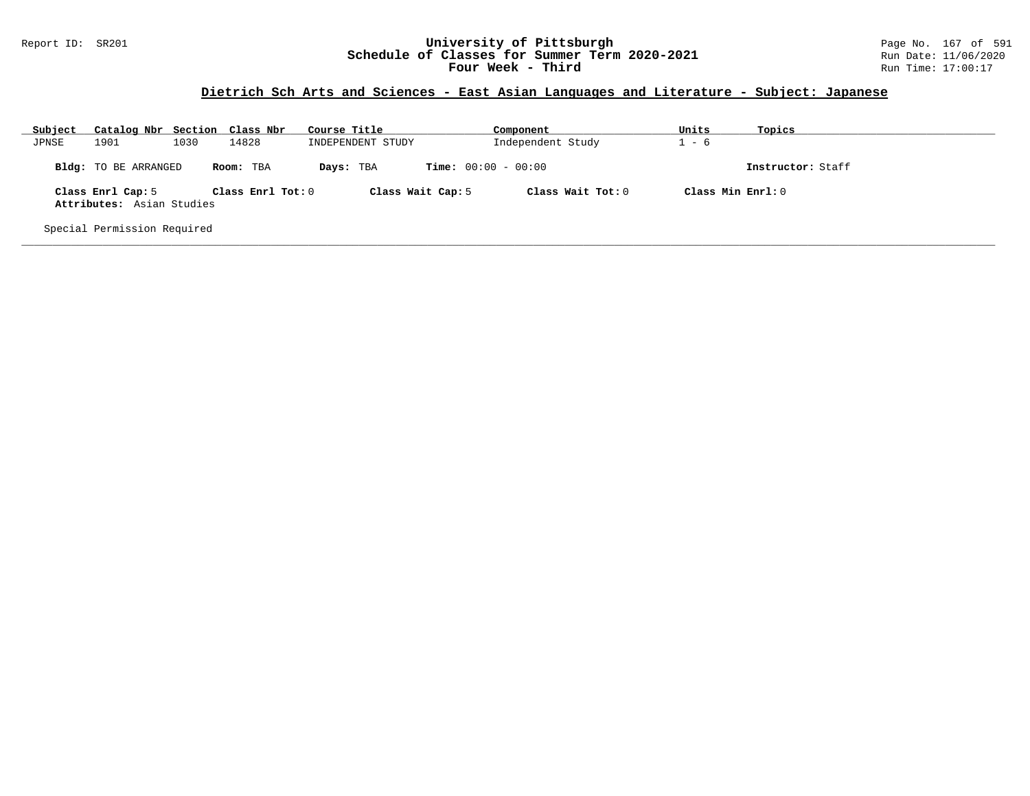#### Report ID: SR201 **University of Pittsburgh** Page No. 167 of 591 **Schedule of Classes for Summer Term 2020-2021** Run Date: 11/06/2020 **Four Week - Third Run Time: 17:00:17**

### **Dietrich Sch Arts and Sciences - East Asian Languages and Literature - Subject: Japanese**

| Subject | Catalog Nbr Section Class Nbr                  |      |                   | Course Title      | Component                    | Units               | Topics            |
|---------|------------------------------------------------|------|-------------------|-------------------|------------------------------|---------------------|-------------------|
| JPNSE   | 1901                                           | 1030 | 14828             | INDEPENDENT STUDY | Independent Study            | - 6                 |                   |
|         | <b>Bldg:</b> TO BE ARRANGED                    |      | Room: TBA         | Days: TBA         | <b>Time:</b> $00:00 - 00:00$ |                     | Instructor: Staff |
|         | Class Enrl Cap: 5<br>Attributes: Asian Studies |      | Class Enrl Tot: 0 | Class Wait Cap: 5 | Class Wait $Tot: 0$          | Class Min $Enrl: 0$ |                   |
|         | Special Permission Required                    |      |                   |                   |                              |                     |                   |

**\_\_\_\_\_\_\_\_\_\_\_\_\_\_\_\_\_\_\_\_\_\_\_\_\_\_\_\_\_\_\_\_\_\_\_\_\_\_\_\_\_\_\_\_\_\_\_\_\_\_\_\_\_\_\_\_\_\_\_\_\_\_\_\_\_\_\_\_\_\_\_\_\_\_\_\_\_\_\_\_\_\_\_\_\_\_\_\_\_\_\_\_\_\_\_\_\_\_\_\_\_\_\_\_\_\_\_\_\_\_\_\_\_\_\_\_\_\_\_\_\_\_\_\_\_\_\_\_\_\_\_\_\_\_\_\_\_\_\_\_\_\_\_\_\_\_\_\_\_\_\_\_\_\_\_\_**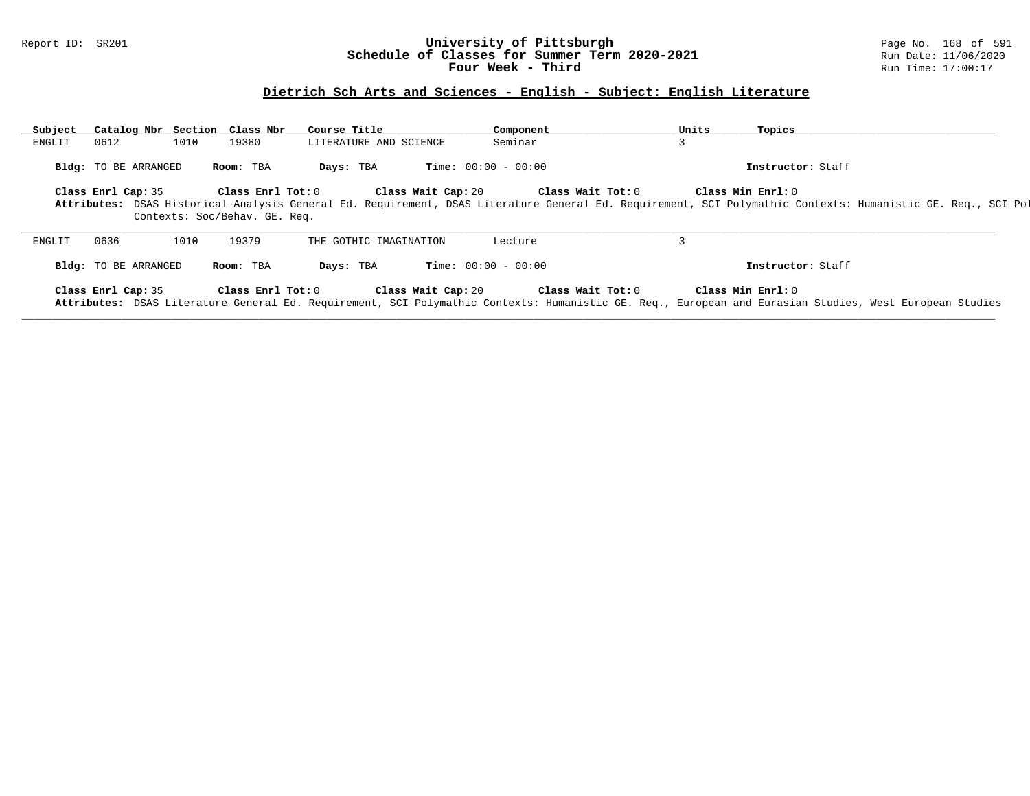#### Report ID: SR201 **University of Pittsburgh** Page No. 168 of 591 **Schedule of Classes for Summer Term 2020-2021** Run Date: 11/06/2020 **Four Week - Third Run Time: 17:00:17**

# **Dietrich Sch Arts and Sciences - English - Subject: English Literature**

| Subject<br>Catalog Nbr Section Class Nbr | Course Title                  | Component                         | Units             | Topics                                                                                                                                                       |
|------------------------------------------|-------------------------------|-----------------------------------|-------------------|--------------------------------------------------------------------------------------------------------------------------------------------------------------|
| 0612<br>1010<br>ENGLIT                   | 19380                         | Seminar<br>LITERATURE AND SCIENCE |                   |                                                                                                                                                              |
| <b>Bldg:</b> TO BE ARRANGED              | Days: TBA<br>Room: TBA        | <b>Time:</b> $00:00 - 00:00$      |                   | Instructor: Staff                                                                                                                                            |
| Class Enrl Cap: 35                       | Class Enrl Tot: 0             | Class Wait Cap: 20                | Class Wait Tot: 0 | Class Min Enrl: 0                                                                                                                                            |
|                                          | Contexts: Soc/Behav. GE. Req. |                                   |                   | Attributes: DSAS Historical Analysis General Ed. Requirement, DSAS Literature General Ed. Requirement, SCI Polymathic Contexts: Humanistic GE. Req., SCI Pol |
| 0636<br>1010<br>ENGLIT                   | 19379                         | THE GOTHIC IMAGINATION<br>Lecture |                   |                                                                                                                                                              |
| <b>Bldg:</b> TO BE ARRANGED              | Days: TBA<br>Room: TBA        | <b>Time:</b> $00:00 - 00:00$      |                   | Instructor: Staff                                                                                                                                            |
|                                          |                               |                                   |                   |                                                                                                                                                              |
| Class Enrl Cap: 35                       | Class Enrl Tot: 0             | Class Wait Cap: 20                | Class Wait Tot: 0 | Class Min Enrl: 0                                                                                                                                            |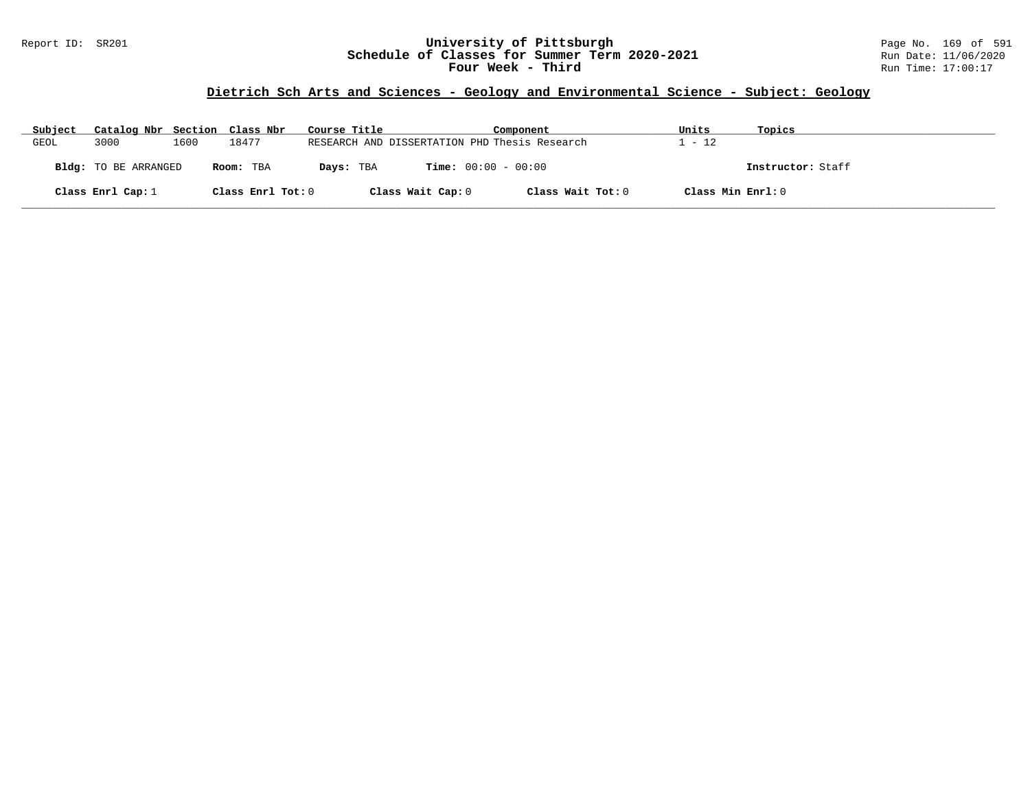#### Report ID: SR201 **University of Pittsburgh** Page No. 169 of 591 **Schedule of Classes for Summer Term 2020-2021** Run Date: 11/06/2020 **Four Week - Third Run Time: 17:00:17**

# **Dietrich Sch Arts and Sciences - Geology and Environmental Science - Subject: Geology**

| Subject | Catalog Nbr Section Class Nbr |      |                   | Course Title |                              | Component                                     | Units             | Topics            |
|---------|-------------------------------|------|-------------------|--------------|------------------------------|-----------------------------------------------|-------------------|-------------------|
| GEOL    | 3000                          | 1600 | 18477             |              |                              | RESEARCH AND DISSERTATION PHD Thesis Research | - 12              |                   |
|         | Bldg: TO BE ARRANGED          |      | Room: TBA         | Days: TBA    | <b>Time:</b> $00:00 - 00:00$ |                                               |                   | Instructor: Staff |
|         | Class Enrl Cap: $1$           |      | Class Enrl Tot: 0 |              | Class Wait Cap: 0            | Class Wait Tot: 0                             | Class Min Enrl: 0 |                   |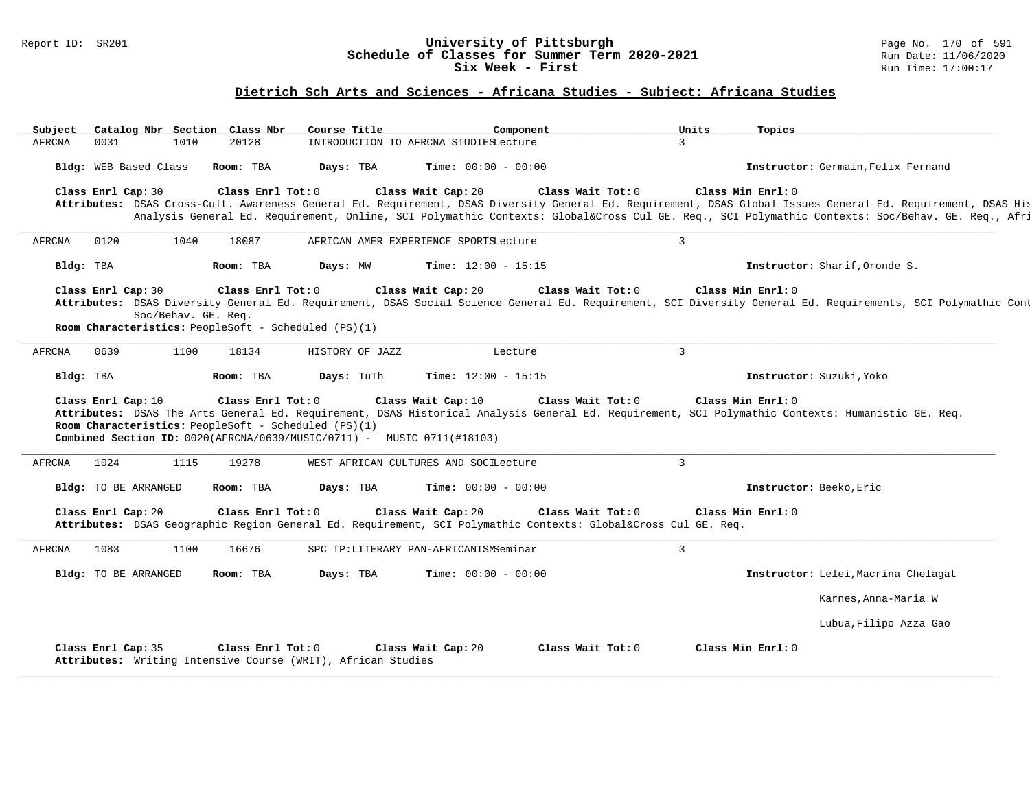#### Report ID: SR201 **University of Pittsburgh** Page No. 170 of 591 **Schedule of Classes for Summer Term 2020-2021** Run Date: 11/06/2020 **Six Week - First Run** Time: 17:00:17

### **Dietrich Sch Arts and Sciences - Africana Studies - Subject: Africana Studies**

| Subject |                             |                     | Catalog Nbr Section Class Nbr                                             | Course Title                                                                        | Component                                                                                                                                            | Units          | Topics                                                                                                                                                                                                                                                                                                                           |
|---------|-----------------------------|---------------------|---------------------------------------------------------------------------|-------------------------------------------------------------------------------------|------------------------------------------------------------------------------------------------------------------------------------------------------|----------------|----------------------------------------------------------------------------------------------------------------------------------------------------------------------------------------------------------------------------------------------------------------------------------------------------------------------------------|
| AFRCNA  | 0031                        | 1010                | 20128                                                                     |                                                                                     | INTRODUCTION TO AFRCNA STUDIESLecture                                                                                                                | $\mathbf{3}$   |                                                                                                                                                                                                                                                                                                                                  |
|         | Bldg: WEB Based Class       |                     | Room: TBA                                                                 | Days: TBA                                                                           | <b>Time:</b> $00:00 - 00:00$                                                                                                                         |                | Instructor: Germain, Felix Fernand                                                                                                                                                                                                                                                                                               |
|         | Class Enrl Cap: 30          |                     | Class Enrl Tot: 0                                                         |                                                                                     | Class Wait Cap: 20<br>Class Wait Tot: 0                                                                                                              |                | Class Min Enrl: 0<br>Attributes: DSAS Cross-Cult. Awareness General Ed. Requirement, DSAS Diversity General Ed. Requirement, DSAS Global Issues General Ed. Requirement, DSAS His<br>Analysis General Ed. Requirement, Online, SCI Polymathic Contexts: Global⨯ Cul GE. Req., SCI Polymathic Contexts: Soc/Behav. GE. Req., Afri |
| AFRCNA  | 0120                        | 1040                | 18087                                                                     |                                                                                     | AFRICAN AMER EXPERIENCE SPORTSLecture                                                                                                                | $\overline{3}$ |                                                                                                                                                                                                                                                                                                                                  |
|         | Bldg: TBA                   |                     | Room: TBA                                                                 | Days: MW                                                                            | <b>Time:</b> $12:00 - 15:15$                                                                                                                         |                | Instructor: Sharif, Oronde S.                                                                                                                                                                                                                                                                                                    |
|         | Class Enrl Cap: 30          | Soc/Behav. GE. Req. | Class Enrl Tot: 0<br>Room Characteristics: PeopleSoft - Scheduled (PS)(1) |                                                                                     | Class Wait Cap: 20<br>Class Wait Tot: 0                                                                                                              |                | Class Min Enrl: 0<br>Attributes: DSAS Diversity General Ed. Requirement, DSAS Social Science General Ed. Requirement, SCI Diversity General Ed. Requirements, SCI Polymathic Cont                                                                                                                                                |
| AFRCNA  | 0639                        | 1100                | 18134                                                                     | HISTORY OF JAZZ                                                                     | Lecture                                                                                                                                              | $\overline{3}$ |                                                                                                                                                                                                                                                                                                                                  |
|         | Bldg: TBA                   |                     | Room: TBA                                                                 | Days: TuTh                                                                          | <b>Time:</b> $12:00 - 15:15$                                                                                                                         |                | Instructor: Suzuki, Yoko                                                                                                                                                                                                                                                                                                         |
|         | Class Enrl Cap: 10          |                     | Class Enrl Tot: 0<br>Room Characteristics: PeopleSoft - Scheduled (PS)(1) | <b>Combined Section ID:</b> $0020 (AFRCNA/0639/MUSIC/0711)$ - MUSIC $0711 (#18103)$ | Class Wait Cap: 10<br>Class Wait Tot: 0                                                                                                              |                | Class Min Enrl: 0<br>Attributes: DSAS The Arts General Ed. Requirement, DSAS Historical Analysis General Ed. Requirement, SCI Polymathic Contexts: Humanistic GE. Req.                                                                                                                                                           |
| AFRCNA  | 1024                        | 1115                | 19278                                                                     |                                                                                     | WEST AFRICAN CULTURES AND SOCILecture                                                                                                                | $\overline{3}$ |                                                                                                                                                                                                                                                                                                                                  |
|         | <b>Bldg:</b> TO BE ARRANGED |                     | Room: TBA                                                                 | Days: TBA                                                                           | <b>Time:</b> $00:00 - 00:00$                                                                                                                         |                | Instructor: Beeko, Eric                                                                                                                                                                                                                                                                                                          |
|         | Class Enrl Cap: 20          |                     | Class Enrl Tot: 0                                                         |                                                                                     | Class Wait Cap: 20<br>Class Wait Tot: 0<br>Attributes: DSAS Geographic Region General Ed. Requirement, SCI Polymathic Contexts: Global⨯ Cul GE. Req. |                | Class Min Enrl: 0                                                                                                                                                                                                                                                                                                                |
| AFRCNA  | 1083                        | 1100                | 16676                                                                     |                                                                                     | SPC TP:LITERARY PAN-AFRICANISMSeminar                                                                                                                | 3              |                                                                                                                                                                                                                                                                                                                                  |
|         | <b>Bldg:</b> TO BE ARRANGED |                     | Room: TBA                                                                 | Days: TBA                                                                           | <b>Time:</b> $00:00 - 00:00$                                                                                                                         |                | Instructor: Lelei, Macrina Chelagat                                                                                                                                                                                                                                                                                              |
|         |                             |                     |                                                                           |                                                                                     |                                                                                                                                                      |                | Karnes, Anna-Maria W                                                                                                                                                                                                                                                                                                             |
|         |                             |                     |                                                                           |                                                                                     |                                                                                                                                                      |                | Lubua, Filipo Azza Gao                                                                                                                                                                                                                                                                                                           |
|         | Class Enrl Cap: 35          |                     | Class Enrl Tot: 0                                                         | Attributes: Writing Intensive Course (WRIT), African Studies                        | Class Wait Tot: 0<br>Class Wait Cap: 20                                                                                                              |                | Class Min Enrl: 0                                                                                                                                                                                                                                                                                                                |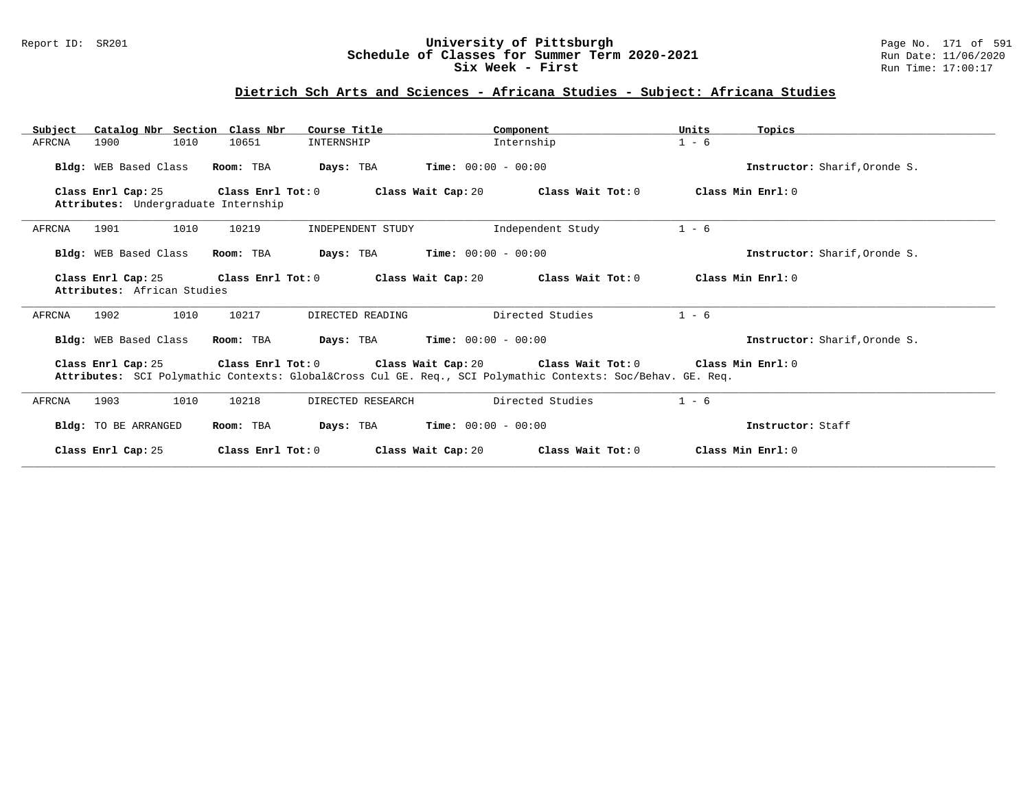#### Report ID: SR201 **University of Pittsburgh** Page No. 171 of 591 **Schedule of Classes for Summer Term 2020-2021** Run Date: 11/06/2020 **Six Week - First Run Time: 17:00:17**

### **Dietrich Sch Arts and Sciences - Africana Studies - Subject: Africana Studies**

| Catalog Nbr Section Class Nbr<br>Subject                   | Course Title                            | Component                                                                                                                                                               | Units<br>Topics               |
|------------------------------------------------------------|-----------------------------------------|-------------------------------------------------------------------------------------------------------------------------------------------------------------------------|-------------------------------|
| 1010<br>1900<br>AFRCNA                                     | 10651<br>INTERNSHIP                     | Internship                                                                                                                                                              | $1 - 6$                       |
| Bldg: WEB Based Class                                      | Room: TBA<br>Days: TBA                  | <b>Time:</b> $00:00 - 00:00$                                                                                                                                            | Instructor: Sharif, Oronde S. |
| Class Enrl Cap: 25<br>Attributes: Undergraduate Internship | Class Enrl Tot: 0                       | Class Wait Cap: 20<br>Class Wait Tot: 0                                                                                                                                 | Class Min Enrl: 0             |
| 1901<br>1010<br>AFRCNA                                     | 10219<br>INDEPENDENT STUDY              | Independent Study                                                                                                                                                       | $1 - 6$                       |
| Bldg: WEB Based Class                                      | Room: TBA<br>Days: TBA                  | $Time: 00:00 - 00:00$                                                                                                                                                   | Instructor: Sharif.Oronde S.  |
| Class Enrl Cap: 25<br>Attributes: African Studies          | Class Enrl Tot: 0<br>Class Wait Cap: 20 | Class Wait Tot: 0                                                                                                                                                       | Class Min Enrl: 0             |
| AFRCNA<br>1902<br>1010                                     | 10217<br>DIRECTED READING               | Directed Studies                                                                                                                                                        | $1 - 6$                       |
| Bldg: WEB Based Class                                      | Room: TBA<br>Days: TBA                  | $Time: 00:00 - 00:00$                                                                                                                                                   | Instructor: Sharif, Oronde S. |
| Class Enrl Cap: 25                                         |                                         | Class Enrl Tot: $0$ Class Wait Cap: $20$ Class Wait Tot: $0$<br>Attributes: SCI Polymathic Contexts: Global⨯ Cul GE. Req., SCI Polymathic Contexts: Soc/Behav. GE. Req. | Class Min Enrl: 0             |
|                                                            |                                         |                                                                                                                                                                         |                               |
| 1010<br>AFRCNA<br>1903                                     | 10218<br>DIRECTED RESEARCH              | Directed Studies                                                                                                                                                        | $1 - 6$                       |
| Bldg: TO BE ARRANGED                                       | Room: TBA                               | <b>Days:</b> TBA <b>Time:</b> $00:00 - 00:00$                                                                                                                           | Instructor: Staff             |
| Class Enrl Cap: 25                                         | Class Enrl Tot: 0                       | Class Wait Cap: 20<br>Class Wait Tot: 0                                                                                                                                 | Class Min Enrl: 0             |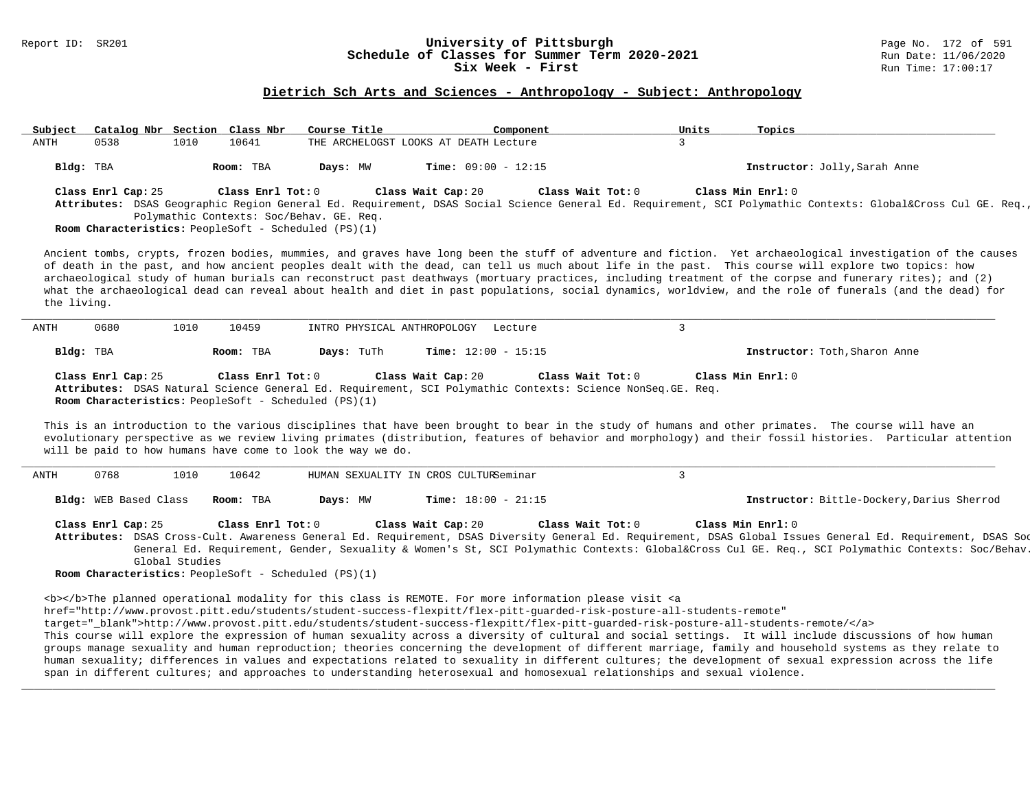#### Report ID: SR201 **University of Pittsburgh** Page No. 172 of 591 **Schedule of Classes for Summer Term 2020-2021** Run Date: 11/06/2020 **Six Week - First Run Time: 17:00:17**

# **Dietrich Sch Arts and Sciences - Anthropology - Subject: Anthropology**

| Subject     | Catalog Nbr Section Class Nbr |                |                    | Course Title                                                | Component                                                                                                                                                                                                                                 | Units<br>Topics                                                                                                                                                                                                                                                                                                                                                                                                                                                                                                                                                                                                                               |
|-------------|-------------------------------|----------------|--------------------|-------------------------------------------------------------|-------------------------------------------------------------------------------------------------------------------------------------------------------------------------------------------------------------------------------------------|-----------------------------------------------------------------------------------------------------------------------------------------------------------------------------------------------------------------------------------------------------------------------------------------------------------------------------------------------------------------------------------------------------------------------------------------------------------------------------------------------------------------------------------------------------------------------------------------------------------------------------------------------|
| ANTH        | 0538                          | 1010           | 10641              |                                                             | THE ARCHELOGST LOOKS AT DEATH Lecture                                                                                                                                                                                                     | $\mathcal{L}$                                                                                                                                                                                                                                                                                                                                                                                                                                                                                                                                                                                                                                 |
|             | Bldg: TBA                     |                | Room: TBA          | Days: MW                                                    | <b>Time:</b> $09:00 - 12:15$                                                                                                                                                                                                              | Instructor: Jolly, Sarah Anne                                                                                                                                                                                                                                                                                                                                                                                                                                                                                                                                                                                                                 |
|             | Class Enrl Cap: 25            |                | Class Enrl Tot: 0  |                                                             | Class Wait Cap: 20<br>Class Wait $Tot: 0$                                                                                                                                                                                                 | Class Min Enrl: 0                                                                                                                                                                                                                                                                                                                                                                                                                                                                                                                                                                                                                             |
|             |                               |                |                    |                                                             |                                                                                                                                                                                                                                           | Attributes: DSAS Geographic Region General Ed. Requirement, DSAS Social Science General Ed. Requirement, SCI Polymathic Contexts: Global⨯ Cul GE. Req.                                                                                                                                                                                                                                                                                                                                                                                                                                                                                        |
|             |                               |                |                    | Polymathic Contexts: Soc/Behav. GE. Req.                    |                                                                                                                                                                                                                                           |                                                                                                                                                                                                                                                                                                                                                                                                                                                                                                                                                                                                                                               |
|             |                               |                |                    | Room Characteristics: PeopleSoft - Scheduled (PS)(1)        |                                                                                                                                                                                                                                           |                                                                                                                                                                                                                                                                                                                                                                                                                                                                                                                                                                                                                                               |
| the living. |                               |                |                    |                                                             |                                                                                                                                                                                                                                           | Ancient tombs, crypts, frozen bodies, mummies, and graves have long been the stuff of adventure and fiction. Yet archaeological investigation of the causes<br>of death in the past, and how ancient peoples dealt with the dead, can tell us much about life in the past. This course will explore two topics: how<br>archaeological study of human burials can reconstruct past deathways (mortuary practices, including treatment of the corpse and funerary rites); and (2)<br>what the archaeological dead can reveal about health and diet in past populations, social dynamics, worldview, and the role of funerals (and the dead) for |
| ANTH        | 0680                          | 1010           | 10459              | INTRO PHYSICAL ANTHROPOLOGY                                 | Lecture                                                                                                                                                                                                                                   | $\overline{3}$                                                                                                                                                                                                                                                                                                                                                                                                                                                                                                                                                                                                                                |
|             | Bldg: TBA                     |                | Room: TBA          | Days: TuTh                                                  | Time: $12:00 - 15:15$                                                                                                                                                                                                                     | Instructor: Toth, Sharon Anne                                                                                                                                                                                                                                                                                                                                                                                                                                                                                                                                                                                                                 |
|             | Class Enrl Cap: 25            |                | Class Enrl Tot: 0  | Room Characteristics: PeopleSoft - Scheduled (PS)(1)        | Class Wait Cap: 20<br>Class Wait Tot: 0<br>Attributes: DSAS Natural Science General Ed. Requirement, SCI Polymathic Contexts: Science NonSeq. GE. Req.                                                                                    | Class Min Enrl: 0                                                                                                                                                                                                                                                                                                                                                                                                                                                                                                                                                                                                                             |
|             | 0768                          | 1010           |                    | will be paid to how humans have come to look the way we do. |                                                                                                                                                                                                                                           | This is an introduction to the various disciplines that have been brought to bear in the study of humans and other primates. The course will have an<br>evolutionary perspective as we review living primates (distribution, features of behavior and morphology) and their fossil histories. Particular attention<br>$\mathbf{3}$                                                                                                                                                                                                                                                                                                            |
|             | Bldg: WEB Based Class         |                | 10642<br>Room: TBA | Days: MW                                                    | HUMAN SEXUALITY IN CROS CULTURSeminar<br>Time: $18:00 - 21:15$                                                                                                                                                                            | Instructor: Bittle-Dockery, Darius Sherrod                                                                                                                                                                                                                                                                                                                                                                                                                                                                                                                                                                                                    |
| ANTH        |                               |                |                    |                                                             |                                                                                                                                                                                                                                           |                                                                                                                                                                                                                                                                                                                                                                                                                                                                                                                                                                                                                                               |
|             | Class Enrl Cap: 25            |                | Class Enrl Tot: 0  |                                                             | Class Wait Cap: 20<br>Class Wait Tot: 0                                                                                                                                                                                                   | Class Min Enrl: 0<br>Attributes: DSAS Cross-Cult. Awareness General Ed. Requirement, DSAS Diversity General Ed. Requirement, DSAS Global Issues General Ed. Requirement, DSAS Sod                                                                                                                                                                                                                                                                                                                                                                                                                                                             |
|             |                               |                |                    |                                                             |                                                                                                                                                                                                                                           | General Ed. Requirement, Gender, Sexuality & Women's St, SCI Polymathic Contexts: Global⨯ Cul GE. Req., SCI Polymathic Contexts: Soc/Behav.                                                                                                                                                                                                                                                                                                                                                                                                                                                                                                   |
|             |                               | Global Studies |                    | Room Characteristics: PeopleSoft - Scheduled (PS)(1)        |                                                                                                                                                                                                                                           |                                                                                                                                                                                                                                                                                                                                                                                                                                                                                                                                                                                                                                               |
|             |                               |                |                    |                                                             |                                                                                                                                                                                                                                           |                                                                                                                                                                                                                                                                                                                                                                                                                                                                                                                                                                                                                                               |
|             |                               |                |                    |                                                             | <b></b> The planned operational modality for this class is REMOTE. For more information please visit <a<br>href="http://www.provost.pitt.edu/students/student-success-flexpitt/flex-pitt-quarded-risk-posture-all-students-remote"</a<br> |                                                                                                                                                                                                                                                                                                                                                                                                                                                                                                                                                                                                                                               |
|             |                               |                |                    |                                                             |                                                                                                                                                                                                                                           | target="_blank">http://www.provost.pitt.edu/students/student-success-flexpitt/flex-pitt-guarded-risk-posture-all-students-remote/                                                                                                                                                                                                                                                                                                                                                                                                                                                                                                             |
|             |                               |                |                    |                                                             |                                                                                                                                                                                                                                           | This course will explore the expression of human sexuality across a diversity of cultural and social settings. It will include discussions of how human<br>groups manage sexuality and human reproduction; theories concerning the development of different marriage, family and household systems as they relate to                                                                                                                                                                                                                                                                                                                          |
|             |                               |                |                    |                                                             | span in different cultures; and approaches to understanding heterosexual and homosexual relationships and sexual violence.                                                                                                                | human sexuality; differences in values and expectations related to sexuality in different cultures; the development of sexual expression across the life                                                                                                                                                                                                                                                                                                                                                                                                                                                                                      |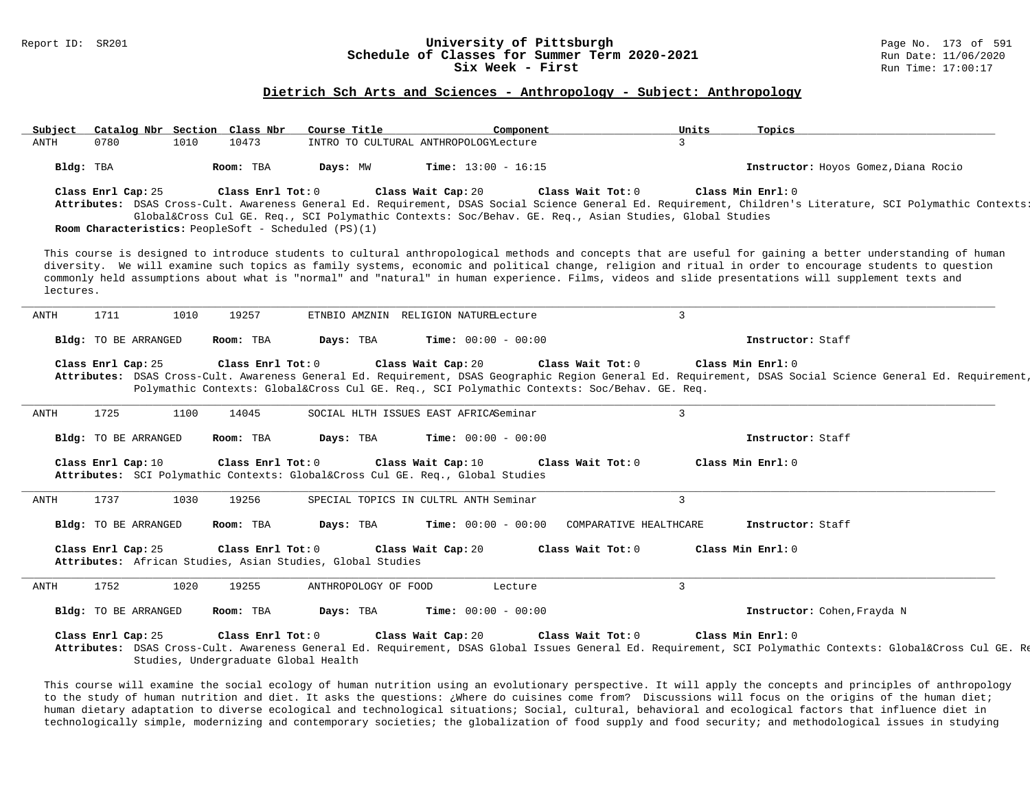# Report ID: SR201 **1988 Constrained Building Constrained Building Constrained Building Page No. 173 of 591 Const<br>
Schedule of Classes for Summer Term 2020-2021 1999 Run Date: 11/06/2020** Schedule of Classes for Summer Term 2020-2021<br>Six Week - First

#### **Dietrich Sch Arts and Sciences - Anthropology - Subject: Anthropology**

| Subject   |                      |      | Catalog Nbr Section Class Nbr                                             | Course Title                                               | Component                                                                                                               | Units                  | Topics                                                                                                                                                                                                                                                                                                                                                                                                                                                                       |  |
|-----------|----------------------|------|---------------------------------------------------------------------------|------------------------------------------------------------|-------------------------------------------------------------------------------------------------------------------------|------------------------|------------------------------------------------------------------------------------------------------------------------------------------------------------------------------------------------------------------------------------------------------------------------------------------------------------------------------------------------------------------------------------------------------------------------------------------------------------------------------|--|
| ANTH      | 0780                 | 1010 | 10473                                                                     |                                                            | INTRO TO CULTURAL ANTHROPOLOGYLecture                                                                                   | $\mathbf{3}$           |                                                                                                                                                                                                                                                                                                                                                                                                                                                                              |  |
|           | Bldg: TBA            |      | Room: TBA                                                                 | Days: MW                                                   | <b>Time:</b> $13:00 - 16:15$                                                                                            |                        | Instructor: Hoyos Gomez, Diana Rocio                                                                                                                                                                                                                                                                                                                                                                                                                                         |  |
|           | Class Enrl Cap: 25   |      | Class Enrl Tot: 0<br>Room Characteristics: PeopleSoft - Scheduled (PS)(1) |                                                            | Class Wait Cap: 20<br>Global⨯ Cul GE. Req., SCI Polymathic Contexts: Soc/Behav. GE. Req., Asian Studies, Global Studies | Class Wait Tot: 0      | Class Min Enrl: 0<br>Attributes: DSAS Cross-Cult. Awareness General Ed. Requirement, DSAS Social Science General Ed. Requirement, Children's Literature, SCI Polymathic Contexts:                                                                                                                                                                                                                                                                                            |  |
| lectures. |                      |      |                                                                           |                                                            |                                                                                                                         |                        | This course is designed to introduce students to cultural anthropological methods and concepts that are useful for gaining a better understanding of human<br>diversity. We will examine such topics as family systems, economic and political change, religion and ritual in order to encourage students to question<br>commonly held assumptions about what is "normal" and "natural" in human experience. Films, videos and slide presentations will supplement texts and |  |
| ANTH      | 1711                 | 1010 | 19257                                                                     |                                                            | ETNBIO AMZNIN RELIGION NATURELecture                                                                                    | $\overline{3}$         |                                                                                                                                                                                                                                                                                                                                                                                                                                                                              |  |
|           | Bldg: TO BE ARRANGED |      | Room: TBA                                                                 | Days: TBA                                                  | <b>Time:</b> $00:00 - 00:00$                                                                                            |                        | Instructor: Staff                                                                                                                                                                                                                                                                                                                                                                                                                                                            |  |
|           | Class Enrl Cap: 25   |      | Class Enrl Tot: 0                                                         |                                                            | Class Wait Cap: 20<br>Polymathic Contexts: Global⨯ Cul GE. Req., SCI Polymathic Contexts: Soc/Behav. GE. Req.           | Class Wait Tot: 0      | Class Min Enrl: 0<br>Attributes: DSAS Cross-Cult. Awareness General Ed. Requirement, DSAS Geographic Region General Ed. Requirement, DSAS Social Science General Ed. Requirement,                                                                                                                                                                                                                                                                                            |  |
| ANTH      | 1725                 | 1100 | 14045                                                                     |                                                            | SOCIAL HLTH ISSUES EAST AFRICASeminar                                                                                   | $\overline{3}$         |                                                                                                                                                                                                                                                                                                                                                                                                                                                                              |  |
|           | Bldg: TO BE ARRANGED |      | Room: TBA                                                                 | Days: TBA                                                  | <b>Time:</b> $00:00 - 00:00$                                                                                            |                        | Instructor: Staff                                                                                                                                                                                                                                                                                                                                                                                                                                                            |  |
|           | Class Enrl Cap: 10   |      | Class Enrl Tot: 0                                                         |                                                            | Class Wait Cap: 10<br>Attributes: SCI Polymathic Contexts: Global⨯ Cul GE. Req., Global Studies                         | Class Wait Tot: 0      | Class Min Enrl: 0                                                                                                                                                                                                                                                                                                                                                                                                                                                            |  |
| ANTH      | 1737                 | 1030 | 19256                                                                     |                                                            | SPECIAL TOPICS IN CULTRL ANTH Seminar                                                                                   | $\mathbf{3}$           |                                                                                                                                                                                                                                                                                                                                                                                                                                                                              |  |
|           | Bldg: TO BE ARRANGED |      | Room: TBA                                                                 | Days: TBA                                                  | <b>Time:</b> $00:00 - 00:00$                                                                                            | COMPARATIVE HEALTHCARE | Instructor: Staff                                                                                                                                                                                                                                                                                                                                                                                                                                                            |  |
|           | Class Enrl Cap: 25   |      | Class Enrl Tot: 0                                                         | Attributes: African Studies, Asian Studies, Global Studies | Class Wait Cap: 20                                                                                                      | Class Wait Tot: 0      | Class Min Enrl: 0                                                                                                                                                                                                                                                                                                                                                                                                                                                            |  |
| ANTH      | 1752                 | 1020 | 19255                                                                     | ANTHROPOLOGY OF FOOD                                       | Lecture                                                                                                                 | $\overline{3}$         |                                                                                                                                                                                                                                                                                                                                                                                                                                                                              |  |
|           | Bldg: TO BE ARRANGED |      | Room: TBA                                                                 | Days: TBA                                                  | <b>Time:</b> $00:00 - 00:00$                                                                                            |                        | Instructor: Cohen, Frayda N                                                                                                                                                                                                                                                                                                                                                                                                                                                  |  |
|           | Class Enrl Cap: 25   |      | Class Enrl Tot: 0<br>Studies, Undergraduate Global Health                 |                                                            | Class Wait Cap: 20                                                                                                      | Class Wait Tot: 0      | Class Min Enrl: 0<br>Attributes: DSAS Cross-Cult. Awareness General Ed. Requirement, DSAS Global Issues General Ed. Requirement, SCI Polymathic Contexts: Global⨯ Cul GE. Re                                                                                                                                                                                                                                                                                                 |  |

This course will examine the social ecology of human nutrition using an evolutionary perspective. It will apply the concepts and principles of anthropology to the study of human nutrition and diet. It asks the questions: ¿Where do cuisines come from? Discussions will focus on the origins of the human diet; human dietary adaptation to diverse ecological and technological situations; Social, cultural, behavioral and ecological factors that influence diet in technologically simple, modernizing and contemporary societies; the globalization of food supply and food security; and methodological issues in studying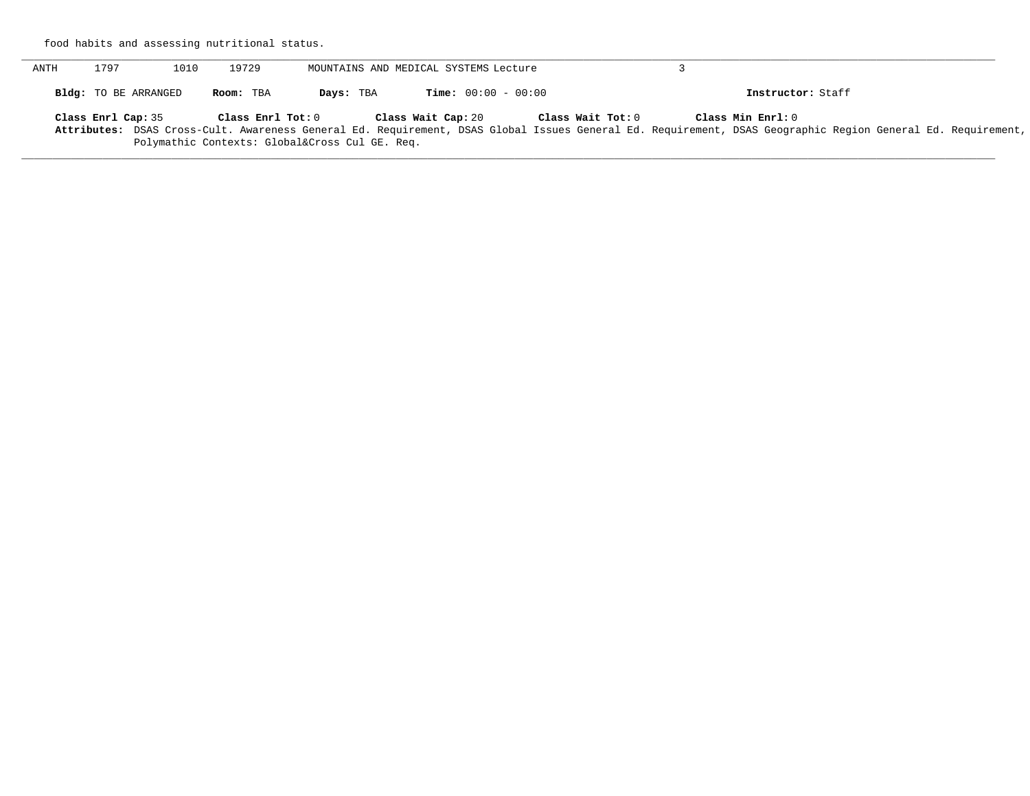food habits and assessing nutritional status.

| <b>ANTH</b> | 1797                        | 1010 | 19729                                                          |           | MOUNTAINS AND MEDICAL SYSTEMS Lecture |                   |                                                                                                                                                                                  |  |
|-------------|-----------------------------|------|----------------------------------------------------------------|-----------|---------------------------------------|-------------------|----------------------------------------------------------------------------------------------------------------------------------------------------------------------------------|--|
|             | <b>Bldg:</b> TO BE ARRANGED |      | Room: TBA                                                      | Days: TBA | <b>Time:</b> $00:00 - 00:00$          |                   | Instructor: Staff                                                                                                                                                                |  |
|             | Class Enrl Cap: 35          |      | Class Enrl Tot: 0<br>Polymathic Contexts: Global⨯ Cul GE. Req. |           | Class Wait Cap: 20                    | Class Wait Tot: 0 | Class Min Enrl: 0<br>Attributes: DSAS Cross-Cult. Awareness General Ed. Requirement, DSAS Global Issues General Ed. Requirement, DSAS Geographic Region General Ed. Requirement, |  |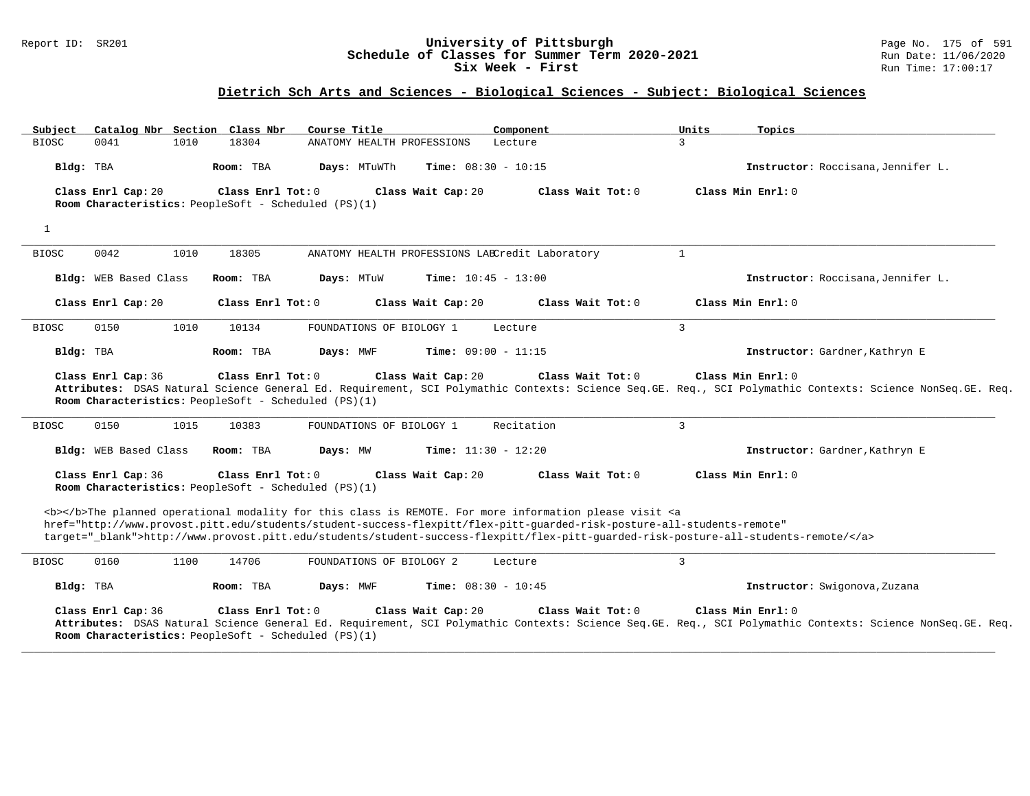#### Report ID: SR201 **University of Pittsburgh** Page No. 175 of 591 **Schedule of Classes for Summer Term 2020-2021** Run Date: 11/06/2020 **Six Week - First Run Time: 17:00:17**

| Catalog Nbr Section Class Nbr<br>Subject | Course Title                                                                                                                                                                                                                                                                                                                                                                       | Component                    | Units<br>Topics                                                                                                                                                                |
|------------------------------------------|------------------------------------------------------------------------------------------------------------------------------------------------------------------------------------------------------------------------------------------------------------------------------------------------------------------------------------------------------------------------------------|------------------------------|--------------------------------------------------------------------------------------------------------------------------------------------------------------------------------|
| <b>BIOSC</b><br>1010<br>0041             | 18304<br>ANATOMY HEALTH PROFESSIONS                                                                                                                                                                                                                                                                                                                                                | 3<br>Lecture                 |                                                                                                                                                                                |
| Bldg: TBA                                | Room: TBA<br>Days: MTuWTh                                                                                                                                                                                                                                                                                                                                                          | Time: $08:30 - 10:15$        | Instructor: Roccisana, Jennifer L.                                                                                                                                             |
| Class Enrl Cap: 20                       | Class Wait Cap: 20<br>Class Enrl Tot: 0<br>Room Characteristics: PeopleSoft - Scheduled (PS)(1)                                                                                                                                                                                                                                                                                    | Class Wait Tot: 0            | Class Min Enrl: 0                                                                                                                                                              |
| $\mathbf{1}$                             |                                                                                                                                                                                                                                                                                                                                                                                    |                              |                                                                                                                                                                                |
| <b>BIOSC</b><br>0042<br>1010             | 18305<br>ANATOMY HEALTH PROFESSIONS LABCredit Laboratory                                                                                                                                                                                                                                                                                                                           | $\mathbf{1}$                 |                                                                                                                                                                                |
| <b>Bldg:</b> WEB Based Class             | Room: TBA<br>Days: MTuW                                                                                                                                                                                                                                                                                                                                                            | <b>Time:</b> $10:45 - 13:00$ | Instructor: Roccisana, Jennifer L.                                                                                                                                             |
| Class Enrl Cap: 20                       | Class Enrl Tot: 0<br>Class Wait Cap: 20                                                                                                                                                                                                                                                                                                                                            | Class Wait Tot: 0            | Class Min Enrl: 0                                                                                                                                                              |
| 0150<br>1010<br><b>BIOSC</b>             | 10134<br>FOUNDATIONS OF BIOLOGY 1                                                                                                                                                                                                                                                                                                                                                  | $\mathbf{3}$<br>Lecture      |                                                                                                                                                                                |
| Bldg: TBA                                | Room: TBA<br>Days: MWF                                                                                                                                                                                                                                                                                                                                                             | Time: $09:00 - 11:15$        | Instructor: Gardner, Kathryn E                                                                                                                                                 |
| Class Enrl Cap: 36                       | Class Enrl Tot: 0<br>Class Wait Cap: 20<br>Room Characteristics: PeopleSoft - Scheduled (PS)(1)                                                                                                                                                                                                                                                                                    | Class Wait Tot: 0            | Class Min Enrl: 0<br>Attributes: DSAS Natural Science General Ed. Requirement, SCI Polymathic Contexts: Science Seq.GE. Req., SCI Polymathic Contexts: Science NonSeq.GE. Req. |
| 0150<br>1015<br><b>BIOSC</b>             | 10383<br>FOUNDATIONS OF BIOLOGY 1                                                                                                                                                                                                                                                                                                                                                  | $\overline{3}$<br>Recitation |                                                                                                                                                                                |
| Bldg: WEB Based Class                    | Room: TBA<br>Days: MW                                                                                                                                                                                                                                                                                                                                                              | <b>Time:</b> $11:30 - 12:20$ | Instructor: Gardner, Kathryn E                                                                                                                                                 |
| Class Enrl Cap: 36                       | Class Enrl Tot: 0<br>Class Wait Cap: 20<br>Room Characteristics: PeopleSoft - Scheduled (PS)(1)                                                                                                                                                                                                                                                                                    | Class Wait Tot: 0            | Class Min Enrl: 0                                                                                                                                                              |
|                                          | <b></b> The planned operational modality for this class is REMOTE. For more information please visit <a<br>href="http://www.provost.pitt.edu/students/student-success-flexpitt/flex-pitt-quarded-risk-posture-all-students-remote"<br/>target="_blank"&gt;http://www.provost.pitt.edu/students/student-success-flexpitt/flex-pitt-quarded-risk-posture-all-students-remote/</a<br> |                              |                                                                                                                                                                                |
| 0160<br>1100<br><b>BIOSC</b>             | 14706<br>FOUNDATIONS OF BIOLOGY 2                                                                                                                                                                                                                                                                                                                                                  | $\overline{3}$<br>Lecture    |                                                                                                                                                                                |
| Bldg: TBA                                | Room: TBA<br>Days: MWF                                                                                                                                                                                                                                                                                                                                                             | <b>Time:</b> $08:30 - 10:45$ | Instructor: Swigonova, Zuzana                                                                                                                                                  |
| Class Enrl Cap: 36                       | Class Enrl Tot: 0<br>Class Wait Cap: 20<br>Room Characteristics: PeopleSoft - Scheduled (PS)(1)                                                                                                                                                                                                                                                                                    | Class Wait Tot: 0            | Class Min Enrl: 0<br>Attributes: DSAS Natural Science General Ed. Requirement, SCI Polymathic Contexts: Science Seq.GE. Req., SCI Polymathic Contexts: Science NonSeq.GE. Req. |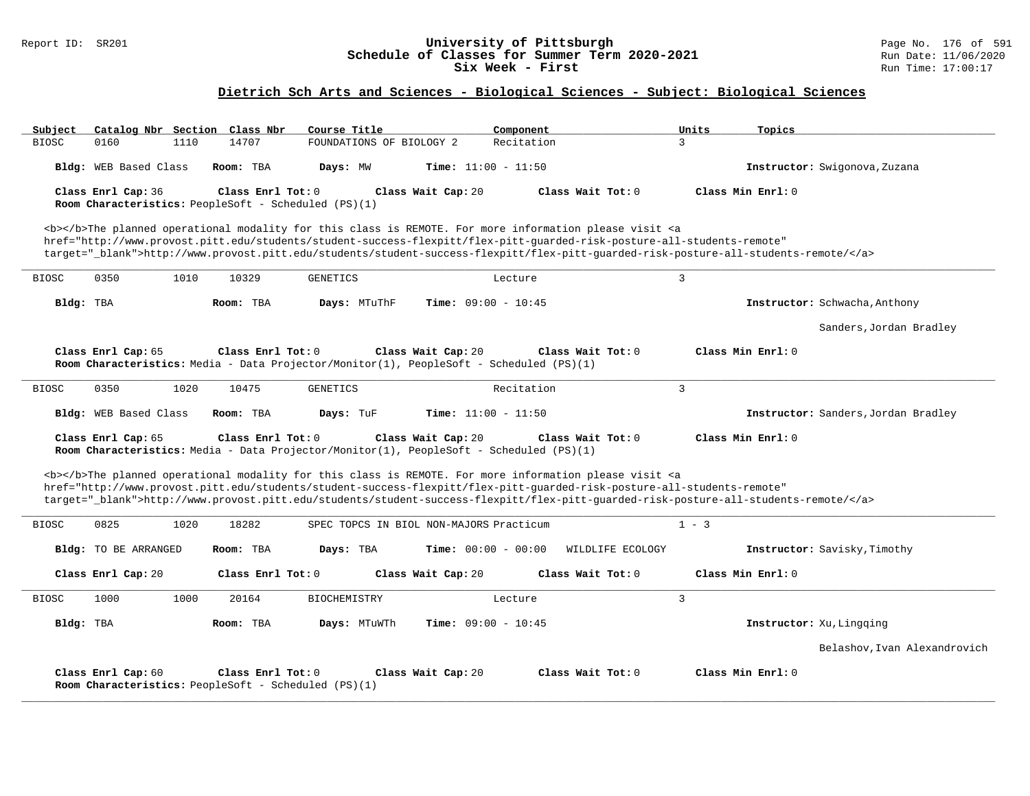#### Report ID: SR201 **University of Pittsburgh** Page No. 176 of 591 **Schedule of Classes for Summer Term 2020-2021** Run Date: 11/06/2020 **Six Week - First Run Time: 17:00:17**

| Subject      |                       |      | Catalog Nbr Section Class Nbr                                               | Course Title             |                                                                                                               | Component                                                                                                                                                                                                                                                                                                                                                                          | Units          | Topics                              |
|--------------|-----------------------|------|-----------------------------------------------------------------------------|--------------------------|---------------------------------------------------------------------------------------------------------------|------------------------------------------------------------------------------------------------------------------------------------------------------------------------------------------------------------------------------------------------------------------------------------------------------------------------------------------------------------------------------------|----------------|-------------------------------------|
| <b>BIOSC</b> | 0160                  | 1110 | 14707                                                                       | FOUNDATIONS OF BIOLOGY 2 |                                                                                                               | Recitation                                                                                                                                                                                                                                                                                                                                                                         | 3              |                                     |
|              | Bldg: WEB Based Class |      | Room: TBA                                                                   | Days: MW                 | <b>Time:</b> $11:00 - 11:50$                                                                                  |                                                                                                                                                                                                                                                                                                                                                                                    |                | Instructor: Swigonova, Zuzana       |
|              | Class Enrl Cap: 36    |      | Class Enrl Tot: 0                                                           |                          | Class Wait Cap: 20                                                                                            | Class Wait Tot: 0                                                                                                                                                                                                                                                                                                                                                                  |                | Class Min Enrl: 0                   |
|              |                       |      | Room Characteristics: PeopleSoft - Scheduled (PS)(1)                        |                          |                                                                                                               |                                                                                                                                                                                                                                                                                                                                                                                    |                |                                     |
|              |                       |      |                                                                             |                          |                                                                                                               | <b></b> The planned operational modality for this class is REMOTE. For more information please visit <a<br>href="http://www.provost.pitt.edu/students/student-success-flexpitt/flex-pitt-quarded-risk-posture-all-students-remote"<br/>target="_blank"&gt;http://www.provost.pitt.edu/students/student-success-flexpitt/flex-pitt-quarded-risk-posture-all-students-remote/</a<br> |                |                                     |
| <b>BIOSC</b> | 0350                  | 1010 | 10329                                                                       | GENETICS                 | Lecture                                                                                                       |                                                                                                                                                                                                                                                                                                                                                                                    | 3              |                                     |
| Bldg: TBA    |                       |      | Room: TBA                                                                   | Days: MTuThF             | <b>Time:</b> $09:00 - 10:45$                                                                                  |                                                                                                                                                                                                                                                                                                                                                                                    |                | Instructor: Schwacha, Anthony       |
|              |                       |      |                                                                             |                          |                                                                                                               |                                                                                                                                                                                                                                                                                                                                                                                    |                | Sanders, Jordan Bradley             |
|              | Class Enrl Cap: 65    |      | Class Enrl Tot: 0                                                           |                          | Class Wait Cap: 20<br>Room Characteristics: Media - Data Projector/Monitor(1), PeopleSoft - Scheduled (PS)(1) | Class Wait Tot: 0                                                                                                                                                                                                                                                                                                                                                                  |                | Class Min Enrl: 0                   |
| <b>BIOSC</b> | 0350                  | 1020 | 10475                                                                       | <b>GENETICS</b>          |                                                                                                               | Recitation                                                                                                                                                                                                                                                                                                                                                                         | 3              |                                     |
|              | Bldg: WEB Based Class |      | Room: TBA                                                                   | Days: TuF                | <b>Time:</b> $11:00 - 11:50$                                                                                  |                                                                                                                                                                                                                                                                                                                                                                                    |                | Instructor: Sanders, Jordan Bradley |
|              | Class Enrl Cap: 65    |      | Class Enrl Tot: 0                                                           |                          | Class Wait Cap: 20<br>Room Characteristics: Media - Data Projector/Monitor(1), PeopleSoft - Scheduled (PS)(1) | Class Wait Tot: 0                                                                                                                                                                                                                                                                                                                                                                  |                | Class Min Enrl: 0                   |
|              |                       |      |                                                                             |                          |                                                                                                               | <b></b> The planned operational modality for this class is REMOTE. For more information please visit <a<br>href="http://www.provost.pitt.edu/students/student-success-flexpitt/flex-pitt-quarded-risk-posture-all-students-remote"<br/>target="_blank"&gt;http://www.provost.pitt.edu/students/student-success-flexpitt/flex-pitt-guarded-risk-posture-all-students-remote/</a<br> |                |                                     |
| <b>BIOSC</b> | 0825                  | 1020 | 18282                                                                       |                          | SPEC TOPCS IN BIOL NON-MAJORS Practicum                                                                       |                                                                                                                                                                                                                                                                                                                                                                                    | $1 - 3$        |                                     |
|              | Bldg: TO BE ARRANGED  |      | Room: TBA                                                                   | Days: TBA                | <b>Time:</b> $00:00 - 00:00$                                                                                  | WILDLIFE ECOLOGY                                                                                                                                                                                                                                                                                                                                                                   |                | Instructor: Savisky, Timothy        |
|              | Class Enrl Cap: 20    |      | Class Enrl Tot: 0                                                           |                          | Class Wait Cap: 20                                                                                            | Class Wait Tot: 0                                                                                                                                                                                                                                                                                                                                                                  |                | Class Min Enrl: 0                   |
| <b>BIOSC</b> | 1000                  | 1000 | 20164                                                                       | <b>BIOCHEMISTRY</b>      | Lecture                                                                                                       |                                                                                                                                                                                                                                                                                                                                                                                    | $\overline{3}$ |                                     |
| Bldg: TBA    |                       |      | Room: TBA                                                                   | Days: MTuWTh             | <b>Time:</b> $09:00 - 10:45$                                                                                  |                                                                                                                                                                                                                                                                                                                                                                                    |                | Instructor: Xu, Lingging            |
|              |                       |      |                                                                             |                          |                                                                                                               |                                                                                                                                                                                                                                                                                                                                                                                    |                | Belashov,Ivan Alexandrovich         |
|              | Class Enrl Cap: 60    |      | Class Enrl Tot: $0$<br>Room Characteristics: PeopleSoft - Scheduled (PS)(1) |                          | Class Wait Cap: 20                                                                                            | Class Wait Tot: 0                                                                                                                                                                                                                                                                                                                                                                  |                | Class Min Enrl: 0                   |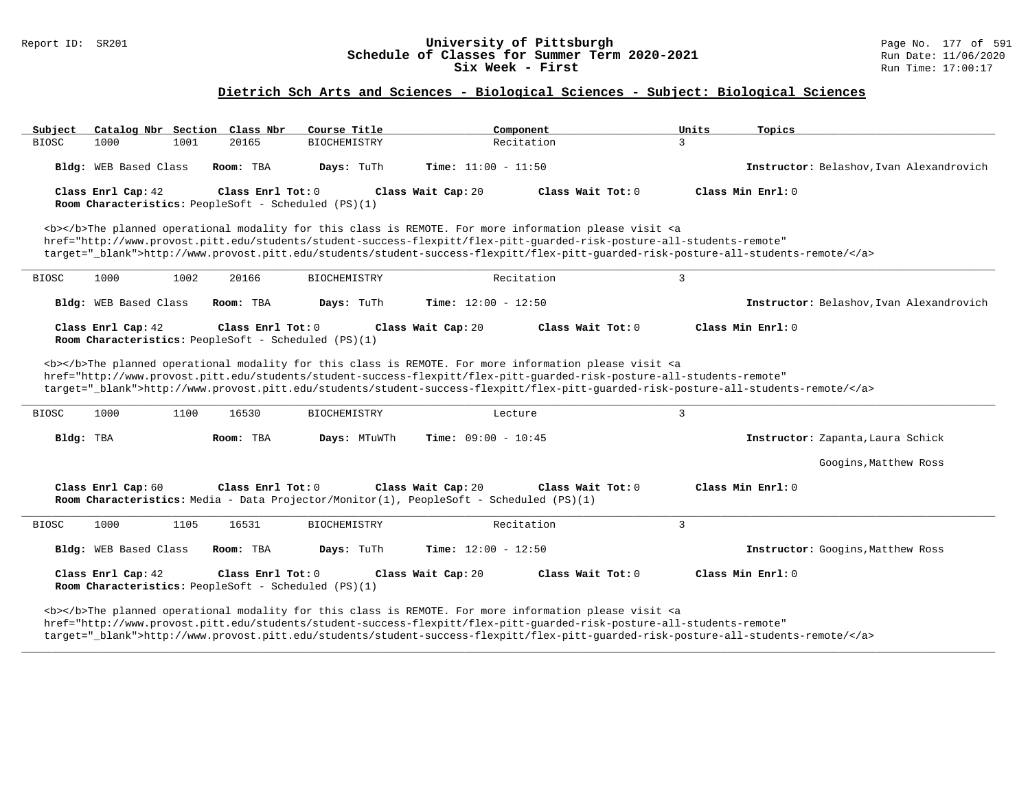#### Report ID: SR201 **1988 Chedule of Classes for Summer Term 2020-2021** Page No. 177 of 591 Page No. 177 of 591 Page No. 177 of 591 Page No. 177 of 591 Page No. 177 of 591 Page No. 177 of 591 Bummer Term 2020-2021 Run Date: 1 **Schedule of Classes for Summer Term 2020-2021** Run Date: 11/06/2020<br>Six Week - First Run Time: 17:00:17 Six Week - First

### **Dietrich Sch Arts and Sciences - Biological Sciences - Subject: Biological Sciences**

| Catalog Nbr Section Class Nbr<br>Subject                                          |                     | Course Title        | Component                                                                                                                                                                                                                                 | Units<br>Topics                                                                                                                   |
|-----------------------------------------------------------------------------------|---------------------|---------------------|-------------------------------------------------------------------------------------------------------------------------------------------------------------------------------------------------------------------------------------------|-----------------------------------------------------------------------------------------------------------------------------------|
| <b>BIOSC</b><br>1000<br>1001                                                      | 20165               | <b>BIOCHEMISTRY</b> | Recitation                                                                                                                                                                                                                                | $\mathbf{3}$                                                                                                                      |
| Bldg: WEB Based Class                                                             | Room: TBA           | Days: TuTh          | Time: $11:00 - 11:50$                                                                                                                                                                                                                     | Instructor: Belashov, Ivan Alexandrovich                                                                                          |
| Class Enrl Cap: 42<br><b>Room Characteristics:</b> PeopleSoft - Scheduled (PS)(1) | Class Enrl Tot: $0$ |                     | Class Wait Cap: 20<br>Class Wait Tot: 0                                                                                                                                                                                                   | Class Min Enrl: 0                                                                                                                 |
|                                                                                   |                     |                     | <b></b> The planned operational modality for this class is REMOTE. For more information please visit <a<br>href="http://www.provost.pitt.edu/students/student-success-flexpitt/flex-pitt-quarded-risk-posture-all-students-remote"</a<br> | target="blank">http://www.provost.pitt.edu/students/student-success-flexpitt/flex-pitt-quarded-risk-posture-all-students-remote/  |
| 1000<br>1002<br><b>BIOSC</b>                                                      | 20166               | <b>BIOCHEMISTRY</b> | Recitation                                                                                                                                                                                                                                | 3                                                                                                                                 |
| Bldg: WEB Based Class                                                             | Room: TBA           | Days: TuTh          | Time: $12:00 - 12:50$                                                                                                                                                                                                                     | Instructor: Belashov, Ivan Alexandrovich                                                                                          |
| Class Enrl Cap: 42<br>Room Characteristics: PeopleSoft - Scheduled (PS)(1)        | Class Enrl Tot: $0$ |                     | Class Wait Cap: 20<br>Class Wait Tot: 0                                                                                                                                                                                                   | Class Min Enrl: 0                                                                                                                 |
|                                                                                   |                     |                     | <b></b> The planned operational modality for this class is REMOTE. For more information please visit <a< td=""><td></td></a<>                                                                                                             |                                                                                                                                   |
|                                                                                   |                     |                     | href="http://www.provost.pitt.edu/students/student-success-flexpitt/flex-pitt-quarded-risk-posture-all-students-remote"                                                                                                                   | target="_blank">http://www.provost.pitt.edu/students/student-success-flexpitt/flex-pitt-guarded-risk-posture-all-students-remote/ |
| <b>BIOSC</b><br>1000<br>1100                                                      | 16530               | <b>BIOCHEMISTRY</b> | Lecture                                                                                                                                                                                                                                   | $\overline{3}$                                                                                                                    |
| Bldg: TBA                                                                         | Room: TBA           | Days: MTuWTh        | <b>Time:</b> $09:00 - 10:45$                                                                                                                                                                                                              | Instructor: Zapanta, Laura Schick                                                                                                 |
|                                                                                   |                     |                     |                                                                                                                                                                                                                                           | Googins, Matthew Ross                                                                                                             |
| Class Enrl Cap: 60                                                                | Class Enrl Tot: 0   |                     | Class Wait Cap: 20<br>Class Wait Tot: 0<br>Room Characteristics: Media - Data Projector/Monitor(1), PeopleSoft - Scheduled (PS)(1)                                                                                                        | Class Min Enrl: 0                                                                                                                 |
| <b>BIOSC</b><br>1000<br>1105                                                      | 16531               | <b>BIOCHEMISTRY</b> | Recitation                                                                                                                                                                                                                                | 3                                                                                                                                 |
| Bldg: WEB Based Class                                                             | Room: TBA           | Days: TuTh          | Time: $12:00 - 12:50$                                                                                                                                                                                                                     | Instructor: Googins, Matthew Ross                                                                                                 |
| Class Enrl Cap: 42<br>Room Characteristics: PeopleSoft - Scheduled (PS)(1)        | Class Enrl Tot: $0$ |                     | Class Wait Tot: 0<br>Class Wait Cap: 20                                                                                                                                                                                                   | Class Min Enrl: 0                                                                                                                 |

target="\_blank">http://www.provost.pitt.edu/students/student-success-flexpitt/flex-pitt-guarded-risk-posture-all-students-remote/</a>

**\_\_\_\_\_\_\_\_\_\_\_\_\_\_\_\_\_\_\_\_\_\_\_\_\_\_\_\_\_\_\_\_\_\_\_\_\_\_\_\_\_\_\_\_\_\_\_\_\_\_\_\_\_\_\_\_\_\_\_\_\_\_\_\_\_\_\_\_\_\_\_\_\_\_\_\_\_\_\_\_\_\_\_\_\_\_\_\_\_\_\_\_\_\_\_\_\_\_\_\_\_\_\_\_\_\_\_\_\_\_\_\_\_\_\_\_\_\_\_\_\_\_\_\_\_\_\_\_\_\_\_\_\_\_\_\_\_\_\_\_\_\_\_\_\_\_\_\_\_\_\_\_\_\_\_\_**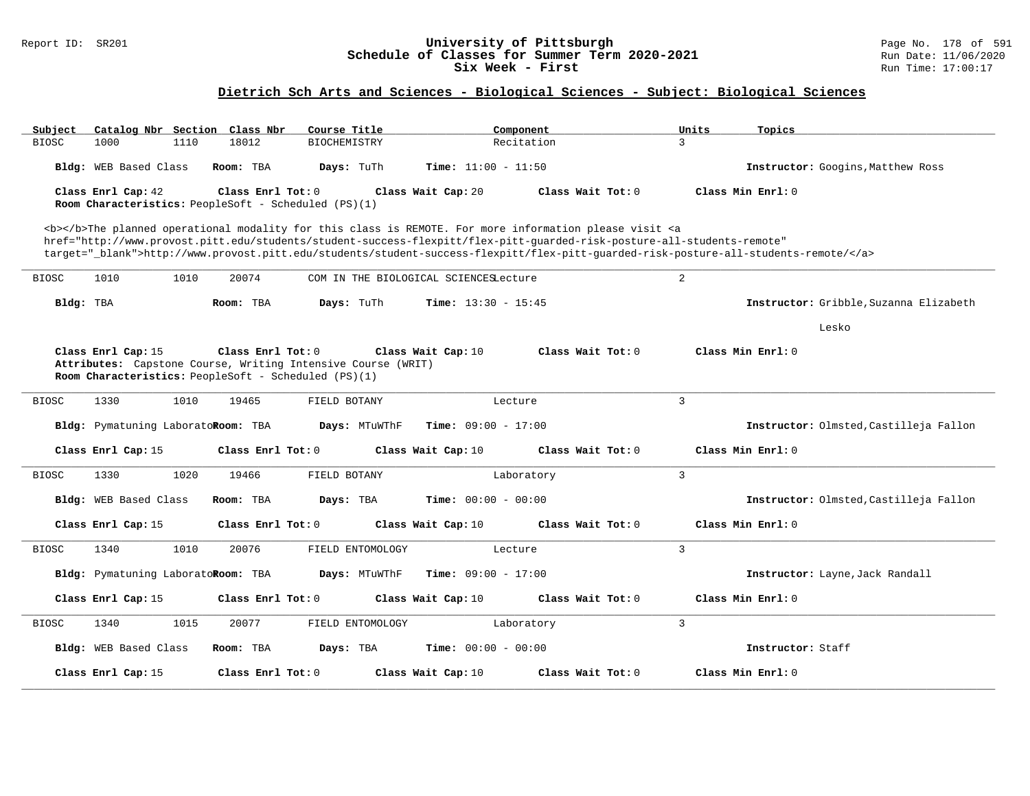#### Report ID: SR201 **University of Pittsburgh** Page No. 178 of 591 **Schedule of Classes for Summer Term 2020-2021** Run Date: 11/06/2020 **Six Week - First Run** Time: 17:00:17

| Subject<br>Catalog Nbr Section Class Nbr                                                                                                                                                                                                  | Course Title                                                 | Component                                                                                                                         | Units<br>Topics                        |  |  |  |  |  |  |
|-------------------------------------------------------------------------------------------------------------------------------------------------------------------------------------------------------------------------------------------|--------------------------------------------------------------|-----------------------------------------------------------------------------------------------------------------------------------|----------------------------------------|--|--|--|--|--|--|
| <b>BIOSC</b><br>1000<br>1110                                                                                                                                                                                                              | 18012<br><b>BIOCHEMISTRY</b>                                 | Recitation                                                                                                                        | $\mathbf{R}$                           |  |  |  |  |  |  |
| Bldg: WEB Based Class                                                                                                                                                                                                                     | Room: TBA<br>Days: TuTh                                      | <b>Time:</b> $11:00 - 11:50$                                                                                                      | Instructor: Googins, Matthew Ross      |  |  |  |  |  |  |
| Class Enrl Cap: 42<br>Room Characteristics: PeopleSoft - Scheduled (PS)(1)                                                                                                                                                                | Class Enrl Tot: 0                                            | Class Wait Cap: 20<br>Class Wait Tot: $0$                                                                                         | Class Min Enrl: 0                      |  |  |  |  |  |  |
|                                                                                                                                                                                                                                           |                                                              |                                                                                                                                   |                                        |  |  |  |  |  |  |
| <b></b> The planned operational modality for this class is REMOTE. For more information please visit <a<br>href="http://www.provost.pitt.edu/students/student-success-flexpitt/flex-pitt-quarded-risk-posture-all-students-remote"</a<br> |                                                              |                                                                                                                                   |                                        |  |  |  |  |  |  |
|                                                                                                                                                                                                                                           |                                                              | target="_blank">http://www.provost.pitt.edu/students/student-success-flexpitt/flex-pitt-quarded-risk-posture-all-students-remote/ |                                        |  |  |  |  |  |  |
|                                                                                                                                                                                                                                           |                                                              |                                                                                                                                   |                                        |  |  |  |  |  |  |
| 1010<br>1010<br><b>BIOSC</b>                                                                                                                                                                                                              | 20074<br>COM IN THE BIOLOGICAL SCIENCESLecture               |                                                                                                                                   | 2                                      |  |  |  |  |  |  |
| Bldg: TBA                                                                                                                                                                                                                                 | Days: TuTh<br>Room: TBA                                      | <b>Time:</b> $13:30 - 15:45$                                                                                                      | Instructor: Gribble, Suzanna Elizabeth |  |  |  |  |  |  |
|                                                                                                                                                                                                                                           |                                                              |                                                                                                                                   | Lesko                                  |  |  |  |  |  |  |
| Class Enrl Cap: 15                                                                                                                                                                                                                        | Class Enrl Tot: 0                                            | Class Wait Cap: 10<br>Class Wait Tot: 0                                                                                           | Class Min Enrl: 0                      |  |  |  |  |  |  |
| Room Characteristics: PeopleSoft - Scheduled (PS)(1)                                                                                                                                                                                      | Attributes: Capstone Course, Writing Intensive Course (WRIT) |                                                                                                                                   |                                        |  |  |  |  |  |  |
|                                                                                                                                                                                                                                           |                                                              |                                                                                                                                   |                                        |  |  |  |  |  |  |
| 1330<br>1010<br><b>BIOSC</b>                                                                                                                                                                                                              | 19465<br>FIELD BOTANY                                        | Lecture                                                                                                                           | 3                                      |  |  |  |  |  |  |
| Bldg: Pymatuning LaboratoRoom: TBA                                                                                                                                                                                                        | Days: MTuWThF                                                | <b>Time:</b> $09:00 - 17:00$                                                                                                      | Instructor: Olmsted, Castilleja Fallon |  |  |  |  |  |  |
| Class Enrl Cap: 15                                                                                                                                                                                                                        | Class Enrl Tot: 0                                            | Class Wait Tot: 0<br>Class Wait Cap: 10                                                                                           | Class Min Enrl: 0                      |  |  |  |  |  |  |
| 1330<br>1020<br><b>BIOSC</b>                                                                                                                                                                                                              | 19466<br>FIELD BOTANY                                        | Laboratory                                                                                                                        | $\overline{3}$                         |  |  |  |  |  |  |
| Bldg: WEB Based Class                                                                                                                                                                                                                     | Room: TBA<br>Days: TBA                                       | <b>Time:</b> $00:00 - 00:00$                                                                                                      | Instructor: Olmsted, Castilleja Fallon |  |  |  |  |  |  |
|                                                                                                                                                                                                                                           |                                                              |                                                                                                                                   |                                        |  |  |  |  |  |  |
| Class Enrl Cap: 15                                                                                                                                                                                                                        | Class Enrl Tot: 0                                            | Class Wait Cap: 10<br>Class Wait Tot: 0                                                                                           | Class Min Enrl: 0                      |  |  |  |  |  |  |
| 1340<br>1010<br><b>BIOSC</b>                                                                                                                                                                                                              | 20076<br>FIELD ENTOMOLOGY                                    | Lecture                                                                                                                           | 3                                      |  |  |  |  |  |  |
| Bldg: Pymatuning LaboratoRoom: TBA                                                                                                                                                                                                        | Days: MTuWThF                                                | <b>Time:</b> $09:00 - 17:00$                                                                                                      | Instructor: Layne, Jack Randall        |  |  |  |  |  |  |
| Class Enrl Cap: 15                                                                                                                                                                                                                        | Class Enrl Tot: 0                                            | Class Wait Tot: 0<br>Class Wait Cap: 10                                                                                           | Class Min Enrl: 0                      |  |  |  |  |  |  |
| 1340<br>1015<br><b>BIOSC</b>                                                                                                                                                                                                              | 20077<br>FIELD ENTOMOLOGY                                    | Laboratory                                                                                                                        | $\overline{3}$                         |  |  |  |  |  |  |
| Bldg: WEB Based Class                                                                                                                                                                                                                     | Room: TBA<br>Days: TBA                                       | <b>Time:</b> $00:00 - 00:00$                                                                                                      | Instructor: Staff                      |  |  |  |  |  |  |
| Class Enrl Cap: 15                                                                                                                                                                                                                        | Class Enrl Tot: $0$                                          | Class Wait Tot: 0<br>Class Wait Cap: 10                                                                                           | Class Min Enrl: 0                      |  |  |  |  |  |  |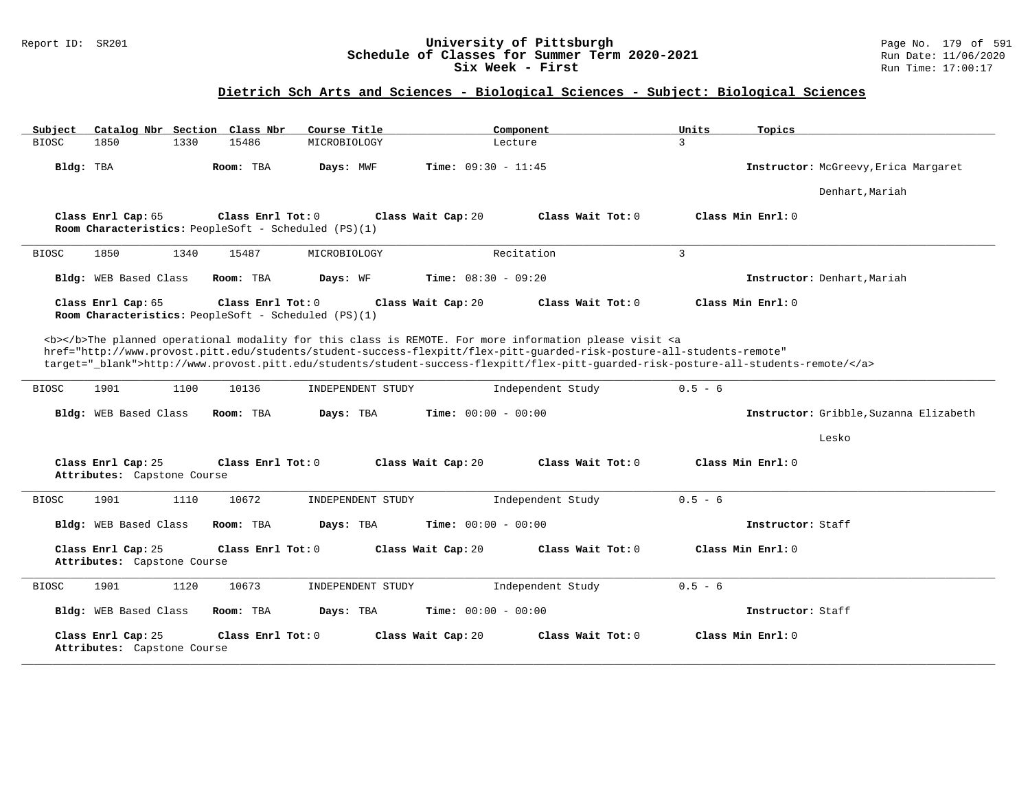#### Report ID: SR201 **University of Pittsburgh** Page No. 179 of 591 **Schedule of Classes for Summer Term 2020-2021** Run Date: 11/06/2020 **Six Week - First Run** Time: 17:00:17

| Catalog Nbr Section Class Nbr<br>Subject          | Course Title                                                              | Component                                                                                                                                                                                                                                                                                                                                                                               | Units<br>Topics                        |
|---------------------------------------------------|---------------------------------------------------------------------------|-----------------------------------------------------------------------------------------------------------------------------------------------------------------------------------------------------------------------------------------------------------------------------------------------------------------------------------------------------------------------------------------|----------------------------------------|
| <b>BIOSC</b><br>1850<br>1330                      | 15486<br>MICROBIOLOGY                                                     | Lecture                                                                                                                                                                                                                                                                                                                                                                                 | 3                                      |
| Bldg: TBA                                         | Room: TBA<br>Days: MWF                                                    | Time: $09:30 - 11:45$                                                                                                                                                                                                                                                                                                                                                                   | Instructor: McGreevy, Erica Margaret   |
|                                                   |                                                                           |                                                                                                                                                                                                                                                                                                                                                                                         | Denhart, Mariah                        |
| Class Enrl Cap: 65                                | Class Enrl Tot: 0<br>Room Characteristics: PeopleSoft - Scheduled (PS)(1) | Class Wait Cap: 20<br>Class Wait Tot: 0                                                                                                                                                                                                                                                                                                                                                 | Class Min Enrl: 0                      |
| 1850<br>1340<br><b>BIOSC</b>                      | 15487<br>MICROBIOLOGY                                                     | Recitation                                                                                                                                                                                                                                                                                                                                                                              | $\overline{3}$                         |
| Bldg: WEB Based Class                             | Room: TBA<br>Days: WF                                                     | Time: $08:30 - 09:20$                                                                                                                                                                                                                                                                                                                                                                   | Instructor: Denhart, Mariah            |
| Class Enrl Cap: 65                                | Class Enrl Tot: 0<br>Room Characteristics: PeopleSoft - Scheduled (PS)(1) | Class Wait Cap: 20<br>Class Wait Tot: 0                                                                                                                                                                                                                                                                                                                                                 | Class Min Enrl: 0                      |
|                                                   |                                                                           | <b></b> >>>>>The planned operational modality for this class is REMOTE. For more information please visit <a<br>href="http://www.provost.pitt.edu/students/student-success-flexpitt/flex-pitt-quarded-risk-posture-all-students-remote"<br/>target="_blank"&gt;http://www.provost.pitt.edu/students/student-success-flexpitt/flex-pitt-quarded-risk-posture-all-students-remote/</a<br> |                                        |
| <b>BIOSC</b><br>1901<br>1100                      | 10136<br>INDEPENDENT STUDY                                                | Independent Study                                                                                                                                                                                                                                                                                                                                                                       | $0.5 - 6$                              |
| Bldg: WEB Based Class                             | Room: TBA<br>Days: TBA                                                    | Time: $00:00 - 00:00$                                                                                                                                                                                                                                                                                                                                                                   | Instructor: Gribble, Suzanna Elizabeth |
|                                                   |                                                                           |                                                                                                                                                                                                                                                                                                                                                                                         | Lesko                                  |
| Class Enrl Cap: 25<br>Attributes: Capstone Course | Class Enrl Tot: 0                                                         | Class Wait Cap: 20<br>Class Wait Tot: 0                                                                                                                                                                                                                                                                                                                                                 | Class Min Enrl: 0                      |
| 1901<br>1110<br><b>BIOSC</b>                      | 10672<br>INDEPENDENT STUDY                                                | Independent Study                                                                                                                                                                                                                                                                                                                                                                       | $0.5 - 6$                              |
| Bldg: WEB Based Class                             | Room: TBA<br>Days: TBA                                                    | <b>Time:</b> $00:00 - 00:00$                                                                                                                                                                                                                                                                                                                                                            | Instructor: Staff                      |
| Class Enrl Cap: 25<br>Attributes: Capstone Course | Class Enrl Tot: 0                                                         | Class Wait Cap: 20<br>Class Wait Tot: 0                                                                                                                                                                                                                                                                                                                                                 | Class Min Enrl: 0                      |
| 1901<br>1120<br><b>BIOSC</b>                      | 10673<br>INDEPENDENT STUDY                                                | Independent Study                                                                                                                                                                                                                                                                                                                                                                       | $0.5 - 6$                              |
| Bldg: WEB Based Class                             | Room: TBA<br>Days: TBA                                                    | <b>Time:</b> $00:00 - 00:00$                                                                                                                                                                                                                                                                                                                                                            | Instructor: Staff                      |
| Class Enrl Cap: 25<br>Attributes: Capstone Course | Class Enrl Tot: 0                                                         | Class Wait Cap: 20<br>Class Wait Tot: 0                                                                                                                                                                                                                                                                                                                                                 | Class Min Enrl: 0                      |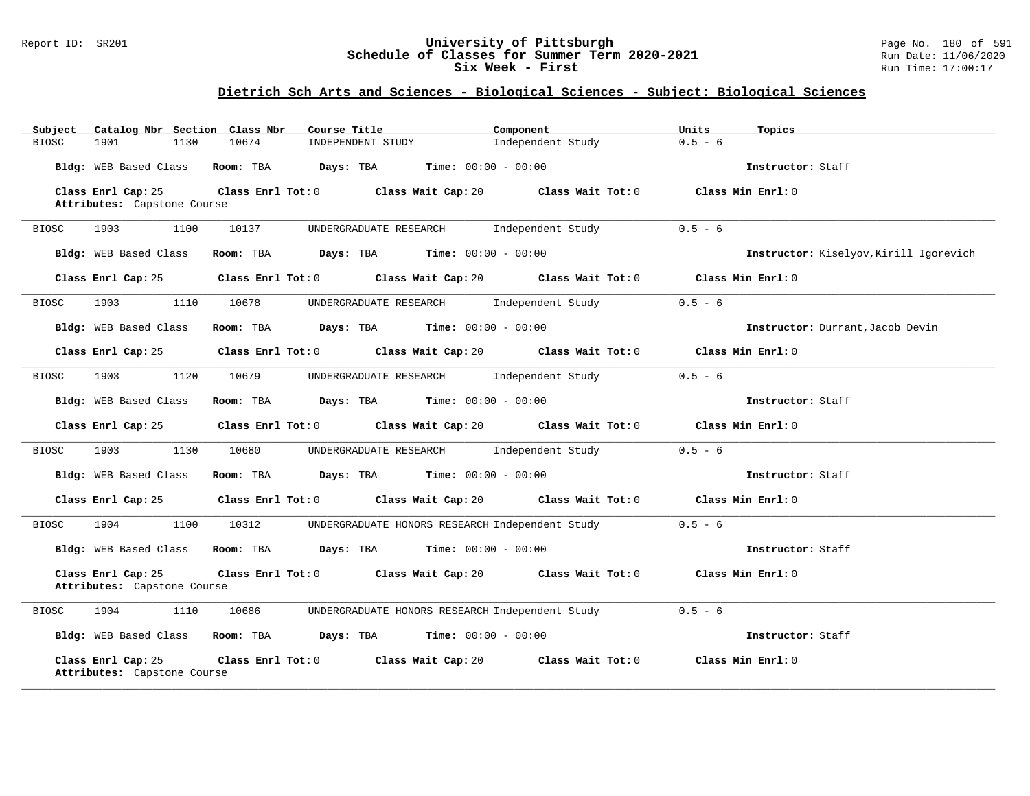#### Report ID: SR201 **University of Pittsburgh** Page No. 180 of 591 **Schedule of Classes for Summer Term 2020-2021** Run Date: 11/06/2020 **Six Week - First Run Time: 17:00:17**

| Subject      | Catalog Nbr Section Class Nbr                                                                                                                                                                                                           |       | Course Title                                                                                        | Component         | Units<br>Topics                        |
|--------------|-----------------------------------------------------------------------------------------------------------------------------------------------------------------------------------------------------------------------------------------|-------|-----------------------------------------------------------------------------------------------------|-------------------|----------------------------------------|
| <b>BIOSC</b> | 1901<br>1130                                                                                                                                                                                                                            | 10674 | INDEPENDENT STUDY                                                                                   | Independent Study | $0.5 - 6$                              |
|              |                                                                                                                                                                                                                                         |       | Bldg: WEB Based Class Room: TBA Days: TBA Time: 00:00 - 00:00                                       |                   | Instructor: Staff                      |
|              | Class Enrl Cap: 25                                                                                                                                                                                                                      |       | Class Enrl Tot: 0 Class Wait Cap: 20 Class Wait Tot: 0 Class Min Enrl: 0                            |                   |                                        |
|              | Attributes: Capstone Course                                                                                                                                                                                                             |       |                                                                                                     |                   |                                        |
| BIOSC        | 1903<br>1100                                                                                                                                                                                                                            | 10137 | UNDERGRADUATE RESEARCH 1ndependent Study                                                            |                   | $0.5 - 6$                              |
|              |                                                                                                                                                                                                                                         |       |                                                                                                     |                   |                                        |
|              | Bldg: WEB Based Class                                                                                                                                                                                                                   |       | Room: TBA $Days:$ TBA $Time: 00:00 - 00:00$                                                         |                   | Instructor: Kiselyov, Kirill Igorevich |
|              | Class Enrl Cap: 25                                                                                                                                                                                                                      |       | Class Enrl Tot: $0$ Class Wait Cap: $20$ Class Wait Tot: $0$ Class Min Enrl: $0$                    |                   |                                        |
| BIOSC        | 1903<br>1110                                                                                                                                                                                                                            | 10678 | UNDERGRADUATE RESEARCH Independent Study                                                            |                   | $0.5 - 6$                              |
|              | Bldg: WEB Based Class                                                                                                                                                                                                                   |       | Room: TBA $Days:$ TBA $Time: 00:00 - 00:00$                                                         |                   | Instructor: Durrant, Jacob Devin       |
|              | Class Enrl Cap: 25                                                                                                                                                                                                                      |       | Class Enrl Tot: 0 Class Wait Cap: 20 Class Wait Tot: 0 Class Min Enrl: 0                            |                   |                                        |
| BIOSC        | 1120<br>1903                                                                                                                                                                                                                            | 10679 | UNDERGRADUATE RESEARCH Independent Study                                                            |                   | $0.5 - 6$                              |
|              | Bldg: WEB Based Class                                                                                                                                                                                                                   |       | Room: TBA $Days:$ TBA $Time: 00:00 - 00:00$                                                         |                   | Instructor: Staff                      |
|              | Class Enrl Cap: 25                                                                                                                                                                                                                      |       | Class Enrl Tot: 0 Class Wait Cap: 20 Class Wait Tot: 0 Class Min Enrl: 0                            |                   |                                        |
| BIOSC        | 1903 — 1903 — 1904 — 1905 — 1905 — 1905 — 1905 — 1905 — 1905 — 1906 — 1906 — 1906 — 1906 — 1906 — 1906 — 1906 — 1906 — 1906 — 1906 — 1906 — 1906 — 1906 — 1906 — 1906 — 1906 — 1906 — 1906 — 1906 — 1906 — 1906 — 1906 — 1906 —<br>1130 | 10680 | UNDERGRADUATE RESEARCH and Independent Study                                                        |                   | $0.5 - 6$                              |
|              | Bldg: WEB Based Class                                                                                                                                                                                                                   |       | Room: TBA $Days: TBA$ Time: $00:00 - 00:00$                                                         |                   | Instructor: Staff                      |
|              | Class Enrl Cap: 25                                                                                                                                                                                                                      |       | Class Enrl Tot: $0$ Class Wait Cap: $20$ Class Wait Tot: $0$ Class Min Enrl: $0$                    |                   |                                        |
| <b>BIOSC</b> | 1904<br>1100                                                                                                                                                                                                                            | 10312 | UNDERGRADUATE HONORS RESEARCH Independent Study                                                     |                   | $0.5 - 6$                              |
|              | Bldg: WEB Based Class                                                                                                                                                                                                                   |       | Room: TBA $Days: TBA$ Time: $00:00 - 00:00$                                                         |                   | Instructor: Staff                      |
|              | Class Enrl Cap: 25<br>Attributes: Capstone Course                                                                                                                                                                                       |       | Class Enrl Tot: 0 $\qquad$ Class Wait Cap: 20 $\qquad$ Class Wait Tot: 0 $\qquad$ Class Min Enrl: 0 |                   |                                        |
| BIOSC        | 1904<br>1110                                                                                                                                                                                                                            | 10686 | UNDERGRADUATE HONORS RESEARCH Independent Study 0.5 - 6                                             |                   |                                        |
|              |                                                                                                                                                                                                                                         |       | Bldg: WEB Based Class Room: TBA Days: TBA Time: 00:00 - 00:00                                       |                   | Instructor: Staff                      |
|              | Class Enrl Cap: 25<br>Attributes: Capstone Course                                                                                                                                                                                       |       | Class Enrl Tot: 0 $\qquad$ Class Wait Cap: 20 $\qquad$ Class Wait Tot: 0 $\qquad$ Class Min Enrl: 0 |                   |                                        |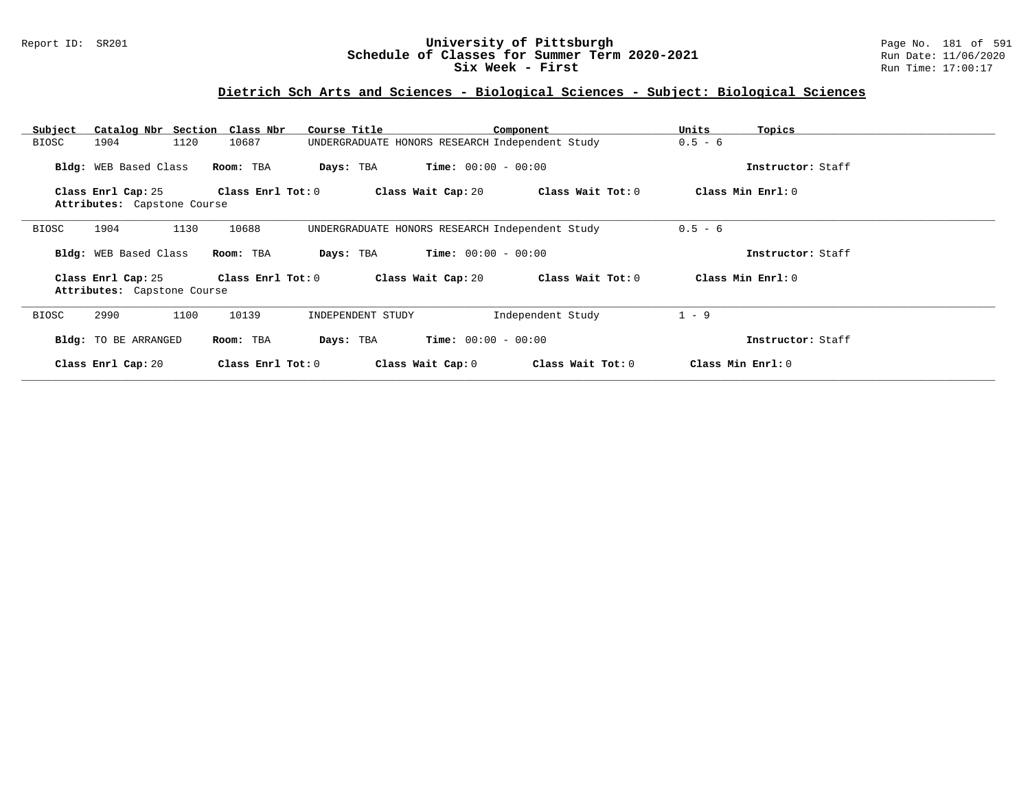### Report ID: SR201 **University of Pittsburgh** Page No. 181 of 591 **Schedule of Classes for Summer Term 2020-2021** Run Date: 11/06/2020 **Six Week - First Run Time: 17:00:17**

## **Dietrich Sch Arts and Sciences - Biological Sciences - Subject: Biological Sciences**

| Catalog Nbr Section<br>Subject | Class Nbr<br>Course Title  | Component                                       | Units<br>Topics   |  |
|--------------------------------|----------------------------|-------------------------------------------------|-------------------|--|
| 1904<br>1120<br>BIOSC          | 10687                      | UNDERGRADUATE HONORS RESEARCH Independent Study | $0.5 - 6$         |  |
| Bldg: WEB Based Class          | Room: TBA<br>Days: TBA     | $Time: 00:00 - 00:00$                           | Instructor: Staff |  |
| Class Enrl Cap: 25             | Class Enrl Tot: 0          | Class Wait Tot: 0<br>Class Wait Cap: 20         | Class Min Enrl: 0 |  |
| Attributes: Capstone Course    |                            |                                                 |                   |  |
| 1904<br>1130<br>BIOSC          | 10688                      | UNDERGRADUATE HONORS RESEARCH Independent Study | $0.5 - 6$         |  |
| Bldg: WEB Based Class          | Room: TBA<br>Days: TBA     | <b>Time:</b> $00:00 - 00:00$                    | Instructor: Staff |  |
| Class Enrl Cap: 25             | Class Enrl Tot: $0$        | Class Wait Cap: 20<br>Class Wait Tot: 0         | Class Min Enrl: 0 |  |
| Attributes: Capstone Course    |                            |                                                 |                   |  |
| 2990<br>1100<br>BIOSC          | 10139<br>INDEPENDENT STUDY | Independent Study                               | $1 - 9$           |  |
| Bldg: TO BE ARRANGED           | Room: TBA<br>Days: TBA     | <b>Time:</b> $00:00 - 00:00$                    | Instructor: Staff |  |
| Class Enrl Cap: 20             | Class Enrl Tot: 0          | Class Wait Cap: 0<br>Class Wait Tot: 0          | Class Min Enrl: 0 |  |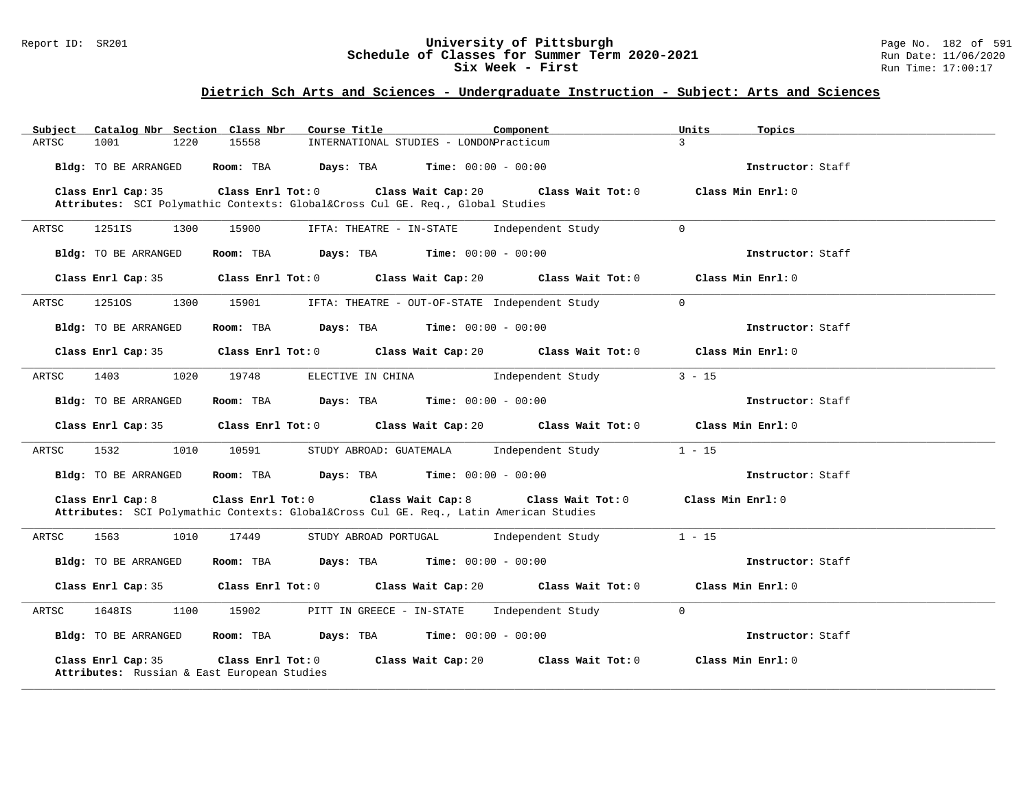### Report ID: SR201 **University of Pittsburgh** Page No. 182 of 591 **Schedule of Classes for Summer Term 2020-2021** Run Date: 11/06/2020 **Six Week - First Run Time: 17:00:17**

| Catalog Nbr Section Class Nbr<br>Subject                          | Course Title                                                                                                                        | Component                        | Units<br>Topics   |
|-------------------------------------------------------------------|-------------------------------------------------------------------------------------------------------------------------------------|----------------------------------|-------------------|
| 1001<br>1220<br>ARTSC                                             | 15558<br>INTERNATIONAL STUDIES - LONDONPracticum                                                                                    | $\mathcal{L}$                    |                   |
| Bldg: TO BE ARRANGED                                              | Room: TBA $\rule{1em}{0.15mm}$ Days: TBA $\rule{1.5mm}{0.15mm}$ Time: $00:00 - 00:00$                                               |                                  | Instructor: Staff |
| Class Enrl Cap: 35                                                | Class Enrl Tot: 0 Class Wait Cap: 20 Class Wait Tot: 0<br>Attributes: SCI Polymathic Contexts: Global⨯ Cul GE. Req., Global Studies |                                  | Class Min Enrl: 0 |
| ARTSC<br>1251IS<br>1300                                           | 15900<br>IFTA: THEATRE - IN-STATE                                                                                                   | Independent Study<br>$\mathbf 0$ |                   |
| <b>Bldg:</b> TO BE ARRANGED                                       | Room: TBA $Days:$ TBA $Time: 00:00 - 00:00$                                                                                         |                                  | Instructor: Staff |
|                                                                   | Class Enrl Cap: 35 $\qquad$ Class Enrl Tot: 0 $\qquad$ Class Wait Cap: 20 $\qquad$ Class Wait Tot: 0                                |                                  | Class Min Enrl: 0 |
| ARTSC<br>12510S<br>1300                                           | 15901<br>IFTA: THEATRE - OUT-OF-STATE Independent Study                                                                             | $\Omega$                         |                   |
| Bldg: TO BE ARRANGED                                              | <b>Room:</b> TBA <b>Days:</b> TBA <b>Time:</b> $00:00 - 00:00$                                                                      |                                  | Instructor: Staff |
|                                                                   | Class Enrl Cap: 35 $\qquad$ Class Enrl Tot: 0 $\qquad$ Class Wait Cap: 20 $\qquad$ Class Wait Tot: 0                                |                                  | Class Min Enrl: 0 |
| ARTSC<br>1403<br>1020                                             | ELECTIVE IN CHINA 1ndependent Study<br>19748                                                                                        |                                  | $3 - 15$          |
| Bldg: TO BE ARRANGED                                              | Room: TBA $Days:$ TBA Time: $00:00 - 00:00$                                                                                         |                                  | Instructor: Staff |
| Class Enrl Cap: 35                                                | Class Enrl Tot: $0$ Class Wait Cap: $20$ Class Wait Tot: $0$ Class Min Enrl: $0$                                                    |                                  |                   |
| 1532<br>1010<br>ARTSC                                             | 10591<br>STUDY ABROAD: GUATEMALA Independent Study                                                                                  |                                  | $1 - 15$          |
| Bldg: TO BE ARRANGED                                              | Room: TBA $Days: TBA$ Time: $00:00 - 00:00$                                                                                         |                                  | Instructor: Staff |
| Class Enrl Cap: 8                                                 | Class Enrl Tot: 0 Class Wait Cap: 8<br>Attributes: SCI Polymathic Contexts: Global⨯ Cul GE. Req., Latin American Studies            | Class Wait Tot: 0                | Class Min Enrl: 0 |
| 1563<br>1010<br>ARTSC                                             | 17449<br>STUDY ABROAD PORTUGAL                                                                                                      | Independent Study                | $1 - 15$          |
| Bldg: TO BE ARRANGED                                              | <b>Room:</b> TBA <b>Days:</b> TBA <b>Time:</b> $00:00 - 00:00$                                                                      |                                  | Instructor: Staff |
| Class Enrl Cap: 35                                                | Class Enrl Tot: 0 Class Wait Cap: 20 Class Wait Tot: 0                                                                              |                                  | Class Min Enrl: 0 |
| 1648IS<br>1100<br>ARTSC                                           | 15902<br>PITT IN GREECE - IN-STATE Independent Study                                                                                | $\overline{0}$                   |                   |
| Bldg: TO BE ARRANGED                                              | Room: TBA $Days:$ TBA $Time: 00:00 - 00:00$                                                                                         |                                  | Instructor: Staff |
| Class Enrl Cap: 35<br>Attributes: Russian & East European Studies | Class Enrl Tot: 0<br>Class Wait Cap: 20                                                                                             | Class Wait Tot: 0                | Class Min Enrl: 0 |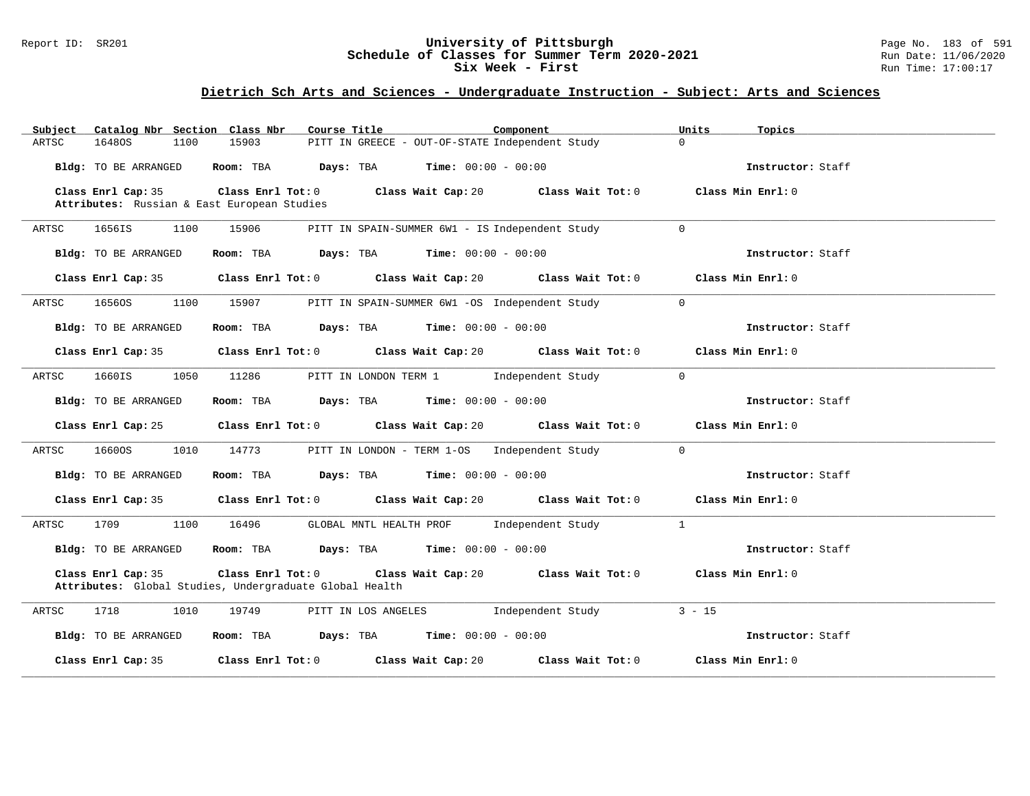### Report ID: SR201 **University of Pittsburgh** Page No. 183 of 591 **Schedule of Classes for Summer Term 2020-2021** Run Date: 11/06/2020 **Six Week - First Run Time: 17:00:17**

| Subject Catalog Nbr Section Class Nbr                             | Component<br>Course Title                                                                                               | Units<br>Topics                        |
|-------------------------------------------------------------------|-------------------------------------------------------------------------------------------------------------------------|----------------------------------------|
| ARTSC<br>16480S<br>1100                                           | PITT IN GREECE - OUT-OF-STATE Independent Study<br>15903                                                                | $\Omega$                               |
| Bldg: TO BE ARRANGED                                              | Room: TBA $Days:$ TBA $Time: 00:00 - 00:00$                                                                             | Instructor: Staff                      |
| Class Enrl Cap: 35<br>Attributes: Russian & East European Studies | Class Enrl Tot: $0$ Class Wait Cap: $20$ Class Wait Tot: $0$                                                            | Class Min Enrl: 0                      |
| 1100<br>ARTSC<br>1656IS                                           | 15906<br>PITT IN SPAIN-SUMMER 6W1 - IS Independent Study                                                                | $\Omega$                               |
| Bldg: TO BE ARRANGED                                              | Room: TBA $Days:$ TBA $Time: 00:00 - 00:00$                                                                             | Instructor: Staff                      |
| Class Enrl Cap: 35                                                | Class Enrl Tot: $0$ Class Wait Cap: $20$ Class Wait Tot: $0$                                                            | Class Min Enrl: 0                      |
| 16560S<br>1100<br>ARTSC                                           | 15907<br>PITT IN SPAIN-SUMMER 6W1 -OS Independent Study                                                                 | $\overline{0}$                         |
| Bldg: TO BE ARRANGED                                              | Room: TBA $Days:$ TBA $Time: 00:00 - 00:00$                                                                             | Instructor: Staff                      |
|                                                                   | Class Enrl Cap: 35 Class Enrl Tot: 0 Class Wait Cap: 20 Class Wait Tot: 0                                               | Class Min Enrl: 0                      |
| 1660IS<br>ARTSC<br>1050                                           | 11286<br>PITT IN LONDON TERM 1 Independent Study                                                                        | $\Omega$                               |
| Bldg: TO BE ARRANGED                                              | Room: TBA $Days:$ TBA $Time: 00:00 - 00:00$                                                                             | Instructor: Staff                      |
| Class Enrl Cap: 25                                                | Class Enrl Tot: $0$ Class Wait Cap: $20$ Class Wait Tot: $0$                                                            | Class Min Enrl: 0                      |
| 16600S<br>1010<br>ARTSC                                           | 14773<br>PITT IN LONDON - TERM 1-OS Independent Study                                                                   | $\overline{0}$                         |
| Bldg: TO BE ARRANGED                                              | Room: TBA $Days:$ TBA $Time: 00:00 - 00:00$                                                                             | Instructor: Staff                      |
|                                                                   | Class Enrl Cap: 35 $\,$ Class Enrl Tot: 0 $\,$ Class Wait Cap: 20 $\,$ Class Wait Tot: 0 $\,$                           | Class Min Enrl: 0                      |
| 1709<br>1100<br>ARTSC                                             | 16496<br>GLOBAL MNTL HEALTH PROF 1ndependent Study                                                                      | $\mathbf{1}$                           |
| Bldg: TO BE ARRANGED                                              | Room: TBA $Days:$ TBA $Time: 00:00 - 00:00$                                                                             | Instructor: Staff                      |
| Class Enrl Cap: 35                                                | Class Enrl Tot: $0$ Class Wait Cap: $20$ Class Wait Tot: $0$<br>Attributes: Global Studies, Undergraduate Global Health | Class Min Enrl: 0                      |
| 1718<br>1010<br>ARTSC                                             | PITT IN LOS ANGELES Independent Study<br>19749                                                                          | $3 - 15$                               |
| Bldg: TO BE ARRANGED                                              | Room: TBA $Days:$ TBA $Time: 00:00 - 00:00$                                                                             | Instructor: Staff                      |
| Class Enrl Cap: 35                                                | Class Enrl Tot: 0 Class Wait Cap: 20                                                                                    | Class Wait Tot: 0<br>Class Min Enrl: 0 |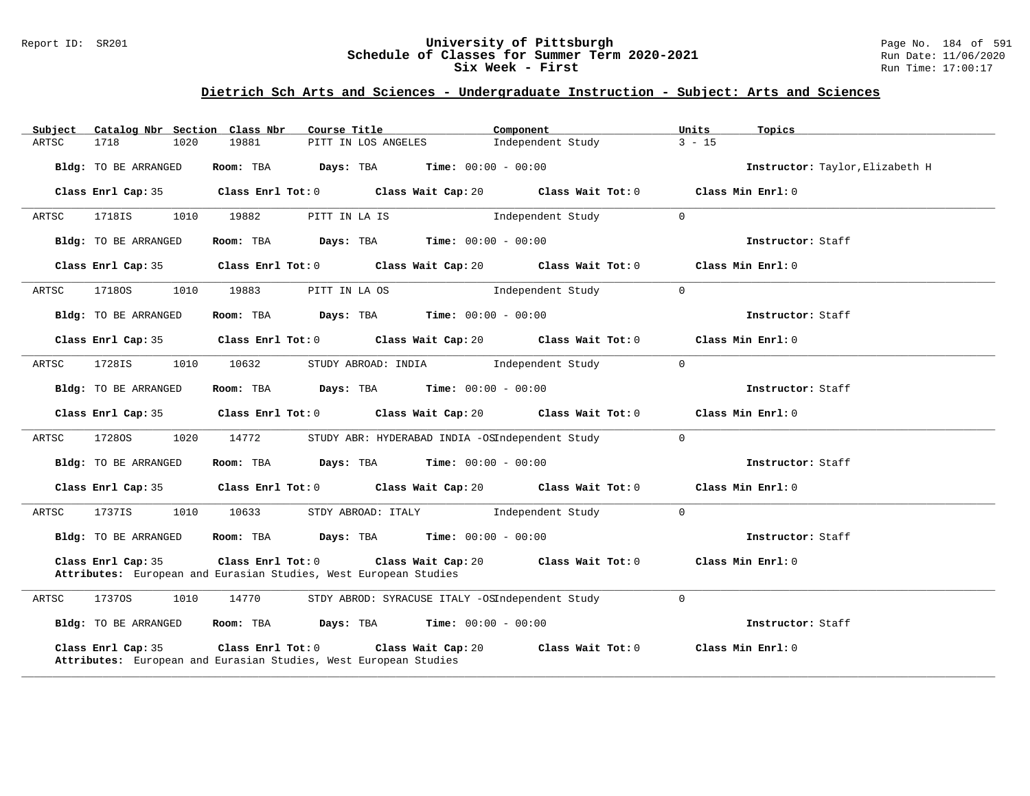### Report ID: SR201 **University of Pittsburgh** Page No. 184 of 591 **Schedule of Classes for Summer Term 2020-2021** Run Date: 11/06/2020 **Six Week - First Run Time: 17:00:17**

| Subject |                                                                                        |      | Catalog Nbr Section Class Nbr | Course Title  |                     |                                                      | Component                                       |             | Units    | Topics                          |
|---------|----------------------------------------------------------------------------------------|------|-------------------------------|---------------|---------------------|------------------------------------------------------|-------------------------------------------------|-------------|----------|---------------------------------|
| ARTSC   | 1718                                                                                   | 1020 | 19881                         |               | PITT IN LOS ANGELES |                                                      | Independent Study                               |             | $3 - 15$ |                                 |
|         | Bldg: TO BE ARRANGED                                                                   |      | Room: TBA                     | Days: TBA     |                     | <b>Time:</b> $00:00 - 00:00$                         |                                                 |             |          | Instructor: Taylor, Elizabeth H |
|         | Class Enrl Cap: 35                                                                     |      | Class Enrl Tot: 0             |               |                     | Class Wait Cap: 20                                   | Class Wait Tot: 0                               |             |          | Class Min Enrl: 0               |
| ARTSC   | 1718IS                                                                                 | 1010 | 19882                         | PITT IN LA IS |                     |                                                      | Independent Study                               | $\Omega$    |          |                                 |
|         | Bldg: TO BE ARRANGED                                                                   |      | Room: TBA                     | Days: TBA     |                     | $Time: 00:00 - 00:00$                                |                                                 |             |          | Instructor: Staff               |
|         | Class Enrl Cap: 35                                                                     |      | Class Enrl Tot: 0             |               |                     | Class Wait Cap: 20                                   | Class Wait Tot: 0                               |             |          | Class Min Enrl: 0               |
| ARTSC   | 17180S                                                                                 | 1010 | 19883                         | PITT IN LA OS |                     |                                                      | Independent Study                               | $\Omega$    |          |                                 |
|         | <b>Bldg:</b> TO BE ARRANGED                                                            |      | Room: TBA                     | Days: TBA     |                     | $Time: 00:00 - 00:00$                                |                                                 |             |          | Instructor: Staff               |
|         | Class Enrl Cap: 35                                                                     |      | Class Enrl Tot: 0             |               |                     |                                                      | Class Wait Cap: 20 Class Wait Tot: 0            |             |          | Class Min Enrl: 0               |
| ARTSC   | 1728IS                                                                                 | 1010 | 10632                         |               | STUDY ABROAD: INDIA |                                                      | Independent Study                               | $\mathbf 0$ |          |                                 |
|         | Bldg: TO BE ARRANGED                                                                   |      | Room: TBA                     | Days: TBA     |                     | $Time: 00:00 - 00:00$                                |                                                 |             |          | Instructor: Staff               |
|         | Class Enrl Cap: 35                                                                     |      | Class Enrl Tot: 0             |               |                     | Class Wait Cap: 20                                   | Class Wait Tot: 0                               |             |          | Class Min Enrl: 0               |
| ARTSC   | 17280S                                                                                 | 1020 | 14772                         |               |                     |                                                      | STUDY ABR: HYDERABAD INDIA -OSIndependent Study | $\mathbf 0$ |          |                                 |
|         | Bldg: TO BE ARRANGED                                                                   |      | Room: TBA                     |               |                     | <b>Days:</b> TBA <b>Time:</b> $00:00 - 00:00$        |                                                 |             |          | Instructor: Staff               |
|         | Class Enrl Cap: 35                                                                     |      | Class Enrl Tot: 0             |               |                     |                                                      | Class Wait Cap: 20 Class Wait Tot: 0            |             |          | Class Min Enrl: 0               |
| ARTSC   | 1737IS                                                                                 | 1010 | 10633                         |               | STDY ABROAD: ITALY  |                                                      | Independent Study                               | $\mathbf 0$ |          |                                 |
|         | Bldg: TO BE ARRANGED                                                                   |      | Room: TBA                     |               |                     | $\texttt{Davis:}$ TBA $\texttt{Time:}$ 00:00 - 00:00 |                                                 |             |          | Instructor: Staff               |
|         | Class Enrl Cap: 35<br>Attributes: European and Eurasian Studies, West European Studies |      | Class Enrl Tot: 0             |               |                     | Class Wait Cap: 20                                   | Class Wait Tot: 0                               |             |          | Class Min Enrl: 0               |
| ARTSC   | 17370S                                                                                 | 1010 | 14770                         |               |                     |                                                      | STDY ABROD: SYRACUSE ITALY -OSIndependent Study | $\mathsf 0$ |          |                                 |
|         | Bldg: TO BE ARRANGED                                                                   |      | Room: TBA                     |               |                     | $\texttt{Davis:}$ TBA $\texttt{Time:}$ 00:00 - 00:00 |                                                 |             |          | Instructor: Staff               |
|         | Class Enrl Cap: 35<br>Attributes: European and Eurasian Studies, West European Studies |      | Class Enrl Tot: 0             |               |                     | Class Wait Cap: 20                                   | Class Wait Tot: 0                               |             |          | Class Min Enrl: 0               |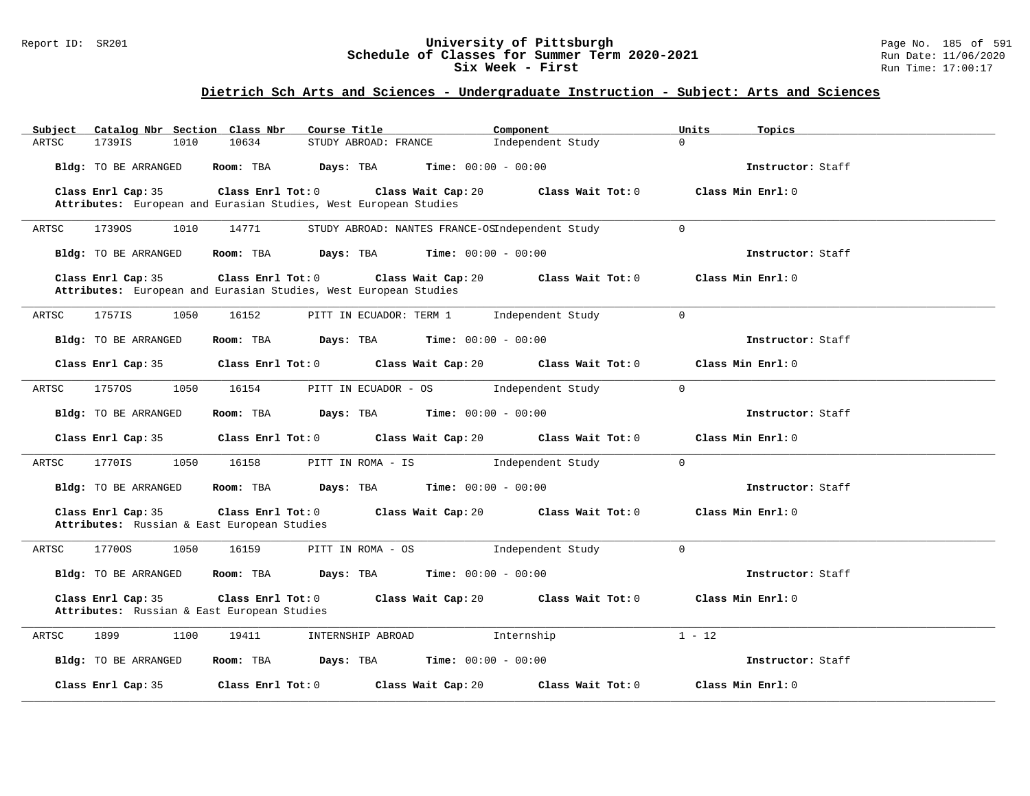### Report ID: SR201 **University of Pittsburgh** Page No. 185 of 591 **Schedule of Classes for Summer Term 2020-2021** Run Date: 11/06/2020 **Six Week - First Run Time: 17:00:17**

| Catalog Nbr Section Class Nbr<br>Subject                          | Course Title                                                                                                | Component                    | Units<br>Topics   |
|-------------------------------------------------------------------|-------------------------------------------------------------------------------------------------------------|------------------------------|-------------------|
| 1739IS<br>ARTSC<br>1010                                           | 10634<br>STUDY ABROAD: FRANCE                                                                               | Independent Study            | $\Omega$          |
| Bldg: TO BE ARRANGED                                              | Room: TBA<br>Days: TBA                                                                                      | <b>Time:</b> $00:00 - 00:00$ | Instructor: Staff |
| Class Enrl Cap: 35                                                | Class Enrl Tot: 0<br>Class Wait Cap: 20                                                                     | Class Wait Tot: 0            | Class Min Enrl: 0 |
|                                                                   | Attributes: European and Eurasian Studies, West European Studies                                            |                              |                   |
| ARTSC<br>17390S<br>1010                                           | STUDY ABROAD: NANTES FRANCE-OSIndependent Study<br>14771                                                    |                              | $\mathbf 0$       |
| <b>Bldg:</b> TO BE ARRANGED                                       | Room: TBA<br>Days: TBA                                                                                      | <b>Time:</b> $00:00 - 00:00$ | Instructor: Staff |
| Class Enrl Cap: 35                                                | Class Enrl Tot: 0<br>Class Wait Cap: 20<br>Attributes: European and Eurasian Studies, West European Studies | Class Wait Tot: 0            | Class Min Enrl: 0 |
| ARTSC<br>1757IS<br>1050                                           | 16152<br>PITT IN ECUADOR: TERM 1                                                                            | Independent Study            | $\mathbf 0$       |
| <b>Bldg:</b> TO BE ARRANGED                                       | Room: TBA<br>Days: TBA                                                                                      | <b>Time:</b> $00:00 - 00:00$ | Instructor: Staff |
| Class Enrl Cap: 35                                                | Class Enrl Tot: 0<br>Class Wait Cap: 20                                                                     | Class Wait Tot: 0            | Class Min Enrl: 0 |
| 17570S<br>1050<br>ARTSC                                           | 16154<br>PITT IN ECUADOR - OS                                                                               | Independent Study            | $\mathsf{O}$      |
| <b>Bldg:</b> TO BE ARRANGED                                       | Room: TBA<br>Days: TBA                                                                                      | <b>Time:</b> $00:00 - 00:00$ | Instructor: Staff |
| Class Enrl Cap: 35                                                | Class Enrl Tot: 0<br>Class Wait Cap: 20                                                                     | Class Wait Tot: 0            | Class Min Enrl: 0 |
| 1770IS<br>1050<br>ARTSC                                           | 16158<br>PITT IN ROMA - IS                                                                                  | Independent Study            | $\mathbf 0$       |
| <b>Bldg:</b> TO BE ARRANGED                                       | Room: TBA<br>Days: TBA                                                                                      | <b>Time:</b> $00:00 - 00:00$ | Instructor: Staff |
| Class Enrl Cap: 35<br>Attributes: Russian & East European Studies | Class Enrl Tot: 0<br>Class Wait Cap: 20                                                                     | Class Wait Tot: 0            | Class Min Enrl: 0 |
| 17700S<br>ARTSC<br>1050                                           | PITT IN ROMA - OS<br>16159                                                                                  | Independent Study            | $\mathbf 0$       |
| <b>Bldg:</b> TO BE ARRANGED                                       | Room: TBA<br>Days: TBA                                                                                      | <b>Time:</b> $00:00 - 00:00$ | Instructor: Staff |
| Class Enrl Cap: 35<br>Attributes: Russian & East European Studies | Class Enrl Tot: 0<br>Class Wait Cap: 20                                                                     | Class Wait Tot: 0            | Class Min Enrl: 0 |
| 1100<br>1899<br>ARTSC                                             | 19411<br>INTERNSHIP ABROAD                                                                                  | Internship                   | $1 - 12$          |
| <b>Bldg:</b> TO BE ARRANGED                                       | Room: TBA<br>Days: TBA                                                                                      | <b>Time:</b> $00:00 - 00:00$ | Instructor: Staff |
| Class Enrl Cap: 35                                                | Class Enrl Tot: 0<br>Class Wait Cap: 20                                                                     | Class Wait Tot: 0            | Class Min Enrl: 0 |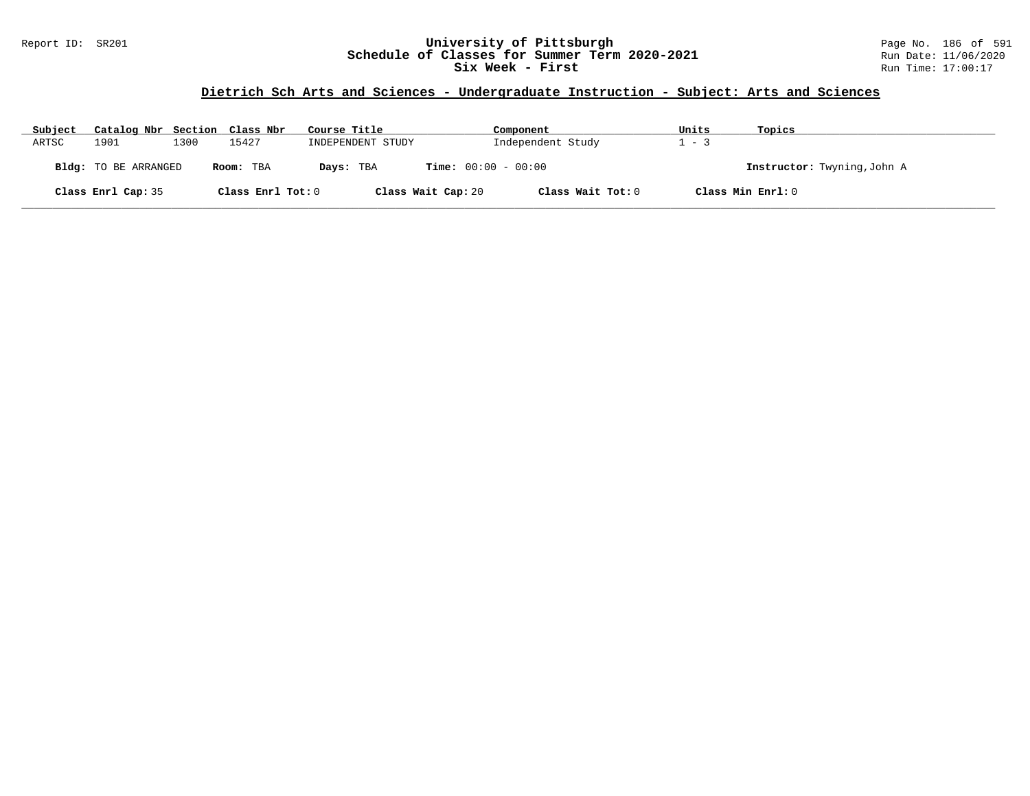### Report ID: SR201 **University of Pittsburgh** Page No. 186 of 591 **Schedule of Classes for Summer Term 2020-2021** Run Date: 11/06/2020 **Six Week - First Run Time: 17:00:17**

| Subject | Catalog Nbr Section Class Nbr |      |                   | Course Title      | Component                               | Units   | Topics                      |
|---------|-------------------------------|------|-------------------|-------------------|-----------------------------------------|---------|-----------------------------|
| ARTSC   | 1901                          | 1300 | 15427             | INDEPENDENT STUDY | Independent Study                       | $1 - 3$ |                             |
|         | Bldg: TO BE ARRANGED          |      | Room: TBA         | Days: TBA         | <b>Time:</b> $00:00 - 00:00$            |         | Instructor: Twyning, John A |
|         | Class Enrl Cap: 35            |      | Class Enrl Tot: 0 |                   | Class Wait Cap: 20<br>Class Wait Tot: 0 |         | Class Min Enrl: 0           |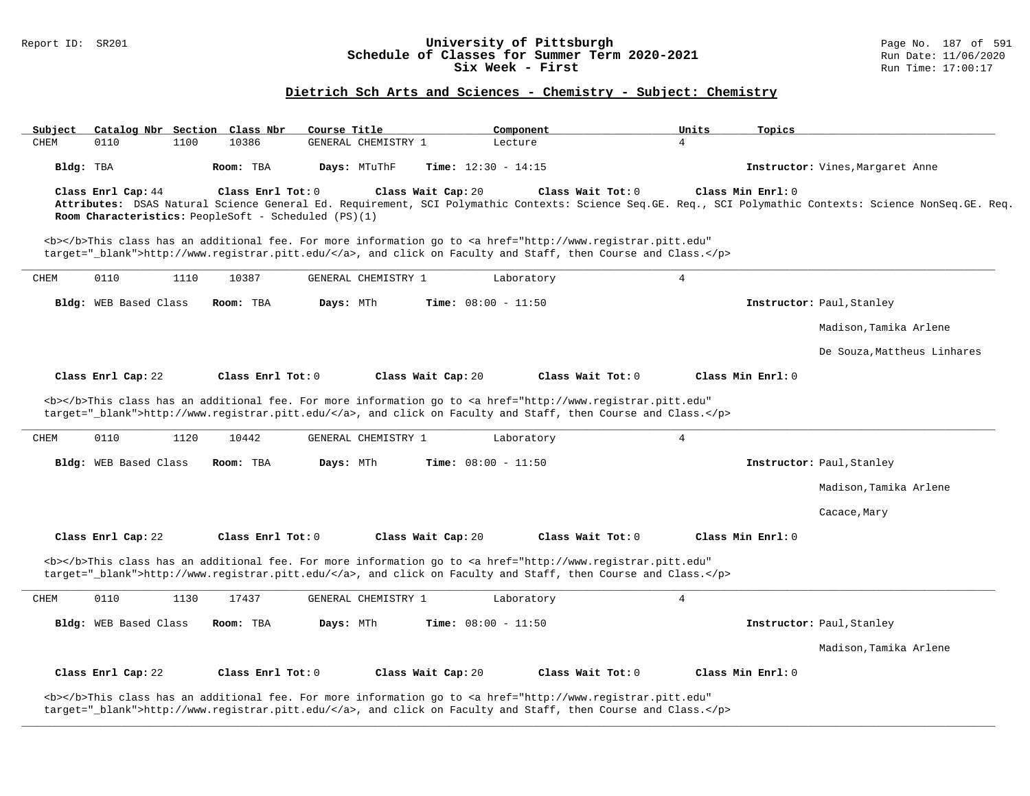### Report ID: SR201 **University of Pittsburgh** Page No. 187 of 591 **Schedule of Classes for Summer Term 2020-2021** Run Date: 11/06/2020 **Six Week - First Run Time: 17:00:17**

## **Dietrich Sch Arts and Sciences - Chemistry - Subject: Chemistry**

| Subject   |                                                                            |      | Catalog Nbr Section Class Nbr | Course Title |                     |                    | Component                    |                                                                                                                                                                                                                                    | Units          | Topics            |                                                                                                                                                           |
|-----------|----------------------------------------------------------------------------|------|-------------------------------|--------------|---------------------|--------------------|------------------------------|------------------------------------------------------------------------------------------------------------------------------------------------------------------------------------------------------------------------------------|----------------|-------------------|-----------------------------------------------------------------------------------------------------------------------------------------------------------|
| CHEM      | 0110                                                                       | 1100 | 10386                         |              | GENERAL CHEMISTRY 1 |                    | Lecture                      |                                                                                                                                                                                                                                    | $\overline{4}$ |                   |                                                                                                                                                           |
| Bldg: TBA |                                                                            |      | Room: TBA                     | Days: MTuThF |                     |                    | <b>Time:</b> $12:30 - 14:15$ |                                                                                                                                                                                                                                    |                |                   | Instructor: Vines, Margaret Anne                                                                                                                          |
|           | Class Enrl Cap: 44<br>Room Characteristics: PeopleSoft - Scheduled (PS)(1) |      | Class Enrl Tot: 0             |              |                     | Class Wait Cap: 20 |                              | Class Wait Tot: 0                                                                                                                                                                                                                  |                | Class Min Enrl: 0 | Attributes: DSAS Natural Science General Ed. Requirement, SCI Polymathic Contexts: Science Seq.GE. Req., SCI Polymathic Contexts: Science NonSeq.GE. Req. |
|           |                                                                            |      |                               |              |                     |                    |                              | <b></b> This class has an additional fee. For more information go to <a <br="" href="http://www.registrar.pitt.edu">target="_blank"&gt;http://www.registrar.pitt.edu/</a> , and click on Faculty and Staff, then Course and Class. |                |                   |                                                                                                                                                           |
| CHEM      | 0110                                                                       | 1110 | 10387                         |              | GENERAL CHEMISTRY 1 |                    | Laboratory                   |                                                                                                                                                                                                                                    | 4              |                   |                                                                                                                                                           |
|           | Bldg: WEB Based Class                                                      |      | Room: TBA                     | Days: MTh    |                     |                    | <b>Time:</b> $08:00 - 11:50$ |                                                                                                                                                                                                                                    |                |                   | Instructor: Paul, Stanley                                                                                                                                 |
|           |                                                                            |      |                               |              |                     |                    |                              |                                                                                                                                                                                                                                    |                |                   | Madison, Tamika Arlene                                                                                                                                    |
|           |                                                                            |      |                               |              |                     |                    |                              |                                                                                                                                                                                                                                    |                |                   | De Souza, Mattheus Linhares                                                                                                                               |
|           | Class Enrl Cap: 22                                                         |      | Class Enrl Tot: 0             |              |                     | Class Wait Cap: 20 |                              | Class Wait Tot: 0                                                                                                                                                                                                                  |                | Class Min Enrl: 0 |                                                                                                                                                           |
|           |                                                                            |      |                               |              |                     |                    |                              | <b></b> This class has an additional fee. For more information go to <a <br="" href="http://www.registrar.pitt.edu">target="_blank"&gt;http://www.registrar.pitt.edu/</a> , and click on Faculty and Staff, then Course and Class. |                |                   |                                                                                                                                                           |
| CHEM      | 0110                                                                       | 1120 | 10442                         |              | GENERAL CHEMISTRY 1 |                    | Laboratory                   |                                                                                                                                                                                                                                    | $\overline{4}$ |                   |                                                                                                                                                           |
|           | <b>Bldg:</b> WEB Based Class                                               |      | Room: TBA                     | Days: MTh    |                     |                    | <b>Time:</b> $08:00 - 11:50$ |                                                                                                                                                                                                                                    |                |                   | Instructor: Paul, Stanley                                                                                                                                 |
|           |                                                                            |      |                               |              |                     |                    |                              |                                                                                                                                                                                                                                    |                |                   | Madison, Tamika Arlene                                                                                                                                    |
|           |                                                                            |      |                               |              |                     |                    |                              |                                                                                                                                                                                                                                    |                |                   | Cacace, Mary                                                                                                                                              |
|           | Class Enrl Cap: 22                                                         |      | Class Enrl Tot: 0             |              |                     | Class Wait Cap: 20 |                              | Class Wait Tot: 0                                                                                                                                                                                                                  |                | Class Min Enrl: 0 |                                                                                                                                                           |
|           |                                                                            |      |                               |              |                     |                    |                              | <b></b> This class has an additional fee. For more information go to <a <br="" href="http://www.registrar.pitt.edu">target="_blank"&gt;http://www.registrar.pitt.edu/</a> , and click on Faculty and Staff, then Course and Class. |                |                   |                                                                                                                                                           |
| CHEM      | 0110                                                                       | 1130 | 17437                         |              | GENERAL CHEMISTRY 1 |                    | Laboratory                   |                                                                                                                                                                                                                                    | $\overline{4}$ |                   |                                                                                                                                                           |
|           | Bldg: WEB Based Class                                                      |      | Room: TBA                     | Days: MTh    |                     |                    | <b>Time:</b> $08:00 - 11:50$ |                                                                                                                                                                                                                                    |                |                   | Instructor: Paul, Stanley                                                                                                                                 |
|           |                                                                            |      |                               |              |                     |                    |                              |                                                                                                                                                                                                                                    |                |                   | Madison, Tamika Arlene                                                                                                                                    |
|           | Class Enrl Cap: 22                                                         |      | Class Enrl Tot: 0             |              |                     | Class Wait Cap: 20 |                              | Class Wait Tot: 0                                                                                                                                                                                                                  |                | Class Min Enrl: 0 |                                                                                                                                                           |
|           |                                                                            |      |                               |              |                     |                    |                              | <b></b> This class has an additional fee. For more information go to <a <br="" href="http://www.registrar.pitt.edu">target="_blank"&gt;http://www.registrar.pitt.edu/</a> , and click on Faculty and Staff, then Course and Class. |                |                   |                                                                                                                                                           |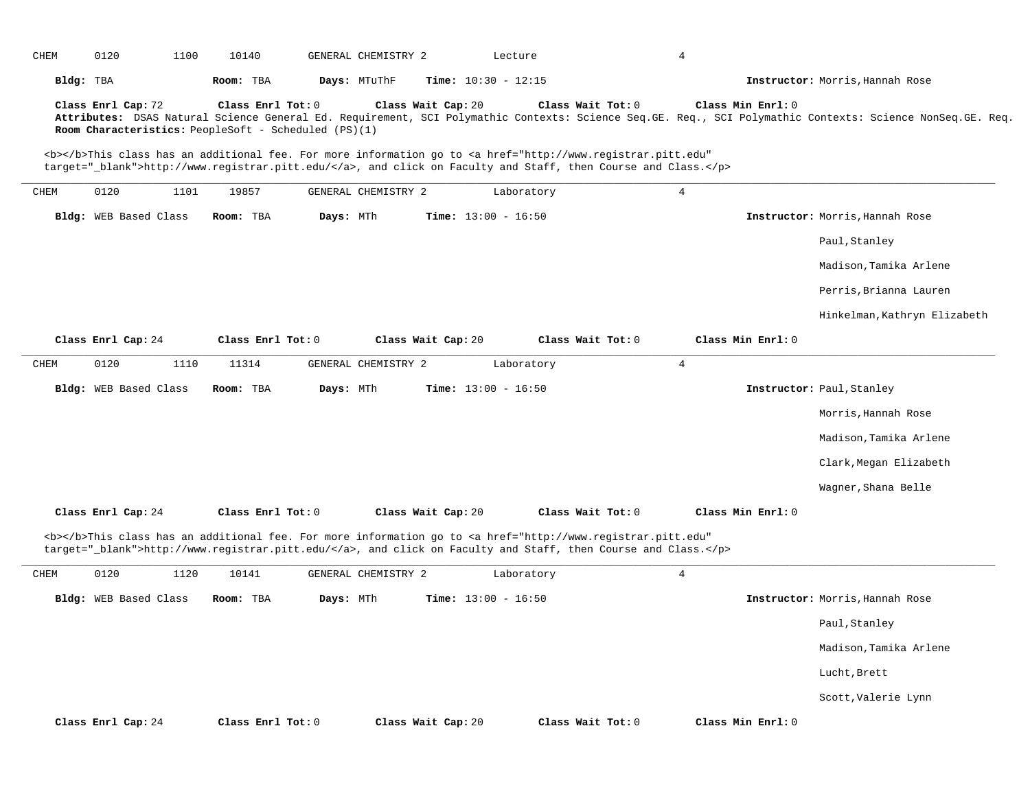| CHEM | 0120                  | 1100 | 10140                                                                     |              | GENERAL CHEMISTRY 2 |                    | Lecture                      |                                                                                                                                                                                                                                    | 4              |                   |                                                                                                                                                           |
|------|-----------------------|------|---------------------------------------------------------------------------|--------------|---------------------|--------------------|------------------------------|------------------------------------------------------------------------------------------------------------------------------------------------------------------------------------------------------------------------------------|----------------|-------------------|-----------------------------------------------------------------------------------------------------------------------------------------------------------|
|      | Bldg: TBA             |      | Room: TBA                                                                 | Days: MTuThF |                     |                    | <b>Time:</b> $10:30 - 12:15$ |                                                                                                                                                                                                                                    |                |                   | Instructor: Morris, Hannah Rose                                                                                                                           |
|      | Class Enrl Cap: 72    |      | Class Enrl Tot: 0<br>Room Characteristics: PeopleSoft - Scheduled (PS)(1) |              |                     | Class Wait Cap: 20 |                              | Class Wait Tot: 0                                                                                                                                                                                                                  |                | Class Min Enrl: 0 | Attributes: DSAS Natural Science General Ed. Requirement, SCI Polymathic Contexts: Science Seq.GE. Req., SCI Polymathic Contexts: Science NonSeq.GE. Req. |
|      |                       |      |                                                                           |              |                     |                    |                              | <b></b> This class has an additional fee. For more information go to <a <br="" href="http://www.registrar.pitt.edu">target="_blank"&gt;http://www.registrar.pitt.edu/</a> , and click on Faculty and Staff, then Course and Class. |                |                   |                                                                                                                                                           |
| CHEM | 0120                  | 1101 | 19857                                                                     |              | GENERAL CHEMISTRY 2 |                    | Laboratory                   |                                                                                                                                                                                                                                    | $\overline{4}$ |                   |                                                                                                                                                           |
|      | Bldg: WEB Based Class |      | Room: TBA                                                                 | Days: MTh    |                     |                    | <b>Time:</b> $13:00 - 16:50$ |                                                                                                                                                                                                                                    |                |                   | Instructor: Morris, Hannah Rose                                                                                                                           |
|      |                       |      |                                                                           |              |                     |                    |                              |                                                                                                                                                                                                                                    |                |                   | Paul, Stanley                                                                                                                                             |
|      |                       |      |                                                                           |              |                     |                    |                              |                                                                                                                                                                                                                                    |                |                   | Madison, Tamika Arlene                                                                                                                                    |
|      |                       |      |                                                                           |              |                     |                    |                              |                                                                                                                                                                                                                                    |                |                   | Perris, Brianna Lauren                                                                                                                                    |
|      |                       |      |                                                                           |              |                     |                    |                              |                                                                                                                                                                                                                                    |                |                   | Hinkelman, Kathryn Elizabeth                                                                                                                              |
|      | Class Enrl Cap: 24    |      | Class Enrl Tot: 0                                                         |              |                     | Class Wait Cap: 20 |                              | Class Wait Tot: 0                                                                                                                                                                                                                  |                | Class Min Enrl: 0 |                                                                                                                                                           |
| CHEM | 0120                  | 1110 | 11314                                                                     |              | GENERAL CHEMISTRY 2 |                    | Laboratory                   |                                                                                                                                                                                                                                    | 4              |                   |                                                                                                                                                           |
|      | Bldg: WEB Based Class |      | Room: TBA                                                                 | Days: MTh    |                     |                    | <b>Time:</b> $13:00 - 16:50$ |                                                                                                                                                                                                                                    |                |                   | Instructor: Paul, Stanley                                                                                                                                 |
|      |                       |      |                                                                           |              |                     |                    |                              |                                                                                                                                                                                                                                    |                |                   | Morris, Hannah Rose                                                                                                                                       |
|      |                       |      |                                                                           |              |                     |                    |                              |                                                                                                                                                                                                                                    |                |                   | Madison, Tamika Arlene                                                                                                                                    |
|      |                       |      |                                                                           |              |                     |                    |                              |                                                                                                                                                                                                                                    |                |                   | Clark, Megan Elizabeth                                                                                                                                    |
|      |                       |      |                                                                           |              |                     |                    |                              |                                                                                                                                                                                                                                    |                |                   | Wagner, Shana Belle                                                                                                                                       |
|      | Class Enrl Cap: 24    |      | Class Enrl Tot: 0                                                         |              |                     | Class Wait Cap: 20 |                              | Class Wait Tot: 0                                                                                                                                                                                                                  |                | Class Min Enrl: 0 |                                                                                                                                                           |
|      |                       |      |                                                                           |              |                     |                    |                              | <b></b> This class has an additional fee. For more information go to <a <br="" href="http://www.registrar.pitt.edu">target="_blank"&gt;http://www.registrar.pitt.edu/</a> , and click on Faculty and Staff, then Course and Class. |                |                   |                                                                                                                                                           |
| CHEM | 0120                  | 1120 | 10141                                                                     |              | GENERAL CHEMISTRY 2 |                    | Laboratory                   |                                                                                                                                                                                                                                    | $\overline{4}$ |                   |                                                                                                                                                           |
|      | Bldg: WEB Based Class |      | Room: TBA                                                                 | Days: MTh    |                     |                    | <b>Time:</b> $13:00 - 16:50$ |                                                                                                                                                                                                                                    |                |                   | Instructor: Morris, Hannah Rose                                                                                                                           |
|      |                       |      |                                                                           |              |                     |                    |                              |                                                                                                                                                                                                                                    |                |                   | Paul, Stanley                                                                                                                                             |
|      |                       |      |                                                                           |              |                     |                    |                              |                                                                                                                                                                                                                                    |                |                   | Madison, Tamika Arlene                                                                                                                                    |
|      |                       |      |                                                                           |              |                     |                    |                              |                                                                                                                                                                                                                                    |                |                   | Lucht, Brett                                                                                                                                              |
|      |                       |      |                                                                           |              |                     |                    |                              |                                                                                                                                                                                                                                    |                |                   | Scott, Valerie Lynn                                                                                                                                       |
|      | Class Enrl Cap: 24    |      | Class Enrl Tot: 0                                                         |              |                     | Class Wait Cap: 20 |                              | Class Wait Tot: 0                                                                                                                                                                                                                  |                | Class Min Enrl: 0 |                                                                                                                                                           |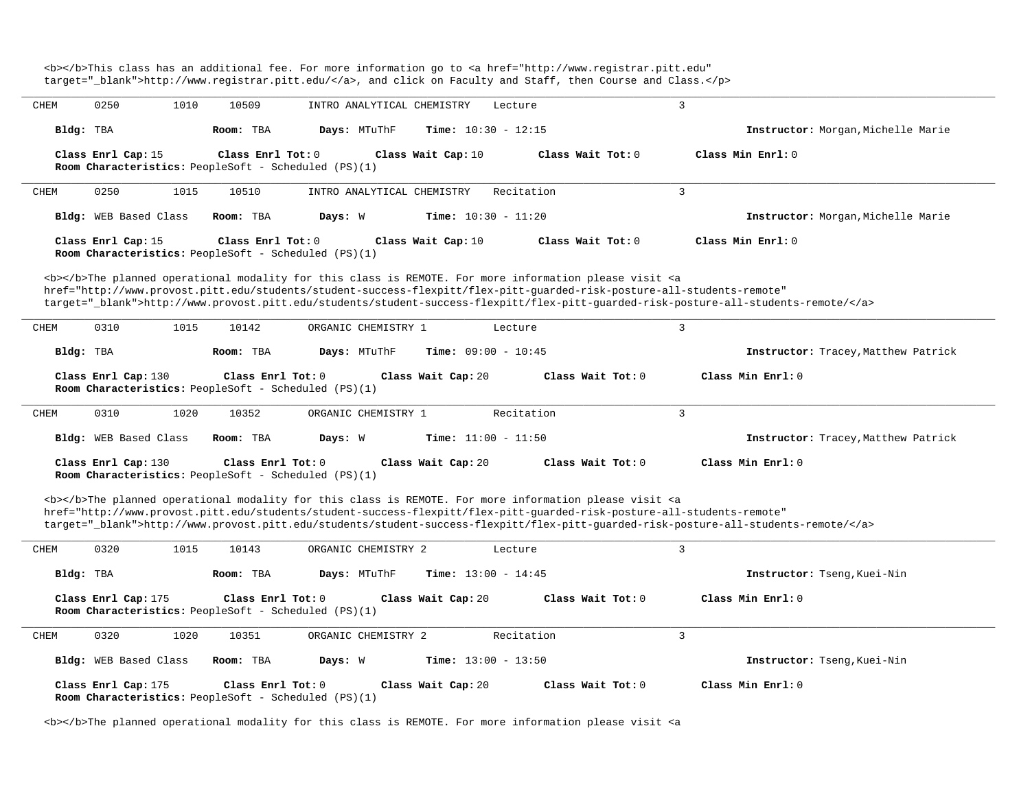<b></b>This class has an additional fee. For more information go to <a href="http://www.registrar.pitt.edu" target="\_blank">http://www.registrar.pitt.edu/</a>, and click on Faculty and Staff, then Course and Class.</p> **\_\_\_\_\_\_\_\_\_\_\_\_\_\_\_\_\_\_\_\_\_\_\_\_\_\_\_\_\_\_\_\_\_\_\_\_\_\_\_\_\_\_\_\_\_\_\_\_\_\_\_\_\_\_\_\_\_\_\_\_\_\_\_\_\_\_\_\_\_\_\_\_\_\_\_\_\_\_\_\_\_\_\_\_\_\_\_\_\_\_\_\_\_\_\_\_\_\_\_\_\_\_\_\_\_\_\_\_\_\_\_\_\_\_\_\_\_\_\_\_\_\_\_\_\_\_\_\_\_\_\_\_\_\_\_\_\_\_\_\_\_\_\_\_\_\_\_\_\_\_\_\_\_\_\_\_** CHEM 0250 1010 10509 INTRO ANALYTICAL CHEMISTRY Lecture 3 **Bldg:** TBA **Room:** TBA **Days:** MTuThF **Time:** 10:30 - 12:15 **Instructor:** Morgan,Michelle Marie **Class Enrl Cap:** 15 **Class Enrl Tot:** 0 **Class Wait Cap:** 10 **Class Wait Tot:** 0 **Class Min Enrl:** 0 **Room Characteristics:** PeopleSoft - Scheduled (PS)(1) **\_\_\_\_\_\_\_\_\_\_\_\_\_\_\_\_\_\_\_\_\_\_\_\_\_\_\_\_\_\_\_\_\_\_\_\_\_\_\_\_\_\_\_\_\_\_\_\_\_\_\_\_\_\_\_\_\_\_\_\_\_\_\_\_\_\_\_\_\_\_\_\_\_\_\_\_\_\_\_\_\_\_\_\_\_\_\_\_\_\_\_\_\_\_\_\_\_\_\_\_\_\_\_\_\_\_\_\_\_\_\_\_\_\_\_\_\_\_\_\_\_\_\_\_\_\_\_\_\_\_\_\_\_\_\_\_\_\_\_\_\_\_\_\_\_\_\_\_\_\_\_\_\_\_\_\_** CHEM 0250 1015 10510 INTRO ANALYTICAL CHEMISTRY Recitation 3 **Bldg:** WEB Based Class **Room:** TBA **Days:** W **Time:** 10:30 - 11:20 **Instructor:** Morgan,Michelle Marie **Class Enrl Cap:** 15 **Class Enrl Tot:** 0 **Class Wait Cap:** 10 **Class Wait Tot:** 0 **Class Min Enrl:** 0 **Room Characteristics:** PeopleSoft - Scheduled (PS)(1) <b></b>The planned operational modality for this class is REMOTE. For more information please visit <a href="http://www.provost.pitt.edu/students/student-success-flexpitt/flex-pitt-guarded-risk-posture-all-students-remote" target="\_blank">http://www.provost.pitt.edu/students/student-success-flexpitt/flex-pitt-guarded-risk-posture-all-students-remote/</a> **\_\_\_\_\_\_\_\_\_\_\_\_\_\_\_\_\_\_\_\_\_\_\_\_\_\_\_\_\_\_\_\_\_\_\_\_\_\_\_\_\_\_\_\_\_\_\_\_\_\_\_\_\_\_\_\_\_\_\_\_\_\_\_\_\_\_\_\_\_\_\_\_\_\_\_\_\_\_\_\_\_\_\_\_\_\_\_\_\_\_\_\_\_\_\_\_\_\_\_\_\_\_\_\_\_\_\_\_\_\_\_\_\_\_\_\_\_\_\_\_\_\_\_\_\_\_\_\_\_\_\_\_\_\_\_\_\_\_\_\_\_\_\_\_\_\_\_\_\_\_\_\_\_\_\_\_** CHEM 0310 1015 10142 ORGANIC CHEMISTRY 1 Lecture 3 **Bldg:** TBA **Room:** TBA **Days:** MTuThF **Time:** 09:00 - 10:45 **Instructor:** Tracey,Matthew Patrick **Class Enrl Cap:** 130 **Class Enrl Tot:** 0 **Class Wait Cap:** 20 **Class Wait Tot:** 0 **Class Min Enrl:** 0 **Room Characteristics:** PeopleSoft - Scheduled (PS)(1) **\_\_\_\_\_\_\_\_\_\_\_\_\_\_\_\_\_\_\_\_\_\_\_\_\_\_\_\_\_\_\_\_\_\_\_\_\_\_\_\_\_\_\_\_\_\_\_\_\_\_\_\_\_\_\_\_\_\_\_\_\_\_\_\_\_\_\_\_\_\_\_\_\_\_\_\_\_\_\_\_\_\_\_\_\_\_\_\_\_\_\_\_\_\_\_\_\_\_\_\_\_\_\_\_\_\_\_\_\_\_\_\_\_\_\_\_\_\_\_\_\_\_\_\_\_\_\_\_\_\_\_\_\_\_\_\_\_\_\_\_\_\_\_\_\_\_\_\_\_\_\_\_\_\_\_\_** CHEM 0310 1020 10352 ORGANIC CHEMISTRY 1 Recitation 3 **Bldg:** WEB Based Class **Room:** TBA **Days:** W **Time:** 11:00 - 11:50 **Instructor:** Tracey,Matthew Patrick **Class Enrl Cap:** 130 **Class Enrl Tot:** 0 **Class Wait Cap:** 20 **Class Wait Tot:** 0 **Class Min Enrl:** 0 **Room Characteristics:** PeopleSoft - Scheduled (PS)(1) <b></b>The planned operational modality for this class is REMOTE. For more information please visit <a href="http://www.provost.pitt.edu/students/student-success-flexpitt/flex-pitt-guarded-risk-posture-all-students-remote" target="\_blank">http://www.provost.pitt.edu/students/student-success-flexpitt/flex-pitt-guarded-risk-posture-all-students-remote/</a> **\_\_\_\_\_\_\_\_\_\_\_\_\_\_\_\_\_\_\_\_\_\_\_\_\_\_\_\_\_\_\_\_\_\_\_\_\_\_\_\_\_\_\_\_\_\_\_\_\_\_\_\_\_\_\_\_\_\_\_\_\_\_\_\_\_\_\_\_\_\_\_\_\_\_\_\_\_\_\_\_\_\_\_\_\_\_\_\_\_\_\_\_\_\_\_\_\_\_\_\_\_\_\_\_\_\_\_\_\_\_\_\_\_\_\_\_\_\_\_\_\_\_\_\_\_\_\_\_\_\_\_\_\_\_\_\_\_\_\_\_\_\_\_\_\_\_\_\_\_\_\_\_\_\_\_\_** CHEM 0320 1015 10143 ORGANIC CHEMISTRY 2 Lecture 3 **Bldg:** TBA **Room:** TBA **Days:** MTuThF **Time:** 13:00 - 14:45 **Instructor:** Tseng,Kuei-Nin **Class Enrl Cap:** 175 **Class Enrl Tot:** 0 **Class Wait Cap:** 20 **Class Wait Tot:** 0 **Class Min Enrl:** 0 **Room Characteristics:** PeopleSoft - Scheduled (PS)(1) **\_\_\_\_\_\_\_\_\_\_\_\_\_\_\_\_\_\_\_\_\_\_\_\_\_\_\_\_\_\_\_\_\_\_\_\_\_\_\_\_\_\_\_\_\_\_\_\_\_\_\_\_\_\_\_\_\_\_\_\_\_\_\_\_\_\_\_\_\_\_\_\_\_\_\_\_\_\_\_\_\_\_\_\_\_\_\_\_\_\_\_\_\_\_\_\_\_\_\_\_\_\_\_\_\_\_\_\_\_\_\_\_\_\_\_\_\_\_\_\_\_\_\_\_\_\_\_\_\_\_\_\_\_\_\_\_\_\_\_\_\_\_\_\_\_\_\_\_\_\_\_\_\_\_\_\_** CHEM 0320 1020 10351 ORGANIC CHEMISTRY 2 Recitation 3 **Bldg:** WEB Based Class **Room:** TBA **Days:** W **Time:** 13:00 - 13:50 **Instructor:** Tseng,Kuei-Nin **Class Enrl Cap:** 175 **Class Enrl Tot:** 0 **Class Wait Cap:** 20 **Class Wait Tot:** 0 **Class Min Enrl:** 0 **Room Characteristics:** PeopleSoft - Scheduled (PS)(1)

<b></b>The planned operational modality for this class is REMOTE. For more information please visit <a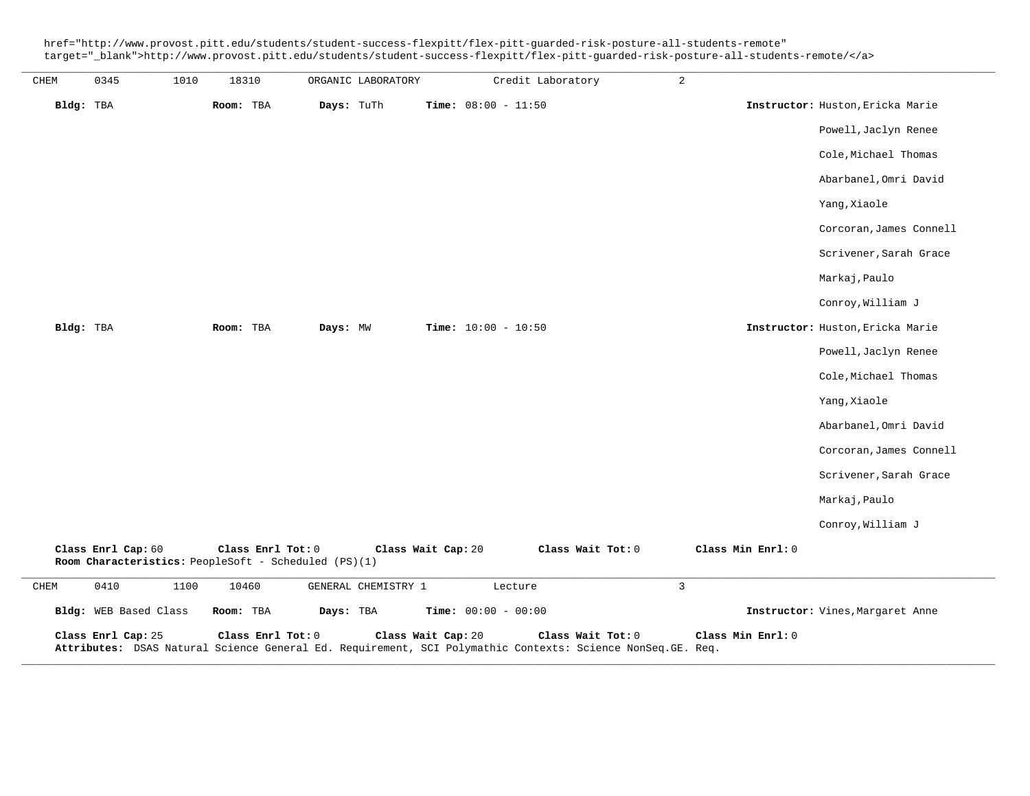href="http://www.provost.pitt.edu/students/student-success-flexpitt/flex-pitt-guarded-risk-posture-all-students-remote" target="\_blank">http://www.provost.pitt.edu/students/student-success-flexpitt/flex-pitt-guarded-risk-posture-all-students-remote/</a>

| CHEM      | 0345                  | 1010 | 18310             | ORGANIC LABORATORY                                   |                              | Credit Laboratory                                                                                                                | $\overline{a}$ |                   |                                  |
|-----------|-----------------------|------|-------------------|------------------------------------------------------|------------------------------|----------------------------------------------------------------------------------------------------------------------------------|----------------|-------------------|----------------------------------|
| Bldg: TBA |                       |      | Room: TBA         | Days: TuTh                                           | <b>Time:</b> $08:00 - 11:50$ |                                                                                                                                  |                |                   | Instructor: Huston, Ericka Marie |
|           |                       |      |                   |                                                      |                              |                                                                                                                                  |                |                   | Powell, Jaclyn Renee             |
|           |                       |      |                   |                                                      |                              |                                                                                                                                  |                |                   | Cole, Michael Thomas             |
|           |                       |      |                   |                                                      |                              |                                                                                                                                  |                |                   | Abarbanel, Omri David            |
|           |                       |      |                   |                                                      |                              |                                                                                                                                  |                |                   | Yang, Xiaole                     |
|           |                       |      |                   |                                                      |                              |                                                                                                                                  |                |                   | Corcoran, James Connell          |
|           |                       |      |                   |                                                      |                              |                                                                                                                                  |                |                   | Scrivener, Sarah Grace           |
|           |                       |      |                   |                                                      |                              |                                                                                                                                  |                |                   | Markaj, Paulo                    |
|           |                       |      |                   |                                                      |                              |                                                                                                                                  |                |                   | Conroy, William J                |
| Bldg: TBA |                       |      | Room: TBA         | Days: MW                                             | <b>Time:</b> $10:00 - 10:50$ |                                                                                                                                  |                |                   | Instructor: Huston, Ericka Marie |
|           |                       |      |                   |                                                      |                              |                                                                                                                                  |                |                   | Powell, Jaclyn Renee             |
|           |                       |      |                   |                                                      |                              |                                                                                                                                  |                |                   | Cole, Michael Thomas             |
|           |                       |      |                   |                                                      |                              |                                                                                                                                  |                |                   | Yang, Xiaole                     |
|           |                       |      |                   |                                                      |                              |                                                                                                                                  |                |                   | Abarbanel, Omri David            |
|           |                       |      |                   |                                                      |                              |                                                                                                                                  |                |                   | Corcoran, James Connell          |
|           |                       |      |                   |                                                      |                              |                                                                                                                                  |                |                   | Scrivener, Sarah Grace           |
|           |                       |      |                   |                                                      |                              |                                                                                                                                  |                |                   | Markaj, Paulo                    |
|           |                       |      |                   |                                                      |                              |                                                                                                                                  |                |                   | Conroy, William J                |
|           | Class Enrl Cap: 60    |      | Class Enrl Tot: 0 | Room Characteristics: PeopleSoft - Scheduled (PS)(1) | Class Wait Cap: 20           | Class Wait Tot: 0                                                                                                                |                | Class Min Enrl: 0 |                                  |
| CHEM      | 0410                  | 1100 | 10460             | GENERAL CHEMISTRY 1                                  |                              | Lecture                                                                                                                          | 3              |                   |                                  |
|           | Bldg: WEB Based Class |      | Room: TBA         | Days: TBA                                            | Time: $00:00 - 00:00$        |                                                                                                                                  |                |                   | Instructor: Vines, Margaret Anne |
|           | Class Enrl Cap: 25    |      | Class Enrl Tot: 0 |                                                      | Class Wait Cap: 20           | Class Wait Tot: 0<br>Attributes: DSAS Natural Science General Ed. Requirement, SCI Polymathic Contexts: Science NonSeq. GE. Req. |                | Class Min Enrl: 0 |                                  |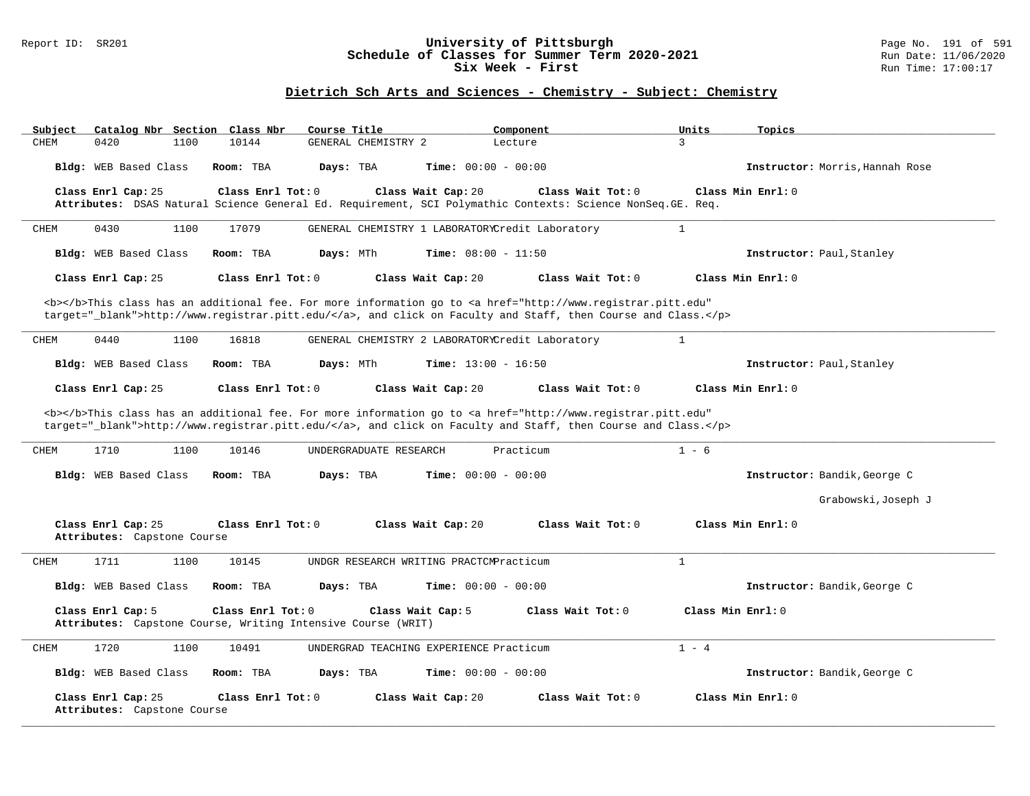### Report ID: SR201 **University of Pittsburgh** Page No. 191 of 591 **Schedule of Classes for Summer Term 2020-2021** Run Date: 11/06/2020 **Six Week - First Run Time: 17:00:17**

## **Dietrich Sch Arts and Sciences - Chemistry - Subject: Chemistry**

| Catalog Nbr Section Class Nbr<br>Subject          | Course Title                                                                                                                                                                                                                       | Component                    | Units<br>Topics                 |
|---------------------------------------------------|------------------------------------------------------------------------------------------------------------------------------------------------------------------------------------------------------------------------------------|------------------------------|---------------------------------|
| 0420<br>1100<br>CHEM                              | 10144<br>GENERAL CHEMISTRY 2                                                                                                                                                                                                       | Lecture                      | 3                               |
| Bldg: WEB Based Class                             | Room: TBA<br>Days: TBA                                                                                                                                                                                                             | <b>Time:</b> $00:00 - 00:00$ | Instructor: Morris, Hannah Rose |
| Class Enrl Cap: 25                                | Class Enrl Tot: $0$<br>Class Wait Cap: 20                                                                                                                                                                                          | Class Wait Tot: 0            | Class Min Enrl: 0               |
|                                                   | Attributes: DSAS Natural Science General Ed. Requirement, SCI Polymathic Contexts: Science NonSeq. GE. Req.                                                                                                                        |                              |                                 |
| 0430<br>1100<br>CHEM                              | 17079<br>GENERAL CHEMISTRY 1 LABORATORYCredit Laboratory                                                                                                                                                                           |                              | $\mathbf{1}$                    |
| Bldg: WEB Based Class                             | Room: TBA<br>Days: MTh                                                                                                                                                                                                             | <b>Time:</b> $08:00 - 11:50$ | Instructor: Paul, Stanley       |
| Class Enrl Cap: 25                                | Class Enrl Tot: 0<br>Class Wait Cap: 20                                                                                                                                                                                            | Class Wait Tot: $0$          | Class Min $Enr1: 0$             |
|                                                   | <b></b> This class has an additional fee. For more information go to <a <br="" href="http://www.registrar.pitt.edu">target="_blank"&gt;http://www.registrar.pitt.edu/</a> , and click on Faculty and Staff, then Course and Class. |                              |                                 |
| 0440<br>1100<br>CHEM                              | 16818<br>GENERAL CHEMISTRY 2 LABORATORYCredit Laboratory                                                                                                                                                                           |                              | $\mathbf{1}$                    |
| Bldg: WEB Based Class                             | Days: MTh<br>Room: TBA                                                                                                                                                                                                             | <b>Time:</b> $13:00 - 16:50$ | Instructor: Paul, Stanley       |
| Class Enrl Cap: 25                                | Class Enrl Tot: 0<br>Class Wait Cap: 20                                                                                                                                                                                            | Class Wait Tot: 0            | Class Min Enrl: 0               |
|                                                   | <b></b> This class has an additional fee. For more information go to <a <br="" href="http://www.registrar.pitt.edu">target="_blank"&gt;http://www.registrar.pitt.edu/</a> , and click on Faculty and Staff, then Course and Class. |                              |                                 |
| 1710<br>1100<br><b>CHEM</b>                       | 10146<br>UNDERGRADUATE RESEARCH                                                                                                                                                                                                    | Practicum                    | $1 - 6$                         |
| Bldg: WEB Based Class                             | Days: TBA<br>Room: TBA                                                                                                                                                                                                             | <b>Time:</b> $00:00 - 00:00$ | Instructor: Bandik, George C    |
|                                                   |                                                                                                                                                                                                                                    |                              | Grabowski, Joseph J             |
| Class Enrl Cap: 25<br>Attributes: Capstone Course | Class Enrl Tot: 0<br>Class Wait Cap: 20                                                                                                                                                                                            | Class Wait Tot: 0            | Class Min Enrl: 0               |
| 1711<br>1100<br>CHEM                              | 10145<br>UNDGR RESEARCH WRITING PRACTCMPracticum                                                                                                                                                                                   |                              | $\mathbf{1}$                    |
| Bldg: WEB Based Class                             | Room: TBA<br>Days: TBA                                                                                                                                                                                                             | <b>Time:</b> $00:00 - 00:00$ | Instructor: Bandik, George C    |
| Class Enrl Cap: 5                                 | Class Enrl Tot: 0<br>Class Wait Cap: 5<br>Attributes: Capstone Course, Writing Intensive Course (WRIT)                                                                                                                             | Class Wait Tot: 0            | Class Min Enrl: 0               |
| 1720<br>1100<br>CHEM                              | 10491<br>UNDERGRAD TEACHING EXPERIENCE Practicum                                                                                                                                                                                   |                              | $1 - 4$                         |
| Bldg: WEB Based Class                             | Room: TBA<br>Days: TBA                                                                                                                                                                                                             | <b>Time:</b> $00:00 - 00:00$ | Instructor: Bandik, George C    |
| Class Enrl Cap: 25<br>Attributes: Capstone Course | Class Enrl Tot: 0<br>Class Wait Cap: 20                                                                                                                                                                                            | Class Wait Tot: 0            | Class Min Enrl: 0               |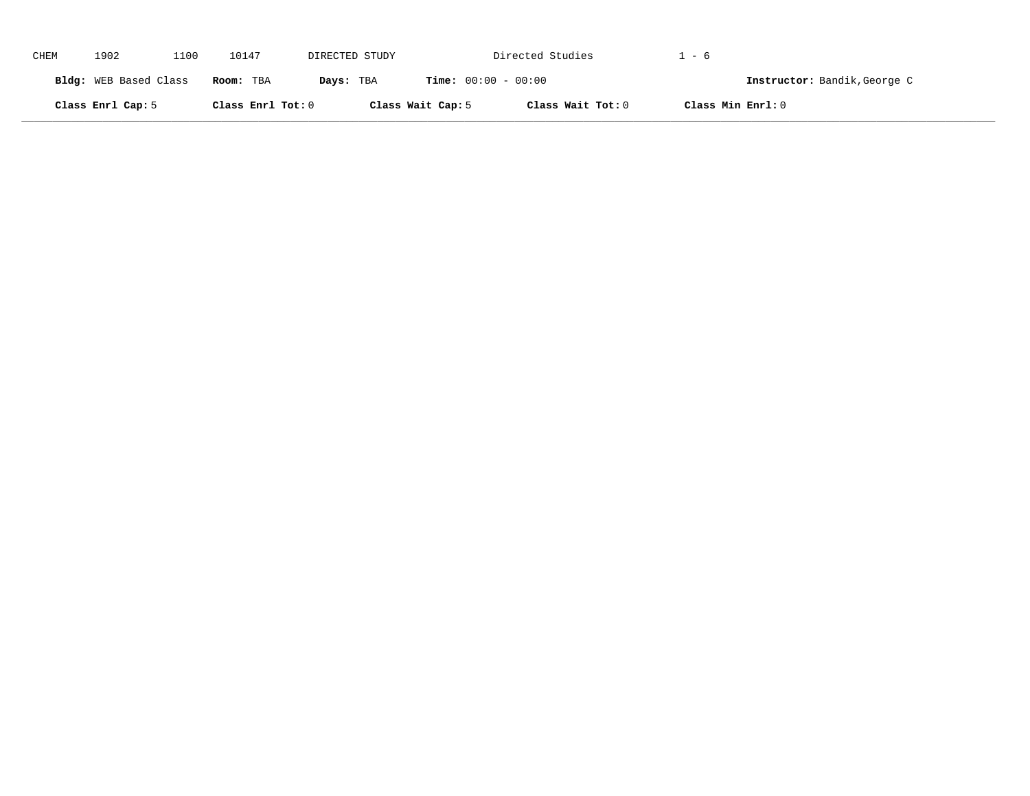| CHEM | 1902                  | 1100 | 10147             | DIRECTED STUDY |                              | Directed Studies  | 1 - 6                        |
|------|-----------------------|------|-------------------|----------------|------------------------------|-------------------|------------------------------|
|      | Bldg: WEB Based Class |      | Room: TBA         | Days: TBA      | <b>Time:</b> $00:00 - 00:00$ |                   | Instructor: Bandik, George C |
|      | Class Enrl Cap: 5     |      | Class Enrl Tot: 0 |                | Class Wait Cap: 5            | Class Wait Tot: 0 | Class Min Enrl: 0            |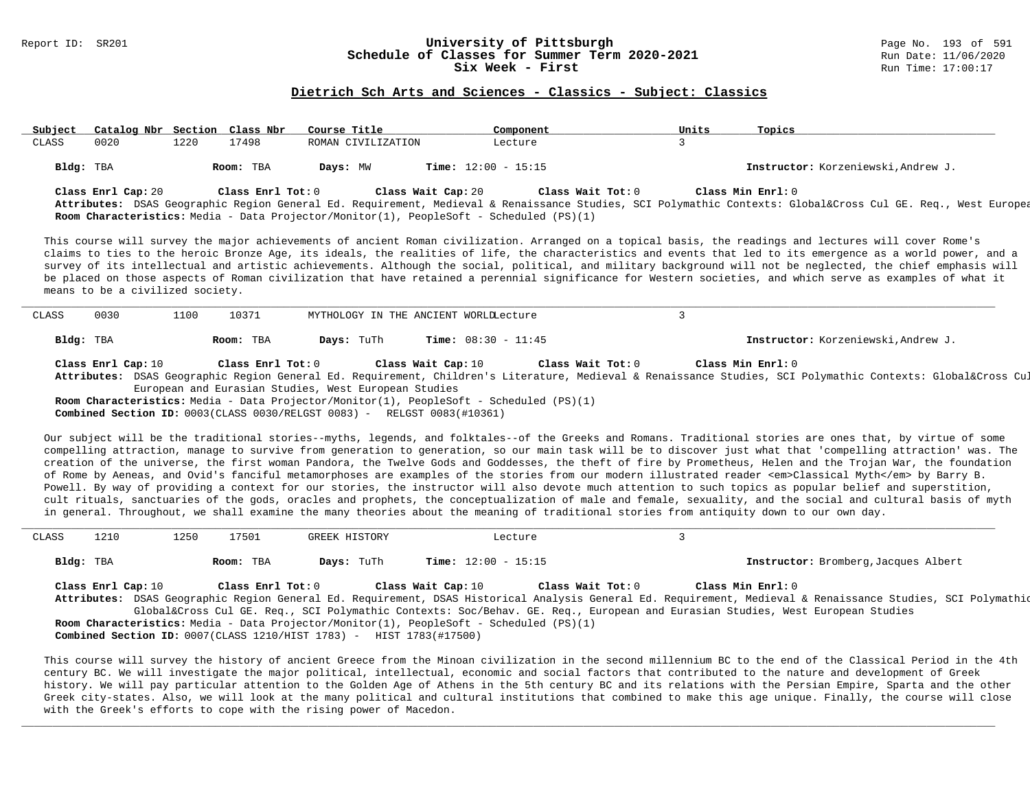#### Report ID: SR201 **1988 Constrained Build and Schedule of Classes for Summer Term 2020-2021** Page No. 193 of 591<br>**Schedule of Classes for Summer Term 2020-2021** Run Date: 11/06/2020 **Schedule of Classes for Summer Term 2020-2021** Run Date: 11/06/20<br>Six Week - First Six Week - First

#### **Dietrich Sch Arts and Sciences - Classics - Subject: Classics**

| Subject   | Catalog Nbr Section Class Nbr |      |                   | Course Title                                                                            | Component                    | Units | Topics                                                                                                                                                                       |
|-----------|-------------------------------|------|-------------------|-----------------------------------------------------------------------------------------|------------------------------|-------|------------------------------------------------------------------------------------------------------------------------------------------------------------------------------|
| CLASS     | 0020                          | 1220 | 17498             | ROMAN CIVILIZATION                                                                      | Lecture                      |       |                                                                                                                                                                              |
| Bldg: TBA |                               |      | Room: TBA         | Days: MW                                                                                | <b>Time:</b> $12:00 - 15:15$ |       | Instructor: Korzeniewski, Andrew J.                                                                                                                                          |
|           | Class Enrl Cap: 20            |      | Class Enrl Tot: 0 | Class Wait Cap: 20                                                                      | Class Wait Tot: 0            |       | Class Min Enrl: 0<br>Attributes: DSAS Geographic Region General Ed. Requirement, Medieval & Renaissance Studies, SCI Polymathic Contexts: Global⨯ Cul GE. Req., West Europea |
|           |                               |      |                   | Room Characteristics: Media - Data Projector/Monitor(1), PeopleSoft - Scheduled (PS)(1) |                              |       |                                                                                                                                                                              |

This course will survey the major achievements of ancient Roman civilization. Arranged on a topical basis, the readings and lectures will cover Rome's claims to ties to the heroic Bronze Age, its ideals, the realities of life, the characteristics and events that led to its emergence as a world power, and a survey of its intellectual and artistic achievements. Although the social, political, and military background will not be neglected, the chief emphasis will be placed on those aspects of Roman civilization that have retained a perennial significance for Western societies, and which serve as examples of what it means to be a civilized society.

| CLASS     | 0030               | 10371<br>1100 |                                                                                                                                                                                                                                 | MYTHOLOGY IN THE ANCIENT WORLDLecture                                                          |                                                                                                                                                         |
|-----------|--------------------|---------------|---------------------------------------------------------------------------------------------------------------------------------------------------------------------------------------------------------------------------------|------------------------------------------------------------------------------------------------|---------------------------------------------------------------------------------------------------------------------------------------------------------|
|           |                    |               |                                                                                                                                                                                                                                 |                                                                                                |                                                                                                                                                         |
| Bldg: TBA |                    | Room: TBA     | <b>Days:</b> TuTh                                                                                                                                                                                                               | <b>Time:</b> $08:30 - 11:45$                                                                   | Instructor: Korzeniewski, Andrew J.                                                                                                                     |
|           | Class Enrl Cap: 10 |               | Class Enrl Tot: 0                                                                                                                                                                                                               | Class Wait Cap: 10                                                                             | Class Wait Tot: 0<br>Class Min Enrl: 0                                                                                                                  |
|           |                    |               |                                                                                                                                                                                                                                 |                                                                                                | Attributes: DSAS Geographic Region General Ed. Requirement, Children's Literature, Medieval & Renaissance Studies, SCI Polymathic Contexts: Global⨯ Cul |
|           |                    |               | European and Eurasian Studies, West European Studies                                                                                                                                                                            |                                                                                                |                                                                                                                                                         |
|           |                    |               |                                                                                                                                                                                                                                 | <b>Room Characteristics:</b> Media - Data Projector/Monitor(1), PeopleSoft - Scheduled (PS)(1) |                                                                                                                                                         |
|           |                    |               | $\sim$ . The contract of the contract of the contract of the contract of the contract of the contract of the contract of the contract of the contract of the contract of the contract of the contract of the contract of the co |                                                                                                |                                                                                                                                                         |

**Combined Section ID:** 0003(CLASS 0030/RELGST 0083) - RELGST 0083(#10361)

Our subject will be the traditional stories--myths, legends, and folktales--of the Greeks and Romans. Traditional stories are ones that, by virtue of some compelling attraction, manage to survive from generation to generation, so our main task will be to discover just what that 'compelling attraction' was. The creation of the universe, the first woman Pandora, the Twelve Gods and Goddesses, the theft of fire by Prometheus, Helen and the Trojan War, the foundation of Rome by Aeneas, and Ovid's fanciful metamorphoses are examples of the stories from our modern illustrated reader <em>Classical Myth</em> by Barry B. Powell. By way of providing a context for our stories, the instructor will also devote much attention to such topics as popular belief and superstition, cult rituals, sanctuaries of the gods, oracles and prophets, the conceptualization of male and female, sexuality, and the social and cultural basis of myth in general. Throughout, we shall examine the many theories about the meaning of traditional stories from antiquity down to our own day.

| CLASS     | 1210               | 1250 | 17501             | GREEK HISTORY                                                       | Lecture                                                                                        |                                                                                                                                                              |
|-----------|--------------------|------|-------------------|---------------------------------------------------------------------|------------------------------------------------------------------------------------------------|--------------------------------------------------------------------------------------------------------------------------------------------------------------|
| Bldg: TBA |                    |      | Room: TBA         | <b>Days:</b> TuTh                                                   | <b>Time:</b> $12:00 - 15:15$                                                                   | Instructor: Bromberg, Jacques Albert                                                                                                                         |
|           | Class Enrl Cap: 10 |      | Class Enrl Tot: 0 |                                                                     | Class Wait Cap: 10<br>Class Wait Tot: 0                                                        | Class Min Enrl: 0                                                                                                                                            |
|           |                    |      |                   |                                                                     |                                                                                                | Attributes: DSAS Geographic Region General Ed. Requirement, DSAS Historical Analysis General Ed. Requirement, Medieval & Renaissance Studies, SCI Polymathic |
|           |                    |      |                   |                                                                     |                                                                                                | Global⨯ Cul GE. Req., SCI Polymathic Contexts: Soc/Behav. GE. Req., European and Eurasian Studies, West European Studies                                     |
|           |                    |      |                   |                                                                     | <b>Room Characteristics:</b> Media - Data Projector/Monitor(1), PeopleSoft - Scheduled (PS)(1) |                                                                                                                                                              |
|           |                    |      |                   | Combined Section ID: 0007(CLASS 1210/HIST 1783) - HIST 1783(#17500) |                                                                                                |                                                                                                                                                              |
|           |                    |      |                   |                                                                     |                                                                                                |                                                                                                                                                              |

This course will survey the history of ancient Greece from the Minoan civilization in the second millennium BC to the end of the Classical Period in the 4th century BC. We will investigate the major political, intellectual, economic and social factors that contributed to the nature and development of Greek history. We will pay particular attention to the Golden Age of Athens in the 5th century BC and its relations with the Persian Empire, Sparta and the other Greek city-states. Also, we will look at the many political and cultural institutions that combined to make this age unique. Finally, the course will close with the Greek's efforts to cope with the rising power of Macedon.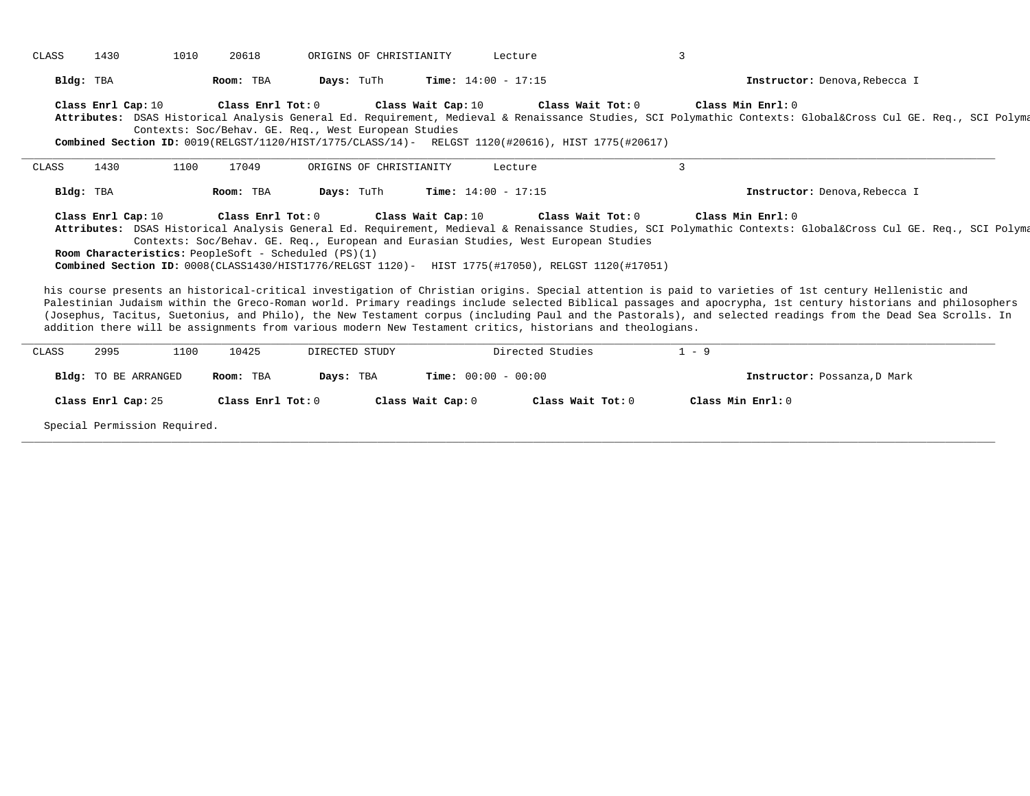| CLASS     | 1430<br>1010                                                        | 20618                                                | ORIGINS OF CHRISTIANITY                                                                      | Lecture                                                                                                                                                                                                                                                                                               | 3                 |                                                                                                                                                                                                                                                                                                                                                                                                                                                                                                                                                                                                                                                |
|-----------|---------------------------------------------------------------------|------------------------------------------------------|----------------------------------------------------------------------------------------------|-------------------------------------------------------------------------------------------------------------------------------------------------------------------------------------------------------------------------------------------------------------------------------------------------------|-------------------|------------------------------------------------------------------------------------------------------------------------------------------------------------------------------------------------------------------------------------------------------------------------------------------------------------------------------------------------------------------------------------------------------------------------------------------------------------------------------------------------------------------------------------------------------------------------------------------------------------------------------------------------|
| Bldg: TBA |                                                                     | Room: TBA                                            | Days: TuTh                                                                                   | <b>Time:</b> $14:00 - 17:15$                                                                                                                                                                                                                                                                          |                   | Instructor: Denova, Rebecca I                                                                                                                                                                                                                                                                                                                                                                                                                                                                                                                                                                                                                  |
|           | Class Enrl Cap: 10                                                  |                                                      | Class Enrl Tot: 0 Class Wait Cap: 10<br>Contexts: Soc/Behav. GE. Req., West European Studies | Class Wait Tot: 0<br>Combined Section ID: 0019(RELGST/1120/HIST/1775/CLASS/14) - RELGST 1120(#20616), HIST 1775(#20617)                                                                                                                                                                               | Class Min Enrl: 0 | Attributes: DSAS Historical Analysis General Ed. Requirement, Medieval & Renaissance Studies, SCI Polymathic Contexts: Global⨯ Cul GE. Req., SCI Polyma                                                                                                                                                                                                                                                                                                                                                                                                                                                                                        |
| CLASS     | 1430<br>1100                                                        | 17049                                                | ORIGINS OF CHRISTIANITY                                                                      | Lecture                                                                                                                                                                                                                                                                                               | 3                 |                                                                                                                                                                                                                                                                                                                                                                                                                                                                                                                                                                                                                                                |
| Bldg: TBA |                                                                     | Room: TBA                                            | Days: TuTh                                                                                   | <b>Time:</b> $14:00 - 17:15$                                                                                                                                                                                                                                                                          |                   | Instructor: Denova, Rebecca I                                                                                                                                                                                                                                                                                                                                                                                                                                                                                                                                                                                                                  |
|           |                                                                     | Room Characteristics: PeopleSoft - Scheduled (PS)(1) |                                                                                              | Contexts: Soc/Behav. GE. Req., European and Eurasian Studies, West European Studies<br>Combined Section ID: 0008(CLASS1430/HIST1776/RELGST 1120)- HIST 1775(#17050), RELGST 1120(#17051)<br>addition there will be assignments from various modern New Testament critics, historians and theologians. |                   | Attributes: DSAS Historical Analysis General Ed. Requirement, Medieval & Renaissance Studies, SCI Polymathic Contexts: Global⨯ Cul GE. Req., SCI Polyma<br>his course presents an historical-critical investigation of Christian origins. Special attention is paid to varieties of 1st century Hellenistic and<br>Palestinian Judaism within the Greco-Roman world. Primary readings include selected Biblical passages and apocrypha, 1st century historians and philosophers<br>(Josephus, Tacitus, Suetonius, and Philo), the New Testament corpus (including Paul and the Pastorals), and selected readings from the Dead Sea Scrolls. In |
| CLASS     | 1100<br>2995                                                        | 10425                                                | DIRECTED STUDY                                                                               | Directed Studies                                                                                                                                                                                                                                                                                      | $1 - 9$           |                                                                                                                                                                                                                                                                                                                                                                                                                                                                                                                                                                                                                                                |
|           | Bldg: TO BE ARRANGED                                                | Room: TBA                                            | Days: TBA                                                                                    | <b>Time:</b> $00:00 - 00:00$                                                                                                                                                                                                                                                                          |                   | Instructor: Possanza, D Mark                                                                                                                                                                                                                                                                                                                                                                                                                                                                                                                                                                                                                   |
|           | Class Enrl Cap: 25                                                  | Class Enrl Tot: 0                                    | Class Wait Cap: 0                                                                            | Class Wait Tot: 0                                                                                                                                                                                                                                                                                     | Class Min Enrl: 0 |                                                                                                                                                                                                                                                                                                                                                                                                                                                                                                                                                                                                                                                |
|           | $\alpha$ and $\alpha$ is the set of $\alpha$ is the set of $\alpha$ |                                                      |                                                                                              |                                                                                                                                                                                                                                                                                                       |                   |                                                                                                                                                                                                                                                                                                                                                                                                                                                                                                                                                                                                                                                |

**\_\_\_\_\_\_\_\_\_\_\_\_\_\_\_\_\_\_\_\_\_\_\_\_\_\_\_\_\_\_\_\_\_\_\_\_\_\_\_\_\_\_\_\_\_\_\_\_\_\_\_\_\_\_\_\_\_\_\_\_\_\_\_\_\_\_\_\_\_\_\_\_\_\_\_\_\_\_\_\_\_\_\_\_\_\_\_\_\_\_\_\_\_\_\_\_\_\_\_\_\_\_\_\_\_\_\_\_\_\_\_\_\_\_\_\_\_\_\_\_\_\_\_\_\_\_\_\_\_\_\_\_\_\_\_\_\_\_\_\_\_\_\_\_\_\_\_\_\_\_\_\_\_\_\_\_**

Special Permission Required.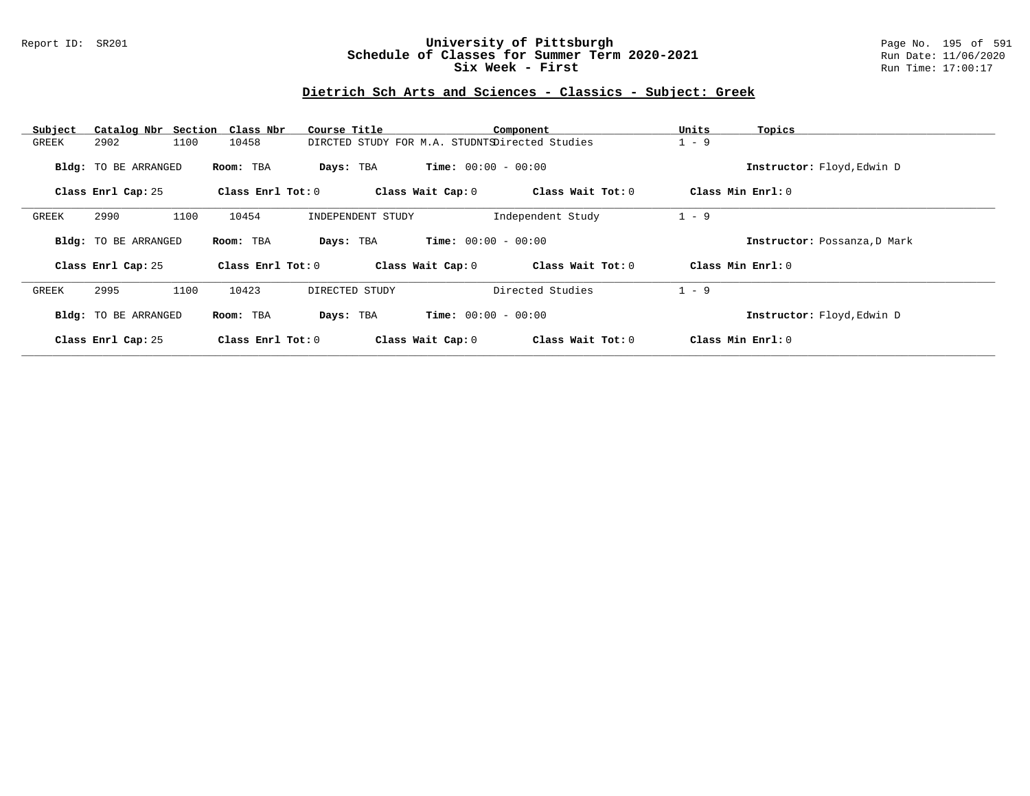### Report ID: SR201 **University of Pittsburgh** Page No. 195 of 591 **Schedule of Classes for Summer Term 2020-2021** Run Date: 11/06/2020 **Six Week - First Run Time: 17:00:17**

## **Dietrich Sch Arts and Sciences - Classics - Subject: Greek**

| Subject |                             | Catalog Nbr Section Class Nbr | Course Title                                   |                              | Component         | Units   | Topics                       |
|---------|-----------------------------|-------------------------------|------------------------------------------------|------------------------------|-------------------|---------|------------------------------|
| GREEK   | 2902                        | 1100<br>10458                 | DIRCTED STUDY FOR M.A. STUDNTSDirected Studies |                              |                   | $1 - 9$ |                              |
|         | <b>Bldg:</b> TO BE ARRANGED | Room: TBA                     | Days: TBA                                      | <b>Time:</b> $00:00 - 00:00$ |                   |         | Instructor: Floyd, Edwin D   |
|         | Class Enrl Cap: 25          | Class Enrl Tot: 0             |                                                | Class Wait Cap: 0            | Class Wait Tot: 0 |         | Class Min Enrl: 0            |
| GREEK   | 2990                        | 1100<br>10454                 | INDEPENDENT STUDY                              |                              | Independent Study | $1 - 9$ |                              |
|         | Bldg: TO BE ARRANGED        | Room: TBA                     | Days: TBA                                      | <b>Time:</b> $00:00 - 00:00$ |                   |         | Instructor: Possanza, D Mark |
|         | Class Enrl Cap: 25          | Class Enrl Tot: 0             |                                                | Class Wait Cap: 0            | Class Wait Tot: 0 |         | Class Min Enrl: 0            |
| GREEK   | 2995                        | 1100<br>10423                 | DIRECTED STUDY                                 |                              | Directed Studies  | $1 - 9$ |                              |
|         | <b>Bldg:</b> TO BE ARRANGED | Room: TBA                     | Days: TBA                                      | <b>Time:</b> $00:00 - 00:00$ |                   |         | Instructor: Floyd, Edwin D   |
|         | Class Enrl Cap: 25          | Class Enrl Tot: $0$           |                                                | Class Wait Cap: 0            | Class Wait Tot: 0 |         | Class Min Enrl: 0            |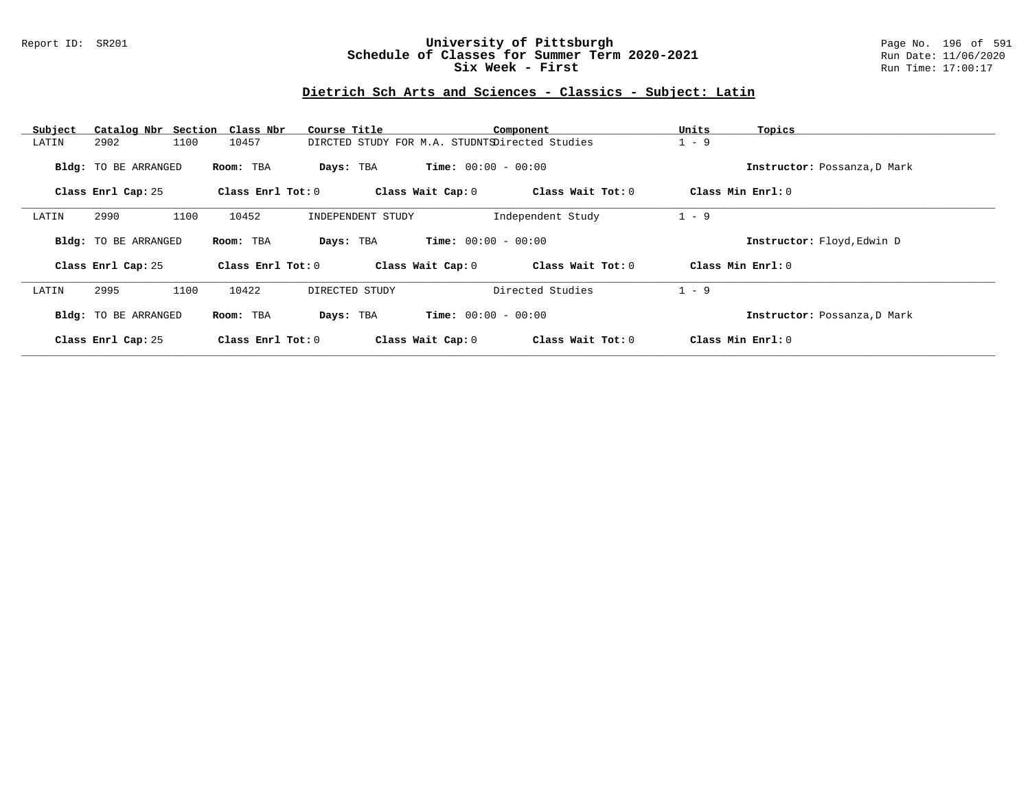### Report ID: SR201 **University of Pittsburgh** Page No. 196 of 591 **Schedule of Classes for Summer Term 2020-2021** Run Date: 11/06/2020 **Six Week - First Run Time: 17:00:17**

## **Dietrich Sch Arts and Sciences - Classics - Subject: Latin**

| Subject | Catalog Nbr Section Class Nbr |                     | Course Title                                   |                              | Component         | Units   | Topics                       |
|---------|-------------------------------|---------------------|------------------------------------------------|------------------------------|-------------------|---------|------------------------------|
| LATIN   | 2902<br>1100                  | 10457               | DIRCTED STUDY FOR M.A. STUDNTSDirected Studies |                              |                   | $1 - 9$ |                              |
|         | <b>Bldg:</b> TO BE ARRANGED   | Room: TBA           | Days: TBA                                      | <b>Time:</b> $00:00 - 00:00$ |                   |         | Instructor: Possanza, D Mark |
|         | Class Enrl Cap: 25            | Class Enrl Tot: 0   |                                                | Class Wait Cap: 0            | Class Wait Tot: 0 |         | Class Min $Enr1: 0$          |
| LATIN   | 1100<br>2990                  | 10452               | INDEPENDENT STUDY                              |                              | Independent Study | $1 - 9$ |                              |
|         | Bldg: TO BE ARRANGED          | Room: TBA           | Days: TBA                                      | <b>Time:</b> $00:00 - 00:00$ |                   |         | Instructor: Floyd, Edwin D   |
|         | Class Enrl Cap: 25            | Class Enrl Tot: 0   |                                                | Class Wait Cap: 0            | Class Wait Tot: 0 |         | Class Min Enrl: 0            |
| LATIN   | 2995<br>1100                  | 10422               | DIRECTED STUDY                                 |                              | Directed Studies  | $1 - 9$ |                              |
|         | Bldg: TO BE ARRANGED          | Room: TBA           | Days: TBA                                      | <b>Time:</b> $00:00 - 00:00$ |                   |         | Instructor: Possanza, D Mark |
|         | Class Enrl Cap: 25            | Class Enrl Tot: $0$ |                                                | Class Wait Cap: 0            | Class Wait Tot: 0 |         | Class Min Enrl: 0            |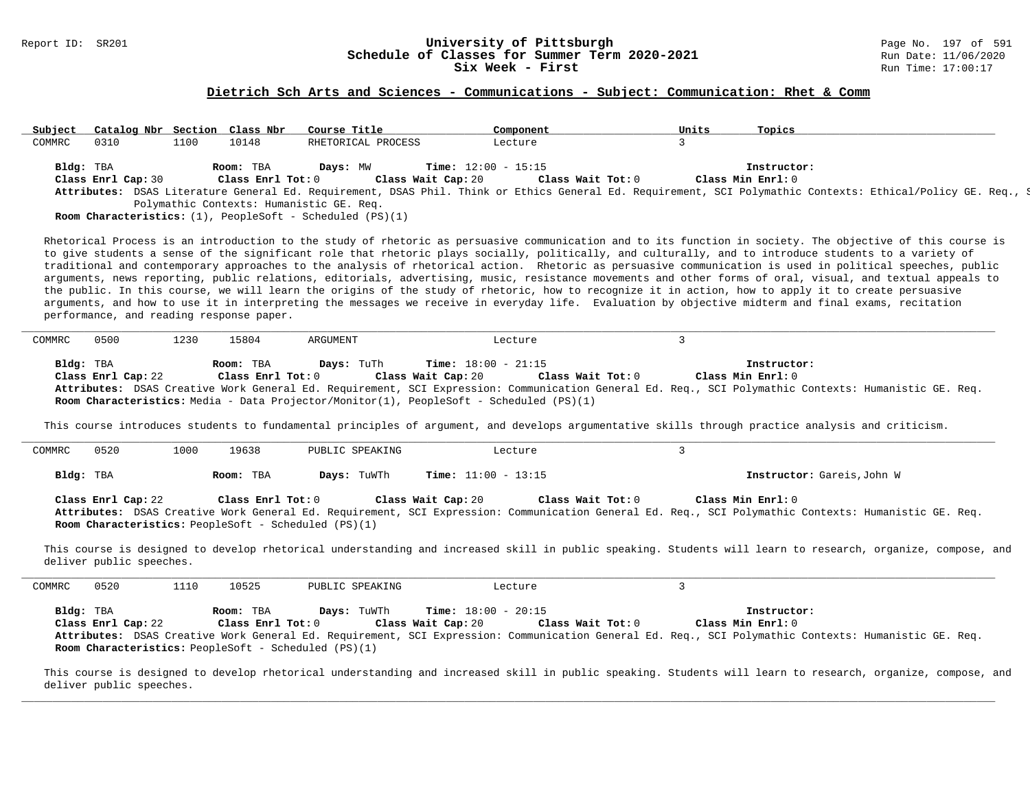# Report ID: SR201 **197 of Schedule of Classes for Summer Term 2020-2021** Page No. 197 of 591 **Schedule of Classes for Summer Term 2020-2021**<br>Six Week - First

#### **Dietrich Sch Arts and Sciences - Communications - Subject: Communication: Rhet & Comm**

| Subject   | Catalog Nbr Section Class Nbr |      |                   | Course Title                                                          |                    | Component                    | Units | Topics            |                                                                                                                                                              |  |
|-----------|-------------------------------|------|-------------------|-----------------------------------------------------------------------|--------------------|------------------------------|-------|-------------------|--------------------------------------------------------------------------------------------------------------------------------------------------------------|--|
| COMMRC    | 0310                          | 1100 | 10148             | RHETORICAL PROCESS                                                    |                    | Lecture                      |       |                   |                                                                                                                                                              |  |
|           |                               |      |                   |                                                                       |                    |                              |       |                   |                                                                                                                                                              |  |
| Bldg: TBA |                               |      | Room: TBA         | Davs: MW                                                              |                    | <b>Time:</b> $12:00 - 15:15$ |       | Instructor:       |                                                                                                                                                              |  |
|           | Class Enrl Cap: 30            |      | Class Enrl Tot: 0 |                                                                       | Class Wait Cap: 20 | Class Wait Tot: 0            |       | Class Min Enrl: 0 |                                                                                                                                                              |  |
|           |                               |      |                   |                                                                       |                    |                              |       |                   | Attributes: DSAS Literature General Ed. Requirement, DSAS Phil. Think or Ethics General Ed. Requirement, SCI Polymathic Contexts: Ethical/Policy GE. Req., S |  |
|           |                               |      |                   | Polymathic Contexts: Humanistic GE. Req.                              |                    |                              |       |                   |                                                                                                                                                              |  |
|           |                               |      |                   | <b>Room Characteristics:</b> $(1)$ , PeopleSoft - Scheduled $(PS)(1)$ |                    |                              |       |                   |                                                                                                                                                              |  |

Rhetorical Process is an introduction to the study of rhetoric as persuasive communication and to its function in society. The objective of this course is to give students a sense of the significant role that rhetoric plays socially, politically, and culturally, and to introduce students to a variety of traditional and contemporary approaches to the analysis of rhetorical action. Rhetoric as persuasive communication is used in political speeches, public arguments, news reporting, public relations, editorials, advertising, music, resistance movements and other forms of oral, visual, and textual appeals to the public. In this course, we will learn the origins of the study of rhetoric, how to recognize it in action, how to apply it to create persuasive arguments, and how to use it in interpreting the messages we receive in everyday life. Evaluation by objective midterm and final exams, recitation performance, and reading response paper.

| COMMRC    | 0500               | 1230 | 15804             | ARGUMENT                                                                                       |                              | Lecture           |                                                                                                                                                      |  |
|-----------|--------------------|------|-------------------|------------------------------------------------------------------------------------------------|------------------------------|-------------------|------------------------------------------------------------------------------------------------------------------------------------------------------|--|
|           |                    |      |                   |                                                                                                |                              |                   |                                                                                                                                                      |  |
|           |                    |      |                   |                                                                                                |                              |                   |                                                                                                                                                      |  |
| Bldg: TBA |                    |      | Room: TBA         | <b>Days:</b> TuTh                                                                              | <b>Time:</b> $18:00 - 21:15$ |                   | Instructor:                                                                                                                                          |  |
|           | Class Enrl Cap: 22 |      | Class Enrl Tot: 0 |                                                                                                | Class Wait Cap: 20           | Class Wait Tot: 0 | Class Min Enrl: 0                                                                                                                                    |  |
|           |                    |      |                   |                                                                                                |                              |                   | Attributes: DSAS Creative Work General Ed. Requirement, SCI Expression: Communication General Ed. Req., SCI Polymathic Contexts: Humanistic GE. Req. |  |
|           |                    |      |                   | <b>Room Characteristics:</b> Media - Data Projector/Monitor(1), PeopleSoft - Scheduled (PS)(1) |                              |                   |                                                                                                                                                      |  |

This course introduces students to fundamental principles of argument, and develops argumentative skills through practice analysis and criticism.

| COMMRC    | 0520                           | 1000 | 19638             | PUBLIC SPEAKING | Lecture                      |                   |                                                                                      |  |
|-----------|--------------------------------|------|-------------------|-----------------|------------------------------|-------------------|--------------------------------------------------------------------------------------|--|
| Bldg: TBA |                                |      | Room: TBA         | Days: TuWTh     | <b>Time:</b> $11:00 - 13:15$ |                   | Instructor: Gareis, John W                                                           |  |
|           | Class Enrl Cap: 22<br>________ |      | Class Enrl Tot: 0 |                 | Class Wait Cap: 20           | Class Wait Tot: 0 | Class Min Enrl: 0<br>المساهدة المنافرة المتحدث المسافرة والمستنقص المستنقص والمستنقص |  |

**Attributes:** DSAS Creative Work General Ed. Requirement, SCI Expression: Communication General Ed. Req., SCI Polymathic Contexts: Humanistic GE. Req. **Room Characteristics:** PeopleSoft - Scheduled (PS)(1)

This course is designed to develop rhetorical understanding and increased skill in public speaking. Students will learn to research, organize, compose, and deliver public speeches.

| COMMRC    | 0520               | 1110 | 10525                          | PUBLIC SPEAKING                                                            | Lecture                                                                 |                                                                                                                                                                                          |
|-----------|--------------------|------|--------------------------------|----------------------------------------------------------------------------|-------------------------------------------------------------------------|------------------------------------------------------------------------------------------------------------------------------------------------------------------------------------------|
| Bldg: TBA | Class Enrl Cap: 22 |      | Room: TBA<br>Class Enrl Tot: 0 | Days: TuWTh<br><b>Room Characteristics:</b> PeopleSoft - Scheduled (PS)(1) | <b>Time:</b> $18:00 - 20:15$<br>Class Wait Tot: 0<br>Class Wait Cap: 20 | Instructor:<br>Class Min Enrl: 0<br>Attributes: DSAS Creative Work General Ed. Requirement, SCI Expression: Communication General Ed. Req., SCI Polymathic Contexts: Humanistic GE. Req. |

This course is designed to develop rhetorical understanding and increased skill in public speaking. Students will learn to research, organize, compose, and deliver public speeches.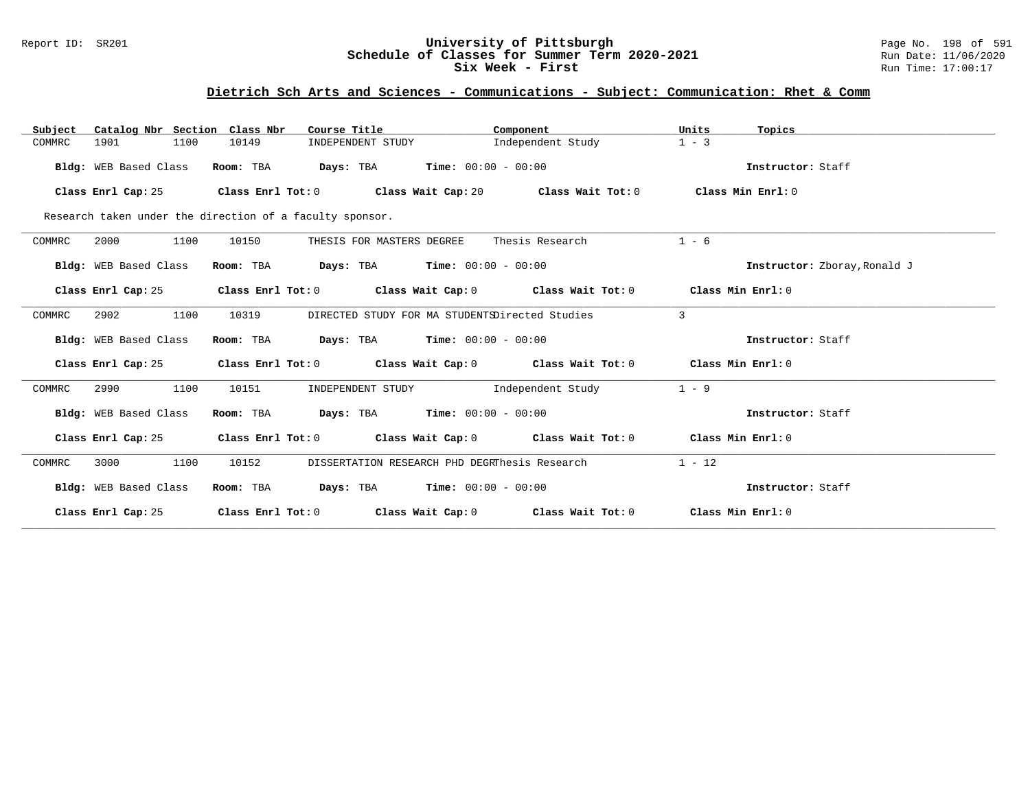### Report ID: SR201 **University of Pittsburgh** Page No. 198 of 591 **Schedule of Classes for Summer Term 2020-2021** Run Date: 11/06/2020 **Six Week - First Run Time: 17:00:17**

## **Dietrich Sch Arts and Sciences - Communications - Subject: Communication: Rhet & Comm**

| Catalog Nbr Section Class Nbr<br>Subject | Course Title                                                                                        | Component                                                                       | Units<br>Topics              |
|------------------------------------------|-----------------------------------------------------------------------------------------------------|---------------------------------------------------------------------------------|------------------------------|
| 1901<br>1100<br>COMMRC                   | 10149<br>INDEPENDENT STUDY                                                                          | Independent Study                                                               | $1 - 3$                      |
| Bldg: WEB Based Class                    | <b>Days:</b> TBA <b>Time:</b> $00:00 - 00:00$<br>Room: TBA                                          |                                                                                 | Instructor: Staff            |
| Class Enrl Cap: 25                       | Class Enrl Tot: 0 $\qquad$ Class Wait Cap: 20 $\qquad$ Class Wait Tot: 0 $\qquad$ Class Min Enrl: 0 |                                                                                 |                              |
|                                          | Research taken under the direction of a faculty sponsor.                                            |                                                                                 |                              |
| 2000<br>1100<br>COMMRC                   | 10150<br>THESIS FOR MASTERS DEGREE                                                                  | Thesis Research                                                                 | $1 - 6$                      |
| Bldg: WEB Based Class                    | $\texttt{Davis:}$ TBA $\texttt{Time:}$ 00:00 - 00:00<br>Room: TBA                                   |                                                                                 | Instructor: Zboray, Ronald J |
| Class Enrl Cap: 25                       |                                                                                                     | Class Enrl Tot: $0$ Class Wait Cap: $0$ Class Wait Tot: $0$ Class Min Enrl: $0$ |                              |
| 1100<br>2902<br>COMMRC                   | 10319                                                                                               | DIRECTED STUDY FOR MA STUDENTSDirected Studies                                  | 3                            |
| Bldg: WEB Based Class                    | Room: TBA<br><b>Days:</b> TBA <b>Time:</b> $00:00 - 00:00$                                          |                                                                                 | Instructor: Staff            |
| Class Enrl Cap: 25                       | Class Enrl Tot: $0$ Class Wait Cap: $0$ Class Wait Tot: $0$ Class Min Enrl: $0$                     |                                                                                 |                              |
| 1100<br>2990<br>COMMRC                   | 10151<br>INDEPENDENT STUDY                                                                          | Independent Study                                                               | $1 - 9$                      |
| Bldg: WEB Based Class                    | $\texttt{Davis:}$ TBA $\texttt{Time:}$ 00:00 - 00:00<br>Room: TBA                                   |                                                                                 | Instructor: Staff            |
| Class Enrl Cap: 25                       |                                                                                                     | Class Enrl Tot: $0$ Class Wait Cap: $0$ Class Wait Tot: $0$ Class Min Enrl: $0$ |                              |
| 1100<br>3000<br>COMMRC                   | 10152                                                                                               | DISSERTATION RESEARCH PHD DEGRThesis Research                                   | $1 - 12$                     |
| Bldg: WEB Based Class                    | <b>Days:</b> TBA <b>Time:</b> $00:00 - 00:00$<br>Room: TBA                                          |                                                                                 | Instructor: Staff            |
| Class Enrl Cap: 25                       | Class Enrl Tot: $0$ Class Wait Cap: $0$ Class Wait Tot: $0$                                         |                                                                                 | Class Min Enrl: 0            |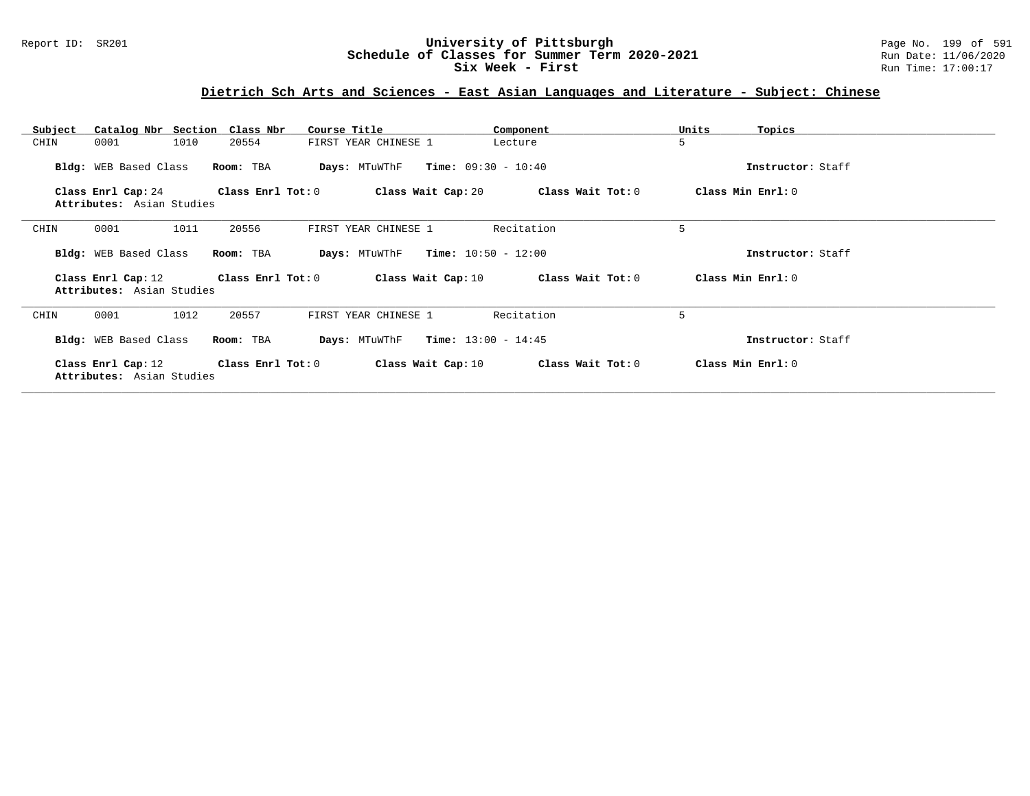### Report ID: SR201 **University of Pittsburgh** Page No. 199 of 591 **Schedule of Classes for Summer Term 2020-2021** Run Date: 11/06/2020 **Six Week - First Run Time: 17:00:17**

## **Dietrich Sch Arts and Sciences - East Asian Languages and Literature - Subject: Chinese**

| Subject | Catalog Nbr Section                                               | Class Nbr               | Course Title                                            | Component                                | Units<br>Topics   |
|---------|-------------------------------------------------------------------|-------------------------|---------------------------------------------------------|------------------------------------------|-------------------|
| CHIN    | 1010<br>0001                                                      | 20554                   | FIRST YEAR CHINESE 1                                    | Lecture                                  | 5                 |
|         | Bldg: WEB Based Class                                             | Room: TBA               | <b>Days:</b> MTuWThF $Time: 09:30 - 10:40$              |                                          | Instructor: Staff |
|         | Class Enrl Cap: 24                                                | $Class$ $Enrl$ $Tot: 0$ |                                                         | Class Wait Cap: 20 Class Wait Tot: 0     | Class Min Enrl: 0 |
|         | Attributes: Asian Studies                                         |                         |                                                         |                                          |                   |
| CHIN    | 1011<br>0001                                                      | 20556                   | FIRST YEAR CHINESE 1                                    | Recitation                               | 5                 |
|         | Bldg: WEB Based Class                                             | Room: TBA               | $\texttt{DayS:}$ MTuWThF $\texttt{Time:}$ 10:50 - 12:00 |                                          | Instructor: Staff |
|         | Class Enrl Cap: 12<br>Attributes: Asian Studies                   | Class Enrl Tot: 0       |                                                         | Class Wait Cap: $10$ Class Wait Tot: $0$ | Class Min Enrl: 0 |
| CHIN    | 1012<br>0001                                                      | 20557                   | FIRST YEAR CHINESE 1                                    | Recitation                               | 5                 |
|         | Bldg: WEB Based Class                                             | Room: TBA               | <b>Days:</b> MTuWThF <b>Time:</b> $13:00 - 14:45$       |                                          | Instructor: Staff |
|         | Class Enrl Cap: 12 Class Enrl Tot: 0<br>Attributes: Asian Studies |                         | Class Wait Cap: 10                                      | Class Wait Tot: 0                        | Class Min Enrl: 0 |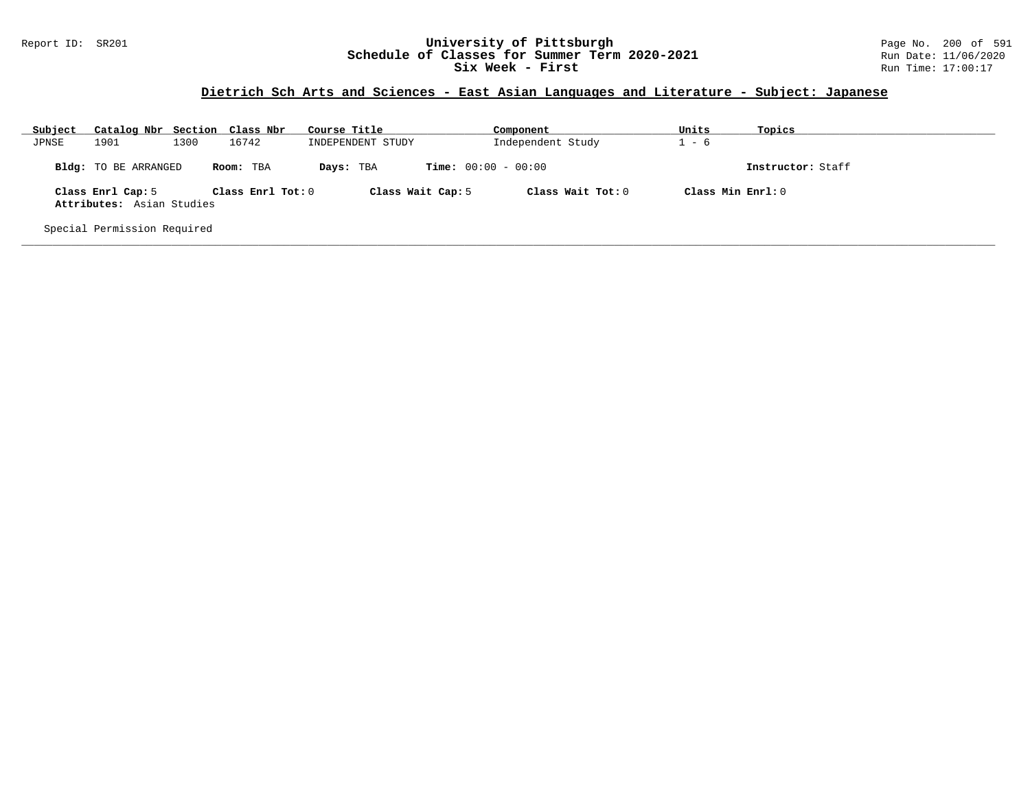### Report ID: SR201 **University of Pittsburgh** Page No. 200 of 591 **Schedule of Classes for Summer Term 2020-2021** Run Date: 11/06/2020 **Six Week - First Run Time: 17:00:17**

## **Dietrich Sch Arts and Sciences - East Asian Languages and Literature - Subject: Japanese**

| Subject                     | Catalog Nbr Section Class Nbr                  |      |                   | Course Title      | Component                    | Units             | Topics            |  |  |  |
|-----------------------------|------------------------------------------------|------|-------------------|-------------------|------------------------------|-------------------|-------------------|--|--|--|
| JPNSE                       | 1901                                           | 1300 | 16742             | INDEPENDENT STUDY | Independent Study            | - 6               |                   |  |  |  |
|                             | Bldg: TO BE ARRANGED                           |      | Room: TBA         | Days: TBA         | <b>Time:</b> $00:00 - 00:00$ |                   | Instructor: Staff |  |  |  |
|                             | Class Enrl Cap: 5<br>Attributes: Asian Studies |      | Class Enrl Tot: 0 | Class Wait Cap: 5 | Class Wait Tot: 0            | Class Min Enrl: 0 |                   |  |  |  |
| Special Permission Required |                                                |      |                   |                   |                              |                   |                   |  |  |  |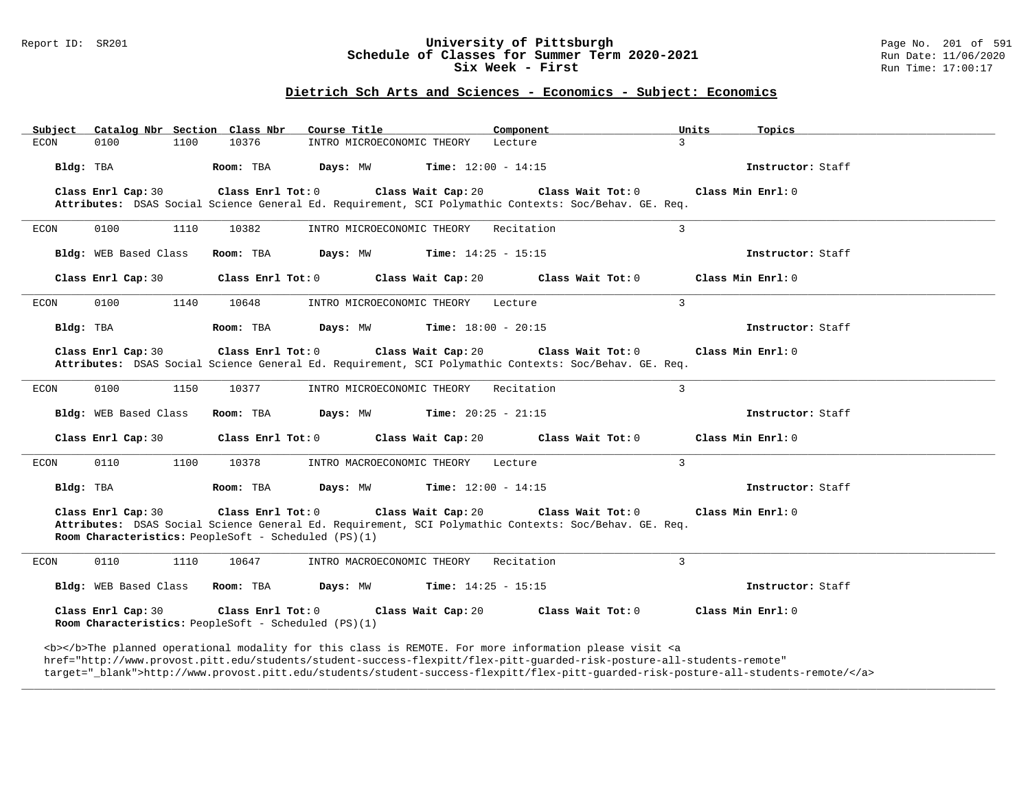#### Report ID: SR201 **University of Pittsburgh University of Pittsburgh** Page No. 201 of 591 **Schedule of Classes for Summer Term 2020-2021** Page No. 201 of 591 **Schedule of Classes for Summer Term 2020-2021 Schedule of Classes for Summer Term 2020-2021** Run Date: 11/06/2020<br>Six Week - First Run Time: 17:00:17 Six Week - First

### **Dietrich Sch Arts and Sciences - Economics - Subject: Economics**

| Catalog Nbr Section Class Nbr<br>Subject                                                                                                                                                                                                  | Course Title                                                                    | Component                 | Units<br>Topics   |
|-------------------------------------------------------------------------------------------------------------------------------------------------------------------------------------------------------------------------------------------|---------------------------------------------------------------------------------|---------------------------|-------------------|
| 1100<br>10376<br>ECON<br>0100                                                                                                                                                                                                             | INTRO MICROECONOMIC THEORY                                                      | 3<br>Lecture              |                   |
| Bldg: TBA<br>Room: TBA                                                                                                                                                                                                                    | Days: MW<br><b>Time:</b> $12:00 - 14:15$                                        |                           | Instructor: Staff |
| Class Enrl Cap: 30<br>Class Enrl Tot: 0<br>Attributes: DSAS Social Science General Ed. Requirement, SCI Polymathic Contexts: Soc/Behav. GE. Req.                                                                                          | Class Wait Cap: 20                                                              | Class Wait Tot: 0         | Class Min Enrl: 0 |
| 0100<br>1110<br>10382<br>ECON                                                                                                                                                                                                             | INTRO MICROECONOMIC THEORY                                                      | 3<br>Recitation           |                   |
| Bldg: WEB Based Class<br>Room: TBA                                                                                                                                                                                                        | Days: MW<br><b>Time:</b> $14:25 - 15:15$                                        |                           | Instructor: Staff |
| Class Enrl Cap: 30<br>Class Enrl Tot: 0                                                                                                                                                                                                   | Class Wait Cap: 20                                                              | Class Wait Tot: 0         | Class Min Enrl: 0 |
| 1140<br>0100<br>10648<br>ECON                                                                                                                                                                                                             | INTRO MICROECONOMIC THEORY                                                      | $\overline{3}$<br>Lecture |                   |
| Room: TBA<br>Bldg: TBA                                                                                                                                                                                                                    | Days: MW<br><b>Time:</b> $18:00 - 20:15$                                        |                           | Instructor: Staff |
| Class Enrl Cap: 30<br>Class Enrl Tot: 0<br>Attributes: DSAS Social Science General Ed. Requirement, SCI Polymathic Contexts: Soc/Behav. GE. Req.                                                                                          | Class Wait Cap: 20                                                              | Class Wait Tot: 0         | Class Min Enrl: 0 |
| 1150<br>0100<br>10377<br>ECON                                                                                                                                                                                                             | INTRO MICROECONOMIC THEORY                                                      | 3<br>Recitation           |                   |
| Bldg: WEB Based Class<br>Room: TBA                                                                                                                                                                                                        | <b>Days:</b> MW <b>Time:</b> $20:25 - 21:15$                                    |                           | Instructor: Staff |
| Class Enrl Cap: 30<br>$Class$ $Enr1$ $Tot: 0$                                                                                                                                                                                             | Class Wait Cap: 20                                                              | Class Wait Tot: 0         | Class Min Enrl: 0 |
| 0110<br>1100<br>10378<br>ECON                                                                                                                                                                                                             | INTRO MACROECONOMIC THEORY                                                      | 3<br>Lecture              |                   |
| Bldg: TBA<br>Room: TBA                                                                                                                                                                                                                    | Days: MW<br><b>Time:</b> $12:00 - 14:15$                                        |                           | Instructor: Staff |
| Class Enrl Cap: 30<br>Class Enrl Tot: 0<br>Attributes: DSAS Social Science General Ed. Requirement, SCI Polymathic Contexts: Soc/Behav. GE. Req.<br>Room Characteristics: PeopleSoft - Scheduled (PS)(1)                                  | Class Wait Cap: 20                                                              | Class Wait Tot: 0         | Class Min Enrl: 0 |
| 0110<br>1110<br>ECON<br>10647                                                                                                                                                                                                             | INTRO MACROECONOMIC THEORY                                                      | 3<br>Recitation           |                   |
| Bldg: WEB Based Class                                                                                                                                                                                                                     | <b>Room:</b> TBA $\qquad$ <b>Days:</b> MW $\qquad$ <b>Time:</b> $14:25 - 15:15$ |                           | Instructor: Staff |
| Class Enrl Cap: 30<br>Class Enrl Tot: 0<br>Room Characteristics: PeopleSoft - Scheduled (PS)(1)                                                                                                                                           | Class Wait Cap: 20                                                              | Class Wait Tot: 0         | Class Min Enrl: 0 |
| <b></b> The planned operational modality for this class is REMOTE. For more information please visit <a<br>href="http://www.provost.pitt.edu/students/student-success-flexpitt/flex-pitt-quarded-risk-posture-all-students-remote"</a<br> |                                                                                 |                           |                   |

target="\_blank">http://www.provost.pitt.edu/students/student-success-flexpitt/flex-pitt-guarded-risk-posture-all-students-remote/</a>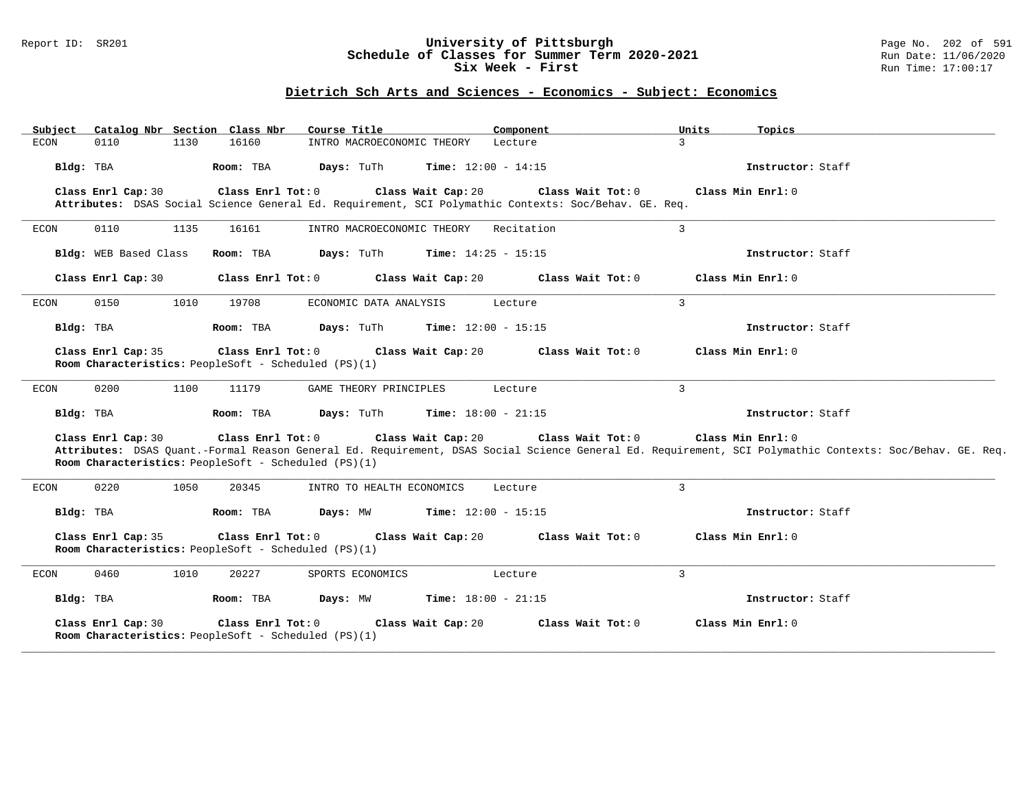### Report ID: SR201 **University of Pittsburgh** Page No. 202 of 591 **Schedule of Classes for Summer Term 2020-2021** Run Date: 11/06/2020 **Six Week - First Run Time: 17:00:17**

## **Dietrich Sch Arts and Sciences - Economics - Subject: Economics**

| Catalog Nbr Section Class Nbr<br>Subject | Course Title                                                                                                                                     | Component                    | Units<br>Topics                                                                                                                                                               |
|------------------------------------------|--------------------------------------------------------------------------------------------------------------------------------------------------|------------------------------|-------------------------------------------------------------------------------------------------------------------------------------------------------------------------------|
| 0110<br>1130<br><b>ECON</b>              | 16160<br>INTRO MACROECONOMIC THEORY                                                                                                              | Lecture                      | $\overline{3}$                                                                                                                                                                |
| Bldg: TBA                                | Days: TuTh<br>Room: TBA                                                                                                                          | <b>Time:</b> $12:00 - 14:15$ | Instructor: Staff                                                                                                                                                             |
| Class Enrl Cap: 30                       | Class Enrl Tot: 0<br>Class Wait Cap: 20<br>Attributes: DSAS Social Science General Ed. Requirement, SCI Polymathic Contexts: Soc/Behav. GE. Req. | Class Wait Tot: 0            | Class Min Enrl: 0                                                                                                                                                             |
| 0110<br>1135<br>ECON                     | 16161<br>INTRO MACROECONOMIC THEORY                                                                                                              | Recitation                   | $\mathbf{3}$                                                                                                                                                                  |
| Bldg: WEB Based Class                    | Room: TBA<br>Days: TuTh                                                                                                                          | <b>Time:</b> $14:25 - 15:15$ | Instructor: Staff                                                                                                                                                             |
| Class Enrl Cap: 30                       | Class Enrl Tot: 0<br>Class Wait Cap: 20                                                                                                          | Class Wait Tot: 0            | Class Min Enrl: 0                                                                                                                                                             |
| ECON<br>0150<br>1010                     | 19708<br>ECONOMIC DATA ANALYSIS                                                                                                                  | Lecture                      | 3                                                                                                                                                                             |
| Bldg: TBA                                | Room: TBA<br>Days: TuTh                                                                                                                          | <b>Time:</b> $12:00 - 15:15$ | Instructor: Staff                                                                                                                                                             |
| Class Enrl Cap: 35                       | Class Wait Cap: 20<br>Class Enrl Tot: 0<br>Room Characteristics: PeopleSoft - Scheduled (PS)(1)                                                  | Class Wait Tot: 0            | Class Min Enrl: 0                                                                                                                                                             |
| 0200<br><b>ECON</b><br>1100              | 11179<br>GAME THEORY PRINCIPLES                                                                                                                  | Lecture                      | 3                                                                                                                                                                             |
| Bldg: TBA                                | Room: TBA<br>Days: TuTh                                                                                                                          | <b>Time:</b> $18:00 - 21:15$ | Instructor: Staff                                                                                                                                                             |
| Class Enrl Cap: 30                       | Class Enrl Tot: 0<br>Class Wait Cap: 20<br>Room Characteristics: PeopleSoft - Scheduled (PS)(1)                                                  | Class Wait Tot: 0            | Class Min Enrl: 0<br>Attributes: DSAS Quant.-Formal Reason General Ed. Requirement, DSAS Social Science General Ed. Requirement, SCI Polymathic Contexts: Soc/Behav. GE. Req. |
| 0220<br>1050<br><b>ECON</b>              | 20345<br>INTRO TO HEALTH ECONOMICS                                                                                                               | Lecture                      | 3                                                                                                                                                                             |
| Bldg: TBA                                | Room: TBA<br>Days: MW                                                                                                                            | <b>Time:</b> $12:00 - 15:15$ | Instructor: Staff                                                                                                                                                             |
| Class Enrl Cap: 35                       | Class Enrl Tot: 0<br>Class Wait Cap: 20<br>Room Characteristics: PeopleSoft - Scheduled (PS)(1)                                                  | Class Wait Tot: 0            | Class Min Enrl: 0                                                                                                                                                             |
| <b>ECON</b><br>0460<br>1010              | 20227<br>SPORTS ECONOMICS                                                                                                                        | Lecture                      | 3                                                                                                                                                                             |
| Bldg: TBA                                | Room: TBA<br>Days: MW                                                                                                                            | <b>Time:</b> $18:00 - 21:15$ | Instructor: Staff                                                                                                                                                             |
| Class Enrl Cap: 30                       | Class Enrl Tot: 0<br>Class Wait Cap: 20<br>Room Characteristics: PeopleSoft - Scheduled (PS)(1)                                                  | Class Wait Tot: 0            | Class Min Enrl: 0                                                                                                                                                             |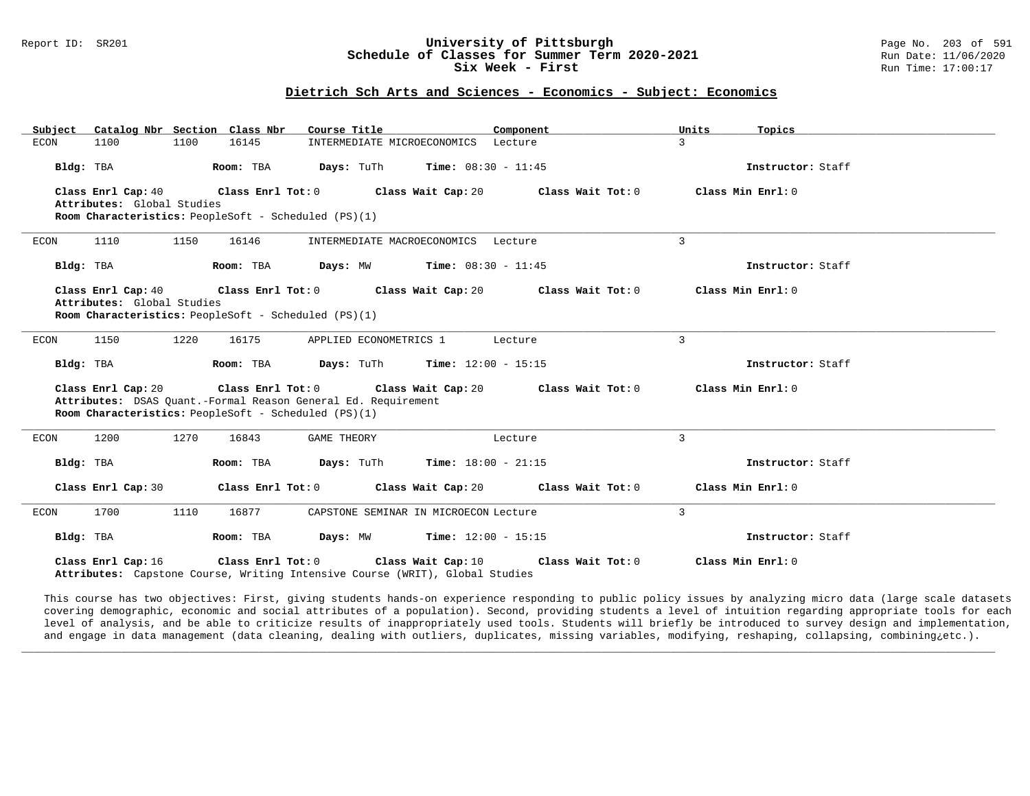# Report ID: SR201 **1988 Constrained Building Constrained Building Constrained Building Page No. 203 of 591 Constrained Building Page No. 203 of 591 Constrained Building Page No. 2006 591 Schedule of Classes for Summer Term** Schedule of Classes for Summer Term 2020-2021<br>Six Week - First

**Six Week - First** Run Time: 17:00:17

### **Dietrich Sch Arts and Sciences - Economics - Subject: Economics**

| Catalog Nbr Section Class Nbr<br>Subject                                                                                | Course Title<br>Component                      | Units<br>Topics                        |
|-------------------------------------------------------------------------------------------------------------------------|------------------------------------------------|----------------------------------------|
| 1100<br>ECON<br>1100<br>16145                                                                                           | INTERMEDIATE MICROECONOMICS<br>Lecture         | $\mathbf{R}$                           |
| Bldg: TBA<br>Room: TBA                                                                                                  | <b>Days:</b> TuTh <b>Time:</b> $08:30 - 11:45$ | Instructor: Staff                      |
| Class Enrl Cap: 40<br>Class Enrl Tot: 0<br>Attributes: Global Studies                                                   | Class Wait Cap: 20                             | Class Min Enrl: 0<br>Class Wait Tot: 0 |
| Room Characteristics: PeopleSoft - Scheduled (PS)(1)                                                                    |                                                |                                        |
| 1110<br>1150<br>16146<br>ECON                                                                                           | INTERMEDIATE MACROECONOMICS Lecture            | 3                                      |
| Room: TBA<br>Bldg: TBA                                                                                                  | <b>Days:</b> $MW$ <b>Time:</b> $08:30 - 11:45$ | Instructor: Staff                      |
| Class Enrl Cap: 40<br>Class Enrl Tot: 0                                                                                 | Class Wait Cap: 20                             | Class Wait Tot: 0<br>Class Min Enrl: 0 |
| Attributes: Global Studies<br>Room Characteristics: PeopleSoft - Scheduled (PS)(1)                                      |                                                |                                        |
|                                                                                                                         |                                                |                                        |
| 1150<br>1220<br>16175<br>ECON                                                                                           | APPLIED ECONOMETRICS 1<br>Lecture              | 3                                      |
| Bldg: TBA<br>Room: TBA                                                                                                  | <b>Days:</b> TuTh <b>Time:</b> $12:00 - 15:15$ | Instructor: Staff                      |
| Class Enrl Tot: 0<br>Class Enrl Cap: 20                                                                                 | Class Wait Cap: 20                             | Class Wait Tot: 0<br>Class Min Enrl: 0 |
| Attributes: DSAS Quant.-Formal Reason General Ed. Requirement<br>Room Characteristics: PeopleSoft - Scheduled (PS)(1)   |                                                |                                        |
|                                                                                                                         |                                                |                                        |
| 1200<br>1270<br>ECON<br>16843                                                                                           | <b>GAME THEORY</b><br>Lecture                  | 3                                      |
| Room: TBA<br>Bldg: TBA                                                                                                  | <b>Days:</b> TuTh <b>Time:</b> $18:00 - 21:15$ | Instructor: Staff                      |
| Class Enrl Cap: 30                                                                                                      | Class Enrl Tot: 0 Class Wait Cap: 20           | Class Wait Tot: 0<br>Class Min Enrl: 0 |
| 1700<br>1110<br>16877<br>ECON                                                                                           | CAPSTONE SEMINAR IN MICROECON Lecture          | $\overline{3}$                         |
| Room: TBA<br>Bldg: TBA                                                                                                  | <b>Days:</b> MW <b>Time:</b> $12:00 - 15:15$   | Instructor: Staff                      |
| Class Enrl Tot: 0<br>Class Enrl Cap: 16<br>Attributes: Capstone Course, Writing Intensive Course (WRIT), Global Studies | Class Wait Cap: 10                             | Class Min Enrl: 0<br>Class Wait Tot: 0 |

This course has two objectives: First, giving students hands-on experience responding to public policy issues by analyzing micro data (large scale datasets covering demographic, economic and social attributes of a population). Second, providing students a level of intuition regarding appropriate tools for each level of analysis, and be able to criticize results of inappropriately used tools. Students will briefly be introduced to survey design and implementation, and engage in data management (data cleaning, dealing with outliers, duplicates, missing variables, modifying, reshaping, collapsing, combining¿etc.).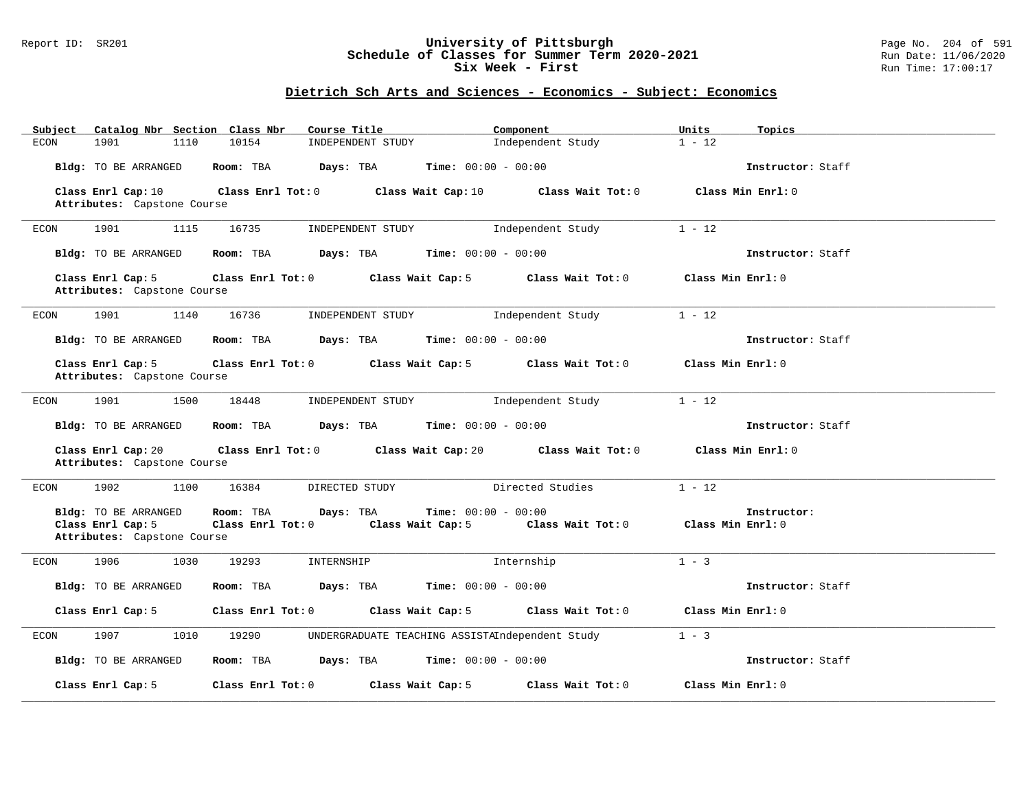#### Report ID: SR201 **University of Pittsburgh** Page No. 204 of 591 **Schedule of Classes for Summer Term 2020-2021** Run Date: 11/06/2020 **Six Week - First Run Time: 17:00:17**

## **Dietrich Sch Arts and Sciences - Economics - Subject: Economics**

| Catalog Nbr Section Class Nbr<br>Subject          | Course Title                                               | Component                               | Units<br>Topics   |
|---------------------------------------------------|------------------------------------------------------------|-----------------------------------------|-------------------|
| 1901<br>1110<br><b>ECON</b>                       | 10154<br>INDEPENDENT STUDY                                 | Independent Study                       | $1 - 12$          |
| Bldg: TO BE ARRANGED                              | Room: TBA<br>Days: TBA                                     | <b>Time:</b> $00:00 - 00:00$            | Instructor: Staff |
| Class Enrl Cap: 10                                | Class Enrl Tot: 0<br>Class Wait Cap: 10                    | Class Wait Tot: 0                       | Class Min Enrl: 0 |
| Attributes: Capstone Course                       |                                                            |                                         |                   |
|                                                   |                                                            |                                         |                   |
| 1901<br>1115<br>ECON                              | 16735<br>INDEPENDENT STUDY                                 | Independent Study                       | $1 - 12$          |
| Bldg: TO BE ARRANGED                              | Room: TBA<br><b>Days:</b> TBA <b>Time:</b> $00:00 - 00:00$ |                                         | Instructor: Staff |
| Class Enrl Cap: 5                                 | Class Enrl Tot: 0<br>Class Wait Cap: 5                     | Class Wait Tot: 0                       | Class Min Enrl: 0 |
| Attributes: Capstone Course                       |                                                            |                                         |                   |
| 1901<br>1140<br>ECON                              | 16736<br>INDEPENDENT STUDY                                 | Independent Study                       | $1 - 12$          |
| Bldg: TO BE ARRANGED                              | Room: TBA<br>Days: TBA                                     | <b>Time:</b> $00:00 - 00:00$            | Instructor: Staff |
| Class Enrl Cap: 5                                 | Class Enrl Tot: 0<br>Class Wait Cap: 5                     | Class Wait Tot: 0                       | Class Min Enrl: 0 |
| Attributes: Capstone Course                       |                                                            |                                         |                   |
|                                                   |                                                            |                                         |                   |
| 1901<br>1500<br>ECON                              | 18448<br>INDEPENDENT STUDY                                 | Independent Study                       | $1 - 12$          |
| Bldg: TO BE ARRANGED                              | Room: TBA<br>Days: TBA                                     | <b>Time:</b> $00:00 - 00:00$            | Instructor: Staff |
| Class Enrl Cap: 20<br>Attributes: Capstone Course | Class Enrl Tot: 0<br>Class Wait Cap: 20                    | Class Wait Tot: 0                       | Class Min Enrl: 0 |
| 1902<br>1100<br>ECON                              | 16384<br>DIRECTED STUDY                                    | Directed Studies                        | $1 - 12$          |
| Bldg: TO BE ARRANGED                              | Room: TBA<br>Days: TBA                                     | <b>Time:</b> $00:00 - 00:00$            | Instructor:       |
| Class Enrl Cap: 5                                 | Class Enrl Tot: 0 Class Wait Cap: 5                        | Class Wait Tot: $0$ Class Min Enrl: $0$ |                   |
| Attributes: Capstone Course                       |                                                            |                                         |                   |
| 1906<br>1030<br>ECON                              | 19293<br>INTERNSHIP                                        | Internship                              | $1 - 3$           |
| Bldg: TO BE ARRANGED                              | Room: TBA<br>Days: TBA                                     | $Time: 00:00 - 00:00$                   | Instructor: Staff |
| Class Enrl Cap: 5                                 | Class Enrl Tot: 0<br>Class Wait Cap: 5                     | Class Wait Tot: 0                       | Class Min Enrl: 0 |
| 1907<br>1010<br>ECON                              | 19290<br>UNDERGRADUATE TEACHING ASSISTAIndependent Study   |                                         | $1 - 3$           |
| Bldg: TO BE ARRANGED                              | Room: TBA<br>Days: TBA                                     | <b>Time:</b> $00:00 - 00:00$            | Instructor: Staff |
| Class Enrl Cap: 5                                 | Class Enrl Tot: 0<br>Class Wait Cap: 5                     | Class Wait Tot: 0                       | Class Min Enrl: 0 |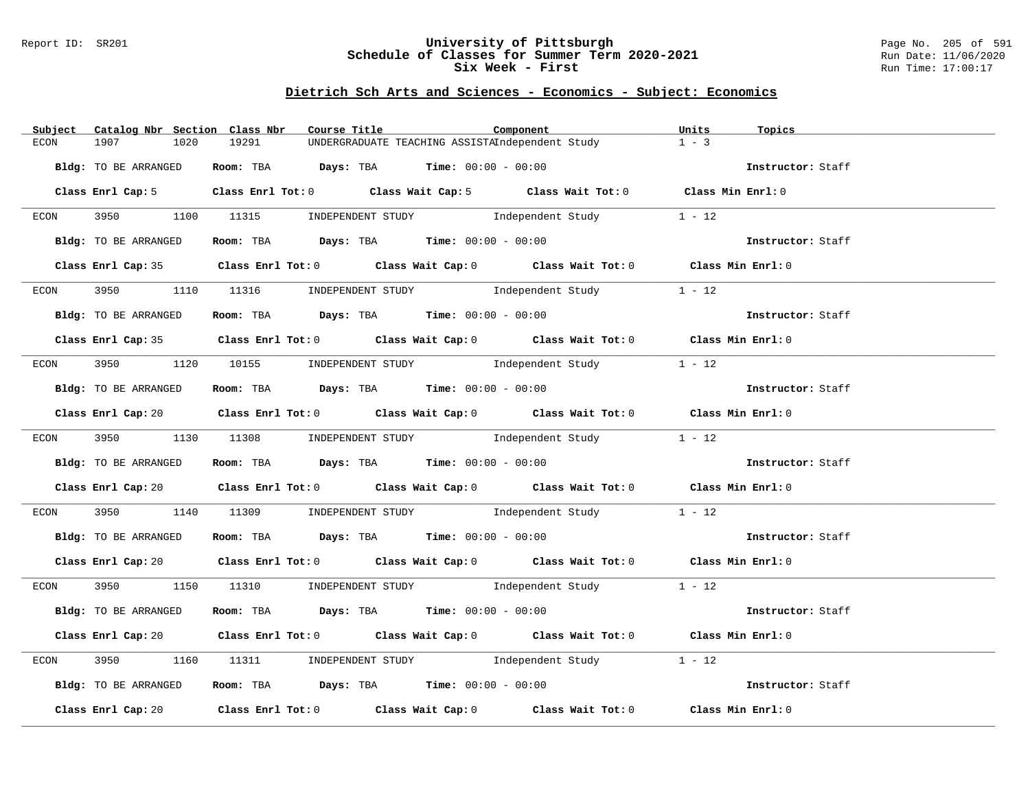#### Report ID: SR201 **University of Pittsburgh** Page No. 205 of 591 **Schedule of Classes for Summer Term 2020-2021** Run Date: 11/06/2020 **Six Week - First Run Time: 17:00:17**

## **Dietrich Sch Arts and Sciences - Economics - Subject: Economics**

| Subject      | Catalog Nbr Section Class Nbr |       | Course Title                                                                                           | Component | Units<br>Topics   |  |
|--------------|-------------------------------|-------|--------------------------------------------------------------------------------------------------------|-----------|-------------------|--|
| 1907<br>ECON | 1020                          | 19291 | UNDERGRADUATE TEACHING ASSISTAIndependent Study                                                        |           | $1 - 3$           |  |
|              | Bldg: TO BE ARRANGED          |       | Room: TBA $Days:$ TBA $Time: 00:00 - 00:00$                                                            |           | Instructor: Staff |  |
|              |                               |       | Class Enrl Cap: 5 Class Enrl Tot: 0 Class Wait Cap: 5 Class Wait Tot: 0 Class Min Enrl: 0              |           |                   |  |
|              |                               |       | ECON 3950 1100 11315 INDEPENDENT STUDY Independent Study                                               |           | $1 - 12$          |  |
|              | Bldg: TO BE ARRANGED          |       | Room: TBA $Days:$ TBA $Time:$ $00:00 - 00:00$                                                          |           | Instructor: Staff |  |
|              |                               |       | Class Enrl Cap: 35 Class Enrl Tot: 0 Class Wait Cap: 0 Class Wait Tot: 0 Class Min Enrl: 0             |           |                   |  |
| ECON         |                               |       | 3950 1110 11316 INDEPENDENT STUDY Independent Study                                                    |           | $1 - 12$          |  |
|              | Bldg: TO BE ARRANGED          |       | Room: TBA $\rule{1em}{0.15mm}$ Days: TBA Time: $00:00 - 00:00$                                         |           | Instructor: Staff |  |
|              |                               |       | Class Enrl Cap: 35 Class Enrl Tot: 0 Class Wait Cap: 0 Class Wait Tot: 0 Class Min Enrl: 0             |           |                   |  |
|              |                               |       | ECON 3950 1120 10155 INDEPENDENT STUDY Independent Study                                               |           | $1 - 12$          |  |
|              | Bldg: TO BE ARRANGED          |       | Room: TBA $Days:$ TBA $Time: 00:00 - 00:00$                                                            |           | Instructor: Staff |  |
|              |                               |       | Class Enrl Cap: 20 Class Enrl Tot: 0 Class Wait Cap: 0 Class Wait Tot: 0 Class Min Enrl: 0             |           |                   |  |
|              |                               |       | ECON 3950 1130 11308 INDEPENDENT STUDY Independent Study 1 - 12                                        |           |                   |  |
|              | Bldg: TO BE ARRANGED          |       | Room: TBA $Days:$ TBA $Time: 00:00 - 00:00$                                                            |           | Instructor: Staff |  |
|              |                               |       | Class Enrl Cap: 20 		 Class Enrl Tot: 0 		 Class Wait Cap: 0 		 Class Wait Tot: 0 		 Class Min Enrl: 0 |           |                   |  |
| ECON         | 3950                          |       | 1140 11309 INDEPENDENT STUDY Independent Study 1 - 12                                                  |           |                   |  |
|              | Bldg: TO BE ARRANGED          |       | Room: TBA $\rule{1em}{0.15mm}$ Days: TBA Time: $00:00 - 00:00$                                         |           | Instructor: Staff |  |
|              |                               |       | Class Enrl Cap: 20 Class Enrl Tot: 0 Class Wait Cap: 0 Class Wait Tot: 0 Class Min Enrl: 0             |           |                   |  |
|              |                               |       | ECON 3950 1150 11310 INDEPENDENT STUDY Independent Study 1 - 12                                        |           |                   |  |
|              | Bldg: TO BE ARRANGED          |       | Room: TBA $Days:$ TBA Time: $00:00 - 00:00$                                                            |           | Instructor: Staff |  |
|              |                               |       | Class Enrl Cap: 20 		 Class Enrl Tot: 0 		 Class Wait Cap: 0 		 Class Wait Tot: 0 		 Class Min Enrl: 0 |           |                   |  |
| 3950<br>ECON |                               |       | 1160 11311 INDEPENDENT STUDY Independent Study 1 - 12                                                  |           |                   |  |
|              | Bldg: TO BE ARRANGED          |       | Room: TBA $Days:$ TBA $Time: 00:00 - 00:00$                                                            |           | Instructor: Staff |  |
|              |                               |       | Class Enrl Cap: 20 		 Class Enrl Tot: 0 		 Class Wait Cap: 0 		 Class Wait Tot: 0 		 Class Min Enrl: 0 |           |                   |  |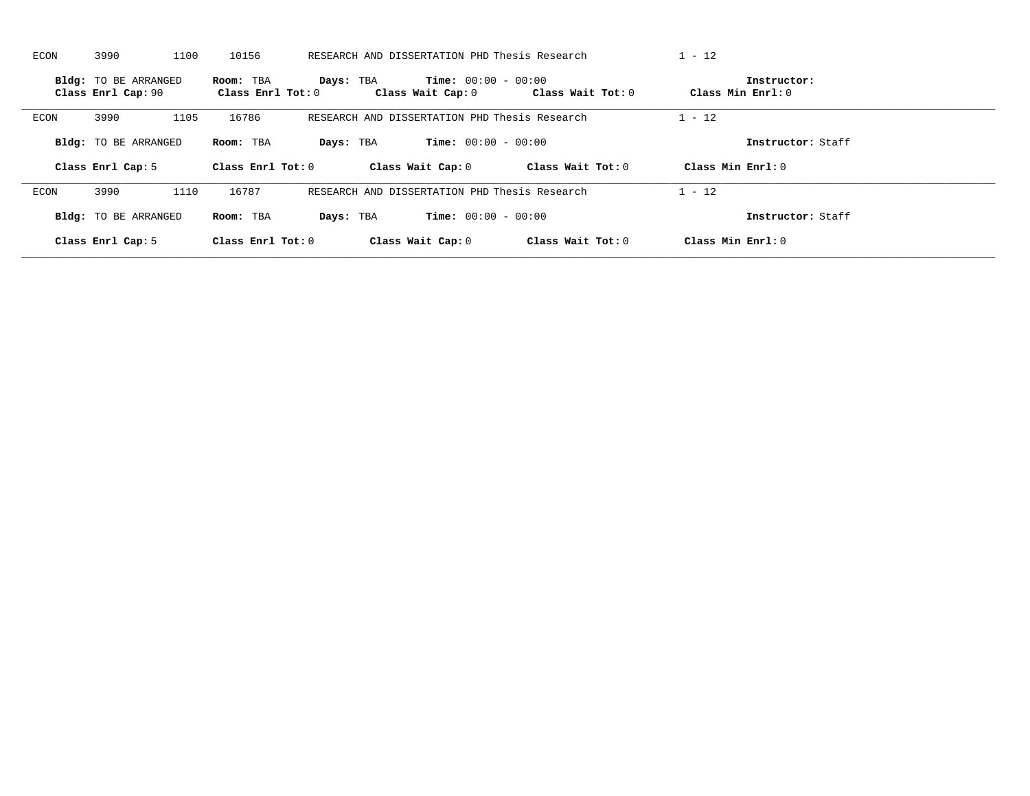| <b>ECON</b> | 3990<br>1100                                      | 10156                          | RESEARCH AND DISSERTATION PHD Thesis Research           |                   | $1 - 12$                         |  |
|-------------|---------------------------------------------------|--------------------------------|---------------------------------------------------------|-------------------|----------------------------------|--|
|             | <b>Bldg:</b> TO BE ARRANGED<br>Class Enrl Cap: 90 | Room: TBA<br>Class Enrl Tot: 0 | $Time: 00:00 - 00:00$<br>Days: TBA<br>Class Wait Cap: 0 | Class Wait Tot: 0 | Instructor:<br>Class Min Enrl: 0 |  |
| ECON        | 1105<br>3990                                      | 16786                          | RESEARCH AND DISSERTATION PHD Thesis Research           |                   | $1 - 12$                         |  |
|             | Bldg: TO BE ARRANGED                              | Room: TBA                      | <b>Time:</b> $00:00 - 00:00$<br>Days: TBA               |                   | Instructor: Staff                |  |
|             | Class Enrl Cap: 5                                 | Class Enrl Tot: 0              | Class Wait Cap: 0                                       | Class Wait Tot: 0 | Class Min Enrl: 0                |  |
|             |                                                   |                                |                                                         |                   |                                  |  |
| ECON        | 1110<br>3990                                      | 16787                          | RESEARCH AND DISSERTATION PHD Thesis Research           |                   | $1 - 12$                         |  |
|             | Bldg: TO BE ARRANGED                              | Room: TBA                      | <b>Time:</b> $00:00 - 00:00$<br>Days: TBA               |                   | Instructor: Staff                |  |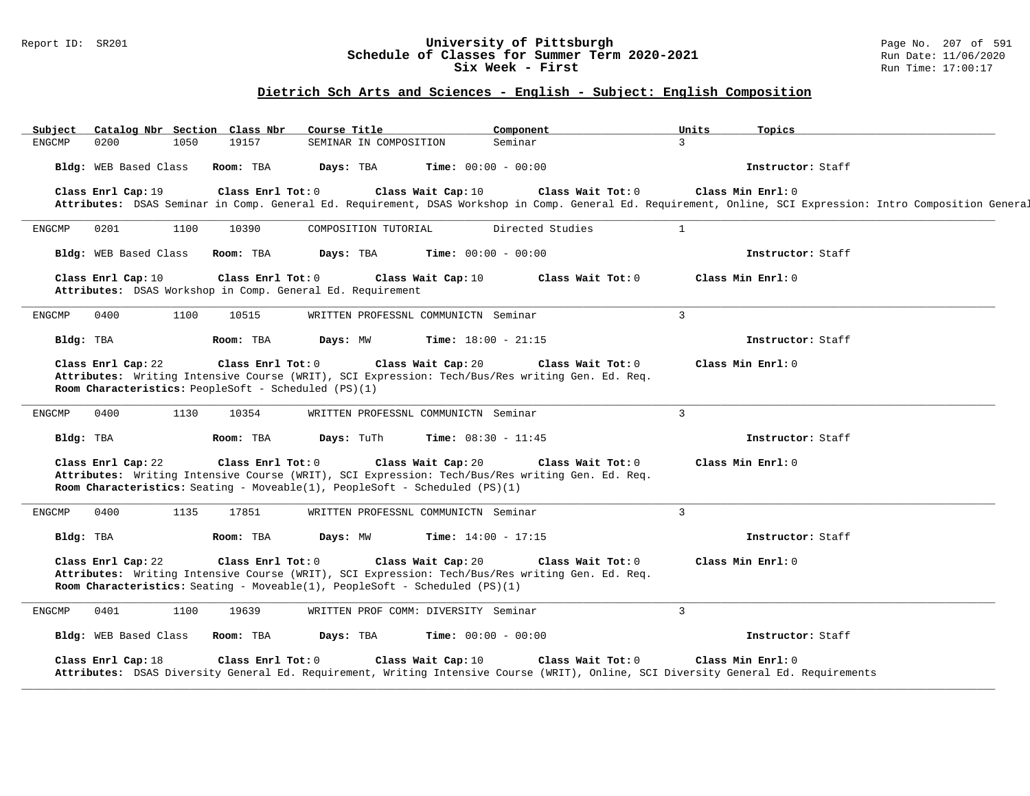### Report ID: SR201 **University of Pittsburgh** Page No. 207 of 591 **Schedule of Classes for Summer Term 2020-2021** Run Date: 11/06/2020 **Six Week - First Run Time: 17:00:17**

## **Dietrich Sch Arts and Sciences - English - Subject: English Composition**

| Seminar<br>0200<br>1050<br>19157<br><b>ENGCMP</b><br>SEMINAR IN COMPOSITION<br>Bldg: WEB Based Class<br>Room: TBA<br>Days: TBA<br><b>Time:</b> $00:00 - 00:00$                                                                                                         |                   |
|------------------------------------------------------------------------------------------------------------------------------------------------------------------------------------------------------------------------------------------------------------------------|-------------------|
|                                                                                                                                                                                                                                                                        | 3                 |
|                                                                                                                                                                                                                                                                        | Instructor: Staff |
| Class Enrl Cap: 19<br>Class Enrl Tot: 0<br>Class Wait Cap: 10<br>Class Wait Tot: 0                                                                                                                                                                                     | Class Min Enrl: 0 |
| Attributes: DSAS Seminar in Comp. General Ed. Requirement, DSAS Workshop in Comp. General Ed. Requirement, Online, SCI Expression: Intro Composition General                                                                                                           |                   |
| Directed Studies<br>ENGCMP<br>0201<br>1100<br>10390<br>COMPOSITION TUTORIAL                                                                                                                                                                                            | $\mathbf{1}$      |
| Bldg: WEB Based Class<br>Room: TBA<br>Days: TBA<br><b>Time:</b> $00:00 - 00:00$                                                                                                                                                                                        | Instructor: Staff |
| Class Enrl Tot: 0<br>Class Wait Cap: 10<br>Class Enrl Cap: 10<br>Class Wait Tot: 0<br>Attributes: DSAS Workshop in Comp. General Ed. Requirement                                                                                                                       | Class Min Enrl: 0 |
| WRITTEN PROFESSNL COMMUNICTN Seminar<br>ENGCMP<br>0400<br>1100<br>10515                                                                                                                                                                                                | $\overline{3}$    |
| Days: MW<br><b>Time:</b> $18:00 - 21:15$<br>Bldg: TBA<br>Room: TBA                                                                                                                                                                                                     | Instructor: Staff |
| Class Enrl Tot: 0<br>Class Wait Cap: 20<br>Class Enrl Cap: 22<br>Class Wait Tot: 0<br>Attributes: Writing Intensive Course (WRIT), SCI Expression: Tech/Bus/Res writing Gen. Ed. Req.<br>Room Characteristics: PeopleSoft - Scheduled (PS)(1)                          | Class Min Enrl: 0 |
| 0400<br>1130<br>10354<br>WRITTEN PROFESSNL COMMUNICTN Seminar<br>ENGCMP                                                                                                                                                                                                | $\overline{3}$    |
| Days: TuTh<br>Time: $08:30 - 11:45$<br>Bldg: TBA<br>Room: TBA                                                                                                                                                                                                          | Instructor: Staff |
| Class Enrl Cap: 22<br>Class Enrl Tot: 0<br>Class Wait Cap: 20<br>Class Wait Tot: 0<br>Attributes: Writing Intensive Course (WRIT), SCI Expression: Tech/Bus/Res writing Gen. Ed. Req.<br>Room Characteristics: Seating - Moveable(1), PeopleSoft - Scheduled $(PS)(1)$ | Class Min Enrl: 0 |
| 0400<br>WRITTEN PROFESSNL COMMUNICTN Seminar<br>ENGCMP<br>1135<br>17851                                                                                                                                                                                                | $\overline{3}$    |
|                                                                                                                                                                                                                                                                        | Instructor: Staff |
| Time: $14:00 - 17:15$<br>Bldg: TBA<br>Room: TBA<br>Days: MW                                                                                                                                                                                                            |                   |
| Class Enrl Cap: 22<br>Class Enrl Tot: 0<br>Class Wait Cap: 20<br>Class Wait Tot: 0<br>Attributes: Writing Intensive Course (WRIT), SCI Expression: Tech/Bus/Res writing Gen. Ed. Req.<br>Room Characteristics: Seating - Moveable(1), PeopleSoft - Scheduled $(PS)(1)$ | Class Min Enrl: 0 |
| 0401<br>1100<br>19639<br>WRITTEN PROF COMM: DIVERSITY Seminar<br><b>ENGCMP</b>                                                                                                                                                                                         | 3                 |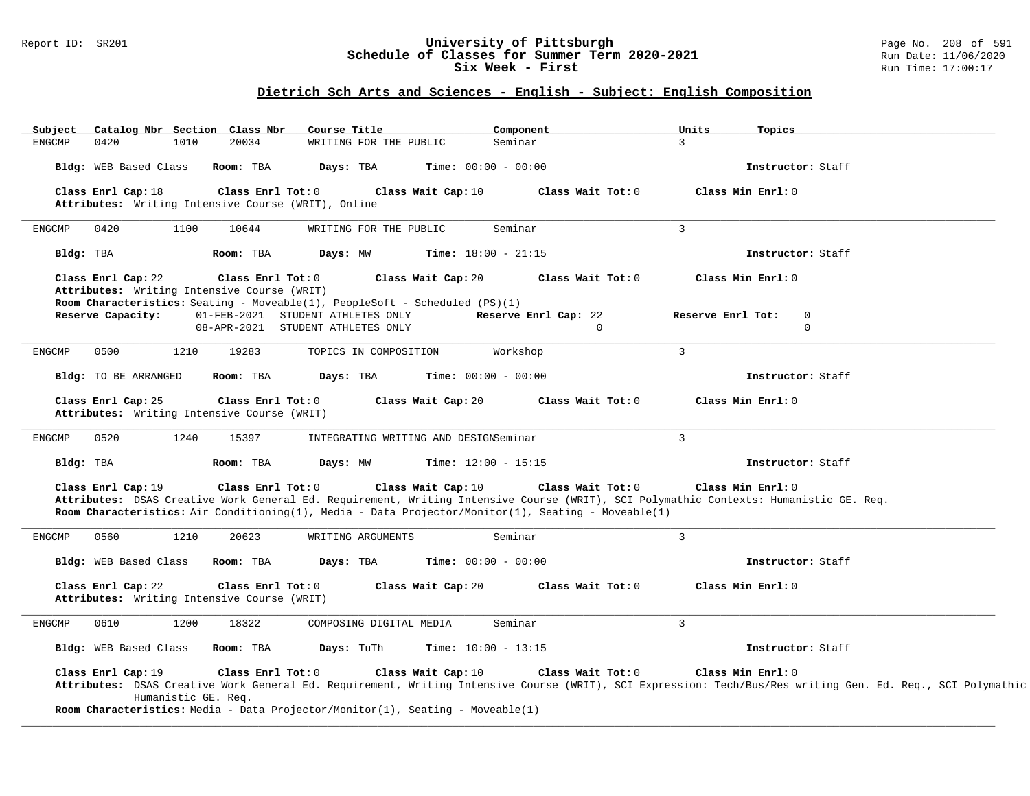#### Report ID: SR201 **University of Pittsburgh** Page No. 208 of 591 **Schedule of Classes for Summer Term 2020-2021** Run Date: 11/06/2020 **Six Week - First Run Time: 17:00:17**

## **Dietrich Sch Arts and Sciences - English - Subject: English Composition**

| Subject       |                                                                   |                     | Catalog Nbr Section Class Nbr | Course Title                                                                          |                                       | Component                                                                                           | Units<br>Topics                                                                                                                                                                  |  |
|---------------|-------------------------------------------------------------------|---------------------|-------------------------------|---------------------------------------------------------------------------------------|---------------------------------------|-----------------------------------------------------------------------------------------------------|----------------------------------------------------------------------------------------------------------------------------------------------------------------------------------|--|
| <b>ENGCMP</b> | 0420                                                              | 1010                | 20034                         | WRITING FOR THE PUBLIC                                                                |                                       | Seminar                                                                                             | $\mathbf{3}$                                                                                                                                                                     |  |
|               | Bldg: WEB Based Class                                             |                     | Room: TBA                     | Days: TBA                                                                             | <b>Time:</b> $00:00 - 00:00$          |                                                                                                     | Instructor: Staff                                                                                                                                                                |  |
|               | Class Enrl Cap: 18                                                |                     | Class Enrl Tot: 0             |                                                                                       | Class Wait Cap: 10                    | Class Wait Tot: 0                                                                                   | Class Min Enrl: 0                                                                                                                                                                |  |
|               |                                                                   |                     |                               | Attributes: Writing Intensive Course (WRIT), Online                                   |                                       |                                                                                                     |                                                                                                                                                                                  |  |
| <b>ENGCMP</b> | 0420                                                              | 1100                | 10644                         | WRITING FOR THE PUBLIC                                                                |                                       | Seminar                                                                                             | $\mathbf{3}$                                                                                                                                                                     |  |
|               | Bldg: TBA                                                         |                     | Room: TBA                     | Days: MW                                                                              | Time: $18:00 - 21:15$                 |                                                                                                     | Instructor: Staff                                                                                                                                                                |  |
|               | Class Enrl Cap: 22<br>Attributes: Writing Intensive Course (WRIT) |                     | Class Enrl Tot: 0             | <b>Room Characteristics:</b> Seating - Moveable(1), PeopleSoft - Scheduled $(PS)(1)$  | Class Wait Cap: 20                    | Class Wait Tot: 0                                                                                   | Class Min Enrl: 0                                                                                                                                                                |  |
|               | Reserve Capacity:                                                 |                     |                               | 01-FEB-2021 STUDENT ATHLETES ONLY                                                     |                                       | Reserve Enrl Cap: 22                                                                                | Reserve Enrl Tot:<br>$\mathbf 0$                                                                                                                                                 |  |
|               |                                                                   |                     |                               | 08-APR-2021 STUDENT ATHLETES ONLY                                                     |                                       | $\Omega$                                                                                            | $\Omega$                                                                                                                                                                         |  |
| <b>ENGCMP</b> | 0500                                                              | 1210                | 19283                         | TOPICS IN COMPOSITION                                                                 |                                       | Workshop                                                                                            | $\overline{3}$                                                                                                                                                                   |  |
|               | Bldg: TO BE ARRANGED                                              |                     | Room: TBA                     | Days: TBA                                                                             | <b>Time:</b> $00:00 - 00:00$          |                                                                                                     | Instructor: Staff                                                                                                                                                                |  |
|               | Class Enrl Cap: 25<br>Attributes: Writing Intensive Course (WRIT) |                     | Class Enrl Tot: 0             |                                                                                       | Class Wait Cap: 20                    | Class Wait Tot: 0                                                                                   | Class Min Enrl: 0                                                                                                                                                                |  |
| ENGCMP        | 0520                                                              | 1240                | 15397                         |                                                                                       | INTEGRATING WRITING AND DESIGNSeminar |                                                                                                     | $\mathbf{3}$                                                                                                                                                                     |  |
|               | Bldg: TBA                                                         |                     | Room: TBA                     | Days: MW                                                                              | <b>Time:</b> $12:00 - 15:15$          |                                                                                                     | Instructor: Staff                                                                                                                                                                |  |
|               | Class Enrl Cap: 19                                                |                     | Class Enrl Tot: 0             |                                                                                       | Class Wait Cap: 10                    | Class Wait Tot: 0                                                                                   | Class Min Enrl: 0                                                                                                                                                                |  |
|               |                                                                   |                     |                               |                                                                                       |                                       |                                                                                                     | Attributes: DSAS Creative Work General Ed. Requirement, Writing Intensive Course (WRIT), SCI Polymathic Contexts: Humanistic GE. Req.                                            |  |
|               |                                                                   |                     |                               |                                                                                       |                                       | Room Characteristics: Air Conditioning(1), Media - Data Projector/Monitor(1), Seating - Moveable(1) |                                                                                                                                                                                  |  |
| <b>ENGCMP</b> | 0560                                                              | 1210                | 20623                         | WRITING ARGUMENTS                                                                     |                                       | Seminar                                                                                             | $\overline{3}$                                                                                                                                                                   |  |
|               | Bldg: WEB Based Class                                             |                     | Room: TBA                     | Days: TBA                                                                             | <b>Time:</b> $00:00 - 00:00$          |                                                                                                     | Instructor: Staff                                                                                                                                                                |  |
|               | Class Enrl Cap: 22<br>Attributes: Writing Intensive Course (WRIT) |                     | Class Enrl Tot: 0             |                                                                                       | Class Wait Cap: 20                    | Class Wait Tot: 0                                                                                   | Class Min Enrl: 0                                                                                                                                                                |  |
| <b>ENGCMP</b> | 0610                                                              | 1200                | 18322                         | COMPOSING DIGITAL MEDIA                                                               |                                       | Seminar                                                                                             | $\mathbf{3}$                                                                                                                                                                     |  |
|               | Bldg: WEB Based Class                                             |                     | Room: TBA                     | Days: TuTh                                                                            | Time: $10:00 - 13:15$                 |                                                                                                     | Instructor: Staff                                                                                                                                                                |  |
|               | Class Enrl Cap: 19                                                | Humanistic GE. Req. | Class Enrl Tot: 0             | <b>Room Characteristics:</b> Media - Data Projector/Monitor(1), Seating - Moveable(1) | Class Wait Cap: 10                    | Class Wait Tot: 0                                                                                   | Class Min Enrl: 0<br>Attributes: DSAS Creative Work General Ed. Requirement, Writing Intensive Course (WRIT), SCI Expression: Tech/Bus/Res writing Gen. Ed. Req., SCI Polymathic |  |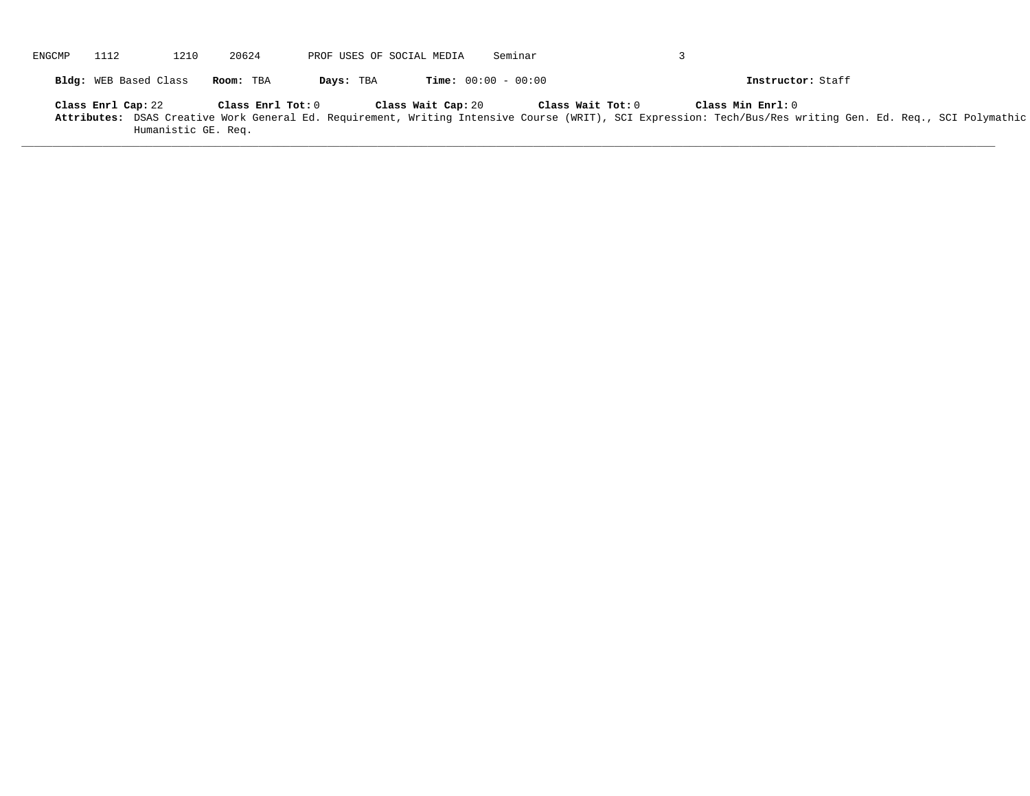| ENGCMP | 1112                  | 1210                | 20624             | PROF USES OF SOCIAL MEDIA |                    | Seminar                      |                                                                                                                                                                                                       |
|--------|-----------------------|---------------------|-------------------|---------------------------|--------------------|------------------------------|-------------------------------------------------------------------------------------------------------------------------------------------------------------------------------------------------------|
|        | Bldg: WEB Based Class |                     | Room: TBA         | Days: TBA                 |                    | <b>Time:</b> $00:00 - 00:00$ | Instructor: Staff                                                                                                                                                                                     |
|        | Class Enrl Cap: 22    | Humanistic GE. Req. | Class Enrl Tot: 0 |                           | Class Wait Cap: 20 |                              | Class Min Enrl: 0<br>Class Wait Tot: 0<br>Attributes: DSAS Creative Work General Ed. Requirement, Writing Intensive Course (WRIT), SCI Expression: Tech/Bus/Res writing Gen. Ed. Req., SCI Polymathic |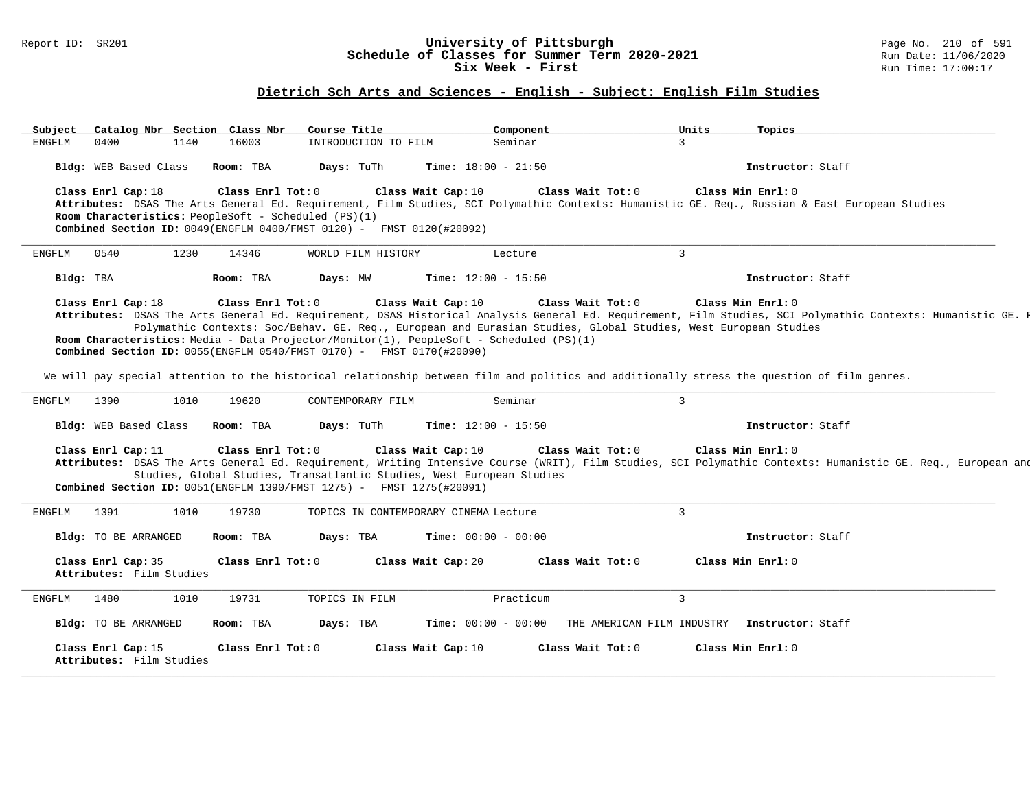#### Report ID: SR201 **1988 1998 12: SR201 University of Pittsburgh University of Pittsburgh** Page No. 210 of 591 **Schedule of Classes for Summer Term 2020-2021** Run Date: 11/06/20<br>Six Week - First Run Time: 17:00:17 Six Week - First

#### **Dietrich Sch Arts and Sciences - English - Subject: English Film Studies**

Subject Catalog\_Nbr Section Class\_Nbr Course\_Title \_\_\_\_\_\_\_\_\_\_\_\_\_\_\_Component \_\_\_\_\_\_\_\_\_\_\_\_\_\_\_\_\_\_\_Units \_\_\_\_\_\_\_\_\_<br>ENGFLM 0400 1140 16003 INTRODUCTION\_TO\_FILM Seminar \_\_\_\_\_\_\_\_\_\_\_\_\_\_\_\_\_\_\_\_\_\_\_\_\_\_\_\_ INTRODUCTION TO FILM Seminar **Bldg:** WEB Based Class **Room:** TBA **Days:** TuTh **Time:** 18:00 - 21:50 **Instructor:** Staff **Class Enrl Cap:** 18 **Class Enrl Tot:** 0 **Class Wait Cap:** 10 **Class Wait Tot:** 0 **Class Min Enrl:** 0 **Attributes:** DSAS The Arts General Ed. Requirement, Film Studies, SCI Polymathic Contexts: Humanistic GE. Req., Russian & East European Studies **Room Characteristics:** PeopleSoft - Scheduled (PS)(1) **Combined Section ID:** 0049(ENGFLM 0400/FMST 0120) - FMST 0120(#20092) **\_\_\_\_\_\_\_\_\_\_\_\_\_\_\_\_\_\_\_\_\_\_\_\_\_\_\_\_\_\_\_\_\_\_\_\_\_\_\_\_\_\_\_\_\_\_\_\_\_\_\_\_\_\_\_\_\_\_\_\_\_\_\_\_\_\_\_\_\_\_\_\_\_\_\_\_\_\_\_\_\_\_\_\_\_\_\_\_\_\_\_\_\_\_\_\_\_\_\_\_\_\_\_\_\_\_\_\_\_\_\_\_\_\_\_\_\_\_\_\_\_\_\_\_\_\_\_\_\_\_\_\_\_\_\_\_\_\_\_\_\_\_\_\_\_\_\_\_\_\_\_\_\_\_\_\_** ENGFLM 0540 1230 14346 WORLD FILM HISTORY Lecture 3 **Bldg:** TBA **Room:** TBA **Days:** MW **Time:** 12:00 - 15:50 **Instructor:** Staff **Class Enrl Cap:** 18 **Class Enrl Tot:** 0 **Class Wait Cap:** 10 **Class Wait Tot:** 0 **Class Min Enrl:** 0 Attributes: DSAS The Arts General Ed. Requirement, DSAS Historical Analysis General Ed. Requirement, Film Studies, SCI Polymathic Contexts: Humanistic GE. R Polymathic Contexts: Soc/Behav. GE. Req., European and Eurasian Studies, Global Studies, West European Studies **Room Characteristics:** Media - Data Projector/Monitor(1), PeopleSoft - Scheduled (PS)(1) **Combined Section ID:** 0055(ENGFLM 0540/FMST 0170) - FMST 0170(#20090) We will pay special attention to the historical relationship between film and politics and additionally stress the question of film genres. **\_\_\_\_\_\_\_\_\_\_\_\_\_\_\_\_\_\_\_\_\_\_\_\_\_\_\_\_\_\_\_\_\_\_\_\_\_\_\_\_\_\_\_\_\_\_\_\_\_\_\_\_\_\_\_\_\_\_\_\_\_\_\_\_\_\_\_\_\_\_\_\_\_\_\_\_\_\_\_\_\_\_\_\_\_\_\_\_\_\_\_\_\_\_\_\_\_\_\_\_\_\_\_\_\_\_\_\_\_\_\_\_\_\_\_\_\_\_\_\_\_\_\_\_\_\_\_\_\_\_\_\_\_\_\_\_\_\_\_\_\_\_\_\_\_\_\_\_\_\_\_\_\_\_\_\_** ENGFLM 1390 1010 19620 CONTEMPORARY FILM Seminar 3 **Bldg:** WEB Based Class **Room:** TBA **Days:** TuTh **Time:** 12:00 - 15:50 **Instructor:** Staff **Class Enrl Cap:** 11 **Class Enrl Tot:** 0 **Class Wait Cap:** 10 **Class Wait Tot:** 0 **Class Min Enrl:** 0 Attributes: DSAS The Arts General Ed. Requirement, Writing Intensive Course (WRIT), Film Studies, SCI Polymathic Contexts: Humanistic GE. Req., European and Studies, Global Studies, Transatlantic Studies, West European Studies **Combined Section ID:** 0051(ENGFLM 1390/FMST 1275) - FMST 1275(#20091) **\_\_\_\_\_\_\_\_\_\_\_\_\_\_\_\_\_\_\_\_\_\_\_\_\_\_\_\_\_\_\_\_\_\_\_\_\_\_\_\_\_\_\_\_\_\_\_\_\_\_\_\_\_\_\_\_\_\_\_\_\_\_\_\_\_\_\_\_\_\_\_\_\_\_\_\_\_\_\_\_\_\_\_\_\_\_\_\_\_\_\_\_\_\_\_\_\_\_\_\_\_\_\_\_\_\_\_\_\_\_\_\_\_\_\_\_\_\_\_\_\_\_\_\_\_\_\_\_\_\_\_\_\_\_\_\_\_\_\_\_\_\_\_\_\_\_\_\_\_\_\_\_\_\_\_\_** ENGFLM 1391 1010 19730 TOPICS IN CONTEMPORARY CINEMA Lecture 3 **Bldg:** TO BE ARRANGED **Room:** TBA **Days:** TBA **Time:** 00:00 - 00:00 **Instructor:** Staff **Class Enrl Cap:** 35 **Class Enrl Tot:** 0 **Class Wait Cap:** 20 **Class Wait Tot:** 0 **Class Min Enrl:** 0 **Attributes:** Film Studies **\_\_\_\_\_\_\_\_\_\_\_\_\_\_\_\_\_\_\_\_\_\_\_\_\_\_\_\_\_\_\_\_\_\_\_\_\_\_\_\_\_\_\_\_\_\_\_\_\_\_\_\_\_\_\_\_\_\_\_\_\_\_\_\_\_\_\_\_\_\_\_\_\_\_\_\_\_\_\_\_\_\_\_\_\_\_\_\_\_\_\_\_\_\_\_\_\_\_\_\_\_\_\_\_\_\_\_\_\_\_\_\_\_\_\_\_\_\_\_\_\_\_\_\_\_\_\_\_\_\_\_\_\_\_\_\_\_\_\_\_\_\_\_\_\_\_\_\_\_\_\_\_\_\_\_\_** ENGFLM 1480 1010 19731 TOPICS IN FILM Practicum 3 **Bldg:** TO BE ARRANGED **Room:** TBA **Days:** TBA **Time:** 00:00 - 00:00 THE AMERICAN FILM INDUSTRY **Instructor:** Staff **Class Enrl Cap:** 15 **Class Enrl Tot:** 0 **Class Wait Cap:** 10 **Class Wait Tot:** 0 **Class Min Enrl:** 0 **Attributes:** Film Studies **\_\_\_\_\_\_\_\_\_\_\_\_\_\_\_\_\_\_\_\_\_\_\_\_\_\_\_\_\_\_\_\_\_\_\_\_\_\_\_\_\_\_\_\_\_\_\_\_\_\_\_\_\_\_\_\_\_\_\_\_\_\_\_\_\_\_\_\_\_\_\_\_\_\_\_\_\_\_\_\_\_\_\_\_\_\_\_\_\_\_\_\_\_\_\_\_\_\_\_\_\_\_\_\_\_\_\_\_\_\_\_\_\_\_\_\_\_\_\_\_\_\_\_\_\_\_\_\_\_\_\_\_\_\_\_\_\_\_\_\_\_\_\_\_\_\_\_\_\_\_\_\_\_\_\_\_**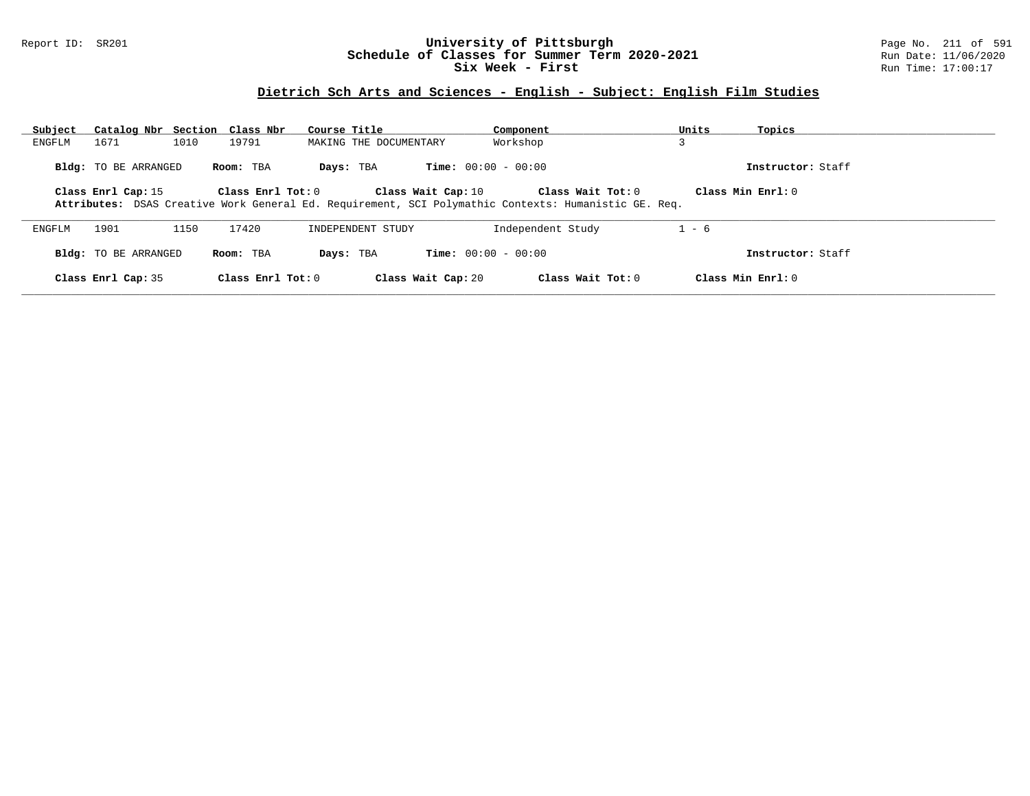### Report ID: SR201 **University of Pittsburgh** Page No. 211 of 591 **Schedule of Classes for Summer Term 2020-2021** Run Date: 11/06/2020 **Six Week - First Run Time: 17:00:17**

## **Dietrich Sch Arts and Sciences - English - Subject: English Film Studies**

| Subject | Catalog Nbr Section Class Nbr |      |                     | Course Title           |                              | Component                                                                                                                   | Units              | Topics              |
|---------|-------------------------------|------|---------------------|------------------------|------------------------------|-----------------------------------------------------------------------------------------------------------------------------|--------------------|---------------------|
| ENGFLM  | 1671                          | 1010 | 19791               | MAKING THE DOCUMENTARY |                              | Workshop                                                                                                                    | $\mathbf{\hat{z}}$ |                     |
|         | Bldg: TO BE ARRANGED          |      | Room: TBA           | Days: TBA              | <b>Time:</b> $00:00 - 00:00$ |                                                                                                                             |                    | Instructor: Staff   |
|         | Class Enrl Cap: 15            |      | Class Enrl Tot: 0   |                        | Class Wait Cap: 10           | Class Wait Tot: $0$<br>Attributes: DSAS Creative Work General Ed. Requirement, SCI Polymathic Contexts: Humanistic GE. Req. |                    | Class Min $Enr1:0$  |
| ENGFLM  | 1901                          | 1150 | 17420               | INDEPENDENT STUDY      |                              | Independent Study                                                                                                           | $1 - 6$            |                     |
|         | Bldg: TO BE ARRANGED          |      | Room: TBA           | Days: TBA              | <b>Time:</b> $00:00 - 00:00$ |                                                                                                                             |                    | Instructor: Staff   |
|         | Class Enrl Cap: 35            |      | Class Enrl Tot: $0$ |                        | Class Wait Cap: 20           | Class Wait Tot: $0$                                                                                                         |                    | Class Min $Enrl: 0$ |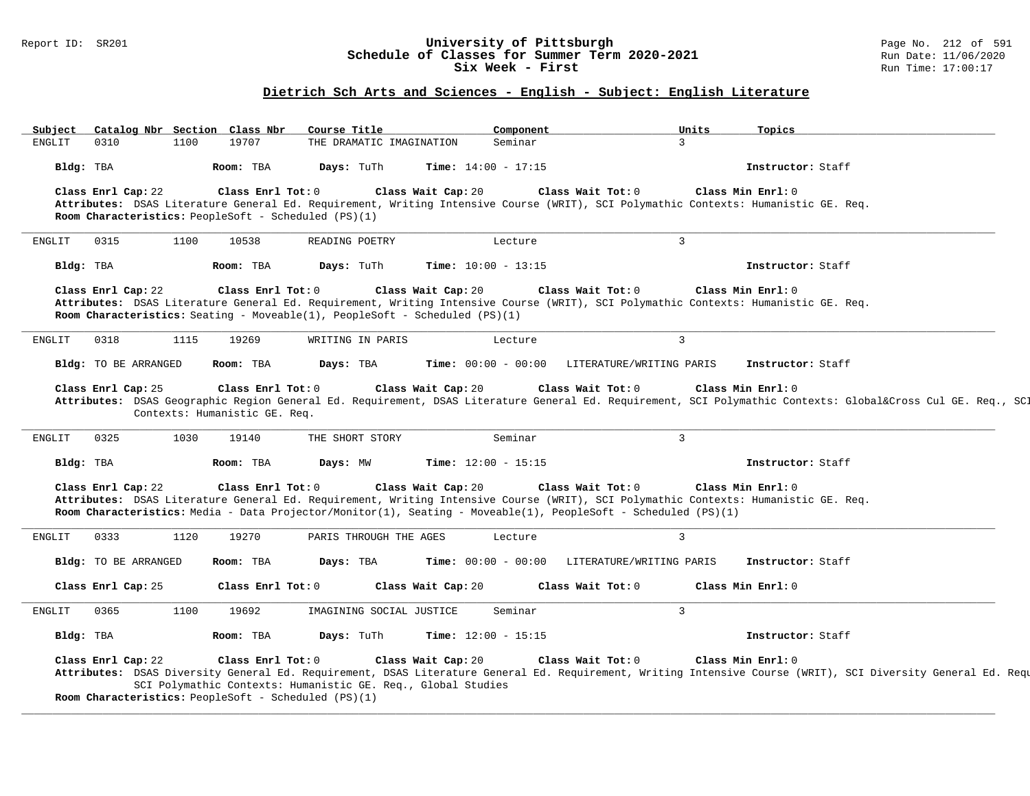### Report ID: SR201 **University of Pittsburgh** Page No. 212 of 591 **Schedule of Classes for Summer Term 2020-2021** Run Date: 11/06/2020 **Six Week - First Run Time: 17:00:17**

## **Dietrich Sch Arts and Sciences - English - Subject: English Literature**

| Subject   | Catalog Nbr Section Class Nbr |      |                                                      | Course Title                                                 | Component                                                                          |                                                                                                                                    | Units          | Topics                                                                                                                                                       |
|-----------|-------------------------------|------|------------------------------------------------------|--------------------------------------------------------------|------------------------------------------------------------------------------------|------------------------------------------------------------------------------------------------------------------------------------|----------------|--------------------------------------------------------------------------------------------------------------------------------------------------------------|
| ENGLIT    | 0310                          | 1100 | 19707                                                | THE DRAMATIC IMAGINATION                                     | Seminar                                                                            |                                                                                                                                    | $\overline{3}$ |                                                                                                                                                              |
| Bldg: TBA |                               |      | Room: TBA                                            | Days: TuTh                                                   | Time: $14:00 - 17:15$                                                              |                                                                                                                                    |                | Instructor: Staff                                                                                                                                            |
|           | Class Enrl Cap: 22            |      | Class Enrl Tot: 0                                    |                                                              | Class Wait Cap: 20                                                                 | Class Wait Tot: 0                                                                                                                  |                | Class Min Enrl: 0                                                                                                                                            |
|           |                               |      |                                                      |                                                              |                                                                                    | Attributes: DSAS Literature General Ed. Requirement, Writing Intensive Course (WRIT), SCI Polymathic Contexts: Humanistic GE. Req. |                |                                                                                                                                                              |
|           |                               |      |                                                      | Room Characteristics: PeopleSoft - Scheduled (PS)(1)         |                                                                                    |                                                                                                                                    |                |                                                                                                                                                              |
| ENGLIT    | 0315                          | 1100 | 10538                                                | READING POETRY                                               | Lecture                                                                            |                                                                                                                                    | $\overline{3}$ |                                                                                                                                                              |
| Bldg: TBA |                               |      | Room: TBA                                            | Days: TuTh                                                   | Time: $10:00 - 13:15$                                                              |                                                                                                                                    |                | Instructor: Staff                                                                                                                                            |
|           | Class Enrl Cap: 22            |      | Class Enrl Tot: 0                                    |                                                              | Class Wait Cap: 20                                                                 | Class Wait Tot: 0                                                                                                                  |                | Class Min Enrl: 0                                                                                                                                            |
|           |                               |      |                                                      |                                                              |                                                                                    | Attributes: DSAS Literature General Ed. Requirement, Writing Intensive Course (WRIT), SCI Polymathic Contexts: Humanistic GE. Req. |                |                                                                                                                                                              |
|           |                               |      |                                                      |                                                              | <b>Room Characteristics:</b> Seating - Moveable(1), PeopleSoft - Scheduled (PS)(1) |                                                                                                                                    |                |                                                                                                                                                              |
| ENGLIT    | 0318                          | 1115 | 19269                                                | WRITING IN PARIS                                             | Lecture                                                                            |                                                                                                                                    | $\overline{3}$ |                                                                                                                                                              |
|           | <b>Bldg:</b> TO BE ARRANGED   |      | Room: TBA                                            | Days: TBA                                                    | <b>Time:</b> $00:00 - 00:00$                                                       | LITERATURE/WRITING PARIS                                                                                                           |                | Instructor: Staff                                                                                                                                            |
|           |                               |      |                                                      |                                                              |                                                                                    |                                                                                                                                    |                |                                                                                                                                                              |
|           | Class Enrl Cap: 25            |      | Class Enrl Tot: 0                                    |                                                              | Class Wait Cap: 20                                                                 | Class Wait Tot: 0                                                                                                                  |                | Class Min Enrl: 0                                                                                                                                            |
|           |                               |      | Contexts: Humanistic GE. Req.                        |                                                              |                                                                                    |                                                                                                                                    |                | Attributes: DSAS Geographic Region General Ed. Requirement, DSAS Literature General Ed. Requirement, SCI Polymathic Contexts: Global⨯ Cul GE. Req., SCI      |
|           |                               |      |                                                      |                                                              |                                                                                    |                                                                                                                                    |                |                                                                                                                                                              |
| ENGLIT    | 0325                          | 1030 | 19140                                                | THE SHORT STORY                                              | Seminar                                                                            |                                                                                                                                    | $\overline{3}$ |                                                                                                                                                              |
| Bldg: TBA |                               |      | Room: TBA                                            | Days: MW                                                     | Time: $12:00 - 15:15$                                                              |                                                                                                                                    |                | Instructor: Staff                                                                                                                                            |
|           | Class Enrl Cap: 22            |      | Class Enrl Tot: 0                                    |                                                              | Class Wait Cap: 20                                                                 | Class Wait Tot: 0                                                                                                                  |                | Class Min Enrl: 0                                                                                                                                            |
|           |                               |      |                                                      |                                                              |                                                                                    | Attributes: DSAS Literature General Ed. Requirement, Writing Intensive Course (WRIT), SCI Polymathic Contexts: Humanistic GE. Req. |                |                                                                                                                                                              |
|           |                               |      |                                                      |                                                              |                                                                                    | Room Characteristics: Media - Data Projector/Monitor(1), Seating - Moveable(1), PeopleSoft - Scheduled (PS)(1)                     |                |                                                                                                                                                              |
| ENGLIT    | 0333                          | 1120 | 19270                                                | PARIS THROUGH THE AGES                                       | Lecture                                                                            |                                                                                                                                    | $\overline{3}$ |                                                                                                                                                              |
|           | Bldg: TO BE ARRANGED          |      | Room: TBA                                            | Days: TBA                                                    | <b>Time:</b> $00:00 - 00:00$                                                       | LITERATURE/WRITING PARIS                                                                                                           |                | Instructor: Staff                                                                                                                                            |
|           | Class Enrl Cap: 25            |      | Class Enrl Tot: 0                                    |                                                              | Class Wait Cap: 20                                                                 | Class Wait Tot: 0                                                                                                                  |                | Class Min Enrl: 0                                                                                                                                            |
|           |                               |      |                                                      |                                                              |                                                                                    |                                                                                                                                    |                |                                                                                                                                                              |
| ENGLIT    | 0365                          | 1100 | 19692                                                | IMAGINING SOCIAL JUSTICE                                     | Seminar                                                                            |                                                                                                                                    | $\overline{3}$ |                                                                                                                                                              |
| Bldg: TBA |                               |      | Room: TBA                                            | Days: TuTh                                                   | <b>Time:</b> $12:00 - 15:15$                                                       |                                                                                                                                    |                | Instructor: Staff                                                                                                                                            |
|           | Class Enrl Cap: 22            |      | Class Enrl Tot: 0                                    |                                                              | Class Wait Cap: 20                                                                 | Class Wait Tot: 0                                                                                                                  |                | Class Min Enrl: 0                                                                                                                                            |
|           |                               |      |                                                      |                                                              |                                                                                    |                                                                                                                                    |                | Attributes: DSAS Diversity General Ed. Requirement, DSAS Literature General Ed. Requirement, Writing Intensive Course (WRIT), SCI Diversity General Ed. Requ |
|           |                               |      |                                                      | SCI Polymathic Contexts: Humanistic GE. Req., Global Studies |                                                                                    |                                                                                                                                    |                |                                                                                                                                                              |
|           |                               |      | Room Characteristics: PeopleSoft - Scheduled (PS)(1) |                                                              |                                                                                    |                                                                                                                                    |                |                                                                                                                                                              |
|           |                               |      |                                                      |                                                              |                                                                                    |                                                                                                                                    |                |                                                                                                                                                              |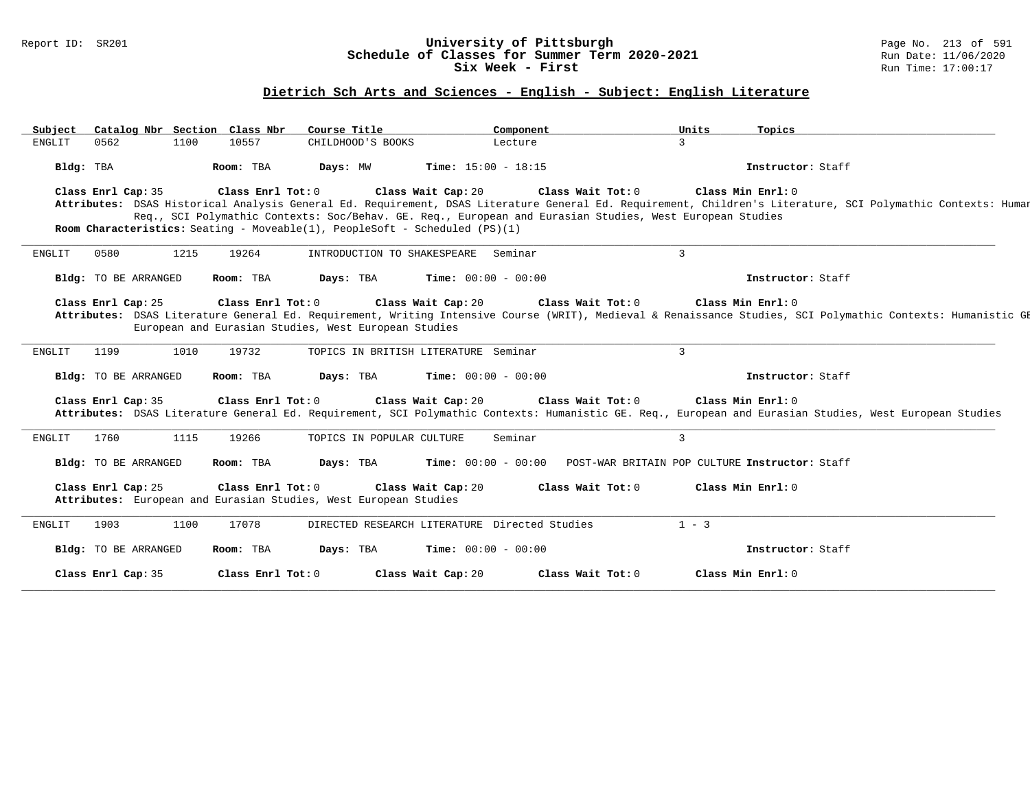### Report ID: SR201 **University of Pittsburgh** Page No. 213 of 591 **Schedule of Classes for Summer Term 2020-2021** Run Date: 11/06/2020 **Six Week - First Run Time: 17:00:17**

## **Dietrich Sch Arts and Sciences - English - Subject: English Literature**

| 3<br>0562<br><b>ENGLIT</b><br>1100<br>10557<br>CHILDHOOD'S BOOKS<br>Lecture<br>Time: $15:00 - 18:15$<br>Bldg: TBA<br>Room: TBA<br>Days: MW<br>Instructor: Staff<br>Class Enrl Cap: 35<br>Class Enrl Tot: 0<br>Class Wait Cap: 20<br>Class Wait Tot: 0<br>Class Min Enrl: 0<br>Attributes: DSAS Historical Analysis General Ed. Requirement, DSAS Literature General Ed. Requirement, Children's Literature, SCI Polymathic Contexts: Humar<br>Req., SCI Polymathic Contexts: Soc/Behav. GE. Req., European and Eurasian Studies, West European Studies<br><b>Room Characteristics:</b> Seating - Moveable(1), PeopleSoft - Scheduled $(PS)(1)$<br>$\overline{3}$<br>0580<br>1215<br>19264<br>INTRODUCTION TO SHAKESPEARE Seminar<br><b>ENGLIT</b><br>Time: $00:00 - 00:00$<br>Bldg: TO BE ARRANGED<br>Room: TBA<br>Days: TBA<br>Instructor: Staff<br>Class Enrl Cap: 25<br>Class Enrl Tot: 0<br>Class Wait Cap: 20<br>Class Wait Tot: 0<br>Class Min Enrl: 0<br>Attributes: DSAS Literature General Ed. Requirement, Writing Intensive Course (WRIT), Medieval & Renaissance Studies, SCI Polymathic Contexts: Humanistic GE<br>European and Eurasian Studies, West European Studies<br>$\overline{3}$<br>19732<br><b>ENGLIT</b><br>1199<br>1010<br>TOPICS IN BRITISH LITERATURE Seminar<br>Days: TBA<br><b>Time:</b> $00:00 - 00:00$<br>Bldg: TO BE ARRANGED<br>Room: TBA<br>Instructor: Staff<br>Class Enrl Tot: 0<br>Class Wait Cap: 20<br>Class Wait Tot: 0<br>Class Min Enrl: 0<br>Class Enrl Cap: 35<br>Attributes: DSAS Literature General Ed. Requirement, SCI Polymathic Contexts: Humanistic GE. Req., European and Eurasian Studies, West European Studies<br>3<br>1760<br>1115<br>19266<br>TOPICS IN POPULAR CULTURE<br>Seminar<br>ENGLIT<br>Bldg: TO BE ARRANGED<br>Room: TBA<br>Days: TBA<br><b>Time:</b> $00:00 - 00:00$<br>POST-WAR BRITAIN POP CULTURE Instructor: Staff<br>Class Enrl Cap: 25<br>Class Enrl Tot: 0<br>Class Wait Cap: 20<br>Class Wait Tot: 0<br>Class Min Enrl: 0<br>Attributes: European and Eurasian Studies, West European Studies |  |
|--------------------------------------------------------------------------------------------------------------------------------------------------------------------------------------------------------------------------------------------------------------------------------------------------------------------------------------------------------------------------------------------------------------------------------------------------------------------------------------------------------------------------------------------------------------------------------------------------------------------------------------------------------------------------------------------------------------------------------------------------------------------------------------------------------------------------------------------------------------------------------------------------------------------------------------------------------------------------------------------------------------------------------------------------------------------------------------------------------------------------------------------------------------------------------------------------------------------------------------------------------------------------------------------------------------------------------------------------------------------------------------------------------------------------------------------------------------------------------------------------------------------------------------------------------------------------------------------------------------------------------------------------------------------------------------------------------------------------------------------------------------------------------------------------------------------------------------------------------------------------------------------------------------------------------------------------------------------------------------------------------------------------------------------------------------------------|--|
|                                                                                                                                                                                                                                                                                                                                                                                                                                                                                                                                                                                                                                                                                                                                                                                                                                                                                                                                                                                                                                                                                                                                                                                                                                                                                                                                                                                                                                                                                                                                                                                                                                                                                                                                                                                                                                                                                                                                                                                                                                                                          |  |
|                                                                                                                                                                                                                                                                                                                                                                                                                                                                                                                                                                                                                                                                                                                                                                                                                                                                                                                                                                                                                                                                                                                                                                                                                                                                                                                                                                                                                                                                                                                                                                                                                                                                                                                                                                                                                                                                                                                                                                                                                                                                          |  |
|                                                                                                                                                                                                                                                                                                                                                                                                                                                                                                                                                                                                                                                                                                                                                                                                                                                                                                                                                                                                                                                                                                                                                                                                                                                                                                                                                                                                                                                                                                                                                                                                                                                                                                                                                                                                                                                                                                                                                                                                                                                                          |  |
|                                                                                                                                                                                                                                                                                                                                                                                                                                                                                                                                                                                                                                                                                                                                                                                                                                                                                                                                                                                                                                                                                                                                                                                                                                                                                                                                                                                                                                                                                                                                                                                                                                                                                                                                                                                                                                                                                                                                                                                                                                                                          |  |
|                                                                                                                                                                                                                                                                                                                                                                                                                                                                                                                                                                                                                                                                                                                                                                                                                                                                                                                                                                                                                                                                                                                                                                                                                                                                                                                                                                                                                                                                                                                                                                                                                                                                                                                                                                                                                                                                                                                                                                                                                                                                          |  |
|                                                                                                                                                                                                                                                                                                                                                                                                                                                                                                                                                                                                                                                                                                                                                                                                                                                                                                                                                                                                                                                                                                                                                                                                                                                                                                                                                                                                                                                                                                                                                                                                                                                                                                                                                                                                                                                                                                                                                                                                                                                                          |  |
|                                                                                                                                                                                                                                                                                                                                                                                                                                                                                                                                                                                                                                                                                                                                                                                                                                                                                                                                                                                                                                                                                                                                                                                                                                                                                                                                                                                                                                                                                                                                                                                                                                                                                                                                                                                                                                                                                                                                                                                                                                                                          |  |
|                                                                                                                                                                                                                                                                                                                                                                                                                                                                                                                                                                                                                                                                                                                                                                                                                                                                                                                                                                                                                                                                                                                                                                                                                                                                                                                                                                                                                                                                                                                                                                                                                                                                                                                                                                                                                                                                                                                                                                                                                                                                          |  |
|                                                                                                                                                                                                                                                                                                                                                                                                                                                                                                                                                                                                                                                                                                                                                                                                                                                                                                                                                                                                                                                                                                                                                                                                                                                                                                                                                                                                                                                                                                                                                                                                                                                                                                                                                                                                                                                                                                                                                                                                                                                                          |  |
|                                                                                                                                                                                                                                                                                                                                                                                                                                                                                                                                                                                                                                                                                                                                                                                                                                                                                                                                                                                                                                                                                                                                                                                                                                                                                                                                                                                                                                                                                                                                                                                                                                                                                                                                                                                                                                                                                                                                                                                                                                                                          |  |
|                                                                                                                                                                                                                                                                                                                                                                                                                                                                                                                                                                                                                                                                                                                                                                                                                                                                                                                                                                                                                                                                                                                                                                                                                                                                                                                                                                                                                                                                                                                                                                                                                                                                                                                                                                                                                                                                                                                                                                                                                                                                          |  |
|                                                                                                                                                                                                                                                                                                                                                                                                                                                                                                                                                                                                                                                                                                                                                                                                                                                                                                                                                                                                                                                                                                                                                                                                                                                                                                                                                                                                                                                                                                                                                                                                                                                                                                                                                                                                                                                                                                                                                                                                                                                                          |  |
|                                                                                                                                                                                                                                                                                                                                                                                                                                                                                                                                                                                                                                                                                                                                                                                                                                                                                                                                                                                                                                                                                                                                                                                                                                                                                                                                                                                                                                                                                                                                                                                                                                                                                                                                                                                                                                                                                                                                                                                                                                                                          |  |
|                                                                                                                                                                                                                                                                                                                                                                                                                                                                                                                                                                                                                                                                                                                                                                                                                                                                                                                                                                                                                                                                                                                                                                                                                                                                                                                                                                                                                                                                                                                                                                                                                                                                                                                                                                                                                                                                                                                                                                                                                                                                          |  |
|                                                                                                                                                                                                                                                                                                                                                                                                                                                                                                                                                                                                                                                                                                                                                                                                                                                                                                                                                                                                                                                                                                                                                                                                                                                                                                                                                                                                                                                                                                                                                                                                                                                                                                                                                                                                                                                                                                                                                                                                                                                                          |  |
|                                                                                                                                                                                                                                                                                                                                                                                                                                                                                                                                                                                                                                                                                                                                                                                                                                                                                                                                                                                                                                                                                                                                                                                                                                                                                                                                                                                                                                                                                                                                                                                                                                                                                                                                                                                                                                                                                                                                                                                                                                                                          |  |
|                                                                                                                                                                                                                                                                                                                                                                                                                                                                                                                                                                                                                                                                                                                                                                                                                                                                                                                                                                                                                                                                                                                                                                                                                                                                                                                                                                                                                                                                                                                                                                                                                                                                                                                                                                                                                                                                                                                                                                                                                                                                          |  |
|                                                                                                                                                                                                                                                                                                                                                                                                                                                                                                                                                                                                                                                                                                                                                                                                                                                                                                                                                                                                                                                                                                                                                                                                                                                                                                                                                                                                                                                                                                                                                                                                                                                                                                                                                                                                                                                                                                                                                                                                                                                                          |  |
|                                                                                                                                                                                                                                                                                                                                                                                                                                                                                                                                                                                                                                                                                                                                                                                                                                                                                                                                                                                                                                                                                                                                                                                                                                                                                                                                                                                                                                                                                                                                                                                                                                                                                                                                                                                                                                                                                                                                                                                                                                                                          |  |
|                                                                                                                                                                                                                                                                                                                                                                                                                                                                                                                                                                                                                                                                                                                                                                                                                                                                                                                                                                                                                                                                                                                                                                                                                                                                                                                                                                                                                                                                                                                                                                                                                                                                                                                                                                                                                                                                                                                                                                                                                                                                          |  |
|                                                                                                                                                                                                                                                                                                                                                                                                                                                                                                                                                                                                                                                                                                                                                                                                                                                                                                                                                                                                                                                                                                                                                                                                                                                                                                                                                                                                                                                                                                                                                                                                                                                                                                                                                                                                                                                                                                                                                                                                                                                                          |  |
| 1903<br>17078<br>DIRECTED RESEARCH LITERATURE Directed Studies<br>$1 - 3$<br><b>ENGLIT</b><br>1100                                                                                                                                                                                                                                                                                                                                                                                                                                                                                                                                                                                                                                                                                                                                                                                                                                                                                                                                                                                                                                                                                                                                                                                                                                                                                                                                                                                                                                                                                                                                                                                                                                                                                                                                                                                                                                                                                                                                                                       |  |
|                                                                                                                                                                                                                                                                                                                                                                                                                                                                                                                                                                                                                                                                                                                                                                                                                                                                                                                                                                                                                                                                                                                                                                                                                                                                                                                                                                                                                                                                                                                                                                                                                                                                                                                                                                                                                                                                                                                                                                                                                                                                          |  |
| Bldg: TO BE ARRANGED<br>Room: TBA<br>Days: TBA<br><b>Time:</b> $00:00 - 00:00$<br>Instructor: Staff                                                                                                                                                                                                                                                                                                                                                                                                                                                                                                                                                                                                                                                                                                                                                                                                                                                                                                                                                                                                                                                                                                                                                                                                                                                                                                                                                                                                                                                                                                                                                                                                                                                                                                                                                                                                                                                                                                                                                                      |  |
| Class Enrl Cap: 35<br>Class Enrl Tot: 0<br>Class Wait Cap: 20<br>Class Wait Tot: 0<br>Class Min Enrl: 0                                                                                                                                                                                                                                                                                                                                                                                                                                                                                                                                                                                                                                                                                                                                                                                                                                                                                                                                                                                                                                                                                                                                                                                                                                                                                                                                                                                                                                                                                                                                                                                                                                                                                                                                                                                                                                                                                                                                                                  |  |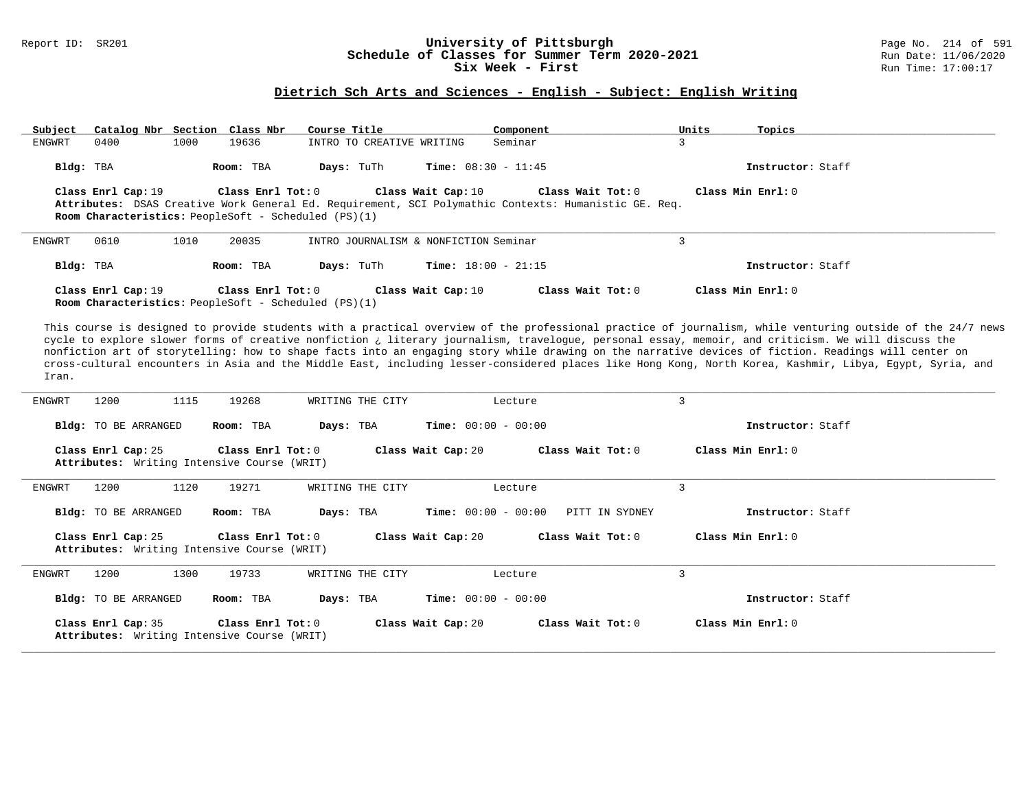### Report ID: SR201 **University of Pittsburgh** Page No. 214 of 591 **Schedule of Classes for Summer Term 2020-2021** Run Date: 11/06/2020 **Six Week - First Run Time: 17:00:17**

## **Dietrich Sch Arts and Sciences - English - Subject: English Writing**

| Catalog Nbr Section Class Nbr<br>Subject                                                                                                                                                                | Course Title                          | Component                                      | Units<br>Topics                                                                                                                                                                                                                                                                                                                                                                                                                                                                                                                                                                                                                      |
|---------------------------------------------------------------------------------------------------------------------------------------------------------------------------------------------------------|---------------------------------------|------------------------------------------------|--------------------------------------------------------------------------------------------------------------------------------------------------------------------------------------------------------------------------------------------------------------------------------------------------------------------------------------------------------------------------------------------------------------------------------------------------------------------------------------------------------------------------------------------------------------------------------------------------------------------------------------|
| 0400<br>1000<br>19636<br>ENGWRT                                                                                                                                                                         | INTRO TO CREATIVE WRITING             | Seminar                                        | $\overline{3}$                                                                                                                                                                                                                                                                                                                                                                                                                                                                                                                                                                                                                       |
| Bldg: TBA<br>Room: TBA                                                                                                                                                                                  | Days: TuTh                            | <b>Time:</b> $08:30 - 11:45$                   | Instructor: Staff                                                                                                                                                                                                                                                                                                                                                                                                                                                                                                                                                                                                                    |
| Class Enrl Cap: 19<br>Class Enrl Tot: 0<br>Attributes: DSAS Creative Work General Ed. Requirement, SCI Polymathic Contexts: Humanistic GE. Req.<br>Room Characteristics: PeopleSoft - Scheduled (PS)(1) | Class Wait Cap: 10                    | Class Wait Tot: 0                              | Class Min Enrl: 0                                                                                                                                                                                                                                                                                                                                                                                                                                                                                                                                                                                                                    |
| 0610<br>1010<br>20035<br>ENGWRT                                                                                                                                                                         | INTRO JOURNALISM & NONFICTION Seminar |                                                | 3                                                                                                                                                                                                                                                                                                                                                                                                                                                                                                                                                                                                                                    |
| Bldg: TBA<br>Room: TBA                                                                                                                                                                                  | Days: TuTh                            | Time: $18:00 - 21:15$                          | Instructor: Staff                                                                                                                                                                                                                                                                                                                                                                                                                                                                                                                                                                                                                    |
| Class Enrl Tot: 0<br>Class Enrl Cap: 19<br>Room Characteristics: PeopleSoft - Scheduled (PS)(1)                                                                                                         | Class Wait Cap: 10                    | Class Wait Tot: 0                              | Class Min Enrl: 0                                                                                                                                                                                                                                                                                                                                                                                                                                                                                                                                                                                                                    |
| Iran.                                                                                                                                                                                                   |                                       |                                                | This course is designed to provide students with a practical overview of the professional practice of journalism, while venturing outside of the 24/7 news<br>cycle to explore slower forms of creative nonfiction ¿ literary journalism, travelogue, personal essay, memoir, and criticism. We will discuss the<br>nonfiction art of storytelling: how to shape facts into an engaging story while drawing on the narrative devices of fiction. Readings will center on<br>cross-cultural encounters in Asia and the Middle East, including lesser-considered places like Hong Kong, North Korea, Kashmir, Libya, Egypt, Syria, and |
| 1115<br>ENGWRT<br>1200<br>19268                                                                                                                                                                         | WRITING THE CITY                      | Lecture                                        | $\overline{3}$                                                                                                                                                                                                                                                                                                                                                                                                                                                                                                                                                                                                                       |
| Bldg: TO BE ARRANGED<br>Room: TBA                                                                                                                                                                       | Days: TBA                             | Time: $00:00 - 00:00$                          | Instructor: Staff                                                                                                                                                                                                                                                                                                                                                                                                                                                                                                                                                                                                                    |
| Class Enrl Cap: 25<br>Class Enrl Tot: 0<br>Attributes: Writing Intensive Course (WRIT)                                                                                                                  | Class Wait Cap: 20                    | Class Wait Tot: 0                              | Class Min Enrl: 0                                                                                                                                                                                                                                                                                                                                                                                                                                                                                                                                                                                                                    |
| <b>ENGWRT</b><br>1200<br>1120<br>19271                                                                                                                                                                  | WRITING THE CITY                      | Lecture                                        | $\overline{3}$                                                                                                                                                                                                                                                                                                                                                                                                                                                                                                                                                                                                                       |
| Bldg: TO BE ARRANGED<br>Room: TBA                                                                                                                                                                       | Days: TBA                             | <b>Time:</b> $00:00 - 00:00$<br>PITT IN SYDNEY | Instructor: Staff                                                                                                                                                                                                                                                                                                                                                                                                                                                                                                                                                                                                                    |
| Class Enrl Cap: 25<br>Class Enrl Tot: 0<br>Attributes: Writing Intensive Course (WRIT)                                                                                                                  | Class Wait Cap: 20                    | Class Wait Tot: 0                              | Class Min Enrl: 0                                                                                                                                                                                                                                                                                                                                                                                                                                                                                                                                                                                                                    |
| <b>ENGWRT</b><br>19733<br>1200<br>1300                                                                                                                                                                  | WRITING THE CITY                      | Lecture                                        | 3                                                                                                                                                                                                                                                                                                                                                                                                                                                                                                                                                                                                                                    |
| Bldg: TO BE ARRANGED<br>Room: TBA                                                                                                                                                                       | Days: TBA                             | <b>Time:</b> $00:00 - 00:00$                   | Instructor: Staff                                                                                                                                                                                                                                                                                                                                                                                                                                                                                                                                                                                                                    |
| Class Enrl Cap: 35<br>Class Enrl Tot: 0<br>Attributes: Writing Intensive Course (WRIT)                                                                                                                  | Class Wait Cap: 20                    | Class Wait Tot: 0                              | Class Min Enrl: 0                                                                                                                                                                                                                                                                                                                                                                                                                                                                                                                                                                                                                    |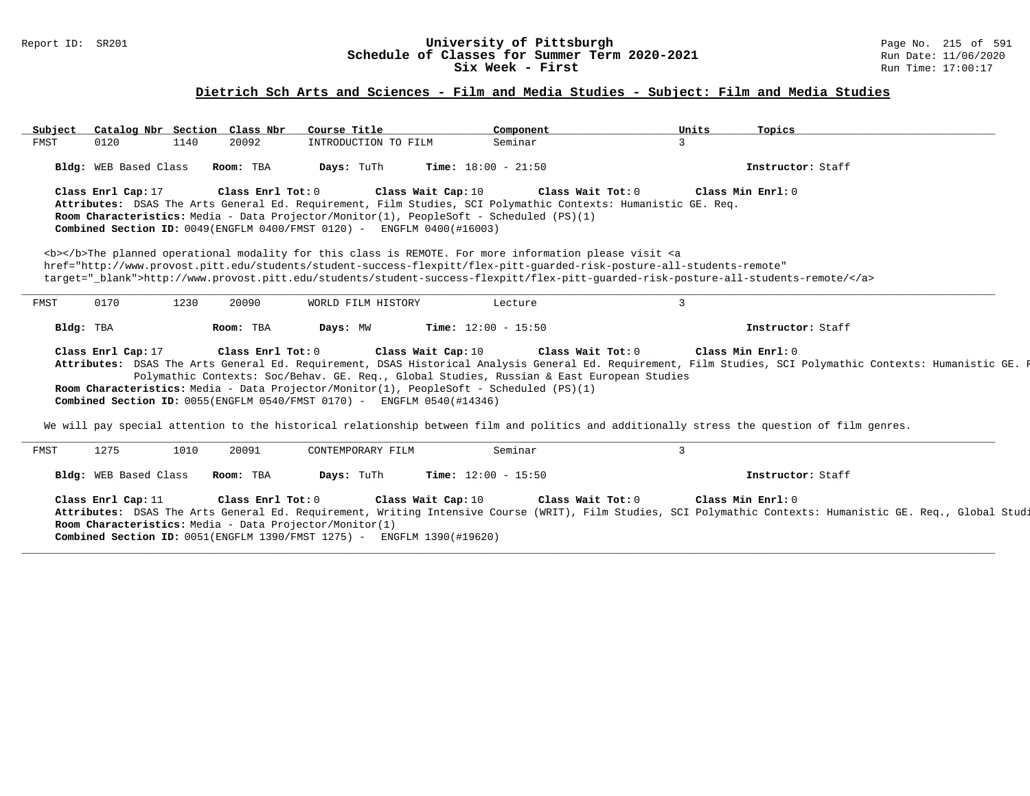### Report ID: SR201 **University of Pittsburgh** Page No. 215 of 591 **Schedule of Classes for Summer Term 2020-2021** Run Date: 11/06/2020 **Six Week - First Run Time: 17:00:17**

## **Dietrich Sch Arts and Sciences - Film and Media Studies - Subject: Film and Media Studies**

| Subject |                       |      | Catalog Nbr Section Class Nbr | Course Title                                                                                                                      | Component                                                                                                     |                                                                                                                                                                                                                                                                                                                                                                                                                                                                                                                          | Units        | Topics                                                                                                                                                                                                                                                                                                                         |
|---------|-----------------------|------|-------------------------------|-----------------------------------------------------------------------------------------------------------------------------------|---------------------------------------------------------------------------------------------------------------|--------------------------------------------------------------------------------------------------------------------------------------------------------------------------------------------------------------------------------------------------------------------------------------------------------------------------------------------------------------------------------------------------------------------------------------------------------------------------------------------------------------------------|--------------|--------------------------------------------------------------------------------------------------------------------------------------------------------------------------------------------------------------------------------------------------------------------------------------------------------------------------------|
| FMST    | 0120                  | 1140 | 20092                         | INTRODUCTION TO FILM                                                                                                              | Seminar                                                                                                       |                                                                                                                                                                                                                                                                                                                                                                                                                                                                                                                          | $\mathbf{3}$ |                                                                                                                                                                                                                                                                                                                                |
|         | Bldg: WEB Based Class |      | Room: TBA                     | Days: TuTh                                                                                                                        | <b>Time:</b> $18:00 - 21:50$                                                                                  |                                                                                                                                                                                                                                                                                                                                                                                                                                                                                                                          |              | Instructor: Staff                                                                                                                                                                                                                                                                                                              |
|         | Class Enrl Cap: 17    |      | Class Enrl Tot: 0             | Class Wait Cap: 10<br>Combined Section ID: 0049(ENGFLM 0400/FMST 0120) - ENGFLM 0400(#16003)                                      | Room Characteristics: Media - Data Projector/Monitor(1), PeopleSoft - Scheduled (PS)(1)                       | Class Wait Tot: 0<br>Attributes: DSAS The Arts General Ed. Requirement, Film Studies, SCI Polymathic Contexts: Humanistic GE. Req.<br><b></b> The planned operational modality for this class is REMOTE. For more information please visit <a<br>href="http://www.provost.pitt.edu/students/student-success-flexpitt/flex-pitt-quarded-risk-posture-all-students-remote"<br/>target="_blank"&gt;http://www.provost.pitt.edu/students/student-success-flexpitt/flex-pitt-guarded-risk-posture-all-students-remote/</a<br> |              | Class Min Enrl: 0                                                                                                                                                                                                                                                                                                              |
| FMST    | 0170                  | 1230 | 20090                         | WORLD FILM HISTORY                                                                                                                | Lecture                                                                                                       |                                                                                                                                                                                                                                                                                                                                                                                                                                                                                                                          | 3            |                                                                                                                                                                                                                                                                                                                                |
|         | Bldg: TBA             |      | Room: TBA                     | Days: MW                                                                                                                          | Time: $12:00 - 15:50$                                                                                         |                                                                                                                                                                                                                                                                                                                                                                                                                                                                                                                          |              | Instructor: Staff                                                                                                                                                                                                                                                                                                              |
|         | Class Enrl Cap: 17    |      | Class Enrl Tot: 0             | Combined Section ID: 0055(ENGFLM 0540/FMST 0170) - ENGFLM 0540(#14346)                                                            | Class Wait Cap: 10<br>Room Characteristics: Media - Data Projector/Monitor(1), PeopleSoft - Scheduled (PS)(1) | Class Wait Tot: 0<br>Polymathic Contexts: Soc/Behav. GE. Req., Global Studies, Russian & East European Studies                                                                                                                                                                                                                                                                                                                                                                                                           |              | Class Min Enrl: 0<br>Attributes: DSAS The Arts General Ed. Requirement, DSAS Historical Analysis General Ed. Requirement, Film Studies, SCI Polymathic Contexts: Humanistic GE.<br>We will pay special attention to the historical relationship between film and politics and additionally stress the question of film genres. |
| FMST    | 1275                  | 1010 | 20091                         | CONTEMPORARY FILM                                                                                                                 | Seminar                                                                                                       |                                                                                                                                                                                                                                                                                                                                                                                                                                                                                                                          | 3            |                                                                                                                                                                                                                                                                                                                                |
|         | Bldg: WEB Based Class |      | Room: TBA                     | Days: TuTh                                                                                                                        | <b>Time:</b> $12:00 - 15:50$                                                                                  |                                                                                                                                                                                                                                                                                                                                                                                                                                                                                                                          |              | Instructor: Staff                                                                                                                                                                                                                                                                                                              |
|         | Class Enrl Cap: 11    |      | Class Enrl Tot: 0             | Room Characteristics: Media - Data Projector/Monitor(1)<br>Combined Section ID: 0051(ENGFLM 1390/FMST 1275) - ENGFLM 1390(#19620) | Class Wait Cap: 10                                                                                            | Class Wait Tot: 0                                                                                                                                                                                                                                                                                                                                                                                                                                                                                                        |              | Class Min Enrl: 0<br>Attributes: DSAS The Arts General Ed. Requirement, Writing Intensive Course (WRIT), Film Studies, SCI Polymathic Contexts: Humanistic GE. Req., Global Studi                                                                                                                                              |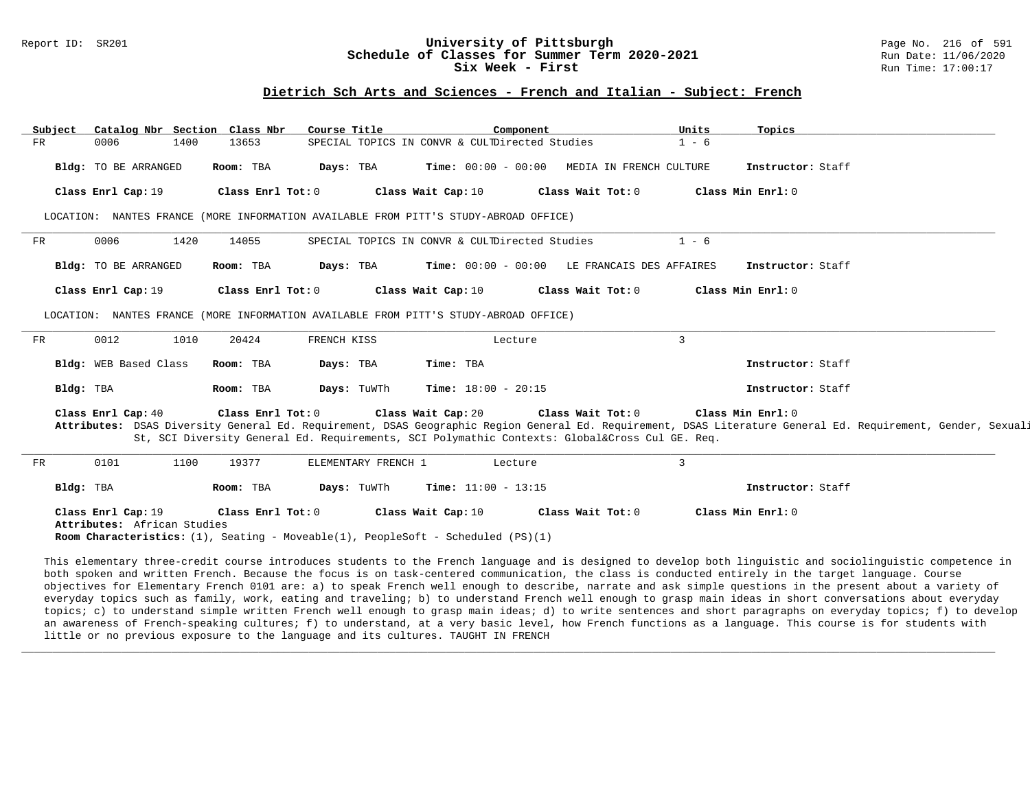#### Report ID: SR201 **1988 1998 10: SR201 University of Pittsburgh** Page No. 216 of 591 **Chedule of Classes for Summer Term 2020-2021** Page No. 216 of 591 **Schedule of Classes for Summer Term 2020-2021** Run Date: 11/06/2021<br>Six Week - First Run Time: 17:00:17 Six Week - First

#### **Dietrich Sch Arts and Sciences - French and Italian - Subject: French**

| Subject | Catalog Nbr Section Class Nbr                     |                   | Course Title        | Component                                                                                                       |                   | Units          | Topics                                                                                                                                                                            |  |
|---------|---------------------------------------------------|-------------------|---------------------|-----------------------------------------------------------------------------------------------------------------|-------------------|----------------|-----------------------------------------------------------------------------------------------------------------------------------------------------------------------------------|--|
| FR      | 0006<br>1400                                      | 13653             |                     | SPECIAL TOPICS IN CONVR & CULTDirected Studies                                                                  |                   | $1 - 6$        |                                                                                                                                                                                   |  |
|         | Bldg: TO BE ARRANGED                              | Room: TBA         | Days: TBA           | Time: 00:00 - 00:00 MEDIA IN FRENCH CULTURE                                                                     |                   |                | Instructor: Staff                                                                                                                                                                 |  |
|         | Class Enrl Cap: 19                                | Class Enrl Tot: 0 |                     | Class Wait Cap: 10                                                                                              | Class Wait Tot: 0 |                | Class Min Enrl: 0                                                                                                                                                                 |  |
|         |                                                   |                   |                     | LOCATION: NANTES FRANCE (MORE INFORMATION AVAILABLE FROM PITT'S STUDY-ABROAD OFFICE)                            |                   |                |                                                                                                                                                                                   |  |
| FR      | 0006<br>1420                                      | 14055             |                     | SPECIAL TOPICS IN CONVR & CULTDirected Studies                                                                  |                   | $1 - 6$        |                                                                                                                                                                                   |  |
|         | Bldg: TO BE ARRANGED                              | Room: TBA         | Days: TBA           | Time: 00:00 - 00:00 LE FRANCAIS DES AFFAIRES                                                                    |                   |                | Instructor: Staff                                                                                                                                                                 |  |
|         | Class Enrl Cap: 19                                | Class Enrl Tot: 0 |                     | Class Wait Cap: 10                                                                                              | Class Wait Tot: 0 |                | Class Min Enrl: 0                                                                                                                                                                 |  |
|         |                                                   |                   |                     | LOCATION: NANTES FRANCE (MORE INFORMATION AVAILABLE FROM PITT'S STUDY-ABROAD OFFICE)                            |                   |                |                                                                                                                                                                                   |  |
| FR      | 0012<br>1010                                      | 20424             | FRENCH KISS         | Lecture                                                                                                         |                   | $\overline{3}$ |                                                                                                                                                                                   |  |
|         | Bldg: WEB Based Class                             | Room: TBA         | Days: TBA           | Time: TBA                                                                                                       |                   |                | Instructor: Staff                                                                                                                                                                 |  |
|         | Bldg: TBA                                         | Room: TBA         | Days: TuWTh         | <b>Time:</b> $18:00 - 20:15$                                                                                    |                   |                | Instructor: Staff                                                                                                                                                                 |  |
|         | Class Enrl Cap: 40                                | Class Enrl Tot: 0 |                     | Class Wait Cap: 20<br>St, SCI Diversity General Ed. Requirements, SCI Polymathic Contexts: Global⨯ Cul GE. Req. | Class Wait Tot: 0 |                | Class Min Enrl: 0<br>Attributes: DSAS Diversity General Ed. Requirement, DSAS Geographic Region General Ed. Requirement, DSAS Literature General Ed. Requirement, Gender, Sexuali |  |
| FR      | 1100<br>0101                                      | 19377             | ELEMENTARY FRENCH 1 | Lecture                                                                                                         |                   | 3              |                                                                                                                                                                                   |  |
|         | Bldg: TBA                                         | Room: TBA         | Days: TuWTh         | <b>Time:</b> $11:00 - 13:15$                                                                                    |                   |                | Instructor: Staff                                                                                                                                                                 |  |
|         | Class Enrl Cap: 19<br>Attributes: African Studies | Class Enrl Tot: 0 |                     | Class Wait Cap: 10<br><b>Room Characteristics:</b> (1), Seating - Moveable(1), PeopleSoft - Scheduled (PS)(1)   | Class Wait Tot: 0 |                | Class Min Enrl: 0                                                                                                                                                                 |  |

This elementary three-credit course introduces students to the French language and is designed to develop both linguistic and sociolinguistic competence in both spoken and written French. Because the focus is on task-centered communication, the class is conducted entirely in the target language. Course objectives for Elementary French 0101 are: a) to speak French well enough to describe, narrate and ask simple questions in the present about a variety of everyday topics such as family, work, eating and traveling; b) to understand French well enough to grasp main ideas in short conversations about everyday topics; c) to understand simple written French well enough to grasp main ideas; d) to write sentences and short paragraphs on everyday topics; f) to develop an awareness of French-speaking cultures; f) to understand, at a very basic level, how French functions as a language. This course is for students with little or no previous exposure to the language and its cultures. TAUGHT IN FRENCH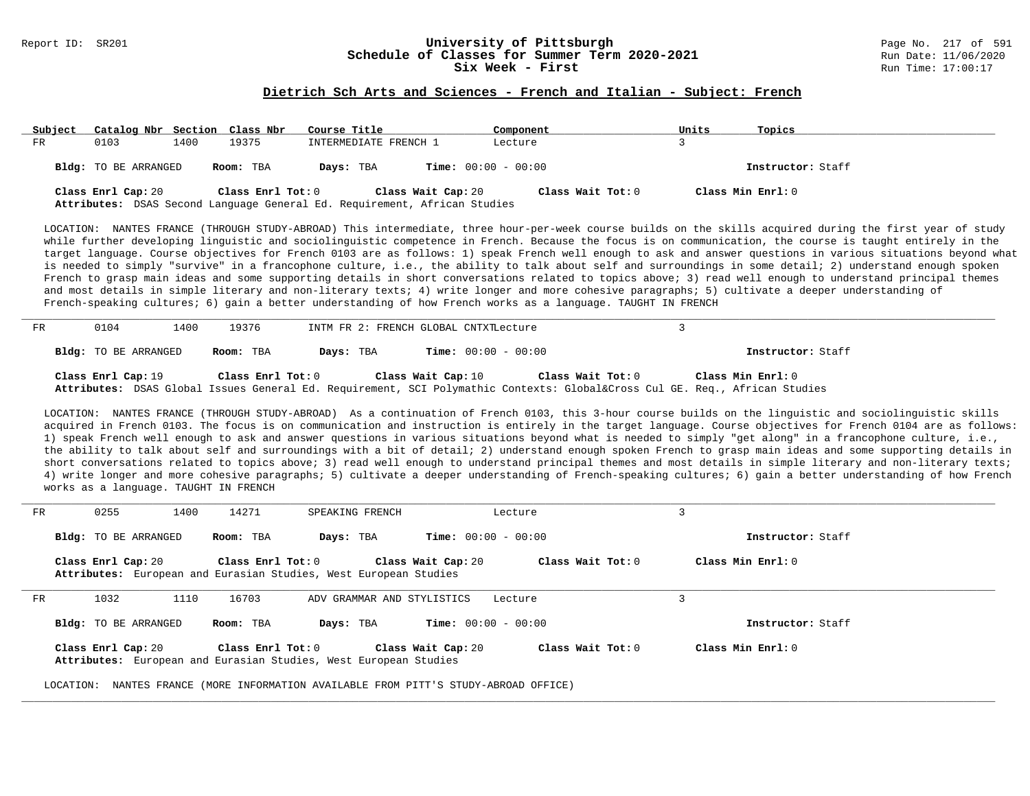# Report ID: SR201 **1988 1998 12: SR201 University of Pittsburgh University of Pittsburgh** Page No. 217 of 591 **Schedule of Classes for Summer Term 2020-2021**<br>Six Week - First

#### **Dietrich Sch Arts and Sciences - French and Italian - Subject: French**

| Subject | Catalog Nbr Section Class Nbr |      |                   | Course Title                                                                                    | Component                    | Units             | Topics            |
|---------|-------------------------------|------|-------------------|-------------------------------------------------------------------------------------------------|------------------------------|-------------------|-------------------|
| FR      | 0103                          | 1400 | 19375             | INTERMEDIATE FRENCH 1                                                                           | Lecture                      |                   |                   |
|         | Bldg: TO BE ARRANGED          |      | Room: TBA         | Days: TBA                                                                                       | <b>Time:</b> $00:00 - 00:00$ |                   | Instructor: Staff |
|         | Class Enrl Cap: 20            |      | Class Enrl Tot: 0 | Class Wait Cap: 20<br>Attributes: DSAS Second Language General Ed. Requirement, African Studies | Class Wait Tot: 0            | Class Min Enrl: 0 |                   |

LOCATION: NANTES FRANCE (THROUGH STUDY-ABROAD) This intermediate, three hour-per-week course builds on the skills acquired during the first year of study while further developing linguistic and sociolinguistic competence in French. Because the focus is on communication, the course is taught entirely in the target language. Course objectives for French 0103 are as follows: 1) speak French well enough to ask and answer questions in various situations beyond what is needed to simply "survive" in a francophone culture, i.e., the ability to talk about self and surroundings in some detail; 2) understand enough spoken French to grasp main ideas and some supporting details in short conversations related to topics above; 3) read well enough to understand principal themes and most details in simple literary and non-literary texts; 4) write longer and more cohesive paragraphs; 5) cultivate a deeper understanding of French-speaking cultures; 6) gain a better understanding of how French works as a language. TAUGHT IN FRENCH

| FR | 0104                 | 1400 | 19376             |           | INTM FR 2: FRENCH GLOBAL CNTXTLecture |                   |                                                                                                                                             |  |
|----|----------------------|------|-------------------|-----------|---------------------------------------|-------------------|---------------------------------------------------------------------------------------------------------------------------------------------|--|
|    | Bldg: TO BE ARRANGED |      | Room: TBA         | Days: TBA | <b>Time:</b> $00:00 - 00:00$          |                   | Instructor: Staff                                                                                                                           |  |
|    | Class Enrl Cap: 19   |      | Class Enrl Tot: 0 |           | Class Wait Cap: 10                    | Class Wait Tot: 0 | Class Min Enrl: 0<br>Attributes: DSAS Global Issues General Ed. Requirement, SCI Polymathic Contexts: Global⨯ Cul GE. Req., African Studies |  |

LOCATION: NANTES FRANCE (THROUGH STUDY-ABROAD) As a continuation of French 0103, this 3-hour course builds on the linguistic and sociolinguistic skills acquired in French 0103. The focus is on communication and instruction is entirely in the target language. Course objectives for French 0104 are as follows: 1) speak French well enough to ask and answer questions in various situations beyond what is needed to simply "get along" in a francophone culture, i.e., the ability to talk about self and surroundings with a bit of detail; 2) understand enough spoken French to grasp main ideas and some supporting details in short conversations related to topics above; 3) read well enough to understand principal themes and most details in simple literary and non-literary texts; 4) write longer and more cohesive paragraphs; 5) cultivate a deeper understanding of French-speaking cultures; 6) gain a better understanding of how French works as a language. TAUGHT IN FRENCH

| FR. | 0255<br>1400                | 14271                 | SPEAKING FRENCH                                                  | Lecture                      |                   |                    |  |
|-----|-----------------------------|-----------------------|------------------------------------------------------------------|------------------------------|-------------------|--------------------|--|
|     | <b>Bldg:</b> TO BE ARRANGED | Room: TBA             | Days: TBA                                                        | <b>Time:</b> $00:00 - 00:00$ |                   | Instructor: Staff  |  |
|     | Class Enrl Cap: 20          | Class Enrl Tot: 0     | Attributes: European and Eurasian Studies, West European Studies | Class Wait Cap: 20           | Class Wait Tot: 0 | Class Min $Enr1:0$ |  |
| FR  | 1032<br>1110                | 16703                 | ADV GRAMMAR AND STYLISTICS                                       | Lecture                      |                   | 3                  |  |
|     | <b>Bldg:</b> TO BE ARRANGED | Room: TBA             | Days: TBA                                                        | <b>Time:</b> $00:00 - 00:00$ |                   | Instructor: Staff  |  |
|     | Class Enrl Cap: 20          | Class $Enr1$ Tot: $0$ | Attributes: European and Eurasian Studies, West European Studies | Class Wait Cap: 20           | Class Wait Tot: 0 | Class Min Enrl: 0  |  |

**\_\_\_\_\_\_\_\_\_\_\_\_\_\_\_\_\_\_\_\_\_\_\_\_\_\_\_\_\_\_\_\_\_\_\_\_\_\_\_\_\_\_\_\_\_\_\_\_\_\_\_\_\_\_\_\_\_\_\_\_\_\_\_\_\_\_\_\_\_\_\_\_\_\_\_\_\_\_\_\_\_\_\_\_\_\_\_\_\_\_\_\_\_\_\_\_\_\_\_\_\_\_\_\_\_\_\_\_\_\_\_\_\_\_\_\_\_\_\_\_\_\_\_\_\_\_\_\_\_\_\_\_\_\_\_\_\_\_\_\_\_\_\_\_\_\_\_\_\_\_\_\_\_\_\_\_**

LOCATION: NANTES FRANCE (MORE INFORMATION AVAILABLE FROM PITT'S STUDY-ABROAD OFFICE)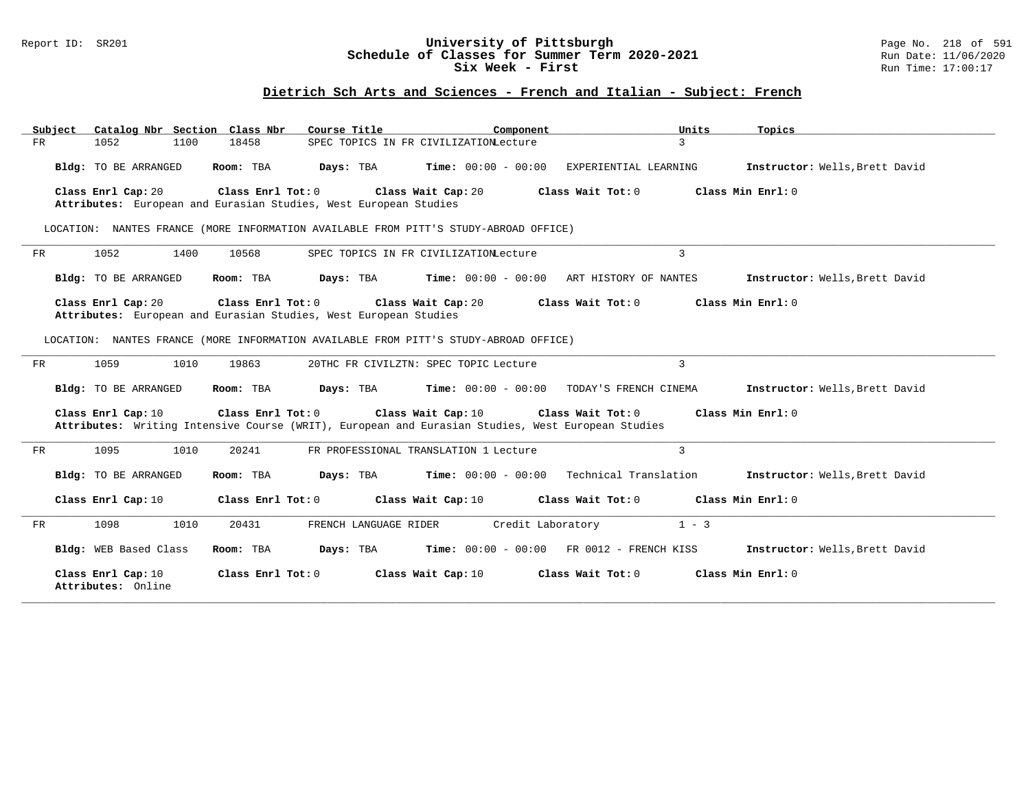## Report ID: SR201 **University of Pittsburgh** Page No. 218 of 591 **Schedule of Classes for Summer Term 2020-2021** Run Date: 11/06/2020 **Six Week - First Run Time: 17:00:17**

# **Dietrich Sch Arts and Sciences - French and Italian - Subject: French**

| Catalog Nbr Section Class Nbr<br>Subject | Course Title                                                                                                                                                                  | Component                                            | Units<br>Topics       |                                |
|------------------------------------------|-------------------------------------------------------------------------------------------------------------------------------------------------------------------------------|------------------------------------------------------|-----------------------|--------------------------------|
| 1052<br>1100<br>FR                       | 18458                                                                                                                                                                         | SPEC TOPICS IN FR CIVILIZATION Lecture               | $\overline{3}$        |                                |
| Bldg: TO BE ARRANGED                     | Room: TBA<br>Days: TBA                                                                                                                                                        | $Time: 00:00 - 00:00$                                | EXPERIENTIAL LEARNING | Instructor: Wells, Brett David |
| Class Enrl Cap: 20                       | Class Enrl Tot: 0<br>Attributes: European and Eurasian Studies, West European Studies                                                                                         | Class Wait Cap: 20<br>Class Wait Tot: 0              | Class Min Enrl: 0     |                                |
|                                          | LOCATION: NANTES FRANCE (MORE INFORMATION AVAILABLE FROM PITT'S STUDY-ABROAD OFFICE)                                                                                          |                                                      |                       |                                |
| 1052<br>1400<br>FR                       | 10568                                                                                                                                                                         | SPEC TOPICS IN FR CIVILIZATION Lecture               | 3                     |                                |
| Bldg: TO BE ARRANGED                     | Room: TBA<br>Days: TBA                                                                                                                                                        | $Time: 00:00 - 00:00$ ART HISTORY OF NANTES          |                       | Instructor: Wells, Brett David |
| Class Enrl Cap: 20                       | Class Enrl Tot: 0<br>Attributes: European and Eurasian Studies, West European Studies<br>LOCATION: NANTES FRANCE (MORE INFORMATION AVAILABLE FROM PITT'S STUDY-ABROAD OFFICE) | Class Wait Cap: 20<br>Class Wait Tot: 0              | Class Min Enrl: 0     |                                |
| 1059<br>1010<br>FR                       | 19863                                                                                                                                                                         | 20THC FR CIVILZTN: SPEC TOPIC Lecture                | $\overline{3}$        |                                |
| Bldg: TO BE ARRANGED                     | Days: TBA<br>Room: TBA                                                                                                                                                        | $Time: 00:00 - 00:00$                                | TODAY'S FRENCH CINEMA | Instructor: Wells, Brett David |
| Class Enrl Cap: 10                       | Class Enrl Tot: 0<br>Attributes: Writing Intensive Course (WRIT), European and Eurasian Studies, West European Studies                                                        | Class Wait Cap: 10<br>Class Wait Tot: 0              | Class Min $Enr1: 0$   |                                |
| 1010<br>1095<br>FR                       | 20241                                                                                                                                                                         | FR PROFESSIONAL TRANSLATION 1 Lecture                | $\overline{3}$        |                                |
| Bldg: TO BE ARRANGED                     | Days: TBA<br>Room: TBA                                                                                                                                                        | $Time: 00:00 - 00:00$ Technical Translation          |                       | Instructor: Wells, Brett David |
| Class Enrl Cap: 10                       | Class Enrl Tot: 0                                                                                                                                                             | Class Wait Cap: 10<br>Class Wait Tot: 0              | Class Min Enrl: 0     |                                |
| 1098<br>1010<br>FR                       | 20431<br>FRENCH LANGUAGE RIDER                                                                                                                                                | Credit Laboratory                                    | $1 - 3$               |                                |
| Bldg: WEB Based Class                    | Room: TBA<br>Days: TBA                                                                                                                                                        | <b>Time:</b> $00:00 - 00:00$ FR $0012 -$ FRENCH KISS |                       | Instructor: Wells, Brett David |
| Class Enrl Cap: 10<br>Attributes: Online | Class Enrl Tot: 0                                                                                                                                                             | Class Wait Cap: 10<br>Class Wait Tot: 0              | Class Min Enrl: 0     |                                |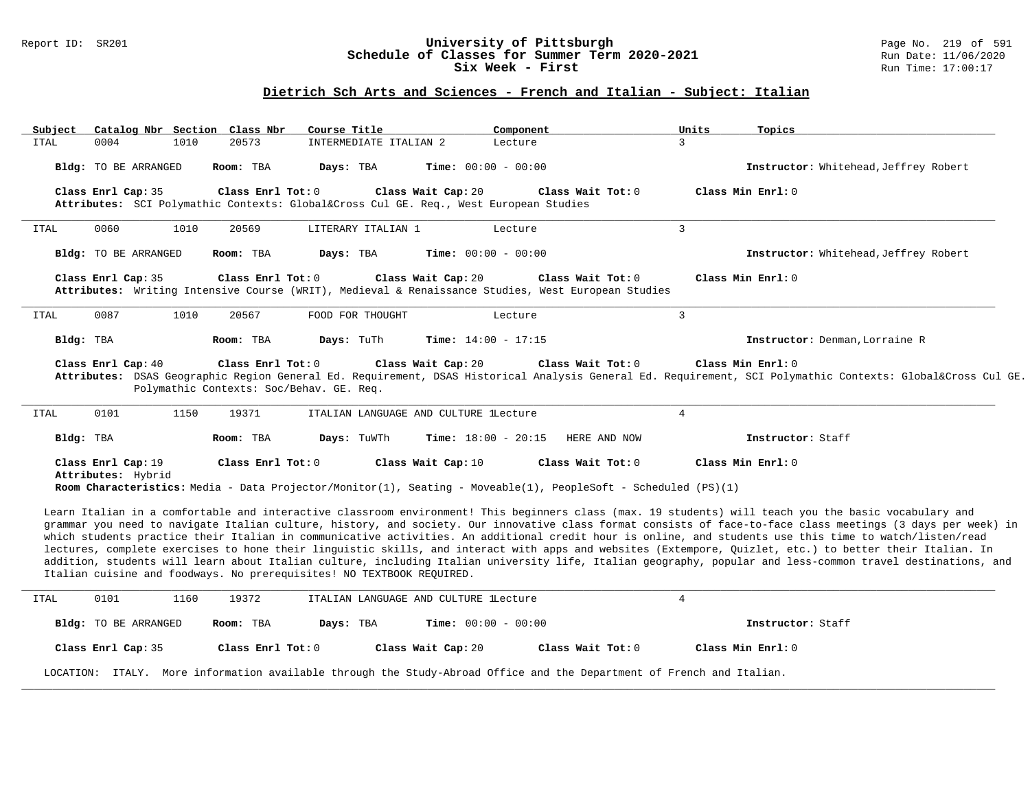## Report ID: SR201 **University of Pittsburgh** Page No. 219 of 591 **Schedule of Classes for Summer Term 2020-2021** Run Date: 11/06/2020 **Six Week - First Run Time: 17:00:17**

# **Dietrich Sch Arts and Sciences - French and Italian - Subject: Italian**

| Subject     |                                          |                             | Catalog Nbr Section Class Nbr                             | Course Title                                                          | Component                                                                                                                                                 | Units          | Topics                                                                                                                                                                                                                                                                                                                                                                                                                                                                                                                                                                                                                                                                                                                                                                                                      |
|-------------|------------------------------------------|-----------------------------|-----------------------------------------------------------|-----------------------------------------------------------------------|-----------------------------------------------------------------------------------------------------------------------------------------------------------|----------------|-------------------------------------------------------------------------------------------------------------------------------------------------------------------------------------------------------------------------------------------------------------------------------------------------------------------------------------------------------------------------------------------------------------------------------------------------------------------------------------------------------------------------------------------------------------------------------------------------------------------------------------------------------------------------------------------------------------------------------------------------------------------------------------------------------------|
| <b>ITAL</b> | 0004                                     |                             | 1010<br>20573                                             | INTERMEDIATE ITALIAN 2                                                | Lecture                                                                                                                                                   | $\mathcal{E}$  |                                                                                                                                                                                                                                                                                                                                                                                                                                                                                                                                                                                                                                                                                                                                                                                                             |
|             |                                          | Bldg: TO BE ARRANGED        | Room: TBA                                                 | Days: TBA                                                             | <b>Time:</b> $00:00 - 00:00$                                                                                                                              |                | Instructor: Whitehead, Jeffrey Robert                                                                                                                                                                                                                                                                                                                                                                                                                                                                                                                                                                                                                                                                                                                                                                       |
|             | Class Enrl Cap: 35                       |                             | Class Enrl Tot: 0                                         |                                                                       | Class Wait Cap: 20<br>Class Wait Tot: 0<br>Attributes: SCI Polymathic Contexts: Global⨯ Cul GE. Req., West European Studies                               |                | Class Min Enrl: 0                                                                                                                                                                                                                                                                                                                                                                                                                                                                                                                                                                                                                                                                                                                                                                                           |
| ITAL        | 0060                                     |                             | 20569<br>1010                                             | LITERARY ITALIAN 1                                                    | Lecture                                                                                                                                                   | $\mathbf{3}$   |                                                                                                                                                                                                                                                                                                                                                                                                                                                                                                                                                                                                                                                                                                                                                                                                             |
|             |                                          | Bldg: TO BE ARRANGED        | Room: TBA                                                 | Days: TBA                                                             | Time: $00:00 - 00:00$                                                                                                                                     |                | Instructor: Whitehead, Jeffrey Robert                                                                                                                                                                                                                                                                                                                                                                                                                                                                                                                                                                                                                                                                                                                                                                       |
|             | Class Enrl Cap: 35                       |                             | Class Enrl Tot: 0                                         |                                                                       | Class Wait Cap: 20<br>Class Wait Tot: 0<br>Attributes: Writing Intensive Course (WRIT), Medieval & Renaissance Studies, West European Studies             |                | Class Min Enrl: 0                                                                                                                                                                                                                                                                                                                                                                                                                                                                                                                                                                                                                                                                                                                                                                                           |
| ITAL        | 0087                                     |                             | 1010<br>20567                                             | FOOD FOR THOUGHT                                                      | Lecture                                                                                                                                                   | $\overline{3}$ |                                                                                                                                                                                                                                                                                                                                                                                                                                                                                                                                                                                                                                                                                                                                                                                                             |
|             | Bldg: TBA                                |                             | Room: TBA                                                 | Days: TuTh                                                            | Time: $14:00 - 17:15$                                                                                                                                     |                | Instructor: Denman, Lorraine R                                                                                                                                                                                                                                                                                                                                                                                                                                                                                                                                                                                                                                                                                                                                                                              |
| <b>ITAL</b> | 0101                                     |                             | Polymathic Contexts: Soc/Behav. GE. Req.<br>1150<br>19371 |                                                                       | ITALIAN LANGUAGE AND CULTURE LLecture                                                                                                                     | $\overline{4}$ |                                                                                                                                                                                                                                                                                                                                                                                                                                                                                                                                                                                                                                                                                                                                                                                                             |
|             | Bldg: TBA                                |                             | Room: TBA                                                 | Days: TuWTh                                                           | Time: $18:00 - 20:15$<br>HERE AND NOW                                                                                                                     |                | Instructor: Staff                                                                                                                                                                                                                                                                                                                                                                                                                                                                                                                                                                                                                                                                                                                                                                                           |
|             | Class Enrl Cap: 19<br>Attributes: Hybrid |                             | Class Enrl Tot: 0                                         |                                                                       | Class Wait Cap: 10<br>Class Wait Tot: 0<br>Room Characteristics: Media - Data Projector/Monitor(1), Seating - Moveable(1), PeopleSoft - Scheduled (PS)(1) |                | Class Min Enrl: 0                                                                                                                                                                                                                                                                                                                                                                                                                                                                                                                                                                                                                                                                                                                                                                                           |
|             |                                          |                             |                                                           | Italian cuisine and foodways. No prerequisites! NO TEXTBOOK REQUIRED. |                                                                                                                                                           |                | Learn Italian in a comfortable and interactive classroom environment! This beginners class (max. 19 students) will teach you the basic vocabulary and<br>grammar you need to navigate Italian culture, history, and society. Our innovative class format consists of face-to-face class meetings (3 days per week) in<br>which students practice their Italian in communicative activities. An additional credit hour is online, and students use this time to watch/listen/read<br>lectures, complete exercises to hone their linguistic skills, and interact with apps and websites (Extempore, Quizlet, etc.) to better their Italian. In<br>addition, students will learn about Italian culture, including Italian university life, Italian geography, popular and less-common travel destinations, and |
| ITAL        | 0101                                     |                             | 1160<br>19372                                             |                                                                       | ITALIAN LANGUAGE AND CULTURE lLecture                                                                                                                     | $\overline{4}$ |                                                                                                                                                                                                                                                                                                                                                                                                                                                                                                                                                                                                                                                                                                                                                                                                             |
|             |                                          | <b>Bldg:</b> TO BE ARRANGED | Room: TBA                                                 | Days: TBA                                                             | <b>Time:</b> $00:00 - 00:00$                                                                                                                              |                | Instructor: Staff                                                                                                                                                                                                                                                                                                                                                                                                                                                                                                                                                                                                                                                                                                                                                                                           |
|             | Class Enrl Cap: 35                       |                             | Class Enrl Tot: 0                                         |                                                                       | Class Wait Cap: 20<br>Class Wait Tot: 0                                                                                                                   |                | Class Min Enrl: 0                                                                                                                                                                                                                                                                                                                                                                                                                                                                                                                                                                                                                                                                                                                                                                                           |
|             |                                          |                             |                                                           |                                                                       | LOCATION: ITALY. More information available through the Study-Abroad Office and the Department of French and Italian.                                     |                |                                                                                                                                                                                                                                                                                                                                                                                                                                                                                                                                                                                                                                                                                                                                                                                                             |
|             |                                          |                             |                                                           |                                                                       |                                                                                                                                                           |                |                                                                                                                                                                                                                                                                                                                                                                                                                                                                                                                                                                                                                                                                                                                                                                                                             |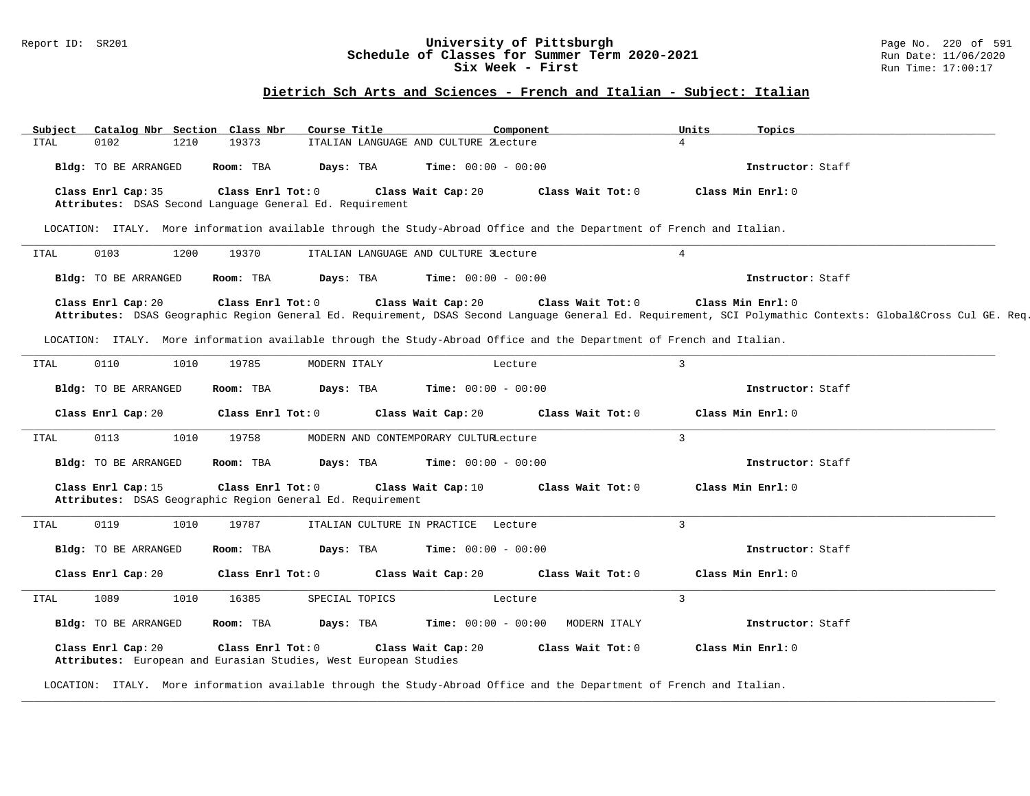### Report ID: SR201 **1988 Chedule of Classes for Summer Term 2020-2021** Page No. 220 of 591 Page No. 220 of 591 **Schedule of Classes for Summer Term 2020-2021** Run Date: 11/06/2020 **Schedule of Classes for Summer Term 2020-2021** Run Date: 11/06/2020<br>Six Week - First Run Time: 17:00:17 Six Week - First

# **Dietrich Sch Arts and Sciences - French and Italian - Subject: Italian**

| Subject              | Catalog Nbr Section Class Nbr                                                         | Course Title                | Component                                                                                                             |                     | Units<br>Topics   |                                                                                                                                                         |
|----------------------|---------------------------------------------------------------------------------------|-----------------------------|-----------------------------------------------------------------------------------------------------------------------|---------------------|-------------------|---------------------------------------------------------------------------------------------------------------------------------------------------------|
| 0102<br>ITAL         | 1210<br>19373                                                                         |                             | ITALIAN LANGUAGE AND CULTURE ZLecture                                                                                 | $\overline{4}$      |                   |                                                                                                                                                         |
| Bldg: TO BE ARRANGED | Room: TBA                                                                             | Days: TBA                   | <b>Time:</b> $00:00 - 00:00$                                                                                          |                     | Instructor: Staff |                                                                                                                                                         |
| Class Enrl Cap: 35   | Class Enrl Tot: 0<br>Attributes: DSAS Second Language General Ed. Requirement         |                             | Class Wait Cap: 20                                                                                                    | Class Wait Tot: 0   | Class Min Enrl: 0 |                                                                                                                                                         |
|                      |                                                                                       |                             | LOCATION: ITALY. More information available through the Study-Abroad Office and the Department of French and Italian. |                     |                   |                                                                                                                                                         |
| 0103<br>ITAL         | 1200<br>19370                                                                         |                             | ITALIAN LANGUAGE AND CULTURE 3Lecture                                                                                 | $\overline{4}$      |                   |                                                                                                                                                         |
| Bldg: TO BE ARRANGED | Room: TBA                                                                             | Days: TBA                   | <b>Time:</b> $00:00 - 00:00$                                                                                          |                     | Instructor: Staff |                                                                                                                                                         |
| Class Enrl Cap: 20   | Class Enrl Tot: 0                                                                     |                             | Class Wait Cap: 20                                                                                                    | Class Wait Tot: 0   | Class Min Enrl: 0 |                                                                                                                                                         |
|                      |                                                                                       |                             |                                                                                                                       |                     |                   | Attributes: DSAS Geographic Region General Ed. Requirement, DSAS Second Language General Ed. Requirement, SCI Polymathic Contexts: Global⨯ Cul GE. Req. |
|                      |                                                                                       |                             | LOCATION: ITALY. More information available through the Study-Abroad Office and the Department of French and Italian. |                     |                   |                                                                                                                                                         |
| 0110<br>ITAL         | 1010<br>19785                                                                         | MODERN ITALY                | Lecture                                                                                                               | $\overline{3}$      |                   |                                                                                                                                                         |
| Bldg: TO BE ARRANGED | Room: TBA                                                                             | Days: TBA                   | <b>Time:</b> $00:00 - 00:00$                                                                                          |                     | Instructor: Staff |                                                                                                                                                         |
| Class Enrl Cap: 20   | Class Enrl Tot: 0                                                                     |                             | Class Wait Cap: 20                                                                                                    | Class Wait Tot: 0   | Class Min Enrl: 0 |                                                                                                                                                         |
| 0113<br><b>ITAL</b>  | 1010<br>19758                                                                         |                             | MODERN AND CONTEMPORARY CULTURLecture                                                                                 | $\overline{3}$      |                   |                                                                                                                                                         |
| Bldg: TO BE ARRANGED | Room: TBA                                                                             | Days: TBA                   | <b>Time:</b> $00:00 - 00:00$                                                                                          |                     | Instructor: Staff |                                                                                                                                                         |
| Class Enrl Cap: 15   | Class Enrl Tot: 0<br>Attributes: DSAS Geographic Region General Ed. Requirement       |                             | Class Wait Cap: 10                                                                                                    | Class Wait Tot: 0   | Class Min Enrl: 0 |                                                                                                                                                         |
| 0119<br>ITAL         | 1010<br>19787                                                                         | ITALIAN CULTURE IN PRACTICE | Lecture                                                                                                               | $\overline{3}$      |                   |                                                                                                                                                         |
| Bldg: TO BE ARRANGED | Room: TBA                                                                             | Days: TBA                   | <b>Time:</b> $00:00 - 00:00$                                                                                          |                     | Instructor: Staff |                                                                                                                                                         |
| Class Enrl Cap: 20   | Class Enrl Tot: 0                                                                     |                             | Class Wait Cap: 20                                                                                                    | Class Wait Tot: 0   | Class Min Enrl: 0 |                                                                                                                                                         |
| 1089<br>ITAL         | 16385<br>1010                                                                         | SPECIAL TOPICS              | Lecture                                                                                                               | $\overline{3}$      |                   |                                                                                                                                                         |
| Bldg: TO BE ARRANGED | Room: TBA                                                                             | Days: TBA                   | <b>Time:</b> $00:00 - 00:00$                                                                                          | MODERN ITALY        | Instructor: Staff |                                                                                                                                                         |
| Class Enrl Cap: 20   | Class Enrl Tot: 0<br>Attributes: European and Eurasian Studies, West European Studies |                             | Class Wait Cap: 20                                                                                                    | Class Wait $Tot: 0$ | Class Min Enrl: 0 |                                                                                                                                                         |

**\_\_\_\_\_\_\_\_\_\_\_\_\_\_\_\_\_\_\_\_\_\_\_\_\_\_\_\_\_\_\_\_\_\_\_\_\_\_\_\_\_\_\_\_\_\_\_\_\_\_\_\_\_\_\_\_\_\_\_\_\_\_\_\_\_\_\_\_\_\_\_\_\_\_\_\_\_\_\_\_\_\_\_\_\_\_\_\_\_\_\_\_\_\_\_\_\_\_\_\_\_\_\_\_\_\_\_\_\_\_\_\_\_\_\_\_\_\_\_\_\_\_\_\_\_\_\_\_\_\_\_\_\_\_\_\_\_\_\_\_\_\_\_\_\_\_\_\_\_\_\_\_\_\_\_\_**

LOCATION: ITALY. More information available through the Study-Abroad Office and the Department of French and Italian.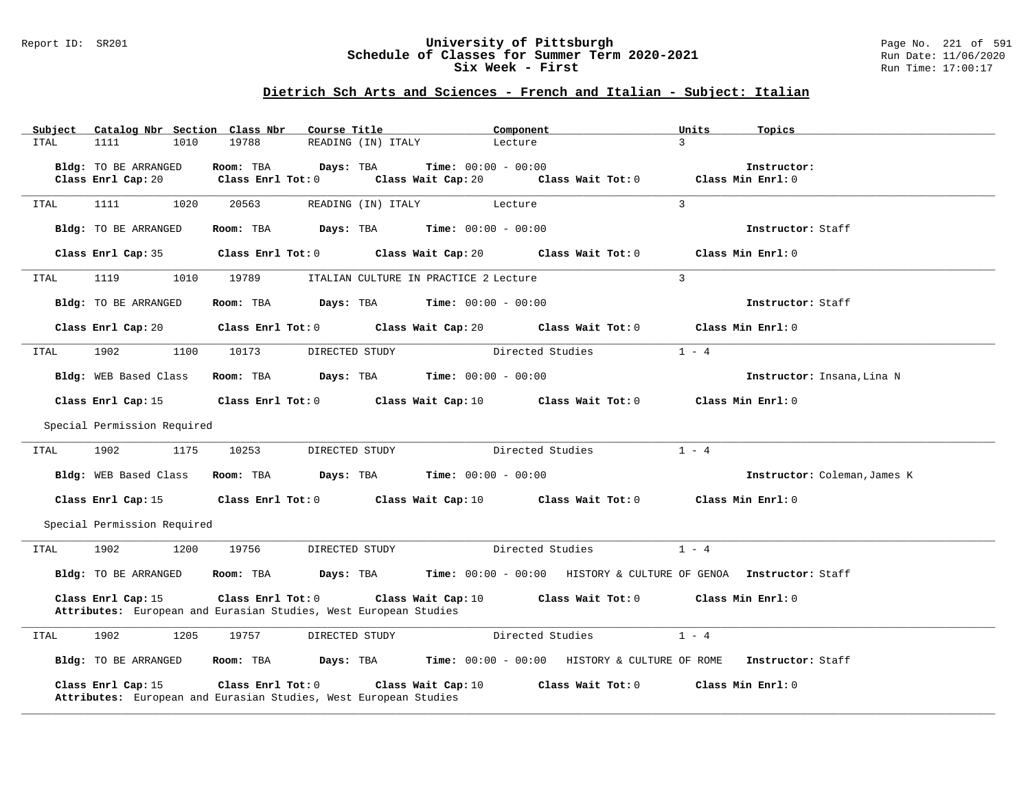## Report ID: SR201 **University of Pittsburgh** Page No. 221 of 591 **Schedule of Classes for Summer Term 2020-2021** Run Date: 11/06/2020 **Six Week - First Run Time: 17:00:17**

# **Dietrich Sch Arts and Sciences - French and Italian - Subject: Italian**

| Subject     | Catalog Nbr Section Class Nbr |                         | Course Title                                                                     | Component                    |                   | Units             | Topics                       |
|-------------|-------------------------------|-------------------------|----------------------------------------------------------------------------------|------------------------------|-------------------|-------------------|------------------------------|
| <b>ITAL</b> | 1111<br>1010                  | 19788                   | READING (IN) ITALY                                                               | Lecture                      | $\mathcal{E}$     |                   |                              |
|             |                               |                         |                                                                                  |                              |                   |                   |                              |
|             | Bldg: TO BE ARRANGED          | Room: TBA               | Days: TBA                                                                        | <b>Time:</b> $00:00 - 00:00$ |                   |                   | Instructor:                  |
|             | Class Enrl Cap: 20            | Class Enrl Tot: 0       | Class Wait Cap: 20                                                               |                              | Class Wait Tot: 0 | Class Min Enrl: 0 |                              |
|             |                               |                         |                                                                                  |                              |                   |                   |                              |
| ITAL        | 1111<br>1020                  | 20563                   | READING (IN) ITALY                                                               | Lecture                      | $\mathbf{3}$      |                   |                              |
|             |                               |                         |                                                                                  |                              |                   |                   |                              |
|             | Bldg: TO BE ARRANGED          | Room: TBA               | Days: TBA                                                                        | <b>Time:</b> $00:00 - 00:00$ |                   |                   | Instructor: Staff            |
|             |                               |                         |                                                                                  |                              |                   |                   |                              |
|             | Class Enrl Cap: 35            | Class Enrl Tot: 0       | Class Wait Cap: 20                                                               |                              | Class Wait Tot: 0 | Class Min Enrl: 0 |                              |
|             |                               |                         |                                                                                  |                              |                   |                   |                              |
| ITAL        | 1119<br>1010                  | 19789                   | ITALIAN CULTURE IN PRACTICE 2 Lecture                                            |                              | $\overline{3}$    |                   |                              |
|             | Bldg: TO BE ARRANGED          | Room: TBA               | Days: TBA                                                                        | <b>Time:</b> $00:00 - 00:00$ |                   |                   | Instructor: Staff            |
|             |                               |                         |                                                                                  |                              |                   |                   |                              |
|             | Class Enrl Cap: 20            | Class Enrl Tot: 0       | Class Wait Cap: 20                                                               |                              | Class Wait Tot: 0 | Class Min Enrl: 0 |                              |
|             |                               |                         |                                                                                  |                              |                   |                   |                              |
| ITAL        | 1902<br>1100                  | 10173                   | DIRECTED STUDY                                                                   | Directed Studies             |                   | $1 - 4$           |                              |
|             |                               |                         |                                                                                  |                              |                   |                   |                              |
|             | Bldg: WEB Based Class         | Room: TBA               | $\texttt{Davis:}$ TBA $\texttt{Time:}$ 00:00 - 00:00                             |                              |                   |                   | Instructor: Insana, Lina N   |
|             |                               |                         |                                                                                  |                              |                   |                   |                              |
|             | Class Enrl Cap: 15            | $Class$ $Enr1$ $Tot: 0$ | Class Wait Cap: 10                                                               |                              | Class Wait Tot: 0 | Class Min Enrl: 0 |                              |
|             |                               |                         |                                                                                  |                              |                   |                   |                              |
|             | Special Permission Required   |                         |                                                                                  |                              |                   |                   |                              |
|             |                               |                         |                                                                                  |                              |                   |                   |                              |
| ITAL        | 1175<br>1902                  | 10253                   | DIRECTED STUDY                                                                   | Directed Studies             |                   | $1 - 4$           |                              |
|             | Bldg: WEB Based Class         | Room: TBA               | Days: TBA                                                                        | <b>Time:</b> $00:00 - 00:00$ |                   |                   |                              |
|             |                               |                         |                                                                                  |                              |                   |                   | Instructor: Coleman, James K |
|             | Class Enrl Cap: 15            | Class Enrl Tot: 0       | Class Wait Cap: 10                                                               |                              | Class Wait Tot: 0 | Class Min Enrl: 0 |                              |
|             |                               |                         |                                                                                  |                              |                   |                   |                              |
|             | Special Permission Required   |                         |                                                                                  |                              |                   |                   |                              |
|             |                               |                         |                                                                                  |                              |                   |                   |                              |
| ITAL        | 1902<br>1200                  | 19756                   | DIRECTED STUDY                                                                   | Directed Studies             |                   | $1 - 4$           |                              |
|             |                               |                         |                                                                                  |                              |                   |                   |                              |
|             | Bldg: TO BE ARRANGED          | Room: TBA               | Days: TBA Time: 00:00 - 00:00 HISTORY & CULTURE OF GENOA Instructor: Staff       |                              |                   |                   |                              |
|             |                               |                         |                                                                                  |                              |                   |                   |                              |
|             | Class Enrl Cap: 15            | Class Enrl Tot: 0       | Class Wait Cap: 10                                                               |                              | Class Wait Tot: 0 | Class Min Enrl: 0 |                              |
|             |                               |                         | Attributes: European and Eurasian Studies, West European Studies                 |                              |                   |                   |                              |
|             |                               |                         |                                                                                  |                              |                   | $1 - 4$           |                              |
| ITAL        | 1902<br>1205                  | 19757                   | DIRECTED STUDY                                                                   | Directed Studies             |                   |                   |                              |
|             | Bldg: TO BE ARRANGED          | Room: TBA               | <b>Days: TBA Time:</b> 00:00 - 00:00 HISTORY & CULTURE OF ROME Instructor: Staff |                              |                   |                   |                              |
|             |                               |                         |                                                                                  |                              |                   |                   |                              |
|             | Class Enrl Cap: 15            | Class Enrl Tot: 0       | Class Wait Cap: 10                                                               |                              | Class Wait Tot: 0 | Class Min Enrl: 0 |                              |
|             |                               |                         | Attributes: European and Eurasian Studies, West European Studies                 |                              |                   |                   |                              |
|             |                               |                         |                                                                                  |                              |                   |                   |                              |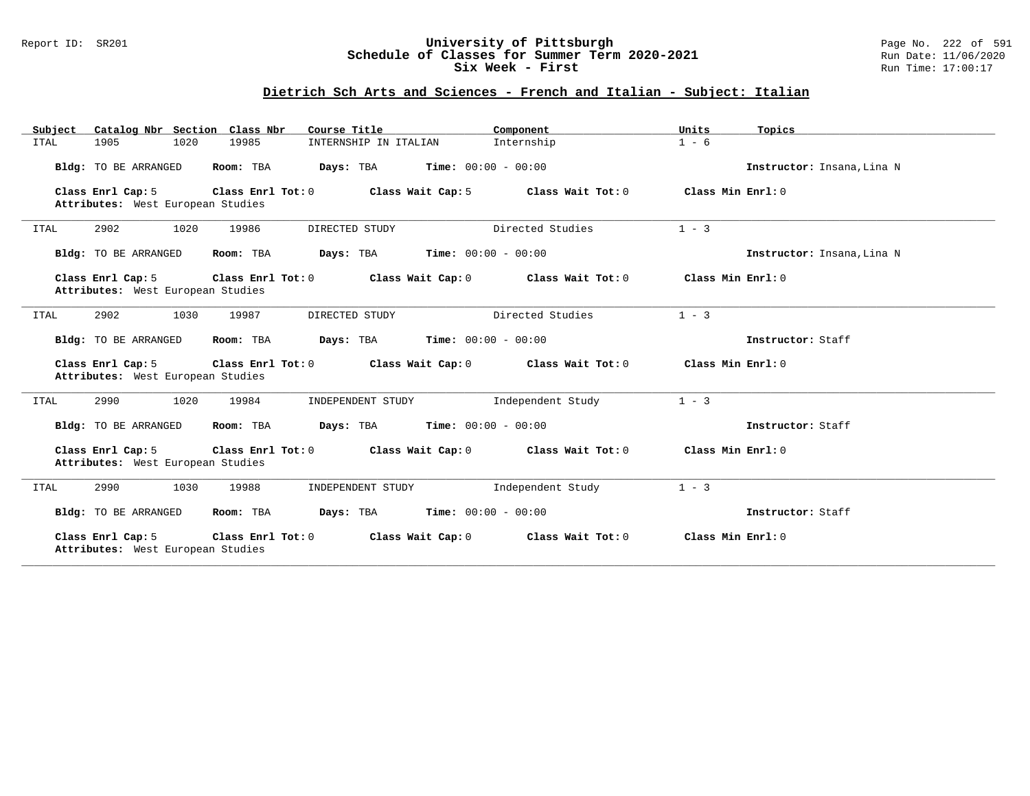## Report ID: SR201 **University of Pittsburgh** Page No. 222 of 591 **Schedule of Classes for Summer Term 2020-2021** Run Date: 11/06/2020 **Six Week - First Run Time: 17:00:17**

# **Dietrich Sch Arts and Sciences - French and Italian - Subject: Italian**

| Subject     | Catalog Nbr Section Class Nbr                          |                   | Course Title                              | Component         | Units              | Topics                     |
|-------------|--------------------------------------------------------|-------------------|-------------------------------------------|-------------------|--------------------|----------------------------|
| <b>ITAL</b> | 1905<br>1020                                           | 19985             | INTERNSHIP IN ITALIAN                     | Internship        | $1 - 6$            |                            |
|             | Bldg: TO BE ARRANGED                                   | Room: TBA         | <b>Time:</b> $00:00 - 00:00$<br>Days: TBA |                   |                    | Instructor: Insana, Lina N |
|             | Class Enrl Cap: 5                                      | Class Enrl Tot: 0 | Class Wait Cap: 5                         | Class Wait Tot: 0 | Class Min $Enr1:0$ |                            |
|             | Attributes: West European Studies                      |                   |                                           |                   |                    |                            |
| ITAL        | 2902<br>1020                                           | 19986             | DIRECTED STUDY                            | Directed Studies  | $1 - 3$            |                            |
|             | Bldg: TO BE ARRANGED                                   | Room: TBA         | <b>Time:</b> $00:00 - 00:00$<br>Days: TBA |                   |                    | Instructor: Insana, Lina N |
|             | Class Enrl Cap: 5                                      | Class Enrl Tot: 0 | Class Wait Cap: 0                         | Class Wait Tot: 0 | Class Min $Enr1:0$ |                            |
|             | Attributes: West European Studies                      |                   |                                           |                   |                    |                            |
| ITAL        | 2902<br>1030                                           | 19987             | DIRECTED STUDY                            | Directed Studies  | $1 - 3$            |                            |
|             | Bldg: TO BE ARRANGED                                   | Room: TBA         | <b>Time:</b> $00:00 - 00:00$<br>Days: TBA |                   |                    | Instructor: Staff          |
|             | Class Enrl Cap: 5<br>Attributes: West European Studies | Class Enrl Tot: 0 | Class Wait Cap: 0                         | Class Wait Tot: 0 | Class Min $Enr1:0$ |                            |
| <b>ITAL</b> | 1020<br>2990                                           | 19984             | INDEPENDENT STUDY                         | Independent Study | $1 - 3$            |                            |
|             | Bldg: TO BE ARRANGED                                   | Room: TBA         | <b>Time:</b> $00:00 - 00:00$<br>Days: TBA |                   |                    | Instructor: Staff          |
|             | Class Enrl Cap: 5<br>Attributes: West European Studies | Class Enrl Tot: 0 | Class Wait Cap: 0                         | Class Wait Tot: 0 | Class Min Enrl: 0  |                            |
| ITAL        | 2990<br>1030                                           | 19988             | INDEPENDENT STUDY                         | Independent Study | $1 - 3$            |                            |
|             | Bldg: TO BE ARRANGED                                   | Room: TBA         | <b>Time:</b> $00:00 - 00:00$<br>Days: TBA |                   |                    | Instructor: Staff          |
|             | Class Enrl Cap: 5<br>Attributes: West European Studies | Class Enrl Tot: 0 | Class Wait Cap: 0                         | Class Wait Tot: 0 | Class Min Enrl: 0  |                            |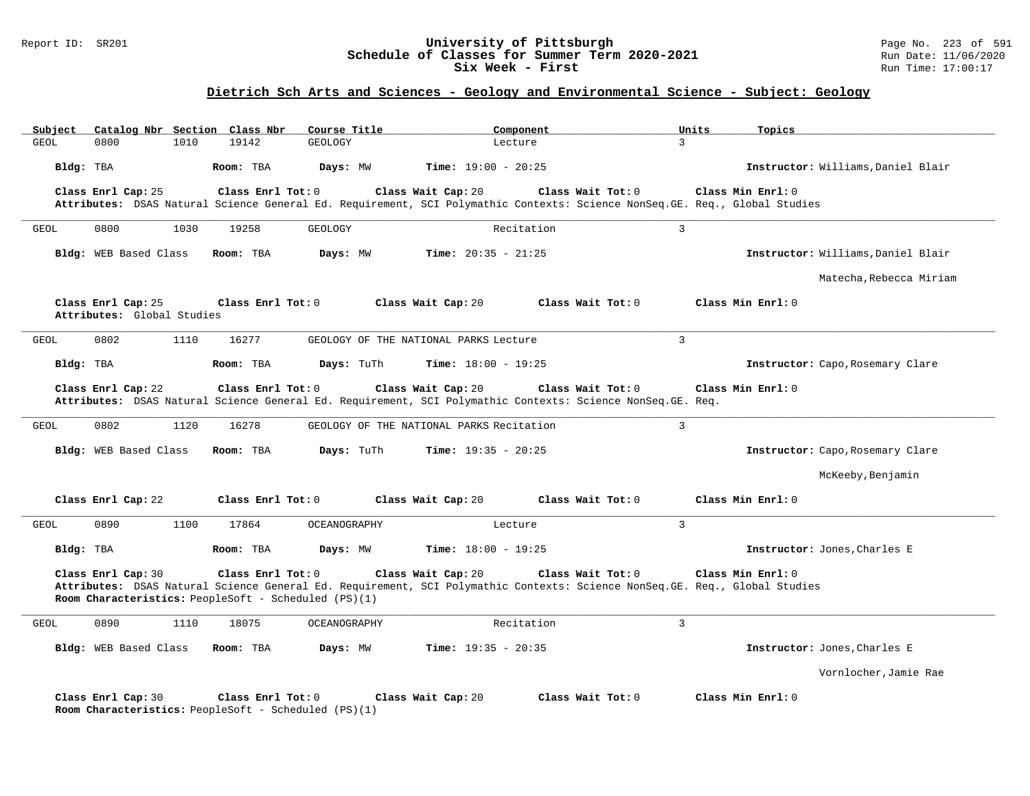#### Report ID: SR201 **University of Pittsburgh** Page No. 223 of 591 **Schedule of Classes for Summer Term 2020-2021** Run Date: 11/06/2020 **Six Week - First Run** Time: 17:00:17

# **Dietrich Sch Arts and Sciences - Geology and Environmental Science - Subject: Geology**

| <b>GEOL</b> | Subject               |                            | Catalog Nbr Section Class Nbr | Course Title                                         | Component                                                                                                                                        |                   | Units<br>Topics                    |
|-------------|-----------------------|----------------------------|-------------------------------|------------------------------------------------------|--------------------------------------------------------------------------------------------------------------------------------------------------|-------------------|------------------------------------|
|             | 0800                  | 1010                       | 19142                         | GEOLOGY                                              | Lecture                                                                                                                                          | $\overline{3}$    |                                    |
| Bldg: TBA   |                       |                            | Room: TBA                     | Days: MW                                             | <b>Time:</b> $19:00 - 20:25$                                                                                                                     |                   | Instructor: Williams, Daniel Blair |
|             | Class Enrl Cap: 25    |                            | Class Enrl Tot: 0             |                                                      | Class Wait Cap: 20                                                                                                                               | Class Wait Tot: 0 | Class Min Enrl: 0                  |
|             |                       |                            |                               |                                                      | Attributes: DSAS Natural Science General Ed. Requirement, SCI Polymathic Contexts: Science NonSeq.GE. Req., Global Studies                       |                   |                                    |
| GEOL        | 0800                  | 1030                       | 19258                         | GEOLOGY                                              | Recitation                                                                                                                                       | $\mathbf{3}$      |                                    |
|             | Bldg: WEB Based Class |                            | Room: TBA                     | Days: MW                                             | <b>Time:</b> $20:35 - 21:25$                                                                                                                     |                   | Instructor: Williams, Daniel Blair |
|             |                       |                            |                               |                                                      |                                                                                                                                                  |                   | Matecha, Rebecca Miriam            |
|             | Class Enrl Cap: 25    | Attributes: Global Studies | Class Enrl Tot: 0             |                                                      | Class Wait Cap: 20                                                                                                                               | Class Wait Tot: 0 | Class Min Enrl: 0                  |
| GEOL        | 0802                  | 1110                       | 16277                         |                                                      | GEOLOGY OF THE NATIONAL PARKS Lecture                                                                                                            | $\overline{3}$    |                                    |
| Bldg: TBA   |                       |                            | Room: TBA                     | Days: TuTh                                           | <b>Time:</b> $18:00 - 19:25$                                                                                                                     |                   | Instructor: Capo, Rosemary Clare   |
|             |                       |                            |                               |                                                      | Class Wait Cap: 20                                                                                                                               |                   | Class Min Enrl: 0                  |
|             | Class Enrl Cap: 22    |                            | Class Enrl Tot: 0             |                                                      | Attributes: DSAS Natural Science General Ed. Requirement, SCI Polymathic Contexts: Science NonSeq. GE. Req.                                      | Class Wait Tot: 0 |                                    |
|             |                       |                            |                               |                                                      |                                                                                                                                                  |                   |                                    |
| <b>GEOL</b> | 0802                  | 1120                       | 16278                         |                                                      | GEOLOGY OF THE NATIONAL PARKS Recitation                                                                                                         | $\mathbf{3}$      |                                    |
|             | Bldg: WEB Based Class |                            | Room: TBA                     | Days: TuTh                                           | <b>Time:</b> $19:35 - 20:25$                                                                                                                     |                   | Instructor: Capo, Rosemary Clare   |
|             |                       |                            |                               |                                                      |                                                                                                                                                  |                   |                                    |
|             |                       |                            |                               |                                                      |                                                                                                                                                  |                   | McKeeby, Benjamin                  |
|             | Class Enrl Cap: 22    |                            | Class Enrl Tot: 0             |                                                      | Class Wait Cap: 20                                                                                                                               | Class Wait Tot: 0 | Class Min Enrl: 0                  |
|             | 0890                  | 1100                       | 17864                         | OCEANOGRAPHY                                         | Lecture                                                                                                                                          | 3                 |                                    |
| Bldg: TBA   |                       |                            | Room: TBA                     | Days: MW                                             | <b>Time:</b> $18:00 - 19:25$                                                                                                                     |                   | Instructor: Jones, Charles E       |
| GEOL        | Class Enrl Cap: 30    |                            | Class Enrl Tot: 0             | Room Characteristics: PeopleSoft - Scheduled (PS)(1) | Class Wait Cap: 20<br>Attributes: DSAS Natural Science General Ed. Requirement, SCI Polymathic Contexts: Science NonSeq.GE. Req., Global Studies | Class Wait Tot: 0 | Class Min Enrl: 0                  |
| <b>GEOL</b> | 0890                  | 1110                       | 18075                         | <b>OCEANOGRAPHY</b>                                  | Recitation                                                                                                                                       | $\overline{3}$    |                                    |
|             | Bldg: WEB Based Class |                            | Room: TBA                     | Days: MW                                             | <b>Time:</b> $19:35 - 20:35$                                                                                                                     |                   | Instructor: Jones, Charles E       |
|             |                       |                            |                               |                                                      |                                                                                                                                                  |                   | Vornlocher, Jamie Rae              |
|             | Class Enrl Cap: 30    |                            | Class Enrl Tot: 0             |                                                      | Class Wait Cap: 20                                                                                                                               | Class Wait Tot: 0 | Class Min Enrl: 0                  |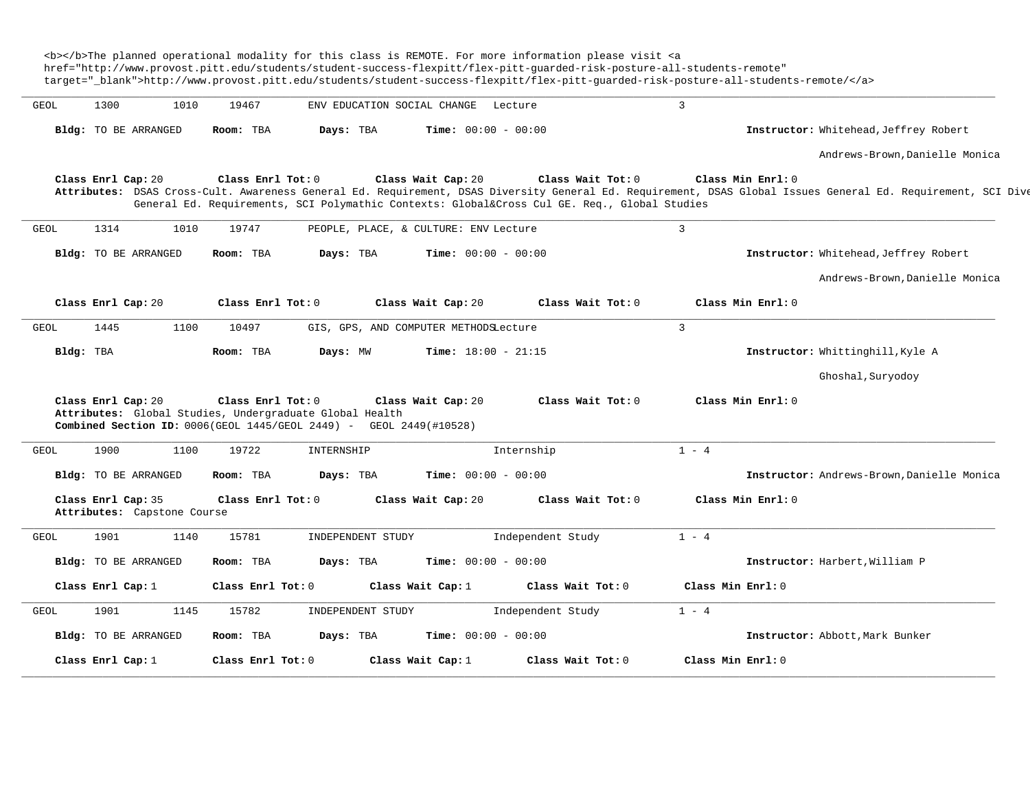|             |                             | href="http://www.provost.pitt.edu/students/student-success-flexpitt/flex-pitt-quarded-risk-posture-all-students-remote" |                     |                                                         |                                                                                                       |                                                                                                              | target="_blank">http://www.provost.pitt.edu/students/student-success-flexpitt/flex-pitt-quarded-risk-posture-all-students-remote/                                                 |
|-------------|-----------------------------|-------------------------------------------------------------------------------------------------------------------------|---------------------|---------------------------------------------------------|-------------------------------------------------------------------------------------------------------|--------------------------------------------------------------------------------------------------------------|-----------------------------------------------------------------------------------------------------------------------------------------------------------------------------------|
| <b>GEOL</b> | 1300                        | 1010                                                                                                                    | 19467               |                                                         | ENV EDUCATION SOCIAL CHANGE                                                                           | Lecture                                                                                                      | $\overline{3}$                                                                                                                                                                    |
|             | <b>Bldg:</b> TO BE ARRANGED |                                                                                                                         | Room: TBA           | Days: TBA                                               |                                                                                                       | <b>Time:</b> $00:00 - 00:00$                                                                                 | Instructor: Whitehead, Jeffrey Robert                                                                                                                                             |
|             |                             |                                                                                                                         |                     |                                                         |                                                                                                       |                                                                                                              | Andrews-Brown, Danielle Monica                                                                                                                                                    |
|             | Class Enrl Cap: 20          |                                                                                                                         | Class Enrl Tot: 0   |                                                         | Class Wait Cap: 20                                                                                    | Class Wait Tot: 0<br>General Ed. Requirements, SCI Polymathic Contexts: Global⨯ Cul GE. Req., Global Studies | Class Min Enrl: 0<br>Attributes: DSAS Cross-Cult. Awareness General Ed. Requirement, DSAS Diversity General Ed. Requirement, DSAS Global Issues General Ed. Requirement, SCI Dive |
| <b>GEOL</b> | 1314                        | 1010                                                                                                                    | 19747               |                                                         | PEOPLE, PLACE, & CULTURE: ENV Lecture                                                                 |                                                                                                              | 3                                                                                                                                                                                 |
|             | Bldg: TO BE ARRANGED        |                                                                                                                         | Room: TBA           | Days: TBA                                               |                                                                                                       | Time: $00:00 - 00:00$                                                                                        | Instructor: Whitehead, Jeffrey Robert                                                                                                                                             |
|             |                             |                                                                                                                         |                     |                                                         |                                                                                                       |                                                                                                              | Andrews-Brown, Danielle Monica                                                                                                                                                    |
|             | Class Enrl Cap: 20          |                                                                                                                         | Class Enrl Tot: 0   |                                                         | Class Wait Cap: 20                                                                                    | Class Wait Tot: $0$                                                                                          | Class Min Enrl: 0                                                                                                                                                                 |
| GEOL        | 1445                        | 1100                                                                                                                    | 10497               |                                                         | GIS, GPS, AND COMPUTER METHODSLecture                                                                 |                                                                                                              | $\overline{3}$                                                                                                                                                                    |
|             |                             |                                                                                                                         |                     |                                                         |                                                                                                       |                                                                                                              |                                                                                                                                                                                   |
|             | Bldg: TBA                   |                                                                                                                         | Room: TBA           | Days: MW                                                |                                                                                                       | <b>Time:</b> $18:00 - 21:15$                                                                                 | Instructor: Whittinghill, Kyle A                                                                                                                                                  |
|             |                             |                                                                                                                         |                     |                                                         |                                                                                                       |                                                                                                              | Ghoshal, Suryodoy                                                                                                                                                                 |
|             | Class Enrl Cap: 20          |                                                                                                                         | Class Enrl Tot: $0$ | Attributes: Global Studies, Undergraduate Global Health | Class Wait Cap: 20<br><b>Combined Section ID:</b> $0006$ (GEOL $1445$ /GEOL 2449) - GEOL 2449(#10528) | Class Wait Tot: 0                                                                                            | Class Min Enrl: 0                                                                                                                                                                 |
| GEOL        | 1900                        | 1100                                                                                                                    | 19722               | INTERNSHIP                                              |                                                                                                       | Internship                                                                                                   | $1 - 4$                                                                                                                                                                           |
|             | Bldg: TO BE ARRANGED        |                                                                                                                         | Room: TBA           | Days: TBA                                               |                                                                                                       | <b>Time:</b> $00:00 - 00:00$                                                                                 | Instructor: Andrews-Brown, Danielle Monica                                                                                                                                        |
|             | Class Enrl Cap: 35          | Attributes: Capstone Course                                                                                             | Class Enrl Tot: 0   |                                                         | Class Wait Cap: 20                                                                                    | Class Wait Tot: 0                                                                                            | Class Min Enrl: 0                                                                                                                                                                 |
| GEOL        | 1901                        | 1140                                                                                                                    | 15781               |                                                         | INDEPENDENT STUDY                                                                                     | Independent Study                                                                                            | $1 - 4$                                                                                                                                                                           |
|             | Bldg: TO BE ARRANGED        |                                                                                                                         | Room: TBA           | Days: TBA                                               |                                                                                                       | <b>Time:</b> $00:00 - 00:00$                                                                                 | Instructor: Harbert, William P                                                                                                                                                    |
|             | Class Enrl Cap: 1           |                                                                                                                         | Class Enrl Tot: 0   |                                                         | Class Wait Cap: 1                                                                                     | Class Wait Tot: 0                                                                                            | Class Min Enrl: 0                                                                                                                                                                 |
| GEOL        | 1901                        | 1145                                                                                                                    | 15782               |                                                         | INDEPENDENT STUDY                                                                                     | Independent Study                                                                                            | $1 - 4$                                                                                                                                                                           |
|             | <b>Bldg:</b> TO BE ARRANGED |                                                                                                                         | Room: TBA           | Days: TBA                                               |                                                                                                       | <b>Time:</b> $00:00 - 00:00$                                                                                 | Instructor: Abbott, Mark Bunker                                                                                                                                                   |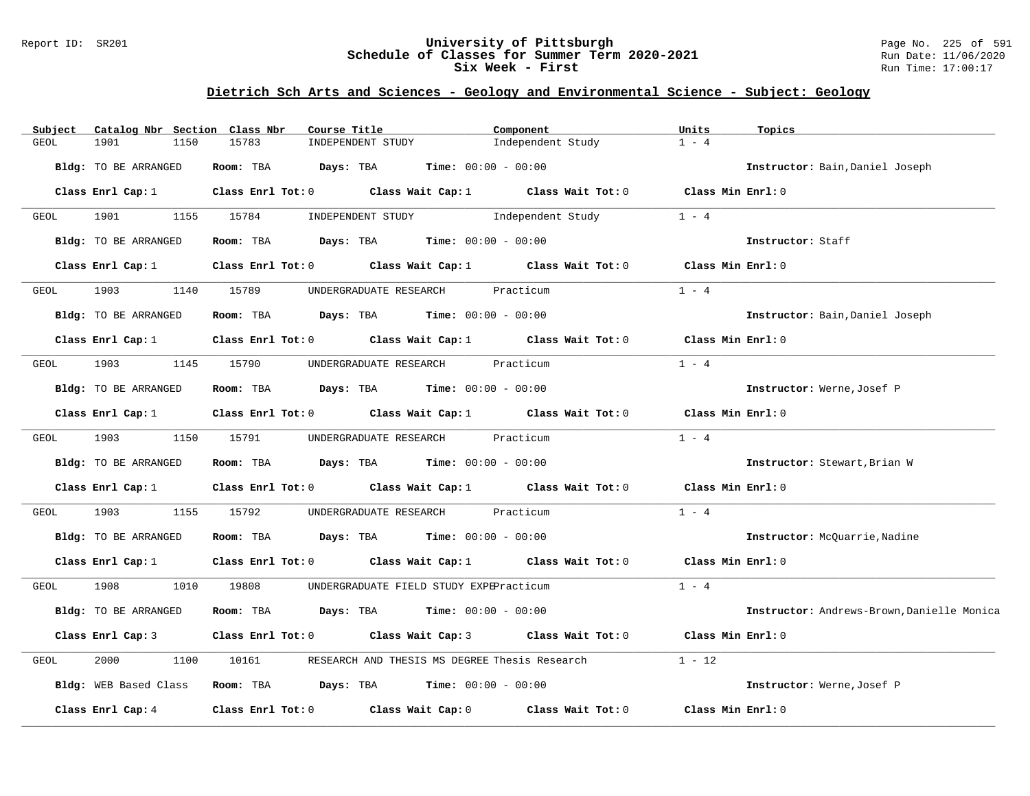## Report ID: SR201 **University of Pittsburgh** Page No. 225 of 591 **Schedule of Classes for Summer Term 2020-2021** Run Date: 11/06/2020 **Six Week - First Run Time: 17:00:17**

# **Dietrich Sch Arts and Sciences - Geology and Environmental Science - Subject: Geology**

| Catalog Nbr Section Class Nbr<br>Subject                                                                           | Course Title                                                                    | Component                                     | Units<br>Topics                            |
|--------------------------------------------------------------------------------------------------------------------|---------------------------------------------------------------------------------|-----------------------------------------------|--------------------------------------------|
| GEOL<br>1901<br>1150                                                                                               | 15783<br>INDEPENDENT STUDY                                                      | Independent Study                             | $1 - 4$                                    |
| Bldg: TO BE ARRANGED                                                                                               | Room: TBA $Days:$ TBA $Time: 00:00 - 00:00$                                     |                                               | Instructor: Bain, Daniel Joseph            |
| Class Enrl Cap: 1                                                                                                  | Class Enrl Tot: $0$ Class Wait Cap: $1$ Class Wait Tot: $0$ Class Min Enrl: $0$ |                                               |                                            |
| 1901 - 1901 - 1902 1914 1920 1930 1931 1932 1933 1934 1935 1936 1937 1938 1938 1938 1938 1938 1938 1938 19<br>GEOL | 1155 15784                                                                      | INDEPENDENT STUDY 1ndependent Study           | $1 - 4$                                    |
| Bldg: TO BE ARRANGED                                                                                               | Room: TBA $Days: TBA$ Time: $00:00 - 00:00$                                     |                                               | Instructor: Staff                          |
| Class Enrl Cap: 1                                                                                                  | Class Enrl Tot: $0$ Class Wait Cap: $1$ Class Wait Tot: $0$                     |                                               | Class Min Enrl: 0                          |
| 1903<br>GEOL                                                                                                       | 1140 15789<br>UNDERGRADUATE RESEARCH Practicum                                  |                                               | $1 - 4$                                    |
| Bldg: TO BE ARRANGED                                                                                               | Room: TBA $Days:$ TBA $Time: 00:00 - 00:00$                                     |                                               | Instructor: Bain, Daniel Joseph            |
| Class Enrl Cap: 1                                                                                                  | Class Enrl Tot: $0$ Class Wait Cap: 1 Class Wait Tot: 0                         |                                               | Class Min Enrl: 0                          |
| 1903<br>GEOL                                                                                                       | UNDERGRADUATE RESEARCH Practicum<br>1145 15790                                  |                                               | $1 - 4$                                    |
| Bldg: TO BE ARRANGED                                                                                               | Room: TBA $Days:$ TBA $Time: 00:00 - 00:00$                                     |                                               | Instructor: Werne, Josef P                 |
| Class Enrl Cap: 1                                                                                                  | Class Enrl Tot: 0 Class Wait Cap: 1 Class Wait Tot: 0                           |                                               | Class Min Enrl: 0                          |
| 1903<br>GEOL                                                                                                       | 1150 15791<br>UNDERGRADUATE RESEARCH Practicum                                  |                                               | $1 - 4$                                    |
| Bldg: TO BE ARRANGED                                                                                               | Room: TBA $Days:$ TBA $Time: 00:00 - 00:00$                                     |                                               | Instructor: Stewart, Brian W               |
| Class Enrl Cap: 1                                                                                                  | Class Enrl Tot: $0$ Class Wait Cap: 1 Class Wait Tot: 0                         |                                               | Class Min Enrl: 0                          |
| 1903<br>1155<br>GEOL                                                                                               | 15792<br>UNDERGRADUATE RESEARCH Practicum                                       |                                               | $1 - 4$                                    |
| Bldg: TO BE ARRANGED                                                                                               | Room: TBA $Days:$ TBA $Time: 00:00 - 00:00$                                     |                                               | Instructor: McQuarrie, Nadine              |
| Class Enrl Cap: 1                                                                                                  | Class Enrl Tot: 0 Class Wait Cap: 1 Class Wait Tot: 0 Class Min Enrl: 0         |                                               |                                            |
| 1908 1908<br>GEOL                                                                                                  | 1010 19808<br>UNDERGRADUATE FIELD STUDY EXPEPracticum                           |                                               | $1 - 4$                                    |
| Bldg: TO BE ARRANGED                                                                                               | <b>Days:</b> TBA <b>Time:</b> $00:00 - 00:00$<br>Room: TBA                      |                                               | Instructor: Andrews-Brown, Danielle Monica |
| Class Enrl Cap: 3                                                                                                  | Class Enrl Tot: $0$ Class Wait Cap: 3 Class Wait Tot: $0$                       |                                               | Class Min Enrl: 0                          |
| 2000<br>GEOL<br>1100                                                                                               | 10161                                                                           | RESEARCH AND THESIS MS DEGREE Thesis Research | $1 - 12$                                   |
| Bldg: WEB Based Class                                                                                              | <b>Room:</b> TBA $Days: TBA$ <b>Time:</b> $00:00 - 00:00$                       |                                               | Instructor: Werne, Josef P                 |
| Class Enrl Cap: 4                                                                                                  | Class Enrl Tot: 0 Class Wait Cap: 0                                             | Class Wait Tot: 0                             | Class Min Enrl: 0                          |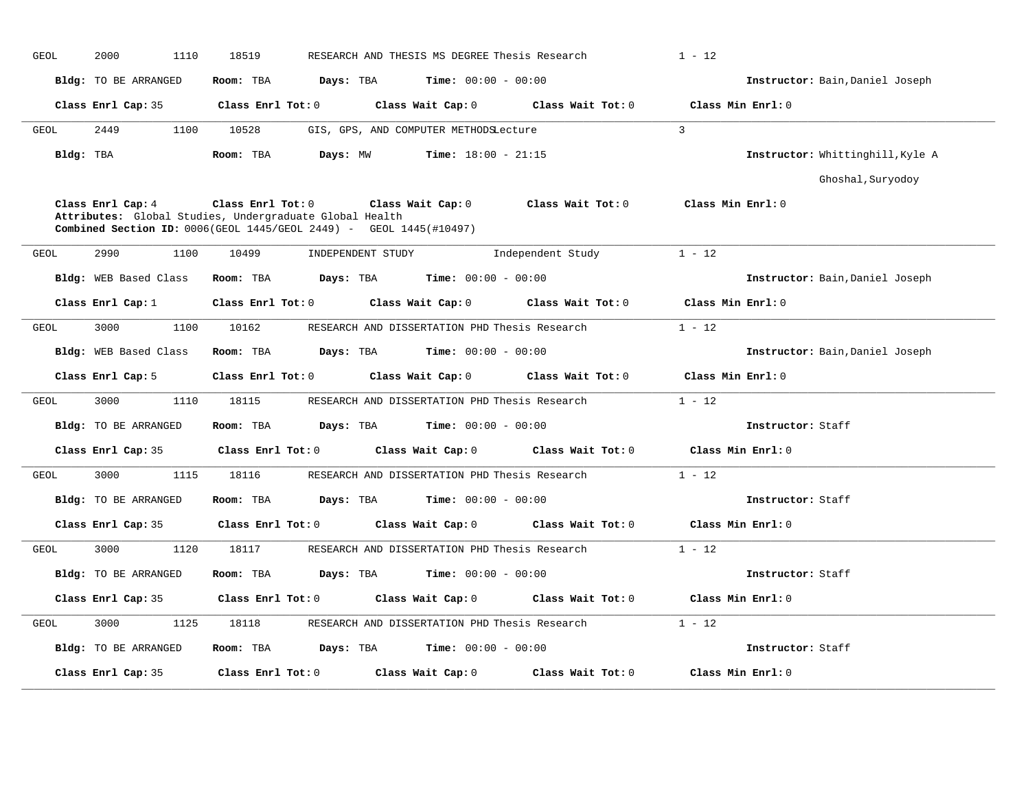| <b>GEOL</b> | 2000<br>1110                                                                                                                                       | 18519             |                   | RESEARCH AND THESIS MS DEGREE Thesis Research |                   | $1 - 12$                         |
|-------------|----------------------------------------------------------------------------------------------------------------------------------------------------|-------------------|-------------------|-----------------------------------------------|-------------------|----------------------------------|
|             | Bldg: TO BE ARRANGED                                                                                                                               | Room: TBA         | Days: TBA         | <b>Time:</b> $00:00 - 00:00$                  |                   | Instructor: Bain, Daniel Joseph  |
|             | Class Enrl Cap: 35                                                                                                                                 | Class Enrl Tot: 0 |                   | Class Wait Cap: 0                             | Class Wait Tot: 0 | Class Min Enrl: 0                |
| <b>GEOL</b> | 2449<br>1100                                                                                                                                       | 10528             |                   | GIS, GPS, AND COMPUTER METHODSLecture         |                   | $\overline{3}$                   |
| Bldg: TBA   |                                                                                                                                                    | Room: TBA         | Days: MW          | <b>Time:</b> $18:00 - 21:15$                  |                   | Instructor: Whittinghill, Kyle A |
|             |                                                                                                                                                    |                   |                   |                                               |                   | Ghoshal, Suryodoy                |
|             | Class Enrl Cap: 4<br>Attributes: Global Studies, Undergraduate Global Health<br>Combined Section ID: 0006(GEOL 1445/GEOL 2449) - GEOL 1445(#10497) | Class Enrl Tot: 0 |                   | Class Wait Cap: 0                             | Class Wait Tot: 0 | Class Min Enrl: 0                |
| GEOL        | 2990<br>1100                                                                                                                                       | 10499             | INDEPENDENT STUDY |                                               | Independent Study | $1 - 12$                         |
|             | Bldg: WEB Based Class                                                                                                                              | Room: TBA         | Days: TBA         | <b>Time:</b> $00:00 - 00:00$                  |                   | Instructor: Bain, Daniel Joseph  |
|             | Class Enrl Cap: 1                                                                                                                                  | Class Enrl Tot: 0 |                   | Class Wait Cap: 0                             | Class Wait Tot: 0 | Class Min Enrl: 0                |
| <b>GEOL</b> | 3000<br>1100                                                                                                                                       | 10162             |                   | RESEARCH AND DISSERTATION PHD Thesis Research |                   | $1 - 12$                         |
|             | Bldg: WEB Based Class                                                                                                                              | Room: TBA         | Days: TBA         | <b>Time:</b> $00:00 - 00:00$                  |                   | Instructor: Bain, Daniel Joseph  |
|             | Class Enrl Cap: 5                                                                                                                                  | Class Enrl Tot: 0 |                   | Class Wait Cap: 0                             | Class Wait Tot: 0 | Class Min Enrl: 0                |
| GEOL        | 3000<br>1110                                                                                                                                       | 18115             |                   | RESEARCH AND DISSERTATION PHD Thesis Research |                   | $1 - 12$                         |
|             | <b>Bldg:</b> TO BE ARRANGED                                                                                                                        | Room: TBA         | Days: TBA         | <b>Time:</b> $00:00 - 00:00$                  |                   | Instructor: Staff                |
|             | Class Enrl Cap: 35                                                                                                                                 | Class Enrl Tot: 0 |                   | Class Wait Cap: 0                             | Class Wait Tot: 0 | Class Min Enrl: 0                |
| GEOL        | 3000<br>1115                                                                                                                                       | 18116             |                   | RESEARCH AND DISSERTATION PHD Thesis Research |                   | $1 - 12$                         |
|             | <b>Bldg:</b> TO BE ARRANGED                                                                                                                        | Room: TBA         | Days: TBA         | <b>Time:</b> $00:00 - 00:00$                  |                   | Instructor: Staff                |
|             | Class Enrl Cap: 35                                                                                                                                 | Class Enrl Tot: 0 |                   | Class Wait Cap: 0                             | Class Wait Tot: 0 | Class Min Enrl: 0                |
| <b>GEOL</b> | 3000<br>1120                                                                                                                                       | 18117             |                   | RESEARCH AND DISSERTATION PHD Thesis Research |                   | $1 - 12$                         |
|             | <b>Bldg:</b> TO BE ARRANGED                                                                                                                        | Room: TBA         | Days: TBA         | <b>Time:</b> $00:00 - 00:00$                  |                   | Instructor: Staff                |
|             | Class Enrl Cap: 35                                                                                                                                 | Class Enrl Tot: 0 |                   | Class Wait Cap: 0                             | Class Wait Tot: 0 | Class Min Enrl: 0                |
| GEOL        | 3000<br>1125                                                                                                                                       | 18118             |                   | RESEARCH AND DISSERTATION PHD Thesis Research |                   | $1 - 12$                         |
|             | Bldg: TO BE ARRANGED                                                                                                                               | Room: TBA         | Days: TBA         | <b>Time:</b> $00:00 - 00:00$                  |                   | Instructor: Staff                |
|             |                                                                                                                                                    |                   |                   |                                               |                   |                                  |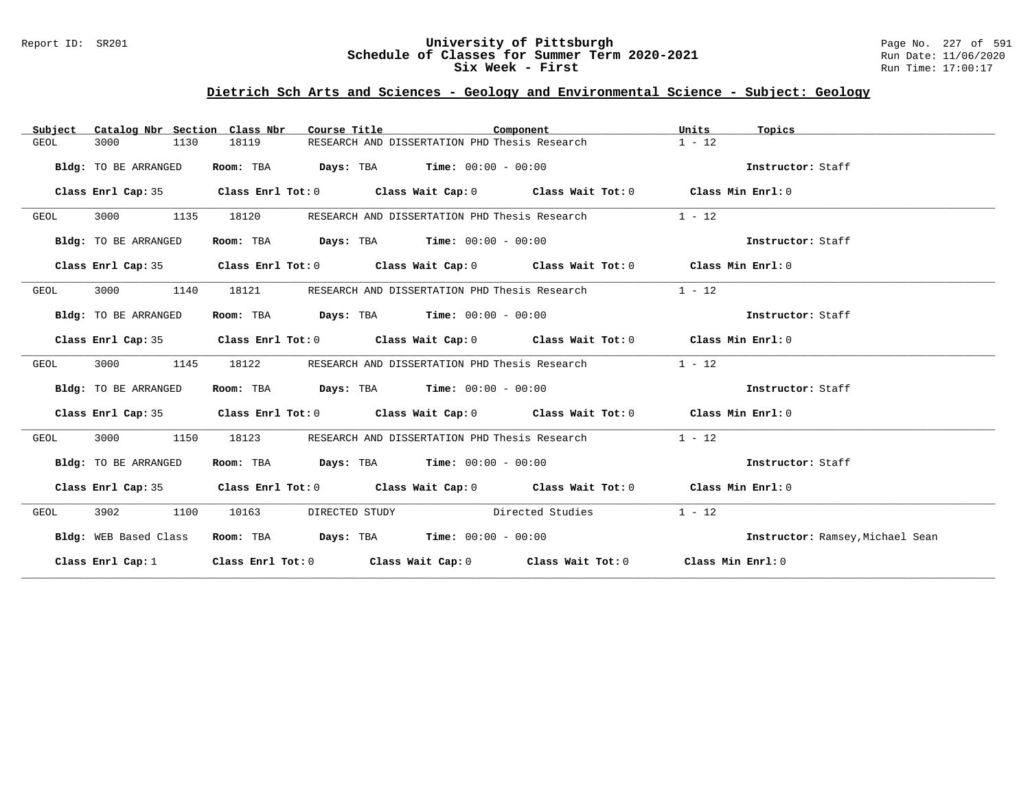## Report ID: SR201 **University of Pittsburgh** Page No. 227 of 591 **Schedule of Classes for Summer Term 2020-2021** Run Date: 11/06/2020 **Six Week - First Run Time: 17:00:17**

# **Dietrich Sch Arts and Sciences - Geology and Environmental Science - Subject: Geology**

| Subject      | Catalog Nbr Section Class Nbr |           | Course Title                                              | Component        |                                                                                            | Units    | Topics                           |
|--------------|-------------------------------|-----------|-----------------------------------------------------------|------------------|--------------------------------------------------------------------------------------------|----------|----------------------------------|
| 3000<br>GEOL | 1130                          | 18119     | RESEARCH AND DISSERTATION PHD Thesis Research             |                  |                                                                                            | $1 - 12$ |                                  |
|              | Bldg: TO BE ARRANGED          | Room: TBA | <b>Days:</b> TBA <b>Time:</b> $00:00 - 00:00$             |                  |                                                                                            |          | Instructor: Staff                |
|              |                               |           |                                                           |                  | Class Enrl Cap: 35 Class Enrl Tot: 0 Class Wait Cap: 0 Class Wait Tot: 0 Class Min Enrl: 0 |          |                                  |
| 3000<br>GEOL | 1135                          | 18120     | RESEARCH AND DISSERTATION PHD Thesis Research             |                  |                                                                                            | $1 - 12$ |                                  |
|              | Bldg: TO BE ARRANGED          | Room: TBA | <b>Days:</b> TBA <b>Time:</b> $00:00 - 00:00$             |                  |                                                                                            |          | Instructor: Staff                |
|              |                               |           |                                                           |                  | Class Enrl Cap: 35 Class Enrl Tot: 0 Class Wait Cap: 0 Class Wait Tot: 0 Class Min Enrl: 0 |          |                                  |
| 3000<br>GEOL | 1140                          | 18121     | RESEARCH AND DISSERTATION PHD Thesis Research             |                  |                                                                                            | $1 - 12$ |                                  |
|              | Bldg: TO BE ARRANGED          |           | Room: TBA $Days:$ TBA $Time: 00:00 - 00:00$               |                  |                                                                                            |          | Instructor: Staff                |
|              |                               |           |                                                           |                  | Class Enrl Cap: 35 Class Enrl Tot: 0 Class Wait Cap: 0 Class Wait Tot: 0 Class Min Enrl: 0 |          |                                  |
| 3000<br>GEOL | 1145                          | 18122     |                                                           |                  | RESEARCH AND DISSERTATION PHD Thesis Research                                              | $1 - 12$ |                                  |
|              | Bldg: TO BE ARRANGED          |           | Room: TBA $Days:$ TBA $Time: 00:00 - 00:00$               |                  |                                                                                            |          | Instructor: Staff                |
|              |                               |           |                                                           |                  | Class Enrl Cap: 35 Class Enrl Tot: 0 Class Wait Cap: 0 Class Wait Tot: 0 Class Min Enrl: 0 |          |                                  |
| 3000<br>GEOL | 1150                          | 18123     |                                                           |                  | RESEARCH AND DISSERTATION PHD Thesis Research                                              | $1 - 12$ |                                  |
|              | Bldg: TO BE ARRANGED          |           | Room: TBA $Days:$ TBA $Time: 00:00 - 00:00$               |                  |                                                                                            |          | Instructor: Staff                |
|              |                               |           |                                                           |                  | Class Enrl Cap: 35 Class Enrl Tot: 0 Class Wait Cap: 0 Class Wait Tot: 0 Class Min Enrl: 0 |          |                                  |
| 3902<br>GEOL | 1100                          | 10163     | DIRECTED STUDY                                            | Directed Studies |                                                                                            | $1 - 12$ |                                  |
|              | Bldg: WEB Based Class         |           | <b>Room:</b> TBA $Days: TBA$ <b>Time:</b> $00:00 - 00:00$ |                  |                                                                                            |          | Instructor: Ramsey, Michael Sean |
|              |                               |           |                                                           |                  | Class Enrl Cap: 1 Class Enrl Tot: 0 Class Wait Cap: 0 Class Wait Tot: 0 Class Min Enrl: 0  |          |                                  |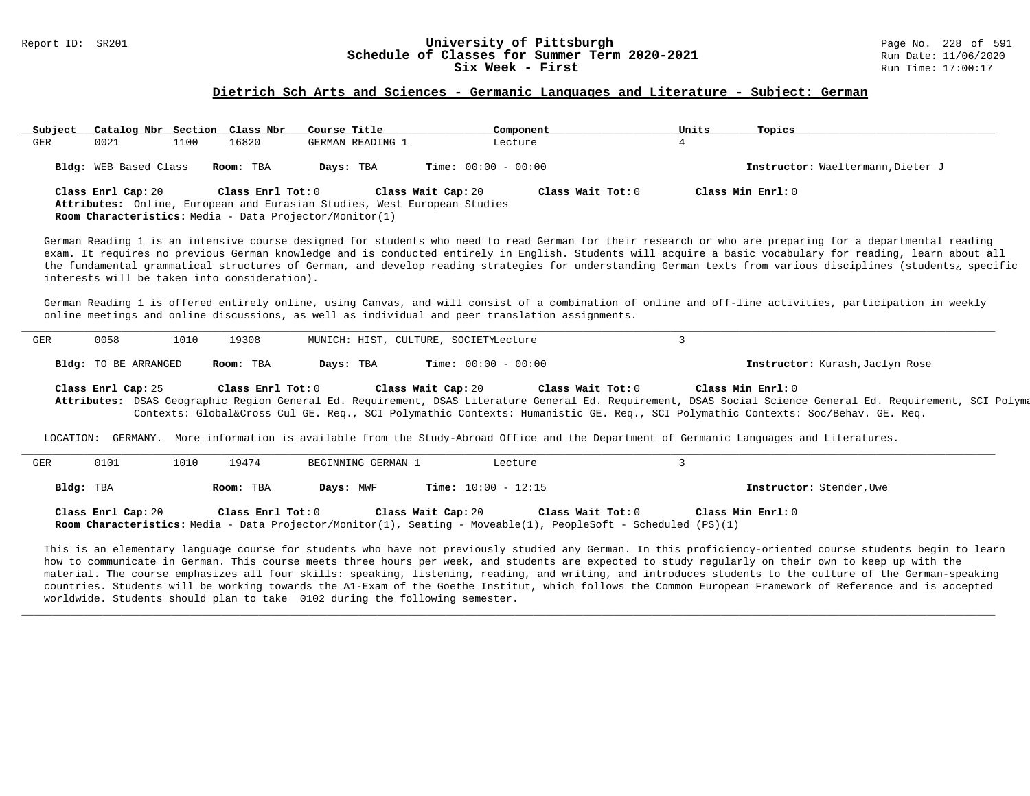# Report ID: SR201 **1988 Constrained Building Constrained Building Constrained Building Page No. 228 of 591 Const<br>
Schedule of Classes for Summer Term 2020-2021 2020 Run Date: 11/06/2020 Schedule of Classes for Summer Term 2020-2021**<br>Six Week - First

#### **Dietrich Sch Arts and Sciences - Germanic Languages and Literature - Subject: German**

| Subject   | Catalog Nbr Section Class Nbr                                                                                                                                                                                                                                                                                                                                                                                                                                                                                                                    |      |                   | Course Title                                                                                                                        | Component                                                                                                                                                 | Units          | Topics                                                                                                                                                  |  |  |  |  |
|-----------|--------------------------------------------------------------------------------------------------------------------------------------------------------------------------------------------------------------------------------------------------------------------------------------------------------------------------------------------------------------------------------------------------------------------------------------------------------------------------------------------------------------------------------------------------|------|-------------------|-------------------------------------------------------------------------------------------------------------------------------------|-----------------------------------------------------------------------------------------------------------------------------------------------------------|----------------|---------------------------------------------------------------------------------------------------------------------------------------------------------|--|--|--|--|
| GER       | 0021                                                                                                                                                                                                                                                                                                                                                                                                                                                                                                                                             | 1100 | 16820             | GERMAN READING 1                                                                                                                    | Lecture                                                                                                                                                   | $\overline{4}$ |                                                                                                                                                         |  |  |  |  |
|           | Bldg: WEB Based Class                                                                                                                                                                                                                                                                                                                                                                                                                                                                                                                            |      | Room: TBA         | Days: TBA                                                                                                                           | <b>Time:</b> $00:00 - 00:00$                                                                                                                              |                | Instructor: Waeltermann, Dieter J                                                                                                                       |  |  |  |  |
|           | Class Enrl Cap: 20                                                                                                                                                                                                                                                                                                                                                                                                                                                                                                                               |      | Class Enrl Tot: 0 | Attributes: Online, European and Eurasian Studies, West European Studies<br>Room Characteristics: Media - Data Projector/Monitor(1) | Class Wait Cap: 20<br>Class Wait Tot: 0                                                                                                                   |                | Class Min Enrl: 0                                                                                                                                       |  |  |  |  |
|           | German Reading 1 is an intensive course designed for students who need to read German for their research or who are preparing for a departmental reading<br>exam. It requires no previous German knowledge and is conducted entirely in English. Students will acquire a basic vocabulary for reading, learn about all<br>the fundamental grammatical structures of German, and develop reading strategies for understanding German texts from various disciplines (students, specific<br>interests will be taken into consideration).           |      |                   |                                                                                                                                     |                                                                                                                                                           |                |                                                                                                                                                         |  |  |  |  |
|           |                                                                                                                                                                                                                                                                                                                                                                                                                                                                                                                                                  |      |                   |                                                                                                                                     | online meetings and online discussions, as well as individual and peer translation assignments.                                                           |                | German Reading 1 is offered entirely online, using Canvas, and will consist of a combination of online and off-line activities, participation in weekly |  |  |  |  |
| GER       | 0058                                                                                                                                                                                                                                                                                                                                                                                                                                                                                                                                             | 1010 | 19308             |                                                                                                                                     | MUNICH: HIST, CULTURE, SOCIETYLecture                                                                                                                     | 3              |                                                                                                                                                         |  |  |  |  |
|           | Bldg: TO BE ARRANGED                                                                                                                                                                                                                                                                                                                                                                                                                                                                                                                             |      | Room: TBA         | Days: TBA                                                                                                                           | <b>Time:</b> $00:00 - 00:00$                                                                                                                              |                | Instructor: Kurash, Jaclyn Rose                                                                                                                         |  |  |  |  |
|           | Class Min Enrl: 0<br>Class Enrl Cap: 25<br>Class Enrl Tot: 0<br>Class Wait Cap: 20<br>Class Wait Tot: 0<br>Attributes: DSAS Geographic Region General Ed. Requirement, DSAS Literature General Ed. Requirement, DSAS Social Science General Ed. Requirement, SCI Polyma<br>Contexts: Global⨯ Cul GE. Req., SCI Polymathic Contexts: Humanistic GE. Req., SCI Polymathic Contexts: Soc/Behav. GE. Req.<br>LOCATION: GERMANY. More information is available from the Study-Abroad Office and the Department of Germanic Languages and Literatures. |      |                   |                                                                                                                                     |                                                                                                                                                           |                |                                                                                                                                                         |  |  |  |  |
| GER       | 0101                                                                                                                                                                                                                                                                                                                                                                                                                                                                                                                                             | 1010 | 19474             | BEGINNING GERMAN 1                                                                                                                  | Lecture                                                                                                                                                   | 3              |                                                                                                                                                         |  |  |  |  |
| Bldg: TBA |                                                                                                                                                                                                                                                                                                                                                                                                                                                                                                                                                  |      | Room: TBA         | Days: MWF                                                                                                                           | <b>Time:</b> $10:00 - 12:15$                                                                                                                              |                | Instructor: Stender, Uwe                                                                                                                                |  |  |  |  |
|           | Class Enrl Cap: 20                                                                                                                                                                                                                                                                                                                                                                                                                                                                                                                               |      | Class Enrl Tot: 0 |                                                                                                                                     | Class Wait Cap: 20<br>Class Wait Tot: 0<br>Room Characteristics: Media - Data Projector/Monitor(1), Seating - Moveable(1), PeopleSoft - Scheduled (PS)(1) |                | Class Min Enrl: 0                                                                                                                                       |  |  |  |  |

This is an elementary language course for students who have not previously studied any German. In this proficiency-oriented course students begin to learn how to communicate in German. This course meets three hours per week, and students are expected to study regularly on their own to keep up with the material. The course emphasizes all four skills: speaking, listening, reading, and writing, and introduces students to the culture of the German-speaking countries. Students will be working towards the A1-Exam of the Goethe Institut, which follows the Common European Framework of Reference and is accepted worldwide. Students should plan to take 0102 during the following semester.

**\_\_\_\_\_\_\_\_\_\_\_\_\_\_\_\_\_\_\_\_\_\_\_\_\_\_\_\_\_\_\_\_\_\_\_\_\_\_\_\_\_\_\_\_\_\_\_\_\_\_\_\_\_\_\_\_\_\_\_\_\_\_\_\_\_\_\_\_\_\_\_\_\_\_\_\_\_\_\_\_\_\_\_\_\_\_\_\_\_\_\_\_\_\_\_\_\_\_\_\_\_\_\_\_\_\_\_\_\_\_\_\_\_\_\_\_\_\_\_\_\_\_\_\_\_\_\_\_\_\_\_\_\_\_\_\_\_\_\_\_\_\_\_\_\_\_\_\_\_\_\_\_\_\_\_\_**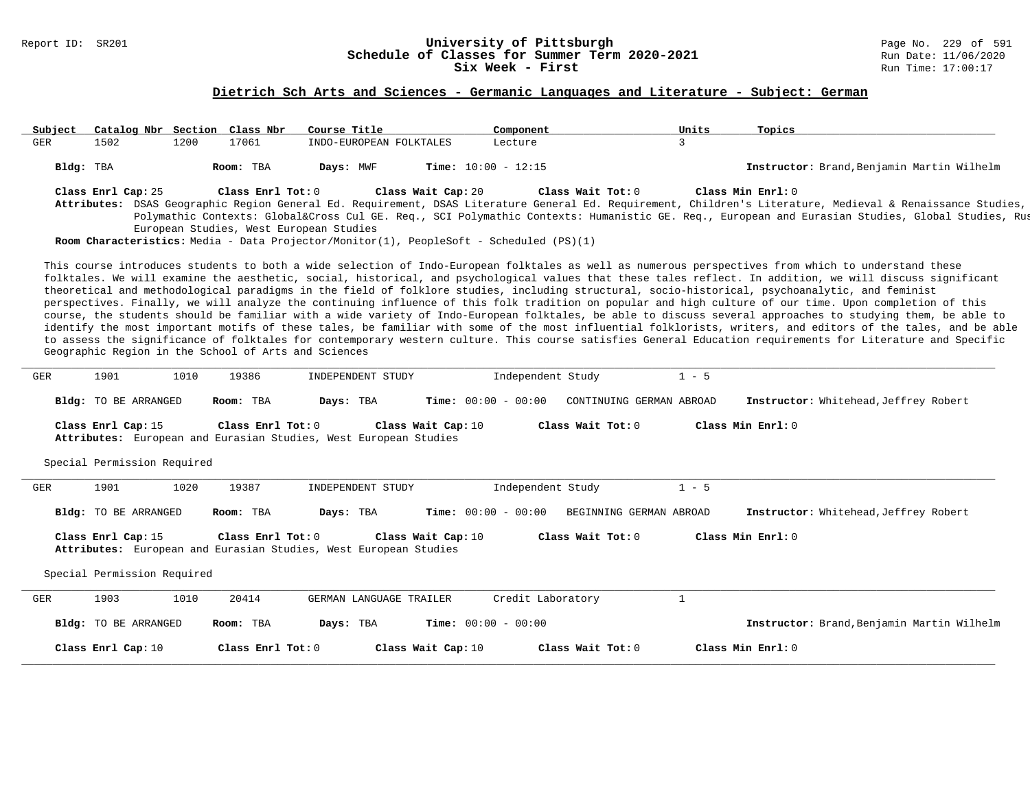#### Report ID: SR201 **University of Pittsburgh** Page No. 229 of 591 **Schedule of Classes for Summer Term 2020-2021** Run Date: 11/06/2020 **Six Week - First Run** Time: 17:00:17

# **Dietrich Sch Arts and Sciences - Germanic Languages and Literature - Subject: German**

| Subject    |                             |      | Catalog Nbr Section Class Nbr                        | Course Title                                                     | Component                                                                                                     | Units                    | Topics                                                                                                                                                                                                                                                                                                                                                                                                                                                                                                                                                                                                                                                                                                                                                                                                                                                                                                                                                                                                                                                                                                                     |
|------------|-----------------------------|------|------------------------------------------------------|------------------------------------------------------------------|---------------------------------------------------------------------------------------------------------------|--------------------------|----------------------------------------------------------------------------------------------------------------------------------------------------------------------------------------------------------------------------------------------------------------------------------------------------------------------------------------------------------------------------------------------------------------------------------------------------------------------------------------------------------------------------------------------------------------------------------------------------------------------------------------------------------------------------------------------------------------------------------------------------------------------------------------------------------------------------------------------------------------------------------------------------------------------------------------------------------------------------------------------------------------------------------------------------------------------------------------------------------------------------|
| <b>GER</b> | 1502                        | 1200 | 17061                                                | INDO-EUROPEAN FOLKTALES                                          | Lecture                                                                                                       | $\overline{3}$           |                                                                                                                                                                                                                                                                                                                                                                                                                                                                                                                                                                                                                                                                                                                                                                                                                                                                                                                                                                                                                                                                                                                            |
|            | Bldg: TBA                   |      | Room: TBA                                            | Days: MWF                                                        | Time: $10:00 - 12:15$                                                                                         |                          | Instructor: Brand, Benjamin Martin Wilhelm                                                                                                                                                                                                                                                                                                                                                                                                                                                                                                                                                                                                                                                                                                                                                                                                                                                                                                                                                                                                                                                                                 |
|            | Class Enrl Cap: 25          |      | Class Enrl Tot: 0                                    | European Studies, West European Studies                          | Class Wait Cap: 20<br>Room Characteristics: Media - Data Projector/Monitor(1), PeopleSoft - Scheduled (PS)(1) | Class Wait Tot: 0        | Class Min Enrl: 0<br>Attributes: DSAS Geographic Region General Ed. Requirement, DSAS Literature General Ed. Requirement, Children's Literature, Medieval & Renaissance Studies,<br>Polymathic Contexts: Global⨯ Cul GE. Req., SCI Polymathic Contexts: Humanistic GE. Req., European and Eurasian Studies, Global Studies, Rus                                                                                                                                                                                                                                                                                                                                                                                                                                                                                                                                                                                                                                                                                                                                                                                            |
|            |                             |      | Geographic Region in the School of Arts and Sciences |                                                                  |                                                                                                               |                          | This course introduces students to both a wide selection of Indo-European folktales as well as numerous perspectives from which to understand these<br>folktales. We will examine the aesthetic, social, historical, and psychological values that these tales reflect. In addition, we will discuss significant<br>theoretical and methodological paradigms in the field of folklore studies, including structural, socio-historical, psychoanalytic, and feminist<br>perspectives. Finally, we will analyze the continuing influence of this folk tradition on popular and high culture of our time. Upon completion of this<br>course, the students should be familiar with a wide variety of Indo-European folktales, be able to discuss several approaches to studying them, be able to<br>identify the most important motifs of these tales, be familiar with some of the most influential folklorists, writers, and editors of the tales, and be able<br>to assess the significance of folktales for contemporary western culture. This course satisfies General Education requirements for Literature and Specific |
| <b>GER</b> | 1901                        | 1010 | 19386                                                | INDEPENDENT STUDY                                                | Independent Study                                                                                             | $1 - 5$                  |                                                                                                                                                                                                                                                                                                                                                                                                                                                                                                                                                                                                                                                                                                                                                                                                                                                                                                                                                                                                                                                                                                                            |
|            | Bldg: TO BE ARRANGED        |      | Room: TBA                                            | Days: TBA                                                        | <b>Time:</b> $00:00 - 00:00$                                                                                  | CONTINUING GERMAN ABROAD | <b>Instructor:</b> Whitehead, Jeffrey Robert                                                                                                                                                                                                                                                                                                                                                                                                                                                                                                                                                                                                                                                                                                                                                                                                                                                                                                                                                                                                                                                                               |
|            | Class Enrl Cap: 15          |      | Class Enrl Tot: 0                                    | Attributes: European and Eurasian Studies, West European Studies | Class Wait Cap: 10                                                                                            | Class Wait Tot: $0$      | Class Min Enrl: 0                                                                                                                                                                                                                                                                                                                                                                                                                                                                                                                                                                                                                                                                                                                                                                                                                                                                                                                                                                                                                                                                                                          |
|            | Special Permission Required |      |                                                      |                                                                  |                                                                                                               |                          |                                                                                                                                                                                                                                                                                                                                                                                                                                                                                                                                                                                                                                                                                                                                                                                                                                                                                                                                                                                                                                                                                                                            |
| GER        | 1901                        | 1020 | 19387                                                | INDEPENDENT STUDY                                                | Independent Study                                                                                             | $1 - 5$                  |                                                                                                                                                                                                                                                                                                                                                                                                                                                                                                                                                                                                                                                                                                                                                                                                                                                                                                                                                                                                                                                                                                                            |
|            | <b>Bldg:</b> TO BE ARRANGED |      | Room: TBA                                            | Days: TBA                                                        | <b>Time:</b> $00:00 - 00:00$                                                                                  | BEGINNING GERMAN ABROAD  | Instructor: Whitehead, Jeffrey Robert                                                                                                                                                                                                                                                                                                                                                                                                                                                                                                                                                                                                                                                                                                                                                                                                                                                                                                                                                                                                                                                                                      |
|            | Class Enrl Cap: 15          |      | Class Enrl Tot: $0$                                  | Attributes: European and Eurasian Studies, West European Studies | Class Wait Cap: 10                                                                                            | Class Wait Tot: 0        | Class Min Enrl: 0                                                                                                                                                                                                                                                                                                                                                                                                                                                                                                                                                                                                                                                                                                                                                                                                                                                                                                                                                                                                                                                                                                          |
|            | Special Permission Required |      |                                                      |                                                                  |                                                                                                               |                          |                                                                                                                                                                                                                                                                                                                                                                                                                                                                                                                                                                                                                                                                                                                                                                                                                                                                                                                                                                                                                                                                                                                            |
| GER        | 1903                        | 1010 | 20414                                                | GERMAN LANGUAGE TRAILER                                          | Credit Laboratory                                                                                             | $\mathbf{1}$             |                                                                                                                                                                                                                                                                                                                                                                                                                                                                                                                                                                                                                                                                                                                                                                                                                                                                                                                                                                                                                                                                                                                            |
|            | Bldg: TO BE ARRANGED        |      | Room: TBA                                            | Days: TBA                                                        | <b>Time:</b> $00:00 - 00:00$                                                                                  |                          | Instructor: Brand, Benjamin Martin Wilhelm                                                                                                                                                                                                                                                                                                                                                                                                                                                                                                                                                                                                                                                                                                                                                                                                                                                                                                                                                                                                                                                                                 |
|            | Class Enrl Cap: 10          |      | Class Enrl Tot: 0                                    |                                                                  | Class Wait Cap: 10                                                                                            | Class Wait Tot: 0        | Class Min Enrl: 0                                                                                                                                                                                                                                                                                                                                                                                                                                                                                                                                                                                                                                                                                                                                                                                                                                                                                                                                                                                                                                                                                                          |
|            |                             |      |                                                      |                                                                  |                                                                                                               |                          |                                                                                                                                                                                                                                                                                                                                                                                                                                                                                                                                                                                                                                                                                                                                                                                                                                                                                                                                                                                                                                                                                                                            |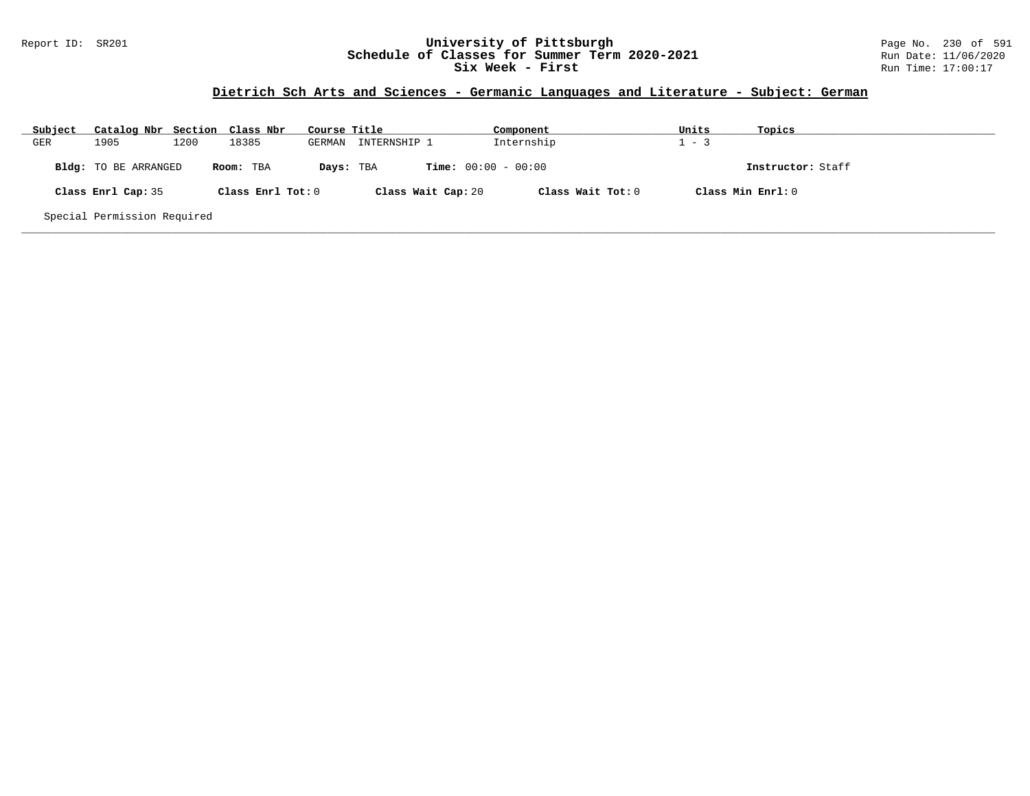## Report ID: SR201 **University of Pittsburgh** Page No. 230 of 591 **Schedule of Classes for Summer Term 2020-2021** Run Date: 11/06/2020 **Six Week - First Run Time: 17:00:17**

# **Dietrich Sch Arts and Sciences - Germanic Languages and Literature - Subject: German**

| Subject | Catalog Nbr Section Class Nbr |      |                   | Course Title |                              | Component           | Units             | Topics            |
|---------|-------------------------------|------|-------------------|--------------|------------------------------|---------------------|-------------------|-------------------|
| GER     | 1905                          | 1200 | 18385             | GERMAN       | INTERNSHIP 1                 | Internship          | $1 - 3$           |                   |
|         | Bldg: TO BE ARRANGED          |      | Room: TBA         | Days: TBA    | <b>Time:</b> $00:00 - 00:00$ |                     |                   | Instructor: Staff |
|         | Class Enrl Cap: 35            |      | Class Enrl Tot: 0 |              | Class Wait Cap: 20           | Class Wait Tot: $0$ | Class Min Enrl: 0 |                   |
|         | Special Permission Required   |      |                   |              |                              |                     |                   |                   |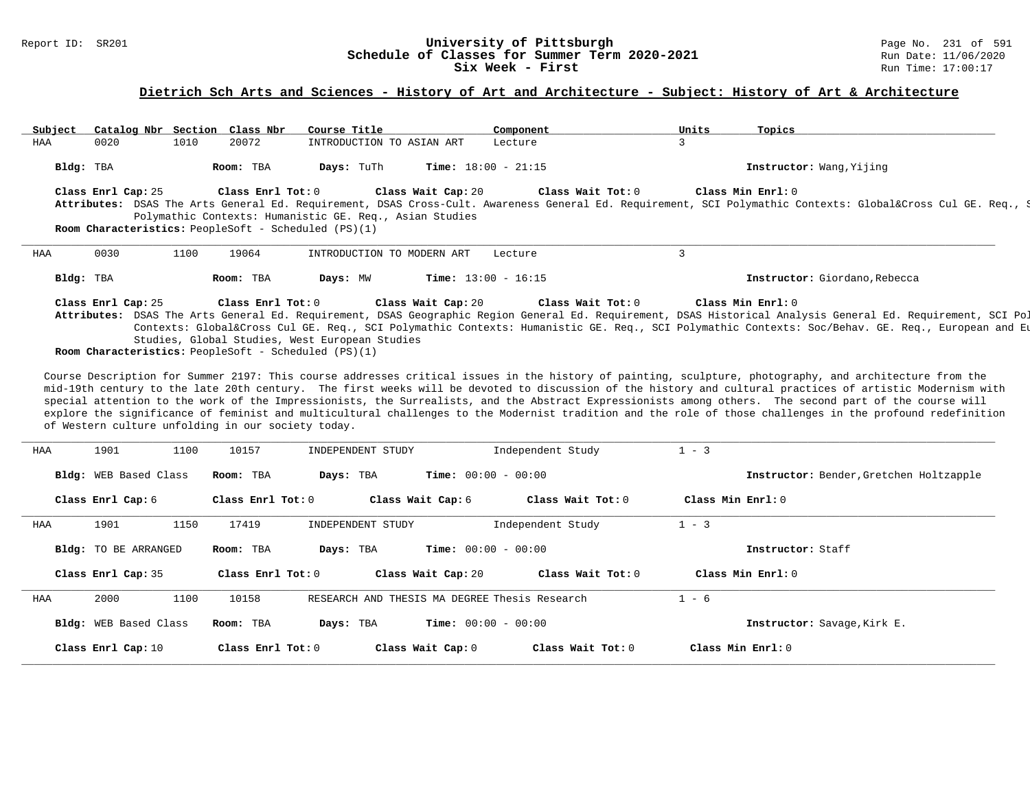#### Report ID: SR201 **1988 Constrained Building Constrained Building Constrained Building Page No. 231 of 591 Const<br>
Schedule of Classes for Summer Term 2020-2021 2020 Run Date: 11/06/2020 Schedule of Classes for Summer Term 2020-2021** Run Date: 11/06/2021<br>Six Week - First Run Time: 17:00:17 Six Week - First

# **Dietrich Sch Arts and Sciences - History of Art and Architecture - Subject: History of Art & Architecture**

| Subject   | Catalog Nbr Section Class Nbr                                                                                                                                                                                                                                                                                                                                                                  |      |                   | Course Title                                   |                    | Component                    | Units | Topics                                                                                                                                                                            |  |
|-----------|------------------------------------------------------------------------------------------------------------------------------------------------------------------------------------------------------------------------------------------------------------------------------------------------------------------------------------------------------------------------------------------------|------|-------------------|------------------------------------------------|--------------------|------------------------------|-------|-----------------------------------------------------------------------------------------------------------------------------------------------------------------------------------|--|
| HAA       | 0020                                                                                                                                                                                                                                                                                                                                                                                           | 1010 | 20072             | INTRODUCTION TO ASIAN ART                      |                    | Lecture                      |       |                                                                                                                                                                                   |  |
| Bldg: TBA |                                                                                                                                                                                                                                                                                                                                                                                                |      | Room: TBA         | Days: TuTh                                     |                    | <b>Time:</b> $18:00 - 21:15$ |       | Instructor: Wang, Yijing                                                                                                                                                          |  |
|           | Class Enrl Cap: 25<br>Class Enrl Tot: 0<br>Class Min $Enrl: 0$<br>Class Wait Cap: 20<br>Class Wait Tot: 0<br>Attributes: DSAS The Arts General Ed. Requirement, DSAS Cross-Cult. Awareness General Ed. Requirement, SCI Polymathic Contexts: Global⨯ Cul GE. Req., S<br>Polymathic Contexts: Humanistic GE. Req., Asian Studies<br><b>Room Characteristics:</b> PeopleSoft - Scheduled (PS)(1) |      |                   |                                                |                    |                              |       |                                                                                                                                                                                   |  |
| HAA       | 0030                                                                                                                                                                                                                                                                                                                                                                                           | 1100 | 19064             | INTRODUCTION TO MODERN ART                     |                    | Lecture                      |       |                                                                                                                                                                                   |  |
| Bldg: TBA |                                                                                                                                                                                                                                                                                                                                                                                                |      | Room: TBA         | Days: MW                                       |                    | <b>Time:</b> $13:00 - 16:15$ |       | Instructor: Giordano, Rebecca                                                                                                                                                     |  |
|           | Class Enrl Cap: 25                                                                                                                                                                                                                                                                                                                                                                             |      | Class Enrl Tot: 0 |                                                | Class Wait Cap: 20 | Class Wait Tot: 0            |       | Class Min Enrl: 0<br>Attributes: DSAS The Arts General Ed. Requirement, DSAS Geographic Region General Ed. Requirement, DSAS Historical Analysis General Ed. Requirement, SCI Pol |  |
|           |                                                                                                                                                                                                                                                                                                                                                                                                |      |                   | Studies, Global Studies, West European Studies |                    |                              |       | Contexts: Global⨯ Cul GE. Req., SCI Polymathic Contexts: Humanistic GE. Req., SCI Polymathic Contexts: Soc/Behav. GE. Req., European and Eu                                       |  |

**Room Characteristics:** PeopleSoft - Scheduled (PS)(1)

Course Description for Summer 2197: This course addresses critical issues in the history of painting, sculpture, photography, and architecture from the mid-19th century to the late 20th century. The first weeks will be devoted to discussion of the history and cultural practices of artistic Modernism with special attention to the work of the Impressionists, the Surrealists, and the Abstract Expressionists among others. The second part of the course will explore the significance of feminist and multicultural challenges to the Modernist tradition and the role of those challenges in the profound redefinition of Western culture unfolding in our society today.

| HAA | 1901<br>1100                 | 10157             | INDEPENDENT STUDY                             | Independent Study   | $1 - 3$                                 |
|-----|------------------------------|-------------------|-----------------------------------------------|---------------------|-----------------------------------------|
|     | <b>Bldg:</b> WEB Based Class | Room: TBA         | <b>Time:</b> $00:00 - 00:00$<br>Days: TBA     |                     | Instructor: Bender, Gretchen Holtzapple |
|     | Class Enrl Cap: 6            | Class Enrl Tot: 0 | Class Wait Cap: 6                             | Class Wait Tot: 0   | Class Min Enrl: 0                       |
| HAA | 1901<br>1150                 | 17419             | INDEPENDENT STUDY                             | Independent Study   | $1 - 3$                                 |
|     | <b>Bldg:</b> TO BE ARRANGED  | Room: TBA         | <b>Time:</b> $00:00 - 00:00$<br>Days: TBA     |                     | Instructor: Staff                       |
|     | Class Enrl Cap: 35           | Class Enrl Tot: 0 | Class Wait Cap: 20                            | Class Wait $Tot: 0$ | Class Min Enrl: 0                       |
| HAA | 2000<br>1100                 | 10158             | RESEARCH AND THESIS MA DEGREE Thesis Research |                     | $1 - 6$                                 |
|     | <b>Bldg:</b> WEB Based Class | Room: TBA         | <b>Time:</b> $00:00 - 00:00$<br>Days: TBA     |                     | Instructor: Savage, Kirk E.             |
|     | Class Enrl Cap: 10           | Class Enrl Tot: 0 | Class Wait Cap: 0                             | Class Wait Tot: 0   | Class Min Enrl: 0                       |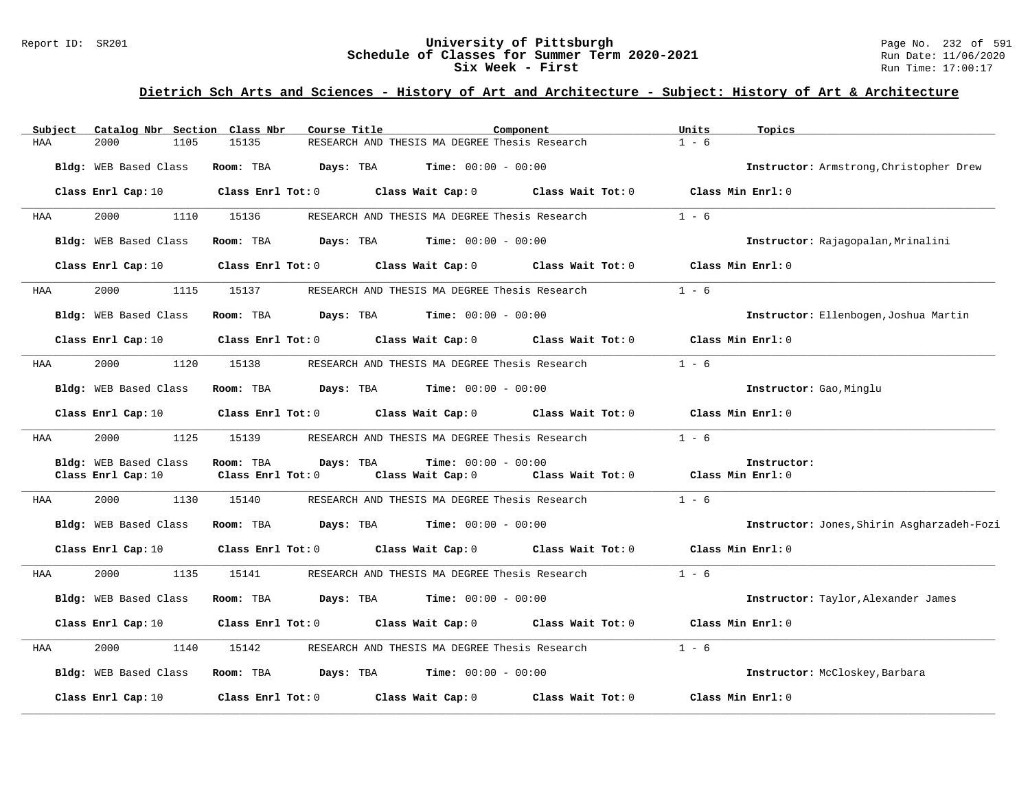### Report ID: SR201 **1988 Chedule of Classes for Summer Term 2020-2021** Page No. 232 of 591 Page No. 232 of 591 Page No. 232 of 591 Page No. 232 of 591 Page No. 232 of 591 Page No. 232 of 591 Bate: 11/06/2020 **Schedule of Classes for Summer Term 2020-2021** Run Date: 11/06/2021<br>Six Week - First Run Time: 17:00:17 Six Week - First

| Subject | Catalog Nbr Section Class Nbr |                         | Course Title                                                                    | Component                           | Units   | Topics                                     |
|---------|-------------------------------|-------------------------|---------------------------------------------------------------------------------|-------------------------------------|---------|--------------------------------------------|
| HAA     | 2000<br>1105                  | 15135                   | RESEARCH AND THESIS MA DEGREE Thesis Research                                   |                                     | $1 - 6$ |                                            |
|         | Bldg: WEB Based Class         | Room: TBA               | Days: TBA<br>$Time: 00:00 - 00:00$                                              |                                     |         | Instructor: Armstrong, Christopher Drew    |
|         | Class Enrl Cap: 10            |                         | Class Enrl Tot: 0 Class Wait Cap: 0 Class Wait Tot: 0 Class Min Enrl: 0         |                                     |         |                                            |
| HAA     | 2000<br>1110                  | 15136                   | RESEARCH AND THESIS MA DEGREE Thesis Research                                   |                                     | $1 - 6$ |                                            |
|         | Bldg: WEB Based Class         | Room: TBA               | <b>Days:</b> TBA <b>Time:</b> $00:00 - 00:00$                                   |                                     |         | Instructor: Rajagopalan, Mrinalini         |
|         | Class Enrl Cap: 10            | $Class$ $Enrl$ $Tot: 0$ | Class Wait Cap: 0                                                               | Class Wait Tot: 0                   |         | Class Min Enrl: 0                          |
| HAA     | 2000<br>1115                  | 15137                   | RESEARCH AND THESIS MA DEGREE Thesis Research                                   |                                     | $1 - 6$ |                                            |
|         | Bldg: WEB Based Class         | Room: TBA               | <b>Days:</b> TBA <b>Time:</b> $00:00 - 00:00$                                   |                                     |         | Instructor: Ellenbogen, Joshua Martin      |
|         | Class Enrl Cap: 10            | Class Enrl Tot: 0       |                                                                                 | Class Wait Cap: 0 Class Wait Tot: 0 |         | Class Min Enrl: 0                          |
| HAA     | 2000<br>1120                  | 15138                   | RESEARCH AND THESIS MA DEGREE Thesis Research                                   |                                     | $1 - 6$ |                                            |
|         | Bldg: WEB Based Class         | Room: TBA               | <b>Days:</b> TBA <b>Time:</b> $00:00 - 00:00$                                   |                                     |         | Instructor: Gao, Minglu                    |
|         | Class Enrl Cap: 10            |                         | Class Enrl Tot: $0$ Class Wait Cap: $0$ Class Wait Tot: $0$ Class Min Enrl: $0$ |                                     |         |                                            |
| HAA     | 2000<br>1125                  | 15139                   | RESEARCH AND THESIS MA DEGREE Thesis Research                                   |                                     | $1 - 6$ |                                            |
|         | Bldg: WEB Based Class         | Room: TBA               | Days: TBA<br><b>Time:</b> $00:00 - 00:00$                                       |                                     |         | Instructor:                                |
|         | Class Enrl Cap: 10            | Class Enrl Tot: 0       | Class Wait Cap: 0                                                               | Class Wait Tot: 0 Class Min Enrl: 0 |         |                                            |
| HAA     | 2000<br>1130                  | 15140                   | RESEARCH AND THESIS MA DEGREE Thesis Research                                   |                                     | $1 - 6$ |                                            |
|         | Bldg: WEB Based Class         | Room: TBA               | <b>Days:</b> TBA <b>Time:</b> $00:00 - 00:00$                                   |                                     |         | Instructor: Jones, Shirin Asgharzadeh-Fozi |
|         | Class Enrl Cap: 10            |                         | Class Enrl Tot: 0 Class Wait Cap: 0 Class Wait Tot: 0                           |                                     |         | Class Min Enrl: 0                          |
| HAA     | 2000<br>1135                  | 15141                   | RESEARCH AND THESIS MA DEGREE Thesis Research                                   |                                     | $1 - 6$ |                                            |
|         | Bldg: WEB Based Class         | Room: TBA               | $\texttt{Davis:}$ TBA $\texttt{Time:}$ 00:00 - 00:00                            |                                     |         | Instructor: Taylor, Alexander James        |
|         | Class Enrl Cap: 10            |                         | Class Enrl Tot: 0 Class Wait Cap: 0 Class Wait Tot: 0                           |                                     |         | Class Min Enrl: 0                          |
| HAA     | 2000<br>1140                  | 15142                   | RESEARCH AND THESIS MA DEGREE Thesis Research                                   |                                     | $1 - 6$ |                                            |
|         | Bldg: WEB Based Class         |                         | <b>Room:</b> TBA <b>Days:</b> TBA <b>Time:</b> 00:00 - 00:00                    |                                     |         | Instructor: McCloskey, Barbara             |
|         | Class Enrl Cap: 10            | $Class$ $Enr1$ $Tot: 0$ | Class Wait Cap: 0                                                               | Class Wait Tot: 0                   |         | Class Min Enrl: 0                          |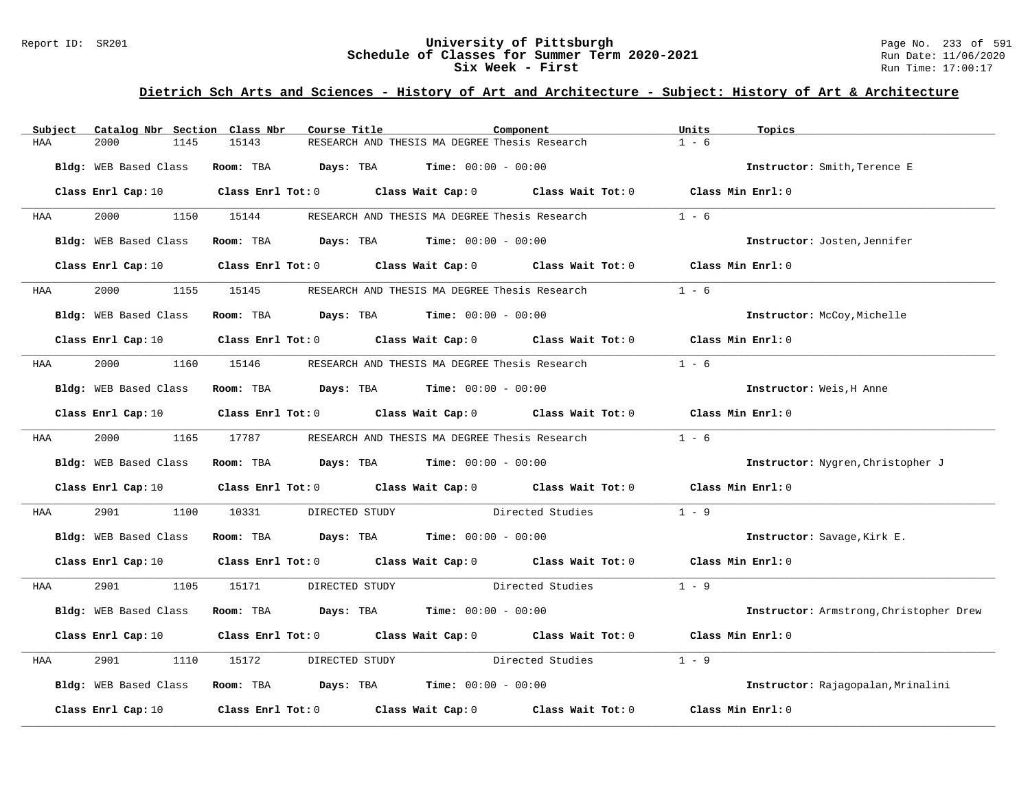### Report ID: SR201 **1988 Chedule of Classes for Summer Term 2020-2021** Page No. 233 of 591 Page No. 233 of 591 Page No. 233 of 591 Page No. 233 of 591 Page No. 233 of 591 Page No. 2020-2021 Page No. 2020-2021 Page No. 2020-2 **Schedule of Classes for Summer Term 2020-2021** Run Date: 11/06/2021<br>Six Week - First Run Time: 17:00:17 Six Week - First

| Subject    | Catalog Nbr Section Class Nbr | Course Title                                                                                                                   | Component                                     | Units<br>Topics                         |
|------------|-------------------------------|--------------------------------------------------------------------------------------------------------------------------------|-----------------------------------------------|-----------------------------------------|
| HAA        | 2000<br>1145                  | 15143                                                                                                                          | RESEARCH AND THESIS MA DEGREE Thesis Research | $1 - 6$                                 |
|            | Bldg: WEB Based Class         | Room: TBA $Days:$ TBA $Time: 00:00 - 00:00$                                                                                    |                                               | Instructor: Smith, Terence E            |
|            |                               | Class Enrl Cap: 10 $\qquad$ Class Enrl Tot: 0 $\qquad$ Class Wait Cap: 0 $\qquad$ Class Wait Tot: 0 $\qquad$ Class Min Enrl: 0 |                                               |                                         |
| HAA        | 2000 000                      | 1150 15144                                                                                                                     | RESEARCH AND THESIS MA DEGREE Thesis Research | $1 - 6$                                 |
|            | Bldg: WEB Based Class         | Room: TBA $Days:$ TBA $Time: 00:00 - 00:00$                                                                                    |                                               | Instructor: Josten, Jennifer            |
|            |                               | Class Enrl Cap: 10 Class Enrl Tot: 0 Class Wait Cap: 0 Class Wait Tot: 0 Class Min Enrl: 0                                     |                                               |                                         |
| <b>HAA</b> | 2000                          | 1155 15145                                                                                                                     | RESEARCH AND THESIS MA DEGREE Thesis Research | $1 - 6$                                 |
|            | Bldg: WEB Based Class         | Room: TBA $Days:$ TBA $Time: 00:00 - 00:00$                                                                                    |                                               | Instructor: McCoy, Michelle             |
|            |                               | Class Enrl Cap: 10 $\qquad$ Class Enrl Tot: 0 $\qquad$ Class Wait Cap: 0 $\qquad$ Class Wait Tot: 0 $\qquad$ Class Min Enrl: 0 |                                               |                                         |
| HAA        |                               | 2000 1160 15146 RESEARCH AND THESIS MA DEGREE Thesis Research                                                                  |                                               | $1 - 6$                                 |
|            | Bldg: WEB Based Class         | Room: TBA $Days:$ TBA $Time: 00:00 - 00:00$                                                                                    |                                               | Instructor: Weis, H Anne                |
|            |                               | Class Enrl Cap: 10 $\qquad$ Class Enrl Tot: 0 $\qquad$ Class Wait Cap: 0 $\qquad$ Class Wait Tot: 0 $\qquad$ Class Min Enrl: 0 |                                               |                                         |
| <b>HAA</b> | 2000 1165 17787               |                                                                                                                                | RESEARCH AND THESIS MA DEGREE Thesis Research | $1 - 6$                                 |
|            | Bldg: WEB Based Class         | Room: TBA $Days:$ TBA $Time: 00:00 - 00:00$                                                                                    |                                               | Instructor: Nygren, Christopher J       |
|            |                               | Class Enrl Cap: 10 $\qquad$ Class Enrl Tot: 0 $\qquad$ Class Wait Cap: 0 $\qquad$ Class Wait Tot: 0 $\qquad$ Class Min Enrl: 0 |                                               |                                         |
| HAA        | 2901<br>1100                  | 10331                                                                                                                          | DIRECTED STUDY Directed Studies               | $1 - 9$                                 |
|            | Bldg: WEB Based Class         | Room: TBA $Days:$ TBA $Time: 00:00 - 00:00$                                                                                    |                                               | Instructor: Savage, Kirk E.             |
|            |                               | Class Enrl Cap: 10 $\qquad$ Class Enrl Tot: 0 $\qquad$ Class Wait Cap: 0 $\qquad$ Class Wait Tot: 0 $\qquad$ Class Min Enrl: 0 |                                               |                                         |
| HAA        | 2901 2002                     | 1105 15171                                                                                                                     | DIRECTED STUDY Directed Studies 1 - 9         |                                         |
|            | Bldg: WEB Based Class         | Room: TBA $Days:$ TBA $Time: 00:00 - 00:00$                                                                                    |                                               | Instructor: Armstrong, Christopher Drew |
|            | Class Enrl Cap: 10            | Class Enrl Tot: 0 $\qquad$ Class Wait Cap: 0 $\qquad$ Class Wait Tot: 0 $\qquad$ Class Min Enrl: 0                             |                                               |                                         |
| HAA        | 2901<br>1110                  | 15172                                                                                                                          | DIRECTED STUDY Directed Studies               | $1 - 9$                                 |
|            | Bldg: WEB Based Class         | Room: TBA $Days:$ TBA $Time: 00:00 - 00:00$                                                                                    |                                               | Instructor: Rajagopalan, Mrinalini      |
|            | Class Enrl Cap: 10            | Class Enrl Tot: $0$ Class Wait Cap: $0$ Class Wait Tot: $0$                                                                    |                                               | Class Min Enrl: 0                       |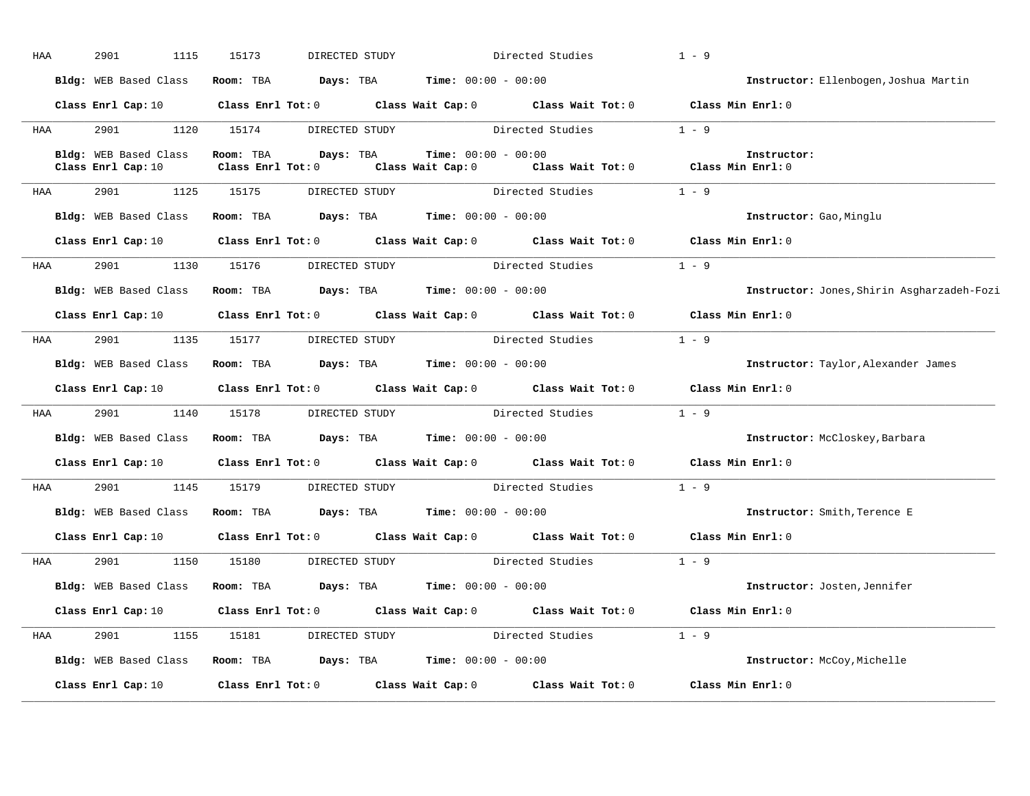| HAA        | 2901<br>1115          | 15173<br>DIRECTED STUDY                                                                                                        |                                                                                       | Directed Studies | $1 - 9$                                    |
|------------|-----------------------|--------------------------------------------------------------------------------------------------------------------------------|---------------------------------------------------------------------------------------|------------------|--------------------------------------------|
|            | Bldg: WEB Based Class | Room: TBA $Days:$ TBA $Time: 00:00 - 00:00$                                                                                    |                                                                                       |                  | Instructor: Ellenbogen, Joshua Martin      |
|            |                       | Class Enrl Cap: 10 $\qquad$ Class Enrl Tot: 0 $\qquad$ Class Wait Cap: 0 $\qquad$ Class Wait Tot: 0 $\qquad$ Class Min Enrl: 0 |                                                                                       |                  |                                            |
| HAA        |                       | 2901 1120 15174 DIRECTED STUDY Directed Studies                                                                                |                                                                                       |                  | $1 - 9$                                    |
|            | Class Enrl Cap: 10    | Bldg: WEB Based Class Room: TBA Days: TBA<br>Class Enrl Tot: $0$                                                               | <b>Time:</b> $00:00 - 00:00$<br>Class Wait Cap: 0 Class Wait Tot: 0 Class Min Enrl: 0 |                  | Instructor:                                |
| HAA        | 2901                  | 1125 15175 DIRECTED STUDY Directed Studies                                                                                     |                                                                                       |                  | $1 - 9$                                    |
|            |                       | Bldg: WEB Based Class Room: TBA Days: TBA Time: 00:00 - 00:00                                                                  |                                                                                       |                  | Instructor: Gao, Minglu                    |
|            |                       | Class Enrl Cap: 10 $\qquad$ Class Enrl Tot: 0 $\qquad$ Class Wait Cap: 0 $\qquad$ Class Wait Tot: 0                            |                                                                                       |                  | Class Min Enrl: 0                          |
| <b>HAA</b> |                       | 2901 1130 15176 DIRECTED STUDY Directed Studies                                                                                |                                                                                       |                  | $1 - 9$                                    |
|            |                       | Bldg: WEB Based Class Room: TBA Days: TBA Time: 00:00 - 00:00                                                                  |                                                                                       |                  | Instructor: Jones, Shirin Asgharzadeh-Fozi |
|            |                       | Class Enrl Cap: 10 $\qquad$ Class Enrl Tot: 0 $\qquad$ Class Wait Cap: 0 $\qquad$ Class Wait Tot: 0 $\qquad$ Class Min Enrl: 0 |                                                                                       |                  |                                            |
| <b>HAA</b> |                       | 2901 1135 15177 DIRECTED STUDY Directed Studies 1 - 9                                                                          |                                                                                       |                  |                                            |
|            |                       | Bldg: WEB Based Class Room: TBA Days: TBA Time: 00:00 - 00:00                                                                  |                                                                                       |                  | Instructor: Taylor, Alexander James        |
|            |                       | Class Enrl Cap: 10 $\qquad$ Class Enrl Tot: 0 $\qquad$ Class Wait Cap: 0 $\qquad$ Class Wait Tot: 0 $\qquad$ Class Min Enrl: 0 |                                                                                       |                  |                                            |
| <b>HAA</b> |                       | 2901 1140 15178 DIRECTED STUDY Directed Studies                                                                                |                                                                                       |                  | $1 - 9$                                    |
|            |                       | Bldg: WEB Based Class Room: TBA Days: TBA Time: 00:00 - 00:00                                                                  |                                                                                       |                  | Instructor: McCloskey, Barbara             |
|            |                       | Class Enrl Cap: 10 $\qquad$ Class Enrl Tot: 0 $\qquad$ Class Wait Cap: 0 $\qquad$ Class Wait Tot: 0 $\qquad$ Class Min Enrl: 0 |                                                                                       |                  |                                            |
| HAA        |                       | 2901 1145 15179 DIRECTED STUDY Directed Studies                                                                                |                                                                                       |                  | $1 - 9$                                    |
|            |                       | Bldg: WEB Based Class Room: TBA Days: TBA Time: 00:00 - 00:00                                                                  |                                                                                       |                  | Instructor: Smith, Terence E               |
|            |                       | Class Enrl Cap: 10 Class Enrl Tot: 0 Class Wait Cap: 0 Class Wait Tot: 0                                                       |                                                                                       |                  | Class Min Enrl: 0                          |
| HAA        | 2901 2002<br>1150     | 15180                                                                                                                          | DIRECTED STUDY                                                                        | Directed Studies | $1 - 9$                                    |
|            |                       | Bldg: WEB Based Class Room: TBA Days: TBA Time: 00:00 - 00:00                                                                  |                                                                                       |                  | Instructor: Josten, Jennifer               |
|            |                       | Class Enrl Cap: 10 $\qquad$ Class Enrl Tot: 0 $\qquad$ Class Wait Cap: 0 $\qquad$ Class Wait Tot: 0 $\qquad$ Class Min Enrl: 0 |                                                                                       |                  |                                            |
| <b>HAA</b> |                       | 2901 1155 15181 DIRECTED STUDY                                                                                                 |                                                                                       | Directed Studies | $1 - 9$                                    |
|            |                       | Bldg: WEB Based Class Room: TBA Days: TBA Time: 00:00 - 00:00                                                                  |                                                                                       |                  | Instructor: McCoy, Michelle                |
|            |                       |                                                                                                                                |                                                                                       |                  |                                            |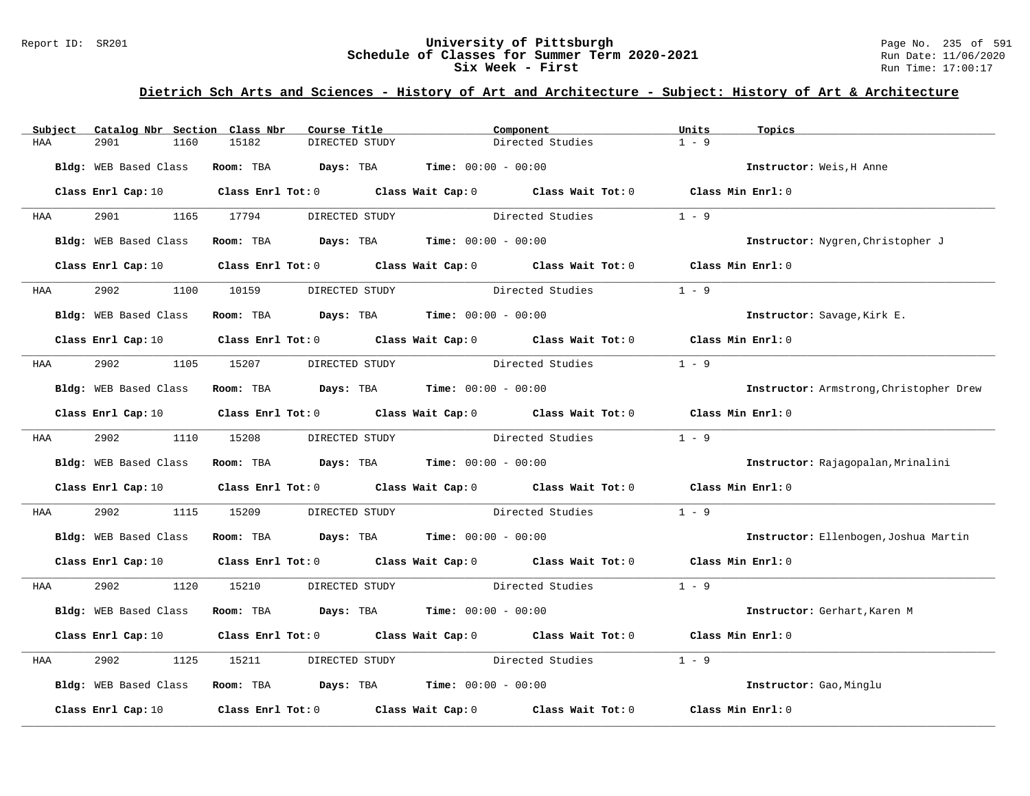### Report ID: SR201 **1988 Chedule of Classes for Summer Term 2020-2021** Page No. 235 of 591 Page No. 235 of 591 Page No. 235 of 591 Page No. 235 of 591 Page No. 235 of 591 Page No. 235 of 591 Bate: 11/06/2020 **Schedule of Classes for Summer Term 2020-2021** Run Date: 11/06/2021<br>Six Week - First Run Time: 17:00:17 Six Week - First

| Subject    | Catalog Nbr Section Class Nbr | Course Title                                                                          | Component                                                                                                                      | Units<br>Topics                         |
|------------|-------------------------------|---------------------------------------------------------------------------------------|--------------------------------------------------------------------------------------------------------------------------------|-----------------------------------------|
| HAA        | 2901<br>1160                  | 15182<br>DIRECTED STUDY                                                               | Directed Studies                                                                                                               | $1 - 9$                                 |
|            | Bldg: WEB Based Class         | <b>Room:</b> TBA $Days:$ TBA $Time: 00:00 - 00:00$                                    |                                                                                                                                | Instructor: Weis, H Anne                |
|            |                               |                                                                                       | Class Enrl Cap: 10 $\qquad$ Class Enrl Tot: 0 $\qquad$ Class Wait Cap: 0 $\qquad$ Class Wait Tot: 0 $\qquad$ Class Min Enrl: 0 |                                         |
| <b>HAA</b> | 2901 2002                     | 1165 17794<br>DIRECTED STUDY                                                          | Directed Studies                                                                                                               | $1 - 9$                                 |
|            | Bldg: WEB Based Class         | Room: TBA $Days:$ TBA $Time: 00:00 - 00:00$                                           |                                                                                                                                | Instructor: Nygren, Christopher J       |
|            |                               |                                                                                       | Class Enrl Cap: 10 Class Enrl Tot: 0 Class Wait Cap: 0 Class Wait Tot: 0 Class Min Enrl: 0                                     |                                         |
| <b>HAA</b> | 2902                          | 1100 10159<br>DIRECTED STUDY                                                          | Directed Studies                                                                                                               | $1 - 9$                                 |
|            | Bldg: WEB Based Class         | Room: TBA $\rule{1em}{0.15mm}$ Days: TBA $\rule{1.5mm}{0.15mm}$ Time: $00:00 - 00:00$ |                                                                                                                                | Instructor: Savage, Kirk E.             |
|            |                               |                                                                                       | Class Enrl Cap: 10 $\qquad$ Class Enrl Tot: 0 $\qquad$ Class Wait Cap: 0 $\qquad$ Class Wait Tot: 0 $\qquad$ Class Min Enrl: 0 |                                         |
| <b>HAA</b> | 2902 1105 15207               | DIRECTED STUDY                                                                        | Directed Studies                                                                                                               | $1 - 9$                                 |
|            | Bldg: WEB Based Class         | Room: TBA $\rule{1em}{0.15mm}$ Days: TBA Time: $00:00 - 00:00$                        |                                                                                                                                | Instructor: Armstrong, Christopher Drew |
|            |                               |                                                                                       | Class Enrl Cap: 10 $\qquad$ Class Enrl Tot: 0 $\qquad$ Class Wait Cap: 0 $\qquad$ Class Wait Tot: 0 $\qquad$ Class Min Enrl: 0 |                                         |
|            | HAA 2902 1110 15208           | DIRECTED STUDY                                                                        | Directed Studies                                                                                                               | $1 - 9$                                 |
|            | Bldg: WEB Based Class         | Room: TBA $Days:$ TBA $Time: 00:00 - 00:00$                                           |                                                                                                                                | Instructor: Rajagopalan, Mrinalini      |
|            |                               |                                                                                       | Class Enrl Cap: 10 $\qquad$ Class Enrl Tot: 0 $\qquad$ Class Wait Cap: 0 $\qquad$ Class Wait Tot: 0 $\qquad$ Class Min Enrl: 0 |                                         |
| HAA        | 2902<br>1115                  | 15209                                                                                 | DIRECTED STUDY Directed Studies                                                                                                | $1 - 9$                                 |
|            |                               | Bldg: WEB Based Class Room: TBA Days: TBA Time: 00:00 - 00:00                         |                                                                                                                                | Instructor: Ellenbogen, Joshua Martin   |
|            |                               |                                                                                       | Class Enrl Cap: 10 $\qquad$ Class Enrl Tot: 0 $\qquad$ Class Wait Cap: 0 $\qquad$ Class Wait Tot: 0 $\qquad$ Class Min Enrl: 0 |                                         |
| <b>HAA</b> | 2902                          | 1120 15210                                                                            | DIRECTED STUDY Directed Studies 1 - 9                                                                                          |                                         |
|            | Bldg: WEB Based Class         | Room: TBA $Days: TBA$ Time: $00:00 - 00:00$                                           |                                                                                                                                | Instructor: Gerhart, Karen M            |
|            |                               |                                                                                       | Class Enrl Cap: 10 $\qquad$ Class Enrl Tot: 0 $\qquad$ Class Wait Cap: 0 $\qquad$ Class Wait Tot: 0 $\qquad$ Class Min Enrl: 0 |                                         |
| HAA        | 2902<br>1125                  | 15211                                                                                 | DIRECTED STUDY Directed Studies                                                                                                | $1 - 9$                                 |
|            |                               | Bldg: WEB Based Class Room: TBA Days: TBA Time: 00:00 - 00:00                         |                                                                                                                                | Instructor: Gao, Minglu                 |
|            |                               |                                                                                       | Class Enrl Cap: 10 $\qquad$ Class Enrl Tot: 0 $\qquad$ Class Wait Cap: 0 $\qquad$ Class Wait Tot: 0                            | Class Min Enrl: 0                       |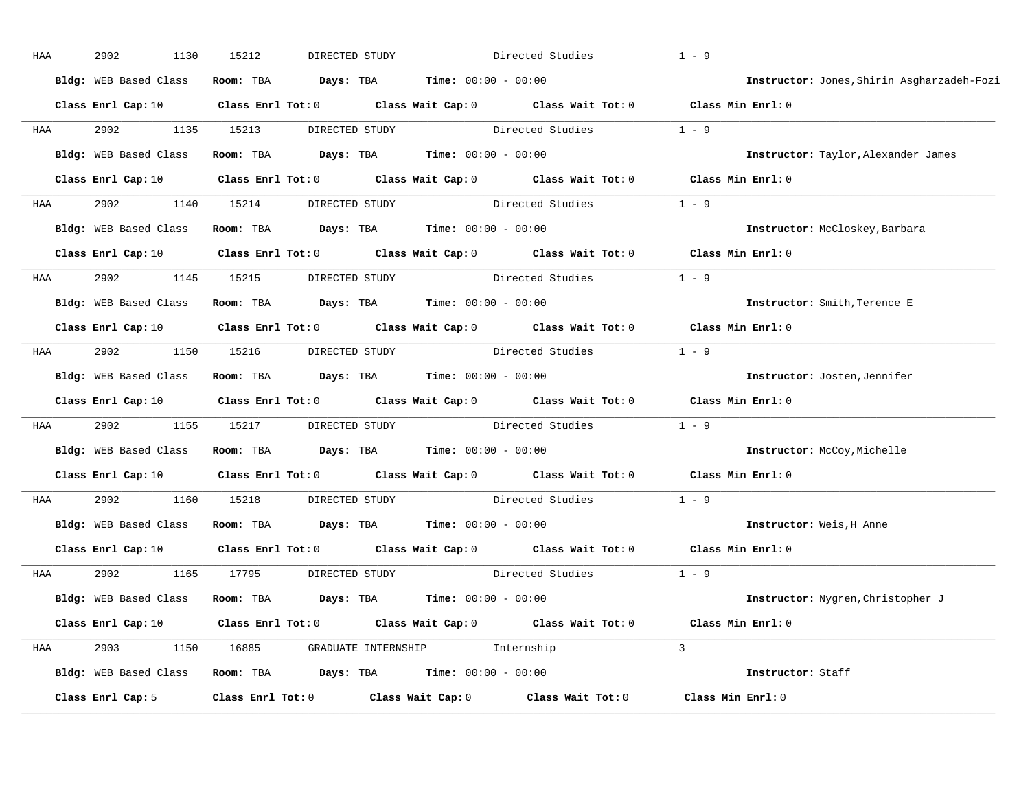| HAA | 2902<br>1130                                                  | 15212                   | DIRECTED STUDY                                                 | Directed Studies                                                                                                               | $1 - 9$                                    |
|-----|---------------------------------------------------------------|-------------------------|----------------------------------------------------------------|--------------------------------------------------------------------------------------------------------------------------------|--------------------------------------------|
|     | Bldg: WEB Based Class                                         |                         | Room: TBA $Days:$ TBA $Time: 00:00 - 00:00$                    |                                                                                                                                | Instructor: Jones, Shirin Asgharzadeh-Fozi |
|     |                                                               |                         |                                                                | Class Enrl Cap: 10 Class Enrl Tot: 0 Class Wait Cap: 0 Class Wait Tot: 0 Class Min Enrl: 0                                     |                                            |
| HAA | 2902                                                          | 1135 15213              |                                                                | DIRECTED STUDY Directed Studies 1 - 9                                                                                          |                                            |
|     | Bldg: WEB Based Class                                         |                         | Room: TBA $Days:$ TBA $Time: 00:00 - 00:00$                    |                                                                                                                                | Instructor: Taylor, Alexander James        |
|     |                                                               |                         |                                                                | Class Enrl Cap: 10 $\qquad$ Class Enrl Tot: 0 $\qquad$ Class Wait Cap: 0 $\qquad$ Class Wait Tot: 0 $\qquad$ Class Min Enrl: 0 |                                            |
| HAA | 2902                                                          |                         |                                                                | 1140 15214 DIRECTED STUDY Directed Studies 1 - 9                                                                               |                                            |
|     | Bldg: WEB Based Class Room: TBA Days: TBA Time: 00:00 - 00:00 |                         |                                                                |                                                                                                                                | Instructor: McCloskey, Barbara             |
|     |                                                               |                         |                                                                | Class Enrl Cap: 10 $\qquad$ Class Enrl Tot: 0 $\qquad$ Class Wait Cap: 0 $\qquad$ Class Wait Tot: 0 $\qquad$ Class Min Enrl: 0 |                                            |
| HAA | 2902                                                          | 1145 15215              | DIRECTED STUDY                                                 | Directed Studies                                                                                                               | $1 - 9$                                    |
|     | Bldg: WEB Based Class                                         |                         | Room: TBA $Days:$ TBA $Time: 00:00 - 00:00$                    |                                                                                                                                | Instructor: Smith, Terence E               |
|     |                                                               |                         |                                                                | Class Enrl Cap: 10 Class Enrl Tot: 0 Class Wait Cap: 0 Class Wait Tot: 0                                                       | Class Min Enrl: 0                          |
| HAA | 2902                                                          |                         | 1150 15216 DIRECTED STUDY                                      | Directed Studies 1 - 9                                                                                                         |                                            |
|     | Bldg: WEB Based Class                                         |                         | Room: TBA $Days: TBA$ Time: $00:00 - 00:00$                    |                                                                                                                                | Instructor: Josten, Jennifer               |
|     |                                                               |                         |                                                                | Class Enrl Cap: 10 $\qquad$ Class Enrl Tot: 0 $\qquad$ Class Wait Cap: 0 $\qquad$ Class Wait Tot: 0 $\qquad$ Class Min Enrl: 0 |                                            |
| HAA | 2902<br>1155                                                  | 15217                   |                                                                | DIRECTED STUDY Directed Studies 1 - 9                                                                                          |                                            |
|     | Bldg: WEB Based Class                                         |                         | Room: TBA $\rule{1em}{0.15mm}$ Days: TBA Time: $00:00 - 00:00$ |                                                                                                                                | Instructor: McCoy, Michelle                |
|     |                                                               |                         |                                                                | Class Enrl Cap: 10 Class Enrl Tot: 0 Class Wait Cap: 0 Class Wait Tot: 0                                                       | Class Min $Enrl: 0$                        |
| HAA | 2902<br>1160                                                  | 15218                   |                                                                | DIRECTED STUDY Directed Studies 1 - 9                                                                                          |                                            |
|     | Bldg: WEB Based Class                                         |                         | Room: TBA $Days: TBA$ Time: $00:00 - 00:00$                    |                                                                                                                                | Instructor: Weis, H Anne                   |
|     |                                                               |                         |                                                                | Class Enrl Cap: 10 $\qquad$ Class Enrl Tot: 0 $\qquad$ Class Wait Cap: 0 $\qquad$ Class Wait Tot: 0                            | Class Min Enrl: 0                          |
| HAA | 2902                                                          | 1165 17795              | DIRECTED STUDY                                                 | Directed Studies 1 - 9                                                                                                         |                                            |
|     | Bldg: WEB Based Class                                         |                         | Room: TBA $Days: TBA$ Time: $00:00 - 00:00$                    |                                                                                                                                | Instructor: Nygren, Christopher J          |
|     |                                                               |                         |                                                                | Class Enrl Cap: 10 $\qquad$ Class Enrl Tot: 0 $\qquad$ Class Wait Cap: 0 $\qquad$ Class Wait Tot: 0                            | Class Min $Enr1:0$                         |
| HAA | 2903                                                          |                         | 1150 16885 GRADUATE INTERNSHIP 1nternship                      |                                                                                                                                | $\overline{3}$                             |
|     | Bldg: WEB Based Class Room: TBA Days: TBA Time: 00:00 - 00:00 |                         |                                                                |                                                                                                                                | Instructor: Staff                          |
|     | Class Enrl Cap: 5                                             | $Class$ $Enr1$ $Tot: 0$ |                                                                | Class Wait Cap: 0 Class Wait Tot: 0                                                                                            | Class Min Enrl: 0                          |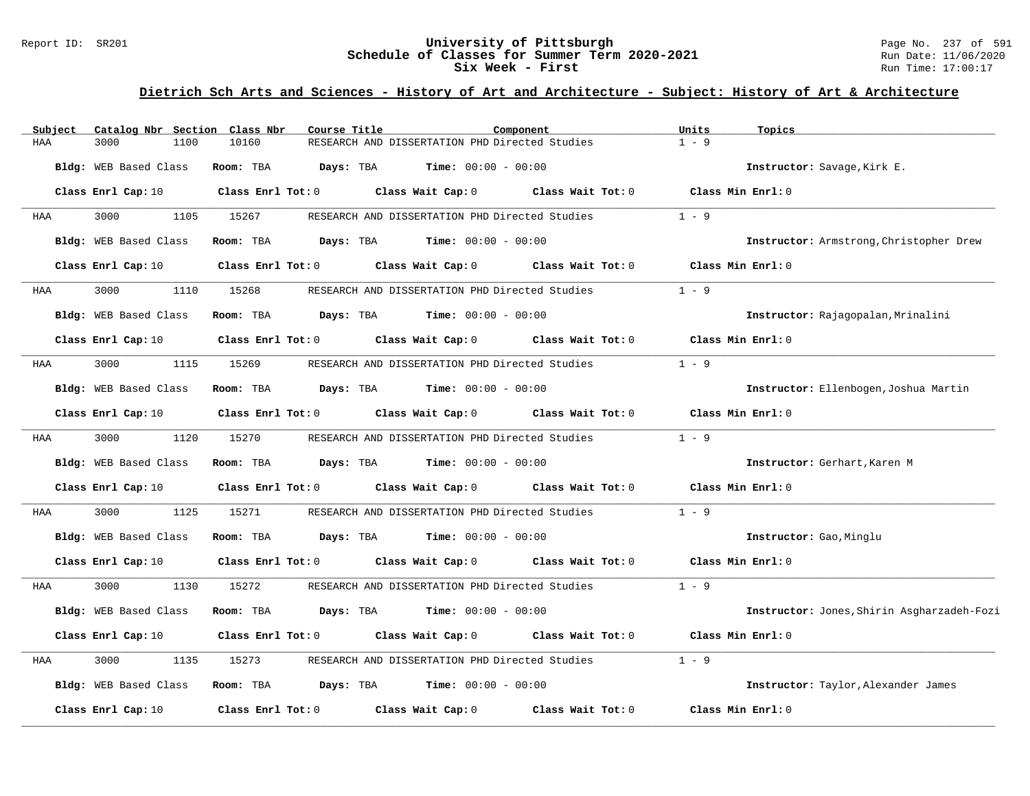#### Report ID: SR201 **University of Pittsburgh** Page No. 237 of 591 **Schedule of Classes for Summer Term 2020-2021** Run Date: 11/06/2020 **Six Week - First Run Time: 17:00:17**

| Subject | Catalog Nbr Section Class Nbr | Course Title            |                                                      | Component         | Units<br>Topics                    |                                            |
|---------|-------------------------------|-------------------------|------------------------------------------------------|-------------------|------------------------------------|--------------------------------------------|
| HAA     | 3000<br>1100                  | 10160                   | RESEARCH AND DISSERTATION PHD Directed Studies       |                   | $1 - 9$                            |                                            |
|         | Bldg: WEB Based Class         | Room: TBA<br>Days: TBA  | $Time: 00:00 - 00:00$                                |                   | Instructor: Savage, Kirk E.        |                                            |
|         | Class Enrl Cap: 10            | Class Enrl Tot: 0       | Class Wait Cap: 0                                    | Class Wait Tot: 0 | Class Min Enrl: 0                  |                                            |
| HAA     | 3000<br>1105                  | 15267                   | RESEARCH AND DISSERTATION PHD Directed Studies       |                   | $1 - 9$                            |                                            |
|         | Bldg: WEB Based Class         | Room: TBA               | <b>Days:</b> TBA <b>Time:</b> $00:00 - 00:00$        |                   |                                    | Instructor: Armstrong, Christopher Drew    |
|         | Class Enrl Cap: 10            | $Class$ $Enr1$ $Tot: 0$ | Class Wait Cap: 0                                    | Class Wait Tot: 0 | Class Min Enrl: 0                  |                                            |
| HAA     | 3000<br>1110                  | 15268                   | RESEARCH AND DISSERTATION PHD Directed Studies       |                   | $1 - 9$                            |                                            |
|         | Bldg: WEB Based Class         | Room: TBA               | <b>Days:</b> TBA <b>Time:</b> $00:00 - 00:00$        |                   | Instructor: Rajagopalan, Mrinalini |                                            |
|         | Class Enrl Cap: 10            | $Class$ $Enr1$ $Tot: 0$ | Class Wait Cap: 0                                    | Class Wait Tot: 0 | Class Min Enrl: 0                  |                                            |
| HAA     | 3000<br>1115                  | 15269                   | RESEARCH AND DISSERTATION PHD Directed Studies       |                   | $1 - 9$                            |                                            |
|         | Bldg: WEB Based Class         | Room: TBA               | $\texttt{Davis:}$ TBA $\texttt{Time:}$ 00:00 - 00:00 |                   |                                    | Instructor: Ellenbogen, Joshua Martin      |
|         | Class Enrl Cap: 10            | $Class$ $Enr1$ $Tot: 0$ | Class Wait Cap: 0                                    | Class Wait Tot: 0 | Class Min Enrl: 0                  |                                            |
| HAA     | 3000<br>1120                  | 15270                   | RESEARCH AND DISSERTATION PHD Directed Studies       |                   | $1 - 9$                            |                                            |
|         | Bldg: WEB Based Class         | Room: TBA<br>Days: TBA  | $Time: 00:00 - 00:00$                                |                   | Instructor: Gerhart, Karen M       |                                            |
|         | Class Enrl Cap: 10            | $Class$ $Enr1$ $Tot: 0$ | Class Wait Cap: 0 Class Wait Tot: 0                  |                   | Class Min Enrl: 0                  |                                            |
| HAA     | 3000<br>1125                  | 15271                   | RESEARCH AND DISSERTATION PHD Directed Studies       |                   | $1 - 9$                            |                                            |
|         | Bldg: WEB Based Class         | Room: TBA               | <b>Days:</b> TBA <b>Time:</b> $00:00 - 00:00$        |                   | Instructor: Gao, Minglu            |                                            |
|         | Class Enrl Cap: 10            | Class Enrl Tot: 0       | Class Wait Cap: 0                                    | Class Wait Tot: 0 | Class Min Enrl: 0                  |                                            |
| HAA     | 3000<br>1130                  | 15272                   | RESEARCH AND DISSERTATION PHD Directed Studies       |                   | $1 - 9$                            |                                            |
|         | Bldg: WEB Based Class         | Days: TBA<br>Room: TBA  | $Time: 00:00 - 00:00$                                |                   |                                    | Instructor: Jones, Shirin Asgharzadeh-Fozi |
|         | Class Enrl Cap: 10            | Class Enrl Tot: 0       | Class Wait Cap: $0$ Class Wait Tot: $0$              |                   | Class Min Enrl: 0                  |                                            |
| HAA     | 3000<br>1135                  | 15273                   | RESEARCH AND DISSERTATION PHD Directed Studies       |                   | $1 - 9$                            |                                            |
|         | Bldg: WEB Based Class         | Room: TBA<br>Days: TBA  | $Time: 00:00 - 00:00$                                |                   |                                    | Instructor: Taylor, Alexander James        |
|         | Class Enrl Cap: 10            | Class Enrl Tot: 0       | Class Wait Cap: 0                                    | Class Wait Tot: 0 | Class Min Enrl: 0                  |                                            |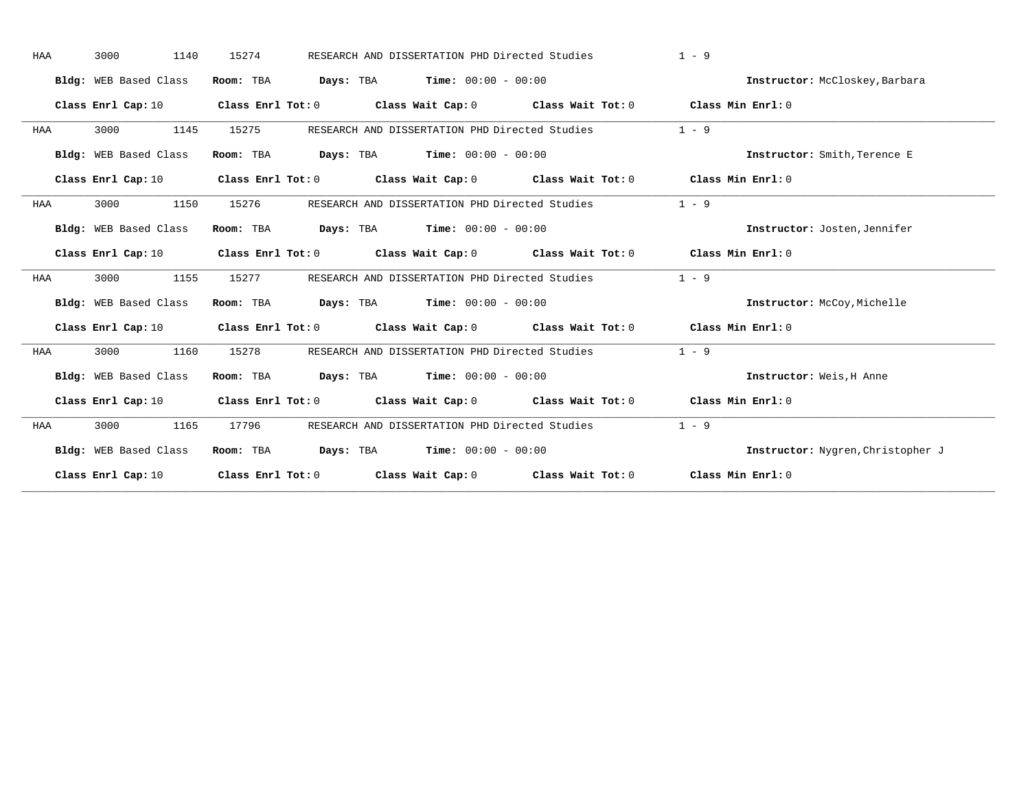| HAA | 3000<br>1140          | 15274 | RESEARCH AND DISSERTATION PHD Directed Studies                                                                                 | $1 - 9$                           |
|-----|-----------------------|-------|--------------------------------------------------------------------------------------------------------------------------------|-----------------------------------|
|     | Bldg: WEB Based Class |       | Room: TBA $Days:$ TBA $Time: 00:00 - 00:00$                                                                                    | Instructor: McCloskey, Barbara    |
|     | Class Enrl Cap: 10    |       | Class Enrl Tot: 0 $\qquad$ Class Wait Cap: 0 $\qquad$ Class Wait Tot: 0 $\qquad$ Class Min Enrl: 0                             |                                   |
| HAA | 3000<br>1145          | 15275 | RESEARCH AND DISSERTATION PHD Directed Studies                                                                                 | $1 - 9$                           |
|     | Bldg: WEB Based Class |       | Room: TBA $Days:$ TBA $Time: 00:00 - 00:00$                                                                                    | Instructor: Smith, Terence E      |
|     |                       |       | Class Enrl Cap: 10 Class Enrl Tot: 0 Class Wait Cap: 0 Class Wait Tot: 0 Class Min Enrl: 0                                     |                                   |
| HAA | 3000<br>1150          | 15276 | RESEARCH AND DISSERTATION PHD Directed Studies                                                                                 | $1 - 9$                           |
|     | Bldg: WEB Based Class |       | Room: TBA $\rule{1em}{0.15mm}$ Days: TBA Time: $00:00 - 00:00$                                                                 | Instructor: Josten, Jennifer      |
|     |                       |       | Class Enrl Cap: 10 $\qquad$ Class Enrl Tot: 0 $\qquad$ Class Wait Cap: 0 $\qquad$ Class Wait Tot: 0 $\qquad$ Class Min Enrl: 0 |                                   |
| HAA | 3000<br>1155          | 15277 | RESEARCH AND DISSERTATION PHD Directed Studies                                                                                 | $1 - 9$                           |
|     | Bldg: WEB Based Class |       | Room: TBA $Days:$ TBA $Time: 00:00 - 00:00$                                                                                    | Instructor: McCoy, Michelle       |
|     |                       |       | Class Enrl Cap: 10 Class Enrl Tot: 0 Class Wait Cap: 0 Class Wait Tot: 0 Class Min Enrl: 0                                     |                                   |
| HAA | 3000<br>1160          | 15278 | RESEARCH AND DISSERTATION PHD Directed Studies                                                                                 | $1 - 9$                           |
|     | Bldg: WEB Based Class |       | Room: TBA $Days: TBA$ Time: $00:00 - 00:00$                                                                                    | Instructor: Weis, H Anne          |
|     |                       |       | Class Enrl Cap: 10 $\qquad$ Class Enrl Tot: 0 $\qquad$ Class Wait Cap: 0 $\qquad$ Class Wait Tot: 0 $\qquad$ Class Min Enrl: 0 |                                   |
| HAA | 3000<br>1165          | 17796 | RESEARCH AND DISSERTATION PHD Directed Studies                                                                                 | $1 - 9$                           |
|     | Bldg: WEB Based Class |       | Room: TBA $Days: TBA$ Time: $00:00 - 00:00$                                                                                    | Instructor: Nygren, Christopher J |
|     |                       |       | Class Enrl Cap: 10 Class Enrl Tot: 0 Class Wait Cap: 0 Class Wait Tot: 0 Class Min Enrl: 0                                     |                                   |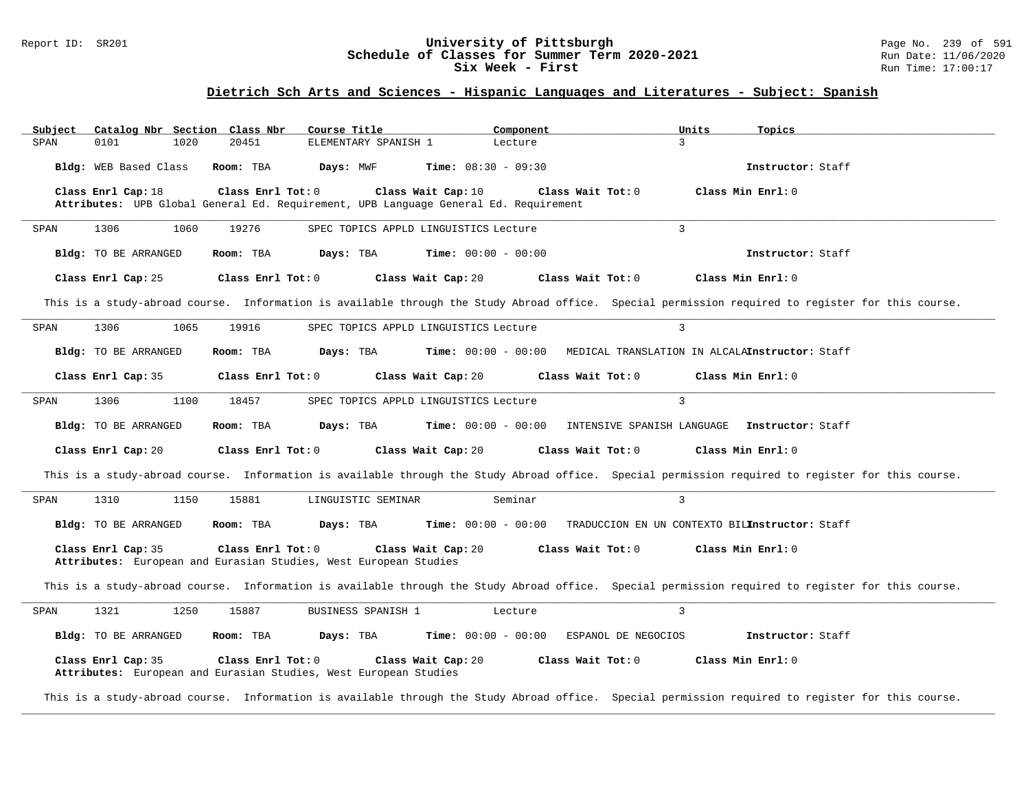### Report ID: SR201 **1988 Chedule of Classes for Summer Term 2020-2021** Page No. 239 of 591 Page No. 239 of 591 **Schedule of Classes for Summer Term 2020-2021** Run Date: 11/06/2020 **Schedule of Classes for Summer Term 2020-2021** Run Date: 11/06/2020<br>Six Week - First Run Time: 17:00:17 Six Week - First

## **Dietrich Sch Arts and Sciences - Hispanic Languages and Literatures - Subject: Spanish**

| Subject | Catalog Nbr Section Class Nbr |                   | Course Title                                                     | Component                                                                            |                     | Units<br>Topics                                |                                                                                                                                                   |
|---------|-------------------------------|-------------------|------------------------------------------------------------------|--------------------------------------------------------------------------------------|---------------------|------------------------------------------------|---------------------------------------------------------------------------------------------------------------------------------------------------|
| SPAN    | 0101<br>1020                  | 20451             | ELEMENTARY SPANISH 1                                             | Lecture                                                                              |                     | 3                                              |                                                                                                                                                   |
|         | Bldg: WEB Based Class         | Room: TBA         | Days: MWF                                                        | <b>Time:</b> $08:30 - 09:30$                                                         |                     | Instructor: Staff                              |                                                                                                                                                   |
|         | Class Enrl Cap: 18            | Class Enrl Tot: 0 |                                                                  | Class Wait Cap: 10                                                                   | Class Wait Tot: 0   | Class Min Enrl: 0                              |                                                                                                                                                   |
|         |                               |                   |                                                                  | Attributes: UPB Global General Ed. Requirement, UPB Language General Ed. Requirement |                     |                                                |                                                                                                                                                   |
|         |                               |                   |                                                                  |                                                                                      |                     | 3                                              |                                                                                                                                                   |
| SPAN    | 1306<br>1060                  | 19276             |                                                                  | SPEC TOPICS APPLD LINGUISTICS Lecture                                                |                     |                                                |                                                                                                                                                   |
|         | Bldg: TO BE ARRANGED          | Room: TBA         | Days: TBA                                                        | <b>Time:</b> $00:00 - 00:00$                                                         |                     | Instructor: Staff                              |                                                                                                                                                   |
|         | Class Enrl Cap: 25            | Class Enrl Tot: 0 |                                                                  | Class Wait Cap: 20                                                                   | Class Wait Tot: 0   | Class Min Enrl: 0                              |                                                                                                                                                   |
|         |                               |                   |                                                                  |                                                                                      |                     |                                                | This is a study-abroad course. Information is available through the Study Abroad office. Special permission required to register for this course. |
| SPAN    | 1306<br>1065                  | 19916             |                                                                  | SPEC TOPICS APPLD LINGUISTICS Lecture                                                |                     | $\overline{3}$                                 |                                                                                                                                                   |
|         | Bldg: TO BE ARRANGED          | Room: TBA         | Days: TBA                                                        | <b>Time:</b> $00:00 - 00:00$                                                         |                     | MEDICAL TRANSLATION IN ALCALAInstructor: Staff |                                                                                                                                                   |
|         | Class Enrl Cap: 35            | Class Enrl Tot: 0 |                                                                  | Class Wait Cap: 20                                                                   | Class Wait Tot: 0   | Class Min Enrl: 0                              |                                                                                                                                                   |
| SPAN    | 1306<br>1100                  | 18457             |                                                                  | SPEC TOPICS APPLD LINGUISTICS Lecture                                                |                     | $\overline{3}$                                 |                                                                                                                                                   |
|         | Bldg: TO BE ARRANGED          | Room: TBA         | Days: TBA                                                        | <b>Time:</b> $00:00 - 00:00$                                                         |                     | INTENSIVE SPANISH LANGUAGE Instructor: Staff   |                                                                                                                                                   |
|         | Class Enrl Cap: 20            | Class Enrl Tot: 0 |                                                                  | Class Wait Cap: 20                                                                   | Class Wait Tot: 0   | Class Min Enrl: 0                              |                                                                                                                                                   |
|         |                               |                   |                                                                  |                                                                                      |                     |                                                | This is a study-abroad course. Information is available through the Study Abroad office. Special permission required to register for this course. |
| SPAN    | 1310<br>1150                  | 15881             | LINGUISTIC SEMINAR                                               | Seminar                                                                              |                     | $\overline{3}$                                 |                                                                                                                                                   |
|         | Bldg: TO BE ARRANGED          | Room: TBA         | Days: TBA                                                        | <b>Time:</b> $00:00 - 00:00$                                                         |                     | TRADUCCION EN UN CONTEXTO BILInstructor: Staff |                                                                                                                                                   |
|         | Class Enrl Cap: 35            | Class Enrl Tot: 0 | Attributes: European and Eurasian Studies, West European Studies | Class Wait Cap: 20                                                                   | Class Wait Tot: 0   | Class Min Enrl: 0                              |                                                                                                                                                   |
|         |                               |                   |                                                                  |                                                                                      |                     |                                                | This is a study-abroad course. Information is available through the Study Abroad office. Special permission required to register for this course. |
| SPAN    | 1321<br>1250                  | 15887             | BUSINESS SPANISH 1                                               | Lecture                                                                              |                     | $\overline{3}$                                 |                                                                                                                                                   |
|         | Bldg: TO BE ARRANGED          | Room: TBA         | Days: TBA                                                        | <b>Time:</b> $00:00 - 00:00$                                                         | ESPANOL DE NEGOCIOS | Instructor: Staff                              |                                                                                                                                                   |
|         | Class Enrl Cap: 35            | Class Enrl Tot: 0 | Attributes: European and Eurasian Studies, West European Studies | Class Wait Cap: 20                                                                   | Class Wait Tot: 0   | Class Min Enrl: 0                              |                                                                                                                                                   |

This is a study-abroad course. Information is available through the Study Abroad office. Special permission required to register for this course. **\_\_\_\_\_\_\_\_\_\_\_\_\_\_\_\_\_\_\_\_\_\_\_\_\_\_\_\_\_\_\_\_\_\_\_\_\_\_\_\_\_\_\_\_\_\_\_\_\_\_\_\_\_\_\_\_\_\_\_\_\_\_\_\_\_\_\_\_\_\_\_\_\_\_\_\_\_\_\_\_\_\_\_\_\_\_\_\_\_\_\_\_\_\_\_\_\_\_\_\_\_\_\_\_\_\_\_\_\_\_\_\_\_\_\_\_\_\_\_\_\_\_\_\_\_\_\_\_\_\_\_\_\_\_\_\_\_\_\_\_\_\_\_\_\_\_\_\_\_\_\_\_\_\_\_\_**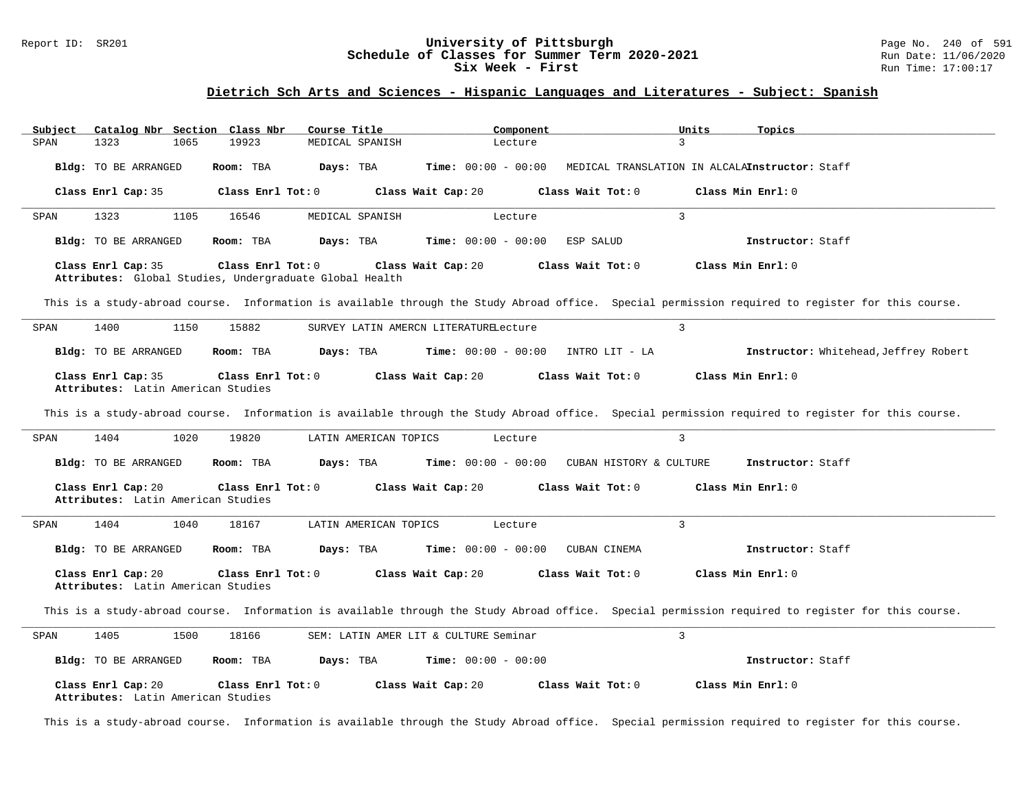### Report ID: SR201 **1988 Construment Supervisity of Pittsburgh** Page No. 240 of 591 **University of Pittsburgh** Page No. 240 of 591 **Schedule of Classes for Summer Term 2020-2021** Run Date: 11/06/2020 **Schedule of Classes for Summer Term 2020-2021** Run Date: 11/06/2020<br>Six Week - First Run Time: 17:00:17 Six Week - First

# **Dietrich Sch Arts and Sciences - Hispanic Languages and Literatures - Subject: Spanish**

| Subject<br>Catalog Nbr Section Class Nbr                | Course Title          | Component                                    | Units<br>Topics                                                                                                                                   |  |
|---------------------------------------------------------|-----------------------|----------------------------------------------|---------------------------------------------------------------------------------------------------------------------------------------------------|--|
| SPAN<br>1323<br>1065<br>19923                           | MEDICAL SPANISH       | Lecture                                      | 3                                                                                                                                                 |  |
|                                                         |                       |                                              |                                                                                                                                                   |  |
| Bldg: TO BE ARRANGED<br>Room: TBA                       | Days: TBA             | <b>Time:</b> $00:00 - 00:00$                 | MEDICAL TRANSLATION IN ALCALAInstructor: Staff                                                                                                    |  |
|                                                         |                       |                                              |                                                                                                                                                   |  |
| Class Enrl Cap: 35<br>Class Enrl Tot: 0                 |                       | Class Wait Cap: 20<br>Class Wait Tot: 0      | Class Min Enrl: 0                                                                                                                                 |  |
|                                                         |                       |                                              |                                                                                                                                                   |  |
| 1323<br>1105<br>16546<br>SPAN                           | MEDICAL SPANISH       | Lecture                                      | $\overline{3}$                                                                                                                                    |  |
|                                                         |                       |                                              |                                                                                                                                                   |  |
| Bldg: TO BE ARRANGED<br>Room: TBA                       | Days: TBA             | <b>Time:</b> $00:00 - 00:00$<br>ESP SALUD    | Instructor: Staff                                                                                                                                 |  |
|                                                         |                       |                                              |                                                                                                                                                   |  |
| Class Enrl Tot: 0<br>Class Enrl Cap: 35                 |                       | Class Wait Cap: 20<br>Class Wait Tot: 0      | Class Min Enrl: 0                                                                                                                                 |  |
| Attributes: Global Studies, Undergraduate Global Health |                       |                                              |                                                                                                                                                   |  |
|                                                         |                       |                                              |                                                                                                                                                   |  |
|                                                         |                       |                                              | This is a study-abroad course. Information is available through the Study Abroad office. Special permission required to register for this course. |  |
|                                                         |                       |                                              |                                                                                                                                                   |  |
| 1400<br>1150<br>15882<br>SPAN                           |                       | SURVEY LATIN AMERCN LITERATURELecture        | 3                                                                                                                                                 |  |
|                                                         |                       |                                              |                                                                                                                                                   |  |
| Bldg: TO BE ARRANGED<br>Room: TBA                       | Days: TBA             | $Time: 00:00 - 00:00$<br>INTRO LIT - LA      | Instructor: Whitehead, Jeffrey Robert                                                                                                             |  |
|                                                         |                       |                                              |                                                                                                                                                   |  |
| Class Enrl Cap: 35<br>Class Enrl Tot: 0                 |                       | Class Wait Cap: 20<br>Class Wait Tot: 0      | Class Min Enrl: 0                                                                                                                                 |  |
| Attributes: Latin American Studies                      |                       |                                              |                                                                                                                                                   |  |
|                                                         |                       |                                              |                                                                                                                                                   |  |
|                                                         |                       |                                              | This is a study-abroad course. Information is available through the Study Abroad office. Special permission required to register for this course. |  |
|                                                         |                       |                                              |                                                                                                                                                   |  |
| 1404<br>1020<br>19820<br>SPAN                           | LATIN AMERICAN TOPICS | Lecture                                      | $\mathbf{3}$                                                                                                                                      |  |
|                                                         |                       |                                              |                                                                                                                                                   |  |
| Bldg: TO BE ARRANGED<br>Room: TBA                       | Days: TBA             | <b>Time:</b> $00:00 - 00:00$                 | CUBAN HISTORY & CULTURE<br>Instructor: Staff                                                                                                      |  |
|                                                         |                       |                                              |                                                                                                                                                   |  |
| Class Enrl Cap: 20<br>Class Enrl Tot: 0                 |                       | Class Wait Cap: 20<br>Class Wait Tot: 0      | Class Min Enrl: 0                                                                                                                                 |  |
| Attributes: Latin American Studies                      |                       |                                              |                                                                                                                                                   |  |
|                                                         |                       |                                              |                                                                                                                                                   |  |
| 1404<br>1040<br>18167<br>SPAN                           | LATIN AMERICAN TOPICS | Lecture                                      | $\overline{3}$                                                                                                                                    |  |
|                                                         |                       |                                              |                                                                                                                                                   |  |
| Bldg: TO BE ARRANGED<br>Room: TBA                       | Days: TBA             | <b>Time:</b> $00:00 - 00:00$<br>CUBAN CINEMA |                                                                                                                                                   |  |
|                                                         |                       |                                              | Instructor: Staff                                                                                                                                 |  |
|                                                         |                       |                                              |                                                                                                                                                   |  |
| Class Enrl Cap: 20<br>Class Enrl Tot: 0                 |                       | Class Wait Cap: 20<br>Class Wait Tot: 0      | Class Min Enrl: 0                                                                                                                                 |  |
| Attributes: Latin American Studies                      |                       |                                              |                                                                                                                                                   |  |
|                                                         |                       |                                              |                                                                                                                                                   |  |
|                                                         |                       |                                              | This is a study-abroad course. Information is available through the Study Abroad office. Special permission required to register for this course. |  |
|                                                         |                       |                                              |                                                                                                                                                   |  |
| 1405<br>1500<br>18166<br>SPAN                           |                       | SEM: LATIN AMER LIT & CULTURE Seminar        | $\mathbf{3}$                                                                                                                                      |  |
|                                                         |                       |                                              |                                                                                                                                                   |  |
| Bldg: TO BE ARRANGED<br>Room: TBA                       | Days: TBA             | <b>Time:</b> $00:00 - 00:00$                 | Instructor: Staff                                                                                                                                 |  |
|                                                         |                       |                                              |                                                                                                                                                   |  |
| Class Enrl Cap: 20<br>Class Enrl Tot: 0                 |                       | Class Wait Cap: 20<br>Class Wait Tot: 0      | Class Min Enrl: 0                                                                                                                                 |  |

This is a study-abroad course. Information is available through the Study Abroad office. Special permission required to register for this course.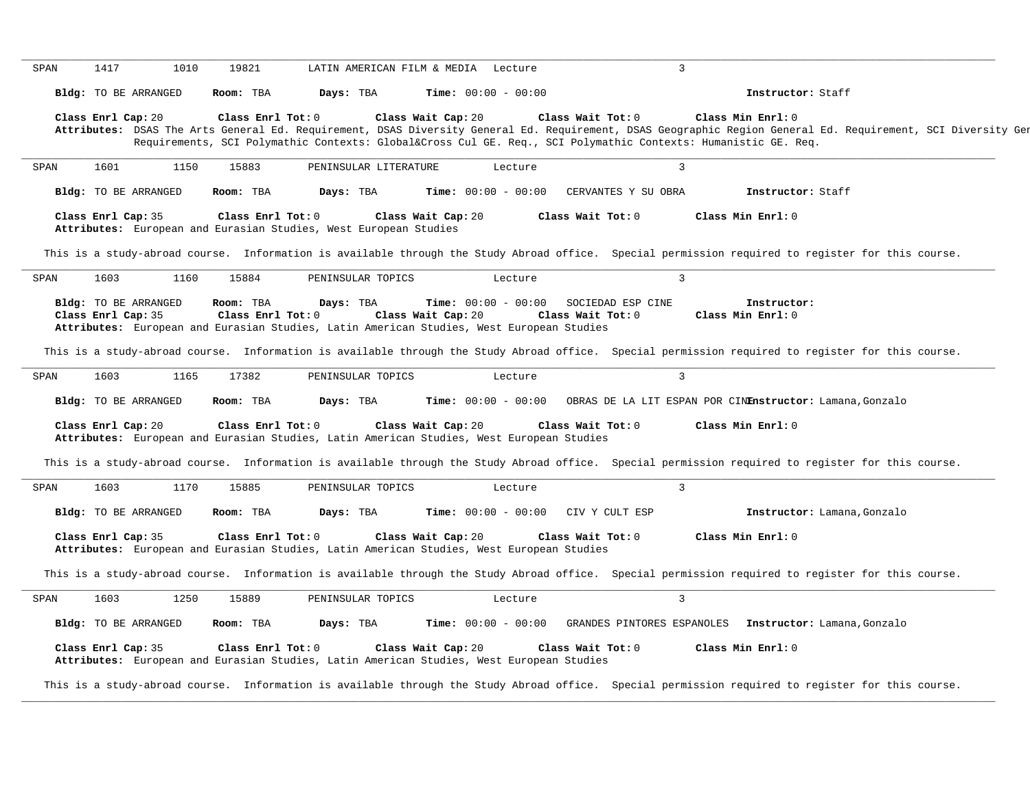| SPAN | 1417               | 1010                 | 19821                          |                                                                                                       | LATIN AMERICAN FILM & MEDIA Lecture                           |                   | $\mathbf{3}$        |                                                                                                                                                                                                                                                                                                |  |
|------|--------------------|----------------------|--------------------------------|-------------------------------------------------------------------------------------------------------|---------------------------------------------------------------|-------------------|---------------------|------------------------------------------------------------------------------------------------------------------------------------------------------------------------------------------------------------------------------------------------------------------------------------------------|--|
|      |                    | Bldg: TO BE ARRANGED | Room: TBA                      | Days: TBA                                                                                             | Time: $00:00 - 00:00$                                         |                   |                     | Instructor: Staff                                                                                                                                                                                                                                                                              |  |
|      | Class Enrl Cap: 20 |                      | Class Enrl Tot: 0              |                                                                                                       | Class Wait Cap: 20                                            | Class Wait Tot: 0 |                     | Class Min Enrl: 0<br>Attributes: DSAS The Arts General Ed. Requirement, DSAS Diversity General Ed. Requirement, DSAS Geographic Region General Ed. Requirement, SCI Diversity Ger<br>Requirements, SCI Polymathic Contexts: Global⨯ Cul GE. Req., SCI Polymathic Contexts: Humanistic GE. Req. |  |
| SPAN | 1601               | 1150                 | 15883                          | PENINSULAR LITERATURE                                                                                 |                                                               | Lecture           | 3                   |                                                                                                                                                                                                                                                                                                |  |
|      |                    | Bldg: TO BE ARRANGED | Room: TBA                      | Days: TBA                                                                                             | <b>Time:</b> $00:00 - 00:00$                                  |                   | CERVANTES Y SU OBRA | Instructor: Staff                                                                                                                                                                                                                                                                              |  |
|      | Class Enrl Cap: 35 |                      | Class Enrl Tot: 0              | Attributes: European and Eurasian Studies, West European Studies                                      | Class Wait Cap: 20                                            | Class Wait Tot: 0 |                     | Class Min Enrl: 0                                                                                                                                                                                                                                                                              |  |
|      |                    |                      |                                |                                                                                                       |                                                               |                   |                     | This is a study-abroad course. Information is available through the Study Abroad office. Special permission required to register for this course.                                                                                                                                              |  |
| SPAN | 1603               | 1160                 | 15884                          | PENINSULAR TOPICS                                                                                     |                                                               | Lecture           | $\mathbf{3}$        |                                                                                                                                                                                                                                                                                                |  |
|      | Class Enrl Cap: 35 | Bldg: TO BE ARRANGED | Room: TBA<br>Class Enrl Tot: 0 | Days: TBA<br>Attributes: European and Eurasian Studies, Latin American Studies, West European Studies | $Time: 00:00 - 00:00$ SOCIEDAD ESP CINE<br>Class Wait Cap: 20 | Class Wait Tot: 0 |                     | Instructor:<br>Class Min Enrl: 0                                                                                                                                                                                                                                                               |  |
|      |                    |                      |                                |                                                                                                       |                                                               |                   |                     | This is a study-abroad course. Information is available through the Study Abroad office. Special permission required to register for this course.                                                                                                                                              |  |
| SPAN | 1603               | 1165                 | 17382                          | PENINSULAR TOPICS                                                                                     |                                                               | Lecture           | $\mathbf{3}$        |                                                                                                                                                                                                                                                                                                |  |
|      |                    | Bldg: TO BE ARRANGED | Room: TBA                      | Days: TBA                                                                                             |                                                               |                   |                     | Time: 00:00 - 00:00 OBRAS DE LA LIT ESPAN POR CINEnstructor: Lamana, Gonzalo                                                                                                                                                                                                                   |  |
|      | Class Enrl Cap: 20 |                      | Class Enrl Tot: 0              | Attributes: European and Eurasian Studies, Latin American Studies, West European Studies              | Class Wait Cap: 20                                            | Class Wait Tot: 0 |                     | Class Min Enrl: 0                                                                                                                                                                                                                                                                              |  |
|      |                    |                      |                                |                                                                                                       |                                                               |                   |                     | This is a study-abroad course. Information is available through the Study Abroad office. Special permission required to register for this course.                                                                                                                                              |  |
| SPAN | 1603               | 1170                 | 15885                          | PENINSULAR TOPICS                                                                                     |                                                               | Lecture           | $\overline{3}$      |                                                                                                                                                                                                                                                                                                |  |
|      |                    | Bldg: TO BE ARRANGED | Room: TBA                      | Days: TBA                                                                                             | Time: $00:00 - 00:00$ CIV Y CULT ESP                          |                   |                     | Instructor: Lamana, Gonzalo                                                                                                                                                                                                                                                                    |  |
|      | Class Enrl Cap: 35 |                      | Class Enrl Tot: 0              | Attributes: European and Eurasian Studies, Latin American Studies, West European Studies              | Class Wait Cap: 20                                            | Class Wait Tot: 0 |                     | Class Min Enrl: 0                                                                                                                                                                                                                                                                              |  |
|      |                    |                      |                                |                                                                                                       |                                                               |                   |                     |                                                                                                                                                                                                                                                                                                |  |
|      |                    |                      |                                |                                                                                                       |                                                               |                   |                     | This is a study-abroad course. Information is available through the Study Abroad office. Special permission required to register for this course.                                                                                                                                              |  |
| SPAN | 1603               | 1250                 | 15889                          | PENINSULAR TOPICS                                                                                     |                                                               | Lecture           | $\mathbf{3}$        |                                                                                                                                                                                                                                                                                                |  |
|      |                    | Bldg: TO BE ARRANGED | Room: TBA                      | Days: TBA                                                                                             | <b>Time:</b> $00:00 - 00:00$                                  |                   |                     | GRANDES PINTORES ESPANOLES Instructor: Lamana, Gonzalo                                                                                                                                                                                                                                         |  |
|      | Class Enrl Cap: 35 |                      | Class Enrl Tot: 0              | Attributes: European and Eurasian Studies, Latin American Studies, West European Studies              | Class Wait Cap: 20                                            | Class Wait Tot: 0 |                     | Class Min Enrl: 0                                                                                                                                                                                                                                                                              |  |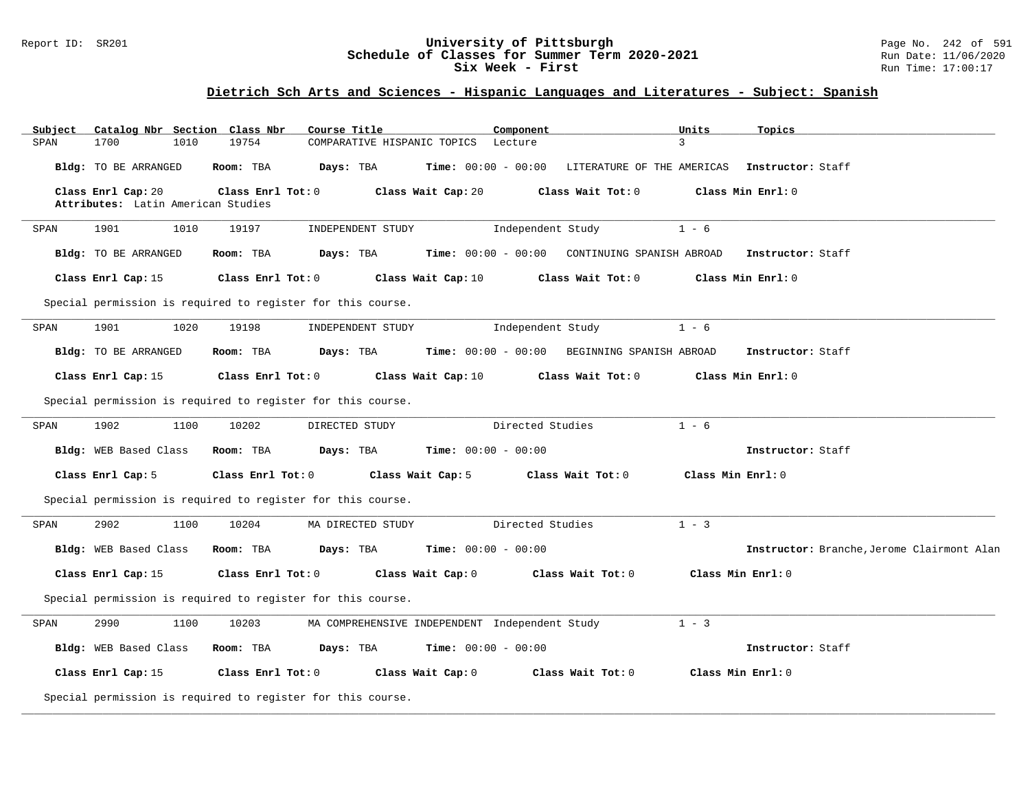## Report ID: SR201 **University of Pittsburgh** Page No. 242 of 591 **Schedule of Classes for Summer Term 2020-2021** Run Date: 11/06/2020 **Six Week - First Run Time: 17:00:17**

# **Dietrich Sch Arts and Sciences - Hispanic Languages and Literatures - Subject: Spanish**

| Catalog Nbr Section<br>Subject<br>1700<br>1010           | Class Nbr<br>Course Title<br>19754                          | Component                                                          | Units<br>Topics<br>3                       |
|----------------------------------------------------------|-------------------------------------------------------------|--------------------------------------------------------------------|--------------------------------------------|
| SPAN                                                     | COMPARATIVE HISPANIC TOPICS                                 | Lecture                                                            |                                            |
| Bldg: TO BE ARRANGED                                     | Room: TBA<br>Days: TBA                                      | Time: $00:00 - 00:00$ LITERATURE OF THE AMERICAS Instructor: Staff |                                            |
| Class Enrl Cap: 20<br>Attributes: Latin American Studies | Class Wait Cap: 20<br>Class Enrl Tot: 0                     | Class Wait Tot: 0                                                  | Class Min Enrl: 0                          |
| 1901<br>1010<br>SPAN                                     | 19197<br>INDEPENDENT STUDY                                  | Independent Study                                                  | $1 - 6$                                    |
| Bldg: TO BE ARRANGED                                     | Days: TBA<br>Room: TBA                                      | $Time: 00:00 - 00:00$ CONTINUING SPANISH ABROAD                    | Instructor: Staff                          |
| Class Enrl Cap: 15                                       | Class Enrl Tot: 0<br>Class Wait Cap: 10                     | Class Wait Tot: 0                                                  | Class Min Enrl: 0                          |
|                                                          | Special permission is required to register for this course. |                                                                    |                                            |
| 1901<br>1020<br>SPAN                                     | 19198<br>INDEPENDENT STUDY                                  | Independent Study                                                  | $1 - 6$                                    |
| Bldg: TO BE ARRANGED                                     | Room: TBA<br>Days: TBA                                      | Time: 00:00 - 00:00 BEGINNING SPANISH ABROAD                       | Instructor: Staff                          |
| Class Enrl Cap: 15                                       | Class Enrl Tot: 0<br>Class Wait Cap: 10                     | Class Wait Tot: 0                                                  | Class Min Enrl: 0                          |
|                                                          | Special permission is required to register for this course. |                                                                    |                                            |
| 1902<br>1100<br>SPAN                                     | 10202<br>DIRECTED STUDY                                     | Directed Studies                                                   | $1 - 6$                                    |
| Bldg: WEB Based Class                                    | Room: TBA<br>Days: TBA                                      | <b>Time:</b> $00:00 - 00:00$                                       | Instructor: Staff                          |
| Class Enrl Cap: 5                                        | Class Enrl Tot: 0<br>Class Wait Cap: 5                      | Class Wait Tot: 0                                                  | Class Min Enrl: 0                          |
|                                                          | Special permission is required to register for this course. |                                                                    |                                            |
| 2902<br>1100<br>SPAN                                     | 10204<br>MA DIRECTED STUDY                                  | Directed Studies                                                   | $1 - 3$                                    |
| Bldg: WEB Based Class                                    | Days: TBA<br>Room: TBA                                      | <b>Time:</b> $00:00 - 00:00$                                       | Instructor: Branche, Jerome Clairmont Alan |
| Class Enrl Cap: 15                                       | Class Enrl Tot: 0<br>Class Wait Cap: 0                      | Class Wait Tot: 0                                                  | Class Min Enrl: 0                          |
|                                                          | Special permission is required to register for this course. |                                                                    |                                            |
| 2990<br>SPAN<br>1100                                     | 10203                                                       | MA COMPREHENSIVE INDEPENDENT Independent Study                     | $1 - 3$                                    |
| Bldg: WEB Based Class                                    | Room: TBA<br>Days: TBA                                      | <b>Time:</b> $00:00 - 00:00$                                       | Instructor: Staff                          |
| Class Enrl Cap: 15                                       | Class Enrl Tot: 0<br>Class Wait Cap: 0                      | Class Wait Tot: 0                                                  | Class Min Enrl: 0                          |
|                                                          | Special permission is required to register for this course. |                                                                    |                                            |

**\_\_\_\_\_\_\_\_\_\_\_\_\_\_\_\_\_\_\_\_\_\_\_\_\_\_\_\_\_\_\_\_\_\_\_\_\_\_\_\_\_\_\_\_\_\_\_\_\_\_\_\_\_\_\_\_\_\_\_\_\_\_\_\_\_\_\_\_\_\_\_\_\_\_\_\_\_\_\_\_\_\_\_\_\_\_\_\_\_\_\_\_\_\_\_\_\_\_\_\_\_\_\_\_\_\_\_\_\_\_\_\_\_\_\_\_\_\_\_\_\_\_\_\_\_\_\_\_\_\_\_\_\_\_\_\_\_\_\_\_\_\_\_\_\_\_\_\_\_\_\_\_\_\_\_\_**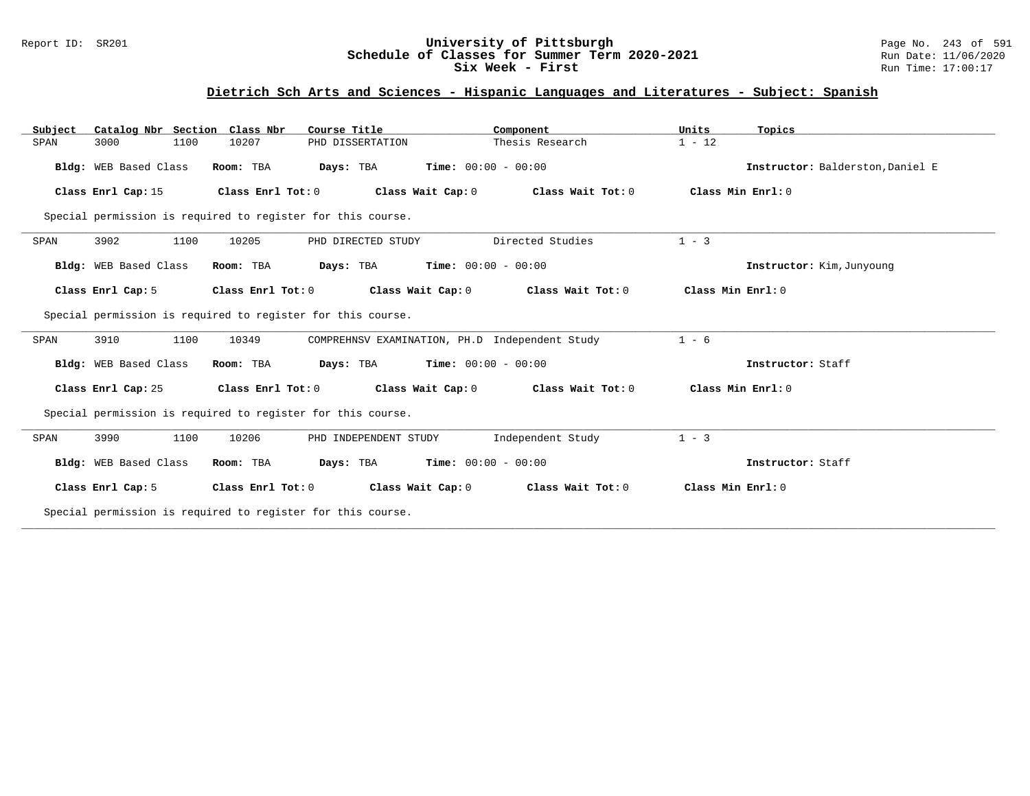## Report ID: SR201 **University of Pittsburgh** Page No. 243 of 591 **Schedule of Classes for Summer Term 2020-2021** Run Date: 11/06/2020 **Six Week - First Run Time: 17:00:17**

# **Dietrich Sch Arts and Sciences - Hispanic Languages and Literatures - Subject: Spanish**

| Catalog Nbr Section Class Nbr<br>Subject | Course Title                                                | Component                                      | Units<br>Topics                  |
|------------------------------------------|-------------------------------------------------------------|------------------------------------------------|----------------------------------|
| 3000<br>1100<br>SPAN                     | 10207<br>PHD DISSERTATION                                   | Thesis Research                                | $1 - 12$                         |
| Bldg: WEB Based Class                    | Room: TBA<br>Days: TBA                                      | Time: $00:00 - 00:00$                          | Instructor: Balderston, Daniel E |
| Class Enrl Cap: 15                       | Class Enrl Tot: 0                                           | Class Wait Cap: 0<br>Class Wait Tot: 0         | Class Min Enrl: 0                |
|                                          | Special permission is required to register for this course. |                                                |                                  |
| 3902<br>1100<br>SPAN                     | 10205<br>PHD DIRECTED STUDY                                 | Directed Studies                               | $1 - 3$                          |
| Bldg: WEB Based Class                    | Room: TBA<br>Days: TBA                                      | <b>Time:</b> $00:00 - 00:00$                   | Instructor: Kim, Junyoung        |
| Class Enrl Cap: 5                        | Class Enrl Tot: 0                                           | Class Wait Cap: 0<br>Class Wait Tot: 0         | Class Min Enrl: 0                |
|                                          | Special permission is required to register for this course. |                                                |                                  |
| 1100<br>3910<br>SPAN                     | 10349                                                       | COMPREHNSV EXAMINATION, PH.D Independent Study | $1 - 6$                          |
| Bldg: WEB Based Class                    | Room: TBA<br>Days: TBA                                      | Time: $00:00 - 00:00$                          | Instructor: Staff                |
| Class Enrl Cap: 25                       | Class Enrl Tot: 0                                           | Class Wait Cap: 0<br>Class Wait Tot: 0         | Class Min Enrl: 0                |
|                                          | Special permission is required to register for this course. |                                                |                                  |
| 3990<br>1100<br>SPAN                     | 10206<br>PHD INDEPENDENT STUDY                              | Independent Study                              | $1 - 3$                          |
| Bldg: WEB Based Class                    | Room: TBA<br>Days: TBA                                      | <b>Time:</b> $00:00 - 00:00$                   | Instructor: Staff                |
| Class Enrl Cap: 5                        | Class Enrl Tot: 0                                           | Class Wait Cap: 0<br>Class Wait Tot: 0         | Class Min Enrl: 0                |
|                                          | Special permission is required to register for this course. |                                                |                                  |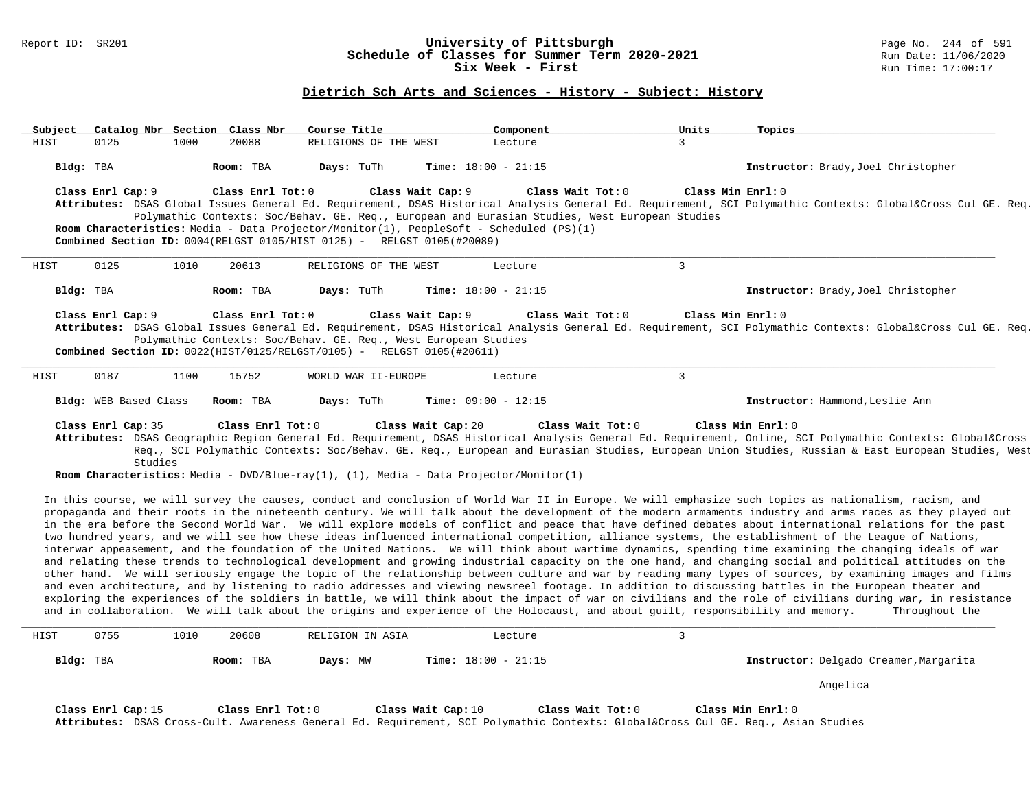#### **Dietrich Sch Arts and Sciences - History - Subject: History**

| $\mathbf{3}$<br>0125<br>HIST<br>1000<br>20088<br>RELIGIONS OF THE WEST<br>Lecture                                                                                                                                                                                                                          |  |
|------------------------------------------------------------------------------------------------------------------------------------------------------------------------------------------------------------------------------------------------------------------------------------------------------------|--|
|                                                                                                                                                                                                                                                                                                            |  |
| Days: TuTh<br>Bldg: TBA<br>Room: TBA<br><b>Time:</b> $18:00 - 21:15$<br>Instructor: Brady, Joel Christopher                                                                                                                                                                                                |  |
| Class Enrl Cap: 9 Class Enrl Tot: 0<br>Class Wait Cap: 9 Class Wait Tot: 0<br>Class Min Enrl: 0                                                                                                                                                                                                            |  |
| Attributes: DSAS Global Issues General Ed. Requirement, DSAS Historical Analysis General Ed. Requirement, SCI Polymathic Contexts: Global⨯ Cul GE. Req.                                                                                                                                                    |  |
| Polymathic Contexts: Soc/Behav. GE. Req., European and Eurasian Studies, West European Studies<br>Room Characteristics: Media - Data Projector/Monitor(1), PeopleSoft - Scheduled (PS)(1)                                                                                                                  |  |
| <b>Combined Section ID:</b> 0004(RELGST 0105/HIST 0125) - RELGST 0105(#20089)                                                                                                                                                                                                                              |  |
|                                                                                                                                                                                                                                                                                                            |  |
| $\mathbf{3}$<br>HIST<br>0125<br>1010<br>20613<br>RELIGIONS OF THE WEST<br>Lecture                                                                                                                                                                                                                          |  |
| Room: TBA<br>Days: TuTh<br><b>Time:</b> $18:00 - 21:15$                                                                                                                                                                                                                                                    |  |
| Instructor: Brady, Joel Christopher<br>Bldg: TBA                                                                                                                                                                                                                                                           |  |
| Class Enrl Tot: $0$ Class Wait Cap: $9$ Class Wait Tot: $0$<br>Class Min Enrl: 0<br>Class Enrl Cap: 9                                                                                                                                                                                                      |  |
| Attributes: DSAS Global Issues General Ed. Requirement, DSAS Historical Analysis General Ed. Requirement, SCI Polymathic Contexts: Global⨯ Cul GE. Req.                                                                                                                                                    |  |
| Polymathic Contexts: Soc/Behav. GE. Req., West European Studies                                                                                                                                                                                                                                            |  |
| <b>Combined Section ID:</b> $0022(HIST/0125/RELGST/0105)$ - RELGST $0105(H20611)$                                                                                                                                                                                                                          |  |
| 3<br>0187<br>HIST<br>1100<br>15752<br>WORLD WAR II-EUROPE<br>Lecture                                                                                                                                                                                                                                       |  |
| Bldg: WEB Based Class<br>Room: TBA<br>Days: TuTh<br><b>Time:</b> $09:00 - 12:15$<br>Instructor: Hammond, Leslie Ann                                                                                                                                                                                        |  |
|                                                                                                                                                                                                                                                                                                            |  |
| Class Enrl Cap: 35<br>Class Enrl Tot: 0<br>Class Wait Cap: 20<br>Class Wait Tot: 0<br>Class Min Enrl: 0                                                                                                                                                                                                    |  |
| Attributes: DSAS Geographic Region General Ed. Requirement, DSAS Historical Analysis General Ed. Requirement, Online, SCI Polymathic Contexts: Global⨯<br>Reg., SCI Polymathic Contexts: Soc/Behav. GE. Reg., European and Eurasian Studies, European Union Studies, Russian & East European Studies, West |  |
| Studies                                                                                                                                                                                                                                                                                                    |  |
| <b>Room Characteristics:</b> Media - DVD/Blue-ray(1), $(1)$ , Media - Data Projector/Monitor(1)                                                                                                                                                                                                            |  |

In this course, we will survey the causes, conduct and conclusion of World War II in Europe. We will emphasize such topics as nationalism, racism, and propaganda and their roots in the nineteenth century. We will talk about the development of the modern armaments industry and arms races as they played out in the era before the Second World War. We will explore models of conflict and peace that have defined debates about international relations for the past two hundred years, and we will see how these ideas influenced international competition, alliance systems, the establishment of the League of Nations, interwar appeasement, and the foundation of the United Nations. We will think about wartime dynamics, spending time examining the changing ideals of war and relating these trends to technological development and growing industrial capacity on the one hand, and changing social and political attitudes on the other hand. We will seriously engage the topic of the relationship between culture and war by reading many types of sources, by examining images and films and even architecture, and by listening to radio addresses and viewing newsreel footage. In addition to discussing battles in the European theater and exploring the experiences of the soldiers in battle, we will think about the impact of war on civilians and the role of civilians during war, in resistance and in collaboration. We will talk about the origins and experience of the Holocaust, and about guilt, responsibility and memory. Throughout the

| HIST | 0755               | 1010 | 20608             | RELIGION IN ASIA | Lecture                      |                                                                                                                                                   |                    |                                        |
|------|--------------------|------|-------------------|------------------|------------------------------|---------------------------------------------------------------------------------------------------------------------------------------------------|--------------------|----------------------------------------|
|      | Bldg: TBA          |      | Room: TBA         | Days: MW         | <b>Time:</b> $18:00 - 21:15$ |                                                                                                                                                   |                    | Instructor: Delgado Creamer, Margarita |
|      |                    |      |                   |                  |                              |                                                                                                                                                   |                    | Angelica                               |
|      | Class Enrl Cap: 15 |      | Class Enrl Tot: 0 |                  | Class Wait Cap: 10           | Class Wait Tot: 0<br>Attributes: DSAS Cross-Cult. Awareness General Ed. Requirement, SCI Polymathic Contexts: Global⨯ Cul GE. Req., Asian Studies | Class Min Ernst: 0 |                                        |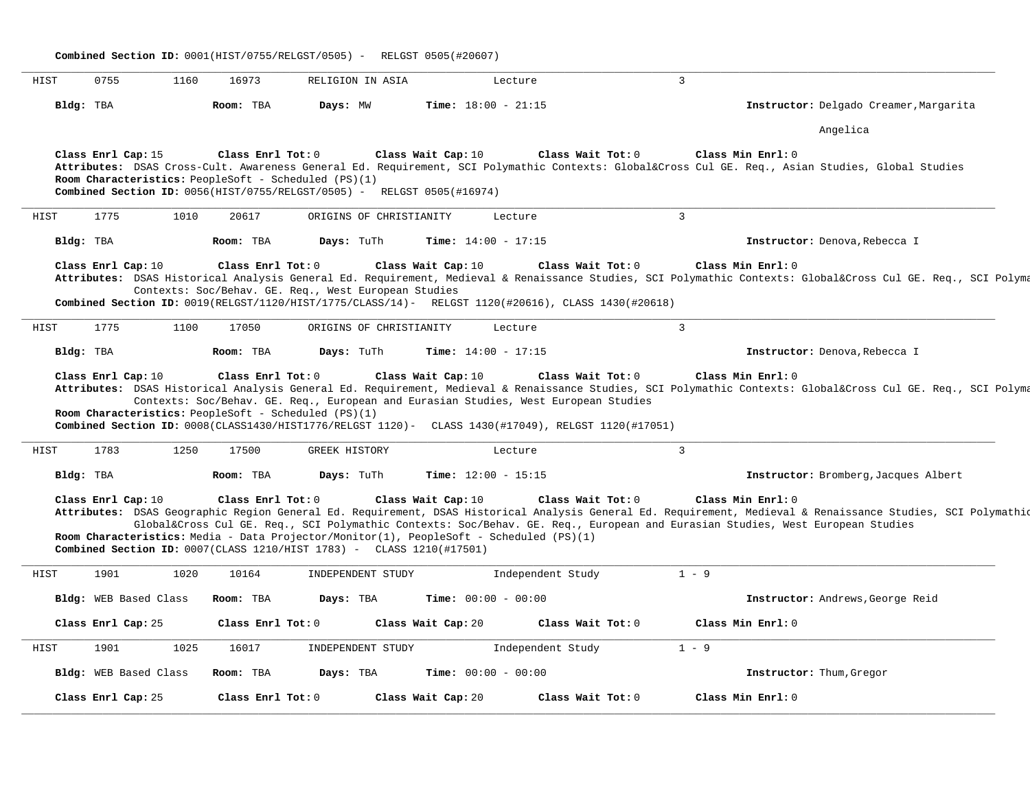| Combined Section ID: 0001(HIST/0755/RELGST/0505) - RELGST 0505(#20607) |                                 |                       |                                |                                                                                                                                |                                                                                                                                                                                                      |                                                                                                                                                                                                                                                                                                               |
|------------------------------------------------------------------------|---------------------------------|-----------------------|--------------------------------|--------------------------------------------------------------------------------------------------------------------------------|------------------------------------------------------------------------------------------------------------------------------------------------------------------------------------------------------|---------------------------------------------------------------------------------------------------------------------------------------------------------------------------------------------------------------------------------------------------------------------------------------------------------------|
| HIST                                                                   | 0755                            | 1160                  | 16973                          | RELIGION IN ASIA                                                                                                               | Lecture                                                                                                                                                                                              | $\overline{3}$                                                                                                                                                                                                                                                                                                |
|                                                                        | Bldg: TBA                       |                       | Room: TBA                      | Days: MW                                                                                                                       | Time: $18:00 - 21:15$                                                                                                                                                                                | Instructor: Delgado Creamer, Margarita                                                                                                                                                                                                                                                                        |
|                                                                        |                                 |                       |                                |                                                                                                                                |                                                                                                                                                                                                      | Angelica                                                                                                                                                                                                                                                                                                      |
|                                                                        | Class Enrl Cap: 15              |                       | Class Enrl Tot: 0              | Room Characteristics: PeopleSoft - Scheduled (PS)(1)<br>Combined Section ID: 0056(HIST/0755/RELGST/0505) - RELGST 0505(#16974) | Class Wait Cap: 10<br>Class Wait Tot: 0                                                                                                                                                              | Class Min Enrl: 0<br>Attributes: DSAS Cross-Cult. Awareness General Ed. Requirement, SCI Polymathic Contexts: Global⨯ Cul GE. Req., Asian Studies, Global Studies                                                                                                                                             |
| HIST                                                                   | 1775                            | 1010                  | 20617                          | ORIGINS OF CHRISTIANITY                                                                                                        | Lecture                                                                                                                                                                                              | $\overline{3}$                                                                                                                                                                                                                                                                                                |
|                                                                        | Bldg: TBA                       |                       | Room: TBA                      | Days: TuTh                                                                                                                     | Time: $14:00 - 17:15$                                                                                                                                                                                | Instructor: Denova, Rebecca I                                                                                                                                                                                                                                                                                 |
|                                                                        | Class Enrl Cap: 10              |                       | Class Enrl Tot: 0              | Contexts: Soc/Behav. GE. Req., West European Studies                                                                           | Class Wait Cap: 10<br>Class Wait Tot: 0<br>Combined Section ID: 0019(RELGST/1120/HIST/1775/CLASS/14)- RELGST 1120(#20616), CLASS 1430(#20618)                                                        | Class Min Enrl: 0<br>Attributes: DSAS Historical Analysis General Ed. Requirement, Medieval & Renaissance Studies, SCI Polymathic Contexts: Global⨯ Cul GE. Req., SCI Polyma                                                                                                                                  |
| HIST                                                                   | 1775                            | 1100                  | 17050                          | ORIGINS OF CHRISTIANITY                                                                                                        | Lecture                                                                                                                                                                                              | $\mathbf{3}$                                                                                                                                                                                                                                                                                                  |
|                                                                        |                                 |                       |                                |                                                                                                                                |                                                                                                                                                                                                      |                                                                                                                                                                                                                                                                                                               |
|                                                                        | Bldg: TBA<br>Class Enrl Cap: 10 |                       | Room: TBA<br>Class Enrl Tot: 0 | Days: TuTh                                                                                                                     | Time: $14:00 - 17:15$<br>Class Wait Tot: 0<br>Class Wait Cap: 10                                                                                                                                     | Instructor: Denova, Rebecca I<br>Class Min Enrl: 0<br>Attributes: DSAS Historical Analysis General Ed. Requirement, Medieval & Renaissance Studies, SCI Polymathic Contexts: Global⨯ Cul GE. Req., SCI Polyma                                                                                                 |
| HIST                                                                   | 1783                            | 1250                  | 17500                          | Room Characteristics: PeopleSoft - Scheduled (PS)(1)<br><b>GREEK HISTORY</b>                                                   | Contexts: Soc/Behav. GE. Req., European and Eurasian Studies, West European Studies<br>Combined Section ID: 0008(CLASS1430/HIST1776/RELGST 1120)- CLASS 1430(#17049), RELGST 1120(#17051)<br>Lecture | 3                                                                                                                                                                                                                                                                                                             |
|                                                                        | Bldg: TBA                       |                       | Room: TBA                      | Days: TuTh                                                                                                                     | Time: $12:00 - 15:15$                                                                                                                                                                                | Instructor: Bromberg, Jacques Albert                                                                                                                                                                                                                                                                          |
|                                                                        | Class Enrl Cap: 10              |                       | Class Enrl Tot: 0              | Combined Section ID: $0007$ (CLASS 1210/HIST 1783) - CLASS 1210(#17501)                                                        | Class Wait Cap: 10<br>Class Wait Tot: 0<br>Room Characteristics: Media - Data Projector/Monitor(1), PeopleSoft - Scheduled (PS)(1)                                                                   | Class Min Enrl: 0<br>Attributes: DSAS Geographic Region General Ed. Requirement, DSAS Historical Analysis General Ed. Requirement, Medieval & Renaissance Studies, SCI Polymathiq<br>Global⨯ Cul GE. Req., SCI Polymathic Contexts: Soc/Behav. GE. Req., European and Eurasian Studies, West European Studies |
| HIST                                                                   | 1901                            | 1020                  | 10164                          | INDEPENDENT STUDY                                                                                                              | Independent Study                                                                                                                                                                                    | $1 - 9$                                                                                                                                                                                                                                                                                                       |
|                                                                        |                                 | Bldg: WEB Based Class | Room: TBA                      | Days: TBA                                                                                                                      | <b>Time:</b> $00:00 - 00:00$                                                                                                                                                                         | Instructor: Andrews, George Reid                                                                                                                                                                                                                                                                              |
|                                                                        | Class Enrl Cap: 25              |                       | Class Enrl Tot: 0              |                                                                                                                                | Class Wait Cap: 20<br>Class Wait Tot: 0                                                                                                                                                              | Class Min Enrl: 0                                                                                                                                                                                                                                                                                             |
| HIST                                                                   | 1901                            | 1025                  | 16017                          | INDEPENDENT STUDY                                                                                                              | Independent Study                                                                                                                                                                                    | $1 - 9$                                                                                                                                                                                                                                                                                                       |
|                                                                        |                                 | Bldg: WEB Based Class | Room: TBA                      | Days: TBA                                                                                                                      | <b>Time:</b> $00:00 - 00:00$                                                                                                                                                                         | Instructor: Thum, Gregor                                                                                                                                                                                                                                                                                      |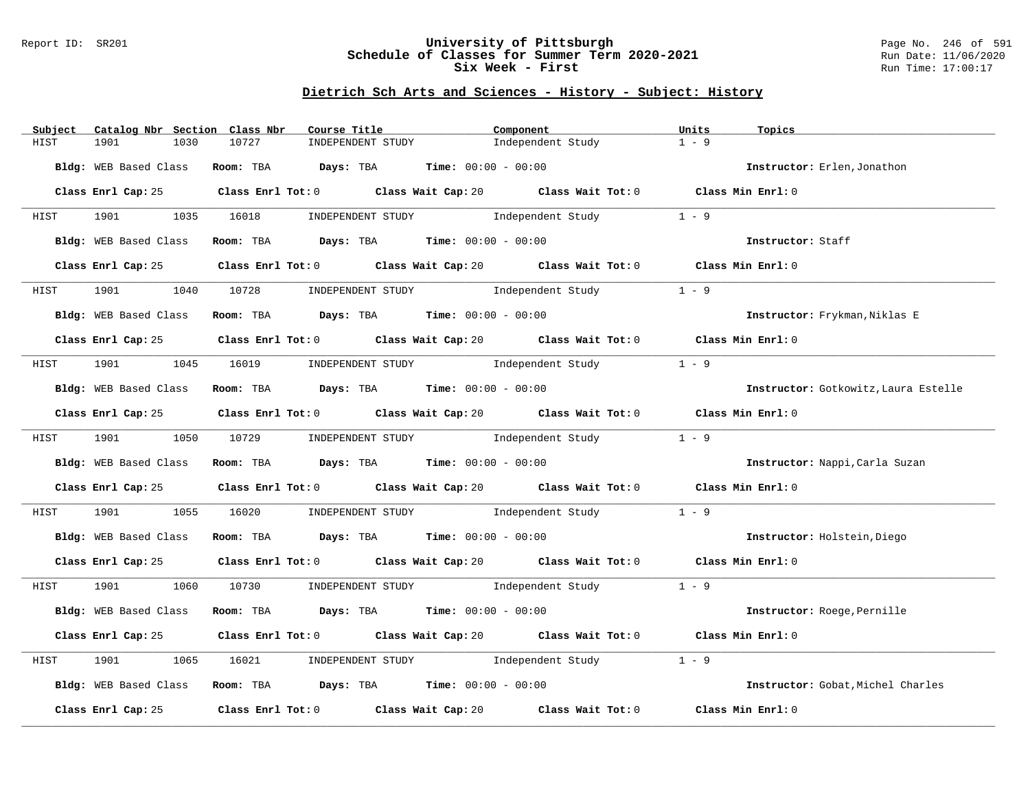## Report ID: SR201 **University of Pittsburgh** Page No. 246 of 591 **Schedule of Classes for Summer Term 2020-2021** Run Date: 11/06/2020 **Six Week - First Run Time: 17:00:17**

| Catalog Nbr Section Class Nbr<br>Subject | Course Title                                                  | Component                                                                                            | Units<br>Topics                      |
|------------------------------------------|---------------------------------------------------------------|------------------------------------------------------------------------------------------------------|--------------------------------------|
| HIST<br>1901<br>1030                     | 10727<br>INDEPENDENT STUDY                                    | Independent Study                                                                                    | $1 - 9$                              |
| Bldg: WEB Based Class                    | Room: TBA $Days:$ TBA $Time: 00:00 - 00:00$                   |                                                                                                      | Instructor: Erlen, Jonathon          |
| Class Enrl Cap: 25                       |                                                               | Class Enrl Tot: $0$ Class Wait Cap: $20$ Class Wait Tot: $0$ Class Min Enrl: $0$                     |                                      |
| <b>HIST</b>                              |                                                               | 1901 1035 16018 INDEPENDENT STUDY Independent Study 1 - 9                                            |                                      |
| Bldg: WEB Based Class                    |                                                               | Room: TBA $Days:$ TBA $Time: 00:00 - 00:00$                                                          | Instructor: Staff                    |
| Class Enrl Cap: 25                       |                                                               | Class Enrl Tot: 0 Class Wait Cap: 20 Class Wait Tot: 0 Class Min Enrl: 0                             |                                      |
| 1901<br>1040<br>HIST                     |                                                               | 10728 INDEPENDENT STUDY 1ndependent Study                                                            | $1 - 9$                              |
| Bldg: WEB Based Class                    | Room: TBA $Days:$ TBA $Time: 00:00 - 00:00$                   |                                                                                                      | Instructor: Frykman, Niklas E        |
|                                          |                                                               | Class Enrl Cap: 25 Class Enrl Tot: 0 Class Wait Cap: 20 Class Wait Tot: 0 Class Min Enrl: 0          |                                      |
| HIST                                     |                                                               | 1901 1045 16019 INDEPENDENT STUDY Independent Study 1 - 9                                            |                                      |
| Bldg: WEB Based Class                    | Room: TBA Days: TBA Time: $00:00 - 00:00$                     |                                                                                                      | Instructor: Gotkowitz, Laura Estelle |
|                                          |                                                               | Class Enrl Cap: 25 Class Enrl Tot: 0 Class Wait Cap: 20 Class Wait Tot: 0 Class Min Enrl: 0          |                                      |
| HIST                                     |                                                               | 1901 1050 10729 INDEPENDENT STUDY Independent Study 1 - 9                                            |                                      |
|                                          | Bldg: WEB Based Class Room: TBA Days: TBA Time: 00:00 - 00:00 |                                                                                                      | Instructor: Nappi, Carla Suzan       |
|                                          |                                                               | Class Enrl Cap: 25 Class Enrl Tot: 0 Class Wait Cap: 20 Class Wait Tot: 0 Class Min Enrl: 0          |                                      |
| 1901 1901<br>1055<br>HIST                |                                                               | 16020 INDEPENDENT STUDY Independent Study                                                            | $1 - 9$                              |
| Bldg: WEB Based Class                    | Room: TBA Days: TBA Time: $00:00 - 00:00$                     |                                                                                                      | Instructor: Holstein, Diego          |
|                                          |                                                               | Class Enrl Cap: 25 Class Enrl Tot: 0 Class Wait Cap: 20 Class Wait Tot: 0 Class Min Enrl: 0          |                                      |
| HIST                                     |                                                               | 1901 1060 10730 INDEPENDENT STUDY Independent Study 1 - 9                                            |                                      |
| Bldg: WEB Based Class                    | Room: TBA $Days:$ TBA $Time:$ 00:00 - 00:00                   |                                                                                                      | Instructor: Roege, Pernille          |
| Class Enrl Cap: 25                       |                                                               | Class Enrl Tot: $0$ Class Wait Cap: $20$ Class Wait Tot: $0$ Class Min Enrl: $0$                     |                                      |
| 1901<br>1065<br>HIST                     | 16021                                                         | INDEPENDENT STUDY The Independent Study                                                              | $1 - 9$                              |
| Bldg: WEB Based Class                    | Room: TBA $Days:$ TBA $Time: 00:00 - 00:00$                   |                                                                                                      | Instructor: Gobat, Michel Charles    |
|                                          |                                                               | Class Enrl Cap: 25 $\qquad$ Class Enrl Tot: 0 $\qquad$ Class Wait Cap: 20 $\qquad$ Class Wait Tot: 0 | Class Min Enrl: 0                    |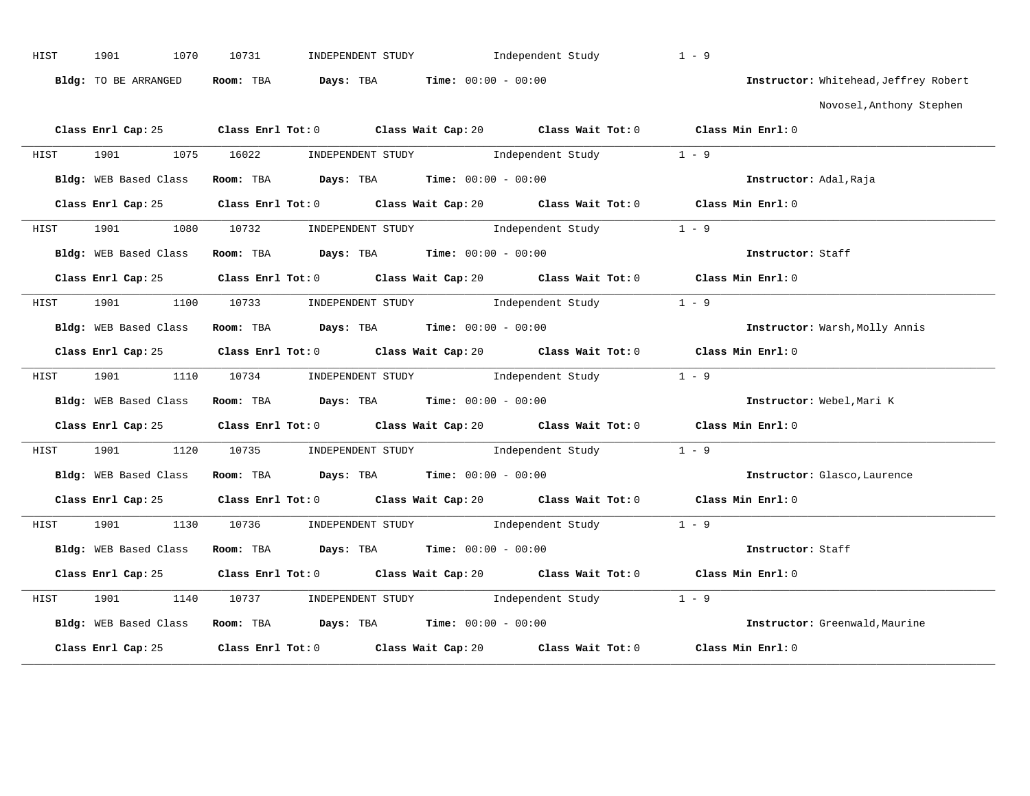| HIST | 1070<br>1901          | 10731<br>INDEPENDENT STUDY                                                                               | Independent Study | $1 - 9$                               |
|------|-----------------------|----------------------------------------------------------------------------------------------------------|-------------------|---------------------------------------|
|      | Bldg: TO BE ARRANGED  | Room: TBA $Days:$ TBA $Time: 00:00 - 00:00$                                                              |                   | Instructor: Whitehead, Jeffrey Robert |
|      |                       |                                                                                                          |                   | Novosel, Anthony Stephen              |
|      |                       | Class Enrl Cap: 25 Class Enrl Tot: 0 Class Wait Cap: 20 Class Wait Tot: 0 Class Min Enrl: 0              |                   |                                       |
|      |                       | HIST 1901 1075 16022 INDEPENDENT STUDY Independent Study 1 - 9                                           |                   |                                       |
|      |                       | Bldg: WEB Based Class Room: TBA Days: TBA Time: 00:00 - 00:00                                            |                   | Instructor: Adal, Raja                |
|      |                       | Class Enrl Cap: 25 Class Enrl Tot: 0 Class Wait Cap: 20 Class Wait Tot: 0 Class Min Enrl: 0              |                   |                                       |
|      |                       | HIST 1901 1080 10732 INDEPENDENT STUDY Independent Study 1 - 9                                           |                   |                                       |
|      | Bldg: WEB Based Class | Room: TBA $\rule{1em}{0.15mm}$ Days: TBA Time: $00:00 - 00:00$                                           |                   | Instructor: Staff                     |
|      |                       | Class Enrl Cap: 25 Class Enrl Tot: 0 Class Wait Cap: 20 Class Wait Tot: 0 Class Min Enrl: 0              |                   |                                       |
|      |                       | HIST 1901 1100 10733 INDEPENDENT STUDY Independent Study 1 - 9                                           |                   |                                       |
|      |                       | Bldg: WEB Based Class Room: TBA Days: TBA Time: 00:00 - 00:00                                            |                   | Instructor: Warsh, Molly Annis        |
|      |                       | Class Enrl Cap: 25 Class Enrl Tot: 0 Class Wait Cap: 20 Class Wait Tot: 0 Class Min Enrl: 0              |                   |                                       |
|      |                       | HIST 1901 1110 10734 INDEPENDENT STUDY Independent Study 1 - 9                                           |                   |                                       |
|      | Bldg: WEB Based Class | Room: TBA $Days:$ TBA $Time: 00:00 - 00:00$                                                              |                   | Instructor: Webel, Mari K             |
|      | Class Enrl Cap: 25    | Class Enrl Tot: 0 $\qquad$ Class Wait Cap: 20 $\qquad$ Class Wait Tot: 0 $\qquad$ Class Min Enrl: 0      |                   |                                       |
| HIST |                       | 1901 1120 10735 INDEPENDENT STUDY Independent Study 1 - 9                                                |                   |                                       |
|      |                       | Bldg: WEB Based Class Room: TBA Days: TBA Time: 00:00 - 00:00                                            |                   | Instructor: Glasco, Laurence          |
|      |                       | Class Enrl Cap: 25 Class Enrl Tot: 0 Class Wait Cap: 20 Class Wait Tot: 0 Class Min Enrl: 0              |                   |                                       |
|      |                       | HIST 1901 1130 10736 INDEPENDENT STUDY Independent Study 1 - 9                                           |                   |                                       |
|      | Bldg: WEB Based Class | Room: TBA $Days:$ TBA $Time: 00:00 - 00:00$                                                              |                   | Instructor: Staff                     |
|      | Class Enrl Cap: 25    | Class Enrl Tot: 0 $\qquad$ Class Wait Cap: 20 $\qquad$ Class Wait Tot: 0 $\qquad$ Class Min Enrl: 0      |                   |                                       |
| HIST | 1901 1901             | 1140 10737 INDEPENDENT STUDY Independent Study 1 - 9                                                     |                   |                                       |
|      |                       | Bldg: WEB Based Class Room: TBA Days: TBA Time: 00:00 - 00:00 000 100 100 Instructor: Greenwald, Maurine |                   |                                       |
|      | Class Enrl Cap: 25    | Class Enrl Tot: $0$ Class Wait Cap: $20$ Class Wait Tot: $0$                                             |                   | Class Min Enrl: 0                     |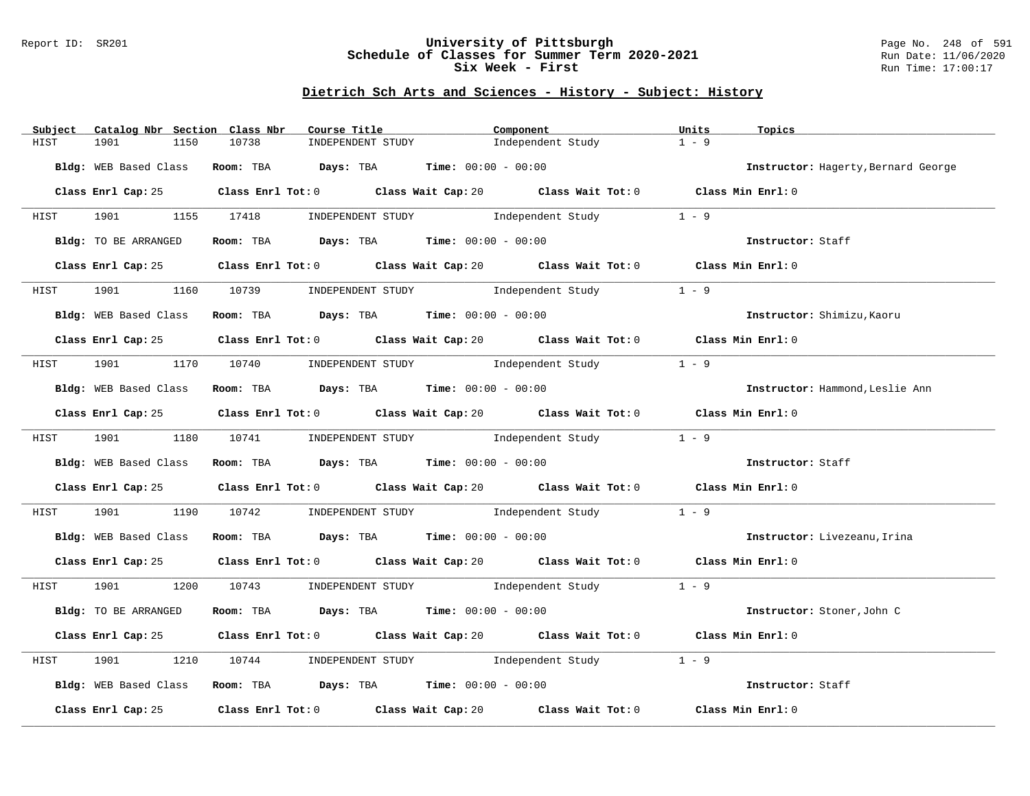## Report ID: SR201 **University of Pittsburgh** Page No. 248 of 591 **Schedule of Classes for Summer Term 2020-2021** Run Date: 11/06/2020 **Six Week - First Run Time: 17:00:17**

| Subject | Catalog Nbr Section Class Nbr | Course Title                                                  | Component                                                                                           | Units<br>Topics                     |
|---------|-------------------------------|---------------------------------------------------------------|-----------------------------------------------------------------------------------------------------|-------------------------------------|
| HIST    | 1901<br>1150                  | 10738<br>INDEPENDENT STUDY                                    | Independent Study                                                                                   | $1 - 9$                             |
|         | Bldg: WEB Based Class         | Room: TBA Days: TBA Time: $00:00 - 00:00$                     |                                                                                                     | Instructor: Hagerty, Bernard George |
|         |                               |                                                               | Class Enrl Cap: 25 Class Enrl Tot: 0 Class Wait Cap: 20 Class Wait Tot: 0 Class Min Enrl: 0         |                                     |
|         |                               |                                                               | HIST 1901 1155 17418 INDEPENDENT STUDY Independent Study 1 - 9                                      |                                     |
|         | Bldg: TO BE ARRANGED          | Room: TBA $Days:$ TBA $Time: 00:00 - 00:00$                   |                                                                                                     | Instructor: Staff                   |
|         | Class Enrl Cap: 25            |                                                               | Class Enrl Tot: 0 $\qquad$ Class Wait Cap: 20 $\qquad$ Class Wait Tot: 0 $\qquad$ Class Min Enrl: 0 |                                     |
| HIST    | 1901 1901                     |                                                               | 1160 10739 INDEPENDENT STUDY Independent Study                                                      | $1 - 9$                             |
|         | Bldg: WEB Based Class         | Room: TBA $Days:$ TBA Time: $00:00 - 00:00$                   |                                                                                                     | Instructor: Shimizu, Kaoru          |
|         |                               |                                                               | Class Enrl Cap: 25 Class Enrl Tot: 0 Class Wait Cap: 20 Class Wait Tot: 0 Class Min Enrl: 0         |                                     |
|         |                               |                                                               | HIST 1901 1170 10740 INDEPENDENT STUDY Independent Study                                            | $1 - 9$                             |
|         | Bldg: WEB Based Class         | Room: TBA $Days:$ TBA Time: $00:00 - 00:00$                   |                                                                                                     | Instructor: Hammond, Leslie Ann     |
|         |                               |                                                               | Class Enrl Cap: 25 Class Enrl Tot: 0 Class Wait Cap: 20 Class Wait Tot: 0 Class Min Enrl: 0         |                                     |
|         |                               |                                                               | HIST 1901 1180 10741 INDEPENDENT STUDY Independent Study 1 - 9                                      |                                     |
|         |                               | Bldg: WEB Based Class Room: TBA Days: TBA Time: 00:00 - 00:00 |                                                                                                     | Instructor: Staff                   |
|         |                               |                                                               | Class Enrl Cap: 25 Class Enrl Tot: 0 Class Wait Cap: 20 Class Wait Tot: 0 Class Min Enrl: 0         |                                     |
| HIST    |                               |                                                               | 1901 190 10742 INDEPENDENT STUDY Independent Study 1 - 9                                            |                                     |
|         |                               | Bldg: WEB Based Class Room: TBA Days: TBA Time: 00:00 - 00:00 |                                                                                                     | Instructor: Livezeanu, Irina        |
|         |                               |                                                               | Class Enrl Cap: 25 Class Enrl Tot: 0 Class Wait Cap: 20 Class Wait Tot: 0 Class Min Enrl: 0         |                                     |
|         |                               |                                                               | HIST 1901 1200 10743 INDEPENDENT STUDY Independent Study 1 - 9                                      |                                     |
|         | Bldg: TO BE ARRANGED          | Room: TBA $Days:$ TBA $Time:$ 00:00 - 00:00                   |                                                                                                     | Instructor: Stoner, John C          |
|         |                               |                                                               | Class Enrl Cap: 25 Class Enrl Tot: 0 Class Wait Cap: 20 Class Wait Tot: 0 Class Min Enrl: 0         |                                     |
| HIST    | 1901<br>1210                  |                                                               | 10744 INDEPENDENT STUDY Independent Study                                                           | $1 - 9$                             |
|         |                               | Bldg: WEB Based Class Room: TBA Days: TBA Time: 00:00 - 00:00 |                                                                                                     | Instructor: Staff                   |
|         |                               |                                                               | Class Enrl Cap: 25 Class Enrl Tot: 0 Class Wait Cap: 20 Class Wait Tot: 0 Class Min Enrl: 0         |                                     |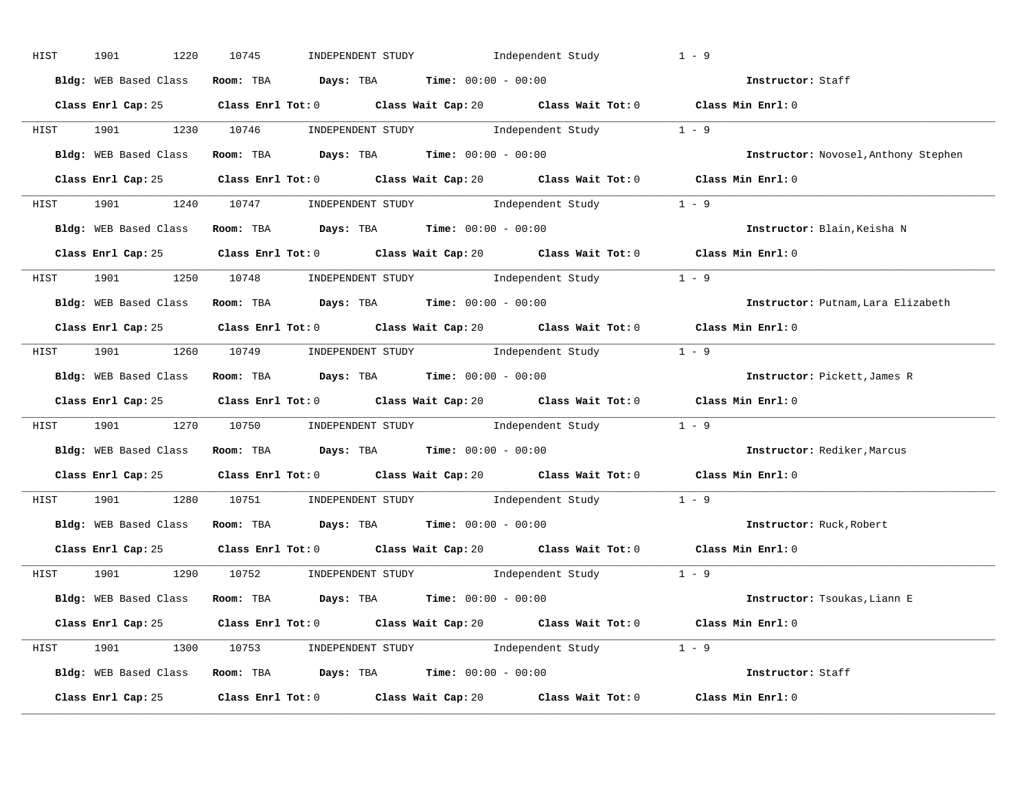| HIST | 1901<br>1220          | INDEPENDENT STUDY 1ndependent Study<br>10745                                                | $1 - 9$                              |
|------|-----------------------|---------------------------------------------------------------------------------------------|--------------------------------------|
|      | Bldg: WEB Based Class | Room: TBA $\rule{1em}{0.15mm}$ Days: TBA $\rule{1.15mm}]{0.15mm}$ Time: $0.000 - 0.000$     | Instructor: Staff                    |
|      |                       | Class Enrl Cap: 25 Class Enrl Tot: 0 Class Wait Cap: 20 Class Wait Tot: 0 Class Min Enrl: 0 |                                      |
|      |                       | HIST 1901 1230 10746 INDEPENDENT STUDY Independent Study 1 - 9                              |                                      |
|      |                       | Bldg: WEB Based Class Room: TBA Days: TBA Time: 00:00 - 00:00                               | Instructor: Novosel, Anthony Stephen |
|      |                       | Class Enrl Cap: 25 Class Enrl Tot: 0 Class Wait Cap: 20 Class Wait Tot: 0 Class Min Enrl: 0 |                                      |
|      |                       | HIST 1901 1240 10747 INDEPENDENT STUDY Independent Study 1 - 9                              |                                      |
|      |                       | Bldg: WEB Based Class Room: TBA Days: TBA Time: 00:00 - 00:00                               | Instructor: Blain, Keisha N          |
|      |                       | Class Enrl Cap: 25 Class Enrl Tot: 0 Class Wait Cap: 20 Class Wait Tot: 0 Class Min Enrl: 0 |                                      |
|      |                       | HIST 1901 1250 10748 INDEPENDENT STUDY Independent Study 1 - 9                              |                                      |
|      |                       | Bldg: WEB Based Class Room: TBA Days: TBA Time: 00:00 - 00:00                               | Instructor: Putnam, Lara Elizabeth   |
|      |                       | Class Enrl Cap: 25 Class Enrl Tot: 0 Class Wait Cap: 20 Class Wait Tot: 0 Class Min Enrl: 0 |                                      |
|      |                       | HIST 1901 1260 10749 INDEPENDENT STUDY Independent Study 1 - 9                              |                                      |
|      |                       | Bldg: WEB Based Class Room: TBA Days: TBA Time: 00:00 - 00:00                               | Instructor: Pickett, James R         |
|      |                       | Class Enrl Cap: 25 Class Enrl Tot: 0 Class Wait Cap: 20 Class Wait Tot: 0 Class Min Enrl: 0 |                                      |
|      |                       | HIST 1901 1270 10750 INDEPENDENT STUDY Independent Study 1 - 9                              |                                      |
|      |                       | Bldg: WEB Based Class Room: TBA Days: TBA Time: 00:00 - 00:00                               | Instructor: Rediker, Marcus          |
|      |                       | Class Enrl Cap: 25 Class Enrl Tot: 0 Class Wait Cap: 20 Class Wait Tot: 0 Class Min Enrl: 0 |                                      |
| HIST |                       | 1901 1280 10751 INDEPENDENT STUDY Independent Study 1 - 9                                   |                                      |
|      |                       | Bldg: WEB Based Class Room: TBA Days: TBA Time: 00:00 - 00:00                               | Instructor: Ruck, Robert             |
|      |                       | Class Enrl Cap: 25 Class Enrl Tot: 0 Class Wait Cap: 20 Class Wait Tot: 0 Class Min Enrl: 0 |                                      |
|      |                       | HIST 1901 1290 10752 INDEPENDENT STUDY Independent Study 1 - 9                              |                                      |
|      |                       | Bldg: WEB Based Class Room: TBA Days: TBA Time: 00:00 - 00:00                               | Instructor: Tsoukas, Liann E         |
|      |                       | Class Enrl Cap: 25 Class Enrl Tot: 0 Class Wait Cap: 20 Class Wait Tot: 0 Class Min Enrl: 0 |                                      |
|      |                       | HIST 1901 1300 10753 INDEPENDENT STUDY Independent Study 1 - 9                              |                                      |
|      |                       |                                                                                             |                                      |
|      |                       | Bldg: WEB Based Class Room: TBA Days: TBA Time: 00:00 - 00:00                               | Instructor: Staff                    |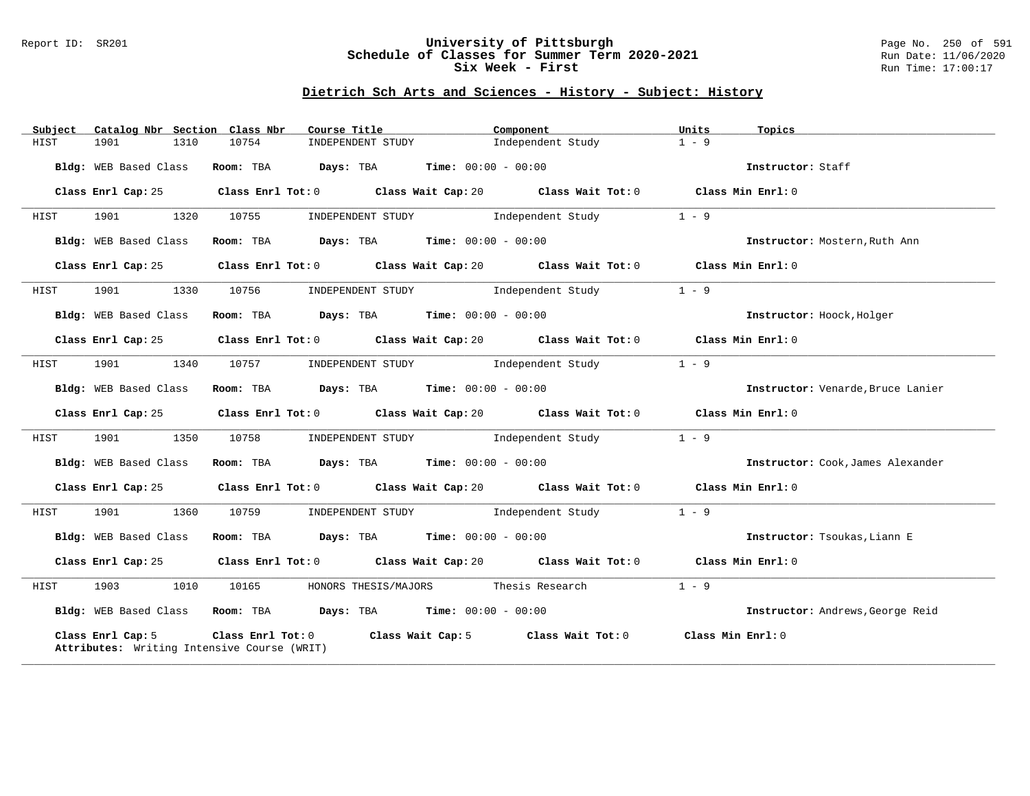## Report ID: SR201 **University of Pittsburgh** Page No. 250 of 591 **Schedule of Classes for Summer Term 2020-2021** Run Date: 11/06/2020 **Six Week - First Run Time: 17:00:17**

| Subject | Catalog Nbr Section Class Nbr | Course Title                                                                          | Component                                                                                   | Units<br>Topics                   |
|---------|-------------------------------|---------------------------------------------------------------------------------------|---------------------------------------------------------------------------------------------|-----------------------------------|
| HIST    | 1901<br>1310                  | 10754<br>INDEPENDENT STUDY                                                            | Independent Study                                                                           | $1 - 9$                           |
|         | Bldg: WEB Based Class         | Room: TBA $Days:$ TBA $Time: 00:00 - 00:00$                                           |                                                                                             | Instructor: Staff                 |
|         |                               |                                                                                       | Class Enrl Cap: 25 Class Enrl Tot: 0 Class Wait Cap: 20 Class Wait Tot: 0 Class Min Enrl: 0 |                                   |
| HIST    | 1320<br>1901                  | 10755                                                                                 | INDEPENDENT STUDY 1ndependent Study                                                         | $1 - 9$                           |
|         | Bldg: WEB Based Class         | Room: TBA $Days:$ TBA $Time: 00:00 - 00:00$                                           |                                                                                             | Instructor: Mostern, Ruth Ann     |
|         | Class Enrl Cap: 25            |                                                                                       | Class Enrl Tot: 0 Class Wait Cap: 20 Class Wait Tot: 0 Class Min Enrl: 0                    |                                   |
| HIST    | 1901 1901<br>1330             |                                                                                       | 10756 INDEPENDENT STUDY 1ndependent Study                                                   | $1 - 9$                           |
|         | Bldg: WEB Based Class         | Room: TBA $\rule{1em}{0.15mm}$ Days: TBA $\rule{1.5mm}{0.15mm}$ Time: $00:00 - 00:00$ |                                                                                             | Instructor: Hoock, Holger         |
|         | Class Enrl Cap: 25            |                                                                                       | Class Enrl Tot: $0$ Class Wait Cap: $20$ Class Wait Tot: $0$ Class Min Enrl: $0$            |                                   |
| HIST    | 1901 1340                     |                                                                                       | 10757 INDEPENDENT STUDY Independent Study                                                   | $1 - 9$                           |
|         | Bldg: WEB Based Class         |                                                                                       | Room: TBA $\rule{1em}{0.15mm}$ Days: TBA $\rule{1.5mm}{0.15mm}$ Time: $00:00 - 00:00$       | Instructor: Venarde, Bruce Lanier |
|         | Class Enrl Cap: 25            |                                                                                       | Class Enrl Tot: 0 Class Wait Cap: 20 Class Wait Tot: 0 Class Min Enrl: 0                    |                                   |
| HIST    |                               |                                                                                       | 1901 1350 10758 INDEPENDENT STUDY Independent Study                                         | $1 - 9$                           |
|         | Bldg: WEB Based Class         | Room: TBA $Days:$ TBA $Time: 00:00 - 00:00$                                           |                                                                                             | Instructor: Cook, James Alexander |
|         |                               |                                                                                       | Class Enrl Cap: 25 Class Enrl Tot: 0 Class Wait Cap: 20 Class Wait Tot: 0 Class Min Enrl: 0 |                                   |
| HIST    |                               | 1901 1360 10759 INDEPENDENT STUDY Independent Study                                   |                                                                                             | $1 - 9$                           |
|         | Bldg: WEB Based Class         | Room: TBA $\rule{1em}{0.15mm}$ Days: TBA Time: $00:00 - 00:00$                        |                                                                                             | Instructor: Tsoukas, Liann E      |
|         |                               |                                                                                       | Class Enrl Cap: 25 Class Enrl Tot: 0 Class Wait Cap: 20 Class Wait Tot: 0 Class Min Enrl: 0 |                                   |
| HIST    |                               | 1903 1010 10165 HONORS THESIS/MAJORS Thesis Research                                  |                                                                                             | $1 - 9$                           |
|         |                               | Bldg: WEB Based Class Room: TBA Days: TBA Time: 00:00 - 00:00                         |                                                                                             | Instructor: Andrews, George Reid  |
|         | Class Enrl Cap: 5             | Attributes: Writing Intensive Course (WRIT)                                           | Class Enrl Tot: 0 Class Wait Cap: 5 Class Wait Tot: 0 Class Min Enrl: 0                     |                                   |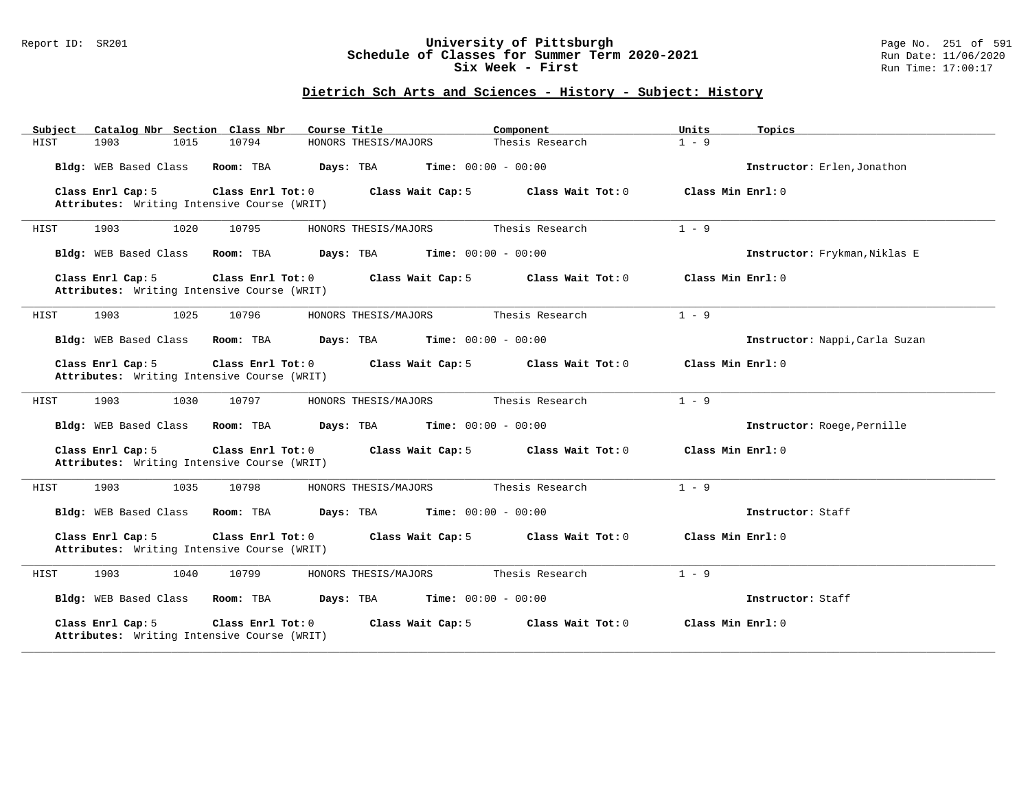## Report ID: SR201 **University of Pittsburgh** Page No. 251 of 591 **Schedule of Classes for Summer Term 2020-2021** Run Date: 11/06/2020 **Six Week - First Run Time: 17:00:17**

| Subject<br>Catalog Nbr Section Class Nbr                                                                                                               | Course Title                           | Component                    | Units<br>Topics                |  |  |  |
|--------------------------------------------------------------------------------------------------------------------------------------------------------|----------------------------------------|------------------------------|--------------------------------|--|--|--|
| 10794<br>HIST<br>1903<br>1015                                                                                                                          | HONORS THESIS/MAJORS                   | Thesis Research              | $1 - 9$                        |  |  |  |
| Bldg: WEB Based Class<br>Room: TBA                                                                                                                     | Days: TBA                              | <b>Time:</b> $00:00 - 00:00$ | Instructor: Erlen, Jonathon    |  |  |  |
| Class Enrl Cap: 5<br>Attributes: Writing Intensive Course (WRIT)                                                                                       | Class Enrl Tot: 0<br>Class Wait Cap: 5 | Class Wait Tot: 0            | Class Min Enrl: 0              |  |  |  |
| 1903<br>1020<br>10795<br>HIST                                                                                                                          | HONORS THESIS/MAJORS                   | Thesis Research              | $1 - 9$                        |  |  |  |
| Bldg: WEB Based Class<br>Room: TBA                                                                                                                     | Days: TBA                              | <b>Time:</b> $00:00 - 00:00$ | Instructor: Frykman, Niklas E  |  |  |  |
| Class Enrl Cap: 5<br>Attributes: Writing Intensive Course (WRIT)                                                                                       | Class Enrl Tot: 0<br>Class Wait Cap: 5 | Class Wait Tot: 0            | Class Min Enrl: 0              |  |  |  |
| 1025<br>1903<br>10796<br>HIST                                                                                                                          | HONORS THESIS/MAJORS                   | Thesis Research              | $1 - 9$                        |  |  |  |
| Bldg: WEB Based Class<br>Room: TBA                                                                                                                     | Days: TBA                              | <b>Time:</b> $00:00 - 00:00$ | Instructor: Nappi, Carla Suzan |  |  |  |
| Class Enrl Cap: 5<br>Class Enrl Tot: 0<br>Class Wait Cap: 5<br>Class Min Enrl: 0<br>Class Wait Tot: $0$<br>Attributes: Writing Intensive Course (WRIT) |                                        |                              |                                |  |  |  |
| 1903<br>1030<br>HIST<br>10797                                                                                                                          | HONORS THESIS/MAJORS                   | Thesis Research              | $1 - 9$                        |  |  |  |
| Room: TBA<br>Bldg: WEB Based Class                                                                                                                     | Days: TBA                              | <b>Time:</b> $00:00 - 00:00$ | Instructor: Roege, Pernille    |  |  |  |
| Class Enrl Cap: 5<br>Class Enrl Tot: 0<br>Attributes: Writing Intensive Course (WRIT)                                                                  | Class Wait Cap: 5                      | Class Wait Tot: 0            | Class Min Enrl: 0              |  |  |  |
| 1903<br>1035<br>HIST<br>10798                                                                                                                          | HONORS THESIS/MAJORS                   | Thesis Research              | $1 - 9$                        |  |  |  |
| Bldg: WEB Based Class<br>Room: TBA                                                                                                                     | Days: TBA                              | <b>Time:</b> $00:00 - 00:00$ | Instructor: Staff              |  |  |  |
| Class Enrl Tot: 0<br>Class Enrl Cap: 5<br>Attributes: Writing Intensive Course (WRIT)                                                                  | Class Wait Cap: 5                      | Class Wait Tot: 0            | Class Min Enrl: 0              |  |  |  |
| 1903<br>1040<br>10799<br>HIST                                                                                                                          | HONORS THESIS/MAJORS                   | Thesis Research              | $1 - 9$                        |  |  |  |
| Bldg: WEB Based Class<br>Room: TBA                                                                                                                     | Days: TBA                              | <b>Time:</b> $00:00 - 00:00$ | Instructor: Staff              |  |  |  |
| Class Enrl Cap: 5<br>Class Enrl Tot: 0<br>Attributes: Writing Intensive Course (WRIT)                                                                  | Class Wait Cap: 5                      | Class Wait Tot: 0            | Class Min Enrl: 0              |  |  |  |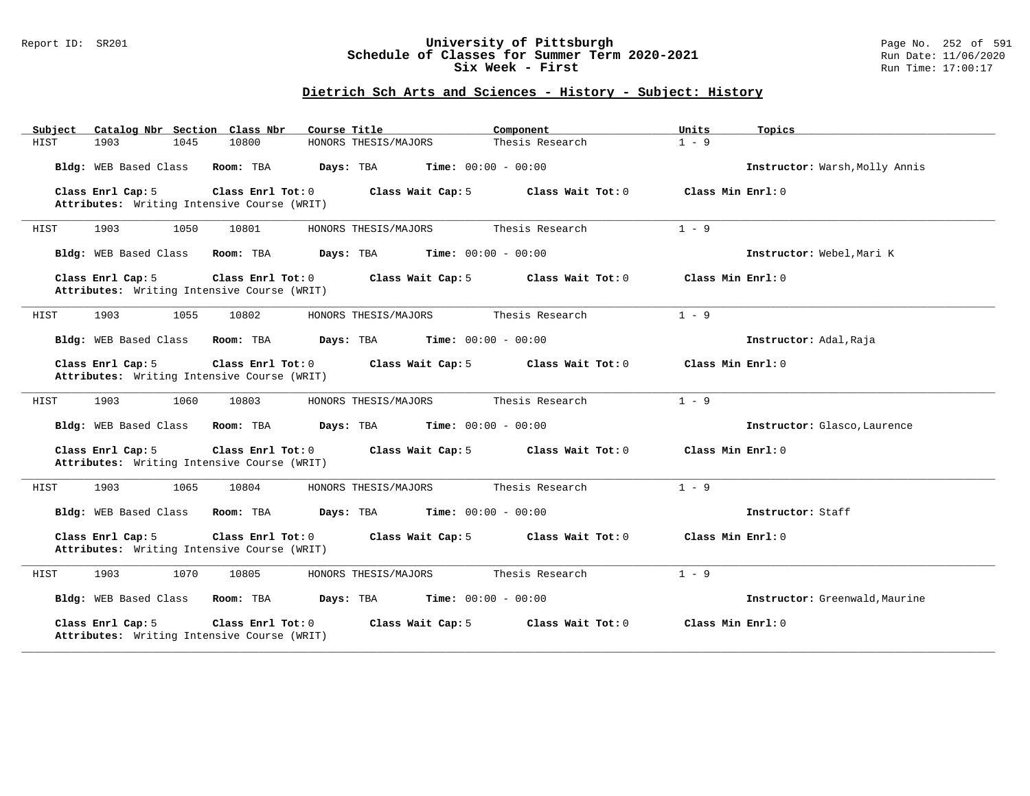## Report ID: SR201 **University of Pittsburgh** Page No. 252 of 591 **Schedule of Classes for Summer Term 2020-2021** Run Date: 11/06/2020 **Six Week - First Run Time: 17:00:17**

| Catalog Nbr Section Class Nbr<br>Subject                         | Course Title                                           | Component<br>Units                       | Topics                         |
|------------------------------------------------------------------|--------------------------------------------------------|------------------------------------------|--------------------------------|
| 1903<br>1045<br>HIST                                             | 10800<br>HONORS THESIS/MAJORS                          | Thesis Research<br>$1 - 9$               |                                |
| Bldg: WEB Based Class                                            | Time: $00:00 - 00:00$<br>Room: TBA<br>Days: TBA        |                                          | Instructor: Warsh, Molly Annis |
| Class Enrl Cap: 5<br>Attributes: Writing Intensive Course (WRIT) | Class Enrl Tot: 0<br>Class Wait Cap: 5                 | Class Wait Tot: 0<br>Class Min $Enr1: 0$ |                                |
| 1903<br>1050<br>HIST                                             | 10801<br>HONORS THESIS/MAJORS                          | Thesis Research<br>$1 - 9$               |                                |
| Bldg: WEB Based Class                                            | Room: TBA<br>Days: TBA<br><b>Time:</b> $00:00 - 00:00$ |                                          | Instructor: Webel, Mari K      |
| Class Enrl Cap: 5<br>Attributes: Writing Intensive Course (WRIT) | Class Enrl Tot: 0<br>Class Wait Cap: 5                 | Class Wait Tot: 0<br>Class Min $Enr1: 0$ |                                |
| 1903<br>1055<br>HIST                                             | 10802<br>HONORS THESIS/MAJORS                          | $1 - 9$<br>Thesis Research               |                                |
| Bldg: WEB Based Class                                            | Room: TBA<br>Days: TBA<br><b>Time:</b> $00:00 - 00:00$ |                                          | Instructor: Adal, Raja         |
| Class Enrl Cap: 5<br>Attributes: Writing Intensive Course (WRIT) | Class Enrl Tot: 0<br>Class Wait Cap: 5                 | Class Wait Tot: 0<br>Class Min Enrl: 0   |                                |
| 1903<br>1060<br>HIST                                             | 10803<br>HONORS THESIS/MAJORS                          | $1 - 9$<br>Thesis Research               |                                |
| Bldg: WEB Based Class                                            | Room: TBA<br>Days: TBA<br><b>Time:</b> $00:00 - 00:00$ |                                          | Instructor: Glasco, Laurence   |
| Class Enrl Cap: 5<br>Attributes: Writing Intensive Course (WRIT) | Class Enrl Tot: 0<br>Class Wait Cap: 5                 | Class Wait Tot: 0<br>Class Min $Enr1: 0$ |                                |
| 1903<br>HIST<br>1065                                             | 10804<br>HONORS THESIS/MAJORS                          | $1 - 9$<br>Thesis Research               |                                |
| Bldg: WEB Based Class                                            | Room: TBA<br>Days: TBA<br><b>Time:</b> $00:00 - 00:00$ |                                          | Instructor: Staff              |
| Class Enrl Cap: 5<br>Attributes: Writing Intensive Course (WRIT) | Class Enrl Tot: 0<br>Class Wait Cap: 5                 | Class Wait Tot: 0<br>Class Min Enrl: 0   |                                |
| 1903<br>1070<br>HIST                                             | 10805<br>HONORS THESIS/MAJORS                          | $1 - 9$<br>Thesis Research               |                                |
| Bldg: WEB Based Class                                            | Room: TBA<br>Days: TBA<br><b>Time:</b> $00:00 - 00:00$ |                                          | Instructor: Greenwald, Maurine |
| Class Enrl Cap: 5<br>Attributes: Writing Intensive Course (WRIT) | Class Enrl Tot: 0<br>Class Wait Cap: 5                 | Class Wait Tot: 0<br>Class Min Enrl: 0   |                                |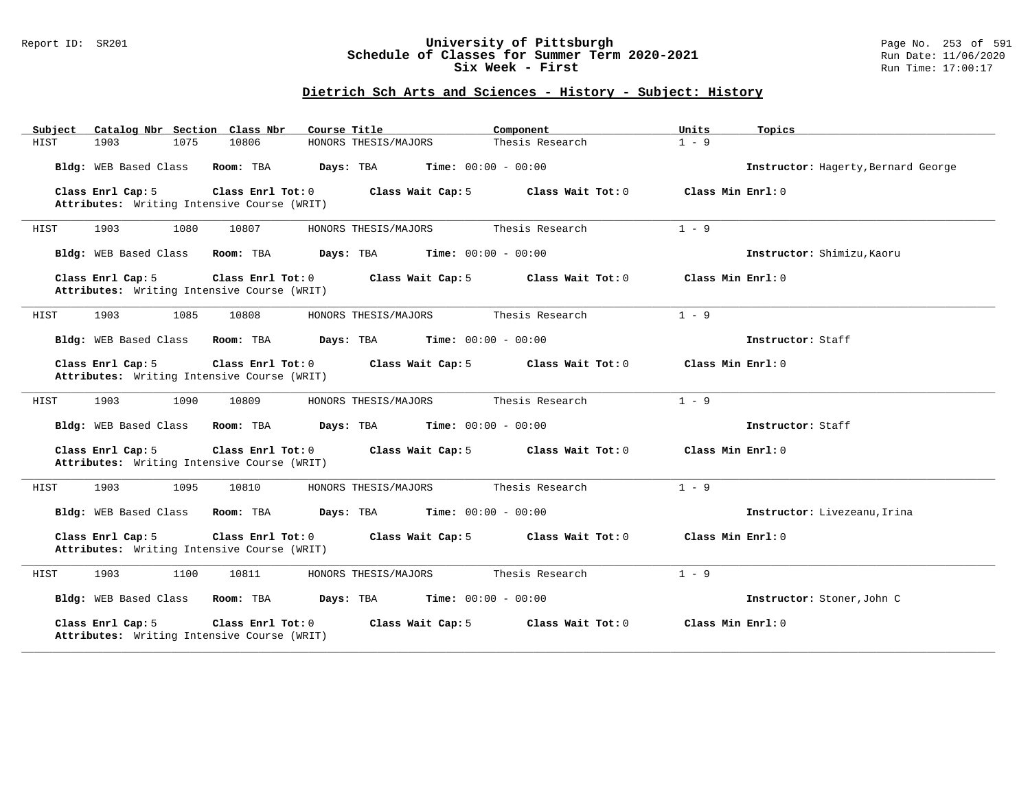### Report ID: SR201 **University of Pittsburgh** Page No. 253 of 591 **Schedule of Classes for Summer Term 2020-2021** Run Date: 11/06/2020 **Six Week - First Run Time: 17:00:17**

| Catalog Nbr Section Class Nbr<br>Subject                                              | Course Title<br>Component                 | Units<br>Topics                     |
|---------------------------------------------------------------------------------------|-------------------------------------------|-------------------------------------|
| HIST<br>1903<br>1075<br>10806                                                         | HONORS THESIS/MAJORS<br>Thesis Research   | $1 - 9$                             |
| Bldg: WEB Based Class<br>Room: TBA                                                    | Days: TBA<br><b>Time:</b> $00:00 - 00:00$ | Instructor: Hagerty, Bernard George |
| Class Enrl Cap: 5<br>Class Enrl Tot: 0<br>Attributes: Writing Intensive Course (WRIT) | Class Wait Cap: 5<br>Class Wait Tot: 0    | Class Min Enrl: 0                   |
| 1903<br>1080<br>10807<br>HIST                                                         | Thesis Research<br>HONORS THESIS/MAJORS   | $1 - 9$                             |
| Bldg: WEB Based Class<br>Room: TBA                                                    | <b>Time:</b> $00:00 - 00:00$<br>Days: TBA | Instructor: Shimizu, Kaoru          |
| Class Enrl Cap: 5<br>Class Enrl Tot: 0<br>Attributes: Writing Intensive Course (WRIT) | Class Wait Cap: 5<br>Class Wait Tot: 0    | Class Min $Enr1: 0$                 |
| 1903<br>1085<br>10808<br>HIST                                                         | Thesis Research<br>HONORS THESIS/MAJORS   | $1 - 9$                             |
| Bldg: WEB Based Class<br>Room: TBA                                                    | Days: TBA<br><b>Time:</b> $00:00 - 00:00$ | Instructor: Staff                   |
| Class Enrl Cap: 5<br>Class Enrl Tot: 0<br>Attributes: Writing Intensive Course (WRIT) | Class Wait Cap: 5<br>Class Wait Tot: 0    | Class Min Enrl: 0                   |
| HIST<br>1903<br>1090<br>10809                                                         | HONORS THESIS/MAJORS<br>Thesis Research   | $1 - 9$                             |
| Bldg: WEB Based Class<br>Room: TBA                                                    | Days: TBA<br><b>Time:</b> $00:00 - 00:00$ | Instructor: Staff                   |
| Class Enrl Cap: 5<br>Class Enrl Tot: 0<br>Attributes: Writing Intensive Course (WRIT) | Class Wait Cap: 5<br>Class Wait Tot: 0    | Class Min Enrl: 0                   |
| 1903<br>1095<br>HIST<br>10810                                                         | HONORS THESIS/MAJORS<br>Thesis Research   | $1 - 9$                             |
| Bldg: WEB Based Class<br>Room: TBA                                                    | Days: TBA<br><b>Time:</b> $00:00 - 00:00$ | Instructor: Livezeanu, Irina        |
| Class Enrl Cap: 5<br>Class Enrl Tot: 0<br>Attributes: Writing Intensive Course (WRIT) | Class Wait Cap: 5<br>Class Wait Tot: 0    | Class Min Enrl: 0                   |
| 1903<br>1100<br>10811<br>HIST                                                         | HONORS THESIS/MAJORS<br>Thesis Research   | $1 - 9$                             |
| Bldg: WEB Based Class<br>Room: TBA                                                    | Days: TBA<br><b>Time:</b> $00:00 - 00:00$ | Instructor: Stoner, John C          |
| Class Enrl Cap: 5<br>Class Enrl Tot: 0<br>Attributes: Writing Intensive Course (WRIT) | Class Wait Cap: 5<br>Class Wait Tot: 0    | Class Min Enrl: 0                   |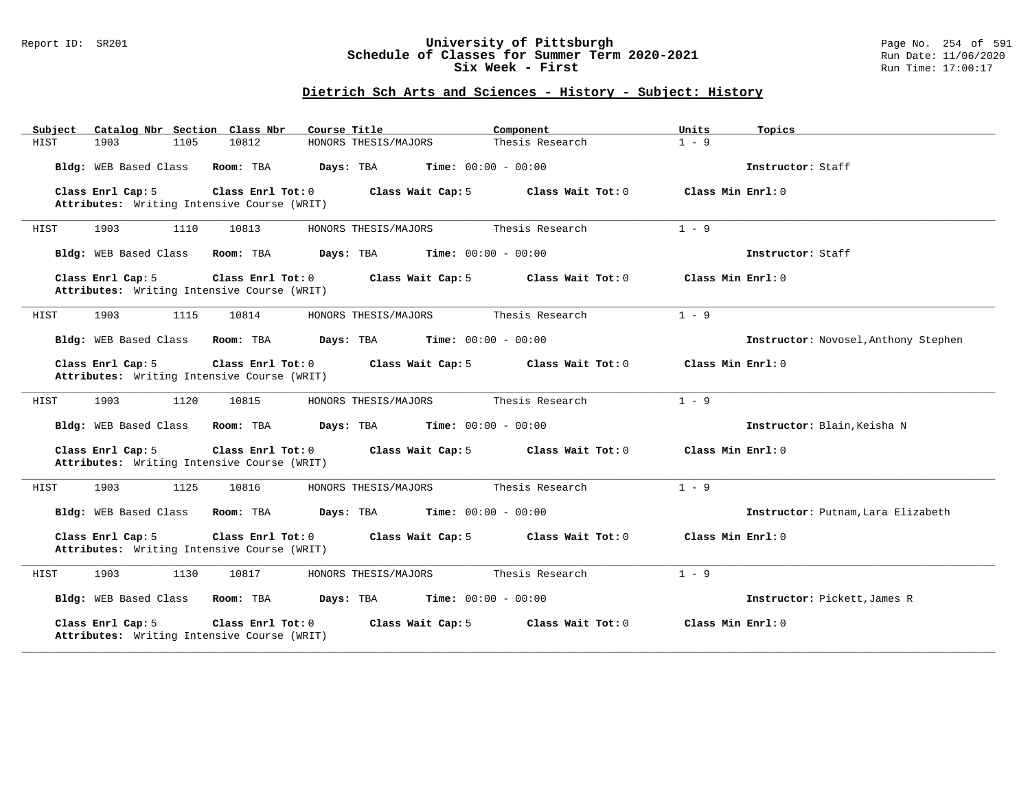### Report ID: SR201 **University of Pittsburgh** Page No. 254 of 591 **Schedule of Classes for Summer Term 2020-2021** Run Date: 11/06/2020 **Six Week - First Run Time: 17:00:17**

| Catalog Nbr Section Class Nbr<br>Subject                         | Course Title                                           | Units<br>Component                       | Topics                               |
|------------------------------------------------------------------|--------------------------------------------------------|------------------------------------------|--------------------------------------|
| 1903<br>1105<br>HIST                                             | 10812<br>HONORS THESIS/MAJORS                          | Thesis Research<br>$1 - 9$               |                                      |
| Bldg: WEB Based Class                                            | Room: TBA<br>Days: TBA<br><b>Time:</b> $00:00 - 00:00$ |                                          | Instructor: Staff                    |
| Class Enrl Cap: 5<br>Attributes: Writing Intensive Course (WRIT) | Class Enrl Tot: 0<br>Class Wait Cap: 5                 | Class Wait Tot: 0<br>Class Min $Enr1: 0$ |                                      |
| 1903<br>1110<br>HIST                                             | 10813<br>HONORS THESIS/MAJORS                          | Thesis Research<br>$1 - 9$               |                                      |
| Bldg: WEB Based Class                                            | <b>Time:</b> $00:00 - 00:00$<br>Room: TBA<br>Days: TBA |                                          | Instructor: Staff                    |
| Class Enrl Cap: 5<br>Attributes: Writing Intensive Course (WRIT) | Class Enrl Tot: 0<br>Class Wait Cap: 5                 | Class Wait Tot: 0<br>Class Min Enrl: 0   |                                      |
| 1903<br>1115<br>HIST                                             | 10814<br>HONORS THESIS/MAJORS                          | $1 - 9$<br>Thesis Research               |                                      |
| Bldg: WEB Based Class                                            | Room: TBA<br>Days: TBA<br><b>Time:</b> $00:00 - 00:00$ |                                          | Instructor: Novosel, Anthony Stephen |
| Class Enrl Cap: 5<br>Attributes: Writing Intensive Course (WRIT) | Class Enrl Tot: 0<br>Class Wait Cap: 5                 | Class Wait Tot: 0<br>Class Min Enrl: 0   |                                      |
| 1903<br>1120<br>HIST                                             | 10815<br>HONORS THESIS/MAJORS                          | $1 - 9$<br>Thesis Research               |                                      |
| Bldg: WEB Based Class                                            | Room: TBA<br>Days: TBA<br><b>Time:</b> $00:00 - 00:00$ |                                          | Instructor: Blain, Keisha N          |
| Class Enrl Cap: 5<br>Attributes: Writing Intensive Course (WRIT) | Class Enrl Tot: 0<br>Class Wait Cap: 5                 | Class Wait Tot: 0<br>Class Min $Enr1: 0$ |                                      |
| 1903<br>1125<br>HIST                                             | 10816<br>HONORS THESIS/MAJORS                          | $1 - 9$<br>Thesis Research               |                                      |
| Bldg: WEB Based Class                                            | Room: TBA<br>Days: TBA<br><b>Time:</b> $00:00 - 00:00$ |                                          | Instructor: Putnam, Lara Elizabeth   |
| Class Enrl Cap: 5<br>Attributes: Writing Intensive Course (WRIT) | Class Enrl Tot: 0<br>Class Wait Cap: 5                 | Class Wait Tot: 0<br>Class Min Enrl: 0   |                                      |
| 1903<br>1130<br>HIST                                             | 10817<br>HONORS THESIS/MAJORS                          | $1 - 9$<br>Thesis Research               |                                      |
| Bldg: WEB Based Class                                            | Room: TBA<br>Days: TBA<br><b>Time:</b> $00:00 - 00:00$ |                                          | Instructor: Pickett, James R         |
| Class Enrl Cap: 5<br>Attributes: Writing Intensive Course (WRIT) | Class Enrl Tot: 0<br>Class Wait Cap: 5                 | Class Wait Tot: 0<br>Class Min Enrl: 0   |                                      |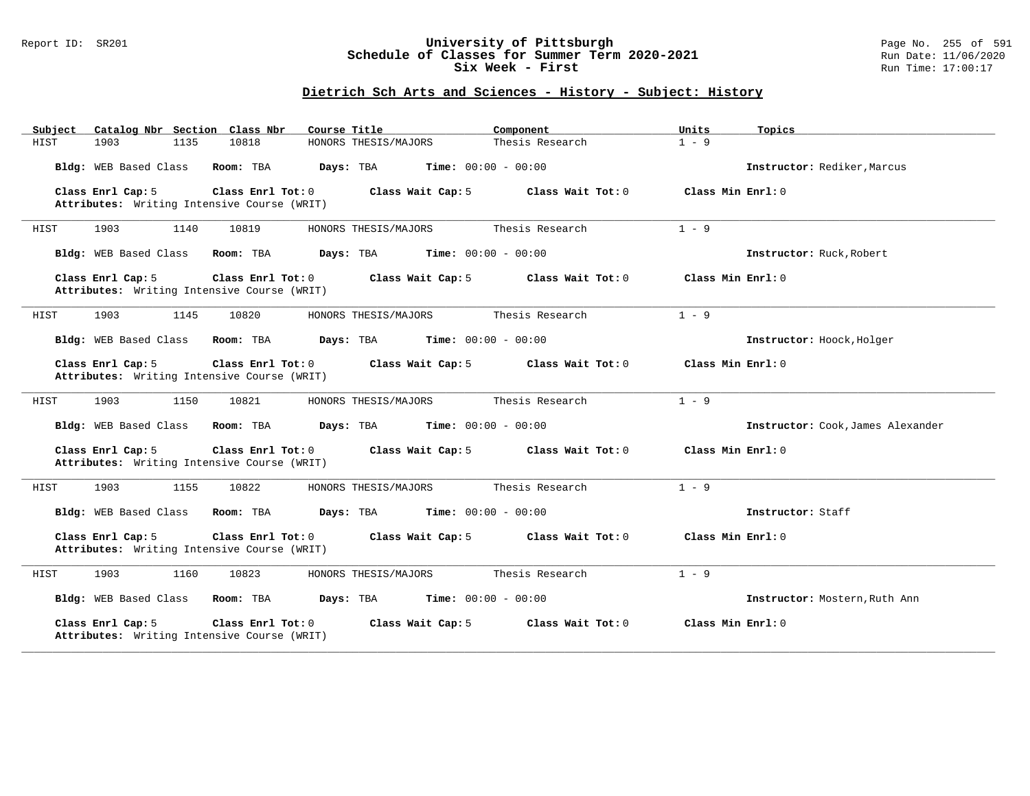### Report ID: SR201 **University of Pittsburgh** Page No. 255 of 591 **Schedule of Classes for Summer Term 2020-2021** Run Date: 11/06/2020 **Six Week - First Run Time: 17:00:17**

| Catalog Nbr Section Class Nbr<br>Subject                                              | Course Title                              | Component         | Units<br>Topics                   |  |
|---------------------------------------------------------------------------------------|-------------------------------------------|-------------------|-----------------------------------|--|
| 10818<br>HIST<br>1903<br>1135                                                         | HONORS THESIS/MAJORS                      | Thesis Research   | $1 - 9$                           |  |
| Bldg: WEB Based Class<br>Room: TBA                                                    | <b>Time:</b> $00:00 - 00:00$<br>Days: TBA |                   | Instructor: Rediker, Marcus       |  |
| Class Enrl Cap: 5<br>Class Enrl Tot: 0<br>Attributes: Writing Intensive Course (WRIT) | Class Wait Cap: 5                         | Class Wait Tot: 0 | Class Min Enrl: 0                 |  |
| 1903<br>1140<br>10819<br>HIST                                                         | HONORS THESIS/MAJORS                      | Thesis Research   | $1 - 9$                           |  |
| Bldg: WEB Based Class<br>Room: TBA                                                    | Days: TBA<br><b>Time:</b> $00:00 - 00:00$ |                   | Instructor: Ruck, Robert          |  |
| Class Enrl Cap: 5<br>Class Enrl Tot: 0<br>Attributes: Writing Intensive Course (WRIT) | Class Wait Cap: 5                         | Class Wait Tot: 0 | Class Min Enrl: 0                 |  |
| 1145<br>1903<br>10820<br>HIST                                                         | HONORS THESIS/MAJORS                      | Thesis Research   | $1 - 9$                           |  |
| Bldg: WEB Based Class<br>Room: TBA                                                    | Days: TBA<br><b>Time:</b> $00:00 - 00:00$ |                   | Instructor: Hoock, Holger         |  |
| Class Enrl Cap: 5<br>Class Enrl Tot: 0<br>Attributes: Writing Intensive Course (WRIT) | Class Wait Cap: 5                         | Class Wait Tot: 0 | Class Min Enrl: 0                 |  |
| 1903<br>1150<br>10821<br>HIST                                                         | HONORS THESIS/MAJORS                      | Thesis Research   | $1 - 9$                           |  |
| Bldg: WEB Based Class<br>Room: TBA                                                    | <b>Time:</b> $00:00 - 00:00$<br>Days: TBA |                   | Instructor: Cook, James Alexander |  |
| Class Enrl Cap: 5<br>Class Enrl Tot: 0<br>Attributes: Writing Intensive Course (WRIT) | Class Wait Cap: 5                         | Class Wait Tot: 0 | Class Min Enrl: 0                 |  |
| 1903<br>1155<br>10822<br>HIST                                                         | HONORS THESIS/MAJORS                      | Thesis Research   | $1 - 9$                           |  |
| Bldg: WEB Based Class<br>Room: TBA                                                    | Days: TBA<br><b>Time:</b> $00:00 - 00:00$ |                   | Instructor: Staff                 |  |
| Class Enrl Tot: 0<br>Class Enrl Cap: 5<br>Attributes: Writing Intensive Course (WRIT) | Class Wait Cap: 5                         | Class Wait Tot: 0 | Class Min Enrl: 0                 |  |
| 1903<br>1160<br>10823<br>HIST                                                         | HONORS THESIS/MAJORS                      | Thesis Research   | $1 - 9$                           |  |
| Bldg: WEB Based Class<br>Room: TBA                                                    | Time: $00:00 - 00:00$<br>Days: TBA        |                   | Instructor: Mostern, Ruth Ann     |  |
| Class Enrl Cap: 5<br>Class Enrl Tot: 0<br>Attributes: Writing Intensive Course (WRIT) | Class Wait Cap: 5                         | Class Wait Tot: 0 | Class Min Enrl: 0                 |  |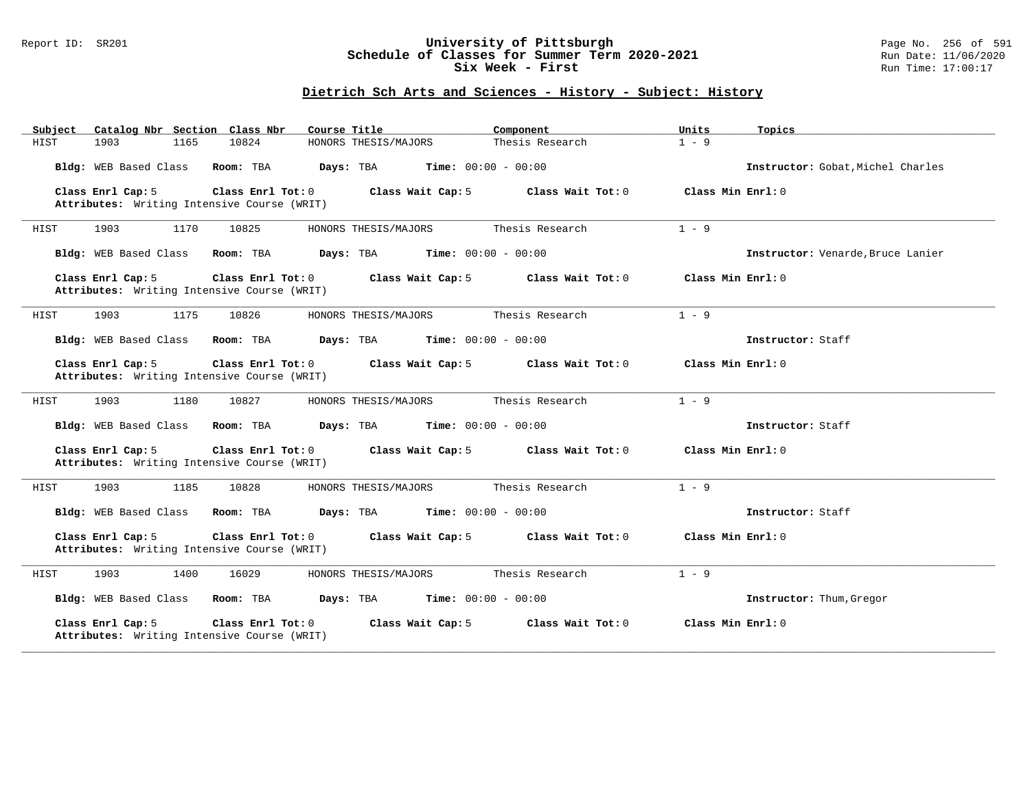### Report ID: SR201 **University of Pittsburgh** Page No. 256 of 591 **Schedule of Classes for Summer Term 2020-2021** Run Date: 11/06/2020 **Six Week - First Run Time: 17:00:17**

| Catalog Nbr Section Class Nbr<br>Subject                         | Course Title                              | Units<br>Component                     | Topics                            |
|------------------------------------------------------------------|-------------------------------------------|----------------------------------------|-----------------------------------|
| 10824<br>HIST<br>1903<br>1165                                    | HONORS THESIS/MAJORS                      | $1 - 9$<br>Thesis Research             |                                   |
| Bldg: WEB Based Class<br>Room: TBA                               | Days: TBA<br><b>Time:</b> $00:00 - 00:00$ |                                        | Instructor: Gobat, Michel Charles |
| Class Enrl Cap: 5<br>Attributes: Writing Intensive Course (WRIT) | Class Enrl Tot: 0<br>Class Wait Cap: 5    | Class Wait Tot: 0<br>Class Min Enrl: 0 |                                   |
| 1170<br>1903<br>10825<br>HIST                                    | HONORS THESIS/MAJORS                      | Thesis Research<br>$1 - 9$             |                                   |
| Bldg: WEB Based Class<br>Room: TBA                               | <b>Time:</b> $00:00 - 00:00$<br>Days: TBA |                                        | Instructor: Venarde, Bruce Lanier |
| Class Enrl Cap: 5<br>Attributes: Writing Intensive Course (WRIT) | Class Enrl Tot: 0<br>Class Wait Cap: 5    | Class Wait Tot: 0                      | Class Min $Enrl: 0$               |
| 1903<br>1175<br>10826<br>HIST                                    | HONORS THESIS/MAJORS                      | Thesis Research<br>$1 - 9$             |                                   |
| Bldg: WEB Based Class<br>Room: TBA                               | <b>Time:</b> $00:00 - 00:00$<br>Days: TBA |                                        | Instructor: Staff                 |
| Class Enrl Cap: 5<br>Attributes: Writing Intensive Course (WRIT) | Class Enrl Tot: 0<br>Class Wait Cap: 5    | Class Wait $Tot: 0$                    | Class Min Enrl: 0                 |
| 1903<br>1180<br>10827<br>HIST                                    | HONORS THESIS/MAJORS                      | $1 - 9$<br>Thesis Research             |                                   |
| Bldg: WEB Based Class<br>Room: TBA                               | Days: TBA<br><b>Time:</b> $00:00 - 00:00$ |                                        | Instructor: Staff                 |
| Class Enrl Cap: 5<br>Attributes: Writing Intensive Course (WRIT) | Class Enrl Tot: 0<br>Class Wait Cap: 5    | Class Wait Tot: 0                      | Class Min Enrl: 0                 |
| 1903<br>1185<br>10828<br>HIST                                    | HONORS THESIS/MAJORS                      | $1 - 9$<br>Thesis Research             |                                   |
| Bldg: WEB Based Class<br>Room: TBA                               | Days: TBA<br><b>Time:</b> $00:00 - 00:00$ |                                        | Instructor: Staff                 |
| Class Enrl Cap: 5<br>Attributes: Writing Intensive Course (WRIT) | Class Enrl Tot: 0<br>Class Wait Cap: 5    | Class Wait Tot: 0                      | Class Min Enrl: 0                 |
| 1903<br>1400<br>16029<br>HIST                                    | HONORS THESIS/MAJORS                      | $1 - 9$<br>Thesis Research             |                                   |
| Bldg: WEB Based Class<br>Room: TBA                               | <b>Time:</b> $00:00 - 00:00$<br>Days: TBA |                                        | Instructor: Thum, Gregor          |
| Class Enrl Cap: 5<br>Attributes: Writing Intensive Course (WRIT) | Class Enrl Tot: 0<br>Class Wait Cap: 5    | Class Wait Tot: 0                      | Class Min Enrl: 0                 |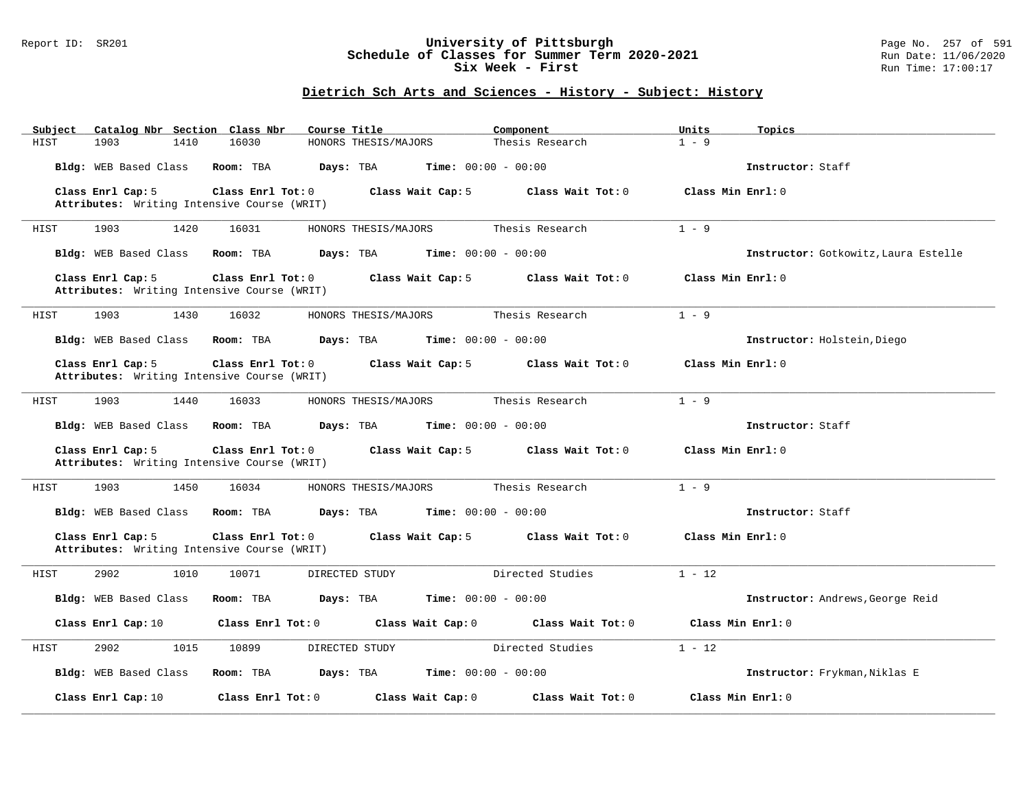### Report ID: SR201 **University of Pittsburgh** Page No. 257 of 591 **Schedule of Classes for Summer Term 2020-2021** Run Date: 11/06/2020 **Six Week - First Run Time: 17:00:17**

| Subject | Catalog Nbr Section Class Nbr                                    |                   | Course Title                                  |                              | Component           | Units             | Topics                               |
|---------|------------------------------------------------------------------|-------------------|-----------------------------------------------|------------------------------|---------------------|-------------------|--------------------------------------|
| HIST    | 1903<br>1410                                                     | 16030             | HONORS THESIS/MAJORS                          |                              | Thesis Research     | $1 - 9$           |                                      |
|         | Bldg: WEB Based Class                                            | Room: TBA         | Days: TBA                                     | Time: $00:00 - 00:00$        |                     |                   | Instructor: Staff                    |
|         | Class Enrl Cap: 5                                                | Class Enrl Tot: 0 |                                               | Class Wait Cap: 5            | Class Wait Tot: $0$ | Class Min Enrl: 0 |                                      |
|         | Attributes: Writing Intensive Course (WRIT)                      |                   |                                               |                              |                     |                   |                                      |
|         |                                                                  |                   |                                               |                              |                     |                   |                                      |
| HIST    | 1903<br>1420                                                     | 16031             | HONORS THESIS/MAJORS                          |                              | Thesis Research     | $1 - 9$           |                                      |
|         | Bldg: WEB Based Class                                            | Room: TBA         | Days: TBA                                     | <b>Time:</b> $00:00 - 00:00$ |                     |                   | Instructor: Gotkowitz, Laura Estelle |
|         | Class Enrl Cap: 5                                                | Class Enrl Tot: 0 |                                               | Class Wait Cap: 5            | Class Wait Tot: 0   | Class Min Enrl: 0 |                                      |
|         | Attributes: Writing Intensive Course (WRIT)                      |                   |                                               |                              |                     |                   |                                      |
| HIST    | 1903<br>1430                                                     | 16032             | HONORS THESIS/MAJORS                          |                              | Thesis Research     | $1 - 9$           |                                      |
|         |                                                                  |                   |                                               |                              |                     |                   |                                      |
|         | Bldg: WEB Based Class                                            | Room: TBA         | <b>Days:</b> TBA <b>Time:</b> $00:00 - 00:00$ |                              |                     |                   | Instructor: Holstein, Diego          |
|         |                                                                  | Class Enrl Tot: 0 |                                               |                              | Class Wait Tot: 0   | Class Min Enrl: 0 |                                      |
|         | Class Enrl Cap: 5<br>Attributes: Writing Intensive Course (WRIT) |                   |                                               | Class Wait Cap: 5            |                     |                   |                                      |
|         |                                                                  |                   |                                               |                              |                     |                   |                                      |
| HIST    | 1903<br>1440                                                     | 16033             | HONORS THESIS/MAJORS                          |                              | Thesis Research     | $1 - 9$           |                                      |
|         |                                                                  |                   |                                               |                              |                     |                   |                                      |
|         | Bldg: WEB Based Class                                            | Room: TBA         | Days: TBA                                     | <b>Time:</b> $00:00 - 00:00$ |                     |                   | Instructor: Staff                    |
|         |                                                                  |                   |                                               |                              |                     |                   |                                      |
|         |                                                                  |                   |                                               |                              |                     |                   |                                      |
|         | Class Enrl Cap: 5                                                | Class Enrl Tot: 0 |                                               | Class Wait Cap: 5            | Class Wait Tot: 0   | Class Min Enrl: 0 |                                      |
|         | Attributes: Writing Intensive Course (WRIT)                      |                   |                                               |                              |                     |                   |                                      |
|         |                                                                  |                   |                                               |                              |                     |                   |                                      |
| HIST    | 1903<br>1450                                                     | 16034             | HONORS THESIS/MAJORS                          |                              | Thesis Research     | $1 - 9$           |                                      |
|         | Bldg: WEB Based Class                                            | Room: TBA         | Days: TBA                                     | $Time: 00:00 - 00:00$        |                     |                   | Instructor: Staff                    |
|         |                                                                  |                   |                                               |                              |                     |                   |                                      |
|         | Class Enrl Cap: 5                                                | Class Enrl Tot: 0 |                                               | Class Wait Cap: 5            | Class Wait Tot: 0   | Class Min Enrl: 0 |                                      |
|         | Attributes: Writing Intensive Course (WRIT)                      |                   |                                               |                              |                     |                   |                                      |
|         |                                                                  |                   |                                               |                              |                     |                   |                                      |
| HIST    | 2902<br>1010                                                     | 10071             | DIRECTED STUDY                                |                              | Directed Studies    | $1 - 12$          |                                      |
|         | Bldg: WEB Based Class                                            | Room: TBA         | Days: TBA                                     | $Time: 00:00 - 00:00$        |                     |                   | Instructor: Andrews, George Reid     |
|         |                                                                  |                   |                                               |                              |                     |                   |                                      |
|         | Class Enrl Cap: 10                                               | Class Enrl Tot: 0 |                                               | Class Wait Cap: 0            | Class Wait Tot: 0   |                   | Class Min Enrl: 0                    |
|         |                                                                  |                   |                                               |                              |                     |                   |                                      |
| HIST    | 2902<br>1015                                                     | 10899             | DIRECTED STUDY                                |                              | Directed Studies    | $1 - 12$          |                                      |
|         |                                                                  |                   |                                               |                              |                     |                   |                                      |
|         | Bldg: WEB Based Class                                            | Room: TBA         | Days: TBA                                     | <b>Time:</b> $00:00 - 00:00$ |                     |                   | Instructor: Frykman, Niklas E        |
|         | Class Enrl Cap: 10                                               | Class Enrl Tot: 0 |                                               | Class Wait Cap: 0            | Class Wait Tot: 0   |                   | Class Min Enrl: 0                    |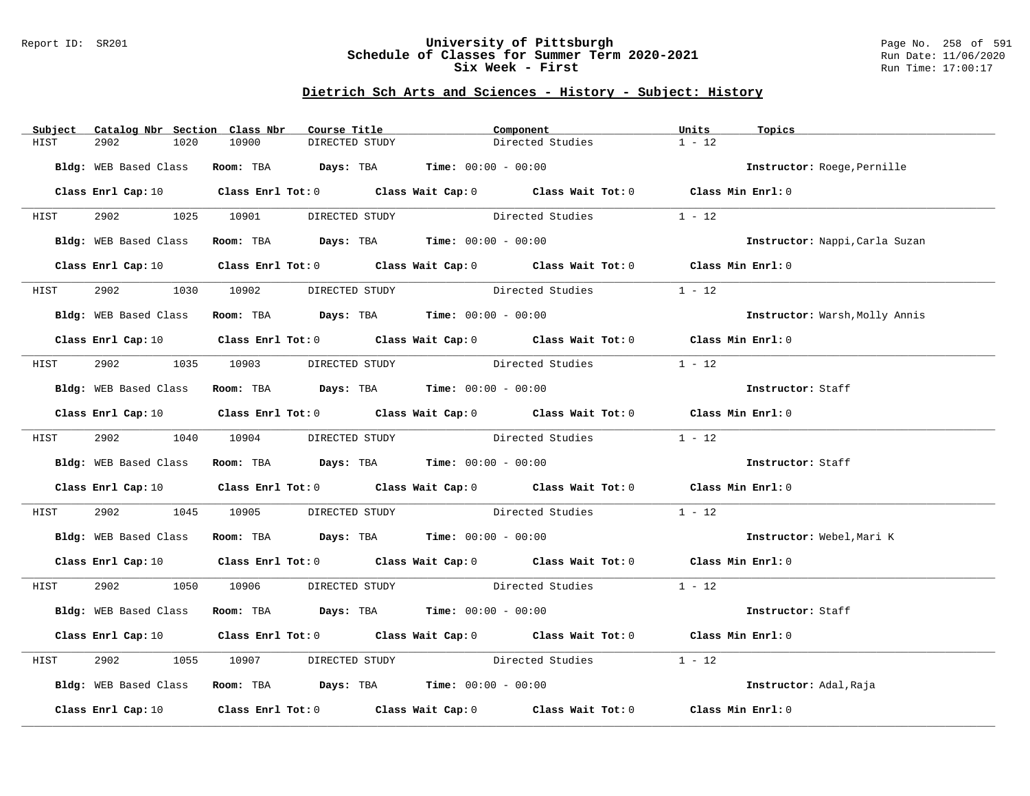### Report ID: SR201 **University of Pittsburgh** Page No. 258 of 591 **Schedule of Classes for Summer Term 2020-2021** Run Date: 11/06/2020 **Six Week - First Run Time: 17:00:17**

| Subject | Catalog Nbr Section Class Nbr | Course Title                        | Component                                                                                                                      |                  | Units<br>Topics                |
|---------|-------------------------------|-------------------------------------|--------------------------------------------------------------------------------------------------------------------------------|------------------|--------------------------------|
| HIST    | 2902<br>1020                  | 10900<br>DIRECTED STUDY             |                                                                                                                                | Directed Studies | $1 - 12$                       |
|         |                               |                                     | Bldg: WEB Based Class Room: TBA Days: TBA Time: 00:00 - 00:00                                                                  |                  | Instructor: Roege, Pernille    |
|         |                               |                                     |                                                                                                                                |                  |                                |
|         |                               |                                     | Class Enrl Cap: 10 $\qquad$ Class Enrl Tot: 0 $\qquad$ Class Wait Cap: 0 $\qquad$ Class Wait Tot: 0 $\qquad$ Class Min Enrl: 0 |                  |                                |
|         |                               |                                     | HIST 2902 1025 10901 DIRECTED STUDY Directed Studies 1 - 12                                                                    |                  |                                |
|         | Bldg: WEB Based Class         |                                     | Room: TBA $Days:$ TBA $Time:$ $00:00 - 00:00$                                                                                  |                  | Instructor: Nappi, Carla Suzan |
|         |                               |                                     | Class Enrl Cap: 10 Class Enrl Tot: 0 Class Wait Cap: 0 Class Wait Tot: 0 Class Min Enrl: 0                                     |                  |                                |
| HIST    | 2902                          |                                     | 1030 10902 DIRECTED STUDY Directed Studies                                                                                     |                  | $1 - 12$                       |
|         | Bldg: WEB Based Class         |                                     | Room: TBA $Days:$ TBA $Time: 00:00 - 00:00$                                                                                    |                  | Instructor: Warsh, Molly Annis |
|         |                               |                                     | Class Enrl Cap: 10 $\qquad$ Class Enrl Tot: 0 $\qquad$ Class Wait Cap: 0 $\qquad$ Class Wait Tot: 0 $\qquad$ Class Min Enrl: 0 |                  |                                |
|         |                               | HIST 2902 1035 10903 DIRECTED STUDY | Directed Studies                                                                                                               |                  | $1 - 12$                       |
|         | Bldg: WEB Based Class         |                                     | Room: TBA $Days:$ TBA $Time: 00:00 - 00:00$                                                                                    |                  | Instructor: Staff              |
|         |                               |                                     | Class Enrl Cap: 10 Class Enrl Tot: 0 Class Wait Cap: 0 Class Wait Tot: 0 Class Min Enrl: 0                                     |                  |                                |
| HIST    |                               | 2902 1040 10904 DIRECTED STUDY      | Directed Studies                                                                                                               | $1 - 12$         |                                |
|         |                               |                                     | Bldg: WEB Based Class Room: TBA Days: TBA Time: 00:00 - 00:00                                                                  |                  | Instructor: Staff              |
|         |                               |                                     | Class Enrl Cap: 10 Class Enrl Tot: 0 Class Wait Cap: 0 Class Wait Tot: 0 Class Min Enrl: 0                                     |                  |                                |
| HIST    |                               |                                     | 2902 1045 10905 DIRECTED STUDY Directed Studies                                                                                |                  | $1 - 12$                       |
|         |                               |                                     | Bldg: WEB Based Class Room: TBA Days: TBA Time: 00:00 - 00:00                                                                  |                  | Instructor: Webel, Mari K      |
|         |                               |                                     | Class Enrl Cap: 10 $\qquad$ Class Enrl Tot: 0 $\qquad$ Class Wait Cap: 0 $\qquad$ Class Wait Tot: 0 $\qquad$ Class Min Enrl: 0 |                  |                                |
|         |                               |                                     | HIST 2902 1050 10906 DIRECTED STUDY Directed Studies 1 - 12                                                                    |                  |                                |
|         | Bldg: WEB Based Class         |                                     | Room: TBA $Days:$ TBA $Time:$ $00:00 - 00:00$                                                                                  |                  | Instructor: Staff              |
|         |                               |                                     | Class Enrl Cap: 10 $\qquad$ Class Enrl Tot: 0 $\qquad$ Class Wait Cap: 0 $\qquad$ Class Wait Tot: 0 $\qquad$ Class Min Enrl: 0 |                  |                                |
| HIST    | 2902                          |                                     | 1055 10907 DIRECTED STUDY Directed Studies                                                                                     |                  | $1 - 12$                       |
|         |                               |                                     | Bldg: WEB Based Class Room: TBA Days: TBA Time: 00:00 - 00:00                                                                  |                  | Instructor: Adal, Raja         |
|         |                               |                                     | Class Enrl Cap: 10 $\qquad$ Class Enrl Tot: 0 $\qquad$ Class Wait Cap: 0 $\qquad$ Class Wait Tot: 0 $\qquad$ Class Min Enrl: 0 |                  |                                |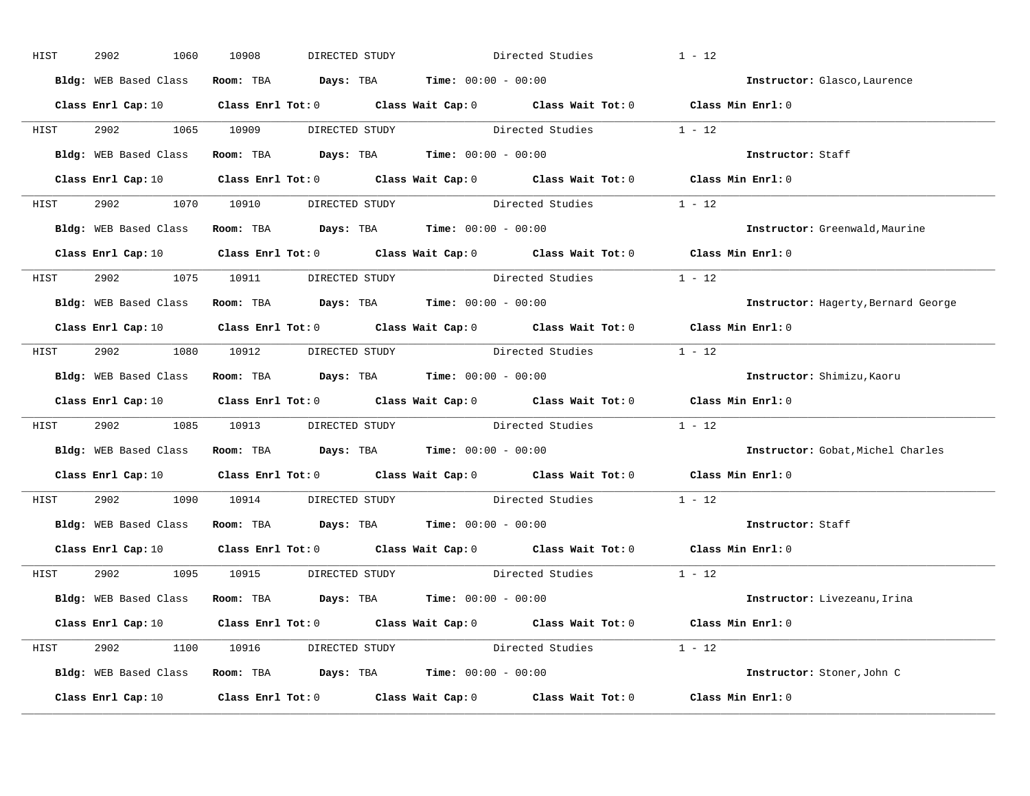| HIST | 2902 | 1060                                | 10908 | DIRECTED STUDY |                                                               | Directed Studies                                                                                    | $1 - 12$                                                                                                                       |
|------|------|-------------------------------------|-------|----------------|---------------------------------------------------------------|-----------------------------------------------------------------------------------------------------|--------------------------------------------------------------------------------------------------------------------------------|
|      |      |                                     |       |                | Bldg: WEB Based Class Room: TBA Days: TBA Time: 00:00 - 00:00 |                                                                                                     | Instructor: Glasco, Laurence                                                                                                   |
|      |      |                                     |       |                |                                                               |                                                                                                     | Class Enrl Cap: 10 $\qquad$ Class Enrl Tot: 0 $\qquad$ Class Wait Cap: 0 $\qquad$ Class Wait Tot: 0 $\qquad$ Class Min Enrl: 0 |
|      |      |                                     |       |                |                                                               | HIST 2902 1065 10909 DIRECTED STUDY Directed Studies 1 - 12                                         |                                                                                                                                |
|      |      |                                     |       |                | Bldg: WEB Based Class Room: TBA Days: TBA Time: 00:00 - 00:00 |                                                                                                     | Instructor: Staff                                                                                                              |
|      |      |                                     |       |                |                                                               |                                                                                                     | Class Enrl Cap: 10 $\qquad$ Class Enrl Tot: 0 $\qquad$ Class Wait Cap: 0 $\qquad$ Class Wait Tot: 0 $\qquad$ Class Min Enrl: 0 |
|      |      |                                     |       |                |                                                               | HIST 2902 1070 10910 DIRECTED STUDY Directed Studies 1 - 12                                         |                                                                                                                                |
|      |      |                                     |       |                | Bldg: WEB Based Class Room: TBA Days: TBA Time: 00:00 - 00:00 |                                                                                                     | Instructor: Greenwald, Maurine                                                                                                 |
|      |      |                                     |       |                |                                                               |                                                                                                     | Class Enrl Cap: 10 $\qquad$ Class Enrl Tot: 0 $\qquad$ Class Wait Cap: 0 $\qquad$ Class Wait Tot: 0 $\qquad$ Class Min Enrl: 0 |
|      |      | HIST 2902 1075 10911 DIRECTED STUDY |       |                |                                                               | Directed Studies                                                                                    | $1 - 12$                                                                                                                       |
|      |      |                                     |       |                | Bldg: WEB Based Class Room: TBA Days: TBA Time: 00:00 - 00:00 |                                                                                                     | Instructor: Hagerty, Bernard George                                                                                            |
|      |      |                                     |       |                |                                                               |                                                                                                     | Class Enrl Cap: 10 $\qquad$ Class Enrl Tot: 0 $\qquad$ Class Wait Cap: 0 $\qquad$ Class Wait Tot: 0 $\qquad$ Class Min Enrl: 0 |
|      |      |                                     |       |                |                                                               | HIST 2902 1080 10912 DIRECTED STUDY Directed Studies 1 - 12                                         |                                                                                                                                |
|      |      |                                     |       |                | Bldg: WEB Based Class Room: TBA Days: TBA Time: 00:00 - 00:00 |                                                                                                     | Instructor: Shimizu, Kaoru                                                                                                     |
|      |      |                                     |       |                |                                                               |                                                                                                     | Class Enrl Cap: 10 $\qquad$ Class Enrl Tot: 0 $\qquad$ Class Wait Cap: 0 $\qquad$ Class Wait Tot: 0 $\qquad$ Class Min Enrl: 0 |
| HIST |      |                                     |       |                |                                                               | 2902 1085 10913 DIRECTED STUDY Directed Studies 1 - 12                                              |                                                                                                                                |
|      |      |                                     |       |                | Bldg: WEB Based Class Room: TBA Days: TBA Time: 00:00 - 00:00 |                                                                                                     | Instructor: Gobat, Michel Charles                                                                                              |
|      |      |                                     |       |                |                                                               | Class Enrl Cap: 10 $\qquad$ Class Enrl Tot: 0 $\qquad$ Class Wait Cap: 0 $\qquad$ Class Wait Tot: 0 | Class Min Enrl: 0                                                                                                              |
| HIST |      |                                     |       |                |                                                               | 2902 1090 10914 DIRECTED STUDY Directed Studies                                                     | $1 - 12$                                                                                                                       |
|      |      |                                     |       |                | Bldg: WEB Based Class Room: TBA Days: TBA Time: 00:00 - 00:00 |                                                                                                     | Instructor: Staff                                                                                                              |
|      |      |                                     |       |                |                                                               |                                                                                                     | Class Enrl Cap: 10 $\qquad$ Class Enrl Tot: 0 $\qquad$ Class Wait Cap: 0 $\qquad$ Class Wait Tot: 0 $\qquad$ Class Min Enrl: 0 |
|      |      | HIST 2902 1095 10915 DIRECTED STUDY |       |                |                                                               | Directed Studies 1 - 12                                                                             |                                                                                                                                |
|      |      |                                     |       |                | Bldg: WEB Based Class Room: TBA Days: TBA Time: 00:00 - 00:00 |                                                                                                     | Instructor: Livezeanu, Irina                                                                                                   |
|      |      |                                     |       |                |                                                               |                                                                                                     | Class Enrl Cap: 10 $\qquad$ Class Enrl Tot: 0 $\qquad$ Class Wait Cap: 0 $\qquad$ Class Wait Tot: 0 $\qquad$ Class Min Enrl: 0 |
|      |      |                                     |       |                |                                                               | HIST 2902 1100 10916 DIRECTED STUDY Directed Studies 1 - 12                                         |                                                                                                                                |
|      |      |                                     |       |                | Bldg: WEB Based Class Room: TBA Days: TBA Time: 00:00 - 00:00 |                                                                                                     | Instructor: Stoner, John C                                                                                                     |
|      |      |                                     |       |                |                                                               |                                                                                                     | Class Enrl Cap: 10 $\qquad$ Class Enrl Tot: 0 $\qquad$ Class Wait Cap: 0 $\qquad$ Class Wait Tot: 0 $\qquad$ Class Min Enrl: 0 |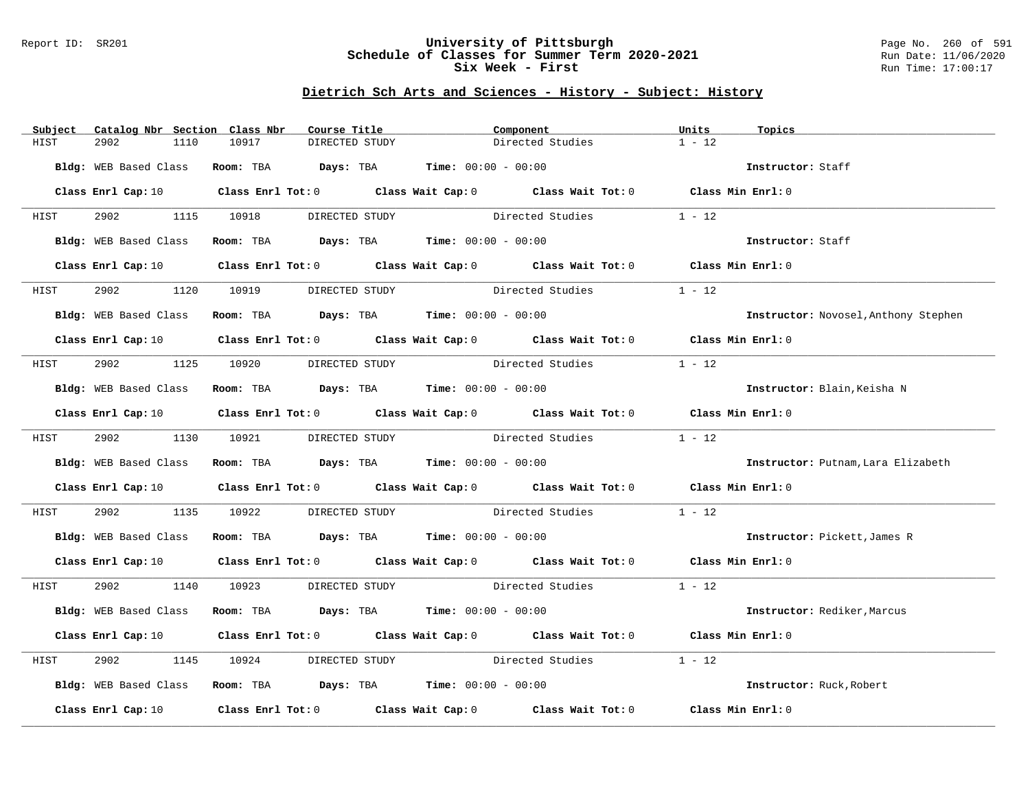### Report ID: SR201 **University of Pittsburgh** Page No. 260 of 591 **Schedule of Classes for Summer Term 2020-2021** Run Date: 11/06/2020 **Six Week - First Run Time: 17:00:17**

| Subject | Catalog Nbr Section Class Nbr |       | Course Title                                                  | Component                                                                                                                      |                                                                                                                                | Units             | Topics                               |
|---------|-------------------------------|-------|---------------------------------------------------------------|--------------------------------------------------------------------------------------------------------------------------------|--------------------------------------------------------------------------------------------------------------------------------|-------------------|--------------------------------------|
| HIST    | 2902<br>1110                  | 10917 | DIRECTED STUDY                                                |                                                                                                                                | Directed Studies                                                                                                               | $1 - 12$          |                                      |
|         | Bldg: WEB Based Class         |       | Room: TBA $Days:$ TBA $Time: 00:00 - 00:00$                   |                                                                                                                                |                                                                                                                                |                   | Instructor: Staff                    |
|         |                               |       |                                                               | Class Enrl Cap: 10 $\qquad$ Class Enrl Tot: 0 $\qquad$ Class Wait Cap: 0 $\qquad$ Class Wait Tot: 0 $\qquad$ Class Min Enrl: 0 |                                                                                                                                |                   |                                      |
| HIST    |                               |       |                                                               |                                                                                                                                | 2902 1115 10918 DIRECTED STUDY Directed Studies 1 - 12                                                                         |                   |                                      |
|         | Bldg: WEB Based Class         |       | Room: TBA $Days:$ TBA Time: $00:00 - 00:00$                   |                                                                                                                                |                                                                                                                                |                   | Instructor: Staff                    |
|         | Class Enrl Cap: 10            |       |                                                               |                                                                                                                                | Class Enrl Tot: 0 Class Wait Cap: 0 Class Wait Tot: 0 Class Min Enrl: 0                                                        |                   |                                      |
| HIST    | 2902 200                      |       | 1120 10919 DIRECTED STUDY Directed Studies                    |                                                                                                                                |                                                                                                                                | $1 - 12$          |                                      |
|         | Bldg: WEB Based Class         |       | Room: TBA $Days:$ TBA $Time: 00:00 - 00:00$                   |                                                                                                                                |                                                                                                                                |                   | Instructor: Novosel, Anthony Stephen |
|         |                               |       |                                                               |                                                                                                                                | Class Enrl Cap: 10 $\qquad$ Class Enrl Tot: 0 $\qquad$ Class Wait Cap: 0 $\qquad$ Class Wait Tot: 0 $\qquad$ Class Min Enrl: 0 |                   |                                      |
| HIST    |                               |       | 2902 1125 10920 DIRECTED STUDY                                | Directed Studies                                                                                                               |                                                                                                                                | $1 - 12$          |                                      |
|         | Bldg: WEB Based Class         |       | Room: TBA $Days:$ TBA $Time:$ 00:00 - 00:00                   |                                                                                                                                |                                                                                                                                |                   | Instructor: Blain, Keisha N          |
|         |                               |       |                                                               |                                                                                                                                | Class Enrl Cap: 10 Class Enrl Tot: 0 Class Wait Cap: 0 Class Wait Tot: 0 Class Min Enrl: 0                                     |                   |                                      |
| HIST    |                               |       | 2902 1130 10921 DIRECTED STUDY                                | Directed Studies                                                                                                               |                                                                                                                                | $1 - 12$          |                                      |
|         |                               |       | Bldg: WEB Based Class Room: TBA Days: TBA Time: 00:00 - 00:00 |                                                                                                                                |                                                                                                                                |                   | Instructor: Putnam, Lara Elizabeth   |
|         |                               |       |                                                               |                                                                                                                                | Class Enrl Cap: 10 $\qquad$ Class Enrl Tot: 0 $\qquad$ Class Wait Cap: 0 $\qquad$ Class Wait Tot: 0 $\qquad$ Class Min Enrl: 0 |                   |                                      |
| HIST    | 2902                          |       |                                                               |                                                                                                                                | 1135 10922 DIRECTED STUDY Directed Studies                                                                                     | $1 - 12$          |                                      |
|         |                               |       | Bldg: WEB Based Class Room: TBA Days: TBA Time: 00:00 - 00:00 |                                                                                                                                |                                                                                                                                |                   | Instructor: Pickett, James R         |
|         |                               |       |                                                               |                                                                                                                                | Class Enrl Cap: 10 Class Enrl Tot: 0 Class Wait Cap: 0 Class Wait Tot: 0 Class Min Enrl: 0                                     |                   |                                      |
| HIST    |                               |       |                                                               |                                                                                                                                | 2902 1140 10923 DIRECTED STUDY Directed Studies 1 - 12                                                                         |                   |                                      |
|         | Bldg: WEB Based Class         |       | Room: TBA $Days:$ TBA $Time: 00:00 - 00:00$                   |                                                                                                                                |                                                                                                                                |                   | Instructor: Rediker, Marcus          |
|         |                               |       |                                                               |                                                                                                                                | Class Enrl Cap: 10 $\qquad$ Class Enrl Tot: 0 $\qquad$ Class Wait Cap: 0 $\qquad$ Class Wait Tot: 0 $\qquad$ Class Min Enrl: 0 |                   |                                      |
| HIST    | 2902<br>1145                  | 10924 |                                                               |                                                                                                                                | DIRECTED STUDY Directed Studies                                                                                                | $1 - 12$          |                                      |
|         |                               |       | Bldg: WEB Based Class Room: TBA Days: TBA Time: 00:00 - 00:00 |                                                                                                                                |                                                                                                                                |                   | Instructor: Ruck, Robert             |
|         | Class Enrl Cap: 10            |       |                                                               |                                                                                                                                | Class Enrl Tot: $0$ Class Wait Cap: $0$ Class Wait Tot: $0$                                                                    | Class Min Enrl: 0 |                                      |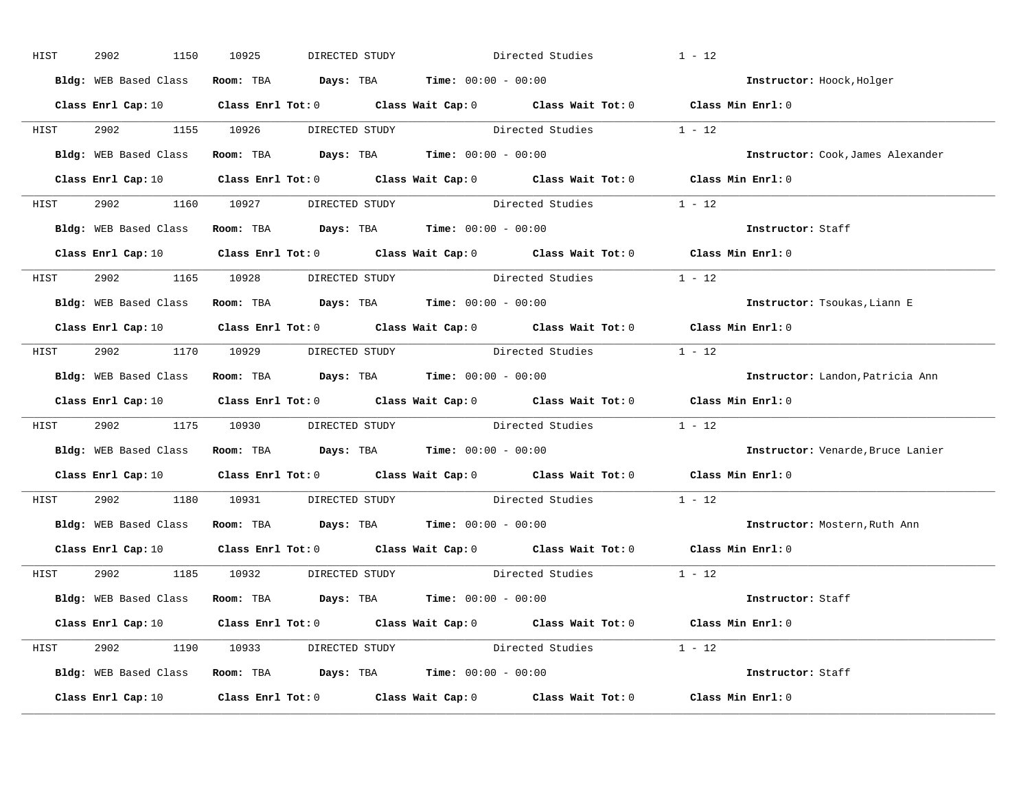| HIST | 2902 | 1150 | 10925 | DIRECTED STUDY                      |                                                               | Directed Studies                                                                                    | $1 - 12$                                                                                                                       |
|------|------|------|-------|-------------------------------------|---------------------------------------------------------------|-----------------------------------------------------------------------------------------------------|--------------------------------------------------------------------------------------------------------------------------------|
|      |      |      |       |                                     | Bldg: WEB Based Class Room: TBA Days: TBA Time: 00:00 - 00:00 |                                                                                                     | Instructor: Hoock, Holger                                                                                                      |
|      |      |      |       |                                     |                                                               |                                                                                                     | Class Enrl Cap: 10 $\qquad$ Class Enrl Tot: 0 $\qquad$ Class Wait Cap: 0 $\qquad$ Class Wait Tot: 0 $\qquad$ Class Min Enrl: 0 |
|      |      |      |       |                                     |                                                               | HIST 2902 1155 10926 DIRECTED STUDY Directed Studies 1 - 12                                         |                                                                                                                                |
|      |      |      |       |                                     | Bldg: WEB Based Class Room: TBA Days: TBA Time: 00:00 - 00:00 |                                                                                                     | Instructor: Cook, James Alexander                                                                                              |
|      |      |      |       |                                     |                                                               |                                                                                                     | Class Enrl Cap: 10 $\qquad$ Class Enrl Tot: 0 $\qquad$ Class Wait Cap: 0 $\qquad$ Class Wait Tot: 0 $\qquad$ Class Min Enrl: 0 |
|      |      |      |       |                                     |                                                               | HIST 2902 1160 10927 DIRECTED STUDY Directed Studies 1 - 12                                         |                                                                                                                                |
|      |      |      |       |                                     | Bldg: WEB Based Class Room: TBA Days: TBA Time: 00:00 - 00:00 |                                                                                                     | Instructor: Staff                                                                                                              |
|      |      |      |       |                                     |                                                               |                                                                                                     | Class Enrl Cap: 10 $\qquad$ Class Enrl Tot: 0 $\qquad$ Class Wait Cap: 0 $\qquad$ Class Wait Tot: 0 $\qquad$ Class Min Enrl: 0 |
|      |      |      |       | HIST 2902 1165 10928 DIRECTED STUDY |                                                               | Directed Studies                                                                                    | $1 - 12$                                                                                                                       |
|      |      |      |       |                                     | Bldg: WEB Based Class Room: TBA Days: TBA Time: 00:00 - 00:00 |                                                                                                     | Instructor: Tsoukas, Liann E                                                                                                   |
|      |      |      |       |                                     |                                                               |                                                                                                     | Class Enrl Cap: 10 $\qquad$ Class Enrl Tot: 0 $\qquad$ Class Wait Cap: 0 $\qquad$ Class Wait Tot: 0 $\qquad$ Class Min Enrl: 0 |
|      |      |      |       |                                     |                                                               | HIST 2902 1170 10929 DIRECTED STUDY Directed Studies 1 - 12                                         |                                                                                                                                |
|      |      |      |       |                                     | Bldg: WEB Based Class Room: TBA Days: TBA Time: 00:00 - 00:00 |                                                                                                     | Instructor: Landon, Patricia Ann                                                                                               |
|      |      |      |       |                                     |                                                               |                                                                                                     | Class Enrl Cap: 10 $\qquad$ Class Enrl Tot: 0 $\qquad$ Class Wait Cap: 0 $\qquad$ Class Wait Tot: 0 $\qquad$ Class Min Enrl: 0 |
| HIST |      |      |       |                                     |                                                               | 2902 1175 10930 DIRECTED STUDY Directed Studies 1 - 12                                              |                                                                                                                                |
|      |      |      |       |                                     | Bldg: WEB Based Class Room: TBA Days: TBA Time: 00:00 - 00:00 |                                                                                                     | Instructor: Venarde, Bruce Lanier                                                                                              |
|      |      |      |       |                                     |                                                               | Class Enrl Cap: 10 $\qquad$ Class Enrl Tot: 0 $\qquad$ Class Wait Cap: 0 $\qquad$ Class Wait Tot: 0 | Class Min Enrl: 0                                                                                                              |
| HIST |      |      |       |                                     |                                                               | 2902 1180 10931 DIRECTED STUDY Directed Studies                                                     | $1 - 12$                                                                                                                       |
|      |      |      |       |                                     | Bldg: WEB Based Class Room: TBA Days: TBA Time: 00:00 - 00:00 |                                                                                                     | Instructor: Mostern, Ruth Ann                                                                                                  |
|      |      |      |       |                                     |                                                               |                                                                                                     | Class Enrl Cap: 10 $\qquad$ Class Enrl Tot: 0 $\qquad$ Class Wait Cap: 0 $\qquad$ Class Wait Tot: 0 $\qquad$ Class Min Enrl: 0 |
|      |      |      |       | HIST 2902 1185 10932 DIRECTED STUDY |                                                               | Directed Studies 1 - 12                                                                             |                                                                                                                                |
|      |      |      |       |                                     | Bldg: WEB Based Class Room: TBA Days: TBA Time: 00:00 - 00:00 |                                                                                                     | Instructor: Staff                                                                                                              |
|      |      |      |       |                                     |                                                               |                                                                                                     | Class Enrl Cap: 10 $\qquad$ Class Enrl Tot: 0 $\qquad$ Class Wait Cap: 0 $\qquad$ Class Wait Tot: 0 $\qquad$ Class Min Enrl: 0 |
|      |      |      |       |                                     |                                                               | HIST 2902 1190 10933 DIRECTED STUDY Directed Studies 1 - 12                                         |                                                                                                                                |
|      |      |      |       |                                     | Bldg: WEB Based Class Room: TBA Days: TBA Time: 00:00 - 00:00 |                                                                                                     | Instructor: Staff                                                                                                              |
|      |      |      |       |                                     |                                                               |                                                                                                     | Class Enrl Cap: 10 $\qquad$ Class Enrl Tot: 0 $\qquad$ Class Wait Cap: 0 $\qquad$ Class Wait Tot: 0 $\qquad$ Class Min Enrl: 0 |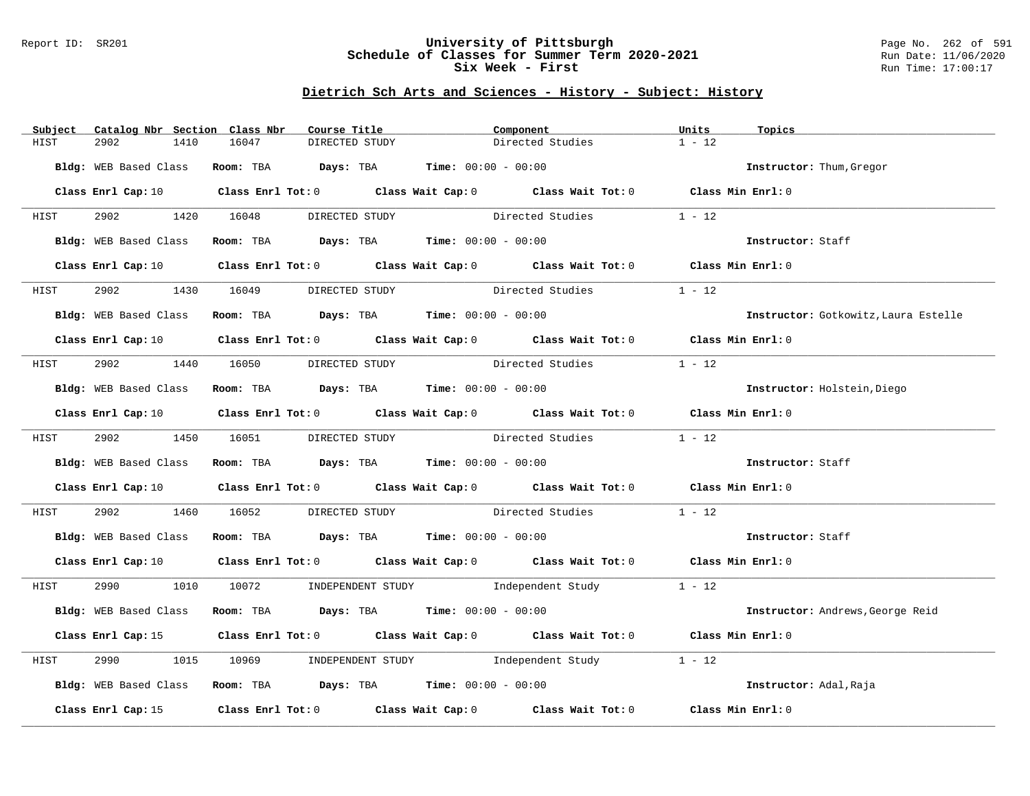### Report ID: SR201 **University of Pittsburgh** Page No. 262 of 591 **Schedule of Classes for Summer Term 2020-2021** Run Date: 11/06/2020 **Six Week - First Run Time: 17:00:17**

| Subject     | Catalog Nbr Section Class Nbr | Course Title                                                                            | Component                                                                                                                      | Units<br>Topics                      |
|-------------|-------------------------------|-----------------------------------------------------------------------------------------|--------------------------------------------------------------------------------------------------------------------------------|--------------------------------------|
| HIST        | 2902<br>1410                  | 16047<br>DIRECTED STUDY                                                                 | Directed Studies                                                                                                               | $1 - 12$                             |
|             |                               | Bldg: WEB Based Class Room: TBA Days: TBA Time: 00:00 - 00:00                           |                                                                                                                                | Instructor: Thum, Gregor             |
|             |                               |                                                                                         |                                                                                                                                |                                      |
|             |                               |                                                                                         | Class Enrl Cap: 10 $\qquad$ Class Enrl Tot: 0 $\qquad$ Class Wait Cap: 0 $\qquad$ Class Wait Tot: 0 $\qquad$ Class Min Enrl: 0 |                                      |
| <b>HIST</b> |                               |                                                                                         | 2902 1420 16048 DIRECTED STUDY Directed Studies 1 - 12                                                                         |                                      |
|             |                               | Bldg: WEB Based Class Room: TBA Days: TBA Time: 00:00 - 00:00                           |                                                                                                                                | Instructor: Staff                    |
|             |                               |                                                                                         | Class Enrl Cap: 10 $\qquad$ Class Enrl Tot: 0 $\qquad$ Class Wait Cap: 0 $\qquad$ Class Wait Tot: 0 $\qquad$ Class Min Enrl: 0 |                                      |
| HIST        | 2902                          |                                                                                         | 1430 16049 DIRECTED STUDY Directed Studies                                                                                     | $1 - 12$                             |
|             | Bldg: WEB Based Class         | Room: TBA $\rule{1em}{0.15mm}$ Days: TBA $\rule{1.15mm}]{0.15mm}$ Time: $0.000 - 0.000$ |                                                                                                                                | Instructor: Gotkowitz, Laura Estelle |
|             |                               |                                                                                         | Class Enrl Cap: 10 $\qquad$ Class Enrl Tot: 0 $\qquad$ Class Wait Cap: 0 $\qquad$ Class Wait Tot: 0 $\qquad$ Class Min Enrl: 0 |                                      |
| HIST        |                               | 2902 1440 16050 DIRECTED STUDY                                                          | Directed Studies                                                                                                               | $1 - 12$                             |
|             |                               | Bldg: WEB Based Class Room: TBA Days: TBA Time: 00:00 - 00:00                           |                                                                                                                                | Instructor: Holstein, Diego          |
|             |                               |                                                                                         | Class Enrl Cap: 10 $\qquad$ Class Enrl Tot: 0 $\qquad$ Class Wait Cap: 0 $\qquad$ Class Wait Tot: 0 $\qquad$ Class Min Enrl: 0 |                                      |
|             |                               |                                                                                         |                                                                                                                                |                                      |
| HIST        |                               | 2902 1450 16051 DIRECTED STUDY                                                          | Directed Studies                                                                                                               | $1 - 12$                             |
|             |                               | Bldg: WEB Based Class Room: TBA Days: TBA Time: 00:00 - 00:00                           |                                                                                                                                | Instructor: Staff                    |
|             |                               |                                                                                         | Class Enrl Cap: 10 Class Enrl Tot: 0 Class Wait Cap: 0 Class Wait Tot: 0 Class Min Enrl: 0                                     |                                      |
| HIST        |                               |                                                                                         | 2902 1460 16052 DIRECTED STUDY Directed Studies                                                                                | $1 - 12$                             |
|             |                               | Bldg: WEB Based Class Room: TBA Days: TBA Time: 00:00 - 00:00                           |                                                                                                                                | Instructor: Staff                    |
|             |                               |                                                                                         | Class Enrl Cap: 10 $\qquad$ Class Enrl Tot: 0 $\qquad$ Class Wait Cap: 0 $\qquad$ Class Wait Tot: 0 $\qquad$ Class Min Enrl: 0 |                                      |
|             |                               |                                                                                         | HIST 2990 1010 10072 INDEPENDENT STUDY Independent Study 1 - 12                                                                |                                      |
|             |                               |                                                                                         | Bldg: WEB Based Class Room: TBA Days: TBA Time: 00:00 - 00:00                                                                  | Instructor: Andrews, George Reid     |
|             |                               |                                                                                         | Class Enrl Cap: 15 Class Enrl Tot: 0 Class Wait Cap: 0 Class Wait Tot: 0 Class Min Enrl: 0                                     |                                      |
| HIST        | 2990                          |                                                                                         | 1015 10969 INDEPENDENT STUDY 1ndependent Study                                                                                 | $1 - 12$                             |
|             |                               |                                                                                         | Bldg: WEB Based Class Room: TBA Days: TBA Time: 00:00 - 00:00                                                                  | Instructor: Adal, Raja               |
|             | Class Enrl Cap: 15            |                                                                                         | Class Enrl Tot: 0 $\qquad$ Class Wait Cap: 0 $\qquad$ Class Wait Tot: 0 $\qquad$ Class Min Enrl: 0                             |                                      |
|             |                               |                                                                                         |                                                                                                                                |                                      |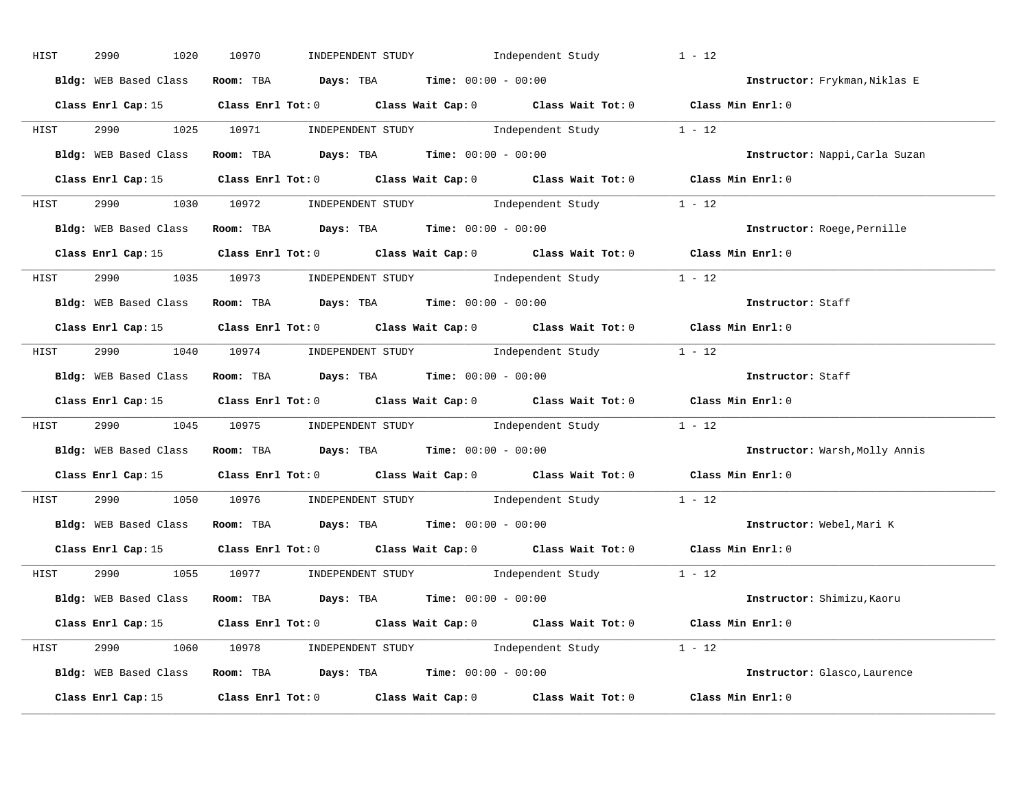| HIST | 2990<br>1020          | INDEPENDENT STUDY 1ndependent Study<br>10970                                                       | $1 - 12$                       |
|------|-----------------------|----------------------------------------------------------------------------------------------------|--------------------------------|
|      | Bldg: WEB Based Class | Room: TBA $Days:$ TBA $Time: 00:00 - 00:00$                                                        | Instructor: Frykman, Niklas E  |
|      |                       | Class Enrl Cap: 15 Class Enrl Tot: 0 Class Wait Cap: 0 Class Wait Tot: 0 Class Min Enrl: 0         |                                |
|      |                       | HIST 2990 1025 10971 INDEPENDENT STUDY Independent Study 1 - 12                                    |                                |
|      |                       | Bldg: WEB Based Class Room: TBA Days: TBA Time: 00:00 - 00:00                                      | Instructor: Nappi, Carla Suzan |
|      |                       | Class Enrl Cap: 15 Class Enrl Tot: 0 Class Wait Cap: 0 Class Wait Tot: 0 Class Min Enrl: 0         |                                |
|      |                       | HIST 2990 1030 10972 INDEPENDENT STUDY Independent Study 1 - 12                                    |                                |
|      |                       | Bldg: WEB Based Class Room: TBA Days: TBA Time: 00:00 - 00:00                                      | Instructor: Roege, Pernille    |
|      |                       | Class Enrl Cap: 15 Class Enrl Tot: 0 Class Wait Cap: 0 Class Wait Tot: 0 Class Min Enrl: 0         |                                |
|      |                       | HIST 2990 1035 10973 INDEPENDENT STUDY Independent Study 1 - 12                                    |                                |
|      |                       | Bldg: WEB Based Class Room: TBA Days: TBA Time: 00:00 - 00:00                                      | Instructor: Staff              |
|      |                       | Class Enrl Cap: 15 Class Enrl Tot: 0 Class Wait Cap: 0 Class Wait Tot: 0 Class Min Enrl: 0         |                                |
|      |                       | HIST 2990 1040 10974 INDEPENDENT STUDY Independent Study 1 - 12                                    |                                |
|      |                       | Bldg: WEB Based Class Room: TBA Days: TBA Time: 00:00 - 00:00                                      | Instructor: Staff              |
|      |                       | Class Enrl Cap: 15 Class Enrl Tot: 0 Class Wait Cap: 0 Class Wait Tot: 0 Class Min Enrl: 0         |                                |
|      |                       |                                                                                                    |                                |
| HIST |                       | 2990 1045 10975 INDEPENDENT STUDY Independent Study 1 - 12                                         |                                |
|      |                       | Bldg: WEB Based Class Room: TBA Days: TBA Time: 00:00 - 00:00                                      | Instructor: Warsh, Molly Annis |
|      |                       | Class Enrl Cap: 15 Class Enrl Tot: 0 Class Wait Cap: 0 Class Wait Tot: 0 Class Min Enrl: 0         |                                |
| HIST |                       | 2990 1050 10976 INDEPENDENT STUDY Independent Study 1 - 12                                         |                                |
|      |                       | Bldg: WEB Based Class Room: TBA Days: TBA Time: 00:00 - 00:00                                      | Instructor: Webel, Mari K      |
|      | Class Enrl Cap: 15    | Class Enrl Tot: 0 $\qquad$ Class Wait Cap: 0 $\qquad$ Class Wait Tot: 0 $\qquad$ Class Min Enrl: 0 |                                |
|      |                       | HIST 2990 1055 10977 INDEPENDENT STUDY Independent Study 1 - 12                                    |                                |
|      |                       | Bldg: WEB Based Class Room: TBA Days: TBA Time: 00:00 - 00:00                                      | Instructor: Shimizu, Kaoru     |
|      |                       | Class Enrl Cap: 15 Class Enrl Tot: 0 Class Wait Cap: 0 Class Wait Tot: 0 Class Min Enrl: 0         |                                |
|      |                       | HIST 2990 1060 10978 INDEPENDENT STUDY Independent Study 1 - 12                                    |                                |
|      |                       | Bldg: WEB Based Class Room: TBA Days: TBA Time: 00:00 - 00:00                                      | Instructor: Glasco, Laurence   |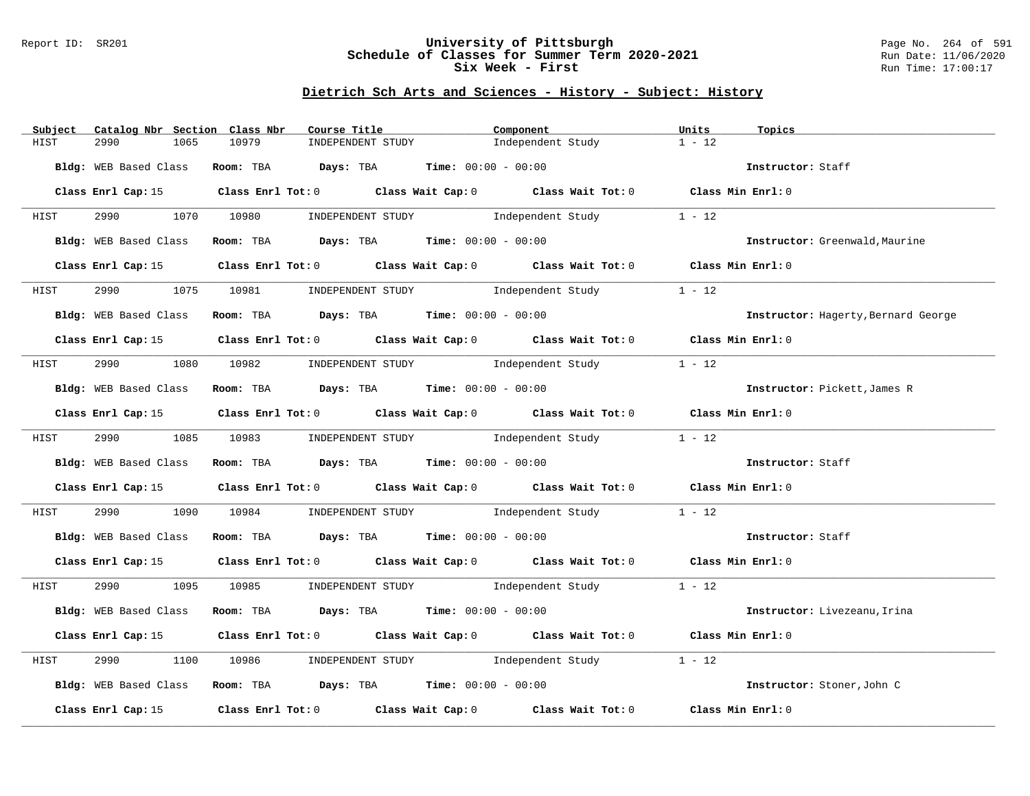### Report ID: SR201 **University of Pittsburgh** Page No. 264 of 591 **Schedule of Classes for Summer Term 2020-2021** Run Date: 11/06/2020 **Six Week - First Run Time: 17:00:17**

| Subject               | Catalog Nbr Section Class Nbr |       | Course Title                                                  | Component |                                                                                                 | Units             | Topics                              |
|-----------------------|-------------------------------|-------|---------------------------------------------------------------|-----------|-------------------------------------------------------------------------------------------------|-------------------|-------------------------------------|
| 2990<br>HIST          | 1065                          | 10979 | INDEPENDENT STUDY                                             |           | Independent Study                                                                               | $1 - 12$          |                                     |
|                       |                               |       | Bldg: WEB Based Class Room: TBA Days: TBA Time: 00:00 - 00:00 |           |                                                                                                 |                   | Instructor: Staff                   |
|                       |                               |       |                                                               |           | Class Enrl Cap: 15 Class Enrl Tot: 0 Class Wait Cap: 0 Class Wait Tot: 0 Class Min Enrl: 0      |                   |                                     |
|                       |                               |       |                                                               |           | HIST 2990 1070 10980 INDEPENDENT STUDY Independent Study 1 - 12                                 |                   |                                     |
| Bldg: WEB Based Class |                               |       | Room: TBA $Days:$ TBA $Time: 00:00 - 00:00$                   |           |                                                                                                 |                   | Instructor: Greenwald, Maurine      |
|                       |                               |       |                                                               |           | Class Enrl Cap: 15 Class Enrl Tot: 0 Class Wait Cap: 0 Class Wait Tot: 0 Class Min Enrl: 0      |                   |                                     |
| HIST                  |                               |       |                                                               |           | 2990 1075 10981 INDEPENDENT STUDY Independent Study                                             | $1 - 12$          |                                     |
|                       |                               |       | Bldg: WEB Based Class Room: TBA Days: TBA Time: 00:00 - 00:00 |           |                                                                                                 |                   | Instructor: Hagerty, Bernard George |
|                       |                               |       |                                                               |           | Class Enrl Cap: 15 Class Enrl Tot: 0 Class Wait Cap: 0 Class Wait Tot: 0 Class Min Enrl: 0      |                   |                                     |
|                       |                               |       |                                                               |           | HIST 2990 1080 10982 INDEPENDENT STUDY Independent Study                                        | $1 - 12$          |                                     |
|                       |                               |       | Bldg: WEB Based Class Room: TBA Days: TBA Time: 00:00 - 00:00 |           |                                                                                                 |                   | Instructor: Pickett, James R        |
|                       |                               |       |                                                               |           | Class Enrl Cap: 15 Class Enrl Tot: 0 Class Wait Cap: 0 Class Wait Tot: 0 Class Min Enrl: 0      |                   |                                     |
| HIST                  |                               |       | 2990 1085 10983 INDEPENDENT STUDY Independent Study           |           |                                                                                                 | $1 - 12$          |                                     |
|                       |                               |       | Bldg: WEB Based Class Room: TBA Days: TBA Time: 00:00 - 00:00 |           |                                                                                                 |                   | Instructor: Staff                   |
|                       |                               |       |                                                               |           | Class Enrl Cap: 15 (Class Enrl Tot: 0 (Class Wait Cap: 0 (Class Wait Tot: 0 (Class Min Enrl: 0) |                   |                                     |
| HIST                  |                               |       |                                                               |           | 2990 1090 10984 INDEPENDENT STUDY Independent Study                                             | $1 - 12$          |                                     |
|                       |                               |       | Bldg: WEB Based Class Room: TBA Days: TBA Time: 00:00 - 00:00 |           |                                                                                                 |                   | Instructor: Staff                   |
|                       |                               |       |                                                               |           | Class Enrl Cap: 15 Class Enrl Tot: 0 Class Wait Cap: 0 Class Wait Tot: 0 Class Min Enrl: 0      |                   |                                     |
|                       |                               |       |                                                               |           | HIST 2990 1095 10985 INDEPENDENT STUDY Independent Study 1 - 12                                 |                   |                                     |
|                       |                               |       | Bldg: WEB Based Class Room: TBA Days: TBA Time: 00:00 - 00:00 |           |                                                                                                 |                   | Instructor: Livezeanu, Irina        |
|                       |                               |       |                                                               |           | Class Enrl Cap: 15 (Class Enrl Tot: 0 (Class Wait Cap: 0 (Class Wait Tot: 0 (Class Min Enrl: 0) |                   |                                     |
| 2990<br>HIST          |                               |       |                                                               |           | 1100 10986 INDEPENDENT STUDY Independent Study                                                  | $1 - 12$          |                                     |
|                       |                               |       | Bldg: WEB Based Class Room: TBA Days: TBA Time: 00:00 - 00:00 |           |                                                                                                 |                   | Instructor: Stoner, John C          |
|                       |                               |       |                                                               |           | Class Enrl Cap: 15 (class Enrl Tot: 0 (class Wait Cap: 0 (class Wait Tot: 0 $\sim$ 0            | Class Min Enrl: 0 |                                     |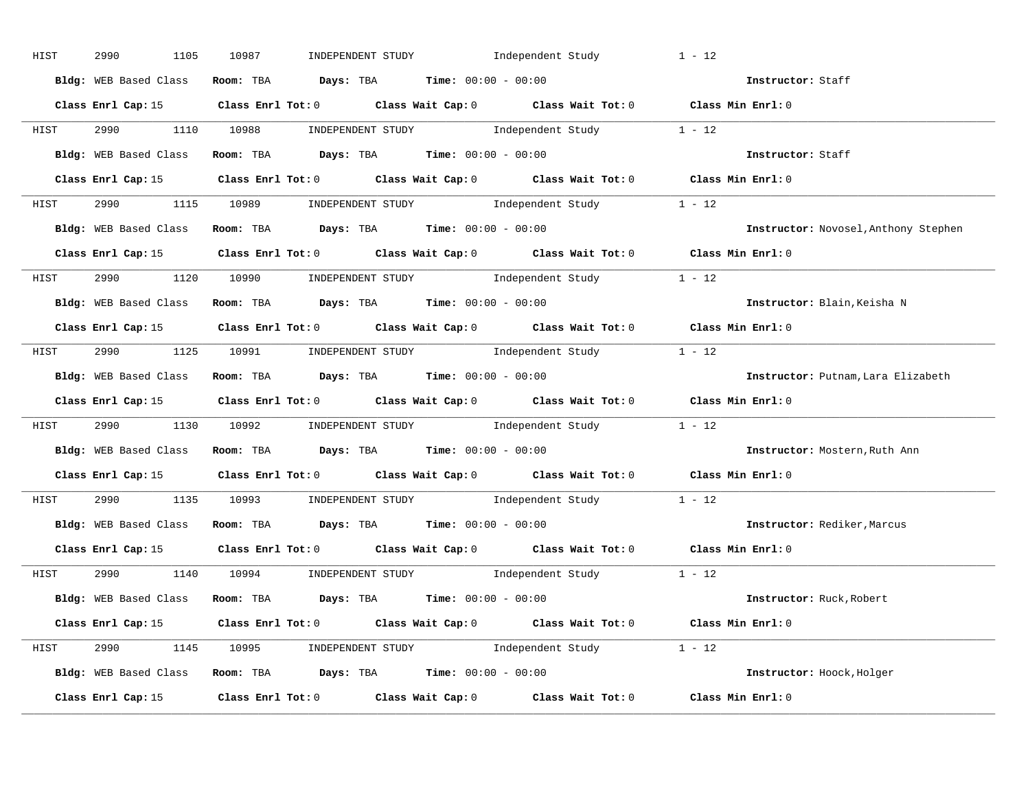| HIST | 2990<br>1105 | INDEPENDENT STUDY 1ndependent Study<br>10987                                                    | $1 - 12$ |                                      |
|------|--------------|-------------------------------------------------------------------------------------------------|----------|--------------------------------------|
|      |              | Bldg: WEB Based Class Room: TBA Days: TBA Time: 00:00 - 00:00                                   |          | Instructor: Staff                    |
|      |              | Class Enrl Cap: 15 Class Enrl Tot: 0 Class Wait Cap: 0 Class Wait Tot: 0 Class Min Enrl: 0      |          |                                      |
|      |              | HIST 2990 1110 10988 INDEPENDENT STUDY Independent Study 1 - 12                                 |          |                                      |
|      |              | Bldg: WEB Based Class Room: TBA Days: TBA Time: 00:00 - 00:00                                   |          | Instructor: Staff                    |
|      |              | Class Enrl Cap: 15 (Class Enrl Tot: 0 (Class Wait Cap: 0 (Class Wait Tot: 0 (Class Min Enrl: 0) |          |                                      |
|      |              | HIST 2990 1115 10989 INDEPENDENT STUDY Independent Study 1 - 12                                 |          |                                      |
|      |              | Bldg: WEB Based Class Room: TBA Days: TBA Time: 00:00 - 00:00                                   |          | Instructor: Novosel, Anthony Stephen |
|      |              | Class Enrl Cap: 15 Class Enrl Tot: 0 Class Wait Cap: 0 Class Wait Tot: 0 Class Min Enrl: 0      |          |                                      |
|      |              | HIST 2990 1120 10990 INDEPENDENT STUDY Independent Study 1 - 12                                 |          |                                      |
|      |              | Bldg: WEB Based Class Room: TBA Days: TBA Time: 00:00 - 00:00                                   |          | Instructor: Blain, Keisha N          |
|      |              | Class Enrl Cap: 15 Class Enrl Tot: 0 Class Wait Cap: 0 Class Wait Tot: 0 Class Min Enrl: 0      |          |                                      |
|      |              | HIST 2990 1125 10991 INDEPENDENT STUDY Independent Study 1 - 12                                 |          |                                      |
|      |              | Bldg: WEB Based Class Room: TBA Days: TBA Time: 00:00 - 00:00                                   |          | Instructor: Putnam, Lara Elizabeth   |
|      |              | Class Enrl Cap: 15 (Class Enrl Tot: 0 (Class Wait Cap: 0 (Class Wait Tot: 0 (Class Min Enrl: 0  |          |                                      |
| HIST |              | 2990 1130 10992 INDEPENDENT STUDY Independent Study 1 - 12                                      |          |                                      |
|      |              | Bldg: WEB Based Class Room: TBA Days: TBA Time: 00:00 - 00:00                                   |          | Instructor: Mostern, Ruth Ann        |
|      |              | Class Enrl Cap: 15 (Class Enrl Tot: 0 (Class Wait Cap: 0 (Class Wait Tot: 0 (Class Min Enrl: 0) |          |                                      |
| HIST |              | 2990 1135 10993 INDEPENDENT STUDY Independent Study 1 - 12                                      |          |                                      |
|      |              | Bldg: WEB Based Class Room: TBA Days: TBA Time: 00:00 - 00:00                                   |          | Instructor: Rediker, Marcus          |
|      |              | Class Enrl Cap: 15 (Class Enrl Tot: 0 (Class Wait Cap: 0 (Class Wait Tot: 0 (Class Min Enrl: 0) |          |                                      |
|      |              | HIST 2990 1140 10994 INDEPENDENT STUDY Independent Study 1 - 12                                 |          |                                      |
|      |              | Bldg: WEB Based Class Room: TBA Days: TBA Time: 00:00 - 00:00                                   |          | Instructor: Ruck, Robert             |
|      |              | Class Enrl Cap: 15 (Class Enrl Tot: 0 (Class Wait Cap: 0 (Class Wait Tot: 0 (Class Min Enrl: 0  |          |                                      |
|      |              | HIST 2990 1145 10995 INDEPENDENT STUDY Independent Study 1 - 12                                 |          |                                      |
|      |              | Bldg: WEB Based Class Room: TBA Days: TBA Time: 00:00 - 00:00                                   |          | Instructor: Hoock, Holger            |
|      |              | Class Enrl Cap: 15 Class Enrl Tot: 0 Class Wait Cap: 0 Class Wait Tot: 0 Class Min Enrl: 0      |          |                                      |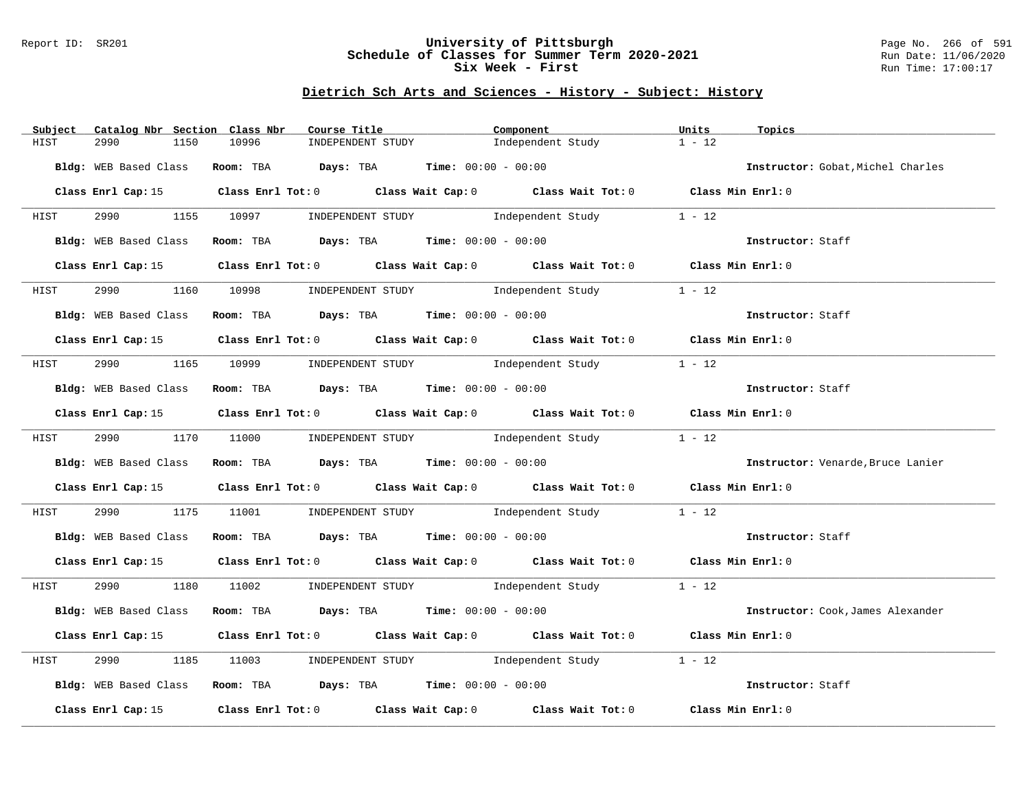### Report ID: SR201 **University of Pittsburgh** Page No. 266 of 591 **Schedule of Classes for Summer Term 2020-2021** Run Date: 11/06/2020 **Six Week - First Run Time: 17:00:17**

| Subject<br>Catalog Nbr Section Class Nbr | Course Title                                                                                    | Component         | Units<br>Topics                   |
|------------------------------------------|-------------------------------------------------------------------------------------------------|-------------------|-----------------------------------|
| 2990<br>1150<br>HIST                     | 10996<br>INDEPENDENT STUDY                                                                      | Independent Study | $1 - 12$                          |
| Bldg: WEB Based Class                    | Room: TBA $\rule{1em}{0.15mm}$ Days: TBA Time: $00:00 - 00:00$                                  |                   | Instructor: Gobat, Michel Charles |
|                                          | Class Enrl Cap: 15 Class Enrl Tot: 0 Class Wait Cap: 0 Class Wait Tot: 0 Class Min Enrl: 0      |                   |                                   |
| HIST                                     | 2990 1155 10997 INDEPENDENT STUDY Independent Study 1 - 12                                      |                   |                                   |
|                                          | Bldg: WEB Based Class Room: TBA Days: TBA Time: 00:00 - 00:00                                   |                   | Instructor: Staff                 |
|                                          | Class Enrl Cap: 15 Class Enrl Tot: 0 Class Wait Cap: 0 Class Wait Tot: 0 Class Min Enrl: 0      |                   |                                   |
| HIST                                     | 2990 1160 10998 INDEPENDENT STUDY Independent Study                                             |                   | $1 - 12$                          |
| Bldg: WEB Based Class                    | Room: TBA $\rule{1em}{0.15mm}$ Days: TBA Time: $00:00 - 00:00$                                  |                   | Instructor: Staff                 |
|                                          | Class Enrl Cap: 15 Class Enrl Tot: 0 Class Wait Cap: 0 Class Wait Tot: 0 Class Min Enrl: 0      |                   |                                   |
| HIST                                     | 2990 1165 10999 INDEPENDENT STUDY Independent Study 1 - 12                                      |                   |                                   |
|                                          | Bldg: WEB Based Class Room: TBA Days: TBA Time: 00:00 - 00:00                                   |                   | Instructor: Staff                 |
|                                          | Class Enrl Cap: 15 Class Enrl Tot: 0 Class Wait Cap: 0 Class Wait Tot: 0 Class Min Enrl: 0      |                   |                                   |
| HIST                                     | 2990 1170 11000 INDEPENDENT STUDY Independent Study 1 - 12                                      |                   |                                   |
|                                          | Bldg: WEB Based Class Room: TBA Days: TBA Time: 00:00 - 00:00                                   |                   | Instructor: Venarde, Bruce Lanier |
|                                          | Class Enrl Cap: 15 Class Enrl Tot: 0 Class Wait Cap: 0 Class Wait Tot: 0 Class Min Enrl: 0      |                   |                                   |
| HIST                                     | 2990 1175 11001 INDEPENDENT STUDY Independent Study 1 - 12                                      |                   |                                   |
|                                          | Bldg: WEB Based Class Room: TBA Days: TBA Time: 00:00 - 00:00                                   |                   | Instructor: Staff                 |
|                                          | Class Enrl Cap: 15 Class Enrl Tot: 0 Class Wait Cap: 0 Class Wait Tot: 0 Class Min Enrl: 0      |                   |                                   |
|                                          | HIST 2990 1180 11002 INDEPENDENT STUDY Independent Study 1 - 12                                 |                   |                                   |
| Bldg: WEB Based Class                    | Room: TBA Days: TBA Time: $00:00 - 00:00$                                                       |                   | Instructor: Cook, James Alexander |
|                                          | Class Enrl Cap: 15 (Class Enrl Tot: 0 (Class Wait Cap: 0 (Class Wait Tot: 0 (Class Min Enrl: 0) |                   |                                   |
| 2990<br>HIST                             | 1185 11003 INDEPENDENT STUDY Independent Study                                                  |                   | $1 - 12$                          |
|                                          | Bldg: WEB Based Class Room: TBA Days: TBA Time: 00:00 - 00:00                                   |                   | Instructor: Staff                 |
|                                          | Class Enrl Cap: 15 (Class Enrl Tot: 0 (Class Wait Cap: 0 (Class Wait Tot: 0 (Class Min Enrl: 0) |                   |                                   |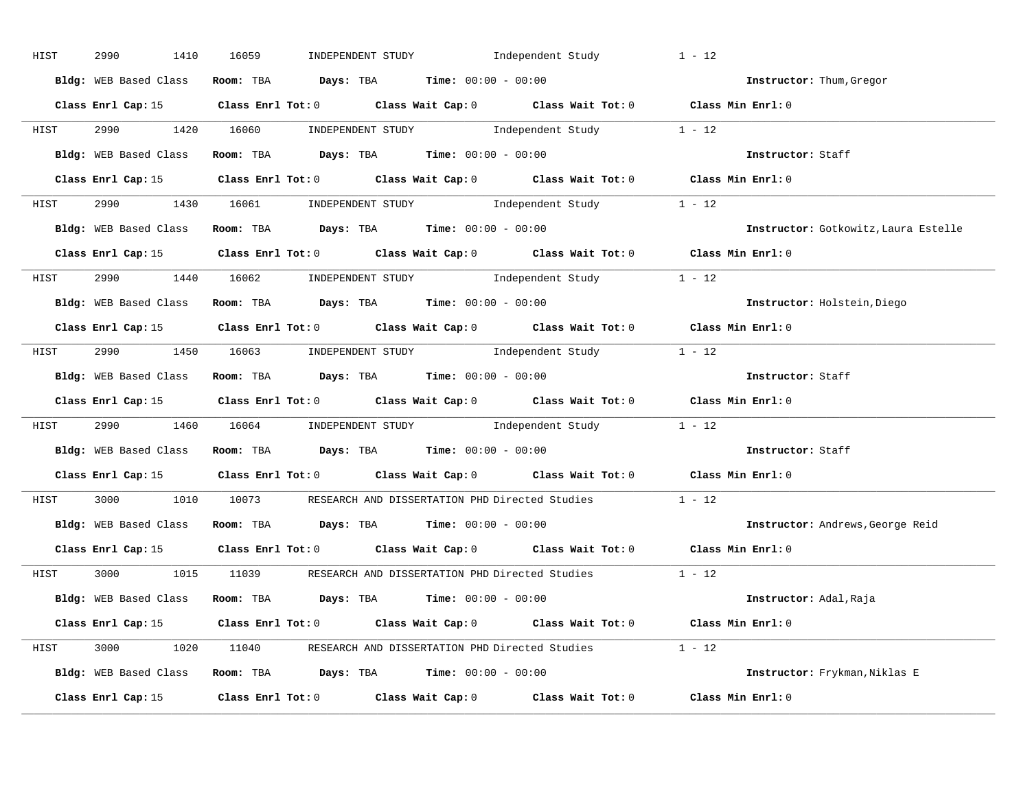| HIST | 2990<br>1410          | INDEPENDENT STUDY Independent Study<br>16059                                                    | $1 - 12$                             |
|------|-----------------------|-------------------------------------------------------------------------------------------------|--------------------------------------|
|      | Bldg: WEB Based Class | Room: TBA $Days:$ TBA $Time: 00:00 - 00:00$                                                     | Instructor: Thum, Gregor             |
|      |                       | Class Enrl Cap: 15 (Class Enrl Tot: 0 (Class Wait Cap: 0 (Class Wait Tot: 0 (Class Min Enrl: 0) |                                      |
|      |                       | HIST 2990 1420 16060 INDEPENDENT STUDY Independent Study 1 - 12                                 |                                      |
|      |                       | Bldg: WEB Based Class Room: TBA Days: TBA Time: 00:00 - 00:00                                   | Instructor: Staff                    |
|      |                       | Class Enrl Cap: 15 Class Enrl Tot: 0 Class Wait Cap: 0 Class Wait Tot: 0 Class Min Enrl: 0      |                                      |
|      |                       | HIST 2990 1430 16061 INDEPENDENT STUDY Independent Study 1 - 12                                 |                                      |
|      |                       | Bldg: WEB Based Class Room: TBA Days: TBA Time: 00:00 - 00:00                                   | Instructor: Gotkowitz, Laura Estelle |
|      |                       | Class Enrl Cap: 15 Class Enrl Tot: 0 Class Wait Cap: 0 Class Wait Tot: 0 Class Min Enrl: 0      |                                      |
|      |                       | HIST 2990 1440 16062 INDEPENDENT STUDY Independent Study 1 - 12                                 |                                      |
|      |                       | Bldg: WEB Based Class Room: TBA Days: TBA Time: 00:00 - 00:00                                   | Instructor: Holstein, Diego          |
|      |                       | Class Enrl Cap: 15 Class Enrl Tot: 0 Class Wait Cap: 0 Class Wait Tot: 0 Class Min Enrl: 0      |                                      |
|      |                       | HIST 2990 1450 16063 INDEPENDENT STUDY Independent Study 1 - 12                                 |                                      |
|      |                       | Bldg: WEB Based Class Room: TBA Days: TBA Time: 00:00 - 00:00                                   | Instructor: Staff                    |
|      |                       |                                                                                                 |                                      |
|      |                       | Class Enrl Cap: 15 Class Enrl Tot: 0 Class Wait Cap: 0 Class Wait Tot: 0 Class Min Enrl: 0      |                                      |
| HIST |                       | 2990 1460 16064 INDEPENDENT STUDY Independent Study 1 - 12                                      |                                      |
|      |                       | Bldg: WEB Based Class Room: TBA Days: TBA Time: 00:00 - 00:00                                   | Instructor: Staff                    |
|      |                       | Class Enrl Cap: 15 Class Enrl Tot: 0 Class Wait Cap: 0 Class Wait Tot: 0 Class Min Enrl: 0      |                                      |
| HIST |                       | 3000 1010 10073 RESEARCH AND DISSERTATION PHD Directed Studies 1 - 12                           |                                      |
|      |                       | Bldg: WEB Based Class Room: TBA Days: TBA Time: 00:00 - 00:00                                   | Instructor: Andrews, George Reid     |
|      |                       | Class Enrl Cap: 15 (Class Enrl Tot: 0 (Class Wait Cap: 0 (Class Wait Tot: 0 (Class Min Enrl: 0  |                                      |
|      |                       | HIST 3000 1015 11039 RESEARCH AND DISSERTATION PHD Directed Studies 1 - 12                      |                                      |
|      |                       | Bldg: WEB Based Class Room: TBA Days: TBA Time: 00:00 - 00:00                                   | Instructor: Adal,Raja                |
|      |                       | Class Enrl Cap: 15 Class Enrl Tot: 0 Class Wait Cap: 0 Class Wait Tot: 0 Class Min Enrl: 0      |                                      |
|      |                       | HIST 3000 1020 11040 RESEARCH AND DISSERTATION PHD Directed Studies 1 - 12                      |                                      |
|      |                       | Bldg: WEB Based Class Room: TBA Days: TBA Time: 00:00 - 00:00                                   | Instructor: Frykman, Niklas E        |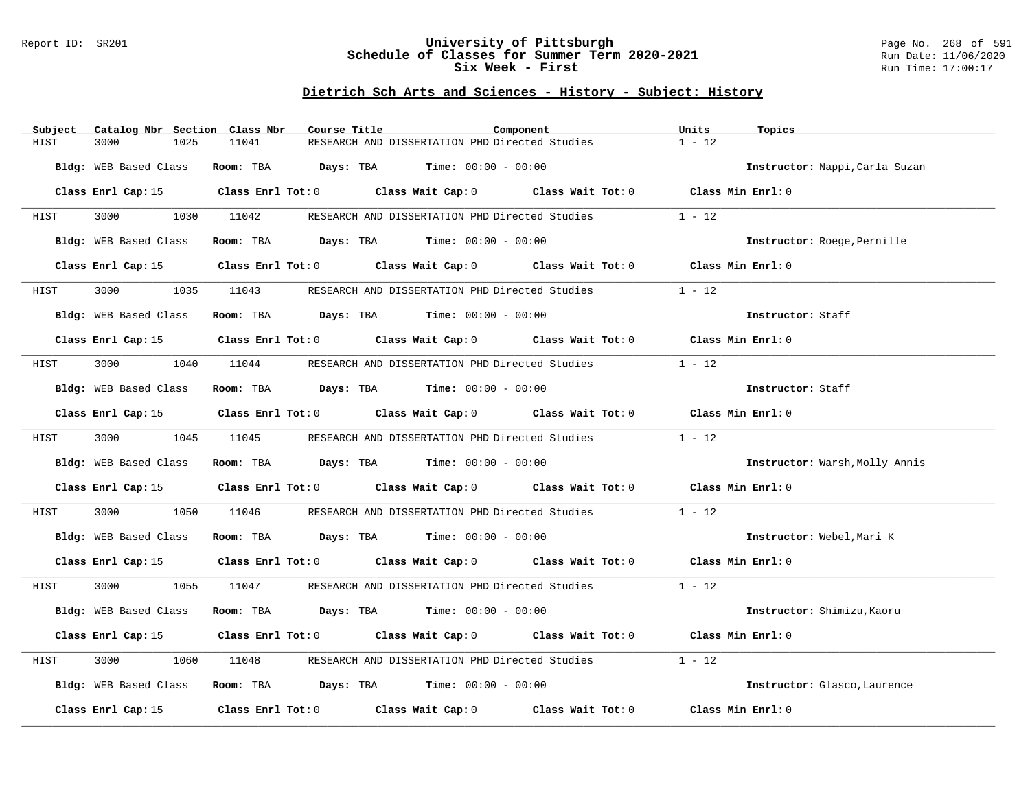### Report ID: SR201 **University of Pittsburgh** Page No. 268 of 591 **Schedule of Classes for Summer Term 2020-2021** Run Date: 11/06/2020 **Six Week - First Run Time: 17:00:17**

| Catalog Nbr Section Class Nbr<br>Subject | Course Title                                                                                        | Component | Units<br>Topics                |
|------------------------------------------|-----------------------------------------------------------------------------------------------------|-----------|--------------------------------|
| HIST<br>3000<br>1025                     | RESEARCH AND DISSERTATION PHD Directed Studies<br>11041                                             |           | $1 - 12$                       |
| Bldg: WEB Based Class                    | Room: TBA $Days:$ TBA $Time: 00:00 - 00:00$                                                         |           | Instructor: Nappi, Carla Suzan |
|                                          | Class Enrl Cap: 15 Class Enrl Tot: 0 Class Wait Cap: 0 Class Wait Tot: 0 Class Min Enrl: 0          |           |                                |
| <b>HIST</b>                              | 3000 1030 11042 RESEARCH AND DISSERTATION PHD Directed Studies                                      |           | $1 - 12$                       |
| Bldg: WEB Based Class                    | Room: TBA $Days:$ TBA $Time: 00:00 - 00:00$                                                         |           | Instructor: Roege, Pernille    |
|                                          | Class Enrl Cap: 15 Class Enrl Tot: 0 Class Wait Cap: 0 Class Wait Tot: 0 Class Min Enrl: 0          |           |                                |
| 3000<br>HIST                             | 1035 11043 RESEARCH AND DISSERTATION PHD Directed Studies                                           |           | $1 - 12$                       |
| Bldg: WEB Based Class                    | Room: TBA $\rule{1em}{0.15mm}$ Days: TBA Time: $00:00 - 00:00$                                      |           | Instructor: Staff              |
|                                          | Class Enrl Cap: 15 Class Enrl Tot: 0 Class Wait Cap: 0 Class Wait Tot: 0 Class Min Enrl: 0          |           |                                |
| HIST                                     | 3000 1040 11044 RESEARCH AND DISSERTATION PHD Directed Studies                                      |           | $1 - 12$                       |
| Bldg: WEB Based Class                    | Room: TBA $\rule{1em}{0.15mm}$ Days: TBA Time: $00:00 - 00:00$                                      |           | Instructor: Staff              |
|                                          | Class Enrl Cap: 15 (class Enrl Tot: 0 (class Wait Cap: 0 (class Wait Tot: 0 (class Min Enrl: 0)     |           |                                |
| HIST                                     | 3000 1045 11045 RESEARCH AND DISSERTATION PHD Directed Studies                                      |           | $1 - 12$                       |
| Bldg: WEB Based Class                    | Room: TBA $Days:$ TBA Time: $00:00 - 00:00$                                                         |           | Instructor: Warsh, Molly Annis |
|                                          | Class Enrl Cap: 15 Class Enrl Tot: 0 Class Wait Cap: 0 Class Wait Tot: 0 Class Min Enrl: 0          |           |                                |
| 3000<br>1050<br>HIST                     | 11046 RESEARCH AND DISSERTATION PHD Directed Studies                                                |           | $1 - 12$                       |
|                                          | Bldg: WEB Based Class Room: TBA Days: TBA Time: 00:00 - 00:00                                       |           | Instructor: Webel, Mari K      |
|                                          | Class Enrl Cap: 15 (Class Enrl Tot: 0 (Class Wait Cap: 0 (Class Wait Tot: 0 (Class Min Enrl: 0)     |           |                                |
| HIST                                     | 3000 1055 11047 RESEARCH AND DISSERTATION PHD Directed Studies                                      |           | $1 - 12$                       |
| Bldg: WEB Based Class                    | Room: TBA $Days:$ TBA $Time: 00:00 - 00:00$                                                         |           | Instructor: Shimizu, Kaoru     |
|                                          | Class Enrl Cap: 15 (Class Enrl Tot: 0 (Class Wait Cap: 0 (Class Wait Tot: 0 (Class Min Enrl: 0)     |           |                                |
| 3000<br>1060<br>HIST                     | 11048<br>RESEARCH AND DISSERTATION PHD Directed Studies                                             |           | $1 - 12$                       |
|                                          | Bldg: WEB Based Class Room: TBA Days: TBA Time: 00:00 - 00:00                                       |           | Instructor: Glasco, Laurence   |
|                                          | Class Enrl Cap: 15 $\qquad$ Class Enrl Tot: 0 $\qquad$ Class Wait Cap: 0 $\qquad$ Class Wait Tot: 0 |           | Class Min Enrl: 0              |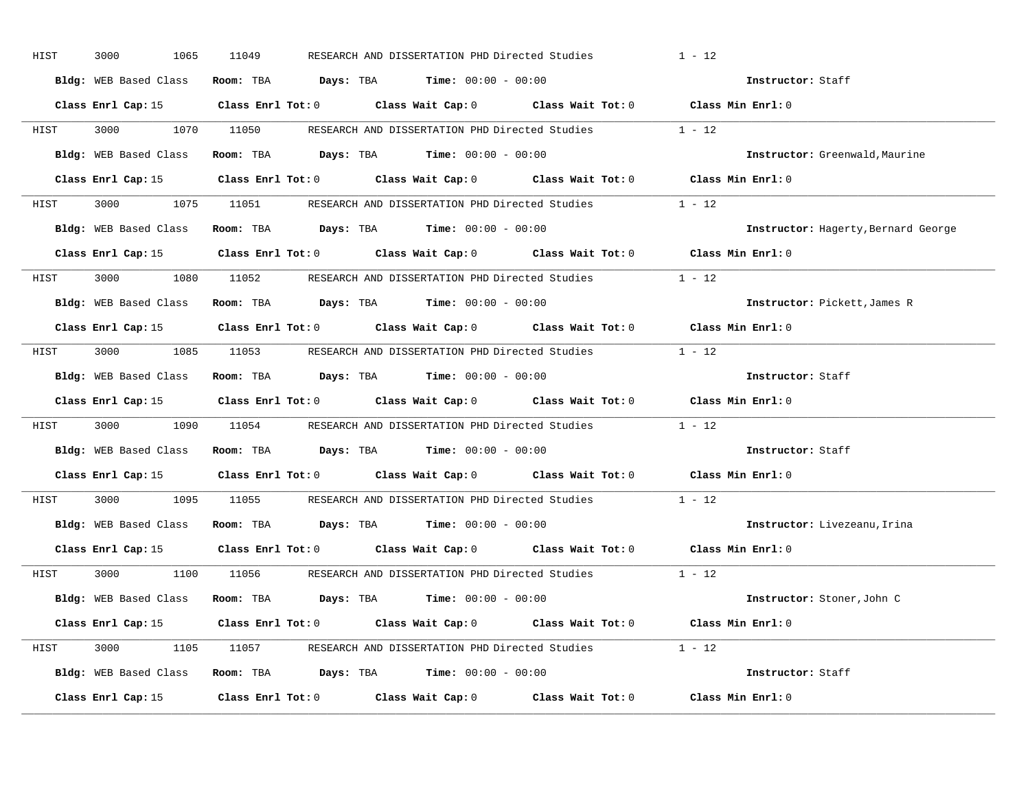| HIST | 3000<br>1065 | 11049<br>RESEARCH AND DISSERTATION PHD Directed Studies                                             | $1 - 12$                            |
|------|--------------|-----------------------------------------------------------------------------------------------------|-------------------------------------|
|      |              | Bldg: WEB Based Class Room: TBA Days: TBA Time: 00:00 - 00:00                                       | Instructor: Staff                   |
|      |              | Class Enrl Cap: 15 Class Enrl Tot: 0 Class Wait Cap: 0 Class Wait Tot: 0 Class Min Enrl: 0          |                                     |
|      |              | HIST 3000 1070 11050 RESEARCH AND DISSERTATION PHD Directed Studies 1 - 12                          |                                     |
|      |              | Bldg: WEB Based Class Room: TBA Days: TBA Time: 00:00 - 00:00                                       | Instructor: Greenwald, Maurine      |
|      |              | Class Enrl Cap: 15 (Class Enrl Tot: 0 (Class Wait Cap: 0 (Class Wait Tot: 0 (Class Min Enrl: 0)     |                                     |
|      |              | HIST 3000 1075 11051 RESEARCH AND DISSERTATION PHD Directed Studies 1 - 12                          |                                     |
|      |              | Bldg: WEB Based Class Room: TBA Days: TBA Time: 00:00 - 00:00                                       | Instructor: Hagerty, Bernard George |
|      |              | Class Enrl Cap: 15 Class Enrl Tot: 0 Class Wait Cap: 0 Class Wait Tot: 0 Class Min Enrl: 0          |                                     |
|      |              | HIST 3000 1080 11052 RESEARCH AND DISSERTATION PHD Directed Studies                                 | $1 - 12$                            |
|      |              | Bldg: WEB Based Class Room: TBA Days: TBA Time: 00:00 - 00:00                                       | Instructor: Pickett, James R        |
|      |              | Class Enrl Cap: 15 Class Enrl Tot: 0 Class Wait Cap: 0 Class Wait Tot: 0 Class Min Enrl: 0          |                                     |
|      |              | HIST 3000 1085 11053 RESEARCH AND DISSERTATION PHD Directed Studies 1 - 12                          |                                     |
|      |              | Bldg: WEB Based Class Room: TBA Days: TBA Time: 00:00 - 00:00                                       | Instructor: Staff                   |
|      |              | Class Enrl Cap: 15 Class Enrl Tot: 0 Class Wait Cap: 0 Class Wait Tot: 0 Class Min Enrl: 0          |                                     |
| HIST |              | 3000 1090 11054 RESEARCH AND DISSERTATION PHD Directed Studies 1 - 12                               |                                     |
|      |              | Bldg: WEB Based Class Room: TBA Days: TBA Time: 00:00 - 00:00                                       | Instructor: Staff                   |
|      |              | Class Enrl Cap: 15 $\qquad$ Class Enrl Tot: 0 $\qquad$ Class Wait Cap: 0 $\qquad$ Class Wait Tot: 0 | Class Min Enrl: 0                   |
| HIST |              | 3000 1095 11055 RESEARCH AND DISSERTATION PHD Directed Studies                                      | $1 - 12$                            |
|      |              | Bldg: WEB Based Class Room: TBA Days: TBA Time: 00:00 - 00:00                                       | Instructor: Livezeanu, Irina        |
|      |              | Class Enrl Cap: 15 Class Enrl Tot: 0 Class Wait Cap: 0 Class Wait Tot: 0 Class Min Enrl: 0          |                                     |
|      |              | HIST 3000 1100 11056 RESEARCH AND DISSERTATION PHD Directed Studies 1 - 12                          |                                     |
|      |              | Bldg: WEB Based Class Room: TBA Days: TBA Time: 00:00 - 00:00                                       | Instructor: Stoner, John C          |
|      |              | Class Enrl Cap: 15 Class Enrl Tot: 0 Class Wait Cap: 0 Class Wait Tot: 0 Class Min Enrl: 0          |                                     |
|      |              | HIST 3000 1105 11057 RESEARCH AND DISSERTATION PHD Directed Studies 1 - 12                          |                                     |
|      |              | Bldg: WEB Based Class Room: TBA Days: TBA Time: 00:00 - 00:00                                       | Instructor: Staff                   |
|      |              | Class Enrl Cap: 15 Class Enrl Tot: 0 Class Wait Cap: 0 Class Wait Tot: 0 Class Min Enrl: 0          |                                     |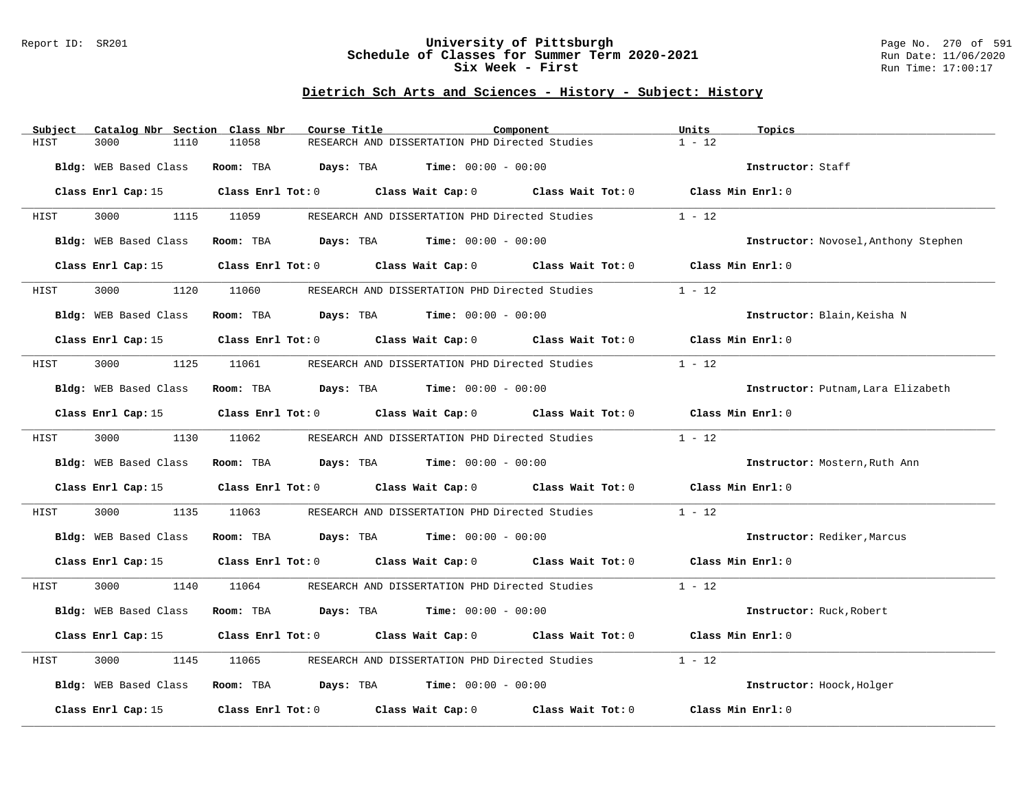### Report ID: SR201 **University of Pittsburgh** Page No. 270 of 591 **Schedule of Classes for Summer Term 2020-2021** Run Date: 11/06/2020 **Six Week - First Run Time: 17:00:17**

| Subject               | Catalog Nbr Section Class Nbr | Course Title                                                                            |                                                | Component                                                                                           | Units<br>Topics   |                                      |
|-----------------------|-------------------------------|-----------------------------------------------------------------------------------------|------------------------------------------------|-----------------------------------------------------------------------------------------------------|-------------------|--------------------------------------|
| HIST<br>3000          | 1110<br>11058                 |                                                                                         | RESEARCH AND DISSERTATION PHD Directed Studies |                                                                                                     | $1 - 12$          |                                      |
| Bldg: WEB Based Class |                               | Room: TBA $Days:$ TBA $Time: 00:00 - 00:00$                                             |                                                |                                                                                                     | Instructor: Staff |                                      |
|                       |                               |                                                                                         |                                                | Class Enrl Cap: 15 Class Enrl Tot: 0 Class Wait Cap: 0 Class Wait Tot: 0 Class Min Enrl: 0          |                   |                                      |
| <b>HIST</b>           |                               |                                                                                         |                                                | 3000 1115 11059 RESEARCH AND DISSERTATION PHD Directed Studies                                      | $1 - 12$          |                                      |
| Bldg: WEB Based Class |                               | Room: TBA $Days:$ TBA $Time: 00:00 - 00:00$                                             |                                                |                                                                                                     |                   | Instructor: Novosel, Anthony Stephen |
|                       |                               |                                                                                         |                                                | Class Enrl Cap: 15 Class Enrl Tot: 0 Class Wait Cap: 0 Class Wait Tot: 0 Class Min Enrl: 0          |                   |                                      |
| 3000<br>HIST          | 1120                          | 11060 RESEARCH AND DISSERTATION PHD Directed Studies                                    |                                                |                                                                                                     | $1 - 12$          |                                      |
| Bldg: WEB Based Class |                               | Room: TBA $Days:$ TBA Time: $00:00 - 00:00$                                             |                                                |                                                                                                     |                   | Instructor: Blain, Keisha N          |
|                       |                               |                                                                                         |                                                | Class Enrl Cap: 15 Class Enrl Tot: 0 Class Wait Cap: 0 Class Wait Tot: 0 Class Min Enrl: 0          |                   |                                      |
| HIST                  |                               | 3000 1125 11061 RESEARCH AND DISSERTATION PHD Directed Studies                          |                                                |                                                                                                     | $1 - 12$          |                                      |
| Bldg: WEB Based Class |                               | Room: TBA $Days:$ TBA Time: $00:00 - 00:00$                                             |                                                |                                                                                                     |                   | Instructor: Putnam, Lara Elizabeth   |
|                       |                               |                                                                                         |                                                | Class Enrl Cap: 15 (class Enrl Tot: 0 (class Wait Cap: 0 (class Wait Tot: 0 (class Min Enrl: 0)     |                   |                                      |
| 3000 000<br>HIST      |                               | 1130 11062 RESEARCH AND DISSERTATION PHD Directed Studies                               |                                                |                                                                                                     | $1 - 12$          |                                      |
| Bldg: WEB Based Class |                               | Room: TBA $Days: TBA$ Time: $00:00 - 00:00$                                             |                                                |                                                                                                     |                   | Instructor: Mostern, Ruth Ann        |
|                       |                               |                                                                                         |                                                | Class Enrl Cap: 15 Class Enrl Tot: 0 Class Wait Cap: 0 Class Wait Tot: 0 Class Min Enrl: 0          |                   |                                      |
| 3000<br>HIST          | 1135                          |                                                                                         |                                                | 11063 RESEARCH AND DISSERTATION PHD Directed Studies                                                | $1 - 12$          |                                      |
|                       |                               | Bldg: WEB Based Class Room: TBA Days: TBA Time: 00:00 - 00:00                           |                                                |                                                                                                     |                   | Instructor: Rediker, Marcus          |
|                       |                               |                                                                                         |                                                | Class Enrl Cap: 15 (class Enrl Tot: 0 (class Wait Cap: 0 (class Wait Tot: 0 (class Min Enrl: 0)     |                   |                                      |
| HIST                  |                               |                                                                                         |                                                | 3000 1140 11064 RESEARCH AND DISSERTATION PHD Directed Studies                                      | $1 - 12$          |                                      |
| Bldg: WEB Based Class |                               | Room: TBA $Days:$ TBA $Time: 00:00 - 00:00$                                             |                                                |                                                                                                     |                   | Instructor: Ruck, Robert             |
|                       |                               |                                                                                         |                                                | Class Enrl Cap: 15 (Class Enrl Tot: 0 (Class Wait Cap: 0 (Class Wait Tot: 0 (Class Min Enrl: 0)     |                   |                                      |
| 3000<br>HIST          | 1145<br>11065                 |                                                                                         |                                                | RESEARCH AND DISSERTATION PHD Directed Studies                                                      | $1 - 12$          |                                      |
| Bldg: WEB Based Class |                               | Room: TBA $\rule{1em}{0.15mm}$ Days: TBA $\rule{1.15mm}]{0.15mm}$ Time: $0.000 - 0.000$ |                                                |                                                                                                     |                   | Instructor: Hoock, Holger            |
|                       |                               |                                                                                         |                                                | Class Enrl Cap: 15 $\qquad$ Class Enrl Tot: 0 $\qquad$ Class Wait Cap: 0 $\qquad$ Class Wait Tot: 0 | Class Min Enrl: 0 |                                      |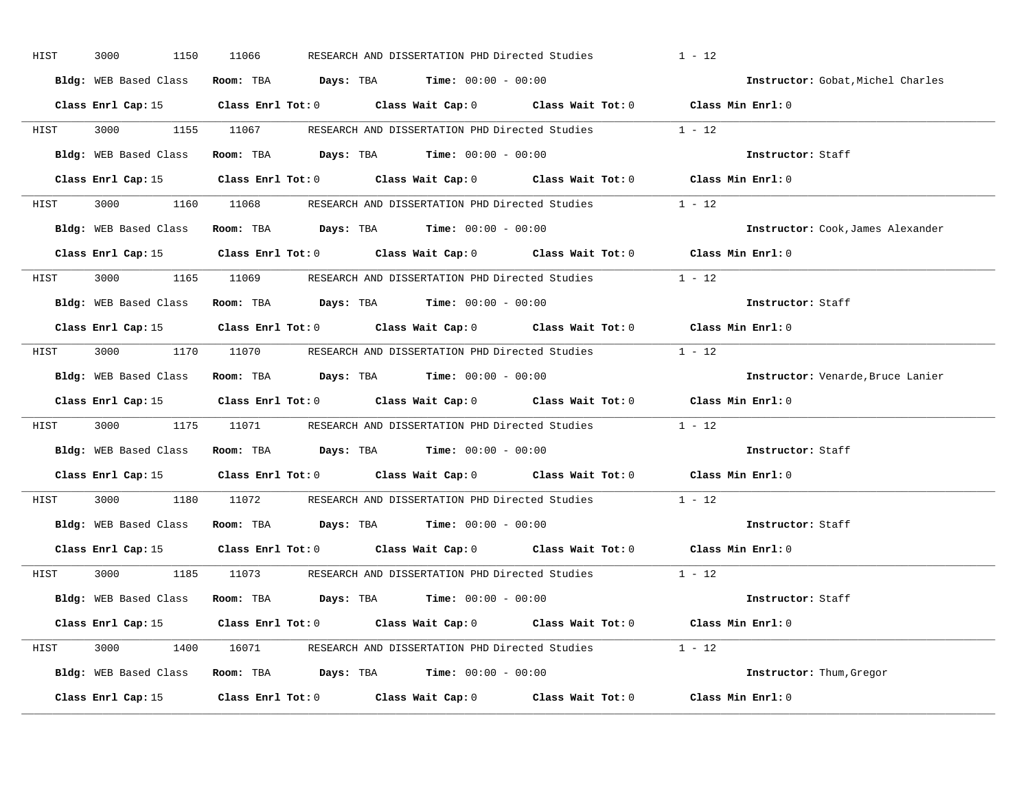| HIST | 3000<br>1150          | 11066 | RESEARCH AND DISSERTATION PHD Directed Studies                                                 | $1 - 12$                          |
|------|-----------------------|-------|------------------------------------------------------------------------------------------------|-----------------------------------|
|      | Bldg: WEB Based Class |       | Room: TBA $Days:$ TBA $Time: 00:00 - 00:00$                                                    | Instructor: Gobat, Michel Charles |
|      |                       |       | Class Enrl Cap: 15 (Class Enrl Tot: 0 (Class Wait Cap: 0 (Class Wait Tot: 0 (Class Min Enrl: 0 |                                   |
|      |                       |       | HIST 3000 1155 11067 RESEARCH AND DISSERTATION PHD Directed Studies 1 - 12                     |                                   |
|      |                       |       | Bldg: WEB Based Class Room: TBA Days: TBA Time: 00:00 - 00:00                                  | Instructor: Staff                 |
|      |                       |       | Class Enrl Cap: 15 Class Enrl Tot: 0 Class Wait Cap: 0 Class Wait Tot: 0 Class Min Enrl: 0     |                                   |
|      |                       |       | HIST 3000 1160 11068 RESEARCH AND DISSERTATION PHD Directed Studies 1 - 12                     |                                   |
|      |                       |       | Bldg: WEB Based Class Room: TBA Days: TBA Time: 00:00 - 00:00                                  | Instructor: Cook, James Alexander |
|      |                       |       | Class Enrl Cap: 15 Class Enrl Tot: 0 Class Wait Cap: 0 Class Wait Tot: 0 Class Min Enrl: 0     |                                   |
|      |                       |       | HIST 3000 1165 11069 RESEARCH AND DISSERTATION PHD Directed Studies 1 - 12                     |                                   |
|      |                       |       | Bldg: WEB Based Class Room: TBA Days: TBA Time: 00:00 - 00:00                                  | Instructor: Staff                 |
|      |                       |       | Class Enrl Cap: 15 Class Enrl Tot: 0 Class Wait Cap: 0 Class Wait Tot: 0 Class Min Enrl: 0     |                                   |
|      |                       |       | HIST 3000 1170 11070 RESEARCH AND DISSERTATION PHD Directed Studies 1 - 12                     |                                   |
|      |                       |       | Bldg: WEB Based Class Room: TBA Days: TBA Time: 00:00 - 00:00                                  | Instructor: Venarde, Bruce Lanier |
|      |                       |       | Class Enrl Cap: 15 Class Enrl Tot: 0 Class Wait Cap: 0 Class Wait Tot: 0 Class Min Enrl: 0     |                                   |
| HIST |                       |       | 3000 1175 11071 RESEARCH AND DISSERTATION PHD Directed Studies 1 - 12                          |                                   |
|      |                       |       | Bldg: WEB Based Class Room: TBA Days: TBA Time: 00:00 - 00:00                                  | Instructor: Staff                 |
|      |                       |       | Class Enrl Cap: 15 (Class Enrl Tot: 0 (Class Wait Cap: 0 (Class Wait Tot: 0 (Class Min Enrl: 0 |                                   |
| HIST |                       |       | 3000 1180 11072 RESEARCH AND DISSERTATION PHD Directed Studies 1 - 12                          |                                   |
|      |                       |       | Bldg: WEB Based Class Room: TBA Days: TBA Time: 00:00 - 00:00                                  | Instructor: Staff                 |
|      |                       |       | Class Enrl Cap: 15 Class Enrl Tot: 0 Class Wait Cap: 0 Class Wait Tot: 0 Class Min Enrl: 0     |                                   |
|      |                       |       | HIST 3000 1185 11073 RESEARCH AND DISSERTATION PHD Directed Studies 1 - 12                     |                                   |
|      |                       |       | Bldg: WEB Based Class Room: TBA Days: TBA Time: 00:00 - 00:00                                  | Instructor: Staff                 |
|      |                       |       | Class Enrl Cap: 15 Class Enrl Tot: 0 Class Wait Cap: 0 Class Wait Tot: 0 Class Min Enrl: 0     |                                   |
|      |                       |       | HIST 3000 1400 16071 RESEARCH AND DISSERTATION PHD Directed Studies 1 - 12                     |                                   |
|      |                       |       | Bldg: WEB Based Class Room: TBA Days: TBA Time: 00:00 - 00:00                                  | Instructor: Thum, Gregor          |
|      |                       |       | Class Enrl Cap: 15 Class Enrl Tot: 0 Class Wait Cap: 0 Class Wait Tot: 0 Class Min Enrl: 0     |                                   |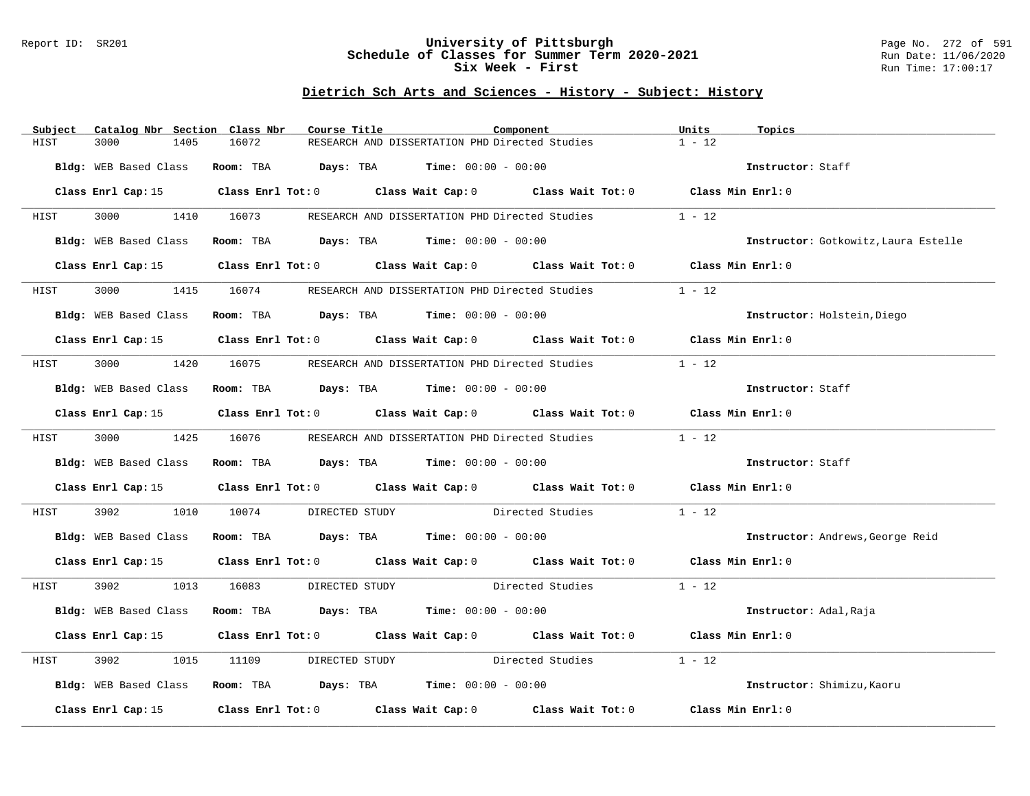### Report ID: SR201 **University of Pittsburgh** Page No. 272 of 591 **Schedule of Classes for Summer Term 2020-2021** Run Date: 11/06/2020 **Six Week - First Run Time: 17:00:17**

| Subject               | Catalog Nbr Section Class Nbr | Course Title                                                   |                                                | Component                                                                                       | Units<br>Topics   |                                      |
|-----------------------|-------------------------------|----------------------------------------------------------------|------------------------------------------------|-------------------------------------------------------------------------------------------------|-------------------|--------------------------------------|
| HIST<br>3000          | 16072<br>1405                 |                                                                | RESEARCH AND DISSERTATION PHD Directed Studies |                                                                                                 | $1 - 12$          |                                      |
| Bldg: WEB Based Class |                               | Room: TBA $Days:$ TBA Time: $00:00 - 00:00$                    |                                                |                                                                                                 | Instructor: Staff |                                      |
|                       |                               |                                                                |                                                | Class Enrl Cap: 15 Class Enrl Tot: 0 Class Wait Cap: 0 Class Wait Tot: 0 Class Min Enrl: 0      |                   |                                      |
| <b>HIST</b>           |                               |                                                                |                                                | 3000 1410 16073 RESEARCH AND DISSERTATION PHD Directed Studies                                  | $1 - 12$          |                                      |
| Bldg: WEB Based Class |                               | Room: TBA $Days:$ TBA $Time: 00:00 - 00:00$                    |                                                |                                                                                                 |                   | Instructor: Gotkowitz, Laura Estelle |
| Class Enrl Cap: 15    |                               |                                                                |                                                | Class Enrl Tot: 0 Class Wait Cap: 0 Class Wait Tot: 0 Class Min Enrl: 0                         |                   |                                      |
| 3000 000<br>HIST      |                               | 1415 16074 RESEARCH AND DISSERTATION PHD Directed Studies      |                                                |                                                                                                 | $1 - 12$          |                                      |
| Bldg: WEB Based Class |                               | Room: TBA $Days:$ TBA $Time: 00:00 - 00:00$                    |                                                |                                                                                                 |                   | Instructor: Holstein, Diego          |
|                       |                               |                                                                |                                                | Class Enrl Cap: 15 Class Enrl Tot: 0 Class Wait Cap: 0 Class Wait Tot: 0 Class Min Enrl: 0      |                   |                                      |
| HIST                  |                               | 3000 1420 16075 RESEARCH AND DISSERTATION PHD Directed Studies |                                                |                                                                                                 | $1 - 12$          |                                      |
| Bldg: WEB Based Class |                               | Room: TBA $Days:$ TBA $Time: 00:00 - 00:00$                    |                                                |                                                                                                 | Instructor: Staff |                                      |
|                       |                               |                                                                |                                                | Class Enrl Cap: 15 Class Enrl Tot: 0 Class Wait Cap: 0 Class Wait Tot: 0 Class Min Enrl: 0      |                   |                                      |
| HIST                  |                               | 3000 1425 16076 RESEARCH AND DISSERTATION PHD Directed Studies |                                                |                                                                                                 | $1 - 12$          |                                      |
|                       |                               | Bldg: WEB Based Class Room: TBA Days: TBA Time: 00:00 - 00:00  |                                                |                                                                                                 | Instructor: Staff |                                      |
|                       |                               |                                                                |                                                | Class Enrl Cap: 15 (Class Enrl Tot: 0 (Class Wait Cap: 0 (Class Wait Tot: 0 (Class Min Enrl: 0) |                   |                                      |
| 3902<br>HIST          | 1010 10074                    |                                                                |                                                | DIRECTED STUDY Directed Studies                                                                 | $1 - 12$          |                                      |
|                       |                               | Bldg: WEB Based Class Room: TBA Days: TBA Time: 00:00 - 00:00  |                                                |                                                                                                 |                   | Instructor: Andrews, George Reid     |
|                       |                               |                                                                |                                                | Class Enrl Cap: 15 Class Enrl Tot: 0 Class Wait Cap: 0 Class Wait Tot: 0 Class Min Enrl: 0      |                   |                                      |
| HIST                  |                               |                                                                |                                                | 3902 1013 16083 DIRECTED STUDY Directed Studies                                                 | $1 - 12$          |                                      |
|                       |                               | Bldg: WEB Based Class Room: TBA Days: TBA Time: 00:00 - 00:00  |                                                |                                                                                                 |                   | Instructor: Adal, Raja               |
|                       |                               |                                                                |                                                | Class Enrl Cap: 15 Class Enrl Tot: 0 Class Wait Cap: 0 Class Wait Tot: 0 Class Min Enrl: 0      |                   |                                      |
| 3902<br>HIST          | 1015<br>11109                 |                                                                |                                                | DIRECTED STUDY Directed Studies                                                                 | $1 - 12$          |                                      |
|                       |                               | Bldg: WEB Based Class Room: TBA Days: TBA Time: 00:00 - 00:00  |                                                |                                                                                                 |                   | Instructor: Shimizu, Kaoru           |
|                       |                               |                                                                |                                                | Class Enrl Cap: 15 (Class Enrl Tot: 0 (Class Wait Cap: 0 (Class Wait Tot: 0 (Class Min Enrl: 0) |                   |                                      |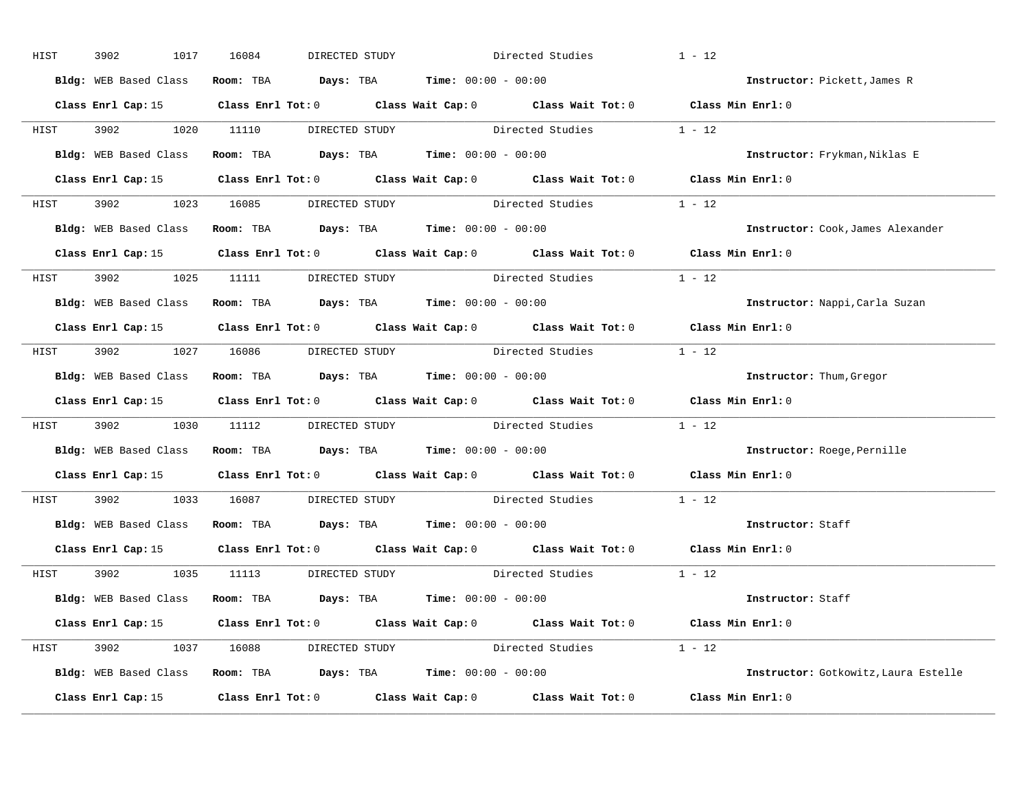| HIST | 3902<br>1017 | 16084<br>DIRECTED STUDY                                       | Directed Studies                                                                                    | $1 - 12$                             |
|------|--------------|---------------------------------------------------------------|-----------------------------------------------------------------------------------------------------|--------------------------------------|
|      |              | Bldg: WEB Based Class Room: TBA Days: TBA Time: 00:00 - 00:00 |                                                                                                     | Instructor: Pickett, James R         |
|      |              |                                                               | Class Enrl Cap: 15 Class Enrl Tot: 0 Class Wait Cap: 0 Class Wait Tot: 0 Class Min Enrl: 0          |                                      |
|      |              |                                                               | HIST 3902 1020 11110 DIRECTED STUDY Directed Studies 1 - 12                                         |                                      |
|      |              | Bldg: WEB Based Class Room: TBA Days: TBA Time: 00:00 - 00:00 |                                                                                                     | Instructor: Frykman, Niklas E        |
|      |              |                                                               | Class Enrl Cap: 15 (Class Enrl Tot: 0 (Class Wait Cap: 0 (Class Wait Tot: 0 (Class Min Enrl: 0)     |                                      |
|      |              |                                                               | HIST 3902 1023 16085 DIRECTED STUDY Directed Studies 1 - 12                                         |                                      |
|      |              | Bldg: WEB Based Class Room: TBA Days: TBA Time: 00:00 - 00:00 |                                                                                                     | Instructor: Cook, James Alexander    |
|      |              |                                                               | Class Enrl Cap: 15 Class Enrl Tot: 0 Class Wait Cap: 0 Class Wait Tot: 0 Class Min Enrl: 0          |                                      |
|      |              | HIST 3902 1025 11111 DIRECTED STUDY                           | Directed Studies                                                                                    | $1 - 12$                             |
|      |              | Bldg: WEB Based Class Room: TBA Days: TBA Time: 00:00 - 00:00 |                                                                                                     | Instructor: Nappi, Carla Suzan       |
|      |              |                                                               | Class Enrl Cap: 15 Class Enrl Tot: 0 Class Wait Cap: 0 Class Wait Tot: 0 Class Min Enrl: 0          |                                      |
|      |              |                                                               | HIST 3902 1027 16086 DIRECTED STUDY Directed Studies 1 - 12                                         |                                      |
|      |              | Bldg: WEB Based Class Room: TBA Days: TBA Time: 00:00 - 00:00 |                                                                                                     | <b>Instructor:</b> Thum, Gregor      |
|      |              |                                                               | Class Enrl Cap: 15 (Class Enrl Tot: 0 (Class Wait Cap: 0 (Class Wait Tot: 0 (Class Min Enrl: 0      |                                      |
| HIST |              |                                                               | 3902 1030 11112 DIRECTED STUDY Directed Studies 1 - 12                                              |                                      |
|      |              | Bldg: WEB Based Class Room: TBA Days: TBA Time: 00:00 - 00:00 |                                                                                                     | Instructor: Roege, Pernille          |
|      |              |                                                               | Class Enrl Cap: 15 $\qquad$ Class Enrl Tot: 0 $\qquad$ Class Wait Cap: 0 $\qquad$ Class Wait Tot: 0 | Class Min Enrl: 0                    |
| HIST |              |                                                               | 3902 1033 16087 DIRECTED STUDY Directed Studies                                                     | $1 - 12$                             |
|      |              | Bldg: WEB Based Class Room: TBA Days: TBA Time: 00:00 - 00:00 |                                                                                                     | Instructor: Staff                    |
|      |              |                                                               | Class Enrl Cap: 15 Class Enrl Tot: 0 Class Wait Cap: 0 Class Wait Tot: 0 Class Min Enrl: 0          |                                      |
|      |              | HIST 3902 1035 11113 DIRECTED STUDY                           | Directed Studies 1 - 12                                                                             |                                      |
|      |              | Bldg: WEB Based Class Room: TBA Days: TBA Time: 00:00 - 00:00 |                                                                                                     | Instructor: Staff                    |
|      |              |                                                               | Class Enrl Cap: 15 Class Enrl Tot: 0 Class Wait Cap: 0 Class Wait Tot: 0 Class Min Enrl: 0          |                                      |
|      |              |                                                               | HIST 3902 1037 16088 DIRECTED STUDY Directed Studies 1 - 12                                         |                                      |
|      |              | Bldg: WEB Based Class Room: TBA Days: TBA Time: 00:00 - 00:00 |                                                                                                     | Instructor: Gotkowitz, Laura Estelle |
|      |              |                                                               | Class Enrl Cap: 15 Class Enrl Tot: 0 Class Wait Cap: 0 Class Wait Tot: 0 Class Min Enrl: 0          |                                      |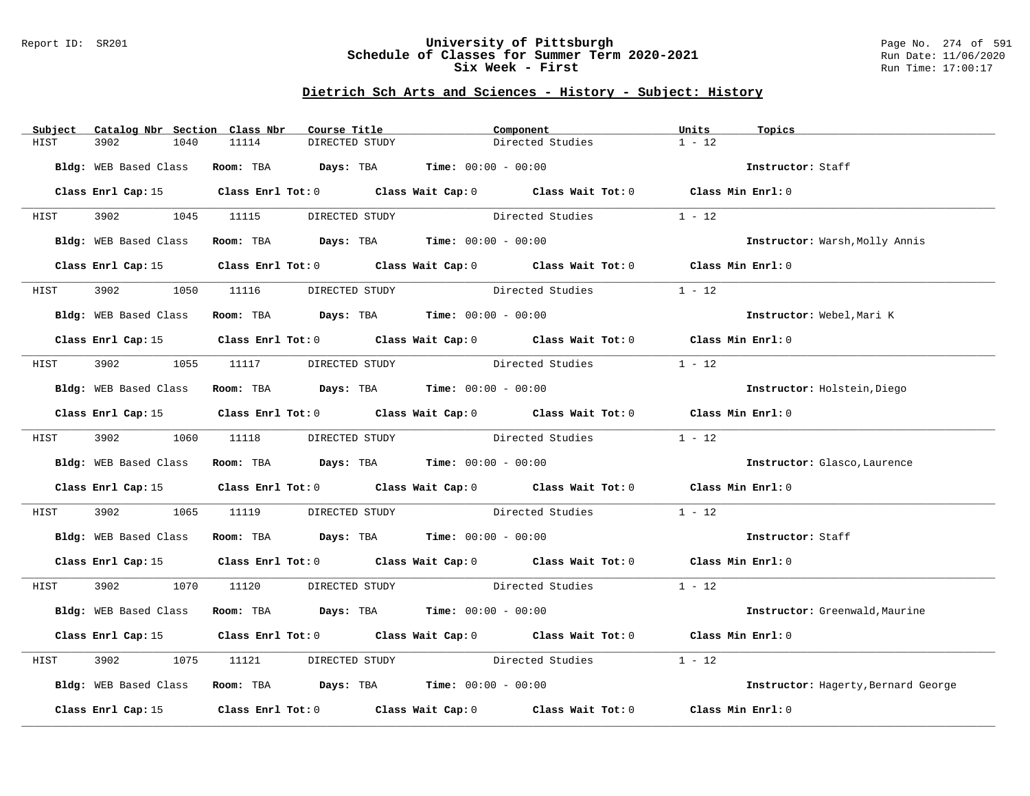### Report ID: SR201 **University of Pittsburgh** Page No. 274 of 591 **Schedule of Classes for Summer Term 2020-2021** Run Date: 11/06/2020 **Six Week - First Run Time: 17:00:17**

| $1 - 12$<br>11114<br>DIRECTED STUDY<br>Directed Studies<br>HIST<br>3902<br>1040<br>Room: TBA $Days:$ TBA $Time: 00:00 - 00:00$<br>Bldg: WEB Based Class<br>Instructor: Staff<br>Class Enrl Cap: 15 Class Enrl Tot: 0 Class Wait Cap: 0 Class Wait Tot: 0 Class Min Enrl: 0<br>HIST<br>3902 1045 11115 DIRECTED STUDY Directed Studies<br>$1 - 12$<br>Room: TBA $Days: TBA$ Time: $00:00 - 00:00$<br>Bldg: WEB Based Class<br>Instructor: Warsh, Molly Annis<br>Class Enrl Tot: 0 Class Wait Cap: 0 Class Wait Tot: 0 Class Min Enrl: 0<br>Class Enrl Cap: 15<br>Directed Studies<br>$1 - 12$<br>3902 200<br>1050 11116 DIRECTED STUDY<br>HIST<br>Room: TBA $Days:$ TBA $Time:$ $00:00 - 00:00$<br>Bldg: WEB Based Class<br>Instructor: Webel, Mari K<br>Class Enrl Cap: 15 (class Enrl Tot: 0 (class Wait Cap: 0 (class Wait Tot: 0 (class Min Enrl: 0)<br>Directed Studies<br>$1 - 12$<br>3902 1055 11117 DIRECTED STUDY<br>HIST<br>Bldg: WEB Based Class Room: TBA Days: TBA Time: 00:00 - 00:00<br>Instructor: Holstein, Diego<br>Class Enrl Cap: 15 Class Enrl Tot: 0 Class Wait Cap: 0 Class Wait Tot: 0 Class Min Enrl: 0<br>$1 - 12$<br>3902 1060 11118 DIRECTED STUDY<br>Directed Studies<br>HIST<br>Bldg: WEB Based Class Room: TBA Days: TBA Time: 00:00 - 00:00<br>Instructor: Glasco, Laurence<br>Class Enrl Cap: 15 Class Enrl Tot: 0 Class Wait Cap: 0 Class Wait Tot: 0 Class Min Enrl: 0<br>$1 - 12$<br>3902 200<br>1065 11119<br>DIRECTED STUDY Directed Studies<br>HIST<br>Bldg: WEB Based Class Room: TBA Days: TBA Time: 00:00 - 00:00<br>Instructor: Staff<br>Class Enrl Cap: 15 Class Enrl Tot: 0 Class Wait Cap: 0 Class Wait Tot: 0 Class Min Enrl: 0<br>3902 1070 11120 DIRECTED STUDY Directed Studies 1 - 12<br>HIST<br>Room: TBA $Days:$ TBA $Time: 00:00 - 00:00$<br>Bldg: WEB Based Class<br>Instructor: Greenwald, Maurine<br>Class Enrl Cap: 15 (Class Enrl Tot: 0 (Class Wait Cap: 0 (Class Wait Tot: 0 (Class Min Enrl: 0)<br>DIRECTED STUDY Directed Studies<br>$1 - 12$<br>3902<br>1075<br>HIST<br>11121<br>Bldg: WEB Based Class Room: TBA Days: TBA Time: 00:00 - 00:00<br>Instructor: Hagerty, Bernard George<br>Class Enrl Tot: $0$ Class Wait Cap: $0$ Class Wait Tot: $0$<br>Class Enrl Cap: 15<br>Class Min Enrl: 0 | Subject | Catalog Nbr Section Class Nbr | Course Title | Component | Units<br>Topics |
|----------------------------------------------------------------------------------------------------------------------------------------------------------------------------------------------------------------------------------------------------------------------------------------------------------------------------------------------------------------------------------------------------------------------------------------------------------------------------------------------------------------------------------------------------------------------------------------------------------------------------------------------------------------------------------------------------------------------------------------------------------------------------------------------------------------------------------------------------------------------------------------------------------------------------------------------------------------------------------------------------------------------------------------------------------------------------------------------------------------------------------------------------------------------------------------------------------------------------------------------------------------------------------------------------------------------------------------------------------------------------------------------------------------------------------------------------------------------------------------------------------------------------------------------------------------------------------------------------------------------------------------------------------------------------------------------------------------------------------------------------------------------------------------------------------------------------------------------------------------------------------------------------------------------------------------------------------------------------------------------------------------------------------------------------------------------------------------------------------------------------------------------------------------------------------------------------------------------------------------------------------------|---------|-------------------------------|--------------|-----------|-----------------|
|                                                                                                                                                                                                                                                                                                                                                                                                                                                                                                                                                                                                                                                                                                                                                                                                                                                                                                                                                                                                                                                                                                                                                                                                                                                                                                                                                                                                                                                                                                                                                                                                                                                                                                                                                                                                                                                                                                                                                                                                                                                                                                                                                                                                                                                                |         |                               |              |           |                 |
|                                                                                                                                                                                                                                                                                                                                                                                                                                                                                                                                                                                                                                                                                                                                                                                                                                                                                                                                                                                                                                                                                                                                                                                                                                                                                                                                                                                                                                                                                                                                                                                                                                                                                                                                                                                                                                                                                                                                                                                                                                                                                                                                                                                                                                                                |         |                               |              |           |                 |
|                                                                                                                                                                                                                                                                                                                                                                                                                                                                                                                                                                                                                                                                                                                                                                                                                                                                                                                                                                                                                                                                                                                                                                                                                                                                                                                                                                                                                                                                                                                                                                                                                                                                                                                                                                                                                                                                                                                                                                                                                                                                                                                                                                                                                                                                |         |                               |              |           |                 |
|                                                                                                                                                                                                                                                                                                                                                                                                                                                                                                                                                                                                                                                                                                                                                                                                                                                                                                                                                                                                                                                                                                                                                                                                                                                                                                                                                                                                                                                                                                                                                                                                                                                                                                                                                                                                                                                                                                                                                                                                                                                                                                                                                                                                                                                                |         |                               |              |           |                 |
|                                                                                                                                                                                                                                                                                                                                                                                                                                                                                                                                                                                                                                                                                                                                                                                                                                                                                                                                                                                                                                                                                                                                                                                                                                                                                                                                                                                                                                                                                                                                                                                                                                                                                                                                                                                                                                                                                                                                                                                                                                                                                                                                                                                                                                                                |         |                               |              |           |                 |
|                                                                                                                                                                                                                                                                                                                                                                                                                                                                                                                                                                                                                                                                                                                                                                                                                                                                                                                                                                                                                                                                                                                                                                                                                                                                                                                                                                                                                                                                                                                                                                                                                                                                                                                                                                                                                                                                                                                                                                                                                                                                                                                                                                                                                                                                |         |                               |              |           |                 |
|                                                                                                                                                                                                                                                                                                                                                                                                                                                                                                                                                                                                                                                                                                                                                                                                                                                                                                                                                                                                                                                                                                                                                                                                                                                                                                                                                                                                                                                                                                                                                                                                                                                                                                                                                                                                                                                                                                                                                                                                                                                                                                                                                                                                                                                                |         |                               |              |           |                 |
|                                                                                                                                                                                                                                                                                                                                                                                                                                                                                                                                                                                                                                                                                                                                                                                                                                                                                                                                                                                                                                                                                                                                                                                                                                                                                                                                                                                                                                                                                                                                                                                                                                                                                                                                                                                                                                                                                                                                                                                                                                                                                                                                                                                                                                                                |         |                               |              |           |                 |
|                                                                                                                                                                                                                                                                                                                                                                                                                                                                                                                                                                                                                                                                                                                                                                                                                                                                                                                                                                                                                                                                                                                                                                                                                                                                                                                                                                                                                                                                                                                                                                                                                                                                                                                                                                                                                                                                                                                                                                                                                                                                                                                                                                                                                                                                |         |                               |              |           |                 |
|                                                                                                                                                                                                                                                                                                                                                                                                                                                                                                                                                                                                                                                                                                                                                                                                                                                                                                                                                                                                                                                                                                                                                                                                                                                                                                                                                                                                                                                                                                                                                                                                                                                                                                                                                                                                                                                                                                                                                                                                                                                                                                                                                                                                                                                                |         |                               |              |           |                 |
|                                                                                                                                                                                                                                                                                                                                                                                                                                                                                                                                                                                                                                                                                                                                                                                                                                                                                                                                                                                                                                                                                                                                                                                                                                                                                                                                                                                                                                                                                                                                                                                                                                                                                                                                                                                                                                                                                                                                                                                                                                                                                                                                                                                                                                                                |         |                               |              |           |                 |
|                                                                                                                                                                                                                                                                                                                                                                                                                                                                                                                                                                                                                                                                                                                                                                                                                                                                                                                                                                                                                                                                                                                                                                                                                                                                                                                                                                                                                                                                                                                                                                                                                                                                                                                                                                                                                                                                                                                                                                                                                                                                                                                                                                                                                                                                |         |                               |              |           |                 |
|                                                                                                                                                                                                                                                                                                                                                                                                                                                                                                                                                                                                                                                                                                                                                                                                                                                                                                                                                                                                                                                                                                                                                                                                                                                                                                                                                                                                                                                                                                                                                                                                                                                                                                                                                                                                                                                                                                                                                                                                                                                                                                                                                                                                                                                                |         |                               |              |           |                 |
|                                                                                                                                                                                                                                                                                                                                                                                                                                                                                                                                                                                                                                                                                                                                                                                                                                                                                                                                                                                                                                                                                                                                                                                                                                                                                                                                                                                                                                                                                                                                                                                                                                                                                                                                                                                                                                                                                                                                                                                                                                                                                                                                                                                                                                                                |         |                               |              |           |                 |
|                                                                                                                                                                                                                                                                                                                                                                                                                                                                                                                                                                                                                                                                                                                                                                                                                                                                                                                                                                                                                                                                                                                                                                                                                                                                                                                                                                                                                                                                                                                                                                                                                                                                                                                                                                                                                                                                                                                                                                                                                                                                                                                                                                                                                                                                |         |                               |              |           |                 |
|                                                                                                                                                                                                                                                                                                                                                                                                                                                                                                                                                                                                                                                                                                                                                                                                                                                                                                                                                                                                                                                                                                                                                                                                                                                                                                                                                                                                                                                                                                                                                                                                                                                                                                                                                                                                                                                                                                                                                                                                                                                                                                                                                                                                                                                                |         |                               |              |           |                 |
|                                                                                                                                                                                                                                                                                                                                                                                                                                                                                                                                                                                                                                                                                                                                                                                                                                                                                                                                                                                                                                                                                                                                                                                                                                                                                                                                                                                                                                                                                                                                                                                                                                                                                                                                                                                                                                                                                                                                                                                                                                                                                                                                                                                                                                                                |         |                               |              |           |                 |
|                                                                                                                                                                                                                                                                                                                                                                                                                                                                                                                                                                                                                                                                                                                                                                                                                                                                                                                                                                                                                                                                                                                                                                                                                                                                                                                                                                                                                                                                                                                                                                                                                                                                                                                                                                                                                                                                                                                                                                                                                                                                                                                                                                                                                                                                |         |                               |              |           |                 |
|                                                                                                                                                                                                                                                                                                                                                                                                                                                                                                                                                                                                                                                                                                                                                                                                                                                                                                                                                                                                                                                                                                                                                                                                                                                                                                                                                                                                                                                                                                                                                                                                                                                                                                                                                                                                                                                                                                                                                                                                                                                                                                                                                                                                                                                                |         |                               |              |           |                 |
|                                                                                                                                                                                                                                                                                                                                                                                                                                                                                                                                                                                                                                                                                                                                                                                                                                                                                                                                                                                                                                                                                                                                                                                                                                                                                                                                                                                                                                                                                                                                                                                                                                                                                                                                                                                                                                                                                                                                                                                                                                                                                                                                                                                                                                                                |         |                               |              |           |                 |
|                                                                                                                                                                                                                                                                                                                                                                                                                                                                                                                                                                                                                                                                                                                                                                                                                                                                                                                                                                                                                                                                                                                                                                                                                                                                                                                                                                                                                                                                                                                                                                                                                                                                                                                                                                                                                                                                                                                                                                                                                                                                                                                                                                                                                                                                |         |                               |              |           |                 |
|                                                                                                                                                                                                                                                                                                                                                                                                                                                                                                                                                                                                                                                                                                                                                                                                                                                                                                                                                                                                                                                                                                                                                                                                                                                                                                                                                                                                                                                                                                                                                                                                                                                                                                                                                                                                                                                                                                                                                                                                                                                                                                                                                                                                                                                                |         |                               |              |           |                 |
|                                                                                                                                                                                                                                                                                                                                                                                                                                                                                                                                                                                                                                                                                                                                                                                                                                                                                                                                                                                                                                                                                                                                                                                                                                                                                                                                                                                                                                                                                                                                                                                                                                                                                                                                                                                                                                                                                                                                                                                                                                                                                                                                                                                                                                                                |         |                               |              |           |                 |
|                                                                                                                                                                                                                                                                                                                                                                                                                                                                                                                                                                                                                                                                                                                                                                                                                                                                                                                                                                                                                                                                                                                                                                                                                                                                                                                                                                                                                                                                                                                                                                                                                                                                                                                                                                                                                                                                                                                                                                                                                                                                                                                                                                                                                                                                |         |                               |              |           |                 |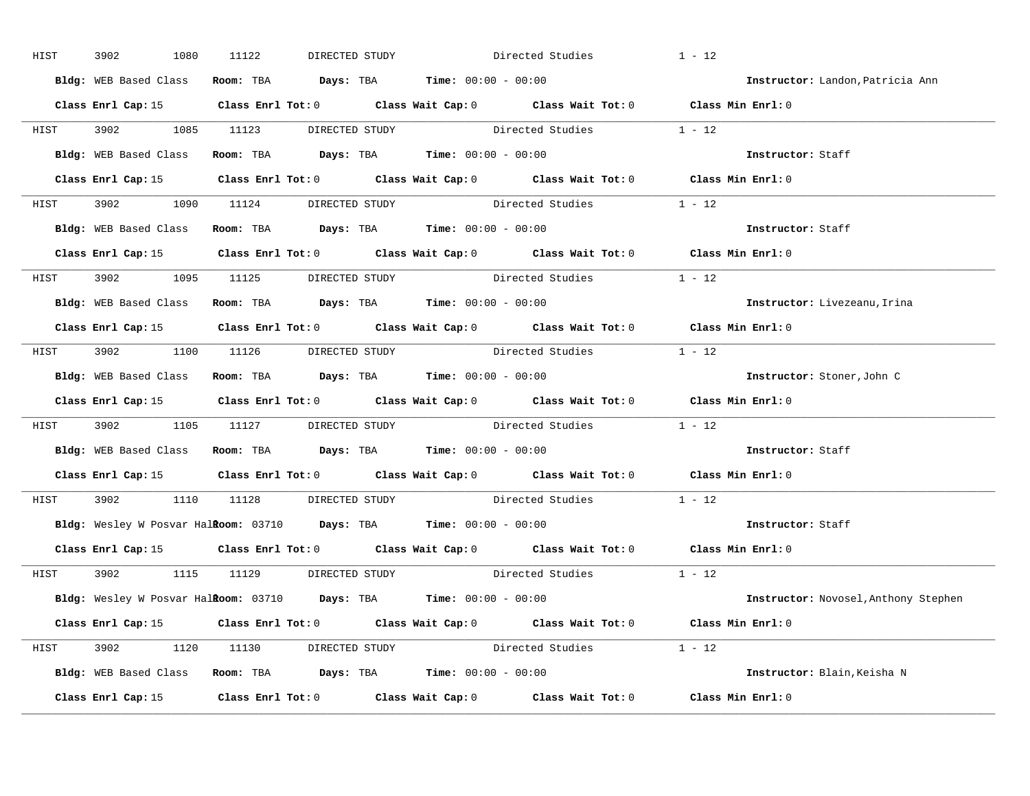| HIST | 3902<br>1080          | 11122<br>DIRECTED STUDY                                                                         | Directed Studies        | $1 - 12$                             |
|------|-----------------------|-------------------------------------------------------------------------------------------------|-------------------------|--------------------------------------|
|      | Bldg: WEB Based Class | Room: TBA $Days:$ TBA $Time: 00:00 - 00:00$                                                     |                         | Instructor: Landon, Patricia Ann     |
|      |                       | Class Enrl Cap: 15 (Class Enrl Tot: 0 (Class Wait Cap: 0 (Class Wait Tot: 0 (Class Min Enrl: 0) |                         |                                      |
|      |                       | HIST 3902 1085 11123 DIRECTED STUDY Directed Studies 1 - 12                                     |                         |                                      |
|      |                       | Bldg: WEB Based Class Room: TBA Days: TBA Time: 00:00 - 00:00                                   |                         | Instructor: Staff                    |
|      |                       | Class Enrl Cap: 15 Class Enrl Tot: 0 Class Wait Cap: 0 Class Wait Tot: 0 Class Min Enrl: 0      |                         |                                      |
|      |                       | HIST 3902 1090 11124 DIRECTED STUDY Directed Studies 1 - 12                                     |                         |                                      |
|      |                       | Bldg: WEB Based Class Room: TBA Days: TBA Time: 00:00 - 00:00                                   |                         | Instructor: Staff                    |
|      |                       | Class Enrl Cap: 15 Class Enrl Tot: 0 Class Wait Cap: 0 Class Wait Tot: 0 Class Min Enrl: 0      |                         |                                      |
|      |                       | HIST 3902 1095 11125 DIRECTED STUDY Directed Studies 1 - 12                                     |                         |                                      |
|      |                       | Bldg: WEB Based Class Room: TBA Days: TBA Time: 00:00 - 00:00                                   |                         | Instructor: Livezeanu, Irina         |
|      |                       | Class Enrl Cap: 15 Class Enrl Tot: 0 Class Wait Cap: 0 Class Wait Tot: 0 Class Min Enrl: 0      |                         |                                      |
|      |                       | HIST 3902 1100 11126 DIRECTED STUDY Directed Studies 1 - 12                                     |                         |                                      |
|      |                       | Bldg: WEB Based Class Room: TBA Days: TBA Time: 00:00 - 00:00                                   |                         | Instructor: Stoner, John C           |
|      |                       | Class Enrl Cap: 15 Class Enrl Tot: 0 Class Wait Cap: 0 Class Wait Tot: 0 Class Min Enrl: 0      |                         |                                      |
| HIST |                       | 3902 1105 11127 DIRECTED STUDY Directed Studies 1 - 12                                          |                         |                                      |
|      |                       | Bldg: WEB Based Class Room: TBA Days: TBA Time: 00:00 - 00:00                                   |                         | Instructor: Staff                    |
|      |                       | Class Enrl Cap: 15 Class Enrl Tot: 0 Class Wait Cap: 0 Class Wait Tot: 0 Class Min Enrl: 0      |                         |                                      |
| HIST |                       | 3902 1110 11128 DIRECTED STUDY Directed Studies 1 - 12                                          |                         |                                      |
|      |                       | Bldg: Wesley W Posvar Halkoom: 03710 Days: TBA Time: 00:00 - 00:00                              |                         | Instructor: Staff                    |
|      |                       | Class Enrl Cap: 15 Class Enrl Tot: 0 Class Wait Cap: 0 Class Wait Tot: 0 Class Min Enrl: 0      |                         |                                      |
|      |                       | HIST 3902 1115 11129 DIRECTED STUDY                                                             | Directed Studies 1 - 12 |                                      |
|      |                       | Bldg: Wesley W Posvar Halkoom: 03710 Days: TBA Time: 00:00 - 00:00                              |                         | Instructor: Novosel, Anthony Stephen |
|      |                       | Class Enrl Cap: 15 Class Enrl Tot: 0 Class Wait Cap: 0 Class Wait Tot: 0 Class Min Enrl: 0      |                         |                                      |
|      |                       | HIST 3902 1120 11130 DIRECTED STUDY Directed Studies 1 - 12                                     |                         |                                      |
|      |                       | Bldg: WEB Based Class Room: TBA Days: TBA Time: 00:00 - 00:00                                   |                         | Instructor: Blain, Keisha N          |
|      |                       |                                                                                                 |                         |                                      |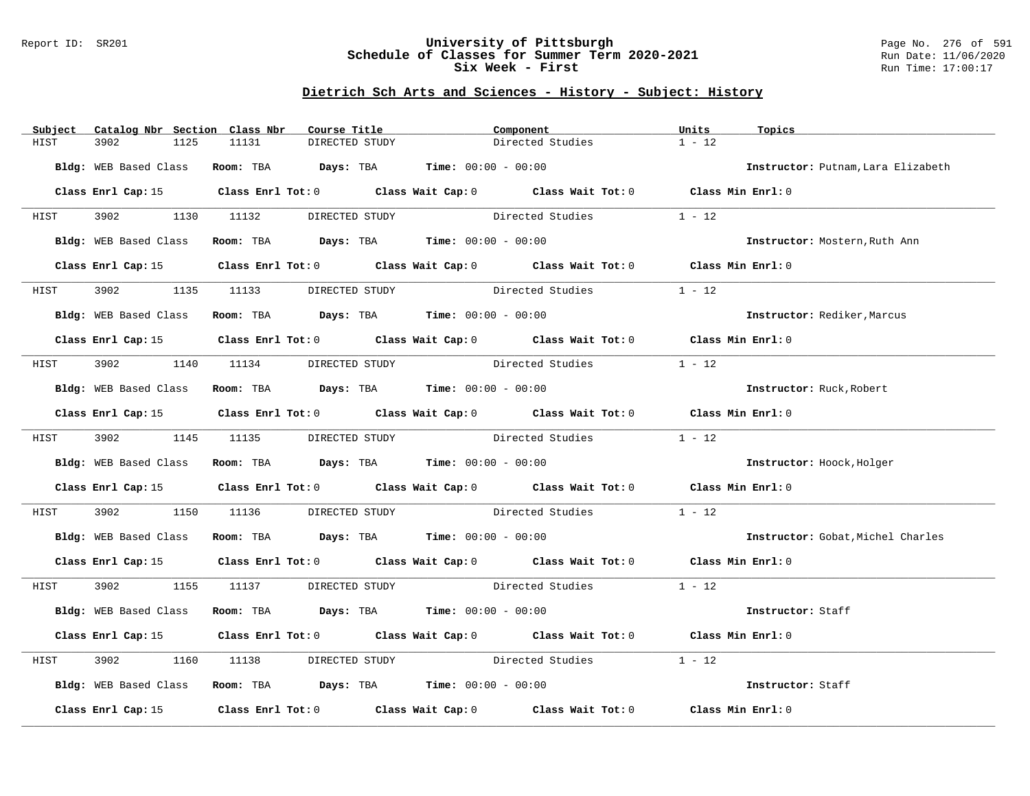### Report ID: SR201 **University of Pittsburgh** Page No. 276 of 591 **Schedule of Classes for Summer Term 2020-2021** Run Date: 11/06/2020 **Six Week - First Run Time: 17:00:17**

| Subject | Catalog Nbr Section Class Nbr |                                                               | Course Title   | Component                                                                                       | Units<br>Topics               |                                    |
|---------|-------------------------------|---------------------------------------------------------------|----------------|-------------------------------------------------------------------------------------------------|-------------------------------|------------------------------------|
| HIST    | 3902<br>1125                  | 11131                                                         | DIRECTED STUDY | Directed Studies                                                                                | $1 - 12$                      |                                    |
|         |                               | Bldg: WEB Based Class Room: TBA Days: TBA Time: 00:00 - 00:00 |                |                                                                                                 |                               | Instructor: Putnam, Lara Elizabeth |
|         |                               |                                                               |                |                                                                                                 |                               |                                    |
|         |                               |                                                               |                | Class Enrl Cap: 15 (Class Enrl Tot: 0 (Class Wait Cap: 0 (Class Wait Tot: 0 (Class Min Enrl: 0) |                               |                                    |
| HIST    |                               |                                                               |                | 3902 1130 11132 DIRECTED STUDY Directed Studies 1 - 12                                          |                               |                                    |
|         |                               | Bldg: WEB Based Class Room: TBA Days: TBA Time: 00:00 - 00:00 |                |                                                                                                 | Instructor: Mostern, Ruth Ann |                                    |
|         |                               |                                                               |                | Class Enrl Cap: 15 (Class Enrl Tot: 0 (Class Wait Cap: 0 (Class Wait Tot: 0 (Class Min Enrl: 0) |                               |                                    |
| HIST    | 3902                          |                                                               |                | 1135 11133 DIRECTED STUDY Directed Studies                                                      | $1 - 12$                      |                                    |
|         |                               | Bldg: WEB Based Class Room: TBA Days: TBA Time: 00:00 - 00:00 |                |                                                                                                 | Instructor: Rediker, Marcus   |                                    |
|         |                               |                                                               |                | Class Enrl Cap: 15 (Class Enrl Tot: 0 (Class Wait Cap: 0 (Class Wait Tot: 0 (Class Min Enrl: 0) |                               |                                    |
|         |                               | HIST 3902 1140 11134 DIRECTED STUDY                           |                | Directed Studies                                                                                | $1 - 12$                      |                                    |
|         |                               | Bldg: WEB Based Class Room: TBA Days: TBA Time: 00:00 - 00:00 |                |                                                                                                 | Instructor: Ruck, Robert      |                                    |
|         |                               |                                                               |                | Class Enrl Cap: 15 (Class Enrl Tot: 0 (Class Wait Cap: 0 (Class Wait Tot: 0 (Class Min Enrl: 0) |                               |                                    |
| HIST    |                               | 3902 1145 11135 DIRECTED STUDY                                |                | Directed Studies                                                                                | $1 - 12$                      |                                    |
|         |                               | Bldg: WEB Based Class Room: TBA Days: TBA Time: 00:00 - 00:00 |                |                                                                                                 | Instructor: Hoock, Holger     |                                    |
|         |                               |                                                               |                | Class Enrl Cap: 15 (class Enrl Tot: 0 (class Wait Cap: 0 (class Wait Tot: 0 (class Min Enrl: 0) |                               |                                    |
| HIST    | 3902 390                      |                                                               |                | 1150 11136 DIRECTED STUDY Directed Studies                                                      | $1 - 12$                      |                                    |
|         |                               | Bldg: WEB Based Class Room: TBA Days: TBA Time: 00:00 - 00:00 |                |                                                                                                 |                               | Instructor: Gobat, Michel Charles  |
|         |                               |                                                               |                | Class Enrl Cap: 15 (Class Enrl Tot: 0 (Class Wait Cap: 0 (Class Wait Tot: 0 (Class Min Enrl: 0) |                               |                                    |
|         |                               |                                                               |                | HIST 3902 1155 11137 DIRECTED STUDY Directed Studies 1 - 12                                     |                               |                                    |
|         |                               |                                                               |                | Bldg: WEB Based Class Room: TBA Days: TBA Time: 00:00 - 00:00                                   | Instructor: Staff             |                                    |
|         |                               |                                                               |                | Class Enrl Cap: 15 Class Enrl Tot: 0 Class Wait Cap: 0 Class Wait Tot: 0 Class Min Enrl: 0      |                               |                                    |
| HIST    | 3902                          |                                                               |                | 1160 11138 DIRECTED STUDY Directed Studies                                                      | $1 - 12$                      |                                    |
|         |                               | Bldg: WEB Based Class Room: TBA Days: TBA Time: 00:00 - 00:00 |                |                                                                                                 | Instructor: Staff             |                                    |
|         |                               |                                                               |                | Class Enrl Cap: 15 Class Enrl Tot: 0 Class Wait Cap: 0 Class Wait Tot: 0 Class Min Enrl: 0      |                               |                                    |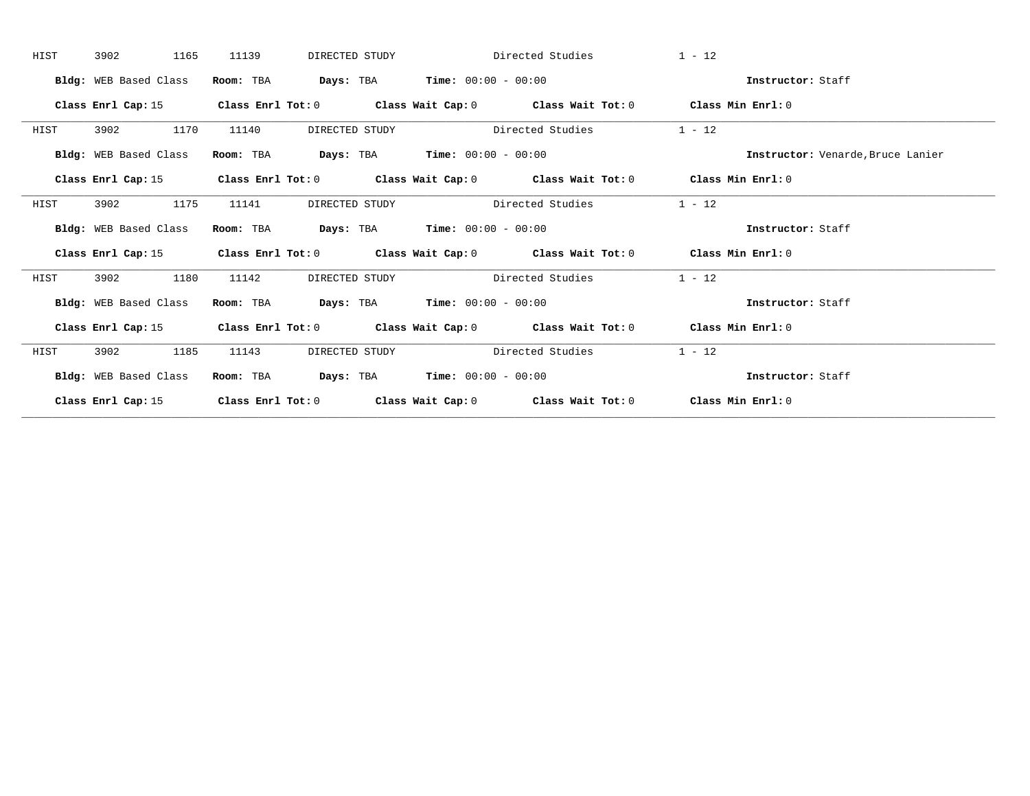| HIST | 3902<br>1165          | 11139<br>DIRECTED STUDY                     |                                               | Directed Studies                                                                                   | $1 - 12$                          |
|------|-----------------------|---------------------------------------------|-----------------------------------------------|----------------------------------------------------------------------------------------------------|-----------------------------------|
|      | Bldg: WEB Based Class | Room: TBA                                   | <b>Days:</b> TBA <b>Time:</b> $00:00 - 00:00$ |                                                                                                    | Instructor: Staff                 |
|      | Class Enrl Cap: 15    |                                             |                                               | Class Enrl Tot: $0$ Class Wait Cap: $0$ Class Wait Tot: $0$ Class Min Enrl: $0$                    |                                   |
| HIST | 1170<br>3902          | 11140<br>DIRECTED STUDY                     |                                               | Directed Studies                                                                                   | $1 - 12$                          |
|      | Bldg: WEB Based Class | Room: TBA $Days:$ TBA $Time: 00:00 - 00:00$ |                                               |                                                                                                    | Instructor: Venarde, Bruce Lanier |
|      |                       |                                             |                                               | Class Enrl Cap: 15 (Class Enrl Tot: 0 (Class Wait Cap: 0 (Class Wait Tot: 0 (Class Min Enrl: 0)    |                                   |
| HIST | 1175<br>3902          | 11141<br>DIRECTED STUDY                     |                                               | Directed Studies                                                                                   | $1 - 12$                          |
|      | Bldg: WEB Based Class | Room: TBA $Days:$ TBA $Time: 00:00 - 00:00$ |                                               |                                                                                                    | Instructor: Staff                 |
|      | Class Enrl Cap: 15    |                                             |                                               | Class Enrl Tot: 0 $\qquad$ Class Wait Cap: 0 $\qquad$ Class Wait Tot: 0 $\qquad$ Class Min Enrl: 0 |                                   |
| HIST | 3902<br>1180          | 11142<br>DIRECTED STUDY                     |                                               | Directed Studies                                                                                   | $1 - 12$                          |
|      | Bldg: WEB Based Class | Room: TBA                                   | <b>Days:</b> TBA <b>Time:</b> $00:00 - 00:00$ |                                                                                                    | Instructor: Staff                 |
|      |                       |                                             |                                               | Class Enrl Cap: 15 (Class Enrl Tot: 0 (Class Wait Cap: 0 (Class Wait Tot: 0 (Class Min Enrl: 0)    |                                   |
| HIST | 3902<br>1185          | 11143<br>DIRECTED STUDY                     |                                               | Directed Studies                                                                                   | $1 - 12$                          |
|      | Bldg: WEB Based Class |                                             |                                               | Room: TBA Days: TBA Time: $00:00 - 00:00$                                                          | Instructor: Staff                 |
|      |                       |                                             |                                               | Class Enrl Cap: 15 Class Enrl Tot: 0 Class Wait Cap: 0 Class Wait Tot: 0 Class Min Enrl: 0         |                                   |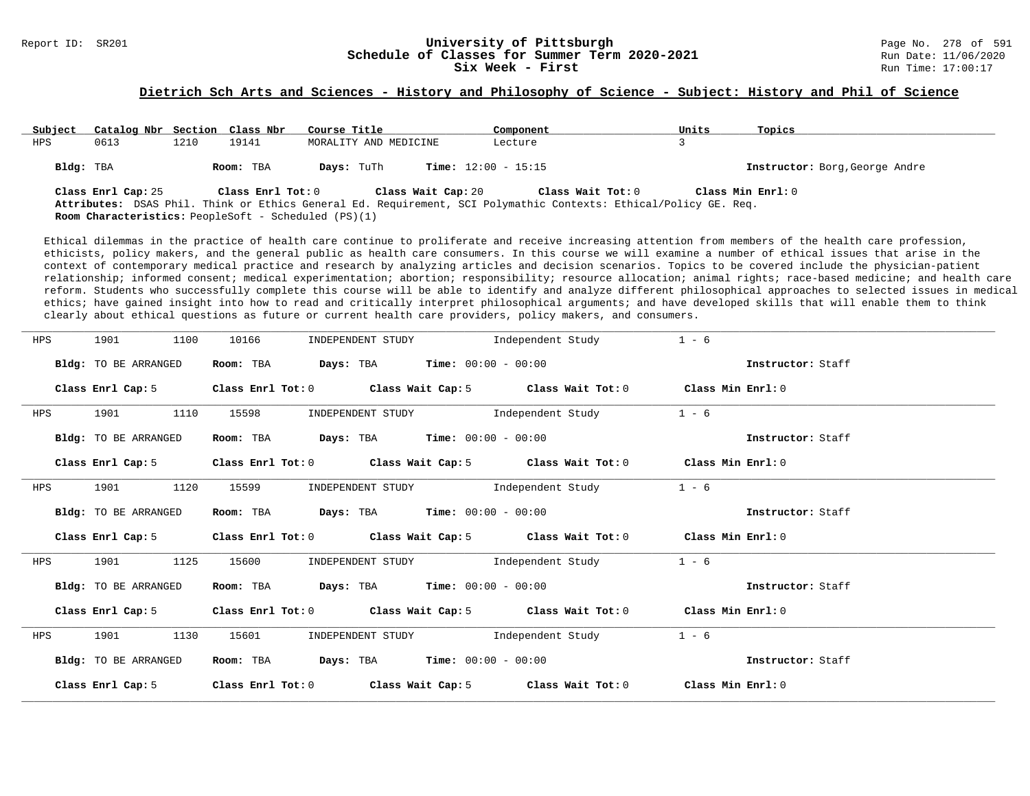# Report ID: SR201 **1988 Constrained Building Constrained Building University of Pittsburgh** Page No. 278 of 591 **University of Pittsburgh** Page No. 278 of 591 **Schedule of Classes for Summer Term 2020-2021** Run Date: 11/06/ **Schedule of Classes for Summer Term 2020-2021**<br>Six Week - First

#### **Dietrich Sch Arts and Sciences - History and Philosophy of Science - Subject: History and Phil of Science**

| Subject   | Catalog Nbr Section Class Nbr |      |                   | Course Title                                                | Component                                                                                                                               | Units | Topics                         |
|-----------|-------------------------------|------|-------------------|-------------------------------------------------------------|-----------------------------------------------------------------------------------------------------------------------------------------|-------|--------------------------------|
| HPS       | 0613                          | 1210 | 19141             | MORALITY AND MEDICINE                                       | Lecture                                                                                                                                 |       |                                |
| Bldg: TBA |                               |      | Room: TBA         | Days: TuTh                                                  | <b>Time:</b> $12:00 - 15:15$                                                                                                            |       | Instructor: Borg, George Andre |
|           | Class Enrl Cap: 25            |      | Class Enrl Tot: 0 | Class Wait Cap: 20                                          | Class Wait Tot: $0$<br>Attributes: DSAS Phil. Think or Ethics General Ed. Requirement, SCI Polymathic Contexts: Ethical/Policy GE. Req. |       | Class Min Enrl: 0              |
|           |                               |      |                   | <b>Room Characteristics:</b> PeopleSoft - Scheduled (PS)(1) |                                                                                                                                         |       |                                |

Ethical dilemmas in the practice of health care continue to proliferate and receive increasing attention from members of the health care profession, ethicists, policy makers, and the general public as health care consumers. In this course we will examine a number of ethical issues that arise in the context of contemporary medical practice and research by analyzing articles and decision scenarios. Topics to be covered include the physician-patient relationship; informed consent; medical experimentation; abortion; responsibility; resource allocation; animal rights; race-based medicine; and health care reform. Students who successfully complete this course will be able to identify and analyze different philosophical approaches to selected issues in medical ethics; have gained insight into how to read and critically interpret philosophical arguments; and have developed skills that will enable them to think clearly about ethical questions as future or current health care providers, policy makers, and consumers.

| HPS | 1901<br>1100                | 10166<br>INDEPENDENT STUDY                                                                | Independent Study                                                       | $1 - 6$           |
|-----|-----------------------------|-------------------------------------------------------------------------------------------|-------------------------------------------------------------------------|-------------------|
|     | Bldg: TO BE ARRANGED        | $\texttt{Days:}$ TBA $\texttt{Time:}$ 00:00 - 00:00<br>Room: TBA                          |                                                                         | Instructor: Staff |
|     |                             | Class Enrl Cap: 5 Class Enrl Tot: 0 Class Wait Cap: 5 Class Wait Tot: 0 Class Min Enrl: 0 |                                                                         |                   |
| HPS | 1110<br>1901                | 15598<br>INDEPENDENT STUDY                                                                | Independent Study                                                       | $1 - 6$           |
|     | Bldg: TO BE ARRANGED        | <b>Days:</b> TBA <b>Time:</b> $00:00 - 00:00$<br>Room: TBA                                |                                                                         | Instructor: Staff |
|     | Class Enrl Cap: 5           |                                                                                           | Class Enrl Tot: 0 Class Wait Cap: 5 Class Wait Tot: 0 Class Min Enrl: 0 |                   |
| HPS | 1120<br>1901                | 15599                                                                                     | INDEPENDENT STUDY 1ndependent Study                                     | $1 - 6$           |
|     | Bldg: TO BE ARRANGED        | $Days: TBA$ Time: $00:00 - 00:00$<br>Room: TBA                                            |                                                                         | Instructor: Staff |
|     |                             | Class Enrl Cap: 5 Class Enrl Tot: 0 Class Wait Cap: 5 Class Wait Tot: 0 Class Min Enrl: 0 |                                                                         |                   |
| HPS | 1125<br>1901                | 15600<br>INDEPENDENT STUDY                                                                | Independent Study                                                       | $1 - 6$           |
|     | Bldg: TO BE ARRANGED        | <b>Days:</b> TBA <b>Time:</b> $00:00 - 00:00$<br>Room: TBA                                |                                                                         | Instructor: Staff |
|     |                             | Class Enrl Cap: 5 Class Enrl Tot: 0 Class Wait Cap: 5 Class Wait Tot: 0                   |                                                                         | Class Min Enrl: 0 |
| HPS | 1130<br>1901                | 15601                                                                                     | INDEPENDENT STUDY 1ndependent Study                                     | $1 - 6$           |
|     | <b>Bldg:</b> TO BE ARRANGED | Room: TBA                                                                                 | <b>Days:</b> TBA <b>Time:</b> $00:00 - 00:00$                           | Instructor: Staff |
|     | Class Enrl Cap: 5           | Class Enrl Tot: 0                                                                         | Class Wait Cap: 5 $\qquad$ Class Wait Tot: 0 $\qquad$ Class Min Enrl: 0 |                   |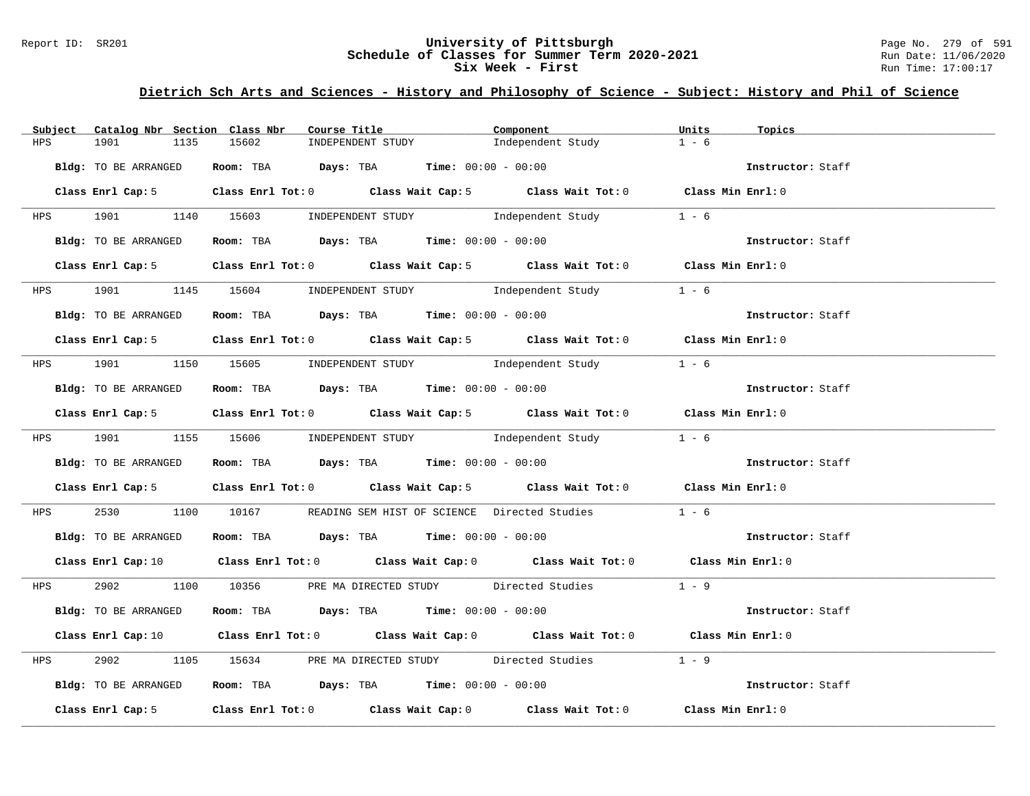#### Report ID: SR201 **University of Pittsburgh University of Pittsburgh** Page No. 279 of 591 **Schedule of Classes for Summer Term 2020-2021** Page No. 279 of 591 **Schedule of Classes for Summer Term 2020-2021 Schedule of Classes for Summer Term 2020-2021** Run Date: 11/06/2021<br>Six Week - First Run Time: 17:00:17 Six Week - First

# **Dietrich Sch Arts and Sciences - History and Philosophy of Science - Subject: History and Phil of Science**

| Subject    | Catalog Nbr Section Class Nbr | Course Title                                                 | Component                                                                                                                      | Units<br>Topics   |
|------------|-------------------------------|--------------------------------------------------------------|--------------------------------------------------------------------------------------------------------------------------------|-------------------|
| HPS        | 1901<br>1135                  | 15602<br>INDEPENDENT STUDY                                   | Independent Study                                                                                                              | $1 - 6$           |
|            | Bldg: TO BE ARRANGED          | Room: TBA $Days:$ TBA Time: $00:00 - 00:00$                  |                                                                                                                                | Instructor: Staff |
|            |                               |                                                              | Class Enrl Cap: 5 Class Enrl Tot: 0 Class Wait Cap: 5 Class Wait Tot: 0 Class Min Enrl: 0                                      |                   |
|            |                               | HPS 1901 1140 15603 INDEPENDENT STUDY Independent Study      |                                                                                                                                | $1 - 6$           |
|            | Bldg: TO BE ARRANGED          |                                                              | Room: TBA Days: TBA Time: $00:00 - 00:00$                                                                                      |                   |
|            |                               |                                                              | Class Enrl Cap: 5 Class Enrl Tot: 0 Class Wait Cap: 5 Class Wait Tot: 0 Class Min Enrl: 0                                      |                   |
|            |                               | HPS 1901 1145 15604 INDEPENDENT STUDY Independent Study      |                                                                                                                                | $1 - 6$           |
|            | Bldg: TO BE ARRANGED          | Room: TBA $Days:$ TBA $Time: 00:00 - 00:00$                  |                                                                                                                                | Instructor: Staff |
|            |                               |                                                              | Class Enrl Cap: 5 Class Enrl Tot: 0 Class Wait Cap: 5 Class Wait Tot: 0 Class Min Enrl: 0                                      |                   |
|            |                               |                                                              | HPS 1901 1150 15605 INDEPENDENT STUDY Independent Study                                                                        | $1 - 6$           |
|            |                               | Bldg: TO BE ARRANGED Room: TBA Days: TBA Time: 00:00 - 00:00 |                                                                                                                                | Instructor: Staff |
|            |                               |                                                              | Class Enrl Cap: 5 Class Enrl Tot: 0 Class Wait Cap: 5 Class Wait Tot: 0 Class Min Enrl: 0                                      |                   |
|            |                               |                                                              | HPS 1901 1155 15606 INDEPENDENT STUDY Independent Study 1 - 6                                                                  |                   |
|            | Bldg: TO BE ARRANGED          |                                                              | Room: TBA $Days:$ TBA $Time: 00:00 - 00:00$                                                                                    | Instructor: Staff |
|            |                               |                                                              | Class Enrl Cap: 5 Class Enrl Tot: 0 Class Wait Cap: 5 Class Wait Tot: 0 Class Min Enrl: 0                                      |                   |
| <b>HPS</b> |                               |                                                              | 2530 1100 10167 READING SEM HIST OF SCIENCE Directed Studies 1 - 6                                                             |                   |
|            | Bldg: TO BE ARRANGED          | Room: TBA Days: TBA Time: $00:00 - 00:00$                    |                                                                                                                                | Instructor: Staff |
|            |                               |                                                              | Class Enrl Cap: 10 $\qquad$ Class Enrl Tot: 0 $\qquad$ Class Wait Cap: 0 $\qquad$ Class Wait Tot: 0 $\qquad$ Class Min Enrl: 0 |                   |
|            |                               |                                                              | HPS 2902 1100 10356 PRE MA DIRECTED STUDY Directed Studies 1 - 9                                                               |                   |
|            | Bldg: TO BE ARRANGED          | Room: TBA $Days:$ TBA $Time: 00:00 - 00:00$                  |                                                                                                                                | Instructor: Staff |
|            |                               |                                                              | Class Enrl Cap: 10 Class Enrl Tot: 0 Class Wait Cap: 0 Class Wait Tot: 0 Class Min Enrl: 0                                     |                   |
| <b>HPS</b> | 2902 200                      |                                                              | 1105 15634 PRE MA DIRECTED STUDY Directed Studies 1 - 9                                                                        |                   |
|            | Bldg: TO BE ARRANGED          | Room: TBA $Days:$ TBA $Time: 00:00 - 00:00$                  |                                                                                                                                | Instructor: Staff |
|            |                               |                                                              | Class Enrl Cap: 5 Class Enrl Tot: 0 Class Wait Cap: 0 Class Wait Tot: 0 Class Min Enrl: 0                                      |                   |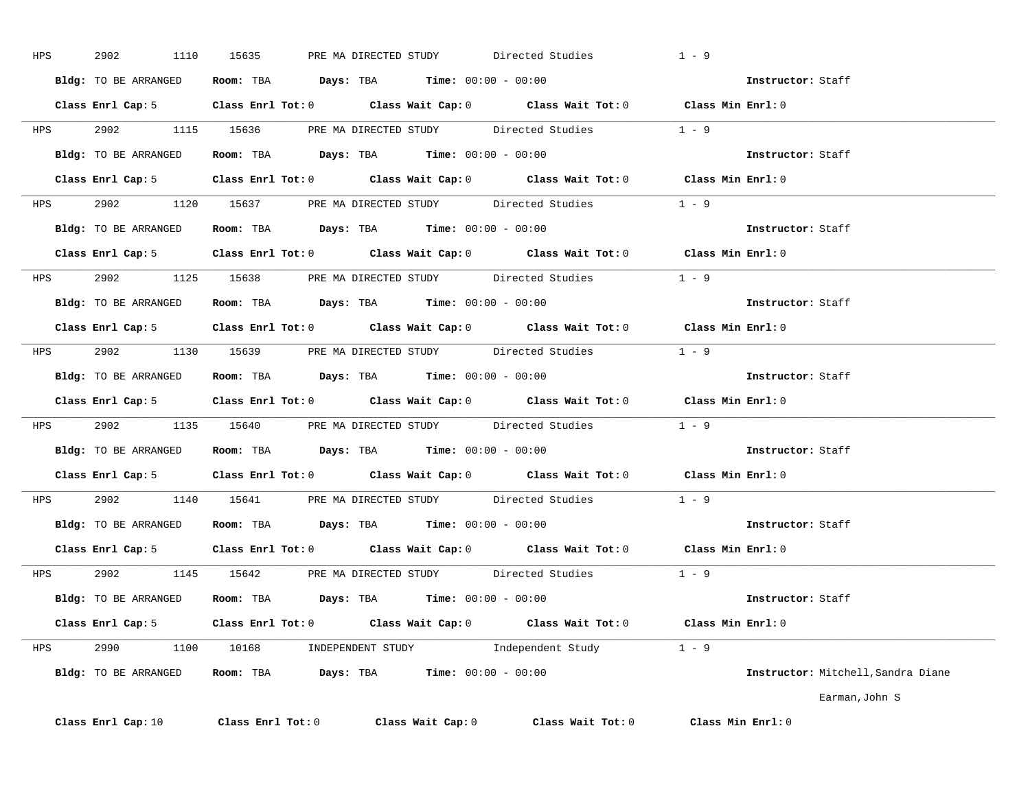| HPS | 2902                 | 1110 15635                                                                                         | PRE MA DIRECTED STUDY | Directed Studies    | $1 - 9$                            |
|-----|----------------------|----------------------------------------------------------------------------------------------------|-----------------------|---------------------|------------------------------------|
|     |                      | Bldg: TO BE ARRANGED Room: TBA Days: TBA Time: 00:00 - 00:00                                       |                       |                     | Instructor: Staff                  |
|     |                      | Class Enrl Cap: 5 Class Enrl Tot: 0 Class Wait Cap: 0 Class Wait Tot: 0 Class Min Enrl: 0          |                       |                     |                                    |
|     |                      | HPS 2902 1115 15636 PRE MA DIRECTED STUDY Directed Studies 1 - 9                                   |                       |                     |                                    |
|     |                      | Bldg: TO BE ARRANGED Room: TBA Days: TBA Time: 00:00 - 00:00                                       |                       |                     | Instructor: Staff                  |
|     |                      | Class Enrl Cap: 5 Class Enrl Tot: 0 Class Wait Cap: 0 Class Wait Tot: 0 Class Min Enrl: 0          |                       |                     |                                    |
|     |                      | HPS 2902 1120 15637 PRE MA DIRECTED STUDY Directed Studies 1 - 9                                   |                       |                     |                                    |
|     |                      | Bldg: TO BE ARRANGED Room: TBA Days: TBA Time: 00:00 - 00:00                                       |                       |                     | <b>Instructor:</b> Staff           |
|     |                      | Class Enrl Cap: 5 Class Enrl Tot: 0 Class Wait Cap: 0 Class Wait Tot: 0 Class Min Enrl: 0          |                       |                     |                                    |
|     |                      | HPS 2902 1125 15638 PRE MADIRECTED STUDY Directed Studies 1 - 9                                    |                       |                     |                                    |
|     |                      | Bldg: TO BE ARRANGED Room: TBA Days: TBA Time: 00:00 - 00:00                                       |                       |                     | Instructor: Staff                  |
|     |                      | Class Enrl Cap: 5 Class Enrl Tot: 0 Class Wait Cap: 0 Class Wait Tot: 0 Class Min Enrl: 0          |                       |                     |                                    |
|     |                      | HPS 2902 1130 15639 PRE MA DIRECTED STUDY Directed Studies 1 - 9                                   |                       |                     |                                    |
|     |                      | Bldg: TO BE ARRANGED Room: TBA Days: TBA Time: 00:00 - 00:00                                       |                       |                     | Instructor: Staff                  |
|     |                      | Class Enrl Cap: 5 $\qquad$ Class Enrl Tot: 0 $\qquad$ Class Wait Cap: 0 $\qquad$ Class Wait Tot: 0 |                       |                     | Class Min Enrl: 0                  |
|     |                      | HPS 2902 1135 15640 PRE MA DIRECTED STUDY Directed Studies 1 - 9                                   |                       |                     |                                    |
|     |                      | Bldg: TO BE ARRANGED Room: TBA Days: TBA Time: 00:00 - 00:00                                       |                       |                     | Instructor: Staff                  |
|     |                      | Class Enrl Cap: 5 $\qquad$ Class Enrl Tot: 0 $\qquad$ Class Wait Cap: 0 $\qquad$ Class Wait Tot: 0 |                       |                     | Class Min Enrl: 0                  |
|     |                      | HPS 2902 1140 15641 PRE MA DIRECTED STUDY Directed Studies 1 - 9                                   |                       |                     |                                    |
|     |                      | Bldg: TO BE ARRANGED Room: TBA Days: TBA Time: 00:00 - 00:00                                       |                       |                     | Instructor: Staff                  |
|     |                      | Class Enrl Cap: 5 $\qquad$ Class Enrl Tot: 0 $\qquad$ Class Wait Cap: 0 $\qquad$ Class Wait Tot: 0 |                       |                     | Class Min Enrl: 0                  |
|     |                      | HPS 2902 1145 15642 PRE MA DIRECTED STUDY Directed Studies                                         |                       |                     | $1 - 9$                            |
|     |                      | Bldg: TO BE ARRANGED Room: TBA Days: TBA Time: 00:00 - 00:00                                       |                       |                     | Instructor: Staff                  |
|     |                      | Class Enrl Cap: 5 Class Enrl Tot: 0 Class Wait Cap: 0 Class Wait Tot: 0 Class Min Enrl: 0          |                       |                     |                                    |
|     |                      | HPS 2990 1100 10168 INDEPENDENT STUDY Independent Study 1 - 9                                      |                       |                     |                                    |
|     | Bldg: TO BE ARRANGED | <b>Room:</b> TBA $Days: TBA$ <b>Time:</b> $00:00 - 00:00$                                          |                       |                     | Instructor: Mitchell, Sandra Diane |
|     |                      |                                                                                                    |                       |                     | Earman, John S                     |
|     | Class Enrl Cap: 10   | Class Enrl Tot: 0                                                                                  | Class Wait Cap: 0     | Class Wait Tot: $0$ | $Class$ Min $Enr1:0$               |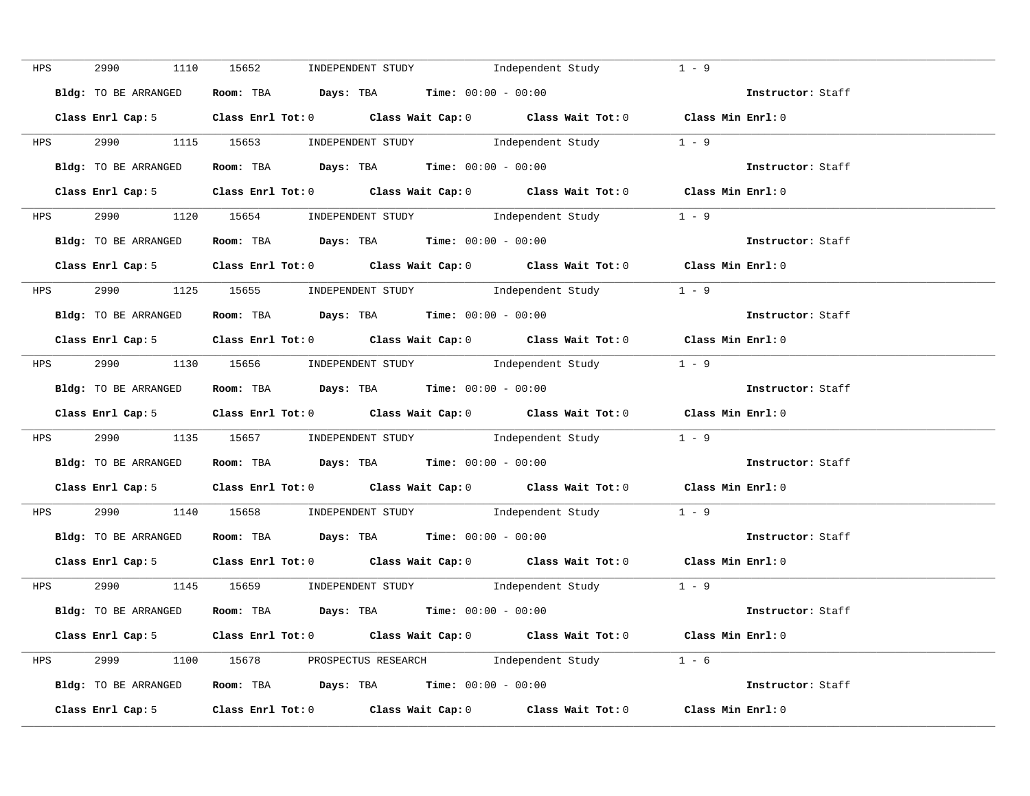| HPS | 2990 700<br>1110     | 15652 INDEPENDENT STUDY                                                                    | Independent Study | $1 - 9$                  |
|-----|----------------------|--------------------------------------------------------------------------------------------|-------------------|--------------------------|
|     | Bldg: TO BE ARRANGED | Room: TBA $\rule{1em}{0.15mm}$ Days: TBA Time: $00:00 - 00:00$                             |                   | Instructor: Staff        |
|     |                      | Class Enrl Cap: 5 Class Enrl Tot: 0 Class Wait Cap: 0 Class Wait Tot: 0 Class Min Enrl: 0  |                   |                          |
|     |                      | HPS 2990 1115 15653 INDEPENDENT STUDY Independent Study 1 - 9                              |                   |                          |
|     | Bldg: TO BE ARRANGED | Room: TBA $Days:$ TBA $Time:$ 00:00 - 00:00                                                |                   | Instructor: Staff        |
|     |                      | Class Enrl Cap: 5 Class Enrl Tot: 0 Class Wait Cap: 0 Class Wait Tot: 0 Class Min Enrl: 0  |                   |                          |
|     |                      | HPS 2990 1120 15654 INDEPENDENT STUDY Independent Study 1 - 9                              |                   |                          |
|     |                      | Bldg: TO BE ARRANGED Room: TBA Days: TBA Time: 00:00 - 00:00                               |                   | Instructor: Staff        |
|     |                      | Class Enrl Cap: 5 Class Enrl Tot: 0 Class Wait Cap: 0 Class Wait Tot: 0 Class Min Enrl: 0  |                   |                          |
|     |                      | HPS 2990 1125 15655 INDEPENDENT STUDY Independent Study 1 - 9                              |                   |                          |
|     |                      | Bldg: TO BE ARRANGED Room: TBA Days: TBA Time: 00:00 - 00:00                               |                   | Instructor: Staff        |
|     |                      | Class Enrl Cap: 5 Class Enrl Tot: 0 Class Wait Cap: 0 Class Wait Tot: 0 Class Min Enrl: 0  |                   |                          |
|     |                      | HPS 2990 1130 15656 INDEPENDENT STUDY Independent Study 1 - 9                              |                   |                          |
|     |                      | <b>Bldg:</b> TO BE ARRANGED <b>Room:</b> TBA <b>Days:</b> TBA <b>Time:</b> $00:00 - 00:00$ |                   | Instructor: Staff        |
|     |                      | Class Enrl Cap: 5 Class Enrl Tot: 0 Class Wait Cap: 0 Class Wait Tot: 0 Class Min Enrl: 0  |                   |                          |
|     |                      | HPS 2990 1135 15657 INDEPENDENT STUDY Independent Study 1 - 9                              |                   |                          |
|     | Bldg: TO BE ARRANGED | Room: TBA $Days:$ TBA Time: $00:00 - 00:00$                                                |                   | Instructor: Staff        |
|     |                      | Class Enrl Cap: 5 Class Enrl Tot: 0 Class Wait Cap: 0 Class Wait Tot: 0 Class Min Enrl: 0  |                   |                          |
|     |                      | HPS 2990 1140 15658 INDEPENDENT STUDY Independent Study 1 - 9                              |                   |                          |
|     | Bldg: TO BE ARRANGED | Room: TBA $Days:$ TBA $Time: 00:00 - 00:00$                                                |                   | Instructor: Staff        |
|     |                      | Class Enrl Cap: 5 Class Enrl Tot: 0 Class Wait Cap: 0 Class Wait Tot: 0 Class Min Enrl: 0  |                   |                          |
|     |                      | HPS 2990 1145 15659 INDEPENDENT STUDY Independent Study 1 - 9                              |                   |                          |
|     |                      | Bldg: TO BE ARRANGED ROOM: TBA Days: TBA Time: 00:00 - 00:00                               |                   | <b>Instructor:</b> Staff |
|     |                      | Class Enrl Cap: 5 Class Enrl Tot: 0 Class Wait Cap: 0 Class Wait Tot: 0 Class Min Enrl: 0  |                   |                          |
|     |                      | HPS 2999 1100 15678 PROSPECTUS RESEARCH Independent Study 1 - 6                            |                   |                          |
|     |                      | Bldg: TO BE ARRANGED Room: TBA Days: TBA Time: 00:00 - 00:00                               |                   | Instructor: Staff        |
|     |                      | Class Enrl Cap: 5 Class Enrl Tot: 0 Class Wait Cap: 0 Class Wait Tot: 0 Class Min Enrl: 0  |                   |                          |
|     |                      |                                                                                            |                   |                          |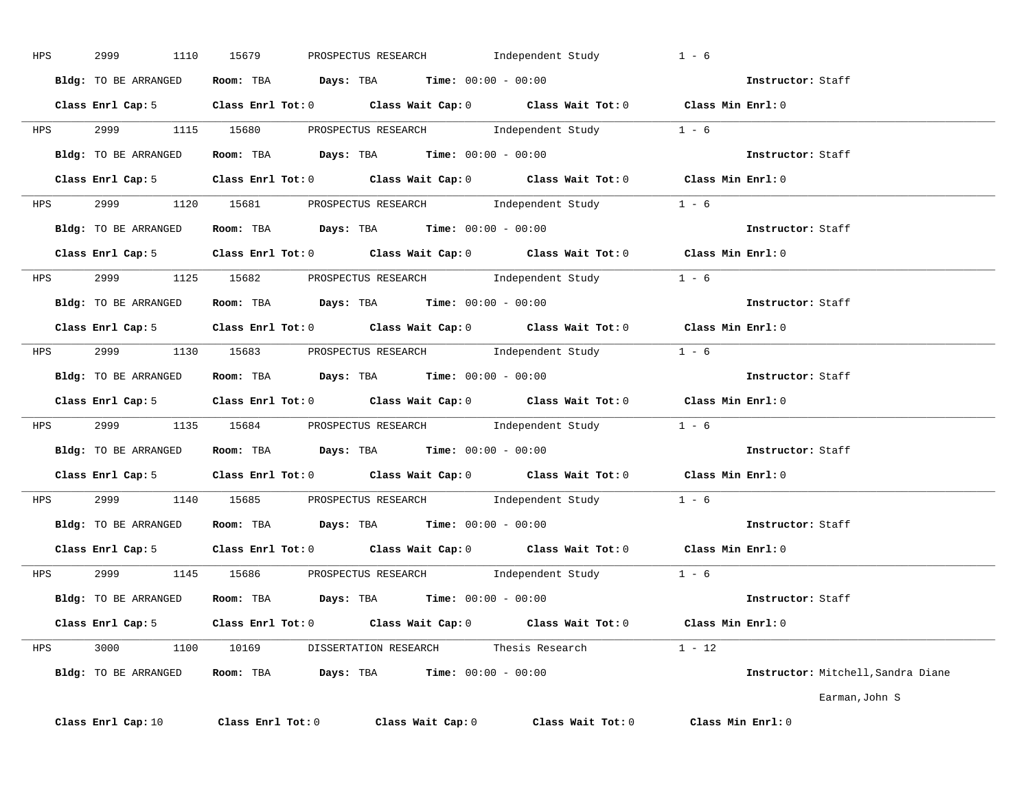| HPS | 2999                 | 1110 15679<br>PROSPECTUS RESEARCH                                                                  | Independent Study | $1 - 6$                            |
|-----|----------------------|----------------------------------------------------------------------------------------------------|-------------------|------------------------------------|
|     |                      | Bldg: TO BE ARRANGED Room: TBA Days: TBA Time: 00:00 - 00:00                                       |                   | Instructor: Staff                  |
|     |                      | Class Enrl Cap: 5 Class Enrl Tot: 0 Class Wait Cap: 0 Class Wait Tot: 0 Class Min Enrl: 0          |                   |                                    |
|     |                      | HPS 2999 1115 15680 PROSPECTUS RESEARCH Independent Study 1 - 6                                    |                   |                                    |
|     |                      | Bldg: TO BE ARRANGED Room: TBA Days: TBA Time: 00:00 - 00:00                                       |                   | Instructor: Staff                  |
|     |                      | Class Enrl Cap: 5 Class Enrl Tot: 0 Class Wait Cap: 0 Class Wait Tot: 0 Class Min Enrl: 0          |                   |                                    |
|     |                      | HPS 2999 1120 15681 PROSPECTUS RESEARCH Independent Study 1 - 6                                    |                   |                                    |
|     |                      | Bldg: TO BE ARRANGED Room: TBA Days: TBA Time: 00:00 - 00:00                                       |                   | Instructor: Staff                  |
|     |                      | Class Enrl Cap: 5 Class Enrl Tot: 0 Class Wait Cap: 0 Class Wait Tot: 0 Class Min Enrl: 0          |                   |                                    |
|     |                      | HPS 2999 1125 15682 PROSPECTUS RESEARCH Independent Study 1 - 6                                    |                   |                                    |
|     |                      | <b>Bldg:</b> TO BE ARRANGED <b>Room:</b> TBA <b>Days:</b> TBA <b>Time:</b> $00:00 - 00:00$         |                   | Instructor: Staff                  |
|     |                      | Class Enrl Cap: 5 Class Enrl Tot: 0 Class Wait Cap: 0 Class Wait Tot: 0 Class Min Enrl: 0          |                   |                                    |
|     |                      | HPS 2999 1130 15683 PROSPECTUS RESEARCH Independent Study 1 - 6                                    |                   |                                    |
|     |                      | Bldg: TO BE ARRANGED Room: TBA Days: TBA Time: 00:00 - 00:00                                       |                   | Instructor: Staff                  |
|     |                      | Class Enrl Cap: 5 $\qquad$ Class Enrl Tot: 0 $\qquad$ Class Wait Cap: 0 $\qquad$ Class Wait Tot: 0 |                   | Class Min Enrl: 0                  |
|     |                      | HPS 2999 1135 15684 PROSPECTUS RESEARCH Independent Study 1 - 6                                    |                   |                                    |
|     |                      | Bldg: TO BE ARRANGED Room: TBA Days: TBA Time: 00:00 - 00:00                                       |                   | <b>Instructor:</b> Staff           |
|     |                      | Class Enrl Cap: 5 Class Enrl Tot: 0 Class Wait Cap: 0 Class Wait Tot: 0 Class Min Enrl: 0          |                   |                                    |
|     |                      | HPS 2999 1140 15685 PROSPECTUS RESEARCH Independent Study 1 - 6                                    |                   |                                    |
|     |                      | Bldg: TO BE ARRANGED Room: TBA Days: TBA Time: 00:00 - 00:00                                       |                   | Instructor: Staff                  |
|     |                      | Class Enrl Cap: 5 Class Enrl Tot: 0 Class Wait Cap: 0 Class Wait Tot: 0 Class Min Enrl: 0          |                   |                                    |
|     |                      | HPS 2999 1145 15686 PROSPECTUS RESEARCH Independent Study 1 - 6                                    |                   |                                    |
|     |                      | <b>Bldg:</b> TO BE ARRANGED <b>ROOM:</b> TBA <b>Days:</b> TBA <b>Time:</b> $00:00 - 00:00$         |                   | Instructor: Staff                  |
|     |                      | Class Enrl Cap: 5 Class Enrl Tot: 0 Class Wait Cap: 0 Class Wait Tot: 0 Class Min Enrl: 0          |                   |                                    |
|     |                      | HPS 3000 1100 10169 DISSERTATION RESEARCH Thesis Research                                          |                   | $1 - 12$                           |
|     | Bldg: TO BE ARRANGED | Room: TBA $Days:$ TBA $Time: 00:00 - 00:00$                                                        |                   | Instructor: Mitchell, Sandra Diane |
|     |                      |                                                                                                    |                   | Earman, John S                     |
|     | Class Enrl Cap: 10   | $Class$ $Enr1$ $Tot: 0$<br>Class Wait Cap: 0                                                       | Class Wait Tot: 0 | Class Min Enrl: 0                  |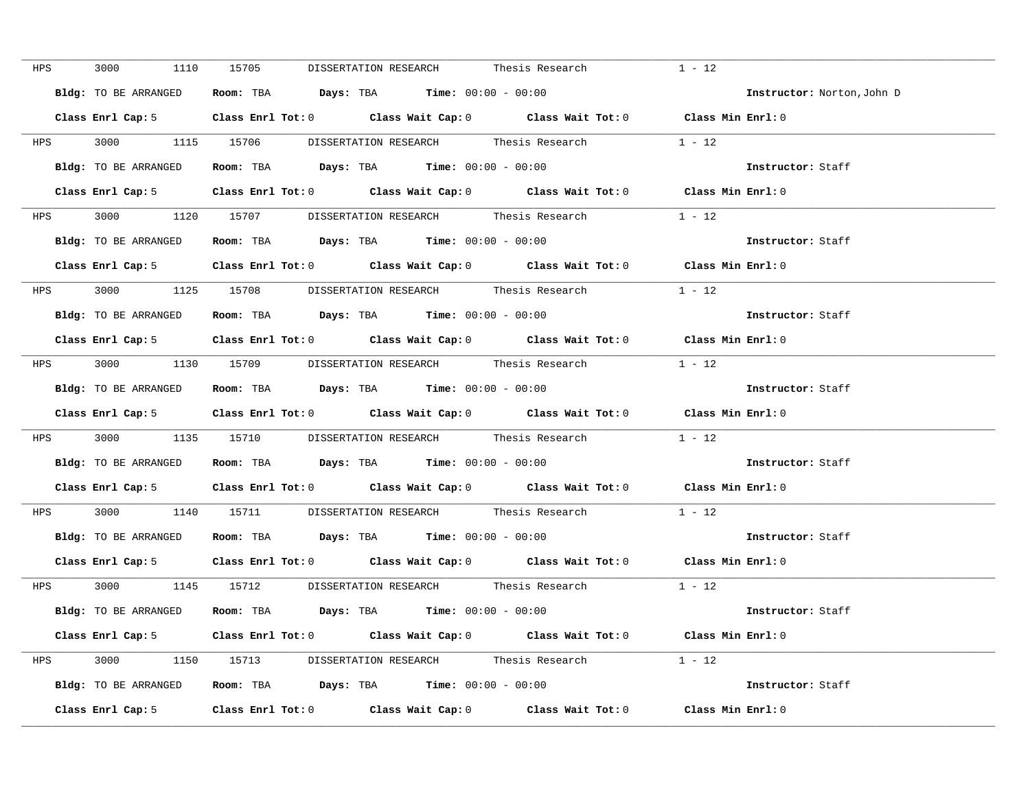| HPS |            | 3000 000<br>1110     | 15705<br>DISSERTATION RESEARCH Thesis Research                                            | $1 - 12$                   |
|-----|------------|----------------------|-------------------------------------------------------------------------------------------|----------------------------|
|     |            | Bldg: TO BE ARRANGED | Room: TBA $Days:$ TBA Time: $00:00 - 00:00$                                               | Instructor: Norton, John D |
|     |            |                      | Class Enrl Cap: 5 Class Enrl Tot: 0 Class Wait Cap: 0 Class Wait Tot: 0 Class Min Enrl: 0 |                            |
|     |            |                      | HPS 3000 1115 15706 DISSERTATION RESEARCH Thesis Research 1 - 12                          |                            |
|     |            | Bldg: TO BE ARRANGED | Room: TBA $Days:$ TBA $Time: 00:00 - 00:00$                                               | Instructor: Staff          |
|     |            |                      | Class Enrl Cap: 5 Class Enrl Tot: 0 Class Wait Cap: 0 Class Wait Tot: 0 Class Min Enrl: 0 |                            |
|     |            |                      | HPS 3000 1120 15707 DISSERTATION RESEARCH Thesis Research                                 | $1 - 12$                   |
|     |            |                      | Bldg: TO BE ARRANGED Room: TBA Days: TBA Time: 00:00 - 00:00                              | Instructor: Staff          |
|     |            |                      | Class Enrl Cap: 5 Class Enrl Tot: 0 Class Wait Cap: 0 Class Wait Tot: 0 Class Min Enrl: 0 |                            |
|     | <b>HPS</b> |                      | 3000 1125 15708 DISSERTATION RESEARCH Thesis Research 1 - 12                              |                            |
|     |            |                      | Bldg: TO BE ARRANGED Room: TBA Days: TBA Time: 00:00 - 00:00                              | Instructor: Staff          |
|     |            |                      | Class Enrl Cap: 5 Class Enrl Tot: 0 Class Wait Cap: 0 Class Wait Tot: 0                   | Class Min Enrl: 0          |
|     |            |                      | HPS 3000 1130 15709 DISSERTATION RESEARCH Thesis Research 1 - 12                          |                            |
|     |            |                      | Bldg: TO BE ARRANGED Room: TBA Days: TBA Time: 00:00 - 00:00                              | Instructor: Staff          |
|     |            |                      | Class Enrl Cap: 5 Class Enrl Tot: 0 Class Wait Cap: 0 Class Wait Tot: 0 Class Min Enrl: 0 |                            |
|     |            |                      | HPS 3000 1135 15710 DISSERTATION RESEARCH Thesis Research                                 | $1 - 12$                   |
|     |            |                      | Bldg: TO BE ARRANGED Room: TBA Days: TBA Time: 00:00 - 00:00                              | Instructor: Staff          |
|     |            |                      | Class Enrl Cap: 5 Class Enrl Tot: 0 Class Wait Cap: 0 Class Wait Tot: 0 Class Min Enrl: 0 |                            |
|     |            |                      | HPS 3000 1140 15711 DISSERTATION RESEARCH Thesis Research 1 - 12                          |                            |
|     |            | Bldg: TO BE ARRANGED | Room: TBA $Days:$ TBA $Time: 00:00 - 00:00$                                               | Instructor: Staff          |
|     |            |                      | Class Enrl Cap: 5 Class Enrl Tot: 0 Class Wait Cap: 0 Class Wait Tot: 0 Class Min Enrl: 0 |                            |
|     |            |                      | HPS 3000 1145 15712 DISSERTATION RESEARCH Thesis Research 1 - 12                          |                            |
|     |            |                      | Bldg: TO BE ARRANGED Room: TBA Days: TBA Time: 00:00 - 00:00                              | Instructor: Staff          |
|     |            |                      | Class Enrl Cap: 5 Class Enrl Tot: 0 Class Wait Cap: 0 Class Wait Tot: 0 Class Min Enrl: 0 |                            |
|     |            |                      | HPS 3000 1150 15713 DISSERTATION RESEARCH Thesis Research 1 - 12                          |                            |
|     |            |                      | Bldg: TO BE ARRANGED Room: TBA Days: TBA Time: 00:00 - 00:00                              | Instructor: Staff          |
|     |            |                      | Class Enrl Cap: 5 Class Enrl Tot: 0 Class Wait Cap: 0 Class Wait Tot: 0 Class Min Enrl: 0 |                            |
|     |            |                      |                                                                                           |                            |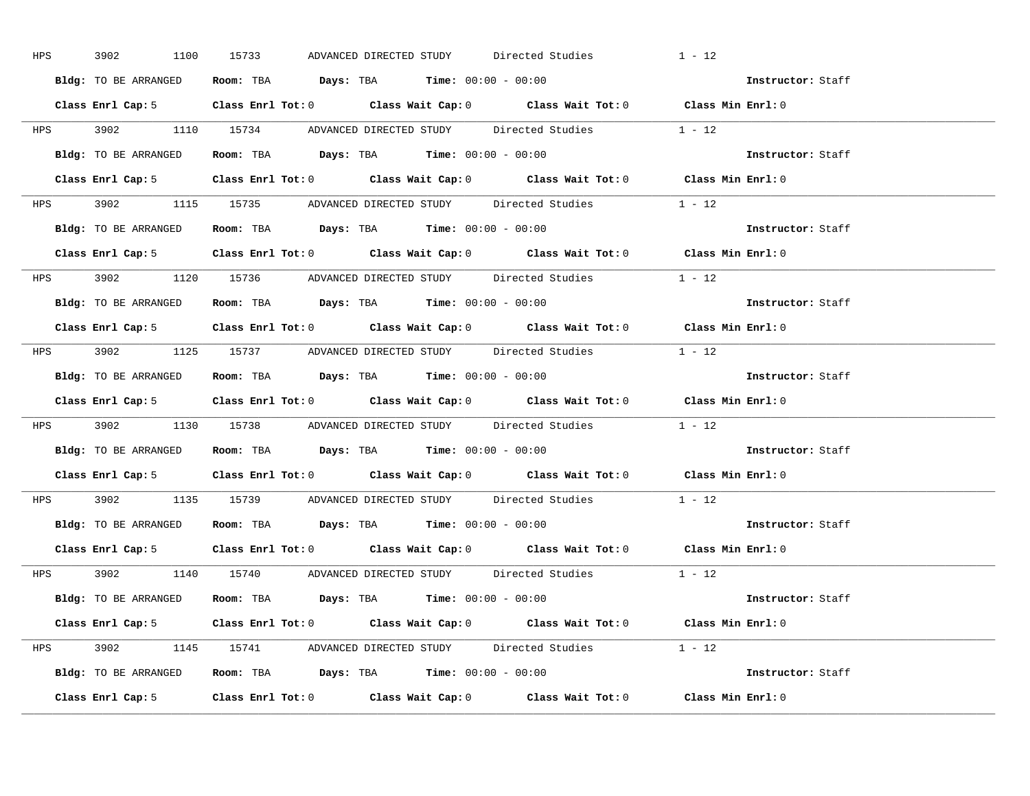| <b>HPS</b> | 3902<br>1100         | 15733<br>ADVANCED DIRECTED STUDY Directed Studies                                         | $1 - 12$          |
|------------|----------------------|-------------------------------------------------------------------------------------------|-------------------|
|            | Bldg: TO BE ARRANGED | Room: TBA $Days:$ TBA $Time: 00:00 - 00:00$                                               | Instructor: Staff |
|            |                      | Class Enrl Cap: 5 Class Enrl Tot: 0 Class Wait Cap: 0 Class Wait Tot: 0 Class Min Enrl: 0 |                   |
|            |                      | HPS 3902 1110 15734 ADVANCED DIRECTED STUDY Directed Studies 1 - 12                       |                   |
|            |                      | Bldg: TO BE ARRANGED Room: TBA Days: TBA Time: 00:00 - 00:00                              | Instructor: Staff |
|            |                      | Class Enrl Cap: 5 Class Enrl Tot: 0 Class Wait Cap: 0 Class Wait Tot: 0 Class Min Enrl: 0 |                   |
|            |                      | HPS 3902 1115 15735 ADVANCED DIRECTED STUDY Directed Studies 1 - 12                       |                   |
|            |                      | Bldg: TO BE ARRANGED Room: TBA Days: TBA Time: 00:00 - 00:00                              | Instructor: Staff |
|            |                      | Class Enrl Cap: 5 Class Enrl Tot: 0 Class Wait Cap: 0 Class Wait Tot: 0 Class Min Enrl: 0 |                   |
|            |                      | HPS 3902 1120 15736 ADVANCED DIRECTED STUDY Directed Studies 1 - 12                       |                   |
|            | Bldg: TO BE ARRANGED | Room: TBA $Days:$ TBA $Time: 00:00 - 00:00$                                               | Instructor: Staff |
|            |                      | Class Enrl Cap: 5 Class Enrl Tot: 0 Class Wait Cap: 0 Class Wait Tot: 0 Class Min Enrl: 0 |                   |
|            |                      | HPS 3902 1125 15737 ADVANCED DIRECTED STUDY Directed Studies 1 - 12                       |                   |
|            |                      | Bldg: TO BE ARRANGED Room: TBA Days: TBA Time: 00:00 - 00:00                              | Instructor: Staff |
|            |                      | Class Enrl Cap: 5 Class Enrl Tot: 0 Class Wait Cap: 0 Class Wait Tot: 0 Class Min Enrl: 0 |                   |
|            |                      | HPS 3902 1130 15738 ADVANCED DIRECTED STUDY Directed Studies 1 - 12                       |                   |
|            |                      | Bldg: TO BE ARRANGED Room: TBA Days: TBA Time: 00:00 - 00:00                              | Instructor: Staff |
|            |                      | Class Enrl Cap: 5 Class Enrl Tot: 0 Class Wait Cap: 0 Class Wait Tot: 0 Class Min Enrl: 0 |                   |
|            |                      | HPS 3902 1135 15739 ADVANCED DIRECTED STUDY Directed Studies 1 - 12                       |                   |
|            |                      |                                                                                           |                   |
|            |                      | Bldg: TO BE ARRANGED Room: TBA Days: TBA Time: 00:00 - 00:00                              | Instructor: Staff |
|            |                      | Class Enrl Cap: 5 Class Enrl Tot: 0 Class Wait Cap: 0 Class Wait Tot: 0 Class Min Enrl: 0 |                   |
|            |                      | HPS 3902 1140 15740 ADVANCED DIRECTED STUDY Directed Studies 1 - 12                       |                   |
|            |                      | Bldg: TO BE ARRANGED Room: TBA Days: TBA Time: 00:00 - 00:00                              | Instructor: Staff |
|            |                      | Class Enrl Cap: 5 Class Enrl Tot: 0 Class Wait Cap: 0 Class Wait Tot: 0 Class Min Enrl: 0 |                   |
|            |                      | HPS 3902 1145 15741 ADVANCED DIRECTED STUDY Directed Studies 1 - 12                       |                   |
|            |                      | Bldg: TO BE ARRANGED Room: TBA Days: TBA Time: $00:00 - 00:00$                            | Instructor: Staff |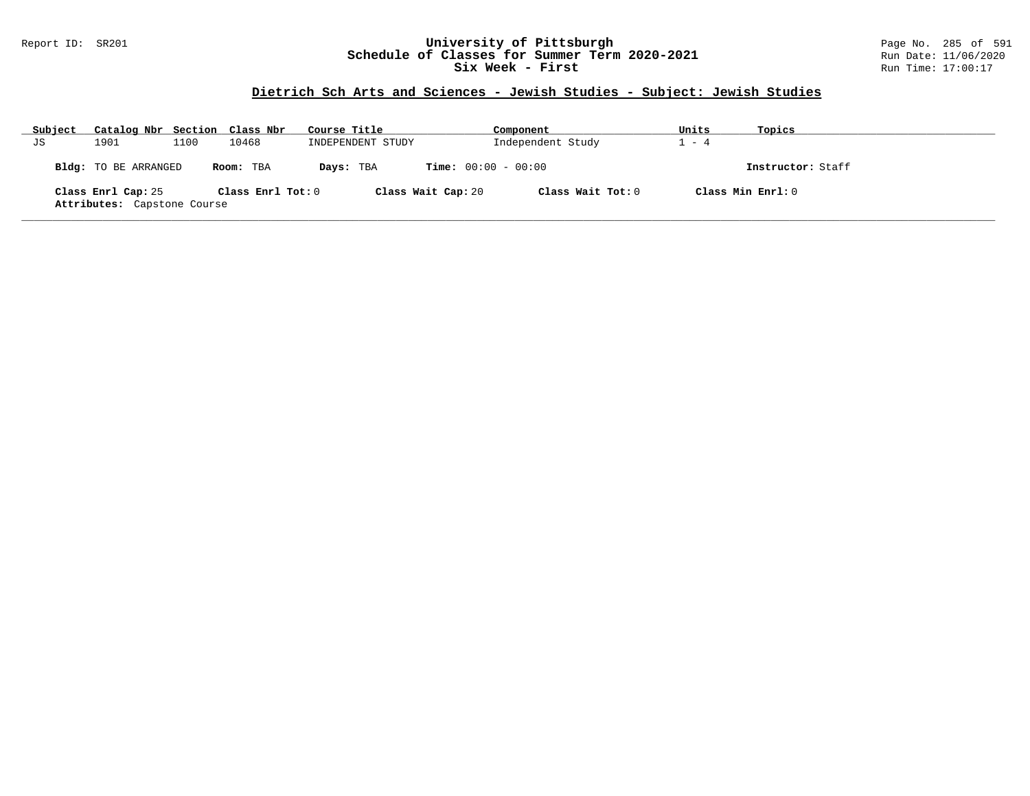### Report ID: SR201 **University of Pittsburgh** Page No. 285 of 591 **Schedule of Classes for Summer Term 2020-2021** Run Date: 11/06/2020 **Six Week - First Run Time: 17:00:17**

### **Dietrich Sch Arts and Sciences - Jewish Studies - Subject: Jewish Studies**

| Subject | Catalog Nbr Section Class Nbr                     |      |                   | Course Title      | Component                    | Units             | Topics            |  |
|---------|---------------------------------------------------|------|-------------------|-------------------|------------------------------|-------------------|-------------------|--|
| JS      | 1901                                              | 1100 | 10468             | INDEPENDENT STUDY | Independent Study            | $-4$              |                   |  |
|         | <b>Bldg:</b> TO BE ARRANGED                       |      | Room: TBA         | Days: TBA         | <b>Time:</b> $00:00 - 00:00$ |                   | Instructor: Staff |  |
|         | Class Enrl Cap: 25<br>Attributes: Capstone Course |      | Class Enrl Tot: 0 |                   | Class Wait Cap: 20           | Class Wait Tot: 0 | Class Min Enrl: 0 |  |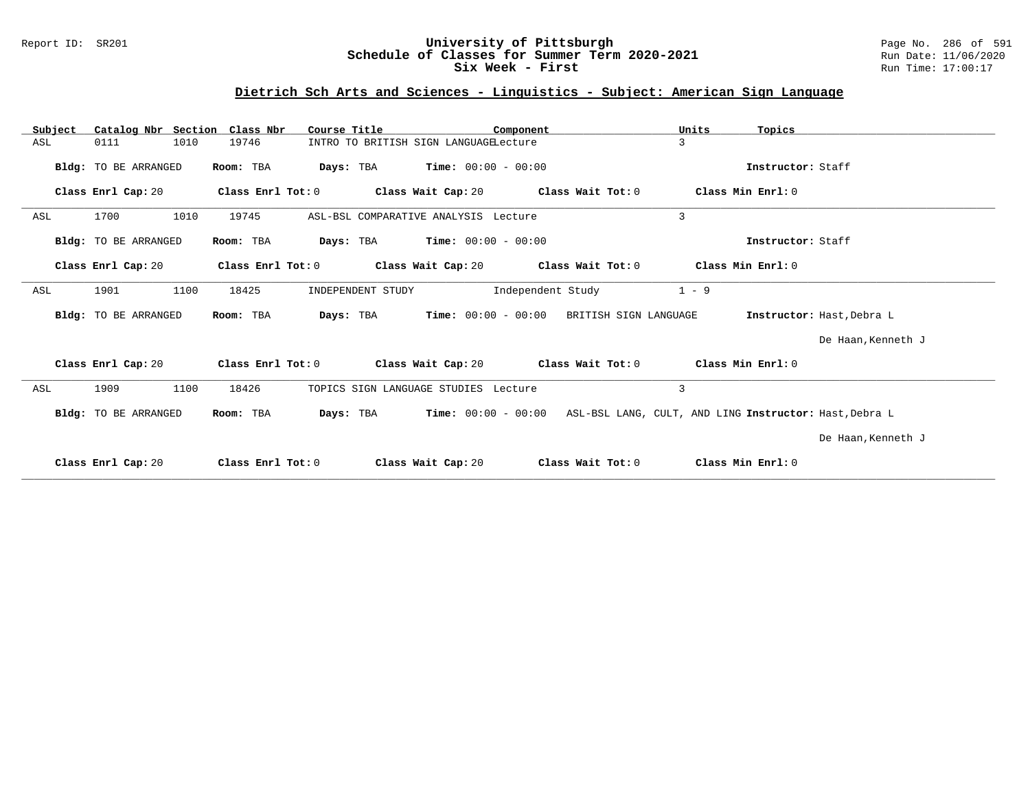### Report ID: SR201 **University of Pittsburgh** Page No. 286 of 591 **Schedule of Classes for Summer Term 2020-2021** Run Date: 11/06/2020 **Six Week - First Run Time: 17:00:17**

# **Dietrich Sch Arts and Sciences - Linguistics - Subject: American Sign Language**

| Subject | Catalog Nbr Section  | Class Nbr<br>Course Title | Component                               | Units<br>Topics                                        |                           |
|---------|----------------------|---------------------------|-----------------------------------------|--------------------------------------------------------|---------------------------|
| ASL     | 0111<br>1010         | 19746                     | INTRO TO BRITISH SIGN LANGUAGELecture   | 3                                                      |                           |
|         | Bldg: TO BE ARRANGED | Days: TBA<br>Room: TBA    | $Time: 00:00 - 00:00$                   | Instructor: Staff                                      |                           |
|         | Class Enrl Cap: 20   | Class Enrl Tot: 0         | Class Wait Cap: 20                      | Class Min Enrl: 0<br>Class Wait Tot: 0                 |                           |
| ASL     | 1010<br>1700         | 19745                     | ASL-BSL COMPARATIVE ANALYSIS Lecture    | 3                                                      |                           |
|         | Bldg: TO BE ARRANGED | Room: TBA<br>Days: TBA    | $Time: 00:00 - 00:00$                   | Instructor: Staff                                      |                           |
|         | Class Enrl Cap: 20   | Class Enrl Tot: 0         | Class Wait Cap: 20<br>Class Wait Tot: 0 | Class Min Enrl: 0                                      |                           |
| ASL     | 1100<br>1901         | 18425                     | Independent Study<br>INDEPENDENT STUDY  | $1 - 9$                                                |                           |
|         | Bldg: TO BE ARRANGED | Room: TBA<br>Days: TBA    | $Time: 00:00 - 00:00$                   | BRITISH SIGN LANGUAGE                                  | Instructor: Hast, Debra L |
|         |                      |                           |                                         |                                                        | De Haan, Kenneth J        |
|         | Class Enrl Cap: 20   | Class Enrl Tot: 0         | Class Wait Cap: 20<br>Class Wait Tot: 0 | Class Min Enrl: 0                                      |                           |
| ASL     | 1100<br>1909         | 18426                     | TOPICS SIGN LANGUAGE STUDIES Lecture    | 3                                                      |                           |
|         | Bldg: TO BE ARRANGED | Room: TBA<br>Days: TBA    | $Time: 00:00 - 00:00$                   | ASL-BSL LANG, CULT, AND LING Instructor: Hast, Debra L |                           |
|         |                      |                           |                                         |                                                        | De Haan, Kenneth J        |
|         | Class Enrl Cap: 20   | Class Enrl Tot: 0         | Class Wait Cap: 20                      | Class Min Enrl: 0<br>Class Wait Tot: 0                 |                           |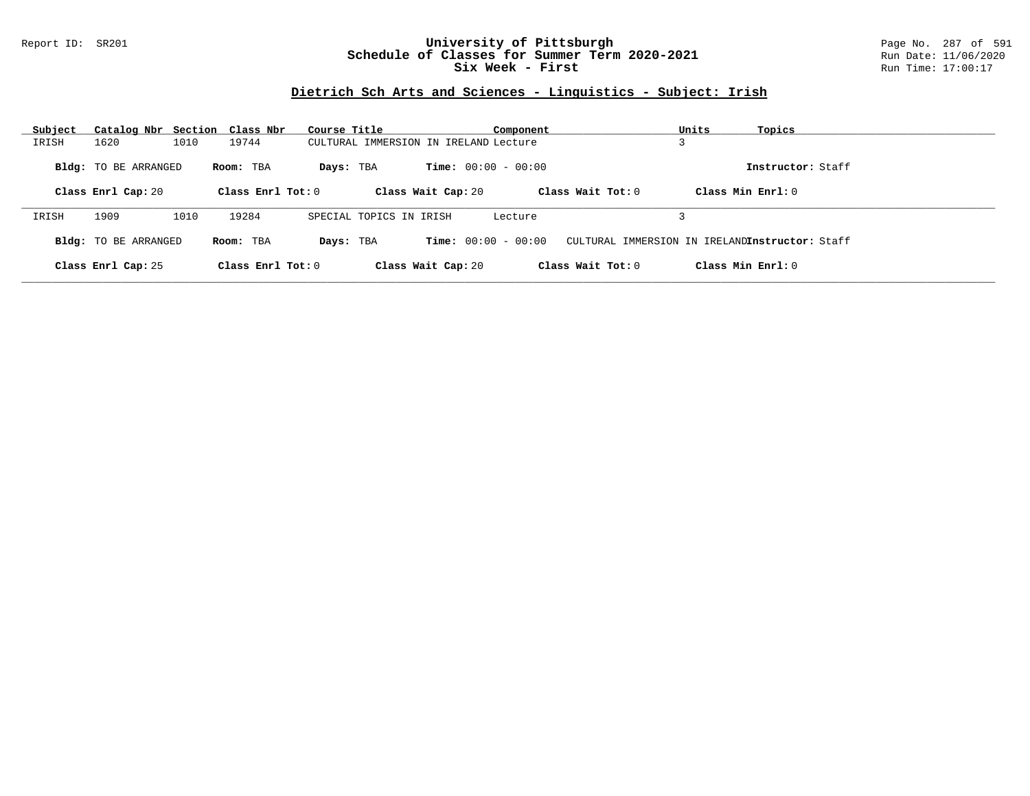### Report ID: SR201 **University of Pittsburgh** Page No. 287 of 591 **Schedule of Classes for Summer Term 2020-2021** Run Date: 11/06/2020 **Six Week - First Run Time: 17:00:17**

# **Dietrich Sch Arts and Sciences - Linguistics - Subject: Irish**

| Subject | Catalog Nbr Section Class Nbr |      |                     | Course Title                          |                              | Component         | Units<br>Topics                                |                   |
|---------|-------------------------------|------|---------------------|---------------------------------------|------------------------------|-------------------|------------------------------------------------|-------------------|
| IRISH   | 1620                          | 1010 | 19744               | CULTURAL IMMERSION IN IRELAND Lecture |                              |                   |                                                |                   |
|         | <b>Bldg:</b> TO BE ARRANGED   |      | Room: TBA           | Days: TBA                             | <b>Time:</b> $00:00 - 00:00$ |                   |                                                | Instructor: Staff |
|         | Class Enrl Cap: 20            |      | Class Enrl Tot: $0$ |                                       | Class Wait Cap: 20           | Class Wait Tot: 0 | Class Min Enrl: 0                              |                   |
| IRISH   | 1909                          | 1010 | 19284               | SPECIAL TOPICS IN IRISH               |                              | Lecture           |                                                |                   |
|         | <b>Bldg:</b> TO BE ARRANGED   |      | Room: TBA           | Days: TBA                             | <b>Time:</b> $00:00 - 00:00$ |                   | CULTURAL IMMERSION IN IRELANDInstructor: Staff |                   |
|         | Class Enrl Cap: 25            |      | Class Enrl Tot: $0$ |                                       | Class Wait Cap: 20           | Class Wait Tot: 0 | Class Min Enrl: 0                              |                   |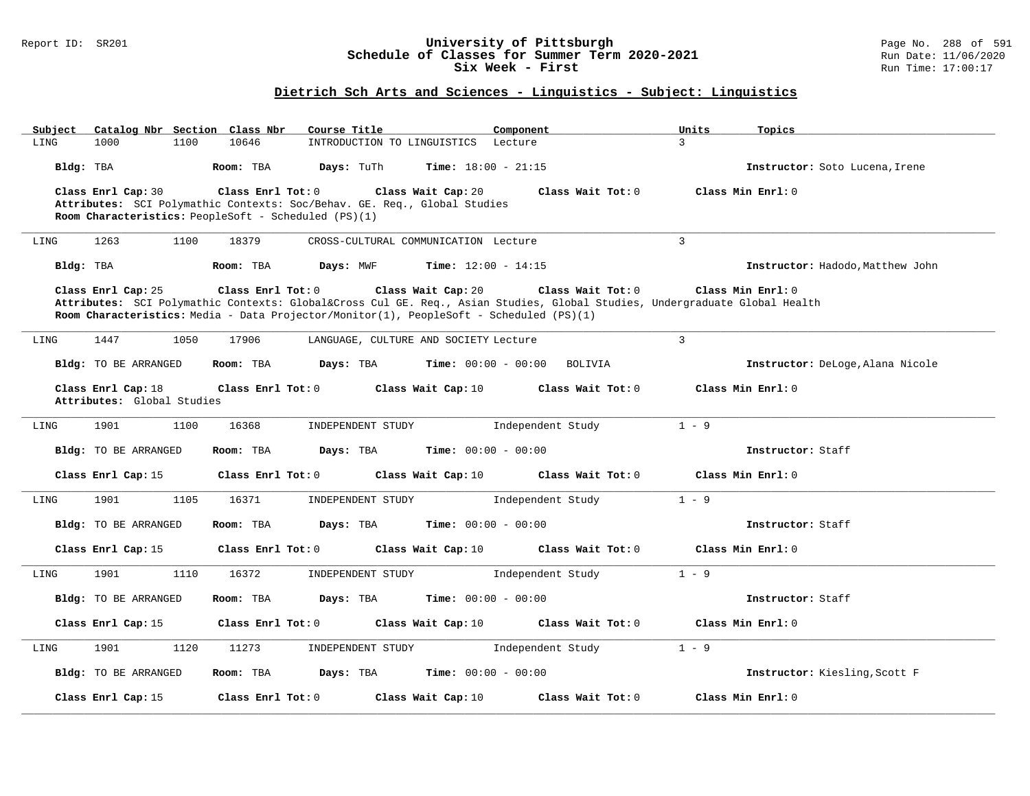### Report ID: SR201 **University of Pittsburgh** Page No. 288 of 591 **Schedule of Classes for Summer Term 2020-2021** Run Date: 11/06/2020 **Six Week - First Run Time: 17:00:17**

# **Dietrich Sch Arts and Sciences - Linguistics - Subject: Linguistics**

| Catalog Nbr Section Class Nbr<br>Subject                                                                              | Course Title                                         | Component                               | Units<br>Topics                  |
|-----------------------------------------------------------------------------------------------------------------------|------------------------------------------------------|-----------------------------------------|----------------------------------|
| LING<br>1000<br>1100                                                                                                  | 10646<br>INTRODUCTION TO LINGUISTICS                 | Lecture                                 | 3                                |
| Bldg: TBA                                                                                                             | Days: TuTh<br>Room: TBA                              | <b>Time:</b> $18:00 - 21:15$            | Instructor: Soto Lucena, Irene   |
| Class Enrl Cap: 30                                                                                                    | Class Enrl Tot: 0<br>Class Wait Cap: 20              | Class Wait Tot: 0                       | Class Min Enrl: 0                |
| Attributes: SCI Polymathic Contexts: Soc/Behav. GE. Req., Global Studies                                              |                                                      |                                         |                                  |
|                                                                                                                       | Room Characteristics: PeopleSoft - Scheduled (PS)(1) |                                         |                                  |
|                                                                                                                       |                                                      |                                         |                                  |
| 1263<br>1100<br>LING                                                                                                  | 18379<br>CROSS-CULTURAL COMMUNICATION Lecture        |                                         | $\overline{3}$                   |
| Bldg: TBA                                                                                                             | Days: MWF<br>Room: TBA                               | <b>Time:</b> $12:00 - 14:15$            | Instructor: Hadodo, Matthew John |
| Class Enrl Cap: 25                                                                                                    | Class Enrl Tot: 0<br>Class Wait Cap: 20              | Class Wait Tot: 0                       | Class Min Enrl: 0                |
| Attributes: SCI Polymathic Contexts: Global⨯ Cul GE. Req., Asian Studies, Global Studies, Undergraduate Global Health |                                                      |                                         |                                  |
| Room Characteristics: Media - Data Projector/Monitor(1), PeopleSoft - Scheduled (PS)(1)                               |                                                      |                                         |                                  |
|                                                                                                                       |                                                      |                                         |                                  |
| 1447<br>1050<br>LING                                                                                                  | 17906<br>LANGUAGE, CULTURE AND SOCIETY Lecture       |                                         | $\overline{3}$                   |
|                                                                                                                       |                                                      |                                         |                                  |
| Bldg: TO BE ARRANGED                                                                                                  | Room: TBA<br>Days: TBA                               | <b>Time:</b> $00:00 - 00:00$<br>BOLIVIA | Instructor: DeLoge, Alana Nicole |
| Class Enrl Cap: 18                                                                                                    | Class Enrl Tot: 0<br>Class Wait Cap: 10              | Class Wait Tot: 0                       | Class Min Enrl: 0                |
| Attributes: Global Studies                                                                                            |                                                      |                                         |                                  |
|                                                                                                                       |                                                      |                                         |                                  |
| 1901<br>1100<br>LING                                                                                                  | 16368<br>INDEPENDENT STUDY                           | Independent Study                       | $1 - 9$                          |
|                                                                                                                       |                                                      |                                         |                                  |
| <b>Bldg:</b> TO BE ARRANGED                                                                                           | Room: TBA<br>Days: TBA                               | <b>Time:</b> $00:00 - 00:00$            | Instructor: Staff                |
| Class Enrl Cap: 15                                                                                                    | Class Enrl Tot: 0<br>Class Wait Cap: 10              | Class Wait Tot: 0                       | Class Min Enrl: 0                |
|                                                                                                                       |                                                      |                                         |                                  |
| 1901<br>1105<br>LING                                                                                                  | 16371<br>INDEPENDENT STUDY                           | Independent Study                       | $1 - 9$                          |
|                                                                                                                       |                                                      |                                         |                                  |
| Bldg: TO BE ARRANGED                                                                                                  | Room: TBA<br>Days: TBA                               | <b>Time:</b> $00:00 - 00:00$            | Instructor: Staff                |
| Class Enrl Cap: 15                                                                                                    | Class Enrl Tot: 0<br>Class Wait Cap: 10              | Class Wait Tot: 0                       | Class Min Enrl: 0                |
|                                                                                                                       |                                                      |                                         |                                  |
| 1901<br>1110<br>LING                                                                                                  | 16372<br>INDEPENDENT STUDY                           | Independent Study                       | $1 - 9$                          |
|                                                                                                                       |                                                      |                                         |                                  |
| Bldg: TO BE ARRANGED                                                                                                  | Room: TBA<br>Days: TBA                               | <b>Time:</b> $00:00 - 00:00$            | Instructor: Staff                |
|                                                                                                                       |                                                      |                                         |                                  |
| Class Enrl Cap: 15                                                                                                    | Class Enrl Tot: 0<br>Class Wait Cap: 10              | Class Wait $Tot: 0$                     | Class Min Enrl: 0                |
| 1901<br>1120<br>LING                                                                                                  | 11273<br>INDEPENDENT STUDY                           | Independent Study                       | $1 - 9$                          |
|                                                                                                                       |                                                      |                                         |                                  |
| <b>Bldg:</b> TO BE ARRANGED                                                                                           |                                                      | <b>Time:</b> $00:00 - 00:00$            |                                  |
|                                                                                                                       | Days: TBA<br>Room: TBA                               |                                         | Instructor: Kiesling, Scott F    |
|                                                                                                                       |                                                      |                                         |                                  |
| Class Enrl Cap: 15                                                                                                    | Class Enrl Tot: 0<br>Class Wait Cap: 10              | Class Wait Tot: 0                       | Class Min Enrl: 0                |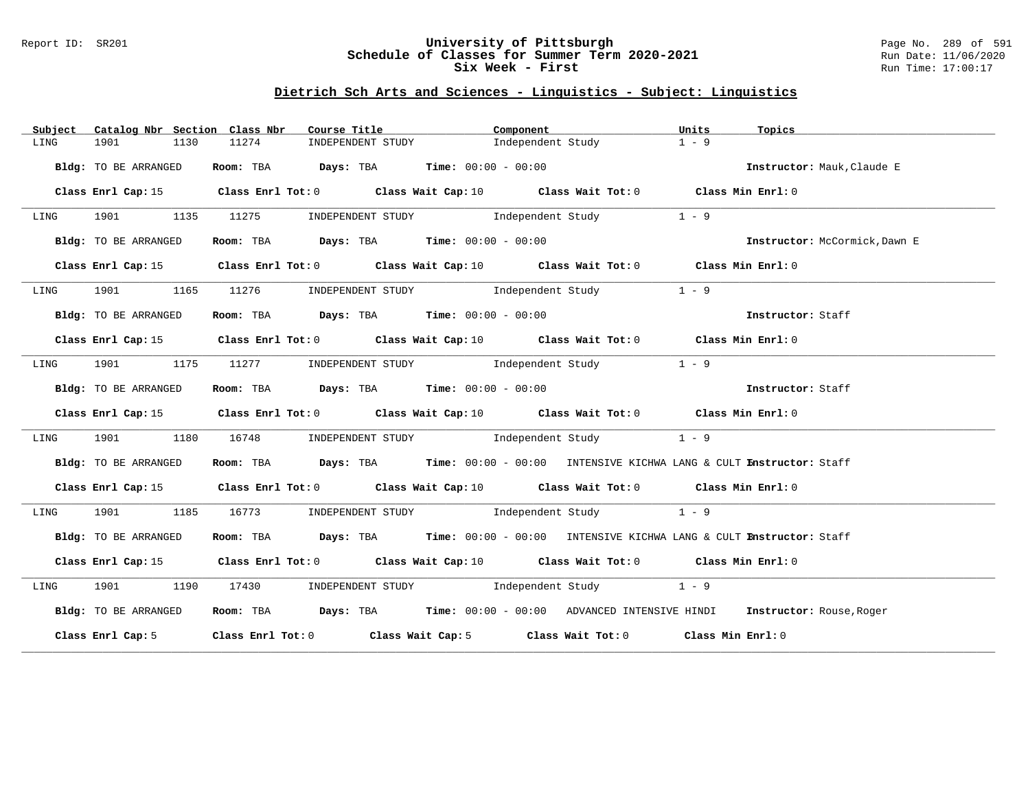### Report ID: SR201 **University of Pittsburgh** Page No. 289 of 591 **Schedule of Classes for Summer Term 2020-2021** Run Date: 11/06/2020 **Six Week - First Run Time: 17:00:17**

# **Dietrich Sch Arts and Sciences - Linguistics - Subject: Linguistics**

| Subject | Catalog Nbr Section Class Nbr | Course Title                                                   | Component                                                                                   | Units<br>Topics                     |
|---------|-------------------------------|----------------------------------------------------------------|---------------------------------------------------------------------------------------------|-------------------------------------|
| LING    | 1901<br>1130                  | 11274<br>INDEPENDENT STUDY                                     | Independent Study                                                                           | $1 - 9$                             |
|         | Bldg: TO BE ARRANGED          | Room: TBA $Days:$ TBA $Time: 00:00 - 00:00$                    |                                                                                             | Instructor: Mauk, Claude E          |
|         | Class Enrl Cap: 15            |                                                                | Class Enrl Tot: $0$ Class Wait Cap: $10$ Class Wait Tot: $0$ Class Min Enrl: $0$            |                                     |
| LING    |                               |                                                                | 1901 1135 11275 INDEPENDENT STUDY Independent Study                                         | $1 - 9$                             |
|         | Bldg: TO BE ARRANGED          |                                                                | <b>Room:</b> TBA <b>Days:</b> TBA <b>Time:</b> 00:00 - 00:00                                | Instructor: McCormick, Dawn E       |
|         |                               |                                                                | Class Enrl Cap: 15 Class Enrl Tot: 0 Class Wait Cap: 10 Class Wait Tot: 0 Class Min Enrl: 0 |                                     |
| LING    |                               |                                                                | 1901 1165 11276 INDEPENDENT STUDY 1ndependent Study                                         | $1 - 9$                             |
|         | Bldg: TO BE ARRANGED          | Room: TBA $Days:$ TBA $Time: 00:00 - 00:00$                    |                                                                                             | Instructor: Staff                   |
|         |                               |                                                                | Class Enrl Cap: 15 Class Enrl Tot: 0 Class Wait Cap: 10 Class Wait Tot: 0 Class Min Enrl: 0 |                                     |
| LING    |                               |                                                                | 1901 1175 11277 INDEPENDENT STUDY Independent Study 1 - 9                                   |                                     |
|         | Bldg: TO BE ARRANGED          | Room: TBA $\rule{1em}{0.15mm}$ Days: TBA Time: $00:00 - 00:00$ |                                                                                             | <b>Example 21 Instructor:</b> Staff |
|         |                               |                                                                | Class Enrl Cap: 15 Class Enrl Tot: 0 Class Wait Cap: 10 Class Wait Tot: 0 Class Min Enrl: 0 |                                     |
| LING    | 1901 1901<br>1180             |                                                                | 16748 INDEPENDENT STUDY Independent Study 1 - 9                                             |                                     |
|         | Bldg: TO BE ARRANGED          |                                                                | Room: TBA Days: TBA Time: 00:00 - 00:00 INTENSIVE KICHWA LANG & CULT Instructor: Staff      |                                     |
|         |                               |                                                                | Class Enrl Cap: 15 Class Enrl Tot: 0 Class Wait Cap: 10 Class Wait Tot: 0 Class Min Enrl: 0 |                                     |
| LING    | 1901 1185                     |                                                                | 16773 INDEPENDENT STUDY Independent Study 1 - 9                                             |                                     |
|         | Bldg: TO BE ARRANGED          |                                                                | Room: TBA Days: TBA Time: 00:00 - 00:00 INTENSIVE KICHWA LANG & CULT Enstructor: Staff      |                                     |
|         |                               |                                                                | Class Enrl Cap: 15 Class Enrl Tot: 0 Class Wait Cap: 10 Class Wait Tot: 0 Class Min Enrl: 0 |                                     |
| LING    |                               |                                                                | 1901 1190 17430 INDEPENDENT STUDY Independent Study 1 - 9                                   |                                     |
|         | Bldg: TO BE ARRANGED          |                                                                | Room: TBA Days: TBA Time: 00:00 - 00:00 ADVANCED INTENSIVE HINDI Instructor: Rouse, Roger   |                                     |
|         |                               |                                                                | Class Enrl Cap: 5 Class Enrl Tot: 0 Class Wait Cap: 5 Class Wait Tot: 0 Class Min Enrl: 0   |                                     |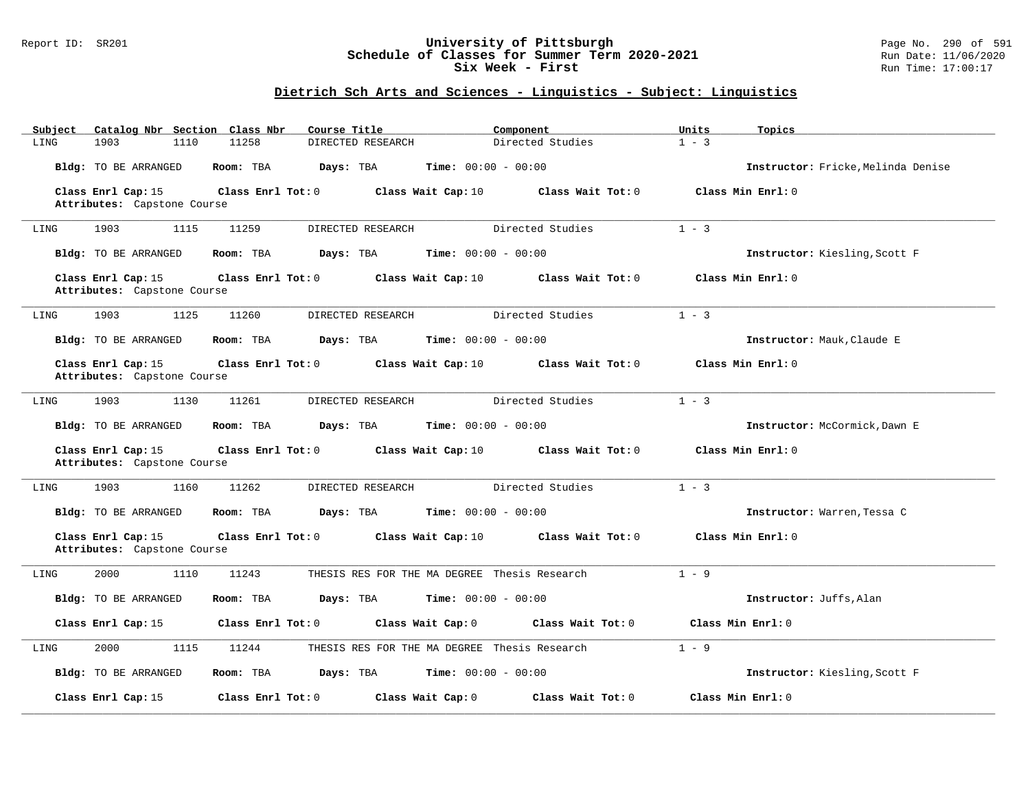## Report ID: SR201 **University of Pittsburgh** Page No. 290 of 591 **Schedule of Classes for Summer Term 2020-2021** Run Date: 11/06/2020 **Six Week - First Run Time: 17:00:17**

# **Dietrich Sch Arts and Sciences - Linguistics - Subject: Linguistics**

| Catalog Nbr Section Class Nbr<br>Subject          | Course Title               | Component                                    | Units<br>Topics                    |
|---------------------------------------------------|----------------------------|----------------------------------------------|------------------------------------|
| LING<br>1903<br>1110                              | 11258<br>DIRECTED RESEARCH | Directed Studies                             | $1 - 3$                            |
| Bldg: TO BE ARRANGED                              | Room: TBA<br>Days: TBA     | <b>Time:</b> $00:00 - 00:00$                 | Instructor: Fricke. Melinda Denise |
| Class Enrl Cap: 15<br>Attributes: Capstone Course | Class Enrl Tot: 0          | Class Wait Cap: 10<br>Class Wait Tot: 0      | Class Min Enrl: 0                  |
|                                                   |                            |                                              |                                    |
| 1903<br>1115<br>LING                              | 11259<br>DIRECTED RESEARCH | Directed Studies                             | $1 - 3$                            |
| Bldg: TO BE ARRANGED                              | Room: TBA<br>Days: TBA     | Time: $00:00 - 00:00$                        | Instructor: Kiesling, Scott F      |
| Class Enrl Cap: 15<br>Attributes: Capstone Course | Class Enrl Tot: 0          | Class Wait Cap: 10<br>Class Wait Tot: 0      | Class Min Enrl: 0                  |
| 1903<br>1125<br>LING                              | 11260<br>DIRECTED RESEARCH | Directed Studies                             | $1 - 3$                            |
| Bldg: TO BE ARRANGED                              | Room: TBA<br>Days: TBA     | <b>Time:</b> $00:00 - 00:00$                 | Instructor: Mauk, Claude E         |
| Class Enrl Cap: 15<br>Attributes: Capstone Course | Class Enrl Tot: 0          | Class Wait Cap: 10<br>Class Wait Tot: 0      | Class Min Enrl: 0                  |
| 1903<br>1130<br>LING                              | 11261<br>DIRECTED RESEARCH | Directed Studies                             | $1 - 3$                            |
| Bldg: TO BE ARRANGED                              | Room: TBA<br>Days: TBA     | <b>Time:</b> $00:00 - 00:00$                 | Instructor: McCormick, Dawn E      |
| Class Enrl Cap: 15<br>Attributes: Capstone Course | Class Enrl Tot: 0          | Class Wait Tot: 0<br>Class Wait Cap: 10      | Class Min Enrl: 0                  |
| 1903<br>1160<br>LING                              | 11262<br>DIRECTED RESEARCH | Directed Studies                             | $1 - 3$                            |
| Bldg: TO BE ARRANGED                              | Days: TBA<br>Room: TBA     | <b>Time:</b> $00:00 - 00:00$                 | Instructor: Warren, Tessa C        |
| Class Enrl Cap: 15<br>Attributes: Capstone Course | Class Enrl Tot: 0          | Class Wait Cap: 10<br>Class Wait Tot: 0      | Class Min Enrl: 0                  |
| 2000<br>1110<br>LING                              | 11243                      | THESIS RES FOR THE MA DEGREE Thesis Research | $1 - 9$                            |
| Bldg: TO BE ARRANGED                              | Room: TBA<br>Days: TBA     | $Time: 00:00 - 00:00$                        | Instructor: Juffs, Alan            |
| Class Enrl Cap: 15                                | Class Enrl Tot: 0          | Class Wait Cap: 0<br>Class Wait Tot: 0       | Class Min Enrl: 0                  |
| 2000<br>1115<br>LING                              | 11244                      | THESIS RES FOR THE MA DEGREE Thesis Research | $1 - 9$                            |
| Bldg: TO BE ARRANGED                              | Room: TBA<br>Days: TBA     | <b>Time:</b> $00:00 - 00:00$                 | Instructor: Kiesling, Scott F      |
| Class Enrl Cap: 15                                | Class Enrl Tot: 0          | Class Wait Tot: 0<br>Class Wait Cap: 0       | Class Min Enrl: 0                  |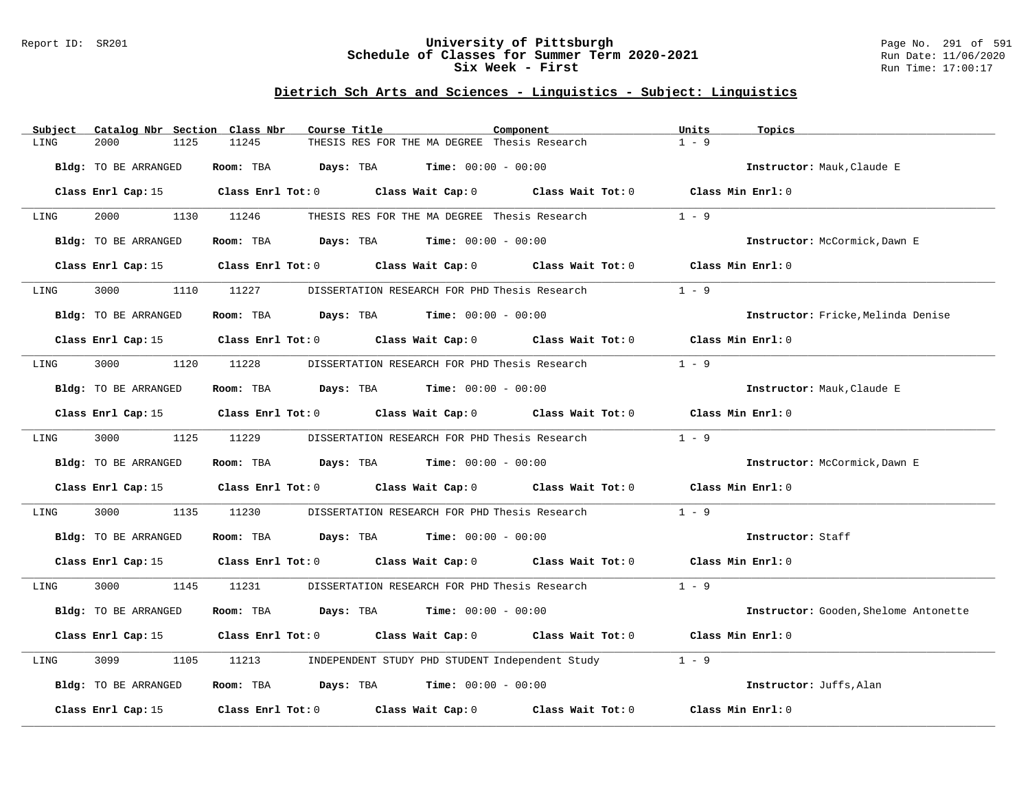### Report ID: SR201 **University of Pittsburgh** Page No. 291 of 591 **Schedule of Classes for Summer Term 2020-2021** Run Date: 11/06/2020 **Six Week - First Run Time: 17:00:17**

# **Dietrich Sch Arts and Sciences - Linguistics - Subject: Linguistics**

| Catalog Nbr Section Class Nbr<br>Subject | Course Title                                                                                    | Component         | Units<br>Topics                       |
|------------------------------------------|-------------------------------------------------------------------------------------------------|-------------------|---------------------------------------|
| LING<br>2000<br>1125                     | 11245<br>THESIS RES FOR THE MA DEGREE Thesis Research                                           |                   | $1 - 9$                               |
| Bldg: TO BE ARRANGED                     | Room: TBA $Days:$ TBA $Time: 00:00 - 00:00$                                                     |                   | Instructor: Mauk, Claude E            |
|                                          | Class Enrl Cap: 15 Class Enrl Tot: 0 Class Wait Cap: 0 Class Wait Tot: 0 Class Min Enrl: 0      |                   |                                       |
| 2000 000<br>LING                         | 1130 11246<br>THESIS RES FOR THE MA DEGREE Thesis Research                                      |                   | $1 - 9$                               |
| Bldg: TO BE ARRANGED                     | Room: TBA $Days:$ TBA $Time: 00:00 - 00:00$                                                     |                   | Instructor: McCormick, Dawn E         |
| Class Enrl Cap: 15                       | Class Enrl Tot: 0 Class Wait Cap: 0 Class Wait Tot: 0                                           |                   | Class Min Enrl: 0                     |
| 3000<br>LING<br>1110                     | 11227<br>DISSERTATION RESEARCH FOR PHD Thesis Research                                          |                   | $1 - 9$                               |
| Bldg: TO BE ARRANGED                     | Room: TBA $Days: TBA$ Time: $00:00 - 00:00$                                                     |                   | Instructor: Fricke, Melinda Denise    |
|                                          | Class Enrl Cap: 15 (Class Enrl Tot: 0 (Class Wait Cap: 0 (Class Wait Tot: 0 (Class Min Enrl: 0) |                   |                                       |
| 3000 000<br>LING                         | 1120 11228<br>DISSERTATION RESEARCH FOR PHD Thesis Research                                     |                   | $1 - 9$                               |
| Bldg: TO BE ARRANGED                     | Room: TBA $\rule{1em}{0.15mm}$ Days: TBA $\rule{1.5mm}{0.15mm}$ Time: $00:00 - 00:00$           |                   | Instructor: Mauk, Claude E            |
|                                          | Class Enrl Cap: 15 Class Enrl Tot: 0 Class Wait Cap: 0 Class Wait Tot: 0 Class Min Enrl: 0      |                   |                                       |
| 3000<br>LING                             | 1125 11229<br>DISSERTATION RESEARCH FOR PHD Thesis Research                                     |                   | $1 - 9$                               |
| Bldg: TO BE ARRANGED                     | Room: TBA $Days:$ TBA $Time: 00:00 - 00:00$                                                     |                   | Instructor: McCormick, Dawn E         |
|                                          | Class Enrl Cap: 15 Class Enrl Tot: 0 Class Wait Cap: 0 Class Wait Tot: 0 Class Min Enrl: 0      |                   |                                       |
| 3000<br>1135<br>LING                     | 11230<br>DISSERTATION RESEARCH FOR PHD Thesis Research                                          |                   | $1 - 9$                               |
| Bldg: TO BE ARRANGED                     | Room: TBA $Days: TBA$ Time: $00:00 - 00:00$                                                     |                   | Instructor: Staff                     |
| Class Enrl Cap: 15                       | Class Enrl Tot: 0 Class Wait Cap: 0 Class Wait Tot: 0 Class Min Enrl: 0                         |                   |                                       |
| 3000 000<br>1145<br>LING                 | 11231<br>DISSERTATION RESEARCH FOR PHD Thesis Research                                          |                   | $1 - 9$                               |
| Bldg: TO BE ARRANGED                     | Room: TBA $Days:$ TBA $Time: 00:00 - 00:00$                                                     |                   | Instructor: Gooden, Shelome Antonette |
| Class Enrl Cap: 15                       | Class Enrl Tot: $0$ Class Wait Cap: $0$ Class Wait Tot: $0$                                     |                   | Class Min Enrl: 0                     |
| 3099<br>LING<br>1105                     | INDEPENDENT STUDY PHD STUDENT Independent Study<br>11213                                        |                   | $1 - 9$                               |
| Bldg: TO BE ARRANGED                     | Room: TBA $Days: TBA$ Time: $00:00 - 00:00$                                                     |                   | Instructor: Juffs, Alan               |
| Class Enrl Cap: 15                       | Class Enrl Tot: 0 Class Wait Cap: 0                                                             | Class Wait Tot: 0 | Class Min Enrl: 0                     |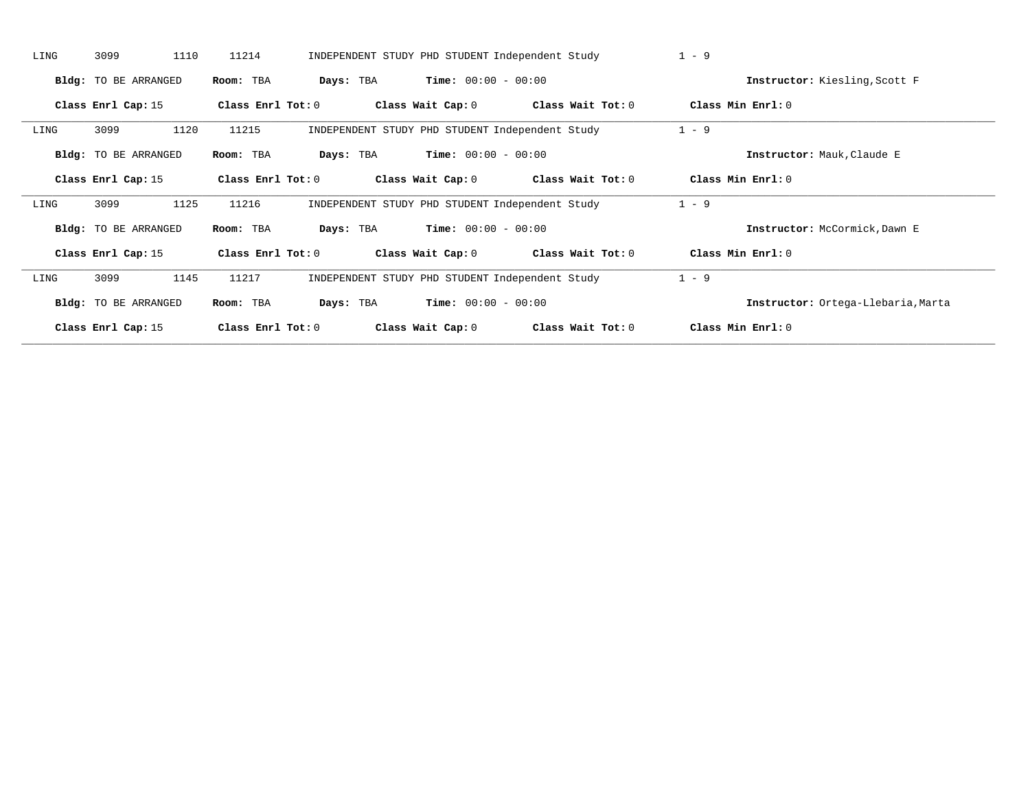| LING | 3099<br>1110                | 11214             |           |                              | INDEPENDENT STUDY PHD STUDENT Independent Study | $1 - 9$                            |
|------|-----------------------------|-------------------|-----------|------------------------------|-------------------------------------------------|------------------------------------|
|      | Bldg: TO BE ARRANGED        | Room: TBA         | Days: TBA | <b>Time:</b> $00:00 - 00:00$ |                                                 | Instructor: Kiesling, Scott F      |
|      | Class Enrl Cap: 15          | Class Enrl Tot: 0 |           | Class Wait Cap: 0            | Class Wait Tot: 0                               | Class Min Enrl: 0                  |
| LING | 3099<br>1120                | 11215             |           |                              | INDEPENDENT STUDY PHD STUDENT Independent Study | $1 - 9$                            |
|      | Bldg: TO BE ARRANGED        | Room: TBA         | Days: TBA | <b>Time:</b> $00:00 - 00:00$ |                                                 | Instructor: Mauk, Claude E         |
|      | Class Enrl Cap: 15          | Class Enrl Tot: 0 |           | Class Wait Cap: 0            | Class Wait Tot: 0                               | Class Min Enrl: 0                  |
| LING | 1125<br>3099                | 11216             |           |                              | INDEPENDENT STUDY PHD STUDENT Independent Study | $1 - 9$                            |
|      | <b>Bldg:</b> TO BE ARRANGED | Room: TBA         | Days: TBA | <b>Time:</b> $00:00 - 00:00$ |                                                 | Instructor: McCormick, Dawn E      |
|      | Class Enrl Cap: 15          | Class Enrl Tot: 0 |           | Class Wait Cap: 0            | Class Wait Tot: 0                               | Class Min Enrl: 0                  |
| LING | 3099<br>1145                | 11217             |           |                              | INDEPENDENT STUDY PHD STUDENT Independent Study | $1 - 9$                            |
|      | <b>Bldg:</b> TO BE ARRANGED | Room: TBA         | Days: TBA | <b>Time:</b> $00:00 - 00:00$ |                                                 | Instructor: Ortega-Llebaria, Marta |
|      | Class Enrl Cap: 15          | Class Enrl Tot: 0 |           | Class Wait Cap: 0            | Class Wait Tot: 0                               | Class Min Enrl: 0                  |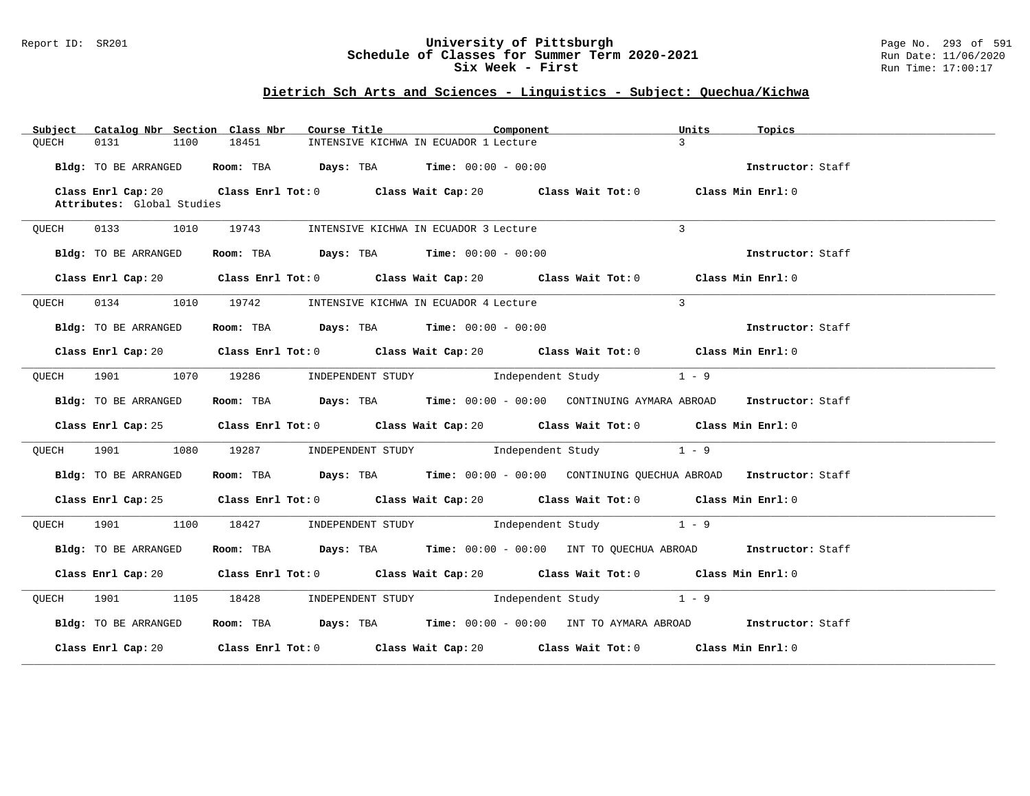### Report ID: SR201 **University of Pittsburgh** Page No. 293 of 591 **Schedule of Classes for Summer Term 2020-2021** Run Date: 11/06/2020 **Six Week - First Run Time: 17:00:17**

# **Dietrich Sch Arts and Sciences - Linguistics - Subject: Quechua/Kichwa**

| Subject<br>Catalog Nbr Section Class Nbr | Course Title                                                                                | Component | Units<br>Topics   |
|------------------------------------------|---------------------------------------------------------------------------------------------|-----------|-------------------|
| QUECH<br>0131<br>1100                    | 18451<br>INTENSIVE KICHWA IN ECUADOR 1 Lecture                                              |           | $\mathcal{L}$     |
| Bldg: TO BE ARRANGED                     | Room: TBA $Days: TBA$ Time: $00:00 - 00:00$                                                 |           | Instructor: Staff |
| Class Enrl Cap: 20                       | Class Enrl Tot: $0$ Class Wait Cap: $20$ Class Wait Tot: $0$ Class Min Enrl: $0$            |           |                   |
| Attributes: Global Studies               |                                                                                             |           |                   |
| 0133 1010<br>QUECH                       | 19743<br>INTENSIVE KICHWA IN ECUADOR 3 Lecture                                              |           | $\mathbf{3}$      |
|                                          |                                                                                             |           |                   |
| Bldg: TO BE ARRANGED                     | Room: TBA $\rule{1em}{0.15mm}$ Days: TBA $\rule{1.5mm}{0.15mm}$ Time: $00:00 - 00:00$       |           | Instructor: Staff |
|                                          | Class Enrl Cap: 20 Class Enrl Tot: 0 Class Wait Cap: 20 Class Wait Tot: 0 Class Min Enrl: 0 |           |                   |
|                                          |                                                                                             |           |                   |
| 0134 1010<br>OUECH                       | 19742<br>INTENSIVE KICHWA IN ECUADOR 4 Lecture                                              |           | $\overline{3}$    |
| Bldg: TO BE ARRANGED                     | Room: TBA $Days:$ TBA $Time: 00:00 - 00:00$                                                 |           | Instructor: Staff |
|                                          | Class Enrl Cap: 20 Class Enrl Tot: 0 Class Wait Cap: 20 Class Wait Tot: 0 Class Min Enrl: 0 |           |                   |
|                                          |                                                                                             |           |                   |
|                                          | QUECH 1901 1070 19286 INDEPENDENT STUDY Independent Study 1 - 9                             |           |                   |
|                                          | Room: TBA Days: TBA Time: 00:00 - 00:00 CONTINUING AYMARA ABROAD Instructor: Staff          |           |                   |
| Bldg: TO BE ARRANGED                     |                                                                                             |           |                   |
|                                          | Class Enrl Cap: 25 Class Enrl Tot: 0 Class Wait Cap: 20 Class Wait Tot: 0 Class Min Enrl: 0 |           |                   |
| QUECH                                    | 1901 1080 19287 INDEPENDENT STUDY Independent Study 1 - 9                                   |           |                   |
|                                          |                                                                                             |           |                   |
| Bldg: TO BE ARRANGED                     | Room: TBA Days: TBA Time: 00:00 - 00:00 CONTINUING OUECHUA ABROAD Instructor: Staff         |           |                   |
|                                          | Class Enrl Cap: 25 Class Enrl Tot: 0 Class Wait Cap: 20 Class Wait Tot: 0 Class Min Enrl: 0 |           |                   |
|                                          |                                                                                             |           |                   |
|                                          | QUECH 1901 1100 18427 INDEPENDENT STUDY Independent Study 1 - 9                             |           |                   |
| Bldg: TO BE ARRANGED                     | Room: TBA Days: TBA Time: 00:00 - 00:00 INT TO QUECHUA ABROAD Instructor: Staff             |           |                   |
|                                          |                                                                                             |           |                   |
|                                          | Class Enrl Cap: 20 Class Enrl Tot: 0 Class Wait Cap: 20 Class Wait Tot: 0 Class Min Enrl: 0 |           |                   |
|                                          | QUECH 1901 1105 18428 INDEPENDENT STUDY Independent Study 1 - 9                             |           |                   |
| Bldg: TO BE ARRANGED                     | Room: TBA Days: TBA Time: $00:00 - 00:00$ INT TO AYMARA ABROAD Instructor: Staff            |           |                   |
|                                          | Class Enrl Cap: 20 Class Enrl Tot: 0 Class Wait Cap: 20 Class Wait Tot: 0 Class Min Enrl: 0 |           |                   |
|                                          |                                                                                             |           |                   |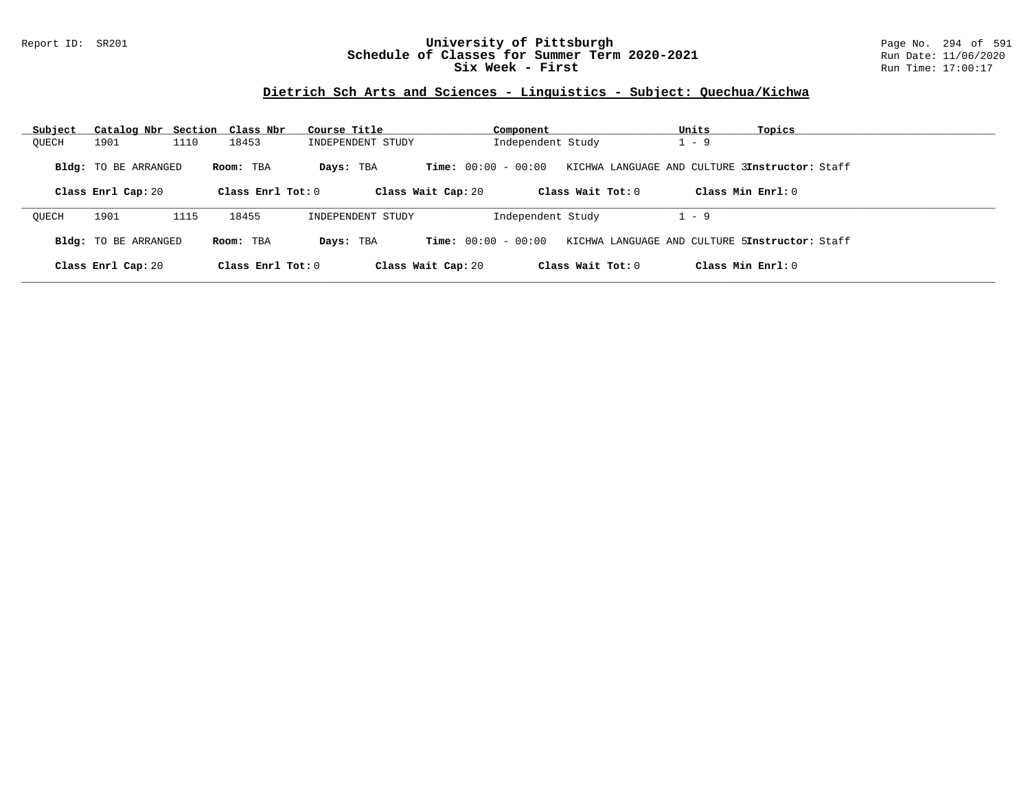## Report ID: SR201 **University of Pittsburgh** Page No. 294 of 591 **Schedule of Classes for Summer Term 2020-2021** Run Date: 11/06/2020 **Six Week - First Run Time: 17:00:17**

# **Dietrich Sch Arts and Sciences - Linguistics - Subject: Quechua/Kichwa**

| Subject | Catalog Nbr Section Class Nbr              |      |                                | Course Title      |                                             | Component         |                     | Units   | Topics                                                                |
|---------|--------------------------------------------|------|--------------------------------|-------------------|---------------------------------------------|-------------------|---------------------|---------|-----------------------------------------------------------------------|
| OUECH   | 1901                                       | 1110 | 18453                          | INDEPENDENT STUDY |                                             | Independent Study |                     | $-9$    |                                                                       |
|         | Bldg: TO BE ARRANGED<br>Class Enrl Cap: 20 |      | Room: TBA<br>Class Enrl Tot: 0 | Days: TBA         | $Time: 00:00 - 00:00$<br>Class Wait Cap: 20 |                   | Class Wait Tot: 0   |         | KICHWA LANGUAGE AND CULTURE 3Instructor: Staff<br>Class Min $Enr1: 0$ |
|         |                                            |      |                                |                   |                                             |                   |                     |         |                                                                       |
| OUECH   | 1901                                       | 1115 | 18455                          | INDEPENDENT STUDY |                                             | Independent Study |                     | $1 - 9$ |                                                                       |
|         | Bldg: TO BE ARRANGED                       |      | Room: TBA                      | Days: TBA         | <b>Time:</b> $00:00 - 00:00$                |                   |                     |         | KICHWA LANGUAGE AND CULTURE 5Instructor: Staff                        |
|         | Class Enrl Cap: 20                         |      | Class Enrl Tot: 0              |                   | Class Wait Cap: 20                          |                   | Class Wait Tot: $0$ |         | Class Min $Enr1: 0$                                                   |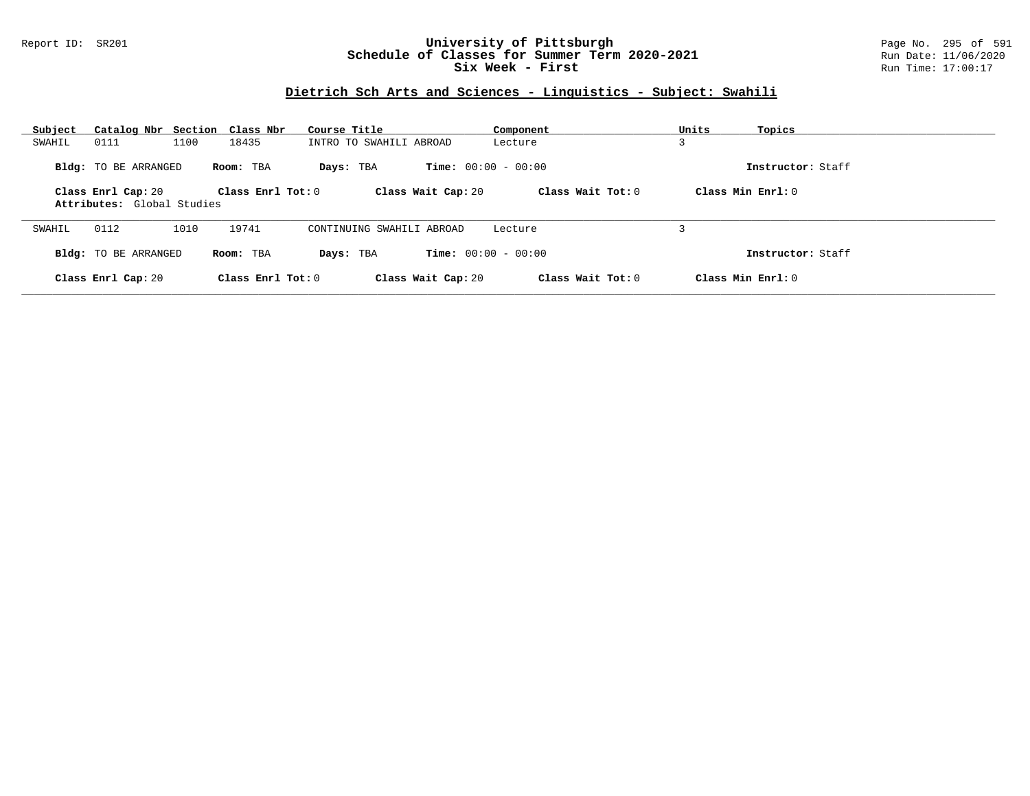## Report ID: SR201 **University of Pittsburgh** Page No. 295 of 591 **Schedule of Classes for Summer Term 2020-2021** Run Date: 11/06/2020 **Six Week - First Run Time: 17:00:17**

# **Dietrich Sch Arts and Sciences - Linguistics - Subject: Swahili**

| Catalog Nbr Section<br>Subject                   | Class Nbr               | Course Title              | Component                    | Units<br>Topics   |  |
|--------------------------------------------------|-------------------------|---------------------------|------------------------------|-------------------|--|
| 0111<br>SWAHIL                                   | 1100<br>18435           | INTRO TO SWAHILI ABROAD   | Lecture                      | 3                 |  |
| <b>Bldg:</b> TO BE ARRANGED                      | Room: TBA               | Days: TBA                 | <b>Time:</b> $00:00 - 00:00$ | Instructor: Staff |  |
| Class Enrl Cap: 20<br>Attributes: Global Studies | $Class$ $Enr1$ $Tot: 0$ | Class Wait Cap: 20        | Class Wait $Tot: 0$          | Class Min Enrl: 0 |  |
| 0112<br>SWAHIL                                   | 1010<br>19741           | CONTINUING SWAHILI ABROAD | Lecture                      |                   |  |
| <b>Bldg:</b> TO BE ARRANGED                      | Room: TBA               | Days: TBA                 | <b>Time:</b> $00:00 - 00:00$ | Instructor: Staff |  |
| Class Enrl Cap: 20                               | Class Enrl Tot: $0$     | Class Wait Cap: 20        | Class Wait Tot: 0            | Class Min Enrl: 0 |  |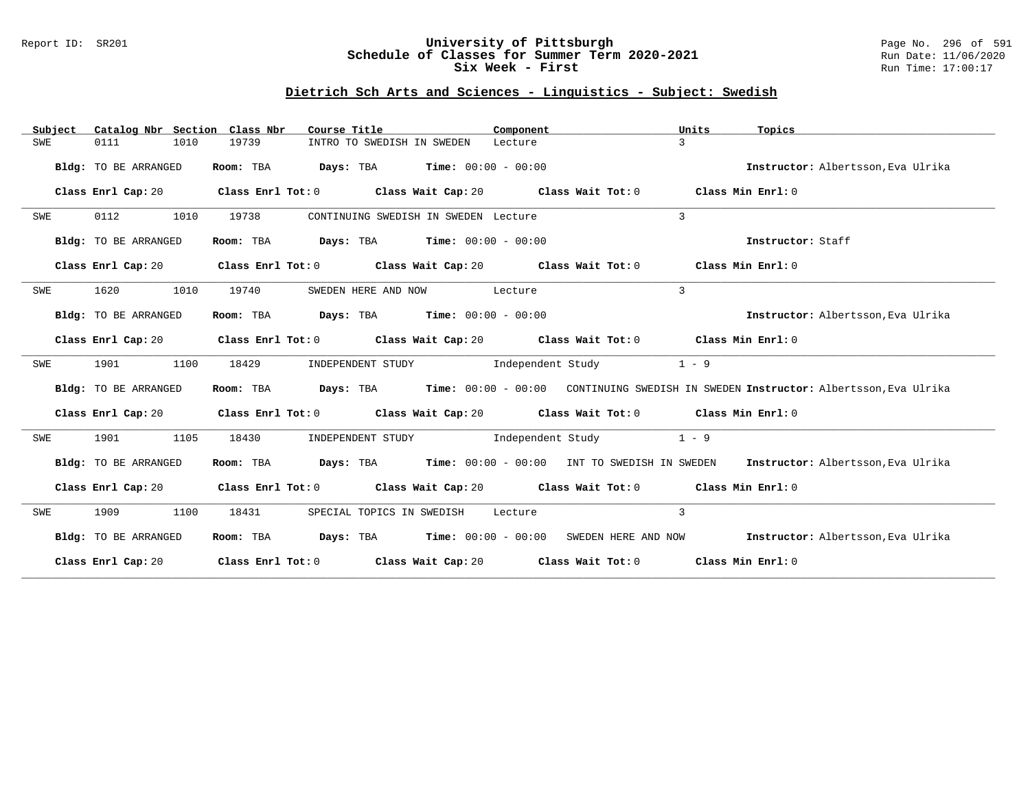## Report ID: SR201 **University of Pittsburgh** Page No. 296 of 591 **Schedule of Classes for Summer Term 2020-2021** Run Date: 11/06/2020 **Six Week - First Run Time: 17:00:17**

# **Dietrich Sch Arts and Sciences - Linguistics - Subject: Swedish**

| Subject |                      |      | Catalog Nbr Section Class Nbr | Course Title                                        |                                      | Component |                                                                                             | Units          | Topics                                                                                                  |  |
|---------|----------------------|------|-------------------------------|-----------------------------------------------------|--------------------------------------|-----------|---------------------------------------------------------------------------------------------|----------------|---------------------------------------------------------------------------------------------------------|--|
| SWE     | 0111                 | 1010 | 19739                         |                                                     | INTRO TO SWEDISH IN SWEDEN           | Lecture   |                                                                                             | $\mathcal{L}$  |                                                                                                         |  |
|         | Bldg: TO BE ARRANGED |      | Room: TBA                     | <b>Days:</b> TBA <b>Time:</b> $00:00 - 00:00$       |                                      |           |                                                                                             |                | Instructor: Albertsson, Eva Ulrika                                                                      |  |
|         | Class Enrl Cap: 20   |      |                               |                                                     |                                      |           | Class Enrl Tot: $0$ Class Wait Cap: $20$ Class Wait Tot: $0$                                |                | Class Min Enrl: 0                                                                                       |  |
| SWE     | 0112                 | 1010 | 19738                         |                                                     | CONTINUING SWEDISH IN SWEDEN Lecture |           |                                                                                             | $\overline{3}$ |                                                                                                         |  |
|         | Bldg: TO BE ARRANGED |      | Room: TBA                     | <b>Days:</b> TBA <b>Time:</b> $00:00 - 00:00$       |                                      |           |                                                                                             |                | Instructor: Staff                                                                                       |  |
|         | Class Enrl Cap: 20   |      |                               |                                                     |                                      |           | Class Enrl Tot: $0$ Class Wait Cap: $20$ Class Wait Tot: $0$                                |                | Class Min Enrl: 0                                                                                       |  |
| SWE     | 1620                 | 1010 | 19740                         |                                                     | SWEDEN HERE AND NOW Lecture          |           |                                                                                             | $\mathbf{3}$   |                                                                                                         |  |
|         | Bldg: TO BE ARRANGED |      | Room: TBA                     | $\texttt{Days:}$ TBA $\texttt{Time:}$ 00:00 - 00:00 |                                      |           |                                                                                             |                | Instructor: Albertsson, Eva Ulrika                                                                      |  |
|         | Class Enrl Cap: 20   |      |                               |                                                     |                                      |           | Class Enrl Tot: 0 Class Wait Cap: 20 Class Wait Tot: 0 Class Min Enrl: 0                    |                |                                                                                                         |  |
| SWE     | 1901                 | 1100 | 18429                         |                                                     |                                      |           | INDEPENDENT STUDY 1ndependent Study                                                         | $1 - 9$        |                                                                                                         |  |
|         | Bldg: TO BE ARRANGED |      |                               |                                                     |                                      |           |                                                                                             |                | Room: TBA Days: TBA Time: 00:00 - 00:00 CONTINUING SWEDISH IN SWEDEN Instructor: Albertsson, Eva Ulrika |  |
|         |                      |      |                               |                                                     |                                      |           | Class Enrl Cap: 20 Class Enrl Tot: 0 Class Wait Cap: 20 Class Wait Tot: 0 Class Min Enrl: 0 |                |                                                                                                         |  |
| SWE     | 1901                 | 1105 | 18430                         |                                                     |                                      |           | INDEPENDENT STUDY 1ndependent Study                                                         | $1 - 9$        |                                                                                                         |  |
|         | Bldg: TO BE ARRANGED |      |                               |                                                     |                                      |           | Room: TBA Days: TBA Time: 00:00 - 00:00 INT TO SWEDISH IN SWEDEN                            |                | Instructor: Albertsson, Eva Ulrika                                                                      |  |
|         |                      |      |                               |                                                     |                                      |           | Class Enrl Cap: 20 Class Enrl Tot: 0 Class Wait Cap: 20 Class Wait Tot: 0 Class Min Enrl: 0 |                |                                                                                                         |  |
| SWE     | 1909                 | 1100 | 18431                         |                                                     | SPECIAL TOPICS IN SWEDISH Lecture    |           |                                                                                             | $\overline{3}$ |                                                                                                         |  |
|         | Bldg: TO BE ARRANGED |      |                               |                                                     |                                      |           |                                                                                             |                | Room: TBA Days: TBA Time: 00:00 - 00:00 SWEDEN HERE AND NOW Instructor: Albertsson, Eva Ulrika          |  |
|         |                      |      |                               |                                                     |                                      |           | Class Enrl Cap: 20 Class Enrl Tot: 0 Class Wait Cap: 20 Class Wait Tot: 0 Class Min Enrl: 0 |                |                                                                                                         |  |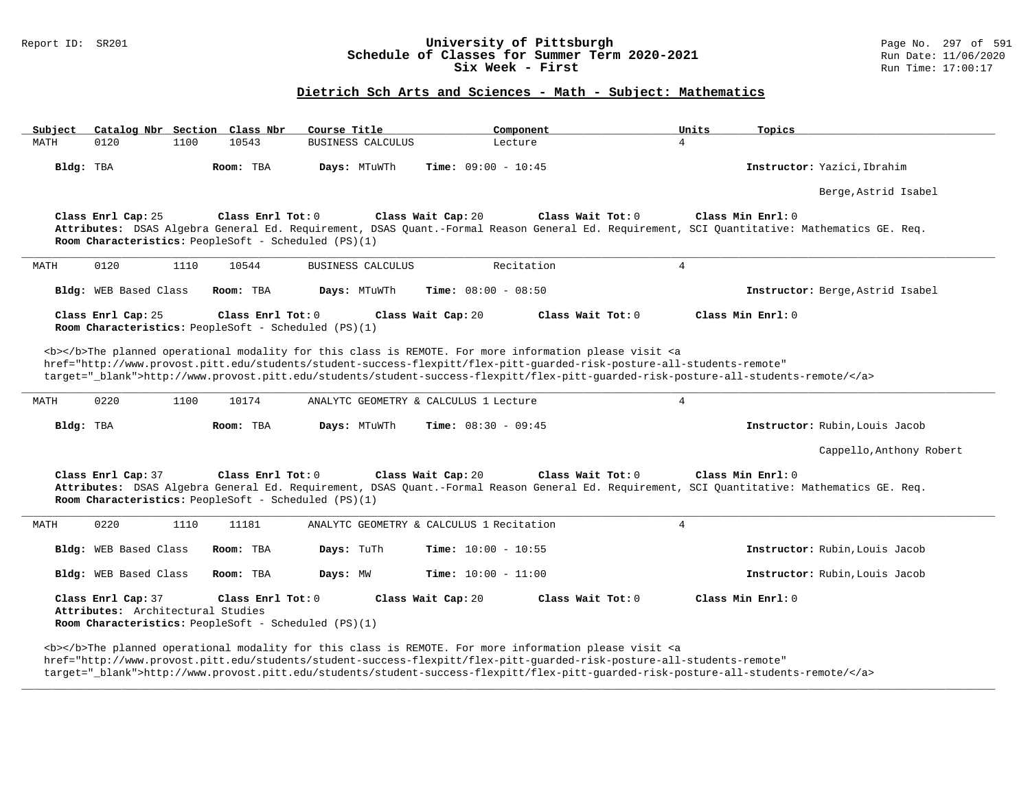### Report ID: SR201 **197 of Schedule of Classes for Summer Term 2020-2021** Page No. 297 of 591 Page No. 297 of 591<br>**Schedule of Classes for Summer Term 2020-2021** Run Date: 11/06/2020 **Schedule of Classes for Summer Term 2020-2021** Run Date: 11/06/2020<br>Six Week - First Run Time: 17:00:17 Six Week - First

## **Dietrich Sch Arts and Sciences - Math - Subject: Mathematics**

| Subject   |                                                         |      | Catalog Nbr Section Class Nbr                                             | Course Title             | Component                                                                                                                                                                                                                                                                                                                                                                          | Units<br>Topics                  |                          |
|-----------|---------------------------------------------------------|------|---------------------------------------------------------------------------|--------------------------|------------------------------------------------------------------------------------------------------------------------------------------------------------------------------------------------------------------------------------------------------------------------------------------------------------------------------------------------------------------------------------|----------------------------------|--------------------------|
| MATH      | 0120                                                    | 1100 | 10543                                                                     | BUSINESS CALCULUS        | Lecture                                                                                                                                                                                                                                                                                                                                                                            | $\overline{4}$                   |                          |
| Bldg: TBA |                                                         |      | Room: TBA                                                                 | Days: MTuWTh             | <b>Time:</b> $09:00 - 10:45$                                                                                                                                                                                                                                                                                                                                                       | Instructor: Yazici, Ibrahim      |                          |
|           |                                                         |      |                                                                           |                          |                                                                                                                                                                                                                                                                                                                                                                                    | Berge, Astrid Isabel             |                          |
|           | Class Enrl Cap: 25                                      |      | Class Enrl Tot: 0<br>Room Characteristics: PeopleSoft - Scheduled (PS)(1) |                          | Class Wait Cap: 20<br>Class Wait Tot: 0<br>Attributes: DSAS Algebra General Ed. Requirement, DSAS Quant.-Formal Reason General Ed. Requirement, SCI Quantitative: Mathematics GE. Req.                                                                                                                                                                                             | Class Min Enrl: 0                |                          |
| MATH      | 0120                                                    | 1110 | 10544                                                                     | <b>BUSINESS CALCULUS</b> | Recitation                                                                                                                                                                                                                                                                                                                                                                         | 4                                |                          |
|           | Bldg: WEB Based Class                                   |      | Room: TBA                                                                 | Days: MTuWTh             | <b>Time:</b> $08:00 - 08:50$                                                                                                                                                                                                                                                                                                                                                       | Instructor: Berge, Astrid Isabel |                          |
|           | Class Enrl Cap: 25                                      |      | Class Enrl Tot: 0<br>Room Characteristics: PeopleSoft - Scheduled (PS)(1) |                          | Class Wait Cap: 20<br>Class Wait Tot: 0                                                                                                                                                                                                                                                                                                                                            | Class Min Enrl: 0                |                          |
|           |                                                         |      |                                                                           |                          | <b></b> The planned operational modality for this class is REMOTE. For more information please visit <a<br>href="http://www.provost.pitt.edu/students/student-success-flexpitt/flex-pitt-quarded-risk-posture-all-students-remote"<br/>target="_blank"&gt;http://www.provost.pitt.edu/students/student-success-flexpitt/flex-pitt-quarded-risk-posture-all-students-remote/</a<br> |                                  |                          |
| MATH      | 0220                                                    | 1100 | 10174                                                                     |                          | ANALYTC GEOMETRY & CALCULUS 1 Lecture                                                                                                                                                                                                                                                                                                                                              | 4                                |                          |
| Bldg: TBA |                                                         |      | Room: TBA                                                                 | Days: MTuWTh             | <b>Time:</b> $08:30 - 09:45$                                                                                                                                                                                                                                                                                                                                                       | Instructor: Rubin, Louis Jacob   |                          |
|           |                                                         |      |                                                                           |                          |                                                                                                                                                                                                                                                                                                                                                                                    |                                  | Cappello, Anthony Robert |
|           | Class Enrl Cap: 37                                      |      | Class Enrl Tot: 0<br>Room Characteristics: PeopleSoft - Scheduled (PS)(1) |                          | Class Wait Cap: 20<br>Class Wait Tot: 0<br>Attributes: DSAS Algebra General Ed. Requirement, DSAS Quant.-Formal Reason General Ed. Requirement, SCI Quantitative: Mathematics GE. Req.                                                                                                                                                                                             | Class Min Enrl: 0                |                          |
| MATH      | 0220                                                    | 1110 | 11181                                                                     |                          | ANALYTC GEOMETRY & CALCULUS 1 Recitation                                                                                                                                                                                                                                                                                                                                           | $\overline{4}$                   |                          |
|           | Bldg: WEB Based Class                                   |      | Room: TBA                                                                 | Days: TuTh               | <b>Time:</b> $10:00 - 10:55$                                                                                                                                                                                                                                                                                                                                                       | Instructor: Rubin, Louis Jacob   |                          |
|           | Bldg: WEB Based Class                                   |      | Room: TBA                                                                 | Days: MW                 | Time: $10:00 - 11:00$                                                                                                                                                                                                                                                                                                                                                              | Instructor: Rubin, Louis Jacob   |                          |
|           | Class Enrl Cap: 37<br>Attributes: Architectural Studies |      | Class Enrl Tot: 0<br>Room Characteristics: PeopleSoft - Scheduled (PS)(1) |                          | Class Wait Cap: 20<br>Class Wait Tot: 0                                                                                                                                                                                                                                                                                                                                            | Class Min $Enr1: 0$              |                          |
|           |                                                         |      |                                                                           |                          | <b></b> The planned operational modality for this class is REMOTE. For more information please visit <a< td=""><td></td><td></td></a<>                                                                                                                                                                                                                                             |                                  |                          |

href="http://www.provost.pitt.edu/students/student-success-flexpitt/flex-pitt-guarded-risk-posture-all-students-remote"

target="\_blank">http://www.provost.pitt.edu/students/student-success-flexpitt/flex-pitt-guarded-risk-posture-all-students-remote/</a>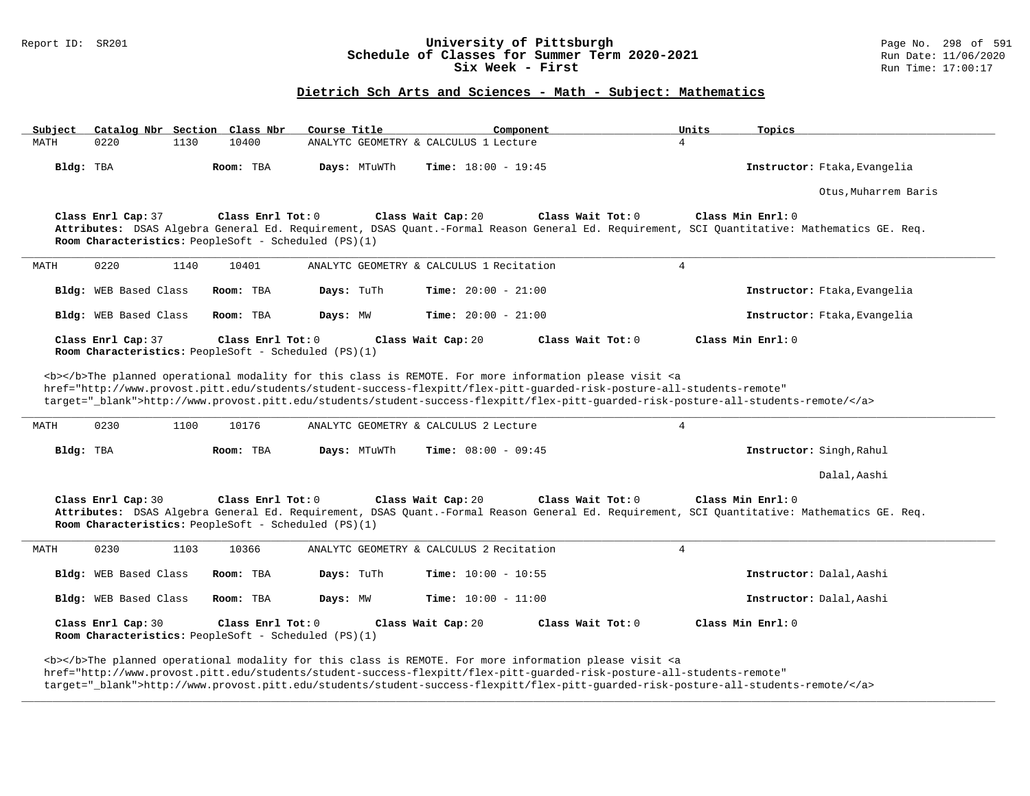### Report ID: SR201 **198 of September 198 of September 10: SR201** Page No. 298 of 591 **University of Pittsburgh** Page No. 298 of 591 **Schedule of Classes for Summer Term 2020-2021** Run Date: 11/06/2020 **Schedule of Classes for Summer Term 2020-2021** Run Date: 11/06/2020<br>Six Week - First Run Time: 17:00:17 Six Week - First

## **Dietrich Sch Arts and Sciences - Math - Subject: Mathematics**

| Subject   |                       |      | Catalog Nbr Section Class Nbr                                             | Course Title | Component                                |                   | Units          | Topics                                                                                                                                                           |
|-----------|-----------------------|------|---------------------------------------------------------------------------|--------------|------------------------------------------|-------------------|----------------|------------------------------------------------------------------------------------------------------------------------------------------------------------------|
| MATH      | 0220                  | 1130 | 10400                                                                     |              | ANALYTC GEOMETRY & CALCULUS 1 Lecture    |                   | $\overline{4}$ |                                                                                                                                                                  |
| Bldg: TBA |                       |      | Room: TBA                                                                 | Days: MTuWTh | <b>Time:</b> $18:00 - 19:45$             |                   |                | Instructor: Ftaka, Evangelia                                                                                                                                     |
|           |                       |      |                                                                           |              |                                          |                   |                | Otus, Muharrem Baris                                                                                                                                             |
|           | Class Enrl Cap: 37    |      | Class Enrl Tot: 0<br>Room Characteristics: PeopleSoft - Scheduled (PS)(1) |              | Class Wait Cap: 20                       | Class Wait Tot: 0 |                | Class Min Enrl: 0<br>Attributes: DSAS Algebra General Ed. Requirement, DSAS Quant.-Formal Reason General Ed. Requirement, SCI Quantitative: Mathematics GE. Req. |
| MATH      | 0220                  | 1140 | 10401                                                                     |              | ANALYTC GEOMETRY & CALCULUS 1 Recitation |                   | $\overline{4}$ |                                                                                                                                                                  |
|           | Bldg: WEB Based Class |      | Room: TBA                                                                 | Days: TuTh   | Time: $20:00 - 21:00$                    |                   |                | Instructor: Ftaka, Evangelia                                                                                                                                     |
|           | Bldg: WEB Based Class |      | Room: TBA                                                                 | Days: MW     | Time: $20:00 - 21:00$                    |                   |                | Instructor: Ftaka, Evangelia                                                                                                                                     |
|           | Class Enrl Cap: 37    |      | Class Enrl Tot: 0<br>Room Characteristics: PeopleSoft - Scheduled (PS)(1) |              | Class Wait Cap: 20                       | Class Wait Tot: 0 |                | Class Min Enrl: 0                                                                                                                                                |
| MATH      | 0230                  | 1100 | 10176                                                                     |              | ANALYTC GEOMETRY & CALCULUS 2 Lecture    |                   | $\overline{4}$ | target="_blank">http://www.provost.pitt.edu/students/student-success-flexpitt/flex-pitt-quarded-risk-posture-all-students-remote/                                |
| Bldg: TBA |                       |      | Room: TBA                                                                 | Days: MTuWTh | <b>Time:</b> $08:00 - 09:45$             |                   |                | Instructor: Singh, Rahul                                                                                                                                         |
|           |                       |      |                                                                           |              |                                          |                   |                | Dalal, Aashi                                                                                                                                                     |
|           | Class Enrl Cap: 30    |      | Class Enrl Tot: 0<br>Room Characteristics: PeopleSoft - Scheduled (PS)(1) |              | Class Wait Cap: 20                       | Class Wait Tot: 0 |                | Class Min Enrl: 0<br>Attributes: DSAS Algebra General Ed. Requirement, DSAS Quant.-Formal Reason General Ed. Requirement, SCI Quantitative: Mathematics GE. Req. |
| MATH      | 0230                  | 1103 | 10366                                                                     |              | ANALYTC GEOMETRY & CALCULUS 2 Recitation |                   | $\overline{4}$ |                                                                                                                                                                  |
|           | Bldg: WEB Based Class |      | Room: TBA                                                                 | Days: TuTh   | <b>Time:</b> $10:00 - 10:55$             |                   |                | Instructor: Dalal, Aashi                                                                                                                                         |
|           | Bldg: WEB Based Class |      | Room: TBA                                                                 | Days: MW     | <b>Time:</b> $10:00 - 11:00$             |                   |                | Instructor: Dalal, Aashi                                                                                                                                         |
|           | Class Enrl Cap: 30    |      | Class Enrl Tot: 0<br>Room Characteristics: PeopleSoft - Scheduled (PS)(1) |              | Class Wait Cap: 20                       | Class Wait Tot: 0 |                | Class Min Enrl: 0                                                                                                                                                |
|           |                       |      |                                                                           |              |                                          |                   |                |                                                                                                                                                                  |

href="http://www.provost.pitt.edu/students/student-success-flexpitt/flex-pitt-guarded-risk-posture-all-students-remote"

target="\_blank">http://www.provost.pitt.edu/students/student-success-flexpitt/flex-pitt-guarded-risk-posture-all-students-remote/</a>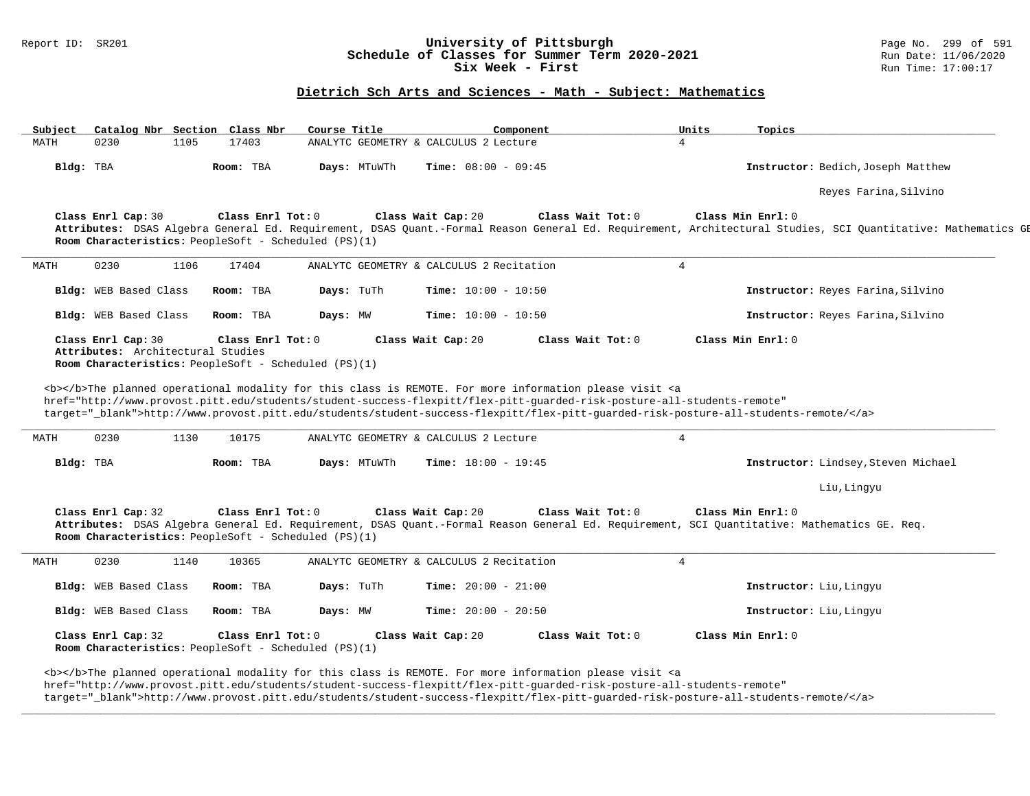### Report ID: SR201 **199 of September 1994 University of Pittsburgh** Page No. 2010 Page No. 299 of 591 **Schedule of Classes for Summer Term 2020-2021** Page No. 2010 Run Date: 11/06/2020 **Schedule of Classes for Summer Term 2020-2021** Run Date: 11/06/2020<br>Six Week - First Run Time: 17:00:17 Six Week - First

## **Dietrich Sch Arts and Sciences - Math - Subject: Mathematics**

| Subject | Catalog Nbr Section Class Nbr                                              |      |                   | Course Title |              | Component                                                                                                                                                                                                                                                                                                                                                                                                                            | Units          | Topics                                                                                                                                                                            |
|---------|----------------------------------------------------------------------------|------|-------------------|--------------|--------------|--------------------------------------------------------------------------------------------------------------------------------------------------------------------------------------------------------------------------------------------------------------------------------------------------------------------------------------------------------------------------------------------------------------------------------------|----------------|-----------------------------------------------------------------------------------------------------------------------------------------------------------------------------------|
| MATH    | 0230                                                                       | 1105 | 17403             |              |              | ANALYTC GEOMETRY & CALCULUS 2 Lecture                                                                                                                                                                                                                                                                                                                                                                                                | $\overline{4}$ |                                                                                                                                                                                   |
|         | Bldg: TBA                                                                  |      | Room: TBA         |              | Days: MTuWTh | <b>Time:</b> $08:00 - 09:45$                                                                                                                                                                                                                                                                                                                                                                                                         |                | Instructor: Bedich, Joseph Matthew                                                                                                                                                |
|         |                                                                            |      |                   |              |              |                                                                                                                                                                                                                                                                                                                                                                                                                                      |                | Reyes Farina, Silvino                                                                                                                                                             |
|         | Class Enrl Cap: 30<br>Room Characteristics: PeopleSoft - Scheduled (PS)(1) |      | Class Enrl Tot: 0 |              |              | Class Wait Cap: 20<br>Class Wait Tot: 0                                                                                                                                                                                                                                                                                                                                                                                              |                | Class Min Enrl: 0<br>Attributes: DSAS Algebra General Ed. Requirement, DSAS Quant.-Formal Reason General Ed. Requirement, Architectural Studies, SCI Quantitative: Mathematics GH |
| MATH    | 0230                                                                       | 1106 | 17404             |              |              | ANALYTC GEOMETRY & CALCULUS 2 Recitation                                                                                                                                                                                                                                                                                                                                                                                             | $\overline{4}$ |                                                                                                                                                                                   |
|         | Bldg: WEB Based Class                                                      |      | Room: TBA         | Days: TuTh   |              | Time: $10:00 - 10:50$                                                                                                                                                                                                                                                                                                                                                                                                                |                | Instructor: Reyes Farina, Silvino                                                                                                                                                 |
|         | Bldg: WEB Based Class                                                      |      | Room: TBA         | Days: MW     |              | Time: $10:00 - 10:50$                                                                                                                                                                                                                                                                                                                                                                                                                |                | Instructor: Reyes Farina, Silvino                                                                                                                                                 |
|         | Class Enrl Cap: 30<br>Attributes: Architectural Studies                    |      | Class Enrl Tot: 0 |              |              | Class Wait Tot: 0<br>Class Wait Cap: 20                                                                                                                                                                                                                                                                                                                                                                                              |                | Class Min Enrl: 0                                                                                                                                                                 |
|         | Room Characteristics: PeopleSoft - Scheduled $(PS)(1)$                     |      |                   |              |              |                                                                                                                                                                                                                                                                                                                                                                                                                                      |                |                                                                                                                                                                                   |
|         | 0230                                                                       | 1130 | 10175             |              |              | <b></b> >>>>The planned operational modality for this class is REMOTE. For more information please visit <a<br>href="http://www.provost.pitt.edu/students/student-success-flexpitt/flex-pitt-quarded-risk-posture-all-students-remote"<br/>target="_blank"&gt;http://www.provost.pitt.edu/students/student-success-flexpitt/flex-pitt-guarded-risk-posture-all-students-remote/<br/>ANALYTC GEOMETRY &amp; CALCULUS 2 Lecture</a<br> | $\overline{4}$ |                                                                                                                                                                                   |
|         | Bldg: TBA                                                                  |      | Room: TBA         |              | Days: MTuWTh | Time: $18:00 - 19:45$                                                                                                                                                                                                                                                                                                                                                                                                                |                | Instructor: Lindsey, Steven Michael                                                                                                                                               |
| MATH    |                                                                            |      |                   |              |              |                                                                                                                                                                                                                                                                                                                                                                                                                                      |                | Liu, Lingyu                                                                                                                                                                       |
|         | Class Enrl Cap: 32<br>Room Characteristics: PeopleSoft - Scheduled (PS)(1) |      | Class Enrl Tot: 0 |              |              | Class Wait Cap: 20<br>Class Wait Tot: 0<br>Attributes: DSAS Algebra General Ed. Requirement, DSAS Quant.-Formal Reason General Ed. Requirement, SCI Quantitative: Mathematics GE. Req.                                                                                                                                                                                                                                               |                | Class Min Enrl: 0                                                                                                                                                                 |
| MATH    | 0230                                                                       | 1140 | 10365             |              |              | ANALYTC GEOMETRY & CALCULUS 2 Recitation                                                                                                                                                                                                                                                                                                                                                                                             | $\overline{4}$ |                                                                                                                                                                                   |
|         | Bldg: WEB Based Class                                                      |      | Room: TBA         | Days: TuTh   |              | Time: $20:00 - 21:00$                                                                                                                                                                                                                                                                                                                                                                                                                |                | Instructor: Liu, Lingyu                                                                                                                                                           |
|         | Bldg: WEB Based Class                                                      |      | Room: TBA         | Days: MW     |              | <b>Time:</b> $20:00 - 20:50$                                                                                                                                                                                                                                                                                                                                                                                                         |                | Instructor: Liu, Lingyu                                                                                                                                                           |

href="http://www.provost.pitt.edu/students/student-success-flexpitt/flex-pitt-guarded-risk-posture-all-students-remote"

target="\_blank">http://www.provost.pitt.edu/students/student-success-flexpitt/flex-pitt-guarded-risk-posture-all-students-remote/</a>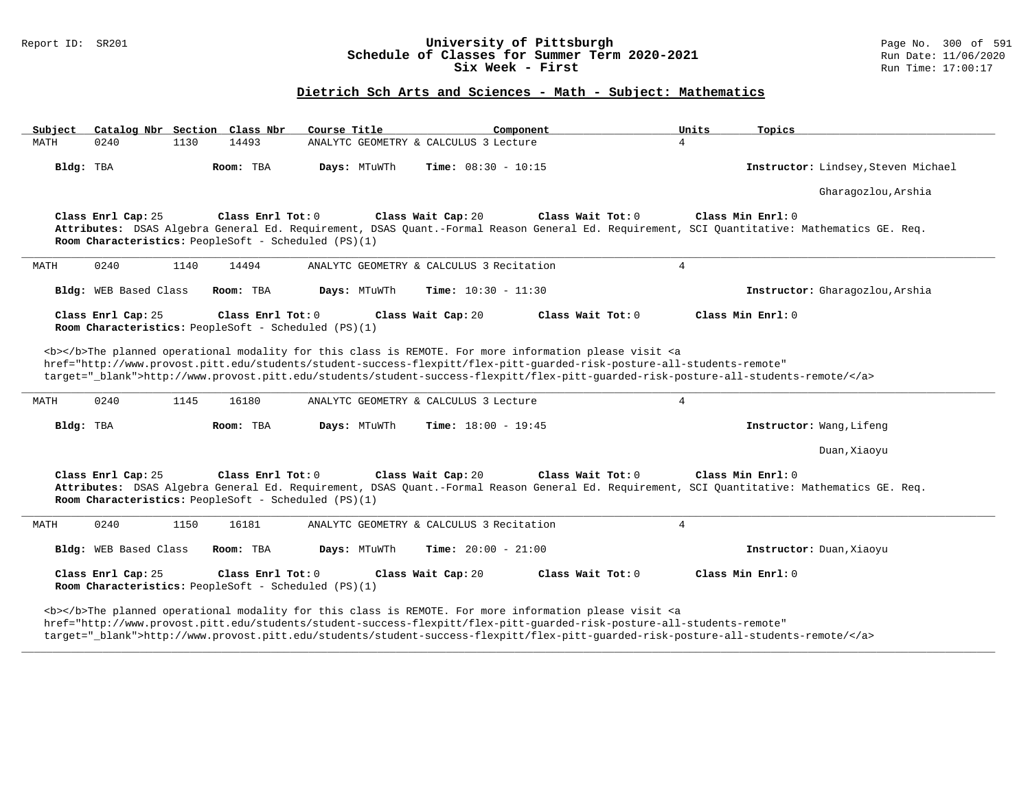### Report ID: SR201 **University of Pittsburgh University of Pittsburgh** Page No. 300 of 591 **Schedule of Classes for Summer Term 2020-2021** Run Date: 11/06/2020 **Schedule of Classes for Summer Term 2020-2021** Run Date: 11/06/2020<br>Six Week - First Run Time: 17:00:17 Six Week - First

## **Dietrich Sch Arts and Sciences - Math - Subject: Mathematics**

| Catalog Nbr Section Class Nbr<br>Subject                                                        | Course Title<br>Component                                                                                                                                                                                                                                                                                                                                                                                                            | Units<br>Topics                                                                                                                                                                       |
|-------------------------------------------------------------------------------------------------|--------------------------------------------------------------------------------------------------------------------------------------------------------------------------------------------------------------------------------------------------------------------------------------------------------------------------------------------------------------------------------------------------------------------------------------|---------------------------------------------------------------------------------------------------------------------------------------------------------------------------------------|
| 14493<br>0240<br>1130<br>MATH                                                                   | ANALYTC GEOMETRY & CALCULUS 3 Lecture                                                                                                                                                                                                                                                                                                                                                                                                | $\overline{4}$                                                                                                                                                                        |
| Bldg: TBA<br>Room: TBA                                                                          | Days: MTuWTh<br><b>Time:</b> $08:30 - 10:15$                                                                                                                                                                                                                                                                                                                                                                                         | Instructor: Lindsey, Steven Michael                                                                                                                                                   |
|                                                                                                 |                                                                                                                                                                                                                                                                                                                                                                                                                                      | Gharagozlou, Arshia                                                                                                                                                                   |
| Class Enrl Cap: 25<br>Class Enrl Tot: 0<br>Room Characteristics: PeopleSoft - Scheduled (PS)(1) | Class Wait Cap: 20                                                                                                                                                                                                                                                                                                                                                                                                                   | Class Wait Tot: 0<br>Class Min Enrl: 0<br>Attributes: DSAS Algebra General Ed. Requirement, DSAS Quant.-Formal Reason General Ed. Requirement, SCI Quantitative: Mathematics GE. Req. |
| 0240<br>1140<br>14494<br>MATH                                                                   | ANALYTC GEOMETRY & CALCULUS 3 Recitation                                                                                                                                                                                                                                                                                                                                                                                             | $\overline{4}$                                                                                                                                                                        |
| <b>Bldg:</b> WEB Based Class<br>Room: TBA                                                       | Days: MTuWTh<br><b>Time:</b> $10:30 - 11:30$                                                                                                                                                                                                                                                                                                                                                                                         | Instructor: Gharagozlou, Arshia                                                                                                                                                       |
| Class Enrl Cap: 25<br>Class Enrl Tot: 0<br>Room Characteristics: PeopleSoft - Scheduled (PS)(1) | Class Wait Cap: 20                                                                                                                                                                                                                                                                                                                                                                                                                   | Class Wait Tot: 0<br>Class Min Enrl: 0                                                                                                                                                |
| MATH<br>0240<br>1145<br>16180                                                                   | <b></b> >>>>The planned operational modality for this class is REMOTE. For more information please visit <a<br>href="http://www.provost.pitt.edu/students/student-success-flexpitt/flex-pitt-quarded-risk-posture-all-students-remote"<br/>target="_blank"&gt;http://www.provost.pitt.edu/students/student-success-flexpitt/flex-pitt-guarded-risk-posture-all-students-remote/<br/>ANALYTC GEOMETRY &amp; CALCULUS 3 Lecture</a<br> | 4                                                                                                                                                                                     |
| Bldg: TBA<br>Room: TBA                                                                          | Days: MTuWTh<br><b>Time:</b> $18:00 - 19:45$                                                                                                                                                                                                                                                                                                                                                                                         | Instructor: Wang, Lifeng                                                                                                                                                              |
|                                                                                                 |                                                                                                                                                                                                                                                                                                                                                                                                                                      | Duan, Xiaoyu                                                                                                                                                                          |
| Class Enrl Cap: 25<br>Class Enrl Tot: 0<br>Room Characteristics: PeopleSoft - Scheduled (PS)(1) | Class Wait Cap: 20                                                                                                                                                                                                                                                                                                                                                                                                                   | Class Wait Tot: 0<br>Class Min Enrl: 0<br>Attributes: DSAS Algebra General Ed. Requirement, DSAS Quant.-Formal Reason General Ed. Requirement, SCI Quantitative: Mathematics GE. Req. |
| 0240<br>1150<br>16181<br>MATH                                                                   | ANALYTC GEOMETRY & CALCULUS 3 Recitation                                                                                                                                                                                                                                                                                                                                                                                             | 4                                                                                                                                                                                     |
| Bldg: WEB Based Class<br>Room: TBA                                                              | Days: MTuWTh<br><b>Time:</b> $20:00 - 21:00$                                                                                                                                                                                                                                                                                                                                                                                         | Instructor: Duan, Xiaoyu                                                                                                                                                              |
| Class Enrl Cap: 25<br>Class Enrl Tot: 0<br>Room Characteristics: PeopleSoft - Scheduled (PS)(1) | Class Wait Cap: 20                                                                                                                                                                                                                                                                                                                                                                                                                   | Class Min Enrl: 0<br>Class Wait Tot: 0                                                                                                                                                |
|                                                                                                 | <b></b> The planned operational modality for this class is REMOTE. For more information please visit <a< td=""><td></td></a<>                                                                                                                                                                                                                                                                                                        |                                                                                                                                                                                       |

target="\_blank">http://www.provost.pitt.edu/students/student-success-flexpitt/flex-pitt-guarded-risk-posture-all-students-remote/</a>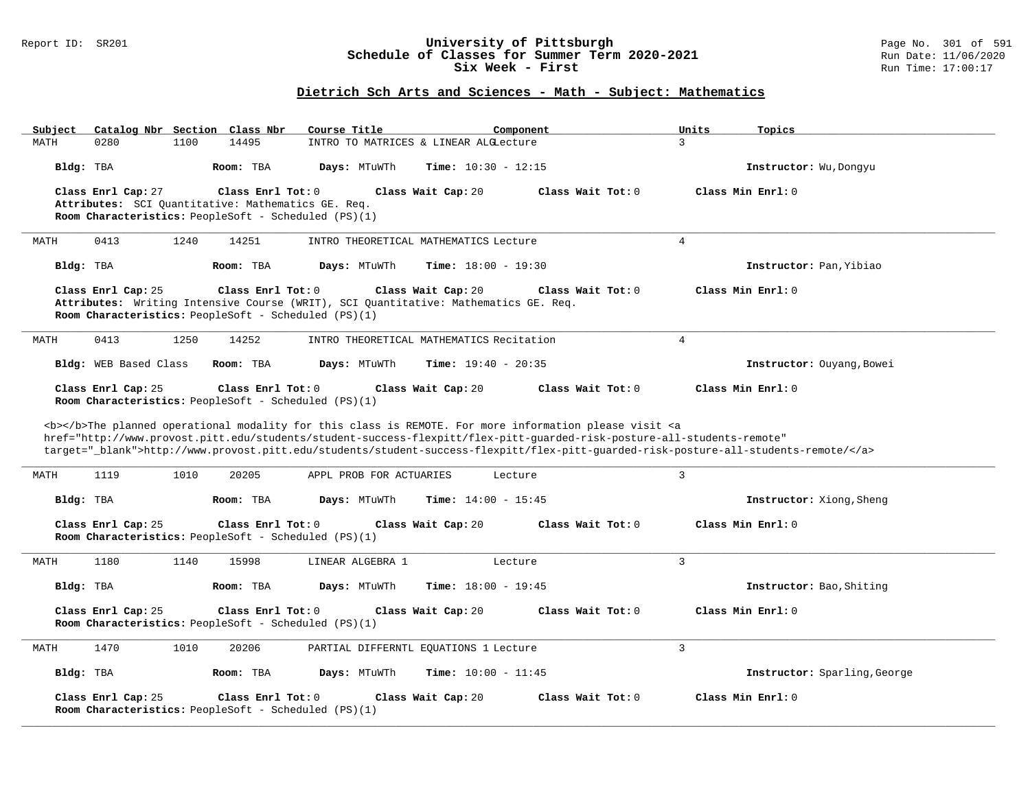### Report ID: SR201 **University of Pittsburgh** Page No. 301 of 591 **Schedule of Classes for Summer Term 2020-2021** Run Date: 11/06/2020 **Six Week - First Run Time: 17:00:17**

# **Dietrich Sch Arts and Sciences - Math - Subject: Mathematics**

| Subject<br>Catalog Nbr Section Class Nbr                                                        | Course Title<br>Component                                                                                                         | Units<br>Topics              |
|-------------------------------------------------------------------------------------------------|-----------------------------------------------------------------------------------------------------------------------------------|------------------------------|
| 14495<br>MATH<br>0280<br>1100                                                                   | INTRO TO MATRICES & LINEAR ALGLecture                                                                                             | 3                            |
| Bldg: TBA<br>Room: TBA                                                                          | Days: MTuWTh<br>Time: $10:30 - 12:15$                                                                                             | Instructor: Wu, Dongyu       |
| Class Enrl Cap: 27<br>Class Enrl Tot: 0                                                         | Class Wait Cap: 20<br>Class Wait Tot: 0                                                                                           | Class Min Enrl: 0            |
| Attributes: SCI Quantitative: Mathematics GE. Req.                                              |                                                                                                                                   |                              |
| Room Characteristics: PeopleSoft - Scheduled (PS)(1)                                            |                                                                                                                                   |                              |
| 1240<br>14251<br>0413<br>MATH                                                                   | INTRO THEORETICAL MATHEMATICS Lecture                                                                                             | $\overline{4}$               |
| Bldg: TBA<br>Room: TBA                                                                          | Days: MTuWTh<br>Time: $18:00 - 19:30$                                                                                             | Instructor: Pan, Yibiao      |
| Class Enrl Cap: 25<br>Class Enrl Tot: 0<br>Room Characteristics: PeopleSoft - Scheduled (PS)(1) | Class Wait Cap: 20<br>Class Wait Tot: 0<br>Attributes: Writing Intensive Course (WRIT), SCI Quantitative: Mathematics GE. Req.    | Class Min Enrl: 0            |
| 0413<br>1250<br>14252<br>MATH                                                                   | INTRO THEORETICAL MATHEMATICS Recitation                                                                                          | $\overline{4}$               |
| Bldg: WEB Based Class<br>Room: TBA                                                              | Days: MTuWTh<br>Time: $19:40 - 20:35$                                                                                             | Instructor: Ouyang, Bowei    |
| Class Enrl Cap: 25<br>Class Enrl Tot: 0                                                         | Class Wait Cap: 20<br>Class Wait Tot: 0                                                                                           | Class Min Enrl: 0            |
| Room Characteristics: PeopleSoft - Scheduled (PS)(1)                                            |                                                                                                                                   |                              |
|                                                                                                 | <b></b> The planned operational modality for this class is REMOTE. For more information please visit <a< td=""><td></td></a<>     |                              |
|                                                                                                 | href="http://www.provost.pitt.edu/students/student-success-flexpitt/flex-pitt-quarded-risk-posture-all-students-remote"           |                              |
|                                                                                                 | target="_blank">http://www.provost.pitt.edu/students/student-success-flexpitt/flex-pitt-quarded-risk-posture-all-students-remote/ |                              |
|                                                                                                 |                                                                                                                                   |                              |
| MATH<br>1119<br>1010<br>20205                                                                   | APPL PROB FOR ACTUARIES<br>Lecture                                                                                                | $\overline{3}$               |
| Bldg: TBA<br>Room: TBA                                                                          | Time: $14:00 - 15:45$<br>Days: MTuWTh                                                                                             | Instructor: Xiong, Sheng     |
| Class Enrl Cap: 25<br>Class Enrl Tot: 0                                                         | Class Wait Cap: 20<br>Class Wait Tot: 0                                                                                           | Class Min Enrl: 0            |
| Room Characteristics: PeopleSoft - Scheduled (PS)(1)                                            |                                                                                                                                   |                              |
| 1180<br>1140<br>15998<br>MATH                                                                   | LINEAR ALGEBRA 1<br>Lecture                                                                                                       | 3                            |
|                                                                                                 |                                                                                                                                   |                              |
| Bldg: TBA<br>Room: TBA                                                                          | Days: MTuWTh<br>Time: $18:00 - 19:45$                                                                                             | Instructor: Bao, Shiting     |
| Class Enrl Cap: 25<br>Class Enrl Tot: 0                                                         | Class Wait Cap: 20<br>Class Wait Tot: 0                                                                                           | Class Min Enrl: 0            |
| Room Characteristics: PeopleSoft - Scheduled (PS)(1)                                            |                                                                                                                                   |                              |
| 1470<br>1010<br>20206<br>MATH                                                                   | PARTIAL DIFFERNTL EQUATIONS 1 Lecture                                                                                             | $\overline{3}$               |
| Bldg: TBA<br>Room: TBA                                                                          | <b>Time:</b> $10:00 - 11:45$<br>Days: MTuWTh                                                                                      | Instructor: Sparling, George |
| Class Enrl Cap: 25<br>Class Enrl Tot: 0<br>Room Characteristics: PeopleSoft - Scheduled (PS)(1) | Class Wait Cap: 20<br>Class Wait Tot: 0                                                                                           | Class Min Enrl: 0            |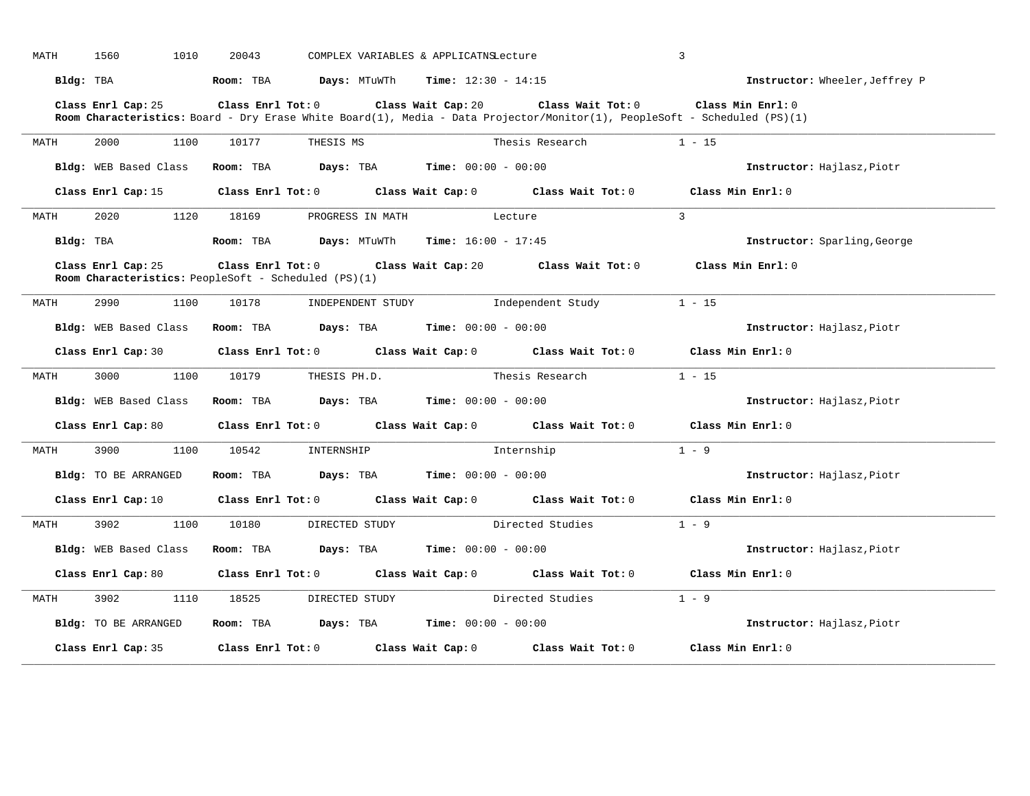| MATH      | 1560<br>1010          | 20043                                                                           | COMPLEX VARIABLES & APPLICATNSLecture                                                                                                                                | $\overline{3}$                 |
|-----------|-----------------------|---------------------------------------------------------------------------------|----------------------------------------------------------------------------------------------------------------------------------------------------------------------|--------------------------------|
| Bldg: TBA |                       | Room: TBA                                                                       | <b>Days:</b> MTuWTh $\blacksquare$ <b>Time:</b> $12:30 - 14:15$                                                                                                      | Instructor: Wheeler, Jeffrey P |
|           | Class Enrl Cap: 25    | Class Enrl Tot: 0                                                               | Class Wait Cap: 20<br>Class Wait Tot: 0<br>Room Characteristics: Board - Dry Erase White Board(1), Media - Data Projector/Monitor(1), PeopleSoft - Scheduled (PS)(1) | Class Min Enrl: 0              |
| MATH      | 2000<br>1100          | 10177<br>THESIS MS                                                              | Thesis Research                                                                                                                                                      | $1 - 15$                       |
|           | Bldg: WEB Based Class | Room: TBA                                                                       | <b>Days:</b> TBA <b>Time:</b> $00:00 - 00:00$                                                                                                                        | Instructor: Hajlasz, Piotr     |
|           | Class Enrl Cap: 15    |                                                                                 | Class Enrl Tot: 0 Class Wait Cap: 0 Class Wait Tot: 0 Class Min Enrl: 0                                                                                              |                                |
| MATH      | 2020<br>1120          | 18169<br>PROGRESS IN MATH                                                       | Lecture                                                                                                                                                              | $\overline{3}$                 |
| Bldg: TBA |                       | <b>Room:</b> TBA $Days: MTuWTh$ <b>Time:</b> $16:00 - 17:45$                    |                                                                                                                                                                      | Instructor: Sparling, George   |
|           | Class Enrl Cap: 25    | $Class$ $Enrl$ $Tot: 0$<br>Room Characteristics: PeopleSoft - Scheduled (PS)(1) | Class Wait Cap: 20 $\qquad$ Class Wait Tot: 0                                                                                                                        | Class Min Enrl: 0              |
| MATH      | 2990<br>1100          | 10178<br>INDEPENDENT STUDY                                                      | Independent Study                                                                                                                                                    | $1 - 15$                       |
|           | Bldg: WEB Based Class | Room: TBA Days: TBA                                                             | <b>Time:</b> $00:00 - 00:00$                                                                                                                                         | Instructor: Hajlasz, Piotr     |
|           | Class Enrl Cap: 30    |                                                                                 | Class Enrl Tot: 0 Class Wait Cap: 0 Class Wait Tot: 0 Class Min Enrl: 0                                                                                              |                                |
| MATH      | 3000<br>1100          | 10179<br>THESIS PH.D.                                                           | Thesis Research                                                                                                                                                      | $1 - 15$                       |
|           | Bldg: WEB Based Class | Room: TBA                                                                       | <b>Days:</b> TBA <b>Time:</b> $00:00 - 00:00$                                                                                                                        | Instructor: Hajlasz, Piotr     |
|           | Class Enrl Cap: 80    |                                                                                 | Class Enrl Tot: 0 Class Wait Cap: 0 Class Wait Tot: 0                                                                                                                | Class Min $Enrl: 0$            |
| MATH      | 3900<br>1100          | 10542<br>INTERNSHIP                                                             | Internship                                                                                                                                                           | $1 - 9$                        |
|           | Bldg: TO BE ARRANGED  | Room: TBA                                                                       | <b>Days:</b> TBA <b>Time:</b> $00:00 - 00:00$                                                                                                                        | Instructor: Hajlasz, Piotr     |
|           | Class Enrl Cap: 10    |                                                                                 | Class Enrl Tot: 0 Class Wait Cap: 0 Class Wait Tot: 0 Class Min Enrl: 0                                                                                              |                                |
| MATH      | 3902<br>1100          | 10180<br>DIRECTED STUDY                                                         | Directed Studies                                                                                                                                                     | $1 - 9$                        |
|           | Bldg: WEB Based Class | Room: TBA                                                                       | <b>Days:</b> TBA <b>Time:</b> $00:00 - 00:00$                                                                                                                        | Instructor: Hajlasz, Piotr     |
|           | Class Enrl Cap: 80    |                                                                                 | Class Enrl Tot: 0 Class Wait Cap: 0 Class Wait Tot: 0                                                                                                                | Class Min Enrl: 0              |
| MATH      | 3902<br>1110          | 18525<br>DIRECTED STUDY                                                         | Directed Studies                                                                                                                                                     | $1 - 9$                        |
|           | Bldg: TO BE ARRANGED  | Room: TBA                                                                       | <b>Days:</b> TBA <b>Time:</b> $00:00 - 00:00$                                                                                                                        | Instructor: Hajlasz, Piotr     |
|           | Class Enrl Cap: 35    | Class Enrl Tot: 0 Class Wait Cap: 0                                             | Class Wait Tot: 0                                                                                                                                                    | Class Min Enrl: 0              |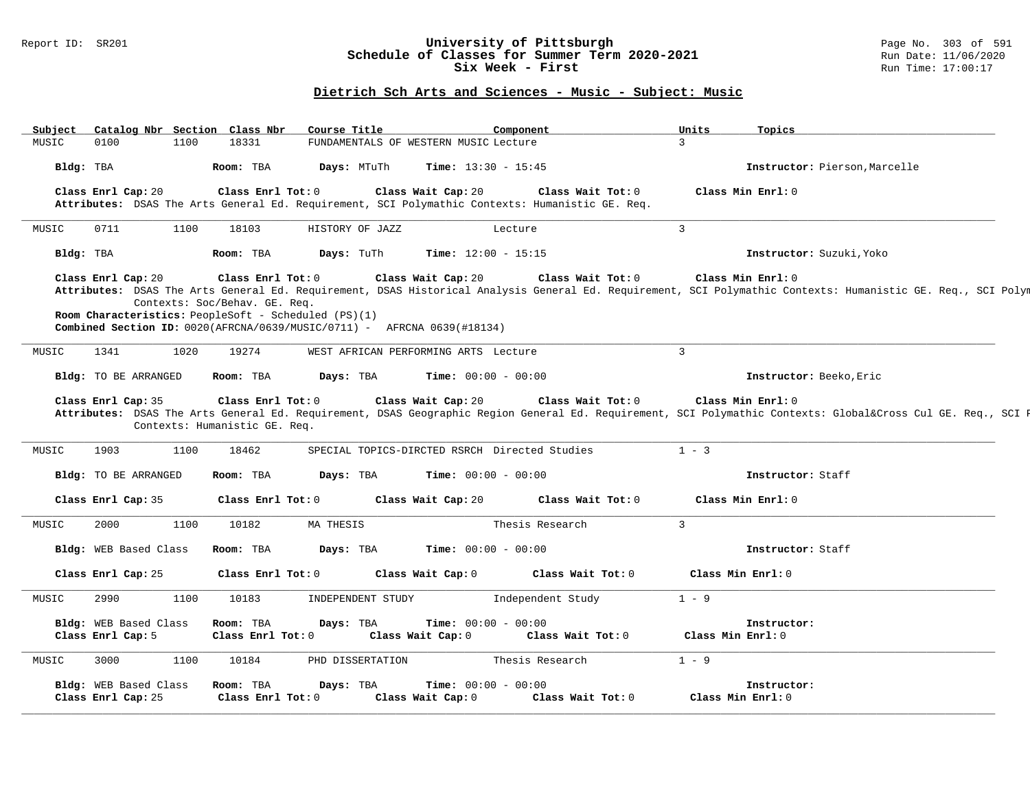## Report ID: SR201 **University of Pittsburgh** Page No. 303 of 591 **Schedule of Classes for Summer Term 2020-2021** Run Date: 11/06/2020 **Six Week - First Run Time: 17:00:17**

## **Dietrich Sch Arts and Sciences - Music - Subject: Music**

|       | Catalog Nbr Section Class Nbr              |                               |                                                                           | Course Title                                                                                  | Component                                                                                                            | Units<br>Topics                                                                                                                                                                   |
|-------|--------------------------------------------|-------------------------------|---------------------------------------------------------------------------|-----------------------------------------------------------------------------------------------|----------------------------------------------------------------------------------------------------------------------|-----------------------------------------------------------------------------------------------------------------------------------------------------------------------------------|
| MUSIC | 0100                                       | 18331<br>1100                 |                                                                           | FUNDAMENTALS OF WESTERN MUSIC Lecture                                                         |                                                                                                                      | $\overline{3}$                                                                                                                                                                    |
|       | Bldg: TBA                                  | Room: TBA                     |                                                                           | Days: MTuTh                                                                                   | <b>Time:</b> $13:30 - 15:45$                                                                                         | Instructor: Pierson, Marcelle                                                                                                                                                     |
|       | Class Enrl Cap: 20                         |                               | Class Enrl Tot: 0                                                         | Class Wait Cap: 20                                                                            | Class Wait Tot: 0<br>Attributes: DSAS The Arts General Ed. Requirement, SCI Polymathic Contexts: Humanistic GE. Req. | Class Min Enrl: 0                                                                                                                                                                 |
| MUSIC | 0711                                       | 1100<br>18103                 |                                                                           | HISTORY OF JAZZ                                                                               | Lecture                                                                                                              | $\overline{3}$                                                                                                                                                                    |
|       | Bldg: TBA                                  | Room: TBA                     | Days: TuTh                                                                |                                                                                               | <b>Time:</b> $12:00 - 15:15$                                                                                         | Instructor: Suzuki, Yoko                                                                                                                                                          |
|       | Class Enrl Cap: 20                         | Contexts: Soc/Behav. GE. Req. | Class Enrl Tot: 0<br>Room Characteristics: PeopleSoft - Scheduled (PS)(1) | Class Wait Cap: 20<br>Combined Section ID: 0020(AFRCNA/0639/MUSIC/0711) - AFRCNA 0639(#18134) | Class Wait Tot: 0                                                                                                    | Class Min Enrl: 0<br>Attributes: DSAS The Arts General Ed. Requirement, DSAS Historical Analysis General Ed. Requirement, SCI Polymathic Contexts: Humanistic GE. Req., SCI Polym |
| MUSIC | 1341                                       | 19274<br>1020                 |                                                                           | WEST AFRICAN PERFORMING ARTS Lecture                                                          |                                                                                                                      | $\mathbf{3}$                                                                                                                                                                      |
|       | Bldg: TO BE ARRANGED                       | Room: TBA                     | Days: TBA                                                                 |                                                                                               | <b>Time:</b> $00:00 - 00:00$                                                                                         | Instructor: Beeko, Eric                                                                                                                                                           |
|       |                                            |                               |                                                                           |                                                                                               |                                                                                                                      |                                                                                                                                                                                   |
|       | Class Enrl Cap: 35                         | Contexts: Humanistic GE. Req. | Class Enrl Tot: 0                                                         | Class Wait Cap: 20                                                                            | Class Wait Tot: 0                                                                                                    | Class Min Enrl: 0<br>Attributes: DSAS The Arts General Ed. Requirement, DSAS Geographic Region General Ed. Requirement, SCI Polymathic Contexts: Global⨯ Cul GE. Req., SCI E      |
| MUSIC | 1903                                       | 1100<br>18462                 |                                                                           |                                                                                               | SPECIAL TOPICS-DIRCTED RSRCH Directed Studies                                                                        | $1 - 3$                                                                                                                                                                           |
|       | Bldg: TO BE ARRANGED                       | Room: TBA                     | Days: TBA                                                                 |                                                                                               | <b>Time:</b> $00:00 - 00:00$                                                                                         | Instructor: Staff                                                                                                                                                                 |
|       | Class Enrl Cap: 35                         |                               | Class Enrl Tot: 0                                                         | Class Wait Cap: 20                                                                            | Class Wait Tot: 0                                                                                                    | Class Min Enrl: 0                                                                                                                                                                 |
| MUSIC | 2000                                       | 1100<br>10182                 | MA THESIS                                                                 |                                                                                               | Thesis Research                                                                                                      | $\overline{3}$                                                                                                                                                                    |
|       | Bldg: WEB Based Class                      | Room: TBA                     | Days: TBA                                                                 |                                                                                               | <b>Time:</b> $00:00 - 00:00$                                                                                         | Instructor: Staff                                                                                                                                                                 |
|       | Class Enrl Cap: 25                         |                               | Class Enrl Tot: 0                                                         | Class Wait Cap: 0                                                                             | Class Wait Tot: 0                                                                                                    | Class Min Enrl: 0                                                                                                                                                                 |
| MUSIC | 2990                                       | 1100<br>10183                 |                                                                           | INDEPENDENT STUDY                                                                             | Independent Study                                                                                                    | $1 - 9$                                                                                                                                                                           |
|       | Bldg: WEB Based Class<br>Class Enrl Cap: 5 | Room: TBA                     | Days: TBA<br>Class Enrl Tot: 0                                            | Class Wait Cap: 0                                                                             | <b>Time:</b> $00:00 - 00:00$<br>Class Wait Tot: 0                                                                    | Instructor:<br>Class Min Enrl: 0                                                                                                                                                  |
| MUSIC | 3000                                       | 1100<br>10184                 |                                                                           | PHD DISSERTATION                                                                              | Thesis Research                                                                                                      | $1 - 9$                                                                                                                                                                           |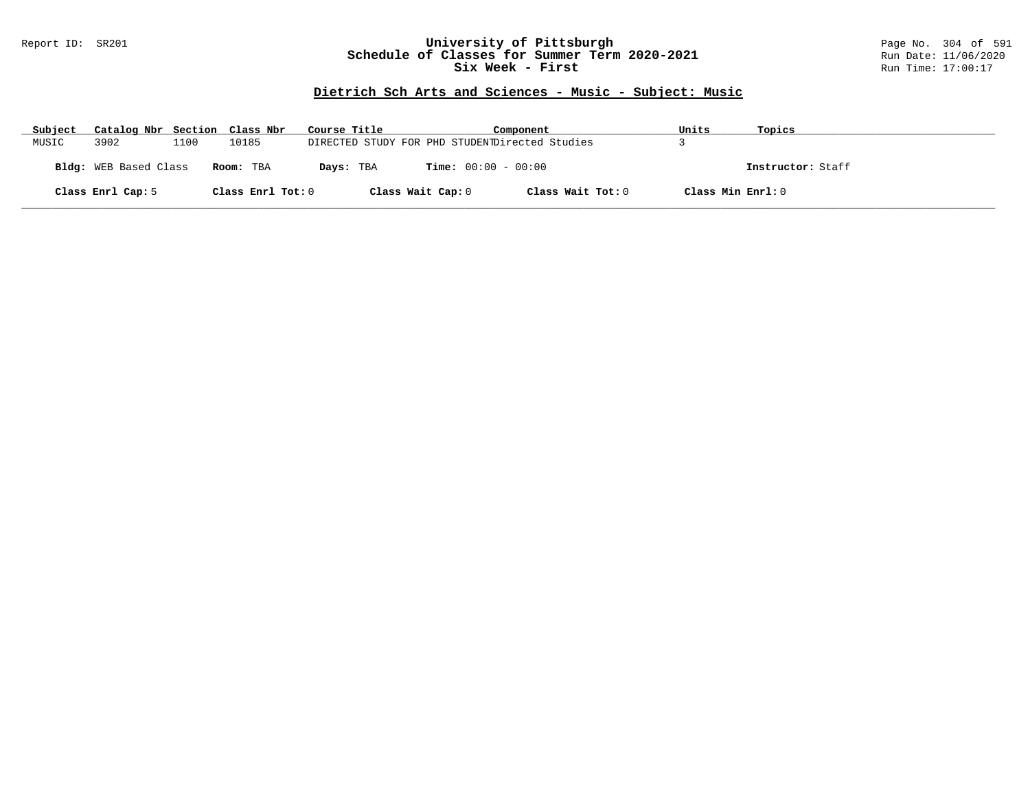## Report ID: SR201 **University of Pittsburgh** Page No. 304 of 591 **Schedule of Classes for Summer Term 2020-2021** Run Date: 11/06/2020 **Six Week - First Run Time: 17:00:17**

## **Dietrich Sch Arts and Sciences - Music - Subject: Music**

| Subject | Catalog Nbr Section Class Nbr |      |                   | Course Title                                   | Component                    |                   | Units             | Topics            |
|---------|-------------------------------|------|-------------------|------------------------------------------------|------------------------------|-------------------|-------------------|-------------------|
| MUSIC   | 3902                          | 1100 | 10185             | DIRECTED STUDY FOR PHD STUDENTDirected Studies |                              |                   |                   |                   |
|         | <b>Bldg:</b> WEB Based Class  |      | Room: TBA         | Days: TBA                                      | <b>Time:</b> $00:00 - 00:00$ |                   |                   | Instructor: Staff |
|         | Class Enrl Cap: 5             |      | Class Enrl Tot: 0 |                                                | Class Wait Cap: 0            | Class Wait Tot: 0 | Class Min Enrl: 0 |                   |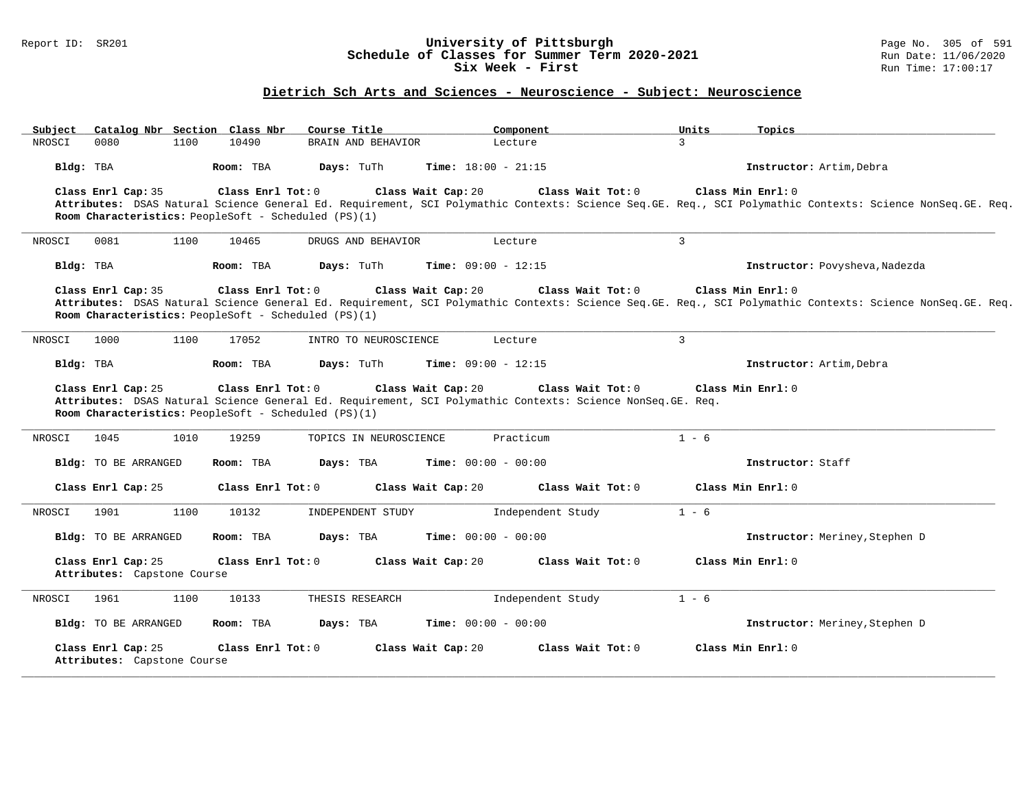### Report ID: SR201 **University of Pittsburgh** Page No. 305 of 591 **Schedule of Classes for Summer Term 2020-2021** Run Date: 11/06/2020 **Six Week - First Run Time: 17:00:17**

# **Dietrich Sch Arts and Sciences - Neuroscience - Subject: Neuroscience**

| Subject<br>Catalog Nbr Section Class Nbr          | Course Title                                                              | Component                                                                                                                                              | Units<br>Topics                                                                                                                                                                |
|---------------------------------------------------|---------------------------------------------------------------------------|--------------------------------------------------------------------------------------------------------------------------------------------------------|--------------------------------------------------------------------------------------------------------------------------------------------------------------------------------|
| NROSCI<br>0080<br>1100                            | 10490<br>BRAIN AND BEHAVIOR                                               | Lecture                                                                                                                                                | 3                                                                                                                                                                              |
| Bldg: TBA                                         | Room: TBA<br>Days: TuTh                                                   | <b>Time:</b> $18:00 - 21:15$                                                                                                                           | Instructor: Artim, Debra                                                                                                                                                       |
| Class Enrl Cap: 35                                | Class Enrl Tot: 0<br>Room Characteristics: PeopleSoft - Scheduled (PS)(1) | Class Wait Cap: 20<br>Class Wait Tot: 0                                                                                                                | Class Min Enrl: 0<br>Attributes: DSAS Natural Science General Ed. Requirement, SCI Polymathic Contexts: Science Seq.GE. Req., SCI Polymathic Contexts: Science NonSeq.GE. Req. |
| 0081<br>NROSCI<br>1100                            | 10465<br>DRUGS AND BEHAVIOR                                               | Lecture                                                                                                                                                | 3                                                                                                                                                                              |
| Bldg: TBA                                         | Room: TBA<br>Days: TuTh                                                   | <b>Time:</b> $09:00 - 12:15$                                                                                                                           | Instructor: Povysheva, Nadezda                                                                                                                                                 |
| Class Enrl Cap: 35                                | Class Enrl Tot: 0<br>Room Characteristics: PeopleSoft - Scheduled (PS)(1) | Class Wait Cap: 20<br>Class Wait $Tot: 0$                                                                                                              | Class Min Enrl: 0<br>Attributes: DSAS Natural Science General Ed. Requirement, SCI Polymathic Contexts: Science Seq.GE. Req., SCI Polymathic Contexts: Science NonSeq.GE. Req. |
| 1000<br>NROSCI<br>1100                            | 17052<br>INTRO TO NEUROSCIENCE                                            | Lecture                                                                                                                                                | 3                                                                                                                                                                              |
| Bldg: TBA                                         | Days: TuTh<br>Room: TBA                                                   | <b>Time:</b> $09:00 - 12:15$                                                                                                                           | Instructor: Artim, Debra                                                                                                                                                       |
| Class Enrl Cap: 25                                | Class Enrl Tot: 0<br>Room Characteristics: PeopleSoft - Scheduled (PS)(1) | Class Wait Cap: 20<br>Class Wait Tot: 0<br>Attributes: DSAS Natural Science General Ed. Requirement, SCI Polymathic Contexts: Science NonSeq. GE. Req. | Class Min Enrl: 0                                                                                                                                                              |
| 1010<br>1045<br>NROSCI                            | 19259<br>TOPICS IN NEUROSCIENCE                                           | Practicum                                                                                                                                              | $1 - 6$                                                                                                                                                                        |
| Bldg: TO BE ARRANGED                              | Days: TBA<br>Room: TBA                                                    | <b>Time:</b> $00:00 - 00:00$                                                                                                                           | Instructor: Staff                                                                                                                                                              |
| Class Enrl Cap: 25                                | Class Enrl Tot: 0                                                         | Class Wait Cap: 20<br>Class Wait Tot: 0                                                                                                                | Class Min Enrl: 0                                                                                                                                                              |
| 1100<br>NROSCI<br>1901                            | 10132<br>INDEPENDENT STUDY                                                | Independent Study                                                                                                                                      | $1 - 6$                                                                                                                                                                        |
| <b>Bldg:</b> TO BE ARRANGED                       | Room: TBA<br>Days: TBA                                                    | <b>Time:</b> $00:00 - 00:00$                                                                                                                           | Instructor: Meriney, Stephen D                                                                                                                                                 |
| Class Enrl Cap: 25<br>Attributes: Capstone Course | Class Enrl Tot: 0                                                         | Class Wait Cap: 20<br>Class Wait Tot: 0                                                                                                                | Class Min Enrl: 0                                                                                                                                                              |
| 1961<br>1100<br>NROSCI                            | 10133<br>THESIS RESEARCH                                                  | Independent Study                                                                                                                                      | $1 - 6$                                                                                                                                                                        |
| <b>Bldg:</b> TO BE ARRANGED                       | Days: TBA<br>Room: TBA                                                    | <b>Time:</b> $00:00 - 00:00$                                                                                                                           | Instructor: Meriney, Stephen D                                                                                                                                                 |
| Class Enrl Cap: 25<br>Attributes: Capstone Course | Class Enrl Tot: 0                                                         | Class Wait Cap: 20<br>Class Wait Tot: 0                                                                                                                | Class Min Enrl: 0                                                                                                                                                              |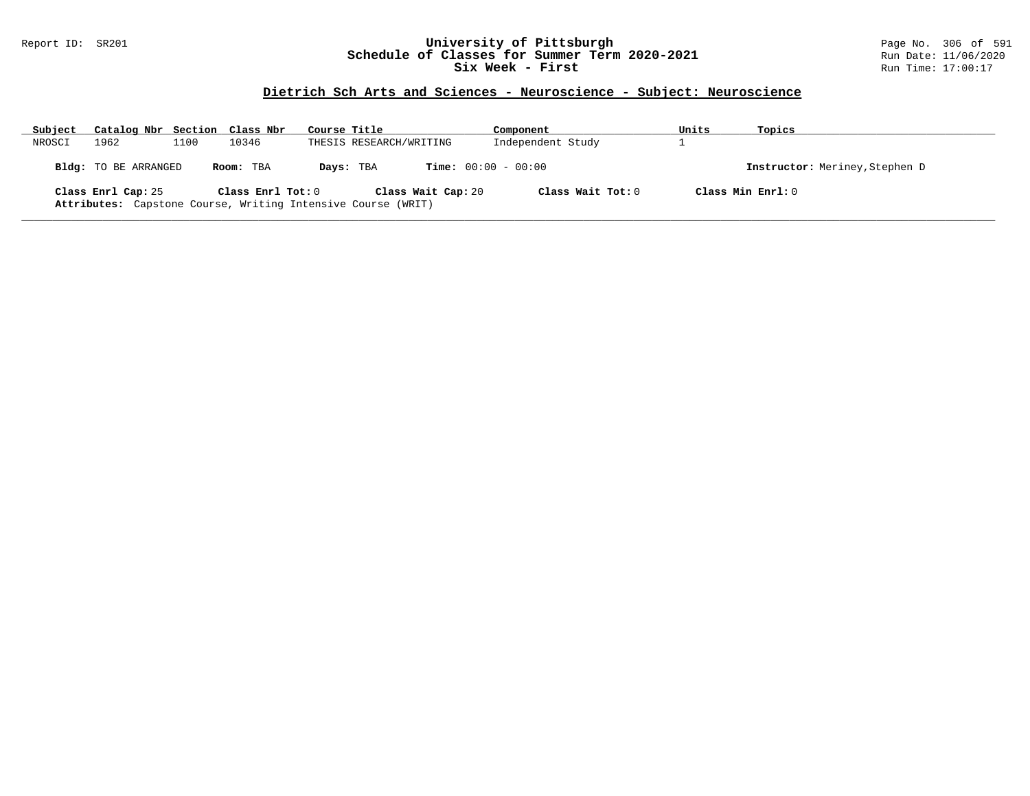## Report ID: SR201 **University of Pittsburgh** Page No. 306 of 591 **Schedule of Classes for Summer Term 2020-2021** Run Date: 11/06/2020 **Six Week - First Run Time: 17:00:17**

# **Dietrich Sch Arts and Sciences - Neuroscience - Subject: Neuroscience**

| Subject | Catalog Nbr Section Class Nbr |      |                   | Course Title |                                                                                    | Component         | Units             | Topics                         |
|---------|-------------------------------|------|-------------------|--------------|------------------------------------------------------------------------------------|-------------------|-------------------|--------------------------------|
| NROSCI  | 1962                          | 1100 | 10346             |              | THESIS RESEARCH/WRITING                                                            | Independent Study |                   |                                |
|         | Bldg: TO BE ARRANGED          |      | Room: TBA         |              | <b>Time:</b> $00:00 - 00:00$<br>Days: TBA                                          |                   |                   | Instructor: Meriney, Stephen D |
|         | Class Enrl Cap: 25            |      | Class Enrl Tot: 0 |              | Class Wait Cap: 20<br>Attributes: Capstone Course, Writing Intensive Course (WRIT) | Class Wait Tot: 0 | Class Min Enrl: 0 |                                |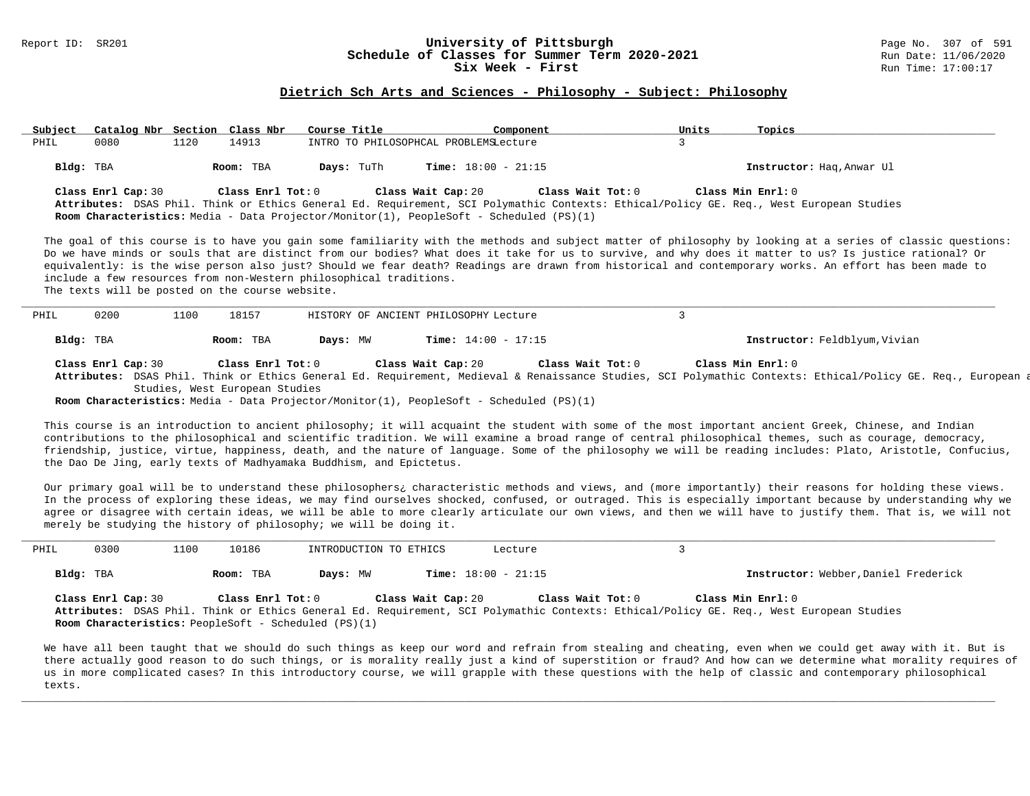# Report ID: SR201 **1988 1999 12: SR201 University of Pittsburgh University of Pittsburgh** Page No. 307 of 591 **Schedule of Classes for Summer Term 2020-2021**<br>Six Week - First

#### **Dietrich Sch Arts and Sciences - Philosophy - Subject: Philosophy**

| Subject   | Catalog Nbr Section Class Nbr |      |                   | Course Title | Component                                                                                                            |                   | Units | Topics                                                                                                                                                                                                                                                                                                                                                                                                                                                                            |  |
|-----------|-------------------------------|------|-------------------|--------------|----------------------------------------------------------------------------------------------------------------------|-------------------|-------|-----------------------------------------------------------------------------------------------------------------------------------------------------------------------------------------------------------------------------------------------------------------------------------------------------------------------------------------------------------------------------------------------------------------------------------------------------------------------------------|--|
| PHIL      | 0080                          | 1120 | 14913             |              | INTRO TO PHILOSOPHCAL PROBLEMSLecture                                                                                |                   |       |                                                                                                                                                                                                                                                                                                                                                                                                                                                                                   |  |
| Bldg: TBA |                               |      | Room: TBA         | Days: TuTh   | <b>Time:</b> $18:00 - 21:15$                                                                                         |                   |       | Instructor: Hag, Anwar Ul                                                                                                                                                                                                                                                                                                                                                                                                                                                         |  |
|           | Class Enrl Cap: 30            |      | Class Enrl Tot: 0 |              | Class Wait Cap: 20<br><b>Room Characteristics:</b> Media - Data Projector/Monitor(1), PeopleSoft - Scheduled (PS)(1) | Class Wait Tot: 0 |       | Class Min $Enr1:0$<br>Attributes: DSAS Phil. Think or Ethics General Ed. Requirement, SCI Polymathic Contexts: Ethical/Policy GE. Req., West European Studies                                                                                                                                                                                                                                                                                                                     |  |
|           |                               |      |                   |              |                                                                                                                      |                   |       | The goal of this course is to have you gain some familiarity with the methods and subject matter of philosophy by looking at a series of classic questions:<br>Do we have minds or souls that are distinct from our bodies? What does it take for us to survive, and why does it matter to us? Is justice rational? Or<br>equivalently: is the wise person also just? Should we fear death? Readings are drawn from historical and contemporary works. An effort has been made to |  |

equivalently: is the wise person also just? Should we fear death? Readings are drawn from historical and contemporary works. An effort has been made to include a few resources from non-Western philosophical traditions.

The texts will be posted on the course website.

| PHIL | 0200      | 1100 | 18157     |          | HISTORY OF ANCIENT PHILOSOPHY Lecture |                               |
|------|-----------|------|-----------|----------|---------------------------------------|-------------------------------|
|      | Bldg: TBA |      | Room: TBA | Days: MW | <b>Time:</b> $14:00 - 17:15$          | Instructor: Feldblyum, Vivian |

**Class Enrl Cap:** 30 **Class Enrl Tot:** 0 **Class Wait Cap:** 20 **Class Wait Tot:** 0 **Class Min Enrl:** 0 Attributes: DSAS Phil. Think or Ethics General Ed. Requirement, Medieval & Renaissance Studies, SCI Polymathic Contexts: Ethical/Policy GE. Req., European a Studies, West European Studies

**Room Characteristics:** Media - Data Projector/Monitor(1), PeopleSoft - Scheduled (PS)(1)

This course is an introduction to ancient philosophy; it will acquaint the student with some of the most important ancient Greek, Chinese, and Indian contributions to the philosophical and scientific tradition. We will examine a broad range of central philosophical themes, such as courage, democracy, friendship, justice, virtue, happiness, death, and the nature of language. Some of the philosophy we will be reading includes: Plato, Aristotle, Confucius, the Dao De Jing, early texts of Madhyamaka Buddhism, and Epictetus.

Our primary goal will be to understand these philosophers¿ characteristic methods and views, and (more importantly) their reasons for holding these views. In the process of exploring these ideas, we may find ourselves shocked, confused, or outraged. This is especially important because by understanding why we agree or disagree with certain ideas, we will be able to more clearly articulate our own views, and then we will have to justify them. That is, we will not merely be studying the history of philosophy; we will be doing it.

| PHIL | 0300               | 1100 | 10186                                                                            |          | INTRODUCTION TO ETHICS | Lecture                      |                   |                                                                                                                                                                |
|------|--------------------|------|----------------------------------------------------------------------------------|----------|------------------------|------------------------------|-------------------|----------------------------------------------------------------------------------------------------------------------------------------------------------------|
|      | Bldg: TBA          |      | Room: TBA                                                                        | Days: MW |                        | <b>Time:</b> $18:00 - 21:15$ |                   | Instructor: Webber, Daniel Frederick                                                                                                                           |
|      | Class Enrl Cap: 30 |      | Class Enrl Tot: 0<br><b>Room Characteristics:</b> PeopleSoft - Scheduled (PS)(1) |          | Class Wait Cap: 20     |                              | Class Wait Tot: 0 | Class Min $Enrl: 0$<br>Attributes: DSAS Phil. Think or Ethics General Ed. Requirement, SCI Polymathic Contexts: Ethical/Policy GE. Req., West European Studies |

We have all been taught that we should do such things as keep our word and refrain from stealing and cheating, even when we could get away with it. But is there actually good reason to do such things, or is morality really just a kind of superstition or fraud? And how can we determine what morality requires of us in more complicated cases? In this introductory course, we will grapple with these questions with the help of classic and contemporary philosophical texts.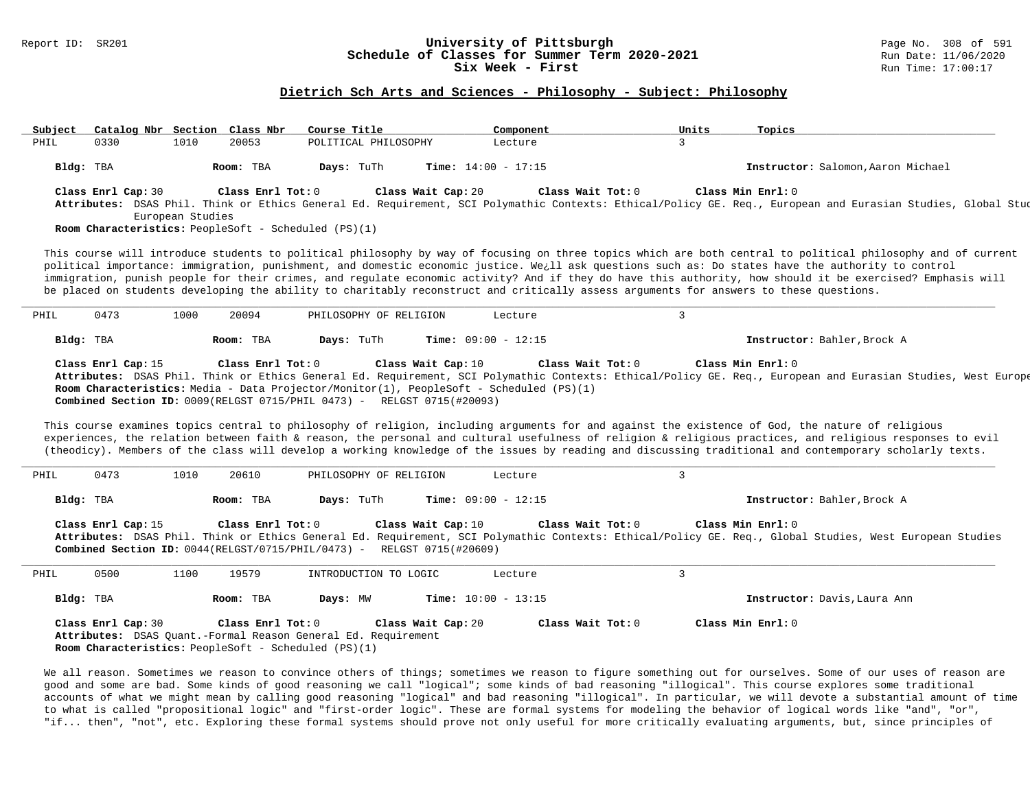# Report ID: SR201 **1988 Conserversity of Pittsburgh University of Pittsburgh** Page No. 308 of 591 **Classes for Summer Term 2020-2021** Page No. 308 of 591 Page No. 308 of 591 Page No. 308 of 591 Page No. 2020 Page 11/06/20 **Schedule of Classes for Summer Term 2020-2021**<br>Six Week - First

## **Dietrich Sch Arts and Sciences - Philosophy - Subject: Philosophy**

| Subject |                    | Catalog Nbr Section Class Nbr |                   | Course Title                                                                      |                    | Component                                                                                                    | Units        | Topics                                                                                                                                                                                                                                                                                                                                                                                                                                                                                                                                                                                                                     |
|---------|--------------------|-------------------------------|-------------------|-----------------------------------------------------------------------------------|--------------------|--------------------------------------------------------------------------------------------------------------|--------------|----------------------------------------------------------------------------------------------------------------------------------------------------------------------------------------------------------------------------------------------------------------------------------------------------------------------------------------------------------------------------------------------------------------------------------------------------------------------------------------------------------------------------------------------------------------------------------------------------------------------------|
| PHIL    | 0330               | 1010                          | 20053             | POLITICAL PHILOSOPHY                                                              |                    | Lecture                                                                                                      | 3            |                                                                                                                                                                                                                                                                                                                                                                                                                                                                                                                                                                                                                            |
|         | Bldg: TBA          |                               | Room: TBA         | Days: TuTh                                                                        |                    | Time: $14:00 - 17:15$                                                                                        |              | Instructor: Salomon, Aaron Michael                                                                                                                                                                                                                                                                                                                                                                                                                                                                                                                                                                                         |
|         | Class Enrl Cap: 30 | European Studies              | Class Enrl Tot: 0 | Room Characteristics: PeopleSoft - Scheduled (PS)(1)                              | Class Wait Cap: 20 | Class Wait Tot: 0                                                                                            |              | Class Min Enrl: 0<br>Attributes: DSAS Phil. Think or Ethics General Ed. Requirement, SCI Polymathic Contexts: Ethical/Policy GE. Req., European and Eurasian Studies, Global Stud                                                                                                                                                                                                                                                                                                                                                                                                                                          |
|         |                    |                               |                   |                                                                                   |                    |                                                                                                              |              | This course will introduce students to political philosophy by way of focusing on three topics which are both central to political philosophy and of current<br>political importance: immigration, punishment, and domestic economic justice. We¿ll ask questions such as: Do states have the authority to control<br>immigration, punish people for their crimes, and regulate economic activity? And if they do have this authority, how should it be exercised? Emphasis will<br>be placed on students developing the ability to charitably reconstruct and critically assess arguments for answers to these questions. |
| PHIL    | 0473               | 1000                          | 20094             | PHILOSOPHY OF RELIGION                                                            |                    | Lecture                                                                                                      | $\mathbf{3}$ |                                                                                                                                                                                                                                                                                                                                                                                                                                                                                                                                                                                                                            |
|         | Bldg: TBA          |                               | Room: TBA         | Days: TuTh                                                                        |                    | Time: $09:00 - 12:15$                                                                                        |              | Instructor: Bahler, Brock A                                                                                                                                                                                                                                                                                                                                                                                                                                                                                                                                                                                                |
|         | Class Enrl Cap: 15 |                               | Class Enrl Tot: 0 | Combined Section ID: 0009(RELGST 0715/PHIL 0473) - RELGST 0715(#20093)            | Class Wait Cap: 10 | Class Wait Tot: 0<br>Room Characteristics: Media - Data Projector/Monitor(1), PeopleSoft - Scheduled (PS)(1) |              | Class Min Enrl: 0<br>Attributes: DSAS Phil. Think or Ethics General Ed. Requirement, SCI Polymathic Contexts: Ethical/Policy GE. Req., European and Eurasian Studies, West Europe                                                                                                                                                                                                                                                                                                                                                                                                                                          |
|         |                    |                               |                   |                                                                                   |                    |                                                                                                              |              | This course examines topics central to philosophy of religion, including arguments for and against the existence of God, the nature of religious<br>experiences, the relation between faith & reason, the personal and cultural usefulness of religion & religious practices, and religious responses to evil<br>(theodicy). Members of the class will develop a working knowledge of the issues by reading and discussing traditional and contemporary scholarly texts.                                                                                                                                                   |
| PHIL    | 0473               | 1010                          | 20610             | PHILOSOPHY OF RELIGION                                                            |                    | Lecture                                                                                                      | $\mathbf{3}$ |                                                                                                                                                                                                                                                                                                                                                                                                                                                                                                                                                                                                                            |
|         | Bldg: TBA          |                               | Room: TBA         | Days: TuTh                                                                        |                    | Time: $09:00 - 12:15$                                                                                        |              | Instructor: Bahler, Brock A                                                                                                                                                                                                                                                                                                                                                                                                                                                                                                                                                                                                |
|         | Class Enrl Cap: 15 |                               | Class Enrl Tot: 0 | <b>Combined Section ID:</b> $0044(RELGST/0715/PHIL/0473)$ - RELGST $0715(H20609)$ | Class Wait Cap: 10 | Class Wait Tot: 0                                                                                            |              | Class Min Enrl: 0<br>Attributes: DSAS Phil. Think or Ethics General Ed. Requirement, SCI Polymathic Contexts: Ethical/Policy GE. Req., Global Studies, West European Studies                                                                                                                                                                                                                                                                                                                                                                                                                                               |
| PHIL    | 0500               | 1100                          | 19579             | INTRODUCTION TO LOGIC                                                             |                    | Lecture                                                                                                      | $\mathbf{3}$ |                                                                                                                                                                                                                                                                                                                                                                                                                                                                                                                                                                                                                            |
|         | Bldg: TBA          |                               | Room: TBA         | Days: MW                                                                          |                    | Time: $10:00 - 13:15$                                                                                        |              | Instructor: Davis, Laura Ann                                                                                                                                                                                                                                                                                                                                                                                                                                                                                                                                                                                               |

We all reason. Sometimes we reason to convince others of things; sometimes we reason to figure something out for ourselves. Some of our uses of reason are good and some are bad. Some kinds of good reasoning we call "logical"; some kinds of bad reasoning "illogical". This course explores some traditional accounts of what we might mean by calling good reasoning "logical" and bad reasoning "illogical". In particular, we will devote a substantial amount of time to what is called "propositional logic" and "first-order logic". These are formal systems for modeling the behavior of logical words like "and", "or", "if... then", "not", etc. Exploring these formal systems should prove not only useful for more critically evaluating arguments, but, since principles of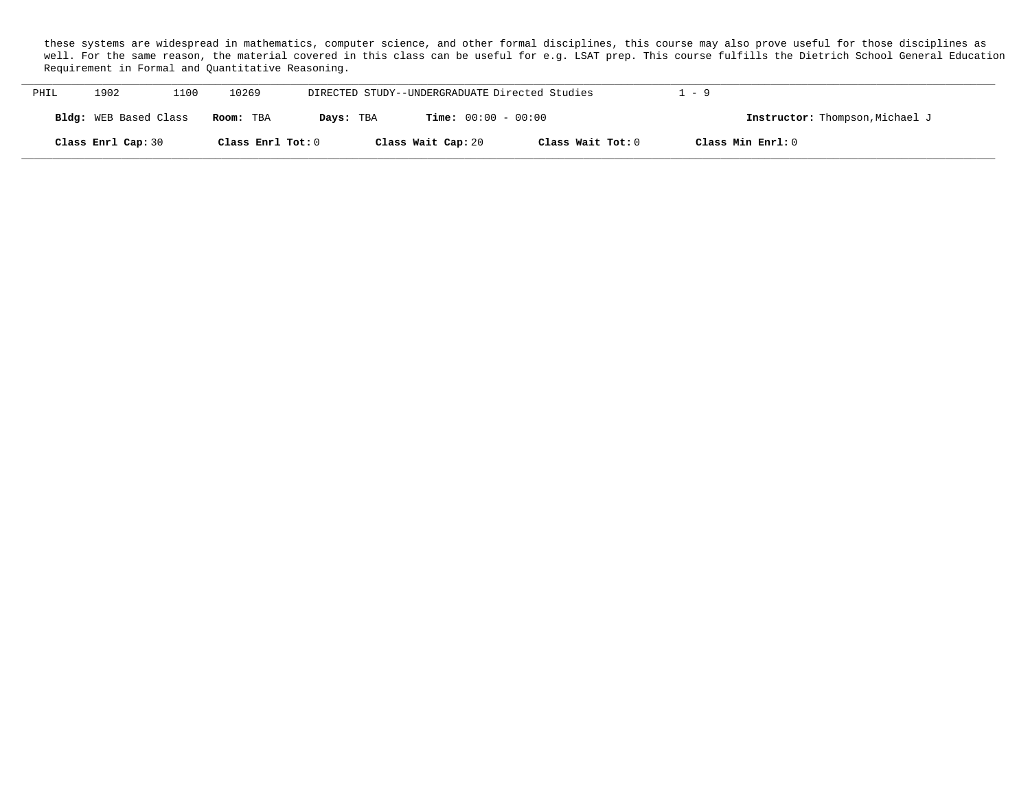these systems are widespread in mathematics, computer science, and other formal disciplines, this course may also prove useful for those disciplines as well. For the same reason, the material covered in this class can be useful for e.g. LSAT prep. This course fulfills the Dietrich School General Education Requirement in Formal and Quantitative Reasoning.

| PHIL | 1902                  | 1100 | 10269             |           | DIRECTED STUDY--UNDERGRADUATE Directed Studies |                   | $-9$                            |
|------|-----------------------|------|-------------------|-----------|------------------------------------------------|-------------------|---------------------------------|
|      | Bldg: WEB Based Class |      | Room: TBA         | Days: TBA | $Time: 00:00 - 00:00$                          |                   | Instructor: Thompson, Michael J |
|      | Class Enrl Cap: 30    |      | Class Enrl Tot: 0 |           | Class Wait Cap: 20                             | Class Wait Tot: 0 | Class Min Enrl: 0               |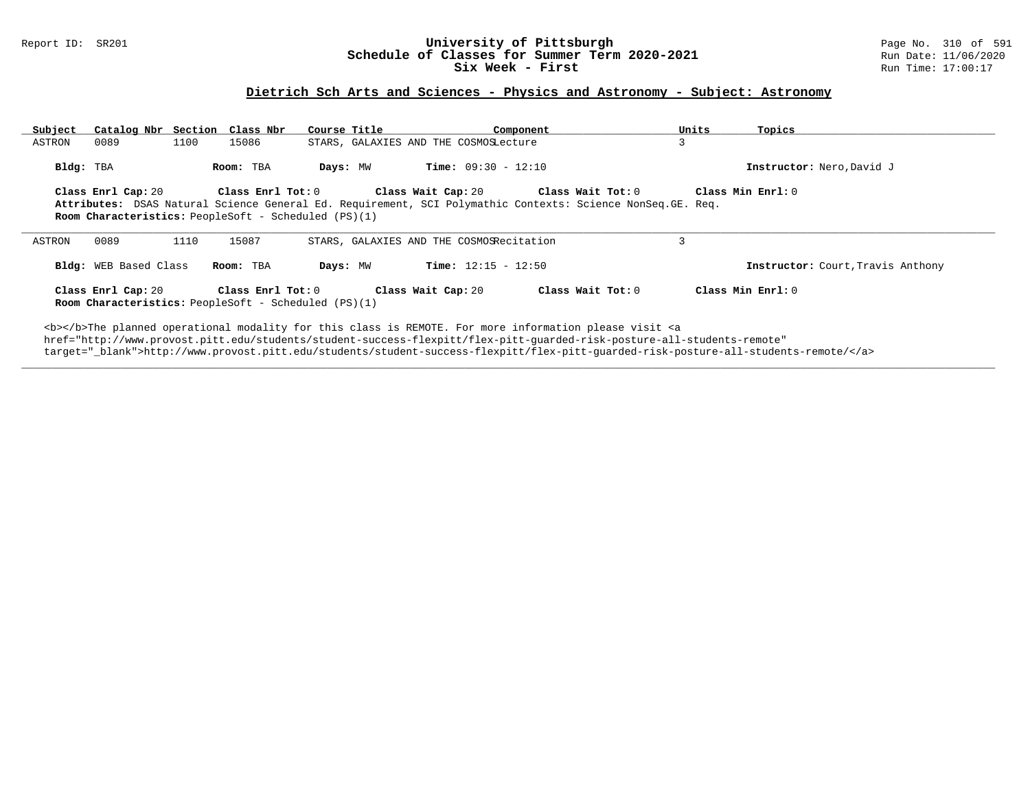## Report ID: SR201 **University of Pittsburgh** Page No. 310 of 591 **Schedule of Classes for Summer Term 2020-2021** Run Date: 11/06/2020 **Six Week - First Run Time: 17:00:17**

# **Dietrich Sch Arts and Sciences - Physics and Astronomy - Subject: Astronomy**

| Subject   |                       |      | Catalog Nbr Section Class Nbr                                                    | Course Title |                                          | Component                                                                                                                                                                                                                                                                                                                                                                          | Units | Topics                            |
|-----------|-----------------------|------|----------------------------------------------------------------------------------|--------------|------------------------------------------|------------------------------------------------------------------------------------------------------------------------------------------------------------------------------------------------------------------------------------------------------------------------------------------------------------------------------------------------------------------------------------|-------|-----------------------------------|
| ASTRON    | 0089                  | 1100 | 15086                                                                            |              | STARS, GALAXIES AND THE COSMOSLecture    |                                                                                                                                                                                                                                                                                                                                                                                    | 3     |                                   |
| Bldg: TBA |                       |      | Room: TBA                                                                        | Days: MW     | <b>Time:</b> $09:30 - 12:10$             |                                                                                                                                                                                                                                                                                                                                                                                    |       | Instructor: Nero, David J         |
|           | Class Enrl Cap: 20    |      | $\texttt{Class}$ $\texttt{Enrl}$ $\texttt{Tot:}$ $0$                             |              | Class Wait Cap: 20                       | Class Wait Tot: 0                                                                                                                                                                                                                                                                                                                                                                  |       | Class Min $Enr1:0$                |
|           |                       |      |                                                                                  |              |                                          | Attributes: DSAS Natural Science General Ed. Requirement, SCI Polymathic Contexts: Science NonSeq.GE. Req.                                                                                                                                                                                                                                                                         |       |                                   |
|           |                       |      | <b>Room Characteristics:</b> PeopleSoft - Scheduled (PS)(1)                      |              |                                          |                                                                                                                                                                                                                                                                                                                                                                                    |       |                                   |
|           |                       |      |                                                                                  |              |                                          |                                                                                                                                                                                                                                                                                                                                                                                    |       |                                   |
| ASTRON    | 0089                  | 1110 | 15087                                                                            |              | STARS, GALAXIES AND THE COSMOSRecitation |                                                                                                                                                                                                                                                                                                                                                                                    | 3     |                                   |
|           | Bldg: WEB Based Class |      | Room: TBA                                                                        | Days: MW     | <b>Time:</b> $12:15 - 12:50$             |                                                                                                                                                                                                                                                                                                                                                                                    |       | Instructor: Court, Travis Anthony |
|           | Class Enrl Cap: 20    |      | Class Enrl Tot: 0<br><b>Room Characteristics:</b> PeopleSoft - Scheduled (PS)(1) |              | Class Wait Cap: 20                       | Class Wait Tot: 0                                                                                                                                                                                                                                                                                                                                                                  |       | Class Min $Enr1:0$                |
|           |                       |      |                                                                                  |              |                                          | <b></b> The planned operational modality for this class is REMOTE. For more information please visit <a<br>href="http://www.provost.pitt.edu/students/student-success-flexpitt/flex-pitt-quarded-risk-posture-all-students-remote"<br/>target="_blank"&gt;http://www.provost.pitt.edu/students/student-success-flexpitt/flex-pitt-quarded-risk-posture-all-students-remote/</a<br> |       |                                   |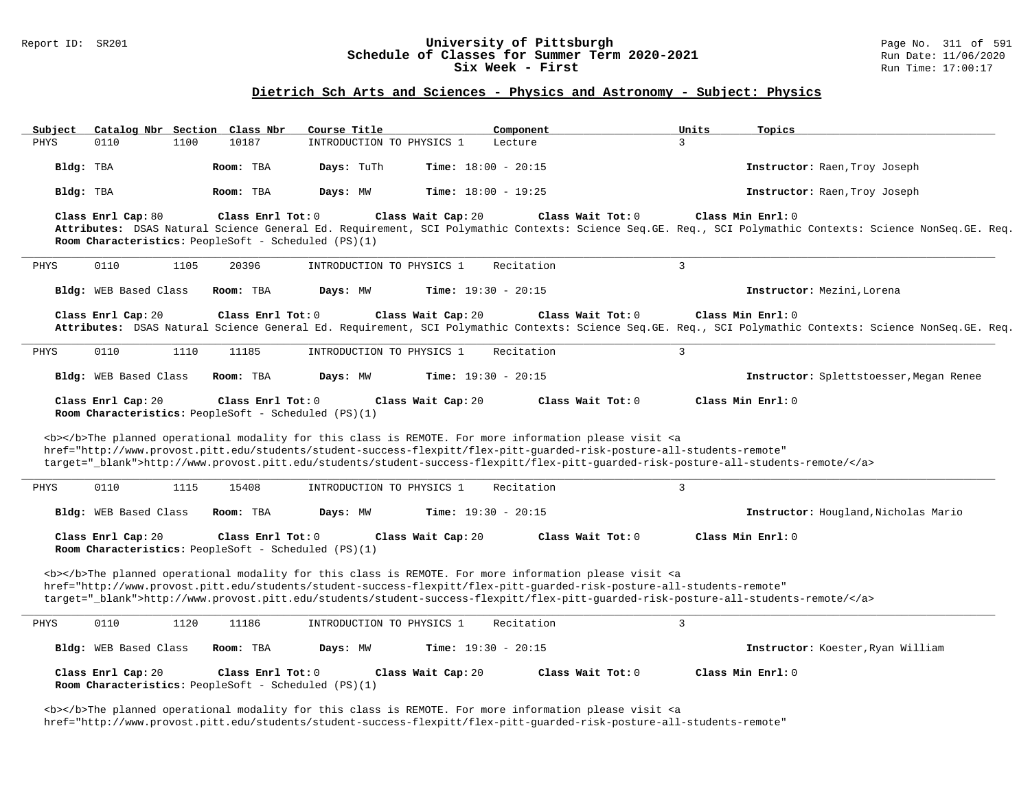### Report ID: SR201 **University of Pittsburgh** Page No. 311 of 591 **Schedule of Classes for Summer Term 2020-2021** Run Date: 11/06/2020<br>Six Week - First Run Time: 17:00:17 Six Week - First

## **Dietrich Sch Arts and Sciences - Physics and Astronomy - Subject: Physics**

| Subject               | Catalog Nbr Section Class Nbr                                                                                                                                                                                                                                                           | Course Title              | Component                                                                                                                                                                                                                                 | Topics<br>Units                                                                                                                                                                |  |  |  |  |  |  |  |
|-----------------------|-----------------------------------------------------------------------------------------------------------------------------------------------------------------------------------------------------------------------------------------------------------------------------------------|---------------------------|-------------------------------------------------------------------------------------------------------------------------------------------------------------------------------------------------------------------------------------------|--------------------------------------------------------------------------------------------------------------------------------------------------------------------------------|--|--|--|--|--|--|--|
| PHYS<br>0110          | 1100<br>10187                                                                                                                                                                                                                                                                           | INTRODUCTION TO PHYSICS 1 | Lecture                                                                                                                                                                                                                                   | 3                                                                                                                                                                              |  |  |  |  |  |  |  |
| Bldg: TBA             | Room: TBA                                                                                                                                                                                                                                                                               | Days: TuTh                | <b>Time:</b> $18:00 - 20:15$                                                                                                                                                                                                              | Instructor: Raen, Troy Joseph                                                                                                                                                  |  |  |  |  |  |  |  |
| Bldg: TBA             | Room: TBA                                                                                                                                                                                                                                                                               | Days: MW                  | <b>Time:</b> $18:00 - 19:25$                                                                                                                                                                                                              | Instructor: Raen, Troy Joseph                                                                                                                                                  |  |  |  |  |  |  |  |
| Class Enrl Cap: 80    | Class Enrl Tot: 0<br>Room Characteristics: PeopleSoft - Scheduled (PS)(1)                                                                                                                                                                                                               |                           | Class Wait Cap: 20<br>Class Wait Tot: 0                                                                                                                                                                                                   | Class Min Enrl: 0<br>Attributes: DSAS Natural Science General Ed. Requirement, SCI Polymathic Contexts: Science Seq.GE. Req., SCI Polymathic Contexts: Science NonSeq.GE. Req. |  |  |  |  |  |  |  |
| 0110<br>PHYS          | 1105<br>20396                                                                                                                                                                                                                                                                           | INTRODUCTION TO PHYSICS 1 | Recitation                                                                                                                                                                                                                                | $\overline{3}$                                                                                                                                                                 |  |  |  |  |  |  |  |
| Bldg: WEB Based Class | Room: TBA                                                                                                                                                                                                                                                                               | Days: MW                  | <b>Time:</b> $19:30 - 20:15$                                                                                                                                                                                                              | Instructor: Mezini, Lorena                                                                                                                                                     |  |  |  |  |  |  |  |
| Class Enrl Cap: 20    | Class Enrl Tot: 0                                                                                                                                                                                                                                                                       |                           | Class Wait Tot: 0<br>Class Wait Cap: 20                                                                                                                                                                                                   | Class Min Enrl: 0<br>Attributes: DSAS Natural Science General Ed. Requirement, SCI Polymathic Contexts: Science Seq.GE. Req., SCI Polymathic Contexts: Science NonSeq.GE. Req. |  |  |  |  |  |  |  |
| PHYS<br>0110          | 1110<br>11185                                                                                                                                                                                                                                                                           | INTRODUCTION TO PHYSICS 1 | Recitation                                                                                                                                                                                                                                | $\overline{3}$                                                                                                                                                                 |  |  |  |  |  |  |  |
| Bldg: WEB Based Class | Room: TBA                                                                                                                                                                                                                                                                               | Days: MW                  | Time: $19:30 - 20:15$                                                                                                                                                                                                                     | Instructor: Splettstoesser, Megan Renee                                                                                                                                        |  |  |  |  |  |  |  |
|                       | Class Wait Cap: 20<br>Class Wait Tot: 0<br>Class Min Enrl: 0<br>Class Enrl Cap: 20<br>Class Enrl Tot: 0<br>Room Characteristics: PeopleSoft - Scheduled (PS)(1)<br><b></b> The planned operational modality for this class is REMOTE. For more information please visit <a< td=""></a<> |                           |                                                                                                                                                                                                                                           |                                                                                                                                                                                |  |  |  |  |  |  |  |
|                       |                                                                                                                                                                                                                                                                                         |                           | href="http://www.provost.pitt.edu/students/student-success-flexpitt/flex-pitt-quarded-risk-posture-all-students-remote"                                                                                                                   | target="_blank">http://www.provost.pitt.edu/students/student-success-flexpitt/flex-pitt-guarded-risk-posture-all-students-remote/                                              |  |  |  |  |  |  |  |
| 0110<br>PHYS          | 1115<br>15408                                                                                                                                                                                                                                                                           | INTRODUCTION TO PHYSICS 1 | Recitation                                                                                                                                                                                                                                | 3                                                                                                                                                                              |  |  |  |  |  |  |  |
| Bldg: WEB Based Class | Room: TBA                                                                                                                                                                                                                                                                               | Days: MW                  | Time: $19:30 - 20:15$                                                                                                                                                                                                                     | Instructor: Hougland, Nicholas Mario                                                                                                                                           |  |  |  |  |  |  |  |
| Class Enrl Cap: 20    | Class Enrl Tot: 0<br>Room Characteristics: PeopleSoft - Scheduled (PS)(1)                                                                                                                                                                                                               |                           | Class Wait Cap: 20<br>Class Wait Tot: 0                                                                                                                                                                                                   | Class Min Enrl: 0                                                                                                                                                              |  |  |  |  |  |  |  |
|                       |                                                                                                                                                                                                                                                                                         |                           | <b></b> The planned operational modality for this class is REMOTE. For more information please visit <a<br>href="http://www.provost.pitt.edu/students/student-success-flexpitt/flex-pitt-guarded-risk-posture-all-students-remote"</a<br> | target="_blank">http://www.provost.pitt.edu/students/student-success-flexpitt/flex-pitt-guarded-risk-posture-all-students-remote/                                              |  |  |  |  |  |  |  |
| PHYS<br>0110          | 1120<br>11186                                                                                                                                                                                                                                                                           | INTRODUCTION TO PHYSICS 1 | Recitation                                                                                                                                                                                                                                | 3                                                                                                                                                                              |  |  |  |  |  |  |  |
| Bldg: WEB Based Class | Room: TBA                                                                                                                                                                                                                                                                               | Days: MW                  | <b>Time:</b> $19:30 - 20:15$                                                                                                                                                                                                              | Instructor: Koester, Ryan William                                                                                                                                              |  |  |  |  |  |  |  |
| Class Enrl Cap: 20    | Class Enrl Tot: 0<br>Room Characteristics: PeopleSoft - Scheduled (PS)(1)                                                                                                                                                                                                               |                           | Class Wait Cap: 20<br>Class Wait Tot: 0                                                                                                                                                                                                   | Class Min Enrl: 0                                                                                                                                                              |  |  |  |  |  |  |  |

<b></b>The planned operational modality for this class is REMOTE. For more information please visit <a href="http://www.provost.pitt.edu/students/student-success-flexpitt/flex-pitt-guarded-risk-posture-all-students-remote"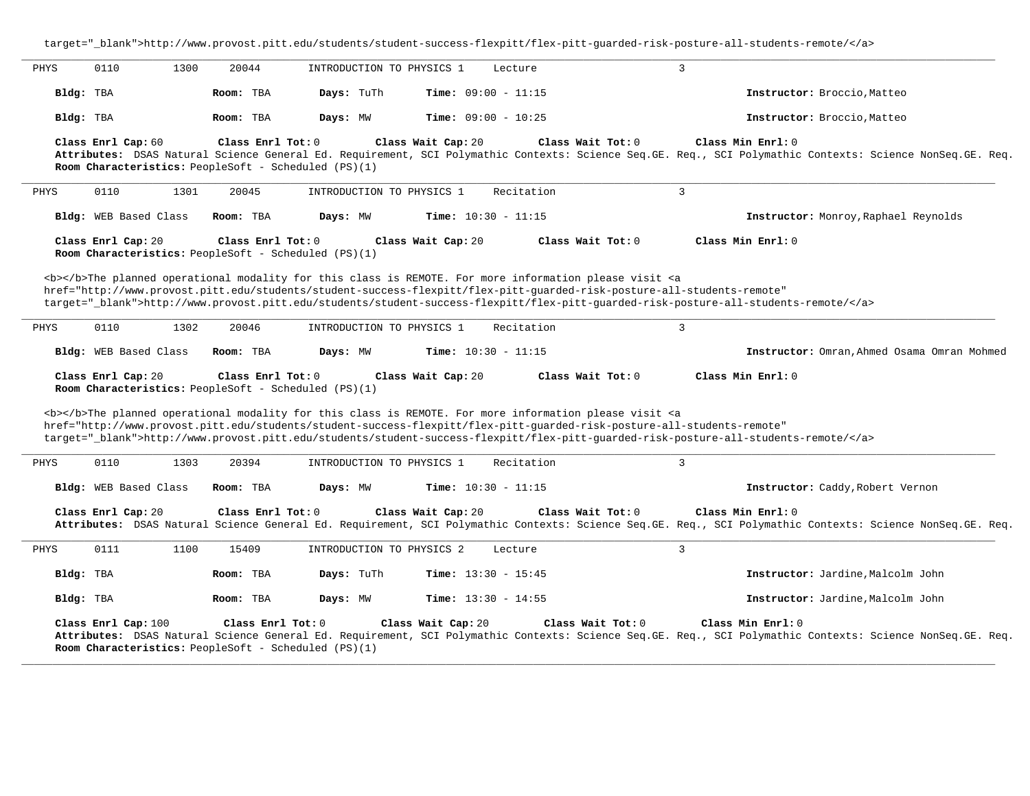target="\_blank">http://www.provost.pitt.edu/students/student-success-flexpitt/flex-pitt-guarded-risk-posture-all-students-remote/</a> **\_\_\_\_\_\_\_\_\_\_\_\_\_\_\_\_\_\_\_\_\_\_\_\_\_\_\_\_\_\_\_\_\_\_\_\_\_\_\_\_\_\_\_\_\_\_\_\_\_\_\_\_\_\_\_\_\_\_\_\_\_\_\_\_\_\_\_\_\_\_\_\_\_\_\_\_\_\_\_\_\_\_\_\_\_\_\_\_\_\_\_\_\_\_\_\_\_\_\_\_\_\_\_\_\_\_\_\_\_\_\_\_\_\_\_\_\_\_\_\_\_\_\_\_\_\_\_\_\_\_\_\_\_\_\_\_\_\_\_\_\_\_\_\_\_\_\_\_\_\_\_\_\_\_\_\_** PHYS 0110 1300 20044 INTRODUCTION TO PHYSICS 1 Lecture 3 **Bldg:** TBA **Room:** TBA **Days:** TuTh **Time:** 09:00 - 11:15 **Instructor:** Broccio,Matteo **Bldg:** TBA **Room:** TBA **Days:** MW **Time:** 09:00 - 10:25 **Instructor:** Broccio,Matteo **Class Enrl Cap:** 60 **Class Enrl Tot:** 0 **Class Wait Cap:** 20 **Class Wait Tot:** 0 **Class Min Enrl:** 0 **Attributes:** DSAS Natural Science General Ed. Requirement, SCI Polymathic Contexts: Science Seq.GE. Req., SCI Polymathic Contexts: Science NonSeq.GE. Req. **Room Characteristics:** PeopleSoft - Scheduled (PS)(1) **\_\_\_\_\_\_\_\_\_\_\_\_\_\_\_\_\_\_\_\_\_\_\_\_\_\_\_\_\_\_\_\_\_\_\_\_\_\_\_\_\_\_\_\_\_\_\_\_\_\_\_\_\_\_\_\_\_\_\_\_\_\_\_\_\_\_\_\_\_\_\_\_\_\_\_\_\_\_\_\_\_\_\_\_\_\_\_\_\_\_\_\_\_\_\_\_\_\_\_\_\_\_\_\_\_\_\_\_\_\_\_\_\_\_\_\_\_\_\_\_\_\_\_\_\_\_\_\_\_\_\_\_\_\_\_\_\_\_\_\_\_\_\_\_\_\_\_\_\_\_\_\_\_\_\_\_** PHYS 0110 1301 20045 INTRODUCTION TO PHYSICS 1 Recitation 3 **Bldg:** WEB Based Class **Room:** TBA **Days:** MW **Time:** 10:30 - 11:15 **Instructor:** Monroy,Raphael Reynolds **Class Enrl Cap:** 20 **Class Enrl Tot:** 0 **Class Wait Cap:** 20 **Class Wait Tot:** 0 **Class Min Enrl:** 0 **Room Characteristics:** PeopleSoft - Scheduled (PS)(1) <b></b>The planned operational modality for this class is REMOTE. For more information please visit <a href="http://www.provost.pitt.edu/students/student-success-flexpitt/flex-pitt-guarded-risk-posture-all-students-remote" target="\_blank">http://www.provost.pitt.edu/students/student-success-flexpitt/flex-pitt-guarded-risk-posture-all-students-remote/</a> **\_\_\_\_\_\_\_\_\_\_\_\_\_\_\_\_\_\_\_\_\_\_\_\_\_\_\_\_\_\_\_\_\_\_\_\_\_\_\_\_\_\_\_\_\_\_\_\_\_\_\_\_\_\_\_\_\_\_\_\_\_\_\_\_\_\_\_\_\_\_\_\_\_\_\_\_\_\_\_\_\_\_\_\_\_\_\_\_\_\_\_\_\_\_\_\_\_\_\_\_\_\_\_\_\_\_\_\_\_\_\_\_\_\_\_\_\_\_\_\_\_\_\_\_\_\_\_\_\_\_\_\_\_\_\_\_\_\_\_\_\_\_\_\_\_\_\_\_\_\_\_\_\_\_\_\_** PHYS 0110 1302 20046 INTRODUCTION TO PHYSICS 1 Recitation 3 **Bldg:** WEB Based Class **Room:** TBA **Days:** MW **Time:** 10:30 - 11:15 **Instructor:** Omran,Ahmed Osama Omran Mohmed **Class Enrl Cap:** 20 **Class Enrl Tot:** 0 **Class Wait Cap:** 20 **Class Wait Tot:** 0 **Class Min Enrl:** 0 **Room Characteristics:** PeopleSoft - Scheduled (PS)(1) <b></b>The planned operational modality for this class is REMOTE. For more information please visit <a href="http://www.provost.pitt.edu/students/student-success-flexpitt/flex-pitt-guarded-risk-posture-all-students-remote" target="\_blank">http://www.provost.pitt.edu/students/student-success-flexpitt/flex-pitt-guarded-risk-posture-all-students-remote/</a> **\_\_\_\_\_\_\_\_\_\_\_\_\_\_\_\_\_\_\_\_\_\_\_\_\_\_\_\_\_\_\_\_\_\_\_\_\_\_\_\_\_\_\_\_\_\_\_\_\_\_\_\_\_\_\_\_\_\_\_\_\_\_\_\_\_\_\_\_\_\_\_\_\_\_\_\_\_\_\_\_\_\_\_\_\_\_\_\_\_\_\_\_\_\_\_\_\_\_\_\_\_\_\_\_\_\_\_\_\_\_\_\_\_\_\_\_\_\_\_\_\_\_\_\_\_\_\_\_\_\_\_\_\_\_\_\_\_\_\_\_\_\_\_\_\_\_\_\_\_\_\_\_\_\_\_\_** PHYS 0110 1303 20394 INTRODUCTION TO PHYSICS 1 Recitation 3 **Bldg:** WEB Based Class **Room:** TBA **Days:** MW **Time:** 10:30 - 11:15 **Instructor:** Caddy,Robert Vernon **Class Enrl Cap:** 20 **Class Enrl Tot:** 0 **Class Wait Cap:** 20 **Class Wait Tot:** 0 **Class Min Enrl:** 0 **Attributes:** DSAS Natural Science General Ed. Requirement, SCI Polymathic Contexts: Science Seq.GE. Req., SCI Polymathic Contexts: Science NonSeq.GE. Req. **\_\_\_\_\_\_\_\_\_\_\_\_\_\_\_\_\_\_\_\_\_\_\_\_\_\_\_\_\_\_\_\_\_\_\_\_\_\_\_\_\_\_\_\_\_\_\_\_\_\_\_\_\_\_\_\_\_\_\_\_\_\_\_\_\_\_\_\_\_\_\_\_\_\_\_\_\_\_\_\_\_\_\_\_\_\_\_\_\_\_\_\_\_\_\_\_\_\_\_\_\_\_\_\_\_\_\_\_\_\_\_\_\_\_\_\_\_\_\_\_\_\_\_\_\_\_\_\_\_\_\_\_\_\_\_\_\_\_\_\_\_\_\_\_\_\_\_\_\_\_\_\_\_\_\_\_** PHYS 0111 1100 15409 INTRODUCTION TO PHYSICS 2 Lecture 3 **Bldg:** TBA **Room:** TBA **Days:** TuTh **Time:** 13:30 - 15:45 **Instructor:** Jardine,Malcolm John **Bldg:** TBA **Room:** TBA **Days:** MW **Time:** 13:30 - 14:55 **Instructor:** Jardine,Malcolm John **Class Enrl Cap:** 100 **Class Enrl Tot:** 0 **Class Wait Cap:** 20 **Class Wait Tot:** 0 **Class Min Enrl:** 0 **Attributes:** DSAS Natural Science General Ed. Requirement, SCI Polymathic Contexts: Science Seq.GE. Req., SCI Polymathic Contexts: Science NonSeq.GE. Req. **Room Characteristics:** PeopleSoft - Scheduled (PS)(1)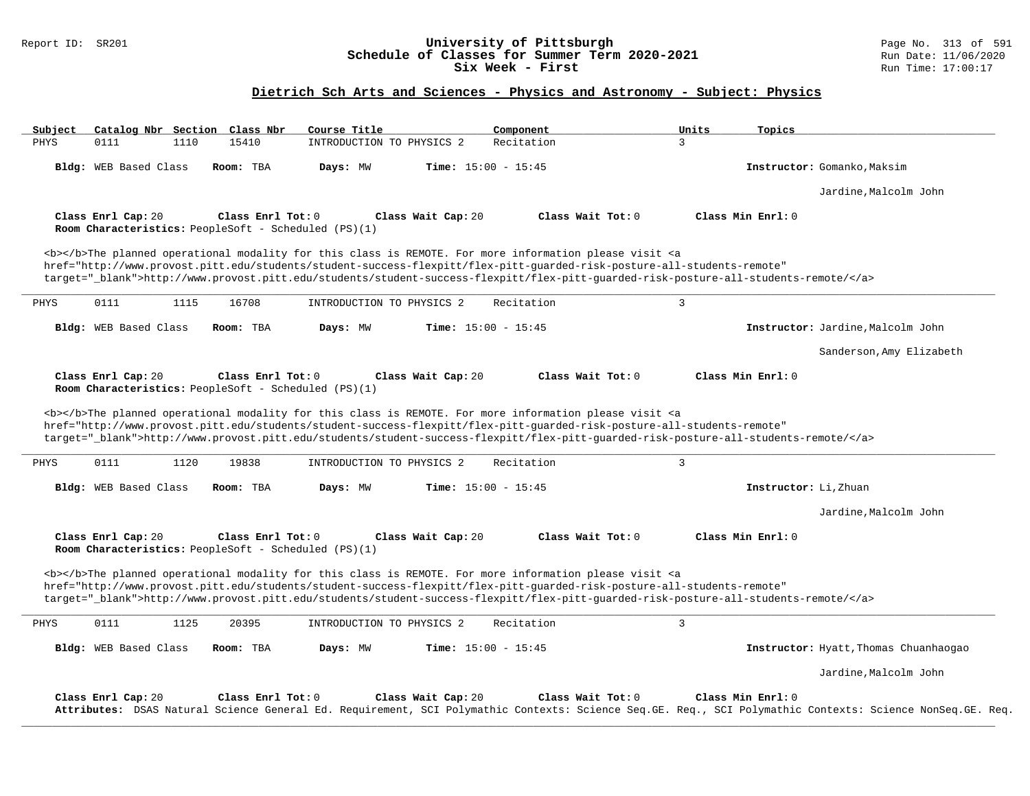## Report ID: SR201 **University of Pittsburgh** Page No. 313 of 591 **Schedule of Classes for Summer Term 2020-2021** Run Date: 11/06/2020 **Six Week - First Run Time: 17:00:17**

# **Dietrich Sch Arts and Sciences - Physics and Astronomy - Subject: Physics**

| Subject               | Catalog Nbr Section Class Nbr | Course Title                                                                                                                                                                                                                                                                                                                                                                       | Component                    | Units               | Topics                                                                                                                                                                         |
|-----------------------|-------------------------------|------------------------------------------------------------------------------------------------------------------------------------------------------------------------------------------------------------------------------------------------------------------------------------------------------------------------------------------------------------------------------------|------------------------------|---------------------|--------------------------------------------------------------------------------------------------------------------------------------------------------------------------------|
| PHYS<br>0111          | 1110<br>15410                 | INTRODUCTION TO PHYSICS 2                                                                                                                                                                                                                                                                                                                                                          | Recitation                   | 3                   |                                                                                                                                                                                |
| Bldg: WEB Based Class | Room: TBA                     | Days: MW                                                                                                                                                                                                                                                                                                                                                                           | Time: $15:00 - 15:45$        |                     | Instructor: Gomanko, Maksim                                                                                                                                                    |
|                       |                               |                                                                                                                                                                                                                                                                                                                                                                                    |                              |                     | Jardine, Malcolm John                                                                                                                                                          |
| Class Enrl Cap: 20    |                               | Class Enrl Tot: 0<br>Room Characteristics: PeopleSoft - Scheduled (PS)(1)                                                                                                                                                                                                                                                                                                          | Class Wait Cap: 20           | Class Wait Tot: $0$ | Class Min Enrl: 0                                                                                                                                                              |
|                       |                               | <b></b> The planned operational modality for this class is REMOTE. For more information please visit <a<br>href="http://www.provost.pitt.edu/students/student-success-flexpitt/flex-pitt-quarded-risk-posture-all-students-remote"<br/>target="_blank"&gt;http://www.provost.pitt.edu/students/student-success-flexpitt/flex-pitt-quarded-risk-posture-all-students-remote/</a<br> |                              |                     |                                                                                                                                                                                |
| 0111<br>PHYS          | 1115<br>16708                 | INTRODUCTION TO PHYSICS 2                                                                                                                                                                                                                                                                                                                                                          | Recitation                   | $\overline{3}$      |                                                                                                                                                                                |
| Bldg: WEB Based Class | Room: TBA                     | Days: MW                                                                                                                                                                                                                                                                                                                                                                           | <b>Time:</b> $15:00 - 15:45$ |                     | Instructor: Jardine, Malcolm John                                                                                                                                              |
|                       |                               |                                                                                                                                                                                                                                                                                                                                                                                    |                              |                     | Sanderson, Amy Elizabeth                                                                                                                                                       |
| Class Enrl Cap: 20    |                               | Class Enrl Tot: 0<br>Room Characteristics: PeopleSoft - Scheduled (PS)(1)                                                                                                                                                                                                                                                                                                          | Class Wait Cap: 20           | Class Wait Tot: 0   | Class Min Enrl: 0                                                                                                                                                              |
|                       |                               | <b></b> The planned operational modality for this class is REMOTE. For more information please visit <a<br>href="http://www.provost.pitt.edu/students/student-success-flexpitt/flex-pitt-quarded-risk-posture-all-students-remote"<br/>target="_blank"&gt;http://www.provost.pitt.edu/students/student-success-flexpitt/flex-pitt-quarded-risk-posture-all-students-remote/</a<br> |                              |                     |                                                                                                                                                                                |
| 0111<br>PHYS          | 1120<br>19838                 | INTRODUCTION TO PHYSICS 2                                                                                                                                                                                                                                                                                                                                                          | Recitation                   | 3                   |                                                                                                                                                                                |
| Bldg: WEB Based Class | Room: TBA                     | Days: MW                                                                                                                                                                                                                                                                                                                                                                           | Time: $15:00 - 15:45$        |                     | Instructor: Li, Zhuan                                                                                                                                                          |
|                       |                               |                                                                                                                                                                                                                                                                                                                                                                                    |                              |                     | Jardine, Malcolm John                                                                                                                                                          |
| Class Enrl Cap: 20    |                               | Class Enrl Tot: 0<br>Room Characteristics: PeopleSoft - Scheduled (PS)(1)                                                                                                                                                                                                                                                                                                          | Class Wait Cap: 20           | Class Wait Tot: 0   | Class Min Enrl: 0                                                                                                                                                              |
|                       |                               | <b></b> The planned operational modality for this class is REMOTE. For more information please visit <a<br>href="http://www.provost.pitt.edu/students/student-success-flexpitt/flex-pitt-quarded-risk-posture-all-students-remote"<br/>target="_blank"&gt;http://www.provost.pitt.edu/students/student-success-flexpitt/flex-pitt-quarded-risk-posture-all-students-remote/</a<br> |                              |                     |                                                                                                                                                                                |
| 0111<br>PHYS          | 1125<br>20395                 | INTRODUCTION TO PHYSICS 2                                                                                                                                                                                                                                                                                                                                                          | Recitation                   | 3                   |                                                                                                                                                                                |
| Bldg: WEB Based Class | Room: TBA                     | Days: MW                                                                                                                                                                                                                                                                                                                                                                           | <b>Time:</b> $15:00 - 15:45$ |                     | Instructor: Hyatt, Thomas Chuanhaogao                                                                                                                                          |
|                       |                               |                                                                                                                                                                                                                                                                                                                                                                                    |                              |                     | Jardine, Malcolm John                                                                                                                                                          |
| Class Enrl Cap: 20    |                               | Class Enrl Tot: 0                                                                                                                                                                                                                                                                                                                                                                  | Class Wait Cap: 20           | Class Wait Tot: 0   | Class Min Enrl: 0<br>Attributes: DSAS Natural Science General Ed. Requirement, SCI Polymathic Contexts: Science Seq.GE. Req., SCI Polymathic Contexts: Science NonSeq.GE. Req. |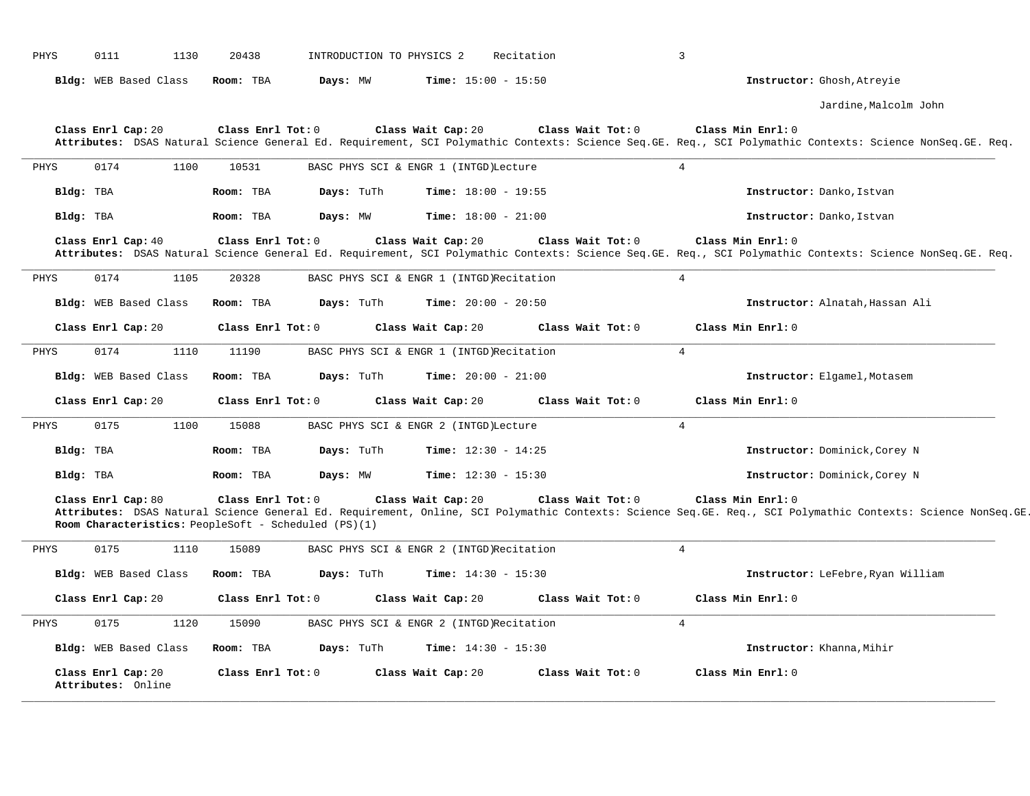| PHYS | 0111<br>1130                             | 20438                                                                     | INTRODUCTION TO PHYSICS 2<br>Recitation  |                   | $\overline{3}$                                                                                                                                                                    |
|------|------------------------------------------|---------------------------------------------------------------------------|------------------------------------------|-------------------|-----------------------------------------------------------------------------------------------------------------------------------------------------------------------------------|
|      | Bldg: WEB Based Class                    | Days: MW<br>Room: TBA                                                     | <b>Time:</b> $15:00 - 15:50$             |                   | Instructor: Ghosh, Atreyie                                                                                                                                                        |
|      |                                          |                                                                           |                                          |                   | Jardine, Malcolm John                                                                                                                                                             |
|      | Class Enrl Cap: 20                       | Class Enrl Tot: 0                                                         | Class Wait Cap: 20                       | Class Wait Tot: 0 | Class Min Enrl: 0<br>Attributes: DSAS Natural Science General Ed. Requirement, SCI Polymathic Contexts: Science Seq.GE. Req., SCI Polymathic Contexts: Science NonSeq.GE. Req.    |
| PHYS | 0174<br>1100                             | 10531                                                                     | BASC PHYS SCI & ENGR 1 (INTGD) Lecture   |                   | $\overline{4}$                                                                                                                                                                    |
|      | Bldg: TBA                                | Room: TBA<br>Days: TuTh                                                   | <b>Time:</b> $18:00 - 19:55$             |                   | Instructor: Danko, Istvan                                                                                                                                                         |
|      | Bldg: TBA                                | Days: MW<br>Room: TBA                                                     | <b>Time:</b> $18:00 - 21:00$             |                   | Instructor: Danko, Istvan                                                                                                                                                         |
|      | Class Enrl Cap: 40                       | Class Enrl Tot: 0                                                         | Class Wait Cap: 20                       | Class Wait Tot: 0 | Class Min Enrl: 0<br>Attributes: DSAS Natural Science General Ed. Requirement, SCI Polymathic Contexts: Science Seq.GE. Req., SCI Polymathic Contexts: Science NonSeq.GE. Req.    |
| PHYS | 0174<br>1105                             | 20328                                                                     | BASC PHYS SCI & ENGR 1 (INTGD)Recitation |                   | $\overline{4}$                                                                                                                                                                    |
|      | Bldg: WEB Based Class                    | Days: TuTh<br>Room: TBA                                                   | <b>Time:</b> $20:00 - 20:50$             |                   | Instructor: Alnatah, Hassan Ali                                                                                                                                                   |
|      | Class Enrl Cap: 20                       | Class Enrl Tot: 0                                                         | Class Wait Cap: 20                       | Class Wait Tot: 0 | Class Min Enrl: 0                                                                                                                                                                 |
| PHYS | 0174<br>1110                             | 11190                                                                     | BASC PHYS SCI & ENGR 1 (INTGD)Recitation |                   | $\overline{4}$                                                                                                                                                                    |
|      | Bldg: WEB Based Class                    | Room: TBA<br>Days: TuTh                                                   | Time: $20:00 - 21:00$                    |                   | Instructor: Elgamel, Motasem                                                                                                                                                      |
|      | Class Enrl Cap: 20                       | Class Enrl Tot: 0                                                         | Class Wait Cap: 20                       | Class Wait Tot: 0 | Class Min Enrl: 0                                                                                                                                                                 |
| PHYS | 0175<br>1100                             | 15088                                                                     | BASC PHYS SCI & ENGR 2 (INTGD) Lecture   |                   | $\overline{4}$                                                                                                                                                                    |
|      | Bldg: TBA                                | Days: TuTh<br>Room: TBA                                                   | <b>Time:</b> $12:30 - 14:25$             |                   | Instructor: Dominick, Corey N                                                                                                                                                     |
|      | Bldg: TBA                                | Days: MW<br>Room: TBA                                                     | <b>Time:</b> $12:30 - 15:30$             |                   | Instructor: Dominick, Corey N                                                                                                                                                     |
|      | Class Enrl Cap: 80                       | Class Enrl Tot: 0<br>Room Characteristics: PeopleSoft - Scheduled (PS)(1) | Class Wait Cap: 20                       | Class Wait Tot: 0 | Class Min Enrl: 0<br>Attributes: DSAS Natural Science General Ed. Requirement, Online, SCI Polymathic Contexts: Science Seq.GE. Req., SCI Polymathic Contexts: Science NonSeq.GE. |
| PHYS | 0175<br>1110                             | 15089                                                                     | BASC PHYS SCI & ENGR 2 (INTGD)Recitation |                   | $\overline{4}$                                                                                                                                                                    |
|      | Bldg: WEB Based Class                    | Days: TuTh<br>Room: TBA                                                   | <b>Time:</b> $14:30 - 15:30$             |                   | Instructor: LeFebre, Ryan William                                                                                                                                                 |
|      | Class Enrl Cap: 20                       | Class Enrl Tot: 0                                                         | Class Wait Cap: 20                       | Class Wait Tot: 0 | Class Min Enrl: 0                                                                                                                                                                 |
| PHYS | 0175<br>1120                             | 15090                                                                     | BASC PHYS SCI & ENGR 2 (INTGD)Recitation |                   | $\overline{4}$                                                                                                                                                                    |
|      | Bldg: WEB Based Class                    | Days: TuTh<br>Room: TBA                                                   | <b>Time:</b> $14:30 - 15:30$             |                   | Instructor: Khanna, Mihir                                                                                                                                                         |
|      | Class Enrl Cap: 20<br>Attributes: Online | Class Enrl Tot: 0                                                         | Class Wait Cap: 20                       | Class Wait Tot: 0 | Class Min Enrl: 0                                                                                                                                                                 |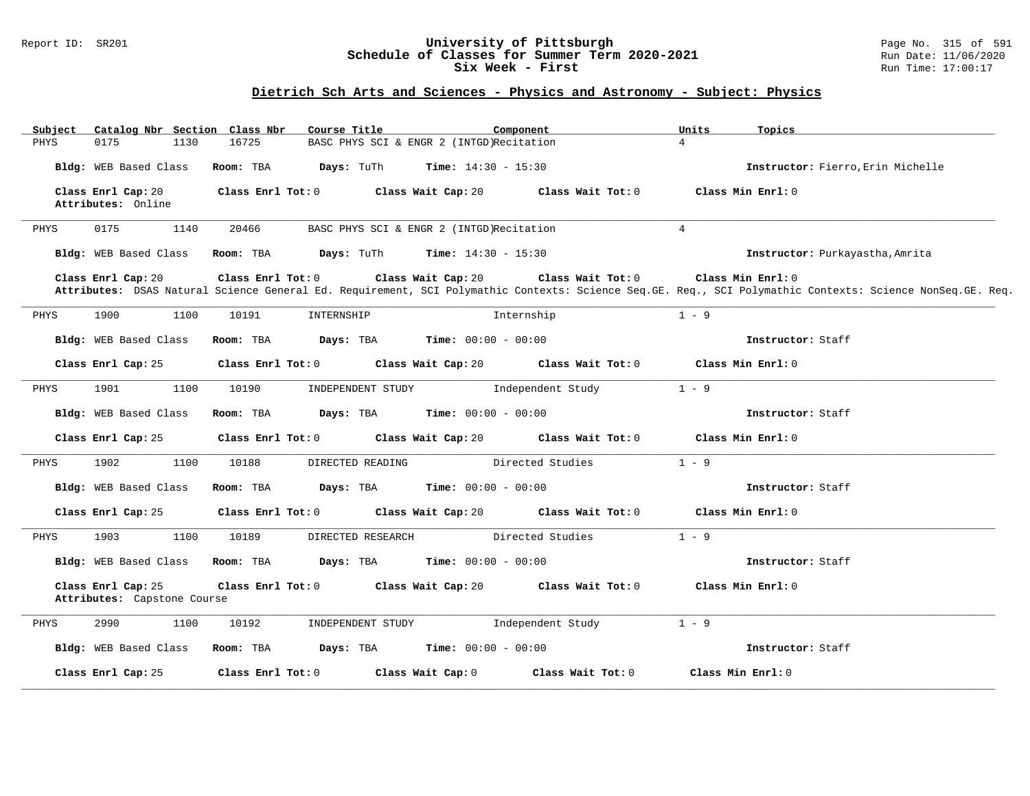### Report ID: SR201 **University of Pittsburgh** Page No. 315 of 591 **Schedule of Classes for Summer Term 2020-2021** Run Date: 11/06/2020 **Six Week - First Run Time: 17:00:17**

# **Dietrich Sch Arts and Sciences - Physics and Astronomy - Subject: Physics**

| Catalog Nbr Section Class Nbr<br>Subject          | Course Title               | Component                                | Units<br>Topics                                                                                                                                                                |
|---------------------------------------------------|----------------------------|------------------------------------------|--------------------------------------------------------------------------------------------------------------------------------------------------------------------------------|
| 0175<br>1130<br>PHYS                              | 16725                      | BASC PHYS SCI & ENGR 2 (INTGD)Recitation | $\overline{4}$                                                                                                                                                                 |
| Bldg: WEB Based Class                             | Room: TBA<br>Days: TuTh    | <b>Time:</b> $14:30 - 15:30$             | Instructor: Fierro, Erin Michelle                                                                                                                                              |
| Class Enrl Cap: 20<br>Attributes: Online          | Class Enrl Tot: 0          | Class Wait Cap: 20<br>Class Wait Tot: 0  | Class Min Enrl: 0                                                                                                                                                              |
| 0175<br>1140<br>PHYS                              | 20466                      | BASC PHYS SCI & ENGR 2 (INTGD)Recitation | $\overline{4}$                                                                                                                                                                 |
| Bldg: WEB Based Class                             | Days: TuTh<br>Room: TBA    | <b>Time:</b> $14:30 - 15:30$             | Instructor: Purkayastha, Amrita                                                                                                                                                |
| Class Enrl Cap: 20                                | Class Enrl Tot: 0          | Class Wait Cap: 20<br>Class Wait Tot: 0  | Class Min Enrl: 0<br>Attributes: DSAS Natural Science General Ed. Requirement, SCI Polymathic Contexts: Science Seq.GE. Req., SCI Polymathic Contexts: Science NonSeq.GE. Req. |
| 1900<br>1100<br>PHYS                              | 10191<br>INTERNSHIP        | Internship                               | $1 - 9$                                                                                                                                                                        |
| Bldg: WEB Based Class                             | Room: TBA<br>Days: TBA     | <b>Time:</b> $00:00 - 00:00$             | Instructor: Staff                                                                                                                                                              |
| Class Enrl Cap: 25                                | Class Enrl Tot: 0          | Class Wait Cap: 20<br>Class Wait Tot: 0  | Class Min Enrl: 0                                                                                                                                                              |
| 1901<br>1100<br>PHYS                              | 10190<br>INDEPENDENT STUDY | Independent Study                        | $1 - 9$                                                                                                                                                                        |
| Bldg: WEB Based Class                             | Days: TBA<br>Room: TBA     | <b>Time:</b> $00:00 - 00:00$             | Instructor: Staff                                                                                                                                                              |
| Class Enrl Cap: 25                                | Class Enrl Tot: 0          | Class Wait Cap: 20<br>Class Wait Tot: 0  | Class Min Enrl: 0                                                                                                                                                              |
| 1902<br>PHYS<br>1100                              | 10188<br>DIRECTED READING  | Directed Studies                         | $1 - 9$                                                                                                                                                                        |
| Bldg: WEB Based Class                             | Room: TBA<br>Days: TBA     | <b>Time:</b> $00:00 - 00:00$             | Instructor: Staff                                                                                                                                                              |
| Class Enrl Cap: 25                                | Class Enrl Tot: 0          | Class Wait Cap: 20<br>Class Wait Tot: 0  | Class Min Enrl: 0                                                                                                                                                              |
| 1903<br>1100<br>PHYS                              | 10189<br>DIRECTED RESEARCH | Directed Studies                         | $1 - 9$                                                                                                                                                                        |
| Bldg: WEB Based Class                             | Room: TBA<br>Days: TBA     | <b>Time:</b> $00:00 - 00:00$             | Instructor: Staff                                                                                                                                                              |
| Class Enrl Cap: 25<br>Attributes: Capstone Course | Class Enrl Tot: 0          | Class Wait Cap: 20<br>Class Wait Tot: 0  | Class Min Enrl: 0                                                                                                                                                              |
| 2990<br>1100<br>PHYS                              | 10192<br>INDEPENDENT STUDY | Independent Study                        | $1 - 9$                                                                                                                                                                        |
| Bldg: WEB Based Class                             | Days: TBA<br>Room: TBA     | <b>Time:</b> $00:00 - 00:00$             | Instructor: Staff                                                                                                                                                              |
| Class Enrl Cap: 25                                | Class Enrl Tot: 0          | Class Wait Cap: 0<br>Class Wait Tot: 0   | Class Min Enrl: 0                                                                                                                                                              |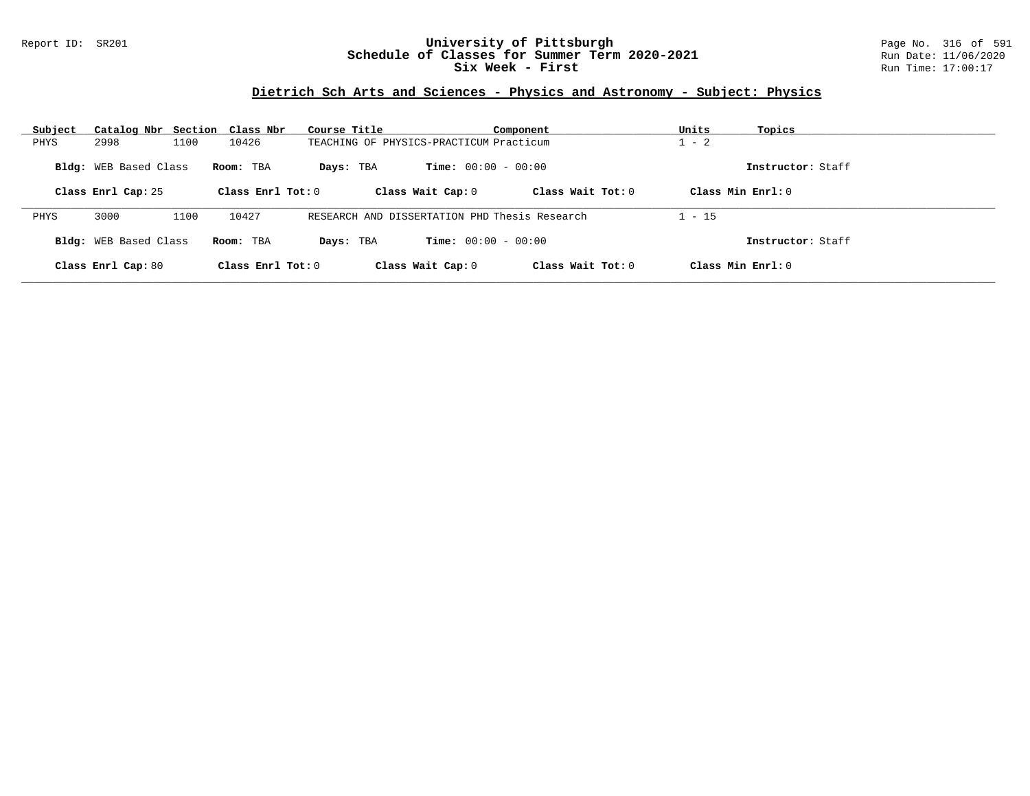## Report ID: SR201 **University of Pittsburgh** Page No. 316 of 591 **Schedule of Classes for Summer Term 2020-2021** Run Date: 11/06/2020 **Six Week - First Run Time: 17:00:17**

# **Dietrich Sch Arts and Sciences - Physics and Astronomy - Subject: Physics**

| Subject                                                                                                                                                  | Catalog Nbr Section Class Nbr |                     |                                          | Course Title                                  |                                         | Component           | Units             | Topics |
|----------------------------------------------------------------------------------------------------------------------------------------------------------|-------------------------------|---------------------|------------------------------------------|-----------------------------------------------|-----------------------------------------|---------------------|-------------------|--------|
| PHYS                                                                                                                                                     | 2998                          | 1100                | 10426                                    |                                               | TEACHING OF PHYSICS-PRACTICUM Practicum |                     |                   |        |
| <b>Bldg:</b> WEB Based Class<br><b>Time:</b> $00:00 - 00:00$<br>Room: TBA<br>Days: TBA<br>Class Enrl Cap: 25<br>Class Enrl Tot: $0$<br>Class Wait Cap: 0 |                               | Class Wait $Tot: 0$ | Instructor: Staff<br>Class Min $Enrl: 0$ |                                               |                                         |                     |                   |        |
|                                                                                                                                                          |                               |                     |                                          |                                               |                                         |                     |                   |        |
| PHYS                                                                                                                                                     | 3000                          | 1100                | 10427                                    | RESEARCH AND DISSERTATION PHD Thesis Research |                                         |                     | $1 - 15$          |        |
| Bldg: WEB Based Class                                                                                                                                    |                               |                     | Room: TBA                                | <b>Time:</b> $00:00 - 00:00$<br>Days: TBA     |                                         |                     | Instructor: Staff |        |
|                                                                                                                                                          | Class Enrl Cap: 80            |                     | Class Enrl Tot: $0$                      |                                               | Class Wait Cap: 0                       | Class Wait $Tot: 0$ | Class Min Enrl: 0 |        |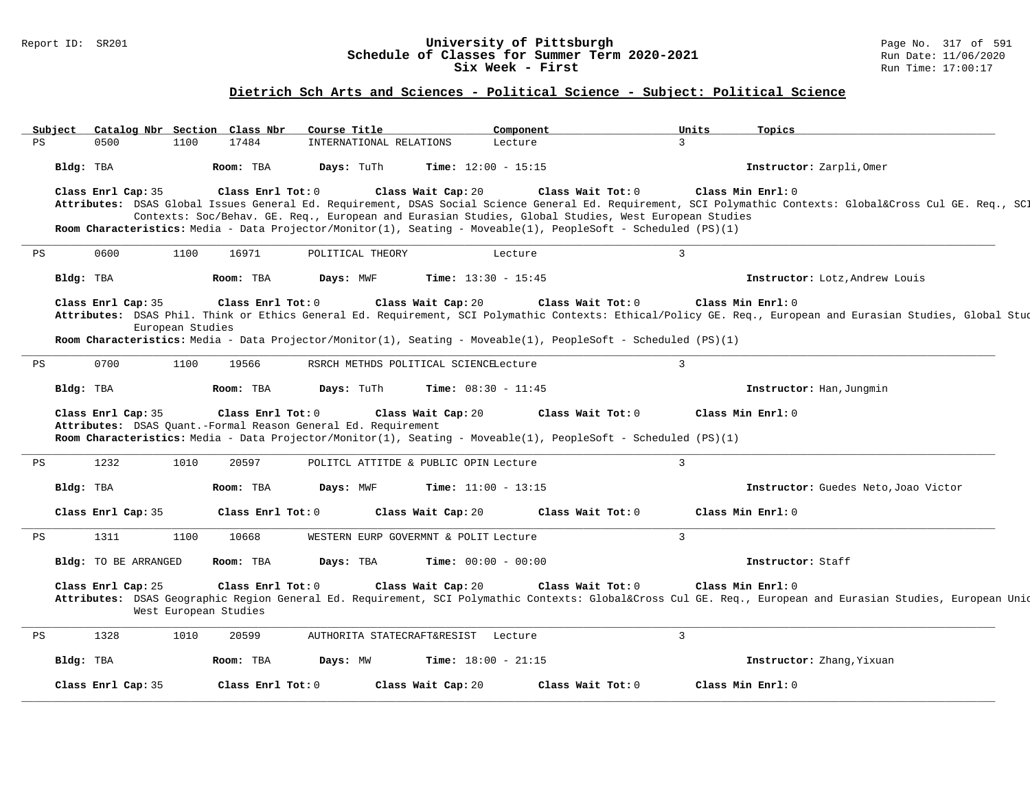### Report ID: SR201 **University of Pittsburgh** Page No. 317 of 591 **Schedule of Classes for Summer Term 2020-2021** Run Date: 11/06/2020 **Six Week - First Run Time: 17:00:17**

# **Dietrich Sch Arts and Sciences - Political Science - Subject: Political Science**

|    | Subject   |                      |                       | Catalog Nbr Section Class Nbr | Course Title                                                  |                                       | Component                                                                                                                                                                                                                                  | Units          | Topics                                                                                                                                                                            |
|----|-----------|----------------------|-----------------------|-------------------------------|---------------------------------------------------------------|---------------------------------------|--------------------------------------------------------------------------------------------------------------------------------------------------------------------------------------------------------------------------------------------|----------------|-----------------------------------------------------------------------------------------------------------------------------------------------------------------------------------|
| PS |           | 0500                 | 1100                  | 17484                         | INTERNATIONAL RELATIONS                                       |                                       | Lecture                                                                                                                                                                                                                                    | 3              |                                                                                                                                                                                   |
|    | Bldg: TBA |                      |                       | Room: TBA                     | Days: TuTh                                                    | <b>Time:</b> $12:00 - 15:15$          |                                                                                                                                                                                                                                            |                | Instructor: Zarpli, Omer                                                                                                                                                          |
|    |           | Class Enrl Cap: 35   |                       | Class Enrl Tot: 0             |                                                               | Class Wait Cap: 20                    | Class Wait Tot: 0<br>Contexts: Soc/Behav. GE. Req., European and Eurasian Studies, Global Studies, West European Studies<br>Room Characteristics: Media - Data Projector/Monitor(1), Seating - Moveable(1), PeopleSoft - Scheduled (PS)(1) |                | Class Min Enrl: 0<br>Attributes: DSAS Global Issues General Ed. Requirement, DSAS Social Science General Ed. Requirement, SCI Polymathic Contexts: Global⨯ Cul GE. Req., SCI      |
| PS |           | 0600                 | 1100                  | 16971                         | POLITICAL THEORY                                              |                                       | Lecture                                                                                                                                                                                                                                    | $\overline{3}$ |                                                                                                                                                                                   |
|    | Bldg: TBA |                      |                       | Room: TBA                     | Days: MWF                                                     | <b>Time:</b> $13:30 - 15:45$          |                                                                                                                                                                                                                                            |                | Instructor: Lotz, Andrew Louis                                                                                                                                                    |
|    |           | Class Enrl Cap: 35   | European Studies      | Class Enrl Tot: 0             |                                                               | Class Wait Cap: 20                    | Class Wait Tot: 0<br>Room Characteristics: Media - Data Projector/Monitor(1), Seating - Moveable(1), PeopleSoft - Scheduled (PS)(1)                                                                                                        |                | Class Min Enrl: 0<br>Attributes: DSAS Phil. Think or Ethics General Ed. Requirement, SCI Polymathic Contexts: Ethical/Policy GE. Req., European and Eurasian Studies, Global Stud |
| PS |           | 0700                 | 1100                  | 19566                         |                                                               | RSRCH METHDS POLITICAL SCIENCELecture |                                                                                                                                                                                                                                            | $\mathbf{3}$   |                                                                                                                                                                                   |
|    | Bldg: TBA |                      |                       | Room: TBA                     | Days: TuTh                                                    | <b>Time:</b> $08:30 - 11:45$          |                                                                                                                                                                                                                                            |                | Instructor: Han, Jungmin                                                                                                                                                          |
|    |           | Class Enrl Cap: 35   |                       | Class Enrl Tot: 0             | Attributes: DSAS Quant.-Formal Reason General Ed. Requirement | Class Wait Cap: 20                    | Class Wait Tot: 0<br>Room Characteristics: Media - Data Projector/Monitor(1), Seating - Moveable(1), PeopleSoft - Scheduled (PS)(1)                                                                                                        |                | Class Min Enrl: 0                                                                                                                                                                 |
| PS |           | 1232                 | 1010                  | 20597                         |                                                               | POLITCL ATTITDE & PUBLIC OPIN Lecture |                                                                                                                                                                                                                                            | $\mathcal{E}$  |                                                                                                                                                                                   |
|    | Bldg: TBA |                      |                       | Room: TBA                     | Days: MWF                                                     | <b>Time:</b> $11:00 - 13:15$          |                                                                                                                                                                                                                                            |                | Instructor: Guedes Neto, Joao Victor                                                                                                                                              |
|    |           | Class Enrl Cap: 35   |                       | Class Enrl Tot: 0             |                                                               | Class Wait Cap: 20                    | Class Wait Tot: 0                                                                                                                                                                                                                          |                | Class Min Enrl: 0                                                                                                                                                                 |
| PS |           | 1311                 | 1100                  | 10668                         |                                                               | WESTERN EURP GOVERMNT & POLIT Lecture |                                                                                                                                                                                                                                            | $\overline{3}$ |                                                                                                                                                                                   |
|    |           | Bldg: TO BE ARRANGED |                       | Room: TBA                     | Days: TBA                                                     | <b>Time:</b> $00:00 - 00:00$          |                                                                                                                                                                                                                                            |                | Instructor: Staff                                                                                                                                                                 |
|    |           |                      |                       |                               |                                                               |                                       |                                                                                                                                                                                                                                            |                |                                                                                                                                                                                   |
|    |           | Class Enrl Cap: 25   | West European Studies | Class Enrl Tot: 0             |                                                               | Class Wait Cap: 20                    | Class Wait Tot: 0                                                                                                                                                                                                                          |                | Class Min Enrl: 0<br>Attributes: DSAS Geographic Region General Ed. Requirement, SCI Polymathic Contexts: Global⨯ Cul GE. Reg., European and Eurasian Studies, European Unid      |
| PS |           | 1328                 | 1010                  | 20599                         |                                                               | AUTHORITA STATECRAFT&RESIST Lecture   |                                                                                                                                                                                                                                            | $\overline{3}$ |                                                                                                                                                                                   |
|    | Bldg: TBA |                      |                       | Room: TBA                     | Days: MW                                                      | <b>Time:</b> $18:00 - 21:15$          |                                                                                                                                                                                                                                            |                | Instructor: Zhang, Yixuan                                                                                                                                                         |
|    |           | Class Enrl Cap: 35   |                       | Class Enrl Tot: 0             |                                                               | Class Wait Cap: 20                    | Class Wait Tot: 0                                                                                                                                                                                                                          |                | Class Min Enrl: 0                                                                                                                                                                 |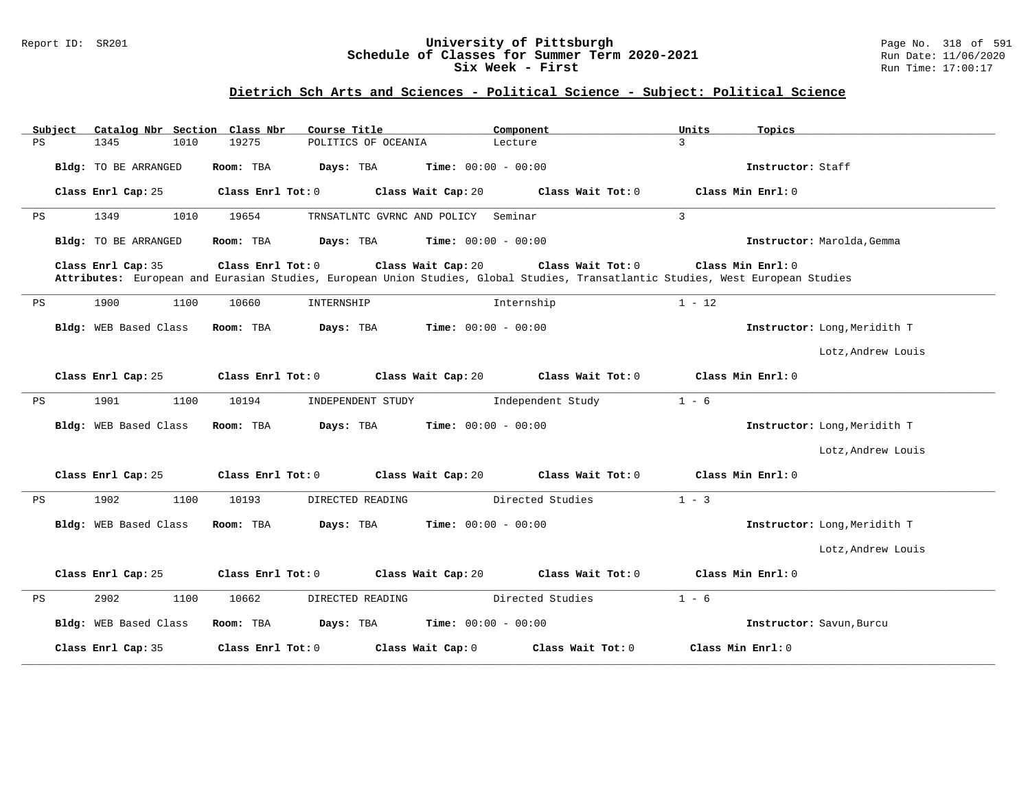### Report ID: SR201 **University of Pittsburgh** Page No. 318 of 591 **Schedule of Classes for Summer Term 2020-2021** Run Date: 11/06/2020 **Six Week - First Run Time: 17:00:17**

# **Dietrich Sch Arts and Sciences - Political Science - Subject: Political Science**

|    | Subject |                             |      | Catalog Nbr Section Class Nbr | Course Title        |                              | Component         | Units                                                                                                                           | Topics                       |  |
|----|---------|-----------------------------|------|-------------------------------|---------------------|------------------------------|-------------------|---------------------------------------------------------------------------------------------------------------------------------|------------------------------|--|
| PS |         | 1345                        | 1010 | 19275                         | POLITICS OF OCEANIA |                              | Lecture           | 3                                                                                                                               |                              |  |
|    |         | Bldg: TO BE ARRANGED        |      | Room: TBA                     | Days: TBA           | <b>Time:</b> $00:00 - 00:00$ |                   |                                                                                                                                 | Instructor: Staff            |  |
|    |         | Class Enrl Cap: 25          |      | Class Enrl Tot: 0             |                     | Class Wait Cap: 20           | Class Wait Tot: 0 |                                                                                                                                 | Class Min Enrl: 0            |  |
| PS |         | 1349                        | 1010 | 19654                         |                     | TRNSATLNTC GVRNC AND POLICY  | Seminar           | 3                                                                                                                               |                              |  |
|    |         | <b>Bldg:</b> TO BE ARRANGED |      | Room: TBA                     | Days: TBA           | Time: $00:00 - 00:00$        |                   |                                                                                                                                 | Instructor: Marolda, Gemma   |  |
|    |         | Class Enrl Cap: 35          |      | Class Enrl Tot: 0             |                     | Class Wait Cap: 20           | Class Wait Tot: 0 | Attributes: European and Eurasian Studies, European Union Studies, Global Studies, Transatlantic Studies, West European Studies | Class Min Enrl: 0            |  |
| PS |         | 1900                        | 1100 | 10660                         | INTERNSHIP          |                              | Internship        | $1 - 12$                                                                                                                        |                              |  |
|    |         | Bldg: WEB Based Class       |      | Room: TBA                     | Days: TBA           | $Time: 00:00 - 00:00$        |                   |                                                                                                                                 | Instructor: Long, Meridith T |  |
|    |         |                             |      |                               |                     |                              |                   |                                                                                                                                 | Lotz, Andrew Louis           |  |
|    |         | Class Enrl Cap: 25          |      | Class Enrl Tot: 0             |                     | Class Wait Cap: 20           | Class Wait Tot: 0 |                                                                                                                                 | Class Min Enrl: 0            |  |
| PS |         | 1901                        | 1100 | 10194                         | INDEPENDENT STUDY   |                              | Independent Study | $1 - 6$                                                                                                                         |                              |  |
|    |         | Bldg: WEB Based Class       |      | Room: TBA                     | Days: TBA           | <b>Time:</b> $00:00 - 00:00$ |                   |                                                                                                                                 | Instructor: Long, Meridith T |  |
|    |         |                             |      |                               |                     |                              |                   |                                                                                                                                 | Lotz, Andrew Louis           |  |
|    |         | Class Enrl Cap: 25          |      | Class Enrl Tot: 0             |                     | Class Wait Cap: 20           | Class Wait Tot: 0 |                                                                                                                                 | Class Min Enrl: 0            |  |
| PS |         | 1902                        | 1100 | 10193                         | DIRECTED READING    |                              | Directed Studies  | $1 - 3$                                                                                                                         |                              |  |
|    |         | Bldg: WEB Based Class       |      | Room: TBA                     | Days: TBA           | Time: $00:00 - 00:00$        |                   |                                                                                                                                 | Instructor: Long, Meridith T |  |
|    |         |                             |      |                               |                     |                              |                   |                                                                                                                                 | Lotz, Andrew Louis           |  |
|    |         | Class Enrl Cap: 25          |      | Class Enrl Tot: 0             |                     | Class Wait Cap: 20           | Class Wait Tot: 0 |                                                                                                                                 | Class Min Enrl: 0            |  |
| PS |         | 2902                        | 1100 | 10662                         | DIRECTED READING    |                              | Directed Studies  | $1 - 6$                                                                                                                         |                              |  |
|    |         | Bldg: WEB Based Class       |      | Room: TBA                     | Days: TBA           | <b>Time:</b> $00:00 - 00:00$ |                   |                                                                                                                                 | Instructor: Savun, Burcu     |  |
|    |         | Class Enrl Cap: 35          |      | Class Enrl Tot: 0             |                     | Class Wait Cap: 0            | Class Wait Tot: 0 |                                                                                                                                 | Class Min Enrl: 0            |  |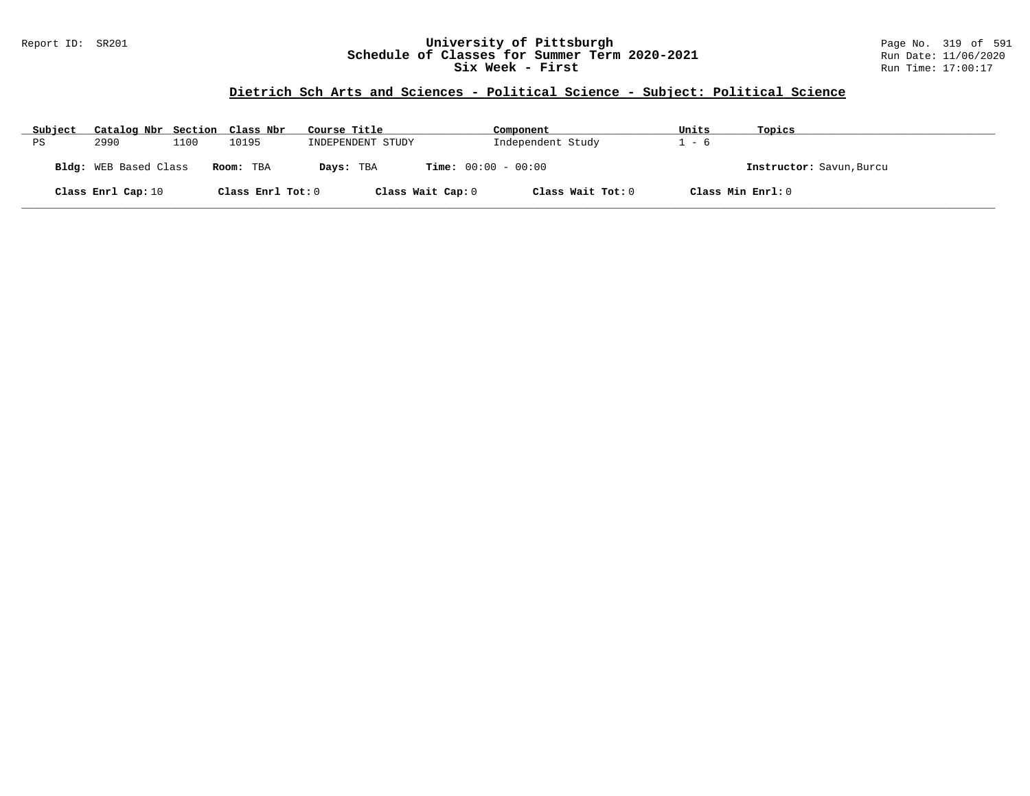## Report ID: SR201 **University of Pittsburgh** Page No. 319 of 591 **Schedule of Classes for Summer Term 2020-2021** Run Date: 11/06/2020 **Six Week - First Run Time: 17:00:17**

## **Dietrich Sch Arts and Sciences - Political Science - Subject: Political Science**

| Subject | Catalog Nbr Section Class Nbr |      |                   | Course Title      | Component                    | Units             | Topics                   |
|---------|-------------------------------|------|-------------------|-------------------|------------------------------|-------------------|--------------------------|
| ΡS      | 2990                          | 1100 | 10195             | INDEPENDENT STUDY | Independent Study            | $1 - 6$           |                          |
|         | <b>Bldg:</b> WEB Based Class  |      | Room: TBA         | Days: TBA         | <b>Time:</b> $00:00 - 00:00$ |                   | Instructor: Savun, Burcu |
|         | Class Enrl Cap: 10            |      | Class Enrl Tot: 0 | Class Wait Cap: 0 | Class Wait Tot: 0            | Class Min Enrl: 0 |                          |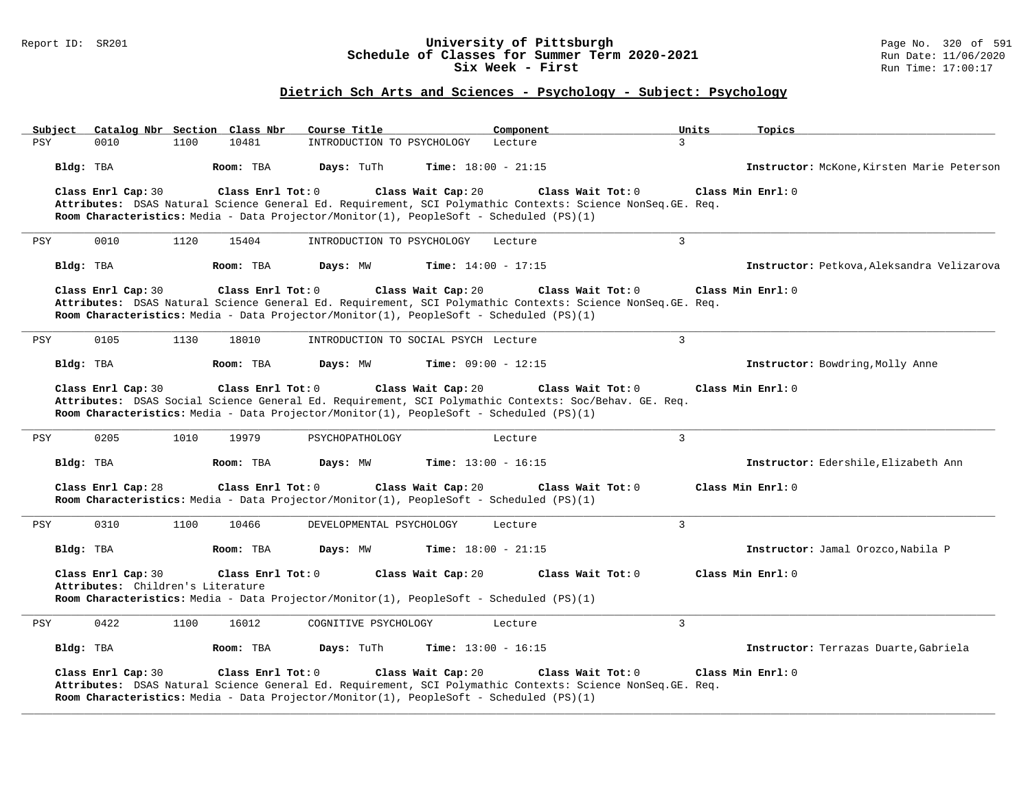### Report ID: SR201 **University of Pittsburgh** Page No. 320 of 591 **Schedule of Classes for Summer Term 2020-2021** Run Date: 11/06/2020 **Six Week - First Run Time: 17:00:17**

# **Dietrich Sch Arts and Sciences - Psychology - Subject: Psychology**

| Subject | Catalog Nbr Section Class Nbr                           |      |                    | Course Title                                                                            |                              | Component | 3                                                                                                                                | Units | Topics                                     |
|---------|---------------------------------------------------------|------|--------------------|-----------------------------------------------------------------------------------------|------------------------------|-----------|----------------------------------------------------------------------------------------------------------------------------------|-------|--------------------------------------------|
| PSY     | 0010<br>Bldg: TBA                                       | 1100 | 10481<br>Room: TBA | INTRODUCTION TO PSYCHOLOGY<br>Days: TuTh                                                | <b>Time:</b> $18:00 - 21:15$ | Lecture   |                                                                                                                                  |       | Instructor: McKone, Kirsten Marie Peterson |
|         | Class Enrl Cap: 30                                      |      | Class Enrl Tot: 0  | Room Characteristics: Media - Data Projector/Monitor(1), PeopleSoft - Scheduled (PS)(1) | Class Wait Cap: 20           |           | Class Wait Tot: 0<br>Attributes: DSAS Natural Science General Ed. Requirement, SCI Polymathic Contexts: Science NonSeq. GE. Req. |       | Class Min Enrl: 0                          |
| PSY     | 0010                                                    | 1120 | 15404              | INTRODUCTION TO PSYCHOLOGY                                                              |                              | Lecture   | $\overline{3}$                                                                                                                   |       |                                            |
|         | Bldg: TBA                                               |      | Room: TBA          | Days: MW                                                                                | <b>Time:</b> $14:00 - 17:15$ |           |                                                                                                                                  |       | Instructor: Petkova, Aleksandra Velizarova |
|         | Class Enrl Cap: 30                                      |      | Class Enrl Tot: 0  | Room Characteristics: Media - Data Projector/Monitor(1), PeopleSoft - Scheduled (PS)(1) | Class Wait Cap: 20           |           | Class Wait Tot: 0<br>Attributes: DSAS Natural Science General Ed. Requirement, SCI Polymathic Contexts: Science NonSeq. GE. Req. |       | Class Min Enrl: 0                          |
| PSY     | 0105                                                    | 1130 | 18010              | INTRODUCTION TO SOCIAL PSYCH Lecture                                                    |                              |           | $\overline{3}$                                                                                                                   |       |                                            |
|         | Bldg: TBA                                               |      | Room: TBA          | Days: MW                                                                                | <b>Time:</b> $09:00 - 12:15$ |           |                                                                                                                                  |       | Instructor: Bowdring, Molly Anne           |
|         | Class Enrl Cap: 30                                      |      | Class Enrl Tot: 0  | Room Characteristics: Media - Data Projector/Monitor(1), PeopleSoft - Scheduled (PS)(1) | Class Wait Cap: 20           |           | Class Wait Tot: 0<br>Attributes: DSAS Social Science General Ed. Requirement, SCI Polymathic Contexts: Soc/Behav. GE. Req.       |       | Class Min Enrl: 0                          |
| PSY     | 0205                                                    | 1010 | 19979              | PSYCHOPATHOLOGY                                                                         |                              | Lecture   | 3                                                                                                                                |       |                                            |
|         | Bldg: TBA                                               |      | Room: TBA          | Days: MW                                                                                | <b>Time:</b> $13:00 - 16:15$ |           |                                                                                                                                  |       | Instructor: Edershile, Elizabeth Ann       |
|         | Class Enrl Cap: 28                                      |      | Class Enrl Tot: 0  | Room Characteristics: Media - Data Projector/Monitor(1), PeopleSoft - Scheduled (PS)(1) | Class Wait Cap: 20           |           | Class Wait Tot: 0                                                                                                                |       | Class Min Enrl: 0                          |
| PSY     | 0310                                                    | 1100 | 10466              | DEVELOPMENTAL PSYCHOLOGY                                                                |                              | Lecture   | $\mathbf{3}$                                                                                                                     |       |                                            |
|         | Bldg: TBA                                               |      | Room: TBA          | Days: MW                                                                                | <b>Time:</b> $18:00 - 21:15$ |           |                                                                                                                                  |       | Instructor: Jamal Orozco, Nabila P         |
|         | Class Enrl Cap: 30<br>Attributes: Children's Literature |      | Class Enrl Tot: 0  | Room Characteristics: Media - Data Projector/Monitor(1), PeopleSoft - Scheduled (PS)(1) | Class Wait Cap: 20           |           | Class Wait Tot: 0                                                                                                                |       | Class Min Enrl: 0                          |
| PSY     | 0422                                                    | 1100 | 16012              | COGNITIVE PSYCHOLOGY                                                                    |                              | Lecture   | $\mathbf{3}$                                                                                                                     |       |                                            |
|         | Bldg: TBA                                               |      | Room: TBA          | Days: TuTh                                                                              | <b>Time:</b> $13:00 - 16:15$ |           |                                                                                                                                  |       | Instructor: Terrazas Duarte, Gabriela      |
|         | Class Enrl Cap: 30                                      |      | Class Enrl Tot: 0  | Room Characteristics: Media - Data Projector/Monitor(1), PeopleSoft - Scheduled (PS)(1) | Class Wait Cap: 20           |           | Class Wait Tot: 0<br>Attributes: DSAS Natural Science General Ed. Requirement, SCI Polymathic Contexts: Science NonSeq. GE. Req. |       | Class Min Enrl: 0                          |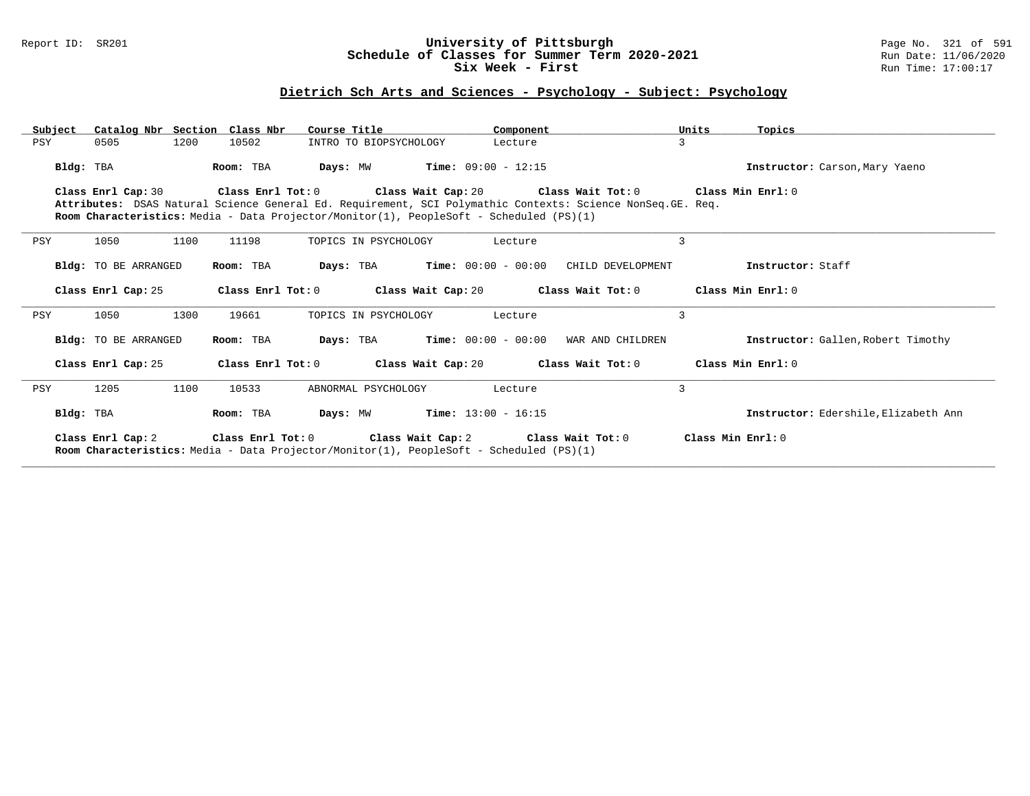## Report ID: SR201 **University of Pittsburgh** Page No. 321 of 591 **Schedule of Classes for Summer Term 2020-2021** Run Date: 11/06/2020 **Six Week - First Run Time: 17:00:17**

## **Dietrich Sch Arts and Sciences - Psychology - Subject: Psychology**

| Subject | Catalog Nbr Section Class Nbr |                   | Course Title                                                                                                                                     | Component                                                                                                  | Units<br>Topics                      |
|---------|-------------------------------|-------------------|--------------------------------------------------------------------------------------------------------------------------------------------------|------------------------------------------------------------------------------------------------------------|--------------------------------------|
| PSY     | 1200<br>0505                  | 10502             | INTRO TO BIOPSYCHOLOGY                                                                                                                           | Lecture                                                                                                    | 3                                    |
|         | Bldg: TBA                     | Room: TBA         | $Time: 09:00 - 12:15$<br>Days: MW                                                                                                                |                                                                                                            | Instructor: Carson, Mary Yaeno       |
|         | Class Enrl Cap: 30            | Class Enrl Tot: 0 |                                                                                                                                                  | Class Wait Cap: 20 $\qquad$ Class Wait Tot: 0 $\qquad$ Class Min Enrl: 0                                   |                                      |
|         |                               |                   |                                                                                                                                                  | Attributes: DSAS Natural Science General Ed. Requirement, SCI Polymathic Contexts: Science NonSeq.GE. Req. |                                      |
|         |                               |                   | Room Characteristics: Media - Data Projector/Monitor(1), PeopleSoft - Scheduled (PS)(1)                                                          |                                                                                                            |                                      |
| PSY     | 1050<br>1100                  | 11198             | TOPICS IN PSYCHOLOGY                                                                                                                             | Lecture                                                                                                    | 3                                    |
|         | <b>Bldg:</b> TO BE ARRANGED   | Room: TBA         | $Time: 00:00 - 00:00$<br>Days: TBA                                                                                                               | CHILD DEVELOPMENT                                                                                          | Instructor: Staff                    |
|         | Class Enrl Cap: 25            | Class Enrl Tot: 0 |                                                                                                                                                  | Class Wait Cap: 20 $\hbox{Class Wait Tot: 0}$ Class Min Enrl: 0                                            |                                      |
| PSY     | 1300<br>1050                  | 19661             | TOPICS IN PSYCHOLOGY                                                                                                                             | Lecture                                                                                                    | 3                                    |
|         | <b>Bldg:</b> TO BE ARRANGED   | Room: TBA         | $Time: 00:00 - 00:00$<br>Days: TBA                                                                                                               | WAR AND CHILDREN                                                                                           | Instructor: Gallen, Robert Timothy   |
|         | Class Enrl Cap: 25            |                   |                                                                                                                                                  | Class Enrl Tot: 0 Class Wait Cap: 20 Class Wait Tot: 0                                                     | Class Min Enrl: 0                    |
| PSY     | 1100<br>1205                  | 10533             | ABNORMAL PSYCHOLOGY                                                                                                                              | Lecture                                                                                                    | 3                                    |
|         | Bldg: TBA                     | Room: TBA         | Days: MW<br><b>Time:</b> $13:00 - 16:15$                                                                                                         |                                                                                                            | Instructor: Edershile, Elizabeth Ann |
|         | Class Enrl Cap: 2             |                   | Class Enrl Tot: 0 Class Wait Cap: 2 Class Wait Tot: 0<br>Room Characteristics: Media - Data Projector/Monitor(1), PeopleSoft - Scheduled (PS)(1) |                                                                                                            | Class Min Enrl: 0                    |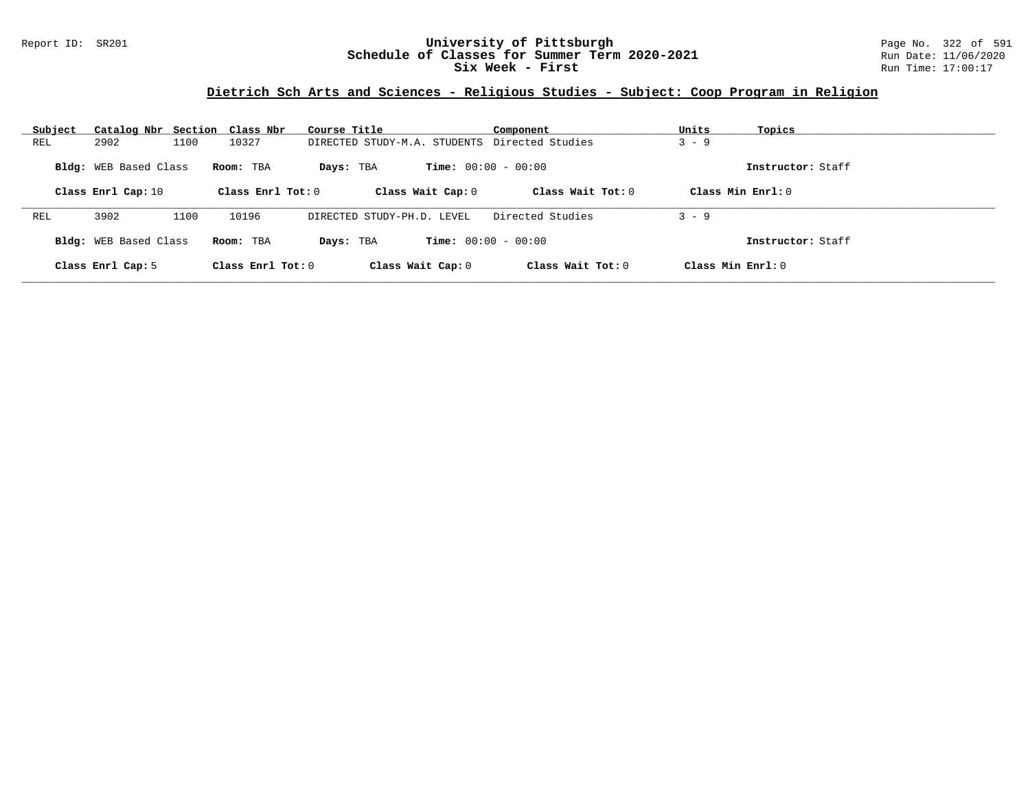## Report ID: SR201 **University of Pittsburgh** Page No. 322 of 591 **Schedule of Classes for Summer Term 2020-2021** Run Date: 11/06/2020 **Six Week - First Run Time: 17:00:17**

# **Dietrich Sch Arts and Sciences - Religious Studies - Subject: Coop Program in Religion**

| Subject                      | Catalog Nbr Section Class Nbr |      |                     | Course Title                                  | Component                    | Units                | Topics            |
|------------------------------|-------------------------------|------|---------------------|-----------------------------------------------|------------------------------|----------------------|-------------------|
| REL                          | 2902                          | 1100 | 10327               | DIRECTED STUDY-M.A. STUDENTS Directed Studies |                              | $3 - 9$              |                   |
| <b>Bldg:</b> WEB Based Class |                               |      | Room: TBA           | Days: TBA                                     | <b>Time:</b> $00:00 - 00:00$ |                      | Instructor: Staff |
|                              | Class Enrl Cap: 10            |      | Class Enrl Tot: $0$ | Class Wait Cap: 0                             | Class Wait $Tot: 0$          | $Class Min Ernst: 0$ |                   |
| REL                          | 3902                          | 1100 | 10196               | DIRECTED STUDY-PH.D. LEVEL                    | Directed Studies             | $3 - 9$              |                   |
|                              | <b>Bldg:</b> WEB Based Class  |      | Room: TBA           | Days: TBA                                     | <b>Time:</b> $00:00 - 00:00$ |                      | Instructor: Staff |
|                              | Class Enrl Cap: 5             |      | Class Enrl Tot: 0   | Class Wait Cap: 0                             | Class Wait Tot: $0$          | $Class Min Ernst: 0$ |                   |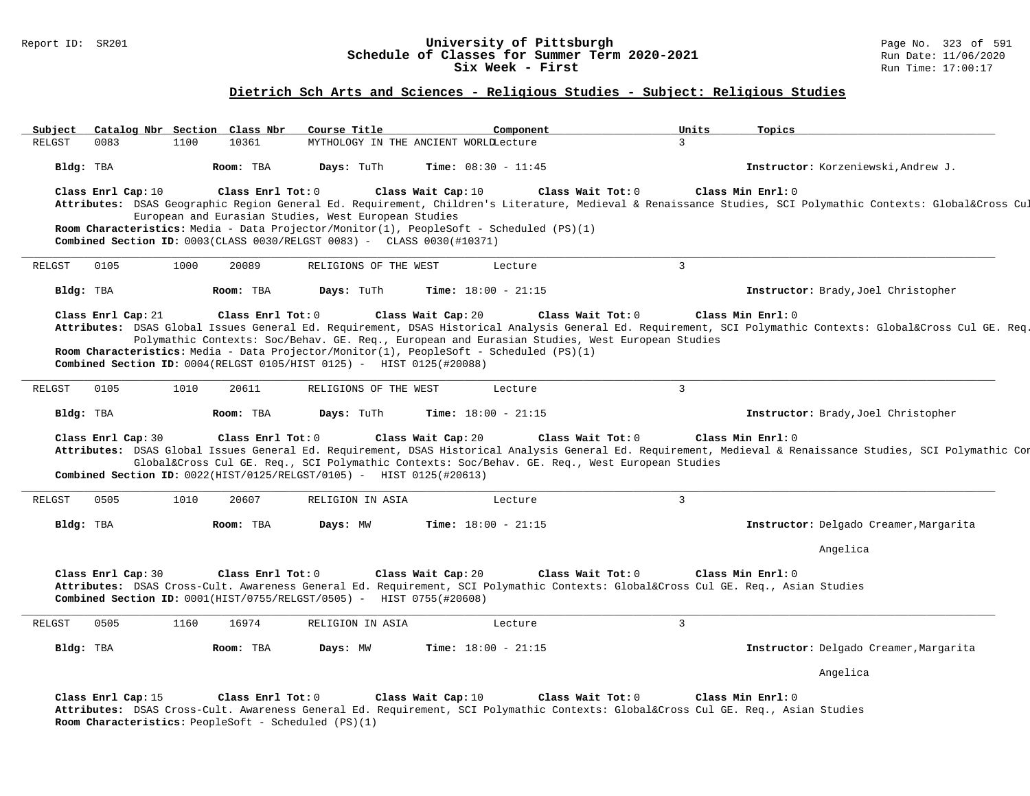#### Report ID: SR201 **1988 1998 12: SR201 University of Pittsburgh University of Pittsburgh** Page No. 323 of 591 **Schedule of Classes for Summer Term 2020-2021** Run Date: 11/06/20<br>Six Week - First Run Time: 17:00:17 Six Week - First

### **Dietrich Sch Arts and Sciences - Religious Studies - Subject: Religious Studies**

Subject Catalog Nbr Section Class Nbr Course Title \_\_\_\_\_\_\_\_\_\_\_\_\_\_\_Component \_\_\_\_\_\_\_\_\_\_\_\_\_\_\_\_\_\_\_Units \_\_\_\_\_\_\_\_\_<br>RELGST 0083 1100 10361 MYTHOLOGY IN THE ANCIENT WORLLLecture 3 MYTHOLOGY IN THE ANCIENT WORLDLecture **Bldg:** TBA **Room:** TBA **Days:** TuTh **Time:** 08:30 - 11:45 **Instructor:** Korzeniewski,Andrew J. **Class Enrl Cap:** 10 **Class Enrl Tot:** 0 **Class Wait Cap:** 10 **Class Wait Tot:** 0 **Class Min Enrl:** 0 Attributes: DSAS Geographic Region General Ed. Requirement, Children's Literature, Medieval & Renaissance Studies, SCI Polymathic Contexts: Global&Cross Cu European and Eurasian Studies, West European Studies **Room Characteristics:** Media - Data Projector/Monitor(1), PeopleSoft - Scheduled (PS)(1) **Combined Section ID:** 0003(CLASS 0030/RELGST 0083) - CLASS 0030(#10371) **\_\_\_\_\_\_\_\_\_\_\_\_\_\_\_\_\_\_\_\_\_\_\_\_\_\_\_\_\_\_\_\_\_\_\_\_\_\_\_\_\_\_\_\_\_\_\_\_\_\_\_\_\_\_\_\_\_\_\_\_\_\_\_\_\_\_\_\_\_\_\_\_\_\_\_\_\_\_\_\_\_\_\_\_\_\_\_\_\_\_\_\_\_\_\_\_\_\_\_\_\_\_\_\_\_\_\_\_\_\_\_\_\_\_\_\_\_\_\_\_\_\_\_\_\_\_\_\_\_\_\_\_\_\_\_\_\_\_\_\_\_\_\_\_\_\_\_\_\_\_\_\_\_\_\_\_** RELGST 0105 1000 20089 RELIGIONS OF THE WEST Lecture 3 **Bldg:** TBA **Room:** TBA **Days:** TuTh **Time:** 18:00 - 21:15 **Instructor:** Brady,Joel Christopher **Class Enrl Cap:** 21 **Class Enrl Tot:** 0 **Class Wait Cap:** 20 **Class Wait Tot:** 0 **Class Min Enrl:** 0 **Attributes:** DSAS Global Issues General Ed. Requirement, DSAS Historical Analysis General Ed. Requirement, SCI Polymathic Contexts: Global&Cross Cul GE. Req., SCI Polymathic Contexts: Soc/Behav. GE. Req., European and Eurasian Studies, West European Studies **Room Characteristics:** Media - Data Projector/Monitor(1), PeopleSoft - Scheduled (PS)(1) **Combined Section ID:** 0004(RELGST 0105/HIST 0125) - HIST 0125(#20088) **\_\_\_\_\_\_\_\_\_\_\_\_\_\_\_\_\_\_\_\_\_\_\_\_\_\_\_\_\_\_\_\_\_\_\_\_\_\_\_\_\_\_\_\_\_\_\_\_\_\_\_\_\_\_\_\_\_\_\_\_\_\_\_\_\_\_\_\_\_\_\_\_\_\_\_\_\_\_\_\_\_\_\_\_\_\_\_\_\_\_\_\_\_\_\_\_\_\_\_\_\_\_\_\_\_\_\_\_\_\_\_\_\_\_\_\_\_\_\_\_\_\_\_\_\_\_\_\_\_\_\_\_\_\_\_\_\_\_\_\_\_\_\_\_\_\_\_\_\_\_\_\_\_\_\_\_** RELGST 0105 1010 20611 RELIGIONS OF THE WEST Lecture 3 **Bldg:** TBA **Room:** TBA **Days:** TuTh **Time:** 18:00 - 21:15 **Instructor:** Brady,Joel Christopher **Class Enrl Cap:** 30 **Class Enrl Tot:** 0 **Class Wait Cap:** 20 **Class Wait Tot:** 0 **Class Min Enrl:** 0 **Attributes:** DSAS Global Issues General Ed. Requirement, DSAS Historical Analysis General Ed. Requirement, Medieval & Renaissance Studies, SCI Polymathic Contexts: Global&Cross Cul GE. Req., SCI Polymathic Contexts: Soc/Behav. GE. Req., West European Studies **Combined Section ID:** 0022(HIST/0125/RELGST/0105) - HIST 0125(#20613) **\_\_\_\_\_\_\_\_\_\_\_\_\_\_\_\_\_\_\_\_\_\_\_\_\_\_\_\_\_\_\_\_\_\_\_\_\_\_\_\_\_\_\_\_\_\_\_\_\_\_\_\_\_\_\_\_\_\_\_\_\_\_\_\_\_\_\_\_\_\_\_\_\_\_\_\_\_\_\_\_\_\_\_\_\_\_\_\_\_\_\_\_\_\_\_\_\_\_\_\_\_\_\_\_\_\_\_\_\_\_\_\_\_\_\_\_\_\_\_\_\_\_\_\_\_\_\_\_\_\_\_\_\_\_\_\_\_\_\_\_\_\_\_\_\_\_\_\_\_\_\_\_\_\_\_\_** RELGST 0505 1010 20607 RELIGION IN ASIA Lecture 3 **Bldg:** TBA **Room:** TBA **Days:** MW **Time:** 18:00 - 21:15 **Instructor:** Delgado Creamer,Margarita Angelica **Class Enrl Cap:** 30 **Class Enrl Tot:** 0 **Class Wait Cap:** 20 **Class Wait Tot:** 0 **Class Min Enrl:** 0 **Attributes:** DSAS Cross-Cult. Awareness General Ed. Requirement, SCI Polymathic Contexts: Global&Cross Cul GE. Req., Asian Studies **Combined Section ID:** 0001(HIST/0755/RELGST/0505) - HIST 0755(#20608) **\_\_\_\_\_\_\_\_\_\_\_\_\_\_\_\_\_\_\_\_\_\_\_\_\_\_\_\_\_\_\_\_\_\_\_\_\_\_\_\_\_\_\_\_\_\_\_\_\_\_\_\_\_\_\_\_\_\_\_\_\_\_\_\_\_\_\_\_\_\_\_\_\_\_\_\_\_\_\_\_\_\_\_\_\_\_\_\_\_\_\_\_\_\_\_\_\_\_\_\_\_\_\_\_\_\_\_\_\_\_\_\_\_\_\_\_\_\_\_\_\_\_\_\_\_\_\_\_\_\_\_\_\_\_\_\_\_\_\_\_\_\_\_\_\_\_\_\_\_\_\_\_\_\_\_\_** RELGST 0505 1160 16974 RELIGION IN ASIA Lecture 23 **Bldg:** TBA **Room:** TBA **Days:** MW **Time:** 18:00 - 21:15 **Instructor:** Delgado Creamer,Margarita Angelica **Class Enrl Cap:** 15 **Class Enrl Tot:** 0 **Class Wait Cap:** 10 **Class Wait Tot:** 0 **Class Min Enrl:** 0 **Attributes:** DSAS Cross-Cult. Awareness General Ed. Requirement, SCI Polymathic Contexts: Global&Cross Cul GE. Req., Asian Studies **Room Characteristics:** PeopleSoft - Scheduled (PS)(1)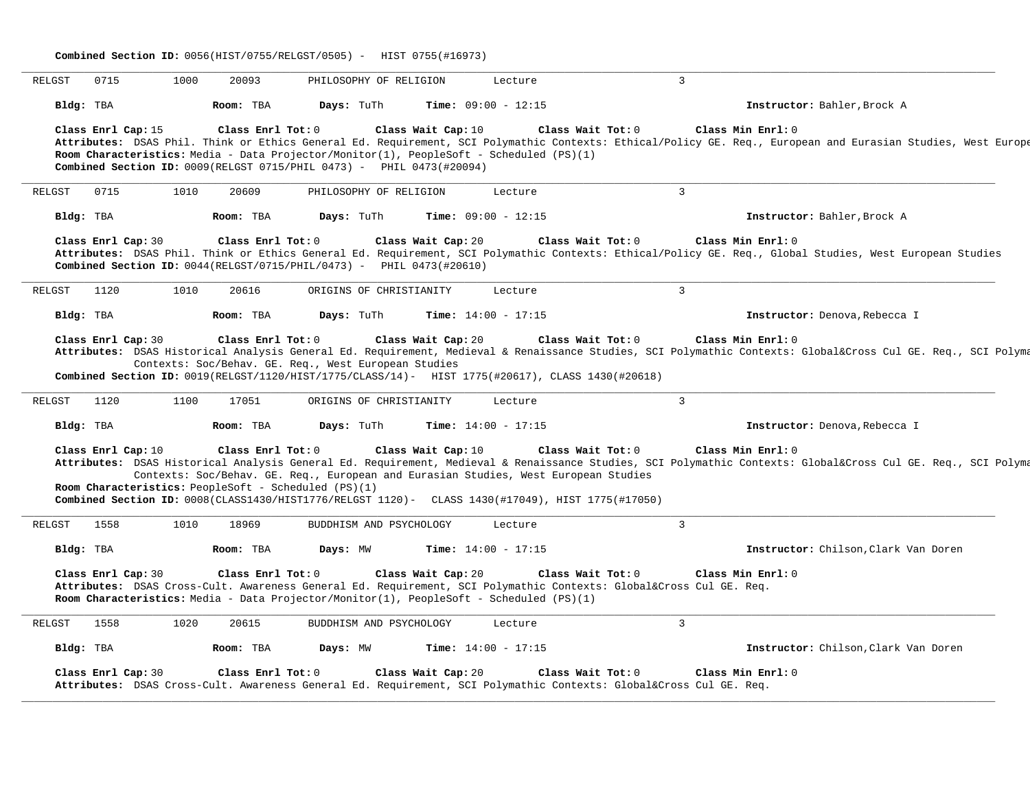**Combined Section ID:** 0056(HIST/0755/RELGST/0505) - HIST 0755(#16973) **\_\_\_\_\_\_\_\_\_\_\_\_\_\_\_\_\_\_\_\_\_\_\_\_\_\_\_\_\_\_\_\_\_\_\_\_\_\_\_\_\_\_\_\_\_\_\_\_\_\_\_\_\_\_\_\_\_\_\_\_\_\_\_\_\_\_\_\_\_\_\_\_\_\_\_\_\_\_\_\_\_\_\_\_\_\_\_\_\_\_\_\_\_\_\_\_\_\_\_\_\_\_\_\_\_\_\_\_\_\_\_\_\_\_\_\_\_\_\_\_\_\_\_\_\_\_\_\_\_\_\_\_\_\_\_\_\_\_\_\_\_\_\_\_\_\_\_\_\_\_\_\_\_\_\_\_** RELGST 0715 1000 20093 PHILOSOPHY OF RELIGION Lecture 3 **Bldg:** TBA **Room:** TBA **Days:** TuTh **Time:** 09:00 - 12:15 **Instructor:** Bahler,Brock A **Class Enrl Cap:** 15 **Class Enrl Tot:** 0 **Class Wait Cap:** 10 **Class Wait Tot:** 0 **Class Min Enrl:** 0 **Attributes:** DSAS Phil. Think or Ethics General Ed. Requirement, SCI Polymathic Contexts: Ethical/Policy GE. Req., European and Eurasian Studies, West European Studies **Room Characteristics:** Media - Data Projector/Monitor(1), PeopleSoft - Scheduled (PS)(1) **Combined Section ID:** 0009(RELGST 0715/PHIL 0473) - PHIL 0473(#20094) **\_\_\_\_\_\_\_\_\_\_\_\_\_\_\_\_\_\_\_\_\_\_\_\_\_\_\_\_\_\_\_\_\_\_\_\_\_\_\_\_\_\_\_\_\_\_\_\_\_\_\_\_\_\_\_\_\_\_\_\_\_\_\_\_\_\_\_\_\_\_\_\_\_\_\_\_\_\_\_\_\_\_\_\_\_\_\_\_\_\_\_\_\_\_\_\_\_\_\_\_\_\_\_\_\_\_\_\_\_\_\_\_\_\_\_\_\_\_\_\_\_\_\_\_\_\_\_\_\_\_\_\_\_\_\_\_\_\_\_\_\_\_\_\_\_\_\_\_\_\_\_\_\_\_\_\_** RELGST 0715 1010 20609 PHILOSOPHY OF RELIGION Lecture 3 **Bldg:** TBA **Room:** TBA **Days:** TuTh **Time:** 09:00 - 12:15 **Instructor:** Bahler,Brock A **Class Enrl Cap:** 30 **Class Enrl Tot:** 0 **Class Wait Cap:** 20 **Class Wait Tot:** 0 **Class Min Enrl:** 0 **Attributes:** DSAS Phil. Think or Ethics General Ed. Requirement, SCI Polymathic Contexts: Ethical/Policy GE. Req., Global Studies, West European Studies **Combined Section ID:** 0044(RELGST/0715/PHIL/0473) - PHIL 0473(#20610) **\_\_\_\_\_\_\_\_\_\_\_\_\_\_\_\_\_\_\_\_\_\_\_\_\_\_\_\_\_\_\_\_\_\_\_\_\_\_\_\_\_\_\_\_\_\_\_\_\_\_\_\_\_\_\_\_\_\_\_\_\_\_\_\_\_\_\_\_\_\_\_\_\_\_\_\_\_\_\_\_\_\_\_\_\_\_\_\_\_\_\_\_\_\_\_\_\_\_\_\_\_\_\_\_\_\_\_\_\_\_\_\_\_\_\_\_\_\_\_\_\_\_\_\_\_\_\_\_\_\_\_\_\_\_\_\_\_\_\_\_\_\_\_\_\_\_\_\_\_\_\_\_\_\_\_\_** RELGST 1120 1010 20616 ORIGINS OF CHRISTIANITY Lecture 3 **Bldg:** TBA **Room:** TBA **Days:** TuTh **Time:** 14:00 - 17:15 **Instructor:** Denova,Rebecca I **Class Enrl Cap:** 30 **Class Enrl Tot:** 0 **Class Wait Cap:** 20 **Class Wait Tot:** 0 **Class Min Enrl:** 0 **Attributes:** DSAS Historical Analysis General Ed. Requirement, Medieval & Renaissance Studies, SCI Polymathic Contexts: Global&Cross Cul GE. Req., SCI Polymathic Contexts: Soc/Behav. GE. Req., West European Studies **Combined Section ID:** 0019(RELGST/1120/HIST/1775/CLASS/14) - HIST 1775(#20617), CLASS 1430(#20618) **\_\_\_\_\_\_\_\_\_\_\_\_\_\_\_\_\_\_\_\_\_\_\_\_\_\_\_\_\_\_\_\_\_\_\_\_\_\_\_\_\_\_\_\_\_\_\_\_\_\_\_\_\_\_\_\_\_\_\_\_\_\_\_\_\_\_\_\_\_\_\_\_\_\_\_\_\_\_\_\_\_\_\_\_\_\_\_\_\_\_\_\_\_\_\_\_\_\_\_\_\_\_\_\_\_\_\_\_\_\_\_\_\_\_\_\_\_\_\_\_\_\_\_\_\_\_\_\_\_\_\_\_\_\_\_\_\_\_\_\_\_\_\_\_\_\_\_\_\_\_\_\_\_\_\_\_** RELGST 1120 1100 17051 ORIGINS OF CHRISTIANITY Lecture 3 **Bldg:** TBA **Room:** TBA **Days:** TuTh **Time:** 14:00 - 17:15 **Instructor:** Denova,Rebecca I **Class Enrl Cap:** 10 **Class Enrl Tot:** 0 **Class Wait Cap:** 10 **Class Wait Tot:** 0 **Class Min Enrl:** 0 **Attributes:** DSAS Historical Analysis General Ed. Requirement, Medieval & Renaissance Studies, SCI Polymathic Contexts: Global&Cross Cul GE. Req., SCI Polymathic Contexts: Soc/Behav. GE. Req., European and Eurasian Studies, West European Studies **Room Characteristics:** PeopleSoft - Scheduled (PS)(1) **Combined Section ID:** 0008(CLASS1430/HIST1776/RELGST 1120) - CLASS 1430(#17049), HIST 1775(#17050) **\_\_\_\_\_\_\_\_\_\_\_\_\_\_\_\_\_\_\_\_\_\_\_\_\_\_\_\_\_\_\_\_\_\_\_\_\_\_\_\_\_\_\_\_\_\_\_\_\_\_\_\_\_\_\_\_\_\_\_\_\_\_\_\_\_\_\_\_\_\_\_\_\_\_\_\_\_\_\_\_\_\_\_\_\_\_\_\_\_\_\_\_\_\_\_\_\_\_\_\_\_\_\_\_\_\_\_\_\_\_\_\_\_\_\_\_\_\_\_\_\_\_\_\_\_\_\_\_\_\_\_\_\_\_\_\_\_\_\_\_\_\_\_\_\_\_\_\_\_\_\_\_\_\_\_\_** RELGST 1558 1010 18969 BUDDHISM AND PSYCHOLOGY Lecture 3 **Bldg:** TBA **Room:** TBA **Days:** MW **Time:** 14:00 - 17:15 **Instructor:** Chilson,Clark Van Doren **Class Enrl Cap:** 30 **Class Enrl Tot:** 0 **Class Wait Cap:** 20 **Class Wait Tot:** 0 **Class Min Enrl:** 0 **Attributes:** DSAS Cross-Cult. Awareness General Ed. Requirement, SCI Polymathic Contexts: Global&Cross Cul GE. Req. **Room Characteristics:** Media - Data Projector/Monitor(1), PeopleSoft - Scheduled (PS)(1) **\_\_\_\_\_\_\_\_\_\_\_\_\_\_\_\_\_\_\_\_\_\_\_\_\_\_\_\_\_\_\_\_\_\_\_\_\_\_\_\_\_\_\_\_\_\_\_\_\_\_\_\_\_\_\_\_\_\_\_\_\_\_\_\_\_\_\_\_\_\_\_\_\_\_\_\_\_\_\_\_\_\_\_\_\_\_\_\_\_\_\_\_\_\_\_\_\_\_\_\_\_\_\_\_\_\_\_\_\_\_\_\_\_\_\_\_\_\_\_\_\_\_\_\_\_\_\_\_\_\_\_\_\_\_\_\_\_\_\_\_\_\_\_\_\_\_\_\_\_\_\_\_\_\_\_\_** RELGST 1558 1020 20615 BUDDHISM AND PSYCHOLOGY Lecture 3 **Bldg:** TBA **Room:** TBA **Days:** MW **Time:** 14:00 - 17:15 **Instructor:** Chilson,Clark Van Doren **Class Enrl Cap:** 30 **Class Enrl Tot:** 0 **Class Wait Cap:** 20 **Class Wait Tot:** 0 **Class Min Enrl:** 0 **Attributes:** DSAS Cross-Cult. Awareness General Ed. Requirement, SCI Polymathic Contexts: Global&Cross Cul GE. Req.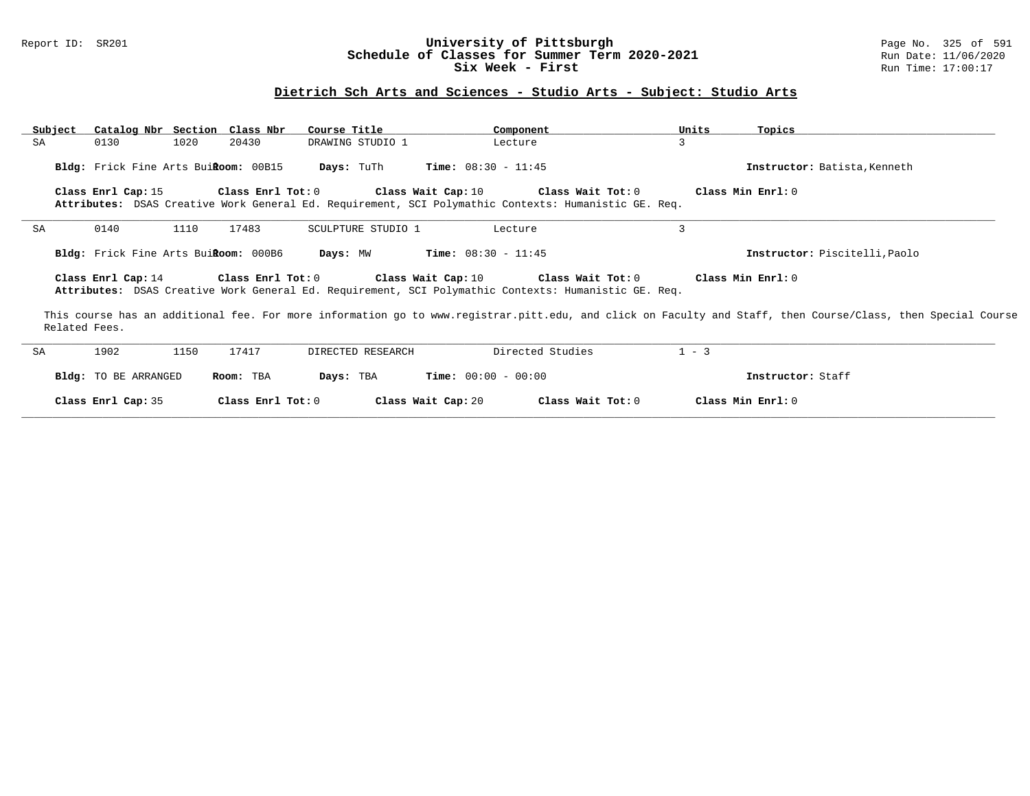### Report ID: SR201 **University of Pittsburgh** Page No. 325 of 591 **Schedule of Classes for Summer Term 2020-2021** Run Date: 11/06/2020 **Six Week - First Run Time: 17:00:17**

# **Dietrich Sch Arts and Sciences - Studio Arts - Subject: Studio Arts**

| Subject       | Catalog Nbr Section Class Nbr        |                         | Course Title       | Component                                                                                                                                                            | Units   | Topics                                                                                                                                                       |
|---------------|--------------------------------------|-------------------------|--------------------|----------------------------------------------------------------------------------------------------------------------------------------------------------------------|---------|--------------------------------------------------------------------------------------------------------------------------------------------------------------|
| SA            | 1020<br>0130                         | 20430                   | DRAWING STUDIO 1   | Lecture                                                                                                                                                              | 3       |                                                                                                                                                              |
|               | Bldg: Frick Fine Arts BuiRoom: 00B15 |                         | <b>Days:</b> TuTh  | <b>Time:</b> $08:30 - 11:45$                                                                                                                                         |         | Instructor: Batista, Kenneth                                                                                                                                 |
|               | Class Enrl Cap: 15                   | $Class$ $Enr1$ $Tot: 0$ | Class Wait Cap: 10 | Class Wait Tot: 0                                                                                                                                                    |         | Class Min Enrl: 0                                                                                                                                            |
|               |                                      |                         |                    | Attributes: DSAS Creative Work General Ed. Requirement, SCI Polymathic Contexts: Humanistic GE. Req.                                                                 |         |                                                                                                                                                              |
| SA            | 1110<br>0140                         | 17483                   | SCULPTURE STUDIO 1 | Lecture                                                                                                                                                              | 3       |                                                                                                                                                              |
|               | Bldg: Frick Fine Arts BuiRoom: 000B6 |                         | Days: MW           | <b>Time:</b> $08:30 - 11:45$                                                                                                                                         |         | Instructor: Piscitelli, Paolo                                                                                                                                |
|               | Class Enrl Cap: 14                   |                         |                    | Class Enrl Tot: $0$ Class Wait Cap: $10$ Class Wait Tot: $0$<br>Attributes: DSAS Creative Work General Ed. Requirement, SCI Polymathic Contexts: Humanistic GE. Req. |         | Class Min Enrl: 0                                                                                                                                            |
| Related Fees. |                                      |                         |                    |                                                                                                                                                                      |         | This course has an additional fee. For more information go to www.registrar.pitt.edu, and click on Faculty and Staff, then Course/Class, then Special Course |
| SA            | 1150<br>1902                         | 17417                   | DIRECTED RESEARCH  | Directed Studies                                                                                                                                                     | $1 - 3$ |                                                                                                                                                              |
|               | Bldg: TO BE ARRANGED                 | Room: TBA               | Days: TBA          | <b>Time:</b> $00:00 - 00:00$                                                                                                                                         |         | Instructor: Staff                                                                                                                                            |
|               | Class Enrl Cap: 35                   | Class Enrl Tot: 0       |                    | Class Wait Cap: 20<br>Class Wait Tot: 0                                                                                                                              |         | Class Min Enrl: 0                                                                                                                                            |
|               |                                      |                         |                    |                                                                                                                                                                      |         |                                                                                                                                                              |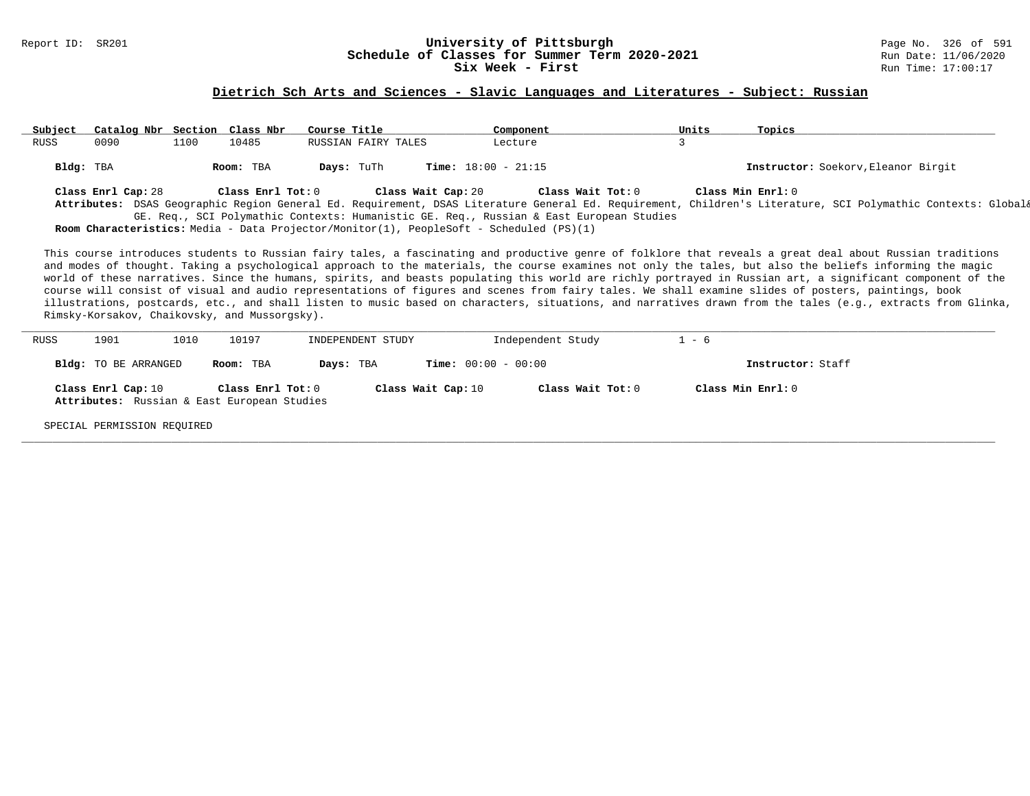#### Report ID: SR201 **1988 Constrained Building Constrained Building Constrained Building Page No. 326 of 591 Const<br>
Schedule of Classes for Summer Term 2020-2021 2020 Run Date: 11/06/2020 Schedule of Classes for Summer Term 2020-2021** Run Date: 11/06/2020<br>Six Week - First Run Time: 17:00:17 Six Week - First

### **Dietrich Sch Arts and Sciences - Slavic Languages and Literatures - Subject: Russian**

| Subject   | Catalog Nbr Section Class Nbr |      |                   | Course Title        | Component                                                                                      | Units | Topics                                                                                                                                                                                                                                                                                                                |
|-----------|-------------------------------|------|-------------------|---------------------|------------------------------------------------------------------------------------------------|-------|-----------------------------------------------------------------------------------------------------------------------------------------------------------------------------------------------------------------------------------------------------------------------------------------------------------------------|
| RUSS      | 0090                          | 1100 | 10485             | RUSSIAN FAIRY TALES | Lecture                                                                                        |       |                                                                                                                                                                                                                                                                                                                       |
| Bldg: TBA |                               |      | Room: TBA         | Days: TuTh          | <b>Time:</b> $18:00 - 21:15$                                                                   |       | Instructor: Soekorv, Eleanor Birgit                                                                                                                                                                                                                                                                                   |
|           | Class Enrl Cap: 28            |      | Class Enrl Tot: 0 |                     | Class Wait Cap: 20<br>Class Wait Tot: 0                                                        |       | Class Min Enrl: 0                                                                                                                                                                                                                                                                                                     |
|           |                               |      |                   |                     |                                                                                                |       | Attributes: DSAS Geographic Region General Ed. Requirement, DSAS Literature General Ed. Requirement, Children's Literature, SCI Polymathic Contexts: Global&                                                                                                                                                          |
|           |                               |      |                   |                     | GE. Req., SCI Polymathic Contexts: Humanistic GE. Req., Russian & East European Studies        |       |                                                                                                                                                                                                                                                                                                                       |
|           |                               |      |                   |                     | <b>Room Characteristics:</b> Media - Data Projector/Monitor(1), PeopleSoft - Scheduled (PS)(1) |       |                                                                                                                                                                                                                                                                                                                       |
|           |                               |      |                   |                     |                                                                                                |       | This course introduces students to Russian fairy tales, a fascinating and productive genre of folklore that reveals a great deal about Russian traditions<br>and modes of thought. Taking a psychological approach to the materials, the course examines not only the tales, but also the beliefs informing the magic |

world of these narratives. Since the humans, spirits, and beasts populating this world are richly portrayed in Russian art, a significant component of the course will consist of visual and audio representations of figures and scenes from fairy tales. We shall examine slides of posters, paintings, book illustrations, postcards, etc., and shall listen to music based on characters, situations, and narratives drawn from the tales (e.g., extracts from Glinka, Rimsky-Korsakov, Chaikovsky, and Mussorgsky).

| <b>RUSS</b> | 1901                 | 1010 | 10197                                       | INDEPENDENT STUDY |                              | Independent Study | $1 - 6$           |
|-------------|----------------------|------|---------------------------------------------|-------------------|------------------------------|-------------------|-------------------|
|             | Bldg: TO BE ARRANGED |      | Room: TBA                                   | Days: TBA         | <b>Time:</b> $00:00 - 00:00$ |                   | Instructor: Staff |
|             | Class Enrl Cap: 10   |      | Class Enrl Tot: 0                           |                   | Class Wait Cap: 10           | Class Wait Tot: 0 | Class Min Enrl: 0 |
|             |                      |      | Attributes: Russian & East European Studies |                   |                              |                   |                   |

**\_\_\_\_\_\_\_\_\_\_\_\_\_\_\_\_\_\_\_\_\_\_\_\_\_\_\_\_\_\_\_\_\_\_\_\_\_\_\_\_\_\_\_\_\_\_\_\_\_\_\_\_\_\_\_\_\_\_\_\_\_\_\_\_\_\_\_\_\_\_\_\_\_\_\_\_\_\_\_\_\_\_\_\_\_\_\_\_\_\_\_\_\_\_\_\_\_\_\_\_\_\_\_\_\_\_\_\_\_\_\_\_\_\_\_\_\_\_\_\_\_\_\_\_\_\_\_\_\_\_\_\_\_\_\_\_\_\_\_\_\_\_\_\_\_\_\_\_\_\_\_\_\_\_\_\_**

SPECIAL PERMISSION REQUIRED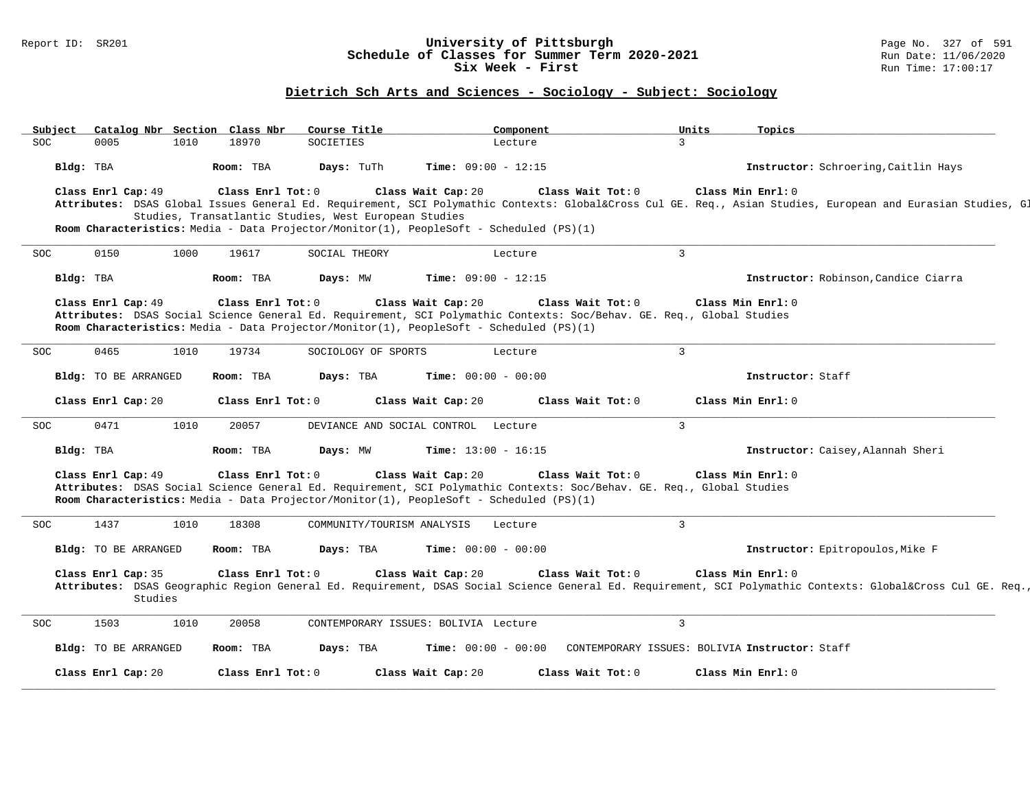### Report ID: SR201 **University of Pittsburgh** Page No. 327 of 591 **Schedule of Classes for Summer Term 2020-2021** Run Date: 11/06/2020 **Six Week - First Run Time: 17:00:17**

# **Dietrich Sch Arts and Sciences - Sociology - Subject: Sociology**

| Subject    |                               |      | Catalog Nbr Section Class Nbr | Course Title                                          | Component                                                                                                                                                                                                                              |                                                | Units<br>Topics   |                                                                                                                                                         |
|------------|-------------------------------|------|-------------------------------|-------------------------------------------------------|----------------------------------------------------------------------------------------------------------------------------------------------------------------------------------------------------------------------------------------|------------------------------------------------|-------------------|---------------------------------------------------------------------------------------------------------------------------------------------------------|
| SOC        | 0005                          | 1010 | 18970                         | SOCIETIES                                             | Lecture                                                                                                                                                                                                                                | $\mathcal{L}$                                  |                   |                                                                                                                                                         |
|            | Bldg: TBA                     |      | Room: TBA                     | Days: TuTh                                            | <b>Time:</b> $09:00 - 12:15$                                                                                                                                                                                                           |                                                |                   | Instructor: Schroering, Caitlin Hays                                                                                                                    |
|            | Class Enrl Cap: 49            |      | Class Enrl Tot: 0             | Studies, Transatlantic Studies, West European Studies | Class Wait Cap: 20<br>Room Characteristics: Media - Data Projector/Monitor(1), PeopleSoft - Scheduled (PS)(1)                                                                                                                          | Class Wait Tot: 0                              | Class Min Enrl: 0 | Attributes: DSAS Global Issues General Ed. Requirement, SCI Polymathic Contexts: Global⨯ Cul GE. Req., Asian Studies, European and Eurasian Studies, Gl |
| SOC.       | 0150                          | 1000 | 19617                         | SOCIAL THEORY                                         | Lecture                                                                                                                                                                                                                                | $\overline{3}$                                 |                   |                                                                                                                                                         |
|            | Bldg: TBA                     |      | Room: TBA                     | Days: MW                                              | <b>Time:</b> $09:00 - 12:15$                                                                                                                                                                                                           |                                                |                   | Instructor: Robinson, Candice Ciarra                                                                                                                    |
|            | Class Enrl Cap: 49            |      | Class Enrl Tot: 0             |                                                       | Class Wait Cap: 20<br>Attributes: DSAS Social Science General Ed. Requirement, SCI Polymathic Contexts: Soc/Behav. GE. Req., Global Studies<br>Room Characteristics: Media - Data Projector/Monitor(1), PeopleSoft - Scheduled (PS)(1) | Class Wait Tot: 0                              | Class Min Enrl: 0 |                                                                                                                                                         |
| <b>SOC</b> | 0465                          | 1010 | 19734                         | SOCIOLOGY OF SPORTS                                   | Lecture                                                                                                                                                                                                                                | 3                                              |                   |                                                                                                                                                         |
|            | Bldg: TO BE ARRANGED          |      | Room: TBA                     | Days: TBA                                             | <b>Time:</b> $00:00 - 00:00$                                                                                                                                                                                                           |                                                | Instructor: Staff |                                                                                                                                                         |
|            | Class Enrl Cap: 20            |      | Class Enrl Tot: 0             |                                                       | Class Wait Cap: 20                                                                                                                                                                                                                     | Class Wait Tot: 0                              | Class Min Enrl: 0 |                                                                                                                                                         |
| SOC.       | 0471                          | 1010 | 20057                         |                                                       | DEVIANCE AND SOCIAL CONTROL Lecture                                                                                                                                                                                                    | 3                                              |                   |                                                                                                                                                         |
|            | Bldg: TBA                     |      | Room: TBA                     | Days: MW                                              | <b>Time:</b> $13:00 - 16:15$                                                                                                                                                                                                           |                                                |                   | Instructor: Caisey, Alannah Sheri                                                                                                                       |
|            | Class Enrl Cap: 49            |      | Class Enrl Tot: 0             |                                                       | Class Wait Cap: 20<br>Attributes: DSAS Social Science General Ed. Requirement, SCI Polymathic Contexts: Soc/Behav. GE. Req., Global Studies<br>Room Characteristics: Media - Data Projector/Monitor(1), PeopleSoft - Scheduled (PS)(1) | Class Wait Tot: 0                              | Class Min Enrl: 0 |                                                                                                                                                         |
| <b>SOC</b> | 1437                          | 1010 | 18308                         | COMMUNITY/TOURISM ANALYSIS                            | Lecture                                                                                                                                                                                                                                | $\mathbf{3}$                                   |                   |                                                                                                                                                         |
|            | Bldg: TO BE ARRANGED          |      | Room: TBA                     | Days: TBA                                             | <b>Time:</b> $00:00 - 00:00$                                                                                                                                                                                                           |                                                |                   | Instructor: Epitropoulos, Mike F                                                                                                                        |
|            | Class Enrl Cap: 35<br>Studies |      | Class Enrl Tot: 0             |                                                       | Class Wait Cap: 20                                                                                                                                                                                                                     | Class Wait Tot: 0                              | Class Min Enrl: 0 | Attributes: DSAS Geographic Region General Ed. Requirement, DSAS Social Science General Ed. Requirement, SCI Polymathic Contexts: Global⨯ Cul GE. Req.  |
| <b>SOC</b> | 1503                          | 1010 | 20058                         |                                                       | CONTEMPORARY ISSUES: BOLIVIA Lecture                                                                                                                                                                                                   | $\mathbf{3}$                                   |                   |                                                                                                                                                         |
|            | Bldg: TO BE ARRANGED          |      | Room: TBA                     | Days: TBA                                             | $Time: 00:00 - 00:00$                                                                                                                                                                                                                  | CONTEMPORARY ISSUES: BOLIVIA Instructor: Staff |                   |                                                                                                                                                         |
|            | Class Enrl Cap: 20            |      | Class Enrl Tot: 0             |                                                       | Class Wait Cap: 20                                                                                                                                                                                                                     | Class Wait Tot: 0                              | Class Min Enrl: 0 |                                                                                                                                                         |

**\_\_\_\_\_\_\_\_\_\_\_\_\_\_\_\_\_\_\_\_\_\_\_\_\_\_\_\_\_\_\_\_\_\_\_\_\_\_\_\_\_\_\_\_\_\_\_\_\_\_\_\_\_\_\_\_\_\_\_\_\_\_\_\_\_\_\_\_\_\_\_\_\_\_\_\_\_\_\_\_\_\_\_\_\_\_\_\_\_\_\_\_\_\_\_\_\_\_\_\_\_\_\_\_\_\_\_\_\_\_\_\_\_\_\_\_\_\_\_\_\_\_\_\_\_\_\_\_\_\_\_\_\_\_\_\_\_\_\_\_\_\_\_\_\_\_\_\_\_\_\_\_\_\_\_\_**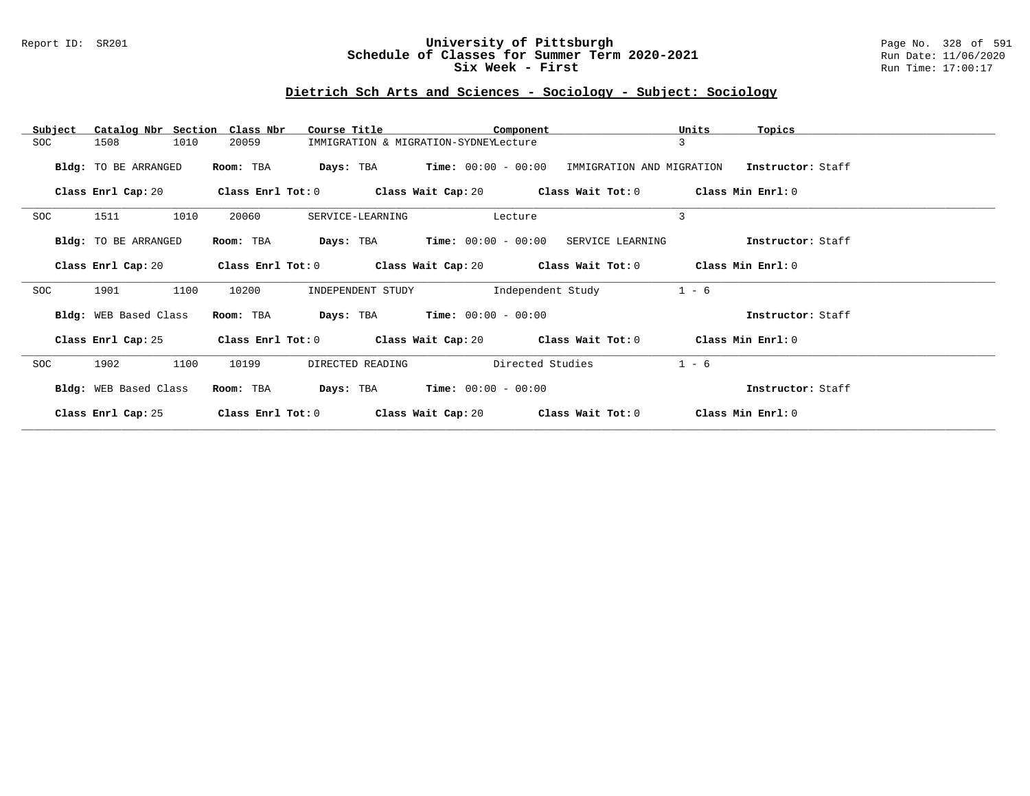### Report ID: SR201 **University of Pittsburgh** Page No. 328 of 591 **Schedule of Classes for Summer Term 2020-2021** Run Date: 11/06/2020 **Six Week - First Run Time: 17:00:17**

# **Dietrich Sch Arts and Sciences - Sociology - Subject: Sociology**

| Subject | Catalog Nbr Section Class Nbr |      |                     | Course Title |                                               |                       | Component         |                                                                          | Units   | Topics            |  |
|---------|-------------------------------|------|---------------------|--------------|-----------------------------------------------|-----------------------|-------------------|--------------------------------------------------------------------------|---------|-------------------|--|
| SOC     | 1508                          | 1010 | 20059               |              | IMMIGRATION & MIGRATION-SYDNEYLecture         |                       |                   |                                                                          | 3       |                   |  |
|         | Bldg: TO BE ARRANGED          |      | Room: TBA           |              | <b>Days:</b> TBA <b>Time:</b> $00:00 - 00:00$ |                       |                   | IMMIGRATION AND MIGRATION                                                |         | Instructor: Staff |  |
|         | Class Enrl Cap: 20            |      | Class Enrl Tot: 0   |              |                                               |                       |                   | Class Wait Cap: 20 $\qquad$ Class Wait Tot: 0 $\qquad$ Class Min Enrl: 0 |         |                   |  |
| SOC     | 1511                          | 1010 | 20060               |              | SERVICE-LEARNING                              |                       | Lecture           |                                                                          | 3       |                   |  |
|         | Bldg: TO BE ARRANGED          |      | Room: TBA           |              | <b>Days:</b> TBA <b>Time:</b> $00:00 - 00:00$ |                       |                   | SERVICE LEARNING                                                         |         | Instructor: Staff |  |
|         | Class Enrl Cap: 20            |      | Class Enrl Tot: 0   |              |                                               |                       |                   | Class Wait Cap: 20 $\hspace{1.6cm}$ Class Wait Tot: 0                    |         | Class Min Enrl: 0 |  |
| SOC     | 1901                          | 1100 | 10200               |              | INDEPENDENT STUDY                             |                       | Independent Study |                                                                          | $1 - 6$ |                   |  |
|         | Bldg: WEB Based Class         |      | Room: TBA           | Days: TBA    |                                               | $Time: 00:00 - 00:00$ |                   |                                                                          |         | Instructor: Staff |  |
|         | Class Enrl Cap: 25            |      |                     |              |                                               |                       |                   | Class Enrl Tot: $0$ Class Wait Cap: 20 $20$ Class Wait Tot: $0$          |         | Class Min Enrl: 0 |  |
| SOC     | 1902                          | 1100 | 10199               |              | DIRECTED READING                              |                       | Directed Studies  |                                                                          | $1 - 6$ |                   |  |
|         | Bldg: WEB Based Class         |      | Room: TBA           | Days: TBA    |                                               | $Time: 00:00 - 00:00$ |                   |                                                                          |         | Instructor: Staff |  |
|         | Class Enrl Cap: 25            |      | Class Enrl Tot: $0$ |              | Class Wait Cap: 20                            |                       |                   | Class Wait Tot: 0                                                        |         | Class Min Enrl: 0 |  |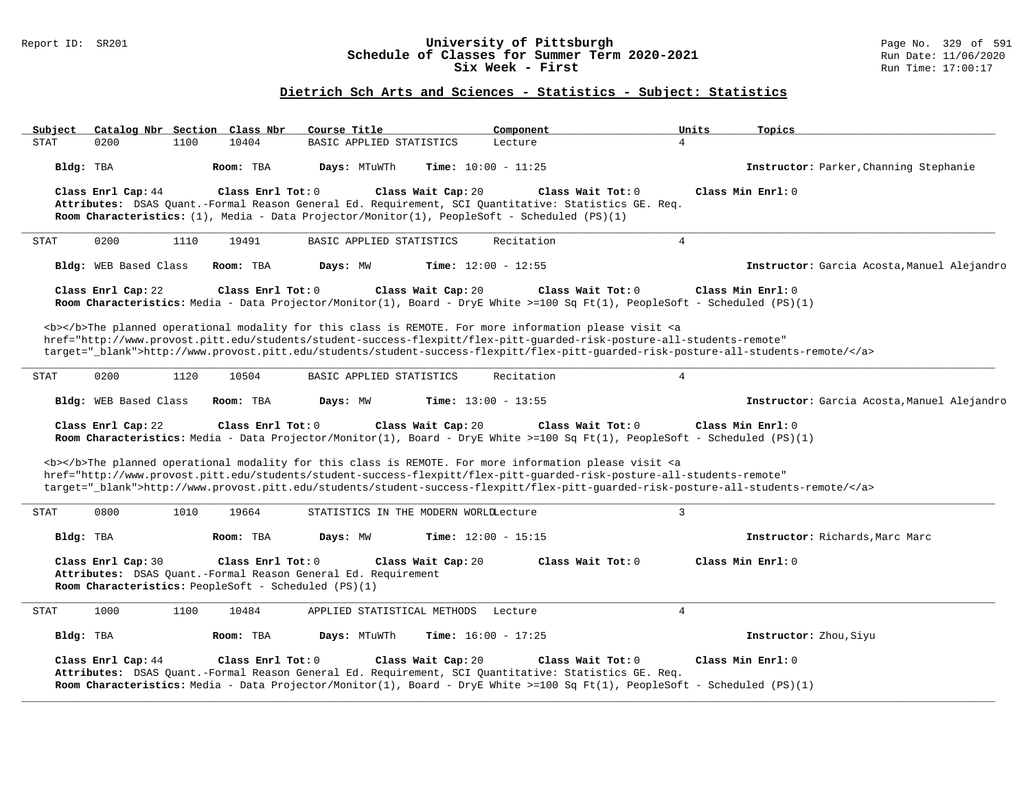### Report ID: SR201 **University of Pittsburgh** Page No. 329 of 591 **Schedule of Classes for Summer Term 2020-2021** Run Date: 11/06/2020 **Six Week - First Run Time: 17:00:17**

# **Dietrich Sch Arts and Sciences - Statistics - Subject: Statistics**

| Subject     |                       |      | Catalog Nbr Section Class Nbr | Course Title                                                                                                          |                    | Component                    |                                                                                                                                                                                                                                                         | Units           | Topics                                                                                                                            |
|-------------|-----------------------|------|-------------------------------|-----------------------------------------------------------------------------------------------------------------------|--------------------|------------------------------|---------------------------------------------------------------------------------------------------------------------------------------------------------------------------------------------------------------------------------------------------------|-----------------|-----------------------------------------------------------------------------------------------------------------------------------|
| <b>STAT</b> | 0200                  | 1100 | 10404                         | BASIC APPLIED STATISTICS                                                                                              |                    | Lecture                      | $\overline{4}$                                                                                                                                                                                                                                          |                 |                                                                                                                                   |
| Bldg: TBA   |                       |      | Room: TBA                     | Days: MTuWTh                                                                                                          |                    | Time: $10:00 - 11:25$        |                                                                                                                                                                                                                                                         |                 | Instructor: Parker, Channing Stephanie                                                                                            |
|             | Class Enrl Cap: 44    |      | Class Enrl Tot: 0             | Room Characteristics: $(1)$ , Media - Data Projector/Monitor(1), PeopleSoft - Scheduled (PS)(1)                       | Class Wait Cap: 20 |                              | Class Wait Tot: 0<br>Attributes: DSAS Quant.-Formal Reason General Ed. Requirement, SCI Quantitative: Statistics GE. Req.                                                                                                                               |                 | Class Min Enrl: 0                                                                                                                 |
| <b>STAT</b> | 0200                  | 1110 | 19491                         | BASIC APPLIED STATISTICS                                                                                              |                    | Recitation                   |                                                                                                                                                                                                                                                         | $4\overline{ }$ |                                                                                                                                   |
|             | Bldg: WEB Based Class |      | Room: TBA                     | Days: MW                                                                                                              |                    | Time: $12:00 - 12:55$        |                                                                                                                                                                                                                                                         |                 | Instructor: Garcia Acosta, Manuel Alejandro                                                                                       |
|             | Class Enrl Cap: 22    |      | Class Enrl Tot: 0             |                                                                                                                       | Class Wait Cap: 20 |                              | Class Wait Tot: 0<br>Room Characteristics: Media - Data Projector/Monitor(1), Board - DryE White >=100 Sq Ft(1), PeopleSoft - Scheduled (PS)(1)                                                                                                         |                 | Class Min Enrl: 0                                                                                                                 |
|             |                       |      |                               |                                                                                                                       |                    |                              | <b></b> The planned operational modality for this class is REMOTE. For more information please visit <a<br>href="http://www.provost.pitt.edu/students/student-success-flexpitt/flex-pitt-quarded-risk-posture-all-students-remote"</a<br>               |                 | target="_blank">http://www.provost.pitt.edu/students/student-success-flexpitt/flex-pitt-quarded-risk-posture-all-students-remote/ |
| <b>STAT</b> | 0200                  | 1120 | 10504                         | BASIC APPLIED STATISTICS                                                                                              |                    | Recitation                   | $\overline{4}$                                                                                                                                                                                                                                          |                 |                                                                                                                                   |
|             | Bldg: WEB Based Class |      | Room: TBA                     | Days: MW                                                                                                              |                    | <b>Time:</b> $13:00 - 13:55$ |                                                                                                                                                                                                                                                         |                 | Instructor: Garcia Acosta, Manuel Alejandro                                                                                       |
|             | Class Enrl Cap: 22    |      | Class Enrl Tot: 0             |                                                                                                                       | Class Wait Cap: 20 |                              | Class Wait Tot: 0<br>Room Characteristics: Media - Data Projector/Monitor(1), Board - DryE White >=100 Sq Ft(1), PeopleSoft - Scheduled (PS)(1)                                                                                                         |                 | Class Min Enrl: 0                                                                                                                 |
|             |                       |      |                               |                                                                                                                       |                    |                              | <b></b> The planned operational modality for this class is REMOTE. For more information please visit <a<br>href="http://www.provost.pitt.edu/students/student-success-flexpitt/flex-pitt-quarded-risk-posture-all-students-remote"</a<br>               |                 | target="_blank">http://www.provost.pitt.edu/students/student-success-flexpitt/flex-pitt-quarded-risk-posture-all-students-remote/ |
| <b>STAT</b> | 0800                  | 1010 | 19664                         | STATISTICS IN THE MODERN WORLDLecture                                                                                 |                    |                              | $\overline{3}$                                                                                                                                                                                                                                          |                 |                                                                                                                                   |
| Bldg: TBA   |                       |      | Room: TBA                     | Days: MW                                                                                                              |                    | Time: $12:00 - 15:15$        |                                                                                                                                                                                                                                                         |                 | Instructor: Richards, Marc Marc                                                                                                   |
|             | Class Enrl Cap: 30    |      | Class Enrl Tot: 0             | Attributes: DSAS Quant.-Formal Reason General Ed. Requirement<br>Room Characteristics: PeopleSoft - Scheduled (PS)(1) | Class Wait Cap: 20 |                              | Class Wait $Tot: 0$                                                                                                                                                                                                                                     |                 | Class Min Enrl: 0                                                                                                                 |
| <b>STAT</b> | 1000                  | 1100 | 10484                         | APPLIED STATISTICAL METHODS                                                                                           |                    | Lecture                      | $\overline{4}$                                                                                                                                                                                                                                          |                 |                                                                                                                                   |
| Bldg: TBA   |                       |      | Room: TBA                     | Days: MTuWTh                                                                                                          |                    | Time: $16:00 - 17:25$        |                                                                                                                                                                                                                                                         |                 | Instructor: Zhou, Siyu                                                                                                            |
|             | Class Enrl Cap: 44    |      | Class Enrl Tot: 0             |                                                                                                                       | Class Wait Cap: 20 |                              | Class Wait Tot: 0<br>Attributes: DSAS Quant.-Formal Reason General Ed. Requirement, SCI Quantitative: Statistics GE. Req.<br>Room Characteristics: Media - Data Projector/Monitor(1), Board - DryE White >=100 Sq Ft(1), PeopleSoft - Scheduled (PS)(1) |                 | Class Min Enrl: 0                                                                                                                 |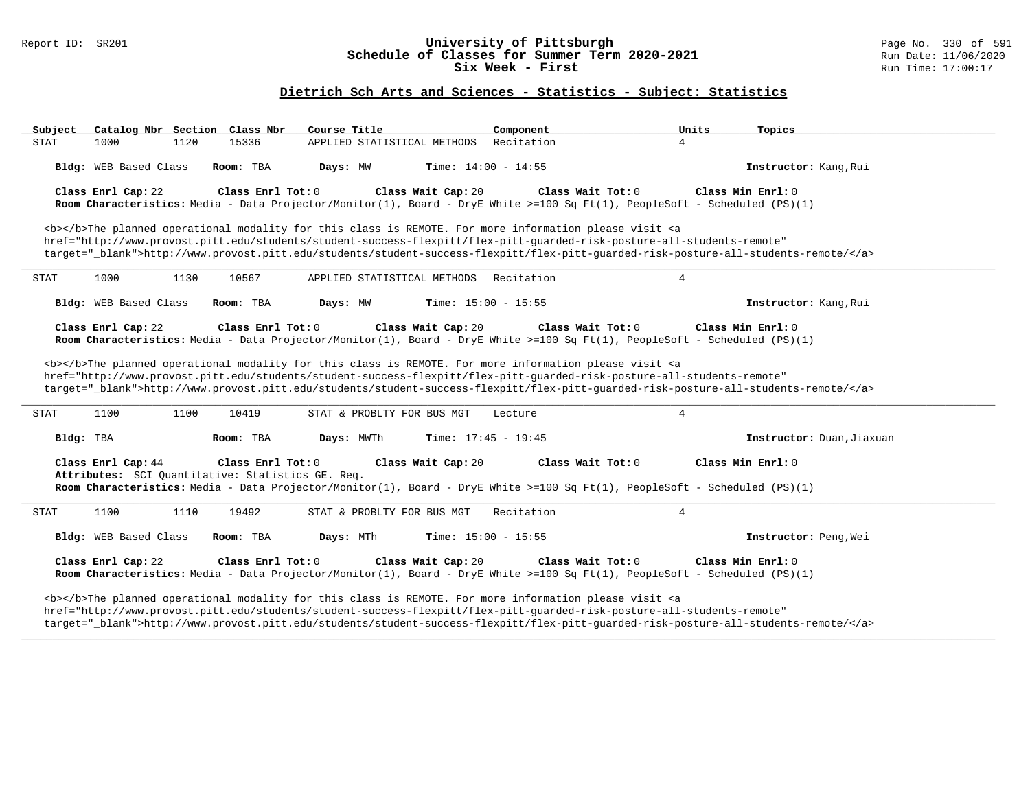### Report ID: SR201 **University of Pittsburgh** Page No. 330 of 591 **Schedule of Classes for Summer Term 2020-2021** Run Date: 11/06/2020 **Six Week - First Run Time: 17:00:17**

# **Dietrich Sch Arts and Sciences - Statistics - Subject: Statistics**

| Catalog Nbr Section Class Nbr<br>Subject | Course Title                                      | Component                                                                                                                                                                                                                                                                                                                                                                                                                                                                                                                                                   | Units<br>Topics           |
|------------------------------------------|---------------------------------------------------|-------------------------------------------------------------------------------------------------------------------------------------------------------------------------------------------------------------------------------------------------------------------------------------------------------------------------------------------------------------------------------------------------------------------------------------------------------------------------------------------------------------------------------------------------------------|---------------------------|
| <b>STAT</b><br>1000<br>1120              | APPLIED STATISTICAL METHODS<br>15336              | Recitation                                                                                                                                                                                                                                                                                                                                                                                                                                                                                                                                                  | $\overline{4}$            |
| Bldg: WEB Based Class                    | Days: MW<br>Room: TBA                             | <b>Time:</b> $14:00 - 14:55$                                                                                                                                                                                                                                                                                                                                                                                                                                                                                                                                | Instructor: Kang, Rui     |
| Class Enrl Cap: 22                       | Class Enrl Tot: 0                                 | Class Wait Cap: 20<br>Class Wait Tot: 0<br>Room Characteristics: Media - Data Projector/Monitor(1), Board - DryE White >=100 Sq Ft(1), PeopleSoft - Scheduled (PS)(1)                                                                                                                                                                                                                                                                                                                                                                                       | Class Min Enrl: 0         |
|                                          |                                                   | <b></b> The planned operational modality for this class is REMOTE. For more information please visit <a<br>href="http://www.provost.pitt.edu/students/student-success-flexpitt/flex-pitt-guarded-risk-posture-all-students-remote"<br/>target="_blank"&gt;http://www.provost.pitt.edu/students/student-success-flexpitt/flex-pitt-quarded-risk-posture-all-students-remote/</a<br>                                                                                                                                                                          |                           |
| 1000<br>1130<br><b>STAT</b>              | APPLIED STATISTICAL METHODS<br>10567              | Recitation                                                                                                                                                                                                                                                                                                                                                                                                                                                                                                                                                  | $\overline{4}$            |
| Bldg: WEB Based Class                    | Room: TBA<br>Days: MW                             | Time: $15:00 - 15:55$                                                                                                                                                                                                                                                                                                                                                                                                                                                                                                                                       | Instructor: Kang, Rui     |
| Class Enrl Cap: 22                       | Class Enrl Tot: 0                                 | Class Wait Cap: 20<br>Class Wait Tot: 0<br>Room Characteristics: Media - Data Projector/Monitor(1), Board - DryE White >=100 Sq Ft(1), PeopleSoft - Scheduled (PS)(1)<br><b></b> The planned operational modality for this class is REMOTE. For more information please visit <a<br>href="http://www.provost.pitt.edu/students/student-success-flexpitt/flex-pitt-quarded-risk-posture-all-students-remote"<br/>target="_blank"&gt;http://www.provost.pitt.edu/students/student-success-flexpitt/flex-pitt-guarded-risk-posture-all-students-remote/</a<br> | Class Min Enrl: 0         |
| 1100<br>1100<br>STAT                     | 10419<br>STAT & PROBLTY FOR BUS MGT               | Lecture                                                                                                                                                                                                                                                                                                                                                                                                                                                                                                                                                     | $\overline{4}$            |
| Bldg: TBA                                | Days: MWTh<br>Room: TBA                           | Time: $17:45 - 19:45$                                                                                                                                                                                                                                                                                                                                                                                                                                                                                                                                       | Instructor: Duan, Jiaxuan |
| Class Enrl Cap: 44                       | Class Enrl Tot: 0                                 | Class Wait Cap: 20<br>Class Wait Tot: 0                                                                                                                                                                                                                                                                                                                                                                                                                                                                                                                     | Class Min Enrl: 0         |
|                                          | Attributes: SCI Ouantitative: Statistics GE. Req. | Room Characteristics: Media - Data Projector/Monitor(1), Board - DryE White >=100 Sq Ft(1), PeopleSoft - Scheduled (PS)(1)                                                                                                                                                                                                                                                                                                                                                                                                                                  |                           |
| 1100<br>1110<br><b>STAT</b>              | 19492<br>STAT & PROBLTY FOR BUS MGT               | Recitation                                                                                                                                                                                                                                                                                                                                                                                                                                                                                                                                                  | $\overline{4}$            |
|                                          |                                                   |                                                                                                                                                                                                                                                                                                                                                                                                                                                                                                                                                             |                           |
| Bldg: WEB Based Class                    | Room: TBA<br>Days: MTh                            | <b>Time:</b> $15:00 - 15:55$                                                                                                                                                                                                                                                                                                                                                                                                                                                                                                                                | Instructor: Peng, Wei     |
| Class Enrl Cap: 22                       | Class Enrl Tot: 0                                 | Class Wait Cap: 20<br>Class Wait Tot: 0<br>Room Characteristics: Media - Data Projector/Monitor(1), Board - DryE White >=100 Sq Ft(1), PeopleSoft - Scheduled (PS)(1)                                                                                                                                                                                                                                                                                                                                                                                       | Class Min Enrl: 0         |

**\_\_\_\_\_\_\_\_\_\_\_\_\_\_\_\_\_\_\_\_\_\_\_\_\_\_\_\_\_\_\_\_\_\_\_\_\_\_\_\_\_\_\_\_\_\_\_\_\_\_\_\_\_\_\_\_\_\_\_\_\_\_\_\_\_\_\_\_\_\_\_\_\_\_\_\_\_\_\_\_\_\_\_\_\_\_\_\_\_\_\_\_\_\_\_\_\_\_\_\_\_\_\_\_\_\_\_\_\_\_\_\_\_\_\_\_\_\_\_\_\_\_\_\_\_\_\_\_\_\_\_\_\_\_\_\_\_\_\_\_\_\_\_\_\_\_\_\_\_\_\_\_\_\_\_\_**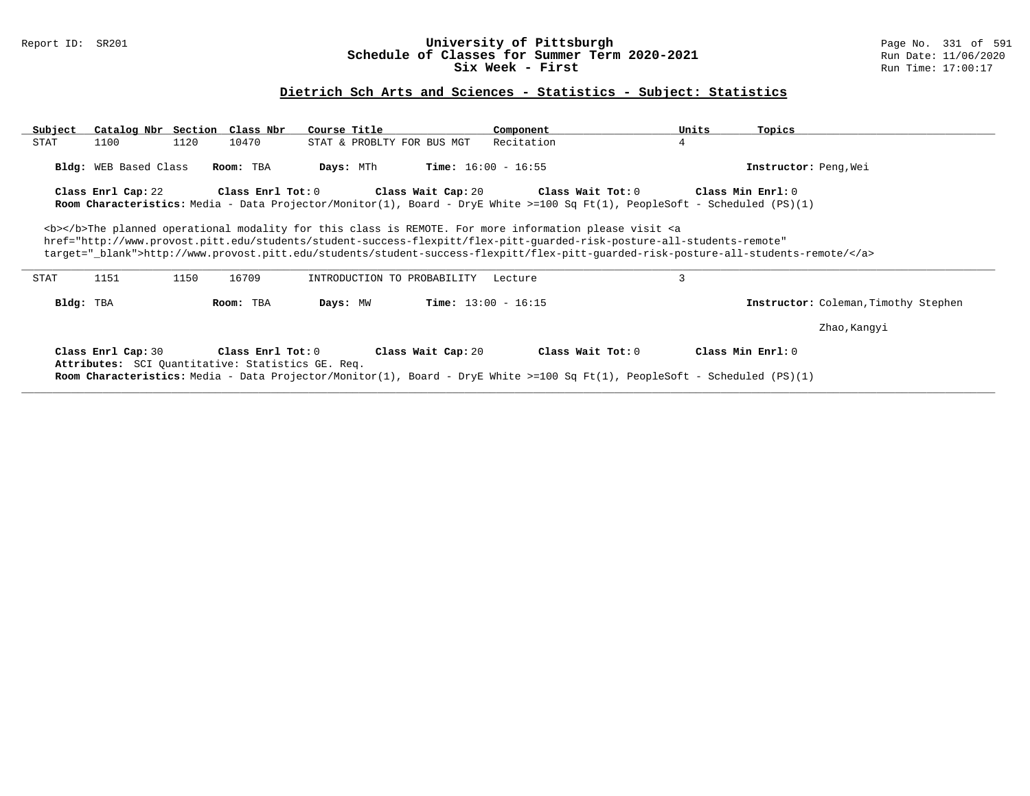### Report ID: SR201 **University of Pittsburgh** Page No. 331 of 591 **Schedule of Classes for Summer Term 2020-2021** Run Date: 11/06/2020 **Six Week - First Run Time: 17:00:17**

# **Dietrich Sch Arts and Sciences - Statistics - Subject: Statistics**

| Subject | Catalog Nbr Section Class Nbr                                           |      |                   | Course Title                                                                                                                                                                                                                                                                                                                                                                                                                 |                              | Component                            |                                                                                                                                                        | Units | Topics                                                                                                                            |
|---------|-------------------------------------------------------------------------|------|-------------------|------------------------------------------------------------------------------------------------------------------------------------------------------------------------------------------------------------------------------------------------------------------------------------------------------------------------------------------------------------------------------------------------------------------------------|------------------------------|--------------------------------------|--------------------------------------------------------------------------------------------------------------------------------------------------------|-------|-----------------------------------------------------------------------------------------------------------------------------------|
| STAT    | 1100                                                                    | 1120 | 10470             | STAT & PROBLTY FOR BUS MGT                                                                                                                                                                                                                                                                                                                                                                                                   |                              | Recitation                           | 4                                                                                                                                                      |       |                                                                                                                                   |
|         | <b>Bldg:</b> WEB Based Class                                            |      | Room: TBA         | Days: MTh                                                                                                                                                                                                                                                                                                                                                                                                                    | <b>Time:</b> $16:00 - 16:55$ |                                      |                                                                                                                                                        |       | Instructor: Peng, Wei                                                                                                             |
|         | Class Enrl Cap: 22                                                      |      | Class Enrl Tot: 0 |                                                                                                                                                                                                                                                                                                                                                                                                                              |                              | Class Wait Cap: 20 Class Wait Tot: 0 | <b>Room Characteristics:</b> Media - Data Projector/Monitor(1), Board - DryE White >=100 Sq Ft(1), PeopleSoft - Scheduled (PS)(1)                      |       | Class Min Enrl: 0                                                                                                                 |
|         |                                                                         |      |                   | <b></b> The planned operational modality for this class is REMOTE. For more information please visit <a< td=""><td></td><td></td><td>href="http://www.provost.pitt.edu/students/student-success-flexpitt/flex-pitt-quarded-risk-posture-all-students-remote"</td><td></td><td>target="_blank"&gt;http://www.provost.pitt.edu/students/student-success-flexpitt/flex-pitt-guarded-risk-posture-all-students-remote/</td></a<> |                              |                                      | href="http://www.provost.pitt.edu/students/student-success-flexpitt/flex-pitt-quarded-risk-posture-all-students-remote"                                |       | target="_blank">http://www.provost.pitt.edu/students/student-success-flexpitt/flex-pitt-guarded-risk-posture-all-students-remote/ |
| STAT    | 1151                                                                    | 1150 | 16709             | INTRODUCTION TO PROBABILITY                                                                                                                                                                                                                                                                                                                                                                                                  |                              | Lecture                              | 3                                                                                                                                                      |       |                                                                                                                                   |
|         | Bldg: TBA                                                               |      | Room: TBA         | Days: MW                                                                                                                                                                                                                                                                                                                                                                                                                     | <b>Time:</b> $13:00 - 16:15$ |                                      |                                                                                                                                                        |       | Instructor: Coleman, Timothy Stephen                                                                                              |
|         |                                                                         |      |                   |                                                                                                                                                                                                                                                                                                                                                                                                                              |                              |                                      |                                                                                                                                                        |       | Zhao, Kanqyi                                                                                                                      |
|         | Class Enrl Cap: 30<br>Attributes: SCI Quantitative: Statistics GE. Req. |      | Class Enrl Tot: 0 |                                                                                                                                                                                                                                                                                                                                                                                                                              | Class Wait Cap: 20           |                                      | Class Wait Tot: 0<br><b>Room Characteristics:</b> Media - Data Projector/Monitor(1), Board - DryE White >=100 Sq Ft(1), PeopleSoft - Scheduled (PS)(1) |       | Class Min Enrl: 0                                                                                                                 |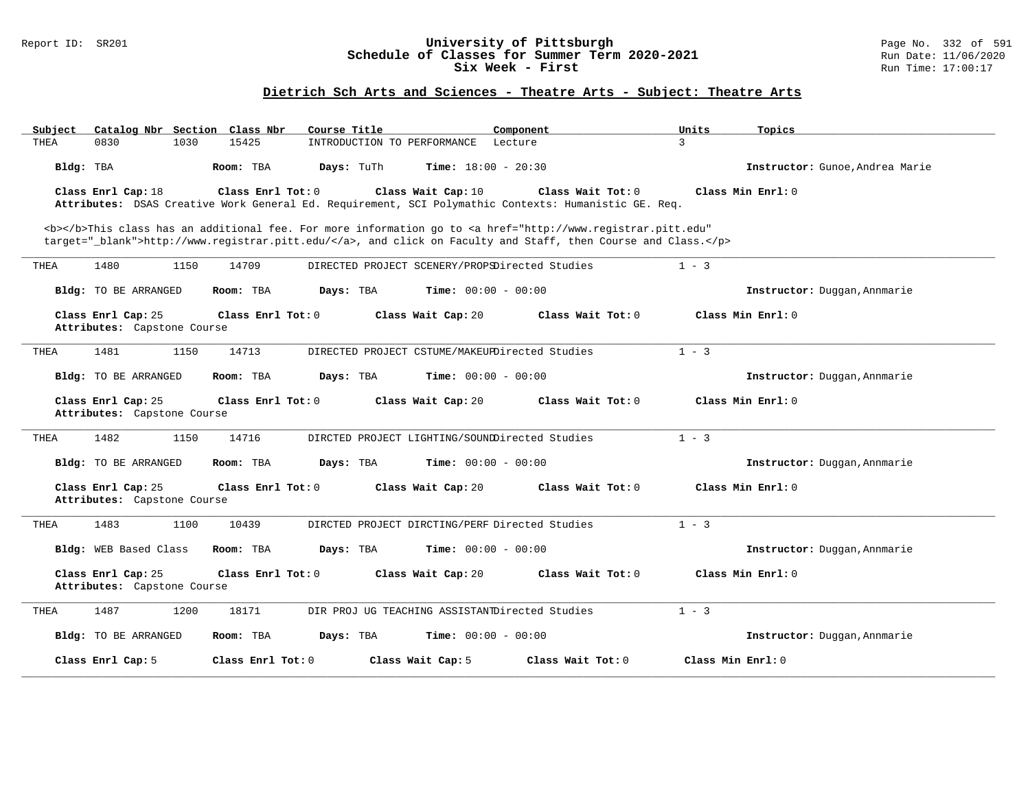#### Report ID: SR201 **University of Pittsburgh** Page No. 332 of 591 **Schedule of Classes for Summer Term 2020-2021** Run Date: 11/06/2020 **Six Week - First Run Time: 17:00:17**

# **Dietrich Sch Arts and Sciences - Theatre Arts - Subject: Theatre Arts**

| Subject                                           | Catalog Nbr Section Class Nbr | Course Title                                   | Component                                                                                                                             | Units<br>Topics                 |
|---------------------------------------------------|-------------------------------|------------------------------------------------|---------------------------------------------------------------------------------------------------------------------------------------|---------------------------------|
| 0830<br>THEA                                      | 15425<br>1030                 | INTRODUCTION TO PERFORMANCE                    | Lecture                                                                                                                               | 3                               |
| Bldg: TBA                                         | Room: TBA                     | <b>Time:</b> $18:00 - 20:30$<br>Days: TuTh     |                                                                                                                                       | Instructor: Gunoe, Andrea Marie |
| Class Enrl Cap: 18                                | Class Enrl Tot: 0             | Class Wait Cap: 10                             | Class Wait Tot: 0                                                                                                                     | Class Min Enrl: 0               |
|                                                   |                               |                                                | Attributes: DSAS Creative Work General Ed. Requirement, SCI Polymathic Contexts: Humanistic GE. Req.                                  |                                 |
|                                                   |                               |                                                | <b></b> This class has an additional fee. For more information go to <a <="" href="http://www.registrar.pitt.edu" td=""><td></td></a> |                                 |
|                                                   |                               |                                                | target="_blank">http://www.registrar.pitt.edu/, and click on Faculty and Staff, then Course and Class.                                |                                 |
| 1480<br>THEA                                      | 1150<br>14709                 | DIRECTED PROJECT SCENERY/PROPSDirected Studies |                                                                                                                                       | $1 - 3$                         |
| Bldg: TO BE ARRANGED                              | Room: TBA                     | Days: TBA<br><b>Time:</b> $00:00 - 00:00$      |                                                                                                                                       | Instructor: Duggan, Annmarie    |
| Class Enrl Cap: 25                                | Class Enrl Tot: 0             | Class Wait Cap: 20                             | Class Wait Tot: 0                                                                                                                     | Class Min Enrl: 0               |
| Attributes: Capstone Course                       |                               |                                                |                                                                                                                                       |                                 |
| 1481<br>THEA                                      | 1150<br>14713                 | DIRECTED PROJECT CSTUME/MAKEUPDirected Studies |                                                                                                                                       | $1 - 3$                         |
| Bldg: TO BE ARRANGED                              | Room: TBA                     | <b>Time:</b> $00:00 - 00:00$<br>Days: TBA      |                                                                                                                                       | Instructor: Duggan, Annmarie    |
| Class Enrl Cap: 25<br>Attributes: Capstone Course | Class Enrl Tot: 0             | Class Wait Cap: 20                             | Class Wait Tot: 0                                                                                                                     | Class Min Enrl: 0               |
|                                                   |                               |                                                |                                                                                                                                       |                                 |
| 1482<br>THEA                                      | 1150<br>14716                 | DIRCTED PROJECT LIGHTING/SOUNDDirected Studies |                                                                                                                                       | $1 - 3$                         |
| Bldg: TO BE ARRANGED                              | Room: TBA                     | Days: TBA<br><b>Time:</b> $00:00 - 00:00$      |                                                                                                                                       | Instructor: Duggan, Annmarie    |
| Class Enrl Cap: 25                                | Class Enrl Tot: 0             | Class Wait Cap: 20                             | Class Wait Tot: 0                                                                                                                     | Class Min Enrl: 0               |
| Attributes: Capstone Course                       |                               |                                                |                                                                                                                                       |                                 |
| 1483<br>THEA                                      | 1100<br>10439                 | DIRCTED PROJECT DIRCTING/PERF Directed Studies |                                                                                                                                       | $1 - 3$                         |
| Bldg: WEB Based Class                             | Room: TBA                     | <b>Time:</b> $00:00 - 00:00$<br>Days: TBA      |                                                                                                                                       | Instructor: Duggan, Annmarie    |
| Class Enrl Cap: 25                                | Class Enrl Tot: 0             | Class Wait Cap: 20                             | Class Wait Tot: 0                                                                                                                     | Class Min Enrl: 0               |
| Attributes: Capstone Course                       |                               |                                                |                                                                                                                                       |                                 |
| 1487<br>THEA                                      | 1200<br>18171                 | DIR PROJ UG TEACHING ASSISTANTDirected Studies |                                                                                                                                       | $1 - 3$                         |
| Bldg: TO BE ARRANGED                              | Room: TBA                     | <b>Time:</b> $00:00 - 00:00$<br>Days: TBA      |                                                                                                                                       | Instructor: Duggan, Annmarie    |
| Class Enrl Cap: 5                                 | Class Enrl Tot: 0             | Class Wait Cap: 5                              | Class Wait Tot: 0                                                                                                                     | Class Min Enrl: 0               |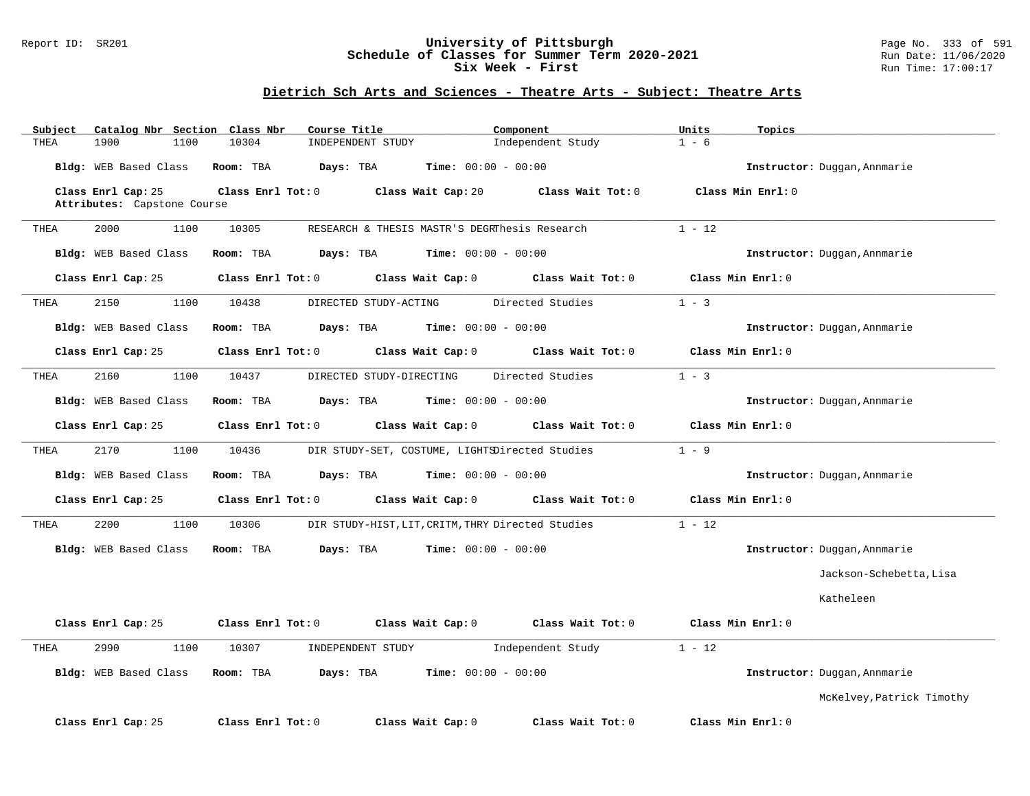#### Report ID: SR201 **University of Pittsburgh** Page No. 333 of 591 **Schedule of Classes for Summer Term 2020-2021** Run Date: 11/06/2020 **Six Week - First Run Time: 17:00:17**

# **Dietrich Sch Arts and Sciences - Theatre Arts - Subject: Theatre Arts**

| Subject | Catalog Nbr Section Class Nbr |                         | Course Title                                      | Component                    |                   | Units    | Topics                       |
|---------|-------------------------------|-------------------------|---------------------------------------------------|------------------------------|-------------------|----------|------------------------------|
| THEA    | 1900<br>1100                  | 10304                   | INDEPENDENT STUDY                                 |                              | Independent Study | $1 - 6$  |                              |
|         | Bldg: WEB Based Class         | Room: TBA               | Days: TBA                                         | <b>Time:</b> $00:00 - 00:00$ |                   |          | Instructor: Duggan, Annmarie |
|         | Class Enrl Cap: 25            |                         | Class Enrl Tot: 0 Class Wait Cap: 20              |                              | Class Wait Tot: 0 |          | Class Min Enrl: 0            |
|         | Attributes: Capstone Course   |                         |                                                   |                              |                   |          |                              |
|         |                               |                         |                                                   |                              |                   |          |                              |
| THEA    | 2000<br>1100                  | 10305                   | RESEARCH & THESIS MASTR'S DEGRIDesis Research     |                              |                   | $1 - 12$ |                              |
|         | Bldg: WEB Based Class         | Room: TBA               | Days: TBA                                         | <b>Time:</b> $00:00 - 00:00$ |                   |          | Instructor: Duggan, Annmarie |
|         | Class Enrl Cap: 25            | $Class$ $Enr1$ $Tot: 0$ |                                                   | Class Wait Cap: 0            | Class Wait Tot: 0 |          | Class Min Enrl: 0            |
| THEA    | 2150<br>1100                  | 10438                   | DIRECTED STUDY-ACTING                             |                              | Directed Studies  | $1 - 3$  |                              |
|         | Bldg: WEB Based Class         | Room: TBA               | <b>Days:</b> TBA <b>Time:</b> $00:00 - 00:00$     |                              |                   |          | Instructor: Duggan, Annmarie |
|         | Class Enrl Cap: 25            | Class Enrl Tot: 0       |                                                   | Class Wait Cap: 0            | Class Wait Tot: 0 |          | Class Min Enrl: 0            |
| THEA    | 2160<br>1100                  | 10437                   | DIRECTED STUDY-DIRECTING                          |                              | Directed Studies  | $1 - 3$  |                              |
|         | Bldg: WEB Based Class         | Room: TBA               | Days: TBA                                         | $Time: 00:00 - 00:00$        |                   |          | Instructor: Duggan, Annmarie |
|         | Class Enrl Cap: 25            | Class Enrl Tot: 0       |                                                   | Class Wait Cap: 0            | Class Wait Tot: 0 |          | Class Min Enrl: 0            |
| THEA    | 2170<br>1100                  | 10436                   | DIR STUDY-SET, COSTUME, LIGHTSDirected Studies    |                              |                   | $1 - 9$  |                              |
|         | Bldg: WEB Based Class         | Room: TBA               | Days: TBA                                         | $Time: 00:00 - 00:00$        |                   |          | Instructor: Duggan, Annmarie |
|         | Class Enrl Cap: 25            | Class Enrl Tot: 0       |                                                   | Class Wait Cap: 0            | Class Wait Tot: 0 |          | Class Min Enrl: 0            |
| THEA    | 1100<br>2200                  | 10306                   | DIR STUDY-HIST, LIT, CRITM, THRY Directed Studies |                              |                   | $1 - 12$ |                              |
|         | Bldg: WEB Based Class         | Room: TBA               | Days: TBA                                         | $Time: 00:00 - 00:00$        |                   |          | Instructor: Duggan, Annmarie |
|         |                               |                         |                                                   |                              |                   |          | Jackson-Schebetta, Lisa      |
|         |                               |                         |                                                   |                              |                   |          | Katheleen                    |
|         | Class Enrl Cap: 25            | Class Enrl Tot: 0       | Class Wait Cap: 0                                 |                              | Class Wait Tot: 0 |          | Class Min Enrl: 0            |
| THEA    | 2990<br>1100                  | 10307                   | INDEPENDENT STUDY                                 |                              | Independent Study | $1 - 12$ |                              |
|         | Bldg: WEB Based Class         | Room: TBA               | Days: TBA                                         | Time: $00:00 - 00:00$        |                   |          | Instructor: Duggan, Annmarie |
|         |                               |                         |                                                   |                              |                   |          | McKelvey, Patrick Timothy    |
|         | Class Enrl Cap: 25            | Class Enrl Tot: 0       |                                                   | Class Wait Cap: 0            | Class Wait Tot: 0 |          | Class Min Enrl: 0            |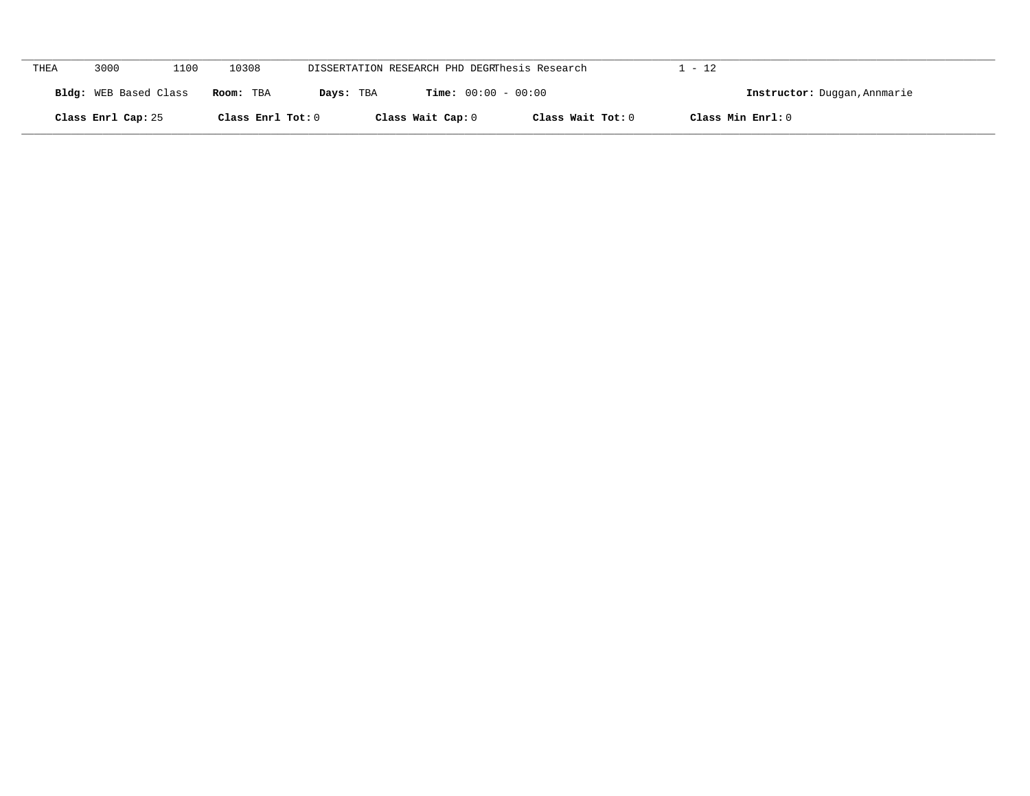| THEA | 3000                  | 1100 | 10308             |           | DISSERTATION RESEARCH PHD DEGRThesis Research |                   | $1 - 12$                     |
|------|-----------------------|------|-------------------|-----------|-----------------------------------------------|-------------------|------------------------------|
|      | Bldg: WEB Based Class |      | Room: TBA         | Days: TBA | <b>Time:</b> $00:00 - 00:00$                  |                   | Instructor: Duggan, Annmarie |
|      | Class Enrl Cap: 25    |      | Class Enrl Tot: 0 |           | Class Wait Cap: 0                             | Class Wait Tot: 0 | Class Min Enrl: 0            |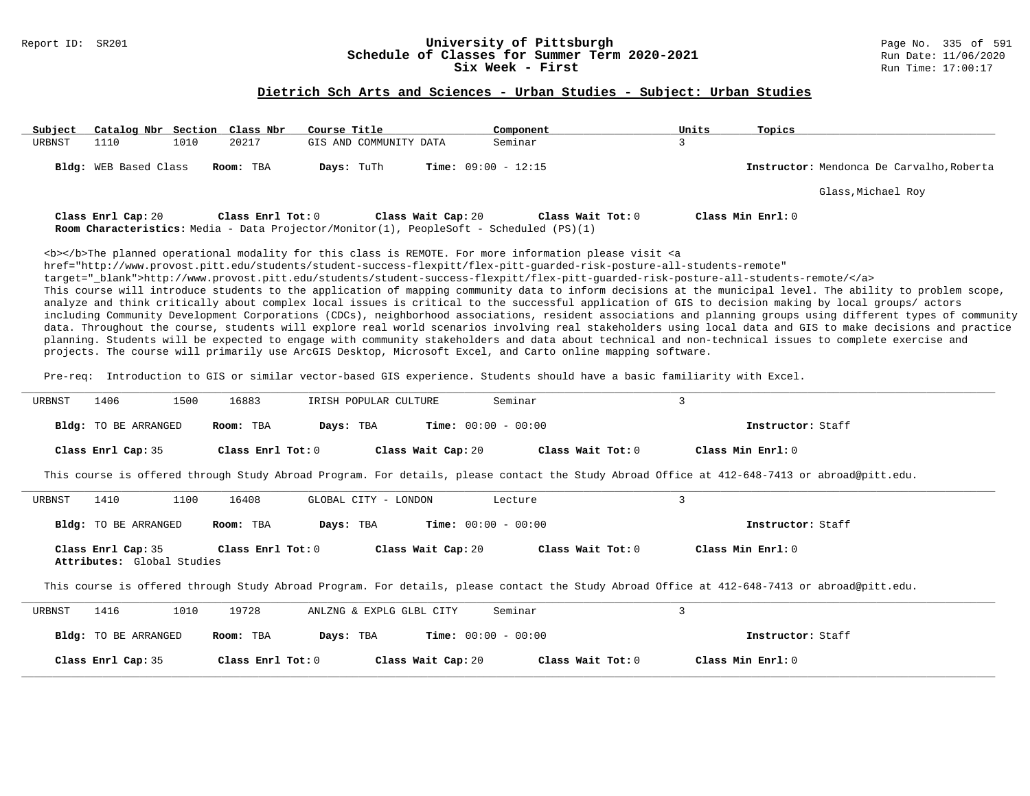# Report ID: SR201 **1988 Conserversity of Pittsburgh University of Pittsburgh** Page No. 335 of 591 **Classes for Summer Term 2020-2021** Page No. 335 of 591 Page No. 335 of 591 Page No. 335 of 591 Page No. 2020 Page 11/06/20 **Schedule of Classes for Summer Term 2020-2021**<br>Six Week - First

#### **Dietrich Sch Arts and Sciences - Urban Studies - Subject: Urban Studies**

| Subject | Catalog Nbr Section Class Nbr |      |                   | Course Title                                                                                   |                              | Component           | Units | Topics                                    |
|---------|-------------------------------|------|-------------------|------------------------------------------------------------------------------------------------|------------------------------|---------------------|-------|-------------------------------------------|
| URBNST  | 1110                          | 1010 | 20217             | GIS AND COMMUNITY DATA                                                                         |                              | Seminar             |       |                                           |
|         | <b>Bldg:</b> WEB Based Class  |      | Room: TBA         | Days: TuTh                                                                                     | <b>Time:</b> $09:00 - 12:15$ |                     |       | Instructor: Mendonca De Carvalho, Roberta |
|         |                               |      |                   |                                                                                                |                              |                     |       | Glass, Michael Roy                        |
|         | Class Enrl Cap: 20            |      | Class Enrl Tot: 0 | <b>Room Characteristics:</b> Media - Data Projector/Monitor(1), PeopleSoft - Scheduled (PS)(1) | Class Wait Cap: 20           | Class Wait $Tot: 0$ |       | Class Min $Enr1:0$                        |

<b></b>The planned operational modality for this class is REMOTE. For more information please visit <a href="http://www.provost.pitt.edu/students/student-success-flexpitt/flex-pitt-guarded-risk-posture-all-students-remote" target="\_blank">http://www.provost.pitt.edu/students/student-success-flexpitt/flex-pitt-guarded-risk-posture-all-students-remote/</a> This course will introduce students to the application of mapping community data to inform decisions at the municipal level. The ability to problem scope, analyze and think critically about complex local issues is critical to the successful application of GIS to decision making by local groups/ actors including Community Development Corporations (CDCs), neighborhood associations, resident associations and planning groups using different types of community data. Throughout the course, students will explore real world scenarios involving real stakeholders using local data and GIS to make decisions and practice planning. Students will be expected to engage with community stakeholders and data about technical and non-technical issues to complete exercise and projects. The course will primarily use ArcGIS Desktop, Microsoft Excel, and Carto online mapping software.

Pre-req: Introduction to GIS or similar vector-based GIS experience. Students should have a basic familiarity with Excel.

| URBNST | 1406                                             | 1500<br>16883     | IRISH POPULAR CULTURE                                                                                                                        | Seminar                      | 3                                       |                   |
|--------|--------------------------------------------------|-------------------|----------------------------------------------------------------------------------------------------------------------------------------------|------------------------------|-----------------------------------------|-------------------|
|        | <b>Bldg:</b> TO BE ARRANGED                      | Room: TBA         | Days: TBA                                                                                                                                    | <b>Time:</b> $00:00 - 00:00$ |                                         | Instructor: Staff |
|        | Class Enrl Cap: 35                               | Class Enrl Tot:0  | Class Wait Cap: 20                                                                                                                           |                              | Class Wait Tot: 0<br>Class Min Enrl: 0  |                   |
|        |                                                  |                   | This course is offered through Study Abroad Program. For details, please contact the Study Abroad Office at 412-648-7413 or abroad@pitt.edu. |                              |                                         |                   |
| URBNST | 1410                                             | 16408<br>1100     | GLOBAL CITY - LONDON                                                                                                                         | Lecture                      | 3                                       |                   |
|        | <b>Bldg:</b> TO BE ARRANGED                      | Room: TBA         | Days: TBA                                                                                                                                    | $Time: 00:00 - 00:00$        |                                         | Instructor: Staff |
|        | Class Enrl Cap: 35<br>Attributes: Global Studies | Class Enrl Tot: 0 | Class Wait Cap: 20                                                                                                                           |                              | Class Wait Tot: 0<br>Class Min $Err1:0$ |                   |
|        |                                                  |                   | This course is offered through Study Abroad Program. For details, please contact the Study Abroad Office at 412-648-7413 or abroad@pitt.edu. |                              |                                         |                   |
| URBNST | 1416                                             | 19728<br>1010     | ANLZNG & EXPLG GLBL CITY                                                                                                                     | Seminar                      | 3                                       |                   |
|        | <b>Bldg:</b> TO BE ARRANGED                      | Room: TBA         | Days: TBA                                                                                                                                    | <b>Time:</b> $00:00 - 00:00$ |                                         | Instructor: Staff |
|        | Class Enrl Cap: 35                               | Class Enrl Tot: 0 | Class Wait Cap: 20                                                                                                                           | Class Wait Tot: 0            | Class Min Enrl: 0                       |                   |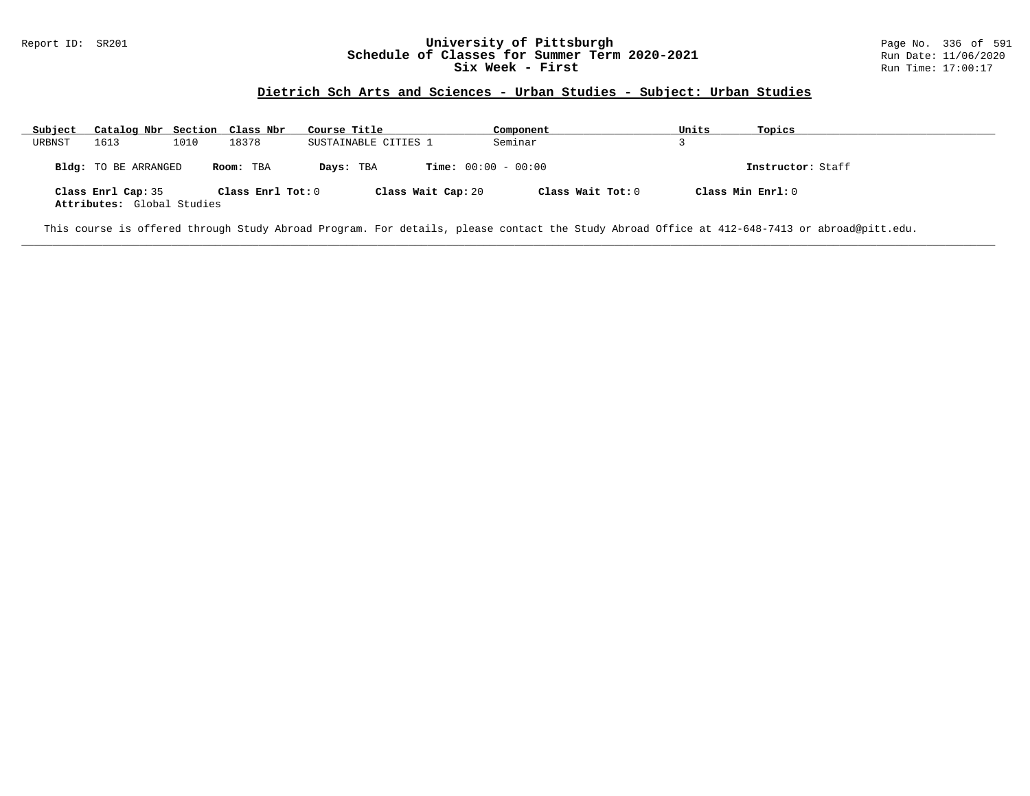#### Report ID: SR201 **1988 Chedule of Classes for Summer Term 2020-2021** Page No. 336 of 591 Page No. 336 of 591 Bage No. 336 of 591 Bage No. 336 of 591 Bage No. 336 of 591 Bage No. 336 of 591 Bate: 11/06/2020 **Schedule of Classes for Summer Term 2020-2021** Run Date: 11/06/2020<br>Six Week - First Run Time: 17:00:17 Six Week - First

### **Dietrich Sch Arts and Sciences - Urban Studies - Subject: Urban Studies**

| Subject | Catalog Nbr Section Class Nbr                    |      |                   | Course Title                              | Component         | Units             | Topics            |
|---------|--------------------------------------------------|------|-------------------|-------------------------------------------|-------------------|-------------------|-------------------|
| URBNST  | 1613                                             | 1010 | 18378             | SUSTAINABLE CITIES 1                      | Seminar           |                   |                   |
|         | Bldg: TO BE ARRANGED                             |      | Room: TBA         | <b>Time:</b> $00:00 - 00:00$<br>Days: TBA |                   |                   | Instructor: Staff |
|         | Class Enrl Cap: 35<br>Attributes: Global Studies |      | Class Enrl Tot: 0 | Class Wait Cap: 20                        | Class Wait Tot: 0 | Class Min Enrl: 0 |                   |

**\_\_\_\_\_\_\_\_\_\_\_\_\_\_\_\_\_\_\_\_\_\_\_\_\_\_\_\_\_\_\_\_\_\_\_\_\_\_\_\_\_\_\_\_\_\_\_\_\_\_\_\_\_\_\_\_\_\_\_\_\_\_\_\_\_\_\_\_\_\_\_\_\_\_\_\_\_\_\_\_\_\_\_\_\_\_\_\_\_\_\_\_\_\_\_\_\_\_\_\_\_\_\_\_\_\_\_\_\_\_\_\_\_\_\_\_\_\_\_\_\_\_\_\_\_\_\_\_\_\_\_\_\_\_\_\_\_\_\_\_\_\_\_\_\_\_\_\_\_\_\_\_\_\_\_\_**

This course is offered through Study Abroad Program. For details, please contact the Study Abroad Office at 412-648-7413 or abroad@pitt.edu.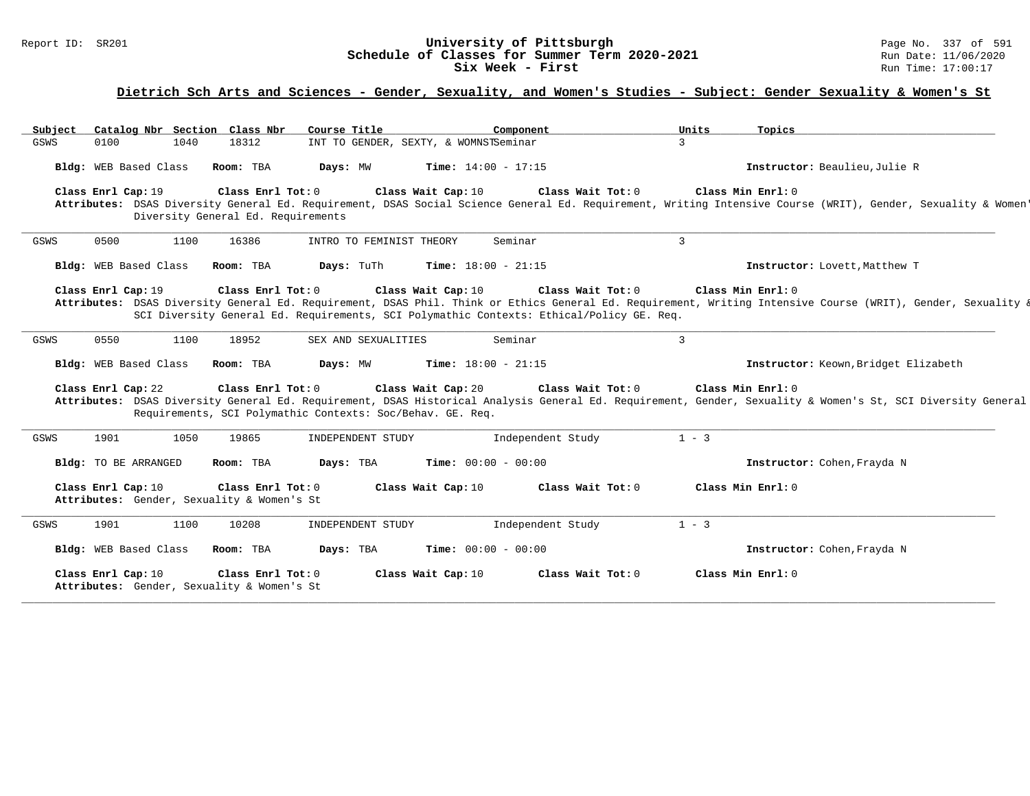# Report ID: SR201 **1988 Constrained Building Constrained Building Constrained Building Page No. 2021** Page No. 337 of 591 **Schedule of Classes for Summer Term 2020-2021** Run Date: 11/06/2020 **Schedule of Classes for Summer Term 2020-2021**<br>Six Week - First

#### **Dietrich Sch Arts and Sciences - Gender, Sexuality, and Women's Studies - Subject: Gender Sexuality & Women's St**

Subject Catalog Nbr Section Class Nbr Course Title \_\_\_\_\_\_\_\_\_\_\_\_\_Component \_\_\_\_\_\_\_\_\_\_\_\_\_\_\_\_\_\_Units \_\_\_\_\_\_Topics<br>GSWS 0100 1040 18312 INT TO GENDER, SEXTY, & WOMNSTSeminar 3 GSWS 0100 1040 18312 INT TO GENDER, SEXTY, & WOMNSTSeminar **Bldg:** WEB Based Class **Room:** TBA **Days:** MW **Time:** 14:00 - 17:15 **Instructor:** Beaulieu,Julie R **Class Enrl Cap:** 19 **Class Enrl Tot:** 0 **Class Wait Cap:** 10 **Class Wait Tot:** 0 **Class Min Enrl:** 0 Attributes: DSAS Diversity General Ed. Requirement, DSAS Social Science General Ed. Requirement, Writing Intensive Course (WRIT), Gender, Sexuality & Women Diversity General Ed. Requirements **\_\_\_\_\_\_\_\_\_\_\_\_\_\_\_\_\_\_\_\_\_\_\_\_\_\_\_\_\_\_\_\_\_\_\_\_\_\_\_\_\_\_\_\_\_\_\_\_\_\_\_\_\_\_\_\_\_\_\_\_\_\_\_\_\_\_\_\_\_\_\_\_\_\_\_\_\_\_\_\_\_\_\_\_\_\_\_\_\_\_\_\_\_\_\_\_\_\_\_\_\_\_\_\_\_\_\_\_\_\_\_\_\_\_\_\_\_\_\_\_\_\_\_\_\_\_\_\_\_\_\_\_\_\_\_\_\_\_\_\_\_\_\_\_\_\_\_\_\_\_\_\_\_\_\_\_** GSWS 0500 1100 16386 INTRO TO FEMINIST THEORY Seminar 3 **Bldg:** WEB Based Class **Room:** TBA **Days:** TuTh **Time:** 18:00 - 21:15 **Instructor:** Lovett,Matthew T **Class Enrl Cap:** 19 **Class Enrl Tot:** 0 **Class Wait Cap:** 10 **Class Wait Tot:** 0 **Class Min Enrl:** 0 Attributes: DSAS Diversity General Ed. Requirement, DSAS Phil. Think or Ethics General Ed. Requirement, Writing Intensive Course (WRIT), Gender, Sexuality & SCI Diversity General Ed. Requirements, SCI Polymathic Contexts: Ethical/Policy GE. Req. **\_\_\_\_\_\_\_\_\_\_\_\_\_\_\_\_\_\_\_\_\_\_\_\_\_\_\_\_\_\_\_\_\_\_\_\_\_\_\_\_\_\_\_\_\_\_\_\_\_\_\_\_\_\_\_\_\_\_\_\_\_\_\_\_\_\_\_\_\_\_\_\_\_\_\_\_\_\_\_\_\_\_\_\_\_\_\_\_\_\_\_\_\_\_\_\_\_\_\_\_\_\_\_\_\_\_\_\_\_\_\_\_\_\_\_\_\_\_\_\_\_\_\_\_\_\_\_\_\_\_\_\_\_\_\_\_\_\_\_\_\_\_\_\_\_\_\_\_\_\_\_\_\_\_\_\_** GSWS 0550 1100 18952 SEX AND SEXUALITIES Seminar 3 **Bldg:** WEB Based Class **Room:** TBA **Days:** MW **Time:** 18:00 - 21:15 **Instructor:** Keown,Bridget Elizabeth **Class Enrl Cap:** 22 **Class Enrl Tot:** 0 **Class Wait Cap:** 20 **Class Wait Tot:** 0 **Class Min Enrl:** 0 **Attributes:** DSAS Diversity General Ed. Requirement, DSAS Historical Analysis General Ed. Requirement, Gender, Sexuality & Women's St, SCI Diversity General Ed. Requirements, SCI Polymathic Contexts: Soc/Behav. GE. Req. **\_\_\_\_\_\_\_\_\_\_\_\_\_\_\_\_\_\_\_\_\_\_\_\_\_\_\_\_\_\_\_\_\_\_\_\_\_\_\_\_\_\_\_\_\_\_\_\_\_\_\_\_\_\_\_\_\_\_\_\_\_\_\_\_\_\_\_\_\_\_\_\_\_\_\_\_\_\_\_\_\_\_\_\_\_\_\_\_\_\_\_\_\_\_\_\_\_\_\_\_\_\_\_\_\_\_\_\_\_\_\_\_\_\_\_\_\_\_\_\_\_\_\_\_\_\_\_\_\_\_\_\_\_\_\_\_\_\_\_\_\_\_\_\_\_\_\_\_\_\_\_\_\_\_\_\_** GSWS 1901 1050 19865 INDEPENDENT STUDY Independent Study 1 - 3 **Bldg:** TO BE ARRANGED **Room:** TBA **Days:** TBA **Time:** 00:00 - 00:00 **Instructor:** Cohen,Frayda N **Class Enrl Cap:** 10 **Class Enrl Tot:** 0 **Class Wait Cap:** 10 **Class Wait Tot:** 0 **Class Min Enrl:** 0 **Attributes:** Gender, Sexuality & Women's St **\_\_\_\_\_\_\_\_\_\_\_\_\_\_\_\_\_\_\_\_\_\_\_\_\_\_\_\_\_\_\_\_\_\_\_\_\_\_\_\_\_\_\_\_\_\_\_\_\_\_\_\_\_\_\_\_\_\_\_\_\_\_\_\_\_\_\_\_\_\_\_\_\_\_\_\_\_\_\_\_\_\_\_\_\_\_\_\_\_\_\_\_\_\_\_\_\_\_\_\_\_\_\_\_\_\_\_\_\_\_\_\_\_\_\_\_\_\_\_\_\_\_\_\_\_\_\_\_\_\_\_\_\_\_\_\_\_\_\_\_\_\_\_\_\_\_\_\_\_\_\_\_\_\_\_\_** GSWS 1901 1100 10208 INDEPENDENT STUDY Independent Study 1 - 3 **Bldg:** WEB Based Class **Room:** TBA **Days:** TBA **Time:** 00:00 - 00:00 **Instructor:** Cohen,Frayda N **Class Enrl Cap:** 10 **Class Enrl Tot:** 0 **Class Wait Cap:** 10 **Class Wait Tot:** 0 **Class Min Enrl:** 0 **Attributes:** Gender, Sexuality & Women's St **\_\_\_\_\_\_\_\_\_\_\_\_\_\_\_\_\_\_\_\_\_\_\_\_\_\_\_\_\_\_\_\_\_\_\_\_\_\_\_\_\_\_\_\_\_\_\_\_\_\_\_\_\_\_\_\_\_\_\_\_\_\_\_\_\_\_\_\_\_\_\_\_\_\_\_\_\_\_\_\_\_\_\_\_\_\_\_\_\_\_\_\_\_\_\_\_\_\_\_\_\_\_\_\_\_\_\_\_\_\_\_\_\_\_\_\_\_\_\_\_\_\_\_\_\_\_\_\_\_\_\_\_\_\_\_\_\_\_\_\_\_\_\_\_\_\_\_\_\_\_\_\_\_\_\_\_**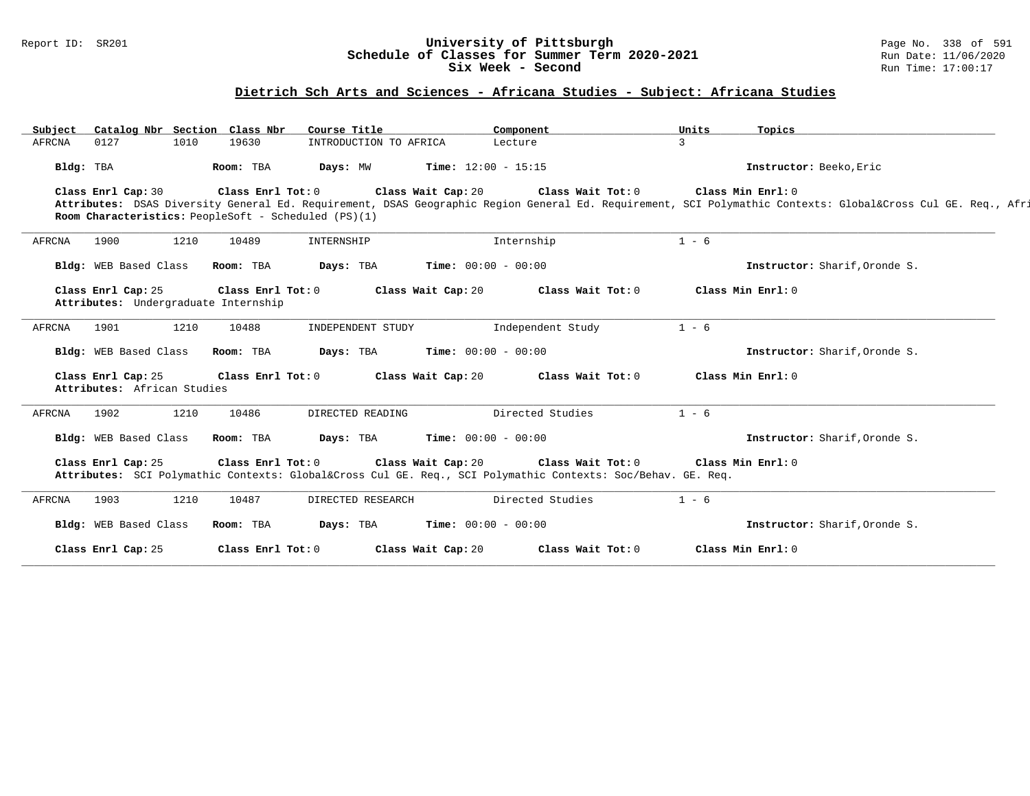#### Report ID: SR201 **University of Pittsburgh** Page No. 338 of 591 **Schedule of Classes for Summer Term 2020-2021** Run Date: 11/06/2020 **Six Week - Second Run Time: 17:00:17**

### **Dietrich Sch Arts and Sciences - Africana Studies - Subject: Africana Studies**

| Subject   |                                                   |      | Catalog Nbr Section Class Nbr        | Course Title                                         |                              | Component                                                                                                                    | Units   | Topics                                                                                                                                                  |
|-----------|---------------------------------------------------|------|--------------------------------------|------------------------------------------------------|------------------------------|------------------------------------------------------------------------------------------------------------------------------|---------|---------------------------------------------------------------------------------------------------------------------------------------------------------|
| AFRCNA    | 0127                                              | 1010 | 19630                                | INTRODUCTION TO AFRICA                               |                              | Lecture                                                                                                                      | 3       |                                                                                                                                                         |
| Bldg: TBA |                                                   |      | Room: TBA                            | Days: MW                                             | Time: $12:00 - 15:15$        |                                                                                                                              |         | Instructor: Beeko, Eric                                                                                                                                 |
|           | Class Enrl Cap: 30                                |      | Class Enrl Tot: 0                    |                                                      | Class Wait Cap: 20           | Class Wait Tot: 0                                                                                                            |         | Class Min Enrl: 0                                                                                                                                       |
|           |                                                   |      |                                      | Room Characteristics: PeopleSoft - Scheduled (PS)(1) |                              |                                                                                                                              |         | Attributes: DSAS Diversity General Ed. Requirement, DSAS Geographic Region General Ed. Requirement, SCI Polymathic Contexts: Global⨯ Cul GE. Req., Afri |
|           |                                                   |      |                                      |                                                      |                              |                                                                                                                              |         |                                                                                                                                                         |
| AFRCNA    | 1900                                              | 1210 | 10489                                | INTERNSHIP                                           |                              | Internship                                                                                                                   | $1 - 6$ |                                                                                                                                                         |
|           | Bldg: WEB Based Class                             |      | Room: TBA                            | Days: TBA                                            | <b>Time:</b> $00:00 - 00:00$ |                                                                                                                              |         | Instructor: Sharif, Oronde S.                                                                                                                           |
|           | Class Enrl Cap: 25                                |      | Class Enrl Tot: 0                    |                                                      | Class Wait Cap: 20           | Class Wait Tot: 0                                                                                                            |         | Class Min Enrl: 0                                                                                                                                       |
|           |                                                   |      | Attributes: Undergraduate Internship |                                                      |                              |                                                                                                                              |         |                                                                                                                                                         |
| AFRCNA    | 1901                                              | 1210 | 10488                                | INDEPENDENT STUDY                                    |                              | Independent Study                                                                                                            | $1 - 6$ |                                                                                                                                                         |
|           | Bldg: WEB Based Class                             |      | Room: TBA                            | Days: TBA                                            | <b>Time:</b> $00:00 - 00:00$ |                                                                                                                              |         | Instructor: Sharif.Oronde S.                                                                                                                            |
|           | Class Enrl Cap: 25<br>Attributes: African Studies |      | Class Enrl Tot: 0                    |                                                      | Class Wait Cap: 20           | Class Wait Tot: 0                                                                                                            |         | Class Min Enrl: 0                                                                                                                                       |
|           |                                                   |      |                                      |                                                      |                              |                                                                                                                              |         |                                                                                                                                                         |
| AFRCNA    | 1902                                              | 1210 | 10486                                | DIRECTED READING                                     |                              | Directed Studies                                                                                                             | $1 - 6$ |                                                                                                                                                         |
|           | Bldg: WEB Based Class                             |      | Room: TBA                            | Days: TBA                                            | <b>Time:</b> $00:00 - 00:00$ |                                                                                                                              |         | Instructor: Sharif, Oronde S.                                                                                                                           |
|           | Class Enrl Cap: 25                                |      | Class Enrl Tot: 0                    |                                                      | Class Wait Cap: 20           | Class Wait Tot: 0<br>Attributes: SCI Polymathic Contexts: Global⨯ Cul GE. Req., SCI Polymathic Contexts: Soc/Behav. GE. Req. |         | Class Min Enrl: 0                                                                                                                                       |
| AFRCNA    | 1903                                              | 1210 | 10487                                | DIRECTED RESEARCH                                    |                              | Directed Studies                                                                                                             | $1 - 6$ |                                                                                                                                                         |
|           | Bldg: WEB Based Class                             |      | Room: TBA                            | Days: TBA                                            | Time: $00:00 - 00:00$        |                                                                                                                              |         | Instructor: Sharif, Oronde S.                                                                                                                           |
|           | Class Enrl Cap: 25                                |      | Class Enrl Tot: 0                    |                                                      | Class Wait Cap: 20           | Class Wait Tot: 0                                                                                                            |         | Class Min Enrl: 0                                                                                                                                       |
|           |                                                   |      |                                      |                                                      |                              |                                                                                                                              |         |                                                                                                                                                         |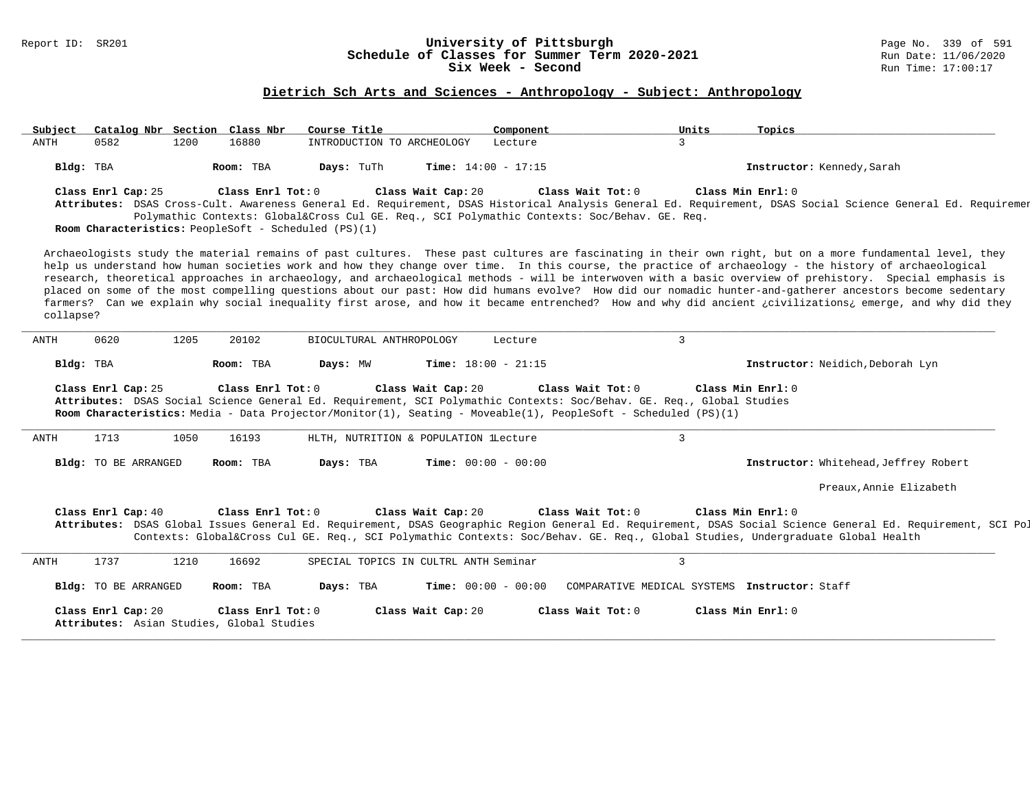### Report ID: SR201 **University of Pittsburgh** Page No. 339 of 591 **Schedule of Classes for Summer Term 2020-2021** Run Date: 11/06/2020 **Six Week - Second Run Time: 17:00:17**

# **Dietrich Sch Arts and Sciences - Anthropology - Subject: Anthropology**

| Subject   |                      |      | Catalog Nbr Section Class Nbr                                  | Course Title                                                                                                                                                                                                                            |                              | Component |                     | Units          | Topics                                                                                                                                                                                                                                                                                                                                                                                                                                                                                                                                                                                                                                                                                                                                                                                                     |
|-----------|----------------------|------|----------------------------------------------------------------|-----------------------------------------------------------------------------------------------------------------------------------------------------------------------------------------------------------------------------------------|------------------------------|-----------|---------------------|----------------|------------------------------------------------------------------------------------------------------------------------------------------------------------------------------------------------------------------------------------------------------------------------------------------------------------------------------------------------------------------------------------------------------------------------------------------------------------------------------------------------------------------------------------------------------------------------------------------------------------------------------------------------------------------------------------------------------------------------------------------------------------------------------------------------------------|
| ANTH      | 0582                 | 1200 | 16880                                                          | INTRODUCTION TO ARCHEOLOGY                                                                                                                                                                                                              |                              | Lecture   |                     | 3              |                                                                                                                                                                                                                                                                                                                                                                                                                                                                                                                                                                                                                                                                                                                                                                                                            |
|           | Bldg: TBA            |      | Room: TBA                                                      | Days: TuTh                                                                                                                                                                                                                              | Time: $14:00 - 17:15$        |           |                     |                | Instructor: Kennedy, Sarah                                                                                                                                                                                                                                                                                                                                                                                                                                                                                                                                                                                                                                                                                                                                                                                 |
|           | Class Enrl Cap: 25   |      | Class Enrl Tot: 0                                              | Polymathic Contexts: Global⨯ Cul GE. Req., SCI Polymathic Contexts: Soc/Behav. GE. Req.<br>Room Characteristics: PeopleSoft - Scheduled (PS)(1)                                                                                         | Class Wait Cap: 20           |           | Class Wait Tot: 0   |                | Class Min Enrl: 0<br>Attributes: DSAS Cross-Cult. Awareness General Ed. Requirement, DSAS Historical Analysis General Ed. Requirement, DSAS Social Science General Ed. Requiremen                                                                                                                                                                                                                                                                                                                                                                                                                                                                                                                                                                                                                          |
| collapse? |                      |      |                                                                |                                                                                                                                                                                                                                         |                              |           |                     |                | Archaeologists study the material remains of past cultures. These past cultures are fascinating in their own right, but on a more fundamental level, they<br>help us understand how human societies work and how they change over time. In this course, the practice of archaeology - the history of archaeological<br>research, theoretical approaches in archaeology, and archaeological methods - will be interwoven with a basic overview of prehistory. Special emphasis is<br>placed on some of the most compelling questions about our past: How did humans evolve? How did our nomadic hunter-and-gatherer ancestors become sedentary<br>farmers? Can we explain why social inequality first arose, and how it became entrenched? How and why did ancient ¿civilizations¿ emerge, and why did they |
| ANTH      | 0620                 | 1205 | 20102                                                          | BIOCULTURAL ANTHROPOLOGY                                                                                                                                                                                                                |                              | Lecture   |                     | $\mathbf{3}$   |                                                                                                                                                                                                                                                                                                                                                                                                                                                                                                                                                                                                                                                                                                                                                                                                            |
|           | Bldg: TBA            |      | Room: TBA                                                      | Days: MW                                                                                                                                                                                                                                | Time: $18:00 - 21:15$        |           |                     |                | Instructor: Neidich, Deborah Lyn                                                                                                                                                                                                                                                                                                                                                                                                                                                                                                                                                                                                                                                                                                                                                                           |
|           | Class Enrl Cap: 25   |      | Class Enrl Tot: 0                                              | Attributes: DSAS Social Science General Ed. Requirement, SCI Polymathic Contexts: Soc/Behav. GE. Req., Global Studies<br>Room Characteristics: Media - Data Projector/Monitor(1), Seating - Moveable(1), PeopleSoft - Scheduled (PS)(1) | Class Wait Cap: 20           |           | Class Wait $Tot: 0$ |                | Class Min $Enrl: 0$                                                                                                                                                                                                                                                                                                                                                                                                                                                                                                                                                                                                                                                                                                                                                                                        |
| ANTH      | 1713                 | 1050 | 16193                                                          | HLTH, NUTRITION & POPULATION lLecture                                                                                                                                                                                                   |                              |           |                     | $\overline{3}$ |                                                                                                                                                                                                                                                                                                                                                                                                                                                                                                                                                                                                                                                                                                                                                                                                            |
|           | Bldg: TO BE ARRANGED |      | Room: TBA                                                      | Days: TBA                                                                                                                                                                                                                               | <b>Time:</b> $00:00 - 00:00$ |           |                     |                | <b>Instructor:</b> Whitehead, Jeffrey Robert                                                                                                                                                                                                                                                                                                                                                                                                                                                                                                                                                                                                                                                                                                                                                               |
|           |                      |      |                                                                |                                                                                                                                                                                                                                         |                              |           |                     |                | Preaux, Annie Elizabeth                                                                                                                                                                                                                                                                                                                                                                                                                                                                                                                                                                                                                                                                                                                                                                                    |
|           | Class Enrl Cap: 40   |      | Class Enrl Tot: 0                                              |                                                                                                                                                                                                                                         | Class Wait Cap: 20           |           | Class Wait Tot: 0   |                | Class Min Enrl: 0<br>Attributes: DSAS Global Issues General Ed. Requirement, DSAS Geographic Region General Ed. Requirement, DSAS Social Science General Ed. Requirement, SCI Pol<br>Contexts: Global⨯ Cul GE. Req., SCI Polymathic Contexts: Soc/Behav. GE. Req., Global Studies, Undergraduate Global Health                                                                                                                                                                                                                                                                                                                                                                                                                                                                                             |
| ANTH      | 1737                 | 1210 | 16692                                                          | SPECIAL TOPICS IN CULTRL ANTH Seminar                                                                                                                                                                                                   |                              |           |                     | $\mathbf{3}$   |                                                                                                                                                                                                                                                                                                                                                                                                                                                                                                                                                                                                                                                                                                                                                                                                            |
|           | Bldg: TO BE ARRANGED |      | Room: TBA                                                      | Days: TBA                                                                                                                                                                                                                               | <b>Time:</b> $00:00 - 00:00$ |           |                     |                | COMPARATIVE MEDICAL SYSTEMS Instructor: Staff                                                                                                                                                                                                                                                                                                                                                                                                                                                                                                                                                                                                                                                                                                                                                              |
|           | Class Enrl Cap: 20   |      | Class Enrl Tot: 0<br>Attributes: Asian Studies, Global Studies |                                                                                                                                                                                                                                         | Class Wait Cap: 20           |           | Class Wait $Tot: 0$ |                | Class Min Enrl: 0                                                                                                                                                                                                                                                                                                                                                                                                                                                                                                                                                                                                                                                                                                                                                                                          |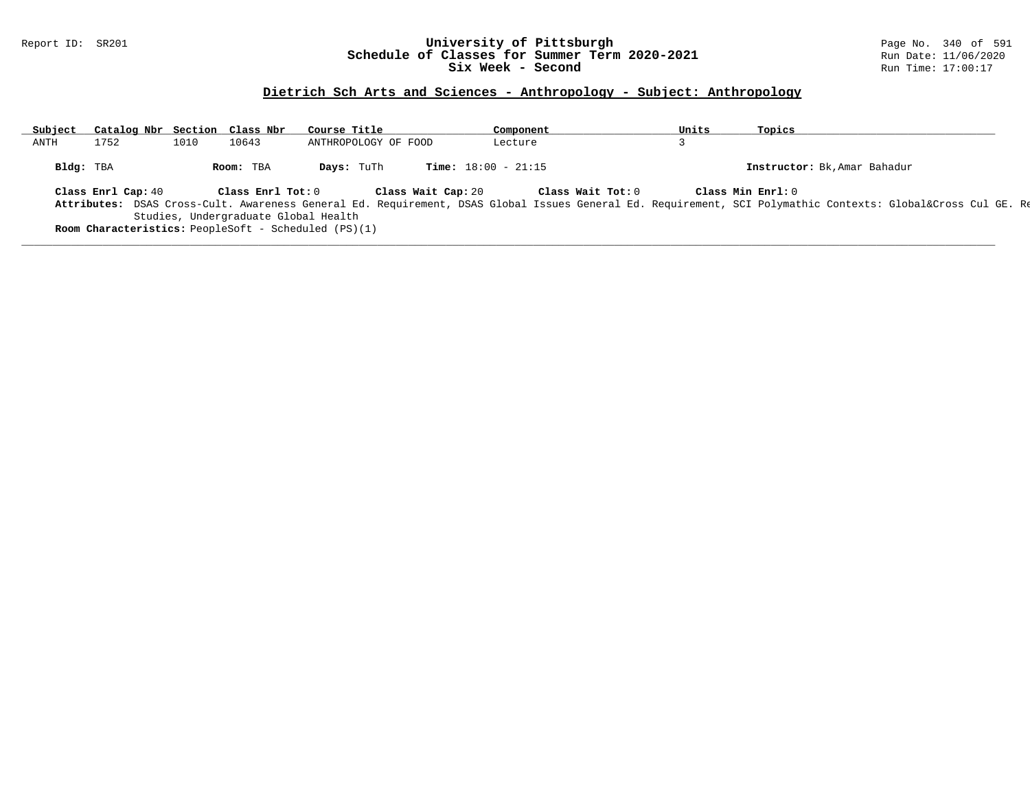### Report ID: SR201 **University of Pittsburgh** Page No. 340 of 591 **Schedule of Classes for Summer Term 2020-2021** Run Date: 11/06/2020 **Six Week - Second Run Time: 17:00:17**

# **Dietrich Sch Arts and Sciences - Anthropology - Subject: Anthropology**

| Subject |           | Catalog Nbr Section Class Nbr |      |                                                                                                     | Course Title         |                    |                              |         | Component |                   | Units | Topics            |                              |                                                                                                                                                         |  |
|---------|-----------|-------------------------------|------|-----------------------------------------------------------------------------------------------------|----------------------|--------------------|------------------------------|---------|-----------|-------------------|-------|-------------------|------------------------------|---------------------------------------------------------------------------------------------------------------------------------------------------------|--|
| ANTH    |           | 1752                          | 1010 | 10643                                                                                               | ANTHROPOLOGY OF FOOD |                    |                              | Lecture |           |                   |       |                   |                              |                                                                                                                                                         |  |
|         | Bldg: TBA |                               |      | Room: TBA                                                                                           | Days: TuTh           |                    | <b>Time:</b> $18:00 - 21:15$ |         |           |                   |       |                   | Instructor: Bk, Amar Bahadur |                                                                                                                                                         |  |
|         |           | Class Enrl Cap: 40            |      | Class Enrl Tot: 0                                                                                   |                      | Class Wait Cap: 20 |                              |         |           | Class Wait Tot: 0 |       | Class Min Enrl: 0 |                              | Attributes: DSAS Cross-Cult. Awareness General Ed. Requirement, DSAS Global Issues General Ed. Requirement, SCI Polymathic Contexts: Global⨯ Cul GE. Re |  |
|         |           |                               |      | Studies, Undergraduate Global Health<br><b>Room Characteristics:</b> PeopleSoft - Scheduled (PS)(1) |                      |                    |                              |         |           |                   |       |                   |                              |                                                                                                                                                         |  |

**\_\_\_\_\_\_\_\_\_\_\_\_\_\_\_\_\_\_\_\_\_\_\_\_\_\_\_\_\_\_\_\_\_\_\_\_\_\_\_\_\_\_\_\_\_\_\_\_\_\_\_\_\_\_\_\_\_\_\_\_\_\_\_\_\_\_\_\_\_\_\_\_\_\_\_\_\_\_\_\_\_\_\_\_\_\_\_\_\_\_\_\_\_\_\_\_\_\_\_\_\_\_\_\_\_\_\_\_\_\_\_\_\_\_\_\_\_\_\_\_\_\_\_\_\_\_\_\_\_\_\_\_\_\_\_\_\_\_\_\_\_\_\_\_\_\_\_\_\_\_\_\_\_\_\_\_**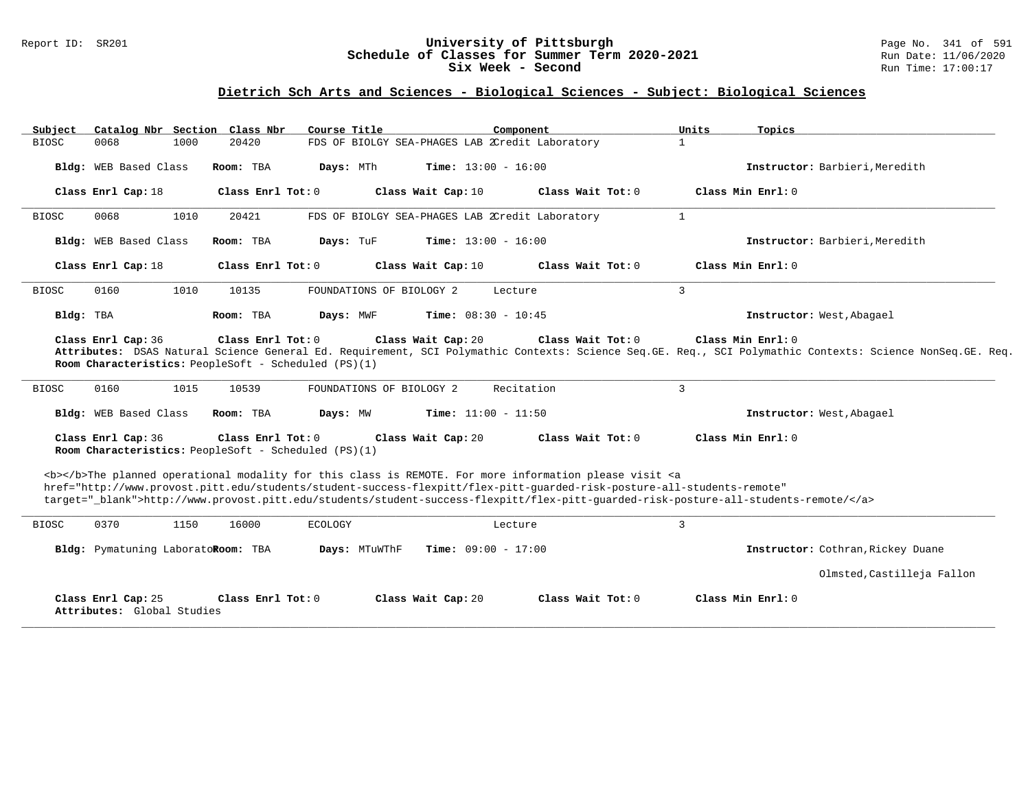### Report ID: SR201 **University of Pittsburgh** Page No. 341 of 591 **Schedule of Classes for Summer Term 2020-2021** Run Date: 11/06/2020 **Six Week - Second Run Time: 17:00:17**

### **Dietrich Sch Arts and Sciences - Biological Sciences - Subject: Biological Sciences**

| Subject      | Catalog Nbr Section Class Nbr                    |      |                     | Course Title                                         |                                                 | Component                                                                                                                                                                                                                                                                                                                                                                          | Units          | Topics                                                                                                                                                                           |
|--------------|--------------------------------------------------|------|---------------------|------------------------------------------------------|-------------------------------------------------|------------------------------------------------------------------------------------------------------------------------------------------------------------------------------------------------------------------------------------------------------------------------------------------------------------------------------------------------------------------------------------|----------------|----------------------------------------------------------------------------------------------------------------------------------------------------------------------------------|
| <b>BIOSC</b> | 0068                                             | 1000 | 20420               |                                                      | FDS OF BIOLGY SEA-PHAGES LAB 2Credit Laboratory |                                                                                                                                                                                                                                                                                                                                                                                    | 1              |                                                                                                                                                                                  |
|              | Bldg: WEB Based Class                            |      | Room: TBA           | Days: MTh                                            | <b>Time:</b> $13:00 - 16:00$                    |                                                                                                                                                                                                                                                                                                                                                                                    |                | Instructor: Barbieri, Meredith                                                                                                                                                   |
|              | Class Enrl Cap: 18                               |      | Class Enrl Tot: 0   |                                                      | Class Wait Cap: 10                              | Class Wait Tot: 0                                                                                                                                                                                                                                                                                                                                                                  |                | Class Min Enrl: 0                                                                                                                                                                |
| <b>BIOSC</b> | 0068                                             | 1010 | 20421               |                                                      | FDS OF BIOLGY SEA-PHAGES LAB 2Credit Laboratory |                                                                                                                                                                                                                                                                                                                                                                                    | $\mathbf{1}$   |                                                                                                                                                                                  |
|              | Bldg: WEB Based Class                            |      | Room: TBA           | Days: TuF                                            | <b>Time:</b> $13:00 - 16:00$                    |                                                                                                                                                                                                                                                                                                                                                                                    |                | Instructor: Barbieri, Meredith                                                                                                                                                   |
|              | Class Enrl Cap: 18                               |      | Class Enrl Tot: 0   |                                                      | Class Wait Cap: 10                              | Class Wait Tot: 0                                                                                                                                                                                                                                                                                                                                                                  |                | Class Min Enrl: 0                                                                                                                                                                |
| <b>BIOSC</b> | 0160                                             | 1010 | 10135               |                                                      | FOUNDATIONS OF BIOLOGY 2                        | Lecture                                                                                                                                                                                                                                                                                                                                                                            | $\overline{3}$ |                                                                                                                                                                                  |
| Bldg: TBA    |                                                  |      | Room: TBA           | Days: MWF                                            | <b>Time:</b> $08:30 - 10:45$                    |                                                                                                                                                                                                                                                                                                                                                                                    |                | Instructor: West, Abagael                                                                                                                                                        |
|              | Class Enrl Cap: 36                               |      | Class Enrl Tot: $0$ | Room Characteristics: PeopleSoft - Scheduled (PS)(1) | Class Wait Cap: 20                              | Class Wait Tot: $0$                                                                                                                                                                                                                                                                                                                                                                |                | Class Min $Enr1: 0$<br>Attributes: DSAS Natural Science General Ed. Requirement, SCI Polymathic Contexts: Science Seq.GE. Req., SCI Polymathic Contexts: Science NonSeq.GE. Req. |
| <b>BIOSC</b> | 0160                                             | 1015 | 10539               |                                                      | FOUNDATIONS OF BIOLOGY 2                        | Recitation                                                                                                                                                                                                                                                                                                                                                                         | 3              |                                                                                                                                                                                  |
|              | Bldg: WEB Based Class                            |      | Room: TBA           | Days: MW                                             | <b>Time:</b> $11:00 - 11:50$                    |                                                                                                                                                                                                                                                                                                                                                                                    |                | Instructor: West, Abagael                                                                                                                                                        |
|              | Class Enrl Cap: 36                               |      | Class Enrl Tot: 0   | Room Characteristics: PeopleSoft - Scheduled (PS)(1) | Class Wait Cap: 20                              | Class Wait Tot: 0                                                                                                                                                                                                                                                                                                                                                                  |                | Class Min Enrl: 0                                                                                                                                                                |
|              |                                                  |      |                     |                                                      |                                                 | <b></b> The planned operational modality for this class is REMOTE. For more information please visit <a<br>href="http://www.provost.pitt.edu/students/student-success-flexpitt/flex-pitt-quarded-risk-posture-all-students-remote"<br/>target="_blank"&gt;http://www.provost.pitt.edu/students/student-success-flexpitt/flex-pitt-guarded-risk-posture-all-students-remote/</a<br> |                |                                                                                                                                                                                  |
| <b>BIOSC</b> | 0370                                             | 1150 | 16000               | <b>ECOLOGY</b>                                       |                                                 | Lecture                                                                                                                                                                                                                                                                                                                                                                            | 3              |                                                                                                                                                                                  |
|              | Bldg: Pymatuning LaboratoRoom: TBA               |      |                     | Days: MTuWThF                                        | <b>Time:</b> $09:00 - 17:00$                    |                                                                                                                                                                                                                                                                                                                                                                                    |                | Instructor: Cothran, Rickey Duane                                                                                                                                                |
|              |                                                  |      |                     |                                                      |                                                 |                                                                                                                                                                                                                                                                                                                                                                                    |                | Olmsted, Castilleja Fallon                                                                                                                                                       |
|              | Class Enrl Cap: 25<br>Attributes: Global Studies |      | Class Enrl Tot: 0   |                                                      | Class Wait Cap: 20                              | Class Wait Tot: 0                                                                                                                                                                                                                                                                                                                                                                  |                | Class Min Enrl: 0                                                                                                                                                                |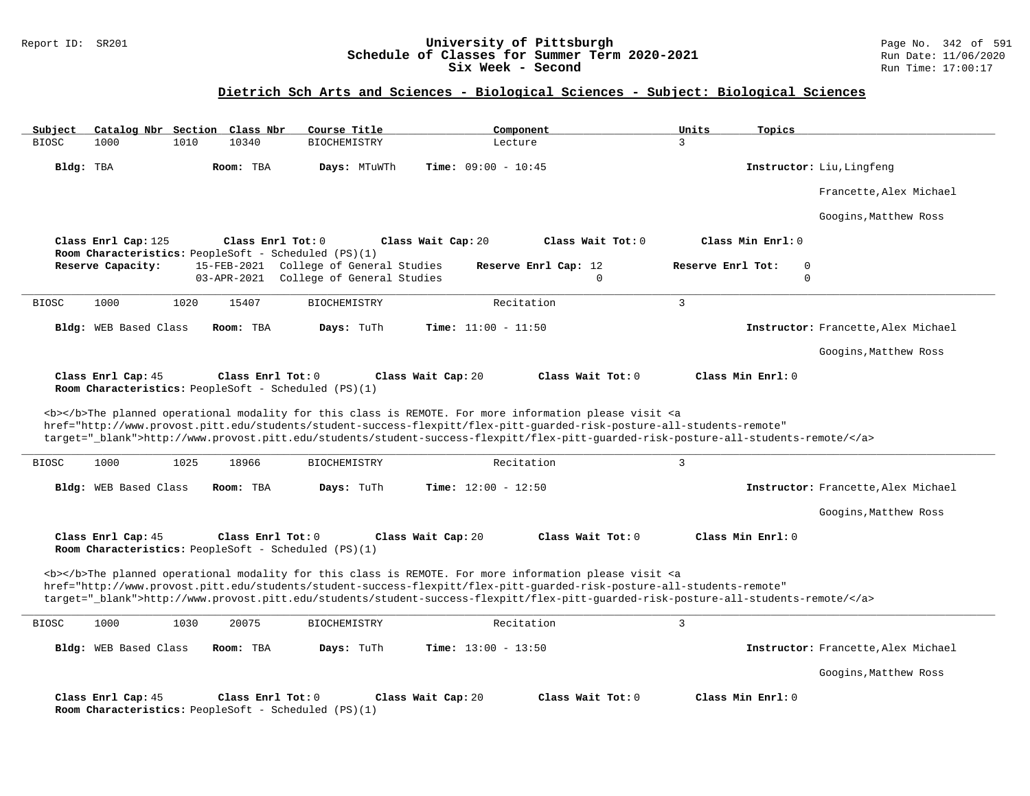### Report ID: SR201 **University of Pittsburgh** Page No. 342 of 591 **Schedule of Classes for Summer Term 2020-2021** Run Date: 11/06/2020 **Six Week - Second Run Time: 17:00:17**

# **Dietrich Sch Arts and Sciences - Biological Sciences - Subject: Biological Sciences**

| Catalog Nbr Section Class Nbr<br>Subject | Course Title                                                                                   | Component                                                                                                                                                                                                                                 | Units<br>Topics                     |
|------------------------------------------|------------------------------------------------------------------------------------------------|-------------------------------------------------------------------------------------------------------------------------------------------------------------------------------------------------------------------------------------------|-------------------------------------|
| <b>BIOSC</b><br>1000<br>1010             | 10340<br><b>BIOCHEMISTRY</b>                                                                   | Lecture                                                                                                                                                                                                                                   | $\overline{3}$                      |
| Bldg: TBA                                | Room: TBA<br>Days: MTuWTh                                                                      | <b>Time:</b> $09:00 - 10:45$                                                                                                                                                                                                              | Instructor: Liu, Lingfeng           |
|                                          |                                                                                                |                                                                                                                                                                                                                                           | Francette, Alex Michael             |
|                                          |                                                                                                |                                                                                                                                                                                                                                           | Googins, Matthew Ross               |
| Class Enrl Cap: 125                      | Class Enrl Tot: 0                                                                              | Class Wait Cap: 20<br>Class Wait Tot: 0                                                                                                                                                                                                   | Class Min Enrl: 0                   |
| Reserve Capacity:                        | Room Characteristics: PeopleSoft - Scheduled (PS)(1)<br>15-FEB-2021 College of General Studies | Reserve Enrl Cap: 12                                                                                                                                                                                                                      | Reserve Enrl Tot:<br>$\mathbf 0$    |
|                                          | 03-APR-2021 College of General Studies                                                         | $\Omega$                                                                                                                                                                                                                                  | $\Omega$                            |
| 1000<br>1020<br><b>BIOSC</b>             | 15407<br><b>BIOCHEMISTRY</b>                                                                   | Recitation                                                                                                                                                                                                                                | $\overline{3}$                      |
|                                          |                                                                                                |                                                                                                                                                                                                                                           |                                     |
| Bldg: WEB Based Class                    | Room: TBA<br>Days: TuTh                                                                        | Time: $11:00 - 11:50$                                                                                                                                                                                                                     | Instructor: Francette, Alex Michael |
|                                          |                                                                                                |                                                                                                                                                                                                                                           | Googins, Matthew Ross               |
| Class Enrl Cap: 45                       | Class $Enr1 Tot: 0$                                                                            | Class Wait Cap: 20<br>Class Wait Tot: 0                                                                                                                                                                                                   | Class Min Enrl: 0                   |
|                                          | Room Characteristics: PeopleSoft - Scheduled (PS)(1)                                           |                                                                                                                                                                                                                                           |                                     |
|                                          |                                                                                                | <b></b> The planned operational modality for this class is REMOTE. For more information please visit <a< td=""><td></td></a<>                                                                                                             |                                     |
|                                          |                                                                                                |                                                                                                                                                                                                                                           |                                     |
|                                          |                                                                                                | href="http://www.provost.pitt.edu/students/student-success-flexpitt/flex-pitt-guarded-risk-posture-all-students-remote"                                                                                                                   |                                     |
|                                          |                                                                                                | target="_blank">http://www.provost.pitt.edu/students/student-success-flexpitt/flex-pitt-quarded-risk-posture-all-students-remote/                                                                                                         |                                     |
| 1000<br>1025<br><b>BIOSC</b>             | 18966<br><b>BIOCHEMISTRY</b>                                                                   | Recitation                                                                                                                                                                                                                                | 3                                   |
| Bldg: WEB Based Class                    | Room: TBA<br>Days: TuTh                                                                        | <b>Time:</b> $12:00 - 12:50$                                                                                                                                                                                                              | Instructor: Francette, Alex Michael |
|                                          |                                                                                                |                                                                                                                                                                                                                                           | Googins, Matthew Ross               |
|                                          |                                                                                                |                                                                                                                                                                                                                                           |                                     |
| Class Enrl Cap: 45                       | Class Enrl Tot: 0<br>Room Characteristics: PeopleSoft - Scheduled (PS)(1)                      | Class Wait Tot: 0<br>Class Wait Cap: 20                                                                                                                                                                                                   | Class Min Enrl: 0                   |
|                                          |                                                                                                |                                                                                                                                                                                                                                           |                                     |
|                                          |                                                                                                | <b></b> The planned operational modality for this class is REMOTE. For more information please visit <a<br>href="http://www.provost.pitt.edu/students/student-success-flexpitt/flex-pitt-quarded-risk-posture-all-students-remote"</a<br> |                                     |
|                                          |                                                                                                | target="_blank">http://www.provost.pitt.edu/students/student-success-flexpitt/flex-pitt-quarded-risk-posture-all-students-remote/                                                                                                         |                                     |
| 1000<br>1030<br><b>BIOSC</b>             | <b>BIOCHEMISTRY</b><br>20075                                                                   | Recitation                                                                                                                                                                                                                                | 3                                   |
| Bldg: WEB Based Class                    | Room: TBA<br>Days: TuTh                                                                        | <b>Time:</b> $13:00 - 13:50$                                                                                                                                                                                                              | Instructor: Francette, Alex Michael |
|                                          |                                                                                                |                                                                                                                                                                                                                                           | Googins, Matthew Ross               |
| Class Enrl Cap: 45                       | Class Enrl Tot: 0                                                                              | Class Wait Tot: 0<br>Class Wait Cap: 20                                                                                                                                                                                                   | Class Min Enrl: 0                   |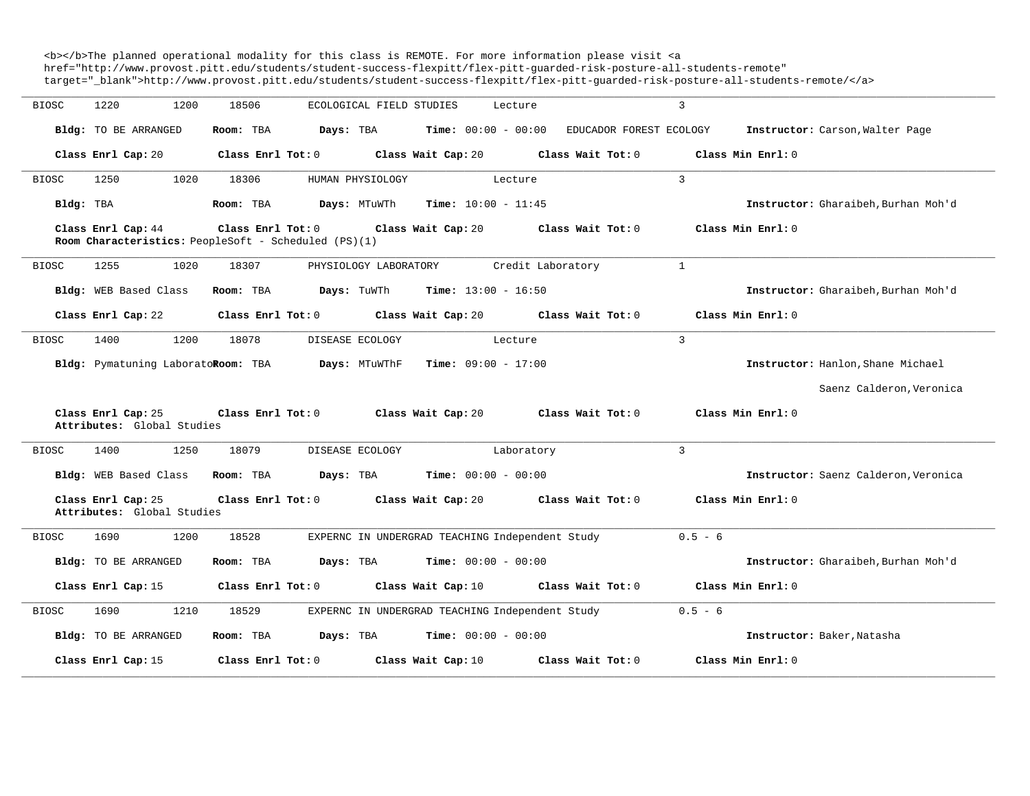<b></b>The planned operational modality for this class is REMOTE. For more information please visit <a href="http://www.provost.pitt.edu/students/student-success-flexpitt/flex-pitt-guarded-risk-posture-all-students-remote" target="\_blank">http://www.provost.pitt.edu/students/student-success-flexpitt/flex-pitt-guarded-risk-posture-all-students-remote/</a>

| <b>BIOSC</b> | 1220<br>1200                                     | 18506                                                                     | ECOLOGICAL FIELD STUDIES<br>Lecture                      |                         | 3                                    |
|--------------|--------------------------------------------------|---------------------------------------------------------------------------|----------------------------------------------------------|-------------------------|--------------------------------------|
|              | Bldg: TO BE ARRANGED                             | Room: TBA<br>Days: TBA                                                    | <b>Time:</b> $00:00 - 00:00$                             | EDUCADOR FOREST ECOLOGY | Instructor: Carson, Walter Page      |
|              | Class Enrl Cap: 20                               | Class Enrl Tot: 0                                                         | Class Wait Cap: 20                                       | Class Wait Tot: 0       | Class Min Enrl: 0                    |
| <b>BIOSC</b> | 1020<br>1250                                     | 18306                                                                     | HUMAN PHYSIOLOGY<br>Lecture                              |                         | $\mathbf{3}$                         |
|              | Bldg: TBA                                        | Room: TBA                                                                 | Days: MTuWTh<br><b>Time:</b> $10:00 - 11:45$             |                         | Instructor: Gharaibeh, Burhan Moh'd  |
|              | Class Enrl Cap: 44                               | Class Enrl Tot: 0<br>Room Characteristics: PeopleSoft - Scheduled (PS)(1) | Class Wait Cap: 20                                       | Class Wait Tot: 0       | Class Min Enrl: 0                    |
| <b>BIOSC</b> | 1255<br>1020                                     | 18307                                                                     | PHYSIOLOGY LABORATORY                                    | Credit Laboratory       | $\mathbf{1}$                         |
|              | Bldg: WEB Based Class                            | Days: TuWTh<br>Room: TBA                                                  | <b>Time:</b> $13:00 - 16:50$                             |                         | Instructor: Gharaibeh, Burhan Moh'd  |
|              | Class Enrl Cap: 22                               | Class Enrl Tot: 0                                                         | Class Wait Cap: 20                                       | Class Wait Tot: 0       | Class Min Enrl: 0                    |
| BIOSC        | 1200<br>1400                                     | 18078                                                                     | DISEASE ECOLOGY<br>Lecture                               |                         | 3                                    |
|              | Bldg: Pymatuning LaboratoRoom: TBA               |                                                                           | $\texttt{Davis:}$ MTuWThF $\texttt{Time:}$ 09:00 - 17:00 |                         | Instructor: Hanlon, Shane Michael    |
|              |                                                  |                                                                           |                                                          |                         | Saenz Calderon, Veronica             |
|              | Class Enrl Cap: 25<br>Attributes: Global Studies | Class Enrl Tot: 0                                                         | Class Wait Cap: 20                                       | Class Wait Tot: 0       | Class Min Enrl: 0                    |
| <b>BIOSC</b> | 1400<br>1250                                     | 18079                                                                     | DISEASE ECOLOGY<br>Laboratory                            |                         | 3                                    |
|              | Bldg: WEB Based Class                            | Room: TBA<br>Days: TBA                                                    | $Time: 00:00 - 00:00$                                    |                         | Instructor: Saenz Calderon, Veronica |
|              | Class Enrl Cap: 25<br>Attributes: Global Studies | Class Enrl Tot: 0                                                         | Class Wait Cap: 20                                       | Class Wait Tot: 0       | Class Min Enrl: 0                    |
| <b>BIOSC</b> | 1200<br>1690                                     | 18528                                                                     | EXPERNC IN UNDERGRAD TEACHING Independent Study          |                         | $0.5 - 6$                            |
|              | <b>Bldg:</b> TO BE ARRANGED                      | Room: TBA<br>Days: TBA                                                    | $Time: 00:00 - 00:00$                                    |                         | Instructor: Gharaibeh, Burhan Moh'd  |
|              | Class Enrl Cap: 15                               | Class Enrl Tot: 0                                                         | Class Wait Cap: 10                                       | Class Wait Tot: 0       | Class Min Enrl: 0                    |
| <b>BIOSC</b> | 1690<br>1210                                     | 18529                                                                     | EXPERNC IN UNDERGRAD TEACHING Independent Study          |                         | $0.5 - 6$                            |
|              | Bldg: TO BE ARRANGED                             | Room: TBA<br>Days: TBA                                                    | <b>Time:</b> $00:00 - 00:00$                             |                         | Instructor: Baker, Natasha           |
|              | Class Enrl Cap: 15                               | Class Enrl Tot: 0                                                         | Class Wait Cap: 10                                       | Class Wait Tot: 0       | Class Min Enrl: 0                    |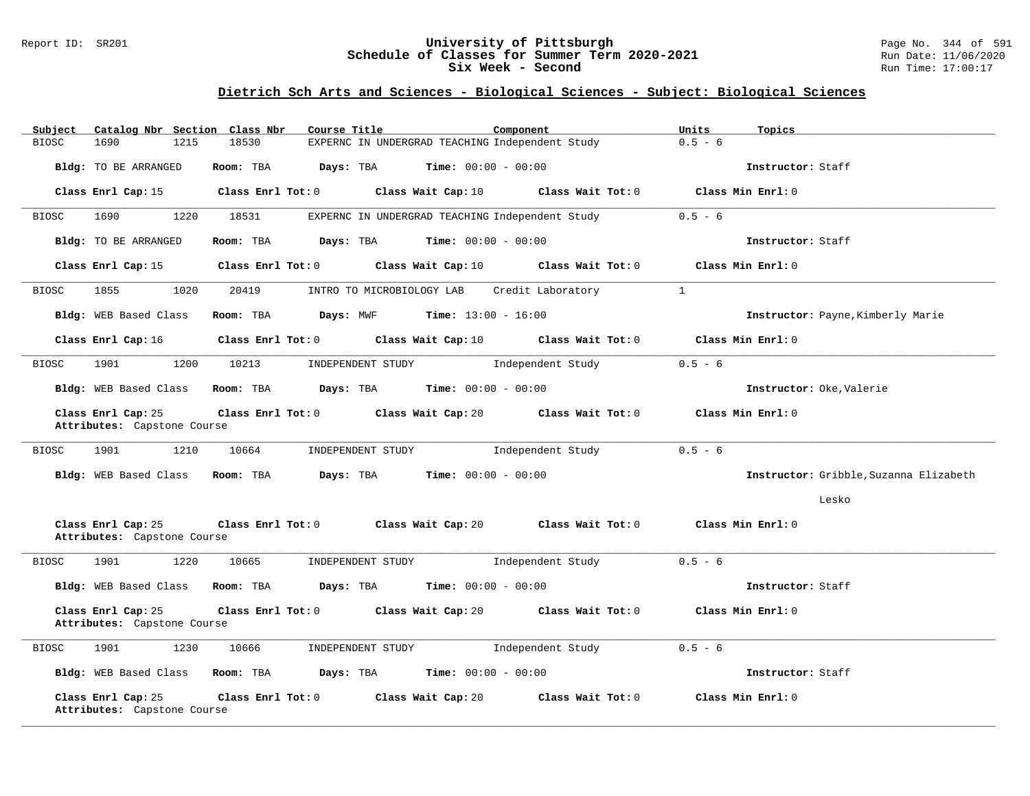#### Report ID: SR201 **University of Pittsburgh** Page No. 344 of 591 **Schedule of Classes for Summer Term 2020-2021** Run Date: 11/06/2020 **Six Week - Second Run Time: 17:00:17**

# **Dietrich Sch Arts and Sciences - Biological Sciences - Subject: Biological Sciences**

| Subject      | Catalog Nbr Section Class Nbr                                                                                                                                                                                                           |                         | Course Title                                                                     | Component                                              | Units<br>Topics                        |
|--------------|-----------------------------------------------------------------------------------------------------------------------------------------------------------------------------------------------------------------------------------------|-------------------------|----------------------------------------------------------------------------------|--------------------------------------------------------|----------------------------------------|
| <b>BIOSC</b> | 1690<br>1215                                                                                                                                                                                                                            | 18530                   | EXPERNC IN UNDERGRAD TEACHING Independent Study                                  |                                                        | $0.5 - 6$                              |
|              | Bldg: TO BE ARRANGED                                                                                                                                                                                                                    | Room: TBA Days: TBA     | $Time: 00:00 - 00:00$                                                            |                                                        | Instructor: Staff                      |
|              | Class Enrl Cap: 15                                                                                                                                                                                                                      | $Class$ $Enr1$ $Tot: 0$ |                                                                                  | Class Wait Cap: 10 Class Wait Tot: 0 Class Min Enrl: 0 |                                        |
| BIOSC        | 1690<br>1220                                                                                                                                                                                                                            | 18531                   | EXPERNC IN UNDERGRAD TEACHING Independent Study                                  |                                                        | $0.5 - 6$                              |
|              | Bldg: TO BE ARRANGED                                                                                                                                                                                                                    |                         | <b>Room:</b> TBA <b>Days:</b> TBA <b>Time:</b> 00:00 - 00:00                     |                                                        | Instructor: Staff                      |
|              | Class Enrl Cap: 15                                                                                                                                                                                                                      |                         | Class Enrl Tot: $0$ Class Wait Cap: $10$ Class Wait Tot: $0$                     |                                                        | Class Min Enrl: 0                      |
| BIOSC        | 1855<br>1020                                                                                                                                                                                                                            | 20419                   | INTRO TO MICROBIOLOGY LAB                                                        | Credit Laboratory                                      | $\mathbf{1}$                           |
|              | Bldg: WEB Based Class                                                                                                                                                                                                                   |                         | Room: TBA $Days: MWF$ Time: $13:00 - 16:00$                                      |                                                        | Instructor: Payne, Kimberly Marie      |
|              | Class Enrl Cap: 16                                                                                                                                                                                                                      |                         | Class Enrl Tot: $0$ Class Wait Cap: $10$ Class Wait Tot: $0$ Class Min Enrl: $0$ |                                                        |                                        |
| <b>BIOSC</b> | 1901<br>1200                                                                                                                                                                                                                            | 10213                   | INDEPENDENT STUDY                                                                | Independent Study                                      | $0.5 - 6$                              |
|              | Bldg: WEB Based Class                                                                                                                                                                                                                   |                         | Room: TBA $Days:$ TBA $Time: 00:00 - 00:00$                                      |                                                        | Instructor: Oke, Valerie               |
|              | Class Enrl Cap: 25<br>Attributes: Capstone Course                                                                                                                                                                                       |                         | Class Enrl Tot: $0$ Class Wait Cap: $20$ Class Wait Tot: $0$ Class Min Enrl: $0$ |                                                        |                                        |
| <b>BIOSC</b> | 1210<br>1901                                                                                                                                                                                                                            | 10664                   | INDEPENDENT STUDY                                                                | Independent Study                                      | $0.5 - 6$                              |
|              | Bldg: WEB Based Class Room: TBA                                                                                                                                                                                                         |                         | $Days: TBA$ $Time: 00:00 - 00:00$                                                |                                                        | Instructor: Gribble, Suzanna Elizabeth |
|              |                                                                                                                                                                                                                                         |                         |                                                                                  |                                                        | Lesko                                  |
|              | Class Enrl Cap: 25<br>Attributes: Capstone Course                                                                                                                                                                                       |                         | Class Enrl Tot: 0 Class Wait Cap: 20                                             | Class Wait Tot: $0$ Class Min Enrl: $0$                |                                        |
| BIOSC        | 1901<br>1220                                                                                                                                                                                                                            | 10665                   | INDEPENDENT STUDY                                                                | Independent Study                                      | $0.5 - 6$                              |
|              | Bldg: WEB Based Class                                                                                                                                                                                                                   |                         | Room: TBA $Days:$ TBA $Time: 00:00 - 00:00$                                      |                                                        | Instructor: Staff                      |
|              | Class Enrl Cap: 25<br>Attributes: Capstone Course                                                                                                                                                                                       |                         | Class Enrl Tot: $0$ Class Wait Cap: $20$ Class Wait Tot: $0$                     |                                                        | Class Min Enrl: 0                      |
| BIOSC        | 1230<br>1901 — 1901 — 1902 — 1903 — 1904 — 1904 — 1904 — 1904 — 1904 — 1904 — 1904 — 1904 — 1905 — 1905 — 1905 — 1906 — 1905 — 1905 — 1905 — 1905 — 1906 — 1905 — 1905 — 1905 — 1906 — 1906 — 1906 — 1906 — 1906 — 1906 — 1906 — 1906 — | 10666                   | INDEPENDENT STUDY                                                                | Independent Study                                      | $0.5 - 6$                              |
|              |                                                                                                                                                                                                                                         |                         | Bldg: WEB Based Class Room: TBA Days: TBA Time: 00:00 - 00:00                    |                                                        | Instructor: Staff                      |
|              | Class Enrl Cap: 25<br>Attributes: Capstone Course                                                                                                                                                                                       |                         | Class Enrl Tot: 0 Class Wait Cap: 20                                             | Class Wait Tot: 0                                      | Class Min Enrl: 0                      |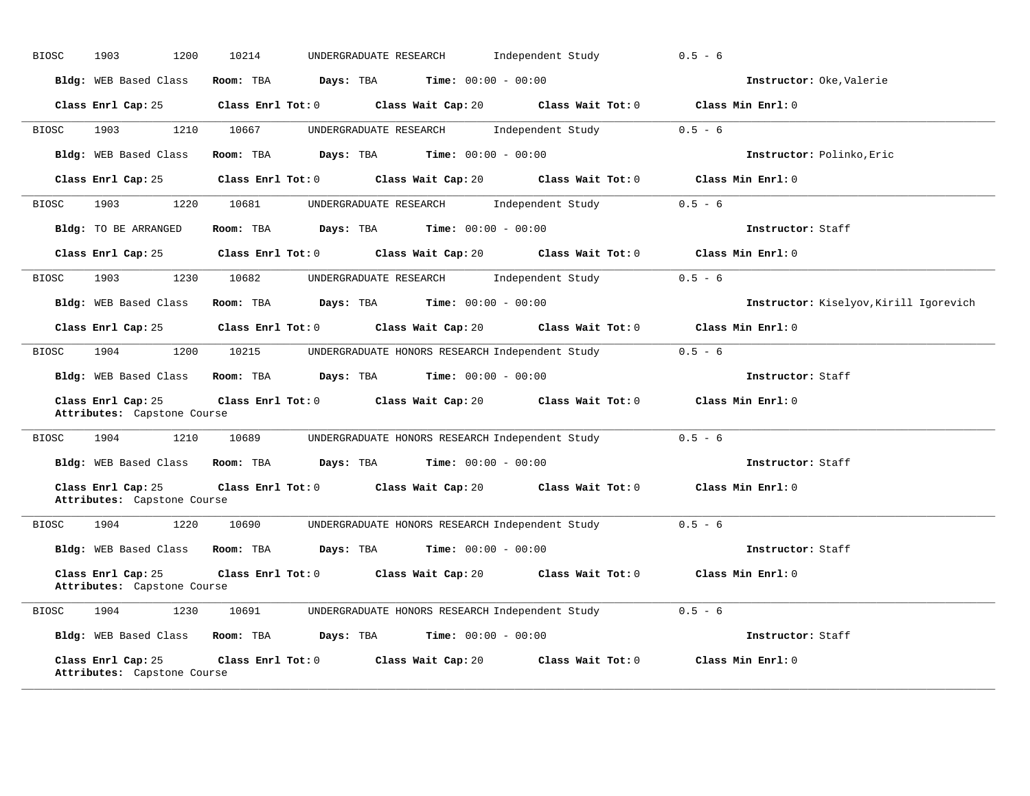| <b>BIOSC</b> | 1903<br>1200                                      | 10214<br>UNDERGRADUATE RESEARCH<br>Independent Study                                     | $0.5 - 6$                              |
|--------------|---------------------------------------------------|------------------------------------------------------------------------------------------|----------------------------------------|
|              | Bldg: WEB Based Class                             | Room: TBA $Days:$ TBA $Time: 00:00 - 00:00$                                              | Instructor: Oke, Valerie               |
|              | Class Enrl Cap: 25                                | Class Enrl Tot: 0 Class Wait Cap: 20 Class Wait Tot: 0                                   | Class Min Enrl: 0                      |
| <b>BIOSC</b> | 1210<br>1903                                      | 10667<br>UNDERGRADUATE RESEARCH Independent Study                                        | $0.5 - 6$                              |
|              | Bldg: WEB Based Class                             | Room: TBA $Days:$ TBA $Time: 00:00 - 00:00$                                              | Instructor: Polinko, Eric              |
|              | Class Enrl Cap: 25                                | Class Enrl Tot: $0$ Class Wait Cap: $20$ Class Wait Tot: $0$                             | Class Min Enrl: 0                      |
| BIOSC        | 1903<br>1220                                      | UNDERGRADUATE RESEARCH and independent Study 0.5 - 6<br>10681                            |                                        |
|              | <b>Bldg:</b> TO BE ARRANGED                       | Room: TBA $Days:$ TBA $Time: 00:00 - 00:00$                                              | Instructor: Staff                      |
|              | Class Enrl Cap: 25                                | Class Enrl Tot: $0$ Class Wait Cap: $20$ Class Wait Tot: $0$                             | Class Min Enrl: 0                      |
| <b>BIOSC</b> | 1903<br>1230                                      | 10682<br>UNDERGRADUATE RESEARCH<br>Independent Study                                     | $0.5 - 6$                              |
|              | Bldg: WEB Based Class                             | Room: TBA $\rule{1em}{0.15mm}$ Days: TBA $\rule{1.15mm}]{0.15mm}$ Time: $0.000 - 0.0000$ | Instructor: Kiselyov, Kirill Igorevich |
|              | Class Enrl Cap: 25                                | Class Enrl Tot: 0 Class Wait Cap: 20 Class Wait Tot: 0                                   | Class Min Enrl: 0                      |
| <b>BIOSC</b> | 1904 720                                          | 1200 10215<br>UNDERGRADUATE HONORS RESEARCH Independent Study                            | $0.5 - 6$                              |
|              |                                                   | Bldg: WEB Based Class Room: TBA Days: TBA Time: 00:00 - 00:00                            | Instructor: Staff                      |
|              | Class Enrl Cap: 25<br>Attributes: Capstone Course | Class Enrl Tot: $0$ Class Wait Cap: $20$ Class Wait Tot: $0$                             | Class Min Enrl: 0                      |
| <b>BIOSC</b> | 1904<br>1210                                      | 10689<br>UNDERGRADUATE HONORS RESEARCH Independent Study                                 | $0.5 - 6$                              |
|              |                                                   | Bldg: WEB Based Class Room: TBA Days: TBA Time: 00:00 - 00:00                            | Instructor: Staff                      |
|              | Class Enrl Cap: 25<br>Attributes: Capstone Course | Class Enrl Tot: 0 Class Wait Cap: 20 Class Wait Tot: 0                                   | Class Min Enrl: 0                      |
| <b>BIOSC</b> | 1904<br>1220                                      | 10690<br>UNDERGRADUATE HONORS RESEARCH Independent Study                                 | $0.5 - 6$                              |
|              | Bldg: WEB Based Class                             | Room: TBA $Days:$ TBA $Time: 00:00 - 00:00$                                              | Instructor: Staff                      |
|              | Class Enrl Cap: 25<br>Attributes: Capstone Course | Class Enrl Tot: 0 Class Wait Cap: 20 Class Wait Tot: 0                                   | Class Min Enrl: 0                      |
| BIOSC        | 1904<br>1230                                      | 10691<br>UNDERGRADUATE HONORS RESEARCH Independent Study                                 | $0.5 - 6$                              |
|              |                                                   | Bldg: WEB Based Class Room: TBA Days: TBA<br><b>Time:</b> $00:00 - 00:00$                | Instructor: Staff                      |
|              | Class Enrl Cap: 25<br>Attributes: Capstone Course | Class Enrl Tot: 0 Class Wait Cap: 20 Class Wait Tot: 0                                   | Class Min Enrl: 0                      |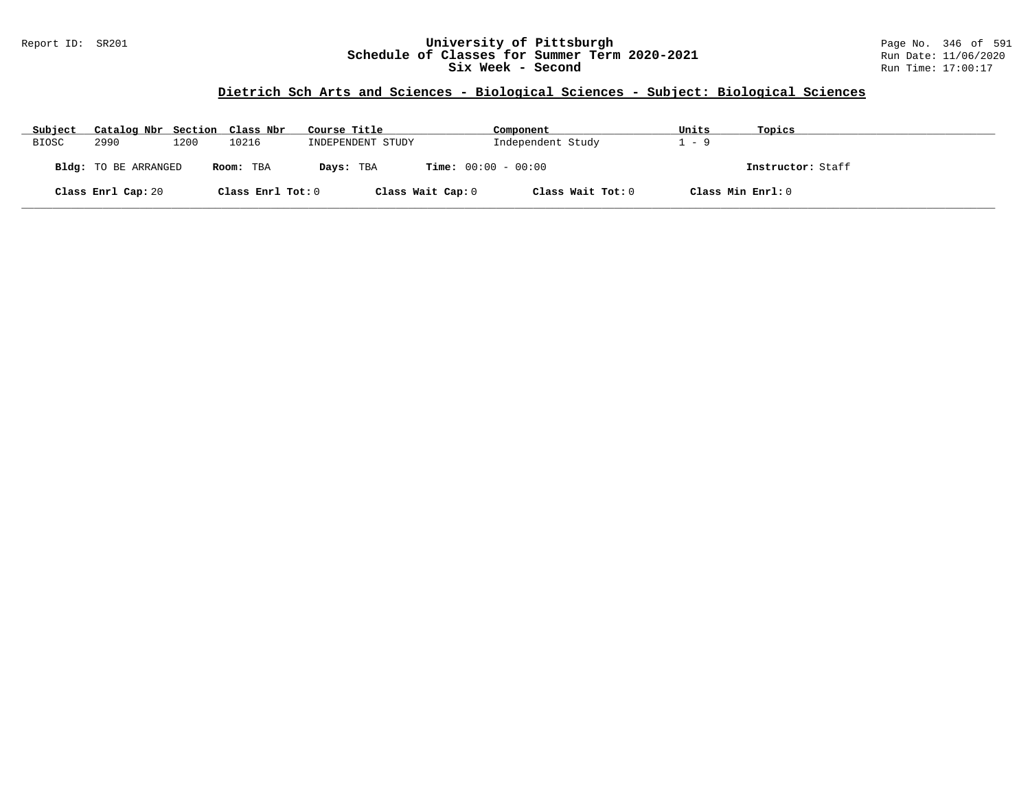### Report ID: SR201 **University of Pittsburgh** Page No. 346 of 591 **Schedule of Classes for Summer Term 2020-2021** Run Date: 11/06/2020 **Six Week - Second Run Time: 17:00:17**

# **Dietrich Sch Arts and Sciences - Biological Sciences - Subject: Biological Sciences**

| Subject      | Catalog Nbr Section Class Nbr |      |                   | Course Title      | Component                    | Units             | Topics            |
|--------------|-------------------------------|------|-------------------|-------------------|------------------------------|-------------------|-------------------|
| <b>BIOSC</b> | 2990                          | 1200 | 10216             | INDEPENDENT STUDY | Independent Study            | $1 - 9$           |                   |
|              | Bldg: TO BE ARRANGED          |      | Room: TBA         | Days: TBA         | <b>Time:</b> $00:00 - 00:00$ |                   | Instructor: Staff |
|              | Class Enrl Cap: 20            |      | Class Enrl Tot: 0 | Class Wait Cap: 0 | Class Wait Tot: 0            | Class Min Enrl: 0 |                   |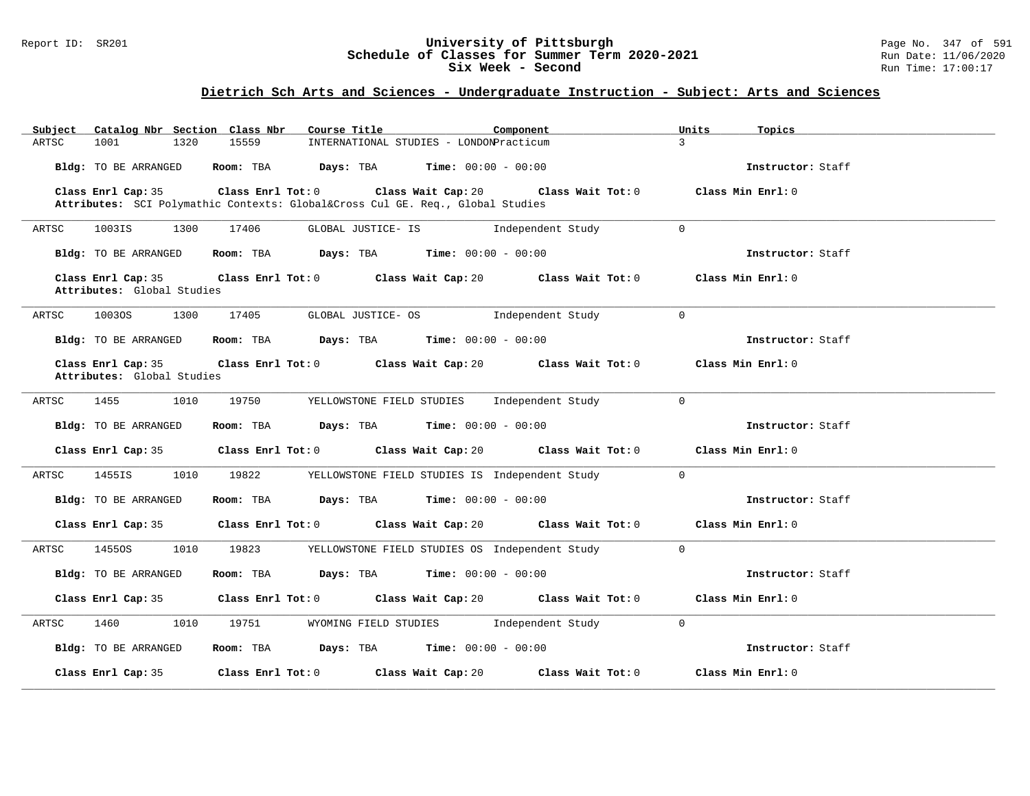#### Report ID: SR201 **University of Pittsburgh** Page No. 347 of 591 **Schedule of Classes for Summer Term 2020-2021** Run Date: 11/06/2020 **Six Week - Second Run Time: 17:00:17**

| Catalog Nbr Section Class Nbr<br>Subject         | Course Title                                                                             | Component                                                    | Units<br>Topics   |
|--------------------------------------------------|------------------------------------------------------------------------------------------|--------------------------------------------------------------|-------------------|
| ARTSC<br>1001<br>1320                            | 15559                                                                                    | INTERNATIONAL STUDIES - LONDONPracticum                      | $\overline{3}$    |
| Bldg: TO BE ARRANGED                             | <b>Room:</b> TBA $Days: TBA$ <b>Time:</b> $00:00 - 00:00$                                |                                                              | Instructor: Staff |
| Class Enrl Cap: 35                               | Attributes: SCI Polymathic Contexts: Global⨯ Cul GE. Req., Global Studies                | Class Enrl Tot: $0$ Class Wait Cap: $20$ Class Wait Tot: $0$ | Class Min Enrl: 0 |
| 1300<br>ARTSC<br>1003IS                          | 17406<br>GLOBAL JUSTICE- IS                                                              | Independent Study                                            | $\Omega$          |
| Bldg: TO BE ARRANGED                             | Room: TBA $Days:$ TBA $Time: 00:00 - 00:00$                                              |                                                              | Instructor: Staff |
| Class Enrl Cap: 35<br>Attributes: Global Studies |                                                                                          | Class Enrl Tot: 0 Class Wait Cap: 20 Class Wait Tot: 0       | Class Min Enrl: 0 |
| 1300<br>ARTSC<br>10030S                          | 17405                                                                                    | GLOBAL JUSTICE- OS [Independent Study                        | $\Omega$          |
| Bldg: TO BE ARRANGED                             | Room: TBA $Days: TBA$ Time: $00:00 - 00:00$                                              |                                                              | Instructor: Staff |
| Class Enrl Cap: 35<br>Attributes: Global Studies |                                                                                          | Class Enrl Tot: $0$ Class Wait Cap: $20$ Class Wait Tot: $0$ | Class Min Enrl: 0 |
| 1455 1010<br>ARTSC                               | 19750                                                                                    | YELLOWSTONE FIELD STUDIES Independent Study                  | $\Omega$          |
| Bldg: TO BE ARRANGED                             | Room: TBA $Days:$ TBA $Time: 00:00 - 00:00$                                              |                                                              | Instructor: Staff |
| Class Enrl Cap: 35                               |                                                                                          | Class Enrl Tot: $0$ Class Wait Cap: $20$ Class Wait Tot: $0$ | Class Min Enrl: 0 |
| 1455IS<br>1010<br>ARTSC                          | 19822                                                                                    | YELLOWSTONE FIELD STUDIES IS Independent Study               | $\Omega$          |
| Bldg: TO BE ARRANGED                             | Room: TBA $Days:$ TBA $Time: 00:00 - 00:00$                                              |                                                              | Instructor: Staff |
| Class Enrl Cap: 35                               |                                                                                          | Class Enrl Tot: 0 Class Wait Cap: 20 Class Wait Tot: 0       | Class Min Enrl: 0 |
| 1010<br>ARTSC<br>14550S                          | 19823                                                                                    | YELLOWSTONE FIELD STUDIES OS Independent Study               | $\overline{0}$    |
| Bldg: TO BE ARRANGED                             | Room: TBA $Days:$ TBA $Time: 00:00 - 00:00$                                              |                                                              | Instructor: Staff |
| Class Enrl Cap: 35                               |                                                                                          | Class Enrl Tot: 0 Class Wait Cap: 20 Class Wait Tot: 0       | Class Min Enrl: 0 |
| 1460<br>1010<br>ARTSC                            | 19751                                                                                    | WYOMING FIELD STUDIES The Independent Study                  | $\Omega$          |
| Bldg: TO BE ARRANGED                             | Room: TBA $\rule{1em}{0.15mm}$ Days: TBA $\rule{1.15mm}]{0.15mm}$ Time: $0.000 - 0.0000$ |                                                              | Instructor: Staff |
| Class Enrl Cap: 35                               | Class Enrl Tot: 0 Class Wait Cap: 20                                                     | Class Wait Tot: 0                                            | Class Min Enrl: 0 |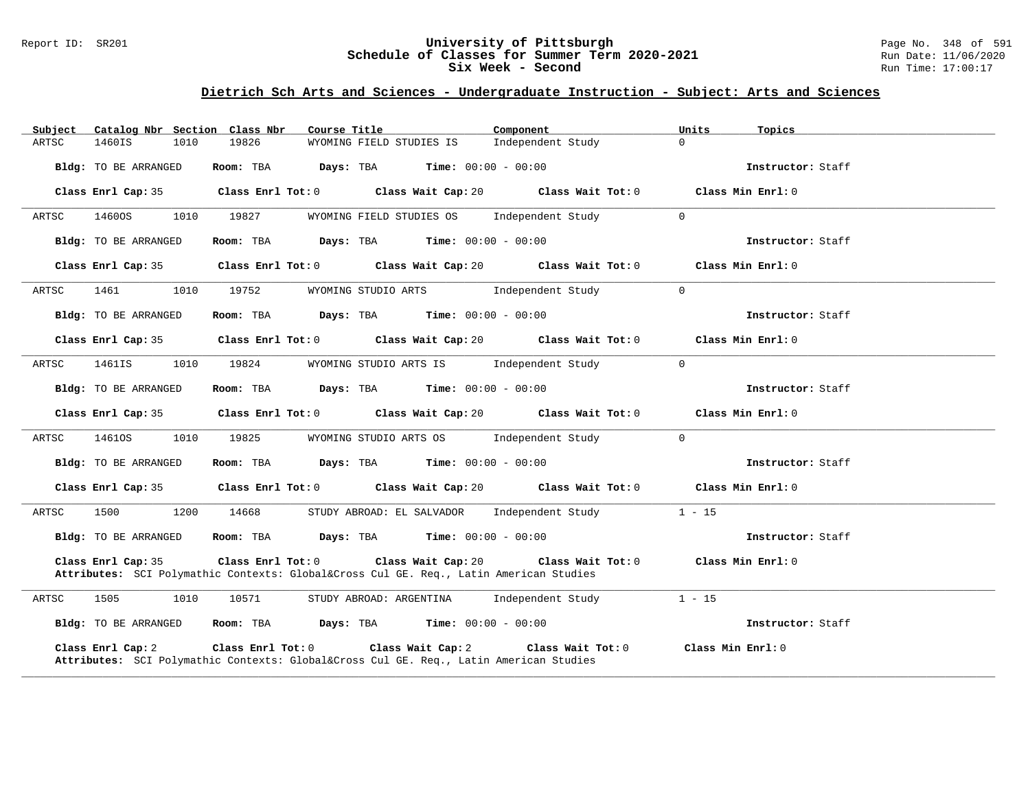#### Report ID: SR201 **University of Pittsburgh** Page No. 348 of 591 **Schedule of Classes for Summer Term 2020-2021** Run Date: 11/06/2020 **Six Week - Second Run Time: 17:00:17**

| Subject | Catalog Nbr Section Class Nbr |      |                   | Course Title      |                                                                                                        | Component                                                                | Units    | Topics            |  |
|---------|-------------------------------|------|-------------------|-------------------|--------------------------------------------------------------------------------------------------------|--------------------------------------------------------------------------|----------|-------------------|--|
| ARTSC   | 1460IS                        | 1010 | 19826             |                   | WYOMING FIELD STUDIES IS                                                                               | Independent Study                                                        | $\Omega$ |                   |  |
|         | Bldg: TO BE ARRANGED          |      |                   |                   | Room: TBA $\rule{1em}{0.15mm}$ Days: TBA $\rule{1.5mm}{0.15mm}$ Time: $00:00 - 00:00$                  |                                                                          |          | Instructor: Staff |  |
|         | Class Enrl Cap: 35            |      |                   | Class Enrl Tot: 0 |                                                                                                        | Class Wait Cap: 20 Class Wait Tot: 0                                     |          | Class Min Enrl: 0 |  |
| ARTSC   | 1460OS                        | 1010 | 19827             |                   | WYOMING FIELD STUDIES OS                                                                               | Independent Study                                                        | $\Omega$ |                   |  |
|         | Bldg: TO BE ARRANGED          |      |                   |                   | Room: TBA $Days:$ TBA $Time: 00:00 - 00:00$                                                            |                                                                          |          | Instructor: Staff |  |
|         | Class Enrl Cap: 35            |      |                   |                   |                                                                                                        | Class Enrl Tot: $0$ Class Wait Cap: $20$ Class Wait Tot: $0$             |          | Class Min Enrl: 0 |  |
| ARTSC   | 1461                          | 1010 | 19752             |                   | WYOMING STUDIO ARTS [Independent Study                                                                 |                                                                          | $\Omega$ |                   |  |
|         | Bldg: TO BE ARRANGED          |      |                   |                   | <b>Room:</b> TBA <b>Days:</b> TBA <b>Time:</b> 00:00 - 00:00                                           |                                                                          |          | Instructor: Staff |  |
|         | Class Enrl Cap: 35            |      |                   |                   |                                                                                                        | Class Enrl Tot: 0 Class Wait Cap: 20 Class Wait Tot: 0                   |          | Class Min Enrl: 0 |  |
| ARTSC   | 1461IS                        | 1010 | 19824             |                   | WYOMING STUDIO ARTS IS                                                                                 | Independent Study                                                        | $\Omega$ |                   |  |
|         | <b>Bldg:</b> TO BE ARRANGED   |      |                   |                   | Room: TBA $Days:$ TBA $Time: 00:00 - 00:00$                                                            |                                                                          |          | Instructor: Staff |  |
|         | Class Enrl Cap: 35            |      |                   |                   |                                                                                                        | Class Enrl Tot: 0 Class Wait Cap: 20 Class Wait Tot: 0                   |          | Class Min Enrl: 0 |  |
| ARTSC   | 14610S                        | 1010 | 19825             |                   | WYOMING STUDIO ARTS OS Independent Study                                                               |                                                                          | $\Omega$ |                   |  |
|         | Bldg: TO BE ARRANGED          |      |                   |                   | Room: TBA $Days: TBA$ Time: $00:00 - 00:00$                                                            |                                                                          |          | Instructor: Staff |  |
|         | Class Enrl Cap: 35            |      |                   |                   |                                                                                                        | Class Enrl Tot: 0 Class Wait Cap: 20 Class Wait Tot: 0 Class Min Enrl: 0 |          |                   |  |
| ARTSC   | 1500                          | 1200 | 14668             |                   | STUDY ABROAD: EL SALVADOR Independent Study                                                            |                                                                          | $1 - 15$ |                   |  |
|         | Bldg: TO BE ARRANGED          |      |                   |                   | Room: TBA $Days: TBA$ Time: $00:00 - 00:00$                                                            |                                                                          |          | Instructor: Staff |  |
|         | Class Enrl Cap: 35            |      | Class Enrl Tot: 0 |                   | Attributes: SCI Polymathic Contexts: Global⨯ Cul GE. Req., Latin American Studies                      | Class Wait Cap: 20 $\hspace{1.6cm}$ Class Wait Tot: 0                    |          | Class Min Enrl: 0 |  |
| ARTSC   | 1505                          | 1010 | 10571             |                   | STUDY ABROAD: ARGENTINA Independent Study                                                              |                                                                          | $1 - 15$ |                   |  |
|         | Bldg: TO BE ARRANGED          |      |                   |                   | Room: TBA $Days:$ TBA $Time: 00:00 - 00:00$                                                            |                                                                          |          | Instructor: Staff |  |
|         | Class Enrl Cap: 2             |      | Class Enrl Tot: 0 |                   | Class Wait Cap: 2<br>Attributes: SCI Polymathic Contexts: Global⨯ Cul GE. Req., Latin American Studies | Class Wait Tot: 0                                                        |          | Class Min Enrl: 0 |  |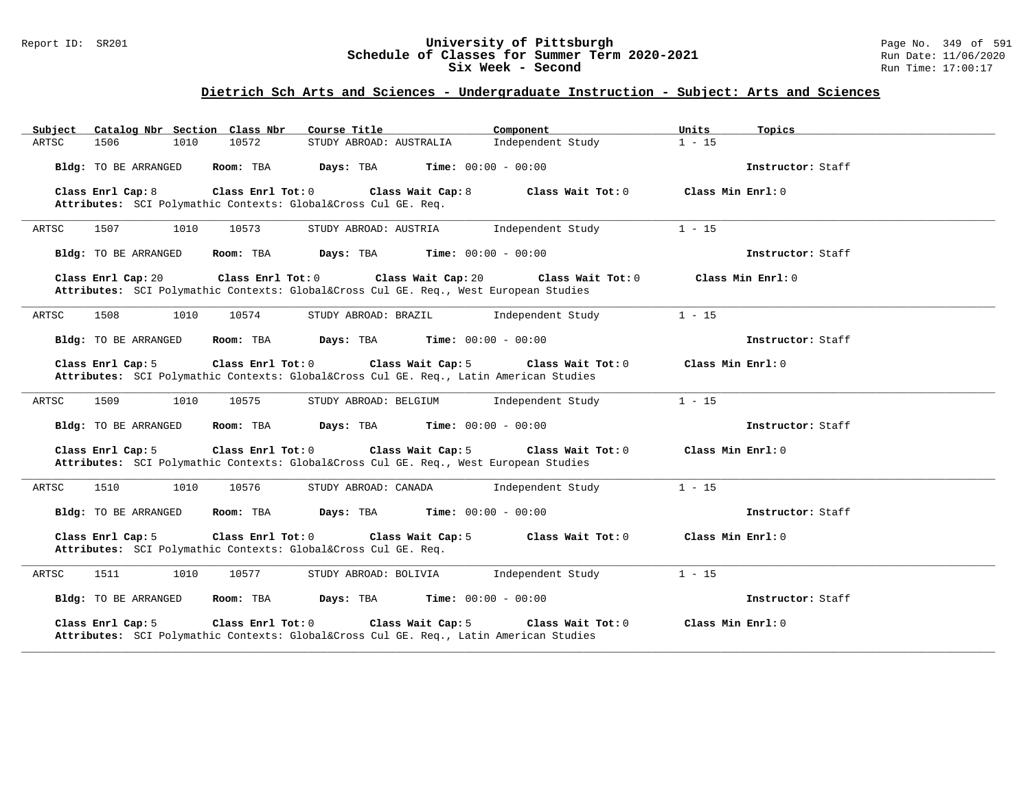#### Report ID: SR201 **University of Pittsburgh** Page No. 349 of 591 **Schedule of Classes for Summer Term 2020-2021** Run Date: 11/06/2020 **Six Week - Second Run Time: 17:00:17**

| Catalog Nbr Section Class Nbr<br>Subject                                                                                    | Course Title            | Component                    | Units<br>Topics   |
|-----------------------------------------------------------------------------------------------------------------------------|-------------------------|------------------------------|-------------------|
| 1506<br>1010<br>10572<br>ARTSC                                                                                              | STUDY ABROAD: AUSTRALIA | Independent Study            | $1 - 15$          |
| Bldg: TO BE ARRANGED<br>Room: TBA                                                                                           | Days: TBA               | <b>Time:</b> $00:00 - 00:00$ | Instructor: Staff |
| Class Enrl Cap: 8<br>Class Enrl Tot: 0<br>Attributes: SCI Polymathic Contexts: Global⨯ Cul GE. Req.                         | Class Wait Cap: 8       | Class Wait Tot: 0            | Class Min Enrl: 0 |
| 1507<br>10573<br>ARTSC<br>1010                                                                                              | STUDY ABROAD: AUSTRIA   | Independent Study            | $1 - 15$          |
| Bldg: TO BE ARRANGED<br>Room: TBA                                                                                           | Days: TBA               | <b>Time:</b> $00:00 - 00:00$ | Instructor: Staff |
| Class Enrl Cap: 20<br>Class Enrl Tot: 0<br>Attributes: SCI Polymathic Contexts: Global⨯ Cul GE. Req., West European Studies | Class Wait Cap: 20      | Class Wait Tot: 0            | Class Min Enrl: 0 |
| ARTSC<br>1508<br>1010<br>10574                                                                                              | STUDY ABROAD: BRAZIL    | Independent Study            | $1 - 15$          |
| Bldg: TO BE ARRANGED<br>Room: TBA                                                                                           | Days: TBA               | <b>Time:</b> $00:00 - 00:00$ | Instructor: Staff |
| Class Enrl Cap: 5<br>Class Enrl Tot: 0<br>Attributes: SCI Polymathic Contexts: Global⨯ Cul GE. Req., Latin American Studies | Class Wait Cap: 5       | Class Wait Tot: 0            | Class Min Enrl: 0 |
| ARTSC<br>1509<br>10575<br>1010                                                                                              | STUDY ABROAD: BELGIUM   | Independent Study            | $1 - 15$          |
| Bldg: TO BE ARRANGED<br>Room: TBA                                                                                           | Days: TBA               | <b>Time:</b> $00:00 - 00:00$ | Instructor: Staff |
| Class Enrl Cap: 5<br>Class Enrl Tot: 0<br>Attributes: SCI Polymathic Contexts: Global⨯ Cul GE. Req., West European Studies  | Class Wait Cap: 5       | Class Wait Tot: 0            | Class Min Enrl: 0 |
| ARTSC<br>1510<br>1010<br>10576                                                                                              | STUDY ABROAD: CANADA    | Independent Study            | $1 - 15$          |
| Bldg: TO BE ARRANGED<br>Room: TBA                                                                                           | Days: TBA               | <b>Time:</b> $00:00 - 00:00$ | Instructor: Staff |
| Class Enrl Cap: 5<br>Class Enrl Tot: 0<br>Attributes: SCI Polymathic Contexts: Global⨯ Cul GE. Req.                         | Class Wait Cap: 5       | Class Wait Tot: 0            | Class Min Enrl: 0 |
| 10577<br>ARTSC<br>1511<br>1010                                                                                              | STUDY ABROAD: BOLIVIA   | Independent Study            | $1 - 15$          |
| Bldg: TO BE ARRANGED<br>Room: TBA                                                                                           | Days: TBA               | <b>Time:</b> $00:00 - 00:00$ | Instructor: Staff |
| Class Enrl Cap: 5<br>Class Enrl Tot: 0<br>Attributes: SCI Polymathic Contexts: Global⨯ Cul GE. Req., Latin American Studies | Class Wait Cap: 5       | Class Wait Tot: 0            | Class Min Enrl: 0 |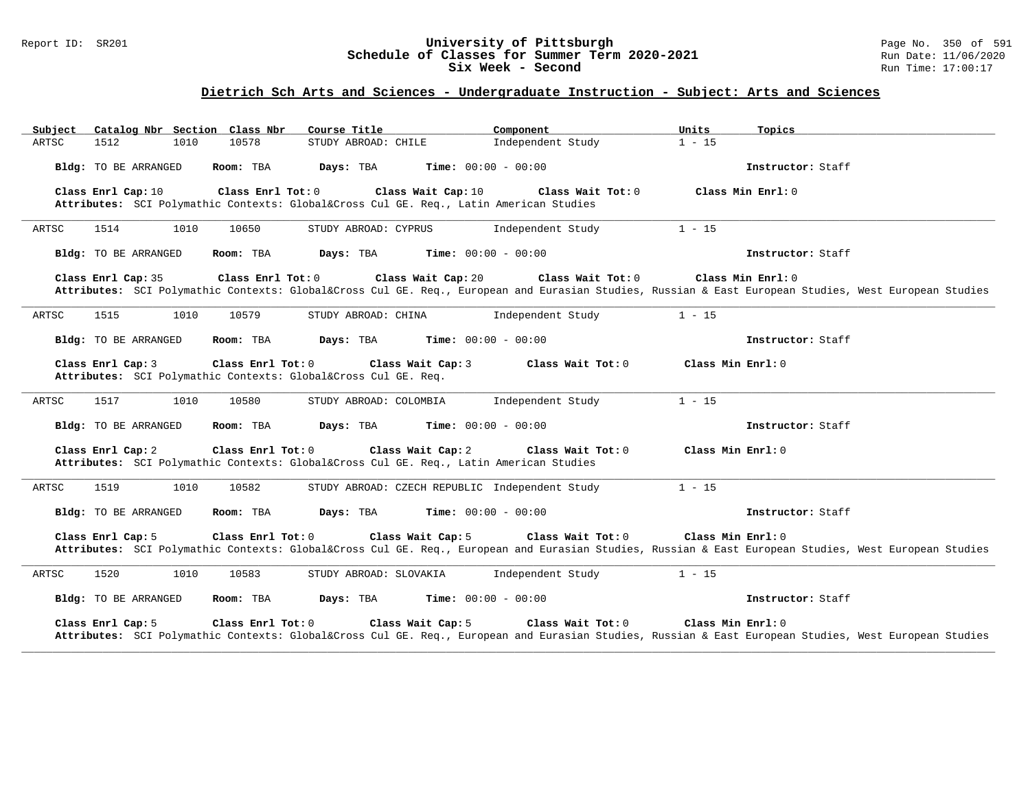#### Report ID: SR201 **University of Pittsburgh** Page No. 350 of 591 **Schedule of Classes for Summer Term 2020-2021** Run Date: 11/06/2020 **Six Week - Second Run Time: 17:00:17**

| Subject |                             | Catalog Nbr Section Class Nbr | Course Title                                                                   | Component                                                                                              | Units             | Topics                                                                                                                                           |
|---------|-----------------------------|-------------------------------|--------------------------------------------------------------------------------|--------------------------------------------------------------------------------------------------------|-------------------|--------------------------------------------------------------------------------------------------------------------------------------------------|
| ARTSC   | 1512                        | 10578<br>1010                 | STUDY ABROAD: CHILE                                                            | Independent Study                                                                                      | $1 - 15$          |                                                                                                                                                  |
|         | <b>Bldg:</b> TO BE ARRANGED | Room: TBA                     | Days: TBA                                                                      | <b>Time:</b> $00:00 - 00:00$                                                                           |                   | Instructor: Staff                                                                                                                                |
|         | Class Enrl Cap: 10          | Class Enrl Tot: 0             | Class Wait Cap: 10                                                             | Class Wait Tot: 0<br>Attributes: SCI Polymathic Contexts: Global⨯ Cul GE. Req., Latin American Studies |                   | Class Min $Enr1: 0$                                                                                                                              |
| ARTSC   | 1514                        | 1010<br>10650                 | STUDY ABROAD: CYPRUS                                                           | Independent Study                                                                                      | $1 - 15$          |                                                                                                                                                  |
|         | <b>Bldg:</b> TO BE ARRANGED | Room: TBA                     | Days: TBA                                                                      | <b>Time:</b> $00:00 - 00:00$                                                                           |                   | Instructor: Staff                                                                                                                                |
|         | Class Enrl Cap: 35          | Class Enrl Tot: 0             | Class Wait Cap: 20                                                             | Class Wait Tot: 0                                                                                      |                   | Class Min Enrl: 0                                                                                                                                |
|         |                             |                               |                                                                                |                                                                                                        |                   | Attributes: SCI Polymathic Contexts: Global⨯ Cul GE. Req., European and Eurasian Studies, Russian & East European Studies, West European Studies |
| ARTSC   | 1515                        | 10579<br>1010                 | STUDY ABROAD: CHINA                                                            | Independent Study                                                                                      | $1 - 15$          |                                                                                                                                                  |
|         | Bldg: TO BE ARRANGED        | Room: TBA                     | Days: TBA                                                                      | <b>Time:</b> $00:00 - 00:00$                                                                           |                   | Instructor: Staff                                                                                                                                |
|         | Class Enrl Cap: 3           | Class Enrl Tot: 0             | Class Wait Cap: 3<br>Attributes: SCI Polymathic Contexts: Global⨯ Cul GE. Req. | Class Wait Tot: 0                                                                                      | Class Min Enrl: 0 |                                                                                                                                                  |
| ARTSC   | 1517                        | 1010<br>10580                 | STUDY ABROAD: COLOMBIA                                                         | Independent Study                                                                                      | $1 - 15$          |                                                                                                                                                  |
|         | <b>Bldg:</b> TO BE ARRANGED | Room: TBA                     | Days: TBA                                                                      | <b>Time:</b> $00:00 - 00:00$                                                                           |                   | Instructor: Staff                                                                                                                                |
|         | Class Enrl Cap: 2           | Class Enrl Tot: 0             | Class Wait Cap: 2                                                              | Class Wait Tot: 0<br>Attributes: SCI Polymathic Contexts: Global⨯ Cul GE. Req., Latin American Studies | Class Min Enrl: 0 |                                                                                                                                                  |
| ARTSC   | 1519                        | 10582<br>1010                 |                                                                                | STUDY ABROAD: CZECH REPUBLIC Independent Study                                                         | $1 - 15$          |                                                                                                                                                  |
|         | Bldg: TO BE ARRANGED        | Room: TBA                     | Days: TBA                                                                      | <b>Time:</b> $00:00 - 00:00$                                                                           |                   | Instructor: Staff                                                                                                                                |
|         | Class Enrl Cap: 5           | Class Enrl Tot: 0             | Class Wait Cap: 5                                                              | Class Wait Tot: 0                                                                                      | Class Min Enrl: 0 | Attributes: SCI Polymathic Contexts: Global⨯ Cul GE. Req., European and Eurasian Studies, Russian & East European Studies, West European Studies |
| ARTSC   | 1520                        | 1010<br>10583                 | STUDY ABROAD: SLOVAKIA                                                         | Independent Study                                                                                      | $1 - 15$          |                                                                                                                                                  |
|         | Bldg: TO BE ARRANGED        | Room: TBA                     | Days: TBA                                                                      | <b>Time:</b> $00:00 - 00:00$                                                                           |                   | Instructor: Staff                                                                                                                                |
|         | Class Enrl Cap: 5           | Class Enrl Tot: 0             | Class Wait Cap: 5                                                              | Class Wait Tot: 0                                                                                      | Class Min Enrl: 0 | Attributes: SCI Polymathic Contexts: Global⨯ Cul GE. Req., European and Eurasian Studies, Russian & East European Studies, West European Studies |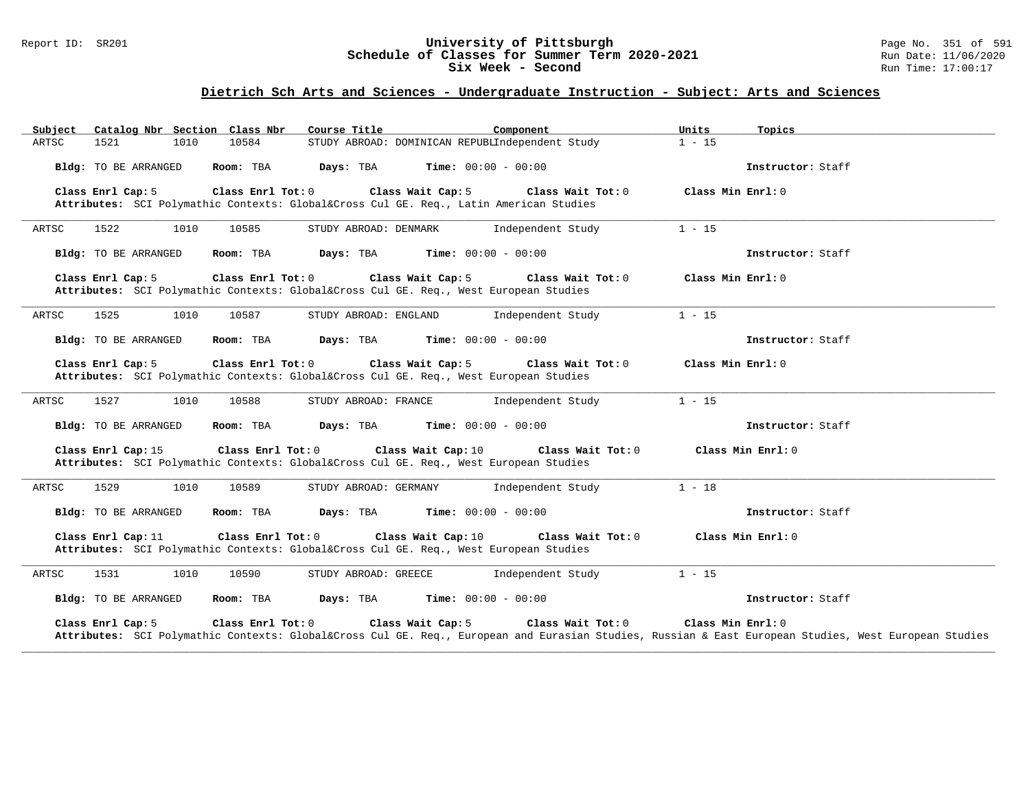#### Report ID: SR201 **University of Pittsburgh** Page No. 351 of 591 **Schedule of Classes for Summer Term 2020-2021** Run Date: 11/06/2020 **Six Week - Second Run Time: 17:00:17**

| Catalog Nbr Section Class Nbr<br>Subject                                                                                    | Course Title                                    | Component         | Units<br>Topics                                                                                                                                                       |
|-----------------------------------------------------------------------------------------------------------------------------|-------------------------------------------------|-------------------|-----------------------------------------------------------------------------------------------------------------------------------------------------------------------|
| 10584<br>ARTSC<br>1521<br>1010                                                                                              | STUDY ABROAD: DOMINICAN REPUBLIndependent Study |                   | $1 - 15$                                                                                                                                                              |
| Room: TBA<br>Bldg: TO BE ARRANGED                                                                                           | Days: TBA<br><b>Time:</b> $00:00 - 00:00$       |                   | Instructor: Staff                                                                                                                                                     |
| Class Enrl Cap: 5<br>Class Enrl Tot: 0<br>Attributes: SCI Polymathic Contexts: Global⨯ Cul GE. Req., Latin American Studies | Class Wait Cap: 5                               | Class Wait Tot: 0 | Class Min Enrl: 0                                                                                                                                                     |
| 1522<br>ARTSC<br>1010<br>10585                                                                                              | STUDY ABROAD: DENMARK                           | Independent Study | $1 - 15$                                                                                                                                                              |
| Bldg: TO BE ARRANGED<br>Room: TBA                                                                                           | Days: TBA<br><b>Time:</b> $00:00 - 00:00$       |                   | Instructor: Staff                                                                                                                                                     |
| Class Enrl Cap: 5<br>Class Enrl Tot: 0<br>Attributes: SCI Polymathic Contexts: Global⨯ Cul GE. Req., West European Studies  | Class Wait Cap: 5                               | Class Wait Tot: 0 | Class Min Enrl: 0                                                                                                                                                     |
| ARTSC<br>1525<br>1010<br>10587                                                                                              | STUDY ABROAD: ENGLAND                           | Independent Study | $1 - 15$                                                                                                                                                              |
| Bldg: TO BE ARRANGED<br>Room: TBA                                                                                           | Time: $00:00 - 00:00$<br>Days: TBA              |                   | Instructor: Staff                                                                                                                                                     |
| Class Enrl Cap: 5<br>Class Enrl Tot: 0<br>Attributes: SCI Polymathic Contexts: Global⨯ Cul GE. Req., West European Studies  | Class Wait Cap: 5                               | Class Wait Tot: 0 | Class Min Enrl: 0                                                                                                                                                     |
| 1527<br>ARTSC<br>1010<br>10588                                                                                              | STUDY ABROAD: FRANCE                            | Independent Study | $1 - 15$                                                                                                                                                              |
| Bldg: TO BE ARRANGED<br>Room: TBA                                                                                           | Days: TBA<br><b>Time:</b> $00:00 - 00:00$       |                   | Instructor: Staff                                                                                                                                                     |
| Class Enrl Cap: 15<br>Class Enrl Tot: 0<br>Attributes: SCI Polymathic Contexts: Global⨯ Cul GE. Req., West European Studies | Class Wait Cap: 10                              | Class Wait Tot: 0 | Class Min Enrl: 0                                                                                                                                                     |
| 1529<br>ARTSC<br>1010<br>10589                                                                                              | STUDY ABROAD: GERMANY                           | Independent Study | $1 - 18$                                                                                                                                                              |
| Bldg: TO BE ARRANGED<br>Room: TBA                                                                                           | <b>Time:</b> $00:00 - 00:00$<br>Days: TBA       |                   | Instructor: Staff                                                                                                                                                     |
| Class Enrl Cap: 11<br>Class Enrl Tot: 0<br>Attributes: SCI Polymathic Contexts: Global⨯ Cul GE. Req., West European Studies | Class Wait Cap: 10                              | Class Wait Tot: 0 | Class Min $Enr1: 0$                                                                                                                                                   |
| ARTSC<br>1531<br>1010<br>10590                                                                                              | STUDY ABROAD: GREECE                            | Independent Study | $1 - 15$                                                                                                                                                              |
| Bldg: TO BE ARRANGED<br>Room: TBA                                                                                           | Days: TBA<br><b>Time:</b> $00:00 - 00:00$       |                   | Instructor: Staff                                                                                                                                                     |
| Class Enrl Cap: 5<br>Class Enrl Tot: 0                                                                                      | Class Wait Cap: 5                               | Class Wait Tot: 0 | Class Min Enrl: 0<br>Attributes: SCI Polymathic Contexts: Global⨯ Cul GE. Req., European and Eurasian Studies, Russian & East European Studies, West European Studies |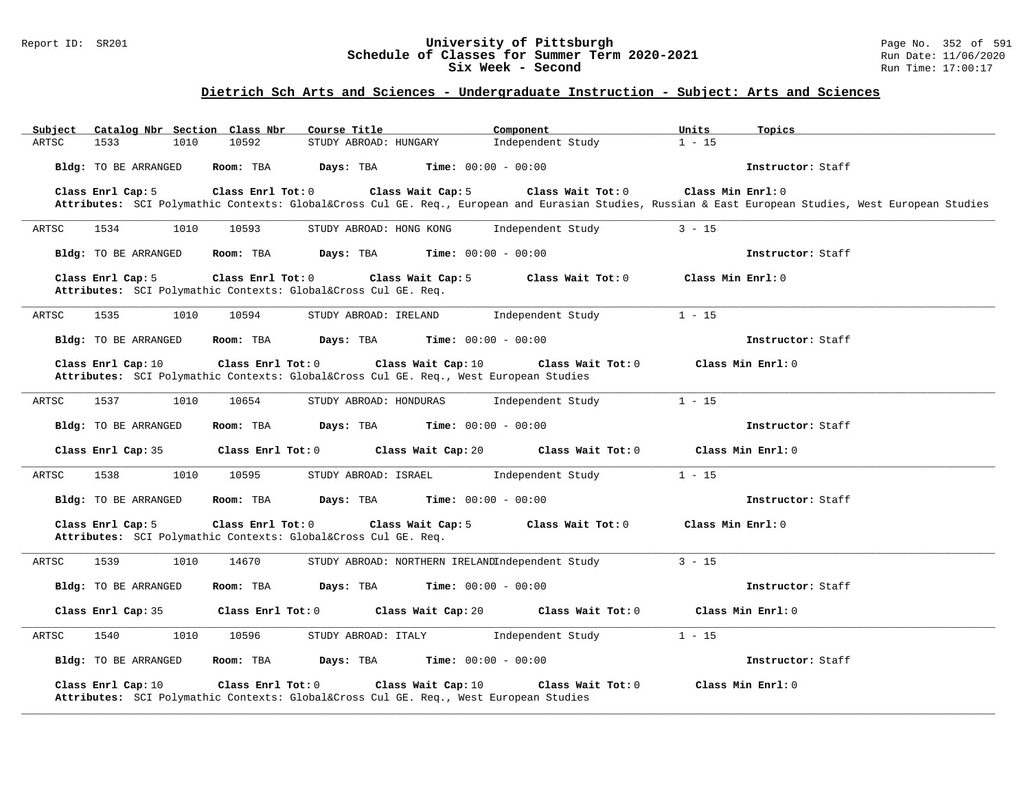#### Report ID: SR201 **University of Pittsburgh** Page No. 352 of 591 **Schedule of Classes for Summer Term 2020-2021** Run Date: 11/06/2020 **Six Week - Second Run Time: 17:00:17**

# **Dietrich Sch Arts and Sciences - Undergraduate Instruction - Subject: Arts and Sciences**

| Catalog Nbr Section Class Nbr<br>Subject | Course Title                                                                                                                                     | Component                            | Units<br>Topics   |  |
|------------------------------------------|--------------------------------------------------------------------------------------------------------------------------------------------------|--------------------------------------|-------------------|--|
| 1533<br>1010<br>ARTSC                    | 10592<br>STUDY ABROAD: HUNGARY                                                                                                                   | Independent Study                    | $1 - 15$          |  |
| Bldg: TO BE ARRANGED                     | Room: TBA<br>Days: TBA<br><b>Time:</b> $00:00 - 00:00$                                                                                           |                                      | Instructor: Staff |  |
| Class Enrl Cap: 5                        | Class Enrl Tot: 0<br>Class Wait Cap: 5                                                                                                           | Class Wait Tot: 0                    | Class Min Enrl: 0 |  |
|                                          | Attributes: SCI Polymathic Contexts: Global⨯ Cul GE. Req., European and Eurasian Studies, Russian & East European Studies, West European Studies |                                      |                   |  |
| ARTSC<br>1534<br>1010                    | 10593<br>STUDY ABROAD: HONG KONG                                                                                                                 | Independent Study                    | $3 - 15$          |  |
| Bldg: TO BE ARRANGED                     | <b>Days:</b> TBA <b>Time:</b> $00:00 - 00:00$<br>Room: TBA                                                                                       |                                      | Instructor: Staff |  |
| Class Enrl Cap: 5                        | Class Enrl Tot: 0<br>Class Wait Cap: 5<br>Attributes: SCI Polymathic Contexts: Global⨯ Cul GE. Req.                                              | Class Wait Tot: 0                    | Class Min Enrl: 0 |  |
| 1535<br>ARTSC<br>1010                    | 10594<br>STUDY ABROAD: IRELAND                                                                                                                   | Independent Study                    | $1 - 15$          |  |
| Bldg: TO BE ARRANGED                     | Room: TBA<br><b>Days:</b> TBA <b>Time:</b> $00:00 - 00:00$                                                                                       |                                      | Instructor: Staff |  |
| Class Enrl Cap: 10                       | Class Enrl Tot: 0<br>Class Wait Cap: 10<br>Attributes: SCI Polymathic Contexts: Global⨯ Cul GE. Req., West European Studies                      | Class Wait Tot: 0                    | Class Min Enrl: 0 |  |
| 1537<br>1010<br>ARTSC                    | 10654<br>STUDY ABROAD: HONDURAS                                                                                                                  | Independent Study                    | $1 - 15$          |  |
| Bldg: TO BE ARRANGED                     | <b>Days:</b> TBA <b>Time:</b> $00:00 - 00:00$<br>Room: TBA                                                                                       |                                      | Instructor: Staff |  |
| Class Enrl Cap: 35                       | Class Wait Cap: 20<br>Class Enrl Tot: 0                                                                                                          | Class Wait Tot: 0                    | Class Min Enrl: 0 |  |
| 1010<br>ARTSC<br>1538                    | 10595<br>STUDY ABROAD: ISRAEL                                                                                                                    | Independent Study                    | $1 - 15$          |  |
| Bldg: TO BE ARRANGED                     | Days: TBA<br><b>Time:</b> $00:00 - 00:00$<br>Room: TBA                                                                                           |                                      | Instructor: Staff |  |
| Class Enrl Cap: 5                        | Class Enrl Tot: 0<br>Class Wait Cap: 5<br>Attributes: SCI Polymathic Contexts: Global⨯ Cul GE. Req.                                              | Class Wait Tot: 0                    | Class Min Enrl: 0 |  |
| 1539<br>1010<br>ARTSC                    | 14670<br>STUDY ABROAD: NORTHERN IRELANDIndependent Study                                                                                         |                                      | $3 - 15$          |  |
| Bldg: TO BE ARRANGED                     | $Time: 00:00 - 00:00$<br>Room: TBA<br>Days: TBA                                                                                                  |                                      | Instructor: Staff |  |
| Class Enrl Cap: 35                       | Class Enrl Tot: 0                                                                                                                                | Class Wait Cap: 20 Class Wait Tot: 0 | Class Min Enrl: 0 |  |
| 1540<br>1010<br>ARTSC                    | 10596<br>STUDY ABROAD: ITALY                                                                                                                     | Independent Study                    | $1 - 15$          |  |
| Bldg: TO BE ARRANGED                     | Room: TBA<br>Days: TBA<br><b>Time:</b> $00:00 - 00:00$                                                                                           |                                      | Instructor: Staff |  |
| Class Enrl Cap: 10                       | Class Enrl Tot: 0<br>Class Wait Cap: 10<br>Attributes: SCI Polymathic Contexts: Global⨯ Cul GE. Req., West European Studies                      | Class Wait Tot: 0                    | Class Min Enrl: 0 |  |

**\_\_\_\_\_\_\_\_\_\_\_\_\_\_\_\_\_\_\_\_\_\_\_\_\_\_\_\_\_\_\_\_\_\_\_\_\_\_\_\_\_\_\_\_\_\_\_\_\_\_\_\_\_\_\_\_\_\_\_\_\_\_\_\_\_\_\_\_\_\_\_\_\_\_\_\_\_\_\_\_\_\_\_\_\_\_\_\_\_\_\_\_\_\_\_\_\_\_\_\_\_\_\_\_\_\_\_\_\_\_\_\_\_\_\_\_\_\_\_\_\_\_\_\_\_\_\_\_\_\_\_\_\_\_\_\_\_\_\_\_\_\_\_\_\_\_\_\_\_\_\_\_\_\_\_\_**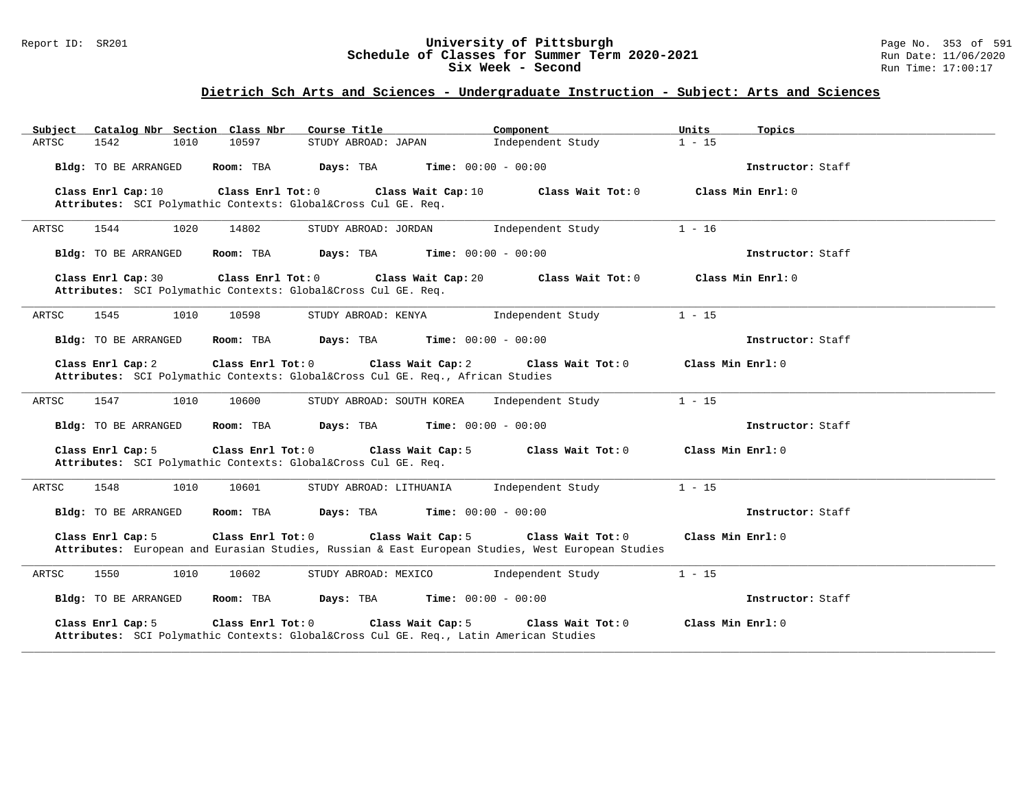#### Report ID: SR201 **University of Pittsburgh** Page No. 353 of 591 **Schedule of Classes for Summer Term 2020-2021** Run Date: 11/06/2020 **Six Week - Second Run Time: 17:00:17**

| Catalog Nbr Section Class Nbr<br>Subject                                                                                                    | Course Title              | Component                    | Units<br>Topics     |
|---------------------------------------------------------------------------------------------------------------------------------------------|---------------------------|------------------------------|---------------------|
| 1542<br>10597<br>ARTSC<br>1010                                                                                                              | STUDY ABROAD: JAPAN       | Independent Study            | $1 - 15$            |
| Bldg: TO BE ARRANGED<br>Room: TBA                                                                                                           | Days: TBA                 | <b>Time:</b> $00:00 - 00:00$ | Instructor: Staff   |
| Class Enrl Cap: 10<br>Class Enrl Tot: 0<br>Attributes: SCI Polymathic Contexts: Global⨯ Cul GE. Req.                                        | Class Wait Cap: 10        | Class Wait Tot: 0            | Class Min $Enr1: 0$ |
| 1544<br>1020<br>14802<br>ARTSC                                                                                                              | STUDY ABROAD: JORDAN      | Independent Study            | $1 - 16$            |
| Bldg: TO BE ARRANGED<br>Room: TBA                                                                                                           | Days: TBA                 | <b>Time:</b> $00:00 - 00:00$ | Instructor: Staff   |
| Class Enrl Tot: 0<br>Class Enrl Cap: 30<br>Attributes: SCI Polymathic Contexts: Global⨯ Cul GE. Req.                                        | Class Wait Cap: 20        | Class Wait Tot: 0            | Class Min Enrl: 0   |
| ARTSC<br>1545<br>1010<br>10598                                                                                                              | STUDY ABROAD: KENYA       | Independent Study            | $1 - 15$            |
| Bldg: TO BE ARRANGED<br>Room: TBA                                                                                                           | Days: TBA                 | <b>Time:</b> $00:00 - 00:00$ | Instructor: Staff   |
| Class Enrl Cap: 2<br>Class Enrl Tot: 0<br>Attributes: SCI Polymathic Contexts: Global⨯ Cul GE. Req., African Studies                        | Class Wait Cap: 2         | Class Wait Tot: 0            | Class Min Enrl: 0   |
| ARTSC<br>1547<br>1010<br>10600                                                                                                              | STUDY ABROAD: SOUTH KOREA | Independent Study            | $1 - 15$            |
| Bldg: TO BE ARRANGED<br>Room: TBA                                                                                                           | Days: TBA                 | <b>Time:</b> $00:00 - 00:00$ | Instructor: Staff   |
| Class Enrl Cap: 5<br>Class Enrl Tot: 0<br>Attributes: SCI Polymathic Contexts: Global⨯ Cul GE. Req.                                         | Class Wait Cap: 5         | Class Wait Tot: 0            | Class Min Enrl: 0   |
| ARTSC<br>1548<br>1010<br>10601                                                                                                              | STUDY ABROAD: LITHUANIA   | Independent Study            | $1 - 15$            |
| Bldg: TO BE ARRANGED<br>Room: TBA                                                                                                           | Days: TBA                 | <b>Time:</b> $00:00 - 00:00$ | Instructor: Staff   |
| Class Enrl Cap: 5<br>Class Enrl Tot: 0<br>Attributes: European and Eurasian Studies, Russian & East European Studies, West European Studies | Class Wait Cap: 5         | Class Wait Tot: 0            | Class Min Enrl: 0   |
| ARTSC<br>1550<br>1010<br>10602                                                                                                              | STUDY ABROAD: MEXICO      | Independent Study            | $1 - 15$            |
| Bldg: TO BE ARRANGED<br>Room: TBA                                                                                                           | Days: TBA                 | <b>Time:</b> $00:00 - 00:00$ | Instructor: Staff   |
| Class Enrl Cap: 5<br>Class Enrl Tot: 0<br>Attributes: SCI Polymathic Contexts: Global⨯ Cul GE. Req., Latin American Studies                 | Class Wait Cap: 5         | Class Wait Tot: 0            | Class Min Enrl: 0   |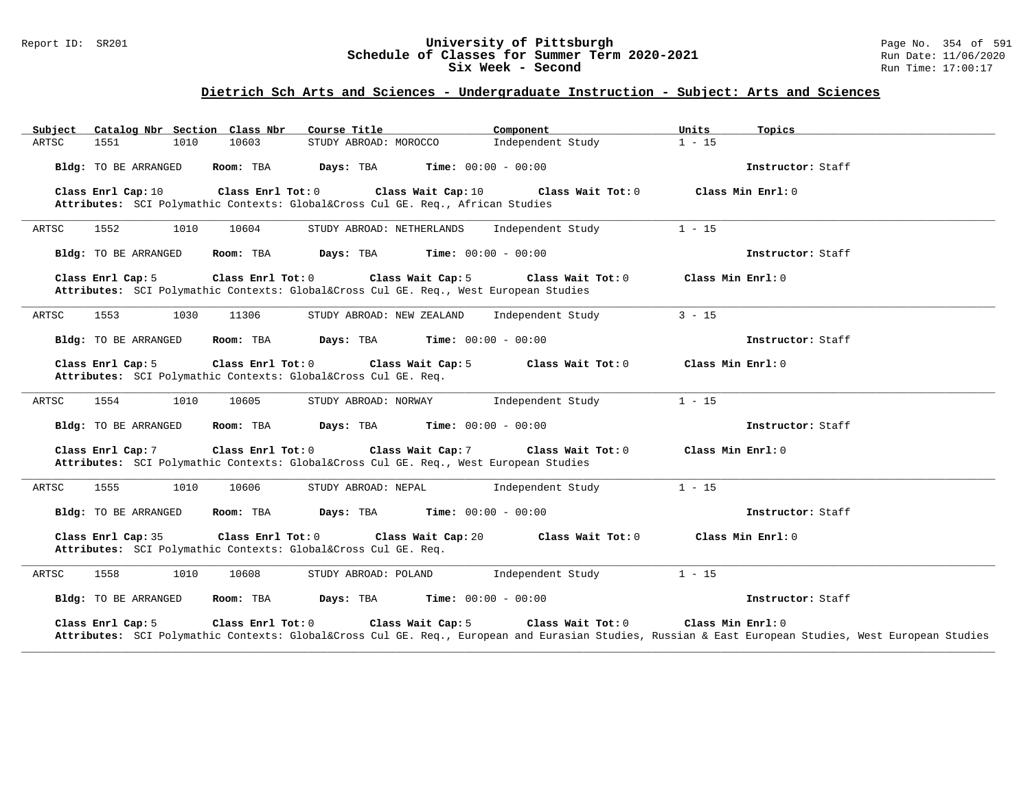#### Report ID: SR201 **University of Pittsburgh** Page No. 354 of 591 **Schedule of Classes for Summer Term 2020-2021** Run Date: 11/06/2020 **Six Week - Second Run Time: 17:00:17**

| Catalog Nbr Section Class Nbr<br>Subject                                                                                   | Course Title              | Component                    | Units<br>Topics                                                                                                                                                       |
|----------------------------------------------------------------------------------------------------------------------------|---------------------------|------------------------------|-----------------------------------------------------------------------------------------------------------------------------------------------------------------------|
| 10603<br>ARTSC<br>1551<br>1010                                                                                             | STUDY ABROAD: MOROCCO     | Independent Study            | $1 - 15$                                                                                                                                                              |
| <b>Bldg:</b> TO BE ARRANGED<br>Room: TBA                                                                                   | Days: TBA                 | <b>Time:</b> $00:00 - 00:00$ | Instructor: Staff                                                                                                                                                     |
| Class Enrl Tot: 0<br>Class Enrl Cap: 10<br>Attributes: SCI Polymathic Contexts: Global⨯ Cul GE. Req., African Studies      | Class Wait Cap: 10        | Class Wait Tot: 0            | Class Min Enrl: 0                                                                                                                                                     |
| 1552<br>1010<br>10604<br>ARTSC                                                                                             | STUDY ABROAD: NETHERLANDS | Independent Study            | $1 - 15$                                                                                                                                                              |
| Bldg: TO BE ARRANGED<br>Room: TBA                                                                                          | Days: TBA                 | <b>Time:</b> $00:00 - 00:00$ | Instructor: Staff                                                                                                                                                     |
| Class Enrl Cap: 5<br>Class Enrl Tot: 0<br>Attributes: SCI Polymathic Contexts: Global⨯ Cul GE. Req., West European Studies | Class Wait Cap: 5         | Class Wait Tot: 0            | Class Min Enrl: 0                                                                                                                                                     |
| ARTSC<br>1553<br>1030<br>11306                                                                                             | STUDY ABROAD: NEW ZEALAND | Independent Study            | $3 - 15$                                                                                                                                                              |
| Bldg: TO BE ARRANGED<br>Room: TBA                                                                                          | Days: TBA                 | <b>Time:</b> $00:00 - 00:00$ | Instructor: Staff                                                                                                                                                     |
| Class Enrl Cap: 5<br>Class Enrl Tot: 0<br>Attributes: SCI Polymathic Contexts: Global⨯ Cul GE. Req.                        | Class Wait Cap: 5         | Class Wait Tot: 0            | Class Min Enrl: 0                                                                                                                                                     |
| ARTSC<br>1554<br>1010<br>10605                                                                                             | STUDY ABROAD: NORWAY      | Independent Study            | $1 - 15$                                                                                                                                                              |
| <b>Bldg:</b> TO BE ARRANGED<br>Room: TBA                                                                                   | Days: TBA                 | <b>Time:</b> $00:00 - 00:00$ | Instructor: Staff                                                                                                                                                     |
| Class Enrl Cap: 7<br>Class Enrl Tot: 0<br>Attributes: SCI Polymathic Contexts: Global⨯ Cul GE. Req., West European Studies | Class Wait Cap: 7         | Class Wait Tot: 0            | Class Min Enrl: 0                                                                                                                                                     |
| ARTSC<br>1555<br>1010<br>10606                                                                                             | STUDY ABROAD: NEPAL       | Independent Study            | $1 - 15$                                                                                                                                                              |
| <b>Bldg:</b> TO BE ARRANGED<br>Room: TBA                                                                                   | Days: TBA                 | <b>Time:</b> $00:00 - 00:00$ | Instructor: Staff                                                                                                                                                     |
| Class Enrl Tot: 0<br>Class Enrl Cap: 35<br>Attributes: SCI Polymathic Contexts: Global⨯ Cul GE. Req.                       | Class Wait Cap: 20        | Class Wait Tot: 0            | Class Min Enrl: 0                                                                                                                                                     |
| ARTSC<br>1558<br>1010<br>10608                                                                                             | STUDY ABROAD: POLAND      | Independent Study            | $1 - 15$                                                                                                                                                              |
| Bldg: TO BE ARRANGED<br>Room: TBA                                                                                          | Days: TBA                 | <b>Time:</b> $00:00 - 00:00$ | Instructor: Staff                                                                                                                                                     |
| Class Enrl Cap: 5<br>Class Enrl Tot: 0                                                                                     | Class Wait Cap: 5         | Class Wait Tot: 0            | Class Min Enrl: 0<br>Attributes: SCI Polymathic Contexts: Global⨯ Cul GE. Req., European and Eurasian Studies, Russian & East European Studies, West European Studies |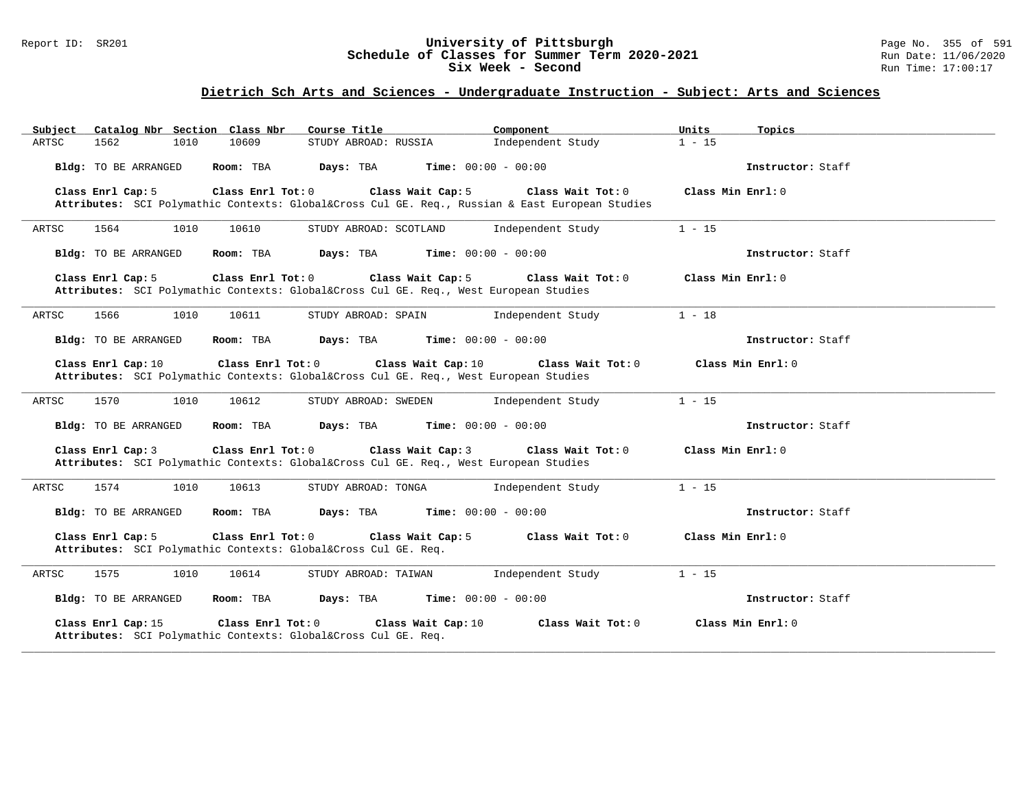#### Report ID: SR201 **University of Pittsburgh** Page No. 355 of 591 **Schedule of Classes for Summer Term 2020-2021** Run Date: 11/06/2020 **Six Week - Second Run Time: 17:00:17**

| Catalog Nbr Section Class Nbr<br>Subject                                                                                             | Course Title           | Component                    | Units<br>Topics   |  |
|--------------------------------------------------------------------------------------------------------------------------------------|------------------------|------------------------------|-------------------|--|
| 1562<br>1010<br>10609<br>ARTSC                                                                                                       | STUDY ABROAD: RUSSIA   | Independent Study            | $1 - 15$          |  |
| Bldg: TO BE ARRANGED<br>Room: TBA                                                                                                    | Days: TBA              | <b>Time:</b> $00:00 - 00:00$ | Instructor: Staff |  |
| Class Enrl Cap: 5<br>Class Enrl Tot: 0<br>Attributes: SCI Polymathic Contexts: Global⨯ Cul GE. Req., Russian & East European Studies | Class Wait Cap: 5      | Class Wait Tot: 0            | Class Min Enrl: 0 |  |
| 1564<br>1010<br>10610<br>ARTSC                                                                                                       | STUDY ABROAD: SCOTLAND | Independent Study            | $1 - 15$          |  |
| Bldg: TO BE ARRANGED<br>Room: TBA                                                                                                    | Days: TBA              | <b>Time:</b> $00:00 - 00:00$ | Instructor: Staff |  |
| Class Enrl Cap: 5<br>Class Enrl Tot: 0<br>Attributes: SCI Polymathic Contexts: Global⨯ Cul GE. Req., West European Studies           | Class Wait Cap: 5      | Class Wait Tot: 0            | Class Min Enrl: 0 |  |
| 1566<br>ARTSC<br>1010<br>10611                                                                                                       | STUDY ABROAD: SPAIN    | Independent Study            | $1 - 18$          |  |
| Bldg: TO BE ARRANGED<br>Room: TBA                                                                                                    | Days: TBA              | <b>Time:</b> $00:00 - 00:00$ | Instructor: Staff |  |
| Class Enrl Cap: 10<br>Class Enrl Tot: 0<br>Attributes: SCI Polymathic Contexts: Global⨯ Cul GE. Req., West European Studies          | Class Wait Cap: 10     | Class Wait Tot: 0            | Class Min Enrl: 0 |  |
| ARTSC<br>1570<br>10612<br>1010                                                                                                       | STUDY ABROAD: SWEDEN   | Independent Study            | $1 - 15$          |  |
| Bldg: TO BE ARRANGED<br>Room: TBA                                                                                                    | Days: TBA              | <b>Time:</b> $00:00 - 00:00$ | Instructor: Staff |  |
| Class Enrl Cap: 3<br>Class Enrl Tot: 0<br>Attributes: SCI Polymathic Contexts: Global⨯ Cul GE. Req., West European Studies           | Class Wait Cap: 3      | Class Wait Tot: 0            | Class Min Enrl: 0 |  |
| ARTSC<br>1574<br>1010<br>10613                                                                                                       | STUDY ABROAD: TONGA    | Independent Study            | $1 - 15$          |  |
| Bldg: TO BE ARRANGED<br>Room: TBA                                                                                                    | Days: TBA              | <b>Time:</b> $00:00 - 00:00$ | Instructor: Staff |  |
| Class Enrl Cap: 5<br>Class Enrl Tot: 0<br>Attributes: SCI Polymathic Contexts: Global⨯ Cul GE. Req.                                  | Class Wait Cap: 5      | Class Wait Tot: 0            | Class Min Enrl: 0 |  |
| 1575<br>ARTSC<br>1010<br>10614                                                                                                       | STUDY ABROAD: TAIWAN   | Independent Study            | $1 - 15$          |  |
| Bldg: TO BE ARRANGED<br>Room: TBA                                                                                                    | Days: TBA              | <b>Time:</b> $00:00 - 00:00$ | Instructor: Staff |  |
| Class Enrl Cap: 15<br>Class Enrl Tot: 0<br>Attributes: SCI Polymathic Contexts: Global⨯ Cul GE. Req.                                 | Class Wait Cap: 10     | Class Wait Tot: 0            | Class Min Enrl: 0 |  |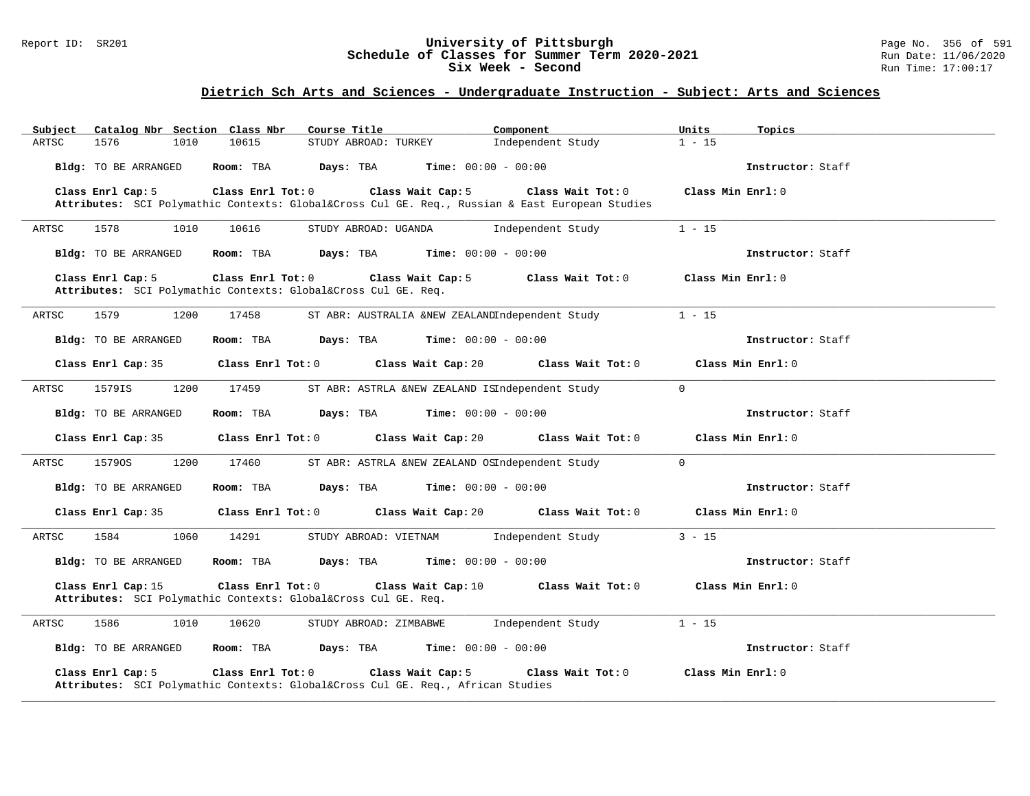#### Report ID: SR201 **University of Pittsburgh** Page No. 356 of 591 **Schedule of Classes for Summer Term 2020-2021** Run Date: 11/06/2020 **Six Week - Second Run Time: 17:00:17**

| Catalog Nbr Section Class Nbr<br>Subject | Course Title                                                                                                         | Component<br>Units            | Topics            |
|------------------------------------------|----------------------------------------------------------------------------------------------------------------------|-------------------------------|-------------------|
| 1576<br>ARTSC<br>1010                    | 10615<br>STUDY ABROAD: TURKEY                                                                                        | Independent Study             | $1 - 15$          |
| Bldg: TO BE ARRANGED                     | Days: TBA<br>Room: TBA                                                                                               | <b>Time:</b> $00:00 - 00:00$  | Instructor: Staff |
| Class Enrl Cap: 5                        | Class Wait Cap: 5<br>Class Enrl Tot: 0                                                                               | Class Wait Tot: 0             | Class Min Enrl: 0 |
|                                          | Attributes: SCI Polymathic Contexts: Global⨯ Cul GE. Req., Russian & East European Studies                           |                               |                   |
| ARTSC<br>1578<br>1010                    | 10616<br>STUDY ABROAD: UGANDA                                                                                        | Independent Study             | $1 - 15$          |
| <b>Bldg:</b> TO BE ARRANGED              | Days: TBA<br>Room: TBA                                                                                               | <b>Time:</b> $00:00 - 00:00$  | Instructor: Staff |
| Class Enrl Cap: 5                        | Class Enrl Tot: 0<br>Class Wait Cap: 5<br>Attributes: SCI Polymathic Contexts: Global⨯ Cul GE. Req.                  | Class Wait Tot: 0             | Class Min Enrl: 0 |
| 1579<br>ARTSC<br>1200                    | ST ABR: AUSTRALIA &NEW ZEALANDIndependent Study<br>17458                                                             | $1 - 15$                      |                   |
| Bldg: TO BE ARRANGED                     | $Time: 00:00 - 00:00$<br>Room: TBA<br>Days: TBA                                                                      |                               | Instructor: Staff |
| Class Enrl Cap: 35                       | Class Enrl Tot: 0<br>Class Wait Cap: 20                                                                              | Class Wait Tot: 0             | Class Min Enrl: 0 |
| ARTSC<br>1579IS<br>1200                  | 17459<br>ST ABR: ASTRLA &NEW ZEALAND ISIndependent Study                                                             | $\mathbf 0$                   |                   |
| Bldg: TO BE ARRANGED                     | Days: TBA<br>Room: TBA                                                                                               | <b>Time:</b> $00:00 - 00:00$  | Instructor: Staff |
| Class Enrl Cap: 35                       | Class Wait Cap: 20<br>Class Enrl Tot: 0                                                                              | Class Wait Tot: 0             | Class Min Enrl: 0 |
| ARTSC<br>15790S<br>1200                  | 17460<br>ST ABR: ASTRLA &NEW ZEALAND OSIndependent Study                                                             | $\mathbf 0$                   |                   |
| Bldg: TO BE ARRANGED                     | Days: TBA<br>Room: TBA                                                                                               | <b>Time:</b> $00:00 - 00:00$  | Instructor: Staff |
| Class Enrl Cap: 35                       | Class Wait Cap: 20<br>Class Enrl Tot: 0                                                                              | Class Wait Tot: 0             | Class Min Enrl: 0 |
| ARTSC<br>1584<br>1060                    | 14291<br>STUDY ABROAD: VIETNAM                                                                                       | Independent Study             | $3 - 15$          |
| <b>Bldg:</b> TO BE ARRANGED              | Days: TBA<br>Room: TBA                                                                                               | <b>Time:</b> $00:00 - 00:00$  | Instructor: Staff |
| Class Enrl Cap: 15                       | Class Enrl Tot: 0<br>Class Wait Cap: 10<br>Attributes: SCI Polymathic Contexts: Global⨯ Cul GE. Req.                 | Class Wait Tot: 0             | Class Min Enrl: 0 |
| 1586<br>1010<br>ARTSC                    | 10620<br>STUDY ABROAD: ZIMBABWE                                                                                      | $1 - 15$<br>Independent Study |                   |
| <b>Bldg:</b> TO BE ARRANGED              | Room: TBA<br>Days: TBA                                                                                               | <b>Time:</b> $00:00 - 00:00$  | Instructor: Staff |
| Class Enrl Cap: 5                        | Class Enrl Tot: 0<br>Class Wait Cap: 5<br>Attributes: SCI Polymathic Contexts: Global⨯ Cul GE. Req., African Studies | Class Wait Tot: 0             | Class Min Enrl: 0 |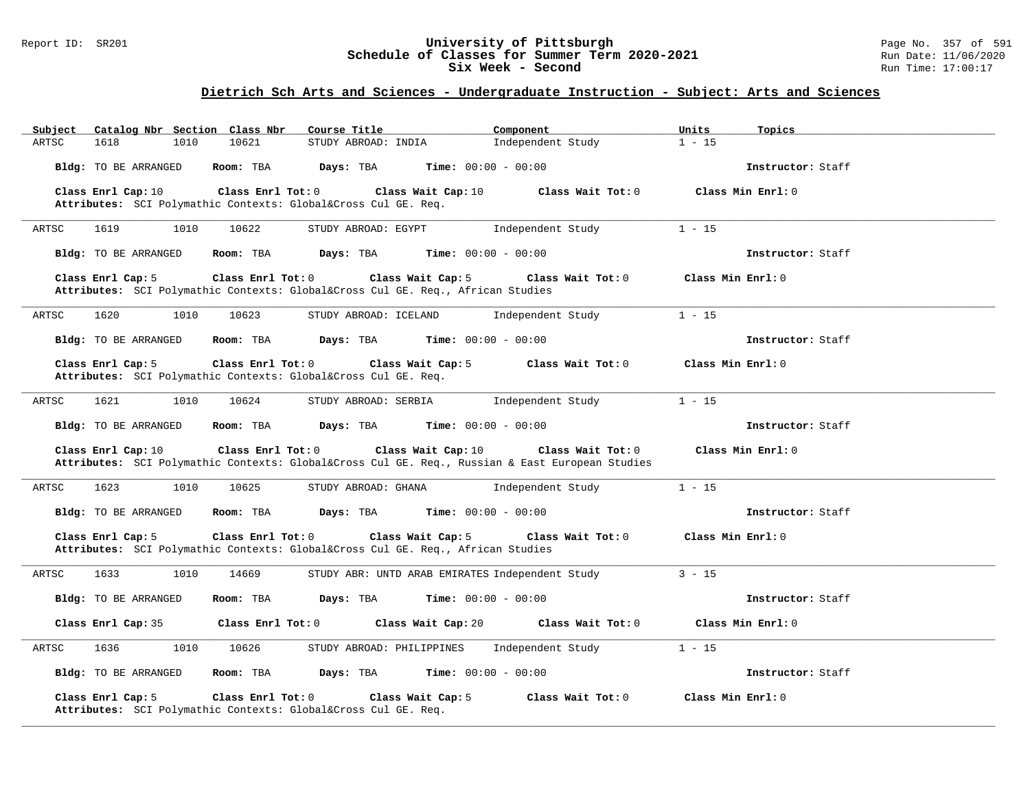#### Report ID: SR201 **University of Pittsburgh** Page No. 357 of 591 **Schedule of Classes for Summer Term 2020-2021** Run Date: 11/06/2020 **Six Week - Second Run Time: 17:00:17**

| Catalog Nbr Section Class Nbr<br>Subject | Course Title                                                                                                                          | Component<br>Units            | Topics            |
|------------------------------------------|---------------------------------------------------------------------------------------------------------------------------------------|-------------------------------|-------------------|
| 1618<br>ARTSC<br>1010                    | 10621<br>STUDY ABROAD: INDIA                                                                                                          | $1 - 15$<br>Independent Study |                   |
| Bldg: TO BE ARRANGED                     | Room: TBA<br>Days: TBA<br><b>Time:</b> $00:00 - 00:00$                                                                                |                               | Instructor: Staff |
| Class Enrl Cap: 10                       | Class Enrl Tot: 0<br>Class Wait Cap: 10                                                                                               | Class Wait Tot: 0             | Class Min Enrl: 0 |
|                                          | Attributes: SCI Polymathic Contexts: Global⨯ Cul GE. Req.                                                                             |                               |                   |
| ARTSC<br>1619<br>1010                    | 10622<br>STUDY ABROAD: EGYPT                                                                                                          | Independent Study<br>$1 - 15$ |                   |
| Bldg: TO BE ARRANGED                     | <b>Time:</b> $00:00 - 00:00$<br>Room: TBA<br>Days: TBA                                                                                |                               | Instructor: Staff |
| Class Enrl Cap: 5                        | Class Enrl Tot: 0<br>Class Wait Cap: 5<br>Attributes: SCI Polymathic Contexts: Global⨯ Cul GE. Req., African Studies                  | Class Wait Tot: 0             | Class Min Enrl: 0 |
| 1620<br>ARTSC<br>1010                    | 10623<br>STUDY ABROAD: ICELAND                                                                                                        | Independent Study<br>$1 - 15$ |                   |
| Bldg: TO BE ARRANGED                     | Room: TBA<br>Days: TBA<br><b>Time:</b> $00:00 - 00:00$                                                                                |                               | Instructor: Staff |
| Class Enrl Cap: 5                        | Class Wait Cap: 5<br>Class Enrl Tot: 0<br>Attributes: SCI Polymathic Contexts: Global⨯ Cul GE. Req.                                   | Class Wait Tot: $0$           | Class Min Enrl: 0 |
| 1621<br>1010<br>ARTSC                    | 10624<br>STUDY ABROAD: SERBIA                                                                                                         | $1 - 15$<br>Independent Study |                   |
| Bldg: TO BE ARRANGED                     | Room: TBA<br>Days: TBA<br><b>Time:</b> $00:00 - 00:00$                                                                                |                               | Instructor: Staff |
| Class Enrl Cap: 10                       | Class Wait Cap: 10<br>Class Enrl Tot: 0<br>Attributes: SCI Polymathic Contexts: Global⨯ Cul GE. Req., Russian & East European Studies | Class Wait Tot: 0             | Class Min Enrl: 0 |
| 1623<br>1010<br>ARTSC                    | 10625<br>STUDY ABROAD: GHANA                                                                                                          | $1 - 15$<br>Independent Study |                   |
| Bldg: TO BE ARRANGED                     | Room: TBA<br>Days: TBA<br>$Time: 00:00 - 00:00$                                                                                       |                               | Instructor: Staff |
| Class Enrl Cap: 5                        | Class Enrl Tot: 0<br>Class Wait Cap: 5<br>Attributes: SCI Polymathic Contexts: Global⨯ Cul GE. Req., African Studies                  | Class Wait Tot: 0             | Class Min Enrl: 0 |
| ARTSC<br>1633<br>1010                    | STUDY ABR: UNTD ARAB EMIRATES Independent Study<br>14669                                                                              | $3 - 15$                      |                   |
| Bldg: TO BE ARRANGED                     | Days: TBA<br><b>Time:</b> $00:00 - 00:00$<br>Room: TBA                                                                                |                               | Instructor: Staff |
| Class Enrl Cap: 35                       | Class Enrl Tot: 0<br>Class Wait Cap: 20                                                                                               | Class Wait Tot: 0             | Class Min Enrl: 0 |
| 1010<br>ARTSC<br>1636                    | 10626<br>STUDY ABROAD: PHILIPPINES                                                                                                    | $1 - 15$<br>Independent Study |                   |
| Bldg: TO BE ARRANGED                     | Room: TBA<br>Days: TBA<br><b>Time:</b> $00:00 - 00:00$                                                                                |                               | Instructor: Staff |
| Class Enrl Cap: 5                        | Class Enrl Tot: 0<br>Class Wait Cap: 5<br>Attributes: SCI Polymathic Contexts: Global⨯ Cul GE. Req.                                   | Class Wait Tot: 0             | Class Min Enrl: 0 |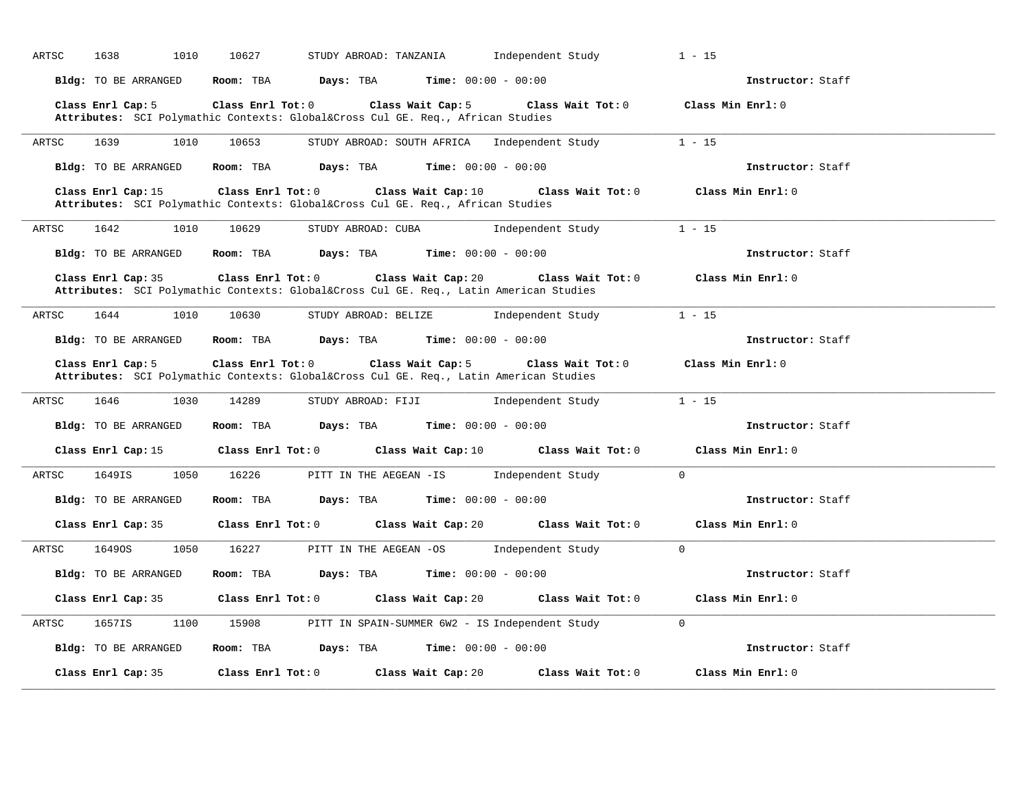| 1638<br>1010<br>ARTSC   | 10627<br>STUDY ABROAD: TANZANIA                                                                                              | Independent Study<br>$1 - 15$                               |
|-------------------------|------------------------------------------------------------------------------------------------------------------------------|-------------------------------------------------------------|
| Bldg: TO BE ARRANGED    | Room: TBA<br><b>Days:</b> TBA <b>Time:</b> $00:00 - 00:00$                                                                   | Instructor: Staff                                           |
| Class Enrl Cap: 5       | Class Enrl Tot: 0<br>Class Wait Cap: 5<br>Attributes: SCI Polymathic Contexts: Global⨯ Cul GE. Req., African Studies         | Class Wait Tot: 0<br>Class Min Enrl: 0                      |
| ARTSC<br>1639<br>1010   | 10653                                                                                                                        | STUDY ABROAD: SOUTH AFRICA Independent Study<br>$1 - 15$    |
| Bldg: TO BE ARRANGED    | Room: TBA<br><b>Days:</b> TBA <b>Time:</b> $00:00 - 00:00$                                                                   | Instructor: Staff                                           |
| Class Enrl Cap: 15      | Class Enrl Tot: 0<br>Attributes: SCI Polymathic Contexts: Global⨯ Cul GE. Req., African Studies                              | Class Wait Cap: 10 Class Wait Tot: 0<br>Class Min Enrl: 0   |
| ARTSC<br>1642<br>1010   | 10629<br>STUDY ABROAD: CUBA                                                                                                  | $1 - 15$<br>Independent Study                               |
| Bldg: TO BE ARRANGED    | Room: TBA<br><b>Days:</b> TBA <b>Time:</b> $00:00 - 00:00$                                                                   | Instructor: Staff                                           |
| Class Enrl Cap: 35      | Class Enrl Tot: 0<br>Class Wait Cap: 20<br>Attributes: SCI Polymathic Contexts: Global⨯ Cul GE. Req., Latin American Studies | Class Wait Tot: $0$<br>Class Min Enrl: 0                    |
| 1644<br>ARTSC<br>1010   | 10630<br>STUDY ABROAD: BELIZE                                                                                                | $1 - 15$<br>Independent Study                               |
| Bldg: TO BE ARRANGED    | <b>Room:</b> TBA $Days: TBA$ <b>Time:</b> $00:00 - 00:00$                                                                    | Instructor: Staff                                           |
| Class Enrl Cap: 5       | Class Enrl Tot: 0<br>Class Wait Cap: 5                                                                                       | Class Wait Tot: 0<br>Class Min Enrl: 0                      |
|                         | Attributes: SCI Polymathic Contexts: Global⨯ Cul GE. Req., Latin American Studies                                            |                                                             |
| 1646<br>1030<br>ARTSC   | 14289<br>STUDY ABROAD: FIJI                                                                                                  | Independent Study<br>$1 - 15$                               |
| Bldg: TO BE ARRANGED    | <b>Days:</b> TBA <b>Time:</b> $00:00 - 00:00$<br>Room: TBA                                                                   | Instructor: Staff                                           |
|                         | Class Enrl Cap: 15 		 Class Enrl Tot: 0 		 Class Wait Cap: 10 		 Class Wait Tot: 0                                           | Class Min Enrl: 0                                           |
| 1649IS<br>1050<br>ARTSC | 16226<br>PITT IN THE AEGEAN -IS                                                                                              | $\overline{0}$<br>Independent Study                         |
| Bldg: TO BE ARRANGED    | Room: TBA<br>Days: TBA                                                                                                       | <b>Time:</b> $00:00 - 00:00$<br>Instructor: Staff           |
| Class Enrl Cap: 35      | Class Enrl Tot: 0 Class Wait Cap: 20                                                                                         | Class Wait Tot: 0<br>Class Min Enrl: 0                      |
| 16490S<br>1050<br>ARTSC | 16227<br>PITT IN THE AEGEAN -OS                                                                                              | $\overline{0}$<br>Independent Study                         |
| Bldg: TO BE ARRANGED    | Room: TBA<br><b>Days:</b> TBA <b>Time:</b> $00:00 - 00:00$                                                                   | Instructor: Staff                                           |
| Class Enrl Cap: 35      | $Class$ $Enr1$ $Tot: 0$<br>Class Wait Cap: 20                                                                                | Class Wait Tot: 0<br>Class Min Enrl: 0                      |
| 1657IS<br>1100<br>ARTSC | 15908                                                                                                                        | $\Omega$<br>PITT IN SPAIN-SUMMER 6W2 - IS Independent Study |
| Bldg: TO BE ARRANGED    | Room: TBA $Days: TBA$ Time: $00:00 - 00:00$                                                                                  | Instructor: Staff                                           |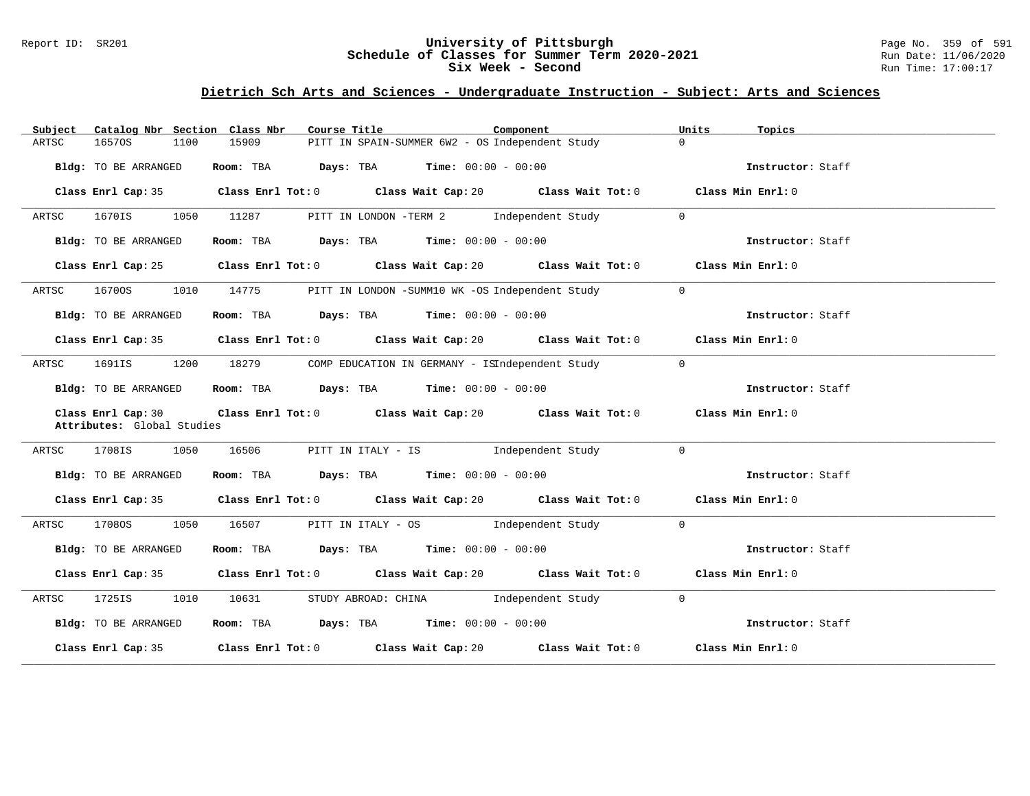#### Report ID: SR201 **University of Pittsburgh** Page No. 359 of 591 **Schedule of Classes for Summer Term 2020-2021** Run Date: 11/06/2020 **Six Week - Second Run Time: 17:00:17**

| Catalog Nbr Section Class Nbr<br>Subject         | Course Title                                                                                         | Component                                         | Units<br>Topics   |
|--------------------------------------------------|------------------------------------------------------------------------------------------------------|---------------------------------------------------|-------------------|
| ARTSC<br>16570S<br>1100                          | 15909<br>PITT IN SPAIN-SUMMER 6W2 - OS Independent Study                                             | $\Omega$                                          |                   |
| <b>Bldg:</b> TO BE ARRANGED                      | Room: TBA $\rule{1em}{0.15mm}$ Days: TBA $\rule{1.5mm}{0.15mm}$ Time: $00:00 - 00:00$                |                                                   | Instructor: Staff |
|                                                  | Class Enrl Cap: 35 $\,$ Class Enrl Tot: 0 $\,$ Class Wait Cap: 20 $\,$ Class Wait Tot: 0 $\,$        |                                                   | Class Min Enrl: 0 |
| 1670IS<br>ARTSC                                  | 1050 11287<br>PITT IN LONDON -TERM 2 Independent Study                                               | $\overline{0}$                                    |                   |
| Bldg: TO BE ARRANGED                             | Room: TBA $Days:$ TBA $Time: 00:00 - 00:00$                                                          |                                                   | Instructor: Staff |
|                                                  | Class Enrl Cap: 25 Class Enrl Tot: 0 Class Wait Cap: 20 Class Wait Tot: 0 Class Min Enrl: 0          |                                                   |                   |
| 16700S<br>ARTSC                                  | 1010 14775                                                                                           | PITT IN LONDON -SUMM10 WK -OS Independent Study 0 |                   |
| Bldg: TO BE ARRANGED                             | Room: TBA $Days: TBA$ Time: $00:00 - 00:00$                                                          |                                                   | Instructor: Staff |
|                                                  | Class Enrl Cap: 35 Class Enrl Tot: 0 Class Wait Cap: 20 Class Wait Tot: 0 Class Min Enrl: 0          |                                                   |                   |
| ARTSC<br>1691IS                                  | 1200 18279                                                                                           | COMP EDUCATION IN GERMANY - ISIndependent Study 0 |                   |
| Bldg: TO BE ARRANGED                             | Room: TBA $Days:$ TBA $Time: 00:00 - 00:00$                                                          |                                                   | Instructor: Staff |
| Class Enrl Cap: 30<br>Attributes: Global Studies | Class Enrl Tot: 0 $\qquad$ Class Wait Cap: 20 $\qquad$ Class Wait Tot: 0 $\qquad$ Class Min Enrl: 0  |                                                   |                   |
| ARTSC 1708IS 1050 16506                          | PITT IN ITALY - IS Sandbroom and independent Study                                                   | $\Omega$                                          |                   |
| Bldg: TO BE ARRANGED                             | Room: TBA $Days:$ TBA Time: $00:00 - 00:00$                                                          |                                                   | Instructor: Staff |
|                                                  | Class Enrl Cap: 35 Class Enrl Tot: 0 Class Wait Cap: 20 Class Wait Tot: 0 Class Min Enrl: 0          |                                                   |                   |
| 1708OS<br>ARTSC                                  | 1050 16507<br>PITT IN ITALY - OS [Independent Study                                                  | $\overline{0}$                                    |                   |
| Bldg: TO BE ARRANGED                             | Room: TBA $Days:$ TBA $Time: 00:00 - 00:00$                                                          |                                                   | Instructor: Staff |
|                                                  | Class Enrl Cap: 35 Class Enrl Tot: 0 Class Wait Cap: 20 Class Wait Tot: 0 Class Min Enrl: 0          |                                                   |                   |
| 1010<br>1725IS<br>ARTSC                          | 10631                                                                                                | STUDY ABROAD: CHINA 1ndependent Study 0           |                   |
| Bldg: TO BE ARRANGED                             | Room: TBA $Days:$ TBA Time: $00:00 - 00:00$                                                          |                                                   | Instructor: Staff |
|                                                  | Class Enrl Cap: 35 $\qquad$ Class Enrl Tot: 0 $\qquad$ Class Wait Cap: 20 $\qquad$ Class Wait Tot: 0 |                                                   | Class Min Enrl: 0 |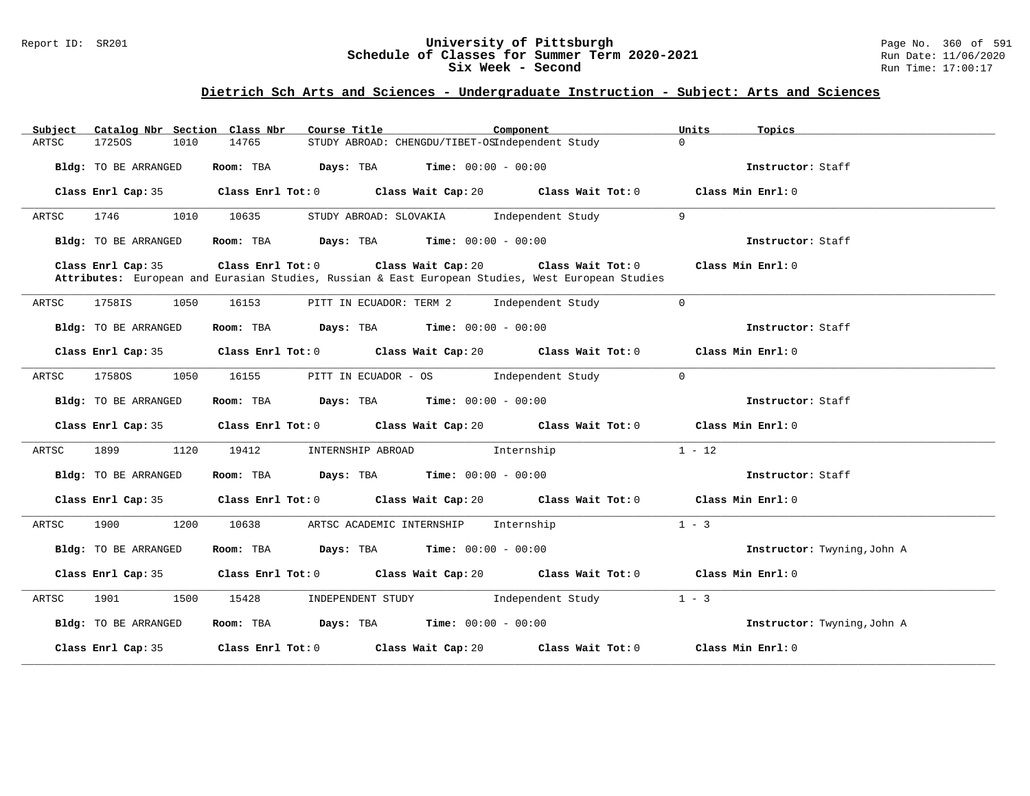#### Report ID: SR201 **University of Pittsburgh** Page No. 360 of 591 **Schedule of Classes for Summer Term 2020-2021** Run Date: 11/06/2020 **Six Week - Second Run Time: 17:00:17**

| Subject            | Catalog Nbr Section Class Nbr |      |                                                            | Course Title                                         |                                                 | Component                                                                                                              | Units                       | Topics                      |
|--------------------|-------------------------------|------|------------------------------------------------------------|------------------------------------------------------|-------------------------------------------------|------------------------------------------------------------------------------------------------------------------------|-----------------------------|-----------------------------|
| ARTSC              | 17250S                        | 1010 | 14765                                                      |                                                      | STUDY ABROAD: CHENGDU/TIBET-OSIndependent Study |                                                                                                                        | $\Omega$                    |                             |
|                    | Bldg: TO BE ARRANGED          |      | Room: TBA                                                  | Days: TBA                                            | <b>Time:</b> $00:00 - 00:00$                    |                                                                                                                        |                             | Instructor: Staff           |
|                    | Class Enrl Cap: 35            |      | Class Enrl Tot: 0                                          |                                                      | Class Wait Cap: 20                              | Class Wait Tot: 0                                                                                                      |                             | Class Min Enrl: 0           |
| ARTSC              | 1746                          | 1010 | 10635                                                      | STUDY ABROAD: SLOVAKIA                               |                                                 | Independent Study                                                                                                      | 9                           |                             |
|                    | Bldg: TO BE ARRANGED          |      | Room: TBA                                                  |                                                      | <b>Days:</b> TBA <b>Time:</b> $00:00 - 00:00$   |                                                                                                                        |                             | Instructor: Staff           |
|                    | Class Enrl Cap: 35            |      | Class Enrl Tot: 0                                          |                                                      | Class Wait Cap: 20                              | Class Wait Tot: 0<br>Attributes: European and Eurasian Studies, Russian & East European Studies, West European Studies |                             | Class Min Enrl: 0           |
| ARTSC              | 1758IS                        | 1050 | 16153                                                      | PITT IN ECUADOR: TERM 2                              |                                                 | Independent Study                                                                                                      | $\Omega$                    |                             |
|                    | Bldg: TO BE ARRANGED          |      | Room: TBA                                                  | $\texttt{DayS:}$ TBA $\texttt{Time:}$ 00:00 - 00:00  |                                                 |                                                                                                                        |                             | Instructor: Staff           |
|                    | Class Enrl Cap: 35            |      |                                                            | Class Enrl Tot: 0 Class Wait Cap: 20                 |                                                 | Class Wait Tot: 0                                                                                                      |                             | Class Min Enrl: 0           |
| ARTSC              | 17580S                        | 1050 | 16155                                                      | PITT IN ECUADOR - OS                                 |                                                 | Independent Study                                                                                                      | $\mathbf{0}$                |                             |
|                    | Bldg: TO BE ARRANGED          |      | Room: TBA                                                  | <b>Days:</b> TBA <b>Time:</b> $00:00 - 00:00$        |                                                 |                                                                                                                        |                             | Instructor: Staff           |
|                    | Class Enrl Cap: 35            |      | Class Enrl Tot: 0                                          |                                                      | Class Wait Cap: 20                              | Class Wait Tot: 0                                                                                                      |                             | Class Min Enrl: 0           |
| ARTSC              | 1899                          | 1120 | 19412                                                      | INTERNSHIP ABROAD                                    |                                                 | Internship                                                                                                             | $1 - 12$                    |                             |
|                    | Bldg: TO BE ARRANGED          |      | Room: TBA                                                  | $\texttt{Davis:}$ TBA $\texttt{Time:}$ 00:00 - 00:00 |                                                 |                                                                                                                        |                             | Instructor: Staff           |
|                    | Class Enrl Cap: 35            |      |                                                            | Class Enrl Tot: 0 Class Wait Cap: 20                 |                                                 | Class Wait Tot: 0                                                                                                      |                             | Class Min Enrl: 0           |
| ARTSC              | 1900                          | 1200 | 10638                                                      | ARTSC ACADEMIC INTERNSHIP                            |                                                 | Internship                                                                                                             | $1 - 3$                     |                             |
|                    | Bldg: TO BE ARRANGED          |      | <b>Days:</b> TBA <b>Time:</b> $00:00 - 00:00$<br>Room: TBA |                                                      |                                                 |                                                                                                                        | Instructor: Twyning, John A |                             |
|                    | Class Enrl Cap: 35            |      |                                                            | Class Enrl Tot: 0 Class Wait Cap: 20                 |                                                 | Class Wait Tot: 0                                                                                                      |                             | Class Min Enrl: 0           |
| ARTSC              | 1901                          | 1500 | 15428                                                      | INDEPENDENT STUDY                                    |                                                 | Independent Study                                                                                                      | $1 - 3$                     |                             |
|                    | Bldg: TO BE ARRANGED          |      |                                                            | Room: TBA $Days:$ TBA $Time: 00:00 - 00:00$          |                                                 |                                                                                                                        |                             | Instructor: Twyning, John A |
| Class Enrl Cap: 35 |                               |      | Class Enrl Tot: 0                                          |                                                      | Class Wait Cap: 20                              | Class Wait Tot: 0                                                                                                      |                             | Class Min Enrl: 0           |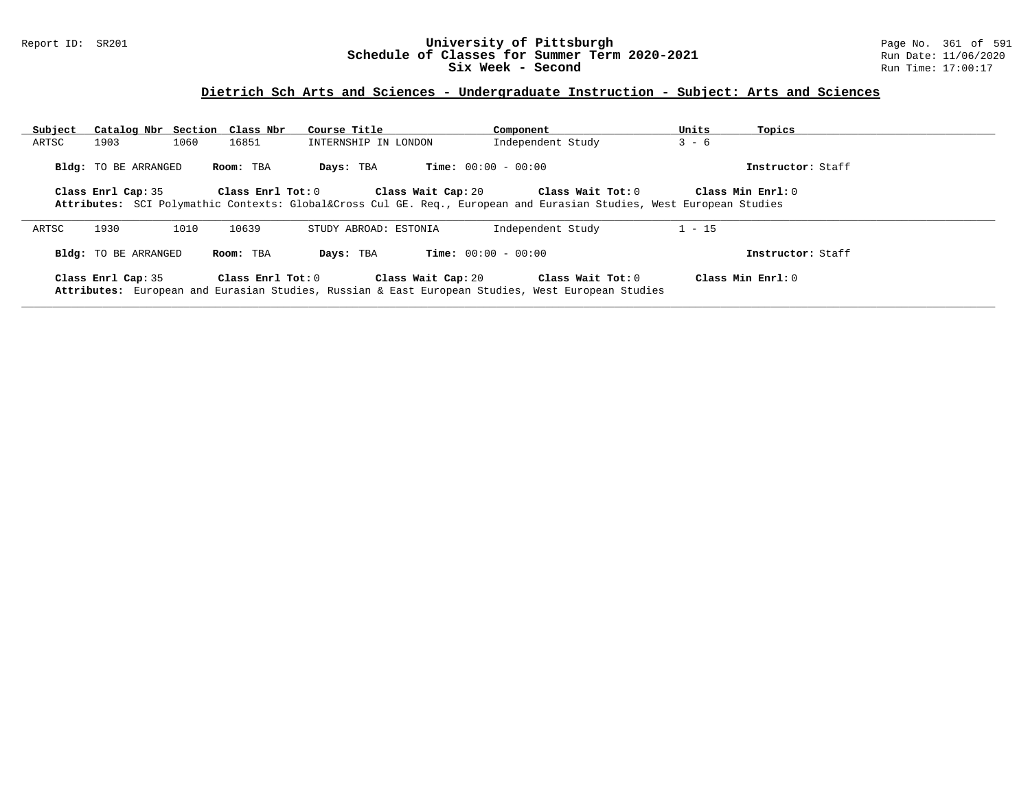## Report ID: SR201 **University of Pittsburgh** Page No. 361 of 591 **Schedule of Classes for Summer Term 2020-2021** Run Date: 11/06/2020 **Six Week - Second Run Time: 17:00:17**

# **Dietrich Sch Arts and Sciences - Undergraduate Instruction - Subject: Arts and Sciences**

| Subject |                             | Catalog Nbr Section Class Nbr | Course Title          |                              | Component                                                                                                                            | Units    | Topics             |
|---------|-----------------------------|-------------------------------|-----------------------|------------------------------|--------------------------------------------------------------------------------------------------------------------------------------|----------|--------------------|
| ARTSC   | 1903                        | 1060<br>16851                 | INTERNSHIP IN LONDON  |                              | Independent Study                                                                                                                    | $3 - 6$  |                    |
|         | <b>Bldg:</b> TO BE ARRANGED | Room: TBA                     | Days: TBA             | <b>Time:</b> $00:00 - 00:00$ |                                                                                                                                      |          | Instructor: Staff  |
|         | Class Enrl Cap: 35          |                               | Class Enrl Tot: 0     | Class Wait Cap: 20           | Class Wait Tot: 0<br>Attributes: SCI Polymathic Contexts: Global⨯ Cul GE. Req., European and Eurasian Studies, West European Studies |          | Class Min Ernst: 0 |
| ARTSC   | 1930                        | 1010<br>10639                 | STUDY ABROAD: ESTONIA |                              | Independent Study                                                                                                                    | $1 - 15$ |                    |
|         | Bldg: TO BE ARRANGED        | Room: TBA                     | Days: TBA             | <b>Time:</b> $00:00 - 00:00$ |                                                                                                                                      |          | Instructor: Staff  |
|         | Class Enrl Cap: 35          |                               | Class Enrl Tot: 0     | Class Wait Cap: 20           | Class Wait Tot: 0<br>Attributes: European and Eurasian Studies, Russian & East European Studies, West European Studies               |          | Class Min Ernst: 0 |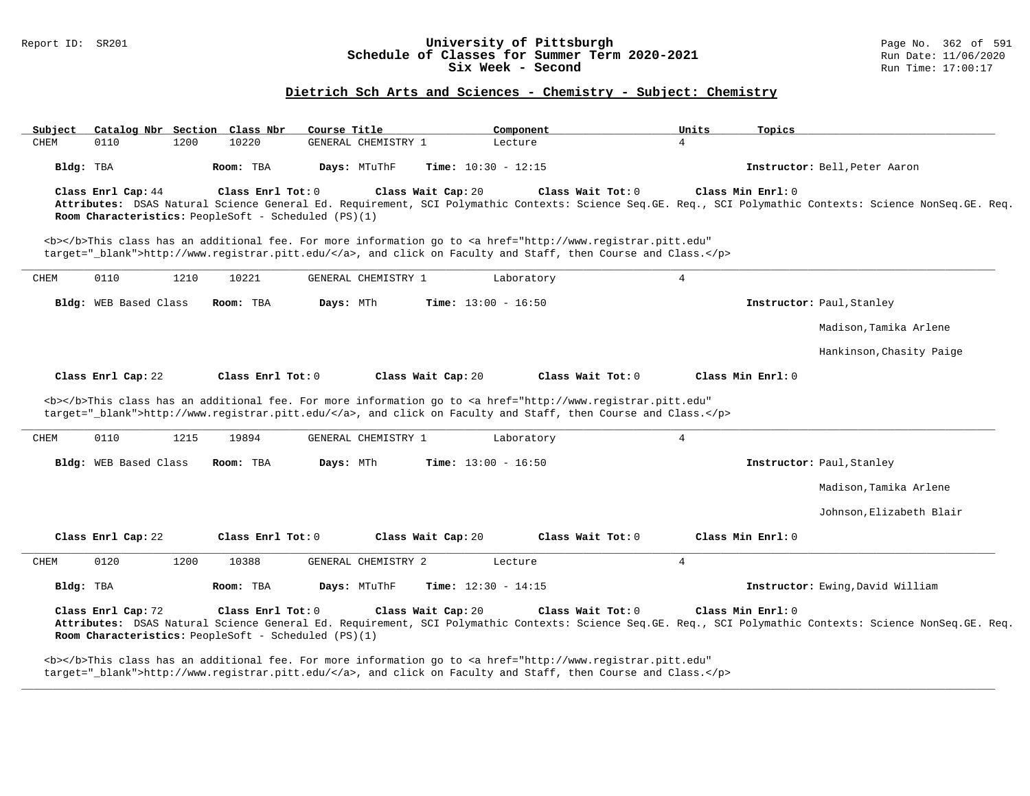### Report ID: SR201 **1988 Chedule of Classes for Summer Term 2020-2021** Page No. 362 of 591 Page No. 362 of 591 Bage No. 362 of 591 Bage No. 362 of 591 Bage No. 362 of 591 Bage No. 362 of 591 Bate: 11/06/2020 **Schedule of Classes for Summer Term 2020-2021** Run Date: 11/06/2021<br>Six Week - Second Run Time: 17:00:17 Six Week - Second

## **Dietrich Sch Arts and Sciences - Chemistry - Subject: Chemistry**

| Subject   | Catalog Nbr Section Class Nbr |      |                                                                           | Course Title                                                                                                                                                                                                                                              |                    | Component                    |                   | Units           | Topics            |                                                                                                                                                           |
|-----------|-------------------------------|------|---------------------------------------------------------------------------|-----------------------------------------------------------------------------------------------------------------------------------------------------------------------------------------------------------------------------------------------------------|--------------------|------------------------------|-------------------|-----------------|-------------------|-----------------------------------------------------------------------------------------------------------------------------------------------------------|
| CHEM      | 0110                          | 1200 | 10220                                                                     | GENERAL CHEMISTRY 1                                                                                                                                                                                                                                       |                    | Lecture                      |                   | $\overline{4}$  |                   |                                                                                                                                                           |
| Bldg: TBA |                               |      | Room: TBA                                                                 | Days: MTuThF                                                                                                                                                                                                                                              |                    | <b>Time:</b> $10:30 - 12:15$ |                   |                 |                   | Instructor: Bell, Peter Aaron                                                                                                                             |
|           | Class Enrl Cap: 44            |      | Class Enrl Tot: 0<br>Room Characteristics: PeopleSoft - Scheduled (PS)(1) |                                                                                                                                                                                                                                                           | Class Wait Cap: 20 |                              | Class Wait Tot: 0 |                 | Class Min Enrl: 0 | Attributes: DSAS Natural Science General Ed. Requirement, SCI Polymathic Contexts: Science Seq.GE. Req., SCI Polymathic Contexts: Science NonSeq.GE. Req. |
|           |                               |      |                                                                           | <b></b> This class has an additional fee. For more information go to <a <br="" href="http://www.registrar.pitt.edu">target="_blank"&gt;http://www.registrar.pitt.edu/</a> , and click on Faculty and Staff, then Course and Class.                        |                    |                              |                   |                 |                   |                                                                                                                                                           |
| CHEM      | 0110                          | 1210 | 10221                                                                     | GENERAL CHEMISTRY 1                                                                                                                                                                                                                                       |                    | Laboratory                   |                   | 4               |                   |                                                                                                                                                           |
|           | Bldg: WEB Based Class         |      | Room: TBA                                                                 | Days: MTh                                                                                                                                                                                                                                                 |                    | <b>Time:</b> $13:00 - 16:50$ |                   |                 |                   | Instructor: Paul, Stanley                                                                                                                                 |
|           |                               |      |                                                                           |                                                                                                                                                                                                                                                           |                    |                              |                   |                 |                   | Madison, Tamika Arlene                                                                                                                                    |
|           |                               |      |                                                                           |                                                                                                                                                                                                                                                           |                    |                              |                   |                 |                   | Hankinson, Chasity Paige                                                                                                                                  |
|           | Class Enrl Cap: 22            |      | Class Enrl Tot: 0                                                         |                                                                                                                                                                                                                                                           | Class Wait Cap: 20 |                              | Class Wait Tot: 0 |                 | Class Min Enrl: 0 |                                                                                                                                                           |
| CHEM      | 0110                          | 1215 | 19894                                                                     | <b></b> This class has an additional fee. For more information go to <a <br="" href="http://www.registrar.pitt.edu">target="_blank"&gt;http://www.registrar.pitt.edu/</a> , and click on Faculty and Staff, then Course and Class.<br>GENERAL CHEMISTRY 1 |                    | Laboratory                   |                   | $4\overline{ }$ |                   |                                                                                                                                                           |
|           | Bldg: WEB Based Class         |      | Room: TBA                                                                 | Days: MTh                                                                                                                                                                                                                                                 |                    | <b>Time:</b> $13:00 - 16:50$ |                   |                 |                   | Instructor: Paul, Stanley                                                                                                                                 |
|           |                               |      |                                                                           |                                                                                                                                                                                                                                                           |                    |                              |                   |                 |                   |                                                                                                                                                           |
|           |                               |      |                                                                           |                                                                                                                                                                                                                                                           |                    |                              |                   |                 |                   | Madison, Tamika Arlene                                                                                                                                    |
|           |                               |      |                                                                           |                                                                                                                                                                                                                                                           |                    |                              |                   |                 |                   | Johnson, Elizabeth Blair                                                                                                                                  |
|           | Class Enrl Cap: 22            |      | Class Enrl Tot: 0                                                         |                                                                                                                                                                                                                                                           | Class Wait Cap: 20 |                              | Class Wait Tot: 0 |                 | Class Min Enrl: 0 |                                                                                                                                                           |
| CHEM      | 0120                          | 1200 | 10388                                                                     | GENERAL CHEMISTRY 2                                                                                                                                                                                                                                       |                    | Lecture                      |                   | 4               |                   |                                                                                                                                                           |
| Bldg: TBA |                               |      | Room: TBA                                                                 | Days: MTuThF                                                                                                                                                                                                                                              |                    | <b>Time:</b> $12:30 - 14:15$ |                   |                 |                   | Instructor: Ewing, David William                                                                                                                          |
|           | Class Enrl Cap: 72            |      | Class Enrl Tot: 0<br>Room Characteristics: PeopleSoft - Scheduled (PS)(1) |                                                                                                                                                                                                                                                           | Class Wait Cap: 20 |                              | Class Wait Tot: 0 |                 | Class Min Enrl: 0 | Attributes: DSAS Natural Science General Ed. Requirement, SCI Polymathic Contexts: Science Seq.GE. Req., SCI Polymathic Contexts: Science NonSeq.GE. Req. |
|           |                               |      |                                                                           | <b></b> This class has an additional fee. For more information go to <a <="" href="http://www.registrar.pitt.edu" td=""><td></td><td></td><td></td><td></td><td></td><td></td></a>                                                                        |                    |                              |                   |                 |                   |                                                                                                                                                           |

**\_\_\_\_\_\_\_\_\_\_\_\_\_\_\_\_\_\_\_\_\_\_\_\_\_\_\_\_\_\_\_\_\_\_\_\_\_\_\_\_\_\_\_\_\_\_\_\_\_\_\_\_\_\_\_\_\_\_\_\_\_\_\_\_\_\_\_\_\_\_\_\_\_\_\_\_\_\_\_\_\_\_\_\_\_\_\_\_\_\_\_\_\_\_\_\_\_\_\_\_\_\_\_\_\_\_\_\_\_\_\_\_\_\_\_\_\_\_\_\_\_\_\_\_\_\_\_\_\_\_\_\_\_\_\_\_\_\_\_\_\_\_\_\_\_\_\_\_\_\_\_\_\_\_\_\_**

target="\_blank">http://www.registrar.pitt.edu/</a>, and click on Faculty and Staff, then Course and Class.</p>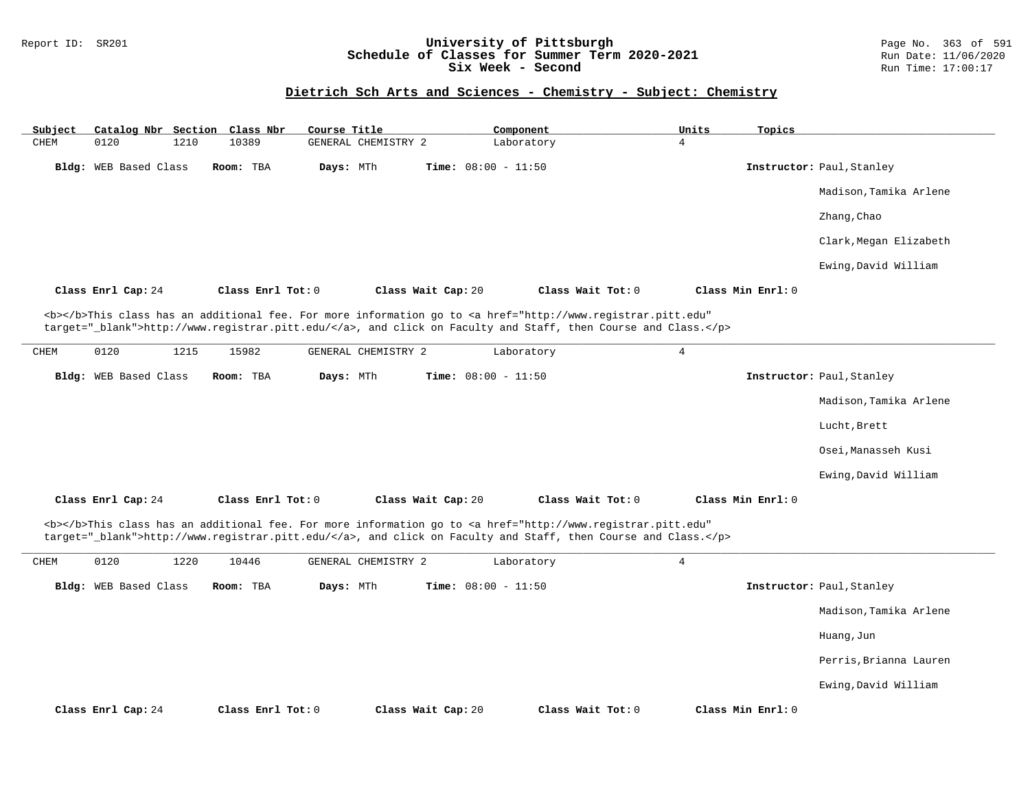## Report ID: SR201 **University of Pittsburgh** Page No. 363 of 591 **Schedule of Classes for Summer Term 2020-2021** Run Date: 11/06/2020 **Six Week - Second Run Time: 17:00:17**

## **Dietrich Sch Arts and Sciences - Chemistry - Subject: Chemistry**

| Subject |                       |      | Catalog Nbr Section Class Nbr | Course Title |                     |                              | Component                                                                                                                                                                                                                          |                | Units | Topics            |                           |
|---------|-----------------------|------|-------------------------------|--------------|---------------------|------------------------------|------------------------------------------------------------------------------------------------------------------------------------------------------------------------------------------------------------------------------------|----------------|-------|-------------------|---------------------------|
| CHEM    | 0120                  | 1210 | 10389                         |              | GENERAL CHEMISTRY 2 |                              | Laboratory                                                                                                                                                                                                                         | $\overline{4}$ |       |                   |                           |
|         | Bldg: WEB Based Class |      | Room: TBA                     | Days: MTh    |                     | Time: $08:00 - 11:50$        |                                                                                                                                                                                                                                    |                |       |                   | Instructor: Paul, Stanley |
|         |                       |      |                               |              |                     |                              |                                                                                                                                                                                                                                    |                |       |                   | Madison, Tamika Arlene    |
|         |                       |      |                               |              |                     |                              |                                                                                                                                                                                                                                    |                |       |                   | Zhang, Chao               |
|         |                       |      |                               |              |                     |                              |                                                                                                                                                                                                                                    |                |       |                   | Clark, Megan Elizabeth    |
|         |                       |      |                               |              |                     |                              |                                                                                                                                                                                                                                    |                |       |                   | Ewing, David William      |
|         | Class Enrl Cap: 24    |      | Class Enrl Tot: 0             |              |                     | Class Wait Cap: 20           | Class Wait Tot: 0                                                                                                                                                                                                                  |                |       | Class Min Enrl: 0 |                           |
|         |                       |      |                               |              |                     |                              | <b></b> This class has an additional fee. For more information go to <a <br="" href="http://www.registrar.pitt.edu">target="_blank"&gt;http://www.registrar.pitt.edu/</a> , and click on Faculty and Staff, then Course and Class. |                |       |                   |                           |
| CHEM    | 0120                  | 1215 | 15982                         |              | GENERAL CHEMISTRY 2 |                              | Laboratory                                                                                                                                                                                                                         | $\overline{4}$ |       |                   |                           |
|         | Bldg: WEB Based Class |      | Room: TBA                     | Days: MTh    |                     | Time: $08:00 - 11:50$        |                                                                                                                                                                                                                                    |                |       |                   | Instructor: Paul, Stanley |
|         |                       |      |                               |              |                     |                              |                                                                                                                                                                                                                                    |                |       |                   | Madison, Tamika Arlene    |
|         |                       |      |                               |              |                     |                              |                                                                                                                                                                                                                                    |                |       |                   | Lucht, Brett              |
|         |                       |      |                               |              |                     |                              |                                                                                                                                                                                                                                    |                |       |                   | Osei, Manasseh Kusi       |
|         |                       |      |                               |              |                     |                              |                                                                                                                                                                                                                                    |                |       |                   | Ewing, David William      |
|         | Class Enrl Cap: 24    |      | Class Enrl Tot: 0             |              |                     | Class Wait Cap: 20           | Class Wait Tot: 0                                                                                                                                                                                                                  |                |       | Class Min Enrl: 0 |                           |
|         |                       |      |                               |              |                     |                              | <b></b> This class has an additional fee. For more information go to <a <br="" href="http://www.registrar.pitt.edu">target="_blank"&gt;http://www.registrar.pitt.edu/</a> , and click on Faculty and Staff, then Course and Class. |                |       |                   |                           |
| CHEM    | 0120                  | 1220 | 10446                         |              | GENERAL CHEMISTRY 2 |                              | Laboratory                                                                                                                                                                                                                         | $\overline{4}$ |       |                   |                           |
|         | Bldg: WEB Based Class |      | Room: TBA                     | Days: MTh    |                     | <b>Time:</b> $08:00 - 11:50$ |                                                                                                                                                                                                                                    |                |       |                   | Instructor: Paul, Stanley |
|         |                       |      |                               |              |                     |                              |                                                                                                                                                                                                                                    |                |       |                   | Madison, Tamika Arlene    |
|         |                       |      |                               |              |                     |                              |                                                                                                                                                                                                                                    |                |       |                   | Huang, Jun                |
|         |                       |      |                               |              |                     |                              |                                                                                                                                                                                                                                    |                |       |                   | Perris, Brianna Lauren    |
|         |                       |      |                               |              |                     |                              |                                                                                                                                                                                                                                    |                |       |                   | Ewing, David William      |
|         | Class Enrl Cap: 24    |      | Class Enrl Tot: 0             |              |                     | Class Wait Cap: 20           | Class Wait Tot: 0                                                                                                                                                                                                                  |                |       | Class Min Enrl: 0 |                           |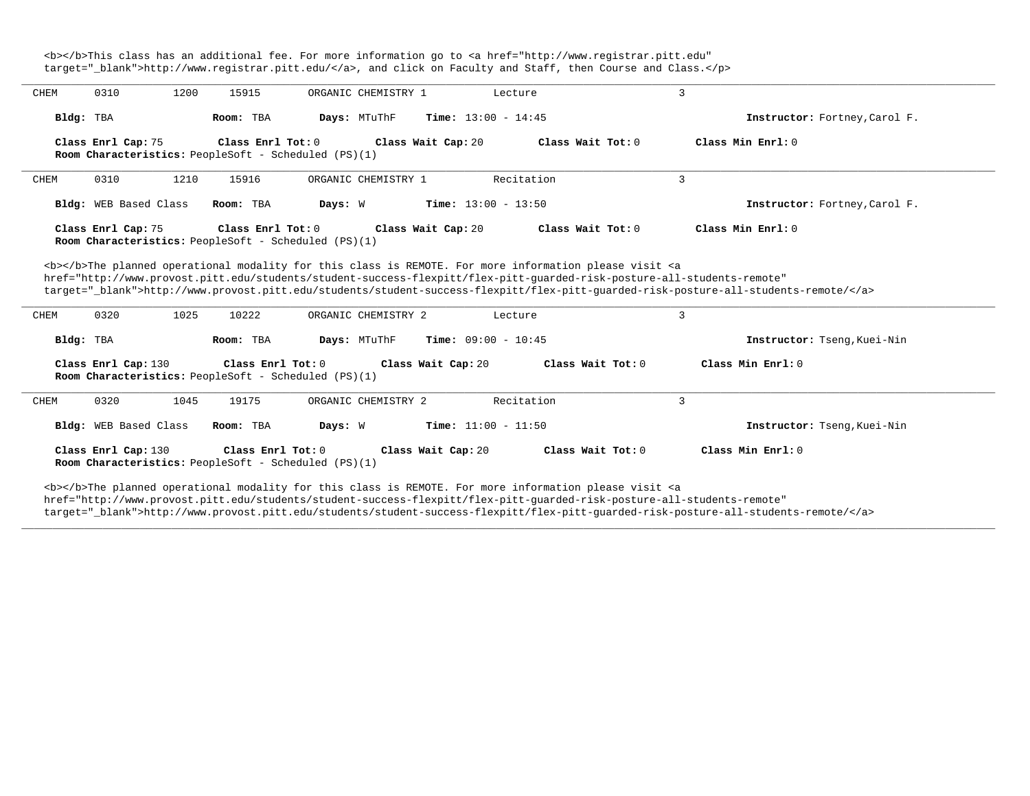<b></b>This class has an additional fee. For more information go to <a href="http://www.registrar.pitt.edu" target="\_blank">http://www.registrar.pitt.edu/</a>, and click on Faculty and Staff, then Course and Class.</p>

| CHEM | 0310                  | 1200 | 15915             | ORGANIC CHEMISTRY 1                                                                                                                                                                                                                       |                              | Lecture           | 3                   |                                                                                                                                  |
|------|-----------------------|------|-------------------|-------------------------------------------------------------------------------------------------------------------------------------------------------------------------------------------------------------------------------------------|------------------------------|-------------------|---------------------|----------------------------------------------------------------------------------------------------------------------------------|
|      | Bldg: TBA             |      | Room: TBA         | Days: MTuThF                                                                                                                                                                                                                              | <b>Time:</b> $13:00 - 14:45$ |                   |                     | Instructor: Fortney, Carol F.                                                                                                    |
|      | Class Enrl Cap: 75    |      | Class Enrl Tot: 0 | Room Characteristics: PeopleSoft - Scheduled (PS)(1)                                                                                                                                                                                      | Class Wait Cap: 20           | Class Wait Tot: 0 |                     | Class Min Enrl: 0                                                                                                                |
| CHEM | 0310                  | 1210 | 15916             | ORGANIC CHEMISTRY 1                                                                                                                                                                                                                       |                              | Recitation        | 3                   |                                                                                                                                  |
|      | Bldg: WEB Based Class |      | Room: TBA         | Days: W                                                                                                                                                                                                                                   | <b>Time:</b> $13:00 - 13:50$ |                   |                     | Instructor: Fortney, Carol F.                                                                                                    |
|      | Class Enrl Cap: 75    |      | Class Enrl Tot: 0 | Room Characteristics: PeopleSoft - Scheduled (PS)(1)                                                                                                                                                                                      | Class Wait Cap: 20           | Class Wait Tot: 0 |                     | Class Min Enrl: 0                                                                                                                |
|      |                       |      |                   | <b></b> The planned operational modality for this class is REMOTE. For more information please visit <a<br>href="http://www.provost.pitt.edu/students/student-success-flexpitt/flex-pitt-quarded-risk-posture-all-students-remote"</a<br> |                              |                   |                     | target="blank">http://www.provost.pitt.edu/students/student-success-flexpitt/flex-pitt-quarded-risk-posture-all-students-remote/ |
| CHEM | 0320                  | 1025 | 10222             | ORGANIC CHEMISTRY 2                                                                                                                                                                                                                       |                              | Lecture           | 3                   |                                                                                                                                  |
|      | Bldg: TBA             |      | Room: TBA         | Days: MTuThF                                                                                                                                                                                                                              | <b>Time:</b> $09:00 - 10:45$ |                   |                     | Instructor: Tseng, Kuei-Nin                                                                                                      |
|      | Class Enrl Cap: 130   |      | Class Enrl Tot: 0 | Room Characteristics: PeopleSoft - Scheduled (PS)(1)                                                                                                                                                                                      | Class Wait Cap: 20           |                   | Class Wait Tot: 0   | Class Min Enrl: 0                                                                                                                |
| CHEM | 0320                  | 1045 | 19175             | ORGANIC CHEMISTRY 2                                                                                                                                                                                                                       |                              | Recitation        | 3                   |                                                                                                                                  |
|      | Bldg: WEB Based Class |      | Room: TBA         | Days: W                                                                                                                                                                                                                                   | Time: $11:00 - 11:50$        |                   |                     | Instructor: Tseng, Kuei-Nin                                                                                                      |
|      | Class Enrl Cap: 130   |      | Class Enrl Tot: 0 | Room Characteristics: PeopleSoft - Scheduled (PS)(1)                                                                                                                                                                                      | Class Wait Cap: 20           |                   | Class Wait $Tot: 0$ | Class Min Enrl: 0                                                                                                                |
|      |                       |      |                   | <b></b> The planned operational modality for this class is REMOTE. For more information please visit <a<br>the milion flows and well also all fundamental contracts of confirming the annual also assume the sending adventure</a<br>     |                              |                   |                     |                                                                                                                                  |

**\_\_\_\_\_\_\_\_\_\_\_\_\_\_\_\_\_\_\_\_\_\_\_\_\_\_\_\_\_\_\_\_\_\_\_\_\_\_\_\_\_\_\_\_\_\_\_\_\_\_\_\_\_\_\_\_\_\_\_\_\_\_\_\_\_\_\_\_\_\_\_\_\_\_\_\_\_\_\_\_\_\_\_\_\_\_\_\_\_\_\_\_\_\_\_\_\_\_\_\_\_\_\_\_\_\_\_\_\_\_\_\_\_\_\_\_\_\_\_\_\_\_\_\_\_\_\_\_\_\_\_\_\_\_\_\_\_\_\_\_\_\_\_\_\_\_\_\_\_\_\_\_\_\_\_\_**

href="http://www.provost.pitt.edu/students/student-success-flexpitt/flex-pitt-guarded-risk-posture-all-students-remote"

target="\_blank">http://www.provost.pitt.edu/students/student-success-flexpitt/flex-pitt-guarded-risk-posture-all-students-remote/</a>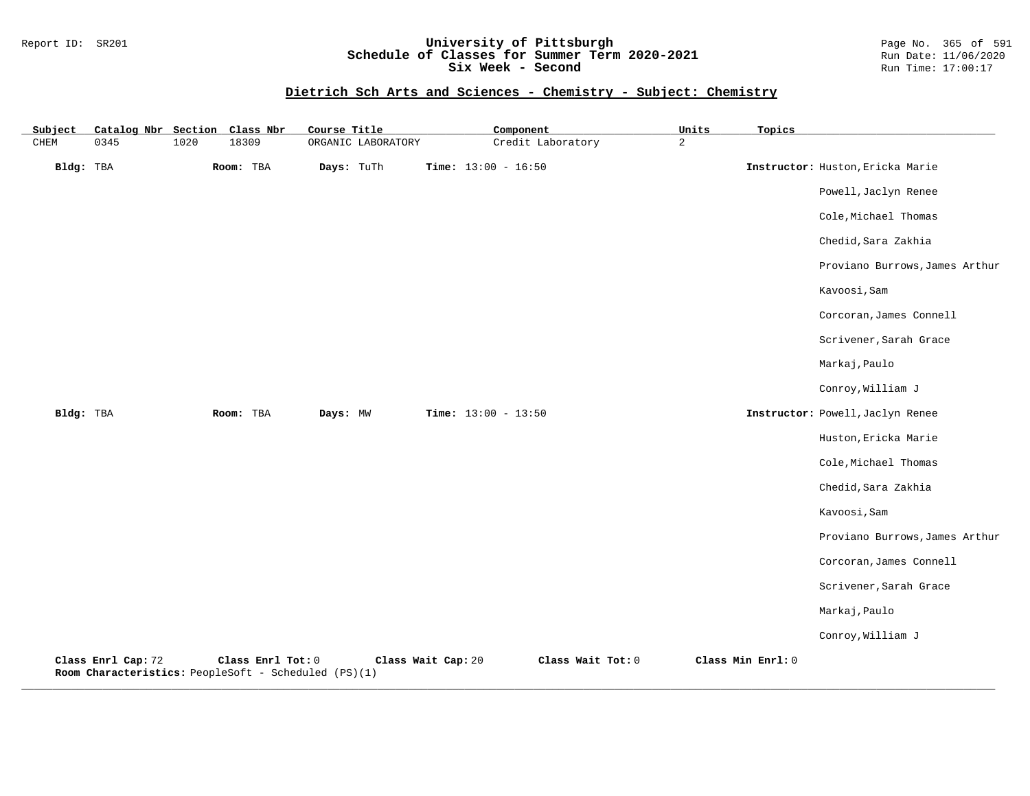## Report ID: SR201 **University of Pittsburgh** Page No. 365 of 591 **Schedule of Classes for Summer Term 2020-2021** Run Date: 11/06/2020 **Six Week - Second Run Time: 17:00:17**

# **Dietrich Sch Arts and Sciences - Chemistry - Subject: Chemistry**

| Subject   | Catalog Nbr Section Class Nbr                                              |      |                   | Course Title |                    |                       | Component         | Units          | Topics            |                                  |
|-----------|----------------------------------------------------------------------------|------|-------------------|--------------|--------------------|-----------------------|-------------------|----------------|-------------------|----------------------------------|
| CHEM      | 0345                                                                       | 1020 | 18309             |              | ORGANIC LABORATORY |                       | Credit Laboratory | $\overline{a}$ |                   |                                  |
| Bldg: TBA |                                                                            |      | Room: TBA         | Days: TuTh   |                    | Time: $13:00 - 16:50$ |                   |                |                   | Instructor: Huston, Ericka Marie |
|           |                                                                            |      |                   |              |                    |                       |                   |                |                   | Powell, Jaclyn Renee             |
|           |                                                                            |      |                   |              |                    |                       |                   |                |                   | Cole, Michael Thomas             |
|           |                                                                            |      |                   |              |                    |                       |                   |                |                   | Chedid, Sara Zakhia              |
|           |                                                                            |      |                   |              |                    |                       |                   |                |                   | Proviano Burrows, James Arthur   |
|           |                                                                            |      |                   |              |                    |                       |                   |                |                   | Kavoosi, Sam                     |
|           |                                                                            |      |                   |              |                    |                       |                   |                |                   | Corcoran, James Connell          |
|           |                                                                            |      |                   |              |                    |                       |                   |                |                   | Scrivener, Sarah Grace           |
|           |                                                                            |      |                   |              |                    |                       |                   |                |                   | Markaj, Paulo                    |
|           |                                                                            |      |                   |              |                    |                       |                   |                |                   | Conroy, William J                |
| Bldg: TBA |                                                                            |      | Room: TBA         | Days: MW     |                    | Time: $13:00 - 13:50$ |                   |                |                   | Instructor: Powell, Jaclyn Renee |
|           |                                                                            |      |                   |              |                    |                       |                   |                |                   | Huston, Ericka Marie             |
|           |                                                                            |      |                   |              |                    |                       |                   |                |                   | Cole, Michael Thomas             |
|           |                                                                            |      |                   |              |                    |                       |                   |                |                   | Chedid, Sara Zakhia              |
|           |                                                                            |      |                   |              |                    |                       |                   |                |                   | Kavoosi, Sam                     |
|           |                                                                            |      |                   |              |                    |                       |                   |                |                   | Proviano Burrows, James Arthur   |
|           |                                                                            |      |                   |              |                    |                       |                   |                |                   | Corcoran, James Connell          |
|           |                                                                            |      |                   |              |                    |                       |                   |                |                   | Scrivener, Sarah Grace           |
|           |                                                                            |      |                   |              |                    |                       |                   |                |                   | Markaj, Paulo                    |
|           |                                                                            |      |                   |              |                    |                       |                   |                |                   | Conroy, William J                |
|           | Class Enrl Cap: 72<br>Room Characteristics: PeopleSoft - Scheduled (PS)(1) |      | Class Enrl Tot: 0 |              | Class Wait Cap: 20 |                       | Class Wait Tot: 0 |                | Class Min Enrl: 0 |                                  |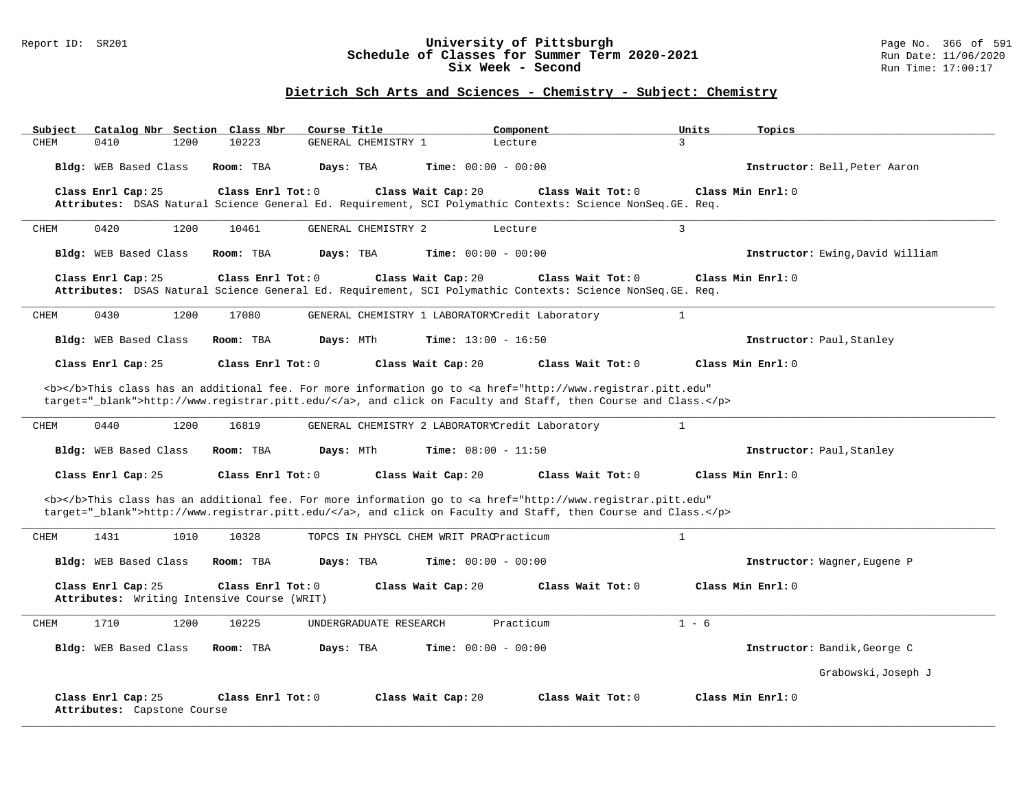### Report ID: SR201 **University of Pittsburgh** Page No. 366 of 591 **Schedule of Classes for Summer Term 2020-2021** Run Date: 11/06/2020 **Six Week - Second Run Time: 17:00:17**

## **Dietrich Sch Arts and Sciences - Chemistry - Subject: Chemistry**

| Catalog Nbr Section Class Nbr<br>Subject                          | Course Title                                                                                                                                                                                                                       | Component                    | Units<br>Topics                  |
|-------------------------------------------------------------------|------------------------------------------------------------------------------------------------------------------------------------------------------------------------------------------------------------------------------------|------------------------------|----------------------------------|
| CHEM<br>0410<br>1200                                              | 10223<br>GENERAL CHEMISTRY 1                                                                                                                                                                                                       | 3<br>Lecture                 |                                  |
| Bldg: WEB Based Class                                             | Room: TBA<br>Days: TBA                                                                                                                                                                                                             | Time: $00:00 - 00:00$        | Instructor: Bell, Peter Aaron    |
| Class Enrl Cap: 25                                                | Class Enrl Tot: 0<br>Class Wait Cap: 20                                                                                                                                                                                            | Class Wait Tot: 0            | Class Min Enrl: 0                |
|                                                                   | Attributes: DSAS Natural Science General Ed. Requirement, SCI Polymathic Contexts: Science NonSeq. GE. Req.                                                                                                                        |                              |                                  |
| CHEM<br>0420<br>1200                                              | 10461<br>GENERAL CHEMISTRY 2                                                                                                                                                                                                       | 3<br>Lecture                 |                                  |
| Bldg: WEB Based Class                                             | Room: TBA<br>Days: TBA                                                                                                                                                                                                             | Time: $00:00 - 00:00$        | Instructor: Ewing, David William |
| Class Enrl Cap: 25                                                | Class Enrl Tot: 0<br>Class Wait Cap: 20<br>Attributes: DSAS Natural Science General Ed. Requirement, SCI Polymathic Contexts: Science NonSeq. GE. Req.                                                                             | Class Wait Tot: $0$          | Class Min Enrl: 0                |
| 0430<br>1200<br>CHEM                                              | GENERAL CHEMISTRY 1 LABORATORYCredit Laboratory<br>17080                                                                                                                                                                           | $\mathbf{1}$                 |                                  |
| Bldg: WEB Based Class                                             | Days: MTh<br>Room: TBA                                                                                                                                                                                                             | <b>Time:</b> $13:00 - 16:50$ | Instructor: Paul, Stanley        |
| Class Enrl Cap: 25                                                | Class Enrl Tot: 0<br>Class Wait Cap: 20                                                                                                                                                                                            | Class Wait Tot: 0            | Class Min Enrl: 0                |
|                                                                   | <b></b> This class has an additional fee. For more information go to <a <br="" href="http://www.registrar.pitt.edu">target="_blank"&gt;http://www.registrar.pitt.edu/</a> , and click on Faculty and Staff, then Course and Class. |                              |                                  |
| 0440<br>1200<br>CHEM                                              | 16819<br>GENERAL CHEMISTRY 2 LABORATORYCredit Laboratory                                                                                                                                                                           | $\mathbf{1}$                 |                                  |
| Bldg: WEB Based Class                                             | Room: TBA<br>Days: MTh                                                                                                                                                                                                             | <b>Time:</b> $08:00 - 11:50$ | Instructor: Paul, Stanley        |
| Class Enrl Cap: 25                                                | Class Enrl Tot: 0<br>Class Wait Cap: 20                                                                                                                                                                                            | Class Wait $Tot: 0$          | Class Min Enrl: 0                |
|                                                                   | <b></b> This class has an additional fee. For more information go to <a <br="" href="http://www.registrar.pitt.edu">target="_blank"&gt;http://www.registrar.pitt.edu/</a> , and click on Faculty and Staff, then Course and Class. |                              |                                  |
| 1431<br>1010<br>CHEM                                              | 10328<br>TOPCS IN PHYSCL CHEM WRIT PRACPracticum                                                                                                                                                                                   | $\mathbf{1}$                 |                                  |
| Bldg: WEB Based Class                                             | Room: TBA<br>Days: TBA                                                                                                                                                                                                             | Time: $00:00 - 00:00$        | Instructor: Wagner, Eugene P     |
| Class Enrl Cap: 25<br>Attributes: Writing Intensive Course (WRIT) | Class Enrl Tot: 0<br>Class Wait Cap: 20                                                                                                                                                                                            | Class Wait Tot: 0            | Class Min Enrl: 0                |
| 1710<br>1200<br>CHEM                                              | 10225<br>UNDERGRADUATE RESEARCH                                                                                                                                                                                                    | Practicum                    | $1 - 6$                          |
| Bldg: WEB Based Class                                             | Days: TBA<br>Room: TBA                                                                                                                                                                                                             | <b>Time:</b> $00:00 - 00:00$ | Instructor: Bandik, George C     |
|                                                                   |                                                                                                                                                                                                                                    |                              | Grabowski, Joseph J              |
| Class Enrl Cap: 25<br>Attributes: Capstone Course                 | Class Enrl Tot: 0<br>Class Wait Cap: 20                                                                                                                                                                                            | Class Wait Tot: 0            | Class Min Enrl: 0                |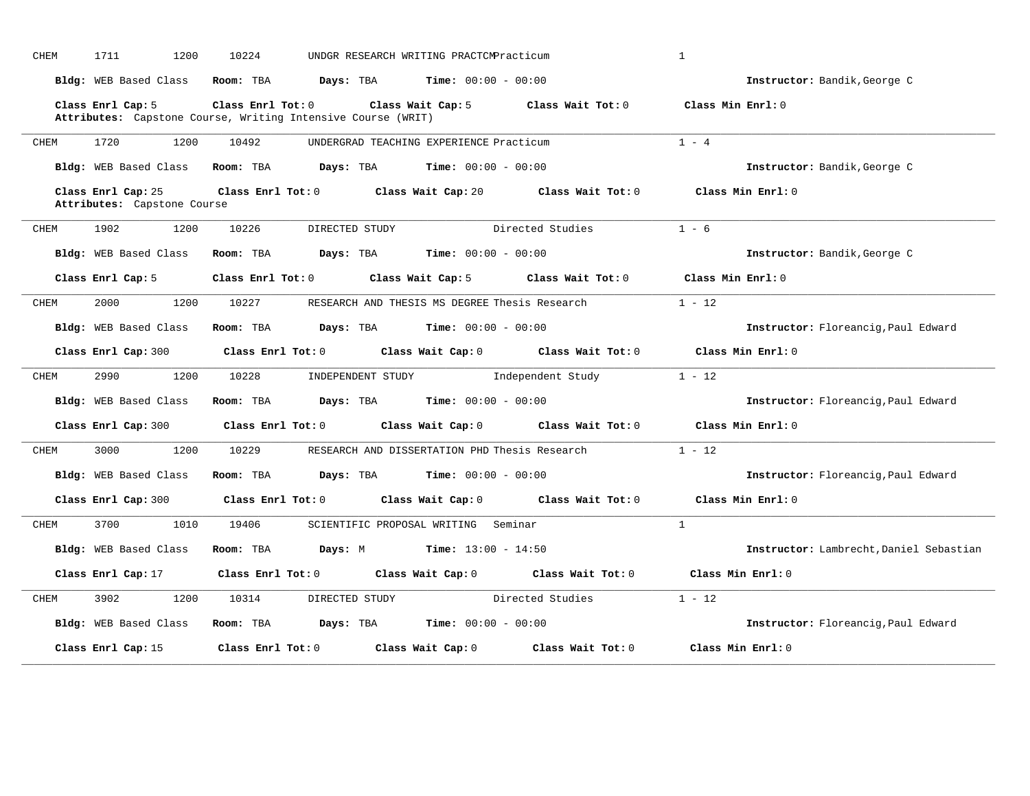| CHEM | 1711<br>1200                                                                      | 10224             |                   | UNDGR RESEARCH WRITING PRACTCMPracticum       |                                     | $\mathbf{1}$                            |
|------|-----------------------------------------------------------------------------------|-------------------|-------------------|-----------------------------------------------|-------------------------------------|-----------------------------------------|
|      | Bldg: WEB Based Class                                                             | Room: TBA         | Days: TBA         | <b>Time:</b> $00:00 - 00:00$                  |                                     | Instructor: Bandik, George C            |
|      | Class Enrl Cap: 5<br>Attributes: Capstone Course, Writing Intensive Course (WRIT) | Class Enrl Tot: 0 |                   | Class Wait Cap: 5                             | Class Wait Tot: 0                   | Class Min Enrl: 0                       |
| CHEM | 1720<br>1200                                                                      | 10492             |                   | UNDERGRAD TEACHING EXPERIENCE Practicum       |                                     | $1 - 4$                                 |
|      | Bldg: WEB Based Class                                                             | Room: TBA         | Days: TBA         | <b>Time:</b> $00:00 - 00:00$                  |                                     | Instructor: Bandik, George C            |
|      | Class Enrl Cap: 25<br>Attributes: Capstone Course                                 | Class Enrl Tot: 0 |                   | Class Wait Cap: 20                            | Class Wait Tot: 0                   | Class Min Enrl: 0                       |
| CHEM | 1902<br>1200                                                                      | 10226             | DIRECTED STUDY    |                                               | Directed Studies                    | $1 - 6$                                 |
|      | Bldg: WEB Based Class                                                             | Room: TBA         | Days: TBA         | <b>Time:</b> $00:00 - 00:00$                  |                                     | Instructor: Bandik, George C            |
|      | Class Enrl Cap: 5                                                                 | Class Enrl Tot: 0 |                   | Class Wait Cap: 5                             | Class Wait Tot: 0                   | Class Min Enrl: 0                       |
| CHEM | 2000<br>1200                                                                      | 10227             |                   | RESEARCH AND THESIS MS DEGREE Thesis Research |                                     | $1 - 12$                                |
|      | Bldg: WEB Based Class                                                             | Room: TBA         | Days: TBA         | <b>Time:</b> $00:00 - 00:00$                  |                                     | Instructor: Floreancig, Paul Edward     |
|      | Class Enrl Cap: 300                                                               | Class Enrl Tot: 0 |                   |                                               | Class Wait Cap: 0 Class Wait Tot: 0 | Class Min Enrl: 0                       |
| CHEM | 2990<br>1200                                                                      | 10228             | INDEPENDENT STUDY |                                               | Independent Study                   | $1 - 12$                                |
|      | Bldg: WEB Based Class                                                             | Room: TBA         | Days: TBA         | <b>Time:</b> $00:00 - 00:00$                  |                                     | Instructor: Floreancig, Paul Edward     |
|      | Class Enrl Cap: 300                                                               | Class Enrl Tot: 0 |                   | Class Wait Cap: 0                             | Class Wait Tot: 0                   | Class Min Enrl: 0                       |
| CHEM | 3000<br>1200                                                                      | 10229             |                   | RESEARCH AND DISSERTATION PHD Thesis Research |                                     | $1 - 12$                                |
|      | Bldg: WEB Based Class                                                             | Room: TBA         | Days: TBA         | <b>Time:</b> $00:00 - 00:00$                  |                                     | Instructor: Floreancig, Paul Edward     |
|      | Class Enrl Cap: 300                                                               | Class Enrl Tot: 0 |                   | Class Wait Cap: 0                             | Class Wait Tot: 0                   | Class Min Enrl: 0                       |
| CHEM | 3700<br>1010                                                                      | 19406             |                   | SCIENTIFIC PROPOSAL WRITING Seminar           |                                     | $\mathbf{1}$                            |
|      | Bldg: WEB Based Class                                                             | Room: TBA         | Days: M           | Time: $13:00 - 14:50$                         |                                     | Instructor: Lambrecht, Daniel Sebastian |
|      | Class Enrl Cap: 17                                                                | Class Enrl Tot: 0 |                   | Class Wait Cap: 0                             | Class Wait $Tot: 0$                 | Class Min Enrl: 0                       |
| CHEM | 3902<br>1200                                                                      | 10314             | DIRECTED STUDY    |                                               | Directed Studies                    | $1 - 12$                                |
|      | Bldg: WEB Based Class                                                             | Room: TBA         | Days: TBA         | <b>Time:</b> $00:00 - 00:00$                  |                                     | Instructor: Floreancig, Paul Edward     |
|      | Class Enrl Cap: 15                                                                | Class Enrl Tot: 0 |                   | Class Wait Cap: 0                             | Class Wait Tot: 0                   | Class Min Enrl: 0                       |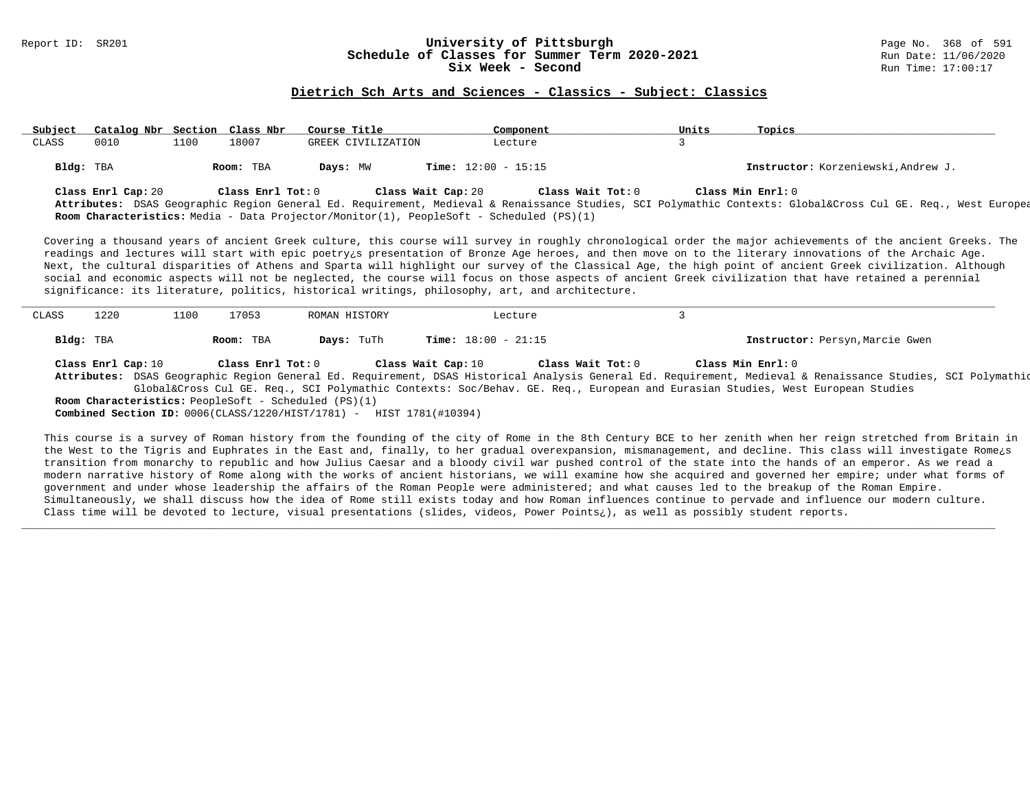#### Report ID: SR201 **1988 Constrained Build and Schedule of Classes for Summer Term 2020-2021** Page No. 368 of 591<br>**Schedule of Classes for Summer Term 2020-2021** Run Date: 11/06/2020 **Schedule of Classes for Summer Term 2020-2021** Run Date: 11/06/2021<br>Six Week - Second Six Week - Second

#### **Dietrich Sch Arts and Sciences - Classics - Subject: Classics**

| Subject | Catalog Nbr Section Class Nbr |      |                   | Course Title                                                                                                  | Component                    | Units | Topics                                                                                                                                                                       |
|---------|-------------------------------|------|-------------------|---------------------------------------------------------------------------------------------------------------|------------------------------|-------|------------------------------------------------------------------------------------------------------------------------------------------------------------------------------|
| CLASS   | 0010                          | 1100 | 18007             | GREEK CIVILIZATION                                                                                            | Lecture                      |       |                                                                                                                                                                              |
|         | Bldg: TBA                     |      | Room: TBA         | Days: MW                                                                                                      | <b>Time:</b> $12:00 - 15:15$ |       | Instructor: Korzeniewski, Andrew J.                                                                                                                                          |
|         | Class Enrl Cap: 20            |      | Class Enrl Tot: 0 | Class Wait Cap: 20<br>Room Characteristics: Media - Data Projector/Monitor(1), PeopleSoft - Scheduled (PS)(1) | Class Wait Tot: 0            |       | Class Min Enrl: 0<br>Attributes: DSAS Geographic Region General Ed. Requirement, Medieval & Renaissance Studies, SCI Polymathic Contexts: Global⨯ Cul GE. Req., West Europea |

Covering a thousand years of ancient Greek culture, this course will survey in roughly chronological order the major achievements of the ancient Greeks. The readings and lectures will start with epic poetry¿s presentation of Bronze Age heroes, and then move on to the literary innovations of the Archaic Age. Next, the cultural disparities of Athens and Sparta will highlight our survey of the Classical Age, the high point of ancient Greek civilization. Although social and economic aspects will not be neglected, the course will focus on those aspects of ancient Greek civilization that have retained a perennial significance: its literature, politics, historical writings, philosophy, art, and architecture.

| CLASS     | 1220               | 1100      | 17053<br>ROMAN HISTORY                                      |                                                                              | Lecture                      |                                                                                                                                                                                                                                                                                          |  |
|-----------|--------------------|-----------|-------------------------------------------------------------|------------------------------------------------------------------------------|------------------------------|------------------------------------------------------------------------------------------------------------------------------------------------------------------------------------------------------------------------------------------------------------------------------------------|--|
| Bldg: TBA |                    | Room: TBA | Days: TuTh                                                  |                                                                              | <b>Time:</b> $18:00 - 21:15$ | Instructor: Persyn, Marcie Gwen                                                                                                                                                                                                                                                          |  |
|           | Class Enrl Cap: 10 |           | Class Enrl Tot: 0                                           | Class Wait Cap: 10                                                           | Class Wait Tot: 0            | Class Min Enrl: 0                                                                                                                                                                                                                                                                        |  |
|           |                    |           |                                                             |                                                                              |                              | Attributes: DSAS Geographic Region General Ed. Requirement, DSAS Historical Analysis General Ed. Requirement, Medieval & Renaissance Studies, SCI Polymathic<br>Global⨯ Cul GE. Req., SCI Polymathic Contexts: Soc/Behav. GE. Req., European and Eurasian Studies, West European Studies |  |
|           |                    |           | <b>Room Characteristics:</b> PeopleSoft - Scheduled (PS)(1) | <b>Combined Section ID:</b> $0006(CLASS/1220/HIST/1781)$ - HIST 1781(#10394) |                              |                                                                                                                                                                                                                                                                                          |  |

This course is a survey of Roman history from the founding of the city of Rome in the 8th Century BCE to her zenith when her reign stretched from Britain in the West to the Tigris and Euphrates in the East and, finally, to her gradual overexpansion, mismanagement, and decline. This class will investigate Rome¿s transition from monarchy to republic and how Julius Caesar and a bloody civil war pushed control of the state into the hands of an emperor. As we read a modern narrative history of Rome along with the works of ancient historians, we will examine how she acquired and governed her empire; under what forms of government and under whose leadership the affairs of the Roman People were administered; and what causes led to the breakup of the Roman Empire. Simultaneously, we shall discuss how the idea of Rome still exists today and how Roman influences continue to pervade and influence our modern culture. Class time will be devoted to lecture, visual presentations (slides, videos, Power Points¿), as well as possibly student reports.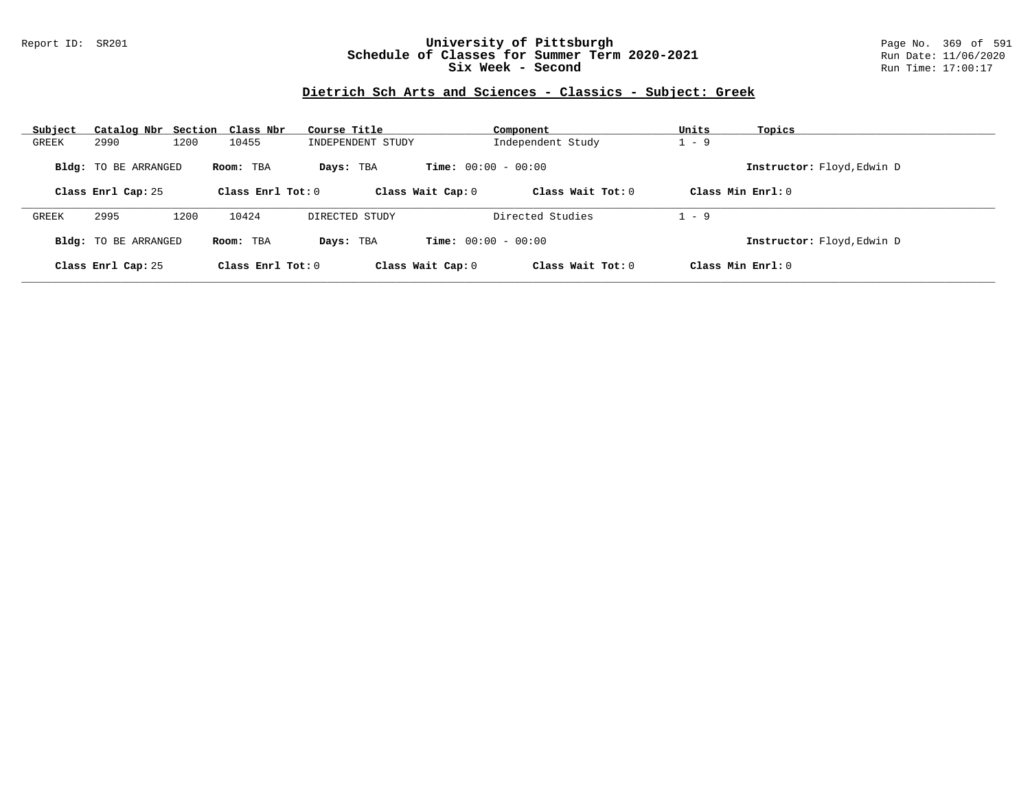## Report ID: SR201 **University of Pittsburgh** Page No. 369 of 591 **Schedule of Classes for Summer Term 2020-2021** Run Date: 11/06/2020 **Six Week - Second Run Time: 17:00:17**

## **Dietrich Sch Arts and Sciences - Classics - Subject: Greek**

| Subject | Catalog Nbr Section Class Nbr |      |                     | Course Title      |                              | Component           | Units   | Topics                     |
|---------|-------------------------------|------|---------------------|-------------------|------------------------------|---------------------|---------|----------------------------|
| GREEK   | 2990                          | 1200 | 10455               | INDEPENDENT STUDY |                              | Independent Study   | $1 - 9$ |                            |
|         | <b>Bldg:</b> TO BE ARRANGED   |      | Room: TBA           | Days: TBA         | <b>Time:</b> $00:00 - 00:00$ |                     |         | Instructor: Floyd, Edwin D |
|         | Class Enrl Cap: 25            |      | Class Enrl Tot: $0$ |                   | Class Wait Cap: 0            | Class Wait $Tot: 0$ |         | Class Min $Enrl: 0$        |
| GREEK   | 2995                          | 1200 | 10424               | DIRECTED STUDY    |                              | Directed Studies    | $1 - 9$ |                            |
|         | <b>Bldg:</b> TO BE ARRANGED   |      | Room: TBA           | Days: TBA         | <b>Time:</b> $00:00 - 00:00$ |                     |         | Instructor: Floyd, Edwin D |
|         | Class Enrl Cap: 25            |      | Class Enrl Tot: $0$ |                   | Class Wait Cap: 0            | Class Wait Tot: 0   |         | Class Min $Enrl: 0$        |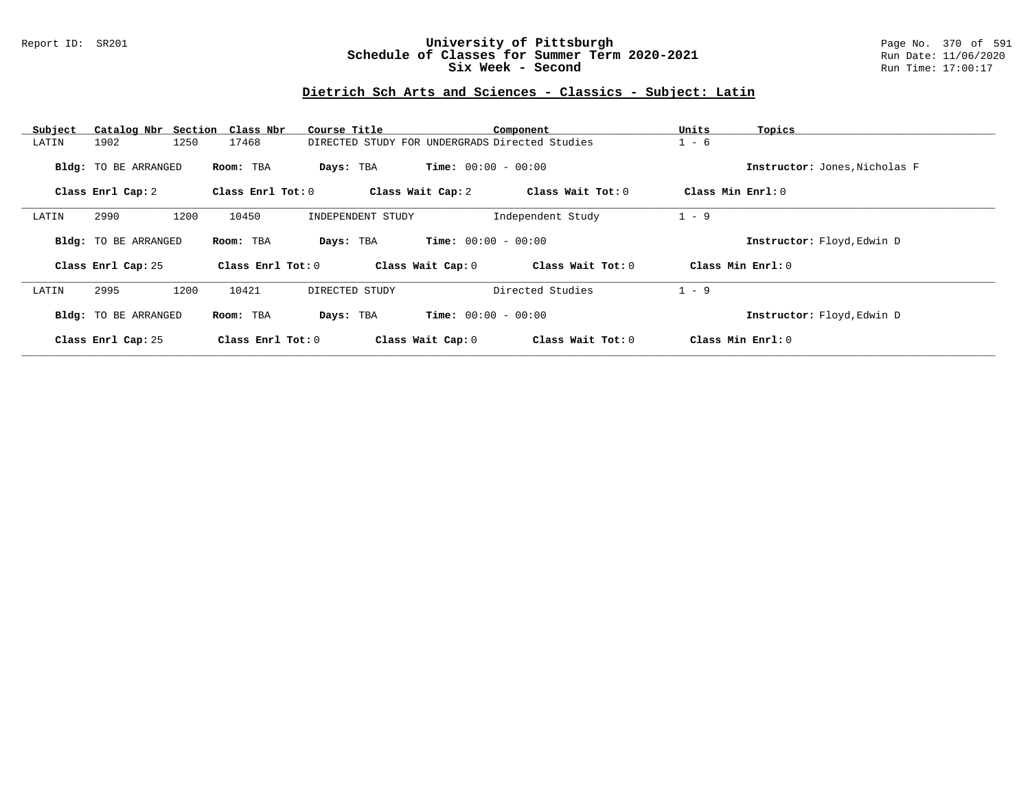## Report ID: SR201 **University of Pittsburgh** Page No. 370 of 591 **Schedule of Classes for Summer Term 2020-2021** Run Date: 11/06/2020 **Six Week - Second Run Time: 17:00:17**

# **Dietrich Sch Arts and Sciences - Classics - Subject: Latin**

| Subject |                      | Catalog Nbr Section Class Nbr | Course Title                                   |                              | Component         | Units             | Topics                        |
|---------|----------------------|-------------------------------|------------------------------------------------|------------------------------|-------------------|-------------------|-------------------------------|
| LATIN   | 1902<br>1250         | 17468                         | DIRECTED STUDY FOR UNDERGRADS Directed Studies |                              |                   | $1 - 6$           |                               |
|         | Bldg: TO BE ARRANGED | Room: TBA                     | Days: TBA                                      | <b>Time:</b> $00:00 - 00:00$ |                   |                   | Instructor: Jones, Nicholas F |
|         | Class Enrl Cap: 2    | Class Enrl Tot: 0             |                                                | Class Wait Cap: 2            | Class Wait Tot: 0 | Class Min Enrl: 0 |                               |
| LATIN   | 1200<br>2990         | 10450                         | INDEPENDENT STUDY                              |                              | Independent Study | $1 - 9$           |                               |
|         | Bldg: TO BE ARRANGED | Room: TBA                     | Days: TBA                                      | <b>Time:</b> $00:00 - 00:00$ |                   |                   | Instructor: Floyd, Edwin D    |
|         | Class Enrl Cap: 25   | Class Enrl Tot: 0             |                                                | Class Wait Cap: 0            | Class Wait Tot: 0 |                   | Class Min $Enr1: 0$           |
| LATIN   | 2995<br>1200         | 10421                         | DIRECTED STUDY                                 |                              | Directed Studies  | $1 - 9$           |                               |
|         | Bldg: TO BE ARRANGED | Room: TBA                     | Days: TBA                                      | <b>Time:</b> $00:00 - 00:00$ |                   |                   | Instructor: Floyd, Edwin D    |
|         | Class Enrl Cap: 25   | Class Enrl Tot: 0             |                                                | Class Wait Cap: 0            | Class Wait Tot: 0 |                   | Class Min Enrl: 0             |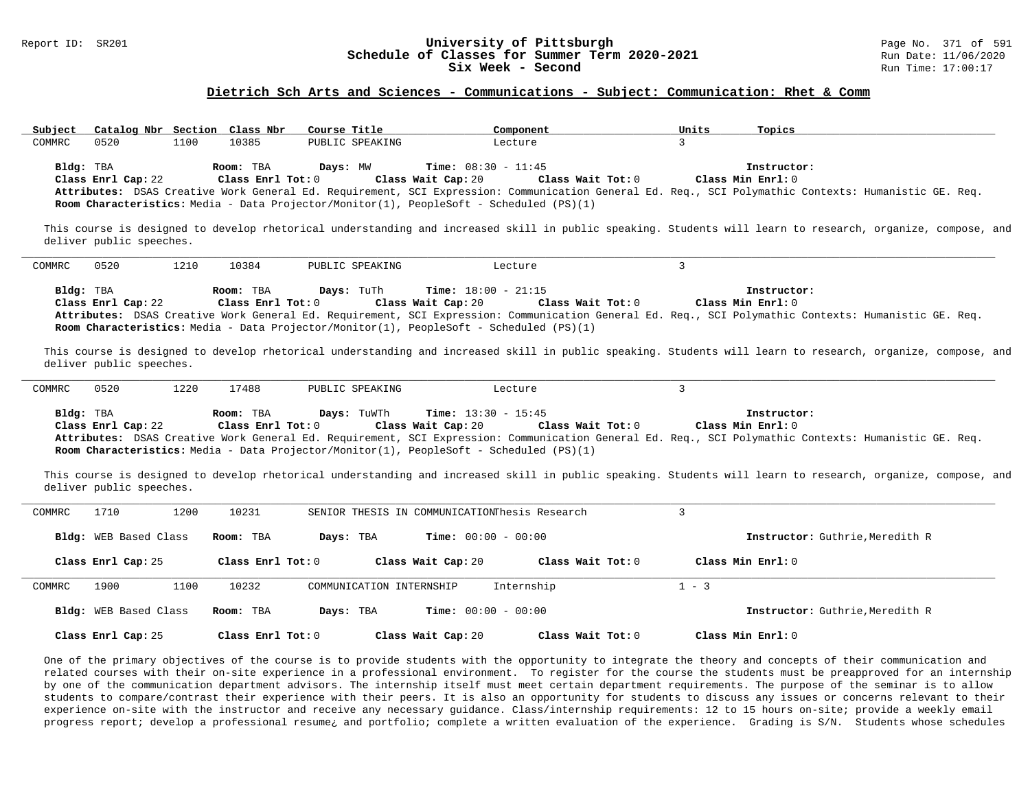#### Report ID: SR201 **1988 Constrained Building Constrained Building Constrained Building Page No. 371 of 591 Const<br>
Schedule of Classes for Summer Term 2020-2021 1999 Run Date: 11/06/2020 Schedule of Classes for Summer Term 2020-2021** Run Date: 11/06/2021<br>Six Week - Second Run Time: 17:00:17 Six Week - Second

#### **Dietrich Sch Arts and Sciences - Communications - Subject: Communication: Rhet & Comm**

| Subject                         | Catalog Nbr Section Class Nbr<br>Course Title                                                                                            | Component                                                               | Units<br>Topics                                                                                                                                                                          |  |
|---------------------------------|------------------------------------------------------------------------------------------------------------------------------------------|-------------------------------------------------------------------------|------------------------------------------------------------------------------------------------------------------------------------------------------------------------------------------|--|
| COMMRC<br>0520                  | 10385<br>1100<br>PUBLIC SPEAKING                                                                                                         | Lecture                                                                 | 3                                                                                                                                                                                        |  |
| Bldg: TBA<br>Class Enrl Cap: 22 | Room: TBA<br>Days: MW<br>Class Enr1 Tot: 0<br>Room Characteristics: Media - Data Projector/Monitor(1), PeopleSoft - Scheduled (PS)(1)    | <b>Time:</b> $08:30 - 11:45$<br>Class Wait Cap: 20<br>Class Wait Tot: 0 | Instructor:<br>Class Min Enrl: 0<br>Attributes: DSAS Creative Work General Ed. Requirement, SCI Expression: Communication General Ed. Req., SCI Polymathic Contexts: Humanistic GE. Req. |  |
| deliver public speeches.        |                                                                                                                                          |                                                                         | This course is designed to develop rhetorical understanding and increased skill in public speaking. Students will learn to research, organize, compose, and                              |  |
| 0520<br>COMMRC                  | 1210<br>10384<br>PUBLIC SPEAKING                                                                                                         | Lecture                                                                 | $\mathbf{3}$                                                                                                                                                                             |  |
| Bldg: TBA<br>Class Enrl Cap: 22 | Days: TuTh<br>Room: TBA<br>Class Enrl Tot: 0<br>Room Characteristics: Media - Data Projector/Monitor(1), PeopleSoft - Scheduled (PS)(1)  | <b>Time:</b> $18:00 - 21:15$<br>Class Wait Cap: 20<br>Class Wait Tot: 0 | Instructor:<br>Class Min Enrl: 0<br>Attributes: DSAS Creative Work General Ed. Requirement, SCI Expression: Communication General Ed. Req., SCI Polymathic Contexts: Humanistic GE. Req. |  |
| deliver public speeches.        |                                                                                                                                          |                                                                         | This course is designed to develop rhetorical understanding and increased skill in public speaking. Students will learn to research, organize, compose, and                              |  |
| COMMRC<br>0520                  | 1220<br>17488<br>PUBLIC SPEAKING                                                                                                         | Lecture                                                                 | $\mathbf{3}$                                                                                                                                                                             |  |
| Bldg: TBA<br>Class Enrl Cap: 22 | Days: TuWTh<br>Room: TBA<br>Class Enrl Tot: 0<br>Room Characteristics: Media - Data Projector/Monitor(1), PeopleSoft - Scheduled (PS)(1) | <b>Time:</b> $13:30 - 15:45$<br>Class Wait Cap: 20<br>Class Wait Tot: 0 | Instructor:<br>Class Min Enrl: 0<br>Attributes: DSAS Creative Work General Ed. Requirement, SCI Expression: Communication General Ed. Req., SCI Polymathic Contexts: Humanistic GE. Req. |  |
| deliver public speeches.        |                                                                                                                                          |                                                                         | This course is designed to develop rhetorical understanding and increased skill in public speaking. Students will learn to research, organize, compose, and                              |  |
| COMMRC<br>1710                  | 1200<br>10231                                                                                                                            | SENIOR THESIS IN COMMUNICATIONThesis Research                           | $\mathbf{3}$                                                                                                                                                                             |  |
| Bldg: WEB Based Class           | Days: TBA<br>Room: TBA                                                                                                                   | <b>Time:</b> $00:00 - 00:00$                                            | Instructor: Guthrie, Meredith R                                                                                                                                                          |  |
| Class Enrl Cap: 25              | Class Enrl Tot: 0                                                                                                                        | Class Wait Cap: 20<br>Class Wait $Tot: 0$                               | Class Min $Enrl: 0$                                                                                                                                                                      |  |
| COMMRC<br>1900                  | 1100<br>10232<br>COMMUNICATION INTERNSHIP                                                                                                | Internship                                                              | $1 - 3$                                                                                                                                                                                  |  |
| Bldg: WEB Based Class           | Room: TBA<br>Days: TBA                                                                                                                   | <b>Time:</b> $00:00 - 00:00$                                            | Instructor: Guthrie, Meredith R                                                                                                                                                          |  |
| Class Enrl Cap: 25              | Class Enrl Tot: 0                                                                                                                        | Class Wait Cap: 20<br>Class Wait Tot: 0                                 | Class Min $Enr1: 0$                                                                                                                                                                      |  |

One of the primary objectives of the course is to provide students with the opportunity to integrate the theory and concepts of their communication and related courses with their on-site experience in a professional environment. To register for the course the students must be preapproved for an internship by one of the communication department advisors. The internship itself must meet certain department requirements. The purpose of the seminar is to allow students to compare/contrast their experience with their peers. It is also an opportunity for students to discuss any issues or concerns relevant to their experience on-site with the instructor and receive any necessary guidance. Class/internship requirements: 12 to 15 hours on-site; provide a weekly email progress report; develop a professional resume¿ and portfolio; complete a written evaluation of the experience. Grading is S/N. Students whose schedules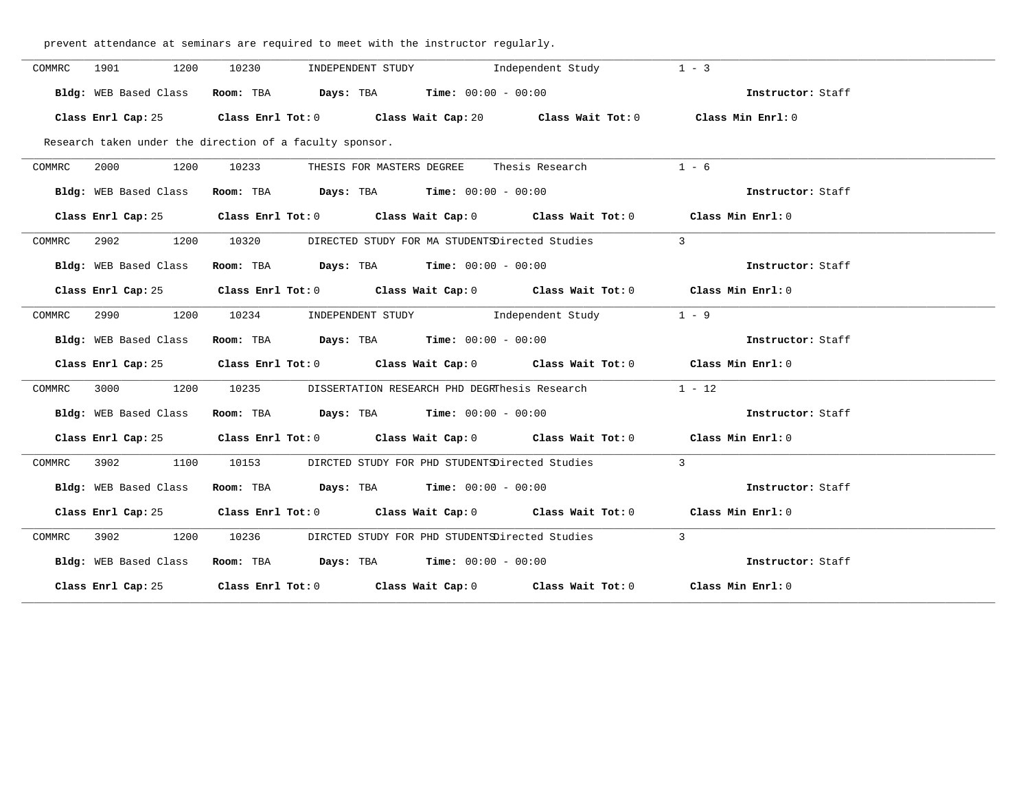prevent attendance at seminars are required to meet with the instructor regularly.

| COMMRC | 1901<br>1200          | 10230                                                    | INDEPENDENT STUDY                                                                        | Independent Study                                                                           | $1 - 3$           |  |
|--------|-----------------------|----------------------------------------------------------|------------------------------------------------------------------------------------------|---------------------------------------------------------------------------------------------|-------------------|--|
|        | Bldg: WEB Based Class |                                                          | Room: TBA $Days:$ TBA $Time: 00:00 - 00:00$                                              |                                                                                             | Instructor: Staff |  |
|        |                       |                                                          |                                                                                          | Class Enrl Cap: 25 Class Enrl Tot: 0 Class Wait Cap: 20 Class Wait Tot: 0 Class Min Enrl: 0 |                   |  |
|        |                       | Research taken under the direction of a faculty sponsor. |                                                                                          |                                                                                             |                   |  |
| COMMRC | 1200                  |                                                          |                                                                                          | 10233 THESIS FOR MASTERS DEGREE Thesis Research                                             | $1 - 6$           |  |
|        | Bldg: WEB Based Class |                                                          | Room: TBA $\rule{1em}{0.15mm}$ Days: TBA $\rule{1.5mm}{0.15mm}$ Time: $00:00 - 00:00$    |                                                                                             | Instructor: Staff |  |
|        |                       |                                                          |                                                                                          | Class Enrl Cap: 25 Class Enrl Tot: 0 Class Wait Cap: 0 Class Wait Tot: 0 Class Min Enrl: 0  |                   |  |
| COMMRC |                       |                                                          |                                                                                          | 2902 1200 10320 DIRECTED STUDY FOR MA STUDENTSDirected Studies 3                            |                   |  |
|        | Bldg: WEB Based Class |                                                          | Room: TBA $Days:$ TBA Time: $00:00 - 00:00$                                              |                                                                                             | Instructor: Staff |  |
|        |                       |                                                          |                                                                                          | Class Enrl Cap: 25 Class Enrl Tot: 0 Class Wait Cap: 0 Class Wait Tot: 0 Class Min Enrl: 0  |                   |  |
| COMMRC |                       | 2990 1200 10234 INDEPENDENT STUDY Independent Study      |                                                                                          |                                                                                             | $1 - 9$           |  |
|        | Bldg: WEB Based Class |                                                          | Room: TBA $\rule{1em}{0.15mm}$ Days: TBA Time: $00:00 - 00:00$                           |                                                                                             | Instructor: Staff |  |
|        |                       |                                                          |                                                                                          | Class Enrl Cap: 25 Class Enrl Tot: 0 Class Wait Cap: 0 Class Wait Tot: 0 Class Min Enrl: 0  |                   |  |
| COMMRC |                       |                                                          |                                                                                          | 3000 1200 10235 DISSERTATION RESEARCH PHD DEGRThesis Research 1 - 12                        |                   |  |
|        | Bldg: WEB Based Class |                                                          | Room: TBA $Days:$ TBA $Time: 00:00 - 00:00$                                              |                                                                                             | Instructor: Staff |  |
|        | Class Enrl Cap: 25    |                                                          |                                                                                          | Class Enrl Tot: 0 Class Wait Cap: 0 Class Wait Tot: 0 Class Min Enrl: 0                     |                   |  |
| COMMRC | 3902 1100             |                                                          |                                                                                          | 10153 DIRCTED STUDY FOR PHD STUDENTSDirected Studies 3                                      |                   |  |
|        | Bldg: WEB Based Class |                                                          | Room: TBA $\rule{1em}{0.15mm}$ Days: TBA $\rule{1.15mm}]{0.15mm}$ Time: $0.000 - 0.0000$ |                                                                                             | Instructor: Staff |  |
|        | Class Enrl Cap: 25    |                                                          |                                                                                          | Class Enrl Tot: 0 Class Wait Cap: 0 Class Wait Tot: 0 Class Min Enrl: 0                     |                   |  |
| COMMRC |                       |                                                          |                                                                                          | 3902 1200 10236 DIRCTED STUDY FOR PHD STUDENTSDirected Studies 3                            |                   |  |
|        | Bldg: WEB Based Class |                                                          | Room: TBA $Days:$ TBA $Time: 00:00 - 00:00$                                              |                                                                                             | Instructor: Staff |  |
|        |                       |                                                          |                                                                                          | Class Enrl Cap: 25 Class Enrl Tot: 0 Class Wait Cap: 0 Class Wait Tot: 0 Class Min Enrl: 0  |                   |  |
|        |                       |                                                          |                                                                                          |                                                                                             |                   |  |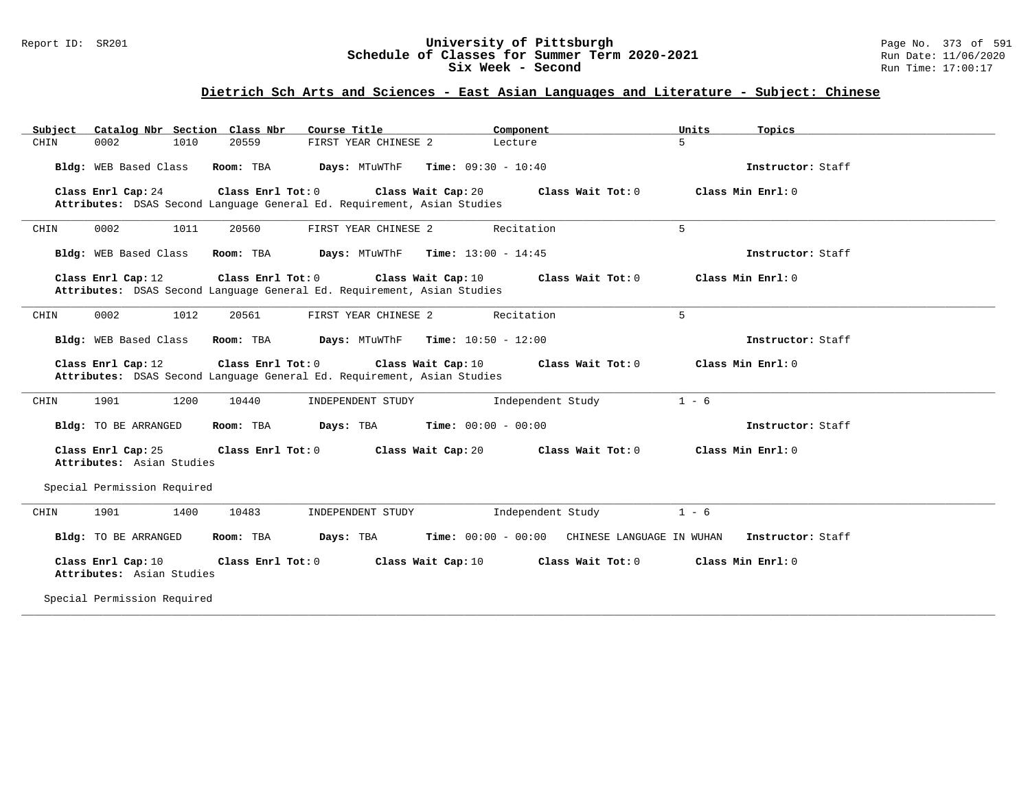## Report ID: SR201 **University of Pittsburgh** Page No. 373 of 591 **Schedule of Classes for Summer Term 2020-2021** Run Date: 11/06/2020 **Six Week - Second Run Time: 17:00:17**

# **Dietrich Sch Arts and Sciences - East Asian Languages and Literature - Subject: Chinese**

| Subject<br>Catalog Nbr Section Class Nbr<br>Course Title                                                                                 | Component<br>Units<br>Topics                                       |
|------------------------------------------------------------------------------------------------------------------------------------------|--------------------------------------------------------------------|
| CHIN<br>0002<br>1010<br>20559<br>FIRST YEAR CHINESE 2<br>Lecture                                                                         | 5                                                                  |
| Bldg: WEB Based Class<br>Days: MTuWThF<br><b>Time:</b> $09:30 - 10:40$<br>Room: TBA                                                      | Instructor: Staff                                                  |
| Class Enrl Cap: 24<br>Class Enrl Tot: 0<br>Class Wait Cap: 20                                                                            | Class Wait Tot: 0<br>Class Min Enrl: 0                             |
| Attributes: DSAS Second Language General Ed. Requirement, Asian Studies                                                                  |                                                                    |
| 0002<br>1011<br>20560<br>FIRST YEAR CHINESE 2<br>CHIN                                                                                    | Recitation<br>5                                                    |
| Days: MTuWThF<br><b>Time:</b> $13:00 - 14:45$<br>Bldg: WEB Based Class<br>Room: TBA                                                      | Instructor: Staff                                                  |
| Class Enrl Tot: 0<br>Class Wait Cap: 10<br>Class Enrl Cap: 12<br>Attributes: DSAS Second Language General Ed. Requirement, Asian Studies | Class Min Enrl: 0<br>Class Wait Tot: 0                             |
| FIRST YEAR CHINESE 2<br>0002<br>1012<br>20561                                                                                            | 5<br>Recitation                                                    |
| CHIN                                                                                                                                     |                                                                    |
| Time: $10:50 - 12:00$<br>Bldg: WEB Based Class<br>Room: TBA<br>Days: MTuWThF                                                             | Instructor: Staff                                                  |
| Class Enrl Cap: 12<br>Class Enrl Tot: 0<br>Class Wait Cap: 10<br>Attributes: DSAS Second Language General Ed. Requirement, Asian Studies | Class Wait Tot: 0<br>Class Min Enrl: 0                             |
| 1901<br>1200<br>10440<br>INDEPENDENT STUDY<br>CHIN                                                                                       | Independent Study<br>$1 - 6$                                       |
| <b>Time:</b> $00:00 - 00:00$<br>Bldg: TO BE ARRANGED<br>Room: TBA<br>Days: TBA                                                           | Instructor: Staff                                                  |
|                                                                                                                                          |                                                                    |
| Class Enrl Cap: 25<br>Class Enrl Tot: 0<br>Class Wait Cap: 20<br>Attributes: Asian Studies                                               | Class Min Enrl: 0<br>Class Wait Tot: 0                             |
| Special Permission Required                                                                                                              |                                                                    |
| 1901<br>1400<br>10483<br>CHIN<br>INDEPENDENT STUDY                                                                                       | $1 - 6$<br>Independent Study                                       |
| Bldg: TO BE ARRANGED<br>Room: TBA<br>Days: TBA                                                                                           | Time: 00:00 - 00:00 CHINESE LANGUAGE IN WUHAN<br>Instructor: Staff |
| Class Enrl Cap: 10<br>Class Enrl Tot: 0<br>Class Wait Cap: 10<br>Attributes: Asian Studies                                               | Class Min Enrl: 0<br>Class Wait Tot: 0                             |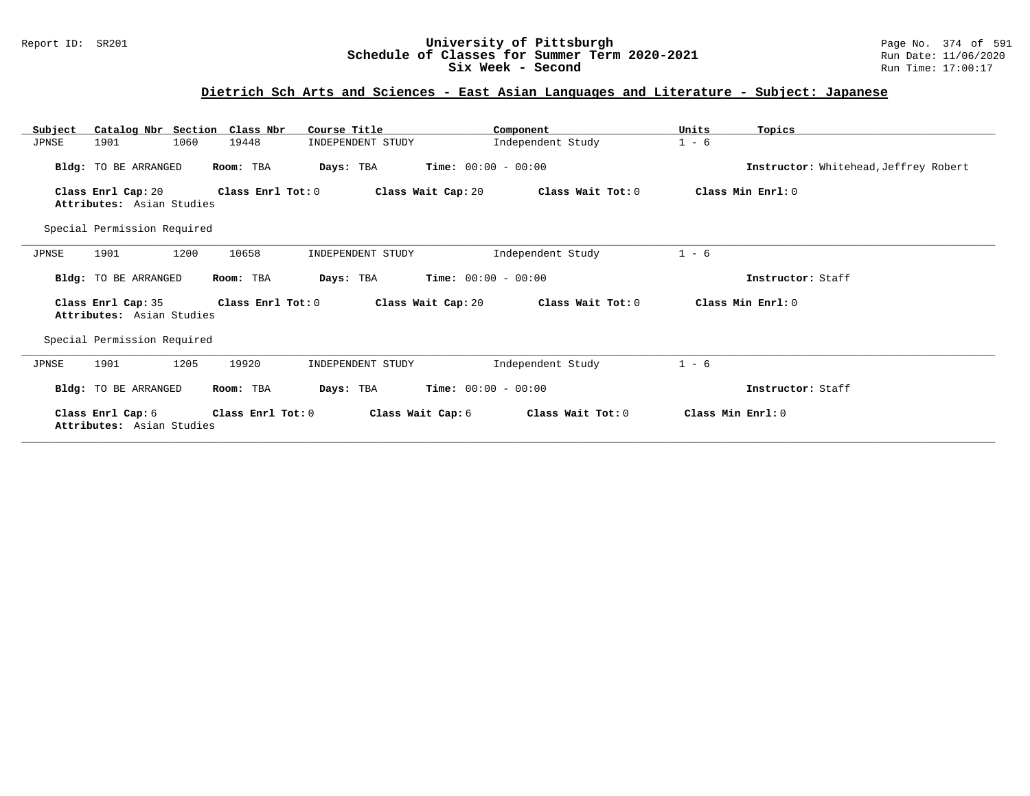### Report ID: SR201 **University of Pittsburgh** Page No. 374 of 591 **Schedule of Classes for Summer Term 2020-2021** Run Date: 11/06/2020 **Six Week - Second Run Time: 17:00:17**

## **Dietrich Sch Arts and Sciences - East Asian Languages and Literature - Subject: Japanese**

| Subject | Catalog Nbr Section Class Nbr                   |      |                   | Course Title      |                              | Component         | Units             | Topics                                |
|---------|-------------------------------------------------|------|-------------------|-------------------|------------------------------|-------------------|-------------------|---------------------------------------|
| JPNSE   | 1901                                            | 1060 | 19448             | INDEPENDENT STUDY |                              | Independent Study | $1 - 6$           |                                       |
|         | Bldg: TO BE ARRANGED                            |      | Room: TBA         | Days: TBA         | <b>Time:</b> $00:00 - 00:00$ |                   |                   | Instructor: Whitehead, Jeffrey Robert |
|         | Class Enrl Cap: 20<br>Attributes: Asian Studies |      | Class Enrl Tot: 0 |                   | Class Wait Cap: 20           | Class Wait Tot: 0 |                   | Class Min Enrl: 0                     |
|         | Special Permission Required                     |      |                   |                   |                              |                   |                   |                                       |
| JPNSE   | 1901                                            | 1200 | 10658             | INDEPENDENT STUDY |                              | Independent Study | $1 - 6$           |                                       |
|         | Bldg: TO BE ARRANGED                            |      | Room: TBA         | Days: TBA         | <b>Time:</b> $00:00 - 00:00$ |                   |                   | Instructor: Staff                     |
|         | Class Enrl Cap: 35<br>Attributes: Asian Studies |      | Class Enrl Tot: 0 |                   | Class Wait Cap: 20           | Class Wait Tot: 0 |                   | Class Min Enrl: 0                     |
|         | Special Permission Required                     |      |                   |                   |                              |                   |                   |                                       |
| JPNSE   | 1901                                            | 1205 | 19920             | INDEPENDENT STUDY |                              | Independent Study | $1 - 6$           |                                       |
|         | Bldg: TO BE ARRANGED                            |      | Room: TBA         | Days: TBA         | <b>Time:</b> $00:00 - 00:00$ |                   |                   | Instructor: Staff                     |
|         | Class Enrl Cap: 6<br>Attributes: Asian Studies  |      | Class Enrl Tot: 0 |                   | Class Wait Cap: 6            | Class Wait Tot: 0 | Class Min Enrl: 0 |                                       |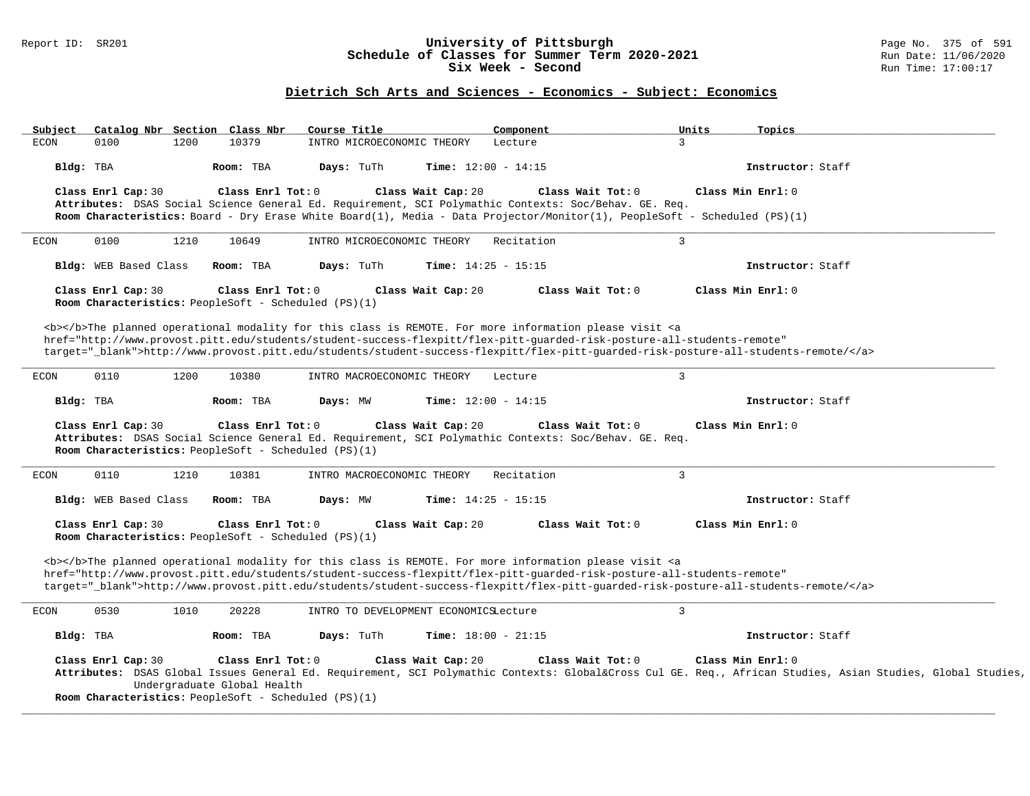## Report ID: SR201 **University of Pittsburgh** Page No. 375 of 591 **Schedule of Classes for Summer Term 2020-2021** Run Date: 11/06/2020 **Six Week - Second Run Time: 17:00:17**

# **Dietrich Sch Arts and Sciences - Economics - Subject: Economics**

| Subject                                                                    | Catalog Nbr Section Class Nbr<br>Course Title                                                                                                                                                                                             | Component                    | Units<br>Topics                                                                                                                                        |
|----------------------------------------------------------------------------|-------------------------------------------------------------------------------------------------------------------------------------------------------------------------------------------------------------------------------------------|------------------------------|--------------------------------------------------------------------------------------------------------------------------------------------------------|
| 1200<br><b>ECON</b><br>0100                                                | 10379<br>INTRO MICROECONOMIC THEORY                                                                                                                                                                                                       | $\overline{3}$<br>Lecture    |                                                                                                                                                        |
| Bldg: TBA                                                                  | Days: TuTh<br>Time: $12:00 - 14:15$<br>Room: TBA                                                                                                                                                                                          |                              | Instructor: Staff                                                                                                                                      |
| Class Enrl Cap: 30                                                         | Class Enrl Tot: 0<br>Class Wait Cap: 20                                                                                                                                                                                                   | Class Wait Tot: 0            | Class Min Enrl: 0                                                                                                                                      |
|                                                                            | Attributes: DSAS Social Science General Ed. Requirement, SCI Polymathic Contexts: Soc/Behav. GE. Req.<br>Room Characteristics: Board - Dry Erase White Board(1), Media - Data Projector/Monitor(1), PeopleSoft - Scheduled (PS)(1)        |                              |                                                                                                                                                        |
|                                                                            |                                                                                                                                                                                                                                           |                              |                                                                                                                                                        |
| 0100<br>1210<br>ECON                                                       | 10649<br>INTRO MICROECONOMIC THEORY                                                                                                                                                                                                       | $\overline{3}$<br>Recitation |                                                                                                                                                        |
| Bldg: WEB Based Class                                                      | Room: TBA<br>Days: TuTh<br>Time: $14:25 - 15:15$                                                                                                                                                                                          |                              | Instructor: Staff                                                                                                                                      |
| Class Enrl Cap: 30                                                         | Class Enrl Tot: 0<br>Class Wait Cap: 20                                                                                                                                                                                                   | Class Wait Tot: 0            | Class Min Enrl: 0                                                                                                                                      |
| Room Characteristics: PeopleSoft - Scheduled (PS)(1)                       |                                                                                                                                                                                                                                           |                              |                                                                                                                                                        |
|                                                                            | <b></b> The planned operational modality for this class is REMOTE. For more information please visit <a< td=""><td></td><td></td></a<>                                                                                                    |                              |                                                                                                                                                        |
|                                                                            | href="http://www.provost.pitt.edu/students/student-success-flexpitt/flex-pitt-guarded-risk-posture-all-students-remote"                                                                                                                   |                              |                                                                                                                                                        |
|                                                                            | target="_blank">http://www.provost.pitt.edu/students/student-success-flexpitt/flex-pitt-quarded-risk-posture-all-students-remote/                                                                                                         |                              |                                                                                                                                                        |
| 0110<br>1200<br>ECON                                                       | 10380<br>INTRO MACROECONOMIC THEORY                                                                                                                                                                                                       | $\overline{3}$<br>Lecture    |                                                                                                                                                        |
|                                                                            |                                                                                                                                                                                                                                           |                              |                                                                                                                                                        |
| Bldg: TBA                                                                  | Time: $12:00 - 14:15$<br>Room: TBA<br>Days: MW                                                                                                                                                                                            |                              | Instructor: Staff                                                                                                                                      |
| Class Enrl Cap: 30                                                         | Class Enrl Tot: $0$<br>Class Wait Cap: 20<br>Attributes: DSAS Social Science General Ed. Requirement, SCI Polymathic Contexts: Soc/Behav. GE. Req.                                                                                        | Class Wait Tot: 0            | Class Min Enrl: 0                                                                                                                                      |
|                                                                            |                                                                                                                                                                                                                                           |                              |                                                                                                                                                        |
| Room Characteristics: PeopleSoft - Scheduled (PS)(1)                       |                                                                                                                                                                                                                                           |                              |                                                                                                                                                        |
| 0110<br>1210<br><b>ECON</b>                                                | 10381<br>INTRO MACROECONOMIC THEORY                                                                                                                                                                                                       | $\overline{3}$<br>Recitation |                                                                                                                                                        |
| Bldg: WEB Based Class                                                      | Room: TBA<br>Days: MW<br>Time: $14:25 - 15:15$                                                                                                                                                                                            |                              | Instructor: Staff                                                                                                                                      |
| Class Enrl Cap: 30<br>Room Characteristics: PeopleSoft - Scheduled (PS)(1) | Class Enrl Tot: 0<br>Class Wait Cap: 20                                                                                                                                                                                                   | Class Wait Tot: 0            | Class Min Enrl: 0                                                                                                                                      |
|                                                                            |                                                                                                                                                                                                                                           |                              |                                                                                                                                                        |
|                                                                            | <b></b> The planned operational modality for this class is REMOTE. For more information please visit <a<br>href="http://www.provost.pitt.edu/students/student-success-flexpitt/flex-pitt-quarded-risk-posture-all-students-remote"</a<br> |                              |                                                                                                                                                        |
|                                                                            | target="_blank">http://www.provost.pitt.edu/students/student-success-flexpitt/flex-pitt-quarded-risk-posture-all-students-remote/                                                                                                         |                              |                                                                                                                                                        |
| 0530<br>1010<br>ECON                                                       | 20228<br>INTRO TO DEVELOPMENT ECONOMICSLecture                                                                                                                                                                                            | $\overline{3}$               |                                                                                                                                                        |
| Bldg: TBA                                                                  | Room: TBA<br>Days: TuTh<br><b>Time:</b> $18:00 - 21:15$                                                                                                                                                                                   |                              | Instructor: Staff                                                                                                                                      |
|                                                                            |                                                                                                                                                                                                                                           |                              |                                                                                                                                                        |
| Class Enrl Cap: 30                                                         | Class Enrl Tot: 0<br>Class Wait Cap: 20                                                                                                                                                                                                   | Class Wait Tot: 0            | Class Min Enrl: 0                                                                                                                                      |
| Undergraduate Global Health                                                |                                                                                                                                                                                                                                           |                              | Attributes: DSAS Global Issues General Ed. Requirement, SCI Polymathic Contexts: Global⨯ Cul GE. Req., African Studies, Asian Studies, Global Studies, |
| Room Characteristics: PeopleSoft - Scheduled (PS)(1)                       |                                                                                                                                                                                                                                           |                              |                                                                                                                                                        |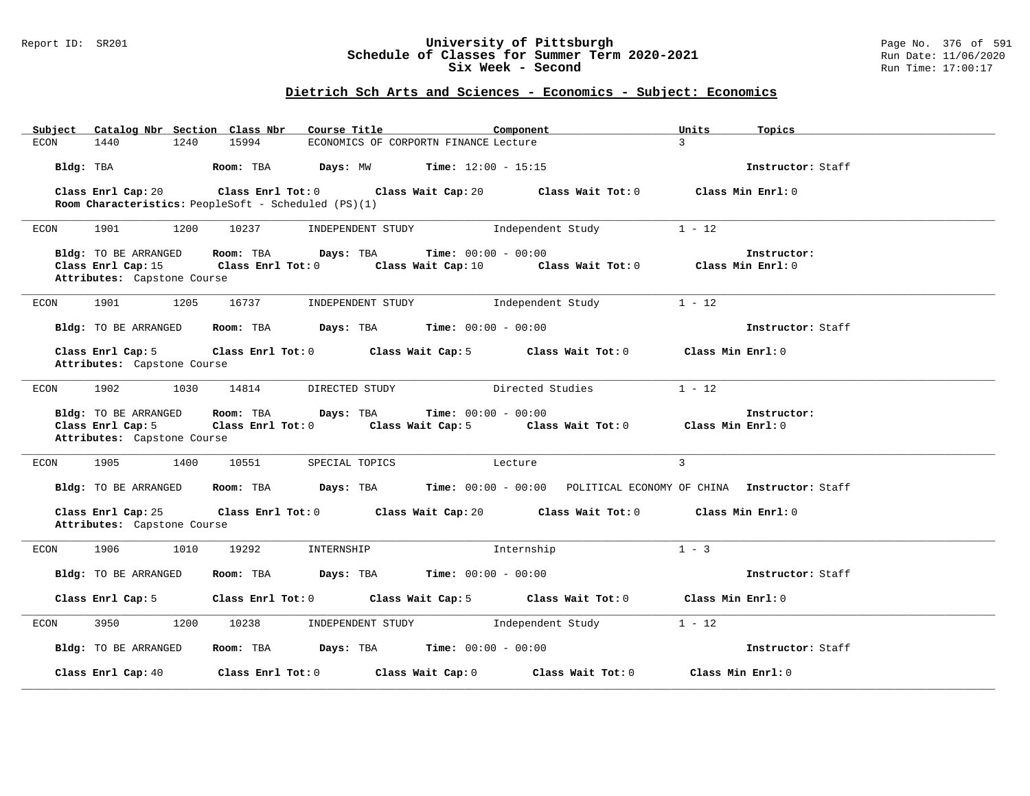### Report ID: SR201 **University of Pittsburgh** Page No. 376 of 591 **Schedule of Classes for Summer Term 2020-2021** Run Date: 11/06/2020 **Six Week - Second Run Time: 17:00:17**

# **Dietrich Sch Arts and Sciences - Economics - Subject: Economics**

| Catalog Nbr Section Class Nbr<br>Subject                                  | Course Title                                         | Component                                                                            | Units<br>Topics                  |  |
|---------------------------------------------------------------------------|------------------------------------------------------|--------------------------------------------------------------------------------------|----------------------------------|--|
| 1440<br>1240<br>ECON                                                      | 15994                                                | ECONOMICS OF CORPORTN FINANCE Lecture                                                | $\mathbf{R}$                     |  |
| Bldg: TBA                                                                 | Room: TBA                                            | <b>Days:</b> MW <b>Time:</b> $12:00 - 15:15$                                         | Instructor: Staff                |  |
| Class Enrl Cap: 20                                                        | Class Enrl Tot: 0 Class Wait Cap: 20                 | Class Wait Tot: 0                                                                    | Class Min Enrl: 0                |  |
|                                                                           | Room Characteristics: PeopleSoft - Scheduled (PS)(1) |                                                                                      |                                  |  |
|                                                                           |                                                      |                                                                                      |                                  |  |
| ECON<br>1901<br>1200                                                      | 10237<br>INDEPENDENT STUDY                           | Independent Study                                                                    | $1 - 12$                         |  |
| Bldg: TO BE ARRANGED<br>Class Enrl Cap: 15<br>Attributes: Capstone Course | Room: TBA<br>Days: TBA<br>Class Enrl Tot: 0          | $Time: 00:00 - 00:00$<br>Class Wait Cap: 10 Class Wait Tot: 0                        | Instructor:<br>Class Min Enrl: 0 |  |
| 1901<br>1205<br>ECON                                                      | 16737<br>INDEPENDENT STUDY                           | Independent Study                                                                    | $1 - 12$                         |  |
| Bldg: TO BE ARRANGED                                                      | Room: TBA $Days: TBA$ Time: $00:00 - 00:00$          |                                                                                      | Instructor: Staff                |  |
| Class Enrl Cap: 5<br>Attributes: Capstone Course                          | Class Enrl Tot: 0 Class Wait Cap: 5                  | Class Wait Tot: 0                                                                    | Class Min Enrl: 0                |  |
| 1902<br>1030<br>ECON                                                      | 14814<br>DIRECTED STUDY                              | Directed Studies                                                                     | $1 - 12$                         |  |
|                                                                           |                                                      |                                                                                      |                                  |  |
| Bldg: TO BE ARRANGED                                                      | Days: TBA<br>Room: TBA                               | $Time: 00:00 - 00:00$                                                                | Instructor:                      |  |
| Class Enrl Cap: 5                                                         | Class Enrl Tot: 0 Class Wait Cap: 5                  | Class Wait Tot: $0$ Class Min Enrl: $0$                                              |                                  |  |
| Attributes: Capstone Course                                               |                                                      |                                                                                      |                                  |  |
| 1905<br>1400<br>ECON                                                      | 10551<br>SPECIAL TOPICS                              | Lecture                                                                              | $\overline{3}$                   |  |
| Bldg: TO BE ARRANGED                                                      |                                                      | Room: TBA Days: TBA Time: 00:00 - 00:00 POLITICAL ECONOMY OF CHINA Instructor: Staff |                                  |  |
| Class Enrl Cap: 25<br>Attributes: Capstone Course                         | Class Enrl Tot: 0 Class Wait Cap: 20                 | Class Wait Tot: 0                                                                    | Class Min Enrl: 0                |  |
| 1906<br>1010<br>ECON                                                      | 19292<br>INTERNSHIP                                  | Internship                                                                           | $1 - 3$                          |  |
| Bldg: TO BE ARRANGED                                                      | Room: TBA                                            | <b>Days:</b> TBA <b>Time:</b> $00:00 - 00:00$                                        | Instructor: Staff                |  |
| Class Enrl Cap: 5                                                         | Class Enrl Tot: 0 Class Wait Cap: 5                  | Class Wait Tot: 0                                                                    | Class Min Enrl: 0                |  |
| 3950<br>1200<br>ECON                                                      | 10238<br>INDEPENDENT STUDY                           | Independent Study                                                                    | $1 - 12$                         |  |
| Bldg: TO BE ARRANGED                                                      | Room: TBA                                            | $\texttt{DayS:}$ TBA $\texttt{Time:}$ 00:00 - 00:00                                  | Instructor: Staff                |  |
| Class Enrl Cap: 40                                                        | Class Enrl Tot: 0 Class Wait Cap: 0                  | Class Wait Tot: 0                                                                    | Class Min Enrl: 0                |  |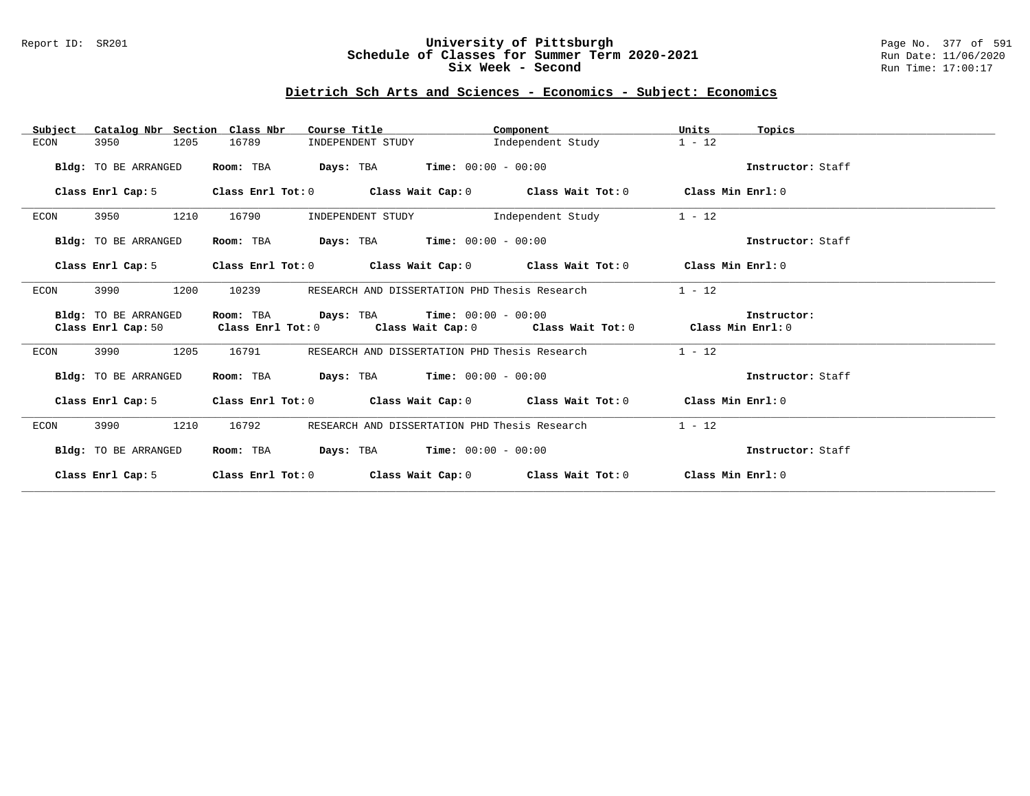## Report ID: SR201 **University of Pittsburgh** Page No. 377 of 591 **Schedule of Classes for Summer Term 2020-2021** Run Date: 11/06/2020 **Six Week - Second Run Time: 17:00:17**

# **Dietrich Sch Arts and Sciences - Economics - Subject: Economics**

| Catalog Nbr Section Class Nbr<br>Subject   | Course Title                                | Component                                                                                                                     | Units<br>Topics   |
|--------------------------------------------|---------------------------------------------|-------------------------------------------------------------------------------------------------------------------------------|-------------------|
| 1205<br>ECON<br>3950                       | 16789<br>INDEPENDENT STUDY                  | Independent Study                                                                                                             | $1 - 12$          |
| Bldg: TO BE ARRANGED                       | Room: TBA                                   | $\texttt{Davis:}$ TBA $\texttt{Time:}$ 00:00 - 00:00                                                                          | Instructor: Staff |
| Class Enrl Cap: 5                          |                                             | Class Enrl Tot: $0$ Class Wait Cap: $0$ Class Wait Tot: $0$ Class Min Enrl: $0$                                               |                   |
| 1210<br>3950<br>ECON                       | 16790<br>INDEPENDENT STUDY                  | Independent Study                                                                                                             | $1 - 12$          |
| Bldg: TO BE ARRANGED                       | Room: TBA                                   | $\texttt{DayS:}$ TBA Time: $00:00 - 00:00$                                                                                    | Instructor: Staff |
|                                            |                                             | Class Enrl Cap: 5 Class Enrl Tot: 0 Class Wait Cap: 0 Class Wait Tot: 0 Class Min Enrl: 0                                     |                   |
| 1200<br>ECON<br>3990                       | 10239                                       | RESEARCH AND DISSERTATION PHD Thesis Research                                                                                 | $1 - 12$          |
| Bldg: TO BE ARRANGED<br>Class Enrl Cap: 50 | Room: TBA $Days: TBA$ Time: $00:00 - 00:00$ | Class Enrl Tot: $0$ Class Wait Cap: $0$ Class Wait Tot: $0$ Class Min Enrl: $0$                                               | Instructor:       |
| 3990<br>1205<br>ECON                       | 16791                                       | RESEARCH AND DISSERTATION PHD Thesis Research                                                                                 | $1 - 12$          |
| Bldg: TO BE ARRANGED                       | Room: TBA                                   | $\texttt{Davis:}$ TBA $\texttt{Time:}$ 00:00 - 00:00                                                                          | Instructor: Staff |
|                                            |                                             | Class Enrl Cap: 5 $\qquad$ Class Enrl Tot: 0 $\qquad$ Class Wait Cap: 0 $\qquad$ Class Wait Tot: 0 $\qquad$ Class Min Enrl: 0 |                   |
| 1210<br>3990<br>ECON                       | 16792                                       | RESEARCH AND DISSERTATION PHD Thesis Research                                                                                 | $1 - 12$          |
| Bldg: TO BE ARRANGED                       | Room: TBA $Days:$ TBA $Time: 00:00 - 00:00$ |                                                                                                                               | Instructor: Staff |
| Class Enrl Cap: 5                          |                                             | Class Enrl Tot: $0$ class Wait Cap: $0$ class Wait Tot: $0$ class Min Enrl: $0$                                               |                   |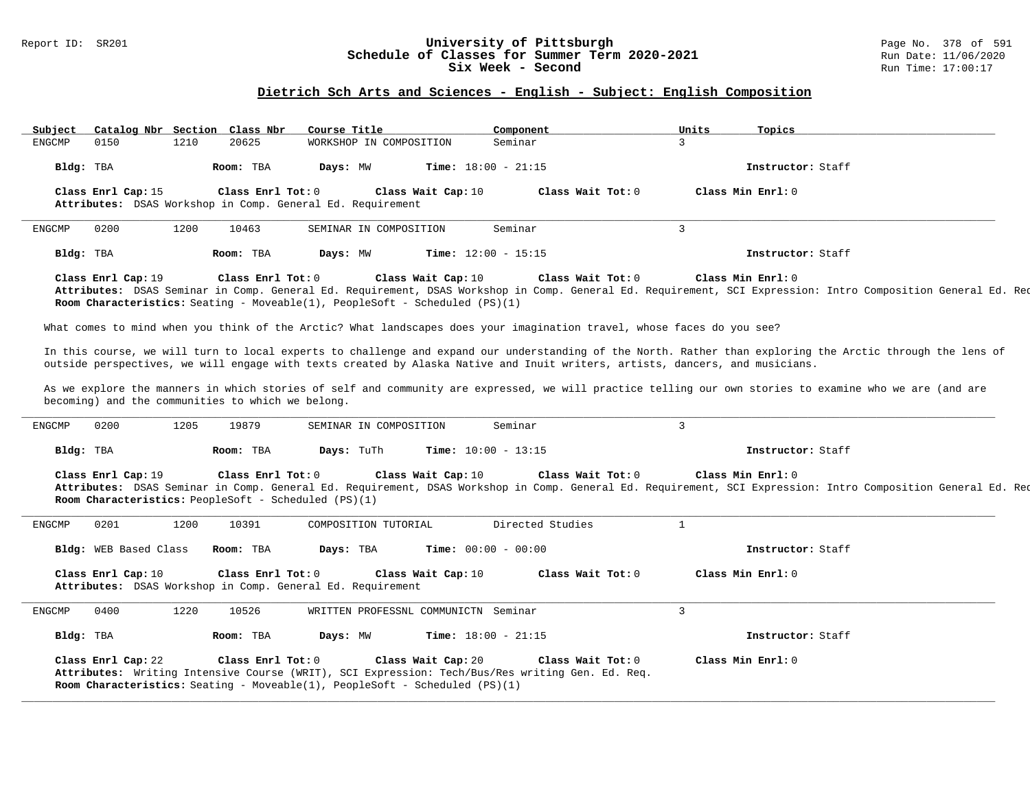### Report ID: SR201 **University of Pittsburgh** Page No. 378 of 591 **Schedule of Classes for Summer Term 2020-2021** Run Date: 11/06/2020 **Six Week - Second Run Time: 17:00:17**

# **Dietrich Sch Arts and Sciences - English - Subject: English Composition**

| Subject       | Catalog Nbr Section Class Nbr |      |                                                   | Course Title                                                                         |                    | Component                                                                                                                    |                | Units | Topics                                                                                                                                                                            |  |
|---------------|-------------------------------|------|---------------------------------------------------|--------------------------------------------------------------------------------------|--------------------|------------------------------------------------------------------------------------------------------------------------------|----------------|-------|-----------------------------------------------------------------------------------------------------------------------------------------------------------------------------------|--|
| <b>ENGCMP</b> | 0150                          | 1210 | 20625                                             | WORKSHOP IN COMPOSITION                                                              |                    | Seminar                                                                                                                      | 3              |       |                                                                                                                                                                                   |  |
| Bldg: TBA     |                               |      | Room: TBA                                         | Days: MW                                                                             |                    | <b>Time:</b> $18:00 - 21:15$                                                                                                 |                |       | Instructor: Staff                                                                                                                                                                 |  |
|               | Class Enrl Cap: 15            |      | Class Enrl Tot: 0                                 |                                                                                      | Class Wait Cap: 10 | Class Wait Tot: 0                                                                                                            |                |       | Class Min Enrl: 0                                                                                                                                                                 |  |
|               |                               |      |                                                   | Attributes: DSAS Workshop in Comp. General Ed. Requirement                           |                    |                                                                                                                              |                |       |                                                                                                                                                                                   |  |
| ENGCMP        | 0200                          | 1200 | 10463                                             | SEMINAR IN COMPOSITION                                                               |                    | Seminar                                                                                                                      | 3              |       |                                                                                                                                                                                   |  |
| Bldg: TBA     |                               |      | Room: TBA                                         | Days: MW                                                                             |                    | Time: $12:00 - 15:15$                                                                                                        |                |       | Instructor: Staff                                                                                                                                                                 |  |
|               | Class Enrl Cap: 19            |      | Class Enrl Tot: 0                                 |                                                                                      | Class Wait Cap: 10 | Class Wait Tot: 0                                                                                                            |                |       | Class Min Enrl: 0                                                                                                                                                                 |  |
|               |                               |      |                                                   | <b>Room Characteristics:</b> Seating - Moveable(1), PeopleSoft - Scheduled $(PS)(1)$ |                    |                                                                                                                              |                |       | Attributes: DSAS Seminar in Comp. General Ed. Requirement, DSAS Workshop in Comp. General Ed. Requirement, SCI Expression: Intro Composition General Ed. Req                      |  |
|               |                               |      |                                                   |                                                                                      |                    | What comes to mind when you think of the Arctic? What landscapes does your imagination travel, whose faces do you see?       |                |       |                                                                                                                                                                                   |  |
|               |                               |      |                                                   |                                                                                      |                    | outside perspectives, we will engage with texts created by Alaska Native and Inuit writers, artists, dancers, and musicians. |                |       | In this course, we will turn to local experts to challenge and expand our understanding of the North. Rather than exploring the Arctic through the lens of                        |  |
|               |                               |      | becoming) and the communities to which we belong. |                                                                                      |                    |                                                                                                                              |                |       | As we explore the manners in which stories of self and community are expressed, we will practice telling our own stories to examine who we are (and are                           |  |
| ENGCMP        | 0200                          | 1205 | 19879                                             | SEMINAR IN COMPOSITION                                                               |                    | Seminar                                                                                                                      | $\overline{3}$ |       |                                                                                                                                                                                   |  |
| Bldg: TBA     |                               |      | Room: TBA                                         | Days: TuTh                                                                           |                    | <b>Time:</b> $10:00 - 13:15$                                                                                                 |                |       | Instructor: Staff                                                                                                                                                                 |  |
|               | Class Enrl Cap: 19            |      | Class Enrl Tot: 0                                 | Room Characteristics: PeopleSoft - Scheduled (PS)(1)                                 | Class Wait Cap: 10 | Class Wait Tot: 0                                                                                                            |                |       | Class Min Enrl: 0<br>Attributes: DSAS Seminar in Comp. General Ed. Requirement, DSAS Workshop in Comp. General Ed. Requirement, SCI Expression: Intro Composition General Ed. Req |  |
| ENGCMP        | 0201                          | 1200 | 10391                                             | COMPOSITION TUTORIAL                                                                 |                    | Directed Studies                                                                                                             | $\mathbf{1}$   |       |                                                                                                                                                                                   |  |
|               | Bldg: WEB Based Class         |      | Room: TBA                                         | Days: TBA                                                                            |                    | <b>Time:</b> $00:00 - 00:00$                                                                                                 |                |       | Instructor: Staff                                                                                                                                                                 |  |
|               | Class Enrl Cap: 10            |      | Class Enrl Tot: 0                                 | Attributes: DSAS Workshop in Comp. General Ed. Requirement                           | Class Wait Cap: 10 | Class Wait Tot: 0                                                                                                            |                |       | Class Min Enrl: 0                                                                                                                                                                 |  |
| ENGCMP        | 0400                          | 1220 | 10526                                             | WRITTEN PROFESSNL COMMUNICTN Seminar                                                 |                    |                                                                                                                              | 3              |       |                                                                                                                                                                                   |  |
| Bldg: TBA     |                               |      | Room: TBA                                         | Days: MW                                                                             |                    | Time: $18:00 - 21:15$                                                                                                        |                |       | Instructor: Staff                                                                                                                                                                 |  |
|               | Class Enrl Cap: 22            |      | Class Enrl Tot: 0                                 | Room Characteristics: Seating - Moveable(1), PeopleSoft - Scheduled (PS)(1)          | Class Wait Cap: 20 | Class Wait Tot: 0<br>Attributes: Writing Intensive Course (WRIT), SCI Expression: Tech/Bus/Res writing Gen. Ed. Req.         |                |       | Class Min Enrl: 0                                                                                                                                                                 |  |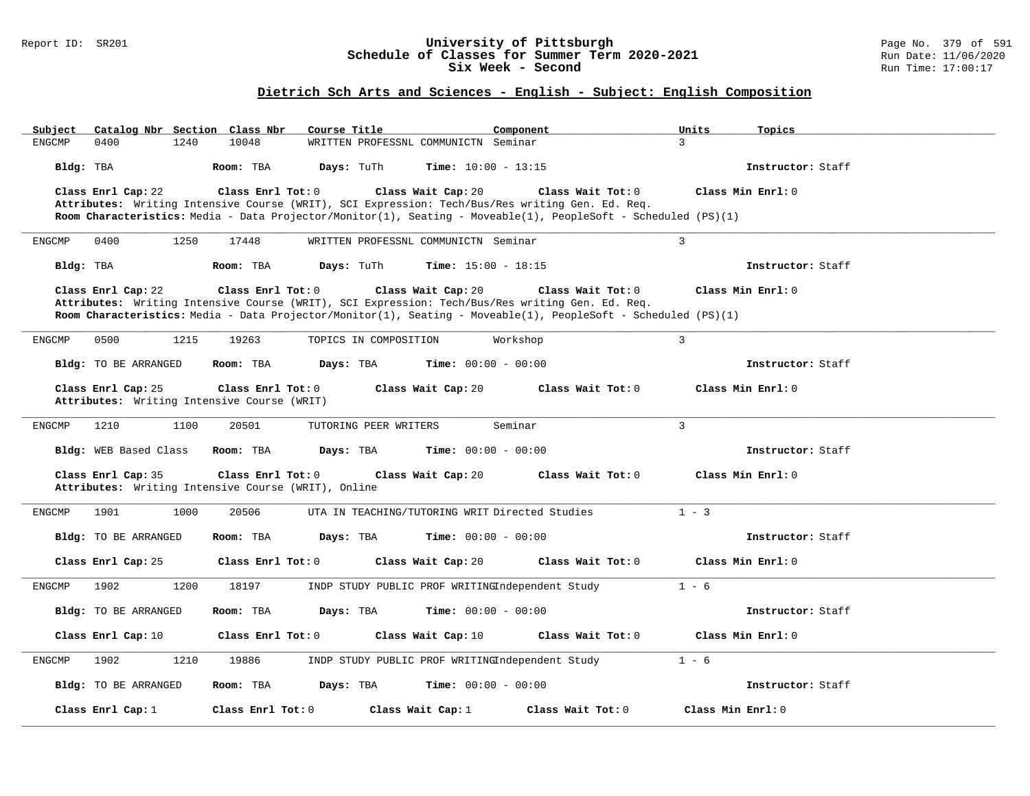### Report ID: SR201 **University of Pittsburgh** Page No. 379 of 591 **Schedule of Classes for Summer Term 2020-2021** Run Date: 11/06/2020 **Six Week - Second Run Time: 17:00:17**

# **Dietrich Sch Arts and Sciences - English - Subject: English Composition**

| Catalog Nbr Section Class Nbr<br>Subject    | Course Title                                                                                                   | Component<br>Units<br>Topics             |  |
|---------------------------------------------|----------------------------------------------------------------------------------------------------------------|------------------------------------------|--|
| <b>ENGCMP</b><br>0400<br>1240               | 10048<br>WRITTEN PROFESSNL COMMUNICTN Seminar                                                                  | $\overline{3}$                           |  |
| Bldg: TBA                                   | Days: TuTh<br><b>Time:</b> $10:00 - 13:15$<br>Room: TBA                                                        | Instructor: Staff                        |  |
| Class Enrl Cap: 22                          | Class Enrl Tot: 0<br>Class Wait Cap: 20                                                                        | Class Min Enrl: 0<br>Class Wait Tot: 0   |  |
|                                             | Attributes: Writing Intensive Course (WRIT), SCI Expression: Tech/Bus/Res writing Gen. Ed. Req.                |                                          |  |
|                                             | Room Characteristics: Media - Data Projector/Monitor(1), Seating - Moveable(1), PeopleSoft - Scheduled (PS)(1) |                                          |  |
| 0400<br>1250<br>ENGCMP                      | 17448<br>WRITTEN PROFESSNL COMMUNICTN Seminar                                                                  | $\overline{3}$                           |  |
| Bldg: TBA                                   | Days: TuTh<br><b>Time:</b> $15:00 - 18:15$<br>Room: TBA                                                        | Instructor: Staff                        |  |
| Class Enrl Cap: 22                          | Class Enrl Tot: 0<br>Class Wait Cap: 20                                                                        | Class Wait Tot: 0<br>Class Min Enrl: 0   |  |
|                                             | Attributes: Writing Intensive Course (WRIT), SCI Expression: Tech/Bus/Res writing Gen. Ed. Req.                |                                          |  |
|                                             | Room Characteristics: Media - Data Projector/Monitor(1), Seating - Moveable(1), PeopleSoft - Scheduled (PS)(1) |                                          |  |
| 0500<br>1215<br><b>ENGCMP</b>               | 19263<br>TOPICS IN COMPOSITION                                                                                 | 3<br>Workshop                            |  |
| <b>Bldg:</b> TO BE ARRANGED                 | Room: TBA<br>Days: TBA<br><b>Time:</b> $00:00 - 00:00$                                                         | Instructor: Staff                        |  |
| Class Enrl Cap: 25                          | Class Enrl Tot: 0<br>Class Wait Cap: 20                                                                        | Class Wait Tot: 0<br>Class Min Enrl: 0   |  |
| Attributes: Writing Intensive Course (WRIT) |                                                                                                                |                                          |  |
| <b>ENGCMP</b><br>1210<br>1100               | 20501<br>TUTORING PEER WRITERS<br>Seminar                                                                      | $\overline{3}$                           |  |
|                                             |                                                                                                                |                                          |  |
| Bldg: WEB Based Class                       | <b>Time:</b> $00:00 - 00:00$<br>Room: TBA<br>Days: TBA                                                         | Instructor: Staff                        |  |
| Class Enrl Cap: 35                          | Class Enrl Tot: 0<br>Class Wait Cap: 20                                                                        | Class Min Enrl: 0<br>Class Wait Tot: $0$ |  |
|                                             | Attributes: Writing Intensive Course (WRIT), Online                                                            |                                          |  |
| <b>ENGCMP</b><br>1901<br>1000               | 20506<br>UTA IN TEACHING/TUTORING WRIT Directed Studies                                                        | $1 - 3$                                  |  |
| <b>Bldg:</b> TO BE ARRANGED                 | Room: TBA<br>Days: TBA<br><b>Time:</b> $00:00 - 00:00$                                                         | Instructor: Staff                        |  |
|                                             |                                                                                                                |                                          |  |
| Class Enrl Cap: 25                          | Class Enrl Tot: 0<br>Class Wait Cap: 20                                                                        | Class Wait Tot: 0<br>Class Min Enrl: 0   |  |
| <b>ENGCMP</b><br>1902<br>1200               | 18197<br>INDP STUDY PUBLIC PROF WRITINGIndependent Study                                                       | $1 - 6$                                  |  |
| <b>Bldg:</b> TO BE ARRANGED                 | <b>Time:</b> $00:00 - 00:00$<br>Room: TBA<br>Days: TBA                                                         | Instructor: Staff                        |  |
| Class Enrl Cap: 10                          | Class $Enr1 Tot: 0$<br>Class Wait Cap: 10                                                                      | Class Min Enrl: 0<br>Class Wait Tot: 0   |  |
| 1210<br><b>ENGCMP</b><br>1902               | 19886<br>INDP STUDY PUBLIC PROF WRITINGIndependent Study                                                       | $1 - 6$                                  |  |
| <b>Bldg:</b> TO BE ARRANGED                 | Room: TBA<br>Days: TBA<br><b>Time:</b> $00:00 - 00:00$                                                         | Instructor: Staff                        |  |
| Class Enrl Cap: 1                           | Class Enrl Tot: 0<br>Class Wait Cap: 1                                                                         | Class Min Enrl: 0<br>Class Wait Tot: 0   |  |
|                                             |                                                                                                                |                                          |  |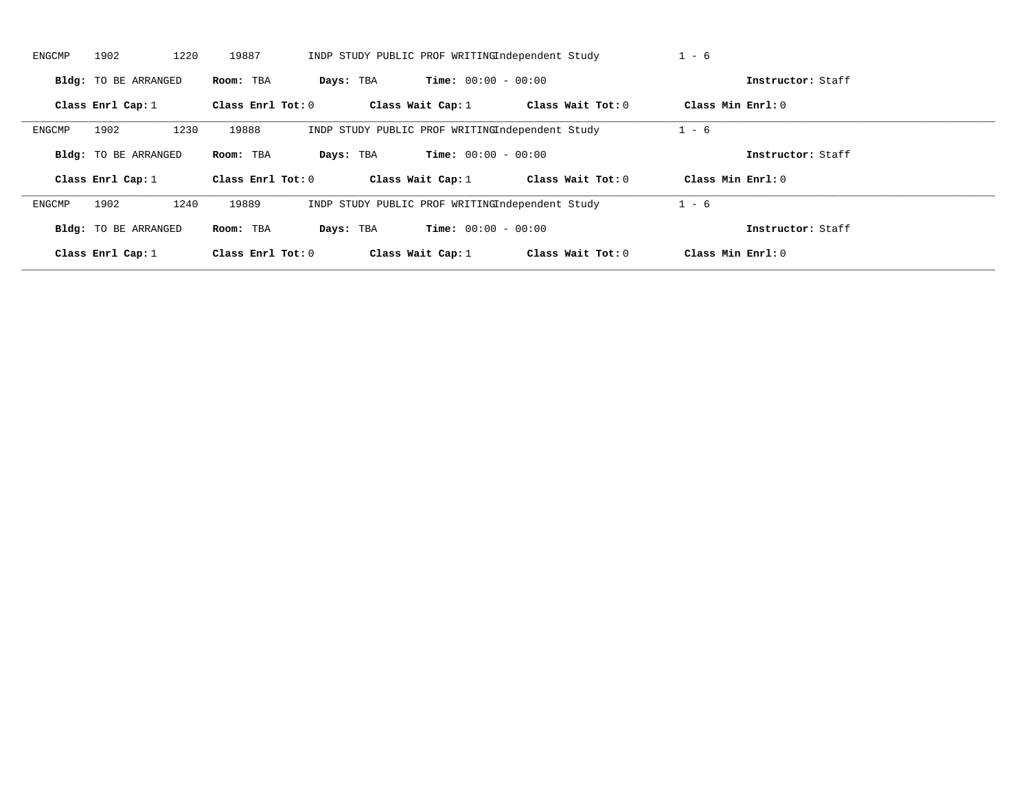| ENGCMP | 1902                        | 1220<br>19887       |                     | INDP STUDY PUBLIC PROF WRITINGIndependent Study | $1 - 6$           |                   |
|--------|-----------------------------|---------------------|---------------------|-------------------------------------------------|-------------------|-------------------|
|        | <b>Bldg:</b> TO BE ARRANGED | Room: TBA           | Days: TBA           | <b>Time:</b> $00:00 - 00:00$                    |                   | Instructor: Staff |
|        | Class Enrl Cap: $1$         | Class Enrl Tot: $0$ | Class Wait Cap: $1$ | Class Wait Tot: 0                               | Class Min Enrl: 0 |                   |
| ENGCMP | 1902                        | 1230<br>19888       |                     | INDP STUDY PUBLIC PROF WRITINGIndependent Study | $1 - 6$           |                   |
|        | <b>Bldg:</b> TO BE ARRANGED | Room: TBA           | Days: TBA           | <b>Time:</b> $00:00 - 00:00$                    |                   | Instructor: Staff |
|        |                             |                     |                     |                                                 |                   |                   |
|        | Class Enrl Cap: $1$         | Class Enrl Tot: 0   | Class Wait Cap: $1$ | Class Wait Tot: 0                               | Class Min Enrl: 0 |                   |
| ENGCMP | 1902                        | 1240<br>19889       |                     | INDP STUDY PUBLIC PROF WRITINGIndependent Study | $1 - 6$           |                   |
|        | <b>Bldg:</b> TO BE ARRANGED | Room: TBA           | Days: TBA           | <b>Time:</b> $00:00 - 00:00$                    |                   | Instructor: Staff |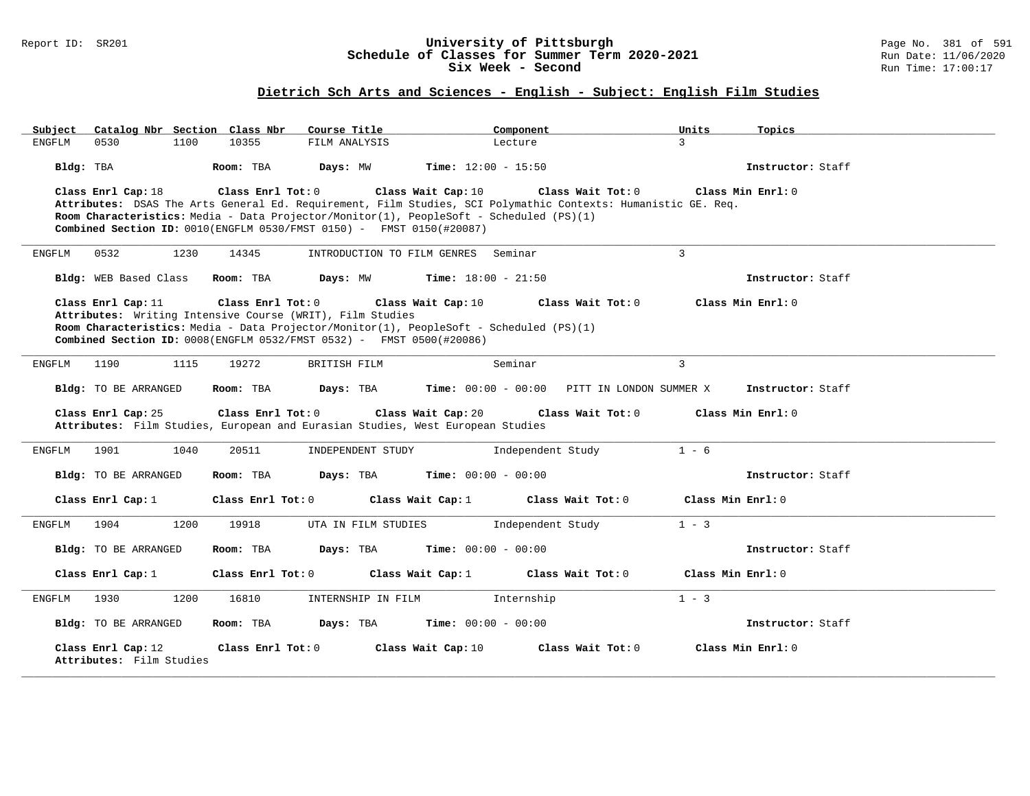### Report ID: SR201 **University of Pittsburgh** Page No. 381 of 591 **Schedule of Classes for Summer Term 2020-2021** Run Date: 11/06/2020 **Six Week - Second Run Time: 17:00:17**

# **Dietrich Sch Arts and Sciences - English - Subject: English Film Studies**

| Catalog Nbr Section Class Nbr<br>Subject       | Course Title                                                                                                                                                                           | Component                                                                                                                                                | Units<br>Topics   |
|------------------------------------------------|----------------------------------------------------------------------------------------------------------------------------------------------------------------------------------------|----------------------------------------------------------------------------------------------------------------------------------------------------------|-------------------|
| 0530<br>1100<br><b>ENGFLM</b>                  | 10355<br>FILM ANALYSIS                                                                                                                                                                 | Lecture                                                                                                                                                  | 3                 |
| Bldg: TBA                                      | Room: TBA<br>Days: MW                                                                                                                                                                  | <b>Time:</b> $12:00 - 15:50$                                                                                                                             | Instructor: Staff |
| Class Enrl Cap: 18                             | Class Enrl Tot: $0$<br>Room Characteristics: Media - Data Projector/Monitor(1), PeopleSoft - Scheduled (PS)(1)<br>Combined Section ID: 0010(ENGFLM 0530/FMST 0150) - FMST 0150(#20087) | Class Wait Cap: 10<br>Class Wait Tot: 0<br>Attributes: DSAS The Arts General Ed. Requirement, Film Studies, SCI Polymathic Contexts: Humanistic GE. Req. | Class Min Enrl: 0 |
| ENGFLM<br>0532<br>1230                         | 14345<br>INTRODUCTION TO FILM GENRES                                                                                                                                                   | Seminar                                                                                                                                                  | $\overline{3}$    |
| Bldg: WEB Based Class                          | Days: MW<br>Room: TBA                                                                                                                                                                  | <b>Time:</b> $18:00 - 21:50$                                                                                                                             | Instructor: Staff |
| Class Enrl Cap: 11                             | Class Enrl Tot: 0                                                                                                                                                                      | Class Wait Cap: 10<br>Class Wait Tot: 0                                                                                                                  | Class Min Enrl: 0 |
|                                                | Attributes: Writing Intensive Course (WRIT), Film Studies                                                                                                                              |                                                                                                                                                          |                   |
|                                                | Room Characteristics: Media - Data Projector/Monitor(1), PeopleSoft - Scheduled (PS)(1)                                                                                                |                                                                                                                                                          |                   |
|                                                | Combined Section ID: 0008(ENGFLM 0532/FMST 0532) - FMST 0500(#20086)                                                                                                                   |                                                                                                                                                          |                   |
| 1190<br>1115<br>ENGFLM                         | 19272<br>BRITISH FILM                                                                                                                                                                  | Seminar                                                                                                                                                  | $\mathbf{3}$      |
| Bldg: TO BE ARRANGED                           | Room: TBA<br>Days: TBA                                                                                                                                                                 | Time: $00:00 - 00:00$ PITT IN LONDON SUMMER X                                                                                                            | Instructor: Staff |
| Class Enrl Cap: 25                             | Class Enrl Tot: 0<br>Attributes: Film Studies, European and Eurasian Studies, West European Studies                                                                                    | Class Wait Cap: 20<br>Class Wait Tot: 0                                                                                                                  | Class Min Enrl: 0 |
| 1901<br>1040<br>ENGFLM                         | 20511<br>INDEPENDENT STUDY                                                                                                                                                             | Independent Study                                                                                                                                        | $1 - 6$           |
| Bldg: TO BE ARRANGED                           | Room: TBA<br>Days: TBA                                                                                                                                                                 | Time: $00:00 - 00:00$                                                                                                                                    | Instructor: Staff |
| Class Enrl Cap: 1                              | Class Enrl Tot: 0                                                                                                                                                                      | Class Wait Cap: $1$<br>Class Wait Tot: 0                                                                                                                 | Class Min Enrl: 0 |
| 1904<br>1200<br>ENGFLM                         | 19918<br>UTA IN FILM STUDIES                                                                                                                                                           | Independent Study                                                                                                                                        | $1 - 3$           |
| Bldg: TO BE ARRANGED                           | Room: TBA<br>Days: TBA                                                                                                                                                                 | <b>Time:</b> $00:00 - 00:00$                                                                                                                             | Instructor: Staff |
| Class Enrl Cap: 1                              | Class Enrl Tot: 0                                                                                                                                                                      | Class Wait Cap: 1<br>Class Wait Tot: 0                                                                                                                   | Class Min Enrl: 0 |
| 1930<br>ENGFLM<br>1200                         | 16810<br>INTERNSHIP IN FILM                                                                                                                                                            | Internship                                                                                                                                               | $1 - 3$           |
| Bldg: TO BE ARRANGED                           | Room: TBA<br>Days: TBA                                                                                                                                                                 | <b>Time:</b> $00:00 - 00:00$                                                                                                                             | Instructor: Staff |
| Class Enrl Cap: 12<br>Attributes: Film Studies | Class Enrl Tot: 0                                                                                                                                                                      | Class Wait Tot: 0<br>Class Wait Cap: 10                                                                                                                  | Class Min Enrl: 0 |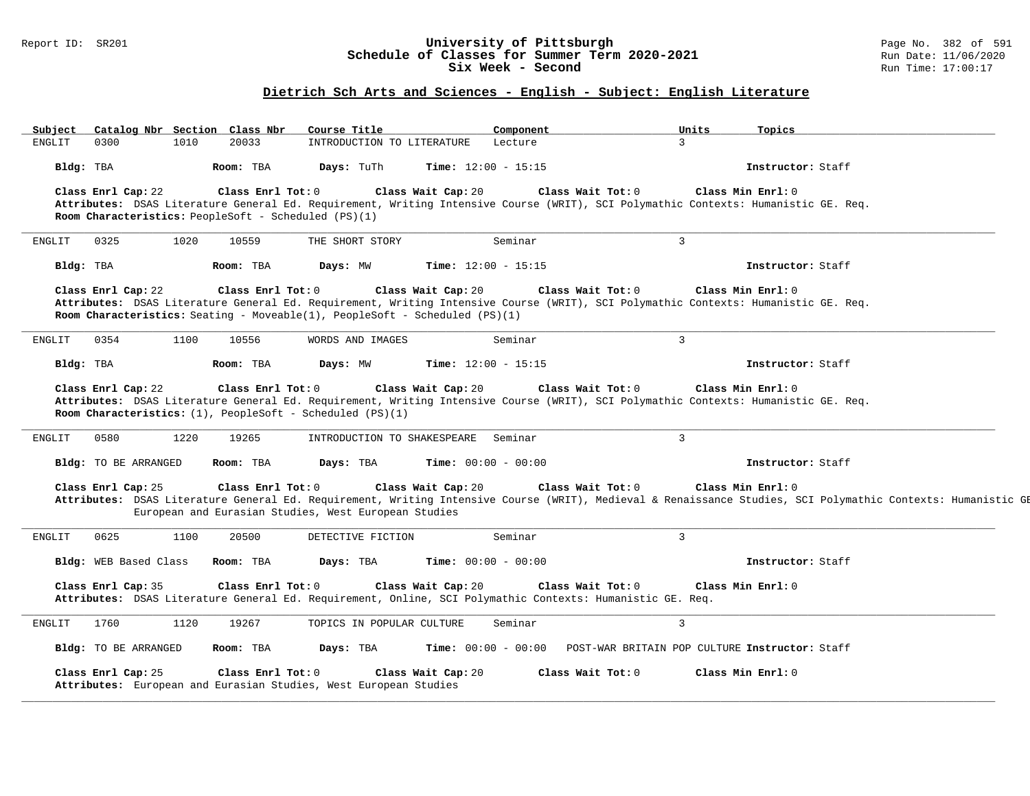#### Report ID: SR201 **1988 1998 12: SR201 University of Pittsburgh University of Pittsburgh** Page No. 382 of 591 **Schedule of Classes for Summer Term 2020-2021** Run Date: 11/06/20<br>Six Week - Second Six Week - Second

#### **Dietrich Sch Arts and Sciences - English - Subject: English Literature**

**\_\_\_\_\_\_\_\_\_\_\_\_\_\_\_\_\_\_\_\_\_\_\_\_\_\_\_\_\_\_\_\_\_\_\_\_\_\_\_\_\_\_\_\_\_\_\_\_\_\_\_\_\_\_\_\_\_\_\_\_\_\_\_\_\_\_\_\_\_\_\_\_\_\_\_\_\_\_\_\_\_\_\_\_\_\_\_\_\_\_\_\_\_\_\_\_\_\_\_\_\_\_\_\_\_\_\_\_\_\_\_\_\_\_\_\_\_\_\_\_\_\_\_\_\_\_\_\_\_\_\_\_\_\_\_\_\_\_\_\_\_\_\_\_\_\_\_\_\_\_\_\_\_\_\_\_ Subject Catalog Nbr Section Class Nbr Course Title Component Units Topics** INTRODUCTION TO LITERATURE Lecture **Bldg:** TBA **Room:** TBA **Days:** TuTh **Time:** 12:00 - 15:15 **Instructor:** Staff **Class Enrl Cap:** 22 **Class Enrl Tot:** 0 **Class Wait Cap:** 20 **Class Wait Tot:** 0 **Class Min Enrl:** 0 **Attributes:** DSAS Literature General Ed. Requirement, Writing Intensive Course (WRIT), SCI Polymathic Contexts: Humanistic GE. Req. **Room Characteristics:** PeopleSoft - Scheduled (PS)(1) **\_\_\_\_\_\_\_\_\_\_\_\_\_\_\_\_\_\_\_\_\_\_\_\_\_\_\_\_\_\_\_\_\_\_\_\_\_\_\_\_\_\_\_\_\_\_\_\_\_\_\_\_\_\_\_\_\_\_\_\_\_\_\_\_\_\_\_\_\_\_\_\_\_\_\_\_\_\_\_\_\_\_\_\_\_\_\_\_\_\_\_\_\_\_\_\_\_\_\_\_\_\_\_\_\_\_\_\_\_\_\_\_\_\_\_\_\_\_\_\_\_\_\_\_\_\_\_\_\_\_\_\_\_\_\_\_\_\_\_\_\_\_\_\_\_\_\_\_\_\_\_\_\_\_\_\_** ENGLIT 0325 1020 10559 THE SHORT STORY Seminar Seminar 3 **Bldg:** TBA **Room:** TBA **Days:** MW **Time:** 12:00 - 15:15 **Instructor:** Staff **Class Enrl Cap:** 22 **Class Enrl Tot:** 0 **Class Wait Cap:** 20 **Class Wait Tot:** 0 **Class Min Enrl:** 0 **Attributes:** DSAS Literature General Ed. Requirement, Writing Intensive Course (WRIT), SCI Polymathic Contexts: Humanistic GE. Req. **Room Characteristics:** Seating - Moveable(1), PeopleSoft - Scheduled (PS)(1) **\_\_\_\_\_\_\_\_\_\_\_\_\_\_\_\_\_\_\_\_\_\_\_\_\_\_\_\_\_\_\_\_\_\_\_\_\_\_\_\_\_\_\_\_\_\_\_\_\_\_\_\_\_\_\_\_\_\_\_\_\_\_\_\_\_\_\_\_\_\_\_\_\_\_\_\_\_\_\_\_\_\_\_\_\_\_\_\_\_\_\_\_\_\_\_\_\_\_\_\_\_\_\_\_\_\_\_\_\_\_\_\_\_\_\_\_\_\_\_\_\_\_\_\_\_\_\_\_\_\_\_\_\_\_\_\_\_\_\_\_\_\_\_\_\_\_\_\_\_\_\_\_\_\_\_\_** ENGLIT 0354 1100 10556 WORDS AND IMAGES Seminar 3 **Bldg:** TBA **Room:** TBA **Days:** MW **Time:** 12:00 - 15:15 **Instructor:** Staff **Class Enrl Cap:** 22 **Class Enrl Tot:** 0 **Class Wait Cap:** 20 **Class Wait Tot:** 0 **Class Min Enrl:** 0 **Attributes:** DSAS Literature General Ed. Requirement, Writing Intensive Course (WRIT), SCI Polymathic Contexts: Humanistic GE. Req. **Room Characteristics:** (1), PeopleSoft - Scheduled (PS)(1) **\_\_\_\_\_\_\_\_\_\_\_\_\_\_\_\_\_\_\_\_\_\_\_\_\_\_\_\_\_\_\_\_\_\_\_\_\_\_\_\_\_\_\_\_\_\_\_\_\_\_\_\_\_\_\_\_\_\_\_\_\_\_\_\_\_\_\_\_\_\_\_\_\_\_\_\_\_\_\_\_\_\_\_\_\_\_\_\_\_\_\_\_\_\_\_\_\_\_\_\_\_\_\_\_\_\_\_\_\_\_\_\_\_\_\_\_\_\_\_\_\_\_\_\_\_\_\_\_\_\_\_\_\_\_\_\_\_\_\_\_\_\_\_\_\_\_\_\_\_\_\_\_\_\_\_\_** ENGLIT 0580 1220 19265 INTRODUCTION TO SHAKESPEARE Seminar 3 **Bldg:** TO BE ARRANGED **Room:** TBA **Days:** TBA **Time:** 00:00 - 00:00 **Instructor:** Staff **Class Enrl Cap:** 25 **Class Enrl Tot:** 0 **Class Wait Cap:** 20 **Class Wait Tot:** 0 **Class Min Enrl:** 0 Attributes: DSAS Literature General Ed. Requirement, Writing Intensive Course (WRIT), Medieval & Renaissance Studies, SCI Polymathic Contexts: Humanistic GE European and Eurasian Studies, West European Studies **\_\_\_\_\_\_\_\_\_\_\_\_\_\_\_\_\_\_\_\_\_\_\_\_\_\_\_\_\_\_\_\_\_\_\_\_\_\_\_\_\_\_\_\_\_\_\_\_\_\_\_\_\_\_\_\_\_\_\_\_\_\_\_\_\_\_\_\_\_\_\_\_\_\_\_\_\_\_\_\_\_\_\_\_\_\_\_\_\_\_\_\_\_\_\_\_\_\_\_\_\_\_\_\_\_\_\_\_\_\_\_\_\_\_\_\_\_\_\_\_\_\_\_\_\_\_\_\_\_\_\_\_\_\_\_\_\_\_\_\_\_\_\_\_\_\_\_\_\_\_\_\_\_\_\_\_** ENGLIT 0625 1100 20500 DETECTIVE FICTION Seminar 3 **Bldg:** WEB Based Class **Room:** TBA **Days:** TBA **Time:** 00:00 - 00:00 **Instructor:** Staff **Class Enrl Cap:** 35 **Class Enrl Tot:** 0 **Class Wait Cap:** 20 **Class Wait Tot:** 0 **Class Min Enrl:** 0 **Attributes:** DSAS Literature General Ed. Requirement, Online, SCI Polymathic Contexts: Humanistic GE. Req. **\_\_\_\_\_\_\_\_\_\_\_\_\_\_\_\_\_\_\_\_\_\_\_\_\_\_\_\_\_\_\_\_\_\_\_\_\_\_\_\_\_\_\_\_\_\_\_\_\_\_\_\_\_\_\_\_\_\_\_\_\_\_\_\_\_\_\_\_\_\_\_\_\_\_\_\_\_\_\_\_\_\_\_\_\_\_\_\_\_\_\_\_\_\_\_\_\_\_\_\_\_\_\_\_\_\_\_\_\_\_\_\_\_\_\_\_\_\_\_\_\_\_\_\_\_\_\_\_\_\_\_\_\_\_\_\_\_\_\_\_\_\_\_\_\_\_\_\_\_\_\_\_\_\_\_\_** ENGLIT 1760 1120 19267 TOPICS IN POPULAR CULTURE Seminar 3 **Bldg:** TO BE ARRANGED **Room:** TBA **Days:** TBA **Time:** 00:00 - 00:00 POST-WAR BRITAIN POP CULTURE **Instructor:** Staff **Class Enrl Cap:** 25 **Class Enrl Tot:** 0 **Class Wait Cap:** 20 **Class Wait Tot:** 0 **Class Min Enrl:** 0 **Attributes:** European and Eurasian Studies, West European Studies **\_\_\_\_\_\_\_\_\_\_\_\_\_\_\_\_\_\_\_\_\_\_\_\_\_\_\_\_\_\_\_\_\_\_\_\_\_\_\_\_\_\_\_\_\_\_\_\_\_\_\_\_\_\_\_\_\_\_\_\_\_\_\_\_\_\_\_\_\_\_\_\_\_\_\_\_\_\_\_\_\_\_\_\_\_\_\_\_\_\_\_\_\_\_\_\_\_\_\_\_\_\_\_\_\_\_\_\_\_\_\_\_\_\_\_\_\_\_\_\_\_\_\_\_\_\_\_\_\_\_\_\_\_\_\_\_\_\_\_\_\_\_\_\_\_\_\_\_\_\_\_\_\_\_\_\_**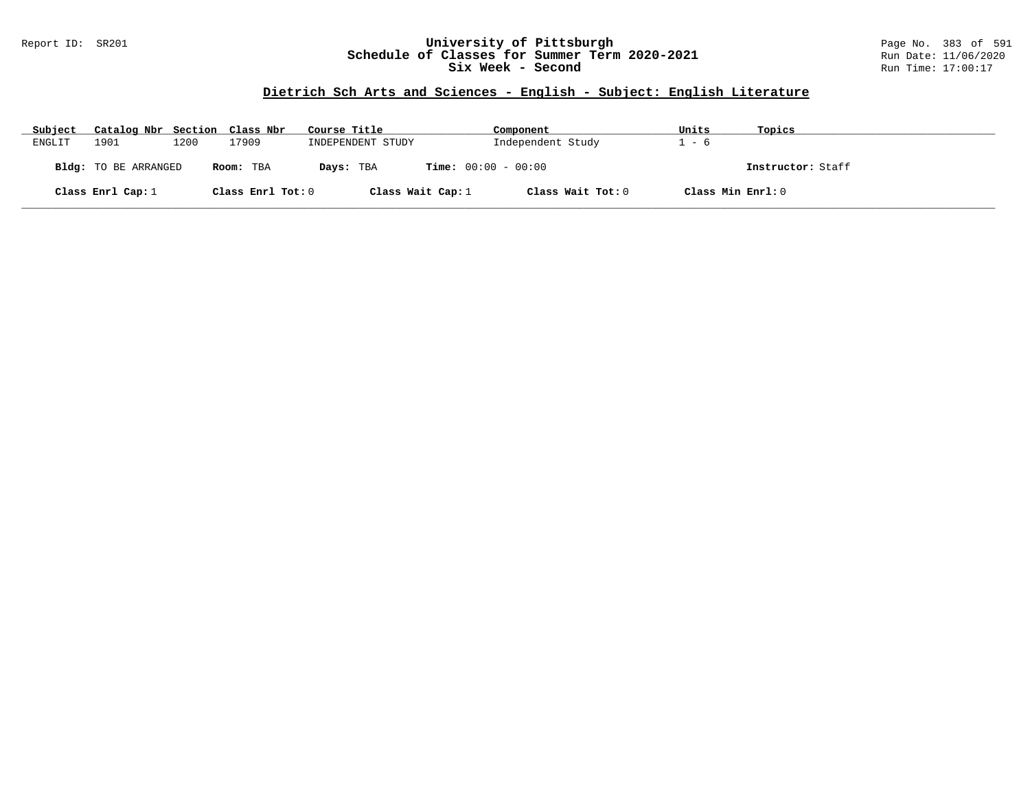## Report ID: SR201 **University of Pittsburgh** Page No. 383 of 591 **Schedule of Classes for Summer Term 2020-2021** Run Date: 11/06/2020 **Six Week - Second Run Time: 17:00:17**

# **Dietrich Sch Arts and Sciences - English - Subject: English Literature**

| Subject | Catalog Nbr Section Class Nbr |      |                   | Course Title        | Component                    | Units             | Topics            |
|---------|-------------------------------|------|-------------------|---------------------|------------------------------|-------------------|-------------------|
| ENGLIT  | 1901                          | 1200 | 17909             | INDEPENDENT STUDY   | Independent Study            | - 6               |                   |
|         | <b>Bldg:</b> TO BE ARRANGED   |      | Room: TBA         | Days: TBA           | <b>Time:</b> $00:00 - 00:00$ |                   | Instructor: Staff |
|         | Class Enrl Cap: $1$           |      | Class Enrl Tot: 0 | Class Wait Cap: $1$ | Class Wait Tot: 0            | Class Min Enrl: 0 |                   |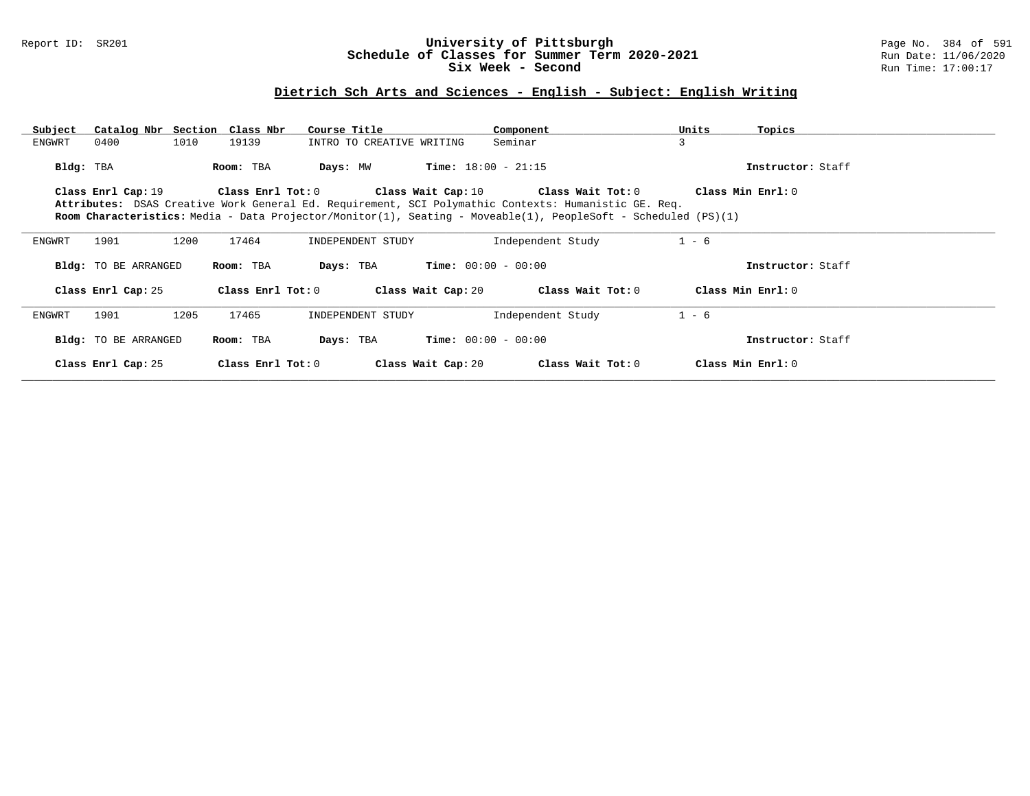## Report ID: SR201 **University of Pittsburgh** Page No. 384 of 591 **Schedule of Classes for Summer Term 2020-2021** Run Date: 11/06/2020 **Six Week - Second Run Time: 17:00:17**

## **Dietrich Sch Arts and Sciences - English - Subject: English Writing**

| Subject   | Catalog Nbr Section Class Nbr |      |                   | Course Title              |                              | Component                                                                                                             | Units   | Topics            |
|-----------|-------------------------------|------|-------------------|---------------------------|------------------------------|-----------------------------------------------------------------------------------------------------------------------|---------|-------------------|
| ENGWRT    | 0400                          | 1010 | 19139             | INTRO TO CREATIVE WRITING |                              | Seminar                                                                                                               | 3       |                   |
| Bldg: TBA |                               |      | Room: TBA         | Days: MW                  | <b>Time:</b> $18:00 - 21:15$ |                                                                                                                       |         | Instructor: Staff |
|           | Class Enrl Cap: 19            |      |                   |                           |                              | Class Enrl Tot: $0$ Class Wait Cap: $10$ Class Wait Tot: $0$                                                          |         | Class Min Enrl: 0 |
|           |                               |      |                   |                           |                              | Attributes: DSAS Creative Work General Ed. Requirement, SCI Polymathic Contexts: Humanistic GE. Req.                  |         |                   |
|           |                               |      |                   |                           |                              | <b>Room Characteristics:</b> Media - Data Projector/Monitor(1), Seating - Moveable(1), PeopleSoft - Scheduled (PS)(1) |         |                   |
|           |                               |      | 17464             |                           |                              |                                                                                                                       | $1 - 6$ |                   |
| ENGWRT    | 1901                          | 1200 |                   | INDEPENDENT STUDY         |                              | Independent Study                                                                                                     |         |                   |
|           | Bldg: TO BE ARRANGED          |      | Room: TBA         | Days: TBA                 | $Time: 00:00 - 00:00$        |                                                                                                                       |         | Instructor: Staff |
|           | Class Enrl Cap: 25            |      | Class Enrl Tot: 0 |                           | Class Wait Cap: 20           | Class Wait Tot: 0                                                                                                     |         | Class Min Enrl: 0 |
| ENGWRT    | 1901                          | 1205 | 17465             | INDEPENDENT STUDY         |                              | Independent Study                                                                                                     | $1 - 6$ |                   |
|           | Bldg: TO BE ARRANGED          |      | Room: TBA         | Days: TBA                 | $Time: 00:00 - 00:00$        |                                                                                                                       |         | Instructor: Staff |
|           | Class Enrl Cap: 25            |      | Class Enrl Tot: 0 |                           | Class Wait Cap: 20           | Class Wait Tot: 0                                                                                                     |         | Class Min Enrl: 0 |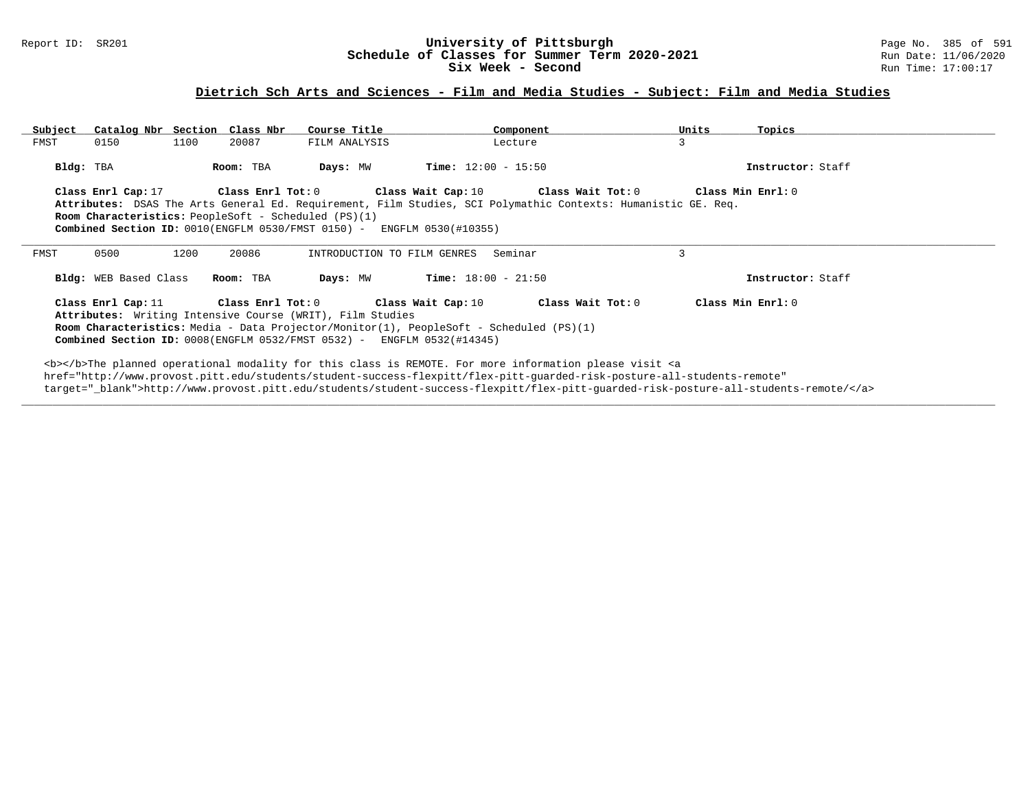### Report ID: SR201 **1988 Chedule of Classes for Summer Term 2020-2021** Page No. 385 of 591 Page No. 385 of 591 Page No. 385 of 591 Bage No. 385 of 591 Bage No. 385 of 591 Bage No. 385 of 591 Bate: 11/06/2020 **Schedule of Classes for Summer Term 2020-2021** Run Date: 11/06/2020<br>Six Week - Second Run Time: 17:00:17 Six Week - Second

## **Dietrich Sch Arts and Sciences - Film and Media Studies - Subject: Film and Media Studies**

| Subject   | Catalog Nbr Section Class Nbr            |      |                   | Course Title                                                                                                                                                                                                                                                                                                                                                                                                                 |                              | Component         | Units                                                                                                                   | Topics                                                                                                                            |  |
|-----------|------------------------------------------|------|-------------------|------------------------------------------------------------------------------------------------------------------------------------------------------------------------------------------------------------------------------------------------------------------------------------------------------------------------------------------------------------------------------------------------------------------------------|------------------------------|-------------------|-------------------------------------------------------------------------------------------------------------------------|-----------------------------------------------------------------------------------------------------------------------------------|--|
| FMST      | 0150                                     | 1100 | 20087             | FILM ANALYSIS                                                                                                                                                                                                                                                                                                                                                                                                                | Lecture                      |                   | 3                                                                                                                       |                                                                                                                                   |  |
| Bldg: TBA |                                          |      | Room: TBA         | Days: MW                                                                                                                                                                                                                                                                                                                                                                                                                     | <b>Time:</b> $12:00 - 15:50$ |                   |                                                                                                                         | Instructor: Staff                                                                                                                 |  |
|           | Class Enrl Cap: 17                       |      | Class Enrl Tot: 0 | <b>Room Characteristics:</b> PeopleSoft - Scheduled (PS)(1)<br>Combined Section ID: 0010(ENGFLM 0530/FMST 0150) - ENGFLM 0530(#10355)                                                                                                                                                                                                                                                                                        | Class Wait Cap: 10           | Class Wait Tot: 0 | Attributes: DSAS The Arts General Ed. Requirement, Film Studies, SCI Polymathic Contexts: Humanistic GE. Req.           | Class Min Enrl: 0                                                                                                                 |  |
| FMST      | 0500                                     | 1200 | 20086             | INTRODUCTION TO FILM GENRES                                                                                                                                                                                                                                                                                                                                                                                                  | Seminar                      |                   | 3                                                                                                                       |                                                                                                                                   |  |
|           | Bldg: WEB Based Class                    |      | Room: TBA         | Days: MW                                                                                                                                                                                                                                                                                                                                                                                                                     | <b>Time:</b> $18:00 - 21:50$ |                   |                                                                                                                         | Instructor: Staff                                                                                                                 |  |
|           | Class Enrl Cap: $11$ Class Enrl Tot: $0$ |      |                   | Class Wait Cap: 10<br>Attributes: Writing Intensive Course (WRIT), Film Studies<br><b>Room Characteristics:</b> Media - Data Projector/Monitor(1), PeopleSoft - Scheduled (PS)(1)<br>Combined Section ID: 0008(ENGFLM 0532/FMST 0532) - ENGFLM 0532(#14345)                                                                                                                                                                  |                              | Class Wait Tot: 0 |                                                                                                                         | Class Min Enrl: 0                                                                                                                 |  |
|           |                                          |      |                   | <b></b> The planned operational modality for this class is REMOTE. For more information please visit <a< td=""><td></td><td></td><td>href="http://www.provost.pitt.edu/students/student-success-flexpitt/flex-pitt-quarded-risk-posture-all-students-remote"</td><td>target=" blank"&gt;http://www.provost.pitt.edu/students/student-success-flexpitt/flex-pitt-quarded-risk-posture-all-students-remote/</td><td></td></a<> |                              |                   | href="http://www.provost.pitt.edu/students/student-success-flexpitt/flex-pitt-quarded-risk-posture-all-students-remote" | target=" blank">http://www.provost.pitt.edu/students/student-success-flexpitt/flex-pitt-quarded-risk-posture-all-students-remote/ |  |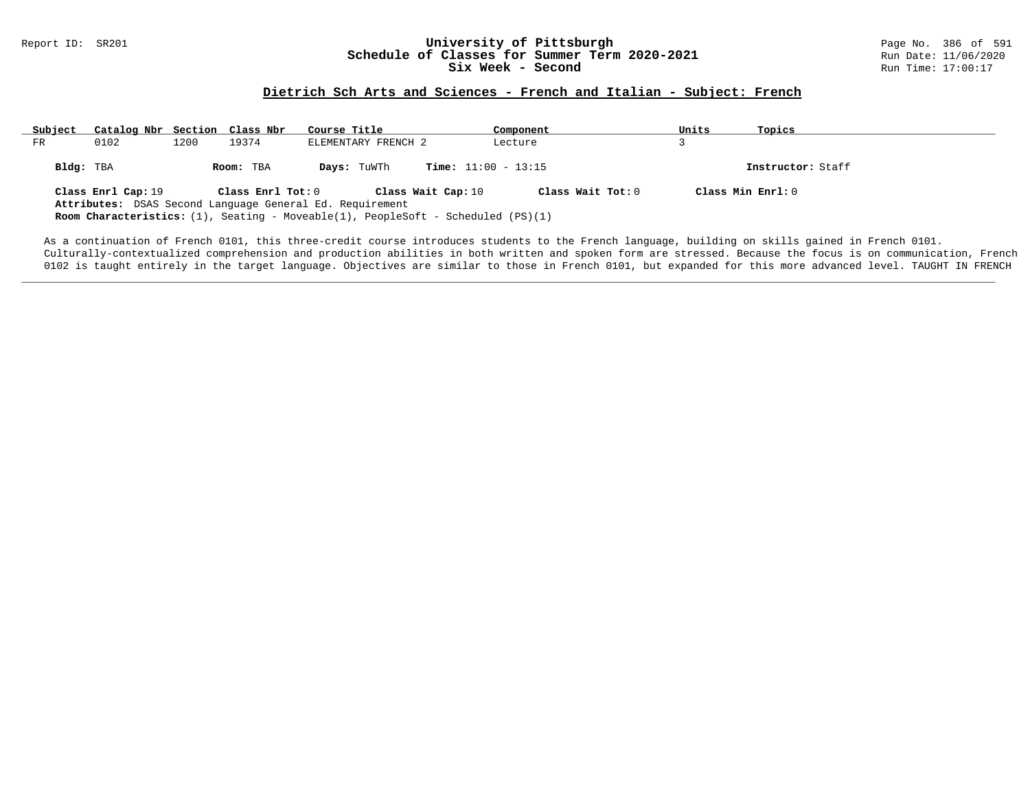#### Report ID: SR201 **1988 Conserversity of Pittsburgh University of Pittsburgh** Page No. 386 of 591 **Schedule of Classes for Summer Term 2020-2021** Page No. 386 of 591 Page No. 386 of 591 **Schedule of Classes for Summer Ter Schedule of Classes for Summer Term 2020-2021** Run Date: 11/06/2021<br>Six Week - Second Run Time: 17:00:17 Six Week - Second

## **Dietrich Sch Arts and Sciences - French and Italian - Subject: French**

| Subject   | Catalog Nbr Section Class Nbr |      |                   | Course Title                                                                                                                                                              | Component                    | Units | Topics              |
|-----------|-------------------------------|------|-------------------|---------------------------------------------------------------------------------------------------------------------------------------------------------------------------|------------------------------|-------|---------------------|
| FR        | 0102                          | 1200 | 19374             | ELEMENTARY FRENCH 2                                                                                                                                                       | Lecture                      |       |                     |
| Bldg: TBA |                               |      | Room: TBA         | Days: TuWTh                                                                                                                                                               | <b>Time:</b> $11:00 - 13:15$ |       | Instructor: Staff   |
|           | Class Enrl Cap: 19            |      | Class Enrl Tot: 0 | Class Wait Cap: 10<br>Attributes: DSAS Second Language General Ed. Requirement<br><b>Room Characteristics:</b> (1), Seating - Moveable(1), PeopleSoft - Scheduled (PS)(1) | Class Wait Tot: 0            |       | Class Min $Enrl: 0$ |

As a continuation of French 0101, this three-credit course introduces students to the French language, building on skills gained in French 0101. Culturally-contextualized comprehension and production abilities in both written and spoken form are stressed. Because the focus is on communication, French 0102 is taught entirely in the target language. Objectives are similar to those in French 0101, but expanded for this more advanced level. TAUGHT IN FRENCH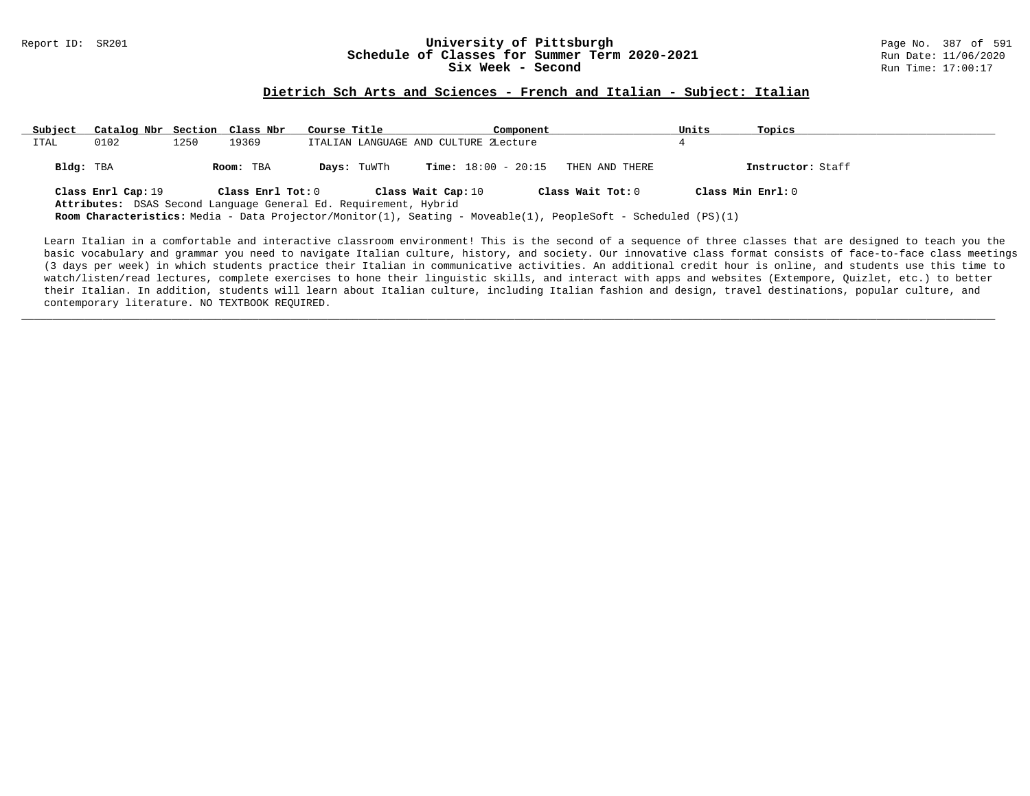#### Report ID: SR201 **1988 Constrained Building Constrained Building Constrained Building Page No. 387 of 591 Const<br>
Schedule of Classes for Summer Term 2020-2021 2020 Run Date: 11/06/2020 Schedule of Classes for Summer Term 2020-2021** Run Date: 11/06/2021<br>Six Week - Second Run Time: 17:00:17 Six Week - Second

#### **Dietrich Sch Arts and Sciences - French and Italian - Subject: Italian**

| Subject   | Catalog Nbr Section Class Nbr |      |                                                                                       | Course Title |                                       | Component |                                                                                                                                            | Units | Topics            |
|-----------|-------------------------------|------|---------------------------------------------------------------------------------------|--------------|---------------------------------------|-----------|--------------------------------------------------------------------------------------------------------------------------------------------|-------|-------------------|
| ITAL      | 0102                          | 1250 | 19369                                                                                 |              | ITALIAN LANGUAGE AND CULTURE ZLecture |           |                                                                                                                                            |       |                   |
| Bldg: TBA |                               |      | Room: TBA                                                                             | Days: TuWTh  | <b>Time:</b> $18:00 - 20:15$          |           | THEN AND THERE                                                                                                                             |       | Instructor: Staff |
|           | Class Enrl Cap: 19            |      | Class Enrl Tot: 0<br>Attributes: DSAS Second Language General Ed. Requirement, Hybrid |              | Class Wait Cap: 10                    |           | Class Wait Tot: 0<br><b>Room Characteristics:</b> Media - Data Projector/Monitor(1), Seating - Moveable(1), PeopleSoft - Scheduled (PS)(1) |       | Class Min Enrl: 0 |

Learn Italian in a comfortable and interactive classroom environment! This is the second of a sequence of three classes that are designed to teach you the basic vocabulary and grammar you need to navigate Italian culture, history, and society. Our innovative class format consists of face-to-face class meetings (3 days per week) in which students practice their Italian in communicative activities. An additional credit hour is online, and students use this time to watch/listen/read lectures, complete exercises to hone their linguistic skills, and interact with apps and websites (Extempore, Quizlet, etc.) to better their Italian. In addition, students will learn about Italian culture, including Italian fashion and design, travel destinations, popular culture, and contemporary literature. NO TEXTBOOK REQUIRED.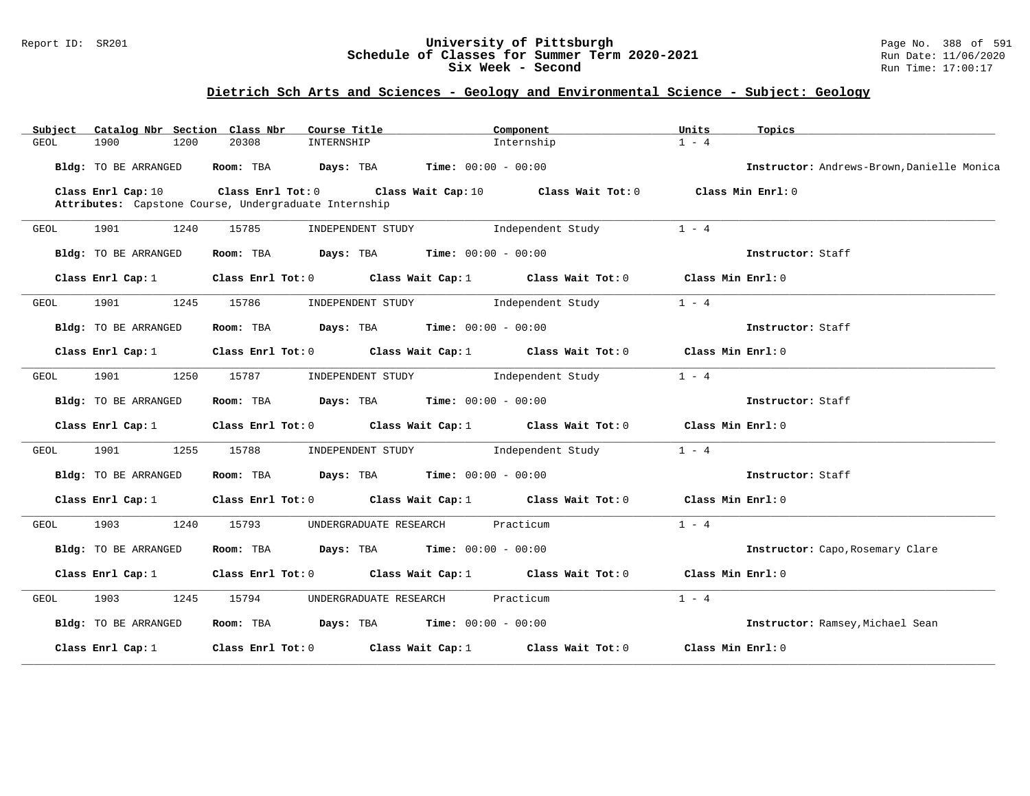### Report ID: SR201 **University of Pittsburgh** Page No. 388 of 591 **Schedule of Classes for Summer Term 2020-2021** Run Date: 11/06/2020 **Six Week - Second Run Time: 17:00:17**

| Catalog Nbr Section Class Nbr<br>Subject | Course Title                                          | Component                                                                       | Units<br>Topics                            |
|------------------------------------------|-------------------------------------------------------|---------------------------------------------------------------------------------|--------------------------------------------|
| 1900<br>1200<br>GEOL                     | 20308<br>INTERNSHIP                                   | Internship                                                                      | $1 - 4$                                    |
| Bldg: TO BE ARRANGED                     | Room: TBA $Days: TBA$ Time: $00:00 - 00:00$           |                                                                                 | Instructor: Andrews-Brown, Danielle Monica |
| Class Enrl Cap: 10                       | Attributes: Capstone Course, Undergraduate Internship | Class Enrl Tot: $0$ Class Wait Cap: $10$ Class Wait Tot: $0$                    | Class Min Enrl: 0                          |
| 1901<br>1240<br>GEOL                     | 15785<br>INDEPENDENT STUDY                            | Independent Study                                                               | $1 - 4$                                    |
| Bldg: TO BE ARRANGED                     | Room: TBA $Days:$ TBA $Time: 00:00 - 00:00$           |                                                                                 | Instructor: Staff                          |
| Class Enrl Cap: 1                        |                                                       | Class Enrl Tot: 0 Class Wait Cap: 1 Class Wait Tot: 0                           | Class Min Enrl: 0                          |
| GEOL<br>1901<br>1245                     | 15786                                                 | INDEPENDENT STUDY 1ndependent Study                                             | $1 - 4$                                    |
| Bldg: TO BE ARRANGED                     | Room: TBA $Days: TBA$ Time: $00:00 - 00:00$           |                                                                                 | Instructor: Staff                          |
| Class Enrl Cap: 1                        |                                                       | Class Enrl Tot: $0$ Class Wait Cap: $1$ Class Wait Tot: $0$                     | Class Min Enrl: 0                          |
| 1901 1250<br>GEOL                        | 15787                                                 | INDEPENDENT STUDY 1ndependent Study                                             | $1 - 4$                                    |
| Bldg: TO BE ARRANGED                     | Room: TBA $Days: TBA$ Time: $00:00 - 00:00$           |                                                                                 | Instructor: Staff                          |
| Class Enrl Cap: $1$                      |                                                       | Class Enrl Tot: $0$ Class Wait Cap: $1$ Class Wait Tot: $0$                     | Class Min Enrl: 0                          |
| 1901 1901<br>1255<br>GEOL                | 15788                                                 | INDEPENDENT STUDY 1ndependent Study                                             | $1 - 4$                                    |
| Bldg: TO BE ARRANGED                     | Room: TBA $Days: TBA$ Time: $00:00 - 00:00$           |                                                                                 | Instructor: Staff                          |
| Class Enrl Cap: 1                        |                                                       | Class Enrl Tot: $0$ Class Wait Cap: $1$ Class Wait Tot: $0$ Class Min Enrl: $0$ |                                            |
| 1903 — 1903<br>1240<br>GEOL              | 15793<br>UNDERGRADUATE RESEARCH                       | Practicum                                                                       | $1 - 4$                                    |
| <b>Bldg:</b> TO BE ARRANGED              | Room: TBA $Days:$ TBA $Time: 00:00 - 00:00$           |                                                                                 | Instructor: Capo, Rosemary Clare           |
| Class Enrl Cap: 1                        |                                                       | Class Enrl Tot: $0$ Class Wait Cap: 1 Class Wait Tot: 0                         | Class Min Enrl: 0                          |
| 1903<br>GEOL<br>1245                     | 15794                                                 | UNDERGRADUATE RESEARCH Practicum                                                | $1 - 4$                                    |
| Bldg: TO BE ARRANGED                     | Room: TBA $Days:$ TBA $Time: 00:00 - 00:00$           |                                                                                 | Instructor: Ramsey, Michael Sean           |
| Class Enrl Cap: 1                        |                                                       | Class Enrl Tot: $0$ Class Wait Cap: 1 Class Wait Tot: 0                         | Class Min Enrl: 0                          |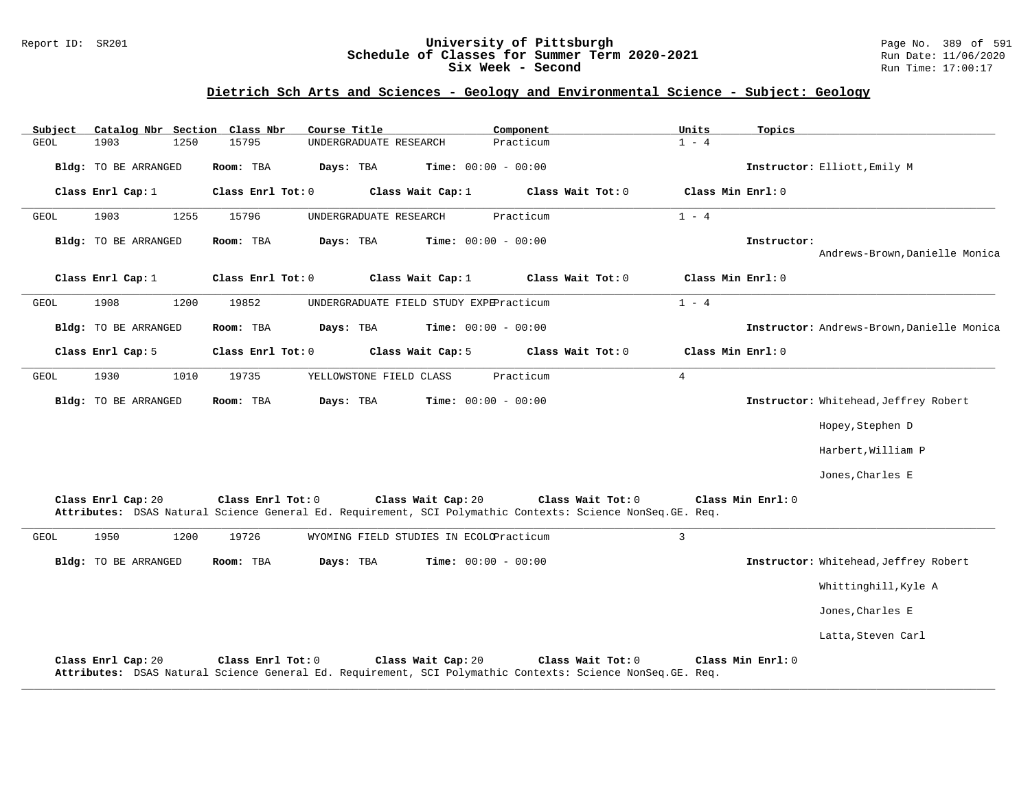### Report ID: SR201 **University of Pittsburgh** Page No. 389 of 591 **Schedule of Classes for Summer Term 2020-2021** Run Date: 11/06/2020 **Six Week - Second Run Time: 17:00:17**

| Subject     | Catalog Nbr Section Class Nbr |      |           |                   | Course Title                            |                    |                              | Component |                                                                                                                                  | Units          |                   | Topics            |                                            |
|-------------|-------------------------------|------|-----------|-------------------|-----------------------------------------|--------------------|------------------------------|-----------|----------------------------------------------------------------------------------------------------------------------------------|----------------|-------------------|-------------------|--------------------------------------------|
| <b>GEOL</b> | 1903                          | 1250 | 15795     |                   | UNDERGRADUATE RESEARCH                  |                    |                              | Practicum |                                                                                                                                  | $1 - 4$        |                   |                   |                                            |
|             | <b>Bldg:</b> TO BE ARRANGED   |      | Room: TBA |                   | Days: TBA                               |                    | <b>Time:</b> $00:00 - 00:00$ |           |                                                                                                                                  |                |                   |                   | Instructor: Elliott, Emily M               |
|             | Class Enrl Cap: 1             |      |           | Class Enrl Tot: 0 |                                         | Class Wait Cap: 1  |                              |           | Class Wait Tot: 0                                                                                                                |                | Class Min Enrl: 0 |                   |                                            |
| <b>GEOL</b> | 1903                          | 1255 | 15796     |                   | UNDERGRADUATE RESEARCH                  |                    |                              | Practicum |                                                                                                                                  | $1 - 4$        |                   |                   |                                            |
|             | <b>Bldg:</b> TO BE ARRANGED   |      | Room: TBA |                   | Days: TBA                               |                    | <b>Time:</b> $00:00 - 00:00$ |           |                                                                                                                                  |                |                   | Instructor:       | Andrews-Brown, Danielle Monica             |
|             | Class Enrl Cap: 1             |      |           | Class Enrl Tot: 0 |                                         | Class Wait Cap: 1  |                              |           | Class Wait Tot: 0                                                                                                                |                | Class Min Enrl: 0 |                   |                                            |
| GEOL        | 1908                          | 1200 | 19852     |                   | UNDERGRADUATE FIELD STUDY EXPEPracticum |                    |                              |           |                                                                                                                                  | $1 - 4$        |                   |                   |                                            |
|             | <b>Bldg:</b> TO BE ARRANGED   |      | Room: TBA |                   | Days: TBA                               |                    | <b>Time:</b> $00:00 - 00:00$ |           |                                                                                                                                  |                |                   |                   | Instructor: Andrews-Brown, Danielle Monica |
|             | Class Enrl Cap: 5             |      |           | Class Enrl Tot: 0 |                                         | Class Wait Cap: 5  |                              |           | Class Wait Tot: 0                                                                                                                |                | Class Min Enrl: 0 |                   |                                            |
| GEOL        | 1930                          | 1010 | 19735     |                   | YELLOWSTONE FIELD CLASS                 |                    |                              | Practicum |                                                                                                                                  | $\overline{4}$ |                   |                   |                                            |
|             | <b>Bldg:</b> TO BE ARRANGED   |      | Room: TBA |                   | Days: TBA                               |                    | <b>Time:</b> $00:00 - 00:00$ |           |                                                                                                                                  |                |                   |                   | Instructor: Whitehead, Jeffrey Robert      |
|             |                               |      |           |                   |                                         |                    |                              |           |                                                                                                                                  |                |                   |                   | Hopey, Stephen D                           |
|             |                               |      |           |                   |                                         |                    |                              |           |                                                                                                                                  |                |                   |                   | Harbert, William P                         |
|             |                               |      |           |                   |                                         |                    |                              |           |                                                                                                                                  |                |                   |                   | Jones, Charles E                           |
|             | Class Enrl Cap: 20            |      |           | Class Enrl Tot: 0 |                                         | Class Wait Cap: 20 |                              |           | Class Wait Tot: 0<br>Attributes: DSAS Natural Science General Ed. Requirement, SCI Polymathic Contexts: Science NonSeq. GE. Req. |                |                   | Class Min Enrl: 0 |                                            |
| <b>GEOL</b> | 1950                          | 1200 | 19726     |                   | WYOMING FIELD STUDIES IN ECOLOPracticum |                    |                              |           |                                                                                                                                  | $\overline{3}$ |                   |                   |                                            |
|             | Bldg: TO BE ARRANGED          |      | Room: TBA |                   | Days: TBA                               |                    | <b>Time:</b> $00:00 - 00:00$ |           |                                                                                                                                  |                |                   |                   | Instructor: Whitehead, Jeffrey Robert      |
|             |                               |      |           |                   |                                         |                    |                              |           |                                                                                                                                  |                |                   |                   | Whittinghill, Kyle A                       |
|             |                               |      |           |                   |                                         |                    |                              |           |                                                                                                                                  |                |                   |                   | Jones, Charles E                           |
|             |                               |      |           |                   |                                         |                    |                              |           |                                                                                                                                  |                |                   |                   | Latta, Steven Carl                         |
|             | Class Enrl Cap: 20            |      |           | Class Enrl Tot: 0 |                                         | Class Wait Cap: 20 |                              |           | Class Wait Tot: 0<br>Attributes: DSAS Natural Science General Ed. Requirement, SCI Polymathic Contexts: Science NonSeq. GE. Req. |                |                   | Class Min Enrl: 0 |                                            |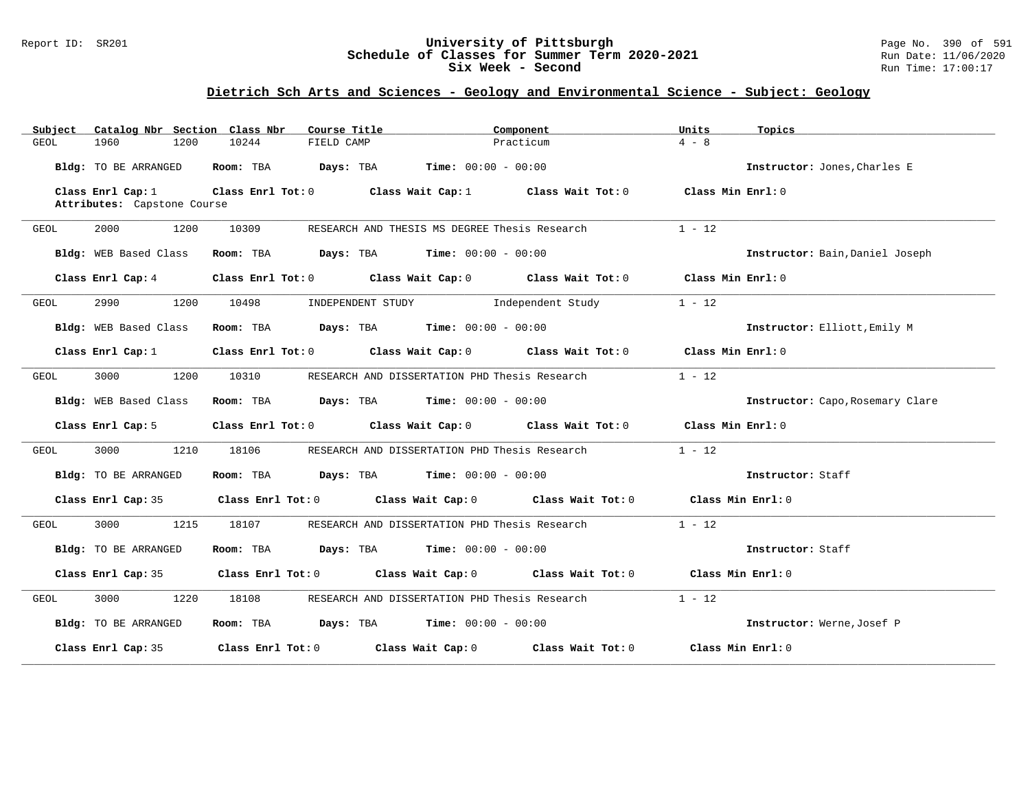### Report ID: SR201 **University of Pittsburgh** Page No. 390 of 591 **Schedule of Classes for Summer Term 2020-2021** Run Date: 11/06/2020 **Six Week - Second Run Time: 17:00:17**

| Catalog Nbr Section Class Nbr<br>Subject         | Course Title                                                                    | Component<br>Units            | Topics                           |
|--------------------------------------------------|---------------------------------------------------------------------------------|-------------------------------|----------------------------------|
| 1960<br>GEOL<br>1200                             | 10244<br>FIELD CAMP                                                             | $4 - 8$<br>Practicum          |                                  |
| Bldg: TO BE ARRANGED                             | Room: TBA $Days:$ TBA $Time: 00:00 - 00:00$                                     |                               | Instructor: Jones, Charles E     |
| Class Enrl Cap: 1<br>Attributes: Capstone Course | Class Enrl Tot: 0 Class Wait Cap: 1 Class Wait Tot: 0                           | Class Min $Enr1:0$            |                                  |
|                                                  |                                                                                 |                               |                                  |
| 2000<br>1200<br>GEOL                             | 10309<br>RESEARCH AND THESIS MS DEGREE Thesis Research                          | $1 - 12$                      |                                  |
| Bldg: WEB Based Class                            | Room: TBA $Days:$ TBA $Time: 00:00 - 00:00$                                     |                               | Instructor: Bain, Daniel Joseph  |
| Class Enrl Cap: 4                                | Class Enrl Tot: 0 Class Wait Cap: 0 Class Wait Tot: 0                           | Class Min Enrl: 0             |                                  |
| 2990<br>GEOL<br>1200                             | 10498<br>INDEPENDENT STUDY                                                      | $1 - 12$<br>Independent Study |                                  |
| Bldg: WEB Based Class                            | Room: TBA $\rule{1em}{0.15mm}$ Days: TBA Time: $00:00 - 00:00$                  |                               | Instructor: Elliott, Emily M     |
| Class Enrl Cap: $1$                              | Class Enrl Tot: 0 Class Wait Cap: 0 Class Wait Tot: 0 Class Min Enrl: 0         |                               |                                  |
| 1200<br>3000<br>GEOL                             | 10310<br>RESEARCH AND DISSERTATION PHD Thesis Research                          | $1 - 12$                      |                                  |
| Bldg: WEB Based Class                            | Room: TBA $Days:$ TBA $Time: 00:00 - 00:00$                                     |                               | Instructor: Capo, Rosemary Clare |
| Class Enrl Cap: 5                                | Class Enrl Tot: $0$ Class Wait Cap: $0$ Class Wait Tot: $0$                     | Class Min Enrl: 0             |                                  |
| 3000<br>1210<br>GEOL                             | 18106<br>RESEARCH AND DISSERTATION PHD Thesis Research                          | $1 - 12$                      |                                  |
| <b>Bldg:</b> TO BE ARRANGED                      | Room: TBA $Days: TBA$ Time: $00:00 - 00:00$                                     |                               | Instructor: Staff                |
| Class Enrl Cap: 35                               | Class Enrl Tot: $0$ Class Wait Cap: $0$ Class Wait Tot: $0$ Class Min Enrl: $0$ |                               |                                  |
| 3000<br>1215<br>GEOL                             | 18107<br>RESEARCH AND DISSERTATION PHD Thesis Research                          | $1 - 12$                      |                                  |
| Bldg: TO BE ARRANGED                             | <b>Days:</b> TBA <b>Time:</b> $00:00 - 00:00$<br>Room: TBA                      |                               | Instructor: Staff                |
| Class Enrl Cap: 35                               | Class Enrl Tot: 0 Class Wait Cap: 0 Class Wait Tot: 0 Class Min Enrl: 0         |                               |                                  |
| 1220<br>3000<br>GEOL                             | 18108<br>RESEARCH AND DISSERTATION PHD Thesis Research                          | $1 - 12$                      |                                  |
| <b>Bldg:</b> TO BE ARRANGED                      | Room: TBA $Days:$ TBA $Time: 00:00 - 00:00$                                     |                               | Instructor: Werne, Josef P       |
| Class Enrl Cap: 35                               | Class Enrl Tot: $0$ Class Wait Cap: $0$ Class Wait Tot: $0$                     | Class Min Enrl: 0             |                                  |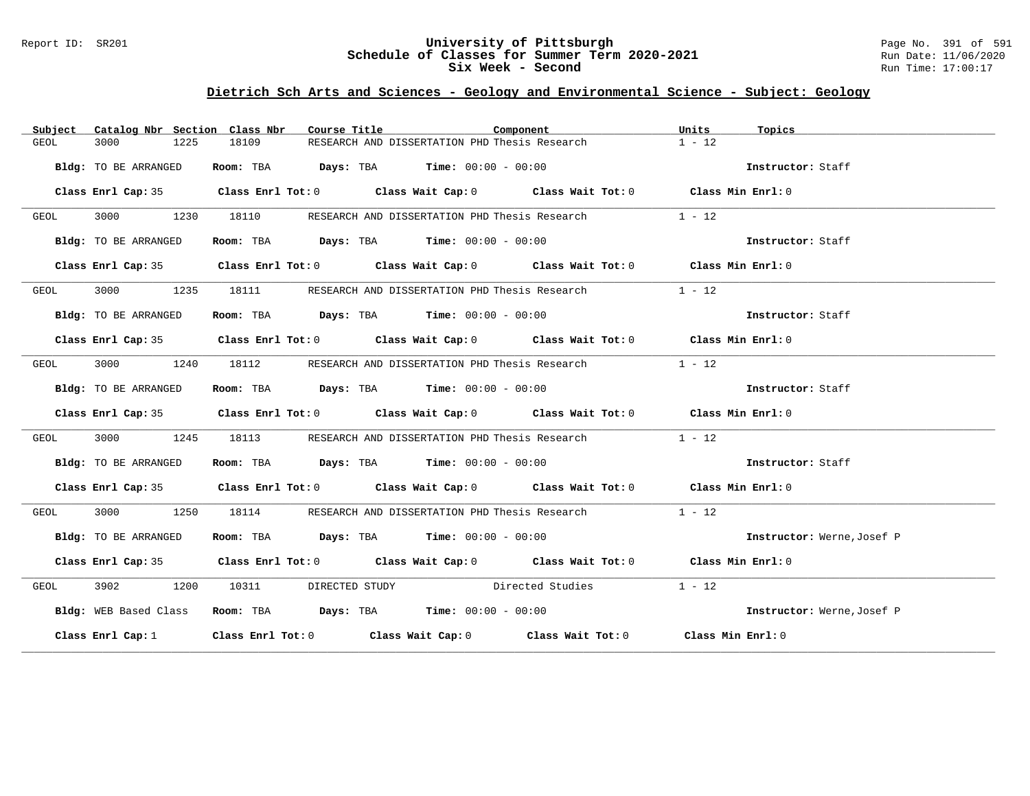### Report ID: SR201 **University of Pittsburgh** Page No. 391 of 591 **Schedule of Classes for Summer Term 2020-2021** Run Date: 11/06/2020 **Six Week - Second Run Time: 17:00:17**

| Subject | Catalog Nbr Section Class Nbr | Course Title | Component                                                                                          | Units<br>Topics            |
|---------|-------------------------------|--------------|----------------------------------------------------------------------------------------------------|----------------------------|
| GEOL    | 3000<br>1225                  | 18109        | RESEARCH AND DISSERTATION PHD Thesis Research                                                      | $1 - 12$                   |
|         | Bldg: TO BE ARRANGED          |              | Room: TBA $\rule{1em}{0.15mm}$ Days: TBA Time: $00:00 - 00:00$                                     | Instructor: Staff          |
|         |                               |              | Class Enrl Cap: 35 Class Enrl Tot: 0 Class Wait Cap: 0 Class Wait Tot: 0 Class Min Enrl: 0         |                            |
| GEOL    | 3000 000<br>1230              | 18110        | RESEARCH AND DISSERTATION PHD Thesis Research                                                      | $1 - 12$                   |
|         | Bldg: TO BE ARRANGED          |              | Room: TBA $\rule{1em}{0.15mm}$ Days: TBA Time: $00:00 - 00:00$                                     | Instructor: Staff          |
|         |                               |              | Class Enrl Cap: 35 Class Enrl Tot: 0 Class Wait Cap: 0 Class Wait Tot: 0 Class Min Enrl: 0         |                            |
| GEOL    |                               |              | 3000 1235 18111 RESEARCH AND DISSERTATION PHD Thesis Research                                      | $1 - 12$                   |
|         | Bldg: TO BE ARRANGED          |              | Room: TBA $Days:$ TBA $Time: 00:00 - 00:00$                                                        | Instructor: Staff          |
|         |                               |              | Class Enrl Cap: 35 Class Enrl Tot: 0 Class Wait Cap: 0 Class Wait Tot: 0 Class Min Enrl: 0         |                            |
| GEOL    | 3000 000                      |              | 1240 18112 RESEARCH AND DISSERTATION PHD Thesis Research                                           | $1 - 12$                   |
|         | Bldg: TO BE ARRANGED          |              | Room: TBA $Days:$ TBA $Time: 00:00 - 00:00$                                                        | Instructor: Staff          |
|         |                               |              | Class Enrl Cap: 35 Class Enrl Tot: 0 Class Wait Cap: 0 Class Wait Tot: 0 Class Min Enrl: 0         |                            |
| GEOL    | 1245<br>3000                  | 18113        | RESEARCH AND DISSERTATION PHD Thesis Research                                                      | $1 - 12$                   |
|         | Bldg: TO BE ARRANGED          |              | Room: TBA $Days:$ TBA $Time: 00:00 - 00:00$                                                        | Instructor: Staff          |
|         |                               |              | Class Enrl Cap: 35 Class Enrl Tot: 0 Class Wait Cap: 0 Class Wait Tot: 0 Class Min Enrl: 0         |                            |
| GEOL    | 3000 1250                     |              |                                                                                                    | $1 - 12$                   |
|         | Bldg: TO BE ARRANGED          |              | Room: TBA $Days:$ TBA $Time: 00:00 - 00:00$                                                        | Instructor: Werne, Josef P |
|         |                               |              | Class Enrl Cap: 35 Class Enrl Tot: 0 Class Wait Cap: 0 Class Wait Tot: 0 Class Min Enrl: 0         |                            |
| GEOL    |                               |              | 3902 1200 10311 DIRECTED STUDY Directed Studies                                                    | $1 - 12$                   |
|         | Bldg: WEB Based Class         |              | Room: TBA $Days: TBA$ Time: $00:00 - 00:00$                                                        | Instructor: Werne, Josef P |
|         | Class Enrl Cap: $1$           |              | Class Enrl Tot: 0 $\qquad$ Class Wait Cap: 0 $\qquad$ Class Wait Tot: 0 $\qquad$ Class Min Enrl: 0 |                            |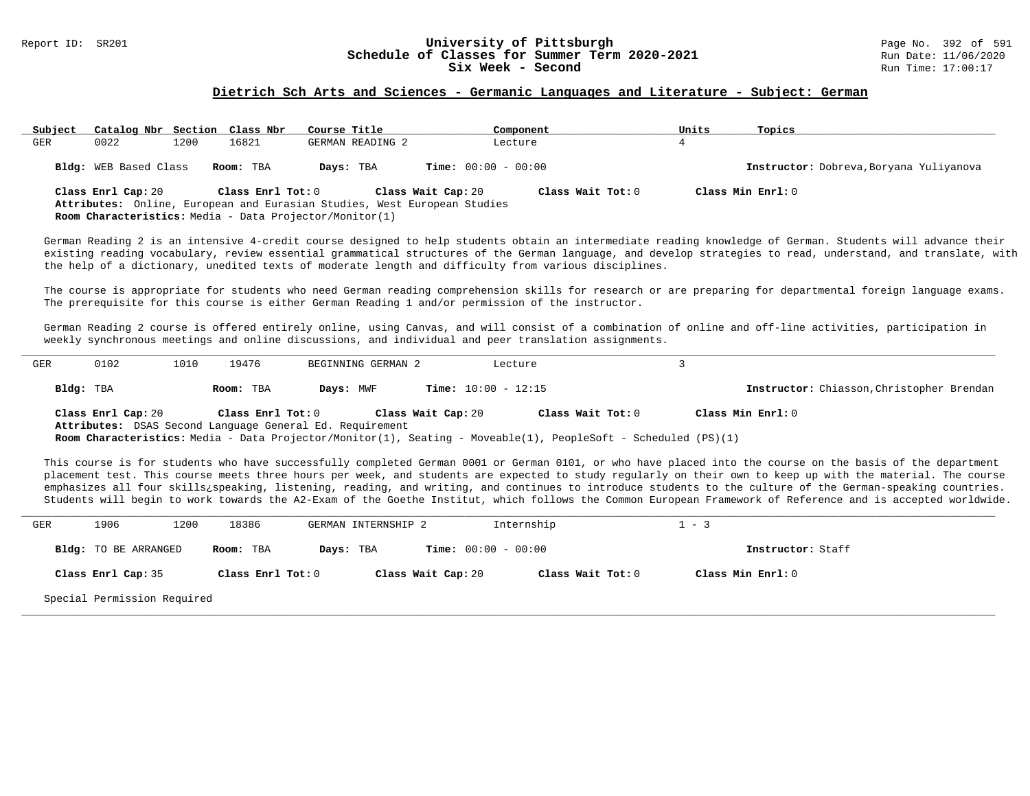#### Report ID: SR201 **1988 Constrained Building Constrained Building Constrained Building Page No. 392 of 591 Const<br><b>Schedule of Classes for Summer Term 2020-2021** 2001 Run Date: 11/06/2020 **Schedule of Classes for Summer Term 2020-2021** Run Date: 11/06/2020<br>Six Week - Second Run Time: 17:00:17 Six Week - Second

#### **Dietrich Sch Arts and Sciences - Germanic Languages and Literature - Subject: German**

| Subject | Catalog Nbr Section Class Nbr |      |                   | Course Title                                                             | Component                               | Units | Topics                                  |
|---------|-------------------------------|------|-------------------|--------------------------------------------------------------------------|-----------------------------------------|-------|-----------------------------------------|
| GER     | 0022                          | 1200 | 16821             | GERMAN READING 2                                                         | Lecture                                 |       |                                         |
|         | Bldg: WEB Based Class         |      | Room: TBA         | Days: TBA                                                                | <b>Time:</b> $00:00 - 00:00$            |       | Instructor: Dobreva, Boryana Yuliyanova |
|         | Class Enrl Cap: 20            |      | Class Enrl Tot: 0 | Attributes: Online, European and Eurasian Studies, West European Studies | Class Wait Cap: 20<br>Class Wait Tot: 0 |       | Class Min Enrl: 0                       |

**Room Characteristics:** Media - Data Projector/Monitor(1)

German Reading 2 is an intensive 4-credit course designed to help students obtain an intermediate reading knowledge of German. Students will advance their existing reading vocabulary, review essential grammatical structures of the German language, and develop strategies to read, understand, and translate, with the help of a dictionary, unedited texts of moderate length and difficulty from various disciplines.

The course is appropriate for students who need German reading comprehension skills for research or are preparing for departmental foreign language exams. The prerequisite for this course is either German Reading 1 and/or permission of the instructor.

German Reading 2 course is offered entirely online, using Canvas, and will consist of a combination of online and off-line activities, participation in weekly synchronous meetings and online discussions, and individual and peer translation assignments.

| GER | 0102                                                                           | 1010 | 19476             | BEGINNING GERMAN 2 |                    | Lecture                                                                                                        |                                           |
|-----|--------------------------------------------------------------------------------|------|-------------------|--------------------|--------------------|----------------------------------------------------------------------------------------------------------------|-------------------------------------------|
|     | Bldg: TBA                                                                      |      | Room: TBA         | Days: MWF          |                    | <b>Time:</b> $10:00 - 12:15$                                                                                   | Instructor: Chiasson, Christopher Brendan |
|     | Class Enrl Cap: 20<br>Attributes: DSAS Second Language General Ed. Requirement |      | Class Enrl Tot: 0 |                    | Class Wait Cap: 20 | Class Wait Tot: 0                                                                                              | Class Min Enrl: 0                         |
|     |                                                                                |      |                   |                    |                    | Room Characteristics: Media - Data Projector/Monitor(1), Seating - Moveable(1), PeopleSoft - Scheduled (PS)(1) |                                           |

This course is for students who have successfully completed German 0001 or German 0101, or who have placed into the course on the basis of the department placement test. This course meets three hours per week, and students are expected to study regularly on their own to keep up with the material. The course emphasizes all four skills¿speaking, listening, reading, and writing, and continues to introduce students to the culture of the German-speaking countries. Students will begin to work towards the A2-Exam of the Goethe Institut, which follows the Common European Framework of Reference and is accepted worldwide.

| GER | 1906                        | 1200 | 18386             | GERMAN INTERNSHIP 2 |                              | Internship        | $1 - 3$           |  |
|-----|-----------------------------|------|-------------------|---------------------|------------------------------|-------------------|-------------------|--|
|     | Bldg: TO BE ARRANGED        |      | Room: TBA         | Days: TBA           | <b>Time:</b> $00:00 - 00:00$ |                   | Instructor: Staff |  |
|     | Class Enrl Cap: 35          |      | Class Enrl Tot: 0 |                     | Class Wait Cap: 20           | Class Wait Tot: 0 | Class Min Enrl: 0 |  |
|     | Special Permission Required |      |                   |                     |                              |                   |                   |  |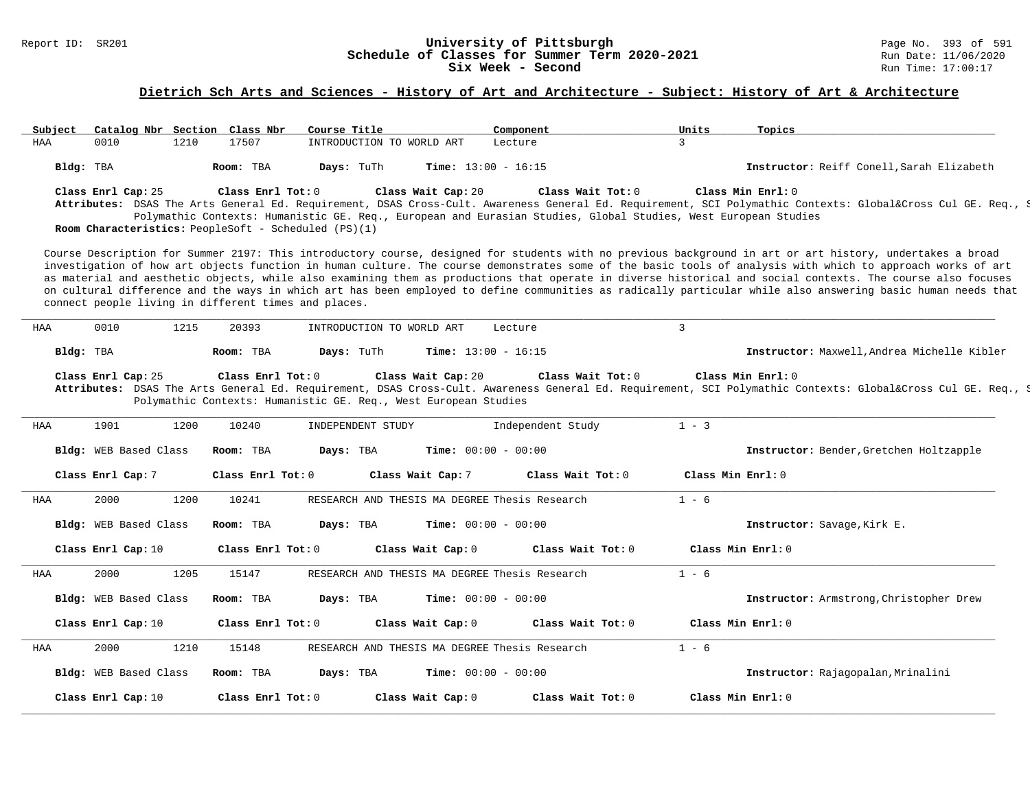#### Report ID: SR201 **University of Pittsburgh** Page No. 393 of 591 **Schedule of Classes for Summer Term 2020-2021** Run Date: 11/06/2020 **Six Week - Second Run Time: 17:00:17**

| Subject |                            | Catalog Nbr Section Class Nbr                                             | Course Title              | Component                                                                                                                            |                   | Units             | Topics                                                                                                                                                                                                                                                                                                                                                                                                                                                                                                                                                                                                                                                  |
|---------|----------------------------|---------------------------------------------------------------------------|---------------------------|--------------------------------------------------------------------------------------------------------------------------------------|-------------------|-------------------|---------------------------------------------------------------------------------------------------------------------------------------------------------------------------------------------------------------------------------------------------------------------------------------------------------------------------------------------------------------------------------------------------------------------------------------------------------------------------------------------------------------------------------------------------------------------------------------------------------------------------------------------------------|
| HAA     | 0010                       | 1210<br>17507                                                             | INTRODUCTION TO WORLD ART | Lecture                                                                                                                              |                   | $\overline{3}$    |                                                                                                                                                                                                                                                                                                                                                                                                                                                                                                                                                                                                                                                         |
|         | Bldg: TBA                  | Room: TBA                                                                 | Days: TuTh                | Time: $13:00 - 16:15$                                                                                                                |                   |                   | Instructor: Reiff Conell, Sarah Elizabeth                                                                                                                                                                                                                                                                                                                                                                                                                                                                                                                                                                                                               |
|         | Class Enrl Cap: 25         | Class Enrl Tot: 0<br>Room Characteristics: PeopleSoft - Scheduled (PS)(1) |                           | Class Wait Cap: 20<br>Polymathic Contexts: Humanistic GE. Req., European and Eurasian Studies, Global Studies, West European Studies | Class Wait Tot: 0 |                   | Class Min Enrl: 0<br>Attributes: DSAS The Arts General Ed. Requirement, DSAS Cross-Cult. Awareness General Ed. Requirement, SCI Polymathic Contexts: Global⨯ Cul GE. Req., S                                                                                                                                                                                                                                                                                                                                                                                                                                                                            |
|         |                            | connect people living in different times and places.                      |                           |                                                                                                                                      |                   |                   | Course Description for Summer 2197: This introductory course, designed for students with no previous background in art or art history, undertakes a broad<br>investigation of how art objects function in human culture. The course demonstrates some of the basic tools of analysis with which to approach works of art<br>as material and aesthetic objects, while also examining them as productions that operate in diverse historical and social contexts. The course also focuses<br>on cultural difference and the ways in which art has been employed to define communities as radically particular while also answering basic human needs that |
| HAA     | 0010                       | 1215<br>20393                                                             | INTRODUCTION TO WORLD ART | Lecture                                                                                                                              |                   | $\mathbf{3}$      |                                                                                                                                                                                                                                                                                                                                                                                                                                                                                                                                                                                                                                                         |
|         | Bldg: TBA                  | Room: TBA                                                                 | Days: TuTh                | Time: $13:00 - 16:15$                                                                                                                |                   |                   | Instructor: Maxwell, Andrea Michelle Kibler                                                                                                                                                                                                                                                                                                                                                                                                                                                                                                                                                                                                             |
|         |                            |                                                                           |                           | Class Wait Cap: 20                                                                                                                   | Class Wait Tot: 0 |                   | Class Min Enrl: 0                                                                                                                                                                                                                                                                                                                                                                                                                                                                                                                                                                                                                                       |
| HAA     | Class Enrl Cap: 25<br>1901 | Class Enrl Tot: 0<br>1200<br>10240                                        | INDEPENDENT STUDY         | Polymathic Contexts: Humanistic GE. Req., West European Studies                                                                      | Independent Study | $1 - 3$           | Attributes: DSAS The Arts General Ed. Requirement, DSAS Cross-Cult. Awareness General Ed. Requirement, SCI Polymathic Contexts: Global⨯ Cul GE. Req., S                                                                                                                                                                                                                                                                                                                                                                                                                                                                                                 |
|         | Bldg: WEB Based Class      | Room: TBA                                                                 | Days: TBA                 | Time: $00:00 - 00:00$                                                                                                                |                   |                   | Instructor: Bender, Gretchen Holtzapple                                                                                                                                                                                                                                                                                                                                                                                                                                                                                                                                                                                                                 |
|         | Class Enrl Cap: 7          | Class Enrl Tot: 0                                                         |                           | Class Wait Cap: 7                                                                                                                    | Class Wait Tot: 0 | Class Min Enrl: 0 |                                                                                                                                                                                                                                                                                                                                                                                                                                                                                                                                                                                                                                                         |
| HAA     | 2000                       | 10241<br>1200                                                             |                           | RESEARCH AND THESIS MA DEGREE Thesis Research                                                                                        |                   | $1 - 6$           |                                                                                                                                                                                                                                                                                                                                                                                                                                                                                                                                                                                                                                                         |
|         | Bldg: WEB Based Class      | Room: TBA                                                                 | Days: TBA                 | <b>Time:</b> $00:00 - 00:00$                                                                                                         |                   |                   | Instructor: Savage, Kirk E.                                                                                                                                                                                                                                                                                                                                                                                                                                                                                                                                                                                                                             |
|         | Class Enrl Cap: 10         | Class Enrl Tot: 0                                                         |                           | Class Wait Cap: 0                                                                                                                    | Class Wait Tot: 0 |                   | Class Min Enrl: 0                                                                                                                                                                                                                                                                                                                                                                                                                                                                                                                                                                                                                                       |
| HAA     | 2000                       | 1205<br>15147                                                             |                           | RESEARCH AND THESIS MA DEGREE Thesis Research                                                                                        |                   | $1 - 6$           |                                                                                                                                                                                                                                                                                                                                                                                                                                                                                                                                                                                                                                                         |
|         | Bldg: WEB Based Class      | Room: TBA                                                                 | Days: TBA                 | <b>Time:</b> $00:00 - 00:00$                                                                                                         |                   |                   | Instructor: Armstrong, Christopher Drew                                                                                                                                                                                                                                                                                                                                                                                                                                                                                                                                                                                                                 |
|         | Class Enrl Cap: 10         | Class Enrl Tot: 0                                                         |                           | Class Wait Cap: 0                                                                                                                    | Class Wait Tot: 0 |                   | Class Min Enrl: 0                                                                                                                                                                                                                                                                                                                                                                                                                                                                                                                                                                                                                                       |
| HAA     | 2000                       | 1210<br>15148                                                             |                           | RESEARCH AND THESIS MA DEGREE Thesis Research                                                                                        |                   | $1 - 6$           |                                                                                                                                                                                                                                                                                                                                                                                                                                                                                                                                                                                                                                                         |
|         | Bldg: WEB Based Class      | Room: TBA                                                                 | Days: TBA                 | <b>Time:</b> $00:00 - 00:00$                                                                                                         |                   |                   | Instructor: Rajagopalan, Mrinalini                                                                                                                                                                                                                                                                                                                                                                                                                                                                                                                                                                                                                      |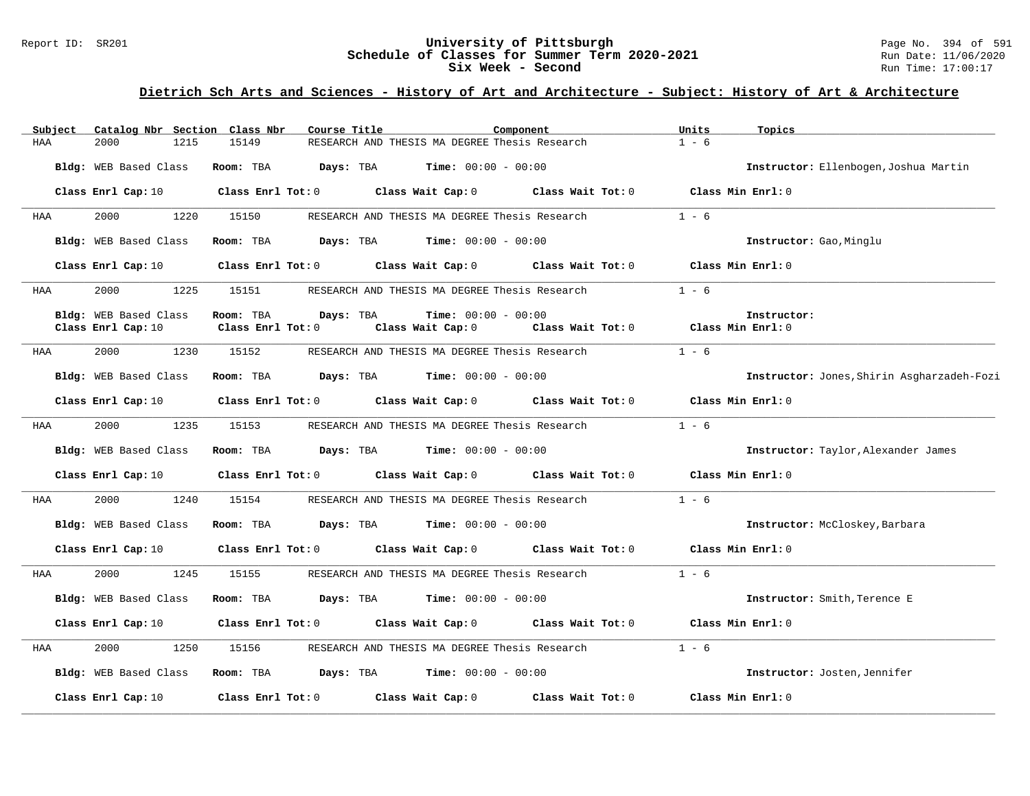#### Report ID: SR201 **University of Pittsburgh** Page No. 394 of 591 **Schedule of Classes for Summer Term 2020-2021** Run Date: 11/06/2020 **Six Week - Second Run Time: 17:00:17**

| Subject | Catalog Nbr Section Class Nbr | Course Title      |                                                                                                                                | Component         | Units             | Topics                                     |
|---------|-------------------------------|-------------------|--------------------------------------------------------------------------------------------------------------------------------|-------------------|-------------------|--------------------------------------------|
| HAA     | 2000<br>1215                  | 15149             | RESEARCH AND THESIS MA DEGREE Thesis Research                                                                                  |                   | $1 - 6$           |                                            |
|         | Bldg: WEB Based Class         | Room: TBA         | <b>Days:</b> TBA <b>Time:</b> $00:00 - 00:00$                                                                                  |                   |                   | Instructor: Ellenbogen, Joshua Martin      |
|         |                               |                   | Class Enrl Cap: 10 $\qquad$ Class Enrl Tot: 0 $\qquad$ Class Wait Cap: 0 $\qquad$ Class Wait Tot: 0 $\qquad$ Class Min Enrl: 0 |                   |                   |                                            |
| HAA     | 2000<br>1220                  | 15150             | RESEARCH AND THESIS MA DEGREE Thesis Research                                                                                  |                   | $1 - 6$           |                                            |
|         | Bldg: WEB Based Class         | Room: TBA         | <b>Days:</b> TBA <b>Time:</b> $00:00 - 00:00$                                                                                  |                   |                   | Instructor: Gao, Minglu                    |
|         | Class Enrl Cap: 10            |                   | Class Enrl Tot: 0 Class Wait Cap: 0                                                                                            | Class Wait Tot: 0 |                   | Class Min Enrl: 0                          |
| HAA     | 2000<br>1225                  | 15151             | RESEARCH AND THESIS MA DEGREE Thesis Research                                                                                  |                   | $1 - 6$           |                                            |
|         | Bldg: WEB Based Class         | Room: TBA         | <b>Time:</b> $00:00 - 00:00$<br>Days: TBA                                                                                      |                   |                   | Instructor:                                |
|         | Class Enrl Cap: 10            | Class Enrl Tot: 0 | Class Wait Cap: 0                                                                                                              | Class Wait Tot: 0 | Class Min Enrl: 0 |                                            |
| HAA     | 2000<br>1230                  | 15152             | RESEARCH AND THESIS MA DEGREE Thesis Research                                                                                  |                   | $1 - 6$           |                                            |
|         | Bldg: WEB Based Class         | Room: TBA         | $\texttt{Days:}$ TBA $\texttt{Time:}$ 00:00 - 00:00                                                                            |                   |                   | Instructor: Jones, Shirin Asgharzadeh-Fozi |
|         | Class Enrl Cap: 10            |                   | Class Enrl Tot: 0 Class Wait Cap: 0 Class Wait Tot: 0                                                                          |                   |                   | Class Min Enrl: 0                          |
| HAA     | 2000<br>1235                  | 15153             | RESEARCH AND THESIS MA DEGREE Thesis Research                                                                                  |                   | $1 - 6$           |                                            |
|         | Bldg: WEB Based Class         |                   | Room: TBA $Days:$ TBA $Time: 00:00 - 00:00$                                                                                    |                   |                   | Instructor: Taylor, Alexander James        |
|         | Class Enrl Cap: 10            |                   | Class Enrl Tot: 0 Class Wait Cap: 0 Class Wait Tot: 0 Class Min Enrl: 0                                                        |                   |                   |                                            |
| HAA     | 2000 000<br>1240              | 15154             | RESEARCH AND THESIS MA DEGREE Thesis Research                                                                                  |                   | $1 - 6$           |                                            |
|         | Bldg: WEB Based Class         | Room: TBA         | <b>Days:</b> TBA <b>Time:</b> $00:00 - 00:00$                                                                                  |                   |                   | Instructor: McCloskey, Barbara             |
|         | Class Enrl Cap: 10            |                   | Class Enrl Tot: 0 Class Wait Cap: 0                                                                                            | Class Wait Tot: 0 |                   | Class Min Enrl: 0                          |
| HAA     | 1245<br>2000                  | 15155             | RESEARCH AND THESIS MA DEGREE Thesis Research                                                                                  |                   | $1 - 6$           |                                            |
|         | Bldg: WEB Based Class         | Room: TBA         | <b>Days:</b> TBA <b>Time:</b> $00:00 - 00:00$                                                                                  |                   |                   | Instructor: Smith, Terence E               |
|         | Class Enrl Cap: 10            |                   | Class Enrl Tot: 0 Class Wait Cap: 0 Class Wait Tot: 0                                                                          |                   |                   | Class Min Enrl: 0                          |
| HAA     | 2000<br>1250                  | 15156             | RESEARCH AND THESIS MA DEGREE Thesis Research                                                                                  |                   | $1 - 6$           |                                            |
|         | Bldg: WEB Based Class         |                   | Room: TBA $Days:$ TBA $Time: 00:00 - 00:00$                                                                                    |                   |                   | Instructor: Josten, Jennifer               |
|         | Class Enrl Cap: 10            |                   | Class Enrl Tot: 0 Class Wait Cap: 0                                                                                            | Class Wait Tot: 0 |                   | Class Min Enrl: 0                          |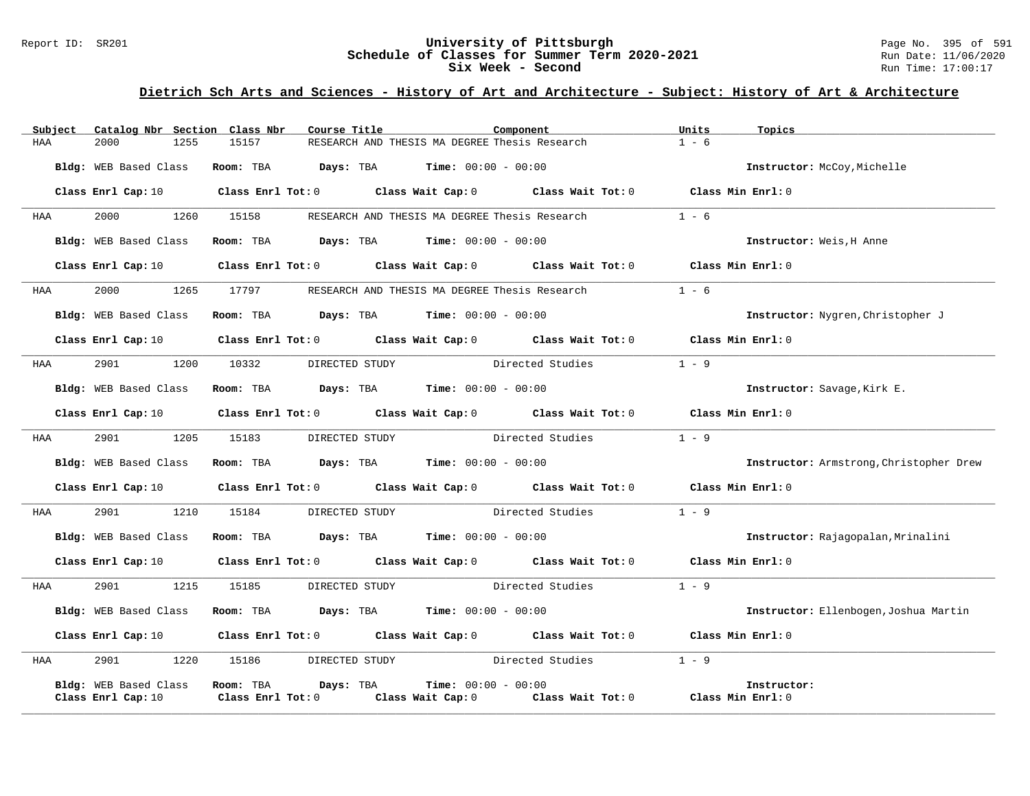### Report ID: SR201 **1988 Machines 1998 Machines 2010 Machiness University of Pittsburgh** Page No. 395 of 591 Page No<br>**Schedule of Classes for Summer Term 2020-2021** Page 11/06/2020 Run Date: 11/06/2020 **Schedule of Classes for Summer Term 2020-2021** Run Date: 11/06/2021<br>Six Week - Second Run Time: 17:00:17 Six Week - Second

| Subject    | Catalog Nbr Section Class Nbr | Course Title                                                                          | Component                                                                                                                      | Units<br>Topics                         |
|------------|-------------------------------|---------------------------------------------------------------------------------------|--------------------------------------------------------------------------------------------------------------------------------|-----------------------------------------|
| HAA        | 2000<br>1255                  | 15157                                                                                 | RESEARCH AND THESIS MA DEGREE Thesis Research                                                                                  | $1 - 6$                                 |
|            | Bldg: WEB Based Class         | Room: TBA $Days$ : TBA $Time$ : $00:00 - 00:00$                                       |                                                                                                                                | Instructor: McCoy, Michelle             |
|            |                               |                                                                                       | Class Enrl Cap: 10 $\qquad$ Class Enrl Tot: 0 $\qquad$ Class Wait Cap: 0 $\qquad$ Class Wait Tot: 0 $\qquad$ Class Min Enrl: 0 |                                         |
| HAA        | 2000 - 100                    | 1260 15158                                                                            | RESEARCH AND THESIS MA DEGREE Thesis Research                                                                                  | $1 - 6$                                 |
|            | Bldg: WEB Based Class         | Room: TBA $\rule{1em}{0.15mm}$ Days: TBA Time: $00:00 - 00:00$                        |                                                                                                                                | Instructor: Weis, H Anne                |
|            | Class Enrl Cap: 10            |                                                                                       | Class Enrl Tot: 0 Class Wait Cap: 0 Class Wait Tot: 0 Class Min Enrl: 0                                                        |                                         |
| HAA        | 2000 1265 17797               |                                                                                       | RESEARCH AND THESIS MA DEGREE Thesis Research 1 - 6                                                                            |                                         |
|            | Bldg: WEB Based Class         | Room: TBA $Days:$ TBA $Time: 00:00 - 00:00$                                           |                                                                                                                                | Instructor: Nygren, Christopher J       |
|            | Class Enrl Cap: 10            |                                                                                       | Class Enrl Tot: 0 $\qquad$ Class Wait Cap: 0 $\qquad$ Class Wait Tot: 0 $\qquad$ Class Min Enrl: 0                             |                                         |
| HAA        | 2901<br>1200                  | 10332                                                                                 | DIRECTED STUDY Directed Studies                                                                                                | $1 - 9$                                 |
|            | Bldg: WEB Based Class         | Room: TBA $Days:$ TBA $Time: 00:00 - 00:00$                                           |                                                                                                                                | Instructor: Savage, Kirk E.             |
|            |                               |                                                                                       | Class Enrl Cap: 10 $\qquad$ Class Enrl Tot: 0 $\qquad$ Class Wait Cap: 0 $\qquad$ Class Wait Tot: 0 $\qquad$ Class Min Enrl: 0 |                                         |
| HAA        | 2901 2002                     | 1205 15183<br>DIRECTED STUDY                                                          | Directed Studies                                                                                                               | $1 - 9$                                 |
|            | Bldg: WEB Based Class         | Room: TBA $Days: TBA$ Time: $00:00 - 00:00$                                           |                                                                                                                                | Instructor: Armstrong, Christopher Drew |
|            |                               |                                                                                       | Class Enrl Cap: 10 $\qquad$ Class Enrl Tot: 0 $\qquad$ Class Wait Cap: 0 $\qquad$ Class Wait Tot: 0 $\qquad$ Class Min Enrl: 0 |                                         |
| <b>HAA</b> | 2901 1210 15184               |                                                                                       | DIRECTED STUDY Directed Studies 1 - 9                                                                                          |                                         |
|            | Bldg: WEB Based Class         | Room: TBA $\rule{1em}{0.15mm}$ Days: TBA Time: $00:00 - 00:00$                        |                                                                                                                                | Instructor: Rajagopalan, Mrinalini      |
|            |                               |                                                                                       | Class Enrl Cap: 10 $\qquad$ Class Enrl Tot: 0 $\qquad$ Class Wait Cap: 0 $\qquad$ Class Wait Tot: 0 $\qquad$ Class Min Enrl: 0 |                                         |
| HAA        | 2901<br>1215                  | 15185                                                                                 | DIRECTED STUDY<br>Directed Studies                                                                                             | $1 - 9$                                 |
|            | Bldg: WEB Based Class         | Room: TBA $\rule{1em}{0.15mm}$ Days: TBA $\rule{1.5mm}{0.15mm}$ Time: $00:00 - 00:00$ |                                                                                                                                | Instructor: Ellenbogen, Joshua Martin   |
|            |                               |                                                                                       | Class Enrl Cap: 10 $\qquad$ Class Enrl Tot: 0 $\qquad$ Class Wait Cap: 0 $\qquad$ Class Wait Tot: 0 $\qquad$ Class Min Enrl: 0 |                                         |
| HAA        | 2901 2002                     | 1220 15186<br>DIRECTED STUDY                                                          | Directed Studies                                                                                                               | $1 - 9$                                 |
|            | Bldg: WEB Based Class         | Room: TBA Days: TBA                                                                   | <b>Time:</b> $00:00 - 00:00$                                                                                                   | Instructor:                             |
|            | Class Enrl Cap: 10            | Class Enrl Tot: 0                                                                     | Class Wait Cap: 0 Class Wait Tot: 0 Class Min Enrl: 0                                                                          |                                         |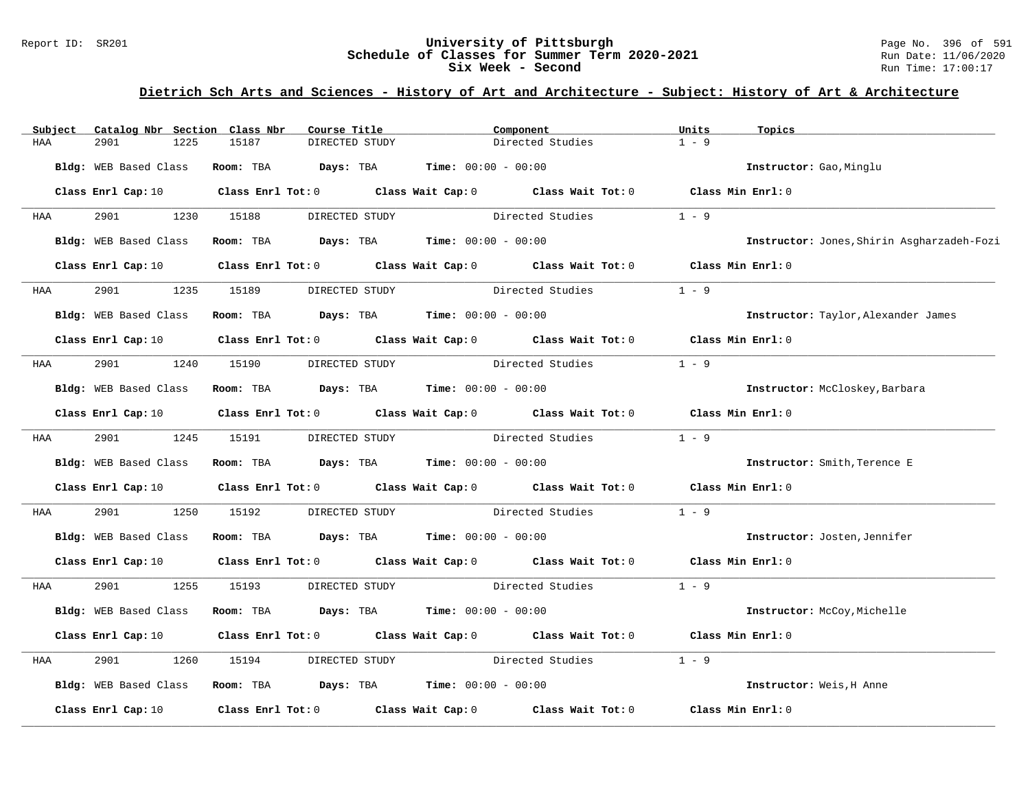#### Report ID: SR201 **University of Pittsburgh** Page No. 396 of 591 **Schedule of Classes for Summer Term 2020-2021** Run Date: 11/06/2020 **Six Week - Second Run Time: 17:00:17**

| Subject | Catalog Nbr Section Class Nbr | Course Title                                |                | Component                                                                                                                      | Units             | Topics                                     |
|---------|-------------------------------|---------------------------------------------|----------------|--------------------------------------------------------------------------------------------------------------------------------|-------------------|--------------------------------------------|
| HAA     | 1225<br>2901                  | 15187                                       | DIRECTED STUDY | Directed Studies                                                                                                               | $1 - 9$           |                                            |
|         | Bldg: WEB Based Class         | Room: TBA $Days:$ TBA $Time: 00:00 - 00:00$ |                |                                                                                                                                |                   | Instructor: Gao, Minglu                    |
|         | Class Enrl Cap: 10            |                                             |                | Class Enrl Tot: 0 Class Wait Cap: 0 Class Wait Tot: 0 Class Min Enrl: 0                                                        |                   |                                            |
| HAA     | 2901                          | 1230 15188                                  |                | DIRECTED STUDY Directed Studies                                                                                                | $1 - 9$           |                                            |
|         | Bldg: WEB Based Class         | Room: TBA $Days:$ TBA $Time: 00:00 - 00:00$ |                |                                                                                                                                |                   | Instructor: Jones, Shirin Asgharzadeh-Fozi |
|         | Class Enrl Cap: 10            |                                             |                | Class Enrl Tot: 0 $\qquad$ Class Wait Cap: 0 $\qquad$ Class Wait Tot: 0 $\qquad$ Class Min Enrl: 0                             |                   |                                            |
| HAA     | 2901<br>1235                  | 15189                                       | DIRECTED STUDY | Directed Studies                                                                                                               | $1 - 9$           |                                            |
|         | Bldg: WEB Based Class         | Room: TBA $Days:$ TBA $Time: 00:00 - 00:00$ |                |                                                                                                                                |                   | Instructor: Taylor, Alexander James        |
|         |                               |                                             |                | Class Enrl Cap: 10 $\qquad$ Class Enrl Tot: 0 $\qquad$ Class Wait Cap: 0 $\qquad$ Class Wait Tot: 0 $\qquad$ Class Min Enrl: 0 |                   |                                            |
| HAA     | 2901 2002                     | 1240 15190                                  | DIRECTED STUDY | Directed Studies                                                                                                               | $1 - 9$           |                                            |
|         | Bldg: WEB Based Class         | Room: TBA $Days:$ TBA Time: $00:00 - 00:00$ |                |                                                                                                                                |                   | Instructor: McCloskey, Barbara             |
|         | Class Enrl Cap: 10            |                                             |                | Class Enrl Tot: 0 Class Wait Cap: 0 Class Wait Tot: 0 Class Min Enrl: 0                                                        |                   |                                            |
| HAA     | 2901 1245 15191               |                                             | DIRECTED STUDY | Directed Studies                                                                                                               | $1 - 9$           |                                            |
|         | Bldg: WEB Based Class         | Room: TBA $Days:$ TBA $Time: 00:00 - 00:00$ |                |                                                                                                                                |                   | Instructor: Smith, Terence E               |
|         | Class Enrl Cap: 10            |                                             |                | Class Enrl Tot: $0$ Class Wait Cap: $0$ Class Wait Tot: $0$ Class Min Enrl: $0$                                                |                   |                                            |
| HAA     | 2901<br>1250                  | 15192                                       |                | DIRECTED STUDY Directed Studies                                                                                                | $1 - 9$           |                                            |
|         | Bldg: WEB Based Class         | Room: TBA $Days:$ TBA $Time: 00:00 - 00:00$ |                |                                                                                                                                |                   | Instructor: Josten, Jennifer               |
|         | Class Enrl Cap: 10            |                                             |                | Class Enrl Tot: 0 Class Wait Cap: 0 Class Wait Tot: 0 Class Min Enrl: 0                                                        |                   |                                            |
| HAA     | 2901                          | 1255 15193                                  |                | DIRECTED STUDY Directed Studies                                                                                                | $1 - 9$           |                                            |
|         | Bldg: WEB Based Class         | Room: TBA $Days: TBA$ Time: $00:00 - 00:00$ |                |                                                                                                                                |                   | Instructor: McCoy, Michelle                |
|         | Class Enrl Cap: 10            |                                             |                | Class Enrl Tot: 0 Class Wait Cap: 0 Class Wait Tot: 0                                                                          | Class Min Enrl: 0 |                                            |
| HAA     | 2901<br>1260                  | 15194                                       | DIRECTED STUDY | Directed Studies                                                                                                               | $1 - 9$           |                                            |
|         | Bldg: WEB Based Class         | Room: TBA $Days: TBA$ Time: $00:00 - 00:00$ |                |                                                                                                                                |                   | Instructor: Weis, H Anne                   |
|         | Class Enrl Cap: 10            |                                             |                | Class Enrl Tot: $0$ Class Wait Cap: $0$ Class Wait Tot: $0$                                                                    | Class Min Enrl: 0 |                                            |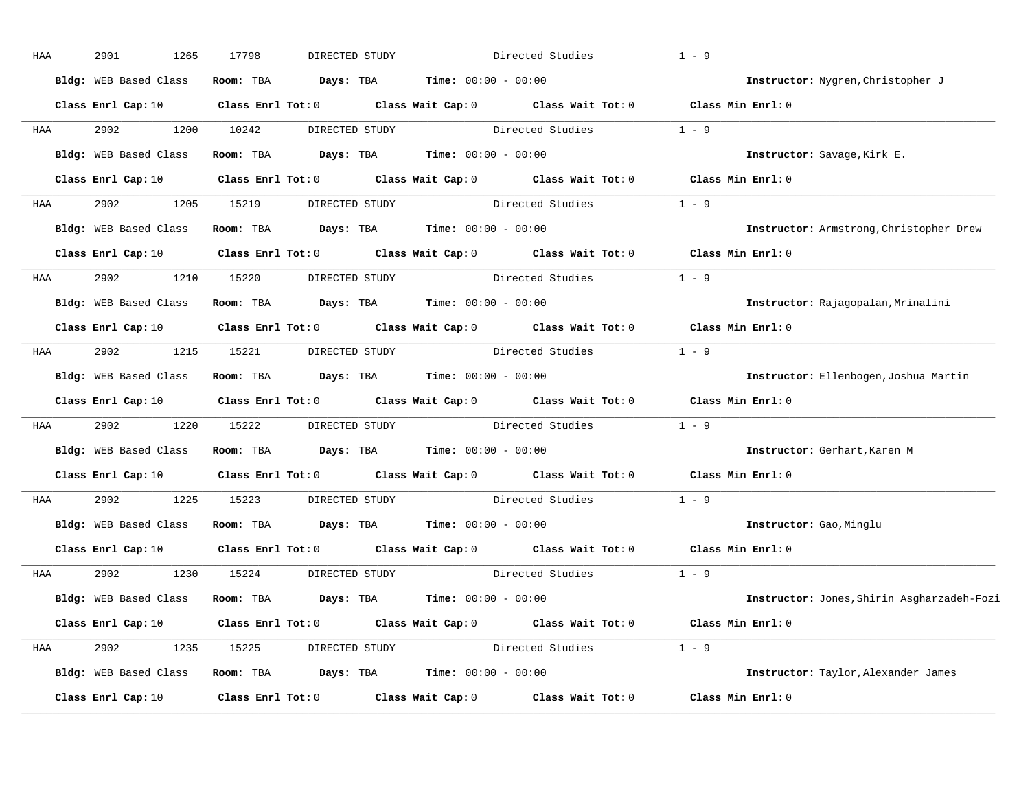| HAA | 2901<br>1265          | 17798                   | DIRECTED STUDY                                       |                                               | Directed Studies                                                                | $1 - 9$                                    |
|-----|-----------------------|-------------------------|------------------------------------------------------|-----------------------------------------------|---------------------------------------------------------------------------------|--------------------------------------------|
|     | Bldg: WEB Based Class | Room: TBA               | Days: TBA                                            | <b>Time:</b> $00:00 - 00:00$                  |                                                                                 | Instructor: Nygren, Christopher J          |
|     | Class Enrl Cap: 10    |                         |                                                      |                                               | Class Enrl Tot: $0$ Class Wait Cap: $0$ Class Wait Tot: $0$ Class Min Enrl: $0$ |                                            |
| HAA | 2902<br>1200          | 10242                   | DIRECTED STUDY                                       |                                               | Directed Studies                                                                | $1 - 9$                                    |
|     | Bldg: WEB Based Class | Room: TBA               |                                                      | <b>Days:</b> TBA <b>Time:</b> $00:00 - 00:00$ |                                                                                 | Instructor: Savage, Kirk E.                |
|     | Class Enrl Cap: 10    | $Class$ $Enrl$ $Tot: 0$ |                                                      |                                               | Class Wait Cap: 0 Class Wait Tot: 0 Class Min Enrl: 0                           |                                            |
| HAA | 2902<br>1205          | 15219                   |                                                      |                                               | DIRECTED STUDY Directed Studies 1 - 9                                           |                                            |
|     | Bldg: WEB Based Class | Room: TBA               |                                                      | <b>Days:</b> TBA <b>Time:</b> $00:00 - 00:00$ |                                                                                 | Instructor: Armstrong, Christopher Drew    |
|     | Class Enrl Cap: 10    | $Class$ $Enrl$ $Tot: 0$ |                                                      |                                               | Class Wait Cap: 0 Class Wait Tot: 0 Class Min Enrl: 0                           |                                            |
| HAA | 2902<br>1210          | 15220                   | DIRECTED STUDY                                       |                                               | Directed Studies                                                                | $1 - 9$                                    |
|     | Bldg: WEB Based Class | Room: TBA               |                                                      | <b>Days:</b> TBA <b>Time:</b> $00:00 - 00:00$ |                                                                                 | Instructor: Rajagopalan, Mrinalini         |
|     | Class Enrl Cap: 10    | $Class$ $Enrl$ $Tot: 0$ |                                                      |                                               | Class Wait Cap: 0 Class Wait Tot: 0                                             | Class Min Enrl: 0                          |
| HAA | 2902<br>1215          | 15221                   | DIRECTED STUDY                                       |                                               | Directed Studies                                                                | $1 - 9$                                    |
|     | Bldg: WEB Based Class | Room: TBA               | $Days: TBA$ $Time: 00:00 - 00:00$                    |                                               |                                                                                 | Instructor: Ellenbogen, Joshua Martin      |
|     | Class Enrl Cap: 10    |                         |                                                      |                                               | Class Enrl Tot: 0 Class Wait Cap: 0 Class Wait Tot: 0                           | Class Min Enrl: 0                          |
| HAA | 2902<br>1220          | 15222                   | DIRECTED STUDY Directed Studies                      |                                               |                                                                                 | $1 - 9$                                    |
|     | Bldg: WEB Based Class | Room: TBA               | <b>Days:</b> TBA <b>Time:</b> $00:00 - 00:00$        |                                               |                                                                                 | Instructor: Gerhart, Karen M               |
|     | Class Enrl Cap: 10    |                         |                                                      |                                               | Class Enrl Tot: 0 Class Wait Cap: 0 Class Wait Tot: 0                           | Class Min Enrl: 0                          |
| HAA | 2902<br>1225          | 15223                   | DIRECTED STUDY                                       |                                               | Directed Studies                                                                | $1 - 9$                                    |
|     | Bldg: WEB Based Class | Room: TBA               | Days: TBA                                            | <b>Time:</b> $00:00 - 00:00$                  |                                                                                 | Instructor: Gao, Minglu                    |
|     | Class Enrl Cap: 10    |                         |                                                      |                                               | Class Enrl Tot: 0 Class Wait Cap: 0 Class Wait Tot: 0                           | Class Min Enrl: 0                          |
| HAA | 2902<br>1230          | 15224                   | DIRECTED STUDY                                       |                                               | Directed Studies                                                                | $1 - 9$                                    |
|     | Bldg: WEB Based Class | Room: TBA               | $\texttt{Davis:}$ TBA $\texttt{Time:}$ 00:00 - 00:00 |                                               |                                                                                 | Instructor: Jones, Shirin Asgharzadeh-Fozi |
|     | Class Enrl Cap: 10    | $Class$ $Enr1$ $Tot: 0$ |                                                      |                                               | Class Wait Cap: 0 Class Wait Tot: 0                                             | Class Min Enrl: 0                          |
| HAA | 2902<br>1235          | 15225                   |                                                      |                                               | DIRECTED STUDY Directed Studies 1 - 9                                           |                                            |
|     | Bldg: WEB Based Class | Room: TBA               |                                                      | <b>Days:</b> TBA <b>Time:</b> $00:00 - 00:00$ |                                                                                 | Instructor: Taylor, Alexander James        |
|     | Class Enrl Cap: 10    | Class Enrl Tot: 0       |                                                      | Class Wait Cap: 0                             | Class Wait Tot: 0                                                               | Class Min Enrl: 0                          |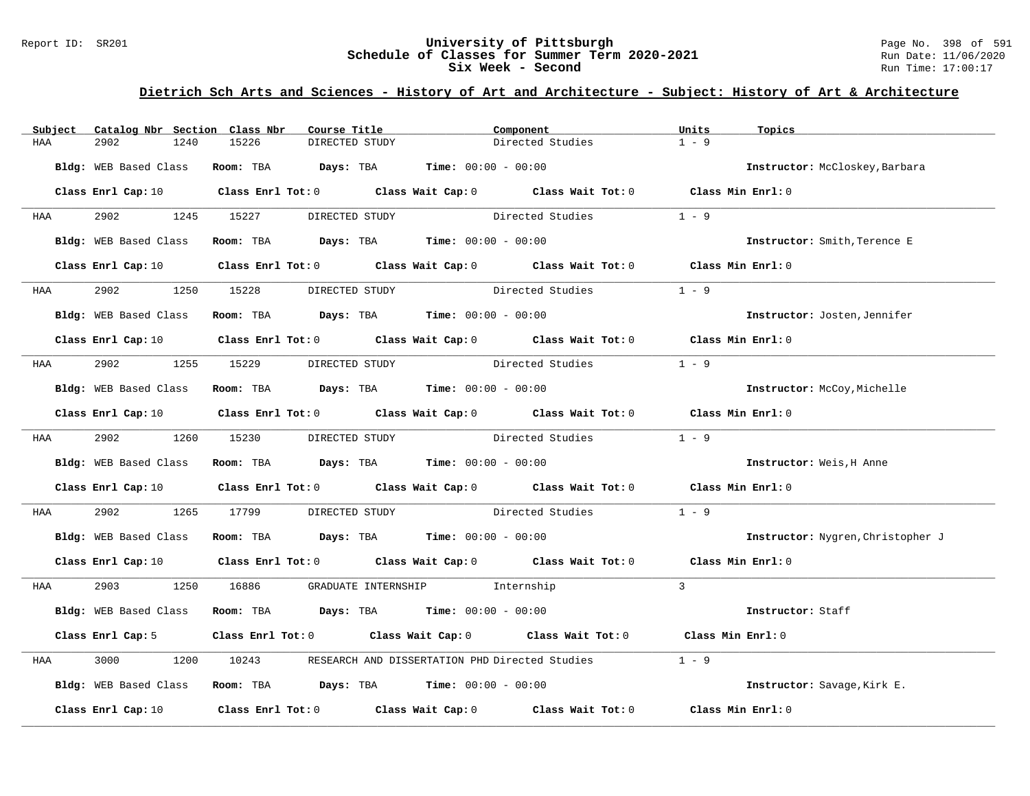#### Report ID: SR201 **University of Pittsburgh** Page No. 398 of 591 **Schedule of Classes for Summer Term 2020-2021** Run Date: 11/06/2020 **Six Week - Second Run Time: 17:00:17**

# **Dietrich Sch Arts and Sciences - History of Art and Architecture - Subject: History of Art & Architecture**

| Subject    | Catalog Nbr Section Class Nbr | Course Title                                                                            | Component                                                                                                                      | Units<br>Topics                   |
|------------|-------------------------------|-----------------------------------------------------------------------------------------|--------------------------------------------------------------------------------------------------------------------------------|-----------------------------------|
| HAA        | 2902<br>1240                  | 15226<br>DIRECTED STUDY                                                                 | Directed Studies                                                                                                               | $1 - 9$                           |
|            | Bldg: WEB Based Class         | <b>Room:</b> TBA $Days:$ TBA $Time: 00:00 - 00:00$                                      |                                                                                                                                | Instructor: McCloskey, Barbara    |
|            |                               |                                                                                         | Class Enrl Cap: 10 $\qquad$ Class Enrl Tot: 0 $\qquad$ Class Wait Cap: 0 $\qquad$ Class Wait Tot: 0 $\qquad$ Class Min Enrl: 0 |                                   |
| <b>HAA</b> |                               | 2902 1245 15227 DIRECTED STUDY                                                          | Directed Studies                                                                                                               | $1 - 9$                           |
|            | Bldg: WEB Based Class         | Room: TBA $\rule{1em}{0.15mm}$ Days: TBA $\rule{1.15mm}]{0.15mm}$ Time: $00:00 - 00:00$ |                                                                                                                                | Instructor: Smith, Terence E      |
|            |                               |                                                                                         | Class Enrl Cap: 10 $\qquad$ Class Enrl Tot: 0 $\qquad$ Class Wait Cap: 0 $\qquad$ Class Wait Tot: 0 $\qquad$ Class Min Enrl: 0 |                                   |
| <b>HAA</b> | 2902 200                      | 1250 15228 DIRECTED STUDY                                                               | Directed Studies                                                                                                               | $1 - 9$                           |
|            | Bldg: WEB Based Class         | Room: TBA $\rule{1em}{0.15mm}$ Days: TBA Time: $00:00 - 00:00$                          |                                                                                                                                | Instructor: Josten, Jennifer      |
|            |                               |                                                                                         | Class Enrl Cap: 10 $\qquad$ Class Enrl Tot: 0 $\qquad$ Class Wait Cap: 0 $\qquad$ Class Wait Tot: 0 $\qquad$ Class Min Enrl: 0 |                                   |
| <b>HAA</b> |                               |                                                                                         | 2902 1255 15229 DIRECTED STUDY Directed Studies                                                                                | $1 - 9$                           |
|            | Bldg: WEB Based Class         | Room: TBA $Days:$ TBA $Time: 00:00 - 00:00$                                             |                                                                                                                                | Instructor: McCoy, Michelle       |
|            |                               |                                                                                         | Class Enrl Cap: 10 $\qquad$ Class Enrl Tot: 0 $\qquad$ Class Wait Cap: 0 $\qquad$ Class Wait Tot: 0 $\qquad$ Class Min Enrl: 0 |                                   |
|            | HAA 2902 1260 15230           | DIRECTED STUDY                                                                          | Directed Studies                                                                                                               | $1 - 9$                           |
|            | Bldg: WEB Based Class         | Room: TBA $Days:$ TBA $Time: 00:00 - 00:00$                                             |                                                                                                                                | Instructor: Weis, H Anne          |
|            |                               |                                                                                         | Class Enrl Cap: 10 $\qquad$ Class Enrl Tot: 0 $\qquad$ Class Wait Cap: 0 $\qquad$ Class Wait Tot: 0 $\qquad$ Class Min Enrl: 0 |                                   |
| HAA        | 2902 200                      | 1265 17799                                                                              | DIRECTED STUDY Directed Studies                                                                                                | $1 - 9$                           |
|            |                               | Bldg: WEB Based Class Room: TBA Days: TBA Time: 00:00 - 00:00                           |                                                                                                                                | Instructor: Nygren, Christopher J |
|            |                               |                                                                                         | Class Enrl Cap: 10 $\qquad$ Class Enrl Tot: 0 $\qquad$ Class Wait Cap: 0 $\qquad$ Class Wait Tot: 0 $\qquad$ Class Min Enrl: 0 |                                   |
| <b>HAA</b> |                               | 2903 1250 16886 GRADUATE INTERNSHIP Internship                                          |                                                                                                                                | $\mathcal{L}$                     |
|            |                               | Bldg: WEB Based Class Room: TBA Days: TBA Time: 00:00 - 00:00                           |                                                                                                                                | Instructor: Staff                 |
|            | Class Enrl Cap: 5             |                                                                                         | Class Enrl Tot: 0 Class Wait Cap: 0 Class Wait Tot: 0 Class Min Enrl: 0                                                        |                                   |
| HAA        | 3000<br>1200                  |                                                                                         | 10243 RESEARCH AND DISSERTATION PHD Directed Studies                                                                           | $1 - 9$                           |
|            |                               | Bldg: WEB Based Class Room: TBA Days: TBA Time: 00:00 - 00:00                           |                                                                                                                                | Instructor: Savage, Kirk E.       |
|            |                               |                                                                                         | Class Enrl Cap: 10 $\qquad$ Class Enrl Tot: 0 $\qquad$ Class Wait Cap: 0 $\qquad$ Class Wait Tot: 0                            | Class Min Enrl: 0                 |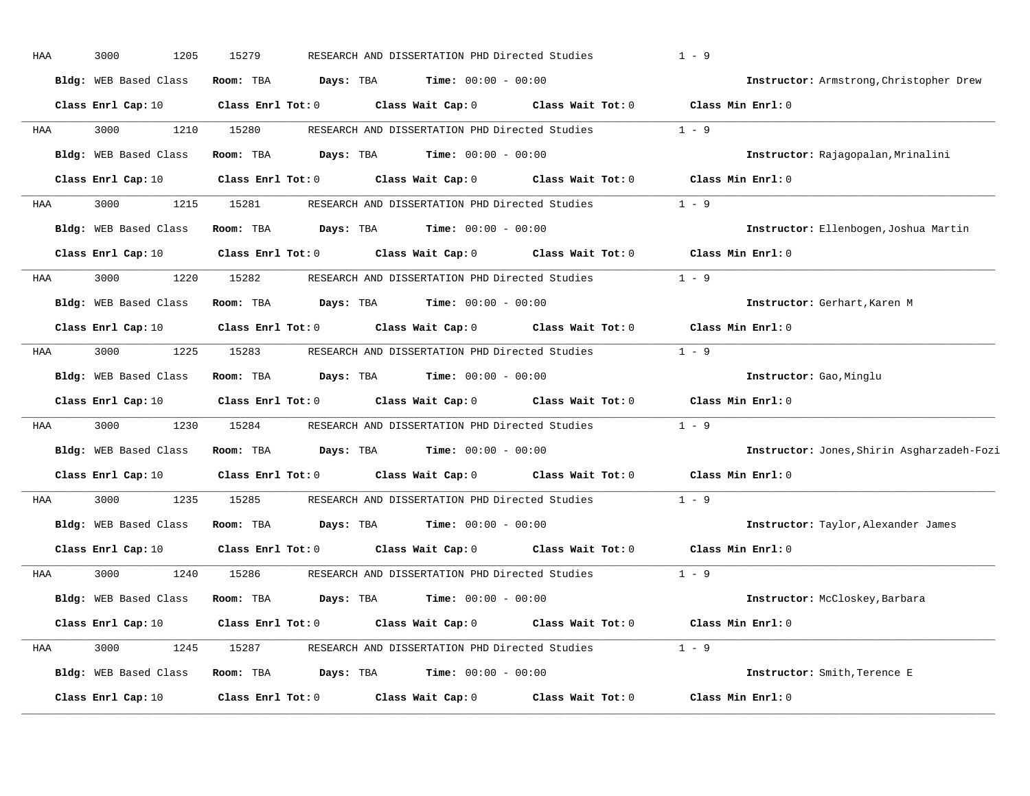| HAA | 3000<br>1205          | 15279             |           | RESEARCH AND DISSERTATION PHD Directed Studies |                   | $1 - 9$                                    |
|-----|-----------------------|-------------------|-----------|------------------------------------------------|-------------------|--------------------------------------------|
|     | Bldg: WEB Based Class | Room: TBA         | Days: TBA | <b>Time:</b> $00:00 - 00:00$                   |                   | Instructor: Armstrong, Christopher Drew    |
|     | Class Enrl Cap: 10    | Class Enrl Tot: 0 |           | Class Wait Cap: 0                              | Class Wait Tot: 0 | Class Min Enrl: 0                          |
| HAA | 3000<br>1210          | 15280             |           | RESEARCH AND DISSERTATION PHD Directed Studies |                   | $1 - 9$                                    |
|     | Bldg: WEB Based Class | Room: TBA         | Days: TBA | <b>Time:</b> $00:00 - 00:00$                   |                   | Instructor: Rajagopalan, Mrinalini         |
|     | Class Enrl Cap: 10    | Class Enrl Tot: 0 |           | Class Wait Cap: 0                              | Class Wait Tot: 0 | Class Min Enrl: 0                          |
| HAA | 3000<br>1215          | 15281             |           | RESEARCH AND DISSERTATION PHD Directed Studies |                   | $1 - 9$                                    |
|     | Bldg: WEB Based Class | Room: TBA         | Days: TBA | <b>Time:</b> $00:00 - 00:00$                   |                   | Instructor: Ellenbogen, Joshua Martin      |
|     | Class Enrl Cap: 10    | Class Enrl Tot: 0 |           | Class Wait Cap: 0                              | Class Wait Tot: 0 | Class Min Enrl: 0                          |
| HAA | 3000<br>1220          | 15282             |           | RESEARCH AND DISSERTATION PHD Directed Studies |                   | $1 - 9$                                    |
|     | Bldg: WEB Based Class | Room: TBA         | Days: TBA | <b>Time:</b> $00:00 - 00:00$                   |                   | Instructor: Gerhart, Karen M               |
|     | Class Enrl Cap: 10    | Class Enrl Tot: 0 |           | Class Wait Cap: 0                              | Class Wait Tot: 0 | Class Min Enrl: 0                          |
| HAA | 3000<br>1225          | 15283             |           | RESEARCH AND DISSERTATION PHD Directed Studies |                   | $1 - 9$                                    |
|     | Bldg: WEB Based Class | Room: TBA         | Days: TBA | <b>Time:</b> $00:00 - 00:00$                   |                   | Instructor: Gao, Minglu                    |
|     | Class Enrl Cap: 10    | Class Enrl Tot: 0 |           | Class Wait Cap: 0                              | Class Wait Tot: 0 | Class Min Enrl: 0                          |
| HAA | 3000<br>1230          | 15284             |           | RESEARCH AND DISSERTATION PHD Directed Studies |                   | $1 - 9$                                    |
|     | Bldg: WEB Based Class | Room: TBA         | Days: TBA | <b>Time:</b> $00:00 - 00:00$                   |                   | Instructor: Jones, Shirin Asgharzadeh-Fozi |
|     | Class Enrl Cap: 10    | Class Enrl Tot: 0 |           | Class Wait Cap: 0                              | Class Wait Tot: 0 | Class Min Enrl: 0                          |
| HAA | 3000<br>1235          | 15285             |           | RESEARCH AND DISSERTATION PHD Directed Studies |                   | $1 - 9$                                    |
|     | Bldg: WEB Based Class | Room: TBA         | Days: TBA | <b>Time:</b> $00:00 - 00:00$                   |                   | Instructor: Taylor, Alexander James        |
|     | Class Enrl Cap: 10    | Class Enrl Tot: 0 |           | Class Wait Cap: 0                              | Class Wait Tot: 0 | Class Min Enrl: 0                          |
| HAA | 3000<br>1240          | 15286             |           | RESEARCH AND DISSERTATION PHD Directed Studies |                   | $1 - 9$                                    |
|     | Bldg: WEB Based Class | Room: TBA         | Days: TBA | <b>Time:</b> $00:00 - 00:00$                   |                   | Instructor: McCloskey, Barbara             |
|     | Class Enrl Cap: 10    | Class Enrl Tot: 0 |           | Class Wait Cap: 0                              | Class Wait Tot: 0 | Class Min Enrl: 0                          |
| HAA | 3000<br>1245          | 15287             |           | RESEARCH AND DISSERTATION PHD Directed Studies |                   | $1 - 9$                                    |
|     | Bldg: WEB Based Class | Room: TBA         | Days: TBA | <b>Time:</b> $00:00 - 00:00$                   |                   | Instructor: Smith, Terence E               |
|     | Class Enrl Cap: 10    | Class Enrl Tot: 0 |           | Class Wait Cap: 0                              | Class Wait Tot: 0 | Class Min Enrl: 0                          |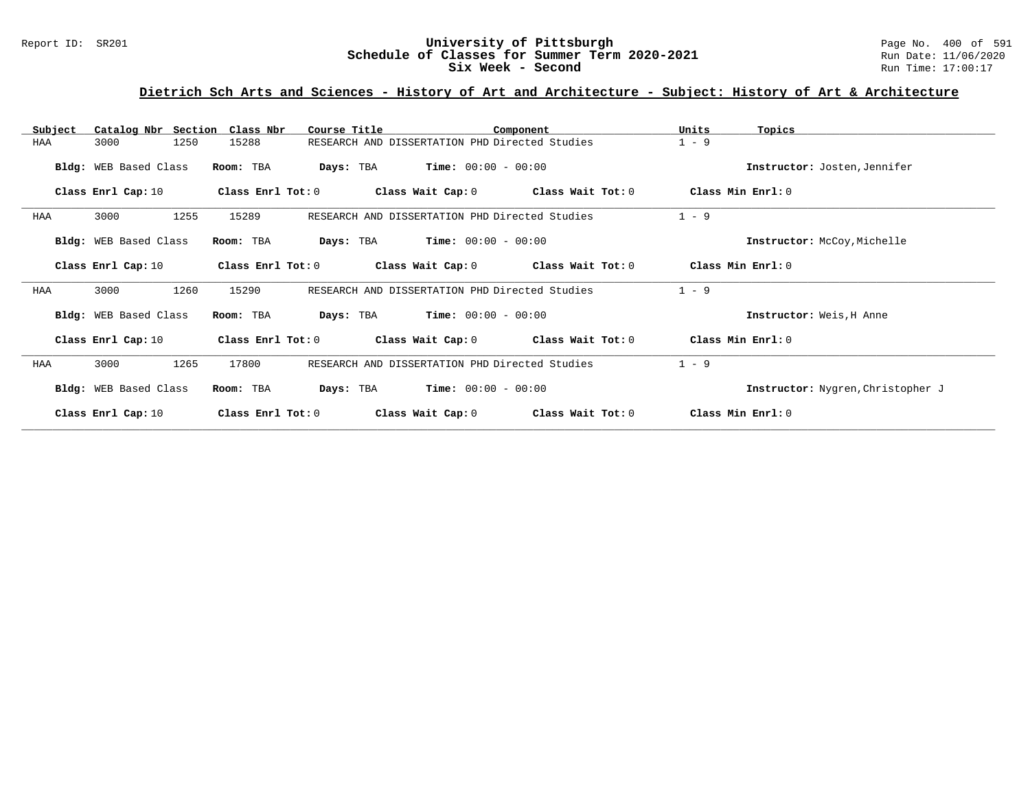#### Report ID: SR201 **1988 Manusia Content Content Content Content Content Content Content Content Content Content**<br>
Schedule of Classes for Summer Term 2020-2021 1999 Run Date: 11/06/2020 **Schedule of Classes for Summer Term 2020-2021** Run Date: 11/06/2021<br> **Six Week - Second** Run Time: 17:00:17 Six Week - Second

# **Dietrich Sch Arts and Sciences - History of Art and Architecture - Subject: History of Art & Architecture**

| Subject | Catalog Nbr Section Class Nbr |                   | Course Title                                   |                       | Component         | Units   | Topics                            |
|---------|-------------------------------|-------------------|------------------------------------------------|-----------------------|-------------------|---------|-----------------------------------|
| HAA     | 1250<br>3000                  | 15288             | RESEARCH AND DISSERTATION PHD Directed Studies |                       |                   | $1 - 9$ |                                   |
|         | Bldg: WEB Based Class         | Room: TBA         | Days: TBA                                      | $Time: 00:00 - 00:00$ |                   |         | Instructor: Josten, Jennifer      |
|         | Class Enrl Cap: 10            | Class Enrl Tot: 0 |                                                | Class Wait Cap: 0     | Class Wait Tot: 0 |         | Class Min Enrl: 0                 |
| HAA     | 1255<br>3000                  | 15289             | RESEARCH AND DISSERTATION PHD Directed Studies |                       |                   | $1 - 9$ |                                   |
|         | Bldg: WEB Based Class         | Room: TBA         | Days: TBA                                      | $Time: 00:00 - 00:00$ |                   |         | Instructor: McCoy, Michelle       |
|         | Class Enrl Cap: 10            | Class Enrl Tot: 0 |                                                | Class Wait Cap: 0     | Class Wait Tot: 0 |         | Class Min Enrl: 0                 |
| HAA     | 3000<br>1260                  | 15290             | RESEARCH AND DISSERTATION PHD Directed Studies |                       |                   | $1 - 9$ |                                   |
|         | Bldg: WEB Based Class         | Room: TBA         | Days: TBA                                      | $Time: 00:00 - 00:00$ |                   |         | Instructor: Weis, H Anne          |
|         | Class Enrl Cap: 10            | Class Enrl Tot: 0 |                                                | Class Wait Cap: 0     | Class Wait Tot: 0 |         | Class Min Enrl: 0                 |
| HAA     | 3000<br>1265                  | 17800             | RESEARCH AND DISSERTATION PHD Directed Studies |                       |                   | $1 - 9$ |                                   |
|         | Bldg: WEB Based Class         | Room: TBA         | Days: TBA                                      | $Time: 00:00 - 00:00$ |                   |         | Instructor: Nygren, Christopher J |
|         | Class Enrl Cap: 10            | Class Enrl Tot: 0 |                                                | Class Wait Cap: 0     | Class Wait Tot: 0 |         | Class Min Enrl: 0                 |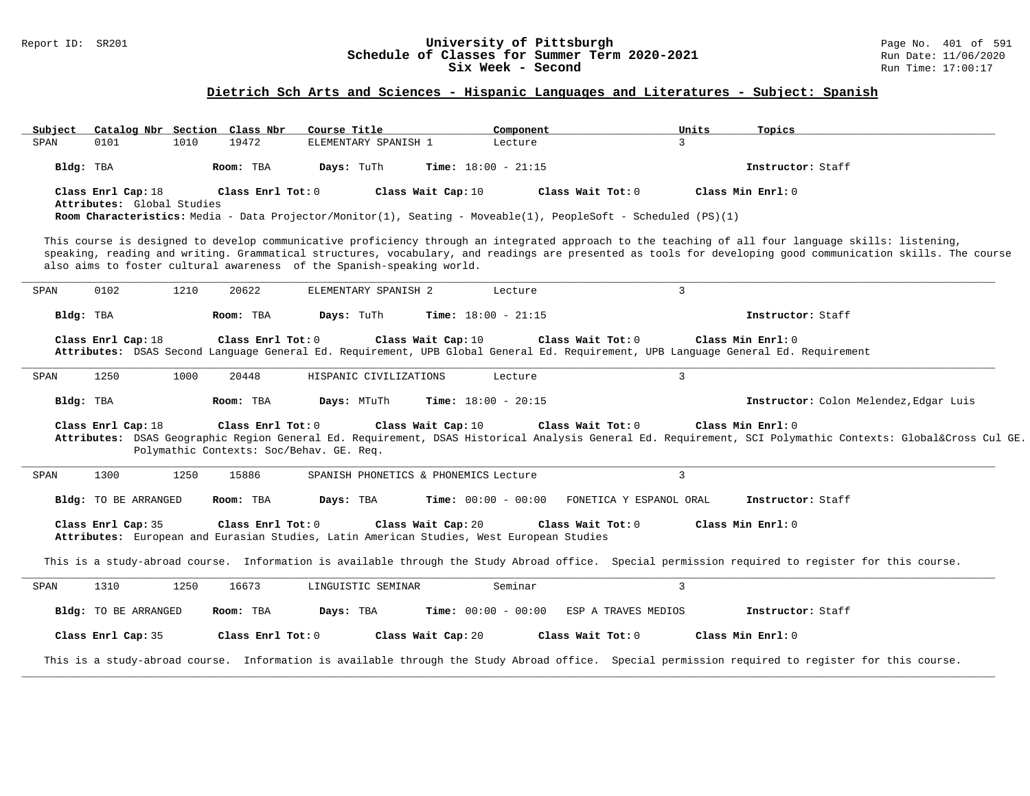### Report ID: SR201 **University of Pittsburgh** Page No. 401 of 591 **Schedule of Classes for Summer Term 2020-2021** Run Date: 11/06/2020 **Six Week - Second Run Time: 17:00:17**

# **Dietrich Sch Arts and Sciences - Hispanic Languages and Literatures - Subject: Spanish**

| Subject |                                                  |      | Catalog Nbr Section Class Nbr | Course Title                                                                                                   |                    | Component                    |                         | Units          | Topics                                                                                                                                                                                                                                                                                                             |
|---------|--------------------------------------------------|------|-------------------------------|----------------------------------------------------------------------------------------------------------------|--------------------|------------------------------|-------------------------|----------------|--------------------------------------------------------------------------------------------------------------------------------------------------------------------------------------------------------------------------------------------------------------------------------------------------------------------|
| SPAN    | 0101                                             | 1010 | 19472                         | ELEMENTARY SPANISH 1                                                                                           |                    | Lecture                      |                         | $\mathcal{E}$  |                                                                                                                                                                                                                                                                                                                    |
|         | Bldg: TBA                                        |      | Room: TBA                     | Days: TuTh                                                                                                     |                    | Time: $18:00 - 21:15$        |                         |                | Instructor: Staff                                                                                                                                                                                                                                                                                                  |
|         | Class Enrl Cap: 18<br>Attributes: Global Studies |      | Class Enrl Tot: 0             | Room Characteristics: Media - Data Projector/Monitor(1), Seating - Moveable(1), PeopleSoft - Scheduled (PS)(1) | Class Wait Cap: 10 |                              | Class Wait Tot: 0       |                | Class Min $Enr1: 0$                                                                                                                                                                                                                                                                                                |
|         |                                                  |      |                               | also aims to foster cultural awareness of the Spanish-speaking world.                                          |                    |                              |                         |                | This course is designed to develop communicative proficiency through an integrated approach to the teaching of all four language skills: listening,<br>speaking, reading and writing. Grammatical structures, vocabulary, and readings are presented as tools for developing good communication skills. The course |
| SPAN    | 0102                                             | 1210 | 20622                         | ELEMENTARY SPANISH 2                                                                                           |                    | Lecture                      |                         | $\mathbf{3}$   |                                                                                                                                                                                                                                                                                                                    |
|         | Bldg: TBA                                        |      | Room: TBA                     | Days: TuTh                                                                                                     |                    | Time: $18:00 - 21:15$        |                         |                | Instructor: Staff                                                                                                                                                                                                                                                                                                  |
| SPAN    | Class Enrl Cap: 18<br>1250                       | 1000 | Class Enrl Tot: 0<br>20448    | HISPANIC CIVILIZATIONS                                                                                         | Class Wait Cap: 10 | Lecture                      | Class Wait Tot: 0       | $\mathbf{3}$   | Class Min Enrl: 0<br>Attributes: DSAS Second Language General Ed. Requirement, UPB Global General Ed. Requirement, UPB Language General Ed. Requirement                                                                                                                                                            |
|         | Bldg: TBA                                        |      | Room: TBA                     | Days: MTuTh                                                                                                    |                    | <b>Time:</b> $18:00 - 20:15$ |                         |                | Instructor: Colon Melendez, Edgar Luis                                                                                                                                                                                                                                                                             |
|         | Class Enrl Cap: 18                               |      | Class Enrl Tot: 0             | Polymathic Contexts: Soc/Behav. GE. Req.                                                                       | Class Wait Cap: 10 |                              | Class Wait Tot: 0       |                | Class Min Enrl: 0<br>Attributes: DSAS Geographic Region General Ed. Requirement, DSAS Historical Analysis General Ed. Requirement, SCI Polymathic Contexts: Global⨯ Cul GE.                                                                                                                                        |
| SPAN    | 1300                                             | 1250 | 15886                         | SPANISH PHONETICS & PHONEMICS Lecture                                                                          |                    |                              |                         | $\mathbf{3}$   |                                                                                                                                                                                                                                                                                                                    |
|         | <b>Bldg:</b> TO BE ARRANGED                      |      | Room: TBA                     | Days: TBA                                                                                                      |                    | <b>Time:</b> $00:00 - 00:00$ | FONETICA Y ESPANOL ORAL |                | Instructor: Staff                                                                                                                                                                                                                                                                                                  |
|         | Class Enrl Cap: 35                               |      | Class Enrl Tot: 0             | Attributes: European and Eurasian Studies, Latin American Studies, West European Studies                       | Class Wait Cap: 20 |                              | Class Wait Tot: 0       |                | Class Min Enrl: 0                                                                                                                                                                                                                                                                                                  |
|         |                                                  |      |                               |                                                                                                                |                    |                              |                         |                | This is a study-abroad course. Information is available through the Study Abroad office. Special permission required to register for this course.                                                                                                                                                                  |
| SPAN    | 1310                                             | 1250 | 16673                         | LINGUISTIC SEMINAR                                                                                             |                    | Seminar                      |                         | $\overline{3}$ |                                                                                                                                                                                                                                                                                                                    |
|         | Bldg: TO BE ARRANGED                             |      | Room: TBA                     | Days: TBA                                                                                                      |                    | <b>Time:</b> $00:00 - 00:00$ | ESP A TRAVES MEDIOS     |                | Instructor: Staff                                                                                                                                                                                                                                                                                                  |
|         | Class Enrl Cap: 35                               |      | Class Enrl Tot: 0             |                                                                                                                | Class Wait Cap: 20 |                              | Class Wait Tot: 0       |                | Class Min Enrl: 0                                                                                                                                                                                                                                                                                                  |
|         |                                                  |      |                               |                                                                                                                |                    |                              |                         |                | This is a study-abroad course. Information is available through the Study Abroad office. Special permission required to register for this course.                                                                                                                                                                  |
|         |                                                  |      |                               |                                                                                                                |                    |                              |                         |                |                                                                                                                                                                                                                                                                                                                    |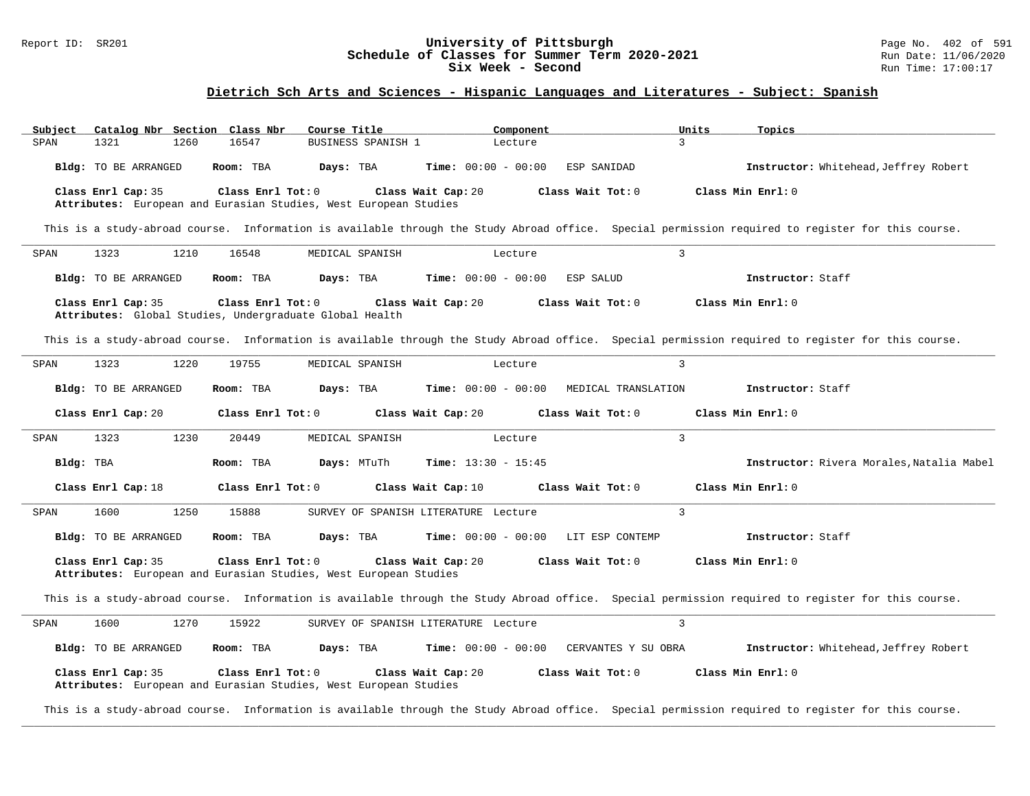#### Report ID: SR201 **1988 Chedule of Classes for Summer Term 2020-2021** Page No. 402 of 591 Page No. 402 of 591 Schedule of Classes for Summer Term 2020-2021 **Schedule of Classes for Summer Term 2020-2021** Run Date: 11/06/2021<br>Six Week - Second Run Time: 17:00:17 Six Week - Second

### **Dietrich Sch Arts and Sciences - Hispanic Languages and Literatures - Subject: Spanish**

| Subject |                                                                                        |      | Catalog Nbr Section Class Nbr | Course Title    |                    |                    | Component                            |                                       | Units          | Topics                                                                                                                                            |
|---------|----------------------------------------------------------------------------------------|------|-------------------------------|-----------------|--------------------|--------------------|--------------------------------------|---------------------------------------|----------------|---------------------------------------------------------------------------------------------------------------------------------------------------|
| SPAN    | 1321                                                                                   | 1260 | 16547                         |                 | BUSINESS SPANISH 1 |                    | Lecture                              |                                       | $\mathbf{3}$   |                                                                                                                                                   |
|         | Bldg: TO BE ARRANGED                                                                   |      | Room: TBA                     | Days: TBA       |                    |                    | <b>Time:</b> $00:00 - 00:00$         | ESP SANIDAD                           |                | Instructor: Whitehead, Jeffrey Robert                                                                                                             |
|         | Class Enrl Cap: 35<br>Attributes: European and Eurasian Studies, West European Studies |      | Class Enrl Tot: 0             |                 |                    | Class Wait Cap: 20 |                                      | Class Wait Tot: 0                     |                | Class Min Enrl: 0                                                                                                                                 |
|         |                                                                                        |      |                               |                 |                    |                    |                                      |                                       |                | This is a study-abroad course. Information is available through the Study Abroad office. Special permission required to register for this course. |
| SPAN    | 1323                                                                                   | 1210 | 16548                         | MEDICAL SPANISH |                    |                    | Lecture                              |                                       | $\overline{3}$ |                                                                                                                                                   |
|         | Bldg: TO BE ARRANGED                                                                   |      | Room: TBA                     | Days: TBA       |                    |                    | <b>Time:</b> $00:00 - 00:00$         | ESP SALUD                             |                | Instructor: Staff                                                                                                                                 |
|         | Class Enrl Cap: 35<br>Attributes: Global Studies, Undergraduate Global Health          |      | Class Enrl Tot: 0             |                 |                    | Class Wait Cap: 20 |                                      | Class Wait Tot: 0                     |                | Class Min Enrl: 0                                                                                                                                 |
|         |                                                                                        |      |                               |                 |                    |                    |                                      |                                       |                | This is a study-abroad course. Information is available through the Study Abroad office. Special permission required to register for this course. |
| SPAN    | 1323                                                                                   | 1220 | 19755                         | MEDICAL SPANISH |                    |                    | Lecture                              |                                       | $\overline{3}$ |                                                                                                                                                   |
|         | Bldg: TO BE ARRANGED                                                                   |      | Room: TBA                     | Days: TBA       |                    |                    | <b>Time:</b> $00:00 - 00:00$         | MEDICAL TRANSLATION                   |                | Instructor: Staff                                                                                                                                 |
|         | Class Enrl Cap: 20                                                                     |      | Class Enrl Tot: 0             |                 |                    | Class Wait Cap: 20 |                                      | Class Wait Tot: 0                     |                | Class Min Enrl: 0                                                                                                                                 |
| SPAN    | 1323                                                                                   | 1230 | 20449                         | MEDICAL SPANISH |                    |                    | Lecture                              |                                       | $\mathbf{3}$   |                                                                                                                                                   |
|         | Bldg: TBA                                                                              |      | Room: TBA                     | Days: MTuTh     |                    |                    | <b>Time:</b> $13:30 - 15:45$         |                                       |                | Instructor: Rivera Morales, Natalia Mabel                                                                                                         |
|         | Class Enrl Cap: 18                                                                     |      | Class Enrl Tot: 0             |                 |                    | Class Wait Cap: 10 |                                      | Class Wait Tot: 0                     |                | Class Min Enrl: 0                                                                                                                                 |
| SPAN    | 1600                                                                                   | 1250 | 15888                         |                 |                    |                    | SURVEY OF SPANISH LITERATURE Lecture |                                       | $\overline{3}$ |                                                                                                                                                   |
|         | Bldg: TO BE ARRANGED                                                                   |      | Room: TBA                     | Days: TBA       |                    |                    |                                      | $Time: 00:00 - 00:00$ LIT ESP CONTEMP |                | Instructor: Staff                                                                                                                                 |
|         | Class Enrl Cap: 35<br>Attributes: European and Eurasian Studies, West European Studies |      | Class Enrl Tot: 0             |                 |                    | Class Wait Cap: 20 |                                      | Class Wait Tot: 0                     |                | Class Min Enrl: 0                                                                                                                                 |
|         |                                                                                        |      |                               |                 |                    |                    |                                      |                                       |                | This is a study-abroad course. Information is available through the Study Abroad office. Special permission required to register for this course. |
| SPAN    | 1600                                                                                   | 1270 | 15922                         |                 |                    |                    | SURVEY OF SPANISH LITERATURE Lecture |                                       | $\overline{3}$ |                                                                                                                                                   |
|         | Bldg: TO BE ARRANGED                                                                   |      | Room: TBA                     | Days: TBA       |                    |                    | <b>Time:</b> $00:00 - 00:00$         | CERVANTES Y SU OBRA                   |                | Instructor: Whitehead, Jeffrey Robert                                                                                                             |
|         | Class Enrl Cap: 35<br>Attributes: European and Eurasian Studies, West European Studies |      | Class Enrl Tot: 0             |                 |                    | Class Wait Cap: 20 |                                      | Class Wait Tot: 0                     |                | Class Min Enrl: 0                                                                                                                                 |

This is a study-abroad course. Information is available through the Study Abroad office. Special permission required to register for this course. **\_\_\_\_\_\_\_\_\_\_\_\_\_\_\_\_\_\_\_\_\_\_\_\_\_\_\_\_\_\_\_\_\_\_\_\_\_\_\_\_\_\_\_\_\_\_\_\_\_\_\_\_\_\_\_\_\_\_\_\_\_\_\_\_\_\_\_\_\_\_\_\_\_\_\_\_\_\_\_\_\_\_\_\_\_\_\_\_\_\_\_\_\_\_\_\_\_\_\_\_\_\_\_\_\_\_\_\_\_\_\_\_\_\_\_\_\_\_\_\_\_\_\_\_\_\_\_\_\_\_\_\_\_\_\_\_\_\_\_\_\_\_\_\_\_\_\_\_\_\_\_\_\_\_\_\_**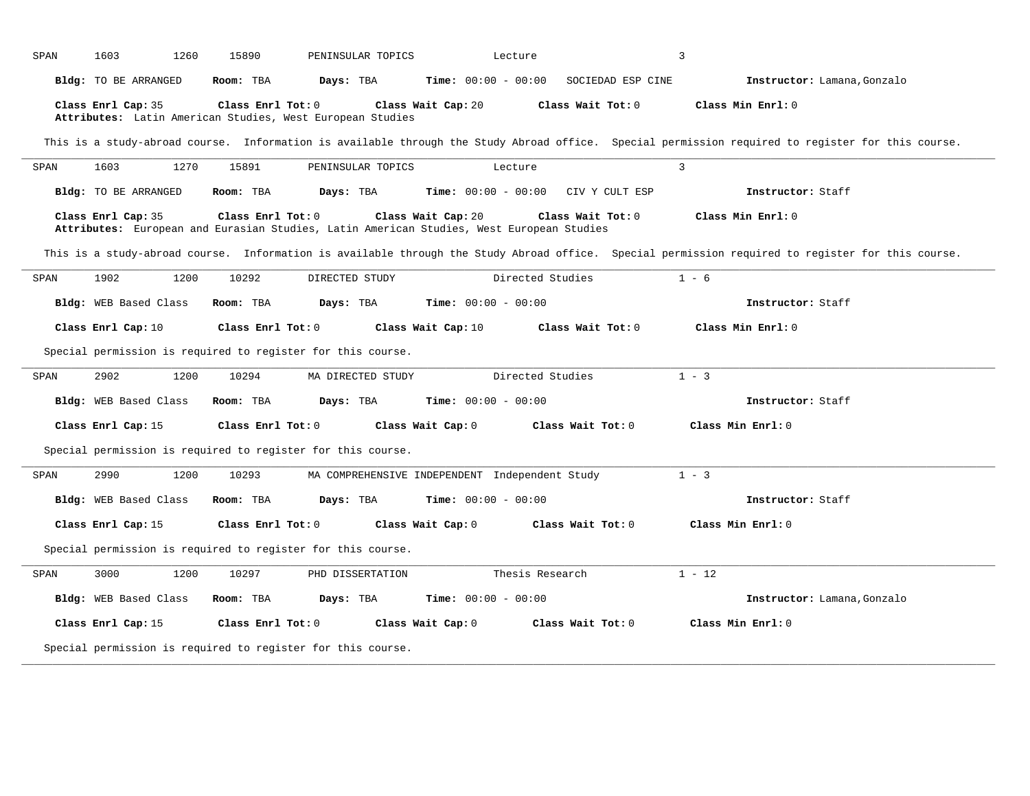| SPAN | 1603                  | 1260<br>15890     | PENINSULAR TOPICS                                                                        | Lecture                      |                   | $\overline{3}$                                                                                                                                    |  |
|------|-----------------------|-------------------|------------------------------------------------------------------------------------------|------------------------------|-------------------|---------------------------------------------------------------------------------------------------------------------------------------------------|--|
|      | Bldg: TO BE ARRANGED  | Room: TBA         | Days: TBA                                                                                | <b>Time:</b> $00:00 - 00:00$ | SOCIEDAD ESP CINE | Instructor: Lamana, Gonzalo                                                                                                                       |  |
|      | Class Enrl Cap: 35    | Class Enrl Tot: 0 | Attributes: Latin American Studies, West European Studies                                | Class Wait Cap: 20           | Class Wait Tot: 0 | Class Min Enrl: 0                                                                                                                                 |  |
|      |                       |                   |                                                                                          |                              |                   | This is a study-abroad course. Information is available through the Study Abroad office. Special permission required to register for this course. |  |
| SPAN | 1603                  | 1270<br>15891     | PENINSULAR TOPICS                                                                        | Lecture                      |                   | $\overline{3}$                                                                                                                                    |  |
|      | Bldg: TO BE ARRANGED  | Room: TBA         | Days: TBA                                                                                | <b>Time:</b> $00:00 - 00:00$ | CIV Y CULT ESP    | Instructor: Staff                                                                                                                                 |  |
|      | Class Enrl Cap: 35    | Class Enrl Tot: 0 | Attributes: European and Eurasian Studies, Latin American Studies, West European Studies | Class Wait Cap: 20           | Class Wait Tot: 0 | Class Min Enrl: 0                                                                                                                                 |  |
|      |                       |                   |                                                                                          |                              |                   | This is a study-abroad course. Information is available through the Study Abroad office. Special permission required to register for this course. |  |
| SPAN | 1902                  | 1200<br>10292     | DIRECTED STUDY                                                                           |                              | Directed Studies  | $1 - 6$                                                                                                                                           |  |
|      | Bldg: WEB Based Class | Room: TBA         | Days: TBA                                                                                | <b>Time:</b> $00:00 - 00:00$ |                   | Instructor: Staff                                                                                                                                 |  |
|      | Class Enrl Cap: 10    | Class Enrl Tot: 0 |                                                                                          | Class Wait Cap: 10           | Class Wait Tot: 0 | Class Min Enrl: 0                                                                                                                                 |  |
|      |                       |                   | Special permission is required to register for this course.                              |                              |                   |                                                                                                                                                   |  |
| SPAN | 2902                  | 10294<br>1200     | MA DIRECTED STUDY                                                                        |                              | Directed Studies  | $1 - 3$                                                                                                                                           |  |
|      | Bldg: WEB Based Class | Room: TBA         | Days: TBA                                                                                | <b>Time:</b> $00:00 - 00:00$ |                   | Instructor: Staff                                                                                                                                 |  |
|      | Class Enrl Cap: 15    | Class Enrl Tot: 0 |                                                                                          | Class Wait Cap: 0            | Class Wait Tot: 0 | Class Min Enrl: 0                                                                                                                                 |  |
|      |                       |                   | Special permission is required to register for this course.                              |                              |                   |                                                                                                                                                   |  |
| SPAN | 2990                  | 1200<br>10293     | MA COMPREHENSIVE INDEPENDENT Independent Study                                           |                              |                   | $1 - 3$                                                                                                                                           |  |
|      | Bldg: WEB Based Class | Room: TBA         | Days: TBA                                                                                | <b>Time:</b> $00:00 - 00:00$ |                   | Instructor: Staff                                                                                                                                 |  |
|      | Class Enrl Cap: 15    | Class Enrl Tot: 0 |                                                                                          | Class Wait Cap: 0            | Class Wait Tot: 0 | Class Min Enrl: 0                                                                                                                                 |  |
|      |                       |                   | Special permission is required to register for this course.                              |                              |                   |                                                                                                                                                   |  |
| SPAN | 3000                  | 1200<br>10297     | PHD DISSERTATION                                                                         |                              | Thesis Research   | $1 - 12$                                                                                                                                          |  |
|      | Bldg: WEB Based Class | Room: TBA         | Days: TBA                                                                                | <b>Time:</b> $00:00 - 00:00$ |                   | Instructor: Lamana, Gonzalo                                                                                                                       |  |
|      | Class Enrl Cap: 15    | Class Enrl Tot: 0 |                                                                                          | Class Wait Cap: 0            | Class Wait Tot: 0 | Class Min Enrl: 0                                                                                                                                 |  |
|      |                       |                   | Special permission is required to register for this course.                              |                              |                   |                                                                                                                                                   |  |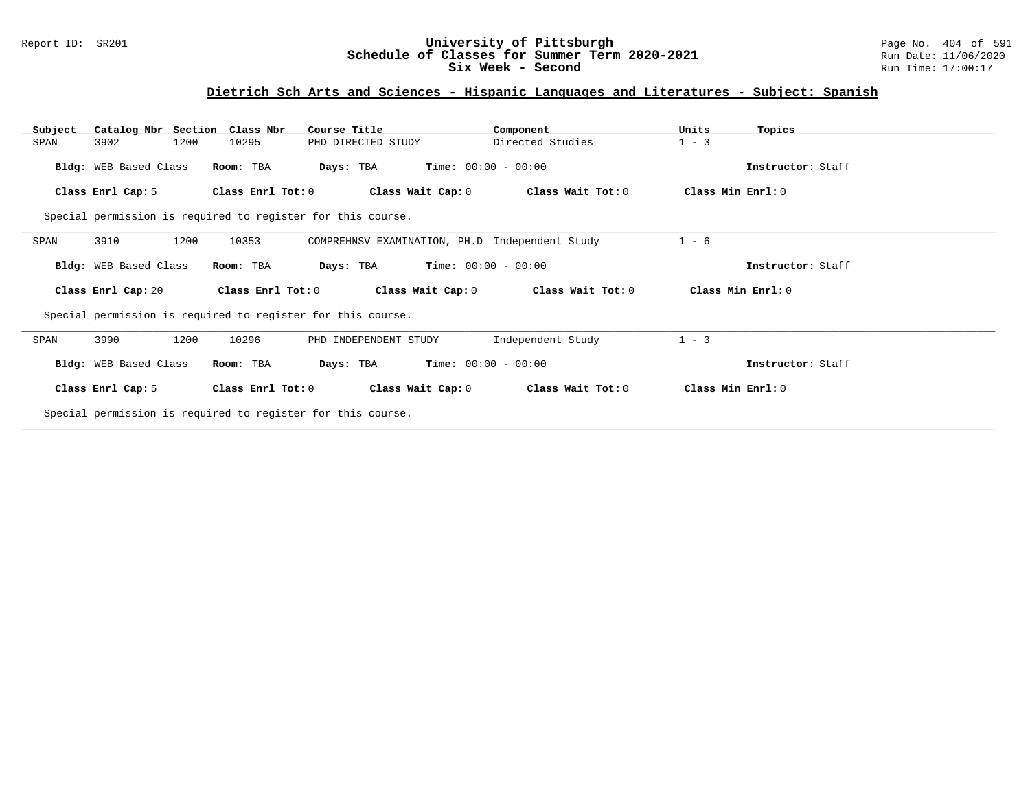### Report ID: SR201 **University of Pittsburgh** Page No. 404 of 591 **Schedule of Classes for Summer Term 2020-2021** Run Date: 11/06/2020 **Six Week - Second Run Time: 17:00:17**

# **Dietrich Sch Arts and Sciences - Hispanic Languages and Literatures - Subject: Spanish**

| Catalog Nbr Section Class Nbr<br>Subject | Course Title                                                | Component                                      | Units<br>Topics   |  |
|------------------------------------------|-------------------------------------------------------------|------------------------------------------------|-------------------|--|
| 3902<br>1200<br>SPAN                     | 10295<br>PHD DIRECTED STUDY                                 | Directed Studies                               | $1 - 3$           |  |
| Bldg: WEB Based Class                    | Room: TBA<br>Days: TBA                                      | <b>Time:</b> $00:00 - 00:00$                   | Instructor: Staff |  |
| Class Enrl Cap: 5                        | Class Enrl Tot: 0                                           | Class Wait Cap: 0<br>Class Wait Tot: 0         | Class Min Enrl: 0 |  |
|                                          | Special permission is required to register for this course. |                                                |                   |  |
| 3910<br>1200<br>SPAN                     | 10353                                                       | COMPREHNSV EXAMINATION, PH.D Independent Study | $1 - 6$           |  |
| Bldg: WEB Based Class                    | Days: TBA<br>Room: TBA                                      | $Time: 00:00 - 00:00$                          | Instructor: Staff |  |
| Class Enrl Cap: 20                       | Class Enrl Tot: $0$                                         | Class Wait Tot: 0<br>Class Wait Cap: 0         | Class Min Enrl: 0 |  |
|                                          | Special permission is required to register for this course. |                                                |                   |  |
| 3990<br>1200<br>SPAN                     | 10296<br>PHD INDEPENDENT STUDY                              | Independent Study                              | $1 - 3$           |  |
| Bldg: WEB Based Class                    | Room: TBA<br>Days: TBA                                      | $Time: 00:00 - 00:00$                          | Instructor: Staff |  |
| Class Enrl Cap: 5                        | Class Enrl Tot: 0                                           | Class Wait Cap: 0<br>Class Wait Tot: 0         | Class Min Enrl: 0 |  |
|                                          | Special permission is required to register for this course. |                                                |                   |  |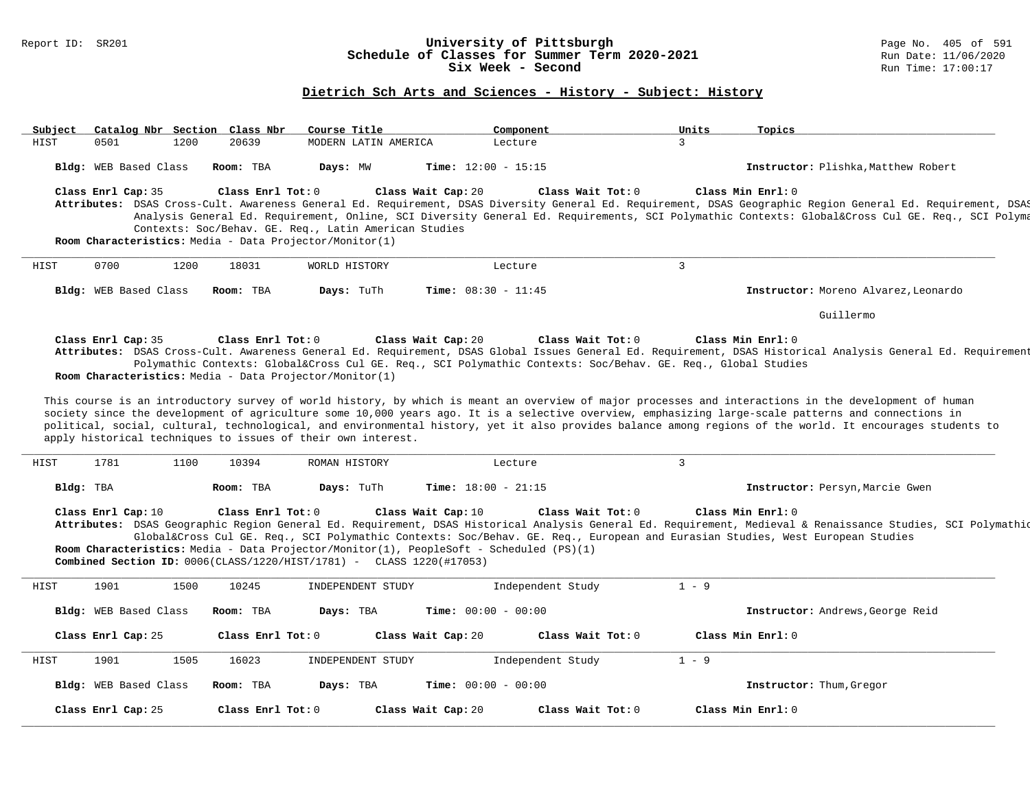### Report ID: SR201 **University of Pittsburgh** Page No. 405 of 591 **Schedule of Classes for Summer Term 2020-2021** Run Date: 11/06/2020 **Six Week - Second Run Time: 17:00:17**

| HIST |                       |      | Catalog Nbr Section Class Nbr | Course Title                                                                                                     | Component                                                                                                                                                                                                                                                      | Units          | Topics                                                                                                                                                                                                                                                                                                                           |
|------|-----------------------|------|-------------------------------|------------------------------------------------------------------------------------------------------------------|----------------------------------------------------------------------------------------------------------------------------------------------------------------------------------------------------------------------------------------------------------------|----------------|----------------------------------------------------------------------------------------------------------------------------------------------------------------------------------------------------------------------------------------------------------------------------------------------------------------------------------|
|      | 0501                  | 1200 | 20639                         | MODERN LATIN AMERICA                                                                                             | Lecture                                                                                                                                                                                                                                                        | 3              |                                                                                                                                                                                                                                                                                                                                  |
|      | Bldg: WEB Based Class |      | Room: TBA                     | Days: MW                                                                                                         | Time: $12:00 - 15:15$                                                                                                                                                                                                                                          |                | Instructor: Plishka, Matthew Robert                                                                                                                                                                                                                                                                                              |
|      | Class Enrl Cap: 35    |      | Class Enrl Tot: 0             | Contexts: Soc/Behav. GE. Req., Latin American Studies<br>Room Characteristics: Media - Data Projector/Monitor(1) | Class Wait Tot: 0<br>Class Wait Cap: 20                                                                                                                                                                                                                        |                | Class Min Enrl: 0<br>Attributes: DSAS Cross-Cult. Awareness General Ed. Requirement, DSAS Diversity General Ed. Requirement, DSAS Geographic Region General Ed. Requirement, DSAS<br>Analysis General Ed. Requirement, Online, SCI Diversity General Ed. Requirements, SCI Polymathic Contexts: Global⨯ Cul GE. Req., SCI Polyma |
| HIST | 0700                  | 1200 | 18031                         | WORLD HISTORY                                                                                                    | Lecture                                                                                                                                                                                                                                                        | $\overline{3}$ |                                                                                                                                                                                                                                                                                                                                  |
|      | Bldg: WEB Based Class |      | Room: TBA                     | Days: TuTh                                                                                                       | Time: $08:30 - 11:45$                                                                                                                                                                                                                                          |                | Instructor: Moreno Alvarez, Leonardo                                                                                                                                                                                                                                                                                             |
|      |                       |      |                               |                                                                                                                  |                                                                                                                                                                                                                                                                |                | Guillermo                                                                                                                                                                                                                                                                                                                        |
|      | Class Enrl Cap: 35    |      | Class Enrl Tot: 0             | Room Characteristics: Media - Data Projector/Monitor(1)                                                          | Class Wait Cap: 20<br>Class Wait Tot: 0<br>Polymathic Contexts: Global⨯ Cul GE. Req., SCI Polymathic Contexts: Soc/Behav. GE. Req., Global Studies                                                                                                             |                | Class Min Enrl: 0<br>Attributes: DSAS Cross-Cult. Awareness General Ed. Requirement, DSAS Global Issues General Ed. Requirement, DSAS Historical Analysis General Ed. Requirement                                                                                                                                                |
|      |                       |      |                               |                                                                                                                  |                                                                                                                                                                                                                                                                |                |                                                                                                                                                                                                                                                                                                                                  |
| HIST | 1781                  | 1100 | 10394                         | apply historical techniques to issues of their own interest.<br>ROMAN HISTORY                                    | Lecture                                                                                                                                                                                                                                                        | $\overline{3}$ | society since the development of agriculture some 10,000 years ago. It is a selective overview, emphasizing large-scale patterns and connections in<br>political, social, cultural, technological, and environmental history, yet it also provides balance among regions of the world. It encourages students to                 |
|      | Bldg: TBA             |      | Room: TBA                     | Days: TuTh                                                                                                       | <b>Time:</b> $18:00 - 21:15$                                                                                                                                                                                                                                   |                | Instructor: Persyn, Marcie Gwen                                                                                                                                                                                                                                                                                                  |
|      | Class Enrl Cap: 10    |      | Class Enrl Tot: 0             | <b>Combined Section ID:</b> $0006$ (CLASS/1220/HIST/1781) - CLASS 1220(#17053)                                   | Class Wait Cap: 10<br>Class Wait Tot: 0<br>Global⨯ Cul GE. Req., SCI Polymathic Contexts: Soc/Behav. GE. Req., European and Eurasian Studies, West European Studies<br>Room Characteristics: Media - Data Projector/Monitor(1), PeopleSoft - Scheduled (PS)(1) |                | Class Min Enrl: 0<br>Attributes: DSAS Geographic Region General Ed. Requirement, DSAS Historical Analysis General Ed. Requirement, Medieval & Renaissance Studies, SCI Polymathiq                                                                                                                                                |
| HIST | 1901                  | 1500 | 10245                         | INDEPENDENT STUDY                                                                                                | Independent Study                                                                                                                                                                                                                                              | $1 - 9$        |                                                                                                                                                                                                                                                                                                                                  |
|      | Bldg: WEB Based Class |      | Room: TBA                     | Days: TBA                                                                                                        | Time: $00:00 - 00:00$                                                                                                                                                                                                                                          |                | Instructor: Andrews, George Reid                                                                                                                                                                                                                                                                                                 |
|      | Class Enrl Cap: 25    |      | Class Enrl Tot: 0             |                                                                                                                  | Class Wait Cap: 20<br>Class Wait Tot: 0                                                                                                                                                                                                                        |                | Class Min Enrl: 0                                                                                                                                                                                                                                                                                                                |
| HIST | 1901                  | 1505 | 16023                         | INDEPENDENT STUDY                                                                                                | Independent Study                                                                                                                                                                                                                                              | $1 - 9$        |                                                                                                                                                                                                                                                                                                                                  |
|      | Bldg: WEB Based Class |      | Room: TBA                     | Days: TBA                                                                                                        | Time: $00:00 - 00:00$                                                                                                                                                                                                                                          |                | Instructor: Thum, Gregor                                                                                                                                                                                                                                                                                                         |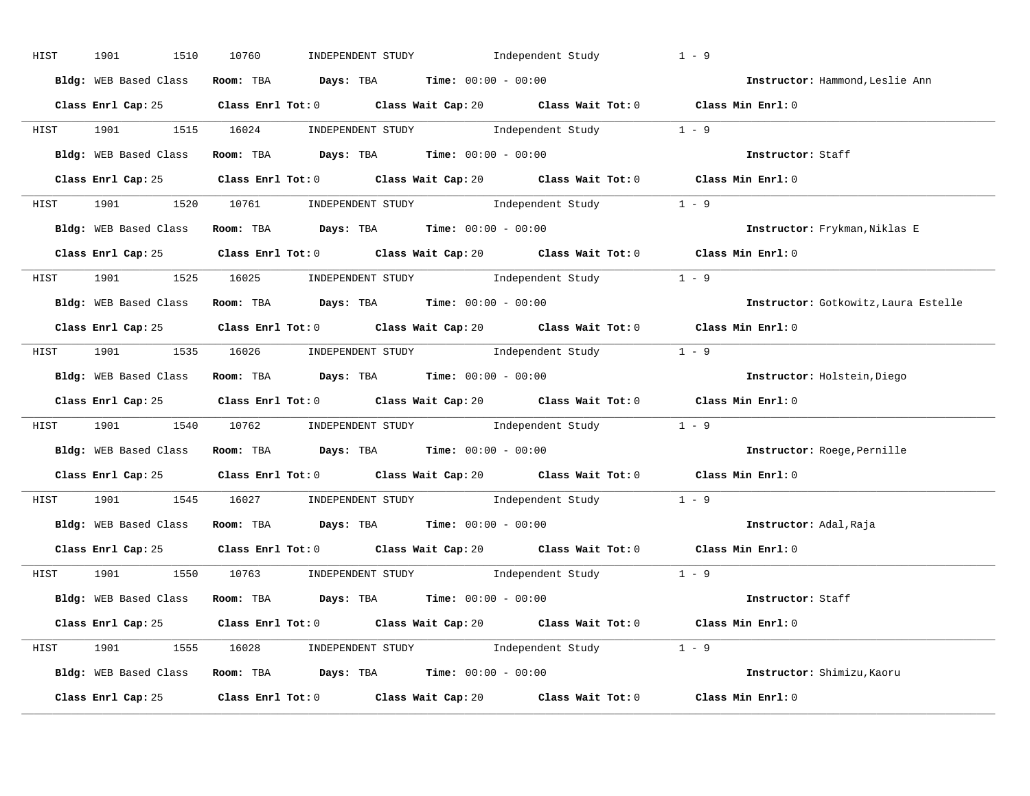| HIST | 1901<br>1510          | INDEPENDENT STUDY 1ndependent Study<br>10760                                                       | $1 - 9$                              |
|------|-----------------------|----------------------------------------------------------------------------------------------------|--------------------------------------|
|      | Bldg: WEB Based Class | Room: TBA $Days:$ TBA $Time: 00:00 - 00:00$                                                        | Instructor: Hammond, Leslie Ann      |
|      |                       | Class Enrl Cap: 25 Class Enrl Tot: 0 Class Wait Cap: 20 Class Wait Tot: 0 Class Min Enrl: 0        |                                      |
|      |                       | HIST 1901 1515 16024 INDEPENDENT STUDY Independent Study 1 - 9                                     |                                      |
|      |                       | Bldg: WEB Based Class Room: TBA Days: TBA Time: 00:00 - 00:00                                      | Instructor: Staff                    |
|      |                       | Class Enrl Cap: 25 Class Enrl Tot: 0 Class Wait Cap: 20 Class Wait Tot: 0 Class Min Enrl: 0        |                                      |
|      |                       | HIST 1901 1520 10761 INDEPENDENT STUDY Independent Study 1 - 9                                     |                                      |
|      |                       | Bldg: WEB Based Class Room: TBA Days: TBA Time: 00:00 - 00:00 00:00 Clastructor: Frykman, Niklas E |                                      |
|      |                       | Class Enrl Cap: 25 Class Enrl Tot: 0 Class Wait Cap: 20 Class Wait Tot: 0 Class Min Enrl: 0        |                                      |
|      |                       | HIST 1901 1525 16025 INDEPENDENT STUDY Independent Study 1 - 9                                     |                                      |
|      |                       | Bldg: WEB Based Class Room: TBA Days: TBA Time: 00:00 - 00:00                                      | Instructor: Gotkowitz, Laura Estelle |
|      |                       | Class Enrl Cap: 25 Class Enrl Tot: 0 Class Wait Cap: 20 Class Wait Tot: 0 Class Min Enrl: 0        |                                      |
|      |                       | HIST 1901 1535 16026 INDEPENDENT STUDY Independent Study 1 - 9                                     |                                      |
|      |                       | Bldg: WEB Based Class Room: TBA Days: TBA Time: 00:00 - 00:00                                      | Instructor: Holstein, Diego          |
|      |                       | Class Enrl Cap: 25 Class Enrl Tot: 0 Class Wait Cap: 20 Class Wait Tot: 0 Class Min Enrl: 0        |                                      |
|      |                       | HIST 1901 1540 10762 INDEPENDENT STUDY Independent Study 1 - 9                                     |                                      |
|      |                       | Bldg: WEB Based Class Room: TBA Days: TBA Time: 00:00 - 00:00                                      | Instructor: Roege, Pernille          |
|      |                       | Class Enrl Cap: 25 Class Enrl Tot: 0 Class Wait Cap: 20 Class Wait Tot: 0 Class Min Enrl: 0        |                                      |
|      |                       |                                                                                                    |                                      |
| HIST |                       | 1901 1545 16027 INDEPENDENT STUDY Independent Study 1 - 9                                          |                                      |
|      |                       | Bldg: WEB Based Class Room: TBA Days: TBA Time: 00:00 - 00:00                                      | Instructor: Adal, Raja               |
|      |                       | Class Enrl Cap: 25 Class Enrl Tot: 0 Class Wait Cap: 20 Class Wait Tot: 0 Class Min Enrl: 0        |                                      |
|      |                       | HIST 1901 1550 10763 INDEPENDENT STUDY Independent Study 1 - 9                                     |                                      |
|      |                       | Bldg: WEB Based Class Room: TBA Days: TBA Time: 00:00 - 00:00                                      | Instructor: Staff                    |
|      |                       | Class Enrl Cap: 25 Class Enrl Tot: 0 Class Wait Cap: 20 Class Wait Tot: 0 Class Min Enrl: 0        |                                      |
|      |                       | HIST 1901 1555 16028 INDEPENDENT STUDY Independent Study 1 - 9                                     |                                      |
|      |                       | Bldg: WEB Based Class Room: TBA Days: TBA Time: 00:00 - 00:00 000 100 1nstructor: Shimizu, Kaoru   |                                      |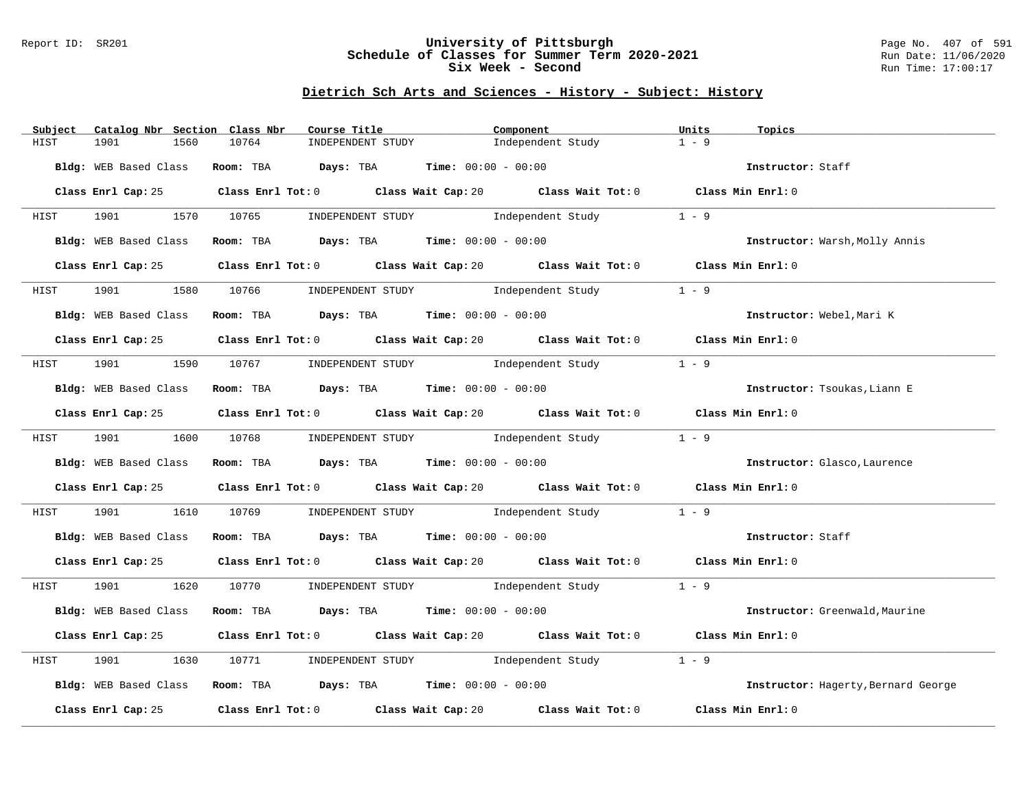#### Report ID: SR201 **University of Pittsburgh** Page No. 407 of 591 **Schedule of Classes for Summer Term 2020-2021** Run Date: 11/06/2020 **Six Week - Second Run Time: 17:00:17**

| Catalog Nbr Section Class Nbr<br>Subject | Course Title                                                   | Component                                                                                   | Units<br>Topics                     |
|------------------------------------------|----------------------------------------------------------------|---------------------------------------------------------------------------------------------|-------------------------------------|
| 1901<br>1560<br>HIST                     | 10764<br>INDEPENDENT STUDY                                     | Independent Study                                                                           | $1 - 9$                             |
| Bldg: WEB Based Class                    | Room: TBA $\rule{1em}{0.15mm}$ Days: TBA Time: $00:00 - 00:00$ |                                                                                             | Instructor: Staff                   |
|                                          |                                                                | Class Enrl Cap: 25 Class Enrl Tot: 0 Class Wait Cap: 20 Class Wait Tot: 0 Class Min Enrl: 0 |                                     |
|                                          |                                                                | HIST 1901 1570 10765 INDEPENDENT STUDY Independent Study 1 - 9                              |                                     |
| Bldg: WEB Based Class                    |                                                                | Room: TBA $Days:$ TBA $Time:$ $00:00 - 00:00$                                               | Instructor: Warsh, Molly Annis      |
| Class Enrl Cap: 25                       |                                                                | Class Enrl Tot: 0 Class Wait Cap: 20 Class Wait Tot: 0 Class Min Enrl: 0                    |                                     |
| HIST                                     |                                                                | 1580 10766 INDEPENDENT STUDY Independent Study                                              | $1 - 9$                             |
| Bldg: WEB Based Class                    | Room: TBA $\rule{1em}{0.15mm}$ Days: TBA Time: $00:00 - 00:00$ |                                                                                             | Instructor: Webel, Mari K           |
|                                          |                                                                | Class Enrl Cap: 25 Class Enrl Tot: 0 Class Wait Cap: 20 Class Wait Tot: 0 Class Min Enrl: 0 |                                     |
|                                          |                                                                | HIST 1901 1590 10767 INDEPENDENT STUDY Independent Study                                    | $1 - 9$                             |
| Bldg: WEB Based Class                    | Room: TBA $Days:$ TBA Time: $00:00 - 00:00$                    |                                                                                             | Instructor: Tsoukas, Liann E        |
|                                          |                                                                | Class Enrl Cap: 25 Class Enrl Tot: 0 Class Wait Cap: 20 Class Wait Tot: 0 Class Min Enrl: 0 |                                     |
|                                          |                                                                | HIST 1901 1600 10768 INDEPENDENT STUDY Independent Study 1 - 9                              |                                     |
|                                          | Bldg: WEB Based Class Room: TBA Days: TBA Time: 00:00 - 00:00  |                                                                                             | Instructor: Glasco, Laurence        |
|                                          |                                                                | Class Enrl Cap: 25 Class Enrl Tot: 0 Class Wait Cap: 20 Class Wait Tot: 0 Class Min Enrl: 0 |                                     |
| HIST                                     |                                                                | 1901 1610 10769 INDEPENDENT STUDY Independent Study 1 - 9                                   |                                     |
|                                          | Bldg: WEB Based Class Room: TBA Days: TBA Time: 00:00 - 00:00  |                                                                                             | Instructor: Staff                   |
|                                          |                                                                | Class Enrl Cap: 25 Class Enrl Tot: 0 Class Wait Cap: 20 Class Wait Tot: 0 Class Min Enrl: 0 |                                     |
|                                          |                                                                | HIST 1901 1620 10770 INDEPENDENT STUDY Independent Study 1 - 9                              |                                     |
| Bldg: WEB Based Class                    | Room: TBA $\rule{1em}{0.15mm}$ Days: TBA Time: $00:00 - 00:00$ |                                                                                             | Instructor: Greenwald, Maurine      |
|                                          |                                                                | Class Enrl Cap: 25 Class Enrl Tot: 0 Class Wait Cap: 20 Class Wait Tot: 0 Class Min Enrl: 0 |                                     |
| 1901<br>1630<br>HIST                     |                                                                | 10771 INDEPENDENT STUDY 1ndependent Study                                                   | $1 - 9$                             |
|                                          |                                                                | Bldg: WEB Based Class Room: TBA Days: TBA Time: 00:00 - 00:00                               | Instructor: Hagerty, Bernard George |
| Class Enrl Cap: 25                       |                                                                | Class Enrl Tot: $0$ Class Wait Cap: $20$ Class Wait Tot: $0$                                | Class Min Enrl: 0                   |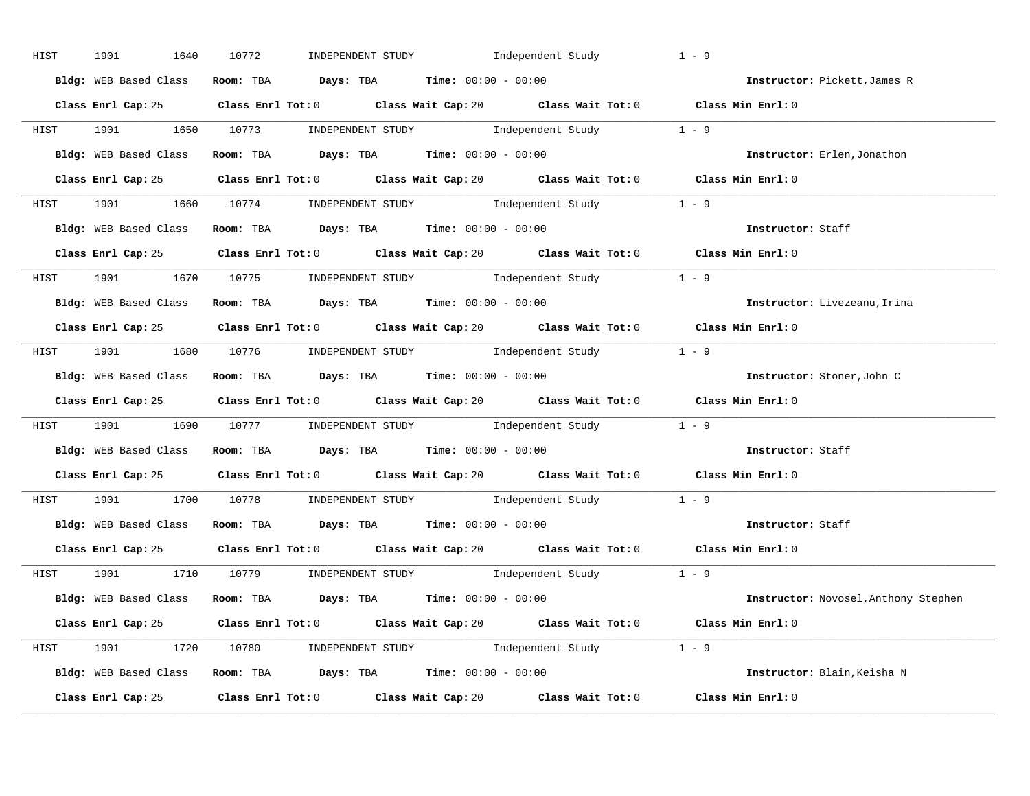| HIST | 1901<br>1640          | INDEPENDENT STUDY 1ndependent Study<br>10772                                                        | $1 - 9$                              |
|------|-----------------------|-----------------------------------------------------------------------------------------------------|--------------------------------------|
|      | Bldg: WEB Based Class | Room: TBA $Days:$ TBA $Time: 00:00 - 00:00$                                                         | Instructor: Pickett, James R         |
|      |                       | Class Enrl Cap: 25 Class Enrl Tot: 0 Class Wait Cap: 20 Class Wait Tot: 0 Class Min Enrl: 0         |                                      |
|      |                       | HIST 1901 1650 10773 INDEPENDENT STUDY Independent Study 1 - 9                                      |                                      |
|      |                       | Bldg: WEB Based Class Room: TBA Days: TBA Time: 00:00 - 00:00                                       | Instructor: Erlen, Jonathon          |
|      |                       | Class Enrl Cap: 25 Class Enrl Tot: 0 Class Wait Cap: 20 Class Wait Tot: 0 Class Min Enrl: 0         |                                      |
|      |                       | HIST 1901 1660 10774 INDEPENDENT STUDY Independent Study 1 - 9                                      |                                      |
|      |                       | Bldg: WEB Based Class Room: TBA Days: TBA Time: $00:00 - 00:00$                                     |                                      |
|      |                       | Class Enrl Cap: 25 Class Enrl Tot: 0 Class Wait Cap: 20 Class Wait Tot: 0 Class Min Enrl: 0         |                                      |
|      |                       | HIST 1901 1670 10775 INDEPENDENT STUDY Independent Study 1 - 9                                      |                                      |
|      |                       | Bldg: WEB Based Class Room: TBA Days: TBA Time: 00:00 - 00:00                                       | Instructor: Livezeanu, Irina         |
|      |                       | Class Enrl Cap: 25 Class Enrl Tot: 0 Class Wait Cap: 20 Class Wait Tot: 0 Class Min Enrl: 0         |                                      |
|      |                       | HIST 1901 1680 10776 INDEPENDENT STUDY Independent Study 1 - 9                                      |                                      |
|      | Bldg: WEB Based Class | Room: TBA Days: TBA Time: $00:00 - 00:00$                                                           | Instructor: Stoner, John C           |
|      |                       | Class Enrl Cap: 25 Class Enrl Tot: 0 Class Wait Cap: 20 Class Wait Tot: 0 Class Min Enrl: 0         |                                      |
|      |                       | HIST 1901 1690 10777 INDEPENDENT STUDY Independent Study 1 - 9                                      |                                      |
|      |                       | Bldg: WEB Based Class Room: TBA Days: TBA Time: 00:00 - 00:00                                       | Instructor: Staff                    |
|      |                       | Class Enrl Cap: 25 Class Enrl Tot: 0 Class Wait Cap: 20 Class Wait Tot: 0 Class Min Enrl: 0         |                                      |
| HIST |                       | 1901 1700 10778 INDEPENDENT STUDY Independent Study 1 - 9                                           |                                      |
|      |                       | Bldg: WEB Based Class Room: TBA Days: TBA Time: 00:00 - 00:00                                       | Instructor: Staff                    |
|      |                       | Class Enrl Cap: 25 Class Enrl Tot: 0 Class Wait Cap: 20 Class Wait Tot: 0 Class Min Enrl: 0         |                                      |
|      |                       | HIST 1901 1710 10779 INDEPENDENT STUDY Independent Study 1 - 9                                      |                                      |
|      |                       | Bldg: WEB Based Class Room: TBA Days: TBA Time: 00:00 - 00:00                                       | Instructor: Novosel, Anthony Stephen |
|      |                       | Class Enrl Cap: 25 Class Enrl Tot: 0 Class Wait Cap: 20 Class Wait Tot: 0 Class Min Enrl: 0         |                                      |
|      |                       | HIST 1901 1720 10780 INDEPENDENT STUDY Independent Study 1 - 9                                      |                                      |
|      |                       | Bldg: WEB Based Class Room: TBA Days: TBA Time: 00:00 - 00:00 00:00 100 Instructor: Blain, Keisha N |                                      |
|      |                       | Class Enrl Cap: 25 Class Enrl Tot: 0 Class Wait Cap: 20 Class Wait Tot: 0                           | Class Min Enrl: 0                    |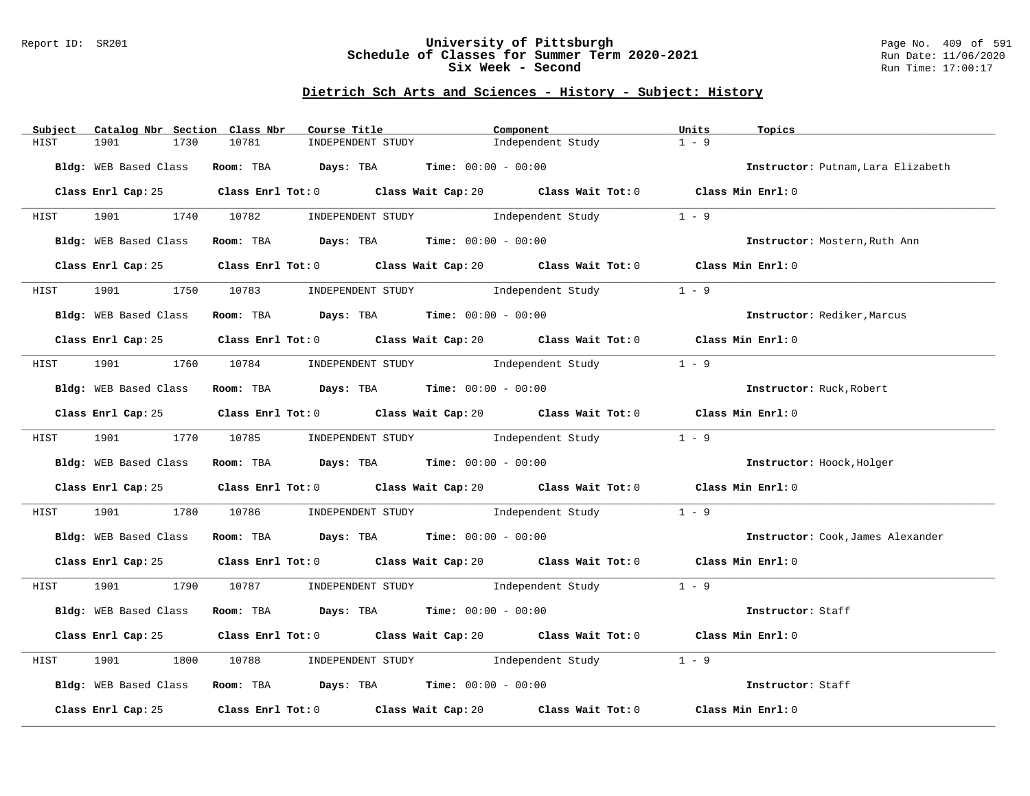#### Report ID: SR201 **University of Pittsburgh** Page No. 409 of 591 **Schedule of Classes for Summer Term 2020-2021** Run Date: 11/06/2020 **Six Week - Second Run Time: 17:00:17**

| Catalog Nbr Section Class Nbr<br>Subject | Course Title                                                                                        | Component         | Units<br>Topics                    |
|------------------------------------------|-----------------------------------------------------------------------------------------------------|-------------------|------------------------------------|
| 1730<br>HIST<br>1901                     | 10781<br>INDEPENDENT STUDY                                                                          | Independent Study | $1 - 9$                            |
| Bldg: WEB Based Class                    | Room: TBA $\rule{1em}{0.15mm}$ Days: TBA Time: $00:00 - 00:00$                                      |                   | Instructor: Putnam, Lara Elizabeth |
|                                          | Class Enrl Cap: 25 Class Enrl Tot: 0 Class Wait Cap: 20 Class Wait Tot: 0 Class Min Enrl: 0         |                   |                                    |
|                                          | HIST 1901 1740 10782 INDEPENDENT STUDY Independent Study 1 - 9                                      |                   |                                    |
| Bldg: WEB Based Class                    | Room: TBA $Days:$ TBA $Time:$ 00:00 - 00:00                                                         |                   | Instructor: Mostern, Ruth Ann      |
| Class Enrl Cap: 25                       | Class Enrl Tot: 0 $\qquad$ Class Wait Cap: 20 $\qquad$ Class Wait Tot: 0 $\qquad$ Class Min Enrl: 0 |                   |                                    |
| HIST                                     | 1901 1750 10783 INDEPENDENT STUDY Independent Study                                                 |                   | $1 - 9$                            |
| Bldg: WEB Based Class                    | Room: TBA $\rule{1em}{0.15mm}$ Days: TBA Time: $00:00 - 00:00$                                      |                   | Instructor: Rediker, Marcus        |
|                                          | Class Enrl Cap: 25 Class Enrl Tot: 0 Class Wait Cap: 20 Class Wait Tot: 0 Class Min Enrl: 0         |                   |                                    |
|                                          | HIST 1901 1760 10784 INDEPENDENT STUDY Independent Study                                            |                   | $1 - 9$                            |
| Bldg: WEB Based Class                    | Room: TBA $Days:$ TBA $Time: 00:00 - 00:00$                                                         |                   | Instructor: Ruck, Robert           |
|                                          | Class Enrl Cap: 25 Class Enrl Tot: 0 Class Wait Cap: 20 Class Wait Tot: 0 Class Min Enrl: 0         |                   |                                    |
| HIST                                     | 1901 1770 10785 INDEPENDENT STUDY Independent Study                                                 |                   | $1 - 9$                            |
|                                          | Bldg: WEB Based Class Room: TBA Days: TBA Time: 00:00 - 00:00                                       |                   | Instructor: Hoock, Holger          |
|                                          | Class Enrl Cap: 25 Class Enrl Tot: 0 Class Wait Cap: 20 Class Wait Tot: 0 Class Min Enrl: 0         |                   |                                    |
| HIST                                     | 1901 1780 10786 INDEPENDENT STUDY Independent Study 1 - 9                                           |                   |                                    |
|                                          | Bldg: WEB Based Class Room: TBA Days: TBA Time: 00:00 - 00:00                                       |                   | Instructor: Cook, James Alexander  |
|                                          | Class Enrl Cap: 25 Class Enrl Tot: 0 Class Wait Cap: 20 Class Wait Tot: 0 Class Min Enrl: 0         |                   |                                    |
|                                          | HIST 1901 1790 10787 INDEPENDENT STUDY Independent Study 1 - 9                                      |                   |                                    |
| Bldg: WEB Based Class                    | Room: TBA $Days:$ TBA $Time:$ $00:00 - 00:00$                                                       |                   | Instructor: Staff                  |
|                                          | Class Enrl Cap: 25 Class Enrl Tot: 0 Class Wait Cap: 20 Class Wait Tot: 0 Class Min Enrl: 0         |                   |                                    |
| 1901<br>1800<br>HIST                     | 10788 INDEPENDENT STUDY Independent Study                                                           |                   | $1 - 9$                            |
|                                          | Bldg: WEB Based Class Room: TBA Days: TBA Time: 00:00 - 00:00                                       |                   | Instructor: Staff                  |
| Class Enrl Cap: 25                       | Class Enrl Tot: 0 Class Wait Cap: 20 Class Wait Tot: 0 Class Min Enrl: 0                            |                   |                                    |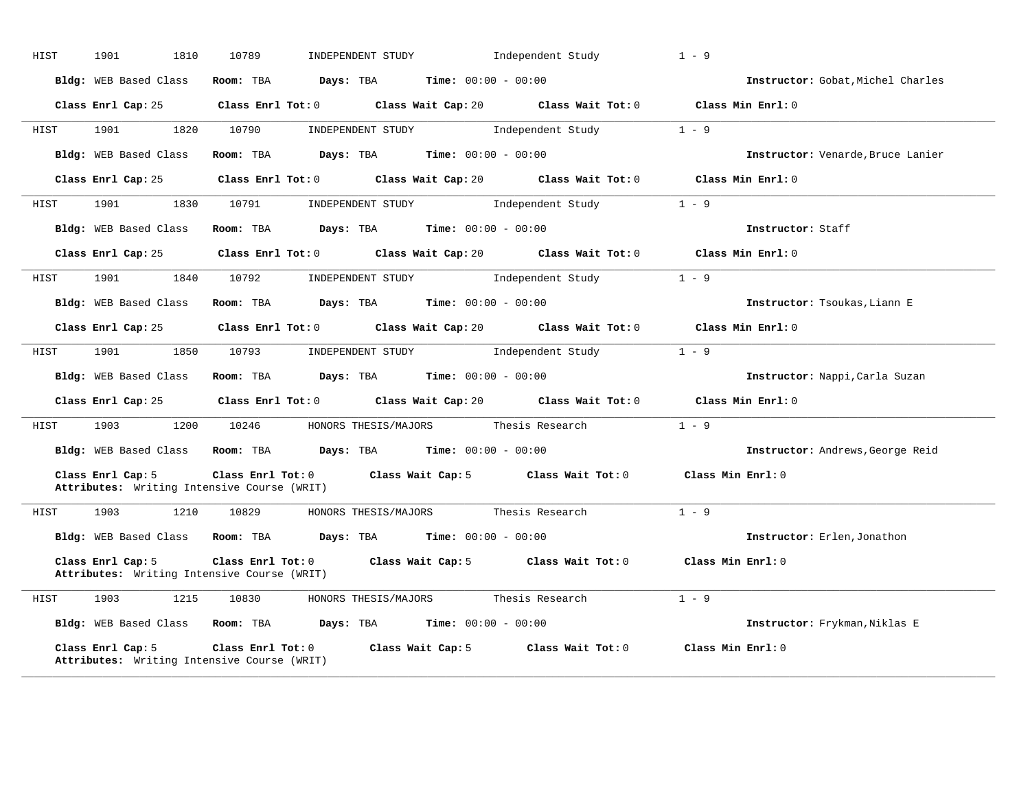| HIST | 1901<br>1810          | 10789                                                            | INDEPENDENT STUDY                             | Independent Study                                                                                                            | $1 - 9$                           |
|------|-----------------------|------------------------------------------------------------------|-----------------------------------------------|------------------------------------------------------------------------------------------------------------------------------|-----------------------------------|
|      | Bldg: WEB Based Class |                                                                  | Room: TBA $Days:$ TBA $Time: 00:00 - 00:00$   |                                                                                                                              | Instructor: Gobat, Michel Charles |
|      |                       |                                                                  |                                               | Class Enrl Cap: 25 Class Enrl Tot: 0 Class Wait Cap: 20 Class Wait Tot: 0 Class Min Enrl: 0                                  |                                   |
| HIST | 1901 1901             | 1820 10790                                                       |                                               | INDEPENDENT STUDY 1 - 9                                                                                                      |                                   |
|      | Bldg: WEB Based Class |                                                                  | Room: TBA $Days:$ TBA $Time: 00:00 - 00:00$   |                                                                                                                              | Instructor: Venarde, Bruce Lanier |
|      | Class Enrl Cap: 25    |                                                                  |                                               | Class Enrl Tot: 0 $\qquad$ Class Wait Cap: 20 $\qquad$ Class Wait Tot: 0 $\qquad$ Class Min Enrl: 0                          |                                   |
| HIST | 1901<br>1830          | 10791                                                            | INDEPENDENT STUDY 1ndependent Study           |                                                                                                                              | $1 - 9$                           |
|      | Bldg: WEB Based Class |                                                                  | Room: TBA $Days: TBA$ Time: $00:00 - 00:00$   |                                                                                                                              | Instructor: Staff                 |
|      |                       |                                                                  |                                               | Class Enrl Cap: 25 Class Enrl Tot: 0 Class Wait Cap: 20 Class Wait Tot: 0 Class Min Enrl: 0                                  |                                   |
| HIST | 1901 1840 10792       |                                                                  |                                               | $\begin{minipage}[c]{0.9\linewidth} \textbf{INDEX} & \textbf{STUDY} \\ \textbf{Independent Study} & 1 - 9 \\ \end{minipage}$ |                                   |
|      | Bldg: WEB Based Class |                                                                  | Room: TBA $Days:$ TBA $Time:$ $00:00 - 00:00$ |                                                                                                                              | Instructor: Tsoukas, Liann E      |
|      |                       |                                                                  |                                               | Class Enrl Cap: 25 Class Enrl Tot: 0 Class Wait Cap: 20 Class Wait Tot: 0 Class Min Enrl: 0                                  |                                   |
| HIST |                       |                                                                  |                                               | 1901 1850 10793 INDEPENDENT STUDY Independent Study                                                                          | $1 - 9$                           |
|      | Bldg: WEB Based Class |                                                                  | Room: TBA $Days:$ TBA $Time: 00:00 - 00:00$   |                                                                                                                              | Instructor: Nappi, Carla Suzan    |
|      |                       |                                                                  |                                               | Class Enrl Cap: 25 Class Enrl Tot: 0 Class Wait Cap: 20 Class Wait Tot: 0 Class Min Enrl: 0                                  |                                   |
| HIST | 1903                  | 1200 10246 HONORS THESIS/MAJORS Thesis Research                  |                                               |                                                                                                                              | $1 - 9$                           |
|      |                       | Bldg: WEB Based Class Room: TBA Days: TBA Time: 00:00 - 00:00    |                                               |                                                                                                                              | Instructor: Andrews, George Reid  |
|      | Class Enrl Cap: 5     | Attributes: Writing Intensive Course (WRIT)                      |                                               | Class Enrl Tot: 0 Class Wait Cap: 5 Class Wait Tot: 0 Class Min Enrl: 0                                                      |                                   |
| HIST |                       | 1903 1210 10829 HONORS THESIS/MAJORS Thesis Research             |                                               |                                                                                                                              | $1 - 9$                           |
|      |                       | Bldg: WEB Based Class Room: TBA Days: TBA Time: 00:00 - 00:00    |                                               |                                                                                                                              | Instructor: Erlen, Jonathon       |
|      | Class Enrl Cap: 5     | Attributes: Writing Intensive Course (WRIT)                      |                                               | Class Enrl Tot: 0 Class Wait Cap: 5 Class Wait Tot: 0 Class Min Enrl: 0                                                      |                                   |
| HIST | 1903 1215 10830       |                                                                  | HONORS THESIS/MAJORS Thesis Research          |                                                                                                                              | $1 - 9$                           |
|      |                       | Bldg: WEB Based Class Room: TBA Days: TBA Time: 00:00 - 00:00    |                                               |                                                                                                                              | Instructor: Frykman, Niklas E     |
|      | Class Enrl Cap: 5     | Class Enrl Tot: 0<br>Attributes: Writing Intensive Course (WRIT) |                                               | Class Wait Cap: $5$ Class Wait Tot: $0$ Class Min Enrl: $0$                                                                  |                                   |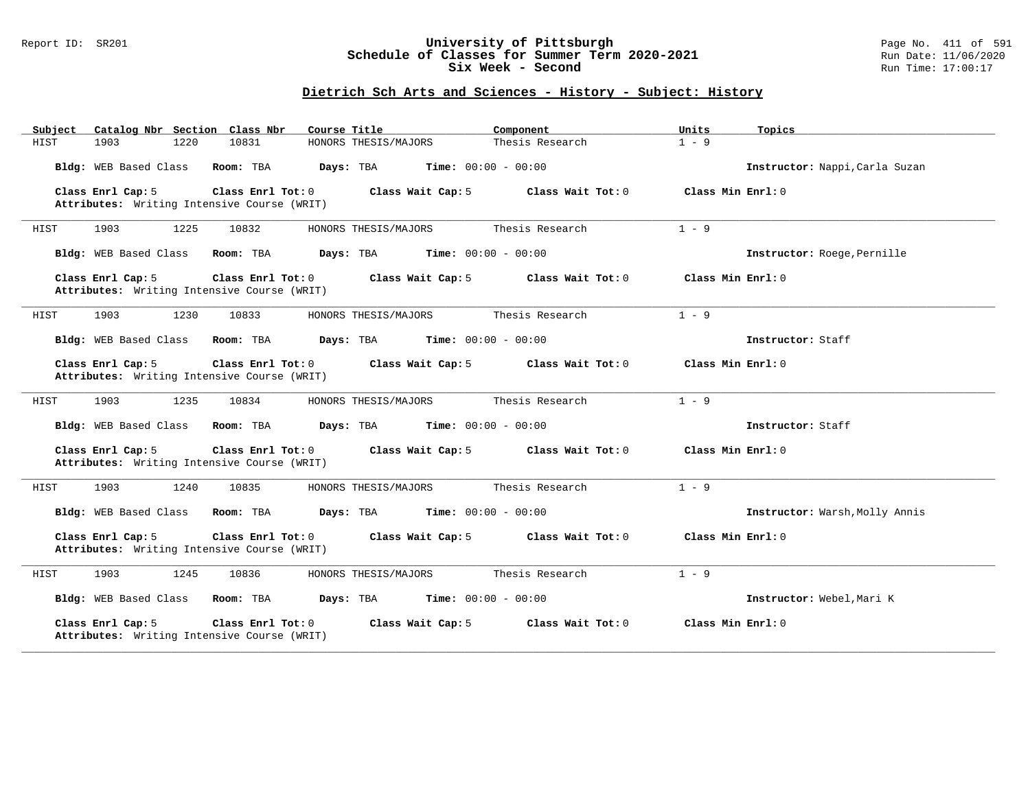#### Report ID: SR201 **University of Pittsburgh** Page No. 411 of 591 **Schedule of Classes for Summer Term 2020-2021** Run Date: 11/06/2020 **Six Week - Second Run Time: 17:00:17**

| Catalog Nbr Section Class Nbr<br>Subject                                              | Course Title<br>Component                     | Units<br>Topics                |
|---------------------------------------------------------------------------------------|-----------------------------------------------|--------------------------------|
| 1220<br>10831<br>HIST<br>1903                                                         | HONORS THESIS/MAJORS<br>Thesis Research       | $1 - 9$                        |
| Bldg: WEB Based Class<br>Room: TBA                                                    | Days: TBA<br><b>Time:</b> $00:00 - 00:00$     | Instructor: Nappi, Carla Suzan |
| Class Enrl Cap: 5<br>Class Enrl Tot: 0<br>Attributes: Writing Intensive Course (WRIT) | Class Wait Cap: 5<br>Class Wait Tot: 0        | Class Min Enrl: 0              |
| 1903<br>1225<br>10832<br>HIST                                                         | Thesis Research<br>HONORS THESIS/MAJORS       | $1 - 9$                        |
| Bldg: WEB Based Class<br>Room: TBA                                                    | <b>Time:</b> $00:00 - 00:00$<br>Days: TBA     | Instructor: Roege, Pernille    |
| Class Enrl Cap: 5<br>Class Enrl Tot: 0<br>Attributes: Writing Intensive Course (WRIT) | Class Wait Cap: 5<br>Class Wait Tot: 0        | Class Min Enrl: 0              |
| 1903<br>1230<br>10833<br>HIST                                                         | Thesis Research<br>HONORS THESIS/MAJORS       | $1 - 9$                        |
| Bldg: WEB Based Class<br>Room: TBA                                                    | Days: TBA<br>$Time: 00:00 - 00:00$            | Instructor: Staff              |
| Class Enrl Cap: 5<br>Class Enrl Tot: 0<br>Attributes: Writing Intensive Course (WRIT) | Class Wait Cap: 5<br>Class Wait Tot: 0        | Class Min Enrl: 0              |
| 1903<br>1235<br>10834<br>HIST                                                         | HONORS THESIS/MAJORS<br>Thesis Research       | $1 - 9$                        |
| Bldg: WEB Based Class<br>Room: TBA                                                    | Days: TBA<br>$Time: 00:00 - 00:00$            | Instructor: Staff              |
| Class Enrl Cap: 5<br>Class Enrl Tot: 0<br>Attributes: Writing Intensive Course (WRIT) | Class Wait Cap: 5<br>Class Wait Tot: 0        | Class Min Enrl: 0              |
| 1903<br>1240<br>10835<br>HIST                                                         | HONORS THESIS/MAJORS<br>Thesis Research       | $1 - 9$                        |
| Bldg: WEB Based Class<br>Room: TBA                                                    | <b>Days:</b> TBA <b>Time:</b> $00:00 - 00:00$ | Instructor: Warsh, Molly Annis |
| Class Enrl Cap: 5<br>Class Enrl Tot: 0<br>Attributes: Writing Intensive Course (WRIT) | Class Wait Cap: 5<br>Class Wait Tot: 0        | Class Min Enrl: 0              |
| 1903<br>1245<br>10836<br>HIST                                                         | HONORS THESIS/MAJORS<br>Thesis Research       | $1 - 9$                        |
| Bldg: WEB Based Class<br>Room: TBA                                                    | Days: TBA<br>$Time: 00:00 - 00:00$            | Instructor: Webel, Mari K      |
| Class Enrl Cap: 5<br>Class Enrl Tot: 0<br>Attributes: Writing Intensive Course (WRIT) | Class Wait Cap: 5<br>Class Wait Tot: 0        | Class Min Enrl: 0              |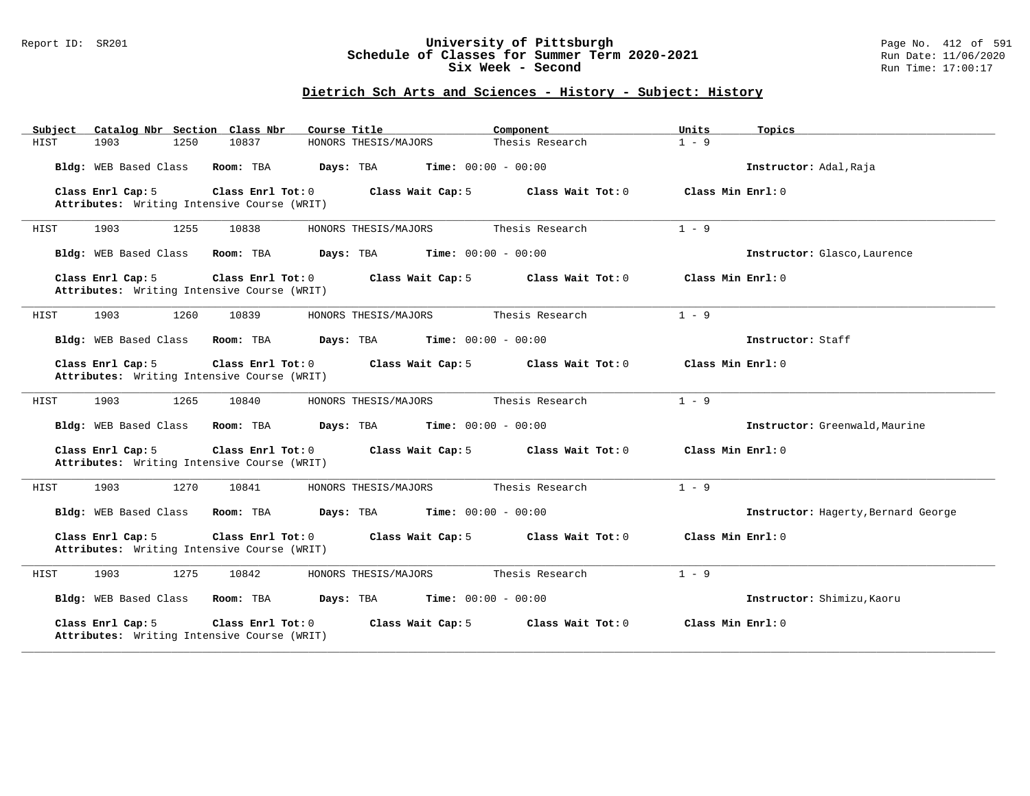#### Report ID: SR201 **University of Pittsburgh** Page No. 412 of 591 **Schedule of Classes for Summer Term 2020-2021** Run Date: 11/06/2020 **Six Week - Second Run Time: 17:00:17**

| Catalog Nbr Section Class Nbr<br>Subject                         | Course Title                                           | Component<br>Units                       | Topics                              |
|------------------------------------------------------------------|--------------------------------------------------------|------------------------------------------|-------------------------------------|
| HIST<br>1903<br>1250                                             | 10837<br>HONORS THESIS/MAJORS                          | $1 - 9$<br>Thesis Research               |                                     |
| Bldg: WEB Based Class                                            | Room: TBA<br>Days: TBA<br><b>Time:</b> $00:00 - 00:00$ |                                          | Instructor: Adal, Raja              |
| Class Enrl Cap: 5<br>Attributes: Writing Intensive Course (WRIT) | Class Enrl Tot: 0<br>Class Wait Cap: 5                 | Class Wait Tot: 0<br>Class Min Enrl: 0   |                                     |
| 1903<br>1255<br>HIST                                             | 10838<br>HONORS THESIS/MAJORS                          | Thesis Research<br>$1 - 9$               |                                     |
| Bldg: WEB Based Class                                            | Room: TBA<br>Days: TBA<br><b>Time:</b> $00:00 - 00:00$ |                                          | Instructor: Glasco, Laurence        |
| Class Enrl Cap: 5<br>Attributes: Writing Intensive Course (WRIT) | Class Enrl Tot: 0<br>Class Wait Cap: 5                 | Class Min Enrl: 0<br>Class Wait Tot: 0   |                                     |
| 1903<br>1260<br>HIST                                             | 10839<br>HONORS THESIS/MAJORS                          | Thesis Research<br>$1 - 9$               |                                     |
| Bldg: WEB Based Class                                            | <b>Time:</b> $00:00 - 00:00$<br>Room: TBA<br>Days: TBA |                                          | Instructor: Staff                   |
| Class Enrl Cap: 5<br>Attributes: Writing Intensive Course (WRIT) | Class Enrl Tot: $0$<br>Class Wait Cap: 5               | Class Min Enrl: 0<br>Class Wait $Tot: 0$ |                                     |
| 1903<br>HIST<br>1265                                             | 10840<br>HONORS THESIS/MAJORS                          | Thesis Research<br>$1 - 9$               |                                     |
| Bldg: WEB Based Class                                            | Room: TBA<br>Days: TBA<br><b>Time:</b> $00:00 - 00:00$ |                                          | Instructor: Greenwald, Maurine      |
| Class Enrl Cap: 5<br>Attributes: Writing Intensive Course (WRIT) | Class Enrl Tot: 0<br>Class Wait Cap: 5                 | Class Wait Tot: 0<br>Class Min Enrl: 0   |                                     |
| HIST<br>1903<br>1270                                             | 10841<br>HONORS THESIS/MAJORS                          | $1 - 9$<br>Thesis Research               |                                     |
| Bldg: WEB Based Class                                            | <b>Time:</b> $00:00 - 00:00$<br>Room: TBA<br>Days: TBA |                                          | Instructor: Hagerty, Bernard George |
| Class Enrl Cap: 5<br>Attributes: Writing Intensive Course (WRIT) | Class Enrl Tot: 0<br>Class Wait Cap: 5                 | Class Wait Tot: 0<br>Class Min Enrl: 0   |                                     |
| 1903<br>1275<br>HIST                                             | 10842<br>HONORS THESIS/MAJORS                          | $1 - 9$<br>Thesis Research               |                                     |
| Bldg: WEB Based Class                                            | Room: TBA<br>Days: TBA<br><b>Time:</b> $00:00 - 00:00$ |                                          | Instructor: Shimizu, Kaoru          |
| Class Enrl Cap: 5<br>Attributes: Writing Intensive Course (WRIT) | Class Enrl Tot: 0<br>Class Wait Cap: 5                 | Class Wait Tot: 0<br>Class Min Enrl: 0   |                                     |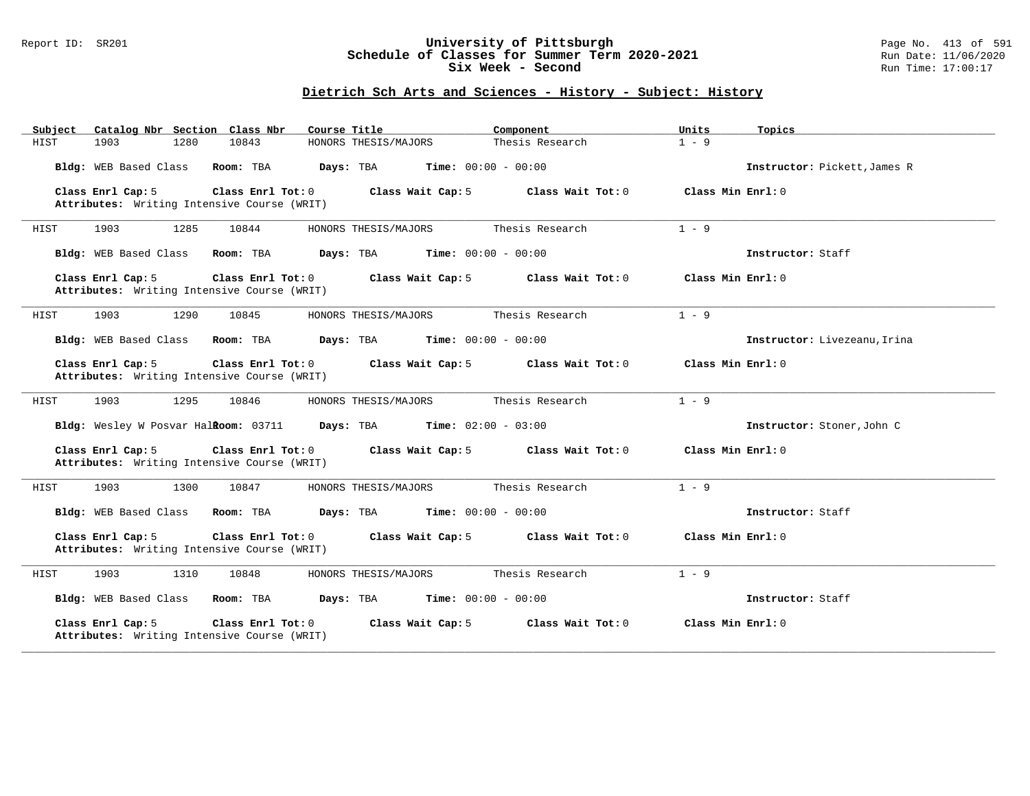#### Report ID: SR201 **University of Pittsburgh** Page No. 413 of 591 **Schedule of Classes for Summer Term 2020-2021** Run Date: 11/06/2020 **Six Week - Second Run Time: 17:00:17**

| Catalog Nbr Section Class Nbr<br>Subject                                                | Course Title                              | Component                    | Units<br>Topics              |
|-----------------------------------------------------------------------------------------|-------------------------------------------|------------------------------|------------------------------|
| 10843<br>1903<br>1280<br>HIST                                                           | HONORS THESIS/MAJORS                      | Thesis Research              | $1 - 9$                      |
| Bldg: WEB Based Class<br>Room: TBA                                                      | Days: TBA                                 | <b>Time:</b> $00:00 - 00:00$ | Instructor: Pickett, James R |
| Class Enrl Tot: 0<br>Class Enrl Cap: 5<br>Attributes: Writing Intensive Course (WRIT)   | Class Wait Cap: 5                         | Class Wait Tot: 0            | Class Min $Enrl: 0$          |
| 1903<br>1285<br>10844<br>HIST                                                           | HONORS THESIS/MAJORS                      | Thesis Research              | $1 - 9$                      |
| Bldg: WEB Based Class<br>Room: TBA                                                      | Days: TBA                                 | <b>Time:</b> $00:00 - 00:00$ | Instructor: Staff            |
| Class Enrl Cap: 5<br>Class Enrl Tot: 0<br>Attributes: Writing Intensive Course (WRIT)   | Class Wait Cap: 5                         | Class Wait Tot: 0            | Class Min Enrl: 0            |
| 1903<br>1290<br>10845<br>HIST                                                           | HONORS THESIS/MAJORS                      | Thesis Research              | $1 - 9$                      |
| Bldg: WEB Based Class<br>Room: TBA                                                      | <b>Time:</b> $00:00 - 00:00$<br>Days: TBA |                              | Instructor: Livezeanu, Irina |
| Class Enrl Cap: 5<br>Class Enrl Tot: 0<br>Attributes: Writing Intensive Course (WRIT)   | Class Wait Cap: 5                         | Class Wait Tot: 0            | Class Min Enrl: 0            |
| 1903<br>1295<br>HIST<br>10846                                                           | HONORS THESIS/MAJORS                      | Thesis Research              | $1 - 9$                      |
| Bldg: Wesley W Posvar HalRoom: 03711                                                    | Days: TBA<br><b>Time:</b> $02:00 - 03:00$ |                              | Instructor: Stoner, John C   |
| Class Enrl Cap: 5<br>Class Enrl Tot: $0$<br>Attributes: Writing Intensive Course (WRIT) | Class Wait Cap: 5                         | Class Wait Tot: 0            | Class Min Enrl: 0            |
| 1903<br>HIST<br>1300<br>10847                                                           | HONORS THESIS/MAJORS                      | Thesis Research              | $1 - 9$                      |
| Bldg: WEB Based Class<br>Room: TBA                                                      | Days: TBA                                 | <b>Time:</b> $00:00 - 00:00$ | Instructor: Staff            |
| Class Enrl Cap: 5<br>Class Enrl Tot: 0<br>Attributes: Writing Intensive Course (WRIT)   | Class Wait Cap: 5                         | Class Wait Tot: 0            | Class Min Enrl: 0            |
| 1903<br>1310<br>10848<br>HIST                                                           | HONORS THESIS/MAJORS                      | Thesis Research              | $1 - 9$                      |
| Bldg: WEB Based Class<br>Room: TBA                                                      | Days: TBA<br><b>Time:</b> $00:00 - 00:00$ |                              | Instructor: Staff            |
| Class Enrl Cap: 5<br>Class Enrl Tot: 0<br>Attributes: Writing Intensive Course (WRIT)   | Class Wait Cap: 5                         | Class Wait Tot: 0            | Class Min Enrl: 0            |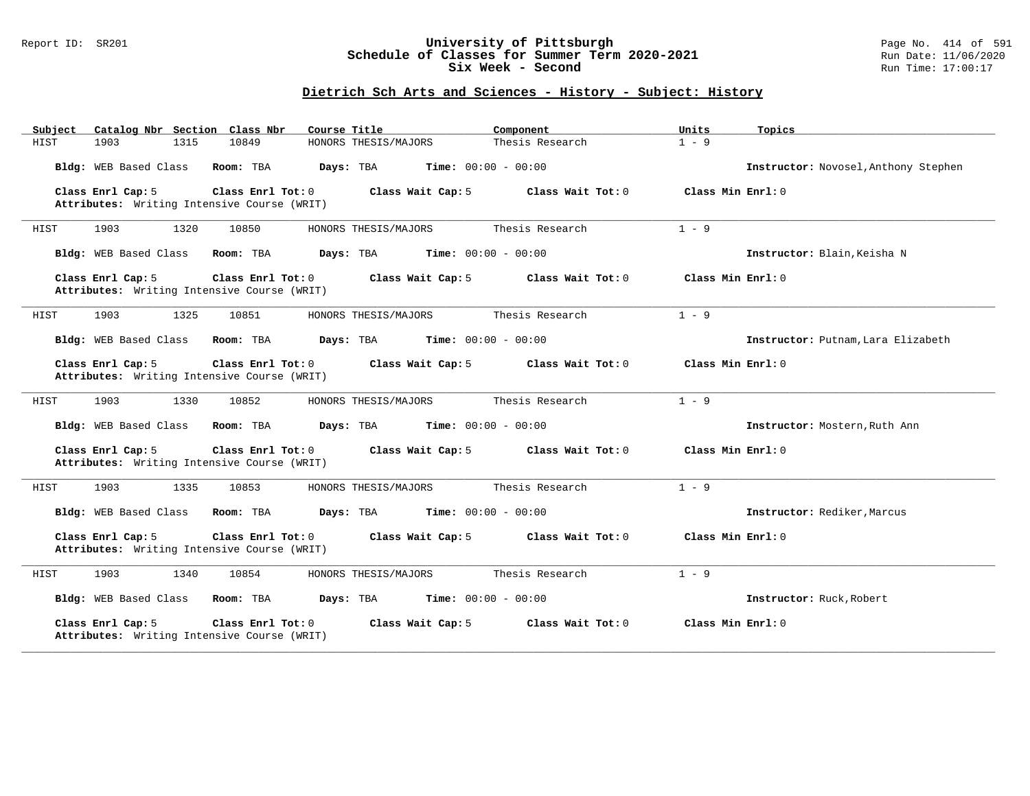#### Report ID: SR201 **University of Pittsburgh** Page No. 414 of 591 **Schedule of Classes for Summer Term 2020-2021** Run Date: 11/06/2020 **Six Week - Second Run Time: 17:00:17**

| Catalog Nbr Section Class Nbr<br>Subject                         | Course Title                              | Component<br>Units                       | Topics                               |
|------------------------------------------------------------------|-------------------------------------------|------------------------------------------|--------------------------------------|
| 10849<br>HIST<br>1903<br>1315                                    | HONORS THESIS/MAJORS                      | $1 - 9$<br>Thesis Research               |                                      |
| Bldg: WEB Based Class<br>Room: TBA                               | Days: TBA<br><b>Time:</b> $00:00 - 00:00$ |                                          | Instructor: Novosel, Anthony Stephen |
| Class Enrl Cap: 5<br>Attributes: Writing Intensive Course (WRIT) | Class Enrl Tot: 0<br>Class Wait Cap: 5    | Class Wait Tot: 0<br>Class Min Enrl: 0   |                                      |
| 1903<br>1320<br>10850<br>HIST                                    | HONORS THESIS/MAJORS                      | Thesis Research<br>$1 - 9$               |                                      |
| Bldg: WEB Based Class<br>Room: TBA                               | Days: TBA<br><b>Time:</b> $00:00 - 00:00$ |                                          | Instructor: Blain, Keisha N          |
| Class Enrl Cap: 5<br>Attributes: Writing Intensive Course (WRIT) | Class Enrl Tot: 0<br>Class Wait Cap: 5    | Class Wait Tot: 0<br>Class Min $Enr1: 0$ |                                      |
| 1903<br>1325<br>10851<br>HIST                                    | HONORS THESIS/MAJORS                      | Thesis Research<br>$1 - 9$               |                                      |
| Bldg: WEB Based Class<br>Room: TBA                               | <b>Time:</b> $00:00 - 00:00$<br>Days: TBA |                                          | Instructor: Putnam, Lara Elizabeth   |
| Class Enrl Cap: 5<br>Attributes: Writing Intensive Course (WRIT) | Class Enrl Tot: $0$<br>Class Wait Cap: 5  | Class Min Enrl: 0<br>Class Wait $Tot: 0$ |                                      |
| 1903<br>HIST<br>1330<br>10852                                    | HONORS THESIS/MAJORS                      | Thesis Research<br>$1 - 9$               |                                      |
| Bldg: WEB Based Class<br>Room: TBA                               | Days: TBA<br><b>Time:</b> $00:00 - 00:00$ |                                          | Instructor: Mostern, Ruth Ann        |
| Class Enrl Cap: 5<br>Attributes: Writing Intensive Course (WRIT) | Class Enrl Tot: 0<br>Class Wait Cap: 5    | Class Wait Tot: 0<br>Class Min Enrl: 0   |                                      |
| HIST<br>1903<br>1335<br>10853                                    | HONORS THESIS/MAJORS                      | $1 - 9$<br>Thesis Research               |                                      |
| Bldg: WEB Based Class<br>Room: TBA                               | Days: TBA<br><b>Time:</b> $00:00 - 00:00$ |                                          | Instructor: Rediker, Marcus          |
| Class Enrl Cap: 5<br>Attributes: Writing Intensive Course (WRIT) | Class Enrl Tot: 0<br>Class Wait Cap: 5    | Class Wait Tot: 0<br>Class Min Enrl: 0   |                                      |
| 1903<br>1340<br>10854<br>HIST                                    | HONORS THESIS/MAJORS                      | $1 - 9$<br>Thesis Research               |                                      |
| Bldg: WEB Based Class<br>Room: TBA                               | Days: TBA<br><b>Time:</b> $00:00 - 00:00$ |                                          | Instructor: Ruck, Robert             |
| Class Enrl Cap: 5<br>Attributes: Writing Intensive Course (WRIT) | Class Enrl Tot: 0<br>Class Wait Cap: 5    | Class Wait Tot: 0<br>Class Min Enrl: 0   |                                      |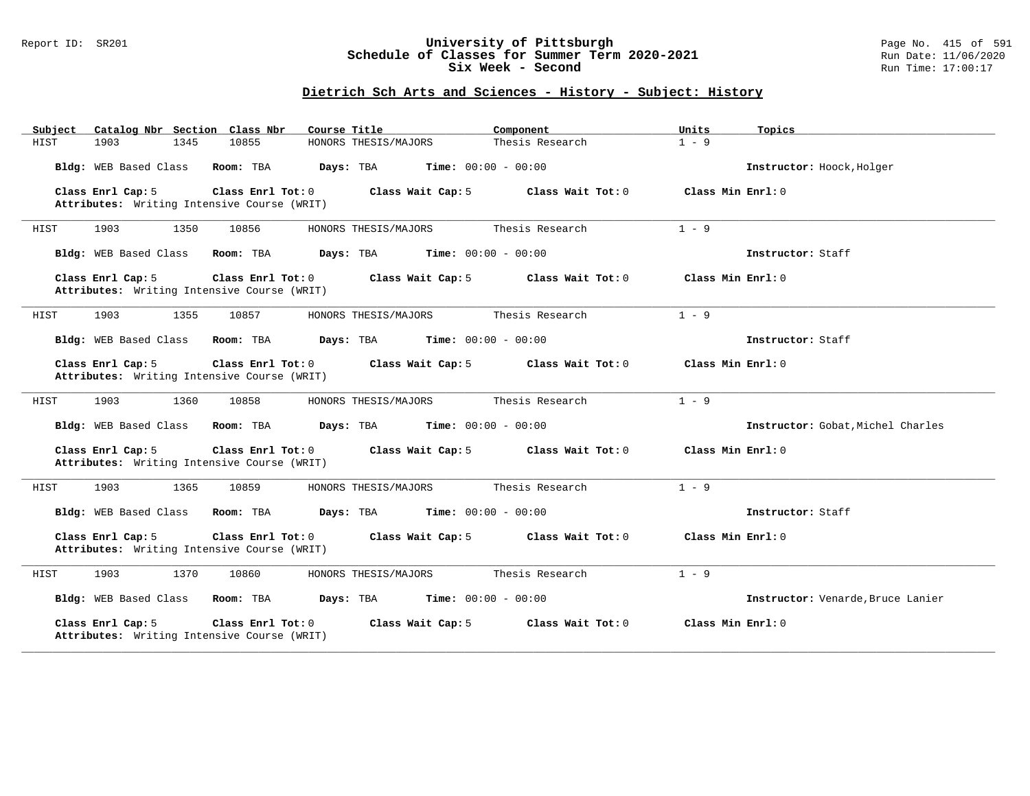#### Report ID: SR201 **University of Pittsburgh** Page No. 415 of 591 **Schedule of Classes for Summer Term 2020-2021** Run Date: 11/06/2020 **Six Week - Second Run Time: 17:00:17**

| Catalog Nbr Section Class Nbr<br>Subject                                              | Course Title<br>Component                 | Units                      | Topics                            |
|---------------------------------------------------------------------------------------|-------------------------------------------|----------------------------|-----------------------------------|
| HIST<br>1903<br>1345<br>10855                                                         | HONORS THESIS/MAJORS                      | Thesis Research<br>$1 - 9$ |                                   |
| Bldg: WEB Based Class<br>Room: TBA                                                    | Days: TBA<br><b>Time:</b> $00:00 - 00:00$ |                            | Instructor: Hoock, Holger         |
| Class Enrl Cap: 5<br>Class Enrl Tot: 0<br>Attributes: Writing Intensive Course (WRIT) | Class Wait Cap: 5                         | Class Wait Tot: 0          | Class Min Enrl: 0                 |
| 1903<br>1350<br>10856<br>HIST                                                         | HONORS THESIS/MAJORS                      | Thesis Research<br>$1 - 9$ |                                   |
| Bldg: WEB Based Class<br>Room: TBA                                                    | <b>Time:</b> $00:00 - 00:00$<br>Days: TBA |                            | Instructor: Staff                 |
| Class Enrl Cap: 5<br>Class Enrl Tot: 0<br>Attributes: Writing Intensive Course (WRIT) | Class Wait Cap: 5                         | Class Wait Tot: 0          | Class Min $Enr1: 0$               |
| 1903<br>1355<br>10857<br>HIST                                                         | HONORS THESIS/MAJORS                      | Thesis Research<br>$1 - 9$ |                                   |
| Bldg: WEB Based Class<br>Room: TBA                                                    | Days: TBA<br><b>Time:</b> $00:00 - 00:00$ |                            | Instructor: Staff                 |
| Class Enrl Cap: 5<br>Class Enrl Tot: 0<br>Attributes: Writing Intensive Course (WRIT) | Class Wait Cap: 5                         | Class Wait Tot: 0          | Class Min Enrl: 0                 |
| HIST<br>1903<br>1360<br>10858                                                         | HONORS THESIS/MAJORS                      | $1 - 9$<br>Thesis Research |                                   |
| Bldg: WEB Based Class<br>Room: TBA                                                    | Days: TBA<br><b>Time:</b> $00:00 - 00:00$ |                            | Instructor: Gobat, Michel Charles |
| Class Enrl Cap: 5<br>Class Enrl Tot: 0<br>Attributes: Writing Intensive Course (WRIT) | Class Wait Cap: 5                         | Class Wait Tot: 0          | Class Min Enrl: 0                 |
| 1903<br>HIST<br>1365<br>10859                                                         | HONORS THESIS/MAJORS                      | $1 - 9$<br>Thesis Research |                                   |
| Bldg: WEB Based Class<br>Room: TBA                                                    | <b>Time:</b> $00:00 - 00:00$<br>Days: TBA |                            | Instructor: Staff                 |
| Class Enrl Cap: 5<br>Class Enrl Tot: 0<br>Attributes: Writing Intensive Course (WRIT) | Class Wait Cap: 5                         | Class Wait Tot: 0          | Class Min Enrl: 0                 |
| 1903<br>1370<br>HIST<br>10860                                                         | HONORS THESIS/MAJORS                      | $1 - 9$<br>Thesis Research |                                   |
| Bldg: WEB Based Class<br>Room: TBA                                                    | Days: TBA<br><b>Time:</b> $00:00 - 00:00$ |                            | Instructor: Venarde, Bruce Lanier |
| Class Enrl Cap: 5<br>Class Enrl Tot: 0<br>Attributes: Writing Intensive Course (WRIT) | Class Wait Cap: 5                         | Class Wait Tot: 0          | Class Min Enrl: 0                 |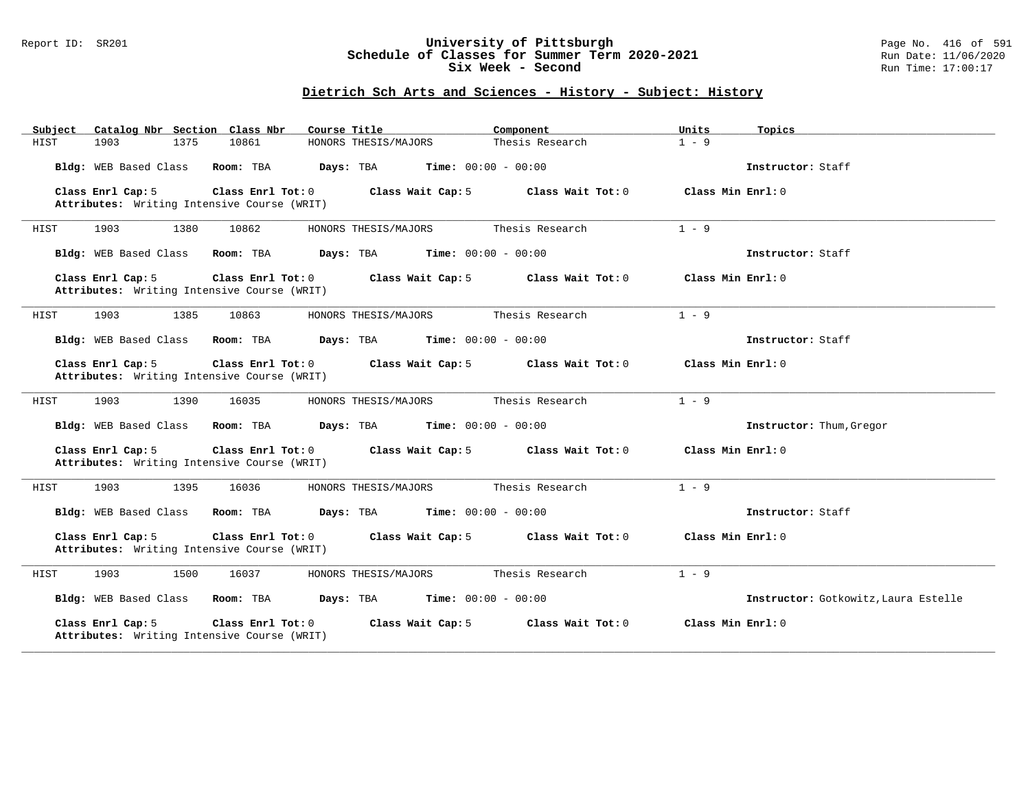#### Report ID: SR201 **University of Pittsburgh** Page No. 416 of 591 **Schedule of Classes for Summer Term 2020-2021** Run Date: 11/06/2020 **Six Week - Second Run Time: 17:00:17**

| Catalog Nbr Section Class Nbr<br>Subject                                              | Course Title                       | Component                    | Units<br>Topics                      |
|---------------------------------------------------------------------------------------|------------------------------------|------------------------------|--------------------------------------|
| HIST<br>1903<br>1375<br>10861                                                         | HONORS THESIS/MAJORS               | Thesis Research              | $1 - 9$                              |
| Bldg: WEB Based Class<br>Room: TBA                                                    | Days: TBA                          | <b>Time:</b> $00:00 - 00:00$ | Instructor: Staff                    |
| Class Enrl Cap: 5<br>Class Enrl Tot: 0<br>Attributes: Writing Intensive Course (WRIT) | Class Wait Cap: 5                  | Class Wait Tot: 0            | Class Min Enrl: 0                    |
| 1903<br>1380<br>10862<br>HIST                                                         | HONORS THESIS/MAJORS               | Thesis Research              | $1 - 9$                              |
| Bldg: WEB Based Class<br>Room: TBA                                                    | Days: TBA                          | <b>Time:</b> $00:00 - 00:00$ | Instructor: Staff                    |
| Class Enrl Cap: 5<br>Class Enrl Tot: 0<br>Attributes: Writing Intensive Course (WRIT) | Class Wait Cap: 5                  | Class Wait Tot: 0            | Class Min $Enr1: 0$                  |
| 1903<br>1385<br>10863<br>HIST                                                         | HONORS THESIS/MAJORS               | Thesis Research              | $1 - 9$                              |
| Bldg: WEB Based Class<br>Room: TBA                                                    | Days: TBA<br>$Time: 00:00 - 00:00$ |                              | Instructor: Staff                    |
| Class Enrl Cap: 5<br>Class Enrl Tot: 0<br>Attributes: Writing Intensive Course (WRIT) | Class Wait Cap: 5                  | Class Wait Tot: 0            | Class Min Enrl: 0                    |
| HIST<br>1903<br>1390<br>16035                                                         | HONORS THESIS/MAJORS               | Thesis Research              | $1 - 9$                              |
| Bldg: WEB Based Class<br>Room: TBA                                                    | Days: TBA<br>$Time: 00:00 - 00:00$ |                              | Instructor: Thum, Gregor             |
| Class Enrl Cap: 5<br>Class Enrl Tot: 0<br>Attributes: Writing Intensive Course (WRIT) | Class Wait Cap: 5                  | Class Wait Tot: 0            | Class Min Enrl: 0                    |
| 1903<br>HIST<br>1395<br>16036                                                         | HONORS THESIS/MAJORS               | Thesis Research              | $1 - 9$                              |
| Bldg: WEB Based Class<br>Room: TBA                                                    | Days: TBA                          | <b>Time:</b> $00:00 - 00:00$ | Instructor: Staff                    |
| Class Enrl Cap: 5<br>Class Enrl Tot: 0<br>Attributes: Writing Intensive Course (WRIT) | Class Wait Cap: 5                  | Class Wait Tot: 0            | Class Min Enrl: 0                    |
| 1903<br>1500<br>16037<br>HIST                                                         | HONORS THESIS/MAJORS               | Thesis Research              | $1 - 9$                              |
| Bldg: WEB Based Class<br>Room: TBA                                                    | Days: TBA                          | <b>Time:</b> $00:00 - 00:00$ | Instructor: Gotkowitz, Laura Estelle |
| Class Enrl Cap: 5<br>Class Enrl Tot: 0<br>Attributes: Writing Intensive Course (WRIT) | Class Wait Cap: 5                  | Class Wait Tot: 0            | Class Min Enrl: 0                    |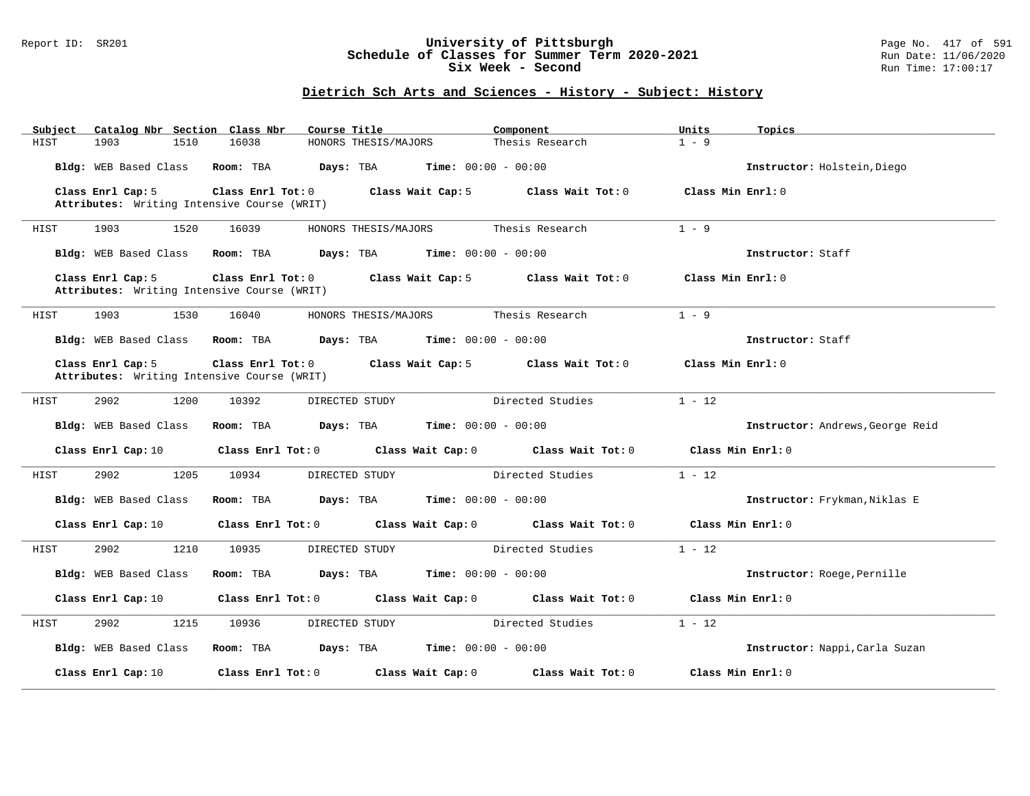#### Report ID: SR201 **University of Pittsburgh** Page No. 417 of 591 **Schedule of Classes for Summer Term 2020-2021** Run Date: 11/06/2020 **Six Week - Second Run Time: 17:00:17**

| Subject               | Catalog Nbr Section Class Nbr                                          | Course Title                                         | Component                                             | Units<br>Topics   |                                  |
|-----------------------|------------------------------------------------------------------------|------------------------------------------------------|-------------------------------------------------------|-------------------|----------------------------------|
| 1903<br>HIST          | 1510<br>16038                                                          | HONORS THESIS/MAJORS                                 | Thesis Research                                       | $1 - 9$           |                                  |
| Bldg: WEB Based Class | Room: TBA                                                              | $Days: TBA$ Time: $00:00 - 00:00$                    |                                                       |                   | Instructor: Holstein, Diego      |
| Class Enrl Cap: 5     | Class Enrl Tot: 0                                                      | Class Wait Cap: 5                                    | Class Wait Tot: 0                                     | Class Min Enrl: 0 |                                  |
|                       | Attributes: Writing Intensive Course (WRIT)                            |                                                      |                                                       |                   |                                  |
| HIST<br>1903          | 16039<br>1520                                                          | HONORS THESIS/MAJORS                                 | Thesis Research                                       | $1 - 9$           |                                  |
| Bldg: WEB Based Class | Room: TBA                                                              | <b>Days:</b> TBA <b>Time:</b> $00:00 - 00:00$        |                                                       | Instructor: Staff |                                  |
| Class Enrl Cap: 5     | $Class$ $Enr1$ $Tot: 0$<br>Attributes: Writing Intensive Course (WRIT) | Class Wait Cap: 5                                    | Class Wait Tot: 0                                     | Class Min Enrl: 0 |                                  |
| 1903<br>HIST          | 1530<br>16040                                                          | HONORS THESIS/MAJORS                                 | Thesis Research                                       | $1 - 9$           |                                  |
| Bldg: WEB Based Class | Room: TBA                                                              | <b>Days:</b> TBA <b>Time:</b> $00:00 - 00:00$        |                                                       | Instructor: Staff |                                  |
| Class Enrl Cap: 5     | Class Enrl Tot: 0<br>Attributes: Writing Intensive Course (WRIT)       | Class Wait Cap: 5                                    | Class Wait Tot: 0                                     | Class Min Enrl: 0 |                                  |
| 2902<br>HIST          | 1200<br>10392                                                          | DIRECTED STUDY                                       | Directed Studies                                      | $1 - 12$          |                                  |
| Bldg: WEB Based Class | Room: TBA                                                              | <b>Days:</b> TBA <b>Time:</b> $00:00 - 00:00$        |                                                       |                   | Instructor: Andrews, George Reid |
| Class Enrl Cap: 10    |                                                                        |                                                      | Class Enrl Tot: 0 Class Wait Cap: 0 Class Wait Tot: 0 | Class Min Enrl: 0 |                                  |
| 2902<br>HIST          | 1205<br>10934                                                          | DIRECTED STUDY                                       | Directed Studies                                      | $1 - 12$          |                                  |
| Bldg: WEB Based Class | Room: TBA                                                              | $\texttt{Davis:}$ TBA $\texttt{Time:}$ 00:00 - 00:00 |                                                       |                   | Instructor: Frykman, Niklas E    |
| Class Enrl Cap: 10    | Class Enrl Tot: 0                                                      |                                                      | Class Wait Cap: 0 Class Wait Tot: 0                   | Class Min Enrl: 0 |                                  |
| 2902<br>HIST          | 1210<br>10935                                                          | DIRECTED STUDY                                       | Directed Studies                                      | $1 - 12$          |                                  |
| Bldg: WEB Based Class | Room: TBA                                                              | <b>Days:</b> TBA <b>Time:</b> $00:00 - 00:00$        |                                                       |                   | Instructor: Roege, Pernille      |
| Class Enrl Cap: 10    | Class Enrl Tot: 0                                                      |                                                      | Class Wait Cap: 0 Class Wait Tot: 0                   | Class Min Enrl: 0 |                                  |
| 2902<br>HIST          | 1215<br>10936                                                          | DIRECTED STUDY                                       | Directed Studies                                      | $1 - 12$          |                                  |
| Bldg: WEB Based Class | Room: TBA                                                              | $\texttt{DayS:}$ TBA $\texttt{Time:}$ 00:00 - 00:00  |                                                       |                   | Instructor: Nappi, Carla Suzan   |
| Class Enrl Cap: 10    | Class Enrl Tot: 0                                                      | Class Wait Cap: 0                                    | Class Wait Tot: 0                                     | Class Min Enrl: 0 |                                  |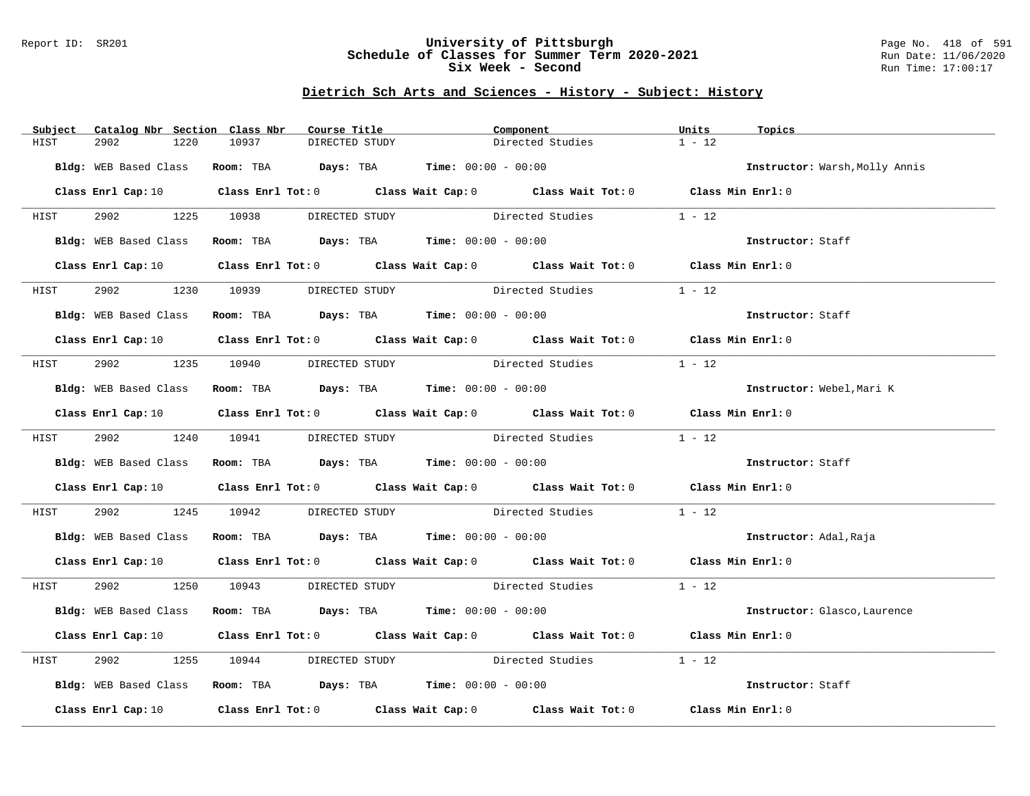#### Report ID: SR201 **University of Pittsburgh** Page No. 418 of 591 **Schedule of Classes for Summer Term 2020-2021** Run Date: 11/06/2020 **Six Week - Second Run Time: 17:00:17**

| Subject | Catalog Nbr Section Class Nbr | Course Title                                                  | Component                                                                                                                      | Units<br>Topics                |  |
|---------|-------------------------------|---------------------------------------------------------------|--------------------------------------------------------------------------------------------------------------------------------|--------------------------------|--|
| HIST    | 2902<br>1220                  | 10937<br>DIRECTED STUDY                                       | Directed Studies                                                                                                               | $1 - 12$                       |  |
|         |                               | Bldg: WEB Based Class Room: TBA Days: TBA Time: 00:00 - 00:00 |                                                                                                                                | Instructor: Warsh, Molly Annis |  |
|         |                               |                                                               |                                                                                                                                |                                |  |
|         |                               |                                                               | Class Enrl Cap: 10 $\qquad$ Class Enrl Tot: 0 $\qquad$ Class Wait Cap: 0 $\qquad$ Class Wait Tot: 0 $\qquad$ Class Min Enrl: 0 |                                |  |
|         |                               |                                                               | HIST 2902 1225 10938 DIRECTED STUDY Directed Studies 1 - 12                                                                    |                                |  |
|         |                               |                                                               | Bldg: WEB Based Class Room: TBA Days: TBA Time: 00:00 - 00:00                                                                  | Instructor: Staff              |  |
|         |                               |                                                               | Class Enrl Cap: 10 Class Enrl Tot: 0 Class Wait Cap: 0 Class Wait Tot: 0 Class Min Enrl: 0                                     |                                |  |
| HIST    | 2902                          |                                                               | 1230 10939 DIRECTED STUDY Directed Studies                                                                                     | $1 - 12$                       |  |
|         |                               | Bldg: WEB Based Class Room: TBA Days: TBA Time: 00:00 - 00:00 |                                                                                                                                | Instructor: Staff              |  |
|         |                               |                                                               | Class Enrl Cap: 10 $\qquad$ Class Enrl Tot: 0 $\qquad$ Class Wait Cap: 0 $\qquad$ Class Wait Tot: 0 $\qquad$ Class Min Enrl: 0 |                                |  |
|         |                               | HIST 2902 1235 10940 DIRECTED STUDY                           | Directed Studies                                                                                                               | $1 - 12$                       |  |
|         |                               | Bldg: WEB Based Class Room: TBA Days: TBA Time: 00:00 - 00:00 |                                                                                                                                | Instructor: Webel, Mari K      |  |
|         |                               |                                                               | Class Enrl Cap: 10 $\qquad$ Class Enrl Tot: 0 $\qquad$ Class Wait Cap: 0 $\qquad$ Class Wait Tot: 0 $\qquad$ Class Min Enrl: 0 |                                |  |
| HIST    |                               | 2902 1240 10941 DIRECTED STUDY                                | Directed Studies                                                                                                               | $1 - 12$                       |  |
|         |                               | Bldg: WEB Based Class Room: TBA Days: TBA Time: 00:00 - 00:00 |                                                                                                                                | Instructor: Staff              |  |
|         |                               |                                                               | Class Enrl Cap: 10 Class Enrl Tot: 0 Class Wait Cap: 0 Class Wait Tot: 0 Class Min Enrl: 0                                     |                                |  |
| HIST    |                               |                                                               | 2902 1245 10942 DIRECTED STUDY Directed Studies                                                                                | $1 - 12$                       |  |
|         |                               | Bldg: WEB Based Class Room: TBA Days: TBA Time: 00:00 - 00:00 |                                                                                                                                | Instructor: Adal, Raja         |  |
|         |                               |                                                               | Class Enrl Cap: 10 $\qquad$ Class Enrl Tot: 0 $\qquad$ Class Wait Cap: 0 $\qquad$ Class Wait Tot: 0 $\qquad$ Class Min Enrl: 0 |                                |  |
|         |                               |                                                               | HIST 2902 1250 10943 DIRECTED STUDY Directed Studies 1 - 12                                                                    |                                |  |
|         |                               |                                                               | Bldg: WEB Based Class Room: TBA Days: TBA Time: 00:00 - 00:00                                                                  | Instructor: Glasco, Laurence   |  |
|         |                               |                                                               | Class Enrl Cap: 10 $\qquad$ Class Enrl Tot: 0 $\qquad$ Class Wait Cap: 0 $\qquad$ Class Wait Tot: 0 $\qquad$ Class Min Enrl: 0 |                                |  |
| HIST    | 2902                          |                                                               | 1255 10944 DIRECTED STUDY Directed Studies                                                                                     | $1 - 12$                       |  |
|         |                               | Bldg: WEB Based Class Room: TBA Days: TBA Time: 00:00 - 00:00 |                                                                                                                                | Instructor: Staff              |  |
|         |                               |                                                               | Class Enrl Cap: 10 $\qquad$ Class Enrl Tot: 0 $\qquad$ Class Wait Cap: 0 $\qquad$ Class Wait Tot: 0 $\qquad$ Class Min Enrl: 0 |                                |  |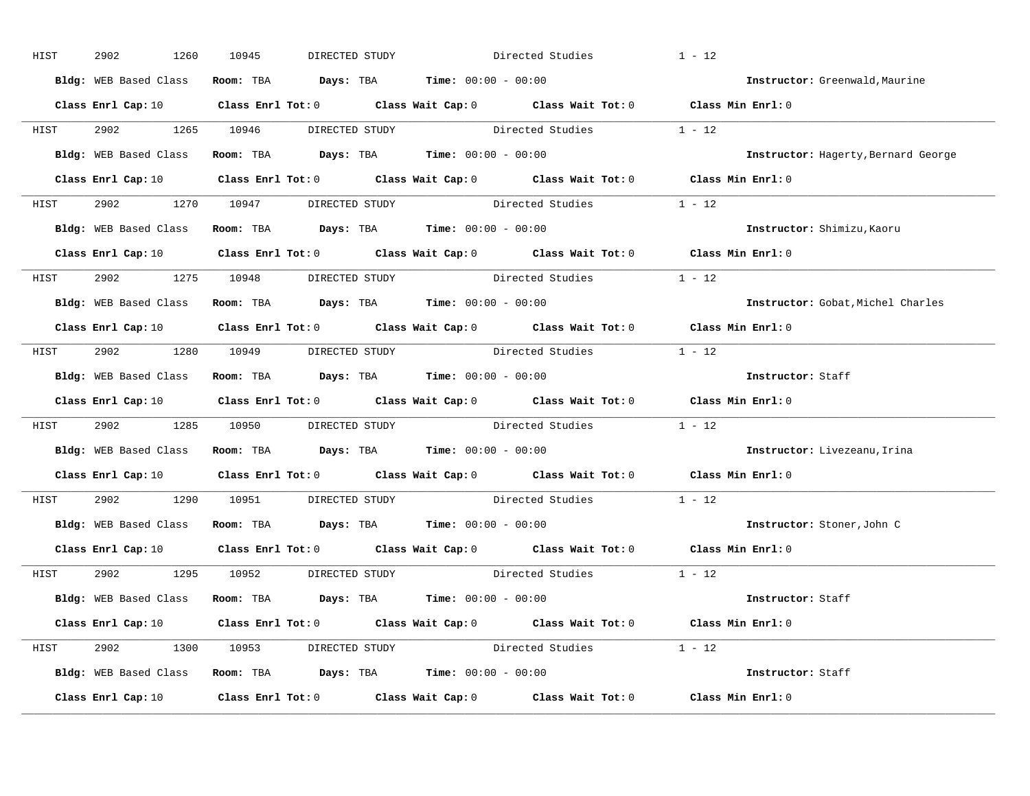| HIST | 2902 | 1260 | 10945                               | DIRECTED STUDY |                                                               | Directed Studies                                            | $1 - 12$                                                                                                                       |  |
|------|------|------|-------------------------------------|----------------|---------------------------------------------------------------|-------------------------------------------------------------|--------------------------------------------------------------------------------------------------------------------------------|--|
|      |      |      |                                     |                | Bldg: WEB Based Class Room: TBA Days: TBA Time: 00:00 - 00:00 |                                                             | Instructor: Greenwald, Maurine                                                                                                 |  |
|      |      |      |                                     |                |                                                               |                                                             | Class Enrl Cap: 10 $\qquad$ Class Enrl Tot: 0 $\qquad$ Class Wait Cap: 0 $\qquad$ Class Wait Tot: 0 $\qquad$ Class Min Enrl: 0 |  |
|      |      |      |                                     |                |                                                               | HIST 2902 1265 10946 DIRECTED STUDY Directed Studies 1 - 12 |                                                                                                                                |  |
|      |      |      |                                     |                | Bldg: WEB Based Class Room: TBA Days: TBA Time: 00:00 - 00:00 |                                                             | Instructor: Hagerty, Bernard George                                                                                            |  |
|      |      |      |                                     |                |                                                               |                                                             | Class Enrl Cap: 10 $\qquad$ Class Enrl Tot: 0 $\qquad$ Class Wait Cap: 0 $\qquad$ Class Wait Tot: 0 $\qquad$ Class Min Enrl: 0 |  |
|      |      |      |                                     |                |                                                               | HIST 2902 1270 10947 DIRECTED STUDY Directed Studies 1 - 12 |                                                                                                                                |  |
|      |      |      |                                     |                | Bldg: WEB Based Class Room: TBA Days: TBA Time: 00:00 - 00:00 |                                                             | Instructor: Shimizu, Kaoru                                                                                                     |  |
|      |      |      |                                     |                |                                                               |                                                             | Class Enrl Cap: 10 $\qquad$ Class Enrl Tot: 0 $\qquad$ Class Wait Cap: 0 $\qquad$ Class Wait Tot: 0 $\qquad$ Class Min Enrl: 0 |  |
|      |      |      | HIST 2902 1275 10948 DIRECTED STUDY |                |                                                               | Directed Studies                                            | $1 - 12$                                                                                                                       |  |
|      |      |      |                                     |                | Bldg: WEB Based Class Room: TBA Days: TBA Time: 00:00 - 00:00 |                                                             | Instructor: Gobat, Michel Charles                                                                                              |  |
|      |      |      |                                     |                |                                                               |                                                             | Class Enrl Cap: 10 $\qquad$ Class Enrl Tot: 0 $\qquad$ Class Wait Cap: 0 $\qquad$ Class Wait Tot: 0 $\qquad$ Class Min Enrl: 0 |  |
|      |      |      |                                     |                |                                                               | HIST 2902 1280 10949 DIRECTED STUDY Directed Studies 1 - 12 |                                                                                                                                |  |
|      |      |      |                                     |                | Bldg: WEB Based Class Room: TBA Days: TBA Time: 00:00 - 00:00 |                                                             | Instructor: Staff                                                                                                              |  |
|      |      |      |                                     |                |                                                               |                                                             | Class Enrl Cap: 10 $\qquad$ Class Enrl Tot: 0 $\qquad$ Class Wait Cap: 0 $\qquad$ Class Wait Tot: 0 $\qquad$ Class Min Enrl: 0 |  |
| HIST |      |      |                                     |                |                                                               | 2902 1285 10950 DIRECTED STUDY Directed Studies 1 - 12      |                                                                                                                                |  |
|      |      |      |                                     |                | Bldg: WEB Based Class Room: TBA Days: TBA Time: 00:00 - 00:00 |                                                             | Instructor: Livezeanu, Irina                                                                                                   |  |
|      |      |      |                                     |                |                                                               |                                                             | Class Enrl Cap: 10 $\qquad$ Class Enrl Tot: 0 $\qquad$ Class Wait Cap: 0 $\qquad$ Class Wait Tot: 0 $\qquad$ Class Min Enrl: 0 |  |
| HIST |      |      |                                     |                |                                                               | 2902 1290 10951 DIRECTED STUDY Directed Studies             | $1 - 12$                                                                                                                       |  |
|      |      |      |                                     |                | Bldg: WEB Based Class Room: TBA Days: TBA Time: 00:00 - 00:00 |                                                             | Instructor: Stoner, John C                                                                                                     |  |
|      |      |      |                                     |                |                                                               |                                                             | Class Enrl Cap: 10 $\qquad$ Class Enrl Tot: 0 $\qquad$ Class Wait Cap: 0 $\qquad$ Class Wait Tot: 0 $\qquad$ Class Min Enrl: 0 |  |
|      |      |      | HIST 2902 1295 10952 DIRECTED STUDY |                |                                                               | Directed Studies 1 - 12                                     |                                                                                                                                |  |
|      |      |      |                                     |                | Bldg: WEB Based Class Room: TBA Days: TBA Time: 00:00 - 00:00 |                                                             | Instructor: Staff                                                                                                              |  |
|      |      |      |                                     |                |                                                               |                                                             | Class Enrl Cap: 10 $\qquad$ Class Enrl Tot: 0 $\qquad$ Class Wait Cap: 0 $\qquad$ Class Wait Tot: 0 $\qquad$ Class Min Enrl: 0 |  |
|      |      |      |                                     |                |                                                               | HIST 2902 1300 10953 DIRECTED STUDY Directed Studies 1 - 12 |                                                                                                                                |  |
|      |      |      |                                     |                | Bldg: WEB Based Class Room: TBA Days: TBA Time: 00:00 - 00:00 |                                                             | Instructor: Staff                                                                                                              |  |
|      |      |      |                                     |                |                                                               |                                                             | Class Enrl Cap: 10 $\qquad$ Class Enrl Tot: 0 $\qquad$ Class Wait Cap: 0 $\qquad$ Class Wait Tot: 0 $\qquad$ Class Min Enrl: 0 |  |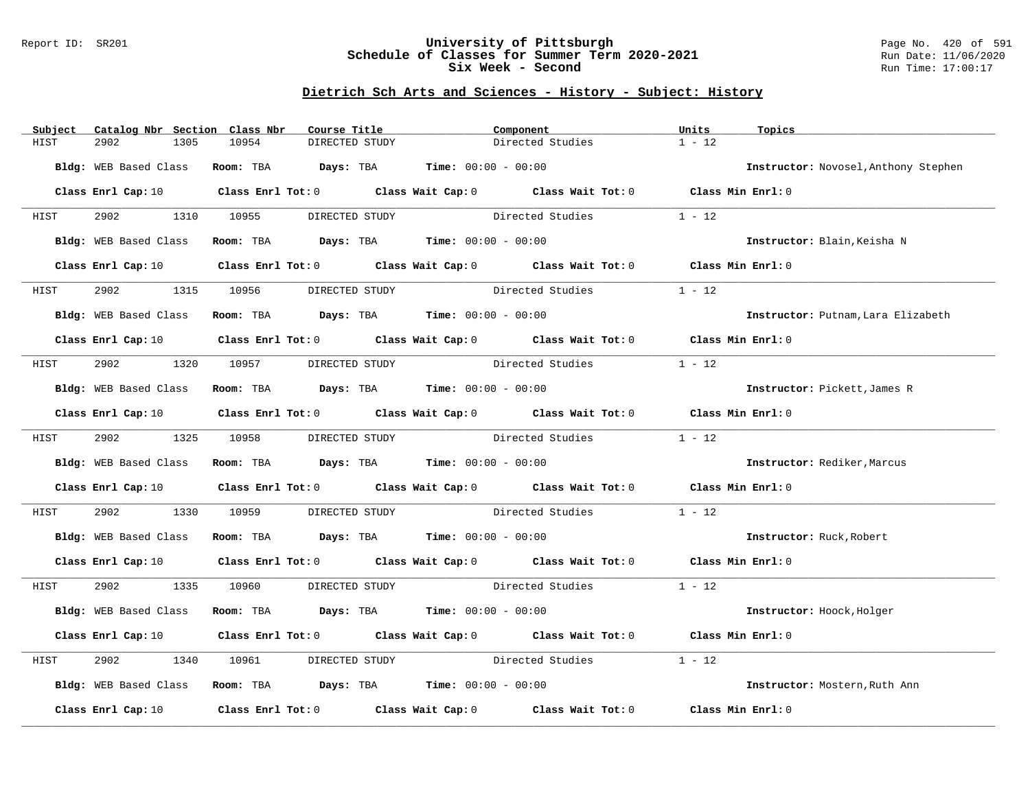#### Report ID: SR201 **University of Pittsburgh** Page No. 420 of 591 **Schedule of Classes for Summer Term 2020-2021** Run Date: 11/06/2020 **Six Week - Second Run Time: 17:00:17**

| 10954<br>DIRECTED STUDY<br>Directed Studies<br>HIST<br>2902<br>1305                                                            | $1 - 12$                             |
|--------------------------------------------------------------------------------------------------------------------------------|--------------------------------------|
|                                                                                                                                |                                      |
| Bldg: WEB Based Class<br>Room: TBA $Days:$ TBA $Time: 00:00 - 00:00$                                                           | Instructor: Novosel, Anthony Stephen |
|                                                                                                                                |                                      |
| Class Enrl Cap: 10 $\qquad$ Class Enrl Tot: 0 $\qquad$ Class Wait Cap: 0 $\qquad$ Class Wait Tot: 0 $\qquad$ Class Min Enrl: 0 |                                      |
| 2902 1310 10955 DIRECTED STUDY Directed Studies<br><b>HIST</b>                                                                 | $1 - 12$                             |
| Room: TBA $Days:$ TBA Time: $00:00 - 00:00$<br>Bldg: WEB Based Class                                                           | Instructor: Blain, Keisha N          |
| Class Enrl Cap: 10 Class Enrl Tot: 0 Class Wait Cap: 0 Class Wait Tot: 0 Class Min Enrl: 0                                     |                                      |
| 2902<br>1315<br>10956<br>Directed Studies<br>HIST<br>DIRECTED STUDY                                                            | $1 - 12$                             |
| Room: TBA $Days:$ TBA $Time: 00:00 - 00:00$<br>Bldg: WEB Based Class                                                           | Instructor: Putnam, Lara Elizabeth   |
| Class Enrl Cap: 10 $\qquad$ Class Enrl Tot: 0 $\qquad$ Class Wait Cap: 0 $\qquad$ Class Wait Tot: 0 $\qquad$ Class Min Enrl: 0 |                                      |
| 2902 1320 10957 DIRECTED STUDY<br>Directed Studies<br>HIST                                                                     | $1 - 12$                             |
| Room: TBA $\rule{1em}{0.15mm}$ Days: TBA Time: $00:00 - 00:00$<br>Bldg: WEB Based Class                                        | Instructor: Pickett, James R         |
| Class Enrl Cap: 10 Class Enrl Tot: 0 Class Wait Cap: 0 Class Wait Tot: 0 Class Min Enrl: 0                                     |                                      |
| Directed Studies<br>2902 1325 10958 DIRECTED STUDY<br>HIST                                                                     | $1 - 12$                             |
| Bldg: WEB Based Class Room: TBA Days: TBA Time: 00:00 - 00:00                                                                  | Instructor: Rediker, Marcus          |
| Class Enrl Cap: 10 $\qquad$ Class Enrl Tot: 0 $\qquad$ Class Wait Cap: 0 $\qquad$ Class Wait Tot: 0 $\qquad$ Class Min Enrl: 0 |                                      |
| 2902<br>1330 10959<br>DIRECTED STUDY Directed Studies<br>HIST                                                                  | $1 - 12$                             |
| Room: TBA $\rule{1em}{0.15mm}$ Days: TBA Time: $00:00 - 00:00$<br>Bldg: WEB Based Class                                        | Instructor: Ruck, Robert             |
| Class Enrl Cap: 10 $\qquad$ Class Enrl Tot: 0 $\qquad$ Class Wait Cap: 0 $\qquad$ Class Wait Tot: 0 $\qquad$ Class Min Enrl: 0 |                                      |
| 2902 1335 10960 DIRECTED STUDY Directed Studies<br>HIST                                                                        | $1 - 12$                             |
| Bldg: WEB Based Class<br>Room: TBA $Days:$ TBA $Time: 00:00 - 00:00$                                                           | Instructor: Hoock, Holger            |
| Class Enrl Cap: 10 $\qquad$ Class Enrl Tot: 0 $\qquad$ Class Wait Cap: 0 $\qquad$ Class Wait Tot: 0 $\qquad$ Class Min Enrl: 0 |                                      |
| DIRECTED STUDY Directed Studies<br>2902<br>1340<br>10961<br>HIST                                                               | $1 - 12$                             |
| Bldg: WEB Based Class Room: TBA Days: TBA Time: 00:00 - 00:00                                                                  | Instructor: Mostern, Ruth Ann        |
| Class Enrl Cap: 10 $\qquad$ Class Enrl Tot: 0 $\qquad$ Class Wait Cap: 0 $\qquad$ Class Wait Tot: 0 $\qquad$ Class Min Enrl: 0 |                                      |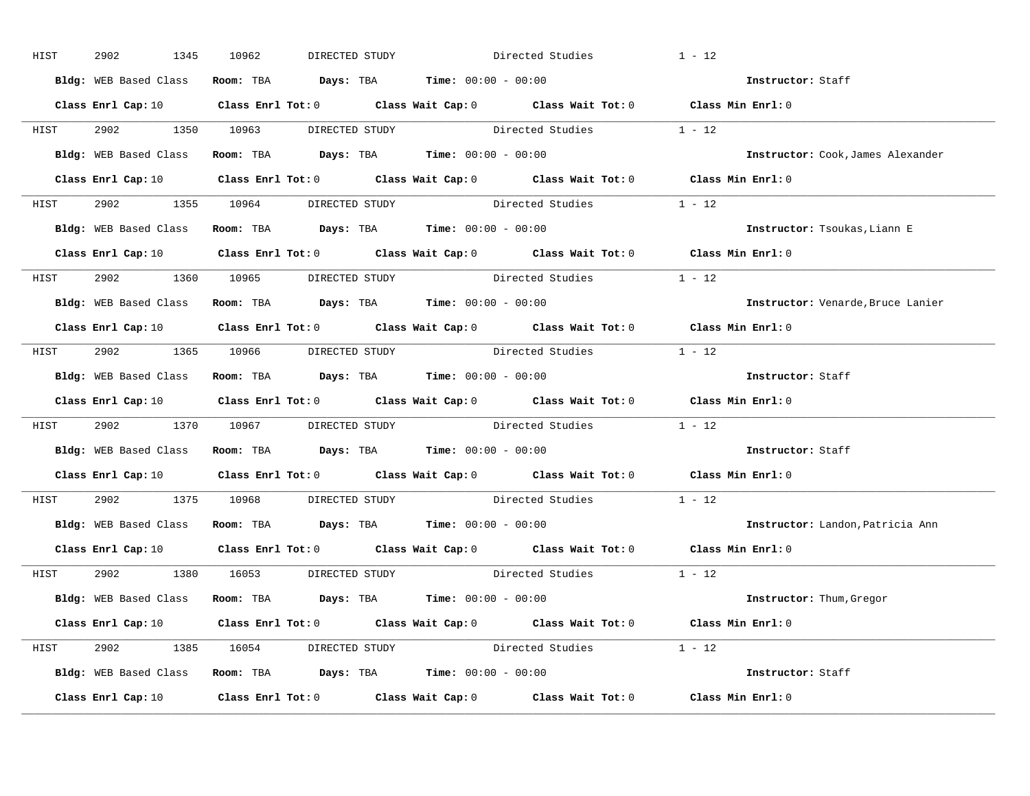| HIST | 2902<br>1345 | 10962<br>DIRECTED STUDY                                       | Directed Studies                                                                                                               | $1 - 12$                          |
|------|--------------|---------------------------------------------------------------|--------------------------------------------------------------------------------------------------------------------------------|-----------------------------------|
|      |              | Bldg: WEB Based Class Room: TBA Days: TBA Time: 00:00 - 00:00 |                                                                                                                                | Instructor: Staff                 |
|      |              |                                                               | Class Enrl Cap: 10 $\qquad$ Class Enrl Tot: 0 $\qquad$ Class Wait Cap: 0 $\qquad$ Class Wait Tot: 0 $\qquad$ Class Min Enrl: 0 |                                   |
|      |              |                                                               | HIST 2902 1350 10963 DIRECTED STUDY Directed Studies 1 - 12                                                                    |                                   |
|      |              | Bldg: WEB Based Class Room: TBA Days: TBA Time: 00:00 - 00:00 |                                                                                                                                | Instructor: Cook, James Alexander |
|      |              |                                                               | Class Enrl Cap: 10 $\qquad$ Class Enrl Tot: 0 $\qquad$ Class Wait Cap: 0 $\qquad$ Class Wait Tot: 0 $\qquad$ Class Min Enrl: 0 |                                   |
|      |              |                                                               | HIST 2902 1355 10964 DIRECTED STUDY Directed Studies 1 - 12                                                                    |                                   |
|      |              | Bldg: WEB Based Class Room: TBA Days: TBA Time: 00:00 - 00:00 |                                                                                                                                | Instructor: Tsoukas, Liann E      |
|      |              |                                                               | Class Enrl Cap: 10 $\qquad$ Class Enrl Tot: 0 $\qquad$ Class Wait Cap: 0 $\qquad$ Class Wait Tot: 0 $\qquad$ Class Min Enrl: 0 |                                   |
|      |              | HIST 2902 1360 10965 DIRECTED STUDY                           | Directed Studies                                                                                                               | $1 - 12$                          |
|      |              | Bldg: WEB Based Class Room: TBA Days: TBA Time: 00:00 - 00:00 |                                                                                                                                | Instructor: Venarde, Bruce Lanier |
|      |              |                                                               | Class Enrl Cap: 10 Class Enrl Tot: 0 Class Wait Cap: 0 Class Wait Tot: 0 Class Min Enrl: 0                                     |                                   |
|      |              |                                                               | HIST 2902 1365 10966 DIRECTED STUDY Directed Studies 1 - 12                                                                    |                                   |
|      |              | Bldg: WEB Based Class Room: TBA Days: TBA Time: 00:00 - 00:00 |                                                                                                                                | Instructor: Staff                 |
|      |              |                                                               | Class Enrl Cap: 10 $\qquad$ Class Enrl Tot: 0 $\qquad$ Class Wait Cap: 0 $\qquad$ Class Wait Tot: 0 $\qquad$ Class Min Enrl: 0 |                                   |
| HIST |              |                                                               | 2902 1370 10967 DIRECTED STUDY Directed Studies 1 - 12                                                                         |                                   |
|      |              | Bldg: WEB Based Class Room: TBA Days: TBA Time: 00:00 - 00:00 |                                                                                                                                | Instructor: Staff                 |
|      |              |                                                               | Class Enrl Cap: 10 $\qquad$ Class Enrl Tot: 0 $\qquad$ Class Wait Cap: 0 $\qquad$ Class Wait Tot: 0 $\qquad$ Class Min Enrl: 0 |                                   |
| HIST |              |                                                               | 2902 1375 10968 DIRECTED STUDY Directed Studies                                                                                | $1 - 12$                          |
|      |              | Bldg: WEB Based Class Room: TBA Days: TBA Time: 00:00 - 00:00 |                                                                                                                                | Instructor: Landon, Patricia Ann  |
|      |              |                                                               | Class Enrl Cap: 10 $\qquad$ Class Enrl Tot: 0 $\qquad$ Class Wait Cap: 0 $\qquad$ Class Wait Tot: 0 $\qquad$ Class Min Enrl: 0 |                                   |
|      |              | HIST 2902 1380 16053 DIRECTED STUDY                           | Directed Studies 1 - 12                                                                                                        |                                   |
|      |              | Bldg: WEB Based Class Room: TBA Days: TBA Time: 00:00 - 00:00 |                                                                                                                                | Instructor: Thum, Gregor          |
|      |              |                                                               | Class Enrl Cap: 10 $\qquad$ Class Enrl Tot: 0 $\qquad$ Class Wait Cap: 0 $\qquad$ Class Wait Tot: 0 $\qquad$ Class Min Enrl: 0 |                                   |
|      |              |                                                               | HIST 2902 1385 16054 DIRECTED STUDY Directed Studies 1 - 12                                                                    |                                   |
|      |              | Bldg: WEB Based Class Room: TBA Days: TBA Time: 00:00 - 00:00 |                                                                                                                                | Instructor: Staff                 |
|      |              |                                                               | Class Enrl Cap: 10 $\qquad$ Class Enrl Tot: 0 $\qquad$ Class Wait Cap: 0 $\qquad$ Class Wait Tot: 0 $\qquad$ Class Min Enrl: 0 |                                   |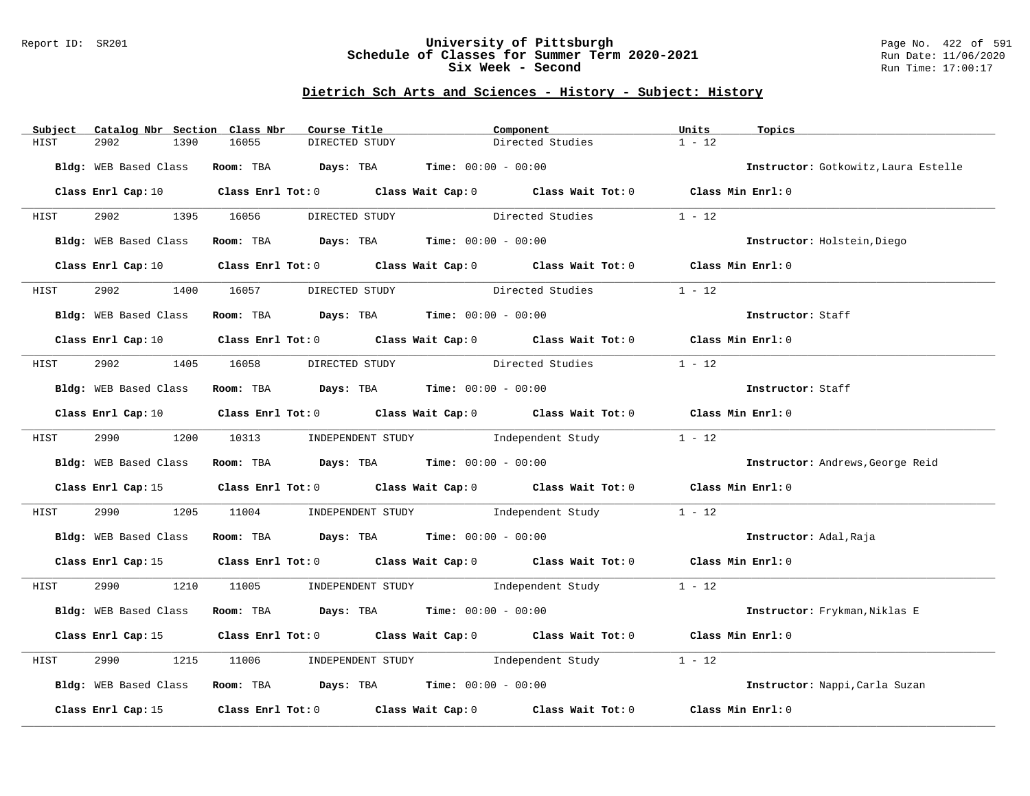#### Report ID: SR201 **University of Pittsburgh** Page No. 422 of 591 **Schedule of Classes for Summer Term 2020-2021** Run Date: 11/06/2020 **Six Week - Second Run Time: 17:00:17**

| Subject      | Catalog Nbr Section Class Nbr |                                | Course Title                                                  | Component                                                                                                                      | Units<br>Topics                      |  |
|--------------|-------------------------------|--------------------------------|---------------------------------------------------------------|--------------------------------------------------------------------------------------------------------------------------------|--------------------------------------|--|
| 2902<br>HIST | 1390                          | 16055                          | DIRECTED STUDY                                                | Directed Studies                                                                                                               | $1 - 12$                             |  |
|              |                               |                                | Bldg: WEB Based Class Room: TBA Days: TBA Time: 00:00 - 00:00 |                                                                                                                                | Instructor: Gotkowitz, Laura Estelle |  |
|              |                               |                                |                                                               | Class Enrl Cap: 10 $\qquad$ Class Enrl Tot: 0 $\qquad$ Class Wait Cap: 0 $\qquad$ Class Wait Tot: 0 $\qquad$ Class Min Enrl: 0 |                                      |  |
| <b>HIST</b>  |                               |                                |                                                               | 2902 1395 16056 DIRECTED STUDY Directed Studies 1 - 12                                                                         |                                      |  |
|              | Bldg: WEB Based Class         |                                | Room: TBA $Days:$ TBA $Time: 00:00 - 00:00$                   |                                                                                                                                | Instructor: Holstein, Diego          |  |
|              |                               |                                |                                                               | Class Enrl Cap: 10 $\qquad$ Class Enrl Tot: 0 $\qquad$ Class Wait Cap: 0 $\qquad$ Class Wait Tot: 0 $\qquad$ Class Min Enrl: 0 |                                      |  |
| HIST         | 2902                          |                                |                                                               | 1400 16057 DIRECTED STUDY Directed Studies                                                                                     | $1 - 12$                             |  |
|              | Bldg: WEB Based Class         |                                | Room: TBA $Days:$ TBA Time: $00:00 - 00:00$                   |                                                                                                                                | Instructor: Staff                    |  |
|              |                               |                                |                                                               | Class Enrl Cap: 10 $\qquad$ Class Enrl Tot: 0 $\qquad$ Class Wait Cap: 0 $\qquad$ Class Wait Tot: 0 $\qquad$ Class Min Enrl: 0 |                                      |  |
| HIST         |                               | 2902 1405 16058 DIRECTED STUDY |                                                               | Directed Studies                                                                                                               | $1 - 12$                             |  |
|              |                               |                                | Bldg: WEB Based Class Room: TBA Days: TBA Time: 00:00 - 00:00 |                                                                                                                                | Instructor: Staff                    |  |
|              |                               |                                |                                                               | Class Enrl Cap: 10 $\qquad$ Class Enrl Tot: 0 $\qquad$ Class Wait Cap: 0 $\qquad$ Class Wait Tot: 0 $\qquad$ Class Min Enrl: 0 |                                      |  |
| HIST         |                               |                                |                                                               | 2990 1200 10313 INDEPENDENT STUDY Independent Study                                                                            | $1 - 12$                             |  |
|              |                               |                                | Bldg: WEB Based Class Room: TBA Days: TBA Time: 00:00 - 00:00 |                                                                                                                                | Instructor: Andrews, George Reid     |  |
|              |                               |                                |                                                               | Class Enrl Cap: 15 Class Enrl Tot: 0 Class Wait Cap: 0 Class Wait Tot: 0 Class Min Enrl: 0                                     |                                      |  |
| HIST         | 2990 72                       |                                |                                                               | 1205 11004 INDEPENDENT STUDY Independent Study 1 - 12                                                                          |                                      |  |
|              |                               |                                | Bldg: WEB Based Class Room: TBA Days: TBA Time: 00:00 - 00:00 |                                                                                                                                | Instructor: Adal, Raja               |  |
|              |                               |                                |                                                               | Class Enrl Cap: 15 (Class Enrl Tot: 0 (Class Wait Cap: 0 (Class Wait Tot: 0 (Class Min Enrl: 0)                                |                                      |  |
| HIST         |                               |                                |                                                               | 2990 1210 11005 INDEPENDENT STUDY Independent Study 1 - 12                                                                     |                                      |  |
|              |                               |                                |                                                               | Bldg: WEB Based Class Room: TBA Days: TBA Time: 00:00 - 00:00                                                                  | Instructor: Frykman, Niklas E        |  |
|              |                               |                                |                                                               | Class Enrl Cap: 15 (Class Enrl Tot: 0 (Class Wait Cap: 0 (Class Wait Tot: 0 (Class Min Enrl: 0                                 |                                      |  |
| HIST         | 2990                          |                                |                                                               | 1215 11006 INDEPENDENT STUDY Independent Study                                                                                 | $1 - 12$                             |  |
|              |                               |                                | Bldg: WEB Based Class Room: TBA Days: TBA Time: 00:00 - 00:00 |                                                                                                                                | Instructor: Nappi, Carla Suzan       |  |
|              |                               |                                |                                                               | Class Enrl Cap: 15 (class Enrl Tot: 0 (class Wait Cap: 0 (class Wait Tot: 0 $\sim$ 0                                           | Class Min Enrl: 0                    |  |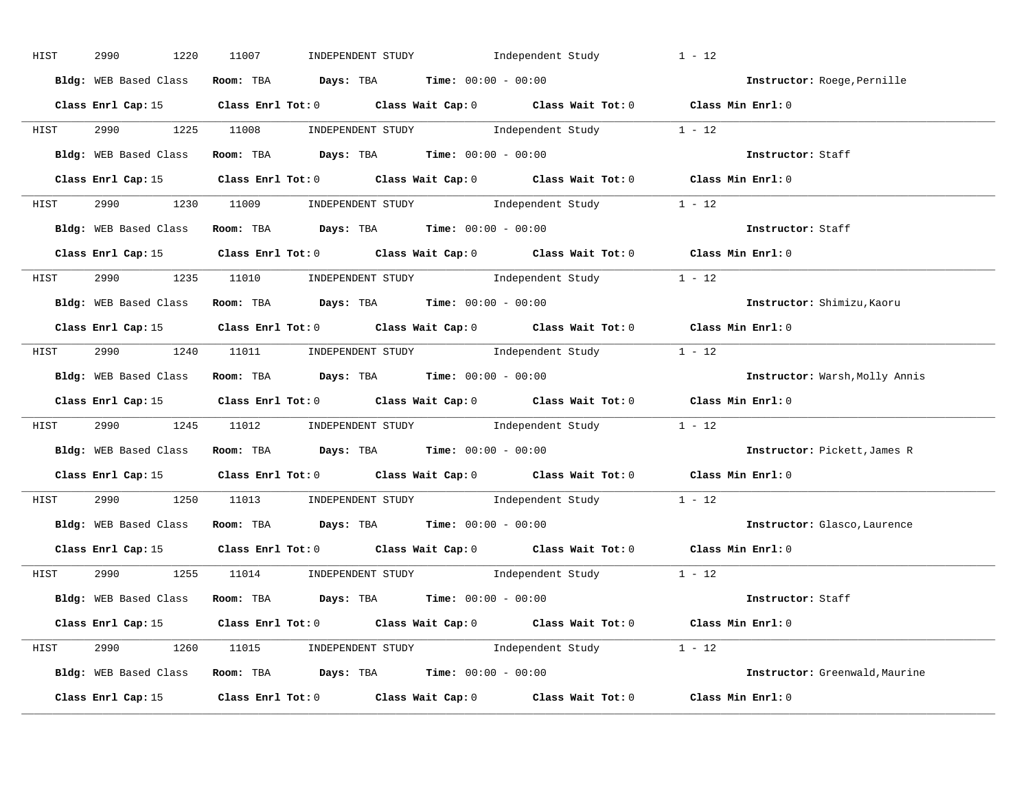| HIST | 2990<br>1220          | INDEPENDENT STUDY 1ndependent Study<br>11007                                                    | $1 - 12$                       |
|------|-----------------------|-------------------------------------------------------------------------------------------------|--------------------------------|
|      | Bldg: WEB Based Class | Room: TBA $Days:$ TBA $Time: 00:00 - 00:00$                                                     | Instructor: Roege, Pernille    |
|      |                       | Class Enrl Cap: 15 Class Enrl Tot: 0 Class Wait Cap: 0 Class Wait Tot: 0 Class Min Enrl: 0      |                                |
|      |                       | HIST 2990 1225 11008 INDEPENDENT STUDY Independent Study 1 - 12                                 |                                |
|      |                       | Bldg: WEB Based Class Room: TBA Days: TBA Time: 00:00 - 00:00                                   | Instructor: Staff              |
|      |                       | Class Enrl Cap: 15 (Class Enrl Tot: 0 (Class Wait Cap: 0 (Class Wait Tot: 0 (Class Min Enrl: 0  |                                |
|      |                       | HIST 2990 1230 11009 INDEPENDENT STUDY Independent Study 1 - 12                                 |                                |
|      |                       | Bldg: WEB Based Class Room: TBA Days: TBA Time: 00:00 - 00:00                                   | Instructor: Staff              |
|      |                       | Class Enrl Cap: 15 Class Enrl Tot: 0 Class Wait Cap: 0 Class Wait Tot: 0 Class Min Enrl: 0      |                                |
|      |                       | HIST 2990 1235 11010 INDEPENDENT STUDY Independent Study 1 - 12                                 |                                |
|      |                       | Bldg: WEB Based Class Room: TBA Days: TBA Time: 00:00 - 00:00                                   | Instructor: Shimizu, Kaoru     |
|      |                       | Class Enrl Cap: 15 Class Enrl Tot: 0 Class Wait Cap: 0 Class Wait Tot: 0 Class Min Enrl: 0      |                                |
|      |                       | HIST 2990 1240 11011 INDEPENDENT STUDY Independent Study 1 - 12                                 |                                |
|      |                       | Bldg: WEB Based Class Room: TBA Days: TBA Time: 00:00 - 00:00                                   | Instructor: Warsh, Molly Annis |
|      |                       |                                                                                                 |                                |
|      |                       | Class Enrl Cap: 15 Class Enrl Tot: 0 Class Wait Cap: 0 Class Wait Tot: 0 Class Min Enrl: 0      |                                |
| HIST |                       | 2990 1245 11012 INDEPENDENT STUDY Independent Study 1 - 12                                      |                                |
|      |                       | Bldg: WEB Based Class Room: TBA Days: TBA Time: 00:00 - 00:00                                   | Instructor: Pickett, James R   |
|      |                       | Class Enrl Cap: 15 (Class Enrl Tot: 0 (Class Wait Cap: 0 (Class Wait Tot: 0 (Class Min Enrl: 0) |                                |
| HIST |                       | 2990 1250 11013 INDEPENDENT STUDY Independent Study 1 - 12                                      |                                |
|      |                       | Bldg: WEB Based Class Room: TBA Days: TBA Time: 00:00 - 00:00                                   | Instructor: Glasco, Laurence   |
|      |                       | Class Enrl Cap: 15 Class Enrl Tot: 0 Class Wait Cap: 0 Class Wait Tot: 0 Class Min Enrl: 0      |                                |
|      |                       | HIST 2990 1255 11014 INDEPENDENT STUDY Independent Study 1 - 12                                 |                                |
|      |                       | Bldg: WEB Based Class Room: TBA Days: TBA Time: 00:00 - 00:00                                   | Instructor: Staff              |
|      |                       | Class Enrl Cap: 15 Class Enrl Tot: 0 Class Wait Cap: 0 Class Wait Tot: 0 Class Min Enrl: 0      |                                |
|      |                       | HIST 2990 1260 11015 INDEPENDENT STUDY Independent Study 1 - 12                                 |                                |
|      |                       | Bldg: WEB Based Class Room: TBA Days: TBA Time: 00:00 - 00:00                                   | Instructor: Greenwald, Maurine |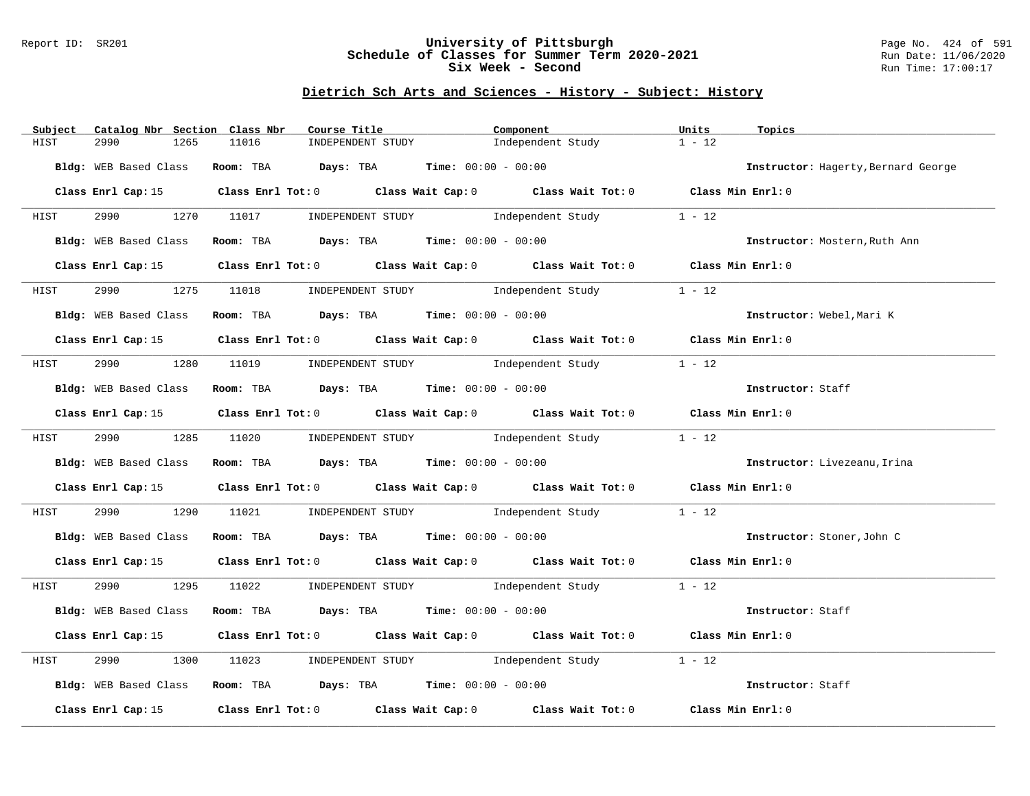#### Report ID: SR201 **University of Pittsburgh** Page No. 424 of 591 **Schedule of Classes for Summer Term 2020-2021** Run Date: 11/06/2020 **Six Week - Second Run Time: 17:00:17**

| Catalog Nbr Section Class Nbr<br>Subject | Course Title                                                   | Component                                                                                       | Units<br>Topics                     |
|------------------------------------------|----------------------------------------------------------------|-------------------------------------------------------------------------------------------------|-------------------------------------|
| 2990<br>HIST<br>1265                     | 11016<br>INDEPENDENT STUDY                                     | Independent Study                                                                               | $1 - 12$                            |
| Bldg: WEB Based Class                    | Room: TBA $Days:$ TBA $Time: 00:00 - 00:00$                    |                                                                                                 | Instructor: Hagerty, Bernard George |
|                                          |                                                                | Class Enrl Cap: 15 (Class Enrl Tot: 0 (Class Wait Cap: 0 (Class Wait Tot: 0 (Class Min Enrl: 0) |                                     |
|                                          |                                                                | HIST 2990 1270 11017 INDEPENDENT STUDY Independent Study 1 - 12                                 |                                     |
| Bldg: WEB Based Class                    |                                                                | Room: TBA $Days:$ TBA $Time:$ $00:00 - 00:00$                                                   | Instructor: Mostern, Ruth Ann       |
|                                          |                                                                | Class Enrl Cap: 15 Class Enrl Tot: 0 Class Wait Cap: 0 Class Wait Tot: 0 Class Min Enrl: 0      |                                     |
|                                          |                                                                |                                                                                                 |                                     |
| HIST                                     |                                                                | 1275 11018 INDEPENDENT STUDY Independent Study                                                  | $1 - 12$                            |
|                                          | Bldg: WEB Based Class Room: TBA Days: TBA Time: 00:00 - 00:00  |                                                                                                 | Instructor: Webel, Mari K           |
|                                          |                                                                | Class Enrl Cap: 15 Class Enrl Tot: 0 Class Wait Cap: 0 Class Wait Tot: 0 Class Min Enrl: 0      |                                     |
| <b>HIST</b>                              |                                                                | 2990 1280 11019 INDEPENDENT STUDY Independent Study                                             | $1 - 12$                            |
| Bldg: WEB Based Class                    | Room: TBA $\rule{1em}{0.15mm}$ Days: TBA Time: $00:00 - 00:00$ |                                                                                                 | Instructor: Staff                   |
|                                          |                                                                | Class Enrl Cap: 15 Class Enrl Tot: 0 Class Wait Cap: 0 Class Wait Tot: 0 Class Min Enrl: 0      |                                     |
|                                          | HIST 2990 1285 11020 INDEPENDENT STUDY Independent Study       |                                                                                                 | $1 - 12$                            |
|                                          | Bldg: WEB Based Class Room: TBA Days: TBA Time: 00:00 - 00:00  |                                                                                                 | Instructor: Livezeanu, Irina        |
|                                          |                                                                | Class Enrl Cap: 15 Class Enrl Tot: 0 Class Wait Cap: 0 Class Wait Tot: 0 Class Min Enrl: 0      |                                     |
| HIST                                     |                                                                | 2990 1290 11021 INDEPENDENT STUDY Independent Study                                             | $1 - 12$                            |
|                                          | Bldg: WEB Based Class Room: TBA Days: TBA Time: 00:00 - 00:00  |                                                                                                 | Instructor: Stoner, John C          |
|                                          |                                                                | Class Enrl Cap: 15 Class Enrl Tot: 0 Class Wait Cap: 0 Class Wait Tot: 0 Class Min Enrl: 0      |                                     |
|                                          |                                                                | HIST 2990 1295 11022 INDEPENDENT STUDY Independent Study 1 - 12                                 |                                     |
| Bldg: WEB Based Class                    | Room: TBA $Days:$ TBA $Time:$ $00:00 - 00:00$                  |                                                                                                 | Instructor: Staff                   |
|                                          |                                                                | Class Enrl Cap: 15 (Class Enrl Tot: 0 (Class Wait Cap: 0 (Class Wait Tot: 0 (Class Min Enrl: 0  |                                     |
| 2990<br>1300<br>HIST                     |                                                                | 11023 INDEPENDENT STUDY 1ndependent Study                                                       | $1 - 12$                            |
|                                          | Bldg: WEB Based Class Room: TBA Days: TBA Time: 00:00 - 00:00  |                                                                                                 | Instructor: Staff                   |
|                                          |                                                                | Class Enrl Cap: 15 Class Enrl Tot: 0 Class Wait Cap: 0 Class Wait Tot: 0                        | Class Min Enrl: 0                   |
|                                          |                                                                |                                                                                                 |                                     |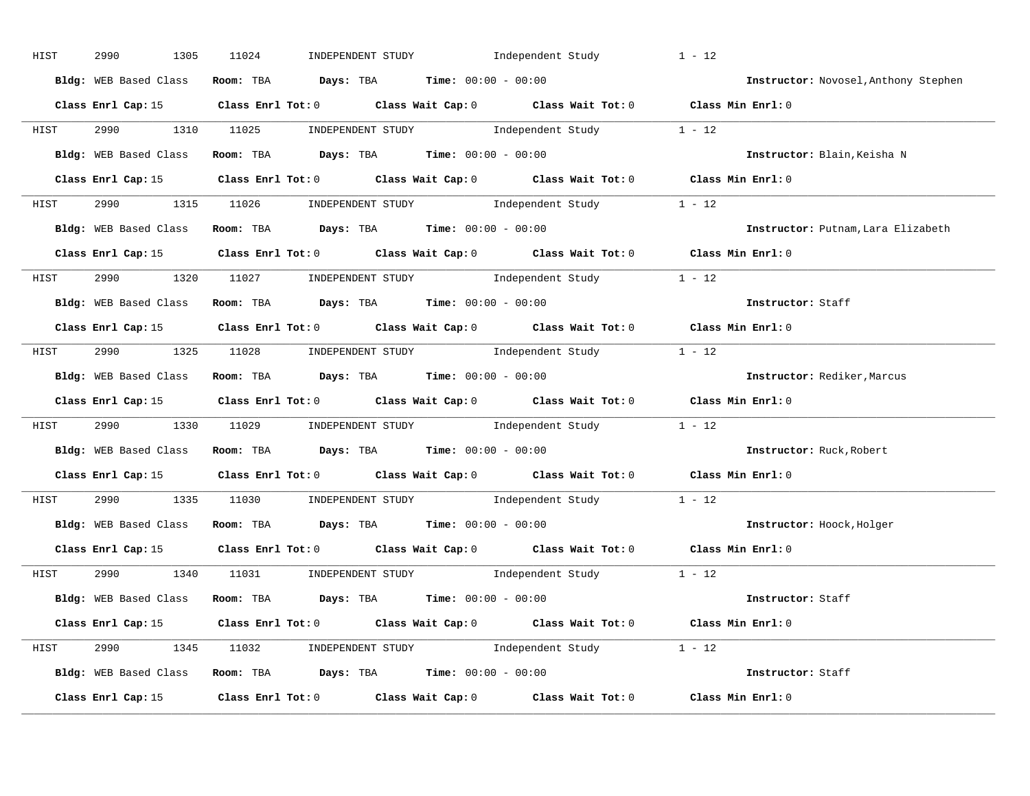| HIST | 2990<br>1305 | INDEPENDENT STUDY Independent Study<br>11024                                                   | $1 - 12$                             |
|------|--------------|------------------------------------------------------------------------------------------------|--------------------------------------|
|      |              | Bldg: WEB Based Class Room: TBA Days: TBA Time: 00:00 - 00:00                                  | Instructor: Novosel, Anthony Stephen |
|      |              | Class Enrl Cap: 15 Class Enrl Tot: 0 Class Wait Cap: 0 Class Wait Tot: 0 Class Min Enrl: 0     |                                      |
|      |              | HIST 2990 1310 11025 INDEPENDENT STUDY Independent Study 1 - 12                                |                                      |
|      |              | Bldg: WEB Based Class Room: TBA Days: TBA Time: 00:00 - 00:00                                  | Instructor: Blain, Keisha N          |
|      |              | Class Enrl Cap: 15 Class Enrl Tot: 0 Class Wait Cap: 0 Class Wait Tot: 0 Class Min Enrl: 0     |                                      |
|      |              | HIST 2990 1315 11026 INDEPENDENT STUDY Independent Study 1 - 12                                |                                      |
|      |              | Bldg: WEB Based Class Room: TBA Days: TBA Time: 00:00 - 00:00                                  | Instructor: Putnam, Lara Elizabeth   |
|      |              | Class Enrl Cap: 15 Class Enrl Tot: 0 Class Wait Cap: 0 Class Wait Tot: 0 Class Min Enrl: 0     |                                      |
|      |              | HIST 2990 1320 11027 INDEPENDENT STUDY Independent Study 1 - 12                                |                                      |
|      |              | Bldg: WEB Based Class Room: TBA Days: TBA Time: 00:00 - 00:00                                  | Instructor: Staff                    |
|      |              | Class Enrl Cap: 15 Class Enrl Tot: 0 Class Wait Cap: 0 Class Wait Tot: 0 Class Min Enrl: 0     |                                      |
|      |              | HIST 2990 1325 11028 INDEPENDENT STUDY Independent Study 1 - 12                                |                                      |
|      |              | Bldg: WEB Based Class Room: TBA Days: TBA Time: 00:00 - 00:00                                  | Instructor: Rediker, Marcus          |
|      |              | Class Enrl Cap: 15 (Class Enrl Tot: 0 (Class Wait Cap: 0 (Class Wait Tot: 0 (Class Min Enrl: 0 |                                      |
| HIST |              | 2990 1330 11029 INDEPENDENT STUDY Independent Study 1 - 12                                     |                                      |
|      |              | Bldg: WEB Based Class Room: TBA Days: TBA Time: 00:00 - 00:00                                  | Instructor: Ruck, Robert             |
|      |              | Class Enrl Cap: 15 Class Enrl Tot: 0 Class Wait Cap: 0 Class Wait Tot: 0 Class Min Enrl: 0     |                                      |
| HIST |              | 2990 1335 11030 INDEPENDENT STUDY Independent Study 1 - 12                                     |                                      |
|      |              | Bldg: WEB Based Class Room: TBA Days: TBA Time: 00:00 - 00:00                                  | Instructor: Hoock, Holger            |
|      |              | Class Enrl Cap: 15 Class Enrl Tot: 0 Class Wait Cap: 0 Class Wait Tot: 0 Class Min Enrl: 0     |                                      |
|      |              | HIST 2990 1340 11031 INDEPENDENT STUDY Independent Study 1 - 12                                |                                      |
|      |              | Bldg: WEB Based Class Room: TBA Days: TBA Time: 00:00 - 00:00                                  | Instructor: Staff                    |
|      |              | Class Enrl Cap: 15 Class Enrl Tot: 0 Class Wait Cap: 0 Class Wait Tot: 0 Class Min Enrl: 0     |                                      |
|      |              |                                                                                                |                                      |
|      |              | HIST 2990 1345 11032 INDEPENDENT STUDY Independent Study 1 - 12                                |                                      |
|      |              | Bldg: WEB Based Class Room: TBA Days: TBA Time: 00:00 - 00:00                                  | Instructor: Staff                    |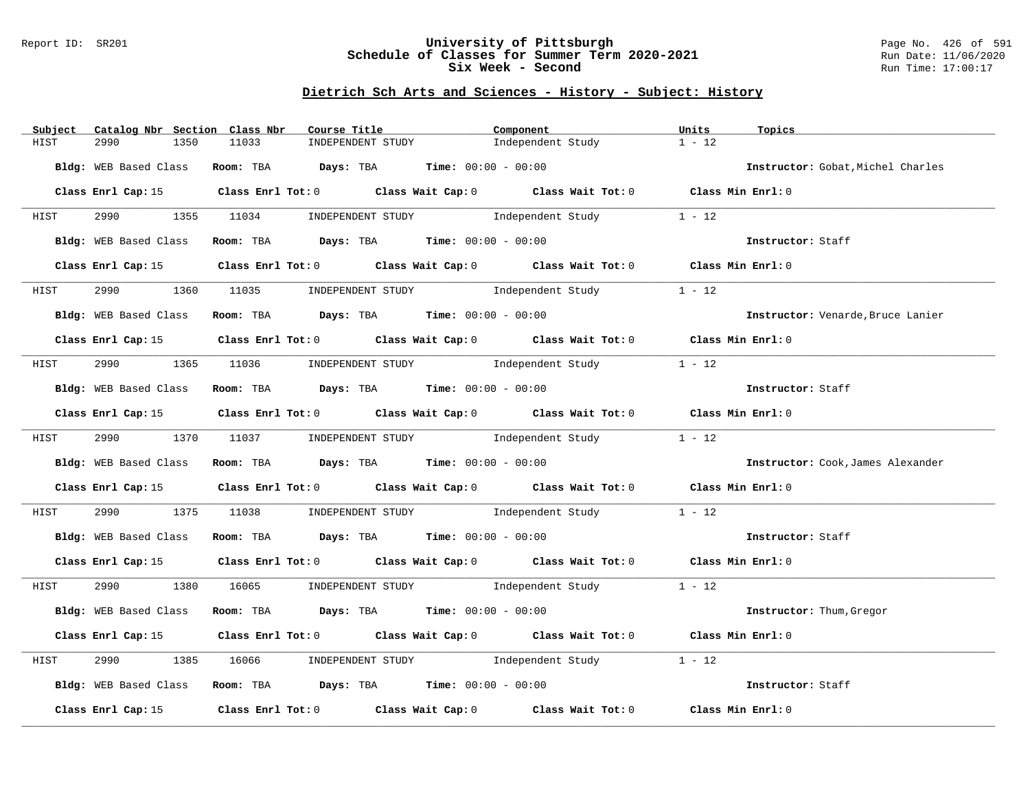#### Report ID: SR201 **University of Pittsburgh** Page No. 426 of 591 **Schedule of Classes for Summer Term 2020-2021** Run Date: 11/06/2020 **Six Week - Second Run Time: 17:00:17**

| Subject<br>Catalog Nbr Section Class Nbr | Course Title                                                                                    | Component         | Units<br>Topics                   |
|------------------------------------------|-------------------------------------------------------------------------------------------------|-------------------|-----------------------------------|
| 2990<br>HIST<br>1350                     | 11033<br>INDEPENDENT STUDY                                                                      | Independent Study | $1 - 12$                          |
|                                          | Bldg: WEB Based Class Room: TBA Days: TBA Time: 00:00 - 00:00                                   |                   | Instructor: Gobat, Michel Charles |
|                                          | Class Enrl Cap: 15 Class Enrl Tot: 0 Class Wait Cap: 0 Class Wait Tot: 0 Class Min Enrl: 0      |                   |                                   |
| HIST                                     | 2990 1355 11034 INDEPENDENT STUDY Independent Study 1 - 12                                      |                   |                                   |
|                                          | Bldg: WEB Based Class Room: TBA Days: TBA Time: 00:00 - 00:00                                   |                   | Instructor: Staff                 |
|                                          | Class Enrl Cap: 15 Class Enrl Tot: 0 Class Wait Cap: 0 Class Wait Tot: 0 Class Min Enrl: 0      |                   |                                   |
| 2990 72<br>HIST                          | 1360 11035 INDEPENDENT STUDY Independent Study                                                  |                   | $1 - 12$                          |
|                                          | Bldg: WEB Based Class Room: TBA Days: TBA Time: 00:00 - 00:00                                   |                   | Instructor: Venarde, Bruce Lanier |
|                                          | Class Enrl Cap: 15 Class Enrl Tot: 0 Class Wait Cap: 0 Class Wait Tot: 0 Class Min Enrl: 0      |                   |                                   |
| HIST                                     | 2990 1365 11036 INDEPENDENT STUDY Independent Study 1 - 12                                      |                   |                                   |
|                                          | Bldg: WEB Based Class Room: TBA Days: TBA Time: 00:00 - 00:00                                   |                   | Instructor: Staff                 |
|                                          | Class Enrl Cap: 15 Class Enrl Tot: 0 Class Wait Cap: 0 Class Wait Tot: 0 Class Min Enrl: 0      |                   |                                   |
| HIST                                     | 2990 1370 11037 INDEPENDENT STUDY Independent Study 1 - 12                                      |                   |                                   |
|                                          | Bldg: WEB Based Class Room: TBA Days: TBA Time: 00:00 - 00:00                                   |                   | Instructor: Cook, James Alexander |
|                                          | Class Enrl Cap: 15 Class Enrl Tot: 0 Class Wait Cap: 0 Class Wait Tot: 0 Class Min Enrl: 0      |                   |                                   |
| HIST                                     | 2990 1375 11038 INDEPENDENT STUDY Independent Study 1 - 12                                      |                   |                                   |
|                                          | Bldg: WEB Based Class Room: TBA Days: TBA Time: 00:00 - 00:00                                   |                   | Instructor: Staff                 |
|                                          | Class Enrl Cap: 15 Class Enrl Tot: 0 Class Wait Cap: 0 Class Wait Tot: 0 Class Min Enrl: 0      |                   |                                   |
|                                          | HIST 2990 1380 16065 INDEPENDENT STUDY Independent Study 1 - 12                                 |                   |                                   |
|                                          | Bldg: WEB Based Class Room: TBA Days: TBA Time: 00:00 - 00:00                                   |                   | Instructor: Thum, Gregor          |
|                                          | Class Enrl Cap: 15 (Class Enrl Tot: 0 (Class Wait Cap: 0 (Class Wait Tot: 0 (Class Min Enrl: 0) |                   |                                   |
| 2990<br>HIST                             | 1385 16066 INDEPENDENT STUDY Independent Study                                                  |                   | $1 - 12$                          |
|                                          | Bldg: WEB Based Class Room: TBA Days: TBA Time: 00:00 - 00:00                                   |                   | Instructor: Staff                 |
|                                          | Class Enrl Cap: 15 (class Enrl Tot: 0 (class Wait Cap: 0 (class Wait Tot: 0 $\sim$ 0            |                   | Class Min Enrl: 0                 |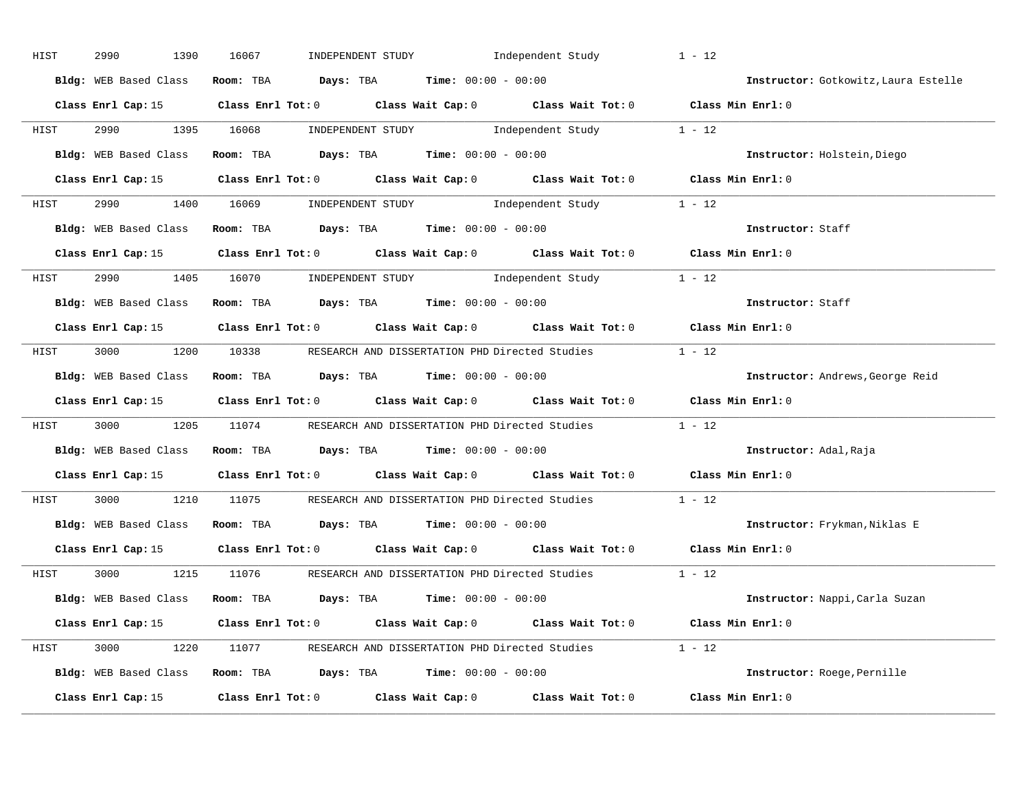| HIST                                                                                                | 2990<br>1390          | 16067                                                                                               | INDEPENDENT STUDY Independent Study | $1 - 12$                             |
|-----------------------------------------------------------------------------------------------------|-----------------------|-----------------------------------------------------------------------------------------------------|-------------------------------------|--------------------------------------|
|                                                                                                     | Bldg: WEB Based Class | Room: TBA $Days:$ TBA $Time: 00:00 - 00:00$                                                         |                                     | Instructor: Gotkowitz, Laura Estelle |
|                                                                                                     |                       | Class Enrl Cap: 15 Class Enrl Tot: 0 Class Wait Cap: 0 Class Wait Tot: 0 Class Min Enrl: 0          |                                     |                                      |
| HIST                                                                                                |                       | 2990 1395 16068 INDEPENDENT STUDY Independent Study 1 - 12                                          |                                     |                                      |
|                                                                                                     |                       | Bldg: WEB Based Class Room: TBA Days: TBA Time: 00:00 - 00:00                                       |                                     | Instructor: Holstein, Diego          |
|                                                                                                     |                       | Class Enrl Cap: 15 Class Enrl Tot: 0 Class Wait Cap: 0 Class Wait Tot: 0 Class Min Enrl: 0          |                                     |                                      |
|                                                                                                     |                       | HIST 2990 1400 16069 INDEPENDENT STUDY Independent Study 1 - 12                                     |                                     |                                      |
|                                                                                                     |                       | Bldg: WEB Based Class Room: TBA Days: TBA Time: 00:00 - 00:00                                       |                                     | Instructor: Staff                    |
|                                                                                                     |                       | Class Enrl Cap: 15 Class Enrl Tot: 0 Class Wait Cap: 0 Class Wait Tot: 0 Class Min Enrl: 0          |                                     |                                      |
| HIST                                                                                                |                       | 2990 1405 16070 INDEPENDENT STUDY Independent Study 1 - 12                                          |                                     |                                      |
|                                                                                                     |                       | Bldg: WEB Based Class Room: TBA Days: TBA Time: 00:00 - 00:00                                       |                                     | Instructor: Staff                    |
|                                                                                                     |                       | Class Enrl Cap: 15 Class Enrl Tot: 0 Class Wait Cap: 0 Class Wait Tot: 0 Class Min Enrl: 0          |                                     |                                      |
|                                                                                                     |                       | HIST 3000 1200 10338 RESEARCH AND DISSERTATION PHD Directed Studies 1 - 12                          |                                     |                                      |
|                                                                                                     | Bldg: WEB Based Class | Room: TBA $\rule{1em}{0.15mm}$ Days: TBA $\rule{1.15mm}]{0.15mm}$ Time: $0.000 - 0.0000$            |                                     | Instructor: Andrews, George Reid     |
|                                                                                                     |                       | Class Enrl Cap: 15 Class Enrl Tot: 0 Class Wait Cap: 0 Class Wait Tot: 0 Class Min Enrl: 0          |                                     |                                      |
| HIST                                                                                                |                       | 3000 1205 11074 RESEARCH AND DISSERTATION PHD Directed Studies 1 - 12                               |                                     |                                      |
|                                                                                                     |                       | Bldg: WEB Based Class Room: TBA Days: TBA Time: 00:00 - 00:00                                       |                                     | Instructor: Adal,Raja                |
|                                                                                                     |                       | Class Enrl Cap: 15 Class Enrl Tot: 0 Class Wait Cap: 0 Class Wait Tot: 0                            |                                     | Class Min Enrl: 0                    |
| HIST                                                                                                | 3000                  | 1210 11075 RESEARCH AND DISSERTATION PHD Directed Studies                                           |                                     | $1 - 12$                             |
|                                                                                                     |                       | Bldg: WEB Based Class Room: TBA Days: TBA Time: 00:00 - 00:00                                       |                                     | Instructor: Frykman, Niklas E        |
|                                                                                                     |                       | Class Enrl Cap: 15 $\qquad$ Class Enrl Tot: 0 $\qquad$ Class Wait Cap: 0 $\qquad$ Class Wait Tot: 0 |                                     | Class Min Enrl: 0                    |
|                                                                                                     |                       | HIST 3000 1215 11076 RESEARCH AND DISSERTATION PHD Directed Studies 1 - 12                          |                                     |                                      |
|                                                                                                     |                       | Bldg: WEB Based Class Room: TBA Days: TBA Time: 00:00 - 00:00                                       |                                     | Instructor: Nappi, Carla Suzan       |
|                                                                                                     |                       | Class Enrl Cap: 15 Class Enrl Tot: 0 Class Wait Cap: 0 Class Wait Tot: 0 Class Min Enrl: 0          |                                     |                                      |
|                                                                                                     |                       | HIST 3000 1220 11077 RESEARCH AND DISSERTATION PHD Directed Studies 1 - 12                          |                                     |                                      |
|                                                                                                     |                       | Bldg: WEB Based Class Room: TBA Days: TBA Time: 00:00 - 00:00                                       |                                     | Instructor: Roege, Pernille          |
| Class Enrl Cap: 15 $\qquad$ Class Enrl Tot: 0 $\qquad$ Class Wait Cap: 0 $\qquad$ Class Wait Tot: 0 |                       |                                                                                                     |                                     |                                      |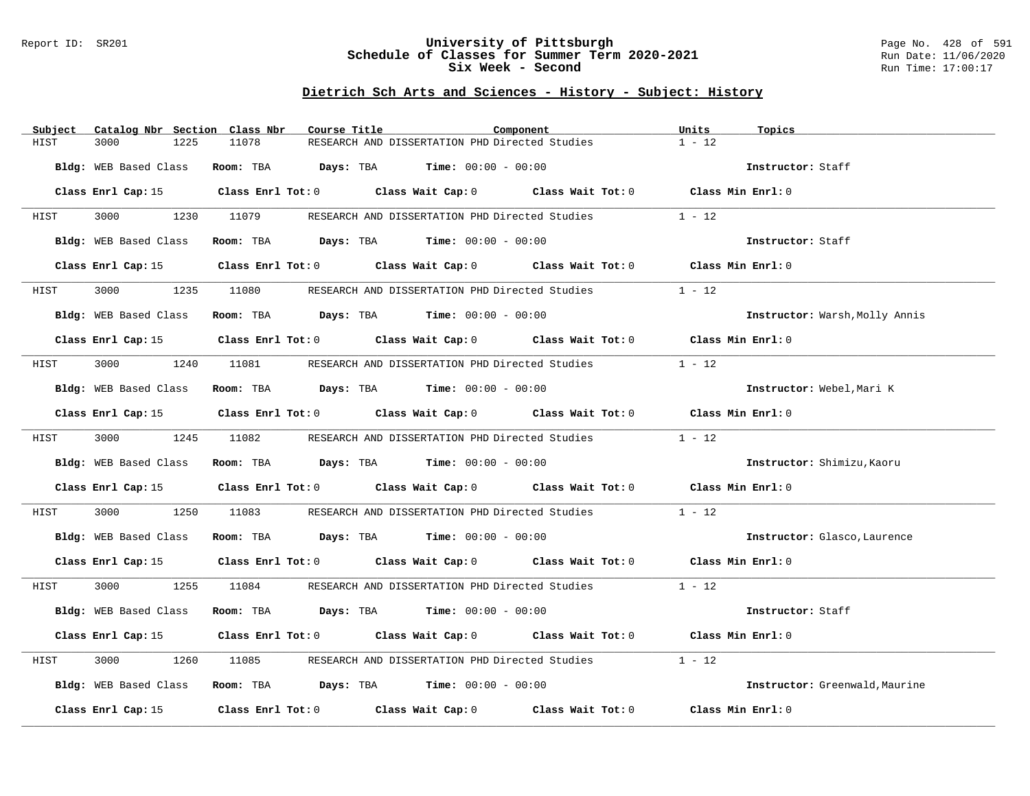#### Report ID: SR201 **University of Pittsburgh** Page No. 428 of 591 **Schedule of Classes for Summer Term 2020-2021** Run Date: 11/06/2020 **Six Week - Second Run Time: 17:00:17**

| Subject | Catalog Nbr Section Class Nbr | Course Title |                                                                                                     | Component | Units<br>Topics                |
|---------|-------------------------------|--------------|-----------------------------------------------------------------------------------------------------|-----------|--------------------------------|
| HIST    | 3000<br>1225                  | 11078        | RESEARCH AND DISSERTATION PHD Directed Studies                                                      |           | $1 - 12$                       |
|         |                               |              | Bldg: WEB Based Class Room: TBA Days: TBA Time: 00:00 - 00:00                                       |           | Instructor: Staff              |
|         |                               |              |                                                                                                     |           |                                |
|         |                               |              | Class Enrl Cap: 15 Class Enrl Tot: 0 Class Wait Cap: 0 Class Wait Tot: 0 Class Min Enrl: 0          |           |                                |
| HIST    |                               |              | 3000 1230 11079 RESEARCH AND DISSERTATION PHD Directed Studies 1 - 12                               |           |                                |
|         | Bldg: WEB Based Class         |              | Room: TBA $Days:$ TBA $Time: 00:00 - 00:00$                                                         |           | Instructor: Staff              |
|         |                               |              | Class Enrl Cap: 15 (class Enrl Tot: 0 (class Wait Cap: 0 (class Wait Tot: 0 (class Min Enrl: 0)     |           |                                |
| HIST    | 3000<br>1235                  |              | 11080 RESEARCH AND DISSERTATION PHD Directed Studies                                                |           | $1 - 12$                       |
|         | Bldg: WEB Based Class         |              | Room: TBA $Days:$ TBA $Time: 00:00 - 00:00$                                                         |           | Instructor: Warsh, Molly Annis |
|         |                               |              | Class Enrl Cap: 15 Class Enrl Tot: 0 Class Wait Cap: 0 Class Wait Tot: 0 Class Min Enrl: 0          |           |                                |
| HIST    |                               |              | 3000 1240 11081 RESEARCH AND DISSERTATION PHD Directed Studies                                      |           | $1 - 12$                       |
|         | Bldg: WEB Based Class         |              | Room: TBA $\rule{1em}{0.15mm}$ Days: TBA Time: $00:00 - 00:00$                                      |           | Instructor: Webel, Mari K      |
|         |                               |              | Class Enrl Cap: 15 (Class Enrl Tot: 0 (Class Wait Cap: 0 (Class Wait Tot: 0 (Class Min Enrl: 0)     |           |                                |
| HIST    |                               |              | 3000 1245 11082 RESEARCH AND DISSERTATION PHD Directed Studies                                      |           | $1 - 12$                       |
|         |                               |              | Bldg: WEB Based Class Room: TBA Days: TBA Time: 00:00 - 00:00                                       |           | Instructor: Shimizu, Kaoru     |
|         |                               |              | Class Enrl Cap: 15 (class Enrl Tot: 0 (class Wait Cap: 0 (class Wait Tot: 0 (class Min Enrl: 0)     |           |                                |
| HIST    | 3000 000<br>1250              |              | 11083 RESEARCH AND DISSERTATION PHD Directed Studies                                                |           | $1 - 12$                       |
|         |                               |              | Bldg: WEB Based Class Room: TBA Days: TBA Time: 00:00 - 00:00                                       |           | Instructor: Glasco, Laurence   |
|         |                               |              | Class Enrl Cap: 15 Class Enrl Tot: 0 Class Wait Cap: 0 Class Wait Tot: 0 Class Min Enrl: 0          |           |                                |
| HIST    |                               |              | 3000 1255 11084 RESEARCH AND DISSERTATION PHD Directed Studies 1 - 12                               |           |                                |
|         |                               |              | Bldg: WEB Based Class Room: TBA Days: TBA Time: 00:00 - 00:00                                       |           | Instructor: Staff              |
|         |                               |              | Class Enrl Cap: 15 (Class Enrl Tot: 0 (Class Wait Cap: 0 (Class Wait Tot: 0 (Class Min Enrl: 0)     |           |                                |
| HIST    | 3000<br>1260                  | 11085        | RESEARCH AND DISSERTATION PHD Directed Studies                                                      |           | $1 - 12$                       |
|         |                               |              | Bldg: WEB Based Class Room: TBA Days: TBA Time: 00:00 - 00:00                                       |           | Instructor: Greenwald, Maurine |
|         |                               |              | Class Enrl Cap: 15 $\qquad$ Class Enrl Tot: 0 $\qquad$ Class Wait Cap: 0 $\qquad$ Class Wait Tot: 0 |           | Class Min Enrl: 0              |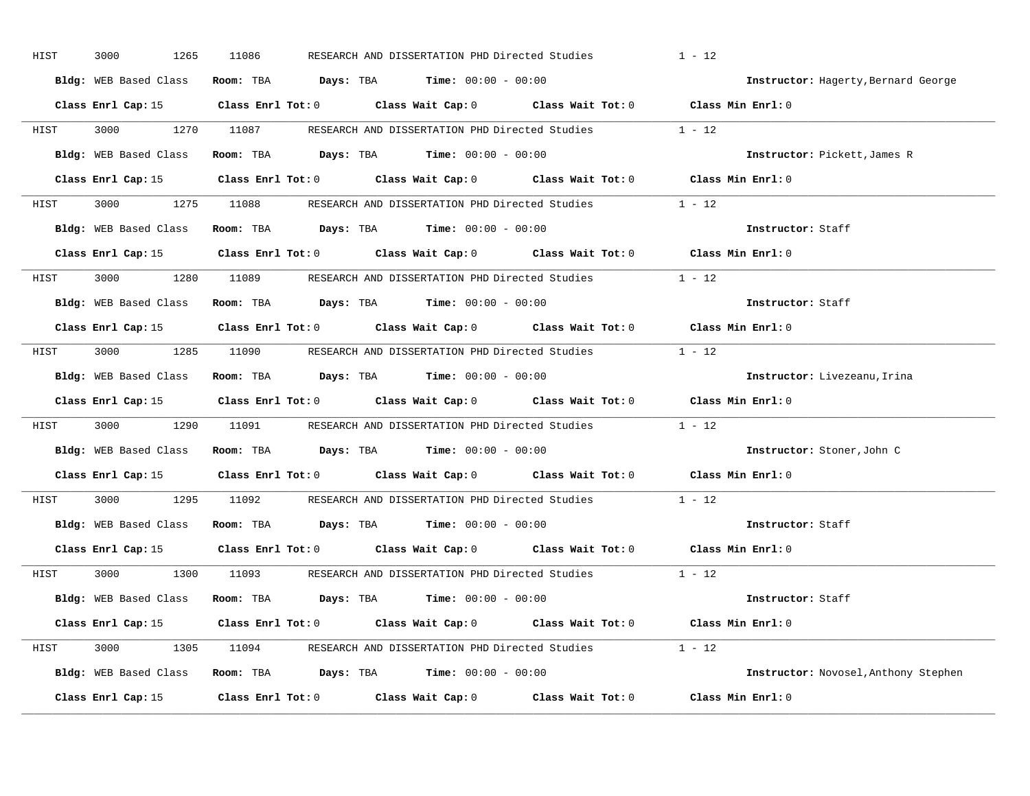| HIST | 3000<br>1265          | 11086                                                                                               | RESEARCH AND DISSERTATION PHD Directed Studies | $1 - 12$                             |
|------|-----------------------|-----------------------------------------------------------------------------------------------------|------------------------------------------------|--------------------------------------|
|      | Bldg: WEB Based Class | Room: TBA $Days:$ TBA $Time: 00:00 - 00:00$                                                         |                                                | Instructor: Hagerty, Bernard George  |
|      |                       | Class Enrl Cap: 15 (Class Enrl Tot: 0 (Class Wait Cap: 0 (Class Wait Tot: 0 (Class Min Enrl: 0)     |                                                |                                      |
|      |                       | HIST 3000 1270 11087 RESEARCH AND DISSERTATION PHD Directed Studies 1 - 12                          |                                                |                                      |
|      |                       | Bldg: WEB Based Class Room: TBA Days: TBA Time: 00:00 - 00:00                                       |                                                | Instructor: Pickett, James R         |
|      |                       | Class Enrl Cap: 15 Class Enrl Tot: 0 Class Wait Cap: 0 Class Wait Tot: 0 Class Min Enrl: 0          |                                                |                                      |
|      |                       | HIST 3000 1275 11088 RESEARCH AND DISSERTATION PHD Directed Studies 1 - 12                          |                                                |                                      |
|      |                       | Bldg: WEB Based Class Room: TBA Days: TBA Time: 00:00 - 00:00                                       |                                                | Instructor: Staff                    |
|      |                       | Class Enrl Cap: 15 Class Enrl Tot: 0 Class Wait Cap: 0 Class Wait Tot: 0 Class Min Enrl: 0          |                                                |                                      |
|      |                       | HIST 3000 1280 11089 RESEARCH AND DISSERTATION PHD Directed Studies 1 - 12                          |                                                |                                      |
|      | Bldg: WEB Based Class | Room: TBA $Days:$ TBA $Time: 00:00 - 00:00$                                                         |                                                | Instructor: Staff                    |
|      |                       | Class Enrl Cap: 15 Class Enrl Tot: 0 Class Wait Cap: 0 Class Wait Tot: 0 Class Min Enrl: 0          |                                                |                                      |
|      |                       | HIST 3000 1285 11090 RESEARCH AND DISSERTATION PHD Directed Studies 1 - 12                          |                                                |                                      |
|      | Bldg: WEB Based Class | Room: TBA $Days:$ TBA $Time: 00:00 - 00:00$                                                         |                                                | Instructor: Livezeanu, Irina         |
|      |                       | Class Enrl Cap: 15 Class Enrl Tot: 0 Class Wait Cap: 0 Class Wait Tot: 0 Class Min Enrl: 0          |                                                |                                      |
| HIST |                       | 3000 1290 11091 RESEARCH AND DISSERTATION PHD Directed Studies 1 - 12                               |                                                |                                      |
|      |                       | Bldg: WEB Based Class Room: TBA Days: TBA Time: 00:00 - 00:00                                       |                                                | Instructor: Stoner, John C           |
|      |                       | Class Enrl Cap: 15 $\qquad$ Class Enrl Tot: 0 $\qquad$ Class Wait Cap: 0 $\qquad$ Class Wait Tot: 0 |                                                | Class Min Enrl: 0                    |
| HIST |                       | 3000 1295 11092 RESEARCH AND DISSERTATION PHD Directed Studies 1 - 12                               |                                                |                                      |
|      |                       | Bldg: WEB Based Class Room: TBA Days: TBA Time: 00:00 - 00:00                                       |                                                | Instructor: Staff                    |
|      |                       | Class Enrl Cap: 15 Class Enrl Tot: 0 Class Wait Cap: 0 Class Wait Tot: 0 Class Min Enrl: 0          |                                                |                                      |
|      |                       | HIST 3000 1300 11093 RESEARCH AND DISSERTATION PHD Directed Studies 1 - 12                          |                                                |                                      |
|      |                       | Bldg: WEB Based Class Room: TBA Days: TBA Time: 00:00 - 00:00                                       |                                                | Instructor: Staff                    |
|      |                       | Class Enrl Cap: 15 Class Enrl Tot: 0 Class Wait Cap: 0 Class Wait Tot: 0 Class Min Enrl: 0          |                                                |                                      |
|      |                       | HIST 3000 1305 11094 RESEARCH AND DISSERTATION PHD Directed Studies 1 - 12                          |                                                |                                      |
|      |                       | Bldg: WEB Based Class Room: TBA Days: TBA Time: 00:00 - 00:00                                       |                                                | Instructor: Novosel, Anthony Stephen |
|      |                       | Class Enrl Cap: 15 $\qquad$ Class Enrl Tot: 0 $\qquad$ Class Wait Cap: 0 $\qquad$ Class Wait Tot: 0 |                                                | Class Min Enrl: 0                    |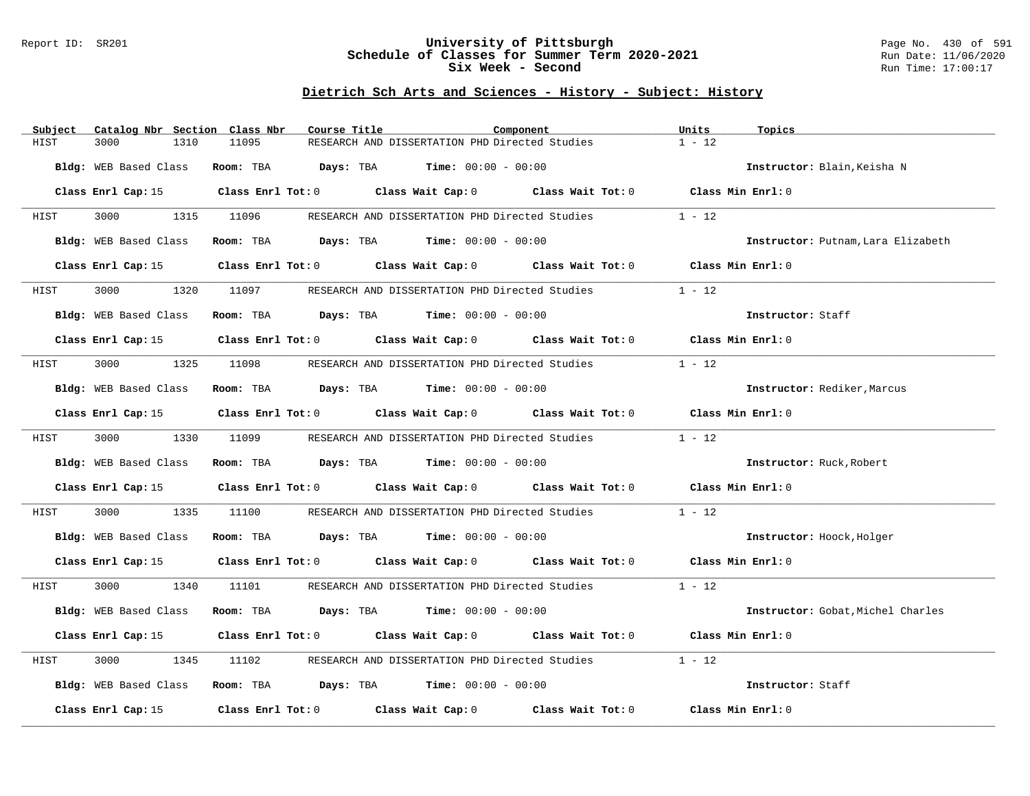#### Report ID: SR201 **University of Pittsburgh** Page No. 430 of 591 **Schedule of Classes for Summer Term 2020-2021** Run Date: 11/06/2020 **Six Week - Second Run Time: 17:00:17**

| RESEARCH AND DISSERTATION PHD Directed Studies<br>$1 - 12$<br>HIST<br>3000<br>1310<br>11095<br>Bldg: WEB Based Class Room: TBA Days: TBA Time: 00:00 - 00:00<br>Instructor: Blain, Keisha N<br>Class Enrl Cap: 15 Class Enrl Tot: 0 Class Wait Cap: 0 Class Wait Tot: 0 Class Min Enrl: 0<br>3000 1315 11096 RESEARCH AND DISSERTATION PHD Directed Studies 1 - 12<br>HIST<br>Room: TBA $Days:$ TBA $Time: 00:00 - 00:00$<br>Bldg: WEB Based Class<br>Instructor: Putnam, Lara Elizabeth<br>Class Enrl Cap: 15 (class Enrl Tot: 0 (class Wait Cap: 0 (class Wait Tot: 0 (class Min Enrl: 0)<br>11097 RESEARCH AND DISSERTATION PHD Directed Studies<br>$1 - 12$<br>3000<br>1320<br>HIST<br>Room: TBA $Days:$ TBA $Time: 00:00 - 00:00$<br>Bldg: WEB Based Class<br>Instructor: Staff<br>Class Enrl Cap: 15 Class Enrl Tot: 0 Class Wait Cap: 0 Class Wait Tot: 0 Class Min Enrl: 0<br>$1 - 12$<br>3000 1325 11098 RESEARCH AND DISSERTATION PHD Directed Studies<br>HIST<br>Room: TBA $\rule{1em}{0.15mm}$ Days: TBA Time: $00:00 - 00:00$<br>Bldg: WEB Based Class<br>Instructor: Rediker, Marcus<br>Class Enrl Cap: 15 (Class Enrl Tot: 0 (Class Wait Cap: 0 (Class Wait Tot: 0 (Class Min Enrl: 0)<br>$1 - 12$<br>3000 1330 11099 RESEARCH AND DISSERTATION PHD Directed Studies<br>HIST<br>Bldg: WEB Based Class Room: TBA Days: TBA Time: 00:00 - 00:00<br>Instructor: Ruck, Robert<br>Class Enrl Cap: 15 (class Enrl Tot: 0 (class Wait Cap: 0 (class Wait Tot: 0 (class Min Enrl: 0)<br>3000 000<br>1335<br>11100 RESEARCH AND DISSERTATION PHD Directed Studies<br>$1 - 12$<br>HIST<br>Bldg: WEB Based Class Room: TBA Days: TBA Time: 00:00 - 00:00<br>Instructor: Hoock, Holger<br>Class Enrl Cap: 15 Class Enrl Tot: 0 Class Wait Cap: 0 Class Wait Tot: 0 Class Min Enrl: 0<br>3000 1340 11101 RESEARCH AND DISSERTATION PHD Directed Studies 1 - 12<br>HIST<br>Bldg: WEB Based Class<br>Room: TBA $Days:$ TBA $Time: 00:00 - 00:00$<br>Instructor: Gobat, Michel Charles<br>Class Enrl Cap: 15 (Class Enrl Tot: 0 (Class Wait Cap: 0 (Class Wait Tot: 0 (Class Min Enrl: 0)<br>$1 - 12$<br>3000<br>1345<br>11102<br>RESEARCH AND DISSERTATION PHD Directed Studies<br>HIST<br>Bldg: WEB Based Class Room: TBA Days: TBA Time: 00:00 - 00:00<br>Instructor: Staff<br>Class Enrl Cap: 15 $\qquad$ Class Enrl Tot: 0 $\qquad$ Class Wait Cap: 0 $\qquad$ Class Wait Tot: 0<br>Class Min Enrl: 0 | Subject | Catalog Nbr Section Class Nbr | Course Title | Component | Units<br>Topics |
|-----------------------------------------------------------------------------------------------------------------------------------------------------------------------------------------------------------------------------------------------------------------------------------------------------------------------------------------------------------------------------------------------------------------------------------------------------------------------------------------------------------------------------------------------------------------------------------------------------------------------------------------------------------------------------------------------------------------------------------------------------------------------------------------------------------------------------------------------------------------------------------------------------------------------------------------------------------------------------------------------------------------------------------------------------------------------------------------------------------------------------------------------------------------------------------------------------------------------------------------------------------------------------------------------------------------------------------------------------------------------------------------------------------------------------------------------------------------------------------------------------------------------------------------------------------------------------------------------------------------------------------------------------------------------------------------------------------------------------------------------------------------------------------------------------------------------------------------------------------------------------------------------------------------------------------------------------------------------------------------------------------------------------------------------------------------------------------------------------------------------------------------------------------------------------------------------------------------------------------------------------------------------------------------------------------------------------------------------------------------------------------------------------------|---------|-------------------------------|--------------|-----------|-----------------|
|                                                                                                                                                                                                                                                                                                                                                                                                                                                                                                                                                                                                                                                                                                                                                                                                                                                                                                                                                                                                                                                                                                                                                                                                                                                                                                                                                                                                                                                                                                                                                                                                                                                                                                                                                                                                                                                                                                                                                                                                                                                                                                                                                                                                                                                                                                                                                                                                           |         |                               |              |           |                 |
|                                                                                                                                                                                                                                                                                                                                                                                                                                                                                                                                                                                                                                                                                                                                                                                                                                                                                                                                                                                                                                                                                                                                                                                                                                                                                                                                                                                                                                                                                                                                                                                                                                                                                                                                                                                                                                                                                                                                                                                                                                                                                                                                                                                                                                                                                                                                                                                                           |         |                               |              |           |                 |
|                                                                                                                                                                                                                                                                                                                                                                                                                                                                                                                                                                                                                                                                                                                                                                                                                                                                                                                                                                                                                                                                                                                                                                                                                                                                                                                                                                                                                                                                                                                                                                                                                                                                                                                                                                                                                                                                                                                                                                                                                                                                                                                                                                                                                                                                                                                                                                                                           |         |                               |              |           |                 |
|                                                                                                                                                                                                                                                                                                                                                                                                                                                                                                                                                                                                                                                                                                                                                                                                                                                                                                                                                                                                                                                                                                                                                                                                                                                                                                                                                                                                                                                                                                                                                                                                                                                                                                                                                                                                                                                                                                                                                                                                                                                                                                                                                                                                                                                                                                                                                                                                           |         |                               |              |           |                 |
|                                                                                                                                                                                                                                                                                                                                                                                                                                                                                                                                                                                                                                                                                                                                                                                                                                                                                                                                                                                                                                                                                                                                                                                                                                                                                                                                                                                                                                                                                                                                                                                                                                                                                                                                                                                                                                                                                                                                                                                                                                                                                                                                                                                                                                                                                                                                                                                                           |         |                               |              |           |                 |
|                                                                                                                                                                                                                                                                                                                                                                                                                                                                                                                                                                                                                                                                                                                                                                                                                                                                                                                                                                                                                                                                                                                                                                                                                                                                                                                                                                                                                                                                                                                                                                                                                                                                                                                                                                                                                                                                                                                                                                                                                                                                                                                                                                                                                                                                                                                                                                                                           |         |                               |              |           |                 |
|                                                                                                                                                                                                                                                                                                                                                                                                                                                                                                                                                                                                                                                                                                                                                                                                                                                                                                                                                                                                                                                                                                                                                                                                                                                                                                                                                                                                                                                                                                                                                                                                                                                                                                                                                                                                                                                                                                                                                                                                                                                                                                                                                                                                                                                                                                                                                                                                           |         |                               |              |           |                 |
|                                                                                                                                                                                                                                                                                                                                                                                                                                                                                                                                                                                                                                                                                                                                                                                                                                                                                                                                                                                                                                                                                                                                                                                                                                                                                                                                                                                                                                                                                                                                                                                                                                                                                                                                                                                                                                                                                                                                                                                                                                                                                                                                                                                                                                                                                                                                                                                                           |         |                               |              |           |                 |
|                                                                                                                                                                                                                                                                                                                                                                                                                                                                                                                                                                                                                                                                                                                                                                                                                                                                                                                                                                                                                                                                                                                                                                                                                                                                                                                                                                                                                                                                                                                                                                                                                                                                                                                                                                                                                                                                                                                                                                                                                                                                                                                                                                                                                                                                                                                                                                                                           |         |                               |              |           |                 |
|                                                                                                                                                                                                                                                                                                                                                                                                                                                                                                                                                                                                                                                                                                                                                                                                                                                                                                                                                                                                                                                                                                                                                                                                                                                                                                                                                                                                                                                                                                                                                                                                                                                                                                                                                                                                                                                                                                                                                                                                                                                                                                                                                                                                                                                                                                                                                                                                           |         |                               |              |           |                 |
|                                                                                                                                                                                                                                                                                                                                                                                                                                                                                                                                                                                                                                                                                                                                                                                                                                                                                                                                                                                                                                                                                                                                                                                                                                                                                                                                                                                                                                                                                                                                                                                                                                                                                                                                                                                                                                                                                                                                                                                                                                                                                                                                                                                                                                                                                                                                                                                                           |         |                               |              |           |                 |
|                                                                                                                                                                                                                                                                                                                                                                                                                                                                                                                                                                                                                                                                                                                                                                                                                                                                                                                                                                                                                                                                                                                                                                                                                                                                                                                                                                                                                                                                                                                                                                                                                                                                                                                                                                                                                                                                                                                                                                                                                                                                                                                                                                                                                                                                                                                                                                                                           |         |                               |              |           |                 |
|                                                                                                                                                                                                                                                                                                                                                                                                                                                                                                                                                                                                                                                                                                                                                                                                                                                                                                                                                                                                                                                                                                                                                                                                                                                                                                                                                                                                                                                                                                                                                                                                                                                                                                                                                                                                                                                                                                                                                                                                                                                                                                                                                                                                                                                                                                                                                                                                           |         |                               |              |           |                 |
|                                                                                                                                                                                                                                                                                                                                                                                                                                                                                                                                                                                                                                                                                                                                                                                                                                                                                                                                                                                                                                                                                                                                                                                                                                                                                                                                                                                                                                                                                                                                                                                                                                                                                                                                                                                                                                                                                                                                                                                                                                                                                                                                                                                                                                                                                                                                                                                                           |         |                               |              |           |                 |
|                                                                                                                                                                                                                                                                                                                                                                                                                                                                                                                                                                                                                                                                                                                                                                                                                                                                                                                                                                                                                                                                                                                                                                                                                                                                                                                                                                                                                                                                                                                                                                                                                                                                                                                                                                                                                                                                                                                                                                                                                                                                                                                                                                                                                                                                                                                                                                                                           |         |                               |              |           |                 |
|                                                                                                                                                                                                                                                                                                                                                                                                                                                                                                                                                                                                                                                                                                                                                                                                                                                                                                                                                                                                                                                                                                                                                                                                                                                                                                                                                                                                                                                                                                                                                                                                                                                                                                                                                                                                                                                                                                                                                                                                                                                                                                                                                                                                                                                                                                                                                                                                           |         |                               |              |           |                 |
|                                                                                                                                                                                                                                                                                                                                                                                                                                                                                                                                                                                                                                                                                                                                                                                                                                                                                                                                                                                                                                                                                                                                                                                                                                                                                                                                                                                                                                                                                                                                                                                                                                                                                                                                                                                                                                                                                                                                                                                                                                                                                                                                                                                                                                                                                                                                                                                                           |         |                               |              |           |                 |
|                                                                                                                                                                                                                                                                                                                                                                                                                                                                                                                                                                                                                                                                                                                                                                                                                                                                                                                                                                                                                                                                                                                                                                                                                                                                                                                                                                                                                                                                                                                                                                                                                                                                                                                                                                                                                                                                                                                                                                                                                                                                                                                                                                                                                                                                                                                                                                                                           |         |                               |              |           |                 |
|                                                                                                                                                                                                                                                                                                                                                                                                                                                                                                                                                                                                                                                                                                                                                                                                                                                                                                                                                                                                                                                                                                                                                                                                                                                                                                                                                                                                                                                                                                                                                                                                                                                                                                                                                                                                                                                                                                                                                                                                                                                                                                                                                                                                                                                                                                                                                                                                           |         |                               |              |           |                 |
|                                                                                                                                                                                                                                                                                                                                                                                                                                                                                                                                                                                                                                                                                                                                                                                                                                                                                                                                                                                                                                                                                                                                                                                                                                                                                                                                                                                                                                                                                                                                                                                                                                                                                                                                                                                                                                                                                                                                                                                                                                                                                                                                                                                                                                                                                                                                                                                                           |         |                               |              |           |                 |
|                                                                                                                                                                                                                                                                                                                                                                                                                                                                                                                                                                                                                                                                                                                                                                                                                                                                                                                                                                                                                                                                                                                                                                                                                                                                                                                                                                                                                                                                                                                                                                                                                                                                                                                                                                                                                                                                                                                                                                                                                                                                                                                                                                                                                                                                                                                                                                                                           |         |                               |              |           |                 |
|                                                                                                                                                                                                                                                                                                                                                                                                                                                                                                                                                                                                                                                                                                                                                                                                                                                                                                                                                                                                                                                                                                                                                                                                                                                                                                                                                                                                                                                                                                                                                                                                                                                                                                                                                                                                                                                                                                                                                                                                                                                                                                                                                                                                                                                                                                                                                                                                           |         |                               |              |           |                 |
|                                                                                                                                                                                                                                                                                                                                                                                                                                                                                                                                                                                                                                                                                                                                                                                                                                                                                                                                                                                                                                                                                                                                                                                                                                                                                                                                                                                                                                                                                                                                                                                                                                                                                                                                                                                                                                                                                                                                                                                                                                                                                                                                                                                                                                                                                                                                                                                                           |         |                               |              |           |                 |
|                                                                                                                                                                                                                                                                                                                                                                                                                                                                                                                                                                                                                                                                                                                                                                                                                                                                                                                                                                                                                                                                                                                                                                                                                                                                                                                                                                                                                                                                                                                                                                                                                                                                                                                                                                                                                                                                                                                                                                                                                                                                                                                                                                                                                                                                                                                                                                                                           |         |                               |              |           |                 |
|                                                                                                                                                                                                                                                                                                                                                                                                                                                                                                                                                                                                                                                                                                                                                                                                                                                                                                                                                                                                                                                                                                                                                                                                                                                                                                                                                                                                                                                                                                                                                                                                                                                                                                                                                                                                                                                                                                                                                                                                                                                                                                                                                                                                                                                                                                                                                                                                           |         |                               |              |           |                 |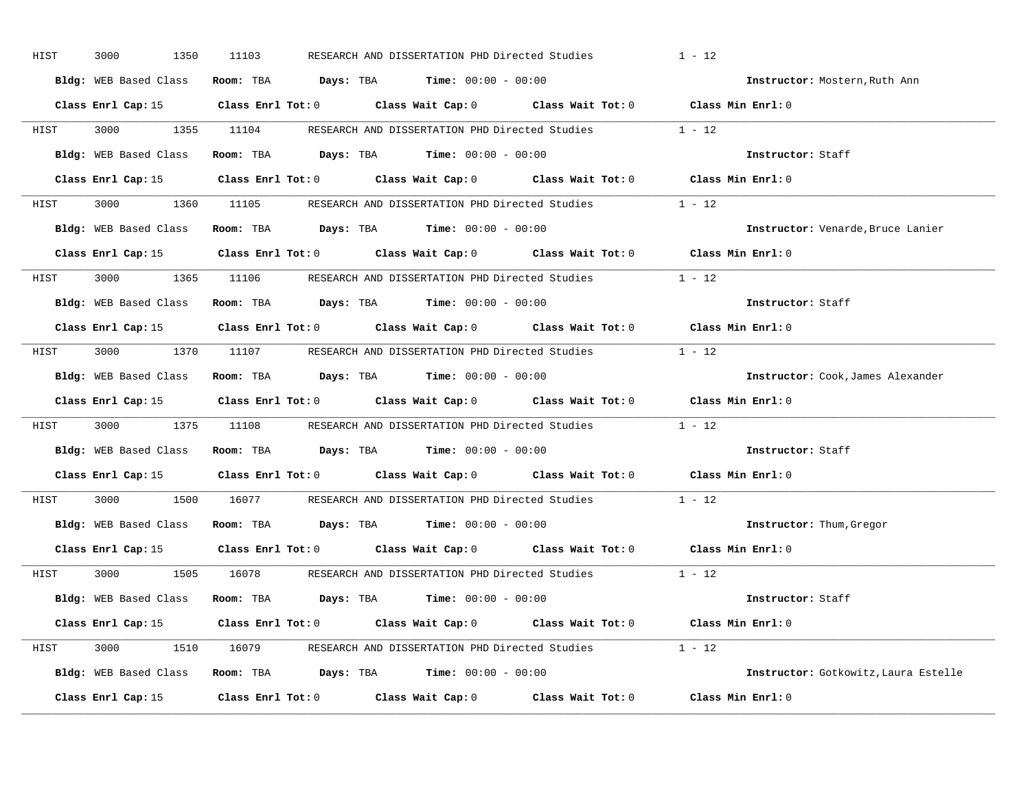| HIST | 3000<br>1350          | 11103                                                                                           | RESEARCH AND DISSERTATION PHD Directed Studies | $1 - 12$                             |
|------|-----------------------|-------------------------------------------------------------------------------------------------|------------------------------------------------|--------------------------------------|
|      | Bldg: WEB Based Class | Room: TBA $Days:$ TBA $Time: 00:00 - 00:00$                                                     |                                                | Instructor: Mostern, Ruth Ann        |
|      |                       | Class Enrl Cap: 15 (Class Enrl Tot: 0 (Class Wait Cap: 0 (Class Wait Tot: 0 (Class Min Enrl: 0) |                                                |                                      |
|      |                       | HIST 3000 1355 11104 RESEARCH AND DISSERTATION PHD Directed Studies 1 - 12                      |                                                |                                      |
|      |                       | Bldg: WEB Based Class Room: TBA Days: TBA Time: 00:00 - 00:00                                   |                                                | Instructor: Staff                    |
|      |                       | Class Enrl Cap: 15 Class Enrl Tot: 0 Class Wait Cap: 0 Class Wait Tot: 0 Class Min Enrl: 0      |                                                |                                      |
|      |                       | HIST 3000 1360 11105 RESEARCH AND DISSERTATION PHD Directed Studies 1 - 12                      |                                                |                                      |
|      |                       | Bldg: WEB Based Class Room: TBA Days: TBA Time: 00:00 - 00:00                                   |                                                | Instructor: Venarde, Bruce Lanier    |
|      |                       | Class Enrl Cap: 15 Class Enrl Tot: 0 Class Wait Cap: 0 Class Wait Tot: 0 Class Min Enrl: 0      |                                                |                                      |
|      |                       | HIST 3000 1365 11106 RESEARCH AND DISSERTATION PHD Directed Studies 1 - 12                      |                                                |                                      |
|      |                       | Bldg: WEB Based Class Room: TBA Days: TBA Time: 00:00 - 00:00                                   |                                                | Instructor: Staff                    |
|      |                       | Class Enrl Cap: 15 Class Enrl Tot: 0 Class Wait Cap: 0 Class Wait Tot: 0 Class Min Enrl: 0      |                                                |                                      |
|      |                       | HIST 3000 1370 11107 RESEARCH AND DISSERTATION PHD Directed Studies 1 - 12                      |                                                |                                      |
|      |                       | Bldg: WEB Based Class Room: TBA Days: TBA Time: 00:00 - 00:00                                   |                                                | Instructor: Cook, James Alexander    |
|      |                       | Class Enrl Cap: 15 Class Enrl Tot: 0 Class Wait Cap: 0 Class Wait Tot: 0 Class Min Enrl: 0      |                                                |                                      |
| HIST |                       | 3000 1375 11108 RESEARCH AND DISSERTATION PHD Directed Studies 1 - 12                           |                                                |                                      |
|      |                       | Bldg: WEB Based Class Room: TBA Days: TBA Time: 00:00 - 00:00                                   |                                                | <b>Instructor:</b> Staff             |
|      |                       | Class Enrl Cap: 15 Class Enrl Tot: 0 Class Wait Cap: 0 Class Wait Tot: 0                        |                                                | Class Min Enrl: 0                    |
| HIST |                       | 3000 1500 16077 RESEARCH AND DISSERTATION PHD Directed Studies 1 - 12                           |                                                |                                      |
|      |                       | Bldg: WEB Based Class Room: TBA Days: TBA Time: 00:00 - 00:00                                   |                                                | Instructor: Thum, Gregor             |
|      |                       | Class Enrl Cap: 15 Class Enrl Tot: 0 Class Wait Cap: 0 Class Wait Tot: 0 Class Min Enrl: 0      |                                                |                                      |
|      |                       | HIST 3000 1505 16078 RESEARCH AND DISSERTATION PHD Directed Studies 1 - 12                      |                                                |                                      |
|      |                       | Bldg: WEB Based Class Room: TBA Days: TBA Time: 00:00 - 00:00                                   |                                                | Instructor: Staff                    |
|      |                       | Class Enrl Cap: 15 Class Enrl Tot: 0 Class Wait Cap: 0 Class Wait Tot: 0 Class Min Enrl: 0      |                                                |                                      |
|      |                       | HIST 3000 1510 16079 RESEARCH AND DISSERTATION PHD Directed Studies 1 - 12                      |                                                |                                      |
|      |                       |                                                                                                 |                                                |                                      |
|      |                       | Bldg: WEB Based Class Room: TBA Days: TBA Time: 00:00 - 00:00                                   |                                                | Instructor: Gotkowitz, Laura Estelle |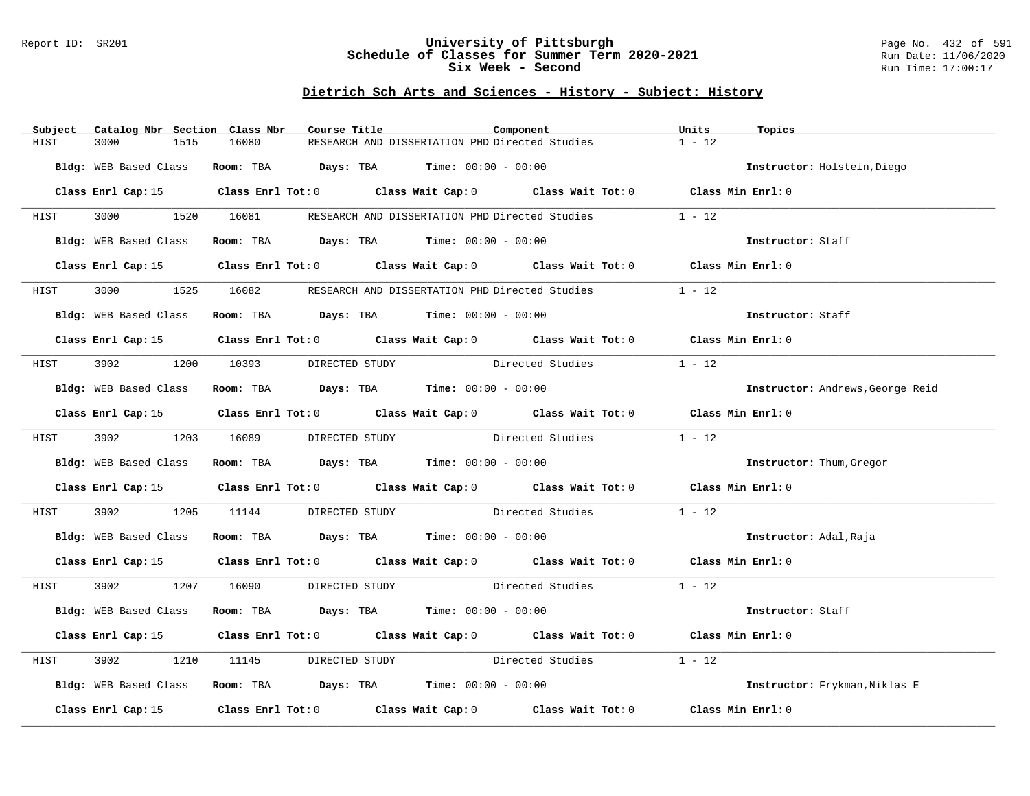#### Report ID: SR201 **University of Pittsburgh** Page No. 432 of 591 **Schedule of Classes for Summer Term 2020-2021** Run Date: 11/06/2020 **Six Week - Second Run Time: 17:00:17**

| Catalog Nbr Section Class Nbr<br>Subject | Course Title                                                                                    | Component        | Units<br>Topics                  |
|------------------------------------------|-------------------------------------------------------------------------------------------------|------------------|----------------------------------|
| HIST<br>3000<br>1515                     | RESEARCH AND DISSERTATION PHD Directed Studies<br>16080                                         |                  | $1 - 12$                         |
| Bldg: WEB Based Class                    | Room: TBA $Days:$ TBA Time: $00:00 - 00:00$                                                     |                  | Instructor: Holstein, Diego      |
|                                          | Class Enrl Cap: 15 Class Enrl Tot: 0 Class Wait Cap: 0 Class Wait Tot: 0 Class Min Enrl: 0      |                  |                                  |
| <b>HIST</b>                              | 3000 1520 16081 RESEARCH AND DISSERTATION PHD Directed Studies                                  |                  | $1 - 12$                         |
| Bldg: WEB Based Class                    | Room: TBA $Days:$ TBA $Time: 00:00 - 00:00$                                                     |                  | Instructor: Staff                |
|                                          | Class Enrl Cap: 15 Class Enrl Tot: 0 Class Wait Cap: 0 Class Wait Tot: 0 Class Min Enrl: 0      |                  |                                  |
| 3000 000<br>HIST                         | 1525 16082 RESEARCH AND DISSERTATION PHD Directed Studies                                       |                  | $1 - 12$                         |
| Bldg: WEB Based Class                    | Room: TBA $\rule{1em}{0.15mm}$ Days: TBA Time: $00:00 - 00:00$                                  |                  | Instructor: Staff                |
|                                          | Class Enrl Cap: 15 (class Enrl Tot: 0 (class Wait Cap: 0 (class Wait Tot: 0 (class Min Enrl: 0) |                  |                                  |
| HIST                                     | 3902 1200 10393 DIRECTED STUDY                                                                  | Directed Studies | $1 - 12$                         |
| Bldg: WEB Based Class                    | Room: TBA $Days:$ TBA $Time: 00:00 - 00:00$                                                     |                  | Instructor: Andrews, George Reid |
|                                          | Class Enrl Cap: 15 (Class Enrl Tot: 0 (Class Wait Cap: 0 (Class Wait Tot: 0 (Class Min Enrl: 0) |                  |                                  |
|                                          | HIST 3902 1203 16089 DIRECTED STUDY Directed Studies                                            |                  | $1 - 12$                         |
|                                          | Bldg: WEB Based Class Room: TBA Days: TBA Time: 00:00 - 00:00                                   |                  | Instructor: Thum, Gregor         |
|                                          | Class Enrl Cap: 15 (Class Enrl Tot: 0 (Class Wait Cap: 0 (Class Wait Tot: 0 (Class Min Enrl: 0) |                  |                                  |
| 3902 200<br>HIST                         | 1205 11144 DIRECTED STUDY Directed Studies                                                      |                  | $1 - 12$                         |
|                                          | Bldg: WEB Based Class Room: TBA Days: TBA Time: 00:00 - 00:00                                   |                  | Instructor: Adal, Raja           |
|                                          | Class Enrl Cap: 15 Class Enrl Tot: 0 Class Wait Cap: 0 Class Wait Tot: 0 Class Min Enrl: 0      |                  |                                  |
| HIST                                     | 3902 1207 16090 DIRECTED STUDY Directed Studies 1 - 12                                          |                  |                                  |
| Bldg: WEB Based Class                    | Room: TBA $Days:$ TBA $Time: 00:00 - 00:00$                                                     |                  | Instructor: Staff                |
|                                          | Class Enrl Cap: 15 (Class Enrl Tot: 0 (Class Wait Cap: 0 (Class Wait Tot: 0 (Class Min Enrl: 0) |                  |                                  |
| 3902<br>1210<br>HIST                     | DIRECTED STUDY Directed Studies<br>11145                                                        |                  | $1 - 12$                         |
|                                          | Bldg: WEB Based Class Room: TBA Days: TBA Time: 00:00 - 00:00                                   |                  | Instructor: Frykman, Niklas E    |
|                                          | Class Enrl Cap: 15 (Class Enrl Tot: 0 (Class Wait Cap: 0 (Class Wait Tot: 0 (Class Min Enrl: 0) |                  |                                  |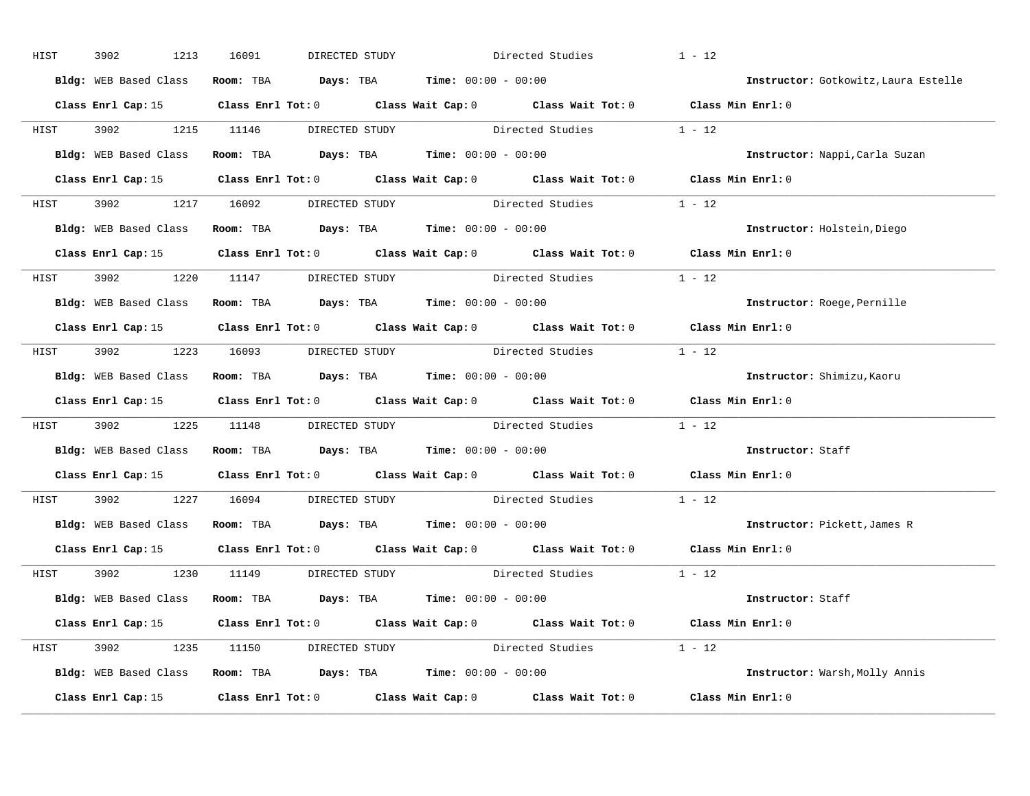| HIST        | 3902 | 1213 | 16091                               | DIRECTED STUDY |                                                               | Directed Studies                                                                                    | $1 - 12$ |                                      |
|-------------|------|------|-------------------------------------|----------------|---------------------------------------------------------------|-----------------------------------------------------------------------------------------------------|----------|--------------------------------------|
|             |      |      |                                     |                | Bldg: WEB Based Class Room: TBA Days: TBA Time: 00:00 - 00:00 |                                                                                                     |          | Instructor: Gotkowitz, Laura Estelle |
|             |      |      |                                     |                |                                                               | Class Enrl Cap: 15 (Class Enrl Tot: 0 (Class Wait Cap: 0 (Class Wait Tot: 0 (Class Min Enrl: 0)     |          |                                      |
|             |      |      |                                     |                |                                                               | HIST 3902 1215 11146 DIRECTED STUDY Directed Studies 1 - 12                                         |          |                                      |
|             |      |      |                                     |                | Bldg: WEB Based Class Room: TBA Days: TBA Time: 00:00 - 00:00 |                                                                                                     |          | Instructor: Nappi, Carla Suzan       |
|             |      |      |                                     |                |                                                               | Class Enrl Cap: 15 (Class Enrl Tot: 0 (Class Wait Cap: 0 (Class Wait Tot: 0 (Class Min Enrl: 0)     |          |                                      |
|             |      |      |                                     |                |                                                               | HIST 3902 1217 16092 DIRECTED STUDY Directed Studies 1 - 12                                         |          |                                      |
|             |      |      |                                     |                | Bldg: WEB Based Class Room: TBA Days: TBA Time: 00:00 - 00:00 |                                                                                                     |          | Instructor: Holstein, Diego          |
|             |      |      |                                     |                |                                                               | Class Enrl Cap: 15 Class Enrl Tot: 0 Class Wait Cap: 0 Class Wait Tot: 0 Class Min Enrl: 0          |          |                                      |
|             |      |      | HIST 3902 1220 11147 DIRECTED STUDY |                |                                                               | Directed Studies                                                                                    | $1 - 12$ |                                      |
|             |      |      |                                     |                | Bldg: WEB Based Class Room: TBA Days: TBA Time: 00:00 - 00:00 |                                                                                                     |          | Instructor: Roege, Pernille          |
|             |      |      |                                     |                |                                                               | Class Enrl Cap: 15 Class Enrl Tot: 0 Class Wait Cap: 0 Class Wait Tot: 0 Class Min Enrl: 0          |          |                                      |
|             |      |      |                                     |                |                                                               | HIST 3902 1223 16093 DIRECTED STUDY Directed Studies 1 - 12                                         |          |                                      |
|             |      |      |                                     |                | Bldg: WEB Based Class Room: TBA Days: TBA Time: 00:00 - 00:00 |                                                                                                     |          | Instructor: Shimizu, Kaoru           |
|             |      |      |                                     |                |                                                               | Class Enrl Cap: 15 Class Enrl Tot: 0 Class Wait Cap: 0 Class Wait Tot: 0 Class Min Enrl: 0          |          |                                      |
| <b>HIST</b> |      |      |                                     |                |                                                               | 3902 1225 11148 DIRECTED STUDY Directed Studies 1 - 12                                              |          |                                      |
|             |      |      |                                     |                | Bldg: WEB Based Class Room: TBA Days: TBA Time: 00:00 - 00:00 |                                                                                                     |          | Instructor: Staff                    |
|             |      |      |                                     |                |                                                               | Class Enrl Cap: 15 $\qquad$ Class Enrl Tot: 0 $\qquad$ Class Wait Cap: 0 $\qquad$ Class Wait Tot: 0 |          | Class Min Enrl: 0                    |
| HIST        |      |      |                                     |                |                                                               | 3902 1227 16094 DIRECTED STUDY Directed Studies                                                     | $1 - 12$ |                                      |
|             |      |      |                                     |                | Bldg: WEB Based Class Room: TBA Days: TBA Time: 00:00 - 00:00 |                                                                                                     |          | Instructor: Pickett, James R         |
|             |      |      |                                     |                |                                                               | Class Enrl Cap: 15 Class Enrl Tot: 0 Class Wait Cap: 0 Class Wait Tot: 0 Class Min Enrl: 0          |          |                                      |
|             |      |      | HIST 3902 1230 11149 DIRECTED STUDY |                |                                                               | Directed Studies 1 - 12                                                                             |          |                                      |
|             |      |      |                                     |                | Bldg: WEB Based Class Room: TBA Days: TBA Time: 00:00 - 00:00 |                                                                                                     |          | Instructor: Staff                    |
|             |      |      |                                     |                |                                                               | Class Enrl Cap: 15 Class Enrl Tot: 0 Class Wait Cap: 0 Class Wait Tot: 0 Class Min Enrl: 0          |          |                                      |
|             |      |      |                                     |                |                                                               | HIST 3902 1235 11150 DIRECTED STUDY Directed Studies 1 - 12                                         |          |                                      |
|             |      |      |                                     |                | Bldg: WEB Based Class Room: TBA Days: TBA Time: 00:00 - 00:00 |                                                                                                     |          | Instructor: Warsh, Molly Annis       |
|             |      |      |                                     |                |                                                               | Class Enrl Cap: 15 Class Enrl Tot: 0 Class Wait Cap: 0 Class Wait Tot: 0 Class Min Enrl: 0          |          |                                      |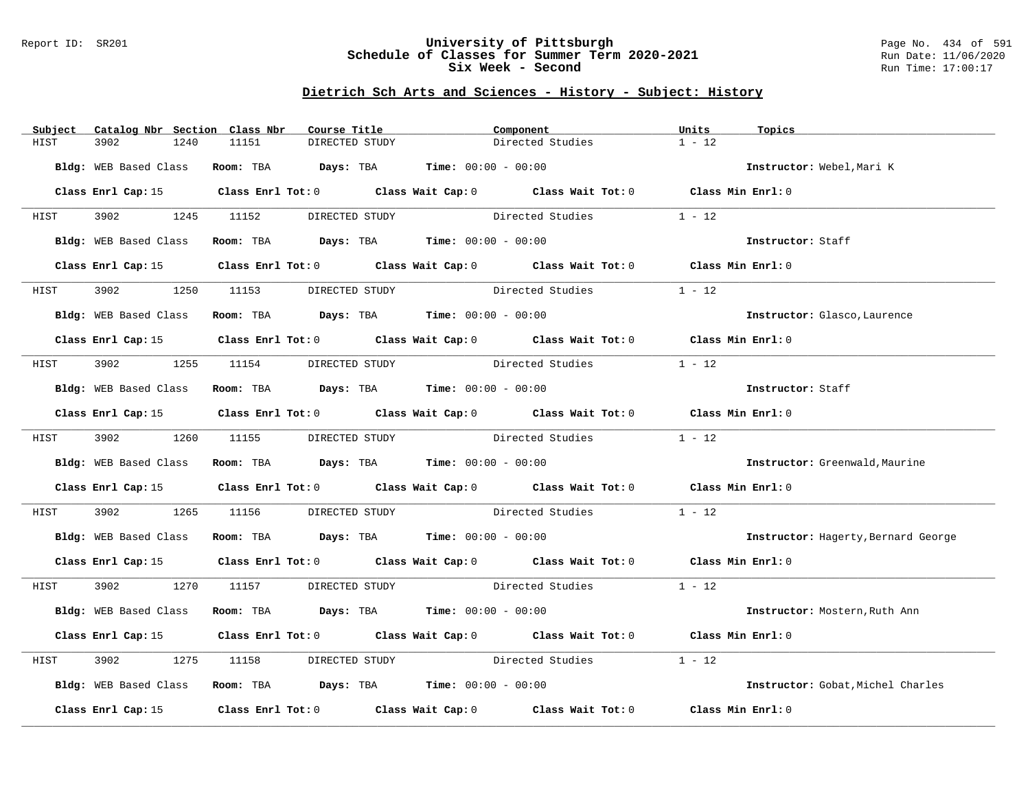### Report ID: SR201 **University of Pittsburgh** Page No. 434 of 591 **Schedule of Classes for Summer Term 2020-2021** Run Date: 11/06/2020 **Six Week - Second Run Time: 17:00:17**

# **Dietrich Sch Arts and Sciences - History - Subject: History**

| Subject | Catalog Nbr Section Class Nbr |                                     | Course Title                                                  | Component                                                                                       | Units<br>Topics                     |  |
|---------|-------------------------------|-------------------------------------|---------------------------------------------------------------|-------------------------------------------------------------------------------------------------|-------------------------------------|--|
| HIST    | 3902<br>1240                  | 11151                               | DIRECTED STUDY                                                | Directed Studies                                                                                | $1 - 12$                            |  |
|         |                               |                                     | Bldg: WEB Based Class Room: TBA Days: TBA Time: 00:00 - 00:00 |                                                                                                 | Instructor: Webel, Mari K           |  |
|         |                               |                                     |                                                               |                                                                                                 |                                     |  |
|         |                               |                                     |                                                               | Class Enrl Cap: 15 Class Enrl Tot: 0 Class Wait Cap: 0 Class Wait Tot: 0 Class Min Enrl: 0      |                                     |  |
|         |                               |                                     |                                                               | HIST 3902 1245 11152 DIRECTED STUDY Directed Studies 1 - 12                                     |                                     |  |
|         | Bldg: WEB Based Class         |                                     | Room: TBA $Days:$ TBA Time: $00:00 - 00:00$                   |                                                                                                 | Instructor: Staff                   |  |
|         |                               |                                     |                                                               | Class Enrl Cap: 15 Class Enrl Tot: 0 Class Wait Cap: 0 Class Wait Tot: 0 Class Min Enrl: 0      |                                     |  |
| HIST    |                               |                                     |                                                               | 3902 1250 11153 DIRECTED STUDY Directed Studies                                                 | $1 - 12$                            |  |
|         |                               |                                     | Bldg: WEB Based Class Room: TBA Days: TBA Time: 00:00 - 00:00 |                                                                                                 | Instructor: Glasco, Laurence        |  |
|         |                               |                                     |                                                               | Class Enrl Cap: 15 Class Enrl Tot: 0 Class Wait Cap: 0 Class Wait Tot: 0 Class Min Enrl: 0      |                                     |  |
|         |                               |                                     |                                                               |                                                                                                 |                                     |  |
|         |                               | HIST 3902 1255 11154 DIRECTED STUDY |                                                               | Directed Studies                                                                                | $1 - 12$                            |  |
|         |                               |                                     | Bldg: WEB Based Class Room: TBA Days: TBA Time: 00:00 - 00:00 |                                                                                                 | Instructor: Staff                   |  |
|         |                               |                                     |                                                               | Class Enrl Cap: 15 Class Enrl Tot: 0 Class Wait Cap: 0 Class Wait Tot: 0 Class Min Enrl: 0      |                                     |  |
| HIST    |                               | 3902 1260 11155 DIRECTED STUDY      |                                                               | Directed Studies                                                                                | $1 - 12$                            |  |
|         |                               |                                     | Bldg: WEB Based Class Room: TBA Days: TBA Time: 00:00 - 00:00 |                                                                                                 | Instructor: Greenwald, Maurine      |  |
|         |                               |                                     |                                                               | Class Enrl Cap: 15 (Class Enrl Tot: 0 (Class Wait Cap: 0 (Class Wait Tot: 0 (Class Min Enrl: 0) |                                     |  |
| HIST    |                               |                                     |                                                               | 3902 1265 11156 DIRECTED STUDY Directed Studies                                                 | $1 - 12$                            |  |
|         |                               |                                     | Bldg: WEB Based Class Room: TBA Days: TBA Time: 00:00 - 00:00 |                                                                                                 | Instructor: Hagerty, Bernard George |  |
|         |                               |                                     |                                                               | Class Enrl Cap: 15 (Class Enrl Tot: 0 (Class Wait Cap: 0 (Class Wait Tot: 0 (Class Min Enrl: 0) |                                     |  |
|         |                               |                                     |                                                               | HIST 3902 1270 11157 DIRECTED STUDY Directed Studies 1 - 12                                     |                                     |  |
|         |                               |                                     | Bldg: WEB Based Class Room: TBA Days: TBA Time: 00:00 - 00:00 |                                                                                                 | Instructor: Mostern, Ruth Ann       |  |
|         |                               |                                     |                                                               | Class Enrl Cap: 15 Class Enrl Tot: 0 Class Wait Cap: 0 Class Wait Tot: 0 Class Min Enrl: 0      |                                     |  |
| HIST    | 3902                          | 1275 11158                          |                                                               | DIRECTED STUDY Directed Studies                                                                 | $1 - 12$                            |  |
|         |                               |                                     | Bldg: WEB Based Class Room: TBA Days: TBA Time: 00:00 - 00:00 |                                                                                                 | Instructor: Gobat, Michel Charles   |  |
|         |                               |                                     |                                                               | Class Enrl Cap: 15 (Class Enrl Tot: 0 (Class Wait Cap: 0 (Class Wait Tot: 0 (Class Min Enrl: 0) |                                     |  |
|         |                               |                                     |                                                               |                                                                                                 |                                     |  |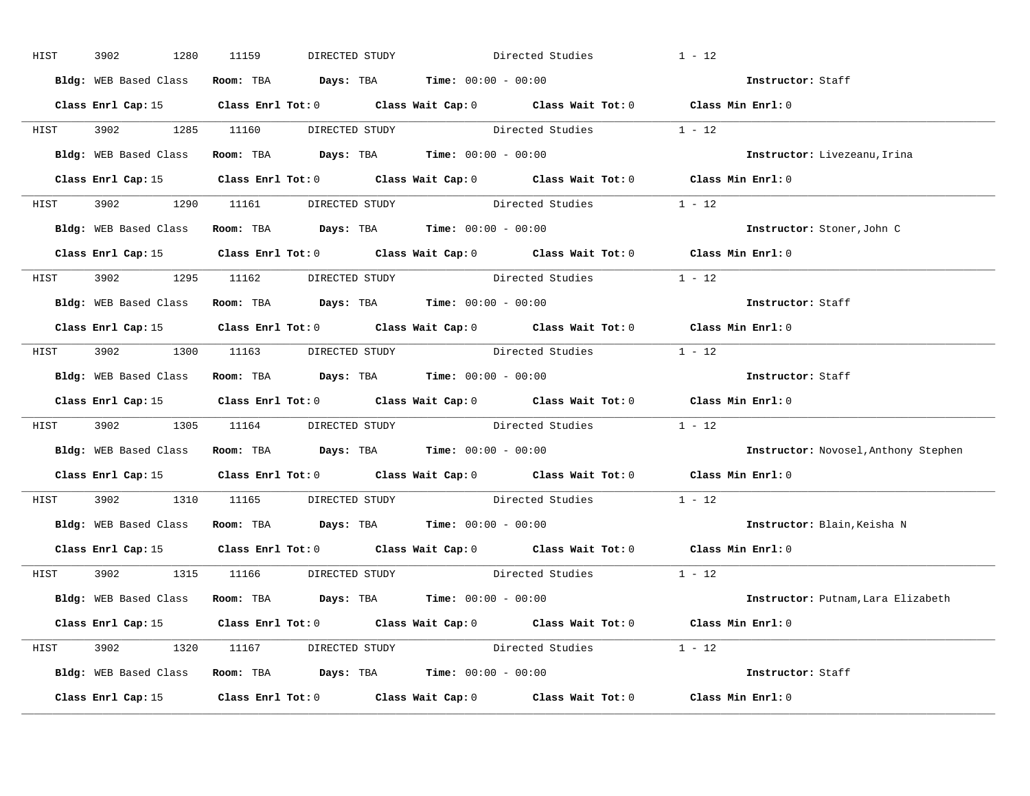| HIST        | 3902 | 1280 | 11159                               | DIRECTED STUDY |                                                               | Directed Studies                                            | $1 - 12$                                                                                        |  |
|-------------|------|------|-------------------------------------|----------------|---------------------------------------------------------------|-------------------------------------------------------------|-------------------------------------------------------------------------------------------------|--|
|             |      |      |                                     |                | Bldg: WEB Based Class Room: TBA Days: TBA Time: 00:00 - 00:00 |                                                             | Instructor: Staff                                                                               |  |
|             |      |      |                                     |                |                                                               |                                                             | Class Enrl Cap: 15 Class Enrl Tot: 0 Class Wait Cap: 0 Class Wait Tot: 0 Class Min Enrl: 0      |  |
|             |      |      |                                     |                |                                                               | HIST 3902 1285 11160 DIRECTED STUDY Directed Studies 1 - 12 |                                                                                                 |  |
|             |      |      |                                     |                | Bldg: WEB Based Class Room: TBA Days: TBA Time: 00:00 - 00:00 |                                                             | Instructor: Livezeanu, Irina                                                                    |  |
|             |      |      |                                     |                |                                                               |                                                             | Class Enrl Cap: 15 (Class Enrl Tot: 0 (Class Wait Cap: 0 (Class Wait Tot: 0 (Class Min Enrl: 0) |  |
|             |      |      |                                     |                |                                                               | HIST 3902 1290 11161 DIRECTED STUDY Directed Studies 1 - 12 |                                                                                                 |  |
|             |      |      |                                     |                | Bldg: WEB Based Class Room: TBA Days: TBA Time: 00:00 - 00:00 |                                                             | Instructor: Stoner, John C                                                                      |  |
|             |      |      |                                     |                |                                                               |                                                             | Class Enrl Cap: 15 Class Enrl Tot: 0 Class Wait Cap: 0 Class Wait Tot: 0 Class Min Enrl: 0      |  |
|             |      |      | HIST 3902 1295 11162 DIRECTED STUDY |                |                                                               | Directed Studies                                            | $1 - 12$                                                                                        |  |
|             |      |      |                                     |                | Bldg: WEB Based Class Room: TBA Days: TBA Time: 00:00 - 00:00 |                                                             | Instructor: Staff                                                                               |  |
|             |      |      |                                     |                |                                                               |                                                             | Class Enrl Cap: 15 Class Enrl Tot: 0 Class Wait Cap: 0 Class Wait Tot: 0 Class Min Enrl: 0      |  |
|             |      |      |                                     |                |                                                               | HIST 3902 1300 11163 DIRECTED STUDY Directed Studies 1 - 12 |                                                                                                 |  |
|             |      |      |                                     |                | Bldg: WEB Based Class Room: TBA Days: TBA Time: 00:00 - 00:00 |                                                             | Instructor: Staff                                                                               |  |
|             |      |      |                                     |                |                                                               |                                                             | Class Enrl Cap: 15 (Class Enrl Tot: 0 (Class Wait Cap: 0 (Class Wait Tot: 0 (Class Min Enrl: 0  |  |
| <b>HIST</b> |      |      |                                     |                |                                                               | 3902 1305 11164 DIRECTED STUDY Directed Studies 1 - 12      |                                                                                                 |  |
|             |      |      |                                     |                | Bldg: WEB Based Class Room: TBA Days: TBA Time: 00:00 - 00:00 |                                                             | Instructor: Novosel, Anthony Stephen                                                            |  |
|             |      |      |                                     |                |                                                               |                                                             | Class Enrl Cap: 15 (Class Enrl Tot: 0 (Class Wait Cap: 0 (Class Wait Tot: 0 (Class Min Enrl: 0) |  |
| HIST        |      |      |                                     |                |                                                               | 3902 1310 11165 DIRECTED STUDY Directed Studies             | $1 - 12$                                                                                        |  |
|             |      |      |                                     |                | Bldg: WEB Based Class Room: TBA Days: TBA Time: 00:00 - 00:00 |                                                             | Instructor: Blain, Keisha N                                                                     |  |
|             |      |      |                                     |                |                                                               |                                                             | Class Enrl Cap: 15 Class Enrl Tot: 0 Class Wait Cap: 0 Class Wait Tot: 0 Class Min Enrl: 0      |  |
|             |      |      | HIST 3902 1315 11166 DIRECTED STUDY |                |                                                               | Directed Studies 1 - 12                                     |                                                                                                 |  |
|             |      |      |                                     |                | Bldg: WEB Based Class Room: TBA Days: TBA Time: 00:00 - 00:00 |                                                             | Instructor: Putnam, Lara Elizabeth                                                              |  |
|             |      |      |                                     |                |                                                               |                                                             | Class Enrl Cap: 15 (Class Enrl Tot: 0 (Class Wait Cap: 0 (Class Wait Tot: 0 (Class Min Enrl: 0  |  |
|             |      |      |                                     |                |                                                               | HIST 3902 1320 11167 DIRECTED STUDY Directed Studies 1 - 12 |                                                                                                 |  |
|             |      |      |                                     |                | Bldg: WEB Based Class Room: TBA Days: TBA Time: 00:00 - 00:00 |                                                             | Instructor: Staff                                                                               |  |
|             |      |      |                                     |                |                                                               |                                                             | Class Enrl Cap: 15 Class Enrl Tot: 0 Class Wait Cap: 0 Class Wait Tot: 0 Class Min Enrl: 0      |  |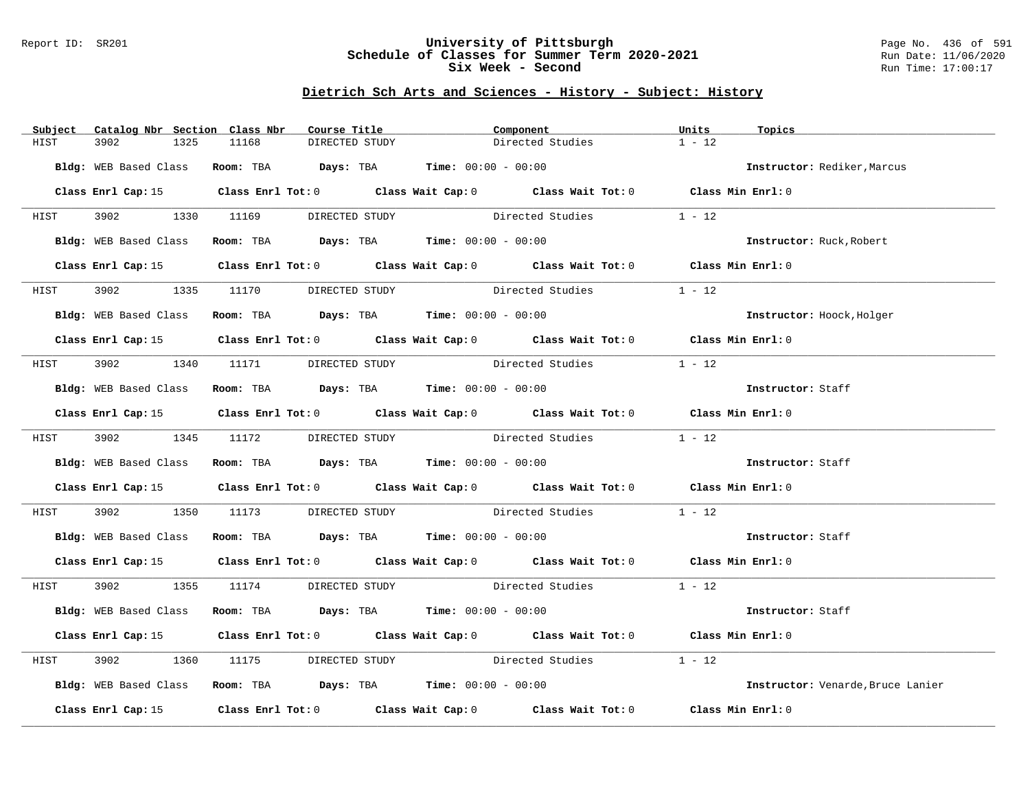### Report ID: SR201 **University of Pittsburgh** Page No. 436 of 591 **Schedule of Classes for Summer Term 2020-2021** Run Date: 11/06/2020 **Six Week - Second Run Time: 17:00:17**

# **Dietrich Sch Arts and Sciences - History - Subject: History**

| Subject     | Catalog Nbr Section Class Nbr | Course Title                                                  |                | Component                                                                                          | Units<br>Topics                   |  |
|-------------|-------------------------------|---------------------------------------------------------------|----------------|----------------------------------------------------------------------------------------------------|-----------------------------------|--|
| HIST        | 3902<br>1325                  | 11168                                                         | DIRECTED STUDY | Directed Studies                                                                                   | $1 - 12$                          |  |
|             |                               | Bldg: WEB Based Class Room: TBA Days: TBA Time: 00:00 - 00:00 |                |                                                                                                    | Instructor: Rediker, Marcus       |  |
|             |                               |                                                               |                |                                                                                                    |                                   |  |
|             |                               |                                                               |                | Class Enrl Cap: 15 Class Enrl Tot: 0 Class Wait Cap: 0 Class Wait Tot: 0 Class Min Enrl: 0         |                                   |  |
| HIST        |                               |                                                               |                | 3902 1330 11169 DIRECTED STUDY Directed Studies 1 - 12                                             |                                   |  |
|             |                               |                                                               |                | Bldg: WEB Based Class Room: TBA Days: TBA Time: 00:00 - 00:00                                      | Instructor: Ruck, Robert          |  |
|             | Class Enrl Cap: 15            |                                                               |                | Class Enrl Tot: 0 $\qquad$ Class Wait Cap: 0 $\qquad$ Class Wait Tot: 0 $\qquad$ Class Min Enrl: 0 |                                   |  |
| <b>HIST</b> |                               |                                                               |                | 3902 1335 11170 DIRECTED STUDY Directed Studies                                                    | $1 - 12$                          |  |
|             |                               | Bldg: WEB Based Class Room: TBA Days: TBA Time: 00:00 - 00:00 |                |                                                                                                    | Instructor: Hoock, Holger         |  |
|             |                               |                                                               |                | Class Enrl Cap: 15 Class Enrl Tot: 0 Class Wait Cap: 0 Class Wait Tot: 0 Class Min Enrl: 0         |                                   |  |
|             |                               |                                                               |                |                                                                                                    |                                   |  |
|             |                               | HIST 3902 1340 11171 DIRECTED STUDY                           |                | Directed Studies                                                                                   | $1 - 12$                          |  |
|             |                               | Bldg: WEB Based Class Room: TBA Days: TBA Time: 00:00 - 00:00 |                |                                                                                                    | Instructor: Staff                 |  |
|             |                               |                                                               |                | Class Enrl Cap: 15 (Class Enrl Tot: 0 (Class Wait Cap: 0 (Class Wait Tot: 0 (Class Min Enrl: 0)    |                                   |  |
| HIST        |                               | 3902 1345 11172 DIRECTED STUDY                                |                | Directed Studies                                                                                   | $1 - 12$                          |  |
|             |                               | Bldg: WEB Based Class Room: TBA Days: TBA Time: 00:00 - 00:00 |                |                                                                                                    | Instructor: Staff                 |  |
|             |                               |                                                               |                | Class Enrl Cap: 15 Class Enrl Tot: 0 Class Wait Cap: 0 Class Wait Tot: 0 Class Min Enrl: 0         |                                   |  |
| HIST        |                               |                                                               |                | 3902 1350 11173 DIRECTED STUDY Directed Studies 1 - 12                                             |                                   |  |
|             |                               | Bldg: WEB Based Class Room: TBA Days: TBA Time: 00:00 - 00:00 |                |                                                                                                    | Instructor: Staff                 |  |
|             |                               |                                                               |                | Class Enrl Cap: 15 (Class Enrl Tot: 0 (Class Wait Cap: 0 (Class Wait Tot: 0 (Class Min Enrl: 0)    |                                   |  |
|             |                               |                                                               |                | HIST 3902 1355 11174 DIRECTED STUDY Directed Studies 1 - 12                                        |                                   |  |
|             |                               |                                                               |                | Bldg: WEB Based Class Room: TBA Days: TBA Time: 00:00 - 00:00                                      | Instructor: Staff                 |  |
|             |                               |                                                               |                | Class Enrl Cap: 15 Class Enrl Tot: 0 Class Wait Cap: 0 Class Wait Tot: 0 Class Min Enrl: 0         |                                   |  |
| HIST        | 3902                          |                                                               |                | 1360 11175 DIRECTED STUDY Directed Studies                                                         | $1 - 12$                          |  |
|             |                               | Bldg: WEB Based Class Room: TBA Days: TBA Time: 00:00 - 00:00 |                |                                                                                                    | Instructor: Venarde, Bruce Lanier |  |
|             | Class Enrl Cap: 15            |                                                               |                | Class Enrl Tot: 0 $\qquad$ Class Wait Cap: 0 $\qquad$ Class Wait Tot: 0 $\qquad$ Class Min Enrl: 0 |                                   |  |
|             |                               |                                                               |                |                                                                                                    |                                   |  |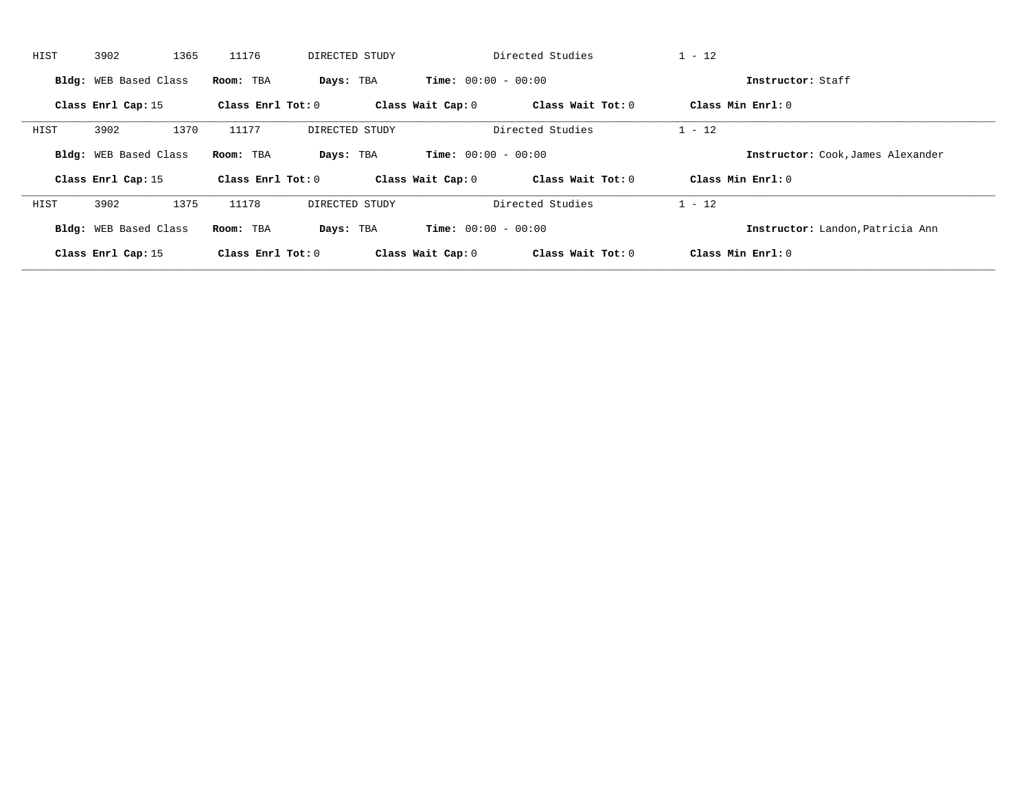| HIST | 3902<br>1365          | 11176             | DIRECTED STUDY |                              | Directed Studies  | $1 - 12$                          |
|------|-----------------------|-------------------|----------------|------------------------------|-------------------|-----------------------------------|
|      | Bldg: WEB Based Class | Room: TBA         | Days: TBA      | <b>Time:</b> $00:00 - 00:00$ |                   | Instructor: Staff                 |
|      | Class Enrl Cap: 15    | Class Enrl Tot: 0 |                | Class Wait Cap: 0            | Class Wait Tot: 0 | Class Min Enrl: 0                 |
| HIST | 3902<br>1370          | 11177             | DIRECTED STUDY |                              | Directed Studies  | $1 - 12$                          |
|      | Bldg: WEB Based Class | Room: TBA         | Days: TBA      | <b>Time:</b> $00:00 - 00:00$ |                   | Instructor: Cook, James Alexander |
|      | Class Enrl Cap: 15    | Class Enrl Tot: 0 |                | Class Wait Cap: 0            | Class Wait Tot: 0 | Class Min $Enrl: 0$               |
| HIST | 3902<br>1375          | 11178             | DIRECTED STUDY |                              | Directed Studies  | $1 - 12$                          |
|      | Bldg: WEB Based Class | Room: TBA         | Days: TBA      | <b>Time:</b> $00:00 - 00:00$ |                   | Instructor: Landon, Patricia Ann  |
|      | Class Enrl Cap: 15    | Class Enrl Tot: 0 |                | Class Wait Cap: 0            | Class Wait Tot: 0 | Class Min Enrl: 0                 |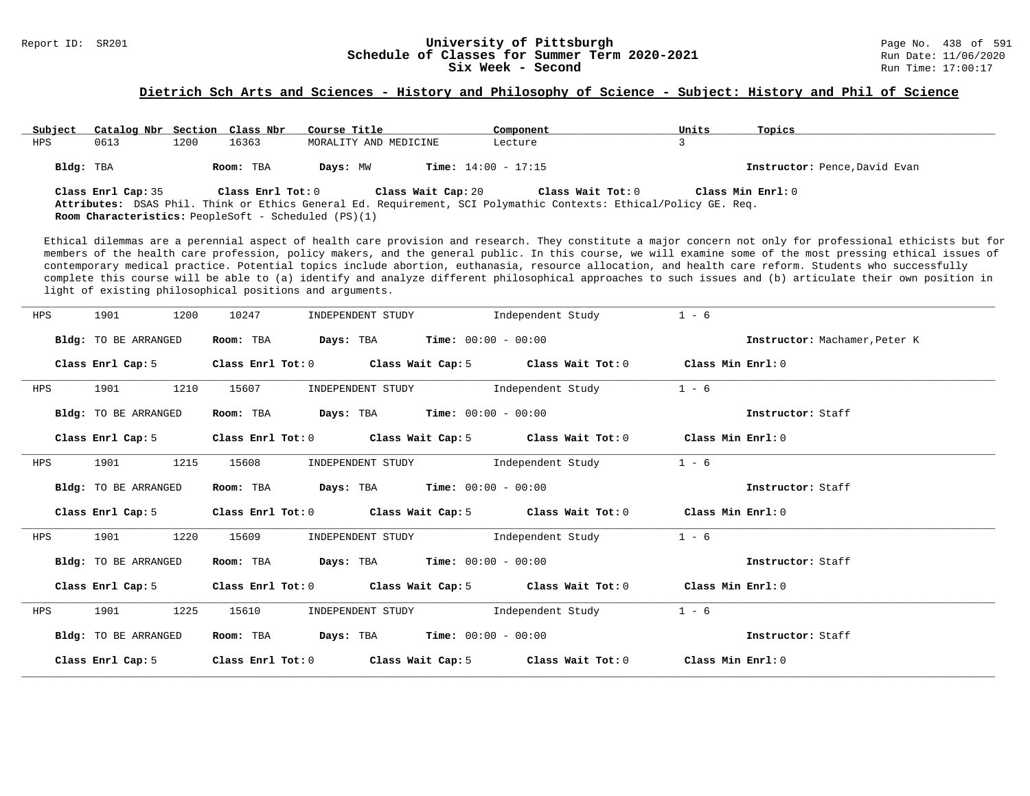#### Report ID: SR201 **1988 Constrained Building Constrained Building Constrained Building Page No. 438 of 591 Const<br>
Schedule of Classes for Summer Term 2020-2021 2020 Run Date: 11/06/2020 Schedule of Classes for Summer Term 2020-2021** Run Date: 11/06/2021<br>**Six Week - Second** Run Time: 17:00:17 Six Week - Second

#### **Dietrich Sch Arts and Sciences - History and Philosophy of Science - Subject: History and Phil of Science**

| Subject   | Catalog Nbr Section Class Nbr |      |                   | Course Title                                                | Component                                                                                                                             | Units | Topics                        |
|-----------|-------------------------------|------|-------------------|-------------------------------------------------------------|---------------------------------------------------------------------------------------------------------------------------------------|-------|-------------------------------|
| HPS       | 0613                          | 1200 | 16363             | MORALITY AND MEDICINE                                       | Lecture                                                                                                                               |       |                               |
| Bldg: TBA |                               |      | Room: TBA         | Days: MW                                                    | <b>Time:</b> $14:00 - 17:15$                                                                                                          |       | Instructor: Pence, David Evan |
|           | Class Enrl Cap: 35            |      | Class Enrl Tot: 0 | Class Wait Cap: 20                                          | Class Wait Tot: 0<br>Attributes: DSAS Phil. Think or Ethics General Ed. Requirement, SCI Polymathic Contexts: Ethical/Policy GE. Req. |       | Class Min Enrl: 0             |
|           |                               |      |                   | <b>Room Characteristics:</b> PeopleSoft - Scheduled (PS)(1) |                                                                                                                                       |       |                               |

Ethical dilemmas are a perennial aspect of health care provision and research. They constitute a major concern not only for professional ethicists but for members of the health care profession, policy makers, and the general public. In this course, we will examine some of the most pressing ethical issues of contemporary medical practice. Potential topics include abortion, euthanasia, resource allocation, and health care reform. Students who successfully complete this course will be able to (a) identify and analyze different philosophical approaches to such issues and (b) articulate their own position in light of existing philosophical positions and arguments.

| HPS | 1901<br>1200         | 10247<br>INDEPENDENT STUDY                                       | Independent Study                                                                                                             | $1 - 6$                       |
|-----|----------------------|------------------------------------------------------------------|-------------------------------------------------------------------------------------------------------------------------------|-------------------------------|
|     | Bldg: TO BE ARRANGED | <b>Days:</b> TBA <b>Time:</b> $00:00 - 00:00$<br>Room: TBA       |                                                                                                                               | Instructor: Machamer, Peter K |
|     |                      |                                                                  | Class Enrl Cap: 5 $\qquad$ Class Enrl Tot: 0 $\qquad$ Class Wait Cap: 5 $\qquad$ Class Wait Tot: 0 $\qquad$ Class Min Enrl: 0 |                               |
| HPS | 1210<br>1901         | 15607                                                            | INDEPENDENT STUDY 1ndependent Study                                                                                           | $1 - 6$                       |
|     | Bldg: TO BE ARRANGED | $\texttt{Days:}$ TBA $\texttt{Time:}$ 00:00 - 00:00<br>Room: TBA |                                                                                                                               | Instructor: Staff             |
|     | Class Enrl Cap: 5    |                                                                  | Class Enrl Tot: $0$ Class Wait Cap: $5$ Class Wait Tot: $0$                                                                   | Class Min Enrl: 0             |
| HPS | 1215<br>1901         | 15608                                                            | INDEPENDENT STUDY 1ndependent Study                                                                                           | $1 - 6$                       |
|     | Bldg: TO BE ARRANGED | <b>Days:</b> TBA <b>Time:</b> $00:00 - 00:00$<br>Room: TBA       |                                                                                                                               | Instructor: Staff             |
|     |                      |                                                                  | Class Enrl Cap: 5 Class Enrl Tot: 0 Class Wait Cap: 5 Class Wait Tot: 0 Class Min Enrl: 0                                     |                               |
| HPS | 1901<br>1220         | INDEPENDENT STUDY<br>15609                                       | Independent Study                                                                                                             | $1 - 6$                       |
|     | Bldg: TO BE ARRANGED | <b>Days:</b> TBA <b>Time:</b> $00:00 - 00:00$<br>Room: TBA       |                                                                                                                               | Instructor: Staff             |
|     |                      |                                                                  | Class Enrl Cap: 5 Class Enrl Tot: 0 Class Wait Cap: 5 Class Wait Tot: 0 Class Min Enrl: 0                                     |                               |
| HPS | 1225<br>1901         | 15610                                                            | INDEPENDENT STUDY 1ndependent Study                                                                                           | $1 - 6$                       |
|     | Bldg: TO BE ARRANGED | Room: TBA                                                        | <b>Days:</b> TBA <b>Time:</b> $00:00 - 00:00$                                                                                 | Instructor: Staff             |
|     | Class Enrl Cap: 5    |                                                                  | Class Enrl Tot: $0$ Class Wait Cap: $5$ Class Wait Tot: $0$ Class Min Enrl: $0$                                               |                               |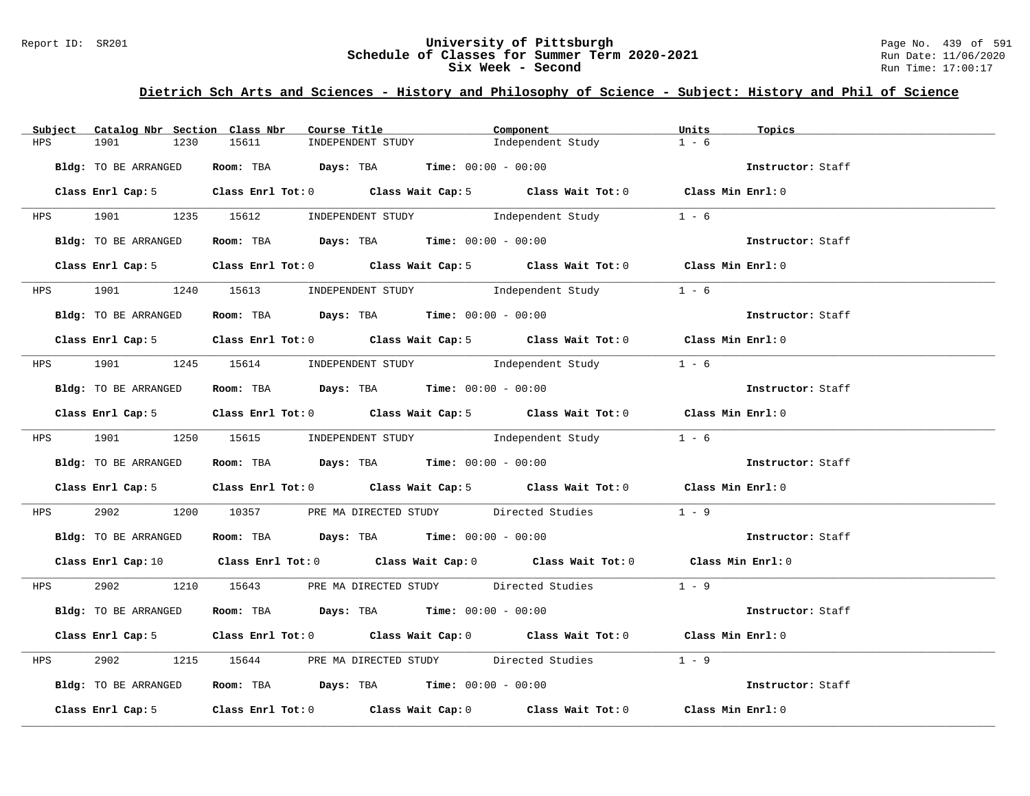#### Report ID: SR201 **University of Pittsburgh** Page No. 439 of 591 **Schedule of Classes for Summer Term 2020-2021** Run Date: 11/06/2020 **Six Week - Second Run Time: 17:00:17**

| Subject    | Catalog Nbr Section Class Nbr | Course Title                                            | Component                                                                                                                      | Units<br>Topics   |
|------------|-------------------------------|---------------------------------------------------------|--------------------------------------------------------------------------------------------------------------------------------|-------------------|
| HPS        | 1901<br>1230                  | 15611<br>INDEPENDENT STUDY                              | Independent Study                                                                                                              | $1 - 6$           |
|            | Bldg: TO BE ARRANGED          | Room: TBA $Days:$ TBA Time: $00:00 - 00:00$             |                                                                                                                                | Instructor: Staff |
|            |                               |                                                         | Class Enrl Cap: 5 Class Enrl Tot: 0 Class Wait Cap: 5 Class Wait Tot: 0 Class Min Enrl: 0                                      |                   |
|            |                               | HPS 1901 1235 15612 INDEPENDENT STUDY Independent Study |                                                                                                                                | $1 - 6$           |
|            | Bldg: TO BE ARRANGED          |                                                         | Room: TBA Days: TBA Time: $00:00 - 00:00$                                                                                      |                   |
|            |                               |                                                         | Class Enrl Cap: 5 Class Enrl Tot: 0 Class Wait Cap: 5 Class Wait Tot: 0 Class Min Enrl: 0                                      |                   |
|            |                               | HPS 1901 1240 15613 INDEPENDENT STUDY Independent Study |                                                                                                                                | $1 - 6$           |
|            | Bldg: TO BE ARRANGED          | Room: TBA $Days:$ TBA $Time: 00:00 - 00:00$             |                                                                                                                                | Instructor: Staff |
|            |                               |                                                         | Class Enrl Cap: 5 Class Enrl Tot: 0 Class Wait Cap: 5 Class Wait Tot: 0 Class Min Enrl: 0                                      |                   |
|            |                               |                                                         | HPS 1901 1245 15614 INDEPENDENT STUDY Independent Study                                                                        | $1 - 6$           |
|            | Bldg: TO BE ARRANGED          | Room: TBA $Days:$ TBA $Time: 00:00 - 00:00$             |                                                                                                                                | Instructor: Staff |
|            |                               |                                                         | Class Enrl Cap: 5 Class Enrl Tot: 0 Class Wait Cap: 5 Class Wait Tot: 0 Class Min Enrl: 0                                      |                   |
|            |                               |                                                         | HPS 1901 1250 15615 INDEPENDENT STUDY Independent Study 1 - 6                                                                  |                   |
|            | Bldg: TO BE ARRANGED          |                                                         | Room: TBA $Days:$ TBA $Time: 00:00 - 00:00$                                                                                    | Instructor: Staff |
|            |                               |                                                         | Class Enrl Cap: 5 Class Enrl Tot: 0 Class Wait Cap: 5 Class Wait Tot: 0 Class Min Enrl: 0                                      |                   |
| <b>HPS</b> |                               |                                                         | 2902 1200 10357 PRE MA DIRECTED STUDY Directed Studies 1 - 9                                                                   |                   |
|            | Bldg: TO BE ARRANGED          | Room: TBA $Days: TBA$ Time: $00:00 - 00:00$             |                                                                                                                                | Instructor: Staff |
|            |                               |                                                         | Class Enrl Cap: 10 $\qquad$ Class Enrl Tot: 0 $\qquad$ Class Wait Cap: 0 $\qquad$ Class Wait Tot: 0 $\qquad$ Class Min Enrl: 0 |                   |
|            |                               |                                                         | HPS 2902 1210 15643 PRE MA DIRECTED STUDY Directed Studies 1 - 9                                                               |                   |
|            | Bldg: TO BE ARRANGED          | Room: TBA $Days:$ TBA Time: $00:00 - 00:00$             |                                                                                                                                | Instructor: Staff |
|            |                               |                                                         | Class Enrl Cap: 5 Class Enrl Tot: 0 Class Wait Cap: 0 Class Wait Tot: 0 Class Min Enrl: 0                                      |                   |
| <b>HPS</b> | 2902 200                      |                                                         | 1215 15644 PRE MA DIRECTED STUDY Directed Studies 1 - 9                                                                        |                   |
|            | Bldg: TO BE ARRANGED          |                                                         | Room: TBA $Days$ : TBA $Time: 00:00 - 00:00$                                                                                   | Instructor: Staff |
|            |                               |                                                         | Class Enrl Cap: 5 Class Enrl Tot: 0 Class Wait Cap: 0 Class Wait Tot: 0 Class Min Enrl: 0                                      |                   |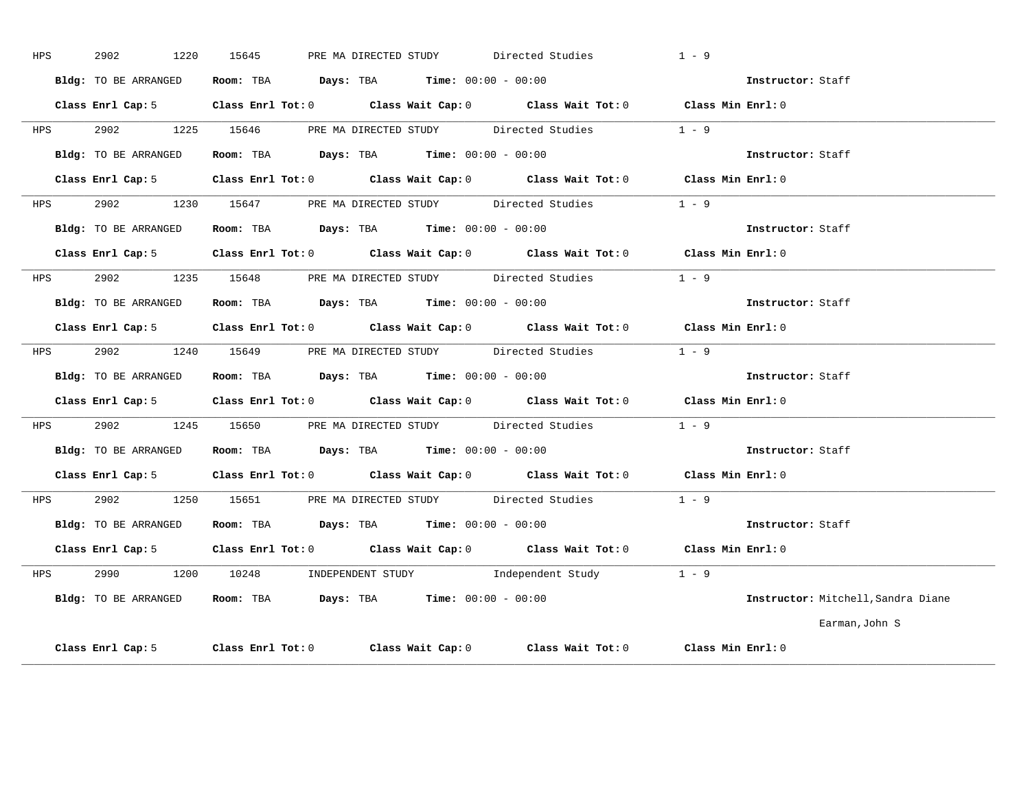| HPS        | 2902<br>1220         | PRE MA DIRECTED STUDY Directed Studies<br>15645                                                                                                                                                                                                                                                                | $1 - 9$ |                                    |
|------------|----------------------|----------------------------------------------------------------------------------------------------------------------------------------------------------------------------------------------------------------------------------------------------------------------------------------------------------------|---------|------------------------------------|
|            | Bldg: TO BE ARRANGED | Room: TBA $Days:$ TBA $Time: 00:00 - 00:00$                                                                                                                                                                                                                                                                    |         | Instructor: Staff                  |
|            |                      | Class Enrl Cap: 5 Class Enrl Tot: 0 Class Wait Cap: 0 Class Wait Tot: 0 Class Min Enrl: 0                                                                                                                                                                                                                      |         |                                    |
|            |                      | HPS 2902 1225 15646 PRE MA DIRECTED STUDY Directed Studies                                                                                                                                                                                                                                                     | $1 - 9$ |                                    |
|            | Bldg: TO BE ARRANGED | Room: TBA $Days:$ TBA $Time:$ 00:00 - 00:00                                                                                                                                                                                                                                                                    |         | Instructor: Staff                  |
|            |                      | Class Enrl Cap: 5 Class Enrl Tot: 0 Class Wait Cap: 0 Class Wait Tot: 0 Class Min Enrl: 0                                                                                                                                                                                                                      |         |                                    |
|            |                      | HPS 2902 1230 15647 PRE MA DIRECTED STUDY Directed Studies                                                                                                                                                                                                                                                     | $1 - 9$ |                                    |
|            | Bldg: TO BE ARRANGED | Room: TBA $Days:$ TBA $Time: 00:00 - 00:00$                                                                                                                                                                                                                                                                    |         | Instructor: Staff                  |
|            |                      | Class Enrl Cap: 5 Class Enrl Tot: 0 Class Wait Cap: 0 Class Wait Tot: 0 Class Min Enrl: 0                                                                                                                                                                                                                      |         |                                    |
|            |                      | HPS 2902 1235 15648 PRE MA DIRECTED STUDY Directed Studies                                                                                                                                                                                                                                                     | $1 - 9$ |                                    |
|            |                      | Bldg: TO BE ARRANGED Room: TBA Days: TBA Time: 00:00 - 00:00                                                                                                                                                                                                                                                   |         | Instructor: Staff                  |
|            |                      | Class Enrl Cap: 5 Class Enrl Tot: 0 Class Wait Cap: 0 Class Wait Tot: 0 Class Min Enrl: 0                                                                                                                                                                                                                      |         |                                    |
| <b>HPS</b> |                      | 2902 1240 15649 PRE MA DIRECTED STUDY Directed Studies                                                                                                                                                                                                                                                         | $1 - 9$ |                                    |
|            |                      | Bldg: TO BE ARRANGED Room: TBA Days: TBA Time: 00:00 - 00:00                                                                                                                                                                                                                                                   |         | <b>Instructor:</b> Staff           |
|            |                      | Class Enrl Cap: 5 Class Enrl Tot: 0 Class Wait Cap: 0 Class Wait Tot: 0 Class Min Enrl: 0                                                                                                                                                                                                                      |         |                                    |
|            |                      | HPS 2902 1245 15650 PRE MA DIRECTED STUDY Directed Studies                                                                                                                                                                                                                                                     | $1 - 9$ |                                    |
|            | Bldg: TO BE ARRANGED | <b>Room:</b> TBA $\rule{1em}{0.15mm}$ $\rule{1.5em}{0.15mm}$ $\rule{1.5em}{0.15mm}$ $\rule{1.5em}{0.15mm}$ $\rule{1.5em}{0.15mm}$ $\rule{1.5em}{0.15mm}$ $\rule{1.5em}{0.15mm}$ $\rule{1.5em}{0.15mm}$ $\rule{1.5em}{0.15mm}$ $\rule{1.5em}{0.15mm}$ $\rule{1.5em}{0.15mm}$ $\rule{1.5em}{0.15mm}$ $\rule{1.5$ |         | Instructor: Staff                  |
|            |                      | Class Enrl Cap: 5 Class Enrl Tot: 0 Class Wait Cap: 0 Class Wait Tot: 0 Class Min Enrl: 0                                                                                                                                                                                                                      |         |                                    |
| HPS        |                      | 2902 1250 15651 PRE MA DIRECTED STUDY Directed Studies                                                                                                                                                                                                                                                         | $1 - 9$ |                                    |
|            | Bldg: TO BE ARRANGED | Room: TBA $Days:$ TBA $Time:$ 00:00 - 00:00                                                                                                                                                                                                                                                                    |         | Instructor: Staff                  |
|            |                      | Class Enrl Cap: 5 Class Enrl Tot: 0 Class Wait Cap: 0 Class Wait Tot: 0 Class Min Enrl: 0                                                                                                                                                                                                                      |         |                                    |
|            |                      | HPS 2990 1200 10248 INDEPENDENT STUDY Independent Study 1 - 9                                                                                                                                                                                                                                                  |         |                                    |
|            | Bldg: TO BE ARRANGED | Room: TBA $Days:$ TBA $Time: 00:00 - 00:00$                                                                                                                                                                                                                                                                    |         | Instructor: Mitchell, Sandra Diane |
|            |                      |                                                                                                                                                                                                                                                                                                                |         | Earman, John S                     |
|            |                      | Class Enrl Cap: 5 Class Enrl Tot: 0 Class Wait Cap: 0 Class Wait Tot: 0 Class Min Enrl: 0                                                                                                                                                                                                                      |         |                                    |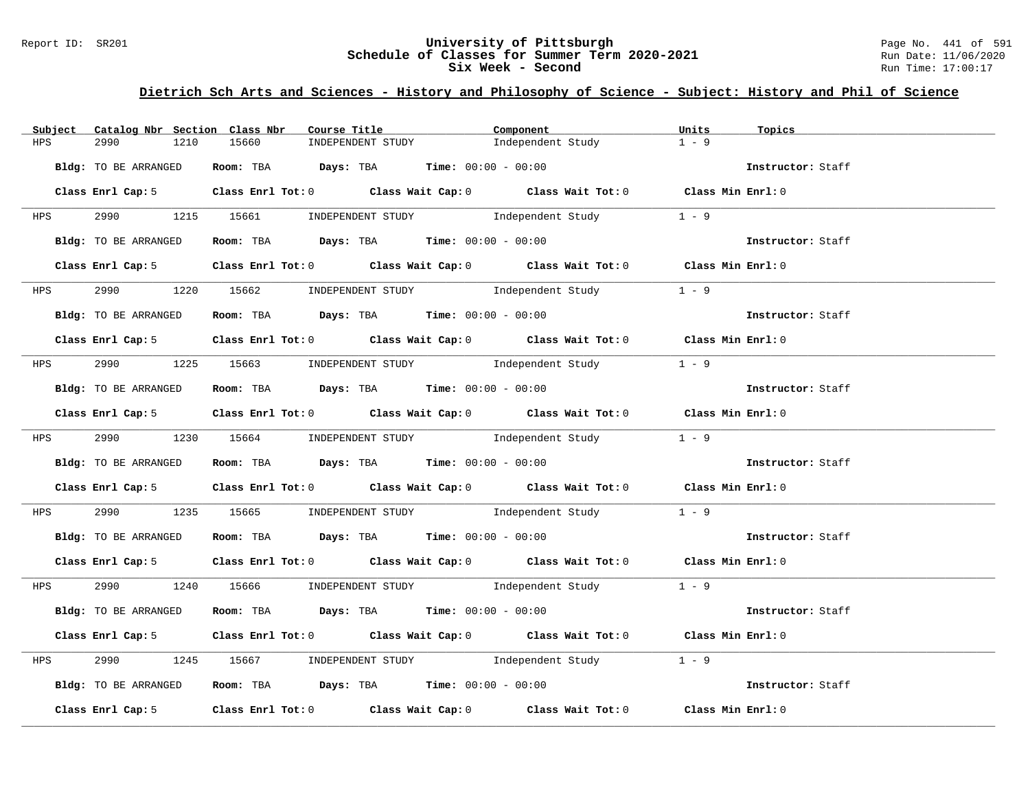#### Report ID: SR201 **University of Pittsburgh** Page No. 441 of 591 **Schedule of Classes for Summer Term 2020-2021** Run Date: 11/06/2020 **Six Week - Second Run Time: 17:00:17**

| Subject    | Catalog Nbr Section Class Nbr | Course Title                                                            | Component                                                                                 | Units<br>Topics   |  |
|------------|-------------------------------|-------------------------------------------------------------------------|-------------------------------------------------------------------------------------------|-------------------|--|
| HPS        | 2990<br>1210                  | 15660<br>INDEPENDENT STUDY                                              | Independent Study                                                                         | $1 - 9$           |  |
|            | Bldg: TO BE ARRANGED          | Room: TBA $Days:$ TBA $Time: 00:00 - 00:00$                             |                                                                                           | Instructor: Staff |  |
|            |                               |                                                                         | Class Enrl Cap: 5 Class Enrl Tot: 0 Class Wait Cap: 0 Class Wait Tot: 0 Class Min Enrl: 0 |                   |  |
|            |                               | HPS 2990 1215 15661 INDEPENDENT STUDY                                   | Independent Study                                                                         | $1 - 9$           |  |
|            | Bldg: TO BE ARRANGED          | Room: TBA $Days: TBA$ Time: $00:00 - 00:00$                             |                                                                                           | Instructor: Staff |  |
|            |                               |                                                                         | Class Enrl Cap: 5 Class Enrl Tot: 0 Class Wait Cap: 0 Class Wait Tot: 0 Class Min Enrl: 0 |                   |  |
|            |                               |                                                                         | HPS 2990 1220 15662 INDEPENDENT STUDY Independent Study                                   | $1 - 9$           |  |
|            | Bldg: TO BE ARRANGED          | Room: TBA $\rule{1em}{0.15mm}$ Days: TBA Time: $00:00 - 00:00$          |                                                                                           | Instructor: Staff |  |
|            |                               |                                                                         | Class Enrl Cap: 5 Class Enrl Tot: 0 Class Wait Cap: 0 Class Wait Tot: 0 Class Min Enrl: 0 |                   |  |
|            |                               |                                                                         | HPS 2990 1225 15663 INDEPENDENT STUDY Independent Study 1 - 9                             |                   |  |
|            | Bldg: TO BE ARRANGED          | Room: TBA $Days:$ TBA $Time:$ 00:00 - 00:00                             |                                                                                           | Instructor: Staff |  |
|            |                               |                                                                         | Class Enrl Cap: 5 Class Enrl Tot: 0 Class Wait Cap: 0 Class Wait Tot: 0 Class Min Enrl: 0 |                   |  |
|            |                               |                                                                         | HPS 2990 1230 15664 INDEPENDENT STUDY Independent Study 1 - 9                             |                   |  |
|            | Bldg: TO BE ARRANGED          | Room: TBA $\qquad \qquad$ Days: TBA $\qquad \qquad$ Time: 00:00 - 00:00 |                                                                                           | Instructor: Staff |  |
|            |                               |                                                                         | Class Enrl Cap: 5 Class Enrl Tot: 0 Class Wait Cap: 0 Class Wait Tot: 0 Class Min Enrl: 0 |                   |  |
|            | HPS 2990                      |                                                                         | 1235 15665 INDEPENDENT STUDY Independent Study 1 - 9                                      |                   |  |
|            | Bldg: TO BE ARRANGED          | Room: TBA $Days:$ TBA Time: $00:00 - 00:00$                             |                                                                                           | Instructor: Staff |  |
|            |                               |                                                                         | Class Enrl Cap: 5 Class Enrl Tot: 0 Class Wait Cap: 0 Class Wait Tot: 0 Class Min Enrl: 0 |                   |  |
|            |                               |                                                                         | HPS 2990 1240 15666 INDEPENDENT STUDY Independent Study 1 - 9                             |                   |  |
|            | Bldg: TO BE ARRANGED          | Room: TBA $Days:$ TBA $Time: 00:00 - 00:00$                             |                                                                                           | Instructor: Staff |  |
|            |                               |                                                                         | Class Enrl Cap: 5 Class Enrl Tot: 0 Class Wait Cap: 0 Class Wait Tot: 0 Class Min Enrl: 0 |                   |  |
| <b>HPS</b> | 2990 72                       |                                                                         | 1245 15667 INDEPENDENT STUDY Independent Study 1 - 9                                      |                   |  |
|            | Bldg: TO BE ARRANGED          | Room: TBA $Days:$ TBA $Time:$ $00:00 - 00:00$                           |                                                                                           | Instructor: Staff |  |
|            |                               |                                                                         | Class Enrl Cap: 5 Class Enrl Tot: 0 Class Wait Cap: 0 Class Wait Tot: 0 Class Min Enrl: 0 |                   |  |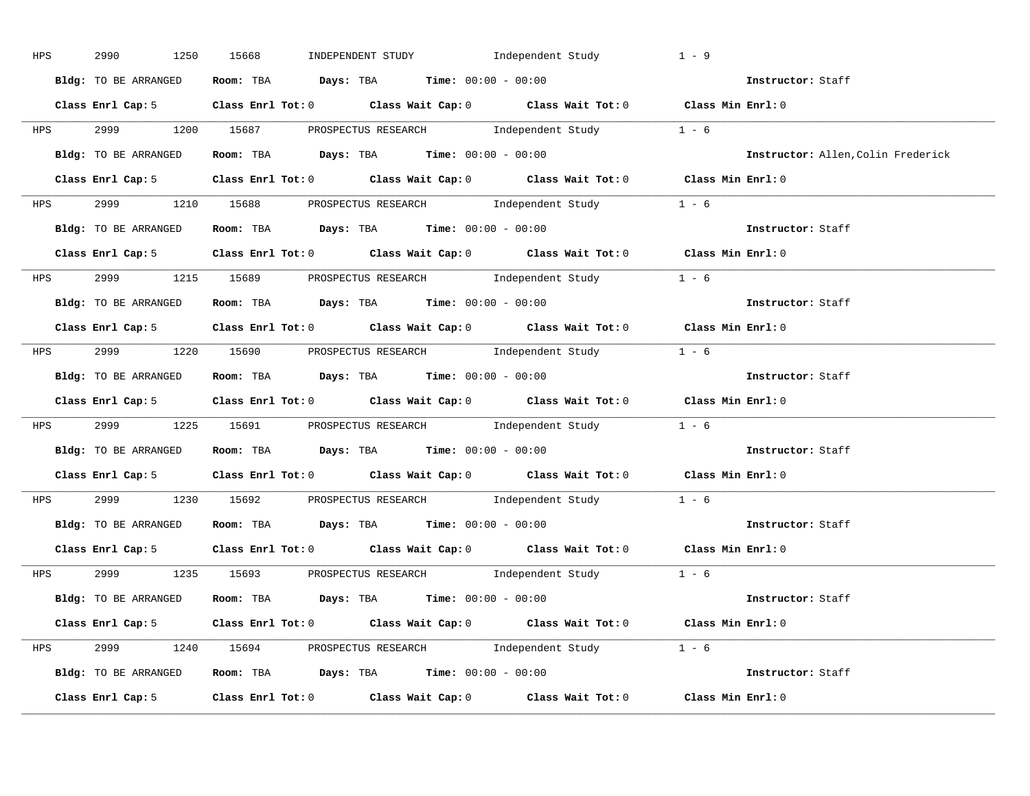| <b>HPS</b> | 2990<br>1250         | INDEPENDENT STUDY 1ndependent Study<br>15668                                               | $1 - 9$                            |
|------------|----------------------|--------------------------------------------------------------------------------------------|------------------------------------|
|            | Bldg: TO BE ARRANGED | Room: TBA $Days:$ TBA $Time: 00:00 - 00:00$                                                | Instructor: Staff                  |
|            |                      | Class Enrl Cap: 5 Class Enrl Tot: 0 Class Wait Cap: 0 Class Wait Tot: 0 Class Min Enrl: 0  |                                    |
|            |                      | HPS 2999 1200 15687 PROSPECTUS RESEARCH Independent Study 1 - 6                            |                                    |
|            |                      | <b>Bldg:</b> TO BE ARRANGED <b>Room:</b> TBA <b>Days:</b> TBA <b>Time:</b> $00:00 - 00:00$ | Instructor: Allen, Colin Frederick |
|            |                      | Class Enrl Cap: 5 Class Enrl Tot: 0 Class Wait Cap: 0 Class Wait Tot: 0 Class Min Enrl: 0  |                                    |
|            |                      | HPS 2999 1210 15688 PROSPECTUS RESEARCH Independent Study 1 - 6                            |                                    |
|            |                      | Bldg: TO BE ARRANGED Room: TBA Days: TBA Time: 00:00 - 00:00                               | Instructor: Staff                  |
|            |                      | Class Enrl Cap: 5 Class Enrl Tot: 0 Class Wait Cap: 0 Class Wait Tot: 0 Class Min Enrl: 0  |                                    |
|            |                      | HPS 2999 1215 15689 PROSPECTUS RESEARCH Independent Study 1 - 6                            |                                    |
|            |                      | Bldg: TO BE ARRANGED Room: TBA Days: TBA Time: 00:00 - 00:00                               | Instructor: Staff                  |
|            |                      | Class Enrl Cap: 5 Class Enrl Tot: 0 Class Wait Cap: 0 Class Wait Tot: 0 Class Min Enrl: 0  |                                    |
|            |                      | HPS 2999 1220 15690 PROSPECTUS RESEARCH Independent Study 1 - 6                            |                                    |
|            |                      | Bldg: TO BE ARRANGED Room: TBA Days: TBA Time: 00:00 - 00:00                               | Instructor: Staff                  |
|            |                      | Class Enrl Cap: 5 Class Enrl Tot: 0 Class Wait Cap: 0 Class Wait Tot: 0 Class Min Enrl: 0  |                                    |
|            |                      | HPS 2999 1225 15691 PROSPECTUS RESEARCH Independent Study 1 - 6                            |                                    |
|            |                      |                                                                                            |                                    |
|            |                      | Bldg: TO BE ARRANGED Room: TBA Days: TBA Time: 00:00 - 00:00                               | Instructor: Staff                  |
|            |                      | Class Enrl Cap: 5 Class Enrl Tot: 0 Class Wait Cap: 0 Class Wait Tot: 0 Class Min Enrl: 0  |                                    |
|            |                      | HPS 2999 1230 15692 PROSPECTUS RESEARCH Independent Study 1 - 6                            |                                    |
|            |                      | Bldg: TO BE ARRANGED Room: TBA Days: TBA Time: 00:00 - 00:00                               | Instructor: Staff                  |
|            |                      | Class Enrl Cap: 5 Class Enrl Tot: 0 Class Wait Cap: 0 Class Wait Tot: 0 Class Min Enrl: 0  |                                    |
|            |                      | HPS 2999 1235 15693 PROSPECTUS RESEARCH Independent Study 1 - 6                            |                                    |
|            |                      | Bldg: TO BE ARRANGED ROOM: TBA Days: TBA Time: 00:00 - 00:00                               | Instructor: Staff                  |
|            |                      | Class Enrl Cap: 5 Class Enrl Tot: 0 Class Wait Cap: 0 Class Wait Tot: 0 Class Min Enrl: 0  |                                    |
|            |                      | HPS 2999 1240 15694 PROSPECTUS RESEARCH Independent Study 1 - 6                            |                                    |
|            |                      | Bldg: TO BE ARRANGED Room: TBA Days: TBA Time: 00:00 - 00:00                               | Instructor: Staff                  |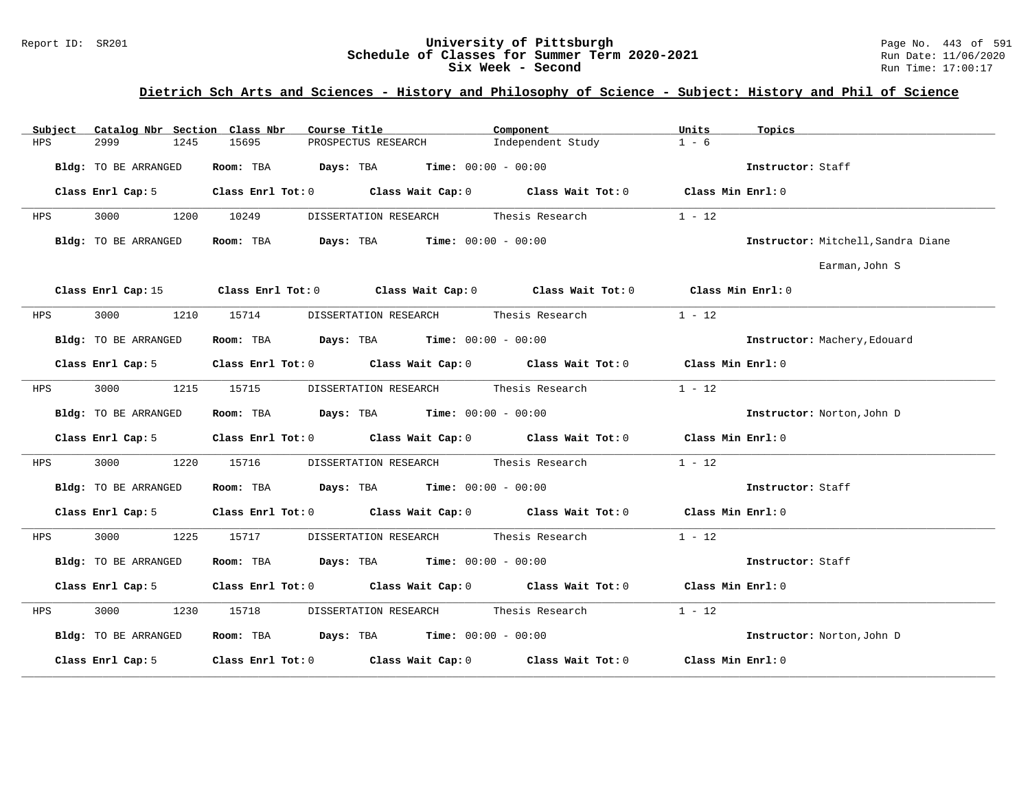### Report ID: SR201 **1988 Machines 1988 Machinesity of Pittsburgh** Page No. 443 of 591 Page No. 443 of 591 Page No<br>**Schedule of Classes for Summer Term 2020-2021** Page 11/06/2020 **Schedule of Classes for Summer Term 2020-2021** Run Date: 11/06/2021<br>Six Week - Second Run Time: 17:00:17 Six Week - Second

| Subject | Catalog Nbr Section Class Nbr | Course Title                                                                                       | Component                             | Units<br>Topics                    |
|---------|-------------------------------|----------------------------------------------------------------------------------------------------|---------------------------------------|------------------------------------|
| HPS     | 2999<br>1245                  | 15695<br>PROSPECTUS RESEARCH                                                                       | Independent Study                     | $1 - 6$                            |
|         | Bldg: TO BE ARRANGED          | Room: TBA $Days:$ TBA $Time: 00:00 - 00:00$                                                        |                                       | Instructor: Staff                  |
|         | Class Enrl Cap: 5             | Class Enrl Tot: 0 Class Wait Cap: 0 Class Wait Tot: 0 Class Min Enrl: 0                            |                                       |                                    |
| HPS     | 3000<br>1200                  | 10249<br>DISSERTATION RESEARCH                                                                     | Thesis Research                       | $1 - 12$                           |
|         | Bldg: TO BE ARRANGED          | Room: TBA $\rule{1em}{0.15mm}$ Days: TBA Time: $00:00 - 00:00$                                     |                                       | Instructor: Mitchell, Sandra Diane |
|         |                               |                                                                                                    |                                       | Earman, John S                     |
|         |                               | Class Enrl Cap: 15 Class Enrl Tot: 0 Class Wait Cap: 0 Class Wait Tot: 0 Class Min Enrl: 0         |                                       |                                    |
| HPS     | 3000                          | 1210 15714                                                                                         | DISSERTATION RESEARCH Thesis Research | $1 - 12$                           |
|         | Bldg: TO BE ARRANGED          | Room: TBA $Days:$ TBA $Time: 00:00 - 00:00$                                                        |                                       | Instructor: Machery, Edouard       |
|         | Class Enrl Cap: 5             | Class Enrl Tot: 0 Class Wait Cap: 0 Class Wait Tot: 0 Class Min Enrl: 0                            |                                       |                                    |
| HPS     | 3000 000<br>1215              | 15715                                                                                              | DISSERTATION RESEARCH Thesis Research | $1 - 12$                           |
|         | Bldg: TO BE ARRANGED          | Room: TBA $Days:$ TBA $Time: 00:00 - 00:00$                                                        |                                       | Instructor: Norton, John D         |
|         |                               | Class Enrl Cap: 5 Class Enrl Tot: 0 Class Wait Cap: 0 Class Wait Tot: 0 Class Min Enrl: 0          |                                       |                                    |
| HPS     | 3000<br>1220                  | 15716                                                                                              | DISSERTATION RESEARCH Thesis Research | $1 - 12$                           |
|         | Bldg: TO BE ARRANGED          | Room: TBA $\rule{1em}{0.15mm}$ Days: TBA $\rule{1.5mm}{0.15mm}$ Time: $00:00 - 00:00$              |                                       | Instructor: Staff                  |
|         |                               | Class Enrl Cap: 5 Class Enrl Tot: 0 Class Wait Cap: 0 Class Wait Tot: 0 Class Min Enrl: 0          |                                       |                                    |
| HPS     | 3000<br>1225                  | 15717                                                                                              | DISSERTATION RESEARCH Thesis Research | $1 - 12$                           |
|         | Bldg: TO BE ARRANGED          | Room: TBA $Days: TBA$ Time: $00:00 - 00:00$                                                        |                                       | Instructor: Staff                  |
|         | Class Enrl Cap: 5             | Class Enrl Tot: 0 Class Wait Cap: 0 Class Wait Tot: 0 Class Min Enrl: 0                            |                                       |                                    |
| HPS     | 3000 000<br>1230              | 15718                                                                                              | DISSERTATION RESEARCH Thesis Research | $1 - 12$                           |
|         | Bldg: TO BE ARRANGED          | Room: TBA $Days:$ TBA Time: $00:00 - 00:00$                                                        |                                       | Instructor: Norton, John D         |
|         | Class Enrl Cap: 5             | Class Enrl Tot: 0 $\qquad$ Class Wait Cap: 0 $\qquad$ Class Wait Tot: 0 $\qquad$ Class Min Enrl: 0 |                                       |                                    |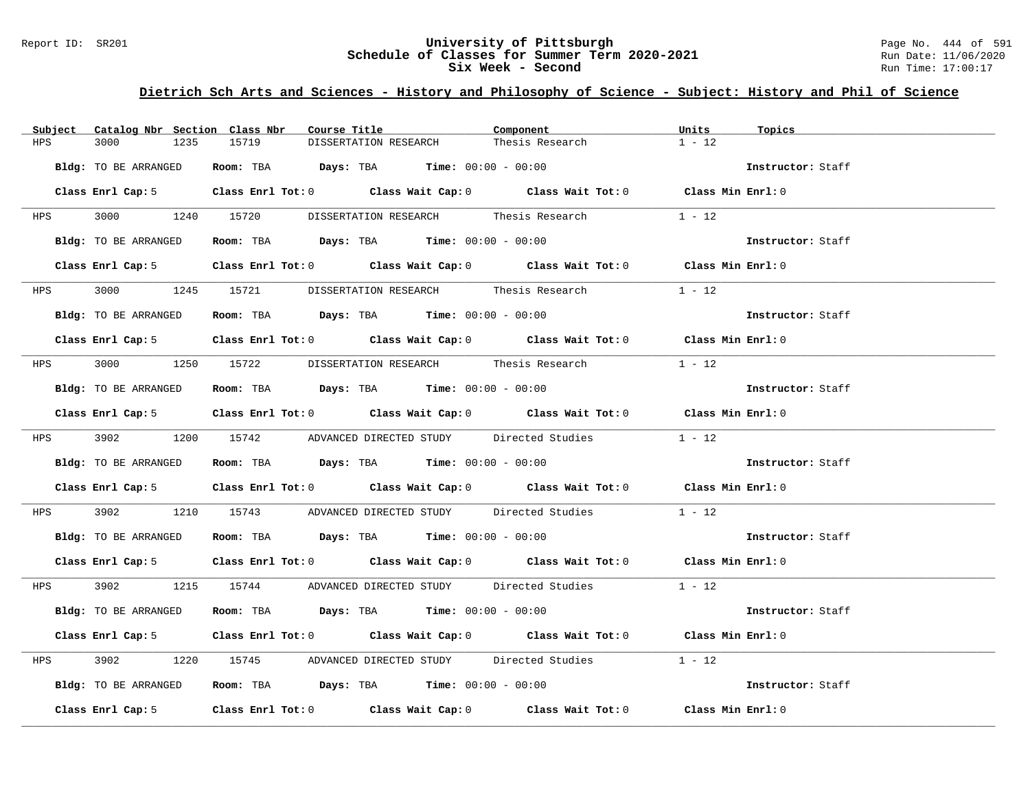#### Report ID: SR201 **University of Pittsburgh** Page No. 444 of 591 **Schedule of Classes for Summer Term 2020-2021** Run Date: 11/06/2020 **Six Week - Second Run Time: 17:00:17**

| Subject Catalog Nbr Section Class Nbr | Course Title                                                                              | Component       | Units<br>Topics   |
|---------------------------------------|-------------------------------------------------------------------------------------------|-----------------|-------------------|
| 3000<br>1235<br>HPS                   | 15719<br>DISSERTATION RESEARCH                                                            | Thesis Research | $1 - 12$          |
| Bldg: TO BE ARRANGED                  | Room: TBA $Days:$ TBA $Time: 00:00 - 00:00$                                               |                 | Instructor: Staff |
|                                       | Class Enrl Cap: 5 Class Enrl Tot: 0 Class Wait Cap: 0 Class Wait Tot: 0 Class Min Enrl: 0 |                 |                   |
|                                       |                                                                                           |                 | $1 - 12$          |
| Bldg: TO BE ARRANGED                  | Room: TBA $Days:$ TBA $Time: 00:00 - 00:00$                                               |                 | Instructor: Staff |
|                                       | Class Enrl Cap: 5 Class Enrl Tot: 0 Class Wait Cap: 0 Class Wait Tot: 0 Class Min Enrl: 0 |                 |                   |
|                                       | HPS     3000      1245   15721     DISSERTATION RESEARCH      Thesis Research             |                 | $1 - 12$          |
| Bldg: TO BE ARRANGED                  | Room: TBA $Days:$ TBA $Time: 00:00 - 00:00$                                               |                 | Instructor: Staff |
|                                       | Class Enrl Cap: 5 Class Enrl Tot: 0 Class Wait Cap: 0 Class Wait Tot: 0 Class Min Enrl: 0 |                 |                   |
|                                       | HPS 3000 1250 15722 DISSERTATION RESEARCH Thesis Research                                 |                 | $1 - 12$          |
| Bldg: TO BE ARRANGED                  | Room: TBA $Days:$ TBA $Time:$ 00:00 - 00:00                                               |                 | Instructor: Staff |
|                                       | Class Enrl Cap: 5 Class Enrl Tot: 0 Class Wait Cap: 0 Class Wait Tot: 0 Class Min Enrl: 0 |                 |                   |
|                                       | HPS 3902 1200 15742 ADVANCED DIRECTED STUDY Directed Studies 1 - 12                       |                 |                   |
| Bldg: TO BE ARRANGED                  | Room: TBA $Days: TBA$ Time: $00:00 - 00:00$                                               |                 | Instructor: Staff |
|                                       | Class Enrl Cap: 5 Class Enrl Tot: 0 Class Wait Cap: 0 Class Wait Tot: 0 Class Min Enrl: 0 |                 |                   |
| 3902<br><b>HPS</b>                    | 1210 15743 ADVANCED DIRECTED STUDY Directed Studies                                       |                 | $1 - 12$          |
| Bldg: TO BE ARRANGED                  | Room: TBA $\rule{1em}{0.15mm}$ Days: TBA Time: $00:00 - 00:00$                            |                 | Instructor: Staff |
|                                       | Class Enrl Cap: 5 Class Enrl Tot: 0 Class Wait Cap: 0 Class Wait Tot: 0 Class Min Enrl: 0 |                 |                   |
|                                       | HPS 3902 1215 15744 ADVANCED DIRECTED STUDY Directed Studies 1 - 12                       |                 |                   |
| Bldg: TO BE ARRANGED                  | Room: TBA $Days:$ TBA $Time: 00:00 - 00:00$                                               |                 | Instructor: Staff |
|                                       | Class Enrl Cap: 5 Class Enrl Tot: 0 Class Wait Cap: 0 Class Wait Tot: 0 Class Min Enrl: 0 |                 |                   |
| 3902 390<br><b>HPS</b>                | 1220 15745 ADVANCED DIRECTED STUDY Directed Studies                                       |                 | $1 - 12$          |
| Bldg: TO BE ARRANGED                  | Room: TBA $\rule{1em}{0.15mm}$ Days: TBA Time: $00:00 - 00:00$                            |                 | Instructor: Staff |
|                                       | Class Enrl Cap: 5 Class Enrl Tot: 0 Class Wait Cap: 0 Class Wait Tot: 0 Class Min Enrl: 0 |                 |                   |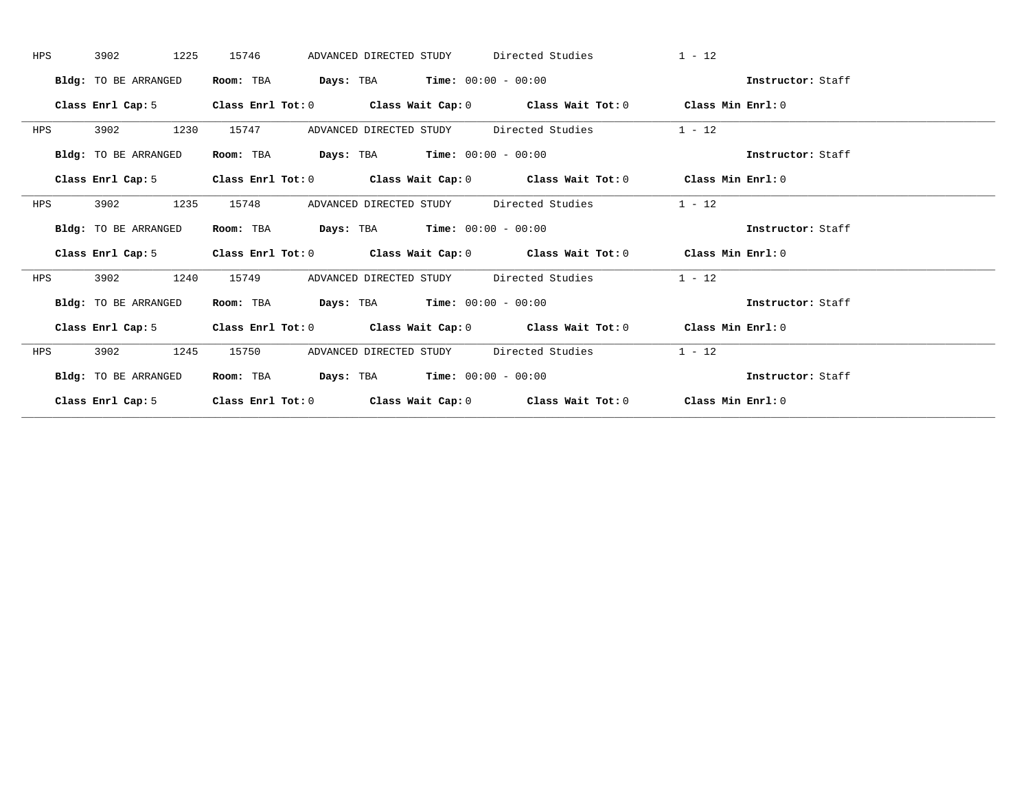| HPS | 1225<br>3902                | 15746<br>ADVANCED DIRECTED STUDY                                                          | Directed Studies                                            | $1 - 12$          |
|-----|-----------------------------|-------------------------------------------------------------------------------------------|-------------------------------------------------------------|-------------------|
|     | Bldg: TO BE ARRANGED        | $\texttt{Days:}$ TBA $\texttt{Time:}$ 00:00 - 00:00<br>Room: TBA                          |                                                             | Instructor: Staff |
|     | Class Enrl Cap: 5           | Class Enrl Tot: $0$                                                                       | Class Wait Cap: $0$ Class Wait Tot: $0$ Class Min Enrl: $0$ |                   |
| HPS | 3902<br>1230                | 15747<br>ADVANCED DIRECTED STUDY                                                          | Directed Studies                                            | $1 - 12$          |
|     | Bldg: TO BE ARRANGED        | <b>Days:</b> TBA <b>Time:</b> $00:00 - 00:00$<br>Room: TBA                                |                                                             | Instructor: Staff |
|     | Class Enrl Cap: 5           | Class Enrl Tot: $0$ Class Wait Cap: $0$ Class Wait Tot: $0$                               |                                                             | Class Min Enrl: 0 |
| HPS | 3902<br>1235                | 15748<br>ADVANCED DIRECTED STUDY                                                          | Directed Studies                                            | $1 - 12$          |
|     | <b>Bldg:</b> TO BE ARRANGED | $\texttt{Days:}$ TBA $\texttt{Time:}$ 00:00 - 00:00<br>Room: TBA                          |                                                             | Instructor: Staff |
|     | Class Enrl Cap: 5           | Class Enrl Tot: $0$ Class Wait Cap: $0$ Class Wait Tot: $0$                               |                                                             | Class Min Enrl: 0 |
| HPS | 3902<br>1240                | 15749<br>ADVANCED DIRECTED STUDY                                                          | Directed Studies                                            | $1 - 12$          |
|     | Bldg: TO BE ARRANGED        | <b>Days:</b> TBA <b>Time:</b> $00:00 - 00:00$<br>Room: TBA                                |                                                             | Instructor: Staff |
|     |                             | Class Enrl Cap: 5 Class Enrl Tot: 0 Class Wait Cap: 0 Class Wait Tot: 0 Class Min Enrl: 0 |                                                             |                   |
| HPS | 3902<br>1245                | 15750<br>ADVANCED DIRECTED STUDY                                                          | Directed Studies                                            | $1 - 12$          |
|     | <b>Bldg:</b> TO BE ARRANGED | $\texttt{Days:}$ TBA $\texttt{Time:}$ 00:00 - 00:00<br>Room: TBA                          |                                                             | Instructor: Staff |
|     | Class Enrl Cap: 5           | $Class$ $Enr1$ $Tot: 0$                                                                   | Class Wait Cap: $0$ Class Wait Tot: $0$ Class Min Enrl: $0$ |                   |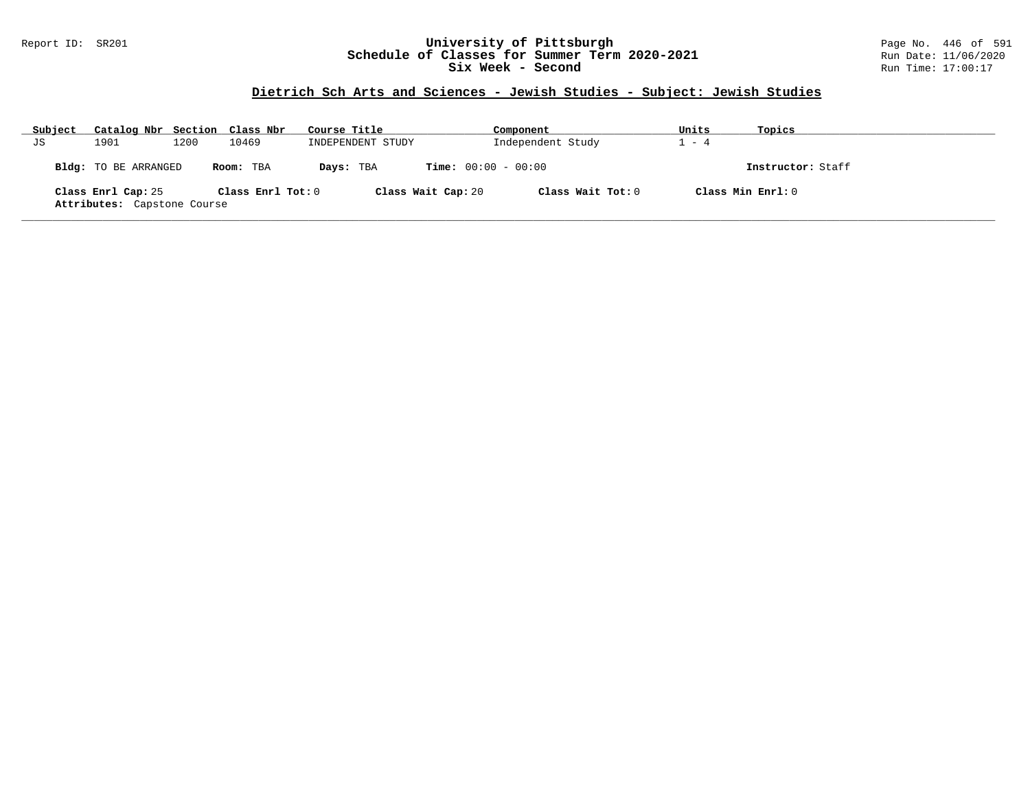### Report ID: SR201 **University of Pittsburgh** Page No. 446 of 591 **Schedule of Classes for Summer Term 2020-2021** Run Date: 11/06/2020 **Six Week - Second Run Time: 17:00:17**

# **Dietrich Sch Arts and Sciences - Jewish Studies - Subject: Jewish Studies**

| Subject | Catalog Nbr Section Class Nbr                     |      |                   | Course Title      |                              | Component         | Units             | Topics            |
|---------|---------------------------------------------------|------|-------------------|-------------------|------------------------------|-------------------|-------------------|-------------------|
| JS      | 1901                                              | 1200 | 10469             | INDEPENDENT STUDY |                              | Independent Study | $1 - 4$           |                   |
|         | Bldg: TO BE ARRANGED                              |      | Room: TBA         | Days: TBA         | <b>Time:</b> $00:00 - 00:00$ |                   |                   | Instructor: Staff |
|         | Class Enrl Cap: 25<br>Attributes: Capstone Course |      | Class Enrl Tot: 0 |                   | Class Wait Cap: 20           | Class Wait Tot: 0 | Class Min Enrl: 0 |                   |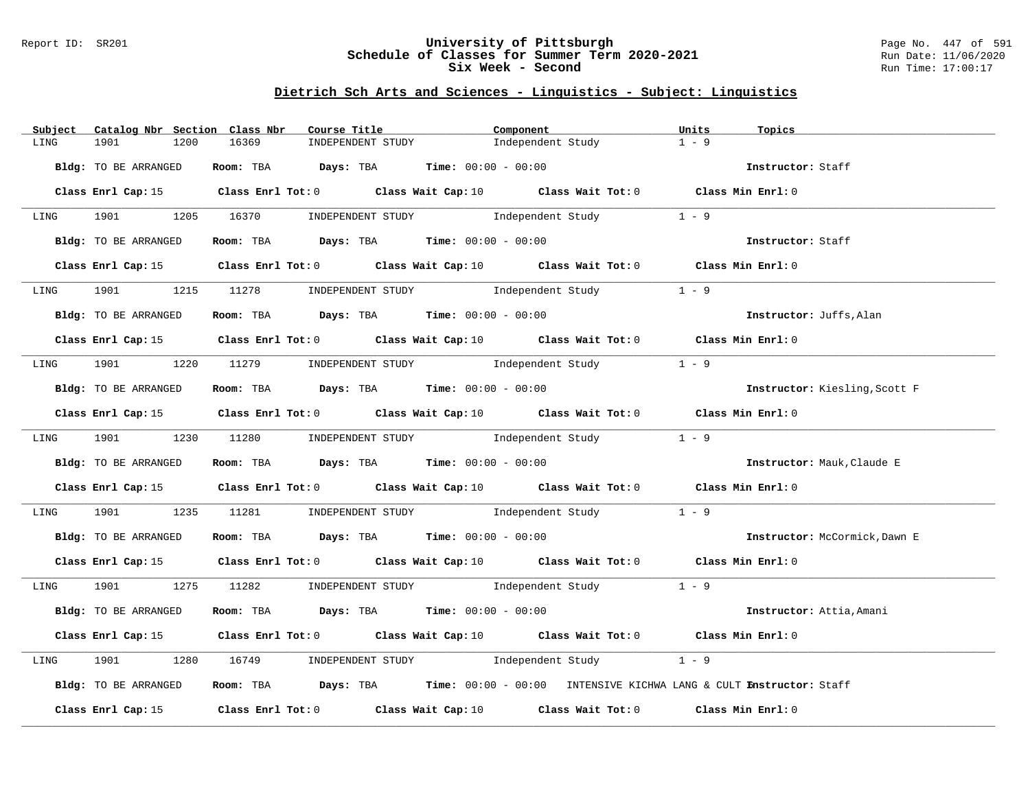### Report ID: SR201 **University of Pittsburgh** Page No. 447 of 591 **Schedule of Classes for Summer Term 2020-2021** Run Date: 11/06/2020 **Six Week - Second Run Time: 17:00:17**

# **Dietrich Sch Arts and Sciences - Linguistics - Subject: Linguistics**

| Catalog Nbr Section Class Nbr<br>Subject | Course Title                                                                                        | Component         | Units<br>Topics               |
|------------------------------------------|-----------------------------------------------------------------------------------------------------|-------------------|-------------------------------|
| 1901<br>1200<br>LING                     | 16369<br>INDEPENDENT STUDY                                                                          | Independent Study | $1 - 9$                       |
| Bldg: TO BE ARRANGED                     | Room: TBA $\rule{1em}{0.15mm}$ Days: TBA $\rule{1.5mm}{0.15mm}$ Time: $00:00 - 00:00$               |                   | Instructor: Staff             |
|                                          | Class Enrl Cap: 15 Class Enrl Tot: 0 Class Wait Cap: 10 Class Wait Tot: 0 Class Min Enrl: 0         |                   |                               |
|                                          | LING 1901 1205 16370 INDEPENDENT STUDY Independent Study 1 - 9                                      |                   |                               |
| Bldg: TO BE ARRANGED                     | <b>Room:</b> TBA <b>Days:</b> TBA <b>Time:</b> 00:00 - 00:00                                        |                   | Instructor: Staff             |
| Class Enrl Cap: 15                       | Class Enrl Tot: 0 $\qquad$ Class Wait Cap: 10 $\qquad$ Class Wait Tot: 0 $\qquad$ Class Min Enrl: 0 |                   |                               |
| LING                                     | 1901 1215 11278 INDEPENDENT STUDY Independent Study                                                 |                   | $1 - 9$                       |
| Bldg: TO BE ARRANGED                     | Room: TBA $\rule{1em}{0.15mm}$ Days: TBA Time: $00:00 - 00:00$                                      |                   | Instructor: Juffs, Alan       |
|                                          | Class Enrl Cap: 15 Class Enrl Tot: 0 Class Wait Cap: 10 Class Wait Tot: 0 Class Min Enrl: 0         |                   |                               |
|                                          | LING 1901 1220 11279 INDEPENDENT STUDY Independent Study                                            |                   | $1 - 9$                       |
| Bldg: TO BE ARRANGED                     | Room: TBA $Days: TBA$ Time: $00:00 - 00:00$                                                         |                   | Instructor: Kiesling, Scott F |
|                                          | Class Enrl Cap: 15 Class Enrl Tot: 0 Class Wait Cap: 10 Class Wait Tot: 0 Class Min Enrl: 0         |                   |                               |
|                                          | LING 1901 1230 11280 INDEPENDENT STUDY Independent Study 1 - 9                                      |                   |                               |
| Bldg: TO BE ARRANGED                     | Room: TBA Days: TBA Time: $00:00 - 00:00$                                                           |                   | Instructor: Mauk, Claude E    |
|                                          | Class Enrl Cap: 15 Class Enrl Tot: 0 Class Wait Cap: 10 Class Wait Tot: 0 Class Min Enrl: 0         |                   |                               |
| LING                                     | 1901 1235 11281 INDEPENDENT STUDY Independent Study 1 - 9                                           |                   |                               |
| Bldg: TO BE ARRANGED                     | Room: TBA $Days:$ TBA $Time: 00:00 - 00:00$                                                         |                   | Instructor: McCormick, Dawn E |
|                                          | Class Enrl Cap: 15 Class Enrl Tot: 0 Class Wait Cap: 10 Class Wait Tot: 0 Class Min Enrl: 0         |                   |                               |
|                                          | LING 1901 1275 11282 INDEPENDENT STUDY Independent Study 1 - 9                                      |                   |                               |
| Bldg: TO BE ARRANGED                     | <b>Room:</b> TBA <b>Days:</b> TBA <b>Time:</b> 00:00 - 00:00                                        |                   | Instructor: Attia, Amani      |
|                                          | Class Enrl Cap: 15 Class Enrl Tot: 0 Class Wait Cap: 10 Class Wait Tot: 0 Class Min Enrl: 0         |                   |                               |
| 1901 1901<br>LING                        | 1280 16749 INDEPENDENT STUDY Independent Study                                                      |                   | $1 - 9$                       |
| Bldg: TO BE ARRANGED                     | Room: TBA Days: TBA Time: 00:00 - 00:00 INTENSIVE KICHWA LANG & CULT Linstructor: Staff             |                   |                               |
|                                          | Class Enrl Cap: 15 Class Enrl Tot: 0 Class Wait Cap: 10 Class Wait Tot: 0 Class Min Enrl: 0         |                   |                               |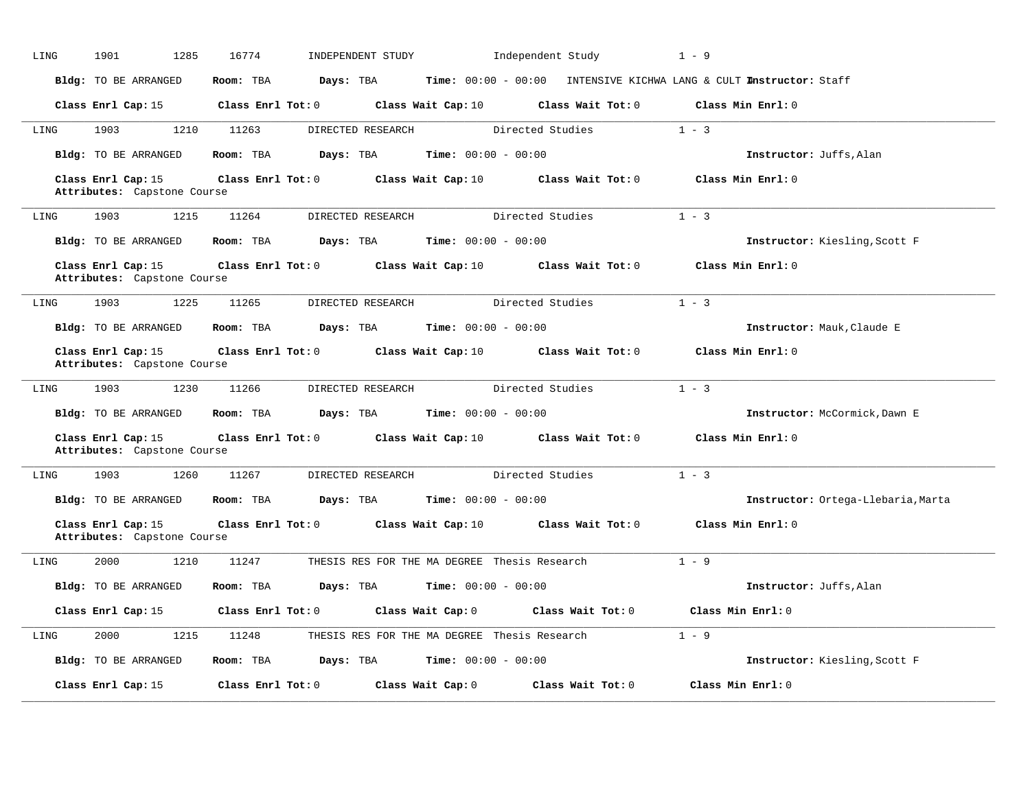| LING | 1901<br>1285                                      | 16774<br>INDEPENDENT STUDY                  | Independent Study                                                                                   | $1 - 9$                            |
|------|---------------------------------------------------|---------------------------------------------|-----------------------------------------------------------------------------------------------------|------------------------------------|
|      | Bldg: TO BE ARRANGED                              | Room: TBA<br>Days: TBA                      | Time: 00:00 - 00:00 INTENSIVE KICHWA LANG & CULT Instructor: Staff                                  |                                    |
|      | Class Enrl Cap: 15                                |                                             | Class Enrl Tot: 0 $\qquad$ Class Wait Cap: 10 $\qquad$ Class Wait Tot: 0 $\qquad$ Class Min Enrl: 0 |                                    |
| LING | 1210<br>1903                                      | 11263<br>DIRECTED RESEARCH                  | Directed Studies                                                                                    | $1 - 3$                            |
|      | Bldg: TO BE ARRANGED                              | Room: TBA                                   | <b>Days:</b> TBA <b>Time:</b> $00:00 - 00:00$                                                       | Instructor: Juffs, Alan            |
|      | Class Enrl Cap: 15<br>Attributes: Capstone Course | $Class$ $Enrl$ $Tot: 0$                     | Class Wait Cap: 10 Class Wait Tot: 0                                                                | Class Min Enrl: 0                  |
| LING | 1903<br>1215                                      | 11264<br>DIRECTED RESEARCH                  | Directed Studies                                                                                    | $1 - 3$                            |
|      | Bldg: TO BE ARRANGED                              | Room: TBA                                   | <b>Days:</b> TBA <b>Time:</b> $00:00 - 00:00$                                                       | Instructor: Kiesling, Scott F      |
|      | Class Enrl Cap: 15<br>Attributes: Capstone Course |                                             | Class Enrl Tot: 0 Class Wait Cap: 10 Class Wait Tot: 0                                              | Class Min Enrl: 0                  |
| LING | 1903<br>1225                                      | 11265<br>DIRECTED RESEARCH                  | Directed Studies                                                                                    | $1 - 3$                            |
|      | Bldg: TO BE ARRANGED                              | Room: TBA $Days: TBA$ Time: $00:00 - 00:00$ |                                                                                                     | Instructor: Mauk, Claude E         |
|      | Class Enrl Cap: 15<br>Attributes: Capstone Course |                                             | Class Enrl Tot: 0 Class Wait Cap: 10 Class Wait Tot: 0                                              | Class Min Enrl: 0                  |
| LING | 1903<br>1230                                      | 11266<br>DIRECTED RESEARCH                  | Directed Studies                                                                                    | $1 - 3$                            |
|      | Bldg: TO BE ARRANGED                              | Room: TBA<br>Days: TBA                      | <b>Time:</b> $00:00 - 00:00$                                                                        | Instructor: McCormick, Dawn E      |
|      | Class Enrl Cap: 15<br>Attributes: Capstone Course |                                             | Class Enrl Tot: 0 Class Wait Cap: 10 Class Wait Tot: 0                                              | Class Min Enrl: 0                  |
| LING | 1903<br>1260                                      | 11267<br>DIRECTED RESEARCH                  | Directed Studies                                                                                    | $1 - 3$                            |
|      | Bldg: TO BE ARRANGED                              | Room: TBA                                   | <b>Days:</b> TBA <b>Time:</b> $00:00 - 00:00$                                                       | Instructor: Ortega-Llebaria, Marta |
|      | Class Enrl Cap: 15<br>Attributes: Capstone Course |                                             | Class Enrl Tot: 0 Class Wait Cap: 10 Class Wait Tot: 0                                              | Class Min Enrl: 0                  |
| LING | 2000<br>1210                                      | 11247                                       | THESIS RES FOR THE MA DEGREE Thesis Research                                                        | $1 - 9$                            |
|      | Bldg: TO BE ARRANGED                              | Room: TBA                                   | <b>Days:</b> TBA <b>Time:</b> $00:00 - 00:00$                                                       | Instructor: Juffs, Alan            |
|      | Class Enrl Cap: 15                                | $Class$ $Enrl$ $Tot: 0$                     | Class Wait Cap: 0<br>Class Wait Tot: 0                                                              | Class Min Enrl: 0                  |
| LING | 1215<br>2000                                      | 11248                                       | THESIS RES FOR THE MA DEGREE Thesis Research                                                        | $1 - 9$                            |
|      | Bldg: TO BE ARRANGED                              | Room: TBA                                   | <b>Days:</b> TBA <b>Time:</b> $00:00 - 00:00$                                                       | Instructor: Kiesling, Scott F      |
|      | Class Enrl Cap: 15                                | Class Enrl Tot: 0                           | Class Wait Cap: 0<br>Class Wait Tot: 0                                                              | Class Min Enrl: 0                  |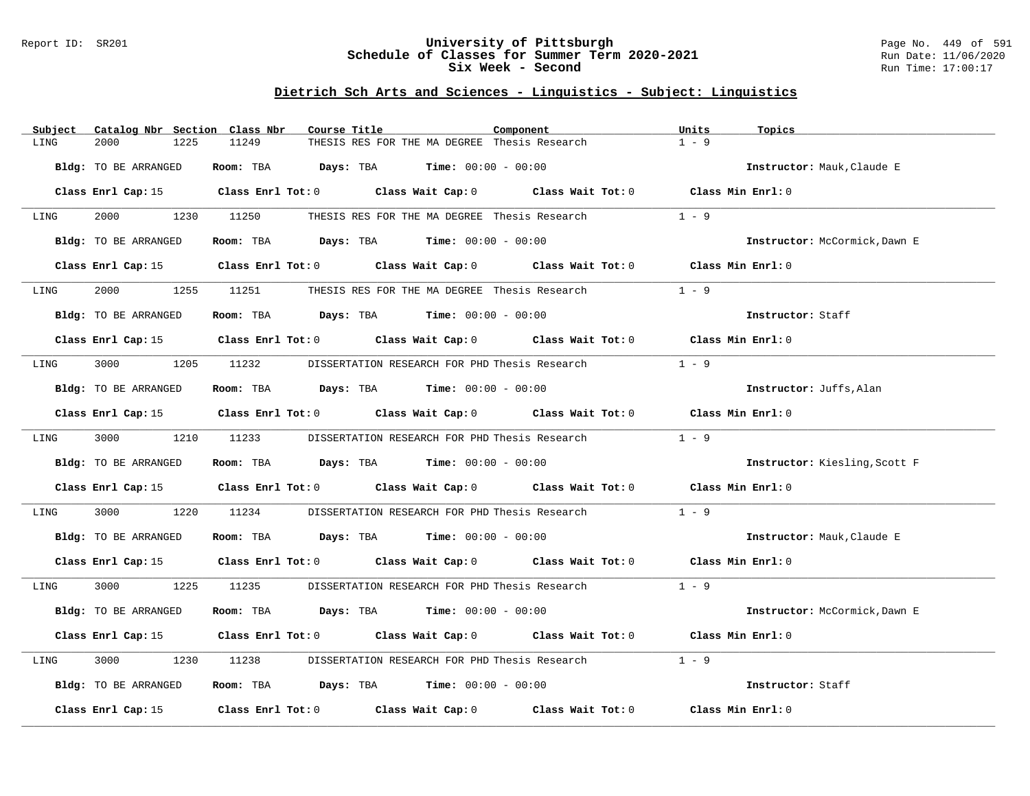### Report ID: SR201 **University of Pittsburgh** Page No. 449 of 591 **Schedule of Classes for Summer Term 2020-2021** Run Date: 11/06/2020 **Six Week - Second Run Time: 17:00:17**

# **Dietrich Sch Arts and Sciences - Linguistics - Subject: Linguistics**

| Catalog Nbr Section Class Nbr<br>Subject | Course Title                                                                                    | Component | Units<br>Topics               |
|------------------------------------------|-------------------------------------------------------------------------------------------------|-----------|-------------------------------|
| 2000<br>1225<br>LING                     | THESIS RES FOR THE MA DEGREE Thesis Research<br>11249                                           |           | $1 - 9$                       |
| Bldg: TO BE ARRANGED                     | Room: TBA $\rule{1em}{0.15mm}$ Days: TBA $\rule{1em}{0.15mm}$ Time: $00:00 - 00:00$             |           | Instructor: Mauk, Claude E    |
|                                          | Class Enrl Cap: 15 Class Enrl Tot: 0 Class Wait Cap: 0 Class Wait Tot: 0 Class Min Enrl: 0      |           |                               |
| LING                                     | 2000 1230 11250 THESIS RES FOR THE MA DEGREE Thesis Research                                    |           | $1 - 9$                       |
| Bldg: TO BE ARRANGED                     | Room: TBA $Days:$ TBA $Time: 00:00 - 00:00$                                                     |           | Instructor: McCormick, Dawn E |
|                                          | Class Enrl Cap: 15 Class Enrl Tot: 0 Class Wait Cap: 0 Class Wait Tot: 0 Class Min Enrl: 0      |           |                               |
| 2000<br>1255<br>LING                     | 11251<br>THESIS RES FOR THE MA DEGREE Thesis Research                                           |           | $1 - 9$                       |
| Bldg: TO BE ARRANGED                     | Room: TBA $\rule{1em}{0.15mm}$ Days: TBA $\rule{1.5mm}{0.15mm}$ Time: $00:00 - 00:00$           |           | Instructor: Staff             |
|                                          | Class Enrl Cap: 15 Class Enrl Tot: 0 Class Wait Cap: 0 Class Wait Tot: 0 Class Min Enrl: 0      |           |                               |
| LING                                     | 3000 1205 11232 DISSERTATION RESEARCH FOR PHD Thesis Research                                   |           | $1 - 9$                       |
| Bldg: TO BE ARRANGED                     | Room: TBA $Days:$ TBA $Time: 00:00 - 00:00$                                                     |           | Instructor: Juffs, Alan       |
|                                          | Class Enrl Cap: 15 (class Enrl Tot: 0 (class Wait Cap: 0 (class Wait Tot: 0 (class Min Enrl: 0) |           |                               |
| 3000 1210 11233<br>LING                  | DISSERTATION RESEARCH FOR PHD Thesis Research                                                   |           | $1 - 9$                       |
| Bldg: TO BE ARRANGED                     | Room: TBA $Days:$ TBA $Time: 00:00 - 00:00$                                                     |           | Instructor: Kiesling, Scott F |
|                                          | Class Enrl Cap: 15 Class Enrl Tot: 0 Class Wait Cap: 0 Class Wait Tot: 0                        |           | Class Min Enrl: 0             |
| 3000<br>1220<br>LING                     | 11234<br>DISSERTATION RESEARCH FOR PHD Thesis Research                                          |           | $1 - 9$                       |
| Bldg: TO BE ARRANGED                     | Room: TBA $\rule{1em}{0.15mm}$ Days: TBA Time: $00:00 - 00:00$                                  |           | Instructor: Mauk, Claude E    |
|                                          | Class Enrl Cap: 15 Class Enrl Tot: 0 Class Wait Cap: 0 Class Wait Tot: 0 Class Min Enrl: 0      |           |                               |
| 3000<br>LING                             | 1225 11235<br>DISSERTATION RESEARCH FOR PHD Thesis Research                                     |           | $1 - 9$                       |
| Bldg: TO BE ARRANGED                     | Room: TBA $Days:$ TBA $Time: 00:00 - 00:00$                                                     |           | Instructor: McCormick, Dawn E |
|                                          | Class Enrl Cap: 15 Class Enrl Tot: 0 Class Wait Cap: 0 Class Wait Tot: 0 Class Min Enrl: 0      |           |                               |
| 3000<br>1230<br>LING                     | 11238<br>DISSERTATION RESEARCH FOR PHD Thesis Research                                          |           | $1 - 9$                       |
| Bldg: TO BE ARRANGED                     | Room: TBA $Days:$ TBA $Time: 00:00 - 00:00$                                                     |           | Instructor: Staff             |
| Class Enrl Cap: 15                       | Class Enrl Tot: $0$ Class Wait Cap: $0$ Class Wait Tot: $0$                                     |           | Class Min Enrl: 0             |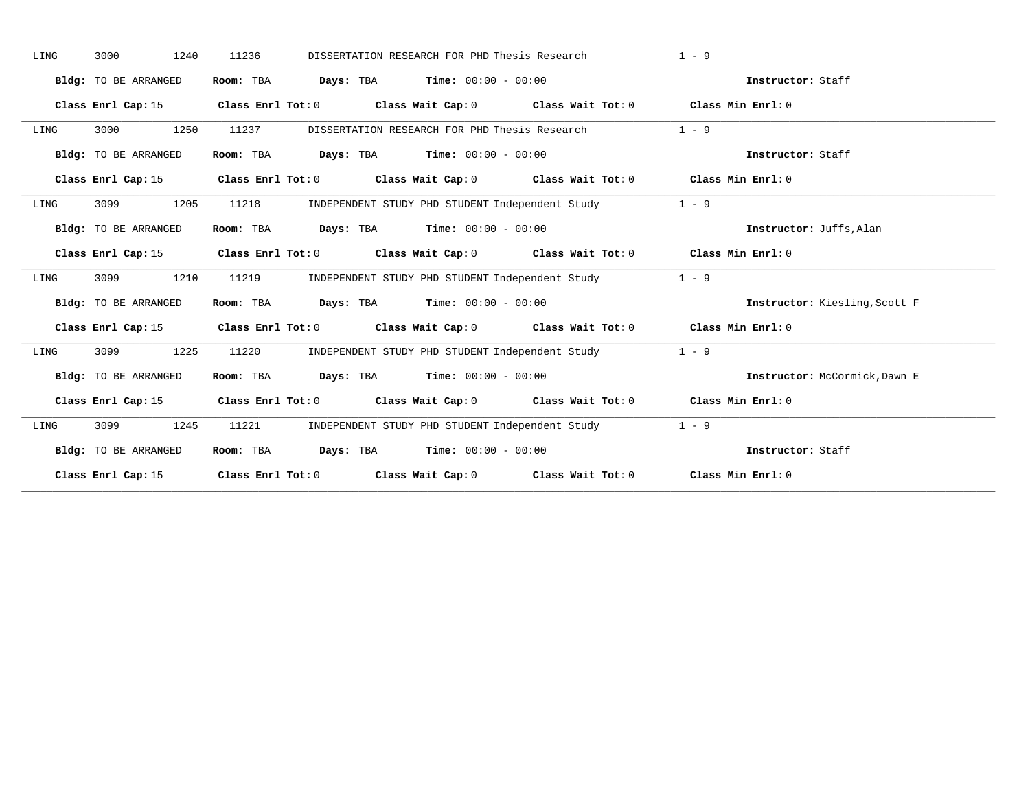| LING | 1240<br>3000         | 11236<br>DISSERTATION RESEARCH FOR PHD Thesis Research                                          | $1 - 9$                       |
|------|----------------------|-------------------------------------------------------------------------------------------------|-------------------------------|
|      | Bldg: TO BE ARRANGED | Room: TBA<br>$\texttt{Days:}$ TBA $\texttt{Time:}$ 00:00 - 00:00                                | Instructor: Staff             |
|      | Class Enrl Cap: 15   | Class Enrl Tot: $0$ Class Wait Cap: $0$ Class Wait Tot: $0$ Class Min Enrl: $0$                 |                               |
| LING | 3000<br>1250         | 11237<br>DISSERTATION RESEARCH FOR PHD Thesis Research                                          | $1 - 9$                       |
|      | Bldg: TO BE ARRANGED | Room: TBA $Days:$ TBA $Time: 00:00 - 00:00$                                                     | Instructor: Staff             |
|      |                      | Class Enrl Cap: 15 (class Enrl Tot: 0 (class Wait Cap: 0 (class Wait Tot: 0 (class Min Enrl: 0) |                               |
| LING | 1205<br>3099         | 11218<br>INDEPENDENT STUDY PHD STUDENT Independent Study                                        | $1 - 9$                       |
|      | Bldg: TO BE ARRANGED | Room: TBA $Days:$ TBA $Time: 00:00 - 00:00$                                                     | Instructor: Juffs, Alan       |
|      |                      | Class Enrl Cap: 15 Class Enrl Tot: 0 Class Wait Cap: 0 Class Wait Tot: 0 Class Min Enrl: 0      |                               |
| LING | 3099<br>1210         | 11219<br>INDEPENDENT STUDY PHD STUDENT Independent Study                                        | $1 - 9$                       |
|      | Bldg: TO BE ARRANGED | Room: TBA $Days:$ TBA $Time: 00:00 - 00:00$                                                     | Instructor: Kiesling, Scott F |
|      |                      | Class Enrl Cap: 15 Class Enrl Tot: 0 Class Wait Cap: 0 Class Wait Tot: 0 Class Min Enrl: 0      |                               |
| LING | 3099<br>1225         | 11220<br>INDEPENDENT STUDY PHD STUDENT Independent Study                                        | $1 - 9$                       |
|      | Bldg: TO BE ARRANGED | Room: TBA $Days: TBA$ Time: $00:00 - 00:00$                                                     | Instructor: McCormick, Dawn E |
|      |                      | Class Enrl Cap: 15 Class Enrl Tot: 0 Class Wait Cap: 0 Class Wait Tot: 0 Class Min Enrl: 0      |                               |
| LING | 3099<br>1245         | 11221<br>INDEPENDENT STUDY PHD STUDENT Independent Study                                        | $1 - 9$                       |
|      | Bldg: TO BE ARRANGED | Room: TBA $\rule{1em}{0.15mm}$ Days: TBA Time: $00:00 - 00:00$                                  | Instructor: Staff             |
|      |                      | Class Enrl Cap: 15 Class Enrl Tot: 0 Class Wait Cap: 0 Class Wait Tot: 0 Class Min Enrl: 0      |                               |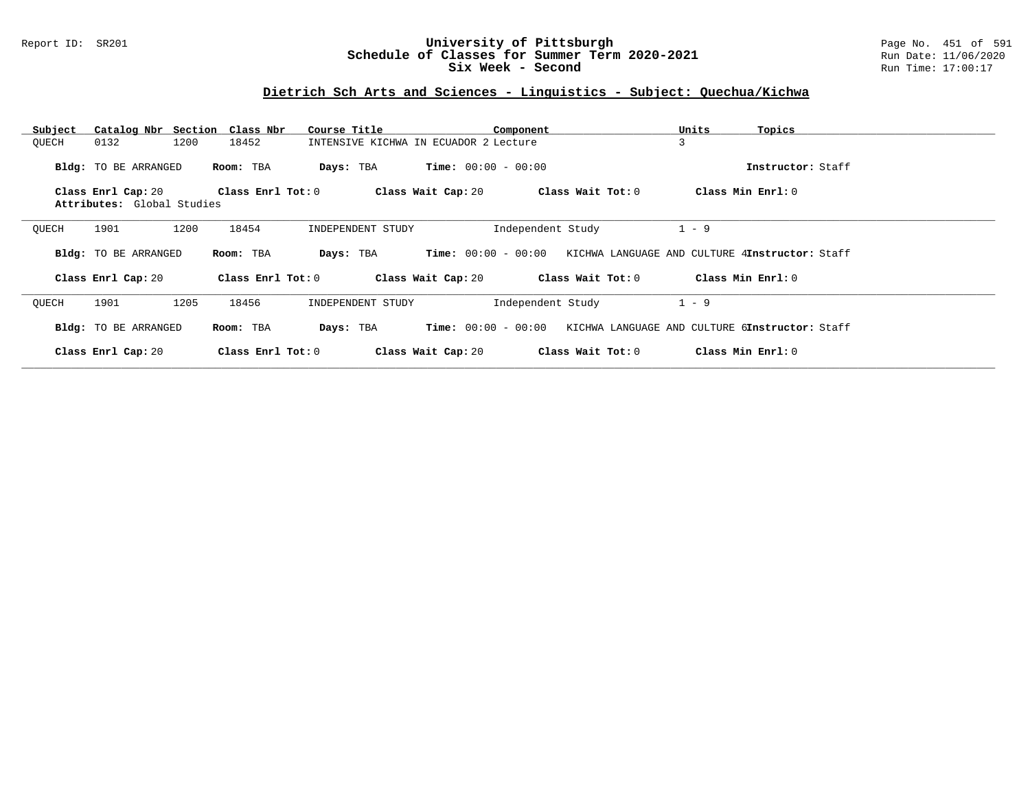### Report ID: SR201 **University of Pittsburgh** Page No. 451 of 591 **Schedule of Classes for Summer Term 2020-2021** Run Date: 11/06/2020 **Six Week - Second Run Time: 17:00:17**

# **Dietrich Sch Arts and Sciences - Linguistics - Subject: Quechua/Kichwa**

| Subject | Catalog Nbr Section Class Nbr |                   | Course Title      | Component                             |                   | Units<br>Topics                                |  |
|---------|-------------------------------|-------------------|-------------------|---------------------------------------|-------------------|------------------------------------------------|--|
| QUECH   | 0132<br>1200                  | 18452             |                   | INTENSIVE KICHWA IN ECUADOR 2 Lecture |                   | 3                                              |  |
|         | Bldg: TO BE ARRANGED          | Room: TBA         | Days: TBA         | <b>Time:</b> $00:00 - 00:00$          |                   | Instructor: Staff                              |  |
|         | Class Enrl Cap: 20            | Class Enrl Tot: 0 |                   | Class Wait Cap: 20                    | Class Wait Tot: 0 | Class Min Enrl: 0                              |  |
|         | Attributes: Global Studies    |                   |                   |                                       |                   |                                                |  |
| QUECH   | 1901<br>1200                  | 18454             | INDEPENDENT STUDY |                                       | Independent Study | $1 - 9$                                        |  |
|         | Bldg: TO BE ARRANGED          | Room: TBA         | Days: TBA         | <b>Time:</b> $00:00 - 00:00$          |                   | KICHWA LANGUAGE AND CULTURE 4Instructor: Staff |  |
|         | Class Enrl Cap: 20            | Class Enrl Tot: 0 |                   | Class Wait Cap: 20                    | Class Wait Tot: 0 | Class Min Enrl: 0                              |  |
| OUECH   | 1901<br>1205                  | 18456             | INDEPENDENT STUDY |                                       | Independent Study | $1 - 9$                                        |  |
|         | Bldg: TO BE ARRANGED          | Room: TBA         | Days: TBA         | <b>Time:</b> $00:00 - 00:00$          |                   | KICHWA LANGUAGE AND CULTURE 6Instructor: Staff |  |
|         | Class Enrl Cap: 20            | Class Enrl Tot: 0 |                   | Class Wait Cap: 20                    | Class Wait Tot: 0 | Class Min Enrl: 0                              |  |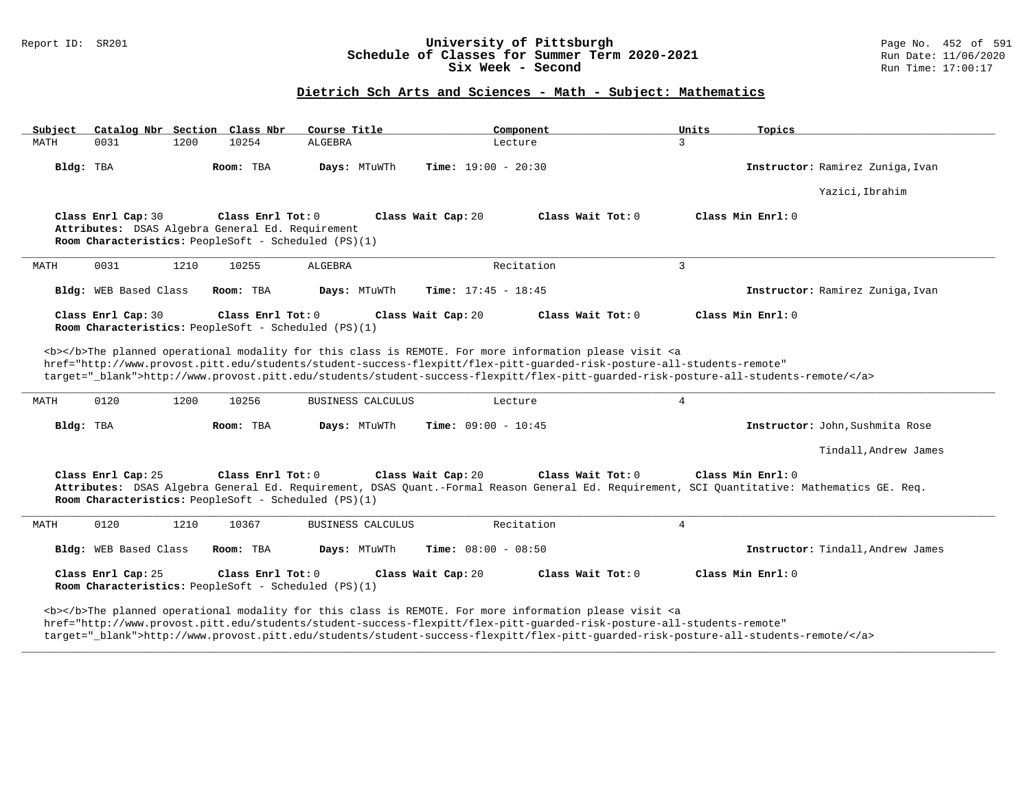#### Report ID: SR201 **University of Pittsburgh** Page No. 452 of 591 **Schedule of Classes for Summer Term 2020-2021** Run Date: 11/06/2020 **Six Week - Second Run Time: 17:00:17**

# **Dietrich Sch Arts and Sciences - Math - Subject: Mathematics**

| Subject |                                                                        |      | Catalog Nbr Section Class Nbr | Course Title                                         | Component                                                                                                                                                                                                                                             | Units<br>Topics                                                                                                                                                  |
|---------|------------------------------------------------------------------------|------|-------------------------------|------------------------------------------------------|-------------------------------------------------------------------------------------------------------------------------------------------------------------------------------------------------------------------------------------------------------|------------------------------------------------------------------------------------------------------------------------------------------------------------------|
| MATH    | 0031                                                                   | 1200 | 10254                         | ALGEBRA                                              | Lecture                                                                                                                                                                                                                                               | $\mathbf{3}$                                                                                                                                                     |
|         | Bldg: TBA                                                              |      | Room: TBA                     | Days: MTuWTh                                         | <b>Time:</b> $19:00 - 20:30$                                                                                                                                                                                                                          | Instructor: Ramirez Zuniga, Ivan                                                                                                                                 |
|         |                                                                        |      |                               |                                                      |                                                                                                                                                                                                                                                       | Yazici, Ibrahim                                                                                                                                                  |
|         | Class Enrl Cap: 30<br>Attributes: DSAS Algebra General Ed. Requirement |      | Class Enrl Tot: 0             | Room Characteristics: PeopleSoft - Scheduled (PS)(1) | Class Wait Tot: 0<br>Class Wait Cap: 20                                                                                                                                                                                                               | Class Min Enrl: 0                                                                                                                                                |
| MATH    | 0031                                                                   | 1210 | 10255                         | ALGEBRA                                              | Recitation                                                                                                                                                                                                                                            | $\overline{3}$                                                                                                                                                   |
|         | Bldg: WEB Based Class                                                  |      | Room: TBA                     | Days: MTuWTh                                         | Time: $17:45 - 18:45$                                                                                                                                                                                                                                 | Instructor: Ramirez Zuniga, Ivan                                                                                                                                 |
|         | Class Enrl Cap: 30                                                     |      | Class Enrl Tot: 0             | Room Characteristics: PeopleSoft - Scheduled (PS)(1) | Class Wait Cap: 20<br>Class Wait Tot: 0                                                                                                                                                                                                               | Class Min Enrl: 0                                                                                                                                                |
| MATH    | 0120                                                                   | 1200 | 10256                         | BUSINESS CALCULUS                                    | <b></b> The planned operational modality for this class is REMOTE. For more information please visit <a<br>href="http://www.provost.pitt.edu/students/student-success-flexpitt/flex-pitt-quarded-risk-posture-all-students-remote"<br/>Lecture</a<br> | target="_blank">http://www.provost.pitt.edu/students/student-success-flexpitt/flex-pitt-quarded-risk-posture-all-students-remote/<br>4                           |
|         | Bldg: TBA                                                              |      | Room: TBA                     | Days: MTuWTh                                         | <b>Time:</b> $09:00 - 10:45$                                                                                                                                                                                                                          | Instructor: John, Sushmita Rose                                                                                                                                  |
|         |                                                                        |      |                               |                                                      |                                                                                                                                                                                                                                                       | Tindall, Andrew James                                                                                                                                            |
|         | Class Enrl Cap: 25                                                     |      | Class Enrl Tot: 0             | Room Characteristics: PeopleSoft - Scheduled (PS)(1) | Class Wait Cap: 20<br>Class Wait Tot: 0                                                                                                                                                                                                               | Class Min Enrl: 0<br>Attributes: DSAS Algebra General Ed. Requirement, DSAS Quant.-Formal Reason General Ed. Requirement, SCI Quantitative: Mathematics GE. Req. |
| MATH    | 0120                                                                   | 1210 | 10367                         | BUSINESS CALCULUS                                    | Recitation                                                                                                                                                                                                                                            | 4                                                                                                                                                                |
|         | Bldg: WEB Based Class                                                  |      | Room: TBA                     | Days: MTuWTh                                         | <b>Time:</b> $08:00 - 08:50$                                                                                                                                                                                                                          | Instructor: Tindall, Andrew James                                                                                                                                |
|         | Class Enrl Cap: 25                                                     |      | Class Enrl Tot: 0             | Room Characteristics: PeopleSoft - Scheduled (PS)(1) | Class Wait Cap: 20<br>Class Wait Tot: 0                                                                                                                                                                                                               | Class Min Enrl: 0                                                                                                                                                |
|         |                                                                        |      |                               |                                                      | <b></b> The planned operational modality for this class is REMOTE. For more information please visit <a<br>href="http://www.provost.pitt.edu/students/student-success-flexpitt/flex-pitt-quarded-risk-posture-all-students-remote"</a<br>             | target="_blank">http://www.provost.pitt.edu/students/student-success-flexpitt/flex-pitt-quarded-risk-posture-all-students-remote/                                |

**\_\_\_\_\_\_\_\_\_\_\_\_\_\_\_\_\_\_\_\_\_\_\_\_\_\_\_\_\_\_\_\_\_\_\_\_\_\_\_\_\_\_\_\_\_\_\_\_\_\_\_\_\_\_\_\_\_\_\_\_\_\_\_\_\_\_\_\_\_\_\_\_\_\_\_\_\_\_\_\_\_\_\_\_\_\_\_\_\_\_\_\_\_\_\_\_\_\_\_\_\_\_\_\_\_\_\_\_\_\_\_\_\_\_\_\_\_\_\_\_\_\_\_\_\_\_\_\_\_\_\_\_\_\_\_\_\_\_\_\_\_\_\_\_\_\_\_\_\_\_\_\_\_\_\_\_**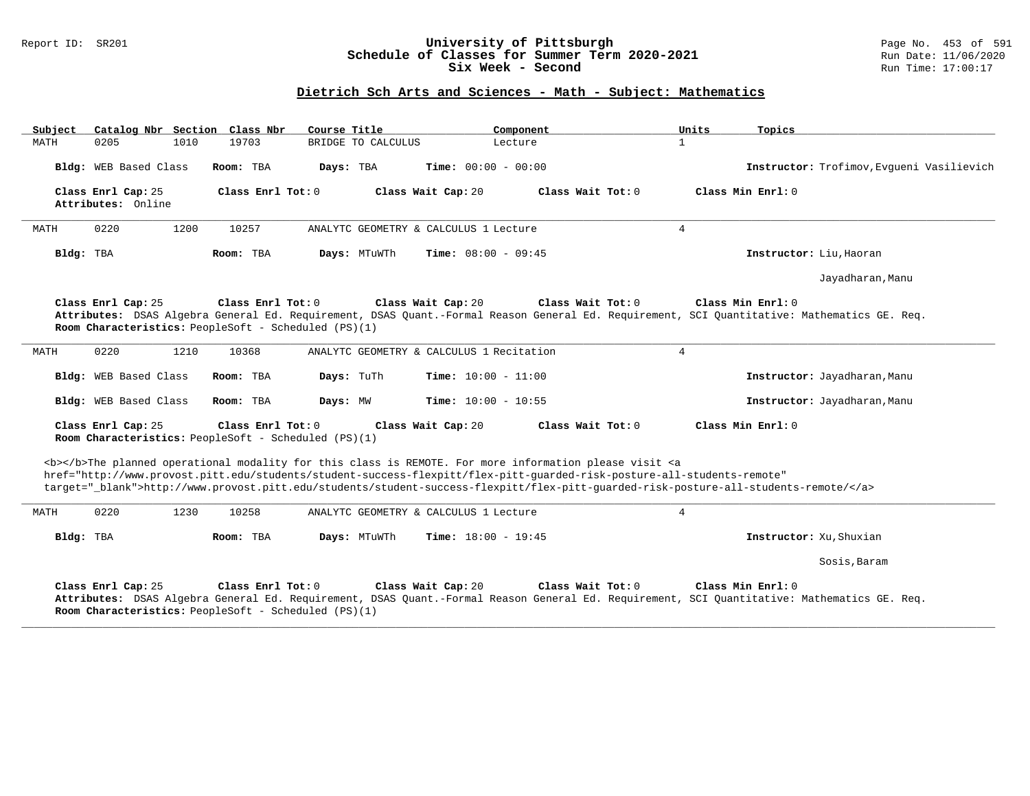### Report ID: SR201 **University of Pittsburgh** Page No. 453 of 591 **Schedule of Classes for Summer Term 2020-2021** Run Date: 11/06/2020 **Six Week - Second Run Time: 17:00:17**

## **Dietrich Sch Arts and Sciences - Math - Subject: Mathematics**

| Catalog Nbr Section Class Nbr<br>Subject | Course Title                                                                | Component                                                                                                                                                                                                                                                                                                                                                                          | Units<br>Topics                                                                                                                                                  |
|------------------------------------------|-----------------------------------------------------------------------------|------------------------------------------------------------------------------------------------------------------------------------------------------------------------------------------------------------------------------------------------------------------------------------------------------------------------------------------------------------------------------------|------------------------------------------------------------------------------------------------------------------------------------------------------------------|
| 1010<br>MATH<br>0205                     | 19703<br>BRIDGE TO CALCULUS                                                 | Lecture                                                                                                                                                                                                                                                                                                                                                                            | $\mathbf{1}$                                                                                                                                                     |
| Bldg: WEB Based Class                    | Room: TBA<br>Days: TBA                                                      | <b>Time:</b> $00:00 - 00:00$                                                                                                                                                                                                                                                                                                                                                       | Instructor: Trofimov, Evqueni Vasilievich                                                                                                                        |
| Class Enrl Cap: 25<br>Attributes: Online | Class Enrl Tot: 0                                                           | Class Wait Cap: 20<br>Class Wait Tot: 0                                                                                                                                                                                                                                                                                                                                            | Class Min Enrl: 0                                                                                                                                                |
| 0220<br>1200<br>MATH                     | 10257                                                                       | ANALYTC GEOMETRY & CALCULUS 1 Lecture                                                                                                                                                                                                                                                                                                                                              | 4                                                                                                                                                                |
| Bldg: TBA                                | Days: MTuWTh<br>Room: TBA                                                   | <b>Time:</b> $08:00 - 09:45$                                                                                                                                                                                                                                                                                                                                                       | Instructor: Liu, Haoran                                                                                                                                          |
|                                          |                                                                             |                                                                                                                                                                                                                                                                                                                                                                                    | Jayadharan, Manu                                                                                                                                                 |
| Class Enrl Cap: 25                       | Class Enrl Tot: $0$<br>Room Characteristics: PeopleSoft - Scheduled (PS)(1) | Class Wait Cap: 20<br>Class Wait Tot: 0                                                                                                                                                                                                                                                                                                                                            | Class Min Enrl: 0<br>Attributes: DSAS Algebra General Ed. Requirement, DSAS Quant.-Formal Reason General Ed. Requirement, SCI Quantitative: Mathematics GE. Req. |
| 0220<br>1210<br>MATH                     | 10368                                                                       | ANALYTC GEOMETRY & CALCULUS 1 Recitation                                                                                                                                                                                                                                                                                                                                           | 4                                                                                                                                                                |
| Bldg: WEB Based Class                    | Days: TuTh<br>Room: TBA                                                     | <b>Time:</b> $10:00 - 11:00$                                                                                                                                                                                                                                                                                                                                                       | Instructor: Jayadharan, Manu                                                                                                                                     |
| Bldg: WEB Based Class                    | Room: TBA<br>Days: MW                                                       | Time: $10:00 - 10:55$                                                                                                                                                                                                                                                                                                                                                              | Instructor: Jayadharan, Manu                                                                                                                                     |
| Class Enrl Cap: 25                       | Class Enrl Tot: 0<br>Room Characteristics: PeopleSoft - Scheduled (PS)(1)   | Class Wait Cap: 20<br>Class Wait Tot: 0                                                                                                                                                                                                                                                                                                                                            | Class Min $Enr1: 0$                                                                                                                                              |
|                                          |                                                                             | <b></b> The planned operational modality for this class is REMOTE. For more information please visit <a<br>href="http://www.provost.pitt.edu/students/student-success-flexpitt/flex-pitt-quarded-risk-posture-all-students-remote"<br/>target="_blank"&gt;http://www.provost.pitt.edu/students/student-success-flexpitt/flex-pitt-quarded-risk-posture-all-students-remote/</a<br> |                                                                                                                                                                  |
| 0220<br>1230<br>MATH                     | 10258                                                                       | ANALYTC GEOMETRY & CALCULUS 1 Lecture                                                                                                                                                                                                                                                                                                                                              | 4                                                                                                                                                                |
| Bldg: TBA                                | Days: MTuWTh<br>Room: TBA                                                   | <b>Time:</b> $18:00 - 19:45$                                                                                                                                                                                                                                                                                                                                                       | Instructor: Xu, Shuxian                                                                                                                                          |
|                                          |                                                                             |                                                                                                                                                                                                                                                                                                                                                                                    | Sosis, Baram                                                                                                                                                     |
| Class Enrl Cap: 25                       | Class Enrl Tot: 0<br>Room Characteristics: PeopleSoft - Scheduled (PS)(1)   | Class Wait Tot: 0<br>Class Wait Cap: 20                                                                                                                                                                                                                                                                                                                                            | Class Min Enrl: 0<br>Attributes: DSAS Algebra General Ed. Requirement, DSAS Quant.-Formal Reason General Ed. Requirement, SCI Quantitative: Mathematics GE. Req. |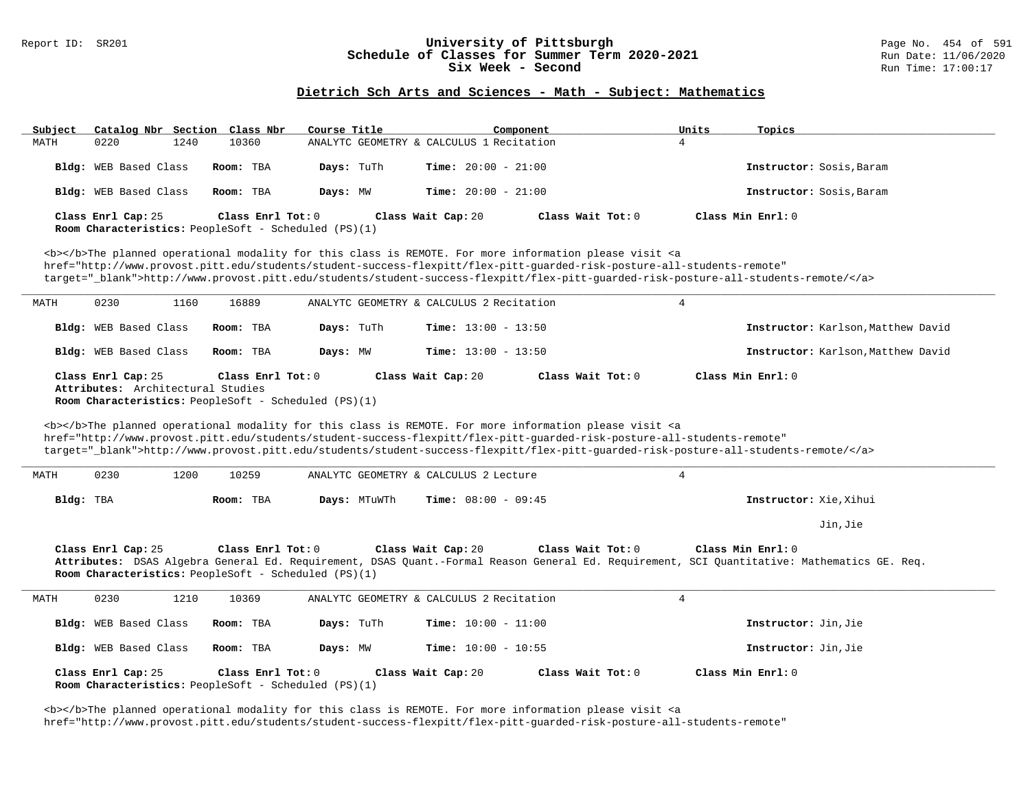#### Report ID: SR201 **1988 Manusia Content Content Content Content Content Content Content Content Content Content**<br>
Schedule of Classes for Summer Term 2020-2021 1999 Run Date: 11/06/2020 **Schedule of Classes for Summer Term 2020-2021** Run Date: 11/06/2020<br>Six Week - Second Run Time: 17:00:17 Six Week - Second

### **Dietrich Sch Arts and Sciences - Math - Subject: Mathematics**

| Catalog Nbr Section Class Nbr<br>Subject                                   | Course Title              | Component                                                                                                                                                                                                                                                                                                                                                                          | Units<br>Topics                    |
|----------------------------------------------------------------------------|---------------------------|------------------------------------------------------------------------------------------------------------------------------------------------------------------------------------------------------------------------------------------------------------------------------------------------------------------------------------------------------------------------------------|------------------------------------|
| MATH<br>0220<br>1240                                                       | 10360                     | ANALYTC GEOMETRY & CALCULUS 1 Recitation                                                                                                                                                                                                                                                                                                                                           | $\overline{4}$                     |
| Bldg: WEB Based Class                                                      | Room: TBA<br>Days: TuTh   | Time: $20:00 - 21:00$                                                                                                                                                                                                                                                                                                                                                              | Instructor: Sosis, Baram           |
| Bldg: WEB Based Class                                                      | Days: MW<br>Room: TBA     | <b>Time:</b> $20:00 - 21:00$                                                                                                                                                                                                                                                                                                                                                       | Instructor: Sosis, Baram           |
| Class Enrl Cap: 25<br>Room Characteristics: PeopleSoft - Scheduled (PS)(1) | Class Enrl Tot: $0$       | Class Wait Tot: 0<br>Class Wait Cap: 20                                                                                                                                                                                                                                                                                                                                            | Class Min Enrl: 0                  |
|                                                                            |                           | <b></b> The planned operational modality for this class is REMOTE. For more information please visit <a<br>href="http://www.provost.pitt.edu/students/student-success-flexpitt/flex-pitt-quarded-risk-posture-all-students-remote"<br/>target="_blank"&gt;http://www.provost.pitt.edu/students/student-success-flexpitt/flex-pitt-guarded-risk-posture-all-students-remote/</a<br> |                                    |
| 0230<br>1160<br>MATH                                                       | 16889                     | ANALYTC GEOMETRY & CALCULUS 2 Recitation                                                                                                                                                                                                                                                                                                                                           | $\overline{4}$                     |
| Bldg: WEB Based Class                                                      | Room: TBA<br>Days: TuTh   | <b>Time:</b> $13:00 - 13:50$                                                                                                                                                                                                                                                                                                                                                       | Instructor: Karlson, Matthew David |
| Bldg: WEB Based Class                                                      | Room: TBA<br>Days: MW     | <b>Time:</b> $13:00 - 13:50$                                                                                                                                                                                                                                                                                                                                                       | Instructor: Karlson, Matthew David |
| Class Enrl Cap: 25<br>Attributes: Architectural Studies                    | Class Enrl Tot: 0         | Class Wait Cap: 20<br>Class Wait Tot: 0                                                                                                                                                                                                                                                                                                                                            | Class Min Enrl: 0                  |
| Room Characteristics: PeopleSoft - Scheduled (PS)(1)                       |                           | <b></b> The planned operational modality for this class is REMOTE. For more information please visit <a<br>href="http://www.provost.pitt.edu/students/student-success-flexpitt/flex-pitt-quarded-risk-posture-all-students-remote"<br/>target="_blank"&gt;http://www.provost.pitt.edu/students/student-success-flexpitt/flex-pitt-guarded-risk-posture-all-students-remote/</a<br> |                                    |
| 0230<br>1200<br>MATH                                                       | 10259                     | ANALYTC GEOMETRY & CALCULUS 2 Lecture                                                                                                                                                                                                                                                                                                                                              | $\overline{4}$                     |
| Bldg: TBA                                                                  | Days: MTuWTh<br>Room: TBA | <b>Time:</b> $08:00 - 09:45$                                                                                                                                                                                                                                                                                                                                                       | Instructor: Xie, Xihui             |
|                                                                            |                           |                                                                                                                                                                                                                                                                                                                                                                                    | Jin, Jie                           |
| Class Enrl Cap: 25<br>Room Characteristics: PeopleSoft - Scheduled (PS)(1) | Class Enrl Tot: 0         | Class Wait Cap: 20<br>Class Wait Tot: 0<br>Attributes: DSAS Algebra General Ed. Requirement, DSAS Quant.-Formal Reason General Ed. Requirement, SCI Quantitative: Mathematics GE. Req.                                                                                                                                                                                             | Class Min Enrl: 0                  |
| 0230<br>1210<br>MATH                                                       | 10369                     | ANALYTC GEOMETRY & CALCULUS 2 Recitation                                                                                                                                                                                                                                                                                                                                           | $\overline{4}$                     |
| Bldg: WEB Based Class                                                      | Days: TuTh<br>Room: TBA   | Time: $10:00 - 11:00$                                                                                                                                                                                                                                                                                                                                                              | Instructor: Jin, Jie               |
| Bldg: WEB Based Class                                                      | Room: TBA<br>Days: MW     | Time: $10:00 - 10:55$                                                                                                                                                                                                                                                                                                                                                              | Instructor: Jin, Jie               |

<b></b>The planned operational modality for this class is REMOTE. For more information please visit <a href="http://www.provost.pitt.edu/students/student-success-flexpitt/flex-pitt-guarded-risk-posture-all-students-remote"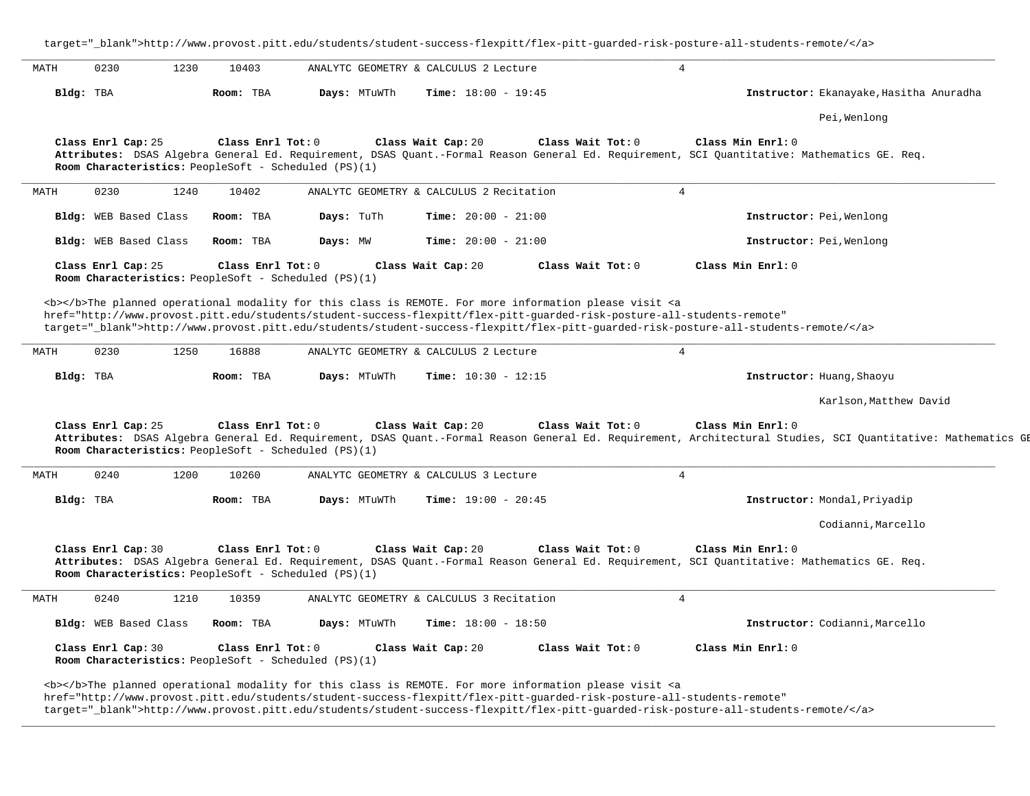target="\_blank">http://www.provost.pitt.edu/students/student-success-flexpitt/flex-pitt-guarded-risk-posture-all-students-remote/</a> **\_\_\_\_\_\_\_\_\_\_\_\_\_\_\_\_\_\_\_\_\_\_\_\_\_\_\_\_\_\_\_\_\_\_\_\_\_\_\_\_\_\_\_\_\_\_\_\_\_\_\_\_\_\_\_\_\_\_\_\_\_\_\_\_\_\_\_\_\_\_\_\_\_\_\_\_\_\_\_\_\_\_\_\_\_\_\_\_\_\_\_\_\_\_\_\_\_\_\_\_\_\_\_\_\_\_\_\_\_\_\_\_\_\_\_\_\_\_\_\_\_\_\_\_\_\_\_\_\_\_\_\_\_\_\_\_\_\_\_\_\_\_\_\_\_\_\_\_\_\_\_\_\_\_\_\_** MATH 0230 1230 10403 ANALYTC GEOMETRY & CALCULUS 2 Lecture 4 **Bldg:** TBA **Room:** TBA **Days:** MTuWTh **Time:** 18:00 - 19:45 **Instructor:** Ekanayake,Hasitha Anuradha Pei,Wenlong **Class Enrl Cap:** 25 **Class Enrl Tot:** 0 **Class Wait Cap:** 20 **Class Wait Tot:** 0 **Class Min Enrl:** 0 **Attributes:** DSAS Algebra General Ed. Requirement, DSAS Quant.-Formal Reason General Ed. Requirement, SCI Quantitative: Mathematics GE. Req. **Room Characteristics:** PeopleSoft - Scheduled (PS)(1) **\_\_\_\_\_\_\_\_\_\_\_\_\_\_\_\_\_\_\_\_\_\_\_\_\_\_\_\_\_\_\_\_\_\_\_\_\_\_\_\_\_\_\_\_\_\_\_\_\_\_\_\_\_\_\_\_\_\_\_\_\_\_\_\_\_\_\_\_\_\_\_\_\_\_\_\_\_\_\_\_\_\_\_\_\_\_\_\_\_\_\_\_\_\_\_\_\_\_\_\_\_\_\_\_\_\_\_\_\_\_\_\_\_\_\_\_\_\_\_\_\_\_\_\_\_\_\_\_\_\_\_\_\_\_\_\_\_\_\_\_\_\_\_\_\_\_\_\_\_\_\_\_\_\_\_\_** MATH 0230 1240 10402 ANALYTC GEOMETRY & CALCULUS 2 Recitation 4 **Bldg:** WEB Based Class **Room:** TBA **Days:** TuTh **Time:** 20:00 - 21:00 **Instructor:** Pei,Wenlong **Bldg:** WEB Based Class **Room:** TBA **Days:** MW **Time:** 20:00 - 21:00 **Instructor:** Pei,Wenlong **Class Enrl Cap:** 25 **Class Enrl Tot:** 0 **Class Wait Cap:** 20 **Class Wait Tot:** 0 **Class Min Enrl:** 0 **Room Characteristics:** PeopleSoft - Scheduled (PS)(1) <b></b>The planned operational modality for this class is REMOTE. For more information please visit <a href="http://www.provost.pitt.edu/students/student-success-flexpitt/flex-pitt-guarded-risk-posture-all-students-remote" target="\_blank">http://www.provost.pitt.edu/students/student-success-flexpitt/flex-pitt-guarded-risk-posture-all-students-remote/</a> **\_\_\_\_\_\_\_\_\_\_\_\_\_\_\_\_\_\_\_\_\_\_\_\_\_\_\_\_\_\_\_\_\_\_\_\_\_\_\_\_\_\_\_\_\_\_\_\_\_\_\_\_\_\_\_\_\_\_\_\_\_\_\_\_\_\_\_\_\_\_\_\_\_\_\_\_\_\_\_\_\_\_\_\_\_\_\_\_\_\_\_\_\_\_\_\_\_\_\_\_\_\_\_\_\_\_\_\_\_\_\_\_\_\_\_\_\_\_\_\_\_\_\_\_\_\_\_\_\_\_\_\_\_\_\_\_\_\_\_\_\_\_\_\_\_\_\_\_\_\_\_\_\_\_\_\_** MATH 0230 1250 16888 ANALYTC GEOMETRY & CALCULUS 2 Lecture 4 **Bldg:** TBA **Room:** TBA **Days:** MTuWTh **Time:** 10:30 - 12:15 **Instructor:** Huang,Shaoyu Karlson,Matthew David **Class Enrl Cap:** 25 **Class Enrl Tot:** 0 **Class Wait Cap:** 20 **Class Wait Tot:** 0 **Class Min Enrl:** 0 Attributes: DSAS Algebra General Ed. Requirement, DSAS Quant.-Formal Reason General Ed. Requirement, Architectural Studies, SCI Quantitative: Mathematics GE **Room Characteristics:** PeopleSoft - Scheduled (PS)(1) **\_\_\_\_\_\_\_\_\_\_\_\_\_\_\_\_\_\_\_\_\_\_\_\_\_\_\_\_\_\_\_\_\_\_\_\_\_\_\_\_\_\_\_\_\_\_\_\_\_\_\_\_\_\_\_\_\_\_\_\_\_\_\_\_\_\_\_\_\_\_\_\_\_\_\_\_\_\_\_\_\_\_\_\_\_\_\_\_\_\_\_\_\_\_\_\_\_\_\_\_\_\_\_\_\_\_\_\_\_\_\_\_\_\_\_\_\_\_\_\_\_\_\_\_\_\_\_\_\_\_\_\_\_\_\_\_\_\_\_\_\_\_\_\_\_\_\_\_\_\_\_\_\_\_\_\_** MATH 0240 1200 10260 ANALYTC GEOMETRY & CALCULUS 3 Lecture 4 **Bldg:** TBA **Room:** TBA **Days:** MTuWTh **Time:** 19:00 - 20:45 **Instructor:** Mondal,Priyadip Codianni,Marcello **Class Enrl Cap:** 30 **Class Enrl Tot:** 0 **Class Wait Cap:** 20 **Class Wait Tot:** 0 **Class Min Enrl:** 0 **Attributes:** DSAS Algebra General Ed. Requirement, DSAS Quant.-Formal Reason General Ed. Requirement, SCI Quantitative: Mathematics GE. Req. **Room Characteristics:** PeopleSoft - Scheduled (PS)(1) **\_\_\_\_\_\_\_\_\_\_\_\_\_\_\_\_\_\_\_\_\_\_\_\_\_\_\_\_\_\_\_\_\_\_\_\_\_\_\_\_\_\_\_\_\_\_\_\_\_\_\_\_\_\_\_\_\_\_\_\_\_\_\_\_\_\_\_\_\_\_\_\_\_\_\_\_\_\_\_\_\_\_\_\_\_\_\_\_\_\_\_\_\_\_\_\_\_\_\_\_\_\_\_\_\_\_\_\_\_\_\_\_\_\_\_\_\_\_\_\_\_\_\_\_\_\_\_\_\_\_\_\_\_\_\_\_\_\_\_\_\_\_\_\_\_\_\_\_\_\_\_\_\_\_\_\_** MATH 0240 1210 10359 ANALYTC GEOMETRY & CALCULUS 3 Recitation 4 **Bldg:** WEB Based Class **Room:** TBA **Days:** MTuWTh **Time:** 18:00 - 18:50 **Instructor:** Codianni,Marcello **Class Enrl Cap:** 30 **Class Enrl Tot:** 0 **Class Wait Cap:** 20 **Class Wait Tot:** 0 **Class Min Enrl:** 0 **Room Characteristics:** PeopleSoft - Scheduled (PS)(1) <b></b>The planned operational modality for this class is REMOTE. For more information please visit <a href="http://www.provost.pitt.edu/students/student-success-flexpitt/flex-pitt-guarded-risk-posture-all-students-remote"

target="\_blank">http://www.provost.pitt.edu/students/student-success-flexpitt/flex-pitt-guarded-risk-posture-all-students-remote/</a>

**\_\_\_\_\_\_\_\_\_\_\_\_\_\_\_\_\_\_\_\_\_\_\_\_\_\_\_\_\_\_\_\_\_\_\_\_\_\_\_\_\_\_\_\_\_\_\_\_\_\_\_\_\_\_\_\_\_\_\_\_\_\_\_\_\_\_\_\_\_\_\_\_\_\_\_\_\_\_\_\_\_\_\_\_\_\_\_\_\_\_\_\_\_\_\_\_\_\_\_\_\_\_\_\_\_\_\_\_\_\_\_\_\_\_\_\_\_\_\_\_\_\_\_\_\_\_\_\_\_\_\_\_\_\_\_\_\_\_\_\_\_\_\_\_\_\_\_\_\_\_\_\_\_\_\_\_**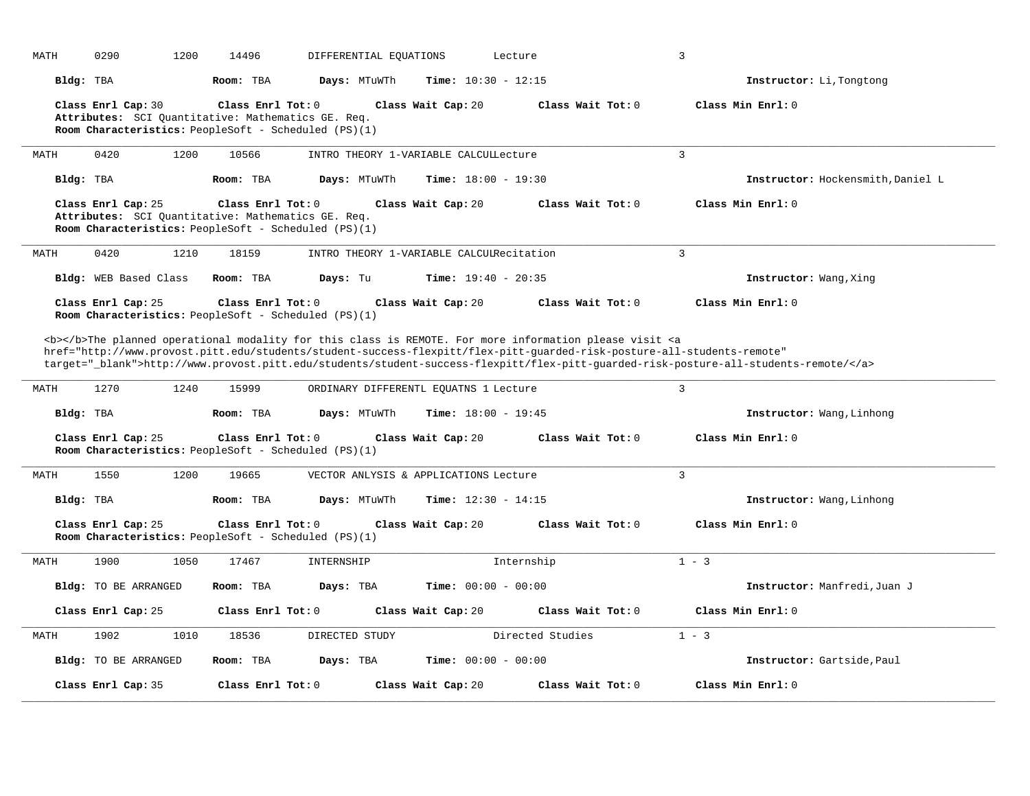| MATH      | 0290<br>1200                                                                                                                     | 14496               | DIFFERENTIAL EOUATIONS | Lecture                                  |                                                                                                                               | 3                                                                                                                                                  |
|-----------|----------------------------------------------------------------------------------------------------------------------------------|---------------------|------------------------|------------------------------------------|-------------------------------------------------------------------------------------------------------------------------------|----------------------------------------------------------------------------------------------------------------------------------------------------|
| Bldg: TBA |                                                                                                                                  | Room: TBA           | Days: MTuWTh           | Time: $10:30 - 12:15$                    |                                                                                                                               | Instructor: Li, Tongtong                                                                                                                           |
|           | Class Enrl Cap: 30<br>Attributes: SCI Quantitative: Mathematics GE. Req.<br>Room Characteristics: PeopleSoft - Scheduled (PS)(1) | Class Enrl Tot: $0$ |                        | Class Wait Cap: 20                       | Class Wait Tot: 0                                                                                                             | Class Min Enrl: 0                                                                                                                                  |
| MATH      | 0420<br>1200                                                                                                                     | 10566               |                        | INTRO THEORY 1-VARIABLE CALCULLecture    |                                                                                                                               | $\overline{3}$                                                                                                                                     |
| Bldg: TBA |                                                                                                                                  | Room: TBA           | Days: MTuWTh           | <b>Time:</b> $18:00 - 19:30$             |                                                                                                                               | Instructor: Hockensmith, Daniel L                                                                                                                  |
|           | Class Enrl Cap: 25<br>Attributes: SCI Quantitative: Mathematics GE. Req.<br>Room Characteristics: PeopleSoft - Scheduled (PS)(1) | Class Enrl Tot: 0   |                        | Class Wait Cap: 20                       | Class Wait Tot: 0                                                                                                             | Class Min Enrl: 0                                                                                                                                  |
| MATH      | 0420<br>1210                                                                                                                     | 18159               |                        | INTRO THEORY 1-VARIABLE CALCUIRecitation |                                                                                                                               | 3                                                                                                                                                  |
|           | Bldg: WEB Based Class                                                                                                            | Room: TBA           | Days: Tu               | <b>Time:</b> $19:40 - 20:35$             |                                                                                                                               | Instructor: Wang, Xing                                                                                                                             |
|           | Class Enrl Cap: 25<br>Room Characteristics: PeopleSoft - Scheduled (PS)(1)                                                       | Class Enrl Tot: 0   |                        | Class Wait Cap: 20                       | Class Wait Tot: 0                                                                                                             | Class Min Enrl: 0                                                                                                                                  |
|           |                                                                                                                                  |                     |                        |                                          | <b></b> The planned operational modality for this class is REMOTE. For more information please visit <a< th=""><th></th></a<> |                                                                                                                                                    |
| MATH      | 1270<br>1240                                                                                                                     | 15999               |                        | ORDINARY DIFFERENTL EQUATNS 1 Lecture    | href="http://www.provost.pitt.edu/students/student-success-flexpitt/flex-pitt-guarded-risk-posture-all-students-remote"       | target="_blank">http://www.provost.pitt.edu/students/student-success-flexpitt/flex-pitt-guarded-risk-posture-all-students-remote/<br>$\mathcal{R}$ |
| Bldg: TBA |                                                                                                                                  | Room: TBA           | Days: MTuWTh           | <b>Time:</b> $18:00 - 19:45$             |                                                                                                                               | Instructor: Wang, Linhong                                                                                                                          |
|           | Class Enrl Cap: 25<br>Room Characteristics: PeopleSoft - Scheduled (PS)(1)                                                       | Class Enrl Tot: 0   |                        | Class Wait Cap: 20                       | Class Wait Tot: 0                                                                                                             | Class Min Enrl: 0                                                                                                                                  |
| MATH      | 1550<br>1200                                                                                                                     | 19665               |                        | VECTOR ANLYSIS & APPLICATIONS Lecture    |                                                                                                                               | $\mathbf{3}$                                                                                                                                       |
| Bldg: TBA |                                                                                                                                  | Room: TBA           | Days: MTuWTh           | <b>Time:</b> $12:30 - 14:15$             |                                                                                                                               | Instructor: Wang, Linhong                                                                                                                          |
|           | Class Enrl Cap: 25<br>Room Characteristics: PeopleSoft - Scheduled (PS)(1)                                                       | Class Enrl Tot: 0   |                        | Class Wait Cap: 20                       | Class Wait Tot: 0                                                                                                             | Class Min Enrl: 0                                                                                                                                  |
| MATH      | 1900<br>1050                                                                                                                     | 17467               | INTERNSHIP             |                                          | Internship                                                                                                                    | $1 - 3$                                                                                                                                            |
|           | Bldg: TO BE ARRANGED                                                                                                             | Room: TBA           | Days: TBA              | Time: $00:00 - 00:00$                    |                                                                                                                               | Instructor: Manfredi, Juan J                                                                                                                       |
|           | Class Enrl Cap: 25                                                                                                               | Class Enrl Tot: 0   |                        | Class Wait Cap: 20                       | Class Wait Tot: 0                                                                                                             | Class Min Enrl: 0                                                                                                                                  |
| MATH      | 1902<br>1010                                                                                                                     | 18536               | DIRECTED STUDY         |                                          | Directed Studies                                                                                                              | $1 - 3$                                                                                                                                            |
|           | <b>Bldg:</b> TO BE ARRANGED                                                                                                      | Room: TBA           | Days: TBA              | <b>Time:</b> $00:00 - 00:00$             |                                                                                                                               | Instructor: Gartside, Paul                                                                                                                         |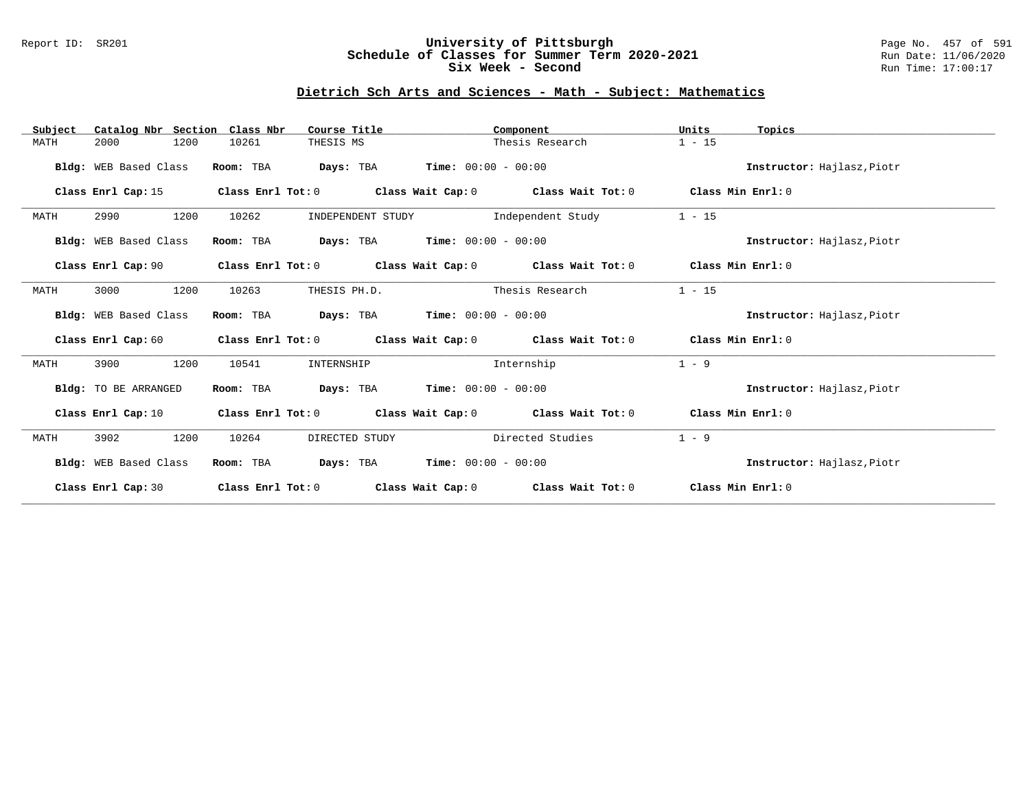### Report ID: SR201 **University of Pittsburgh** Page No. 457 of 591 **Schedule of Classes for Summer Term 2020-2021** Run Date: 11/06/2020 **Six Week - Second Run Time: 17:00:17**

## **Dietrich Sch Arts and Sciences - Math - Subject: Mathematics**

| Catalog Nbr Section<br>Subject | Class Nbr<br>Course Title  | Component                                                                | Units<br>Topics            |
|--------------------------------|----------------------------|--------------------------------------------------------------------------|----------------------------|
| 2000<br>1200<br>MATH           | 10261<br>THESIS MS         | Thesis Research                                                          | $1 - 15$                   |
| Bldg: WEB Based Class          | Days: TBA<br>Room: TBA     | $Time: 00:00 - 00:00$                                                    | Instructor: Hajlasz, Piotr |
| Class Enrl Cap: 15             |                            | Class Enrl Tot: 0 Class Wait Cap: 0 Class Wait Tot: 0 Class Min Enrl: 0  |                            |
| 1200<br>2990<br>MATH           | 10262<br>INDEPENDENT STUDY | Independent Study                                                        | $1 - 15$                   |
| Bldg: WEB Based Class          | Room: TBA                  | <b>Days:</b> TBA <b>Time:</b> $00:00 - 00:00$                            | Instructor: Hajlasz, Piotr |
| Class Enrl Cap: 90             |                            | Class Enrl Tot: $0$ Class Wait Cap: $0$ Class Wait Tot: $0$              | Class Min Enrl: 0          |
| 3000<br>1200<br>MATH           | 10263<br>THESIS PH.D.      | Thesis Research                                                          | $1 - 15$                   |
| Bldg: WEB Based Class          | Room: TBA                  | <b>Days:</b> TBA <b>Time:</b> $00:00 - 00:00$                            | Instructor: Hajlasz, Piotr |
|                                |                            | Class Enrl Cap: 60 Class Enrl Tot: 0 Class Wait Cap: 0 Class Wait Tot: 0 | Class Min Enrl: 0          |
| 1200<br>3900<br>MATH           | 10541<br>INTERNSHIP        | Internship                                                               | $1 - 9$                    |
| Bldg: TO BE ARRANGED           | Room: TBA                  | <b>Days:</b> TBA <b>Time:</b> $00:00 - 00:00$                            | Instructor: Hajlasz, Piotr |
| Class Enrl Cap: 10             |                            | Class Enrl Tot: $0$ Class Wait Cap: $0$ Class Wait Tot: $0$              | Class Min Enrl: 0          |
| MATH<br>3902<br>1200           | 10264<br>DIRECTED STUDY    | Directed Studies                                                         | $1 - 9$                    |
| Bldg: WEB Based Class          | Room: TBA                  | <b>Days:</b> TBA <b>Time:</b> $00:00 - 00:00$                            | Instructor: Hajlasz, Piotr |
| Class Enrl Cap: 30             | Class Enrl Tot: 0          | Class Wait Cap: 0 Class Wait Tot: 0                                      | Class Min Enrl: 0          |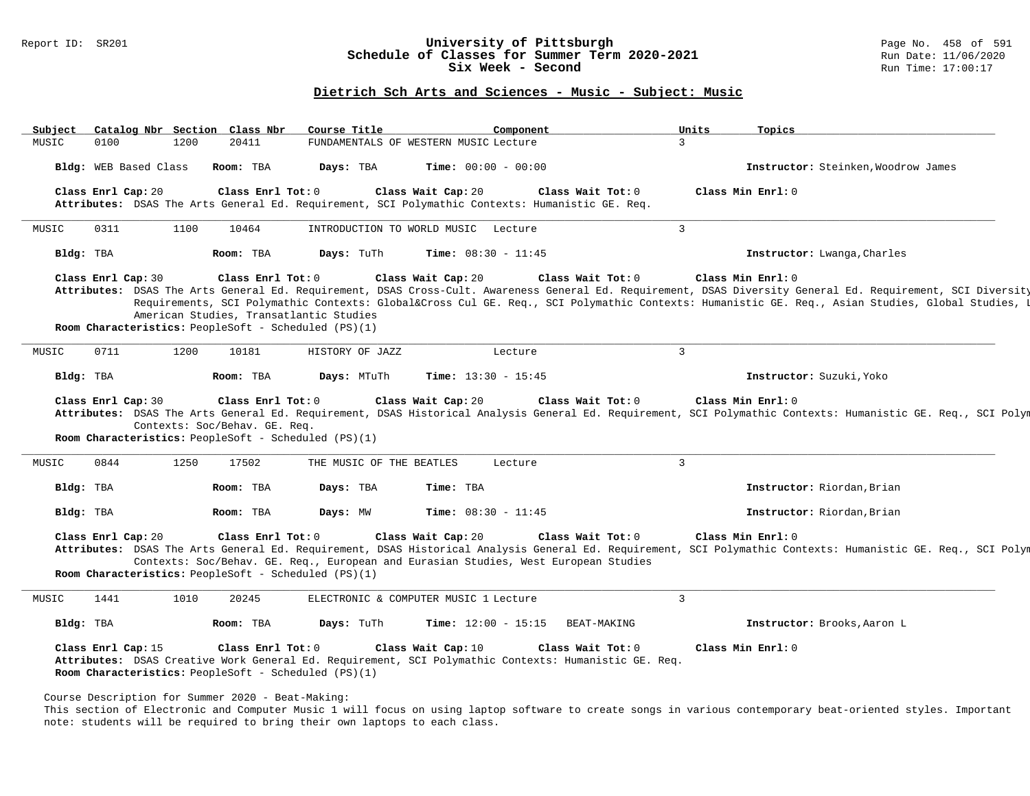#### Report ID: SR201 **1988 Manufact Schedule of Classes for Summer Term 2020-2021** Page No. 458 of 591 Page No. 458 of 591<br>**Schedule of Classes for Summer Term 2020-2021** Run Date: 11/06/2020 **Schedule of Classes for Summer Term 2020-2021** Run Date: 11/06/2021<br>Six Week - Second Run Time: 17:00:17 Six Week - Second

### **Dietrich Sch Arts and Sciences - Music - Subject: Music**

| Subject |                                 |                       | Catalog Nbr Section Class Nbr                                                         | Course Title             | Component                                                                                                                                  | Units          | Topics                                                                                                                                                                                                                                                                                                      |
|---------|---------------------------------|-----------------------|---------------------------------------------------------------------------------------|--------------------------|--------------------------------------------------------------------------------------------------------------------------------------------|----------------|-------------------------------------------------------------------------------------------------------------------------------------------------------------------------------------------------------------------------------------------------------------------------------------------------------------|
| MUSIC   | 0100                            | 1200                  | 20411                                                                                 |                          | FUNDAMENTALS OF WESTERN MUSIC Lecture                                                                                                      | $\overline{3}$ |                                                                                                                                                                                                                                                                                                             |
|         |                                 | Bldg: WEB Based Class | Room: TBA                                                                             | Days: TBA                | <b>Time:</b> $00:00 - 00:00$                                                                                                               |                | Instructor: Steinken, Woodrow James                                                                                                                                                                                                                                                                         |
|         | Class Enrl Cap: 20              |                       | Class Enrl Tot: 0                                                                     |                          | Class Wait Cap: 20<br>Class Wait Tot: 0<br>Attributes: DSAS The Arts General Ed. Requirement, SCI Polymathic Contexts: Humanistic GE. Req. |                | Class Min Enrl: 0                                                                                                                                                                                                                                                                                           |
| MUSIC   | 0311                            | 1100                  | 10464                                                                                 |                          | INTRODUCTION TO WORLD MUSIC Lecture                                                                                                        | $\overline{3}$ |                                                                                                                                                                                                                                                                                                             |
|         | Bldg: TBA                       |                       | Room: TBA                                                                             | Days: TuTh               | <b>Time:</b> $08:30 - 11:45$                                                                                                               |                | Instructor: Lwanga, Charles                                                                                                                                                                                                                                                                                 |
|         | Class Enrl Cap: 30              |                       | Class Enrl Tot: 0                                                                     |                          | Class Wait Cap: 20<br>Class Wait Tot: 0                                                                                                    |                | Class Min Enrl: 0                                                                                                                                                                                                                                                                                           |
|         |                                 |                       | American Studies, Transatlantic Studies                                               |                          |                                                                                                                                            |                | Attributes: DSAS The Arts General Ed. Requirement, DSAS Cross-Cult. Awareness General Ed. Requirement, DSAS Diversity General Ed. Requirement, SCI Diversity<br>Requirements, SCI Polymathic Contexts: Global⨯ Cul GE. Req., SCI Polymathic Contexts: Humanistic GE. Req., Asian Studies, Global Studies, 3 |
|         |                                 |                       | Room Characteristics: PeopleSoft - Scheduled (PS)(1)                                  |                          |                                                                                                                                            |                |                                                                                                                                                                                                                                                                                                             |
| MUSIC   | 0711                            | 1200                  | 10181                                                                                 | HISTORY OF JAZZ          | Lecture                                                                                                                                    | $\overline{3}$ |                                                                                                                                                                                                                                                                                                             |
|         |                                 |                       |                                                                                       |                          |                                                                                                                                            |                |                                                                                                                                                                                                                                                                                                             |
|         | Bldg: TBA<br>Class Enrl Cap: 30 |                       | Room: TBA<br>Class Enrl Tot: 0                                                        | Days: MTuTh              | <b>Time:</b> $13:30 - 15:45$<br>Class Wait Cap: 20<br>Class Wait Tot: 0                                                                    |                | Instructor: Suzuki, Yoko<br>Class Min Enrl: 0                                                                                                                                                                                                                                                               |
|         |                                 |                       | Contexts: Soc/Behav. GE. Req.<br>Room Characteristics: PeopleSoft - Scheduled (PS)(1) |                          |                                                                                                                                            |                | Attributes: DSAS The Arts General Ed. Requirement, DSAS Historical Analysis General Ed. Requirement, SCI Polymathic Contexts: Humanistic GE. Req., SCI Polym                                                                                                                                                |
| MUSIC   | 0844                            | 1250                  | 17502                                                                                 | THE MUSIC OF THE BEATLES | Lecture                                                                                                                                    | $\overline{3}$ |                                                                                                                                                                                                                                                                                                             |
|         | Bldg: TBA                       |                       | Room: TBA                                                                             | Days: TBA                | Time: TBA                                                                                                                                  |                | Instructor: Riordan, Brian                                                                                                                                                                                                                                                                                  |
|         | Bldg: TBA                       |                       | Room: TBA                                                                             | Days: MW                 | <b>Time:</b> $08:30 - 11:45$                                                                                                               |                | Instructor: Riordan, Brian                                                                                                                                                                                                                                                                                  |
|         | Class Enrl Cap: 20              |                       | Class Enrl Tot: 0<br>Room Characteristics: PeopleSoft - Scheduled (PS)(1)             |                          | Class Wait Cap: 20<br>Class Wait Tot: 0<br>Contexts: Soc/Behav. GE. Req., European and Eurasian Studies, West European Studies             |                | Class Min Enrl: 0<br>Attributes: DSAS The Arts General Ed. Requirement, DSAS Historical Analysis General Ed. Requirement, SCI Polymathic Contexts: Humanistic GE. Req., SCI Polym                                                                                                                           |
| MUSIC   | 1441                            | 1010                  | 20245                                                                                 |                          | ELECTRONIC & COMPUTER MUSIC 1 Lecture                                                                                                      | $\overline{3}$ |                                                                                                                                                                                                                                                                                                             |
|         | Bldg: TBA                       |                       | Room: TBA                                                                             | Days: TuTh               | <b>Time:</b> $12:00 - 15:15$<br>BEAT-MAKING                                                                                                |                | Instructor: Brooks, Aaron L                                                                                                                                                                                                                                                                                 |

Course Description for Summer 2020 - Beat-Making:

This section of Electronic and Computer Music 1 will focus on using laptop software to create songs in various contemporary beat-oriented styles. Important note: students will be required to bring their own laptops to each class.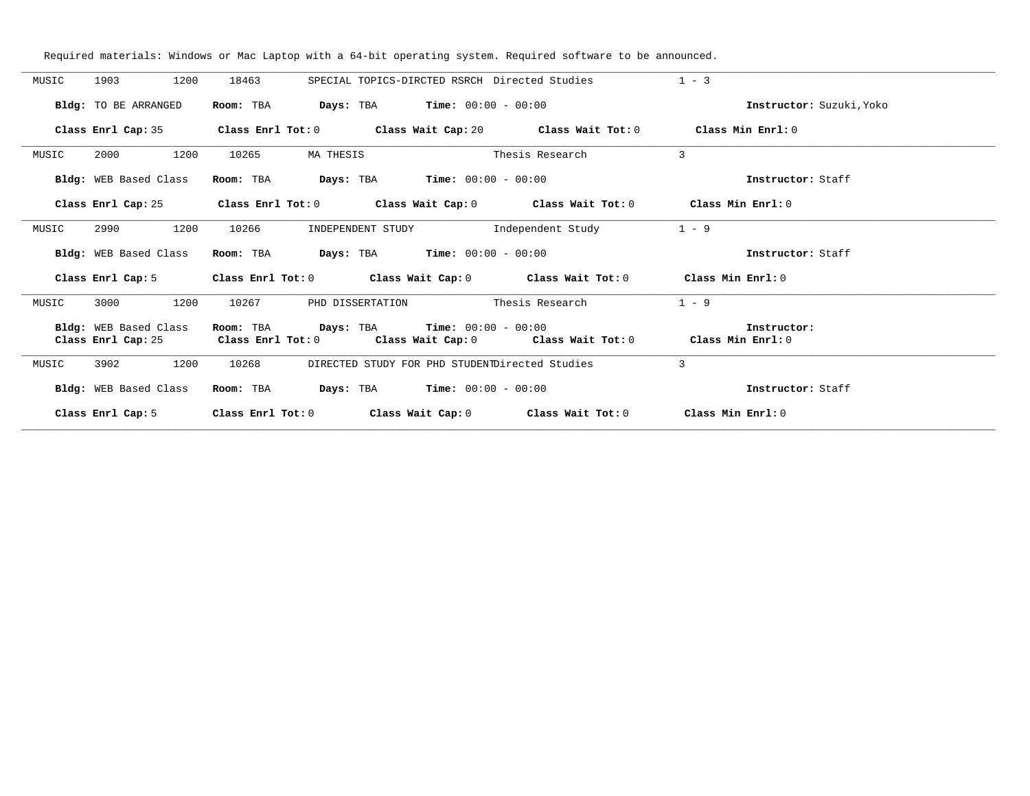| MUSIC | 1200<br>1903          | 18463                                       | SPECIAL TOPICS-DIRCTED RSRCH Directed Studies       |                                                                                                    | $1 - 3$                  |
|-------|-----------------------|---------------------------------------------|-----------------------------------------------------|----------------------------------------------------------------------------------------------------|--------------------------|
|       | Bldg: TO BE ARRANGED  | Room: TBA                                   | $\texttt{Days:}$ TBA $\texttt{Time:}$ 00:00 - 00:00 |                                                                                                    | Instructor: Suzuki, Yoko |
|       |                       |                                             |                                                     | Class Enrl Cap: 35 Class Enrl Tot: 0 Class Wait Cap: 20 Class Wait Tot: 0 Class Min Enrl: 0        |                          |
| MUSIC | 1200<br>2000          | 10265<br>MA THESIS                          |                                                     | Thesis Research                                                                                    | $\overline{3}$           |
|       | Bldg: WEB Based Class |                                             | Room: TBA $Days:$ TBA $Time: 00:00 - 00:00$         |                                                                                                    | Instructor: Staff        |
|       | Class Enrl Cap: 25    |                                             |                                                     | Class Enrl Tot: 0 $\qquad$ Class Wait Cap: 0 $\qquad$ Class Wait Tot: 0 $\qquad$ Class Min Enrl: 0 |                          |
| MUSIC | 1200<br>2990          | 10266                                       | INDEPENDENT STUDY                                   | Independent Study                                                                                  | $1 - 9$                  |
|       | Bldg: WEB Based Class |                                             | Room: TBA $Days:$ TBA $Time: 00:00 - 00:00$         |                                                                                                    | Instructor: Staff        |
|       | Class Enrl Cap: 5     |                                             |                                                     | Class Enrl Tot: 0 $\qquad$ Class Wait Cap: 0 $\qquad$ Class Wait Tot: 0 $\qquad$ Class Min Enrl: 0 |                          |
| MUSIC | 1200<br>3000          | 10267                                       | PHD DISSERTATION                                    | Thesis Research                                                                                    | $1 - 9$                  |
|       | Bldg: WEB Based Class | Room: TBA                                   | <b>Days:</b> TBA <b>Time:</b> $00:00 - 00:00$       | Class Enrl Cap: 25 Class Enrl Tot: 0 Class Wait Cap: 0 Class Wait Tot: 0 Class Min Enrl: 0         | Instructor:              |
| MUSIC | 3902<br>1200          | 10268                                       | DIRECTED STUDY FOR PHD STUDENTDirected Studies      |                                                                                                    | $\mathbf{3}$             |
|       | Bldg: WEB Based Class | Room: TBA $Days: TBA$ Time: $00:00 - 00:00$ |                                                     |                                                                                                    | Instructor: Staff        |
|       | Class Enrl Cap: 5     | Class Enrl Tot: 0                           |                                                     | Class Wait Cap: $0$ Class Wait Tot: $0$ Class Min Enrl: $0$                                        |                          |

Required materials: Windows or Mac Laptop with a 64-bit operating system. Required software to be announced.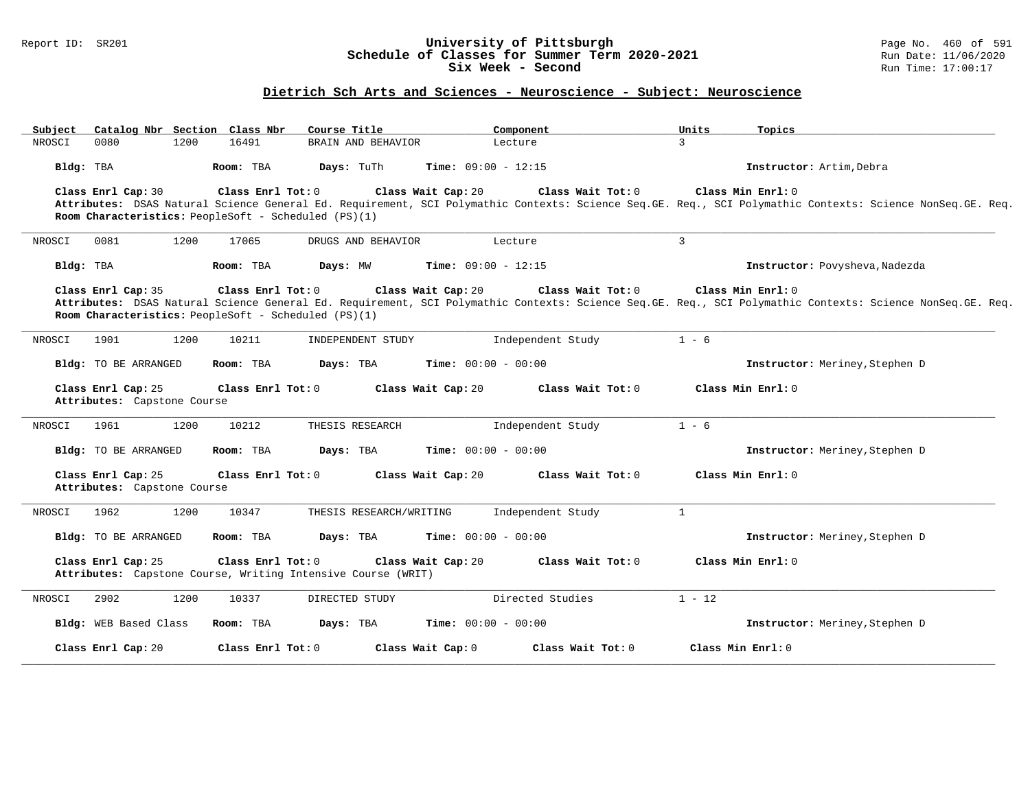### Report ID: SR201 **University of Pittsburgh** Page No. 460 of 591 **Schedule of Classes for Summer Term 2020-2021** Run Date: 11/06/2020 **Six Week - Second Run Time: 17:00:17**

# **Dietrich Sch Arts and Sciences - Neuroscience - Subject: Neuroscience**

| Catalog Nbr Section Class Nbr<br>Subject          | Course Title                                                                      | Component                               | Units<br>Topics                                                                                                                                                                |
|---------------------------------------------------|-----------------------------------------------------------------------------------|-----------------------------------------|--------------------------------------------------------------------------------------------------------------------------------------------------------------------------------|
| NROSCI<br>0080<br>1200                            | 16491<br>BRAIN AND BEHAVIOR                                                       | Lecture                                 | $\overline{3}$                                                                                                                                                                 |
| Bldg: TBA                                         | Room: TBA<br>Days: TuTh                                                           | <b>Time:</b> $09:00 - 12:15$            | Instructor: Artim, Debra                                                                                                                                                       |
| Class Enrl Cap: 30                                | Class Enrl Tot: 0<br>Room Characteristics: PeopleSoft - Scheduled (PS)(1)         | Class Wait Cap: 20<br>Class Wait Tot: 0 | Class Min Enrl: 0<br>Attributes: DSAS Natural Science General Ed. Requirement, SCI Polymathic Contexts: Science Seq.GE. Req., SCI Polymathic Contexts: Science NonSeq.GE. Req. |
| 0081<br>1200<br>NROSCI                            | 17065<br>DRUGS AND BEHAVIOR                                                       | Lecture                                 | $\mathbf{3}$                                                                                                                                                                   |
| Bldg: TBA                                         | Days: MW<br>Room: TBA                                                             | <b>Time:</b> $09:00 - 12:15$            | Instructor: Povysheva, Nadezda                                                                                                                                                 |
| Class Enrl Cap: 35                                | Class Enrl Tot: 0<br>Room Characteristics: PeopleSoft - Scheduled (PS)(1)         | Class Wait Cap: 20<br>Class Wait Tot: 0 | Class Min Enrl: 0<br>Attributes: DSAS Natural Science General Ed. Requirement, SCI Polymathic Contexts: Science Seq.GE. Req., SCI Polymathic Contexts: Science NonSeq.GE. Req. |
| 1901<br>1200<br>NROSCI                            | 10211<br>INDEPENDENT STUDY                                                        | Independent Study                       | $1 - 6$                                                                                                                                                                        |
| <b>Bldg:</b> TO BE ARRANGED                       | Room: TBA<br>Days: TBA                                                            | <b>Time:</b> $00:00 - 00:00$            | Instructor: Meriney, Stephen D                                                                                                                                                 |
| Class Enrl Cap: 25<br>Attributes: Capstone Course | Class Enrl Tot: 0                                                                 | Class Wait Cap: 20<br>Class Wait Tot: 0 | Class Min Enrl: 0                                                                                                                                                              |
| 1200<br>NROSCI<br>1961                            | 10212<br>THESIS RESEARCH                                                          | Independent Study                       | $1 - 6$                                                                                                                                                                        |
| <b>Bldg:</b> TO BE ARRANGED                       | Room: TBA<br>Days: TBA                                                            | <b>Time:</b> $00:00 - 00:00$            | Instructor: Meriney, Stephen D                                                                                                                                                 |
| Class Enrl Cap: 25<br>Attributes: Capstone Course | Class Enrl Tot: 0                                                                 | Class Wait Cap: 20<br>Class Wait Tot: 0 | Class Min Enrl: 0                                                                                                                                                              |
| 1200<br>NROSCI<br>1962                            | 10347<br>THESIS RESEARCH/WRITING                                                  | Independent Study                       | $\mathbf{1}$                                                                                                                                                                   |
| <b>Bldg:</b> TO BE ARRANGED                       | Room: TBA<br>Days: TBA                                                            | <b>Time:</b> $00:00 - 00:00$            | Instructor: Meriney, Stephen D                                                                                                                                                 |
| Class Enrl Cap: 25                                | Class Enrl Tot: 0<br>Attributes: Capstone Course, Writing Intensive Course (WRIT) | Class Wait Cap: 20<br>Class Wait Tot: 0 | Class Min Enrl: 0                                                                                                                                                              |
| 2902<br>1200<br>NROSCI                            | 10337<br>DIRECTED STUDY                                                           | Directed Studies                        | $1 - 12$                                                                                                                                                                       |
| Bldg: WEB Based Class                             | Room: TBA<br>Days: TBA                                                            | <b>Time:</b> $00:00 - 00:00$            | Instructor: Meriney, Stephen D                                                                                                                                                 |
| Class Enrl Cap: 20                                | Class Enrl Tot: 0                                                                 | Class Wait Cap: 0<br>Class Wait Tot: 0  | Class Min Enrl: 0                                                                                                                                                              |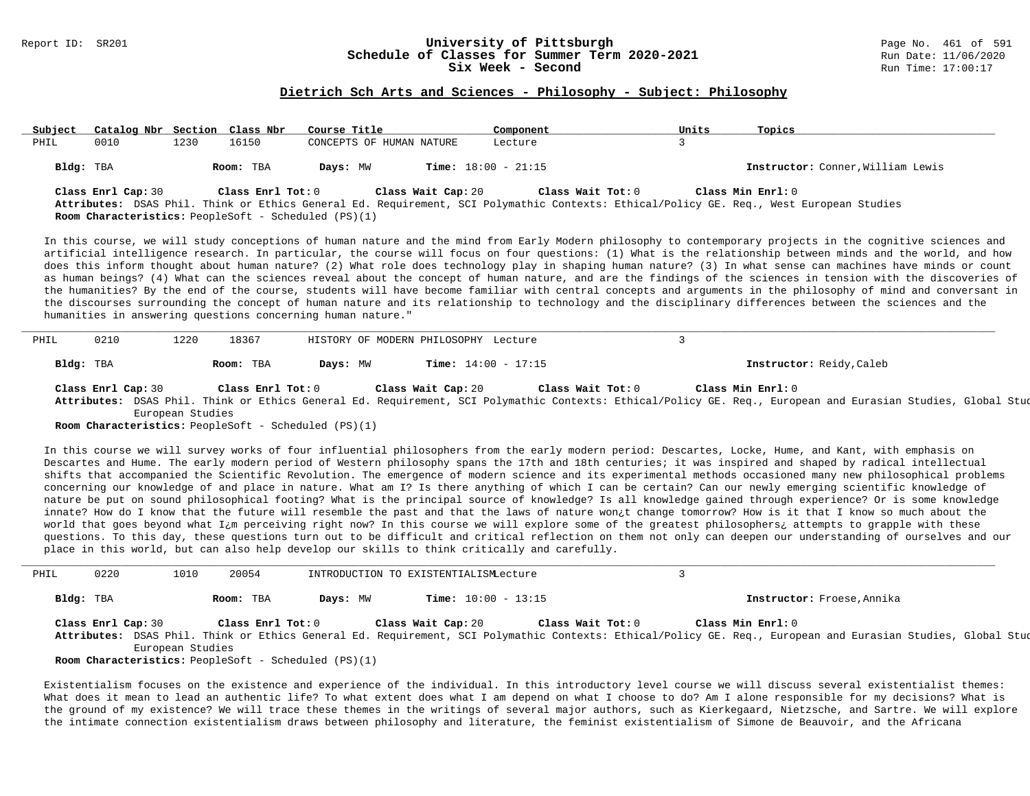#### Report ID: SR201 **1988 1998 12: SR201 University of Pittsburgh University of Pittsburgh** Page No. 461 of 591 **Schedule of Classes for Summer Term 2020-2021** Run Date: 11/06/20<br>Six Week - Second Run Time: 17:00:17 Six Week - Second

#### **Dietrich Sch Arts and Sciences - Philosophy - Subject: Philosophy**

| Subject   | Catalog Nbr Section Class Nbr                                              |      |                   | Course Title |                              | Component         | Units | Topics              |                                                                                                                                         |
|-----------|----------------------------------------------------------------------------|------|-------------------|--------------|------------------------------|-------------------|-------|---------------------|-----------------------------------------------------------------------------------------------------------------------------------------|
| PHIL      | 0010                                                                       | 1230 | 16150             |              | CONCEPTS OF HUMAN NATURE     | Lecture           |       |                     |                                                                                                                                         |
| Bldg: TBA |                                                                            |      | Room: TBA         | Days: MW     | <b>Time:</b> $18:00 - 21:15$ |                   |       |                     | Instructor: Conner, William Lewis                                                                                                       |
|           | Class Enrl Cap: 30<br>Room Characteristics: PeopleSoft - Scheduled (PS)(1) |      | Class Enrl Tot: 0 |              | Class Wait Cap: 20           | Class Wait Tot: 0 |       | Class Min $Enrl: 0$ | Attributes: DSAS Phil. Think or Ethics General Ed. Requirement, SCI Polymathic Contexts: Ethical/Policy GE. Req., West European Studies |

In this course, we will study conceptions of human nature and the mind from Early Modern philosophy to contemporary projects in the cognitive sciences and artificial intelligence research. In particular, the course will focus on four questions: (1) What is the relationship between minds and the world, and how does this inform thought about human nature? (2) What role does technology play in shaping human nature? (3) In what sense can machines have minds or count as human beings? (4) What can the sciences reveal about the concept of human nature, and are the findings of the sciences in tension with the discoveries of the humanities? By the end of the course, students will have become familiar with central concepts and arguments in the philosophy of mind and conversant in the discourses surrounding the concept of human nature and its relationship to technology and the disciplinary differences between the sciences and the humanities in answering questions concerning human nature."

| PHIL      | 0210 | .220 | 18367     |          | HISTORY OF MODERN PHILOSOPHY Lecture |                          |
|-----------|------|------|-----------|----------|--------------------------------------|--------------------------|
| Bldg: TBA |      |      | Room: TBA | Days: MW | <b>Time:</b> $14:00 - 17:15$         | Instructor: Reidy, Caleb |

**Class Enrl Cap:** 30 **Class Enrl Tot:** 0 **Class Wait Cap:** 20 **Class Wait Tot:** 0 **Class Min Enrl:** 0 **Attributes:** DSAS Phil. Think or Ethics General Ed. Requirement, SCI Polymathic Contexts: Ethical/Policy GE. Req., European and Eurasian Studies, Global Studies, West European Studies

**Room Characteristics:** PeopleSoft - Scheduled (PS)(1)

In this course we will survey works of four influential philosophers from the early modern period: Descartes, Locke, Hume, and Kant, with emphasis on Descartes and Hume. The early modern period of Western philosophy spans the 17th and 18th centuries; it was inspired and shaped by radical intellectual shifts that accompanied the Scientific Revolution. The emergence of modern science and its experimental methods occasioned many new philosophical problems concerning our knowledge of and place in nature. What am I? Is there anything of which I can be certain? Can our newly emerging scientific knowledge of nature be put on sound philosophical footing? What is the principal source of knowledge? Is all knowledge gained through experience? Or is some knowledge innate? How do I know that the future will resemble the past and that the laws of nature won¿t change tomorrow? How is it that I know so much about the world that goes beyond what I<sub>i</sub>m perceiving right now? In this course we will explore some of the greatest philosophers; attempts to grapple with these questions. To this day, these questions turn out to be difficult and critical reflection on them not only can deepen our understanding of ourselves and our place in this world, but can also help develop our skills to think critically and carefully.

| PHIL      | 0220 | 1010               | 20054     |                                                                                                                                                                                                                                                                                                                                                                                                             | INTRODUCTION TO EXISTENTIALISMLecture |                   |                   |                                                                                                                                                              |  |
|-----------|------|--------------------|-----------|-------------------------------------------------------------------------------------------------------------------------------------------------------------------------------------------------------------------------------------------------------------------------------------------------------------------------------------------------------------------------------------------------------------|---------------------------------------|-------------------|-------------------|--------------------------------------------------------------------------------------------------------------------------------------------------------------|--|
| Bldg: TBA |      |                    | Room: TBA | Days: MW                                                                                                                                                                                                                                                                                                                                                                                                    | <b>Time:</b> $10:00 - 13:15$          |                   |                   | Instructor: Froese, Annika                                                                                                                                   |  |
|           |      | Class Enrl Cap: 30 |           | Class Enrl Tot: 0                                                                                                                                                                                                                                                                                                                                                                                           | Class Wait Cap: 20                    | Class Wait Tot: 0 | Class Min Enrl: 0 |                                                                                                                                                              |  |
|           |      |                    |           |                                                                                                                                                                                                                                                                                                                                                                                                             |                                       |                   |                   | Attributes: DSAS Phil. Think or Ethics General Ed. Requirement, SCI Polymathic Contexts: Ethical/Policy GE. Req., European and Eurasian Studies, Global Stud |  |
|           |      | European Studies   |           |                                                                                                                                                                                                                                                                                                                                                                                                             |                                       |                   |                   |                                                                                                                                                              |  |
|           |      |                    |           | $D_{\text{form}}$ $D_{\text{beam}}$ $D_{\text{beam}}$ $D_{\text{beam}}$ $D_{\text{beam}}$ $D_{\text{beam}}$ $D_{\text{beam}}$ $D_{\text{beam}}$ $D_{\text{beam}}$ $D_{\text{beam}}$ $D_{\text{beam}}$ $D_{\text{beam}}$ $D_{\text{beam}}$ $D_{\text{beam}}$ $D_{\text{beam}}$ $D_{\text{beam}}$ $D_{\text{beam}}$ $D_{\text{beam}}$ $D_{\text{beam}}$ $D_{\text{beam}}$ $D_{\text{beam}}$ $D_{\text{beam}}$ |                                       |                   |                   |                                                                                                                                                              |  |

**Room Characteristics:** PeopleSoft - Scheduled (PS)(1)

Existentialism focuses on the existence and experience of the individual. In this introductory level course we will discuss several existentialist themes: What does it mean to lead an authentic life? To what extent does what I am depend on what I choose to do? Am I alone responsible for my decisions? What is the ground of my existence? We will trace these themes in the writings of several major authors, such as Kierkegaard, Nietzsche, and Sartre. We will explore the intimate connection existentialism draws between philosophy and literature, the feminist existentialism of Simone de Beauvoir, and the Africana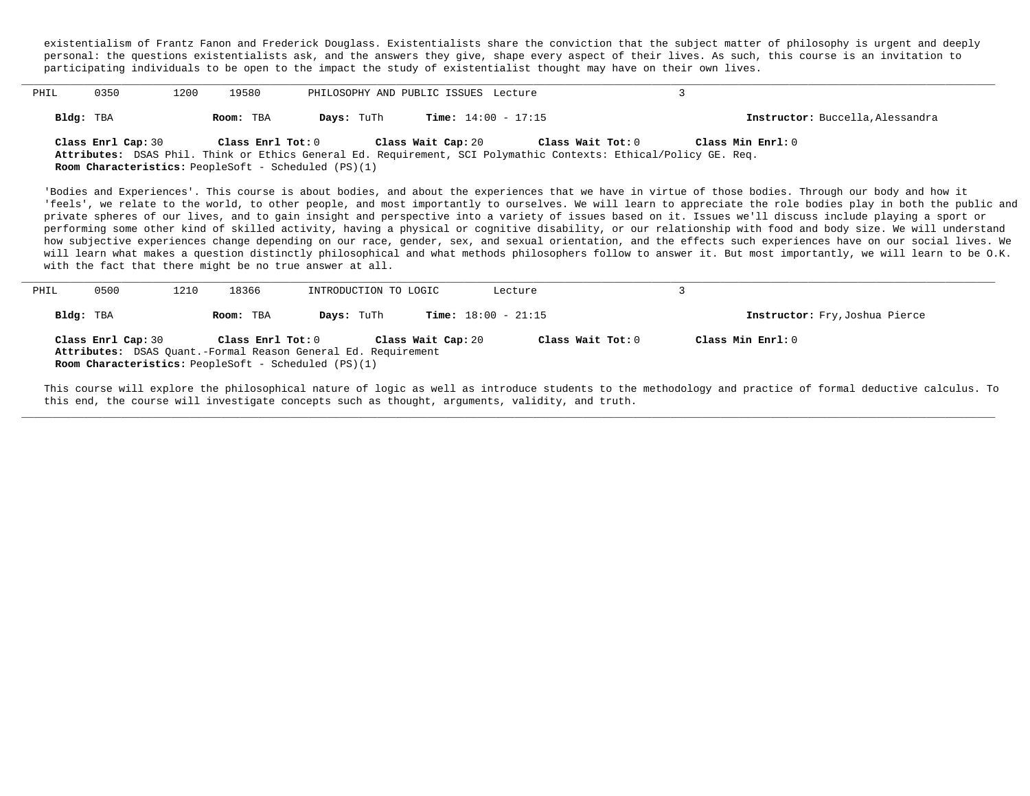existentialism of Frantz Fanon and Frederick Douglass. Existentialists share the conviction that the subject matter of philosophy is urgent and deeply personal: the questions existentialists ask, and the answers they give, shape every aspect of their lives. As such, this course is an invitation to participating individuals to be open to the impact the study of existentialist thought may have on their own lives.

| PHIL | 0350               | ⊥200 | 19580             |                                                             | PHILOSOPHY AND PUBLIC ISSUES Lecture |                                                                                                                  |                                  |  |
|------|--------------------|------|-------------------|-------------------------------------------------------------|--------------------------------------|------------------------------------------------------------------------------------------------------------------|----------------------------------|--|
|      | Bldg: TBA          |      | Room: TBA         | Days: TuTh                                                  | <b>Time:</b> $14:00 - 17:15$         |                                                                                                                  | Instructor: Buccella, Alessandra |  |
|      | Class Enrl Cap: 30 |      | Class Enrl Tot: 0 |                                                             | Class Wait Cap: 20                   | Class Wait Tot: 0                                                                                                | Class Min Enrl: 0                |  |
|      |                    |      |                   |                                                             |                                      | Attributes: DSAS Phil. Think or Ethics General Ed. Requirement, SCI Polymathic Contexts: Ethical/Policy GE. Req. |                                  |  |
|      |                    |      |                   | <b>Room Characteristics:</b> PeopleSoft - Scheduled (PS)(1) |                                      |                                                                                                                  |                                  |  |

'Bodies and Experiences'. This course is about bodies, and about the experiences that we have in virtue of those bodies. Through our body and how it 'feels', we relate to the world, to other people, and most importantly to ourselves. We will learn to appreciate the role bodies play in both the public and private spheres of our lives, and to gain insight and perspective into a variety of issues based on it. Issues we'll discuss include playing a sport or performing some other kind of skilled activity, having a physical or cognitive disability, or our relationship with food and body size. We will understand how subjective experiences change depending on our race, gender, sex, and sexual orientation, and the effects such experiences have on our social lives. We will learn what makes a question distinctly philosophical and what methods philosophers follow to answer it. But most importantly, we will learn to be O.K. with the fact that there might be no true answer at all.

| PHIL | 0500               | 1210 | 18366             | INTRODUCTION TO LOGIC                                                                                                        |                    | Lecture                      |                                |
|------|--------------------|------|-------------------|------------------------------------------------------------------------------------------------------------------------------|--------------------|------------------------------|--------------------------------|
|      | Bldg: TBA          |      | Room: TBA         | Days: TuTh                                                                                                                   |                    | <b>Time:</b> $18:00 - 21:15$ | Instructor: Fry, Joshua Pierce |
|      | Class Enrl Cap: 30 |      | Class Enrl Tot: 0 | Attributes: DSAS Quant.-Formal Reason General Ed. Requirement<br><b>Room Characteristics:</b> PeopleSoft - Scheduled (PS)(1) | Class Wait Cap: 20 | Class Wait Tot: 0            | Class Min Enrl: 0              |

This course will explore the philosophical nature of logic as well as introduce students to the methodology and practice of formal deductive calculus. To this end, the course will investigate concepts such as thought, arguments, validity, and truth.

**\_\_\_\_\_\_\_\_\_\_\_\_\_\_\_\_\_\_\_\_\_\_\_\_\_\_\_\_\_\_\_\_\_\_\_\_\_\_\_\_\_\_\_\_\_\_\_\_\_\_\_\_\_\_\_\_\_\_\_\_\_\_\_\_\_\_\_\_\_\_\_\_\_\_\_\_\_\_\_\_\_\_\_\_\_\_\_\_\_\_\_\_\_\_\_\_\_\_\_\_\_\_\_\_\_\_\_\_\_\_\_\_\_\_\_\_\_\_\_\_\_\_\_\_\_\_\_\_\_\_\_\_\_\_\_\_\_\_\_\_\_\_\_\_\_\_\_\_\_\_\_\_\_\_\_\_**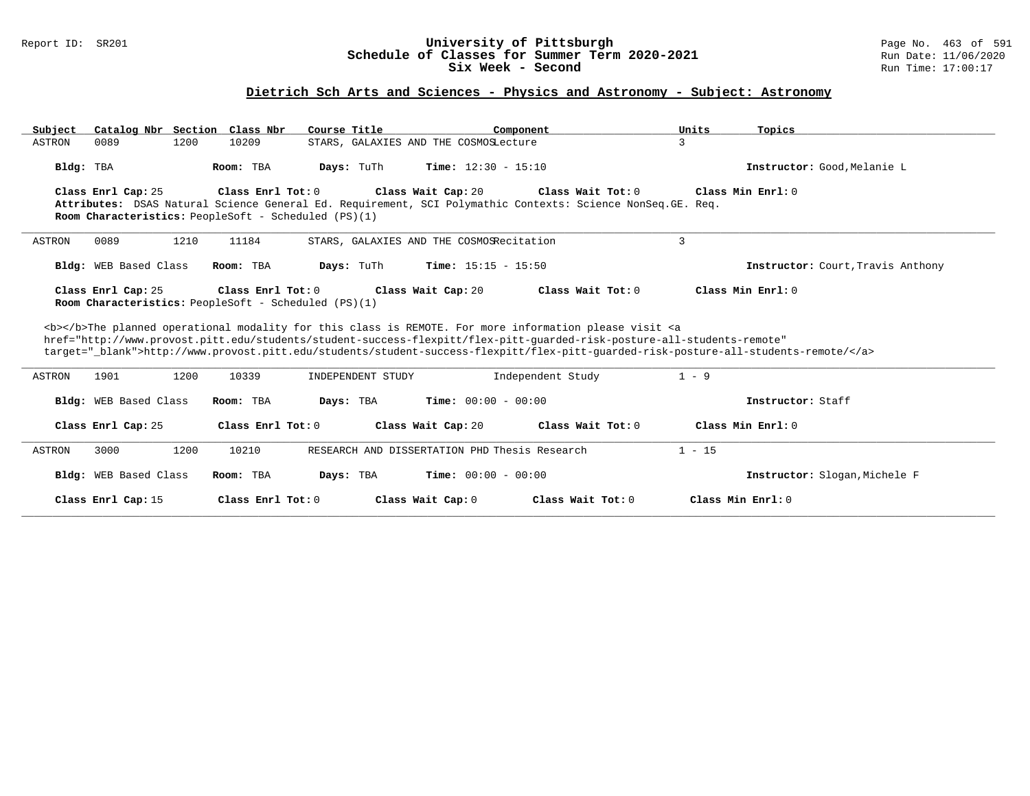### Report ID: SR201 **University of Pittsburgh** Page No. 463 of 591 **Schedule of Classes for Summer Term 2020-2021** Run Date: 11/06/2020 **Six Week - Second Run Time: 17:00:17**

# **Dietrich Sch Arts and Sciences - Physics and Astronomy - Subject: Astronomy**

|                              | Catalog Nbr Section Class Nbr<br>Course Title                             | Component                                                                                                                                                                                                                                                                                                                                                                          | Units<br>Topics                          |
|------------------------------|---------------------------------------------------------------------------|------------------------------------------------------------------------------------------------------------------------------------------------------------------------------------------------------------------------------------------------------------------------------------------------------------------------------------------------------------------------------------|------------------------------------------|
| 0089<br>1200<br>ASTRON       | 10209                                                                     | STARS, GALAXIES AND THE COSMOSLecture                                                                                                                                                                                                                                                                                                                                              | 3                                        |
| Bldg: TBA                    | Days: TuTh<br>Room: TBA                                                   | <b>Time:</b> $12:30 - 15:10$                                                                                                                                                                                                                                                                                                                                                       | Instructor: Good, Melanie L              |
| Class Enrl Cap: 25           | Class Enrl Tot: 0<br>Room Characteristics: PeopleSoft - Scheduled (PS)(1) | Class Wait Cap: 20<br>Class Wait Tot: 0<br>Attributes: DSAS Natural Science General Ed. Requirement, SCI Polymathic Contexts: Science NonSeq. GE. Req.                                                                                                                                                                                                                             | Class Min Enrl: 0                        |
| 0089<br>1210<br>ASTRON       | 11184                                                                     | STARS, GALAXIES AND THE COSMOSRecitation                                                                                                                                                                                                                                                                                                                                           | 3                                        |
| <b>Bldg:</b> WEB Based Class | Room: TBA<br>Days: TuTh                                                   | <b>Time:</b> $15:15 - 15:50$                                                                                                                                                                                                                                                                                                                                                       | <b>Instructor:</b> Court, Travis Anthony |
| Class Enrl Cap: 25           | Class Enrl Tot: 0<br>Room Characteristics: PeopleSoft - Scheduled (PS)(1) | Class Wait Tot: 0<br>Class Wait Cap: 20                                                                                                                                                                                                                                                                                                                                            | Class Min Enrl: 0                        |
|                              |                                                                           | <b></b> The planned operational modality for this class is REMOTE. For more information please visit <a<br>href="http://www.provost.pitt.edu/students/student-success-flexpitt/flex-pitt-quarded-risk-posture-all-students-remote"<br/>target="_blank"&gt;http://www.provost.pitt.edu/students/student-success-flexpitt/flex-pitt-quarded-risk-posture-all-students-remote/</a<br> |                                          |
|                              |                                                                           |                                                                                                                                                                                                                                                                                                                                                                                    |                                          |
| 1200<br>ASTRON<br>1901       | 10339<br>INDEPENDENT STUDY                                                | Independent Study                                                                                                                                                                                                                                                                                                                                                                  | $1 - 9$                                  |
| Bldg: WEB Based Class        | Room: TBA<br>Days: TBA                                                    | <b>Time:</b> $00:00 - 00:00$                                                                                                                                                                                                                                                                                                                                                       | Instructor: Staff                        |
| Class Enrl Cap: 25           | Class Enrl Tot: 0                                                         | Class Wait Cap: 20<br>Class Wait Tot: $0$                                                                                                                                                                                                                                                                                                                                          | Class Min Enrl: 0                        |
| 1200<br>ASTRON<br>3000       | 10210                                                                     | RESEARCH AND DISSERTATION PHD Thesis Research                                                                                                                                                                                                                                                                                                                                      | $1 - 15$                                 |
| Bldg: WEB Based Class        | Room: TBA<br>Days: TBA                                                    | <b>Time:</b> $00:00 - 00:00$                                                                                                                                                                                                                                                                                                                                                       | Instructor: Slogan, Michele F            |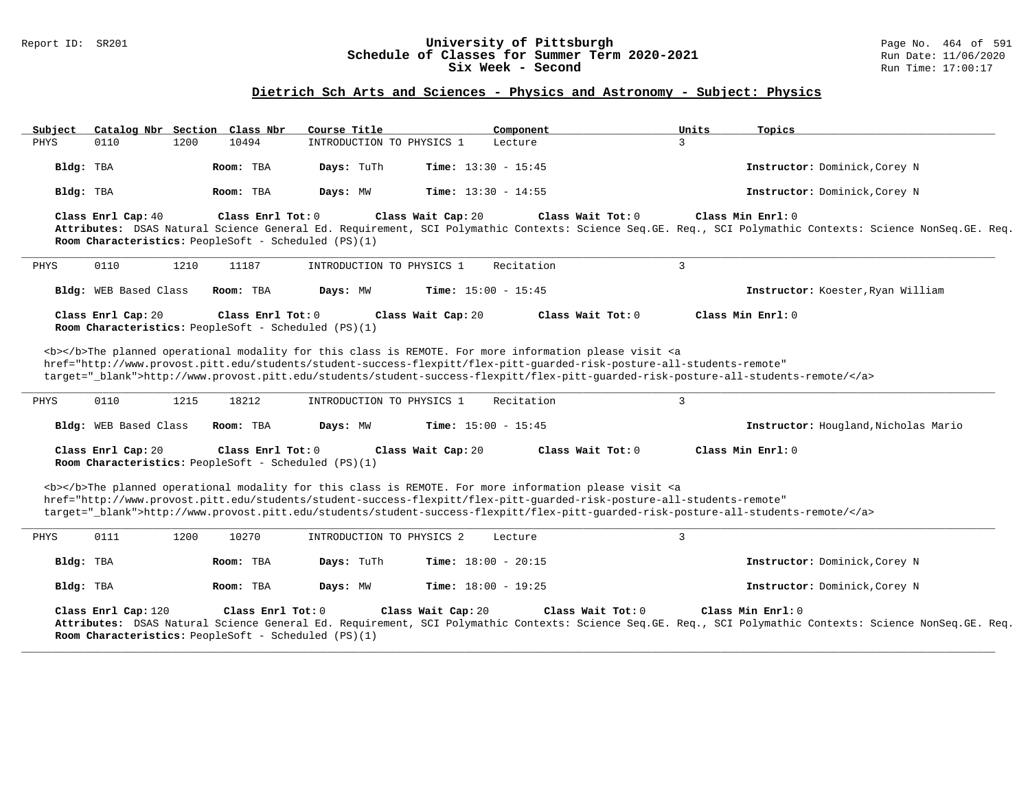### Report ID: SR201 **University of Pittsburgh** Page No. 464 of 591 **Schedule of Classes for Summer Term 2020-2021** Run Date: 11/06/2020 **Six Week - Second Run Time: 17:00:17**

# **Dietrich Sch Arts and Sciences - Physics and Astronomy - Subject: Physics**

| Subject   | Catalog Nbr Section Class Nbr |      |                                                                             | Course Title              | Component                                                                                                                                                                                                                                                                                                                                                                          | Units          | <u>Topics</u>                                                                                                                                                                  |
|-----------|-------------------------------|------|-----------------------------------------------------------------------------|---------------------------|------------------------------------------------------------------------------------------------------------------------------------------------------------------------------------------------------------------------------------------------------------------------------------------------------------------------------------------------------------------------------------|----------------|--------------------------------------------------------------------------------------------------------------------------------------------------------------------------------|
| PHYS      | 0110                          | 1200 | 10494                                                                       | INTRODUCTION TO PHYSICS 1 | Lecture                                                                                                                                                                                                                                                                                                                                                                            | 3              |                                                                                                                                                                                |
| Bldg: TBA |                               |      | Room: TBA                                                                   | Days: TuTh                | <b>Time:</b> $13:30 - 15:45$                                                                                                                                                                                                                                                                                                                                                       |                | Instructor: Dominick, Corey N                                                                                                                                                  |
| Bldg: TBA |                               |      | Room: TBA                                                                   | Days: MW                  | <b>Time:</b> $13:30 - 14:55$                                                                                                                                                                                                                                                                                                                                                       |                | Instructor: Dominick, Corey N                                                                                                                                                  |
|           | Class Enrl Cap: 40            |      | Class Enrl Tot: $0$<br>Room Characteristics: PeopleSoft - Scheduled (PS)(1) |                           | Class Wait Cap: 20<br>Class Wait Tot: 0                                                                                                                                                                                                                                                                                                                                            |                | Class Min Enrl: 0<br>Attributes: DSAS Natural Science General Ed. Requirement, SCI Polymathic Contexts: Science Seq.GE. Req., SCI Polymathic Contexts: Science NonSeq.GE. Req. |
| PHYS      | 0110                          | 1210 | 11187                                                                       | INTRODUCTION TO PHYSICS 1 | Recitation                                                                                                                                                                                                                                                                                                                                                                         | $\overline{3}$ |                                                                                                                                                                                |
|           | Bldg: WEB Based Class         |      | Room: TBA                                                                   | Days: MW                  | <b>Time:</b> $15:00 - 15:45$                                                                                                                                                                                                                                                                                                                                                       |                | Instructor: Koester, Ryan William                                                                                                                                              |
|           | Class Enrl Cap: 20            |      | Class Enrl Tot: $0$<br>Room Characteristics: PeopleSoft - Scheduled (PS)(1) |                           | Class Wait Cap: 20<br>Class Wait Tot: $0$                                                                                                                                                                                                                                                                                                                                          |                | Class Min Enrl: 0                                                                                                                                                              |
|           |                               |      |                                                                             |                           | <b></b> The planned operational modality for this class is REMOTE. For more information please visit <a<br>href="http://www.provost.pitt.edu/students/student-success-flexpitt/flex-pitt-quarded-risk-posture-all-students-remote"<br/>target="_blank"&gt;http://www.provost.pitt.edu/students/student-success-flexpitt/flex-pitt-quarded-risk-posture-all-students-remote/</a<br> |                |                                                                                                                                                                                |
| PHYS      | 0110                          | 1215 | 18212                                                                       | INTRODUCTION TO PHYSICS 1 | Recitation                                                                                                                                                                                                                                                                                                                                                                         | $\overline{3}$ |                                                                                                                                                                                |
|           | Bldg: WEB Based Class         |      | Room: TBA                                                                   | Days: MW                  | Time: $15:00 - 15:45$                                                                                                                                                                                                                                                                                                                                                              |                | Instructor: Hougland, Nicholas Mario                                                                                                                                           |
|           | Class Enrl Cap: 20            |      | Class Enrl Tot: $0$<br>Room Characteristics: PeopleSoft - Scheduled (PS)(1) |                           | Class Wait Cap: 20<br>Class Wait Tot: $0$                                                                                                                                                                                                                                                                                                                                          |                | Class Min Enrl: 0                                                                                                                                                              |
|           |                               |      |                                                                             |                           | <b></b> The planned operational modality for this class is REMOTE. For more information please visit <a<br>href="http://www.provost.pitt.edu/students/student-success-flexpitt/flex-pitt-quarded-risk-posture-all-students-remote"<br/>target="_blank"&gt;http://www.provost.pitt.edu/students/student-success-flexpitt/flex-pitt-guarded-risk-posture-all-students-remote/</a<br> |                |                                                                                                                                                                                |
| PHYS      | 0111                          | 1200 | 10270                                                                       | INTRODUCTION TO PHYSICS 2 | Lecture                                                                                                                                                                                                                                                                                                                                                                            | $\mathbf{3}$   |                                                                                                                                                                                |
| Bldg: TBA |                               |      | Room: TBA                                                                   | Days: TuTh                | Time: $18:00 - 20:15$                                                                                                                                                                                                                                                                                                                                                              |                | Instructor: Dominick, Corey N                                                                                                                                                  |
| Bldg: TBA |                               |      | Room: TBA                                                                   | Days: MW                  | <b>Time:</b> $18:00 - 19:25$                                                                                                                                                                                                                                                                                                                                                       |                | Instructor: Dominick, Corey N                                                                                                                                                  |
|           | Class Enrl Cap: 120           |      | Class Enrl Tot: $0$<br>Room Characteristics: PeopleSoft - Scheduled (PS)(1) |                           | Class Wait Tot: 0<br>Class Wait Cap: 20                                                                                                                                                                                                                                                                                                                                            |                | Class Min Enrl: 0<br>Attributes: DSAS Natural Science General Ed. Requirement, SCI Polymathic Contexts: Science Seq.GE. Req., SCI Polymathic Contexts: Science NonSeq.GE. Req. |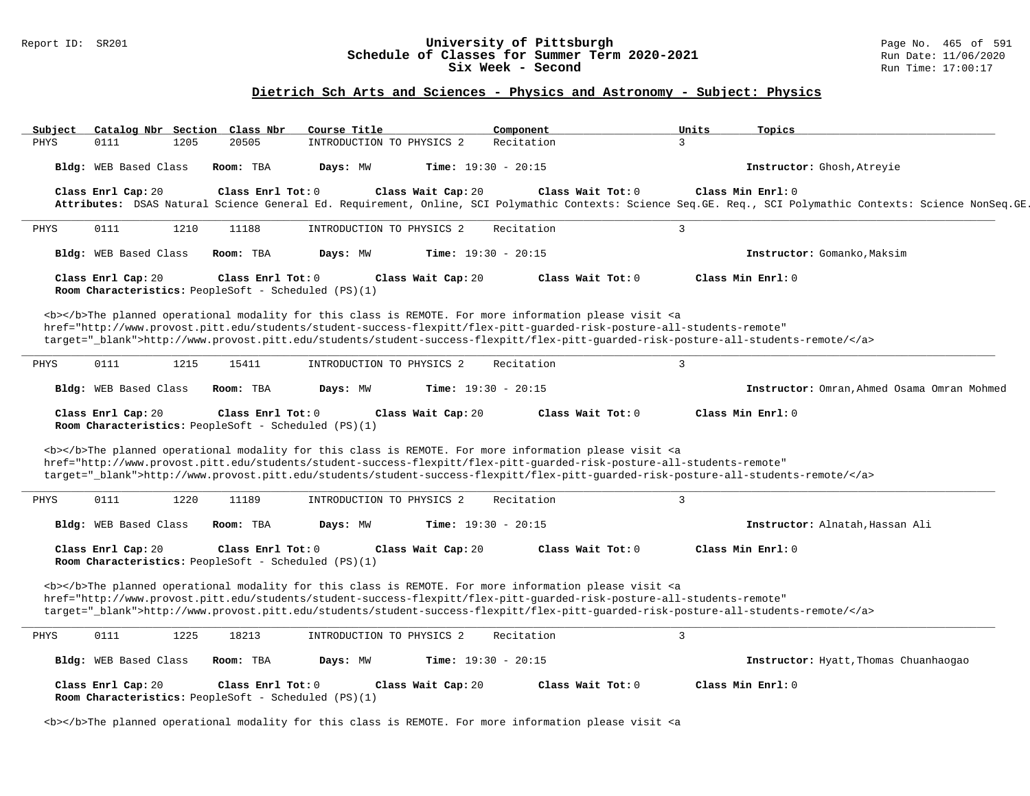#### Report ID: SR201 **1988 1999 Constrained Magnet Classes for Summer Term 2020-2021** Page No. 465 of 591 Constrained B<br>**Schedule of Classes for Summer Term 2020-2021** Run Date: 11/06/2020 **Schedule of Classes for Summer Term 2020-2021** Run Date: 11/06/20<br>Six Week - Second Six Week - Second

#### **Dietrich Sch Arts and Sciences - Physics and Astronomy - Subject: Physics**

Subject Catalog Nbr Section Class Nbr Course Title \_\_\_\_\_\_\_\_\_\_\_\_\_\_Component \_\_\_\_\_\_\_\_\_\_\_\_\_\_\_\_\_Units \_\_\_\_\_\_\_\_\_\_\_\_<br>PHYS 0111 1205 20505 INTRODUCTION TO PHYSICS 2 Recitation 3 PHYS 0111 1205 20505 INTRODUCTION TO PHYSICS 2 Recitation **Bldg:** WEB Based Class **Room:** TBA **Days:** MW **Time:** 19:30 - 20:15 **Instructor:** Ghosh,Atreyie **Class Enrl Cap:** 20 **Class Enrl Tot:** 0 **Class Wait Cap:** 20 **Class Wait Tot:** 0 **Class Min Enrl:** 0 **Attributes:** DSAS Natural Science General Ed. Requirement, Online, SCI Polymathic Contexts: Science Seq.GE. Req., SCI Polymathic Contexts: Science NonSeq.GE. Req. **\_\_\_\_\_\_\_\_\_\_\_\_\_\_\_\_\_\_\_\_\_\_\_\_\_\_\_\_\_\_\_\_\_\_\_\_\_\_\_\_\_\_\_\_\_\_\_\_\_\_\_\_\_\_\_\_\_\_\_\_\_\_\_\_\_\_\_\_\_\_\_\_\_\_\_\_\_\_\_\_\_\_\_\_\_\_\_\_\_\_\_\_\_\_\_\_\_\_\_\_\_\_\_\_\_\_\_\_\_\_\_\_\_\_\_\_\_\_\_\_\_\_\_\_\_\_\_\_\_\_\_\_\_\_\_\_\_\_\_\_\_\_\_\_\_\_\_\_\_\_\_\_\_\_\_\_** PHYS 0111 1210 11188 INTRODUCTION TO PHYSICS 2 Recitation 3 **Bldg:** WEB Based Class **Room:** TBA **Days:** MW **Time:** 19:30 - 20:15 **Instructor:** Gomanko,Maksim **Class Enrl Cap:** 20 **Class Enrl Tot:** 0 **Class Wait Cap:** 20 **Class Wait Tot:** 0 **Class Min Enrl:** 0 **Room Characteristics:** PeopleSoft - Scheduled (PS)(1) <b></b>The planned operational modality for this class is REMOTE. For more information please visit <a href="http://www.provost.pitt.edu/students/student-success-flexpitt/flex-pitt-guarded-risk-posture-all-students-remote" target="\_blank">http://www.provost.pitt.edu/students/student-success-flexpitt/flex-pitt-guarded-risk-posture-all-students-remote/</a> **\_\_\_\_\_\_\_\_\_\_\_\_\_\_\_\_\_\_\_\_\_\_\_\_\_\_\_\_\_\_\_\_\_\_\_\_\_\_\_\_\_\_\_\_\_\_\_\_\_\_\_\_\_\_\_\_\_\_\_\_\_\_\_\_\_\_\_\_\_\_\_\_\_\_\_\_\_\_\_\_\_\_\_\_\_\_\_\_\_\_\_\_\_\_\_\_\_\_\_\_\_\_\_\_\_\_\_\_\_\_\_\_\_\_\_\_\_\_\_\_\_\_\_\_\_\_\_\_\_\_\_\_\_\_\_\_\_\_\_\_\_\_\_\_\_\_\_\_\_\_\_\_\_\_\_\_** PHYS 0111 1215 15411 INTRODUCTION TO PHYSICS 2 Recitation 3 **Bldg:** WEB Based Class **Room:** TBA **Days:** MW **Time:** 19:30 - 20:15 **Instructor:** Omran,Ahmed Osama Omran Mohmed **Class Enrl Cap:** 20 **Class Enrl Tot:** 0 **Class Wait Cap:** 20 **Class Wait Tot:** 0 **Class Min Enrl:** 0 **Room Characteristics:** PeopleSoft - Scheduled (PS)(1) <b></b>The planned operational modality for this class is REMOTE. For more information please visit <a href="http://www.provost.pitt.edu/students/student-success-flexpitt/flex-pitt-guarded-risk-posture-all-students-remote" target="\_blank">http://www.provost.pitt.edu/students/student-success-flexpitt/flex-pitt-guarded-risk-posture-all-students-remote/</a> **\_\_\_\_\_\_\_\_\_\_\_\_\_\_\_\_\_\_\_\_\_\_\_\_\_\_\_\_\_\_\_\_\_\_\_\_\_\_\_\_\_\_\_\_\_\_\_\_\_\_\_\_\_\_\_\_\_\_\_\_\_\_\_\_\_\_\_\_\_\_\_\_\_\_\_\_\_\_\_\_\_\_\_\_\_\_\_\_\_\_\_\_\_\_\_\_\_\_\_\_\_\_\_\_\_\_\_\_\_\_\_\_\_\_\_\_\_\_\_\_\_\_\_\_\_\_\_\_\_\_\_\_\_\_\_\_\_\_\_\_\_\_\_\_\_\_\_\_\_\_\_\_\_\_\_\_** PHYS 0111 1220 11189 INTRODUCTION TO PHYSICS 2 Recitation 3 **Bldg:** WEB Based Class **Room:** TBA **Days:** MW **Time:** 19:30 - 20:15 **Instructor:** Alnatah,Hassan Ali **Class Enrl Cap:** 20 **Class Enrl Tot:** 0 **Class Wait Cap:** 20 **Class Wait Tot:** 0 **Class Min Enrl:** 0 **Room Characteristics:** PeopleSoft - Scheduled (PS)(1) <b></b>The planned operational modality for this class is REMOTE. For more information please visit <a href="http://www.provost.pitt.edu/students/student-success-flexpitt/flex-pitt-guarded-risk-posture-all-students-remote" target="\_blank">http://www.provost.pitt.edu/students/student-success-flexpitt/flex-pitt-guarded-risk-posture-all-students-remote/</a> **\_\_\_\_\_\_\_\_\_\_\_\_\_\_\_\_\_\_\_\_\_\_\_\_\_\_\_\_\_\_\_\_\_\_\_\_\_\_\_\_\_\_\_\_\_\_\_\_\_\_\_\_\_\_\_\_\_\_\_\_\_\_\_\_\_\_\_\_\_\_\_\_\_\_\_\_\_\_\_\_\_\_\_\_\_\_\_\_\_\_\_\_\_\_\_\_\_\_\_\_\_\_\_\_\_\_\_\_\_\_\_\_\_\_\_\_\_\_\_\_\_\_\_\_\_\_\_\_\_\_\_\_\_\_\_\_\_\_\_\_\_\_\_\_\_\_\_\_\_\_\_\_\_\_\_\_** PHYS 0111 1225 18213 INTRODUCTION TO PHYSICS 2 Recitation 3 **Bldg:** WEB Based Class **Room:** TBA **Days:** MW **Time:** 19:30 - 20:15 **Instructor:** Hyatt,Thomas Chuanhaogao **Class Enrl Cap:** 20 **Class Enrl Tot:** 0 **Class Wait Cap:** 20 **Class Wait Tot:** 0 **Class Min Enrl:** 0 **Room Characteristics:** PeopleSoft - Scheduled (PS)(1)

<b></b>The planned operational modality for this class is REMOTE. For more information please visit <a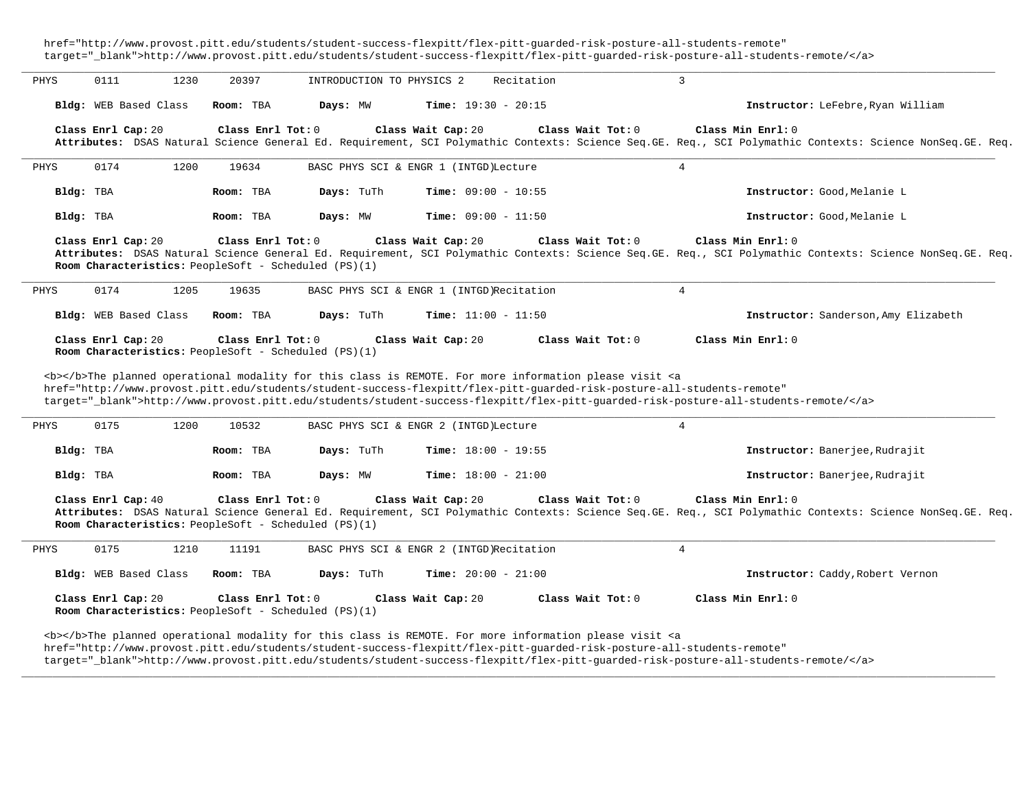href="http://www.provost.pitt.edu/students/student-success-flexpitt/flex-pitt-guarded-risk-posture-all-students-remote" target="\_blank">http://www.provost.pitt.edu/students/student-success-flexpitt/flex-pitt-guarded-risk-posture-all-students-remote/</a>

| PHYS | 0111                  | 1230 | 20397             | INTRODUCTION TO PHYSICS 2                                                                                                                                                                                                                                                                         |                              | Recitation |                     | 3                   |                                                                                                                                                           |
|------|-----------------------|------|-------------------|---------------------------------------------------------------------------------------------------------------------------------------------------------------------------------------------------------------------------------------------------------------------------------------------------|------------------------------|------------|---------------------|---------------------|-----------------------------------------------------------------------------------------------------------------------------------------------------------|
|      | Bldg: WEB Based Class |      | Room: TBA         | Days: MW                                                                                                                                                                                                                                                                                          | <b>Time:</b> $19:30 - 20:15$ |            |                     |                     | Instructor: LeFebre, Ryan William                                                                                                                         |
|      | Class Enrl Cap: 20    |      | Class Enrl Tot: 0 |                                                                                                                                                                                                                                                                                                   | Class Wait Cap: 20           |            | Class Wait Tot: 0   | Class Min Enrl: 0   | Attributes: DSAS Natural Science General Ed. Requirement, SCI Polymathic Contexts: Science Seq.GE. Req., SCI Polymathic Contexts: Science NonSeq.GE. Req. |
| PHYS | 0174                  | 1200 | 19634             | BASC PHYS SCI & ENGR 1 (INTGD) Lecture                                                                                                                                                                                                                                                            |                              |            | $\overline{4}$      |                     |                                                                                                                                                           |
|      | Bldg: TBA             |      | Room: TBA         | Days: TuTh                                                                                                                                                                                                                                                                                        | Time: $09:00 - 10:55$        |            |                     |                     | Instructor: Good, Melanie L                                                                                                                               |
|      | Bldg: TBA             |      | Room: TBA         | Days: MW                                                                                                                                                                                                                                                                                          | <b>Time:</b> $09:00 - 11:50$ |            |                     |                     | Instructor: Good, Melanie L                                                                                                                               |
|      | Class Enrl Cap: 20    |      | Class Enrl Tot: 0 | Room Characteristics: PeopleSoft - Scheduled (PS)(1)                                                                                                                                                                                                                                              | Class Wait Cap: 20           |            | Class Wait $Tot: 0$ | Class Min $Enr1: 0$ | Attributes: DSAS Natural Science General Ed. Requirement, SCI Polymathic Contexts: Science Seq.GE. Req., SCI Polymathic Contexts: Science NonSeq.GE. Req. |
| PHYS | 0174                  | 1205 | 19635             | BASC PHYS SCI & ENGR 1 (INTGD)Recitation                                                                                                                                                                                                                                                          |                              |            |                     | $\overline{4}$      |                                                                                                                                                           |
|      | Bldg: WEB Based Class |      | Room: TBA         | Days: TuTh                                                                                                                                                                                                                                                                                        | <b>Time:</b> $11:00 - 11:50$ |            |                     |                     | Instructor: Sanderson, Amy Elizabeth                                                                                                                      |
|      | Class Enrl Cap: 20    |      | Class Enrl Tot: 0 | Room Characteristics: PeopleSoft - Scheduled (PS)(1)<br><b></b> The planned operational modality for this class is REMOTE. For more information please visit <a<br>href="http://www.provost.pitt.edu/students/student-success-flexpitt/flex-pitt-quarded-risk-posture-all-students-remote"</a<br> | Class Wait Cap: 20           |            | Class Wait Tot: 0   | Class Min Enrl: 0   | target="_blank">http://www.provost.pitt.edu/students/student-success-flexpitt/flex-pitt-quarded-risk-posture-all-students-remote/                         |
| PHYS | 0175                  | 1200 | 10532             | BASC PHYS SCI & ENGR 2 (INTGD) Lecture                                                                                                                                                                                                                                                            |                              |            | $\overline{4}$      |                     |                                                                                                                                                           |
|      | Bldg: TBA             |      | Room: TBA         | Days: TuTh                                                                                                                                                                                                                                                                                        | <b>Time:</b> $18:00 - 19:55$ |            |                     |                     | Instructor: Banerjee, Rudrajit                                                                                                                            |
|      | Bldg: TBA             |      | Room: TBA         | Days: MW                                                                                                                                                                                                                                                                                          | <b>Time:</b> $18:00 - 21:00$ |            |                     |                     | Instructor: Banerjee, Rudrajit                                                                                                                            |
|      | Class Enrl Cap: 40    |      | Class Enrl Tot: 0 | Room Characteristics: PeopleSoft - Scheduled (PS)(1)                                                                                                                                                                                                                                              | Class Wait Cap: 20           |            | Class Wait Tot: 0   | Class Min Enrl: 0   | Attributes: DSAS Natural Science General Ed. Requirement, SCI Polymathic Contexts: Science Seq.GE. Req., SCI Polymathic Contexts: Science NonSeq.GE. Req. |
| PHYS | 0175                  | 1210 | 11191             | BASC PHYS SCI & ENGR 2 (INTGD)Recitation                                                                                                                                                                                                                                                          |                              |            |                     | 4                   |                                                                                                                                                           |
|      | Bldg: WEB Based Class |      | Room: TBA         | Days: TuTh                                                                                                                                                                                                                                                                                        | Time: $20:00 - 21:00$        |            |                     |                     | Instructor: Caddy, Robert Vernon                                                                                                                          |
|      | Class Enrl Cap: 20    |      | Class Enrl Tot: 0 | Room Characteristics: PeopleSoft - Scheduled (PS)(1)                                                                                                                                                                                                                                              | Class Wait Cap: 20           |            | Class Wait Tot: $0$ | Class Min Enrl: 0   |                                                                                                                                                           |
|      |                       |      |                   |                                                                                                                                                                                                                                                                                                   |                              |            |                     |                     |                                                                                                                                                           |

href="http://www.provost.pitt.edu/students/student-success-flexpitt/flex-pitt-guarded-risk-posture-all-students-remote"

target="\_blank">http://www.provost.pitt.edu/students/student-success-flexpitt/flex-pitt-guarded-risk-posture-all-students-remote/</a>

**\_\_\_\_\_\_\_\_\_\_\_\_\_\_\_\_\_\_\_\_\_\_\_\_\_\_\_\_\_\_\_\_\_\_\_\_\_\_\_\_\_\_\_\_\_\_\_\_\_\_\_\_\_\_\_\_\_\_\_\_\_\_\_\_\_\_\_\_\_\_\_\_\_\_\_\_\_\_\_\_\_\_\_\_\_\_\_\_\_\_\_\_\_\_\_\_\_\_\_\_\_\_\_\_\_\_\_\_\_\_\_\_\_\_\_\_\_\_\_\_\_\_\_\_\_\_\_\_\_\_\_\_\_\_\_\_\_\_\_\_\_\_\_\_\_\_\_\_\_\_\_\_\_\_\_\_**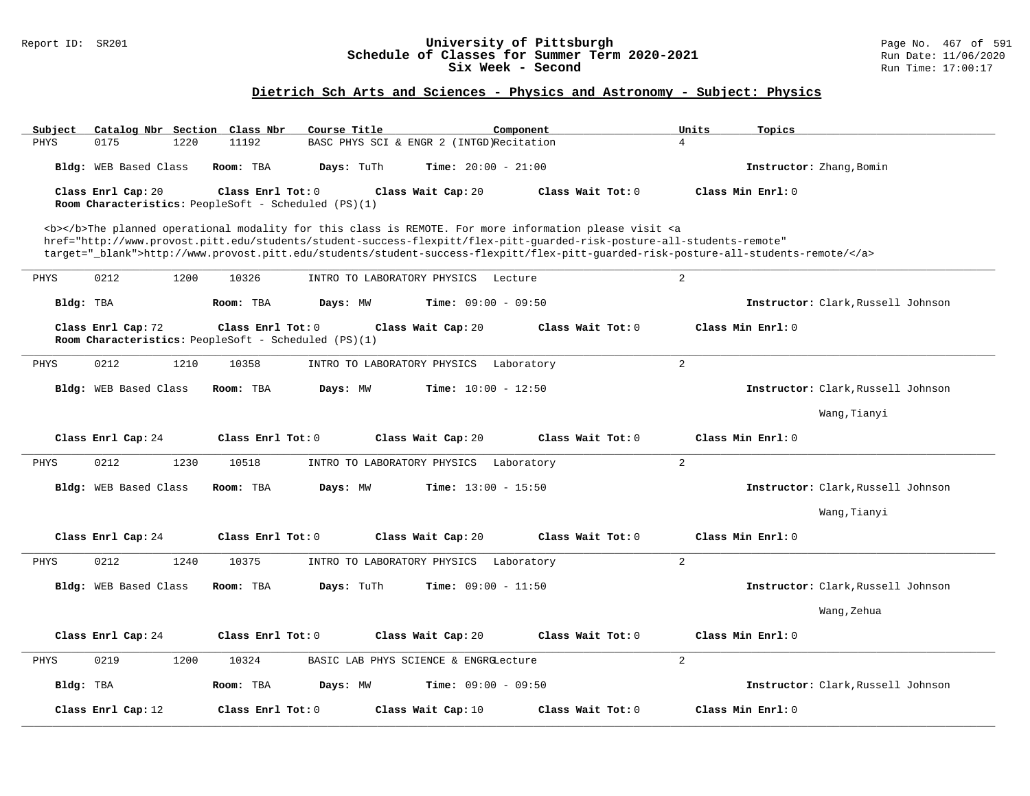### Report ID: SR201 **University of Pittsburgh** Page No. 467 of 591 **Schedule of Classes for Summer Term 2020-2021** Run Date: 11/06/2020 **Six Week - Second Run Time: 17:00:17**

# **Dietrich Sch Arts and Sciences - Physics and Astronomy - Subject: Physics**

| Catalog Nbr Section Class Nbr<br>Subject                                                                                                                                                                                                  | Course Title                                   | Component                                 | Units<br>Topics                    |  |  |  |  |
|-------------------------------------------------------------------------------------------------------------------------------------------------------------------------------------------------------------------------------------------|------------------------------------------------|-------------------------------------------|------------------------------------|--|--|--|--|
| PHYS<br>0175<br>1220                                                                                                                                                                                                                      | 11192                                          | BASC PHYS SCI & ENGR 2 (INTGD)Recitation  | $\overline{4}$                     |  |  |  |  |
| Bldg: WEB Based Class                                                                                                                                                                                                                     | Room: TBA<br>Days: TuTh                        | <b>Time:</b> $20:00 - 21:00$              | Instructor: Zhang, Bomin           |  |  |  |  |
| Class Enrl Cap: 20                                                                                                                                                                                                                        | Class Enrl Tot: $0$                            | Class Wait Cap: 20<br>Class Wait Tot: 0   | Class Min Enrl: 0                  |  |  |  |  |
| Room Characteristics: PeopleSoft - Scheduled (PS)(1)                                                                                                                                                                                      |                                                |                                           |                                    |  |  |  |  |
| <b></b> The planned operational modality for this class is REMOTE. For more information please visit <a<br>href="http://www.provost.pitt.edu/students/student-success-flexpitt/flex-pitt-quarded-risk-posture-all-students-remote"</a<br> |                                                |                                           |                                    |  |  |  |  |
| target="_blank">http://www.provost.pitt.edu/students/student-success-flexpitt/flex-pitt-quarded-risk-posture-all-students-remote/                                                                                                         |                                                |                                           |                                    |  |  |  |  |
| 0212<br>1200<br>PHYS                                                                                                                                                                                                                      | 10326<br>INTRO TO LABORATORY PHYSICS           | Lecture                                   | 2                                  |  |  |  |  |
| Bldg: TBA                                                                                                                                                                                                                                 | Room: TBA<br>Days: MW                          | <b>Time:</b> $09:00 - 09:50$              | Instructor: Clark, Russell Johnson |  |  |  |  |
| Class Enrl Cap: 72<br>Class Enrl Tot: 0<br>Class Min Enrl: 0<br>Class Wait Cap: 20<br>Class Wait Tot: 0<br>Room Characteristics: PeopleSoft - Scheduled (PS)(1)                                                                           |                                                |                                           |                                    |  |  |  |  |
| 0212<br>1210<br>PHYS                                                                                                                                                                                                                      | 10358<br>INTRO TO LABORATORY PHYSICS           | Laboratory                                | 2                                  |  |  |  |  |
| Bldg: WEB Based Class                                                                                                                                                                                                                     | Days: MW<br>Room: TBA                          | <b>Time:</b> $10:00 - 12:50$              | Instructor: Clark, Russell Johnson |  |  |  |  |
|                                                                                                                                                                                                                                           |                                                |                                           | Wang, Tianyi                       |  |  |  |  |
| Class Enrl Cap: 24                                                                                                                                                                                                                        | Class Enrl Tot: 0                              | Class Wait Tot: 0<br>Class Wait Cap: 20   | Class Min Enrl: 0                  |  |  |  |  |
| PHYS<br>0212<br>1230                                                                                                                                                                                                                      | 10518<br>INTRO TO LABORATORY PHYSICS           | Laboratory                                | 2                                  |  |  |  |  |
| Bldg: WEB Based Class                                                                                                                                                                                                                     | Room: TBA<br>Days: MW                          | <b>Time:</b> $13:00 - 15:50$              | Instructor: Clark, Russell Johnson |  |  |  |  |
|                                                                                                                                                                                                                                           |                                                |                                           | Wang, Tianyi                       |  |  |  |  |
| Class Enrl Cap: 24                                                                                                                                                                                                                        | Class Enrl Tot: 0                              | Class Wait Cap: 20<br>Class Wait Tot: 0   | Class Min Enrl: 0                  |  |  |  |  |
| 0212<br>1240<br>PHYS                                                                                                                                                                                                                      | 10375<br>INTRO TO LABORATORY PHYSICS           | Laboratory                                | 2                                  |  |  |  |  |
| Bldg: WEB Based Class                                                                                                                                                                                                                     | Days: TuTh<br>Room: TBA                        | Time: $09:00 - 11:50$                     | Instructor: Clark, Russell Johnson |  |  |  |  |
|                                                                                                                                                                                                                                           |                                                |                                           | Wang, Zehua                        |  |  |  |  |
| Class Enrl Cap: 24                                                                                                                                                                                                                        | Class Enrl Tot: 0                              | Class Wait Cap: 20<br>Class Wait Tot: $0$ | Class Min Enrl: 0                  |  |  |  |  |
| 0219<br>1200<br>PHYS                                                                                                                                                                                                                      | 10324<br>BASIC LAB PHYS SCIENCE & ENGRGLecture | 2                                         |                                    |  |  |  |  |
| Bldg: TBA                                                                                                                                                                                                                                 | Room: TBA<br>Days: MW                          | Time: $09:00 - 09:50$                     | Instructor: Clark, Russell Johnson |  |  |  |  |
| Class Enrl Cap: 12                                                                                                                                                                                                                        | Class Enrl Tot: 0                              | Class Wait Cap: 10<br>Class Wait Tot: 0   | Class Min Enrl: 0                  |  |  |  |  |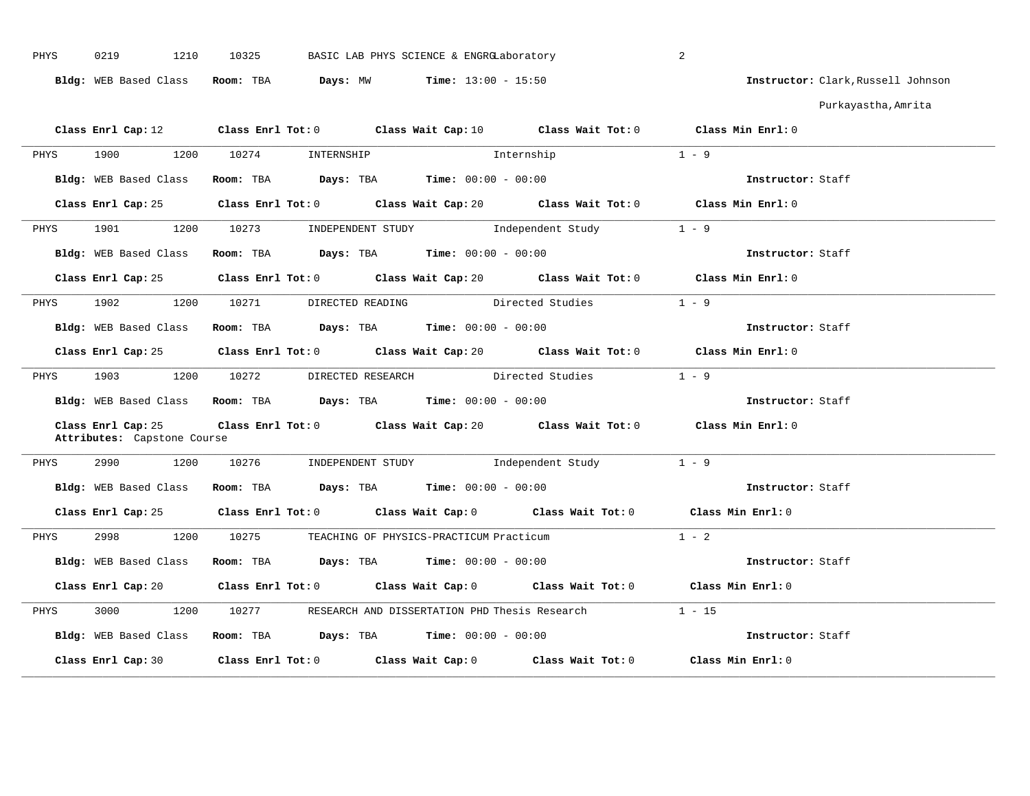| PHYS | 0219<br>1210                                      | 10325<br>BASIC LAB PHYS SCIENCE & ENGRGLaboratory             |                                                                                             | 2                                  |
|------|---------------------------------------------------|---------------------------------------------------------------|---------------------------------------------------------------------------------------------|------------------------------------|
|      |                                                   | Bldg: WEB Based Class Room: TBA Days: MW Time: 13:00 - 15:50  |                                                                                             | Instructor: Clark, Russell Johnson |
|      |                                                   |                                                               |                                                                                             | Purkayastha, Amrita                |
|      |                                                   |                                                               | Class Enrl Cap: 12 Class Enrl Tot: 0 Class Wait Cap: 10 Class Wait Tot: 0 Class Min Enrl: 0 |                                    |
| PHYS | 1900                                              | 1200 10274 INTERNSHIP                                         | Internship                                                                                  | $1 - 9$                            |
|      | Bldg: WEB Based Class                             | Room: TBA $Days:$ TBA $Time: 00:00 - 00:00$                   |                                                                                             | Instructor: Staff                  |
|      |                                                   |                                                               | Class Enrl Cap: 25 Class Enrl Tot: 0 Class Wait Cap: 20 Class Wait Tot: 0 Class Min Enrl: 0 |                                    |
|      |                                                   |                                                               | PHYS 1901 1200 10273 INDEPENDENT STUDY Independent Study 1 - 9                              |                                    |
|      |                                                   |                                                               | Bldg: WEB Based Class Room: TBA Days: TBA Time: 00:00 - 00:00                               | Instructor: Staff                  |
|      |                                                   |                                                               | Class Enrl Cap: 25 Class Enrl Tot: 0 Class Wait Cap: 20 Class Wait Tot: 0 Class Min Enrl: 0 |                                    |
| PHYS |                                                   |                                                               | 1902 1200 10271 DIRECTED READING Directed Studies 1 - 9                                     |                                    |
|      |                                                   | Bldg: WEB Based Class Room: TBA Days: TBA Time: 00:00 - 00:00 |                                                                                             | Instructor: Staff                  |
|      |                                                   |                                                               | Class Enrl Cap: 25 Class Enrl Tot: 0 Class Wait Cap: 20 Class Wait Tot: 0 Class Min Enrl: 0 |                                    |
|      |                                                   |                                                               | PHYS 1903 1200 10272 DIRECTED RESEARCH Directed Studies 1 - 9                               |                                    |
|      |                                                   | Bldg: WEB Based Class Room: TBA Days: TBA Time: 00:00 - 00:00 |                                                                                             | Instructor: Staff                  |
|      | Class Enrl Cap: 25<br>Attributes: Capstone Course |                                                               | Class Enrl Tot: 0 Class Wait Cap: 20 Class Wait Tot: 0 Class Min Enrl: 0                    |                                    |
| PHYS |                                                   |                                                               | 2990 1200 10276 INDEPENDENT STUDY Independent Study 1 - 9                                   |                                    |
|      |                                                   |                                                               | Bldg: WEB Based Class Room: TBA Days: TBA Time: 00:00 - 00:00                               | Instructor: Staff                  |
|      |                                                   |                                                               | Class Enrl Cap: 25 Class Enrl Tot: 0 Class Wait Cap: 0 Class Wait Tot: 0 Class Min Enrl: 0  |                                    |
| PHYS |                                                   | 2998 1200 10275 TEACHING OF PHYSICS-PRACTICUM Practicum       |                                                                                             | $1 - 2$                            |
|      |                                                   | Bldg: WEB Based Class Room: TBA Days: TBA Time: 00:00 - 00:00 |                                                                                             | Instructor: Staff                  |
|      |                                                   |                                                               | Class Enrl Cap: 20 Class Enrl Tot: 0 Class Wait Cap: 0 Class Wait Tot: 0 Class Min Enrl: 0  |                                    |
| PHYS |                                                   |                                                               | 3000 1200 10277 RESEARCH AND DISSERTATION PHD Thesis Research                               | $1 - 15$                           |
|      |                                                   |                                                               | Bldg: WEB Based Class Room: TBA Days: TBA Time: 00:00 - 00:00                               | Instructor: Staff                  |
|      |                                                   |                                                               | Class Enrl Cap: 30 Class Enrl Tot: 0 Class Wait Cap: 0 Class Wait Tot: 0 Class Min Enrl: 0  |                                    |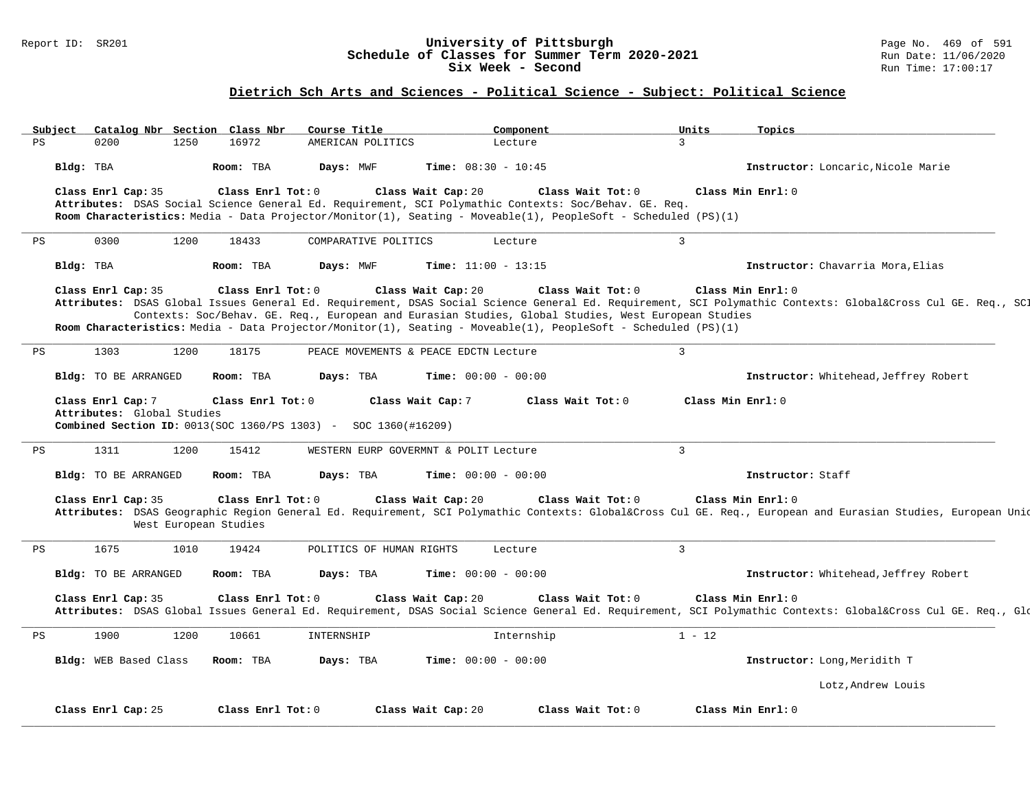### Report ID: SR201 **University of Pittsburgh** Page No. 469 of 591 **Schedule of Classes for Summer Term 2020-2021** Run Date: 11/06/2020 **Six Week - Second Run Time: 17:00:17**

# **Dietrich Sch Arts and Sciences - Political Science - Subject: Political Science**

|    | Subject   |                                                 |      | Catalog Nbr Section Class Nbr              | Course Title                                                          | Component                                                                                                                                                                                                                                                        | Units             | Topics                                                                                                                                                                       |
|----|-----------|-------------------------------------------------|------|--------------------------------------------|-----------------------------------------------------------------------|------------------------------------------------------------------------------------------------------------------------------------------------------------------------------------------------------------------------------------------------------------------|-------------------|------------------------------------------------------------------------------------------------------------------------------------------------------------------------------|
| PS |           | 0200                                            | 1250 | 16972                                      | AMERICAN POLITICS                                                     | Lecture                                                                                                                                                                                                                                                          | 3                 |                                                                                                                                                                              |
|    |           | Bldg: TBA                                       |      | Room: TBA                                  | Days: MWF                                                             | <b>Time:</b> $08:30 - 10:45$                                                                                                                                                                                                                                     |                   | Instructor: Loncaric.Nicole Marie                                                                                                                                            |
|    |           | Class Enrl Cap: 35                              |      | Class Enrl Tot: 0                          |                                                                       | Class Wait Cap: 20<br>Class Wait Tot: 0<br>Attributes: DSAS Social Science General Ed. Requirement, SCI Polymathic Contexts: Soc/Behav. GE. Req.                                                                                                                 |                   | Class Min Enrl: 0                                                                                                                                                            |
|    |           |                                                 |      |                                            |                                                                       | Room Characteristics: Media - Data Projector/Monitor(1), Seating - Moveable(1), PeopleSoft - Scheduled (PS)(1)                                                                                                                                                   |                   |                                                                                                                                                                              |
| PS |           | 0300                                            | 1200 | 18433                                      | COMPARATIVE POLITICS                                                  | Lecture                                                                                                                                                                                                                                                          | 3                 |                                                                                                                                                                              |
|    | Bldg: TBA |                                                 |      | Room: TBA                                  | Days: MWF                                                             | Time: $11:00 - 13:15$                                                                                                                                                                                                                                            |                   | Instructor: Chavarria Mora, Elias                                                                                                                                            |
|    |           | Class Enrl Cap: 35                              |      | Class Enrl Tot: 0                          |                                                                       | Class Wait Cap: 20<br>Class Wait Tot: 0<br>Contexts: Soc/Behav. GE. Req., European and Eurasian Studies, Global Studies, West European Studies<br>Room Characteristics: Media - Data Projector/Monitor(1), Seating - Moveable(1), PeopleSoft - Scheduled (PS)(1) |                   | Class Min Enrl: 0<br>Attributes: DSAS Global Issues General Ed. Requirement, DSAS Social Science General Ed. Requirement, SCI Polymathic Contexts: Global⨯ Cul GE. Req., SCI |
| PS |           | 1303                                            | 1200 | 18175                                      |                                                                       | PEACE MOVEMENTS & PEACE EDCTN Lecture                                                                                                                                                                                                                            | $\overline{3}$    |                                                                                                                                                                              |
|    |           | Bldg: TO BE ARRANGED                            |      | Room: TBA                                  | Days: TBA                                                             | <b>Time:</b> $00:00 - 00:00$                                                                                                                                                                                                                                     |                   | Instructor: Whitehead, Jeffrey Robert                                                                                                                                        |
|    |           | Class Enrl Cap: 7<br>Attributes: Global Studies |      | Class Enrl Tot: 0                          | <b>Combined Section ID:</b> 0013(SOC 1360/PS 1303) - SOC 1360(#16209) | Class Wait Cap: 7<br>Class Wait Tot: 0                                                                                                                                                                                                                           | Class Min Enrl: 0 |                                                                                                                                                                              |
| PS |           | 1311                                            | 1200 | 15412                                      |                                                                       | WESTERN EURP GOVERMNT & POLIT Lecture                                                                                                                                                                                                                            | $\overline{3}$    |                                                                                                                                                                              |
|    |           | Bldg: TO BE ARRANGED                            |      | Room: TBA                                  | Days: TBA                                                             | Time: $00:00 - 00:00$                                                                                                                                                                                                                                            |                   | Instructor: Staff                                                                                                                                                            |
|    |           | Class Enrl Cap: 35                              |      | Class Enrl Tot: 0<br>West European Studies |                                                                       | Class Wait Tot: 0<br>Class Wait Cap: 20                                                                                                                                                                                                                          |                   | Class Min Enrl: 0<br>Attributes: DSAS Geographic Region General Ed. Requirement, SCI Polymathic Contexts: Global⨯ Cul GE. Req., European and Eurasian Studies, European Unid |
| PS |           | 1675                                            | 1010 | 19424                                      | POLITICS OF HUMAN RIGHTS                                              | Lecture                                                                                                                                                                                                                                                          | $\overline{3}$    |                                                                                                                                                                              |
|    |           | Bldg: TO BE ARRANGED                            |      | Room: TBA                                  | Days: TBA                                                             | <b>Time:</b> $00:00 - 00:00$                                                                                                                                                                                                                                     |                   | Instructor: Whitehead, Jeffrey Robert                                                                                                                                        |
|    |           | Class Enrl Cap: 35                              |      | Class Enrl Tot: 0                          |                                                                       | Class Wait Tot: 0<br>Class Wait Cap: 20                                                                                                                                                                                                                          |                   | Class Min Enrl: 0<br>Attributes: DSAS Global Issues General Ed. Requirement, DSAS Social Science General Ed. Requirement, SCI Polymathic Contexts: Global⨯ Cul GE. Req., Glo |
| PS |           | 1900                                            | 1200 | 10661                                      | INTERNSHIP                                                            | Internship                                                                                                                                                                                                                                                       | $1 - 12$          |                                                                                                                                                                              |
|    |           | Bldg: WEB Based Class                           |      | Room: TBA                                  | Days: TBA                                                             | <b>Time:</b> $00:00 - 00:00$                                                                                                                                                                                                                                     |                   | Instructor: Long, Meridith T                                                                                                                                                 |
|    |           |                                                 |      |                                            |                                                                       |                                                                                                                                                                                                                                                                  |                   | Lotz, Andrew Louis                                                                                                                                                           |
|    |           | Class Enrl Cap: 25                              |      | Class Enrl Tot: 0                          |                                                                       | Class Wait Cap: 20<br>Class Wait Tot: 0                                                                                                                                                                                                                          |                   | Class Min Enrl: 0                                                                                                                                                            |
|    |           |                                                 |      |                                            |                                                                       |                                                                                                                                                                                                                                                                  |                   |                                                                                                                                                                              |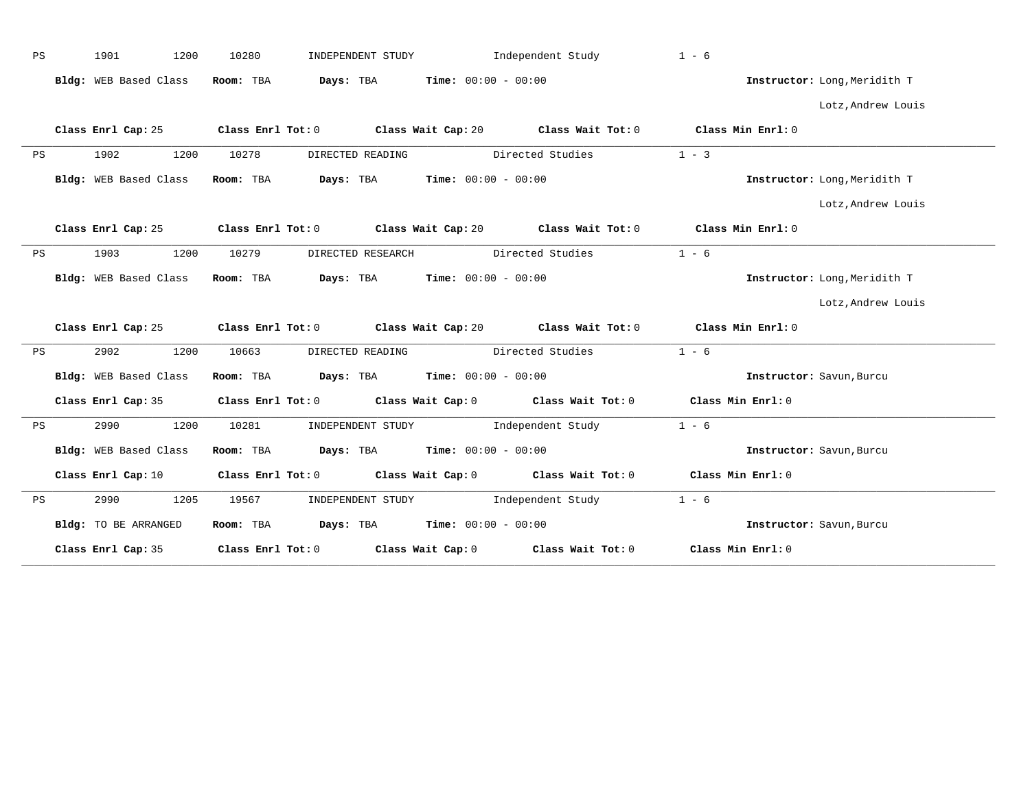| PS | 1901                  | 1200<br>10280 |                                                             | INDEPENDENT STUDY                             | Independent Study                   | $1 - 6$                                                                                             |                              |
|----|-----------------------|---------------|-------------------------------------------------------------|-----------------------------------------------|-------------------------------------|-----------------------------------------------------------------------------------------------------|------------------------------|
|    | Bldg: WEB Based Class | Room: TBA     | Days: TBA                                                   | $Time: 00:00 - 00:00$                         |                                     |                                                                                                     | Instructor: Long, Meridith T |
|    |                       |               |                                                             |                                               |                                     |                                                                                                     | Lotz, Andrew Louis           |
|    | Class Enrl Cap: 25    |               |                                                             |                                               |                                     | Class Enrl Tot: 0 $\qquad$ Class Wait Cap: 20 $\qquad$ Class Wait Tot: 0 $\qquad$ Class Min Enrl: 0 |                              |
| PS | 1902                  | 1200<br>10278 |                                                             | DIRECTED READING                              | Directed Studies                    | $1 - 3$                                                                                             |                              |
|    | Bldg: WEB Based Class | Room: TBA     |                                                             | <b>Days:</b> TBA <b>Time:</b> $00:00 - 00:00$ |                                     |                                                                                                     | Instructor: Long, Meridith T |
|    |                       |               |                                                             |                                               |                                     |                                                                                                     | Lotz, Andrew Louis           |
|    | Class Enrl Cap: 25    |               |                                                             |                                               |                                     | Class Enrl Tot: 0 $\qquad$ Class Wait Cap: 20 $\qquad$ Class Wait Tot: 0 $\qquad$ Class Min Enrl: 0 |                              |
| PS | 1903                  | 1200<br>10279 |                                                             | DIRECTED RESEARCH Directed Studies            |                                     | $1 - 6$                                                                                             |                              |
|    | Bldg: WEB Based Class |               |                                                             | Room: TBA $Days:$ TBA $Time: 00:00 - 00:00$   |                                     |                                                                                                     | Instructor: Long, Meridith T |
|    |                       |               |                                                             |                                               |                                     |                                                                                                     | Lotz, Andrew Louis           |
|    |                       |               |                                                             |                                               |                                     | Class Enrl Cap: 25 Class Enrl Tot: 0 Class Wait Cap: 20 Class Wait Tot: 0 Class Min Enrl: 0         |                              |
| PS | 2902                  | 1200<br>10663 |                                                             | DIRECTED READING                              | Directed Studies                    | $1 - 6$                                                                                             |                              |
|    | Bldg: WEB Based Class |               |                                                             | Room: TBA $Days: TBA$ Time: $00:00 - 00:00$   |                                     |                                                                                                     | Instructor: Savun, Burcu     |
|    | Class Enrl Cap: 35    |               |                                                             |                                               |                                     | Class Enrl Tot: 0 Class Wait Cap: 0 Class Wait Tot: 0 Class Min Enrl: 0                             |                              |
| PS | 2990                  | 1200<br>10281 |                                                             |                                               | INDEPENDENT STUDY 1ndependent Study | $1 - 6$                                                                                             |                              |
|    | Bldg: WEB Based Class |               |                                                             | Room: TBA $Days:$ TBA $Time: 00:00 - 00:00$   |                                     |                                                                                                     | Instructor: Savun, Burcu     |
|    | Class Enrl Cap: 10    |               |                                                             |                                               |                                     | Class Enrl Tot: 0 Class Wait Cap: 0 Class Wait Tot: 0 Class Min Enrl: 0                             |                              |
| PS | 2990                  | 1205<br>19567 |                                                             | INDEPENDENT STUDY                             | Independent Study                   | $1 - 6$                                                                                             |                              |
|    | Bldg: TO BE ARRANGED  |               |                                                             | Room: TBA $Days:$ TBA $Time: 00:00 - 00:00$   |                                     |                                                                                                     | Instructor: Savun, Burcu     |
|    | Class Enrl Cap: 35    |               | Class Enrl Tot: $0$ Class Wait Cap: $0$ Class Wait Tot: $0$ |                                               |                                     |                                                                                                     |                              |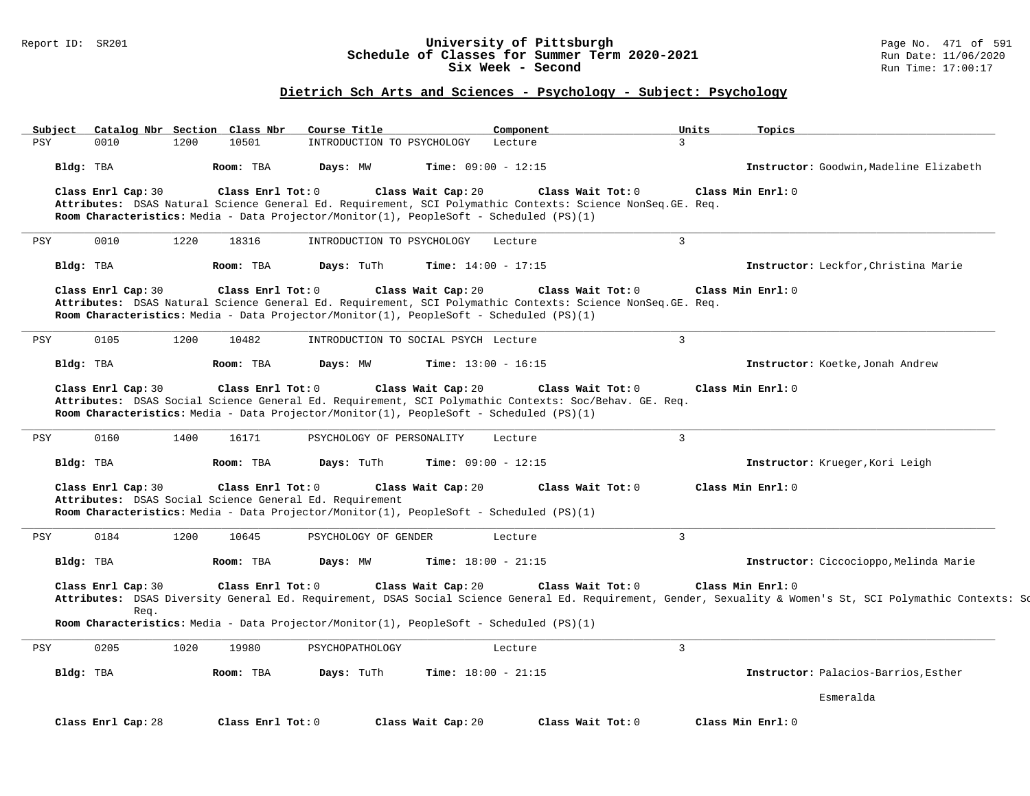### Report ID: SR201 **University of Pittsburgh** Page No. 471 of 591 **Schedule of Classes for Summer Term 2020-2021** Run Date: 11/06/2020 **Six Week - Second Run Time: 17:00:17**

# **Dietrich Sch Arts and Sciences - Psychology - Subject: Psychology**

| Subject    |                            | Catalog Nbr Section Class Nbr                                                | Course Title               | Component                                                                                                                                                                                                                                           | Units             | Topics                                                                                                                                                       |
|------------|----------------------------|------------------------------------------------------------------------------|----------------------------|-----------------------------------------------------------------------------------------------------------------------------------------------------------------------------------------------------------------------------------------------------|-------------------|--------------------------------------------------------------------------------------------------------------------------------------------------------------|
| <b>PSY</b> | 0010                       | 1200<br>10501                                                                | INTRODUCTION TO PSYCHOLOGY | Lecture                                                                                                                                                                                                                                             | 3                 |                                                                                                                                                              |
|            | Bldg: TBA                  | Room: TBA                                                                    | Days: MW                   | <b>Time:</b> $09:00 - 12:15$                                                                                                                                                                                                                        |                   | Instructor: Goodwin, Madeline Elizabeth                                                                                                                      |
|            | Class Enrl Cap: 30         | Class Enrl Tot: $0$                                                          |                            | Class Wait Cap: 20<br>Class Wait $Tot: 0$<br>Attributes: DSAS Natural Science General Ed. Requirement, SCI Polymathic Contexts: Science NonSeq. GE. Req.<br>Room Characteristics: Media - Data Projector/Monitor(1), PeopleSoft - Scheduled (PS)(1) | Class Min Enrl: 0 |                                                                                                                                                              |
| PSY        | 0010                       | 18316<br>1220                                                                | INTRODUCTION TO PSYCHOLOGY | Lecture                                                                                                                                                                                                                                             | $\overline{3}$    |                                                                                                                                                              |
|            | Bldg: TBA                  | Room: TBA                                                                    | Days: TuTh                 | <b>Time:</b> $14:00 - 17:15$                                                                                                                                                                                                                        |                   | Instructor: Leckfor, Christina Marie                                                                                                                         |
|            | Class Enrl Cap: 30         | Class Enrl Tot: $0$                                                          |                            | Class Wait Cap: 20<br>Class Wait $Tot: 0$<br>Attributes: DSAS Natural Science General Ed. Requirement, SCI Polymathic Contexts: Science NonSeq. GE. Req.<br>Room Characteristics: Media - Data Projector/Monitor(1), PeopleSoft - Scheduled (PS)(1) | Class Min Enrl: 0 |                                                                                                                                                              |
| <b>PSY</b> | 0105                       | 1200<br>10482                                                                |                            | INTRODUCTION TO SOCIAL PSYCH Lecture                                                                                                                                                                                                                | $\overline{3}$    |                                                                                                                                                              |
|            | Bldg: TBA                  | Room: TBA                                                                    | Days: MW                   | <b>Time:</b> $13:00 - 16:15$                                                                                                                                                                                                                        |                   | Instructor: Koetke, Jonah Andrew                                                                                                                             |
|            | Class Enrl Cap: 30         | Class Enrl Tot: 0                                                            |                            | Class Wait Cap: 20<br>Class Wait Tot: 0<br>Attributes: DSAS Social Science General Ed. Requirement, SCI Polymathic Contexts: Soc/Behav. GE. Req.<br>Room Characteristics: Media - Data Projector/Monitor(1), PeopleSoft - Scheduled (PS)(1)         | Class Min Enrl: 0 |                                                                                                                                                              |
| PSY        | 0160                       | 1400<br>16171                                                                | PSYCHOLOGY OF PERSONALITY  | Lecture                                                                                                                                                                                                                                             | $\mathbf{3}$      |                                                                                                                                                              |
|            | Bldg: TBA                  | Room: TBA                                                                    | Days: TuTh                 | <b>Time:</b> $09:00 - 12:15$                                                                                                                                                                                                                        |                   | Instructor: Krueger, Kori Leigh                                                                                                                              |
|            | Class Enrl Cap: 30         | Class Enrl Tot: 0<br>Attributes: DSAS Social Science General Ed. Requirement |                            | Class Wait Cap: 20<br>Class Wait Tot: 0<br>Room Characteristics: Media - Data Projector/Monitor(1), PeopleSoft - Scheduled (PS)(1)                                                                                                                  | Class Min Enrl: 0 |                                                                                                                                                              |
| PSY        | 0184                       | 10645<br>1200                                                                | PSYCHOLOGY OF GENDER       | Lecture                                                                                                                                                                                                                                             | $\overline{3}$    |                                                                                                                                                              |
|            | Bldg: TBA                  | Room: TBA                                                                    | Days: MW                   | Time: $18:00 - 21:15$                                                                                                                                                                                                                               |                   | Instructor: Ciccocioppo, Melinda Marie                                                                                                                       |
|            | Class Enrl Cap: 30<br>Rea. | Class Enrl Tot: 0                                                            |                            | Class Wait Cap: 20<br>Class Wait Tot: 0                                                                                                                                                                                                             | Class Min Enrl: 0 | Attributes: DSAS Diversity General Ed. Requirement, DSAS Social Science General Ed. Requirement, Gender, Sexuality & Women's St, SCI Polymathic Contexts: Sc |
|            |                            |                                                                              |                            | Room Characteristics: Media - Data Projector/Monitor(1), PeopleSoft - Scheduled (PS)(1)                                                                                                                                                             |                   |                                                                                                                                                              |
| PSY        | 0205                       | 1020<br>19980                                                                | PSYCHOPATHOLOGY            | Lecture                                                                                                                                                                                                                                             | $\overline{3}$    |                                                                                                                                                              |
|            | Bldg: TBA                  | Room: TBA                                                                    | Days: TuTh                 | <b>Time:</b> $18:00 - 21:15$                                                                                                                                                                                                                        |                   | Instructor: Palacios-Barrios, Esther                                                                                                                         |
|            |                            |                                                                              |                            |                                                                                                                                                                                                                                                     |                   | Esmeralda                                                                                                                                                    |
|            | Class Enrl Cap: 28         | Class Enrl Tot: 0                                                            |                            | Class Wait Cap: 20<br>Class Wait Tot: 0                                                                                                                                                                                                             | Class Min Enrl: 0 |                                                                                                                                                              |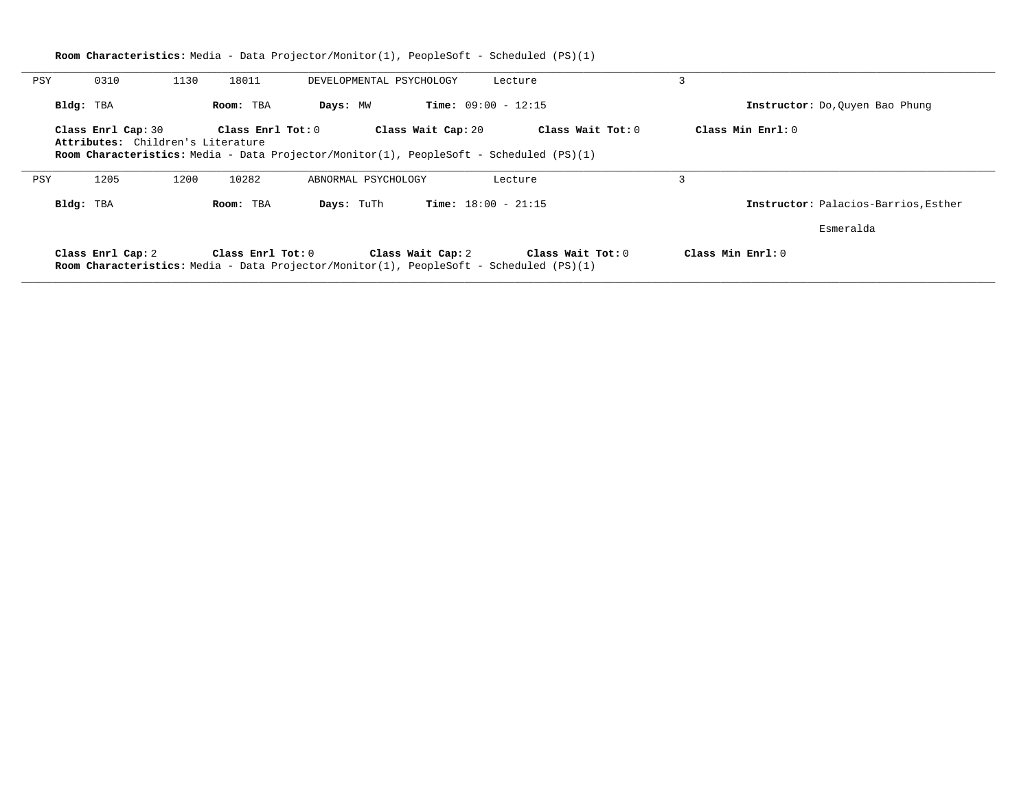|           |                    | <b>Room Characteristics:</b> Media - Data Projector/Monitor(1), PeopleSoft - Scheduled (PS)(1)                                                           |                          |                              |                   |                                      |
|-----------|--------------------|----------------------------------------------------------------------------------------------------------------------------------------------------------|--------------------------|------------------------------|-------------------|--------------------------------------|
| PSY       | 0310               | 1130<br>18011                                                                                                                                            | DEVELOPMENTAL PSYCHOLOGY |                              | Lecture           | 3                                    |
| Bldg: TBA |                    | Room: TBA                                                                                                                                                | Days: MW                 | <b>Time:</b> $09:00 - 12:15$ |                   | Instructor: Do, Ouyen Bao Phung      |
|           | Class Enrl Cap: 30 | Class Enrl Tot: 0<br>Attributes: Children's Literature<br><b>Room Characteristics:</b> Media - Data Projector/Monitor(1), PeopleSoft - Scheduled (PS)(1) |                          | Class Wait Cap: 20           | Class Wait Tot: 0 | Class Min Enrl: 0                    |
| PSY       | 1205               | 10282<br>1200                                                                                                                                            | ABNORMAL PSYCHOLOGY      |                              | Lecture           | 3                                    |
| Bldg: TBA |                    | Room: TBA                                                                                                                                                | Days: TuTh               | <b>Time:</b> $18:00 - 21:15$ |                   | Instructor: Palacios-Barrios, Esther |
|           |                    |                                                                                                                                                          |                          |                              |                   | Esmeralda                            |
|           | Class Enrl Cap: 2  | Class Enrl Tot: 0<br><b>Room Characteristics:</b> Media - Data Projector/Monitor(1), PeopleSoft - Scheduled (PS)(1)                                      |                          | Class Wait Cap: 2            | Class Wait Tot: 0 | Class Min Enrl: 0                    |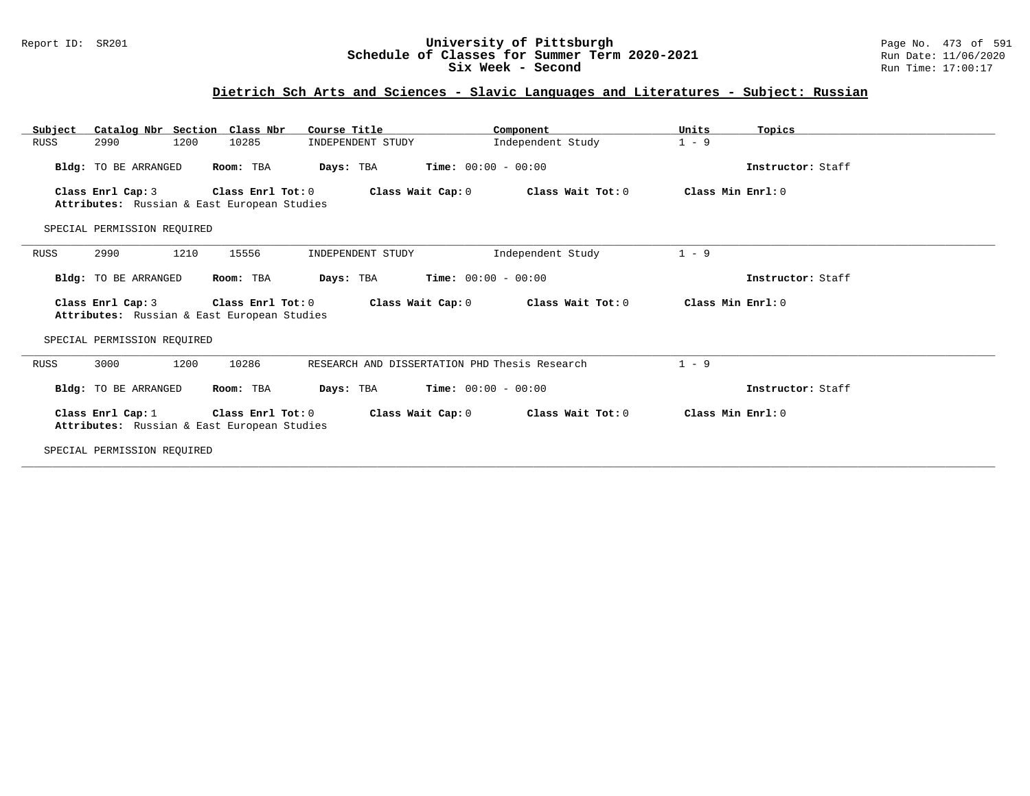### Report ID: SR201 **University of Pittsburgh** Page No. 473 of 591 **Schedule of Classes for Summer Term 2020-2021** Run Date: 11/06/2020 **Six Week - Second Run Time: 17:00:17**

# **Dietrich Sch Arts and Sciences - Slavic Languages and Literatures - Subject: Russian**

| Catalog Nbr Section Class Nbr<br>Subject                         | Course Title                                  | Component         | Units<br>Topics    |
|------------------------------------------------------------------|-----------------------------------------------|-------------------|--------------------|
| 2990<br>1200<br>10285<br>RUSS                                    | INDEPENDENT STUDY                             | Independent Study | $1 - 9$            |
| Bldg: TO BE ARRANGED<br>Room: TBA                                | <b>Time:</b> $00:00 - 00:00$<br>Days: TBA     |                   | Instructor: Staff  |
| Class Enrl Cap: 3<br>Attributes: Russian & East European Studies | Class Enrl Tot: 0<br>Class Wait Cap: 0        | Class Wait Tot: 0 | Class Min Enrl: 0  |
| SPECIAL PERMISSION REOUIRED                                      |                                               |                   |                    |
| 1210<br>RUSS<br>2990<br>15556                                    | INDEPENDENT STUDY                             | Independent Study | $1 - 9$            |
| Bldg: TO BE ARRANGED<br>Room: TBA                                | <b>Time:</b> $00:00 - 00:00$<br>Days: TBA     |                   | Instructor: Staff  |
| Class Enrl Cap: 3<br>Attributes: Russian & East European Studies | Class Enrl Tot: 0<br>Class Wait Cap: 0        | Class Wait Tot: 0 | Class Min Enrl: 0  |
| SPECIAL PERMISSION REQUIRED                                      |                                               |                   |                    |
| 1200<br>10286<br>3000<br>RUSS                                    | RESEARCH AND DISSERTATION PHD Thesis Research |                   | $1 - 9$            |
| Bldg: TO BE ARRANGED<br>Room: TBA                                | <b>Time:</b> $00:00 - 00:00$<br>Days: TBA     |                   | Instructor: Staff  |
| Class Enrl Cap: 1<br>Attributes: Russian & East European Studies | Class Enrl Tot: 0<br>Class Wait Cap: 0        | Class Wait Tot: 0 | Class Min $Enr1:0$ |
| SPECIAL PERMISSION REOUIRED                                      |                                               |                   |                    |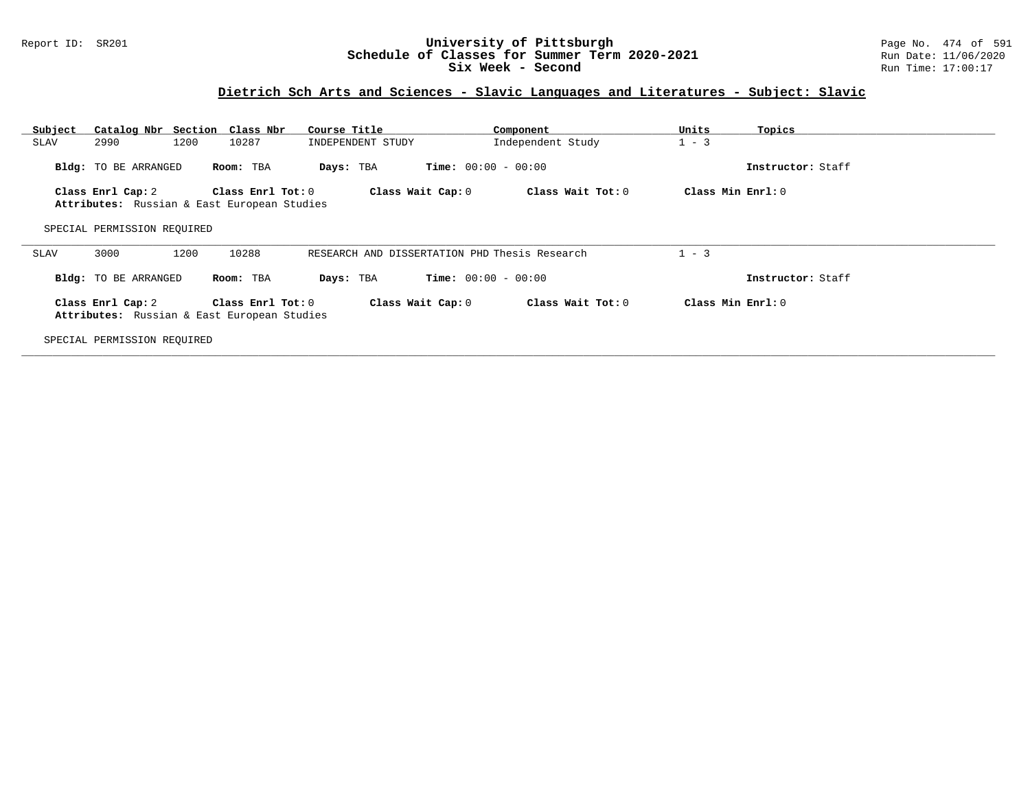### Report ID: SR201 **University of Pittsburgh** Page No. 474 of 591 **Schedule of Classes for Summer Term 2020-2021** Run Date: 11/06/2020 **Six Week - Second Run Time: 17:00:17**

# **Dietrich Sch Arts and Sciences - Slavic Languages and Literatures - Subject: Slavic**

| Subject                                                                                                                                              |                             | Catalog Nbr Section Class Nbr                                    | Course Title      | Component                                     | Units<br>Topics   |  |
|------------------------------------------------------------------------------------------------------------------------------------------------------|-----------------------------|------------------------------------------------------------------|-------------------|-----------------------------------------------|-------------------|--|
| SLAV                                                                                                                                                 | 2990                        | 1200<br>10287                                                    | INDEPENDENT STUDY | Independent Study                             | $1 - 3$           |  |
|                                                                                                                                                      | <b>Bldg:</b> TO BE ARRANGED | Room: TBA                                                        | Days: TBA         | <b>Time:</b> $00:00 - 00:00$                  | Instructor: Staff |  |
|                                                                                                                                                      | Class Enrl Cap: 2           | Class Enrl Tot: 0<br>Attributes: Russian & East European Studies | Class Wait Cap: 0 | Class Wait Tot: 0                             | Class Min Enrl: 0 |  |
|                                                                                                                                                      | SPECIAL PERMISSION REOUIRED |                                                                  |                   |                                               |                   |  |
| SLAV                                                                                                                                                 | 3000                        | 1200<br>10288                                                    |                   | RESEARCH AND DISSERTATION PHD Thesis Research | $1 - 3$           |  |
|                                                                                                                                                      | Bldg: TO BE ARRANGED        | Room: TBA                                                        | Days: TBA         | <b>Time:</b> $00:00 - 00:00$                  | Instructor: Staff |  |
| Class Enrl Cap: 2<br>Class Enrl Tot: 0<br>Class Wait Cap: 0<br>Class Wait Tot: 0<br>Class Min Enrl: 0<br>Attributes: Russian & East European Studies |                             |                                                                  |                   |                                               |                   |  |
|                                                                                                                                                      | SPECIAL PERMISSION REQUIRED |                                                                  |                   |                                               |                   |  |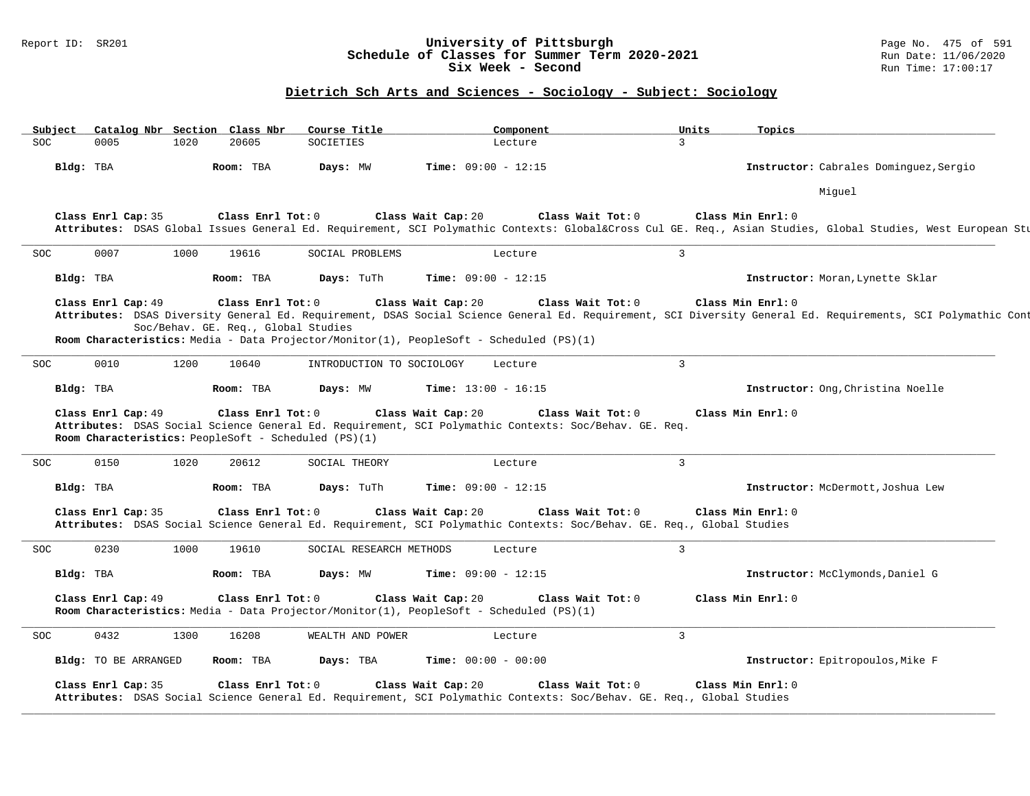### Report ID: SR201 **University of Pittsburgh** Page No. 475 of 591 **Schedule of Classes for Summer Term 2020-2021** Run Date: 11/06/2020 **Six Week - Second Run Time: 17:00:17**

| Subject    |                      |      | Catalog Nbr Section Class Nbr                            | Course Title                                         | Component                                                                                                                                   | Units             | Topics                                                                                                                                                                            |
|------------|----------------------|------|----------------------------------------------------------|------------------------------------------------------|---------------------------------------------------------------------------------------------------------------------------------------------|-------------------|-----------------------------------------------------------------------------------------------------------------------------------------------------------------------------------|
| <b>SOC</b> | 0005                 | 1020 | 20605                                                    | <b>SOCIETIES</b>                                     | Lecture                                                                                                                                     | $\overline{3}$    |                                                                                                                                                                                   |
|            | Bldg: TBA            |      | Room: TBA                                                | Days: MW                                             | <b>Time:</b> $09:00 - 12:15$                                                                                                                |                   | Instructor: Cabrales Dominquez, Sergio                                                                                                                                            |
|            |                      |      |                                                          |                                                      |                                                                                                                                             |                   | Miquel                                                                                                                                                                            |
|            | Class Enrl Cap: 35   |      | Class Enrl Tot: 0                                        |                                                      | Class Wait Cap: 20                                                                                                                          | Class Wait Tot: 0 | Class Min Enrl: 0<br>Attributes: DSAS Global Issues General Ed. Requirement, SCI Polymathic Contexts: Global⨯ Cul GE. Req., Asian Studies, Global Studies, West European Stu      |
| SOC        | 0007                 | 1000 | 19616                                                    | SOCIAL PROBLEMS                                      | Lecture                                                                                                                                     | $\mathbf{3}$      |                                                                                                                                                                                   |
|            | Bldg: TBA            |      | Room: TBA                                                | Days: TuTh                                           | Time: $09:00 - 12:15$                                                                                                                       |                   | Instructor: Moran, Lynette Sklar                                                                                                                                                  |
|            | Class Enrl Cap: 49   |      | Class Enrl Tot: 0<br>Soc/Behav. GE. Req., Global Studies |                                                      | Class Wait Cap: 20<br>Room Characteristics: Media - Data Projector/Monitor(1), PeopleSoft - Scheduled (PS)(1)                               | Class Wait Tot: 0 | Class Min Enrl: 0<br>Attributes: DSAS Diversity General Ed. Requirement, DSAS Social Science General Ed. Requirement, SCI Diversity General Ed. Requirements, SCI Polymathic Cont |
| SOC        | 0010                 | 1200 | 10640                                                    | INTRODUCTION TO SOCIOLOGY                            | Lecture                                                                                                                                     | $\overline{3}$    |                                                                                                                                                                                   |
|            | Bldg: TBA            |      | Room: TBA                                                | Days: MW                                             | <b>Time:</b> $13:00 - 16:15$                                                                                                                |                   | Instructor: Ong, Christina Noelle                                                                                                                                                 |
|            | Class Enrl Cap: 49   |      | Class Enrl Tot: 0                                        | Room Characteristics: PeopleSoft - Scheduled (PS)(1) | Class Wait Cap: 20<br>Attributes: DSAS Social Science General Ed. Requirement, SCI Polymathic Contexts: Soc/Behav. GE. Req.                 | Class Wait Tot: 0 | Class Min Enrl: 0                                                                                                                                                                 |
| SOC.       | 0150                 | 1020 | 20612                                                    | SOCIAL THEORY                                        | Lecture                                                                                                                                     | $\mathbf{3}$      |                                                                                                                                                                                   |
|            | Bldg: TBA            |      | Room: TBA                                                | Days: TuTh                                           | <b>Time:</b> $09:00 - 12:15$                                                                                                                |                   | Instructor: McDermott, Joshua Lew                                                                                                                                                 |
|            | Class Enrl Cap: 35   |      | Class Enrl Tot: 0                                        |                                                      | Class Wait Cap: 20<br>Attributes: DSAS Social Science General Ed. Requirement, SCI Polymathic Contexts: Soc/Behav. GE. Req., Global Studies | Class Wait Tot: 0 | Class Min Enrl: 0                                                                                                                                                                 |
| <b>SOC</b> | 0230                 | 1000 | 19610                                                    | SOCIAL RESEARCH METHODS                              | Lecture                                                                                                                                     | $\mathbf{3}$      |                                                                                                                                                                                   |
|            | Bldg: TBA            |      | Room: TBA                                                | Days: MW                                             | <b>Time:</b> $09:00 - 12:15$                                                                                                                |                   | Instructor: McClymonds, Daniel G                                                                                                                                                  |
|            | Class Enrl Cap: 49   |      | Class Enrl Tot: 0                                        |                                                      | Class Wait Cap: 20<br>Room Characteristics: Media - Data Projector/Monitor(1), PeopleSoft - Scheduled (PS)(1)                               | Class Wait Tot: 0 | Class Min Enrl: 0                                                                                                                                                                 |
| SOC        | 0432                 | 1300 | 16208                                                    | WEALTH AND POWER                                     | Lecture                                                                                                                                     | $\mathbf{3}$      |                                                                                                                                                                                   |
|            | Bldg: TO BE ARRANGED |      | Room: TBA                                                | Days: TBA                                            | <b>Time:</b> $00:00 - 00:00$                                                                                                                |                   | Instructor: Epitropoulos, Mike F                                                                                                                                                  |
|            | Class Enrl Cap: 35   |      | Class Enrl Tot: $0$                                      |                                                      | Class Wait Cap: 20<br>Attributes: DSAS Social Science General Ed. Requirement, SCI Polymathic Contexts: Soc/Behav. GE. Req., Global Studies | Class Wait Tot: 0 | Class Min Enrl: 0                                                                                                                                                                 |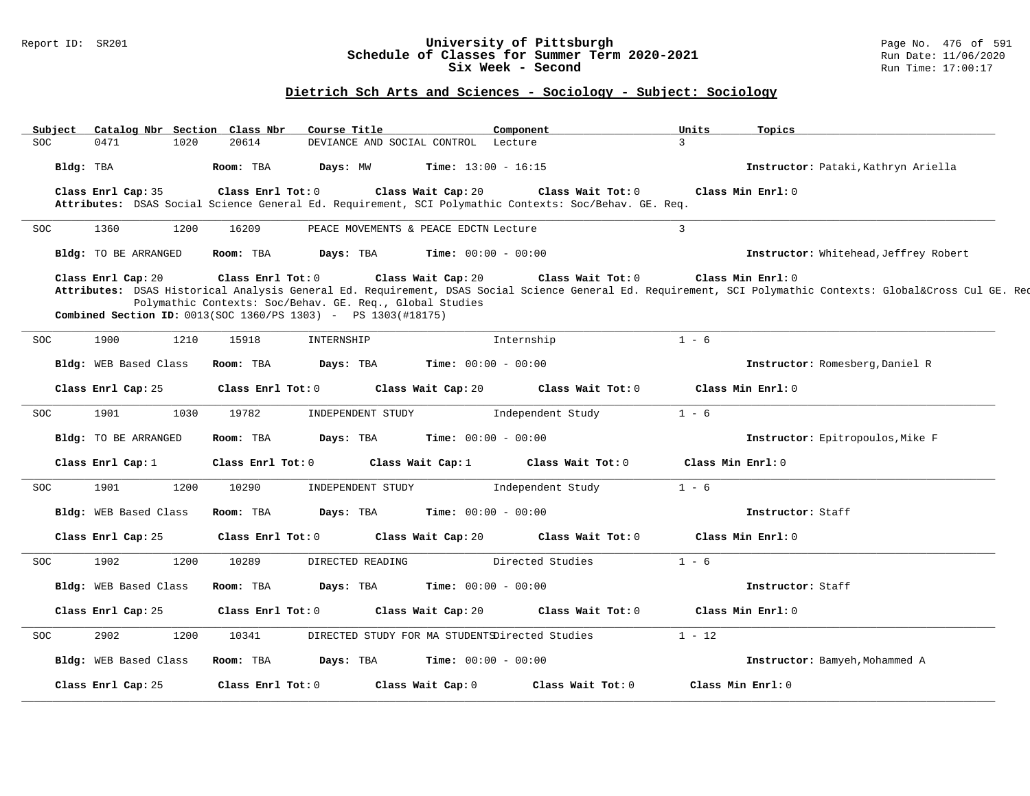### Report ID: SR201 **University of Pittsburgh** Page No. 476 of 591 **Schedule of Classes for Summer Term 2020-2021** Run Date: 11/06/2020 **Six Week - Second Run Time: 17:00:17**

| Subject    |                       | Catalog Nbr Section Class Nbr | Course Title                                                                                                                       | Component                                                                                                                   | Units             | Topics                                                                                                                                                                       |
|------------|-----------------------|-------------------------------|------------------------------------------------------------------------------------------------------------------------------------|-----------------------------------------------------------------------------------------------------------------------------|-------------------|------------------------------------------------------------------------------------------------------------------------------------------------------------------------------|
| <b>SOC</b> | 0471                  | 1020<br>20614                 |                                                                                                                                    | DEVIANCE AND SOCIAL CONTROL Lecture                                                                                         | $\mathcal{L}$     |                                                                                                                                                                              |
|            | Bldg: TBA             | Room: TBA                     | Days: MW                                                                                                                           | <b>Time:</b> $13:00 - 16:15$                                                                                                |                   | Instructor: Pataki, Kathryn Ariella                                                                                                                                          |
|            | Class Enrl Cap: 35    | Class Enrl Tot: 0             |                                                                                                                                    | Class Wait Cap: 20<br>Attributes: DSAS Social Science General Ed. Requirement, SCI Polymathic Contexts: Soc/Behav. GE. Req. | Class Wait Tot: 0 | Class Min Enrl: 0                                                                                                                                                            |
| <b>SOC</b> | 1360                  | 1200<br>16209                 |                                                                                                                                    | PEACE MOVEMENTS & PEACE EDCTN Lecture                                                                                       | $\mathbf{z}$      |                                                                                                                                                                              |
|            | Bldg: TO BE ARRANGED  | Room: TBA                     | Days: TBA                                                                                                                          | <b>Time:</b> $00:00 - 00:00$                                                                                                |                   | Instructor: Whitehead, Jeffrey Robert                                                                                                                                        |
|            | Class Enrl Cap: 20    | Class Enrl Tot: 0             | Polymathic Contexts: Soc/Behav. GE. Req., Global Studies<br><b>Combined Section ID:</b> $0013(SOC 1360/PS 1303) - PS 1303(#18175)$ | Class Wait Cap: 20                                                                                                          | Class Wait Tot: 0 | Class Min Enrl: 0<br>Attributes: DSAS Historical Analysis General Ed. Requirement, DSAS Social Science General Ed. Requirement, SCI Polymathic Contexts: Global⨯ Cul GE. Req |
| <b>SOC</b> | 1900                  | 15918<br>1210                 | INTERNSHIP                                                                                                                         | Internship                                                                                                                  | $1 - 6$           |                                                                                                                                                                              |
|            | Bldg: WEB Based Class | Room: TBA                     | Days: TBA                                                                                                                          | <b>Time:</b> $00:00 - 00:00$                                                                                                |                   | Instructor: Romesberg, Daniel R                                                                                                                                              |
|            | Class Enrl Cap: 25    | Class Enrl Tot: 0             |                                                                                                                                    | Class Wait Cap: 20                                                                                                          | Class Wait Tot: 0 | Class Min Enrl: 0                                                                                                                                                            |
| <b>SOC</b> | 1901                  | 19782<br>1030                 | INDEPENDENT STUDY                                                                                                                  | Independent Study                                                                                                           | $1 - 6$           |                                                                                                                                                                              |
|            | Bldg: TO BE ARRANGED  | Room: TBA                     | Days: TBA                                                                                                                          | <b>Time:</b> $00:00 - 00:00$                                                                                                |                   | Instructor: Epitropoulos, Mike F                                                                                                                                             |
|            | Class Enrl Cap: 1     | Class Enrl Tot: 0             |                                                                                                                                    | Class Wait Cap: 1<br>Class Wait Tot: 0                                                                                      |                   | Class Min Enrl: 0                                                                                                                                                            |
| <b>SOC</b> | 1901                  | 10290<br>1200                 | INDEPENDENT STUDY                                                                                                                  | Independent Study                                                                                                           | $1 - 6$           |                                                                                                                                                                              |
|            | Bldg: WEB Based Class | Room: TBA                     | Days: TBA                                                                                                                          | <b>Time:</b> $00:00 - 00:00$                                                                                                |                   | Instructor: Staff                                                                                                                                                            |
|            | Class Enrl Cap: 25    | Class Enrl Tot: 0             |                                                                                                                                    | Class Wait Cap: 20                                                                                                          | Class Wait Tot: 0 | Class Min Enrl: 0                                                                                                                                                            |
| <b>SOC</b> | 1902                  | 1200<br>10289                 | DIRECTED READING                                                                                                                   | Directed Studies                                                                                                            | $1 - 6$           |                                                                                                                                                                              |
|            | Bldg: WEB Based Class | Room: TBA                     | Days: TBA                                                                                                                          | <b>Time:</b> $00:00 - 00:00$                                                                                                |                   | Instructor: Staff                                                                                                                                                            |
|            | Class Enrl Cap: 25    | Class Enrl Tot: 0             |                                                                                                                                    | Class Wait Cap: 20                                                                                                          | Class Wait Tot: 0 | Class Min Enrl: 0                                                                                                                                                            |
| <b>SOC</b> | 2902                  | 1200<br>10341                 |                                                                                                                                    | DIRECTED STUDY FOR MA STUDENTSDirected Studies                                                                              | $1 - 12$          |                                                                                                                                                                              |
|            | Bldg: WEB Based Class | Room: TBA                     | Days: TBA                                                                                                                          | <b>Time:</b> $00:00 - 00:00$                                                                                                |                   | Instructor: Bamyeh, Mohammed A                                                                                                                                               |
|            | Class Enrl Cap: 25    | Class Enrl Tot: 0             |                                                                                                                                    | Class Wait Tot: 0<br>Class Wait Cap: 0                                                                                      |                   | Class Min Enrl: 0                                                                                                                                                            |
|            |                       |                               |                                                                                                                                    |                                                                                                                             |                   |                                                                                                                                                                              |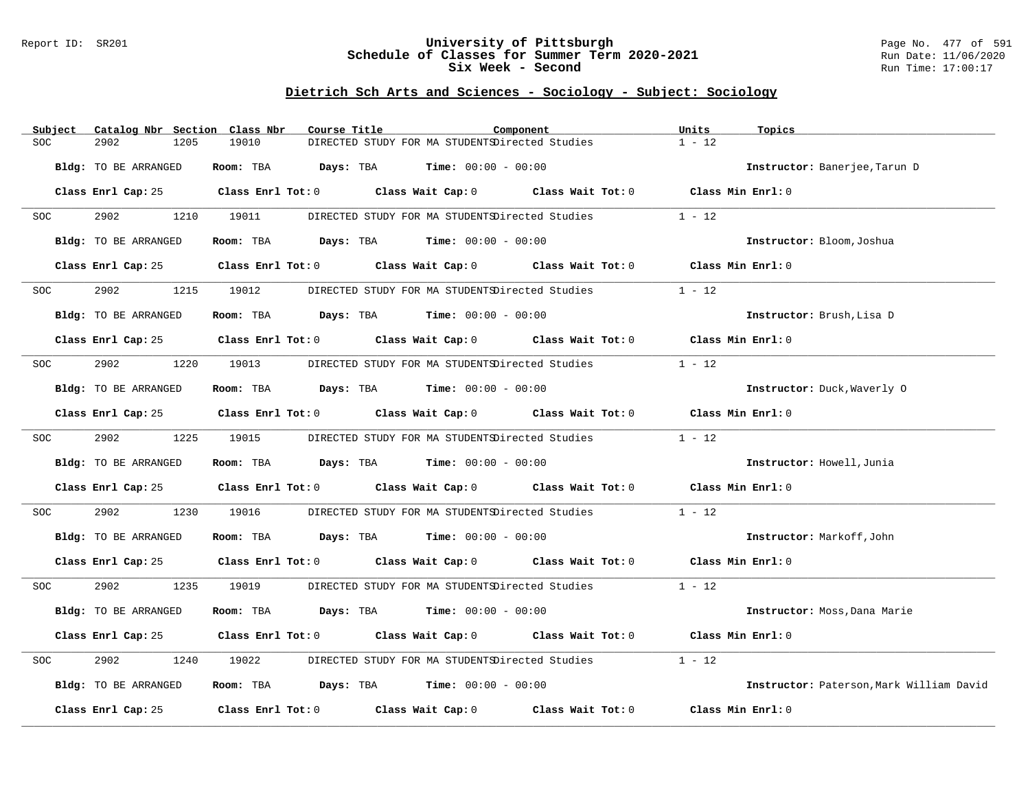### Report ID: SR201 **University of Pittsburgh** Page No. 477 of 591 **Schedule of Classes for Summer Term 2020-2021** Run Date: 11/06/2020 **Six Week - Second Run Time: 17:00:17**

| Subject                     | Catalog Nbr Section Class Nbr<br>Course Title                                                                       |                                                                                  | Component | Units<br>Topics                          |
|-----------------------------|---------------------------------------------------------------------------------------------------------------------|----------------------------------------------------------------------------------|-----------|------------------------------------------|
| SOC<br>2902                 | 19010<br>1205                                                                                                       | DIRECTED STUDY FOR MA STUDENTSDirected Studies                                   |           | $1 - 12$                                 |
| <b>Bldg:</b> TO BE ARRANGED |                                                                                                                     | Room: TBA $Days:$ TBA $Time: 00:00 - 00:00$                                      |           | Instructor: Banerjee, Tarun D            |
|                             | Class Enrl Cap: 25 Class Enrl Tot: 0 Class Wait Cap: 0 Class Wait Tot: 0 Class Min Enrl: 0                          |                                                                                  |           |                                          |
| 2902<br><b>SOC</b>          | 1210 19011                                                                                                          | DIRECTED STUDY FOR MA STUDENTSDirected Studies                                   |           | $1 - 12$                                 |
| Bldg: TO BE ARRANGED        |                                                                                                                     | <b>Room:</b> TBA <b>Days:</b> TBA <b>Time:</b> 00:00 - 00:00                     |           | Instructor: Bloom, Joshua                |
|                             | Class Enrl Cap: 25 Class Enrl Tot: 0 Class Wait Cap: 0 Class Wait Tot: 0 Class Min Enrl: 0                          |                                                                                  |           |                                          |
| 2902<br>SOC                 | 1215 19012                                                                                                          | DIRECTED STUDY FOR MA STUDENTSDirected Studies                                   |           | $1 - 12$                                 |
| Bldg: TO BE ARRANGED        |                                                                                                                     | <b>Room:</b> TBA <b>Days:</b> TBA <b>Time:</b> 00:00 - 00:00                     |           | Instructor: Brush, Lisa D                |
|                             | Class Enrl Cap: 25 Class Enrl Tot: 0 Class Wait Cap: 0 Class Wait Tot: 0 Class Min Enrl: 0                          |                                                                                  |           |                                          |
| 2902<br>SOC                 | 1220 19013                                                                                                          | DIRECTED STUDY FOR MA STUDENTSDirected Studies                                   |           | $1 - 12$                                 |
| Bldg: TO BE ARRANGED        |                                                                                                                     | Room: TBA $Days:$ TBA $Time: 00:00 - 00:00$                                      |           | Instructor: Duck, Waverly 0              |
|                             | Class Enrl Cap: 25 $\,$ Class Enrl Tot: 0 $\,$ Class Wait Cap: 0 $\,$ Class Wait Tot: 0 $\,$ Class Wait Tot: 0 $\,$ |                                                                                  |           | Class Min Enrl: 0                        |
| 2902 200<br>SOC             | 1225 19015                                                                                                          | DIRECTED STUDY FOR MA STUDENTSDirected Studies                                   |           | $1 - 12$                                 |
| Bldg: TO BE ARRANGED        |                                                                                                                     | <b>Room:</b> TBA $\qquad \qquad$ Days: TBA $\qquad \qquad$ Time: $00:00 - 00:00$ |           | Instructor: Howell, Junia                |
|                             | Class Enrl Cap: 25 Class Enrl Tot: 0 Class Wait Cap: 0 Class Wait Tot: 0 Class Min Enrl: 0                          |                                                                                  |           |                                          |
| 2902<br>SOC                 | 1230<br>19016                                                                                                       | DIRECTED STUDY FOR MA STUDENTSDirected Studies                                   |           | $1 - 12$                                 |
| Bldg: TO BE ARRANGED        |                                                                                                                     | Room: TBA $Days:$ TBA $Time: 00:00 - 00:00$                                      |           | Instructor: Markoff, John                |
|                             | Class Enrl Cap: 25 Class Enrl Tot: 0 Class Wait Cap: 0 Class Wait Tot: 0 Class Min Enrl: 0                          |                                                                                  |           |                                          |
| 2902<br>SOC                 | 1235 19019                                                                                                          | DIRECTED STUDY FOR MA STUDENTSDirected Studies                                   |           | $1 - 12$                                 |
| Bldg: TO BE ARRANGED        |                                                                                                                     | Room: TBA $Days:$ TBA $Time: 00:00 - 00:00$                                      |           | Instructor: Moss, Dana Marie             |
|                             | Class Enrl Cap: $25$ Class Enrl Tot: 0 Class Wait Cap: 0 Class Wait Tot: 0                                          |                                                                                  |           | Class Min Enrl: 0                        |
| 2902<br>SOC                 | 1240<br>19022                                                                                                       | DIRECTED STUDY FOR MA STUDENTSDirected Studies                                   |           | $1 - 12$                                 |
| Bldg: TO BE ARRANGED        |                                                                                                                     | Room: TBA $Days: TBA$ Time: $00:00 - 00:00$                                      |           | Instructor: Paterson, Mark William David |
| Class Enrl Cap: 25          | Class Enrl Tot: $0$ Class Wait Cap: $0$ Class Wait Tot: $0$                                                         |                                                                                  |           | Class Min Enrl: 0                        |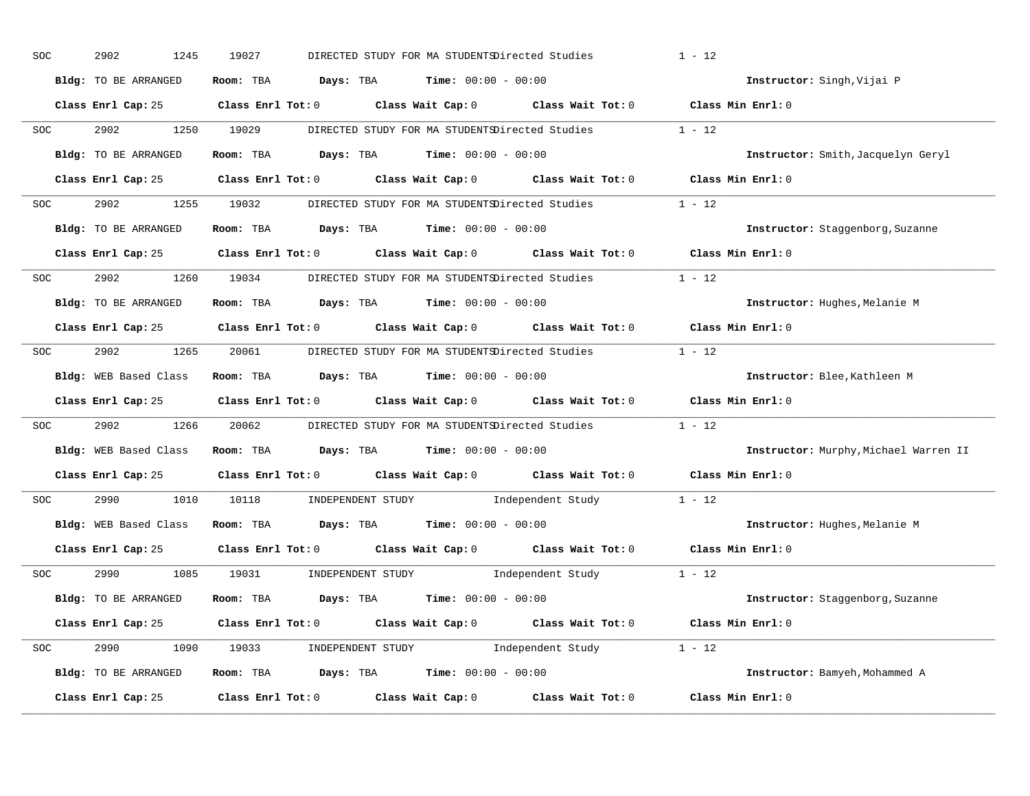| SOC        | 2902<br>1245          | 19027<br>DIRECTED STUDY FOR MA STUDENTSDirected Studies                                             | $1 - 12$                      |                                       |
|------------|-----------------------|-----------------------------------------------------------------------------------------------------|-------------------------------|---------------------------------------|
|            | Bldg: TO BE ARRANGED  | Room: TBA $Days: TBA$ Time: $00:00 - 00:00$                                                         |                               | Instructor: Singh, Vijai P            |
|            |                       | Class Enrl Cap: 25 Class Enrl Tot: 0 Class Wait Cap: 0 Class Wait Tot: 0 Class Min Enrl: 0          |                               |                                       |
| <b>SOC</b> | 2902 200              | 1250 19029<br>DIRECTED STUDY FOR MA STUDENTSDirected Studies                                        | $1 - 12$                      |                                       |
|            | Bldg: TO BE ARRANGED  | Room: TBA $Days:$ TBA $Time: 00:00 - 00:00$                                                         |                               | Instructor: Smith, Jacquelyn Geryl    |
|            |                       | Class Enrl Cap: 25 Class Enrl Tot: 0 Class Wait Cap: 0 Class Wait Tot: 0 Class Min Enrl: 0          |                               |                                       |
| SOC        |                       | 2902 1255 19032 DIRECTED STUDY FOR MA STUDENTSDirected Studies 1 - 12                               |                               |                                       |
|            | Bldg: TO BE ARRANGED  | Room: TBA $Days:$ TBA Time: $00:00 - 00:00$                                                         |                               | Instructor: Staggenborg, Suzanne      |
|            |                       | Class Enrl Cap: 25 Class Enrl Tot: 0 Class Wait Cap: 0 Class Wait Tot: 0 Class Min Enrl: 0          |                               |                                       |
| SOC SOC    |                       | 2902 1260 19034 DIRECTED STUDY FOR MA STUDENTS Directed Studies                                     | $1 - 12$                      |                                       |
|            | Bldg: TO BE ARRANGED  | Room: TBA $Days:$ TBA $Time: 00:00 - 00:00$                                                         |                               | Instructor: Hughes, Melanie M         |
|            |                       | Class Enrl Cap: 25 Class Enrl Tot: 0 Class Wait Cap: 0 Class Wait Tot: 0 Class Min Enrl: 0          |                               |                                       |
| SOC        |                       | 2902 1265 20061 DIRECTED STUDY FOR MA STUDENTSDirected Studies 1 - 12                               |                               |                                       |
|            | Bldg: WEB Based Class | Room: TBA $Days: TBA$ Time: $00:00 - 00:00$                                                         |                               | Instructor: Blee, Kathleen M          |
|            |                       | Class Enrl Cap: 25 Class Enrl Tot: 0 Class Wait Cap: 0 Class Wait Tot: 0 Class Min Enrl: 0          |                               |                                       |
| SOC        |                       | 2902 1266 20062 DIRECTED STUDY FOR MA STUDENTSDirected Studies                                      | $1 - 12$                      |                                       |
|            |                       | Bldg: WEB Based Class Room: TBA Days: TBA Time: 00:00 - 00:00                                       |                               | Instructor: Murphy, Michael Warren II |
|            |                       | Class Enrl Cap: 25 $\qquad$ Class Enrl Tot: 0 $\qquad$ Class Wait Cap: 0 $\qquad$ Class Wait Tot: 0 |                               | Class Min Enrl: 0                     |
| <b>SOC</b> | 2990 700              | 1010 10118 INDEPENDENT STUDY                                                                        | $1 - 12$<br>Independent Study |                                       |
|            |                       | Bldg: WEB Based Class Room: TBA Days: TBA Time: 00:00 - 00:00                                       |                               | Instructor: Hughes, Melanie M         |
|            | Class Enrl Cap: 25    | Class Enrl Tot: $0$ Class Wait Cap: $0$ Class Wait Tot: $0$                                         |                               | Class Min Enrl: 0                     |
|            |                       | SOC 2990 1085 19031 INDEPENDENT STUDY Independent Study 1 - 12                                      |                               |                                       |
|            | Bldg: TO BE ARRANGED  | Room: TBA $Days:$ TBA $Time: 00:00 - 00:00$                                                         |                               | Instructor: Staggenborg, Suzanne      |
|            |                       | Class Enrl Cap: 25 Class Enrl Tot: 0 Class Wait Cap: 0 Class Wait Tot: 0 Class Min Enrl: 0          |                               |                                       |
| SOC        |                       | 2990 1903 19033 INDEPENDENT STUDY 1ndependent Study 1 - 12                                          |                               |                                       |
|            | Bldg: TO BE ARRANGED  | Room: TBA $\rule{1em}{0.15mm}$ Days: TBA $\rule{1.5mm}{0.15mm}$ Time: $00:00 - 00:00$               |                               | Instructor: Bamyeh, Mohammed A        |
|            | Class Enrl Cap: 25    | Class Enrl Tot: $0$ Class Wait Cap: $0$ Class Wait Tot: $0$                                         |                               | Class Min Enrl: 0                     |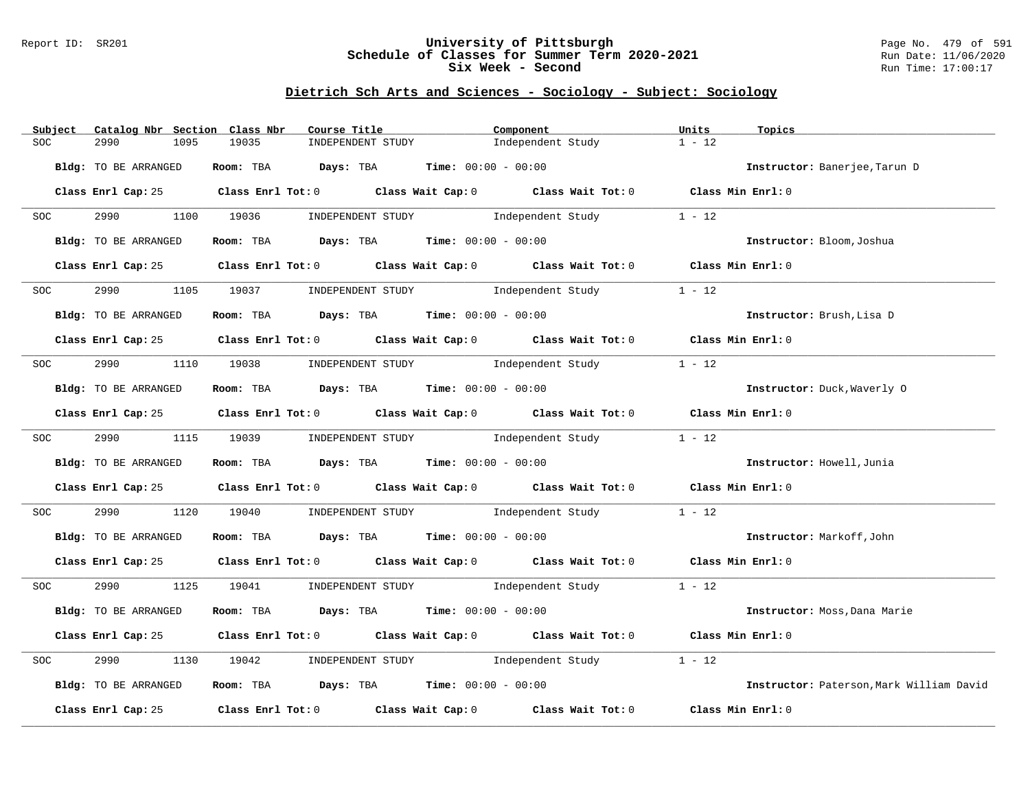### Report ID: SR201 **University of Pittsburgh** Page No. 479 of 591 **Schedule of Classes for Summer Term 2020-2021** Run Date: 11/06/2020 **Six Week - Second Run Time: 17:00:17**

| Subject          | Catalog Nbr Section Class Nbr | Course Title                                   | Component                                                                                  | Units<br>Topics                          |
|------------------|-------------------------------|------------------------------------------------|--------------------------------------------------------------------------------------------|------------------------------------------|
| <b>SOC</b>       | 2990<br>1095                  | 19035<br>INDEPENDENT STUDY                     | Independent Study                                                                          | $1 - 12$                                 |
|                  | Bldg: TO BE ARRANGED          | Room: TBA $Days:$ TBA $Time: 00:00 - 00:00$    |                                                                                            | Instructor: Banerjee, Tarun D            |
|                  |                               |                                                | Class Enrl Cap: 25 Class Enrl Tot: 0 Class Wait Cap: 0 Class Wait Tot: 0 Class Min Enrl: 0 |                                          |
| <b>SOC</b>       |                               |                                                | 2990 1100 19036 INDEPENDENT STUDY Independent Study 1 - 12                                 |                                          |
|                  | Bldg: TO BE ARRANGED          | Room: TBA $Days:$ TBA $Time:$ $00:00 - 00:00$  |                                                                                            | Instructor: Bloom, Joshua                |
|                  | Class Enrl Cap: 25            |                                                | Class Enrl Tot: $0$ Class Wait Cap: $0$ Class Wait Tot: $0$ Class Min Enrl: $0$            |                                          |
| SOC <b>SOC</b>   | 2990 — 100                    |                                                | 1105 19037 INDEPENDENT STUDY 1ndependent Study                                             | $1 - 12$                                 |
|                  | Bldg: TO BE ARRANGED          | Room: TBA $Days:$ TBA $Time: 00:00 - 00:00$    |                                                                                            | Instructor: Brush, Lisa D                |
|                  |                               |                                                | Class Enrl Cap: 25 Class Enrl Tot: 0 Class Wait Cap: 0 Class Wait Tot: 0 Class Min Enrl: 0 |                                          |
| <b>SOC</b>       |                               |                                                | 2990 1110 19038 INDEPENDENT STUDY Independent Study                                        | $1 - 12$                                 |
|                  | Bldg: TO BE ARRANGED          | Room: TBA $Days: TBA$ Time: $00:00 - 00:00$    |                                                                                            | Instructor: Duck, Waverly 0              |
|                  |                               |                                                | Class Enrl Cap: 25 Class Enrl Tot: 0 Class Wait Cap: 0 Class Wait Tot: 0 Class Min Enrl: 0 |                                          |
| SOC <b>SOC</b>   |                               |                                                | 2990 1115 19039 INDEPENDENT STUDY Independent Study                                        | $1 - 12$                                 |
|                  | Bldg: TO BE ARRANGED          | Room: TBA Days: TBA Time: $00:00 - 00:00$      |                                                                                            | Instructor: Howell, Junia                |
|                  |                               |                                                | Class Enrl Cap: 25 Class Enrl Tot: 0 Class Wait Cap: 0 Class Wait Tot: 0 Class Min Enrl: 0 |                                          |
| SOC <sub>2</sub> | 2990 700                      |                                                | 1120 19040 INDEPENDENT STUDY Independent Study                                             | $1 - 12$                                 |
|                  | Bldg: TO BE ARRANGED          | Room: TBA $Days:$ TBA Time: $00:00 - 00:00$    |                                                                                            | Instructor: Markoff, John                |
|                  |                               |                                                | Class Enrl Cap: 25 Class Enrl Tot: 0 Class Wait Cap: 0 Class Wait Tot: 0 Class Min Enrl: 0 |                                          |
| SOC <b>SOC</b>   |                               |                                                | 2990 1125 19041 INDEPENDENT STUDY Independent Study 1 - 12                                 |                                          |
|                  | Bldg: TO BE ARRANGED          | Room: TBA $Days:$ TBA $Time: 00:00 - 00:00$    |                                                                                            | Instructor: Moss, Dana Marie             |
|                  |                               |                                                | Class Enrl Cap: 25 Class Enrl Tot: 0 Class Wait Cap: 0 Class Wait Tot: 0 Class Min Enrl: 0 |                                          |
| SOC              | 2990                          | 1130 19042 INDEPENDENT STUDY Independent Study |                                                                                            | $1 - 12$                                 |
|                  | Bldg: TO BE ARRANGED          | Room: TBA $Days:$ TBA $Time: 00:00 - 00:00$    |                                                                                            | Instructor: Paterson, Mark William David |
|                  |                               |                                                | Class Enrl Cap: 25 Class Enrl Tot: 0 Class Wait Cap: 0 Class Wait Tot: 0                   | Class Min Enrl: 0                        |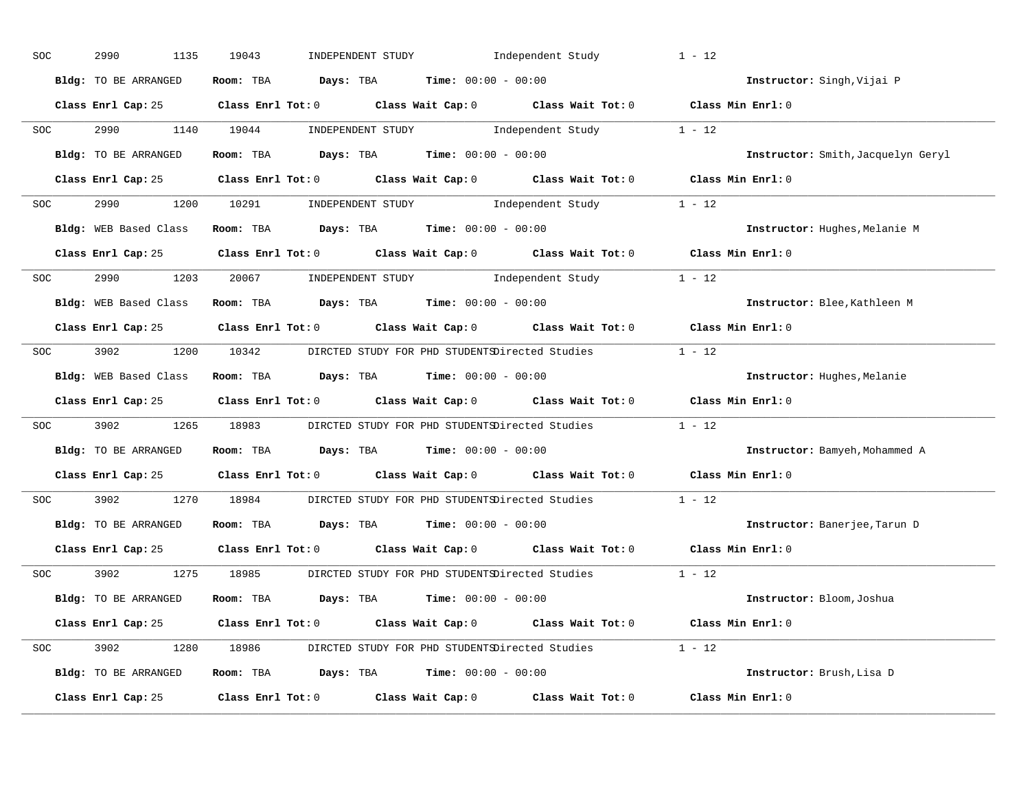| SOC            | 2990<br>1135          | 19043 | INDEPENDENT STUDY Independent Study                                                                                           | $1 - 12$                           |
|----------------|-----------------------|-------|-------------------------------------------------------------------------------------------------------------------------------|------------------------------------|
|                | Bldg: TO BE ARRANGED  |       | Room: TBA $Days:$ TBA $Time: 00:00 - 00:00$                                                                                   | Instructor: Singh, Vijai P         |
|                |                       |       | Class Enrl Cap: 25 Class Enrl Tot: 0 Class Wait Cap: 0 Class Wait Tot: 0 Class Min Enrl: 0                                    |                                    |
| SOC <b>SOC</b> | 2990 1140 19044       |       | $\begin{minipage}[c]{0.9\linewidth} \textbf{INDEX} & \textbf{STUDY} \\ \textbf{Independent Study} & 1 - 12 \\ \end{minipage}$ |                                    |
|                | Bldg: TO BE ARRANGED  |       | Room: TBA $\rule{1em}{0.15mm}$ Days: TBA Time: $00:00 - 00:00$                                                                | Instructor: Smith, Jacquelyn Geryl |
|                |                       |       | Class Enrl Cap: 25 Class Enrl Tot: 0 Class Wait Cap: 0 Class Wait Tot: 0 Class Min Enrl: 0                                    |                                    |
| SOC            |                       |       | 2990 1200 10291 INDEPENDENT STUDY Independent Study 1 - 12                                                                    |                                    |
|                |                       |       | Bldg: WEB Based Class Room: TBA Days: TBA Time: 00:00 - 00:00                                                                 | Instructor: Hughes, Melanie M      |
|                |                       |       | Class Enrl Cap: 25 Class Enrl Tot: 0 Class Wait Cap: 0 Class Wait Tot: 0 Class Min Enrl: 0                                    |                                    |
| SOC            |                       |       | 2990 1203 20067 INDEPENDENT STUDY Independent Study 1 - 12                                                                    |                                    |
|                | Bldg: WEB Based Class |       | Room: TBA $\rule{1em}{0.15mm}$ Days: TBA $\rule{1.5mm}{0.15mm}$ Time: $00:00 - 00:00$                                         | Instructor: Blee, Kathleen M       |
|                |                       |       | Class Enrl Cap: 25 Class Enrl Tot: 0 Class Wait Cap: 0 Class Wait Tot: 0 Class Min Enrl: 0                                    |                                    |
|                |                       |       | SOC 3902 1200 10342 DIRCTED STUDY FOR PHD STUDENTSDirected Studies 1 - 12                                                     |                                    |
|                | Bldg: WEB Based Class |       | Room: TBA $\rule{1em}{0.15mm}$ Days: TBA $\rule{1.15mm}]{0.15mm}$ Time: $0.000 - 0.0000$                                      | Instructor: Hughes, Melanie        |
|                |                       |       | Class Enrl Cap: 25 Class Enrl Tot: 0 Class Wait Cap: 0 Class Wait Tot: 0 Class Min Enrl: 0                                    |                                    |
| SOC            |                       |       | 3902 1265 18983 DIRCTED STUDY FOR PHD STUDENTSDirected Studies 1 - 12                                                         |                                    |
|                | Bldg: TO BE ARRANGED  |       | Room: TBA $Days:$ TBA $Time: 00:00 - 00:00$                                                                                   | Instructor: Bamyeh, Mohammed A     |
|                |                       |       | Class Enrl Cap: 25 $\qquad$ Class Enrl Tot: 0 $\qquad$ Class Wait Cap: 0 $\qquad$ Class Wait Tot: 0                           | Class Min Enrl: 0                  |
| SOC            | 3902 200              |       | 1270 18984 DIRCTED STUDY FOR PHD STUDENTSDirected Studies                                                                     | $1 - 12$                           |
|                | Bldg: TO BE ARRANGED  |       | Room: TBA $\rule{1em}{0.15mm}$ Days: TBA $\rule{1.15mm}]{0.15mm}$ Time: $0.000 - 0.0000$                                      | Instructor: Banerjee, Tarun D      |
|                |                       |       | Class Enrl Cap: 25 $\qquad$ Class Enrl Tot: 0 $\qquad$ Class Wait Cap: 0 $\qquad$ Class Wait Tot: 0                           | Class Min Enrl: 0                  |
|                | SOC 3902              |       | 1275 18985 DIRCTED STUDY FOR PHD STUDENTSDirected Studies 1 - 12                                                              |                                    |
|                | Bldg: TO BE ARRANGED  |       | Room: TBA $Days:$ TBA $Time: 00:00 - 00:00$                                                                                   | Instructor: Bloom, Joshua          |
|                |                       |       | Class Enrl Cap: 25 Class Enrl Tot: 0 Class Wait Cap: 0 Class Wait Tot: 0 Class Min Enrl: 0                                    |                                    |
|                |                       |       | SOC 3902 1280 18986 DIRCTED STUDY FOR PHD STUDENTSDirected Studies 1 - 12                                                     |                                    |
|                | Bldg: TO BE ARRANGED  |       | Room: TBA $Days: TBA$ Time: $00:00 - 00:00$                                                                                   | Instructor: Brush, Lisa D          |
|                | Class Enrl Cap: 25    |       | Class Enrl Tot: $0$ Class Wait Cap: $0$ Class Wait Tot: $0$                                                                   | Class Min Enrl: 0                  |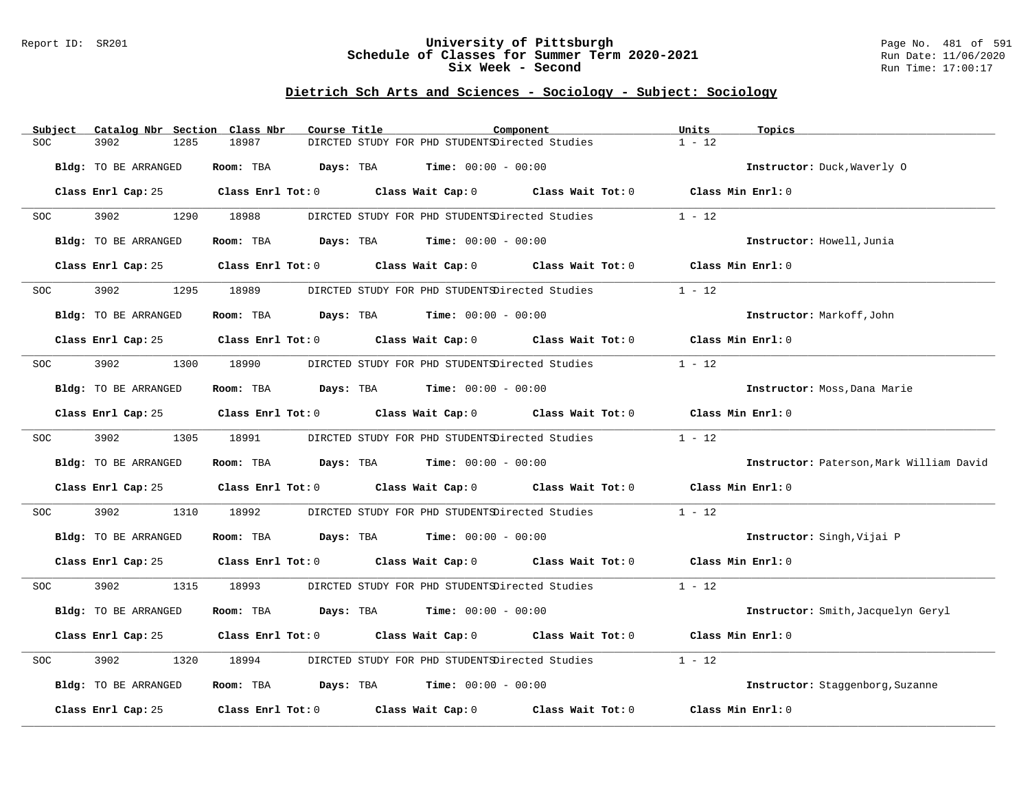### Report ID: SR201 **University of Pittsburgh** Page No. 481 of 591 **Schedule of Classes for Summer Term 2020-2021** Run Date: 11/06/2020 **Six Week - Second Run Time: 17:00:17**

|            | Subject |                      |      | Catalog Nbr Section Class Nbr | Course Title                        |                                                                | Component                                                                                  | Units               | Topics                                   |
|------------|---------|----------------------|------|-------------------------------|-------------------------------------|----------------------------------------------------------------|--------------------------------------------------------------------------------------------|---------------------|------------------------------------------|
| SOC.       |         | 3902                 | 1285 | 18987                         |                                     | DIRCTED STUDY FOR PHD STUDENTSDirected Studies                 |                                                                                            | $1 - 12$            |                                          |
|            |         | Bldg: TO BE ARRANGED |      | Room: TBA                     |                                     | <b>Days:</b> TBA <b>Time:</b> $00:00 - 00:00$                  |                                                                                            |                     | Instructor: Duck, Waverly 0              |
|            |         | Class Enrl Cap: 25   |      |                               |                                     |                                                                | Class Enrl Tot: 0 Class Wait Cap: 0 Class Wait Tot: 0 Class Min Enrl: 0                    |                     |                                          |
| SOC        |         | 3902 200             | 1290 | 18988                         |                                     | DIRCTED STUDY FOR PHD STUDENTSDirected Studies                 |                                                                                            | $1 - 12$            |                                          |
|            |         | Bldg: TO BE ARRANGED |      |                               |                                     | Room: TBA $Days: TBA$ Time: $00:00 - 00:00$                    |                                                                                            |                     | Instructor: Howell, Junia                |
|            |         | Class Enrl Cap: 25   |      |                               |                                     |                                                                | Class Enrl Tot: 0 Class Wait Cap: 0 Class Wait Tot: 0                                      |                     | Class Min Enrl: 0                        |
| SOC        |         | 3902                 | 1295 | 18989                         |                                     | DIRCTED STUDY FOR PHD STUDENTSDirected Studies                 |                                                                                            | $1 - 12$            |                                          |
|            |         | Bldg: TO BE ARRANGED |      |                               |                                     | Room: TBA $Days: TBA$ Time: $00:00 - 00:00$                    |                                                                                            |                     | Instructor: Markoff, John                |
|            |         |                      |      |                               |                                     |                                                                | Class Enrl Cap: 25 Class Enrl Tot: 0 Class Wait Cap: 0 Class Wait Tot: 0 Class Min Enrl: 0 |                     |                                          |
| SOC        |         | 3902                 | 1300 | 18990                         |                                     | DIRCTED STUDY FOR PHD STUDENTSDirected Studies                 |                                                                                            | $1 - 12$            |                                          |
|            |         | Bldg: TO BE ARRANGED |      |                               |                                     | Room: TBA $Days:$ TBA $Time: 00:00 - 00:00$                    |                                                                                            |                     | Instructor: Moss, Dana Marie             |
|            |         | Class Enrl Cap: 25   |      |                               |                                     |                                                                | Class Enrl Tot: $0$ Class Wait Cap: $0$ Class Wait Tot: $0$                                | Class Min Enrl: 0   |                                          |
| SOC        |         | 3902 390             |      | 1305 18991                    |                                     |                                                                | DIRCTED STUDY FOR PHD STUDENTSDirected Studies                                             | $1 - 12$            |                                          |
|            |         | Bldg: TO BE ARRANGED |      |                               |                                     | Room: TBA $Days:$ TBA $Time: 00:00 - 00:00$                    |                                                                                            |                     | Instructor: Paterson, Mark William David |
|            |         |                      |      |                               |                                     |                                                                | Class Enrl Cap: 25 Class Enrl Tot: 0 Class Wait Cap: 0 Class Wait Tot: 0                   | Class Min $Enrl: 0$ |                                          |
| SOC        |         | 3902                 | 1310 | 18992                         |                                     |                                                                | DIRCTED STUDY FOR PHD STUDENTSDirected Studies                                             | $1 - 12$            |                                          |
|            |         | Bldg: TO BE ARRANGED |      |                               |                                     | Room: TBA $Days:$ TBA $Time: 00:00 - 00:00$                    |                                                                                            |                     | Instructor: Singh, Vijai P               |
|            |         | Class Enrl Cap: 25   |      |                               |                                     |                                                                | Class Enrl Tot: 0 Class Wait Cap: 0 Class Wait Tot: 0 Class Min Enrl: 0                    |                     |                                          |
| SOC        |         | 3902 200             | 1315 | 18993                         |                                     |                                                                | DIRCTED STUDY FOR PHD STUDENTSDirected Studies                                             | $1 - 12$            |                                          |
|            |         | Bldg: TO BE ARRANGED |      | Room: TBA                     |                                     | <b>Days:</b> TBA <b>Time:</b> $00:00 - 00:00$                  |                                                                                            |                     | Instructor: Smith, Jacquelyn Geryl       |
|            |         | Class Enrl Cap: 25   |      |                               |                                     |                                                                | Class Enrl Tot: 0 Class Wait Cap: 0 Class Wait Tot: 0                                      |                     | Class Min Enrl: 0                        |
| <b>SOC</b> |         | 3902                 | 1320 | 18994                         |                                     | DIRCTED STUDY FOR PHD STUDENTSDirected Studies                 |                                                                                            | $1 - 12$            |                                          |
|            |         | Bldg: TO BE ARRANGED |      |                               |                                     | Room: TBA $\rule{1em}{0.15mm}$ Days: TBA Time: $00:00 - 00:00$ |                                                                                            |                     | Instructor: Staggenborg, Suzanne         |
|            |         | Class Enrl Cap: 25   |      |                               | Class Enrl Tot: 0 Class Wait Cap: 0 |                                                                | Class Wait Tot: 0                                                                          |                     | Class Min Enrl: 0                        |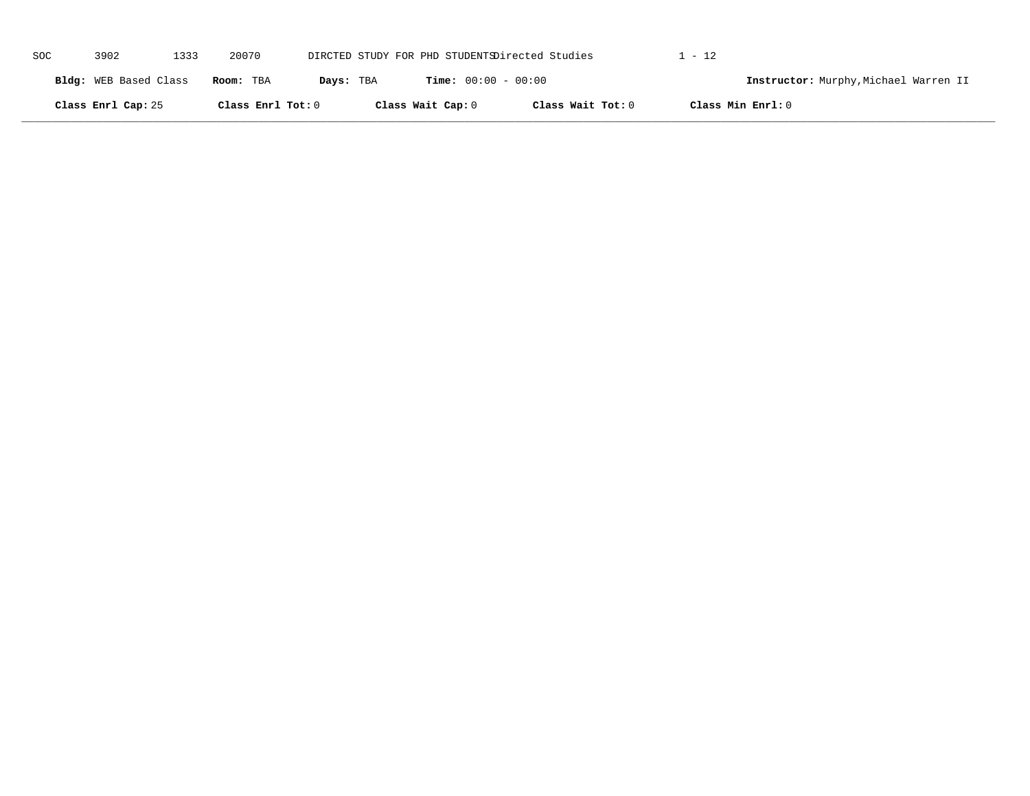| SOC | 3902                  | 1333 | 20070             |           |                              | DIRCTED STUDY FOR PHD STUDENTSDirected Studies | . - 12            |                                       |
|-----|-----------------------|------|-------------------|-----------|------------------------------|------------------------------------------------|-------------------|---------------------------------------|
|     | Bldg: WEB Based Class |      | Room: TBA         | Days: TBA | <b>Time:</b> $00:00 - 00:00$ |                                                |                   | Instructor: Murphy, Michael Warren II |
|     | Class Enrl Cap: 25    |      | Class Enrl Tot: 0 |           | Class Wait Cap: 0            | Class Wait Tot: 0                              | Class Min Enrl: 0 |                                       |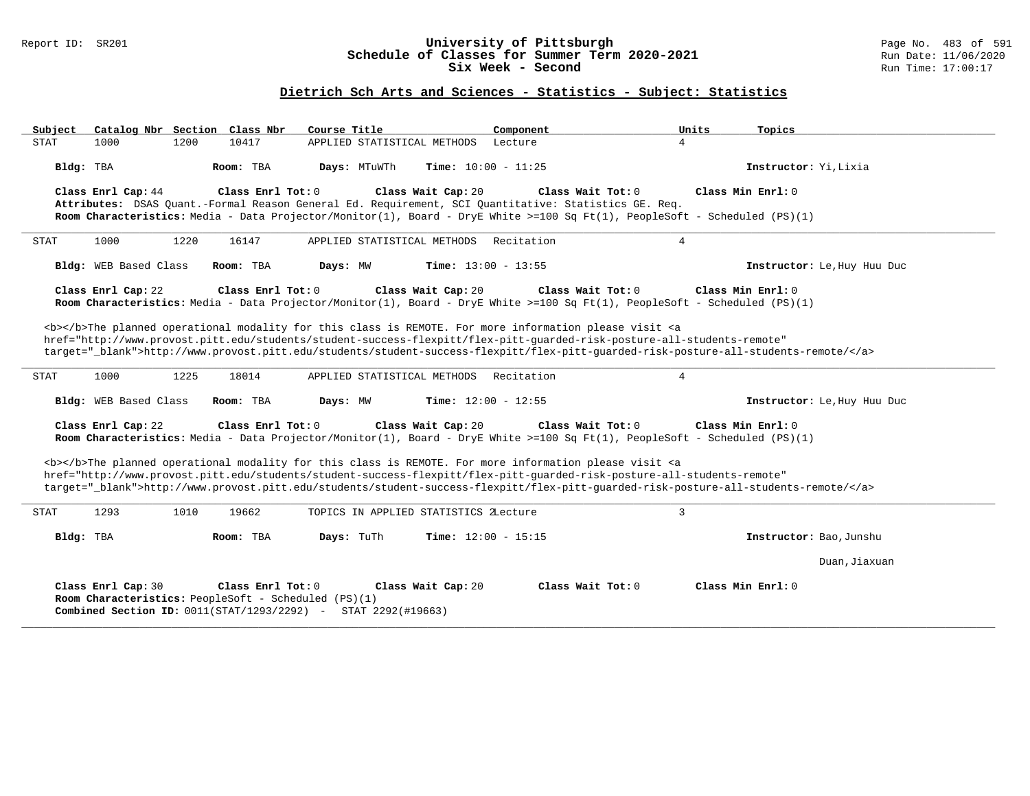### Report ID: SR201 **University of Pittsburgh** Page No. 483 of 591 **Schedule of Classes for Summer Term 2020-2021** Run Date: 11/06/2020 **Six Week - Second Run Time: 17:00:17**

### **Dietrich Sch Arts and Sciences - Statistics - Subject: Statistics**

| Catalog Nbr Section Class Nbr<br>Subject<br>Course Title                                                                                                                                                                                                                                                                                                                           | Component<br>Units<br>Topics                                |
|------------------------------------------------------------------------------------------------------------------------------------------------------------------------------------------------------------------------------------------------------------------------------------------------------------------------------------------------------------------------------------|-------------------------------------------------------------|
| 10417<br><b>STAT</b><br>1000<br>1200<br>APPLIED STATISTICAL METHODS                                                                                                                                                                                                                                                                                                                | Lecture<br>4                                                |
| Days: MTuWTh<br>Bldg: TBA<br>Room: TBA                                                                                                                                                                                                                                                                                                                                             | Instructor: Yi, Lixia<br>Time: $10:00 - 11:25$              |
| Class Wait Cap: 20<br>Class Enrl Cap: 44<br>Class Enrl Tot: 0<br>Attributes: DSAS Quant.-Formal Reason General Ed. Requirement, SCI Quantitative: Statistics GE. Req.<br>Room Characteristics: Media - Data Projector/Monitor(1), Board - DryE White >=100 Sq Ft(1), PeopleSoft - Scheduled (PS)(1)                                                                                | Class Wait $Tot: 0$<br>Class Min Enrl: 0                    |
| 1000<br>1220<br>16147<br>APPLIED STATISTICAL METHODS<br>STAT                                                                                                                                                                                                                                                                                                                       | Recitation<br>4                                             |
| Bldg: WEB Based Class<br>Room: TBA<br>Days: MW                                                                                                                                                                                                                                                                                                                                     | <b>Time:</b> $13:00 - 13:55$<br>Instructor: Le, Huy Huu Duc |
| Class Enrl Cap: 22<br>Class Enrl Tot: 0<br>Class Wait Cap: 20<br>Room Characteristics: Media - Data Projector/Monitor(1), Board - DryE White >=100 Sq Ft(1), PeopleSoft - Scheduled (PS)(1)                                                                                                                                                                                        | Class Wait Tot: 0<br>Class Min Enrl: 0                      |
| <b></b> The planned operational modality for this class is REMOTE. For more information please visit <a<br>href="http://www.provost.pitt.edu/students/student-success-flexpitt/flex-pitt-quarded-risk-posture-all-students-remote"<br/>target="_blank"&gt;http://www.provost.pitt.edu/students/student-success-flexpitt/flex-pitt-quarded-risk-posture-all-students-remote/</a<br> |                                                             |
| 1225<br>1000<br>18014<br>STAT<br>APPLIED STATISTICAL METHODS                                                                                                                                                                                                                                                                                                                       | $\overline{4}$<br>Recitation                                |
| Bldg: WEB Based Class<br>Room: TBA<br>Days: MW                                                                                                                                                                                                                                                                                                                                     | Time: $12:00 - 12:55$<br>Instructor: Le, Huy Huu Duc        |
| Class Enrl Cap: 22<br>Class Enrl Tot: $0$<br>Class Wait Cap: 20<br>Room Characteristics: Media - Data Projector/Monitor(1), Board - DryE White >=100 Sq Ft(1), PeopleSoft - Scheduled (PS)(1)                                                                                                                                                                                      | Class Wait Tot: 0<br>Class Min $Enr1: 0$                    |
| <b></b> The planned operational modality for this class is REMOTE. For more information please visit <a<br>href="http://www.provost.pitt.edu/students/student-success-flexpitt/flex-pitt-quarded-risk-posture-all-students-remote"<br/>target="_blank"&gt;http://www.provost.pitt.edu/students/student-success-flexpitt/flex-pitt-guarded-risk-posture-all-students-remote/</a<br> |                                                             |
| 1293<br>19662<br><b>STAT</b><br>1010<br>TOPICS IN APPLIED STATISTICS ZLecture                                                                                                                                                                                                                                                                                                      | 3                                                           |
| Bldg: TBA<br>Room: TBA<br>Days: TuTh                                                                                                                                                                                                                                                                                                                                               | Time: $12:00 - 15:15$<br>Instructor: Bao, Junshu            |
|                                                                                                                                                                                                                                                                                                                                                                                    | Duan, Jiaxuan                                               |
| Class Enrl Cap: 30<br>Class Enrl Tot: 0<br>Class Wait Cap: 20<br>Room Characteristics: PeopleSoft - Scheduled (PS)(1)<br>Combined Section ID: 0011(STAT/1293/2292) - STAT 2292(#19663)                                                                                                                                                                                             | Class Wait Tot: 0<br>Class Min Enrl: 0                      |

**\_\_\_\_\_\_\_\_\_\_\_\_\_\_\_\_\_\_\_\_\_\_\_\_\_\_\_\_\_\_\_\_\_\_\_\_\_\_\_\_\_\_\_\_\_\_\_\_\_\_\_\_\_\_\_\_\_\_\_\_\_\_\_\_\_\_\_\_\_\_\_\_\_\_\_\_\_\_\_\_\_\_\_\_\_\_\_\_\_\_\_\_\_\_\_\_\_\_\_\_\_\_\_\_\_\_\_\_\_\_\_\_\_\_\_\_\_\_\_\_\_\_\_\_\_\_\_\_\_\_\_\_\_\_\_\_\_\_\_\_\_\_\_\_\_\_\_\_\_\_\_\_\_\_\_\_**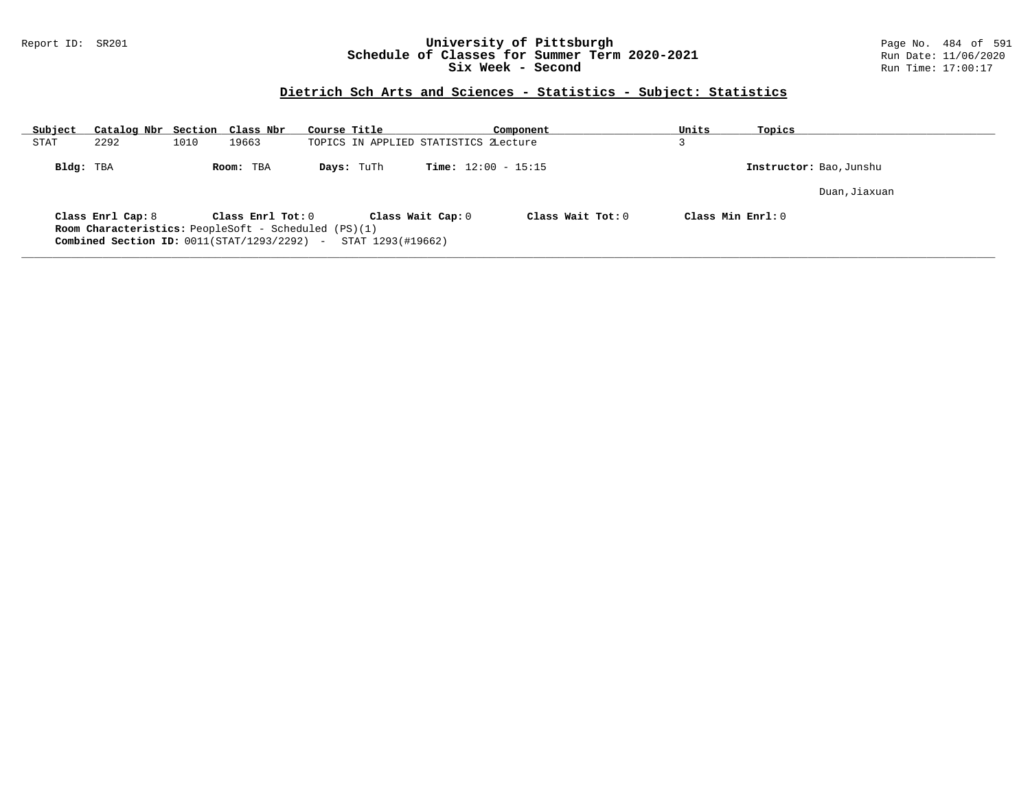### Report ID: SR201 **University of Pittsburgh** Page No. 484 of 591 **Schedule of Classes for Summer Term 2020-2021** Run Date: 11/06/2020 **Six Week - Second Run Time: 17:00:17**

### **Dietrich Sch Arts and Sciences - Statistics - Subject: Statistics**

| Subject     | Catalog Nbr Section Class Nbr                                                                                                     |      |                   | Course Title |                   |                                       | Component                    | Units             | Topics |                         |
|-------------|-----------------------------------------------------------------------------------------------------------------------------------|------|-------------------|--------------|-------------------|---------------------------------------|------------------------------|-------------------|--------|-------------------------|
| <b>STAT</b> | 2292                                                                                                                              | 1010 | 19663             |              |                   | TOPICS IN APPLIED STATISTICS ZLecture |                              |                   |        |                         |
| Bldg: TBA   |                                                                                                                                   |      | Room: TBA         |              | Days: TuTh        |                                       | <b>Time:</b> $12:00 - 15:15$ |                   |        | Instructor: Bao, Junshu |
|             |                                                                                                                                   |      |                   |              |                   |                                       |                              |                   |        | Duan, Jiaxuan           |
|             | Class Enrl Cap: 8<br><b>Room Characteristics:</b> PeopleSoft - Scheduled (PS)(1)<br>Combined Section ID: $0011(STAT/1293/2292)$ - |      | Class Enrl Tot: 0 |              | STAT 1293(#19662) | Class Wait Cap: 0                     | Class Wait $Tot: 0$          | Class Min Enrl: 0 |        |                         |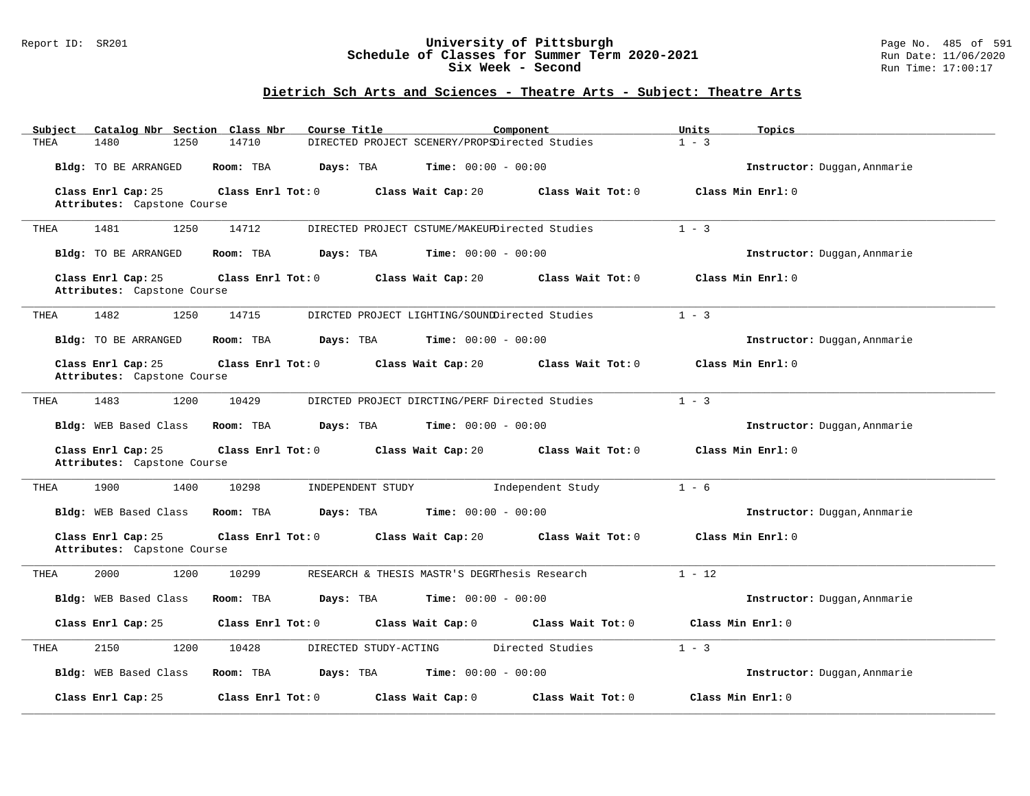### Report ID: SR201 **University of Pittsburgh** Page No. 485 of 591 **Schedule of Classes for Summer Term 2020-2021** Run Date: 11/06/2020 **Six Week - Second Run Time: 17:00:17**

# **Dietrich Sch Arts and Sciences - Theatre Arts - Subject: Theatre Arts**

| Subject<br>Catalog Nbr Section Class Nbr          | Course Title                   | Component                                      | Units<br>Topics              |
|---------------------------------------------------|--------------------------------|------------------------------------------------|------------------------------|
| THEA<br>1480<br>1250                              | 14710                          | DIRECTED PROJECT SCENERY/PROPSDirected Studies | $1 - 3$                      |
| Bldg: TO BE ARRANGED                              | Room: TBA<br>Days: TBA         | <b>Time:</b> $00:00 - 00:00$                   | Instructor: Duggan, Annmarie |
| Class Enrl Cap: 25                                | Class Enrl Tot: 0              | Class Wait Cap: 20<br>Class Wait Tot: 0        | Class Min Enrl: 0            |
| Attributes: Capstone Course                       |                                |                                                |                              |
| 1481<br>1250<br>THEA                              | 14712                          | DIRECTED PROJECT CSTUME/MAKEUPDirected Studies | $1 - 3$                      |
| Bldg: TO BE ARRANGED                              | Room: TBA<br>Days: TBA         | <b>Time:</b> $00:00 - 00:00$                   | Instructor: Duggan, Annmarie |
| Class Enrl Cap: 25                                | Class Enrl Tot: 0              | Class Wait Cap: 20<br>Class Wait Tot: 0        | Class Min Enrl: 0            |
| Attributes: Capstone Course                       |                                |                                                |                              |
| 1482<br>1250<br>THEA                              | 14715                          | DIRCTED PROJECT LIGHTING/SOUNDDirected Studies | $1 - 3$                      |
| Bldg: TO BE ARRANGED                              | Room: TBA<br>Days: TBA         | <b>Time:</b> $00:00 - 00:00$                   | Instructor: Duggan, Annmarie |
| Class Enrl Cap: 25                                | Class Enrl Tot: 0              | Class Wait Cap: 20<br>Class Wait Tot: 0        | Class Min Enrl: 0            |
| Attributes: Capstone Course                       |                                |                                                |                              |
| 1483<br>1200<br>THEA                              | 10429                          | DIRCTED PROJECT DIRCTING/PERF Directed Studies | $1 - 3$                      |
|                                                   |                                |                                                |                              |
| Bldg: WEB Based Class                             | Room: TBA<br>Days: TBA         | <b>Time:</b> $00:00 - 00:00$                   | Instructor: Duggan, Annmarie |
| Class Enrl Cap: 25<br>Attributes: Capstone Course | Class Enrl Tot: 0              | Class Wait Cap: 20<br>Class Wait Tot: 0        | Class Min Enrl: 0            |
| 1900<br>1400<br>THEA                              | 10298<br>INDEPENDENT STUDY     | Independent Study                              | $1 - 6$                      |
| Bldg: WEB Based Class                             | Room: TBA<br>Days: TBA         | <b>Time:</b> $00:00 - 00:00$                   | Instructor: Duggan, Annmarie |
| Class Enrl Cap: 25                                | Class Enrl Tot: 0              | Class Wait Cap: 20<br>Class Wait Tot: 0        | Class Min Enrl: 0            |
| Attributes: Capstone Course                       |                                |                                                |                              |
| 2000<br>1200<br>THEA                              | 10299                          | RESEARCH & THESIS MASTR'S DEGRIDesis Research  | $1 - 12$                     |
| Bldg: WEB Based Class                             | Room: TBA<br>Days: TBA         | <b>Time:</b> $00:00 - 00:00$                   | Instructor: Duggan, Annmarie |
| Class Enrl Cap: 25                                | Class Enrl Tot: 0              | Class Wait Cap: 0<br>Class Wait Tot: 0         | Class Min Enrl: 0            |
| 2150<br>1200<br>THEA                              | DIRECTED STUDY-ACTING<br>10428 | Directed Studies                               | $1 - 3$                      |
| Bldg: WEB Based Class                             | Room: TBA<br>Days: TBA         | <b>Time:</b> $00:00 - 00:00$                   | Instructor: Duggan, Annmarie |
| Class Enrl Cap: 25                                | Class Enrl Tot: 0              | Class Wait Cap: 0<br>Class Wait Tot: 0         | Class Min Enrl: 0            |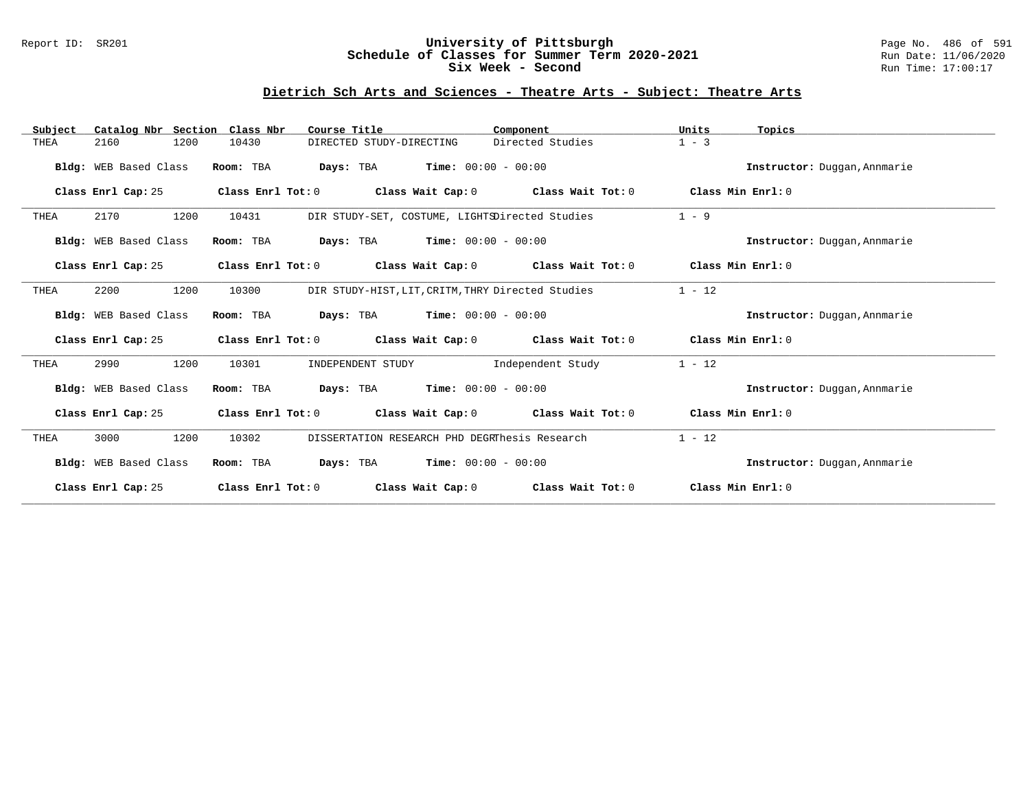### Report ID: SR201 **University of Pittsburgh** Page No. 486 of 591 **Schedule of Classes for Summer Term 2020-2021** Run Date: 11/06/2020 **Six Week - Second Run Time: 17:00:17**

# **Dietrich Sch Arts and Sciences - Theatre Arts - Subject: Theatre Arts**

| Catalog Nbr Section<br>Subject | Class Nbr<br>Course Title                                               | Component                                         | Units<br>Topics              |
|--------------------------------|-------------------------------------------------------------------------|---------------------------------------------------|------------------------------|
| 2160<br>1200<br>THEA           | 10430<br>DIRECTED STUDY-DIRECTING                                       | Directed Studies                                  | $1 - 3$                      |
| Bldg: WEB Based Class          | <b>Days:</b> TBA <b>Time:</b> $00:00 - 00:00$<br>Room: TBA              |                                                   | Instructor: Duggan, Annmarie |
| Class Enrl Cap: 25             | Class Enrl Tot: 0 Class Wait Cap: 0 Class Wait Tot: 0 Class Min Enrl: 0 |                                                   |                              |
| 1200<br>2170<br>THEA           | DIR STUDY-SET, COSTUME, LIGHTSDirected Studies<br>10431                 |                                                   | $1 - 9$                      |
| Bldg: WEB Based Class          | <b>Days:</b> TBA <b>Time:</b> $00:00 - 00:00$<br>Room: TBA              |                                                   | Instructor: Duggan, Annmarie |
| Class Enrl Cap: 25             | Class Enrl Tot: 0 Class Wait Cap: 0 Class Wait Tot: 0                   |                                                   | Class Min Enrl: 0            |
| 2200<br>1200<br>THEA           | 10300                                                                   | DIR STUDY-HIST, LIT, CRITM, THRY Directed Studies | $1 - 12$                     |
| Bldg: WEB Based Class          | Room: TBA<br><b>Days:</b> TBA <b>Time:</b> $00:00 - 00:00$              |                                                   | Instructor: Duggan, Annmarie |
| Class Enrl Cap: 25             | Class Enrl Tot: $0$ Class Wait Cap: $0$ Class Wait Tot: $0$             |                                                   | Class Min Enrl: 0            |
| 1200<br>2990<br>THEA           | 10301<br>INDEPENDENT STUDY                                              | Independent Study                                 | $1 - 12$                     |
| Bldg: WEB Based Class          | Room: TBA<br>$Days: TBA$ $Time: 00:00 - 00:00$                          |                                                   | Instructor: Duggan, Annmarie |
| Class Enrl Cap: 25             | Class Enrl Tot: 0 Class Wait Cap: 0 Class Wait Tot: 0                   |                                                   | Class Min Enrl: 0            |
| 1200<br>3000<br>THEA           | DISSERTATION RESEARCH PHD DEGRThesis Research<br>10302                  |                                                   | $1 - 12$                     |
| Bldg: WEB Based Class          | <b>Days:</b> TBA <b>Time:</b> $00:00 - 00:00$<br>Room: TBA              |                                                   | Instructor: Duggan, Annmarie |
| Class Enrl Cap: 25             | Class Enrl Tot: 0                                                       | Class Wait Cap: 0 Class Wait Tot: 0               | Class Min Enrl: 0            |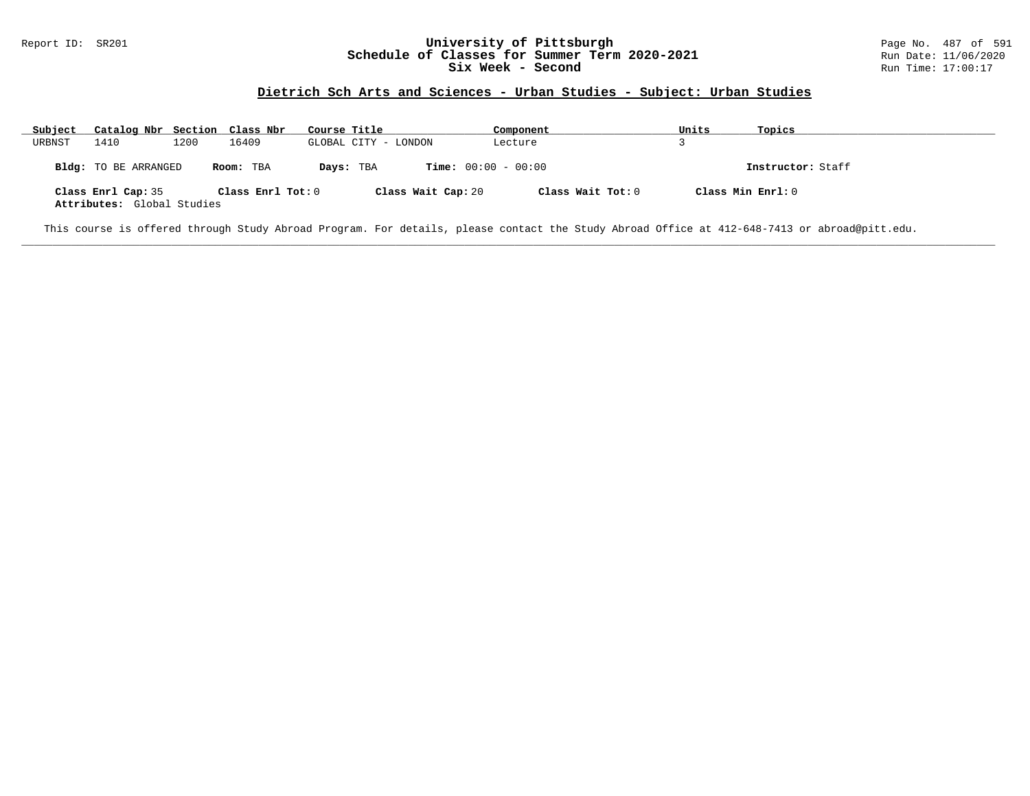#### Report ID: SR201 **1988 Chedule of Classes for Summer Term 2020-2021** Page No. 487 of 591 Page No. 487 of 591 **Schedule of Classes for Summer Term 2020-2021** Run Date: 11/06/2020 **Schedule of Classes for Summer Term 2020-2021** Run Date: 11/06/2021<br>Six Week - Second Run Time: 17:00:17 Six Week - Second

### **Dietrich Sch Arts and Sciences - Urban Studies - Subject: Urban Studies**

| Subject | Catalog Nbr Section Class Nbr                    |      |                   | Course Title |                              | Component         | Units             | Topics            |
|---------|--------------------------------------------------|------|-------------------|--------------|------------------------------|-------------------|-------------------|-------------------|
| URBNST  | 1410                                             | 1200 | 16409             |              | GLOBAL CITY - LONDON         | Lecture           |                   |                   |
|         | <b>Bldg:</b> TO BE ARRANGED                      |      | Room: TBA         | Days: TBA    | <b>Time:</b> $00:00 - 00:00$ |                   |                   | Instructor: Staff |
|         | Class Enrl Cap: 35<br>Attributes: Global Studies |      | Class Enrl Tot: 0 |              | Class Wait Cap: 20           | Class Wait Tot: 0 | Class Min Enrl: 0 |                   |

**\_\_\_\_\_\_\_\_\_\_\_\_\_\_\_\_\_\_\_\_\_\_\_\_\_\_\_\_\_\_\_\_\_\_\_\_\_\_\_\_\_\_\_\_\_\_\_\_\_\_\_\_\_\_\_\_\_\_\_\_\_\_\_\_\_\_\_\_\_\_\_\_\_\_\_\_\_\_\_\_\_\_\_\_\_\_\_\_\_\_\_\_\_\_\_\_\_\_\_\_\_\_\_\_\_\_\_\_\_\_\_\_\_\_\_\_\_\_\_\_\_\_\_\_\_\_\_\_\_\_\_\_\_\_\_\_\_\_\_\_\_\_\_\_\_\_\_\_\_\_\_\_\_\_\_\_**

This course is offered through Study Abroad Program. For details, please contact the Study Abroad Office at 412-648-7413 or abroad@pitt.edu.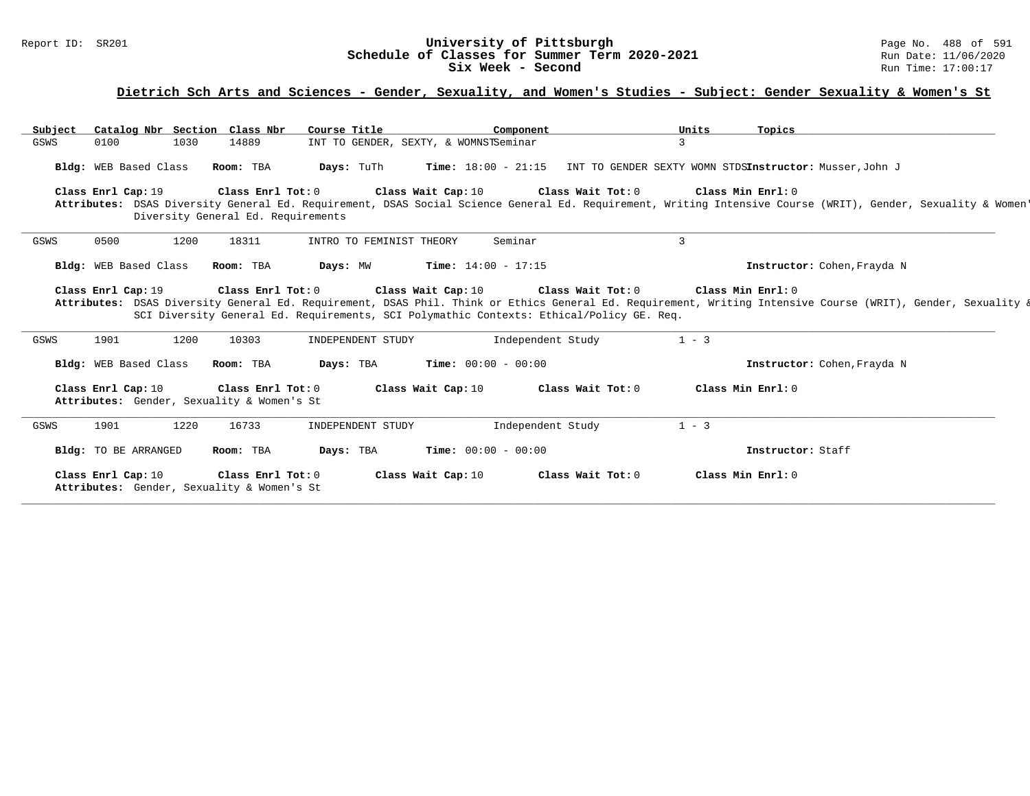#### Report ID: SR201 **1989 Machines 1999 Machines Change 1999 Machines 1999 Machines Schedule of Classes for Summer Term 2020-2021 Page No. 488 of 591 Page No. 488 of 591 Schedule of Classes for Summer Term 2020-2021 Run Date: Schedule of Classes for Summer Term 2020-2021** Run Date: 11/06/2021<br>Six Week - Second Run Time: 17:00:17 Six Week - Second

# **Dietrich Sch Arts and Sciences - Gender, Sexuality, and Women's Studies - Subject: Gender Sexuality & Women's St**

| Subject | Catalog Nbr Section Class Nbr                                                      |                                                         | Course Title                          | Component                                                                                                                            | Units               | Topics                                                                                                                                                                            |  |
|---------|------------------------------------------------------------------------------------|---------------------------------------------------------|---------------------------------------|--------------------------------------------------------------------------------------------------------------------------------------|---------------------|-----------------------------------------------------------------------------------------------------------------------------------------------------------------------------------|--|
| GSWS    | 0100<br>1030                                                                       | 14889                                                   | INT TO GENDER, SEXTY, & WOMNSTSeminar |                                                                                                                                      |                     |                                                                                                                                                                                   |  |
|         | Bldg: WEB Based Class                                                              | Room: TBA                                               | Days: TuTh                            | Time: 18:00 - 21:15 INT TO GENDER SEXTY WOMN STDSInstructor: Musser, John J                                                          |                     |                                                                                                                                                                                   |  |
|         | Class Enrl Cap: 19                                                                 | Class Enrl Tot: 0<br>Diversity General Ed. Requirements |                                       | Class Wait Cap: 10<br>Class Wait Tot: 0                                                                                              |                     | Class Min Enrl: 0<br>Attributes: DSAS Diversity General Ed. Requirement, DSAS Social Science General Ed. Requirement, Writing Intensive Course (WRIT), Gender, Sexuality & Women' |  |
| GSWS    | 0500<br>1200                                                                       | 18311                                                   | INTRO TO FEMINIST THEORY              | Seminar                                                                                                                              | 3                   |                                                                                                                                                                                   |  |
|         | Bldg: WEB Based Class                                                              | Room: TBA                                               | Days: MW                              | <b>Time:</b> $14:00 - 17:15$                                                                                                         |                     | Instructor: Cohen, Frayda N                                                                                                                                                       |  |
|         | Class Enrl Cap: 19 Class Enrl Tot: 0                                               |                                                         |                                       | Class Wait Cap: $10$ Class Wait Tot: $0$<br>SCI Diversity General Ed. Requirements, SCI Polymathic Contexts: Ethical/Policy GE. Req. | Class Min Enrl: $0$ | Attributes: DSAS Diversity General Ed. Requirement, DSAS Phil. Think or Ethics General Ed. Requirement, Writing Intensive Course (WRIT), Gender, Sexuality &                      |  |
| GSWS    | 1901<br>1200                                                                       | 10303                                                   | INDEPENDENT STUDY                     | Independent Study                                                                                                                    | $1 - 3$             |                                                                                                                                                                                   |  |
|         | Bldg: WEB Based Class                                                              | Room: TBA                                               | Days: TBA                             | <b>Time:</b> $00:00 - 00:00$                                                                                                         |                     | Instructor: Cohen, Frayda N                                                                                                                                                       |  |
|         | Class Enrl Cap: 10 Class Enrl Tot: 0<br>Attributes: Gender, Sexuality & Women's St |                                                         | Class Wait Cap: 10                    | Class Wait Tot: 0                                                                                                                    |                     | Class Min Enrl: 0                                                                                                                                                                 |  |
| GSWS    | 1901<br>1220                                                                       | 16733                                                   | INDEPENDENT STUDY                     | Independent Study                                                                                                                    | $1 - 3$             |                                                                                                                                                                                   |  |
|         | <b>Bldg:</b> TO BE ARRANGED                                                        | Room: TBA                                               | Days: TBA                             | <b>Time:</b> $00:00 - 00:00$                                                                                                         |                     | Instructor: Staff                                                                                                                                                                 |  |
|         | Class Enrl Cap: 10<br>Attributes: Gender, Sexuality & Women's St                   | Class Enrl Tot: 0                                       | Class Wait Cap: 10                    | Class Wait Tot: 0                                                                                                                    |                     | Class Min Enrl: 0                                                                                                                                                                 |  |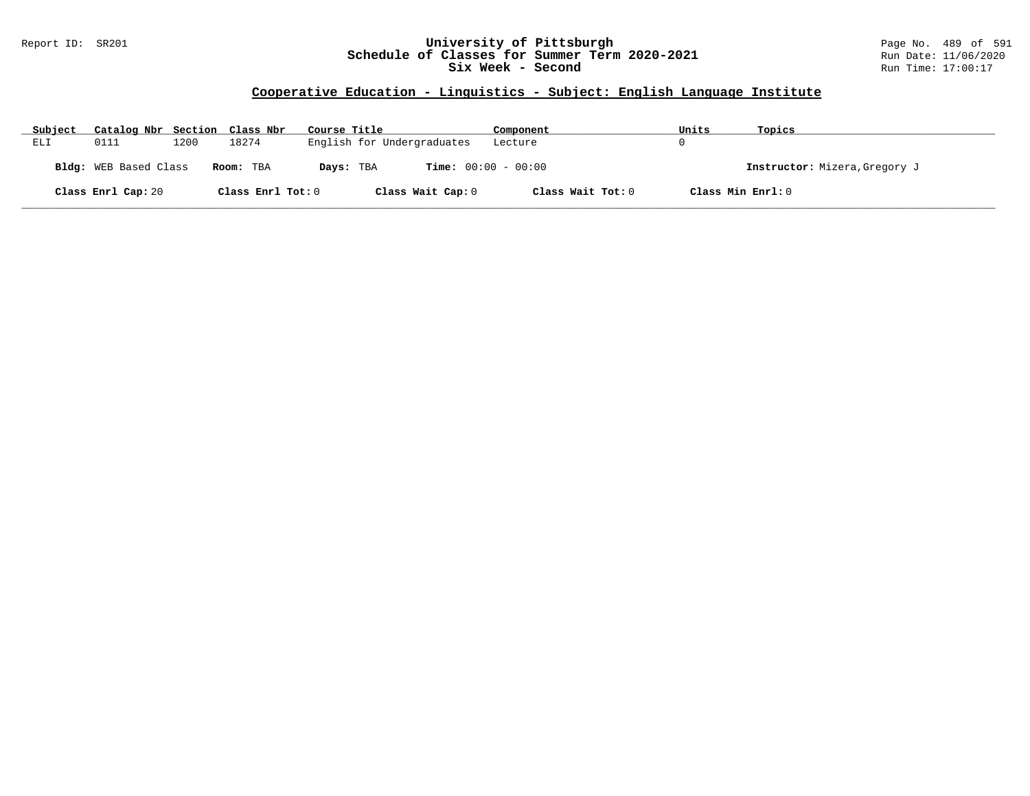### Report ID: SR201 **University of Pittsburgh** Page No. 489 of 591 **Schedule of Classes for Summer Term 2020-2021** Run Date: 11/06/2020 **Six Week - Second Run Time: 17:00:17**

# **Cooperative Education - Linguistics - Subject: English Language Institute**

| Subject | Catalog Nbr Section Class Nbr |      |                   | Course Title                              | Component         | Units             | Topics                        |
|---------|-------------------------------|------|-------------------|-------------------------------------------|-------------------|-------------------|-------------------------------|
| ELI     | 0111                          | 1200 | 18274             | English for Undergraduates                | Lecture           |                   |                               |
|         | Bldg: WEB Based Class         |      | Room: TBA         | <b>Time:</b> $00:00 - 00:00$<br>Days: TBA |                   |                   | Instructor: Mizera, Gregory J |
|         | Class Enrl Cap: 20            |      | Class Enrl Tot: 0 | Class Wait Cap: 0                         | Class Wait Tot: 0 | Class Min Enrl: 0 |                               |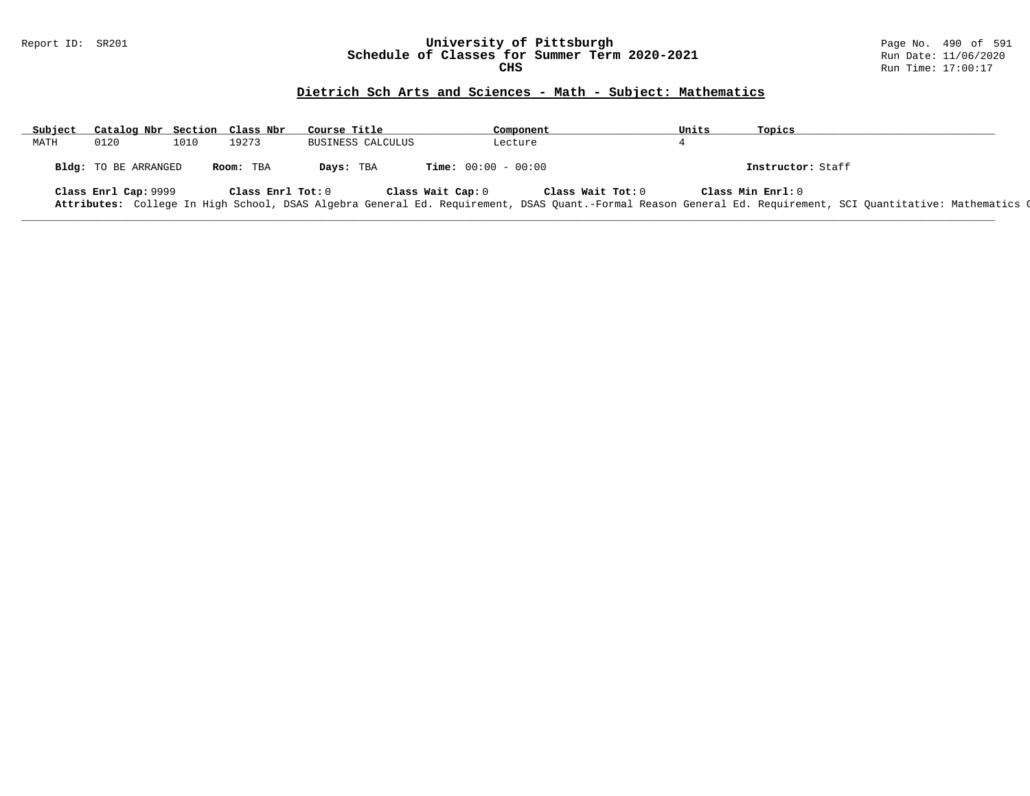#### Report ID: SR201 **University of Pittsburgh** Page No. 490 of 591 **Schedule of Classes for Summer Term 2020-2021** Run Date: 11/06/2020 **CHS** Run Time: 17:00:17

# **Dietrich Sch Arts and Sciences - Math - Subject: Mathematics**

| Subject | Catalog Nbr Section Class Nbr |      |                   | Course Title      |                              | Component         | Units | Topics                                                                                                                                                       |
|---------|-------------------------------|------|-------------------|-------------------|------------------------------|-------------------|-------|--------------------------------------------------------------------------------------------------------------------------------------------------------------|
| MATH    | 0120                          | 1010 | 19273             | BUSINESS CALCULUS |                              | Lecture           |       |                                                                                                                                                              |
|         | Bldg: TO BE ARRANGED          |      | Room: TBA         | Days: TBA         | <b>Time:</b> $00:00 - 00:00$ |                   |       | Instructor: Staff                                                                                                                                            |
|         | Class Enrl Cap: 9999          |      | Class Enrl Tot: 0 |                   | Class Wait Cap: 0            | Class Wait Tot: 0 |       | Class Min Enrl: 0                                                                                                                                            |
|         |                               |      |                   |                   |                              |                   |       | Attributes: College In High School, DSAS Algebra General Ed. Requirement, DSAS Quant.-Formal Reason General Ed. Requirement, SCI Quantitative: Mathematics Q |

**\_\_\_\_\_\_\_\_\_\_\_\_\_\_\_\_\_\_\_\_\_\_\_\_\_\_\_\_\_\_\_\_\_\_\_\_\_\_\_\_\_\_\_\_\_\_\_\_\_\_\_\_\_\_\_\_\_\_\_\_\_\_\_\_\_\_\_\_\_\_\_\_\_\_\_\_\_\_\_\_\_\_\_\_\_\_\_\_\_\_\_\_\_\_\_\_\_\_\_\_\_\_\_\_\_\_\_\_\_\_\_\_\_\_\_\_\_\_\_\_\_\_\_\_\_\_\_\_\_\_\_\_\_\_\_\_\_\_\_\_\_\_\_\_\_\_\_\_\_\_\_\_\_\_\_\_**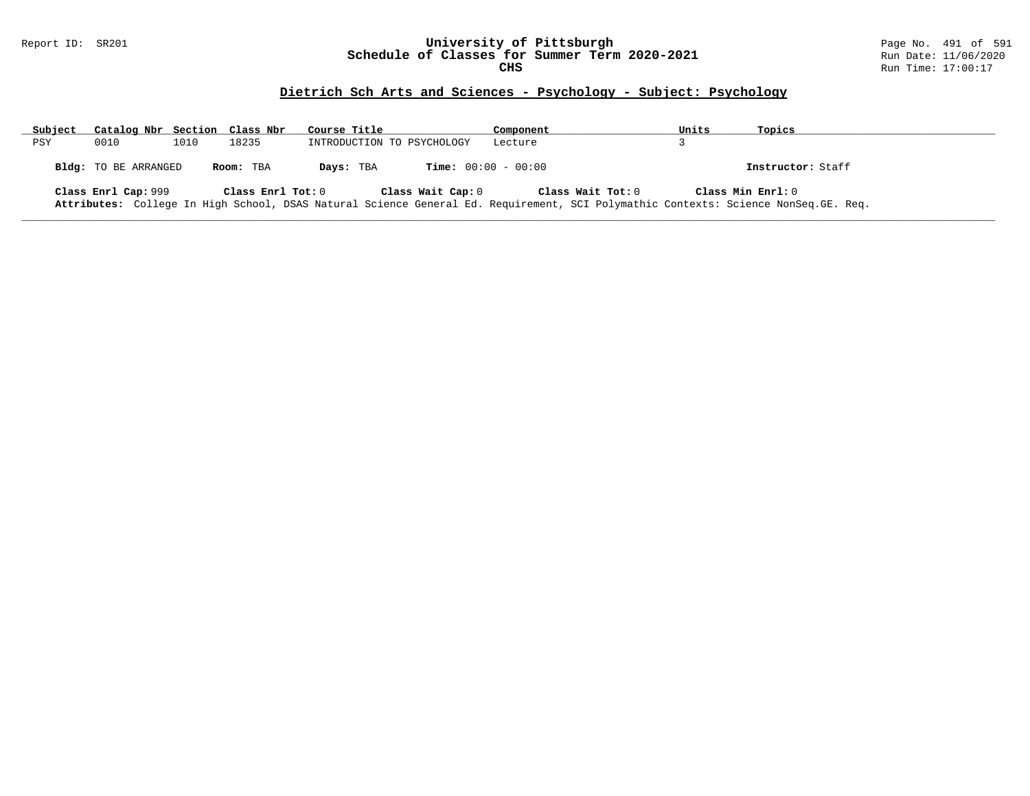#### Report ID: SR201 **University of Pittsburgh** Page No. 491 of 591 **Schedule of Classes for Summer Term 2020-2021** Run Date: 11/06/2020 **CHS** Run Time: 17:00:17

# **Dietrich Sch Arts and Sciences - Psychology - Subject: Psychology**

| Subject | Catalog Nbr Section Class Nbr |      |                   | Course Title               | Component                                                                                                                                               | Units             | Topics            |
|---------|-------------------------------|------|-------------------|----------------------------|---------------------------------------------------------------------------------------------------------------------------------------------------------|-------------------|-------------------|
| PSY     | 0010                          | 1010 | 18235             | INTRODUCTION TO PSYCHOLOGY | Lecture                                                                                                                                                 |                   |                   |
|         | Bldg: TO BE ARRANGED          |      | Room: TBA         | Days: TBA                  | <b>Time:</b> $00:00 - 00:00$                                                                                                                            |                   | Instructor: Staff |
|         | Class Enrl Cap: 999           |      | Class Enrl Tot: 0 | Class Wait Cap: 0          | Class Wait Tot: 0<br>Attributes: College In High School, DSAS Natural Science General Ed. Requirement, SCI Polymathic Contexts: Science NonSeq.GE. Req. | Class Min Enrl: 0 |                   |

**\_\_\_\_\_\_\_\_\_\_\_\_\_\_\_\_\_\_\_\_\_\_\_\_\_\_\_\_\_\_\_\_\_\_\_\_\_\_\_\_\_\_\_\_\_\_\_\_\_\_\_\_\_\_\_\_\_\_\_\_\_\_\_\_\_\_\_\_\_\_\_\_\_\_\_\_\_\_\_\_\_\_\_\_\_\_\_\_\_\_\_\_\_\_\_\_\_\_\_\_\_\_\_\_\_\_\_\_\_\_\_\_\_\_\_\_\_\_\_\_\_\_\_\_\_\_\_\_\_\_\_\_\_\_\_\_\_\_\_\_\_\_\_\_\_\_\_\_\_\_\_\_\_\_\_\_**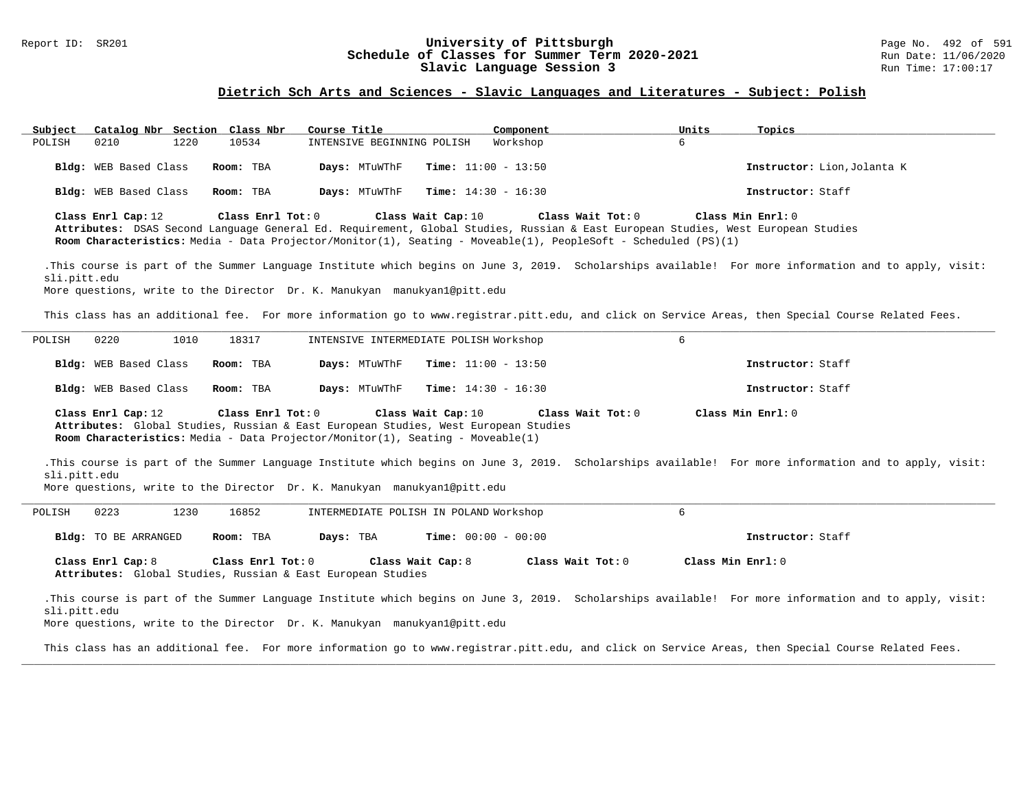#### Report ID: SR201 **192 of Schedule of Classes for Summer Term 2020-2021** Page No. 492 of 591 Page No. 492 of 591<br>**Schedule of Classes for Summer Term 2020-2021** Run Date: 11/06/2020 **Schedule of Classes for Summer Term 2020-2021** Run Date: 11/06/2020<br>Slavic Language Session 3 Run Time: 17:00:17 Slavic Language Session 3

### **Dietrich Sch Arts and Sciences - Slavic Languages and Literatures - Subject: Polish**

| Subject<br>Catalog Nbr Section Class Nbr                                                                                                                                                   |                   | Course Title                           | Component                                                                                                                           | Topics<br>Units                                                                                                                                       |                             |
|--------------------------------------------------------------------------------------------------------------------------------------------------------------------------------------------|-------------------|----------------------------------------|-------------------------------------------------------------------------------------------------------------------------------------|-------------------------------------------------------------------------------------------------------------------------------------------------------|-----------------------------|
| POLISH<br>0210<br>1220                                                                                                                                                                     | 10534             | INTENSIVE BEGINNING POLISH             | Workshop                                                                                                                            | 6                                                                                                                                                     |                             |
| Bldg: WEB Based Class                                                                                                                                                                      | Room: TBA         | Days: MTuWThF                          | <b>Time:</b> $11:00 - 13:50$                                                                                                        |                                                                                                                                                       | Instructor: Lion, Jolanta K |
| Bldg: WEB Based Class                                                                                                                                                                      | Room: TBA         | Days: MTuWThF                          | <b>Time:</b> $14:30 - 16:30$                                                                                                        | Instructor: Staff                                                                                                                                     |                             |
| Class Enrl Cap: 12                                                                                                                                                                         | Class Enrl Tot: 0 | Class Wait Cap: 10                     | Class Wait Tot: 0<br>Room Characteristics: Media - Data Projector/Monitor(1), Seating - Moveable(1), PeopleSoft - Scheduled (PS)(1) | Class Min Enrl: 0<br>Attributes: DSAS Second Language General Ed. Requirement, Global Studies, Russian & East European Studies, West European Studies |                             |
| sli.pitt.edu<br>More questions, write to the Director Dr. K. Manukyan manukyan1@pitt.edu                                                                                                   |                   |                                        |                                                                                                                                     | .This course is part of the Summer Language Institute which begins on June 3, 2019. Scholarships available! For more information and to apply, visit: |                             |
|                                                                                                                                                                                            |                   |                                        |                                                                                                                                     |                                                                                                                                                       |                             |
|                                                                                                                                                                                            |                   |                                        |                                                                                                                                     | This class has an additional fee. For more information go to www.registrar.pitt.edu, and click on Service Areas, then Special Course Related Fees.    |                             |
| POLISH<br>0220<br>1010                                                                                                                                                                     | 18317             | INTENSIVE INTERMEDIATE POLISH Workshop |                                                                                                                                     | 6                                                                                                                                                     |                             |
| Bldg: WEB Based Class                                                                                                                                                                      | Room: TBA         | Days: MTuWThF                          | <b>Time:</b> $11:00 - 13:50$                                                                                                        | Instructor: Staff                                                                                                                                     |                             |
|                                                                                                                                                                                            |                   |                                        |                                                                                                                                     |                                                                                                                                                       |                             |
| Bldg: WEB Based Class                                                                                                                                                                      | Room: TBA         | Days: MTuWThF                          | <b>Time:</b> $14:30 - 16:30$                                                                                                        | Instructor: Staff                                                                                                                                     |                             |
| Class Enrl Cap: 12<br>Attributes: Global Studies, Russian & East European Studies, West European Studies<br>Room Characteristics: Media - Data Projector/Monitor(1), Seating - Moveable(1) | Class Enrl Tot: 0 | Class Wait Cap: 10                     | Class Wait Tot: 0                                                                                                                   | Class Min Enrl: 0                                                                                                                                     |                             |
| sli.pitt.edu<br>More questions, write to the Director Dr. K. Manukyan manukyan1@pitt.edu                                                                                                   |                   |                                        |                                                                                                                                     | .This course is part of the Summer Language Institute which begins on June 3, 2019. Scholarships available! For more information and to apply, visit: |                             |
| 0223<br>1230<br>POLISH                                                                                                                                                                     | 16852             | INTERMEDIATE POLISH IN POLAND Workshop |                                                                                                                                     | 6                                                                                                                                                     |                             |
| Bldg: TO BE ARRANGED                                                                                                                                                                       | Room: TBA         | Days: TBA                              | <b>Time:</b> $00:00 - 00:00$                                                                                                        | Instructor: Staff                                                                                                                                     |                             |
| Class Enrl Cap: 8<br>Attributes: Global Studies, Russian & East European Studies                                                                                                           | Class Enrl Tot: 0 | Class Wait Cap: 8                      | Class Wait Tot: 0                                                                                                                   | Class Min Enrl: 0                                                                                                                                     |                             |

This class has an additional fee. For more information go to www.registrar.pitt.edu, and click on Service Areas, then Special Course Related Fees. **\_\_\_\_\_\_\_\_\_\_\_\_\_\_\_\_\_\_\_\_\_\_\_\_\_\_\_\_\_\_\_\_\_\_\_\_\_\_\_\_\_\_\_\_\_\_\_\_\_\_\_\_\_\_\_\_\_\_\_\_\_\_\_\_\_\_\_\_\_\_\_\_\_\_\_\_\_\_\_\_\_\_\_\_\_\_\_\_\_\_\_\_\_\_\_\_\_\_\_\_\_\_\_\_\_\_\_\_\_\_\_\_\_\_\_\_\_\_\_\_\_\_\_\_\_\_\_\_\_\_\_\_\_\_\_\_\_\_\_\_\_\_\_\_\_\_\_\_\_\_\_\_\_\_\_\_**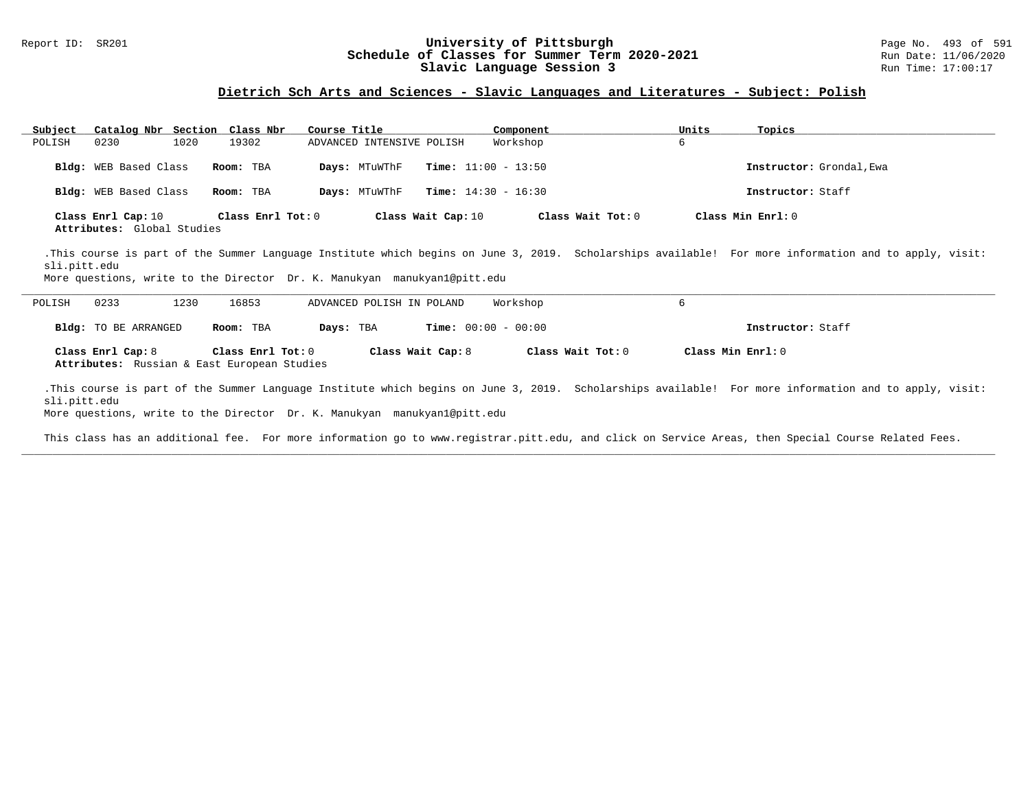### Report ID: SR201 **193 of Schedule of Classes for Summer Term 2020-2021** Page No. 493 of 591 Page No. 493 of 591<br>**Schedule of Classes for Summer Term 2020-2021** Run Date: 11/06/2020 **Schedule of Classes for Summer Term 2020-2021** Run Date: 11/06/2020<br>Slavic Language Session 3 Run Time: 17:00:17 Slavic Language Session 3

### **Dietrich Sch Arts and Sciences - Slavic Languages and Literatures - Subject: Polish**

| Catalog Nbr Section Class Nbr<br>Subject                                                 |                   | Course Title              | Component                    | Units             | Topics                                                                                                                                                |
|------------------------------------------------------------------------------------------|-------------------|---------------------------|------------------------------|-------------------|-------------------------------------------------------------------------------------------------------------------------------------------------------|
| POLISH<br>1020<br>0230                                                                   | 19302             | ADVANCED INTENSIVE POLISH | Workshop                     | 6                 |                                                                                                                                                       |
| <b>Bldg:</b> WEB Based Class                                                             | Room: TBA         | Days: MTuWThF             | <b>Time:</b> $11:00 - 13:50$ |                   | Instructor: Grondal, Ewa                                                                                                                              |
| <b>Bldg:</b> WEB Based Class                                                             | Room: TBA         | Days: MTuWThF             | <b>Time:</b> $14:30 - 16:30$ |                   | Instructor: Staff                                                                                                                                     |
| Class Enrl Cap: 10<br>Attributes: Global Studies                                         | Class Enrl Tot: 0 | Class Wait Cap: 10        |                              | Class Wait Tot: 0 | Class Min Enrl: 0                                                                                                                                     |
| sli.pitt.edu<br>More questions, write to the Director Dr. K. Manukyan manukyanl@pitt.edu |                   |                           |                              |                   | .This course is part of the Summer Language Institute which begins on June 3, 2019. Scholarships available! For more information and to apply, visit: |
| 0233<br>1230<br>POLISH                                                                   | 16853             | ADVANCED POLISH IN POLAND | Workshop                     | 6                 |                                                                                                                                                       |
| <b>Bldg:</b> TO BE ARRANGED                                                              | Room: TBA         | Days: TBA                 | <b>Time:</b> $00:00 - 00:00$ |                   | Instructor: Staff                                                                                                                                     |
| Class Enrl Cap: 8<br>Attributes: Russian & East European Studies                         | Class Enrl Tot: 0 | Class Wait Cap: 8         |                              | Class Wait Tot: 0 | Class Min Enrl: 0                                                                                                                                     |
| sli.pitt.edu<br>More questions, write to the Director Dr. K. Manukyan manukyan1@pitt.edu |                   |                           |                              |                   | .This course is part of the Summer Language Institute which begins on June 3, 2019. Scholarships available! For more information and to apply, visit: |

This class has an additional fee. For more information go to www.registrar.pitt.edu, and click on Service Areas, then Special Course Related Fees. **\_\_\_\_\_\_\_\_\_\_\_\_\_\_\_\_\_\_\_\_\_\_\_\_\_\_\_\_\_\_\_\_\_\_\_\_\_\_\_\_\_\_\_\_\_\_\_\_\_\_\_\_\_\_\_\_\_\_\_\_\_\_\_\_\_\_\_\_\_\_\_\_\_\_\_\_\_\_\_\_\_\_\_\_\_\_\_\_\_\_\_\_\_\_\_\_\_\_\_\_\_\_\_\_\_\_\_\_\_\_\_\_\_\_\_\_\_\_\_\_\_\_\_\_\_\_\_\_\_\_\_\_\_\_\_\_\_\_\_\_\_\_\_\_\_\_\_\_\_\_\_\_\_\_\_\_**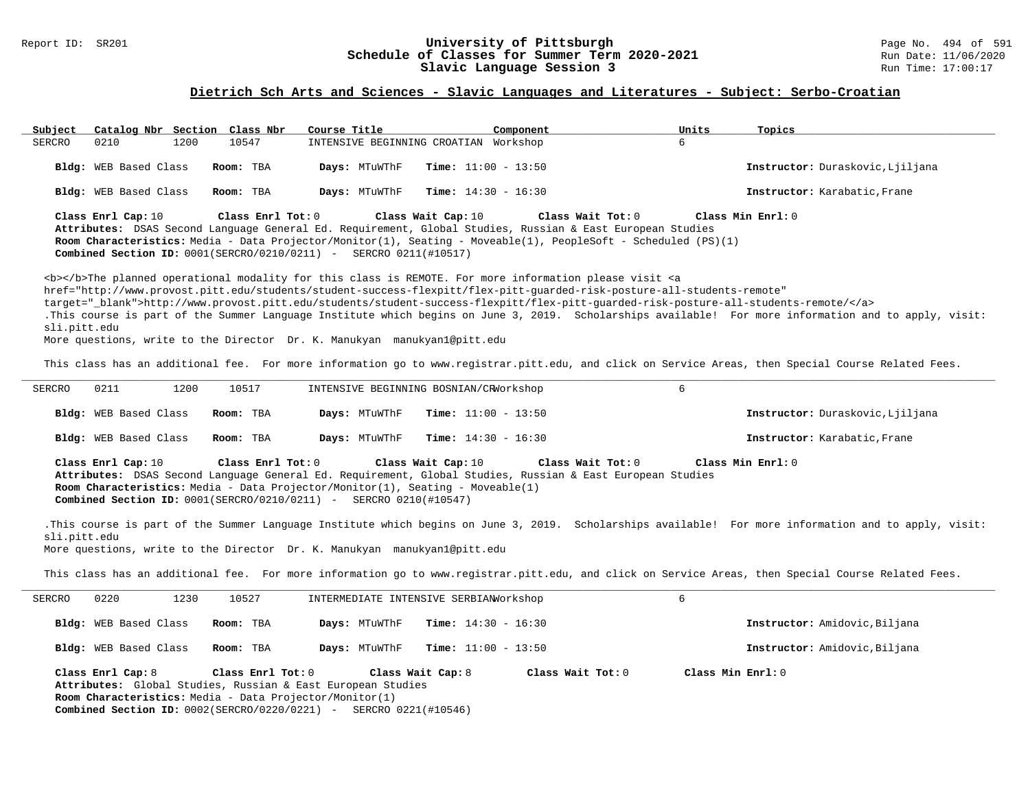#### Report ID: SR201 **194 CHE SCHED CONGRESS UNIVERSITY Of Pittsburgh** Page No. 494 of 591 Page No. 494 of 591 **Schedule of Classes for Summer Term 2020–2021** Run Date: 11/06/2020 **Schedule of Classes for Summer Term 2020-2021** Run Date: 11/06/2021<br>Slavic Language Session 3 Run Time: 17:00:17 Slavic Language Session 3

# **Dietrich Sch Arts and Sciences - Slavic Languages and Literatures - Subject: Serbo-Croatian**

| Subject       | Catalog Nbr Section Class Nbr                                                |                   | Course Title                                                                                                                                                 |                              | Component                                                                                                                                                                                                                                                                                                                                                                          | Units             | Topics                                                                                                                                                                                                                                                                                                      |
|---------------|------------------------------------------------------------------------------|-------------------|--------------------------------------------------------------------------------------------------------------------------------------------------------------|------------------------------|------------------------------------------------------------------------------------------------------------------------------------------------------------------------------------------------------------------------------------------------------------------------------------------------------------------------------------------------------------------------------------|-------------------|-------------------------------------------------------------------------------------------------------------------------------------------------------------------------------------------------------------------------------------------------------------------------------------------------------------|
| SERCRO        | 0210<br>1200                                                                 | 10547             | INTENSIVE BEGINNING CROATIAN Workshop                                                                                                                        |                              |                                                                                                                                                                                                                                                                                                                                                                                    | б.                |                                                                                                                                                                                                                                                                                                             |
|               | Bldg: WEB Based Class                                                        | Room: TBA         | Days: MTuWThF                                                                                                                                                | <b>Time:</b> $11:00 - 13:50$ |                                                                                                                                                                                                                                                                                                                                                                                    |                   | Instructor: Duraskovic, Ljiljana                                                                                                                                                                                                                                                                            |
|               | Bldg: WEB Based Class                                                        | Room: TBA         | Days: MTuWThF                                                                                                                                                | <b>Time:</b> $14:30 - 16:30$ |                                                                                                                                                                                                                                                                                                                                                                                    |                   | Instructor: Karabatic, Frane                                                                                                                                                                                                                                                                                |
|               | Class Enrl Cap: 10                                                           | Class Enrl Tot: 0 | <b>Combined Section ID:</b> $0001(SERCRO/0210/0211)$ - SERCRO 0211(#10517)                                                                                   | Class Wait Cap: 10           | Class Wait Tot: 0<br>Attributes: DSAS Second Language General Ed. Requirement, Global Studies, Russian & East European Studies<br>Room Characteristics: Media - Data Projector/Monitor(1), Seating - Moveable(1), PeopleSoft - Scheduled (PS)(1)                                                                                                                                   |                   | Class Min Enrl: 0                                                                                                                                                                                                                                                                                           |
| sli.pitt.edu  |                                                                              |                   | More questions, write to the Director Dr. K. Manukyan manukyan1@pitt.edu                                                                                     |                              | <b></b> The planned operational modality for this class is REMOTE. For more information please visit <a<br>href="http://www.provost.pitt.edu/students/student-success-flexpitt/flex-pitt-quarded-risk-posture-all-students-remote"<br/>target=" blank"&gt;http://www.provost.pitt.edu/students/student-success-flexpitt/flex-pitt-quarded-risk-posture-all-students-remote/</a<br> |                   | .This course is part of the Summer Language Institute which begins on June 3, 2019. Scholarships available! For more information and to apply, visit:<br>This class has an additional fee. For more information go to www.registrar.pitt.edu, and click on Service Areas, then Special Course Related Fees. |
| <b>SERCRO</b> | 0211<br>1200                                                                 | 10517             | INTENSIVE BEGINNING BOSNIAN/CRWorkshop                                                                                                                       |                              |                                                                                                                                                                                                                                                                                                                                                                                    | 6                 |                                                                                                                                                                                                                                                                                                             |
|               | Bldg: WEB Based Class                                                        | Room: TBA         | Days: MTuWThF                                                                                                                                                | <b>Time:</b> $11:00 - 13:50$ |                                                                                                                                                                                                                                                                                                                                                                                    |                   | Instructor: Duraskovic, Ljiljana                                                                                                                                                                                                                                                                            |
|               | Bldg: WEB Based Class                                                        | Room: TBA         | Days: MTuWThF                                                                                                                                                | <b>Time:</b> $14:30 - 16:30$ |                                                                                                                                                                                                                                                                                                                                                                                    |                   | Instructor: Karabatic, Frane                                                                                                                                                                                                                                                                                |
|               | Class Enrl Cap: 10                                                           | Class Enrl Tot: 0 | Room Characteristics: Media - Data Projector/Monitor(1), Seating - Moveable(1)<br><b>Combined Section ID:</b> $0001(SERCRO/0210/0211)$ - SERCRO 0210(#10547) | Class Wait Cap: 10           | Class Wait Tot: 0<br>Attributes: DSAS Second Language General Ed. Requirement, Global Studies, Russian & East European Studies                                                                                                                                                                                                                                                     |                   | Class Min Enrl: 0                                                                                                                                                                                                                                                                                           |
| sli.pitt.edu  |                                                                              |                   | More questions, write to the Director Dr. K. Manukyan manukyanl@pitt.edu                                                                                     |                              |                                                                                                                                                                                                                                                                                                                                                                                    |                   | .This course is part of the Summer Language Institute which begins on June 3, 2019. Scholarships available! For more information and to apply, visit:                                                                                                                                                       |
|               |                                                                              |                   |                                                                                                                                                              |                              |                                                                                                                                                                                                                                                                                                                                                                                    |                   | This class has an additional fee. For more information go to www.registrar.pitt.edu, and click on Service Areas, then Special Course Related Fees.                                                                                                                                                          |
| <b>SERCRO</b> | 1230<br>0220                                                                 | 10527             | INTERMEDIATE INTENSIVE SERBIAN Orkshop                                                                                                                       |                              |                                                                                                                                                                                                                                                                                                                                                                                    | 6                 |                                                                                                                                                                                                                                                                                                             |
|               | Bldg: WEB Based Class                                                        | Room: TBA         | Days: MTuWThF                                                                                                                                                | <b>Time:</b> $14:30 - 16:30$ |                                                                                                                                                                                                                                                                                                                                                                                    |                   | Instructor: Amidovic, Biljana                                                                                                                                                                                                                                                                               |
|               | Bldg: WEB Based Class                                                        | Room: TBA         | Days: MTuWThF                                                                                                                                                | <b>Time:</b> $11:00 - 13:50$ |                                                                                                                                                                                                                                                                                                                                                                                    |                   | Instructor: Amidovic, Biljana                                                                                                                                                                                                                                                                               |
|               | Class Enrl Cap: 8<br>Room Characteristics: Media - Data Projector/Monitor(1) | Class Enrl Tot: 0 | Attributes: Global Studies, Russian & East European Studies<br><b>Combined Section ID: 0002(SERCRO/0220/0221) - SERCRO 0221(#10546)</b>                      | Class Wait Cap: 8            | Class Wait Tot: 0                                                                                                                                                                                                                                                                                                                                                                  | Class Min Enrl: 0 |                                                                                                                                                                                                                                                                                                             |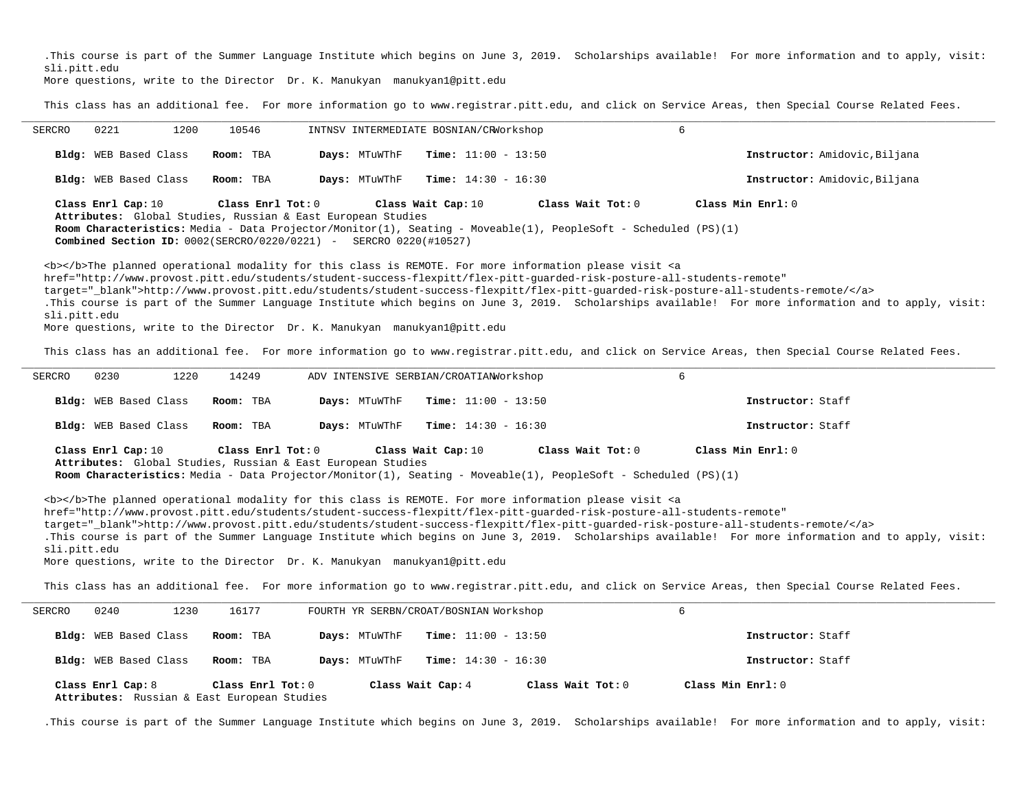.This course is part of the Summer Language Institute which begins on June 3, 2019. Scholarships available! For more information and to apply, visit: sli.pitt.edu

More questions, write to the Director Dr. K. Manukyan manukyan1@pitt.edu

This class has an additional fee. For more information go to www.registrar.pitt.edu, and click on Service Areas, then Special Course Related Fees.

| SERCRO       | 0221<br>1200                 | 10546                                                | INTNSV INTERMEDIATE BOSNIAN/CRWorkshop                                     |                              |                                                                                                                               | 6                                                                                                                                                     |
|--------------|------------------------------|------------------------------------------------------|----------------------------------------------------------------------------|------------------------------|-------------------------------------------------------------------------------------------------------------------------------|-------------------------------------------------------------------------------------------------------------------------------------------------------|
|              | <b>Bldg:</b> WEB Based Class | Room: TBA                                            | Days: MTuWThF                                                              | <b>Time:</b> $11:00 - 13:50$ |                                                                                                                               | Instructor: Amidovic, Biljana                                                                                                                         |
|              | <b>Bldg:</b> WEB Based Class | Room: TBA                                            | Days: MTuWThF                                                              | <b>Time:</b> $14:30 - 16:30$ |                                                                                                                               | Instructor: Amidovic, Biljana                                                                                                                         |
|              | Class Enrl Cap: 10           | $\texttt{Class}$ $\texttt{Enrl}$ $\texttt{Tot:}$ $0$ |                                                                            | Class Wait Cap: 10           | Class Wait $Tot: 0$                                                                                                           | Class Min $Enrl: 0$                                                                                                                                   |
|              |                              |                                                      | Attributes: Global Studies, Russian & East European Studies                |                              | Room Characteristics: Media - Data Projector/Monitor(1), Seating - Moveable(1), PeopleSoft - Scheduled (PS)(1)                |                                                                                                                                                       |
|              |                              |                                                      | <b>Combined Section ID:</b> $0002(SERCRO/0220/0221)$ - SERCRO 0220(#10527) |                              |                                                                                                                               |                                                                                                                                                       |
|              |                              |                                                      |                                                                            |                              | <b></b> The planned operational modality for this class is REMOTE. For more information please visit <a< th=""><th></th></a<> |                                                                                                                                                       |
|              |                              |                                                      |                                                                            |                              | href="http://www.provost.pitt.edu/students/student-success-flexpitt/flex-pitt-quarded-risk-posture-all-students-remote"       |                                                                                                                                                       |
|              |                              |                                                      |                                                                            |                              |                                                                                                                               | target="blank">http://www.provost.pitt.edu/students/student-success-flexpitt/flex-pitt-quarded-risk-posture-all-students-remote/                      |
|              |                              |                                                      |                                                                            |                              |                                                                                                                               | .This course is part of the Summer Language Institute which begins on June 3, 2019. Scholarships available! For more information and to apply, visit: |
| sli.pitt.edu |                              |                                                      |                                                                            |                              |                                                                                                                               |                                                                                                                                                       |
|              |                              |                                                      | More questions, write to the Director Dr. K. Manukyan manukyan1@pitt.edu   |                              |                                                                                                                               |                                                                                                                                                       |

This class has an additional fee. For more information go to www.registrar.pitt.edu, and click on Service Areas, then Special Course Related Fees.

| 0230<br>SERCRO               | 14249<br>1220 | ADV INTENSIVE SERBIAN/CROATIAN Workshop                                          |                              |                                                                                                                                     |                   |  |
|------------------------------|---------------|----------------------------------------------------------------------------------|------------------------------|-------------------------------------------------------------------------------------------------------------------------------------|-------------------|--|
| <b>Bldg:</b> WEB Based Class | Room: TBA     | Days: MTuWThF                                                                    | <b>Time:</b> $11:00 - 13:50$ |                                                                                                                                     | Instructor: Staff |  |
| <b>Bldg:</b> WEB Based Class | Room: TBA     | Days: MTuWThF                                                                    | $Time: 14:30 - 16:30$        |                                                                                                                                     | Instructor: Staff |  |
| Class Enrl Cap: 10           |               | Class Enrl Tot: 0<br>Attributes: Global Studies, Russian & East European Studies | Class Wait Cap: 10           | Class Wait Tot: 0<br>Room Characteristics: Media - Data Projector/Monitor(1), Seating - Moveable(1), PeopleSoft - Scheduled (PS)(1) | Class Min Enrl: 0 |  |

<b></b>The planned operational modality for this class is REMOTE. For more information please visit <a href="http://www.provost.pitt.edu/students/student-success-flexpitt/flex-pitt-guarded-risk-posture-all-students-remote" target="\_blank">http://www.provost.pitt.edu/students/student-success-flexpitt/flex-pitt-guarded-risk-posture-all-students-remote/</a> .This course is part of the Summer Language Institute which begins on June 3, 2019. Scholarships available! For more information and to apply, visit: sli.pitt.edu More questions, write to the Director Dr. K. Manukyan manukyan1@pitt.edu

This class has an additional fee. For more information go to www.registrar.pitt.edu, and click on Service Areas, then Special Course Related Fees.

| SERCRO | 0240                         | 16177<br>1230                                                        |               | FOURTH YR SERBN/CROAT/BOSNIAN Workshop |                   |  |
|--------|------------------------------|----------------------------------------------------------------------|---------------|----------------------------------------|-------------------|--|
|        | <b>Bldg:</b> WEB Based Class | Room: TBA                                                            | Days: MTuWThF | <b>Time:</b> $11:00 - 13:50$           | Instructor: Staff |  |
|        | Bldg: WEB Based Class        | Room: TBA                                                            | Days: MTuWThF | <b>Time:</b> $14:30 - 16:30$           | Instructor: Staff |  |
|        | Class Enrl Cap: 8            | Class $Enr1$ Tot: $0$<br>Attributes: Russian & East European Studies |               | Class Wait Tot: 0<br>Class Wait Cap: 4 | Class Min Enrl: 0 |  |

.This course is part of the Summer Language Institute which begins on June 3, 2019. Scholarships available! For more information and to apply, visit: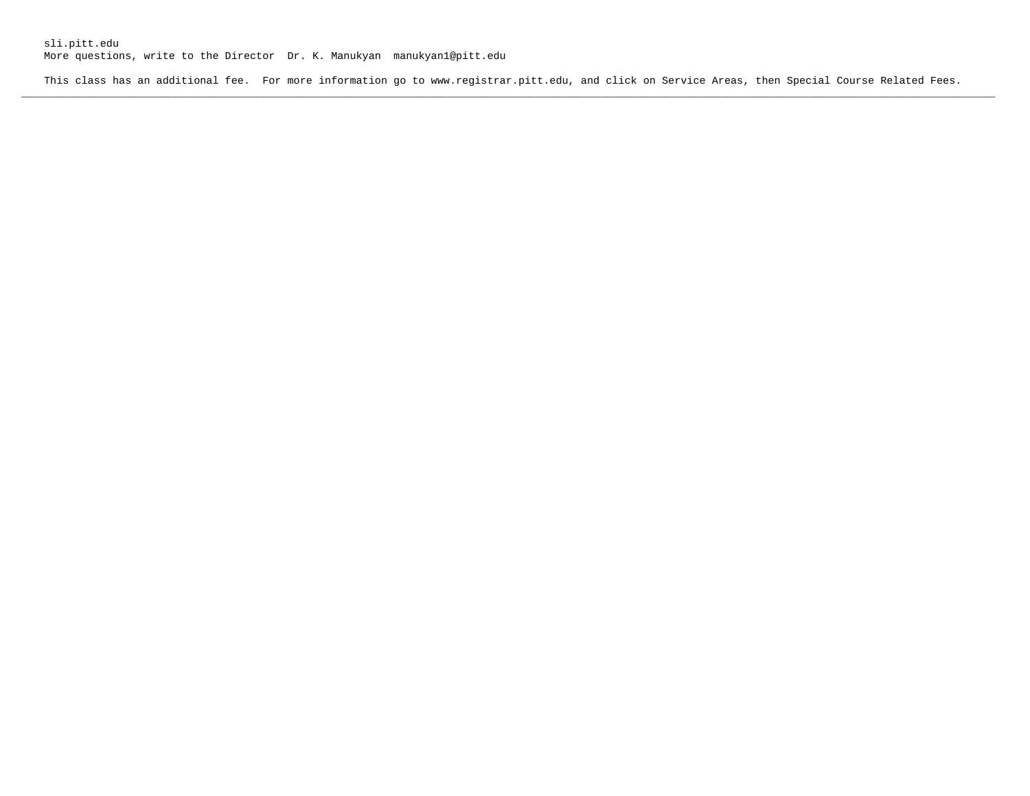More questions, write to the Director Dr. K. Manukyan manukyan1@pitt.edu

This class has an additional fee. For more information go to www.registrar.pitt.edu, and click on Service Areas, then Special Course Related Fees. **\_\_\_\_\_\_\_\_\_\_\_\_\_\_\_\_\_\_\_\_\_\_\_\_\_\_\_\_\_\_\_\_\_\_\_\_\_\_\_\_\_\_\_\_\_\_\_\_\_\_\_\_\_\_\_\_\_\_\_\_\_\_\_\_\_\_\_\_\_\_\_\_\_\_\_\_\_\_\_\_\_\_\_\_\_\_\_\_\_\_\_\_\_\_\_\_\_\_\_\_\_\_\_\_\_\_\_\_\_\_\_\_\_\_\_\_\_\_\_\_\_\_\_\_\_\_\_\_\_\_\_\_\_\_\_\_\_\_\_\_\_\_\_\_\_\_\_\_\_\_\_\_\_\_\_\_**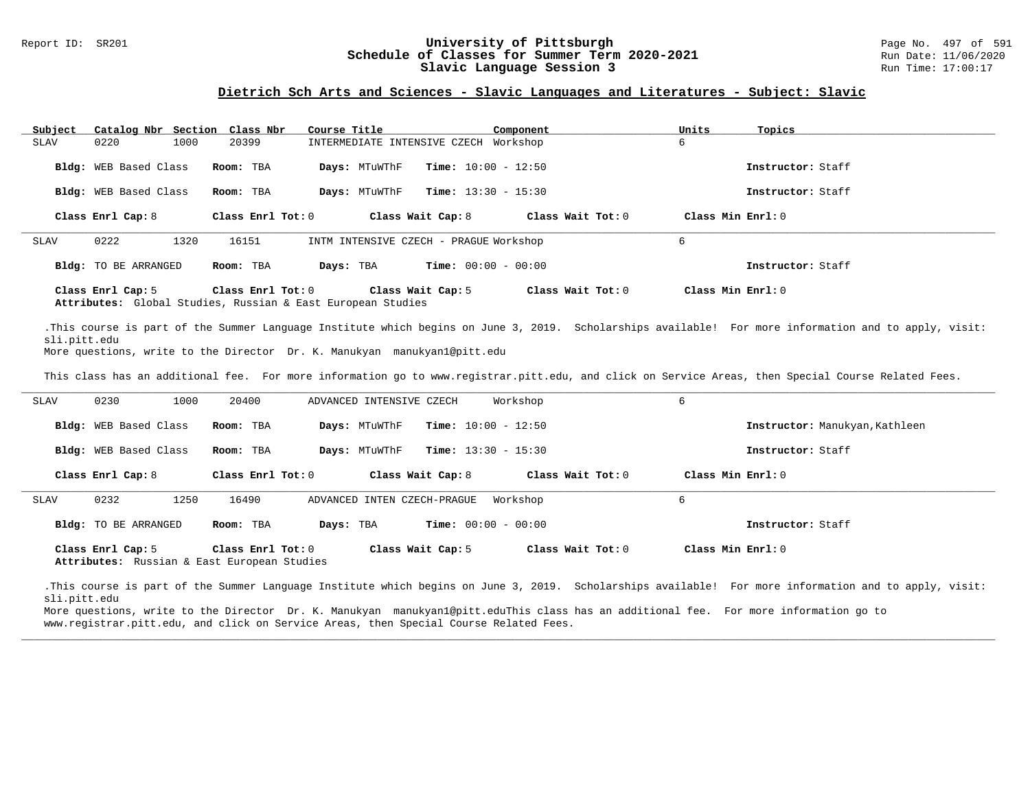#### Report ID: SR201 **197 of Schedule of Classes for Summer Term 2020-2021** Page No. 497 of 591 Page No. 497 of 591<br>**Schedule of Classes for Summer Term 2020-2021** Run Date: 11/06/2020 **Schedule of Classes for Summer Term 2020-2021** Run Date: 11/06/2021<br>Slavic Language Session 3 Run Time: 17:00:17 Slavic Language Session 3

#### **Dietrich Sch Arts and Sciences - Slavic Languages and Literatures - Subject: Slavic**

| Subject     | Catalog Nbr Section Class Nbr |                   | Course Title                                                                     | Component                    | Units<br>Topics   |  |
|-------------|-------------------------------|-------------------|----------------------------------------------------------------------------------|------------------------------|-------------------|--|
| SLAV        | 0220<br>1000                  | 20399             | INTERMEDIATE INTENSIVE CZECH Workshop                                            |                              | 6                 |  |
|             | Bldg: WEB Based Class         | Room: TBA         | Days: MTuWThF                                                                    | <b>Time:</b> $10:00 - 12:50$ | Instructor: Staff |  |
|             | Bldg: WEB Based Class         | Room: TBA         | Days: MTuWThF                                                                    | <b>Time:</b> $13:30 - 15:30$ | Instructor: Staff |  |
|             | Class Enrl Cap: 8             | Class Enrl Tot: 0 | Class Wait Cap: 8                                                                | Class Wait Tot: 0            | Class Min Enrl: 0 |  |
| <b>SLAV</b> | 0222<br>1320                  | 16151             | INTM INTENSIVE CZECH - PRAGUE Workshop                                           |                              | 6                 |  |
|             | Bldg: TO BE ARRANGED          | Room: TBA         | Days: TBA                                                                        | <b>Time:</b> $00:00 - 00:00$ | Instructor: Staff |  |
|             | Class Enrl Cap: 5             | Class Enrl Tot: 0 | Class Wait Cap: 5<br>Attributes: Clobal Studies, Russian & Fast Furopean Studies | Class Wait Tot: 0            | Class Min Enrl: 0 |  |

**Attributes:** Global Studies, Russian & East European Studies

.This course is part of the Summer Language Institute which begins on June 3, 2019. Scholarships available! For more information and to apply, visit: sli.pitt.edu

More questions, write to the Director Dr. K. Manukyan manukyan1@pitt.edu

This class has an additional fee. For more information go to www.registrar.pitt.edu, and click on Service Areas, then Special Course Related Fees.

| SLAV        | 0230<br>1000          | 20400                                                            | ADVANCED INTENSIVE CZECH                      | Workshop            | 6                              |
|-------------|-----------------------|------------------------------------------------------------------|-----------------------------------------------|---------------------|--------------------------------|
|             | Bldg: WEB Based Class | Room: TBA                                                        | <b>Time:</b> $10:00 - 12:50$<br>Days: MTuWThF |                     | Instructor: Manukyan, Kathleen |
|             | Bldg: WEB Based Class | Room: TBA                                                        | <b>Time:</b> $13:30 - 15:30$<br>Days: MTuWThF |                     | Instructor: Staff              |
|             | Class Enrl Cap: 8     | Class Enrl Tot: 0                                                | Class Wait Cap: 8                             | Class Wait Tot: $0$ | Class Min Enrl: 0              |
| <b>SLAV</b> | 0232<br>1250          | 16490                                                            | ADVANCED INTEN CZECH-PRAGUE                   | Workshop            | 6                              |
|             | Bldg: TO BE ARRANGED  | Room: TBA<br>Days: TBA                                           | <b>Time:</b> $00:00 - 00:00$                  |                     | Instructor: Staff              |
|             | Class Enrl Cap: 5     | Class Enrl Tot: 0<br>Attributes: Russian & East European Studies | Class Wait Cap: 5                             | Class Wait Tot: 0   | Class Min Enrl: 0              |

.This course is part of the Summer Language Institute which begins on June 3, 2019. Scholarships available! For more information and to apply, visit: sli.pitt.edu

**\_\_\_\_\_\_\_\_\_\_\_\_\_\_\_\_\_\_\_\_\_\_\_\_\_\_\_\_\_\_\_\_\_\_\_\_\_\_\_\_\_\_\_\_\_\_\_\_\_\_\_\_\_\_\_\_\_\_\_\_\_\_\_\_\_\_\_\_\_\_\_\_\_\_\_\_\_\_\_\_\_\_\_\_\_\_\_\_\_\_\_\_\_\_\_\_\_\_\_\_\_\_\_\_\_\_\_\_\_\_\_\_\_\_\_\_\_\_\_\_\_\_\_\_\_\_\_\_\_\_\_\_\_\_\_\_\_\_\_\_\_\_\_\_\_\_\_\_\_\_\_\_\_\_\_\_**

More questions, write to the Director Dr. K. Manukyan manukyan1@pitt.eduThis class has an additional fee. For more information go to www.registrar.pitt.edu, and click on Service Areas, then Special Course Related Fees.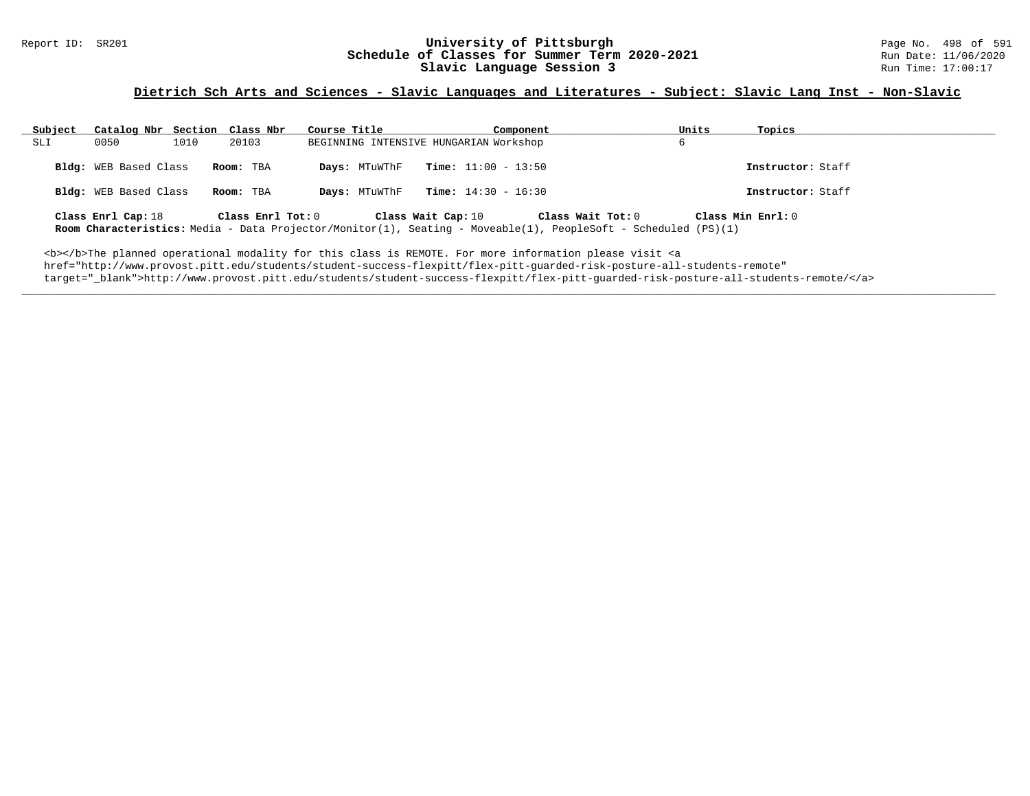#### Report ID: SR201 **198 of 591 University of Pittsburgh University of Pittsburgh** Page No. 498 of 591 **Schedule of Classes for Summer Term 2020-2021** Run Date: 11/06/2021<br>Slavic Language Session 3 Run Time: 17:00:17 Slavic Language Session 3

### **Dietrich Sch Arts and Sciences - Slavic Languages and Literatures - Subject: Slavic Lang Inst - Non-Slavic**

| Subject | Catalog Nbr Section Class Nbr |               | Course Title      |                                        | Component             |                                                                                                                                     | Units             | Topics            |
|---------|-------------------------------|---------------|-------------------|----------------------------------------|-----------------------|-------------------------------------------------------------------------------------------------------------------------------------|-------------------|-------------------|
| SLI     | 0050                          | 1010<br>20103 |                   | BEGINNING INTENSIVE HUNGARIAN Workshop |                       |                                                                                                                                     |                   |                   |
|         | <b>Bldg:</b> WEB Based Class  | Room: TBA     |                   | Days: MTuWThF                          | $Time: 11:00 - 13:50$ |                                                                                                                                     |                   | Instructor: Staff |
|         | Bldg: WEB Based Class         | Room: TBA     |                   | Days: MTuWThF                          | $Time: 14:30 - 16:30$ |                                                                                                                                     |                   | Instructor: Staff |
|         | Class Enrl Cap: 18            |               | Class Enrl Tot: 0 | Class Wait Cap: 10                     |                       | Class Wait Tot: 0<br>Room Characteristics: Media - Data Projector/Monitor(1), Seating - Moveable(1), PeopleSoft - Scheduled (PS)(1) | Class Min Enrl: 0 |                   |

**\_\_\_\_\_\_\_\_\_\_\_\_\_\_\_\_\_\_\_\_\_\_\_\_\_\_\_\_\_\_\_\_\_\_\_\_\_\_\_\_\_\_\_\_\_\_\_\_\_\_\_\_\_\_\_\_\_\_\_\_\_\_\_\_\_\_\_\_\_\_\_\_\_\_\_\_\_\_\_\_\_\_\_\_\_\_\_\_\_\_\_\_\_\_\_\_\_\_\_\_\_\_\_\_\_\_\_\_\_\_\_\_\_\_\_\_\_\_\_\_\_\_\_\_\_\_\_\_\_\_\_\_\_\_\_\_\_\_\_\_\_\_\_\_\_\_\_\_\_\_\_\_\_\_\_\_**

<b></b>The planned operational modality for this class is REMOTE. For more information please visit <a href="http://www.provost.pitt.edu/students/student-success-flexpitt/flex-pitt-guarded-risk-posture-all-students-remote" target="\_blank">http://www.provost.pitt.edu/students/student-success-flexpitt/flex-pitt-guarded-risk-posture-all-students-remote/</a>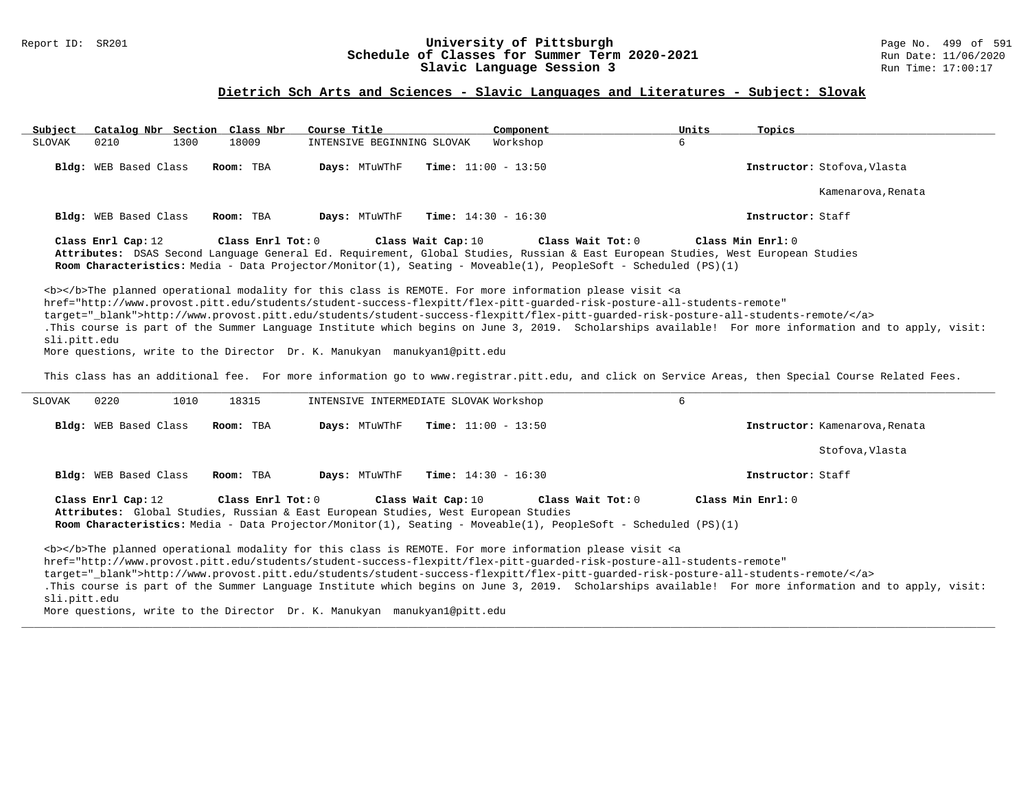### Report ID: SR201 **University of Pittsburgh** Page No. 499 of 591 **Schedule of Classes for Summer Term 2020-2021** Run Date: 11/06/2020 **Slavic Language Session 3** Run Time: 17:00:17

### **Dietrich Sch Arts and Sciences - Slavic Languages and Literatures - Subject: Slovak**

| Subject       | Catalog Nbr Section Class Nbr |                   | Course Title                                                                                             | Component                                                                                                                                                                                                                                                                                                                                                                          | Units | Topics                                                                                                                                                |
|---------------|-------------------------------|-------------------|----------------------------------------------------------------------------------------------------------|------------------------------------------------------------------------------------------------------------------------------------------------------------------------------------------------------------------------------------------------------------------------------------------------------------------------------------------------------------------------------------|-------|-------------------------------------------------------------------------------------------------------------------------------------------------------|
| <b>SLOVAK</b> | 0210<br>1300                  | 18009             | INTENSIVE BEGINNING SLOVAK                                                                               | Workshop                                                                                                                                                                                                                                                                                                                                                                           | 6     |                                                                                                                                                       |
|               | Bldg: WEB Based Class         | Room: TBA         | Days: MTuWThF                                                                                            | <b>Time:</b> $11:00 - 13:50$                                                                                                                                                                                                                                                                                                                                                       |       | Instructor: Stofova, Vlasta                                                                                                                           |
|               |                               |                   |                                                                                                          |                                                                                                                                                                                                                                                                                                                                                                                    |       | Kamenarova, Renata                                                                                                                                    |
|               | Bldg: WEB Based Class         | Room: TBA         | Days: MTuWThF                                                                                            | <b>Time:</b> $14:30 - 16:30$                                                                                                                                                                                                                                                                                                                                                       |       | Instructor: Staff                                                                                                                                     |
|               | Class Enrl Cap: 12            | Class Enrl Tot: 0 | Class Wait Cap: 10                                                                                       | Class Wait Tot: 0<br>Attributes: DSAS Second Language General Ed. Requirement, Global Studies, Russian & East European Studies, West European Studies<br>Room Characteristics: Media - Data Projector/Monitor(1), Seating - Moveable(1), PeopleSoft - Scheduled (PS)(1)                                                                                                            |       | Class Min Enrl: 0                                                                                                                                     |
| sli.pitt.edu  |                               |                   | More questions, write to the Director Dr. K. Manukyan manukyan1@pitt.edu                                 | <b></b> The planned operational modality for this class is REMOTE. For more information please visit <a<br>href="http://www.provost.pitt.edu/students/student-success-flexpitt/flex-pitt-quarded-risk-posture-all-students-remote"<br/>target="_blank"&gt;http://www.provost.pitt.edu/students/student-success-flexpitt/flex-pitt-guarded-risk-posture-all-students-remote/</a<br> |       | .This course is part of the Summer Language Institute which begins on June 3, 2019. Scholarships available! For more information and to apply, visit: |
|               |                               |                   |                                                                                                          |                                                                                                                                                                                                                                                                                                                                                                                    |       | This class has an additional fee. For more information go to www.registrar.pitt.edu, and click on Service Areas, then Special Course Related Fees.    |
| <b>SLOVAK</b> | 0220<br>1010                  | 18315             | INTENSIVE INTERMEDIATE SLOVAK Workshop                                                                   |                                                                                                                                                                                                                                                                                                                                                                                    | 6     |                                                                                                                                                       |
|               | Bldg: WEB Based Class         | Room: TBA         | Days: MTuWThF                                                                                            | <b>Time:</b> $11:00 - 13:50$                                                                                                                                                                                                                                                                                                                                                       |       | Instructor: Kamenarova, Renata                                                                                                                        |
|               |                               |                   |                                                                                                          |                                                                                                                                                                                                                                                                                                                                                                                    |       | Stofova, Vlasta                                                                                                                                       |
|               | Bldg: WEB Based Class         | Room: TBA         | Days: MTuWThF                                                                                            | <b>Time:</b> $14:30 - 16:30$                                                                                                                                                                                                                                                                                                                                                       |       | Instructor: Staff                                                                                                                                     |
|               | Class Enrl Cap: 12            | Class Enrl Tot: 0 | Class Wait Cap: 10<br>Attributes: Global Studies, Russian & East European Studies, West European Studies | Class Wait Tot: 0<br>Room Characteristics: Media - Data Projector/Monitor(1), Seating - Moveable(1), PeopleSoft - Scheduled (PS)(1)                                                                                                                                                                                                                                                |       | Class Min $Enrl: 0$                                                                                                                                   |
| sli.pitt.edu  |                               |                   | More questions, write to the Director Dr. K. Manukyan manukyanl@pitt.edu                                 | <b></b> The planned operational modality for this class is REMOTE. For more information please visit <a<br>href="http://www.provost.pitt.edu/students/student-success-flexpitt/flex-pitt-quarded-risk-posture-all-students-remote"<br/>target="_blank"&gt;http://www.provost.pitt.edu/students/student-success-flexpitt/flex-pitt-quarded-risk-posture-all-students-remote/</a<br> |       | .This course is part of the Summer Language Institute which begins on June 3, 2019. Scholarships available! For more information and to apply, visit: |

**\_\_\_\_\_\_\_\_\_\_\_\_\_\_\_\_\_\_\_\_\_\_\_\_\_\_\_\_\_\_\_\_\_\_\_\_\_\_\_\_\_\_\_\_\_\_\_\_\_\_\_\_\_\_\_\_\_\_\_\_\_\_\_\_\_\_\_\_\_\_\_\_\_\_\_\_\_\_\_\_\_\_\_\_\_\_\_\_\_\_\_\_\_\_\_\_\_\_\_\_\_\_\_\_\_\_\_\_\_\_\_\_\_\_\_\_\_\_\_\_\_\_\_\_\_\_\_\_\_\_\_\_\_\_\_\_\_\_\_\_\_\_\_\_\_\_\_\_\_\_\_\_\_\_\_\_**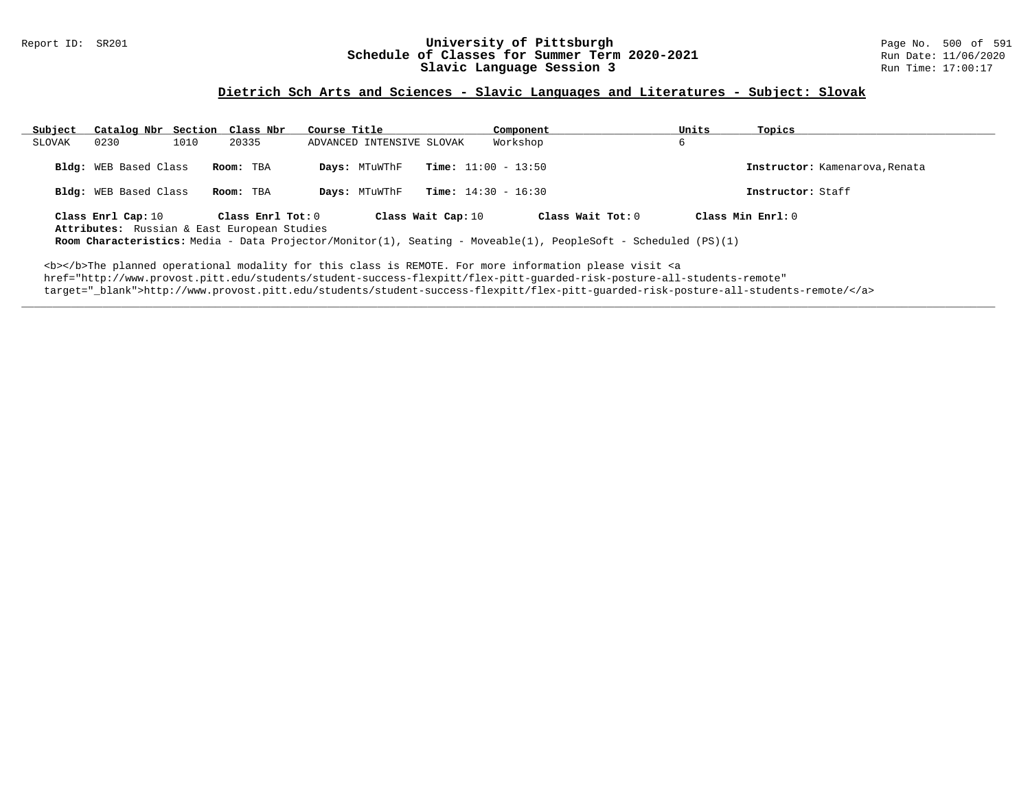#### Report ID: SR201 **1988 Manufage 10: SChedule of Classes for Summer Term 2020-2021** Page No. 500 of 591 Page No. 500 of 591 Bage No. 500 of 591 Bage 11/06/2020 **Schedule of Classes for Summer Term 2020-2021** Run Date: 11/06/2020<br>Slavic Language Session 3 Run Time: 17:00:17 Slavic Language Session 3

### **Dietrich Sch Arts and Sciences - Slavic Languages and Literatures - Subject: Slovak**

| Subject | Catalog Nbr Section Class Nbr                  |      |                                                                  | Course Title |                                |  | Component                                                                                                                             | Units | Topics                                              |
|---------|------------------------------------------------|------|------------------------------------------------------------------|--------------|--------------------------------|--|---------------------------------------------------------------------------------------------------------------------------------------|-------|-----------------------------------------------------|
| SLOVAK  | 0230                                           | 1010 | 20335                                                            |              | ADVANCED INTENSIVE SLOVAK      |  | Workshop                                                                                                                              | 6     |                                                     |
|         | Bldg: WEB Based Class<br>Bldg: WEB Based Class |      | Room: TBA<br>Room: TBA                                           |              | Days: MTuWThF<br>Days: MTuWThF |  | <b>Time:</b> $11:00 - 13:50$<br><b>Time:</b> $14:30 - 16:30$                                                                          |       | Instructor: Kamenarova, Renata<br>Instructor: Staff |
|         | Class Enrl Cap: 10                             |      | Class Enrl Tot: 0<br>Attributes: Russian & East European Studies |              | Class Wait Cap: 10             |  | Class Wait Tot: $0$<br>Room Characteristics: Media - Data Projector/Monitor(1), Seating - Moveable(1), PeopleSoft - Scheduled (PS)(1) |       | Class Min $Enrl: 0$                                 |

**\_\_\_\_\_\_\_\_\_\_\_\_\_\_\_\_\_\_\_\_\_\_\_\_\_\_\_\_\_\_\_\_\_\_\_\_\_\_\_\_\_\_\_\_\_\_\_\_\_\_\_\_\_\_\_\_\_\_\_\_\_\_\_\_\_\_\_\_\_\_\_\_\_\_\_\_\_\_\_\_\_\_\_\_\_\_\_\_\_\_\_\_\_\_\_\_\_\_\_\_\_\_\_\_\_\_\_\_\_\_\_\_\_\_\_\_\_\_\_\_\_\_\_\_\_\_\_\_\_\_\_\_\_\_\_\_\_\_\_\_\_\_\_\_\_\_\_\_\_\_\_\_\_\_\_\_**

<b></b>The planned operational modality for this class is REMOTE. For more information please visit <a href="http://www.provost.pitt.edu/students/student-success-flexpitt/flex-pitt-guarded-risk-posture-all-students-remote" target="\_blank">http://www.provost.pitt.edu/students/student-success-flexpitt/flex-pitt-guarded-risk-posture-all-students-remote/</a>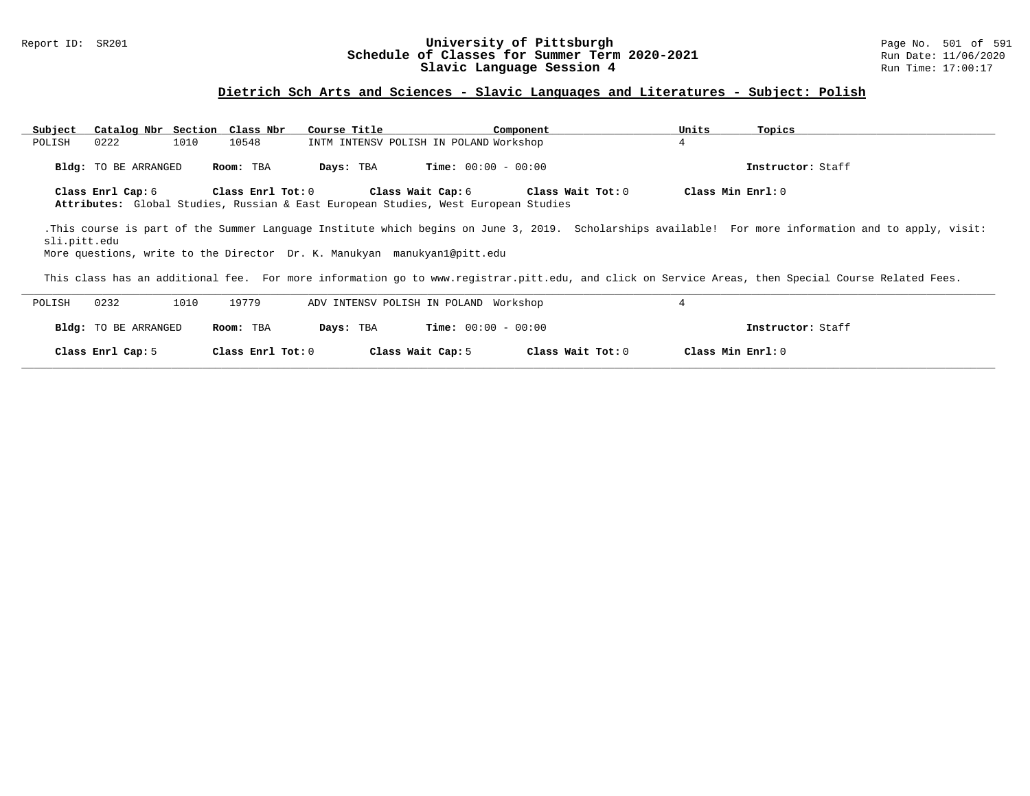### Report ID: SR201 **1988 Chedule of Classes for Summer Term 2020-2021** Page No. 501 of 591 Page No. 501 of 591 Schedule of Classes for Summer Term 2020-2021 **Schedule of Classes for Summer Term 2020-2021** Run Date: 11/06/2020<br>Slavic Language Session 4 Run Time: 17:00:17 Slavic Language Session 4

### **Dietrich Sch Arts and Sciences - Slavic Languages and Literatures - Subject: Polish**

| Catalog Nbr Section Class Nbr<br>Subject |                   | Course Title                                                                                                   | Component         | Units<br>Topics                                                                                                                                       |
|------------------------------------------|-------------------|----------------------------------------------------------------------------------------------------------------|-------------------|-------------------------------------------------------------------------------------------------------------------------------------------------------|
| 1010<br>POLISH<br>0222                   | 10548             | INTM INTENSV POLISH IN POLAND Workshop                                                                         |                   | 4                                                                                                                                                     |
| Bldg: TO BE ARRANGED                     | Room: TBA         | <b>Time:</b> $00:00 - 00:00$<br>Days: TBA                                                                      |                   | Instructor: Staff                                                                                                                                     |
| Class Enrl Cap: 6                        | Class Enrl Tot: 0 | Class Wait Cap: 6<br><b>Attributes:</b> Global Studies, Russian & East European Studies, West European Studies | Class Wait Tot: 0 | Class Min Enrl: 0                                                                                                                                     |
| sli.pitt.edu                             |                   | More questions, write to the Director Dr. K. Manukyan manukyan1@pitt.edu                                       |                   | .This course is part of the Summer Language Institute which begins on June 3, 2019. Scholarships available! For more information and to apply, visit: |
|                                          |                   |                                                                                                                |                   | This class has an additional fee. For more information go to www.registrar.pitt.edu, and click on Service Areas, then Special Course Related Fees.    |
| 0232<br>1010<br>POLISH                   | 19779             | ADV INTENSV POLISH IN POLAND Workshop                                                                          |                   | 4                                                                                                                                                     |
| <b>Bldg:</b> TO BE ARRANGED              | Room: TBA         | <b>Time:</b> $00:00 - 00:00$<br>Days: TBA                                                                      |                   | Instructor: Staff                                                                                                                                     |

**\_\_\_\_\_\_\_\_\_\_\_\_\_\_\_\_\_\_\_\_\_\_\_\_\_\_\_\_\_\_\_\_\_\_\_\_\_\_\_\_\_\_\_\_\_\_\_\_\_\_\_\_\_\_\_\_\_\_\_\_\_\_\_\_\_\_\_\_\_\_\_\_\_\_\_\_\_\_\_\_\_\_\_\_\_\_\_\_\_\_\_\_\_\_\_\_\_\_\_\_\_\_\_\_\_\_\_\_\_\_\_\_\_\_\_\_\_\_\_\_\_\_\_\_\_\_\_\_\_\_\_\_\_\_\_\_\_\_\_\_\_\_\_\_\_\_\_\_\_\_\_\_\_\_\_\_**

**Class Enrl Cap:** 5 **Class Enrl Tot:** 0 **Class Wait Cap:** 5 **Class Wait Tot:** 0 **Class Min Enrl:** 0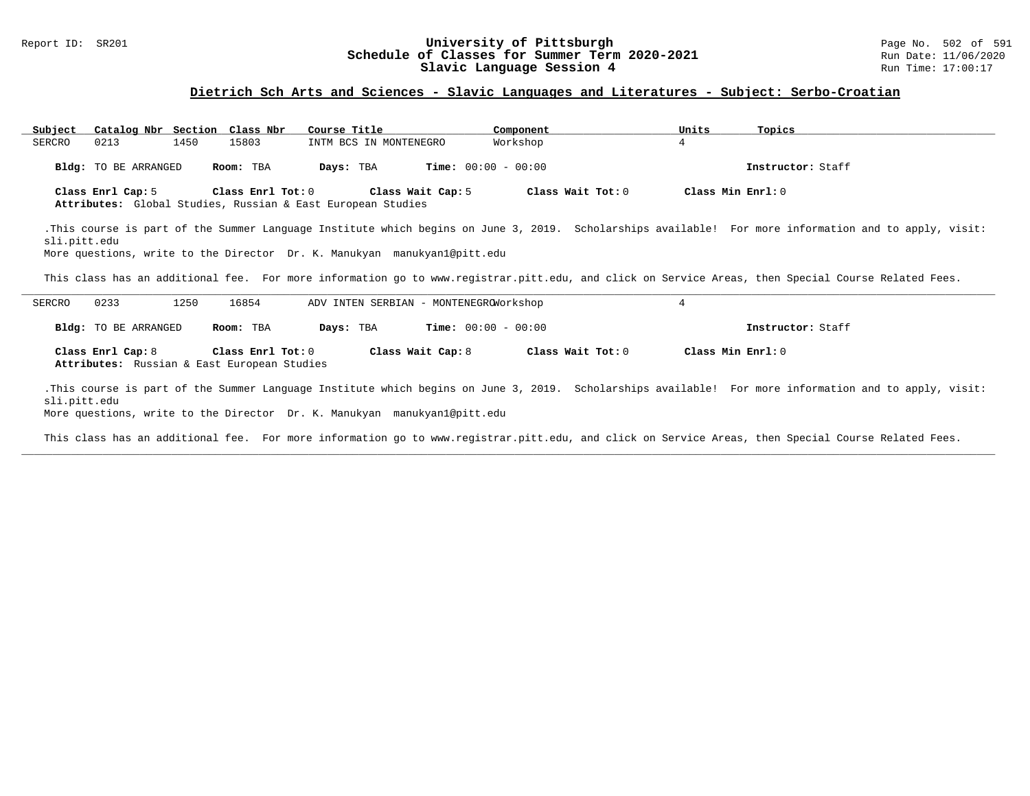#### Report ID: SR201 **University of Pittsburgh** Page No. 502 of 591 **Schedule of Classes for Summer Term 2020-2021** Run Date: 11/06/2020 **Slavic Language Session 4** Run Time: 17:00:17

### **Dietrich Sch Arts and Sciences - Slavic Languages and Literatures - Subject: Serbo-Croatian**

| Subject           | Catalog Nbr Section Class Nbr               |                   | Course Title                                                                     | Component                    |                   | Units             | Topics                                                                                                                                                |
|-------------------|---------------------------------------------|-------------------|----------------------------------------------------------------------------------|------------------------------|-------------------|-------------------|-------------------------------------------------------------------------------------------------------------------------------------------------------|
| 0213<br>SERCRO    | 1450                                        | 15803             | INTM BCS IN MONTENEGRO                                                           | Workshop                     |                   | $\overline{4}$    |                                                                                                                                                       |
|                   | <b>Bldg:</b> TO BE ARRANGED                 | Room: TBA         | Days: TBA                                                                        | <b>Time:</b> $00:00 - 00:00$ |                   |                   | Instructor: Staff                                                                                                                                     |
| Class Enrl Cap: 5 |                                             | Class Enrl Tot: 0 | Class Wait Cap: 5<br>Attributes: Global Studies, Russian & East European Studies |                              | Class Wait Tot: 0 | Class Min Enrl: 0 |                                                                                                                                                       |
| sli.pitt.edu      |                                             |                   |                                                                                  |                              |                   |                   | .This course is part of the Summer Language Institute which begins on June 3, 2019. Scholarships available! For more information and to apply, visit: |
|                   |                                             |                   | More questions, write to the Director Dr. K. Manukyan manukyan1@pitt.edu         |                              |                   |                   |                                                                                                                                                       |
|                   |                                             |                   |                                                                                  |                              |                   |                   | This class has an additional fee. For more information go to www.registrar.pitt.edu, and click on Service Areas, then Special Course Related Fees.    |
| SERCRO<br>0233    | 1250                                        | 16854             | ADV INTEN SERBIAN - MONTENEGROWOrkshop                                           |                              |                   | 4                 |                                                                                                                                                       |
|                   | <b>Bldg:</b> TO BE ARRANGED                 | Room: TBA         | Days: TBA                                                                        | $Time: 00:00 - 00:00$        |                   |                   | Instructor: Staff                                                                                                                                     |
| Class Enrl Cap: 8 |                                             | Class Enrl Tot: 0 | Class Wait Cap: 8                                                                |                              | Class Wait Tot: 0 | Class Min Enrl: 0 |                                                                                                                                                       |
|                   | Attributes: Russian & East European Studies |                   |                                                                                  |                              |                   |                   |                                                                                                                                                       |

This class has an additional fee. For more information go to www.registrar.pitt.edu, and click on Service Areas, then Special Course Related Fees. **\_\_\_\_\_\_\_\_\_\_\_\_\_\_\_\_\_\_\_\_\_\_\_\_\_\_\_\_\_\_\_\_\_\_\_\_\_\_\_\_\_\_\_\_\_\_\_\_\_\_\_\_\_\_\_\_\_\_\_\_\_\_\_\_\_\_\_\_\_\_\_\_\_\_\_\_\_\_\_\_\_\_\_\_\_\_\_\_\_\_\_\_\_\_\_\_\_\_\_\_\_\_\_\_\_\_\_\_\_\_\_\_\_\_\_\_\_\_\_\_\_\_\_\_\_\_\_\_\_\_\_\_\_\_\_\_\_\_\_\_\_\_\_\_\_\_\_\_\_\_\_\_\_\_\_\_**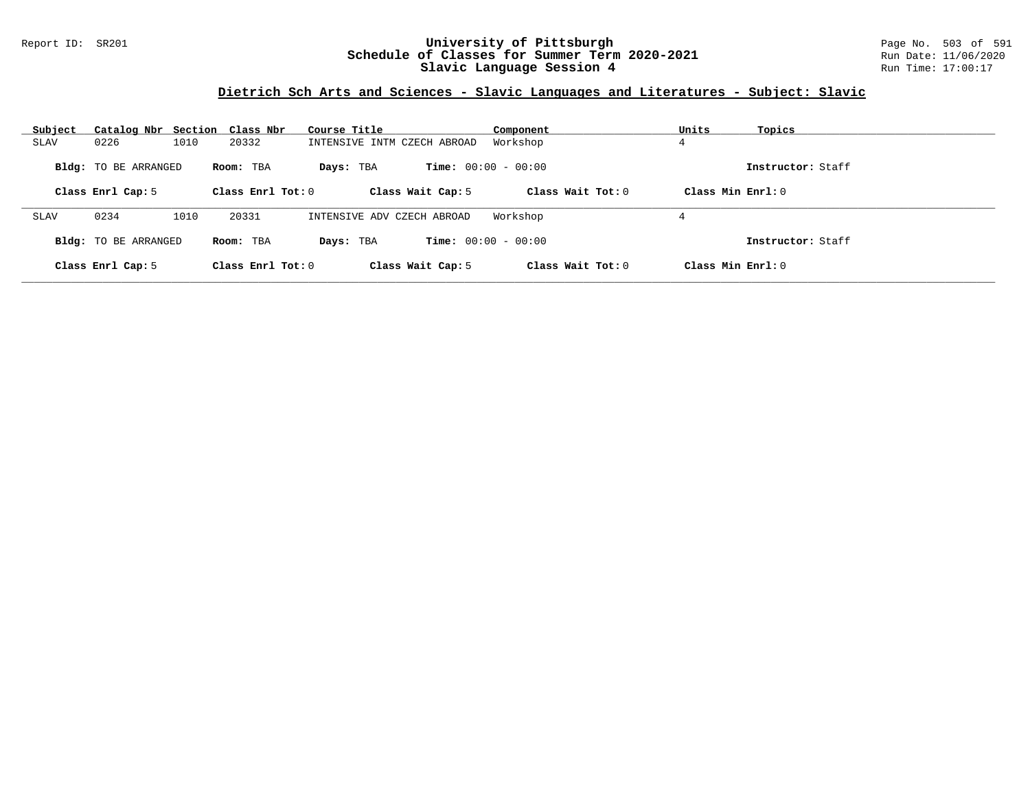### Report ID: SR201 **University of Pittsburgh** Page No. 503 of 591 **Schedule of Classes for Summer Term 2020-2021** Run Date: 11/06/2020 **Slavic Language Session 4** Run Time: 17:00:17

# **Dietrich Sch Arts and Sciences - Slavic Languages and Literatures - Subject: Slavic**

| Subject           |                             | Catalog Nbr Section Class Nbr | Course Title                | Component                    | Units<br>Topics     |
|-------------------|-----------------------------|-------------------------------|-----------------------------|------------------------------|---------------------|
| <b>SLAV</b>       | 1010<br>0226                | 20332                         | INTENSIVE INTM CZECH ABROAD | Workshop                     |                     |
|                   | <b>Bldg:</b> TO BE ARRANGED | Room: TBA                     | Days: TBA                   | <b>Time:</b> $00:00 - 00:00$ | Instructor: Staff   |
|                   | Class Enrl Cap: 5           | Class Enrl Tot: $0$           | Class Wait Cap: 5           | Class Wait Tot: $0$          | Class Min Enrl: $0$ |
| SLAV              | 0234<br>1010                | 20331                         | INTENSIVE ADV CZECH ABROAD  | Workshop                     |                     |
|                   |                             |                               |                             |                              | 4                   |
|                   | <b>Bldg:</b> TO BE ARRANGED | Room: TBA                     | Days: TBA                   | <b>Time:</b> $00:00 - 00:00$ | Instructor: Staff   |
| Class Enrl Cap: 5 |                             | Class Enrl Tot: 0             | Class Wait Cap: 5           | Class Wait Tot: $0$          | Class Min $Enrl: 0$ |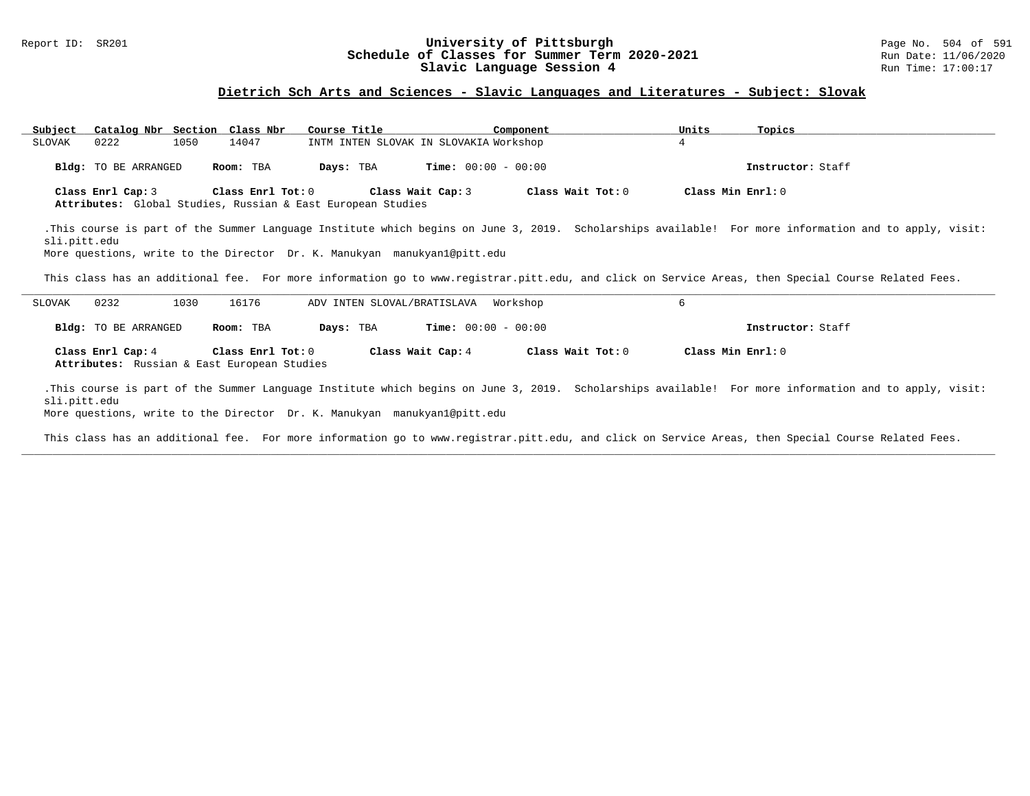#### Report ID: SR201 **1988 Construment Supervisity of Pittsburgh** Page No. 504 of 591 **University of Pittsburgh** Page No. 504 of 591 **Schedule of Classes for Summer Term 2020-2021** Run Date: 11/06/2020 **Schedule of Classes for Summer Term 2020-2021** Run Date: 11/06/2021<br>Slavic Language Session 4 Run Time: 17:00:17 Slavic Language Session 4

### **Dietrich Sch Arts and Sciences - Slavic Languages and Literatures - Subject: Slovak**

| Subject<br>0222<br>SLOVAK                                                                                                                                                                                                                         | Catalog Nbr Section Class Nbr<br>1050<br>14047                   | Course Title<br>INTM INTEN SLOVAK IN SLOVAKIA Workshop | Component                    | Units<br>4        | Topics            |  |  |  |  |
|---------------------------------------------------------------------------------------------------------------------------------------------------------------------------------------------------------------------------------------------------|------------------------------------------------------------------|--------------------------------------------------------|------------------------------|-------------------|-------------------|--|--|--|--|
| Bldg: TO BE ARRANGED                                                                                                                                                                                                                              | Room: TBA                                                        | Days: TBA                                              | <b>Time:</b> $00:00 - 00:00$ |                   | Instructor: Staff |  |  |  |  |
| Class Enrl Tot: 0<br>Class Min Enrl: 0<br>Class Enrl Cap: 3<br>Class Wait Cap: 3<br>Class Wait Tot: 0<br>Attributes: Global Studies, Russian & East European Studies                                                                              |                                                                  |                                                        |                              |                   |                   |  |  |  |  |
| .This course is part of the Summer Language Institute which begins on June 3, 2019. Scholarships available! For more information and to apply, visit:<br>sli.pitt.edu<br>More questions, write to the Director Dr. K. Manukyan manukyanl@pitt.edu |                                                                  |                                                        |                              |                   |                   |  |  |  |  |
| This class has an additional fee. For more information go to www.registrar.pitt.edu, and click on Service Areas, then Special Course Related Fees.                                                                                                |                                                                  |                                                        |                              |                   |                   |  |  |  |  |
| 0232<br>SLOVAK                                                                                                                                                                                                                                    | 16176<br>1030                                                    | ADV INTEN SLOVAL/BRATISLAVA                            | Workshop                     | 6                 |                   |  |  |  |  |
| Bldg: TO BE ARRANGED                                                                                                                                                                                                                              | Room: TBA                                                        | Days: TBA                                              | <b>Time:</b> $00:00 - 00:00$ |                   | Instructor: Staff |  |  |  |  |
| Class Enrl Cap: 4                                                                                                                                                                                                                                 | Class Enrl Tot: 0<br>Attributes: Russian & East European Studies | Class Wait Cap: 4                                      | Class Wait Tot: 0            | Class Min Enrl: 0 |                   |  |  |  |  |

.This course is part of the Summer Language Institute which begins on June 3, 2019. Scholarships available! For more information and to apply, visit: sli.pitt.edu

More questions, write to the Director Dr. K. Manukyan manukyan1@pitt.edu

This class has an additional fee. For more information go to www.registrar.pitt.edu, and click on Service Areas, then Special Course Related Fees. **\_\_\_\_\_\_\_\_\_\_\_\_\_\_\_\_\_\_\_\_\_\_\_\_\_\_\_\_\_\_\_\_\_\_\_\_\_\_\_\_\_\_\_\_\_\_\_\_\_\_\_\_\_\_\_\_\_\_\_\_\_\_\_\_\_\_\_\_\_\_\_\_\_\_\_\_\_\_\_\_\_\_\_\_\_\_\_\_\_\_\_\_\_\_\_\_\_\_\_\_\_\_\_\_\_\_\_\_\_\_\_\_\_\_\_\_\_\_\_\_\_\_\_\_\_\_\_\_\_\_\_\_\_\_\_\_\_\_\_\_\_\_\_\_\_\_\_\_\_\_\_\_\_\_\_\_**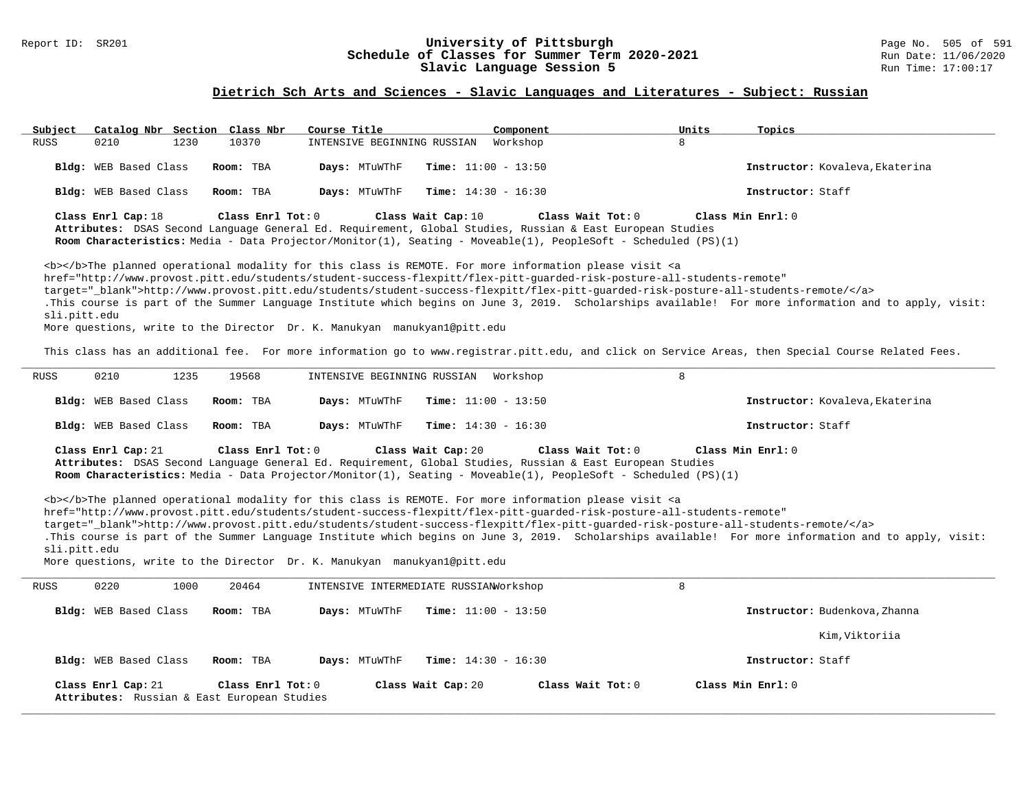#### Report ID: SR201 **University of Pittsburgh** Page No. 505 of 591 **Schedule of Classes for Summer Term 2020-2021** Run Date: 11/06/2020 **Slavic Language Session 5** Run Time: 17:00:17

### **Dietrich Sch Arts and Sciences - Slavic Languages and Literatures - Subject: Russian**

| Subject<br>Catalog Nbr Section Class Nbr                                                                                                                                                                                                                                                                                                                                                                                                                                         | Course Title                           | Component                    | Units<br>Topics                                                                                                                                                                                                                                                                                             |
|----------------------------------------------------------------------------------------------------------------------------------------------------------------------------------------------------------------------------------------------------------------------------------------------------------------------------------------------------------------------------------------------------------------------------------------------------------------------------------|----------------------------------------|------------------------------|-------------------------------------------------------------------------------------------------------------------------------------------------------------------------------------------------------------------------------------------------------------------------------------------------------------|
| <b>RUSS</b><br>0210<br>1230<br>10370                                                                                                                                                                                                                                                                                                                                                                                                                                             | INTENSIVE BEGINNING RUSSIAN            | Workshop                     | 8                                                                                                                                                                                                                                                                                                           |
| Bldg: WEB Based Class<br>Room: TBA                                                                                                                                                                                                                                                                                                                                                                                                                                               | Days: MTuWThF                          | Time: $11:00 - 13:50$        | Instructor: Kovaleva, Ekaterina                                                                                                                                                                                                                                                                             |
| Bldg: WEB Based Class<br>Room: TBA                                                                                                                                                                                                                                                                                                                                                                                                                                               | Days: MTuWThF                          | <b>Time:</b> $14:30 - 16:30$ | Instructor: Staff                                                                                                                                                                                                                                                                                           |
| Class Enrl Cap: 18<br>Class Enrl Tot: 0<br>Attributes: DSAS Second Language General Ed. Requirement, Global Studies, Russian & East European Studies<br>Room Characteristics: Media - Data Projector/Monitor(1), Seating - Moveable(1), PeopleSoft - Scheduled (PS)(1)                                                                                                                                                                                                           | Class Wait Cap: 10                     | Class Wait Tot: 0            | Class Min Enrl: 0                                                                                                                                                                                                                                                                                           |
| <b></b> The planned operational modality for this class is REMOTE. For more information please visit <a<br>href="http://www.provost.pitt.edu/students/student-success-flexpitt/flex-pitt-quarded-risk-posture-all-students-remote"<br/>target="_blank"&gt;http://www.provost.pitt.edu/students/student-success-flexpitt/flex-pitt-quarded-risk-posture-all-students-remote/<br/>sli.pitt.edu<br/>More questions, write to the Director Dr. K. Manukyan manukyan1@pitt.edu</a<br> |                                        |                              | .This course is part of the Summer Language Institute which begins on June 3, 2019. Scholarships available! For more information and to apply, visit:<br>This class has an additional fee. For more information go to www.registrar.pitt.edu, and click on Service Areas, then Special Course Related Fees. |
| 0210<br>1235<br><b>RUSS</b><br>19568                                                                                                                                                                                                                                                                                                                                                                                                                                             | INTENSIVE BEGINNING RUSSIAN            | Workshop                     | 8                                                                                                                                                                                                                                                                                                           |
|                                                                                                                                                                                                                                                                                                                                                                                                                                                                                  |                                        |                              |                                                                                                                                                                                                                                                                                                             |
| Bldg: WEB Based Class<br>Room: TBA                                                                                                                                                                                                                                                                                                                                                                                                                                               | Days: MTuWThF                          | Time: $11:00 - 13:50$        | Instructor: Kovaleva, Ekaterina                                                                                                                                                                                                                                                                             |
| Bldg: WEB Based Class<br>Room: TBA                                                                                                                                                                                                                                                                                                                                                                                                                                               | Days: MTuWThF                          | <b>Time:</b> $14:30 - 16:30$ | Instructor: Staff                                                                                                                                                                                                                                                                                           |
| Class Enrl Cap: 21<br>Class Enrl Tot: 0<br>Attributes: DSAS Second Language General Ed. Requirement, Global Studies, Russian & East European Studies<br>Room Characteristics: Media - Data Projector/Monitor(1), Seating - Moveable(1), PeopleSoft - Scheduled (PS)(1)                                                                                                                                                                                                           | Class Wait Cap: 20                     | Class Wait Tot: 0            | Class Min Enrl: 0                                                                                                                                                                                                                                                                                           |
| <b></b> The planned operational modality for this class is REMOTE. For more information please visit <a<br>href="http://www.provost.pitt.edu/students/student-success-flexpitt/flex-pitt-quarded-risk-posture-all-students-remote"<br/>target="_blank"&gt;http://www.provost.pitt.edu/students/student-success-flexpitt/flex-pitt-quarded-risk-posture-all-students-remote/<br/>sli.pitt.edu<br/>More questions, write to the Director Dr. K. Manukyan manukyan1@pitt.edu</a<br> |                                        |                              | .This course is part of the Summer Language Institute which begins on June 3, 2019. Scholarships available! For more information and to apply, visit:                                                                                                                                                       |
| <b>RUSS</b><br>0220<br>1000<br>20464                                                                                                                                                                                                                                                                                                                                                                                                                                             | INTENSIVE INTERMEDIATE RUSSIANWorkshop |                              | 8                                                                                                                                                                                                                                                                                                           |
| Bldg: WEB Based Class<br>Room: TBA                                                                                                                                                                                                                                                                                                                                                                                                                                               | Days: MTuWThF                          | <b>Time:</b> $11:00 - 13:50$ | Instructor: Budenkova, Zhanna                                                                                                                                                                                                                                                                               |
|                                                                                                                                                                                                                                                                                                                                                                                                                                                                                  |                                        |                              | Kim, Viktoriia                                                                                                                                                                                                                                                                                              |
| Bldg: WEB Based Class<br>Room: TBA                                                                                                                                                                                                                                                                                                                                                                                                                                               | Days: MTuWThF                          | <b>Time:</b> $14:30 - 16:30$ | Instructor: Staff                                                                                                                                                                                                                                                                                           |
| Class Enrl Cap: 21<br>Class Enrl Tot: 0<br>Attributes: Russian & East European Studies                                                                                                                                                                                                                                                                                                                                                                                           | Class Wait Cap: 20                     | Class Wait Tot: 0            | Class Min Enrl: 0                                                                                                                                                                                                                                                                                           |
|                                                                                                                                                                                                                                                                                                                                                                                                                                                                                  |                                        |                              |                                                                                                                                                                                                                                                                                                             |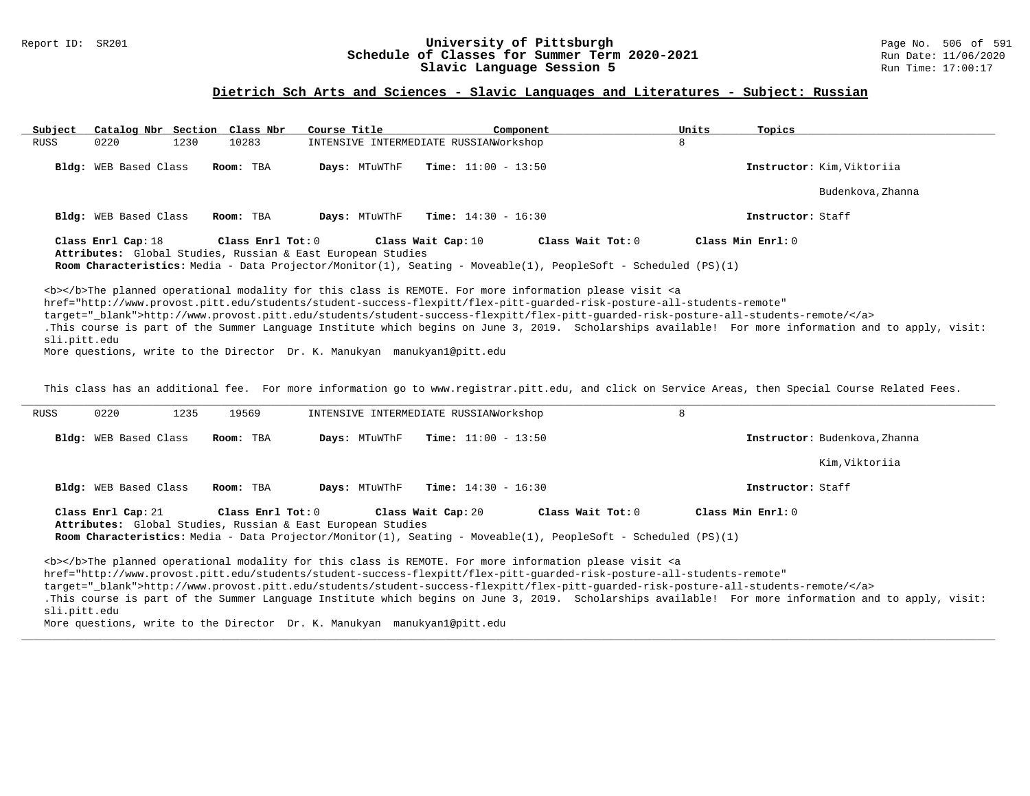#### Report ID: SR201 **1988 Manufact Schedule of Classes for Summer Term 2020-2021** Page No. 506 of 591 Page No. 506 of 591<br>**Schedule of Classes for Summer Term 2020-2021** Run Date: 11/06/2020 **Schedule of Classes for Summer Term 2020-2021** Run Date: 11/06/2020<br>Slavic Language Session 5 Run Time: 17:00:17 Slavic Language Session 5

### **Dietrich Sch Arts and Sciences - Slavic Languages and Literatures - Subject: Russian**

| Subject      | Catalog Nbr Section Class Nbr |                   | Course Title                                                | Component                                                                                                                                                                                                                                                                                                                                                                                                                                                                                                                                                            |                                                                                                                                                                                                                                                              | Units<br>Topics   |                                                                                                                                                       |
|--------------|-------------------------------|-------------------|-------------------------------------------------------------|----------------------------------------------------------------------------------------------------------------------------------------------------------------------------------------------------------------------------------------------------------------------------------------------------------------------------------------------------------------------------------------------------------------------------------------------------------------------------------------------------------------------------------------------------------------------|--------------------------------------------------------------------------------------------------------------------------------------------------------------------------------------------------------------------------------------------------------------|-------------------|-------------------------------------------------------------------------------------------------------------------------------------------------------|
| RUSS         | 1230<br>0220                  | 10283             |                                                             | INTENSIVE INTERMEDIATE RUSSIAN Morkshop                                                                                                                                                                                                                                                                                                                                                                                                                                                                                                                              | 8                                                                                                                                                                                                                                                            |                   |                                                                                                                                                       |
|              | <b>Bldg:</b> WEB Based Class  | Room: TBA         | Days: MTuWThF                                               | <b>Time:</b> $11:00 - 13:50$                                                                                                                                                                                                                                                                                                                                                                                                                                                                                                                                         |                                                                                                                                                                                                                                                              |                   | Instructor: Kim, Viktoriia                                                                                                                            |
|              |                               |                   |                                                             |                                                                                                                                                                                                                                                                                                                                                                                                                                                                                                                                                                      |                                                                                                                                                                                                                                                              |                   | Budenkova, Zhanna                                                                                                                                     |
|              | Bldg: WEB Based Class         | Room: TBA         | Days: MTuWThF                                               | <b>Time:</b> $14:30 - 16:30$                                                                                                                                                                                                                                                                                                                                                                                                                                                                                                                                         |                                                                                                                                                                                                                                                              | Instructor: Staff |                                                                                                                                                       |
|              | Class Enrl Cap: 18            | Class Enrl Tot: 0 |                                                             | Class Wait Cap: 10                                                                                                                                                                                                                                                                                                                                                                                                                                                                                                                                                   | Class Wait Tot: 0                                                                                                                                                                                                                                            | Class Min Enrl: 0 |                                                                                                                                                       |
|              |                               |                   | Attributes: Global Studies, Russian & East European Studies |                                                                                                                                                                                                                                                                                                                                                                                                                                                                                                                                                                      |                                                                                                                                                                                                                                                              |                   |                                                                                                                                                       |
|              |                               |                   |                                                             |                                                                                                                                                                                                                                                                                                                                                                                                                                                                                                                                                                      | <b>Room Characteristics:</b> Media - Data Projector/Monitor(1), Seating - Moveable(1), PeopleSoft - Scheduled (PS)(1)                                                                                                                                        |                   |                                                                                                                                                       |
| sli.pitt.edu |                               |                   |                                                             | <b></b> The planned operational modality for this class is REMOTE. For more information please visit <a< td=""><td>href="http://www.provost.pitt.edu/students/student-success-flexpitt/flex-pitt-quarded-risk-posture-all-students-remote"<br/>target="_blank"&gt;http://www.provost.pitt.edu/students/student-success-flexpitt/flex-pitt-guarded-risk-posture-all-students-remote/</td><td></td><td>.This course is part of the Summer Language Institute which begins on June 3, 2019. Scholarships available! For more information and to apply, visit:</td></a<> | href="http://www.provost.pitt.edu/students/student-success-flexpitt/flex-pitt-quarded-risk-posture-all-students-remote"<br>target="_blank">http://www.provost.pitt.edu/students/student-success-flexpitt/flex-pitt-guarded-risk-posture-all-students-remote/ |                   | .This course is part of the Summer Language Institute which begins on June 3, 2019. Scholarships available! For more information and to apply, visit: |

More questions, write to the Director Dr. K. Manukyan manukyan1@pitt.edu

This class has an additional fee. For more information go to www.registrar.pitt.edu, and click on Service Areas, then Special Course Related Fees.

| RUSS         | 0220                                                                                                                                                                                                                                                                                            | 1235 | 19569     |               | INTENSIVE INTERMEDIATE RUSSIAN Morkshop |                              | 8                                                                                                                                                                                                                                         |                                                                                                                                                                                                                                                                                           |
|--------------|-------------------------------------------------------------------------------------------------------------------------------------------------------------------------------------------------------------------------------------------------------------------------------------------------|------|-----------|---------------|-----------------------------------------|------------------------------|-------------------------------------------------------------------------------------------------------------------------------------------------------------------------------------------------------------------------------------------|-------------------------------------------------------------------------------------------------------------------------------------------------------------------------------------------------------------------------------------------------------------------------------------------|
|              | <b>Bldg:</b> WEB Based Class                                                                                                                                                                                                                                                                    |      | Room: TBA | Days: MTuWThF |                                         | <b>Time:</b> $11:00 - 13:50$ |                                                                                                                                                                                                                                           | Instructor: Budenkova, Zhanna                                                                                                                                                                                                                                                             |
|              |                                                                                                                                                                                                                                                                                                 |      |           |               |                                         |                              |                                                                                                                                                                                                                                           | Kim, Viktoriia                                                                                                                                                                                                                                                                            |
|              | Bldg: WEB Based Class                                                                                                                                                                                                                                                                           |      | Room: TBA | Days: MTuWThF |                                         | <b>Time:</b> $14:30 - 16:30$ |                                                                                                                                                                                                                                           | Instructor: Staff                                                                                                                                                                                                                                                                         |
|              | Class Min Enrl: 0<br>Class Enrl Cap: 21<br>Class Enrl Tot: 0<br>Class Wait Cap: 20<br>Class Wait Tot: 0<br>Attributes: Global Studies, Russian & East European Studies<br><b>Room Characteristics:</b> Media - Data Projector/Monitor(1), Seating - Moveable(1), PeopleSoft - Scheduled (PS)(1) |      |           |               |                                         |                              |                                                                                                                                                                                                                                           |                                                                                                                                                                                                                                                                                           |
| sli.pitt.edu |                                                                                                                                                                                                                                                                                                 |      |           |               |                                         |                              | <b></b> The planned operational modality for this class is REMOTE. For more information please visit <a<br>href="http://www.provost.pitt.edu/students/student-success-flexpitt/flex-pitt-quarded-risk-posture-all-students-remote"</a<br> | target="blank">http://www.provost.pitt.edu/students/student-success-flexpitt/flex-pitt-quarded-risk-posture-all-students-remote/<br>.This course is part of the Summer Language Institute which begins on June 3, 2019. Scholarships available! For more information and to apply, visit: |

**\_\_\_\_\_\_\_\_\_\_\_\_\_\_\_\_\_\_\_\_\_\_\_\_\_\_\_\_\_\_\_\_\_\_\_\_\_\_\_\_\_\_\_\_\_\_\_\_\_\_\_\_\_\_\_\_\_\_\_\_\_\_\_\_\_\_\_\_\_\_\_\_\_\_\_\_\_\_\_\_\_\_\_\_\_\_\_\_\_\_\_\_\_\_\_\_\_\_\_\_\_\_\_\_\_\_\_\_\_\_\_\_\_\_\_\_\_\_\_\_\_\_\_\_\_\_\_\_\_\_\_\_\_\_\_\_\_\_\_\_\_\_\_\_\_\_\_\_\_\_\_\_\_\_\_\_**

More questions, write to the Director Dr. K. Manukyan manukyan1@pitt.edu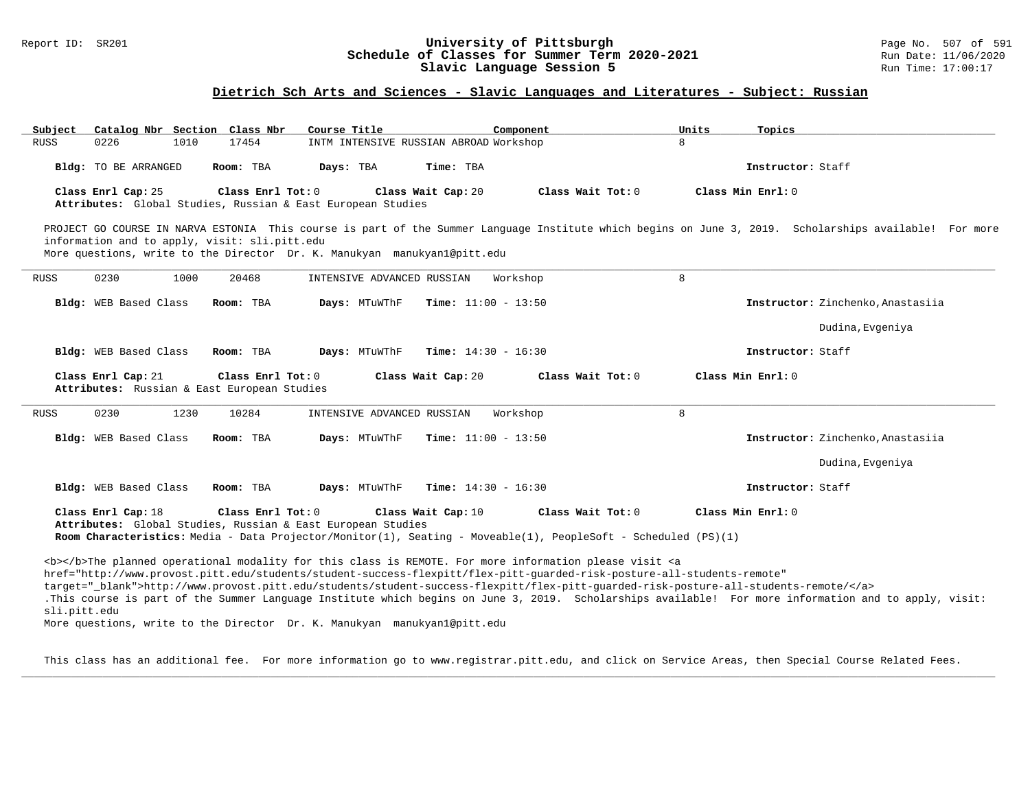#### Report ID: SR201 **1988 Chedule of Classes for Summer Term 2020-2021** Page No. 507 of 591 Page No. 507 of 591 Schedule of Classes for Summer Term 2020-2021 **Schedule of Classes for Summer Term 2020-2021** Run Date: 11/06/2020<br>Slavic Language Session 5 Run Time: 17:00:17 Slavic Language Session 5

### **Dietrich Sch Arts and Sciences - Slavic Languages and Literatures - Subject: Russian**

| Subject                                                                                                                                                                  | Catalog Nbr Section Class Nbr | Course Title                           | Component                                                                                                                           | Units<br>Topics                                                                                                                                        |  |  |  |  |  |
|--------------------------------------------------------------------------------------------------------------------------------------------------------------------------|-------------------------------|----------------------------------------|-------------------------------------------------------------------------------------------------------------------------------------|--------------------------------------------------------------------------------------------------------------------------------------------------------|--|--|--|--|--|
| <b>RUSS</b><br>0226<br>1010                                                                                                                                              | 17454                         | INTM INTENSIVE RUSSIAN ABROAD Workshop |                                                                                                                                     | 8                                                                                                                                                      |  |  |  |  |  |
| Bldg: TO BE ARRANGED                                                                                                                                                     | Room: TBA                     | Days: TBA                              | Time: TBA                                                                                                                           | Instructor: Staff                                                                                                                                      |  |  |  |  |  |
| Class Enrl Cap: 25<br>Class Enrl Tot: $0$<br>Class Wait Cap: 20<br>Class Wait Tot: 0<br>Class Min Enrl: 0<br>Attributes: Global Studies, Russian & East European Studies |                               |                                        |                                                                                                                                     |                                                                                                                                                        |  |  |  |  |  |
| information and to apply, visit: sli.pitt.edu<br>More questions, write to the Director Dr. K. Manukyan manukyan1@pitt.edu                                                |                               |                                        |                                                                                                                                     | PROJECT GO COURSE IN NARVA ESTONIA This course is part of the Summer Language Institute which begins on June 3, 2019. Scholarships available! For more |  |  |  |  |  |
| 0230<br>1000<br><b>RUSS</b>                                                                                                                                              | 20468                         | INTENSIVE ADVANCED RUSSIAN             | Workshop                                                                                                                            | 8                                                                                                                                                      |  |  |  |  |  |
| Bldg: WEB Based Class                                                                                                                                                    | Room: TBA                     | Days: MTuWThF                          | <b>Time:</b> $11:00 - 13:50$                                                                                                        | Instructor: Zinchenko, Anastasiia                                                                                                                      |  |  |  |  |  |
|                                                                                                                                                                          |                               |                                        |                                                                                                                                     | Dudina, Evgeniya                                                                                                                                       |  |  |  |  |  |
| Bldg: WEB Based Class                                                                                                                                                    | Room: TBA                     | Days: MTuWThF                          | <b>Time:</b> $14:30 - 16:30$                                                                                                        | Instructor: Staff                                                                                                                                      |  |  |  |  |  |
| Class Enrl Cap: 21<br>Class Enrl Tot: 0<br>Class Wait Cap: 20<br>Class Wait Tot: 0<br>Class Min Enrl: 0<br>Attributes: Russian & East European Studies                   |                               |                                        |                                                                                                                                     |                                                                                                                                                        |  |  |  |  |  |
|                                                                                                                                                                          |                               |                                        |                                                                                                                                     |                                                                                                                                                        |  |  |  |  |  |
| 1230<br>0230<br><b>RUSS</b>                                                                                                                                              | 10284                         | INTENSIVE ADVANCED RUSSIAN             | Workshop                                                                                                                            | 8                                                                                                                                                      |  |  |  |  |  |
| Bldg: WEB Based Class                                                                                                                                                    | Room: TBA                     | Days: MTuWThF                          | <b>Time:</b> $11:00 - 13:50$                                                                                                        | Instructor: Zinchenko, Anastasiia                                                                                                                      |  |  |  |  |  |
|                                                                                                                                                                          |                               |                                        |                                                                                                                                     | Dudina, Evgeniya                                                                                                                                       |  |  |  |  |  |
| Bldg: WEB Based Class                                                                                                                                                    | Room: TBA                     | Days: MTuWThF                          | <b>Time:</b> $14:30 - 16:30$                                                                                                        | Instructor: Staff                                                                                                                                      |  |  |  |  |  |
| Class Enrl Cap: 18<br>Attributes: Global Studies, Russian & East European Studies                                                                                        | Class Enrl Tot: 0             | Class Wait Cap: 10                     | Class Wait Tot: 0<br>Room Characteristics: Media - Data Projector/Monitor(1), Seating - Moveable(1), PeopleSoft - Scheduled (PS)(1) | Class Min Enrl: 0                                                                                                                                      |  |  |  |  |  |

More questions, write to the Director Dr. K. Manukyan manukyan1@pitt.edu

This class has an additional fee. For more information go to www.registrar.pitt.edu, and click on Service Areas, then Special Course Related Fees. **\_\_\_\_\_\_\_\_\_\_\_\_\_\_\_\_\_\_\_\_\_\_\_\_\_\_\_\_\_\_\_\_\_\_\_\_\_\_\_\_\_\_\_\_\_\_\_\_\_\_\_\_\_\_\_\_\_\_\_\_\_\_\_\_\_\_\_\_\_\_\_\_\_\_\_\_\_\_\_\_\_\_\_\_\_\_\_\_\_\_\_\_\_\_\_\_\_\_\_\_\_\_\_\_\_\_\_\_\_\_\_\_\_\_\_\_\_\_\_\_\_\_\_\_\_\_\_\_\_\_\_\_\_\_\_\_\_\_\_\_\_\_\_\_\_\_\_\_\_\_\_\_\_\_\_\_**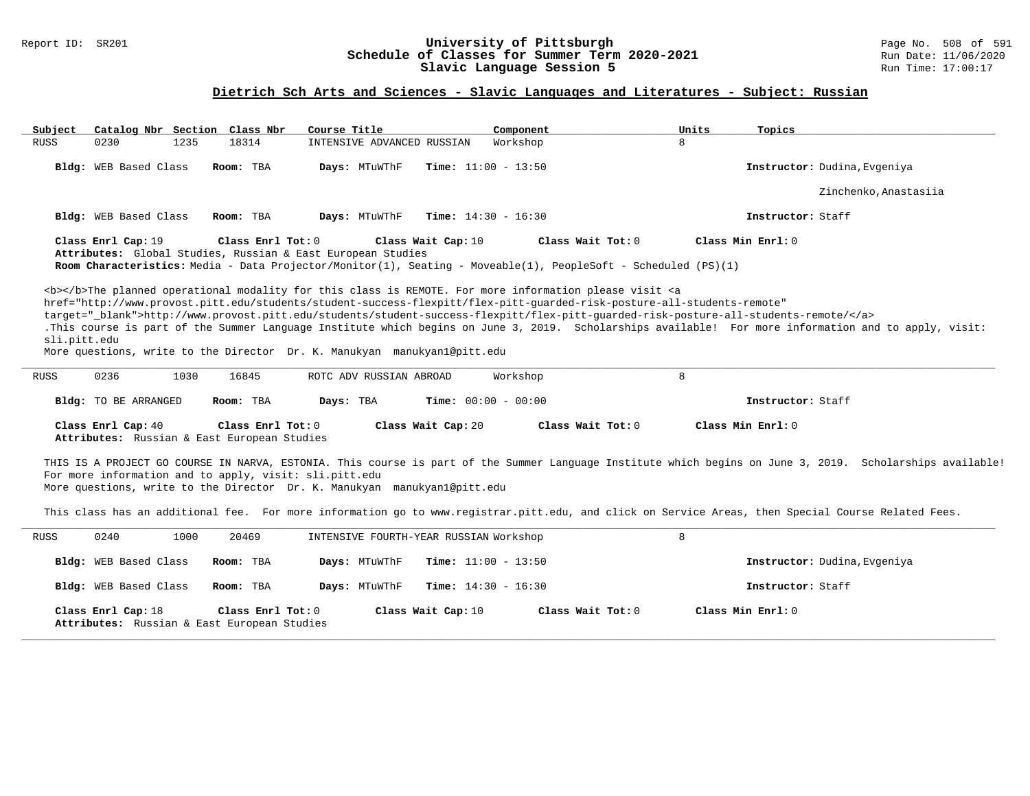### Report ID: SR201 **University of Pittsburgh** Page No. 508 of 591 **Schedule of Classes for Summer Term 2020-2021** Run Date: 11/06/2020 **Slavic Language Session 5** Run Time: 17:00:17

# **Dietrich Sch Arts and Sciences - Slavic Languages and Literatures - Subject: Russian**

| Catalog Nbr Section Class Nbr<br>Subject                                                                                           | Course Title<br>Component                                                                                                                                                                                                                                                                                                                                                          | Units<br>Topics                                                                                                                                           |
|------------------------------------------------------------------------------------------------------------------------------------|------------------------------------------------------------------------------------------------------------------------------------------------------------------------------------------------------------------------------------------------------------------------------------------------------------------------------------------------------------------------------------|-----------------------------------------------------------------------------------------------------------------------------------------------------------|
| 1235<br>18314<br><b>RUSS</b><br>0230                                                                                               | INTENSIVE ADVANCED RUSSIAN<br>Workshop                                                                                                                                                                                                                                                                                                                                             | 8                                                                                                                                                         |
| Bldg: WEB Based Class<br>Room: TBA                                                                                                 | Days: MTuWThF<br><b>Time:</b> $11:00 - 13:50$                                                                                                                                                                                                                                                                                                                                      | Instructor: Dudina, Evgeniya                                                                                                                              |
|                                                                                                                                    |                                                                                                                                                                                                                                                                                                                                                                                    | Zinchenko, Anastasiia                                                                                                                                     |
| Bldg: WEB Based Class<br>Room: TBA                                                                                                 | Days: MTuWThF<br><b>Time:</b> $14:30 - 16:30$                                                                                                                                                                                                                                                                                                                                      | Instructor: Staff                                                                                                                                         |
| Class Enrl Cap: 19<br>Class Enrl Tot: 0<br>Attributes: Global Studies, Russian & East European Studies                             | Class Wait Cap: 10<br>Class Wait Tot: 0<br>Room Characteristics: Media - Data Projector/Monitor(1), Seating - Moveable(1), PeopleSoft - Scheduled (PS)(1)                                                                                                                                                                                                                          | Class Min Enrl: 0                                                                                                                                         |
| sli.pitt.edu<br>More questions, write to the Director Dr. K. Manukyan manukyanl@pitt.edu                                           | <b></b> The planned operational modality for this class is REMOTE. For more information please visit <a<br>href="http://www.provost.pitt.edu/students/student-success-flexpitt/flex-pitt-quarded-risk-posture-all-students-remote"<br/>target="_blank"&gt;http://www.provost.pitt.edu/students/student-success-flexpitt/flex-pitt-guarded-risk-posture-all-students-remote/</a<br> | .This course is part of the Summer Language Institute which begins on June 3, 2019. Scholarships available! For more information and to apply, visit:     |
| 0236<br><b>RUSS</b><br>1030<br>16845                                                                                               | Workshop<br>ROTC ADV RUSSIAN ABROAD                                                                                                                                                                                                                                                                                                                                                | 8                                                                                                                                                         |
| Bldg: TO BE ARRANGED<br>Room: TBA                                                                                                  | Days: TBA<br><b>Time:</b> $00:00 - 00:00$                                                                                                                                                                                                                                                                                                                                          | Instructor: Staff                                                                                                                                         |
| Class Enrl Cap: 40<br>Class Enrl Tot: 0<br>Attributes: Russian & East European Studies                                             | Class Wait Cap: 20<br>$Class$ Wait Tot: $0$                                                                                                                                                                                                                                                                                                                                        | Class Min Enrl: 0                                                                                                                                         |
| For more information and to apply, visit: sli.pitt.edu<br>More questions, write to the Director Dr. K. Manukyan manukyan1@pitt.edu |                                                                                                                                                                                                                                                                                                                                                                                    | THIS IS A PROJECT GO COURSE IN NARVA, ESTONIA. This course is part of the Summer Language Institute which begins on June 3, 2019. Scholarships available! |
|                                                                                                                                    |                                                                                                                                                                                                                                                                                                                                                                                    | This class has an additional fee. For more information go to www.registrar.pitt.edu, and click on Service Areas, then Special Course Related Fees.        |
| 0240<br>1000<br>20469<br>RUSS                                                                                                      | INTENSIVE FOURTH-YEAR RUSSIAN Workshop                                                                                                                                                                                                                                                                                                                                             | 8                                                                                                                                                         |
| Bldg: WEB Based Class<br>Room: TBA                                                                                                 | Days: MTuWThF<br><b>Time:</b> $11:00 - 13:50$                                                                                                                                                                                                                                                                                                                                      | Instructor: Dudina, Evgeniya                                                                                                                              |
| Bldg: WEB Based Class<br>Room: TBA                                                                                                 | Days: MTuWThF<br><b>Time:</b> $14:30 - 16:30$                                                                                                                                                                                                                                                                                                                                      | Instructor: Staff                                                                                                                                         |
| Class Enrl Cap: 18<br>Class Enrl Tot: 0<br>Attributes: Russian & East European Studies                                             | Class Wait Cap: 10<br>Class Wait Tot: 0                                                                                                                                                                                                                                                                                                                                            | Class Min Enrl: 0                                                                                                                                         |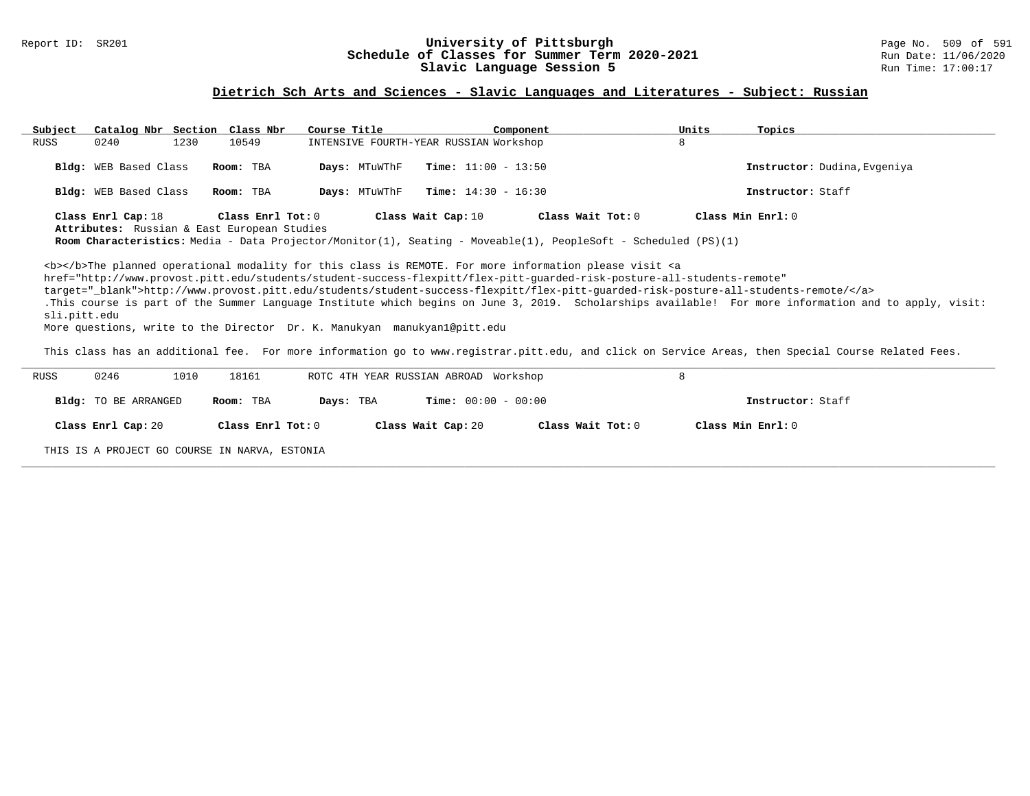### Report ID: SR201 **University of Pittsburgh** Page No. 509 of 591 **Schedule of Classes for Summer Term 2020-2021** Run Date: 11/06/2020 **Slavic Language Session 5** Run Time: 17:00:17

### **Dietrich Sch Arts and Sciences - Slavic Languages and Literatures - Subject: Russian**

| Subject      | Catalog Nbr Section Class Nbr                                     |                   | Course Title                                                             | Component                                                                                                                                                                                                                                                                                                                                                                                                                                                                                                                                                                                                                                                                                                                                                                                                                                                                                                            | Units                                                                                                                                                                                                                                                                                                                                                                                                 | Topics                                                                                                                                                                                                                                                                                                                           |
|--------------|-------------------------------------------------------------------|-------------------|--------------------------------------------------------------------------|----------------------------------------------------------------------------------------------------------------------------------------------------------------------------------------------------------------------------------------------------------------------------------------------------------------------------------------------------------------------------------------------------------------------------------------------------------------------------------------------------------------------------------------------------------------------------------------------------------------------------------------------------------------------------------------------------------------------------------------------------------------------------------------------------------------------------------------------------------------------------------------------------------------------|-------------------------------------------------------------------------------------------------------------------------------------------------------------------------------------------------------------------------------------------------------------------------------------------------------------------------------------------------------------------------------------------------------|----------------------------------------------------------------------------------------------------------------------------------------------------------------------------------------------------------------------------------------------------------------------------------------------------------------------------------|
| RUSS         | 1230<br>0240                                                      | 10549             |                                                                          | INTENSIVE FOURTH-YEAR RUSSIAN Workshop                                                                                                                                                                                                                                                                                                                                                                                                                                                                                                                                                                                                                                                                                                                                                                                                                                                                               | 8                                                                                                                                                                                                                                                                                                                                                                                                     |                                                                                                                                                                                                                                                                                                                                  |
|              | <b>Bldg:</b> WEB Based Class                                      | Room: TBA         | Days: MTuWThF                                                            | <b>Time:</b> $11:00 - 13:50$                                                                                                                                                                                                                                                                                                                                                                                                                                                                                                                                                                                                                                                                                                                                                                                                                                                                                         |                                                                                                                                                                                                                                                                                                                                                                                                       | Instructor: Dudina, Evgeniya                                                                                                                                                                                                                                                                                                     |
|              | <b>Bldg:</b> WEB Based Class                                      | Room: TBA         | Days: MTuWThF                                                            | <b>Time:</b> $14:30 - 16:30$                                                                                                                                                                                                                                                                                                                                                                                                                                                                                                                                                                                                                                                                                                                                                                                                                                                                                         |                                                                                                                                                                                                                                                                                                                                                                                                       | Instructor: Staff                                                                                                                                                                                                                                                                                                                |
| sli.pitt.edu | Class Enrl Cap: 18<br>Attributes: Russian & East European Studies | Class Enrl Tot: 0 | More questions, write to the Director Dr. K. Manukyan manukyan1@pitt.edu | Class Wait Cap: 10<br><b></b> The planned operational modality for this class is REMOTE. For more information please visit <a< td=""><td>Class Wait Tot: <math>0</math><br/>Room Characteristics: Media - Data Projector/Monitor(1), Seating - Moveable(1), PeopleSoft - Scheduled (PS)(1)<br/>href="http://www.provost.pitt.edu/students/student-success-flexpitt/flex-pitt-quarded-risk-posture-all-students-remote"<br/>target="_blank"&gt;http://www.provost.pitt.edu/students/student-success-flexpitt/flex-pitt-guarded-risk-posture-all-students-remote/</td><td>Class Min Enrl: 0<br/>.This course is part of the Summer Language Institute which begins on June 3, 2019. Scholarships available! For more information and to apply, visit:<br/>This class has an additional fee. For more information go to www.registrar.pitt.edu, and click on Service Areas, then Special Course Related Fees.</td></a<> | Class Wait Tot: $0$<br>Room Characteristics: Media - Data Projector/Monitor(1), Seating - Moveable(1), PeopleSoft - Scheduled (PS)(1)<br>href="http://www.provost.pitt.edu/students/student-success-flexpitt/flex-pitt-quarded-risk-posture-all-students-remote"<br>target="_blank">http://www.provost.pitt.edu/students/student-success-flexpitt/flex-pitt-guarded-risk-posture-all-students-remote/ | Class Min Enrl: 0<br>.This course is part of the Summer Language Institute which begins on June 3, 2019. Scholarships available! For more information and to apply, visit:<br>This class has an additional fee. For more information go to www.registrar.pitt.edu, and click on Service Areas, then Special Course Related Fees. |
| RUSS         | 0246<br>1010                                                      | 18161             |                                                                          | ROTC 4TH YEAR RUSSIAN ABROAD Workshop                                                                                                                                                                                                                                                                                                                                                                                                                                                                                                                                                                                                                                                                                                                                                                                                                                                                                | 8                                                                                                                                                                                                                                                                                                                                                                                                     |                                                                                                                                                                                                                                                                                                                                  |
|              | <b>Bldg:</b> TO BE ARRANGED                                       | Room: TBA         | Days: TBA                                                                | <b>Time:</b> $00:00 - 00:00$                                                                                                                                                                                                                                                                                                                                                                                                                                                                                                                                                                                                                                                                                                                                                                                                                                                                                         |                                                                                                                                                                                                                                                                                                                                                                                                       | Instructor: Staff                                                                                                                                                                                                                                                                                                                |

**\_\_\_\_\_\_\_\_\_\_\_\_\_\_\_\_\_\_\_\_\_\_\_\_\_\_\_\_\_\_\_\_\_\_\_\_\_\_\_\_\_\_\_\_\_\_\_\_\_\_\_\_\_\_\_\_\_\_\_\_\_\_\_\_\_\_\_\_\_\_\_\_\_\_\_\_\_\_\_\_\_\_\_\_\_\_\_\_\_\_\_\_\_\_\_\_\_\_\_\_\_\_\_\_\_\_\_\_\_\_\_\_\_\_\_\_\_\_\_\_\_\_\_\_\_\_\_\_\_\_\_\_\_\_\_\_\_\_\_\_\_\_\_\_\_\_\_\_\_\_\_\_\_\_\_\_**

| Class Enrl Cap: 20 | Class Enrl Tot: 0 | Class Wait Cap: 20 | Class Wait Tot: 0 | Class Min Enrl: 0 |  |
|--------------------|-------------------|--------------------|-------------------|-------------------|--|
|                    |                   |                    |                   |                   |  |

THIS IS A PROJECT GO COURSE IN NARVA, ESTONIA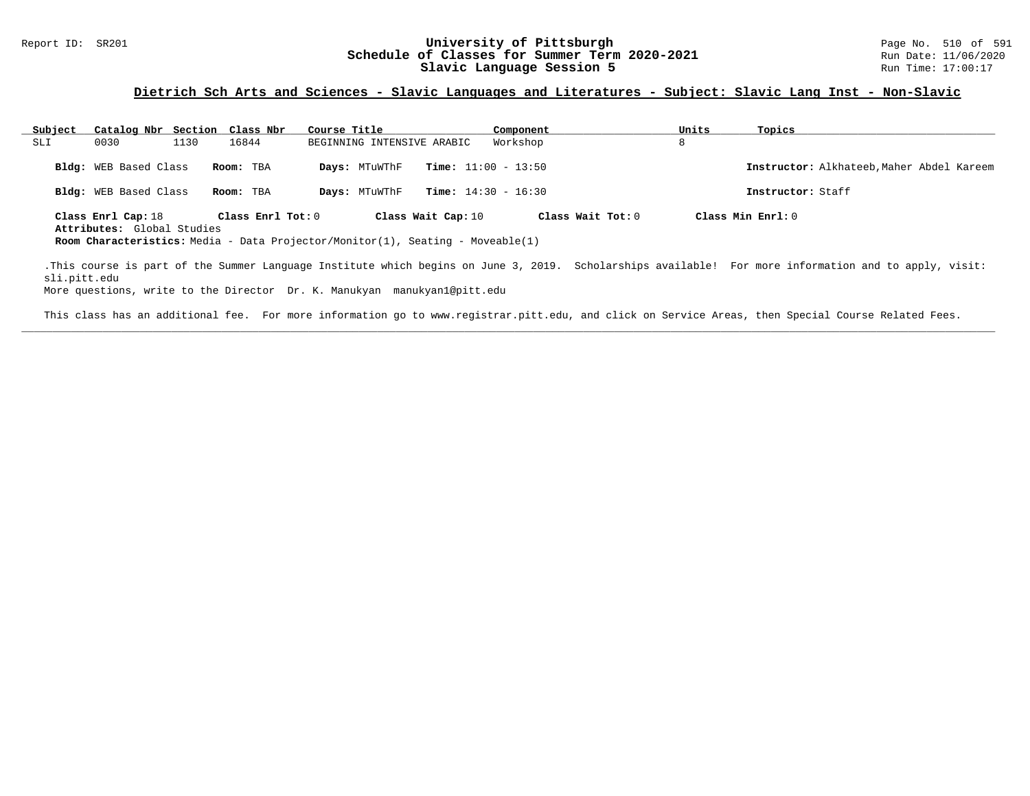#### Report ID: SR201 **1988 Conserversity of Pittsburgh University of Pittsburgh** Page No. 510 of 591 **Schedule of Classes for Summer Term 2020-2021** Page No. 510 of 591 **Schedule of Classes for Summer Term 2020-2021** Run Date: 11/06/2021<br>Slavic Language Session 5 Run Time: 17:00:17 Slavic Language Session 5

### **Dietrich Sch Arts and Sciences - Slavic Languages and Literatures - Subject: Slavic Lang Inst - Non-Slavic**

| Subject | Catalog Nbr Section Class Nbr                    |      |                     | Course Title                                                                          |                              | Component | Units               | Topics            |                                           |
|---------|--------------------------------------------------|------|---------------------|---------------------------------------------------------------------------------------|------------------------------|-----------|---------------------|-------------------|-------------------------------------------|
| SLI     | 0030                                             | 1130 | 16844               | BEGINNING INTENSIVE ARABIC                                                            |                              | Workshop  | 8                   |                   |                                           |
|         | <b>Bldg:</b> WEB Based Class                     |      | Room: TBA           | Days: MTuWThF                                                                         | <b>Time:</b> $11:00 - 13:50$ |           |                     |                   | Instructor: Alkhateeb, Maher Abdel Kareem |
|         | Bldg: WEB Based Class                            |      | Room: TBA           | Days: MTuWThF                                                                         | <b>Time:</b> $14:30 - 16:30$ |           |                     | Instructor: Staff |                                           |
|         | Class Enrl Cap: 18<br>Attributes: Global Studies |      | Class Enrl Tot: $0$ | <b>Room Characteristics:</b> Media - Data Projector/Monitor(1), Seating - Moveable(1) | Class Wait Cap: 10           |           | Class Wait $Tot: 0$ | Class Min Enrl: 0 |                                           |

.This course is part of the Summer Language Institute which begins on June 3, 2019. Scholarships available! For more information and to apply, visit: sli.pitt.edu

More questions, write to the Director Dr. K. Manukyan manukyan1@pitt.edu

This class has an additional fee. For more information go to www.registrar.pitt.edu, and click on Service Areas, then Special Course Related Fees. **\_\_\_\_\_\_\_\_\_\_\_\_\_\_\_\_\_\_\_\_\_\_\_\_\_\_\_\_\_\_\_\_\_\_\_\_\_\_\_\_\_\_\_\_\_\_\_\_\_\_\_\_\_\_\_\_\_\_\_\_\_\_\_\_\_\_\_\_\_\_\_\_\_\_\_\_\_\_\_\_\_\_\_\_\_\_\_\_\_\_\_\_\_\_\_\_\_\_\_\_\_\_\_\_\_\_\_\_\_\_\_\_\_\_\_\_\_\_\_\_\_\_\_\_\_\_\_\_\_\_\_\_\_\_\_\_\_\_\_\_\_\_\_\_\_\_\_\_\_\_\_\_\_\_\_\_**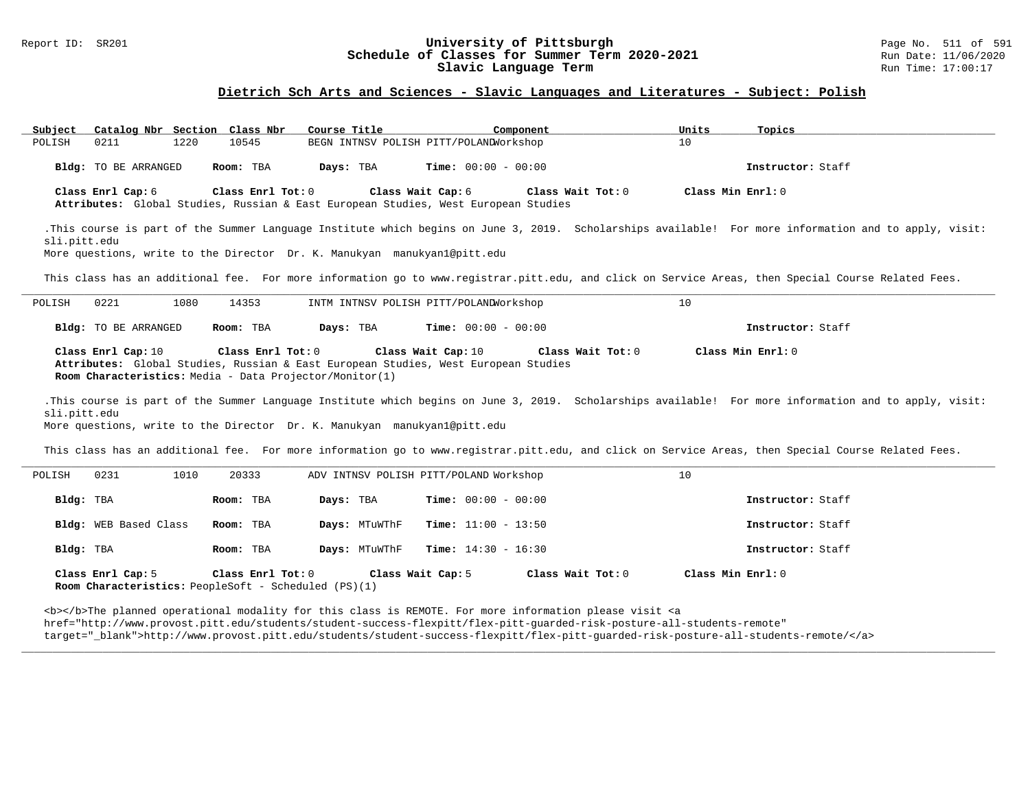#### Report ID: SR201 **1988 Manusia Content Content Content Content Content Content Content Content Content Content**<br>
Schedule of Classes for Summer Term 2020-2021 1999 Run Date: 11/06/2020 **Schedule of Classes for Summer Term 2020-2021** Run Date: 11/06/2020<br>Slavic Language Term **2020-2021** Run Time: 17:00:17 Slavic Language Term

### **Dietrich Sch Arts and Sciences - Slavic Languages and Literatures - Subject: Polish**

| Subject Catalog Nbr Section Class Nbr                                                                                                                                                                                                             |                   | Course Title       | Component                                                                                                                    | Units<br>Topics                                                                                                                                       |  |  |  |  |  |
|---------------------------------------------------------------------------------------------------------------------------------------------------------------------------------------------------------------------------------------------------|-------------------|--------------------|------------------------------------------------------------------------------------------------------------------------------|-------------------------------------------------------------------------------------------------------------------------------------------------------|--|--|--|--|--|
| 1220<br>POLISH<br>0211                                                                                                                                                                                                                            | 10545             |                    | BEGN INTNSV POLISH PITT/POLANDWorkshop                                                                                       | 10 <sup>°</sup>                                                                                                                                       |  |  |  |  |  |
| Bldg: TO BE ARRANGED                                                                                                                                                                                                                              | Room: TBA         | Days: TBA          | <b>Time:</b> $00:00 - 00:00$                                                                                                 | Instructor: Staff                                                                                                                                     |  |  |  |  |  |
| Class Enrl Cap: 6                                                                                                                                                                                                                                 | Class Enrl Tot: 0 |                    | Class Wait Cap: 6<br>Class Wait Tot: 0<br>Attributes: Global Studies, Russian & East European Studies, West European Studies | Class Min Enrl: 0                                                                                                                                     |  |  |  |  |  |
| .This course is part of the Summer Language Institute which begins on June 3, 2019. Scholarships available! For more information and to apply, visit:<br>sli.pitt.edu<br>More questions, write to the Director Dr. K. Manukyan manukyan1@pitt.edu |                   |                    |                                                                                                                              |                                                                                                                                                       |  |  |  |  |  |
|                                                                                                                                                                                                                                                   |                   |                    |                                                                                                                              | This class has an additional fee. For more information go to www.registrar.pitt.edu, and click on Service Areas, then Special Course Related Fees.    |  |  |  |  |  |
| 0221<br>1080<br>POLISH                                                                                                                                                                                                                            | 14353             |                    | INTM INTNSV POLISH PITT/POLANDWorkshop                                                                                       | 10                                                                                                                                                    |  |  |  |  |  |
| Bldg: TO BE ARRANGED                                                                                                                                                                                                                              | Room: TBA         | Days: TBA          | <b>Time:</b> $00:00 - 00:00$                                                                                                 | Instructor: Staff                                                                                                                                     |  |  |  |  |  |
| Class Enrl Cap: 10<br>Room Characteristics: Media - Data Projector/Monitor(1)                                                                                                                                                                     | Class Enrl Tot: 0 | Class Wait Cap: 10 | Class Wait Tot: 0<br>Attributes: Global Studies, Russian & East European Studies, West European Studies                      | Class Min Enrl: 0                                                                                                                                     |  |  |  |  |  |
| sli.pitt.edu<br>More questions, write to the Director Dr. K. Manukyan manukyan1@pitt.edu                                                                                                                                                          |                   |                    |                                                                                                                              | .This course is part of the Summer Language Institute which begins on June 3, 2019. Scholarships available! For more information and to apply, visit: |  |  |  |  |  |
|                                                                                                                                                                                                                                                   |                   |                    |                                                                                                                              | This class has an additional fee. For more information go to www.registrar.pitt.edu, and click on Service Areas, then Special Course Related Fees.    |  |  |  |  |  |
| 1010<br>0231<br>POLISH                                                                                                                                                                                                                            | 20333             |                    | ADV INTNSV POLISH PITT/POLAND Workshop                                                                                       | 10                                                                                                                                                    |  |  |  |  |  |
| Bldg: TBA                                                                                                                                                                                                                                         | Room: TBA         | Days: TBA          | <b>Time:</b> $00:00 - 00:00$                                                                                                 | Instructor: Staff                                                                                                                                     |  |  |  |  |  |
| Bldg: WEB Based Class                                                                                                                                                                                                                             | Room: TBA         | Days: MTuWThF      | <b>Time:</b> $11:00 - 13:50$                                                                                                 | Instructor: Staff                                                                                                                                     |  |  |  |  |  |
| Bldg: TBA                                                                                                                                                                                                                                         | Room: TBA         | Days: MTuWThF      | <b>Time:</b> $14:30 - 16:30$                                                                                                 | Instructor: Staff                                                                                                                                     |  |  |  |  |  |
| Class Enrl Cap: 5<br>Room Characteristics: PeopleSoft - Scheduled (PS)(1)                                                                                                                                                                         | Class Enrl Tot: 0 |                    | Class Wait Cap: 5<br>Class Wait Tot: 0                                                                                       | Class Min Enrl: 0                                                                                                                                     |  |  |  |  |  |

<b></b>The planned operational modality for this class is REMOTE. For more information please visit <a href="http://www.provost.pitt.edu/students/student-success-flexpitt/flex-pitt-guarded-risk-posture-all-students-remote" target="\_blank">http://www.provost.pitt.edu/students/student-success-flexpitt/flex-pitt-guarded-risk-posture-all-students-remote/</a>

**\_\_\_\_\_\_\_\_\_\_\_\_\_\_\_\_\_\_\_\_\_\_\_\_\_\_\_\_\_\_\_\_\_\_\_\_\_\_\_\_\_\_\_\_\_\_\_\_\_\_\_\_\_\_\_\_\_\_\_\_\_\_\_\_\_\_\_\_\_\_\_\_\_\_\_\_\_\_\_\_\_\_\_\_\_\_\_\_\_\_\_\_\_\_\_\_\_\_\_\_\_\_\_\_\_\_\_\_\_\_\_\_\_\_\_\_\_\_\_\_\_\_\_\_\_\_\_\_\_\_\_\_\_\_\_\_\_\_\_\_\_\_\_\_\_\_\_\_\_\_\_\_\_\_\_\_**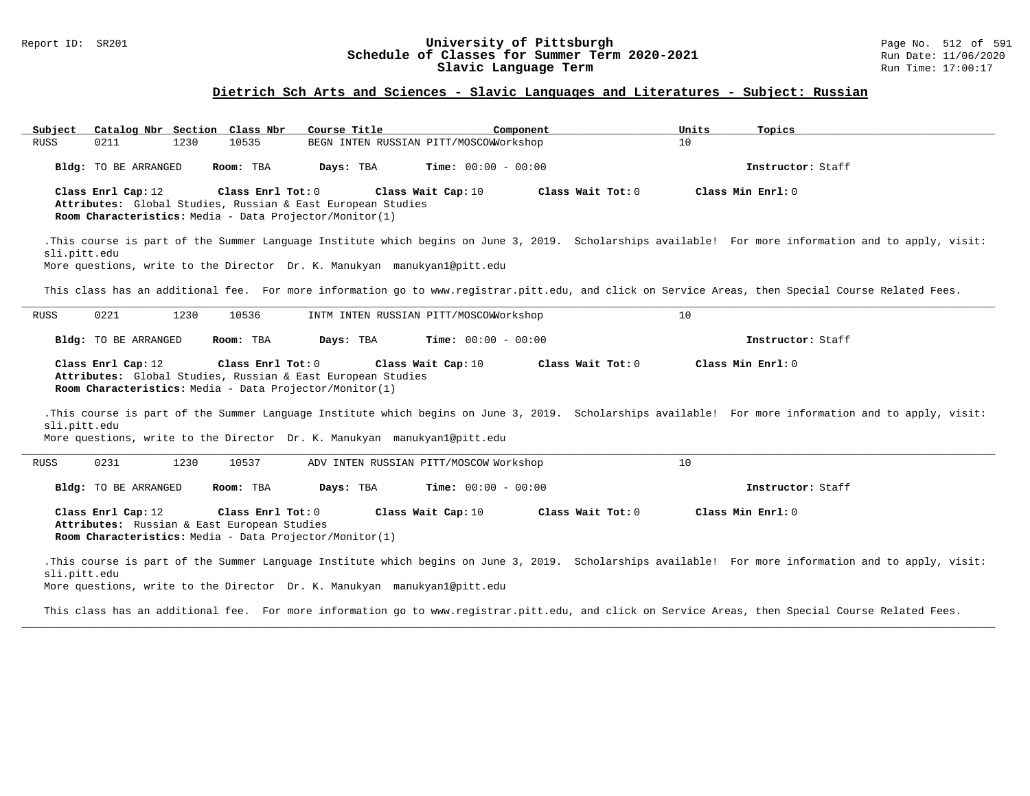#### Report ID: SR201 **1988 Chedule of Classes for Summer Term 2020-2021** Page No. 512 of 591 Page No. 512 of 591 **Schedule of Classes for Summer Term 2020-2021** Run Date: 11/06/2020 **Schedule of Classes for Summer Term 2020-2021** Run Date: 11/06/2020<br>Slavic Language Term **2020-2021** Run Time: 17:00:17 Slavic Language Term

### **Dietrich Sch Arts and Sciences - Slavic Languages and Literatures - Subject: Russian**

| Subject                                                                                                                                                                                                                                  | Catalog Nbr Section Class Nbr | Course Title                           | Component                    | Units | Topics                                                                                                                                                |  |  |  |
|------------------------------------------------------------------------------------------------------------------------------------------------------------------------------------------------------------------------------------------|-------------------------------|----------------------------------------|------------------------------|-------|-------------------------------------------------------------------------------------------------------------------------------------------------------|--|--|--|
| 0211<br>1230<br><b>RUSS</b>                                                                                                                                                                                                              | 10535                         | BEGN INTEN RUSSIAN PITT/MOSCOWNorkshop |                              | 10    |                                                                                                                                                       |  |  |  |
| Bldg: TO BE ARRANGED                                                                                                                                                                                                                     | Room: TBA                     | Days: TBA                              | <b>Time:</b> $00:00 - 00:00$ |       | Instructor: Staff                                                                                                                                     |  |  |  |
| Class Min Enrl: 0<br>Class Enrl Cap: 12<br>Class Enrl Tot: 0<br>Class Wait Cap: 10<br>Class Wait $Tot: 0$<br>Attributes: Global Studies, Russian & East European Studies<br>Room Characteristics: Media - Data Projector/Monitor(1)      |                               |                                        |                              |       |                                                                                                                                                       |  |  |  |
| sli.pitt.edu<br>More questions, write to the Director Dr. K. Manukyan manukyanl@pitt.edu                                                                                                                                                 |                               |                                        |                              |       | .This course is part of the Summer Language Institute which begins on June 3, 2019. Scholarships available! For more information and to apply, visit: |  |  |  |
|                                                                                                                                                                                                                                          |                               |                                        |                              |       | This class has an additional fee. For more information go to www.registrar.pitt.edu, and click on Service Areas, then Special Course Related Fees.    |  |  |  |
| 0221<br>1230<br>RUSS                                                                                                                                                                                                                     | 10536                         | INTM INTEN RUSSIAN PITT/MOSCOWNorkshop |                              | 10    |                                                                                                                                                       |  |  |  |
| Bldg: TO BE ARRANGED                                                                                                                                                                                                                     | Room: TBA                     | Days: TBA                              | <b>Time:</b> $00:00 - 00:00$ |       | Instructor: Staff                                                                                                                                     |  |  |  |
| Class Enrl Cap: 12<br>Class Enrl Tot: 0<br>Class Wait Cap: 10<br>Class Wait Tot: 0<br>Class Min Enrl: 0<br>Attributes: Global Studies, Russian & East European Studies<br><b>Room Characteristics:</b> Media - Data Projector/Monitor(1) |                               |                                        |                              |       |                                                                                                                                                       |  |  |  |
|                                                                                                                                                                                                                                          |                               |                                        |                              |       |                                                                                                                                                       |  |  |  |
| sli.pitt.edu<br>More questions, write to the Director Dr. K. Manukyan manukyan1@pitt.edu                                                                                                                                                 |                               |                                        |                              |       | .This course is part of the Summer Language Institute which begins on June 3, 2019. Scholarships available! For more information and to apply, visit: |  |  |  |
| 0231<br>1230<br>RUSS                                                                                                                                                                                                                     | 10537                         | ADV INTEN RUSSIAN PITT/MOSCOW Workshop |                              | 10    |                                                                                                                                                       |  |  |  |
| Bldg: TO BE ARRANGED                                                                                                                                                                                                                     | Room: TBA                     | Days: TBA                              | <b>Time:</b> $00:00 - 00:00$ |       | Instructor: Staff                                                                                                                                     |  |  |  |
| Class Enrl Cap: 12<br>Attributes: Russian & East European Studies<br><b>Room Characteristics:</b> Media - Data Projector/Monitor(1)                                                                                                      | Class Enrl Tot: 0             | Class Wait Cap: 10                     | Class Wait Tot: 0            |       | Class Min Enrl: 0                                                                                                                                     |  |  |  |

More questions, write to the Director Dr. K. Manukyan manukyan1@pitt.edu

This class has an additional fee. For more information go to www.registrar.pitt.edu, and click on Service Areas, then Special Course Related Fees. **\_\_\_\_\_\_\_\_\_\_\_\_\_\_\_\_\_\_\_\_\_\_\_\_\_\_\_\_\_\_\_\_\_\_\_\_\_\_\_\_\_\_\_\_\_\_\_\_\_\_\_\_\_\_\_\_\_\_\_\_\_\_\_\_\_\_\_\_\_\_\_\_\_\_\_\_\_\_\_\_\_\_\_\_\_\_\_\_\_\_\_\_\_\_\_\_\_\_\_\_\_\_\_\_\_\_\_\_\_\_\_\_\_\_\_\_\_\_\_\_\_\_\_\_\_\_\_\_\_\_\_\_\_\_\_\_\_\_\_\_\_\_\_\_\_\_\_\_\_\_\_\_\_\_\_\_**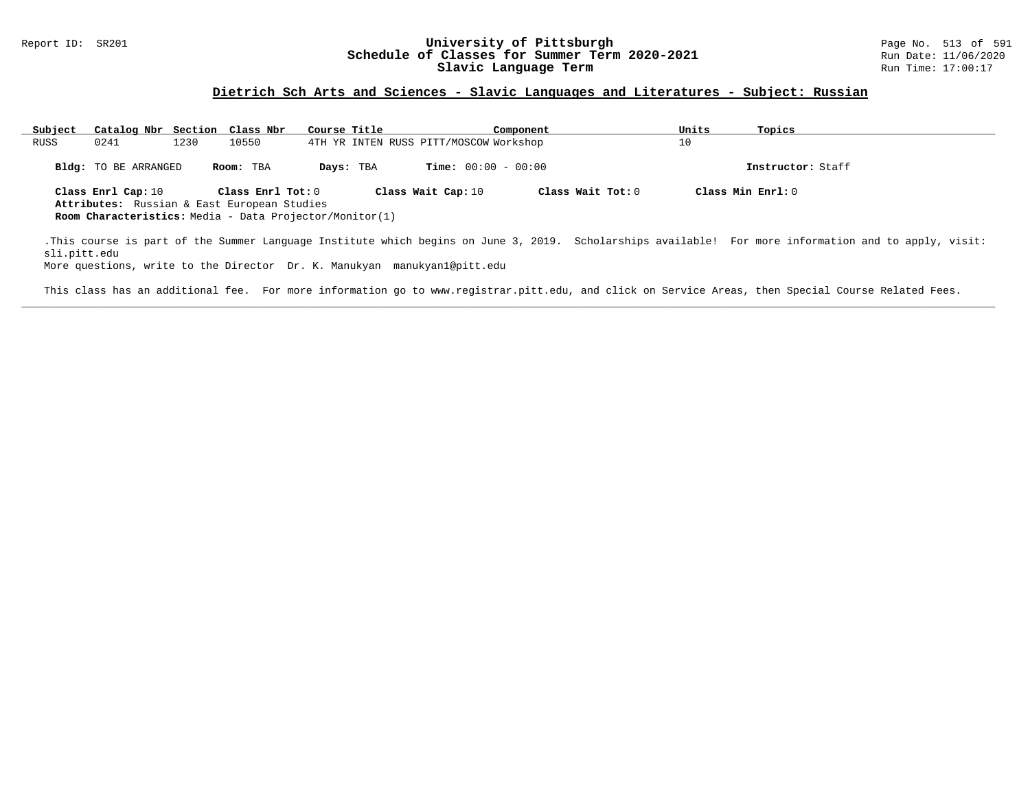#### Report ID: SR201 **1988 Machines 1988 Machinesity of Pittsburgh** Page No. 513 of 591 **University of Pittsburgh** Page No. 513 of 591 Bage No. 513 of 591 Bage No. 513 of 591 Bage No. 513 of 591 Bate: 11/06/2020 **Schedule of Classes for Summer Term 2020-2021** Run Date: 11/06/2020<br>Slavic Language Term **Run Parage Research August** Run Time: 17:00:17 Slavic Language Term

### **Dietrich Sch Arts and Sciences - Slavic Languages and Literatures - Subject: Russian**

| Subject      | Catalog Nbr Section Class Nbr                                     |      |                   | Course Title |           |                                        | Component |                   | Units | Topics                                                                                                                                                |
|--------------|-------------------------------------------------------------------|------|-------------------|--------------|-----------|----------------------------------------|-----------|-------------------|-------|-------------------------------------------------------------------------------------------------------------------------------------------------------|
| RUSS         | 0241                                                              | 1230 | 10550             |              |           | 4TH YR INTEN RUSS PITT/MOSCOW Workshop |           |                   | 10    |                                                                                                                                                       |
|              | Bldg: TO BE ARRANGED                                              |      | Room: TBA         |              | Days: TBA | <b>Time:</b> $00:00 - 00:00$           |           |                   |       | Instructor: Staff                                                                                                                                     |
|              | Class Enrl Cap: 10<br>Attributes: Russian & East European Studies |      | Class Enrl Tot: 0 |              |           | Class Wait Cap: 10                     |           | Class Wait Tot: 0 |       | Class Min $Enrl: 0$                                                                                                                                   |
|              | Room Characteristics: Media - Data Projector/Monitor(1)           |      |                   |              |           |                                        |           |                   |       |                                                                                                                                                       |
| sli.pitt.edu |                                                                   |      |                   |              |           |                                        |           |                   |       | .This course is part of the Summer Language Institute which begins on June 3, 2019. Scholarships available! For more information and to apply, visit: |

More questions, write to the Director Dr. K. Manukyan manukyan1@pitt.edu

This class has an additional fee. For more information go to www.registrar.pitt.edu, and click on Service Areas, then Special Course Related Fees. **\_\_\_\_\_\_\_\_\_\_\_\_\_\_\_\_\_\_\_\_\_\_\_\_\_\_\_\_\_\_\_\_\_\_\_\_\_\_\_\_\_\_\_\_\_\_\_\_\_\_\_\_\_\_\_\_\_\_\_\_\_\_\_\_\_\_\_\_\_\_\_\_\_\_\_\_\_\_\_\_\_\_\_\_\_\_\_\_\_\_\_\_\_\_\_\_\_\_\_\_\_\_\_\_\_\_\_\_\_\_\_\_\_\_\_\_\_\_\_\_\_\_\_\_\_\_\_\_\_\_\_\_\_\_\_\_\_\_\_\_\_\_\_\_\_\_\_\_\_\_\_\_\_\_\_\_**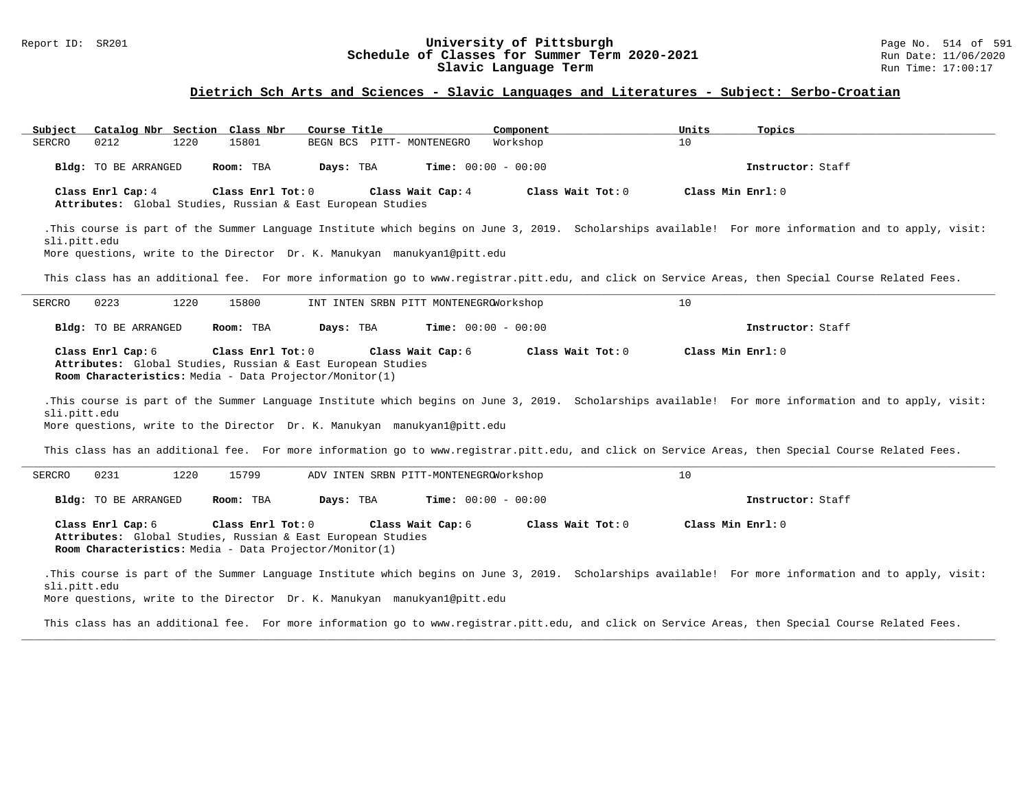#### Report ID: SR201 **1988 Chedule of Classes for Summer Term 2020-2021** Page No. 514 of 591 Page No. 514 of 591 **Schedule of Classes for Summer Term 2020-2021** Run Date: 11/06/2020 **Schedule of Classes for Summer Term 2020-2021** Run Date: 11/06/2020<br>Slavic Language Term **Run Parage Research August** Run Time: 17:00:17 Slavic Language Term

### **Dietrich Sch Arts and Sciences - Slavic Languages and Literatures - Subject: Serbo-Croatian**

| Catalog Nbr Section Class Nbr<br>Subject                                                                                                                                                                                                | Course Title      |                                        | Component                    | Units             | Topics                                                                                                                                                |  |  |  |
|-----------------------------------------------------------------------------------------------------------------------------------------------------------------------------------------------------------------------------------------|-------------------|----------------------------------------|------------------------------|-------------------|-------------------------------------------------------------------------------------------------------------------------------------------------------|--|--|--|
| 0212<br>1220<br>SERCRO                                                                                                                                                                                                                  | 15801             | BEGN BCS PITT- MONTENEGRO              | Workshop                     | 10                |                                                                                                                                                       |  |  |  |
| Bldg: TO BE ARRANGED                                                                                                                                                                                                                    | Room: TBA         | Days: TBA                              | Time: $00:00 - 00:00$        |                   | Instructor: Staff                                                                                                                                     |  |  |  |
| Class Enrl Cap: 4<br>Attributes: Global Studies, Russian & East European Studies                                                                                                                                                        | Class Enrl Tot: 0 | Class Wait Cap: 4                      | Class Wait Tot: 0            | Class Min Enrl: 0 |                                                                                                                                                       |  |  |  |
| sli.pitt.edu<br>More questions, write to the Director Dr. K. Manukyan manukyanl@pitt.edu                                                                                                                                                |                   |                                        |                              |                   | .This course is part of the Summer Language Institute which begins on June 3, 2019. Scholarships available! For more information and to apply, visit: |  |  |  |
| This class has an additional fee. For more information go to www.registrar.pitt.edu, and click on Service Areas, then Special Course Related Fees.                                                                                      |                   |                                        |                              |                   |                                                                                                                                                       |  |  |  |
| 0223<br>SERCRO<br>1220                                                                                                                                                                                                                  | 15800             | INT INTEN SRBN PITT MONTENEGROWOrkshop |                              | 10                |                                                                                                                                                       |  |  |  |
| Bldg: TO BE ARRANGED                                                                                                                                                                                                                    | Room: TBA         | Days: TBA                              | <b>Time:</b> $00:00 - 00:00$ |                   | Instructor: Staff                                                                                                                                     |  |  |  |
| Class Enrl Cap: 6<br>Attributes: Global Studies, Russian & East European Studies<br>Room Characteristics: Media - Data Projector/Monitor(1)<br>sli.pitt.edu<br>More questions, write to the Director Dr. K. Manukyan manukyan1@pitt.edu | Class Enrl Tot: 0 | Class Wait Cap: 6                      | Class Wait Tot: 0            | Class Min Enrl: 0 | .This course is part of the Summer Language Institute which begins on June 3, 2019. Scholarships available! For more information and to apply, visit: |  |  |  |
|                                                                                                                                                                                                                                         |                   |                                        |                              |                   | This class has an additional fee. For more information go to www.registrar.pitt.edu, and click on Service Areas, then Special Course Related Fees.    |  |  |  |
| 0231<br>1220<br>SERCRO                                                                                                                                                                                                                  | 15799             | ADV INTEN SRBN PITT-MONTENEGROWOrkshop |                              | 10                |                                                                                                                                                       |  |  |  |
| Bldg: TO BE ARRANGED                                                                                                                                                                                                                    | Room: TBA         | Days: TBA                              | <b>Time:</b> $00:00 - 00:00$ |                   | Instructor: Staff                                                                                                                                     |  |  |  |
| Class Enrl Tot: 0<br>Class Wait Cap: 6<br>Class Wait Tot: 0<br>Class Min Enrl: 0<br>Class Enrl Cap: 6<br>Attributes: Global Studies, Russian & East European Studies<br>Room Characteristics: Media - Data Projector/Monitor(1)         |                   |                                        |                              |                   |                                                                                                                                                       |  |  |  |
| sli.pitt.edu<br>More questions, write to the Director Dr. K. Manukyan manukyanl@pitt.edu                                                                                                                                                |                   |                                        |                              |                   | .This course is part of the Summer Language Institute which begins on June 3, 2019. Scholarships available! For more information and to apply, visit: |  |  |  |
|                                                                                                                                                                                                                                         |                   |                                        |                              |                   | This class has an additional fee. For more information go to www.registrar.pitt.edu, and click on Service Areas, then Special Course Related Fees.    |  |  |  |

**\_\_\_\_\_\_\_\_\_\_\_\_\_\_\_\_\_\_\_\_\_\_\_\_\_\_\_\_\_\_\_\_\_\_\_\_\_\_\_\_\_\_\_\_\_\_\_\_\_\_\_\_\_\_\_\_\_\_\_\_\_\_\_\_\_\_\_\_\_\_\_\_\_\_\_\_\_\_\_\_\_\_\_\_\_\_\_\_\_\_\_\_\_\_\_\_\_\_\_\_\_\_\_\_\_\_\_\_\_\_\_\_\_\_\_\_\_\_\_\_\_\_\_\_\_\_\_\_\_\_\_\_\_\_\_\_\_\_\_\_\_\_\_\_\_\_\_\_\_\_\_\_\_\_\_\_**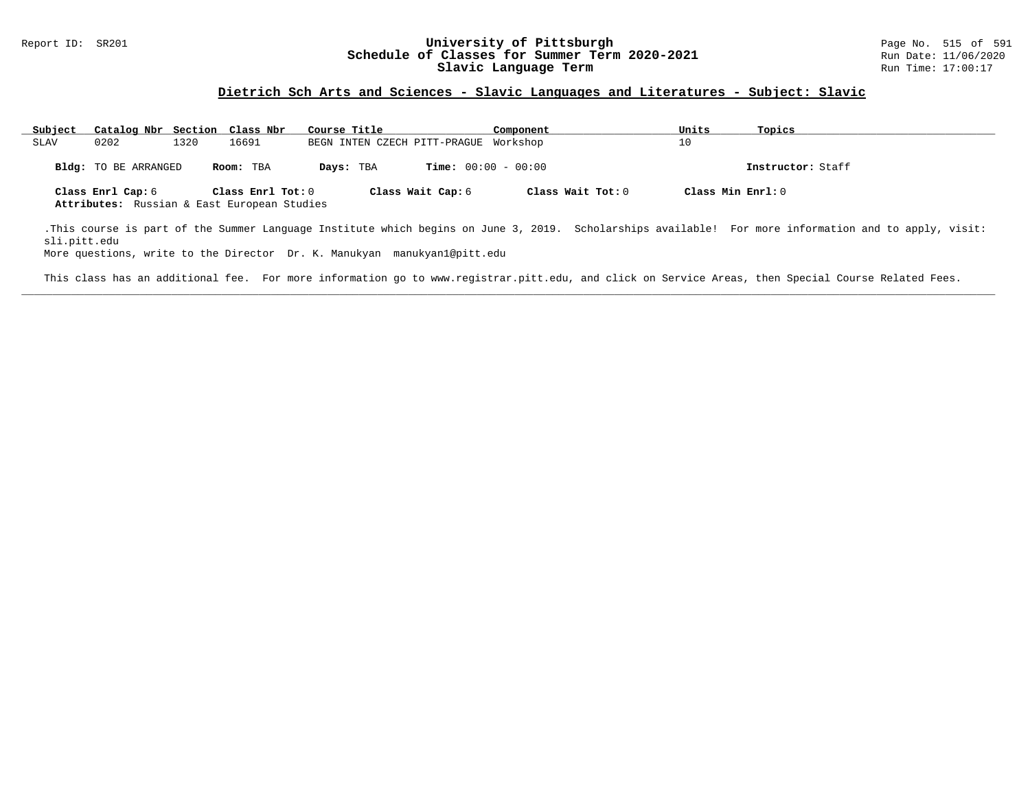#### Report ID: SR201 **1988 Manufact Schedule of Classes for Summer Term 2020-2021** Page No. 515 of 591 Page No. 515 of 591<br>**Schedule of Classes for Summer Term 2020-2021** Run Date: 11/06/2020 **Schedule of Classes for Summer Term 2020-2021** Run Date: 11/06/2020<br>Slavic Language Term **Run Parage Research Run** Time: 17:00:17 Slavic Language Term

### **Dietrich Sch Arts and Sciences - Slavic Languages and Literatures - Subject: Slavic**

| Subject | Catalog Nbr Section Class Nbr                                    |      |                   | Course Title                          |                              | Component           | Units             | Topics            |
|---------|------------------------------------------------------------------|------|-------------------|---------------------------------------|------------------------------|---------------------|-------------------|-------------------|
| SLAV    | 0202                                                             | 1320 | 16691             | BEGN INTEN CZECH PITT-PRAGUE Workshop |                              |                     | 10                |                   |
|         | Bldg: TO BE ARRANGED                                             |      | Room: TBA         | Days: TBA                             | <b>Time:</b> $00:00 - 00:00$ |                     |                   | Instructor: Staff |
|         | Class Enrl Cap: 6<br>Attributes: Russian & East European Studies |      | Class Enrl Tot: 0 |                                       | Class Wait Cap: 6            | Class Wait Tot: $0$ | Class Min Enrl: 0 |                   |

.This course is part of the Summer Language Institute which begins on June 3, 2019. Scholarships available! For more information and to apply, visit: sli.pitt.edu

More questions, write to the Director Dr. K. Manukyan manukyan1@pitt.edu

This class has an additional fee. For more information go to www.registrar.pitt.edu, and click on Service Areas, then Special Course Related Fees. **\_\_\_\_\_\_\_\_\_\_\_\_\_\_\_\_\_\_\_\_\_\_\_\_\_\_\_\_\_\_\_\_\_\_\_\_\_\_\_\_\_\_\_\_\_\_\_\_\_\_\_\_\_\_\_\_\_\_\_\_\_\_\_\_\_\_\_\_\_\_\_\_\_\_\_\_\_\_\_\_\_\_\_\_\_\_\_\_\_\_\_\_\_\_\_\_\_\_\_\_\_\_\_\_\_\_\_\_\_\_\_\_\_\_\_\_\_\_\_\_\_\_\_\_\_\_\_\_\_\_\_\_\_\_\_\_\_\_\_\_\_\_\_\_\_\_\_\_\_\_\_\_\_\_\_\_**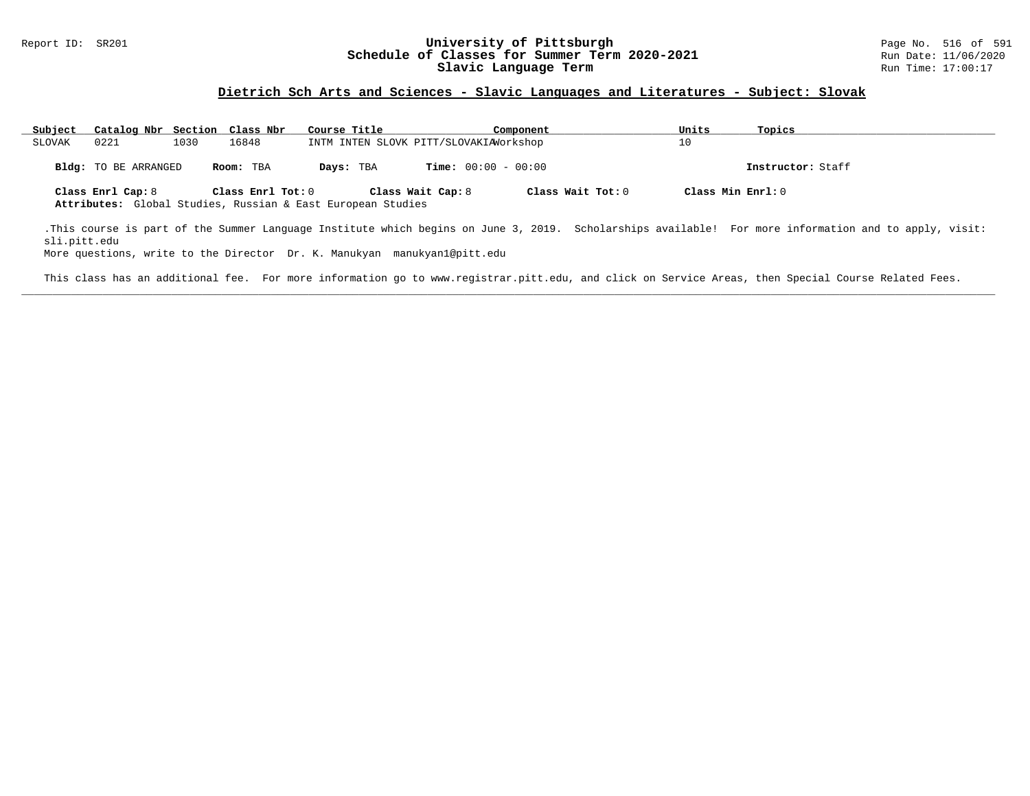#### Report ID: SR201 **1988 Manufact Schedule of Classes for Summer Term 2020-2021** Page No. 516 of 591 Page No. 516 of 591<br>**Schedule of Classes for Summer Term 2020-2021** Run Date: 11/06/2020 **Schedule of Classes for Summer Term 2020-2021** Run Date: 11/06/2020<br>Slavic Language Term **Run Parage Research August** Run Time: 17:00:17 Slavic Language Term

### **Dietrich Sch Arts and Sciences - Slavic Languages and Literatures - Subject: Slovak**

| Subject | Catalog Nbr Section Class Nbr |      |                   | Course Title                                                |                              | Component         | Units             | Topics            |
|---------|-------------------------------|------|-------------------|-------------------------------------------------------------|------------------------------|-------------------|-------------------|-------------------|
| SLOVAK  | 0221                          | 1030 | 16848             | INTM INTEN SLOVK PITT/SLOVAKIAWorkshop                      |                              |                   | 10                |                   |
|         | <b>Bldg:</b> TO BE ARRANGED   |      | Room: TBA         | Days: TBA                                                   | <b>Time:</b> $00:00 - 00:00$ |                   |                   | Instructor: Staff |
|         | Class Enrl Cap: 8             |      | Class Enrl Tot: 0 | Attributes: Global Studies, Russian & East European Studies | Class Wait Cap: 8            | Class Wait Tot: 0 | Class Min Enrl: 0 |                   |

.This course is part of the Summer Language Institute which begins on June 3, 2019. Scholarships available! For more information and to apply, visit: sli.pitt.edu

More questions, write to the Director Dr. K. Manukyan manukyan1@pitt.edu

This class has an additional fee. For more information go to www.registrar.pitt.edu, and click on Service Areas, then Special Course Related Fees. **\_\_\_\_\_\_\_\_\_\_\_\_\_\_\_\_\_\_\_\_\_\_\_\_\_\_\_\_\_\_\_\_\_\_\_\_\_\_\_\_\_\_\_\_\_\_\_\_\_\_\_\_\_\_\_\_\_\_\_\_\_\_\_\_\_\_\_\_\_\_\_\_\_\_\_\_\_\_\_\_\_\_\_\_\_\_\_\_\_\_\_\_\_\_\_\_\_\_\_\_\_\_\_\_\_\_\_\_\_\_\_\_\_\_\_\_\_\_\_\_\_\_\_\_\_\_\_\_\_\_\_\_\_\_\_\_\_\_\_\_\_\_\_\_\_\_\_\_\_\_\_\_\_\_\_\_**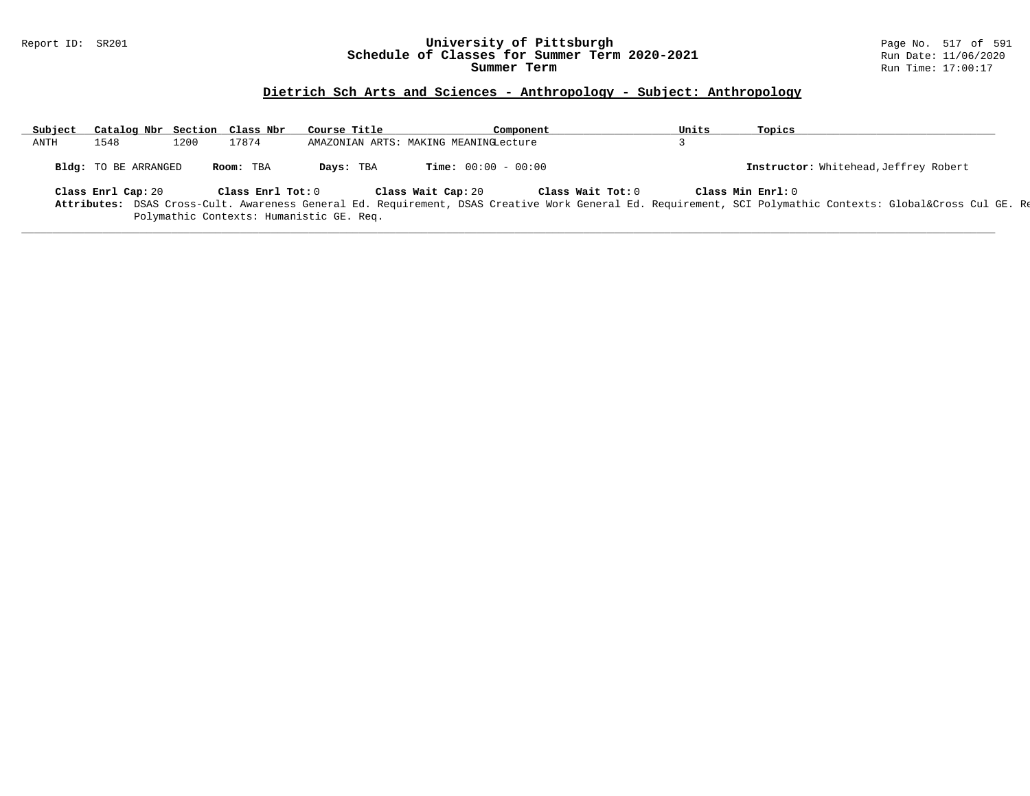#### Report ID: SR201 **University of Pittsburgh** Page No. 517 of 591 **Schedule of Classes for Summer Term 2020-2021** Run Date: 11/06/2020 **Summer Term** Run Time: 17:00:17

### **Dietrich Sch Arts and Sciences - Anthropology - Subject: Anthropology**

| Subject | Catalog Nbr Section Class Nbr |      |                   | Course Title                             | Component                             |                   | Units | Topics                                                                                                                                                  |
|---------|-------------------------------|------|-------------------|------------------------------------------|---------------------------------------|-------------------|-------|---------------------------------------------------------------------------------------------------------------------------------------------------------|
| ANTH    | 1548                          | 1200 | 17874             |                                          | AMAZONIAN ARTS: MAKING MEANINGLecture |                   |       |                                                                                                                                                         |
|         | Bldg: TO BE ARRANGED          |      | Room: TBA         | Days: TBA                                | <b>Time:</b> $00:00 - 00:00$          |                   |       | Instructor: Whitehead, Jeffrey Robert                                                                                                                   |
|         | Class Enrl Cap: 20            |      | Class Enrl Tot: 0 |                                          | Class Wait Cap: 20                    | Class Wait Tot: 0 |       | Class Min Enrl: 0                                                                                                                                       |
|         |                               |      |                   |                                          |                                       |                   |       | Attributes: DSAS Cross-Cult. Awareness General Ed. Requirement, DSAS Creative Work General Ed. Requirement, SCI Polymathic Contexts: Global⨯ Cul GE. Re |
|         |                               |      |                   | Polymathic Contexts: Humanistic GE. Req. |                                       |                   |       |                                                                                                                                                         |

**\_\_\_\_\_\_\_\_\_\_\_\_\_\_\_\_\_\_\_\_\_\_\_\_\_\_\_\_\_\_\_\_\_\_\_\_\_\_\_\_\_\_\_\_\_\_\_\_\_\_\_\_\_\_\_\_\_\_\_\_\_\_\_\_\_\_\_\_\_\_\_\_\_\_\_\_\_\_\_\_\_\_\_\_\_\_\_\_\_\_\_\_\_\_\_\_\_\_\_\_\_\_\_\_\_\_\_\_\_\_\_\_\_\_\_\_\_\_\_\_\_\_\_\_\_\_\_\_\_\_\_\_\_\_\_\_\_\_\_\_\_\_\_\_\_\_\_\_\_\_\_\_\_\_\_\_**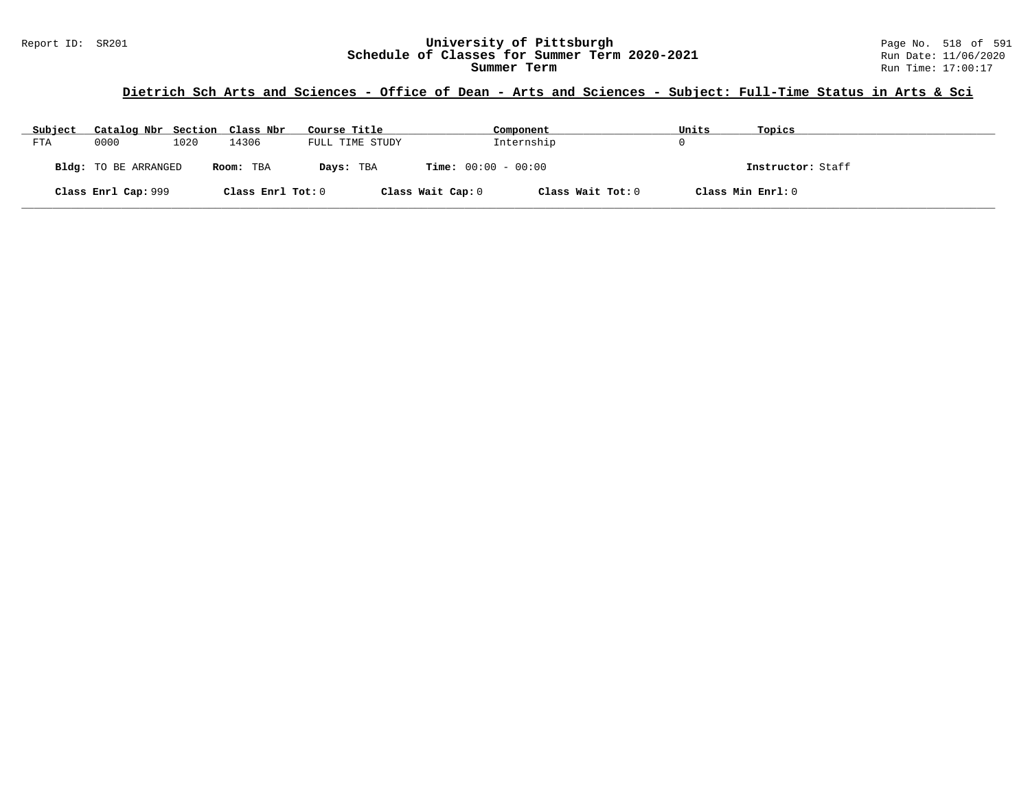### **Dietrich Sch Arts and Sciences - Office of Dean - Arts and Sciences - Subject: Full-Time Status in Arts & Sci**

| Subject | Catalog Nbr Section Class Nbr |      |                   | Course Title    |                              | Component         | Units | Topics            |
|---------|-------------------------------|------|-------------------|-----------------|------------------------------|-------------------|-------|-------------------|
| FTA     | 0000                          | 1020 | 14306             | FULL TIME STUDY |                              | Internship        |       |                   |
|         | Bldg: TO BE ARRANGED          |      | Room: TBA         | Days: TBA       | <b>Time:</b> $00:00 - 00:00$ |                   |       | Instructor: Staff |
|         | Class Enrl Cap: 999           |      | Class Enrl Tot: 0 |                 | Class Wait Cap: 0            | Class Wait Tot: 0 |       | Class Min Enrl: 0 |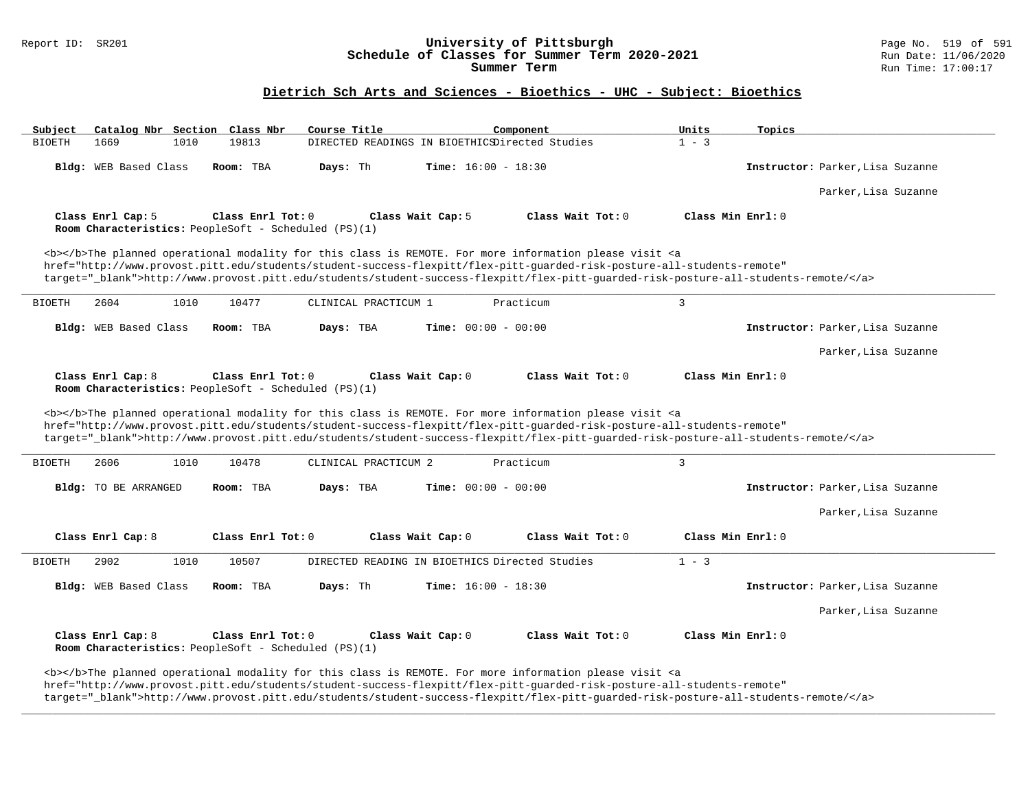# Report ID: SR201 **1998 Mixersity of Pittsburgh University of Pittsburgh** Page No. 519 of 591 **Page No. 519 of 591**<br>**Schedule of Classes for Summer Term 2020-2021** Run Date: 11/06/2020 Schedule of Classes for Summer Term 2020-2021

### **Dietrich Sch Arts and Sciences - Bioethics - UHC - Subject: Bioethics**

| Subject                       | Catalog Nbr Section Class Nbr<br>Course Title                             | Component                                                                                                                                                                                                                                                                                                                                                                          | Units<br>Topics                  |
|-------------------------------|---------------------------------------------------------------------------|------------------------------------------------------------------------------------------------------------------------------------------------------------------------------------------------------------------------------------------------------------------------------------------------------------------------------------------------------------------------------------|----------------------------------|
| 1669<br>1010<br><b>BIOETH</b> | 19813                                                                     | DIRECTED READINGS IN BIOETHICSDirected Studies                                                                                                                                                                                                                                                                                                                                     | $1 - 3$                          |
| Bldg: WEB Based Class         | Room: TBA<br>Days: Th                                                     | <b>Time:</b> $16:00 - 18:30$                                                                                                                                                                                                                                                                                                                                                       | Instructor: Parker, Lisa Suzanne |
|                               |                                                                           |                                                                                                                                                                                                                                                                                                                                                                                    | Parker, Lisa Suzanne             |
| Class Enrl Cap: 5             | Class Enrl Tot: 0<br>Room Characteristics: PeopleSoft - Scheduled (PS)(1) | Class Wait Cap: 5<br>Class Wait Tot: 0                                                                                                                                                                                                                                                                                                                                             | Class Min Enrl: 0                |
|                               |                                                                           | <b></b> The planned operational modality for this class is REMOTE. For more information please visit <a<br>href="http://www.provost.pitt.edu/students/student-success-flexpitt/flex-pitt-quarded-risk-posture-all-students-remote"<br/>target="_blank"&gt;http://www.provost.pitt.edu/students/student-success-flexpitt/flex-pitt-quarded-risk-posture-all-students-remote/</a<br> |                                  |
| 1010<br><b>BIOETH</b><br>2604 | 10477<br>CLINICAL PRACTICUM 1                                             | Practicum                                                                                                                                                                                                                                                                                                                                                                          | 3                                |
| <b>Bldg:</b> WEB Based Class  | Room: TBA<br>Days: TBA                                                    | <b>Time:</b> $00:00 - 00:00$                                                                                                                                                                                                                                                                                                                                                       | Instructor: Parker, Lisa Suzanne |
|                               |                                                                           |                                                                                                                                                                                                                                                                                                                                                                                    | Parker, Lisa Suzanne             |
| Class Enrl Cap: 8             | Class Enrl Tot: 0<br>Room Characteristics: PeopleSoft - Scheduled (PS)(1) | Class Wait Cap: 0<br>Class Wait Tot: 0                                                                                                                                                                                                                                                                                                                                             | Class Min Enrl: 0                |
|                               |                                                                           |                                                                                                                                                                                                                                                                                                                                                                                    |                                  |
|                               |                                                                           | <b></b> The planned operational modality for this class is REMOTE. For more information please visit <a<br>href="http://www.provost.pitt.edu/students/student-success-flexpitt/flex-pitt-quarded-risk-posture-all-students-remote"<br/>target="_blank"&gt;http://www.provost.pitt.edu/students/student-success-flexpitt/flex-pitt-quarded-risk-posture-all-students-remote/</a<br> |                                  |
| 2606<br>1010<br><b>BIOETH</b> | 10478<br>CLINICAL PRACTICUM 2                                             | Practicum                                                                                                                                                                                                                                                                                                                                                                          | $\mathbf{3}$                     |
| Bldg: TO BE ARRANGED          | Days: TBA<br>Room: TBA                                                    | <b>Time:</b> $00:00 - 00:00$                                                                                                                                                                                                                                                                                                                                                       | Instructor: Parker, Lisa Suzanne |
|                               |                                                                           |                                                                                                                                                                                                                                                                                                                                                                                    | Parker, Lisa Suzanne             |
| Class Enrl Cap: 8             | Class Enrl Tot: 0                                                         | Class Wait Cap: 0<br>Class Wait Tot: 0                                                                                                                                                                                                                                                                                                                                             | Class Min Enrl: 0                |
| 2902<br>1010                  | 10507                                                                     | DIRECTED READING IN BIOETHICS Directed Studies                                                                                                                                                                                                                                                                                                                                     | $1 - 3$                          |
| Bldg: WEB Based Class         | Days: Th<br>Room: TBA                                                     | <b>Time:</b> $16:00 - 18:30$                                                                                                                                                                                                                                                                                                                                                       | Instructor: Parker, Lisa Suzanne |
| <b>BIOETH</b>                 |                                                                           |                                                                                                                                                                                                                                                                                                                                                                                    | Parker, Lisa Suzanne             |
| Class Enrl Cap: 8             | Class Enrl Tot: 0<br>Room Characteristics: PeopleSoft - Scheduled (PS)(1) | Class Wait Tot: 0<br>Class Wait Cap: 0                                                                                                                                                                                                                                                                                                                                             | Class Min Enrl: 0                |

target="\_blank">http://www.provost.pitt.edu/students/student-success-flexpitt/flex-pitt-guarded-risk-posture-all-students-remote/</a>

**\_\_\_\_\_\_\_\_\_\_\_\_\_\_\_\_\_\_\_\_\_\_\_\_\_\_\_\_\_\_\_\_\_\_\_\_\_\_\_\_\_\_\_\_\_\_\_\_\_\_\_\_\_\_\_\_\_\_\_\_\_\_\_\_\_\_\_\_\_\_\_\_\_\_\_\_\_\_\_\_\_\_\_\_\_\_\_\_\_\_\_\_\_\_\_\_\_\_\_\_\_\_\_\_\_\_\_\_\_\_\_\_\_\_\_\_\_\_\_\_\_\_\_\_\_\_\_\_\_\_\_\_\_\_\_\_\_\_\_\_\_\_\_\_\_\_\_\_\_\_\_\_\_\_\_\_**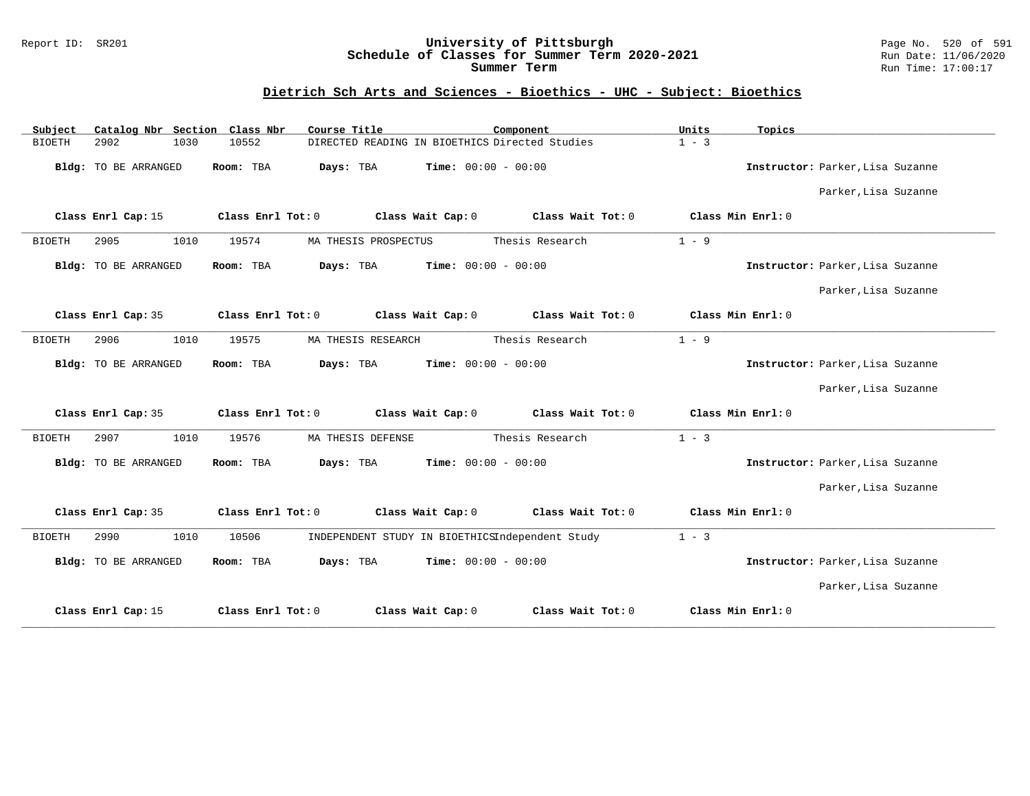#### Report ID: SR201 **University of Pittsburgh** Page No. 520 of 591 **Schedule of Classes for Summer Term 2020-2021** Run Date: 11/06/2020 **Summer Term** Run Time: 17:00:17

### **Dietrich Sch Arts and Sciences - Bioethics - UHC - Subject: Bioethics**

| Catalog Nbr Section<br>Subject | Class Nbr<br>Course Title                                | Component                    | Units<br>Topics                  |
|--------------------------------|----------------------------------------------------------|------------------------------|----------------------------------|
| <b>BIOETH</b><br>2902<br>1030  | DIRECTED READING IN BIOETHICS Directed Studies<br>10552  |                              | $1 - 3$                          |
| Bldg: TO BE ARRANGED           | Room: TBA<br>Days: TBA                                   | <b>Time:</b> $00:00 - 00:00$ | Instructor: Parker, Lisa Suzanne |
|                                |                                                          |                              | Parker, Lisa Suzanne             |
| Class Enrl Cap: 15             | Class Enrl Tot: 0<br>Class Wait Cap: 0                   | Class Wait Tot: 0            | Class Min Enrl: 0                |
| 2905<br>1010<br><b>BIOETH</b>  | 19574<br>MA THESIS PROSPECTUS                            | Thesis Research              | $1 - 9$                          |
| <b>Bldg:</b> TO BE ARRANGED    | Days: TBA<br>Room: TBA                                   | Time: $00:00 - 00:00$        | Instructor: Parker, Lisa Suzanne |
|                                |                                                          |                              | Parker, Lisa Suzanne             |
| Class Enrl Cap: 35             | Class Enrl Tot: 0<br>Class Wait Cap: 0                   | Class Wait Tot: 0            | Class Min Enrl: 0                |
| 2906<br>1010<br><b>BIOETH</b>  | 19575<br>MA THESIS RESEARCH                              | Thesis Research              | $1 - 9$                          |
| <b>Bldg:</b> TO BE ARRANGED    | Room: TBA<br>Days: TBA                                   | Time: $00:00 - 00:00$        | Instructor: Parker, Lisa Suzanne |
|                                |                                                          |                              | Parker, Lisa Suzanne             |
| Class Enrl Cap: 35             | Class Wait Cap: 0<br>Class Enrl Tot: 0                   | Class Wait Tot: 0            | Class Min Enrl: 0                |
| 2907<br>1010<br><b>BIOETH</b>  | 19576<br>MA THESIS DEFENSE                               | Thesis Research              | $1 - 3$                          |
| <b>Bldg:</b> TO BE ARRANGED    | Room: TBA<br>Days: TBA                                   | <b>Time:</b> $00:00 - 00:00$ | Instructor: Parker, Lisa Suzanne |
|                                |                                                          |                              | Parker, Lisa Suzanne             |
| Class Enrl Cap: 35             | Class Enrl Tot: 0<br>Class Wait Cap: 0                   | Class Wait Tot: 0            | Class Min Enrl: 0                |
| 2990<br>1010<br><b>BIOETH</b>  | 10506<br>INDEPENDENT STUDY IN BIOETHICSIndependent Study |                              | $1 - 3$                          |
| Bldg: TO BE ARRANGED           | Days: TBA<br>Room: TBA                                   | <b>Time:</b> $00:00 - 00:00$ | Instructor: Parker, Lisa Suzanne |
|                                |                                                          |                              | Parker, Lisa Suzanne             |
| Class Enrl Cap: 15             | Class Enrl Tot: 0<br>Class Wait Cap: 0                   | Class Wait Tot: 0            | Class Min Enrl: 0                |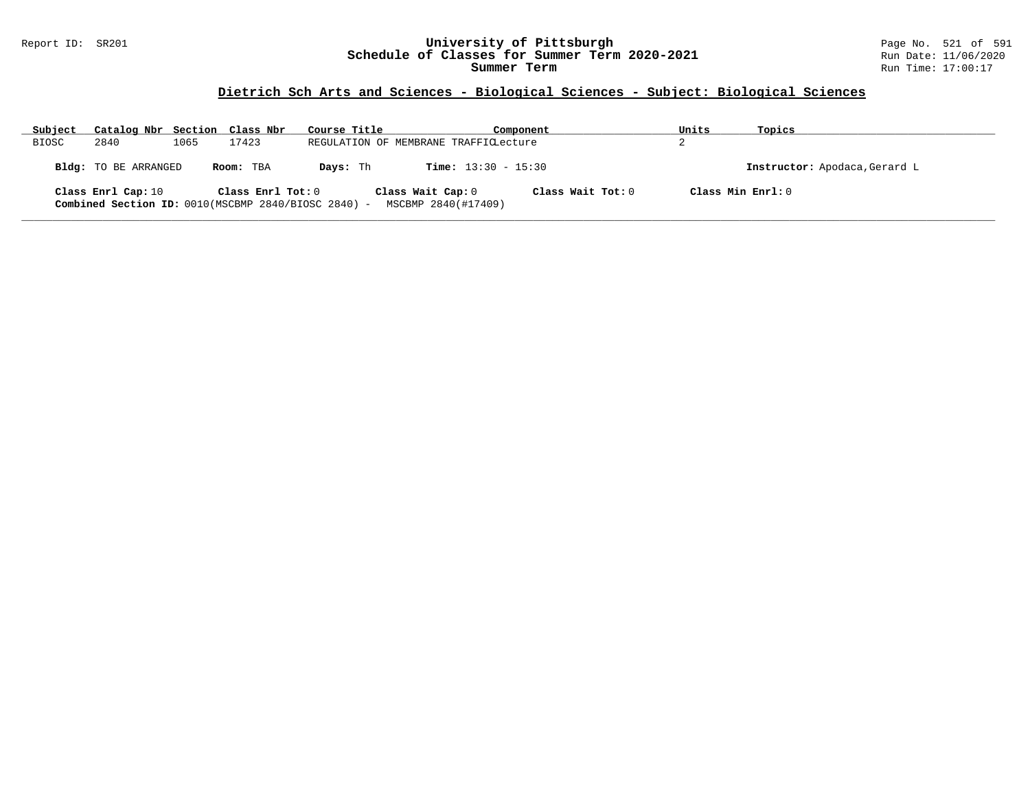#### Report ID: SR201 **University of Pittsburgh** Page No. 521 of 591 **Schedule of Classes for Summer Term 2020-2021** Run Date: 11/06/2020 **Summer Term** Run Time: 17:00:17

# **Dietrich Sch Arts and Sciences - Biological Sciences - Subject: Biological Sciences**

| Subject      | Catalog Nbr Section Class Nbr |      |                     | Course Title                                        |                                          | Component         | Units | Topics                        |
|--------------|-------------------------------|------|---------------------|-----------------------------------------------------|------------------------------------------|-------------------|-------|-------------------------------|
| <b>BIOSC</b> | 2840                          | 1065 | 17423               |                                                     | REGULATION OF MEMBRANE TRAFFICLecture    |                   | z.    |                               |
|              | Bldg: TO BE ARRANGED          |      | Room: TBA           | Davs: Th                                            | <b>Time:</b> $13:30 - 15:30$             |                   |       | Instructor: Apodaca, Gerard L |
|              | Class Enrl Cap: 10            |      | Class Enrl Tot: $0$ | Combined Section ID: 0010(MSCBMP 2840/BIOSC 2840) - | Class Wait Cap: 0<br>MSCBMP 2840(#17409) | Class Wait Tot: 0 |       | Class Min Enrl: 0             |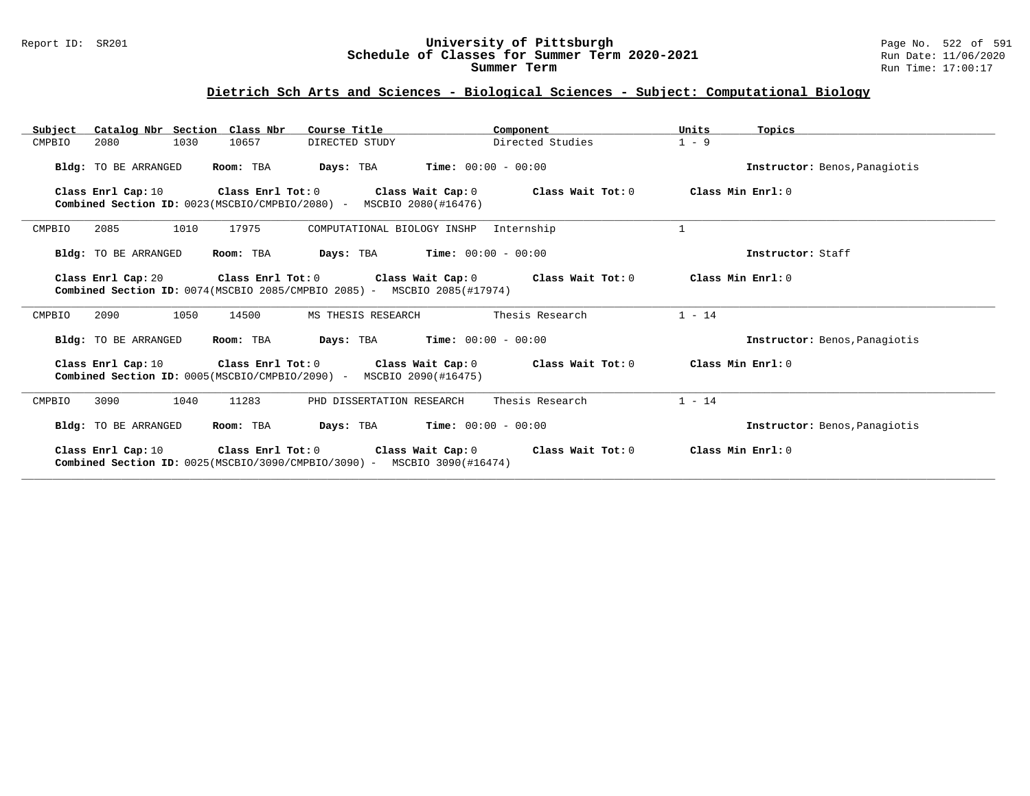#### Report ID: SR201 **University of Pittsburgh** Page No. 522 of 591 **Schedule of Classes for Summer Term 2020-2021** Run Date: 11/06/2020 **Summer Term** Run Time: 17:00:17

# **Dietrich Sch Arts and Sciences - Biological Sciences - Subject: Computational Biology**

| Catalog Nbr Section Class Nbr<br>Subject                                                                                                                                        | Course Title                                                                          | Component                                                                | Units<br>Topics               |
|---------------------------------------------------------------------------------------------------------------------------------------------------------------------------------|---------------------------------------------------------------------------------------|--------------------------------------------------------------------------|-------------------------------|
| 1030<br>CMPBIO<br>2080                                                                                                                                                          | 10657<br>DIRECTED STUDY                                                               | Directed Studies                                                         | $1 - 9$                       |
| Bldg: TO BE ARRANGED                                                                                                                                                            | Room: TBA                                                                             | <b>Days:</b> TBA <b>Time:</b> $00:00 - 00:00$                            | Instructor: Benos, Panagiotis |
| Class Enrl Cap: 10                                                                                                                                                              | <b>Combined Section ID:</b> $0023(MSCBIO/CMPBIO/2080)$ - MSCBIO $2080(\text{#}16476)$ | Class Enrl Tot: $0$ Class Wait Cap: $0$ Class Wait Tot: $0$              | Class Min Enrl: 0             |
| 2085<br>1010<br>CMPBIO                                                                                                                                                          | 17975<br>COMPUTATIONAL BIOLOGY INSHP                                                  | Internship                                                               | $\mathbf{1}$                  |
| Bldg: TO BE ARRANGED                                                                                                                                                            | Room: TBA                                                                             | <b>Days:</b> TBA <b>Time:</b> $00:00 - 00:00$                            | Instructor: Staff             |
| Class Enrl Cap: 20 $\qquad$ Class Enrl Tot: 0 $\qquad$ Class Wait Cap: 0 $\qquad$ Class Wait Tot: 0<br>Combined Section ID: 0074(MSCBIO 2085/CMPBIO 2085) - MSCBIO 2085(#17974) | Class Min Enrl: 0                                                                     |                                                                          |                               |
| 2090<br>1050<br>CMPBIO                                                                                                                                                          | 14500<br>MS THESIS RESEARCH                                                           | Thesis Research                                                          | $1 - 14$                      |
| Bldg: TO BE ARRANGED                                                                                                                                                            | Room: TBA                                                                             | <b>Days:</b> TBA <b>Time:</b> $00:00 - 00:00$                            | Instructor: Benos, Panagiotis |
| Class Enrl Cap: 10                                                                                                                                                              | <b>Combined Section ID:</b> $0005(MSCBIO/CMPBIO/2090)$ - MSCBIO $2090(H16475)$        | Class Enrl Tot: $0$ Class Wait Cap: $0$ Class Wait Tot: $0$              | Class Min Enrl: 0             |
| 1040<br>CMPBIO<br>3090                                                                                                                                                          | 11283<br>PHD DISSERTATION RESEARCH                                                    | Thesis Research                                                          | $1 - 14$                      |
| <b>Bldg:</b> TO BE ARRANGED                                                                                                                                                     | Room: TBA                                                                             | <b>Days:</b> TBA <b>Time:</b> $00:00 - 00:00$                            | Instructor: Benos, Panagiotis |
|                                                                                                                                                                                 | <b>Combined Section ID:</b> $0025(MSCBIO/3090/CMPBIO/3090)$ - MSCBIO 3090(#16474)     | Class Enrl Cap: 10 Class Enrl Tot: 0 Class Wait Cap: 0 Class Wait Tot: 0 | Class Min Enrl: 0             |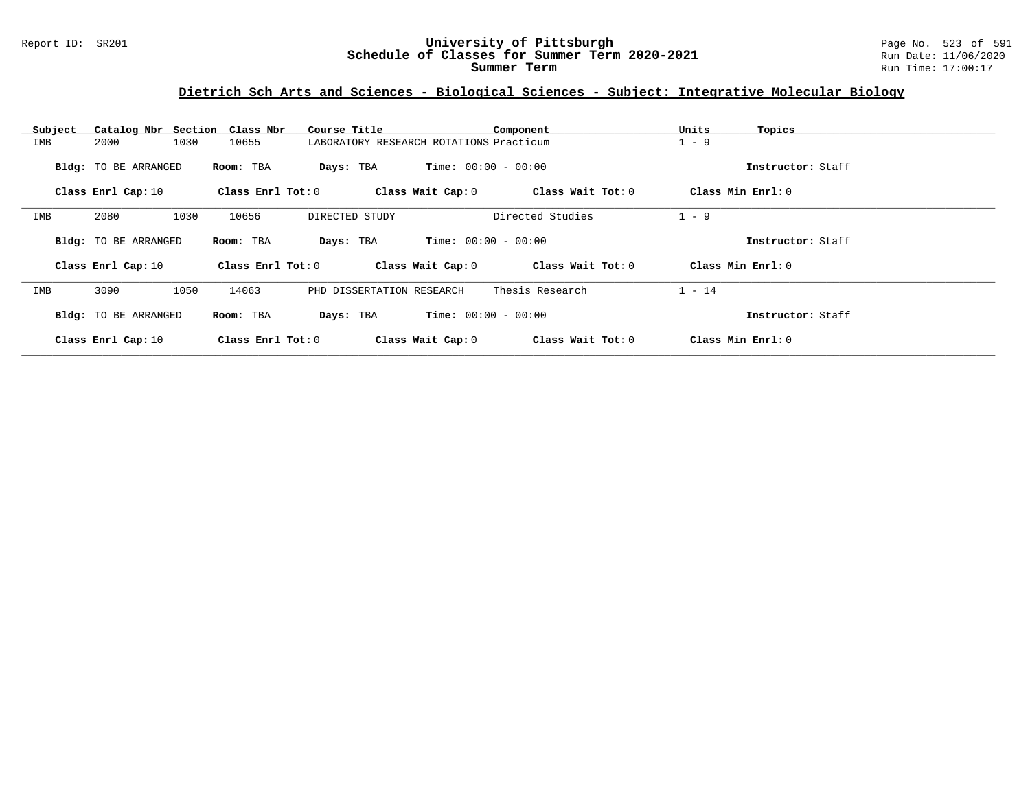### **Dietrich Sch Arts and Sciences - Biological Sciences - Subject: Integrative Molecular Biology**

| Subject | Catalog Nbr Section Class Nbr |                       | Course Title                            |                              | Component         | Units<br>Topics   |  |
|---------|-------------------------------|-----------------------|-----------------------------------------|------------------------------|-------------------|-------------------|--|
| IMB     | 1030<br>2000                  | 10655                 | LABORATORY RESEARCH ROTATIONS Practicum |                              |                   | $1 - 9$           |  |
|         | Bldg: TO BE ARRANGED          | Room: TBA             | Days: TBA                               | <b>Time:</b> $00:00 - 00:00$ |                   | Instructor: Staff |  |
|         | Class Enrl Cap: 10            | Class Enrl Tot: 0     |                                         | Class Wait Cap: 0            | Class Wait Tot: 0 | Class Min Enrl: 0 |  |
| IMB     | 2080<br>1030                  | 10656                 | DIRECTED STUDY                          |                              | Directed Studies  | $1 - 9$           |  |
|         | Bldg: TO BE ARRANGED          | Room: TBA             | Days: TBA                               | <b>Time:</b> $00:00 - 00:00$ |                   | Instructor: Staff |  |
|         | Class Enrl Cap: 10            | Class $Enr1$ Tot: $0$ |                                         | Class Wait Cap: 0            | Class Wait Tot: 0 | Class Min Enrl: 0 |  |
| IMB     | 3090<br>1050                  | 14063                 | PHD DISSERTATION RESEARCH               |                              | Thesis Research   | $1 - 14$          |  |
|         | Bldg: TO BE ARRANGED          | Room: TBA             | Days: TBA                               | <b>Time:</b> $00:00 - 00:00$ |                   | Instructor: Staff |  |
|         | Class Enrl Cap: 10            | Class Enrl Tot: 0     |                                         | Class Wait Cap: 0            | Class Wait Tot: 0 | Class Min Enrl: 0 |  |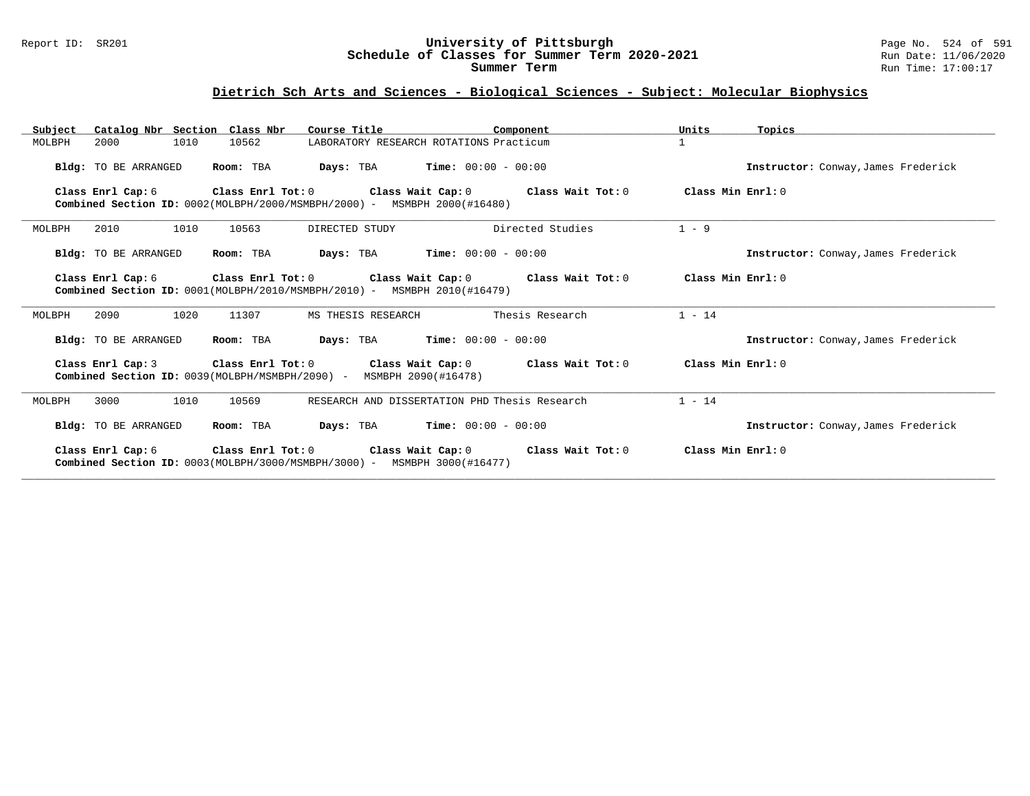#### Report ID: SR201 **University of Pittsburgh** Page No. 524 of 591 **Schedule of Classes for Summer Term 2020-2021** Run Date: 11/06/2020 **Summer Term** Run Time: 17:00:17

# **Dietrich Sch Arts and Sciences - Biological Sciences - Subject: Molecular Biophysics**

| Catalog Nbr Section Class Nbr<br>Subject | Course Title                                                                                                                                     | Component                                                   | Units<br>Topics                     |
|------------------------------------------|--------------------------------------------------------------------------------------------------------------------------------------------------|-------------------------------------------------------------|-------------------------------------|
| 1010<br>MOLBPH<br>2000                   | 10562                                                                                                                                            | LABORATORY RESEARCH ROTATIONS Practicum                     | $\mathbf{1}$                        |
| Bldg: TO BE ARRANGED                     | Room: TBA                                                                                                                                        | <b>Days:</b> TBA <b>Time:</b> $00:00 - 00:00$               | Instructor: Conway, James Frederick |
| Class Enrl Cap: 6                        | Class Enrl Tot: 0<br><b>Combined Section ID:</b> $0002$ (MOLBPH/2000/MSMBPH/2000) - MSMBPH 2000(#16480)                                          | Class Wait Cap: 0 Class Wait Tot: 0                         | Class Min Enrl: 0                   |
| 2010<br>1010<br>MOLBPH                   | DIRECTED STUDY<br>10563                                                                                                                          | Directed Studies                                            | $1 - 9$                             |
| Bldg: TO BE ARRANGED                     | Room: TBA                                                                                                                                        | <b>Days:</b> TBA <b>Time:</b> $00:00 - 00:00$               | Instructor: Conway, James Frederick |
| Class Enrl Cap: 6                        | Class Enrl Tot: $0$ Class Wait Cap: $0$ Class Wait Tot: $0$<br><b>Combined Section ID:</b> $0001(MOEBPH/2010/MSMBPH/2010)$ - MSMBPH 2010(#16479) | Class Min Enrl: 0                                           |                                     |
| 2090<br>1020<br>MOLBPH                   | 11307<br>MS THESIS RESEARCH                                                                                                                      | Thesis Research                                             | $1 - 14$                            |
| Bldg: TO BE ARRANGED                     | Room: TBA                                                                                                                                        | <b>Days:</b> TBA <b>Time:</b> $00:00 - 00:00$               | Instructor: Conway, James Frederick |
| Class Enrl Cap: 3                        | Combined Section ID: 0039(MOLBPH/MSMBPH/2090) - MSMBPH 2090(#16478)                                                                              | Class Enrl Tot: $0$ Class Wait Cap: $0$ Class Wait Tot: $0$ | Class Min Enrl: 0                   |
| 1010<br>MOLBPH<br>3000                   | 10569                                                                                                                                            | RESEARCH AND DISSERTATION PHD Thesis Research               | $1 - 14$                            |
| Bldg: TO BE ARRANGED                     | Room: TBA<br>Days: TBA                                                                                                                           | $Time: 00:00 - 00:00$                                       | Instructor: Conway, James Frederick |
| Class Enrl Cap: 6                        | <b>Combined Section ID:</b> $0003(MOEBPH/3000/MSMBPH/3000)$ - MSMBPH 3000(#16477)                                                                | Class Enrl Tot: $0$ Class Wait Cap: $0$ Class Wait Tot: $0$ | Class Min Enrl: 0                   |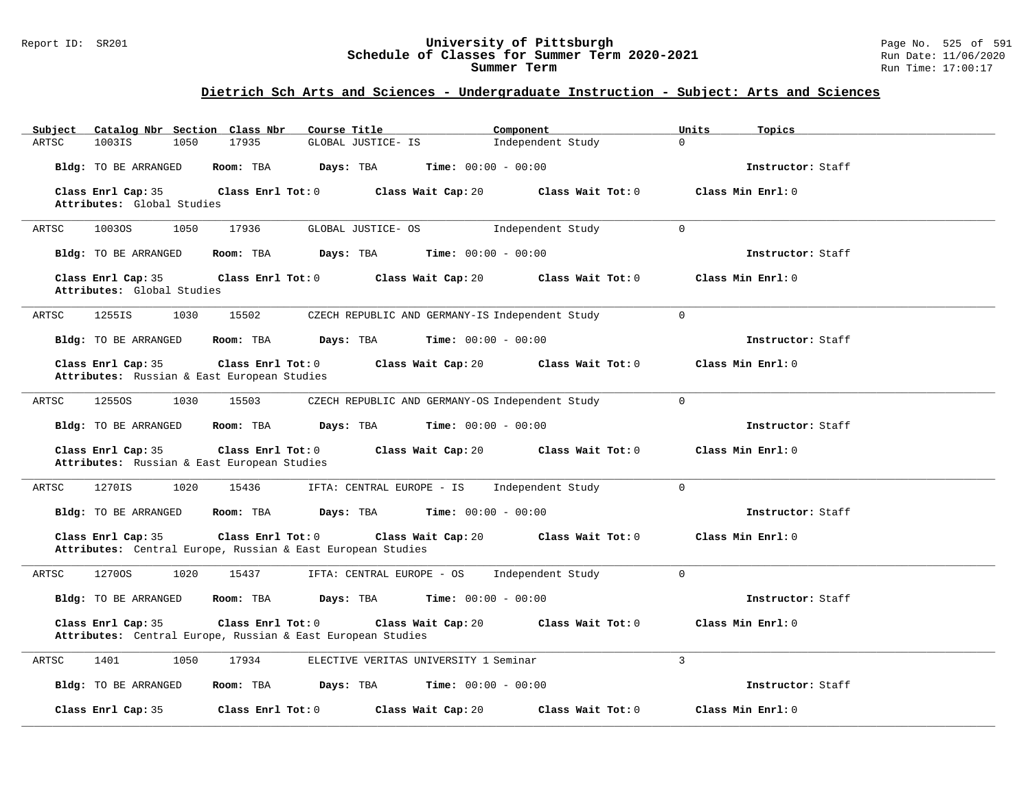#### Report ID: SR201 **University of Pittsburgh** Page No. 525 of 591 **Schedule of Classes for Summer Term 2020-2021** Run Date: 11/06/2020 **Summer Term** Run Time: 17:00:17

| Catalog Nbr Section Class Nbr<br>Subject                          | Course Title                                                                                           | Component<br>Units               | Topics            |
|-------------------------------------------------------------------|--------------------------------------------------------------------------------------------------------|----------------------------------|-------------------|
| ARTSC<br>1003IS<br>1050                                           | 17935<br>GLOBAL JUSTICE- IS                                                                            | $\Omega$<br>Independent Study    |                   |
| Bldg: TO BE ARRANGED                                              | Room: TBA<br>Days: TBA<br><b>Time:</b> $00:00 - 00:00$                                                 |                                  | Instructor: Staff |
| Class Enrl Cap: 35                                                | Class Enrl Tot: 0<br>Class Wait Cap: 20                                                                | Class Wait Tot: 0                | Class Min Enrl: 0 |
| Attributes: Global Studies                                        |                                                                                                        |                                  |                   |
| 10030S<br>1050<br>ARTSC                                           | 17936<br>GLOBAL JUSTICE- OS                                                                            | Independent Study<br>$\Omega$    |                   |
| Bldg: TO BE ARRANGED                                              | <b>Time:</b> $00:00 - 00:00$<br>Room: TBA<br>Days: TBA                                                 |                                  | Instructor: Staff |
| Class Enrl Cap: 35<br>Attributes: Global Studies                  | Class Enrl Tot: 0<br>Class Wait Cap: 20                                                                | Class Wait Tot: 0                | Class Min Enrl: 0 |
| 1030<br>ARTSC<br>1255IS                                           | 15502<br>CZECH REPUBLIC AND GERMANY-IS Independent Study                                               | $\mathbf 0$                      |                   |
| Bldg: TO BE ARRANGED                                              | Room: TBA<br>Days: TBA<br><b>Time:</b> $00:00 - 00:00$                                                 |                                  | Instructor: Staff |
| Class Enrl Cap: 35<br>Attributes: Russian & East European Studies | Class Enrl Tot: 0<br>Class Wait Cap: 20                                                                | Class Wait Tot: 0                | Class Min Enrl: 0 |
| ARTSC<br>12550S<br>1030                                           | 15503<br>CZECH REPUBLIC AND GERMANY-OS Independent Study                                               | $\mathbf 0$                      |                   |
| Bldg: TO BE ARRANGED                                              | Room: TBA<br>Days: TBA<br><b>Time:</b> $00:00 - 00:00$                                                 |                                  | Instructor: Staff |
| Class Enrl Cap: 35<br>Attributes: Russian & East European Studies | Class Wait Cap: 20<br>Class Enrl Tot: 0                                                                | Class Wait Tot: 0                | Class Min Enrl: 0 |
| 1270IS<br>1020<br>ARTSC                                           | 15436<br>IFTA: CENTRAL EUROPE - IS                                                                     | $\mathbf 0$<br>Independent Study |                   |
| Bldg: TO BE ARRANGED                                              | Room: TBA<br>Days: TBA<br><b>Time:</b> $00:00 - 00:00$                                                 |                                  | Instructor: Staff |
| Class Enrl Cap: 35                                                | Class Enrl Tot: 0<br>Class Wait Cap: 20<br>Attributes: Central Europe, Russian & East European Studies | Class Wait Tot: 0                | Class Min Enrl: 0 |
| 12700S<br>1020<br>ARTSC                                           | 15437<br>IFTA: CENTRAL EUROPE - OS                                                                     | $\mathbf 0$<br>Independent Study |                   |
| Bldg: TO BE ARRANGED                                              | Room: TBA<br>Days: TBA<br><b>Time:</b> $00:00 - 00:00$                                                 |                                  | Instructor: Staff |
| Class Enrl Cap: 35                                                | Class Enrl Tot: 0<br>Class Wait Cap: 20<br>Attributes: Central Europe, Russian & East European Studies | Class Wait Tot: 0                | Class Min Enrl: 0 |
| 1401<br>1050<br>ARTSC                                             | 17934<br>ELECTIVE VERITAS UNIVERSITY 1 Seminar                                                         | 3                                |                   |
| Bldg: TO BE ARRANGED                                              | Room: TBA<br>Days: TBA<br><b>Time:</b> $00:00 - 00:00$                                                 |                                  | Instructor: Staff |
| Class Enrl Cap: 35                                                | Class Wait Cap: 20<br>Class Enrl Tot: 0                                                                | Class Wait Tot: 0                | Class Min Enrl: 0 |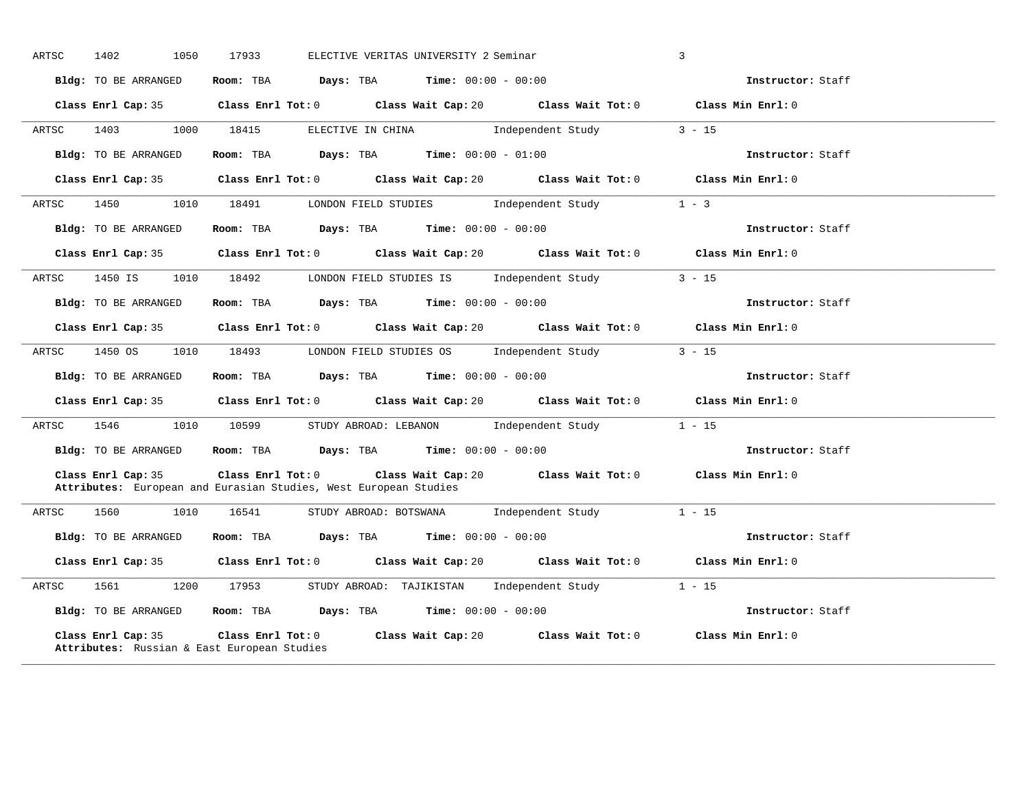| ARTSC | 1402<br>1050         | 17933                                                            | ELECTIVE VERITAS UNIVERSITY 2 Seminar                                                                | $\mathbf{3}$      |  |
|-------|----------------------|------------------------------------------------------------------|------------------------------------------------------------------------------------------------------|-------------------|--|
|       | Bldg: TO BE ARRANGED |                                                                  | Room: TBA $Days: TBA$ Time: $00:00 - 00:00$                                                          | Instructor: Staff |  |
|       |                      |                                                                  | Class Enrl Cap: 35 Class Enrl Tot: 0 Class Wait Cap: 20 Class Wait Tot: 0 Class Min Enrl: 0          |                   |  |
| ARTSC | 1403                 | 1000 18415                                                       | ELECTIVE IN CHINA 1ndependent Study 3 - 15                                                           |                   |  |
|       | Bldg: TO BE ARRANGED |                                                                  | Room: TBA $Days:$ TBA $Time: 00:00 - 01:00$                                                          | Instructor: Staff |  |
|       | Class Enrl Cap: 35   |                                                                  | Class Enrl Tot: $0$ Class Wait Cap: $20$ Class Wait Tot: $0$ Class Min Enrl: $0$                     |                   |  |
| ARTSC | 1450                 |                                                                  | 1010 18491 LONDON FIELD STUDIES Independent Study                                                    | $1 - 3$           |  |
|       | Bldg: TO BE ARRANGED |                                                                  | Room: TBA $Days: TBA$ Time: $00:00 - 00:00$                                                          | Instructor: Staff |  |
|       |                      |                                                                  | Class Enrl Cap: 35 Class Enrl Tot: 0 Class Wait Cap: 20 Class Wait Tot: 0 Class Min Enrl: 0          |                   |  |
|       |                      |                                                                  | ARTSC 1450 IS 1010 18492 LONDON FIELD STUDIES IS Independent Study 3 - 15                            |                   |  |
|       | Bldg: TO BE ARRANGED |                                                                  | Room: TBA $Days:$ TBA $Time: 00:00 - 00:00$                                                          | Instructor: Staff |  |
|       | Class Enrl Cap: 35   |                                                                  | Class Enrl Tot: $0$ Class Wait Cap: $20$ Class Wait Tot: $0$                                         | Class Min Enrl: 0 |  |
| ARTSC | 1450 OS              |                                                                  | 1010 18493 LONDON FIELD STUDIES OS Independent Study                                                 | $3 - 15$          |  |
|       | Bldg: TO BE ARRANGED |                                                                  | Room: TBA $Days: TBA$ Time: $00:00 - 00:00$                                                          | Instructor: Staff |  |
|       | Class Enrl Cap: 35   |                                                                  | Class Enrl Tot: 0 Class Wait Cap: 20 Class Wait Tot: 0 Class Min Enrl: 0                             |                   |  |
| ARTSC |                      |                                                                  | 1546 1010 10599 STUDY ABROAD: LEBANON Independent Study 1 - 15                                       |                   |  |
|       | Bldg: TO BE ARRANGED |                                                                  | Room: TBA $Days:$ TBA $Time:$ $00:00 - 00:00$                                                        | Instructor: Staff |  |
|       | Class Enrl Cap: 35   | Attributes: European and Eurasian Studies, West European Studies | Class Enrl Tot: $0$ Class Wait Cap: $20$ Class Wait Tot: $0$ Class Min Enrl: $0$                     |                   |  |
| ARTSC | 1560 150<br>1010     |                                                                  |                                                                                                      |                   |  |
|       | Bldg: TO BE ARRANGED |                                                                  | Room: TBA Days: TBA Time: $00:00 - 00:00$                                                            | Instructor: Staff |  |
|       |                      |                                                                  | Class Enrl Cap: 35 $\qquad$ Class Enrl Tot: 0 $\qquad$ Class Wait Cap: 20 $\qquad$ Class Wait Tot: 0 | Class Min Enrl: 0 |  |
|       |                      |                                                                  | ARTSC 1561 1200 17953 STUDYABROAD: TAJIKISTAN Independent Study 1 - 15                               |                   |  |
|       |                      |                                                                  | Bldg: TO BE ARRANGED Room: TBA Days: TBA Time: 00:00 - 00:00                                         | Instructor: Staff |  |
|       | Class Enrl Cap: 35   | Attributes: Russian & East European Studies                      | Class Enrl Tot: $0$ $1$ Class Wait Cap: $20$ $2$ Class Wait Tot: $0$                                 | Class Min Enrl: 0 |  |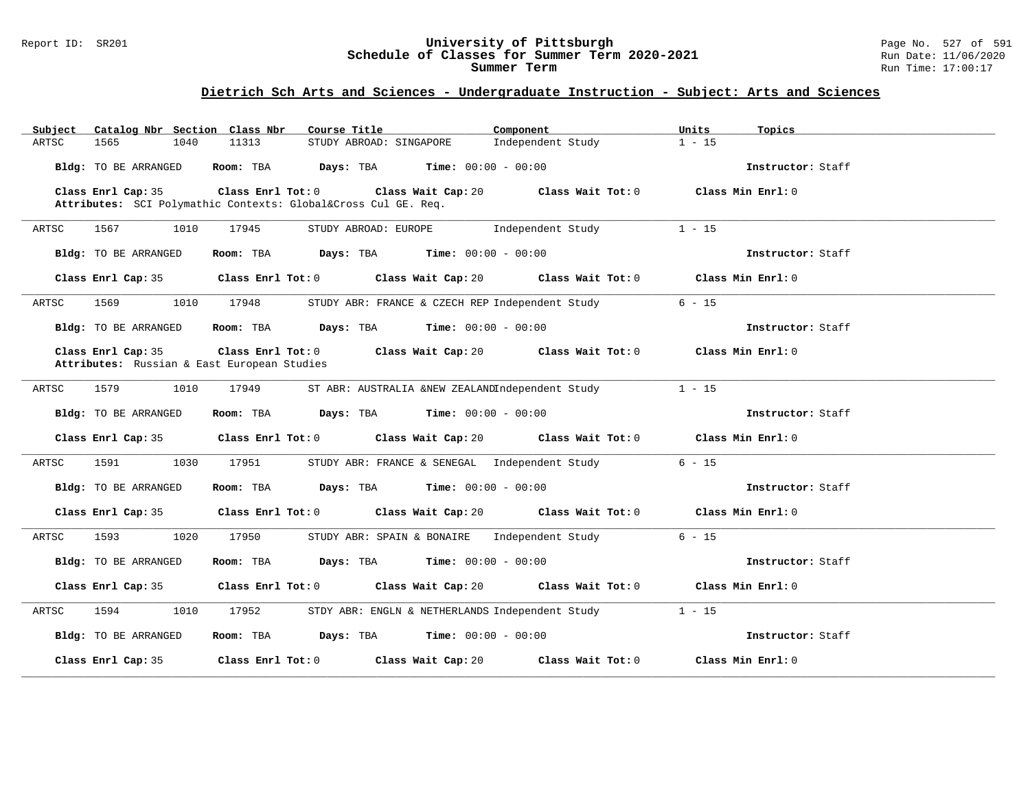#### Report ID: SR201 **University of Pittsburgh** Page No. 527 of 591 **Schedule of Classes for Summer Term 2020-2021** Run Date: 11/06/2020 **Summer Term** Run Time: 17:00:17

| Catalog Nbr Section Class Nbr<br>Subject    | Course Title                                                                                | Component<br>Units                  | Topics            |
|---------------------------------------------|---------------------------------------------------------------------------------------------|-------------------------------------|-------------------|
| ARTSC<br>1565<br>1040                       | 11313<br>STUDY ABROAD: SINGAPORE                                                            | Independent Study<br>$1 - 15$       |                   |
| Bldg: TO BE ARRANGED                        | Room: TBA $Days:$ TBA $Time: 00:00 - 00:00$                                                 |                                     | Instructor: Staff |
| Class Enrl Cap: 35                          | Class Enrl Tot: $0$ Class Wait Cap: $20$ Class Wait Tot: $0$ Class Min Enrl: $0$            |                                     |                   |
|                                             | Attributes: SCI Polymathic Contexts: Global⨯ Cul GE. Req.                                   |                                     |                   |
| 1010<br>ARTSC<br>1567                       | STUDY ABROAD: EUROPE Independent Study<br>17945                                             | $1 - 15$                            |                   |
| Bldg: TO BE ARRANGED                        | Room: TBA $Days:$ TBA $Time: 00:00 - 00:00$                                                 |                                     | Instructor: Staff |
|                                             | Class Enrl Cap: 35 Class Enrl Tot: 0 Class Wait Cap: 20 Class Wait Tot: 0 Class Min Enrl: 0 |                                     |                   |
| 1569<br>1010<br>ARTSC                       | 17948<br>STUDY ABR: FRANCE & CZECH REP Independent Study                                    | $6 - 15$                            |                   |
| Bldg: TO BE ARRANGED                        | Room: TBA $Days:$ TBA $Time: 00:00 - 00:00$                                                 |                                     | Instructor: Staff |
| Class Enrl Cap: 35                          | Class Enrl Tot: $0$ Class Wait Cap: $20$ Class Wait Tot: $0$ Class Min Enrl: $0$            |                                     |                   |
| Attributes: Russian & East European Studies |                                                                                             |                                     |                   |
| 1579<br>1010<br>ARTSC                       | ST ABR: AUSTRALIA &NEW ZEALANDIndependent Study<br>17949                                    | $1 - 15$                            |                   |
| Bldg: TO BE ARRANGED                        | Room: TBA $Days:$ TBA $Time: 00:00 - 00:00$                                                 |                                     | Instructor: Staff |
|                                             | Class Enrl Cap: 35 Class Enrl Tot: 0 Class Wait Cap: 20 Class Wait Tot: 0 Class Min Enrl: 0 |                                     |                   |
| 1591<br>1030<br>ARTSC                       | 17951<br>STUDY ABR: FRANCE & SENEGAL Independent Study                                      | $6 - 15$                            |                   |
| Bldg: TO BE ARRANGED                        | Room: TBA $Days:$ TBA $Time: 00:00 - 00:00$                                                 |                                     | Instructor: Staff |
|                                             | Class Enrl Cap: 35 Class Enrl Tot: 0 Class Wait Cap: 20 Class Wait Tot: 0 Class Min Enrl: 0 |                                     |                   |
| 1593<br>1020<br>ARTSC                       | STUDY ABR: SPAIN & BONAIRE Independent Study<br>17950                                       | $6 - 15$                            |                   |
| Bldg: TO BE ARRANGED                        | Room: TBA $Days:$ TBA $Time: 00:00 - 00:00$                                                 |                                     | Instructor: Staff |
| Class Enrl Cap: 35                          | Class Enrl Tot: 0 Class Wait Cap: 20                                                        | Class Wait Tot: 0 Class Min Enrl: 0 |                   |
| 1594<br>1010<br>ARTSC                       | 17952<br>STDY ABR: ENGLN & NETHERLANDS Independent Study                                    | $1 - 15$                            |                   |
| Bldg: TO BE ARRANGED                        | Room: TBA $Days:$ TBA $Time: 00:00 - 00:00$                                                 |                                     | Instructor: Staff |
| Class Enrl Cap: 35                          | Class Enrl Tot: 0 Class Wait Cap: 20                                                        | Class Wait Tot: 0 Class Min Enrl: 0 |                   |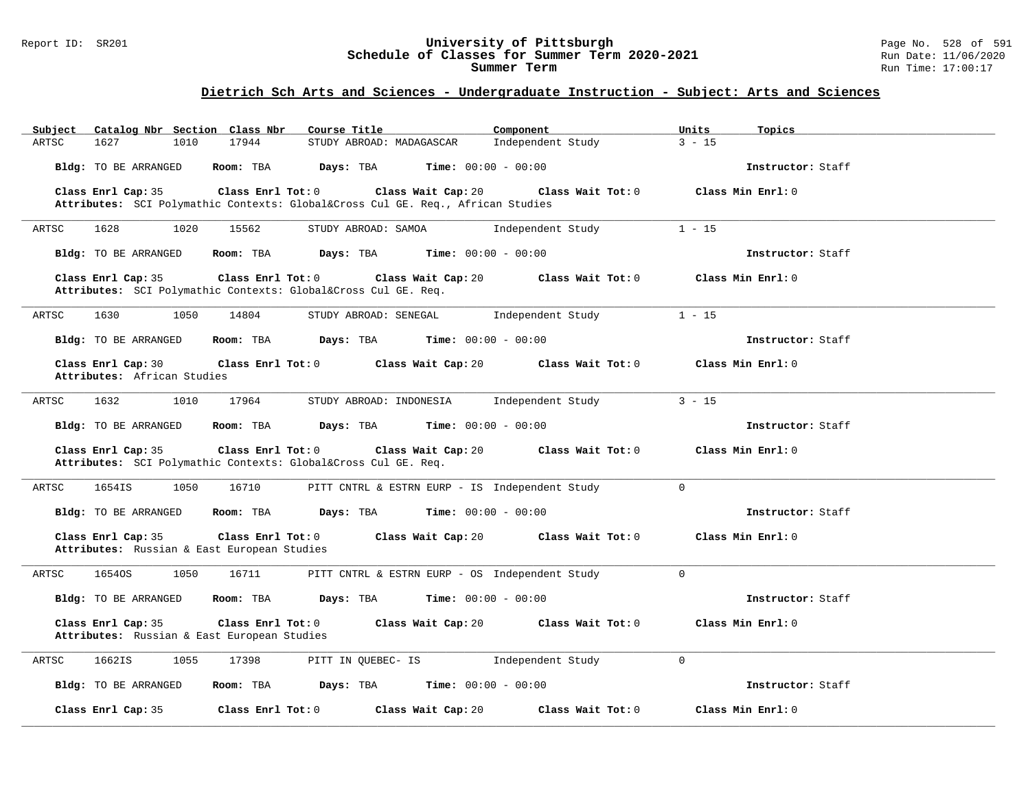#### Report ID: SR201 **University of Pittsburgh** Page No. 528 of 591 **Schedule of Classes for Summer Term 2020-2021** Run Date: 11/06/2020 **Summer Term** Run Time: 17:00:17

| Catalog Nbr Section Class Nbr<br>Subject                                                             | Course Title<br>Component                            | Units                         | Topics            |
|------------------------------------------------------------------------------------------------------|------------------------------------------------------|-------------------------------|-------------------|
| 17944<br>1627<br>1010<br>ARTSC                                                                       | STUDY ABROAD: MADAGASCAR                             | $3 - 15$<br>Independent Study |                   |
| Room: TBA<br>Bldg: TO BE ARRANGED                                                                    | Days: TBA<br><b>Time:</b> $00:00 - 00:00$            |                               | Instructor: Staff |
| Class Enrl Cap: 35<br>Class Enrl Tot: 0                                                              | Class Wait Cap: 20                                   | Class Wait Tot: 0             | Class Min Enrl: 0 |
| Attributes: SCI Polymathic Contexts: Global⨯ Cul GE. Req., African Studies                           |                                                      |                               |                   |
| 1628<br>ARTSC<br>1020<br>15562                                                                       | STUDY ABROAD: SAMOA                                  | Independent Study<br>$1 - 15$ |                   |
| Bldg: TO BE ARRANGED<br>Room: TBA                                                                    | Days: TBA<br><b>Time:</b> $00:00 - 00:00$            |                               | Instructor: Staff |
| Class Enrl Cap: 35<br>Class Enrl Tot: 0<br>Attributes: SCI Polymathic Contexts: Global⨯ Cul GE. Req. | Class Wait Cap: 20                                   | Class Wait Tot: 0             | Class Min Enrl: 0 |
| 1050<br>14804<br>ARTSC<br>1630                                                                       | STUDY ABROAD: SENEGAL                                | Independent Study<br>$1 - 15$ |                   |
| Bldg: TO BE ARRANGED<br>Room: TBA                                                                    | $\texttt{Davis:}$ TBA $\texttt{Time:}$ 00:00 - 00:00 |                               | Instructor: Staff |
| Class Enrl Cap: 30<br>Class Enrl Tot: 0<br>Attributes: African Studies                               | Class Wait Cap: 20                                   | Class Wait Tot: 0             | Class Min Enrl: 0 |
| 1632<br>1010<br>17964<br>ARTSC                                                                       | STUDY ABROAD: INDONESIA                              | $3 - 15$<br>Independent Study |                   |
| Bldg: TO BE ARRANGED<br>Room: TBA                                                                    | Days: TBA<br><b>Time:</b> $00:00 - 00:00$            |                               | Instructor: Staff |
| Class Enrl Cap: 35<br>Class Enrl Tot: 0<br>Attributes: SCI Polymathic Contexts: Global⨯ Cul GE. Req. | Class Wait Cap: 20                                   | Class Wait Tot: 0             | Class Min Enrl: 0 |
| ARTSC<br>1654IS<br>1050<br>16710                                                                     | PITT CNTRL & ESTRN EURP - IS Independent Study       | $\Omega$                      |                   |
| Bldg: TO BE ARRANGED<br>Room: TBA                                                                    | Days: TBA<br><b>Time:</b> $00:00 - 00:00$            |                               | Instructor: Staff |
| Class Enrl Cap: 35<br>Class Enrl Tot: 0<br>Attributes: Russian & East European Studies               | Class Wait Cap: 20                                   | Class Wait Tot: 0             | Class Min Enrl: 0 |
| 1050<br>ARTSC<br>16540S<br>16711                                                                     | PITT CNTRL & ESTRN EURP - OS Independent Study       | $\Omega$                      |                   |
| Bldg: TO BE ARRANGED<br>Room: TBA                                                                    | Days: TBA<br><b>Time:</b> $00:00 - 00:00$            |                               | Instructor: Staff |
| Class Enrl Cap: 35<br>Class Enrl Tot: 0<br>Attributes: Russian & East European Studies               | Class Wait Cap: 20                                   | Class Wait Tot: 0             | Class Min Enrl: 0 |
| ARTSC<br>1662IS<br>1055<br>17398                                                                     | PITT IN QUEBEC- IS                                   | $\Omega$<br>Independent Study |                   |
| Bldg: TO BE ARRANGED<br>Room: TBA                                                                    | Days: TBA<br><b>Time:</b> $00:00 - 00:00$            |                               | Instructor: Staff |
| Class Enrl Cap: 35<br>Class Enrl Tot: 0                                                              | Class Wait Cap: 20                                   | Class Wait Tot: 0             | Class Min Enrl: 0 |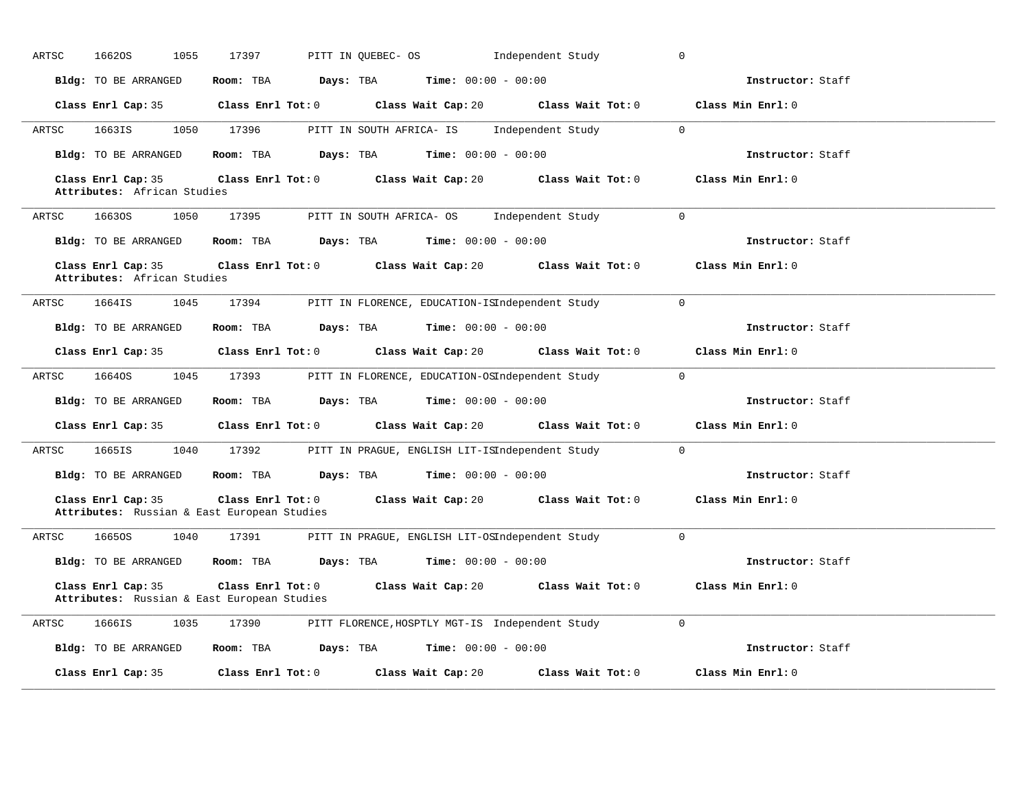| 16620S<br>1055<br>ARTSC                                           | 17397                                                        | PITT IN QUEBEC- OS                                     | Independent Study                                                         | $\mathbf 0$       |
|-------------------------------------------------------------------|--------------------------------------------------------------|--------------------------------------------------------|---------------------------------------------------------------------------|-------------------|
| Bldg: TO BE ARRANGED                                              | Room: TBA                                                    | Days: TBA<br><b>Time:</b> $00:00 - 00:00$              |                                                                           | Instructor: Staff |
|                                                                   |                                                              |                                                        | Class Enrl Cap: 35 Class Enrl Tot: 0 Class Wait Cap: 20 Class Wait Tot: 0 | Class Min Enrl: 0 |
| ARTSC<br>1663IS                                                   | 1050 17396                                                   | PITT IN SOUTH AFRICA- IS Independent Study             | $\sim$ 0                                                                  |                   |
| Bldg: TO BE ARRANGED                                              | Room: TBA Days: TBA                                          | <b>Time:</b> $00:00 - 00:00$                           |                                                                           | Instructor: Staff |
| Class Enrl Cap: 35<br>Attributes: African Studies                 |                                                              |                                                        | Class Enrl Tot: 0 Class Wait Cap: 20 Class Wait Tot: 0                    | Class Min Enrl: 0 |
| ARTSC<br>16630S<br>1050                                           |                                                              | 17395 PITT IN SOUTH AFRICA- OS Independent Study       |                                                                           | $\Omega$          |
| Bldg: TO BE ARRANGED                                              |                                                              | Room: TBA $Days:$ TBA $Time: 00:00 - 00:00$            |                                                                           | Instructor: Staff |
| Class Enrl Cap: 35<br>Attributes: African Studies                 |                                                              | Class Enrl Tot: 0 Class Wait Cap: 20                   | Class Wait Tot: 0                                                         | Class Min Enrl: 0 |
| 1664IS<br>1045<br>ARTSC                                           | 17394                                                        | PITT IN FLORENCE, EDUCATION-ISIndependent Study        |                                                                           | $\Omega$          |
| Bldg: TO BE ARRANGED                                              | Room: TBA                                                    | Days: TBA<br><b>Time:</b> $00:00 - 00:00$              |                                                                           | Instructor: Staff |
| Class Enrl Cap: 35                                                |                                                              | Class Enrl Tot: 0 Class Wait Cap: 20 Class Wait Tot: 0 |                                                                           | Class Min Enrl: 0 |
| 1045<br>ARTSC<br>16640S                                           | 17393                                                        | PITT IN FLORENCE, EDUCATION-OSIndependent Study        |                                                                           | $\overline{0}$    |
| Bldg: TO BE ARRANGED                                              | Room: TBA                                                    | <b>Days:</b> TBA <b>Time:</b> $00:00 - 00:00$          |                                                                           | Instructor: Staff |
| Class Enrl Cap: 35                                                |                                                              |                                                        | Class Enrl Tot: $0$ Class Wait Cap: $20$ Class Wait Tot: $0$              | Class Min Enrl: 0 |
| 1665IS<br>ARTSC                                                   | 1040 17392                                                   | PITT IN PRAGUE, ENGLISH LIT-ISIndependent Study        |                                                                           | $\Omega$          |
| Bldg: TO BE ARRANGED                                              |                                                              | Room: TBA $Days: TBA$ Time: $00:00 - 00:00$            |                                                                           | Instructor: Staff |
| Class Enrl Cap: 35<br>Attributes: Russian & East European Studies |                                                              | Class Enrl Tot: 0 Class Wait Cap: 20                   | Class Wait Tot: 0                                                         | Class Min Enrl: 0 |
| 1665OS<br>1040<br>ARTSC                                           | 17391                                                        | PITT IN PRAGUE, ENGLISH LIT-OSIndependent Study        |                                                                           | $\Omega$          |
|                                                                   | Bldg: TO BE ARRANGED Room: TBA Days: TBA Time: 00:00 - 00:00 |                                                        |                                                                           | Instructor: Staff |
| Class Enrl Cap: 35<br>Attributes: Russian & East European Studies | Class Enrl Tot: 0                                            | Class Wait Cap: 20                                     | Class Wait Tot: 0                                                         | Class Min Enrl: 0 |
| 1035<br>ARTSC<br>1666IS                                           |                                                              | 17390 PITT FLORENCE, HOSPTLY MGT-IS Independent Study  |                                                                           | $\Omega$          |
| Bldg: TO BE ARRANGED                                              |                                                              | Room: TBA $Days:$ TBA $Time: 00:00 - 00:00$            |                                                                           | Instructor: Staff |
| Class Enrl Cap: 35                                                | Class Enrl Tot: 0                                            | Class Wait Cap: 20                                     | Class Wait Tot: 0                                                         | Class Min Enrl: 0 |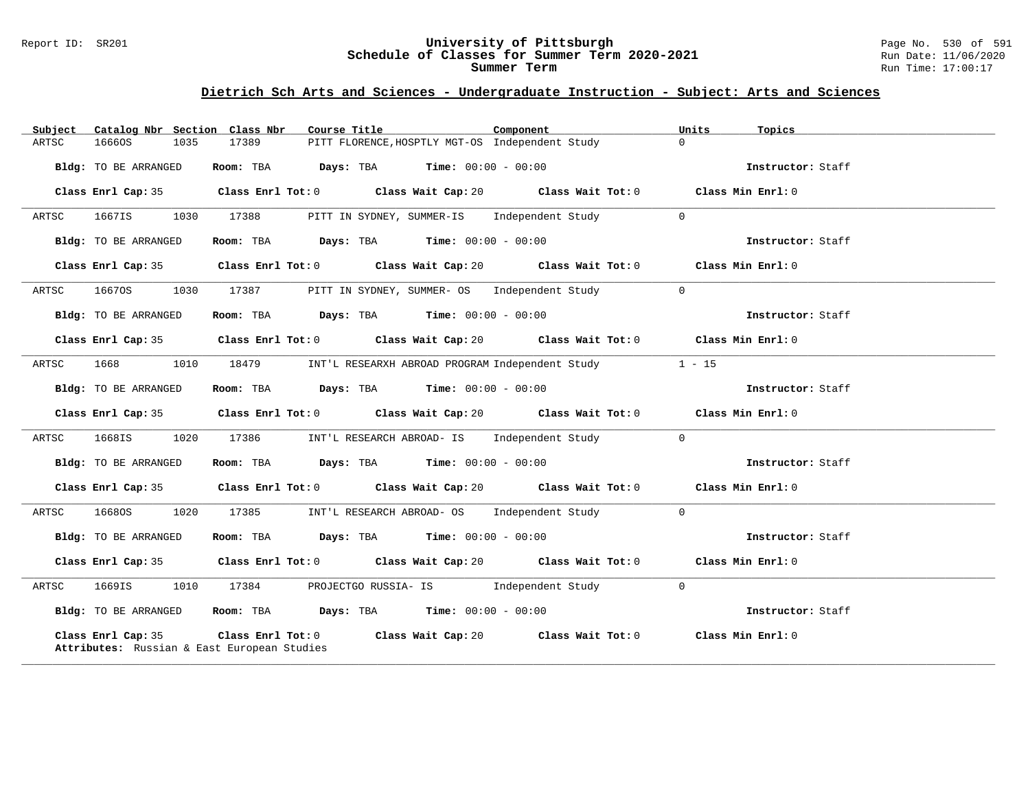#### Report ID: SR201 **University of Pittsburgh** Page No. 530 of 591 **Schedule of Classes for Summer Term 2020-2021** Run Date: 11/06/2020 **Summer Term** Run Time: 17:00:17

| Catalog Nbr Section Class Nbr<br>Subject                          | Course Title<br>Component                                                                            | Units<br>Topics                        |
|-------------------------------------------------------------------|------------------------------------------------------------------------------------------------------|----------------------------------------|
| 16660S<br>1035<br>ARTSC                                           | PITT FLORENCE, HOSPTLY MGT-OS Independent Study<br>17389                                             | $\Omega$                               |
| Bldg: TO BE ARRANGED                                              | <b>Room:</b> TBA <b>Days:</b> TBA <b>Time:</b> 00:00 - 00:00                                         | Instructor: Staff                      |
| Class Enrl Cap: 35                                                | Class Enrl Tot: 0 $\qquad$ Class Wait Cap: 20 $\qquad$ Class Wait Tot: 0 $\qquad$ Class Min Enrl: 0  |                                        |
| ARTSC<br>1667IS                                                   | 1030 17388<br>PITT IN SYDNEY, SUMMER-IS Independent Study                                            | $\overline{0}$                         |
| Bldg: TO BE ARRANGED                                              | Room: TBA $Days:$ TBA $Time: 00:00 - 00:00$                                                          | Instructor: Staff                      |
|                                                                   | Class Enrl Cap: 35 Class Enrl Tot: 0 Class Wait Cap: 20 Class Wait Tot: 0 Class Min Enrl: 0          |                                        |
| ARTSC<br>16670S                                                   | 1030 17387<br>PITT IN SYDNEY, SUMMER- OS Independent Study 0                                         |                                        |
| Bldg: TO BE ARRANGED                                              | Room: TBA $Days:$ TBA $Time: 00:00 - 00:00$                                                          | Instructor: Staff                      |
|                                                                   | Class Enrl Cap: 35 Class Enrl Tot: 0 Class Wait Cap: 20 Class Wait Tot: 0 Class Min Enrl: 0          |                                        |
| 1668<br>1010<br>ARTSC                                             | 18479<br>INT'L RESEARXH ABROAD PROGRAM Independent Study 1 - 15                                      |                                        |
| Bldg: TO BE ARRANGED                                              | Room: TBA $Days:$ TBA $Time: 00:00 - 00:00$                                                          | Instructor: Staff                      |
|                                                                   | Class Enrl Cap: 35 Class Enrl Tot: 0 Class Wait Cap: 20 Class Wait Tot: 0 Class Min Enrl: 0          |                                        |
| 1020<br>ARTSC<br>1668IS                                           | 17386 INT'L RESEARCH ABROAD- IS Independent Study 0                                                  |                                        |
| Bldg: TO BE ARRANGED                                              | Room: TBA $\rule{1em}{0.15mm}$ Days: TBA Time: $00:00 - 00:00$                                       | Instructor: Staff                      |
|                                                                   | Class Enrl Cap: 35 Class Enrl Tot: 0 Class Wait Cap: 20 Class Wait Tot: 0 Class Min Enrl: 0          |                                        |
| 16680S 1020<br>ARTSC                                              | 17385 INT'L RESEARCH ABROAD- OS Independent Study 0                                                  |                                        |
| Bldg: TO BE ARRANGED                                              | Room: TBA $Days:$ TBA $Time: 00:00 - 00:00$                                                          | Instructor: Staff                      |
|                                                                   | Class Enrl Cap: 35 $\qquad$ Class Enrl Tot: 0 $\qquad$ Class Wait Cap: 20 $\qquad$ Class Wait Tot: 0 | Class Min Enrl: 0                      |
| 1669IS 1010<br>ARTSC                                              | PROJECTGO RUSSIA- IS 1ndependent Study<br>17384                                                      | $\bigcirc$                             |
| Bldg: TO BE ARRANGED                                              | Room: TBA $Days: TBA$ Time: $00:00 - 00:00$                                                          | Instructor: Staff                      |
| Class Enrl Cap: 35<br>Attributes: Russian & East European Studies | Class Enrl Tot: 0 Class Wait Cap: 20                                                                 | Class Wait Tot: 0<br>Class Min Enrl: 0 |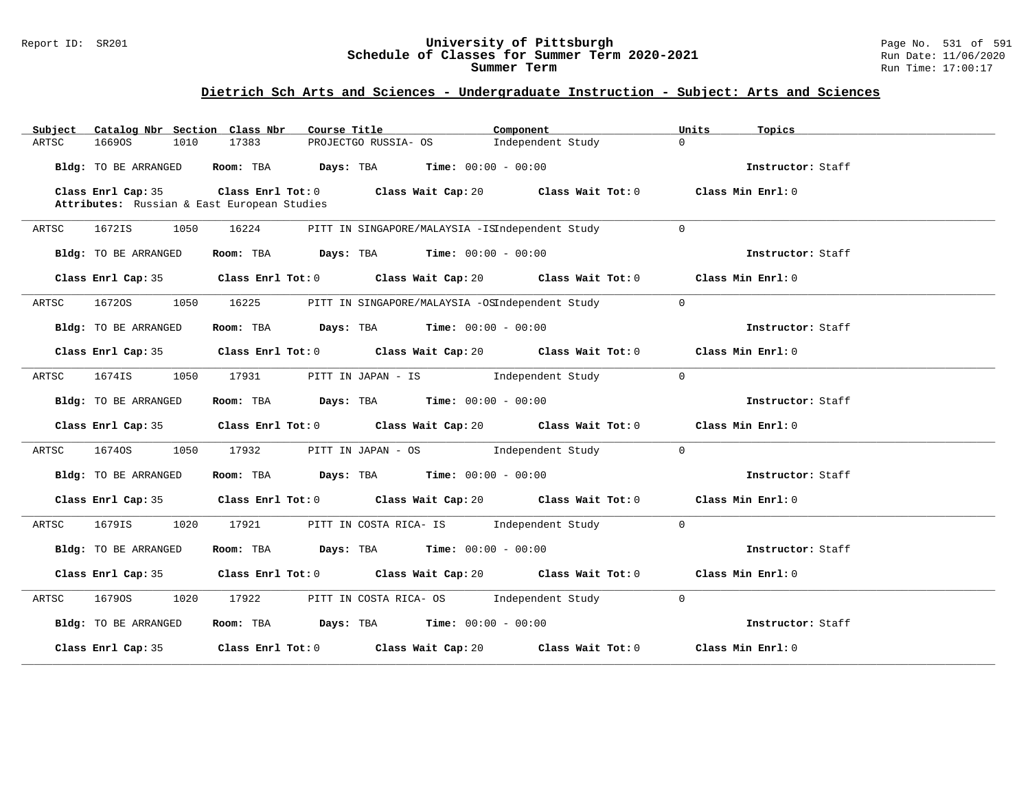#### Report ID: SR201 **University of Pittsburgh** Page No. 531 of 591 **Schedule of Classes for Summer Term 2020-2021** Run Date: 11/06/2020 **Summer Term** Run Time: 17:00:17

| Catalog Nbr Section Class Nbr<br>Subject                          | Course Title <b>Course In the Course I</b>                                                          | Component                                            | Units<br>Topics   |
|-------------------------------------------------------------------|-----------------------------------------------------------------------------------------------------|------------------------------------------------------|-------------------|
| 1010<br>ARTSC<br>16690S                                           | 17383                                                                                               | PROJECTGO RUSSIA- OS [Independent Study              | $\Omega$          |
| Bldg: TO BE ARRANGED                                              | Room: TBA $Days:$ TBA $Time: 00:00 - 00:00$                                                         |                                                      | Instructor: Staff |
| Class Enrl Cap: 35<br>Attributes: Russian & East European Studies | Class Enrl Tot: 0 $\qquad$ Class Wait Cap: 20 $\qquad$ Class Wait Tot: 0 $\qquad$ Class Min Enrl: 0 |                                                      |                   |
| ARTSC<br>1672IS<br>1050                                           | 16224                                                                                               | PITT IN SINGAPORE/MALAYSIA -ISIndependent Study      | $\Omega$          |
| Bldg: TO BE ARRANGED                                              | Room: TBA $Days:$ TBA $Time: 00:00 - 00:00$                                                         |                                                      | Instructor: Staff |
|                                                                   | Class Enrl Cap: 35 Class Enrl Tot: 0 Class Wait Cap: 20 Class Wait Tot: 0 Class Min Enrl: 0         |                                                      |                   |
| ARTSC<br>16720S<br>1050                                           | 16225                                                                                               | PITT IN SINGAPORE/MALAYSIA -OSIndependent Study      | $\Omega$          |
| Bldg: TO BE ARRANGED                                              | Room: TBA $Days:$ TBA $Time: 00:00 - 00:00$                                                         |                                                      | Instructor: Staff |
|                                                                   | Class Enrl Cap: 35 Class Enrl Tot: 0 Class Wait Cap: 20 Class Wait Tot: 0 Class Min Enrl: 0         |                                                      |                   |
| ARTSC<br>1674IS                                                   | 1050 17931                                                                                          | PITT IN JAPAN - IS Sandborough and independent Study | $\Omega$          |
| Bldg: TO BE ARRANGED                                              | Room: TBA $\rule{1em}{0.15mm}$ Days: TBA $\rule{1.15mm}]{0.15mm}$ Time: $0.000 - 0.000$             |                                                      | Instructor: Staff |
|                                                                   | Class Enrl Cap: 35 Class Enrl Tot: 0 Class Wait Cap: 20 Class Wait Tot: 0 Class Min Enrl: 0         |                                                      |                   |
| 16740S 1050 17932<br>ARTSC                                        |                                                                                                     | PITT IN JAPAN - OS Mondependent Study                | $\Omega$          |
| Bldg: TO BE ARRANGED                                              | Room: TBA $Days:$ TBA $Time: 00:00 - 00:00$                                                         |                                                      | Instructor: Staff |
|                                                                   | Class Enrl Cap: 35 Class Enrl Tot: 0 Class Wait Cap: 20 Class Wait Tot: 0 Class Min Enrl: 0         |                                                      |                   |
| 1679IS 1020 17921<br>ARTSC                                        |                                                                                                     | PITT IN COSTA RICA- IS and independent Study         | $\Omega$          |
| Bldg: TO BE ARRANGED                                              | Room: TBA $Days:$ TBA $Time: 00:00 - 00:00$                                                         |                                                      | Instructor: Staff |
|                                                                   | Class Enrl Cap: 35 Class Enrl Tot: 0 Class Wait Cap: 20 Class Wait Tot: 0 Class Min Enrl: 0         |                                                      |                   |
| ARTSC<br>16790S                                                   | 1020 17922                                                                                          | PITT IN COSTA RICA- OS Independent Study             | $\Omega$          |
| Bldg: TO BE ARRANGED                                              | Room: TBA $Days: TBA$ Time: $00:00 - 00:00$                                                         |                                                      | Instructor: Staff |
|                                                                   | Class Enrl Cap: 35 Class Enrl Tot: 0 Class Wait Cap: 20 Class Wait Tot: 0 Class Min Enrl: 0         |                                                      |                   |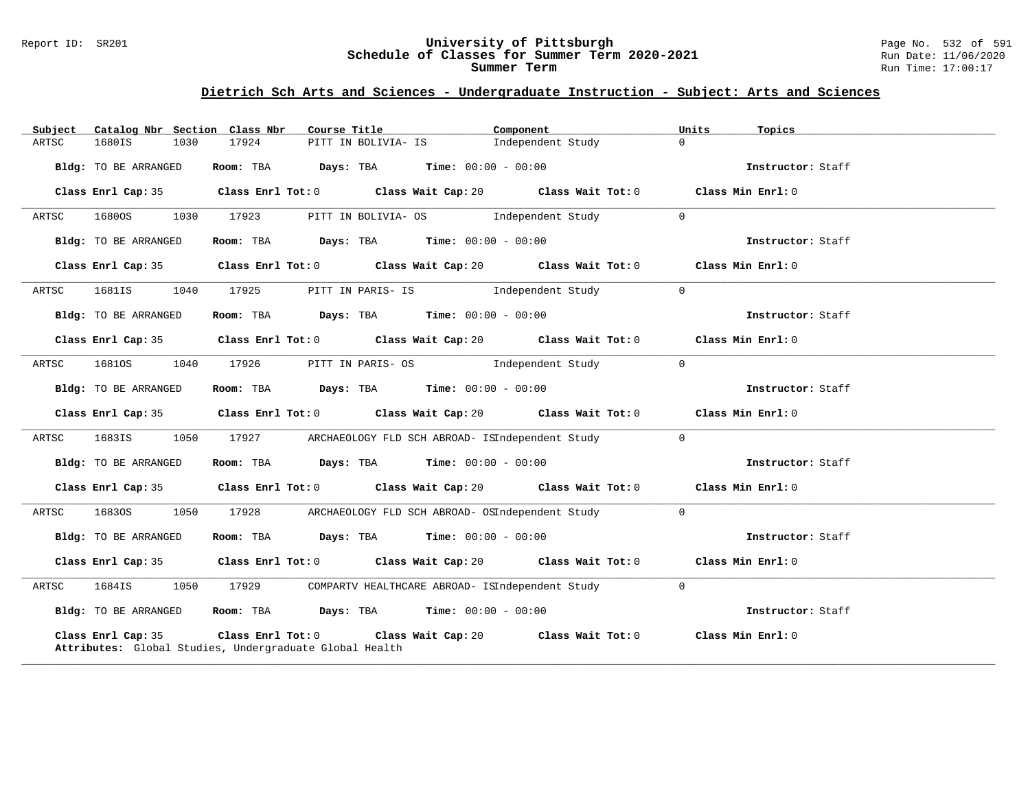#### Report ID: SR201 **University of Pittsburgh** Page No. 532 of 591 **Schedule of Classes for Summer Term 2020-2021** Run Date: 11/06/2020 **Summer Term** Run Time: 17:00:17

| Subject |                      |      | Catalog Nbr Section Class Nbr                                                                   |                     | Course Title <b>Show The Search Course Title</b> | Component                                                                                           | Units          | Topics            |
|---------|----------------------|------|-------------------------------------------------------------------------------------------------|---------------------|--------------------------------------------------|-----------------------------------------------------------------------------------------------------|----------------|-------------------|
| ARTSC   | 1680IS               | 1030 | 17924                                                                                           | PITT IN BOLIVIA- IS |                                                  | Independent Study                                                                                   | $\Omega$       |                   |
|         | Bldg: TO BE ARRANGED |      | Room: TBA $\rule{1em}{0.15mm}$ Days: TBA Time: $00:00 - 00:00$                                  |                     |                                                  |                                                                                                     |                | Instructor: Staff |
|         | Class Enrl Cap: 35   |      |                                                                                                 |                     |                                                  | Class Enrl Tot: $0$ Class Wait Cap: $20$ Class Wait Tot: $0$ Class Min Enrl: $0$                    |                |                   |
| ARTSC   | 1680OS               | 1030 | 17923                                                                                           |                     |                                                  | PITT IN BOLIVIA- OS [Independent Study                                                              | $\Omega$       |                   |
|         | Bldg: TO BE ARRANGED |      | Room: TBA $Days:$ TBA $Time: 00:00 - 00:00$                                                     |                     |                                                  |                                                                                                     |                | Instructor: Staff |
|         | Class Enrl Cap: 35   |      |                                                                                                 |                     |                                                  | Class Enrl Tot: 0 $\qquad$ Class Wait Cap: 20 $\qquad$ Class Wait Tot: 0 $\qquad$ Class Min Enrl: 0 |                |                   |
| ARTSC   | 1681IS               | 1040 | 17925                                                                                           |                     |                                                  | PITT IN PARIS- IS 5 and independent Study                                                           | $\overline{0}$ |                   |
|         | Bldg: TO BE ARRANGED |      | Room: TBA $Days: TBA$ Time: $00:00 - 00:00$                                                     |                     |                                                  |                                                                                                     |                | Instructor: Staff |
|         | Class Enrl Cap: 35   |      |                                                                                                 |                     |                                                  | Class Enrl Tot: 0 Class Wait Cap: 20 Class Wait Tot: 0 Class Min Enrl: 0                            |                |                   |
| ARTSC   | 1681OS               | 1040 | 17926                                                                                           |                     |                                                  | PITT IN PARIS- OS [Independent Study                                                                | $\Omega$       |                   |
|         | Bldg: TO BE ARRANGED |      | Room: TBA $Days:$ TBA $Time: 00:00 - 00:00$                                                     |                     |                                                  |                                                                                                     |                | Instructor: Staff |
|         |                      |      |                                                                                                 |                     |                                                  | Class Enrl Cap: 35 Class Enrl Tot: 0 Class Wait Cap: 20 Class Wait Tot: 0 Class Min Enrl: 0         |                |                   |
| ARTSC   | 1683IS               | 1050 | 17927                                                                                           |                     |                                                  | ARCHAEOLOGY FLD SCH ABROAD- ISIndependent Study 0                                                   |                |                   |
|         | Bldg: TO BE ARRANGED |      | Room: TBA $Days:$ TBA $Time: 00:00 - 00:00$                                                     |                     |                                                  |                                                                                                     |                | Instructor: Staff |
|         |                      |      |                                                                                                 |                     |                                                  | Class Enrl Cap: 35 Class Enrl Tot: 0 Class Wait Cap: 20 Class Wait Tot: 0 Class Min Enrl: 0         |                |                   |
| ARTSC   | 16830S               | 1050 |                                                                                                 |                     |                                                  | 17928 ARCHAEOLOGY FLD SCH ABROAD- OSIndependent Study 0                                             |                |                   |
|         | Bldg: TO BE ARRANGED |      | Room: TBA $Days:$ TBA $Time: 00:00 - 00:00$                                                     |                     |                                                  |                                                                                                     |                | Instructor: Staff |
|         | Class Enrl Cap: 35   |      |                                                                                                 |                     |                                                  | Class Enrl Tot: $0$ Class Wait Cap: $20$ Class Wait Tot: $0$ Class Min Enrl: $0$                    |                |                   |
| ARTSC   | 1684IS               | 1050 | 17929                                                                                           |                     |                                                  | COMPARTV HEALTHCARE ABROAD- ISIndependent Study                                                     | $\overline{0}$ |                   |
|         | Bldg: TO BE ARRANGED |      | Room: TBA $\rule{1em}{0.15mm}$ Days: TBA Time: $00:00 - 00:00$                                  |                     |                                                  |                                                                                                     |                | Instructor: Staff |
|         | Class Enrl Cap: 35   |      | Class Enrl Tot: 0 Class Wait Cap: 20<br>Attributes: Global Studies, Undergraduate Global Health |                     |                                                  | Class Wait Tot: 0                                                                                   |                | Class Min Enrl: 0 |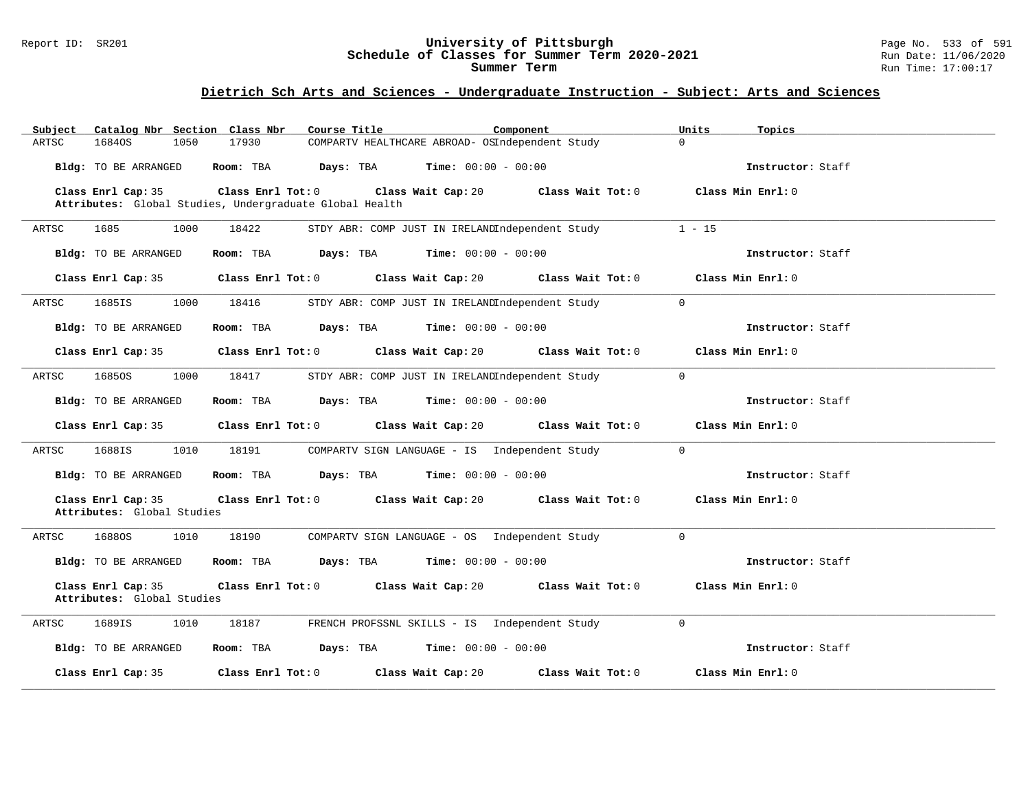#### Report ID: SR201 **University of Pittsburgh** Page No. 533 of 591 **Schedule of Classes for Summer Term 2020-2021** Run Date: 11/06/2020 **Summer Term** Run Time: 17:00:17

| Catalog Nbr Section Class Nbr<br>Subject         | Course Title<br>Component                                                                       | Units<br>Topics                        |
|--------------------------------------------------|-------------------------------------------------------------------------------------------------|----------------------------------------|
| 1050<br>ARTSC<br>16840S                          | COMPARTV HEALTHCARE ABROAD- OSIndependent Study<br>17930                                        | $\Omega$                               |
| Bldg: TO BE ARRANGED                             | Room: TBA $Days:$ TBA $Time: 00:00 - 00:00$                                                     | Instructor: Staff                      |
| Class Enrl Cap: 35                               | Class Enrl Tot: 0 Class Wait Cap: 20<br>Attributes: Global Studies, Undergraduate Global Health | Class Min Enrl: 0<br>Class Wait Tot: 0 |
| 1000<br>ARTSC<br>1685                            | 18422<br>STDY ABR: COMP JUST IN IRELANDIndependent Study                                        | $1 - 15$                               |
| <b>Bldg:</b> TO BE ARRANGED                      | Room: TBA<br>$\texttt{Days:}$ TBA $\texttt{Time:}$ 00:00 - 00:00                                | Instructor: Staff                      |
| Class Enrl Cap: 35                               | Class Enrl Tot: 0 Class Wait Cap: 20 Class Wait Tot: 0                                          | Class Min Enrl: 0                      |
| ARTSC<br>1685IS<br>1000                          | 18416<br>STDY ABR: COMP JUST IN IRELANDIndependent Study                                        | $\Omega$                               |
| <b>Bldg:</b> TO BE ARRANGED                      | <b>Room:</b> TBA <b>Days:</b> TBA <b>Time:</b> $00:00 - 00:00$                                  | Instructor: Staff                      |
| Class Enrl Cap: 35                               | Class Enrl Tot: 0 Class Wait Cap: 20                                                            | Class Wait Tot: 0<br>Class Min Enrl: 0 |
| ARTSC<br>16850S<br>1000                          | STDY ABR: COMP JUST IN IRELANDIndependent Study<br>18417                                        | $\mathbf 0$                            |
| Bldg: TO BE ARRANGED                             | <b>Room:</b> TBA <b>Days:</b> TBA <b>Time:</b> $00:00 - 00:00$                                  | Instructor: Staff                      |
| Class Enrl Cap: 35                               | Class Enrl Tot: 0 Class Wait Cap: 20                                                            | Class Wait Tot: 0<br>Class Min Enrl: 0 |
| ARTSC<br>1688IS<br>1010                          | 18191<br>COMPARTV SIGN LANGUAGE - IS Independent Study                                          | $\Omega$                               |
| Bldg: TO BE ARRANGED                             | Room: TBA $Days:$ TBA $Time: 00:00 - 00:00$                                                     | Instructor: Staff                      |
| Class Enrl Cap: 35<br>Attributes: Global Studies | Class Enrl Tot: $0$ Class Wait Cap: $20$ Class Wait Tot: $0$                                    | Class Min Enrl: 0                      |
| 16880S<br>1010<br>ARTSC                          | 18190<br>COMPARTV SIGN LANGUAGE - OS Independent Study                                          | $\Omega$                               |
| Bldg: TO BE ARRANGED                             | Room: TBA $Days:$ TBA $Time: 00:00 - 00:00$                                                     | Instructor: Staff                      |
| Class Enrl Cap: 35<br>Attributes: Global Studies | Class Enrl Tot: 0 Class Wait Cap: 20 Class Wait Tot: 0                                          | Class Min Enrl: 0                      |
| 1689IS<br>1010<br>ARTSC                          | FRENCH PROFSSNL SKILLS - IS Independent Study<br>18187                                          | $\Omega$                               |
| Bldg: TO BE ARRANGED                             | Room: TBA $\rule{1em}{0.15mm}$ Days: TBA $\rule{1.5mm}{0.15mm}$ Time: $00:00 - 00:00$           | Instructor: Staff                      |
| Class Enrl Cap: 35                               | Class Enrl Tot: 0 Class Wait Cap: 20                                                            | Class Wait Tot: 0<br>Class Min Enrl: 0 |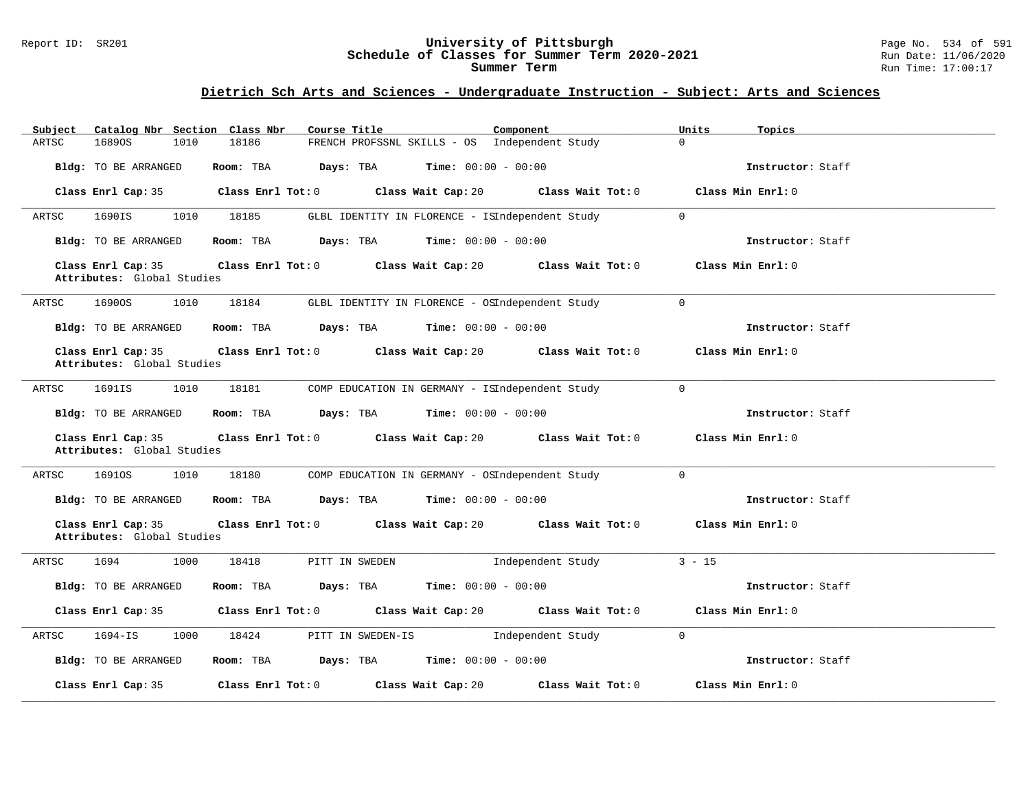#### Report ID: SR201 **University of Pittsburgh** Page No. 534 of 591 **Schedule of Classes for Summer Term 2020-2021** Run Date: 11/06/2020 **Summer Term** Run Time: 17:00:17

| Catalog Nbr Section Class Nbr<br>Subject         | Course Title                                                      | Component<br>Units           | Topics            |
|--------------------------------------------------|-------------------------------------------------------------------|------------------------------|-------------------|
| 16890S<br>ARTSC<br>1010                          | 18186<br>FRENCH PROFSSNL SKILLS - OS Independent Study            | $\Omega$                     |                   |
| Bldg: TO BE ARRANGED                             | Room: TBA<br>Days: TBA                                            | <b>Time:</b> $00:00 - 00:00$ | Instructor: Staff |
| Class Enrl Cap: 35                               | Class Enrl Tot: 0 Class Wait Cap: 20 Class Wait Tot: 0            |                              | Class Min Enrl: 0 |
| 1690IS<br>1010<br>ARTSC                          | 18185<br>GLBL IDENTITY IN FLORENCE - ISIndependent Study          | $\mathbf 0$                  |                   |
| Bldg: TO BE ARRANGED                             | Room: TBA<br><b>Days:</b> TBA <b>Time:</b> $00:00 - 00:00$        |                              | Instructor: Staff |
| Class Enrl Cap: 35<br>Attributes: Global Studies | Class Enrl Tot: 0 Class Wait Cap: 20                              | Class Wait Tot: 0            | Class Min Enrl: 0 |
| 16900S<br>1010<br>ARTSC                          | 18184<br>GLBL IDENTITY IN FLORENCE - OSIndependent Study          | $\mathbf 0$                  |                   |
| Bldg: TO BE ARRANGED                             | Room: TBA<br>Days: TBA                                            | <b>Time:</b> $00:00 - 00:00$ | Instructor: Staff |
| Class Enrl Cap: 35<br>Attributes: Global Studies | Class Enrl Tot: 0 Class Wait Cap: 20                              | Class Wait Tot: 0            | Class Min Enrl: 0 |
| 1691IS<br>1010<br>ARTSC                          | 18181<br>COMP EDUCATION IN GERMANY - ISIndependent Study          | $\mathbf 0$                  |                   |
| Bldg: TO BE ARRANGED                             | Days: TBA<br>Room: TBA                                            | $Time: 00:00 - 00:00$        | Instructor: Staff |
| Class Enrl Cap: 35<br>Attributes: Global Studies | Class Enrl Tot: 0 Class Wait Cap: 20                              | Class Wait Tot: 0            | Class Min Enrl: 0 |
| ARTSC<br>16910S<br>1010                          | 18180<br>COMP EDUCATION IN GERMANY - OSIndependent Study          | $\Omega$                     |                   |
| Bldg: TO BE ARRANGED                             | $\texttt{Davis:}$ TBA $\texttt{Time:}$ 00:00 - 00:00<br>Room: TBA |                              | Instructor: Staff |
| Class Enrl Cap: 35<br>Attributes: Global Studies | Class Enrl Tot: 0 Class Wait Cap: 20 Class Wait Tot: 0            |                              | Class Min Enrl: 0 |
| 1694<br>1000<br>ARTSC                            | 18418<br>PITT IN SWEDEN                                           | Independent Study            | $3 - 15$          |
| Bldg: TO BE ARRANGED                             | Room: TBA $Days:$ TBA $Time: 00:00 - 00:00$                       |                              | Instructor: Staff |
| Class Enrl Cap: 35                               | Class Enrl Tot: $0$ Class Wait Cap: $20$ Class Wait Tot: $0$      |                              | Class Min Enrl: 0 |
| 1694-IS<br>1000<br>ARTSC                         | 18424<br>PITT IN SWEDEN-IS [Independent Study                     | $\overline{0}$               |                   |
| Bldg: TO BE ARRANGED                             | Room: TBA $Days:$ TBA $Time: 00:00 - 00:00$                       |                              | Instructor: Staff |
| Class Enrl Cap: 35                               | $Class$ $Enr1$ $Tot: 0$<br>Class Wait Cap: 20                     | Class Wait Tot: 0            | Class Min Enrl: 0 |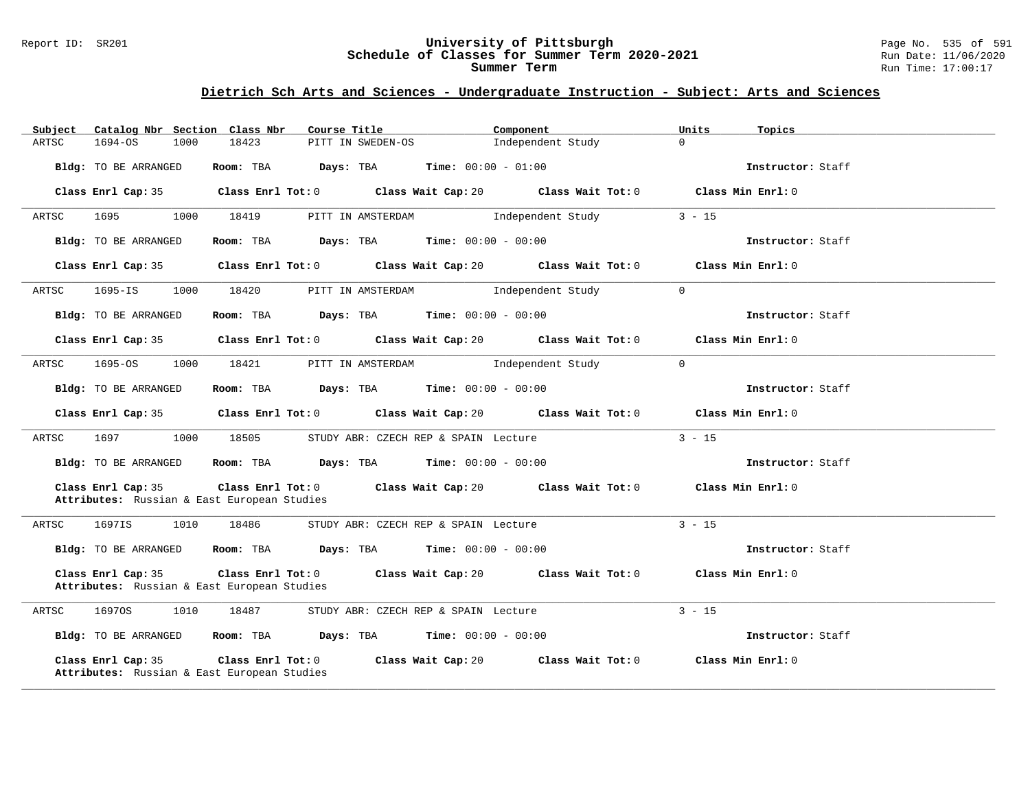#### Report ID: SR201 **University of Pittsburgh** Page No. 535 of 591 **Schedule of Classes for Summer Term 2020-2021** Run Date: 11/06/2020 **Summer Term** Run Time: 17:00:17

| Subject |                      |      | Catalog Nbr Section Class Nbr                                    | Course Title                         |                   |                                               | Component                                                    |                                     | Units    | Topics            |
|---------|----------------------|------|------------------------------------------------------------------|--------------------------------------|-------------------|-----------------------------------------------|--------------------------------------------------------------|-------------------------------------|----------|-------------------|
| ARTSC   | $1694 - OS$          | 1000 | 18423                                                            |                                      | PITT IN SWEDEN-OS |                                               | Independent Study                                            |                                     | $\Omega$ |                   |
|         | Bldg: TO BE ARRANGED |      | Room: TBA                                                        | Days: TBA                            |                   | <b>Time:</b> $00:00 - 01:00$                  |                                                              |                                     |          | Instructor: Staff |
|         | Class Enrl Cap: 35   |      |                                                                  |                                      |                   |                                               | Class Enrl Tot: 0 Class Wait Cap: 20 Class Wait Tot: 0       |                                     |          | Class Min Enrl: 0 |
| ARTSC   | 1695                 | 1000 | 18419                                                            |                                      | PITT IN AMSTERDAM |                                               | Independent Study                                            |                                     | $3 - 15$ |                   |
|         | Bldg: TO BE ARRANGED |      | Room: TBA                                                        | Days: TBA                            |                   | <b>Time:</b> $00:00 - 00:00$                  |                                                              |                                     |          | Instructor: Staff |
|         | Class Enrl Cap: 35   |      |                                                                  |                                      |                   |                                               | Class Enrl Tot: 0 Class Wait Cap: 20 Class Wait Tot: 0       |                                     |          | Class Min Enrl: 0 |
| ARTSC   | $1695 - IS$          | 1000 | 18420                                                            |                                      | PITT IN AMSTERDAM |                                               | Independent Study                                            | $\Omega$                            |          |                   |
|         | Bldg: TO BE ARRANGED |      | Room: TBA                                                        |                                      |                   | <b>Days:</b> TBA <b>Time:</b> $00:00 - 00:00$ |                                                              |                                     |          | Instructor: Staff |
|         | Class Enrl Cap: 35   |      |                                                                  |                                      |                   |                                               | Class Enrl Tot: $0$ Class Wait Cap: $20$ Class Wait Tot: $0$ |                                     |          | Class Min Enrl: 0 |
| ARTSC   | $1695 - OS$          | 1000 | 18421                                                            |                                      | PITT IN AMSTERDAM |                                               | Independent Study                                            | $\Omega$                            |          |                   |
|         | Bldg: TO BE ARRANGED |      |                                                                  |                                      |                   | Room: TBA $Days:$ TBA $Time: 00:00 - 00:00$   |                                                              |                                     |          | Instructor: Staff |
|         | Class Enrl Cap: 35   |      |                                                                  | Class Enrl Tot: 0 Class Wait Cap: 20 |                   |                                               |                                                              | Class Wait Tot: 0                   |          | Class Min Enrl: 0 |
| ARTSC   | 1697                 | 1000 | 18505                                                            |                                      |                   | STUDY ABR: CZECH REP & SPAIN Lecture          |                                                              |                                     | $3 - 15$ |                   |
|         | Bldg: TO BE ARRANGED |      | Room: TBA                                                        |                                      |                   | <b>Days:</b> TBA <b>Time:</b> $00:00 - 00:00$ |                                                              |                                     |          | Instructor: Staff |
|         | Class Enrl Cap: 35   |      | Attributes: Russian & East European Studies                      |                                      |                   | Class Enrl Tot: 0 Class Wait Cap: 20          |                                                              | Class Wait Tot: 0 Class Min Enrl: 0 |          |                   |
| ARTSC   | 1697IS               | 1010 | 18486                                                            |                                      |                   | STUDY ABR: CZECH REP & SPAIN Lecture          |                                                              |                                     | $3 - 15$ |                   |
|         | Bldg: TO BE ARRANGED |      | Room: TBA                                                        |                                      |                   | <b>Days:</b> TBA <b>Time:</b> $00:00 - 00:00$ |                                                              |                                     |          | Instructor: Staff |
|         | Class Enrl Cap: 35   |      | Class Enrl Tot: 0<br>Attributes: Russian & East European Studies |                                      |                   | Class Wait Cap: 20                            | Class Wait Tot: 0                                            |                                     |          | Class Min Enrl: 0 |
| ARTSC   | 16970S               | 1010 | 18487                                                            |                                      |                   | STUDY ABR: CZECH REP & SPAIN Lecture          |                                                              |                                     | $3 - 15$ |                   |
|         | Bldg: TO BE ARRANGED |      |                                                                  |                                      |                   | Room: TBA $Days: TBA$ Time: $00:00 - 00:00$   |                                                              |                                     |          | Instructor: Staff |
|         | Class Enrl Cap: 35   |      | Class Enrl Tot: 0<br>Attributes: Russian & East European Studies |                                      |                   | Class Wait Cap: 20                            | Class Wait Tot: 0                                            |                                     |          | Class Min Enrl: 0 |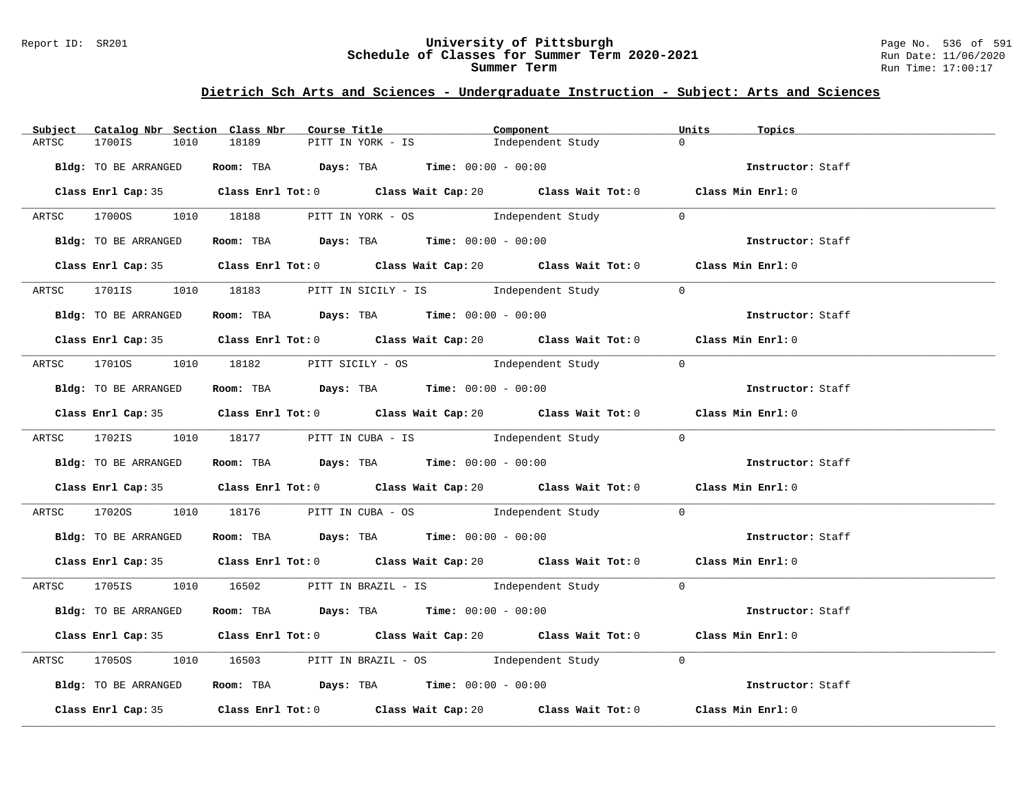#### Report ID: SR201 **University of Pittsburgh** Page No. 536 of 591 **Schedule of Classes for Summer Term 2020-2021** Run Date: 11/06/2020 **Summer Term** Run Time: 17:00:17

| Catalog Nbr Section Class Nbr<br>Subject | Course Title                                                                                | Component         | Units<br>Topics          |
|------------------------------------------|---------------------------------------------------------------------------------------------|-------------------|--------------------------|
| 1700IS<br>1010<br>ARTSC                  | 18189<br>PITT IN YORK - IS                                                                  | Independent Study | $\Omega$                 |
| Bldg: TO BE ARRANGED                     | Room: TBA $Days:$ TBA $Time: 00:00 - 00:00$                                                 |                   | Instructor: Staff        |
|                                          | Class Enrl Cap: 35 Class Enrl Tot: 0 Class Wait Cap: 20 Class Wait Tot: 0 Class Min Enrl: 0 |                   |                          |
|                                          | ARTSC 17000S 1010 18188 PITT IN YORK - OS Independent Study 0                               |                   |                          |
| Bldg: TO BE ARRANGED                     | <b>Room:</b> TBA <b>Days:</b> TBA <b>Time:</b> 00:00 - 00:00                                |                   | Instructor: Staff        |
|                                          | Class Enrl Cap: 35 Class Enrl Tot: 0 Class Wait Cap: 20 Class Wait Tot: 0 Class Min Enrl: 0 |                   |                          |
|                                          | ARTSC 1701IS 1010 18183 PITT IN SICILY - IS Independent Study                               |                   | $\overline{0}$           |
| Bldg: TO BE ARRANGED                     | Room: TBA $\rule{1em}{0.15mm}$ Days: TBA Time: $00:00 - 00:00$                              |                   | <b>Instructor:</b> Staff |
|                                          | Class Enrl Cap: 35 Class Enrl Tot: 0 Class Wait Cap: 20 Class Wait Tot: 0 Class Min Enrl: 0 |                   |                          |
|                                          | ARTSC 1701OS 1010 18182 PITT SICILY - OS Independent Study                                  |                   | $\bigcirc$               |
| Bldg: TO BE ARRANGED                     | Room: TBA $Days:$ TBA Time: $00:00 - 00:00$                                                 |                   | Instructor: Staff        |
|                                          | Class Enrl Cap: 35 Class Enrl Tot: 0 Class Wait Cap: 20 Class Wait Tot: 0 Class Min Enrl: 0 |                   |                          |
|                                          | ARTSC 1702IS 1010 18177 PITT IN CUBA - IS Independent Study 0                               |                   |                          |
| Bldg: TO BE ARRANGED                     | <b>ROOM:</b> TBA <b>Days:</b> TBA <b>Time:</b> $00:00 - 00:00$                              |                   | Instructor: Staff        |
|                                          | Class Enrl Cap: 35 Class Enrl Tot: 0 Class Wait Cap: 20 Class Wait Tot: 0 Class Min Enrl: 0 |                   |                          |
| ARTSC                                    | 17020S 1010 18176 PITT IN CUBA - OS Independent Study 0                                     |                   |                          |
| Bldg: TO BE ARRANGED                     | Room: TBA Days: TBA Time: $00:00 - 00:00$                                                   |                   | Instructor: Staff        |
|                                          | Class Enrl Cap: 35 Class Enrl Tot: 0 Class Wait Cap: 20 Class Wait Tot: 0 Class Min Enrl: 0 |                   |                          |
|                                          | ARTSC 1705IS 1010 16502 PITT IN BRAZIL - IS Independent Study 0                             |                   |                          |
| Bldg: TO BE ARRANGED                     | Room: TBA $Days$ : TBA $Time: 00:00 - 00:00$                                                |                   | Instructor: Staff        |
|                                          | Class Enrl Cap: 35 Class Enrl Tot: 0 Class Wait Cap: 20 Class Wait Tot: 0 Class Min Enrl: 0 |                   |                          |
| ARTSC<br>1705OS                          | 1010 16503 PITT IN BRAZIL - OS 1ndependent Study 0                                          |                   |                          |
| Bldg: TO BE ARRANGED                     | Room: TBA $Days:$ TBA $Time:$ $00:00 - 00:00$                                               |                   | Instructor: Staff        |
|                                          | Class Enrl Cap: 35 Class Enrl Tot: 0 Class Wait Cap: 20 Class Wait Tot: 0 Class Min Enrl: 0 |                   |                          |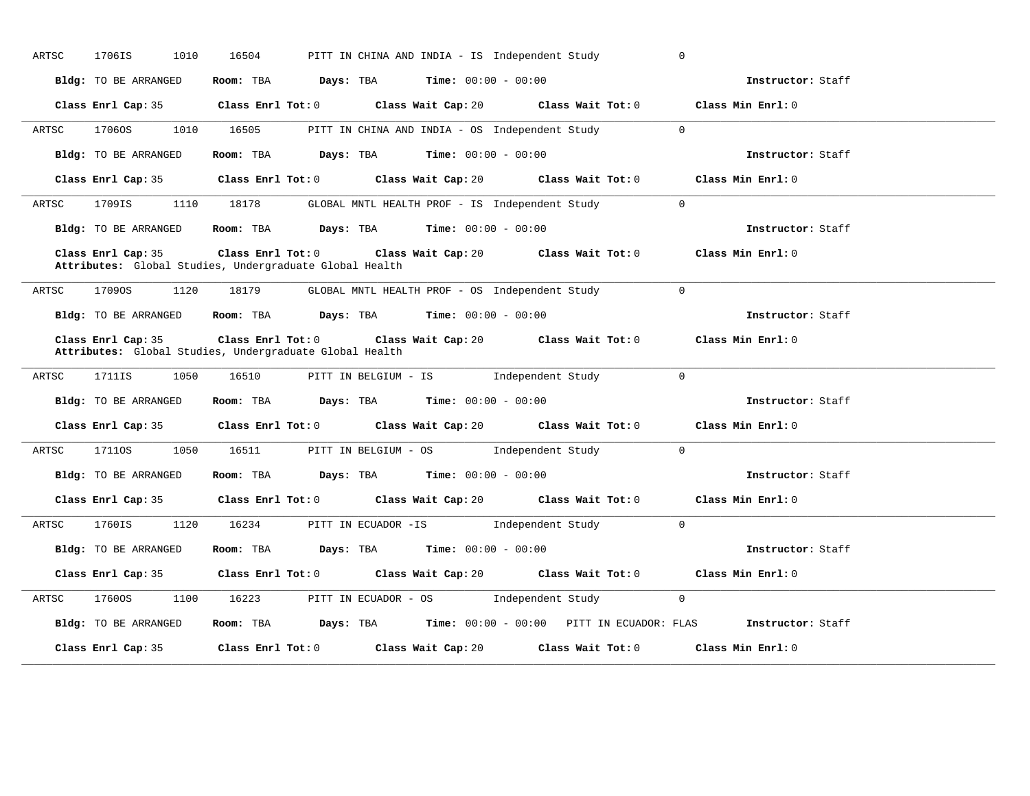| ARTSC | 1706IS<br>1010                                                                                  | 16504               | PITT IN CHINA AND INDIA - IS Independent Study |                                                                                       |                       |                                                                                                        |                                                                                 |  |
|-------|-------------------------------------------------------------------------------------------------|---------------------|------------------------------------------------|---------------------------------------------------------------------------------------|-----------------------|--------------------------------------------------------------------------------------------------------|---------------------------------------------------------------------------------|--|
|       | Bldg: TO BE ARRANGED                                                                            | Room: TBA Days: TBA |                                                |                                                                                       | $Time: 00:00 - 00:00$ |                                                                                                        | Instructor: Staff                                                               |  |
|       | Class Enrl Cap: 35                                                                              |                     |                                                |                                                                                       |                       | Class Enrl Tot: 0 Class Wait Cap: 20 Class Wait Tot: 0 Class Min Enrl: 0                               |                                                                                 |  |
| ARTSC | 1706OS                                                                                          | 1010 16505          |                                                |                                                                                       |                       | PITT IN CHINA AND INDIA - OS Independent Study                                                         | $\Omega$                                                                        |  |
|       | Bldg: TO BE ARRANGED                                                                            |                     |                                                | Room: TBA $Days: TBA$ Time: $00:00 - 00:00$                                           |                       |                                                                                                        | Instructor: Staff                                                               |  |
|       | Class Enrl Cap: 35                                                                              |                     |                                                |                                                                                       |                       | Class Enrl Tot: 0 $\qquad$ Class Wait Cap: 20 $\qquad$ Class Wait Tot: 0                               | Class Min Enrl: 0                                                               |  |
| ARTSC | 1709IS<br>1110                                                                                  | 18178               |                                                |                                                                                       |                       | GLOBAL MNTL HEALTH PROF - IS Independent Study                                                         | $\Omega$                                                                        |  |
|       | Bldg: TO BE ARRANGED                                                                            |                     |                                                | <b>Room:</b> TBA $Days: TBA$ <b>Time:</b> $00:00 - 00:00$                             |                       |                                                                                                        | Instructor: Staff                                                               |  |
|       | Class Enrl Cap: 35<br>Attributes: Global Studies, Undergraduate Global Health                   |                     | $Class$ $Enr1$ $Tot: 0$                        |                                                                                       |                       | Class Wait Cap: 20 Class Wait Tot: 0 Class Min Enrl: 0                                                 |                                                                                 |  |
| ARTSC | 17090S<br>1120                                                                                  | 18179               |                                                |                                                                                       |                       | GLOBAL MNTL HEALTH PROF - OS Independent Study 0                                                       |                                                                                 |  |
|       |                                                                                                 |                     |                                                |                                                                                       |                       |                                                                                                        | Instructor: Staff                                                               |  |
|       | Bldg: TO BE ARRANGED Room: TBA Days: TBA Time: 00:00 - 00:00                                    |                     |                                                |                                                                                       |                       |                                                                                                        | Class Min Enrl: 0                                                               |  |
| ARTSC | Class Enrl Cap: 35<br>Attributes: Global Studies, Undergraduate Global Health<br>1711IS<br>1050 | 16510               |                                                |                                                                                       |                       | Class Enrl Tot: $0$ Class Wait Cap: $20$ Class Wait Tot: $0$<br>PITT IN BELGIUM - IS Independent Study | $\overline{0}$                                                                  |  |
|       | Bldg: TO BE ARRANGED                                                                            |                     |                                                | Room: TBA $\rule{1em}{0.15mm}$ Days: TBA $\rule{1.5mm}{0.15mm}$ Time: $00:00 - 00:00$ |                       |                                                                                                        | Instructor: Staff                                                               |  |
|       | Class Enrl Cap: 35                                                                              |                     |                                                |                                                                                       |                       | Class Enrl Tot: 0 Class Wait Cap: 20 Class Wait Tot: 0                                                 | Class Min Enrl: 0                                                               |  |
| ARTSC | 17110S<br>1050                                                                                  | 16511               |                                                | PITT IN BELGIUM - OS                                                                  |                       | Independent Study                                                                                      | $\overline{0}$                                                                  |  |
|       | Bldg: TO BE ARRANGED                                                                            |                     |                                                | Room: TBA $Days:$ TBA $Time: 00:00 - 00:00$                                           |                       |                                                                                                        | Instructor: Staff                                                               |  |
|       | Class Enrl Cap: 35                                                                              |                     |                                                |                                                                                       |                       | Class Enrl Tot: $0$ Class Wait Cap: $20$ Class Wait Tot: $0$ Class Min Enrl: $0$                       |                                                                                 |  |
| ARTSC | 1760IS<br>1120                                                                                  | 16234               |                                                |                                                                                       |                       | PITT IN ECUADOR -IS [Independent Study 0                                                               |                                                                                 |  |
|       | Bldg: TO BE ARRANGED                                                                            | Room: TBA           |                                                | <b>Days:</b> TBA <b>Time:</b> $00:00 - 00:00$                                         |                       |                                                                                                        | Instructor: Staff                                                               |  |
|       | Class Enrl Cap: 35                                                                              |                     |                                                |                                                                                       |                       | Class Enrl Tot: $0$ Class Wait Cap: $20$ Class Wait Tot: $0$ Class Min Enrl: $0$                       |                                                                                 |  |
| ARTSC | 17600S<br>1100                                                                                  | 16223               |                                                | PITT IN ECUADOR - OS                                                                  |                       | Independent Study                                                                                      | $\overline{0}$                                                                  |  |
|       | Bldg: TO BE ARRANGED                                                                            |                     |                                                |                                                                                       |                       |                                                                                                        | Room: TBA Days: TBA Time: 00:00 - 00:00 PITT IN ECUADOR: FLAS Instructor: Staff |  |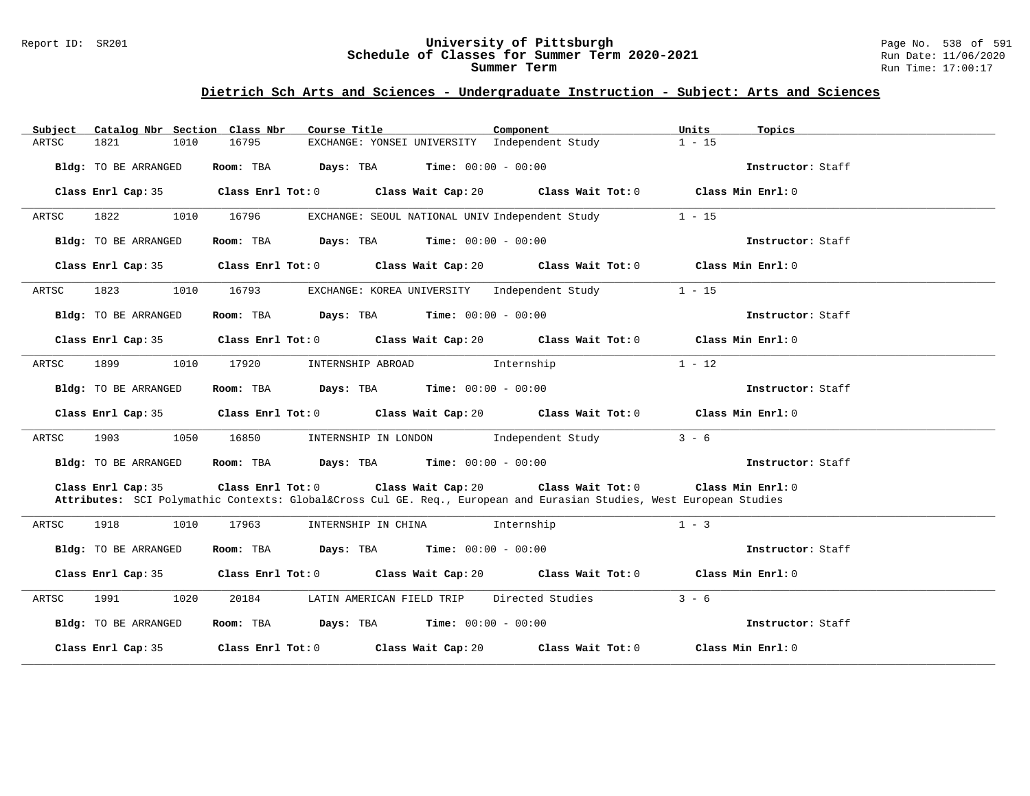#### Report ID: SR201 **University of Pittsburgh** Page No. 538 of 591 **Schedule of Classes for Summer Term 2020-2021** Run Date: 11/06/2020 **Summer Term** Run Time: 17:00:17

| Subject                                                                                                                | Catalog Nbr Section Class Nbr<br>Course Title                                                                   | Component<br>Units                                                               | Topics            |
|------------------------------------------------------------------------------------------------------------------------|-----------------------------------------------------------------------------------------------------------------|----------------------------------------------------------------------------------|-------------------|
| ARTSC<br>1821                                                                                                          | 1010<br>16795                                                                                                   | EXCHANGE: YONSEI UNIVERSITY Independent Study<br>$1 - 15$                        |                   |
| Bldg: TO BE ARRANGED                                                                                                   | Room: TBA $Days:$ TBA $Time: 00:00 - 00:00$                                                                     |                                                                                  | Instructor: Staff |
| Class Enrl Cap: 35                                                                                                     |                                                                                                                 | Class Enrl Tot: $0$ Class Wait Cap: $20$ Class Wait Tot: $0$ Class Min Enrl: $0$ |                   |
| 1822 2<br>ARTSC                                                                                                        | 1010 16796                                                                                                      | $1 - 15$<br>EXCHANGE: SEOUL NATIONAL UNIV Independent Study                      |                   |
| Bldg: TO BE ARRANGED                                                                                                   | Room: TBA $Days:$ TBA $Time: 00:00 - 00:00$                                                                     |                                                                                  | Instructor: Staff |
| Class Enrl Cap: 35                                                                                                     |                                                                                                                 | Class Enrl Tot: $0$ Class Wait Cap: $20$ Class Wait Tot: $0$ Class Min Enrl: $0$ |                   |
| ARTSC<br>1823   1823   1824   1825   1826   1827   1828   1828   1828   1828   1828   1828   1828   1828   1828   1828 | 1010 16793                                                                                                      | $1 - 15$<br>EXCHANGE: KOREA UNIVERSITY Independent Study                         |                   |
| Bldg: TO BE ARRANGED                                                                                                   | Room: TBA $Days:$ TBA $Time: 00:00 - 00:00$                                                                     |                                                                                  | Instructor: Staff |
| Class Enrl Cap: 35                                                                                                     |                                                                                                                 | Class Enrl Tot: $0$ Class Wait Cap: $20$ Class Wait Tot: $0$ Class Min Enrl: $0$ |                   |
| 1899 72<br>ARTSC                                                                                                       | 1010<br>17920<br>INTERNSHIP ABROAD 1nternship                                                                   | $1 - 12$                                                                         |                   |
| Bldg: TO BE ARRANGED                                                                                                   | Room: TBA $Days:$ TBA $Time: 00:00 - 00:00$                                                                     |                                                                                  | Instructor: Staff |
|                                                                                                                        | Class Enrl Cap: 35 Class Enrl Tot: 0 Class Wait Cap: 20 Class Wait Tot: 0 Class Min Enrl: 0                     |                                                                                  |                   |
| ARTSC<br>1903 — 1903                                                                                                   | 1050<br>16850 INTERNSHIP IN LONDON Independent Study                                                            | $3 - 6$                                                                          |                   |
| Bldg: TO BE ARRANGED                                                                                                   | Room: TBA $Days: TBA$ Time: $00:00 - 00:00$                                                                     |                                                                                  | Instructor: Staff |
| Class Enrl Cap: 35                                                                                                     | Attributes: SCI Polymathic Contexts: Global⨯ Cul GE. Req., European and Eurasian Studies, West European Studies | Class Enrl Tot: $0$ Class Wait Cap: $20$ Class Wait Tot: $0$ Class Min Enrl: $0$ |                   |
| 1918<br>ARTSC                                                                                                          | 1010<br>17963<br>INTERNSHIP IN CHINA 1nternship                                                                 | $1 - 3$                                                                          |                   |
| Bldg: TO BE ARRANGED                                                                                                   | Room: TBA $Days:$ TBA $Time: 00:00 - 00:00$                                                                     |                                                                                  | Instructor: Staff |
|                                                                                                                        | Class Enrl Cap: 35 Class Enrl Tot: 0 Class Wait Cap: 20 Class Wait Tot: 0 Class Min Enrl: 0                     |                                                                                  |                   |
| 1991 1991<br>ARTSC                                                                                                     | 1020<br>20184 LATIN AMERICAN FIELD TRIP Directed Studies                                                        | $3 - 6$                                                                          |                   |
| Bldg: TO BE ARRANGED                                                                                                   | Room: TBA $Days:$ TBA $Time: 00:00 - 00:00$                                                                     |                                                                                  | Instructor: Staff |
|                                                                                                                        | Class Enrl Cap: 35 Class Enrl Tot: 0 Class Wait Cap: 20 Class Wait Tot: 0 Class Min Enrl: 0                     |                                                                                  |                   |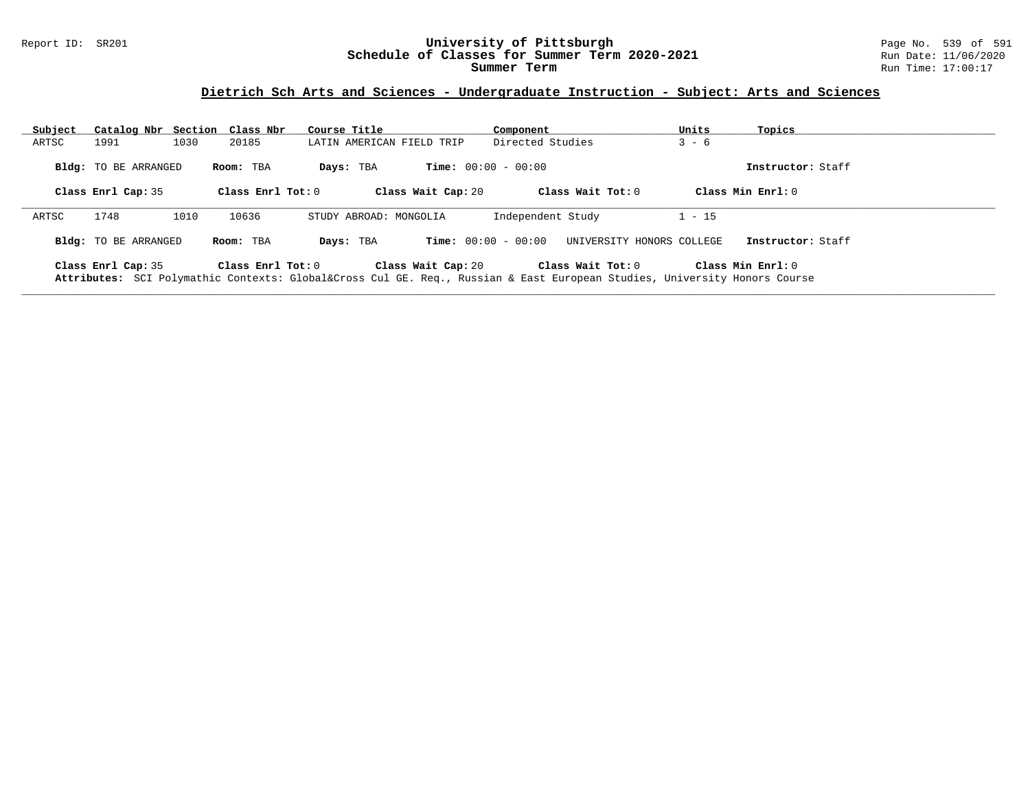#### Report ID: SR201 **University of Pittsburgh** Page No. 539 of 591 **Schedule of Classes for Summer Term 2020-2021** Run Date: 11/06/2020 **Summer Term** Run Time: 17:00:17

| Subject |                             | Catalog Nbr Section Class Nbr | Course Title              | Component                                                                                                                                 | Units<br>Topics     |  |
|---------|-----------------------------|-------------------------------|---------------------------|-------------------------------------------------------------------------------------------------------------------------------------------|---------------------|--|
| ARTSC   | 1991                        | 1030<br>20185                 | LATIN AMERICAN FIELD TRIP | Directed Studies                                                                                                                          | $3 - 6$             |  |
|         | Bldg: TO BE ARRANGED        | Room: TBA                     | Days: TBA                 | <b>Time:</b> $00:00 - 00:00$                                                                                                              | Instructor: Staff   |  |
|         | Class Enrl Cap: 35          | Class Enrl Tot: $0$           | Class Wait Cap: 20        | Class Wait Tot: $0$                                                                                                                       | Class Min $Enr1:0$  |  |
| ARTSC   | 1748                        | 1010<br>10636                 | STUDY ABROAD: MONGOLIA    | Independent Study                                                                                                                         | $1 - 15$            |  |
|         | <b>Bldg:</b> TO BE ARRANGED | Room: TBA                     | Days: TBA                 | <b>Time:</b> $00:00 - 00:00$<br>UNIVERSITY HONORS COLLEGE                                                                                 | Instructor: Staff   |  |
|         | Class Enrl Cap: 35          | Class Enrl Tot: $0$           | Class Wait Cap: 20        | Class Wait Tot: 0<br>Attributes: SCI Polymathic Contexts: Global⨯ Cul GE. Req., Russian & East European Studies, University Honors Course | Class Min $Enrl: 0$ |  |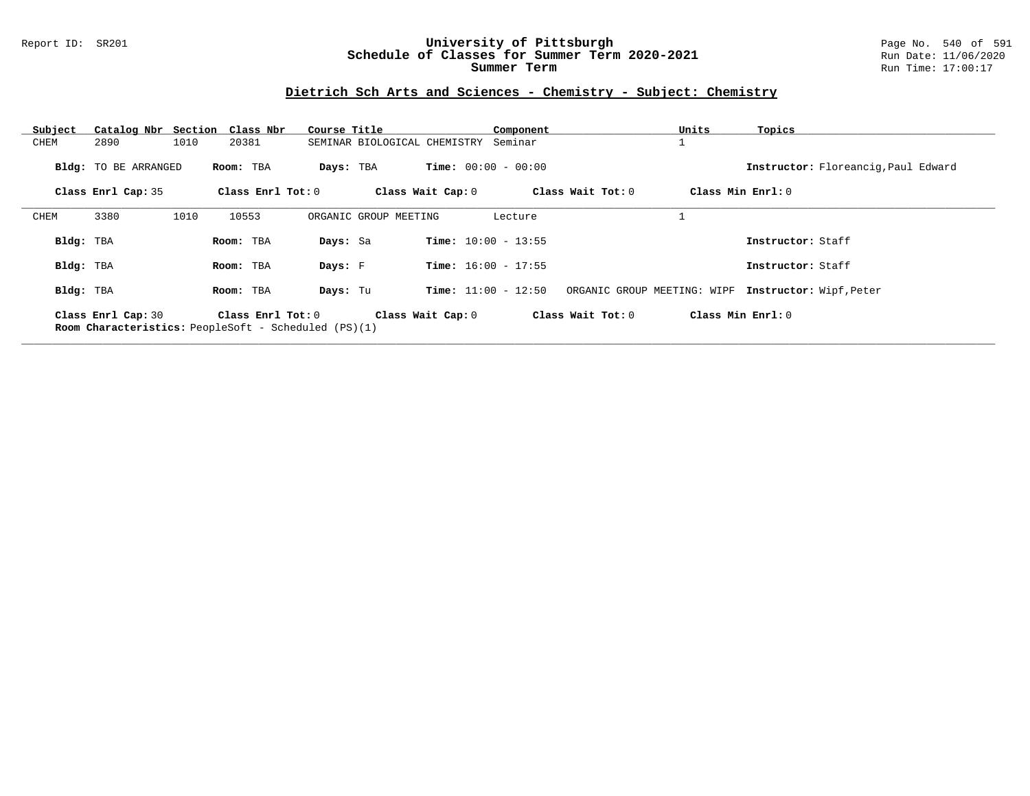### Report ID: SR201 **University of Pittsburgh** Page No. 540 of 591 **Schedule of Classes for Summer Term 2020-2021** Run Date: 11/06/2020 **Summer Term** Run Time: 17:00:17

# **Dietrich Sch Arts and Sciences - Chemistry - Subject: Chemistry**

| Subject   |                      |      | Catalog Nbr Section Class Nbr                                               | Course Title          |                                      | Component         | Units                       | Topics                              |
|-----------|----------------------|------|-----------------------------------------------------------------------------|-----------------------|--------------------------------------|-------------------|-----------------------------|-------------------------------------|
| CHEM      | 2890                 | 1010 | 20381                                                                       |                       | SEMINAR BIOLOGICAL CHEMISTRY Seminar |                   |                             |                                     |
|           | Bldg: TO BE ARRANGED |      | Room: TBA                                                                   | Days: TBA             | <b>Time:</b> $00:00 - 00:00$         |                   |                             | Instructor: Floreanciq, Paul Edward |
|           | Class Enrl Cap: 35   |      | Class Enrl Tot: $0$                                                         |                       | Class Wait Cap: 0                    | Class Wait Tot: 0 |                             | Class Min Enrl: 0                   |
| CHEM      | 3380                 | 1010 | 10553                                                                       | ORGANIC GROUP MEETING |                                      | Lecture           |                             |                                     |
| Bldg: TBA |                      |      | Room: TBA                                                                   | Days: Sa              | <b>Time:</b> $10:00 - 13:55$         |                   |                             | Instructor: Staff                   |
| Bldg: TBA |                      |      | Room: TBA                                                                   | Days: F               | <b>Time:</b> $16:00 - 17:55$         |                   |                             | Instructor: Staff                   |
| Bldg: TBA |                      |      | Room: TBA                                                                   | Days: Tu              | <b>Time:</b> $11:00 - 12:50$         |                   | ORGANIC GROUP MEETING: WIPF | Instructor: Wipf, Peter             |
|           | Class Enrl Cap: 30   |      | Class $Enr1 Tot: 0$<br>Room Characteristics: PeopleSoft - Scheduled (PS)(1) |                       | Class Wait Cap: 0                    | Class Wait Tot: 0 |                             | Class Min Enrl: 0                   |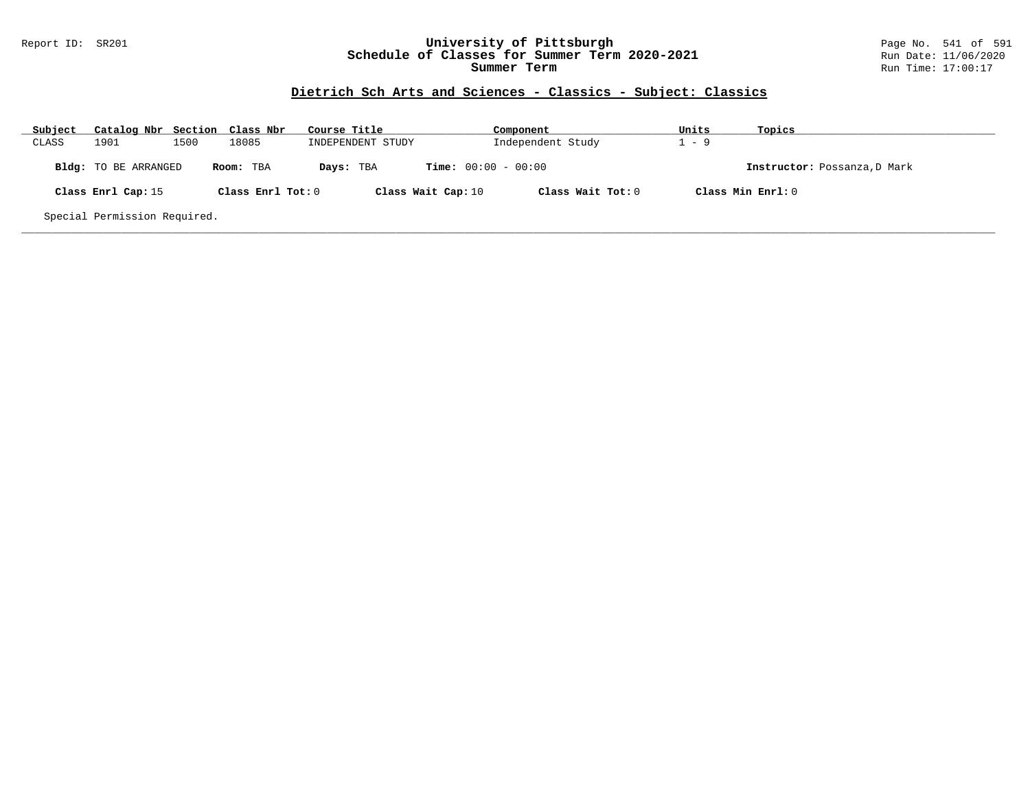### Report ID: SR201 **University of Pittsburgh** Page No. 541 of 591 **Schedule of Classes for Summer Term 2020-2021** Run Date: 11/06/2020 **Summer Term** Run Time: 17:00:17

# **Dietrich Sch Arts and Sciences - Classics - Subject: Classics**

| Subject | Catalog Nbr Section Class Nbr |      |                   | Course Title      | Component                               | Units   | Topics                       |
|---------|-------------------------------|------|-------------------|-------------------|-----------------------------------------|---------|------------------------------|
| CLASS   | 1901                          | 1500 | 18085             | INDEPENDENT STUDY | Independent Study                       | $1 - 9$ |                              |
|         | <b>Bldg:</b> TO BE ARRANGED   |      | Room: TBA         | Days: TBA         | <b>Time:</b> $00:00 - 00:00$            |         | Instructor: Possanza, D Mark |
|         | Class Enrl Cap: 15            |      | Class Enrl Tot: 0 |                   | Class Wait Tot: 0<br>Class Wait Cap: 10 |         | Class Min Enrl: 0            |
|         | Special Permission Required.  |      |                   |                   |                                         |         |                              |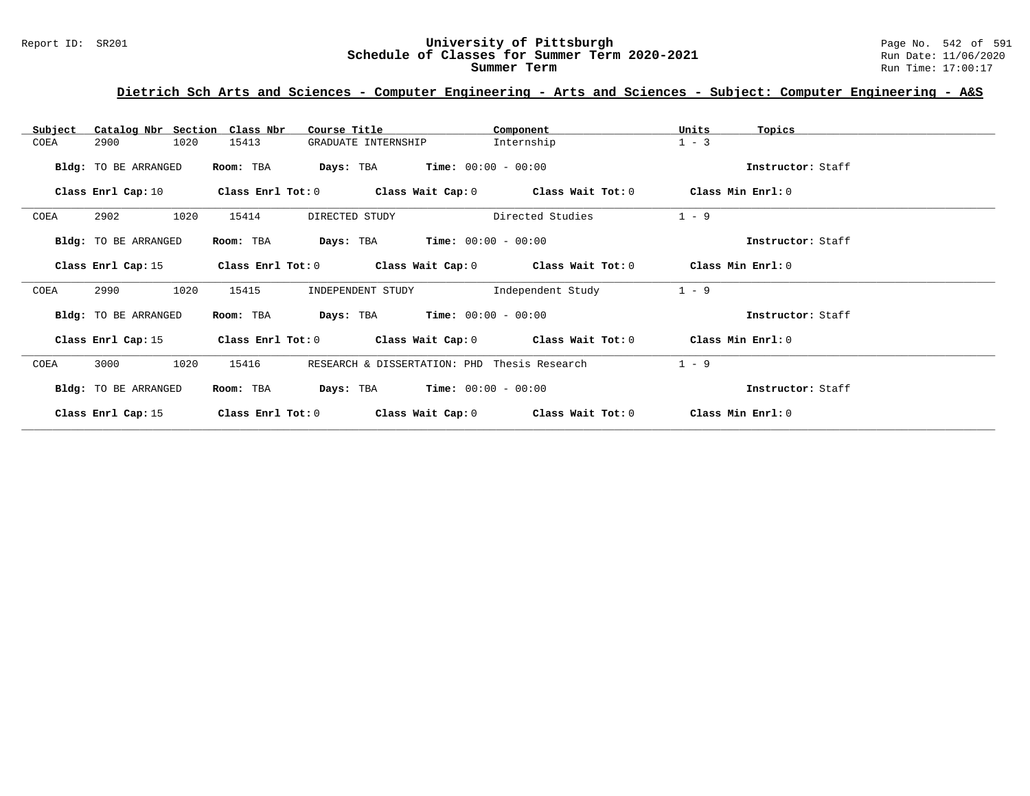# Report ID: SR201 **University of Pittsburgh University of Pittsburgh** Page No. 542 of 591 **Schedule of Classes for Summer Term 2020-2021** Page No. 542 of 591 **Schedule of Classes for Summer Term 2020-2021** Schedule of Classes for Summer Term 2020-2021

**Summer Term** Run Time: 17:00:17

# **Dietrich Sch Arts and Sciences - Computer Engineering - Arts and Sciences - Subject: Computer Engineering - A&S**

| Catalog Nbr Section<br>Subject | Class Nbr         | Course Title                                                | Component         | Units<br>Topics   |  |
|--------------------------------|-------------------|-------------------------------------------------------------|-------------------|-------------------|--|
| COEA<br>2900                   | 1020<br>15413     | GRADUATE INTERNSHIP                                         | Internship        | $1 - 3$           |  |
| Bldg: TO BE ARRANGED           | Room: TBA         | <b>Days:</b> TBA <b>Time:</b> $00:00 - 00:00$               |                   | Instructor: Staff |  |
| Class Enrl Cap: 10             |                   | Class Enrl Tot: $0$ Class Wait Cap: $0$ Class Wait Tot: $0$ |                   | Class Min Enrl: 0 |  |
| 2902<br>COEA                   | 1020<br>15414     | DIRECTED STUDY                                              | Directed Studies  | $1 - 9$           |  |
| Bldg: TO BE ARRANGED           | Room: TBA         | $Time: 00:00 - 00:00$<br>Days: TBA                          |                   | Instructor: Staff |  |
| Class Enrl Cap: 15             |                   | Class Enrl Tot: $0$ Class Wait Cap: $0$ Class Wait Tot: $0$ |                   | Class Min Enrl: 0 |  |
| 2990<br>COEA                   | 1020<br>15415     | INDEPENDENT STUDY                                           | Independent Study | $1 - 9$           |  |
| Bldg: TO BE ARRANGED           | Room: TBA         | $Time: 00:00 - 00:00$<br>Days: TBA                          |                   | Instructor: Staff |  |
| Class Enrl Cap: 15             |                   | Class Enrl Tot: $0$ Class Wait Cap: $0$ Class Wait Tot: $0$ |                   | Class Min Enrl: 0 |  |
| COEA<br>3000                   | 1020<br>15416     | RESEARCH & DISSERTATION: PHD Thesis Research                |                   | $1 - 9$           |  |
| Bldg: TO BE ARRANGED           | Room: TBA         | $Time: 00:00 - 00:00$<br>Days: TBA                          |                   | Instructor: Staff |  |
| Class Enrl Cap: 15             | Class Enrl Tot: 0 | Class Wait Cap: 0                                           | Class Wait Tot: 0 | Class Min Enrl: 0 |  |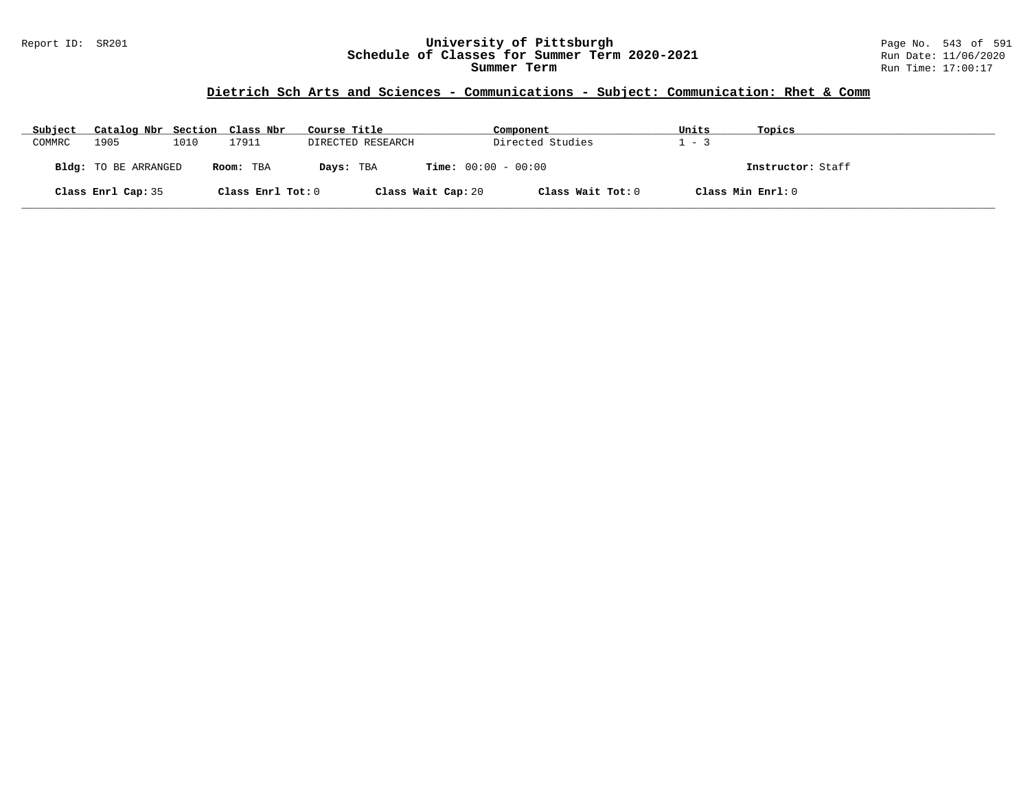### Report ID: SR201 **University of Pittsburgh** Page No. 543 of 591 **Schedule of Classes for Summer Term 2020-2021** Run Date: 11/06/2020 **Summer Term** Run Time: 17:00:17

### **Dietrich Sch Arts and Sciences - Communications - Subject: Communication: Rhet & Comm**

| Subject | Catalog Nbr Section Class Nbr |      |                   | Course Title       | Component                    | Units   | Topics            |
|---------|-------------------------------|------|-------------------|--------------------|------------------------------|---------|-------------------|
| COMMRC  | 1905                          | 1010 | 17911             | DIRECTED RESEARCH  | Directed Studies             | $1 - 3$ |                   |
|         | Bldg: TO BE ARRANGED          |      | Room: TBA         | Days: TBA          | <b>Time:</b> $00:00 - 00:00$ |         | Instructor: Staff |
|         | Class Enrl Cap: 35            |      | Class Enrl Tot: 0 | Class Wait Cap: 20 | Class Wait Tot: 0            |         | Class Min Enrl: 0 |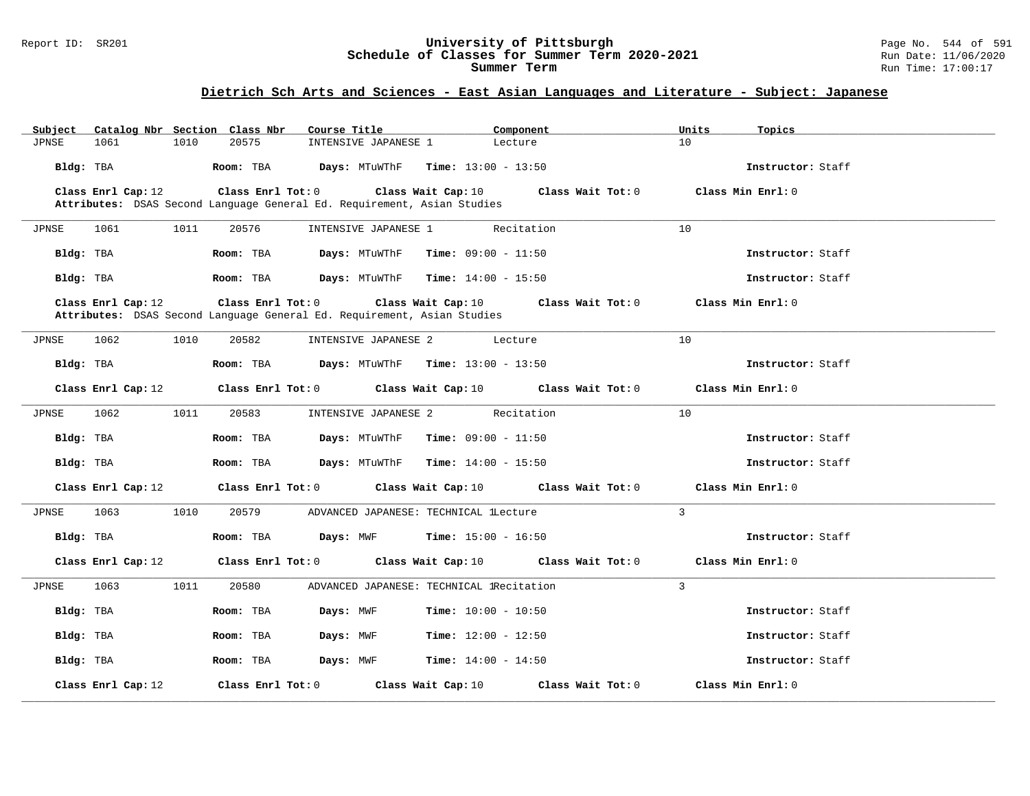#### Report ID: SR201 **University of Pittsburgh** Page No. 544 of 591 **Schedule of Classes for Summer Term 2020-2021** Run Date: 11/06/2020 **Summer Term** Run Time: 17:00:17

# **Dietrich Sch Arts and Sciences - East Asian Languages and Literature - Subject: Japanese**

| Subject   |                    |      | Catalog Nbr Section Class Nbr | Course Title                                                            |                                            | Component         | Units        | Topics            |
|-----------|--------------------|------|-------------------------------|-------------------------------------------------------------------------|--------------------------------------------|-------------------|--------------|-------------------|
| JPNSE     | 1061               | 1010 | 20575                         | INTENSIVE JAPANESE 1                                                    | Lecture                                    |                   | 10           |                   |
| Bldg: TBA |                    |      | Room: TBA                     |                                                                         | <b>Days:</b> MTuWThF $Time: 13:00 - 13:50$ |                   |              | Instructor: Staff |
|           | Class Enrl Cap: 12 |      | Class Enrl Tot: 0             |                                                                         | Class Wait Cap: 10                         | Class Wait Tot: 0 |              | Class Min Enrl: 0 |
|           |                    |      |                               | Attributes: DSAS Second Language General Ed. Requirement, Asian Studies |                                            |                   |              |                   |
| JPNSE     | 1061               | 1011 | 20576                         | INTENSIVE JAPANESE 1                                                    |                                            | Recitation        | 10           |                   |
|           |                    |      |                               |                                                                         |                                            |                   |              |                   |
| Bldg: TBA |                    |      | Room: TBA                     | Days: MTuWThF                                                           | <b>Time:</b> $09:00 - 11:50$               |                   |              | Instructor: Staff |
| Bldg: TBA |                    |      | Room: TBA                     | Days: MTuWThF                                                           | $Time: 14:00 - 15:50$                      |                   |              | Instructor: Staff |
|           | Class Enrl Cap: 12 |      | Class Enrl Tot: 0             | Attributes: DSAS Second Language General Ed. Requirement, Asian Studies | Class Wait Cap: 10                         | Class Wait Tot: 0 |              | Class Min Enrl: 0 |
| JPNSE     | 1062               | 1010 | 20582                         | INTENSIVE JAPANESE 2                                                    | Lecture                                    |                   | 10           |                   |
| Bldg: TBA |                    |      | Room: TBA                     | Days: MTuWThF                                                           | <b>Time:</b> $13:00 - 13:50$               |                   |              | Instructor: Staff |
|           | Class Enrl Cap: 12 |      | Class Enrl Tot: 0             |                                                                         | Class Wait Cap: 10                         | Class Wait Tot: 0 |              | Class Min Enrl: 0 |
| JPNSE     | 1062               | 1011 | 20583                         | INTENSIVE JAPANESE 2                                                    |                                            | Recitation        | 10           |                   |
| Bldg: TBA |                    |      | Room: TBA                     | Days: MTuWThF                                                           | <b>Time:</b> $09:00 - 11:50$               |                   |              | Instructor: Staff |
| Bldg: TBA |                    |      | Room: TBA                     | Days: MTuWThF                                                           | <b>Time:</b> $14:00 - 15:50$               |                   |              | Instructor: Staff |
|           | Class Enrl Cap: 12 |      | Class Enrl Tot: 0             |                                                                         | Class Wait Cap: 10                         | Class Wait Tot: 0 |              | Class Min Enrl: 0 |
| JPNSE     | 1063               | 1010 | 20579                         | ADVANCED JAPANESE: TECHNICAL LLecture                                   |                                            |                   | $\mathbf{3}$ |                   |
| Bldg: TBA |                    |      | Room: TBA                     | Days: MWF                                                               | <b>Time:</b> $15:00 - 16:50$               |                   |              | Instructor: Staff |
|           | Class Enrl Cap: 12 |      | Class Enrl Tot: 0             |                                                                         | Class Wait Cap: 10                         | Class Wait Tot: 0 |              | Class Min Enrl: 0 |
| JPNSE     | 1063               | 1011 | 20580                         | ADVANCED JAPANESE: TECHNICAL 1Recitation                                |                                            |                   | $\mathbf{3}$ |                   |
| Bldg: TBA |                    |      | Room: TBA                     | Days: MWF                                                               | <b>Time:</b> $10:00 - 10:50$               |                   |              | Instructor: Staff |
| Bldg: TBA |                    |      | Room: TBA                     | Days: MWF                                                               | <b>Time:</b> $12:00 - 12:50$               |                   |              | Instructor: Staff |
| Bldg: TBA |                    |      | Room: TBA                     | Days: MWF                                                               | <b>Time:</b> $14:00 - 14:50$               |                   |              | Instructor: Staff |
|           | Class Enrl Cap: 12 |      | Class Enrl Tot: 0             |                                                                         | Class Wait Cap: 10                         | Class Wait Tot: 0 |              | Class Min Enrl: 0 |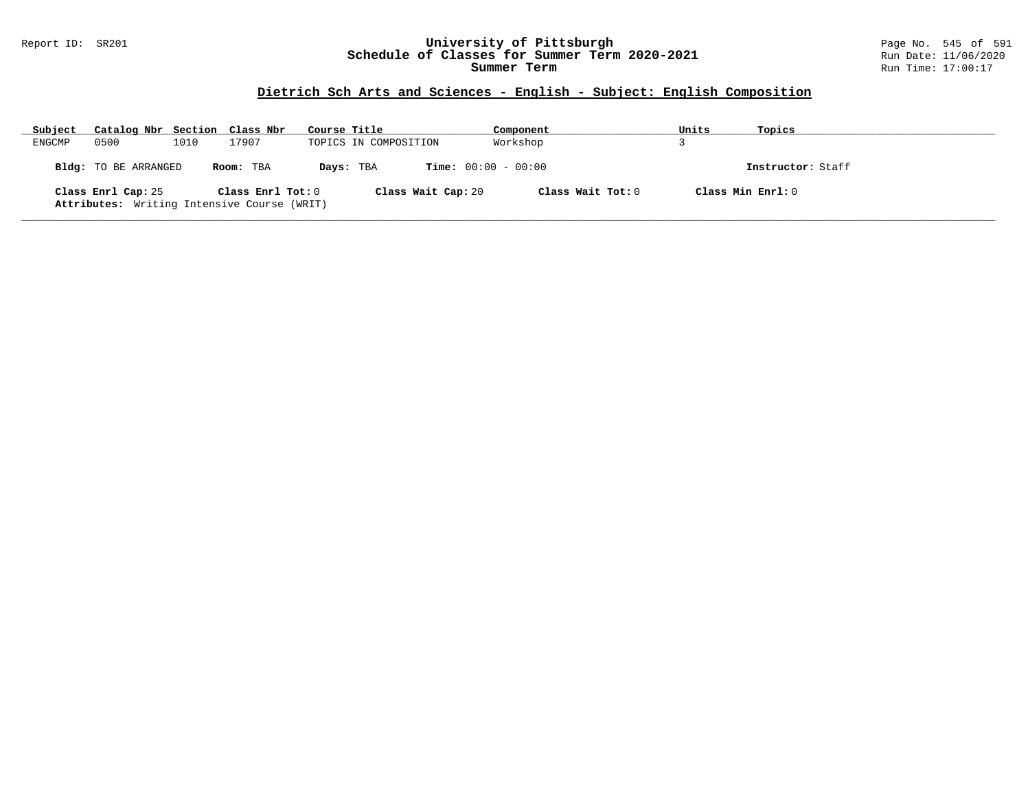### Report ID: SR201 **University of Pittsburgh** Page No. 545 of 591 **Schedule of Classes for Summer Term 2020-2021** Run Date: 11/06/2020 **Summer Term** Run Time: 17:00:17

# **Dietrich Sch Arts and Sciences - English - Subject: English Composition**

| Subject | Catalog Nbr Section Class Nbr                                     |      |                   | Course Title |                       | Component           | Units | Topics            |
|---------|-------------------------------------------------------------------|------|-------------------|--------------|-----------------------|---------------------|-------|-------------------|
| ENGCMP  | 0500                                                              | 1010 | 17907             |              | TOPICS IN COMPOSITION | Workshop            |       |                   |
|         | <b>Bldg:</b> TO BE ARRANGED                                       |      | Room: TBA         | Days: TBA    | $Time: 00:00 - 00:00$ |                     |       | Instructor: Staff |
|         | Class Enrl Cap: 25<br>Attributes: Writing Intensive Course (WRIT) |      | Class Enrl Tot: 0 |              | Class Wait Cap: 20    | Class Wait Tot: $0$ |       | Class Min Enrl: 0 |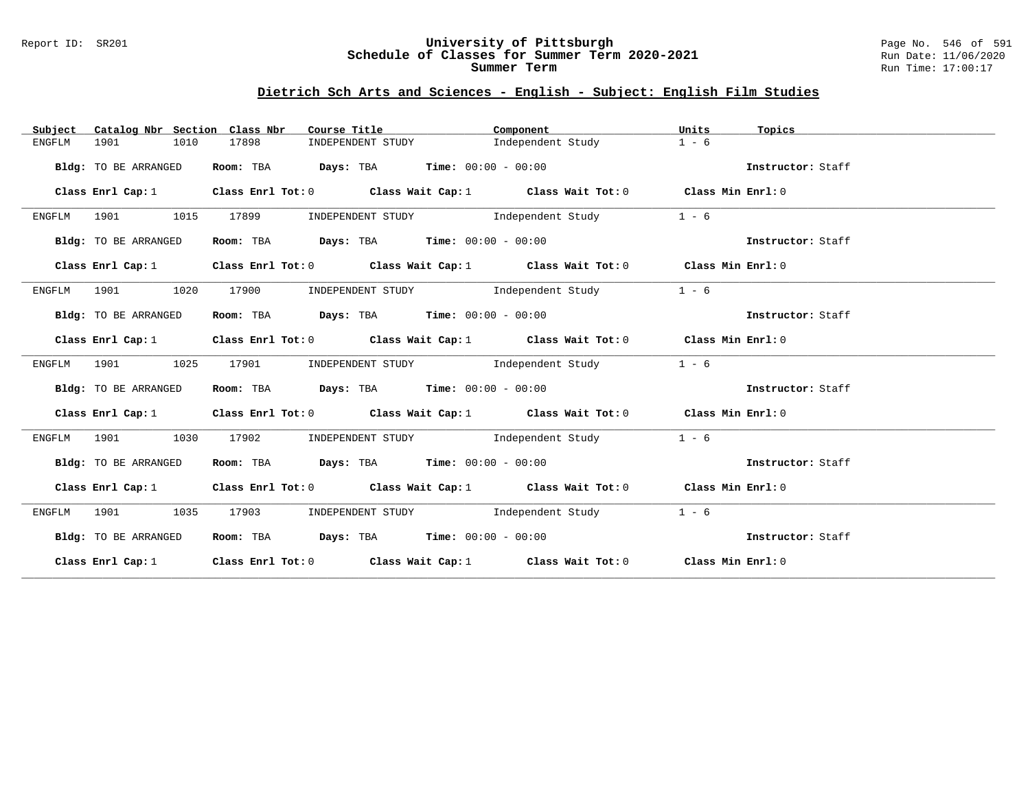#### Report ID: SR201 **University of Pittsburgh** Page No. 546 of 591 **Schedule of Classes for Summer Term 2020-2021** Run Date: 11/06/2020 **Summer Term** Run Time: 17:00:17

# **Dietrich Sch Arts and Sciences - English - Subject: English Film Studies**

| Subject     | Catalog Nbr Section Class Nbr |       | Course Title                                                                              | Component         | Units   | Topics            |
|-------------|-------------------------------|-------|-------------------------------------------------------------------------------------------|-------------------|---------|-------------------|
| ENGFLM      | 1901<br>1010                  | 17898 | INDEPENDENT STUDY                                                                         | Independent Study | $1 - 6$ |                   |
|             | Bldg: TO BE ARRANGED          |       | Room: TBA $Days:$ TBA $Time: 00:00 - 00:00$                                               |                   |         | Instructor: Staff |
|             |                               |       | Class Enrl Cap: 1 Class Enrl Tot: 0 Class Wait Cap: 1 Class Wait Tot: 0 Class Min Enrl: 0 |                   |         |                   |
|             | ENGFLM 1901 1015              | 17899 | INDEPENDENT STUDY 1ndependent Study                                                       |                   | $1 - 6$ |                   |
|             | Bldg: TO BE ARRANGED          |       | Room: TBA $Days:$ TBA $Time: 00:00 - 00:00$                                               |                   |         | Instructor: Staff |
|             | Class Enrl Cap: 1             |       | Class Enrl Tot: $0$ Class Wait Cap: 1 Class Wait Tot: 0 Class Min Enrl: 0                 |                   |         |                   |
|             | ENGFLM 1901 1020              | 17900 | INDEPENDENT STUDY 1ndependent Study                                                       |                   | $1 - 6$ |                   |
|             | Bldg: TO BE ARRANGED          |       | Room: TBA $Days: TBA$ Time: $00:00 - 00:00$                                               |                   |         | Instructor: Staff |
|             | Class Enrl Cap: 1             |       | Class Enrl Tot: 0 Class Wait Cap: 1 Class Wait Tot: 0 Class Min Enrl: 0                   |                   |         |                   |
| ENGFLM 1901 | 1025                          | 17901 | INDEPENDENT STUDY 1ndependent Study                                                       |                   | $1 - 6$ |                   |
|             | Bldg: TO BE ARRANGED          |       | Room: TBA $Days:$ TBA $Time: 00:00 - 00:00$                                               |                   |         | Instructor: Staff |
|             | Class Enrl Cap: 1             |       | Class Enrl Tot: 0 Class Wait Cap: 1 Class Wait Tot: 0 Class Min Enrl: 0                   |                   |         |                   |
| ENGFLM      | 1901<br>1030                  | 17902 | INDEPENDENT STUDY 1ndependent Study                                                       |                   | $1 - 6$ |                   |
|             | Bldg: TO BE ARRANGED          |       | Room: TBA $\rule{1em}{0.15mm}$ Days: TBA Time: $00:00 - 00:00$                            |                   |         | Instructor: Staff |
|             |                               |       | Class Enrl Cap: 1 Class Enrl Tot: 0 Class Wait Cap: 1 Class Wait Tot: 0 Class Min Enrl: 0 |                   |         |                   |
| ENGFLM      | 1901<br>1035                  | 17903 | INDEPENDENT STUDY 1ndependent Study                                                       |                   | $1 - 6$ |                   |
|             | Bldg: TO BE ARRANGED          |       | Room: TBA $Days:$ TBA Time: $00:00 - 00:00$                                               |                   |         | Instructor: Staff |
|             |                               |       | Class Enrl Cap: 1 Class Enrl Tot: 0 Class Wait Cap: 1 Class Wait Tot: 0 Class Min Enrl: 0 |                   |         |                   |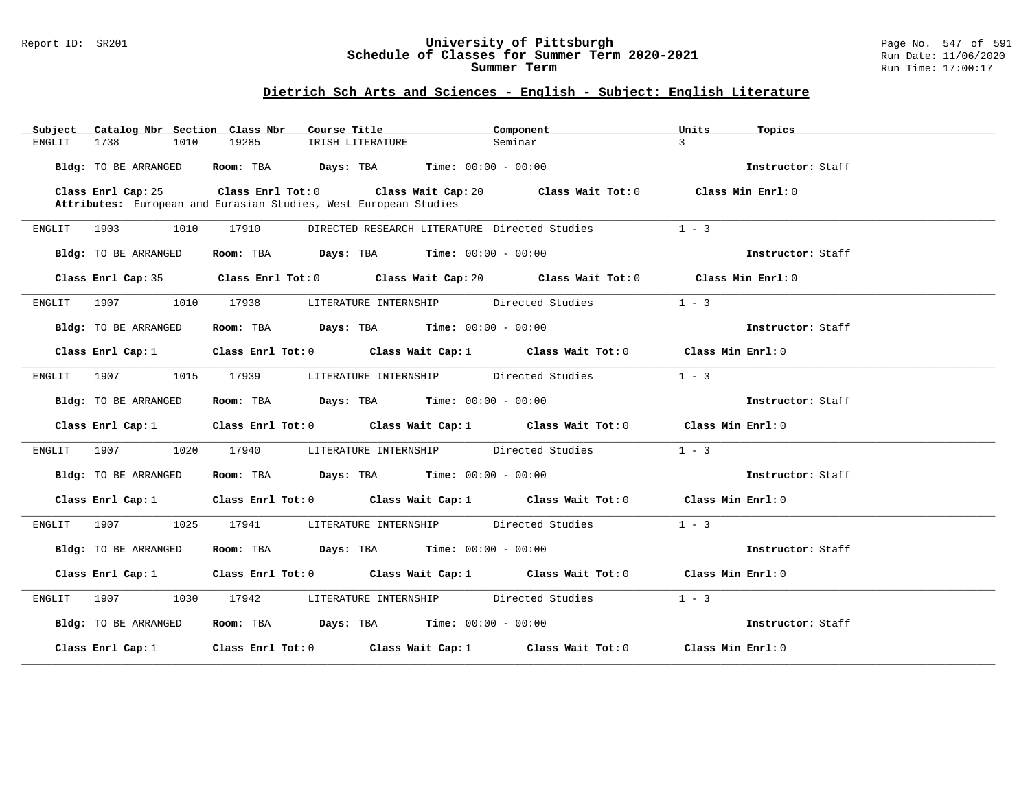#### Report ID: SR201 **University of Pittsburgh** Page No. 547 of 591 **Schedule of Classes for Summer Term 2020-2021** Run Date: 11/06/2020 **Summer Term** Run Time: 17:00:17

# **Dietrich Sch Arts and Sciences - English - Subject: English Literature**

| Catalog Nbr Section Class Nbr<br>Subject | Course Title<br>Component                                                                                                                                               | Units<br>Topics |                   |
|------------------------------------------|-------------------------------------------------------------------------------------------------------------------------------------------------------------------------|-----------------|-------------------|
| 1738<br>1010<br>ENGLIT                   | 19285<br>Seminar<br>IRISH LITERATURE                                                                                                                                    | $\mathbf{R}$    |                   |
| Bldg: TO BE ARRANGED                     | Room: TBA $Days:$ TBA $Time: 00:00 - 00:00$                                                                                                                             |                 | Instructor: Staff |
| Class Enrl Cap: 25                       | Class Enrl Tot: 0 $\qquad$ Class Wait Cap: 20 $\qquad$ Class Wait Tot: 0 $\qquad$ Class Min Enrl: 0<br>Attributes: European and Eurasian Studies, West European Studies |                 |                   |
| ENGLIT 1903<br>1010                      | 17910<br>DIRECTED RESEARCH LITERATURE Directed Studies                                                                                                                  | $1 - 3$         |                   |
| Bldg: TO BE ARRANGED                     | Room: TBA $\rule{1em}{0.15mm}$ Days: TBA Time: $00:00 - 00:00$                                                                                                          |                 | Instructor: Staff |
|                                          | Class Enrl Cap: 35 Class Enrl Tot: 0 Class Wait Cap: 20 Class Wait Tot: 0 Class Min Enrl: 0                                                                             |                 |                   |
| ENGLIT 1907<br>1010                      | 17938 LITERATURE INTERNSHIP Directed Studies                                                                                                                            | $1 - 3$         |                   |
| Bldg: TO BE ARRANGED                     | Room: TBA $\rule{1em}{0.15mm}$ Days: TBA $\rule{1.5mm}{0.15mm}$ Time: $00:00 - 00:00$                                                                                   |                 | Instructor: Staff |
| Class Enrl Cap: 1                        | Class Enrl Tot: 0 Class Wait Cap: 1 Class Wait Tot: 0 Class Min Enrl: 0                                                                                                 |                 |                   |
| ENGLIT 1907 1015 17939                   | LITERATURE INTERNSHIP Directed Studies                                                                                                                                  | $1 - 3$         |                   |
| Bldg: TO BE ARRANGED                     | Room: TBA $Days:$ TBA $Time: 00:00 - 00:00$                                                                                                                             |                 | Instructor: Staff |
|                                          | Class Enrl Cap: 1 Class Enrl Tot: 0 Class Wait Cap: 1 Class Wait Tot: 0 Class Min Enrl: 0                                                                               |                 |                   |
| ENGLIT 1907 1020 17940                   | LITERATURE INTERNSHIP Directed Studies                                                                                                                                  | $1 - 3$         |                   |
| Bldg: TO BE ARRANGED                     | Room: TBA $Days:$ TBA $Time: 00:00 - 00:00$                                                                                                                             |                 | Instructor: Staff |
|                                          | Class Enrl Cap: 1 Class Enrl Tot: 0 Class Wait Cap: 1 Class Wait Tot: 0 Class Min Enrl: 0                                                                               |                 |                   |
|                                          | ENGLIT 1907 1025 17941 LITERATURE INTERNSHIP Directed Studies                                                                                                           | $1 - 3$         |                   |
| Bldg: TO BE ARRANGED                     | Room: TBA $Days:$ TBA $Time: 00:00 - 00:00$                                                                                                                             |                 | Instructor: Staff |
|                                          | Class Enrl Cap: 1 Class Enrl Tot: 0 Class Wait Cap: 1 Class Wait Tot: 0 Class Min Enrl: 0                                                                               |                 |                   |
|                                          | ENGLIT 1907 1030 17942 LITERATURE INTERNSHIP Directed Studies                                                                                                           | $1 - 3$         |                   |
| Bldg: TO BE ARRANGED                     | Room: TBA $Days:$ TBA $Time: 00:00 - 00:00$                                                                                                                             |                 | Instructor: Staff |
|                                          | Class Enrl Cap: 1 Class Enrl Tot: 0 Class Wait Cap: 1 Class Wait Tot: 0 Class Min Enrl: 0                                                                               |                 |                   |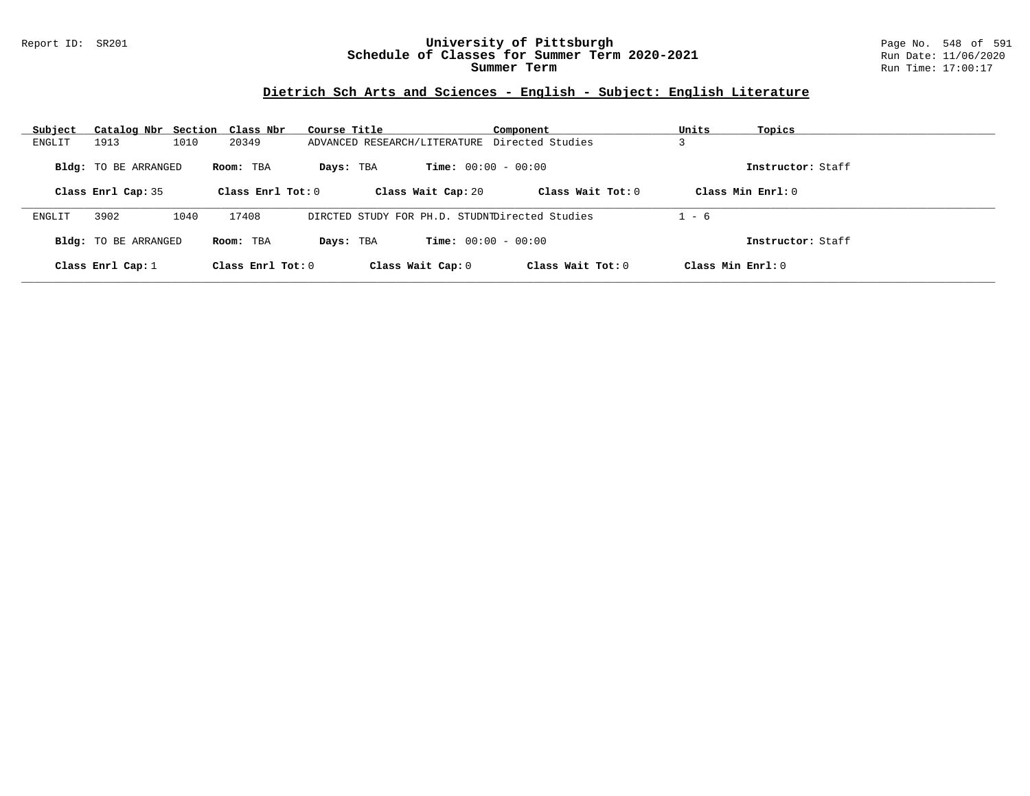### Report ID: SR201 **University of Pittsburgh** Page No. 548 of 591 **Schedule of Classes for Summer Term 2020-2021** Run Date: 11/06/2020 **Summer Term** Run Time: 17:00:17

# **Dietrich Sch Arts and Sciences - English - Subject: English Literature**

| Subject |                             | Catalog Nbr Section Class Nbr | Course Title                                   |                              | Component           | Units               | Topics            |
|---------|-----------------------------|-------------------------------|------------------------------------------------|------------------------------|---------------------|---------------------|-------------------|
| ENGLIT  | 1913                        | 1010<br>20349                 | ADVANCED RESEARCH/LITERATURE Directed Studies  |                              |                     |                     |                   |
|         | <b>Bldg:</b> TO BE ARRANGED | Room: TBA                     | Days: TBA                                      | <b>Time:</b> $00:00 - 00:00$ |                     | Class Min Enrl: 0   | Instructor: Staff |
|         | Class Enrl Cap: 35          | Class Enrl Tot: $0$           |                                                | Class Wait Cap: 20           | Class Wait Tot: $0$ |                     |                   |
| ENGLIT  | 3902                        | 17408<br>1040                 | DIRCTED STUDY FOR PH.D. STUDNIDirected Studies |                              |                     | $1 - 6$             |                   |
|         | <b>Bldg:</b> TO BE ARRANGED | Room: TBA                     | Days: TBA                                      | <b>Time:</b> $00:00 - 00:00$ |                     |                     | Instructor: Staff |
|         | Class Enrl Cap: $1$         | Class Enrl Tot: $0$           |                                                | Class Wait Cap: 0            | Class Wait Tot: 0   | Class Min $Enrl: 0$ |                   |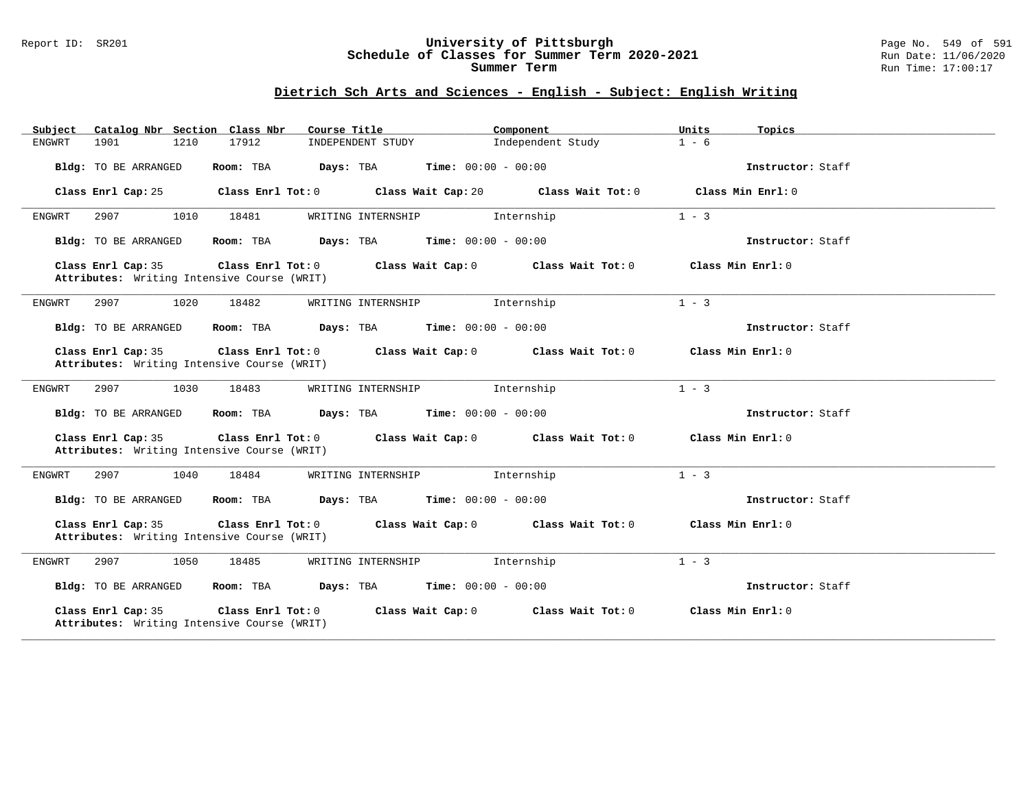#### Report ID: SR201 **University of Pittsburgh** Page No. 549 of 591 **Schedule of Classes for Summer Term 2020-2021** Run Date: 11/06/2020 **Summer Term** Run Time: 17:00:17

### **Dietrich Sch Arts and Sciences - English - Subject: English Writing**

| Subject       |                    |                             | Catalog Nbr Section Class Nbr               |                   |                   | Course Title                                  |                    |                              | Component         |                                         | Units   | Topics            |
|---------------|--------------------|-----------------------------|---------------------------------------------|-------------------|-------------------|-----------------------------------------------|--------------------|------------------------------|-------------------|-----------------------------------------|---------|-------------------|
| ENGWRT        | 1901               |                             | 1210                                        | 17912             |                   |                                               | INDEPENDENT STUDY  |                              | Independent Study |                                         | $1 - 6$ |                   |
|               |                    | <b>Bldg:</b> TO BE ARRANGED |                                             | Room: TBA         |                   | Days: TBA                                     |                    | <b>Time:</b> $00:00 - 00:00$ |                   |                                         |         | Instructor: Staff |
|               | Class Enrl Cap: 25 |                             |                                             | Class Enrl Tot: 0 |                   |                                               |                    | Class Wait Cap: 20           |                   | Class Wait Tot: 0                       |         | Class Min Enrl: 0 |
| ENGWRT        | 2907               |                             | 1010                                        | 18481             |                   |                                               | WRITING INTERNSHIP |                              | Internship        |                                         | $1 - 3$ |                   |
|               |                    | Bldg: TO BE ARRANGED        |                                             | Room: TBA         |                   | <b>Days:</b> TBA <b>Time:</b> $00:00 - 00:00$ |                    |                              |                   |                                         |         | Instructor: Staff |
|               | Class Enrl Cap: 35 |                             | Attributes: Writing Intensive Course (WRIT) |                   |                   | Class Enrl Tot: 0                             |                    | Class Wait Cap: 0            |                   | Class Wait Tot: 0                       |         | Class Min Enrl: 0 |
| <b>ENGWRT</b> | 2907               |                             | 1020                                        | 18482             |                   |                                               | WRITING INTERNSHIP |                              | Internship        |                                         | $1 - 3$ |                   |
|               |                    | Bldg: TO BE ARRANGED        |                                             | Room: TBA         |                   | <b>Days:</b> TBA <b>Time:</b> $00:00 - 00:00$ |                    |                              |                   |                                         |         | Instructor: Staff |
|               | Class Enrl Cap: 35 |                             | Attributes: Writing Intensive Course (WRIT) |                   | Class Enrl Tot: 0 |                                               |                    |                              |                   | Class Wait Cap: $0$ Class Wait Tot: $0$ |         | Class Min Enrl: 0 |
| ENGWRT        | 2907               |                             | 1030                                        | 18483             |                   |                                               | WRITING INTERNSHIP |                              | Internship        |                                         | $1 - 3$ |                   |
|               |                    | Bldg: TO BE ARRANGED        |                                             | Room: TBA         |                   | <b>Days:</b> TBA <b>Time:</b> $00:00 - 00:00$ |                    |                              |                   |                                         |         | Instructor: Staff |
|               | Class Enrl Cap: 35 |                             | Attributes: Writing Intensive Course (WRIT) |                   | Class Enrl Tot: 0 |                                               |                    |                              |                   | Class Wait Cap: $0$ Class Wait Tot: $0$ |         | Class Min Enrl: 0 |
| ENGWRT        | 2907               |                             | 1040                                        | 18484             |                   |                                               | WRITING INTERNSHIP |                              | Internship        |                                         | $1 - 3$ |                   |
|               |                    | Bldg: TO BE ARRANGED        |                                             | Room: TBA         |                   | Days: TBA                                     |                    | <b>Time:</b> $00:00 - 00:00$ |                   |                                         |         | Instructor: Staff |
|               | Class Enrl Cap: 35 |                             | Attributes: Writing Intensive Course (WRIT) | Class Enrl Tot: 0 |                   |                                               |                    |                              |                   | Class Wait Cap: 0 Class Wait Tot: 0     |         | Class Min Enrl: 0 |
| ENGWRT        | 2907               |                             | 1050                                        | 18485             |                   |                                               | WRITING INTERNSHIP |                              | Internship        |                                         | $1 - 3$ |                   |
|               |                    | Bldg: TO BE ARRANGED        |                                             | Room: TBA         |                   | <b>Days:</b> TBA <b>Time:</b> $00:00 - 00:00$ |                    |                              |                   |                                         |         | Instructor: Staff |
|               | Class Enrl Cap: 35 |                             | Attributes: Writing Intensive Course (WRIT) |                   | Class Enrl Tot: 0 |                                               |                    | Class Wait Cap: 0            |                   | Class Wait Tot: 0                       |         | Class Min Enrl: 0 |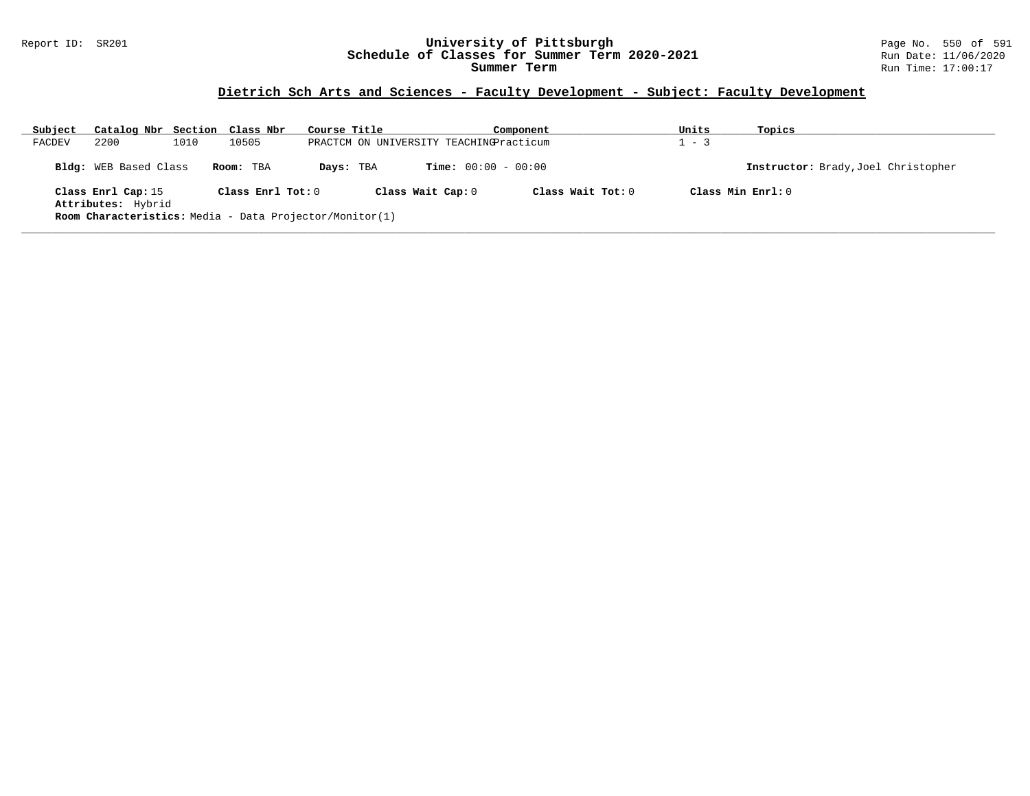### Report ID: SR201 **University of Pittsburgh** Page No. 550 of 591 **Schedule of Classes for Summer Term 2020-2021** Run Date: 11/06/2020 **Summer Term** Run Time: 17:00:17

# **Dietrich Sch Arts and Sciences - Faculty Development - Subject: Faculty Development**

| Subject | Catalog Nbr Section Class Nbr                           |      |                   | Course Title |                   |                                         | Component         | Units   | Topics                              |
|---------|---------------------------------------------------------|------|-------------------|--------------|-------------------|-----------------------------------------|-------------------|---------|-------------------------------------|
| FACDEV  | 2200                                                    | 1010 | 10505             |              |                   | PRACTCM ON UNIVERSITY TEACHINGPracticum |                   | $1 - 3$ |                                     |
|         | <b>Bldg:</b> WEB Based Class                            |      | Room: TBA         | Days: TBA    |                   | <b>Time:</b> $00:00 - 00:00$            |                   |         | Instructor: Brady, Joel Christopher |
|         | Class Enrl Cap: 15<br>Attributes: Hybrid                |      | Class Enrl Tot: 0 |              | Class Wait Cap: 0 |                                         | Class Wait Tot: 0 |         | Class Min Enrl: 0                   |
|         | Room Characteristics: Media - Data Projector/Monitor(1) |      |                   |              |                   |                                         |                   |         |                                     |
|         |                                                         |      |                   |              |                   |                                         |                   |         |                                     |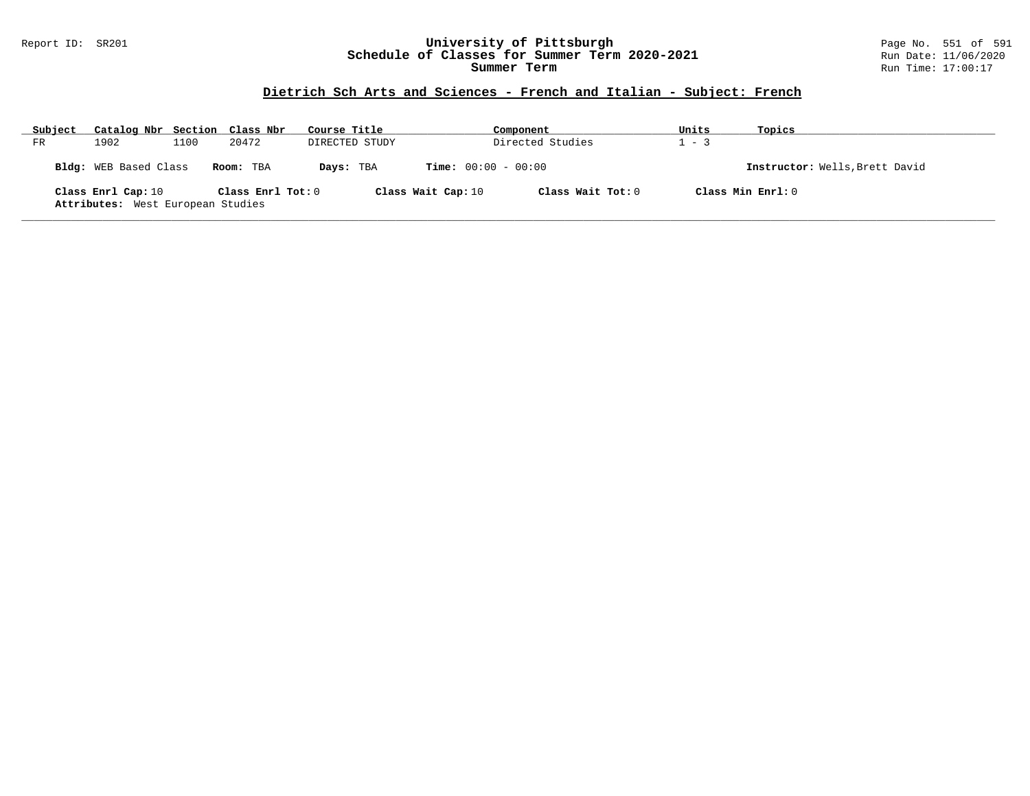### Report ID: SR201 **University of Pittsburgh** Page No. 551 of 591 **Schedule of Classes for Summer Term 2020-2021** Run Date: 11/06/2020 **Summer Term** Run Time: 17:00:17

# **Dietrich Sch Arts and Sciences - French and Italian - Subject: French**

| Subject | Catalog Nbr Section Class Nbr                           |      |                   | Course Title   |                              | Component         | Units   | Topics                         |
|---------|---------------------------------------------------------|------|-------------------|----------------|------------------------------|-------------------|---------|--------------------------------|
| FR      | 1902                                                    | 1100 | 20472             | DIRECTED STUDY |                              | Directed Studies  | $1 - 3$ |                                |
|         | Bldg: WEB Based Class                                   |      | Room: TBA         | Days: TBA      | <b>Time:</b> $00:00 - 00:00$ |                   |         | Instructor: Wells, Brett David |
|         | Class Enrl Cap: 10<br>Attributes: West European Studies |      | Class Enrl Tot: 0 |                | Class Wait Cap: 10           | Class Wait Tot: 0 |         | Class Min Enrl: 0              |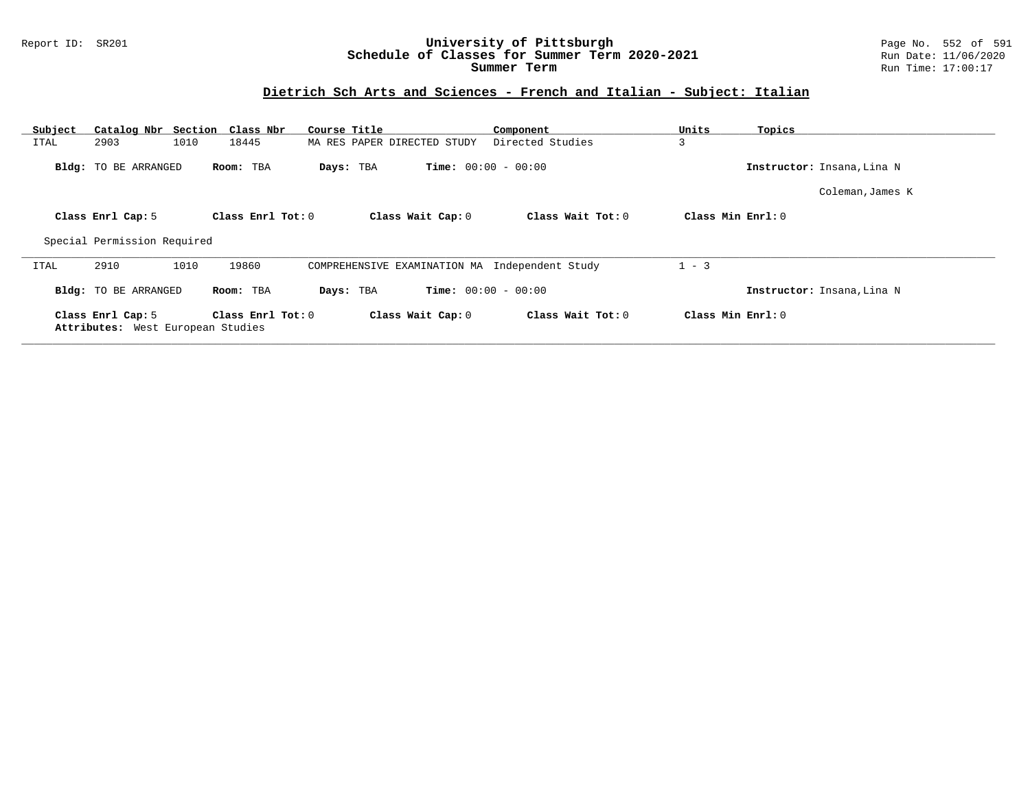### Report ID: SR201 **University of Pittsburgh** Page No. 552 of 591 **Schedule of Classes for Summer Term 2020-2021** Run Date: 11/06/2020 **Summer Term** Run Time: 17:00:17

# **Dietrich Sch Arts and Sciences - French and Italian - Subject: Italian**

| Subject |                                                        | Catalog Nbr Section Class Nbr | Course Title                                   | Component                    | Units             | Topics                     |
|---------|--------------------------------------------------------|-------------------------------|------------------------------------------------|------------------------------|-------------------|----------------------------|
| ITAL    | 2903                                                   | 18445<br>1010                 | MA RES PAPER DIRECTED STUDY                    | Directed Studies             | 3                 |                            |
|         | Bldg: TO BE ARRANGED                                   | Room: TBA                     | Days: TBA                                      | <b>Time:</b> $00:00 - 00:00$ |                   | Instructor: Insana, Lina N |
|         |                                                        |                               |                                                |                              |                   | Coleman, James K           |
|         | Class Enrl Cap: 5                                      | Class Enrl Tot: $0$           | Class Wait Cap: 0                              | Class Wait Tot: 0            | Class Min Enrl: 0 |                            |
|         | Special Permission Required                            |                               |                                                |                              |                   |                            |
| ITAL    | 2910                                                   | 1010<br>19860                 | COMPREHENSIVE EXAMINATION MA Independent Study |                              | $1 - 3$           |                            |
|         | <b>Bldg:</b> TO BE ARRANGED                            | Room: TBA                     | Days: TBA                                      | <b>Time:</b> $00:00 - 00:00$ |                   | Instructor: Insana, Lina N |
|         | Class Enrl Cap: 5<br>Attributes: West European Studies | Class Enrl Tot: 0             | Class Wait Cap: 0                              | Class Wait Tot: 0            | Class Min Enrl: 0 |                            |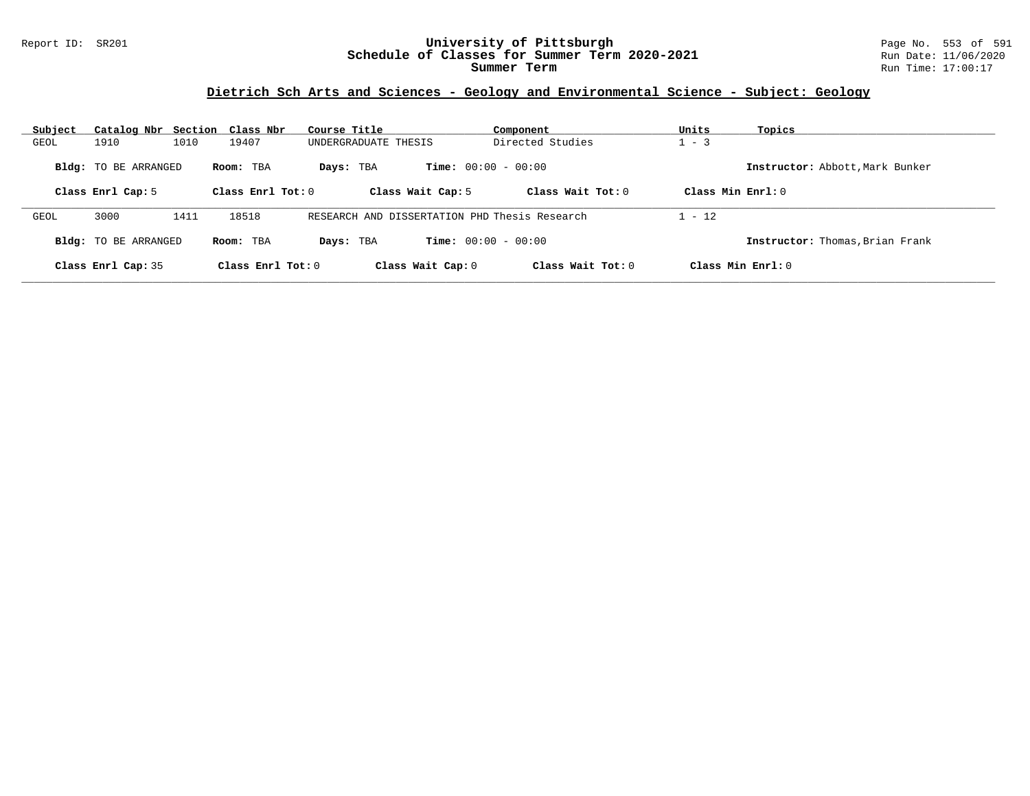### Report ID: SR201 **University of Pittsburgh** Page No. 553 of 591 **Schedule of Classes for Summer Term 2020-2021** Run Date: 11/06/2020 **Summer Term** Run Time: 17:00:17

# **Dietrich Sch Arts and Sciences - Geology and Environmental Science - Subject: Geology**

| Subject<br>Catalog Nbr Section Class Nbr |                     | Course Title                                  | Component                    | Units<br>Topics                 |
|------------------------------------------|---------------------|-----------------------------------------------|------------------------------|---------------------------------|
| 1910<br>1010<br>GEOL                     | 19407               | UNDERGRADUATE THESIS                          | Directed Studies             | $1 - 3$                         |
| <b>Bldg:</b> TO BE ARRANGED              | Room: TBA           | Days: TBA                                     | <b>Time:</b> $00:00 - 00:00$ | Instructor: Abbott, Mark Bunker |
| Class Enrl Cap: 5                        | Class Enrl Tot: $0$ | Class Wait Cap: 5                             | Class Wait Tot: $0$          | Class Min $Enrl: 0$             |
| 3000<br>1411<br>GEOL                     | 18518               | RESEARCH AND DISSERTATION PHD Thesis Research |                              | $1 - 12$                        |
| <b>Bldg:</b> TO BE ARRANGED              | Room: TBA           | Days: TBA                                     | <b>Time:</b> $00:00 - 00:00$ | Instructor: Thomas, Brian Frank |
| Class Enrl Cap: 35                       | Class Enrl Tot: 0   | Class Wait Cap: 0                             | Class Wait $Tot: 0$          | Class Min $Enr1: 0$             |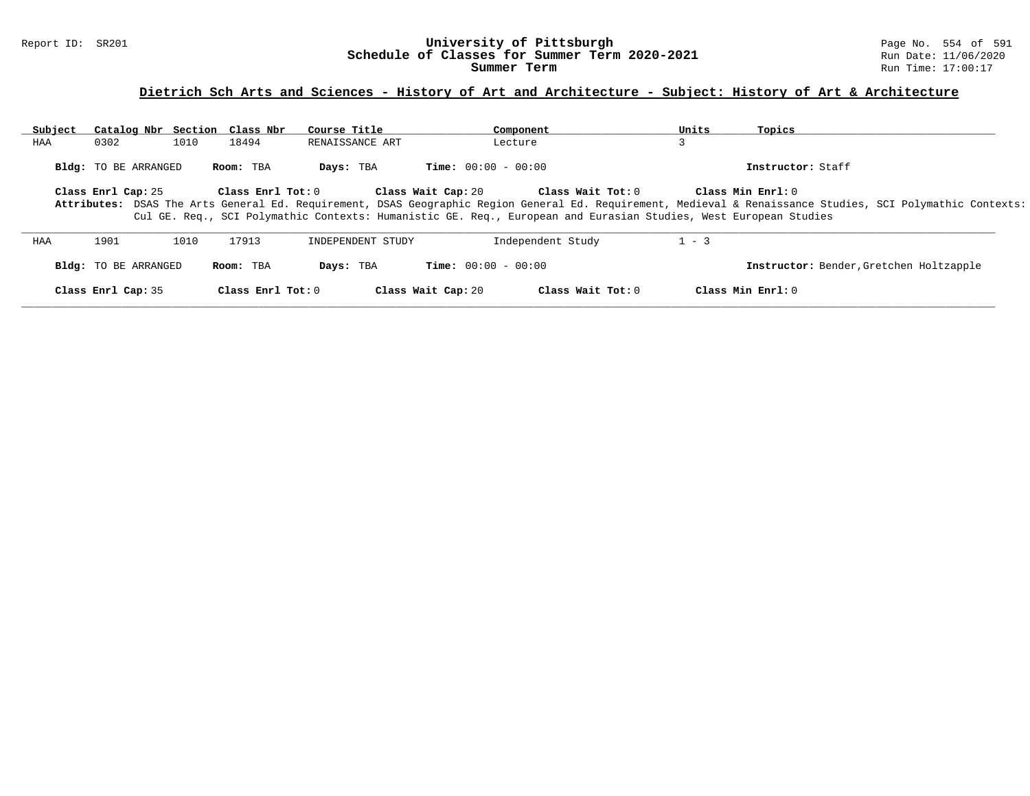# **Dietrich Sch Arts and Sciences - History of Art and Architecture - Subject: History of Art & Architecture**

| Subject | Catalog Nbr Section Class Nbr |      |                   | Course Title      | Component                                                                                                                              |                   | Units   | Topics                                                                                                                                                                           |
|---------|-------------------------------|------|-------------------|-------------------|----------------------------------------------------------------------------------------------------------------------------------------|-------------------|---------|----------------------------------------------------------------------------------------------------------------------------------------------------------------------------------|
| HAA     | 0302                          | 1010 | 18494             | RENAISSANCE ART   | Lecture                                                                                                                                |                   |         |                                                                                                                                                                                  |
|         | <b>Bldg:</b> TO BE ARRANGED   |      | Room: TBA         | Days: TBA         | <b>Time:</b> $00:00 - 00:00$                                                                                                           |                   |         | Instructor: Staff                                                                                                                                                                |
|         | Class Enrl Cap: 25            |      | Class Enrl Tot: 0 |                   | Class Wait Cap: 20<br>Cul GE. Req., SCI Polymathic Contexts: Humanistic GE. Req., European and Eurasian Studies, West European Studies | Class Wait Tot: 0 |         | Class Min Enrl: 0<br>Attributes: DSAS The Arts General Ed. Requirement, DSAS Geographic Region General Ed. Requirement, Medieval & Renaissance Studies, SCI Polymathic Contexts: |
| HAA     | 1901                          | 1010 | 17913             | INDEPENDENT STUDY | Independent Study                                                                                                                      |                   | $1 - 3$ |                                                                                                                                                                                  |
|         | <b>Bldg:</b> TO BE ARRANGED   |      | Room: TBA         | Days: TBA         | <b>Time:</b> $00:00 - 00:00$                                                                                                           |                   |         | Instructor: Bender, Gretchen Holtzapple                                                                                                                                          |
|         | Class Enrl Cap: 35            |      | Class Enrl Tot: 0 |                   | Class Wait Cap: 20                                                                                                                     | Class Wait Tot: 0 |         | Class Min Enrl: 0                                                                                                                                                                |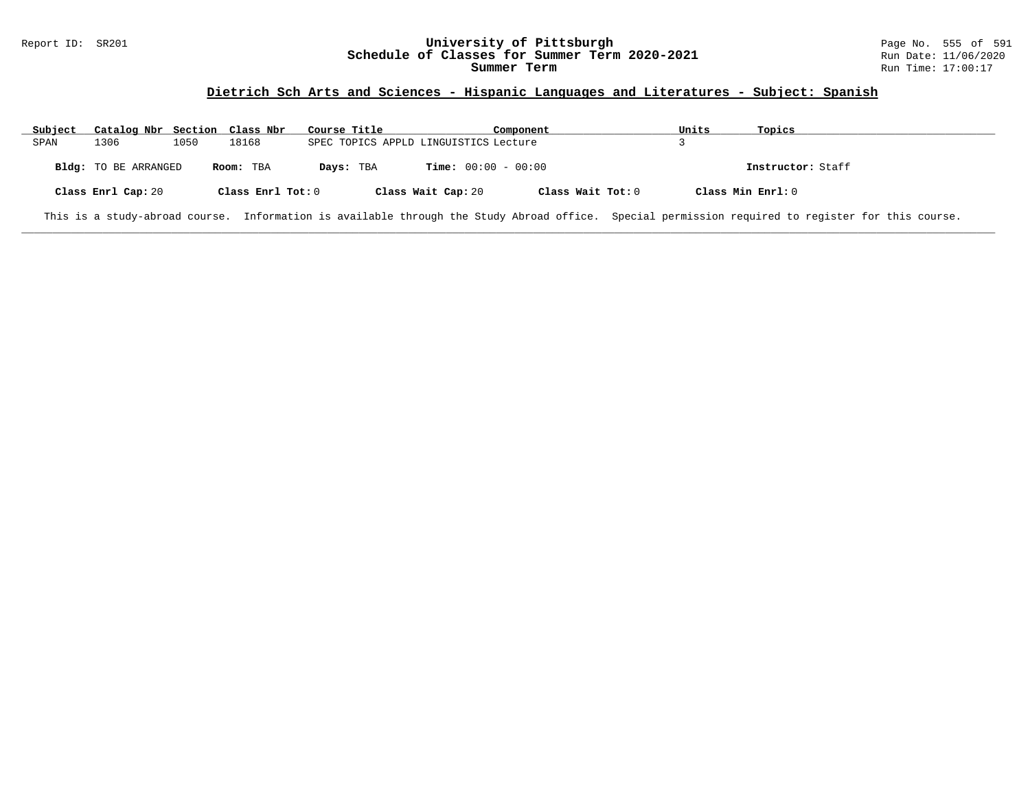### Report ID: SR201 **University of Pittsburgh** Page No. 555 of 591 **Schedule of Classes for Summer Term 2020-2021** Run Date: 11/06/2020 **Summer Term** Run Time: 17:00:17

### **Dietrich Sch Arts and Sciences - Hispanic Languages and Literatures - Subject: Spanish**

| Subject | Catalog Nbr Section Class Nbr |      |                   | Course Title |                                       | Component         | Units             | Topics                                                                                                                                            |
|---------|-------------------------------|------|-------------------|--------------|---------------------------------------|-------------------|-------------------|---------------------------------------------------------------------------------------------------------------------------------------------------|
| SPAN    | 1306                          | 1050 | 18168             |              | SPEC TOPICS APPLD LINGUISTICS Lecture |                   |                   |                                                                                                                                                   |
|         | <b>Bldg:</b> TO BE ARRANGED   |      | Room: TBA         | Days: TBA    | <b>Time:</b> $00:00 - 00:00$          |                   |                   | Instructor: Staff                                                                                                                                 |
|         | Class Enrl Cap: 20            |      | Class Enrl Tot: 0 |              | Class Wait Cap: 20                    | Class Wait Tot: 0 | Class Min Enrl: 0 |                                                                                                                                                   |
|         |                               |      |                   |              |                                       |                   |                   | This is a study-abroad course. Information is available through the Study Abroad office. Special permission required to register for this course. |

**\_\_\_\_\_\_\_\_\_\_\_\_\_\_\_\_\_\_\_\_\_\_\_\_\_\_\_\_\_\_\_\_\_\_\_\_\_\_\_\_\_\_\_\_\_\_\_\_\_\_\_\_\_\_\_\_\_\_\_\_\_\_\_\_\_\_\_\_\_\_\_\_\_\_\_\_\_\_\_\_\_\_\_\_\_\_\_\_\_\_\_\_\_\_\_\_\_\_\_\_\_\_\_\_\_\_\_\_\_\_\_\_\_\_\_\_\_\_\_\_\_\_\_\_\_\_\_\_\_\_\_\_\_\_\_\_\_\_\_\_\_\_\_\_\_\_\_\_\_\_\_\_\_\_\_\_**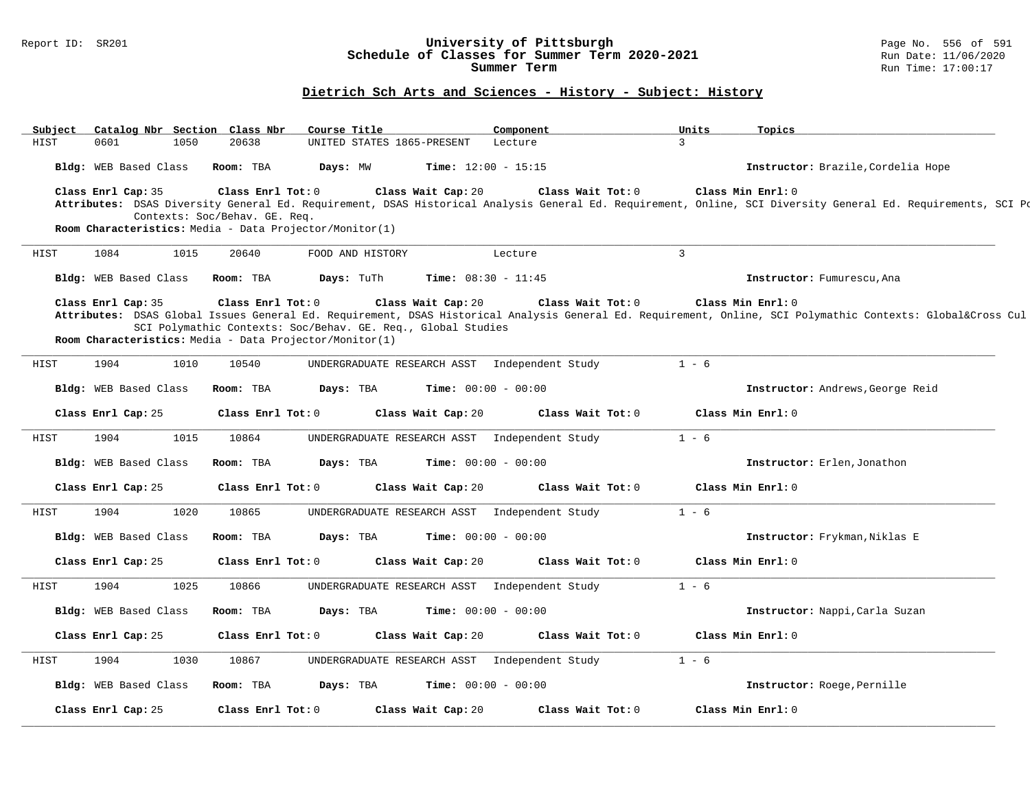# Report ID: SR201 **1988 1998 12: SR201 University of Pittsburgh University of Pittsburgh** Page No. 556 of 591 **Schedule of Classes for Summer Term 2020-2021**<br>Summer Term

#### **Dietrich Sch Arts and Sciences - History - Subject: History**

**\_\_\_\_\_\_\_\_\_\_\_\_\_\_\_\_\_\_\_\_\_\_\_\_\_\_\_\_\_\_\_\_\_\_\_\_\_\_\_\_\_\_\_\_\_\_\_\_\_\_\_\_\_\_\_\_\_\_\_\_\_\_\_\_\_\_\_\_\_\_\_\_\_\_\_\_\_\_\_\_\_\_\_\_\_\_\_\_\_\_\_\_\_\_\_\_\_\_\_\_\_\_\_\_\_\_\_\_\_\_\_\_\_\_\_\_\_\_\_\_\_\_\_\_\_\_\_\_\_\_\_\_\_\_\_\_\_\_\_\_\_\_\_\_\_\_\_\_\_\_\_\_\_\_\_\_ Subject Catalog Nbr Section Class Nbr Course Title Component Units Topics** UNITED STATES 1865-PRESENT Lecture **Bldg:** WEB Based Class **Room:** TBA **Days:** MW **Time:** 12:00 - 15:15 **Instructor:** Brazile,Cordelia Hope **Class Enrl Cap:** 35 **Class Enrl Tot:** 0 **Class Wait Cap:** 20 **Class Wait Tot:** 0 **Class Min Enrl:** 0 **Attributes:** DSAS Diversity General Ed. Requirement, DSAS Historical Analysis General Ed. Requirement, Online, SCI Diversity General Ed. Requirements, SCI Polymathic Contexts: Soc/Behav. GE. Req. **Room Characteristics:** Media - Data Projector/Monitor(1) **\_\_\_\_\_\_\_\_\_\_\_\_\_\_\_\_\_\_\_\_\_\_\_\_\_\_\_\_\_\_\_\_\_\_\_\_\_\_\_\_\_\_\_\_\_\_\_\_\_\_\_\_\_\_\_\_\_\_\_\_\_\_\_\_\_\_\_\_\_\_\_\_\_\_\_\_\_\_\_\_\_\_\_\_\_\_\_\_\_\_\_\_\_\_\_\_\_\_\_\_\_\_\_\_\_\_\_\_\_\_\_\_\_\_\_\_\_\_\_\_\_\_\_\_\_\_\_\_\_\_\_\_\_\_\_\_\_\_\_\_\_\_\_\_\_\_\_\_\_\_\_\_\_\_\_\_** HIST 1084 1015 20640 FOOD AND HISTORY Lecture 3 **Bldg:** WEB Based Class **Room:** TBA **Days:** TuTh **Time:** 08:30 - 11:45 **Instructor:** Fumurescu,Ana **Class Enrl Cap:** 35 **Class Enrl Tot:** 0 **Class Wait Cap:** 20 **Class Wait Tot:** 0 **Class Min Enrl:** 0 Attributes: DSAS Global Issues General Ed. Requirement, DSAS Historical Analysis General Ed. Requirement, Online, SCI Polymathic Contexts: Global&Cross Cul SCI Polymathic Contexts: Soc/Behav. GE. Req., Global Studies **Room Characteristics:** Media - Data Projector/Monitor(1) **\_\_\_\_\_\_\_\_\_\_\_\_\_\_\_\_\_\_\_\_\_\_\_\_\_\_\_\_\_\_\_\_\_\_\_\_\_\_\_\_\_\_\_\_\_\_\_\_\_\_\_\_\_\_\_\_\_\_\_\_\_\_\_\_\_\_\_\_\_\_\_\_\_\_\_\_\_\_\_\_\_\_\_\_\_\_\_\_\_\_\_\_\_\_\_\_\_\_\_\_\_\_\_\_\_\_\_\_\_\_\_\_\_\_\_\_\_\_\_\_\_\_\_\_\_\_\_\_\_\_\_\_\_\_\_\_\_\_\_\_\_\_\_\_\_\_\_\_\_\_\_\_\_\_\_\_** HIST 1904 1010 10540 UNDERGRADUATE RESEARCH ASST Independent Study 1 - 6 **Bldg:** WEB Based Class **Room:** TBA **Days:** TBA **Time:** 00:00 - 00:00 **Instructor:** Andrews,George Reid **Class Enrl Cap:** 25 **Class Enrl Tot:** 0 **Class Wait Cap:** 20 **Class Wait Tot:** 0 **Class Min Enrl:** 0 **\_\_\_\_\_\_\_\_\_\_\_\_\_\_\_\_\_\_\_\_\_\_\_\_\_\_\_\_\_\_\_\_\_\_\_\_\_\_\_\_\_\_\_\_\_\_\_\_\_\_\_\_\_\_\_\_\_\_\_\_\_\_\_\_\_\_\_\_\_\_\_\_\_\_\_\_\_\_\_\_\_\_\_\_\_\_\_\_\_\_\_\_\_\_\_\_\_\_\_\_\_\_\_\_\_\_\_\_\_\_\_\_\_\_\_\_\_\_\_\_\_\_\_\_\_\_\_\_\_\_\_\_\_\_\_\_\_\_\_\_\_\_\_\_\_\_\_\_\_\_\_\_\_\_\_\_** HIST 1904 1015 10864 UNDERGRADUATE RESEARCH ASST Independent Study 1 - 6 **Bldg:** WEB Based Class **Room:** TBA **Days:** TBA **Time:** 00:00 - 00:00 **Instructor:** Erlen,Jonathon **Class Enrl Cap:** 25 **Class Enrl Tot:** 0 **Class Wait Cap:** 20 **Class Wait Tot:** 0 **Class Min Enrl:** 0 **\_\_\_\_\_\_\_\_\_\_\_\_\_\_\_\_\_\_\_\_\_\_\_\_\_\_\_\_\_\_\_\_\_\_\_\_\_\_\_\_\_\_\_\_\_\_\_\_\_\_\_\_\_\_\_\_\_\_\_\_\_\_\_\_\_\_\_\_\_\_\_\_\_\_\_\_\_\_\_\_\_\_\_\_\_\_\_\_\_\_\_\_\_\_\_\_\_\_\_\_\_\_\_\_\_\_\_\_\_\_\_\_\_\_\_\_\_\_\_\_\_\_\_\_\_\_\_\_\_\_\_\_\_\_\_\_\_\_\_\_\_\_\_\_\_\_\_\_\_\_\_\_\_\_\_\_** HIST 1904 1020 10865 UNDERGRADUATE RESEARCH ASST Independent Study 1 - 6 **Bldg:** WEB Based Class **Room:** TBA **Days:** TBA **Time:** 00:00 - 00:00 **Instructor:** Frykman,Niklas E **Class Enrl Cap:** 25 **Class Enrl Tot:** 0 **Class Wait Cap:** 20 **Class Wait Tot:** 0 **Class Min Enrl:** 0 **\_\_\_\_\_\_\_\_\_\_\_\_\_\_\_\_\_\_\_\_\_\_\_\_\_\_\_\_\_\_\_\_\_\_\_\_\_\_\_\_\_\_\_\_\_\_\_\_\_\_\_\_\_\_\_\_\_\_\_\_\_\_\_\_\_\_\_\_\_\_\_\_\_\_\_\_\_\_\_\_\_\_\_\_\_\_\_\_\_\_\_\_\_\_\_\_\_\_\_\_\_\_\_\_\_\_\_\_\_\_\_\_\_\_\_\_\_\_\_\_\_\_\_\_\_\_\_\_\_\_\_\_\_\_\_\_\_\_\_\_\_\_\_\_\_\_\_\_\_\_\_\_\_\_\_\_** HIST 1904 1025 10866 UNDERGRADUATE RESEARCH ASST Independent Study 1 - 6 **Bldg:** WEB Based Class **Room:** TBA **Days:** TBA **Time:** 00:00 - 00:00 **Instructor:** Nappi,Carla Suzan **Class Enrl Cap:** 25 **Class Enrl Tot:** 0 **Class Wait Cap:** 20 **Class Wait Tot:** 0 **Class Min Enrl:** 0 **\_\_\_\_\_\_\_\_\_\_\_\_\_\_\_\_\_\_\_\_\_\_\_\_\_\_\_\_\_\_\_\_\_\_\_\_\_\_\_\_\_\_\_\_\_\_\_\_\_\_\_\_\_\_\_\_\_\_\_\_\_\_\_\_\_\_\_\_\_\_\_\_\_\_\_\_\_\_\_\_\_\_\_\_\_\_\_\_\_\_\_\_\_\_\_\_\_\_\_\_\_\_\_\_\_\_\_\_\_\_\_\_\_\_\_\_\_\_\_\_\_\_\_\_\_\_\_\_\_\_\_\_\_\_\_\_\_\_\_\_\_\_\_\_\_\_\_\_\_\_\_\_\_\_\_\_** HIST 1904 1030 10867 UNDERGRADUATE RESEARCH ASST Independent Study 1 - 6 **Bldg:** WEB Based Class **Room:** TBA **Days:** TBA **Time:** 00:00 - 00:00 **Instructor:** Roege,Pernille **Class Enrl Cap:** 25 **Class Enrl Tot:** 0 **Class Wait Cap:** 20 **Class Wait Tot:** 0 **Class Min Enrl:** 0 **\_\_\_\_\_\_\_\_\_\_\_\_\_\_\_\_\_\_\_\_\_\_\_\_\_\_\_\_\_\_\_\_\_\_\_\_\_\_\_\_\_\_\_\_\_\_\_\_\_\_\_\_\_\_\_\_\_\_\_\_\_\_\_\_\_\_\_\_\_\_\_\_\_\_\_\_\_\_\_\_\_\_\_\_\_\_\_\_\_\_\_\_\_\_\_\_\_\_\_\_\_\_\_\_\_\_\_\_\_\_\_\_\_\_\_\_\_\_\_\_\_\_\_\_\_\_\_\_\_\_\_\_\_\_\_\_\_\_\_\_\_\_\_\_\_\_\_\_\_\_\_\_\_\_\_\_**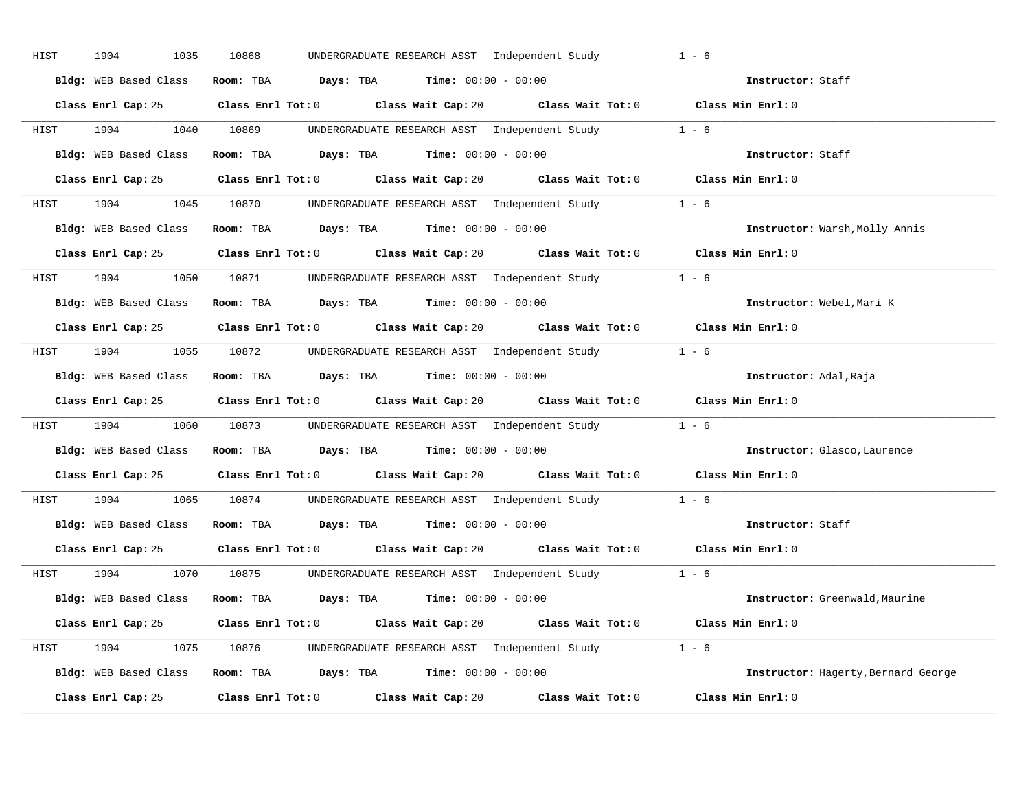| HIST | 1904<br>1035          | 10868<br>UNDERGRADUATE RESEARCH ASST Independent Study                                      | $1 - 6$                             |
|------|-----------------------|---------------------------------------------------------------------------------------------|-------------------------------------|
|      | Bldg: WEB Based Class | Room: TBA $Days:$ TBA $Time: 00:00 - 00:00$                                                 | Instructor: Staff                   |
|      |                       | Class Enrl Cap: 25 Class Enrl Tot: 0 Class Wait Cap: 20 Class Wait Tot: 0 Class Min Enrl: 0 |                                     |
|      |                       | HIST 1904 1040 10869 UNDERGRADUATE RESEARCH ASST Independent Study 1 - 6                    |                                     |
|      |                       | Bldg: WEB Based Class Room: TBA Days: TBA Time: 00:00 - 00:00                               | Instructor: Staff                   |
|      | Class Enrl Cap: 25    | Class Enrl Tot: 0 Class Wait Cap: 20 Class Wait Tot: 0 Class Min Enrl: 0                    |                                     |
|      |                       | HIST 1904 1045 10870 UNDERGRADUATE RESEARCH ASST Independent Study 1 - 6                    |                                     |
|      |                       | Bldg: WEB Based Class Room: TBA Days: TBA Time: 00:00 - 00:00                               | Instructor: Warsh, Molly Annis      |
|      |                       | Class Enrl Cap: 25 Class Enrl Tot: 0 Class Wait Cap: 20 Class Wait Tot: 0 Class Min Enrl: 0 |                                     |
|      |                       | HIST 1904 1050 10871 UNDERGRADUATE RESEARCH ASST Independent Study 1 - 6                    |                                     |
|      | Bldg: WEB Based Class | Room: TBA $\rule{1em}{0.15mm}$ Days: TBA $\rule{1.15mm}]{0.15mm}$ Time: $00:00 - 00:00$     | Instructor: Webel, Mari K           |
|      |                       | Class Enrl Cap: 25 Class Enrl Tot: 0 Class Wait Cap: 20 Class Wait Tot: 0 Class Min Enrl: 0 |                                     |
|      |                       | HIST 1904 1055 10872 UNDERGRADUATE RESEARCH ASST Independent Study 1 - 6                    |                                     |
|      | Bldg: WEB Based Class | Room: TBA $\rule{1em}{0.15mm}$ Days: TBA $\rule{1.15mm}]{0.15mm}$ Time: $00:00 - 00:00$     | Instructor: Adal, Raja              |
|      |                       | Class Enrl Cap: 25 Class Enrl Tot: 0 Class Wait Cap: 20 Class Wait Tot: 0 Class Min Enrl: 0 |                                     |
| HIST |                       | 1904 1060 10873 UNDERGRADUATE RESEARCH ASST Independent Study 1 - 6                         |                                     |
|      |                       | Bldg: WEB Based Class Room: TBA Days: TBA Time: 00:00 - 00:00                               | Instructor: Glasco, Laurence        |
|      |                       | Class Enrl Cap: 25 Class Enrl Tot: 0 Class Wait Cap: 20 Class Wait Tot: 0 Class Min Enrl: 0 |                                     |
| HIST | 1904                  | 1065 10874 UNDERGRADUATE RESEARCH ASST Independent Study 1 - 6                              |                                     |
|      |                       |                                                                                             |                                     |
|      |                       | Bldg: WEB Based Class Room: TBA Days: TBA Time: 00:00 - 00:00                               | Instructor: Staff                   |
|      |                       | Class Enrl Cap: 25 Class Enrl Tot: 0 Class Wait Cap: 20 Class Wait Tot: 0 Class Min Enrl: 0 |                                     |
|      |                       | HIST 1904 1070 10875 UNDERGRADUATE RESEARCH ASST Independent Study 1 - 6                    |                                     |
|      |                       | Bldg: WEB Based Class Room: TBA Days: TBA Time: 00:00 - 00:00                               | Instructor: Greenwald, Maurine      |
|      |                       | Class Enrl Cap: 25 Class Enrl Tot: 0 Class Wait Cap: 20 Class Wait Tot: 0 Class Min Enrl: 0 |                                     |
|      |                       | HIST 1904 1075 10876 UNDERGRADUATE RESEARCH ASST Independent Study 1 - 6                    |                                     |
|      |                       | Bldg: WEB Based Class Room: TBA Days: TBA Time: 00:00 - 00:00                               | Instructor: Hagerty, Bernard George |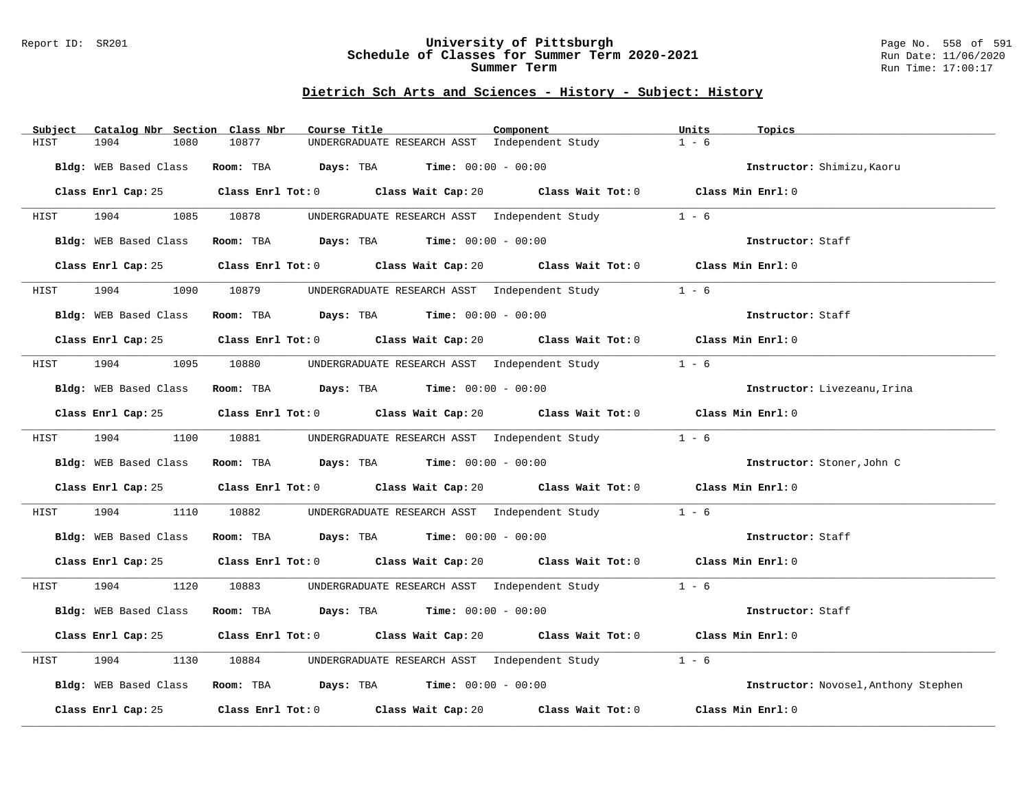### Report ID: SR201 **University of Pittsburgh** Page No. 558 of 591 **Schedule of Classes for Summer Term 2020-2021** Run Date: 11/06/2020 **Summer Term** Run Time: 17:00:17

### **Dietrich Sch Arts and Sciences - History - Subject: History**

| Subject | Catalog Nbr Section Class Nbr | Course Title                                                                                | Component                                           | Units<br>Topics                      |
|---------|-------------------------------|---------------------------------------------------------------------------------------------|-----------------------------------------------------|--------------------------------------|
| HIST    | 1904<br>1080                  | 10877<br>UNDERGRADUATE RESEARCH ASST Independent Study                                      |                                                     | $1 - 6$                              |
|         | Bldg: WEB Based Class         | Room: TBA $Days:$ TBA $Time: 00:00 - 00:00$                                                 |                                                     | Instructor: Shimizu, Kaoru           |
|         |                               | Class Enrl Cap: 25 Class Enrl Tot: 0 Class Wait Cap: 20 Class Wait Tot: 0 Class Min Enrl: 0 |                                                     |                                      |
| HIST    | 1904 1905                     | 1085 10878                                                                                  | UNDERGRADUATE RESEARCH ASST Independent Study 1 - 6 |                                      |
|         | Bldg: WEB Based Class         | Room: TBA $Days:$ TBA $Time: 00:00 - 00:00$                                                 |                                                     | Instructor: Staff                    |
|         | Class Enrl Cap: 25            | Class Enrl Tot: 0 Class Wait Cap: 20 Class Wait Tot: 0 Class Min Enrl: 0                    |                                                     |                                      |
| HIST    | 1904<br>1090                  | 10879                                                                                       | UNDERGRADUATE RESEARCH ASST Independent Study       | $1 - 6$                              |
|         | Bldg: WEB Based Class         | Room: TBA $Days:$ TBA $Time: 00:00 - 00:00$                                                 |                                                     | Instructor: Staff                    |
|         | Class Enrl Cap: 25            | Class Enrl Tot: $0$ Class Wait Cap: $20$ Class Wait Tot: $0$ Class Min Enrl: $0$            |                                                     |                                      |
| HIST    | 1904                          | 1095 10880 UNDERGRADUATE RESEARCH ASST Independent Study                                    |                                                     | $1 - 6$                              |
|         | <b>Bldg:</b> WEB Based Class  | Room: TBA $Days:$ TBA $Time: 00:00 - 00:00$                                                 |                                                     | Instructor: Livezeanu, Irina         |
|         | Class Enrl Cap: 25            | Class Enrl Tot: $0$ Class Wait Cap: $20$ Class Wait Tot: $0$ Class Min Enrl: $0$            |                                                     |                                      |
| HIST    | 1904                          | 1100 10881 UNDERGRADUATE RESEARCH ASST Independent Study                                    |                                                     | $1 - 6$                              |
|         | Bldg: WEB Based Class         | Room: TBA $Days:$ TBA $Time: 00:00 - 00:00$                                                 |                                                     | Instructor: Stoner, John C           |
|         |                               | Class Enrl Cap: 25 Class Enrl Tot: 0 Class Wait Cap: 20 Class Wait Tot: 0 Class Min Enrl: 0 |                                                     |                                      |
| HIST    | 1904<br>1110                  | 10882                                                                                       | UNDERGRADUATE RESEARCH ASST Independent Study       | $1 - 6$                              |
|         | Bldg: WEB Based Class         | Room: TBA $Days:$ TBA $Time: 00:00 - 00:00$                                                 |                                                     | Instructor: Staff                    |
|         |                               | Class Enrl Cap: 25 Class Enrl Tot: 0 Class Wait Cap: 20 Class Wait Tot: 0 Class Min Enrl: 0 |                                                     |                                      |
| HIST    | 1904 1905                     | 1120 10883 UNDERGRADUATE RESEARCH ASST Independent Study 1 - 6                              |                                                     |                                      |
|         | Bldg: WEB Based Class         | Room: TBA $Days: TBA$ Time: $00:00 - 00:00$                                                 |                                                     | Instructor: Staff                    |
|         | Class Enrl Cap: 25            | Class Enrl Tot: $0$ Class Wait Cap: $20$ Class Wait Tot: $0$ Class Min Enrl: $0$            |                                                     |                                      |
| HIST    | 1904<br>1130                  | 10884                                                                                       | UNDERGRADUATE RESEARCH ASST Independent Study       | $1 - 6$                              |
|         | Bldg: WEB Based Class         | Room: TBA $Days:$ TBA $Time: 00:00 - 00:00$                                                 |                                                     | Instructor: Novosel, Anthony Stephen |
|         |                               | Class Enrl Cap: 25 Class Enrl Tot: 0 Class Wait Cap: 20                                     | Class Wait Tot: 0                                   | Class Min Enrl: 0                    |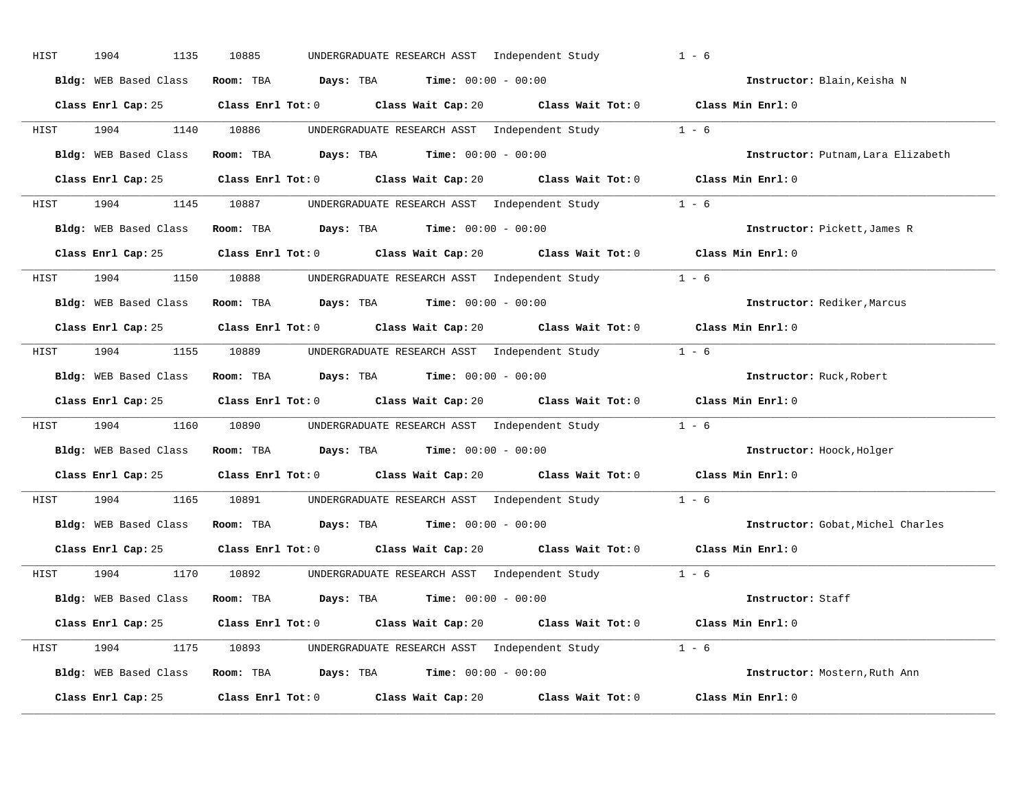| HIST | 1904<br>1135          | 10885<br>UNDERGRADUATE RESEARCH ASST Independent Study                                      | $1 - 6$                            |
|------|-----------------------|---------------------------------------------------------------------------------------------|------------------------------------|
|      | Bldg: WEB Based Class | Room: TBA $Days:$ TBA $Time: 00:00 - 00:00$                                                 | Instructor: Blain, Keisha N        |
|      |                       | Class Enrl Cap: 25 Class Enrl Tot: 0 Class Wait Cap: 20 Class Wait Tot: 0 Class Min Enrl: 0 |                                    |
|      | HIST 1904             | UNDERGRADUATE RESEARCH ASST Independent Study 1 - 6<br>1140 10886                           |                                    |
|      | Bldg: WEB Based Class | Room: TBA $Days:$ TBA $Time: 00:00 - 00:00$                                                 | Instructor: Putnam, Lara Elizabeth |
|      |                       | Class Enrl Cap: 25 Class Enrl Tot: 0 Class Wait Cap: 20 Class Wait Tot: 0 Class Min Enrl: 0 |                                    |
|      |                       | HIST 1904 1145 10887 UNDERGRADUATE RESEARCH ASST Independent Study 1 - 6                    |                                    |
|      |                       | Bldg: WEB Based Class Room: TBA Days: TBA Time: 00:00 - 00:00                               | Instructor: Pickett, James R       |
|      |                       | Class Enrl Cap: 25 Class Enrl Tot: 0 Class Wait Cap: 20 Class Wait Tot: 0 Class Min Enrl: 0 |                                    |
| HIST | 1904 1904             | 1150 10888 UNDERGRADUATE RESEARCH ASST Independent Study 1 - 6                              |                                    |
|      | Bldg: WEB Based Class | Room: TBA $Days:$ TBA $Time: 00:00 - 00:00$                                                 | Instructor: Rediker, Marcus        |
|      |                       | Class Enrl Cap: 25 Class Enrl Tot: 0 Class Wait Cap: 20 Class Wait Tot: 0 Class Min Enrl: 0 |                                    |
| HIST |                       | 1904 1155 10889 UNDERGRADUATE RESEARCH ASST Independent Study 1 - 6                         |                                    |
|      | Bldg: WEB Based Class | Room: TBA Days: TBA Time: $00:00 - 00:00$                                                   | Instructor: Ruck, Robert           |
|      |                       | Class Enrl Cap: 25 Class Enrl Tot: 0 Class Wait Cap: 20 Class Wait Tot: 0 Class Min Enrl: 0 |                                    |
| HIST | 1904                  | 1160 10890 UNDERGRADUATE RESEARCH ASST Independent Study 1 - 6                              |                                    |
|      |                       | Bldg: WEB Based Class Room: TBA Days: TBA Time: 00:00 - 00:00                               | Instructor: Hoock, Holger          |
|      |                       | Class Enrl Cap: 25 Class Enrl Tot: 0 Class Wait Cap: 20 Class Wait Tot: 0 Class Min Enrl: 0 |                                    |
| HIST | 1904                  | 1165 10891 UNDERGRADUATE RESEARCH ASST Independent Study 1 - 6                              |                                    |
|      |                       |                                                                                             |                                    |
|      |                       | Bldg: WEB Based Class Room: TBA Days: TBA Time: 00:00 - 00:00                               | Instructor: Gobat, Michel Charles  |
|      |                       | Class Enrl Cap: 25 Class Enrl Tot: 0 Class Wait Cap: 20 Class Wait Tot: 0 Class Min Enrl: 0 |                                    |
|      |                       | HIST 1904 1170 10892 UNDERGRADUATE RESEARCH ASST Independent Study 1 - 6                    |                                    |
|      |                       | Bldg: WEB Based Class Room: TBA Days: TBA Time: 00:00 - 00:00                               | Instructor: Staff                  |
|      |                       | Class Enrl Cap: 25 Class Enrl Tot: 0 Class Wait Cap: 20 Class Wait Tot: 0 Class Min Enrl: 0 |                                    |
|      |                       | HIST 1904 1175 10893 UNDERGRADUATE RESEARCH ASST Independent Study 1 - 6                    |                                    |
|      |                       | Bldg: WEB Based Class Room: TBA Days: TBA Time: 00:00 - 00:00                               | Instructor: Mostern, Ruth Ann      |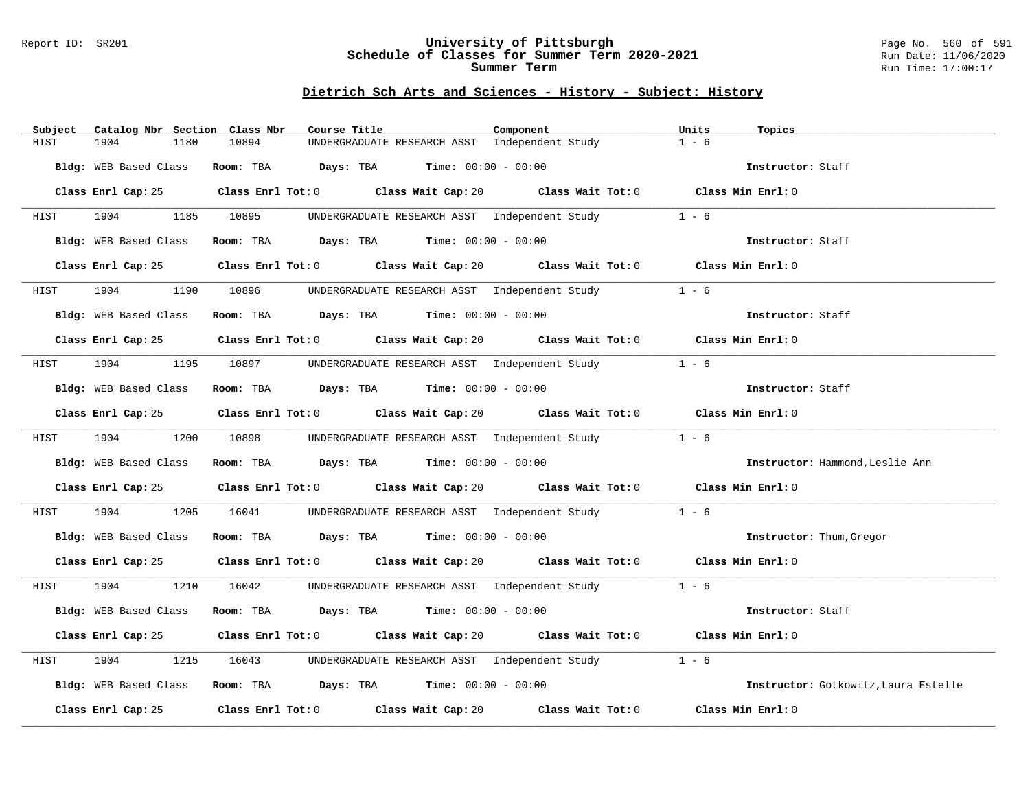### Report ID: SR201 **University of Pittsburgh** Page No. 560 of 591 **Schedule of Classes for Summer Term 2020-2021** Run Date: 11/06/2020 **Summer Term** Run Time: 17:00:17

### **Dietrich Sch Arts and Sciences - History - Subject: History**

| Subject<br>Catalog Nbr Section Class Nbr | Course Title                                                                                | Component                               | Units<br>Topics                      |
|------------------------------------------|---------------------------------------------------------------------------------------------|-----------------------------------------|--------------------------------------|
| 1904<br>HIST<br>1180                     | 10894<br>UNDERGRADUATE RESEARCH ASST Independent Study                                      |                                         | $1 - 6$                              |
| Bldg: WEB Based Class                    | Room: TBA $Days:$ TBA Time: $00:00 - 00:00$                                                 |                                         | Instructor: Staff                    |
|                                          | Class Enrl Cap: 25 Class Enrl Tot: 0 Class Wait Cap: 20 Class Wait Tot: 0 Class Min Enrl: 0 |                                         |                                      |
| 1904<br><b>HIST</b>                      | 1185 10895<br>UNDERGRADUATE RESEARCH ASST Independent Study 1 - 6                           |                                         |                                      |
| Bldg: WEB Based Class                    | Room: TBA $Days:$ TBA $Time: 00:00 - 00:00$                                                 |                                         | Instructor: Staff                    |
| Class Enrl Cap: 25                       | Class Enrl Tot: 0 Class Wait Cap: 20 Class Wait Tot: 0 Class Min Enrl: 0                    |                                         |                                      |
| 1904<br>HIST                             | 1190 10896 UNDERGRADUATE RESEARCH ASST Independent Study                                    |                                         | $1 - 6$                              |
| Bldg: WEB Based Class                    | Room: TBA $Days:$ TBA $Time: 00:00 - 00:00$                                                 |                                         | Instructor: Staff                    |
|                                          | Class Enrl Cap: 25 Class Enrl Tot: 0 Class Wait Cap: 20 Class Wait Tot: 0 Class Min Enrl: 0 |                                         |                                      |
| HIST                                     | 1904 1195 10897 UNDERGRADUATE RESEARCH ASST Independent Study 1 - 6                         |                                         |                                      |
| Bldg: WEB Based Class                    | Room: TBA $Days:$ TBA Time: $00:00 - 00:00$                                                 |                                         | Instructor: Staff                    |
|                                          | Class Enrl Cap: 25 Class Enrl Tot: 0 Class Wait Cap: 20 Class Wait Tot: 0 Class Min Enrl: 0 |                                         |                                      |
| HIST                                     | 1904 1200 10898 UNDERGRADUATE RESEARCH ASST Independent Study 1 - 6                         |                                         |                                      |
|                                          | Bldg: WEB Based Class Room: TBA Days: TBA Time: 00:00 - 00:00                               |                                         | Instructor: Hammond, Leslie Ann      |
|                                          | Class Enrl Cap: 25 Class Enrl Tot: 0 Class Wait Cap: 20 Class Wait Tot: 0 Class Min Enrl: 0 |                                         |                                      |
| 1904<br>HIST                             | 1205 16041 UNDERGRADUATE RESEARCH ASST Independent Study                                    |                                         | $1 - 6$                              |
|                                          | Bldg: WEB Based Class Room: TBA Days: TBA Time: 00:00 - 00:00                               |                                         | Instructor: Thum, Gregor             |
|                                          | Class Enrl Cap: 25 Class Enrl Tot: 0 Class Wait Cap: 20 Class Wait Tot: 0 Class Min Enrl: 0 |                                         |                                      |
| HIST                                     | 1904 1210 16042 UNDERGRADUATE RESEARCH ASST Independent Study 1 - 6                         |                                         |                                      |
| Bldg: WEB Based Class                    | Room: TBA $\rule{1em}{0.15mm}$ Days: TBA Time: $00:00 - 00:00$                              |                                         | Instructor: Staff                    |
|                                          | Class Enrl Cap: 25 Class Enrl Tot: 0 Class Wait Cap: 20 Class Wait Tot: 0 Class Min Enrl: 0 |                                         |                                      |
| 1904<br>1215<br>HIST                     | 16043         UNDERGRADUATE RESEARCH ASST   Independent Study                               |                                         | $1 - 6$                              |
|                                          | Bldg: WEB Based Class Room: TBA Days: TBA Time: 00:00 - 00:00                               |                                         | Instructor: Gotkowitz, Laura Estelle |
|                                          | Class Enrl Cap: 25 Class Enrl Tot: 0 Class Wait Cap: 20                                     | Class Wait Tot: $0$ $Class Min Enrl: 0$ |                                      |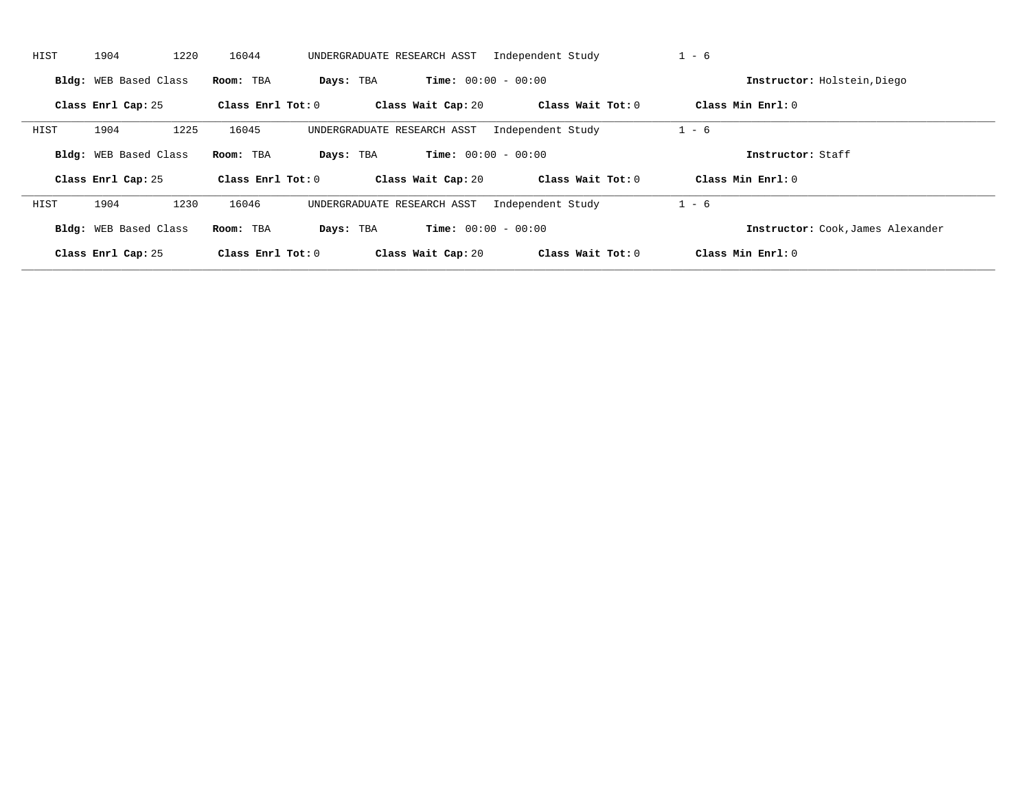| HIST | 1220<br>1904          | 16044               | UNDERGRADUATE RESEARCH ASST | Independent Study            |                   | $1 - 6$                           |  |
|------|-----------------------|---------------------|-----------------------------|------------------------------|-------------------|-----------------------------------|--|
|      | Bldg: WEB Based Class | Room: TBA           | Days: TBA                   | <b>Time:</b> $00:00 - 00:00$ |                   | Instructor: Holstein, Diego       |  |
|      | Class Enrl Cap: 25    | Class Enrl Tot: $0$ | Class Wait Cap: 20          |                              | Class Wait Tot: 0 | Class Min Enrl: 0                 |  |
| HIST | 1904<br>1225          | 16045               | UNDERGRADUATE RESEARCH ASST | Independent Study            |                   | $1 - 6$                           |  |
|      | Bldg: WEB Based Class | Room: TBA           | Days: TBA                   | <b>Time:</b> $00:00 - 00:00$ |                   | Instructor: Staff                 |  |
|      | Class Enrl Cap: 25    | Class Enrl Tot: 0   | Class Wait Cap: 20          |                              | Class Wait Tot: 0 | Class Min $Enr1: 0$               |  |
| HIST | 1904<br>1230          | 16046               | UNDERGRADUATE RESEARCH ASST | Independent Study            |                   | $1 - 6$                           |  |
|      | Bldg: WEB Based Class | Room: TBA           | Days: TBA                   | <b>Time:</b> $00:00 - 00:00$ |                   | Instructor: Cook, James Alexander |  |
|      | Class Enrl Cap: 25    | Class Enrl Tot: 0   | Class Wait Cap: 20          |                              | Class Wait Tot: 0 | Class Min Enrl: 0                 |  |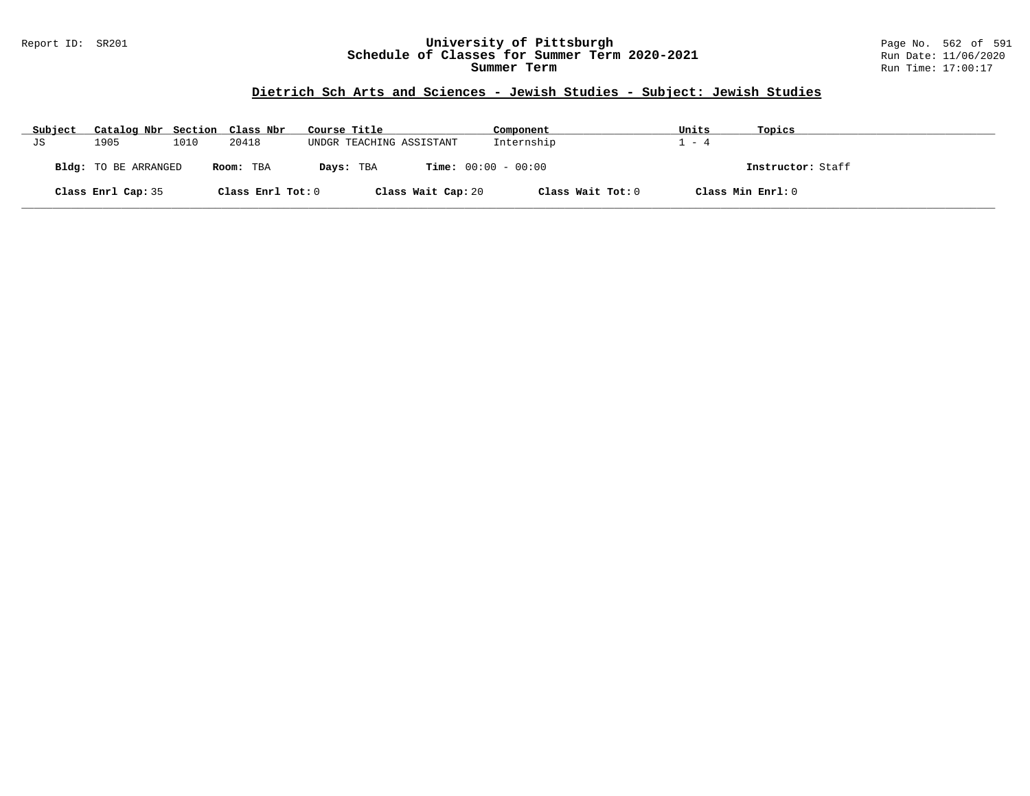### Report ID: SR201 **University of Pittsburgh** Page No. 562 of 591 **Schedule of Classes for Summer Term 2020-2021** Run Date: 11/06/2020 **Summer Term** Run Time: 17:00:17

# **Dietrich Sch Arts and Sciences - Jewish Studies - Subject: Jewish Studies**

| Subject | Catalog Nbr Section Class Nbr |      |                   | Course Title                              | Component         | Units | Topics            |
|---------|-------------------------------|------|-------------------|-------------------------------------------|-------------------|-------|-------------------|
| JS      | 1905                          | 1010 | 20418             | UNDGR TEACHING ASSISTANT                  | Internship        | $-4$  |                   |
|         | Bldg: TO BE ARRANGED          |      | Room: TBA         | <b>Time:</b> $00:00 - 00:00$<br>Days: TBA |                   |       | Instructor: Staff |
|         | Class Enrl Cap: 35            |      | Class Enrl Tot: 0 | Class Wait Cap: 20                        | Class Wait Tot: 0 |       | Class Min Enrl: 0 |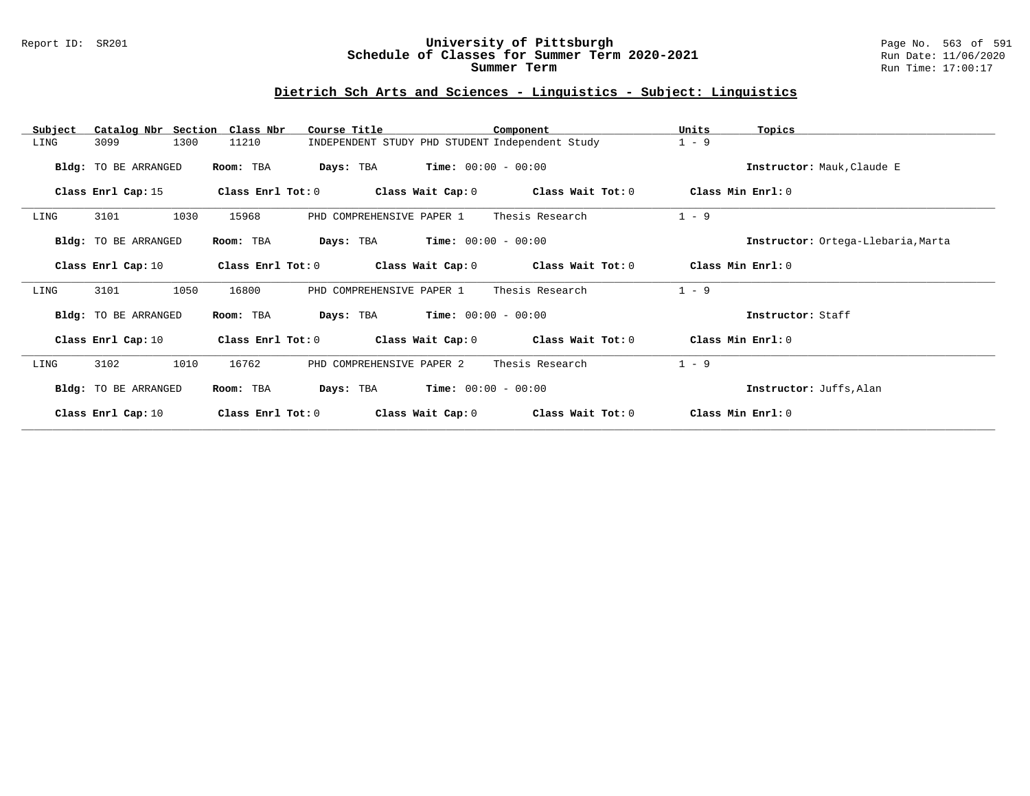#### Report ID: SR201 **University of Pittsburgh** Page No. 563 of 591 **Schedule of Classes for Summer Term 2020-2021** Run Date: 11/06/2020 **Summer Term** Run Time: 17:00:17

# **Dietrich Sch Arts and Sciences - Linguistics - Subject: Linguistics**

| Subject | Catalog Nbr Section  | Class Nbr         | Course Title                                    | Component             |                       | Units               | Topics                             |
|---------|----------------------|-------------------|-------------------------------------------------|-----------------------|-----------------------|---------------------|------------------------------------|
| LING    | 1300<br>3099         | 11210             | INDEPENDENT STUDY PHD STUDENT Independent Study |                       |                       | $1 - 9$             |                                    |
|         | Bldg: TO BE ARRANGED | Room: TBA         | Days: TBA                                       | $Time: 00:00 - 00:00$ |                       |                     | Instructor: Mauk, Claude E         |
|         | Class Enrl Cap: 15   | Class Enrl Tot: 0 | Class Wait Cap: 0                               |                       | Class Wait Tot: 0     | Class Min Enrl: 0   |                                    |
| LING    | 3101<br>1030         | 15968             | PHD COMPREHENSIVE PAPER 1                       |                       | Thesis Research       | $1 - 9$             |                                    |
|         | Bldg: TO BE ARRANGED | Room: TBA         | Days: TBA                                       | $Time: 00:00 - 00:00$ |                       |                     | Instructor: Ortega-Llebaria, Marta |
|         | Class Enrl Cap: 10   | Class Enrl Tot: 0 | Class Wait Cap: 0                               |                       | Class Wait Tot: 0     | Class Min Enrl: 0   |                                    |
| LING    | 3101<br>1050         | 16800             | PHD COMPREHENSIVE PAPER 1                       |                       | Thesis Research       | $1 - 9$             |                                    |
|         | Bldg: TO BE ARRANGED | Room: TBA         | Days: TBA                                       | $Time: 00:00 - 00:00$ |                       |                     | Instructor: Staff                  |
|         | Class Enrl Cap: 10   | Class Enrl Tot: 0 | Class Wait Cap: 0                               |                       | Class Wait Tot: 0     | Class Min Enrl: $0$ |                                    |
| LING    | 1010<br>3102         | 16762             | PHD COMPREHENSIVE PAPER 2                       |                       | Thesis Research       | $1 - 9$             |                                    |
|         | Bldg: TO BE ARRANGED | Room: TBA         | Days: TBA                                       | $Time: 00:00 - 00:00$ |                       |                     | Instructor: Juffs, Alan            |
|         | Class Enrl Cap: 10   | Class Enrl Tot: 0 | Class Wait Cap: 0                               |                       | $Class$ Wait Tot: $0$ | Class Min Enrl: 0   |                                    |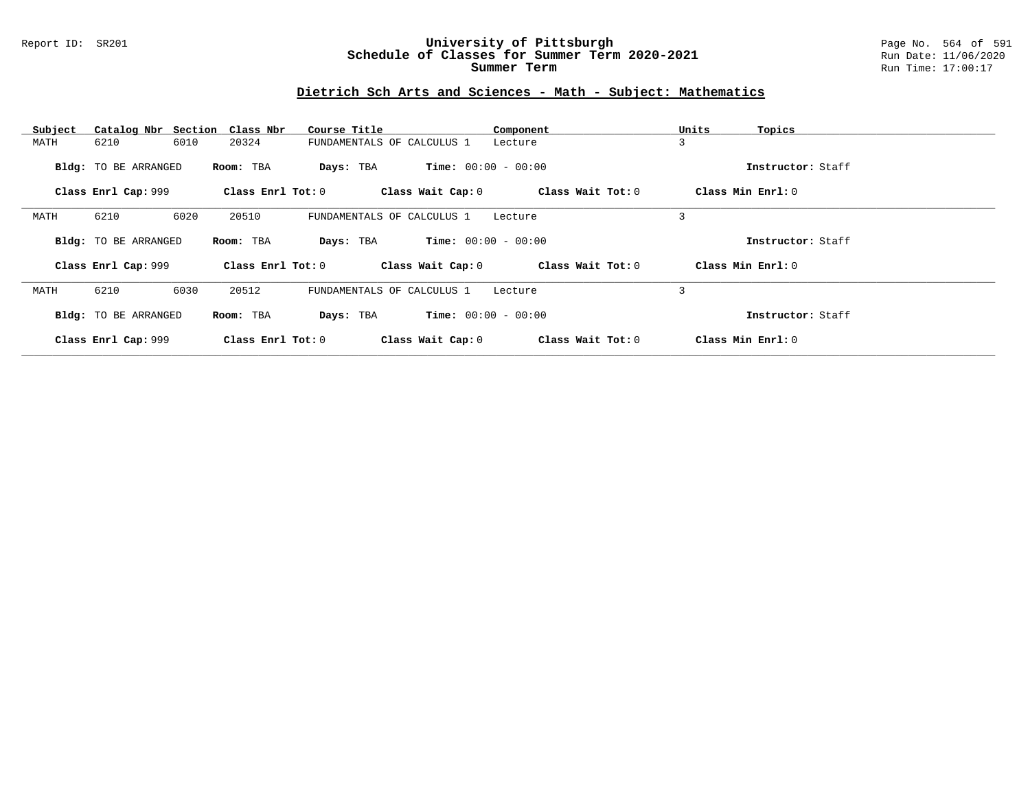### Report ID: SR201 **University of Pittsburgh** Page No. 564 of 591 **Schedule of Classes for Summer Term 2020-2021** Run Date: 11/06/2020 **Summer Term** Run Time: 17:00:17

# **Dietrich Sch Arts and Sciences - Math - Subject: Mathematics**

| Subject |                             | Catalog Nbr Section Class Nbr | Course Title               |                              | Component         | Units<br>Topics     |  |
|---------|-----------------------------|-------------------------------|----------------------------|------------------------------|-------------------|---------------------|--|
| MATH    | 6210                        | 6010<br>20324                 | FUNDAMENTALS OF CALCULUS 1 | Lecture                      |                   | 3                   |  |
|         | <b>Bldg:</b> TO BE ARRANGED | Room: TBA                     | Days: TBA                  | <b>Time:</b> $00:00 - 00:00$ |                   | Instructor: Staff   |  |
|         | Class Enrl Cap: 999         | Class Enrl Tot: 0             |                            | Class Wait Cap: 0            | Class Wait Tot: 0 | Class Min $Enrl: 0$ |  |
| MATH    | 6210                        | 6020<br>20510                 | FUNDAMENTALS OF CALCULUS 1 | Lecture                      |                   | 3                   |  |
|         | <b>Bldg:</b> TO BE ARRANGED | Room: TBA                     | Days: TBA                  | <b>Time:</b> $00:00 - 00:00$ |                   | Instructor: Staff   |  |
|         | Class Enrl Cap: 999         | Class Enrl Tot: 0             |                            | Class Wait Cap: 0            | Class Wait Tot: 0 | Class Min Enrl: 0   |  |
| MATH    | 6210                        | 6030<br>20512                 | FUNDAMENTALS OF CALCULUS 1 | Lecture                      |                   | 3                   |  |
|         | <b>Bldg:</b> TO BE ARRANGED | Room: TBA                     | Days: TBA                  | <b>Time:</b> $00:00 - 00:00$ |                   | Instructor: Staff   |  |
|         | Class Enrl Cap: 999         | Class Enrl Tot: 0             |                            | Class Wait Cap: 0            | Class Wait Tot: 0 | Class Min Enrl: 0   |  |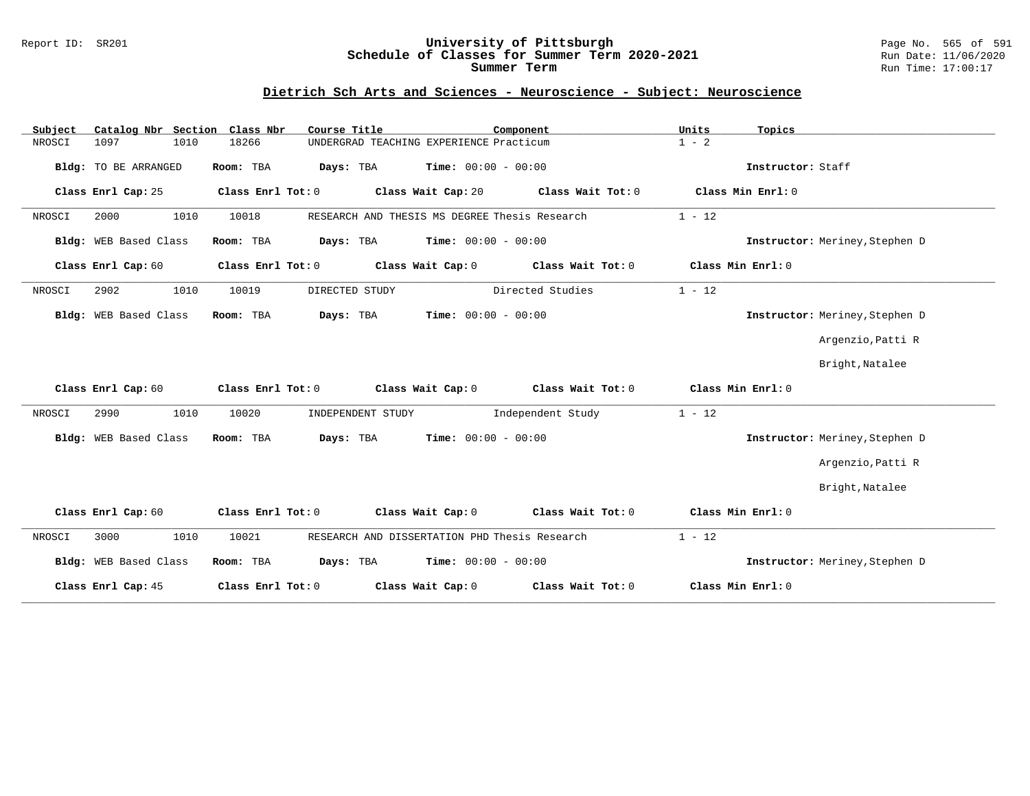#### Report ID: SR201 **University of Pittsburgh** Page No. 565 of 591 **Schedule of Classes for Summer Term 2020-2021** Run Date: 11/06/2020 **Summer Term** Run Time: 17:00:17

### **Dietrich Sch Arts and Sciences - Neuroscience - Subject: Neuroscience**

| Catalog Nbr Section<br>Subject | Class Nbr<br>Course Title  | Component                                     | Units<br>Topics   |                                |
|--------------------------------|----------------------------|-----------------------------------------------|-------------------|--------------------------------|
| NROSCI<br>1097<br>1010         | 18266                      | UNDERGRAD TEACHING EXPERIENCE Practicum       | $1 - 2$           |                                |
| Bldg: TO BE ARRANGED           | Room: TBA<br>Days: TBA     | <b>Time:</b> $00:00 - 00:00$                  | Instructor: Staff |                                |
| Class Enrl Cap: 25             | Class Enrl Tot: 0          | Class Wait Cap: 20<br>Class Wait Tot: 0       | Class Min Enrl: 0 |                                |
| NROSCI<br>2000<br>1010         | 10018                      | RESEARCH AND THESIS MS DEGREE Thesis Research | $1 - 12$          |                                |
| Bldg: WEB Based Class          | Room: TBA<br>Days: TBA     | $Time: 00:00 - 00:00$                         |                   | Instructor: Meriney, Stephen D |
| Class Enrl Cap: 60             | Class Enrl Tot: 0          | Class Wait Cap: 0<br>Class Wait Tot: 0        | Class Min Enrl: 0 |                                |
| 2902<br>1010<br>NROSCI         | 10019<br>DIRECTED STUDY    | Directed Studies                              | $1 - 12$          |                                |
| Bldg: WEB Based Class          | Room: TBA<br>Days: TBA     | Time: $00:00 - 00:00$                         |                   | Instructor: Meriney, Stephen D |
|                                |                            |                                               |                   | Argenzio, Patti R              |
|                                |                            |                                               |                   | Bright, Natalee                |
| Class Enrl Cap: 60             | Class Enrl Tot: 0          | Class Wait Cap: 0<br>Class Wait Tot: 0        | Class Min Enrl: 0 |                                |
| 1010<br>2990<br>NROSCI         | 10020<br>INDEPENDENT STUDY | Independent Study                             | $1 - 12$          |                                |
| Bldg: WEB Based Class          | Room: TBA<br>Days: TBA     | <b>Time:</b> $00:00 - 00:00$                  |                   | Instructor: Meriney, Stephen D |
|                                |                            |                                               |                   | Argenzio, Patti R              |
|                                |                            |                                               |                   | Bright, Natalee                |
| Class Enrl Cap: 60             | Class Enrl Tot: 0          | Class Wait Cap: 0<br>Class Wait Tot: 0        | Class Min Enrl: 0 |                                |
| 1010<br>3000<br>NROSCI         | 10021                      | RESEARCH AND DISSERTATION PHD Thesis Research | $1 - 12$          |                                |
| Bldg: WEB Based Class          | Room: TBA<br>Days: TBA     | Time: $00:00 - 00:00$                         |                   | Instructor: Meriney, Stephen D |
| Class Enrl Cap: 45             | Class Enrl Tot: 0          | Class Wait Cap: 0<br>Class Wait Tot: 0        | Class Min Enrl: 0 |                                |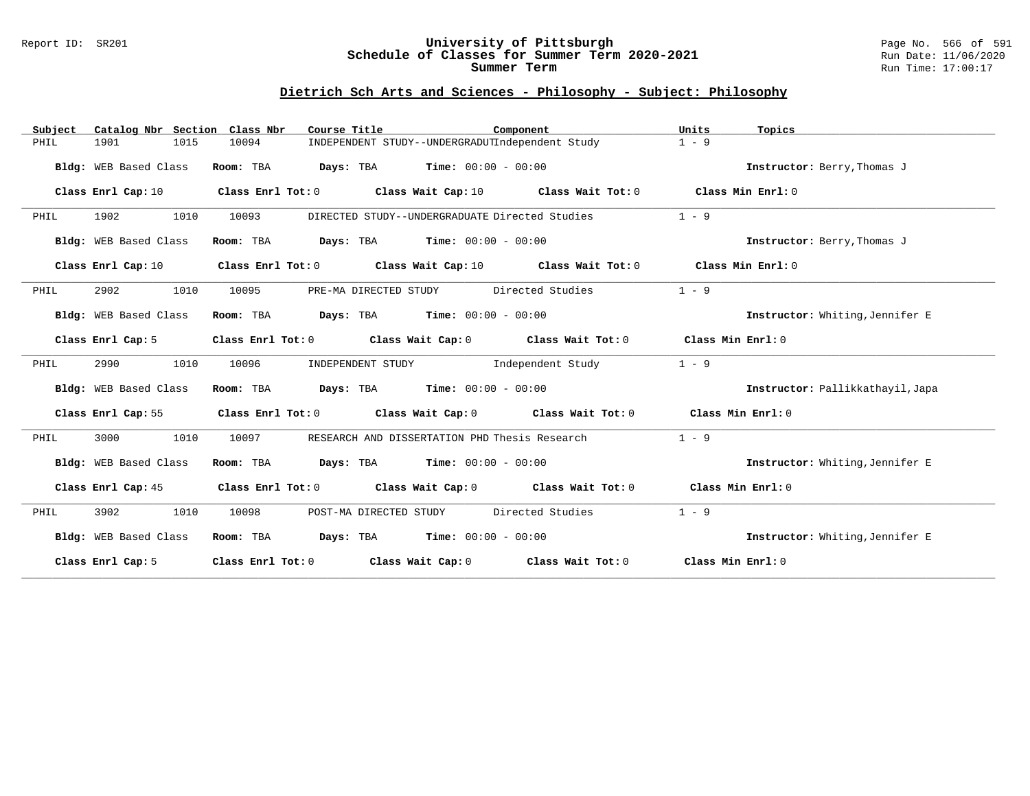#### Report ID: SR201 **University of Pittsburgh** Page No. 566 of 591 **Schedule of Classes for Summer Term 2020-2021** Run Date: 11/06/2020 **Summer Term** Run Time: 17:00:17

# **Dietrich Sch Arts and Sciences - Philosophy - Subject: Philosophy**

| Subject | Catalog Nbr Section Class Nbr |           | Course Title                                                                               | Component | Units<br>Topics                  |  |
|---------|-------------------------------|-----------|--------------------------------------------------------------------------------------------|-----------|----------------------------------|--|
| PHIL    | 1901<br>1015                  | 10094     | INDEPENDENT STUDY--UNDERGRADUTIndependent Study                                            |           | $1 - 9$                          |  |
|         | Bldg: WEB Based Class         | Room: TBA | <b>Days:</b> TBA <b>Time:</b> $00:00 - 00:00$                                              |           | Instructor: Berry, Thomas J      |  |
|         | Class Enrl Cap: 10            |           | Class Enrl Tot: $0$ Class Wait Cap: $10$ Class Wait Tot: $0$                               |           | Class Min Enrl: 0                |  |
| PHIL    | 1902<br>1010                  | 10093     | DIRECTED STUDY--UNDERGRADUATE Directed Studies                                             |           | $1 - 9$                          |  |
|         | Bldg: WEB Based Class         | Room: TBA | <b>Days:</b> TBA <b>Time:</b> $00:00 - 00:00$                                              |           | Instructor: Berry, Thomas J      |  |
|         | Class Enrl Cap: 10            |           | Class Enrl Tot: 0 Class Wait Cap: 10 Class Wait Tot: 0                                     |           | Class Min Enrl: 0                |  |
| PHIL    | 2902<br>1010                  | 10095     | PRE-MA DIRECTED STUDY Directed Studies                                                     |           | $1 - 9$                          |  |
|         | Bldg: WEB Based Class         | Room: TBA | $\texttt{DayS:}$ TBA $\texttt{Time:}$ 00:00 - 00:00                                        |           | Instructor: Whiting, Jennifer E  |  |
|         | Class Enrl Cap: 5             |           | Class Enrl Tot: $0$ Class Wait Cap: $0$ Class Wait Tot: $0$                                |           | Class Min Enri: 0                |  |
| PHIL    | 2990<br>1010                  | 10096     | INDEPENDENT STUDY 1ndependent Study                                                        |           | $1 - 9$                          |  |
|         | Bldg: WEB Based Class         |           | Room: TBA $Days:$ TBA $Time: 00:00 - 00:00$                                                |           | Instructor: Pallikkathayil, Japa |  |
|         |                               |           | Class Enrl Cap: 55 Class Enrl Tot: 0 Class Wait Cap: 0 Class Wait Tot: 0 Class Min Enrl: 0 |           |                                  |  |
| PHIL    | 1010<br>3000                  | 10097     | RESEARCH AND DISSERTATION PHD Thesis Research                                              |           | $1 - 9$                          |  |
|         | Bldg: WEB Based Class         |           | Room: TBA $Days:$ TBA $Time: 00:00 - 00:00$                                                |           | Instructor: Whiting, Jennifer E  |  |
|         |                               |           | Class Enrl Cap: 45 Class Enrl Tot: 0 Class Wait Cap: 0 Class Wait Tot: 0 Class Min Enrl: 0 |           |                                  |  |
| PHIL    | 3902<br>1010                  | 10098     | POST-MA DIRECTED STUDY Directed Studies                                                    |           | $1 - 9$                          |  |
|         | Bldg: WEB Based Class         |           | Room: TBA $Days:$ TBA $Time: 00:00 - 00:00$                                                |           | Instructor: Whiting, Jennifer E  |  |
|         | Class Enrl Cap: 5             |           | Class Enrl Tot: $0$ Class Wait Cap: $0$ Class Wait Tot: $0$ Class Min Enrl: $0$            |           |                                  |  |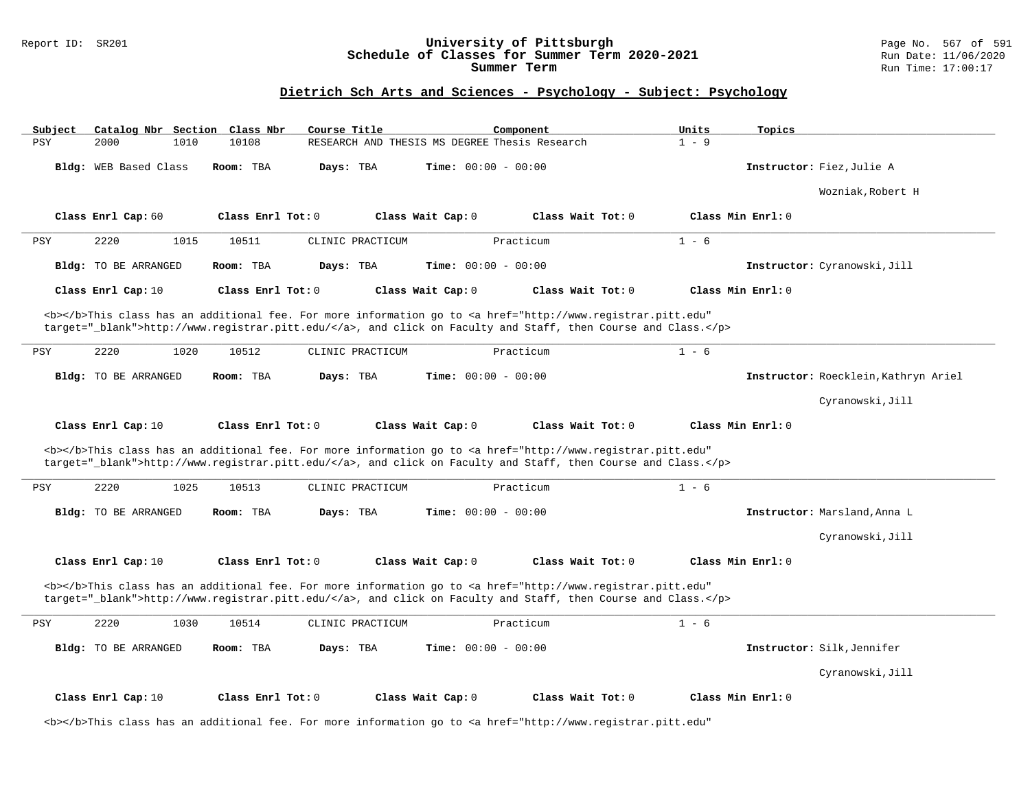### Report ID: SR201 **University of Pittsburgh** Page No. 567 of 591 **Schedule of Classes for Summer Term 2020-2021** Run Date: 11/06/2020 **Summer Term** Run Time: 17:00:17

# **Dietrich Sch Arts and Sciences - Psychology - Subject: Psychology**

| Subject    |                       |      | Catalog Nbr Section Class Nbr | Course Title     |                                               | Component                                                                                                                                                                                                                          | Units   | Topics                               |
|------------|-----------------------|------|-------------------------------|------------------|-----------------------------------------------|------------------------------------------------------------------------------------------------------------------------------------------------------------------------------------------------------------------------------------|---------|--------------------------------------|
| <b>PSY</b> | 2000                  | 1010 | 10108                         |                  | RESEARCH AND THESIS MS DEGREE Thesis Research |                                                                                                                                                                                                                                    | $1 - 9$ |                                      |
|            | Bldg: WEB Based Class |      | Room: TBA                     | Days: TBA        | Time: $00:00 - 00:00$                         |                                                                                                                                                                                                                                    |         | Instructor: Fiez, Julie A            |
|            |                       |      |                               |                  |                                               |                                                                                                                                                                                                                                    |         | Wozniak, Robert H                    |
|            | Class Enrl Cap: 60    |      | Class Enrl Tot: 0             |                  | Class Wait Cap: 0                             | Class Wait Tot: 0                                                                                                                                                                                                                  |         | Class Min Enrl: 0                    |
| PSY        | 2220                  | 1015 | 10511                         | CLINIC PRACTICUM |                                               | Practicum                                                                                                                                                                                                                          | $1 - 6$ |                                      |
|            | Bldg: TO BE ARRANGED  |      | Room: TBA                     | Days: TBA        | $Time: 00:00 - 00:00$                         |                                                                                                                                                                                                                                    |         | Instructor: Cyranowski, Jill         |
|            | Class Enrl Cap: 10    |      | Class Enrl Tot: 0             |                  | Class Wait Cap: 0                             | Class Wait Tot: 0                                                                                                                                                                                                                  |         | Class Min Enrl: 0                    |
|            |                       |      |                               |                  |                                               | <b></b> This class has an additional fee. For more information go to <a <br="" href="http://www.registrar.pitt.edu">target="_blank"&gt;http://www.registrar.pitt.edu/</a> , and click on Faculty and Staff, then Course and Class. |         |                                      |
| PSY        | 2220                  | 1020 | 10512                         | CLINIC PRACTICUM |                                               | Practicum                                                                                                                                                                                                                          | $1 - 6$ |                                      |
|            | Bldg: TO BE ARRANGED  |      | Room: TBA                     | Days: TBA        | Time: $00:00 - 00:00$                         |                                                                                                                                                                                                                                    |         | Instructor: Roecklein, Kathryn Ariel |
|            |                       |      |                               |                  |                                               |                                                                                                                                                                                                                                    |         | Cyranowski, Jill                     |
|            |                       |      |                               |                  |                                               |                                                                                                                                                                                                                                    |         |                                      |
|            | Class Enrl Cap: 10    |      | Class Enrl Tot: 0             |                  | Class Wait Cap: 0                             | Class Wait Tot: 0                                                                                                                                                                                                                  |         | Class Min Enrl: 0                    |
|            |                       |      |                               |                  |                                               | <b></b> This class has an additional fee. For more information go to <a <br="" href="http://www.registrar.pitt.edu">target="_blank"&gt;http://www.registrar.pitt.edu/</a> , and click on Faculty and Staff, then Course and Class. |         |                                      |
| PSY        | 2220                  | 1025 | 10513                         | CLINIC PRACTICUM |                                               | Practicum                                                                                                                                                                                                                          | $1 - 6$ |                                      |
|            | Bldg: TO BE ARRANGED  |      | Room: TBA                     | Days: TBA        | Time: $00:00 - 00:00$                         |                                                                                                                                                                                                                                    |         | Instructor: Marsland, Anna L         |
|            |                       |      |                               |                  |                                               |                                                                                                                                                                                                                                    |         | Cyranowski, Jill                     |
|            | Class Enrl Cap: 10    |      | Class Enrl Tot: 0             |                  | Class Wait Cap: 0                             | Class Wait Tot: 0                                                                                                                                                                                                                  |         | Class Min Enrl: 0                    |
|            |                       |      |                               |                  |                                               | <b></b> This class has an additional fee. For more information go to <a <br="" href="http://www.registrar.pitt.edu">target="_blank"&gt;http://www.registrar.pitt.edu/</a> , and click on Faculty and Staff, then Course and Class. |         |                                      |
| PSY        | 2220                  | 1030 | 10514                         | CLINIC PRACTICUM |                                               | Practicum                                                                                                                                                                                                                          | $1 - 6$ |                                      |
|            | Bldg: TO BE ARRANGED  |      | Room: TBA                     | Days: TBA        | <b>Time:</b> $00:00 - 00:00$                  |                                                                                                                                                                                                                                    |         | Instructor: Silk, Jennifer           |
|            |                       |      |                               |                  |                                               |                                                                                                                                                                                                                                    |         | Cyranowski, Jill                     |

<b></b>This class has an additional fee. For more information go to <a href="http://www.registrar.pitt.edu"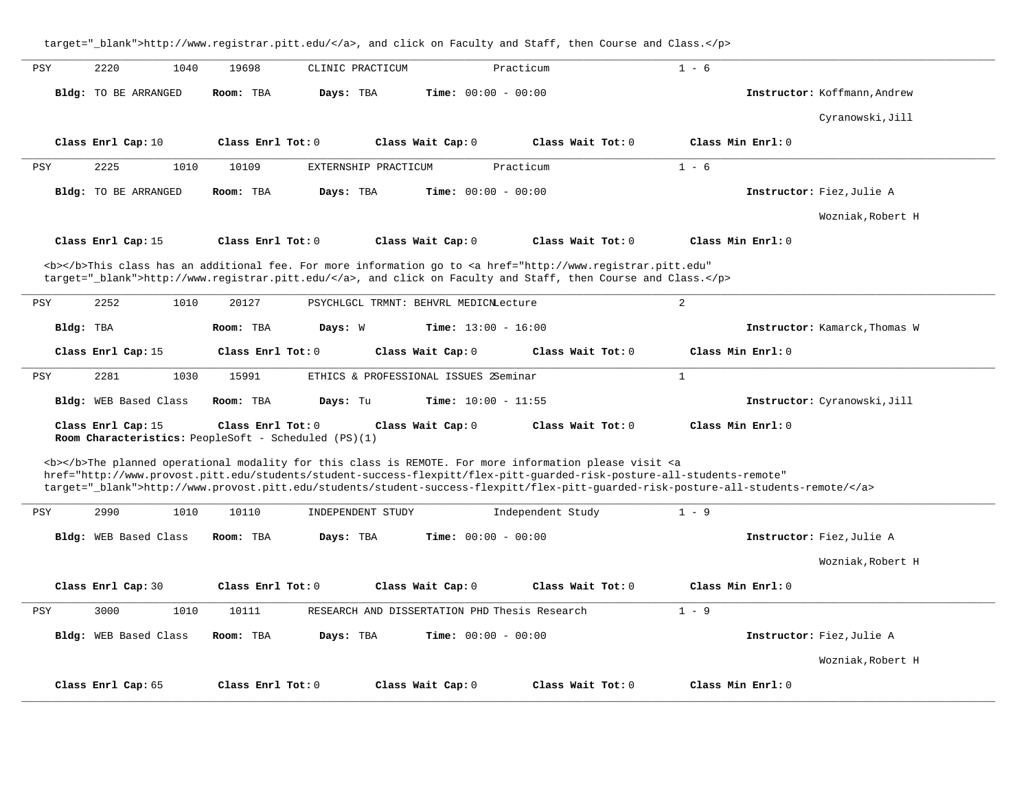target="\_blank">http://www.registrar.pitt.edu/</a>, and click on Faculty and Staff, then Course and Class.</p> **\_\_\_\_\_\_\_\_\_\_\_\_\_\_\_\_\_\_\_\_\_\_\_\_\_\_\_\_\_\_\_\_\_\_\_\_\_\_\_\_\_\_\_\_\_\_\_\_\_\_\_\_\_\_\_\_\_\_\_\_\_\_\_\_\_\_\_\_\_\_\_\_\_\_\_\_\_\_\_\_\_\_\_\_\_\_\_\_\_\_\_\_\_\_\_\_\_\_\_\_\_\_\_\_\_\_\_\_\_\_\_\_\_\_\_\_\_\_\_\_\_\_\_\_\_\_\_\_\_\_\_\_\_\_\_\_\_\_\_\_\_\_\_\_\_\_\_\_\_\_\_\_\_\_\_\_** PSY 2220 1040 19698 CLINIC PRACTICUM Practicum 1 - 6 **Bldg:** TO BE ARRANGED **Room:** TBA **Days:** TBA **Time:** 00:00 - 00:00 **Instructor:** Koffmann,Andrew Cyranowski,Jill **Class Enrl Cap:** 10 **Class Enrl Tot:** 0 **Class Wait Cap:** 0 **Class Wait Tot:** 0 **Class Min Enrl:** 0 **\_\_\_\_\_\_\_\_\_\_\_\_\_\_\_\_\_\_\_\_\_\_\_\_\_\_\_\_\_\_\_\_\_\_\_\_\_\_\_\_\_\_\_\_\_\_\_\_\_\_\_\_\_\_\_\_\_\_\_\_\_\_\_\_\_\_\_\_\_\_\_\_\_\_\_\_\_\_\_\_\_\_\_\_\_\_\_\_\_\_\_\_\_\_\_\_\_\_\_\_\_\_\_\_\_\_\_\_\_\_\_\_\_\_\_\_\_\_\_\_\_\_\_\_\_\_\_\_\_\_\_\_\_\_\_\_\_\_\_\_\_\_\_\_\_\_\_\_\_\_\_\_\_\_\_\_** PSY 2225 1010 10109 EXTERNSHIP PRACTICUM Practicum 1 - 6 **Bldg:** TO BE ARRANGED **Room:** TBA **Days:** TBA **Time:** 00:00 - 00:00 **Instructor:** Fiez,Julie A Wozniak,Robert H **Class Enrl Cap:** 15 **Class Enrl Tot:** 0 **Class Wait Cap:** 0 **Class Wait Tot:** 0 **Class Min Enrl:** 0 <b></b>This class has an additional fee. For more information go to <a href="http://www.registrar.pitt.edu" target="\_blank">http://www.registrar.pitt.edu/</a>, and click on Faculty and Staff, then Course and Class.</p> **\_\_\_\_\_\_\_\_\_\_\_\_\_\_\_\_\_\_\_\_\_\_\_\_\_\_\_\_\_\_\_\_\_\_\_\_\_\_\_\_\_\_\_\_\_\_\_\_\_\_\_\_\_\_\_\_\_\_\_\_\_\_\_\_\_\_\_\_\_\_\_\_\_\_\_\_\_\_\_\_\_\_\_\_\_\_\_\_\_\_\_\_\_\_\_\_\_\_\_\_\_\_\_\_\_\_\_\_\_\_\_\_\_\_\_\_\_\_\_\_\_\_\_\_\_\_\_\_\_\_\_\_\_\_\_\_\_\_\_\_\_\_\_\_\_\_\_\_\_\_\_\_\_\_\_\_** PSY 2252 1010 20127 PSYCHLGCL TRMNT: BEHVRL MEDICNLecture 2 **Bldg:** TBA **Room:** TBA **Days:** W **Time:** 13:00 - 16:00 **Instructor:** Kamarck,Thomas W **Class Enrl Cap:** 15 **Class Enrl Tot:** 0 **Class Wait Cap:** 0 **Class Wait Tot:** 0 **Class Min Enrl:** 0 **\_\_\_\_\_\_\_\_\_\_\_\_\_\_\_\_\_\_\_\_\_\_\_\_\_\_\_\_\_\_\_\_\_\_\_\_\_\_\_\_\_\_\_\_\_\_\_\_\_\_\_\_\_\_\_\_\_\_\_\_\_\_\_\_\_\_\_\_\_\_\_\_\_\_\_\_\_\_\_\_\_\_\_\_\_\_\_\_\_\_\_\_\_\_\_\_\_\_\_\_\_\_\_\_\_\_\_\_\_\_\_\_\_\_\_\_\_\_\_\_\_\_\_\_\_\_\_\_\_\_\_\_\_\_\_\_\_\_\_\_\_\_\_\_\_\_\_\_\_\_\_\_\_\_\_\_** PSY 2281 1030 15991 ETHICS & PROFESSIONAL ISSUES 2Seminar 1 **Bldg:** WEB Based Class **Room:** TBA **Days:** Tu **Time:** 10:00 - 11:55 **Instructor:** Cyranowski,Jill **Class Enrl Cap:** 15 **Class Enrl Tot:** 0 **Class Wait Cap:** 0 **Class Wait Tot:** 0 **Class Min Enrl:** 0 **Room Characteristics:** PeopleSoft - Scheduled (PS)(1) <b></b>The planned operational modality for this class is REMOTE. For more information please visit <a href="http://www.provost.pitt.edu/students/student-success-flexpitt/flex-pitt-guarded-risk-posture-all-students-remote" target="\_blank">http://www.provost.pitt.edu/students/student-success-flexpitt/flex-pitt-guarded-risk-posture-all-students-remote/</a> **\_\_\_\_\_\_\_\_\_\_\_\_\_\_\_\_\_\_\_\_\_\_\_\_\_\_\_\_\_\_\_\_\_\_\_\_\_\_\_\_\_\_\_\_\_\_\_\_\_\_\_\_\_\_\_\_\_\_\_\_\_\_\_\_\_\_\_\_\_\_\_\_\_\_\_\_\_\_\_\_\_\_\_\_\_\_\_\_\_\_\_\_\_\_\_\_\_\_\_\_\_\_\_\_\_\_\_\_\_\_\_\_\_\_\_\_\_\_\_\_\_\_\_\_\_\_\_\_\_\_\_\_\_\_\_\_\_\_\_\_\_\_\_\_\_\_\_\_\_\_\_\_\_\_\_\_** PSY 2990 1010 10110 INDEPENDENT STUDY Independent Study 1 - 9 **Bldg:** WEB Based Class **Room:** TBA **Days:** TBA **Time:** 00:00 - 00:00 **Instructor:** Fiez,Julie A Wozniak,Robert H **Class Enrl Cap:** 30 **Class Enrl Tot:** 0 **Class Wait Cap:** 0 **Class Wait Tot:** 0 **Class Min Enrl:** 0 **\_\_\_\_\_\_\_\_\_\_\_\_\_\_\_\_\_\_\_\_\_\_\_\_\_\_\_\_\_\_\_\_\_\_\_\_\_\_\_\_\_\_\_\_\_\_\_\_\_\_\_\_\_\_\_\_\_\_\_\_\_\_\_\_\_\_\_\_\_\_\_\_\_\_\_\_\_\_\_\_\_\_\_\_\_\_\_\_\_\_\_\_\_\_\_\_\_\_\_\_\_\_\_\_\_\_\_\_\_\_\_\_\_\_\_\_\_\_\_\_\_\_\_\_\_\_\_\_\_\_\_\_\_\_\_\_\_\_\_\_\_\_\_\_\_\_\_\_\_\_\_\_\_\_\_\_** PSY 3000 1010 10111 RESEARCH AND DISSERTATION PHD Thesis Research 1 - 9 **Bldg:** WEB Based Class **Room:** TBA **Days:** TBA **Time:** 00:00 - 00:00 **Instructor:** Fiez,Julie A Wozniak,Robert H **Class Enrl Cap:** 65 **Class Enrl Tot:** 0 **Class Wait Cap:** 0 **Class Wait Tot:** 0 **Class Min Enrl:** 0 **\_\_\_\_\_\_\_\_\_\_\_\_\_\_\_\_\_\_\_\_\_\_\_\_\_\_\_\_\_\_\_\_\_\_\_\_\_\_\_\_\_\_\_\_\_\_\_\_\_\_\_\_\_\_\_\_\_\_\_\_\_\_\_\_\_\_\_\_\_\_\_\_\_\_\_\_\_\_\_\_\_\_\_\_\_\_\_\_\_\_\_\_\_\_\_\_\_\_\_\_\_\_\_\_\_\_\_\_\_\_\_\_\_\_\_\_\_\_\_\_\_\_\_\_\_\_\_\_\_\_\_\_\_\_\_\_\_\_\_\_\_\_\_\_\_\_\_\_\_\_\_\_\_\_\_\_**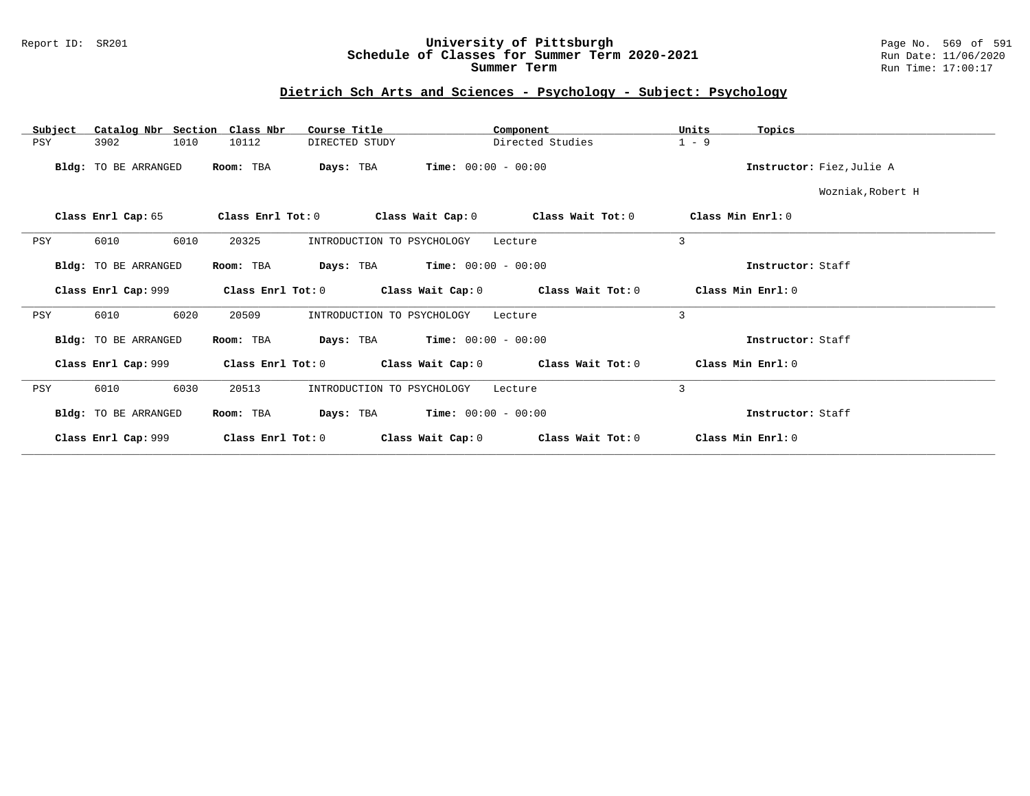### Report ID: SR201 **University of Pittsburgh** Page No. 569 of 591 **Schedule of Classes for Summer Term 2020-2021** Run Date: 11/06/2020 **Summer Term** Run Time: 17:00:17

### **Dietrich Sch Arts and Sciences - Psychology - Subject: Psychology**

| Catalog Nbr Section Class Nbr<br>Subject | Course Title                           | Component                              | Units<br>Topics           |
|------------------------------------------|----------------------------------------|----------------------------------------|---------------------------|
| 3902<br>1010<br>PSY                      | 10112<br>DIRECTED STUDY                | Directed Studies                       | $1 - 9$                   |
| Bldg: TO BE ARRANGED                     | Room: TBA<br>Days: TBA                 | <b>Time:</b> $00:00 - 00:00$           | Instructor: Fiez, Julie A |
|                                          |                                        |                                        | Wozniak, Robert H         |
| Class Enrl Cap: 65                       | Class Enrl Tot: 0<br>Class Wait Cap: 0 | Class Wait Tot: 0                      | Class Min $Err1:0$        |
| <b>PSY</b><br>6010<br>6010               | 20325<br>INTRODUCTION TO PSYCHOLOGY    | Lecture                                | 3                         |
| Bldg: TO BE ARRANGED                     | Room: TBA<br>Days: TBA                 | <b>Time:</b> $00:00 - 00:00$           | Instructor: Staff         |
| Class Enrl Cap: 999                      | Class Enrl Tot: 0                      | Class Wait Cap: 0<br>Class Wait Tot: 0 | Class Min Enrl: 0         |
| 6020<br>PSY<br>6010                      | 20509<br>INTRODUCTION TO PSYCHOLOGY    | Lecture                                | 3                         |
| Bldg: TO BE ARRANGED                     | Room: TBA<br>Days: TBA                 | $Time: 00:00 - 00:00$                  | Instructor: Staff         |
| Class Enrl Cap: 999                      | Class Enrl Tot: 0                      | Class Wait Cap: 0<br>Class Wait Tot: 0 | Class Min Enrl: 0         |
| 6030<br>6010<br>PSY                      | 20513<br>INTRODUCTION TO PSYCHOLOGY    | Lecture                                | 3                         |
| Bldg: TO BE ARRANGED                     | Room: TBA<br>Days: TBA                 | $Time: 00:00 - 00:00$                  | Instructor: Staff         |
| Class Enrl Cap: 999                      | Class Enrl Tot: 0                      | Class Wait Cap: 0<br>Class Wait Tot: 0 | Class Min Enrl: 0         |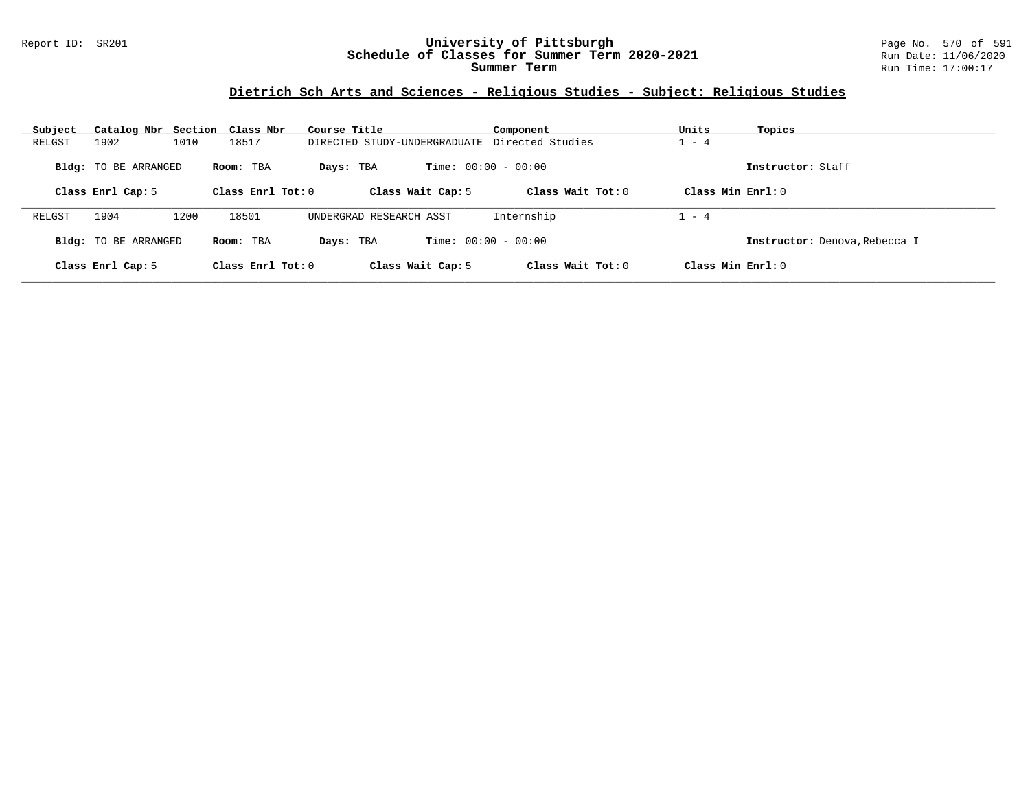### Report ID: SR201 **University of Pittsburgh** Page No. 570 of 591 **Schedule of Classes for Summer Term 2020-2021** Run Date: 11/06/2020 **Summer Term** Run Time: 17:00:17

# **Dietrich Sch Arts and Sciences - Religious Studies - Subject: Religious Studies**

| Subject | Catalog Nbr Section Class Nbr |      |                     | Course Title                                  | Component                    | Units<br>Topics               |
|---------|-------------------------------|------|---------------------|-----------------------------------------------|------------------------------|-------------------------------|
| RELGST  | 1902                          | 1010 | 18517               | DIRECTED STUDY-UNDERGRADUATE Directed Studies |                              | $-4$                          |
|         | <b>Bldg:</b> TO BE ARRANGED   |      | Room: TBA           | Days: TBA                                     | <b>Time:</b> $00:00 - 00:00$ | Instructor: Staff             |
|         | Class Enrl Cap: 5             |      | Class Enrl Tot: 0   | Class Wait Cap: 5                             | Class Wait $Tot: 0$          | Class Min $Enrl: 0$           |
| RELGST  | 1904                          | 1200 | 18501               | UNDERGRAD RESEARCH ASST                       | Internship                   | $1 - 4$                       |
|         | <b>Bldg:</b> TO BE ARRANGED   |      | Room: TBA           | <b>Time:</b> $00:00 - 00:00$<br>Days: TBA     |                              | Instructor: Denova, Rebecca I |
|         | Class Enrl Cap: 5             |      | Class Enrl Tot: $0$ | Class Wait Cap: 5                             | Class Wait Tot: $0$          | Class Min $Enrl: 0$           |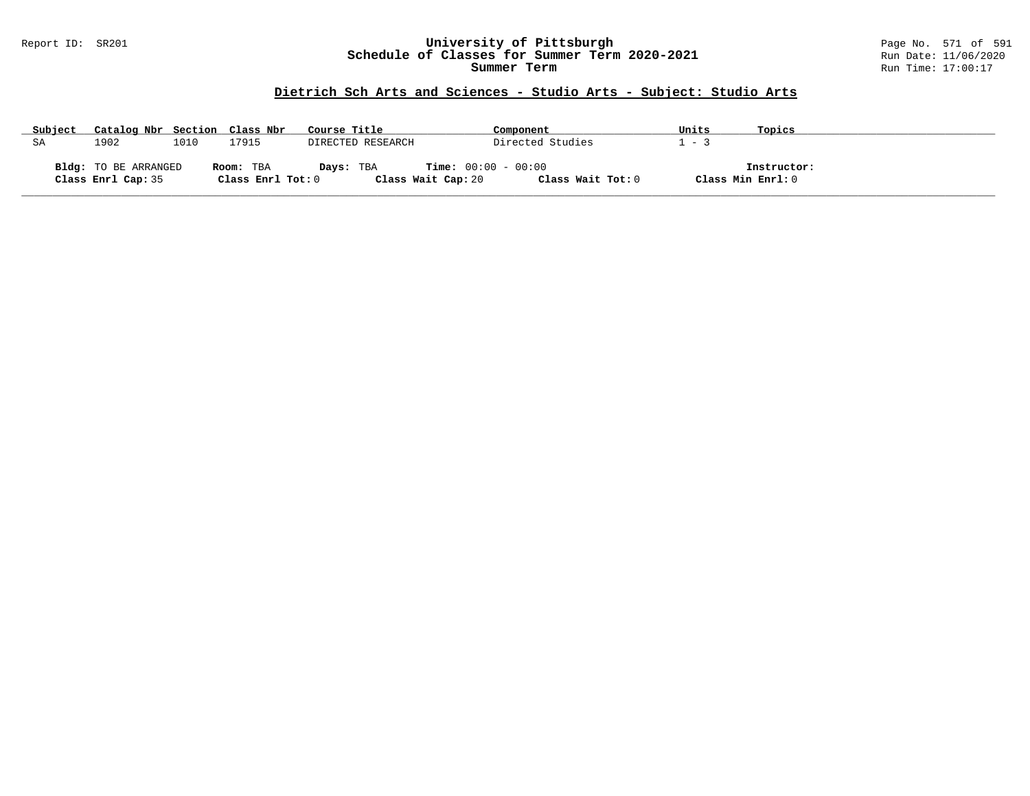### Report ID: SR201 **University of Pittsburgh** Page No. 571 of 591 **Schedule of Classes for Summer Term 2020-2021** Run Date: 11/06/2020 **Summer Term** Run Time: 17:00:17

# **Dietrich Sch Arts and Sciences - Studio Arts - Subject: Studio Arts**

| Subject | Catalog Nbr Section Class Nbr |      |                   | Course Title      | Component                    |                   | Units | Topics            |  |
|---------|-------------------------------|------|-------------------|-------------------|------------------------------|-------------------|-------|-------------------|--|
| SA      | 1902                          | 1010 | .7915             | DIRECTED RESEARCH |                              | Directed Studies  | - 3   |                   |  |
|         |                               |      |                   |                   |                              |                   |       |                   |  |
|         | Bldg: TO BE ARRANGED          |      | Room: TBA         | Days: TBA         | <b>Time:</b> $00:00 - 00:00$ |                   |       | Instructor:       |  |
|         | Class Enrl Cap: 35            |      | Class Enrl Tot: 0 |                   | Class Wait Cap: 20           | Class Wait Tot: 0 |       | Class Min Enrl: 0 |  |

**\_\_\_\_\_\_\_\_\_\_\_\_\_\_\_\_\_\_\_\_\_\_\_\_\_\_\_\_\_\_\_\_\_\_\_\_\_\_\_\_\_\_\_\_\_\_\_\_\_\_\_\_\_\_\_\_\_\_\_\_\_\_\_\_\_\_\_\_\_\_\_\_\_\_\_\_\_\_\_\_\_\_\_\_\_\_\_\_\_\_\_\_\_\_\_\_\_\_\_\_\_\_\_\_\_\_\_\_\_\_\_\_\_\_\_\_\_\_\_\_\_\_\_\_\_\_\_\_\_\_\_\_\_\_\_\_\_\_\_\_\_\_\_\_\_\_\_\_\_\_\_\_\_\_\_\_**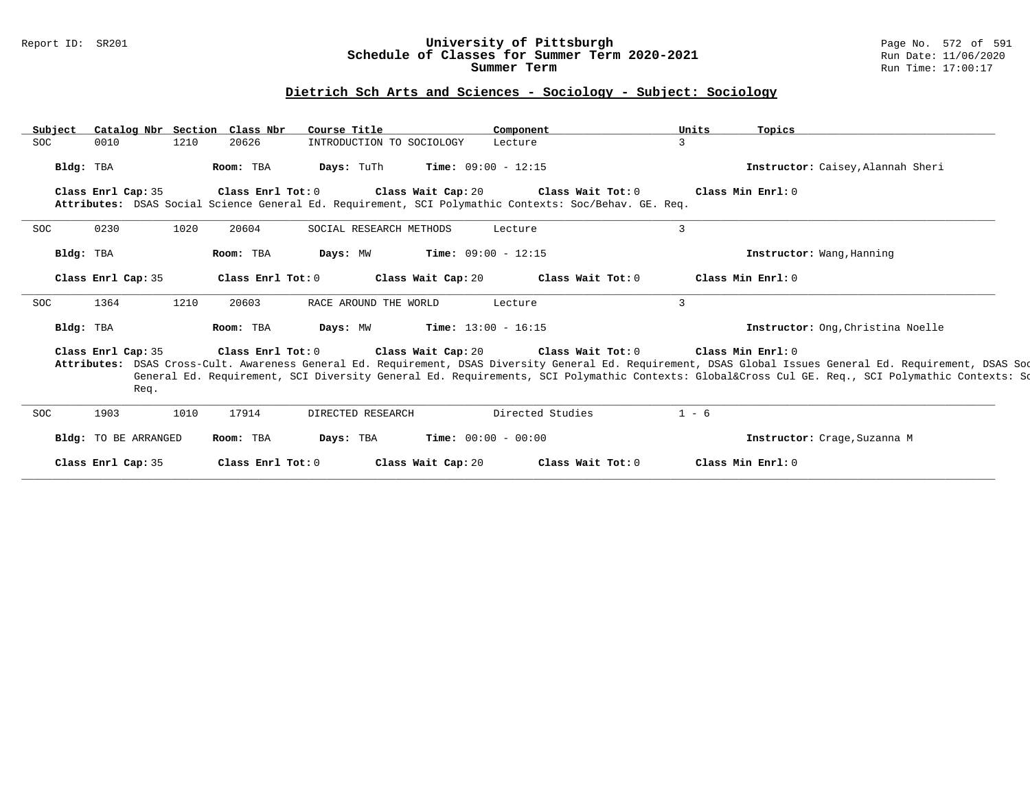### Report ID: SR201 **University of Pittsburgh** Page No. 572 of 591 **Schedule of Classes for Summer Term 2020-2021** Run Date: 11/06/2020 **Summer Term** Run Time: 17:00:17

# **Dietrich Sch Arts and Sciences - Sociology - Subject: Sociology**

| Subject    |                            |      | Catalog Nbr Section Class Nbr | Course Title                                                                                          |                                          | Component                    |                   | Units          | Topics                                                                                                                                                                                                                                                                                                                           |
|------------|----------------------------|------|-------------------------------|-------------------------------------------------------------------------------------------------------|------------------------------------------|------------------------------|-------------------|----------------|----------------------------------------------------------------------------------------------------------------------------------------------------------------------------------------------------------------------------------------------------------------------------------------------------------------------------------|
| <b>SOC</b> | 0010                       | 1210 | 20626                         | INTRODUCTION TO SOCIOLOGY                                                                             |                                          | Lecture                      |                   | 3              |                                                                                                                                                                                                                                                                                                                                  |
| Bldg: TBA  |                            |      | Room: TBA                     | Days: TuTh                                                                                            |                                          | <b>Time:</b> $09:00 - 12:15$ |                   |                | Instructor: Caisey, Alannah Sheri                                                                                                                                                                                                                                                                                                |
|            | Class Enrl Cap: 35         |      | Class Enrl Tot: 0             | Attributes: DSAS Social Science General Ed. Requirement, SCI Polymathic Contexts: Soc/Behav. GE. Req. | Class Wait Cap: 20 Class Wait Tot: 0     |                              |                   |                | Class Min $Err1:0$                                                                                                                                                                                                                                                                                                               |
| <b>SOC</b> | 0230                       | 1020 | 20604                         | SOCIAL RESEARCH METHODS                                                                               |                                          | Lecture                      |                   | $\overline{3}$ |                                                                                                                                                                                                                                                                                                                                  |
| Bldg: TBA  |                            |      | Room: TBA                     | Days: MW                                                                                              |                                          | <b>Time:</b> $09:00 - 12:15$ |                   |                | Instructor: Wang, Hanning                                                                                                                                                                                                                                                                                                        |
|            | Class Enrl Cap: 35         |      | Class Enrl Tot: 0             |                                                                                                       | Class Wait Cap: 20                       |                              | Class Wait Tot: 0 |                | Class Min Enrl: 0                                                                                                                                                                                                                                                                                                                |
| <b>SOC</b> | 1364                       | 1210 | 20603                         | RACE AROUND THE WORLD                                                                                 |                                          | Lecture                      |                   | 3              |                                                                                                                                                                                                                                                                                                                                  |
| Bldg: TBA  |                            |      | Room: TBA                     | Days: MW                                                                                              |                                          | <b>Time:</b> $13:00 - 16:15$ |                   |                | Instructor: Ong, Christina Noelle                                                                                                                                                                                                                                                                                                |
|            | Class Enrl Cap: 35<br>Req. |      | Class Enrl Tot: 0             |                                                                                                       | Class Wait Cap: $20$ Class Wait Tot: $0$ |                              |                   |                | Class Min Enrl: 0<br>Attributes: DSAS Cross-Cult. Awareness General Ed. Requirement, DSAS Diversity General Ed. Requirement, DSAS Global Issues General Ed. Requirement, DSAS Sod<br>General Ed. Requirement, SCI Diversity General Ed. Requirements, SCI Polymathic Contexts: Global⨯ Cul GE. Req., SCI Polymathic Contexts: So |
| <b>SOC</b> | 1903                       | 1010 | 17914                         | DIRECTED RESEARCH                                                                                     |                                          | Directed Studies             |                   | $1 - 6$        |                                                                                                                                                                                                                                                                                                                                  |
|            | Bldg: TO BE ARRANGED       |      | Room: TBA                     | Days: TBA                                                                                             |                                          | <b>Time:</b> $00:00 - 00:00$ |                   |                | Instructor: Crage, Suzanna M                                                                                                                                                                                                                                                                                                     |
|            | Class Enrl Cap: 35         |      | Class Enrl Tot: 0             |                                                                                                       | Class Wait Cap: 20                       |                              | Class Wait Tot: 0 |                | Class Min Enrl: 0                                                                                                                                                                                                                                                                                                                |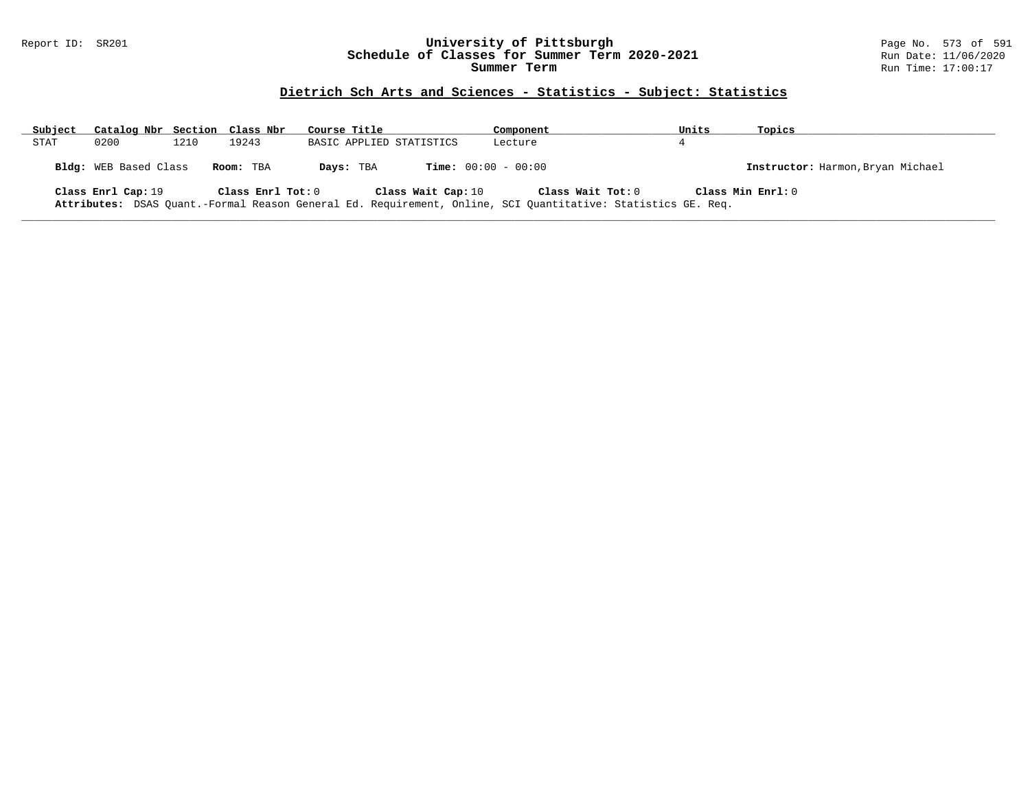### Report ID: SR201 **University of Pittsburgh** Page No. 573 of 591 **Schedule of Classes for Summer Term 2020-2021** Run Date: 11/06/2020 **Summer Term** Run Time: 17:00:17

# **Dietrich Sch Arts and Sciences - Statistics - Subject: Statistics**

| Subject | Catalog Nbr Section Class Nbr |      |                   | Course Title             | Component                                                                                                                         | Units | Topics                            |
|---------|-------------------------------|------|-------------------|--------------------------|-----------------------------------------------------------------------------------------------------------------------------------|-------|-----------------------------------|
| STAT    | 0200                          | 1210 | 19243             | BASIC APPLIED STATISTICS | Lecture                                                                                                                           |       |                                   |
|         | <b>Bldg:</b> WEB Based Class  |      | Room: TBA         | Days: TBA                | <b>Time:</b> $00:00 - 00:00$                                                                                                      |       | Instructor: Harmon, Bryan Michael |
|         | Class Enrl Cap: 19            |      | Class Enrl Tot: 0 | Class Wait Cap: 10       | Class Wait Tot: 0<br>Attributes: DSAS Quant.-Formal Reason General Ed. Requirement, Online, SCI Quantitative: Statistics GE. Req. |       | Class Min Enrl: 0                 |

**\_\_\_\_\_\_\_\_\_\_\_\_\_\_\_\_\_\_\_\_\_\_\_\_\_\_\_\_\_\_\_\_\_\_\_\_\_\_\_\_\_\_\_\_\_\_\_\_\_\_\_\_\_\_\_\_\_\_\_\_\_\_\_\_\_\_\_\_\_\_\_\_\_\_\_\_\_\_\_\_\_\_\_\_\_\_\_\_\_\_\_\_\_\_\_\_\_\_\_\_\_\_\_\_\_\_\_\_\_\_\_\_\_\_\_\_\_\_\_\_\_\_\_\_\_\_\_\_\_\_\_\_\_\_\_\_\_\_\_\_\_\_\_\_\_\_\_\_\_\_\_\_\_\_\_\_**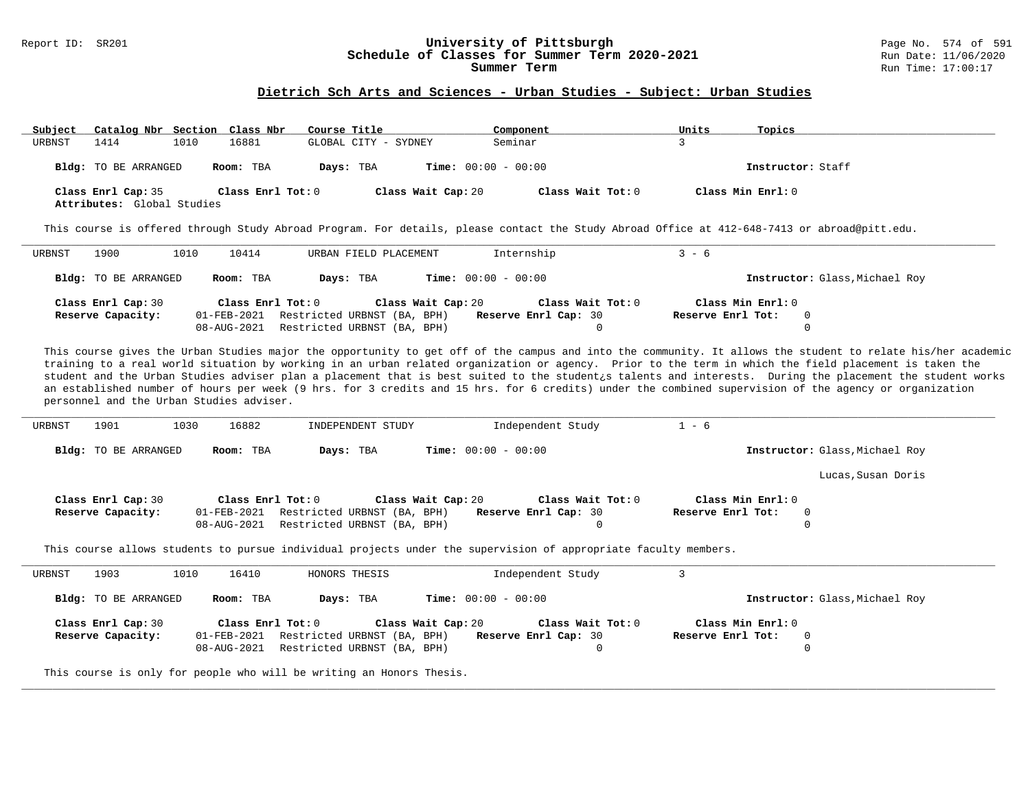# Report ID: SR201 **1988 Constrained Building Constrained Building Constrained Building Page No. 574 of 591 Const<br><b>Schedule of Classes for Summer Term 2020-2021** Run Date: 11/06/2020 **Schedule of Classes for Summer Term 2020-2021**<br>Summer Term

#### **Dietrich Sch Arts and Sciences - Urban Studies - Subject: Urban Studies**

| Subject | Catalog Nbr Section Class Nbr                    |      |                   | Course Title |                              | Component         | Units             | Topics            |
|---------|--------------------------------------------------|------|-------------------|--------------|------------------------------|-------------------|-------------------|-------------------|
| URBNST  | 1414                                             | 1010 | 16881             |              | GLOBAL CITY - SYDNEY         | Seminar           |                   |                   |
|         | Bldg: TO BE ARRANGED                             |      | Room: TBA         | Days: TBA    | <b>Time:</b> $00:00 - 00:00$ |                   |                   | Instructor: Staff |
|         | Class Enrl Cap: 35<br>Attributes: Global Studies |      | Class Enrl Tot: 0 |              | Class Wait Cap: 20           | Class Wait Tot: 0 | Class Min Enrl: 0 |                   |

This course is offered through Study Abroad Program. For details, please contact the Study Abroad Office at 412-648-7413 or abroad@pitt.edu.

| URBNST | 1900                                    | 1010 | 10414             | URBAN FIELD PLACEMENT                                                              |                    | Internship                                       | $3 - 6$           |                                |  |
|--------|-----------------------------------------|------|-------------------|------------------------------------------------------------------------------------|--------------------|--------------------------------------------------|-------------------|--------------------------------|--|
|        | Bldg: TO BE ARRANGED                    |      | Room: TBA         | Days: TBA                                                                          |                    | $Time: 00:00 - 00:00$                            |                   | Instructor: Glass, Michael Roy |  |
|        | Class Enrl Cap: 30<br>Reserve Capacity: |      | Class Enrl Tot: 0 | 01-FEB-2021 Restricted URBNST (BA, BPH)<br>08-AUG-2021 Restricted URBNST (BA, BPH) | Class Wait Cap: 20 | Class Wait Tot: 0<br><b>Reserve Enrl Cap: 30</b> | Reserve Enrl Tot: | Class Min Enrl: 0<br>0         |  |

This course gives the Urban Studies major the opportunity to get off of the campus and into the community. It allows the student to relate his/her academic training to a real world situation by working in an urban related organization or agency. Prior to the term in which the field placement is taken the student and the Urban Studies adviser plan a placement that is best suited to the student¿s talents and interests. During the placement the student works an established number of hours per week (9 hrs. for 3 credits and 15 hrs. for 6 credits) under the combined supervision of the agency or organization personnel and the Urban Studies adviser.

| 1901<br>URBNST                          | 1030<br>16882                                   | INDEPENDENT STUDY                                                                | Independent Study                                                                                               | $1 - 6$                                          |
|-----------------------------------------|-------------------------------------------------|----------------------------------------------------------------------------------|-----------------------------------------------------------------------------------------------------------------|--------------------------------------------------|
| Bldg: TO BE ARRANGED                    | Room: TBA                                       | Days: TBA                                                                        | <b>Time:</b> $00:00 - 00:00$                                                                                    | Instructor: Glass, Michael Roy                   |
|                                         |                                                 |                                                                                  |                                                                                                                 | Lucas, Susan Doris                               |
| Class Enrl Cap: 30<br>Reserve Capacity: | Class Enrl Tot: 0<br>01-FEB-2021<br>08-AUG-2021 | Class Wait Cap: 20<br>Restricted URBNST (BA, BPH)<br>Restricted URBNST (BA, BPH) | Class Wait Tot: 0<br><b>Reserve Enrl Cap: 30</b><br>$\mathbf 0$                                                 | Class Min Enrl: 0<br>Reserve Enrl Tot:<br>0<br>0 |
|                                         |                                                 |                                                                                  | This course allows students to pursue individual projects under the supervision of appropriate faculty members. |                                                  |
| 1903<br>URBNST                          | 16410<br>1010                                   | HONORS THESIS                                                                    | Independent Study                                                                                               |                                                  |
| Bldg: TO BE ARRANGED                    | Room: TBA                                       | Days: TBA                                                                        | <b>Time:</b> $00:00 - 00:00$                                                                                    | Instructor: Glass, Michael Roy                   |
| Class Enrl Cap: 30<br>Reserve Capacity: | Class Enrl Tot: 0<br>01-FEB-2021<br>08-AUG-2021 | Restricted URBNST (BA, BPH)<br>Restricted URBNST (BA, BPH)                       | Class Wait Cap: 20<br>Class Wait Tot: 0<br><b>Reserve Enrl Cap: 30</b>                                          | Class Min Ernst: 0<br>Reserve Enrl Tot:<br>0     |

**\_\_\_\_\_\_\_\_\_\_\_\_\_\_\_\_\_\_\_\_\_\_\_\_\_\_\_\_\_\_\_\_\_\_\_\_\_\_\_\_\_\_\_\_\_\_\_\_\_\_\_\_\_\_\_\_\_\_\_\_\_\_\_\_\_\_\_\_\_\_\_\_\_\_\_\_\_\_\_\_\_\_\_\_\_\_\_\_\_\_\_\_\_\_\_\_\_\_\_\_\_\_\_\_\_\_\_\_\_\_\_\_\_\_\_\_\_\_\_\_\_\_\_\_\_\_\_\_\_\_\_\_\_\_\_\_\_\_\_\_\_\_\_\_\_\_\_\_\_\_\_\_\_\_\_\_**

08-AUG-2021 Restricted URBNST (BA, BPH) 0 0

This course is only for people who will be writing an Honors Thesis.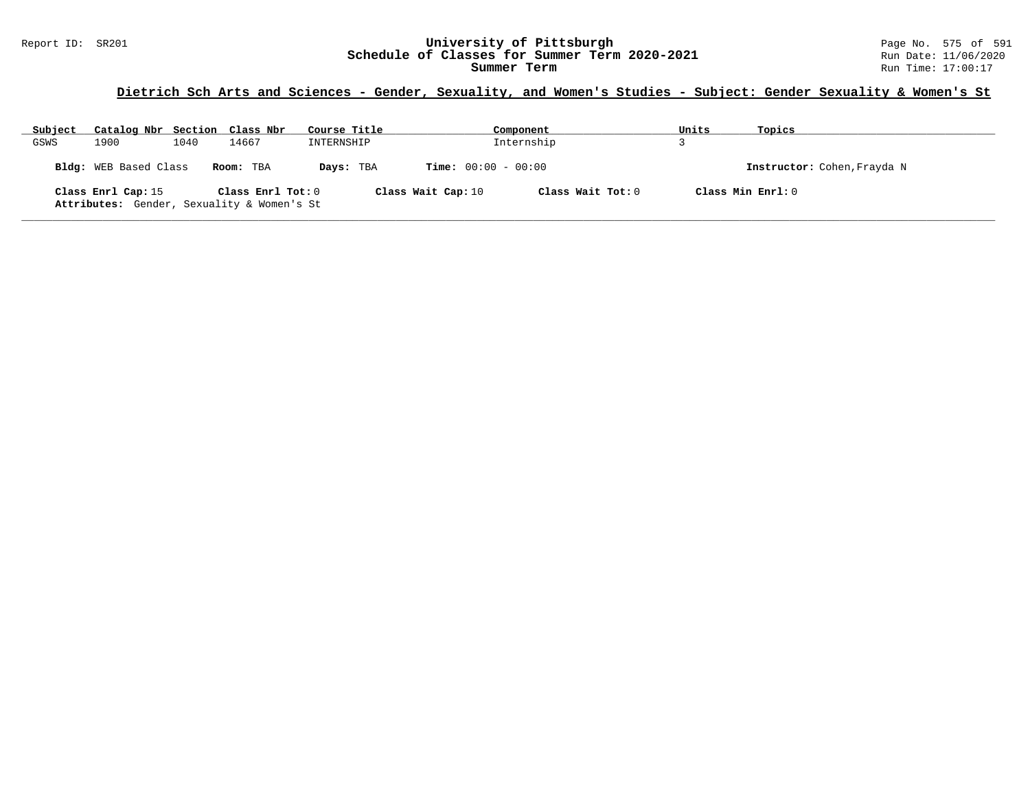# Report ID: SR201 **1988 Chedule of Classes for Summer Term 2020-2021** Page No. 575 of 591 Page No. 575 of 591 Page No. 575 of 591 Bage No. 575 of 591 Bage No. 575 of 591 Bage No. 575 of 591 Bate: 11/06/2020 Schedule of Classes for Summer Term 2020-2021

# **Dietrich Sch Arts and Sciences - Gender, Sexuality, and Women's Studies - Subject: Gender Sexuality & Women's St**

| Subject | Catalog Nbr Section Class Nbr                                    |      |                   | Course Title |                              | Component         | Units | Topics                      |
|---------|------------------------------------------------------------------|------|-------------------|--------------|------------------------------|-------------------|-------|-----------------------------|
| GSWS    | 1900                                                             | 1040 | 14667             | INTERNSHIP   |                              | Internship        |       |                             |
|         | Bldg: WEB Based Class                                            |      | Room: TBA         | Days: TBA    | <b>Time:</b> $00:00 - 00:00$ |                   |       | Instructor: Cohen, Frayda N |
|         | Class Enrl Cap: 15<br>Attributes: Gender, Sexuality & Women's St |      | Class Enrl Tot: 0 |              | Class Wait Cap: 10           | Class Wait Tot: 0 |       | Class Min Enrl: 0           |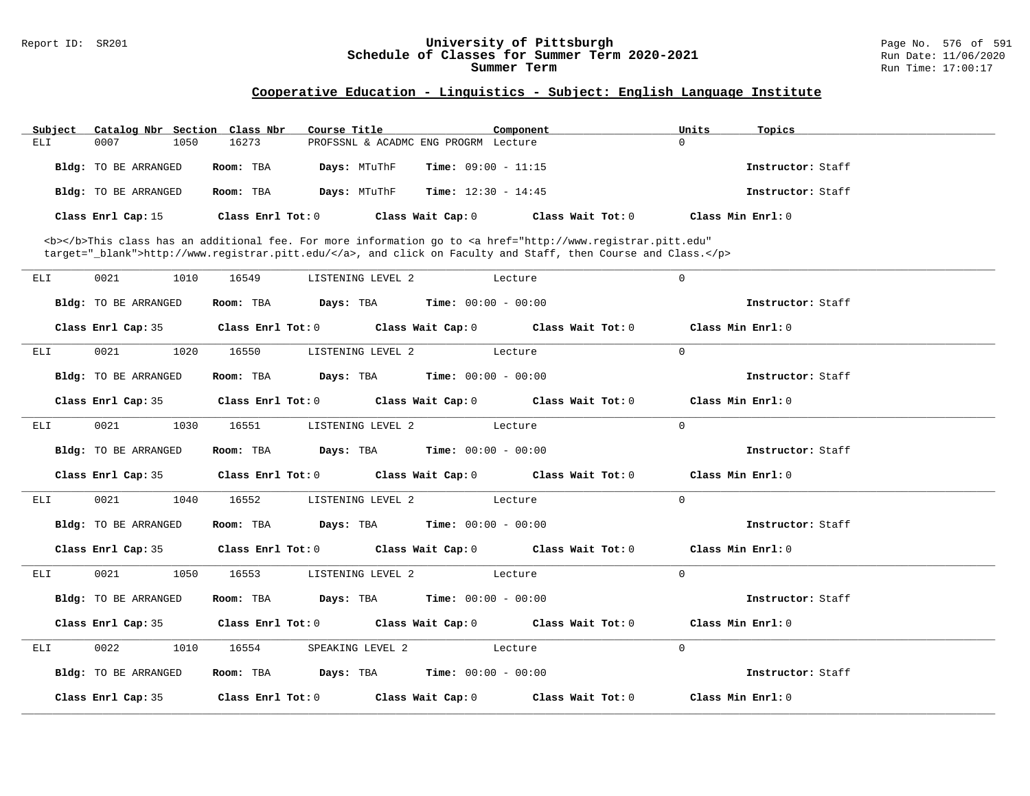### Report ID: SR201 **University of Pittsburgh** Page No. 576 of 591 **Schedule of Classes for Summer Term 2020-2021** Run Date: 11/06/2020 **Summer Term** Run Time: 17:00:17

# **Cooperative Education - Linguistics - Subject: English Language Institute**

| Subject | Catalog Nbr Section Class Nbr |                   | Course Title      | Component                            |                                                                                                                                                                                                                                    | Units | Topics              |
|---------|-------------------------------|-------------------|-------------------|--------------------------------------|------------------------------------------------------------------------------------------------------------------------------------------------------------------------------------------------------------------------------------|-------|---------------------|
| ELI     | 1050<br>0007                  | 16273             |                   | PROFSSNL & ACADMC ENG PROGRM Lecture |                                                                                                                                                                                                                                    | 0     |                     |
|         | <b>Bldg:</b> TO BE ARRANGED   | Room: TBA         | Days: MTuThF      | <b>Time:</b> $09:00 - 11:15$         |                                                                                                                                                                                                                                    |       | Instructor: Staff   |
|         | <b>Bldg:</b> TO BE ARRANGED   | Room: TBA         | Days: MTuThF      | <b>Time:</b> $12:30 - 14:45$         |                                                                                                                                                                                                                                    |       | Instructor: Staff   |
|         | Class Enrl Cap: 15            | Class Enrl Tot: 0 |                   | Class Wait Cap: 0                    | Class Wait $Tot: 0$                                                                                                                                                                                                                |       | Class Min $Enrl: 0$ |
|         |                               |                   |                   |                                      | <b></b> This class has an additional fee. For more information go to <a <br="" href="http://www.registrar.pitt.edu">target="_blank"&gt;http://www.registrar.pitt.edu/</a> , and click on Faculty and Staff, then Course and Class. |       |                     |
| ELI     | 0021<br>1010                  | 16549             | LISTENING LEVEL 2 | Lecture                              |                                                                                                                                                                                                                                    | 0     |                     |
|         | <b>Bldg:</b> TO BE ARRANGED   | Room: TBA         | Days: TBA         | <b>Time:</b> $00:00 - 00:00$         |                                                                                                                                                                                                                                    |       | Instructor: Staff   |
|         | Class Enrl Cap: 35            | Class Enrl Tot: 0 |                   | Class Wait Cap: 0                    | Class Wait Tot: 0                                                                                                                                                                                                                  |       | Class Min Enrl: 0   |

|     | Bldg: TO BE ARRANGED | Room: TBA $Days:$ TBA $Time: 00:00 - 00:00$                                                |                           | Instructor: Staff |
|-----|----------------------|--------------------------------------------------------------------------------------------|---------------------------|-------------------|
|     |                      | Class Enrl Cap: 35 Class Enrl Tot: 0 Class Wait Cap: 0 Class Wait Tot: 0 Class Min Enrl: 0 |                           |                   |
| ELI | 0021 1020            | 16550                                                                                      | LISTENING LEVEL 2 Lecture | $\Omega$          |
|     | Bldg: TO BE ARRANGED | Room: TBA $Days:$ TBA $Time: 00:00 - 00:00$                                                |                           | Instructor: Staff |
|     |                      | Class Enrl Cap: 35 Class Enrl Tot: 0 Class Wait Cap: 0 Class Wait Tot: 0 Class Min Enrl: 0 |                           |                   |
| ELI | 0021<br>1030         | 16551<br>LISTENING LEVEL 2 Lecture                                                         |                           | $\Omega$          |
|     | Bldg: TO BE ARRANGED | Room: TBA $Days: TBA$ Time: $00:00 - 00:00$                                                |                           | Instructor: Staff |
|     |                      | Class Enrl Cap: 35 Class Enrl Tot: 0 Class Wait Cap: 0 Class Wait Tot: 0 Class Min Enrl: 0 |                           |                   |
| ELI | 1040<br>0021         | 16552 LISTENING LEVEL 2 Lecture                                                            |                           | $\Omega$          |
|     | Bldg: TO BE ARRANGED | Room: TBA $Days:$ TBA $Time: 00:00 - 00:00$                                                |                           | Instructor: Staff |
|     |                      | Class Enrl Cap: 35 Class Enrl Tot: 0 Class Wait Cap: 0 Class Wait Tot: 0 Class Min Enrl: 0 |                           |                   |
| ELI | 0021<br>1050         | 16553 LISTENING LEVEL 2 Lecture                                                            |                           | $\Omega$          |
|     | Bldg: TO BE ARRANGED | Room: TBA $Days:$ TBA $Time: 00:00 - 00:00$                                                |                           | Instructor: Staff |
|     |                      | Class Enrl Cap: 35 Class Enrl Tot: 0 Class Wait Cap: 0 Class Wait Tot: 0 Class Min Enrl: 0 |                           |                   |
| ELI | 0022<br>1010         | 16554                                                                                      | SPEAKING LEVEL 2 Lecture  | $\Omega$          |
|     | Bldg: TO BE ARRANGED | Room: TBA $Days:$ TBA $Time: 00:00 - 00:00$                                                |                           | Instructor: Staff |
|     |                      | Class Enrl Cap: 35 Class Enrl Tot: 0 Class Wait Cap: 0 Class Wait Tot: 0 Class Min Enrl: 0 |                           |                   |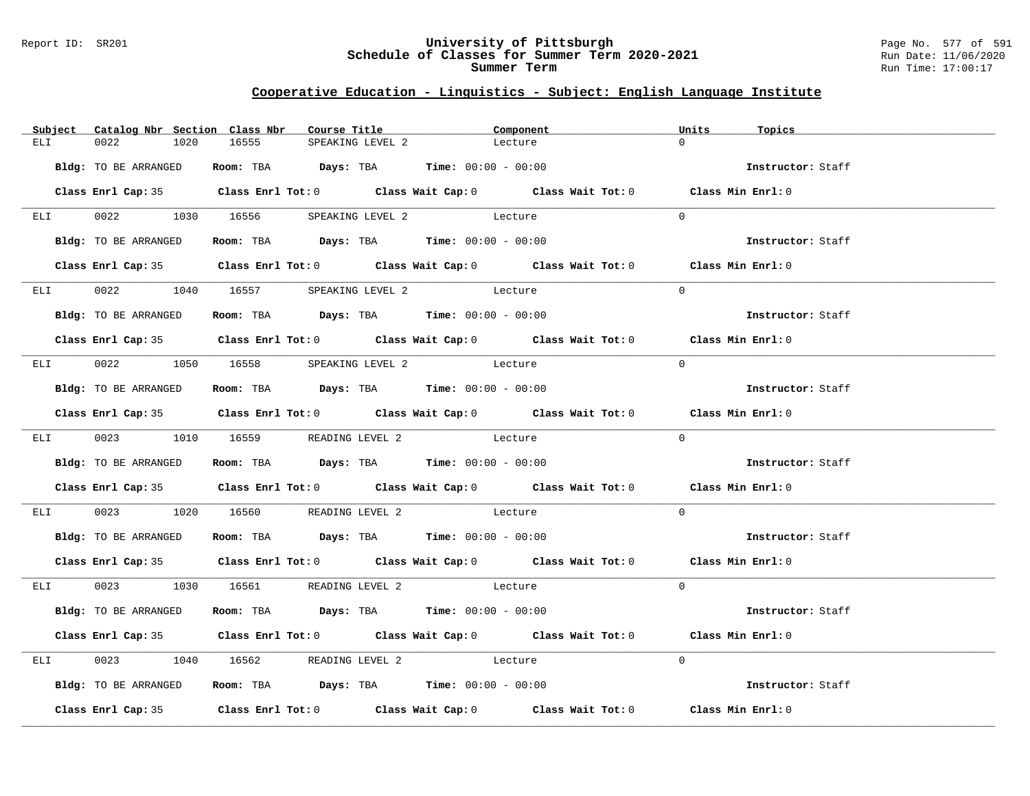#### Report ID: SR201 **University of Pittsburgh** Page No. 577 of 591 **Schedule of Classes for Summer Term 2020-2021** Run Date: 11/06/2020 **Summer Term** Run Time: 17:00:17

|                 | Subject Catalog Nbr Section Class Nbr | Course Title                                                   |                  | Component                                                                                  | Units<br>Topics   |  |
|-----------------|---------------------------------------|----------------------------------------------------------------|------------------|--------------------------------------------------------------------------------------------|-------------------|--|
| ELI             | 0022<br>1020                          | 16555                                                          | SPEAKING LEVEL 2 | Lecture                                                                                    | $\cap$            |  |
|                 | Bldg: TO BE ARRANGED                  | Room: TBA $Days:$ TBA $Time: 00:00 - 00:00$                    |                  |                                                                                            | Instructor: Staff |  |
|                 |                                       |                                                                |                  | Class Enrl Cap: 35 Class Enrl Tot: 0 Class Wait Cap: 0 Class Wait Tot: 0 Class Min Enrl: 0 |                   |  |
| ELI             |                                       | 0022 1030 16556 SPEAKING LEVEL 2 Lecture                       |                  |                                                                                            | $\Omega$          |  |
|                 | Bldg: TO BE ARRANGED                  | Room: TBA $Days:$ TBA $Time: 00:00 - 00:00$                    |                  |                                                                                            | Instructor: Staff |  |
|                 |                                       |                                                                |                  | Class Enrl Cap: 35 Class Enrl Tot: 0 Class Wait Cap: 0 Class Wait Tot: 0 Class Min Enrl: 0 |                   |  |
|                 |                                       | ELI 0022 1040 16557 SPEAKING LEVEL 2 Lecture                   |                  |                                                                                            | $\Omega$          |  |
|                 | Bldg: TO BE ARRANGED                  | Room: TBA Days: TBA Time: $00:00 - 00:00$                      |                  |                                                                                            | Instructor: Staff |  |
|                 |                                       |                                                                |                  | Class Enrl Cap: 35 Class Enrl Tot: 0 Class Wait Cap: 0 Class Wait Tot: 0 Class Min Enrl: 0 |                   |  |
|                 |                                       | ELI 0022 1050 16558 SPEAKING LEVEL 2 Lecture                   |                  |                                                                                            | $\Omega$          |  |
|                 | Bldg: TO BE ARRANGED                  | Room: TBA $Days: TBA$ Time: $00:00 - 00:00$                    |                  |                                                                                            | Instructor: Staff |  |
|                 |                                       |                                                                |                  | Class Enrl Cap: 35 Class Enrl Tot: 0 Class Wait Cap: 0 Class Wait Tot: 0 Class Min Enrl: 0 |                   |  |
|                 |                                       | ELI 0023 1010 16559 READING LEVEL 2 Lecture                    |                  |                                                                                            | $\Omega$          |  |
|                 | Bldg: TO BE ARRANGED                  | Room: TBA $\rule{1em}{0.15mm}$ Days: TBA Time: $00:00 - 00:00$ |                  |                                                                                            | Instructor: Staff |  |
|                 |                                       |                                                                |                  | Class Enrl Cap: 35 Class Enrl Tot: 0 Class Wait Cap: 0 Class Wait Tot: 0 Class Min Enrl: 0 |                   |  |
| ELI <b>ELET</b> |                                       | 0023 1020 16560 READING LEVEL 2 Lecture                        |                  |                                                                                            | $\Omega$          |  |
|                 |                                       | Bldg: TO BE ARRANGED ROOM: TBA Days: TBA Time: 00:00 - 00:00   |                  |                                                                                            | Instructor: Staff |  |
|                 |                                       |                                                                |                  | Class Enrl Cap: 35 Class Enrl Tot: 0 Class Wait Cap: 0 Class Wait Tot: 0 Class Min Enrl: 0 |                   |  |
|                 |                                       | ELI 0023 1030 16561 READING LEVEL 2 Lecture                    |                  |                                                                                            | $\Omega$          |  |
|                 | Bldg: TO BE ARRANGED                  | Room: TBA $Days: TBA$ Time: $00:00 - 00:00$                    |                  |                                                                                            | Instructor: Staff |  |
|                 |                                       |                                                                |                  | Class Enrl Cap: 35 Class Enrl Tot: 0 Class Wait Cap: 0 Class Wait Tot: 0 Class Min Enrl: 0 |                   |  |
| ELI <b>ELET</b> |                                       | 0023 1040 16562 READING LEVEL 2 Lecture                        |                  |                                                                                            | $\Omega$          |  |
|                 | Bldg: TO BE ARRANGED                  | Room: TBA $\rule{1em}{0.15mm}$ Days: TBA Time: $00:00 - 00:00$ |                  |                                                                                            | Instructor: Staff |  |
|                 |                                       |                                                                |                  | Class Enrl Cap: 35 Class Enrl Tot: 0 Class Wait Cap: 0 Class Wait Tot: 0                   | Class Min Enrl: 0 |  |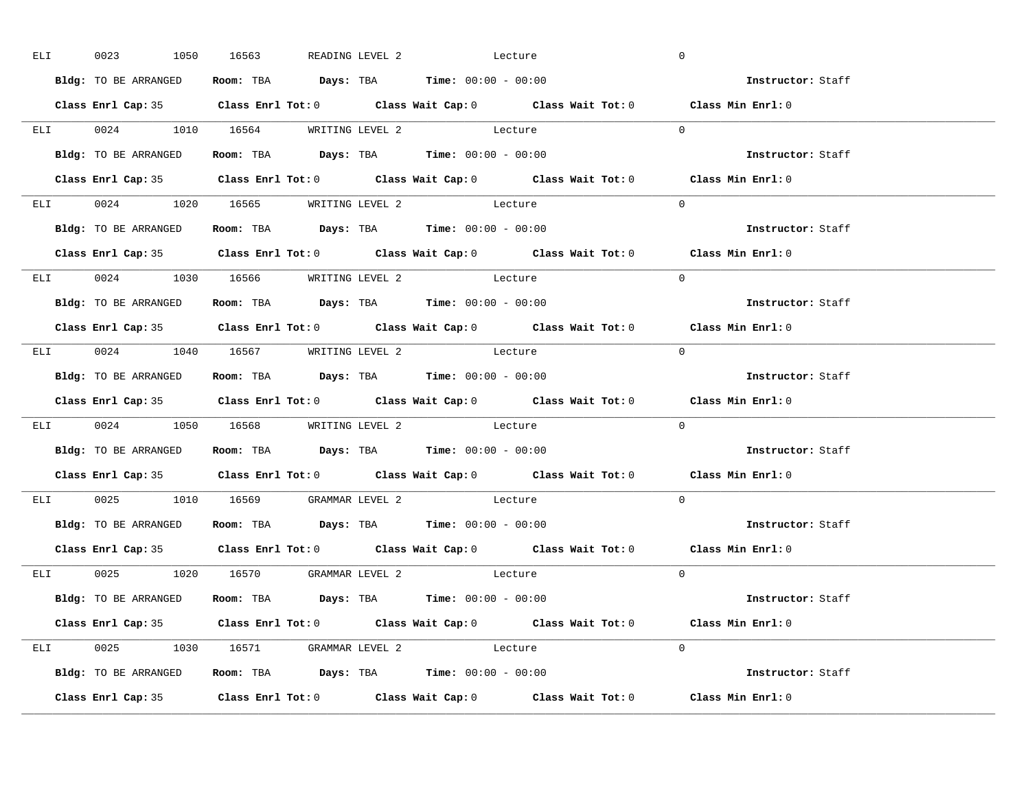| ELI | 0023                                | 1050 16563 |  | READING LEVEL 2 Lecture                                                                    |                                                             | $\overline{0}$                                                                             |  |
|-----|-------------------------------------|------------|--|--------------------------------------------------------------------------------------------|-------------------------------------------------------------|--------------------------------------------------------------------------------------------|--|
|     | Bldg: TO BE ARRANGED                |            |  | Room: TBA $Days:$ TBA Time: $00:00 - 00:00$                                                |                                                             | Instructor: Staff                                                                          |  |
|     |                                     |            |  |                                                                                            |                                                             | Class Enrl Cap: 35 Class Enrl Tot: 0 Class Wait Cap: 0 Class Wait Tot: 0 Class Min Enrl: 0 |  |
|     |                                     |            |  | ELI 0024 1010 16564 WRITING LEVEL 2 Lecture                                                |                                                             | $\Omega$                                                                                   |  |
|     | Bldg: TO BE ARRANGED                |            |  | Room: TBA $Days:$ TBA $Time: 00:00 - 00:00$                                                |                                                             | Instructor: Staff                                                                          |  |
|     |                                     |            |  |                                                                                            |                                                             | Class Enrl Cap: 35 Class Enrl Tot: 0 Class Wait Cap: 0 Class Wait Tot: 0 Class Min Enrl: 0 |  |
|     |                                     |            |  | ELI 0024 1020 16565 WRITING LEVEL 2 Lecture                                                |                                                             | $\Omega$                                                                                   |  |
|     |                                     |            |  | Bldg: TO BE ARRANGED Room: TBA Days: TBA Time: 00:00 - 00:00                               |                                                             | Instructor: Staff                                                                          |  |
|     |                                     |            |  |                                                                                            |                                                             | Class Enrl Cap: 35 Class Enrl Tot: 0 Class Wait Cap: 0 Class Wait Tot: 0 Class Min Enrl: 0 |  |
|     |                                     |            |  | ELI 0024 1030 16566 WRITING LEVEL 2 Lecture                                                |                                                             | $\Omega$                                                                                   |  |
|     |                                     |            |  | <b>Bldg:</b> TO BE ARRANGED <b>Room:</b> TBA <b>Days:</b> TBA <b>Time:</b> $00:00 - 00:00$ |                                                             | Instructor: Staff                                                                          |  |
|     |                                     |            |  |                                                                                            |                                                             | Class Enrl Cap: 35 Class Enrl Tot: 0 Class Wait Cap: 0 Class Wait Tot: 0 Class Min Enrl: 0 |  |
|     | ELI 0024 1040 16567 WRITING LEVEL 2 |            |  | Lecture                                                                                    |                                                             | $\Omega$                                                                                   |  |
|     |                                     |            |  | Bldg: TO BE ARRANGED Room: TBA Days: TBA Time: 00:00 - 00:00                               |                                                             | Instructor: Staff                                                                          |  |
|     |                                     |            |  |                                                                                            |                                                             |                                                                                            |  |
|     |                                     |            |  |                                                                                            |                                                             | Class Enrl Cap: 35 Class Enrl Tot: 0 Class Wait Cap: 0 Class Wait Tot: 0 Class Min Enrl: 0 |  |
|     |                                     |            |  | ELI 0024 1050 16568 WRITING LEVEL 2 Lecture                                                |                                                             | $\overline{0}$                                                                             |  |
|     |                                     |            |  | Bldg: TO BE ARRANGED Room: TBA Days: TBA Time: 00:00 - 00:00                               |                                                             | <b>Instructor:</b> Staff                                                                   |  |
|     |                                     |            |  |                                                                                            |                                                             | Class Enrl Cap: 35 Class Enrl Tot: 0 Class Wait Cap: 0 Class Wait Tot: 0 Class Min Enrl: 0 |  |
|     |                                     |            |  | ELI 0025 1010 16569 GRAMMAR LEVEL 2 Lecture                                                |                                                             | $\Omega$                                                                                   |  |
|     |                                     |            |  | Bldg: TO BE ARRANGED Room: TBA Days: TBA Time: 00:00 - 00:00                               |                                                             | Instructor: Staff                                                                          |  |
|     | Class Enrl Cap: 35                  |            |  |                                                                                            | Class Enrl Tot: $0$ Class Wait Cap: $0$ Class Wait Tot: $0$ | Class Min Enrl: 0                                                                          |  |
|     | ELI 0025 1020 16570 GRAMMAR LEVEL 2 |            |  | Lecture                                                                                    |                                                             | $\Omega$                                                                                   |  |
|     |                                     |            |  | Bldg: TO BE ARRANGED Room: TBA Days: TBA Time: 00:00 - 00:00                               |                                                             | Instructor: Staff                                                                          |  |
|     |                                     |            |  |                                                                                            |                                                             | Class Enrl Cap: 35 Class Enrl Tot: 0 Class Wait Cap: 0 Class Wait Tot: 0 Class Min Enrl: 0 |  |
|     |                                     |            |  | ELI 0025 1030 16571 GRAMMAR LEVEL 2 Lecture                                                |                                                             | $\Omega$                                                                                   |  |
|     |                                     |            |  | Bldg: TO BE ARRANGED <b>Room:</b> TBA <b>Days:</b> TBA <b>Time:</b> $00:00 - 00:00$        |                                                             | Instructor: Staff                                                                          |  |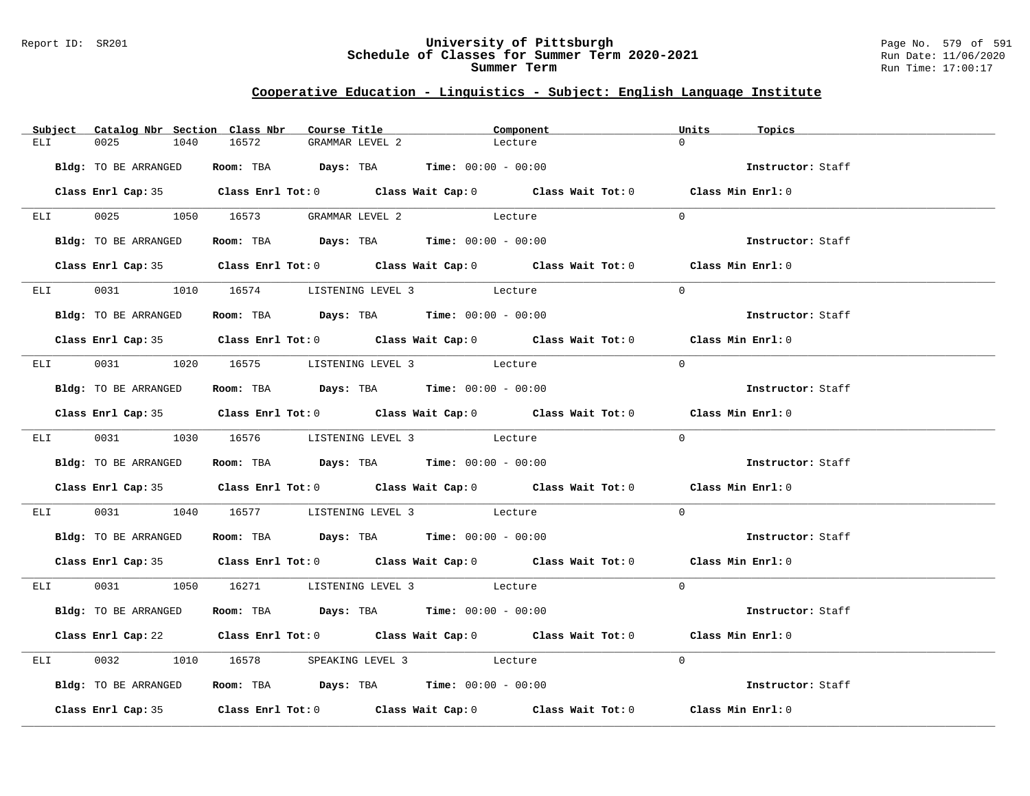#### Report ID: SR201 **University of Pittsburgh** Page No. 579 of 591 **Schedule of Classes for Summer Term 2020-2021** Run Date: 11/06/2020 **Summer Term** Run Time: 17:00:17

|                 | Subject Catalog Nbr Section Class Nbr | Course Title                                                   | Component                                                                                  | Units<br>Topics   |
|-----------------|---------------------------------------|----------------------------------------------------------------|--------------------------------------------------------------------------------------------|-------------------|
| ELI             | 0025<br>1040                          | 16572<br>GRAMMAR LEVEL 2                                       | Lecture                                                                                    | $\cap$            |
|                 | Bldg: TO BE ARRANGED                  | Room: TBA $Days:$ TBA $Time: 00:00 - 00:00$                    |                                                                                            | Instructor: Staff |
|                 |                                       |                                                                | Class Enrl Cap: 35 Class Enrl Tot: 0 Class Wait Cap: 0 Class Wait Tot: 0 Class Min Enrl: 0 |                   |
|                 |                                       | ELI 0025 1050 16573 GRAMMAR LEVEL 2 Lecture                    |                                                                                            | $\Omega$          |
|                 | Bldg: TO BE ARRANGED                  | Room: TBA $Days:$ TBA Time: $00:00 - 00:00$                    |                                                                                            | Instructor: Staff |
|                 |                                       |                                                                | Class Enrl Cap: 35 Class Enrl Tot: 0 Class Wait Cap: 0 Class Wait Tot: 0 Class Min Enrl: 0 |                   |
|                 |                                       | ELI 0031 1010 16574 LISTENING LEVEL 3 Lecture                  |                                                                                            | $\Omega$          |
|                 | Bldg: TO BE ARRANGED                  | Room: TBA $Days:$ TBA Time: $00:00 - 00:00$                    |                                                                                            | Instructor: Staff |
|                 |                                       |                                                                | Class Enrl Cap: 35 Class Enrl Tot: 0 Class Wait Cap: 0 Class Wait Tot: 0 Class Min Enrl: 0 |                   |
|                 |                                       | ELI 0031 1020 16575 LISTENING LEVEL 3 Lecture                  |                                                                                            | $\Omega$          |
|                 | Bldg: TO BE ARRANGED                  | Room: TBA $Days:$ TBA $Time: 00:00 - 00:00$                    |                                                                                            | Instructor: Staff |
|                 |                                       |                                                                | Class Enrl Cap: 35 Class Enrl Tot: 0 Class Wait Cap: 0 Class Wait Tot: 0 Class Min Enrl: 0 |                   |
|                 |                                       | ELI 0031 1030 16576 LISTENING LEVEL 3 Lecture                  |                                                                                            | $\Omega$          |
|                 | Bldg: TO BE ARRANGED                  | Room: TBA $\rule{1em}{0.15mm}$ Days: TBA Time: $00:00 - 00:00$ |                                                                                            | Instructor: Staff |
|                 |                                       |                                                                | Class Enrl Cap: 35 Class Enrl Tot: 0 Class Wait Cap: 0 Class Wait Tot: 0 Class Min Enrl: 0 |                   |
| ELI <b>ELET</b> |                                       | 0031 1040 16577 LISTENING LEVEL 3 Lecture                      |                                                                                            | $\Omega$          |
|                 | Bldg: TO BE ARRANGED                  | Room: TBA $Days:$ TBA $Time: 00:00 - 00:00$                    |                                                                                            | Instructor: Staff |
|                 |                                       |                                                                | Class Enrl Cap: 35 Class Enrl Tot: 0 Class Wait Cap: 0 Class Wait Tot: 0 Class Min Enrl: 0 |                   |
|                 |                                       | ELI 0031 1050 16271 LISTENING LEVEL 3 Lecture                  |                                                                                            | $\Omega$          |
|                 | Bldg: TO BE ARRANGED                  | Room: TBA $\rule{1em}{0.15mm}$ Days: TBA Time: $00:00 - 00:00$ |                                                                                            | Instructor: Staff |
|                 |                                       |                                                                | Class Enrl Cap: 22 Class Enrl Tot: 0 Class Wait Cap: 0 Class Wait Tot: 0 Class Min Enrl: 0 |                   |
| ELI <b>ELET</b> |                                       | 0032 1010 16578 SPEAKING LEVEL 3 Lecture                       |                                                                                            | $\Omega$          |
|                 | Bldg: TO BE ARRANGED                  | Room: TBA $Days:$ TBA $Time: 00:00 - 00:00$                    |                                                                                            | Instructor: Staff |
|                 |                                       |                                                                | Class Enrl Cap: 35 Class Enrl Tot: 0 Class Wait Cap: 0 Class Wait Tot: 0 Class Min Enrl: 0 |                   |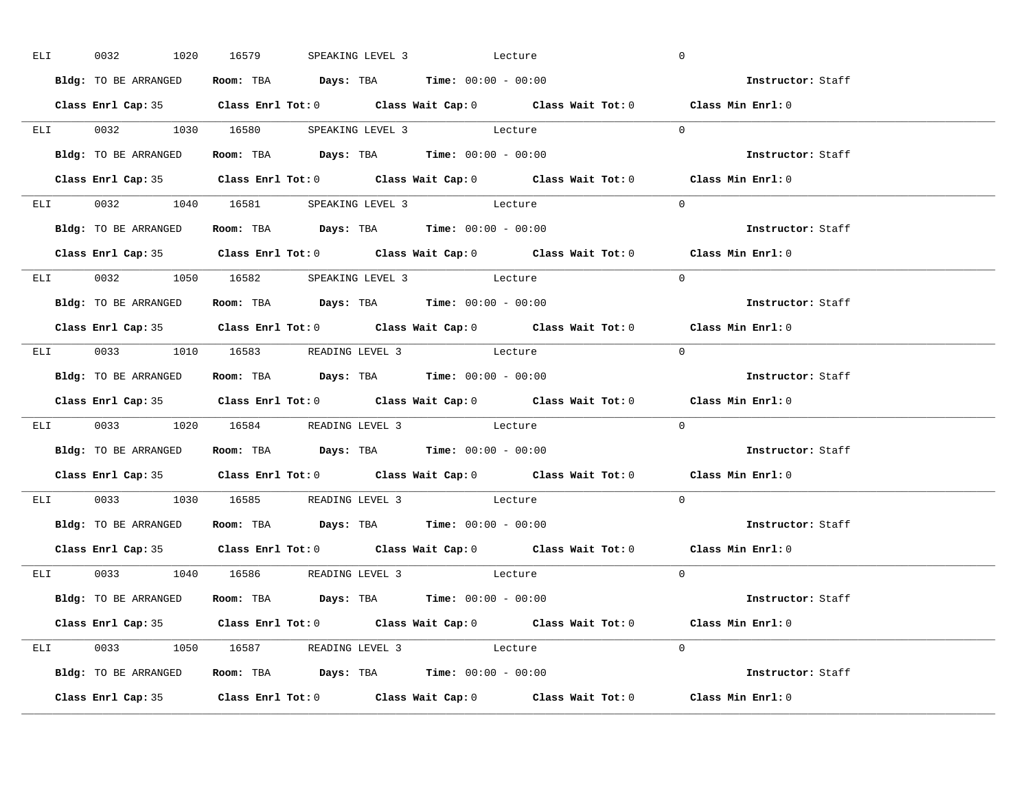| ELI <b>ELI</b> | 0032                                |  |  | 1020 16579 SPEAKING LEVEL 3 Lecture                                                        | $\overline{0}$                                                                                     |  |
|----------------|-------------------------------------|--|--|--------------------------------------------------------------------------------------------|----------------------------------------------------------------------------------------------------|--|
|                | Bldg: TO BE ARRANGED                |  |  | Room: TBA $Days:$ TBA Time: $00:00 - 00:00$                                                | <b>Example 2</b> Instructor: Staff                                                                 |  |
|                |                                     |  |  |                                                                                            | Class Enrl Cap: 35 Class Enrl Tot: 0 Class Wait Cap: 0 Class Wait Tot: 0 Class Min Enrl: 0         |  |
|                |                                     |  |  | ELI 0032 1030 16580 SPEAKING LEVEL 3 Lecture                                               | $\Omega$                                                                                           |  |
|                | Bldg: TO BE ARRANGED                |  |  | Room: TBA $Days:$ TBA Time: $00:00 - 00:00$                                                | Instructor: Staff                                                                                  |  |
|                |                                     |  |  |                                                                                            | Class Enrl Cap: 35 Class Enrl Tot: 0 Class Wait Cap: 0 Class Wait Tot: 0 Class Min Enrl: 0         |  |
|                |                                     |  |  | ELI 0032 1040 16581 SPEAKING LEVEL 3 Lecture                                               | $\Omega$                                                                                           |  |
|                |                                     |  |  | Bldg: TO BE ARRANGED ROOM: TBA Days: TBA Time: 00:00 - 00:00                               | Instructor: Staff                                                                                  |  |
|                |                                     |  |  |                                                                                            | Class Enrl Cap: 35 Class Enrl Tot: 0 Class Wait Cap: 0 Class Wait Tot: 0 Class Min Enrl: 0         |  |
|                |                                     |  |  | ELI 0032 1050 16582 SPEAKING LEVEL 3 Lecture                                               | $\Omega$                                                                                           |  |
|                |                                     |  |  | Bldg: TO BE ARRANGED Room: TBA Days: TBA Time: 00:00 - 00:00                               | Instructor: Staff                                                                                  |  |
|                |                                     |  |  |                                                                                            | Class Enrl Cap: 35 Class Enrl Tot: 0 Class Wait Cap: 0 Class Wait Tot: 0 Class Min Enrl: 0         |  |
|                |                                     |  |  | ELI 0033 1010 16583 READING LEVEL 3 Lecture                                                | $\Omega$                                                                                           |  |
|                |                                     |  |  | Bldg: TO BE ARRANGED Room: TBA Days: TBA Time: 00:00 - 00:00                               | Instructor: Staff                                                                                  |  |
|                |                                     |  |  |                                                                                            |                                                                                                    |  |
|                |                                     |  |  |                                                                                            | Class Enrl Cap: 35 Class Enrl Tot: 0 Class Wait Cap: 0 Class Wait Tot: 0 Class Min Enrl: 0         |  |
|                |                                     |  |  | ELI 0033 1020 16584 READING LEVEL 3 Lecture                                                | $\Omega$                                                                                           |  |
|                |                                     |  |  | Bldg: TO BE ARRANGED Room: TBA Days: TBA Time: 00:00 - 00:00                               | Instructor: Staff                                                                                  |  |
|                |                                     |  |  |                                                                                            | Class Enrl Cap: 35 Class Enrl Tot: 0 Class Wait Cap: 0 Class Wait Tot: 0 Class Min Enrl: 0         |  |
|                |                                     |  |  | ELI 0033 1030 16585 READING LEVEL 3 Lecture                                                | $\Omega$                                                                                           |  |
|                |                                     |  |  | Bldg: TO BE ARRANGED Room: TBA Days: TBA Time: 00:00 - 00:00                               | Instructor: Staff                                                                                  |  |
|                | Class Enrl Cap: 35                  |  |  |                                                                                            | Class Enrl Tot: 0 $\qquad$ Class Wait Cap: 0 $\qquad$ Class Wait Tot: 0 $\qquad$ Class Min Enrl: 0 |  |
|                | ELI 0033 1040 16586 READING LEVEL 3 |  |  | Lecture                                                                                    | $\Omega$                                                                                           |  |
|                |                                     |  |  | <b>Bldg:</b> TO BE ARRANGED <b>Room:</b> TBA <b>Days:</b> TBA <b>Time:</b> $00:00 - 00:00$ | <b>Instructor:</b> Staff                                                                           |  |
|                |                                     |  |  |                                                                                            | Class Enrl Cap: 35 Class Enrl Tot: 0 Class Wait Cap: 0 Class Wait Tot: 0 Class Min Enrl: 0         |  |
|                |                                     |  |  | ELI 0033 1050 16587 READING LEVEL 3 Lecture                                                | $\Omega$                                                                                           |  |
|                |                                     |  |  | Bldg: TO BE ARRANGED <b>Room:</b> TBA <b>Days:</b> TBA <b>Time:</b> $00:00 - 00:00$        | Instructor: Staff                                                                                  |  |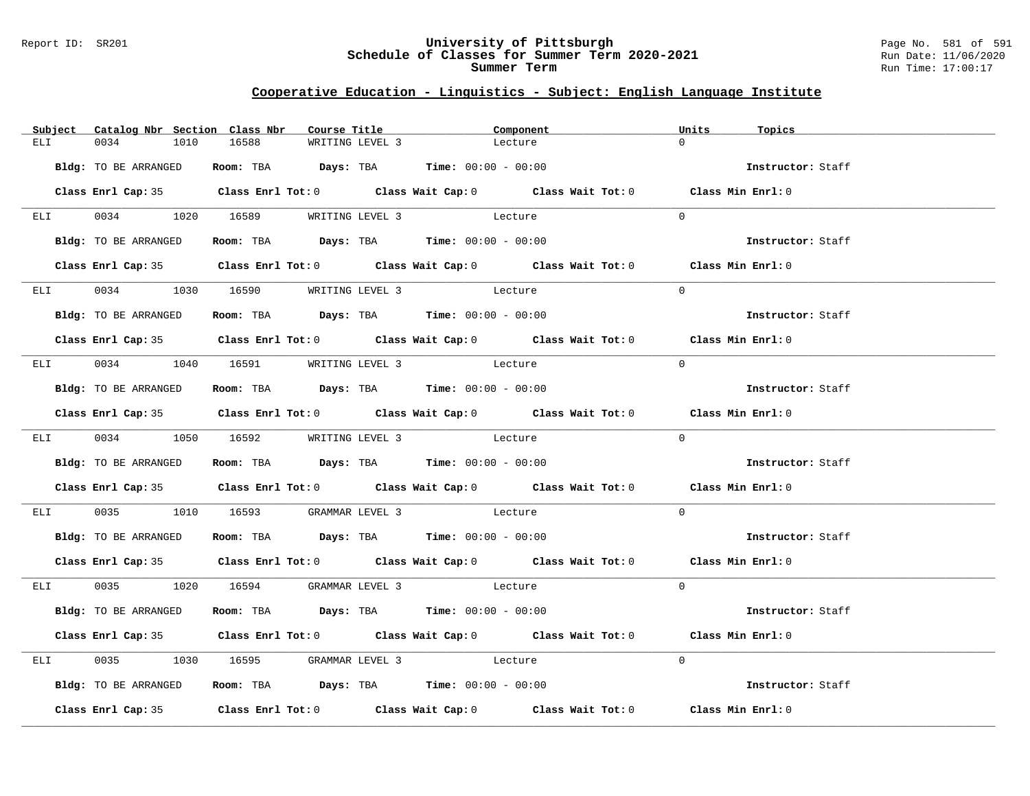#### Report ID: SR201 **University of Pittsburgh** Page No. 581 of 591 **Schedule of Classes for Summer Term 2020-2021** Run Date: 11/06/2020 **Summer Term** Run Time: 17:00:17

|                 | Subject Catalog Nbr Section Class Nbr | Course Title                                                   |                 | Component                                                                                  | Units<br>Topics   |  |
|-----------------|---------------------------------------|----------------------------------------------------------------|-----------------|--------------------------------------------------------------------------------------------|-------------------|--|
| ELI             | 0034<br>1010                          | 16588                                                          | WRITING LEVEL 3 | Lecture                                                                                    | $\cap$            |  |
|                 | Bldg: TO BE ARRANGED                  | Room: TBA $Days:$ TBA $Time: 00:00 - 00:00$                    |                 |                                                                                            | Instructor: Staff |  |
|                 |                                       |                                                                |                 | Class Enrl Cap: 35 Class Enrl Tot: 0 Class Wait Cap: 0 Class Wait Tot: 0 Class Min Enrl: 0 |                   |  |
| ELI <b>ELET</b> |                                       | 0034 1020 16589 WRITING LEVEL 3 Lecture                        |                 |                                                                                            | $\Omega$          |  |
|                 | Bldg: TO BE ARRANGED                  | Room: TBA Days: TBA Time: $00:00 - 00:00$                      |                 |                                                                                            | Instructor: Staff |  |
|                 |                                       |                                                                |                 | Class Enrl Cap: 35 Class Enrl Tot: 0 Class Wait Cap: 0 Class Wait Tot: 0 Class Min Enrl: 0 |                   |  |
|                 |                                       | ELI 0034 1030 16590 WRITING LEVEL 3 Lecture                    |                 |                                                                                            | $\Omega$          |  |
|                 | Bldg: TO BE ARRANGED                  | Room: TBA $\rule{1em}{0.15mm}$ Days: TBA Time: $00:00 - 00:00$ |                 |                                                                                            | Instructor: Staff |  |
|                 |                                       |                                                                |                 | Class Enrl Cap: 35 Class Enrl Tot: 0 Class Wait Cap: 0 Class Wait Tot: 0 Class Min Enrl: 0 |                   |  |
|                 |                                       | ELI 0034 1040 16591 WRITING LEVEL 3 Lecture                    |                 |                                                                                            | $\Omega$          |  |
|                 | Bldg: TO BE ARRANGED                  | Room: TBA $\rule{1em}{0.15mm}$ Days: TBA Time: $00:00 - 00:00$ |                 |                                                                                            | Instructor: Staff |  |
|                 |                                       |                                                                |                 | Class Enrl Cap: 35 Class Enrl Tot: 0 Class Wait Cap: 0 Class Wait Tot: 0 Class Min Enrl: 0 |                   |  |
|                 |                                       | ELI 0034 1050 16592 WRITING LEVEL 3 Lecture                    |                 |                                                                                            | $\Omega$          |  |
|                 | Bldg: TO BE ARRANGED                  | Room: TBA $\rule{1em}{0.15mm}$ Days: TBA Time: $00:00 - 00:00$ |                 |                                                                                            | Instructor: Staff |  |
|                 |                                       |                                                                |                 | Class Enrl Cap: 35 Class Enrl Tot: 0 Class Wait Cap: 0 Class Wait Tot: 0 Class Min Enrl: 0 |                   |  |
| ELI <b>ELET</b> |                                       | 0035 1010 16593 GRAMMAR LEVEL 3 Lecture                        |                 |                                                                                            | $\Omega$          |  |
|                 | Bldg: TO BE ARRANGED                  | Room: TBA $Days: TBA$ Time: $00:00 - 00:00$                    |                 |                                                                                            | Instructor: Staff |  |
|                 |                                       |                                                                |                 | Class Enrl Cap: 35 Class Enrl Tot: 0 Class Wait Cap: 0 Class Wait Tot: 0 Class Min Enrl: 0 |                   |  |
|                 |                                       | ELI 0035 1020 16594 GRAMMAR LEVEL 3 Lecture                    |                 |                                                                                            | $\Omega$          |  |
|                 | Bldg: TO BE ARRANGED                  | Room: TBA $Days:$ TBA $Time: 00:00 - 00:00$                    |                 |                                                                                            | Instructor: Staff |  |
|                 |                                       |                                                                |                 | Class Enrl Cap: 35 Class Enrl Tot: 0 Class Wait Cap: 0 Class Wait Tot: 0 Class Min Enrl: 0 |                   |  |
| ELI <b>ELET</b> |                                       | 0035 1030 16595 GRAMMAR LEVEL 3 Lecture                        |                 |                                                                                            | $\Omega$          |  |
|                 | Bldg: TO BE ARRANGED                  | Room: TBA $\rule{1em}{0.15mm}$ Days: TBA Time: $00:00 - 00:00$ |                 |                                                                                            | Instructor: Staff |  |
|                 |                                       |                                                                |                 | Class Enrl Cap: 35 Class Enrl Tot: 0 Class Wait Cap: 0 Class Wait Tot: 0                   | Class Min Enrl: 0 |  |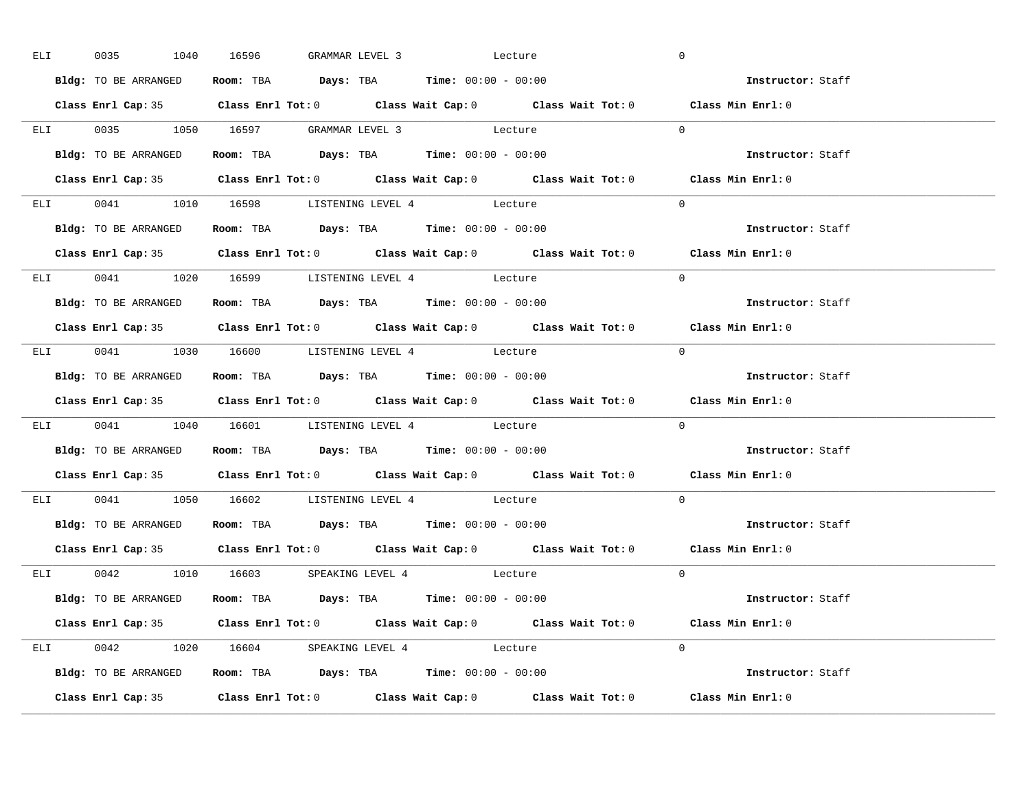| ELI <b>ELI</b> |                      |  | 0035 1040 16596 GRAMMAR LEVEL 3 Lecture                                                    |                                                                                            | $\overline{0}$           |  |
|----------------|----------------------|--|--------------------------------------------------------------------------------------------|--------------------------------------------------------------------------------------------|--------------------------|--|
|                | Bldg: TO BE ARRANGED |  | Room: TBA $Days:$ TBA Time: $00:00 - 00:00$                                                |                                                                                            | Instructor: Staff        |  |
|                |                      |  |                                                                                            | Class Enrl Cap: 35 Class Enrl Tot: 0 Class Wait Cap: 0 Class Wait Tot: 0 Class Min Enrl: 0 |                          |  |
|                |                      |  | ELI 0035 1050 16597 GRAMMAR LEVEL 3 Lecture                                                |                                                                                            | $\Omega$                 |  |
|                | Bldg: TO BE ARRANGED |  | Room: TBA $Days:$ TBA Time: $00:00 - 00:00$                                                |                                                                                            | Instructor: Staff        |  |
|                |                      |  |                                                                                            | Class Enrl Cap: 35 Class Enrl Tot: 0 Class Wait Cap: 0 Class Wait Tot: 0 Class Min Enrl: 0 |                          |  |
|                |                      |  | ELI 0041 1010 16598 LISTENING LEVEL 4 Lecture                                              |                                                                                            | $\Omega$                 |  |
|                |                      |  | Bldg: TO BE ARRANGED ROOM: TBA Days: TBA Time: 00:00 - 00:00                               |                                                                                            | Instructor: Staff        |  |
|                |                      |  |                                                                                            | Class Enrl Cap: 35 Class Enrl Tot: 0 Class Wait Cap: 0 Class Wait Tot: 0 Class Min Enrl: 0 |                          |  |
|                |                      |  | ELI 0041 1020 16599 LISTENING LEVEL 4 Lecture                                              |                                                                                            | $\Omega$                 |  |
|                | Bldg: TO BE ARRANGED |  | Room: TBA $Days:$ TBA $Time: 00:00 - 00:00$                                                |                                                                                            | Instructor: Staff        |  |
|                |                      |  |                                                                                            | Class Enrl Cap: 35 Class Enrl Tot: 0 Class Wait Cap: 0 Class Wait Tot: 0 Class Min Enrl: 0 |                          |  |
|                |                      |  | ELI 0041 1030 16600 LISTENING LEVEL 4 Lecture                                              |                                                                                            | $\Omega$                 |  |
|                |                      |  | Bldg: TO BE ARRANGED Room: TBA Days: TBA Time: 00:00 - 00:00                               |                                                                                            | Instructor: Staff        |  |
|                |                      |  |                                                                                            |                                                                                            |                          |  |
|                |                      |  |                                                                                            | Class Enrl Cap: 35 Class Enrl Tot: 0 Class Wait Cap: 0 Class Wait Tot: 0 Class Min Enrl: 0 |                          |  |
|                |                      |  | ELI 0041 1040 16601 LISTENING LEVEL 4 Lecture                                              |                                                                                            | $\Omega$                 |  |
|                |                      |  | Bldg: TO BE ARRANGED ROOM: TBA Days: TBA Time: 00:00 - 00:00                               |                                                                                            | Instructor: Staff        |  |
|                |                      |  |                                                                                            | Class Enrl Cap: 35 Class Enrl Tot: 0 Class Wait Cap: 0 Class Wait Tot: 0 Class Min Enrl: 0 |                          |  |
|                |                      |  | ELI 0041 1050 16602 LISTENING LEVEL 4 Lecture                                              |                                                                                            | $\Omega$                 |  |
|                |                      |  | Bldg: TO BE ARRANGED Room: TBA Days: TBA Time: 00:00 - 00:00                               |                                                                                            | Instructor: Staff        |  |
|                | Class Enrl Cap: 35   |  |                                                                                            | Class Enrl Tot: $0$ Class Wait Cap: $0$ Class Wait Tot: $0$ Class Min Enrl: $0$            |                          |  |
|                |                      |  | ELI 0042 1010 16603 SPEAKING LEVEL 4 Lecture                                               |                                                                                            | $\Omega$                 |  |
|                |                      |  | <b>Bldg:</b> TO BE ARRANGED <b>Room:</b> TBA <b>Days:</b> TBA <b>Time:</b> $00:00 - 00:00$ |                                                                                            | <b>Instructor:</b> Staff |  |
|                |                      |  |                                                                                            | Class Enrl Cap: 35 Class Enrl Tot: 0 Class Wait Cap: 0 Class Wait Tot: 0 Class Min Enrl: 0 |                          |  |
|                |                      |  | ELI 0042 1020 16604 SPEAKING LEVEL 4 Lecture                                               |                                                                                            | $\Omega$                 |  |
|                |                      |  | Bldg: TO BE ARRANGED <b>Room:</b> TBA <b>Days:</b> TBA <b>Time:</b> $00:00 - 00:00$        |                                                                                            | Instructor: Staff        |  |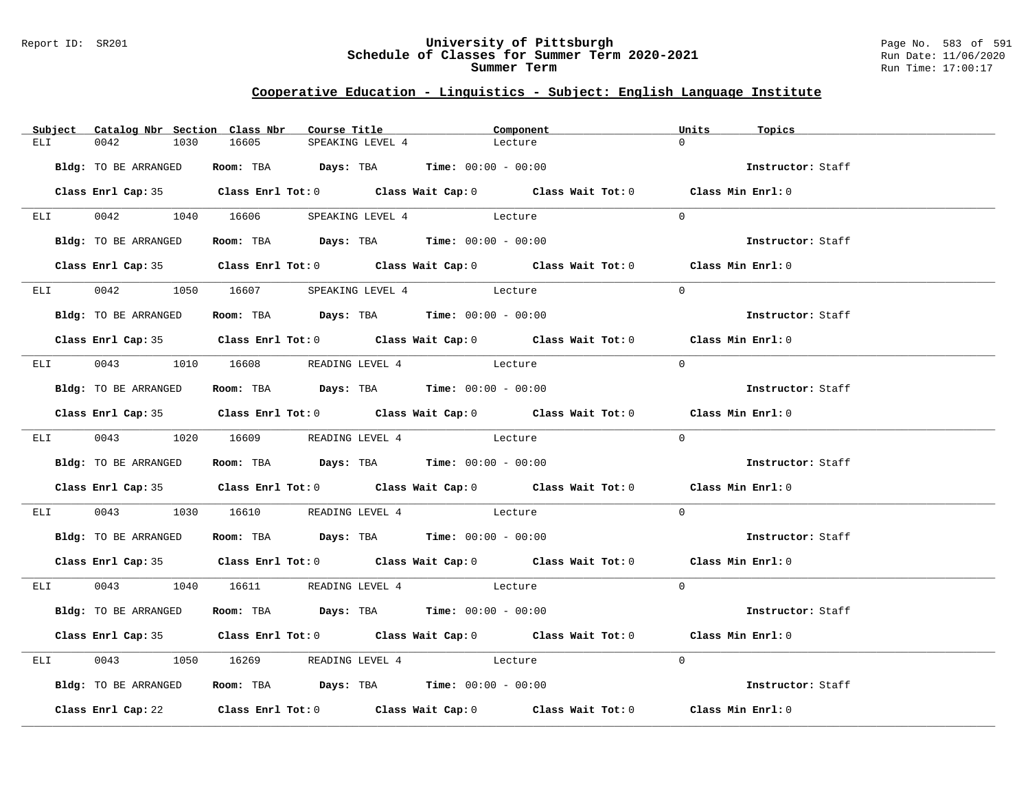#### Report ID: SR201 **University of Pittsburgh** Page No. 583 of 591 **Schedule of Classes for Summer Term 2020-2021** Run Date: 11/06/2020 **Summer Term** Run Time: 17:00:17

|                 | Subject Catalog Nbr Section Class Nbr | Course Title                                 |                  | Component                                                                                  | Units<br>Topics   |  |
|-----------------|---------------------------------------|----------------------------------------------|------------------|--------------------------------------------------------------------------------------------|-------------------|--|
| ELI             | 0042<br>1030                          | 16605                                        | SPEAKING LEVEL 4 | Lecture                                                                                    | $\Omega$          |  |
|                 |                                       |                                              |                  |                                                                                            |                   |  |
|                 | Bldg: TO BE ARRANGED                  | Room: TBA $Days:$ TBA $Time: 00:00 - 00:00$  |                  |                                                                                            | Instructor: Staff |  |
|                 |                                       |                                              |                  | Class Enrl Cap: 35 Class Enrl Tot: 0 Class Wait Cap: 0 Class Wait Tot: 0 Class Min Enrl: 0 |                   |  |
| ELI             |                                       | 0042 1040 16606 SPEAKING LEVEL 4 Lecture     |                  |                                                                                            | $\Omega$          |  |
|                 | Bldg: TO BE ARRANGED                  | Room: TBA $Days:$ TBA $Time: 00:00 - 00:00$  |                  |                                                                                            | Instructor: Staff |  |
|                 |                                       |                                              |                  | Class Enrl Cap: 35 Class Enrl Tot: 0 Class Wait Cap: 0 Class Wait Tot: 0 Class Min Enrl: 0 |                   |  |
|                 |                                       | ELI 0042 1050 16607 SPEAKING LEVEL 4 Lecture |                  |                                                                                            | $\Omega$          |  |
|                 | Bldg: TO BE ARRANGED                  | Room: TBA $Days:$ TBA $Time: 00:00 - 00:00$  |                  |                                                                                            | Instructor: Staff |  |
|                 |                                       |                                              |                  | Class Enrl Cap: 35 Class Enrl Tot: 0 Class Wait Cap: 0 Class Wait Tot: 0 Class Min Enrl: 0 |                   |  |
|                 |                                       | ELI 0043 1010 16608 READING LEVEL 4 Lecture  |                  |                                                                                            | $\Omega$          |  |
|                 | Bldg: TO BE ARRANGED                  | Room: TBA $Days:$ TBA $Time: 00:00 - 00:00$  |                  |                                                                                            | Instructor: Staff |  |
|                 |                                       |                                              |                  | Class Enrl Cap: 35 Class Enrl Tot: 0 Class Wait Cap: 0 Class Wait Tot: 0 Class Min Enrl: 0 |                   |  |
|                 |                                       | ELI 0043 1020 16609 READING LEVEL 4 Lecture  |                  |                                                                                            | $\Omega$          |  |
|                 | Bldg: TO BE ARRANGED                  | Room: TBA $Days:$ TBA Time: $00:00 - 00:00$  |                  |                                                                                            | Instructor: Staff |  |
|                 |                                       |                                              |                  | Class Enrl Cap: 35 Class Enrl Tot: 0 Class Wait Cap: 0 Class Wait Tot: 0 Class Min Enrl: 0 |                   |  |
| ELI <b>ELET</b> |                                       | 0043 1030 16610 READING LEVEL 4 Lecture      |                  |                                                                                            | $\Omega$          |  |
|                 | Bldg: TO BE ARRANGED                  | Room: TBA $Days: TBA$ Time: $00:00 - 00:00$  |                  |                                                                                            | Instructor: Staff |  |
|                 |                                       |                                              |                  | Class Enrl Cap: 35 Class Enrl Tot: 0 Class Wait Cap: 0 Class Wait Tot: 0 Class Min Enrl: 0 |                   |  |
|                 |                                       | ELI 0043 1040 16611 READING LEVEL 4 Lecture  |                  |                                                                                            | $\Omega$          |  |
|                 | Bldg: TO BE ARRANGED                  | Room: TBA Days: TBA Time: $00:00 - 00:00$    |                  |                                                                                            | Instructor: Staff |  |
|                 |                                       |                                              |                  | Class Enrl Cap: 35 Class Enrl Tot: 0 Class Wait Cap: 0 Class Wait Tot: 0 Class Min Enrl: 0 |                   |  |
| ELI <b>ELET</b> |                                       | 0043 1050 16269 READING LEVEL 4 Lecture      |                  |                                                                                            | $\Omega$          |  |
|                 | Bldg: TO BE ARRANGED                  | Room: TBA $Days:$ TBA $Time: 00:00 - 00:00$  |                  |                                                                                            | Instructor: Staff |  |
|                 |                                       |                                              |                  | Class Enrl Cap: 22 Class Enrl Tot: 0 Class Wait Cap: 0 Class Wait Tot: 0 Class Min Enrl: 0 |                   |  |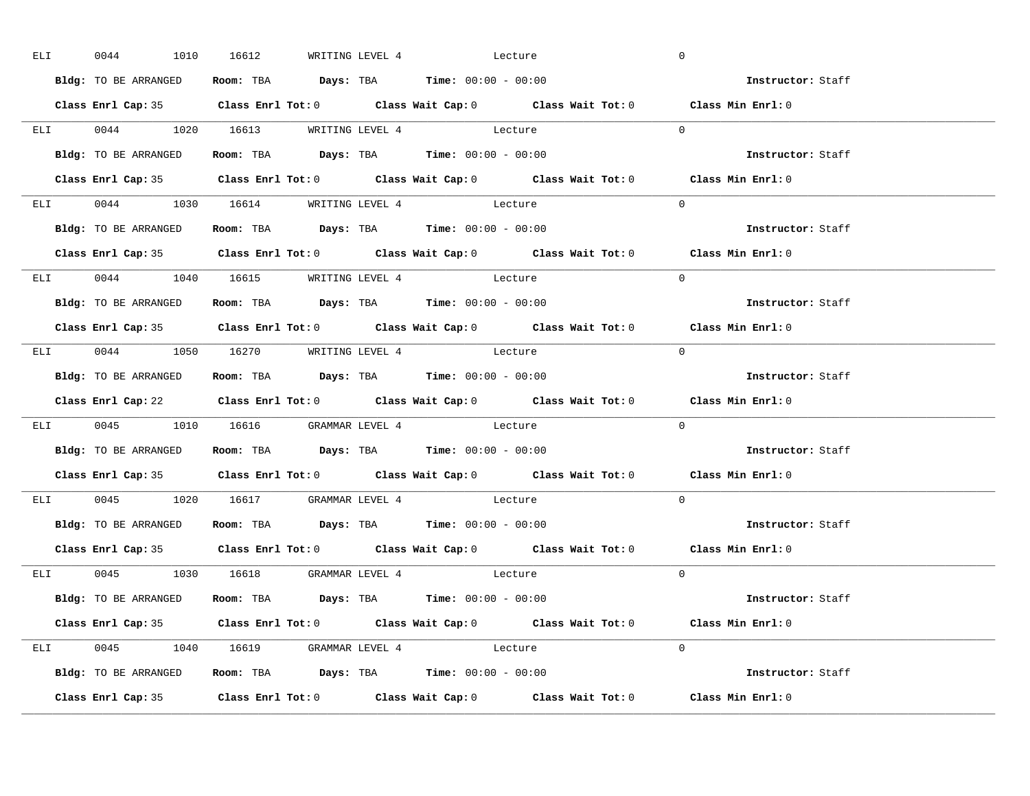| ELI | 0044               |                      | 1010 16612                          |  | WRITING LEVEL 4 Lecture                                                                    | $\overline{0}$                                                                             |  |
|-----|--------------------|----------------------|-------------------------------------|--|--------------------------------------------------------------------------------------------|--------------------------------------------------------------------------------------------|--|
|     |                    | Bldg: TO BE ARRANGED |                                     |  | Room: TBA $Days:$ TBA Time: $00:00 - 00:00$                                                | Instructor: Staff                                                                          |  |
|     |                    |                      |                                     |  |                                                                                            | Class Enrl Cap: 35 Class Enrl Tot: 0 Class Wait Cap: 0 Class Wait Tot: 0 Class Min Enrl: 0 |  |
|     |                    |                      |                                     |  | ELI 0044 1020 16613 WRITING LEVEL 4 Lecture                                                | $\Omega$                                                                                   |  |
|     |                    | Bldg: TO BE ARRANGED |                                     |  | Room: TBA $Days: TBA$ Time: $00:00 - 00:00$                                                | Instructor: Staff                                                                          |  |
|     |                    |                      |                                     |  |                                                                                            | Class Enrl Cap: 35 Class Enrl Tot: 0 Class Wait Cap: 0 Class Wait Tot: 0 Class Min Enrl: 0 |  |
|     |                    |                      |                                     |  | ELI 0044 1030 16614 WRITING LEVEL 4 Lecture                                                | $\Omega$                                                                                   |  |
|     |                    |                      |                                     |  | Bldg: TO BE ARRANGED ROOM: TBA Days: TBA Time: 00:00 - 00:00                               | Instructor: Staff                                                                          |  |
|     |                    |                      |                                     |  |                                                                                            | Class Enrl Cap: 35 Class Enrl Tot: 0 Class Wait Cap: 0 Class Wait Tot: 0 Class Min Enrl: 0 |  |
|     |                    |                      |                                     |  | ELI 0044 1040 16615 WRITING LEVEL 4 Lecture                                                | $\Omega$                                                                                   |  |
|     |                    | Bldg: TO BE ARRANGED |                                     |  | Room: TBA $Days:$ TBA $Time: 00:00 - 00:00$                                                | Instructor: Staff                                                                          |  |
|     |                    |                      |                                     |  |                                                                                            | Class Enrl Cap: 35 Class Enrl Tot: 0 Class Wait Cap: 0 Class Wait Tot: 0 Class Min Enrl: 0 |  |
|     |                    |                      |                                     |  | ELI 0044 1050 16270 WRITING LEVEL 4 Lecture                                                | $\Omega$                                                                                   |  |
|     |                    | Bldg: TO BE ARRANGED |                                     |  | Room: TBA $\rule{1em}{0.15mm}$ Days: TBA $\rule{1.5mm}{0.15mm}$ Time: $00:00 - 00:00$      | Instructor: Staff                                                                          |  |
|     |                    |                      |                                     |  |                                                                                            |                                                                                            |  |
|     |                    |                      |                                     |  |                                                                                            | Class Enrl Cap: 22 Class Enrl Tot: 0 Class Wait Cap: 0 Class Wait Tot: 0 Class Min Enrl: 0 |  |
|     |                    |                      |                                     |  | ELI 0045 1010 16616 GRAMMAR LEVEL 4 Lecture                                                | $\Omega$                                                                                   |  |
|     |                    |                      |                                     |  | Bldg: TO BE ARRANGED ROOM: TBA Days: TBA Time: 00:00 - 00:00                               | Instructor: Staff                                                                          |  |
|     |                    |                      |                                     |  |                                                                                            | Class Enrl Cap: 35 Class Enrl Tot: 0 Class Wait Cap: 0 Class Wait Tot: 0 Class Min Enrl: 0 |  |
|     |                    |                      |                                     |  | ELI 0045 1020 16617 GRAMMAR LEVEL 4 Lecture                                                | $\Omega$                                                                                   |  |
|     |                    |                      |                                     |  | Bldg: TO BE ARRANGED Room: TBA Days: TBA Time: 00:00 - 00:00                               | Instructor: Staff                                                                          |  |
|     | Class Enrl Cap: 35 |                      |                                     |  |                                                                                            | Class Enrl Tot: $0$ Class Wait Cap: $0$ Class Wait Tot: $0$ Class Min Enrl: $0$            |  |
|     |                    |                      | ELI 0045 1030 16618 GRAMMAR LEVEL 4 |  | Lecture                                                                                    | $\Omega$                                                                                   |  |
|     |                    |                      |                                     |  | <b>Bldg:</b> TO BE ARRANGED <b>Room:</b> TBA <b>Days:</b> TBA <b>Time:</b> $00:00 - 00:00$ | <b>Instructor:</b> Staff                                                                   |  |
|     |                    |                      |                                     |  |                                                                                            | Class Enrl Cap: 35 Class Enrl Tot: 0 Class Wait Cap: 0 Class Wait Tot: 0 Class Min Enrl: 0 |  |
|     |                    |                      |                                     |  | ELI 0045 1040 16619 GRAMMAR LEVEL 4 Lecture                                                | $\Omega$                                                                                   |  |
|     |                    |                      |                                     |  | Bldg: TO BE ARRANGED <b>Room:</b> TBA <b>Days:</b> TBA <b>Time:</b> $00:00 - 00:00$        | Instructor: Staff                                                                          |  |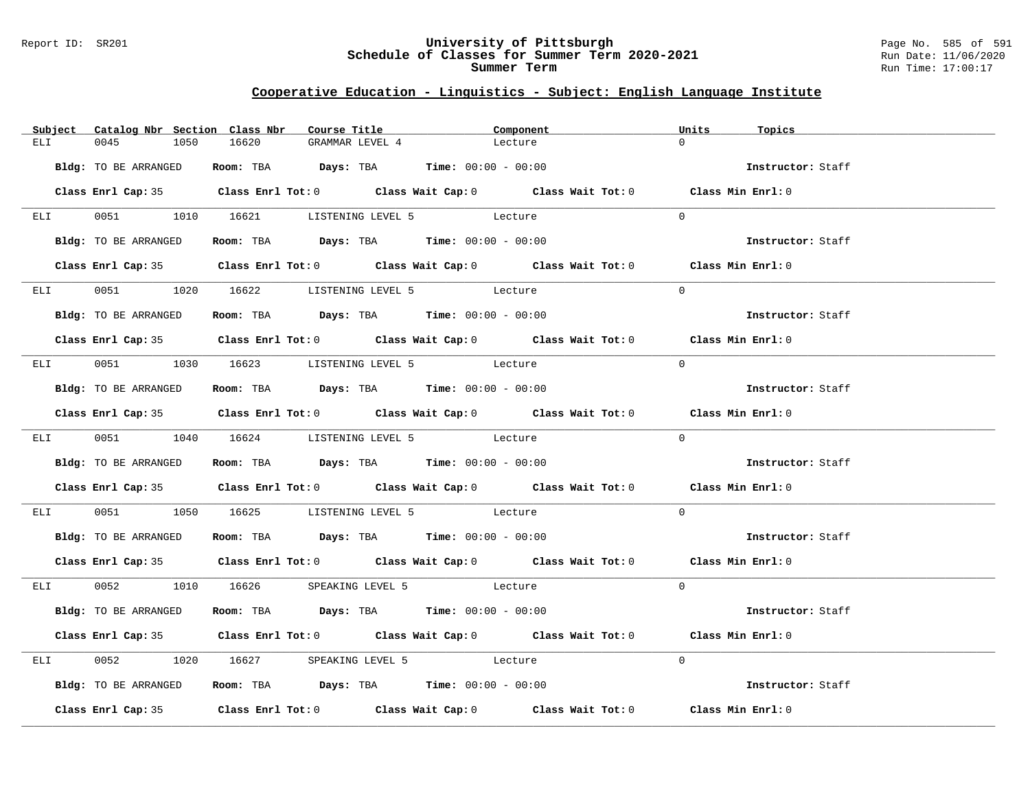#### Report ID: SR201 **University of Pittsburgh** Page No. 585 of 591 **Schedule of Classes for Summer Term 2020-2021** Run Date: 11/06/2020 **Summer Term** Run Time: 17:00:17

|                 | Subject Catalog Nbr Section Class Nbr | Course Title                                                   | Component                                                                                  | Units<br>Topics   |  |
|-----------------|---------------------------------------|----------------------------------------------------------------|--------------------------------------------------------------------------------------------|-------------------|--|
| ELI             | 0045<br>1050                          | 16620<br>GRAMMAR LEVEL 4                                       | Lecture                                                                                    | $\Omega$          |  |
|                 | Bldg: TO BE ARRANGED                  | Room: TBA $Days:$ TBA Time: $00:00 - 00:00$                    |                                                                                            | Instructor: Staff |  |
|                 |                                       |                                                                | Class Enrl Cap: 35 Class Enrl Tot: 0 Class Wait Cap: 0 Class Wait Tot: 0 Class Min Enrl: 0 |                   |  |
|                 |                                       | ELI 0051 1010 16621 LISTENING LEVEL 5 Lecture                  |                                                                                            | $\Omega$          |  |
|                 | Bldg: TO BE ARRANGED                  | Room: TBA $Days: TBA$ Time: $00:00 - 00:00$                    |                                                                                            | Instructor: Staff |  |
|                 |                                       |                                                                | Class Enrl Cap: 35 Class Enrl Tot: 0 Class Wait Cap: 0 Class Wait Tot: 0 Class Min Enrl: 0 |                   |  |
|                 |                                       | ELI 0051 1020 16622 LISTENING LEVEL 5 Lecture                  |                                                                                            | $\Omega$          |  |
|                 | Bldg: TO BE ARRANGED                  | Room: TBA $Days:$ TBA $Time: 00:00 - 00:00$                    |                                                                                            | Instructor: Staff |  |
|                 |                                       |                                                                | Class Enrl Cap: 35 Class Enrl Tot: 0 Class Wait Cap: 0 Class Wait Tot: 0 Class Min Enrl: 0 |                   |  |
|                 |                                       | ELI 0051 1030 16623 LISTENING LEVEL 5 Lecture                  |                                                                                            | $\Omega$          |  |
|                 |                                       | Bldg: TO BE ARRANGED Room: TBA Days: TBA Time: 00:00 - 00:00   |                                                                                            | Instructor: Staff |  |
|                 |                                       |                                                                | Class Enrl Cap: 35 Class Enrl Tot: 0 Class Wait Cap: 0 Class Wait Tot: 0 Class Min Enrl: 0 |                   |  |
|                 |                                       | ELI 0051 1040 16624 LISTENING LEVEL 5 Lecture                  |                                                                                            | $\Omega$          |  |
|                 | Bldg: TO BE ARRANGED                  | Room: TBA $Days: TBA$ Time: $00:00 - 00:00$                    |                                                                                            | Instructor: Staff |  |
|                 |                                       |                                                                | Class Enrl Cap: 35 Class Enrl Tot: 0 Class Wait Cap: 0 Class Wait Tot: 0 Class Min Enrl: 0 |                   |  |
| ELI <b>ELET</b> |                                       | 0051 1050 16625 LISTENING LEVEL 5 Lecture                      |                                                                                            | $\Omega$          |  |
|                 | Bldg: TO BE ARRANGED                  | Room: TBA $\rule{1em}{0.15mm}$ Days: TBA Time: $00:00 - 00:00$ |                                                                                            | Instructor: Staff |  |
|                 |                                       |                                                                | Class Enrl Cap: 35 Class Enrl Tot: 0 Class Wait Cap: 0 Class Wait Tot: 0 Class Min Enrl: 0 |                   |  |
|                 |                                       | ELI 0052 1010 16626 SPEAKING LEVEL 5 Lecture                   |                                                                                            | $\Omega$          |  |
|                 | Bldg: TO BE ARRANGED                  | Room: TBA $Days:$ TBA Time: $00:00 - 00:00$                    |                                                                                            | Instructor: Staff |  |
|                 |                                       |                                                                | Class Enrl Cap: 35 Class Enrl Tot: 0 Class Wait Cap: 0 Class Wait Tot: 0 Class Min Enrl: 0 |                   |  |
|                 |                                       | ELI 0052 1020 16627 SPEAKING LEVEL 5 Lecture                   |                                                                                            | $\Omega$          |  |
|                 | Bldg: TO BE ARRANGED                  | Room: TBA $Days:$ TBA Time: $00:00 - 00:00$                    |                                                                                            | Instructor: Staff |  |
|                 |                                       |                                                                | Class Enrl Cap: 35 Class Enrl Tot: 0 Class Wait Cap: 0 Class Wait Tot: 0 Class Min Enrl: 0 |                   |  |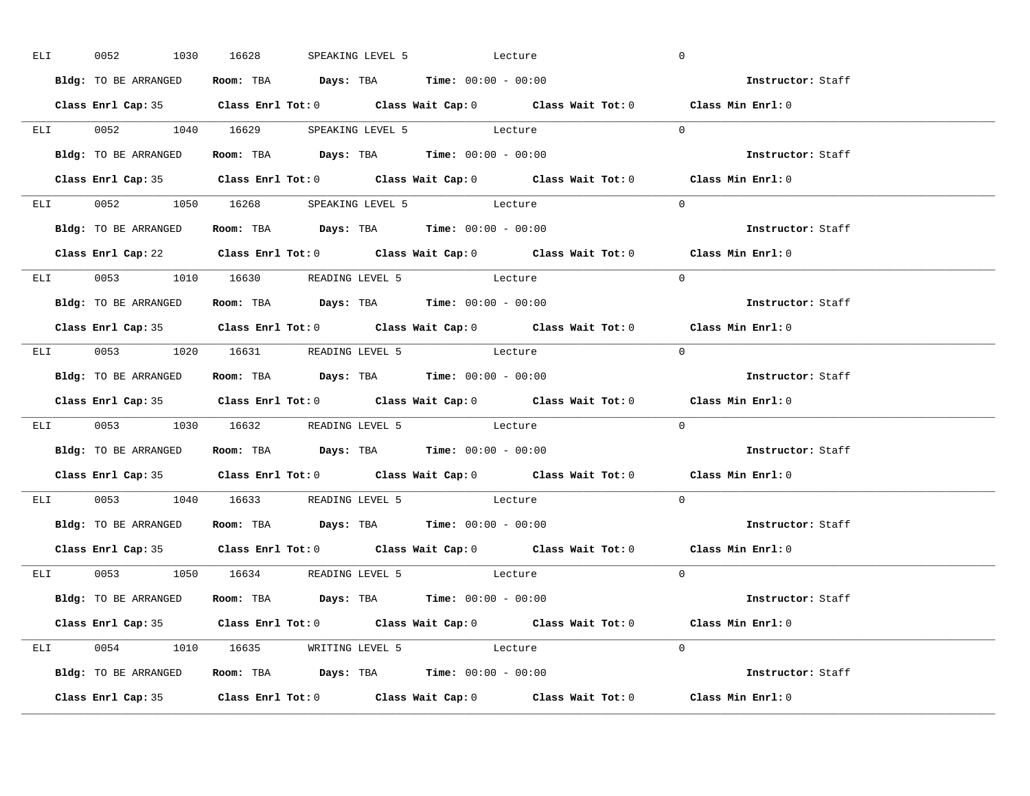| ELI <b>ELI</b> | 0052                                  | 1030 16628 |  | SPEAKING LEVEL 5 Lecture                                                                   | $\overline{0}$                                                                             |  |
|----------------|---------------------------------------|------------|--|--------------------------------------------------------------------------------------------|--------------------------------------------------------------------------------------------|--|
|                | Bldg: TO BE ARRANGED                  |            |  | Room: TBA $Days:$ TBA Time: $00:00 - 00:00$                                                | <b>Example 2</b> Instructor: Staff                                                         |  |
|                |                                       |            |  |                                                                                            | Class Enrl Cap: 35 Class Enrl Tot: 0 Class Wait Cap: 0 Class Wait Tot: 0 Class Min Enrl: 0 |  |
|                |                                       |            |  | ELI 0052 1040 16629 SPEAKING LEVEL 5 Lecture                                               | $\Omega$                                                                                   |  |
|                | Bldg: TO BE ARRANGED                  |            |  | Room: TBA $Days:$ TBA Time: $00:00 - 00:00$                                                | Instructor: Staff                                                                          |  |
|                |                                       |            |  |                                                                                            | Class Enrl Cap: 35 Class Enrl Tot: 0 Class Wait Cap: 0 Class Wait Tot: 0 Class Min Enrl: 0 |  |
|                |                                       |            |  | ELI 0052 1050 16268 SPEAKING LEVEL 5 Lecture                                               | $\Omega$                                                                                   |  |
|                |                                       |            |  | Bldg: TO BE ARRANGED ROOM: TBA Days: TBA Time: 00:00 - 00:00                               | Instructor: Staff                                                                          |  |
|                |                                       |            |  |                                                                                            | Class Enrl Cap: 22 Class Enrl Tot: 0 Class Wait Cap: 0 Class Wait Tot: 0 Class Min Enrl: 0 |  |
|                |                                       |            |  | ELI 0053 1010 16630 READING LEVEL 5 Lecture                                                | $\Omega$                                                                                   |  |
|                | Bldg: TO BE ARRANGED                  |            |  | Room: TBA $Days:$ TBA $Time: 00:00 - 00:00$                                                | Instructor: Staff                                                                          |  |
|                |                                       |            |  |                                                                                            | Class Enrl Cap: 35 Class Enrl Tot: 0 Class Wait Cap: 0 Class Wait Tot: 0 Class Min Enrl: 0 |  |
|                |                                       |            |  | ELI 0053 1020 16631 READING LEVEL 5 Lecture                                                | $\Omega$                                                                                   |  |
|                | Bldg: TO BE ARRANGED                  |            |  | Room: TBA $\rule{1em}{0.15mm}$ Days: TBA $\rule{1.5mm}{0.15mm}$ Time: $00:00 - 00:00$      | Instructor: Staff                                                                          |  |
|                |                                       |            |  |                                                                                            |                                                                                            |  |
|                |                                       |            |  |                                                                                            | Class Enrl Cap: 35 Class Enrl Tot: 0 Class Wait Cap: 0 Class Wait Tot: 0 Class Min Enrl: 0 |  |
|                |                                       |            |  | ELI 0053 1030 16632 READING LEVEL 5 Lecture                                                | $\Omega$                                                                                   |  |
|                |                                       |            |  | Bldg: TO BE ARRANGED ROOM: TBA Days: TBA Time: 00:00 - 00:00                               | Instructor: Staff                                                                          |  |
|                |                                       |            |  |                                                                                            | Class Enrl Cap: 35 Class Enrl Tot: 0 Class Wait Cap: 0 Class Wait Tot: 0 Class Min Enrl: 0 |  |
|                |                                       |            |  | ELI 0053 1040 16633 READING LEVEL 5 Lecture                                                | $\Omega$                                                                                   |  |
|                |                                       |            |  | Bldg: TO BE ARRANGED Room: TBA Days: TBA Time: 00:00 - 00:00                               | Instructor: Staff                                                                          |  |
|                | Class Enrl Cap: 35                    |            |  |                                                                                            | Class Enrl Tot: $0$ Class Wait Cap: $0$ Class Wait Tot: $0$ Class Min Enrl: $0$            |  |
|                | $ELI$ 0053 1050 16634 READING LEVEL 5 |            |  | Lecture                                                                                    | $\Omega$                                                                                   |  |
|                |                                       |            |  | <b>Bldg:</b> TO BE ARRANGED <b>Room:</b> TBA <b>Days:</b> TBA <b>Time:</b> $00:00 - 00:00$ | <b>Instructor:</b> Staff                                                                   |  |
|                |                                       |            |  |                                                                                            | Class Enrl Cap: 35 Class Enrl Tot: 0 Class Wait Cap: 0 Class Wait Tot: 0 Class Min Enrl: 0 |  |
|                |                                       |            |  | ELI 0054 1010 16635 WRITING LEVEL 5 Lecture                                                | $\Omega$                                                                                   |  |
|                |                                       |            |  | Bldg: TO BE ARRANGED <b>Room:</b> TBA <b>Days:</b> TBA <b>Time:</b> $00:00 - 00:00$        | Instructor: Staff                                                                          |  |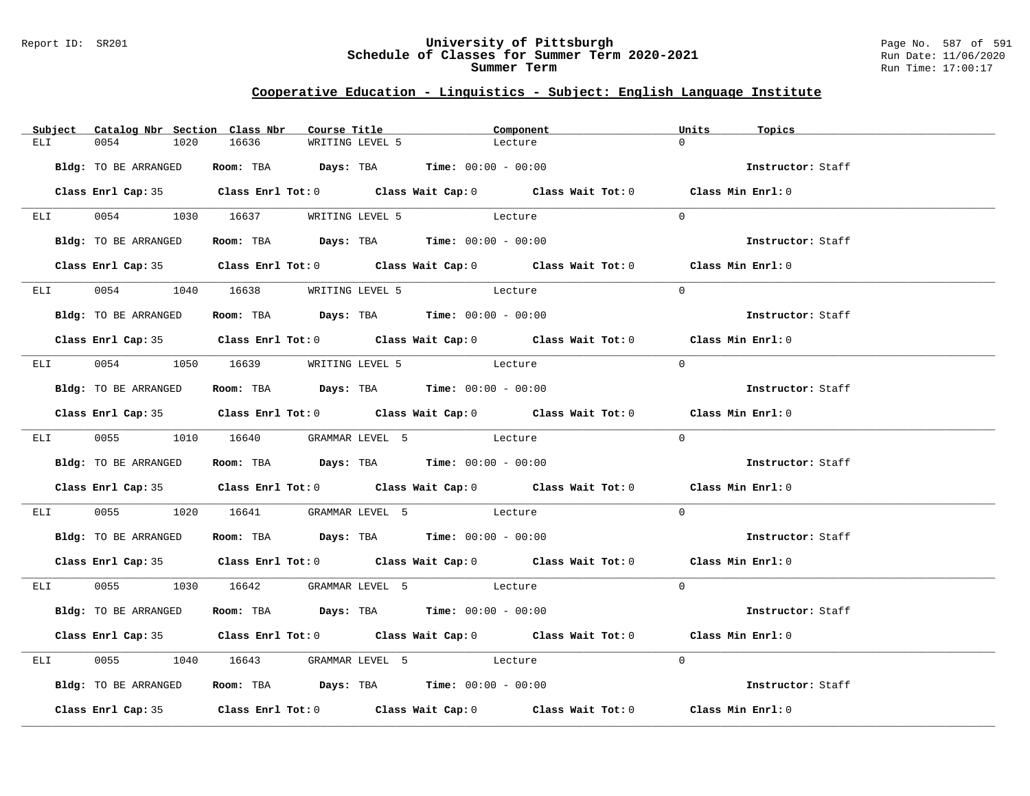#### Report ID: SR201 **University of Pittsburgh** Page No. 587 of 591 **Schedule of Classes for Summer Term 2020-2021** Run Date: 11/06/2020 **Summer Term** Run Time: 17:00:17

|                 | Subject Catalog Nbr Section Class Nbr | Course Title                                |                                                                | Component                                                                                  | Units<br>Topics   |  |
|-----------------|---------------------------------------|---------------------------------------------|----------------------------------------------------------------|--------------------------------------------------------------------------------------------|-------------------|--|
| ELI             | 0054<br>1020                          | 16636                                       | WRITING LEVEL 5                                                | Lecture                                                                                    | $\cap$            |  |
|                 | Bldg: TO BE ARRANGED                  |                                             | Room: TBA $Days: TBA$ Time: $00:00 - 00:00$                    |                                                                                            | Instructor: Staff |  |
|                 |                                       |                                             |                                                                | Class Enrl Cap: 35 Class Enrl Tot: 0 Class Wait Cap: 0 Class Wait Tot: 0 Class Min Enrl: 0 |                   |  |
|                 |                                       | ELI 0054 1030 16637 WRITING LEVEL 5 Lecture |                                                                |                                                                                            | $\Omega$          |  |
|                 | Bldg: TO BE ARRANGED                  |                                             | Room: TBA $Days:$ TBA $Time: 00:00 - 00:00$                    |                                                                                            | Instructor: Staff |  |
|                 |                                       |                                             |                                                                | Class Enrl Cap: 35 Class Enrl Tot: 0 Class Wait Cap: 0 Class Wait Tot: 0 Class Min Enrl: 0 |                   |  |
|                 |                                       | ELI 0054 1040 16638 WRITING LEVEL 5         | Lecture                                                        |                                                                                            | $\Omega$          |  |
|                 | Bldg: TO BE ARRANGED                  |                                             | Room: TBA $Days:$ TBA Time: $00:00 - 00:00$                    |                                                                                            | Instructor: Staff |  |
|                 |                                       |                                             |                                                                | Class Enrl Cap: 35 Class Enrl Tot: 0 Class Wait Cap: 0 Class Wait Tot: 0 Class Min Enrl: 0 |                   |  |
|                 |                                       | ELI 0054 1050 16639 WRITING LEVEL 5 Lecture |                                                                |                                                                                            | $\Omega$          |  |
|                 | Bldg: TO BE ARRANGED                  |                                             | Room: TBA $Days:$ TBA $Time: 00:00 - 00:00$                    |                                                                                            | Instructor: Staff |  |
|                 |                                       |                                             |                                                                | Class Enrl Cap: 35 Class Enrl Tot: 0 Class Wait Cap: 0 Class Wait Tot: 0 Class Min Enrl: 0 |                   |  |
|                 |                                       | ELI 0055 1010 16640 GRAMMAR LEVEL 5 Lecture |                                                                |                                                                                            | $\Omega$          |  |
|                 | Bldg: TO BE ARRANGED                  |                                             | Room: TBA $\rule{1em}{0.15mm}$ Days: TBA Time: $00:00 - 00:00$ |                                                                                            | Instructor: Staff |  |
|                 |                                       |                                             |                                                                | Class Enrl Cap: 35 Class Enrl Tot: 0 Class Wait Cap: 0 Class Wait Tot: 0 Class Min Enrl: 0 |                   |  |
| <b>ELI</b>      |                                       | 0055 1020 16641 GRAMMAR LEVEL 5 Lecture     |                                                                |                                                                                            | $\Omega$          |  |
|                 | Bldg: TO BE ARRANGED                  |                                             | Room: TBA $Days:$ TBA $Time: 00:00 - 00:00$                    |                                                                                            | Instructor: Staff |  |
|                 |                                       |                                             |                                                                | Class Enrl Cap: 35 Class Enrl Tot: 0 Class Wait Cap: 0 Class Wait Tot: 0 Class Min Enrl: 0 |                   |  |
|                 |                                       | ELI 0055 1030 16642 GRAMMAR LEVEL 5 Lecture |                                                                |                                                                                            | $\Omega$          |  |
|                 | Bldg: TO BE ARRANGED                  |                                             | Room: TBA Days: TBA Time: $00:00 - 00:00$                      |                                                                                            | Instructor: Staff |  |
|                 |                                       |                                             |                                                                | Class Enrl Cap: 35 Class Enrl Tot: 0 Class Wait Cap: 0 Class Wait Tot: 0 Class Min Enrl: 0 |                   |  |
| ELI <b>ELET</b> |                                       | 0055 1040 16643 GRAMMAR LEVEL 5 Lecture     |                                                                |                                                                                            | $\Omega$          |  |
|                 | Bldg: TO BE ARRANGED                  |                                             | Room: TBA $Days:$ TBA $Time: 00:00 - 00:00$                    |                                                                                            | Instructor: Staff |  |
|                 |                                       |                                             |                                                                | Class Enrl Cap: 35 Class Enrl Tot: 0 Class Wait Cap: 0 Class Wait Tot: 0 Class Min Enrl: 0 |                   |  |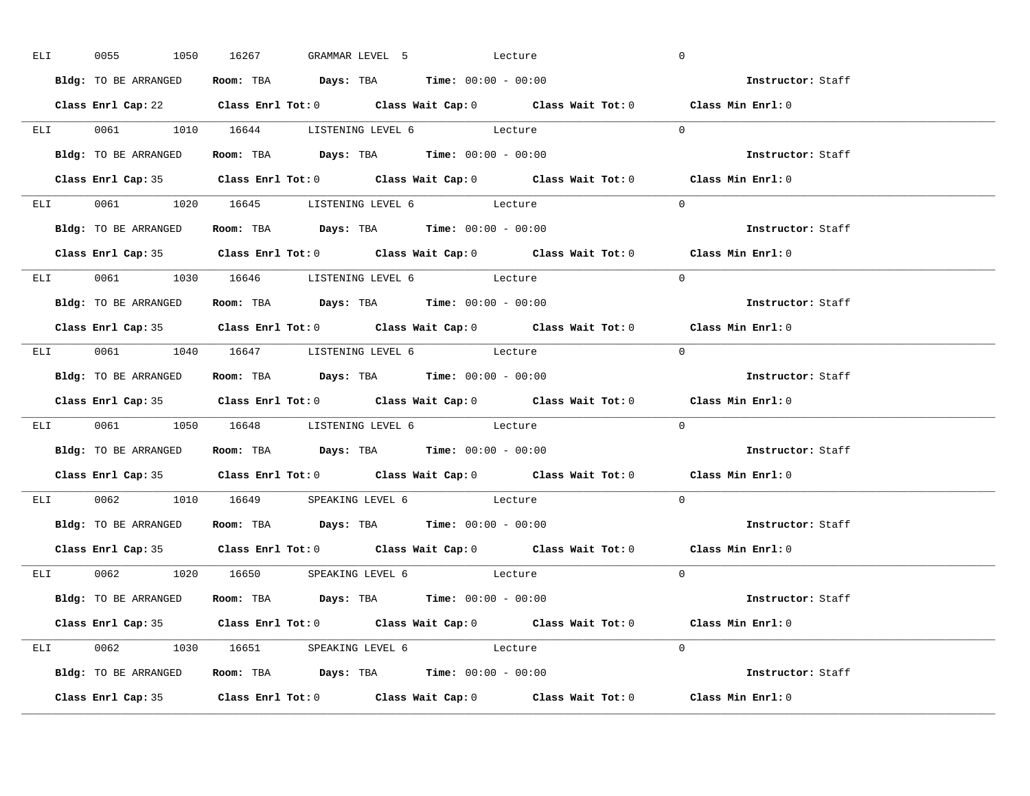| ELI <b>ELI</b> | 0055                 | 1050 16267 GRAMMAR LEVEL 5 Lecture                                                         |  | $\overline{0}$                                                                             |  |
|----------------|----------------------|--------------------------------------------------------------------------------------------|--|--------------------------------------------------------------------------------------------|--|
|                | Bldg: TO BE ARRANGED | Room: TBA $Days:$ TBA Time: $00:00 - 00:00$                                                |  | Instructor: Staff                                                                          |  |
|                |                      |                                                                                            |  | Class Enrl Cap: 22 Class Enrl Tot: 0 Class Wait Cap: 0 Class Wait Tot: 0 Class Min Enrl: 0 |  |
|                |                      | ELI 0061 1010 16644 LISTENING LEVEL 6 Lecture                                              |  | $\Omega$                                                                                   |  |
|                | Bldg: TO BE ARRANGED | Room: TBA $\rule{1em}{0.15mm}$ Days: TBA $\rule{1.5mm}{0.15mm}$ Time: $00:00 - 00:00$      |  | Instructor: Staff                                                                          |  |
|                |                      |                                                                                            |  | Class Enrl Cap: 35 Class Enrl Tot: 0 Class Wait Cap: 0 Class Wait Tot: 0 Class Min Enrl: 0 |  |
|                |                      | ELI 0061 1020 16645 LISTENING LEVEL 6 Lecture                                              |  | $\Omega$                                                                                   |  |
|                |                      | Bldg: TO BE ARRANGED ROOM: TBA Days: TBA Time: 00:00 - 00:00                               |  | Instructor: Staff                                                                          |  |
|                |                      |                                                                                            |  | Class Enrl Cap: 35 Class Enrl Tot: 0 Class Wait Cap: 0 Class Wait Tot: 0 Class Min Enrl: 0 |  |
|                |                      | ELI 0061 1030 16646 LISTENING LEVEL 6 Lecture                                              |  | $\Omega$                                                                                   |  |
|                | Bldg: TO BE ARRANGED | Room: TBA $Days:$ TBA $Time: 00:00 - 00:00$                                                |  | Instructor: Staff                                                                          |  |
|                |                      |                                                                                            |  | Class Enrl Cap: 35 Class Enrl Tot: 0 Class Wait Cap: 0 Class Wait Tot: 0 Class Min Enrl: 0 |  |
|                |                      | ELI 0061 1040 16647 LISTENING LEVEL 6 Lecture                                              |  | $\Omega$                                                                                   |  |
|                |                      | Bldg: TO BE ARRANGED Room: TBA Days: TBA Time: 00:00 - 00:00                               |  | Instructor: Staff                                                                          |  |
|                |                      |                                                                                            |  |                                                                                            |  |
|                |                      |                                                                                            |  | Class Enrl Cap: 35 Class Enrl Tot: 0 Class Wait Cap: 0 Class Wait Tot: 0 Class Min Enrl: 0 |  |
|                |                      | ELI 0061 1050 16648 LISTENING LEVEL 6 Lecture                                              |  | $\Omega$                                                                                   |  |
|                |                      | Bldg: TO BE ARRANGED ROOM: TBA Days: TBA Time: 00:00 - 00:00                               |  | Instructor: Staff                                                                          |  |
|                |                      |                                                                                            |  | Class Enrl Cap: 35 Class Enrl Tot: 0 Class Wait Cap: 0 Class Wait Tot: 0 Class Min Enrl: 0 |  |
|                |                      | ELI 0062 1010 16649 SPEAKING LEVEL 6 Lecture                                               |  | $\Omega$                                                                                   |  |
|                |                      | Bldg: TO BE ARRANGED Room: TBA Days: TBA Time: 00:00 - 00:00                               |  | Instructor: Staff                                                                          |  |
|                | Class Enrl Cap: 35   |                                                                                            |  | Class Enrl Tot: $0$ Class Wait Cap: $0$ Class Wait Tot: $0$ Class Min Enrl: $0$            |  |
|                |                      | ELI 0062 1020 16650 SPEAKING LEVEL 6 Lecture                                               |  | $\Omega$                                                                                   |  |
|                |                      | <b>Bldg:</b> TO BE ARRANGED <b>Room:</b> TBA <b>Days:</b> TBA <b>Time:</b> $00:00 - 00:00$ |  | <b>Instructor:</b> Staff                                                                   |  |
|                |                      |                                                                                            |  | Class Enrl Cap: 35 Class Enrl Tot: 0 Class Wait Cap: 0 Class Wait Tot: 0 Class Min Enrl: 0 |  |
|                |                      | ELI 0062 1030 16651 SPEAKING LEVEL 6 Lecture                                               |  | $\Omega$                                                                                   |  |
|                |                      | Bldg: TO BE ARRANGED <b>Room:</b> TBA <b>Days:</b> TBA <b>Time:</b> $00:00 - 00:00$        |  | Instructor: Staff                                                                          |  |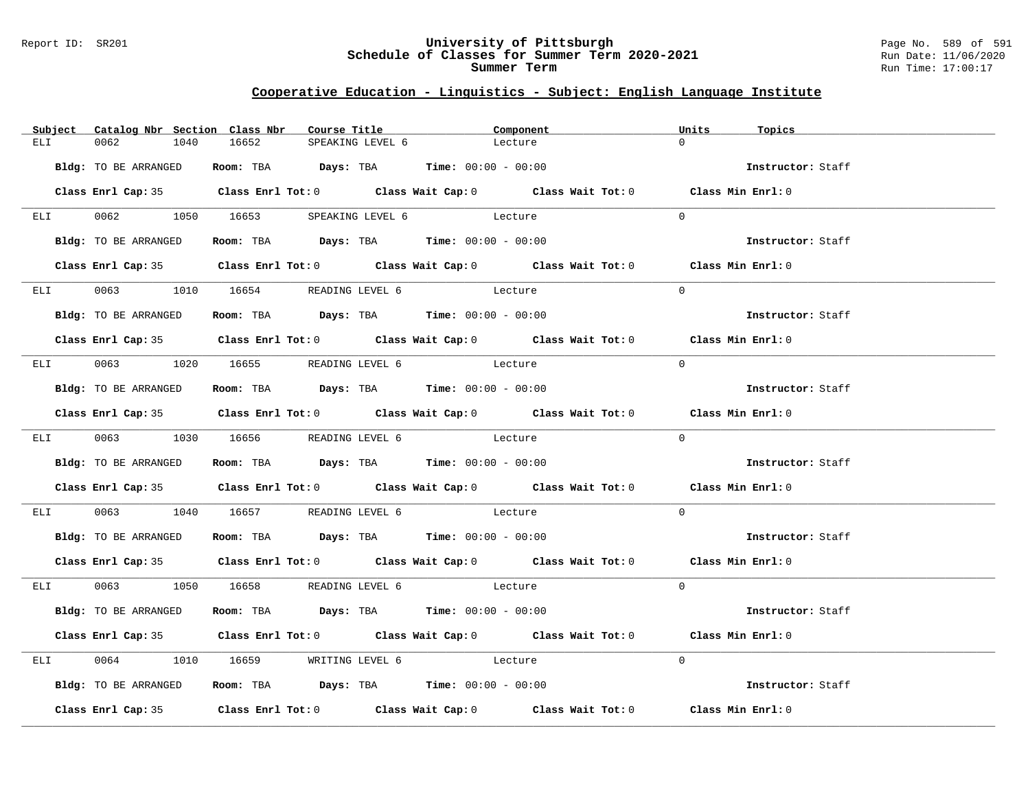#### Report ID: SR201 **University of Pittsburgh** Page No. 589 of 591 **Schedule of Classes for Summer Term 2020-2021** Run Date: 11/06/2020 **Summer Term** Run Time: 17:00:17

|                 | Subject Catalog Nbr Section Class Nbr | Course Title                                                                               |                  | Component |  | Units             | Topics            |
|-----------------|---------------------------------------|--------------------------------------------------------------------------------------------|------------------|-----------|--|-------------------|-------------------|
| ELI             | 0062<br>1040                          | 16652                                                                                      | SPEAKING LEVEL 6 | Lecture   |  | $\cap$            |                   |
|                 | Bldg: TO BE ARRANGED                  | Room: TBA $Days: TBA$ Time: $00:00 - 00:00$                                                |                  |           |  | Instructor: Staff |                   |
|                 |                                       |                                                                                            |                  |           |  |                   |                   |
|                 |                                       | Class Enrl Cap: 35 Class Enrl Tot: 0 Class Wait Cap: 0 Class Wait Tot: 0 Class Min Enrl: 0 |                  |           |  |                   |                   |
|                 |                                       | ELI 0062 1050 16653 SPEAKING LEVEL 6 Lecture                                               |                  |           |  | $\Omega$          |                   |
|                 | Bldg: TO BE ARRANGED                  | Room: TBA $Days:$ TBA $Time: 00:00 - 00:00$                                                |                  |           |  |                   | Instructor: Staff |
|                 |                                       | Class Enrl Cap: 35 Class Enrl Tot: 0 Class Wait Cap: 0 Class Wait Tot: 0 Class Min Enrl: 0 |                  |           |  |                   |                   |
|                 |                                       | ELI 0063 1010 16654 READING LEVEL 6 Lecture                                                |                  |           |  | $\Omega$          |                   |
|                 | Bldg: TO BE ARRANGED                  | Room: TBA $Days:$ TBA $Time: 00:00 - 00:00$                                                |                  |           |  |                   | Instructor: Staff |
|                 |                                       | Class Enrl Cap: 35 Class Enrl Tot: 0 Class Wait Cap: 0 Class Wait Tot: 0 Class Min Enrl: 0 |                  |           |  |                   |                   |
|                 |                                       | ELI 0063 1020 16655 READING LEVEL 6 Lecture                                                |                  |           |  | $\Omega$          |                   |
|                 | Bldg: TO BE ARRANGED                  | Room: TBA $\rule{1em}{0.15mm}$ Days: TBA Time: $00:00 - 00:00$                             |                  |           |  |                   | Instructor: Staff |
|                 |                                       | Class Enrl Cap: 35 Class Enrl Tot: 0 Class Wait Cap: 0 Class Wait Tot: 0 Class Min Enrl: 0 |                  |           |  |                   |                   |
|                 |                                       | ELI 0063 1030 16656 READING LEVEL 6 Lecture                                                |                  |           |  | $\Omega$          |                   |
|                 | Bldg: TO BE ARRANGED                  | Room: TBA $Days:$ TBA $Time: 00:00 - 00:00$                                                |                  |           |  |                   | Instructor: Staff |
|                 |                                       | Class Enrl Cap: 35 Class Enrl Tot: 0 Class Wait Cap: 0 Class Wait Tot: 0 Class Min Enrl: 0 |                  |           |  |                   |                   |
|                 |                                       | ELI 0063 1040 16657 READING LEVEL 6 Lecture                                                |                  |           |  | $\Omega$          |                   |
|                 | Bldg: TO BE ARRANGED                  | Room: TBA $Days:$ TBA $Time: 00:00 - 00:00$                                                |                  |           |  |                   | Instructor: Staff |
|                 |                                       | Class Enrl Cap: 35 Class Enrl Tot: 0 Class Wait Cap: 0 Class Wait Tot: 0 Class Min Enrl: 0 |                  |           |  |                   |                   |
|                 |                                       | ELI 0063 1050 16658 READING LEVEL 6 Lecture                                                |                  |           |  | $\Omega$          |                   |
|                 | Bldg: TO BE ARRANGED                  | Room: TBA $Days:$ TBA $Time: 00:00 - 00:00$                                                |                  |           |  |                   | Instructor: Staff |
|                 |                                       | Class Enrl Cap: 35 Class Enrl Tot: 0 Class Wait Cap: 0 Class Wait Tot: 0 Class Min Enrl: 0 |                  |           |  |                   |                   |
| ELI <b>ELET</b> |                                       | 0064 1010 16659 WRITING LEVEL 6 Lecture                                                    |                  |           |  | $\Omega$          |                   |
|                 | Bldg: TO BE ARRANGED                  | Room: TBA $Days:$ TBA $Time: 00:00 - 00:00$                                                |                  |           |  |                   | Instructor: Staff |
|                 |                                       | Class Enrl Cap: 35 Class Enrl Tot: 0 Class Wait Cap: 0 Class Wait Tot: 0 Class Min Enrl: 0 |                  |           |  |                   |                   |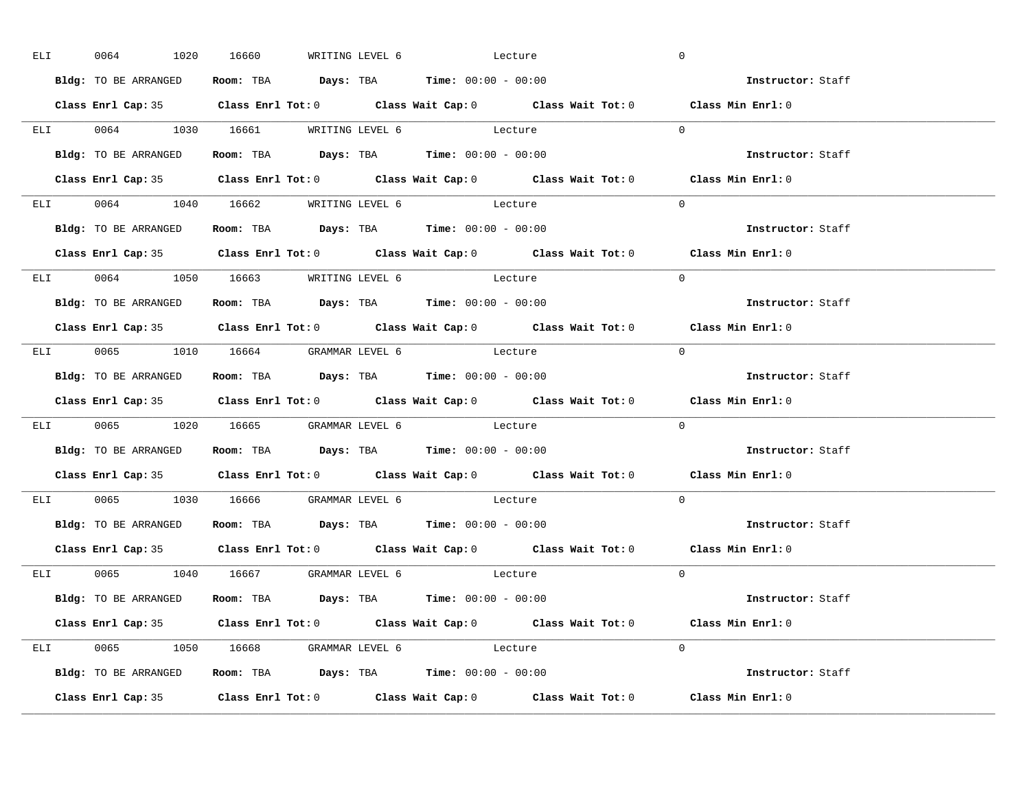| ELI            | 0064                                | 1020 16660 |  | WRITING LEVEL 6 Lecture                                                                    | $\overline{0}$                                                                             |  |
|----------------|-------------------------------------|------------|--|--------------------------------------------------------------------------------------------|--------------------------------------------------------------------------------------------|--|
|                | <b>Bldg:</b> TO BE ARRANGED         |            |  | Room: TBA $Days:$ TBA Time: $00:00 - 00:00$                                                | Instructor: Staff                                                                          |  |
|                |                                     |            |  |                                                                                            | Class Enrl Cap: 35 Class Enrl Tot: 0 Class Wait Cap: 0 Class Wait Tot: 0 Class Min Enrl: 0 |  |
|                |                                     |            |  | ELI 0064 1030 16661 WRITING LEVEL 6 Lecture                                                | $\Omega$                                                                                   |  |
|                | Bldg: TO BE ARRANGED                |            |  | Room: TBA $Days: TBA$ Time: $00:00 - 00:00$                                                | Instructor: Staff                                                                          |  |
|                |                                     |            |  |                                                                                            | Class Enrl Cap: 35 Class Enrl Tot: 0 Class Wait Cap: 0 Class Wait Tot: 0 Class Min Enrl: 0 |  |
|                |                                     |            |  | ELI 0064 1040 16662 WRITING LEVEL 6 Lecture                                                | $\Omega$                                                                                   |  |
|                |                                     |            |  | Bldg: TO BE ARRANGED ROOM: TBA Days: TBA Time: 00:00 - 00:00                               | Instructor: Staff                                                                          |  |
|                |                                     |            |  |                                                                                            | Class Enrl Cap: 35 Class Enrl Tot: 0 Class Wait Cap: 0 Class Wait Tot: 0 Class Min Enrl: 0 |  |
|                |                                     |            |  | ELI 0064 1050 16663 WRITING LEVEL 6 Lecture                                                | $\Omega$                                                                                   |  |
|                | Bldg: TO BE ARRANGED                |            |  | Room: TBA $Days:$ TBA $Time: 00:00 - 00:00$                                                | Instructor: Staff                                                                          |  |
|                |                                     |            |  |                                                                                            | Class Enrl Cap: 35 Class Enrl Tot: 0 Class Wait Cap: 0 Class Wait Tot: 0 Class Min Enrl: 0 |  |
|                |                                     |            |  | ELI 0065 1010 16664 GRAMMAR LEVEL 6 Lecture                                                | $\Omega$                                                                                   |  |
|                |                                     |            |  | Bldg: TO BE ARRANGED Room: TBA Days: TBA Time: 00:00 - 00:00                               | Instructor: Staff                                                                          |  |
|                |                                     |            |  |                                                                                            |                                                                                            |  |
|                |                                     |            |  |                                                                                            | Class Enrl Cap: 35 Class Enrl Tot: 0 Class Wait Cap: 0 Class Wait Tot: 0 Class Min Enrl: 0 |  |
|                |                                     |            |  | ELI 0065 1020 16665 GRAMMAR LEVEL 6 Lecture                                                | $\Omega$                                                                                   |  |
|                |                                     |            |  | Bldg: TO BE ARRANGED ROOM: TBA Days: TBA Time: 00:00 - 00:00                               | Instructor: Staff                                                                          |  |
|                |                                     |            |  |                                                                                            | Class Enrl Cap: 35 Class Enrl Tot: 0 Class Wait Cap: 0 Class Wait Tot: 0 Class Min Enrl: 0 |  |
| ELI <b>ELE</b> |                                     |            |  | 0065 1030 16666 GRAMMAR LEVEL 6 Lecture                                                    | $\Omega$                                                                                   |  |
|                |                                     |            |  | Bldg: TO BE ARRANGED Room: TBA Days: TBA Time: 00:00 - 00:00                               | Instructor: Staff                                                                          |  |
|                | Class Enrl Cap: 35                  |            |  |                                                                                            | Class Enrl Tot: $0$ Class Wait Cap: $0$ Class Wait Tot: $0$ Class Min Enrl: $0$            |  |
|                | ELI 0065 1040 16667 GRAMMAR LEVEL 6 |            |  | Lecture                                                                                    | $\Omega$                                                                                   |  |
|                |                                     |            |  | <b>Bldg:</b> TO BE ARRANGED <b>Room:</b> TBA <b>Days:</b> TBA <b>Time:</b> $00:00 - 00:00$ | <b>Instructor:</b> Staff                                                                   |  |
|                |                                     |            |  |                                                                                            | Class Enrl Cap: 35 Class Enrl Tot: 0 Class Wait Cap: 0 Class Wait Tot: 0 Class Min Enrl: 0 |  |
|                |                                     |            |  | ELI 0065 1050 16668 GRAMMAR LEVEL 6 Lecture                                                | $\Omega$                                                                                   |  |
|                |                                     |            |  | Bldg: TO BE ARRANGED <b>Room:</b> TBA <b>Days:</b> TBA <b>Time:</b> $00:00 - 00:00$        | Instructor: Staff                                                                          |  |